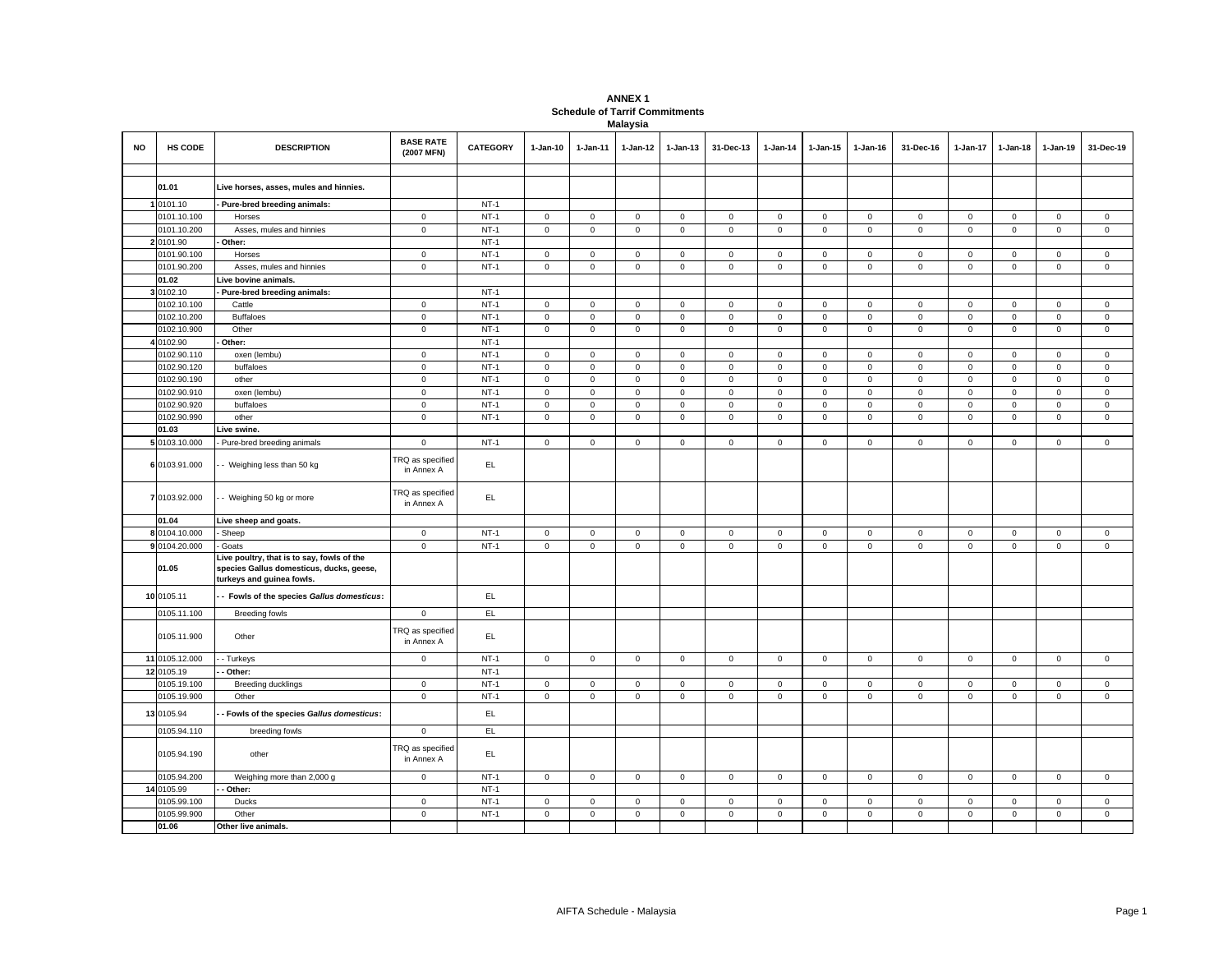## **ANNEX 1 Schedule of Tarrif Commitments Malaysia**

|    |                            |                                                                                                                     | <b>BASE RATE</b>                      |                  |                            |                            |                            |                            |                            |                                    |                            |                            |                            |                            |                            |                                    |                            |
|----|----------------------------|---------------------------------------------------------------------------------------------------------------------|---------------------------------------|------------------|----------------------------|----------------------------|----------------------------|----------------------------|----------------------------|------------------------------------|----------------------------|----------------------------|----------------------------|----------------------------|----------------------------|------------------------------------|----------------------------|
| NO | <b>HS CODE</b>             | <b>DESCRIPTION</b>                                                                                                  | (2007 MFN)                            | <b>CATEGORY</b>  | $1-Jan-10$                 | 1-Jan-11                   | 1-Jan-12                   | $1-Jan-13$                 | 31-Dec-13                  | $1 - Jan-14$                       | 1-Jan-15                   | 1-Jan-16                   | 31-Dec-16                  | 1-Jan-17                   | 1-Jan-18                   | 1-Jan-19                           | 31-Dec-19                  |
|    |                            |                                                                                                                     |                                       |                  |                            |                            |                            |                            |                            |                                    |                            |                            |                            |                            |                            |                                    |                            |
|    | 01.01                      | Live horses, asses, mules and hinnies.                                                                              |                                       |                  |                            |                            |                            |                            |                            |                                    |                            |                            |                            |                            |                            |                                    |                            |
|    |                            |                                                                                                                     |                                       |                  |                            |                            |                            |                            |                            |                                    |                            |                            |                            |                            |                            |                                    |                            |
|    | 1 0101.10<br>0101.10.100   | Pure-bred breeding animals:                                                                                         |                                       | $NT-1$<br>$NT-1$ |                            |                            |                            |                            |                            |                                    |                            |                            |                            |                            | $\mathbf 0$                |                                    |                            |
|    |                            | Horses                                                                                                              | $\mathbf 0$                           |                  | $\mathbf 0$                | $\mathbf 0$                | $\mathsf 0$                | $\mathsf 0$                | $\mathbf 0$<br>$\mathsf 0$ | $\mathbf 0$                        | $\mathbf 0$                | $\mathsf 0$                | $\mathbf 0$                | $\mathbf 0$                |                            | $\mathbf 0$                        | $\mathsf 0$                |
|    | 0101.10.200                | Asses, mules and hinnies                                                                                            | $\mathsf 0$                           | $NT-1$<br>$NT-1$ | $\mathsf 0$                | $\mathsf 0$                | $\mathsf 0$                | $\mathsf 0$                |                            | $\mathsf 0$                        | $\mathsf 0$                | $\mathsf 0$                | $\mathsf 0$                | $\mathsf 0$                | $\mathsf 0$                | $\mathsf 0$                        | $\mathsf 0$                |
|    | 2 0101.90                  | Other:                                                                                                              |                                       | $NT-1$           |                            |                            |                            |                            |                            |                                    |                            |                            |                            |                            |                            |                                    |                            |
|    | 0101.90.100                | Horses                                                                                                              | $\mathsf 0$                           | $NT-1$           | $\mathsf 0$                | $\mathbf 0$                | $\mathsf 0$<br>$\mathsf 0$ | $\mathbf 0$                | $\mathbf 0$                | $\mathbf 0$<br>$\mathsf{O}\xspace$ | $\mathbf 0$                | $\mathbf 0$<br>$\mathsf 0$ | $\mathbf 0$<br>$\mathsf 0$ | $\mathbf 0$<br>$\mathsf 0$ | $\mathsf 0$                | $\mathsf{O}\xspace$<br>$\mathsf 0$ | $\mathsf 0$                |
|    | 0101.90.200<br>01.02       | Asses, mules and hinnies                                                                                            | $\mathbf 0$                           |                  | $\mathsf 0$                | $\mathbf 0$                |                            | $\mathsf 0$                | $\mathsf 0$                |                                    | $\mathsf 0$                |                            |                            |                            | $\mathbf 0$                |                                    | $\mathbf 0$                |
|    | 3 0102.10                  | Live bovine animals.<br>Pure-bred breeding animals:                                                                 |                                       | $NT-1$           |                            |                            |                            |                            |                            |                                    |                            |                            |                            |                            |                            |                                    |                            |
|    | 0102.10.100                | Cattle                                                                                                              | $\mathbf 0$                           | $NT-1$           | $\mathsf 0$                | $\mathsf 0$                | $\mathsf 0$                | $\mathbf 0$                | $\mathbf 0$                | $\mathsf 0$                        | $\mathsf{O}\xspace$        | $\,0\,$                    | $\mathsf 0$                | $\mathbf 0$                | $\mathsf 0$                | $\mathsf 0$                        | $\mathbf 0$                |
|    | 0102.10.200                | <b>Buffaloes</b>                                                                                                    | $\mathbf 0$                           | $NT-1$           | $\mathsf 0$                | $\mathbf 0$                | $\mathsf 0$                |                            | $\mathbf 0$                | $\mathbf 0$                        | $\mathsf 0$                | $\mathsf 0$                | $\mathbf 0$                | $\mathbf 0$                | $\mathsf 0$                | $\mathsf 0$                        | $\mathbf 0$                |
|    | 0102.10.900                | Other                                                                                                               | $\mathbf 0$                           | $NT-1$           | $\mathbf 0$                | $\mathbf 0$                | $\mathsf 0$                | $\mathbf 0$<br>$\mathsf 0$ | $\mathbf 0$                | $\mathbf 0$                        | $\mathbf 0$                | $\mathbf 0$                | $\mathbf 0$                | $\mathbf 0$                | $\mathbf 0$                | $\mathbf 0$                        | $\mathsf 0$                |
|    | 0102.90                    | Other:                                                                                                              |                                       | $NT-1$           |                            |                            |                            |                            |                            |                                    |                            |                            |                            |                            |                            |                                    |                            |
|    |                            |                                                                                                                     |                                       | $NT-1$           |                            |                            |                            |                            |                            |                                    |                            |                            |                            |                            |                            |                                    |                            |
|    | 0102.90.110                | oxen (lembu)                                                                                                        | $\mathbf 0$                           |                  | $\mathbf 0$                | 0                          | $\mathsf 0$                | $\mathbf 0$                | $\mathbf 0$                | $\mathbf 0$                        | $\mathbf 0$                | $\mathbf 0$                | $\mathbf 0$                | $\mathbf 0$                | 0                          | $\mathbf 0$                        | $\mathbf 0$                |
|    | 0102.90.120                | buffaloes                                                                                                           | $\mathbf 0$                           | $NT-1$<br>$NT-1$ | $\mathsf 0$                | $\mathbf 0$                | $\mathsf 0$<br>$\mathsf 0$ | $\mathsf 0$                | $\mathbf 0$<br>$\mathbf 0$ | $\mathsf 0$                        | $\mathsf 0$                | $\mathbf 0$                | $\mathbf 0$<br>$\mathsf 0$ | $\mathbf 0$<br>$\mathsf 0$ | $\mathsf 0$                | $\mathbf 0$<br>$\mathsf 0$         | $\mathsf 0$                |
|    | 0102.90.190                | other                                                                                                               | $\mathbf 0$<br>$\mathsf 0$            | $NT-1$           | $\mathbf 0$                | $\mathbf 0$                |                            | $\mathsf 0$                |                            | $\mathbf 0$                        | $\mathsf 0$                | $\mathsf 0$<br>$\mathsf 0$ |                            |                            | $\mathsf 0$                |                                    | $\mathbf 0$                |
|    | 0102.90.910                | oxen (lembu)                                                                                                        |                                       | $NT-1$           | $\mathsf 0$                | $\mathbf 0$                | $\mathsf 0$                | $\mathbf 0$                | $\mathbf 0$                | $\mathbf 0$                        | $\mathsf 0$                | $\mathsf 0$                | $\mathsf 0$                | $\mathbf 0$                | $\mathsf 0$                | $\mathsf 0$                        | $\mathsf 0$                |
|    | 0102.90.920<br>0102.90.990 | buffaloes<br>other                                                                                                  | $\mathbf 0$<br>$\mathbf 0$            | $NT-1$           | $\mathsf 0$<br>$\mathbf 0$ | $\mathbf 0$<br>$\mathsf 0$ | $\mathsf 0$<br>$\mathsf 0$ | $\mathsf 0$<br>$\mathsf 0$ | $\mathsf 0$<br>$\mathbf 0$ | $\mathsf 0$<br>$\mathbf 0$         | $\mathsf 0$<br>$\mathsf 0$ | $\mathbf 0$                | $\mathbf 0$<br>$\mathbf 0$ | $\mathsf 0$<br>$\mathbf 0$ | $\mathsf 0$<br>$\mathsf 0$ | $\mathsf 0$<br>$\mathsf 0$         | $\mathsf 0$<br>$\mathbf 0$ |
|    |                            |                                                                                                                     |                                       |                  |                            |                            |                            |                            |                            |                                    |                            |                            |                            |                            |                            |                                    |                            |
|    | 01.03<br>5 0103.10.000     | Live swine.                                                                                                         | $\mathbf 0$                           | $NT-1$           | $\mathsf 0$                | $\mathbf 0$                | $\mathsf 0$                | $\mathsf 0$                | $\mathbf 0$                | $\mathbf 0$                        | $\mathbf 0$                | $\mathsf 0$                | $\mathbf 0$                | $\mathbf 0$                | $\mathbf 0$                | $\mathsf 0$                        | $\mathsf 0$                |
|    |                            | Pure-bred breeding animals                                                                                          |                                       |                  |                            |                            |                            |                            |                            |                                    |                            |                            |                            |                            |                            |                                    |                            |
|    | 6 0103.91.000              | - Weighing less than 50 kg                                                                                          | <b>TRQ</b> as specified<br>in Annex A | EL               |                            |                            |                            |                            |                            |                                    |                            |                            |                            |                            |                            |                                    |                            |
|    | 7 0103.92.000              | - Weighing 50 kg or more                                                                                            | TRQ as specified<br>in Annex A        | EL               |                            |                            |                            |                            |                            |                                    |                            |                            |                            |                            |                            |                                    |                            |
|    | 01.04                      | Live sheep and goats.                                                                                               |                                       |                  |                            |                            |                            |                            |                            |                                    |                            |                            |                            |                            |                            |                                    |                            |
|    | 8 0104.10.000              | Sheep                                                                                                               | $\mathbf 0$                           | $NT-1$           | $\mathsf 0$                | $\mathbf 0$                | $\mathsf 0$                | $\mathsf 0$                | $\mathsf 0$                | $\mathsf 0$                        | $\mathsf 0$                | $\mathsf 0$                | $\mathsf{O}\xspace$        | $\mathbf 0$                | $\mathbf 0$                | $\mathsf 0$                        | $\mathsf 0$                |
|    | 9 0104.20.000              | Goats                                                                                                               | $\mathbf 0$                           | $NT-1$           | $\mathsf 0$                | $\mathbf 0$                | $\mathsf 0$                | $\mathsf 0$                | $\mathbf 0$                | $\mathsf 0$                        | $\mathsf 0$                | $\mathsf 0$                | $\mathsf 0$                | $\mathbf 0$                | $\mathsf 0$                | $\mathsf 0$                        | $\mathsf 0$                |
|    | 01.05                      | Live poultry, that is to say, fowls of the<br>species Gallus domesticus, ducks, geese,<br>turkeys and guinea fowls. |                                       |                  |                            |                            |                            |                            |                            |                                    |                            |                            |                            |                            |                            |                                    |                            |
|    | 10 0105.11                 | - Fowls of the species Gallus domesticus:                                                                           |                                       | EL.              |                            |                            |                            |                            |                            |                                    |                            |                            |                            |                            |                            |                                    |                            |
|    | 0105.11.100                | <b>Breeding fowls</b>                                                                                               | $\mathsf 0$                           | EL               |                            |                            |                            |                            |                            |                                    |                            |                            |                            |                            |                            |                                    |                            |
|    | 0105.11.900                | Other                                                                                                               | TRQ as specified<br>in Annex A        | EL               |                            |                            |                            |                            |                            |                                    |                            |                            |                            |                            |                            |                                    |                            |
|    | 11 0105.12.000             | - Turkeys                                                                                                           | $\mathbf 0$                           | $NT-1$           | $\mathsf 0$                | $\mathsf 0$                | $\mathsf 0$                | $\mathsf 0$                | $\mathsf 0$                | $\mathsf 0$                        | $\mathsf 0$                | $\mathsf 0$                | $\mathsf 0$                | $\mathsf 0$                | $\mathsf 0$                | $\mathsf 0$                        | $\mathsf 0$                |
|    | 12 0105.19                 | Other:                                                                                                              |                                       | $NT-1$           |                            |                            |                            |                            |                            |                                    |                            |                            |                            |                            |                            |                                    |                            |
|    | 0105.19.100                | Breeding ducklings                                                                                                  | $\mathbf 0$                           | $NT-1$           | $\mathbf 0$                | $\mathbf 0$                | $\mathsf 0$                | $\mathbf 0$                | $\mathbf 0$                | $\mathsf 0$                        | $\mathbf 0$                | $\mathbf 0$                | $\mathbf 0$                | $\mathbf 0$                | $\mathsf 0$                | $\mathsf 0$                        | $\mathbf 0$                |
|    | 0105.19.900                | Other                                                                                                               | $\mathbf 0$                           | $NT-1$           | $\mathsf 0$                | 0                          | $\mathsf 0$                | $\mathbf 0$                | $\mathsf 0$                | $\mathbf 0$                        | $\mathsf 0$                | $\mathsf 0$                | $\mathbf 0$                | $\mathbf 0$                | $\mathsf 0$                | $\mathsf 0$                        | $\mathsf 0$                |
|    | 13 0105.94                 | Fowls of the species Gallus domesticus:                                                                             |                                       | EL               |                            |                            |                            |                            |                            |                                    |                            |                            |                            |                            |                            |                                    |                            |
|    | 0105.94.110                | breeding fowls                                                                                                      | $\mathbf 0$                           | EL.              |                            |                            |                            |                            |                            |                                    |                            |                            |                            |                            |                            |                                    |                            |
|    | 0105.94.190                | other                                                                                                               | TRQ as specified<br>in Annex A        | EL.              |                            |                            |                            |                            |                            |                                    |                            |                            |                            |                            |                            |                                    |                            |
|    | 0105.94.200                | Weighing more than 2,000 g                                                                                          | $\mathsf{O}\xspace$                   | $NT-1$           | $\mathsf 0$                | $\mathsf 0$                | $\mathsf 0$                | $\mathbf 0$                | $\mathsf{O}\xspace$        | $\mathsf 0$                        | $\mathsf 0$                | $\mathsf 0$                | $\mathsf 0$                | $\mathbf 0$                | $\mathsf 0$                | $\mathsf 0$                        | $\mathbf 0$                |
|    | 14 0105.99                 | Other:                                                                                                              |                                       | $NT-1$           |                            |                            |                            |                            |                            |                                    |                            |                            |                            |                            |                            |                                    |                            |
|    | 0105.99.100                | Ducks                                                                                                               | $\mathbf 0$                           | $NT-1$           | $\mathbf 0$                | 0                          | $\mathsf 0$                | $\mathbf 0$                | $\mathbf 0$                | $\mathbf 0$                        | $\mathbf 0$                | $\mathbf 0$                | $\mathbf 0$                | $\mathbf 0$                | $\mathbf{0}$               | $\mathbf 0$                        | $\mathbf 0$                |
|    | 0105.99.900                | Other                                                                                                               | $\mathsf 0$                           | $NT-1$           | $\mathsf 0$                | $\mathbf 0$                | $\mathsf 0$                | $\mathsf 0$                | $\mathbf 0$                | $\mathsf{O}\xspace$                | $\mathsf 0$                | $\mathsf 0$                | $\mathsf 0$                | $\mathsf 0$                | $\mathsf 0$                | $\mathsf 0$                        | $\mathsf 0$                |
|    | 01.06                      | Other live animals.                                                                                                 |                                       |                  |                            |                            |                            |                            |                            |                                    |                            |                            |                            |                            |                            |                                    |                            |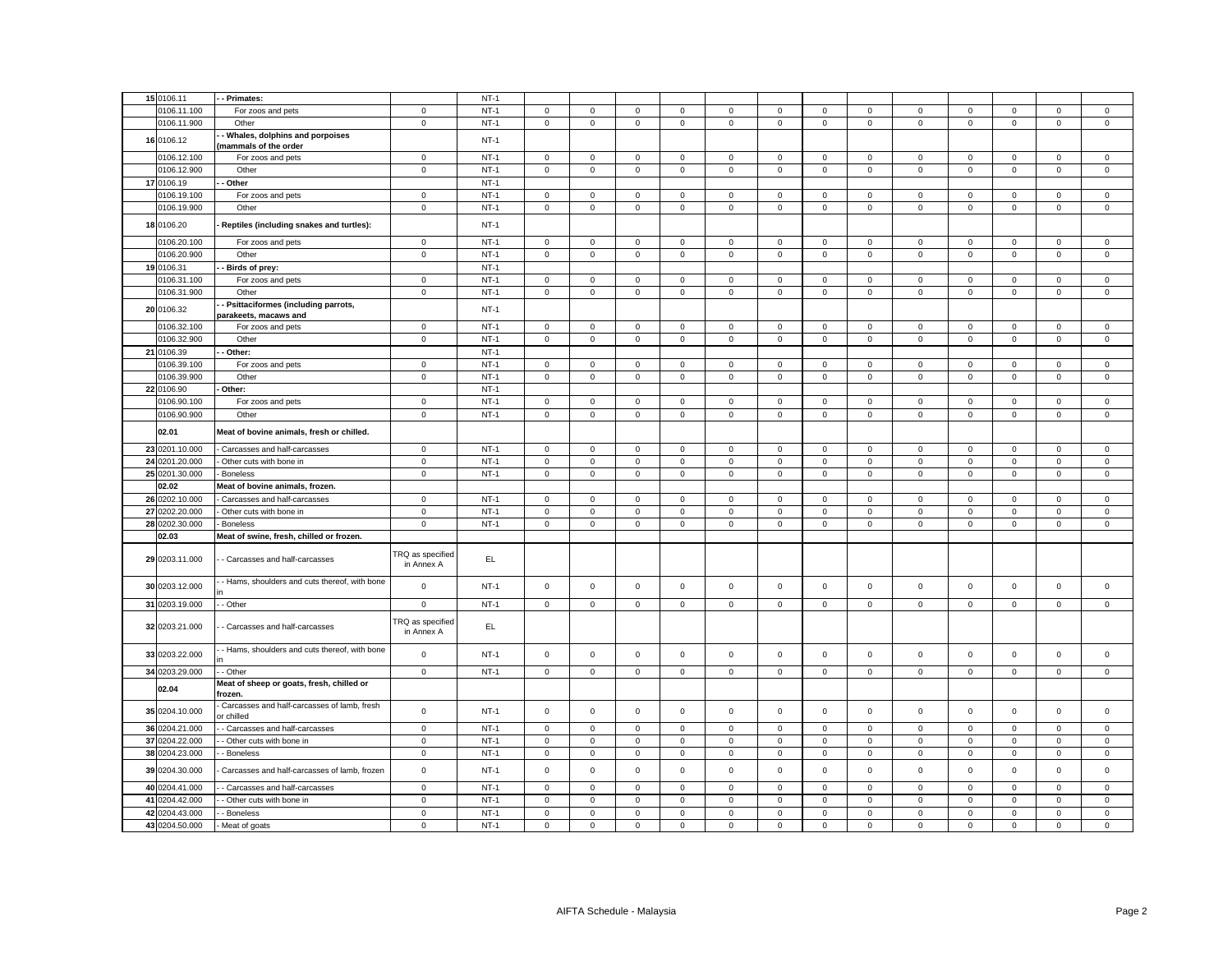| 15 0106.11                       | - - Primates:                                                                  |                                       | $NT-1$ |                             |                             |                            |                            |                               |                            |                            |                            |                            |                            |                            |                            |                            |
|----------------------------------|--------------------------------------------------------------------------------|---------------------------------------|--------|-----------------------------|-----------------------------|----------------------------|----------------------------|-------------------------------|----------------------------|----------------------------|----------------------------|----------------------------|----------------------------|----------------------------|----------------------------|----------------------------|
| 0106.11.100                      | For zoos and pets                                                              | $\mathbf 0$                           | $NT-1$ | $\mathsf 0$                 | $\mathsf 0$                 | $\mathsf 0$                | $\mathbf 0$                | 0                             | $\mathsf 0$                | $\mathsf 0$                | $\mathsf 0$                | $\mathbf 0$                | $\mathsf 0$                | $\mathsf 0$                | $\mathsf 0$                | $\mathsf 0$                |
| 0106.11.900                      | Other                                                                          | $\mathbf 0$                           | $NT-1$ | $\mathbf 0$                 | $\mathbf 0$                 | $\mathsf 0$                | $\mathbf 0$                | $\mathbf 0$                   | $\mathsf 0$                | $\mathbf 0$                | $\mathsf 0$                | $\mathbf 0$                | $\mathsf 0$                | $\mathbf 0$                | $\mathbf 0$                | $\mathsf 0$                |
| 16 0106.12                       | Whales, dolphins and porpoises                                                 |                                       | $NT-1$ |                             |                             |                            |                            |                               |                            |                            |                            |                            |                            |                            |                            |                            |
|                                  | (mammals of the order                                                          |                                       |        |                             |                             |                            |                            |                               |                            |                            |                            |                            |                            |                            |                            |                            |
| 0106.12.100                      | For zoos and pets                                                              | $\mathbf 0$                           | $NT-1$ | $\mathsf 0$                 | $\mathbf 0$                 | $\mathsf 0$                | $\mathbf 0$                | $\mathbf 0$                   | $\mathsf 0$                | $\mathbf 0$                | $\mathbf 0$                | $\mathbf 0$                | $\mathsf 0$                | $\mathbf 0$                | $\mathbf 0$                | $\mathbf 0$                |
| 0106.12.900                      | Other                                                                          | $\mathbf 0$                           | $NT-1$ | $\mathsf 0$                 | $\mathbf 0$                 | $\mathsf 0$                | $\mathsf 0$                | 0                             | $\mathsf 0$                | $\mathbf 0$                | $\mathbf 0$                | $\mathbf 0$                | $\mathsf 0$                | $\mathsf 0$                | $\mathsf 0$                | $\mathsf 0$                |
| 17 0106.19                       | - Other                                                                        |                                       | $NT-1$ |                             |                             |                            |                            |                               |                            |                            |                            |                            |                            |                            |                            |                            |
| 0106.19.100                      | For zoos and pets                                                              | $\mathbf{0}$                          | $NT-1$ | $\circ$                     | $\mathbf{0}$                | $\mathbf 0$                | $\mathbf 0$                | $\mathbf{0}$                  | $\mathbf 0$                | $\mathbf 0$                | $\mathbf 0$                | $\mathbf 0$                | $\mathbf 0$                | $\mathbf 0$                | $\mathbf 0$                | $^{\circ}$                 |
| 0106.19.900                      | Other                                                                          | $\mathbf 0$                           | $NT-1$ | $\mathsf 0$                 | $\mathsf 0$                 | $\mathsf 0$                | $\mathbf 0$                | 0                             | $\mathsf 0$                | $\mathsf 0$                | $\mathsf 0$                | $\mathsf 0$                | $\mathsf 0$                | $\mathsf 0$                | $\mathsf 0$                | $\mathsf 0$                |
|                                  |                                                                                |                                       |        |                             |                             |                            |                            |                               |                            |                            |                            |                            |                            |                            |                            |                            |
| 18 0106.20                       | Reptiles (including snakes and turtles):                                       |                                       | $NT-1$ |                             |                             |                            |                            |                               |                            |                            |                            |                            |                            |                            |                            |                            |
| 0106.20.100                      | For zoos and pets                                                              | $\mathbf 0$                           | $NT-1$ | $\mathbf{0}$                | $\mathbf 0$                 | $\mathbf 0$                | $\mathbf 0$                | 0                             | $\mathbf 0$                | $\mathbf 0$                | $\mathbf{0}$               | $\mathbf{0}$               | $\mathbf 0$                | $\mathbf 0$                | $\mathbf 0$                | $\mathbf 0$                |
| 0106.20.900                      | Other                                                                          | $\mathsf 0$                           | $NT-1$ | $\mathsf 0$                 | $\mathsf 0$                 | $\mathsf 0$                | $\mathsf 0$                | 0                             | $\mathsf 0$                | $\mathbf 0$                | $\mathbf 0$                | $\mathbf 0$                | $\mathsf 0$                | $\mathsf 0$                | $\mathsf 0$                | $\mathsf 0$                |
| 19 0106.31                       | - Birds of prey:                                                               |                                       | $NT-1$ |                             |                             |                            |                            |                               |                            |                            |                            |                            |                            |                            |                            |                            |
| 0106.31.100                      | For zoos and pets                                                              | $\mathbf{0}$                          | $NT-1$ | $\mathbf 0$                 | $\mathbf{0}$                | $\mathbf{0}$               | $\mathbf{0}$               | $\mathbf{0}$                  | $\mathbf{0}$               | $\mathbf 0$                | $\mathbf{0}$               | $\mathbf 0$                | $\mathbf{0}$               | $\mathbf{0}$               | $\mathbf 0$                | $\mathbf 0$                |
| 0106.31.900                      | Other                                                                          | $\mathbf 0$                           | $NT-1$ | $\mathsf 0$                 | $\mathbf 0$                 | $\mathsf 0$                | $\mathbf 0$                | $\mathbf 0$                   | $\mathsf 0$                | $\mathbf 0$                | $\mathbf 0$                | $\mathbf 0$                | $\mathsf 0$                | $\mathsf 0$                | $\mathbf 0$                | $\mathsf 0$                |
|                                  | - Psittaciformes (including parrots,                                           |                                       |        |                             |                             |                            |                            |                               |                            |                            |                            |                            |                            |                            |                            |                            |
| 20 0106.32                       | parakeets, macaws and                                                          |                                       | $NT-1$ |                             |                             |                            |                            |                               |                            |                            |                            |                            |                            |                            |                            |                            |
| 0106.32.100                      | For zoos and pets                                                              | $\mathbf 0$                           | $NT-1$ | $\mathbf{0}$                | $\mathbf 0$                 | $\mathbf 0$                | $\mathbf 0$                | 0                             | $\mathbf 0$                | $\mathbf 0$                | $\mathbf 0$                | $\mathbf 0$                | $\mathbf 0$                | $\mathbf 0$                | $\mathbf 0$                | $\mathbf 0$                |
| 0106.32.900                      | Other                                                                          | $\mathbf 0$                           | $NT-1$ | $\mathbf 0$                 | $\mathbf 0$                 | $\mathbf 0$                | $\mathsf 0$                | $\mathbf 0$                   | $\mathsf 0$                | $\mathbf 0$                | $\mathbf 0$                | $\mathbf 0$                | $\mathsf 0$                | $\mathbf 0$                | $\mathsf 0$                | $\mathsf 0$                |
| 21 0106.39                       | - Other:                                                                       |                                       | $NT-1$ |                             |                             |                            |                            |                               |                            |                            |                            |                            |                            |                            |                            |                            |
|                                  |                                                                                |                                       |        |                             |                             |                            |                            |                               |                            |                            |                            |                            |                            |                            |                            |                            |
| 0106.39.100                      | For zoos and pets                                                              | $\mathbf{0}$                          | $NT-1$ | $\circ$                     | $\mathbf{O}$                | $\mathbf 0$                | $\mathbf 0$                | $\mathbf{0}$                  | $\mathbf{0}$               | $\mathbf 0$                | $\mathbf{0}$               | $\mathbf 0$                | $\mathbf 0$                | $\mathbf 0$                | $\mathbf 0$                | $\mathbf 0$                |
| 0106.39.900                      | Other                                                                          | $\mathbf 0$                           | $NT-1$ | $\mathsf 0$                 | $\mathsf 0$                 | $\mathsf 0$                | $\mathsf 0$                | 0                             | $\mathsf 0$                | $\mathsf 0$                | $\mathsf 0$                | $\mathsf 0$                | $\mathsf 0$                | $\mathsf 0$                | $\mathsf 0$                | $\mathsf 0$                |
| 22 0106.90                       | Other:                                                                         |                                       | $NT-1$ |                             |                             |                            |                            |                               |                            |                            |                            |                            |                            |                            |                            |                            |
| 0106.90.100                      | For zoos and pets                                                              | $\mathbf 0$                           | $NT-1$ | $\circ$                     | $\circ$                     | $\mathbf 0$                | $\mathbf 0$                | $\mathbf{0}$                  | $\mathbf 0$                | $\mathbf{0}$               | $\mathbf{0}$               | $\mathbf{0}$               | $\mathbf 0$                | $\mathbf 0$                | $\mathbf 0$                | $\mathsf 0$                |
| 0106.90.900                      | Other                                                                          | $\mathbf 0$                           | $NT-1$ | $\mathbf 0$                 | $\mathbf 0$                 | $\mathsf 0$                | $\mathbf 0$                | $\mathbf 0$                   | $\mathsf 0$                | $\mathbf 0$                | $\mathbf 0$                | $\mathbf 0$                | $\mathsf 0$                | $\mathsf 0$                | $\mathsf 0$                | $\mathsf 0$                |
| 02.01                            | Meat of bovine animals, fresh or chilled.                                      |                                       |        |                             |                             |                            |                            |                               |                            |                            |                            |                            |                            |                            |                            |                            |
| 23 0201.10.000                   | Carcasses and half-carcasses                                                   | $\mathbf{0}$                          | $NT-1$ | $\mathbf 0$                 | $\mathbf 0$                 | $\mathbf{0}$               | $\mathbf{0}$               | $\mathbf{0}$                  | $\mathbf 0$                | $\mathbf 0$                | $\mathbf{0}$               | $\mathbf 0$                | $\mathbf 0$                | $\mathbf 0$                | $\mathbf{0}$               | $\mathbf 0$                |
| 24 0201.20.000                   | - Other cuts with bone in                                                      | $\mathbf 0$                           | $NT-1$ | $\mathsf 0$                 | $\mathbf{0}$                | $\mathsf 0$                | $\mathsf 0$                | $\mathbf 0$                   | $\mathsf 0$                | $\mathsf 0$                | $\mathsf 0$                | $\mathbf 0$                | $\mathsf 0$                | $\mathsf 0$                | $\mathsf 0$                | $\mathsf 0$                |
| 25 0201.30.000                   | Boneless                                                                       | $\mathbf 0$                           | $NT-1$ | $\mathsf 0$                 | $\mathbf 0$                 | $\mathsf 0$                | $\mathbf 0$                | $\mathbf 0$                   | $\mathbf 0$                | $\mathbf{0}$               | $\mathsf 0$                | $\mathsf{O}\xspace$        | $\mathbf 0$                | $\mathbf 0$                | $\mathsf 0$                | $\mathsf 0$                |
| 02.02                            | Meat of bovine animals, frozen.                                                |                                       |        |                             |                             |                            |                            |                               |                            |                            |                            |                            |                            |                            |                            |                            |
| 26 0202.10.000                   | - Carcasses and half-carcasses                                                 | $\mathbf 0$                           | $NT-1$ | $\mathsf 0$                 | $\mathbf 0$                 | $\mathsf 0$                | $\mathbf 0$                | 0                             | $\mathsf 0$                | $\mathbf 0$                | $\mathsf 0$                | 0                          | $\mathsf 0$                | $\mathbf 0$                | 0                          | $\mathbf 0$                |
| 27 0202.20.000                   | - Other cuts with bone in                                                      | $\mathbf 0$                           | $NT-1$ | $\mathsf{O}$                | $\mathbf 0$                 | $\mathsf 0$                | $\mathbf 0$                | $\mathsf 0$                   | $\mathbf 0$                | $\mathbf 0$                | $\mathsf 0$                | $\mathsf 0$                | $\mathbf 0$                | $\mathbf 0$                | $\mathsf 0$                | $\mathsf 0$                |
| 28 0202.30.000                   | - Boneless                                                                     | $\mathbf 0$                           | $NT-1$ | $\Omega$                    | $\mathbf 0$                 |                            | $\mathbf 0$                | $\mathbf{0}$                  | $\mathbf{0}$               | $\mathbf 0$                | $\mathbf 0$                | $\mathbf 0$                | $\mathbf{0}$               | $\mathbf{0}$               | $\mathbf 0$                |                            |
|                                  |                                                                                |                                       |        |                             |                             | $\mathbf 0$                |                            |                               |                            |                            |                            |                            |                            |                            |                            | $\mathbf 0$                |
| 02.03                            | Meat of swine, fresh, chilled or frozen.                                       |                                       |        |                             |                             |                            |                            |                               |                            |                            |                            |                            |                            |                            |                            |                            |
| 29 0203.11.000                   | - Carcasses and half-carcasses                                                 | TRQ as specified<br>in Annex A        | EL.    |                             |                             |                            |                            |                               |                            |                            |                            |                            |                            |                            |                            |                            |
| 30 0203.12.000                   | - Hams, shoulders and cuts thereof, with bone                                  | $\mathsf 0$                           | $NT-1$ | $\mathsf 0$                 | $\mathsf 0$                 | $\mathsf 0$                | $\mathsf 0$                | $\mathsf 0$                   | $\mathsf 0$                | $\mathbf 0$                | $\mathbf 0$                | $\mathsf 0$                | $\mathbf 0$                | $\mathsf 0$                | $\mathsf 0$                | $\mathsf 0$                |
| 31 0203.19.000                   | - Other                                                                        | $\mathsf 0$                           | $NT-1$ | 0                           | $\mathsf 0$                 | $\mathbf 0$                | $\mathbf 0$                | 0                             | $\mathsf 0$                | $\mathbf 0$                | $\,0\,$                    | $\mathsf 0$                | $\mathsf 0$                | $\mathsf 0$                | $\mathbf 0$                | $\mathbf 0$                |
| 32 0203.21.000                   | - Carcasses and half-carcasses                                                 | <b>TRQ</b> as specified<br>in Annex A | EL.    |                             |                             |                            |                            |                               |                            |                            |                            |                            |                            |                            |                            |                            |
| 33 0203.22.000                   | - Hams, shoulders and cuts thereof, with bone                                  | $\mathbf 0$                           | $NT-1$ | $\mathsf 0$                 | $\mathbf 0$                 | $\mathsf 0$                | $\mathbf 0$                | $\mathbf 0$                   | $\mathsf 0$                | $\mathsf 0$                | $\mathsf 0$                | $\mathsf 0$                | $\mathsf 0$                | $\mathsf 0$                | $\mathsf 0$                | $\mathsf 0$                |
|                                  |                                                                                |                                       |        |                             |                             |                            |                            |                               |                            |                            |                            |                            |                            |                            |                            |                            |
| 34 0203.29.000                   | - Other                                                                        | $\mathbf 0$                           | $NT-1$ | $\mathsf 0$                 | $\circ$                     | $\mathsf 0$                | $\mathsf 0$                | $\mathsf{O}\xspace$           | $\mathsf 0$                | $\mathsf 0$                | $\mathbf 0$                | $\mathsf 0$                | $\mathsf 0$                | $\mathsf 0$                | $\mathsf 0$                | $\mathsf 0$                |
| 02.04                            | Meat of sheep or goats, fresh, chilled or<br>frozen.                           |                                       |        |                             |                             |                            |                            |                               |                            |                            |                            |                            |                            |                            |                            |                            |
| 35 0204.10.000                   | Carcasses and half-carcasses of lamb, fresh<br>or chilled                      | $\mathsf 0$                           | $NT-1$ | $\mathsf 0$                 | $\mathbf 0$                 | $\mathsf 0$                | $\mathsf 0$                | $\mathsf 0$                   | $\mathsf 0$                | $\mathsf 0$                | $\mathsf 0$                | $\mathsf 0$                | $\mathsf 0$                | $\mathsf 0$                | $\mathsf 0$                | $\mathsf 0$                |
| 36 0204.21.000                   | - Carcasses and half-carcasses                                                 | $\mathbf 0$                           | $NT-1$ | $\mathsf 0$                 | $\mathbf 0$                 | $\mathbf 0$                | $\mathsf 0$                | $\mathbf{0}$                  | $\mathbf 0$                | $\mathbf 0$                | $\mathsf 0$                | $\mathsf 0$                | $\mathbf 0$                | $\mathbf 0$                | $\mathbf 0$                | $\mathsf 0$                |
| 37 0204.22.000                   | - Other cuts with bone in                                                      | $\mathsf 0$                           | $NT-1$ | $\mathsf{O}$                | $\mathsf 0$                 | $\mathsf 0$                | $\mathsf 0$                | $\mathbf 0$                   | $\mathsf 0$                | $\mathsf 0$                | $\mathsf 0$                | $\mathsf 0$                | $\mathsf 0$                | $\mathsf 0$                | $\mathsf 0$                | $\mathbf 0$                |
| 38 0204.23.000                   | - Boneless                                                                     | $\mathsf 0$                           | $NT-1$ | $\mathsf 0$                 | $\mathbf 0$                 | $\mathsf 0$                | $\mathbf 0$                | 0                             | $\mathsf 0$                | $\mathsf 0$                | $\mathbf 0$                | $\mathsf 0$                | $\mathsf 0$                | $\mathsf 0$                | $\mathsf 0$                | $\mathbf 0$                |
|                                  |                                                                                |                                       | $NT-1$ |                             |                             |                            |                            |                               |                            |                            |                            |                            |                            |                            |                            |                            |
| 39 0204.30.000<br>40 0204.41.000 | Carcasses and half-carcasses of lamb, frozen<br>- Carcasses and half-carcasses | $\mathbf 0$<br>$\mathbf{0}$           | $NT-1$ | $\mathsf 0$<br>$\mathsf{O}$ | $\mathbf 0$<br>$\mathbf{0}$ | $\mathsf 0$<br>$\mathsf 0$ | $\mathsf 0$<br>$\mathsf 0$ | $\mathbf 0$<br>$\overline{0}$ | $\mathsf 0$<br>$\mathsf 0$ | $\mathsf 0$<br>$\mathbf 0$ | $\mathsf 0$<br>$\mathsf 0$ | $\mathsf 0$<br>$\mathbf 0$ | $\mathsf 0$<br>$\mathbf 0$ | $\mathbf 0$<br>$\mathbf 0$ | $\mathsf 0$<br>$\mathsf 0$ | $\mathsf 0$<br>$\mathsf 0$ |
|                                  |                                                                                |                                       |        |                             |                             |                            |                            |                               |                            |                            |                            |                            |                            |                            |                            |                            |
| 41 0204.42.000                   | - Other cuts with bone in                                                      | $\mathbf 0$                           | $NT-1$ | $\mathsf 0$                 | $\mathbf{0}$                | $\mathsf 0$                | $\mathsf 0$                | $\mathbf 0$                   | $\mathsf 0$                | $\mathsf 0$                | $\mathsf 0$                | $\mathsf 0$                | $\mathsf 0$                | $\mathbf 0$                | $\mathsf 0$                | $\mathbf 0$                |
| 42 0204.43.000                   | - Boneless                                                                     | $\mathbf 0$                           | $NT-1$ | $\mathbf 0$                 | $\mathbf 0$                 | $\mathbf 0$                | $\mathsf 0$                | $\mathbf{0}$                  | $\mathbf 0$                | $\mathbf 0$                | $\mathbf 0$                | $\Omega$                   | $\mathbf 0$                | $\mathbf 0$                | $\mathbf 0$                | $\mathsf 0$                |
| 43 0204.50.000                   | Meat of goats                                                                  | $\Omega$                              | $NT-1$ | $\mathbf 0$                 | $\mathbf 0$                 | $\Omega$                   | $\mathbf 0$                | $\Omega$                      | $\Omega$                   | $\Omega$                   | $\mathbf 0$                | $\mathbf 0$                | $\Omega$                   | $\Omega$                   | $\Omega$                   | $\mathbf 0$                |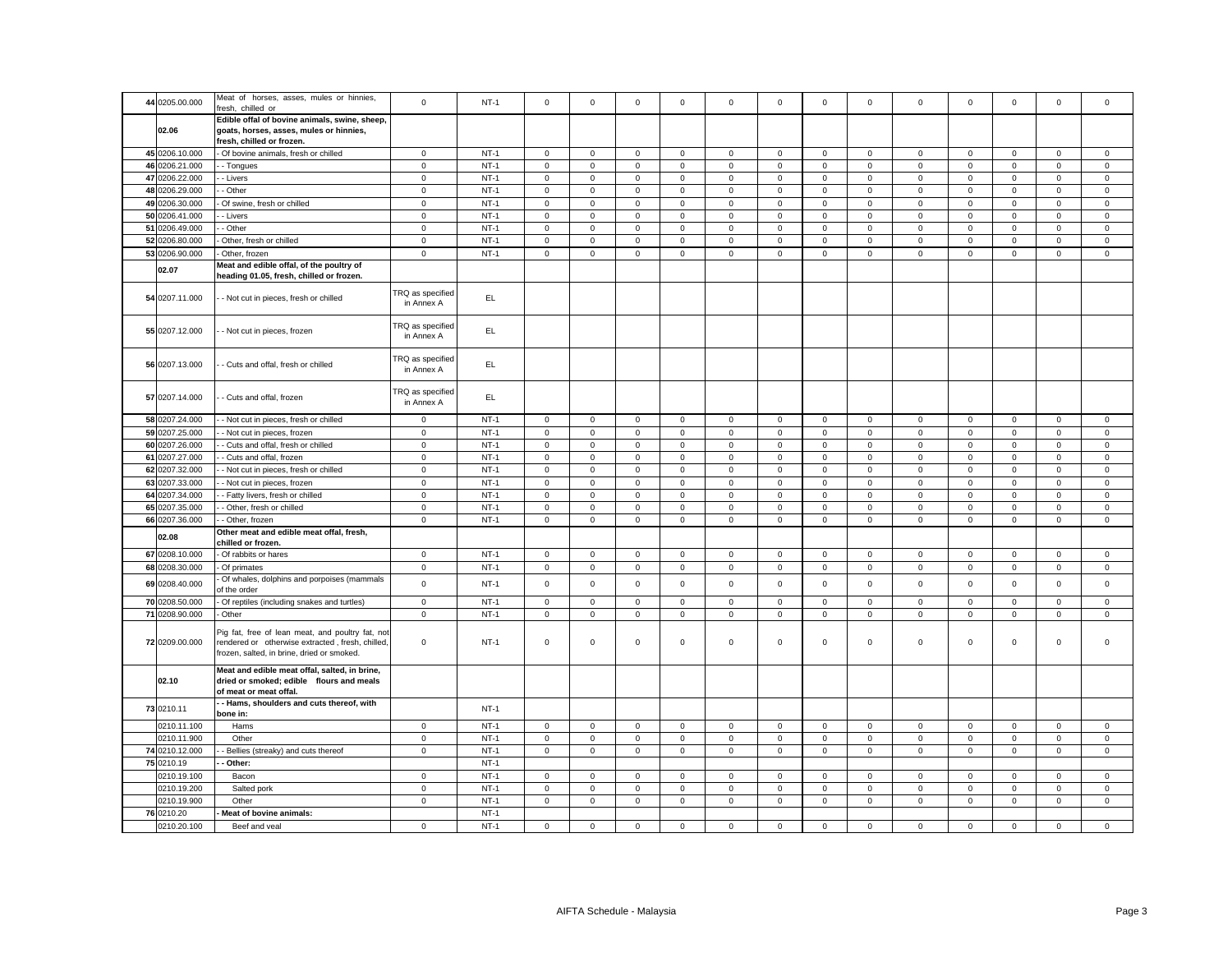| 44 0205.00.000 | Meat of horses, asses, mules or hinnies,<br>resh, chilled or                                                                                       | $\mathbf 0$                           | $NT-1$ | $\mathbf 0$ | $\mathbf 0$  | $\mathbf 0$  | $\mathbf 0$  | $\mathbf 0$  | $\mathbf 0$         | $\circ$      | $\mathbf 0$    | $\mathbf 0$  | $\mathbf 0$ | $\mathbf 0$         | $\mathbf 0$  | $\Omega$     |
|----------------|----------------------------------------------------------------------------------------------------------------------------------------------------|---------------------------------------|--------|-------------|--------------|--------------|--------------|--------------|---------------------|--------------|----------------|--------------|-------------|---------------------|--------------|--------------|
| 02.06          | Edible offal of bovine animals, swine, sheep,<br>goats, horses, asses, mules or hinnies,<br>fresh, chilled or frozen.                              |                                       |        |             |              |              |              |              |                     |              |                |              |             |                     |              |              |
| 45 0206.10.000 | Of bovine animals, fresh or chilled                                                                                                                | $\mathbf 0$                           | $NT-1$ | 0           | 0            | $\mathsf 0$  | $\mathbf 0$  | $\mathsf 0$  | $\mathbf 0$         | 0            | $\mathbf 0$    | $\mathsf 0$  | $\mathbf 0$ | $\mathbf 0$         | $\mathsf 0$  | $\mathbf 0$  |
| 46 0206.21.000 | - Tongues                                                                                                                                          | $\mathbf 0$                           | $NT-1$ | $\mathsf 0$ | $\mathsf 0$  | $\mathbf 0$  | $\mathsf 0$  | $\mathsf 0$  | $\mathsf{O}\xspace$ | $\mathsf 0$  | $\overline{0}$ | $\mathsf 0$  | $\mathsf 0$ | $\mathsf{O}\xspace$ | $\mathbf 0$  | $\,0\,$      |
| 47 0206.22.000 | - Livers                                                                                                                                           | $\mathsf 0$                           | $NT-1$ | $\mathbf 0$ | $\mathbf 0$  | $\mathsf 0$  | $\mathbf 0$  | $\mathbf 0$  | $\mathsf 0$         | $\mathsf 0$  | $\mathbf{0}$   | $\mathbf 0$  | $\mathsf 0$ | $\mathsf 0$         | $\mathsf 0$  | $\mathsf 0$  |
| 48 0206.29.000 |                                                                                                                                                    |                                       | $NT-1$ | $\mathbf 0$ |              |              | $\mathsf 0$  |              |                     |              |                | $\mathbf 0$  |             |                     |              |              |
|                | - Other                                                                                                                                            | $\mathbf 0$                           |        |             | $\mathbf 0$  | $\mathsf 0$  |              | $\mathsf 0$  | $\mathsf 0$         | $\mathsf 0$  | $\mathsf 0$    |              | $\mathsf 0$ | $\mathsf 0$         | $\mathsf 0$  | $\mathbf 0$  |
| 49 0206.30.000 | Of swine, fresh or chilled                                                                                                                         | $\mathsf 0$                           | $NT-1$ | $\mathsf 0$ | $\mathbf 0$  | $\mathsf 0$  | $\mathsf 0$  | $\mathsf 0$  | $\mathsf 0$         | $\mathbf 0$  | $\mathsf 0$    | $\mathsf 0$  | $\,0\,$     | $\mathsf 0$         | $\mathsf 0$  | $\mathbf 0$  |
| 50 0206.41.000 | - Livers                                                                                                                                           | $\mathsf 0$                           | $NT-1$ | $\mathsf 0$ | $\mathbf 0$  | $\mathsf 0$  | $\mathsf 0$  | $\mathsf 0$  | $\mathsf 0$         | $\mathsf 0$  | $\mathsf 0$    | $\mathsf 0$  | $\mathsf 0$ | $\mathsf 0$         | $\mathsf 0$  | $\mathbf 0$  |
| 51 0206.49.000 | - Other                                                                                                                                            | $\mathsf 0$                           | $NT-1$ | $\mathbf 0$ | $\mathsf 0$  | $\mathsf 0$  | $\mathsf 0$  | $\mathbf 0$  | $\mathsf 0$         | $\mathsf{O}$ | $\mathbf 0$    | $\mathsf 0$  | $\mathsf 0$ | $\mathsf 0$         | $\mathsf 0$  | $\mathsf 0$  |
| 52 0206.80.000 | Other, fresh or chilled                                                                                                                            | $\mathbf 0$                           | $NT-1$ | $\Omega$    | $\mathbf 0$  | $\mathbf 0$  | $\mathsf 0$  | $\mathsf 0$  | $\mathbf 0$         | $\mathsf 0$  | $\mathsf 0$    | $\mathsf 0$  | $\mathsf 0$ | $\mathsf{O}\xspace$ | $\mathbf 0$  | $\,0\,$      |
| 53 0206.90.000 | Other, frozen                                                                                                                                      | $\mathbf 0$                           | $NT-1$ | $\mathsf 0$ | $\mathbf 0$  | $\mathsf 0$  | $\mathbf 0$  | $\mathsf 0$  | $\mathsf 0$         | $\mathbf{0}$ | $\mathbf{0}$   | $\mathsf 0$  | $\mathsf 0$ | $\mathbf 0$         | $\mathsf 0$  | $\mathsf 0$  |
| 02.07          | Meat and edible offal, of the poultry of<br>heading 01.05, fresh, chilled or frozen.                                                               |                                       |        |             |              |              |              |              |                     |              |                |              |             |                     |              |              |
| 54 0207.11.000 | - Not cut in pieces, fresh or chilled                                                                                                              | <b>FRQ</b> as specified<br>in Annex A | EL.    |             |              |              |              |              |                     |              |                |              |             |                     |              |              |
| 55 0207.12.000 | - Not cut in pieces, frozen                                                                                                                        | <b>FRQ</b> as specified<br>in Annex A | EL.    |             |              |              |              |              |                     |              |                |              |             |                     |              |              |
| 56 0207.13.000 | - Cuts and offal, fresh or chilled                                                                                                                 | TRQ as specified<br>in Annex A        | EL     |             |              |              |              |              |                     |              |                |              |             |                     |              |              |
| 57 0207.14.000 | - Cuts and offal, frozen                                                                                                                           | TRQ as specified<br>in Annex A        | EL     |             |              |              |              |              |                     |              |                |              |             |                     |              |              |
| 58 0207.24.000 | - Not cut in pieces, fresh or chilled                                                                                                              | $\mathbf 0$                           | $NT-1$ | $\mathbf 0$ | $\mathbf 0$  | $\mathsf 0$  | $\mathsf 0$  | $\mathsf 0$  | $\mathsf 0$         | $\mathbf 0$  | $\mathbf 0$    | $\mathbf 0$  | $\mathsf 0$ | $\mathbf 0$         | $\mathsf 0$  | $\mathsf 0$  |
| 59 0207.25.000 | - Not cut in pieces, frozen                                                                                                                        | $\mathbf 0$                           | $NT-1$ | $\mathbf 0$ | $\mathbf 0$  | $\mathsf 0$  | $\mathbf 0$  | $\mathsf 0$  | $\mathsf 0$         | $\mathsf{O}$ | $\mathbf 0$    | $\mathsf 0$  | $\mathsf 0$ | $\mathsf 0$         | $\mathsf 0$  | $\mathsf 0$  |
| 60 0207.26,000 | - Cuts and offal, fresh or chilled                                                                                                                 | $\mathbf 0$                           | $NT-1$ | $\mathbf 0$ | $\mathbf{0}$ | $\mathbf{0}$ | $\mathbf{0}$ | $\mathbf{0}$ | $\mathbf{0}$        | $\circ$      | $\mathbf{0}$   | $\mathbf{0}$ | $\mathbf 0$ | $\mathbf 0$         | $\mathbf{0}$ | $\mathbf{0}$ |
| 61 0207.27.000 | - Cuts and offal, frozen                                                                                                                           | $\mathbf 0$                           | $NT-1$ | $\mathbf 0$ | $\mathbf 0$  | $\mathsf 0$  | $\mathsf 0$  | $\mathbf 0$  | $\mathsf 0$         | $\mathsf 0$  | $\mathbf{0}$   | $\mathbf 0$  | $\mathsf 0$ | $\mathsf 0$         | $\mathsf 0$  | $\mathsf 0$  |
|                |                                                                                                                                                    |                                       |        |             |              |              |              |              |                     |              |                |              |             |                     |              |              |
| 62 0207.32.000 | - Not cut in pieces, fresh or chilled                                                                                                              | $\mathsf 0$                           | $NT-1$ | $\mathbf 0$ | $\mathbf 0$  | $\mathbf{0}$ | $\mathbf 0$  | $\mathbf 0$  | $\mathbf 0$         | $\mathbf{0}$ | $\mathbf{0}$   | $\mathbf 0$  | $\mathbf 0$ | $\mathbf 0$         | $\mathbf{0}$ | $\mathbf{0}$ |
| 63 0207.33.000 | - Not cut in pieces, frozen                                                                                                                        | $\overline{0}$                        | $NT-1$ | $\circ$     | $\mathbf 0$  | $\mathsf 0$  | $\mathbf{0}$ | $\mathbf{0}$ | $\mathbf 0$         | $\mathsf 0$  | $\overline{0}$ | $\mathbf 0$  | $\mathbf 0$ | $\mathbf 0$         | $\mathbf 0$  | $\mathsf 0$  |
| 64 0207.34.000 | - Fatty livers, fresh or chilled                                                                                                                   | $\mathbf 0$                           | $NT-1$ | $\mathbf 0$ | $\Omega$     | $\mathbf 0$  | $\mathbf 0$  | $\mathbf 0$  | $\mathbf 0$         | $\circ$      | $\Omega$       | $\mathbf{0}$ | $\mathbf 0$ | $\mathbf 0$         | $\mathbf 0$  | $\mathbf{0}$ |
| 65 0207.35.000 | - Other, fresh or chilled                                                                                                                          | $\mathbf 0$                           | $NT-1$ | $\mathbf 0$ | $\mathbf 0$  | $\mathsf 0$  | $\mathbf 0$  | $\mathbf 0$  | $\mathbf 0$         | $\mathsf 0$  | $\mathbf 0$    | $\mathbf 0$  | $\mathbf 0$ | $\mathbf 0$         | $\mathsf 0$  | $\mathsf 0$  |
| 66 0207.36.000 | - Other, frozen                                                                                                                                    | $\mathbf 0$                           | $NT-1$ | $\mathbf 0$ | $\mathbf 0$  | $\mathbf 0$  | $\mathbf 0$  | $\mathbf 0$  | $\mathsf 0$         | $\mathbf{0}$ | $\mathbf 0$    | $\mathsf 0$  | $\mathsf 0$ | $\mathbf 0$         | $\mathsf 0$  | $\mathsf 0$  |
| 02.08          | Other meat and edible meat offal, fresh,<br>chilled or frozen.                                                                                     |                                       |        |             |              |              |              |              |                     |              |                |              |             |                     |              |              |
| 67 0208.10.000 | Of rabbits or hares                                                                                                                                | $\mathbf 0$                           | $NT-1$ | $\mathsf 0$ | $\mathbf 0$  | $\mathsf 0$  | $\mathsf 0$  | $\mathbf 0$  | $\mathsf 0$         | $\mathsf 0$  | $\mathbf{0}$   | $\mathbf 0$  | $\mathsf 0$ | $\mathbf 0$         | $\mathsf 0$  | $\mathsf 0$  |
| 68 0208.30.000 | Of primates                                                                                                                                        | $\mathsf 0$                           | $NT-1$ | $\mathbf 0$ | $\mathbf 0$  | $\mathsf 0$  | $\mathbf{0}$ | $\mathsf 0$  | $\mathbf 0$         | $\mathsf 0$  | $\overline{0}$ | $\mathbf 0$  | $\mathbf 0$ | $\mathbf 0$         | $\mathsf 0$  | $\mathsf 0$  |
| 69 0208.40.000 | Of whales, dolphins and porpoises (mammals<br>of the order                                                                                         | $\mathsf 0$                           | $NT-1$ | $\mathsf 0$ | $\mathbf 0$  | $\mathsf 0$  | $\mathsf 0$  | $\mathsf 0$  | $\mathsf 0$         | $\mathsf 0$  | $\mathbf{0}$   | $\mathbf 0$  | $\mathbf 0$ | $\mathbf 0$         | $\mathsf 0$  | $\mathsf 0$  |
| 70 0208.50.000 | Of reptiles (including snakes and turtles)                                                                                                         | $\mathbf 0$                           | $NT-1$ | $\circ$     | $\mathbf 0$  | $\mathsf 0$  | $\mathbf{0}$ | $\mathbf 0$  | $\mathbf 0$         | $\mathbf{0}$ | $\overline{0}$ | $\mathbf{0}$ | $\mathsf 0$ | $\mathbf{0}$        | $\mathbf 0$  | $\mathsf 0$  |
| 71 0208.90.000 | Other                                                                                                                                              | $\mathsf 0$                           | $NT-1$ | $\mathsf 0$ | $\mathbf 0$  | $\mathsf 0$  | $\mathbf 0$  | $\mathbf 0$  | $\mathsf 0$         | $\mathsf 0$  | $\mathbf{0}$   | $\mathbf 0$  | $\mathsf 0$ | $\mathbf 0$         | $\mathsf 0$  | $\mathsf 0$  |
| 72 0209.00.000 | Pig fat, free of lean meat, and poultry fat, not<br>rendered or otherwise extracted, fresh, chilled,<br>frozen, salted, in brine, dried or smoked. | 0                                     | $NT-1$ | $\mathbf 0$ | 0            | $\mathsf 0$  | $\mathbf 0$  | 0            | 0                   | $\mathbf 0$  | $\mathbf 0$    | $\mathbf 0$  | $\mathbf 0$ | $\mathbf 0$         | $\mathsf 0$  | $\,0\,$      |
| 02.10          | Meat and edible meat offal, salted, in brine,<br>dried or smoked; edible flours and meals<br>of meat or meat offal.                                |                                       |        |             |              |              |              |              |                     |              |                |              |             |                     |              |              |
| 73 0210.11     | - Hams, shoulders and cuts thereof, with<br>bone in:                                                                                               |                                       | $NT-1$ |             |              |              |              |              |                     |              |                |              |             |                     |              |              |
| 0210.11.100    | Hams                                                                                                                                               | $\mathbf 0$                           | $NT-1$ | $\circ$     | $\mathbf 0$  | $\mathbf 0$  | $\mathbf{0}$ | $\mathbf 0$  | $\mathbf 0$         | $\circ$      | $\mathbf{0}$   | $\mathbf 0$  | $\mathbf 0$ | $\mathbf 0$         | $\mathbf 0$  | $\mathbf 0$  |
| 0210.11.900    | Other                                                                                                                                              | $\mathsf 0$                           | $NT-1$ | $\mathbf 0$ | $\mathbf 0$  | $\mathbf 0$  | $\mathbf{0}$ | $\mathbf 0$  | $\mathbf 0$         | $\mathbf{0}$ | $\mathbf{0}$   | $\mathbf 0$  | $\mathbf 0$ | $\mathbf 0$         | $\mathbf 0$  | $\mathsf 0$  |
| 74 0210.12.000 | Bellies (streaky) and cuts thereof                                                                                                                 | $\mathbf 0$                           | $NT-1$ | $\mathsf 0$ | $\mathbf 0$  | $\mathbf 0$  | $\mathbf 0$  | $\mathbf 0$  | $\mathsf 0$         | $\mathsf 0$  | $\mathbf 0$    | $\mathbf 0$  | $\mathsf 0$ | $\mathsf 0$         | $\mathsf 0$  | $\mathsf 0$  |
| 75 0210.19     | Other:                                                                                                                                             |                                       | $NT-1$ |             |              |              |              |              |                     |              |                |              |             |                     |              |              |
| 0210.19.100    | Bacon                                                                                                                                              | $\mathbf 0$                           | $NT-1$ | $\mathbf 0$ | $\mathbf 0$  | $\mathbf 0$  | $\mathbf 0$  | $\mathsf 0$  | $\mathsf 0$         | $\mathsf 0$  | $\mathbf 0$    | $\mathsf 0$  | $\mathsf 0$ | $\mathsf 0$         | $\mathsf 0$  | $\mathbf 0$  |
| 0210.19.200    | Salted pork                                                                                                                                        | $\mathsf 0$                           | $NT-1$ | $\mathbf 0$ | $\mathbf 0$  | $\mathsf 0$  | $\mathbf 0$  | $\mathbf 0$  | $\mathbf 0$         | 0            | $\mathbf{0}$   | $\mathbf 0$  | $\mathbf 0$ | $\mathbf 0$         | $\mathsf 0$  | $\mathbf 0$  |
| 0210.19.900    | Other                                                                                                                                              | $\mathbf 0$                           | $NT-1$ | $\mathbf 0$ | $\mathbf 0$  | $\mathsf 0$  | $\mathsf 0$  | $\mathsf 0$  | $\mathsf 0$         | $\mathsf 0$  | $\mathbf 0$    | $\mathsf 0$  | $\mathsf 0$ | $\mathbf 0$         | $\mathsf 0$  | $\,0\,$      |
| 76 0210.20     | Meat of bovine animals:                                                                                                                            |                                       | $NT-1$ |             |              |              |              |              |                     |              |                |              |             |                     |              |              |
| 0210.20.100    | Beef and veal                                                                                                                                      | $\mathbf 0$                           | $NT-1$ | $\mathbf 0$ | $\Omega$     | $\mathbf 0$  | $\Omega$     | $\mathbf 0$  | $\Omega$            | $\Omega$     | $\Omega$       | $\Omega$     | $\mathbf 0$ | $\mathbf 0$         | $\mathbf 0$  | $\Omega$     |
|                |                                                                                                                                                    |                                       |        |             |              |              |              |              |                     |              |                |              |             |                     |              |              |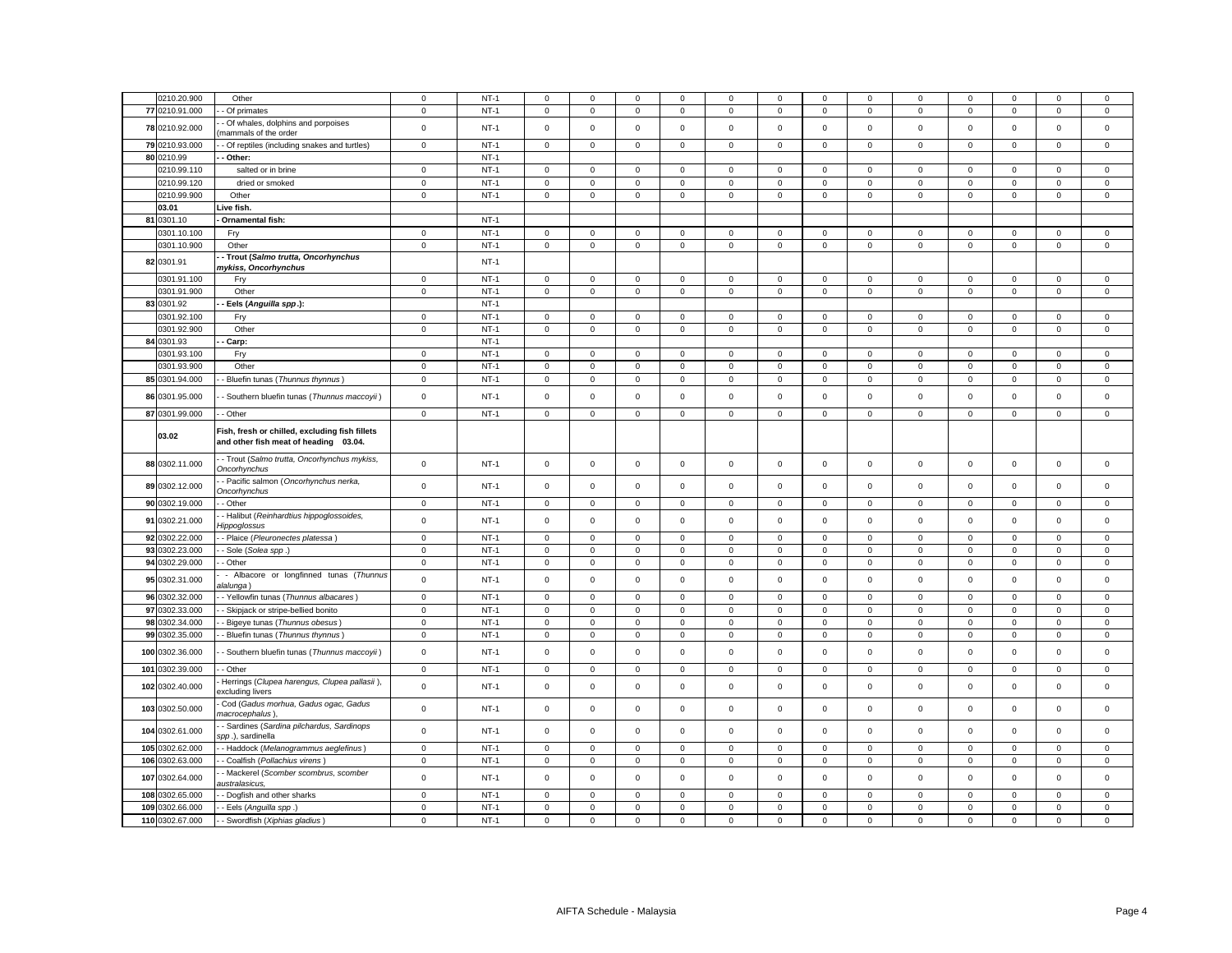| 0210.20.900     | Other                                                                                   | $\mathbf 0$  | $NT-1$ | $\mathbf 0$ | $\mathbf 0$         | $\mathsf 0$  | $\mathbf 0$  | 0            | $\mathbf 0$ | $\mathbf 0$         | $\mathbf 0$    | $\mathbf 0$         | 0            | $\mathbf 0$         | $\mathbf 0$         | $\mathsf 0$ |
|-----------------|-----------------------------------------------------------------------------------------|--------------|--------|-------------|---------------------|--------------|--------------|--------------|-------------|---------------------|----------------|---------------------|--------------|---------------------|---------------------|-------------|
| 77 0210.91.000  | Of primates                                                                             | $\mathbf 0$  | $NT-1$ | $\mathbf 0$ | $\mathsf 0$         | $\mathbf 0$  | $\mathsf 0$  | $\mathsf 0$  | $\mathbf 0$ | $\mathsf 0$         | $\mathsf 0$    | $\mathsf 0$         | 0            | $\mathsf 0$         | $\mathbf 0$         | $\mathsf 0$ |
| 78 0210.92.000  | Of whales, dolphins and porpoises<br>mammals of the order                               | $\mathbf 0$  | $NT-1$ | $\mathbf 0$ | $\mathbf 0$         | $\mathsf 0$  | $\mathsf 0$  | $\mathsf 0$  | $\mathbf 0$ | $\mathsf 0$         | $\mathsf 0$    | $\mathbf 0$         | $\mathbf 0$  | $\mathbf 0$         | $\mathsf 0$         | $\mathsf 0$ |
| 79 0210.93.000  | - Of reptiles (including snakes and turtles)                                            | $\mathbf 0$  | $NT-1$ | $\mathbf 0$ | $\mathbf 0$         | $\mathbf{0}$ | $\mathbf{0}$ | $\mathbf 0$  | $\mathbf 0$ | $\mathbf 0$         | $\mathbf{0}$   | $\mathbf 0$         | $\mathbf{0}$ | $\mathsf{O}\xspace$ | $\mathsf 0$         | $^{\circ}$  |
| 80 0210.99      | - Other:                                                                                |              | $NT-1$ |             |                     |              |              |              |             |                     |                |                     |              |                     |                     |             |
| 0210.99.110     | salted or in brine                                                                      | $\mathbf 0$  | $NT-1$ | $\mathbf 0$ | $\mathbf 0$         | $\mathsf 0$  | $\mathsf 0$  | $\mathsf 0$  | $\mathbf 0$ | $\mathbf 0$         | $\mathsf 0$    | $\mathbf 0$         | $\mathsf 0$  | $\mathbf 0$         | $\mathsf 0$         | $\mathbf 0$ |
| 0210.99.120     | dried or smoked                                                                         | $\mathbf 0$  | $NT-1$ | $\mathbf 0$ | $\mathsf 0$         | $\mathsf 0$  | $\mathsf 0$  | $\mathbf 0$  | $\mathsf 0$ | $\mathsf 0$         | $\mathsf 0$    | $\mathbf 0$         | $\mathsf 0$  | $\mathbf 0$         | $\mathsf 0$         | $\mathsf 0$ |
| 0210.99.900     | Other                                                                                   | $\mathbf 0$  | $NT-1$ | $\mathbf 0$ | $\mathbf 0$         | $\mathbf 0$  | $\mathbf{0}$ | $\mathbf 0$  | $\mathbf 0$ | $\mathbf{O}$        | $\mathbf{0}$   | $\mathbf 0$         | $\mathbf{0}$ | $\mathbf 0$         | $\mathbf{0}$        | $\mathbf 0$ |
| 03.01           | Live fish.                                                                              |              |        |             |                     |              |              |              |             |                     |                |                     |              |                     |                     |             |
| 81 0301.10      | Ornamental fish:                                                                        |              | $NT-1$ |             |                     |              |              |              |             |                     |                |                     |              |                     |                     |             |
| 0301.10.100     | Fry                                                                                     | $\mathbf 0$  | $NT-1$ | $\mathbf 0$ | $\mathbf 0$         | $\mathsf 0$  | $\mathbf{0}$ | $\mathsf 0$  | $\mathbf 0$ | $\mathbf{O}$        | $\mathbf 0$    | $\mathbf 0$         | $\mathbf 0$  | $\mathbf 0$         | $\mathbf 0$         | $\mathsf 0$ |
| 0301.10.900     | Other                                                                                   | $\mathsf 0$  | $NT-1$ | $\mathbf 0$ | $\mathsf 0$         | $\mathsf 0$  | $\mathsf 0$  | $\mathbf 0$  | $\mathsf 0$ | $\mathsf 0$         | $\mathbf 0$    | $\mathsf 0$         | $\mathsf 0$  | $\mathsf 0$         | $\mathsf{O}\xspace$ | $\mathsf 0$ |
|                 | - Trout (Salmo trutta, Oncorhynchus                                                     |              |        |             |                     |              |              |              |             |                     |                |                     |              |                     |                     |             |
| 82 0301.91      | mykiss, Oncorhynchus                                                                    |              | $NT-1$ |             |                     |              |              |              |             |                     |                |                     |              |                     |                     |             |
| 0301.91.100     | Fry                                                                                     | $\mathbf{0}$ | $NT-1$ | $\mathbf 0$ | $\mathbf 0$         | $\mathbf{0}$ | $\mathbf{0}$ | $\mathbf{0}$ | $\mathbf 0$ | $\mathbf 0$         | $\overline{0}$ | $\mathbf 0$         | $\mathbf{0}$ | $\mathbf 0$         | $\mathbf{0}$        | $\mathbf 0$ |
| 0301.91.900     | Other                                                                                   | $\mathbf{0}$ | $NT-1$ | $\circ$     | $\mathbf 0$         | $\,0\,$      | $\mathbf{0}$ | $\mathbf 0$  | $\mathbf 0$ | $\mathsf{O}\xspace$ | $\overline{0}$ | $\mathsf 0$         | $\mathbf 0$  | $\mathbf 0$         | $\mathbf 0$         | $\mathsf 0$ |
| 83 0301.92      | Eels (Anguilla spp.):                                                                   |              | $NT-1$ |             |                     |              |              |              |             |                     |                |                     |              |                     |                     |             |
| 0301.92.100     | Fry                                                                                     | $\mathsf 0$  | $NT-1$ | $\mathbf 0$ | $\mathbf 0$         | $\mathsf 0$  | $\mathbf 0$  | $\mathsf 0$  | $\mathbf 0$ | $\mathsf 0$         | $\mathbf 0$    | $\mathbf 0$         | $\mathsf 0$  | $\mathbf 0$         | $\mathsf 0$         | $\mathsf 0$ |
| 0301.92.900     | Other                                                                                   | $\mathsf 0$  | $NT-1$ | $\mathbf 0$ | $\mathsf 0$         | $\mathsf 0$  | $\mathsf 0$  | $\mathbf 0$  | $\mathsf 0$ | $\mathbf 0$         | $\mathbf 0$    | $\mathbf 0$         | $\mathsf 0$  | $\mathsf 0$         | $\mathsf 0$         | $\mathsf 0$ |
| 84 0301.93      | Carp:                                                                                   |              | $NT-1$ |             |                     |              |              |              |             |                     |                |                     |              |                     |                     |             |
| 0301.93.100     | Fry                                                                                     | $\mathbf 0$  | $NT-1$ | $\mathbf 0$ | $\Omega$            | $\mathbf 0$  | $\mathbf{0}$ | $\mathbf 0$  | $\mathbf 0$ | $\mathbf 0$         | $\mathbf 0$    | $\Omega$            | $\mathbf 0$  | $\mathbf 0$         | $\mathbf 0$         | $^{\circ}$  |
| 0301.93.900     | Other                                                                                   | $\mathbf 0$  | $NT-1$ | $\mathbf 0$ | $\mathbf 0$         | $\mathbf 0$  | $\mathsf 0$  | $\mathsf 0$  | $\mathbf 0$ | $\mathbf 0$         | $\mathbf 0$    | $\mathsf 0$         | $\mathbf 0$  | $\mathsf 0$         | $\mathbf 0$         | $\mathbf 0$ |
| 85 0301.94.000  | - Bluefin tunas (Thunnus thynnus)                                                       | $\mathsf 0$  | $NT-1$ | 0           | $\mathsf{O}\xspace$ | $\mathsf 0$  | $\mathsf 0$  | $\mathsf 0$  | $\mathbf 0$ | $\mathsf 0$         | $\mathbf 0$    | $\mathsf{O}\xspace$ | $\mathsf 0$  | $\mathsf 0$         | $\mathsf{O}\xspace$ | $\mathbf 0$ |
| 86 0301.95.000  | Southern bluefin tunas (Thunnus maccoyii)                                               | $\mathbf 0$  | $NT-1$ | $\mathbf 0$ | $\mathbf 0$         | $\mathbf 0$  | $\mathbf 0$  | $\mathbf 0$  | $\mathbf 0$ | $\mathsf{O}\xspace$ | $\mathbf{0}$   | $\mathbf 0$         | $\mathbf 0$  | $\mathbf 0$         | $\mathbf 0$         | $\mathbf 0$ |
| 87 0301.99.000  | - Other                                                                                 | $\mathsf 0$  | $NT-1$ | 0           | $\mathbf 0$         | $\mathbf 0$  | $\mathbf 0$  | 0            | $\mathbf 0$ | $\mathbf 0$         | 0              | 0                   | 0            | $\mathbf 0$         | $\mathbf 0$         | $\mathbf 0$ |
| 03.02           | Fish, fresh or chilled, excluding fish fillets<br>and other fish meat of heading 03.04. |              |        |             |                     |              |              |              |             |                     |                |                     |              |                     |                     |             |
| 88 0302.11.000  | - Trout (Salmo trutta, Oncorhynchus mykiss,<br>Oncorhynchus                             | $\mathsf 0$  | $NT-1$ | $\mathbf 0$ | $\mathsf 0$         | $\mathsf 0$  | $\mathsf 0$  | $\mathsf 0$  | $\mathsf 0$ | $\mathsf 0$         | $\mathsf 0$    | $\mathbf 0$         | $\mathsf 0$  | $\mathsf 0$         | $\mathsf{O}\xspace$ | $\mathsf 0$ |
| 89 0302.12.000  | - Pacific salmon (Oncorhynchus nerka,<br><b>Oncorhynchus</b>                            | $\mathsf 0$  | $NT-1$ | $\mathbf 0$ | $\mathsf 0$         | $\mathsf 0$  | $\mathsf 0$  | $\mathsf 0$  | $\mathsf 0$ | $\mathsf 0$         | $\mathbf 0$    | $\mathsf 0$         | $\mathbf 0$  | $\mathsf 0$         | $\mathsf 0$         | $\mathsf 0$ |
| 90 0302.19.000  | - Other                                                                                 | $\mathbf 0$  | $NT-1$ | 0           | $\mathbf 0$         | $\mathbf 0$  | $\mathbf 0$  | 0            | $\mathbf 0$ | $\mathbf 0$         | $\mathbf 0$    | 0                   | 0            | $\mathbf 0$         | $\mathbf 0$         | $\mathbf 0$ |
| 91 0302.21.000  | Halibut (Reinhardtius hippoglossoides,<br>lippoglossus                                  | $\mathsf 0$  | $NT-1$ | $\mathbf 0$ | $\mathsf 0$         | $\mathsf 0$  | $\mathbf 0$  | $\mathsf 0$  | $\mathbf 0$ | $\mathbf 0$         | $\mathbf{0}$   | $\mathsf 0$         | $\mathsf 0$  | $\mathbf 0$         | $\mathbf 0$         | $\mathbf 0$ |
| 92 0302.22.000  | - Plaice (Pleuronectes platessa)                                                        | $\mathbf 0$  | $NT-1$ | $\mathsf 0$ | $\mathbf 0$         | $\mathbf 0$  | $\mathsf 0$  | $\mathbf 0$  | $\mathsf 0$ | $\mathbf 0$         | $\mathbf{0}$   | $\mathbf 0$         | $\mathsf 0$  | $\mathbf 0$         | $\mathbf 0$         | $\mathsf 0$ |
| 93 0302.23.000  | Sole (Solea spp.)                                                                       | $\mathbf 0$  | $NT-1$ | $\mathbf 0$ | $\mathbf 0$         | $\mathsf 0$  | $\mathsf 0$  | $\mathsf 0$  | $\mathbf 0$ | $\mathsf 0$         | $\mathbf 0$    | $\mathbf 0$         | $\mathbf 0$  | $\mathbf 0$         | $\mathbf 0$         | $\mathsf 0$ |
| 94 0302.29.000  | - Other                                                                                 | $\mathbf 0$  | $NT-1$ | 0           | $\mathbf 0$         | $\mathsf 0$  | $\mathbf 0$  | 0            | $\mathbf 0$ | $\mathsf 0$         | $\mathbf 0$    | $\mathbf 0$         | 0            | $\mathsf 0$         | $\mathbf 0$         | $\mathsf 0$ |
| 95 0302.31.000  | - Albacore or longfinned tunas (Thunnus<br>alalunga)                                    | $\mathsf{o}$ | $NT-1$ | $\mathsf 0$ | $\mathsf 0$         | $\mathsf 0$  | $\mathsf 0$  | $\mathsf 0$  | $\mathsf 0$ | $\mathsf 0$         | $\mathbf 0$    | $\mathsf 0$         | $\mathsf 0$  | $\mathsf 0$         | $\mathsf 0$         | $\mathsf 0$ |
| 96 0302.32.000  | - Yellowfin tunas (Thunnus albacares)                                                   | $\mathbf 0$  | $NT-1$ | 0           | $\mathbf 0$         | $\mathbf 0$  | $\mathbf 0$  | 0            | $\mathbf 0$ | $\mathbf 0$         | $\mathbf{0}$   | $\mathbf 0$         | $\mathbf 0$  | $\mathbf 0$         | $\mathsf 0$         | $\mathsf 0$ |
| 97 0302.33.000  | Skipjack or stripe-bellied bonito                                                       | $\mathbf 0$  | $NT-1$ | $\mathbf 0$ | $\mathbf 0$         | $\mathsf 0$  | $\mathsf 0$  | $\mathsf 0$  | $\mathsf 0$ | $\mathsf 0$         | $\overline{0}$ | $\mathsf 0$         | $\mathbf 0$  | $\mathsf{O}\xspace$ | $\mathsf 0$         | $\mathsf 0$ |
| 98 0302.34.000  | Bigeye tunas (Thunnus obesus)                                                           | $\mathbf 0$  | $NT-1$ | 0           | $\mathbf 0$         | $\mathbf 0$  | $\mathbf 0$  | 0            | $\mathbf 0$ | $\mathbf 0$         | $\mathbf 0$    | $\mathbf 0$         | $\mathbf 0$  | $\mathsf 0$         | $\mathbf 0$         | $\mathbf 0$ |
| 99 0302.35.000  | - Bluefin tunas (Thunnus thynnus)                                                       | $\mathbf 0$  | $NT-1$ | $\mathbf 0$ | $\mathbf 0$         | $\mathbf 0$  | $\mathbf 0$  | 0            | $\mathbf 0$ | $\mathbf 0$         | $\mathbf 0$    | $\mathbf 0$         | 0            | $\mathbf 0$         | $\mathbf 0$         | $\mathbf 0$ |
| 100 0302.36.000 | Southern bluefin tunas (Thunnus maccoyii)                                               | $\mathbf 0$  | $NT-1$ | $\mathbf 0$ | $\mathbf 0$         | $\mathsf 0$  | $\mathsf 0$  | $\mathsf 0$  | $\mathbf 0$ | $\mathsf 0$         | $\mathsf 0$    | $\mathsf 0$         | $\mathbf 0$  | $\mathsf 0$         | $\mathsf 0$         | $\mathsf 0$ |
| 101 0302.39.000 | - Other                                                                                 | $\mathbf 0$  | $NT-1$ | $\mathbf 0$ | $\mathsf 0$         | $\mathsf 0$  | $\mathsf 0$  | $\mathsf 0$  | $\mathsf 0$ | $\mathsf 0$         | $\mathsf 0$    | $\mathbf 0$         | $\mathsf 0$  | $\mathsf 0$         | $\mathsf 0$         | $\mathsf 0$ |
| 102 0302.40.000 | Herrings (Clupea harengus, Clupea pallasii),<br>xcluding livers                         | $\mathbf 0$  | $NT-1$ | $\mathbf 0$ | $\mathbf 0$         | $\mathsf 0$  | $\mathbf 0$  | 0            | $\mathbf 0$ | $\mathbf 0$         | $\mathsf 0$    | $\mathbf 0$         | 0            | $\mathbf 0$         | $\mathsf 0$         | $\mathsf 0$ |
| 103 0302.50.000 | Cod (Gadus morhua, Gadus ogac, Gadus<br>macrocephalus).                                 | $\mathsf 0$  | $NT-1$ | $\mathbf 0$ | $\mathbf 0$         | $\mathbf 0$  | $\mathbf 0$  | $\mathsf 0$  | $\mathbf 0$ | $\mathbf 0$         | $\mathbf{0}$   | $\mathbf 0$         | $\mathbf 0$  | $\mathbf 0$         | $\mathbf 0$         | $\mathsf 0$ |
| 104 0302.61.000 | Sardines (Sardina pilchardus, Sardinops<br>pp.), sardinella                             | $\mathsf 0$  | $NT-1$ | $\mathbf 0$ | $\mathsf 0$         | $\mathsf 0$  | $\mathsf 0$  | $\mathsf 0$  | $\mathsf 0$ | $\mathsf 0$         | $\mathsf 0$    | $\mathbf 0$         | $\mathsf 0$  | $\mathsf 0$         | $\mathsf 0$         | $\mathsf 0$ |
| 105 0302.62.000 | - Haddock (Melanogrammus aeglefinus)                                                    | $\mathbf 0$  | $NT-1$ | $\mathbf 0$ | $\mathbf 0$         | $\mathbf 0$  | $\mathbf 0$  | 0            | $\mathbf 0$ | $\mathbf 0$         | $\mathbf 0$    | $\mathsf 0$         | 0            | $\mathbf 0$         | $\mathbf 0$         | $\mathbf 0$ |
| 106 0302.63.000 | Coalfish (Pollachius virens)                                                            | $\mathbf 0$  | $NT-1$ | $\mathbf 0$ | $\mathbf 0$         | $\mathsf 0$  | $\mathbf 0$  | 0            | $\mathbf 0$ | $\mathbf 0$         | $\mathbf 0$    | 0                   | $\mathbf 0$  | $\mathsf 0$         | $\mathbf 0$         | $\mathsf 0$ |
| 107 0302.64.000 | - Mackerel (Scomber scombrus, scomber<br>ustralasicus,                                  | $\mathsf 0$  | $NT-1$ | $\mathbf 0$ | $\mathsf 0$         | $\mathsf 0$  | $\mathbf 0$  | $\mathsf 0$  | $\mathsf 0$ | $\mathsf 0$         | $\mathsf 0$    | $\mathsf 0$         | $\mathbf 0$  | $\mathbf 0$         | $\mathsf 0$         | $\mathsf 0$ |
| 108 0302.65.000 | Dogfish and other sharks                                                                | $\mathbf 0$  | $NT-1$ | 0           | $\mathbf 0$         | 0            | $\mathbf 0$  | 0            | $\mathbf 0$ | $\mathbf 0$         | $\mathbf 0$    | $\mathbf 0$         | 0            | $\mathbf 0$         | $\mathbf 0$         | 0           |
| 109 0302.66.000 | - Eels (Anguilla spp.)                                                                  | $\mathbf 0$  | $NT-1$ | $\mathbf 0$ | $\mathsf 0$         | $\mathsf 0$  | $\mathsf 0$  | $\mathsf 0$  | $\mathsf 0$ | $\mathsf 0$         | $\mathsf 0$    | $\mathsf 0$         | $\mathsf 0$  | $\mathsf 0$         | $\mathsf 0$         | $\mathsf 0$ |
| 110 0302.67.000 | - Swordfish (Xiphias gladius)                                                           | $\mathsf 0$  | $NT-1$ | $\mathbf 0$ | $\mathbf 0$         | $\mathsf 0$  | $\mathsf 0$  | $\mathsf 0$  | $\mathsf 0$ | $\mathsf 0$         | $\mathsf 0$    | $\mathsf 0$         | $\mathsf 0$  | $\mathbf 0$         | $\mathbf 0$         | $\mathsf 0$ |
|                 |                                                                                         |              |        |             |                     |              |              |              |             |                     |                |                     |              |                     |                     |             |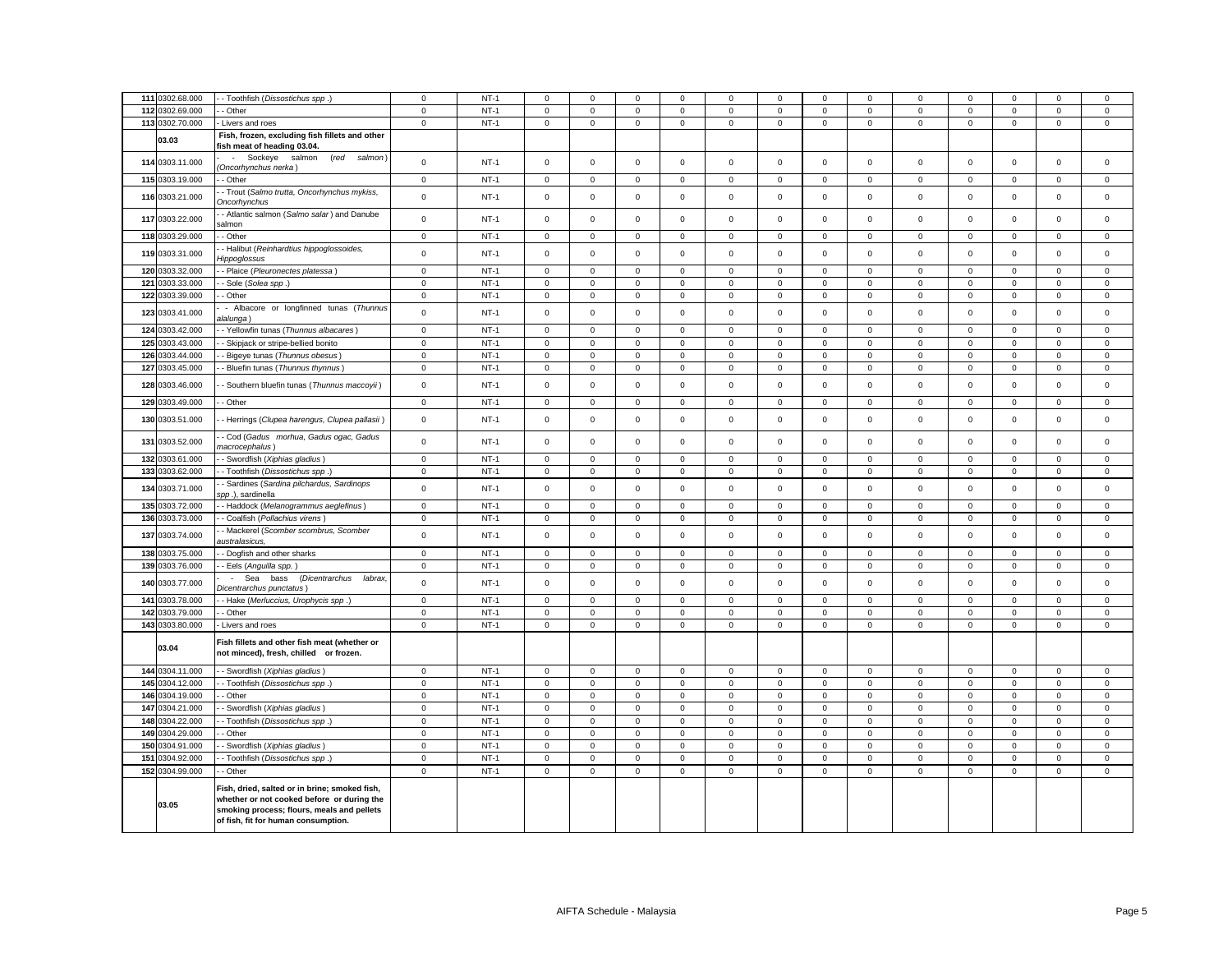| 111 0302.68.000                    | - - Toothfish (Dissostichus spp.)                                                                                                                                                | $\mathsf 0$                | $NT-1$           | $\Omega$                   | $\Omega$                   | $\mathbf 0$                 | $\Omega$                   | $\Omega$                   | $\mathsf 0$                | $\Omega$                     | $\Omega$                    | $\mathbf 0$                | $\mathbf 0$                | $\Omega$                   | $\Omega$                    | $\Omega$                   |
|------------------------------------|----------------------------------------------------------------------------------------------------------------------------------------------------------------------------------|----------------------------|------------------|----------------------------|----------------------------|-----------------------------|----------------------------|----------------------------|----------------------------|------------------------------|-----------------------------|----------------------------|----------------------------|----------------------------|-----------------------------|----------------------------|
| 112 0302.69.000                    | - Other                                                                                                                                                                          | $\mathbf 0$                | $NT-1$           | $\mathbf 0$                | $\mathbf 0$                | $\mathbf{0}$                | $\mathbf 0$                | $\mathbf 0$                | $\mathbf 0$                | $\mathbf 0$                  | $\mathbf{0}$                | $\mathbf 0$                | $\mathbf 0$                | $\mathbf 0$                | $\mathbf{0}$                | $\mathbf 0$                |
| 113 0302.70.000                    | - Livers and roes                                                                                                                                                                | $\mathbf 0$                | $NT-1$           | $\mathsf 0$                | $\mathbf 0$                | $\mathsf 0$                 | $\mathsf 0$                | $\mathbf 0$                | $\mathsf 0$                | $\mathbf{0}$                 | $\mathsf 0$                 | $\mathbf 0$                | $\mathbf 0$                | $\mathbf 0$                | $\mathsf 0$                 | $\mathbf 0$                |
|                                    |                                                                                                                                                                                  |                            |                  |                            |                            |                             |                            |                            |                            |                              |                             |                            |                            |                            |                             |                            |
| 03.03                              | Fish, frozen, excluding fish fillets and other<br>fish meat of heading 03.04.                                                                                                    |                            |                  |                            |                            |                             |                            |                            |                            |                              |                             |                            |                            |                            |                             |                            |
| 114 0303.11.000                    | - Sockeye<br>salmon<br>(red salmon)<br>Oncorhynchus nerka)                                                                                                                       | $\mathsf 0$                | $NT-1$           | $\mathsf 0$                | $\mathbf 0$                | $\mathsf{O}\xspace$         | $\mathsf 0$                | $\mathsf 0$                | $\mathsf 0$                | $\mathbf 0$                  | $\mathsf 0$                 | $\mathsf 0$                | $\mathbf 0$                | $\mathbf 0$                | $\mathsf 0$                 | $\mathsf 0$                |
| 115 0303.19.000                    | - Other                                                                                                                                                                          | $\,0\,$                    | $NT-1$           | $\mathsf 0$                | $\mathsf 0$                | $\mathsf 0$                 | 0                          | $\mathbf 0$                | $\mathsf 0$                | $\mathsf{O}\xspace$          | 0                           | $\mathsf 0$                | $\mathbf 0$                | $\mathsf 0$                | $\mathsf 0$                 | 0                          |
| 116 0303.21.000                    | - Trout (Salmo trutta, Oncorhynchus mykiss,<br>Oncorhynchus                                                                                                                      | $\mathbf 0$                | $NT-1$           | $\mathbf 0$                | $\mathsf 0$                | $\Omega$                    | 0                          | $\mathbf 0$                | $\mathsf 0$                | $\mathsf 0$                  | 0                           | $\mathsf 0$                | $\mathbf 0$                | $\mathsf 0$                | $\mathbf 0$                 | 0                          |
| 117 0303.22.000                    | - Atlantic salmon (Salmo salar) and Danube<br>almon                                                                                                                              | $\mathsf 0$                | $NT-1$           | $\mathsf 0$                | $\mathsf 0$                | $\mathsf 0$                 | $\mathbf 0$                | $\mathbf 0$                | $\mathbf 0$                | $\mathsf 0$                  | $\mathbf 0$                 | $\mathsf 0$                | $\,0\,$                    | $\mathsf 0$                | $\mathsf 0$                 | $\mathbf 0$                |
| 118 0303.29.000                    | - Other                                                                                                                                                                          | $\mathbf 0$                | $NT-1$           | $\mathbf 0$                | 0                          | $\mathbf 0$                 | 0                          | $\mathbf 0$                | $\mathsf 0$                | $\mathsf{O}\xspace$          | $\mathbf 0$                 | $\mathsf 0$                | $\mathbf 0$                | $\mathsf 0$                | $\mathbf 0$                 | 0                          |
| 119 0303.31.000                    | - Halibut (Reinhardtius hippoglossoides,<br><i><b>lippoglossus</b></i>                                                                                                           | $\mathsf 0$                | $NT-1$           | $\mathbf 0$                | $\mathsf{O}\xspace$        | $\mathsf 0$                 | $\mathbf 0$                | $\mathbf 0$                | $\mathsf 0$                | $\mathsf 0$                  | $\mathbf 0$                 | $\mathsf 0$                | $\,0\,$                    | $\mathsf 0$                | $\mathsf 0$                 | $\mathsf 0$                |
| 120 0303.32.000                    | - Plaice (Pleuronectes platessa)                                                                                                                                                 | $\mathbf 0$                | $NT-1$           | $\mathsf 0$                | $\mathsf 0$                | $\mathsf 0$                 | $\mathsf 0$                | $\mathsf 0$                | $\mathsf 0$                | $\mathbf 0$                  | $\mathbf 0$                 | $\mathsf 0$                | $\mathbf 0$                | $\mathbf 0$                | $\mathbf 0$                 | $\mathbf 0$                |
| 121 0303.33.000                    | Sole (Solea spp.)                                                                                                                                                                | $\mathbf 0$                | $NT-1$           | $\mathsf 0$                | $\mathsf{O}\xspace$        | $\mathbf 0$                 | $\Omega$                   | $\pmb{0}$                  | $\mathsf 0$                | $\mathsf{O}\xspace$          | $\mathsf 0$                 | $\mathsf 0$                | $\,0\,$                    | $\mathbf 0$                | $\mathbf 0$                 | 0                          |
| 122 0303.39.000                    | - Other                                                                                                                                                                          | $\mathbf 0$                | $NT-1$           | 0                          | $\mathsf 0$                | $\mathbf 0$                 | 0                          | $\mathbf 0$                | $\mathsf 0$                | $\mathsf{O}\xspace$          | 0                           | $\mathsf 0$                | $\mathbf 0$                | $\mathbf 0$                | $\mathbf 0$                 | 0                          |
|                                    | - Albacore or longfinned tunas (Thunnus                                                                                                                                          |                            |                  |                            |                            |                             |                            |                            |                            |                              |                             |                            |                            |                            |                             |                            |
| 123 0303.41.000                    | ılalunga)                                                                                                                                                                        | $\mathsf 0$                | $NT-1$           | $\mathsf 0$                | $\mathsf 0$                | $\mathsf 0$                 | $\mathsf 0$                | $\mathbf 0$                | $\mathsf 0$                | $\mathsf 0$                  | $\mathsf 0$                 | $\mathsf 0$                | $\mathbf 0$                | $\mathsf 0$                | $\mathsf 0$                 | $\mathsf 0$                |
| 124 0303.42.000                    | - Yellowfin tunas (Thunnus albacares)                                                                                                                                            | $\mathbf 0$                | $NT-1$           | $\mathsf{O}\xspace$        | $\mathbf 0$                | $\mathbf 0$                 | 0                          | $\mathbf 0$                | 0                          | $\mathbf 0$                  | 0                           | 0                          | $\mathbf 0$                | 0                          | $\mathbf 0$                 | $\Omega$                   |
| 125 0303.43.000                    | Skipjack or stripe-bellied bonito                                                                                                                                                | $\mathbf 0$                | $NT-1$           | $\mathsf 0$                | $\mathsf 0$                | $\mathbf 0$                 | $\mathsf 0$                | $\mathsf 0$                | $\mathbf 0$                | $\mathsf 0$                  | $\mathsf 0$                 | $\mathsf{O}\xspace$        | $\pmb{0}$                  | $\mathsf 0$                | $\mathbf 0$                 | $\mathsf 0$                |
| 126 0303.44.000                    | Bigeye tunas (Thunnus obesus)                                                                                                                                                    | $\mathbf 0$                | $NT-1$           | $\mathsf 0$                | $\mathsf 0$                | $\mathsf 0$                 | $\mathsf 0$                | $\mathsf 0$                | $\mathsf 0$                | $\mathsf 0$                  | 0                           | $\mathbf 0$                | $\mathbf 0$                | $\mathbf 0$                | $\mathsf 0$                 | $\mathbf 0$                |
| 127 0303.45.000                    | - Bluefin tunas (Thunnus thynnus)                                                                                                                                                | $\mathsf 0$                | $NT-1$           | $\mathsf 0$                | $\mathbf 0$                | $\mathbf 0$                 | $\mathbf 0$                | $\mathsf 0$                | $\mathsf 0$                | $\mathsf 0$                  | $\mathsf 0$                 | $\mathsf 0$                | $\mathbf 0$                | $\mathbf 0$                | $\mathbf 0$                 | $\mathbf 0$                |
| 128 0303.46.000                    | - Southern bluefin tunas (Thunnus maccoyii)                                                                                                                                      | $\mathsf 0$                | $NT-1$           | $\mathbf 0$                | $\mathbf 0$                | $\mathsf 0$                 | $\mathbf 0$                | $\mathsf 0$                | $\mathsf 0$                | $\mathbf 0$                  | $\mathbf 0$                 | $\mathbf 0$                | $\mathbf 0$                | $\mathbf 0$                | $\mathbf 0$                 | $\mathbf 0$                |
| 129 0303.49.000                    | - Other                                                                                                                                                                          | $\mathbf 0$                | $NT-1$           | $\mathsf{O}\xspace$        | $\mathsf{O}\xspace$        | $\mathbf 0$                 | $\mathbf 0$                | $\mathbf 0$                | $\mathsf 0$                | $\mathsf{O}\xspace$          | $\mathsf 0$                 | $\mathsf 0$                | $\pmb{0}$                  | $\mathsf{O}\xspace$        | $\mathsf 0$                 | $\pmb{0}$                  |
| 130 0303.51.000                    |                                                                                                                                                                                  | $\mathbf 0$                | $NT-1$           | $\mathsf 0$                | $\mathbf 0$                | $\mathsf 0$                 | $\mathbf 0$                | $\mathbf 0$                | $\mathsf 0$                | $\circ$                      | $\mathsf 0$                 | $\mathsf 0$                | $\mathbf 0$                | $\mathbf 0$                | $\mathsf 0$                 | $\mathsf 0$                |
|                                    | - Herrings (Clupea harengus, Clupea pallasii)<br>- Cod (Gadus morhua, Gadus ogac, Gadus                                                                                          |                            |                  |                            |                            |                             |                            |                            |                            |                              |                             |                            |                            |                            |                             |                            |
| 131 0303.52.000<br>132 0303.61.000 | macrocephalus)<br>- Swordfish (Xiphias gladius)                                                                                                                                  | $\mathsf 0$<br>$\mathbf 0$ | $NT-1$<br>$NT-1$ | $\mathsf 0$<br>$\mathbf 0$ | $\mathbf 0$<br>$\mathbf 0$ | $\mathsf 0$<br>$\mathbf{0}$ | $\mathbf 0$<br>$\mathbf 0$ | $\mathbf 0$<br>$\mathbf 0$ | $\mathsf 0$<br>$\mathbf 0$ | $\mathbf{0}$<br>$\mathbf{O}$ | $\mathsf 0$<br>$\mathbf{0}$ | $\mathsf 0$<br>$\mathbf 0$ | $\mathbf 0$<br>$\mathbf 0$ | $\mathbf 0$<br>$\mathbf 0$ | $\mathsf 0$<br>$\mathbf{0}$ | $\mathbf 0$<br>$\mathbf 0$ |
| 133 0303.62.000                    | - Toothfish (Dissostichus spp.)                                                                                                                                                  | $\mathsf 0$                | $NT-1$           | $\mathbf 0$                | $\mathbf 0$                | $\mathsf 0$                 | $\mathbf 0$                | $\mathbf 0$                | $\mathbf 0$                | $\mathbf{O}$                 | $\mathbf 0$                 | $\mathbf 0$                | $\mathbf 0$                | $\mathbf 0$                | $\mathsf 0$                 | $\mathbf 0$                |
| 134 0303.71.000                    | - Sardines (Sardina pilchardus, Sardinops                                                                                                                                        | $\mathsf 0$                | $NT-1$           | $\mathbf 0$                | $\mathbf 0$                | $\mathsf 0$                 | $\Omega$                   | $\mathsf 0$                | $\mathsf 0$                | $\mathsf{O}\xspace$          | $\mathsf 0$                 | $\mathsf 0$                | $\mathbf 0$                | $\mathsf 0$                | $\mathsf 0$                 | $\Omega$                   |
| 135 0303.72.000                    | spp.), sardinella<br>- Haddock (Melanogrammus aeglefinus)                                                                                                                        | $\mathbf{0}$               | $NT-1$           | $\mathbf 0$                | $\mathbf 0$                | $\mathbf 0$                 | $\mathbf 0$                | $\mathbf 0$                | $\mathsf 0$                | $\mathbf{O}$                 | $\mathbf 0$                 | $\mathbf 0$                | $\mathbf 0$                | $\mathbf 0$                | $\mathbf 0$                 | $\mathbf 0$                |
| 136 0303.73.000                    | - Coalfish (Pollachius virens)                                                                                                                                                   | $\mathbf 0$                | $NT-1$           | $\mathsf 0$                | $\mathbf 0$                | $\mathsf 0$                 | $\mathsf 0$                | $\mathbf 0$                | $\mathsf 0$                | $\mathbf 0$                  | $\mathbf 0$                 | $\mathsf 0$                | $\mathbf 0$                | $\mathbf 0$                | $\mathsf 0$                 | $\mathbf 0$                |
| 137 0303.74.000                    | - Mackerel (Scomber scombrus, Scomber                                                                                                                                            | $\mathsf 0$                | $NT-1$           | $\mathbf 0$                | $\mathbf 0$                | $\mathsf 0$                 | $\mathbf 0$                | $\mathbf 0$                | $\mathsf 0$                | $\mathsf 0$                  | $\mathbf 0$                 | $\mathbf 0$                | $\mathbf 0$                | $\mathbf 0$                | $\mathsf 0$                 | $\mathbf 0$                |
| 138 0303.75.000                    | ustralasicus,<br>- Dogfish and other sharks                                                                                                                                      | $\mathbf 0$                | $NT-1$           | $\mathsf 0$                | $\mathbf 0$                | $\mathsf 0$                 | $\mathsf 0$                | $\mathbf 0$                | $\mathsf 0$                | $\mathsf 0$                  | $\mathsf 0$                 | $\mathsf 0$                | $\mathbf 0$                | $\mathbf 0$                | $\mathsf 0$                 | $\mathsf 0$                |
| 139 0303.76.000                    | - Eels (Anguilla spp.)                                                                                                                                                           | $\mathbf 0$                | $NT-1$           | $\mathbf 0$                | $\mathbf 0$                | $\mathsf 0$                 | $\mathbf 0$                | $\mathbf 0$                | $\mathsf 0$                | $\mathbf 0$                  | $\mathbf 0$                 | $\mathbf 0$                | $\mathbf 0$                | $\mathbf 0$                | $\mathsf 0$                 | $\mathbf 0$                |
|                                    | (Dicentrarchus labrax,<br>- Sea bass                                                                                                                                             |                            |                  |                            |                            |                             |                            |                            |                            |                              |                             |                            |                            |                            |                             |                            |
| 140 0303.77.000                    | Dicentrarchus punctatus)                                                                                                                                                         | $\mathbf 0$                | $NT-1$           | $\mathsf 0$                | $\mathsf 0$                | $\mathsf 0$                 | $\Omega$                   | $\mathbf 0$                | $\mathsf 0$                | $\mathsf 0$                  | $\mathsf 0$                 | $\mathsf 0$                | $\mathbf 0$                | $\mathsf 0$                | $\mathsf 0$                 | $\mathbf 0$                |
| 141 0303.78.000                    | - Hake (Merluccius, Urophycis spp.)                                                                                                                                              | $\mathbf 0$                | $NT-1$           | $\mathsf 0$                | $\mathbf 0$                | $\mathsf 0$                 | $\mathsf 0$                | $\mathbf 0$                | $\mathsf 0$                | $\mathbf 0$                  | $\mathsf 0$                 | $\mathbf 0$                | $\mathbf 0$                | $\mathbf 0$                | $\mathsf 0$                 | $\mathbf 0$                |
| 142 0303.79.000                    | - Other                                                                                                                                                                          | $\mathbf 0$                | $NT-1$           | $\mathsf 0$                | $\mathbf 0$                | $\mathbf 0$                 | $\mathsf 0$                | $\mathsf 0$                | $\mathsf 0$                | $\mathsf 0$                  | $\mathsf 0$                 | $\mathsf 0$                | $\mathbf 0$                | $\mathsf 0$                | $\mathbf 0$                 | $\mathsf 0$                |
| 143 0303.80.000                    | - Livers and roes                                                                                                                                                                | $\mathbf 0$                | $NT-1$           | $\mathbf 0$                | $\mathbf 0$                | $\mathbf 0$                 | $\mathbf 0$                | $\mathbf 0$                | $\mathsf 0$                | $\mathbf 0$                  | $\mathbf 0$                 | $\mathbf 0$                | $\mathbf 0$                | $\mathbf{0}$               | $\mathbf 0$                 | $\mathbf 0$                |
| 03.04                              | Fish fillets and other fish meat (whether or<br>not minced), fresh, chilled or frozen.                                                                                           |                            |                  |                            |                            |                             |                            |                            |                            |                              |                             |                            |                            |                            |                             |                            |
| 144 0304.11.000                    | - Swordfish (Xiphias gladius)                                                                                                                                                    | $\mathsf 0$                | $NT-1$           | $\mathsf 0$                | $\mathsf 0$                | $\mathsf 0$                 | $\mathsf 0$                | $\mathsf{O}\xspace$        | $\mathbf 0$                | $\mathsf 0$                  | $\mathsf 0$                 | $\mathsf 0$                | $\pmb{0}$                  | $\mathsf 0$                | $\mathsf 0$                 | $\mathsf 0$                |
| 145 0304.12.000                    | - Toothfish (Dissostichus spp.)                                                                                                                                                  | $\mathbf 0$                | $NT-1$           | $\mathbf 0$                | $\mathbf 0$                | $\mathsf 0$                 | $\mathbf 0$                | $\mathbf 0$                | $\mathbf 0$                | $\mathbf{O}$                 | $\mathbf 0$                 | $\mathbf 0$                | $\mathbf 0$                | $\mathbf 0$                | $\mathsf 0$                 | $\mathbf 0$                |
|                                    |                                                                                                                                                                                  |                            |                  |                            |                            |                             |                            |                            |                            |                              |                             |                            |                            |                            |                             |                            |
| 146 0304.19.000                    | - Other                                                                                                                                                                          | $\mathsf 0$                | $NT-1$           | $\mathsf 0$                | $\mathsf 0$                | $\mathsf 0$                 | $\mathsf 0$                | $\mathsf 0$                | $\mathsf 0$                | $\mathsf 0$                  | $\mathsf 0$                 | $\mathsf 0$                | $\pmb{0}$                  | $\mathsf 0$                | $\mathbf 0$                 | $\mathsf 0$                |
| 147 0304.21.000                    | - Swordfish (Xiphias gladius)                                                                                                                                                    | $\mathbf 0$                | $NT-1$           | $\mathsf{O}\xspace$        | $\mathsf 0$                | $\mathbf 0$                 | $\mathsf 0$                | $\mathbf 0$                | $\mathsf 0$                | $\mathsf 0$                  | 0                           | 0                          | $\mathbf 0$                | 0                          | $\mathbf 0$                 | 0                          |
| 148 0304.22.000                    | - Toothfish (Dissostichus spp.)                                                                                                                                                  | $\mathsf 0$                | $NT-1$           | $\mathbf 0$                | $\mathbf 0$                | $\mathbf 0$                 | $\Omega$                   | $\mathbf 0$                | $\mathsf 0$                | $\mathsf 0$                  | $\mathbf 0$                 | $\mathsf 0$                | $\mathbf 0$                | $\mathsf 0$                | $\mathbf 0$                 | $\mathbf 0$                |
| 149 0304.29.000                    | - Other                                                                                                                                                                          | $\mathbf 0$                | $NT-1$           | 0                          | $\mathbf 0$                | $\mathsf 0$                 | 0                          | $\mathbf 0$                | $\mathsf 0$                | $\mathsf 0$                  | 0                           | 0                          | $\mathbf 0$                | $\mathbf 0$                | $\mathsf 0$                 | 0                          |
| 150 0304.91.000                    | Swordfish (Xiphias gladius)                                                                                                                                                      | $\mathsf 0$                | $NT-1$           | $\mathsf{O}\xspace$        | $\mathsf 0$                | $\mathsf 0$                 | $\mathbf 0$                | $\mathsf 0$                | $\mathsf 0$                | $\mathsf{O}$                 | $\mathsf 0$                 | $\mathsf 0$                | $\mathbf 0$                | $\mathsf 0$                | $\mathbf 0$                 | $\mathbf 0$                |
| 151 0304.92.000                    | - Toothfish (Dissostichus spp.)                                                                                                                                                  | $\mathbf 0$                | $NT-1$           | $\mathbf 0$                | $\mathbf 0$                | $\mathbf 0$                 | 0                          | $\mathsf 0$                | $\mathbf 0$                | $\mathbf{0}$                 | 0                           | 0                          | $\mathbf 0$                | $\mathbf 0$                | $\mathsf 0$                 | 0                          |
| 152 0304.99.000                    | - Other                                                                                                                                                                          | $\mathsf 0$                | $NT-1$           | $\mathsf{O}\xspace$        | $\mathsf 0$                | $\mathsf 0$                 | $\Omega$                   | $\mathbf 0$                | $\mathsf 0$                | $\mathsf 0$                  | $\mathsf 0$                 | $\mathsf 0$                | $\pmb{0}$                  | $\mathsf{O}\xspace$        | $\mathsf 0$                 | $\mathsf 0$                |
| 03.05                              | Fish, dried, salted or in brine; smoked fish,<br>whether or not cooked before or during the<br>smoking process; flours, meals and pellets<br>of fish, fit for human consumption. |                            |                  |                            |                            |                             |                            |                            |                            |                              |                             |                            |                            |                            |                             |                            |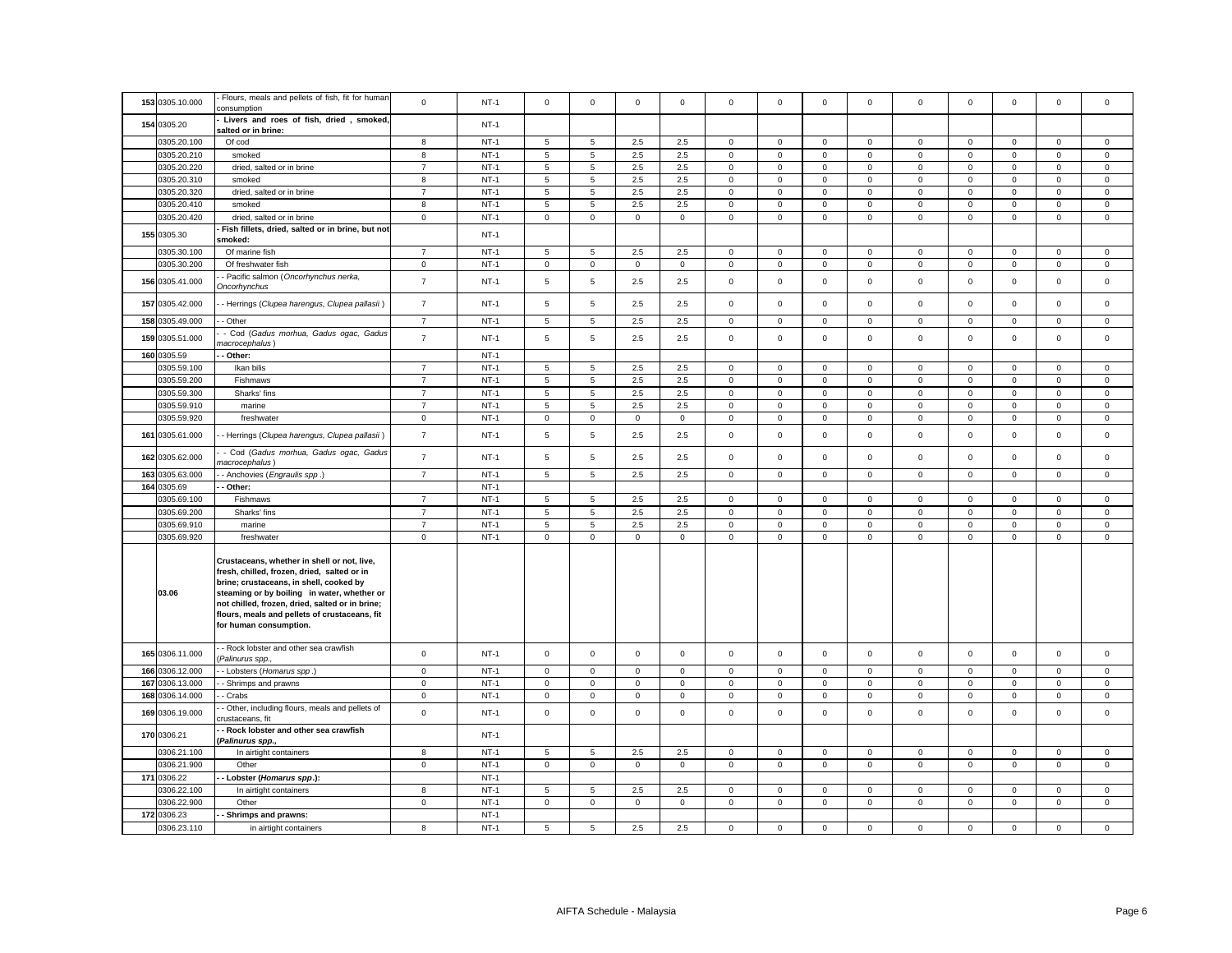| 153 0305.10.000 | Flours, meals and pellets of fish, fit for human<br>consumption                                                                                                                                                                                                                                                    | $\mathbf 0$    | $NT-1$           | $\mathsf 0$         | $\mathsf 0$         | $\mathsf 0$  | $\mathsf 0$  | $\mathsf 0$  | $\mathbf 0$         | $\mathsf 0$  | $\mathbf 0$    | $\mathsf 0$         | $\mathbf 0$  | $\mathsf 0$  | $\mathsf 0$    | $\overline{0}$ |
|-----------------|--------------------------------------------------------------------------------------------------------------------------------------------------------------------------------------------------------------------------------------------------------------------------------------------------------------------|----------------|------------------|---------------------|---------------------|--------------|--------------|--------------|---------------------|--------------|----------------|---------------------|--------------|--------------|----------------|----------------|
| 154 0305.20     | Livers and roes of fish, dried, smoked,                                                                                                                                                                                                                                                                            |                | $NT-1$           |                     |                     |              |              |              |                     |              |                |                     |              |              |                |                |
|                 | salted or in brine:                                                                                                                                                                                                                                                                                                |                |                  |                     |                     |              |              |              |                     |              |                |                     |              |              |                |                |
| 0305.20.100     | Of cod                                                                                                                                                                                                                                                                                                             | 8              | $NT-1$           | 5                   | 5                   | 2.5          | 2.5          | $\mathsf 0$  | $\mathsf 0$         | $\mathsf 0$  | $\mathbf 0$    | $\mathbf 0$         | $\mathsf 0$  | $\Omega$     | $\mathsf 0$    | $\mathsf 0$    |
| 0305.20.210     | smoked                                                                                                                                                                                                                                                                                                             | 8              | $NT-1$           | 5                   | 5                   | 2.5          | 2.5          | 0            | $\mathbf 0$         | $\mathbf{0}$ | $\mathbf{0}$   | $\mathbf 0$         | $\mathbf 0$  | $\mathbf{0}$ | $\mathbf 0$    | $\mathbf 0$    |
| 0305.20.220     | dried, salted or in brine                                                                                                                                                                                                                                                                                          | $\overline{7}$ | $NT-1$<br>$NT-1$ | 5                   | 5                   | 2.5<br>2.5   | 2.5          | $\mathsf 0$  | $\mathsf 0$         | $\mathsf 0$  | $\mathbf 0$    | $\mathbf 0$         | $\mathsf 0$  | $\mathsf 0$  | $\mathsf 0$    | $\mathsf 0$    |
| 0305.20.310     | smoked                                                                                                                                                                                                                                                                                                             | 8              |                  | 5                   | 5                   |              | 2.5          | $\mathbf 0$  | $\mathsf 0$         | $\mathsf 0$  | $\mathbf 0$    | $\mathbf 0$         | $\mathsf 0$  | $\mathbf 0$  | $\mathsf 0$    | $\mathsf 0$    |
| 0305.20.320     | dried, salted or in brine                                                                                                                                                                                                                                                                                          | $\overline{7}$ | $NT-1$           | 5                   | 5                   | 2.5          | 2.5          | $\mathbf 0$  | $\mathsf 0$         | $\mathbf 0$  | $\mathbf 0$    | $\mathbf 0$         | $\mathsf 0$  | $\mathbf 0$  | $\mathsf 0$    | $\mathsf 0$    |
| 0305.20.410     | smoked                                                                                                                                                                                                                                                                                                             | 8              | $NT-1$           | 5                   | 5                   | 2.5          | 2.5          | $\mathbf 0$  | $\mathsf 0$         | $\mathsf 0$  | $\mathbf 0$    | $\mathbf 0$         | $\mathsf 0$  | $\mathbf 0$  | $\mathsf 0$    | $\mathsf 0$    |
| 0305.20.420     | dried, salted or in brine<br>Fish fillets, dried, salted or in brine, but not                                                                                                                                                                                                                                      | $\mathsf 0$    | $NT-1$           | $\mathbf 0$         | $\mathsf{O}\xspace$ | $\mathbf{0}$ | $\mathbf{0}$ | $\mathbf 0$  | $\mathbf 0$         | $\mathsf 0$  | $\mathbf{0}$   | $\mathsf 0$         | $\mathbf 0$  | $\mathbf 0$  | $\mathbf 0$    | $\mathbf{0}$   |
| 155 0305.30     | smoked:                                                                                                                                                                                                                                                                                                            |                | $NT-1$           |                     |                     |              |              |              |                     |              |                |                     |              |              |                |                |
| 0305.30.100     | Of marine fish                                                                                                                                                                                                                                                                                                     | $\overline{7}$ | $NT-1$           | 5                   | 5                   | 2.5          | 2.5          | 0            | $\mathbf 0$         | $\mathbf{0}$ | $\mathbf 0$    | $\mathsf 0$         | $\mathbf 0$  | $\mathbf 0$  | $\mathbf 0$    | $\mathbf 0$    |
| 0305.30.200     | Of freshwater fish                                                                                                                                                                                                                                                                                                 | $\mathbf 0$    | $NT-1$           | $\mathbf 0$         | $\mathbf 0$         | $\mathbf{0}$ | $\mathbf 0$  | $\mathsf 0$  | $\mathsf 0$         | $\mathbf{0}$ | $\mathbf{0}$   | $\mathbf 0$         | $\mathbf 0$  | $\mathbf 0$  | $\overline{0}$ | $\mathsf 0$    |
| 156 0305.41.000 | Pacific salmon (Oncorhynchus nerka,<br><b>Oncorhynchus</b>                                                                                                                                                                                                                                                         | $\overline{7}$ | $NT-1$           | 5                   | 5                   | 2.5          | 2.5          | $\mathsf 0$  | $\mathsf 0$         | $\mathsf 0$  | $\mathbf 0$    | $\mathbf 0$         | $\mathsf 0$  | $\mathbf 0$  | $\mathsf 0$    | $\mathsf 0$    |
| 157 0305.42.000 | - Herrings (Clupea harengus, Clupea pallasii)                                                                                                                                                                                                                                                                      | $\overline{7}$ | $NT-1$           | 5                   | 5                   | 2.5          | 2.5          | $\mathbf 0$  | $\mathsf{O}\xspace$ | $\mathsf{O}$ | $\mathsf 0$    | $\mathsf 0$         | $\mathsf 0$  | $\mathbf 0$  | $\mathsf 0$    | $\mathsf 0$    |
| 158 0305.49.000 | - Other                                                                                                                                                                                                                                                                                                            | $\overline{7}$ | $NT-1$           | 5                   | 5                   | 2.5          | 2.5          | $\mathsf 0$  | $\mathbf 0$         | $\mathsf 0$  | $\mathsf 0$    | $\mathsf 0$         | $\mathsf 0$  | $\mathsf 0$  | $\mathbf 0$    | $\,0\,$        |
| 159 0305.51.000 | - Cod (Gadus morhua, Gadus ogac, Gadus<br>nacrocephalus)                                                                                                                                                                                                                                                           | $\overline{7}$ | $NT-1$           | 5                   | 5                   | 2.5          | 2.5          | $\mathsf 0$  | $\mathsf 0$         | $\mathsf 0$  | $\mathbf{0}$   | $\mathbf{0}$        | $\mathsf 0$  | $\mathbf 0$  | $\mathbf 0$    | $\mathbf 0$    |
| 160 0305.59     | - Other:                                                                                                                                                                                                                                                                                                           |                | $NT-1$           |                     |                     |              |              |              |                     |              |                |                     |              |              |                |                |
| 0305.59.100     | Ikan bilis                                                                                                                                                                                                                                                                                                         | $\overline{7}$ | $NT-1$           | 5                   | 5                   | 2.5          | 2.5          | $\mathbf 0$  | $\mathbf 0$         | $\mathbf 0$  | $\Omega$       | $\mathbf 0$         | $\mathbf 0$  | $\Omega$     | $\mathbf{0}$   | $\mathbf{0}$   |
| 0305.59.200     | Fishmaws                                                                                                                                                                                                                                                                                                           | $\overline{7}$ | $NT-1$           | 5                   | 5                   | 2.5          | 2.5          | $\mathbf 0$  | $\mathsf 0$         | $\mathsf 0$  | $\mathbf 0$    | $\mathbf 0$         | $\mathsf 0$  | $\mathsf 0$  | $\mathsf 0$    | $\mathsf 0$    |
| 0305.59.300     | Sharks' fins                                                                                                                                                                                                                                                                                                       | $\overline{7}$ | $NT-1$           | 5                   | 5                   | 2.5          | 2.5          | $\mathbf 0$  | $\mathsf 0$         | $\mathbf 0$  | $\mathbf{0}$   | $\mathsf 0$         | $\mathsf 0$  | $\mathbf 0$  | $\mathsf 0$    | $\mathsf 0$    |
| 0305.59.910     | marine                                                                                                                                                                                                                                                                                                             | $\overline{7}$ | $NT-1$           | 5                   | 5                   | 2.5          | 2.5          | $\mathsf 0$  | $\mathsf 0$         | $\mathsf 0$  | $\Omega$       | $\mathbf 0$         | $\mathsf 0$  | $\mathsf 0$  | $\mathsf 0$    | $\mathsf 0$    |
| 0305.59.920     | freshwater                                                                                                                                                                                                                                                                                                         | 0              | $NT-1$           | $\mathsf 0$         | $\mathbf 0$         | $\mathbf 0$  | $\mathbf 0$  | $\mathbf 0$  | $\mathsf 0$         | $\mathsf 0$  | $\Omega$       | $\mathsf 0$         | $\mathsf 0$  | 0            | $\mathsf 0$    | $\mathbf 0$    |
| 161 0305.61.000 | - Herrings (Clupea harengus, Clupea pallasii)                                                                                                                                                                                                                                                                      | $\overline{7}$ | $NT-1$           | 5                   | 5                   | 2.5          | 2.5          | $\mathbf 0$  | $\mathsf{O}\xspace$ | $\mathsf 0$  | $\mathbf 0$    | $\mathsf 0$         | $\mathsf 0$  | $\mathbf 0$  | $\mathsf 0$    | $\mathsf 0$    |
| 162 0305.62.000 | - Cod (Gadus morhua, Gadus ogac, Gadus<br>nacrocephalus)                                                                                                                                                                                                                                                           | $\overline{7}$ | $NT-1$           | 5                   | 5                   | 2.5          | 2.5          | $\mathbf 0$  | $\mathbf 0$         | $\mathbf 0$  | $\mathbf 0$    | $\mathbf 0$         | $\mathbf 0$  | $\mathbf 0$  | $\mathbf 0$    | $\mathbf 0$    |
| 163 0305.63.000 | - Anchovies (Engraulis spp.)                                                                                                                                                                                                                                                                                       | $\overline{7}$ | $NT-1$           | 5                   | 5                   | 2.5          | 2.5          | $\mathbf{0}$ | $\mathbf 0$         | $\mathsf 0$  | $\overline{0}$ | $\mathbf{0}$        | $\mathbf{0}$ | $\mathbf{0}$ | $\mathbf 0$    | $\mathbf 0$    |
| 164 0305.69     | Other:                                                                                                                                                                                                                                                                                                             |                | $NT-1$           |                     |                     |              |              |              |                     |              |                |                     |              |              |                |                |
| 0305.69.100     | Fishmaws                                                                                                                                                                                                                                                                                                           | $\overline{7}$ | $NT-1$           | 5                   | 5                   | 2.5          | 2.5          | $\mathbf 0$  | $\mathsf 0$         | $\mathsf 0$  | $\mathbf 0$    | $\mathbf 0$         | $\mathsf 0$  | $\mathbf 0$  | $\mathsf 0$    | $\mathsf 0$    |
| 0305.69.200     | Sharks' fins                                                                                                                                                                                                                                                                                                       | $\overline{7}$ | $NT-1$           | 5                   | 5                   | 2.5          | 2.5          | $\mathbf 0$  | $\mathbf 0$         | $\mathsf 0$  | $\mathbf{0}$   | $\mathbf 0$         | $\mathsf 0$  | $\mathbf 0$  | $\mathbf 0$    | $\mathbf 0$    |
| 0305.69.910     | marine                                                                                                                                                                                                                                                                                                             | $\overline{7}$ | $NT-1$           | 5                   | 5                   | 2.5          | 2.5          | $\mathbf 0$  | $\mathsf 0$         | $\mathsf 0$  | $\mathbf 0$    | $\mathbf 0$         | $\mathsf 0$  | $\mathbf 0$  | $\mathsf 0$    | $\mathsf 0$    |
| 0305.69.920     | freshwater                                                                                                                                                                                                                                                                                                         | $\mathsf 0$    | $NT-1$           | $\mathbf 0$         | $\mathbf 0$         | $\mathbf 0$  | $\mathbf{0}$ | $\mathbf 0$  | $\mathbf 0$         | $\mathsf{O}$ | $\mathbf{0}$   | $\mathsf 0$         | $\mathbf 0$  | $\mathsf 0$  | $\mathbf 0$    | $\mathbf 0$    |
| 03.06           | Crustaceans, whether in shell or not, live,<br>fresh, chilled, frozen, dried, salted or in<br>brine; crustaceans, in shell, cooked by<br>steaming or by boiling in water, whether or<br>not chilled, frozen, dried, salted or in brine;<br>flours, meals and pellets of crustaceans, fit<br>for human consumption. |                |                  |                     |                     |              |              |              |                     |              |                |                     |              |              |                |                |
| 165 0306.11.000 | - Rock lobster and other sea crawfish<br>Palinurus spp.,                                                                                                                                                                                                                                                           | $\mathsf 0$    | $NT-1$           | $\mathsf 0$         | $\mathbf 0$         | $\mathbf 0$  | $\mathbf{0}$ | $\mathbf 0$  | $\mathbf 0$         | $\circ$      | $\mathbf 0$    | $\mathbf 0$         | $\mathbf 0$  | $\mathbf 0$  | $\mathbf 0$    | $\mathbf 0$    |
| 166 0306.12.000 | - Lobsters (Homarus spp.)                                                                                                                                                                                                                                                                                          | $\mathbf 0$    | $NT-1$           | $\mathsf{O}\xspace$ | $\mathbf 0$         | $\mathbf 0$  | $\mathsf 0$  | 0            | 0                   | $\mathsf 0$  | $\mathbf 0$    | $\mathsf 0$         | $\mathbf 0$  | $\mathbf 0$  | $\mathbf 0$    | $\mathbf 0$    |
| 167 0306.13.000 | - Shrimps and prawns                                                                                                                                                                                                                                                                                               | $\mathsf 0$    | $NT-1$           | $\mathsf 0$         | $\mathbf 0$         | $\mathsf 0$  | $\mathsf 0$  | $\mathsf 0$  | $\mathsf 0$         | $\mathsf 0$  | $\mathbf 0$    | $\mathbf 0$         | $\mathsf 0$  | $\mathsf 0$  | $\mathsf 0$    | $\mathsf 0$    |
| 168 0306.14.000 | - Crabs                                                                                                                                                                                                                                                                                                            | $\mathbf 0$    | $NT-1$           | $\mathsf 0$         | $\mathbf 0$         | $\mathsf 0$  | $\mathsf 0$  | $\mathsf 0$  | $\mathsf 0$         | $\mathsf 0$  | $\mathsf 0$    | $\mathsf 0$         | $\mathsf 0$  | $\mathsf 0$  | $\mathsf 0$    | $\mathsf 0$    |
| 169 0306.19.000 | Other, including flours, meals and pellets of<br>rustaceans, fit                                                                                                                                                                                                                                                   | $\mathbf 0$    | $NT-1$           | $\mathsf 0$         | $\mathsf 0$         | $\mathbf 0$  | $\mathbf 0$  | $\mathbf 0$  | $\mathbf 0$         | $\mathsf{O}$ | $\mathsf 0$    | $\mathsf 0$         | $\mathbf 0$  | $\mathbf 0$  | $\mathbf{0}$   | $\mathbf 0$    |
| 170 0306.21     | - Rock lobster and other sea crawfish<br>Palinurus spp.,                                                                                                                                                                                                                                                           |                | $NT-1$           |                     |                     |              |              |              |                     |              |                |                     |              |              |                |                |
| 0306.21.100     | In airtight containers                                                                                                                                                                                                                                                                                             | 8              | $NT-1$           | 5                   | 5                   | 2.5          | $2.5\,$      | $\mathsf 0$  | $\mathbf 0$         | 0            | $\mathbf{0}$   | $\mathsf{O}\xspace$ | $\mathbf 0$  | $\mathbf 0$  | $\mathsf 0$    | $\mathbf{0}$   |
| 0306.21.900     | Other                                                                                                                                                                                                                                                                                                              | $\mathbf 0$    | $NT-1$           | $\mathsf 0$         | $\mathbf 0$         | $\mathsf 0$  | $\mathbf 0$  | $\mathbf 0$  | $\mathsf 0$         | $\mathbf{0}$ | $\mathbf{0}$   | $\mathbf 0$         | $\mathsf 0$  | $\mathbf 0$  | $\mathsf 0$    | $\mathsf 0$    |
| 171 0306.22     | - Lobster (Homarus spp.):                                                                                                                                                                                                                                                                                          |                | $NT-1$           |                     |                     |              |              |              |                     |              |                |                     |              |              |                |                |
| 0306.22.100     | In airtight containers                                                                                                                                                                                                                                                                                             | 8              | $NT-1$           | 5                   | 5                   | 2.5          | 2.5          | $\mathsf 0$  | $\mathsf 0$         | $\mathsf 0$  | $\Omega$       | $\mathbf 0$         | $\mathsf 0$  | $\mathbf 0$  | $\mathsf 0$    | $\mathsf 0$    |
| 0306.22.900     | Other                                                                                                                                                                                                                                                                                                              | $\mathsf 0$    | $NT-1$           | $\mathsf 0$         | $\mathsf 0$         | $\mathbf 0$  | $\mathbf 0$  | $\mathbf 0$  | $\mathsf 0$         | $\mathbf 0$  | $\mathbf 0$    | $\mathsf 0$         | $\mathsf 0$  | $\mathbf 0$  | $\mathsf 0$    | $\mathsf 0$    |
| 172 0306.23     | Shrimps and prawns:                                                                                                                                                                                                                                                                                                |                | $NT-1$           |                     |                     |              |              |              |                     |              |                |                     |              |              |                |                |
| 0306.23.110     | in airtight containers                                                                                                                                                                                                                                                                                             | 8              | $NT-1$           | 5                   | 5                   | 2.5          | 2.5          | $\mathsf 0$  | $\mathsf 0$         | $\mathsf 0$  | $\mathbf{0}$   | $\mathbf 0$         | $\mathbf 0$  | $\mathbf 0$  | $\mathsf 0$    | $\mathsf 0$    |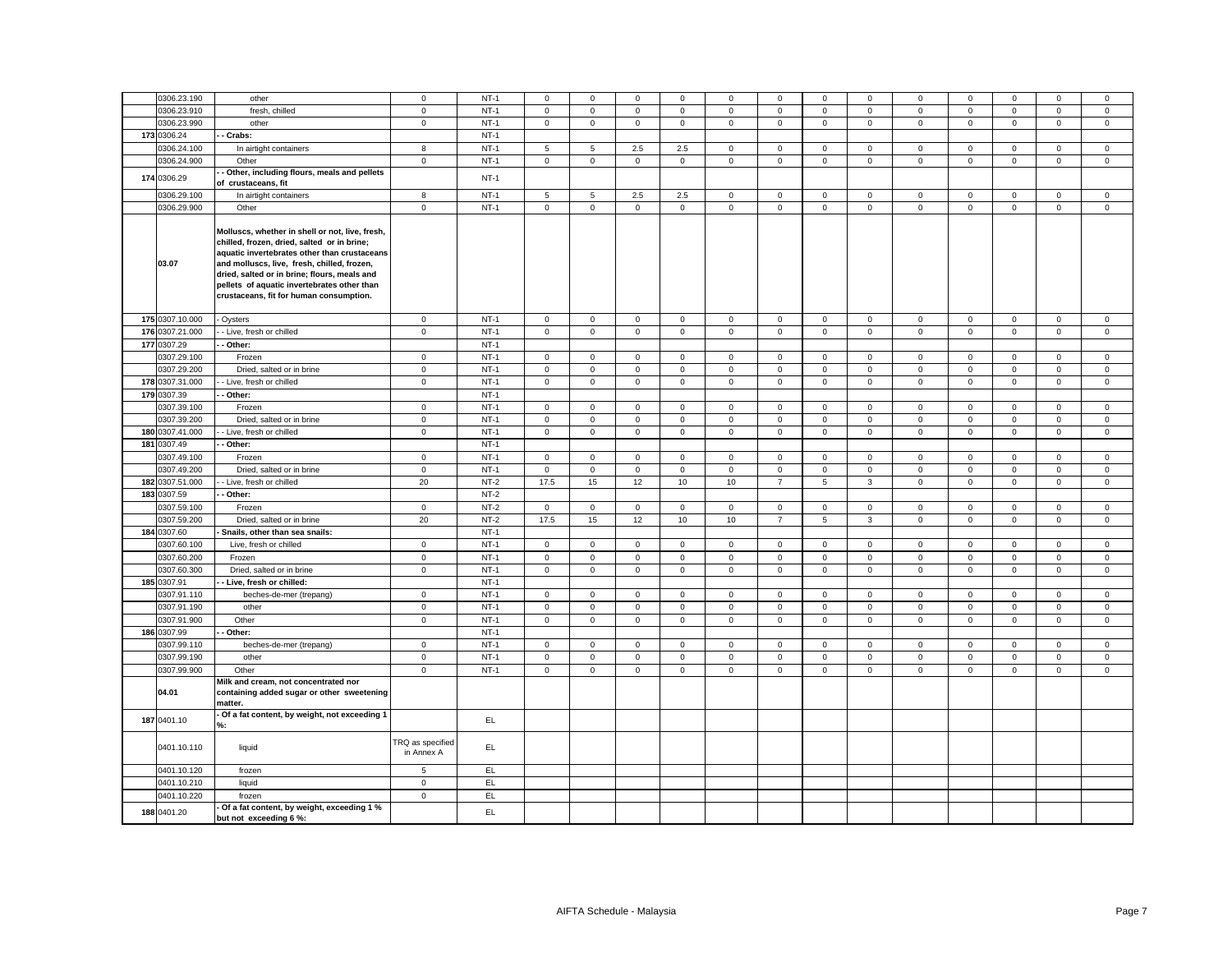| 0306.23.190<br>$NT-1$<br>other<br>$\mathbf 0$<br>$\mathsf 0$<br>$\mathsf 0$<br>$\mathbf 0$<br>$\mathsf 0$<br>$\mathbf 0$<br>$\mathbf 0$<br>0<br>$\mathbf 0$<br>0<br>0<br>$\mathsf 0$<br>$NT-1$<br>$\mathsf 0$<br>0306.23.910<br>fresh, chilled<br>$\mathsf{O}\xspace$<br>$\mathsf 0$<br>$\mathsf 0$<br>$\mathsf 0$<br>$\mathsf 0$<br>$\mathsf 0$<br>$\mathsf 0$<br>$\mathsf 0$<br>$\mathsf 0$<br>$NT-1$<br>0306.23.990<br>$\mathbf{0}$<br>$\mathbf 0$<br>$\mathsf 0$<br>$\mathbf 0$<br>$\mathbf 0$<br>$\mathbf 0$<br>other<br>$\mathbf{0}$<br>$\mathbf 0$<br>$\mathbf{0}$<br>$\mathbf{0}$<br>$\mathbf{0}$<br>173 0306.24<br>- Crabs:<br>$NT-1$<br>$NT-1$<br>0306.24.100<br>In airtight containers<br>8<br>5<br>5<br>2.5<br>2.5<br>$\mathbf 0$<br>$\mathsf 0$<br>$\mathbf 0$<br>$\mathbf 0$<br>$\mathsf 0$<br>$\mathsf 0$<br>0306.24.900<br>Other<br>$\mathbf 0$<br>$NT-1$<br>$\mathsf{O}\xspace$<br>$\mathsf{O}\xspace$<br>$\mathsf 0$<br>$\mathsf 0$<br>$\mathsf 0$<br>$\mathsf 0$<br>$\mathsf 0$<br>$\mathbf{0}$<br>$\mathsf 0$<br>$\mathsf 0$<br>Other, including flours, meals and pellets<br>174 0306.29<br>$NT-1$<br>of crustaceans, fit<br>2.5<br>0306.29.100<br>In airtight containers<br>8<br>$NT-1$<br>5<br>5<br>2.5<br>$\mathbf 0$<br>$\mathbf 0$<br>$\mathsf 0$<br>$\mathbf{0}$<br>$\mathbf 0$<br>$\mathbf 0$<br>0306.29.900<br>Other<br>$\overline{0}$<br>$NT-1$<br>$\mathbf 0$<br>$\mathbf{O}$<br>$\mathbf{0}$<br>$\mathbf 0$<br>$\mathbf 0$<br>$\mathbf 0$<br>$\mathbf 0$<br>$\mathbf{0}$<br>$\mathbf 0$<br>$\mathbf 0$<br>Molluscs, whether in shell or not, live, fresh,<br>chilled, frozen, dried, salted or in brine;<br>aquatic invertebrates other than crustaceans<br>03.07<br>and molluscs, live, fresh, chilled, frozen,<br>dried, salted or in brine; flours, meals and<br>pellets of aquatic invertebrates other than<br>crustaceans, fit for human consumption.<br>175 0307.10.000<br>$NT-1$<br>$\mathsf 0$<br>$\mathbf 0$<br>$\mathsf 0$<br>$\mathbf 0$<br>$\mathsf 0$<br>$\mathbf 0$<br>$\mathsf 0$<br>$\mathsf 0$<br>$\mathbf 0$<br>$\mathbf 0$<br>$\mathbf 0$<br>Oysters<br>176 0307.21.000<br>$\mathbf 0$<br>$NT-1$<br>$\mathsf{O}\xspace$<br>$\mathsf 0$<br>$\mathsf 0$<br>$\mathsf 0$<br>$\mathsf 0$<br>$\mathbf 0$<br>$\mathsf 0$<br>$\mathbf 0$<br>$\mathsf 0$<br>$\mathsf 0$<br>- Live, fresh or chilled<br>177 0307.29<br>$NT-1$<br>- Other:<br>0307.29.100<br>$NT-1$<br>$\mathbf 0$<br>$\mathsf 0$<br>$\mathsf 0$<br>$\mathsf 0$<br>$\Omega$<br>$\mathbf 0$<br>$\mathsf 0$<br>$\mathbf 0$<br>$\mathbf 0$<br>$\mathbf 0$<br>$\mathsf 0$<br>Frozen<br>$NT-1$<br>$\mathbf 0$<br>0307.29.200<br>Dried, salted or in brine<br>$\mathbf 0$<br>$\mathsf 0$<br>$\mathsf 0$<br>$\mathsf 0$<br>$\mathbf 0$<br>$\mathbf 0$<br>$\mathsf 0$<br>$\mathsf 0$<br>$\mathsf 0$<br>$\mathbf 0$<br>$NT-1$<br>178 0307.31.000<br>$\mathbf 0$<br>$\mathsf 0$<br>$\mathsf 0$<br>$\mathsf{O}\xspace$<br>$\mathsf 0$<br>$\mathsf{O}\xspace$<br>- Live, fresh or chilled<br>$\mathsf 0$<br>$\mathsf 0$<br>$\mathsf 0$<br>$\mathbf 0$<br>$\mathsf 0$<br>$NT-1$<br>179 0307.39<br>Other:<br>$NT-1$<br>0307.39.100<br>Frozen<br>$\mathbf 0$<br>$\mathsf 0$<br>$\mathbf 0$<br>$\mathsf 0$<br>$\mathsf 0$<br>$\mathbf 0$<br>$\mathsf 0$<br>$\mathbf 0$<br>$\mathbf 0$<br>$\mathsf 0$<br>$\mathsf 0$<br>$NT-1$<br>$\mathbf 0$<br>$\mathsf 0$<br>$\mathbf 0$<br>$\mathsf 0$<br>$\mathsf 0$<br>0307.39.200<br>Dried, salted or in brine<br>$\mathbf 0$<br>$\mathbf 0$<br>0<br>$\mathbf 0$<br>$\mathbf{0}$<br>$\mathbf{0}$<br>$NT-1$<br>180 0307.41.000<br>- Live, fresh or chilled<br>$\mathbf 0$<br>$\mathsf 0$<br>$\mathbf 0$<br>$\mathsf 0$<br>$\mathsf 0$<br>$\mathbf 0$<br>$\mathsf 0$<br>$\mathsf 0$<br>$\mathbf 0$<br>$\mathbf 0$<br>$\mathsf 0$<br>$NT-1$<br>181 0307.49<br>- Other:<br>0307.49.100<br>$NT-1$<br>$\mathsf{O}\xspace$<br>$\mathsf 0$<br>$\mathsf 0$<br>$\mathsf{O}\xspace$<br>Frozen<br>$\mathbf 0$<br>$\mathsf 0$<br>$\mathbf 0$<br>$\mathsf 0$<br>$\mathbf{0}$<br>$\mathbf 0$<br>$\mathbf 0$<br>0307.49.200<br>Dried, salted or in brine<br>$\mathbf 0$<br>$NT-1$<br>$\mathbf 0$<br>$\mathbf{0}$<br>$\mathsf 0$<br>$\mathbf 0$<br>$\mathsf 0$<br>$\mathsf 0$<br>$\mathsf 0$<br>$\mathsf 0$<br>$\mathbf 0$<br>$\mathbf{0}$<br>182 0307.51.000<br>20<br>$NT-2$<br>- Live, fresh or chilled<br>17.5<br>15<br>12<br>10<br>10<br>5<br>3<br>$\mathbf 0$<br>$\mathbf 0$<br>$\overline{7}$<br>183 0307.59<br>$NT-2$<br>Other:<br>0307.59.100<br>$NT-2$<br>$\mathsf 0$<br>$\mathbf 0$<br>$\mathbf 0$<br>$\mathsf 0$<br>0<br>$\mathbf 0$<br>Frozen<br>$\mathbf 0$<br>0<br>0<br>$\mathbf 0$<br>0<br>0307.59.200<br>20<br>$NT-2$<br>17.5<br>15<br>12<br>$10$<br>10<br>$\overline{7}$<br>$\sqrt{5}$<br>3<br>$\mathsf{O}\xspace$<br>$\mathsf 0$<br>Dried, salted or in brine<br>184 0307.60<br>$NT-1$<br>Snails, other than sea snails:<br>$NT-1$<br>0307.60.100<br>$\mathsf{O}\xspace$<br>$\mathsf 0$<br>$\mathsf 0$<br>$\mathsf 0$<br>Live, fresh or chilled<br>$\mathbf 0$<br>$\mathsf 0$<br>$\mathbf 0$<br>$\mathsf 0$<br>$\mathbf 0$<br>$\mathsf 0$<br>$\mathsf 0$<br>$\mathbf 0$<br>$NT-1$<br>$\mathsf 0$<br>$\mathsf 0$<br>0307.60.200<br>Frozen<br>$\mathbf 0$<br>$\mathbf 0$<br>$\mathsf 0$<br>$\mathsf 0$<br>$\mathbf 0$<br>$\mathbf 0$<br>$\mathbf 0$<br>$\mathbf{0}$<br>0307.60.300<br>$\mathbf 0$<br>$NT-1$<br>$\mathsf 0$<br>$\mathsf 0$<br>$\mathsf 0$<br>Dried, salted or in brine<br>$\mathsf{O}\xspace$<br>$\mathsf 0$<br>$\mathsf 0$<br>$\mathsf 0$<br>$\mathbf 0$<br>$\mathsf 0$<br>$\mathbf 0$<br>$NT-1$<br>185 0307.91<br>- Live, fresh or chilled:<br>$NT-1$<br>0307.91.110<br>$\mathsf 0$<br>beches-de-mer (trepang)<br>$\mathbf 0$<br>$\mathsf 0$<br>$\mathbf 0$<br>$\mathsf 0$<br>$\mathbf 0$<br>$\mathsf 0$<br>$\mathbf 0$<br>$\mathbf 0$<br>$\mathsf 0$<br>$\mathsf 0$ | $\mathbf 0$<br>$\mathbf 0$<br>$\mathsf 0$<br>$\mathsf 0$<br>$\mathbf 0$<br>$\mathbf{0}$<br>$\mathsf 0$<br>$\mathbf 0$<br>$\mathbf 0$<br>$\mathsf 0$<br>$\mathbf{0}$<br>$\mathbf 0$<br>$\mathbf 0$<br>$\mathbf 0$<br>$\mathbf 0$<br>$\mathsf 0$<br>$\mathsf 0$<br>$\mathbf 0$<br>$\mathsf 0$<br>$\mathsf 0$<br>$\mathsf 0$<br>$\mathsf 0$<br>$\mathsf 0$<br>$\mathsf 0$<br>$\mathsf 0$<br>$\mathsf 0$<br>$\mathbf 0$<br>$\mathbf 0$ |                            | $\mathbf 0$<br>$\mathsf 0$<br>$\mathbf 0$<br>$\mathsf 0$<br>$\mathbf 0$<br>$\mathbf{0}$<br>$\mathbf{0}$<br>$\mathsf 0$<br>$\mathbf 0$<br>$\mathsf 0$<br>$\mathsf 0$<br>$\,0\,$ |
|--------------------------------------------------------------------------------------------------------------------------------------------------------------------------------------------------------------------------------------------------------------------------------------------------------------------------------------------------------------------------------------------------------------------------------------------------------------------------------------------------------------------------------------------------------------------------------------------------------------------------------------------------------------------------------------------------------------------------------------------------------------------------------------------------------------------------------------------------------------------------------------------------------------------------------------------------------------------------------------------------------------------------------------------------------------------------------------------------------------------------------------------------------------------------------------------------------------------------------------------------------------------------------------------------------------------------------------------------------------------------------------------------------------------------------------------------------------------------------------------------------------------------------------------------------------------------------------------------------------------------------------------------------------------------------------------------------------------------------------------------------------------------------------------------------------------------------------------------------------------------------------------------------------------------------------------------------------------------------------------------------------------------------------------------------------------------------------------------------------------------------------------------------------------------------------------------------------------------------------------------------------------------------------------------------------------------------------------------------------------------------------------------------------------------------------------------------------------------------------------------------------------------------------------------------------------------------------------------------------------------------------------------------------------------------------------------------------------------------------------------------------------------------------------------------------------------------------------------------------------------------------------------------------------------------------------------------------------------------------------------------------------------------------------------------------------------------------------------------------------------------------------------------------------------------------------------------------------------------------------------------------------------------------------------------------------------------------------------------------------------------------------------------------------------------------------------------------------------------------------------------------------------------------------------------------------------------------------------------------------------------------------------------------------------------------------------------------------------------------------------------------------------------------------------------------------------------------------------------------------------------------------------------------------------------------------------------------------------------------------------------------------------------------------------------------------------------------------------------------------------------------------------------------------------------------------------------------------------------------------------------------------------------------------------------------------------------------------------------------------------------------------------------------------------------------------------------------------------------------------------------------------------------------------------------------------------------------------------------------------------------------------------------------------------------------------------------------------------------------------------------------------------------------------------------------------------------------------------------------------------------------------------------------------------------------------------------------------------------------------------------------------------------------------------------------------------------------------------------------------------------------------------------------------------------------------------------------------------------------------------------------------------------------------------------------------------------------------------------------------------------------------------------------------------------------------------------------------------------------------------------------------------------------------------------------------------------------------------------------------------------------------------------------------------------------------------------------------------------------------------------------------------------------------------------------------|------------------------------------------------------------------------------------------------------------------------------------------------------------------------------------------------------------------------------------------------------------------------------------------------------------------------------------------------------------------------------------------------------------------------------------|----------------------------|--------------------------------------------------------------------------------------------------------------------------------------------------------------------------------|
|                                                                                                                                                                                                                                                                                                                                                                                                                                                                                                                                                                                                                                                                                                                                                                                                                                                                                                                                                                                                                                                                                                                                                                                                                                                                                                                                                                                                                                                                                                                                                                                                                                                                                                                                                                                                                                                                                                                                                                                                                                                                                                                                                                                                                                                                                                                                                                                                                                                                                                                                                                                                                                                                                                                                                                                                                                                                                                                                                                                                                                                                                                                                                                                                                                                                                                                                                                                                                                                                                                                                                                                                                                                                                                                                                                                                                                                                                                                                                                                                                                                                                                                                                                                                                                                                                                                                                                                                                                                                                                                                                                                                                                                                                                                                                                                                                                                                                                                                                                                                                                                                                                                                                                                                                                                                                                                                                                                                                                                                                                                                                                                                                                                                                                                                                                                                                    |                                                                                                                                                                                                                                                                                                                                                                                                                                    |                            |                                                                                                                                                                                |
|                                                                                                                                                                                                                                                                                                                                                                                                                                                                                                                                                                                                                                                                                                                                                                                                                                                                                                                                                                                                                                                                                                                                                                                                                                                                                                                                                                                                                                                                                                                                                                                                                                                                                                                                                                                                                                                                                                                                                                                                                                                                                                                                                                                                                                                                                                                                                                                                                                                                                                                                                                                                                                                                                                                                                                                                                                                                                                                                                                                                                                                                                                                                                                                                                                                                                                                                                                                                                                                                                                                                                                                                                                                                                                                                                                                                                                                                                                                                                                                                                                                                                                                                                                                                                                                                                                                                                                                                                                                                                                                                                                                                                                                                                                                                                                                                                                                                                                                                                                                                                                                                                                                                                                                                                                                                                                                                                                                                                                                                                                                                                                                                                                                                                                                                                                                                                    |                                                                                                                                                                                                                                                                                                                                                                                                                                    |                            |                                                                                                                                                                                |
|                                                                                                                                                                                                                                                                                                                                                                                                                                                                                                                                                                                                                                                                                                                                                                                                                                                                                                                                                                                                                                                                                                                                                                                                                                                                                                                                                                                                                                                                                                                                                                                                                                                                                                                                                                                                                                                                                                                                                                                                                                                                                                                                                                                                                                                                                                                                                                                                                                                                                                                                                                                                                                                                                                                                                                                                                                                                                                                                                                                                                                                                                                                                                                                                                                                                                                                                                                                                                                                                                                                                                                                                                                                                                                                                                                                                                                                                                                                                                                                                                                                                                                                                                                                                                                                                                                                                                                                                                                                                                                                                                                                                                                                                                                                                                                                                                                                                                                                                                                                                                                                                                                                                                                                                                                                                                                                                                                                                                                                                                                                                                                                                                                                                                                                                                                                                                    |                                                                                                                                                                                                                                                                                                                                                                                                                                    |                            |                                                                                                                                                                                |
|                                                                                                                                                                                                                                                                                                                                                                                                                                                                                                                                                                                                                                                                                                                                                                                                                                                                                                                                                                                                                                                                                                                                                                                                                                                                                                                                                                                                                                                                                                                                                                                                                                                                                                                                                                                                                                                                                                                                                                                                                                                                                                                                                                                                                                                                                                                                                                                                                                                                                                                                                                                                                                                                                                                                                                                                                                                                                                                                                                                                                                                                                                                                                                                                                                                                                                                                                                                                                                                                                                                                                                                                                                                                                                                                                                                                                                                                                                                                                                                                                                                                                                                                                                                                                                                                                                                                                                                                                                                                                                                                                                                                                                                                                                                                                                                                                                                                                                                                                                                                                                                                                                                                                                                                                                                                                                                                                                                                                                                                                                                                                                                                                                                                                                                                                                                                                    |                                                                                                                                                                                                                                                                                                                                                                                                                                    |                            |                                                                                                                                                                                |
|                                                                                                                                                                                                                                                                                                                                                                                                                                                                                                                                                                                                                                                                                                                                                                                                                                                                                                                                                                                                                                                                                                                                                                                                                                                                                                                                                                                                                                                                                                                                                                                                                                                                                                                                                                                                                                                                                                                                                                                                                                                                                                                                                                                                                                                                                                                                                                                                                                                                                                                                                                                                                                                                                                                                                                                                                                                                                                                                                                                                                                                                                                                                                                                                                                                                                                                                                                                                                                                                                                                                                                                                                                                                                                                                                                                                                                                                                                                                                                                                                                                                                                                                                                                                                                                                                                                                                                                                                                                                                                                                                                                                                                                                                                                                                                                                                                                                                                                                                                                                                                                                                                                                                                                                                                                                                                                                                                                                                                                                                                                                                                                                                                                                                                                                                                                                                    |                                                                                                                                                                                                                                                                                                                                                                                                                                    |                            |                                                                                                                                                                                |
|                                                                                                                                                                                                                                                                                                                                                                                                                                                                                                                                                                                                                                                                                                                                                                                                                                                                                                                                                                                                                                                                                                                                                                                                                                                                                                                                                                                                                                                                                                                                                                                                                                                                                                                                                                                                                                                                                                                                                                                                                                                                                                                                                                                                                                                                                                                                                                                                                                                                                                                                                                                                                                                                                                                                                                                                                                                                                                                                                                                                                                                                                                                                                                                                                                                                                                                                                                                                                                                                                                                                                                                                                                                                                                                                                                                                                                                                                                                                                                                                                                                                                                                                                                                                                                                                                                                                                                                                                                                                                                                                                                                                                                                                                                                                                                                                                                                                                                                                                                                                                                                                                                                                                                                                                                                                                                                                                                                                                                                                                                                                                                                                                                                                                                                                                                                                                    |                                                                                                                                                                                                                                                                                                                                                                                                                                    |                            |                                                                                                                                                                                |
|                                                                                                                                                                                                                                                                                                                                                                                                                                                                                                                                                                                                                                                                                                                                                                                                                                                                                                                                                                                                                                                                                                                                                                                                                                                                                                                                                                                                                                                                                                                                                                                                                                                                                                                                                                                                                                                                                                                                                                                                                                                                                                                                                                                                                                                                                                                                                                                                                                                                                                                                                                                                                                                                                                                                                                                                                                                                                                                                                                                                                                                                                                                                                                                                                                                                                                                                                                                                                                                                                                                                                                                                                                                                                                                                                                                                                                                                                                                                                                                                                                                                                                                                                                                                                                                                                                                                                                                                                                                                                                                                                                                                                                                                                                                                                                                                                                                                                                                                                                                                                                                                                                                                                                                                                                                                                                                                                                                                                                                                                                                                                                                                                                                                                                                                                                                                                    |                                                                                                                                                                                                                                                                                                                                                                                                                                    |                            |                                                                                                                                                                                |
|                                                                                                                                                                                                                                                                                                                                                                                                                                                                                                                                                                                                                                                                                                                                                                                                                                                                                                                                                                                                                                                                                                                                                                                                                                                                                                                                                                                                                                                                                                                                                                                                                                                                                                                                                                                                                                                                                                                                                                                                                                                                                                                                                                                                                                                                                                                                                                                                                                                                                                                                                                                                                                                                                                                                                                                                                                                                                                                                                                                                                                                                                                                                                                                                                                                                                                                                                                                                                                                                                                                                                                                                                                                                                                                                                                                                                                                                                                                                                                                                                                                                                                                                                                                                                                                                                                                                                                                                                                                                                                                                                                                                                                                                                                                                                                                                                                                                                                                                                                                                                                                                                                                                                                                                                                                                                                                                                                                                                                                                                                                                                                                                                                                                                                                                                                                                                    |                                                                                                                                                                                                                                                                                                                                                                                                                                    |                            |                                                                                                                                                                                |
|                                                                                                                                                                                                                                                                                                                                                                                                                                                                                                                                                                                                                                                                                                                                                                                                                                                                                                                                                                                                                                                                                                                                                                                                                                                                                                                                                                                                                                                                                                                                                                                                                                                                                                                                                                                                                                                                                                                                                                                                                                                                                                                                                                                                                                                                                                                                                                                                                                                                                                                                                                                                                                                                                                                                                                                                                                                                                                                                                                                                                                                                                                                                                                                                                                                                                                                                                                                                                                                                                                                                                                                                                                                                                                                                                                                                                                                                                                                                                                                                                                                                                                                                                                                                                                                                                                                                                                                                                                                                                                                                                                                                                                                                                                                                                                                                                                                                                                                                                                                                                                                                                                                                                                                                                                                                                                                                                                                                                                                                                                                                                                                                                                                                                                                                                                                                                    |                                                                                                                                                                                                                                                                                                                                                                                                                                    |                            |                                                                                                                                                                                |
|                                                                                                                                                                                                                                                                                                                                                                                                                                                                                                                                                                                                                                                                                                                                                                                                                                                                                                                                                                                                                                                                                                                                                                                                                                                                                                                                                                                                                                                                                                                                                                                                                                                                                                                                                                                                                                                                                                                                                                                                                                                                                                                                                                                                                                                                                                                                                                                                                                                                                                                                                                                                                                                                                                                                                                                                                                                                                                                                                                                                                                                                                                                                                                                                                                                                                                                                                                                                                                                                                                                                                                                                                                                                                                                                                                                                                                                                                                                                                                                                                                                                                                                                                                                                                                                                                                                                                                                                                                                                                                                                                                                                                                                                                                                                                                                                                                                                                                                                                                                                                                                                                                                                                                                                                                                                                                                                                                                                                                                                                                                                                                                                                                                                                                                                                                                                                    |                                                                                                                                                                                                                                                                                                                                                                                                                                    |                            |                                                                                                                                                                                |
|                                                                                                                                                                                                                                                                                                                                                                                                                                                                                                                                                                                                                                                                                                                                                                                                                                                                                                                                                                                                                                                                                                                                                                                                                                                                                                                                                                                                                                                                                                                                                                                                                                                                                                                                                                                                                                                                                                                                                                                                                                                                                                                                                                                                                                                                                                                                                                                                                                                                                                                                                                                                                                                                                                                                                                                                                                                                                                                                                                                                                                                                                                                                                                                                                                                                                                                                                                                                                                                                                                                                                                                                                                                                                                                                                                                                                                                                                                                                                                                                                                                                                                                                                                                                                                                                                                                                                                                                                                                                                                                                                                                                                                                                                                                                                                                                                                                                                                                                                                                                                                                                                                                                                                                                                                                                                                                                                                                                                                                                                                                                                                                                                                                                                                                                                                                                                    |                                                                                                                                                                                                                                                                                                                                                                                                                                    |                            |                                                                                                                                                                                |
|                                                                                                                                                                                                                                                                                                                                                                                                                                                                                                                                                                                                                                                                                                                                                                                                                                                                                                                                                                                                                                                                                                                                                                                                                                                                                                                                                                                                                                                                                                                                                                                                                                                                                                                                                                                                                                                                                                                                                                                                                                                                                                                                                                                                                                                                                                                                                                                                                                                                                                                                                                                                                                                                                                                                                                                                                                                                                                                                                                                                                                                                                                                                                                                                                                                                                                                                                                                                                                                                                                                                                                                                                                                                                                                                                                                                                                                                                                                                                                                                                                                                                                                                                                                                                                                                                                                                                                                                                                                                                                                                                                                                                                                                                                                                                                                                                                                                                                                                                                                                                                                                                                                                                                                                                                                                                                                                                                                                                                                                                                                                                                                                                                                                                                                                                                                                                    |                                                                                                                                                                                                                                                                                                                                                                                                                                    |                            |                                                                                                                                                                                |
|                                                                                                                                                                                                                                                                                                                                                                                                                                                                                                                                                                                                                                                                                                                                                                                                                                                                                                                                                                                                                                                                                                                                                                                                                                                                                                                                                                                                                                                                                                                                                                                                                                                                                                                                                                                                                                                                                                                                                                                                                                                                                                                                                                                                                                                                                                                                                                                                                                                                                                                                                                                                                                                                                                                                                                                                                                                                                                                                                                                                                                                                                                                                                                                                                                                                                                                                                                                                                                                                                                                                                                                                                                                                                                                                                                                                                                                                                                                                                                                                                                                                                                                                                                                                                                                                                                                                                                                                                                                                                                                                                                                                                                                                                                                                                                                                                                                                                                                                                                                                                                                                                                                                                                                                                                                                                                                                                                                                                                                                                                                                                                                                                                                                                                                                                                                                                    |                                                                                                                                                                                                                                                                                                                                                                                                                                    |                            |                                                                                                                                                                                |
|                                                                                                                                                                                                                                                                                                                                                                                                                                                                                                                                                                                                                                                                                                                                                                                                                                                                                                                                                                                                                                                                                                                                                                                                                                                                                                                                                                                                                                                                                                                                                                                                                                                                                                                                                                                                                                                                                                                                                                                                                                                                                                                                                                                                                                                                                                                                                                                                                                                                                                                                                                                                                                                                                                                                                                                                                                                                                                                                                                                                                                                                                                                                                                                                                                                                                                                                                                                                                                                                                                                                                                                                                                                                                                                                                                                                                                                                                                                                                                                                                                                                                                                                                                                                                                                                                                                                                                                                                                                                                                                                                                                                                                                                                                                                                                                                                                                                                                                                                                                                                                                                                                                                                                                                                                                                                                                                                                                                                                                                                                                                                                                                                                                                                                                                                                                                                    |                                                                                                                                                                                                                                                                                                                                                                                                                                    |                            |                                                                                                                                                                                |
|                                                                                                                                                                                                                                                                                                                                                                                                                                                                                                                                                                                                                                                                                                                                                                                                                                                                                                                                                                                                                                                                                                                                                                                                                                                                                                                                                                                                                                                                                                                                                                                                                                                                                                                                                                                                                                                                                                                                                                                                                                                                                                                                                                                                                                                                                                                                                                                                                                                                                                                                                                                                                                                                                                                                                                                                                                                                                                                                                                                                                                                                                                                                                                                                                                                                                                                                                                                                                                                                                                                                                                                                                                                                                                                                                                                                                                                                                                                                                                                                                                                                                                                                                                                                                                                                                                                                                                                                                                                                                                                                                                                                                                                                                                                                                                                                                                                                                                                                                                                                                                                                                                                                                                                                                                                                                                                                                                                                                                                                                                                                                                                                                                                                                                                                                                                                                    |                                                                                                                                                                                                                                                                                                                                                                                                                                    |                            |                                                                                                                                                                                |
|                                                                                                                                                                                                                                                                                                                                                                                                                                                                                                                                                                                                                                                                                                                                                                                                                                                                                                                                                                                                                                                                                                                                                                                                                                                                                                                                                                                                                                                                                                                                                                                                                                                                                                                                                                                                                                                                                                                                                                                                                                                                                                                                                                                                                                                                                                                                                                                                                                                                                                                                                                                                                                                                                                                                                                                                                                                                                                                                                                                                                                                                                                                                                                                                                                                                                                                                                                                                                                                                                                                                                                                                                                                                                                                                                                                                                                                                                                                                                                                                                                                                                                                                                                                                                                                                                                                                                                                                                                                                                                                                                                                                                                                                                                                                                                                                                                                                                                                                                                                                                                                                                                                                                                                                                                                                                                                                                                                                                                                                                                                                                                                                                                                                                                                                                                                                                    |                                                                                                                                                                                                                                                                                                                                                                                                                                    |                            |                                                                                                                                                                                |
|                                                                                                                                                                                                                                                                                                                                                                                                                                                                                                                                                                                                                                                                                                                                                                                                                                                                                                                                                                                                                                                                                                                                                                                                                                                                                                                                                                                                                                                                                                                                                                                                                                                                                                                                                                                                                                                                                                                                                                                                                                                                                                                                                                                                                                                                                                                                                                                                                                                                                                                                                                                                                                                                                                                                                                                                                                                                                                                                                                                                                                                                                                                                                                                                                                                                                                                                                                                                                                                                                                                                                                                                                                                                                                                                                                                                                                                                                                                                                                                                                                                                                                                                                                                                                                                                                                                                                                                                                                                                                                                                                                                                                                                                                                                                                                                                                                                                                                                                                                                                                                                                                                                                                                                                                                                                                                                                                                                                                                                                                                                                                                                                                                                                                                                                                                                                                    |                                                                                                                                                                                                                                                                                                                                                                                                                                    |                            |                                                                                                                                                                                |
|                                                                                                                                                                                                                                                                                                                                                                                                                                                                                                                                                                                                                                                                                                                                                                                                                                                                                                                                                                                                                                                                                                                                                                                                                                                                                                                                                                                                                                                                                                                                                                                                                                                                                                                                                                                                                                                                                                                                                                                                                                                                                                                                                                                                                                                                                                                                                                                                                                                                                                                                                                                                                                                                                                                                                                                                                                                                                                                                                                                                                                                                                                                                                                                                                                                                                                                                                                                                                                                                                                                                                                                                                                                                                                                                                                                                                                                                                                                                                                                                                                                                                                                                                                                                                                                                                                                                                                                                                                                                                                                                                                                                                                                                                                                                                                                                                                                                                                                                                                                                                                                                                                                                                                                                                                                                                                                                                                                                                                                                                                                                                                                                                                                                                                                                                                                                                    |                                                                                                                                                                                                                                                                                                                                                                                                                                    |                            | $\mathsf 0$                                                                                                                                                                    |
|                                                                                                                                                                                                                                                                                                                                                                                                                                                                                                                                                                                                                                                                                                                                                                                                                                                                                                                                                                                                                                                                                                                                                                                                                                                                                                                                                                                                                                                                                                                                                                                                                                                                                                                                                                                                                                                                                                                                                                                                                                                                                                                                                                                                                                                                                                                                                                                                                                                                                                                                                                                                                                                                                                                                                                                                                                                                                                                                                                                                                                                                                                                                                                                                                                                                                                                                                                                                                                                                                                                                                                                                                                                                                                                                                                                                                                                                                                                                                                                                                                                                                                                                                                                                                                                                                                                                                                                                                                                                                                                                                                                                                                                                                                                                                                                                                                                                                                                                                                                                                                                                                                                                                                                                                                                                                                                                                                                                                                                                                                                                                                                                                                                                                                                                                                                                                    |                                                                                                                                                                                                                                                                                                                                                                                                                                    |                            | $\mathsf 0$                                                                                                                                                                    |
|                                                                                                                                                                                                                                                                                                                                                                                                                                                                                                                                                                                                                                                                                                                                                                                                                                                                                                                                                                                                                                                                                                                                                                                                                                                                                                                                                                                                                                                                                                                                                                                                                                                                                                                                                                                                                                                                                                                                                                                                                                                                                                                                                                                                                                                                                                                                                                                                                                                                                                                                                                                                                                                                                                                                                                                                                                                                                                                                                                                                                                                                                                                                                                                                                                                                                                                                                                                                                                                                                                                                                                                                                                                                                                                                                                                                                                                                                                                                                                                                                                                                                                                                                                                                                                                                                                                                                                                                                                                                                                                                                                                                                                                                                                                                                                                                                                                                                                                                                                                                                                                                                                                                                                                                                                                                                                                                                                                                                                                                                                                                                                                                                                                                                                                                                                                                                    |                                                                                                                                                                                                                                                                                                                                                                                                                                    | $\mathbf 0$<br>$\mathbf 0$ | $\mathsf 0$                                                                                                                                                                    |
|                                                                                                                                                                                                                                                                                                                                                                                                                                                                                                                                                                                                                                                                                                                                                                                                                                                                                                                                                                                                                                                                                                                                                                                                                                                                                                                                                                                                                                                                                                                                                                                                                                                                                                                                                                                                                                                                                                                                                                                                                                                                                                                                                                                                                                                                                                                                                                                                                                                                                                                                                                                                                                                                                                                                                                                                                                                                                                                                                                                                                                                                                                                                                                                                                                                                                                                                                                                                                                                                                                                                                                                                                                                                                                                                                                                                                                                                                                                                                                                                                                                                                                                                                                                                                                                                                                                                                                                                                                                                                                                                                                                                                                                                                                                                                                                                                                                                                                                                                                                                                                                                                                                                                                                                                                                                                                                                                                                                                                                                                                                                                                                                                                                                                                                                                                                                                    |                                                                                                                                                                                                                                                                                                                                                                                                                                    |                            |                                                                                                                                                                                |
|                                                                                                                                                                                                                                                                                                                                                                                                                                                                                                                                                                                                                                                                                                                                                                                                                                                                                                                                                                                                                                                                                                                                                                                                                                                                                                                                                                                                                                                                                                                                                                                                                                                                                                                                                                                                                                                                                                                                                                                                                                                                                                                                                                                                                                                                                                                                                                                                                                                                                                                                                                                                                                                                                                                                                                                                                                                                                                                                                                                                                                                                                                                                                                                                                                                                                                                                                                                                                                                                                                                                                                                                                                                                                                                                                                                                                                                                                                                                                                                                                                                                                                                                                                                                                                                                                                                                                                                                                                                                                                                                                                                                                                                                                                                                                                                                                                                                                                                                                                                                                                                                                                                                                                                                                                                                                                                                                                                                                                                                                                                                                                                                                                                                                                                                                                                                                    | $\mathbf 0$<br>$\mathbf 0$                                                                                                                                                                                                                                                                                                                                                                                                         |                            | $\mathsf 0$                                                                                                                                                                    |
|                                                                                                                                                                                                                                                                                                                                                                                                                                                                                                                                                                                                                                                                                                                                                                                                                                                                                                                                                                                                                                                                                                                                                                                                                                                                                                                                                                                                                                                                                                                                                                                                                                                                                                                                                                                                                                                                                                                                                                                                                                                                                                                                                                                                                                                                                                                                                                                                                                                                                                                                                                                                                                                                                                                                                                                                                                                                                                                                                                                                                                                                                                                                                                                                                                                                                                                                                                                                                                                                                                                                                                                                                                                                                                                                                                                                                                                                                                                                                                                                                                                                                                                                                                                                                                                                                                                                                                                                                                                                                                                                                                                                                                                                                                                                                                                                                                                                                                                                                                                                                                                                                                                                                                                                                                                                                                                                                                                                                                                                                                                                                                                                                                                                                                                                                                                                                    | $\mathsf 0$<br>$\mathbf 0$                                                                                                                                                                                                                                                                                                                                                                                                         |                            | $\mathsf 0$                                                                                                                                                                    |
|                                                                                                                                                                                                                                                                                                                                                                                                                                                                                                                                                                                                                                                                                                                                                                                                                                                                                                                                                                                                                                                                                                                                                                                                                                                                                                                                                                                                                                                                                                                                                                                                                                                                                                                                                                                                                                                                                                                                                                                                                                                                                                                                                                                                                                                                                                                                                                                                                                                                                                                                                                                                                                                                                                                                                                                                                                                                                                                                                                                                                                                                                                                                                                                                                                                                                                                                                                                                                                                                                                                                                                                                                                                                                                                                                                                                                                                                                                                                                                                                                                                                                                                                                                                                                                                                                                                                                                                                                                                                                                                                                                                                                                                                                                                                                                                                                                                                                                                                                                                                                                                                                                                                                                                                                                                                                                                                                                                                                                                                                                                                                                                                                                                                                                                                                                                                                    | $\mathbf 0$<br>$\mathbf 0$                                                                                                                                                                                                                                                                                                                                                                                                         |                            | $\mathbf{0}$                                                                                                                                                                   |
|                                                                                                                                                                                                                                                                                                                                                                                                                                                                                                                                                                                                                                                                                                                                                                                                                                                                                                                                                                                                                                                                                                                                                                                                                                                                                                                                                                                                                                                                                                                                                                                                                                                                                                                                                                                                                                                                                                                                                                                                                                                                                                                                                                                                                                                                                                                                                                                                                                                                                                                                                                                                                                                                                                                                                                                                                                                                                                                                                                                                                                                                                                                                                                                                                                                                                                                                                                                                                                                                                                                                                                                                                                                                                                                                                                                                                                                                                                                                                                                                                                                                                                                                                                                                                                                                                                                                                                                                                                                                                                                                                                                                                                                                                                                                                                                                                                                                                                                                                                                                                                                                                                                                                                                                                                                                                                                                                                                                                                                                                                                                                                                                                                                                                                                                                                                                                    |                                                                                                                                                                                                                                                                                                                                                                                                                                    |                            |                                                                                                                                                                                |
|                                                                                                                                                                                                                                                                                                                                                                                                                                                                                                                                                                                                                                                                                                                                                                                                                                                                                                                                                                                                                                                                                                                                                                                                                                                                                                                                                                                                                                                                                                                                                                                                                                                                                                                                                                                                                                                                                                                                                                                                                                                                                                                                                                                                                                                                                                                                                                                                                                                                                                                                                                                                                                                                                                                                                                                                                                                                                                                                                                                                                                                                                                                                                                                                                                                                                                                                                                                                                                                                                                                                                                                                                                                                                                                                                                                                                                                                                                                                                                                                                                                                                                                                                                                                                                                                                                                                                                                                                                                                                                                                                                                                                                                                                                                                                                                                                                                                                                                                                                                                                                                                                                                                                                                                                                                                                                                                                                                                                                                                                                                                                                                                                                                                                                                                                                                                                    | $\mathbf 0$<br>$\mathbf 0$                                                                                                                                                                                                                                                                                                                                                                                                         |                            | $\mathbf 0$                                                                                                                                                                    |
|                                                                                                                                                                                                                                                                                                                                                                                                                                                                                                                                                                                                                                                                                                                                                                                                                                                                                                                                                                                                                                                                                                                                                                                                                                                                                                                                                                                                                                                                                                                                                                                                                                                                                                                                                                                                                                                                                                                                                                                                                                                                                                                                                                                                                                                                                                                                                                                                                                                                                                                                                                                                                                                                                                                                                                                                                                                                                                                                                                                                                                                                                                                                                                                                                                                                                                                                                                                                                                                                                                                                                                                                                                                                                                                                                                                                                                                                                                                                                                                                                                                                                                                                                                                                                                                                                                                                                                                                                                                                                                                                                                                                                                                                                                                                                                                                                                                                                                                                                                                                                                                                                                                                                                                                                                                                                                                                                                                                                                                                                                                                                                                                                                                                                                                                                                                                                    | $\mathbf 0$<br>$\mathbf 0$                                                                                                                                                                                                                                                                                                                                                                                                         |                            | $\mathbf 0$                                                                                                                                                                    |
|                                                                                                                                                                                                                                                                                                                                                                                                                                                                                                                                                                                                                                                                                                                                                                                                                                                                                                                                                                                                                                                                                                                                                                                                                                                                                                                                                                                                                                                                                                                                                                                                                                                                                                                                                                                                                                                                                                                                                                                                                                                                                                                                                                                                                                                                                                                                                                                                                                                                                                                                                                                                                                                                                                                                                                                                                                                                                                                                                                                                                                                                                                                                                                                                                                                                                                                                                                                                                                                                                                                                                                                                                                                                                                                                                                                                                                                                                                                                                                                                                                                                                                                                                                                                                                                                                                                                                                                                                                                                                                                                                                                                                                                                                                                                                                                                                                                                                                                                                                                                                                                                                                                                                                                                                                                                                                                                                                                                                                                                                                                                                                                                                                                                                                                                                                                                                    |                                                                                                                                                                                                                                                                                                                                                                                                                                    |                            |                                                                                                                                                                                |
|                                                                                                                                                                                                                                                                                                                                                                                                                                                                                                                                                                                                                                                                                                                                                                                                                                                                                                                                                                                                                                                                                                                                                                                                                                                                                                                                                                                                                                                                                                                                                                                                                                                                                                                                                                                                                                                                                                                                                                                                                                                                                                                                                                                                                                                                                                                                                                                                                                                                                                                                                                                                                                                                                                                                                                                                                                                                                                                                                                                                                                                                                                                                                                                                                                                                                                                                                                                                                                                                                                                                                                                                                                                                                                                                                                                                                                                                                                                                                                                                                                                                                                                                                                                                                                                                                                                                                                                                                                                                                                                                                                                                                                                                                                                                                                                                                                                                                                                                                                                                                                                                                                                                                                                                                                                                                                                                                                                                                                                                                                                                                                                                                                                                                                                                                                                                                    | $\mathsf 0$<br>$\mathsf 0$                                                                                                                                                                                                                                                                                                                                                                                                         |                            | $\mathsf 0$                                                                                                                                                                    |
|                                                                                                                                                                                                                                                                                                                                                                                                                                                                                                                                                                                                                                                                                                                                                                                                                                                                                                                                                                                                                                                                                                                                                                                                                                                                                                                                                                                                                                                                                                                                                                                                                                                                                                                                                                                                                                                                                                                                                                                                                                                                                                                                                                                                                                                                                                                                                                                                                                                                                                                                                                                                                                                                                                                                                                                                                                                                                                                                                                                                                                                                                                                                                                                                                                                                                                                                                                                                                                                                                                                                                                                                                                                                                                                                                                                                                                                                                                                                                                                                                                                                                                                                                                                                                                                                                                                                                                                                                                                                                                                                                                                                                                                                                                                                                                                                                                                                                                                                                                                                                                                                                                                                                                                                                                                                                                                                                                                                                                                                                                                                                                                                                                                                                                                                                                                                                    |                                                                                                                                                                                                                                                                                                                                                                                                                                    |                            |                                                                                                                                                                                |
|                                                                                                                                                                                                                                                                                                                                                                                                                                                                                                                                                                                                                                                                                                                                                                                                                                                                                                                                                                                                                                                                                                                                                                                                                                                                                                                                                                                                                                                                                                                                                                                                                                                                                                                                                                                                                                                                                                                                                                                                                                                                                                                                                                                                                                                                                                                                                                                                                                                                                                                                                                                                                                                                                                                                                                                                                                                                                                                                                                                                                                                                                                                                                                                                                                                                                                                                                                                                                                                                                                                                                                                                                                                                                                                                                                                                                                                                                                                                                                                                                                                                                                                                                                                                                                                                                                                                                                                                                                                                                                                                                                                                                                                                                                                                                                                                                                                                                                                                                                                                                                                                                                                                                                                                                                                                                                                                                                                                                                                                                                                                                                                                                                                                                                                                                                                                                    | $\mathbf{0}$<br>$\mathbf 0$                                                                                                                                                                                                                                                                                                                                                                                                        |                            | $\mathsf 0$                                                                                                                                                                    |
|                                                                                                                                                                                                                                                                                                                                                                                                                                                                                                                                                                                                                                                                                                                                                                                                                                                                                                                                                                                                                                                                                                                                                                                                                                                                                                                                                                                                                                                                                                                                                                                                                                                                                                                                                                                                                                                                                                                                                                                                                                                                                                                                                                                                                                                                                                                                                                                                                                                                                                                                                                                                                                                                                                                                                                                                                                                                                                                                                                                                                                                                                                                                                                                                                                                                                                                                                                                                                                                                                                                                                                                                                                                                                                                                                                                                                                                                                                                                                                                                                                                                                                                                                                                                                                                                                                                                                                                                                                                                                                                                                                                                                                                                                                                                                                                                                                                                                                                                                                                                                                                                                                                                                                                                                                                                                                                                                                                                                                                                                                                                                                                                                                                                                                                                                                                                                    | $\mathsf 0$<br>$\mathsf 0$                                                                                                                                                                                                                                                                                                                                                                                                         |                            | $\,0\,$                                                                                                                                                                        |
|                                                                                                                                                                                                                                                                                                                                                                                                                                                                                                                                                                                                                                                                                                                                                                                                                                                                                                                                                                                                                                                                                                                                                                                                                                                                                                                                                                                                                                                                                                                                                                                                                                                                                                                                                                                                                                                                                                                                                                                                                                                                                                                                                                                                                                                                                                                                                                                                                                                                                                                                                                                                                                                                                                                                                                                                                                                                                                                                                                                                                                                                                                                                                                                                                                                                                                                                                                                                                                                                                                                                                                                                                                                                                                                                                                                                                                                                                                                                                                                                                                                                                                                                                                                                                                                                                                                                                                                                                                                                                                                                                                                                                                                                                                                                                                                                                                                                                                                                                                                                                                                                                                                                                                                                                                                                                                                                                                                                                                                                                                                                                                                                                                                                                                                                                                                                                    |                                                                                                                                                                                                                                                                                                                                                                                                                                    |                            |                                                                                                                                                                                |
|                                                                                                                                                                                                                                                                                                                                                                                                                                                                                                                                                                                                                                                                                                                                                                                                                                                                                                                                                                                                                                                                                                                                                                                                                                                                                                                                                                                                                                                                                                                                                                                                                                                                                                                                                                                                                                                                                                                                                                                                                                                                                                                                                                                                                                                                                                                                                                                                                                                                                                                                                                                                                                                                                                                                                                                                                                                                                                                                                                                                                                                                                                                                                                                                                                                                                                                                                                                                                                                                                                                                                                                                                                                                                                                                                                                                                                                                                                                                                                                                                                                                                                                                                                                                                                                                                                                                                                                                                                                                                                                                                                                                                                                                                                                                                                                                                                                                                                                                                                                                                                                                                                                                                                                                                                                                                                                                                                                                                                                                                                                                                                                                                                                                                                                                                                                                                    | $\mathsf 0$<br>$\mathsf 0$                                                                                                                                                                                                                                                                                                                                                                                                         |                            | $\mathsf 0$                                                                                                                                                                    |
| $NT-1$<br>$\mathsf 0$<br>0307.91.190<br>other<br>$\mathbf 0$<br>$\mathsf 0$<br>$\mathbf 0$<br>$\mathsf 0$<br>$\mathbf 0$<br>$\mathsf 0$<br>$\mathbf 0$<br>$\circ$<br>$\mathbf 0$<br>$\mathsf 0$                                                                                                                                                                                                                                                                                                                                                                                                                                                                                                                                                                                                                                                                                                                                                                                                                                                                                                                                                                                                                                                                                                                                                                                                                                                                                                                                                                                                                                                                                                                                                                                                                                                                                                                                                                                                                                                                                                                                                                                                                                                                                                                                                                                                                                                                                                                                                                                                                                                                                                                                                                                                                                                                                                                                                                                                                                                                                                                                                                                                                                                                                                                                                                                                                                                                                                                                                                                                                                                                                                                                                                                                                                                                                                                                                                                                                                                                                                                                                                                                                                                                                                                                                                                                                                                                                                                                                                                                                                                                                                                                                                                                                                                                                                                                                                                                                                                                                                                                                                                                                                                                                                                                                                                                                                                                                                                                                                                                                                                                                                                                                                                                                    | $\mathbf 0$<br>$\mathsf 0$                                                                                                                                                                                                                                                                                                                                                                                                         |                            | $\mathsf 0$                                                                                                                                                                    |
| 0307.91.900<br>Other<br>$\mathbf 0$<br>$NT-1$<br>$\mathsf 0$<br>$\mathbf 0$<br>$\mathbf{0}$<br>$\mathbf 0$<br>$\mathsf 0$<br>$\mathbf 0$<br>$\mathbf{0}$<br>$\mathbf 0$<br>$\mathsf 0$<br>$\mathbf 0$                                                                                                                                                                                                                                                                                                                                                                                                                                                                                                                                                                                                                                                                                                                                                                                                                                                                                                                                                                                                                                                                                                                                                                                                                                                                                                                                                                                                                                                                                                                                                                                                                                                                                                                                                                                                                                                                                                                                                                                                                                                                                                                                                                                                                                                                                                                                                                                                                                                                                                                                                                                                                                                                                                                                                                                                                                                                                                                                                                                                                                                                                                                                                                                                                                                                                                                                                                                                                                                                                                                                                                                                                                                                                                                                                                                                                                                                                                                                                                                                                                                                                                                                                                                                                                                                                                                                                                                                                                                                                                                                                                                                                                                                                                                                                                                                                                                                                                                                                                                                                                                                                                                                                                                                                                                                                                                                                                                                                                                                                                                                                                                                              | $\mathbf 0$<br>$\mathsf 0$                                                                                                                                                                                                                                                                                                                                                                                                         |                            | $\mathsf 0$                                                                                                                                                                    |
| $NT-1$<br>186 0307.99<br>Other:                                                                                                                                                                                                                                                                                                                                                                                                                                                                                                                                                                                                                                                                                                                                                                                                                                                                                                                                                                                                                                                                                                                                                                                                                                                                                                                                                                                                                                                                                                                                                                                                                                                                                                                                                                                                                                                                                                                                                                                                                                                                                                                                                                                                                                                                                                                                                                                                                                                                                                                                                                                                                                                                                                                                                                                                                                                                                                                                                                                                                                                                                                                                                                                                                                                                                                                                                                                                                                                                                                                                                                                                                                                                                                                                                                                                                                                                                                                                                                                                                                                                                                                                                                                                                                                                                                                                                                                                                                                                                                                                                                                                                                                                                                                                                                                                                                                                                                                                                                                                                                                                                                                                                                                                                                                                                                                                                                                                                                                                                                                                                                                                                                                                                                                                                                                    |                                                                                                                                                                                                                                                                                                                                                                                                                                    |                            |                                                                                                                                                                                |
| $NT-1$<br>0307.99.110<br>beches-de-mer (trepang)<br>$\mathbf 0$<br>$\mathsf 0$<br>$\mathbf 0$<br>$\mathsf 0$<br>$\mathbf 0$<br>$\mathsf 0$<br>$\mathbf 0$<br>$\mathbf 0$<br>$\mathsf 0$<br>$\mathsf 0$<br>0                                                                                                                                                                                                                                                                                                                                                                                                                                                                                                                                                                                                                                                                                                                                                                                                                                                                                                                                                                                                                                                                                                                                                                                                                                                                                                                                                                                                                                                                                                                                                                                                                                                                                                                                                                                                                                                                                                                                                                                                                                                                                                                                                                                                                                                                                                                                                                                                                                                                                                                                                                                                                                                                                                                                                                                                                                                                                                                                                                                                                                                                                                                                                                                                                                                                                                                                                                                                                                                                                                                                                                                                                                                                                                                                                                                                                                                                                                                                                                                                                                                                                                                                                                                                                                                                                                                                                                                                                                                                                                                                                                                                                                                                                                                                                                                                                                                                                                                                                                                                                                                                                                                                                                                                                                                                                                                                                                                                                                                                                                                                                                                                        | $\mathbf 0$<br>$\mathsf 0$                                                                                                                                                                                                                                                                                                                                                                                                         |                            | $\mathsf 0$                                                                                                                                                                    |
| 0307.99.190<br>$\mathbf 0$<br>$NT-1$<br>$\mathbf 0$<br>$\mathsf 0$<br>$\mathsf 0$<br>$\mathsf{O}$<br>$\mathsf 0$<br>other<br>$\mathsf 0$<br>$\mathsf 0$<br>$\mathbf 0$<br>$\mathbf 0$<br>$\mathbf 0$                                                                                                                                                                                                                                                                                                                                                                                                                                                                                                                                                                                                                                                                                                                                                                                                                                                                                                                                                                                                                                                                                                                                                                                                                                                                                                                                                                                                                                                                                                                                                                                                                                                                                                                                                                                                                                                                                                                                                                                                                                                                                                                                                                                                                                                                                                                                                                                                                                                                                                                                                                                                                                                                                                                                                                                                                                                                                                                                                                                                                                                                                                                                                                                                                                                                                                                                                                                                                                                                                                                                                                                                                                                                                                                                                                                                                                                                                                                                                                                                                                                                                                                                                                                                                                                                                                                                                                                                                                                                                                                                                                                                                                                                                                                                                                                                                                                                                                                                                                                                                                                                                                                                                                                                                                                                                                                                                                                                                                                                                                                                                                                                               | $\mathsf 0$<br>$\mathsf 0$                                                                                                                                                                                                                                                                                                                                                                                                         |                            | $\mathbf 0$                                                                                                                                                                    |
| 0307.99.900<br>Other<br>$\mathsf 0$<br>$NT-1$<br>$\mathbf 0$<br>$\mathsf 0$<br>$\mathbf 0$<br>$\mathbf 0$<br>$\mathbf 0$<br>$\mathsf 0$<br>$\mathbf 0$<br>$\mathbf 0$<br>$\mathsf 0$<br>$\mathbf 0$                                                                                                                                                                                                                                                                                                                                                                                                                                                                                                                                                                                                                                                                                                                                                                                                                                                                                                                                                                                                                                                                                                                                                                                                                                                                                                                                                                                                                                                                                                                                                                                                                                                                                                                                                                                                                                                                                                                                                                                                                                                                                                                                                                                                                                                                                                                                                                                                                                                                                                                                                                                                                                                                                                                                                                                                                                                                                                                                                                                                                                                                                                                                                                                                                                                                                                                                                                                                                                                                                                                                                                                                                                                                                                                                                                                                                                                                                                                                                                                                                                                                                                                                                                                                                                                                                                                                                                                                                                                                                                                                                                                                                                                                                                                                                                                                                                                                                                                                                                                                                                                                                                                                                                                                                                                                                                                                                                                                                                                                                                                                                                                                                | $\mathbf 0$<br>$\mathsf 0$                                                                                                                                                                                                                                                                                                                                                                                                         |                            | $\mathsf 0$                                                                                                                                                                    |
| Milk and cream, not concentrated nor<br>04.01<br>containing added sugar or other sweetening<br>matter.                                                                                                                                                                                                                                                                                                                                                                                                                                                                                                                                                                                                                                                                                                                                                                                                                                                                                                                                                                                                                                                                                                                                                                                                                                                                                                                                                                                                                                                                                                                                                                                                                                                                                                                                                                                                                                                                                                                                                                                                                                                                                                                                                                                                                                                                                                                                                                                                                                                                                                                                                                                                                                                                                                                                                                                                                                                                                                                                                                                                                                                                                                                                                                                                                                                                                                                                                                                                                                                                                                                                                                                                                                                                                                                                                                                                                                                                                                                                                                                                                                                                                                                                                                                                                                                                                                                                                                                                                                                                                                                                                                                                                                                                                                                                                                                                                                                                                                                                                                                                                                                                                                                                                                                                                                                                                                                                                                                                                                                                                                                                                                                                                                                                                                             |                                                                                                                                                                                                                                                                                                                                                                                                                                    |                            |                                                                                                                                                                                |
| - Of a fat content, by weight, not exceeding 1<br>187 0401.10<br>EL.                                                                                                                                                                                                                                                                                                                                                                                                                                                                                                                                                                                                                                                                                                                                                                                                                                                                                                                                                                                                                                                                                                                                                                                                                                                                                                                                                                                                                                                                                                                                                                                                                                                                                                                                                                                                                                                                                                                                                                                                                                                                                                                                                                                                                                                                                                                                                                                                                                                                                                                                                                                                                                                                                                                                                                                                                                                                                                                                                                                                                                                                                                                                                                                                                                                                                                                                                                                                                                                                                                                                                                                                                                                                                                                                                                                                                                                                                                                                                                                                                                                                                                                                                                                                                                                                                                                                                                                                                                                                                                                                                                                                                                                                                                                                                                                                                                                                                                                                                                                                                                                                                                                                                                                                                                                                                                                                                                                                                                                                                                                                                                                                                                                                                                                                               |                                                                                                                                                                                                                                                                                                                                                                                                                                    |                            |                                                                                                                                                                                |
| TRQ as specified<br>EL.<br>0401.10.110<br>liquid<br>in Annex A                                                                                                                                                                                                                                                                                                                                                                                                                                                                                                                                                                                                                                                                                                                                                                                                                                                                                                                                                                                                                                                                                                                                                                                                                                                                                                                                                                                                                                                                                                                                                                                                                                                                                                                                                                                                                                                                                                                                                                                                                                                                                                                                                                                                                                                                                                                                                                                                                                                                                                                                                                                                                                                                                                                                                                                                                                                                                                                                                                                                                                                                                                                                                                                                                                                                                                                                                                                                                                                                                                                                                                                                                                                                                                                                                                                                                                                                                                                                                                                                                                                                                                                                                                                                                                                                                                                                                                                                                                                                                                                                                                                                                                                                                                                                                                                                                                                                                                                                                                                                                                                                                                                                                                                                                                                                                                                                                                                                                                                                                                                                                                                                                                                                                                                                                     |                                                                                                                                                                                                                                                                                                                                                                                                                                    |                            |                                                                                                                                                                                |
| 0401.10.120<br>frozen<br>EL.<br>5                                                                                                                                                                                                                                                                                                                                                                                                                                                                                                                                                                                                                                                                                                                                                                                                                                                                                                                                                                                                                                                                                                                                                                                                                                                                                                                                                                                                                                                                                                                                                                                                                                                                                                                                                                                                                                                                                                                                                                                                                                                                                                                                                                                                                                                                                                                                                                                                                                                                                                                                                                                                                                                                                                                                                                                                                                                                                                                                                                                                                                                                                                                                                                                                                                                                                                                                                                                                                                                                                                                                                                                                                                                                                                                                                                                                                                                                                                                                                                                                                                                                                                                                                                                                                                                                                                                                                                                                                                                                                                                                                                                                                                                                                                                                                                                                                                                                                                                                                                                                                                                                                                                                                                                                                                                                                                                                                                                                                                                                                                                                                                                                                                                                                                                                                                                  |                                                                                                                                                                                                                                                                                                                                                                                                                                    |                            |                                                                                                                                                                                |
| 0401.10.210<br>liquid<br>$\mathsf 0$<br>EL                                                                                                                                                                                                                                                                                                                                                                                                                                                                                                                                                                                                                                                                                                                                                                                                                                                                                                                                                                                                                                                                                                                                                                                                                                                                                                                                                                                                                                                                                                                                                                                                                                                                                                                                                                                                                                                                                                                                                                                                                                                                                                                                                                                                                                                                                                                                                                                                                                                                                                                                                                                                                                                                                                                                                                                                                                                                                                                                                                                                                                                                                                                                                                                                                                                                                                                                                                                                                                                                                                                                                                                                                                                                                                                                                                                                                                                                                                                                                                                                                                                                                                                                                                                                                                                                                                                                                                                                                                                                                                                                                                                                                                                                                                                                                                                                                                                                                                                                                                                                                                                                                                                                                                                                                                                                                                                                                                                                                                                                                                                                                                                                                                                                                                                                                                         |                                                                                                                                                                                                                                                                                                                                                                                                                                    |                            |                                                                                                                                                                                |
| 0401.10.220<br>EL<br>frozen<br>$\mathbf 0$                                                                                                                                                                                                                                                                                                                                                                                                                                                                                                                                                                                                                                                                                                                                                                                                                                                                                                                                                                                                                                                                                                                                                                                                                                                                                                                                                                                                                                                                                                                                                                                                                                                                                                                                                                                                                                                                                                                                                                                                                                                                                                                                                                                                                                                                                                                                                                                                                                                                                                                                                                                                                                                                                                                                                                                                                                                                                                                                                                                                                                                                                                                                                                                                                                                                                                                                                                                                                                                                                                                                                                                                                                                                                                                                                                                                                                                                                                                                                                                                                                                                                                                                                                                                                                                                                                                                                                                                                                                                                                                                                                                                                                                                                                                                                                                                                                                                                                                                                                                                                                                                                                                                                                                                                                                                                                                                                                                                                                                                                                                                                                                                                                                                                                                                                                         |                                                                                                                                                                                                                                                                                                                                                                                                                                    |                            |                                                                                                                                                                                |
| Of a fat content, by weight, exceeding 1 %<br>EL.<br>188 0401.20<br>but not exceeding 6 %:                                                                                                                                                                                                                                                                                                                                                                                                                                                                                                                                                                                                                                                                                                                                                                                                                                                                                                                                                                                                                                                                                                                                                                                                                                                                                                                                                                                                                                                                                                                                                                                                                                                                                                                                                                                                                                                                                                                                                                                                                                                                                                                                                                                                                                                                                                                                                                                                                                                                                                                                                                                                                                                                                                                                                                                                                                                                                                                                                                                                                                                                                                                                                                                                                                                                                                                                                                                                                                                                                                                                                                                                                                                                                                                                                                                                                                                                                                                                                                                                                                                                                                                                                                                                                                                                                                                                                                                                                                                                                                                                                                                                                                                                                                                                                                                                                                                                                                                                                                                                                                                                                                                                                                                                                                                                                                                                                                                                                                                                                                                                                                                                                                                                                                                         |                                                                                                                                                                                                                                                                                                                                                                                                                                    |                            |                                                                                                                                                                                |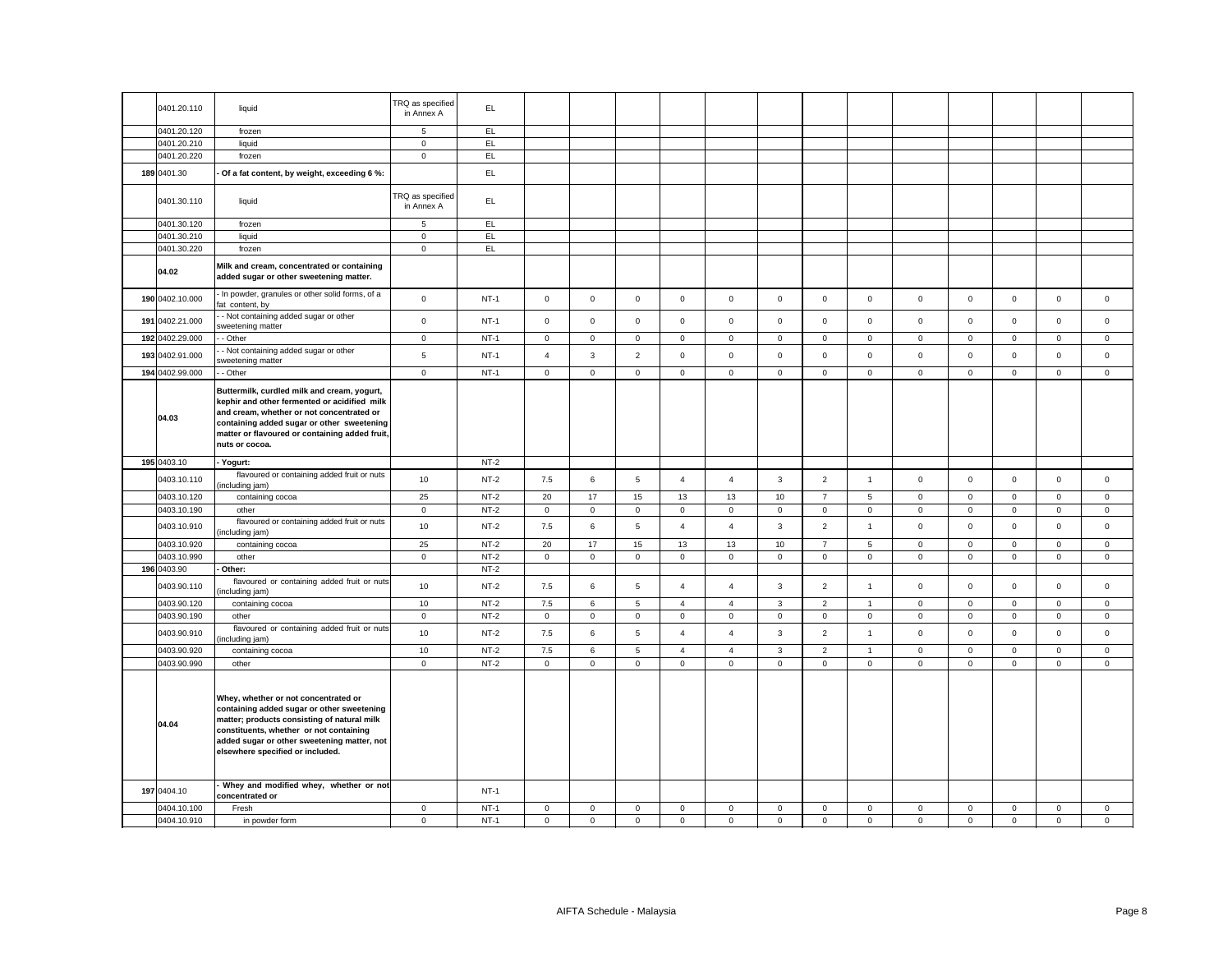| 0401.20.110                | liquid                                                                                                                                                                                                                                                                   | TRQ as specified<br>in Annex A | EL.              |                        |                            |                            |                            |                             |                            |                            |                            |                            |                            |                  |                            |                            |
|----------------------------|--------------------------------------------------------------------------------------------------------------------------------------------------------------------------------------------------------------------------------------------------------------------------|--------------------------------|------------------|------------------------|----------------------------|----------------------------|----------------------------|-----------------------------|----------------------------|----------------------------|----------------------------|----------------------------|----------------------------|------------------|----------------------------|----------------------------|
| 0401.20.120                | frozen                                                                                                                                                                                                                                                                   | 5                              | EL               |                        |                            |                            |                            |                             |                            |                            |                            |                            |                            |                  |                            |                            |
| 0401.20.210                | liquid                                                                                                                                                                                                                                                                   | $\mathbf 0$                    | EL               |                        |                            |                            |                            |                             |                            |                            |                            |                            |                            |                  |                            |                            |
| 0401.20.220                | frozen                                                                                                                                                                                                                                                                   | $\mathbf 0$                    | EL.              |                        |                            |                            |                            |                             |                            |                            |                            |                            |                            |                  |                            |                            |
| 189 0401.30                | Of a fat content, by weight, exceeding 6 %:                                                                                                                                                                                                                              |                                | EL               |                        |                            |                            |                            |                             |                            |                            |                            |                            |                            |                  |                            |                            |
| 0401.30.110                | liquid                                                                                                                                                                                                                                                                   | TRQ as specified<br>in Annex A | EL.              |                        |                            |                            |                            |                             |                            |                            |                            |                            |                            |                  |                            |                            |
| 0401.30.120                | frozen                                                                                                                                                                                                                                                                   | 5                              | EL               |                        |                            |                            |                            |                             |                            |                            |                            |                            |                            |                  |                            |                            |
| 0401.30.210                | liquid                                                                                                                                                                                                                                                                   | $\mathbf 0$                    | EL               |                        |                            |                            |                            |                             |                            |                            |                            |                            |                            |                  |                            |                            |
| 0401.30.220                | frozen                                                                                                                                                                                                                                                                   | $\mathsf 0$                    | EL               |                        |                            |                            |                            |                             |                            |                            |                            |                            |                            |                  |                            |                            |
| 04.02                      | Milk and cream, concentrated or containing<br>added sugar or other sweetening matter.                                                                                                                                                                                    |                                |                  |                        |                            |                            |                            |                             |                            |                            |                            |                            |                            |                  |                            |                            |
| 190 0402.10.000            | In powder, granules or other solid forms, of a<br>fat content, by                                                                                                                                                                                                        | $\mathsf 0$                    | $NT-1$           | $\mathsf{O}$           | $\mathsf 0$                | $\mathsf 0$                | $\mathbf 0$                | $\mathbf 0$                 | $\mathsf 0$                | $\mathsf 0$                | $\mathsf 0$                | $\mathsf 0$                | $\mathsf 0$                | $\mathsf 0$      | $\mathsf 0$                | $\mathsf 0$                |
| 191 0402.21.000            | - Not containing added sugar or other<br>sweetening matter                                                                                                                                                                                                               | $\mathbf 0$                    | $NT-1$           | $\mathsf 0$            | $\mathbf 0$                | $\mathsf 0$                | $\mathsf 0$                | $\mathbf 0$                 | $\mathbf 0$                | $\mathsf 0$                | $\mathsf 0$                | $\mathbf 0$                | $\mathsf 0$                | $\mathsf 0$      | $\mathsf 0$                | $\mathsf 0$                |
| 192 0402.29.000            | - Other                                                                                                                                                                                                                                                                  | $\overline{0}$                 | $NT-1$           | $\mathbf 0$            | $\mathbf 0$                | $\mathbf 0$                | $\mathbf 0$                | $\mathbf 0$                 | $\mathbf 0$                | $\mathbf{O}$               | $\mathbf{0}$               | $\mathbf{0}$               | $\mathbf 0$                | $\mathbf{0}$     | $\mathbf 0$                | $\mathbf 0$                |
| 193 0402.91.000            | - Not containing added sugar or other<br>weetening matter                                                                                                                                                                                                                | $\,$ 5 $\,$                    | $NT-1$           | $\overline{4}$         | 3                          | $\overline{2}$             | $\mathsf 0$                | $\mathsf 0$                 | $\mathsf 0$                | $\mathsf 0$                | $\mathsf 0$                | $\mathbf 0$                | $\mathsf 0$                | $\mathsf 0$      | $\mathsf 0$                | $\mathsf 0$                |
| 194 0402.99.000            | - Other                                                                                                                                                                                                                                                                  | $\mathbf 0$                    | $NT-1$           | $\mathsf 0$            | $\mathbf 0$                | $\mathsf 0$                | $\mathbf 0$                | $\mathbf 0$                 | $\mathbf 0$                | $\mathsf 0$                | $\mathsf 0$                | $\mathbf 0$                | $\mathsf 0$                | $\mathbf 0$      | $\mathbf 0$                | $\mathsf 0$                |
| 04.03                      | Buttermilk, curdled milk and cream, yogurt,<br>kephir and other fermented or acidified milk<br>and cream, whether or not concentrated or<br>containing added sugar or other sweetening<br>matter or flavoured or containing added fruit,<br>nuts or cocoa.               |                                |                  |                        |                            |                            |                            |                             |                            |                            |                            |                            |                            |                  |                            |                            |
|                            |                                                                                                                                                                                                                                                                          |                                |                  |                        |                            |                            |                            |                             |                            |                            |                            |                            |                            |                  |                            |                            |
| 195 0403.10                | - Yogurt:                                                                                                                                                                                                                                                                |                                | $NT-2$           |                        |                            |                            |                            |                             |                            |                            |                            |                            |                            |                  |                            |                            |
| 0403.10.110                | flavoured or containing added fruit or nuts<br>(including jam)                                                                                                                                                                                                           | 10                             | $NT-2$           | 7.5                    | 6                          | $\,$ 5 $\,$                | $\overline{4}$             | $\overline{4}$              | 3                          | $\overline{2}$             | $\mathbf{1}$               | $\mathsf 0$                | $\mathsf 0$                | $\mathbf 0$      | $\mathsf 0$                | $\mathsf 0$                |
| 0403.10.120                | containing cocoa                                                                                                                                                                                                                                                         | 25                             | $NT-2$           | 20                     | 17                         | 15                         | 13                         | 13                          | 10                         | $\overline{7}$             | 5                          | $\mathsf 0$                | $\mathsf 0$                | $\mathbf 0$      | $\mathbf 0$                | $\mathsf 0$                |
| 0403.10.190                | other                                                                                                                                                                                                                                                                    | $\mathsf 0$                    | $NT-2$           | $\mathsf 0$            | $\mathsf 0$                | $\mathsf 0$                | $\mathsf 0$                | $\mathsf 0$                 | $\mathsf 0$                | $\mathsf 0$                | $\mathbf 0$                | $\mathsf 0$                | $\mathsf 0$                | $\mathsf 0$      | $\mathsf 0$                | $\mathsf 0$                |
| 0403.10.910                | flavoured or containing added fruit or nuts<br>including jam)                                                                                                                                                                                                            | 10                             | $NT-2$           | 7.5                    | 6                          | $\,$ 5 $\,$                | $\overline{4}$             | $\overline{4}$              | 3                          | $\overline{2}$             | $\mathbf{1}$               | $\mathsf 0$                | $\mathsf 0$                | $\mathbf 0$      | $\mathsf 0$                | $\mathsf 0$                |
| 0403.10.920                | containing cocoa                                                                                                                                                                                                                                                         | 25                             | $NT-2$           | 20                     | 17                         | 15                         | 13                         | 13                          | 10                         | $\overline{7}$             | $\sqrt{5}$                 | $\mathsf 0$                | $\mathsf 0$                | $\mathbf 0$      | $\mathsf 0$                | $\mathsf 0$                |
| 0403.10.990                | other                                                                                                                                                                                                                                                                    | $\mathbf 0$                    | $NT-2$           | $\mathsf 0$            | $\mathsf 0$                | $\mathsf 0$                | $\mathbf 0$                | $\mathsf 0$                 | $\mathsf 0$                | $\mathsf 0$                | $\mathsf 0$                | $\mathsf 0$                | 0                          | 0                | 0                          | $\mathsf 0$                |
| 196 0403.90                | Other:                                                                                                                                                                                                                                                                   |                                | $NT-2$           |                        |                            |                            |                            |                             |                            |                            |                            |                            |                            |                  |                            |                            |
| 0403.90.110                | flavoured or containing added fruit or nuts<br>ncluding jam)                                                                                                                                                                                                             | 10                             | $NT-2$           | 7.5                    | 6                          | $\overline{5}$             | $\overline{4}$             | $\overline{4}$              | $\mathbf{3}$               | $\overline{2}$             | $\mathbf{1}$               | $\mathbf 0$                | $\mathsf 0$                | $\mathbf 0$      | $\mathbf 0$                | $\mathsf 0$                |
| 0403.90.120                | containing cocoa                                                                                                                                                                                                                                                         | 10                             | $NT-2$           | 7.5                    | 6                          | $\overline{5}$             | $\overline{4}$             | $\overline{4}$              | $\mathbf{3}$               | $\overline{2}$             | $\overline{1}$             | $\mathsf 0$                | $\mathsf 0$                | $\mathbf 0$      | $\mathsf 0$                | $\mathsf 0$                |
| 0403.90.190                | other                                                                                                                                                                                                                                                                    | $\mathbf{0}$                   | $NT-2$           | $\mathsf 0$            | $\mathsf 0$                | $\mathsf 0$                | $\mathsf 0$                | $\overline{0}$              | $\mathsf 0$                | $\mathsf 0$                | $\mathbf{0}$               | $\mathsf 0$                | $\mathbf 0$                | $\mathbf 0$      | $\mathbf 0$                | $\mathsf 0$                |
| 0403.90.910                | flavoured or containing added fruit or nuts<br>ncluding jam)                                                                                                                                                                                                             | 10                             | $NT-2$           | 7.5                    | 6                          | $\,$ 5 $\,$                | $\overline{4}$             | $\overline{4}$              | 3                          | $\overline{2}$             | $\mathbf{1}$               | $\mathsf 0$                | $\mathsf 0$                | $\mathbf 0$      | $\mathbf 0$                | $\mathsf 0$                |
| 0403.90.920                | containing cocoa                                                                                                                                                                                                                                                         | 10                             | $NT-2$           | 7.5                    | 6                          | $\overline{5}$             | $\overline{4}$             | $\overline{4}$              | 3                          | $\overline{2}$             | $\mathbf{1}$               | $\mathbf 0$                | $\mathbf 0$                | 0                | 0                          | 0                          |
| 0403.90.990<br>04.04       | other<br>Whey, whether or not concentrated or<br>containing added sugar or other sweetening<br>matter; products consisting of natural milk<br>constituents, whether or not containing<br>added sugar or other sweetening matter, not<br>elsewhere specified or included. | $\mathbf 0$                    | $NT-2$           | $\mathsf 0$            | $\mathsf 0$                | $\mathsf 0$                | $\mathbf 0$                | $\mathsf 0$                 | $\mathsf 0$                | $\mathsf{O}\xspace$        | $\mathbf 0$                | $\mathbf 0$                | $\mathsf 0$                | $\mathsf 0$      | $\mathsf{O}\xspace$        | $\mathsf 0$                |
| 197 0404.10                | Whey and modified whey, whether or not<br>concentrated or                                                                                                                                                                                                                |                                | $NT-1$           |                        |                            |                            |                            |                             |                            |                            |                            |                            |                            |                  |                            |                            |
| 0404.10.100<br>0404.10.910 | Fresh<br>in powder form                                                                                                                                                                                                                                                  | $\mathsf 0$<br>$\mathbf 0$     | $NT-1$<br>$NT-1$ | $\mathsf 0$<br>$\circ$ | $\mathsf 0$<br>$\mathbf 0$ | $\mathsf 0$<br>$\mathbf 0$ | $\mathbf 0$<br>$\mathbf 0$ | $\mathbf 0$<br>$\mathbf{0}$ | $\mathsf 0$<br>$\mathbf 0$ | $\mathsf 0$<br>$\mathbf 0$ | $\mathbf 0$<br>$\mathbf 0$ | $\mathbf 0$<br>$\mathbf 0$ | $\mathsf 0$<br>$\mathbf 0$ | 0<br>$\mathbf 0$ | $\mathsf 0$<br>$\mathbf 0$ | $\mathsf 0$<br>$\mathbf 0$ |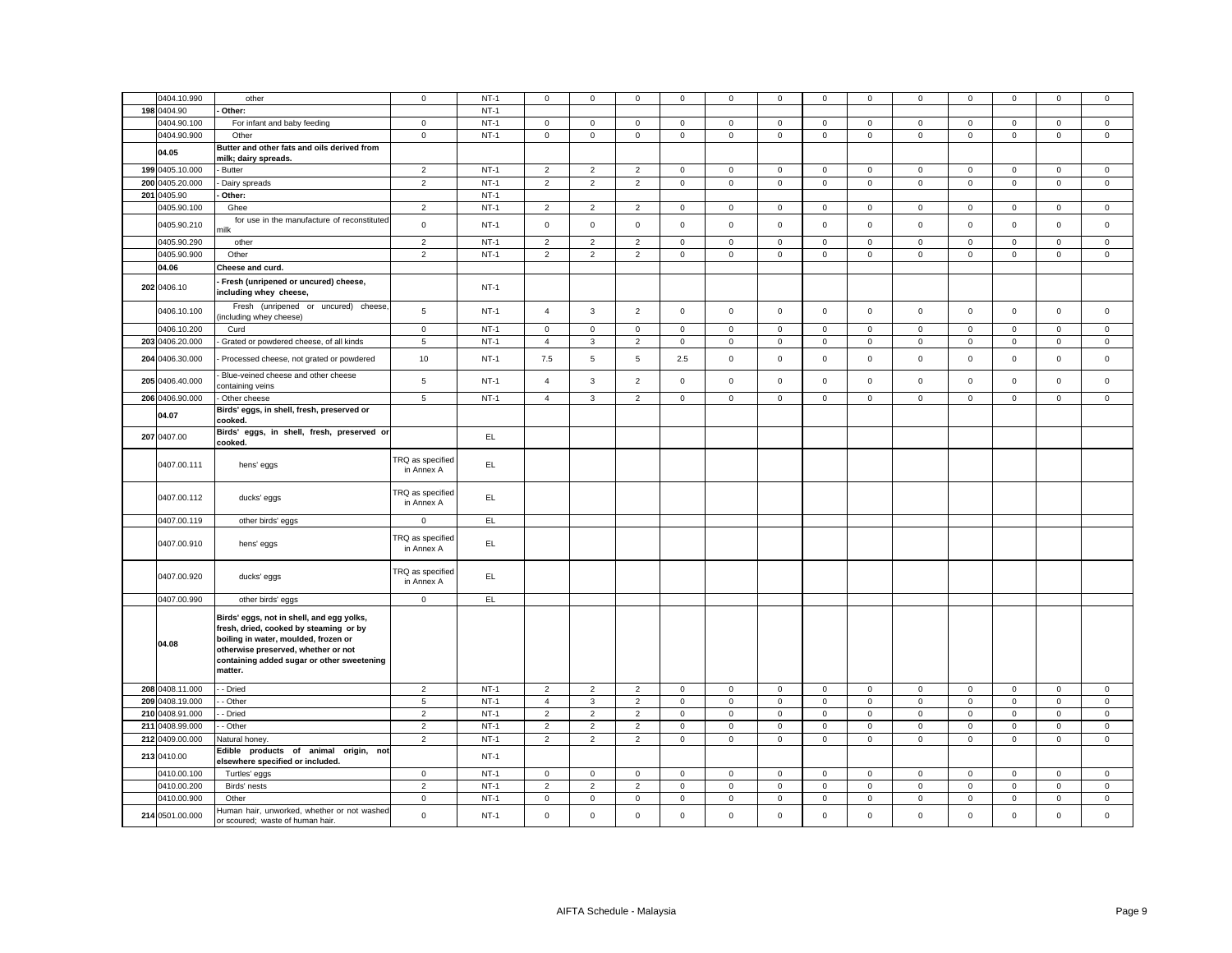|     | 0404.10.990     | other                                                                                                                                                                                                                       | $\mathbf 0$                    | $NT-1$ | $\mathbf 0$         | $\mathbf 0$    | $\mathsf 0$    | $\mathsf 0$  | $\mathbf 0$         | $\mathbf 0$         | $\mathbf 0$         | $\mathbf 0$    | $\mathbf 0$         | $\mathbf 0$         | $\mathbf 0$ | $\mathsf 0$         | $\mathsf 0$  |
|-----|-----------------|-----------------------------------------------------------------------------------------------------------------------------------------------------------------------------------------------------------------------------|--------------------------------|--------|---------------------|----------------|----------------|--------------|---------------------|---------------------|---------------------|----------------|---------------------|---------------------|-------------|---------------------|--------------|
|     |                 |                                                                                                                                                                                                                             |                                |        |                     |                |                |              |                     |                     |                     |                |                     |                     |             |                     |              |
| 198 | 0404.90         | Other:                                                                                                                                                                                                                      |                                | $NT-1$ |                     |                |                |              |                     |                     |                     |                |                     |                     |             |                     |              |
|     | 0404.90.100     | For infant and baby feeding                                                                                                                                                                                                 | $\mathbf 0$                    | $NT-1$ | $\mathbf 0$         | 0              | 0              | $\mathbf 0$  | $\mathsf 0$         | 0                   | 0                   | $\mathbf 0$    | 0                   | $\mathbf 0$         | 0           | 0                   | $\mathbf 0$  |
|     | 0404.90.900     | Other                                                                                                                                                                                                                       | $\mathbf 0$                    | $NT-1$ | $\mathsf{O}\xspace$ | $\mathsf 0$    | $\mathsf 0$    | 0            | $\mathsf 0$         | $\mathbf 0$         | $\mathsf{O}\xspace$ | $\,0\,$        | $\mathsf 0$         | $\mathbf 0$         | $\mathsf 0$ | $\mathsf 0$         | $\mathsf 0$  |
|     | 04.05           | Butter and other fats and oils derived from                                                                                                                                                                                 |                                |        |                     |                |                |              |                     |                     |                     |                |                     |                     |             |                     |              |
|     |                 | milk; dairy spreads.                                                                                                                                                                                                        |                                |        |                     |                |                |              |                     |                     |                     |                |                     |                     |             |                     |              |
|     | 199 0405.10.000 | <b>Butter</b>                                                                                                                                                                                                               | $\overline{2}$                 | $NT-1$ | $\overline{2}$      | $\overline{2}$ | $\overline{2}$ | $\mathsf 0$  | $\mathsf 0$         | $\mathsf 0$         | $\mathsf 0$         | $\mathsf 0$    | $\mathsf 0$         | $\mathsf 0$         | $\mathsf 0$ | $\mathsf 0$         | $\mathsf 0$  |
|     | 200 0405.20.000 | Dairy spreads                                                                                                                                                                                                               | $\overline{2}$                 | $NT-1$ | $\overline{2}$      | $\overline{2}$ | $\overline{2}$ | $\mathsf 0$  | $\mathsf 0$         | $\mathsf 0$         | $\mathbf 0$         | $\mathsf 0$    | $\mathsf 0$         | $\mathsf 0$         | $\mathsf 0$ | $\mathsf{O}\xspace$ | $\mathsf 0$  |
| 201 | 0405.90         | Other:                                                                                                                                                                                                                      |                                | $NT-1$ |                     |                |                |              |                     |                     |                     |                |                     |                     |             |                     |              |
|     | 0405.90.100     | Ghee                                                                                                                                                                                                                        | $\overline{2}$                 | $NT-1$ | $\overline{2}$      | $\overline{2}$ | $\overline{2}$ | $\mathbf 0$  | 0                   | 0                   | 0                   | $\mathbf 0$    | $\mathbf 0$         | $\mathbf 0$         | $\mathbf 0$ | 0                   | $\mathbf 0$  |
|     |                 |                                                                                                                                                                                                                             |                                |        |                     |                |                |              |                     |                     |                     |                |                     |                     |             |                     |              |
|     | 0405.90.210     | for use in the manufacture of reconstituted<br>nilk                                                                                                                                                                         | $\mathsf{o}\xspace$            | $NT-1$ | $\mathsf 0$         | $\mathsf 0$    | $\mathsf 0$    | $\mathsf 0$  | $\mathsf 0$         | $\mathsf{o}\xspace$ | $\mathsf 0$         | $\mathsf 0$    | $\mathsf 0$         | $\mathsf{o}\xspace$ | $\mathsf 0$ | $\mathsf 0$         | $\mathsf 0$  |
|     | 0405.90.290     |                                                                                                                                                                                                                             | $\overline{2}$                 | $NT-1$ |                     | $\overline{2}$ | $\overline{2}$ |              | $\mathbf 0$         | $\mathsf 0$         |                     | $\mathbf 0$    |                     | $\mathbf 0$         |             | $\mathsf 0$         | $\mathbf 0$  |
|     |                 | other                                                                                                                                                                                                                       |                                |        | $\overline{2}$      |                |                | $\mathbf 0$  |                     |                     | 0                   |                | $\mathbf 0$         |                     | 0           |                     |              |
|     | 0405.90.900     | Other                                                                                                                                                                                                                       | $\overline{2}$                 | $NT-1$ | $\overline{2}$      | $\overline{2}$ | $\overline{2}$ | $\mathsf 0$  | $\mathbf 0$         | $\mathsf 0$         | $\mathsf{O}\xspace$ | $\mathbf 0$    | $\mathsf 0$         | $\mathbf 0$         | $\mathsf 0$ | $\mathbf 0$         | $\mathsf 0$  |
|     | 04.06           | Cheese and curd.                                                                                                                                                                                                            |                                |        |                     |                |                |              |                     |                     |                     |                |                     |                     |             |                     |              |
|     | 202 0406.10     | Fresh (unripened or uncured) cheese,<br>including whey cheese,                                                                                                                                                              |                                | $NT-1$ |                     |                |                |              |                     |                     |                     |                |                     |                     |             |                     |              |
|     | 0406.10.100     | Fresh (unripened or uncured) cheese,                                                                                                                                                                                        | 5                              | $NT-1$ | $\overline{4}$      | $\mathbf{3}$   | $\overline{2}$ | $\mathbf 0$  | $\mathbf 0$         | $\mathsf 0$         | $\mathsf 0$         | $\mathsf 0$    | $\mathbf 0$         | $\mathsf 0$         | $\mathsf 0$ | $\mathsf 0$         | $\mathsf 0$  |
|     |                 | ncluding whey cheese)                                                                                                                                                                                                       |                                |        |                     |                |                |              |                     |                     |                     |                |                     |                     |             |                     |              |
|     | 0406.10.200     | Curd                                                                                                                                                                                                                        | $\mathbf 0$                    | $NT-1$ | $\mathsf 0$         | $\mathbf 0$    | $\mathsf 0$    | $\mathsf 0$  | $\mathbf 0$         | $\mathsf 0$         | $\mathsf 0$         | $\mathbf 0$    | $\mathsf 0$         | $\mathsf 0$         | $\mathsf 0$ | $\mathsf 0$         | $\mathsf 0$  |
|     | 203 0406.20.000 | Grated or powdered cheese, of all kinds                                                                                                                                                                                     | 5                              | $NT-1$ | $\overline{4}$      | $\mathbf{3}$   | $\overline{2}$ | $\mathbf{0}$ | $\mathbf{0}$        | $\overline{0}$      | $\mathsf 0$         | $\mathsf 0$    | $\mathsf{O}\xspace$ | $\overline{0}$      | $\mathsf 0$ | $\mathsf 0$         | $\mathbf 0$  |
| 204 | 0406.30.000     | Processed cheese, not grated or powdered                                                                                                                                                                                    | 10                             | $NT-1$ | 7.5                 | $\overline{5}$ | $\,$ 5 $\,$    | 2.5          | $\mathsf 0$         | $\mathsf 0$         | $\mathsf 0$         | $\mathsf 0$    | $\mathsf 0$         | $\mathsf 0$         | $\mathbf 0$ | $\mathsf 0$         | $\mathsf 0$  |
|     | 205 0406.40.000 | Blue-veined cheese and other cheese<br>containing veins                                                                                                                                                                     | 5                              | $NT-1$ | $\overline{4}$      | $\mathbf{3}$   | $\overline{2}$ | $\mathsf 0$  | $\mathbf 0$         | $\mathsf 0$         | $\mathsf{O}\xspace$ | $\mathsf 0$    | $\mathsf 0$         | $\mathsf 0$         | $\mathsf 0$ | $\mathsf 0$         | $\mathsf 0$  |
|     | 206 0406.90.000 | Other cheese                                                                                                                                                                                                                | $\,$ 5 $\,$                    | $NT-1$ | $\overline{4}$      | $\mathbf{3}$   | $\overline{2}$ | $\mathsf 0$  | $\mathsf{O}\xspace$ | $\mathsf 0$         | $\mathsf 0$         | $\mathbf 0$    | $\mathsf{O}\xspace$ | $\mathbf 0$         | $\mathsf 0$ | $\mathsf 0$         | $\mathsf 0$  |
|     | 04.07           | Birds' eggs, in shell, fresh, preserved or<br>cooked.                                                                                                                                                                       |                                |        |                     |                |                |              |                     |                     |                     |                |                     |                     |             |                     |              |
|     | 207 0407.00     | Birds' eggs, in shell, fresh, preserved or<br>cooked.                                                                                                                                                                       |                                | EL     |                     |                |                |              |                     |                     |                     |                |                     |                     |             |                     |              |
|     | 0407.00.111     | hens' eggs                                                                                                                                                                                                                  | TRQ as specified<br>in Annex A | EL.    |                     |                |                |              |                     |                     |                     |                |                     |                     |             |                     |              |
|     | 0407.00.112     | ducks' eggs                                                                                                                                                                                                                 | TRQ as specified<br>in Annex A | EL     |                     |                |                |              |                     |                     |                     |                |                     |                     |             |                     |              |
|     | 0407.00.119     | other birds' eggs                                                                                                                                                                                                           | $\mathbf 0$                    | EL.    |                     |                |                |              |                     |                     |                     |                |                     |                     |             |                     |              |
|     | 0407.00.910     | hens' eggs                                                                                                                                                                                                                  | TRQ as specified<br>in Annex A | EL.    |                     |                |                |              |                     |                     |                     |                |                     |                     |             |                     |              |
|     | 0407.00.920     | ducks' eggs                                                                                                                                                                                                                 | TRQ as specified<br>in Annex A | EL.    |                     |                |                |              |                     |                     |                     |                |                     |                     |             |                     |              |
|     | 0407.00.990     | other birds' eggs                                                                                                                                                                                                           | $\mathbf 0$                    | EL.    |                     |                |                |              |                     |                     |                     |                |                     |                     |             |                     |              |
|     | 04.08           | Birds' eggs, not in shell, and egg yolks,<br>fresh, dried, cooked by steaming or by<br>boiling in water, moulded, frozen or<br>otherwise preserved, whether or not<br>containing added sugar or other sweetening<br>matter. |                                |        |                     |                |                |              |                     |                     |                     |                |                     |                     |             |                     |              |
| 208 | 0408.11.000     | - Dried                                                                                                                                                                                                                     | $\overline{2}$                 | $NT-1$ | $\overline{2}$      | $\overline{2}$ | $\overline{2}$ | $\mathbf 0$  | $\mathbf{0}$        | $\mathbf 0$         | $\mathsf 0$         | $\mathbf 0$    | $\mathbf 0$         | $\mathbf 0$         | $\mathsf 0$ | $\mathbf 0$         | $\mathbf{0}$ |
| 209 | 0408.19.000     | - Other                                                                                                                                                                                                                     | 5                              | $NT-1$ | $\overline{4}$      | 3              | $\overline{2}$ | $\mathbf 0$  | $\mathbf 0$         | $\mathbf 0$         | $\mathbf 0$         | $\mathbf 0$    | $\mathsf 0$         | $\mathbf 0$         | $\mathsf 0$ | $\mathsf 0$         | $\mathsf 0$  |
|     | 210 0408.91.000 | - Dried                                                                                                                                                                                                                     | $\overline{2}$                 | $NT-1$ | $\overline{2}$      | $\overline{2}$ | $\overline{2}$ | $\mathsf 0$  | $\mathsf{O}\xspace$ | $\mathsf 0$         | $\mathsf{O}\xspace$ | $\mathsf 0$    | $\mathsf 0$         | $\mathsf 0$         | $\mathbf 0$ | $\mathsf 0$         | $\mathbf 0$  |
|     | 211 0408.99.000 | - Other                                                                                                                                                                                                                     | $\overline{2}$                 | $NT-1$ | $\overline{2}$      | $\overline{2}$ | $\overline{2}$ | 0            | $\mathsf 0$         | $\mathsf 0$         | $\mathsf 0$         | $\mathbf 0$    | $\mathsf 0$         | $\mathbf 0$         | $\mathsf 0$ | $\mathsf 0$         | $\mathsf 0$  |
|     |                 |                                                                                                                                                                                                                             |                                |        |                     |                |                |              |                     |                     |                     |                |                     |                     |             |                     |              |
|     | 212 0409.00.000 | Natural honey.                                                                                                                                                                                                              | $\overline{2}$                 | $NT-1$ | $\overline{2}$      | $\overline{2}$ | $\overline{2}$ | $\mathbf 0$  | $\mathbf 0$         | $\mathsf 0$         | $\mathbf 0$         | $\mathsf 0$    | $\mathbf 0$         | $\mathsf 0$         | $\mathbf 0$ | $\mathsf 0$         | $\mathbf 0$  |
|     | 213 0410.00     | Edible products of animal origin, not<br>elsewhere specified or included.                                                                                                                                                   |                                | $NT-1$ |                     |                |                |              |                     |                     |                     |                |                     |                     |             |                     |              |
|     | 0410.00.100     | Turtles' eggs                                                                                                                                                                                                               | $\mathbf 0$                    | $NT-1$ | $\mathsf 0$         | $\mathsf 0$    | $\mathsf 0$    | 0            | $\mathbf 0$         | $\mathbf 0$         | 0                   | $\,0\,$        | $\mathsf 0$         | $\mathbf 0$         | $\mathsf 0$ | $\mathbf 0$         | $\mathsf 0$  |
|     | 0410.00.200     | Birds' nests                                                                                                                                                                                                                | $\overline{2}$                 | $NT-1$ | $\overline{2}$      | $\overline{2}$ | $\overline{2}$ | $\mathbf 0$  | $\mathbf 0$         | $\mathsf 0$         | $\mathsf 0$         | $\overline{0}$ | $\mathsf{O}\xspace$ | $\mathbf 0$         | $\mathsf 0$ | $\mathsf 0$         | $\mathsf 0$  |
|     | 0410.00.900     | Other                                                                                                                                                                                                                       | $\mathbf 0$                    | $NT-1$ | $\mathsf 0$         | $\mathsf 0$    | $\mathsf 0$    | $\mathsf 0$  | $\mathsf 0$         | $\mathsf 0$         | $\mathsf 0$         | $\,0\,$        | $\mathsf 0$         | $\mathsf 0$         | $\mathsf 0$ | $\mathbf 0$         | $\mathsf 0$  |
|     | 214 0501.00.000 | luman hair, unworked, whether or not washed<br>or scoured; waste of human hair.                                                                                                                                             | $\mathsf 0$                    | $NT-1$ | $\mathsf 0$         | $\mathbf 0$    | $\mathsf 0$    | $\mathsf 0$  | $\mathbf 0$         | $\mathsf 0$         | $\mathsf 0$         | $\mathsf 0$    | $\mathsf 0$         | $\mathsf 0$         | $\mathsf 0$ | $\mathsf 0$         | $\mathsf 0$  |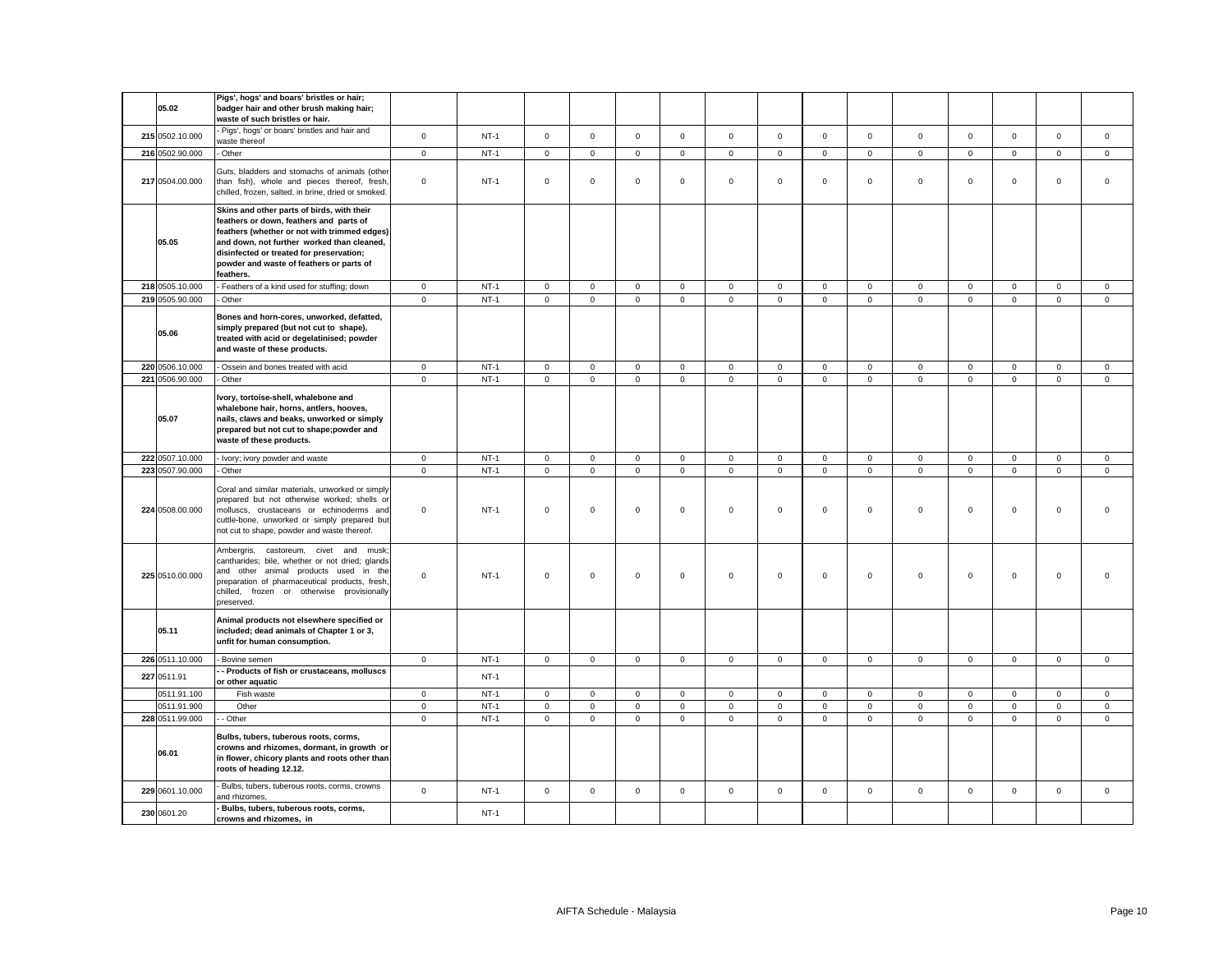| 05.02           | Pigs', hogs' and boars' bristles or hair;<br>badger hair and other brush making hair;<br>waste of such bristles or hair.                                                                                                                                                                 |                     |        |             |              |                |              |                |                     |                     |                |              |             |              |                     |             |
|-----------------|------------------------------------------------------------------------------------------------------------------------------------------------------------------------------------------------------------------------------------------------------------------------------------------|---------------------|--------|-------------|--------------|----------------|--------------|----------------|---------------------|---------------------|----------------|--------------|-------------|--------------|---------------------|-------------|
| 215 0502.10.000 | Pigs', hogs' or boars' bristles and hair and<br>waste thereof                                                                                                                                                                                                                            | $\mathsf 0$         | $NT-1$ | $\mathbf 0$ | $\mathsf 0$  | $\mathsf 0$    | $\Omega$     | $\mathbf 0$    | $\mathsf 0$         | $\Omega$            | $\mathsf 0$    | $\mathsf 0$  | $\mathsf 0$ | $\Omega$     | $\mathsf 0$         | $\mathsf 0$ |
| 216 0502.90.000 | - Other                                                                                                                                                                                                                                                                                  | $\mathsf 0$         | $NT-1$ | $\mathsf 0$ | $\mathsf 0$  | $\mathsf 0$    | $\mathbf 0$  | $\mathsf{o}\,$ | $\mathbf 0$         | $\mathsf 0$         | $\mathsf 0$    | $\mathsf 0$  | $\mathbf 0$ | $\mathbf 0$  | $\mathbf 0$         | $\mathsf 0$ |
| 217 0504.00.000 | Guts, bladders and stomachs of animals (other<br>than fish), whole and pieces thereof, fresh,<br>chilled, frozen, salted, in brine, dried or smoked.                                                                                                                                     | $\mathsf 0$         | $NT-1$ | $\mathbf 0$ | $\mathsf 0$  | $\mathsf 0$    | $\mathbf 0$  | $\mathbf 0$    | $\mathsf 0$         | $\mathbf 0$         | $\mathsf 0$    | $\mathbf 0$  | $\mathsf 0$ | $\mathsf 0$  | $\mathsf 0$         | $\mathsf 0$ |
| 05.05           | Skins and other parts of birds, with their<br>feathers or down, feathers and parts of<br>feathers (whether or not with trimmed edges)<br>and down, not further worked than cleaned,<br>disinfected or treated for preservation;<br>powder and waste of feathers or parts of<br>feathers. |                     |        |             |              |                |              |                |                     |                     |                |              |             |              |                     |             |
| 218 0505.10.000 | Feathers of a kind used for stuffing; down                                                                                                                                                                                                                                               | $\mathbf 0$         | $NT-1$ | $\mathbf 0$ | $\mathsf 0$  | $\mathsf 0$    | $\mathsf 0$  | $\mathsf 0$    | $\mathsf 0$         | $\mathbf 0$         | $\mathbf 0$    | $\mathbf 0$  | $\mathbf 0$ | $\mathsf 0$  | $\mathbf 0$         | $\mathsf 0$ |
| 219 0505.90.000 | Other                                                                                                                                                                                                                                                                                    | $\mathsf 0$         | $NT-1$ | $\mathbf 0$ | $\mathsf 0$  | $\mathbf 0$    | $\mathsf 0$  | $\mathbf 0$    | $\mathsf 0$         | $\mathsf{O}\xspace$ | $\mathsf 0$    | $\mathsf 0$  | $\mathsf 0$ | $\mathsf 0$  | $\mathsf{O}\xspace$ | $\mathsf 0$ |
| 05.06           | Bones and horn-cores, unworked, defatted,<br>simply prepared (but not cut to shape),<br>treated with acid or degelatinised; powder<br>and waste of these products.                                                                                                                       |                     |        |             |              |                |              |                |                     |                     |                |              |             |              |                     |             |
| 220 0506.10.000 | Ossein and bones treated with acid                                                                                                                                                                                                                                                       | $\mathbf 0$         | $NT-1$ | $\mathbf 0$ | $\mathsf 0$  | $\mathbf 0$    | $\mathsf 0$  | $\mathbf 0$    | $\mathsf 0$         | $\mathbf 0$         | $\mathbf 0$    | $\mathbf 0$  | $\mathsf 0$ | $\mathbf 0$  | $\mathbf 0$         | $\mathsf 0$ |
| 221 0506.90.000 | - Other                                                                                                                                                                                                                                                                                  | $\mathbf{0}$        | $NT-1$ | $\mathbf 0$ | $\mathbf{O}$ | $\mathbf{0}$   | $\mathbf{0}$ | $\mathbf 0$    | $\mathbf 0$         | $\mathbf{0}$        | $\mathbf{0}$   | $\mathbf{0}$ | $\mathbf 0$ | $\mathbf{0}$ | $\mathbf{0}$        | $\mathbf 0$ |
| 05.07           | Ivory, tortoise-shell, whalebone and<br>whalebone hair, horns, antlers, hooves,<br>nails, claws and beaks, unworked or simply<br>prepared but not cut to shape;powder and<br>waste of these products.                                                                                    |                     |        |             |              |                |              |                |                     |                     |                |              |             |              |                     |             |
| 222 0507.10.000 | - Ivory; ivory powder and waste                                                                                                                                                                                                                                                          | $\mathbf 0$         | $NT-1$ | $\mathbf 0$ | $\mathbf 0$  | $\overline{0}$ | $\mathsf 0$  | $\mathbf 0$    | $\mathsf 0$         | $\mathbf 0$         | $\overline{0}$ | $\mathsf 0$  | $\mathsf 0$ | $\mathbf 0$  | $\overline{0}$      | $\mathsf 0$ |
| 223 0507.90.000 | Other                                                                                                                                                                                                                                                                                    | $\mathbf 0$         | $NT-1$ | $\mathbf 0$ | $\mathsf 0$  | $\mathsf 0$    | $\mathsf 0$  | $\mathbf 0$    | $\mathsf 0$         | $\mathsf 0$         | $\mathsf 0$    | $\mathsf 0$  | $\mathsf 0$ | $\mathsf 0$  | $\mathsf 0$         | $\mathsf 0$ |
| 224 0508.00.000 | Coral and similar materials, unworked or simply<br>prepared but not otherwise worked; shells o<br>molluscs, crustaceans or echinoderms and<br>cuttle-bone, unworked or simply prepared but<br>not cut to shape, powder and waste thereof.                                                | $\mathbf 0$         | $NT-1$ | 0           | $\mathbf 0$  | $\mathsf 0$    | $\mathbf 0$  | $\mathbf 0$    | $\Omega$            | $\mathbf 0$         | $\mathbf{0}$   | $\Omega$     | $\mathbf 0$ | $\mathbf 0$  | $\mathbf 0$         | $\Omega$    |
| 225 0510.00.000 | Ambergris, castoreum, civet and<br>musk<br>cantharides; bile, whether or not dried; glands<br>and other animal products used in the<br>preparation of pharmaceutical products, fresh,<br>chilled, frozen or otherwise provisionally<br>preserved.                                        | $\mathbf 0$         | $NT-1$ | $\mathbf 0$ | $\mathsf 0$  | $\mathsf 0$    | $\mathsf 0$  | $\mathsf 0$    | $\mathsf 0$         | $\mathsf 0$         | $\mathsf 0$    | $\mathsf 0$  | $\mathsf 0$ | $\mathsf 0$  | $\mathsf 0$         | $\Omega$    |
| 05.11           | Animal products not elsewhere specified or<br>included; dead animals of Chapter 1 or 3,<br>unfit for human consumption.                                                                                                                                                                  |                     |        |             |              |                |              |                |                     |                     |                |              |             |              |                     |             |
| 226 0511.10.000 | - Bovine semen                                                                                                                                                                                                                                                                           | $\mathbf 0$         | $NT-1$ | $\mathbf 0$ | $\mathsf 0$  | $\mathsf 0$    | $\mathbf 0$  | $\mathbf 0$    | $\mathsf 0$         | $\mathbf 0$         | $\mathbf 0$    | $\mathbf 0$  | $\mathsf 0$ | $\mathsf 0$  | $\mathsf 0$         | $\mathsf 0$ |
| 227 0511.91     | - Products of fish or crustaceans, molluscs<br>or other aquatic                                                                                                                                                                                                                          |                     | $NT-1$ |             |              |                |              |                |                     |                     |                |              |             |              |                     |             |
| 0511.91.100     | Fish waste                                                                                                                                                                                                                                                                               | $\mathsf 0$         | $NT-1$ | $\mathbf 0$ | $\mathsf 0$  | $\mathsf 0$    | $\mathbf 0$  | $\mathsf 0$    | $\mathsf 0$         | $\mathbf 0$         | $\mathbf{0}$   | 0            | $\mathsf 0$ | $\mathbf 0$  | $\mathsf 0$         | $\mathsf 0$ |
| 0511.91.900     | Other                                                                                                                                                                                                                                                                                    | $\mathsf{O}\xspace$ | $NT-1$ | $\mathsf 0$ | $\mathsf 0$  | $\mathbf 0$    | $\mathsf 0$  | $\mathsf 0$    | $\mathsf{O}\xspace$ | $\mathsf 0$         | $\mathsf 0$    | $\mathsf 0$  | $\mathsf 0$ | $\mathsf 0$  | $\mathsf{O}\xspace$ | $\mathbf 0$ |
| 228 0511.99.000 | - Other                                                                                                                                                                                                                                                                                  | $\mathbf 0$         | $NT-1$ | $\mathbf 0$ | $\mathsf 0$  | $\mathsf 0$    | $\mathsf 0$  | $\mathbf 0$    | $\mathbf 0$         | $\mathbf 0$         | $\mathsf 0$    | $\mathsf 0$  | $\mathsf 0$ | $\mathbf 0$  | $\mathbf 0$         | $\mathsf 0$ |
| 06.01           | Bulbs, tubers, tuberous roots, corms,<br>crowns and rhizomes, dormant, in growth or<br>in flower, chicory plants and roots other than<br>roots of heading 12.12.                                                                                                                         |                     |        |             |              |                |              |                |                     |                     |                |              |             |              |                     |             |
| 229 0601.10.000 | Bulbs, tubers, tuberous roots, corms, crowns<br>and rhizomes,                                                                                                                                                                                                                            | $\mathsf 0$         | $NT-1$ | $\mathbf 0$ | $\mathsf 0$  | $\mathsf 0$    | $\mathsf 0$  | $\mathsf 0$    | $\mathsf 0$         | $\mathbf 0$         | $\mathsf 0$    | $\mathbf 0$  | $\mathsf 0$ | $\mathbf 0$  | $\mathsf 0$         | $\mathsf 0$ |
| 230 0601.20     | Bulbs, tubers, tuberous roots, corms,<br>crowns and rhizomes, in                                                                                                                                                                                                                         |                     | $NT-1$ |             |              |                |              |                |                     |                     |                |              |             |              |                     |             |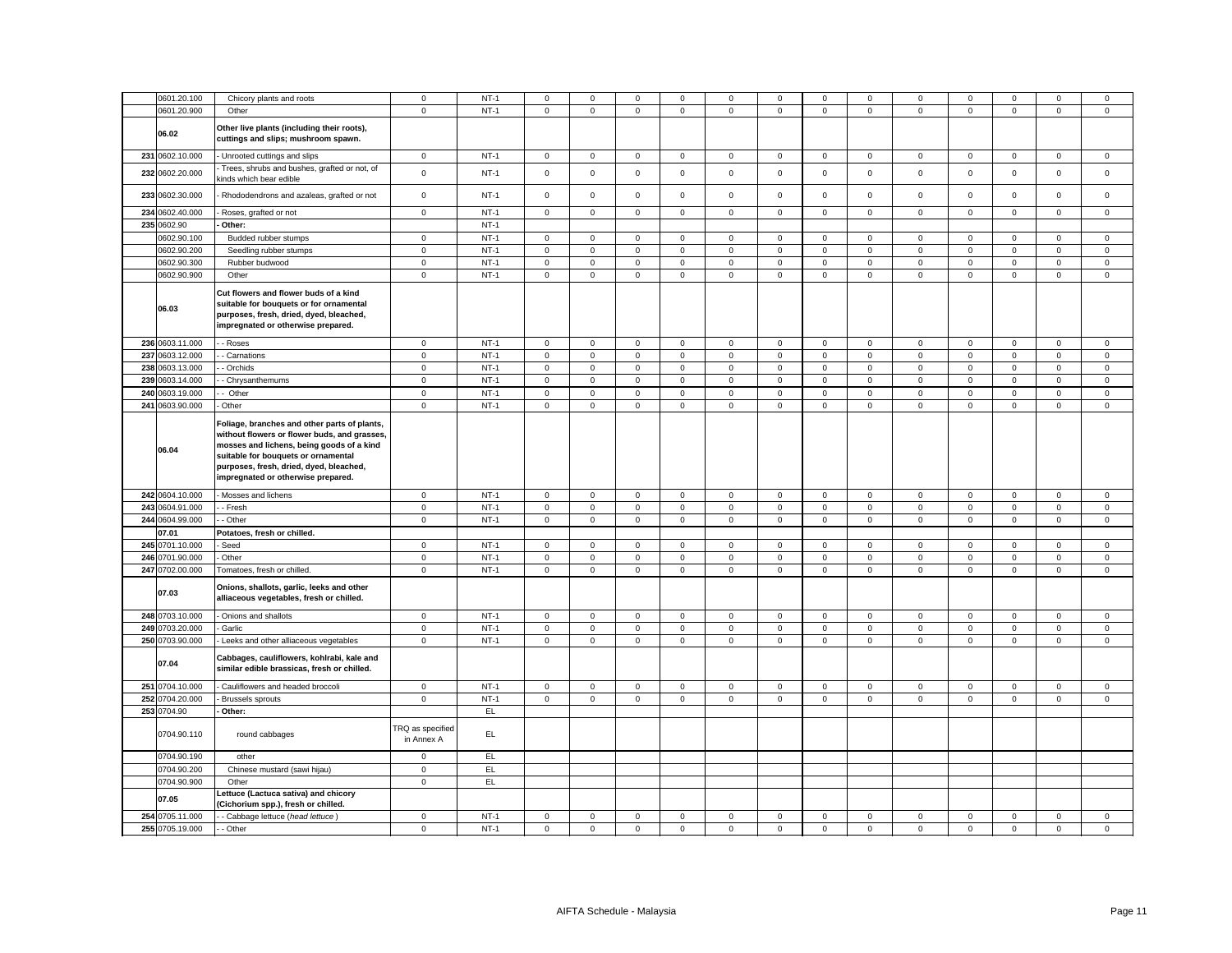| 0601.20.100              | Chicory plants and roots                                                                                                                                                                                                                                                   | $\mathbf 0$                           | $NT-1$ | $\mathbf 0$  | $\mathbf 0$         | $\mathsf 0$ | $^{\circ}$  | 0                   | $\mathbf 0$ | 0            | $\mathbf 0$ | $\mathbf 0$         | $\mathbf 0$ | $\Omega$    | $\mathbf 0$ | 0           |
|--------------------------|----------------------------------------------------------------------------------------------------------------------------------------------------------------------------------------------------------------------------------------------------------------------------|---------------------------------------|--------|--------------|---------------------|-------------|-------------|---------------------|-------------|--------------|-------------|---------------------|-------------|-------------|-------------|-------------|
| 0601.20.900              | Other                                                                                                                                                                                                                                                                      | $\mathbf 0$                           | $NT-1$ | $\mathsf 0$  | $\mathsf{O}\xspace$ | $\mathsf 0$ | $\mathsf 0$ | 0                   | $\mathsf 0$ | $\,0\,$      | $\,0\,$     | $\mathsf 0$         | $\mathbf 0$ | $\mathsf 0$ | $\mathsf 0$ | $\mathbf 0$ |
| 06.02                    | Other live plants (including their roots),<br>cuttings and slips; mushroom spawn.                                                                                                                                                                                          |                                       |        |              |                     |             |             |                     |             |              |             |                     |             |             |             |             |
| 231 0602.10.000          | - Unrooted cuttings and slips                                                                                                                                                                                                                                              | $\mathbf 0$                           | $NT-1$ | $\mathsf 0$  | $\mathsf 0$         | $\mathbf 0$ | $\mathsf 0$ | 0                   | $\mathsf 0$ | $\mathbf 0$  | $\mathsf 0$ | $\mathsf 0$         | $\,0\,$     | $\mathbf 0$ | $\mathsf 0$ | $\mathbf 0$ |
| 232 0602.20.000          | Trees, shrubs and bushes, grafted or not, of<br>kinds which bear edible                                                                                                                                                                                                    | $\mathsf 0$                           | $NT-1$ | $\mathsf 0$  | $\mathsf 0$         | $\mathsf 0$ | $\mathsf 0$ | $\mathsf 0$         | $\mathsf 0$ | $\mathsf 0$  | $\mathsf 0$ | $\mathsf 0$         | $\mathsf 0$ | $\mathsf 0$ | $\mathsf 0$ | $\mathsf 0$ |
| 233 0602.30.000          | - Rhododendrons and azaleas, grafted or not                                                                                                                                                                                                                                | $\mathbf 0$                           | $NT-1$ | $\mathsf 0$  | $\mathsf{O}\xspace$ | $\mathsf 0$ | $\mathsf 0$ | $\mathbf 0$         | $\mathsf 0$ | $\mathsf 0$  | $\mathsf 0$ | $\mathsf 0$         | $\mathbf 0$ | $\mathsf 0$ | $\mathsf 0$ | $\mathsf 0$ |
| 234 0602.40.000          | Roses, grafted or not                                                                                                                                                                                                                                                      | $\mathbf 0$                           | $NT-1$ | $\mathsf{O}$ | $\mathbf{0}$        | $\mathsf 0$ | $\mathbf 0$ | $\mathbf 0$         | $\mathsf 0$ | $\mathbf 0$  | $\mathsf 0$ | $\mathbf 0$         | $\mathbf 0$ | $\mathsf 0$ | $\mathsf 0$ | $\mathsf 0$ |
| 235 0602.90              | Other:                                                                                                                                                                                                                                                                     |                                       | $NT-1$ |              |                     |             |             |                     |             |              |             |                     |             |             |             |             |
| 0602.90.100              | Budded rubber stumps                                                                                                                                                                                                                                                       | $\mathbf 0$                           | $NT-1$ | $\mathbf 0$  | $\mathsf 0$         | $\mathsf 0$ | $\mathbf 0$ | 0                   | $\mathsf 0$ | $\mathbf 0$  | $\mathsf 0$ | $\mathsf 0$         | $\mathbf 0$ | $\mathbf 0$ | $\mathsf 0$ | 0           |
|                          |                                                                                                                                                                                                                                                                            |                                       |        |              |                     |             |             |                     |             |              |             |                     |             |             |             |             |
| 0602.90.200              | Seedling rubber stumps                                                                                                                                                                                                                                                     | $\mathbf 0$                           | $NT-1$ | $\mathbf 0$  | $\mathbf 0$         | $\mathbf 0$ | $\mathbf 0$ | $\mathbf{0}$        | $\Omega$    | $\mathbf 0$  | $\mathsf 0$ | $\mathbf 0$         | $\mathbf 0$ | $\mathbf 0$ | $\mathbf 0$ | $\mathsf 0$ |
| 0602.90.300              | Rubber budwood                                                                                                                                                                                                                                                             | $\mathbf 0$                           | $NT-1$ | $\mathbf 0$  | $\mathsf 0$         | $\mathsf 0$ | $\mathbf 0$ | 0                   | $\mathbf 0$ | $\mathbf 0$  | $\mathsf 0$ | $\mathsf 0$         | $\mathsf 0$ | $\mathbf 0$ | $\mathbf 0$ | $\mathsf 0$ |
| 0602.90.900              | Other                                                                                                                                                                                                                                                                      | $\mathsf 0$                           | $NT-1$ | $\mathsf 0$  | $\mathsf 0$         | $\mathsf 0$ | $\mathsf 0$ | $\mathbf 0$         | $\mathsf 0$ | $\mathsf 0$  | $\mathsf 0$ | $\mathsf 0$         | $\mathbf 0$ | $\mathbf 0$ | $\mathsf 0$ | $\mathbf 0$ |
| 06.03                    | Cut flowers and flower buds of a kind<br>suitable for bouquets or for ornamental<br>purposes, fresh, dried, dyed, bleached,<br>impregnated or otherwise prepared.                                                                                                          |                                       |        |              |                     |             |             |                     |             |              |             |                     |             |             |             |             |
| 236 0603.11.000          | - Roses                                                                                                                                                                                                                                                                    | $\mathbf 0$                           | $NT-1$ | 0            | $\mathsf 0$         | $\mathsf 0$ | $\mathbf 0$ | 0                   | $\mathsf 0$ | $\mathbf 0$  | $\mathsf 0$ | 0                   | $\mathsf 0$ | $\mathsf 0$ | $\mathsf 0$ | 0           |
| 237<br>0603.12.000       | - Carnations                                                                                                                                                                                                                                                               | $\mathbf 0$                           | $NT-1$ | $\mathsf 0$  | $\mathsf 0$         | $\mathsf 0$ | $\mathbf 0$ | $\mathbf 0$         | $\mathbf 0$ | $\mathbf 0$  | $\mathbf 0$ | $\mathsf 0$         | $\mathbf 0$ | $\mathbf 0$ | $\mathsf 0$ | $\mathsf 0$ |
| 238 0603.13.000          | - Orchids                                                                                                                                                                                                                                                                  | $\mathbf 0$                           | $NT-1$ | 0            | $\mathsf{O}\xspace$ | $\mathbf 0$ | $\mathbf 0$ | 0                   | 0           | $\mathbf 0$  | $\mathsf 0$ | $\mathsf 0$         | $\mathbf 0$ | $\mathbf 0$ | $\mathbf 0$ | 0           |
| 239 0603.14.000          |                                                                                                                                                                                                                                                                            | $\mathsf 0$                           | $NT-1$ | $\mathsf 0$  | $\mathsf{O}\xspace$ | $\mathsf 0$ | $\mathsf 0$ | $\mathbf 0$         | $\mathbf 0$ | $\mathsf 0$  | $\mathsf 0$ | $\mathsf 0$         | $\mathbf 0$ | $\mathsf 0$ | $\mathsf 0$ | $\mathbf 0$ |
|                          | - Chrysanthemums                                                                                                                                                                                                                                                           |                                       |        |              |                     |             |             |                     |             |              |             |                     |             |             |             |             |
| 240 0603.19.000          | Other                                                                                                                                                                                                                                                                      | $\mathbf 0$                           | $NT-1$ | $\mathsf 0$  | 0                   | $\mathsf 0$ | 0           | 0                   | 0           | $\,0\,$      | $\,0\,$     | $\mathsf 0$         | 0           | $\mathsf 0$ | 0           | 0           |
| 241 0603.90.000<br>06.04 | Other<br>Foliage, branches and other parts of plants,<br>without flowers or flower buds, and grasses,<br>mosses and lichens, being goods of a kind<br>suitable for bouquets or ornamental<br>purposes, fresh, dried, dyed, bleached,<br>impregnated or otherwise prepared. | $\mathbf 0$                           | $NT-1$ | $\mathsf 0$  | $\mathsf{O}\xspace$ | $\mathsf 0$ | $\mathsf 0$ | $\mathsf{O}\xspace$ | $\mathbf 0$ | $\mathbf 0$  | $\mathbf 0$ | $\mathsf 0$         | $\mathbf 0$ | $\mathsf 0$ | $\mathsf 0$ | $\mathbf 0$ |
| 242 0604.10.000          | Mosses and lichens                                                                                                                                                                                                                                                         | $\mathsf 0$                           | $NT-1$ | $\mathsf{O}$ | $\mathsf 0$         | $\mathsf 0$ | $\mathsf 0$ | $\mathbf 0$         | $\mathsf 0$ | $\mathsf 0$  | $\mathsf 0$ | $\mathsf 0$         | $\mathsf 0$ | $\mathsf 0$ | $\mathsf 0$ | $\mathbf 0$ |
| 243 0604.91.000          | - Fresh                                                                                                                                                                                                                                                                    | $\mathsf 0$                           | $NT-1$ | $\mathbf 0$  | $\mathsf 0$         | $\mathsf 0$ | $\mathbf 0$ | 0                   | $\mathsf 0$ | $\mathsf 0$  | $\mathsf 0$ | $\mathsf 0$         | $\mathsf 0$ | $\mathsf 0$ | $\mathsf 0$ | $\mathbf 0$ |
| 244 0604.99.000          | - Other                                                                                                                                                                                                                                                                    | $\mathsf 0$                           | $NT-1$ | $\mathsf 0$  | $\mathsf 0$         | $\mathsf 0$ | $\mathsf 0$ | $\mathbf 0$         | $\mathbf 0$ | $\mathsf 0$  | $\mathsf 0$ | $\mathsf 0$         | $\mathbf 0$ | $\mathsf 0$ | $\mathsf 0$ | $\mathsf 0$ |
| 07.01                    | Potatoes, fresh or chilled.                                                                                                                                                                                                                                                |                                       |        |              |                     |             |             |                     |             |              |             |                     |             |             |             |             |
|                          |                                                                                                                                                                                                                                                                            |                                       | $NT-1$ |              | $\mathsf 0$         | $\mathsf 0$ |             | $\mathbf 0$         | $\mathbf 0$ |              |             | $\mathsf 0$         | $\mathbf 0$ | $\mathsf 0$ | $\mathsf 0$ |             |
| 245 0701.10.000          | Seed                                                                                                                                                                                                                                                                       | $\mathbf 0$                           |        | $\mathsf 0$  |                     |             | $\mathsf 0$ |                     |             | $\mathsf 0$  | $\mathsf 0$ |                     |             |             |             | $\mathsf 0$ |
| 246 0701.90.000          | - Other                                                                                                                                                                                                                                                                    | $\mathbf 0$                           | $NT-1$ | $\mathsf 0$  | $\mathbf 0$         | $\mathbf 0$ | $\mathbf 0$ | $\mathbf 0$         | $\mathbf 0$ | $\mathbf 0$  | $\mathsf 0$ | $\mathbf 0$         | $\mathbf 0$ | $\mathbf 0$ | $\mathbf 0$ | $\mathsf 0$ |
| 247 0702.00.000          | Tomatoes, fresh or chilled.                                                                                                                                                                                                                                                | $\mathsf 0$                           | $NT-1$ | $\mathbf 0$  | $\mathsf 0$         | $\mathsf 0$ | $\mathsf 0$ | 0                   | $\mathsf 0$ | $\mathsf 0$  | $\mathbf 0$ | $\mathsf 0$         | $\mathbf 0$ | $\mathbf 0$ | $\mathsf 0$ | $\mathsf 0$ |
| 07.03                    | Onions, shallots, garlic, leeks and other<br>alliaceous vegetables, fresh or chilled.                                                                                                                                                                                      |                                       |        |              |                     |             |             |                     |             |              |             |                     |             |             |             |             |
| 248 0703.10.000          | - Onions and shallots                                                                                                                                                                                                                                                      | $\mathbf 0$                           | $NT-1$ | $\mathsf 0$  | $\mathsf 0$         | $\mathsf 0$ | $\mathsf 0$ | $\mathsf{O}\xspace$ | $\mathsf 0$ | $\mathsf 0$  | $\mathsf 0$ | $\mathsf 0$         | $\mathbf 0$ | $\mathsf 0$ | $\mathbf 0$ | $\mathsf 0$ |
| 249 0703.20.000          | Garlic                                                                                                                                                                                                                                                                     | $\mathsf 0$                           | $NT-1$ | $\mathsf 0$  | $\mathsf 0$         | $\mathsf 0$ | 0           | 0                   | $\mathsf 0$ | $\mathsf 0$  | $\mathsf 0$ | $\mathsf 0$         | $\mathsf 0$ | $\mathbf 0$ | $\mathsf 0$ | $\mathsf 0$ |
| 250 0703.90.000          | Leeks and other alliaceous vegetables                                                                                                                                                                                                                                      | $\mathbf 0$                           | $NT-1$ | $\mathsf 0$  | $\mathsf 0$         | $\mathsf 0$ | $\mathsf 0$ | $\mathsf{O}\xspace$ | $\mathsf 0$ | $\mathsf 0$  | $\mathsf 0$ | $\mathsf{O}\xspace$ | $\mathbf 0$ | $\mathsf 0$ | $\mathsf 0$ | $\mathbf 0$ |
| 07.04                    | Cabbages, cauliflowers, kohlrabi, kale and<br>similar edible brassicas, fresh or chilled.                                                                                                                                                                                  |                                       |        |              |                     |             |             |                     |             |              |             |                     |             |             |             |             |
| 251 0704.10.000          | - Cauliflowers and headed broccoli                                                                                                                                                                                                                                         | $\mathbf 0$                           | $NT-1$ | $\mathsf 0$  | $\mathsf 0$         | $\mathsf 0$ | $\mathbf 0$ | 0                   | $\mathbf 0$ | $\mathbf 0$  | $\mathsf 0$ | $\mathsf 0$         | $\,0\,$     | $\mathbf 0$ | $\mathbf 0$ | $\mathsf 0$ |
| 252 0704.20.000          | Brussels sprouts                                                                                                                                                                                                                                                           | $\mathbf 0$                           | $NT-1$ | $\mathsf 0$  | $\mathbf 0$         | $\mathsf 0$ | $\mathbf 0$ | $\mathbf 0$         | $\mathsf 0$ | $\mathsf{O}$ | $\mathsf 0$ | $\mathsf{O}\xspace$ | $\mathsf 0$ | $\mathsf 0$ | $\mathsf 0$ | $\mathsf 0$ |
| 253 0704.90              | - Other:                                                                                                                                                                                                                                                                   |                                       | EL     |              |                     |             |             |                     |             |              |             |                     |             |             |             |             |
| 0704.90.110              | round cabbages                                                                                                                                                                                                                                                             | <b>TRQ</b> as specified<br>in Annex A | EL.    |              |                     |             |             |                     |             |              |             |                     |             |             |             |             |
| 0704.90.190              | other                                                                                                                                                                                                                                                                      | $\mathbf 0$                           | EL     |              |                     |             |             |                     |             |              |             |                     |             |             |             |             |
| 0704.90.200              | Chinese mustard (sawi hijau)                                                                                                                                                                                                                                               | $\mathbf 0$                           | EL     |              |                     |             |             |                     |             |              |             |                     |             |             |             |             |
| 0704.90.900              | Other                                                                                                                                                                                                                                                                      | $\mathbf 0$                           | EL     |              |                     |             |             |                     |             |              |             |                     |             |             |             |             |
| 07.05                    | ettuce (Lactuca sativa) and chicory<br>(Cichorium spp.), fresh or chilled.                                                                                                                                                                                                 |                                       |        |              |                     |             |             |                     |             |              |             |                     |             |             |             |             |
| 254<br>0705.11.000       | - Cabbage lettuce (head lettuce)                                                                                                                                                                                                                                           | $\mathbf 0$                           | $NT-1$ | $\mathbf 0$  | $\mathbf 0$         | 0           | $\mathbf 0$ | 0                   | 0           | $\,0\,$      | $\mathbf 0$ | $\mathbf 0$         | $\mathbf 0$ | 0           | $\mathbf 0$ | 0           |
| 255 0705.19.000          | - Other                                                                                                                                                                                                                                                                    | $\mathsf 0$                           | $NT-1$ | $\mathsf 0$  | $\mathbf 0$         | $\mathsf 0$ | $\mathsf 0$ | 0                   | $\mathsf 0$ | $\mathsf 0$  | $\mathsf 0$ | $\mathsf 0$         | $\mathsf 0$ | $\mathsf 0$ | $\mathsf 0$ | $\mathsf 0$ |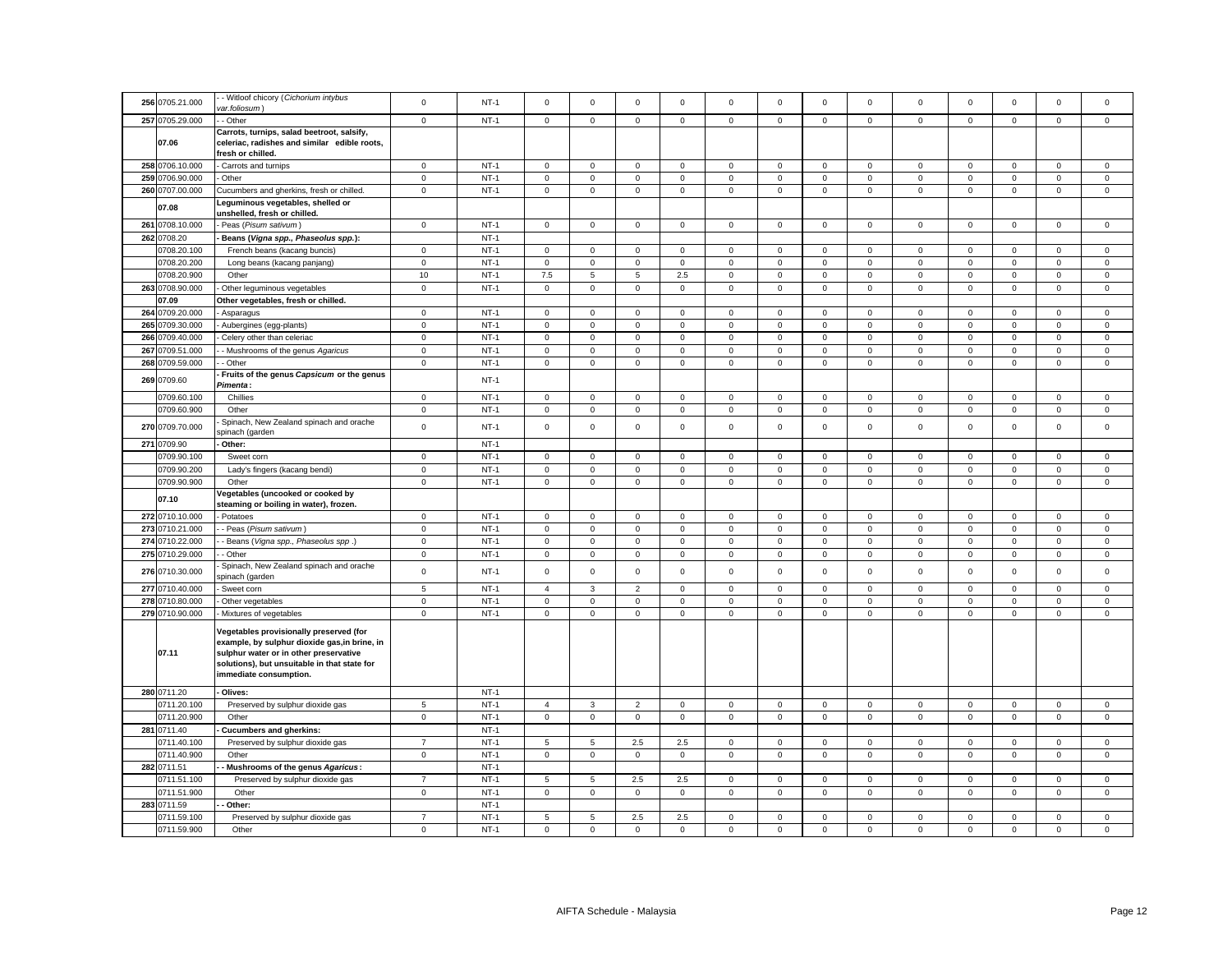| 256 0705.21.000 | - Witloof chicory (Cichorium intybus<br>var.foliosum)                                                                                                                                                        | $\mathsf 0$    | $NT-1$ | $\mathbf 0$             | $\mathbf 0$         | $\mathsf 0$         | $\mathbf 0$         | $\mathsf 0$  | $\mathbf 0$ | $\mathbf 0$         | $\mathsf 0$  | $\mathbf 0$         | $\mathbf 0$ | $\mathbf 0$         | $\mathsf 0$         | $\mathbf 0$ |
|-----------------|--------------------------------------------------------------------------------------------------------------------------------------------------------------------------------------------------------------|----------------|--------|-------------------------|---------------------|---------------------|---------------------|--------------|-------------|---------------------|--------------|---------------------|-------------|---------------------|---------------------|-------------|
| 257 0705.29.000 | - Other                                                                                                                                                                                                      | $\mathsf 0$    | $NT-1$ | $\mathbf 0$             | $\mathbf 0$         | $\mathsf 0$         | $\mathsf 0$         | $\mathbf 0$  | $\mathsf 0$ | $\mathbf 0$         | $\mathsf 0$  | $\mathbf{0}$        | $\mathsf 0$ | $\mathsf 0$         | $\mathsf 0$         | $\mathsf 0$ |
|                 | Carrots, turnips, salad beetroot, salsify,                                                                                                                                                                   |                |        |                         |                     |                     |                     |              |             |                     |              |                     |             |                     |                     |             |
| 07.06           | celeriac, radishes and similar edible roots,<br>fresh or chilled.                                                                                                                                            |                |        |                         |                     |                     |                     |              |             |                     |              |                     |             |                     |                     |             |
| 258 0706.10.000 | Carrots and turnips                                                                                                                                                                                          | $\mathbf 0$    | $NT-1$ | $\mathbf{0}$            | $\mathbf 0$         | $\mathsf 0$         | $\mathbf{0}$        | $\mathbf 0$  | $\mathbf 0$ | $\mathbf 0$         | $\mathsf 0$  | $\mathbf 0$         | $\mathbf 0$ | $\mathbf 0$         | $\mathsf 0$         | $\mathsf 0$ |
| 259 0706.90.000 | Other                                                                                                                                                                                                        | $\mathbf 0$    | $NT-1$ | $\mathsf 0$             | $\mathbf 0$         | $\mathbf 0$         | 0                   | $\mathbf{0}$ | $\mathbf 0$ | $\mathbf 0$         | $\mathbf 0$  | $\mathsf 0$         | $\mathbf 0$ | $\mathbf 0$         | $\mathbf 0$         | $\mathsf 0$ |
| 260 0707.00.000 | Cucumbers and gherkins, fresh or chilled.                                                                                                                                                                    | $\mathsf 0$    | $NT-1$ | $\mathsf 0$             | $\mathbf 0$         | $\mathsf 0$         | $\mathbf 0$         | $\mathsf 0$  | $\mathsf 0$ | $\mathbf 0$         | $\mathsf 0$  | $\mathbf 0$         | $\mathsf 0$ | $\mathsf 0$         | $\mathsf 0$         | $\mathsf 0$ |
|                 | Leguminous vegetables, shelled or                                                                                                                                                                            |                |        |                         |                     |                     |                     |              |             |                     |              |                     |             |                     |                     |             |
| 07.08           | unshelled, fresh or chilled.                                                                                                                                                                                 |                |        |                         |                     |                     |                     |              |             |                     |              |                     |             |                     |                     |             |
| 261 0708.10.000 | Peas (Pisum sativum)                                                                                                                                                                                         | $\overline{0}$ | $NT-1$ | $\overline{0}$          | $\mathbf 0$         | $\mathbf 0$         | $\mathbf{0}$        | $\mathbf 0$  | $\mathsf 0$ | $\mathbf{0}$        | $\mathbf 0$  | $\mathbf{0}$        | $\mathsf 0$ | $\mathsf{O}\xspace$ | $\mathbf 0$         | $\mathsf 0$ |
| 262 0708.20     | Beans (Vigna spp., Phaseolus spp.):                                                                                                                                                                          |                | $NT-1$ |                         |                     |                     |                     |              |             |                     |              |                     |             |                     |                     |             |
| 0708.20.100     | French beans (kacang buncis)                                                                                                                                                                                 | $\mathbf 0$    | $NT-1$ | $\mathbf 0$             | $\mathbf 0$         | $\mathbf 0$         | $\mathbf 0$         | $\mathsf 0$  | $\mathbf 0$ | $\mathbf 0$         | $\mathbf 0$  | $\mathbf 0$         | $\mathbf 0$ | $\mathbf 0$         | $\mathsf 0$         | $\mathsf 0$ |
| 0708.20.200     | Long beans (kacang panjang)                                                                                                                                                                                  | $\mathbf 0$    | $NT-1$ | $\circ$                 | $\mathbf 0$         | $\mathbf 0$         | $\mathbf{0}$        | $\mathbf{0}$ | $\mathbf 0$ | $\mathbf{O}$        | $\mathbf{0}$ | $\mathsf 0$         | $\mathbf 0$ | $\mathbf 0$         | $\mathbf{0}$        | $\mathsf 0$ |
| 0708.20.900     | Other                                                                                                                                                                                                        | 10             | $NT-1$ | 7.5                     | 5                   | 5                   | 2.5                 | $\mathbf{0}$ | $\mathbf 0$ | $\mathbf{0}$        | $\mathbf 0$  | $\mathbf{0}$        | $\mathbf 0$ | $\mathbf 0$         | $\mathbf 0$         | $\mathsf 0$ |
| 263 0708.90.000 | Other leguminous vegetables                                                                                                                                                                                  | $\overline{0}$ | $NT-1$ | $\mathbf{0}$            | $\mathbf 0$         | $\mathsf 0$         | $\mathsf 0$         | $\mathbf 0$  | $\mathsf 0$ | $\mathbf 0$         | $\mathbf 0$  | $\mathbf{0}$        | $\mathbf 0$ | $\mathbf 0$         | $\mathbf 0$         | $\mathsf 0$ |
| 07.09           | Other vegetables, fresh or chilled.                                                                                                                                                                          |                |        |                         |                     |                     |                     |              |             |                     |              |                     |             |                     |                     |             |
| 264 0709.20.000 | Asparagus                                                                                                                                                                                                    | $\mathbf 0$    | $NT-1$ | $\mathbf 0$             | $\mathbf 0$         | $\mathsf 0$         | $\mathbf 0$         | $\mathsf 0$  | $\mathbf 0$ | $\mathbf 0$         | $\mathsf 0$  | $\mathbf 0$         | $\mathsf 0$ | $\mathbf 0$         | $\mathbf 0$         | $\mathbf 0$ |
| 265 0709.30.000 | Aubergines (egg-plants)                                                                                                                                                                                      | $\mathsf 0$    | $NT-1$ | $\mathsf 0$             | $\mathbf 0$         | $\mathbf 0$         | $\mathbf 0$         | $\mathbf 0$  | $\mathbf 0$ | $\mathbf 0$         | $\mathsf 0$  | $\mathbf 0$         | $\mathbf 0$ | $\mathbf 0$         | $\mathbf 0$         | $\mathsf 0$ |
| 266 0709.40.000 | Celery other than celeriac                                                                                                                                                                                   | $\mathbf 0$    | $NT-1$ | $\mathbf 0$             | $\mathbf 0$         | $\mathsf 0$         | $\mathbf 0$         | $\mathsf 0$  | $\mathbf 0$ | $\mathbf 0$         | $\mathsf 0$  | $\mathsf 0$         | $\mathbf 0$ | $\mathsf 0$         | $\mathbf 0$         | $\mathbf 0$ |
| 267 0709.51.000 | - Mushrooms of the genus Agaricus                                                                                                                                                                            | $\mathsf 0$    | $NT-1$ | $\mathbf 0$             | $\mathbf 0$         | $\mathbf 0$         | $\mathbf 0$         | $\mathbf 0$  | $\mathbf 0$ | $\mathbf 0$         | $\mathsf 0$  | $\mathsf 0$         | $\mathbf 0$ | $\mathbf 0$         | $\mathbf 0$         | $\mathsf 0$ |
| 268 0709.59.000 | - Other                                                                                                                                                                                                      | $\mathbf 0$    | $NT-1$ | $\mathbf 0$             | 0                   | $\mathsf 0$         | $\mathbf 0$         | $\mathbf 0$  | 0           | $\mathbf 0$         | $\mathbf 0$  | $\mathsf 0$         | $\mathsf 0$ | $\mathsf{O}\xspace$ | $\mathsf 0$         | $\mathbf 0$ |
| 269 0709.60     | Fruits of the genus Capsicum or the genus<br>Pimenta:                                                                                                                                                        |                | $NT-1$ |                         |                     |                     |                     |              |             |                     |              |                     |             |                     |                     |             |
| 0709.60.100     | Chillies                                                                                                                                                                                                     | $\mathbf 0$    | $NT-1$ | $\mathbf{0}$            | $\mathbf 0$         | $\mathsf 0$         | $\mathbf{0}$        | 0            | $\mathbf 0$ | $\mathbf 0$         | $\mathsf 0$  | $\mathbf 0$         | $\mathbf 0$ | $\mathsf 0$         | $\mathbf 0$         | $\mathbf 0$ |
| 0709.60.900     | Other                                                                                                                                                                                                        | $\mathbf 0$    | $NT-1$ | $\mathbf 0$             | $\mathbf 0$         | $\mathsf 0$         | $\mathsf 0$         | $\mathbf 0$  | $\mathsf 0$ | $\mathbf 0$         | $\mathbf 0$  | $\mathbf 0$         | $\mathsf 0$ | $\mathbf 0$         | $\mathsf 0$         | $\mathsf 0$ |
|                 | Spinach, New Zealand spinach and orache                                                                                                                                                                      |                |        |                         |                     |                     |                     |              |             |                     |              |                     |             |                     |                     |             |
| 270 0709.70.000 | spinach (garden                                                                                                                                                                                              | $\mathsf 0$    | $NT-1$ | $\mathbf 0$             | $\mathsf 0$         | $\mathsf{O}\xspace$ | $\mathsf 0$         | $\mathsf 0$  | $\mathbf 0$ | $\mathsf 0$         | $\mathsf 0$  | $\mathsf 0$         | $\mathbf 0$ | $\mathsf 0$         | $\mathsf{O}\xspace$ | $\mathsf 0$ |
| 271 0709.90     | Other:                                                                                                                                                                                                       |                | $NT-1$ |                         |                     |                     |                     |              |             |                     |              |                     |             |                     |                     |             |
| 0709.90.100     | Sweet corn                                                                                                                                                                                                   | $\mathsf 0$    | $NT-1$ | $\mathsf 0$             | $\mathsf 0$         | $\mathsf{O}\xspace$ | $\mathsf 0$         | $\mathsf 0$  | $\mathbf 0$ | $\mathsf 0$         | $\mathsf 0$  | $\mathsf{O}\xspace$ | $\mathbf 0$ | $\mathsf{O}\xspace$ | $\mathsf 0$         | $\mathsf 0$ |
| 0709.90.200     | Lady's fingers (kacang bendi)                                                                                                                                                                                | $\mathbf 0$    | $NT-1$ | $\mathsf 0$             | $\mathsf 0$         | $\mathbf 0$         | $\mathsf 0$         | $\mathsf 0$  | $\mathsf 0$ | $\mathsf 0$         | $\,0\,$      | $\mathsf 0$         | $\mathbf 0$ | $\mathsf 0$         | $\mathsf 0$         | $\mathsf 0$ |
| 0709.90.900     | Other                                                                                                                                                                                                        | $\mathsf 0$    | $NT-1$ | $\mathsf 0$             | $\mathsf 0$         | $\mathsf{O}\xspace$ | $\mathsf 0$         | $\mathsf 0$  | $\mathbf 0$ | $\mathsf{O}\xspace$ | $\mathsf 0$  | $\mathsf 0$         | $\mathbf 0$ | $\mathsf{O}\xspace$ | $\mathsf{O}\xspace$ | $\mathsf 0$ |
| 07.10           | /egetables (uncooked or cooked by<br>steaming or boiling in water), frozen.                                                                                                                                  |                |        |                         |                     |                     |                     |              |             |                     |              |                     |             |                     |                     |             |
| 272 0710.10.000 | Potatoes                                                                                                                                                                                                     | $\mathbf 0$    | $NT-1$ | $\mathsf 0$             | $\mathsf 0$         | $\mathsf{O}\xspace$ | $\mathsf 0$         | $\mathsf 0$  | $\mathbf 0$ | $\mathsf 0$         | $\mathsf 0$  | $\mathsf 0$         | $\mathbf 0$ | $\mathsf 0$         | $\mathsf{O}\xspace$ | $\mathsf 0$ |
| 273 0710.21.000 | - Peas (Pisum sativum)                                                                                                                                                                                       | $\mathbf 0$    | $NT-1$ | $\mathbf 0$             | 0                   | 0                   | 0                   | 0            | $\mathbf 0$ | 0                   | $\mathbf 0$  | 0                   | 0           | 0                   | 0                   | 0           |
| 274 0710.22.000 | - Beans (Vigna spp., Phaseolus spp.)                                                                                                                                                                         | $\mathbf 0$    | $NT-1$ | $\mathsf 0$             | $\mathsf{O}\xspace$ | $\mathbf 0$         | $\mathsf{O}\xspace$ | $\mathsf 0$  | $\pmb{0}$   | $\mathsf 0$         | $\mathbf 0$  | $\mathsf 0$         | $\mathbf 0$ | $\mathbf 0$         | $\mathbf 0$         | $\mathbf 0$ |
| 275 0710.29.000 | - Other                                                                                                                                                                                                      | 0              | $NT-1$ | $\mathbf 0$             | $\mathbf 0$         | 0                   | 0                   | $\mathbf 0$  | $\mathbf 0$ | $\mathbf 0$         | $\mathbf 0$  | 0                   | 0           | $\mathbf 0$         | $\mathbf 0$         | $\mathbf 0$ |
| 276 0710.30.000 | Spinach, New Zealand spinach and orache<br>spinach (garden                                                                                                                                                   | $\mathsf 0$    | $NT-1$ | $\mathsf 0$             | $\mathsf 0$         | $\mathsf{O}\xspace$ | $\mathsf 0$         | $\mathsf 0$  | $\mathsf 0$ | $\mathbf 0$         | $\mathsf 0$  | $\mathsf 0$         | $\mathsf 0$ | $\mathbf 0$         | $\mathsf 0$         | $\mathsf 0$ |
| 277 0710.40.000 | Sweet corn                                                                                                                                                                                                   | $\,$ 5 $\,$    | $NT-1$ | $\overline{\mathbf{4}}$ | 3                   | $\overline{2}$      | $\mathbf 0$         | $\mathbf 0$  | $\Omega$    | $\Omega$            | $\mathbf 0$  | $\Omega$            | $\Omega$    | $\Omega$            | $\mathbf 0$         | $\mathbf 0$ |
| 278 0710.80.000 | Other vegetables                                                                                                                                                                                             | $\mathsf 0$    | $NT-1$ | $\mathbf 0$             | $\mathsf 0$         | $\mathsf{O}\xspace$ | $\Omega$            | $\mathsf 0$  | $\mathsf 0$ | $\mathsf 0$         | $\mathbf 0$  | $\mathsf 0$         | $\mathbf 0$ | $\mathsf 0$         | $\mathsf 0$         | $\mathbf 0$ |
| 279 0710.90.000 | Mixtures of vegetables                                                                                                                                                                                       | $\mathsf 0$    | $NT-1$ | $\mathbf 0$             | $\mathbf 0$         | $\mathsf 0$         | $\mathsf 0$         | $\mathbf{0}$ | $\mathsf 0$ | $\mathbf{O}$        | $\mathsf 0$  | $\mathsf 0$         | $\mathsf 0$ | $\mathsf 0$         | $\mathsf 0$         | $\mathsf 0$ |
| 07.11           | Vegetables provisionally preserved (for<br>example, by sulphur dioxide gas, in brine, in<br>sulphur water or in other preservative<br>solutions), but unsuitable in that state for<br>immediate consumption. |                |        |                         |                     |                     |                     |              |             |                     |              |                     |             |                     |                     |             |
| 280 0711.20     | Olives:                                                                                                                                                                                                      |                | $NT-1$ |                         |                     |                     |                     |              |             |                     |              |                     |             |                     |                     |             |
| 0711.20.100     | Preserved by sulphur dioxide gas                                                                                                                                                                             | $\overline{5}$ | $NT-1$ | $\overline{4}$          | 3                   | $\overline{2}$      | $\mathbf 0$         | $\mathbf 0$  | $\mathbf 0$ | $\mathbf 0$         | $\mathbf 0$  | $\mathbf{0}$        | 0           | $\mathbf 0$         | $\mathbf 0$         | $\mathbf 0$ |
| 0711.20.900     | Other                                                                                                                                                                                                        | $\mathbf 0$    | $NT-1$ | $\mathsf 0$             | $\mathbf 0$         | $\mathsf 0$         | $\mathsf 0$         | $\mathsf 0$  | $\mathbf 0$ | $\mathbf 0$         | $\mathbf 0$  | $\mathsf 0$         | $\mathbf 0$ | $\mathsf 0$         | $\mathsf 0$         | $\mathsf 0$ |
| 281 0711.40     | <b>Cucumbers and gherkins:</b>                                                                                                                                                                               |                | $NT-1$ |                         |                     |                     |                     |              |             |                     |              |                     |             |                     |                     |             |
| 0711.40.100     | Preserved by sulphur dioxide gas                                                                                                                                                                             | $\overline{7}$ | $NT-1$ | 5                       | 5                   | 2.5                 | 2.5                 | $\mathsf 0$  | $\mathbf 0$ | $\mathsf 0$         | $\mathsf 0$  | $\mathbf 0$         | $\mathbf 0$ | $\mathsf 0$         | $\mathsf 0$         | $\mathsf 0$ |
| 0711.40.900     | Other                                                                                                                                                                                                        | $\mathbf 0$    | $NT-1$ | $\mathbf{0}$            | $\mathbf 0$         | $\mathsf{o}\xspace$ | $\mathbf{0}$        | $\mathbf 0$  | $\mathsf 0$ | $\mathbf 0$         | $\mathbf 0$  | $\mathbf{0}$        | $\mathsf 0$ | $\mathbf 0$         | $\mathbf 0$         | $\mathbf 0$ |
| 282 0711.51     | Mushrooms of the genus Agaricus:                                                                                                                                                                             |                | $NT-1$ |                         |                     |                     |                     |              |             |                     |              |                     |             |                     |                     |             |
| 0711.51.100     | Preserved by sulphur dioxide gas                                                                                                                                                                             | $\overline{7}$ | $NT-1$ | 5                       | 5                   | 2.5                 | 2.5                 | $\mathsf 0$  | $\mathsf 0$ | $\mathbf 0$         | $\mathsf 0$  | $\mathbf 0$         | $\mathsf 0$ | $\mathsf 0$         | $\mathsf 0$         | $\mathsf 0$ |
| 0711.51.900     | Other                                                                                                                                                                                                        | $\mathbf 0$    | $NT-1$ | $\mathsf 0$             | $\mathbf 0$         | $\mathbf 0$         | $\mathbf 0$         | $\mathsf 0$  | $\mathsf 0$ | $\mathsf 0$         | $\,0\,$      | $\mathsf 0$         | $\mathsf 0$ | $\mathsf 0$         | $\mathbf 0$         | $\mathsf 0$ |
| 283 0711.59     | Other:                                                                                                                                                                                                       |                | $NT-1$ |                         |                     |                     |                     |              |             |                     |              |                     |             |                     |                     |             |
| 0711.59.100     | Preserved by sulphur dioxide gas                                                                                                                                                                             | $\overline{7}$ | $NT-1$ | 5                       | 5                   | $2.5\,$             | 2.5                 | 0            | $\mathbf 0$ | $\mathbf 0$         | $\mathbf 0$  | $\mathbf 0$         | $\mathbf 0$ | $\mathbf 0$         | 0                   | $\mathbf 0$ |
| 0711.59.900     | Other                                                                                                                                                                                                        | $\mathbf 0$    | $NT-1$ | $\mathbf 0$             | $\mathbf 0$         | $\mathsf{O}\xspace$ | $\mathsf 0$         | $\mathsf 0$  | $\mathsf 0$ | $\mathsf 0$         | $\mathsf 0$  | $\mathbf 0$         | $\mathsf 0$ | $\mathsf 0$         | $\mathsf{O}\xspace$ | $\mathsf 0$ |
|                 |                                                                                                                                                                                                              |                |        |                         |                     |                     |                     |              |             |                     |              |                     |             |                     |                     |             |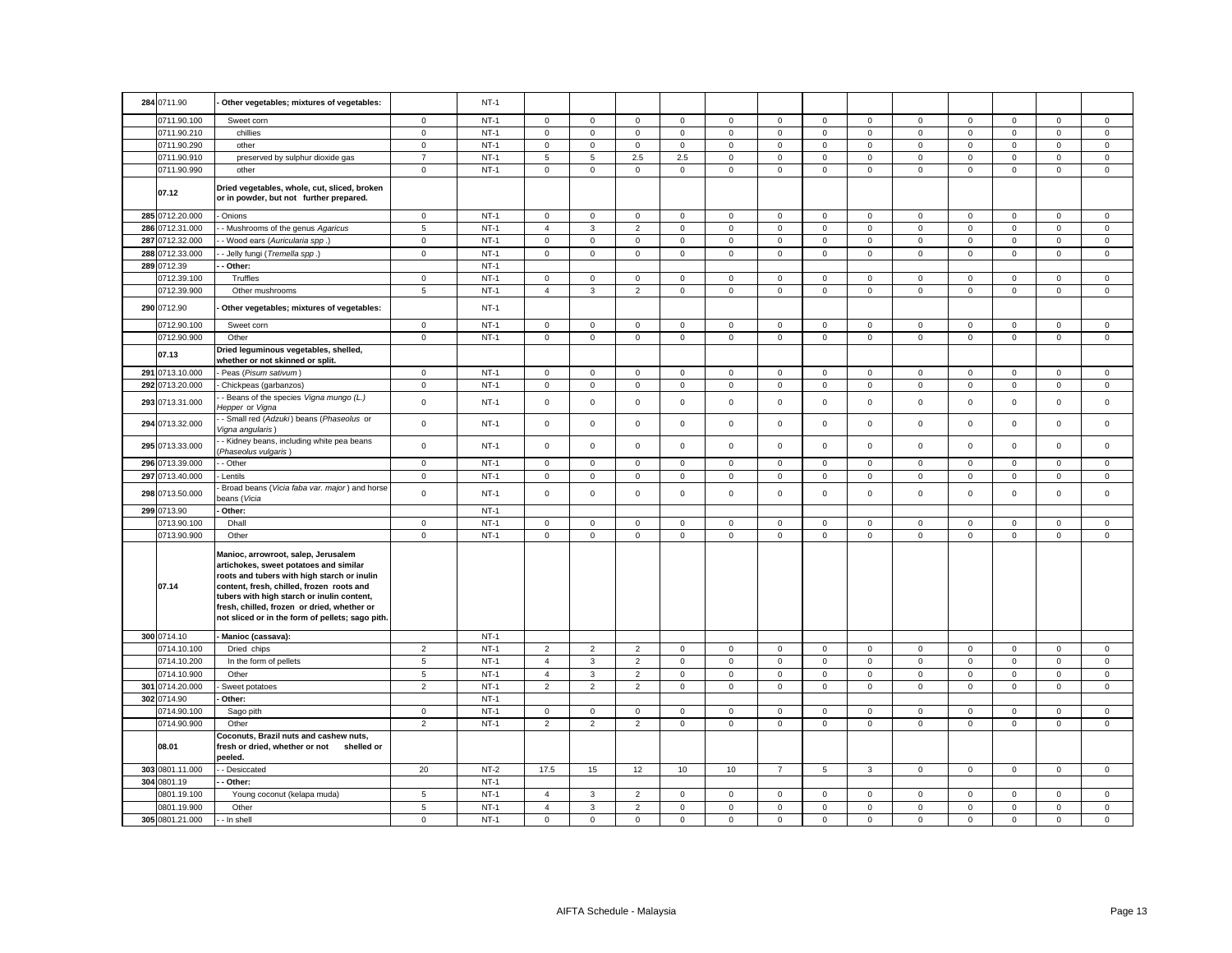| 284 0711.90     | Other vegetables; mixtures of vegetables:                                                                                                                                                                                                                                                                                  |                     | $NT-1$ |                |                     |                |              |                |                |                     |                |                     |             |                     |                     |             |
|-----------------|----------------------------------------------------------------------------------------------------------------------------------------------------------------------------------------------------------------------------------------------------------------------------------------------------------------------------|---------------------|--------|----------------|---------------------|----------------|--------------|----------------|----------------|---------------------|----------------|---------------------|-------------|---------------------|---------------------|-------------|
| 0711.90.100     | Sweet corn                                                                                                                                                                                                                                                                                                                 | $\mathbf 0$         | $NT-1$ | $\mathbf 0$    | $\mathsf 0$         | $\mathsf 0$    | $\mathsf 0$  | $\mathsf 0$    | $\mathsf 0$    | $\mathsf 0$         | $\mathbf 0$    | $\mathsf 0$         | $\mathsf 0$ | $\mathsf 0$         | $\mathsf 0$         | $\mathsf 0$ |
| 0711.90.210     | chillies                                                                                                                                                                                                                                                                                                                   | $\mathsf 0$         | $NT-1$ | $\mathbf 0$    | $\mathsf 0$         | $\mathsf 0$    | $\mathsf 0$  | $\mathsf{o}\,$ | $\mathsf 0$    | $\mathsf 0$         | $\mathbf 0$    | $\mathsf 0$         | $\mathsf 0$ | $\mathsf 0$         | $\mathsf 0$         | $\mathsf 0$ |
| 0711.90.290     | other                                                                                                                                                                                                                                                                                                                      | $\mathbf 0$         | $NT-1$ | $\mathbf 0$    | $\mathsf 0$         | $\mathbf 0$    | $\mathbf{0}$ | $\mathbf 0$    | $\mathbf 0$    | $\mathbf{O}$        | $\overline{0}$ | $\mathbf 0$         | $\mathbf 0$ | $\mathbf 0$         | $\mathbf 0$         | $\mathbf 0$ |
| 0711.90.910     | preserved by sulphur dioxide gas                                                                                                                                                                                                                                                                                           | $\overline{7}$      | $NT-1$ | 5              | 5                   | 2.5            | 2.5          | $\mathbf 0$    | $\mathsf 0$    | $\mathsf 0$         | $\mathsf 0$    | $\mathbf 0$         | $\mathsf 0$ | $\mathbf 0$         | $\mathsf 0$         | $\mathsf 0$ |
| 0711.90.990     | other                                                                                                                                                                                                                                                                                                                      | $\mathbf 0$         | $NT-1$ | $\mathbf 0$    | $\mathsf{O}\xspace$ | $\mathbf 0$    | $\mathsf 0$  | $\mathbf 0$    | $\mathsf 0$    | $\mathbf 0$         | $\mathbf 0$    | $\mathsf 0$         | $\mathsf 0$ | $\mathbf 0$         | $\mathbf 0$         | $\mathsf 0$ |
| 07.12           | Dried vegetables, whole, cut, sliced, broken<br>or in powder, but not further prepared.                                                                                                                                                                                                                                    |                     |        |                |                     |                |              |                |                |                     |                |                     |             |                     |                     |             |
| 285 0712.20.000 | Onions                                                                                                                                                                                                                                                                                                                     | $\mathbf 0$         | $NT-1$ | $\mathbf 0$    | $\mathsf{O}\xspace$ | $\mathsf 0$    | $\mathsf 0$  | $\mathsf 0$    | $\mathsf 0$    | $\mathsf 0$         | $\mathsf 0$    | $\mathbf 0$         | $\mathsf 0$ | $\mathsf{O}\xspace$ | $\mathsf 0$         | $\mathbf 0$ |
| 286 0712.31.000 | - Mushrooms of the genus Agaricus                                                                                                                                                                                                                                                                                          | $\sqrt{5}$          | $NT-1$ | $\overline{4}$ | 3                   | $\overline{2}$ | $\mathsf 0$  | $\mathsf 0$    | $\mathsf 0$    | $\mathsf{O}\xspace$ | $\mathbf 0$    | $\mathbf 0$         | $\mathsf 0$ | $\mathsf 0$         | $\mathsf 0$         | $\mathsf 0$ |
| 287 0712.32.000 | - Wood ears (Auricularia spp.)                                                                                                                                                                                                                                                                                             | $\mathbf 0$         | $NT-1$ | 0              | $\mathbf 0$         | $\mathsf 0$    | $\mathbf 0$  | $\mathbf 0$    | $\mathbf 0$    | $\mathbf 0$         | $\mathbf 0$    | $\mathbf 0$         | 0           | $\mathbf 0$         | $\mathbf 0$         | $\mathbf 0$ |
| 288 0712.33.000 | Jelly fungi (Tremella spp.)                                                                                                                                                                                                                                                                                                | $\mathsf 0$         | $NT-1$ | $\mathbf 0$    | $\mathsf{O}\xspace$ | $\mathbf 0$    | $\mathsf 0$  | $\mathsf 0$    | $\mathbf 0$    | $\mathsf 0$         | $\mathbf 0$    | $\mathsf 0$         | $\mathsf 0$ | $\mathsf 0$         | $\mathbf 0$         | $\mathbf 0$ |
| 289 0712.39     | Other:                                                                                                                                                                                                                                                                                                                     |                     | $NT-1$ |                |                     |                |              |                |                |                     |                |                     |             |                     |                     |             |
| 0712.39.100     | Truffles                                                                                                                                                                                                                                                                                                                   | $\mathsf 0$         | $NT-1$ | $\mathsf 0$    | $\mathsf 0$         | $\mathsf 0$    | $\mathsf 0$  | $\mathsf 0$    | $\mathsf 0$    | $\mathsf 0$         | $\mathsf 0$    | $\mathsf 0$         | $\mathbf 0$ | $\mathbf 0$         | $\mathsf 0$         | $\mathbf 0$ |
| 0712.39.900     | Other mushrooms                                                                                                                                                                                                                                                                                                            | $5\phantom{.0}$     | $NT-1$ | $\overline{4}$ | $\mathbf{3}$        | $\overline{2}$ | $\mathsf 0$  | $\mathsf{o}\,$ | $\mathsf 0$    | $\mathsf{O}$        | $\mathsf 0$    | $\mathsf 0$         | $\mathsf 0$ | $\mathsf 0$         | $\mathsf 0$         | $\mathsf 0$ |
| 290 0712.90     | Other vegetables; mixtures of vegetables:                                                                                                                                                                                                                                                                                  |                     | $NT-1$ |                |                     |                |              |                |                |                     |                |                     |             |                     |                     |             |
| 0712.90.100     | Sweet corn                                                                                                                                                                                                                                                                                                                 | $\mathbf 0$         | $NT-1$ | $\mathbf 0$    | $\mathbf 0$         | $\mathsf 0$    | $\mathbf{0}$ | 0              | $\mathbf 0$    | $\mathbf 0$         | $\mathbf 0$    | $\mathsf 0$         | $\mathbf 0$ | $\mathbf 0$         | $\mathbf 0$         | $\mathbf 0$ |
| 0712.90.900     | Other                                                                                                                                                                                                                                                                                                                      | $\mathbf 0$         | $NT-1$ | $\mathsf 0$    | $\mathsf 0$         | $\mathsf 0$    | $\mathsf 0$  | $\mathsf 0$    | $\mathbf 0$    | $\mathsf 0$         | $\mathsf 0$    | $\mathsf 0$         | $\mathsf 0$ | $\mathsf 0$         | $\mathsf 0$         | $\mathsf 0$ |
| 07.13           | Dried leguminous vegetables, shelled,<br>whether or not skinned or split.                                                                                                                                                                                                                                                  |                     |        |                |                     |                |              |                |                |                     |                |                     |             |                     |                     |             |
| 291 0713.10.000 | Peas (Pisum sativum)                                                                                                                                                                                                                                                                                                       | $\mathbf 0$         | $NT-1$ | $\mathbf 0$    | $\mathsf 0$         | $\mathsf 0$    | $\mathsf 0$  | $\mathsf 0$    | $\mathsf 0$    | $\mathbf 0$         | $\mathbf 0$    | $\mathbf 0$         | $\mathsf 0$ | $\mathsf 0$         | $\mathsf 0$         | $\mathsf 0$ |
| 292 0713.20.000 | Chickpeas (garbanzos)                                                                                                                                                                                                                                                                                                      | $\mathbf 0$         | $NT-1$ | $\mathbf 0$    | $\mathsf 0$         | $\mathsf 0$    | $\mathsf 0$  | $\mathbf 0$    | $\mathsf 0$    | $\mathbf 0$         | $\mathsf 0$    | $\mathbf 0$         | $\mathsf 0$ | $\mathbf 0$         | $\mathsf 0$         | $\mathsf 0$ |
| 293 0713.31.000 | - Beans of the species Vigna mungo (L.)<br>Hepper or Vigna                                                                                                                                                                                                                                                                 | $\mathsf 0$         | $NT-1$ | $\mathbf 0$    | $\mathsf 0$         | $\mathsf 0$    | $\mathsf 0$  | $\mathsf 0$    | $\mathsf 0$    | $\mathsf 0$         | $\mathsf 0$    | $\mathbf 0$         | $\mathsf 0$ | $\mathsf 0$         | $\mathsf{O}\xspace$ | $\mathsf 0$ |
| 294 0713.32.000 | - Small red (Adzuki) beans (Phaseolus or<br>(igna angularis)                                                                                                                                                                                                                                                               | $\mathsf 0$         | $NT-1$ | $\mathbf 0$    | $\mathsf 0$         | $\mathsf 0$    | $\mathsf 0$  | $\mathbf 0$    | $\mathsf 0$    | $\mathbf 0$         | $\mathsf 0$    | $\mathbf 0$         | $\mathsf 0$ | $\mathsf 0$         | $\mathsf 0$         | $\mathsf 0$ |
| 295 0713.33.000 | - Kidney beans, including white pea beans<br>Phaseolus vulgaris)                                                                                                                                                                                                                                                           | $\mathbf 0$         | $NT-1$ | $\mathsf 0$    | $\mathsf 0$         | $\mathsf 0$    | $\mathsf 0$  | $\mathbf 0$    | $\mathsf 0$    | $\mathsf{O}\xspace$ | $\mathsf 0$    | $\mathsf 0$         | $\mathsf 0$ | $\mathsf 0$         | $\mathsf 0$         | $\mathsf 0$ |
| 296 0713.39.000 | - Other                                                                                                                                                                                                                                                                                                                    | $\mathbf 0$         | $NT-1$ | 0              | $\mathbf 0$         | $\mathsf 0$    | $\mathbf 0$  | $\mathsf 0$    | $\mathbf 0$    | $\mathbf{0}$        | $\mathbf 0$    | $\mathsf 0$         | $\mathbf 0$ | $\mathbf 0$         | $\mathbf 0$         | $\mathbf 0$ |
| 297 0713.40.000 | Lentils                                                                                                                                                                                                                                                                                                                    | $\mathsf{O}\xspace$ | $NT-1$ | $\mathbf 0$    | $\mathsf 0$         | $\mathsf 0$    | $\mathsf 0$  | $\mathsf 0$    | $\mathbf 0$    | $\mathbf 0$         | $\mathbf 0$    | $\mathsf 0$         | $\mathbf 0$ | $\mathsf{O}\xspace$ | $\mathsf 0$         | $\mathsf 0$ |
| 298 0713.50.000 | Broad beans (Vicia faba var. major) and horse<br>eans (Vicia                                                                                                                                                                                                                                                               | $\mathsf 0$         | $NT-1$ | $\mathbf 0$    | $\mathbf 0$         | $\mathsf 0$    | $\mathbf 0$  | $\mathbf 0$    | $\mathbf 0$    | $\mathbf{O}$        | $\mathbf{0}$   | $\mathbf 0$         | $\mathbf 0$ | $\mathbf 0$         | $\mathbf 0$         | $\mathbf 0$ |
| 299 0713.90     | Other:                                                                                                                                                                                                                                                                                                                     |                     | $NT-1$ |                |                     |                |              |                |                |                     |                |                     |             |                     |                     |             |
| 0713.90.100     | Dhall                                                                                                                                                                                                                                                                                                                      | $\mathbf 0$         | $NT-1$ | $\mathbf 0$    | $\mathsf 0$         | $\mathsf 0$    | $\mathsf 0$  | $\mathbf 0$    | $\mathsf 0$    | $\mathbf 0$         | $\mathbf 0$    | $\mathbf 0$         | $\mathsf 0$ | $\mathbf 0$         | $\mathbf 0$         | $\mathsf 0$ |
| 0713.90.900     | Other                                                                                                                                                                                                                                                                                                                      | $\mathbf 0$         | $NT-1$ | $\mathbf 0$    | $\mathbf 0$         | $\mathsf 0$    | $\mathsf 0$  | $\mathbf 0$    | $\mathbf 0$    | $\mathbf 0$         | $\mathbf 0$    | $\mathsf 0$         | $\mathsf 0$ | $\mathbf 0$         | $\mathbf 0$         | $\mathsf 0$ |
| 07.14           | Manioc, arrowroot, salep, Jerusalem<br>artichokes, sweet potatoes and similar<br>roots and tubers with high starch or inulin<br>content, fresh, chilled, frozen roots and<br>tubers with high starch or inulin content,<br>fresh, chilled, frozen or dried, whether or<br>not sliced or in the form of pellets; sago pith. |                     |        |                |                     |                |              |                |                |                     |                |                     |             |                     |                     |             |
| 300 0714.10     | Manioc (cassava):                                                                                                                                                                                                                                                                                                          |                     | $NT-1$ |                |                     |                |              |                |                |                     |                |                     |             |                     |                     |             |
| 0714.10.100     | Dried chips                                                                                                                                                                                                                                                                                                                | $\overline{2}$      | $NT-1$ | $\overline{2}$ | $\overline{2}$      | $\overline{2}$ | $\mathsf 0$  | $\mathsf 0$    | $\mathsf 0$    | $\mathsf{O}\xspace$ | $\mathsf 0$    | $\mathsf 0$         | $\mathsf 0$ | $\mathsf 0$         | $\mathsf 0$         | $\mathsf 0$ |
| 0714.10.200     | In the form of pellets                                                                                                                                                                                                                                                                                                     | $5\phantom{.0}$     | $NT-1$ | $\overline{4}$ | 3                   | $\overline{2}$ | $\mathbf 0$  | $\mathbf 0$    | $\mathsf 0$    | $\mathsf{O}\xspace$ | $\mathbf 0$    | $\mathsf 0$         | $\mathsf 0$ | $\mathsf 0$         | $\mathsf 0$         | $\mathsf 0$ |
| 0714.10.900     | Other                                                                                                                                                                                                                                                                                                                      | 5                   | $NT-1$ | $\overline{4}$ | 3                   | $\overline{2}$ | $\mathsf 0$  | $\mathbf 0$    | $\mathbf 0$    | $\mathsf 0$         | $\mathbf 0$    | $\mathbf 0$         | $\mathbf 0$ | $\mathsf 0$         | $\mathbf 0$         | $\mathbf 0$ |
| 301 0714.20.000 | Sweet potatoes                                                                                                                                                                                                                                                                                                             | $\overline{2}$      | $NT-1$ | $\overline{2}$ | $\overline{2}$      | $\overline{2}$ | $\mathbf 0$  | $\mathbf 0$    | $\mathsf 0$    | $\mathsf 0$         | $\mathbf 0$    | $\mathbf 0$         | $\mathsf 0$ | $\mathsf 0$         | $\mathbf 0$         | $\mathsf 0$ |
| 302 0714.90     | Other:                                                                                                                                                                                                                                                                                                                     |                     | $NT-1$ |                |                     |                |              |                |                |                     |                |                     |             |                     |                     |             |
| 0714.90.100     | Sago pith                                                                                                                                                                                                                                                                                                                  | $\mathbf 0$         | $NT-1$ | $\mathbf 0$    | $\mathbf 0$         | $\mathsf 0$    | $\mathbf 0$  | $\mathsf 0$    | $\mathsf 0$    | $\mathsf 0$         | $\mathbf 0$    | $\mathbf{0}$        | $\mathsf 0$ | $\mathbf 0$         | $\mathsf 0$         | $\mathsf 0$ |
| 0714.90.900     | Other                                                                                                                                                                                                                                                                                                                      | $\overline{2}$      | $NT-1$ | $\overline{2}$ | $\overline{2}$      | $\overline{2}$ | $\mathsf 0$  | $\mathbf 0$    | $\mathsf 0$    | $\mathbf 0$         | $\mathsf 0$    | $\mathsf 0$         | $\mathsf 0$ | $\mathbf 0$         | $\mathsf 0$         | $\mathbf 0$ |
| 08.01           | Coconuts, Brazil nuts and cashew nuts,<br>fresh or dried, whether or not<br>shelled or<br>peeled.                                                                                                                                                                                                                          |                     |        |                |                     |                |              |                |                |                     |                |                     |             |                     |                     |             |
| 303 0801.11.000 | - Desiccated                                                                                                                                                                                                                                                                                                               | 20                  | $NT-2$ | 17.5           | 15                  | 12             | 10           | 10             | $\overline{7}$ | 5                   | $\mathbf{3}$   | $\mathbf 0$         | $\mathsf 0$ | $\mathbf 0$         | $\mathbf 0$         | $\mathbf 0$ |
| 304 0801.19     | Other:                                                                                                                                                                                                                                                                                                                     |                     | $NT-1$ |                |                     |                |              |                |                |                     |                |                     |             |                     |                     |             |
|                 | Young coconut (kelapa muda)                                                                                                                                                                                                                                                                                                | 5                   | $NT-1$ | $\overline{4}$ | $\mathbf{3}$        | $\overline{2}$ | $\mathbf 0$  | $\mathsf 0$    | $\mathsf 0$    | $\mathbf 0$         | $\mathsf 0$    | $\mathsf{O}\xspace$ | $\mathbf 0$ | $\mathbf 0$         | $\mathsf{O}\xspace$ | $\mathsf 0$ |
| 0801.19.100     |                                                                                                                                                                                                                                                                                                                            |                     |        |                |                     |                |              |                |                |                     |                |                     |             |                     |                     |             |
| 0801.19.900     | Other                                                                                                                                                                                                                                                                                                                      | 5                   | $NT-1$ | $\overline{4}$ | 3                   | $\mathbf 2$    | $\mathsf 0$  | $\mathsf 0$    | $\mathsf 0$    | $\mathsf 0$         | $\mathsf 0$    | $\mathsf 0$         | $\mathsf 0$ | $\mathsf 0$         | $\mathsf 0$         | $\mathsf 0$ |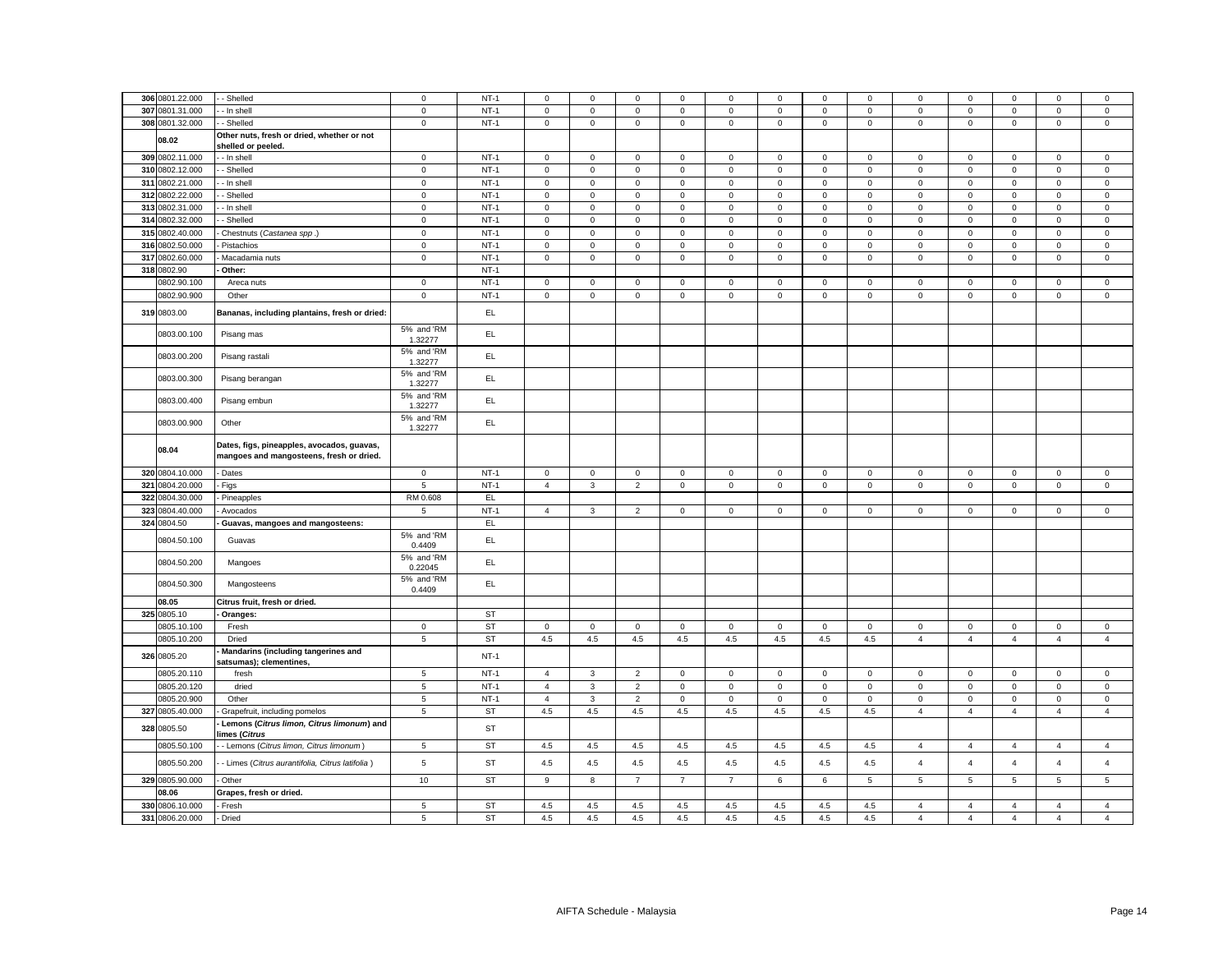| 306 0801.22.000 | - Shelled                                                                              | $\mathsf 0$           | $NT-1$    | $\mathbf 0$    | $\mathbf 0$  | $\mathsf 0$    | $\mathbf 0$    | $\mathbf 0$         | $\mathbf 0$ | $\mathbf 0$         | 0            | 0              | $\mathbf 0$    | $\mathbf 0$    | $\mathbf 0$    | $\mathbf 0$    |
|-----------------|----------------------------------------------------------------------------------------|-----------------------|-----------|----------------|--------------|----------------|----------------|---------------------|-------------|---------------------|--------------|----------------|----------------|----------------|----------------|----------------|
|                 |                                                                                        |                       |           |                |              |                |                |                     |             |                     |              |                |                |                |                |                |
| 307 0801.31.000 | - In shell                                                                             | $\mathbf 0$           | $NT-1$    | $\mathbf 0$    | $\mathbf 0$  | $\mathsf 0$    | $\mathbf 0$    | $\mathbf 0$         | $\mathbf 0$ | $\mathbf 0$         | 0            | 0              | $\mathbf 0$    | $\mathbf 0$    | $\mathbf 0$    | $\mathsf 0$    |
| 308 0801.32.000 | Shelled                                                                                | $\mathbf 0$           | $NT-1$    | 0              | $\mathbf 0$  | $\mathbf 0$    | 0              | $\mathbf 0$         | $\mathsf 0$ | $\mathsf 0$         | 0            | 0              | $\mathbf 0$    | $\mathbf 0$    | $\mathbf 0$    | $\mathsf 0$    |
| 08.02           | Other nuts, fresh or dried, whether or not<br>shelled or peeled.                       |                       |           |                |              |                |                |                     |             |                     |              |                |                |                |                |                |
| 309 0802.11.000 | - In shell                                                                             | $\mathbf 0$           | $NT-1$    | $\mathsf 0$    | $\mathbf 0$  | $\mathsf 0$    | 0              | $\mathbf 0$         | $\mathsf 0$ | $\mathbf 0$         | $\mathbf 0$  | $\mathsf 0$    | $\mathsf 0$    | $\mathbf 0$    | $\mathsf 0$    | $\mathsf 0$    |
| 310 0802.12.000 | - Shelled                                                                              | $\mathbf 0$           | $NT-1$    | $\mathsf 0$    | $\mathbf 0$  | $\mathsf 0$    | $\mathbf 0$    | $\mathbf 0$         | $\mathsf 0$ | $\mathsf 0$         | $\mathbf 0$  | $\mathsf 0$    | $\mathsf 0$    | $\mathbf 0$    | $\mathsf 0$    | $\mathsf 0$    |
| 311 0802.21.000 | - In shell                                                                             | $\mathbf{0}$          | $NT-1$    | $\mathbf 0$    | $\mathbf 0$  | $\mathbf 0$    | 0              | $\mathbf 0$         | $\mathbf 0$ | $\mathbf 0$         | $\mathbf{0}$ | 0              | $\mathbf 0$    | $\mathbf 0$    | $\mathbf 0$    | $\mathbf 0$    |
| 312 0802.22.000 | - Shelled                                                                              | $\mathbf 0$           | $NT-1$    | $\mathbf 0$    | $\mathbf 0$  | $\mathsf 0$    | 0              | $\mathbf 0$         | $\mathsf 0$ | $\mathbf 0$         | 0            | $\mathsf 0$    | $\mathbf 0$    | $\mathbf 0$    | $\mathbf 0$    | $\mathsf 0$    |
| 313 0802.31.000 |                                                                                        | $\mathbf 0$           | $NT-1$    | $\mathbf 0$    | $\mathbf 0$  | $\mathsf 0$    | 0              | $\mathbf 0$         | $\mathsf 0$ | $\mathbf 0$         | 0            | 0              | $\mathsf 0$    | $\mathbf 0$    | $\mathbf 0$    | $\mathsf 0$    |
|                 | - In shell                                                                             |                       |           |                |              |                |                |                     |             |                     |              |                |                |                |                |                |
| 314 0802.32.000 | - Shelled                                                                              | $\mathbf 0$           | $NT-1$    | $\mathsf 0$    | $\mathbf 0$  | $\mathsf 0$    | $\mathsf 0$    | $\mathbf 0$         | $\mathsf 0$ | $\mathbf 0$         | $\mathbf{0}$ | $\mathsf 0$    | $\mathsf 0$    | $\mathbf 0$    | $\mathsf 0$    | $\mathsf 0$    |
| 315 0802.40.000 | Chestnuts (Castanea spp.)                                                              | $\mathbf 0$           | $NT-1$    | $\mathbf 0$    | $\mathbf 0$  | $\mathsf 0$    | $\mathbf 0$    | $\mathbf 0$         | $\mathbf 0$ | $\mathbf 0$         | $\mathbf{0}$ | 0              | $\mathbf 0$    | $\mathbf 0$    | $\mathbf 0$    | $\mathsf 0$    |
| 316 0802.50.000 | Pistachios                                                                             | $\mathbf 0$           | $NT-1$    | $\mathbf 0$    | $\mathbf 0$  | $\mathbf{0}$   | $\mathbf 0$    | $\mathbf 0$         | $\mathbf 0$ | $\mathsf 0$         | $\Omega$     | $\mathbf 0$    | $\mathbf 0$    | $\mathbf 0$    | $\mathbf 0$    | $\mathbf{0}$   |
| 317 0802.60.000 | Macadamia nuts                                                                         | $\mathsf 0$           | $NT-1$    | $\mathsf 0$    | $\mathsf 0$  | $\mathsf 0$    | $\mathsf 0$    | $\mathbf 0$         | $\mathsf 0$ | $\mathsf 0$         | $\mathbf 0$  | $\mathsf 0$    | $\mathbf 0$    | $\mathsf 0$    | $\mathsf 0$    | $\mathsf 0$    |
| 318 0802.90     | Other:                                                                                 |                       | $NT-1$    |                |              |                |                |                     |             |                     |              |                |                |                |                |                |
| 0802.90.100     | Areca nuts                                                                             | $\mathsf 0$           | $NT-1$    | $\mathsf 0$    | $\mathbf 0$  | $\mathsf 0$    | $\mathsf 0$    | $\mathsf{O}\xspace$ | $\mathsf 0$ | $\mathsf 0$         | $\mathbf 0$  | $\mathsf 0$    | $\mathbf 0$    | $\mathsf 0$    | $\mathsf 0$    | $\mathbf 0$    |
| 0802.90.900     | Other                                                                                  | $\mathsf 0$           | $NT-1$    | $\mathbf 0$    | $\mathbf 0$  | $\mathsf 0$    | 0              | $\mathbf 0$         | $\mathbf 0$ | $\mathbf 0$         | $\mathbf 0$  | $\mathsf 0$    | $\mathbf 0$    | $\mathbf 0$    | $\mathbf 0$    | $\mathbf 0$    |
| 319 0803.00     | Bananas, including plantains, fresh or dried:                                          |                       | EL.       |                |              |                |                |                     |             |                     |              |                |                |                |                |                |
|                 |                                                                                        |                       |           |                |              |                |                |                     |             |                     |              |                |                |                |                |                |
| 0803.00.100     | Pisang mas                                                                             | 5% and 'RM<br>1.32277 | EL.       |                |              |                |                |                     |             |                     |              |                |                |                |                |                |
| 0803.00.200     | Pisang rastali                                                                         | 5% and 'RM<br>1.32277 | EL.       |                |              |                |                |                     |             |                     |              |                |                |                |                |                |
| 0803.00.300     | Pisang berangan                                                                        | 5% and 'RM<br>1.32277 | EL.       |                |              |                |                |                     |             |                     |              |                |                |                |                |                |
|                 |                                                                                        | 5% and 'RM            |           |                |              |                |                |                     |             |                     |              |                |                |                |                |                |
| 0803.00.400     | Pisang embun                                                                           | 1.32277<br>5% and 'RM | EL.       |                |              |                |                |                     |             |                     |              |                |                |                |                |                |
| 0803.00.900     | Other                                                                                  | 1.32277               | EL        |                |              |                |                |                     |             |                     |              |                |                |                |                |                |
| 08.04           | Dates, figs, pineapples, avocados, guavas,<br>mangoes and mangosteens, fresh or dried. |                       |           |                |              |                |                |                     |             |                     |              |                |                |                |                |                |
| 320 0804.10.000 | - Dates                                                                                | $\mathbf 0$           | $NT-1$    | $\mathsf 0$    | $\mathsf 0$  | $\mathsf 0$    | $\mathbf 0$    | $\mathbf 0$         | $\mathsf 0$ | $\mathsf 0$         | $\mathbf{0}$ | $\mathbf 0$    | $\mathbf 0$    | $\mathbf 0$    | $\mathsf 0$    | $\mathsf 0$    |
| 321 0804.20.000 | Figs                                                                                   | $\overline{5}$        | $NT-1$    | $\overline{4}$ | $\mathbf{3}$ | $\overline{2}$ | $\mathbf 0$    | $\mathbf 0$         | $\mathsf 0$ | $\mathsf 0$         | $\mathbf 0$  | $\mathsf 0$    | $\mathsf 0$    | $\mathsf 0$    | $\mathsf 0$    | $\mathsf 0$    |
| 322 0804.30.000 | Pineapples                                                                             | RM 0.608              | EL        |                |              |                |                |                     |             |                     |              |                |                |                |                |                |
| 323 0804.40.000 | Avocados                                                                               | 5                     | $NT-1$    | $\overline{4}$ | $\mathbf{3}$ | $\overline{2}$ | $\mathsf 0$    | $\mathbf 0$         | $\mathsf 0$ | $\mathsf 0$         | $\mathbf 0$  | $\mathsf 0$    | $\mathbf 0$    | $\mathsf 0$    | $\mathsf 0$    | $\mathbf 0$    |
| 324 0804.50     | Guavas, mangoes and mangosteens:                                                       |                       | <b>EL</b> |                |              |                |                |                     |             |                     |              |                |                |                |                |                |
|                 |                                                                                        | 5% and 'RM            |           |                |              |                |                |                     |             |                     |              |                |                |                |                |                |
| 0804.50.100     | Guavas                                                                                 | 0.4409                | EL.       |                |              |                |                |                     |             |                     |              |                |                |                |                |                |
| 0804.50.200     | Mangoes                                                                                | 5% and 'RM<br>0.22045 | EL.       |                |              |                |                |                     |             |                     |              |                |                |                |                |                |
| 0804.50.300     | Mangosteens                                                                            | 5% and 'RM<br>0.4409  | EL        |                |              |                |                |                     |             |                     |              |                |                |                |                |                |
| 08.05           | Citrus fruit, fresh or dried.                                                          |                       |           |                |              |                |                |                     |             |                     |              |                |                |                |                |                |
| 325 0805.10     | Oranges:                                                                               |                       | <b>ST</b> |                |              |                |                |                     |             |                     |              |                |                |                |                |                |
| 0805.10.100     | Fresh                                                                                  | $\mathbf 0$           | <b>ST</b> | $\mathbf 0$    | $\mathbf 0$  | $\mathbf 0$    | 0              | $\mathbf 0$         | $\mathsf 0$ | $\mathsf 0$         | $\mathbf 0$  | 0              | $\mathbf 0$    | $\mathsf 0$    | $\mathsf 0$    | $\mathbf 0$    |
| 0805.10.200     | Dried                                                                                  | $\overline{5}$        | <b>ST</b> | 4.5            | $4.5\,$      | $4.5\,$        | $4.5\,$        | 4.5                 | 4.5         | $4.5\,$             | 4.5          | $\overline{4}$ | $\overline{4}$ | $\overline{4}$ | $\overline{4}$ | $\overline{4}$ |
| 326 0805.20     | Mandarins (including tangerines and<br>satsumas); clementines,                         |                       | $NT-1$    |                |              |                |                |                     |             |                     |              |                |                |                |                |                |
| 0805.20.110     | fresh                                                                                  | $5\phantom{.0}$       | $NT-1$    | $\overline{4}$ | $\mathbf{3}$ | $\overline{2}$ | $\mathbf 0$    | $\mathbf 0$         | $\,0\,$     | $\mathsf 0$         | $\mathbf 0$  | $\mathbf 0$    | $\,0\,$        | $\mathsf 0$    | $\mathsf 0$    | $\mathbf 0$    |
| 0805.20.120     | dried                                                                                  | 5                     | $NT-1$    | $\overline{4}$ | 3            | $\overline{2}$ | $\mathsf 0$    | $\mathbf 0$         | $\mathsf 0$ | $\mathsf{O}\xspace$ | $\mathbf 0$  | $\mathsf 0$    | $\mathsf 0$    | $\mathsf 0$    | $\mathbf 0$    | $\mathsf 0$    |
|                 |                                                                                        |                       |           |                |              |                |                |                     |             |                     |              |                |                |                |                |                |
| 0805.20.900     | Other                                                                                  | $\overline{5}$        | $NT-1$    | $\overline{4}$ | $\mathbf 3$  | $\overline{2}$ | $\mathsf 0$    | $\mathsf{O}\xspace$ | $\mathbf 0$ | $\mathsf 0$         | $\mathbf 0$  | $\mathsf 0$    | $\mathbf 0$    | $\mathsf 0$    | $\mathbf 0$    | $\mathbf 0$    |
| 327 0805.40.000 | Grapefruit, including pomelos                                                          | 5                     | <b>ST</b> | 4.5            | 4.5          | 4.5            | 4.5            | 4.5                 | 4.5         | $4.5\,$             | 4.5          | $\overline{4}$ | $\overline{4}$ | $\overline{4}$ | $\overline{4}$ | $\overline{4}$ |
| 328 0805.50     | Lemons (Citrus limon, Citrus limonum) and<br>limes ( <i>Citrus</i>                     |                       | <b>ST</b> |                |              |                |                |                     |             |                     |              |                |                |                |                |                |
| 0805.50.100     | - Lemons (Citrus limon, Citrus limonum)                                                | $\sqrt{5}$            | <b>ST</b> | 4.5            | 4.5          | 4.5            | 4.5            | 4.5                 | 4.5         | 4.5                 | 4.5          | $\overline{4}$ | $\overline{4}$ | $\overline{4}$ | $\overline{4}$ | $\overline{4}$ |
| 0805.50.200     | - Limes (Citrus aurantifolia, Citrus latifolia)                                        | $\sqrt{5}$            | ST        | 4.5            | 4.5          | 4.5            | 4.5            | 4.5                 | 4.5         | $4.5\,$             | 4.5          | $\overline{4}$ | $\overline{4}$ | $\overline{4}$ | $\overline{4}$ | $\overline{4}$ |
| 329 0805.90.000 | Other                                                                                  | 10                    | <b>ST</b> | 9              | 8            | $\overline{7}$ | $\overline{7}$ | $\overline{7}$      | 6           | 6                   | 5            | 5              | 5              | 5              | 5              | $\sqrt{5}$     |
| 08.06           | Grapes, fresh or dried.                                                                |                       |           |                |              |                |                |                     |             |                     |              |                |                |                |                |                |
| 330 0806.10.000 | Fresh                                                                                  | 5                     | <b>ST</b> | 4.5            | 4.5          | 4.5            | 4.5            | 4.5                 | 4.5         | 4.5                 | 4.5          | 4              | 4              | $\overline{4}$ | $\overline{4}$ | $\overline{4}$ |
| 331 0806.20.000 | Dried                                                                                  | 5                     | <b>ST</b> | 4.5            | $4.5\,$      | 4.5            | 4.5            | 4.5                 | 4.5         | 4.5                 | 4.5          | $\overline{4}$ | $\overline{4}$ | $\overline{4}$ | $\overline{4}$ | $\overline{4}$ |
|                 |                                                                                        |                       |           |                |              |                |                |                     |             |                     |              |                |                |                |                |                |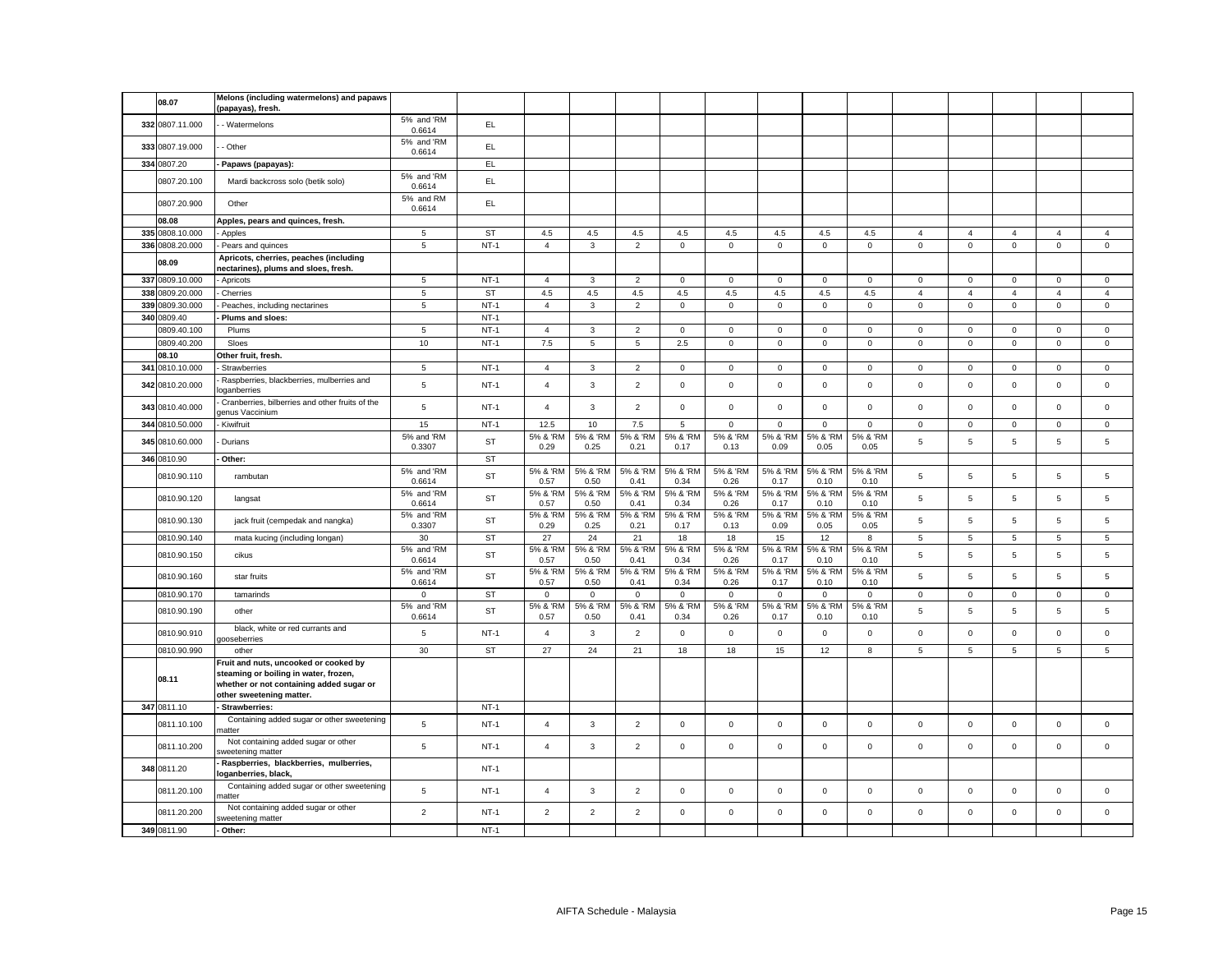| 08.07                              | Melons (including watermelons) and papaws<br>(papayas), fresh.                                                                                         |                      |                  |                                  |                  |                                  |                             |                            |                            |                         |                              |                              |                            |                            |                             |                            |
|------------------------------------|--------------------------------------------------------------------------------------------------------------------------------------------------------|----------------------|------------------|----------------------------------|------------------|----------------------------------|-----------------------------|----------------------------|----------------------------|-------------------------|------------------------------|------------------------------|----------------------------|----------------------------|-----------------------------|----------------------------|
| 332 0807.11.000                    | - Watermelons                                                                                                                                          | 5% and 'RM<br>0.6614 | EL.              |                                  |                  |                                  |                             |                            |                            |                         |                              |                              |                            |                            |                             |                            |
| 333 0807.19.000                    | - Other                                                                                                                                                | 5% and 'RM<br>0.6614 | EL               |                                  |                  |                                  |                             |                            |                            |                         |                              |                              |                            |                            |                             |                            |
| 334 0807.20                        | Papaws (papayas):                                                                                                                                      |                      | EL.              |                                  |                  |                                  |                             |                            |                            |                         |                              |                              |                            |                            |                             |                            |
| 0807.20.100                        | Mardi backcross solo (betik solo)                                                                                                                      | 5% and 'RM<br>0.6614 | EL               |                                  |                  |                                  |                             |                            |                            |                         |                              |                              |                            |                            |                             |                            |
| 0807.20.900                        | Other                                                                                                                                                  | 5% and RM<br>0.6614  | EL.              |                                  |                  |                                  |                             |                            |                            |                         |                              |                              |                            |                            |                             |                            |
| 08.08                              | Apples, pears and quinces, fresh.                                                                                                                      |                      |                  |                                  |                  |                                  |                             |                            |                            |                         |                              |                              |                            |                            |                             |                            |
| 335 0808.10.000                    | Apples                                                                                                                                                 | 5                    | ST               | 4.5                              | $4.5\,$          | $4.5\,$                          | 4.5                         | 4.5                        | 4.5                        | 4.5                     | 4.5                          | $\overline{4}$               | $\overline{4}$             | $\overline{4}$             | $\overline{4}$              | $\overline{4}$             |
| 336 0808.20.000                    | Pears and quinces                                                                                                                                      | $\overline{5}$       | $NT-1$           | $\overline{4}$                   | 3                | $\overline{2}$                   | $\mathsf 0$                 | $\mathbf 0$                | $\mathsf 0$                | $\mathsf{O}$            | $\mathsf 0$                  | $\mathsf 0$                  | $\mathsf 0$                | $\mathsf{O}\xspace$        | $\mathsf 0$                 | $\mathsf 0$                |
| 08.09                              | Apricots, cherries, peaches (including<br>nectarines), plums and sloes, fresh.                                                                         |                      |                  |                                  |                  |                                  |                             |                            |                            |                         |                              |                              |                            |                            |                             |                            |
| 337 0809.10.000                    | Apricots                                                                                                                                               | $\overline{5}$       | $NT-1$           | $\overline{4}$                   | $\mathbf{3}$     | $\overline{2}$                   | $\mathbf 0$                 | $\mathbf 0$                | $\mathbf 0$                | $\mathbf{0}$            | $\mathbf 0$                  | $\mathbf 0$                  | $\mathbf 0$                | $\mathbf 0$                | $\mathbf 0$                 | $\mathsf 0$                |
| 338 0809.20.000                    | Cherries                                                                                                                                               | 5                    | ST               | 4.5                              | 4.5              | 4.5                              | 4.5                         | 4.5                        | 4.5                        | 4.5                     | 4.5                          | $\overline{4}$               | $\overline{4}$             | $\overline{4}$             | $\overline{4}$              | $\overline{4}$             |
| 339 0809.30.000                    | Peaches, including nectarines                                                                                                                          | $\overline{5}$       | $NT-1$           | $\overline{4}$                   | $\mathbf{3}$     | $\overline{2}$                   | $\mathbf 0$                 | $\mathbf 0$                | $\mathbf 0$                | $\mathsf{O}$            | $\mathbf 0$                  | $\mathsf 0$                  | $\mathbf 0$                | $\mathsf{O}\xspace$        | $\mathsf 0$                 | $\mathsf 0$                |
| 340 0809.40                        | Plums and sloes:                                                                                                                                       |                      | $NT-1$           |                                  |                  |                                  |                             |                            |                            |                         |                              |                              |                            |                            |                             |                            |
| 0809.40.100                        | Plums                                                                                                                                                  | 5                    | $NT-1$           | $\overline{4}$                   | $\mathbf{3}$     | $\overline{2}$                   | $\Omega$                    | $\mathbf 0$                | $\mathbf 0$                | $\mathbf 0$             | $\Omega$                     | $\mathbf{0}$                 | $\mathbf 0$                | $\mathbf 0$                | $\mathbf 0$                 | $\mathsf 0$                |
| 0809.40.200                        | Sloes                                                                                                                                                  | 10                   | $NT-1$           | $7.5\,$                          | 5                | 5                                | 2.5                         | $\mathbf 0$                | $\mathsf 0$                | $\mathbf 0$             | $\mathbf 0$                  | $\mathbf 0$                  | $\mathsf 0$                | $\mathbf 0$                | $\mathbf 0$                 | $\mathsf 0$                |
| 08.10                              | Other fruit, fresh.                                                                                                                                    |                      |                  |                                  |                  |                                  |                             |                            |                            |                         |                              |                              |                            |                            |                             |                            |
| 341 0810.10.000<br>342 0810.20.000 | Strawberries<br>Raspberries, blackberries, mulberries and                                                                                              | 5<br>$\sqrt{5}$      | $NT-1$<br>$NT-1$ | $\overline{4}$<br>$\overline{4}$ | 3<br>3           | $\overline{2}$<br>$\overline{2}$ | $\mathbf{0}$<br>$\mathbf 0$ | $\mathbf 0$<br>$\mathbf 0$ | $\mathbf 0$<br>$\mathbf 0$ | $\mathbf{0}$<br>$\circ$ | $\mathbf{0}$<br>$\mathbf{0}$ | $\mathbf{0}$<br>$\mathbf{0}$ | $\mathbf 0$<br>$\mathbf 0$ | $\mathbf 0$<br>$\mathbf 0$ | $\mathbf{0}$<br>$\mathbf 0$ | $\mathbf 0$<br>$\mathbf 0$ |
|                                    | oganberries<br>Cranberries, bilberries and other fruits of the                                                                                         |                      |                  |                                  |                  |                                  |                             |                            |                            |                         |                              |                              |                            |                            |                             |                            |
| 343 0810.40.000                    | genus Vaccinium                                                                                                                                        | 5                    | $NT-1$           | $\overline{4}$                   | $\mathbf{3}$     | $\overline{2}$                   | $\mathsf 0$                 | $\mathsf 0$                | $\mathsf 0$                | $\mathsf 0$             | $\mathbf 0$                  | $\mathbf 0$                  | $\mathsf 0$                | $\mathbf 0$                | $\mathsf 0$                 | $\mathsf 0$                |
| 344 0810.50.000                    | Kiwifruit                                                                                                                                              | 15                   | $NT-1$           | 12.5                             | 10               | 7.5                              | 5                           | $\mathbf 0$                | $\mathsf 0$                | $\mathsf 0$             | $\mathbf 0$                  | $\mathbf 0$                  | $\mathsf 0$                | $\mathbf 0$                | $\mathbf 0$                 | $\mathbf 0$                |
| 345 0810.60.000                    | Durians                                                                                                                                                | 5% and 'RM<br>0.3307 | ST               | 5% & 'RM<br>0.29                 | 5% & 'RM<br>0.25 | 5% & 'RM<br>0.21                 | 5% & 'RM<br>0.17            | 5% & 'RM<br>0.13           | 5% & 'RM<br>0.09           | 5% & 'RM<br>0.05        | 5% & 'RM<br>0.05             | 5                            | $\,$ 5 $\,$                | 5                          | 5                           | 5                          |
| 346 0810.90                        | Other:                                                                                                                                                 |                      | <b>ST</b>        |                                  |                  |                                  |                             |                            |                            |                         |                              |                              |                            |                            |                             |                            |
| 0810.90.110                        | rambutan                                                                                                                                               | 5% and 'RM<br>0.6614 | ST               | 5% & 'RM<br>0.57                 | 5% & 'RM<br>0.50 | 5% & 'RM<br>0.41                 | 5% & 'RM<br>0.34            | 5% & 'RM<br>0.26           | 5% & 'RM<br>0.17           | 5% & 'RM<br>0.10        | 5% & 'RM<br>0.10             | 5                            | $\,$ 5 $\,$                | 5                          | $\mathbf 5$                 | 5                          |
| 0810.90.120                        | langsat                                                                                                                                                | 5% and 'RM<br>0.6614 | ST               | 5% & 'RM<br>0.57                 | 5% & 'RM<br>0.50 | 5% & 'RM<br>0.41                 | 5% & 'RM<br>0.34            | 5% & 'RM<br>0.26           | 5% & 'RM<br>0.17           | 5% & 'RM<br>0.10        | 5% & 'RM<br>0.10             | 5                            | 5                          | 5                          | 5                           | 5                          |
| 0810.90.130                        | jack fruit (cempedak and nangka)                                                                                                                       | 5% and 'RM<br>0.3307 | ST               | 5% & 'RM<br>0.29                 | 5% & 'RM<br>0.25 | 5% & 'RM<br>0.21                 | 5% & 'RM<br>0.17            | 5% & 'RM<br>0.13           | 5% & 'RM<br>0.09           | 5% & 'RM<br>0.05        | 5% & 'RM<br>0.05             | 5                            | $\,$ 5 $\,$                | 5                          | $\mathbf 5$                 | 5                          |
| 0810.90.140                        | mata kucing (including longan)                                                                                                                         | 30                   | ST               | 27                               | 24               | 21                               | 18                          | 18                         | 15                         | 12                      | 8                            | 5                            | $\overline{5}$             | 5                          | 5                           | 5                          |
| 0810.90.150                        | cikus                                                                                                                                                  | 5% and 'RM<br>0.6614 | ST               | 5% & 'RM<br>0.57                 | 5% & 'RM<br>0.50 | 5% & 'RM<br>0.41                 | 5% & 'RM<br>0.34            | 5% & 'RM<br>0.26           | 5% & 'RM<br>0.17           | 5% & 'RM<br>0.10        | 5% & 'RN<br>0.10             | 5                            | $\,$ 5 $\,$                | 5                          | $\overline{5}$              | 5                          |
| 0810.90.160                        | star fruits                                                                                                                                            | 5% and 'RM<br>0.6614 | ST               | 5% & 'RM<br>0.57                 | 5% & 'RM<br>0.50 | 5% & 'RM<br>0.41                 | 5% & 'RM<br>0.34            | 5% & 'RM<br>0.26           | 5% & 'RM<br>0.17           | 5% & 'RM<br>0.10        | 5% & 'RM<br>0.10             | 5                            | $\,$ 5 $\,$                | 5                          | 5                           | 5                          |
| 0810.90.170                        | tamarinds                                                                                                                                              | $\mathbf 0$          | ST               | $\mathsf 0$                      | $\mathbf 0$      | $\mathbf 0$                      | $\mathbf 0$                 | 0                          | $\mathsf 0$                | $\mathsf 0$             | $\mathbf 0$                  | $\mathsf{O}\xspace$          | $\,0\,$                    | $\mathbf{0}$               | $\mathbf 0$                 | $\mathsf 0$                |
| 0810.90.190                        | other                                                                                                                                                  | 5% and 'RM<br>0.6614 | ST               | 5% & 'RM<br>0.57                 | 5% & 'RM<br>0.50 | 5% & 'RM<br>0.41                 | 5% & 'RM<br>0.34            | 5% & 'RM<br>0.26           | 5% & 'RM<br>0.17           | 5% & 'RM<br>0.10        | 5% & 'RM<br>0.10             | 5                            | $\,$ 5 $\,$                | 5                          | $\,$ 5 $\,$                 | 5                          |
| 0810.90.910                        | black, white or red currants and<br>gooseberries                                                                                                       | 5                    | $NT-1$           | $\overline{4}$                   | $\mathbf{3}$     | $\overline{2}$                   | $\mathbf{0}$                | $\mathsf 0$                | $\mathbf 0$                | $\mathsf 0$             | $\mathbf 0$                  | $\mathsf 0$                  | $\mathbf 0$                | $\mathbf 0$                | $\mathsf 0$                 | $\mathsf 0$                |
| 0810.90.990                        | other                                                                                                                                                  | 30                   | ST               | 27                               | 24               | 21                               | 18                          | 18                         | 15                         | 12                      | 8                            | 5                            | $\,$ 5 $\,$                | 5                          | 5                           | $\overline{5}$             |
| 08.11                              | Fruit and nuts, uncooked or cooked by<br>steaming or boiling in water, frozen,<br>whether or not containing added sugar or<br>other sweetening matter. |                      |                  |                                  |                  |                                  |                             |                            |                            |                         |                              |                              |                            |                            |                             |                            |
| 347 0811.10                        | Strawberries:                                                                                                                                          |                      | $NT-1$           |                                  |                  |                                  |                             |                            |                            |                         |                              |                              |                            |                            |                             |                            |
| 0811.10.100                        | Containing added sugar or other sweetening<br>hatter                                                                                                   | 5                    | $NT-1$           | $\overline{4}$                   | $\mathbf{3}$     | $\overline{2}$                   | $\mathsf 0$                 | $\mathbf 0$                | $\mathsf 0$                | $\mathsf 0$             | $\mathbf 0$                  | $\mathbf 0$                  | $\mathsf 0$                | $\mathbf 0$                | $\mathsf 0$                 | $\mathsf 0$                |
| 0811.10.200                        | Not containing added sugar or other<br>weetening matter                                                                                                | 5                    | $NT-1$           | $\overline{4}$                   | $\mathbf{3}$     | $\overline{2}$                   | $\mathsf 0$                 | 0                          | $\mathsf 0$                | $\mathsf{O}$            | $\mathsf 0$                  | $\mathsf 0$                  | $\mathsf 0$                | 0                          | $\mathsf 0$                 | $\mathsf 0$                |
| 348 0811.20                        | Raspberries, blackberries, mulberries,<br>oganberries, black,                                                                                          |                      | $NT-1$           |                                  |                  |                                  |                             |                            |                            |                         |                              |                              |                            |                            |                             |                            |
| 0811.20.100                        | Containing added sugar or other sweetening<br>natter                                                                                                   | 5                    | $NT-1$           | $\overline{4}$                   | 3                | 2                                | $\mathbf 0$                 | $\mathbf 0$                | $\mathbf 0$                | $\mathbf{0}$            | $\mathbf{0}$                 | $\mathbf 0$                  | $\mathbf 0$                | $\mathbf 0$                | $\mathbf 0$                 | $^{\circ}$                 |
| 0811.20.200                        | Not containing added sugar or other<br>weetening matter                                                                                                | $\overline{2}$       | $NT-1$           | $\overline{2}$                   | $\overline{2}$   | $\overline{2}$                   | $\mathsf 0$                 | $\mathsf 0$                | $\mathsf 0$                | $\mathbf 0$             | $\mathbf 0$                  | $\mathbf 0$                  | $\mathsf 0$                | $\mathbf 0$                | $\mathsf 0$                 | $\mathsf 0$                |
| 349 0811.90                        | Other:                                                                                                                                                 |                      | $NT-1$           |                                  |                  |                                  |                             |                            |                            |                         |                              |                              |                            |                            |                             |                            |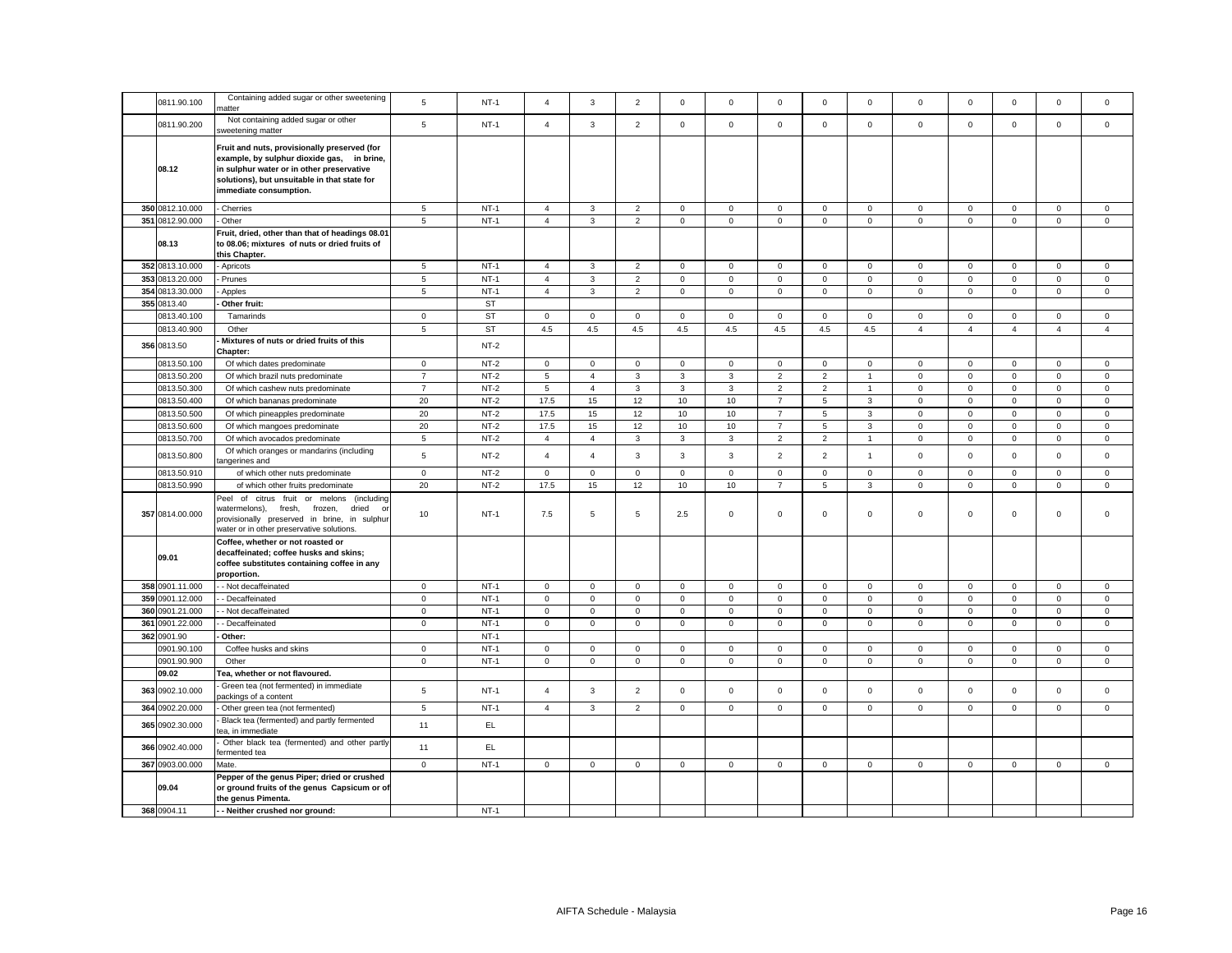|                 | Containing added sugar or other sweetening                                                                                                                                                                        |                |           |                |                |                |              |              |                |                |                |                |                |                     |                |                |
|-----------------|-------------------------------------------------------------------------------------------------------------------------------------------------------------------------------------------------------------------|----------------|-----------|----------------|----------------|----------------|--------------|--------------|----------------|----------------|----------------|----------------|----------------|---------------------|----------------|----------------|
| 0811.90.100     | าatter                                                                                                                                                                                                            | $\,$ 5 $\,$    | $NT-1$    | $\overline{4}$ | 3              | $\overline{2}$ | $\mathsf 0$  | $\mathsf 0$  | $\Omega$       | $\mathbf 0$    | $\mathsf 0$    | $\mathsf 0$    | $\mathbf 0$    | $\mathbf 0$         | $\mathsf 0$    | $\mathbf 0$    |
| 0811.90.200     | Not containing added sugar or other<br>sweetening matter                                                                                                                                                          | 5              | $NT-1$    | $\overline{4}$ | $\mathbf{3}$   | $\overline{2}$ | $\mathsf 0$  | $\mathbf 0$  | $\mathsf 0$    | $\mathbf 0$    | $\mathsf 0$    | $\mathsf 0$    | $\mathsf 0$    | $\mathsf 0$         | $\mathsf 0$    | $\mathsf 0$    |
| 08.12           | Fruit and nuts, provisionally preserved (for<br>example, by sulphur dioxide gas, in brine,<br>in sulphur water or in other preservative<br>solutions), but unsuitable in that state for<br>immediate consumption. |                |           |                |                |                |              |              |                |                |                |                |                |                     |                |                |
| 350 0812.10.000 | Cherries                                                                                                                                                                                                          | 5              | $NT-1$    | $\overline{4}$ | $\mathbf{3}$   | $\overline{2}$ | $\mathbf 0$  | 0            | $\mathbf 0$    | $\mathbf 0$    | $\mathbf 0$    | $\mathbf 0$    | $\mathbf 0$    | $\mathbf 0$         | $\mathbf 0$    | $\mathbf 0$    |
| 351 0812.90.000 | Other                                                                                                                                                                                                             | 5              | $NT-1$    | $\overline{4}$ | $\mathbf{3}$   | $\overline{2}$ | $\mathbf{0}$ | $\mathbf 0$  | $\mathsf 0$    | $\mathbf 0$    | $\mathsf 0$    | $\mathsf 0$    | $\mathsf 0$    | $\mathsf{O}\xspace$ | $\mathsf 0$    | $\mathsf 0$    |
| 08.13           | Fruit, dried, other than that of headings 08.01<br>to 08.06; mixtures of nuts or dried fruits of<br>this Chapter.                                                                                                 |                |           |                |                |                |              |              |                |                |                |                |                |                     |                |                |
| 352 0813.10.000 | Apricots                                                                                                                                                                                                          | $\,$ 5 $\,$    | $NT-1$    | $\overline{4}$ | 3              | $\mathbf 2$    | $\mathsf 0$  | $\mathsf 0$  | $\mathsf 0$    | $\mathsf 0$    | $\,0\,$        | $\mathsf 0$    | $\pmb{0}$      | $\mathsf{O}\xspace$ | $\mathbf 0$    | $\mathsf 0$    |
| 353 0813.20.000 | Prunes                                                                                                                                                                                                            | $\,$ 5 $\,$    | $NT-1$    | $\overline{4}$ | $\mathbf{3}$   | $\overline{c}$ | $\mathsf 0$  | $\mathbf 0$  | $\mathsf 0$    | $\mathbf 0$    | $\mathbf 0$    | $\mathsf 0$    | $\mathsf 0$    | $\mathsf 0$         | $\mathbf 0$    | $\mathsf 0$    |
| 354 0813.30.000 | Apples                                                                                                                                                                                                            | 5              | $NT-1$    | $\overline{4}$ | $\mathbf{3}$   | $\overline{2}$ | $\mathsf 0$  | $\mathsf 0$  | $\mathsf 0$    | $\mathbf 0$    | $\mathsf 0$    | $\mathsf 0$    | $\mathbf 0$    | $\mathsf 0$         | $\mathsf 0$    | $\mathsf 0$    |
| 355 0813.40     | Other fruit:                                                                                                                                                                                                      |                | <b>ST</b> |                |                |                |              |              |                |                |                |                |                |                     |                |                |
| 0813.40.100     | Tamarinds                                                                                                                                                                                                         | $\mathbf{0}$   | <b>ST</b> | $\mathbf{0}$   | $\mathbf 0$    | $\mathbf 0$    | $\mathbf 0$  | $\mathbf 0$  | $\mathbf 0$    | $\mathbf{0}$   | $\mathbf{0}$   | $\mathbf 0$    | $\mathbf 0$    | $\mathbf 0$         | $\mathbf 0$    | $\mathbf 0$    |
| 0813.40.900     | Other                                                                                                                                                                                                             | $\overline{5}$ | <b>ST</b> | 4.5            | $4.5\,$        | 4.5            | 4.5          | 4.5          | 4.5            | 4.5            | 4.5            | $\overline{4}$ | $\overline{4}$ | $\overline{4}$      | $\overline{4}$ | $\overline{4}$ |
| 356 0813.50     | Mixtures of nuts or dried fruits of this                                                                                                                                                                          |                | $NT-2$    |                |                |                |              |              |                |                |                |                |                |                     |                |                |
| 0813.50.100     | Chapter:                                                                                                                                                                                                          | $\mathbf 0$    | $NT-2$    | $\mathbf{0}$   | $\mathbf 0$    | $\mathbf 0$    | $\mathbf{0}$ | $\mathbf 0$  | $\mathbf 0$    | $\mathbf 0$    | $\mathbf 0$    | $\mathbf 0$    | $\mathbf 0$    | $\Omega$            | $\mathbf 0$    | $\mathsf 0$    |
|                 | Of which dates predominate                                                                                                                                                                                        | $\overline{7}$ | $NT-2$    |                |                |                |              |              |                |                |                |                |                |                     |                |                |
| 0813.50.200     | Of which brazil nuts predominate                                                                                                                                                                                  |                |           | 5              | $\overline{4}$ | 3              | 3            | 3            | $\overline{2}$ | $\overline{2}$ | $\overline{1}$ | $\mathbf 0$    | $\mathsf 0$    | $\mathsf 0$         | $\mathsf 0$    | $\mathsf 0$    |
| 0813.50.300     | Of which cashew nuts predominate                                                                                                                                                                                  | $\overline{7}$ | $NT-2$    | 5              | $\overline{4}$ | 3              | 3            | 3            | $\overline{2}$ | $\overline{2}$ | $\overline{1}$ | $\mathsf 0$    | $\mathbf 0$    | $\mathsf 0$         | $\mathsf 0$    | $\mathsf 0$    |
| 0813.50.400     | Of which bananas predominate                                                                                                                                                                                      | 20             | $NT-2$    | 17.5           | 15             | 12             | 10           | 10           | $\overline{7}$ | 5              | 3              | $\mathbf 0$    | $\mathsf 0$    | $\mathsf 0$         | $\mathbf 0$    | $\mathsf 0$    |
| 0813.50.500     | Of which pineapples predominate                                                                                                                                                                                   | 20             | $NT-2$    | 17.5           | 15             | 12             | 10           | 10           | $\overline{7}$ | 5              | $\mathbf{3}$   | $\mathsf 0$    | $\mathbf 0$    | $\mathsf 0$         | $\mathsf 0$    | $\mathsf 0$    |
| 0813.50.600     | Of which mangoes predominate                                                                                                                                                                                      | 20             | $NT-2$    | 17.5           | 15             | 12             | 10           | 10           | $\overline{7}$ | 5              | $\mathbf{3}$   | $\mathbf{0}$   | $\mathsf 0$    | $\mathsf 0$         | $\mathsf 0$    | $\mathsf 0$    |
| 0813.50.700     | Of which avocados predominate                                                                                                                                                                                     | $\,$ 5 $\,$    | $NT-2$    | $\overline{4}$ | $\overline{4}$ | 3              | $\mathbf{3}$ | $\mathbf{3}$ | $\overline{2}$ | $\overline{2}$ | $\overline{1}$ | $\mathbf 0$    | $\mathsf 0$    | $\mathsf 0$         | $\mathbf 0$    | $\mathsf 0$    |
| 0813.50.800     | Of which oranges or mandarins (including<br>angerines and                                                                                                                                                         | $\,$ 5 $\,$    | $NT-2$    | $\overline{4}$ | $\overline{4}$ | 3              | $\mathbf{3}$ | 3            | $\overline{2}$ | $\overline{2}$ | $\mathbf{1}$   | $\mathsf 0$    | $\mathsf 0$    | $\mathsf 0$         | $\mathsf 0$    | $\mathsf 0$    |
| 0813.50.910     | of which other nuts predominate                                                                                                                                                                                   | $\mathbf 0$    | $NT-2$    | $\circ$        | $\mathbf 0$    | $\mathbf{0}$   | $\mathbf{0}$ | $\mathbf{0}$ | $\mathbf 0$    | $\mathbf{O}$   | $\mathbf 0$    | $\mathbf 0$    | $\mathbf 0$    | $\mathbf 0$         | $\mathbf 0$    | $\mathsf 0$    |
| 0813.50.990     | of which other fruits predominate                                                                                                                                                                                 | 20             | $NT-2$    | 17.5           | 15             | 12             | 10           | 10           | $\overline{7}$ | 5              | 3              | $\mathbf 0$    | $\mathsf 0$    | $\mathsf 0$         | $\mathsf 0$    | $\mathsf 0$    |
| 357 0814.00.000 | Peel of citrus fruit or melons (including<br>watermelons), fresh,<br>frozen,<br>dried<br>$\Omega$<br>provisionally preserved in brine, in sulphur<br>water or in other preservative solutions.                    | 10             | $NT-1$    | 7.5            | 5              | 5              | 2.5          | 0            | $\mathbf 0$    | $\mathbf{0}$   | $\mathsf 0$    | $\mathbf 0$    | $\mathbf 0$    | $\mathbf 0$         | $\mathbf 0$    | $\mathsf 0$    |
| 09.01           | Coffee, whether or not roasted or<br>decaffeinated; coffee husks and skins;<br>coffee substitutes containing coffee in any<br>proportion.                                                                         |                |           |                |                |                |              |              |                |                |                |                |                |                     |                |                |
| 358 0901.11.000 | - Not decaffeinated                                                                                                                                                                                               | $\mathbf{0}$   | $NT-1$    | $\mathbf{0}$   | $\mathbf 0$    | $\mathbf 0$    | $\mathbf 0$  | $\mathbf 0$  | $\mathbf 0$    | $\mathbf 0$    | $\mathsf 0$    | $\mathbf{0}$   | $\mathsf 0$    | $\mathbf 0$         | $\mathbf 0$    | $\mathbf 0$    |
| 359 0901.12.000 | - Decaffeinated                                                                                                                                                                                                   | $\mathbf 0$    | $NT-1$    | $\mathsf 0$    | $\mathbf 0$    | $\mathbf 0$    | $\mathbf 0$  | 0            | $\mathbf 0$    | $\mathbf 0$    | $\mathbf 0$    | $\mathbf 0$    | $\mathbf 0$    | $\mathbf 0$         | $\mathbf 0$    | $\mathbf 0$    |
| 360 0901.21.000 | - Not decaffeinated                                                                                                                                                                                               | $\mathbf 0$    | $NT-1$    | $\mathbf{0}$   | $\mathbf 0$    | $\mathbf 0$    | $\mathbf{0}$ | $\mathbf{0}$ | $\mathbf 0$    | $\mathbf 0$    | $\mathsf 0$    | $\mathsf 0$    | $\mathbf 0$    | $\mathbf 0$         | $\mathbf 0$    | $\mathbf 0$    |
| 361 0901.22.000 | - Decaffeinated                                                                                                                                                                                                   | $\mathbf 0$    | $NT-1$    | $\mathsf 0$    | $\mathbf 0$    | $\mathbf 0$    | $\mathbf 0$  | $\mathbf{0}$ | $\mathsf 0$    | $\mathbf 0$    | $\mathbf{0}$   | $\mathbf 0$    | $\mathsf 0$    | $\mathbf 0$         | $\mathsf 0$    | $\mathbf 0$    |
| 362 0901.90     | Other:                                                                                                                                                                                                            |                | $NT-1$    |                |                |                |              |              |                |                |                |                |                |                     |                |                |
| 0901.90.100     | Coffee husks and skins                                                                                                                                                                                            | $\mathbf 0$    | $NT-1$    | $\overline{0}$ | 0              | $\mathsf 0$    | $\mathbf 0$  | $\mathbf 0$  | 0              | $\mathbf 0$    | $\mathsf 0$    | $\mathsf 0$    | $\mathbf 0$    | $\mathsf 0$         | $\mathsf 0$    | $\mathbf 0$    |
| 0901.90.900     | Other                                                                                                                                                                                                             | $\mathbf 0$    | $NT-1$    | $\mathsf 0$    | $\mathsf 0$    | $\mathsf 0$    | $\mathsf 0$  | $\mathsf 0$  | $\mathsf 0$    | $\mathsf 0$    | $\mathsf 0$    | $\mathsf 0$    | $\mathsf 0$    | $\mathsf 0$         | $\mathsf 0$    | $\mathsf 0$    |
| 09.02           | Tea, whether or not flavoured.                                                                                                                                                                                    |                |           |                |                |                |              |              |                |                |                |                |                |                     |                |                |
| 363 0902.10.000 | Green tea (not fermented) in immediate<br>packings of a content                                                                                                                                                   | $\,$ 5 $\,$    | $NT-1$    | $\overline{4}$ | $\mathbf{3}$   | $\overline{2}$ | $\mathsf 0$  | $\mathsf 0$  | $\mathsf 0$    | $\mathsf 0$    | $\mathsf 0$    | $\mathbf 0$    | $\mathsf 0$    | $\mathsf 0$         | $\mathsf 0$    | $\mathsf 0$    |
| 364 0902.20.000 | Other green tea (not fermented)                                                                                                                                                                                   | 5              | $NT-1$    | $\overline{4}$ | $\mathbf{3}$   | $\overline{2}$ | $\mathsf 0$  | $\mathbf 0$  | $\mathsf 0$    | $\mathbf 0$    | $\mathbf 0$    | $\mathbf{0}$   | $\mathsf 0$    | $\mathsf 0$         | $\mathbf 0$    | $\mathsf 0$    |
| 365 0902.30.000 | Black tea (fermented) and partly fermented<br>ea, in immediate                                                                                                                                                    | 11             | EL.       |                |                |                |              |              |                |                |                |                |                |                     |                |                |
| 366 0902.40.000 | Other black tea (fermented) and other partly<br>fermented tea                                                                                                                                                     | 11             | EL.       |                |                |                |              |              |                |                |                |                |                |                     |                |                |
| 367 0903.00.000 | Mate.                                                                                                                                                                                                             | $\mathbf 0$    | $NT-1$    | $\mathsf 0$    | $\mathbf 0$    | $\mathbf 0$    | $\mathbf 0$  | $\mathbf{0}$ | $\mathsf 0$    | $\mathbf 0$    | $\mathsf 0$    | $\mathbf 0$    | $\mathsf 0$    | $\mathbf 0$         | $\mathsf 0$    | $\mathsf 0$    |
| 09.04           | Pepper of the genus Piper; dried or crushed<br>or ground fruits of the genus Capsicum or of<br>the genus Pimenta.                                                                                                 |                |           |                |                |                |              |              |                |                |                |                |                |                     |                |                |
| 368 0904.11     | -- Neither crushed nor ground:                                                                                                                                                                                    |                | $NT-1$    |                |                |                |              |              |                |                |                |                |                |                     |                |                |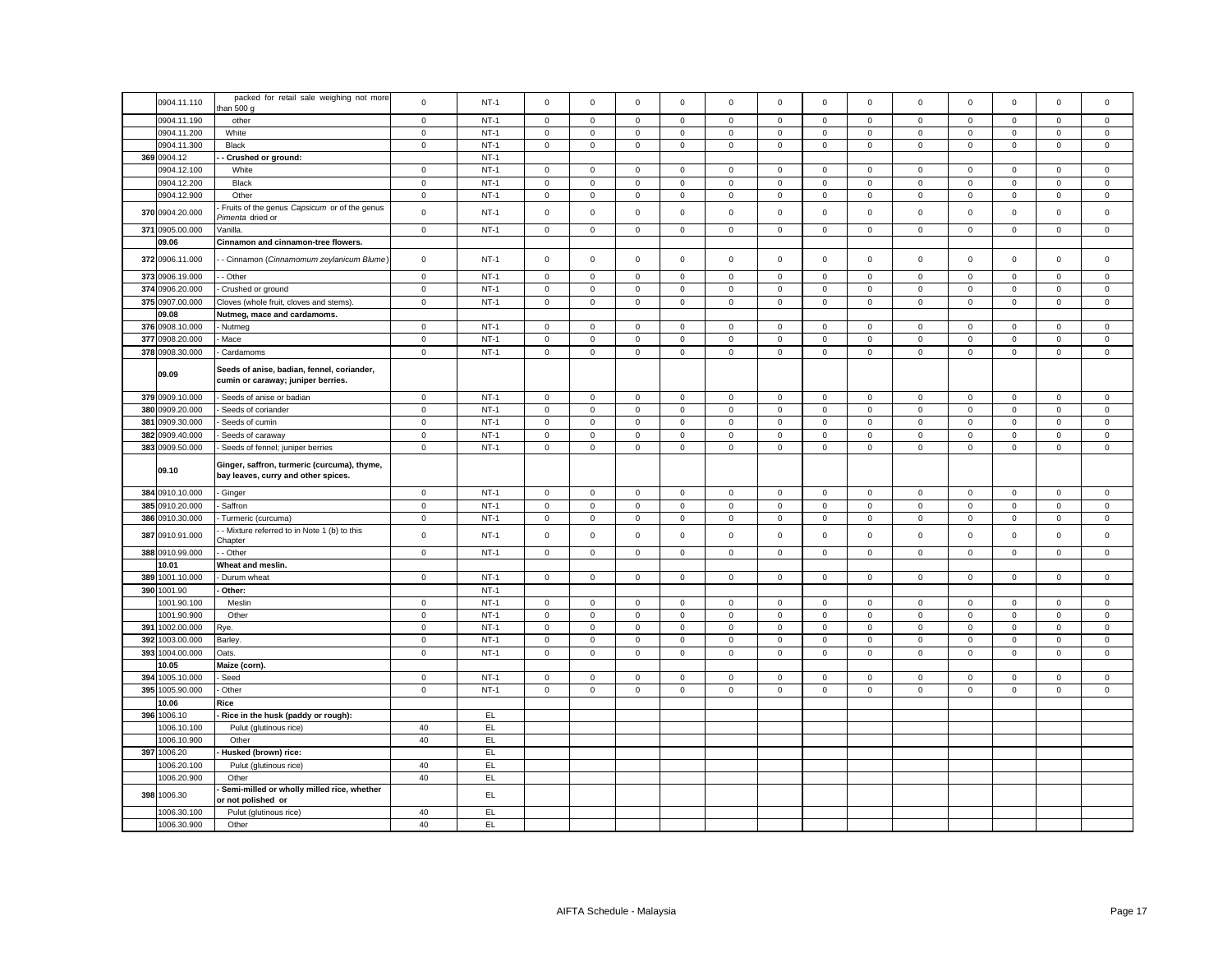|     | 0904.11.110     | packed for retail sale weighing not more                                           | $\mathbf 0$  | $NT-1$ | $\mathbf 0$         | $\mathbf 0$  | $\mathbf 0$  | $\mathbf 0$  | $\mathbf 0$  | $\mathbf 0$ | $\mathbf 0$         | $\mathbf 0$  | $\mathbf 0$ | $\mathbf 0$ | $\mathbf 0$         | $\mathbf 0$  | $\Omega$     |
|-----|-----------------|------------------------------------------------------------------------------------|--------------|--------|---------------------|--------------|--------------|--------------|--------------|-------------|---------------------|--------------|-------------|-------------|---------------------|--------------|--------------|
|     |                 | than $500 g$                                                                       |              |        |                     |              |              |              |              |             |                     |              |             |             |                     |              |              |
|     | 0904.11.190     | other                                                                              | $\mathbf{0}$ | $NT-1$ | $\mathbf 0$         | $\mathbf{0}$ | $\mathbf 0$  | $\mathbf{0}$ | $\mathbf 0$  | $\mathbf 0$ | $\mathbf{0}$        | $\mathbf 0$  | $\mathbf 0$ | $\mathbf 0$ | $\mathbf 0$         | $\mathbf{0}$ | $\mathbf 0$  |
|     |                 |                                                                                    |              |        |                     |              |              |              |              |             |                     |              |             |             |                     |              |              |
|     | 0904.11.200     | White                                                                              | $\mathbf 0$  | $NT-1$ | $\mathbf 0$         | $\mathbf 0$  | $\mathsf 0$  | $\mathbf 0$  | $\mathbf 0$  | $\mathsf 0$ | $\mathbf 0$         | $\mathbf 0$  | $\mathsf 0$ | $\mathsf 0$ | $\mathbf 0$         | $\mathsf 0$  | $\mathbf 0$  |
|     | 0904.11.300     | Black                                                                              | $\mathbf 0$  | $NT-1$ | $\mathbf 0$         | $\mathbf 0$  | $\mathsf 0$  | $\mathbf 0$  | $\mathbf 0$  | $\mathsf 0$ | $\mathbf 0$         | $\mathbf 0$  | $\mathsf 0$ | $\mathbf 0$ | $\mathbf 0$         | $\mathsf 0$  | $\mathbf 0$  |
|     | 369 0904.12     | - Crushed or ground:                                                               |              | $NT-1$ |                     |              |              |              |              |             |                     |              |             |             |                     |              |              |
|     | 0904.12.100     | White                                                                              | $\mathbf 0$  | $NT-1$ | $\mathbf 0$         | $\mathbf 0$  | $\mathbf 0$  | $\mathsf 0$  | $\mathbf 0$  | $\mathbf 0$ | $\mathsf 0$         | $\mathbf 0$  | $\mathsf 0$ | $\,0\,$     | $\mathsf 0$         | $\mathsf 0$  | $\mathbf 0$  |
|     |                 |                                                                                    |              |        |                     |              |              |              |              |             |                     |              |             |             |                     |              |              |
|     | 0904.12.200     | Black                                                                              | $\mathsf 0$  | $NT-1$ | $\mathbf 0$         | $\mathbf 0$  | $\mathsf 0$  | $\mathsf 0$  | $\mathbf 0$  | $\mathsf 0$ | $\mathbf 0$         | $\mathbf 0$  | $\mathsf 0$ | $\mathbf 0$ | $\mathbf 0$         | $\mathsf 0$  | $\mathbf 0$  |
|     | 0904.12.900     | Other                                                                              | $\mathsf 0$  | $NT-1$ | $\mathsf 0$         | $\mathsf 0$  | $\mathbf 0$  | $\mathsf 0$  | $\mathbf 0$  | $\mathsf 0$ | $\mathsf 0$         | $\mathbf 0$  | $\mathsf 0$ | $\mathbf 0$ | $\mathsf 0$         | $\mathsf 0$  | $\mathbf 0$  |
|     |                 | Fruits of the genus Capsicum or of the genus                                       |              |        |                     |              |              |              |              |             |                     |              |             |             |                     |              |              |
|     | 370 0904.20.000 | Pimenta dried or                                                                   | $\mathbf 0$  | $NT-1$ | $\mathsf 0$         | $\mathbf 0$  | $\mathsf 0$  | $\mathsf 0$  | $\mathsf 0$  | $\mathsf 0$ | $\mathsf 0$         | $\mathbf 0$  | $\mathsf 0$ | $\mathbf 0$ | $\mathsf 0$         | $\mathsf 0$  | $\mathbf 0$  |
|     | 371 0905.00.000 | Vanilla.                                                                           | $\mathsf 0$  | $NT-1$ | $\mathsf 0$         | $\mathbf 0$  | $\mathsf 0$  | $\mathsf 0$  | $\mathsf 0$  | $\mathsf 0$ | $\mathbf 0$         | $\mathbf 0$  | $\mathbf 0$ | $\mathbf 0$ | $\mathsf 0$         | $\mathsf 0$  | $\mathbf 0$  |
|     |                 |                                                                                    |              |        |                     |              |              |              |              |             |                     |              |             |             |                     |              |              |
|     | 09.06           | Cinnamon and cinnamon-tree flowers.                                                |              |        |                     |              |              |              |              |             |                     |              |             |             |                     |              |              |
|     | 372 0906.11.000 |                                                                                    |              | $NT-1$ | $\mathsf 0$         | $\mathbf 0$  | $\mathsf 0$  | $\mathsf 0$  | $\mathsf 0$  | $\mathsf 0$ | $\mathbf 0$         | $\mathsf 0$  | $\mathsf 0$ | $\mathbf 0$ | $\mathbf 0$         | $\mathsf 0$  | $\mathsf 0$  |
|     |                 | - Cinnamon (Cinnamomum zeylanicum Blume)                                           | $\mathbf 0$  |        |                     |              |              |              |              |             |                     |              |             |             |                     |              |              |
|     | 373 0906.19.000 | - Other                                                                            | $\mathsf 0$  | $NT-1$ | $\mathbf 0$         | $\mathbf 0$  | $\mathsf 0$  | $\mathbf 0$  | $\mathbf 0$  | $\mathbf 0$ | $\mathbf 0$         | $\mathbf 0$  | $\mathbf 0$ | $\mathsf 0$ | $\mathbf 0$         | $\mathbf{0}$ | $\mathbf{0}$ |
|     | 374 0906.20.000 |                                                                                    | $\mathbf 0$  | $NT-1$ | $\mathbf 0$         | $\mathbf 0$  |              | $\mathbf 0$  | $\mathbf 0$  |             |                     | $\mathbf 0$  | $\mathbf 0$ |             |                     |              | $\mathbf 0$  |
|     |                 | Crushed or ground                                                                  |              |        |                     |              | $\mathsf 0$  |              |              | $\mathsf 0$ | $\mathbf 0$         |              |             | $\mathbf 0$ | $\mathbf 0$         | $\mathbf 0$  |              |
|     | 375 0907.00.000 | Cloves (whole fruit, cloves and stems)                                             | $\mathbf 0$  | $NT-1$ | $\mathbf 0$         | $\mathbf 0$  | $\mathbf{0}$ | $\mathbf 0$  | $\mathbf 0$  | $\mathsf 0$ | $\mathbf 0$         | $\mathbf{0}$ | $\mathbf 0$ | $\mathsf 0$ | $\mathbf 0$         | $\mathsf 0$  | $\mathbf{0}$ |
|     | 09.08           | Nutmeg, mace and cardamoms.                                                        |              |        |                     |              |              |              |              |             |                     |              |             |             |                     |              |              |
|     | 376 0908.10.000 | - Nutmeg                                                                           | $\mathsf 0$  | $NT-1$ | $\mathsf 0$         | $\mathbf 0$  | $\mathsf 0$  | $\mathsf 0$  | $\mathsf 0$  | $\mathsf 0$ | $\mathbf 0$         | $\mathbf 0$  | $\mathbf 0$ | $\mathbf 0$ | $\mathsf 0$         | $\mathsf 0$  | $\mathbf 0$  |
|     |                 |                                                                                    |              |        |                     |              |              |              |              |             |                     |              |             |             |                     |              |              |
|     | 377 0908.20.000 | Mace                                                                               | $\mathsf 0$  | $NT-1$ | $\mathsf 0$         | $\mathbf 0$  | $\mathbf 0$  | $\mathsf 0$  | $\mathbf 0$  | $\mathsf 0$ | $\mathsf 0$         | $\mathbf 0$  | $\mathsf 0$ | $\mathbf 0$ | $\mathsf 0$         | $\mathbf 0$  | $\mathsf 0$  |
|     | 378 0908.30.000 | Cardamoms                                                                          | $\mathbf 0$  | $NT-1$ | $\mathsf 0$         | $\mathsf 0$  | $\mathsf 0$  | $\mathsf 0$  | $\mathsf 0$  | $\mathsf 0$ | $\mathsf 0$         | $\mathsf 0$  | $\mathsf 0$ | $\mathbf 0$ | $\mathsf 0$         | $\mathbf 0$  | $\mathsf 0$  |
|     |                 |                                                                                    |              |        |                     |              |              |              |              |             |                     |              |             |             |                     |              |              |
|     | 09.09           | Seeds of anise, badian, fennel, coriander,                                         |              |        |                     |              |              |              |              |             |                     |              |             |             |                     |              |              |
|     |                 | cumin or caraway; juniper berries.                                                 |              |        |                     |              |              |              |              |             |                     |              |             |             |                     |              |              |
|     | 379 0909.10.000 | Seeds of anise or badian                                                           | $\mathbf 0$  | $NT-1$ | $\mathbf 0$         | $\mathsf 0$  | $\mathsf 0$  | $\mathbf 0$  | $\mathbf 0$  | $\mathsf 0$ | $\mathsf 0$         | 0            | 0           | $\mathsf 0$ | $\mathbf{0}$        | $\mathsf 0$  | 0            |
|     |                 |                                                                                    |              |        |                     |              |              |              |              |             |                     |              |             |             |                     |              |              |
|     | 380 0909.20.000 | Seeds of coriander                                                                 | $\mathbf 0$  | $NT-1$ | $\mathsf 0$         | $\mathsf 0$  | $\mathsf 0$  | $\mathsf 0$  | $\mathsf 0$  | $\mathsf 0$ | $\mathsf 0$         | $\mathsf 0$  | $\mathsf 0$ | $\mathbf 0$ | $\mathsf 0$         | $\mathbf 0$  | $\mathsf 0$  |
|     | 381 0909.30.000 | Seeds of cumin                                                                     | $\mathbf 0$  | $NT-1$ | $\mathbf 0$         | $\mathbf 0$  | $\mathsf 0$  | $\mathsf 0$  | $\mathsf 0$  | $\mathbf 0$ | $\mathsf 0$         | $\mathbf 0$  | $\mathbf 0$ | $\mathsf 0$ | $\mathbf 0$         | $\mathbf 0$  | $\mathbf{0}$ |
| 382 | 0909.40.000     | Seeds of caraway                                                                   | $\mathsf 0$  | $NT-1$ | $\mathsf{O}\xspace$ | $\mathsf 0$  | $\mathsf 0$  | $\mathsf 0$  | $\mathsf 0$  | $\mathbf 0$ | $\mathsf 0$         | 0            | $\mathsf 0$ | $\mathbf 0$ | $\mathsf 0$         | $\mathbf 0$  | 0            |
|     | 383 0909.50.000 |                                                                                    |              |        |                     |              |              |              |              |             |                     |              |             |             |                     |              |              |
|     |                 | - Seeds of fennel; juniper berries                                                 | $\mathbf 0$  | $NT-1$ | 0                   | $\mathbf 0$  | $\mathbf 0$  | $\mathbf 0$  | $\mathsf 0$  | $\mathbf 0$ | $\mathsf 0$         | $\mathbf 0$  | 0           | $\mathbf 0$ | $\mathsf{O}\xspace$ | $\mathsf 0$  | $\mathsf 0$  |
|     | 09.10           | Ginger, saffron, turmeric (curcuma), thyme,<br>bay leaves, curry and other spices. |              |        |                     |              |              |              |              |             |                     |              |             |             |                     |              |              |
|     |                 |                                                                                    |              |        |                     |              |              |              |              |             |                     |              |             |             |                     |              |              |
|     |                 |                                                                                    |              |        |                     |              |              |              |              |             |                     |              |             |             |                     |              |              |
|     | 384 0910.10.000 | - Ginger                                                                           | $\mathsf 0$  | $NT-1$ | $\mathbf 0$         | $\mathbf 0$  | $\mathsf 0$  | $\mathbf 0$  | $\mathbf{0}$ | $\mathsf 0$ | $\mathbf{0}$        | $\mathbf{0}$ | $\mathbf 0$ | $\mathsf 0$ | $\mathsf 0$         | $\mathsf 0$  | $\mathbf{0}$ |
|     | 385 0910.20.000 | Saffron                                                                            | $\mathsf 0$  | $NT-1$ | $\mathbf 0$         | $\mathbf 0$  | $\mathsf 0$  | $\mathbf 0$  | $\mathbf 0$  | $\mathsf 0$ | $\mathsf 0$         | $\mathbf 0$  | $\mathsf 0$ | $\mathsf 0$ | $\mathbf 0$         | $\mathsf 0$  | $\mathbf 0$  |
|     | 386 0910.30.000 | Turmeric (curcuma)                                                                 | $\mathsf 0$  | $NT-1$ | $\mathbf 0$         | $\mathbf 0$  | $\mathbf 0$  | $\mathsf 0$  | $\mathbf 0$  | $\mathsf 0$ | $\mathbf 0$         | $\mathbf 0$  | $\mathbf 0$ | $\mathbf 0$ | $\mathsf{O}\xspace$ | $\mathsf 0$  | $\mathbf 0$  |
|     |                 | - Mixture referred to in Note 1 (b) to this                                        |              |        |                     |              |              |              |              |             |                     |              |             |             |                     |              |              |
|     | 387 0910.91.000 | Chapter                                                                            | $\mathsf 0$  | $NT-1$ | $\mathsf 0$         | $\mathsf 0$  | $\mathsf 0$  | $\mathsf 0$  | $\mathsf 0$  | $\mathsf 0$ | $\mathsf 0$         | $\mathbf 0$  | $\mathsf 0$ | $\mathbf 0$ | $\mathsf 0$         | $\mathsf 0$  | $\mathsf 0$  |
|     |                 |                                                                                    |              |        |                     |              |              |              |              |             |                     |              |             |             |                     |              |              |
|     | 388 0910.99.000 | - Other                                                                            | $\mathbf 0$  | $NT-1$ | $\mathbf 0$         | $\mathbf 0$  | $\mathsf 0$  | $\mathbf 0$  | $\mathbf 0$  | $\mathsf 0$ | $\mathsf 0$         | $\mathbf 0$  | $\mathbf 0$ | $\mathbf 0$ | $\mathsf 0$         | $\mathsf 0$  | $\mathsf 0$  |
|     | 10.01           | Wheat and meslin.                                                                  |              |        |                     |              |              |              |              |             |                     |              |             |             |                     |              |              |
|     | 389 1001.10.000 | - Durum wheat                                                                      | $\mathsf 0$  | $NT-1$ | $\mathbf 0$         | $\mathbf 0$  | $\mathsf 0$  | $\mathbf{0}$ | $\mathbf{0}$ | $\mathsf 0$ | $\mathbf 0$         | $\mathbf 0$  | $\mathbf 0$ | $\mathsf 0$ | $\mathbf 0$         | $\mathsf 0$  | $\mathbf 0$  |
|     | 390 1001.90     | Other:                                                                             |              | $NT-1$ |                     |              |              |              |              |             |                     |              |             |             |                     |              |              |
|     | 1001.90.100     | Meslin                                                                             | $\mathsf 0$  | $NT-1$ | $\mathbf{0}$        | $\mathbf 0$  | $\mathsf 0$  | $\mathbf{0}$ | $\mathbf 0$  | $\mathsf 0$ | $\mathsf 0$         | $\mathbf 0$  | $\mathbf 0$ | $\mathbf 0$ | $\mathbf 0$         | $\mathsf 0$  | $\mathbf 0$  |
|     |                 |                                                                                    |              |        |                     |              |              |              |              |             |                     |              |             |             |                     |              |              |
|     | 1001.90.900     | Other                                                                              | $\mathsf 0$  | $NT-1$ | $\mathbf 0$         | $\mathbf 0$  | $\mathsf 0$  | $\mathsf 0$  | $\mathbf 0$  | $\mathsf 0$ | $\mathsf 0$         | $\mathbf 0$  | $\mathbf 0$ | $\mathbf 0$ | $\mathbf 0$         | $\mathsf 0$  | $\mathbf 0$  |
|     | 391 1002.00.000 | Rye.                                                                               | $\mathsf 0$  | $NT-1$ | $\mathbf 0$         | $\mathbf 0$  | $\,0\,$      | $\mathsf 0$  | $\mathbf 0$  | $\mathsf 0$ | $\mathsf{O}\xspace$ | $\mathbf 0$  | $\mathsf 0$ | $\mathbf 0$ | $\mathbf 0$         | $\mathbf 0$  | $\mathbf 0$  |
|     | 392 1003.00.000 | Barley.                                                                            | $\mathbf 0$  | $NT-1$ | $\mathbf 0$         | $\mathbf 0$  | $\mathsf 0$  | $\mathsf 0$  | $\mathbf 0$  | $\mathsf 0$ | 0                   | $\mathbf 0$  | $\mathsf 0$ | $\mathbf 0$ | $\mathbf 0$         | $\mathsf 0$  | $\mathsf 0$  |
| 393 | 1004.00.000     | Oats.                                                                              | $\mathbf 0$  | $NT-1$ | $\mathsf 0$         | $\mathsf 0$  | $\mathbf 0$  | $\mathsf 0$  | $\mathsf 0$  | $\mathsf 0$ | $\mathsf 0$         | $\mathbf 0$  | $\mathsf 0$ | $\pmb{0}$   | $\mathsf 0$         | $\mathsf 0$  | $\mathbf 0$  |
|     | 10.05           |                                                                                    |              |        |                     |              |              |              |              |             |                     |              |             |             |                     |              |              |
|     |                 | Maize (corn).                                                                      |              |        |                     |              |              |              |              |             |                     |              |             |             |                     |              |              |
|     | 394 1005.10.000 | Seed                                                                               | $\mathbf 0$  | $NT-1$ | $\mathsf 0$         | $\mathbf 0$  | 0            | $\mathbf 0$  | $\mathsf 0$  | 0           | 0                   | $\mathbf 0$  | 0           | $\,0\,$     | $\mathbf 0$         | $\mathbf 0$  | 0            |
|     | 395 1005.90.000 | Other                                                                              | $\mathbf 0$  | $NT-1$ | $\mathsf 0$         | $\mathsf 0$  | $\mathsf 0$  | $\mathsf 0$  | $\mathsf 0$  | $\mathsf 0$ | 0                   | $\mathsf 0$  | $\mathbf 0$ | $\mathbf 0$ | $\mathsf 0$         | $\mathbf 0$  | $\mathsf 0$  |
|     | 10.06           | Rice                                                                               |              |        |                     |              |              |              |              |             |                     |              |             |             |                     |              |              |
|     |                 |                                                                                    |              |        |                     |              |              |              |              |             |                     |              |             |             |                     |              |              |
|     | 396 1006.10     | Rice in the husk (paddy or rough):                                                 |              | EL.    |                     |              |              |              |              |             |                     |              |             |             |                     |              |              |
|     | 1006.10.100     | Pulut (glutinous rice)                                                             | 40           | EL     |                     |              |              |              |              |             |                     |              |             |             |                     |              |              |
|     | 1006.10.900     | Other                                                                              | 40           | EL     |                     |              |              |              |              |             |                     |              |             |             |                     |              |              |
|     | 397 1006.20     | Husked (brown) rice:                                                               |              | EL     |                     |              |              |              |              |             |                     |              |             |             |                     |              |              |
|     |                 |                                                                                    |              |        |                     |              |              |              |              |             |                     |              |             |             |                     |              |              |
|     | 1006.20.100     | Pulut (glutinous rice)                                                             | 40           | EL     |                     |              |              |              |              |             |                     |              |             |             |                     |              |              |
|     | 1006.20.900     | Other                                                                              | 40           | EL     |                     |              |              |              |              |             |                     |              |             |             |                     |              |              |
|     | 398 1006.30     | Semi-milled or wholly milled rice, whether<br>or not polished or                   |              | EL     |                     |              |              |              |              |             |                     |              |             |             |                     |              |              |
|     | 1006.30.100     | Pulut (glutinous rice)                                                             | 40           | EL     |                     |              |              |              |              |             |                     |              |             |             |                     |              |              |
|     | 1006.30.900     | Other                                                                              | 40           | EL     |                     |              |              |              |              |             |                     |              |             |             |                     |              |              |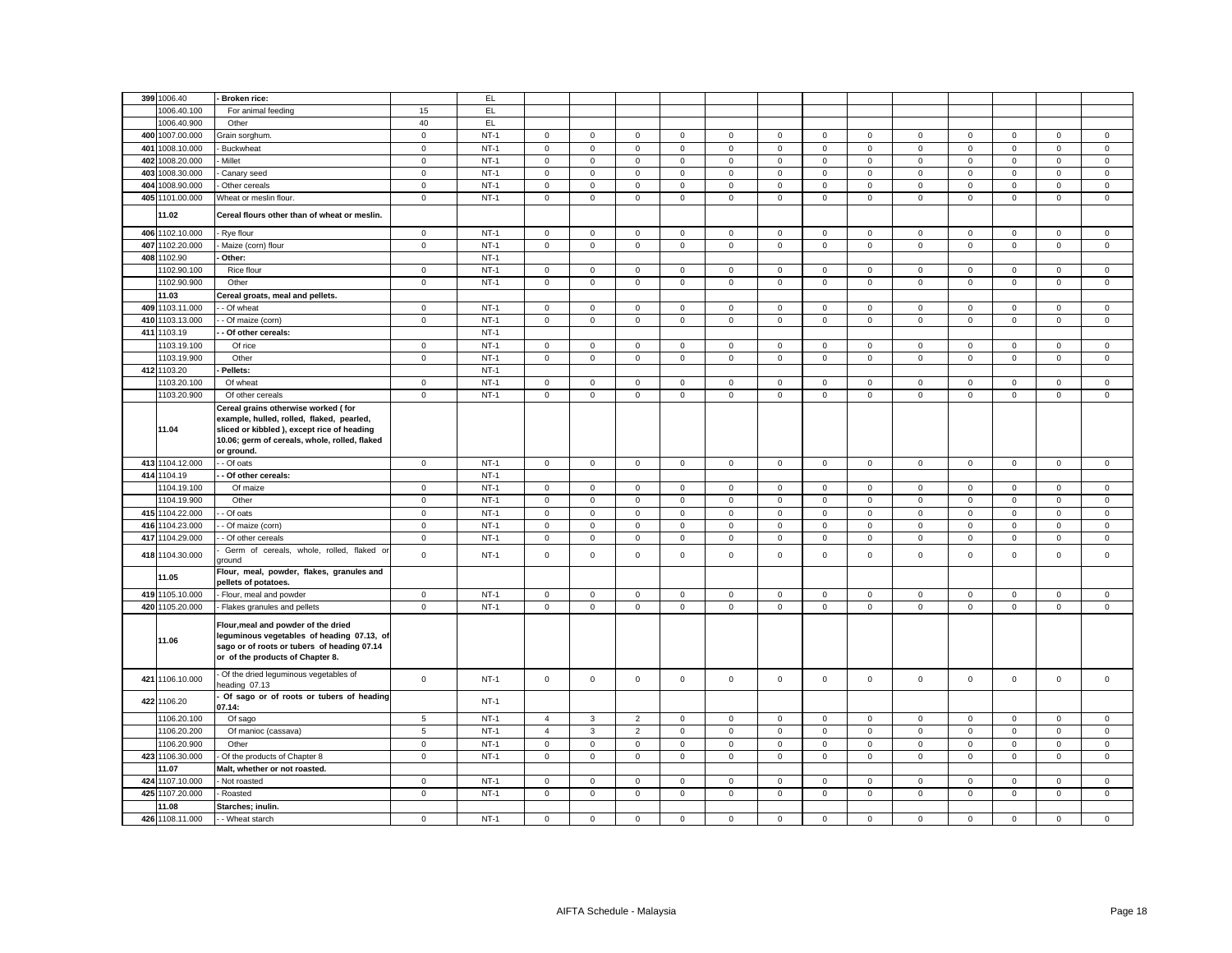|     | 399 1006.40              |                                                                                                                                                                                                |                     |        |                |                     |                     |              |                     |             |                     |              |                     |             |                     |             |                     |
|-----|--------------------------|------------------------------------------------------------------------------------------------------------------------------------------------------------------------------------------------|---------------------|--------|----------------|---------------------|---------------------|--------------|---------------------|-------------|---------------------|--------------|---------------------|-------------|---------------------|-------------|---------------------|
|     |                          | Broken rice:                                                                                                                                                                                   |                     | EL.    |                |                     |                     |              |                     |             |                     |              |                     |             |                     |             |                     |
|     | 1006.40.100              | For animal feeding                                                                                                                                                                             | 15                  | EL.    |                |                     |                     |              |                     |             |                     |              |                     |             |                     |             |                     |
|     | 1006.40.900              | Other                                                                                                                                                                                          | 40                  | EL.    |                |                     |                     |              |                     |             |                     |              |                     |             |                     |             |                     |
|     | 400 1007.00.000          | Grain sorghum.                                                                                                                                                                                 | $\mathbf 0$         | $NT-1$ | $\mathbf 0$    | $\mathsf 0$         | $\mathbf 0$         | $\mathbf 0$  | $\mathbf 0$         | $\mathbf 0$ | $\mathsf 0$         | $\mathsf 0$  | $\mathbf 0$         | $\mathbf 0$ | $\mathbf 0$         | $\mathbf 0$ | $\mathsf 0$         |
|     | 401 1008.10.000          | <b>Buckwheat</b>                                                                                                                                                                               | $\mathbf 0$         | $NT-1$ | $\mathbf 0$    | $\mathsf 0$         | $\mathsf 0$         | $\mathsf 0$  | $\mathbf 0$         | $\mathbf 0$ | $\mathsf 0$         | $\mathsf 0$  | $\mathsf 0$         | $\mathbf 0$ | $\mathbf 0$         | $\mathbf 0$ | $\mathsf 0$         |
|     | 402 1008.20.000          | Millet                                                                                                                                                                                         | $\mathsf 0$         | $NT-1$ | $\mathbf 0$    | $\mathbf 0$         | $\mathbf 0$         | $\mathsf 0$  | $\mathbf 0$         | $\mathbf 0$ | $\mathbf 0$         | $\mathsf 0$  | $\mathbf 0$         | $\mathbf 0$ | $\mathbf 0$         | $\mathbf 0$ | $\mathsf 0$         |
| 403 | 1008.30.000              | Canary seed                                                                                                                                                                                    | $\mathbf 0$         | $NT-1$ | $\mathsf 0$    | $\mathsf 0$         | $\mathsf{O}\xspace$ | $\mathsf 0$  | $\mathsf 0$         | $\mathbf 0$ | $\mathsf{O}\xspace$ | $\mathbf 0$  | $\mathsf 0$         | $\mathbf 0$ | $\mathsf{O}\xspace$ | $\mathsf 0$ | $\mathsf 0$         |
|     | 404 1008.90.000          | Other cereals                                                                                                                                                                                  | $\mathbf 0$         | $NT-1$ | 0              | 0                   | $\mathbf 0$         | 0            | 0                   | 0           | $\mathbf 0$         | $\mathbf 0$  | $\mathbf 0$         | $\mathbf 0$ | $\mathbf 0$         | 0           | $\mathbf 0$         |
|     | 405 1101.00.000          | Wheat or meslin flour.                                                                                                                                                                         | $\mathbf 0$         | $NT-1$ | $\mathbf 0$    | $\mathsf 0$         | $\mathbf 0$         | $\mathsf 0$  | 0                   | $\mathsf 0$ | $\mathsf 0$         | $\mathbf 0$  | $\mathsf 0$         | $\Omega$    | $\mathsf 0$         | $\mathsf 0$ | $\mathbf 0$         |
|     | 11.02                    | Cereal flours other than of wheat or meslin.                                                                                                                                                   |                     |        |                |                     |                     |              |                     |             |                     |              |                     |             |                     |             |                     |
|     | 406 1102.10.000          | Rye flour                                                                                                                                                                                      | $\mathbf 0$         | $NT-1$ | $\mathsf 0$    | $\mathsf 0$         | $\mathsf 0$         | $\mathsf 0$  | $\mathsf 0$         | $\mathsf 0$ | $\mathsf 0$         | $\mathsf 0$  | $\mathsf 0$         | $\mathsf 0$ | $\mathsf 0$         | $\mathsf 0$ | $\mathbf 0$         |
|     |                          |                                                                                                                                                                                                |                     |        |                |                     |                     |              |                     |             |                     |              |                     |             |                     |             |                     |
|     | 407 1102.20.000          | Maize (corn) flour                                                                                                                                                                             | $\mathsf 0$         | $NT-1$ | $\mathbf 0$    | $\mathsf{O}$        | $\mathsf 0$         | $\mathbf 0$  | $\mathbf 0$         | $\mathsf 0$ | $\mathsf{O}$        | $\mathsf 0$  | $\mathbf 0$         | $\mathsf 0$ | $\mathbf 0$         | $\mathsf 0$ | $\mathsf 0$         |
| 408 | 1102.90                  | Other:                                                                                                                                                                                         |                     | $NT-1$ |                |                     |                     |              |                     |             |                     |              |                     |             |                     |             |                     |
|     | 1102.90.100              | Rice flour                                                                                                                                                                                     | $\mathbf 0$         | $NT-1$ | $\mathbf{0}$   | 0                   | $\mathbf 0$         | $\mathbf 0$  | 0                   | 0           | 0                   | $\mathbf 0$  | $\mathbf 0$         | $\mathbf 0$ | 0                   | 0           | $\mathbf 0$         |
|     | 1102.90.900              | Other                                                                                                                                                                                          | $\mathsf{O}\xspace$ | $NT-1$ | $\mathsf 0$    | $\mathsf{O}\xspace$ | $\mathbf 0$         | $\mathbf 0$  | $\mathsf 0$         | $\mathsf 0$ | $\mathsf{O}\xspace$ | $\mathsf 0$  | $\mathsf 0$         | $\Omega$    | $\mathbf 0$         | $\mathsf 0$ | $\mathbf 0$         |
|     | 11.03                    | Cereal groats, meal and pellets.                                                                                                                                                               |                     |        |                |                     |                     |              |                     |             |                     |              |                     |             |                     |             |                     |
|     | 409 1103.11.000          | - Of wheat                                                                                                                                                                                     | $\mathsf 0$         | $NT-1$ | $\mathsf 0$    | $\mathsf 0$         | $\mathsf 0$         | $\mathsf 0$  | 0                   | $\mathsf 0$ | $\mathsf 0$         | $\mathbf 0$  | $\mathsf 0$         | $\mathbf 0$ | $\mathbf 0$         | $\mathbf 0$ | $\mathbf 0$         |
|     | 410 1103.13.000          | - Of maize (corn)                                                                                                                                                                              | $\mathbf 0$         | $NT-1$ | $\mathbf 0$    | $\mathsf 0$         | $\mathsf 0$         | $\mathbf 0$  | $\mathbf 0$         | $\mathbf 0$ | $\mathbf 0$         | $\mathsf 0$  | $\mathbf 0$         | $\mathbf 0$ | $\mathbf 0$         | $\mathbf 0$ | $\mathsf 0$         |
|     | 411 1103.19              | - Of other cereals:                                                                                                                                                                            |                     | $NT-1$ |                |                     |                     |              |                     |             |                     |              |                     |             |                     |             |                     |
|     | 1103.19.100              | Of rice                                                                                                                                                                                        | $\mathbf{0}$        | $NT-1$ | $\circ$        | $\circ$             | $\mathbf{0}$        | $\mathbf 0$  | $\mathbf 0$         | $\mathbf 0$ | $\mathbf{0}$        | $\mathbf{0}$ | $\mathbf{0}$        | $\mathbf 0$ | $\mathbf 0$         | $\mathbf 0$ | $\mathbf 0$         |
|     | 1103.19.900              | Other                                                                                                                                                                                          | $\mathsf 0$         | $NT-1$ | $\mathsf 0$    | $\mathsf 0$         | $\mathsf{O}\xspace$ | $\mathsf 0$  | $\mathsf 0$         | $\mathsf 0$ | $\mathbf 0$         | $\mathsf 0$  | $\mathsf 0$         | $\mathsf 0$ | $\mathbf 0$         | $\mathsf 0$ | $\mathbf 0$         |
|     | 412 1103.20              | Pellets:                                                                                                                                                                                       |                     | $NT-1$ |                |                     |                     |              |                     |             |                     |              |                     |             |                     |             |                     |
|     | 1103.20.100              | Of wheat                                                                                                                                                                                       | $\mathsf 0$         | $NT-1$ | $\mathbf 0$    | $\mathbf 0$         | $\mathbf 0$         | $\mathsf 0$  | $\mathbf 0$         | $\mathbf 0$ | $\mathbf 0$         | $\mathsf 0$  | $\mathbf 0$         | $\mathbf 0$ | $\mathbf 0$         | $\mathbf 0$ | $\mathsf 0$         |
|     | 1103.20.900              | Of other cereals                                                                                                                                                                               | $\mathsf 0$         | $NT-1$ | $\mathsf 0$    | $\mathsf{O}$        | $\mathsf 0$         | $\mathsf 0$  | $\mathbf 0$         | $\mathsf 0$ | $\mathsf 0$         | $\mathsf 0$  | $\mathsf 0$         | $\mathsf 0$ | $\mathsf 0$         | $\mathsf 0$ | $\mathsf{O}\xspace$ |
|     | 11.04                    | Cereal grains otherwise worked (for<br>example, hulled, rolled, flaked, pearled,<br>sliced or kibbled ), except rice of heading<br>10.06; germ of cereals, whole, rolled, flaked<br>or ground. |                     |        |                |                     |                     |              |                     |             |                     |              |                     |             |                     |             |                     |
|     | 413 1104.12.000          | - Of oats                                                                                                                                                                                      | $\overline{0}$      | $NT-1$ | $\mathsf 0$    | $\mathbf 0$         | $\mathsf 0$         | $\mathbf{0}$ | $\mathsf 0$         | $\mathsf 0$ | $\mathsf 0$         | $\mathsf 0$  | $\mathbf{0}$        | $\mathsf 0$ | $\mathbf 0$         | $\mathsf 0$ | $\mathbf 0$         |
|     | 414 1104.19              | - Of other cereals:                                                                                                                                                                            |                     | $NT-1$ |                |                     |                     |              |                     |             |                     |              |                     |             |                     |             |                     |
|     | 1104.19.100              | Of maize                                                                                                                                                                                       | $\circ$             | $NT-1$ | $\mathsf 0$    | $\mathsf 0$         | $\mathbf 0$         | $\mathbf 0$  | $\mathbf 0$         | $\mathbf 0$ | $\mathsf 0$         | $\mathbf 0$  | $\mathbf 0$         | $\mathbf 0$ | $\mathbf 0$         | $\mathbf 0$ | $\mathsf 0$         |
|     | 1104.19.900              | Other                                                                                                                                                                                          | $\mathsf 0$         | $NT-1$ | $\mathsf 0$    | $\mathsf 0$         | $\mathsf 0$         | $\mathsf 0$  | 0                   | $\mathsf 0$ | $\mathsf 0$         | $\mathbf 0$  | $\mathsf 0$         | $\mathbf 0$ | $\mathsf 0$         | $\mathsf 0$ | $\mathsf 0$         |
|     | 415 1104.22.000          | - Of oats                                                                                                                                                                                      | $\mathbf 0$         | $NT-1$ | $\mathbf{0}$   | $\mathbf{0}$        | $\mathbf 0$         | $\mathbf 0$  | 0                   | 0           | $\mathbf 0$         | $\mathbf 0$  | $\mathbf 0$         | $\mathbf 0$ | 0                   | 0           | $\mathbf 0$         |
|     | 416 1104.23.000          | - Of maize (corn)                                                                                                                                                                              | $\mathbf{0}$        | $NT-1$ | $\mathbf 0$    | $\circ$             | $\mathbf{0}$        | $\mathbf{0}$ | $\mathbf 0$         | $\mathbf 0$ | $\mathbf 0$         | $\mathbf{0}$ | $\mathbf{0}$        | $\mathbf 0$ | $\mathbf 0$         | $\mathbf 0$ | $\mathbf 0$         |
|     | 417 1104.29.000          | - Of other cereals                                                                                                                                                                             | $\mathbf 0$         | $NT-1$ | $\mathsf 0$    | $\mathbf 0$         | $\mathsf 0$         | $\mathbf 0$  | $\mathsf 0$         | $\mathbf 0$ | $\mathsf 0$         | $\mathsf 0$  | $\mathsf 0$         | $\mathbf 0$ | $\mathbf 0$         | $\mathbf 0$ | $\mathsf 0$         |
|     | 418 1104.30.000          | Germ of cereals, whole, rolled, flaked or                                                                                                                                                      | $\mathsf 0$         | $NT-1$ | $\mathbf 0$    | $\mathbf 0$         | $\mathsf 0$         | $\mathbf 0$  | $\mathbf 0$         | $\mathbf 0$ | $\mathbf 0$         | $\mathsf 0$  | $\mathsf 0$         | $\mathbf 0$ | $\mathbf 0$         | $\mathsf 0$ | $\mathbf 0$         |
|     |                          | ground<br>Flour, meal, powder, flakes, granules and                                                                                                                                            |                     |        |                |                     |                     |              |                     |             |                     |              |                     |             |                     |             |                     |
|     | 11.05                    | pellets of potatoes.                                                                                                                                                                           |                     |        |                |                     |                     |              |                     |             |                     |              |                     |             |                     |             |                     |
|     | 419 1105.10.000          | Flour, meal and powder                                                                                                                                                                         | $\mathsf 0$         | $NT-1$ | $\mathsf 0$    | $\mathsf 0$         | $\mathsf 0$         | $\mathbf 0$  | 0                   | $\mathsf 0$ | $\mathbf 0$         | $\mathsf 0$  | $\mathbf 0$         | $\mathsf 0$ | $\mathbf 0$         | $\mathsf 0$ | $\mathbf 0$         |
|     | 420 1105.20.000          | Flakes granules and pellets                                                                                                                                                                    | $\mathbf 0$         | $NT-1$ | $\mathbf{0}$   | $\mathbf 0$         | $\mathbf 0$         | $\mathsf 0$  | $\mathsf 0$         | $\mathbf 0$ | $\mathbf 0$         | $\mathbf 0$  | $\mathsf 0$         | $\mathbf 0$ | $\mathbf 0$         | $\mathbf 0$ | $\mathbf 0$         |
|     | 11.06                    | Flour, meal and powder of the dried<br>leguminous vegetables of heading 07.13, of<br>sago or of roots or tubers of heading 07.14<br>or of the products of Chapter 8.                           |                     |        |                |                     |                     |              |                     |             |                     |              |                     |             |                     |             |                     |
|     |                          |                                                                                                                                                                                                |                     |        |                |                     |                     |              |                     |             |                     |              |                     |             |                     |             |                     |
|     | 421 1106.10.000          | Of the dried leguminous vegetables of<br>heading 07.13                                                                                                                                         | $\mathsf 0$         | $NT-1$ | $\mathsf 0$    | $\mathsf 0$         | $\mathsf 0$         | $\mathbf 0$  | $\mathbf 0$         | $\mathsf 0$ | $\mathsf 0$         | $\mathsf 0$  | $\mathbf 0$         | $\mathsf 0$ | $\mathbf 0$         | $\mathsf 0$ | $\mathsf 0$         |
|     | 422 1106.20              | Of sago or of roots or tubers of heading<br>07.14:                                                                                                                                             |                     | $NT-1$ |                |                     |                     |              |                     |             |                     |              |                     |             |                     |             |                     |
|     | 1106.20.100              | Of sago                                                                                                                                                                                        | 5                   | $NT-1$ | $\overline{4}$ | 3                   | $\overline{2}$      | $\mathbf 0$  | 0                   | $\mathbf 0$ | $\mathsf 0$         | $\mathbf 0$  | $\mathsf 0$         | $\mathsf 0$ | $\Omega$            | $\mathbf 0$ | $\mathsf 0$         |
|     | 1106.20.200              | Of manioc (cassava)                                                                                                                                                                            | $\,$ 5 $\,$         | $NT-1$ | $\overline{4}$ | 3                   | $\overline{2}$      | $\mathsf 0$  | $\mathsf{O}\xspace$ | $\mathsf 0$ | $\mathsf 0$         | $\mathbf 0$  | $\mathsf 0$         | $\mathbf 0$ | $\mathsf 0$         | $\mathsf 0$ | $\mathsf 0$         |
|     | 1106.20.900              | Other                                                                                                                                                                                          | $\mathsf 0$         | $NT-1$ | $\mathbf 0$    | $\mathbf 0$         | $\mathbf 0$         | $\mathbf 0$  | $\mathsf 0$         | $\mathbf 0$ | $\mathsf 0$         | $\mathbf 0$  | $\mathbf 0$         | $\mathsf 0$ | $\mathbf 0$         | $\mathsf 0$ | $\mathsf 0$         |
|     | 423 1106.30.000          | Of the products of Chapter 8                                                                                                                                                                   | $\mathbf 0$         | $NT-1$ | $\mathsf{O}$   | $\mathsf 0$         | $\mathsf 0$         | $\mathsf 0$  | $\mathsf 0$         | $\mathsf 0$ | $\mathsf{O}\xspace$ | $\mathbf 0$  | $\mathsf 0$         | $\mathsf 0$ | $\mathsf 0$         | $\mathsf 0$ | $\mathsf 0$         |
|     | 11.07                    |                                                                                                                                                                                                |                     |        |                |                     |                     |              |                     |             |                     |              |                     |             |                     |             |                     |
|     | 424 1107.10.000          | Malt, whether or not roasted.<br>Not roasted                                                                                                                                                   | $\mathbf 0$         | $NT-1$ | $\mathsf 0$    | $\mathsf 0$         | $\mathbf 0$         | 0            | 0                   | $\mathbf 0$ | 0                   | 0            | 0                   | $\mathsf 0$ | $\mathbf 0$         | $\Omega$    | 0                   |
|     |                          |                                                                                                                                                                                                |                     |        |                |                     |                     |              |                     |             |                     |              |                     |             | $\mathbf 0$         |             |                     |
|     | 425 1107.20.000<br>11.08 | Roasted                                                                                                                                                                                        | $\mathbf 0$         | $NT-1$ | $\mathsf 0$    | $\mathsf 0$         | $\mathsf 0$         | $\mathsf 0$  | $\mathbf 0$         | $\mathsf 0$ | $\mathsf 0$         | $\mathsf 0$  | $\mathsf{O}\xspace$ | $\mathsf 0$ |                     | $\mathsf 0$ | $\mathbf 0$         |
|     | 426 1108.11.000          | Starches; inulin.<br>- - Wheat starch                                                                                                                                                          | $\mathbf 0$         | $NT-1$ | $\mathbf 0$    | $\mathsf 0$         | $\mathsf 0$         | $\mathbf 0$  | 0                   | $\mathbf 0$ | $\mathsf 0$         | $\mathsf 0$  | $\mathbf 0$         | $\mathbf 0$ | $\mathsf 0$         | $\mathbf 0$ | $\mathbf 0$         |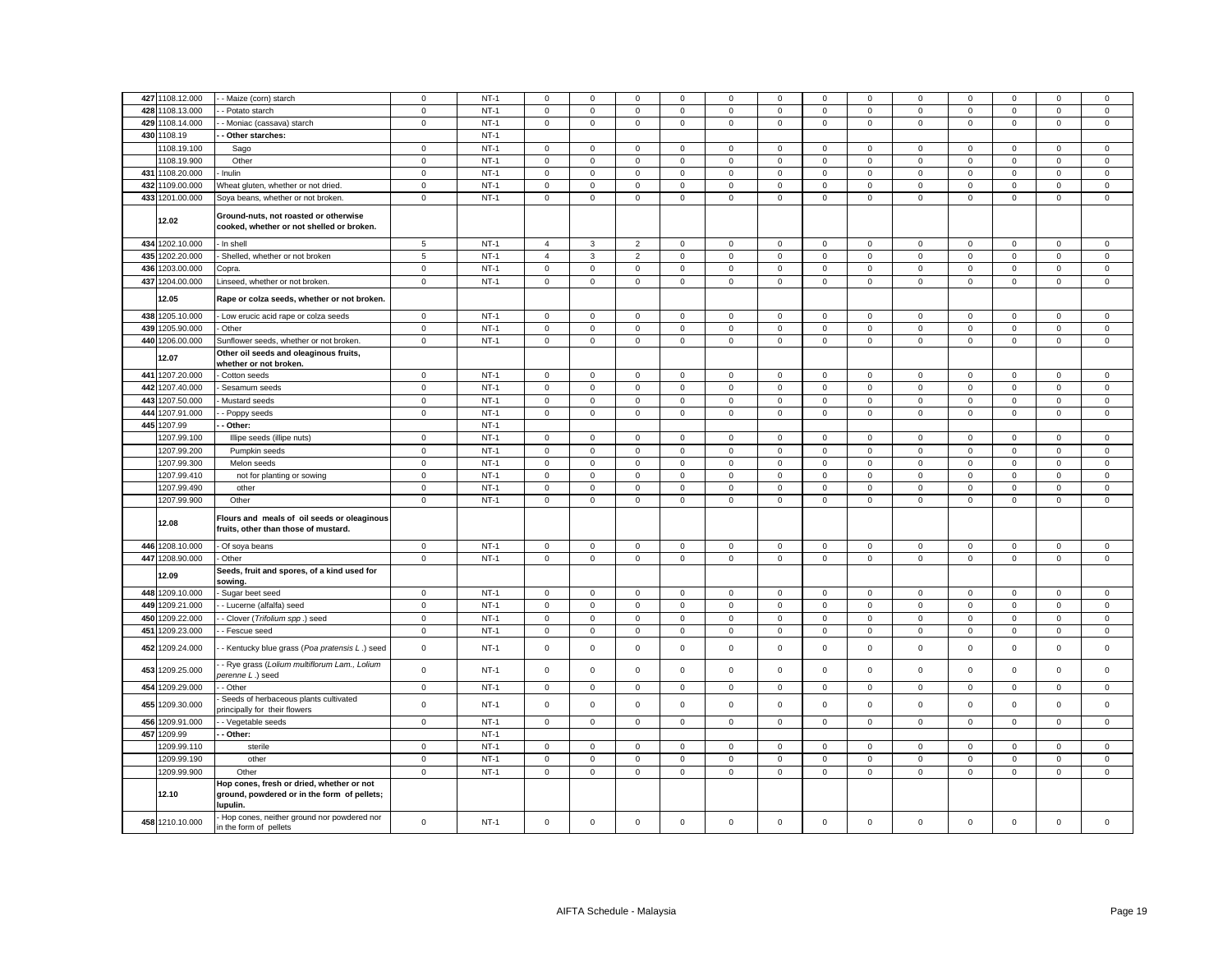|     | 427 1108.12.000 | - Maize (corn) starch                                                                                | $\mathbf 0$  | $NT-1$ | $\mathbf 0$    | $\Omega$     | $\mathbf 0$    | $\Omega$     | $\mathbf 0$ | $\Omega$    | $\Omega$     | $\Omega$       | $\Omega$     | $\Omega$    | $\Omega$    | $\Omega$    | $\mathsf 0$ |
|-----|-----------------|------------------------------------------------------------------------------------------------------|--------------|--------|----------------|--------------|----------------|--------------|-------------|-------------|--------------|----------------|--------------|-------------|-------------|-------------|-------------|
|     |                 |                                                                                                      |              |        |                |              |                |              |             |             |              |                |              |             |             |             |             |
|     | 428 1108.13.000 | - Potato starch                                                                                      | $\mathsf 0$  | $NT-1$ | $\mathsf 0$    | $\mathsf 0$  | $\mathsf 0$    | $\mathsf 0$  | $\mathsf 0$ | $\mathbf 0$ | $\mathsf 0$  | $\mathsf 0$    | $\mathsf 0$  | $\mathsf 0$ | $\mathsf 0$ | $\mathsf 0$ | $\mathsf 0$ |
|     | 429 1108.14.000 | - Moniac (cassava) starch                                                                            | $\mathbf 0$  | $NT-1$ | $\mathbf{0}$   | $\mathbf 0$  | $\mathsf 0$    | $\mathsf 0$  | $\mathbf 0$ | $\mathsf 0$ | $\mathbf 0$  | $\mathsf 0$    | $\mathbf{0}$ | $\mathsf 0$ | $\mathsf 0$ | $\mathsf 0$ | $\mathsf 0$ |
|     | 430 1108.19     | Other starches:                                                                                      |              | $NT-1$ |                |              |                |              |             |             |              |                |              |             |             |             |             |
|     | 1108.19.100     | Sago                                                                                                 | $\mathsf 0$  | $NT-1$ | $\mathbf 0$    | $\mathbf 0$  | $\mathsf 0$    | $\mathbf 0$  | $\mathsf 0$ | $\mathsf 0$ | $\mathbf 0$  | $\mathsf 0$    | $\mathsf 0$  | $\mathsf 0$ | $\mathsf 0$ | $\mathsf 0$ | $\mathbf 0$ |
|     | 1108.19.900     | Other                                                                                                | $\mathbf 0$  | $NT-1$ | $\mathbf{0}$   | $\mathbf{0}$ | $\mathbf 0$    | $\mathbf 0$  | $\mathbf 0$ | $\mathbf 0$ | $\mathbf{0}$ | $\mathbf{0}$   | $\mathbf 0$  | $\mathbf 0$ | $\mathbf 0$ | $\mathbf 0$ | $\mathbf 0$ |
|     | 431 1108.20.000 | Inulin                                                                                               | $\mathbf 0$  | $NT-1$ | $\mathbf{0}$   | $\mathbf 0$  | $\mathsf 0$    | $\mathsf 0$  | $\mathbf 0$ | $\mathsf 0$ | $\mathbf 0$  | $\mathsf 0$    | $\mathbf{0}$ | $\mathsf 0$ | $\mathsf 0$ | $\mathsf 0$ | $\mathsf 0$ |
|     | 432 1109.00.000 | Wheat gluten, whether or not dried.                                                                  | $\mathbf 0$  | $NT-1$ | $\mathbf{0}$   | $\mathbf 0$  | $\mathbf 0$    | $\Omega$     | $\mathbf 0$ | $\mathbf 0$ | $\mathbf 0$  | $\mathbf 0$    | $\mathbf 0$  | $\mathbf 0$ | $\mathbf 0$ | $\mathbf 0$ | $\mathbf 0$ |
|     | 433 1201.00.000 | Soya beans, whether or not broken.                                                                   | $\mathsf 0$  | $NT-1$ | $\mathsf 0$    | $\mathbf 0$  | $\mathsf 0$    | $\mathsf 0$  | $\mathsf 0$ | $\mathsf 0$ | $\mathbf 0$  | $\mathsf 0$    | $\mathbf 0$  | $\mathsf 0$ | $\mathsf 0$ | $\mathsf 0$ | $\mathsf 0$ |
|     | 12.02           | Ground-nuts, not roasted or otherwise<br>cooked, whether or not shelled or broken.                   |              |        |                |              |                |              |             |             |              |                |              |             |             |             |             |
|     | 434 1202.10.000 | In shell                                                                                             | 5            | $NT-1$ | $\overline{4}$ | $\mathbf{3}$ | $\overline{2}$ | $\mathsf 0$  | $\mathsf 0$ | $\mathbf 0$ | $\mathbf 0$  | $\mathsf 0$    | $\mathbf 0$  | $\mathbf 0$ | $\mathbf 0$ | $\mathsf 0$ | $\mathsf 0$ |
|     | 435 1202.20.000 | Shelled, whether or not broken                                                                       | $\,$ 5 $\,$  | $NT-1$ | $\overline{4}$ | $\mathbf{3}$ | $\overline{2}$ | $\mathbf 0$  | $\mathbf 0$ | $\mathbf 0$ | $\mathbf 0$  | $\mathbf 0$    | $\mathbf 0$  | $\mathbf 0$ | $\mathbf 0$ | $\mathbf 0$ | $\mathsf 0$ |
|     | 436 1203.00.000 | Copra.                                                                                               | $\mathsf 0$  | $NT-1$ | $\mathbf 0$    | $\mathbf 0$  | $\mathsf 0$    | $\mathsf 0$  | $\mathsf 0$ | $\mathsf 0$ | $\mathbf 0$  | $\mathsf 0$    | $\mathsf 0$  | $\mathsf 0$ | $\mathsf 0$ | $\mathsf 0$ | $\mathsf 0$ |
|     | 437 1204.00.000 | Linseed, whether or not broken.                                                                      | $\mathbf 0$  | $NT-1$ | $\mathsf 0$    | $\mathbf 0$  | $\mathbf 0$    | $\mathbf 0$  | $\mathsf 0$ | $\mathsf 0$ | $\mathbf 0$  | $\mathsf 0$    | $\mathsf 0$  | $\mathsf 0$ | $\mathsf 0$ | $\mathbf 0$ | $\mathsf 0$ |
|     | 12.05           | Rape or colza seeds, whether or not broken.                                                          |              |        |                |              |                |              |             |             |              |                |              |             |             |             |             |
|     | 438 1205.10.000 | Low erucic acid rape or colza seeds                                                                  | $\mathbf 0$  | $NT-1$ | $\mathbf 0$    | $\mathbf 0$  | $\mathsf 0$    | $\mathbf 0$  | $\mathbf 0$ | $\mathsf 0$ | $\mathbf 0$  | $\mathbf 0$    | $\mathbf 0$  | $\mathsf 0$ | $\mathbf 0$ | $\mathsf 0$ | $\mathsf 0$ |
|     | 439 1205.90.000 | Other                                                                                                | $\mathbf 0$  | $NT-1$ | $\mathbf{0}$   | $\mathbf 0$  | $\mathbf 0$    | $\mathbf{0}$ | $\mathbf 0$ | $\mathbf 0$ | $\mathbf 0$  | $\mathsf 0$    | $\mathsf 0$  | $\mathbf 0$ | $\mathbf 0$ | $\mathsf 0$ | $\mathbf 0$ |
|     | 440 1206.00.000 | Sunflower seeds, whether or not broken.                                                              | $\mathbf 0$  | $NT-1$ | $\mathsf 0$    | $\mathbf 0$  | $\mathsf 0$    | $\mathsf 0$  | $\mathsf 0$ | $\mathbf 0$ | $\mathbf 0$  | $\mathsf 0$    | $\mathbf 0$  | $\mathsf 0$ | $\mathsf 0$ | $\mathsf 0$ | $\mathsf 0$ |
|     | 12.07           | Other oil seeds and oleaginous fruits,<br>whether or not broken.                                     |              |        |                |              |                |              |             |             |              |                |              |             |             |             |             |
|     | 441 1207.20.000 | Cotton seeds                                                                                         | $\mathbf 0$  | $NT-1$ | $\mathbf 0$    | $\mathsf 0$  | $\mathsf 0$    | $\mathbf 0$  | $\mathsf 0$ | $\mathsf 0$ | $\mathsf 0$  | $\mathsf 0$    | $\mathbf 0$  | $\mathbf 0$ | $\mathsf 0$ | $\mathsf 0$ | $\mathsf 0$ |
|     | 442 1207.40.000 | Sesamum seeds                                                                                        | $\mathsf 0$  | $NT-1$ | $\mathbf 0$    | $\mathbf 0$  | $\mathsf 0$    | $\mathsf 0$  | $\mathsf 0$ | $\mathsf 0$ | $\mathsf 0$  | $\mathsf 0$    | $\mathsf 0$  | $\mathsf 0$ | $\mathsf 0$ | $\mathsf 0$ | $\mathsf 0$ |
| 443 | 1207.50.000     | Mustard seeds                                                                                        | $\mathsf 0$  | $NT-1$ | $\mathsf 0$    | $\mathbf 0$  | $\mathsf 0$    | $\mathsf 0$  | $\mathsf 0$ | $\mathbf 0$ | $\mathbf 0$  | $\mathsf 0$    | $\mathbf 0$  | $\mathsf 0$ | $\mathsf 0$ | $\mathsf 0$ | $\mathsf 0$ |
|     | 444 1207.91.000 | Poppy seeds                                                                                          | $\mathbf 0$  | $NT-1$ | $\mathbf{0}$   | $\mathbf 0$  | $\mathsf 0$    | $\mathbf 0$  | $\mathbf 0$ | $\mathsf 0$ | $\mathbf 0$  | $\mathsf 0$    | $\mathbf 0$  | $\mathsf 0$ | $\mathsf 0$ | $\mathsf 0$ | $\mathsf 0$ |
| 445 | 1207.99         | Other:                                                                                               |              | $NT-1$ |                |              |                |              |             |             |              |                |              |             |             |             |             |
|     | 1207.99.100     | Illipe seeds (illipe nuts)                                                                           | $\mathsf 0$  | $NT-1$ | $\mathbf 0$    | $\mathbf 0$  | $\mathsf 0$    | $\mathsf 0$  | $\mathsf 0$ | $\mathsf 0$ | $\mathsf 0$  | $\mathsf 0$    | $\mathbf 0$  | $\mathsf 0$ | $\mathsf 0$ | $\mathsf 0$ | $\mathsf 0$ |
|     | 1207.99.200     | Pumpkin seeds                                                                                        | $\mathsf 0$  | $NT-1$ | $\mathbf 0$    | $\mathsf 0$  | $\mathsf 0$    | $\mathsf 0$  | $\mathsf 0$ | $\mathbf 0$ | $\mathbf 0$  | $\mathsf 0$    | $\mathbf 0$  | $\mathsf 0$ | $\mathsf 0$ | $\mathsf 0$ | $\mathsf 0$ |
|     | 1207.99.300     | Melon seeds                                                                                          | $\mathbf 0$  | $NT-1$ | $\mathbf 0$    | $\mathbf 0$  | $\mathsf 0$    | $\mathsf 0$  | $\mathsf 0$ | $\mathsf 0$ | $\mathbf 0$  | $\mathsf 0$    | $\mathsf 0$  | $\mathsf 0$ | $\mathsf 0$ | $\mathsf 0$ | $\mathsf 0$ |
|     | 1207.99.410     | not for planting or sowing                                                                           | $\mathsf 0$  | $NT-1$ | $\mathbf 0$    | $\mathsf 0$  | $\mathsf 0$    | $\mathbf 0$  | $\mathsf 0$ | $\mathbf 0$ | $\mathsf 0$  | $\mathbf 0$    | $\mathsf 0$  | $\mathbf 0$ | $\mathsf 0$ | $\mathsf 0$ | $\mathsf 0$ |
|     | 1207.99.490     | other                                                                                                | $\mathsf 0$  | $NT-1$ | $\mathbf 0$    | $\mathbf 0$  | $\mathsf 0$    | $\mathsf 0$  | $\mathsf 0$ | $\mathsf 0$ | $\mathsf 0$  | $\,0\,$        | $\mathsf 0$  | $\mathsf 0$ | $\mathsf 0$ | $\mathsf 0$ | $\mathsf 0$ |
|     | 1207.99.900     | Other                                                                                                | $\mathbf 0$  | $NT-1$ | $\mathsf 0$    | $\mathbf 0$  | $\mathsf 0$    | $\mathsf 0$  | $\mathsf 0$ | $\mathsf 0$ | $\mathbf 0$  | $\mathbf 0$    | $\mathbf 0$  | $\mathsf 0$ | $\mathbf 0$ | $\mathsf 0$ | $\mathsf 0$ |
|     | 12.08           | Flours and meals of oil seeds or oleaginous<br>fruits, other than those of mustard.                  |              |        |                |              |                |              |             |             |              |                |              |             |             |             |             |
|     | 446 1208.10.000 | Of soya beans                                                                                        | $\mathbf 0$  | $NT-1$ | $\mathbf 0$    | $\mathbf 0$  | $\mathbf 0$    | $\mathbf 0$  | $\mathbf 0$ | $\mathbf 0$ | $\mathbf 0$  | $\mathbf 0$    | $\mathbf 0$  | $\mathbf 0$ | $\mathbf 0$ | $\mathbf 0$ | $\mathsf 0$ |
|     | 447 1208.90.000 | Other                                                                                                | $\mathbf 0$  | $NT-1$ | $\mathsf 0$    | $\mathbf 0$  | $\mathsf 0$    | $\mathsf 0$  | $\mathsf 0$ | $\mathsf 0$ | $\mathsf 0$  | $\mathsf 0$    | $\mathsf 0$  | $\mathsf 0$ | $\mathsf 0$ | $\mathsf 0$ | $\mathsf 0$ |
|     | 12.09           | Seeds, fruit and spores, of a kind used for<br>sowing.                                               |              |        |                |              |                |              |             |             |              |                |              |             |             |             |             |
|     | 448 1209.10.000 | Sugar beet seed                                                                                      | $\mathbf{0}$ | $NT-1$ | $\mathbf{0}$   | $\mathbf 0$  | $\mathbf 0$    | $\mathbf{0}$ | $\mathbf 0$ | $\mathbf 0$ | $\mathbf{0}$ | $\mathbf 0$    | $\mathbf{0}$ | $\mathbf 0$ | $\mathbf 0$ | $\mathbf 0$ | $\mathbf 0$ |
|     | 449 1209.21.000 | - Lucerne (alfalfa) seed                                                                             | $\mathsf 0$  | $NT-1$ | $\mathbf 0$    | $\mathsf 0$  | $\mathsf 0$    | $\mathbf 0$  | $\mathsf 0$ | $\mathbf 0$ | $\mathsf 0$  | $\mathsf 0$    | $\mathsf 0$  | $\mathbf 0$ | $\mathsf 0$ | $\mathsf 0$ | $\mathsf 0$ |
| 450 | 1209.22.000     | - Clover (Trifolium spp.) seed                                                                       | $\mathbf 0$  | $NT-1$ | $\overline{0}$ | $\mathbf 0$  | $\mathbf 0$    | $\mathbf 0$  | $\mathbf 0$ | $\mathbf 0$ | $\mathbf 0$  | $\mathbf 0$    | $\mathsf 0$  | $\mathbf 0$ | $\mathbf 0$ | $\mathbf 0$ | $\mathsf 0$ |
|     | 451 1209.23.000 | - Fescue seed                                                                                        | $\mathbf 0$  | $NT-1$ | $\mathsf 0$    | $\mathbf 0$  | $\mathbf 0$    | 0            | $\mathsf 0$ | $\mathsf 0$ | $\mathsf 0$  | $\,0\,$        | $\mathsf 0$  | $\mathbf 0$ | $\mathsf 0$ | $\mathsf 0$ | $\mathsf 0$ |
|     | 452 1209.24.000 | - Kentucky blue grass (Poa pratensis L.) seed                                                        | $\mathbf 0$  | $NT-1$ | $\mathsf 0$    | $\mathbf 0$  | $\mathsf 0$    | $\mathsf 0$  | $\mathsf 0$ | $\mathsf 0$ | $\mathbf 0$  | $\mathbf 0$    | $\mathbf 0$  | $\mathbf 0$ | $\mathbf 0$ | $\mathsf 0$ | $\mathsf 0$ |
|     | 453 1209.25.000 | - Rye grass (Lolium multiflorum Lam., Lolium<br>perenne L.) seed                                     | $\mathsf 0$  | $NT-1$ | $\mathbf 0$    | $\mathsf 0$  | $\mathsf 0$    | $\mathsf 0$  | $\mathsf 0$ | $\mathsf 0$ | $\mathsf 0$  | $\mathsf 0$    | $\mathsf 0$  | $\mathbf 0$ | $\mathsf 0$ | $\mathsf 0$ | $\mathsf 0$ |
|     | 454 1209.29.000 | - Other                                                                                              | $\mathsf 0$  | $NT-1$ | $\mathbf 0$    | $\mathbf 0$  | $\mathsf 0$    | $\mathbf 0$  | 0           | $\mathbf 0$ | $\mathbf 0$  | $\mathsf 0$    | $\mathbf 0$  | $\mathsf 0$ | $\mathbf 0$ | $\mathbf 0$ | $\mathsf 0$ |
|     | 455 1209.30.000 | Seeds of herbaceous plants cultivated<br>principally for their flowers                               | $\mathsf 0$  | $NT-1$ | $\mathsf 0$    | $\mathsf 0$  | $\mathsf 0$    | $\mathsf 0$  | $\mathsf 0$ | $\mathsf 0$ | $\mathsf 0$  | $\mathsf 0$    | $\mathsf 0$  | $\mathsf 0$ | $\mathsf 0$ | $\mathsf 0$ | $\mathsf 0$ |
|     | 456 1209.91.000 | - Vegetable seeds                                                                                    | $\mathbf 0$  | $NT-1$ | $\overline{0}$ | 0            | $\mathsf 0$    | $\mathbf 0$  | $\mathbf 0$ | $\mathsf 0$ | $\mathbf 0$  | $\mathsf 0$    | $\mathsf 0$  | $\mathbf 0$ | $\mathbf 0$ | $\mathsf 0$ | $\mathsf 0$ |
| 457 | 1209.99         | Other:                                                                                               |              | $NT-1$ |                |              |                |              |             |             |              |                |              |             |             |             |             |
|     | 1209.99.110     | sterile                                                                                              | 0            | $NT-1$ | $\mathbf 0$    | 0            | $\mathbf 0$    | 0            | 0           | 0           | $^{\circ}$   | 0              | 0            | 0           | $^{\circ}$  | 0           | 0           |
|     | 1209.99.190     | other                                                                                                | $\mathbf 0$  | $NT-1$ | $\mathbf 0$    | $\mathsf 0$  | $\mathbf 0$    | $\mathbf 0$  | $\mathsf 0$ | $\mathbf 0$ | $\mathbf 0$  | $\overline{0}$ | $\mathsf 0$  | $\mathbf 0$ | $\mathbf 0$ | $\mathsf 0$ | $\mathsf 0$ |
|     | 1209.99.900     | Other                                                                                                | $\mathbf 0$  | $NT-1$ | $\mathbf 0$    | 0            | 0              | $\mathbf 0$  | $\mathbf 0$ | 0           | 0            | $\mathbf 0$    | $\mathbf 0$  | 0           | 0           | $\mathsf 0$ | $\mathsf 0$ |
|     | 12.10           | Hop cones, fresh or dried, whether or not<br>ground, powdered or in the form of pellets;<br>lupulin. |              |        |                |              |                |              |             |             |              |                |              |             |             |             |             |
|     | 458 1210.10.000 | Hop cones, neither ground nor powdered nor<br>in the form of pellets                                 | $\mathbf 0$  | $NT-1$ | $\mathbf 0$    | $\mathbf 0$  | $\mathbf 0$    | $\mathbf 0$  | $\mathbf 0$ | $\Omega$    | $\mathbf 0$  | $\mathbf 0$    | $\mathbf 0$  | $\mathbf 0$ | $\mathbf 0$ | $\mathbf 0$ | $\mathbf 0$ |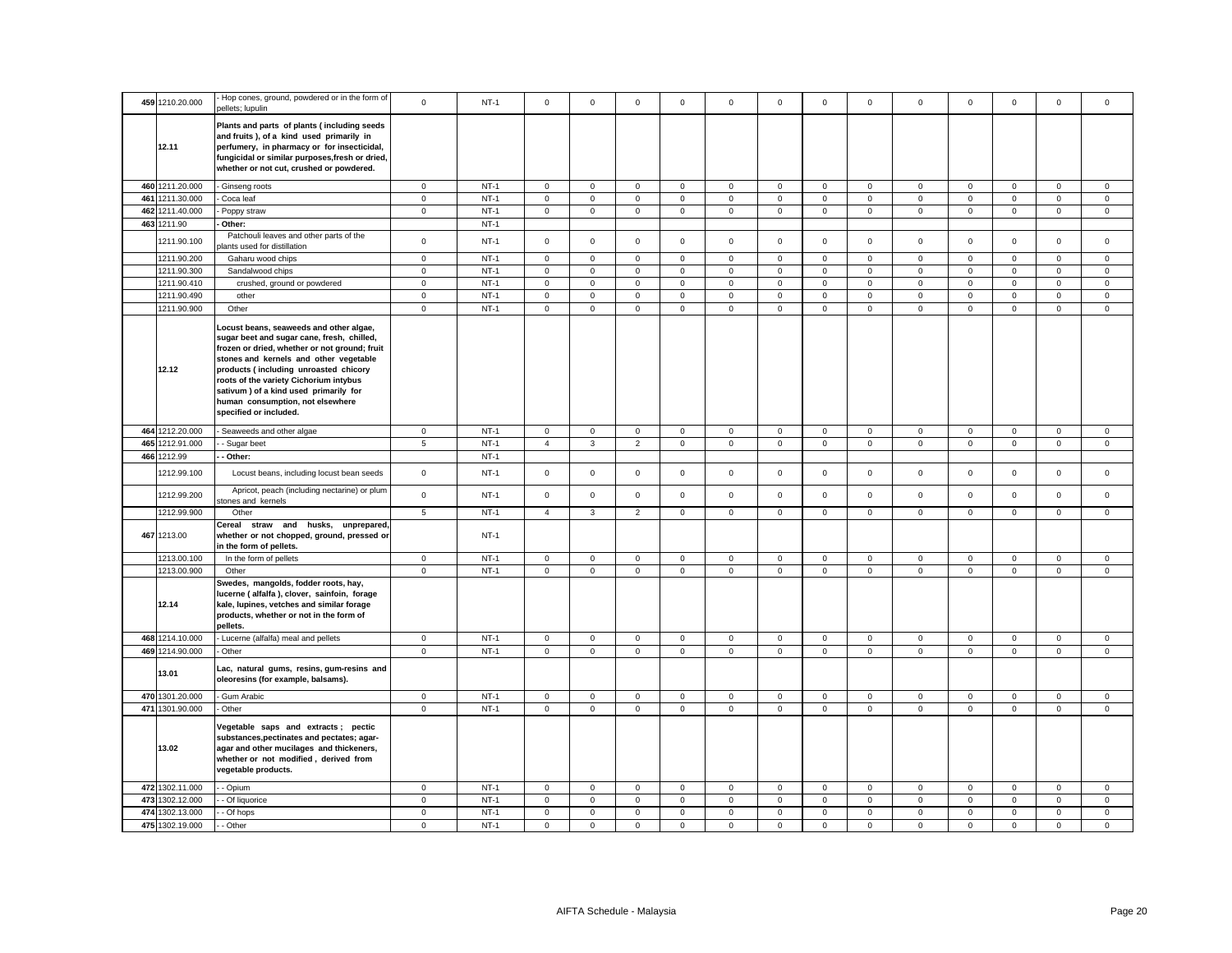| 459 1210.20.000 | Hop cones, ground, powdered or in the form of<br>bellets; lupulin                                                                                                                                                                                                                                                                                                          | $\mathbf 0$     | $NT-1$ | $^{\circ}$     | $^{\circ}$   | $\mathbf 0$    | $\mathbf 0$         | $\mathbf 0$  | $\mathbf 0$ | $\mathbf 0$         | $\mathbf 0$  | $\mathbf 0$    | $\mathbf 0$ | $\mathbf 0$  | $\mathbf 0$         | $\mathbf 0$ |
|-----------------|----------------------------------------------------------------------------------------------------------------------------------------------------------------------------------------------------------------------------------------------------------------------------------------------------------------------------------------------------------------------------|-----------------|--------|----------------|--------------|----------------|---------------------|--------------|-------------|---------------------|--------------|----------------|-------------|--------------|---------------------|-------------|
| 12.11           | Plants and parts of plants (including seeds<br>and fruits), of a kind used primarily in<br>perfumery, in pharmacy or for insecticidal,<br>fungicidal or similar purposes, fresh or dried,<br>whether or not cut, crushed or powdered.                                                                                                                                      |                 |        |                |              |                |                     |              |             |                     |              |                |             |              |                     |             |
| 460 1211.20.000 | Ginseng roots                                                                                                                                                                                                                                                                                                                                                              | $\mathbf 0$     | $NT-1$ | $\mathsf 0$    | $\mathsf 0$  | $\mathsf 0$    | $\mathbf 0$         | $\mathsf 0$  | $\mathsf 0$ | $\mathsf 0$         | $\mathbf 0$  | $\mathbf 0$    | $\mathbf 0$ | $\mathsf 0$  | $\mathsf 0$         | $\mathbf 0$ |
| 461 1211.30.000 | Coca leaf                                                                                                                                                                                                                                                                                                                                                                  | $\mathbf 0$     | $NT-1$ | $\mathbf 0$    | $\mathbf 0$  | $\mathsf 0$    | $\mathsf 0$         | $\mathbf 0$  | $\mathsf 0$ | $\mathbf 0$         | $\mathsf 0$  | $\mathsf 0$    | $\mathsf 0$ | $\mathsf 0$  | $\mathsf 0$         | $\mathsf 0$ |
| 462 1211.40.000 | Poppy straw                                                                                                                                                                                                                                                                                                                                                                | $\mathbf 0$     | $NT-1$ | $\mathsf 0$    | $\mathsf 0$  | $\mathsf 0$    | $\mathsf{O}\xspace$ | $\mathsf 0$  | $\mathbf 0$ | $\mathbf 0$         | $\mathsf 0$  | $\mathsf 0$    | $\mathbf 0$ | $\mathsf 0$  | $\mathsf{O}\xspace$ | $\mathsf 0$ |
| 463 1211.90     | Other:                                                                                                                                                                                                                                                                                                                                                                     |                 | $NT-1$ |                |              |                |                     |              |             |                     |              |                |             |              |                     |             |
| 1211.90.100     | Patchouli leaves and other parts of the<br>lants used for distillation                                                                                                                                                                                                                                                                                                     | $\mathsf 0$     | $NT-1$ | $\mathbf{0}$   | $\mathsf 0$  | $\mathbf 0$    | $\mathbf{0}$        | $\mathsf 0$  | $\mathsf 0$ | $\mathbf{O}$        | $\mathsf 0$  | $\mathsf 0$    | $\mathbf 0$ | $\mathbf 0$  | $\mathsf 0$         | $\mathbf 0$ |
| 1211.90.200     | Gaharu wood chips                                                                                                                                                                                                                                                                                                                                                          | 0               | $NT-1$ | $\mathbf 0$    | $\mathbf 0$  | $\mathbf 0$    | $\mathbf 0$         | 0            | $\mathbf 0$ | $\mathbf 0$         | $\mathbf 0$  | 0              | $\mathbf 0$ | $\mathbf 0$  | $\mathbf 0$         | $\mathbf 0$ |
| 1211.90.300     | Sandalwood chips                                                                                                                                                                                                                                                                                                                                                           | $\mathbf 0$     | $NT-1$ | $\mathsf 0$    | $\mathsf 0$  | $\mathbf 0$    | $\mathsf 0$         | $\mathsf 0$  | $\mathbf 0$ | $\mathsf 0$         | $\mathsf 0$  | $\mathsf 0$    | $\pmb{0}$   | $\mathsf 0$  | $\mathbf 0$         | $\mathsf 0$ |
| 1211.90.410     | crushed, ground or powdered                                                                                                                                                                                                                                                                                                                                                | $\mathbf 0$     | $NT-1$ | $\mathbf{0}$   | $\mathbf 0$  | $\mathsf 0$    | $\mathsf 0$         | $\mathbf 0$  | $\mathsf 0$ | $\mathsf 0$         | $\mathbf 0$  | $\mathsf 0$    | $\mathbf 0$ | $\mathsf 0$  | $\mathsf 0$         | $\mathsf 0$ |
| 1211.90.490     | other                                                                                                                                                                                                                                                                                                                                                                      | $\mathsf 0$     | $NT-1$ | $\mathsf 0$    | $\mathsf 0$  | $\mathsf 0$    | $\mathsf 0$         | $\mathsf 0$  | $\mathbf 0$ | $\mathsf 0$         | $\mathsf 0$  | $\overline{0}$ | $\mathbf 0$ | $\mathsf 0$  | $\mathsf 0$         | $\mathsf 0$ |
| 1211.90.900     | Other                                                                                                                                                                                                                                                                                                                                                                      | $\mathbf{0}$    | $NT-1$ | $\circ$        | $\mathbf 0$  | $\mathbf 0$    | $\mathbf{0}$        | $\mathbf{0}$ | $\mathsf 0$ | $\overline{0}$      | $\mathbf{0}$ | $\mathbf{0}$   | $\mathbf 0$ | $\mathbf{0}$ | $\mathbf 0$         | $\mathsf 0$ |
| 12.12           | Locust beans, seaweeds and other algae,<br>sugar beet and sugar cane, fresh, chilled,<br>frozen or dried, whether or not ground; fruit<br>stones and kernels and other vegetable<br>products (including unroasted chicory<br>roots of the variety Cichorium intybus<br>sativum) of a kind used primarily for<br>human consumption, not elsewhere<br>specified or included. |                 |        |                |              |                |                     |              |             |                     |              |                |             |              |                     |             |
| 464 1212.20.000 | Seaweeds and other algae                                                                                                                                                                                                                                                                                                                                                   | $\mathbf 0$     | $NT-1$ | $\mathbf 0$    | $\mathbf 0$  | $\mathbf 0$    | $\mathbf 0$         | $\mathbf 0$  | $\mathsf 0$ | $\mathbf 0$         | $\mathbf 0$  | $\mathbf 0$    | $\mathsf 0$ | $\mathbf 0$  | $\mathbf 0$         | $\mathsf 0$ |
| 465 1212.91.000 | - Sugar beet                                                                                                                                                                                                                                                                                                                                                               | 5               | $NT-1$ | $\overline{4}$ | $\mathbf{3}$ | $\overline{2}$ | $\mathsf 0$         | $\mathbf 0$  | $\mathsf 0$ | $\mathsf{O}\xspace$ | $\mathsf 0$  | $\mathsf 0$    | $\mathbf 0$ | $\mathsf 0$  | $\mathsf 0$         | $\mathsf 0$ |
| 466 1212.99     | - Other:                                                                                                                                                                                                                                                                                                                                                                   |                 | $NT-1$ |                |              |                |                     |              |             |                     |              |                |             |              |                     |             |
| 1212.99.100     | Locust beans, including locust bean seeds                                                                                                                                                                                                                                                                                                                                  | $\mathbf 0$     | $NT-1$ | $\mathbf 0$    | $\mathsf 0$  | $\mathsf 0$    | $\mathsf 0$         | $\mathbf 0$  | $\mathsf 0$ | $\mathbf 0$         | $\mathsf 0$  | $\mathsf 0$    | $\mathsf 0$ | $\mathbf 0$  | $\mathsf 0$         | $\mathsf 0$ |
| 1212.99.200     | Apricot, peach (including nectarine) or plum<br>stones and kernels                                                                                                                                                                                                                                                                                                         | $\mathbf 0$     | $NT-1$ | $\mathbf{0}$   | $\mathbf 0$  | $\mathbf 0$    | $\mathbf 0$         | $\mathbf 0$  | $\mathbf 0$ | $\mathbf 0$         | $\mathbf{0}$ | $\mathbf 0$    | $\mathbf 0$ | $\mathbf 0$  | $\mathbf 0$         | $\mathbf 0$ |
| 1212.99.900     | Other                                                                                                                                                                                                                                                                                                                                                                      | $5\overline{5}$ | $NT-1$ | $\overline{4}$ | $\mathbf{3}$ | $\overline{2}$ | $\mathbf{0}$        | $\mathbf{0}$ | $\mathbf 0$ | $\mathsf{O}\xspace$ | $\mathsf 0$  | $\mathsf 0$    | $\mathbf 0$ | $\mathbf 0$  | $\mathsf{O}\xspace$ | $\mathbf 0$ |
| 467 1213.00     | Cereal straw and husks, unprepared,<br>whether or not chopped, ground, pressed or<br>in the form of pellets.                                                                                                                                                                                                                                                               |                 | $NT-1$ |                |              |                |                     |              |             |                     |              |                |             |              |                     |             |
| 1213.00.100     | In the form of pellets                                                                                                                                                                                                                                                                                                                                                     | $\mathbf 0$     | $NT-1$ | $\mathsf 0$    | $\mathsf 0$  | $\mathbf 0$    | $\mathsf 0$         | $\mathsf 0$  | $\mathsf 0$ | $\mathbf 0$         | $\mathbf 0$  | $\mathbf 0$    | $\mathsf 0$ | $\mathsf 0$  | $\mathbf 0$         | $\mathsf 0$ |
| 1213.00.900     | Other                                                                                                                                                                                                                                                                                                                                                                      | $\mathbf 0$     | $NT-1$ | $\mathbf 0$    | $\mathsf 0$  | $\mathsf 0$    | $\mathsf 0$         | $\mathbf 0$  | $\mathsf 0$ | $\mathbf 0$         | $\mathbf 0$  | $\mathsf 0$    | $\mathsf 0$ | $\mathsf 0$  | $\mathsf{O}\xspace$ | $\mathsf 0$ |
| 12.14           | Swedes, mangolds, fodder roots, hay,<br>lucerne (alfalfa), clover, sainfoin, forage<br>kale, lupines, vetches and similar forage<br>products, whether or not in the form of<br>pellets.                                                                                                                                                                                    |                 |        |                |              |                |                     |              |             |                     |              |                |             |              |                     |             |
| 468 1214.10.000 | Lucerne (alfalfa) meal and pellets                                                                                                                                                                                                                                                                                                                                         | $\mathbf 0$     | $NT-1$ | $\mathsf 0$    | $\mathsf 0$  | $\mathsf 0$    | $\mathsf 0$         | $\mathsf 0$  | $\mathsf 0$ | $\mathbf 0$         | $\mathsf 0$  | $\mathsf 0$    | $\mathbf 0$ | $\mathsf 0$  | $\mathsf 0$         | $\mathsf 0$ |
| 469 1214.90.000 | Other                                                                                                                                                                                                                                                                                                                                                                      | $\mathbf 0$     | $NT-1$ | $\mathbf{0}$   | $\mathsf 0$  | $\mathsf 0$    | $\mathbf{0}$        | $\mathbf 0$  | $\mathsf 0$ | $\overline{0}$      | $\mathsf 0$  | $\mathbf{0}$   | $\mathsf 0$ | $\mathsf 0$  | $\mathsf 0$         | $\mathsf 0$ |
| 13.01           | Lac, natural gums, resins, gum-resins and<br>oleoresins (for example, balsams).                                                                                                                                                                                                                                                                                            |                 |        |                |              |                |                     |              |             |                     |              |                |             |              |                     |             |
| 470 1301.20.000 | Gum Arabic                                                                                                                                                                                                                                                                                                                                                                 | $\mathbf 0$     | $NT-1$ | $\mathbf{0}$   | $\mathbf 0$  | $\mathsf 0$    | $\mathbf{0}$        | $\mathbf 0$  | $\mathbf 0$ | $\mathbf{O}$        | $\mathsf 0$  | $\mathbf{0}$   | $\mathbf 0$ | $\mathbf 0$  | $\mathsf 0$         | $\mathsf 0$ |
| 471 1301.90.000 | Other                                                                                                                                                                                                                                                                                                                                                                      | $\mathbf 0$     | $NT-1$ | $\mathsf 0$    | $\mathbf 0$  | $\mathbf 0$    | $\mathsf 0$         | $\mathbf{0}$ | $\mathbf 0$ | $\mathsf 0$         | $\mathbf{0}$ | $\mathsf 0$    | $\mathbf 0$ | $\mathbf 0$  | $\mathsf{O}\xspace$ | $\mathbf 0$ |
| 13.02           | Vegetable saps and extracts; pectic<br>substances, pectinates and pectates; agar-<br>agar and other mucilages and thickeners,<br>whether or not modified, derived from<br>vegetable products.                                                                                                                                                                              |                 |        |                |              |                |                     |              |             |                     |              |                |             |              |                     |             |
| 472 1302.11.000 | - Opium                                                                                                                                                                                                                                                                                                                                                                    | $\mathbf 0$     | $NT-1$ | $\mathbf 0$    | $\mathbf 0$  | 0              | $\mathbf 0$         | 0            | $\mathbf 0$ | $\mathbf{0}$        | $\mathbf 0$  | 0              | $\mathbf 0$ | $\mathbf 0$  | $\mathbf 0$         | $\mathbf 0$ |
| 473 1302.12.000 | - Of liquorice                                                                                                                                                                                                                                                                                                                                                             | $\mathbf 0$     | $NT-1$ | $\mathbf{0}$   | $\mathbf 0$  | $\mathsf 0$    | $\mathsf 0$         | $\mathbf 0$  | $\mathsf 0$ | $\mathbf 0$         | $\mathsf 0$  | $\mathbf{0}$   | $\mathsf 0$ | $\mathsf 0$  | $\mathsf 0$         | $\mathsf 0$ |
| 474 1302.13.000 | - Of hops                                                                                                                                                                                                                                                                                                                                                                  | $\mathbf 0$     | $NT-1$ | $\mathsf 0$    | $\mathsf 0$  | $\mathsf 0$    | $\mathsf 0$         | $\mathsf 0$  | $\mathsf 0$ | $\mathsf 0$         | $\mathbf 0$  | $\mathbf 0$    | $\mathsf 0$ | $\mathsf 0$  | $\mathsf 0$         | $\mathsf 0$ |
| 475 1302.19.000 | - Other                                                                                                                                                                                                                                                                                                                                                                    | $\mathbf 0$     | $NT-1$ | $\mathbf 0$    | $\mathbf 0$  | $\mathbf 0$    | $\mathbf 0$         | $\mathbf 0$  | $\mathbf 0$ | $\mathbf 0$         | $\mathbf 0$  | $\mathbf 0$    | $\mathbf 0$ | $\mathbf 0$  | $\mathbf 0$         | $\mathbf 0$ |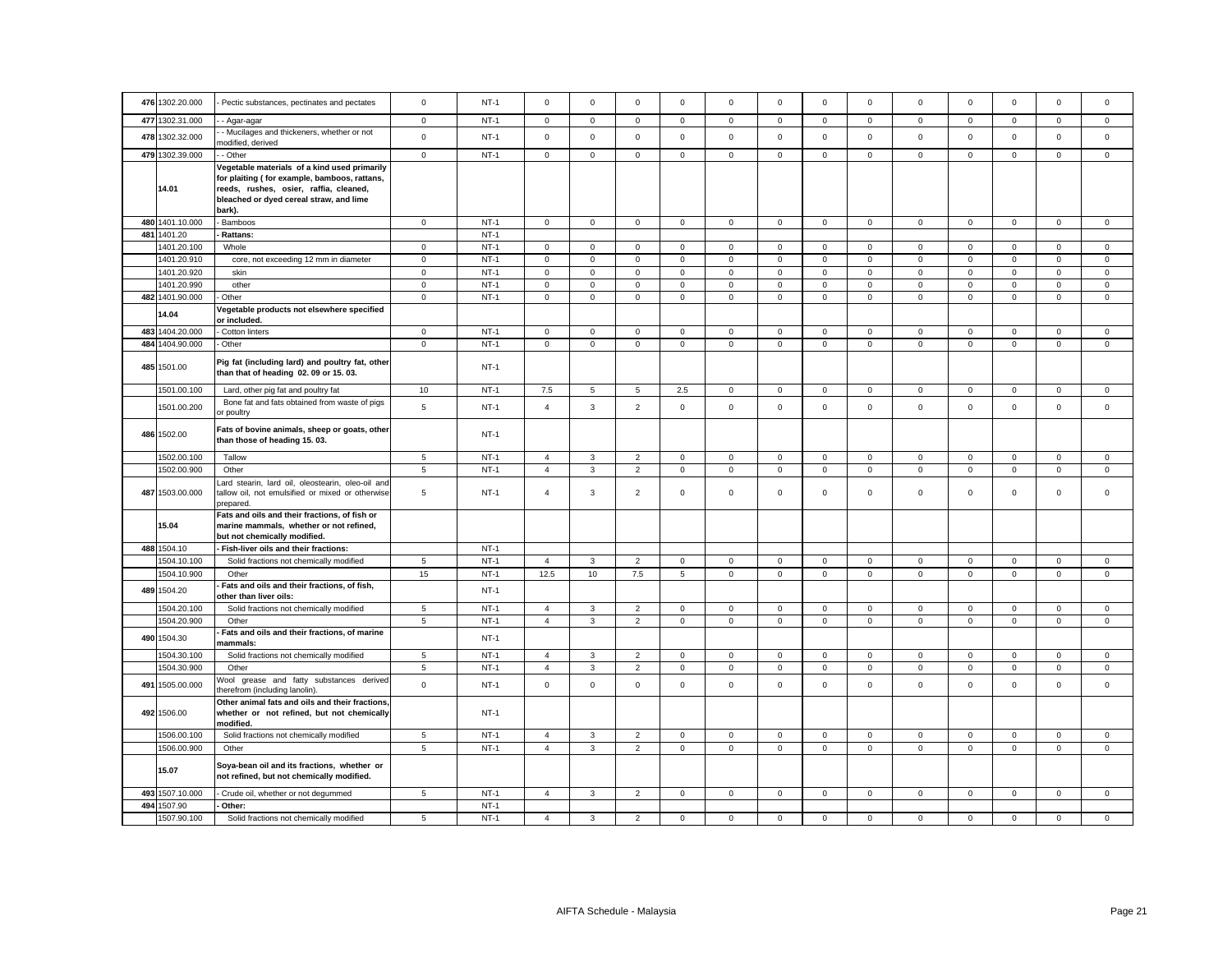|     | 476 1302.20.000 | Pectic substances, pectinates and pectates                                                                        | $\mathbf 0$     | $NT-1$      | $\mathbf 0$    | $\Omega$     | $\mathsf 0$    | $\Omega$     | 0           | $\Omega$    | $\mathbf 0$  | $\mathbf{0}$   | $\mathbf 0$  | $\Omega$            | $\mathbf 0$         | $\mathbf 0$ | $\Omega$     |
|-----|-----------------|-------------------------------------------------------------------------------------------------------------------|-----------------|-------------|----------------|--------------|----------------|--------------|-------------|-------------|--------------|----------------|--------------|---------------------|---------------------|-------------|--------------|
|     |                 |                                                                                                                   |                 |             |                |              |                |              |             |             |              |                |              |                     |                     |             |              |
|     | 477 1302.31.000 | - Agar-agar                                                                                                       | $\mathbf 0$     | $NT-1$      | $\circ$        | $\mathbf 0$  | $\mathsf 0$    | $\mathbf{0}$ | $\mathsf 0$ | $\mathbf 0$ | $\mathsf 0$  | $\overline{0}$ | $\mathbf{0}$ | $\mathsf 0$         | $\mathbf 0$         | $\mathsf 0$ | $\mathsf 0$  |
|     | 478 1302.32.000 | - Mucilages and thickeners, whether or not                                                                        | $\mathbf 0$     | $NT-1$      | $\circ$        | $\mathbf 0$  | $\mathbf 0$    | $\mathbf{0}$ | $\mathsf 0$ | $\mathbf 0$ | $\mathsf 0$  | $\mathbf{0}$   | $\mathbf{0}$ | $\mathbf 0$         | $\mathbf 0$         | $\mathbf 0$ | $\mathbf 0$  |
|     |                 | nodified, derived                                                                                                 |                 |             |                |              |                |              |             |             |              |                |              |                     |                     |             |              |
|     | 479 1302.39.000 | - Other                                                                                                           | $\mathbf 0$     | $NT-1$      | $\mathsf{O}$   | $\mathbf 0$  | $\mathsf 0$    | $\mathbf 0$  | $\mathbf 0$ | $\mathbf 0$ | $\mathsf 0$  | $\mathbf{0}$   | $\mathsf 0$  | $\mathsf 0$         | $\mathbf 0$         | $\mathsf 0$ | $\mathsf 0$  |
|     |                 | Vegetable materials of a kind used primarily                                                                      |                 |             |                |              |                |              |             |             |              |                |              |                     |                     |             |              |
|     |                 | for plaiting (for example, bamboos, rattans,                                                                      |                 |             |                |              |                |              |             |             |              |                |              |                     |                     |             |              |
|     | 14.01           | reeds, rushes, osier, raffia, cleaned,                                                                            |                 |             |                |              |                |              |             |             |              |                |              |                     |                     |             |              |
|     |                 | bleached or dyed cereal straw, and lime                                                                           |                 |             |                |              |                |              |             |             |              |                |              |                     |                     |             |              |
|     |                 | bark).                                                                                                            |                 |             |                |              |                |              |             |             |              |                |              |                     |                     |             |              |
|     | 480 1401.10.000 | - Bamboos                                                                                                         | $\overline{0}$  | $NT-1$      | $\mathbf 0$    | $\mathsf 0$  | $\overline{0}$ | $\mathsf 0$  | $\mathbf 0$ | $\mathbf 0$ | $\mathbf{0}$ | $\mathsf 0$    | $\mathsf 0$  | $\mathsf{O}\xspace$ | $\mathbf{0}$        | $\mathbf 0$ | $\mathbf 0$  |
| 481 | 1401.20         | Rattans:                                                                                                          |                 | $NT-1$      |                |              |                |              |             |             |              |                |              |                     |                     |             |              |
|     | 1401.20.100     | Whole                                                                                                             | $\mathbf{0}$    | $NT-1$      | $\mathbf{0}$   | $\mathbf{0}$ | $\mathbf 0$    | $\mathbf 0$  | 0           | $\mathbf 0$ | $\mathbf{0}$ | $\mathbf 0$    | $\mathbf 0$  | $\mathbf 0$         | $\mathbf 0$         | $\mathbf 0$ | $\mathbf 0$  |
|     | 1401.20.910     | core, not exceeding 12 mm in diameter                                                                             | $\mathbf 0$     | $NT-1$      | $\circ$        | $\mathbf 0$  | $\mathbf 0$    | $\mathbf{0}$ | $\mathbf 0$ | $\mathbf 0$ | $\circ$      | $\mathbf{0}$   | $\mathbf{0}$ | $\mathbf 0$         | $\mathbf 0$         | $\mathbf 0$ | $\mathbf{0}$ |
|     | 1401.20.920     | skin                                                                                                              | $\mathbf 0$     | $NT-1$      | $\mathsf 0$    | $\mathbf 0$  | $\mathsf 0$    | $\mathbf 0$  | $\mathsf 0$ | $\mathsf 0$ | $\mathsf 0$  | $\mathbf 0$    | $\mathsf 0$  | $\mathsf 0$         | $\mathbf 0$         | $\mathsf 0$ | $\mathbf 0$  |
|     | 401.20.990      | other                                                                                                             | $\mathsf 0$     | $NT-1$      | $\mathbf 0$    | $\mathbf 0$  | $\mathsf 0$    | $\mathsf 0$  | $\mathsf 0$ | $\mathsf 0$ | $\mathsf 0$  | 0              | $\mathbf 0$  | $\mathsf 0$         | $\mathbf 0$         | $\mathsf 0$ | $\mathsf 0$  |
|     |                 |                                                                                                                   | $\mathbf 0$     | $NT-1$      | $\mathbf 0$    | $\mathbf 0$  | $\mathsf 0$    |              | $\mathsf 0$ | $\mathbf 0$ | $\mathsf{O}$ | $\mathbf{0}$   | $\mathsf 0$  | $\mathsf 0$         |                     | $\mathsf 0$ | $\mathsf 0$  |
|     | 482 1401.90.000 | Other                                                                                                             |                 |             |                |              |                | $\mathsf 0$  |             |             |              |                |              |                     | $\mathbf 0$         |             |              |
|     | 14.04           | Vegetable products not elsewhere specified                                                                        |                 |             |                |              |                |              |             |             |              |                |              |                     |                     |             |              |
|     |                 | or included.                                                                                                      |                 |             |                |              |                |              |             |             |              |                |              |                     |                     |             |              |
|     | 483 1404.20.000 | Cotton linters                                                                                                    | $\mathbf 0$     | $NT-1$      | $\mathsf{O}$   | $\mathbf 0$  | $\mathsf 0$    | $\mathbf{0}$ | $\mathbf 0$ | $\mathbf 0$ | $\mathbf{0}$ | $\mathbf{0}$   | $\mathsf 0$  | $\mathsf 0$         | $\mathbf 0$         | $\mathsf 0$ | $\mathsf 0$  |
|     | 484 1404.90.000 | Other                                                                                                             | $\mathsf 0$     | $NT-1$      | $\mathsf 0$    | $\mathsf 0$  | $\mathsf 0$    | $\mathsf 0$  | $\mathbf 0$ | $\mathsf 0$ | $\mathsf 0$  | $\mathsf 0$    | $\mathsf 0$  | $\mathsf 0$         | $\mathsf 0$         | $\mathsf 0$ | $\mathsf 0$  |
|     | 485 1501.00     | Pig fat (including lard) and poultry fat, other<br>than that of heading 02.09 or 15.03.                           |                 | <b>NT-1</b> |                |              |                |              |             |             |              |                |              |                     |                     |             |              |
|     | 1501.00.100     | Lard, other pig fat and poultry fat                                                                               | 10              | $NT-1$      | 7.5            | 5            | 5              | 2.5          | $\mathbf 0$ | $\mathsf 0$ | $\mathbf{0}$ | $\overline{0}$ | $\mathbf 0$  | $\mathsf 0$         | 0                   | $\mathbf 0$ | $\mathbf 0$  |
|     | 1501.00.200     | Bone fat and fats obtained from waste of pigs<br>or poultry                                                       | 5               | $NT-1$      | $\overline{4}$ | $\mathbf{3}$ | $\overline{2}$ | $\mathsf 0$  | $\mathbf 0$ | $\mathsf 0$ | $\mathsf{O}$ | $\mathsf 0$    | $\mathsf 0$  | $\mathsf 0$         | $\mathsf 0$         | $\mathsf 0$ | $\mathsf 0$  |
|     | 486 1502.00     | Fats of bovine animals, sheep or goats, other<br>than those of heading 15.03.                                     |                 | $NT-1$      |                |              |                |              |             |             |              |                |              |                     |                     |             |              |
|     | 1502.00.100     | Tallow                                                                                                            | 5               | $NT-1$      | $\overline{4}$ | 3            | $\overline{2}$ | $\mathbf 0$  | $\mathbf 0$ | $\mathsf 0$ | 0            | $\mathbf{0}$   | $\mathbf 0$  | $\mathbf 0$         | $\mathbf 0$         | $\mathbf 0$ | $\mathsf 0$  |
|     |                 |                                                                                                                   |                 |             |                |              |                |              |             |             |              |                |              |                     |                     |             |              |
|     | 1502.00.900     | Other                                                                                                             | $5\phantom{.0}$ | $NT-1$      | $\overline{4}$ | $\mathbf{3}$ | $\overline{2}$ | $\mathsf 0$  | $\mathbf 0$ | $\mathsf 0$ | $\mathsf 0$  | $\mathbf{0}$   | $\mathsf 0$  | $\mathsf 0$         | $\mathsf 0$         | $\mathbf 0$ | $\mathbf 0$  |
|     | 487 1503.00.000 | ard stearin, lard oil, oleostearin, oleo-oil and<br>tallow oil, not emulsified or mixed or otherwise<br>prepared. | $\sqrt{5}$      | $NT-1$      | $\overline{4}$ | 3            | $\overline{2}$ | $\mathbf 0$  | 0           | $\mathbf 0$ | $\mathsf 0$  | $\mathbf 0$    | $\mathbf 0$  | $\mathbf 0$         | 0                   | $\mathsf 0$ | $\mathsf 0$  |
|     |                 | Fats and oils and their fractions, of fish or                                                                     |                 |             |                |              |                |              |             |             |              |                |              |                     |                     |             |              |
|     | 15.04           | marine mammals, whether or not refined,                                                                           |                 |             |                |              |                |              |             |             |              |                |              |                     |                     |             |              |
|     |                 | but not chemically modified.                                                                                      |                 |             |                |              |                |              |             |             |              |                |              |                     |                     |             |              |
|     | 488 1504.10     | Fish-liver oils and their fractions:                                                                              |                 | $NT-1$      |                |              |                |              |             |             |              |                |              |                     |                     |             |              |
|     | 1504.10.100     | Solid fractions not chemically modified                                                                           | 5               | $NT-1$      | $\overline{4}$ | 3            | $\overline{2}$ | $\mathsf 0$  | $\mathbf 0$ | $\mathbf 0$ | $\mathsf 0$  | $\mathbf 0$    | $\mathbf 0$  | $\mathbf 0$         | $\mathbf 0$         | $\mathsf 0$ | $\mathsf 0$  |
|     | 1504.10.900     | Other                                                                                                             | 15              | $NT-1$      | 12.5           | 10           | 7.5            | 5            | $\mathbf 0$ | $\mathbf 0$ | $\mathsf 0$  | $\mathbf{0}$   | $\mathbf 0$  | $\mathsf 0$         | $\mathbf 0$         | $\mathsf 0$ | $\mathbf 0$  |
|     |                 | Fats and oils and their fractions, of fish,                                                                       |                 |             |                |              |                |              |             |             |              |                |              |                     |                     |             |              |
|     | 489 1504.20     | other than liver oils:                                                                                            |                 | $NT-1$      |                |              |                |              |             |             |              |                |              |                     |                     |             |              |
|     | 1504.20.100     | Solid fractions not chemically modified                                                                           | $\,$ 5 $\,$     | $NT-1$      | $\overline{4}$ | $\mathbf{3}$ | $\mathbf 2$    | $\mathsf 0$  | $\mathsf 0$ | $\mathsf 0$ | $\mathsf 0$  | $\mathsf 0$    | $\mathsf 0$  | $\mathsf 0$         | $\mathsf{O}\xspace$ | $\mathbf 0$ | $\mathsf 0$  |
|     | 1504.20.900     | Other                                                                                                             | 5               | $NT-1$      | $\overline{4}$ | 3            | $\mathbf 2$    | $\mathbf 0$  | 0           | $\mathbf 0$ | $\mathbf{0}$ | $\mathbf{0}$   | $\mathsf 0$  | $\mathbf 0$         | 0                   | $\mathbf 0$ | $\mathsf 0$  |
|     |                 | Fats and oils and their fractions, of marine                                                                      |                 |             |                |              |                |              |             |             |              |                |              |                     |                     |             |              |
|     | 490 1504.30     | mammals:                                                                                                          |                 | $NT-1$      |                |              |                |              |             |             |              |                |              |                     |                     |             |              |
|     | 1504.30.100     | Solid fractions not chemically modified                                                                           | 5               | $NT-1$      | $\overline{4}$ | 3            | $\overline{2}$ | $\mathbf 0$  | $\mathbf 0$ | $\mathsf 0$ | 0            | $\mathbf{0}$   | $\mathbf 0$  | $\mathsf 0$         | $\mathbf 0$         | $\mathbf 0$ | $\mathbf 0$  |
|     | 1504.30.900     | Other                                                                                                             | 5               | $NT-1$      | $\overline{4}$ | 3            | $\overline{2}$ | $\mathsf 0$  | $\mathsf 0$ | $\mathsf 0$ | $\mathsf 0$  | $\mathbf 0$    | $\mathbf 0$  | $\mathsf 0$         | $\mathsf 0$         | $\mathsf 0$ | $\mathsf 0$  |
|     | 491 1505.00.000 | Nool grease and fatty substances derived                                                                          | $\mathsf 0$     | $NT-1$      | $\mathsf 0$    | $\mathsf 0$  | $\mathsf 0$    | $\mathsf 0$  | $\mathbf 0$ | $\mathsf 0$ | $\mathsf 0$  | $\mathsf 0$    | $\mathsf 0$  | $\mathsf 0$         | $\mathbf 0$         | $\mathsf 0$ | $\mathsf 0$  |
|     |                 | herefrom (including lanolin).<br>Other animal fats and oils and their fractions,                                  |                 |             |                |              |                |              |             |             |              |                |              |                     |                     |             |              |
|     | 492 1506.00     | whether or not refined, but not chemically                                                                        |                 | <b>NT-1</b> |                |              |                |              |             |             |              |                |              |                     |                     |             |              |
|     |                 | modified.                                                                                                         |                 |             |                |              |                |              |             |             |              |                |              |                     |                     |             |              |
|     | 1506.00.100     | Solid fractions not chemically modified                                                                           | $\sqrt{5}$      | $NT-1$      | $\overline{4}$ | 3            | $\overline{2}$ | $\mathsf 0$  | $\mathbf 0$ | $\mathsf 0$ | $\mathsf 0$  | $\mathbf 0$    | $\mathsf 0$  | $\mathbf 0$         | $\mathsf 0$         | $\mathbf 0$ | $\mathbf 0$  |
|     | 1506.00.900     | Other                                                                                                             | 5               | $NT-1$      | $\overline{4}$ | 3            | $\overline{2}$ | $\mathsf 0$  | $\mathbf 0$ | $\mathsf 0$ | $\mathsf 0$  | $\mathbf 0$    | $\mathbf 0$  | $\mathsf 0$         | $\mathbf 0$         | $\mathsf 0$ | $\mathsf 0$  |
|     |                 |                                                                                                                   |                 |             |                |              |                |              |             |             |              |                |              |                     |                     |             |              |
|     | 15.07           | Soya-bean oil and its fractions, whether or<br>not refined, but not chemically modified.                          |                 |             |                |              |                |              |             |             |              |                |              |                     |                     |             |              |
|     | 493 1507.10.000 | Crude oil, whether or not degummed                                                                                | $\sqrt{5}$      | $NT-1$      | $\overline{4}$ | 3            | $\overline{2}$ | $\mathsf 0$  | $\mathsf 0$ | $\mathbf 0$ | $\mathbf 0$  | $\mathsf 0$    | $\mathsf 0$  | $\mathbf 0$         | 0                   | $\mathsf 0$ | $\mathbf 0$  |
|     | 494 1507.90     | Other:                                                                                                            |                 | $NT-1$      |                |              |                |              |             |             |              |                |              |                     |                     |             |              |
|     | 1507.90.100     | Solid fractions not chemically modified                                                                           | 5               | $NT-1$      | $\overline{4}$ | 3            | $\overline{2}$ | $\mathbf 0$  | 0           | $\mathbf 0$ | $\mathbf 0$  | $\mathbf 0$    | $\mathbf 0$  | $\mathbf 0$         | $\mathbf 0$         | $\mathsf 0$ | $\mathsf 0$  |
|     |                 |                                                                                                                   |                 |             |                |              |                |              |             |             |              |                |              |                     |                     |             |              |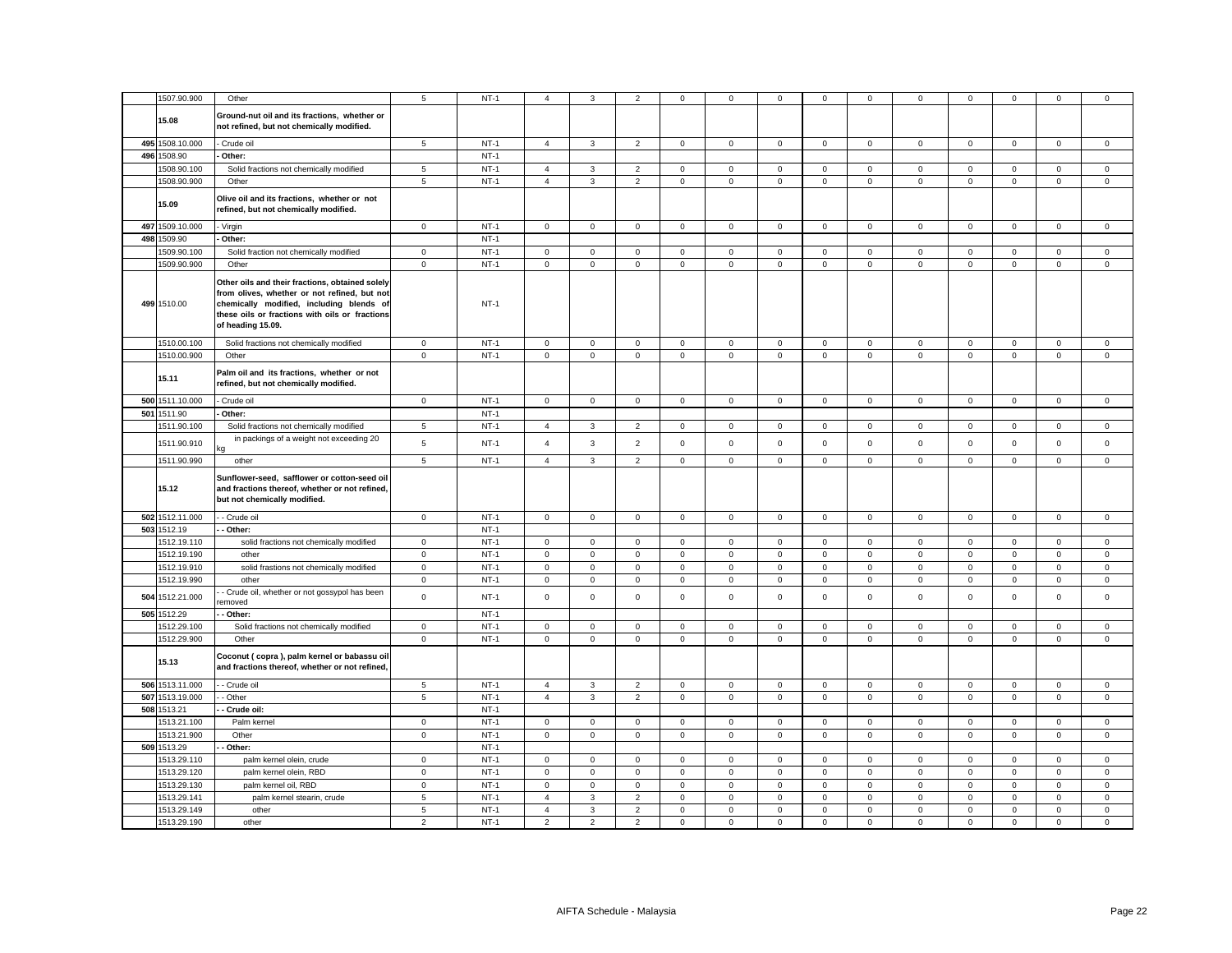|     | 1507.90.900                | Other                                                                                                                                                                                                              | 5              | $NT-1$           | $\overline{4}$ | 3              | $\overline{2}$ | 0            | 0                   | 0           | 0                   | $\mathbf 0$    | 0                   | $\mathbf 0$  | $\mathbf 0$  | 0           | 0           |
|-----|----------------------------|--------------------------------------------------------------------------------------------------------------------------------------------------------------------------------------------------------------------|----------------|------------------|----------------|----------------|----------------|--------------|---------------------|-------------|---------------------|----------------|---------------------|--------------|--------------|-------------|-------------|
|     | 15.08                      | Ground-nut oil and its fractions, whether or<br>not refined, but not chemically modified.                                                                                                                          |                |                  |                |                |                |              |                     |             |                     |                |                     |              |              |             |             |
|     | 495 1508.10.000            | Crude oil                                                                                                                                                                                                          | 5              | $NT-1$           | $\overline{4}$ | $\mathbf{3}$   | $\overline{2}$ | $\mathsf 0$  | $\overline{0}$      | $\mathbf 0$ | $\mathsf 0$         | $\mathbf 0$    | $\mathbf{0}$        | $\mathbf 0$  | $\mathbf{O}$ | $\mathsf 0$ | $\mathsf 0$ |
|     | 496 1508.90                | Other:                                                                                                                                                                                                             |                | $NT-1$           |                |                |                |              |                     |             |                     |                |                     |              |              |             |             |
|     | 1508.90.100                | Solid fractions not chemically modified                                                                                                                                                                            | 5              | $NT-1$           | $\overline{4}$ | 3              | $\overline{2}$ | $\mathsf 0$  | $\mathbf 0$         | $\mathbf 0$ | $\mathsf 0$         | $\mathsf 0$    | $\mathbf 0$         | $\mathbf 0$  | $\mathbf 0$  | $\mathsf 0$ | $\mathsf 0$ |
|     | 1508.90.900                | Other                                                                                                                                                                                                              | 5              | $NT-1$           | $\overline{4}$ | $\overline{3}$ | $\overline{2}$ | $\mathbf 0$  | $\mathsf 0$         | $\mathbf 0$ | $\mathbf{0}$        | $\mathbf 0$    | $\mathsf{O}\xspace$ | $\mathbf{0}$ | $\mathbf 0$  | $\mathbf 0$ | $\mathbf 0$ |
|     | 15.09                      | Olive oil and its fractions, whether or not<br>refined, but not chemically modified.                                                                                                                               |                |                  |                |                |                |              |                     |             |                     |                |                     |              |              |             |             |
| 497 | 1509.10.000                | Virgin                                                                                                                                                                                                             | $\mathbf 0$    | $NT-1$           | $\mathbf 0$    | 0              | $\mathsf 0$    | 0            | 0                   | $\mathsf 0$ | 0                   | $\mathbf 0$    | 0                   | $\mathbf 0$  | $\mathbf 0$  | 0           | 0           |
| 498 | 1509.90                    | Other:                                                                                                                                                                                                             |                | $NT-1$           |                |                |                |              |                     |             |                     |                |                     |              |              |             |             |
|     | 1509.90.100                | Solid fraction not chemically modified                                                                                                                                                                             | $\mathbf 0$    | $NT-1$           | $\mathbf 0$    | 0              | $\mathsf 0$    | $\mathbf 0$  | $\mathbf 0$         | 0           | $\mathbf 0$         | $\mathbf 0$    | $\mathbf 0$         | $\mathbf 0$  | $\mathbf 0$  | $\mathbf 0$ | $\mathbf 0$ |
|     | 1509.90.900                | Other                                                                                                                                                                                                              | $\mathsf 0$    | $NT-1$           | $\mathsf 0$    | $\mathbf 0$    | $\mathsf 0$    | $\mathsf 0$  | $\overline{0}$      | $\mathbf 0$ | $\mathsf 0$         | $\overline{0}$ | $\mathbf 0$         | $\mathbf 0$  | $\mathsf 0$  | $\mathsf 0$ | $\mathsf 0$ |
|     | 499 1510.00                | Other oils and their fractions, obtained solely<br>from olives, whether or not refined, but not<br>chemically modified, including blends of<br>these oils or fractions with oils or fractions<br>of heading 15.09. |                | $NT-1$           |                |                |                |              |                     |             |                     |                |                     |              |              |             |             |
|     | 1510.00.100                | Solid fractions not chemically modified                                                                                                                                                                            | $\mathsf 0$    | $NT-1$           | $\mathsf 0$    | $\mathsf 0$    | $\mathsf 0$    | $\mathsf 0$  | $\mathbf 0$         | $\mathsf 0$ | $\mathsf 0$         | $\mathsf 0$    | $\mathsf 0$         | $\mathsf 0$  | $\mathsf 0$  | $\mathsf 0$ | $\mathsf 0$ |
|     | 1510.00.900                | Other                                                                                                                                                                                                              | $\mathbf{0}$   | $NT-1$           | $\mathbf 0$    | $\mathbf{0}$   | $\mathsf 0$    | $\mathbf{0}$ | $\mathsf 0$         | $\mathsf 0$ | $\mathbf 0$         | $\mathsf 0$    | $\mathsf 0$         | $\mathbf{0}$ | $\mathbf 0$  | $\mathsf 0$ | $\mathsf 0$ |
|     | 15.11                      | Palm oil and its fractions, whether or not<br>refined, but not chemically modified.                                                                                                                                |                |                  |                |                |                |              |                     |             |                     |                |                     |              |              |             |             |
|     | 500 1511.10.000            | Crude oil                                                                                                                                                                                                          | $\mathsf 0$    | $NT-1$           | $\overline{0}$ | $\mathbf 0$    | $\mathbf 0$    | $\mathsf 0$  | $\mathbf 0$         | $\mathsf 0$ | $\mathbf{0}$        | $\mathbf 0$    | $\mathsf 0$         | $\mathsf 0$  | $\mathbf 0$  | $\mathsf 0$ | $\mathbf 0$ |
| 501 | 1511.90                    | Other:                                                                                                                                                                                                             |                | $NT-1$           |                |                |                |              |                     |             |                     |                |                     |              |              |             |             |
|     | 1511.90.100                | Solid fractions not chemically modified                                                                                                                                                                            | 5              | $NT-1$           | $\overline{4}$ | $\mathbf{3}$   | $\overline{2}$ | $\mathsf 0$  | $\mathbf 0$         | $\mathbf 0$ | $\mathsf 0$         | $\mathsf 0$    | $\mathbf 0$         | $\mathbf 0$  | $\mathbf 0$  | $\mathsf 0$ | $\mathsf 0$ |
|     | 1511.90.910                | in packings of a weight not exceeding 20                                                                                                                                                                           | 5              | $NT-1$           | $\overline{4}$ | $\mathbf{3}$   | $\overline{2}$ | $\mathsf 0$  | $\mathsf 0$         | $\mathsf 0$ | $\mathsf 0$         | $\mathsf 0$    | $\mathsf 0$         | $\mathsf 0$  | $\mathsf 0$  | $\mathsf 0$ | $\mathsf 0$ |
|     | 1511.90.990                | other                                                                                                                                                                                                              | 5              | $NT-1$           | $\overline{4}$ | $\mathbf{3}$   | $\overline{2}$ | $\mathsf 0$  | $\overline{0}$      | $\mathbf 0$ | $\mathsf 0$         | $\mathbf 0$    | $\mathbf 0$         | $\mathbf 0$  | $\mathsf 0$  | $\mathbf 0$ | $\mathsf 0$ |
|     | 15.12                      | Sunflower-seed, safflower or cotton-seed oil<br>and fractions thereof, whether or not refined,<br>but not chemically modified.                                                                                     |                |                  |                |                |                |              |                     |             |                     |                |                     |              |              |             |             |
|     | 502 1512.11.000            | - Crude oil                                                                                                                                                                                                        | $\mathsf 0$    | $NT-1$           | $\mathsf 0$    | $\mathsf 0$    | $\mathsf 0$    | $\mathsf 0$  | $\mathsf 0$         | $\mathsf 0$ | $\mathsf 0$         | $\mathsf 0$    | $\mathsf 0$         | $\mathsf 0$  | $\mathsf 0$  | $\mathsf 0$ | $\mathsf 0$ |
|     | 503 1512.19                | - Other:                                                                                                                                                                                                           |                | $NT-1$           |                |                |                |              |                     |             |                     |                |                     |              |              |             |             |
|     | 1512.19.110                | solid fractions not chemically modified                                                                                                                                                                            | $\mathbf 0$    | $NT-1$           | $\mathbf 0$    | $\mathbf 0$    | $\mathsf 0$    | $\mathbf 0$  | $\mathbf 0$         | 0           | $\mathsf 0$         | $\mathbf 0$    | $\mathbf 0$         | $\mathbf 0$  | $\mathsf 0$  | $\mathsf 0$ | 0           |
|     | 1512.19.190                | other                                                                                                                                                                                                              | $\mathbf 0$    | $NT-1$           | $\mathsf 0$    | $\mathbf 0$    | $\mathsf 0$    | $\mathsf 0$  | $\mathbf 0$         | $\mathsf 0$ | $\mathsf 0$         | $\mathbf 0$    | $\mathbf 0$         | $\mathbf 0$  | $\mathsf 0$  | $\mathsf 0$ | $\mathsf 0$ |
|     | 1512.19.910                | solid frastions not chemically modified                                                                                                                                                                            | $\mathbf 0$    | $NT-1$           | $\mathsf 0$    | $\mathbf 0$    | $\mathsf 0$    | $\mathsf 0$  | $\mathbf 0$         | $\mathsf 0$ | $\mathsf 0$         | $\mathsf 0$    | $\mathbf 0$         | $\mathsf 0$  | $\mathsf 0$  | $\mathsf 0$ | $\mathsf 0$ |
|     | 1512.19.990                | other                                                                                                                                                                                                              | $\mathbf 0$    | $NT-1$           | $\mathbf 0$    | $\mathsf 0$    | $\mathsf 0$    | $\mathbf 0$  | $\mathbf 0$         | $\mathbf 0$ | $\mathbf 0$         | $\mathbf 0$    | $\mathbf 0$         | $\mathbf 0$  | $\mathbf 0$  | $\mathsf 0$ | $\mathbf 0$ |
|     |                            |                                                                                                                                                                                                                    |                |                  |                |                |                |              |                     |             |                     |                |                     |              |              |             |             |
| 504 | 1512.21.000<br>505 1512.29 | - Crude oil, whether or not gossypol has been<br>emoved                                                                                                                                                            | $\mathsf 0$    | $NT-1$<br>$NT-1$ | $\mathsf 0$    | $\mathbf 0$    | $\mathsf 0$    | $\mathsf 0$  | $\mathsf 0$         | $\mathsf 0$ | $\mathsf 0$         | $\mathsf 0$    | $\mathsf 0$         | $\mathsf 0$  | $\mathsf 0$  | $\mathsf 0$ | $\mathsf 0$ |
|     | 1512.29.100                | - Other:                                                                                                                                                                                                           | $\mathsf 0$    | $NT-1$           | $\mathsf 0$    | $\mathbf 0$    | $\mathsf 0$    | $\mathsf 0$  | $\mathbf 0$         | $\mathsf 0$ | $\mathsf 0$         | $\mathsf 0$    | $\mathsf 0$         | $\mathsf 0$  | $\mathbf 0$  | $\mathsf 0$ |             |
|     |                            | Solid fractions not chemically modified                                                                                                                                                                            |                |                  |                |                |                |              |                     |             |                     |                |                     |              |              |             | $\mathbf 0$ |
|     | 1512.29.900<br>15.13       | Other<br>Coconut (copra), palm kernel or babassu oil<br>and fractions thereof, whether or not refined,                                                                                                             | $\mathbf 0$    | $NT-1$           | $\mathsf 0$    | $\mathsf{O}$   | $\mathbf 0$    | $\mathbf 0$  | $\mathbf 0$         | $\mathbf 0$ | $\mathbf 0$         | $\mathsf 0$    | $\mathsf 0$         | $\mathbf 0$  | $\mathbf 0$  | $\mathbf 0$ | $\mathsf 0$ |
|     | 506 1513.11.000            | - Crude oil                                                                                                                                                                                                        | $\overline{5}$ | $NT-1$           | $\overline{4}$ | $\mathbf{3}$   | $\overline{2}$ | $\mathsf 0$  | $\mathbf 0$         | $\mathsf 0$ | 0                   | $\mathsf 0$    | $\mathsf 0$         | $\mathbf 0$  | $\mathsf 0$  | $\mathsf 0$ | $\mathsf 0$ |
|     | 507 1513.19.000            | - Other                                                                                                                                                                                                            | $\overline{5}$ | $NT-1$           | $\overline{4}$ | 3              | $\overline{2}$ | $\mathsf 0$  | $\mathsf{O}\xspace$ | $\mathsf 0$ | $\mathbf 0$         | $\mathsf 0$    | $\mathsf{O}\xspace$ | $\mathsf 0$  | $\mathsf 0$  | $\mathsf 0$ | $\mathsf 0$ |
| 508 | 1513.21                    | Crude oil:                                                                                                                                                                                                         |                | $NT-1$           |                |                |                |              |                     |             |                     |                |                     |              |              |             |             |
|     |                            |                                                                                                                                                                                                                    |                |                  |                |                |                |              |                     |             |                     |                |                     |              |              |             |             |
|     | 1513.21.100                | Palm kernel                                                                                                                                                                                                        | $\mathbf 0$    | $NT-1$           | $\mathbf 0$    | 0              | $\mathbf 0$    | 0            | 0                   | 0           | 0                   | $\mathbf 0$    | $\mathbf 0$         | 0            | $\mathbf 0$  | $\mathbf 0$ | $\mathbf 0$ |
|     | 1513.21.900                | Other                                                                                                                                                                                                              | $\mathbf 0$    | $NT-1$           | $\mathsf 0$    | 0              | $\mathsf 0$    | $\mathsf 0$  | $\mathsf 0$         | $\mathsf 0$ | $\mathsf{O}\xspace$ | $\mathsf 0$    | $\mathsf 0$         | $\mathsf 0$  | $\mathsf 0$  | $\mathsf 0$ | $\mathsf 0$ |
|     | 509 1513.29                | - Other:                                                                                                                                                                                                           |                | $NT-1$           |                |                |                |              |                     |             |                     |                |                     |              |              |             |             |
|     | 1513.29.110                | palm kernel olein, crude                                                                                                                                                                                           | $\mathbf 0$    | $NT-1$           | $\mathsf 0$    | $\mathbf 0$    | $\mathsf 0$    | $\mathsf 0$  | $\mathsf 0$         | $\mathsf 0$ | $\mathsf 0$         | $\mathsf 0$    | $\mathsf 0$         | $\mathsf 0$  | $\mathsf 0$  | $\mathsf 0$ | $\mathsf 0$ |
|     | 1513.29.120                | palm kernel olein, RBD                                                                                                                                                                                             | $\mathbf 0$    | $NT-1$           | $\mathbf 0$    | $\mathbf{0}$   | $\mathsf 0$    | $\mathbf 0$  | $\mathbf 0$         | 0           | $\mathbf 0$         | $\mathsf 0$    | $\mathbf 0$         | $\mathsf 0$  | $\mathbf 0$  | $\mathbf 0$ | $\mathbf 0$ |
|     | 1513.29.130                | palm kernel oil, RBD                                                                                                                                                                                               | $\mathbf 0$    | $NT-1$           | $\mathsf 0$    | 0              | $\mathsf 0$    | $\mathbf{0}$ | $\mathbf 0$         | $\mathbf 0$ | $\mathbf 0$         | $\mathsf 0$    | $\mathbf 0$         | $\mathbf 0$  | $\mathbf 0$  | $\mathbf 0$ | $\mathbf 0$ |
|     | 1513.29.141                | palm kernel stearin, crude                                                                                                                                                                                         | 5              | $NT-1$           | $\overline{4}$ | $\mathbf{3}$   | $\overline{2}$ | $\mathsf 0$  | $\mathbf 0$         | $\mathbf 0$ | $\mathsf 0$         | $\mathbf 0$    | $\mathbf 0$         | $\mathbf 0$  | $\mathsf 0$  | $\mathsf 0$ | $\mathsf 0$ |
|     | 1513.29.149                | other                                                                                                                                                                                                              | 5              | $NT-1$           | $\overline{4}$ | 3              | $\overline{2}$ | $\mathsf 0$  | $\mathsf 0$         | $\mathbf 0$ | $\mathsf 0$         | $\mathbf 0$    | $\mathsf 0$         | $\mathbf 0$  | $\mathsf 0$  | $\mathsf 0$ | $\mathsf 0$ |
|     | 1513.29.190                | other                                                                                                                                                                                                              | $\overline{2}$ | $NT-1$           | $\overline{2}$ | $\overline{2}$ | $\overline{2}$ | $\mathbf 0$  | $\mathbf{0}$        | $\mathbf 0$ | $\mathbf 0$         | $\mathbf 0$    | $\mathbf 0$         | $\mathbf 0$  | $\mathbf 0$  | $\mathbf 0$ | $\mathbf 0$ |
|     |                            |                                                                                                                                                                                                                    |                |                  |                |                |                |              |                     |             |                     |                |                     |              |              |             |             |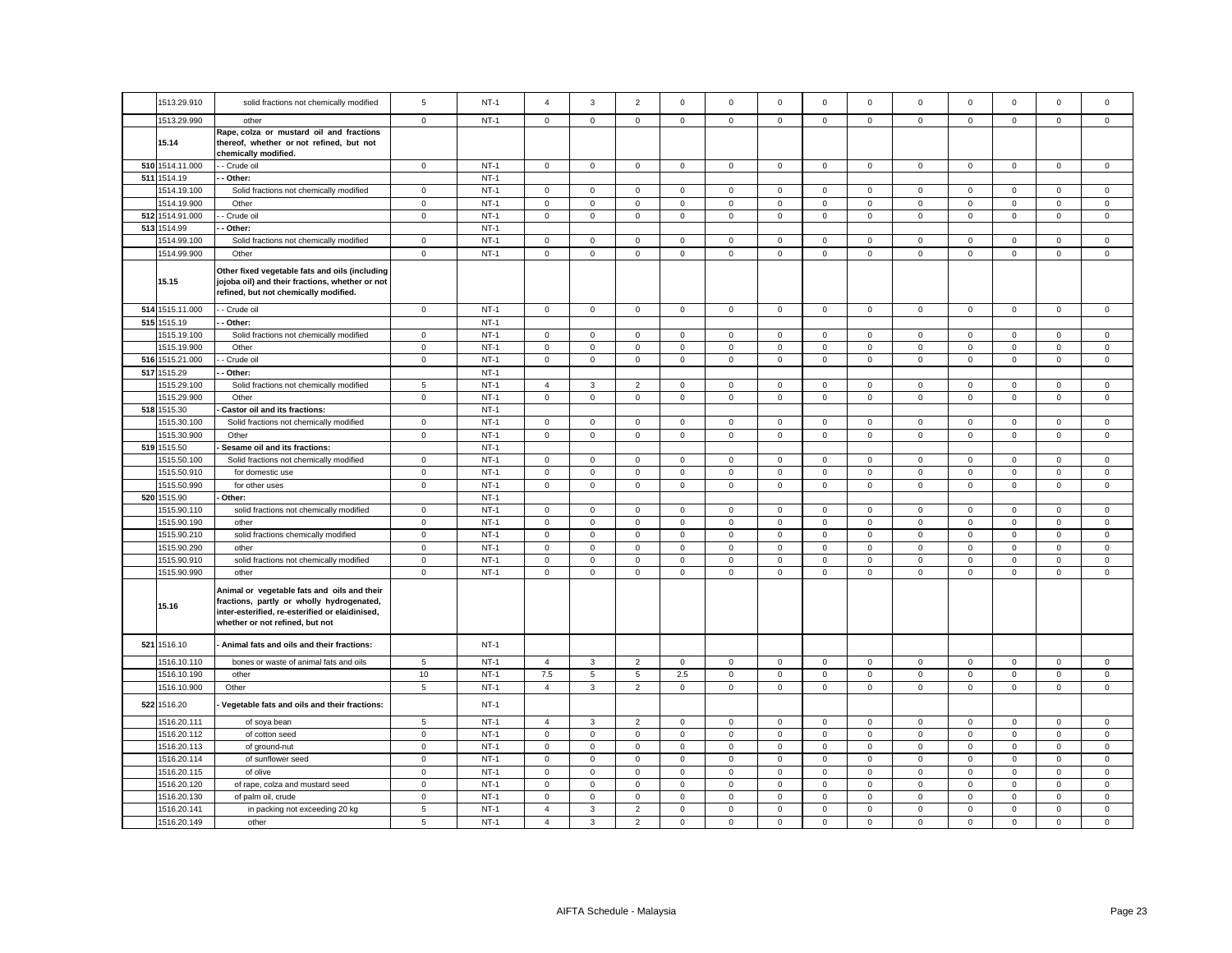| 1513.29.910     | solid fractions not chemically modified                                                                                                                                        | 5           | $NT-1$ | $\overline{a}$ | 3              | $\overline{2}$ | $^{\circ}$   | $\Omega$            | $^{\circ}$     | $\mathbf 0$  | $\mathbf 0$  | $\Omega$            | $\mathbf 0$    | $\Omega$     | $\mathbf 0$    | $^{\circ}$     |
|-----------------|--------------------------------------------------------------------------------------------------------------------------------------------------------------------------------|-------------|--------|----------------|----------------|----------------|--------------|---------------------|----------------|--------------|--------------|---------------------|----------------|--------------|----------------|----------------|
| 1513.29.990     | other                                                                                                                                                                          | $\mathbf 0$ | $NT-1$ | $\circ$        | $\circ$        | $\mathbf 0$    | $\mathbf{0}$ | $\overline{0}$      | $\mathbf 0$    | $\mathbf 0$  | $\mathbf 0$  | $\mathbf{0}$        | $\mathbf 0$    | $\mathbf 0$  | $\mathbf 0$    | $\mathbf 0$    |
| 15.14           | Rape, colza or mustard oil and fractions<br>thereof, whether or not refined, but not<br>chemically modified.                                                                   |             |        |                |                |                |              |                     |                |              |              |                     |                |              |                |                |
| 510 1514.11.000 | - Crude oil                                                                                                                                                                    | $\mathbf 0$ | $NT-1$ | $\mathsf 0$    | $\mathbf{0}$   | $\mathsf 0$    | $\mathbf 0$  | $\mathbf 0$         | $\mathsf 0$    | $\mathbf{0}$ | $\mathsf 0$  | $\mathsf 0$         | $\mathbf 0$    | $\mathbf 0$  | $\mathsf 0$    | $\mathsf 0$    |
| 511 1514.19     | - Other:                                                                                                                                                                       |             | $NT-1$ |                |                |                |              |                     |                |              |              |                     |                |              |                |                |
| 1514.19.100     | Solid fractions not chemically modified                                                                                                                                        | $\mathbf 0$ | $NT-1$ | $\mathsf 0$    | $\mathsf 0$    | $\mathbf 0$    | $\mathbf 0$  | 0                   | $\mathsf 0$    | $\mathbf 0$  | $\mathsf 0$  | $\mathbf 0$         | $\mathbf 0$    | $\mathbf 0$  | $\mathsf 0$    | $\mathbf 0$    |
| 1514.19.900     | Other                                                                                                                                                                          | $\mathbf 0$ | $NT-1$ | $\mathsf 0$    | $\mathbf 0$    | $\mathsf 0$    | $\mathbf 0$  | $\mathbf 0$         | $\mathsf 0$    | $\mathbf 0$  | $\mathsf 0$  | $\mathsf{O}\xspace$ | $\mathsf 0$    | $\mathsf 0$  | $\mathsf 0$    | $\mathsf 0$    |
| 512 1514.91.000 | - Crude oil                                                                                                                                                                    | $\mathsf 0$ | $NT-1$ | $\mathsf 0$    | $\mathsf 0$    | $\mathsf 0$    | $\mathsf 0$  | 0                   | $\mathsf 0$    | $\mathsf 0$  | $\mathsf 0$  | $\mathbf 0$         | $\mathbf 0$    | $\mathbf 0$  | $\mathsf 0$    | $\mathsf 0$    |
| 513 1514.99     | Other:                                                                                                                                                                         |             | $NT-1$ |                |                |                |              |                     |                |              |              |                     |                |              |                |                |
| 1514.99.100     | Solid fractions not chemically modified                                                                                                                                        | $\mathbf 0$ | $NT-1$ | $\mathbf 0$    | $\mathbf 0$    | $\mathbf 0$    | $\mathbf 0$  | 0                   | $\mathbf 0$    | $\mathbf 0$  | $\mathsf 0$  | $\mathbf 0$         | $\mathsf 0$    | $\mathbf 0$  | $\mathbf 0$    | $\mathbf 0$    |
| 1514.99.900     | Other                                                                                                                                                                          | $\mathsf 0$ | $NT-1$ | $\mathsf 0$    | $\mathbf 0$    | $\mathsf 0$    | $\mathbf 0$  | $\mathbf 0$         | $\mathsf 0$    | $\mathbf 0$  | $\mathsf 0$  | $\mathbf 0$         | $\mathsf 0$    | $\mathbf 0$  | $\mathbf 0$    | $\mathsf 0$    |
| 15.15           | Other fixed vegetable fats and oils (including<br>jojoba oil) and their fractions, whether or not<br>refined, but not chemically modified.                                     |             |        |                |                |                |              |                     |                |              |              |                     |                |              |                |                |
| 514 1515.11.000 | - Crude oil                                                                                                                                                                    | $\mathsf 0$ | $NT-1$ | $\mathsf 0$    | $\mathbf{0}$   | $\mathsf 0$    | $\mathbf{0}$ | 0                   | $\mathsf 0$    | $\mathsf 0$  | $\mathsf 0$  | $\mathsf 0$         | $\mathsf 0$    | $\mathbf 0$  | $\mathsf 0$    | $\mathsf 0$    |
| 515 1515.19     | Other:                                                                                                                                                                         |             | $NT-1$ |                |                |                |              |                     |                |              |              |                     |                |              |                |                |
| 1515.19.100     | Solid fractions not chemically modified                                                                                                                                        | $\mathbf 0$ | $NT-1$ | $\mathsf 0$    | $\mathsf 0$    | $\mathbf 0$    | $\mathbf 0$  | 0                   | $\mathbf 0$    | $\mathbf 0$  | $\mathsf 0$  | $\mathbf 0$         | $\mathbf 0$    | $\mathbf 0$  | $\mathsf 0$    | $\mathbf 0$    |
| 1515.19.900     | Other                                                                                                                                                                          | $\mathbf 0$ | $NT-1$ | $\mathsf 0$    | $\mathbf 0$    | $\mathsf 0$    | $\mathsf 0$  | 0                   | $\mathbf 0$    | $\mathsf 0$  | $\mathsf 0$  | $\mathsf 0$         | $\mathbf 0$    | $\mathbf 0$  | $\mathsf 0$    | $\mathsf 0$    |
| 516 1515.21.000 | - Crude oil                                                                                                                                                                    | $\mathsf 0$ | $NT-1$ | $\mathbf 0$    | $\mathbf 0$    | $\mathbf 0$    | $\mathbf 0$  | $\mathbf 0$         | $\mathsf 0$    | $\mathbf 0$  | $\mathsf 0$  | $\mathbf 0$         | $\mathsf 0$    | $\mathbf 0$  | $\mathsf 0$    | $\mathsf 0$    |
| 517 1515.29     | Other:                                                                                                                                                                         |             | $NT-1$ |                |                |                |              |                     |                |              |              |                     |                |              |                |                |
| 1515.29.100     | Solid fractions not chemically modified                                                                                                                                        | 5           | $NT-1$ | $\overline{4}$ | 3              | 2              | $\mathbf{0}$ | $\mathbf{0}$        | $\mathbf{0}$   | $\mathbf{0}$ | $\mathbf{0}$ | $\mathbf 0$         | $\mathbf 0$    | $\mathbf 0$  | $\mathbf 0$    | $\mathbf 0$    |
| 1515.29.900     | Other                                                                                                                                                                          | $\mathbf 0$ | $NT-1$ | $\mathbf 0$    | $\mathbf{O}$   | $\mathsf 0$    | $\mathbf 0$  | $\mathbf{0}$        | $\mathbf 0$    | $\mathbf 0$  | $\mathbf 0$  | $\mathbf 0$         | $\mathbf 0$    | $\mathbf 0$  | $\mathbf 0$    | $\mathbf 0$    |
| 518 1515.30     | Castor oil and its fractions:                                                                                                                                                  |             | $NT-1$ |                |                |                |              |                     |                |              |              |                     |                |              |                |                |
| 1515.30.100     | Solid fractions not chemically modified                                                                                                                                        | $\mathbf 0$ | $NT-1$ | $\mathsf 0$    | $\mathsf 0$    | $\mathsf 0$    | $\mathsf 0$  | 0                   | $\mathsf 0$    | $\mathsf 0$  | $\mathsf 0$  | $\mathsf 0$         | $\mathbf 0$    | $\mathsf 0$  | $\mathbf 0$    | $\mathsf 0$    |
| 1515.30.900     | Other                                                                                                                                                                          | 0           | $NT-1$ | 0              | $\mathsf 0$    | $\mathsf 0$    | 0            | 0                   | $\mathsf 0$    | 0            | $\mathbf 0$  | $\mathsf 0$         | $\mathsf 0$    | $\mathsf 0$  | $\mathsf 0$    | $\mathsf 0$    |
| 519 1515.50     | Sesame oil and its fractions:                                                                                                                                                  |             | $NT-1$ |                |                |                |              |                     |                |              |              |                     |                |              |                |                |
| 1515.50.100     | Solid fractions not chemically modified                                                                                                                                        | $\mathbf 0$ | $NT-1$ | $\mathbf 0$    | $\mathbf 0$    | $\mathsf 0$    | $\mathbf 0$  | $\mathsf 0$         | $\mathsf 0$    | $\mathsf 0$  | $\mathbf 0$  | $\mathsf{O}\xspace$ | $\mathbf 0$    | $\mathbf 0$  | $\mathsf 0$    | $\mathbf 0$    |
| 1515.50.910     | for domestic use                                                                                                                                                               | $\mathsf 0$ | $NT-1$ | $\mathsf 0$    | $\mathsf 0$    | $\mathsf 0$    | $\mathsf 0$  | 0                   | $\mathsf 0$    | $\mathsf 0$  | $\mathbf 0$  | $\mathsf 0$         | $\mathbf 0$    | $\mathsf 0$  | $\mathsf 0$    | $\mathsf 0$    |
| 1515.50.990     | for other uses                                                                                                                                                                 | $\mathbf 0$ | $NT-1$ | $\mathsf 0$    | $\mathbf 0$    | $\mathbf 0$    | $\mathbf 0$  | $\mathbf 0$         | $\mathsf 0$    | $\mathbf 0$  | $\mathbf 0$  | $\mathbf 0$         | $\mathsf 0$    | $\mathbf 0$  | $\mathsf 0$    | $\mathsf 0$    |
| 520 1515.90     | Other:                                                                                                                                                                         |             | $NT-1$ |                |                |                |              |                     |                |              |              |                     |                |              |                |                |
| 1515.90.110     | solid fractions not chemically modified                                                                                                                                        | $\mathbf 0$ | $NT-1$ | $\mathbf{0}$   | $\mathbf 0$    | $\mathbf{0}$   | $\mathbf 0$  | 0                   | $\mathbf 0$    | $\mathbf{0}$ | $\mathbf 0$  | $\mathbf{0}$        | $\mathbf 0$    | $\mathbf{0}$ | $\mathbf 0$    | $\mathbf 0$    |
| 1515.90.190     | other                                                                                                                                                                          | $\mathbf 0$ | $NT-1$ | $\mathsf 0$    | $\mathsf 0$    | $\mathsf 0$    | $\mathsf 0$  | 0                   | $\mathsf 0$    | $\mathsf 0$  | $\mathbf 0$  | $\mathbf 0$         | $\mathsf 0$    | $\mathsf 0$  | $\mathsf 0$    | $\mathsf 0$    |
| 1515.90.210     | solid fractions chemically modified                                                                                                                                            | $\mathbf 0$ | $NT-1$ | $\mathsf 0$    | $\mathsf 0$    | $\mathsf 0$    | $\mathbf 0$  | 0                   | $\mathsf 0$    | $\mathbf 0$  | $\mathsf 0$  | $\mathsf 0$         | $\mathsf 0$    | $\mathbf 0$  | $\mathsf 0$    | $\mathsf 0$    |
| 1515.90.290     | other                                                                                                                                                                          | $\mathbf 0$ | $NT-1$ | $\mathbf 0$    | $\mathbf{0}$   | $\mathsf 0$    | $\mathbf 0$  | $\mathbf{0}$        | $\mathbf 0$    | $\mathbf 0$  | $\mathbf{0}$ | $\mathsf 0$         | $\mathbf 0$    | $\mathbf 0$  | $\mathsf 0$    | $\mathsf 0$    |
| 1515.90.910     | solid fractions not chemically modified                                                                                                                                        | $\mathbf 0$ | $NT-1$ | $\circ$        | $\mathbf 0$    | $\mathbf 0$    | $\mathbf 0$  | $\mathbf{0}$        | $\mathbf 0$    | $\mathbf 0$  | $\mathbf 0$  | $\mathbf 0$         | $\mathbf 0$    | $\mathbf 0$  | $\mathbf 0$    | $\mathsf 0$    |
| 1515.90.990     | other                                                                                                                                                                          | $\mathbf 0$ | $NT-1$ | $\mathbf 0$    | $\mathbf{O}$   | $\mathbf 0$    | $\mathbf 0$  | $\mathbf{0}$        | $\mathsf 0$    | $\mathbf 0$  | $\mathbf{0}$ | $\mathbf 0$         | $\mathsf 0$    | $\mathsf 0$  | $\mathbf{0}$   | $\mathbf 0$    |
| 15.16           | Animal or vegetable fats and oils and their<br>fractions, partly or wholly hydrogenated,<br>inter-esterified, re-esterified or elaidinised,<br>whether or not refined, but not |             |        |                |                |                |              |                     |                |              |              |                     |                |              |                |                |
| 521 1516.10     | - Animal fats and oils and their fractions:                                                                                                                                    |             | $NT-1$ |                |                |                |              |                     |                |              |              |                     |                |              |                |                |
| 1516.10.110     | bones or waste of animal fats and oils                                                                                                                                         | 5           | $NT-1$ | $\overline{4}$ | 3              | $\overline{c}$ | $\mathbf 0$  | 0                   | $\mathsf 0$    | $\mathbf 0$  | $\mathbf 0$  | $\mathbf 0$         | $\mathbf 0$    | 0            | $\mathbf 0$    | $\mathsf 0$    |
| 1516.10.190     | other                                                                                                                                                                          | 10          | $NT-1$ | 7.5            | $\mathbf 5$    | $\,$ 5 $\,$    | 2.5          | $\mathbf 0$         | $\mathbf 0$    | $\mathsf 0$  | $\mathsf 0$  | $\mathsf 0$         | $\mathbf 0$    | $\mathbf 0$  | $\mathsf 0$    | $\mathsf 0$    |
| 1516.10.900     | Other                                                                                                                                                                          | 5           | $NT-1$ | $\overline{4}$ | $\overline{3}$ | $\overline{2}$ | $\mathbf 0$  | $\mathbf 0$         | $\overline{0}$ | $\mathbf 0$  | $\circ$      | $\mathbf 0$         | $\overline{0}$ | $\mathbf 0$  | $\overline{0}$ | $\overline{0}$ |
| 522 1516.20     | Vegetable fats and oils and their fractions:                                                                                                                                   |             | $NT-1$ |                |                |                |              |                     |                |              |              |                     |                |              |                |                |
| 1516.20.111     | of soya bean                                                                                                                                                                   | 5           | $NT-1$ | $\overline{4}$ | 3              | $\overline{2}$ | 0            | 0                   | 0              | $^{\circ}$   | $\mathbf 0$  | $\mathbf 0$         | 0              | 0            | 0              | $\mathsf 0$    |
| 1516.20.112     | of cotton seed                                                                                                                                                                 | $\mathbf 0$ | $NT-1$ | $\mathsf 0$    | $\mathsf 0$    | $\mathsf 0$    | $\mathsf 0$  | $\mathsf{O}\xspace$ | $\mathsf 0$    | $\mathsf 0$  | $\mathsf 0$  | $\mathsf 0$         | $\mathbf 0$    | $\mathsf 0$  | $\mathsf 0$    | $\mathsf 0$    |
| 1516.20.113     | of ground-nut                                                                                                                                                                  | $\mathbf 0$ | $NT-1$ | $\mathsf 0$    | $\mathbf 0$    | $\mathsf 0$    | $\mathbf 0$  | $\mathbf 0$         | $\mathsf 0$    | $\mathbf 0$  | $\mathbf 0$  | $\mathsf{O}\xspace$ | $\mathsf 0$    | $\mathsf 0$  | $\mathsf 0$    | $\mathbf 0$    |
| 1516.20.114     | of sunflower seed                                                                                                                                                              | $\mathbf 0$ | $NT-1$ | $\mathsf 0$    | $\mathbf 0$    | $\mathbf 0$    | $\mathbf 0$  | $\mathbf 0$         | $\mathbf 0$    | $\mathbf 0$  | $\mathsf 0$  | $\mathsf 0$         | $\mathbf 0$    | $\mathbf 0$  | $\mathbf 0$    | $\mathbf 0$    |
| 1516.20.115     | of olive                                                                                                                                                                       | $\mathbf 0$ | $NT-1$ | $\mathbf{0}$   | $\mathbf 0$    | $\mathsf 0$    | $\mathbf 0$  | 0                   | $\mathsf 0$    | $\mathbf 0$  | $\mathbf 0$  | $\mathsf 0$         | $\mathsf 0$    | $\mathbf 0$  | $\mathsf 0$    | $\mathsf 0$    |
| 1516.20.120     | of rape, colza and mustard seed                                                                                                                                                | $\mathsf 0$ | $NT-1$ | $\mathbf 0$    | $\mathbf 0$    | $\mathsf 0$    | $\mathbf 0$  | 0                   | $\mathsf 0$    | 0            | $\mathbf 0$  | $\mathsf 0$         | $\mathbf 0$    | $\mathsf 0$  | 0              | 0              |
| 1516.20.130     | of palm oil, crude                                                                                                                                                             | $\mathbf 0$ | $NT-1$ | $\mathsf 0$    | $\mathbf 0$    | $\mathsf 0$    | $\mathsf 0$  | 0                   | $\mathsf 0$    | $\mathsf 0$  | $\mathsf 0$  | $\mathsf 0$         | $\mathsf 0$    | $\mathsf 0$  | $\mathsf 0$    | $\mathsf 0$    |
| 1516.20.141     | in packing not exceeding 20 kg                                                                                                                                                 | 5           | $NT-1$ | $\overline{4}$ | 3              | $\overline{2}$ | $\mathsf 0$  | 0                   | $\mathbf 0$    | $\mathsf 0$  | $\mathbf 0$  | $\mathsf 0$         | $\mathbf 0$    | $\mathbf 0$  | $\mathsf 0$    | $\mathsf 0$    |
| 1516.20.149     | other                                                                                                                                                                          | 5           | $NT-1$ | $\overline{4}$ | $\mathbf{3}$   | $\overline{2}$ | $\mathbf 0$  | $\mathbf{0}$        | $\mathbf 0$    | $\mathbf 0$  | $\mathbf 0$  | $\mathbf 0$         | $\mathbf 0$    | $\mathbf 0$  | $\mathbf 0$    | $\mathbf 0$    |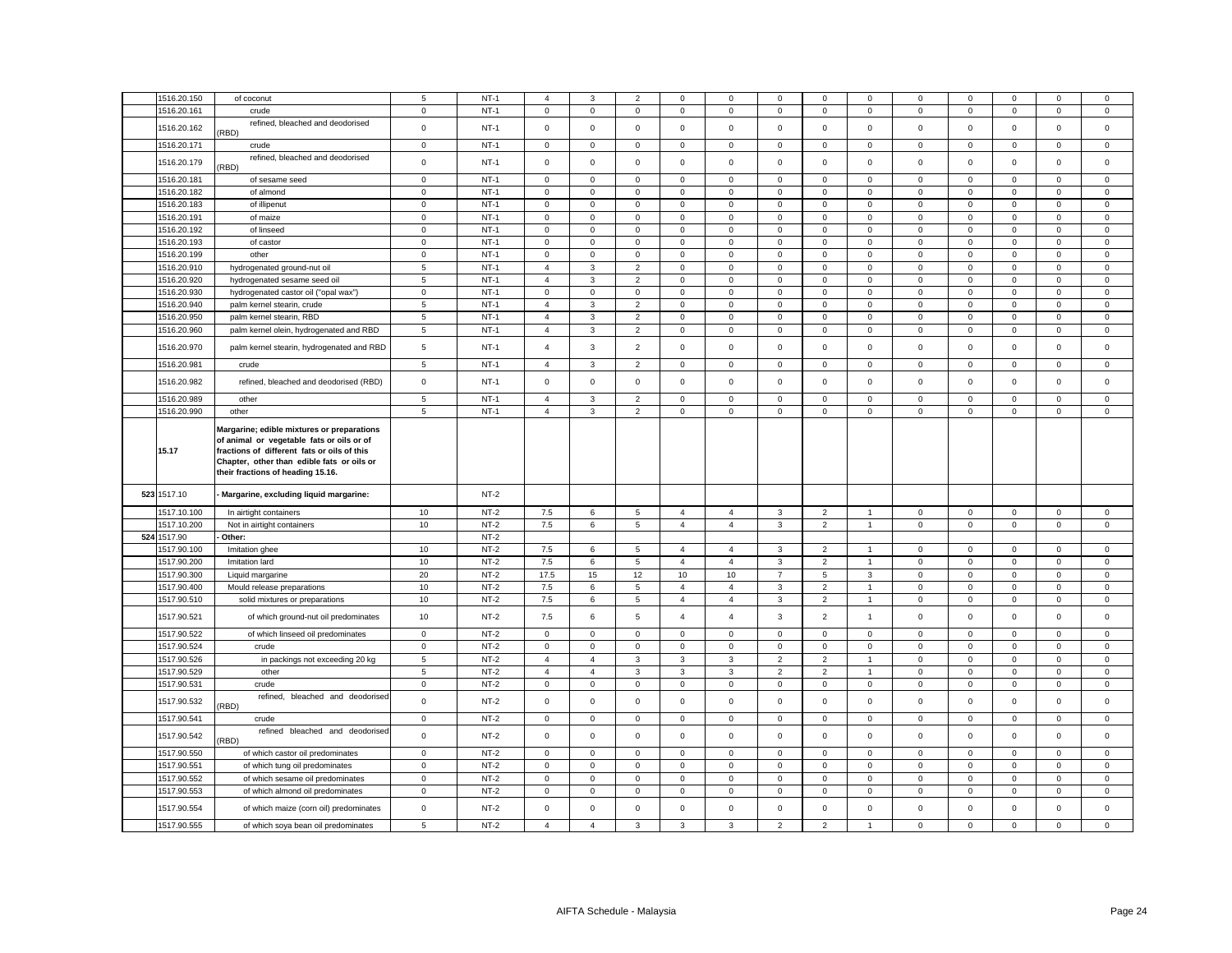| 1516.20.150                | of coconut                                                                                                                                                                                                                | 5              | $NT-1$ | $\overline{4}$ | 3                   | $\overline{2}$ | $\Omega$       | $\mathbf{0}$            | $\mathbf 0$    | $\Omega$       | $\Omega$       | $\Omega$    | $\mathbf 0$ | $\Omega$     | $\Omega$    | 0           |
|----------------------------|---------------------------------------------------------------------------------------------------------------------------------------------------------------------------------------------------------------------------|----------------|--------|----------------|---------------------|----------------|----------------|-------------------------|----------------|----------------|----------------|-------------|-------------|--------------|-------------|-------------|
| 1516.20.161                | crude                                                                                                                                                                                                                     | $\mathbf 0$    | $NT-1$ | $\mathsf 0$    | $\mathsf 0$         | $\mathsf 0$    | $\mathsf 0$    | 0                       | $\mathsf 0$    | $\mathsf 0$    | $\mathbf 0$    | $\mathbf 0$ | $\mathsf 0$ | $\mathsf 0$  | $\mathsf 0$ | $\mathsf 0$ |
| 1516.20.162                | refined, bleached and deodorised<br>RBD)                                                                                                                                                                                  | $\mathbf 0$    | $NT-1$ | $\mathbf 0$    | $\mathbf 0$         | $\mathbf 0$    | $\mathbf 0$    | 0                       | $\mathbf 0$    | $\mathbf 0$    | $\mathbf 0$    | $\mathbf 0$ | $\mathbf 0$ | $\mathbf 0$  | $\mathbf 0$ | $\mathbf 0$ |
| 1516.20.171                | crude                                                                                                                                                                                                                     | $\mathbf 0$    | $NT-1$ | $\mathbf 0$    | $\mathbf 0$         | $\mathsf 0$    | $\mathsf 0$    | 0                       | 0              | $\mathsf 0$    | $\mathbf 0$    | $\mathsf 0$ | 0           | 0            | $\mathsf 0$ | 0           |
| 1516.20.179                | refined, bleached and deodorised<br>RBD)                                                                                                                                                                                  | $\mathsf 0$    | $NT-1$ | $\mathbf 0$    | $\mathbf 0$         | $\mathbf 0$    | $\mathbf 0$    | $\mathbf{0}$            | $\mathbf 0$    | $\mathbf 0$    | $\mathbf 0$    | $\mathbf 0$ | $\mathbf 0$ | $\mathbf{0}$ | $\mathbf 0$ | $\mathbf 0$ |
| 1516.20.181                | of sesame seed                                                                                                                                                                                                            | $\mathbf 0$    | $NT-1$ | $\overline{0}$ | $\mathbf 0$         | $\mathbf 0$    | $\mathbf 0$    | 0                       | $\mathbf 0$    | 0              | $\mathbf 0$    | $\mathbf 0$ | $\mathbf 0$ | 0            | 0           | $\mathbf 0$ |
| 1516.20.182                | of almond                                                                                                                                                                                                                 | $\mathbf 0$    | $NT-1$ | $\mathsf 0$    | 0                   | $\mathbf 0$    | $\mathbf 0$    | 0                       | $\mathsf 0$    | $\mathbf 0$    | $\mathbf 0$    | $\mathsf 0$ | $\mathbf 0$ | $\mathbf 0$  | $\mathsf 0$ | $\mathsf 0$ |
| 1516.20.183                | of illipenut                                                                                                                                                                                                              | $\mathbf 0$    | $NT-1$ | $\mathsf 0$    | $\mathsf 0$         | $\mathsf 0$    | $\mathsf 0$    | 0                       | $\mathbf 0$    | $\mathsf 0$    | $\mathbf 0$    | $\mathsf 0$ | $\mathbf 0$ | $\mathbf 0$  | $\mathbf 0$ | $\mathsf 0$ |
|                            |                                                                                                                                                                                                                           |                | $NT-1$ |                |                     |                |                |                         |                |                |                |             |             |              |             |             |
| 1516.20.191                | of maize                                                                                                                                                                                                                  | $\mathbf 0$    |        | $\mathbf 0$    | $\mathbf 0$         | $\mathsf 0$    | $\mathbf 0$    | 0                       | 0              | $\mathbf 0$    | $\mathbf 0$    | 0           | 0           | $\mathbf 0$  | $\mathsf 0$ | 0           |
| 1516.20.192                | of linseed                                                                                                                                                                                                                | $\mathsf 0$    | $NT-1$ | $\mathsf 0$    | $\mathsf 0$         | $\mathbf 0$    | $\mathsf 0$    | 0                       | $\mathsf 0$    | $\mathbf 0$    | $\mathsf 0$    | $\mathsf 0$ | $\mathbf 0$ | $\mathsf 0$  | $\mathbf 0$ | $\mathsf 0$ |
| 1516.20.193                | of castor                                                                                                                                                                                                                 | $\mathbf 0$    | $NT-1$ | $\mathsf 0$    | $\mathbf 0$         | $\mathsf 0$    | $\mathsf 0$    | 0                       | $\mathsf 0$    | $\mathsf 0$    | $\mathbf 0$    | $\mathsf 0$ | $\mathsf 0$ | $\mathsf 0$  | $\mathsf 0$ | $\mathsf 0$ |
| 1516.20.199                | other                                                                                                                                                                                                                     | $\mathsf 0$    | $NT-1$ | $\mathsf 0$    | $\mathsf{O}\xspace$ | $\mathbf 0$    | $\mathbf 0$    | 0                       | $\mathbf 0$    | $\mathsf 0$    | $\mathsf 0$    | $\mathsf 0$ | $\mathbf 0$ | $\mathbf 0$  | $\mathbf 0$ | $\mathsf 0$ |
| 1516.20.910                | hydrogenated ground-nut oil                                                                                                                                                                                               | 5              | $NT-1$ | $\overline{4}$ | 3                   | $\overline{2}$ | $\mathbf 0$    | 0                       | $\mathsf 0$    | $\mathbf 0$    | $\mathsf 0$    | $\mathsf 0$ | $\mathsf 0$ | $\mathbf 0$  | $\mathsf 0$ | $\mathsf 0$ |
| 1516.20.920                | hydrogenated sesame seed oil                                                                                                                                                                                              | 5              | $NT-1$ | $\overline{4}$ | 3                   | $\overline{2}$ | $^{\circ}$     | 0                       | $^{\circ}$     | $\mathbf 0$    | $\mathsf 0$    | $\mathbf 0$ | $\mathbf 0$ | $\mathbf 0$  | $\mathbf 0$ | $\mathbf 0$ |
| 1516.20.930                | hydrogenated castor oil ("opal wax")                                                                                                                                                                                      | $\mathbf 0$    | $NT-1$ | $\mathsf 0$    | $\mathbf 0$         | $\mathsf 0$    | $\mathbf 0$    | 0                       | $\mathsf 0$    | $\mathbf 0$    | $\mathsf 0$    | $\mathbf 0$ | $\mathsf 0$ | $\mathbf 0$  | $\mathsf 0$ | $\mathsf 0$ |
| 1516.20.940                | palm kernel stearin, crude                                                                                                                                                                                                | 5              | $NT-1$ | $\overline{4}$ | 3                   | $\overline{2}$ | $\mathbf 0$    | 0                       | $\mathbf 0$    | $\mathbf 0$    | $\mathbf 0$    | $\mathbf 0$ | $\mathbf 0$ | $\mathbf 0$  | $\mathsf 0$ | $\mathsf 0$ |
| 1516.20.950                | palm kernel stearin, RBD                                                                                                                                                                                                  | $\overline{5}$ | $NT-1$ | $\overline{4}$ | 3                   | $\overline{2}$ | $\mathbf 0$    | 0                       | 0              | $\mathbf 0$    | $\mathbf 0$    | 0           | 0           | $\mathbf 0$  | $\mathbf 0$ | $\mathbf 0$ |
| 1516.20.960                | palm kernel olein, hydrogenated and RBD                                                                                                                                                                                   | 5              | $NT-1$ | $\overline{4}$ | 3                   | $\overline{2}$ | $\mathsf 0$    | 0                       | $\mathsf 0$    | $\mathsf 0$    | $\mathsf 0$    | $\mathsf 0$ | $\mathbf 0$ | $\mathsf 0$  | $\mathsf 0$ | $\mathsf 0$ |
| 1516.20.970                | palm kernel stearin, hydrogenated and RBD                                                                                                                                                                                 | $\overline{5}$ | $NT-1$ | $\overline{4}$ | 3                   | $\overline{2}$ | $\mathsf 0$    | 0                       | $\mathsf 0$    | $\mathsf 0$    | $\mathsf 0$    | $\mathsf 0$ | $\mathbf 0$ | $\mathbf 0$  | $\mathsf 0$ | $\mathsf 0$ |
| 1516.20.981                | crude                                                                                                                                                                                                                     | 5              | $NT-1$ | $\overline{4}$ | 3                   | $\overline{2}$ | $\mathbf 0$    | 0                       | $\mathbf 0$    | $\mathbf 0$    | $\mathbf 0$    | $\mathbf 0$ | $\mathbf 0$ | $\mathbf 0$  | $\mathbf 0$ | $\mathbf 0$ |
| 1516.20.982                | refined, bleached and deodorised (RBD)                                                                                                                                                                                    | $\mathbf 0$    | $NT-1$ | $\,0\,$        | $\mathsf 0$         | $\mathsf 0$    | $\mathsf 0$    | 0                       | $\mathsf 0$    | $\mathsf 0$    | $\mathsf 0$    | $\mathsf 0$ | $\mathbf 0$ | $\mathbf 0$  | $\mathsf 0$ | $\mathsf 0$ |
| 1516.20.989                | other                                                                                                                                                                                                                     | 5              | $NT-1$ | $\overline{a}$ | 3                   | $\overline{c}$ | 0              | 0                       | $\mathbf 0$    | $\mathbf 0$    | $\mathbf 0$    | $\mathbf 0$ | $\mathbf 0$ | $\mathbf 0$  | $\mathbf 0$ | 0           |
| 1516.20.990                | other                                                                                                                                                                                                                     | 5              | $NT-1$ | $\overline{4}$ | 3                   | $\overline{2}$ | $\mathsf 0$    | 0                       | $\mathsf 0$    | $\mathbf 0$    | $\mathbf 0$    | $\mathsf 0$ | $\mathsf 0$ | $\mathsf 0$  | $\mathsf 0$ | $\mathsf 0$ |
| 15.17                      | Margarine; edible mixtures or preparations<br>of animal or vegetable fats or oils or of<br>fractions of different fats or oils of this<br>Chapter, other than edible fats or oils or<br>their fractions of heading 15.16. |                |        |                |                     |                |                |                         |                |                |                |             |             |              |             |             |
| 523 1517.10                |                                                                                                                                                                                                                           |                |        |                |                     |                |                |                         |                |                |                |             |             |              |             |             |
|                            | Margarine, excluding liquid margarine:                                                                                                                                                                                    |                | $NT-2$ |                |                     |                |                |                         |                |                |                |             |             |              |             |             |
| 1517.10.100                | In airtight containers                                                                                                                                                                                                    | 10             | $NT-2$ | 7.5            | 6                   | 5              | $\overline{4}$ | $\overline{4}$          | 3              | $\overline{2}$ | $\mathbf{1}$   | $\mathbf 0$ | $\mathsf 0$ | $\mathbf 0$  | $\mathbf 0$ | $\mathsf 0$ |
| 1517.10.200                | Not in airtight containers                                                                                                                                                                                                | 10             | $NT-2$ | 7.5            | 6                   | 5              | $\overline{4}$ | $\overline{4}$          | 3              | $\overline{2}$ | $\overline{1}$ | $\mathsf 0$ | $\mathbf 0$ | $\mathbf 0$  | 0           | $\mathbf 0$ |
| 524 1517.90                | Other:                                                                                                                                                                                                                    |                | $NT-2$ |                |                     |                |                |                         |                |                |                |             |             |              |             |             |
|                            |                                                                                                                                                                                                                           |                |        |                |                     |                | $\overline{4}$ | $\overline{\mathbf{4}}$ | 3              |                | $\overline{1}$ |             | $\mathbf 0$ | $\mathbf 0$  |             |             |
| 1517.90.100                | Imitation ghee                                                                                                                                                                                                            | 10             | $NT-2$ | 7.5            | 6                   | 5              |                |                         |                | $\overline{2}$ |                | $\mathbf 0$ |             |              | $\mathbf 0$ | 0           |
| 1517.90.200                | Imitation lard                                                                                                                                                                                                            | 10             | $NT-2$ | 7.5            | 6                   | 5              | $\overline{4}$ | $\overline{4}$          | 3              | $\overline{2}$ | $\overline{1}$ | $\mathbf 0$ | $\mathsf 0$ | $\mathsf 0$  | $\mathsf 0$ | $\mathsf 0$ |
| 1517.90.300                | Liquid margarine                                                                                                                                                                                                          | 20             | $NT-2$ | 17.5           | 15                  | 12             | 10             | 10                      | $\overline{7}$ | 5              | 3              | $\mathsf 0$ | $\mathbf 0$ | $\mathsf 0$  | $\mathsf 0$ | $\mathsf 0$ |
| 1517.90.400                | Mould release preparations                                                                                                                                                                                                | 10             | $NT-2$ | 7.5            | 6                   | 5              | $\overline{4}$ | $\overline{4}$          | 3              | $\overline{2}$ | $\overline{1}$ | $\mathbf 0$ | $\mathsf 0$ | $\mathbf 0$  | $\mathbf 0$ | $\mathsf 0$ |
| 1517.90.510                | solid mixtures or preparations                                                                                                                                                                                            | 10             | $NT-2$ | 7.5            | 6                   | $\overline{5}$ | $\overline{4}$ | $\overline{4}$          | 3              | $\overline{2}$ | $\mathbf{1}$   | $\mathbf 0$ | $\mathbf 0$ | $\mathbf 0$  | $\mathsf 0$ | $\mathsf 0$ |
| 1517.90.521                | of which ground-nut oil predominates                                                                                                                                                                                      | 10             | $NT-2$ | 7.5            | 6                   | 5              | $\overline{4}$ | $\overline{4}$          | 3              | $\overline{2}$ | $\mathbf{1}$   | $\mathsf 0$ | $\mathbf 0$ | $\mathbf 0$  | $\mathsf 0$ | $\mathsf 0$ |
| 1517.90.522                | of which linseed oil predominates                                                                                                                                                                                         | $\mathbf 0$    | $NT-2$ | $\mathsf 0$    | $\mathbf 0$         | $\mathsf 0$    | $\mathsf 0$    | 0                       | $\mathsf 0$    | $\mathsf 0$    | $\mathsf 0$    | $\mathsf 0$ | $\mathbf 0$ | $\mathsf 0$  | $\mathsf 0$ | $\mathbf 0$ |
| 1517.90.524                | crude                                                                                                                                                                                                                     | $\mathsf 0$    | $NT-2$ | $\mathsf 0$    | $\mathbf 0$         | $\mathsf 0$    | $\mathsf 0$    | 0                       | $\mathsf 0$    | $\mathsf 0$    | $\mathsf 0$    | $\mathsf 0$ | $\mathsf 0$ | $\mathsf 0$  | $\mathsf 0$ | $\mathsf 0$ |
| 1517.90.526                | in packings not exceeding 20 kg                                                                                                                                                                                           | 5              | $NT-2$ | $\overline{4}$ | $\overline{4}$      | 3              | 3              | 3                       | $\overline{2}$ | $\overline{c}$ | $\overline{1}$ | 0           | $\mathbf 0$ | 0            | 0           | 0           |
| 1517.90.529                | other                                                                                                                                                                                                                     | 5              | $NT-2$ | $\overline{4}$ | $\overline{4}$      | $\mathbf{3}$   | 3              | $\mathbf{3}$            | $\overline{2}$ | $\overline{2}$ | $\overline{1}$ | $\mathsf 0$ | $\mathsf 0$ | $\mathsf 0$  | $\mathsf 0$ | $\mathsf 0$ |
| 1517.90.531                | crude                                                                                                                                                                                                                     | $\mathsf 0$    | $NT-2$ | $\mathbf 0$    | $\mathsf 0$         | $\mathsf 0$    | $\mathsf 0$    | 0                       | $\mathsf 0$    | $\mathsf 0$    | $\mathbf 0$    | $\mathsf 0$ | $\mathbf 0$ | $\mathsf 0$  | $\mathsf 0$ | $\mathsf 0$ |
| 1517.90.532                | refined, bleached and deodorised<br>RBD)                                                                                                                                                                                  | $\mathsf 0$    | $NT-2$ | $\mathsf 0$    | $\mathsf 0$         | $\mathsf 0$    | $\mathsf 0$    | $\mathbf 0$             | $\mathsf 0$    | $\mathsf 0$    | $\mathsf 0$    | $\mathsf 0$ | $\mathbf 0$ | $\mathsf 0$  | $\mathsf 0$ | $\mathsf 0$ |
|                            | crude                                                                                                                                                                                                                     | $\mathbf 0$    | $NT-2$ | $\mathsf 0$    | $\mathsf 0$         | $\mathbf 0$    | $\mathbf 0$    | 0                       | $\mathbf 0$    | $\mathbf 0$    | $\mathbf 0$    | $\mathsf 0$ | $\mathbf 0$ | $\mathbf 0$  | $\mathbf 0$ | $\mathbf 0$ |
| 1517.90.541<br>1517.90.542 | refined bleached and deodorised                                                                                                                                                                                           | $\mathbf 0$    | $NT-2$ | $\mathbf 0$    | $\mathsf 0$         | $\mathsf 0$    | $\mathbf 0$    | 0                       | $\mathsf 0$    | $\mathbf 0$    | $\mathsf 0$    | $\mathbf 0$ | $\mathsf 0$ | $\mathsf 0$  | $\mathsf 0$ | $\mathsf 0$ |
| 1517.90.550                | RBD)<br>of which castor oil predominates                                                                                                                                                                                  | $\mathbf 0$    | $NT-2$ | $\mathsf 0$    | $\mathsf{O}\xspace$ | $\mathsf 0$    | $\mathsf 0$    | $\mathbf 0$             | $\mathsf 0$    | $\mathsf 0$    | $\,0\,$        | $\mathsf 0$ | $\mathbf 0$ | $\mathsf 0$  | $\mathsf 0$ | $\mathsf 0$ |
| 1517.90.551                | of which tung oil predominates                                                                                                                                                                                            | 0              | $NT-2$ | 0              | 0                   | 0              | 0              | 0                       | 0              | 0              | $\mathbf 0$    | $\mathbf 0$ | 0           | $\mathbf 0$  | 0           | 0           |
| 1517.90.552                | of which sesame oil predominates                                                                                                                                                                                          | $\mathbf 0$    | $NT-2$ | $\mathsf 0$    | $\mathsf{O}\xspace$ | $\mathbf 0$    | $\mathsf 0$    | 0                       | $\mathsf 0$    | $\mathbf 0$    | $\mathbf 0$    | $\mathsf 0$ | $\mathbf 0$ | $\mathsf 0$  | $\mathbf 0$ | $\mathsf 0$ |
| 1517.90.553                | of which almond oil predominates                                                                                                                                                                                          | $\mathbf 0$    | $NT-2$ | $\mathbf 0$    | $\mathbf 0$         | $\mathsf 0$    | $\mathbf 0$    | 0                       | $\mathsf 0$    | $\mathbf 0$    | $\mathsf 0$    | $\mathbf 0$ | $\mathsf 0$ | $\mathbf 0$  | $\mathsf 0$ | $\mathbf 0$ |
| 1517.90.554                | of which maize (corn oil) predominates                                                                                                                                                                                    | $\mathbf 0$    | $NT-2$ | $\mathsf 0$    | $\mathsf 0$         | $\mathsf 0$    | $\mathsf 0$    | $\mathbf 0$             | $\mathsf 0$    | $\mathsf 0$    | $\mathsf 0$    | $\mathsf 0$ | $\mathsf 0$ | $\mathbf 0$  | $\mathsf 0$ | $\mathsf 0$ |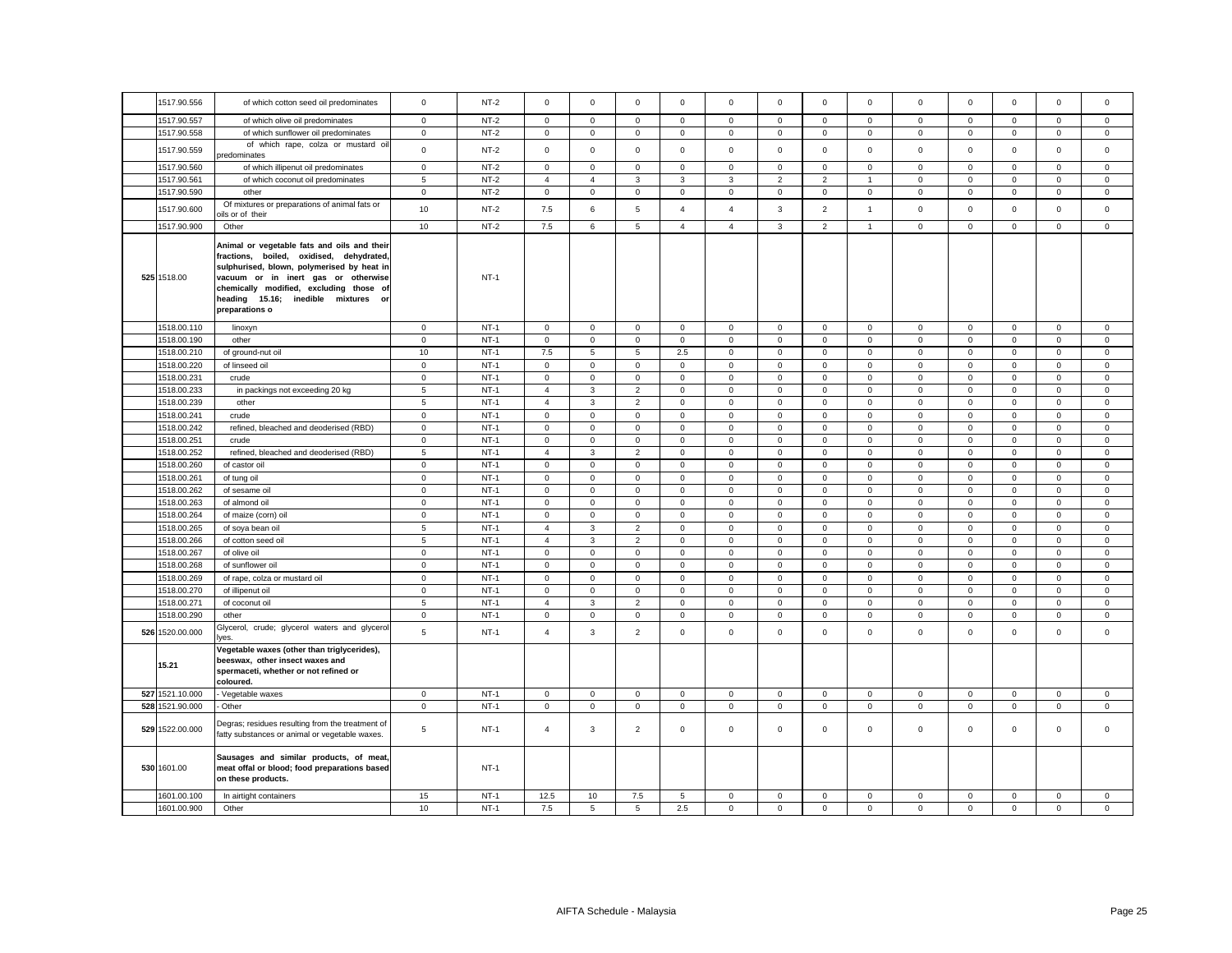| 1517.90.556                | of which cotton seed oil predominates                                                                                                                                                                                                                                            | $\mathbf 0$                | $NT-2$           | $\mathbf 0$                | $\mathbf 0$                 | $\mathsf 0$                | $\mathsf 0$                | $\mathsf 0$      | $\mathsf 0$                | $\mathsf 0$                | $\mathsf 0$      | $\mathsf 0$      | $\mathbf 0$                | $\mathsf 0$                | $\mathbf 0$                | $\mathbf 0$      |
|----------------------------|----------------------------------------------------------------------------------------------------------------------------------------------------------------------------------------------------------------------------------------------------------------------------------|----------------------------|------------------|----------------------------|-----------------------------|----------------------------|----------------------------|------------------|----------------------------|----------------------------|------------------|------------------|----------------------------|----------------------------|----------------------------|------------------|
| 1517.90.557                | of which olive oil predominates                                                                                                                                                                                                                                                  | $\mathbf 0$                | $NT-2$           | $\mathbf 0$                | $\mathbf 0$                 | $\mathbf 0$                | $\mathbf 0$                | 0                | $\mathbf 0$                | $\mathbf 0$                | 0                | 0                | $\mathbf 0$                | $\mathbf 0$                | $\mathbf 0$                | 0                |
| 1517.90.558                | of which sunflower oil predominates                                                                                                                                                                                                                                              | $\mathbf 0$                | $NT-2$           | $\mathbf 0$                | $\mathbf{0}$                | $\mathbf 0$                | $\mathbf{0}$               | $\mathbf 0$      | $\mathsf 0$                | $\mathbf{0}$               | $\mathbf{0}$     | 0                | $\mathbf 0$                | $\mathbf 0$                | $\mathbf 0$                | $\mathbf 0$      |
| 1517.90.559                | of which rape, colza or mustard oil<br>predominates                                                                                                                                                                                                                              | $\mathsf 0$                | $NT-2$           | $\mathbf 0$                | $\mathbf 0$                 | $\mathsf 0$                | $\mathbf 0$                | $\mathsf 0$      | $\mathbf 0$                | $\mathbf 0$                | $\mathbf 0$      | $\mathbf 0$      | $\mathbf 0$                | $\mathbf 0$                | $\mathbf 0$                | $\Omega$         |
| 1517.90.560                | of which illipenut oil predominates                                                                                                                                                                                                                                              | $\mathbf 0$                | $NT-2$           | $\mathbf{0}$               | $\Omega$                    | $\mathbf 0$                | $\Omega$                   | $\mathbf 0$      | $\mathbf 0$                | $\circ$                    | $\Omega$         | $\Omega$         | $\mathbf 0$                | $\mathbf 0$                | $\mathbf 0$                | $\mathbf 0$      |
| 1517.90.561                | of which coconut oil predominates                                                                                                                                                                                                                                                | 5                          | $NT-2$           | $\overline{4}$             | $\overline{4}$              | 3                          | 3                          | 3                | $\overline{2}$             | $\overline{2}$             | 1                | 0                | $\mathbf 0$                | $\mathbf 0$                | $\mathsf 0$                | $\mathbf 0$      |
| 1517.90.590                | other                                                                                                                                                                                                                                                                            | $\mathbf 0$                | $NT-2$           | $\mathbf 0$                | $\mathbf 0$                 | $\mathbf 0$                | $\mathbf 0$                | 0                | $\mathbf 0$                | $\mathbf 0$                | 0                | 0                | $\mathbf 0$                | $\mathbf 0$                | $\mathbf 0$                | 0                |
| 1517.90.600                | Of mixtures or preparations of animal fats or<br>vils or of their                                                                                                                                                                                                                | 10                         | $NT-2$           | 7.5                        | 6                           | 5                          | $\overline{4}$             | $\overline{4}$   | 3                          | $\overline{2}$             | $\mathbf{1}$     | $\mathsf 0$      | $\mathbf 0$                | $\mathbf{O}$               | $\mathbf 0$                | $\mathbf 0$      |
| 1517.90.900                | Other                                                                                                                                                                                                                                                                            | 10                         | $NT-2$           | 7.5                        | 6                           | $\mathbf 5$                | $\overline{4}$             | $\overline{4}$   | $\mathbf{3}$               | $\overline{2}$             | $\mathbf{1}$     | $\mathsf 0$      | $\mathbf 0$                | $\mathbf 0$                | $\mathsf 0$                | 0                |
| 525 1518.00                | Animal or vegetable fats and oils and their<br>fractions, boiled, oxidised, dehydrated,<br>sulphurised, blown, polymerised by heat in<br>vacuum or in inert gas or otherwise<br>chemically modified, excluding those of<br>heading 15.16; inedible mixtures or<br>preparations o |                            | $NT-1$           |                            |                             |                            |                            |                  |                            |                            |                  |                  |                            |                            |                            |                  |
| 1518.00.110                | linoxyn                                                                                                                                                                                                                                                                          | $\mathbf 0$                | $NT-1$           | $\mathbf 0$                | $\mathbf 0$                 | $\mathsf 0$                | $\mathbf 0$                | $\mathbf 0$      | $\mathsf 0$                | $\mathsf 0$                | $\mathbf 0$      | $\mathsf 0$      | $\mathbf 0$                | $\mathbf 0$                | $\mathsf 0$                | $\mathsf 0$      |
| 1518.00.190                | other                                                                                                                                                                                                                                                                            | $\mathbf 0$                | $NT-1$           | $\mathbf 0$                | $\Omega$                    | $\mathbf 0$                | $\mathbf{0}$               | $\mathbf 0$      | $\mathbf 0$                | $\mathbf 0$                | $\Omega$         | $\mathbf 0$      | $\mathbf 0$                | $\mathbf 0$                | $\mathbf{0}$               | $\Omega$         |
| 1518.00.210                | of ground-nut oil                                                                                                                                                                                                                                                                | 10                         | $NT-1$           | 7.5                        | 5                           | 5                          | 2.5                        | $\mathsf 0$      | $\mathbf 0$                | $\mathsf 0$                | $\mathbf 0$      | 0                | $\mathbf 0$                | $\mathbf 0$                | $\mathbf 0$                | $\mathbf 0$      |
| 1518.00.220                | of linseed oil                                                                                                                                                                                                                                                                   | $\mathbf 0$                | $NT-1$           | $\mathbf 0$                | $\mathbf 0$                 | $\mathbf 0$                | $\mathbf 0$                | 0                | $\mathbf 0$                | 0                          | 0                | 0                | $\mathbf 0$                | $\mathbf 0$                | $\mathsf 0$                | 0                |
| 1518.00.231                | crude                                                                                                                                                                                                                                                                            | $\mathbf 0$                | $NT-1$           | $\mathsf 0$                | $\mathbf 0$                 | $\mathbf 0$                | $\mathbf 0$                | $\mathsf 0$      | $\mathbf 0$                | $\mathsf 0$                | $\mathbf 0$      | 0                | $\mathbf 0$                | $\mathbf 0$                | $\mathbf 0$                | 0                |
| 1518.00.233                | in packings not exceeding 20 kg                                                                                                                                                                                                                                                  | 5                          | $NT-1$           | $\overline{4}$             | 3                           | $\overline{2}$             | $\mathsf 0$                | $\mathsf 0$      | $\mathsf 0$                | $\mathbf 0$                | $\mathbf 0$      | $\mathsf 0$      | $\mathbf 0$                | $\mathsf 0$                | $\mathbf 0$                | $\mathbf 0$      |
| 1518.00.239                | other                                                                                                                                                                                                                                                                            | 5                          | $NT-1$           | $\overline{4}$             | 3                           | $\overline{2}$             | $\mathsf 0$                | $\mathsf 0$      | $\mathsf 0$                | $\mathbf 0$                | $\mathsf 0$      | $\mathsf 0$      | $\mathbf 0$                | $\mathsf 0$                | $\mathbf 0$                | $\mathsf 0$      |
| 1518.00.241                | crude                                                                                                                                                                                                                                                                            | $\mathbf 0$                | $NT-1$           | $\mathbf 0$                | $\mathbf 0$                 | $\mathsf 0$                | $\mathbf{0}$               | $\mathbf 0$      | $\mathsf 0$                | $\mathsf 0$                | $\mathbf 0$      | $\mathsf 0$      | $\mathbf 0$                | $\mathbf 0$                | $\mathbf 0$                | $\mathsf 0$      |
| 1518.00.242                | refined, bleached and deoderised (RBD)                                                                                                                                                                                                                                           | $\mathsf 0$                | $NT-1$           | $\mathbf 0$                | $\Omega$                    | $\mathsf 0$                | $\mathbf 0$                | $\mathbf 0$      | $\mathsf 0$                | $\mathbf 0$                | $\Omega$         | $\mathbf 0$      | $\mathbf 0$                | $\mathbf 0$                | $\mathbf 0$                | $\Omega$         |
| 1518.00.251                | crude                                                                                                                                                                                                                                                                            | $\mathbf 0$                | $NT-1$           | $\mathbf 0$                | $\mathbf 0$                 | 0                          | $\mathbf 0$                | $\mathsf 0$      | $\Omega$                   | $\mathbf 0$                | $\mathbf 0$      | $\mathbf 0$      | $\mathbf 0$                | $\mathbf 0$                | $\mathbf 0$                | $\Omega$         |
| 1518.00.252                | refined, bleached and deoderised (RBD)                                                                                                                                                                                                                                           | 5                          | $NT-1$           | 4                          | 3                           | $\overline{2}$             | $\mathbf 0$                | 0                | $\mathbf 0$                | 0                          | 0                | 0                | $\mathbf 0$                | $\mathbf 0$                | $\mathbf 0$                | 0                |
| 1518.00.260                | of castor oil                                                                                                                                                                                                                                                                    | $\mathbf 0$                | $NT-1$           | $\mathbf 0$                | $\Omega$                    | $^{\circ}$                 | $\mathbf 0$                | $\mathsf 0$      | $^{\circ}$                 | $\mathbf 0$                | $\Omega$         | $\mathbf 0$      | $\mathbf 0$                | $\mathbf 0$                | $\mathbf 0$                | $\Omega$         |
| 1518.00.261<br>1518.00.262 | of tung oil<br>of sesame oil                                                                                                                                                                                                                                                     | $\mathbf 0$<br>$\mathsf 0$ | $NT-1$<br>$NT-1$ | $\mathbf 0$<br>$\mathsf 0$ | $\mathbf{0}$<br>$\mathbf 0$ | $\mathbf 0$<br>$\mathsf 0$ | $\mathbf 0$<br>$\mathsf 0$ | 0<br>$\mathsf 0$ | $\mathbf 0$<br>$\mathsf 0$ | $\mathbf 0$<br>$\mathbf 0$ | 0<br>$\mathsf 0$ | 0<br>$\mathsf 0$ | $\mathbf 0$<br>$\mathbf 0$ | $\mathbf 0$<br>$\mathsf 0$ | $\mathbf 0$<br>$\mathbf 0$ | 0<br>$\mathsf 0$ |
| 1518.00.263                | of almond oil                                                                                                                                                                                                                                                                    | $\mathbf 0$                | $NT-1$           | $\mathbf 0$                | $\mathbf 0$                 | $\mathsf 0$                | $\mathbf{0}$               | $\mathbf 0$      | $\mathsf 0$                | $\mathsf 0$                | $\mathbf 0$      | $\mathsf 0$      | $\mathbf 0$                | $\mathsf 0$                | $\mathbf 0$                | $\mathsf 0$      |
| 1518.00.264                | of maize (corn) oil                                                                                                                                                                                                                                                              | $\mathsf 0$                | $NT-1$           | $\mathbf 0$                | $\mathbf 0$                 | $\mathbf 0$                | $\mathbf 0$                | $\mathbf 0$      | $\mathbf 0$                | $\Omega$                   | $\mathbf 0$      | $\mathbf 0$      | $\mathbf 0$                | $\mathbf 0$                | $\mathbf 0$                | $\mathbf 0$      |
| 1518.00.265                | of soya bean oil                                                                                                                                                                                                                                                                 | $\,$ 5 $\,$                | $NT-1$           | $\overline{4}$             | 3                           | $\overline{2}$             | $\mathsf 0$                | $\mathsf 0$      | $\mathsf 0$                | $\mathsf{O}\xspace$        | $\mathsf 0$      | $\mathsf 0$      | $\mathbf 0$                | $\,0\,$                    | $\mathbf 0$                | $\mathbf 0$      |
| 1518.00.266                | of cotton seed oil                                                                                                                                                                                                                                                               | 5                          | $NT-1$           | $\overline{4}$             | 3                           | $\overline{2}$             | 0                          | 0                | 0                          | 0                          | 0                | 0                | $\mathbf 0$                | 0                          | $\mathbf 0$                | 0                |
| 1518.00.267                | of olive oil                                                                                                                                                                                                                                                                     | $\mathbf 0$                | $NT-1$           | $\mathbf 0$                | $\mathbf 0$                 | $\mathbf 0$                | $\mathbf 0$                | $\mathsf 0$      | $^{\circ}$                 | $\mathbf 0$                | $\mathbf 0$      | $\mathbf 0$      | $\mathbf 0$                | $\mathbf 0$                | $\mathbf 0$                | $\mathbf 0$      |
| 1518.00.268                | of sunflower oil                                                                                                                                                                                                                                                                 | $\mathbf 0$                | $NT-1$           | $\mathbf 0$                | $\mathbf{0}$                | $\mathbf 0$                | $\mathbf 0$                | 0                | $\mathbf 0$                | $\mathbf 0$                | $\mathbf 0$      | 0                | $\mathbf 0$                | $\mathbf{0}$               | $\mathbf 0$                | 0                |
| 1518.00.269                | of rape, colza or mustard oil                                                                                                                                                                                                                                                    | $\mathbf 0$                | $NT-1$           | $\mathbf 0$                | $\mathbf{0}$                | $\mathbf 0$                | $\mathbf{0}$               | $\mathbf 0$      | $^{\circ}$                 | $\Omega$                   | $\mathbf 0$      | $\mathbf 0$      | $\mathbf 0$                | $\mathbf 0$                | $\mathbf 0$                | $\mathbf 0$      |
| 1518.00.270                | of illipenut oil                                                                                                                                                                                                                                                                 | $\mathbf 0$                | $NT-1$           | $\mathbf{0}$               | $\mathbf 0$                 | $\mathsf 0$                | $\mathbf{0}$               | $\mathbf{0}$     | $\mathsf 0$                | $\mathsf 0$                | $\mathbf{0}$     | $\mathbf 0$      | $\mathbf 0$                | $\mathsf 0$                | $\mathbf 0$                | $\mathbf{0}$     |
| 1518.00.271                | of coconut oil                                                                                                                                                                                                                                                                   | 5                          | $NT-1$           | $\overline{4}$             | 3                           | $\overline{2}$             | $\mathbf 0$                | $\mathbf 0$      | $\mathbf 0$                | $\Omega$                   | $\mathbf 0$      | $\mathbf 0$      | $\mathbf 0$                | $\mathbf 0$                | $\mathbf 0$                | $\mathbf 0$      |
| 1518.00.290                | other                                                                                                                                                                                                                                                                            | $\mathsf 0$                | $NT-1$           | $\mathsf 0$                | $\mathsf 0$                 | $\mathbf 0$                | $\mathsf 0$                | $\mathsf 0$      | $\mathsf 0$                | $\mathsf{O}\xspace$        | $\mathsf 0$      | $\mathsf 0$      | $\,0\,$                    | $\mathsf 0$                | $\mathbf 0$                | $\mathbf 0$      |
| 526 1520.00.000            | Glycerol, crude; glycerol waters and glycerol<br>ves.                                                                                                                                                                                                                            | 5                          | $NT-1$           | $\overline{a}$             | 3                           | $\overline{2}$             | $\mathbf{0}$               | $\mathsf 0$      | $\mathbf 0$                | $\mathbf 0$                | $\mathbf 0$      | $\mathbf 0$      | $\mathbf 0$                | $\mathbf 0$                | $\mathsf 0$                | $\mathbf 0$      |
| 15.21                      | Vegetable waxes (other than triglycerides),<br>beeswax, other insect waxes and<br>spermaceti, whether or not refined or<br>coloured.                                                                                                                                             |                            |                  |                            |                             |                            |                            |                  |                            |                            |                  |                  |                            |                            |                            |                  |
| 527 1521.10.000            | Vegetable waxes                                                                                                                                                                                                                                                                  | $\mathbf 0$                | $NT-1$           | $\mathbf 0$                | $\mathbf 0$                 | $\mathbf 0$                | $\mathbf 0$                | 0                | $\mathbf 0$                | $\mathbf 0$                | 0                | 0                | $\mathbf 0$                | $\mathbf 0$                | $\mathbf 0$                | $\mathbf 0$      |
| 528 1521.90.000            | - Other                                                                                                                                                                                                                                                                          | $\mathbf{0}$               | $NT-1$           | $\mathbf 0$                | $\mathbf 0$                 | $\mathbf 0$                | $\mathbf 0$                | $\mathbf 0$      | $\mathsf 0$                | $\mathbf 0$                | $\mathbf{0}$     | 0                | $\mathbf 0$                | $\mathbf 0$                | $\mathsf 0$                | $\mathbf{0}$     |
| 529 1522.00.000            | Degras; residues resulting from the treatment of<br>fatty substances or animal or vegetable waxes.                                                                                                                                                                               | 5                          | $NT-1$           | $\overline{4}$             | $\mathbf{3}$                | $\overline{2}$             | $\mathsf 0$                | $\mathsf 0$      | $\mathsf 0$                | $\mathbf 0$                | $\mathsf 0$      | $\mathsf 0$      | $\mathbf 0$                | $\mathbf 0$                | $\mathsf 0$                | $\mathbf 0$      |
| 530 1601.00                | Sausages and similar products, of meat,<br>meat offal or blood; food preparations based<br>on these products.                                                                                                                                                                    |                            | $NT-1$           |                            |                             |                            |                            |                  |                            |                            |                  |                  |                            |                            |                            |                  |
| 1601.00.100                | In airtight containers                                                                                                                                                                                                                                                           | 15                         | $NT-1$           | 12.5                       | 10                          | 7.5                        | 5                          | 0                | $\mathbf 0$                | $\mathbf 0$                | $\mathbf 0$      | $\mathbf 0$      | $\mathbf 0$                | $\mathbf 0$                | $\mathbf 0$                | $\mathbf 0$      |
| 1601.00.900                | Other                                                                                                                                                                                                                                                                            | 10                         | $NT-1$           | 7.5                        | 5                           | 5                          | 2.5                        | 0                | $\mathbf 0$                | $\mathbf 0$                | $\mathbf 0$      | 0                | $\mathbf 0$                | $\mathbf 0$                | $\mathbf 0$                | $\mathbf 0$      |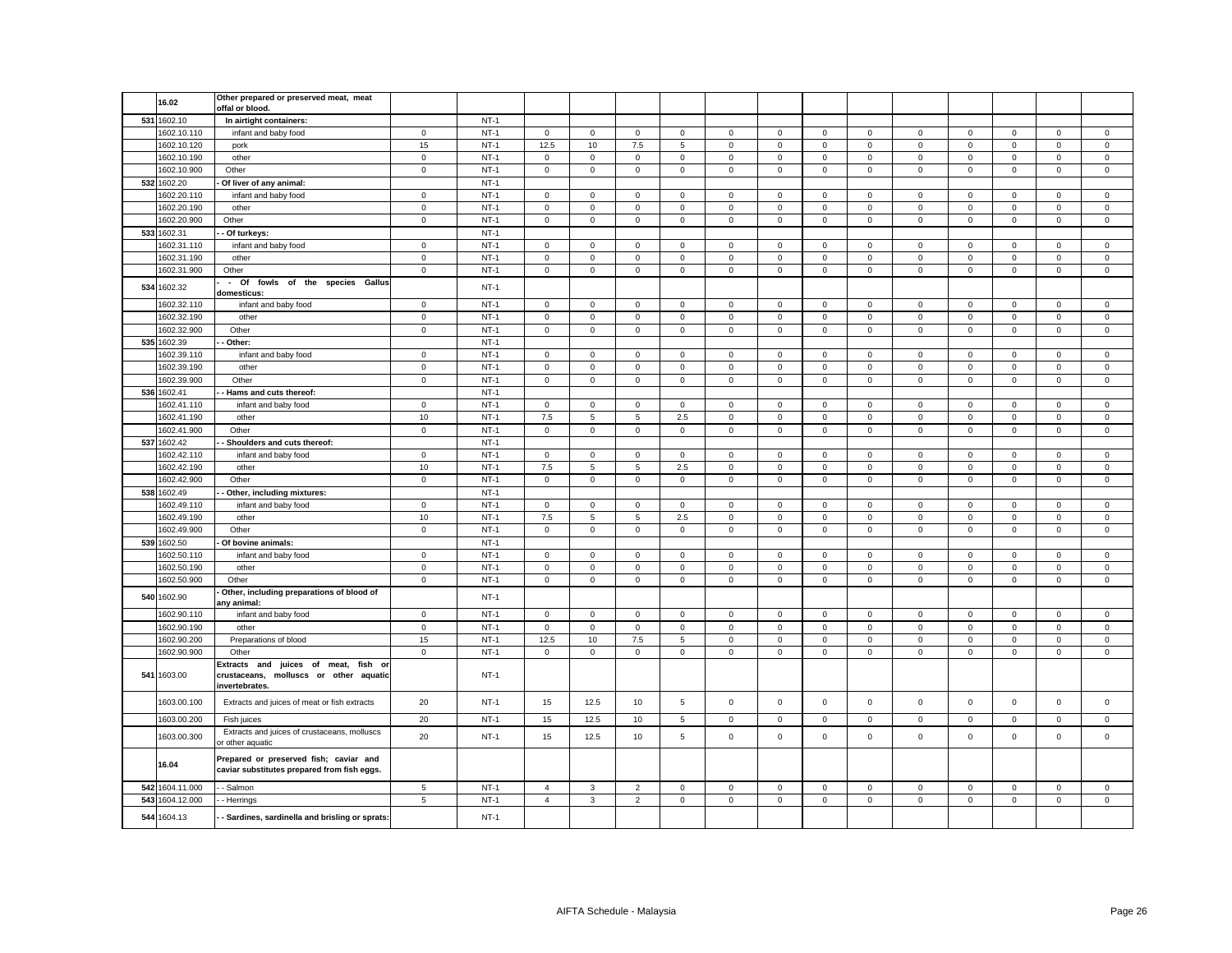|     | 16.02                      | Other prepared or preserved meat, meat                                                             |                     |                  |                            |                |                            |                            |                            |                            |                            |                            |                            |                            |                            |                            |                            |
|-----|----------------------------|----------------------------------------------------------------------------------------------------|---------------------|------------------|----------------------------|----------------|----------------------------|----------------------------|----------------------------|----------------------------|----------------------------|----------------------------|----------------------------|----------------------------|----------------------------|----------------------------|----------------------------|
|     |                            | offal or blood.                                                                                    |                     |                  |                            |                |                            |                            |                            |                            |                            |                            |                            |                            |                            |                            |                            |
|     | 531 1602.10                | In airtight containers:                                                                            |                     | $NT-1$           |                            |                |                            |                            |                            |                            |                            |                            |                            |                            |                            |                            |                            |
|     | 1602.10.110                | infant and baby food                                                                               | $\mathbf 0$         | $NT-1$           | $\circ$                    | $\mathsf 0$    | $\mathbf 0$                | $\overline{0}$             | $\mathbf 0$                | $\mathsf 0$                | $\mathsf{O}\xspace$        | $\mathsf 0$                | $\mathbf 0$                | $\mathbf 0$                | $\mathsf 0$                | $\mathsf 0$                | $\mathsf 0$                |
|     | 1602.10.120                | pork                                                                                               | 15                  | $NT-1$           | 12.5                       | 10             | 7.5                        | 5                          | $\mathsf 0$                | $\mathsf 0$                | $\mathsf 0$                | $\mathbf 0$                | $\mathsf 0$                | $\mathbf 0$                | $\mathsf 0$                | $\mathsf 0$                | $\mathsf 0$                |
|     | 1602.10.190                | other                                                                                              | $\mathsf 0$         | $NT-1$           | $\mathbf 0$                | $\mathbf 0$    | $\mathsf 0$                | $\mathsf 0$                | $\mathsf 0$                | $\mathsf 0$                | $\mathbf 0$                | $\mathbf 0$                | $\mathbf 0$                | $\mathsf 0$                | $\mathsf 0$                | $\mathsf 0$                | $\mathsf 0$                |
|     | 1602.10.900                | Other                                                                                              | $\mathsf 0$         | $NT-1$           | $\mathsf 0$                | $\mathsf 0$    | $\mathsf{O}\xspace$        | $\mathsf{O}\xspace$        | $\mathsf 0$                | $\mathbf 0$                | $\mathsf 0$                | $\mathbf 0$                | $\mathsf{o}\xspace$        | $\mathsf 0$                | $\mathsf 0$                | $\mathsf{O}\xspace$        | $\mathsf 0$                |
|     | 532 1602.20                | Of liver of any animal:                                                                            |                     | $NT-1$           |                            |                |                            |                            |                            |                            |                            |                            |                            |                            |                            |                            |                            |
|     | 1602.20.110                | infant and baby food                                                                               | $\mathbf 0$         | $NT-1$           | $\mathbf 0$                | $\mathbf 0$    | $\mathsf 0$                | $\mathbf 0$                | $\mathsf 0$                | $\mathsf 0$                | $\mathsf 0$                | $\mathsf 0$                | $\mathsf 0$                | $\mathsf 0$                | $\mathsf 0$                | $\mathsf 0$                | $\mathsf 0$                |
|     | 1602.20.190                | other                                                                                              | $\mathsf 0$         | $NT-1$           | $\mathbf 0$                | $\mathbf 0$    | $\mathsf 0$                | $\mathsf 0$                | $\mathsf 0$                | $\mathsf 0$                | $\mathbf 0$                | $\mathbf 0$                | $\mathsf 0$                | $\mathsf 0$                | $\mathsf 0$                | $\mathsf 0$                | $\mathsf 0$                |
|     | 1602.20.900                | Other                                                                                              | $\mathbf 0$         | $NT-1$           | $\mathsf 0$                | $\mathbf 0$    | $\mathbf 0$                | $\mathsf 0$                | $\mathbf 0$                | $\mathsf 0$                | $\mathsf 0$                | $\mathsf 0$                | $\mathsf 0$                | $\mathsf 0$                | $\mathsf 0$                | $\mathsf 0$                | $\mathsf 0$                |
|     | 533 1602.31                | Of turkeys:                                                                                        |                     | $NT-1$           |                            |                |                            |                            |                            |                            |                            |                            |                            |                            |                            |                            |                            |
|     | 1602.31.110                | infant and baby food                                                                               | $\mathbf 0$         | $NT-1$           | $\mathbf 0$                | $\mathbf 0$    | $\mathbf 0$                | $\mathsf 0$                | $\mathbf{0}$               | $\mathsf 0$                | $\mathbf 0$                | $\overline{0}$             | $\mathbf 0$                | $\mathbf 0$                | $\mathbf 0$                | $\mathbf 0$                | $\mathsf 0$                |
|     | 1602.31.190<br>1602.31.900 | other<br>Other                                                                                     | $\mathsf 0$         | $NT-1$<br>$NT-1$ | $\mathbf 0$                | $\mathbf 0$    | $\mathsf 0$<br>$\mathsf 0$ | $\mathbf 0$                | $\mathsf 0$<br>$\mathbf 0$ | $\mathbf 0$<br>$\mathsf 0$ | $\mathbf 0$                | $\mathbf 0$<br>$\mathsf 0$ | $\mathbf 0$<br>$\mathsf 0$ | $\mathbf 0$<br>$\mathsf 0$ | $\mathbf 0$<br>$\mathsf 0$ | $\mathsf 0$<br>$\mathsf 0$ | $\mathsf 0$<br>$\mathsf 0$ |
|     |                            | - Of fowls of the species Gallus                                                                   | $\mathbf 0$         |                  | $\mathbf 0$                | $\mathbf 0$    |                            | $\mathbf 0$                |                            |                            | $\mathbf 0$                |                            |                            |                            |                            |                            |                            |
|     | 534 1602.32                | domesticus:                                                                                        |                     | $NT-1$           |                            |                |                            |                            |                            |                            |                            |                            |                            |                            |                            |                            |                            |
|     | 1602.32.110                | infant and baby food                                                                               | $\mathbf 0$         | $NT-1$           | $\mathbf 0$                | $\mathbf 0$    | $\mathbf{0}$               | $\mathbf 0$                | $\mathbf{0}$               | $\mathsf 0$                | $\mathbf 0$                | $\mathbf 0$                | $\mathbf 0$                | $\mathsf 0$                | $\mathbf 0$                | $\mathbf 0$                | $\mathsf 0$                |
|     | 1602.32.190                | other                                                                                              | $\mathsf 0$         | $NT-1$           | $\mathbf 0$                | $\mathbf 0$    | $\mathsf 0$                | $\mathbf 0$                | $\mathsf 0$                | $\mathbf 0$                | $\mathbf 0$                | $\mathbf 0$                | $\mathbf 0$                | $\mathbf 0$                | $\mathbf 0$                | $\mathsf 0$                | $\mathsf 0$                |
|     | 1602.32.900                | Other                                                                                              | $\mathsf{O}\xspace$ | $NT-1$           | $\mathsf 0$                | $\mathsf 0$    | $\mathsf 0$                | $\mathsf 0$                | $\mathbf 0$                | $\mathsf 0$                | $\mathsf 0$                | $\mathbf 0$                | $\mathsf 0$                | $\mathsf 0$                | $\mathsf 0$                | $\mathsf 0$                | $\mathsf 0$                |
|     | 535 1602.39                | Other:                                                                                             |                     | $NT-1$           |                            |                |                            |                            |                            |                            |                            |                            |                            |                            |                            |                            |                            |
|     | 1602.39.110                | infant and baby food                                                                               | $\mathsf 0$         | $NT-1$           | $\mathsf 0$                | $\mathbf 0$    | $\mathsf 0$                | $\mathbf 0$                | $\mathsf 0$                | $\mathsf 0$                | $\mathbf 0$                | $\mathsf 0$                | $\mathsf 0$                | $\mathsf 0$                | $\mathsf 0$                | $\mathsf 0$                | $\mathbf 0$                |
|     | 1602.39.190                | other                                                                                              | $\mathbf 0$         | $NT-1$           | $\mathsf 0$                | $\mathsf 0$    | $\mathbf 0$                | $\mathsf{O}\xspace$        | $\mathsf 0$                | $\mathsf 0$                | $\mathbf 0$                | $\mathbf 0$                | $\mathsf 0$                | $\mathbf 0$                | $\mathsf 0$                | $\mathbf 0$                | $\mathbf 0$                |
|     | 1602.39.900                | Other                                                                                              | $\mathbf 0$         | $NT-1$           | $\mathsf 0$                | $\mathbf 0$    | $\mathsf 0$                | $\mathsf 0$                | $\mathsf 0$                | $\mathsf 0$                | $\mathbf 0$                | $\mathsf 0$                | $\mathsf 0$                | $\mathsf 0$                | $\mathsf 0$                | $\mathsf 0$                | $\mathsf 0$                |
| 536 | 1602.41                    | Hams and cuts thereof:                                                                             |                     | $NT-1$           |                            |                |                            |                            |                            |                            |                            |                            |                            |                            |                            |                            |                            |
|     | 1602.41.110                | infant and baby food                                                                               | $\mathbf 0$         | $NT-1$           | $\mathbf 0$                | 0              | 0                          | 0                          | 0                          | 0                          | $\mathbf 0$                | 0                          | 0                          | $\mathbf 0$                | 0                          | 0                          | 0                          |
|     | 1602.41.190                | other                                                                                              | 10                  | $NT-1$           | 7.5                        | 5              | $\,$ 5 $\,$                | 2.5                        | $\mathsf 0$                | $\mathbf 0$                | $\mathsf 0$                | $\mathbf 0$                | $\mathsf 0$                | $\mathbf 0$                | $\mathsf 0$                | $\mathbf 0$                | $\mathsf 0$                |
|     | 1602.41.900                | Other                                                                                              | $\mathbf 0$         | $NT-1$           | $\mathbf 0$                | $\mathsf 0$    | $\mathbf 0$                | $\mathsf 0$                | $\mathsf{O}$               | $\mathsf 0$                | $\mathsf 0$                | $\mathbf 0$                | $\mathsf 0$                | $\mathsf 0$                | $\mathsf 0$                | $\mathsf 0$                | $\mathsf 0$                |
|     | 537 1602.42                | Shoulders and cuts thereof:                                                                        |                     | $NT-1$           |                            |                |                            |                            |                            |                            |                            |                            |                            |                            |                            |                            |                            |
|     | 1602.42.110                | infant and baby food                                                                               | $\mathbf 0$         | $NT-1$           | $\mathbf 0$                | 0              | $\mathsf 0$                | $\mathbf 0$                | 0                          | $\mathsf 0$                | $\mathbf 0$                | $\mathbf 0$                | $\mathbf 0$                | 0                          | $\mathbf 0$                | $\mathbf 0$                | 0                          |
|     | 1602.42.190                | other                                                                                              | $10$                | $NT-1$           | 7.5                        | $\overline{5}$ | $\,$ 5 $\,$                | 2.5                        | $\mathsf 0$                | $\mathsf 0$                | $\mathsf 0$                | $\mathbf 0$                | $\mathsf 0$                | $\mathbf 0$                | $\mathsf 0$                | $\mathbf 0$                | $\mathbf 0$                |
|     | 1602.42.900                | Other                                                                                              | $\mathbf 0$         | $NT-1$           | $\mathbf 0$                | $\mathsf 0$    | $\mathsf 0$                | $\mathsf 0$                | $\mathbf 0$                | $\mathsf 0$                | $\mathsf 0$                | $\mathbf 0$                | $\mathsf 0$                | $\mathsf 0$                | $\mathsf 0$                | $\mathsf 0$                | $\mathsf 0$                |
| 538 | 1602.49                    | Other, including mixtures:                                                                         |                     | $NT-1$           |                            |                |                            |                            |                            |                            |                            |                            |                            |                            |                            |                            |                            |
|     | 1602.49.110                | infant and baby food                                                                               | $\mathbf 0$         | $NT-1$           | $\mathbf 0$                | $\mathbf 0$    | $\mathsf 0$                | $\mathbf 0$                | $\mathsf 0$                | $\mathsf 0$                | $\mathbf 0$                | $\mathbf 0$                | $\mathbf 0$                | $\mathsf 0$                | $\mathbf 0$                | $\mathsf 0$                | $\mathsf 0$                |
|     | 1602.49.190                | other                                                                                              | 10                  | $NT-1$           | 7.5                        | 5              | 5                          | 2.5                        | $\mathsf 0$                | $\mathsf 0$                | $\mathbf 0$                | $\mathbf 0$                | $\mathbf 0$                | $\mathsf 0$                | $\mathsf 0$                | $\mathsf 0$                | $\mathsf 0$                |
|     | 1602.49.900                | Other                                                                                              | $\mathbf 0$         | $NT-1$           | $\mathbf 0$                | $\mathbf 0$    | $\mathsf 0$                | $\mathsf 0$                | $\mathbf 0$                | $\mathbf 0$                | $\mathbf 0$                | $\mathsf 0$                | $\mathsf 0$                | $\mathbf 0$                | $\mathbf 0$                | $\mathsf 0$                | $\mathsf 0$                |
|     | 539 1602.50                | Of bovine animals:                                                                                 | $\mathbf 0$         | $NT-1$           | $\mathbf{0}$               | $\mathbf 0$    | $\mathbf 0$                | $\mathbf{0}$               | $\mathbf 0$                | $\mathbf 0$                | $\mathbf{0}$               | $\mathbf{0}$               | $\mathbf 0$                | $\mathbf 0$                | $\mathbf 0$                | $\mathbf 0$                |                            |
|     | 1602.50.110<br>1602.50.190 | infant and baby food                                                                               | $\mathsf 0$         | $NT-1$<br>$NT-1$ |                            | $\mathbf 0$    | $\mathsf 0$                |                            | $\mathbf 0$                | $\mathsf 0$                |                            | $\mathbf{0}$               | $\mathsf 0$                | $\mathbf 0$                | $\mathbf 0$                | $\mathsf 0$                | 0                          |
|     | 1602.50.900                | other<br>Other                                                                                     | $\mathsf 0$         | $NT-1$           | $\mathbf 0$<br>$\mathbf 0$ | $\mathbf 0$    | $\mathbf 0$                | $\mathbf 0$<br>$\mathbf 0$ | $\mathbf 0$                | $\mathbf 0$                | $\mathbf 0$<br>$\mathbf 0$ | $\mathbf 0$                | $\mathbf 0$                | $\mathbf 0$                | $\mathbf 0$                | $\mathbf 0$                | $\mathsf 0$<br>$\mathsf 0$ |
|     |                            | Other, including preparations of blood of                                                          |                     |                  |                            |                |                            |                            |                            |                            |                            |                            |                            |                            |                            |                            |                            |
|     | 540 1602.90<br>1602.90.110 | any animal:                                                                                        | $\mathbf 0$         | $NT-1$<br>$NT-1$ | $\circ$                    | $\mathbf 0$    | $\mathbf 0$                | $\mathbf{0}$               | $\mathbf{0}$               | $\mathbf 0$                | $\mathbf 0$                | $\mathbf{0}$               | $\mathbf{0}$               | $\mathbf 0$                | $\mathbf 0$                | $\mathbf 0$                | $\mathbf 0$                |
|     | 1602.90.190                | infant and baby food<br>other                                                                      | $\mathsf 0$         | $NT-1$           | $\mathbf 0$                | $\mathbf 0$    | $\mathsf 0$                | $\mathbf 0$                | $\mathbf 0$                | $\mathsf 0$                | $\mathbf 0$                | $\mathbf 0$                | $\mathsf 0$                | $\mathsf 0$                | $\mathbf 0$                | $\mathbf 0$                | $\mathsf 0$                |
|     | 1602.90.200                | Preparations of blood                                                                              | 15                  | $NT-1$           | 12.5                       | 10             | 7.5                        | 5                          | $\mathbf 0$                | $\mathbf 0$                | $\mathbf 0$                | $\mathsf 0$                | $\mathbf 0$                | $\mathbf 0$                | $\mathbf 0$                | $\mathbf 0$                | $\mathsf 0$                |
|     | 1602.90.900                | Other                                                                                              | $\mathsf 0$         | $NT-1$           | $\mathbf 0$                | $\mathbf 0$    | $\mathbf 0$                | $\mathsf 0$                | $\mathbf{0}$               | $\mathsf 0$                | $\mathbf 0$                | $\mathbf 0$                | $\mathsf 0$                | $\mathsf 0$                | $\mathsf{O}\xspace$        | $\mathsf{O}\xspace$        | $\mathsf 0$                |
|     | 541 1603.00                | Extracts and juices of meat, fish<br>o<br>crustaceans, molluscs or other aquatic<br>invertebrates. |                     | $NT-1$           |                            |                |                            |                            |                            |                            |                            |                            |                            |                            |                            |                            |                            |
|     | 1603.00.100                | Extracts and juices of meat or fish extracts                                                       | 20                  | $NT-1$           | 15                         | 12.5           | 10                         | 5                          | $\mathsf 0$                | $\mathsf 0$                | $\mathbf 0$                | $\mathsf 0$                | $\mathsf 0$                | $\mathsf 0$                | $\mathsf 0$                | $\mathsf 0$                | $\mathsf 0$                |
|     | 1603.00.200                | Fish juices                                                                                        | 20                  | $NT-1$           | 15                         | 12.5           | $10$                       | 5                          | $\mathsf 0$                | $\mathbf 0$                | $\mathsf 0$                | $\,0\,$                    | $\mathsf 0$                | $\mathbf 0$                | $\mathsf 0$                | $\mathsf 0$                | $\mathsf 0$                |
|     | 1603.00.300                | Extracts and juices of crustaceans, molluscs<br>or other aquatic                                   | 20                  | $NT-1$           | 15                         | 12.5           | 10                         | $\,$ 5 $\,$                | $\mathsf 0$                | $\mathsf 0$                | $\mathbf 0$                | $\mathsf 0$                | $\mathsf 0$                | $\mathsf 0$                | $\mathsf 0$                | $\mathsf 0$                | $\mathsf 0$                |
|     | 16.04                      | Prepared or preserved fish; caviar and<br>caviar substitutes prepared from fish eggs.              |                     |                  |                            |                |                            |                            |                            |                            |                            |                            |                            |                            |                            |                            |                            |
|     | 542 1604.11.000            | - Salmon                                                                                           | 5                   | $NT-1$           | $\overline{4}$             | $\mathbf{3}$   | $\overline{2}$             | $\mathsf 0$                | $\mathbf 0$                | $\mathsf 0$                | $\mathbf 0$                | $\mathbf 0$                | $\mathbf{0}$               | $\mathsf 0$                | $\mathbf 0$                | $\mathsf 0$                | $\mathsf 0$                |
|     | 543 1604.12.000            | - Herrings                                                                                         | $\,$ 5 $\,$         | $NT-1$           | $\overline{4}$             | $\mathbf{3}$   | $\mathbf 2$                | $\mathsf 0$                | $\mathsf 0$                | $\mathsf 0$                | $\mathbf 0$                | $\mathsf 0$                | $\mathsf 0$                | $\mathsf 0$                | $\mathsf 0$                | $\mathsf 0$                | $\mathsf 0$                |
|     | 544 1604.13                | - Sardines, sardinella and brisling or sprats:                                                     |                     | $NT-1$           |                            |                |                            |                            |                            |                            |                            |                            |                            |                            |                            |                            |                            |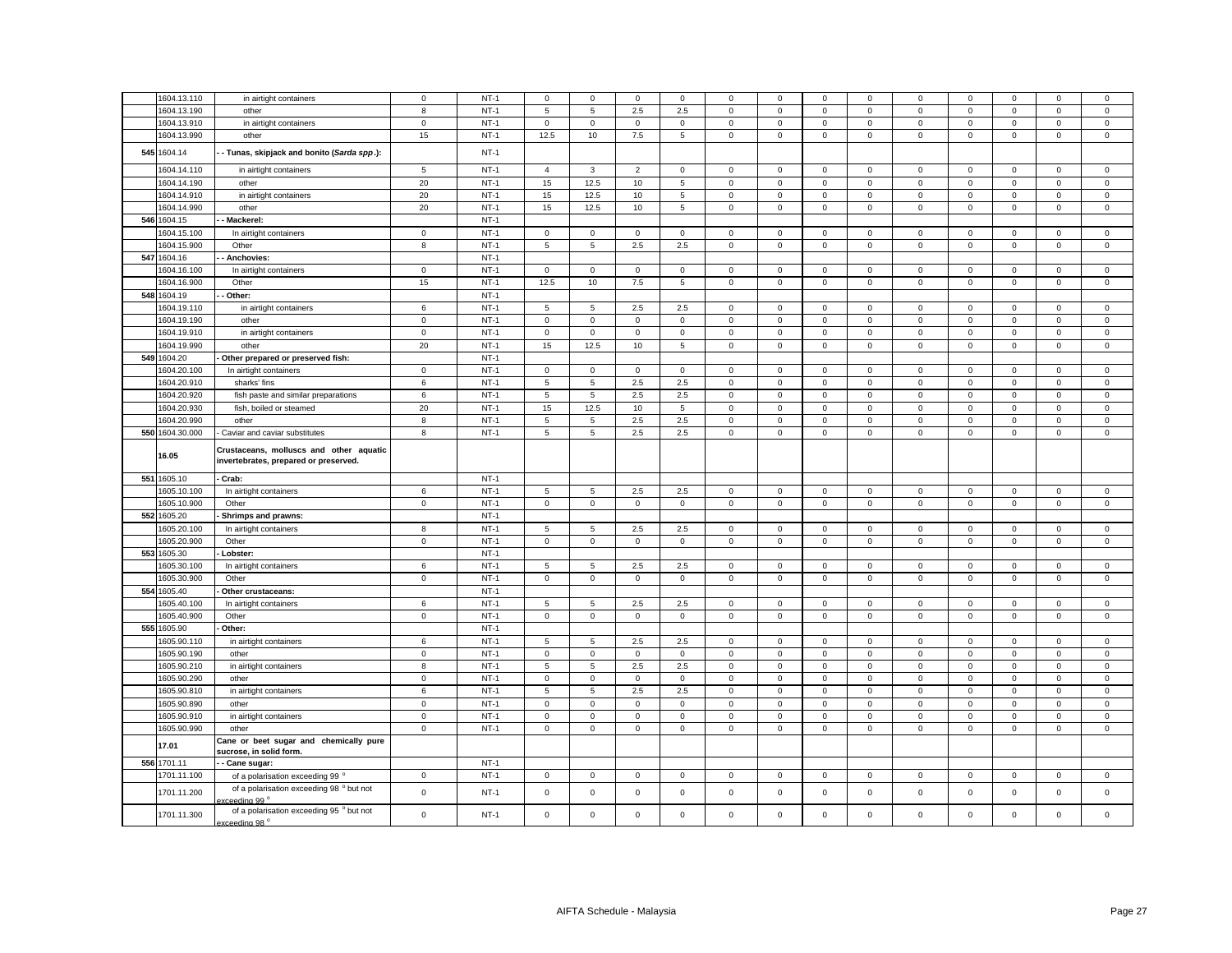|     | 1604.13.110     | in airtight containers                                                           | $\mathbf 0$ | $NT-1$ | $\mathbf 0$         | $\mathbf 0$     | $\mathsf 0$  | $\Omega$    | $\Omega$     | $\mathsf 0$ | $\Omega$            | $\Omega$     | $\mathbf 0$  | $\mathbf 0$ | $\Omega$            | $\Omega$       | $\mathsf 0$  |
|-----|-----------------|----------------------------------------------------------------------------------|-------------|--------|---------------------|-----------------|--------------|-------------|--------------|-------------|---------------------|--------------|--------------|-------------|---------------------|----------------|--------------|
|     | 1604.13.190     | other                                                                            | 8           | $NT-1$ | 5                   | 5               | 2.5          | 2.5         | $\mathbf 0$  | $\mathbf 0$ | $\mathbf 0$         | $\mathbf{0}$ | $\mathbf 0$  | $\mathbf 0$ | $\mathbf 0$         | $\mathbf 0$    | $\mathbf 0$  |
|     | 1604.13.910     | in airtight containers                                                           | $\mathbf 0$ | $NT-1$ | $\mathsf 0$         | $\mathsf 0$     | $\mathsf 0$  | $\mathsf 0$ | $\mathbf 0$  | $\mathsf 0$ | $\mathbf 0$         | $\mathsf 0$  | $\mathbf 0$  | $\mathbf 0$ | $\mathbf 0$         | $\mathsf 0$    | $\mathbf 0$  |
|     | 1604.13.990     | other                                                                            | 15          | $NT-1$ | 12.5                | 10              | 7.5          | 5           | $\mathbf 0$  | $\mathsf 0$ | $\mathsf 0$         | $\mathbf 0$  | $\mathsf 0$  | $\mathbf 0$ | $\mathbf 0$         | $\mathsf 0$    | $\mathbf{0}$ |
|     |                 |                                                                                  |             |        |                     |                 |              |             |              |             |                     |              |              |             |                     |                |              |
|     | 545 1604.14     | - Tunas, skipjack and bonito (Sarda spp.):                                       |             | $NT-1$ |                     |                 |              |             |              |             |                     |              |              |             |                     |                |              |
|     | 1604.14.110     | in airtight containers                                                           | 5           | $NT-1$ | $\overline{4}$      | 3               | 2            | $\mathbf 0$ | $\mathbf 0$  | $\mathbf 0$ | $\mathbf 0$         | $\mathbf{0}$ | $\mathbf 0$  | $\mathbf 0$ | $\mathbf{0}$        | $\mathbf{0}$   | $\mathbf 0$  |
|     | 1604.14.190     | other                                                                            | 20          | $NT-1$ | 15                  | 12.5            | 10           | 5           | $\mathbf 0$  | $\mathsf 0$ | $\mathbf 0$         | $\mathsf 0$  | $\mathbf 0$  | $\mathbf 0$ | $\mathbf 0$         | $\mathsf 0$    | $\mathbf 0$  |
|     | 1604.14.910     | in airtight containers                                                           | 20          | $NT-1$ | 15                  | 12.5            | 10           | 5           | $\mathbf 0$  | $\mathsf 0$ | $\mathsf 0$         | $\mathbf 0$  | $\mathbf{0}$ | $\mathbf 0$ | $\mathbf 0$         | $\mathbf 0$    | $\mathbf{0}$ |
|     | 1604.14.990     | other                                                                            | 20          | $NT-1$ | 15                  | 12.5            | 10           | 5           | $\mathbf 0$  | $\mathbf 0$ | $\mathbf 0$         | $\mathbf{0}$ | $\mathbf 0$  | $\mathbf 0$ | $\mathbf 0$         | $\mathbf 0$    | $\mathbf 0$  |
|     | 546 1604.15     | Mackerel:                                                                        |             | $NT-1$ |                     |                 |              |             |              |             |                     |              |              |             |                     |                |              |
|     | 1604.15.100     | In airtight containers                                                           | $\mathsf 0$ | $NT-1$ | $\mathbf 0$         | $\mathbf 0$     | $\mathsf 0$  | $\mathbf 0$ | $\mathbf 0$  | $\mathsf 0$ | $\mathbf{O}$        | $\mathbf 0$  | $\mathbf 0$  | $\mathbf 0$ | $\mathbf 0$         | $\mathsf 0$    | $\mathbf 0$  |
|     | 1604.15.900     | Other                                                                            | 8           | $NT-1$ | 5                   | $\sqrt{5}$      | $2.5\,$      | $2.5\,$     | $\mathsf 0$  | $\mathsf 0$ | $\mathsf 0$         | $\mathbf 0$  | $\mathsf 0$  | $\mathsf 0$ | $\mathsf 0$         | $\mathsf 0$    | $\mathbf 0$  |
|     | 547 1604.16     | Anchovies:                                                                       |             | $NT-1$ |                     |                 |              |             |              |             |                     |              |              |             |                     |                |              |
|     | 1604.16.100     | In airtight containers                                                           | $\mathbf 0$ | $NT-1$ | $\mathsf 0$         | $\mathbf 0$     | $\mathsf 0$  | 0           | $\mathbf 0$  | $\mathsf 0$ | $\mathbf 0$         | $\mathbf 0$  | $\mathsf 0$  | $\mathbf 0$ | $\mathbf 0$         | $\mathsf 0$    | $\mathbf 0$  |
|     | 1604.16.900     | Other                                                                            | 15          | $NT-1$ | 12.5                | 10              | 7.5          | 5           | $\mathsf 0$  | $\mathbf 0$ | $\mathsf 0$         | $\mathsf 0$  | $\mathsf 0$  | $\mathbf 0$ | $\mathsf 0$         | $\mathsf 0$    | $\mathsf 0$  |
|     | 548 1604.19     | Other:                                                                           |             | $NT-1$ |                     |                 |              |             |              |             |                     |              |              |             |                     |                |              |
|     | 1604.19.110     | in airtight containers                                                           | 6           | $NT-1$ | 5                   | 5               | 2.5          | 2.5         | $\Omega$     | 0           | $\mathsf 0$         | 0            | 0            | $\mathbf 0$ | $\mathbf 0$         | $\mathbf 0$    | 0            |
|     | 1604.19.190     | other                                                                            | $\mathbf 0$ | $NT-1$ | $\mathsf{O}\xspace$ | $\mathsf 0$     | $\mathbf 0$  | 0           | $\mathbf 0$  | $\mathsf 0$ | $\mathsf{O}\xspace$ | $\mathsf 0$  | 0            | $\mathbf 0$ | $\mathbf 0$         | $\mathbf 0$    | $\mathsf 0$  |
|     | 1604.19.910     | in airtight containers                                                           | $\mathsf 0$ | $NT-1$ | $\mathsf 0$         | $\mathsf 0$     | $\mathbf 0$  | $\mathbf 0$ | $\mathsf 0$  | $\mathsf 0$ | $\mathsf 0$         | $\mathsf 0$  | $\mathsf 0$  | $\mathbf 0$ | $\mathsf 0$         | $\mathbf 0$    | $\mathbf 0$  |
|     | 1604.19.990     | other                                                                            | 20          | $NT-1$ | 15                  | 12.5            | 10           | 5           | $\mathbf 0$  | $\mathsf 0$ | $\mathbf 0$         | 0            | 0            | $\mathbf 0$ | $\mathbf 0$         | $\mathsf 0$    | 0            |
|     | 549 1604.20     | Other prepared or preserved fish:                                                |             | $NT-1$ |                     |                 |              |             |              |             |                     |              |              |             |                     |                |              |
|     | 1604.20.100     | In airtight containers                                                           | $\mathbf 0$ | $NT-1$ | $\mathbf 0$         | $\mathbf 0$     | $\mathsf 0$  | 0           | $\mathbf 0$  | $\mathbf 0$ | $\mathbf 0$         | $\mathbf 0$  | 0            | $\mathbf 0$ | $\mathbf 0$         | $\mathbf 0$    | 0            |
|     | 1604.20.910     | sharks' fins                                                                     | 6           | $NT-1$ | $\overline{5}$      | 5               | 2.5          | 2.5         | $\mathsf 0$  | $\mathsf 0$ | $\overline{0}$      | $\mathsf 0$  | $\mathsf 0$  | $\mathbf 0$ | $\overline{0}$      | $\overline{0}$ | $\mathbf 0$  |
|     | 1604.20.920     | fish paste and similar preparations                                              | $\,6\,$     | $NT-1$ | 5                   | $5\phantom{.0}$ | 2.5          | 2.5         | $\mathbf 0$  | $\mathsf 0$ | $\circ$             | $\mathbf{0}$ | 0            | $\mathbf 0$ | $\mathsf{O}\xspace$ | $\mathsf 0$    | $\mathsf 0$  |
|     | 1604.20.930     | fish, boiled or steamed                                                          | 20          | $NT-1$ | 15                  | 12.5            | 10           | 5           | $\mathbf 0$  | $\mathsf 0$ | $\mathsf 0$         | $\mathbf 0$  | $\mathsf 0$  | $\mathbf 0$ | $\mathsf{O}\xspace$ | $\mathsf 0$    | 0            |
|     | 1604.20.990     | other                                                                            | 8           | $NT-1$ | 5                   | 5               | 2.5          | 2.5         | $\mathsf 0$  | $\mathsf 0$ | $\mathsf 0$         | $\mathsf 0$  | $\mathbf 0$  | $\mathsf 0$ | $\mathbf 0$         | $\mathsf 0$    | $\mathbf 0$  |
|     | 550 1604.30.000 | - Caviar and caviar substitutes                                                  | 8           | $NT-1$ | 5                   | 5               | 2.5          | 2.5         | $\mathbf 0$  | $\mathbf 0$ | $\mathbf 0$         | $\mathbf{0}$ | $\mathbf 0$  | $\mathbf 0$ | $\mathbf 0$         | $\mathbf{0}$   | 0            |
|     | 16.05           | Crustaceans, molluscs and other aquatic<br>invertebrates, prepared or preserved. |             |        |                     |                 |              |             |              |             |                     |              |              |             |                     |                |              |
|     | 551 1605.10     | Crab:                                                                            |             | $NT-1$ |                     |                 |              |             |              |             |                     |              |              |             |                     |                |              |
|     | 1605.10.100     | In airtight containers                                                           | $\,6\,$     | $NT-1$ | 5                   | 5               | 2.5          | $2.5\,$     | $\mathsf 0$  | $\mathsf 0$ | $\mathbf 0$         | $\mathsf 0$  | $\mathsf 0$  | $\mathsf 0$ | $\mathsf 0$         | $\mathsf 0$    | $\mathsf 0$  |
|     | 1605.10.900     | Other                                                                            | $\mathbf 0$ | $NT-1$ | $\mathsf 0$         | $\mathbf 0$     | $\mathsf 0$  | 0           | $\mathbf 0$  | $\mathsf 0$ | $\mathbf 0$         | 0            | $\mathbf 0$  | $\mathbf 0$ | $\mathbf 0$         | $\mathsf 0$    | $\Omega$     |
|     | 552 1605.20     | Shrimps and prawns:                                                              |             | $NT-1$ |                     |                 |              |             |              |             |                     |              |              |             |                     |                |              |
|     | 1605.20.100     | In airtight containers                                                           | 8           | $NT-1$ | 5                   | 5               | 2.5          | 2.5         | $\mathbf 0$  | $\mathsf 0$ | $\mathsf 0$         | 0            | 0            | $\mathbf 0$ | 0                   | $\mathbf 0$    | 0            |
|     | 1605.20.900     | Other                                                                            | $\mathbf 0$ | $NT-1$ | $\mathbf 0$         | $\mathbf 0$     | $\mathsf 0$  | $\mathbf 0$ | $\mathbf 0$  | $\mathsf 0$ | $\mathbf 0$         | $\mathbf 0$  | $\mathbf 0$  | $\mathbf 0$ | $\mathbf 0$         | $\mathsf 0$    | $\mathbf 0$  |
|     | 553 1605.30     | Lobster:                                                                         |             | $NT-1$ |                     |                 |              |             |              |             |                     |              |              |             |                     |                |              |
|     | 1605.30.100     | In airtight containers                                                           | 6           | $NT-1$ | 5                   | 5               | 2.5          | 2.5         | $\mathbf 0$  | $\mathsf 0$ | $\mathsf 0$         | $\mathsf 0$  | $\mathsf 0$  | $\mathbf 0$ | $\mathbf 0$         | $\mathbf 0$    | $\mathsf 0$  |
|     | 1605.30.900     | Other                                                                            | $\mathsf 0$ | $NT-1$ | $\mathsf 0$         | $\mathbf 0$     | $\mathsf 0$  | $\mathsf 0$ | $\mathsf 0$  | $\mathsf 0$ | $\mathsf 0$         | $\mathsf 0$  | $\mathsf 0$  | $\mathsf 0$ | $\mathbf 0$         | $\mathsf 0$    | $\mathbf 0$  |
| 554 | 1605.40         | Other crustaceans:                                                               |             | $NT-1$ |                     |                 |              |             |              |             |                     |              |              |             |                     |                |              |
|     | 1605.40.100     | In airtight containers                                                           | 6           | $NT-1$ | 5                   | 5               | 2.5          | 2.5         | $\mathbf 0$  | $\mathsf 0$ | $\circ$             | 0            | 0            | $\mathbf 0$ | $\mathbf 0$         | $\mathsf 0$    | 0            |
|     | 1605.40.900     | Other                                                                            | $\mathsf 0$ | $NT-1$ | $\mathsf{O}\xspace$ | $\mathsf 0$     | $\mathsf 0$  | $\mathsf 0$ | $\mathsf 0$  | $\mathsf 0$ | $\mathsf 0$         | $\mathsf 0$  | $\mathsf 0$  | $\mathbf 0$ | $\mathsf 0$         | $\mathsf 0$    | $\mathbf 0$  |
|     | 555 1605.90     | Other:                                                                           |             | $NT-1$ |                     |                 |              |             |              |             |                     |              |              |             |                     |                |              |
|     | 1605.90.110     | in airtight containers                                                           | 6           | $NT-1$ | 5                   | 5               | 2.5          | 2.5         | $\mathbf 0$  | 0           | $\mathbf{0}$        | $\mathbf 0$  | 0            | $\mathbf 0$ | $\mathbf 0$         | $\mathbf 0$    | $\mathbf 0$  |
|     | 1605.90.190     | other                                                                            | $\mathbf 0$ | $NT-1$ | $\mathbf 0$         | $\mathbf 0$     | $\mathbf 0$  | 0           | $\mathbf 0$  | $\mathsf 0$ | $\mathbf{0}$        | $\mathbf 0$  | $\mathbf 0$  | $\mathbf 0$ | $\mathbf 0$         | $\mathsf 0$    | $\mathsf 0$  |
|     | 1605.90.210     | in airtight containers                                                           | 8           | $NT-1$ | 5                   | 5               | 2.5          | 2.5         | $\mathsf 0$  | $\mathsf 0$ | $\mathsf 0$         | $\mathsf 0$  | $\mathsf 0$  | $\mathbf 0$ | $\mathsf 0$         | $\mathsf 0$    | $\mathsf 0$  |
|     | 1605.90.290     | other                                                                            | $\mathbf 0$ | $NT-1$ | $\mathbf 0$         | $\mathbf{0}$    | $\mathsf 0$  | $\mathbf 0$ | $\mathbf 0$  | $\mathsf 0$ | $\mathbf{0}$        | $\mathbf 0$  | 0            | $\mathbf 0$ | $\mathbf 0$         | $\mathsf 0$    | $\mathbf 0$  |
|     | 1605.90.810     | in airtight containers                                                           | 6           | $NT-1$ | 5                   | 5               | 2.5          | 2.5         | $\mathbf 0$  | $\mathsf 0$ | $\mathsf 0$         | $\mathsf 0$  | $\mathsf 0$  | $\mathbf 0$ | $\mathsf 0$         | $\mathsf 0$    | $\mathsf 0$  |
|     | 1605.90.890     | other                                                                            | $\mathbf 0$ | $NT-1$ | $\mathsf 0$         | $\mathbf 0$     | $\mathsf 0$  | 0           | $\mathbf 0$  | $\mathsf 0$ | $\mathbf 0$         | $\mathsf 0$  | $\mathsf 0$  | $\mathbf 0$ | $\mathbf 0$         | $\mathsf 0$    | $\mathbf 0$  |
|     | 1605.90.910     | in airtight containers                                                           | $\mathsf 0$ | $NT-1$ | $\mathbf 0$         | $\mathbf 0$     | $\mathbf 0$  | $\mathbf 0$ | $\mathbf{0}$ | $\mathbf 0$ | $\mathbf{0}$        | $\mathbf 0$  | $\mathbf 0$  | $\mathbf 0$ | $\mathbf 0$         | $\mathbf 0$    | $\mathbf 0$  |
|     | 1605.90.990     | other                                                                            | $\mathbf 0$ | $NT-1$ | $\mathbf 0$         | $\mathbf 0$     | $\mathbf{0}$ | $\mathbf 0$ | $\mathbf 0$  | $\mathbf 0$ | $\circ$             | $\mathbf{0}$ | $\mathbf 0$  | $\mathbf 0$ | 0                   | $\mathbf{0}$   | $\mathbf{0}$ |
|     | 17.01           | Cane or beet sugar and chemically pure<br>sucrose, in solid form.                |             |        |                     |                 |              |             |              |             |                     |              |              |             |                     |                |              |
|     | 556 1701.11     | - Cane sugar:                                                                    |             | $NT-1$ |                     |                 |              |             |              |             |                     |              |              |             |                     |                |              |
|     | 1701.11.100     | of a polarisation exceeding 99                                                   | $\circ$     | $NT-1$ | $\mathbf 0$         | $\mathbf 0$     | $\mathbf{0}$ | $\mathbf 0$ | $\mathbf 0$  | $\mathbf 0$ | $\mathbf 0$         | $\mathbf{0}$ | $\mathbf 0$  | $\mathbf 0$ | $\mathbf 0$         | $\mathbf 0$    | $\mathbf 0$  |
|     | 1701.11.200     | of a polarisation exceeding 98 ° but not<br>eeding 99 <sup>o</sup>               | $\mathsf 0$ | $NT-1$ | $\mathsf 0$         | $\mathsf 0$     | $\mathsf 0$  | $\mathsf 0$ | $\mathbf 0$  | $\mathsf 0$ | $\mathsf 0$         | $\mathsf 0$  | $\mathsf 0$  | $\mathbf 0$ | $\mathsf 0$         | $\mathsf 0$    | $\mathbf 0$  |
|     | 1701.11.300     | of a polarisation exceeding 95 ° but not<br>exceeding 98 °                       | $\mathsf 0$ | $NT-1$ | $\mathbf 0$         | $\mathbf 0$     | $\mathsf 0$  | $\Omega$    | $\Omega$     | $\mathbf 0$ | $\mathbf 0$         | $\mathbf 0$  | $\mathbf 0$  | $\mathbf 0$ | $\mathbf 0$         | $\mathsf 0$    | $\mathbf 0$  |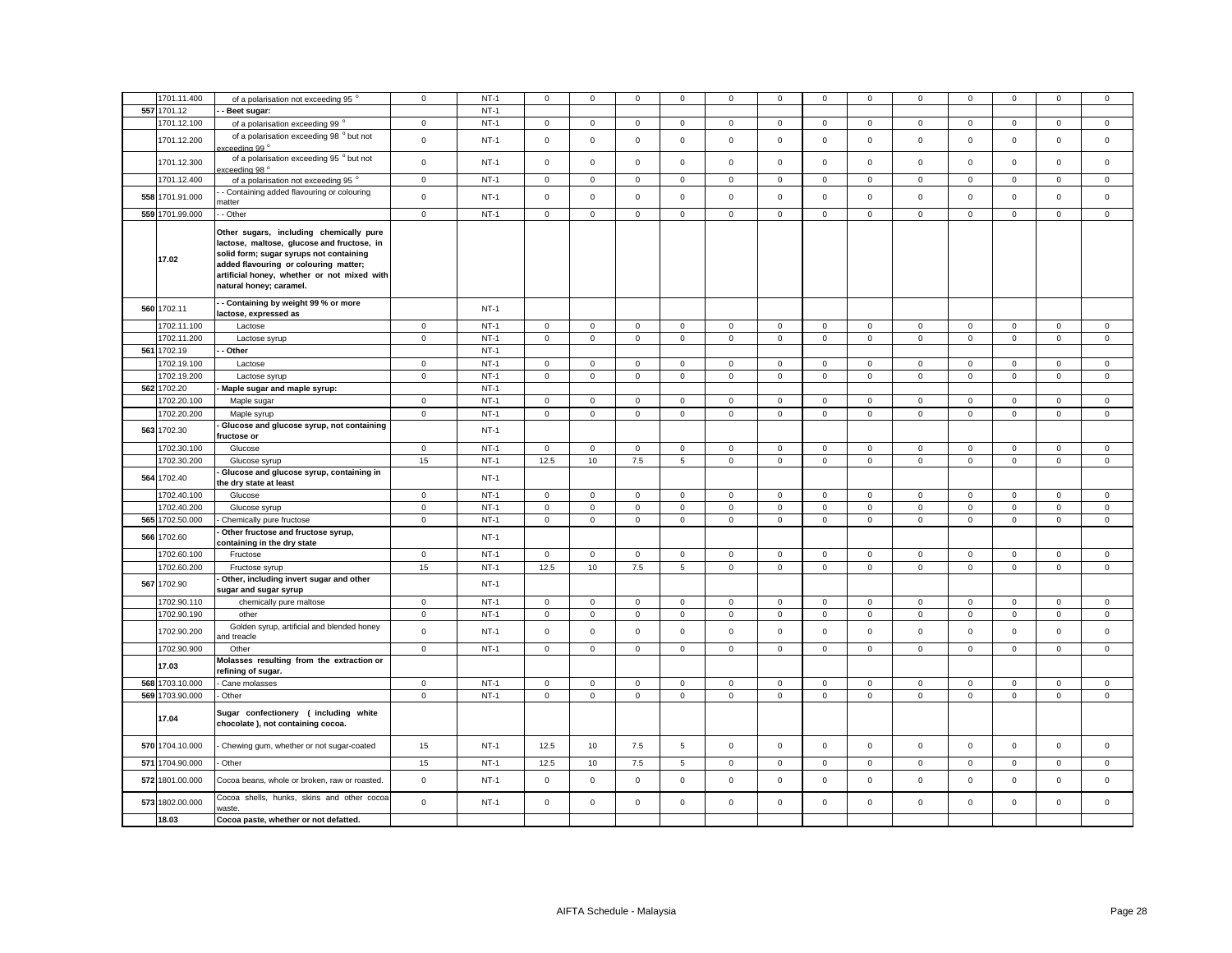| 557 1701.12<br>$NT-1$<br>Beet sugar:<br>1701.12.100<br>$NT-1$<br>$\mathsf 0$<br>$\mathbf 0$<br>$\mathsf 0$<br>$\mathsf 0$<br>$\mathbf 0$<br>$\mathsf 0$<br>$\mathbf 0$<br>$\mathbf 0$<br>$\mathbf 0$<br>$\overline{0}$<br>$\mathbf 0$<br>$\mathbf 0$<br>$\mathbf 0$<br>0<br>of a polarisation exceeding 99 °<br>of a polarisation exceeding 98 ° but not<br>1701.12.200<br>$\mathsf 0$<br>$NT-1$<br>$\mathbf 0$<br>$\mathbf 0$<br>$\mathsf 0$<br>$\mathsf 0$<br>$\mathbf 0$<br>$\mathsf 0$<br>$\mathbf 0$<br>$\mathsf 0$<br>$\mathbf 0$<br>$\mathbf 0$<br>$\mathsf 0$<br>0<br>$\mathbf 0$<br>ceedina 99 °<br>of a polarisation exceeding 95 ° but not<br>1701.12.300<br>$\mathbf 0$<br>$NT-1$<br>$\mathsf 0$<br>$\mathbf 0$<br>$\mathsf 0$<br>$\mathsf 0$<br>$\mathsf 0$<br>$\mathsf 0$<br>$\mathsf 0$<br>$\mathbf 0$<br>$\mathsf 0$<br>$\mathbf 0$<br>$\mathbf 0$<br>$\mathbf 0$<br>$\mathsf 0$<br>cceeding 98 °<br>1701.12.400<br>$\mathsf 0$<br>$NT-1$<br>$\mathbf 0$<br>$\mathbf 0$<br>$\mathbf 0$<br>$\mathbf 0$<br>$\mathbf 0$<br>$\mathbf 0$<br>$\mathbf 0$<br>$^{\circ}$<br>$\mathbf{0}$<br>$\mathbf 0$<br>$\mathbf 0$<br>$\mathbf{0}$<br>$\mathbf 0$<br>of a polarisation not exceeding 95°<br>- Containing added flavouring or colouring<br>558 1701.91.000<br>$\mathbf 0$<br>$NT-1$<br>$\mathbf 0$<br>$\mathsf 0$<br>$\mathbf 0$<br>$\mathbf 0$<br>$\mathsf{O}\xspace$<br>$\mathbf 0$<br>$\mathsf 0$<br>$\mathbf 0$<br>$\mathbf 0$<br>$\mathbf 0$<br>$\mathbf 0$<br>$\mathbf 0$<br>$\mathbf 0$<br>natter<br>559 1701.99.000<br>- - Other<br>$\mathbf 0$<br>$NT-1$<br>$\mathbf 0$<br>$\mathbf 0$<br>$\mathsf 0$<br>$\mathbf 0$<br>$\mathbf 0$<br>$\mathsf 0$<br>$\mathbf 0$<br>$\mathbf 0$<br>$\mathbf 0$<br>$\mathsf 0$<br>$\mathbf 0$<br>$\mathsf 0$<br>$\mathbf 0$<br>Other sugars, including chemically pure<br>lactose, maltose, glucose and fructose, in<br>solid form; sugar syrups not containing<br>17.02<br>added flavouring or colouring matter;<br>artificial honey, whether or not mixed with<br>natural honey; caramel.<br>- Containing by weight 99 % or more<br>560 1702.11<br>$NT-1$<br>lactose, expressed as<br>1702.11.100<br>$NT-1$<br>$\mathbf 0$<br>Lactose<br>$\mathbf{0}$<br>$\mathbf 0$<br>$\mathbf{0}$<br>$\mathbf 0$<br>$\mathbf{0}$<br>$\mathbf{0}$<br>$\mathbf{0}$<br>$\mathbf{0}$<br>$\mathbf{0}$<br>$\mathbf{0}$<br>$\mathbf{0}$<br>$\mathbf{0}$<br>$\mathbf{0}$<br>1702.11.200<br>$\mathbf 0$<br>$NT-1$<br>$\mathbf 0$<br>$\mathbf 0$<br>$\mathbf 0$<br>$\mathbf{0}$<br>$\mathbf 0$<br>$\mathbf 0$<br>$\circ$<br>$\mathbf{0}$<br>$\mathbf 0$<br>$\mathbf 0$<br>$\mathbf{0}$<br>$\mathbf 0$<br>$\mathbf{0}$<br>Lactose syrup<br>561 1702.19<br>- Other<br>$NT-1$<br>1702.19.100<br>$NT-1$<br>Lactose<br>$\mathbf 0$<br>$\mathbf{0}$<br>$\mathbf 0$<br>$\mathsf 0$<br>$\mathbf{0}$<br>$\mathbf 0$<br>$\mathbf 0$<br>$\circ$<br>$\mathbf 0$<br>$\mathbf 0$<br>$\mathbf 0$<br>$\mathbf{0}$<br>$\mathbf 0$<br>$\mathbf 0$<br>$NT-1$<br>1702.19.200<br>$\mathbf 0$<br>$\mathbf 0$<br>$\mathbf 0$<br>$\mathbf 0$<br>$\mathbf 0$<br>$\mathbf 0$<br>$\mathbf 0$<br>$\mathbf 0$<br>$\mathbf 0$<br>$\mathbf 0$<br>$\mathsf 0$<br>Lactose syrup<br>$\mathbf 0$<br>$\mathbf{0}$<br>$\mathbf 0$<br>562 1702.20<br>$NT-1$<br>Maple sugar and maple syrup:<br>$NT-1$<br>1702.20.100<br>Maple sugar<br>$\mathbf 0$<br>$\mathbf 0$<br>$\mathbf 0$<br>$\mathbf 0$<br>$\mathbf 0$<br>$\mathsf 0$<br>$\mathbf 0$<br>$\mathbf 0$<br>$\mathsf 0$<br>$\mathsf 0$<br>$\mathbf 0$<br>$\mathsf 0$<br>$\mathsf 0$<br>$\mathbf 0$<br>1702.20.200<br>$NT-1$<br>$\mathsf 0$<br>$\mathsf 0$<br>$\mathbf 0$<br>$\mathsf 0$<br>$\mathsf 0$<br>$\mathsf 0$<br>$\mathsf 0$<br>$\mathsf 0$<br>$\mathsf 0$<br>$\mathbf 0$<br>$\mathsf 0$<br>$\mathsf 0$<br>$\mathsf 0$<br>$\mathbf 0$<br>Maple syrup<br>Glucose and glucose syrup, not containing<br>563 1702.30<br>$NT-1$<br>ructose or<br>$NT-1$<br>1702.30.100<br>$\mathbf 0$<br>$\mathbf 0$<br>$\mathbf 0$<br>$\mathsf 0$<br>$\mathsf 0$<br>$\mathbf 0$<br>$\mathsf 0$<br>$\mathsf 0$<br>$\mathbf 0$<br>$\mathbf 0$<br>$\mathbf 0$<br>$\mathbf 0$<br>$\mathsf 0$<br>$\mathbf 0$<br>Glucose<br>1702.30.200<br>15<br>$NT-1$<br>12.5<br>10<br>7.5<br>5<br>$\mathbf 0$<br>$\mathsf 0$<br>$\mathsf{O}\xspace$<br>$\mathbf 0$<br>$\mathsf 0$<br>$\mathsf{O}\xspace$<br>$\mathsf 0$<br>$\mathbf 0$<br>$\mathbf 0$<br>Glucose syrup<br>Glucose and glucose syrup, containing in<br>564 1702.40<br>$NT-1$<br>the dry state at least<br>1702.40.100<br>Glucose<br>$\mathbf{0}$<br>$NT-1$<br>$\mathbf 0$<br>$\Omega$<br>$\mathbf 0$<br>$\mathbf{0}$<br>$\mathbf 0$<br>$\mathbf 0$<br>$\mathbf{0}$<br>$\Omega$<br>$\mathbf 0$<br>$\mathbf 0$<br>$\mathbf{0}$<br>$\mathbf{0}$<br>$\Omega$<br>1702.40.200<br>$NT-1$<br>$\mathsf 0$<br>$\mathbf 0$<br>$\mathbf 0$<br>$\mathbf 0$<br>$\mathsf 0$<br>$\mathbf 0$<br>$\mathsf 0$<br>$\mathsf 0$<br>$\mathbf 0$<br>$\mathsf 0$<br>$\mathbf 0$<br>$\mathsf 0$<br>$\mathsf 0$<br>$\mathbf 0$<br>Glucose syrup<br>565 1702.50.000<br>$NT-1$<br>$\mathsf 0$<br>$\mathsf{O}\xspace$<br>$\mathsf 0$<br>$\mathbf 0$<br>$\mathbf 0$<br>$\mathsf 0$<br>$\mathsf 0$<br>$\mathsf 0$<br>$\mathsf 0$<br>$\mathsf 0$<br>$\mathbf 0$<br>$\mathbf 0$<br>$\mathbf 0$<br>$\mathbf 0$<br>Chemically pure fructose<br>Other fructose and fructose syrup,<br>566 1702.60<br>$NT-1$<br>containing in the dry state<br>1702.60.100<br>Fructose<br>$\mathbf 0$<br>$NT-1$<br>$\mathbf 0$<br>$\mathbf 0$<br>$\mathbf 0$<br>$\mathbf 0$<br>$\mathbf 0$<br>$\mathsf 0$<br>$\mathbf 0$<br>$\mathbf{0}$<br>$\mathbf 0$<br>$\mathsf 0$<br>$\mathbf 0$<br>$\mathsf 0$<br>$\mathbf 0$<br>$NT-1$<br>12.5<br>7.5<br>1702.60.200<br>15<br>10<br>5<br>$\mathbf 0$<br>$\mathsf 0$<br>$\mathsf 0$<br>$\mathbf 0$<br>$\mathsf 0$<br>$\mathbf 0$<br>$\mathsf{O}\xspace$<br>$\mathsf 0$<br>$\mathbf 0$<br>Fructose syrup<br>Other, including invert sugar and other<br>567<br>1702.90<br>$NT-1$<br>sugar and sugar syrup<br>1702.90.110<br>$NT-1$<br>$\mathbf{0}$<br>$\mathbf 0$<br>$\mathbf 0$<br>$\mathbf{0}$<br>$\mathbf 0$<br>$\mathbf{0}$<br>$\mathbf{0}$<br>$\mathbf{0}$<br>$\mathbf{0}$<br>$\mathbf{0}$<br>$\mathbf{0}$<br>chemically pure maltose<br>$\mathbf{0}$<br>$\mathbf{0}$<br>$\mathbf{0}$<br>$NT-1$<br>1702.90.190<br>$\mathbf 0$<br>$\mathbf 0$<br>$\mathbf 0$<br>$\mathbf 0$<br>$\mathbf 0$<br>$\mathbf 0$<br>$\mathsf 0$<br>$\mathbf 0$<br>$\mathbf 0$<br>$\mathbf 0$<br>$\mathsf 0$<br>$\mathsf 0$<br>$\mathsf 0$<br>$\mathbf 0$<br>other<br>Golden syrup, artificial and blended honey<br>1702.90.200<br>$\mathbf 0$<br>$NT-1$<br>$\mathbf 0$<br>$\mathbf 0$<br>$\mathsf 0$<br>$\mathbf{0}$<br>$\mathsf 0$<br>$\mathbf 0$<br>$\mathbf 0$<br>$\mathbf 0$<br>$\mathbf 0$<br>$\mathbf 0$<br>$\mathbf 0$<br>$\mathbf 0$<br>$\mathbf 0$<br>and treacle<br>1702.90.900<br>$NT-1$<br>$\mathsf 0$<br>$\mathbf 0$<br>$\mathsf 0$<br>$\mathbf 0$<br>$\mathsf 0$<br>$\mathsf 0$<br>$\mathsf 0$<br>Other<br>$\mathbf 0$<br>$\mathbf 0$<br>$\mathbf 0$<br>$\mathbf 0$<br>$\mathbf 0$<br>$\mathbf 0$<br>$\mathbf{0}$<br>Molasses resulting from the extraction or<br>17.03<br>refining of sugar.<br>568 1703.10.000<br>Cane molasses<br>$NT-1$<br>$\mathbf 0$<br>$\mathsf 0$<br>$\mathbf 0$<br>$\mathbf 0$<br>$\mathbf 0$<br>$\mathsf 0$<br>$\mathbf 0$<br>0<br>$\mathbf 0$<br>0<br>$\mathbf 0$<br>0<br>0<br>0<br>569 1703.90.000<br>$NT-1$<br>$\mathsf 0$<br>$\mathsf 0$<br>$\mathbf 0$<br>$\mathsf 0$<br>$\mathsf{O}$<br>$\mathbf 0$<br>$\mathsf 0$<br>$\mathsf 0$<br>- Other<br>$\mathsf 0$<br>$\mathbf 0$<br>$\mathsf 0$<br>$\mathbf{0}$<br>$\mathbf 0$<br>$\mathbf 0$<br>Sugar confectionery (including white<br>17.04<br>chocolate), not containing cocoa.<br>570 1704.10.000<br>$NT-1$<br>$\mathsf 0$<br>$\mathsf{O}\xspace$<br>$\mathbf 0$<br>15<br>12.5<br>10<br>7.5<br>5<br>$\mathsf 0$<br>$\mathsf 0$<br>$\mathbf 0$<br>$\mathbf 0$<br>$\mathbf 0$<br>$\mathsf 0$<br>Chewing gum, whether or not sugar-coated<br>571 1704.90.000<br>$NT-1$<br>7.5<br>- Other<br>12.5<br>10<br>5<br>$\mathbf 0$<br>$\mathsf 0$<br>$\mathsf 0$<br>$\mathsf 0$<br>$\mathbf 0$<br>$\mathsf 0$<br>15<br>$\Omega$<br>$\mathbf 0$<br>0<br>572 1801.00.000<br>$\mathbf 0$<br>$NT-1$<br>$\mathbf 0$<br>$\mathsf 0$<br>$\mathsf 0$<br>$\mathsf 0$<br>$\mathsf 0$<br>$\mathbf 0$<br>$\mathsf 0$<br>$\mathbf 0$<br>$\mathsf 0$<br>$\,0\,$<br>$\mathsf 0$<br>$\mathsf 0$<br>$\mathbf 0$<br>Cocoa beans, whole or broken, raw or roasted.<br>Cocoa shells, hunks, skins and other cocoa<br>$\mathsf 0$<br>$NT-1$<br>$\mathsf 0$<br>$\mathsf 0$<br>$\mathsf 0$<br>$\mathbf 0$<br>$\mathbf 0$<br>$\mathsf 0$<br>573 1802.00.000<br>$\mathbf 0$<br>$\mathbf 0$<br>$\mathsf 0$<br>$\mathbf 0$<br>$\mathbf 0$<br>$\mathsf 0$<br>$\mathbf 0$<br>waste.<br>18.03<br>Cocoa paste, whether or not defatted. |             |                                      |             |        |             |             |             |             |             |             |             |              |             |             |             |             |             |
|-----------------------------------------------------------------------------------------------------------------------------------------------------------------------------------------------------------------------------------------------------------------------------------------------------------------------------------------------------------------------------------------------------------------------------------------------------------------------------------------------------------------------------------------------------------------------------------------------------------------------------------------------------------------------------------------------------------------------------------------------------------------------------------------------------------------------------------------------------------------------------------------------------------------------------------------------------------------------------------------------------------------------------------------------------------------------------------------------------------------------------------------------------------------------------------------------------------------------------------------------------------------------------------------------------------------------------------------------------------------------------------------------------------------------------------------------------------------------------------------------------------------------------------------------------------------------------------------------------------------------------------------------------------------------------------------------------------------------------------------------------------------------------------------------------------------------------------------------------------------------------------------------------------------------------------------------------------------------------------------------------------------------------------------------------------------------------------------------------------------------------------------------------------------------------------------------------------------------------------------------------------------------------------------------------------------------------------------------------------------------------------------------------------------------------------------------------------------------------------------------------------------------------------------------------------------------------------------------------------------------------------------------------------------------------------------------------------------------------------------------------------------------------------------------------------------------------------------------------------------------------------------------------------------------------------------------------------------------------------------------------------------------------------------------------------------------------------------------------------------------------------------------------------------------------------------------------------------------------------------------------------------------------------------------------------------------------------------------------------------------------------------------------------------------------------------------------------------------------------------------------------------------------------------------------------------------------------------------------------------------------------------------------------------------------------------------------------------------------------------------------------------------------------------------------------------------------------------------------------------------------------------------------------------------------------------------------------------------------------------------------------------------------------------------------------------------------------------------------------------------------------------------------------------------------------------------------------------------------------------------------------------------------------------------------------------------------------------------------------------------------------------------------------------------------------------------------------------------------------------------------------------------------------------------------------------------------------------------------------------------------------------------------------------------------------------------------------------------------------------------------------------------------------------------------------------------------------------------------------------------------------------------------------------------------------------------------------------------------------------------------------------------------------------------------------------------------------------------------------------------------------------------------------------------------------------------------------------------------------------------------------------------------------------------------------------------------------------------------------------------------------------------------------------------------------------------------------------------------------------------------------------------------------------------------------------------------------------------------------------------------------------------------------------------------------------------------------------------------------------------------------------------------------------------------------------------------------------------------------------------------------------------------------------------------------------------------------------------------------------------------------------------------------------------------------------------------------------------------------------------------------------------------------------------------------------------------------------------------------------------------------------------------------------------------------------------------------------------------------------------------------------------------------------------------------------------------------------------------------------------------------------------------------------------------------------------------------------------------------------------------------------------------------------------------------------------------------------------------------------------------------------------------------------------------------------------------------------------------------------------------------------------------------------------------------------------------------------------------------------------------------------------------------------------------------------------------------------------------------------------------------------------------------------------------------------------------------------------------------------------------------------------------------------------------------------------------------------------------------------------------------------------------------------------------------------------------------------------------------------------------------------------------------------------------------------------------------------------------------------------------------------------------------------------------------------------------------------------------------------------------------------------------------------------------------------------------------------------------------------------------------------------------------------------------------------------------------------------------------------------------------------------------------------------------------------------------------------------------------------------------------------------------------------------------------------------------------------------------------------------------------------------------------------------------------------------------------------------------------------------------------------------------------------------------------------------------------------------------------------------------------------------------------------------------------------------------------------------------------------------------------------------------------------------------------------------------------------------------------------------------------------------------------------------------------------------------------|-------------|--------------------------------------|-------------|--------|-------------|-------------|-------------|-------------|-------------|-------------|-------------|--------------|-------------|-------------|-------------|-------------|-------------|
|                                                                                                                                                                                                                                                                                                                                                                                                                                                                                                                                                                                                                                                                                                                                                                                                                                                                                                                                                                                                                                                                                                                                                                                                                                                                                                                                                                                                                                                                                                                                                                                                                                                                                                                                                                                                                                                                                                                                                                                                                                                                                                                                                                                                                                                                                                                                                                                                                                                                                                                                                                                                                                                                                                                                                                                                                                                                                                                                                                                                                                                                                                                                                                                                                                                                                                                                                                                                                                                                                                                                                                                                                                                                                                                                                                                                                                                                                                                                                                                                                                                                                                                                                                                                                                                                                                                                                                                                                                                                                                                                                                                                                                                                                                                                                                                                                                                                                                                                                                                                                                                                                                                                                                                                                                                                                                                                                                                                                                                                                                                                                                                                                                                                                                                                                                                                                                                                                                                                                                                                                                                                                                                                                                                                                                                                                                                                                                                                                                                                                                                                                                                                                                                                                                                                                                                                                                                                                                                                                                                                                                                                                                                                                                                                                                                                                                                                                                                                                                                                                                                                                                                                                                                                                                                                                                                                                                                                                                                                                                                                                                                                                                                                                                                                                                                                                                                                                                                                                                                                                                                                                                                                                                                                                                                                                                                                                                   | 1701.11.400 | of a polarisation not exceeding 95 ° | $\mathbf 0$ | $NT-1$ | $\mathbf 0$ | $\mathbf 0$ | $\mathsf 0$ | $\mathsf 0$ | $\mathsf 0$ | $\mathsf 0$ | $\mathsf 0$ | $\mathbf{0}$ | $\mathbf 0$ | $\mathbf 0$ | $\mathsf 0$ | $\mathsf 0$ | $\mathbf 0$ |
|                                                                                                                                                                                                                                                                                                                                                                                                                                                                                                                                                                                                                                                                                                                                                                                                                                                                                                                                                                                                                                                                                                                                                                                                                                                                                                                                                                                                                                                                                                                                                                                                                                                                                                                                                                                                                                                                                                                                                                                                                                                                                                                                                                                                                                                                                                                                                                                                                                                                                                                                                                                                                                                                                                                                                                                                                                                                                                                                                                                                                                                                                                                                                                                                                                                                                                                                                                                                                                                                                                                                                                                                                                                                                                                                                                                                                                                                                                                                                                                                                                                                                                                                                                                                                                                                                                                                                                                                                                                                                                                                                                                                                                                                                                                                                                                                                                                                                                                                                                                                                                                                                                                                                                                                                                                                                                                                                                                                                                                                                                                                                                                                                                                                                                                                                                                                                                                                                                                                                                                                                                                                                                                                                                                                                                                                                                                                                                                                                                                                                                                                                                                                                                                                                                                                                                                                                                                                                                                                                                                                                                                                                                                                                                                                                                                                                                                                                                                                                                                                                                                                                                                                                                                                                                                                                                                                                                                                                                                                                                                                                                                                                                                                                                                                                                                                                                                                                                                                                                                                                                                                                                                                                                                                                                                                                                                                                                   |             |                                      |             |        |             |             |             |             |             |             |             |              |             |             |             |             |             |
|                                                                                                                                                                                                                                                                                                                                                                                                                                                                                                                                                                                                                                                                                                                                                                                                                                                                                                                                                                                                                                                                                                                                                                                                                                                                                                                                                                                                                                                                                                                                                                                                                                                                                                                                                                                                                                                                                                                                                                                                                                                                                                                                                                                                                                                                                                                                                                                                                                                                                                                                                                                                                                                                                                                                                                                                                                                                                                                                                                                                                                                                                                                                                                                                                                                                                                                                                                                                                                                                                                                                                                                                                                                                                                                                                                                                                                                                                                                                                                                                                                                                                                                                                                                                                                                                                                                                                                                                                                                                                                                                                                                                                                                                                                                                                                                                                                                                                                                                                                                                                                                                                                                                                                                                                                                                                                                                                                                                                                                                                                                                                                                                                                                                                                                                                                                                                                                                                                                                                                                                                                                                                                                                                                                                                                                                                                                                                                                                                                                                                                                                                                                                                                                                                                                                                                                                                                                                                                                                                                                                                                                                                                                                                                                                                                                                                                                                                                                                                                                                                                                                                                                                                                                                                                                                                                                                                                                                                                                                                                                                                                                                                                                                                                                                                                                                                                                                                                                                                                                                                                                                                                                                                                                                                                                                                                                                                                   |             |                                      |             |        |             |             |             |             |             |             |             |              |             |             |             |             |             |
|                                                                                                                                                                                                                                                                                                                                                                                                                                                                                                                                                                                                                                                                                                                                                                                                                                                                                                                                                                                                                                                                                                                                                                                                                                                                                                                                                                                                                                                                                                                                                                                                                                                                                                                                                                                                                                                                                                                                                                                                                                                                                                                                                                                                                                                                                                                                                                                                                                                                                                                                                                                                                                                                                                                                                                                                                                                                                                                                                                                                                                                                                                                                                                                                                                                                                                                                                                                                                                                                                                                                                                                                                                                                                                                                                                                                                                                                                                                                                                                                                                                                                                                                                                                                                                                                                                                                                                                                                                                                                                                                                                                                                                                                                                                                                                                                                                                                                                                                                                                                                                                                                                                                                                                                                                                                                                                                                                                                                                                                                                                                                                                                                                                                                                                                                                                                                                                                                                                                                                                                                                                                                                                                                                                                                                                                                                                                                                                                                                                                                                                                                                                                                                                                                                                                                                                                                                                                                                                                                                                                                                                                                                                                                                                                                                                                                                                                                                                                                                                                                                                                                                                                                                                                                                                                                                                                                                                                                                                                                                                                                                                                                                                                                                                                                                                                                                                                                                                                                                                                                                                                                                                                                                                                                                                                                                                                                                   |             |                                      |             |        |             |             |             |             |             |             |             |              |             |             |             |             |             |
|                                                                                                                                                                                                                                                                                                                                                                                                                                                                                                                                                                                                                                                                                                                                                                                                                                                                                                                                                                                                                                                                                                                                                                                                                                                                                                                                                                                                                                                                                                                                                                                                                                                                                                                                                                                                                                                                                                                                                                                                                                                                                                                                                                                                                                                                                                                                                                                                                                                                                                                                                                                                                                                                                                                                                                                                                                                                                                                                                                                                                                                                                                                                                                                                                                                                                                                                                                                                                                                                                                                                                                                                                                                                                                                                                                                                                                                                                                                                                                                                                                                                                                                                                                                                                                                                                                                                                                                                                                                                                                                                                                                                                                                                                                                                                                                                                                                                                                                                                                                                                                                                                                                                                                                                                                                                                                                                                                                                                                                                                                                                                                                                                                                                                                                                                                                                                                                                                                                                                                                                                                                                                                                                                                                                                                                                                                                                                                                                                                                                                                                                                                                                                                                                                                                                                                                                                                                                                                                                                                                                                                                                                                                                                                                                                                                                                                                                                                                                                                                                                                                                                                                                                                                                                                                                                                                                                                                                                                                                                                                                                                                                                                                                                                                                                                                                                                                                                                                                                                                                                                                                                                                                                                                                                                                                                                                                                                   |             |                                      |             |        |             |             |             |             |             |             |             |              |             |             |             |             |             |
|                                                                                                                                                                                                                                                                                                                                                                                                                                                                                                                                                                                                                                                                                                                                                                                                                                                                                                                                                                                                                                                                                                                                                                                                                                                                                                                                                                                                                                                                                                                                                                                                                                                                                                                                                                                                                                                                                                                                                                                                                                                                                                                                                                                                                                                                                                                                                                                                                                                                                                                                                                                                                                                                                                                                                                                                                                                                                                                                                                                                                                                                                                                                                                                                                                                                                                                                                                                                                                                                                                                                                                                                                                                                                                                                                                                                                                                                                                                                                                                                                                                                                                                                                                                                                                                                                                                                                                                                                                                                                                                                                                                                                                                                                                                                                                                                                                                                                                                                                                                                                                                                                                                                                                                                                                                                                                                                                                                                                                                                                                                                                                                                                                                                                                                                                                                                                                                                                                                                                                                                                                                                                                                                                                                                                                                                                                                                                                                                                                                                                                                                                                                                                                                                                                                                                                                                                                                                                                                                                                                                                                                                                                                                                                                                                                                                                                                                                                                                                                                                                                                                                                                                                                                                                                                                                                                                                                                                                                                                                                                                                                                                                                                                                                                                                                                                                                                                                                                                                                                                                                                                                                                                                                                                                                                                                                                                                                   |             |                                      |             |        |             |             |             |             |             |             |             |              |             |             |             |             |             |
|                                                                                                                                                                                                                                                                                                                                                                                                                                                                                                                                                                                                                                                                                                                                                                                                                                                                                                                                                                                                                                                                                                                                                                                                                                                                                                                                                                                                                                                                                                                                                                                                                                                                                                                                                                                                                                                                                                                                                                                                                                                                                                                                                                                                                                                                                                                                                                                                                                                                                                                                                                                                                                                                                                                                                                                                                                                                                                                                                                                                                                                                                                                                                                                                                                                                                                                                                                                                                                                                                                                                                                                                                                                                                                                                                                                                                                                                                                                                                                                                                                                                                                                                                                                                                                                                                                                                                                                                                                                                                                                                                                                                                                                                                                                                                                                                                                                                                                                                                                                                                                                                                                                                                                                                                                                                                                                                                                                                                                                                                                                                                                                                                                                                                                                                                                                                                                                                                                                                                                                                                                                                                                                                                                                                                                                                                                                                                                                                                                                                                                                                                                                                                                                                                                                                                                                                                                                                                                                                                                                                                                                                                                                                                                                                                                                                                                                                                                                                                                                                                                                                                                                                                                                                                                                                                                                                                                                                                                                                                                                                                                                                                                                                                                                                                                                                                                                                                                                                                                                                                                                                                                                                                                                                                                                                                                                                                                   |             |                                      |             |        |             |             |             |             |             |             |             |              |             |             |             |             |             |
|                                                                                                                                                                                                                                                                                                                                                                                                                                                                                                                                                                                                                                                                                                                                                                                                                                                                                                                                                                                                                                                                                                                                                                                                                                                                                                                                                                                                                                                                                                                                                                                                                                                                                                                                                                                                                                                                                                                                                                                                                                                                                                                                                                                                                                                                                                                                                                                                                                                                                                                                                                                                                                                                                                                                                                                                                                                                                                                                                                                                                                                                                                                                                                                                                                                                                                                                                                                                                                                                                                                                                                                                                                                                                                                                                                                                                                                                                                                                                                                                                                                                                                                                                                                                                                                                                                                                                                                                                                                                                                                                                                                                                                                                                                                                                                                                                                                                                                                                                                                                                                                                                                                                                                                                                                                                                                                                                                                                                                                                                                                                                                                                                                                                                                                                                                                                                                                                                                                                                                                                                                                                                                                                                                                                                                                                                                                                                                                                                                                                                                                                                                                                                                                                                                                                                                                                                                                                                                                                                                                                                                                                                                                                                                                                                                                                                                                                                                                                                                                                                                                                                                                                                                                                                                                                                                                                                                                                                                                                                                                                                                                                                                                                                                                                                                                                                                                                                                                                                                                                                                                                                                                                                                                                                                                                                                                                                                   |             |                                      |             |        |             |             |             |             |             |             |             |              |             |             |             |             |             |
|                                                                                                                                                                                                                                                                                                                                                                                                                                                                                                                                                                                                                                                                                                                                                                                                                                                                                                                                                                                                                                                                                                                                                                                                                                                                                                                                                                                                                                                                                                                                                                                                                                                                                                                                                                                                                                                                                                                                                                                                                                                                                                                                                                                                                                                                                                                                                                                                                                                                                                                                                                                                                                                                                                                                                                                                                                                                                                                                                                                                                                                                                                                                                                                                                                                                                                                                                                                                                                                                                                                                                                                                                                                                                                                                                                                                                                                                                                                                                                                                                                                                                                                                                                                                                                                                                                                                                                                                                                                                                                                                                                                                                                                                                                                                                                                                                                                                                                                                                                                                                                                                                                                                                                                                                                                                                                                                                                                                                                                                                                                                                                                                                                                                                                                                                                                                                                                                                                                                                                                                                                                                                                                                                                                                                                                                                                                                                                                                                                                                                                                                                                                                                                                                                                                                                                                                                                                                                                                                                                                                                                                                                                                                                                                                                                                                                                                                                                                                                                                                                                                                                                                                                                                                                                                                                                                                                                                                                                                                                                                                                                                                                                                                                                                                                                                                                                                                                                                                                                                                                                                                                                                                                                                                                                                                                                                                                                   |             |                                      |             |        |             |             |             |             |             |             |             |              |             |             |             |             |             |
|                                                                                                                                                                                                                                                                                                                                                                                                                                                                                                                                                                                                                                                                                                                                                                                                                                                                                                                                                                                                                                                                                                                                                                                                                                                                                                                                                                                                                                                                                                                                                                                                                                                                                                                                                                                                                                                                                                                                                                                                                                                                                                                                                                                                                                                                                                                                                                                                                                                                                                                                                                                                                                                                                                                                                                                                                                                                                                                                                                                                                                                                                                                                                                                                                                                                                                                                                                                                                                                                                                                                                                                                                                                                                                                                                                                                                                                                                                                                                                                                                                                                                                                                                                                                                                                                                                                                                                                                                                                                                                                                                                                                                                                                                                                                                                                                                                                                                                                                                                                                                                                                                                                                                                                                                                                                                                                                                                                                                                                                                                                                                                                                                                                                                                                                                                                                                                                                                                                                                                                                                                                                                                                                                                                                                                                                                                                                                                                                                                                                                                                                                                                                                                                                                                                                                                                                                                                                                                                                                                                                                                                                                                                                                                                                                                                                                                                                                                                                                                                                                                                                                                                                                                                                                                                                                                                                                                                                                                                                                                                                                                                                                                                                                                                                                                                                                                                                                                                                                                                                                                                                                                                                                                                                                                                                                                                                                                   |             |                                      |             |        |             |             |             |             |             |             |             |              |             |             |             |             |             |
|                                                                                                                                                                                                                                                                                                                                                                                                                                                                                                                                                                                                                                                                                                                                                                                                                                                                                                                                                                                                                                                                                                                                                                                                                                                                                                                                                                                                                                                                                                                                                                                                                                                                                                                                                                                                                                                                                                                                                                                                                                                                                                                                                                                                                                                                                                                                                                                                                                                                                                                                                                                                                                                                                                                                                                                                                                                                                                                                                                                                                                                                                                                                                                                                                                                                                                                                                                                                                                                                                                                                                                                                                                                                                                                                                                                                                                                                                                                                                                                                                                                                                                                                                                                                                                                                                                                                                                                                                                                                                                                                                                                                                                                                                                                                                                                                                                                                                                                                                                                                                                                                                                                                                                                                                                                                                                                                                                                                                                                                                                                                                                                                                                                                                                                                                                                                                                                                                                                                                                                                                                                                                                                                                                                                                                                                                                                                                                                                                                                                                                                                                                                                                                                                                                                                                                                                                                                                                                                                                                                                                                                                                                                                                                                                                                                                                                                                                                                                                                                                                                                                                                                                                                                                                                                                                                                                                                                                                                                                                                                                                                                                                                                                                                                                                                                                                                                                                                                                                                                                                                                                                                                                                                                                                                                                                                                                                                   |             |                                      |             |        |             |             |             |             |             |             |             |              |             |             |             |             |             |
|                                                                                                                                                                                                                                                                                                                                                                                                                                                                                                                                                                                                                                                                                                                                                                                                                                                                                                                                                                                                                                                                                                                                                                                                                                                                                                                                                                                                                                                                                                                                                                                                                                                                                                                                                                                                                                                                                                                                                                                                                                                                                                                                                                                                                                                                                                                                                                                                                                                                                                                                                                                                                                                                                                                                                                                                                                                                                                                                                                                                                                                                                                                                                                                                                                                                                                                                                                                                                                                                                                                                                                                                                                                                                                                                                                                                                                                                                                                                                                                                                                                                                                                                                                                                                                                                                                                                                                                                                                                                                                                                                                                                                                                                                                                                                                                                                                                                                                                                                                                                                                                                                                                                                                                                                                                                                                                                                                                                                                                                                                                                                                                                                                                                                                                                                                                                                                                                                                                                                                                                                                                                                                                                                                                                                                                                                                                                                                                                                                                                                                                                                                                                                                                                                                                                                                                                                                                                                                                                                                                                                                                                                                                                                                                                                                                                                                                                                                                                                                                                                                                                                                                                                                                                                                                                                                                                                                                                                                                                                                                                                                                                                                                                                                                                                                                                                                                                                                                                                                                                                                                                                                                                                                                                                                                                                                                                                                   |             |                                      |             |        |             |             |             |             |             |             |             |              |             |             |             |             |             |
|                                                                                                                                                                                                                                                                                                                                                                                                                                                                                                                                                                                                                                                                                                                                                                                                                                                                                                                                                                                                                                                                                                                                                                                                                                                                                                                                                                                                                                                                                                                                                                                                                                                                                                                                                                                                                                                                                                                                                                                                                                                                                                                                                                                                                                                                                                                                                                                                                                                                                                                                                                                                                                                                                                                                                                                                                                                                                                                                                                                                                                                                                                                                                                                                                                                                                                                                                                                                                                                                                                                                                                                                                                                                                                                                                                                                                                                                                                                                                                                                                                                                                                                                                                                                                                                                                                                                                                                                                                                                                                                                                                                                                                                                                                                                                                                                                                                                                                                                                                                                                                                                                                                                                                                                                                                                                                                                                                                                                                                                                                                                                                                                                                                                                                                                                                                                                                                                                                                                                                                                                                                                                                                                                                                                                                                                                                                                                                                                                                                                                                                                                                                                                                                                                                                                                                                                                                                                                                                                                                                                                                                                                                                                                                                                                                                                                                                                                                                                                                                                                                                                                                                                                                                                                                                                                                                                                                                                                                                                                                                                                                                                                                                                                                                                                                                                                                                                                                                                                                                                                                                                                                                                                                                                                                                                                                                                                                   |             |                                      |             |        |             |             |             |             |             |             |             |              |             |             |             |             |             |
|                                                                                                                                                                                                                                                                                                                                                                                                                                                                                                                                                                                                                                                                                                                                                                                                                                                                                                                                                                                                                                                                                                                                                                                                                                                                                                                                                                                                                                                                                                                                                                                                                                                                                                                                                                                                                                                                                                                                                                                                                                                                                                                                                                                                                                                                                                                                                                                                                                                                                                                                                                                                                                                                                                                                                                                                                                                                                                                                                                                                                                                                                                                                                                                                                                                                                                                                                                                                                                                                                                                                                                                                                                                                                                                                                                                                                                                                                                                                                                                                                                                                                                                                                                                                                                                                                                                                                                                                                                                                                                                                                                                                                                                                                                                                                                                                                                                                                                                                                                                                                                                                                                                                                                                                                                                                                                                                                                                                                                                                                                                                                                                                                                                                                                                                                                                                                                                                                                                                                                                                                                                                                                                                                                                                                                                                                                                                                                                                                                                                                                                                                                                                                                                                                                                                                                                                                                                                                                                                                                                                                                                                                                                                                                                                                                                                                                                                                                                                                                                                                                                                                                                                                                                                                                                                                                                                                                                                                                                                                                                                                                                                                                                                                                                                                                                                                                                                                                                                                                                                                                                                                                                                                                                                                                                                                                                                                                   |             |                                      |             |        |             |             |             |             |             |             |             |              |             |             |             |             |             |
|                                                                                                                                                                                                                                                                                                                                                                                                                                                                                                                                                                                                                                                                                                                                                                                                                                                                                                                                                                                                                                                                                                                                                                                                                                                                                                                                                                                                                                                                                                                                                                                                                                                                                                                                                                                                                                                                                                                                                                                                                                                                                                                                                                                                                                                                                                                                                                                                                                                                                                                                                                                                                                                                                                                                                                                                                                                                                                                                                                                                                                                                                                                                                                                                                                                                                                                                                                                                                                                                                                                                                                                                                                                                                                                                                                                                                                                                                                                                                                                                                                                                                                                                                                                                                                                                                                                                                                                                                                                                                                                                                                                                                                                                                                                                                                                                                                                                                                                                                                                                                                                                                                                                                                                                                                                                                                                                                                                                                                                                                                                                                                                                                                                                                                                                                                                                                                                                                                                                                                                                                                                                                                                                                                                                                                                                                                                                                                                                                                                                                                                                                                                                                                                                                                                                                                                                                                                                                                                                                                                                                                                                                                                                                                                                                                                                                                                                                                                                                                                                                                                                                                                                                                                                                                                                                                                                                                                                                                                                                                                                                                                                                                                                                                                                                                                                                                                                                                                                                                                                                                                                                                                                                                                                                                                                                                                                                                   |             |                                      |             |        |             |             |             |             |             |             |             |              |             |             |             |             |             |
|                                                                                                                                                                                                                                                                                                                                                                                                                                                                                                                                                                                                                                                                                                                                                                                                                                                                                                                                                                                                                                                                                                                                                                                                                                                                                                                                                                                                                                                                                                                                                                                                                                                                                                                                                                                                                                                                                                                                                                                                                                                                                                                                                                                                                                                                                                                                                                                                                                                                                                                                                                                                                                                                                                                                                                                                                                                                                                                                                                                                                                                                                                                                                                                                                                                                                                                                                                                                                                                                                                                                                                                                                                                                                                                                                                                                                                                                                                                                                                                                                                                                                                                                                                                                                                                                                                                                                                                                                                                                                                                                                                                                                                                                                                                                                                                                                                                                                                                                                                                                                                                                                                                                                                                                                                                                                                                                                                                                                                                                                                                                                                                                                                                                                                                                                                                                                                                                                                                                                                                                                                                                                                                                                                                                                                                                                                                                                                                                                                                                                                                                                                                                                                                                                                                                                                                                                                                                                                                                                                                                                                                                                                                                                                                                                                                                                                                                                                                                                                                                                                                                                                                                                                                                                                                                                                                                                                                                                                                                                                                                                                                                                                                                                                                                                                                                                                                                                                                                                                                                                                                                                                                                                                                                                                                                                                                                                                   |             |                                      |             |        |             |             |             |             |             |             |             |              |             |             |             |             |             |
|                                                                                                                                                                                                                                                                                                                                                                                                                                                                                                                                                                                                                                                                                                                                                                                                                                                                                                                                                                                                                                                                                                                                                                                                                                                                                                                                                                                                                                                                                                                                                                                                                                                                                                                                                                                                                                                                                                                                                                                                                                                                                                                                                                                                                                                                                                                                                                                                                                                                                                                                                                                                                                                                                                                                                                                                                                                                                                                                                                                                                                                                                                                                                                                                                                                                                                                                                                                                                                                                                                                                                                                                                                                                                                                                                                                                                                                                                                                                                                                                                                                                                                                                                                                                                                                                                                                                                                                                                                                                                                                                                                                                                                                                                                                                                                                                                                                                                                                                                                                                                                                                                                                                                                                                                                                                                                                                                                                                                                                                                                                                                                                                                                                                                                                                                                                                                                                                                                                                                                                                                                                                                                                                                                                                                                                                                                                                                                                                                                                                                                                                                                                                                                                                                                                                                                                                                                                                                                                                                                                                                                                                                                                                                                                                                                                                                                                                                                                                                                                                                                                                                                                                                                                                                                                                                                                                                                                                                                                                                                                                                                                                                                                                                                                                                                                                                                                                                                                                                                                                                                                                                                                                                                                                                                                                                                                                                                   |             |                                      |             |        |             |             |             |             |             |             |             |              |             |             |             |             |             |
|                                                                                                                                                                                                                                                                                                                                                                                                                                                                                                                                                                                                                                                                                                                                                                                                                                                                                                                                                                                                                                                                                                                                                                                                                                                                                                                                                                                                                                                                                                                                                                                                                                                                                                                                                                                                                                                                                                                                                                                                                                                                                                                                                                                                                                                                                                                                                                                                                                                                                                                                                                                                                                                                                                                                                                                                                                                                                                                                                                                                                                                                                                                                                                                                                                                                                                                                                                                                                                                                                                                                                                                                                                                                                                                                                                                                                                                                                                                                                                                                                                                                                                                                                                                                                                                                                                                                                                                                                                                                                                                                                                                                                                                                                                                                                                                                                                                                                                                                                                                                                                                                                                                                                                                                                                                                                                                                                                                                                                                                                                                                                                                                                                                                                                                                                                                                                                                                                                                                                                                                                                                                                                                                                                                                                                                                                                                                                                                                                                                                                                                                                                                                                                                                                                                                                                                                                                                                                                                                                                                                                                                                                                                                                                                                                                                                                                                                                                                                                                                                                                                                                                                                                                                                                                                                                                                                                                                                                                                                                                                                                                                                                                                                                                                                                                                                                                                                                                                                                                                                                                                                                                                                                                                                                                                                                                                                                                   |             |                                      |             |        |             |             |             |             |             |             |             |              |             |             |             |             |             |
|                                                                                                                                                                                                                                                                                                                                                                                                                                                                                                                                                                                                                                                                                                                                                                                                                                                                                                                                                                                                                                                                                                                                                                                                                                                                                                                                                                                                                                                                                                                                                                                                                                                                                                                                                                                                                                                                                                                                                                                                                                                                                                                                                                                                                                                                                                                                                                                                                                                                                                                                                                                                                                                                                                                                                                                                                                                                                                                                                                                                                                                                                                                                                                                                                                                                                                                                                                                                                                                                                                                                                                                                                                                                                                                                                                                                                                                                                                                                                                                                                                                                                                                                                                                                                                                                                                                                                                                                                                                                                                                                                                                                                                                                                                                                                                                                                                                                                                                                                                                                                                                                                                                                                                                                                                                                                                                                                                                                                                                                                                                                                                                                                                                                                                                                                                                                                                                                                                                                                                                                                                                                                                                                                                                                                                                                                                                                                                                                                                                                                                                                                                                                                                                                                                                                                                                                                                                                                                                                                                                                                                                                                                                                                                                                                                                                                                                                                                                                                                                                                                                                                                                                                                                                                                                                                                                                                                                                                                                                                                                                                                                                                                                                                                                                                                                                                                                                                                                                                                                                                                                                                                                                                                                                                                                                                                                                                                   |             |                                      |             |        |             |             |             |             |             |             |             |              |             |             |             |             |             |
|                                                                                                                                                                                                                                                                                                                                                                                                                                                                                                                                                                                                                                                                                                                                                                                                                                                                                                                                                                                                                                                                                                                                                                                                                                                                                                                                                                                                                                                                                                                                                                                                                                                                                                                                                                                                                                                                                                                                                                                                                                                                                                                                                                                                                                                                                                                                                                                                                                                                                                                                                                                                                                                                                                                                                                                                                                                                                                                                                                                                                                                                                                                                                                                                                                                                                                                                                                                                                                                                                                                                                                                                                                                                                                                                                                                                                                                                                                                                                                                                                                                                                                                                                                                                                                                                                                                                                                                                                                                                                                                                                                                                                                                                                                                                                                                                                                                                                                                                                                                                                                                                                                                                                                                                                                                                                                                                                                                                                                                                                                                                                                                                                                                                                                                                                                                                                                                                                                                                                                                                                                                                                                                                                                                                                                                                                                                                                                                                                                                                                                                                                                                                                                                                                                                                                                                                                                                                                                                                                                                                                                                                                                                                                                                                                                                                                                                                                                                                                                                                                                                                                                                                                                                                                                                                                                                                                                                                                                                                                                                                                                                                                                                                                                                                                                                                                                                                                                                                                                                                                                                                                                                                                                                                                                                                                                                                                                   |             |                                      |             |        |             |             |             |             |             |             |             |              |             |             |             |             |             |
|                                                                                                                                                                                                                                                                                                                                                                                                                                                                                                                                                                                                                                                                                                                                                                                                                                                                                                                                                                                                                                                                                                                                                                                                                                                                                                                                                                                                                                                                                                                                                                                                                                                                                                                                                                                                                                                                                                                                                                                                                                                                                                                                                                                                                                                                                                                                                                                                                                                                                                                                                                                                                                                                                                                                                                                                                                                                                                                                                                                                                                                                                                                                                                                                                                                                                                                                                                                                                                                                                                                                                                                                                                                                                                                                                                                                                                                                                                                                                                                                                                                                                                                                                                                                                                                                                                                                                                                                                                                                                                                                                                                                                                                                                                                                                                                                                                                                                                                                                                                                                                                                                                                                                                                                                                                                                                                                                                                                                                                                                                                                                                                                                                                                                                                                                                                                                                                                                                                                                                                                                                                                                                                                                                                                                                                                                                                                                                                                                                                                                                                                                                                                                                                                                                                                                                                                                                                                                                                                                                                                                                                                                                                                                                                                                                                                                                                                                                                                                                                                                                                                                                                                                                                                                                                                                                                                                                                                                                                                                                                                                                                                                                                                                                                                                                                                                                                                                                                                                                                                                                                                                                                                                                                                                                                                                                                                                                   |             |                                      |             |        |             |             |             |             |             |             |             |              |             |             |             |             |             |
|                                                                                                                                                                                                                                                                                                                                                                                                                                                                                                                                                                                                                                                                                                                                                                                                                                                                                                                                                                                                                                                                                                                                                                                                                                                                                                                                                                                                                                                                                                                                                                                                                                                                                                                                                                                                                                                                                                                                                                                                                                                                                                                                                                                                                                                                                                                                                                                                                                                                                                                                                                                                                                                                                                                                                                                                                                                                                                                                                                                                                                                                                                                                                                                                                                                                                                                                                                                                                                                                                                                                                                                                                                                                                                                                                                                                                                                                                                                                                                                                                                                                                                                                                                                                                                                                                                                                                                                                                                                                                                                                                                                                                                                                                                                                                                                                                                                                                                                                                                                                                                                                                                                                                                                                                                                                                                                                                                                                                                                                                                                                                                                                                                                                                                                                                                                                                                                                                                                                                                                                                                                                                                                                                                                                                                                                                                                                                                                                                                                                                                                                                                                                                                                                                                                                                                                                                                                                                                                                                                                                                                                                                                                                                                                                                                                                                                                                                                                                                                                                                                                                                                                                                                                                                                                                                                                                                                                                                                                                                                                                                                                                                                                                                                                                                                                                                                                                                                                                                                                                                                                                                                                                                                                                                                                                                                                                                                   |             |                                      |             |        |             |             |             |             |             |             |             |              |             |             |             |             |             |
|                                                                                                                                                                                                                                                                                                                                                                                                                                                                                                                                                                                                                                                                                                                                                                                                                                                                                                                                                                                                                                                                                                                                                                                                                                                                                                                                                                                                                                                                                                                                                                                                                                                                                                                                                                                                                                                                                                                                                                                                                                                                                                                                                                                                                                                                                                                                                                                                                                                                                                                                                                                                                                                                                                                                                                                                                                                                                                                                                                                                                                                                                                                                                                                                                                                                                                                                                                                                                                                                                                                                                                                                                                                                                                                                                                                                                                                                                                                                                                                                                                                                                                                                                                                                                                                                                                                                                                                                                                                                                                                                                                                                                                                                                                                                                                                                                                                                                                                                                                                                                                                                                                                                                                                                                                                                                                                                                                                                                                                                                                                                                                                                                                                                                                                                                                                                                                                                                                                                                                                                                                                                                                                                                                                                                                                                                                                                                                                                                                                                                                                                                                                                                                                                                                                                                                                                                                                                                                                                                                                                                                                                                                                                                                                                                                                                                                                                                                                                                                                                                                                                                                                                                                                                                                                                                                                                                                                                                                                                                                                                                                                                                                                                                                                                                                                                                                                                                                                                                                                                                                                                                                                                                                                                                                                                                                                                                                   |             |                                      |             |        |             |             |             |             |             |             |             |              |             |             |             |             |             |
|                                                                                                                                                                                                                                                                                                                                                                                                                                                                                                                                                                                                                                                                                                                                                                                                                                                                                                                                                                                                                                                                                                                                                                                                                                                                                                                                                                                                                                                                                                                                                                                                                                                                                                                                                                                                                                                                                                                                                                                                                                                                                                                                                                                                                                                                                                                                                                                                                                                                                                                                                                                                                                                                                                                                                                                                                                                                                                                                                                                                                                                                                                                                                                                                                                                                                                                                                                                                                                                                                                                                                                                                                                                                                                                                                                                                                                                                                                                                                                                                                                                                                                                                                                                                                                                                                                                                                                                                                                                                                                                                                                                                                                                                                                                                                                                                                                                                                                                                                                                                                                                                                                                                                                                                                                                                                                                                                                                                                                                                                                                                                                                                                                                                                                                                                                                                                                                                                                                                                                                                                                                                                                                                                                                                                                                                                                                                                                                                                                                                                                                                                                                                                                                                                                                                                                                                                                                                                                                                                                                                                                                                                                                                                                                                                                                                                                                                                                                                                                                                                                                                                                                                                                                                                                                                                                                                                                                                                                                                                                                                                                                                                                                                                                                                                                                                                                                                                                                                                                                                                                                                                                                                                                                                                                                                                                                                                                   |             |                                      |             |        |             |             |             |             |             |             |             |              |             |             |             |             |             |
|                                                                                                                                                                                                                                                                                                                                                                                                                                                                                                                                                                                                                                                                                                                                                                                                                                                                                                                                                                                                                                                                                                                                                                                                                                                                                                                                                                                                                                                                                                                                                                                                                                                                                                                                                                                                                                                                                                                                                                                                                                                                                                                                                                                                                                                                                                                                                                                                                                                                                                                                                                                                                                                                                                                                                                                                                                                                                                                                                                                                                                                                                                                                                                                                                                                                                                                                                                                                                                                                                                                                                                                                                                                                                                                                                                                                                                                                                                                                                                                                                                                                                                                                                                                                                                                                                                                                                                                                                                                                                                                                                                                                                                                                                                                                                                                                                                                                                                                                                                                                                                                                                                                                                                                                                                                                                                                                                                                                                                                                                                                                                                                                                                                                                                                                                                                                                                                                                                                                                                                                                                                                                                                                                                                                                                                                                                                                                                                                                                                                                                                                                                                                                                                                                                                                                                                                                                                                                                                                                                                                                                                                                                                                                                                                                                                                                                                                                                                                                                                                                                                                                                                                                                                                                                                                                                                                                                                                                                                                                                                                                                                                                                                                                                                                                                                                                                                                                                                                                                                                                                                                                                                                                                                                                                                                                                                                                                   |             |                                      |             |        |             |             |             |             |             |             |             |              |             |             |             |             |             |
|                                                                                                                                                                                                                                                                                                                                                                                                                                                                                                                                                                                                                                                                                                                                                                                                                                                                                                                                                                                                                                                                                                                                                                                                                                                                                                                                                                                                                                                                                                                                                                                                                                                                                                                                                                                                                                                                                                                                                                                                                                                                                                                                                                                                                                                                                                                                                                                                                                                                                                                                                                                                                                                                                                                                                                                                                                                                                                                                                                                                                                                                                                                                                                                                                                                                                                                                                                                                                                                                                                                                                                                                                                                                                                                                                                                                                                                                                                                                                                                                                                                                                                                                                                                                                                                                                                                                                                                                                                                                                                                                                                                                                                                                                                                                                                                                                                                                                                                                                                                                                                                                                                                                                                                                                                                                                                                                                                                                                                                                                                                                                                                                                                                                                                                                                                                                                                                                                                                                                                                                                                                                                                                                                                                                                                                                                                                                                                                                                                                                                                                                                                                                                                                                                                                                                                                                                                                                                                                                                                                                                                                                                                                                                                                                                                                                                                                                                                                                                                                                                                                                                                                                                                                                                                                                                                                                                                                                                                                                                                                                                                                                                                                                                                                                                                                                                                                                                                                                                                                                                                                                                                                                                                                                                                                                                                                                                                   |             |                                      |             |        |             |             |             |             |             |             |             |              |             |             |             |             |             |
|                                                                                                                                                                                                                                                                                                                                                                                                                                                                                                                                                                                                                                                                                                                                                                                                                                                                                                                                                                                                                                                                                                                                                                                                                                                                                                                                                                                                                                                                                                                                                                                                                                                                                                                                                                                                                                                                                                                                                                                                                                                                                                                                                                                                                                                                                                                                                                                                                                                                                                                                                                                                                                                                                                                                                                                                                                                                                                                                                                                                                                                                                                                                                                                                                                                                                                                                                                                                                                                                                                                                                                                                                                                                                                                                                                                                                                                                                                                                                                                                                                                                                                                                                                                                                                                                                                                                                                                                                                                                                                                                                                                                                                                                                                                                                                                                                                                                                                                                                                                                                                                                                                                                                                                                                                                                                                                                                                                                                                                                                                                                                                                                                                                                                                                                                                                                                                                                                                                                                                                                                                                                                                                                                                                                                                                                                                                                                                                                                                                                                                                                                                                                                                                                                                                                                                                                                                                                                                                                                                                                                                                                                                                                                                                                                                                                                                                                                                                                                                                                                                                                                                                                                                                                                                                                                                                                                                                                                                                                                                                                                                                                                                                                                                                                                                                                                                                                                                                                                                                                                                                                                                                                                                                                                                                                                                                                                                   |             |                                      |             |        |             |             |             |             |             |             |             |              |             |             |             |             |             |
|                                                                                                                                                                                                                                                                                                                                                                                                                                                                                                                                                                                                                                                                                                                                                                                                                                                                                                                                                                                                                                                                                                                                                                                                                                                                                                                                                                                                                                                                                                                                                                                                                                                                                                                                                                                                                                                                                                                                                                                                                                                                                                                                                                                                                                                                                                                                                                                                                                                                                                                                                                                                                                                                                                                                                                                                                                                                                                                                                                                                                                                                                                                                                                                                                                                                                                                                                                                                                                                                                                                                                                                                                                                                                                                                                                                                                                                                                                                                                                                                                                                                                                                                                                                                                                                                                                                                                                                                                                                                                                                                                                                                                                                                                                                                                                                                                                                                                                                                                                                                                                                                                                                                                                                                                                                                                                                                                                                                                                                                                                                                                                                                                                                                                                                                                                                                                                                                                                                                                                                                                                                                                                                                                                                                                                                                                                                                                                                                                                                                                                                                                                                                                                                                                                                                                                                                                                                                                                                                                                                                                                                                                                                                                                                                                                                                                                                                                                                                                                                                                                                                                                                                                                                                                                                                                                                                                                                                                                                                                                                                                                                                                                                                                                                                                                                                                                                                                                                                                                                                                                                                                                                                                                                                                                                                                                                                                                   |             |                                      |             |        |             |             |             |             |             |             |             |              |             |             |             |             |             |
|                                                                                                                                                                                                                                                                                                                                                                                                                                                                                                                                                                                                                                                                                                                                                                                                                                                                                                                                                                                                                                                                                                                                                                                                                                                                                                                                                                                                                                                                                                                                                                                                                                                                                                                                                                                                                                                                                                                                                                                                                                                                                                                                                                                                                                                                                                                                                                                                                                                                                                                                                                                                                                                                                                                                                                                                                                                                                                                                                                                                                                                                                                                                                                                                                                                                                                                                                                                                                                                                                                                                                                                                                                                                                                                                                                                                                                                                                                                                                                                                                                                                                                                                                                                                                                                                                                                                                                                                                                                                                                                                                                                                                                                                                                                                                                                                                                                                                                                                                                                                                                                                                                                                                                                                                                                                                                                                                                                                                                                                                                                                                                                                                                                                                                                                                                                                                                                                                                                                                                                                                                                                                                                                                                                                                                                                                                                                                                                                                                                                                                                                                                                                                                                                                                                                                                                                                                                                                                                                                                                                                                                                                                                                                                                                                                                                                                                                                                                                                                                                                                                                                                                                                                                                                                                                                                                                                                                                                                                                                                                                                                                                                                                                                                                                                                                                                                                                                                                                                                                                                                                                                                                                                                                                                                                                                                                                                                   |             |                                      |             |        |             |             |             |             |             |             |             |              |             |             |             |             |             |
|                                                                                                                                                                                                                                                                                                                                                                                                                                                                                                                                                                                                                                                                                                                                                                                                                                                                                                                                                                                                                                                                                                                                                                                                                                                                                                                                                                                                                                                                                                                                                                                                                                                                                                                                                                                                                                                                                                                                                                                                                                                                                                                                                                                                                                                                                                                                                                                                                                                                                                                                                                                                                                                                                                                                                                                                                                                                                                                                                                                                                                                                                                                                                                                                                                                                                                                                                                                                                                                                                                                                                                                                                                                                                                                                                                                                                                                                                                                                                                                                                                                                                                                                                                                                                                                                                                                                                                                                                                                                                                                                                                                                                                                                                                                                                                                                                                                                                                                                                                                                                                                                                                                                                                                                                                                                                                                                                                                                                                                                                                                                                                                                                                                                                                                                                                                                                                                                                                                                                                                                                                                                                                                                                                                                                                                                                                                                                                                                                                                                                                                                                                                                                                                                                                                                                                                                                                                                                                                                                                                                                                                                                                                                                                                                                                                                                                                                                                                                                                                                                                                                                                                                                                                                                                                                                                                                                                                                                                                                                                                                                                                                                                                                                                                                                                                                                                                                                                                                                                                                                                                                                                                                                                                                                                                                                                                                                                   |             |                                      |             |        |             |             |             |             |             |             |             |              |             |             |             |             |             |
|                                                                                                                                                                                                                                                                                                                                                                                                                                                                                                                                                                                                                                                                                                                                                                                                                                                                                                                                                                                                                                                                                                                                                                                                                                                                                                                                                                                                                                                                                                                                                                                                                                                                                                                                                                                                                                                                                                                                                                                                                                                                                                                                                                                                                                                                                                                                                                                                                                                                                                                                                                                                                                                                                                                                                                                                                                                                                                                                                                                                                                                                                                                                                                                                                                                                                                                                                                                                                                                                                                                                                                                                                                                                                                                                                                                                                                                                                                                                                                                                                                                                                                                                                                                                                                                                                                                                                                                                                                                                                                                                                                                                                                                                                                                                                                                                                                                                                                                                                                                                                                                                                                                                                                                                                                                                                                                                                                                                                                                                                                                                                                                                                                                                                                                                                                                                                                                                                                                                                                                                                                                                                                                                                                                                                                                                                                                                                                                                                                                                                                                                                                                                                                                                                                                                                                                                                                                                                                                                                                                                                                                                                                                                                                                                                                                                                                                                                                                                                                                                                                                                                                                                                                                                                                                                                                                                                                                                                                                                                                                                                                                                                                                                                                                                                                                                                                                                                                                                                                                                                                                                                                                                                                                                                                                                                                                                                                   |             |                                      |             |        |             |             |             |             |             |             |             |              |             |             |             |             |             |
|                                                                                                                                                                                                                                                                                                                                                                                                                                                                                                                                                                                                                                                                                                                                                                                                                                                                                                                                                                                                                                                                                                                                                                                                                                                                                                                                                                                                                                                                                                                                                                                                                                                                                                                                                                                                                                                                                                                                                                                                                                                                                                                                                                                                                                                                                                                                                                                                                                                                                                                                                                                                                                                                                                                                                                                                                                                                                                                                                                                                                                                                                                                                                                                                                                                                                                                                                                                                                                                                                                                                                                                                                                                                                                                                                                                                                                                                                                                                                                                                                                                                                                                                                                                                                                                                                                                                                                                                                                                                                                                                                                                                                                                                                                                                                                                                                                                                                                                                                                                                                                                                                                                                                                                                                                                                                                                                                                                                                                                                                                                                                                                                                                                                                                                                                                                                                                                                                                                                                                                                                                                                                                                                                                                                                                                                                                                                                                                                                                                                                                                                                                                                                                                                                                                                                                                                                                                                                                                                                                                                                                                                                                                                                                                                                                                                                                                                                                                                                                                                                                                                                                                                                                                                                                                                                                                                                                                                                                                                                                                                                                                                                                                                                                                                                                                                                                                                                                                                                                                                                                                                                                                                                                                                                                                                                                                                                                   |             |                                      |             |        |             |             |             |             |             |             |             |              |             |             |             |             |             |
|                                                                                                                                                                                                                                                                                                                                                                                                                                                                                                                                                                                                                                                                                                                                                                                                                                                                                                                                                                                                                                                                                                                                                                                                                                                                                                                                                                                                                                                                                                                                                                                                                                                                                                                                                                                                                                                                                                                                                                                                                                                                                                                                                                                                                                                                                                                                                                                                                                                                                                                                                                                                                                                                                                                                                                                                                                                                                                                                                                                                                                                                                                                                                                                                                                                                                                                                                                                                                                                                                                                                                                                                                                                                                                                                                                                                                                                                                                                                                                                                                                                                                                                                                                                                                                                                                                                                                                                                                                                                                                                                                                                                                                                                                                                                                                                                                                                                                                                                                                                                                                                                                                                                                                                                                                                                                                                                                                                                                                                                                                                                                                                                                                                                                                                                                                                                                                                                                                                                                                                                                                                                                                                                                                                                                                                                                                                                                                                                                                                                                                                                                                                                                                                                                                                                                                                                                                                                                                                                                                                                                                                                                                                                                                                                                                                                                                                                                                                                                                                                                                                                                                                                                                                                                                                                                                                                                                                                                                                                                                                                                                                                                                                                                                                                                                                                                                                                                                                                                                                                                                                                                                                                                                                                                                                                                                                                                                   |             |                                      |             |        |             |             |             |             |             |             |             |              |             |             |             |             |             |
|                                                                                                                                                                                                                                                                                                                                                                                                                                                                                                                                                                                                                                                                                                                                                                                                                                                                                                                                                                                                                                                                                                                                                                                                                                                                                                                                                                                                                                                                                                                                                                                                                                                                                                                                                                                                                                                                                                                                                                                                                                                                                                                                                                                                                                                                                                                                                                                                                                                                                                                                                                                                                                                                                                                                                                                                                                                                                                                                                                                                                                                                                                                                                                                                                                                                                                                                                                                                                                                                                                                                                                                                                                                                                                                                                                                                                                                                                                                                                                                                                                                                                                                                                                                                                                                                                                                                                                                                                                                                                                                                                                                                                                                                                                                                                                                                                                                                                                                                                                                                                                                                                                                                                                                                                                                                                                                                                                                                                                                                                                                                                                                                                                                                                                                                                                                                                                                                                                                                                                                                                                                                                                                                                                                                                                                                                                                                                                                                                                                                                                                                                                                                                                                                                                                                                                                                                                                                                                                                                                                                                                                                                                                                                                                                                                                                                                                                                                                                                                                                                                                                                                                                                                                                                                                                                                                                                                                                                                                                                                                                                                                                                                                                                                                                                                                                                                                                                                                                                                                                                                                                                                                                                                                                                                                                                                                                                                   |             |                                      |             |        |             |             |             |             |             |             |             |              |             |             |             |             |             |
|                                                                                                                                                                                                                                                                                                                                                                                                                                                                                                                                                                                                                                                                                                                                                                                                                                                                                                                                                                                                                                                                                                                                                                                                                                                                                                                                                                                                                                                                                                                                                                                                                                                                                                                                                                                                                                                                                                                                                                                                                                                                                                                                                                                                                                                                                                                                                                                                                                                                                                                                                                                                                                                                                                                                                                                                                                                                                                                                                                                                                                                                                                                                                                                                                                                                                                                                                                                                                                                                                                                                                                                                                                                                                                                                                                                                                                                                                                                                                                                                                                                                                                                                                                                                                                                                                                                                                                                                                                                                                                                                                                                                                                                                                                                                                                                                                                                                                                                                                                                                                                                                                                                                                                                                                                                                                                                                                                                                                                                                                                                                                                                                                                                                                                                                                                                                                                                                                                                                                                                                                                                                                                                                                                                                                                                                                                                                                                                                                                                                                                                                                                                                                                                                                                                                                                                                                                                                                                                                                                                                                                                                                                                                                                                                                                                                                                                                                                                                                                                                                                                                                                                                                                                                                                                                                                                                                                                                                                                                                                                                                                                                                                                                                                                                                                                                                                                                                                                                                                                                                                                                                                                                                                                                                                                                                                                                                                   |             |                                      |             |        |             |             |             |             |             |             |             |              |             |             |             |             |             |
|                                                                                                                                                                                                                                                                                                                                                                                                                                                                                                                                                                                                                                                                                                                                                                                                                                                                                                                                                                                                                                                                                                                                                                                                                                                                                                                                                                                                                                                                                                                                                                                                                                                                                                                                                                                                                                                                                                                                                                                                                                                                                                                                                                                                                                                                                                                                                                                                                                                                                                                                                                                                                                                                                                                                                                                                                                                                                                                                                                                                                                                                                                                                                                                                                                                                                                                                                                                                                                                                                                                                                                                                                                                                                                                                                                                                                                                                                                                                                                                                                                                                                                                                                                                                                                                                                                                                                                                                                                                                                                                                                                                                                                                                                                                                                                                                                                                                                                                                                                                                                                                                                                                                                                                                                                                                                                                                                                                                                                                                                                                                                                                                                                                                                                                                                                                                                                                                                                                                                                                                                                                                                                                                                                                                                                                                                                                                                                                                                                                                                                                                                                                                                                                                                                                                                                                                                                                                                                                                                                                                                                                                                                                                                                                                                                                                                                                                                                                                                                                                                                                                                                                                                                                                                                                                                                                                                                                                                                                                                                                                                                                                                                                                                                                                                                                                                                                                                                                                                                                                                                                                                                                                                                                                                                                                                                                                                                   |             |                                      |             |        |             |             |             |             |             |             |             |              |             |             |             |             |             |
|                                                                                                                                                                                                                                                                                                                                                                                                                                                                                                                                                                                                                                                                                                                                                                                                                                                                                                                                                                                                                                                                                                                                                                                                                                                                                                                                                                                                                                                                                                                                                                                                                                                                                                                                                                                                                                                                                                                                                                                                                                                                                                                                                                                                                                                                                                                                                                                                                                                                                                                                                                                                                                                                                                                                                                                                                                                                                                                                                                                                                                                                                                                                                                                                                                                                                                                                                                                                                                                                                                                                                                                                                                                                                                                                                                                                                                                                                                                                                                                                                                                                                                                                                                                                                                                                                                                                                                                                                                                                                                                                                                                                                                                                                                                                                                                                                                                                                                                                                                                                                                                                                                                                                                                                                                                                                                                                                                                                                                                                                                                                                                                                                                                                                                                                                                                                                                                                                                                                                                                                                                                                                                                                                                                                                                                                                                                                                                                                                                                                                                                                                                                                                                                                                                                                                                                                                                                                                                                                                                                                                                                                                                                                                                                                                                                                                                                                                                                                                                                                                                                                                                                                                                                                                                                                                                                                                                                                                                                                                                                                                                                                                                                                                                                                                                                                                                                                                                                                                                                                                                                                                                                                                                                                                                                                                                                                                                   |             |                                      |             |        |             |             |             |             |             |             |             |              |             |             |             |             |             |
|                                                                                                                                                                                                                                                                                                                                                                                                                                                                                                                                                                                                                                                                                                                                                                                                                                                                                                                                                                                                                                                                                                                                                                                                                                                                                                                                                                                                                                                                                                                                                                                                                                                                                                                                                                                                                                                                                                                                                                                                                                                                                                                                                                                                                                                                                                                                                                                                                                                                                                                                                                                                                                                                                                                                                                                                                                                                                                                                                                                                                                                                                                                                                                                                                                                                                                                                                                                                                                                                                                                                                                                                                                                                                                                                                                                                                                                                                                                                                                                                                                                                                                                                                                                                                                                                                                                                                                                                                                                                                                                                                                                                                                                                                                                                                                                                                                                                                                                                                                                                                                                                                                                                                                                                                                                                                                                                                                                                                                                                                                                                                                                                                                                                                                                                                                                                                                                                                                                                                                                                                                                                                                                                                                                                                                                                                                                                                                                                                                                                                                                                                                                                                                                                                                                                                                                                                                                                                                                                                                                                                                                                                                                                                                                                                                                                                                                                                                                                                                                                                                                                                                                                                                                                                                                                                                                                                                                                                                                                                                                                                                                                                                                                                                                                                                                                                                                                                                                                                                                                                                                                                                                                                                                                                                                                                                                                                                   |             |                                      |             |        |             |             |             |             |             |             |             |              |             |             |             |             |             |
|                                                                                                                                                                                                                                                                                                                                                                                                                                                                                                                                                                                                                                                                                                                                                                                                                                                                                                                                                                                                                                                                                                                                                                                                                                                                                                                                                                                                                                                                                                                                                                                                                                                                                                                                                                                                                                                                                                                                                                                                                                                                                                                                                                                                                                                                                                                                                                                                                                                                                                                                                                                                                                                                                                                                                                                                                                                                                                                                                                                                                                                                                                                                                                                                                                                                                                                                                                                                                                                                                                                                                                                                                                                                                                                                                                                                                                                                                                                                                                                                                                                                                                                                                                                                                                                                                                                                                                                                                                                                                                                                                                                                                                                                                                                                                                                                                                                                                                                                                                                                                                                                                                                                                                                                                                                                                                                                                                                                                                                                                                                                                                                                                                                                                                                                                                                                                                                                                                                                                                                                                                                                                                                                                                                                                                                                                                                                                                                                                                                                                                                                                                                                                                                                                                                                                                                                                                                                                                                                                                                                                                                                                                                                                                                                                                                                                                                                                                                                                                                                                                                                                                                                                                                                                                                                                                                                                                                                                                                                                                                                                                                                                                                                                                                                                                                                                                                                                                                                                                                                                                                                                                                                                                                                                                                                                                                                                                   |             |                                      |             |        |             |             |             |             |             |             |             |              |             |             |             |             |             |
|                                                                                                                                                                                                                                                                                                                                                                                                                                                                                                                                                                                                                                                                                                                                                                                                                                                                                                                                                                                                                                                                                                                                                                                                                                                                                                                                                                                                                                                                                                                                                                                                                                                                                                                                                                                                                                                                                                                                                                                                                                                                                                                                                                                                                                                                                                                                                                                                                                                                                                                                                                                                                                                                                                                                                                                                                                                                                                                                                                                                                                                                                                                                                                                                                                                                                                                                                                                                                                                                                                                                                                                                                                                                                                                                                                                                                                                                                                                                                                                                                                                                                                                                                                                                                                                                                                                                                                                                                                                                                                                                                                                                                                                                                                                                                                                                                                                                                                                                                                                                                                                                                                                                                                                                                                                                                                                                                                                                                                                                                                                                                                                                                                                                                                                                                                                                                                                                                                                                                                                                                                                                                                                                                                                                                                                                                                                                                                                                                                                                                                                                                                                                                                                                                                                                                                                                                                                                                                                                                                                                                                                                                                                                                                                                                                                                                                                                                                                                                                                                                                                                                                                                                                                                                                                                                                                                                                                                                                                                                                                                                                                                                                                                                                                                                                                                                                                                                                                                                                                                                                                                                                                                                                                                                                                                                                                                                                   |             |                                      |             |        |             |             |             |             |             |             |             |              |             |             |             |             |             |
|                                                                                                                                                                                                                                                                                                                                                                                                                                                                                                                                                                                                                                                                                                                                                                                                                                                                                                                                                                                                                                                                                                                                                                                                                                                                                                                                                                                                                                                                                                                                                                                                                                                                                                                                                                                                                                                                                                                                                                                                                                                                                                                                                                                                                                                                                                                                                                                                                                                                                                                                                                                                                                                                                                                                                                                                                                                                                                                                                                                                                                                                                                                                                                                                                                                                                                                                                                                                                                                                                                                                                                                                                                                                                                                                                                                                                                                                                                                                                                                                                                                                                                                                                                                                                                                                                                                                                                                                                                                                                                                                                                                                                                                                                                                                                                                                                                                                                                                                                                                                                                                                                                                                                                                                                                                                                                                                                                                                                                                                                                                                                                                                                                                                                                                                                                                                                                                                                                                                                                                                                                                                                                                                                                                                                                                                                                                                                                                                                                                                                                                                                                                                                                                                                                                                                                                                                                                                                                                                                                                                                                                                                                                                                                                                                                                                                                                                                                                                                                                                                                                                                                                                                                                                                                                                                                                                                                                                                                                                                                                                                                                                                                                                                                                                                                                                                                                                                                                                                                                                                                                                                                                                                                                                                                                                                                                                                                   |             |                                      |             |        |             |             |             |             |             |             |             |              |             |             |             |             |             |
|                                                                                                                                                                                                                                                                                                                                                                                                                                                                                                                                                                                                                                                                                                                                                                                                                                                                                                                                                                                                                                                                                                                                                                                                                                                                                                                                                                                                                                                                                                                                                                                                                                                                                                                                                                                                                                                                                                                                                                                                                                                                                                                                                                                                                                                                                                                                                                                                                                                                                                                                                                                                                                                                                                                                                                                                                                                                                                                                                                                                                                                                                                                                                                                                                                                                                                                                                                                                                                                                                                                                                                                                                                                                                                                                                                                                                                                                                                                                                                                                                                                                                                                                                                                                                                                                                                                                                                                                                                                                                                                                                                                                                                                                                                                                                                                                                                                                                                                                                                                                                                                                                                                                                                                                                                                                                                                                                                                                                                                                                                                                                                                                                                                                                                                                                                                                                                                                                                                                                                                                                                                                                                                                                                                                                                                                                                                                                                                                                                                                                                                                                                                                                                                                                                                                                                                                                                                                                                                                                                                                                                                                                                                                                                                                                                                                                                                                                                                                                                                                                                                                                                                                                                                                                                                                                                                                                                                                                                                                                                                                                                                                                                                                                                                                                                                                                                                                                                                                                                                                                                                                                                                                                                                                                                                                                                                                                                   |             |                                      |             |        |             |             |             |             |             |             |             |              |             |             |             |             |             |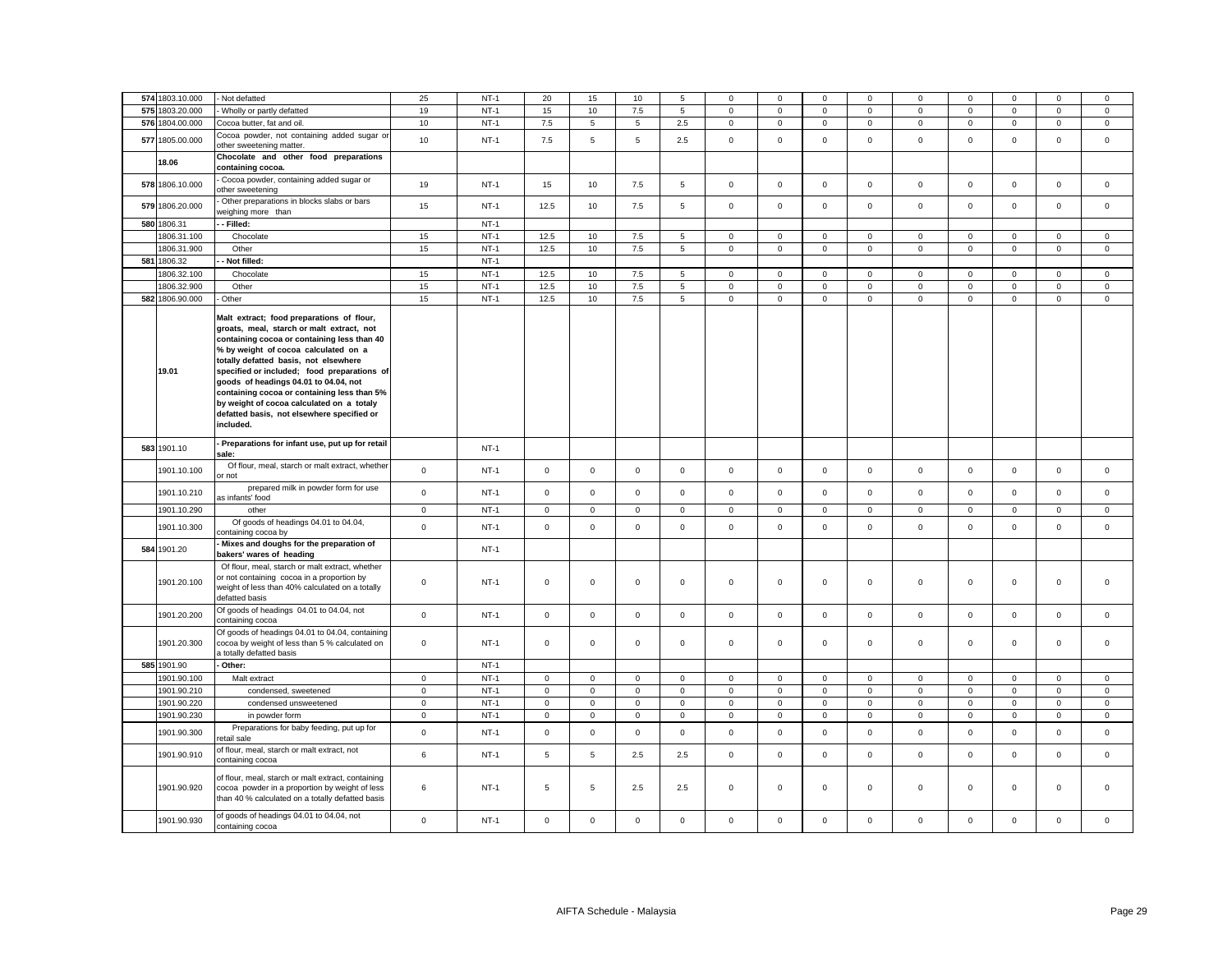|     | 574 1803.10.000 | - Not defatted                                                                                                                                                                                                                                                                                                                                                                                                                                                        | 25          | $NT-1$ | 20           | 15           | 10                  |                |                |             |              |                |                | $\Omega$    |                |              |                |
|-----|-----------------|-----------------------------------------------------------------------------------------------------------------------------------------------------------------------------------------------------------------------------------------------------------------------------------------------------------------------------------------------------------------------------------------------------------------------------------------------------------------------|-------------|--------|--------------|--------------|---------------------|----------------|----------------|-------------|--------------|----------------|----------------|-------------|----------------|--------------|----------------|
|     |                 |                                                                                                                                                                                                                                                                                                                                                                                                                                                                       |             |        |              |              |                     | 5              | $\mathbf{0}$   | $\mathbf 0$ | $\mathbf 0$  | $\mathbf 0$    | $\mathbf{0}$   |             | $\mathbf 0$    | $\mathbf 0$  | $\mathbf{0}$   |
|     | 575 1803.20.000 | Wholly or partly defatted                                                                                                                                                                                                                                                                                                                                                                                                                                             | 19          | $NT-1$ | 15           | 10           | 7.5                 | 5              | 0              | $\mathbf 0$ | $\mathbf 0$  | $\mathbf{0}$   | $\mathbf 0$    | $\mathbf 0$ | $\mathbf 0$    | $\mathbf 0$  | $\mathbf 0$    |
| 576 | 1804.00.000     | Cocoa butter, fat and oil.                                                                                                                                                                                                                                                                                                                                                                                                                                            | 10          | $NT-1$ | 7.5          | 5            | 5                   | 2.5            | $\overline{0}$ | $\mathbf 0$ | $\mathbf 0$  | $\mathsf 0$    | $\mathsf 0$    | $\mathbf 0$ | $\mathbf 0$    | $\mathbf 0$  | $\mathbf 0$    |
| 577 | 1805.00.000     | Cocoa powder, not containing added sugar or<br>other sweetening matter.                                                                                                                                                                                                                                                                                                                                                                                               | 10          | $NT-1$ | 7.5          | 5            | $\overline{5}$      | 2.5            | $\mathbf{0}$   | $\Omega$    | $\mathbf{0}$ | $\mathbf 0$    | $\mathbf 0$    | $\mathbf 0$ | $\mathbf 0$    | $\mathbf 0$  | $\mathbf 0$    |
|     | 18.06           | Chocolate and other food preparations<br>containing cocoa.                                                                                                                                                                                                                                                                                                                                                                                                            |             |        |              |              |                     |                |                |             |              |                |                |             |                |              |                |
|     | 578 1806.10.000 | Cocoa powder, containing added sugar or<br>ther sweetening                                                                                                                                                                                                                                                                                                                                                                                                            | 19          | $NT-1$ | 15           | 10           | 7.5                 | 5              | 0              | $\mathsf 0$ | $\mathbf 0$  | $\mathsf 0$    | $\mathsf 0$    | $\mathsf 0$ | $\mathsf 0$    | $\mathsf 0$  | $\mathsf 0$    |
| 579 | 1806.20.000     | Other preparations in blocks slabs or bars<br>veighing more than                                                                                                                                                                                                                                                                                                                                                                                                      | 15          | $NT-1$ | 12.5         | 10           | 7.5                 | 5              | $\mathbf{0}$   | $\mathsf 0$ | $\mathbf 0$  | $\mathbf 0$    | $\mathbf 0$    | $\mathbf 0$ | $\mathbf 0$    | $\mathbf 0$  | $\mathbf 0$    |
| 580 | 1806.31         | Filled:                                                                                                                                                                                                                                                                                                                                                                                                                                                               |             | $NT-1$ |              |              |                     |                |                |             |              |                |                |             |                |              |                |
|     | 1806.31.100     | Chocolate                                                                                                                                                                                                                                                                                                                                                                                                                                                             | 15          | $NT-1$ | 12.5         | 10           | 7.5                 | $\overline{5}$ | 0              | $\mathsf 0$ | $\mathbf{0}$ | $\mathsf 0$    | $\mathsf 0$    | $\mathbf 0$ | $\Omega$       | $\mathsf 0$  | $\mathbf 0$    |
|     | 1806.31.900     | Other                                                                                                                                                                                                                                                                                                                                                                                                                                                                 | 15          | $NT-1$ | 12.5         | 10           | 7.5                 | $\overline{5}$ | $\mathbf 0$    | $\mathbf 0$ | $\mathsf 0$  | $\mathbf 0$    | $\mathsf 0$    | $\mathbf 0$ | $\mathsf 0$    | $\mathsf 0$  | $\mathsf 0$    |
|     | 581 1806.32     | Not filled:                                                                                                                                                                                                                                                                                                                                                                                                                                                           |             | $NT-1$ |              |              |                     |                |                |             |              |                |                |             |                |              |                |
|     | 1806.32.100     | Chocolate                                                                                                                                                                                                                                                                                                                                                                                                                                                             | 15          | $NT-1$ | 12.5         | 10           | 7.5                 | 5              | $\mathbf 0$    | $\mathsf 0$ | $\mathsf 0$  | $\mathsf 0$    | $\mathsf 0$    | $\mathsf 0$ | $\mathsf 0$    | $\mathsf 0$  | $\mathsf 0$    |
|     | 1806.32.900     | Other                                                                                                                                                                                                                                                                                                                                                                                                                                                                 | 15          | $NT-1$ | 12.5         | 10           | 7.5                 | 5              | 0              | $\mathsf 0$ | $\mathbf 0$  | $\mathbf{0}$   | $\mathsf 0$    | $\mathsf 0$ | $\mathsf 0$    | $\mathsf 0$  | $\mathsf 0$    |
|     | 582 1806.90.000 | Other                                                                                                                                                                                                                                                                                                                                                                                                                                                                 | 15          | $NT-1$ | 12.5         | 10           | 7.5                 | $\overline{5}$ | $\mathbf 0$    | $\mathbf 0$ | $\mathsf 0$  | $\overline{0}$ | $\overline{0}$ | $\mathsf 0$ | $\overline{0}$ | $\mathsf 0$  | $\overline{0}$ |
|     | 19.01           | Malt extract; food preparations of flour,<br>groats, meal, starch or malt extract, not<br>containing cocoa or containing less than 40<br>% by weight of cocoa calculated on a<br>totally defatted basis, not elsewhere<br>specified or included; food preparations of<br>goods of headings 04.01 to 04.04, not<br>containing cocoa or containing less than 5%<br>by weight of cocoa calculated on a totaly<br>defatted basis, not elsewhere specified or<br>included. |             |        |              |              |                     |                |                |             |              |                |                |             |                |              |                |
|     | 583 1901.10     | Preparations for infant use, put up for retail<br>sale:                                                                                                                                                                                                                                                                                                                                                                                                               |             | $NT-1$ |              |              |                     |                |                |             |              |                |                |             |                |              |                |
|     | 1901.10.100     | Of flour, meal, starch or malt extract, whether<br>or not                                                                                                                                                                                                                                                                                                                                                                                                             | $\mathsf 0$ | $NT-1$ | $\mathbf{0}$ | $\mathbf 0$  | $\mathbf 0$         | $\mathbf{0}$   | $\mathbf 0$    | $\mathbf 0$ | $\mathbf 0$  | $\mathbf 0$    | $\mathbf{0}$   | $\mathbf 0$ | $\mathbf 0$    | $\mathbf 0$  | $\mathbf 0$    |
|     | 1901.10.210     | prepared milk in powder form for use<br>as infants' food                                                                                                                                                                                                                                                                                                                                                                                                              | $\mathsf 0$ | $NT-1$ | $\mathsf 0$  | $\mathbf 0$  | $\mathsf{O}\xspace$ | $\mathsf 0$    | $\mathbf 0$    | $\mathsf 0$ | $\mathbf 0$  | $\mathsf 0$    | $\mathbf 0$    | $\mathsf 0$ | $\mathbf 0$    | $\Omega$     | $\mathsf 0$    |
|     | 1901.10.290     | other                                                                                                                                                                                                                                                                                                                                                                                                                                                                 | $\mathbf 0$ | $NT-1$ | $\mathsf 0$  | $\mathbf{0}$ | $\mathsf{O}\xspace$ | $\mathsf 0$    | $\mathbf{0}$   | $\mathbf 0$ | $\mathbf{O}$ | $\mathbf{0}$   | $\mathsf 0$    | $\mathbf 0$ | $\mathbf 0$    | $\mathbf{0}$ | $\mathbf{0}$   |
|     | 1901.10.300     | Of goods of headings 04.01 to 04.04,<br>containing cocoa by                                                                                                                                                                                                                                                                                                                                                                                                           | $\Omega$    | $NT-1$ | $\mathbf 0$  | $\mathbf 0$  | $\mathbf 0$         | $\mathbf 0$    | $\mathbf{0}$   | $\Omega$    | $\mathbf 0$  | $\mathbf 0$    | $\mathbf 0$    | $\mathbf 0$ | $\mathbf 0$    | $\mathbf 0$  | $\mathbf 0$    |
| 584 | 1901.20         | Mixes and doughs for the preparation of<br>bakers' wares of heading                                                                                                                                                                                                                                                                                                                                                                                                   |             | $NT-1$ |              |              |                     |                |                |             |              |                |                |             |                |              |                |
|     | 1901.20.100     | Of flour, meal, starch or malt extract, whether<br>or not containing cocoa in a proportion by<br>weight of less than 40% calculated on a totally<br>defatted basis                                                                                                                                                                                                                                                                                                    | $\mathsf 0$ | $NT-1$ | $\mathsf 0$  | $\mathbf 0$  | $\mathsf 0$         | $\mathbf 0$    | 0              | $\mathsf 0$ | $\mathbf 0$  | $\mathsf 0$    | $\mathbf{0}$   | $\mathbf 0$ | $\mathbf 0$    | $\mathbf 0$  | $\mathsf 0$    |
|     | 1901.20.200     | Of goods of headings 04.01 to 04.04, not<br>containing cocoa                                                                                                                                                                                                                                                                                                                                                                                                          | $\mathsf 0$ | $NT-1$ | $\mathbf{0}$ | $\mathsf 0$  | $\mathsf 0$         | $\mathbf{0}$   | $\mathbf{0}$   | $\mathsf 0$ | $\mathbf{0}$ | $\mathbf 0$    | $\mathbf{0}$   | $\mathbf 0$ | $\mathbf 0$    | $\mathbf 0$  | $\mathbf 0$    |
|     | 1901.20.300     | Of goods of headings 04.01 to 04.04, containing<br>cocoa by weight of less than 5 % calculated on<br>totally defatted basis                                                                                                                                                                                                                                                                                                                                           | $\mathsf 0$ | $NT-1$ | $\mathsf 0$  | $\mathsf 0$  | $\mathsf 0$         | $\mathsf 0$    | 0              | $\mathsf 0$ | $\mathbf 0$  | $\mathsf 0$    | $\mathsf 0$    | $\mathsf 0$ | $\mathbf 0$    | $\mathsf 0$  | $\mathsf 0$    |
|     | 585 1901.90     | Other:                                                                                                                                                                                                                                                                                                                                                                                                                                                                |             | $NT-1$ |              |              |                     |                |                |             |              |                |                |             |                |              |                |
|     | 1901.90.100     | Malt extract                                                                                                                                                                                                                                                                                                                                                                                                                                                          | $\mathbf 0$ | $NT-1$ | $\mathsf{O}$ | $\mathbf 0$  | $\mathsf 0$         | $\mathsf 0$    | 0              | $\mathsf 0$ | $\mathbf 0$  | $\mathbf 0$    | $\mathsf 0$    | $\mathbf 0$ | $\mathsf 0$    | $\mathsf 0$  | $\mathsf 0$    |
|     | 1901.90.210     | condensed, sweetened                                                                                                                                                                                                                                                                                                                                                                                                                                                  | $\mathbf 0$ | $NT-1$ | $\mathsf 0$  | $\mathsf 0$  | $\mathsf 0$         | $\mathsf 0$    | $\mathbf 0$    | $\mathsf 0$ | $\mathbf{0}$ | $\mathbf 0$    | $\mathsf 0$    | $\mathsf 0$ | $\mathsf 0$    | $\mathsf 0$  | $\mathsf 0$    |
|     | 1901.90.220     | condensed unsweetened                                                                                                                                                                                                                                                                                                                                                                                                                                                 | $\mathsf 0$ | $NT-1$ | $\mathsf 0$  | $\mathsf 0$  | $\mathsf 0$         | $\mathsf 0$    | 0              | $\mathbf 0$ | $\mathsf 0$  | $\mathbf 0$    | $\mathsf 0$    | $\mathsf 0$ | $\mathsf 0$    | $\mathsf 0$  | $\mathsf 0$    |
|     | 1901.90.230     | in powder form                                                                                                                                                                                                                                                                                                                                                                                                                                                        | $\mathsf 0$ | $NT-1$ | $\mathsf 0$  | $\mathbf{0}$ | $\mathsf 0$         | $\mathbf 0$    | $\mathbf 0$    | $\mathsf 0$ | $\mathsf 0$  | $\mathbf 0$    | $\mathsf 0$    | $\mathsf 0$ | $\mathsf 0$    | $\mathsf 0$  | $\mathsf 0$    |
|     | 1901.90.300     | Preparations for baby feeding, put up for<br>etail sale                                                                                                                                                                                                                                                                                                                                                                                                               | $\mathsf 0$ | $NT-1$ | $\mathsf 0$  | $\mathsf 0$  | $\mathsf 0$         | $\mathbf 0$    | $\mathbf 0$    | $\mathbf 0$ | $\mathsf 0$  | $\mathsf 0$    | $\mathsf 0$    | $\mathsf 0$ | $\mathsf 0$    | $\mathbf 0$  | $\mathsf 0$    |
|     | 1901.90.910     | of flour, meal, starch or malt extract, not<br>containing cocoa                                                                                                                                                                                                                                                                                                                                                                                                       | 6           | $NT-1$ | 5            | 5            | 2.5                 | 2.5            | $\mathbf{0}$   | $\mathsf 0$ | $\mathbf 0$  | $\mathbf{0}$   | $\mathbf{0}$   | $\mathbf 0$ | $\mathbf 0$    | $\mathbf 0$  | $\mathbf 0$    |
|     | 1901.90.920     | of flour, meal, starch or malt extract, containing<br>cocoa powder in a proportion by weight of less<br>than 40 % calculated on a totally defatted basis                                                                                                                                                                                                                                                                                                              | 6           | $NT-1$ | 5            | 5            | 2.5                 | 2.5            | $\mathbf 0$    | $\mathsf 0$ | $\mathbf 0$  | $\mathsf 0$    | $\mathbf 0$    | $\mathbf 0$ | $\mathbf 0$    | $\mathsf 0$  | $\mathbf 0$    |
|     | 1901.90.930     | of goods of headings 04.01 to 04.04, not<br>containing cocoa                                                                                                                                                                                                                                                                                                                                                                                                          | $\mathsf 0$ | $NT-1$ | $\mathsf 0$  | $\mathsf 0$  | $\mathsf 0$         | $\mathsf 0$    | 0              | $\Omega$    | $\mathbf 0$  | $\mathsf 0$    | $\mathsf 0$    | $\Omega$    | $\mathsf 0$    | $\mathsf 0$  | $\Omega$       |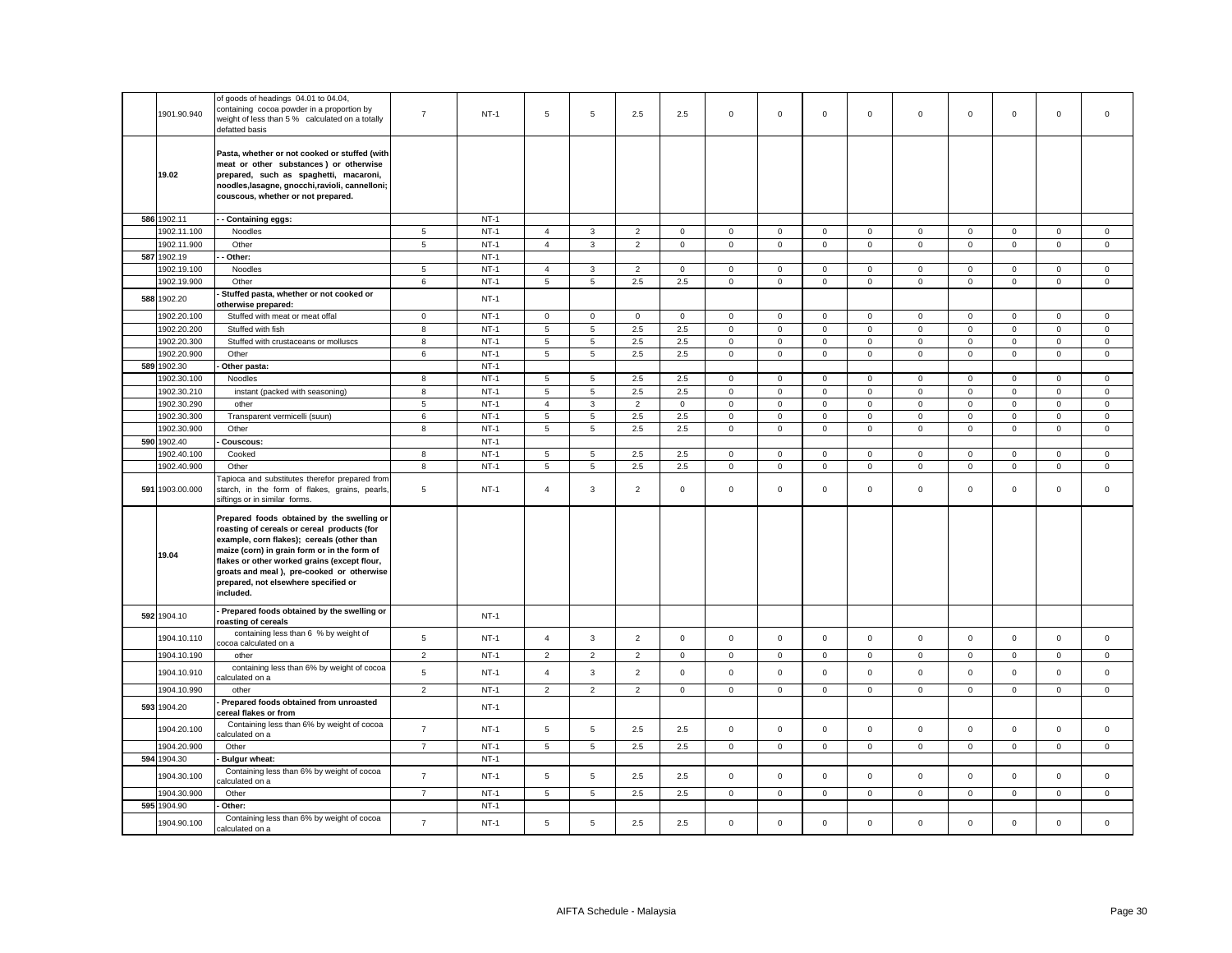|     | 1901.90.940     | of goods of headings 04.01 to 04.04,<br>containing cocoa powder in a proportion by<br>weight of less than 5 % calculated on a totally<br>defatted basis                                                                                                                                                                                   | $\overline{7}$  | $NT-1$      | 5              | 5              | 2.5            | 2.5            | 0            | $\mathsf 0$ | $\mathbf{0}$        | $\mathsf 0$    | $\mathbf 0$  | $\mathsf 0$ | $\mathbf 0$         | $\mathsf 0$         | $\mathsf 0$  |
|-----|-----------------|-------------------------------------------------------------------------------------------------------------------------------------------------------------------------------------------------------------------------------------------------------------------------------------------------------------------------------------------|-----------------|-------------|----------------|----------------|----------------|----------------|--------------|-------------|---------------------|----------------|--------------|-------------|---------------------|---------------------|--------------|
|     | 19.02           | Pasta, whether or not cooked or stuffed (with<br>meat or other substances) or otherwise<br>prepared, such as spaghetti, macaroni,<br>noodles, lasagne, gnocchi, ravioli, cannelloni;<br>couscous, whether or not prepared.                                                                                                                |                 |             |                |                |                |                |              |             |                     |                |              |             |                     |                     |              |
|     | 586 1902.11     | - Containing eggs:                                                                                                                                                                                                                                                                                                                        |                 | $NT-1$      |                |                |                |                |              |             |                     |                |              |             |                     |                     |              |
|     | 1902.11.100     | Noodles                                                                                                                                                                                                                                                                                                                                   | $\overline{5}$  | $NT-1$      | $\overline{4}$ | $\mathbf{3}$   | $\overline{2}$ | $\mathsf 0$    | $\mathbf 0$  | $\mathsf 0$ | $\mathbf 0$         | $\mathbf 0$    | $\mathbf 0$  | $\mathsf 0$ | $\mathbf 0$         | $\mathsf{O}\xspace$ | $\mathbf 0$  |
|     | 1902.11.900     | Other                                                                                                                                                                                                                                                                                                                                     | $5\overline{5}$ | $NT-1$      | $\overline{4}$ | $\mathbf{3}$   | $\overline{2}$ | $\mathbf 0$    | $\mathbf 0$  | $\mathsf 0$ | $\mathbf 0$         | $\mathbf 0$    | $\mathbf 0$  | $\mathsf 0$ | $\mathbf 0$         | $\mathsf 0$         | $\mathbf 0$  |
|     | 587 1902.19     | Other:                                                                                                                                                                                                                                                                                                                                    |                 | $NT-1$      |                |                |                |                |              |             |                     |                |              |             |                     |                     |              |
|     | 1902.19.100     | Noodles                                                                                                                                                                                                                                                                                                                                   | 5               | $NT-1$      | $\overline{4}$ | 3              | $\overline{2}$ | $\mathbf{0}$   | 0            | $\mathbf 0$ | $\mathbf{0}$        | $\mathbf 0$    | $\mathbf 0$  | $\mathbf 0$ | $\mathbf 0$         | $\mathbf 0$         | $\mathbf 0$  |
|     | 1902.19.900     | Other                                                                                                                                                                                                                                                                                                                                     | 6               | $NT-1$      | 5              | 5              | $2.5\,$        | 2.5            | $\mathbf 0$  | $\mathsf 0$ | $\mathbf 0$         | $\mathbf 0$    | $\mathbf 0$  | $\mathbf 0$ | $\mathsf{O}\xspace$ | $\mathsf 0$         | $\mathsf 0$  |
|     | 588 1902.20     | Stuffed pasta, whether or not cooked or<br>otherwise prepared:                                                                                                                                                                                                                                                                            |                 | $NT-1$      |                |                |                |                |              |             |                     |                |              |             |                     |                     |              |
|     | 1902.20.100     | Stuffed with meat or meat offal                                                                                                                                                                                                                                                                                                           | $\mathbf 0$     | $NT-1$      | $\mathbf{0}$   | $\mathsf 0$    | $\mathsf 0$    | $\mathbf 0$    | $\mathbf 0$  | $\mathbf 0$ | $\mathbf 0$         | $\mathbf 0$    | $\mathbf 0$  | $\mathsf 0$ | $\mathbf 0$         | $\mathbf 0$         | $\mathbf 0$  |
|     | 1902.20.200     | Stuffed with fish                                                                                                                                                                                                                                                                                                                         | 8               | $NT-1$      | 5              | 5              | 2.5            | 2.5            | $\mathbf 0$  | $\mathsf 0$ | $\mathbf 0$         | $\mathbf 0$    | $\mathbf{0}$ | $\mathsf 0$ | $\mathbf 0$         | $\mathbf 0$         | $\mathbf{0}$ |
|     | 1902.20.300     | Stuffed with crustaceans or molluscs                                                                                                                                                                                                                                                                                                      | 8               | $NT-1$      | 5              | 5              | 2.5            | 2.5            | $\mathbf 0$  | $\mathbf 0$ | $\overline{0}$      | $\mathbf 0$    | $\mathbf 0$  | $\mathbf 0$ | $\mathbf 0$         | $\mathbf 0$         | $\mathbf 0$  |
|     | 1902.20.900     | Other                                                                                                                                                                                                                                                                                                                                     | 6               | $NT-1$      | 5              | 5              | 2.5            | 2.5            | $\mathbf 0$  | $\mathsf 0$ | $\mathbf 0$         | $\mathbf 0$    | $\mathbf 0$  | $\mathsf 0$ | $\mathbf 0$         | $\mathbf 0$         | $\mathbf 0$  |
| 589 | 1902.30         | Other pasta:                                                                                                                                                                                                                                                                                                                              |                 | $NT-1$      |                |                |                |                |              |             |                     |                |              |             |                     |                     |              |
|     | 1902.30.100     | Noodles                                                                                                                                                                                                                                                                                                                                   | 8               | $NT-1$      | 5              | 5              | 2.5            | 2.5            | $\mathbf 0$  | $\mathbf 0$ | $\mathbf 0$         | $\mathbf 0$    | 0            | $\mathbf 0$ | $\mathbf 0$         | $\mathbf 0$         | $\mathbf 0$  |
|     | 1902.30.210     | instant (packed with seasoning)                                                                                                                                                                                                                                                                                                           | 8               | $NT-1$      | 5              | 5              | 2.5            | 2.5            | $\mathsf 0$  | $\mathbf 0$ | $\mathbf 0$         | $\mathsf 0$    | $\mathbf 0$  | $\mathsf 0$ | $\mathsf 0$         | $\mathbf 0$         | $\mathsf 0$  |
|     | 1902.30.290     | other                                                                                                                                                                                                                                                                                                                                     | 5               | $NT-1$      | $\overline{4}$ | 3              | $\overline{2}$ | $\overline{0}$ | $\mathbf{0}$ | $\mathbf 0$ | $\mathbf{0}$        | $\mathbf{0}$   | $\mathbf 0$  | $\mathbf 0$ | $\mathbf 0$         | $\mathbf 0$         | $\mathbf 0$  |
|     | 1902.30.300     | Transparent vermicelli (suun)                                                                                                                                                                                                                                                                                                             | 6               | $NT-1$      | 5              | 5              | 2.5            | 2.5            | $\mathbf 0$  | $\mathbf 0$ | $\mathbf 0$         | $\mathsf 0$    | $\mathbf 0$  | $\mathbf 0$ | $\mathsf 0$         | $\mathsf 0$         | $\mathbf 0$  |
|     | 1902.30.900     | Other                                                                                                                                                                                                                                                                                                                                     | 8               | $NT-1$      | 5              | 5              | 2.5            | 2.5            | $\mathbf 0$  | $\mathsf 0$ | $\mathbf 0$         | $\mathbf 0$    | $\mathbf{0}$ | $\mathsf 0$ | $\mathbf 0$         | $\mathsf 0$         | $\mathsf 0$  |
|     | 590 1902.40     | Couscous:                                                                                                                                                                                                                                                                                                                                 |                 | $NT-1$      |                |                |                |                |              |             |                     |                |              |             |                     |                     |              |
|     | 1902.40.100     | Cooked                                                                                                                                                                                                                                                                                                                                    | 8               | $NT-1$      | 5              | 5              | 2.5            | 2.5            | $\mathbf 0$  | $\mathsf 0$ | $\mathbf 0$         | $\mathbf 0$    | $\mathbf{0}$ | $\mathsf 0$ | $\mathbf 0$         | $\mathbf 0$         | $\mathsf 0$  |
|     | 1902.40.900     | Other                                                                                                                                                                                                                                                                                                                                     | 8               | $NT-1$      | 5              | 5              | 2.5            | 2.5            | $\mathbf 0$  | $\mathsf 0$ | $\mathbf{O}$        | $\mathbf 0$    | $\mathbf 0$  | 0           | $\mathsf 0$         | $\mathbf 0$         | $\mathbf 0$  |
|     | 591 1903.00.000 | apioca and substitutes therefor prepared from<br>starch, in the form of flakes, grains, pearls,<br>siftings or in similar forms.                                                                                                                                                                                                          | 5               | $NT-1$      | $\overline{4}$ | 3              | $\overline{2}$ | $\mathsf 0$    | $\mathsf 0$  | $\mathsf 0$ | $\mathbf 0$         | $\mathbf 0$    | $\mathbf 0$  | $\mathsf 0$ | $\mathbf 0$         | $\mathsf 0$         | $\mathsf 0$  |
|     | 19.04           | Prepared foods obtained by the swelling or<br>roasting of cereals or cereal products (for<br>example, corn flakes); cereals (other than<br>maize (corn) in grain form or in the form of<br>flakes or other worked grains (except flour,<br>groats and meal), pre-cooked or otherwise<br>prepared, not elsewhere specified or<br>included. |                 |             |                |                |                |                |              |             |                     |                |              |             |                     |                     |              |
|     | 592 1904.10     | Prepared foods obtained by the swelling or<br>roasting of cereals                                                                                                                                                                                                                                                                         |                 | $NT-1$      |                |                |                |                |              |             |                     |                |              |             |                     |                     |              |
|     | 1904.10.110     | containing less than 6 % by weight of<br>cocoa calculated on a                                                                                                                                                                                                                                                                            | 5               | <b>NT-1</b> | $\overline{4}$ | $\mathbf{3}$   | $\overline{2}$ | $\mathsf 0$    | $\mathsf 0$  | $\mathsf 0$ | $\mathbf 0$         | $\mathbf 0$    | $\mathbf 0$  | $\mathsf 0$ | $\mathbf 0$         | $\mathsf 0$         | $\mathsf 0$  |
|     | 1904.10.190     | other                                                                                                                                                                                                                                                                                                                                     | $\overline{2}$  | $NT-1$      | $\overline{2}$ | $\overline{2}$ | $\mathbf 2$    | $\mathsf 0$    | $\mathsf 0$  | $\mathsf 0$ | $\mathsf 0$         | $\mathbf 0$    | $\mathbf 0$  | $\mathbf 0$ | $\mathsf 0$         | $\mathbf 0$         | $\mathbf 0$  |
|     | 1904.10.910     | containing less than 6% by weight of cocoa<br>alculated on a                                                                                                                                                                                                                                                                              | $\,$ 5 $\,$     | $NT-1$      | $\overline{4}$ | 3              | $\overline{2}$ | $\mathsf 0$    | $\mathbf 0$  | $\mathsf 0$ | $\mathsf{O}\xspace$ | $\mathbf 0$    | $\mathbf 0$  | $\mathbf 0$ | $\mathsf 0$         | $\mathsf 0$         | $\mathsf 0$  |
|     | 1904.10.990     | other                                                                                                                                                                                                                                                                                                                                     | $\overline{c}$  | $NT-1$      | $\overline{2}$ | $\overline{2}$ | $\overline{2}$ | $\mathbf 0$    | $\mathsf 0$  | $\mathbf 0$ | 0                   | $\mathbf 0$    | $\mathsf 0$  | $\mathsf 0$ | $\mathsf 0$         | $\mathbf 0$         | 0            |
|     | 593 1904.20     | Prepared foods obtained from unroasted<br>cereal flakes or from                                                                                                                                                                                                                                                                           |                 | $NT-1$      |                |                |                |                |              |             |                     |                |              |             |                     |                     |              |
|     | 1904.20.100     | Containing less than 6% by weight of cocoa<br>alculated on a                                                                                                                                                                                                                                                                              | $\overline{7}$  | $NT-1$      | 5              | 5              | 2.5            | 2.5            | $\mathbf 0$  | $\mathsf 0$ | $\mathbf 0$         | $\mathbf 0$    | $\mathbf 0$  | $\mathsf 0$ | $\mathsf 0$         | $\mathsf 0$         | $\mathsf 0$  |
|     | 1904.20.900     | Other                                                                                                                                                                                                                                                                                                                                     | $\overline{7}$  | $NT-1$      | 5              | 5              | $2.5\,$        | 2.5            | $\mathbf 0$  | $\mathsf 0$ | $\overline{0}$      | $\overline{0}$ | $\mathbf{0}$ | $\mathsf 0$ | $\mathbf 0$         | $\mathbf 0$         | $\mathbf 0$  |
|     | 594 1904.30     | <b>Bulgur wheat:</b>                                                                                                                                                                                                                                                                                                                      |                 | $NT-1$      |                |                |                |                |              |             |                     |                |              |             |                     |                     |              |
|     | 1904.30.100     | Containing less than 6% by weight of cocoa<br>alculated on a                                                                                                                                                                                                                                                                              | $\overline{7}$  | $NT-1$      | 5              | 5              | 2.5            | 2.5            | $\mathbf 0$  | $\mathsf 0$ | $\mathbf 0$         | $\overline{0}$ | $\mathbf 0$  | $\mathsf 0$ | $\mathsf 0$         | $\mathsf 0$         | $\mathbf{0}$ |
|     | 1904.30.900     | Other                                                                                                                                                                                                                                                                                                                                     | $\overline{7}$  | $NT-1$      | 5              | 5              | 2.5            | 2.5            | $\mathbf 0$  | $\mathsf 0$ | $\overline{0}$      | $\mathbf 0$    | $\mathbf{0}$ | $\mathsf 0$ | $\mathbf 0$         | $\mathbf 0$         | $\mathbf 0$  |
|     | 595 1904.90     | Other:<br>Containing less than 6% by weight of cocoa                                                                                                                                                                                                                                                                                      | $\overline{7}$  | $NT-1$      |                | 5              |                |                | $\mathbf{0}$ | $\mathbf 0$ | $\mathbf 0$         | $\mathbf{0}$   | $\mathbf 0$  | $\mathbf 0$ |                     | $\mathbf 0$         | $\mathbf 0$  |
|     | 1904.90.100     | calculated on a                                                                                                                                                                                                                                                                                                                           |                 | $NT-1$      | 5              |                | 2.5            | 2.5            |              |             |                     |                |              |             | $\mathbf 0$         |                     |              |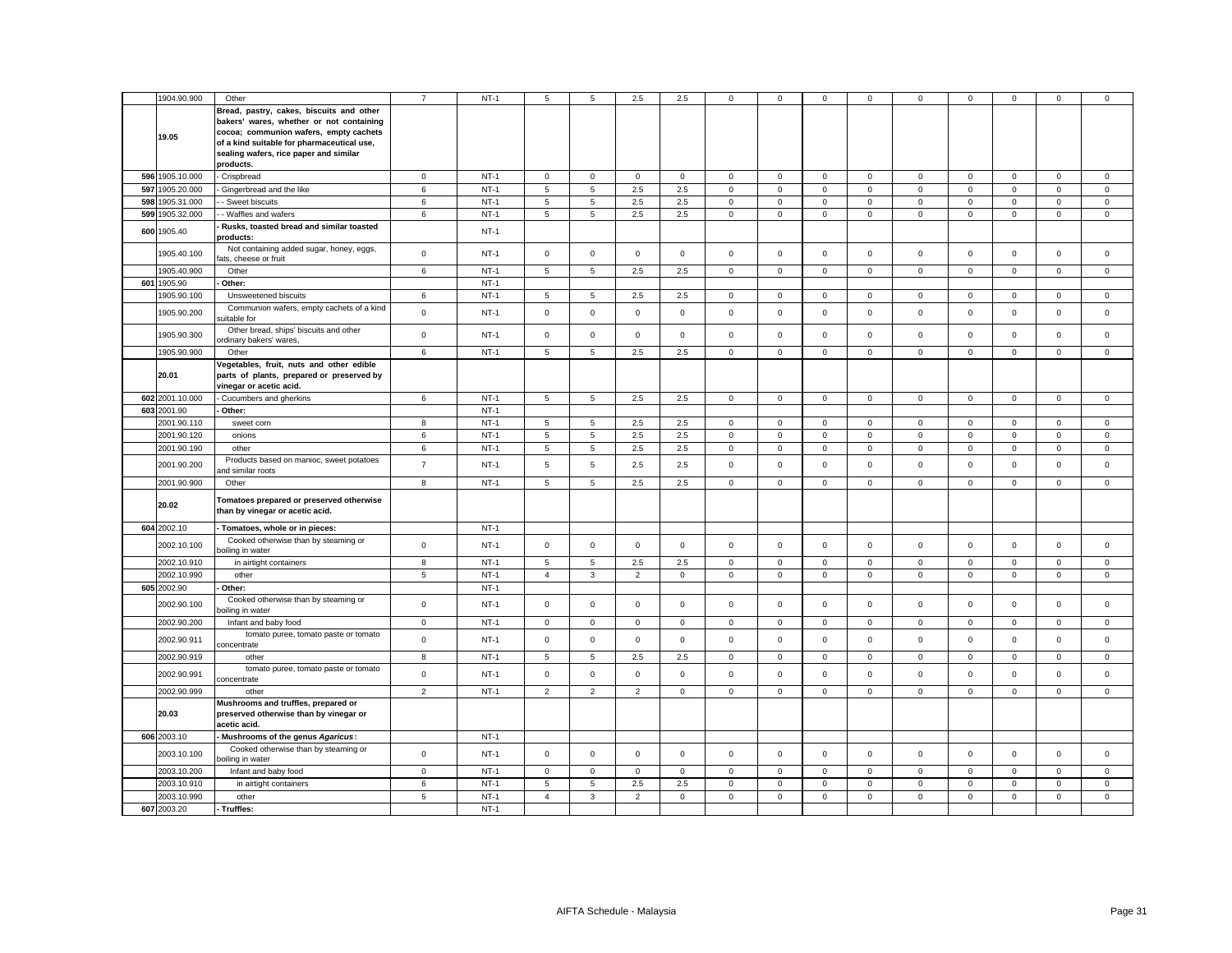|     |                 |                                            | $\overline{7}$ |        |                |                 |                |              |                     |             |             |              |              |              |              |              |             |
|-----|-----------------|--------------------------------------------|----------------|--------|----------------|-----------------|----------------|--------------|---------------------|-------------|-------------|--------------|--------------|--------------|--------------|--------------|-------------|
|     | 1904.90.900     | Other                                      |                | $NT-1$ | 5              | 5               | 2.5            | 2.5          | $\mathbf{0}$        | $^{\circ}$  | $\mathbf 0$ | $\mathbf{0}$ | $\mathbf 0$  | $\mathbf{0}$ | $\mathbf{0}$ | $\mathbf 0$  | $\mathbf 0$ |
|     |                 | Bread, pastry, cakes, biscuits and other   |                |        |                |                 |                |              |                     |             |             |              |              |              |              |              |             |
|     |                 | bakers' wares, whether or not containing   |                |        |                |                 |                |              |                     |             |             |              |              |              |              |              |             |
|     |                 | cocoa; communion wafers, empty cachets     |                |        |                |                 |                |              |                     |             |             |              |              |              |              |              |             |
|     | 19.05           |                                            |                |        |                |                 |                |              |                     |             |             |              |              |              |              |              |             |
|     |                 | of a kind suitable for pharmaceutical use, |                |        |                |                 |                |              |                     |             |             |              |              |              |              |              |             |
|     |                 | sealing wafers, rice paper and similar     |                |        |                |                 |                |              |                     |             |             |              |              |              |              |              |             |
|     |                 | products.                                  |                |        |                |                 |                |              |                     |             |             |              |              |              |              |              |             |
|     | 596 1905.10.000 | Crispbread                                 | $\mathbf 0$    | $NT-1$ | $\mathbf 0$    | $\mathbf 0$     | $\mathbf 0$    | $\mathbf 0$  | 0                   | $\mathsf 0$ | $\mathbf 0$ | $\mathsf 0$  | $\mathbf 0$  | $\mathsf 0$  | $\mathbf 0$  | $\mathbf 0$  | $\mathbf 0$ |
|     | 597 1905.20.000 | Gingerbread and the like                   | 6              | $NT-1$ | 5              | 5               | 2.5            | 2.5          | 0                   | $\mathbf 0$ | $\mathsf 0$ | $\mathsf 0$  | $\mathsf 0$  | $\mathbf 0$  | $\mathbf 0$  | $\mathsf 0$  | $\mathsf 0$ |
|     |                 |                                            |                |        |                |                 |                |              |                     |             |             |              |              |              |              |              |             |
|     | 598 1905.31.000 | - Sweet biscuits                           | 6              | $NT-1$ | 5              | 5               | 2.5            | 2.5          | 0                   | $\mathbf 0$ | $\mathbf 0$ | $\mathbf 0$  | $\mathbf{0}$ | $\mathbf 0$  | $\mathbf 0$  | $\mathbf 0$  | $\mathbf 0$ |
|     | 599 1905.32.000 | - Waffles and wafers                       | 6              | $NT-1$ | 5              | 5               | 2.5            | 2.5          | 0                   | $\mathsf 0$ | $\mathsf 0$ | $\mathsf 0$  | $\mathbf 0$  | $\mathbf 0$  | $\mathbf 0$  | $\mathsf 0$  | $\mathsf 0$ |
|     |                 | Rusks, toasted bread and similar toasted   |                |        |                |                 |                |              |                     |             |             |              |              |              |              |              |             |
|     | 600 1905.40     | products:                                  |                | $NT-1$ |                |                 |                |              |                     |             |             |              |              |              |              |              |             |
|     |                 | Not containing added sugar, honey, eggs,   |                |        |                |                 |                |              |                     |             |             |              |              |              |              |              |             |
|     | 1905.40.100     | fats, cheese or fruit                      | $\mathbf 0$    | $NT-1$ | $\mathbf 0$    | $\mathbf 0$     | $\mathbf 0$    | $\mathbf 0$  | $\mathbf{0}$        | $\mathbf 0$ | $\mathbf 0$ | $\mathbf 0$  | $\mathbf 0$  | $\mathbf 0$  | $\mathbf 0$  | $\mathbf 0$  | $\mathbf 0$ |
|     |                 |                                            |                |        |                |                 |                |              |                     |             |             |              |              |              |              |              |             |
|     | 1905.40.900     | Other                                      | 6              | $NT-1$ | 5              | 5               | $2.5\,$        | 2.5          | 0                   | $\Omega$    | $\mathsf 0$ | $\mathbf 0$  | $\mathsf 0$  | $\mathsf 0$  | $\mathsf 0$  | $\mathsf 0$  | $\mathsf 0$ |
| 601 | 1905.90         | Other:                                     |                | $NT-1$ |                |                 |                |              |                     |             |             |              |              |              |              |              |             |
|     | 1905.90.100     | Unsweetened biscuits                       | 6              | $NT-1$ | 5              | 5               | 2.5            | 2.5          | 0                   | $\mathbf 0$ | $\mathbf 0$ | $\mathsf 0$  | $\mathbf 0$  | $\mathbf 0$  | $\mathbf 0$  | $\mathbf 0$  | $\mathbf 0$ |
|     |                 | Communion wafers, empty cachets of a kind  |                |        |                |                 |                |              |                     |             |             |              |              |              |              |              |             |
|     | 1905.90.200     | uitable for                                | $\mathbf 0$    | $NT-1$ | $\mathsf 0$    | $\mathbf 0$     | $\mathsf 0$    | $\mathbf 0$  | $\mathbf{0}$        | $\mathsf 0$ | $\mathbf 0$ | $\mathsf 0$  | $\mathbf 0$  | $\mathsf 0$  | $\mathbf{0}$ | $\mathsf 0$  | $\mathbf 0$ |
|     |                 |                                            |                |        |                |                 |                |              |                     |             |             |              |              |              |              |              |             |
|     | 1905.90.300     | Other bread, ships' biscuits and other     | $\mathbf 0$    | $NT-1$ | $\mathbf 0$    | $\mathsf 0$     | $\mathsf 0$    | $\mathsf 0$  | 0                   | $\mathsf 0$ | $\mathsf 0$ | $\mathsf 0$  | $\mathsf 0$  | $\mathbf 0$  | $\mathbf 0$  | $\mathsf 0$  | $\mathsf 0$ |
|     |                 | ordinary bakers' wares,                    |                |        |                |                 |                |              |                     |             |             |              |              |              |              |              |             |
|     | 1905.90.900     | Other                                      | 6              | $NT-1$ | 5              | 5               | 2.5            | 2.5          | 0                   | $\mathsf 0$ | $\mathsf 0$ | $\mathsf 0$  | $\mathsf 0$  | $\mathsf 0$  | $\mathsf 0$  | $\mathsf 0$  | $\mathsf 0$ |
|     |                 | Vegetables, fruit, nuts and other edible   |                |        |                |                 |                |              |                     |             |             |              |              |              |              |              |             |
|     | 20.01           | parts of plants, prepared or preserved by  |                |        |                |                 |                |              |                     |             |             |              |              |              |              |              |             |
|     |                 | vinegar or acetic acid.                    |                |        |                |                 |                |              |                     |             |             |              |              |              |              |              |             |
|     | 602 2001.10.000 | Cucumbers and gherkins                     | 6              | $NT-1$ | 5              | $5\phantom{.0}$ | $2.5\,$        | 2.5          | $\mathsf 0$         | $\mathsf 0$ | $\mathsf 0$ | $\mathbf 0$  | $\mathbf 0$  | $\mathbf 0$  | $\mathsf 0$  | $\mathsf 0$  | $\mathsf 0$ |
|     |                 |                                            |                |        |                |                 |                |              |                     |             |             |              |              |              |              |              |             |
|     | 603 2001.90     | Other:                                     |                | $NT-1$ |                |                 |                |              |                     |             |             |              |              |              |              |              |             |
|     | 2001.90.110     | sweet corn                                 | 8              | $NT-1$ | 5              | 5               | 2.5            | 2.5          | $\mathbf{0}$        | $\mathbf 0$ | $\mathbf 0$ | $\mathbf{0}$ | $\mathbf 0$  | $\mathbf 0$  | $\mathbf 0$  | $\mathbf{0}$ | $^{\circ}$  |
|     | 2001.90.120     | onions                                     | 6              | $NT-1$ | 5              | 5               | 2.5            | 2.5          | $\mathbf 0$         | $\mathbf 0$ | $\mathsf 0$ | $\mathsf 0$  | $\mathsf 0$  | $\mathbf 0$  | $\mathbf 0$  | $\mathsf 0$  | $\mathsf 0$ |
|     | 2001.90.190     | other                                      | 6              | $NT-1$ | 5              | 5               | $2.5\,$        | 2.5          | 0                   | 0           | $\mathbf 0$ | $\mathbf 0$  | $\mathbf 0$  | 0            | 0            | 0            | 0           |
|     |                 |                                            |                |        |                |                 |                |              |                     |             |             |              |              |              |              |              |             |
|     | 2001.90.200     | Products based on manioc, sweet potatoes   | $\overline{7}$ | $NT-1$ | 5              | 5               | 2.5            | 2.5          | 0                   | $\mathsf 0$ | $\mathbf 0$ | $\mathsf 0$  | $\mathsf 0$  | $\mathbf 0$  | $\mathsf 0$  | $\mathsf 0$  | $\mathsf 0$ |
|     |                 | nd similar roots                           |                |        |                |                 |                |              |                     |             |             |              |              |              |              |              |             |
|     | 2001.90.900     | Other                                      | 8              | $NT-1$ | 5              | 5               | 2.5            | 2.5          | $\mathbf 0$         | $\mathsf 0$ | $\mathbf 0$ | $\circ$      | $\mathbf 0$  | $\mathsf 0$  | $\mathbf 0$  | $\mathbf 0$  | $\mathsf 0$ |
|     |                 | Tomatoes prepared or preserved otherwise   |                |        |                |                 |                |              |                     |             |             |              |              |              |              |              |             |
|     | 20.02           |                                            |                |        |                |                 |                |              |                     |             |             |              |              |              |              |              |             |
|     |                 | than by vinegar or acetic acid.            |                |        |                |                 |                |              |                     |             |             |              |              |              |              |              |             |
|     | 604 2002.10     | Tomatoes, whole or in pieces:              |                | $NT-1$ |                |                 |                |              |                     |             |             |              |              |              |              |              |             |
|     |                 |                                            |                |        |                |                 |                |              |                     |             |             |              |              |              |              |              |             |
|     | 2002.10.100     | Cooked otherwise than by steaming or       | $\mathbf 0$    | $NT-1$ | $\mathbf 0$    | $\mathbf 0$     | $\mathsf 0$    | $\mathbf{0}$ | 0                   | $\mathsf 0$ | $\mathbf 0$ | $\mathbf 0$  | $\mathbf 0$  | $\mathsf 0$  | $\mathbf{0}$ | $\mathsf 0$  | $\mathbf 0$ |
|     |                 | boiling in water                           |                |        |                |                 |                |              |                     |             |             |              |              |              |              |              |             |
|     | 2002.10.910     | in airtight containers                     | 8              | $NT-1$ | 5              | 5               | 2.5            | 2.5          | $\mathbf{0}$        | $\mathbf 0$ | $\mathbf 0$ | $\mathbf 0$  | $\mathbf 0$  | $\mathbf 0$  | $\mathbf{0}$ | $\mathbf 0$  | $^{\circ}$  |
|     | 2002.10.990     | other                                      | 5              | $NT-1$ | $\overline{4}$ | 3               | $\overline{2}$ | $\mathbf 0$  | 0                   | $\mathbf 0$ | $\mathbf 0$ | $\mathbf 0$  | $\mathbf 0$  | $\mathbf 0$  | $\mathbf 0$  | $\mathbf 0$  | $\mathbf 0$ |
|     | 605 2002.90     | Other:                                     |                | $NT-1$ |                |                 |                |              |                     |             |             |              |              |              |              |              |             |
|     |                 | Cooked otherwise than by steaming or       |                |        |                |                 |                |              |                     |             |             |              |              |              |              |              |             |
|     | 2002.90.100     | poiling in water                           | $\mathbf 0$    | $NT-1$ | $\mathbf 0$    | $\mathbf 0$     | $\mathsf 0$    | $\mathbf 0$  | 0                   | $\mathsf 0$ | $\mathbf 0$ | $\mathsf 0$  | $\mathsf 0$  | $\mathsf 0$  | $\mathbf{0}$ | $\mathsf 0$  | $\mathsf 0$ |
|     |                 |                                            |                |        |                |                 |                |              |                     |             |             |              |              |              |              |              |             |
|     | 2002.90.200     | Infant and baby food                       | $\mathbf 0$    | $NT-1$ | $\mathsf 0$    | $\mathbf{0}$    | $\mathbf{0}$   | $\mathbf 0$  | $\mathbf 0$         | $\mathbf 0$ | $\mathbf 0$ | $\mathbf{0}$ | $\mathbf 0$  | $\mathbf 0$  | $\mathbf 0$  | $\mathbf{0}$ | $\mathsf 0$ |
|     | 2002.90.911     | tomato puree, tomato paste or tomato       | $\mathbf 0$    | $NT-1$ | $\mathsf 0$    | $\mathbf 0$     | $\mathsf 0$    | $\mathbf 0$  | $\mathbf 0$         | $\mathsf 0$ | $\mathsf 0$ | $\mathbf 0$  | $\mathsf 0$  | $\mathsf 0$  | $\mathsf 0$  | $\mathsf 0$  | $\mathsf 0$ |
|     |                 | concentrate                                |                |        |                |                 |                |              |                     |             |             |              |              |              |              |              |             |
|     | 2002.90.919     | other                                      | 8              | $NT-1$ | $\sqrt{5}$     | 5               | $2.5\,$        | 2.5          | 0                   | $\mathsf 0$ | $\,0\,$     | $\mathbf 0$  | $\mathsf 0$  | $\mathbf 0$  | $\mathsf 0$  | $\mathsf 0$  | 0           |
|     |                 | tomato puree, tomato paste or tomato       |                |        |                |                 |                |              |                     |             |             |              |              |              |              |              |             |
|     | 2002.90.991     | concentrate                                | $\mathbf 0$    | $NT-1$ | $\mathsf 0$    | $\mathsf 0$     | $\mathsf 0$    | $\mathsf 0$  | $\mathsf{O}\xspace$ | $\mathsf 0$ | $\mathbf 0$ | $\mathbf 0$  | $\mathsf 0$  | $\mathbf 0$  | $\mathsf 0$  | $\mathsf 0$  | $\mathbf 0$ |
|     | 2002.90.999     |                                            | $\overline{2}$ | $NT-1$ | $\overline{2}$ | $\overline{2}$  |                | $\mathsf 0$  | 0                   | $\mathsf 0$ |             | $\mathbf 0$  | $\mathsf 0$  | $\mathsf 0$  |              | $\mathsf 0$  | $\mathsf 0$ |
|     |                 | other                                      |                |        |                |                 | $\overline{2}$ |              |                     |             | $\mathbf 0$ |              |              |              | $\mathbf 0$  |              |             |
|     |                 | Mushrooms and truffles, prepared or        |                |        |                |                 |                |              |                     |             |             |              |              |              |              |              |             |
|     | 20.03           | preserved otherwise than by vinegar or     |                |        |                |                 |                |              |                     |             |             |              |              |              |              |              |             |
|     |                 | acetic acid.                               |                |        |                |                 |                |              |                     |             |             |              |              |              |              |              |             |
|     | 606 2003.10     | Mushrooms of the genus Agaricus:           |                | $NT-1$ |                |                 |                |              |                     |             |             |              |              |              |              |              |             |
|     |                 | Cooked otherwise than by steaming or       |                |        |                |                 |                |              |                     |             |             |              |              |              |              |              |             |
|     | 2003.10.100     | poiling in water                           | $\mathsf 0$    | $NT-1$ | $\mathsf 0$    | $\mathbf 0$     | $\mathsf 0$    | $\mathbf 0$  | 0                   | $\mathsf 0$ | $\mathsf 0$ | $\mathsf 0$  | $\mathsf 0$  | $\mathsf 0$  | $\mathsf 0$  | $\mathsf 0$  | $\mathsf 0$ |
|     |                 |                                            |                | $NT-1$ | $\mathsf 0$    |                 |                |              |                     |             |             |              | $\mathsf 0$  |              |              |              |             |
|     | 2003.10.200     | Infant and baby food                       | $\mathsf 0$    |        |                | $\mathsf 0$     | $\mathbf 0$    | $\mathsf 0$  | 0                   | $\mathsf 0$ | $\mathbf 0$ | $\mathsf 0$  |              | $\mathbf 0$  | $\mathsf 0$  | $\mathbf 0$  | $\mathbf 0$ |
|     | 2003.10.910     | in airtight containers                     | 6              | $NT-1$ | 5              | 5               | $2.5\,$        | 2.5          | $\mathbf 0$         | $\mathsf 0$ | $\mathsf 0$ | $\mathsf 0$  | $\mathsf 0$  | $\mathsf 0$  | $\mathsf 0$  | $\mathsf 0$  | $\mathsf 0$ |
|     | 2003.10.990     | other                                      | 5              | $NT-1$ | $\overline{4}$ | 3               | $\overline{2}$ | $\mathbf{0}$ | $\mathbf{0}$        | $\mathbf 0$ | $\mathbf 0$ | $\mathbf{0}$ | $\mathbf 0$  | $\mathbf 0$  | $\mathbf 0$  | $\mathbf 0$  | $\mathbf 0$ |
|     | 607 2003.20     | - Truffles:                                |                | $NT-1$ |                |                 |                |              |                     |             |             |              |              |              |              |              |             |
|     |                 |                                            |                |        |                |                 |                |              |                     |             |             |              |              |              |              |              |             |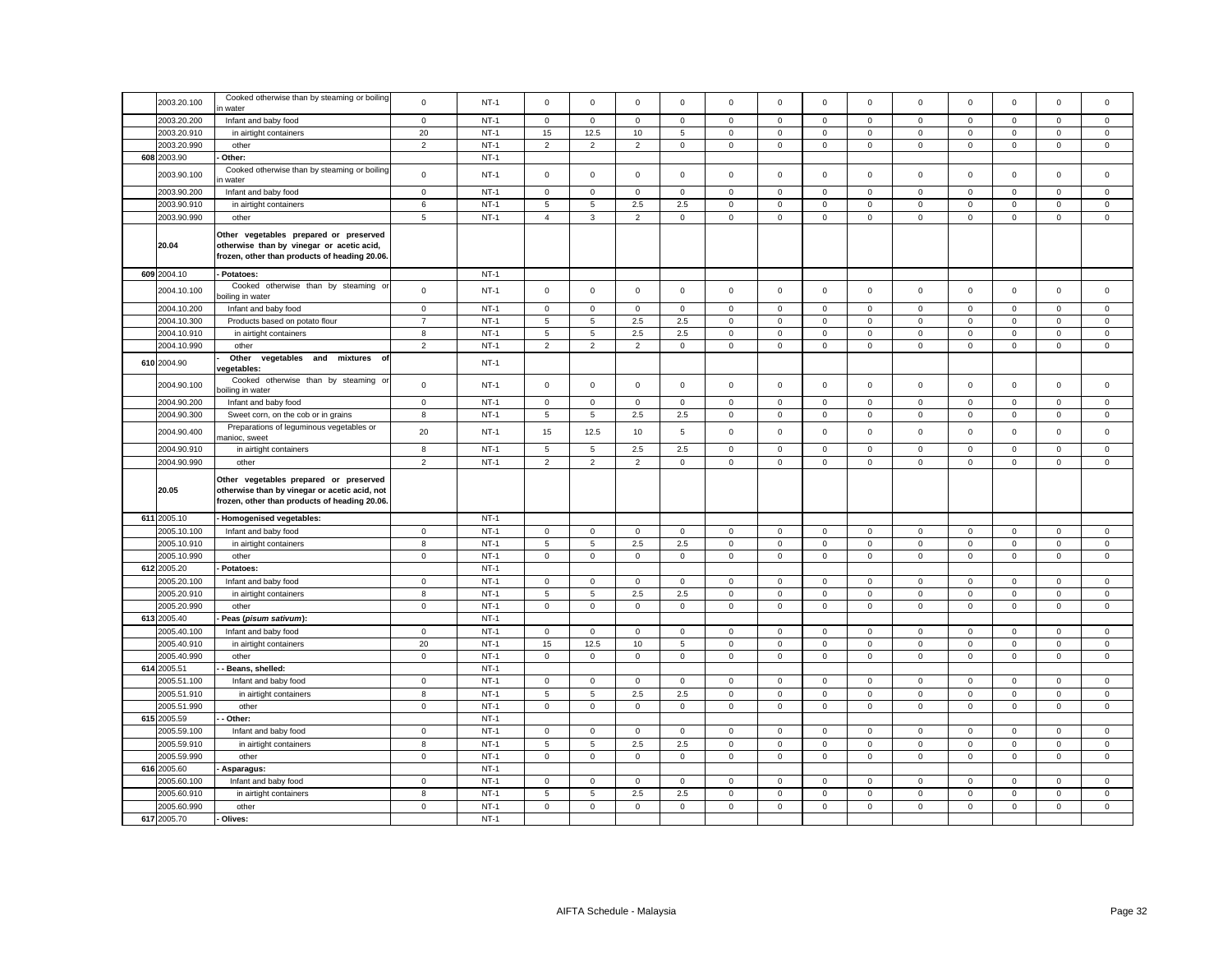| 2003.20.100                | Cooked otherwise than by steaming or boiling<br>water                                                                                    | $\mathsf 0$       | $NT-1$           | $\mathbf 0$         | $\mathbf 0$         | $\mathbf 0$    | $\mathbf 0$                   | $\mathbf 0$      | $\Omega$                   | $\circ$                    | $\mathbf 0$         | $\mathbf 0$                | $\mathbf 0$            | $\mathbf 0$      | $\mathbf 0$      | $\mathbf 0$                |
|----------------------------|------------------------------------------------------------------------------------------------------------------------------------------|-------------------|------------------|---------------------|---------------------|----------------|-------------------------------|------------------|----------------------------|----------------------------|---------------------|----------------------------|------------------------|------------------|------------------|----------------------------|
| 2003.20.200                | Infant and baby food                                                                                                                     | $\pmb{0}$         | $NT-1$           | $\mathsf 0$         | $\mathbf 0$         | $\mathsf 0$    | $\mathsf 0$                   | $\mathsf 0$      | $\mathsf 0$                | $\mathbf 0$                | $\mathsf 0$         | $\mathsf 0$                | $\mathsf 0$            | $\mathsf 0$      | $\mathsf 0$      | $\mathbf 0$                |
| 2003.20.910                | in airtight containers                                                                                                                   | 20                | $NT-1$           | 15                  | 12.5                | 10             | 5                             | 0                | $\mathbf 0$                | 0                          | $\mathbf 0$         | $\mathbf 0$                | $\mathbf 0$            | 0                | $\mathbf 0$      | $\mathbf 0$                |
| 2003.20.990                | other                                                                                                                                    | $\overline{2}$    | $NT-1$           | $\overline{2}$      | $\overline{2}$      | $\mathbf 2$    | $\mathsf 0$                   | $\mathsf 0$      | 0                          | $\mathsf 0$                | 0                   | $\mathsf 0$                | $\mathbf 0$            | $\mathsf 0$      | $\mathsf 0$      | $\,0\,$                    |
| 608 2003.90                | Other:                                                                                                                                   |                   | $NT-1$           |                     |                     |                |                               |                  |                            |                            |                     |                            |                        |                  |                  |                            |
| 2003.90.100                | Cooked otherwise than by steaming or boiling<br>water                                                                                    | $\mathbf 0$       | $NT-1$           | $\mathsf 0$         | $\mathsf 0$         | $\mathsf 0$    | $\mathsf 0$                   | $\mathsf 0$      | $\mathsf 0$                | $\mathsf 0$                | $\mathsf 0$         | $\mathbf 0$                | $\mathsf 0$            | $\mathsf 0$      | $\mathsf 0$      | $\,0\,$                    |
| 2003.90.200                | Infant and baby food                                                                                                                     | $\mathbf 0$       | $NT-1$           | 0                   | $\mathbf 0$         | $\mathbf 0$    | $\mathbf 0$                   | 0                | $\mathbf 0$                | $\mathbf 0$                | $\mathbf 0$         | $\mathbf 0$                | $\mathbf 0$            | 0                | $\mathbf 0$      | $\mathbf 0$                |
| 2003.90.910                | in airtight containers                                                                                                                   | 6                 | $NT-1$           | 5                   | 5                   | $2.5\,$        | 2.5                           | $\mathsf 0$      | $\mathsf 0$                | $\mathsf{O}$               | $\mathbf 0$         | $\mathsf 0$                | $\mathsf 0$            | $\mathsf 0$      | $\mathsf 0$      | $\mathsf 0$                |
| 2003.90.990                | other                                                                                                                                    | $\overline{5}$    | $NT-1$           | $\overline{4}$      | $\mathbf{3}$        | $\overline{2}$ | $\mathsf 0$                   | $\mathbf 0$      | $\mathsf 0$                | $\mathsf 0$                | $\mathsf 0$         | $\mathsf 0$                | $\mathsf 0$            | $\mathsf 0$      | $\mathsf 0$      | $\mathsf 0$                |
| 20.04                      | Other vegetables prepared or preserved<br>otherwise than by vinegar or acetic acid,<br>frozen, other than products of heading 20.06.     |                   |                  |                     |                     |                |                               |                  |                            |                            |                     |                            |                        |                  |                  |                            |
| 609 2004.10                | Potatoes:                                                                                                                                |                   | $NT-1$           |                     |                     |                |                               |                  |                            |                            |                     |                            |                        |                  |                  |                            |
| 2004.10.100                | Cooked otherwise than by steaming or<br>poiling in water                                                                                 | $\mathbf 0$       | $NT-1$           | $\mathsf 0$         | $\mathbf 0$         | $\mathsf 0$    | $\mathsf 0$                   | $\mathbf 0$      | $\mathsf 0$                | $\mathsf 0$                | $\mathbf 0$         | $\mathsf 0$                | $\mathsf 0$            | $\mathbf 0$      | $\mathsf 0$      | $\mathsf 0$                |
| 2004.10.200                | Infant and baby food                                                                                                                     | $\pmb{0}$         | $NT-1$           | $\mathbf 0$         | $\mathsf 0$         | $\mathsf 0$    | $\mathsf 0$                   | $\mathsf 0$      | $\mathbf 0$                | $\mathbf 0$                | $\mathsf 0$         | $\mathbf 0$                | $\mathbf 0$            | $\mathbf 0$      | $\mathsf 0$      | $\mathbf 0$                |
| 2004.10.300                | Products based on potato flour                                                                                                           | $\overline{7}$    | $NT-1$           | 5                   | 5                   | 2.5            | 2.5                           | $\mathsf 0$      | $\mathbf 0$                | $\mathsf 0$                | $\mathsf{O}\xspace$ | $\mathsf 0$                | $\mathbf 0$            | 0                | $\mathsf 0$      | $\mathbf 0$                |
| 2004.10.910                | in airtight containers                                                                                                                   | 8                 | $NT-1$           | 5                   | 5                   | 2.5            | 2.5                           | $\mathsf 0$      | $\mathsf 0$                | $\mathsf 0$                | $\mathsf 0$         | $\mathsf 0$                | $\mathsf 0$            | $\mathsf 0$      | $\mathsf 0$      | $\mathsf 0$                |
| 2004.10.990                | other                                                                                                                                    | $\overline{2}$    | $NT-1$           | $\overline{2}$      | $\overline{2}$      | $\overline{2}$ | $\mathbf 0$                   | $\mathbf 0$      | $\mathbf 0$                | $\mathbf{0}$               | $\mathbf 0$         | $\mathbf 0$                | $\mathbf 0$            | $\mathbf 0$      | $\mathsf 0$      | $\mathsf 0$                |
| 610 2004.90                | Other<br>vegetables and mixtures<br>of<br>regetables:                                                                                    |                   | $NT-1$           |                     |                     |                |                               |                  |                            |                            |                     |                            |                        |                  |                  |                            |
| 2004.90.100                | Cooked otherwise than by steaming or<br>oiling in water                                                                                  | $\mathbf 0$       | $NT-1$           | $\mathsf 0$         | $\mathbf 0$         | $\mathsf 0$    | $\mathbf{0}$                  | $\mathbf 0$      | $\mathsf 0$                | $\mathsf 0$                | $\mathbf 0$         | $\mathsf 0$                | $\mathbf 0$            | $\mathbf 0$      | $\mathsf 0$      | $\mathsf 0$                |
| 2004.90.200                | Infant and baby food                                                                                                                     | $\pmb{0}$         | $NT-1$           | $\mathsf 0$         | $\mathsf 0$         | $\mathsf 0$    | $\mathsf 0$                   | $\mathsf 0$      | $\mathsf 0$                | $\mathsf 0$                | $\mathbf 0$         | $\mathsf 0$                | $\mathsf 0$            | $\mathsf 0$      | $\mathsf 0$      | $\mathsf 0$                |
| 2004.90.300                | Sweet corn, on the cob or in grains                                                                                                      | 8                 | $NT-1$           | 5                   | 5                   | 2.5            | 2.5                           | $\mathsf 0$      | $\mathbf 0$                | $\mathsf 0$                | $\mathbf 0$         | $\mathsf{O}\xspace$        | $\mathbf 0$            | $\mathbf 0$      | 0                | $\,0\,$                    |
| 2004.90.400                | Preparations of leguminous vegetables or<br>nanioc, sweet                                                                                | 20                | $NT-1$           | 15                  | 12.5                | $10$           | 5                             | $\mathsf 0$      | $\mathsf 0$                | $\mathsf 0$                | $\mathbf 0$         | $\mathsf 0$                | $\mathsf 0$            | $\mathsf 0$      | $\mathsf 0$      | $\mathsf 0$                |
| 2004.90.910                | in airtight containers                                                                                                                   | 8                 | $NT-1$           | 5                   | 5                   | 2.5            | 2.5                           | 0                | 0                          | 0                          | 0                   | $\mathbf 0$                | $\mathbf 0$            | $\mathbf 0$      | 0                | $\mathbf 0$                |
| 2004.90.990                | other                                                                                                                                    | $\overline{2}$    | $NT-1$           | $\overline{2}$      | $\overline{2}$      | $\mathbf 2$    | $\,0\,$                       | $\mathsf 0$      | $\mathbf 0$                | $\overline{0}$             | 0                   | $\mathsf 0$                | $\mathbf 0$            | $\mathbf 0$      | $\mathsf 0$      | $\,0\,$                    |
| 20.05                      | Other vegetables prepared or preserved<br>otherwise than by vinegar or acetic acid, not<br>frozen, other than products of heading 20.06. |                   |                  |                     |                     |                |                               |                  |                            |                            |                     |                            |                        |                  |                  |                            |
| 611 2005.10                | Homogenised vegetables:                                                                                                                  |                   | $NT-1$           |                     |                     |                |                               |                  |                            |                            |                     |                            |                        |                  |                  |                            |
| 2005.10.100                | Infant and baby food                                                                                                                     | $\mathbf 0$       | $NT-1$           | $\mathsf 0$         | $\mathsf 0$         | $\mathsf 0$    | $\mathsf 0$                   | $\mathsf 0$      | $\mathbf 0$                | $\mathsf 0$                | $\mathsf 0$         | $\mathsf 0$                | $\mathbf 0$            | $\mathbf 0$      | $\mathsf 0$      | $\,0\,$                    |
| 2005.10.910                | in airtight containers                                                                                                                   | 8                 | $NT-1$           | 5                   | 5                   | 2.5            | 2.5                           | $\mathsf 0$      | 0                          | $\mathsf 0$                | $\mathbf 0$         | $\mathsf 0$                | $\mathbf 0$            | $\mathbf 0$      | $\mathbf 0$      | $\,0\,$                    |
| 2005.10.990                | other                                                                                                                                    | $\pmb{0}$         | $NT-1$           | $\mathsf{O}\xspace$ | $\mathsf 0$         | $\mathbf 0$    | $\mathsf 0$                   | $\mathsf 0$      | $\mathbf 0$                | $\mathsf 0$                | $\mathsf{O}\xspace$ | $\mathsf 0$                | $\mathbf 0$            | $\mathbf 0$      | $\mathbf 0$      | $\mathsf 0$                |
| 612 2005.20                | Potatoes:                                                                                                                                |                   | $NT-1$           |                     |                     |                |                               |                  |                            |                            |                     |                            |                        |                  |                  |                            |
| 2005.20.100                | Infant and baby food                                                                                                                     | $\mathbf 0$       | $NT-1$           | $\mathsf 0$         | $\mathbf 0$         | $\mathsf 0$    | $\mathsf 0$                   | $\mathbf 0$      | $\mathbf 0$                | $\mathsf 0$                | $\mathbf 0$         | $\mathbf 0$                | $\mathbf 0$            | $\mathbf 0$      | $\mathbf 0$      | $\mathsf 0$                |
| 2005.20.910                | in airtight containers                                                                                                                   | 8                 | $NT-1$           | 5                   | 5                   | 2.5            | 2.5                           | $\mathsf 0$      | $\mathbf 0$                | $\mathsf 0$                | $\mathbf 0$         | $\mathsf 0$                | $\mathbf 0$            | $\mathbf 0$      | $\mathsf 0$      | $\mathbf 0$                |
| 2005.20.990                | other                                                                                                                                    | $\mathbf 0$       | $NT-1$           | $\mathsf 0$         | $\mathbf 0$         | $\mathsf 0$    | $\mathsf 0$                   | $\mathbf 0$      | $\mathsf 0$                | $\mathsf{O}$               | $\mathbf 0$         | $\mathsf 0$                | $\mathsf 0$            | $\mathsf 0$      | $\mathsf 0$      | $\mathsf 0$                |
| 613 2005.40                | Peas (pisum sativum):                                                                                                                    |                   | $NT-1$           | $\circ$             |                     | $\mathbf 0$    |                               |                  |                            |                            |                     | $\mathbf{0}$               |                        |                  |                  |                            |
| 2005.40.100<br>2005.40.910 | Infant and baby food                                                                                                                     | $\mathbf 0$<br>20 | $NT-1$<br>$NT-1$ | 15                  | $\mathbf 0$<br>12.5 | 10             | $\mathbf{0}$                  | 0                | $\mathbf 0$<br>$\mathsf 0$ | $\mathsf 0$                | $\mathbf{0}$        |                            | $\mathbf 0$<br>$\,0\,$ | $\mathbf 0$      | $^{\circ}$       | $\mathbf 0$<br>$\mathbf 0$ |
| 2005.40.990                | in airtight containers<br>other                                                                                                          | $\mathsf 0$       | $NT-1$           | $\mathbf 0$         | $\mathbf 0$         | $\mathsf 0$    | $\overline{5}$<br>$\mathsf 0$ | 0<br>$\mathsf 0$ | $\mathsf 0$                | $\mathbf 0$<br>$\mathbf 0$ | $\mathbf 0$<br>0    | $\mathbf 0$<br>$\mathsf 0$ | $\mathsf 0$            | 0<br>$\mathbf 0$ | 0<br>$\mathsf 0$ | $\mathsf 0$                |
| 614 2005.51                | Beans, shelled:                                                                                                                          |                   | $NT-1$           |                     |                     |                |                               |                  |                            |                            |                     |                            |                        |                  |                  |                            |
| 2005.51.100                | Infant and baby food                                                                                                                     | $\mathbf 0$       | $NT-1$           | $\mathbf{0}$        | $\mathbf 0$         | $\mathbf{0}$   | $\mathbf{0}$                  | $\mathbf 0$      | $\mathbf{0}$               | $\circ$                    | $\mathbf{0}$        | $\mathbf{0}$               | $\mathbf{0}$           | $\mathbf 0$      | $\mathbf 0$      | $\mathbf{0}$               |
| 2005.51.910                | in airtight containers                                                                                                                   | 8                 | $NT-1$           | 5                   | 5                   | 2.5            | 2.5                           | $\mathbf 0$      | $\mathbf 0$                | $\mathbf 0$                | $\mathbf{0}$        | $\mathbf{0}$               | $\mathbf 0$            | $\mathbf 0$      | $\mathsf 0$      | $\,0\,$                    |
| 2005.51.990                | other                                                                                                                                    | $\mathsf 0$       | $NT-1$           | $\mathbf 0$         | $\mathsf 0$         | $\mathbf{0}$   | $\mathbf 0$                   | $\mathbf 0$      | $\mathsf 0$                | $\mathbf 0$                | $\mathbf 0$         | $\mathsf 0$                | $\mathsf 0$            | $\mathbf 0$      | $\mathbf 0$      | $\mathsf 0$                |
| 615 2005.59                | Other:                                                                                                                                   |                   | $NT-1$           |                     |                     |                |                               |                  |                            |                            |                     |                            |                        |                  |                  |                            |
| 2005.59.100                | Infant and baby food                                                                                                                     | $\mathbf 0$       | $NT-1$           | $\mathsf 0$         | $\mathbf 0$         | $\mathbf 0$    | $\mathbf{0}$                  | $\mathbf{0}$     | $\mathbf 0$                | $\mathsf{O}$               | $\mathbf{0}$        | $\mathbf 0$                | $\mathbf 0$            | $\mathbf 0$      | $\mathbf{0}$     | $\mathsf 0$                |
| 2005.59.910                | in airtight containers                                                                                                                   | 8                 | $NT-1$           | 5                   | 5                   | 2.5            | 2.5                           | $\mathbf 0$      | $\mathsf 0$                | $\mathsf 0$                | $\mathbf 0$         | $\mathbf 0$                | $\mathsf 0$            | $\mathbf 0$      | $\mathsf 0$      | $\mathsf 0$                |
| 2005.59.990                | other                                                                                                                                    | $\mathbf 0$       | $NT-1$           | $\mathbf 0$         | $\mathbf 0$         | $\mathbf 0$    | $\mathsf 0$                   | $\mathsf 0$      | $\mathsf 0$                | $\mathbf 0$                | 0                   | $\mathsf 0$                | $\mathsf 0$            | $\mathbf 0$      | $\mathbf 0$      | $\mathsf 0$                |
| 616 2005.60                | Asparagus:                                                                                                                               |                   | $NT-1$           |                     |                     |                |                               |                  |                            |                            |                     |                            |                        |                  |                  |                            |
| 2005.60.100                | Infant and baby food                                                                                                                     | 0                 | $NT-1$           | 0                   | $\mathbf 0$         | $\mathsf 0$    | $\mathbf 0$                   | $\mathsf 0$      | 0                          | $\mathsf 0$                | 0                   | $\mathsf 0$                | $\mathbf 0$            | $\mathbf 0$      | 0                | $\mathbf 0$                |
| 2005.60.910                | in airtight containers                                                                                                                   | 8                 | $NT-1$           | 5                   | 5                   | 2.5            | 2.5                           | $\mathsf 0$      | $\mathbf 0$                | $\mathsf 0$                | 0                   | $\mathbf 0$                | $\mathbf 0$            | $\mathbf 0$      | $\mathbf 0$      | $\mathbf 0$                |
| 2005.60.990                | other                                                                                                                                    | $\mathbf 0$       | $NT-1$           | 0                   | $\mathsf 0$         | $\mathsf 0$    | $\mathsf 0$                   | $\mathsf 0$      | $\mathbf 0$                | $\mathbf 0$                | 0                   | $\mathsf{O}\xspace$        | $\mathbf 0$            | 0                | $\mathbf 0$      | $\mathbf 0$                |
| 617 2005.70                | Olives:                                                                                                                                  |                   | $NT-1$           |                     |                     |                |                               |                  |                            |                            |                     |                            |                        |                  |                  |                            |
|                            |                                                                                                                                          |                   |                  |                     |                     |                |                               |                  |                            |                            |                     |                            |                        |                  |                  |                            |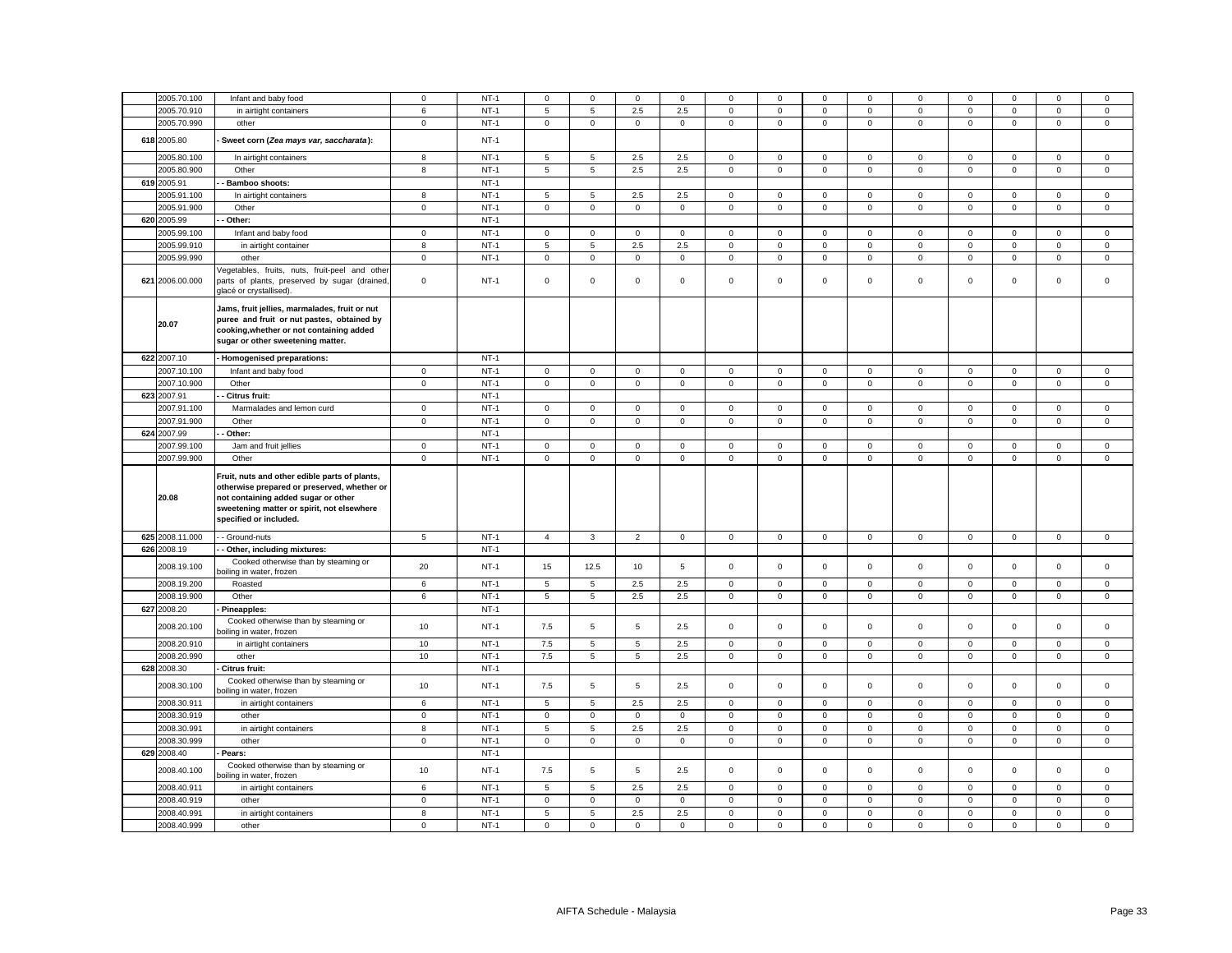| 2005.70.100     | Infant and baby food                                                                                                                                                                                        | $\mathbf 0$ | $NT-1$           | $\mathbf 0$    | $\mathbf 0$         | $\mathbf 0$         | $\mathbf 0$         | 0                   | $\mathbf 0$    | $\Omega$    | $\mathbf 0$    | 0                   | $\mathbf 0$    | $\Omega$            | $\mathbf 0$         | $\mathbf 0$ |
|-----------------|-------------------------------------------------------------------------------------------------------------------------------------------------------------------------------------------------------------|-------------|------------------|----------------|---------------------|---------------------|---------------------|---------------------|----------------|-------------|----------------|---------------------|----------------|---------------------|---------------------|-------------|
| 2005.70.910     | in airtight containers                                                                                                                                                                                      | 6           | $NT-1$           | $\,$ 5 $\,$    | $\mathbf 5$         | $2.5\,$             | 2.5                 | $\mathsf{O}\xspace$ | $\mathsf 0$    | $\mathbf 0$ | $\mathsf 0$    | $\mathsf 0$         | $\,0\,$        | $\mathsf{O}\xspace$ | $\mathbf 0$         | $\mathbf 0$ |
| 2005.70.990     | other                                                                                                                                                                                                       | $\mathbf 0$ | $NT-1$           | $\mathsf 0$    | $\mathbf 0$         | $\mathsf{O}\xspace$ | $\mathsf{O}\xspace$ | $\mathbf 0$         | $\overline{0}$ | $\mathbf 0$ | $\mathbf 0$    | $\mathsf{O}\xspace$ | $\overline{0}$ | $\mathsf 0$         | $\mathsf{O}\xspace$ | $\mathsf 0$ |
|                 |                                                                                                                                                                                                             |             |                  |                |                     |                     |                     |                     |                |             |                |                     |                |                     |                     |             |
| 618 2005.80     | Sweet corn (Zea mays var, saccharata):                                                                                                                                                                      |             | $NT-1$           |                |                     |                     |                     |                     |                |             |                |                     |                |                     |                     |             |
| 2005.80.100     | In airtight containers                                                                                                                                                                                      | 8           | $NT-1$           | 5              | 5                   | 2.5                 | 2.5                 | 0                   | $\mathbf 0$    | $\mathbf 0$ | $\mathbf 0$    | 0                   | $\mathbf 0$    | 0                   | 0                   | $\mathbf 0$ |
| 2005.80.900     | Other                                                                                                                                                                                                       | 8           | $NT-1$           | 5              | 5                   | 2.5                 | 2.5                 | $\mathbf 0$         | $\mathsf 0$    | $\mathsf 0$ | $\mathsf 0$    | $\mathsf 0$         | $\mathsf 0$    | $\mathsf 0$         | $\mathsf{O}\xspace$ | $\mathsf 0$ |
| 619 2005.91     | Bamboo shoots:                                                                                                                                                                                              |             | $NT-1$           |                |                     |                     |                     |                     |                |             |                |                     |                |                     |                     |             |
| 2005.91.100     |                                                                                                                                                                                                             | 8           | $NT-1$           | 5              | 5                   | 2.5                 | 2.5                 | 0                   | $\mathsf 0$    | $\mathsf 0$ | $\mathsf 0$    | $\mathsf 0$         | $\mathbf 0$    | $\mathsf 0$         | $\mathsf 0$         | $\mathbf 0$ |
| 2005.91.900     | In airtight containers                                                                                                                                                                                      |             | $NT-1$           |                |                     | $\mathsf 0$         |                     |                     | $\mathsf 0$    |             |                |                     | $\mathbf 0$    | $\mathsf 0$         |                     | $\mathsf 0$ |
|                 | Other                                                                                                                                                                                                       | $\mathbf 0$ |                  | $\mathsf 0$    | $\mathbf 0$         |                     | $\mathbf 0$         | 0                   |                | $\mathbf 0$ | $\mathbf 0$    | $\mathbf 0$         |                |                     | $\mathsf 0$         |             |
| 620 2005.99     | Other:                                                                                                                                                                                                      |             | $NT-1$           |                |                     |                     |                     |                     |                |             |                |                     |                |                     |                     |             |
| 2005.99.100     | Infant and baby food                                                                                                                                                                                        | $\mathbf 0$ | $NT-1$           | $\mathbf 0$    | $\mathbf 0$         | $\mathbf 0$         | $\mathbf 0$         | 0                   | $\mathbf 0$    | $\mathbf 0$ | $\overline{0}$ | $\mathbf{0}$        | $\mathsf 0$    | $\mathbf 0$         | $\mathbf 0$         | $\mathbf 0$ |
| 2005.99.910     | in airtight container                                                                                                                                                                                       | 8           | $NT-1$           | 5              | 5                   | 2.5                 | 2.5                 | 0                   | $\mathsf 0$    | $\mathsf 0$ | $\mathsf 0$    | $\mathsf 0$         | $\mathbf 0$    | $\mathsf 0$         | $\mathsf 0$         | $\mathsf 0$ |
| 2005.99.990     | other                                                                                                                                                                                                       | $\mathbf 0$ | $NT-1$           | $\mathbf{0}$   | $\mathbf 0$         | $\mathbf 0$         | $\mathbf 0$         | 0                   | $\mathbf 0$    | $\mathbf 0$ | $\mathbf 0$    | $\mathbf 0$         | $\mathbf 0$    | $\mathbf 0$         | $\mathbf 0$         | $\mathbf 0$ |
|                 | /egetables, fruits, nuts, fruit-peel and othe                                                                                                                                                               |             |                  |                |                     |                     |                     |                     |                |             |                |                     |                |                     |                     |             |
| 621 2006.00.000 | parts of plants, preserved by sugar (drained,<br>glacé or crystallised).                                                                                                                                    | $\mathsf 0$ | $NT-1$           | $\mathbf 0$    | $\mathsf 0$         | $\mathsf 0$         | $\mathsf 0$         | 0                   | $\mathsf 0$    | $\mathsf 0$ | $\mathsf 0$    | $\mathsf 0$         | $\mathbf 0$    | $\mathsf 0$         | $\mathsf 0$         | $\mathsf 0$ |
|                 | Jams, fruit jellies, marmalades, fruit or nut                                                                                                                                                               |             |                  |                |                     |                     |                     |                     |                |             |                |                     |                |                     |                     |             |
| 20.07           | puree and fruit or nut pastes, obtained by                                                                                                                                                                  |             |                  |                |                     |                     |                     |                     |                |             |                |                     |                |                     |                     |             |
|                 | cooking, whether or not containing added                                                                                                                                                                    |             |                  |                |                     |                     |                     |                     |                |             |                |                     |                |                     |                     |             |
|                 | sugar or other sweetening matter.                                                                                                                                                                           |             |                  |                |                     |                     |                     |                     |                |             |                |                     |                |                     |                     |             |
| 622 2007.10     | - Homogenised preparations:                                                                                                                                                                                 |             | $NT-1$           |                |                     |                     |                     |                     |                |             |                |                     |                |                     |                     |             |
| 2007.10.100     | Infant and baby food                                                                                                                                                                                        | $\mathbf 0$ | $NT-1$           | $\mathbf 0$    | $\mathbf{0}$        | $\mathbf{0}$        | $\mathbf 0$         | 0                   | $\mathbf 0$    | $\mathbf 0$ | $\circ$        | $\mathbf 0$         | $\mathbf 0$    | $\mathbf 0$         | $\mathbf 0$         | $\mathsf 0$ |
| 2007.10.900     | Other                                                                                                                                                                                                       | $\mathsf 0$ | $NT-1$           | $\mathbf 0$    | $\mathsf{O}\xspace$ | $\mathsf 0$         | $\mathbf 0$         | 0                   | $\mathbf 0$    | $\mathbf 0$ | $\mathbf 0$    | $\mathbf 0$         | $\mathbf 0$    | $\mathbf 0$         | $\mathsf 0$         | $\mathsf 0$ |
|                 |                                                                                                                                                                                                             |             |                  |                |                     |                     |                     |                     |                |             |                |                     |                |                     |                     |             |
| 623 2007.91     | Citrus fruit:                                                                                                                                                                                               |             | $NT-1$           |                |                     |                     |                     |                     |                |             |                |                     |                |                     |                     |             |
| 2007.91.100     | Marmalades and lemon curd                                                                                                                                                                                   | $\mathbf 0$ | $NT-1$           | $\mathbf 0$    | $\mathbf 0$         | $\mathbf 0$         | $\mathbf 0$         | $\mathbf{0}$        | $\Omega$       | $\mathbf 0$ | $\mathbf 0$    | $\mathbf 0$         | $\Omega$       | $\mathbf 0$         | $\mathbf 0$         | $\mathsf 0$ |
| 2007.91.900     | Other                                                                                                                                                                                                       | $\mathbf 0$ | $NT-1$           | $\mathsf 0$    | $\mathsf 0$         | $\mathsf 0$         | $\mathsf 0$         | 0                   | $\mathsf 0$    | $\mathsf 0$ | $\mathbf 0$    | $\mathsf 0$         | $\mathbf 0$    | $\mathsf 0$         | $\mathsf 0$         | $\mathsf 0$ |
| 624 2007.99     | Other:                                                                                                                                                                                                      |             | $NT-1$           |                |                     |                     |                     |                     |                |             |                |                     |                |                     |                     |             |
| 2007.99.100     | Jam and fruit jellies                                                                                                                                                                                       | $\mathbf 0$ | $NT-1$           | $\,0\,$        | 0                   | 0                   | 0                   | 0                   | 0              | 0           | $\mathbf 0$    | $\mathbf 0$         | $\mathbf 0$    | 0                   | 0                   | 0           |
| 2007.99.900     | Other                                                                                                                                                                                                       |             |                  |                |                     |                     |                     |                     |                |             |                |                     |                |                     |                     |             |
|                 |                                                                                                                                                                                                             | $\mathsf 0$ | $NT-1$           | $\mathsf 0$    | $\mathsf 0$         | $\mathsf 0$         | $\mathsf 0$         | $\mathsf{O}\xspace$ | $\mathsf 0$    | $\mathsf 0$ | $\mathsf 0$    | $\mathsf 0$         | $\mathsf 0$    | $\mathsf 0$         | $\mathsf 0$         | $\mathbf 0$ |
| 20.08           | Fruit, nuts and other edible parts of plants,<br>otherwise prepared or preserved, whether or<br>not containing added sugar or other<br>sweetening matter or spirit, not elsewhere<br>specified or included. |             |                  |                |                     |                     |                     |                     |                |             |                |                     |                |                     |                     |             |
| 625 2008.11.000 | - Ground-nuts                                                                                                                                                                                               | 5           | $NT-1$           | $\overline{4}$ | $\mathbf{3}$        | $\overline{2}$      | $\mathbf 0$         | $\mathbf 0$         | $\mathbf 0$    | $\mathbf 0$ | $\mathsf 0$    | $\mathsf 0$         | $\mathbf 0$    | $\mathbf 0$         | $\mathbf 0$         | $\mathsf 0$ |
| 626 2008.19     | - Other, including mixtures:                                                                                                                                                                                |             | $NT-1$           |                |                     |                     |                     |                     |                |             |                |                     |                |                     |                     |             |
|                 |                                                                                                                                                                                                             |             |                  |                |                     |                     |                     |                     |                |             |                |                     |                |                     |                     |             |
| 2008.19.100     | Cooked otherwise than by steaming or<br>poiling in water, frozen                                                                                                                                            | 20          | $NT-1$           | 15             | 12.5                | 10                  | 5                   | $\mathbf{0}$        | $\mathbf 0$    | $\mathbf 0$ | $\mathbf 0$    | $\mathbf 0$         | $\Omega$       | $\Omega$            | $\mathbf 0$         | $\mathbf 0$ |
| 2008.19.200     | Roasted                                                                                                                                                                                                     | 6           | $NT-1$           | 5              | 5                   | 2.5                 | 2.5                 | 0                   | $\mathsf 0$    | $\mathsf 0$ | $\mathsf 0$    | $\mathsf 0$         | $\mathsf 0$    | $\mathsf 0$         | $\mathsf 0$         | $\mathsf 0$ |
| 2008.19.900     | Other                                                                                                                                                                                                       | 6           | $NT-1$           | 5              | 5                   | 2.5                 | 2.5                 | 0                   | $\mathsf 0$    | $\mathsf 0$ | $\mathsf 0$    | $\mathsf 0$         | $\mathsf 0$    | $\mathsf 0$         | $\mathsf 0$         | $\mathsf 0$ |
|                 |                                                                                                                                                                                                             |             |                  |                |                     |                     |                     |                     |                |             |                |                     |                |                     |                     |             |
| 627 2008.20     | Pineapples:                                                                                                                                                                                                 |             | $NT-1$           |                |                     |                     |                     |                     |                |             |                |                     |                |                     |                     |             |
| 2008.20.100     | Cooked otherwise than by steaming or<br>boiling in water, frozen                                                                                                                                            | 10          | $NT-1$           | 7.5            | 5                   | 5                   | 2.5                 | 0                   | $\mathsf 0$    | $\mathsf 0$ | $\mathsf 0$    | $\mathbf 0$         | $\mathbf 0$    | $\mathsf 0$         | $\mathsf 0$         | $\mathsf 0$ |
| 2008.20.910     | in airtight containers                                                                                                                                                                                      | 10          | $NT-1$           | 7.5            | $\overline{5}$      | $\overline{5}$      | 2.5                 | 0                   | $\mathsf 0$    | $\mathsf 0$ | $\mathbf 0$    | $\mathsf 0$         | $\mathbf 0$    | $\mathsf 0$         | $\mathsf 0$         | $\mathsf 0$ |
|                 |                                                                                                                                                                                                             |             |                  |                |                     |                     |                     |                     |                |             |                |                     |                |                     |                     |             |
| 2008.20.990     | other                                                                                                                                                                                                       | 10          | $NT-1$           | 7.5            | 5                   | 5                   | 2.5                 | $\mathbf 0$         | $\mathsf 0$    | $\mathbf 0$ | $\mathbf 0$    | $\mathbf 0$         | $\mathsf 0$    | $\mathbf 0$         | $\mathsf 0$         | $\mathsf 0$ |
| 628 2008.30     | Citrus fruit:                                                                                                                                                                                               |             | $NT-1$           |                |                     |                     |                     |                     |                |             |                |                     |                |                     |                     |             |
| 2008.30.100     | Cooked otherwise than by steaming or                                                                                                                                                                        | 10          | $NT-1$           | 7.5            | 5                   | 5                   | 2.5                 | $\mathbf 0$         | $\mathsf 0$    | $\mathsf 0$ | $\mathsf 0$    | $\mathsf 0$         | $\mathbf 0$    | $\mathbf 0$         | $\mathsf 0$         | $\mathsf 0$ |
|                 | boiling in water, frozen                                                                                                                                                                                    |             |                  |                |                     |                     |                     |                     |                |             |                |                     |                |                     |                     |             |
| 2008.30.911     | in airtight containers                                                                                                                                                                                      | 6           | $NT-1$           | 5              | 5                   | 2.5                 | 2.5                 | $\mathbf 0$         | $\mathsf 0$    | $\mathsf 0$ | $\mathsf 0$    | $\mathsf 0$         | $\mathbf 0$    | $\mathsf 0$         | $\mathsf 0$         | $\mathsf 0$ |
| 2008.30.919     | other                                                                                                                                                                                                       | $\mathbf 0$ | $NT-1$           | $\mathbf 0$    | $\mathbf 0$         | $\mathsf 0$         | $\mathbf{0}$        | 0                   | $\mathsf 0$    | $\mathbf 0$ | $\mathbf 0$    | $\mathsf 0$         | $\mathsf 0$    | $\mathsf 0$         | $\mathsf 0$         | $\mathsf 0$ |
| 2008.30.991     | in airtight containers                                                                                                                                                                                      | 8           | $NT-1$           | 5              | 5                   | $2.5\,$             | 2.5                 | 0                   | $\mathsf 0$    | $\mathbf 0$ | $\mathbf 0$    | $\mathsf 0$         | $\mathbf 0$    | $\mathsf 0$         | $\mathbf 0$         | $\mathsf 0$ |
| 2008.30.999     | other                                                                                                                                                                                                       | $\mathbf 0$ | $NT-1$           | $\mathsf 0$    | $\mathsf 0$         | $\mathsf 0$         | $\mathbf 0$         | $\mathbf 0$         | $\mathsf 0$    | $\mathbf 0$ | $\mathsf 0$    | $\mathsf 0$         | $\mathbf 0$    | $\mathsf 0$         | $\mathsf 0$         | $\mathsf 0$ |
| 629 2008.40     | Pears:                                                                                                                                                                                                      |             | $NT-1$           |                |                     |                     |                     |                     |                |             |                |                     |                |                     |                     |             |
| 2008.40.100     | Cooked otherwise than by steaming or<br>boiling in water, frozen                                                                                                                                            | 10          | $NT-1$           | 7.5            | 5                   | 5                   | 2.5                 | $\mathbf 0$         | $\mathsf 0$    | $\mathsf 0$ | $\mathsf 0$    | $\mathsf 0$         | $\mathbf 0$    | $\mathsf 0$         | $\mathsf 0$         | $\mathsf 0$ |
| 2008.40.911     | in airtight containers                                                                                                                                                                                      | 6           | $NT-1$           | 5              | 5                   | 2.5                 | 2.5                 | 0                   | $\mathsf 0$    | $\mathsf 0$ | $\mathsf 0$    | $\mathsf 0$         | $\mathbf 0$    | $\mathsf 0$         | $\mathsf 0$         | $\mathsf 0$ |
| 2008.40.919     | other                                                                                                                                                                                                       | $\mathbf 0$ | $NT-1$           | $\mathsf 0$    | $\mathbf{0}$        | $\mathbf 0$         | $\mathbf{0}$        | $\mathbf 0$         | $\mathsf 0$    | $\mathbf 0$ | $\circ$        | $\mathbf 0$         | $\mathbf 0$    | $\mathsf 0$         | $\mathbf 0$         | $\mathsf 0$ |
| 2008.40.991     | in airtight containers                                                                                                                                                                                      | 8           | $NT-1$<br>$NT-1$ | $\overline{5}$ | 5                   | $2.5\,$             | 2.5                 | 0                   | $\mathsf 0$    | $\mathsf 0$ | $\mathbf 0$    | $\mathsf 0$         | $\mathbf 0$    | $\mathsf 0$         | $\mathsf 0$         | $\mathsf 0$ |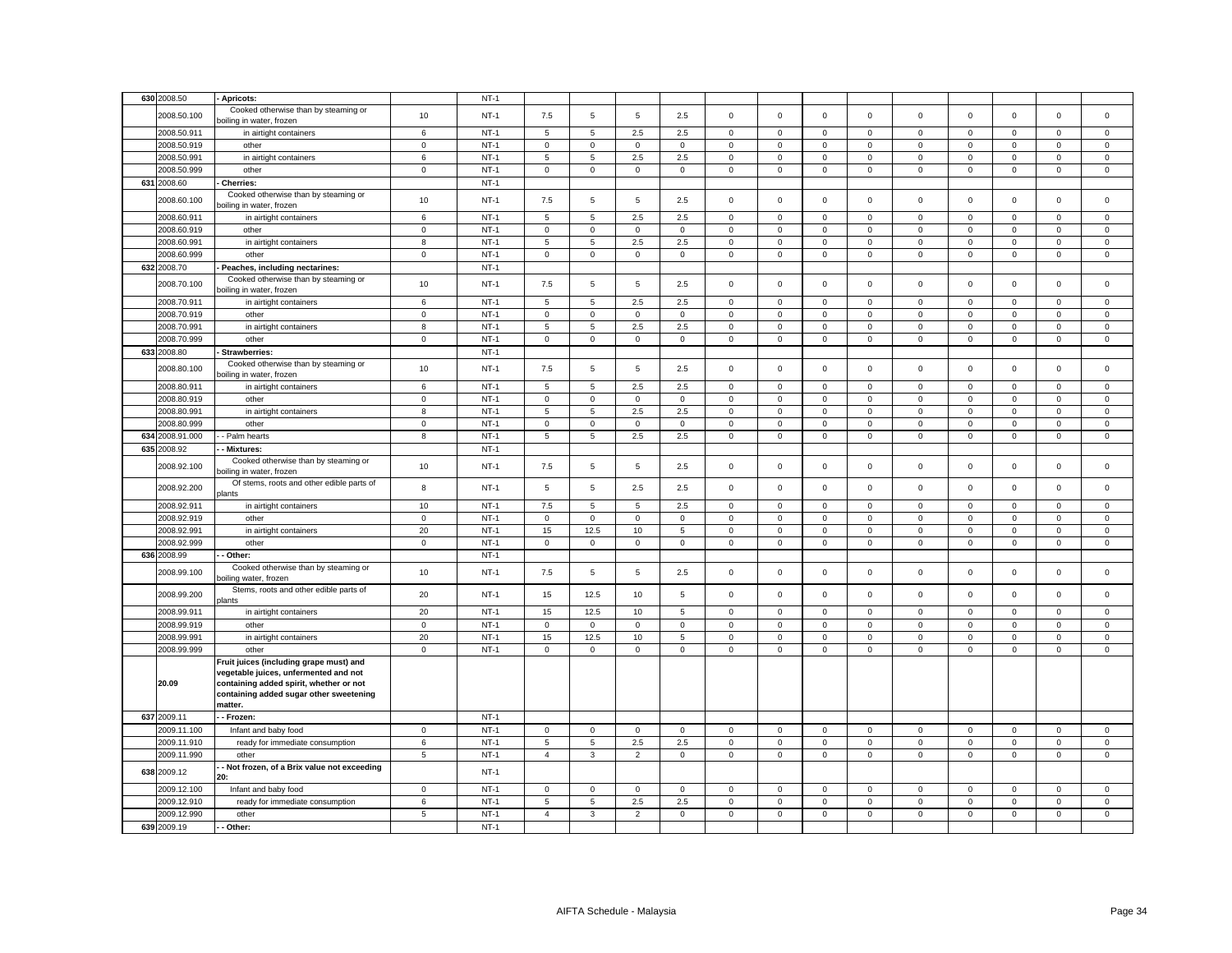|     | 630 2008.50 | Apricots:                                                                                                                                                                         |             | $NT-1$ |                |              |                |              |             |             |              |              |             |              |             |             |             |
|-----|-------------|-----------------------------------------------------------------------------------------------------------------------------------------------------------------------------------|-------------|--------|----------------|--------------|----------------|--------------|-------------|-------------|--------------|--------------|-------------|--------------|-------------|-------------|-------------|
|     |             | Cooked otherwise than by steaming or                                                                                                                                              |             |        |                |              |                |              |             |             |              |              |             |              |             |             |             |
|     | 2008.50.100 | poiling in water, frozen                                                                                                                                                          | 10          | $NT-1$ | 7.5            | 5            | 5              | 2.5          | $\mathbf 0$ | $\mathbf 0$ | $\mathbf 0$  | $\mathbf 0$  | $\mathbf 0$ | $\mathbf 0$  | $\mathbf 0$ | $\mathbf 0$ | $\mathbf 0$ |
|     | 2008.50.911 | in airtight containers                                                                                                                                                            | 6           | $NT-1$ | 5              | 5            | 2.5            | 2.5          | $\mathbf 0$ | $\mathsf 0$ | 0            | $\mathbf 0$  | $\mathbf 0$ | $\mathbf 0$  | $\mathbf 0$ | $\mathbf 0$ | $\mathbf 0$ |
|     | 2008.50.919 | other                                                                                                                                                                             | $\mathbf 0$ | $NT-1$ | $\mathbf 0$    | $\mathbf 0$  | $\mathsf 0$    | $\mathsf 0$  | $\mathsf 0$ | $\mathbf 0$ | $\mathbf 0$  | $\mathbf 0$  | $\mathbf 0$ | $\mathbf 0$  | $\mathsf 0$ | $\mathsf 0$ | $\mathsf 0$ |
|     | 2008.50.991 | in airtight containers                                                                                                                                                            | 6           | $NT-1$ | 5              | 5            | 2.5            | 2.5          | 0           | $\mathbf 0$ | $\mathbf 0$  | $\mathbf{0}$ | $\mathbf 0$ | 0            | $\mathbf 0$ | 0           | $\mathsf 0$ |
|     | 2008.50.999 | other                                                                                                                                                                             | $\mathbf 0$ | $NT-1$ | $\mathbf 0$    | $\mathbf 0$  | $\mathsf 0$    | $\mathbf 0$  | $\mathsf 0$ | $\mathbf 0$ | $\mathbf 0$  | $\mathbf 0$  | $\mathsf 0$ | $\mathbf 0$  | $\mathsf 0$ | $\mathsf 0$ | $\mathsf 0$ |
|     | 631 2008.60 | <b>Cherries:</b>                                                                                                                                                                  |             | $NT-1$ |                |              |                |              |             |             |              |              |             |              |             |             |             |
|     | 2008.60.100 | Cooked otherwise than by steaming or<br>poiling in water, frozen                                                                                                                  | 10          | $NT-1$ | 7.5            | 5            | $\mathbf 5$    | 2.5          | 0           | $\mathsf 0$ | $\mathbf 0$  | $\mathbf 0$  | $\mathbf 0$ | $\mathbf 0$  | $\mathbf 0$ | $\mathbf 0$ | $\mathbf 0$ |
|     | 2008.60.911 | in airtight containers                                                                                                                                                            | 6           | $NT-1$ | 5              | 5            | 2.5            | 2.5          | 0           | $\mathbf 0$ | $\Omega$     | $\mathbf 0$  | 0           | 0            | $\Omega$    | 0           | 0           |
|     | 2008.60.919 |                                                                                                                                                                                   | $\mathsf 0$ | $NT-1$ | $\mathsf 0$    | $\mathsf 0$  | $\mathsf 0$    | $\mathbf 0$  | $\mathsf 0$ | $\mathbf 0$ | $\mathsf 0$  | $\,0\,$      | $\mathsf 0$ | $\mathbf 0$  | $\mathsf 0$ | $\mathsf 0$ | $\mathsf 0$ |
|     |             | other                                                                                                                                                                             |             | $NT-1$ |                |              |                |              |             |             |              |              |             |              |             |             |             |
|     | 2008.60.991 | in airtight containers                                                                                                                                                            | 8           |        | $\mathbf 5$    | 5            | $2.5\,$        | $2.5\,$      | $\mathsf 0$ | $\mathbf 0$ | $\mathbf{0}$ | $\mathsf 0$  | $\mathbf 0$ | $\mathsf 0$  | $\mathsf 0$ | $\mathsf 0$ | $\mathsf 0$ |
|     | 2008.60.999 | other                                                                                                                                                                             | $\mathbf 0$ | $NT-1$ | $\mathsf 0$    | $\mathsf 0$  | $\mathbf 0$    | $\mathsf 0$  | $\mathsf 0$ | $\mathbf 0$ | $\mathbf 0$  | $\mathbf 0$  | $\mathsf 0$ | $\pmb{0}$    | $\mathbf 0$ | $\mathbf 0$ | $\mathsf 0$ |
|     | 632 2008.70 | Peaches, including nectarines:                                                                                                                                                    |             | $NT-1$ |                |              |                |              |             |             |              |              |             |              |             |             |             |
|     | 2008.70.100 | Cooked otherwise than by steaming or<br>boiling in water, frozen                                                                                                                  | 10          | $NT-1$ | 7.5            | 5            | 5              | 2.5          | $\mathbf 0$ | $\mathsf 0$ | $\mathsf 0$  | $\,0\,$      | $\mathsf 0$ | $\mathbf 0$  | $\mathbf 0$ | $\mathbf 0$ | $\mathsf 0$ |
|     | 2008.70.911 | in airtight containers                                                                                                                                                            | 6           | $NT-1$ | 5              | 5            | 2.5            | 2.5          | $\mathbf 0$ | $\mathsf 0$ | $\mathbf 0$  | $\mathbf 0$  | $\mathsf 0$ | $\mathsf 0$  | $\mathsf 0$ | $\mathsf 0$ | $\mathsf 0$ |
|     | 2008.70.919 | other                                                                                                                                                                             | $\mathsf 0$ | $NT-1$ | $\mathbf 0$    | $\mathbf 0$  | $\mathbf 0$    | $\mathbf{0}$ | $\mathbf 0$ | $\mathbf 0$ | $\mathbf 0$  | $\mathbf 0$  | $\mathsf 0$ | $\mathbf 0$  | $\mathbf 0$ | $\mathsf 0$ | $\mathsf 0$ |
|     | 2008.70.991 | in airtight containers                                                                                                                                                            | 8           | $NT-1$ | 5              | 5            | 2.5            | 2.5          | $\mathbf 0$ | $\mathbf 0$ | $\mathbf{0}$ | $\mathbf{0}$ | 0           | $\mathbf{0}$ | $\mathbf 0$ | $\mathbf 0$ | $\mathbf 0$ |
|     | 2008.70.999 | other                                                                                                                                                                             | $\mathsf 0$ | $NT-1$ | $\mathbf 0$    | $\mathbf 0$  | $\mathsf 0$    | $\mathsf 0$  | $\mathbf 0$ | $\mathbf 0$ | $\mathbf 0$  | $\mathsf 0$  | $\mathsf 0$ | $\mathbf 0$  | $\mathbf 0$ | $\mathbf 0$ | $\mathsf 0$ |
|     | 633 2008.80 | <b>Strawberries:</b>                                                                                                                                                              |             | $NT-1$ |                |              |                |              |             |             |              |              |             |              |             |             |             |
|     | 2008.80.100 | Cooked otherwise than by steaming or<br>poiling in water, frozen                                                                                                                  | 10          | $NT-1$ | 7.5            | 5            | 5              | 2.5          | $\mathbf 0$ | $\mathbf 0$ | $\mathbf 0$  | $\mathbf 0$  | $\Omega$    | $\mathbf 0$  | $\mathbf 0$ | $\mathbf 0$ | $\mathbf 0$ |
|     | 2008.80.911 | in airtight containers                                                                                                                                                            | 6           | $NT-1$ | 5              | 5            | 2.5            | 2.5          | $\mathsf 0$ | $\mathsf 0$ | $\mathbf 0$  | $\mathbf 0$  | $\mathsf 0$ | $\mathsf 0$  | $\mathsf 0$ | $\mathsf 0$ | $\mathsf 0$ |
|     | 2008.80.919 | other                                                                                                                                                                             | $\mathsf 0$ | $NT-1$ | $\mathbf{0}$   | $\mathbf 0$  | $\mathsf 0$    | $\mathsf 0$  | $\mathbf 0$ | $\mathsf 0$ | $\mathbf 0$  | $\mathbf 0$  | $\mathbf 0$ | $\mathsf 0$  | $\mathsf 0$ | $\mathsf 0$ | $\mathsf 0$ |
|     | 2008.80.991 | in airtight containers                                                                                                                                                            | 8           | $NT-1$ | 5              | 5            | 2.5            | 2.5          | 0           | $\mathbf 0$ | 0            | $\mathbf 0$  | $\mathsf 0$ | $\mathbf 0$  | 0           | 0           | 0           |
|     | 2008.80.999 | other                                                                                                                                                                             | $\mathbf 0$ | $NT-1$ | $\mathbf{0}$   | $\mathbf 0$  | $\mathsf 0$    | $\mathsf 0$  | $\mathsf 0$ | $\mathsf 0$ | $\mathbf 0$  | $\mathbf 0$  | $\mathbf 0$ | $\mathsf 0$  | $\mathsf 0$ | $\mathsf 0$ | $\mathsf 0$ |
| 634 | 2008.91.000 | - Palm hearts                                                                                                                                                                     | 8           | $NT-1$ | 5              | 5            | 2.5            | 2.5          | 0           | $\mathbf 0$ | $\mathbf 0$  | $\mathbf 0$  | 0           | $\mathbf 0$  | $\mathbf 0$ | $\mathbf 0$ | $\mathbf 0$ |
|     | 635 2008.92 | - Mixtures:                                                                                                                                                                       |             | $NT-1$ |                |              |                |              |             |             |              |              |             |              |             |             |             |
|     |             |                                                                                                                                                                                   |             |        |                |              |                |              |             |             |              |              |             |              |             |             |             |
|     | 2008.92.100 | Cooked otherwise than by steaming or<br>poiling in water, frozen                                                                                                                  | 10          | $NT-1$ | 7.5            | 5            | 5              | 2.5          | $\mathsf 0$ | $\mathsf 0$ | $\mathsf 0$  | $\mathsf 0$  | $\mathbf 0$ | $\mathsf 0$  | $\mathsf 0$ | $\mathsf 0$ | $\mathsf 0$ |
|     | 2008.92.200 | Of stems, roots and other edible parts of<br><b>plants</b>                                                                                                                        | 8           | $NT-1$ | 5              | 5            | 2.5            | 2.5          | $\mathsf 0$ | $\mathsf 0$ | $\mathsf 0$  | $\mathbf 0$  | $\mathbf 0$ | $\mathbf 0$  | $\mathsf 0$ | $\mathsf 0$ | $\mathsf 0$ |
|     | 2008.92.911 | in airtight containers                                                                                                                                                            | 10          | $NT-1$ | 7.5            | 5            | 5              | 2.5          | $\mathsf 0$ | $\mathsf 0$ | $\mathbf 0$  | $\mathbf 0$  | $\mathbf 0$ | $\pmb{0}$    | $\mathsf 0$ | $\mathbf 0$ | $\mathsf 0$ |
|     | 2008.92.919 | other                                                                                                                                                                             | $\mathbf 0$ | $NT-1$ | $\mathbf 0$    | 0            | 0              | 0            | $\mathsf 0$ | 0           | $\mathbf 0$  | 0            | $\mathsf 0$ | 0            | $\mathbf 0$ | 0           | 0           |
|     | 2008.92.991 | in airtight containers                                                                                                                                                            | 20          | $NT-1$ | 15             | 12.5         | 10             | 5            | $\mathsf 0$ | $\mathbf 0$ | $\mathbf 0$  | $\,0\,$      | $\mathsf 0$ | $\mathbf 0$  | $\mathsf 0$ | $\mathbf 0$ | $\mathsf 0$ |
|     | 2008.92.999 | other                                                                                                                                                                             | $\mathbf 0$ | $NT-1$ | $\mathbf 0$    | $\mathbf 0$  | $\mathbf 0$    | $\mathsf 0$  | $\mathbf 0$ | $\mathsf 0$ | $\mathbf 0$  | $\mathbf 0$  | $\mathsf 0$ | $\mathsf 0$  | $\mathbf 0$ | $\mathsf 0$ | $\mathsf 0$ |
|     | 636 2008.99 | - Other:                                                                                                                                                                          |             | $NT-1$ |                |              |                |              |             |             |              |              |             |              |             |             |             |
|     | 2008.99.100 | Cooked otherwise than by steaming or<br>boiling water, frozen                                                                                                                     | 10          | $NT-1$ | 7.5            | 5            | 5              | 2.5          | $\mathsf 0$ | $\mathsf 0$ | $\mathsf 0$  | $\,0\,$      | $\mathbf 0$ | $\mathbf 0$  | $\mathsf 0$ | $\mathsf 0$ | $\mathsf 0$ |
|     | 2008.99.200 | Stems, roots and other edible parts of                                                                                                                                            | 20          | $NT-1$ | 15             | 12.5         | 10             | 5            | $\mathsf 0$ | $\mathbf 0$ | $\mathbf 0$  | $\mathsf 0$  | $\mathbf 0$ | $\mathbf 0$  | $\mathbf 0$ | $\mathbf 0$ | $\mathsf 0$ |
|     |             | plants                                                                                                                                                                            |             |        |                |              |                |              |             |             |              |              |             |              |             |             |             |
|     | 2008.99.911 | in airtight containers                                                                                                                                                            | 20          | $NT-1$ | 15             | 12.5         | 10             | 5            | $\mathsf 0$ | $\mathsf 0$ | $\mathbf 0$  | $\mathbf 0$  | $\mathbf 0$ | $\mathsf 0$  | $\mathbf 0$ | $\mathsf 0$ | $\mathsf 0$ |
|     | 2008.99.919 | other                                                                                                                                                                             | $\mathsf 0$ | $NT-1$ | $\mathbf{0}$   | $\mathbf 0$  | $\mathsf 0$    | $\mathsf 0$  | $\mathsf 0$ | $\mathsf 0$ | $\mathbf 0$  | $\mathbf 0$  | $\mathsf 0$ | $\mathsf 0$  | $\mathsf 0$ | $\mathsf 0$ | $\mathsf 0$ |
|     | 2008.99.991 | in airtight containers                                                                                                                                                            | 20          | $NT-1$ | 15             | 12.5         | 10             | 5            | $\mathsf 0$ | $\mathbf 0$ | $\mathbf 0$  | $\mathbf 0$  | $\mathbf 0$ | $\mathbf 0$  | $\mathsf 0$ | $\mathsf 0$ | $\mathsf 0$ |
|     | 2008.99.999 | other                                                                                                                                                                             | $\mathsf 0$ | $NT-1$ | $\mathsf 0$    | $\mathbf 0$  | $\mathsf 0$    | $\mathsf 0$  | $\mathsf 0$ | $\mathsf 0$ | $\mathbf 0$  | $\mathbf 0$  | $\mathbf 0$ | $\mathsf 0$  | $\mathbf 0$ | $\mathsf 0$ | $\mathsf 0$ |
|     | 20.09       | Fruit juices (including grape must) and<br>vegetable juices, unfermented and not<br>containing added spirit, whether or not<br>containing added sugar other sweetening<br>matter. |             |        |                |              |                |              |             |             |              |              |             |              |             |             |             |
|     | 637 2009.11 | - Frozen:                                                                                                                                                                         |             | $NT-1$ |                |              |                |              |             |             |              |              |             |              |             |             |             |
|     | 2009.11.100 | Infant and baby food                                                                                                                                                              | $\mathbf 0$ | $NT-1$ | $\mathbf 0$    | $\mathbf 0$  | $\mathsf 0$    | $\mathsf 0$  | $\mathsf 0$ | $\mathsf 0$ | $\mathbf 0$  | $\mathbf 0$  | $\mathbf 0$ | $\mathsf 0$  | $\mathsf 0$ | $\mathsf 0$ | $\mathsf 0$ |
|     | 2009.11.910 | ready for immediate consumption                                                                                                                                                   | 6           | $NT-1$ | 5              | 5            | 2.5            | 2.5          | 0           | 0           | 0            | $\,0\,$      | $\mathsf 0$ | 0            | $\mathsf 0$ | 0           | 0           |
|     | 2009.11.990 | other                                                                                                                                                                             | 5           | $NT-1$ | $\overline{4}$ | $\mathbf{3}$ | $\overline{2}$ | $\mathsf 0$  | $\mathbf 0$ | $\mathsf 0$ | $\mathbf 0$  | $\mathbf 0$  | $\mathsf 0$ | $\mathbf 0$  | $\mathsf 0$ | $\mathsf 0$ | $\mathsf 0$ |
|     | 638 2009.12 | Not frozen, of a Brix value not exceeding<br>20:                                                                                                                                  |             | $NT-1$ |                |              |                |              |             |             |              |              |             |              |             |             |             |
|     | 2009.12.100 | Infant and baby food                                                                                                                                                              | $\mathbf 0$ | $NT-1$ | $\mathbf 0$    | $\mathbf 0$  | $\mathsf 0$    | $\mathbf 0$  | 0           | $\mathbf 0$ | $\mathbf 0$  | $\mathbf 0$  | 0           | $\mathbf 0$  | $\mathbf 0$ | $\mathbf 0$ | $\mathsf 0$ |
|     | 2009.12.910 | ready for immediate consumption                                                                                                                                                   | $\,6\,$     | $NT-1$ | 5              | 5            | 2.5            | 2.5          | $\mathsf 0$ | $\mathbf 0$ | $\mathsf 0$  | $\mathsf 0$  | $\mathsf 0$ | $\mathbf 0$  | $\mathsf 0$ | $\mathbf 0$ | $\mathsf 0$ |
|     | 2009.12.990 | other                                                                                                                                                                             | 5           | $NT-1$ | $\overline{4}$ | $\mathbf{3}$ | $\overline{2}$ | 0            | $\mathbf 0$ | $\mathsf 0$ | $\mathbf 0$  | $\mathbf 0$  | 0           | $\mathsf 0$  | $\mathbf 0$ | $\mathsf 0$ | $\mathsf 0$ |
|     | 639 2009.19 | Other:                                                                                                                                                                            |             | $NT-1$ |                |              |                |              |             |             |              |              |             |              |             |             |             |
|     |             |                                                                                                                                                                                   |             |        |                |              |                |              |             |             |              |              |             |              |             |             |             |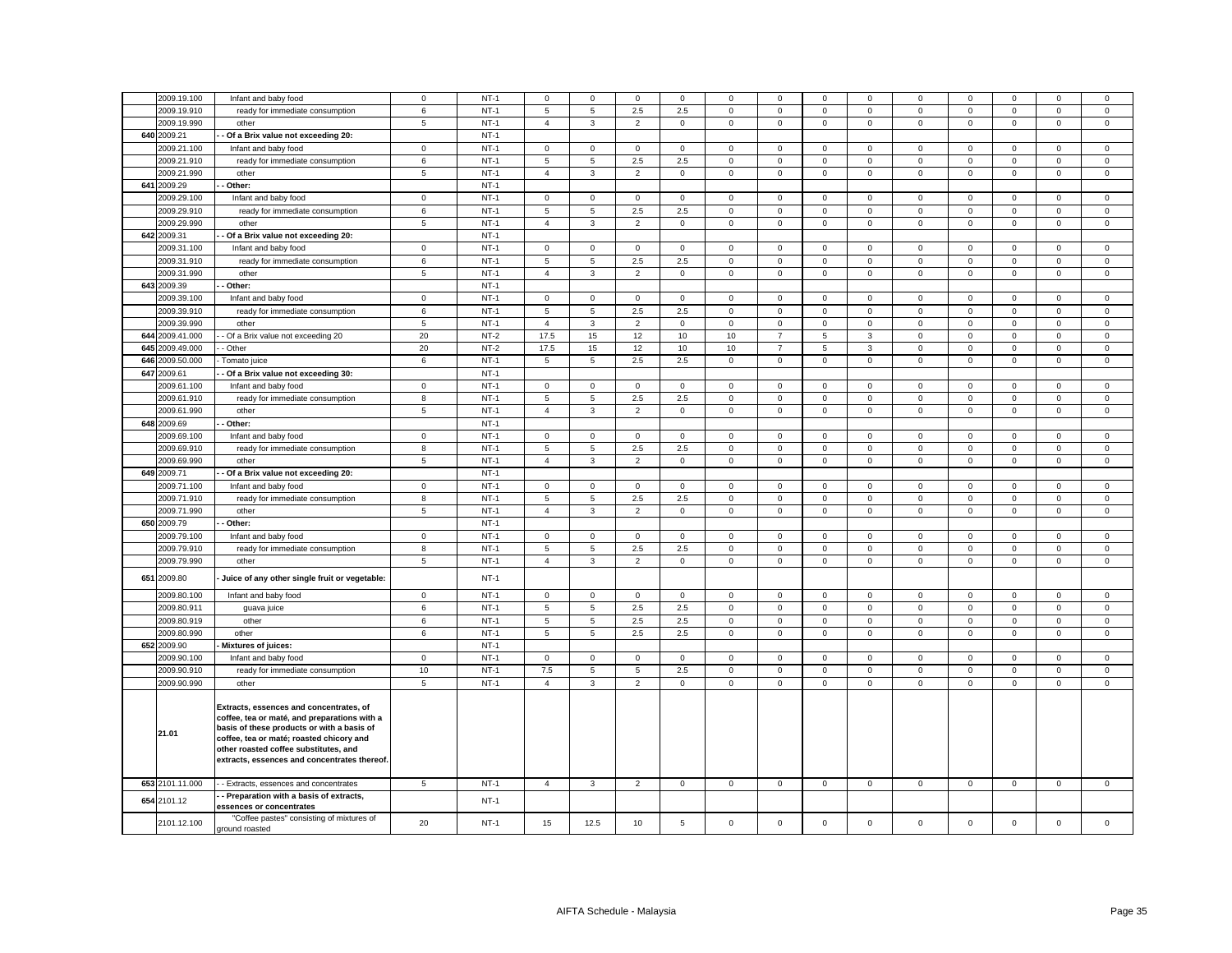|                 |                                                                                                                                                                                                                                                                            | $\mathbf 0$     |        | $\Omega$       |              | $\mathbf 0$    |                | $\Omega$     | $\Omega$       |                | $\Omega$     |              | $\Omega$     |              | $\Omega$    |             |
|-----------------|----------------------------------------------------------------------------------------------------------------------------------------------------------------------------------------------------------------------------------------------------------------------------|-----------------|--------|----------------|--------------|----------------|----------------|--------------|----------------|----------------|--------------|--------------|--------------|--------------|-------------|-------------|
| 2009.19.100     | Infant and baby food                                                                                                                                                                                                                                                       |                 | $NT-1$ |                | $\Omega$     |                | $\Omega$       |              |                | $\Omega$       |              | $\Omega$     |              | $\Omega$     |             | $\mathsf 0$ |
| 2009.19.910     | ready for immediate consumption                                                                                                                                                                                                                                            | 6               | $NT-1$ | 5              | 5            | 2.5            | 2.5            | $\mathsf 0$  | $\mathbf 0$    | $\mathsf 0$    | $\mathsf 0$  | $\mathbf 0$  | $\mathsf 0$  | $\mathsf 0$  | $\mathsf 0$ | $\mathsf 0$ |
| 2009.19.990     | other                                                                                                                                                                                                                                                                      | $5\overline{5}$ | $NT-1$ | $\overline{4}$ | $\mathbf{3}$ | $\overline{2}$ | $\mathsf 0$    | $\mathbf 0$  | $\mathsf 0$    | $\mathbf 0$    | $\mathbf 0$  | $\mathbf{0}$ | $\mathsf 0$  | $\mathbf 0$  | $\mathsf 0$ | $\mathsf 0$ |
| 640 2009.21     | Of a Brix value not exceeding 20:                                                                                                                                                                                                                                          |                 | $NT-1$ |                |              |                |                |              |                |                |              |              |              |              |             |             |
| 2009.21.100     | Infant and baby food                                                                                                                                                                                                                                                       | $\mathsf 0$     | $NT-1$ | $\mathbf 0$    | $\mathbf 0$  | $\mathsf 0$    | $\mathbf 0$    | $\mathsf 0$  | $\mathbf 0$    | $\mathbf 0$    | $\mathsf 0$  | 0            | $\mathbf 0$  | $\mathbf 0$  | $\mathsf 0$ | $\mathbf 0$ |
| 2009.21.910     | ready for immediate consumption                                                                                                                                                                                                                                            | 6               | $NT-1$ | 5              | 5            | 2.5            | 2.5            | $\mathbf 0$  | $\mathbf 0$    | $\mathbf{0}$   | $\mathbf 0$  | $\mathbf 0$  | $\mathbf{0}$ | $^{\circ}$   | $\mathbf 0$ | $\mathbf 0$ |
| 2009.21.990     | other                                                                                                                                                                                                                                                                      | 5               | $NT-1$ | $\overline{4}$ | $\mathbf{3}$ | $\overline{2}$ | $\mathsf 0$    | $\mathbf 0$  | $\mathsf 0$    | $\mathbf 0$    | $\mathsf 0$  | $\mathbf{0}$ | $\mathsf 0$  | $\mathsf 0$  | $\mathsf 0$ | $\mathsf 0$ |
| 641 2009.29     | Other:                                                                                                                                                                                                                                                                     |                 | $NT-1$ |                |              |                |                |              |                |                |              |              |              |              |             |             |
| 2009.29.100     | Infant and baby food                                                                                                                                                                                                                                                       | $\mathsf 0$     | $NT-1$ | $\mathbf 0$    | $\mathbf 0$  | $\mathsf 0$    | $\mathbf 0$    | 0            | $\mathbf 0$    | $\mathbf 0$    | $\mathbf 0$  | 0            | $\mathbf 0$  | $\mathbf 0$  | $\mathsf 0$ | $\mathbf 0$ |
| 2009.29.910     | ready for immediate consumption                                                                                                                                                                                                                                            | 6               | $NT-1$ | 5              | 5            | 2.5            | 2.5            | $\mathsf 0$  | $\mathsf 0$    | $\mathbf 0$    | $\mathsf 0$  | $\mathbf 0$  | $\mathsf 0$  | $\mathsf 0$  | $\mathsf 0$ | $\mathsf 0$ |
| 2009.29.990     | other                                                                                                                                                                                                                                                                      | $\overline{5}$  | $NT-1$ | $\overline{4}$ | $\mathbf{3}$ | $\overline{2}$ | $\mathbf 0$    | $\mathbf 0$  | $\mathbf 0$    | $\mathbf{0}$   | $\mathbf 0$  | $\mathsf 0$  | $\mathbf 0$  | $\mathbf 0$  | $\mathsf 0$ | $\mathsf 0$ |
| 642 2009.31     | - Of a Brix value not exceeding 20:                                                                                                                                                                                                                                        |                 | $NT-1$ |                |              |                |                |              |                |                |              |              |              |              |             |             |
| 2009.31.100     | Infant and baby food                                                                                                                                                                                                                                                       | $\mathbf 0$     | $NT-1$ | $\mathbf{0}$   | $\mathbf 0$  | $\mathbf 0$    | $\mathbf 0$    | $\mathbf 0$  | $\mathbf 0$    | $\mathbf 0$    | $\mathbf 0$  | $\mathbf 0$  | $\mathbf 0$  | $\mathbf 0$  | $\mathbf 0$ | $\mathsf 0$ |
| 2009.31.910     |                                                                                                                                                                                                                                                                            |                 | $NT-1$ |                |              |                |                |              |                |                |              |              |              |              |             |             |
|                 | ready for immediate consumption                                                                                                                                                                                                                                            | 6               |        | 5              | 5            | 2.5            | 2.5            | 0            | $\mathbf 0$    | $\mathbf 0$    | $\mathbf 0$  | 0            | $\mathbf 0$  | $\mathbf 0$  | 0           | $\mathbf 0$ |
| 2009.31.990     | other                                                                                                                                                                                                                                                                      | $\overline{5}$  | $NT-1$ | $\overline{4}$ | $\mathbf{3}$ | $\overline{2}$ | $\mathsf 0$    | $\mathbf 0$  | $\mathbf 0$    | $\mathbf 0$    | $\mathbf 0$  | $\mathsf 0$  | $\mathbf 0$  | $\mathbf 0$  | $\mathsf 0$ | $\mathsf 0$ |
| 643 2009.39     | Other:                                                                                                                                                                                                                                                                     |                 | $NT-1$ |                |              |                |                |              |                |                |              |              |              |              |             |             |
| 2009.39.100     | Infant and baby food                                                                                                                                                                                                                                                       | $\mathbf 0$     | $NT-1$ | $\mathbf 0$    | $\mathbf 0$  | $\mathsf 0$    | $\mathbf 0$    | 0            | $\mathbf 0$    | $\mathbf 0$    | $\mathbf 0$  | 0            | $\mathbf 0$  | $\mathbf 0$  | $\mathsf 0$ | $\mathbf 0$ |
| 2009.39.910     | ready for immediate consumption                                                                                                                                                                                                                                            | 6               | $NT-1$ | 5              | 5            | 2.5            | 2.5            | $\mathbf{0}$ | $\mathbf 0$    | $\mathbf{O}$   | $\mathbf 0$  | $\mathsf 0$  | $\mathbf 0$  | $\mathbf 0$  | $\mathsf 0$ | $\mathsf 0$ |
| 2009.39.990     | other                                                                                                                                                                                                                                                                      | $5\overline{5}$ | $NT-1$ | $\overline{4}$ | $\mathbf{3}$ | $\overline{2}$ | $\mathsf 0$    | $\mathbf 0$  | $\mathsf 0$    | $\mathbf 0$    | $\mathbf 0$  | $\mathbf{0}$ | $\mathsf 0$  | $\mathsf 0$  | $\mathsf 0$ | $\mathsf 0$ |
| 644 2009.41.000 | - Of a Brix value not exceeding 20                                                                                                                                                                                                                                         | 20              | $NT-2$ | 17.5           | 15           | 12             | 10             | 10           | $\overline{7}$ | 5              | $\mathbf{3}$ | $\mathbf 0$  | $\mathbf 0$  | $\mathbf 0$  | $\mathbf 0$ | $\mathsf 0$ |
| 645 2009.49.000 | - Other                                                                                                                                                                                                                                                                    | 20              | $NT-2$ | 17.5           | 15           | 12             | 10             | 10           | $\overline{7}$ | 5              | $\mathbf{3}$ | 0            | $\mathbf{0}$ | $^{\circ}$   | $\mathbf 0$ | $\mathsf 0$ |
| 646 2009.50.000 | Tomato juice                                                                                                                                                                                                                                                               | 6               | $NT-1$ | 5              | 5            | $2.5\,$        | 2.5            | $\mathbf 0$  | $\mathsf 0$    | $\overline{0}$ | $\mathsf 0$  | $\mathsf 0$  | $\mathsf 0$  | $\mathbf 0$  | $\mathsf 0$ | $\mathsf 0$ |
| 647 2009.61     | Of a Brix value not exceeding 30:                                                                                                                                                                                                                                          |                 | $NT-1$ |                |              |                |                |              |                |                |              |              |              |              |             |             |
| 2009.61.100     | Infant and baby food                                                                                                                                                                                                                                                       | $\mathbf 0$     | $NT-1$ | $\mathbf{0}$   | $\mathbf 0$  | $\mathsf 0$    | $\mathbf 0$    | $\mathbf 0$  | $\mathsf 0$    | $\mathbf 0$    | $\mathbf 0$  | $\mathbf 0$  | $\mathsf 0$  | $\mathsf 0$  | $\mathbf 0$ | $\mathsf 0$ |
| 2009.61.910     | ready for immediate consumption                                                                                                                                                                                                                                            | 8               | $NT-1$ | 5              | 5            | 2.5            | 2.5            | $\mathsf 0$  | $\mathbf 0$    | $\mathbf 0$    | $\mathsf 0$  | $\mathsf 0$  | $\mathbf 0$  | $\mathbf 0$  | $\mathsf 0$ | $\mathsf 0$ |
| 2009.61.990     | other                                                                                                                                                                                                                                                                      | 5               | $NT-1$ | $\overline{4}$ | 3            | $\overline{2}$ | 0              | 0            | $\mathbf 0$    | $\mathbf{0}$   | $\mathbf 0$  | $\mathsf 0$  | $\mathbf 0$  | $\mathbf 0$  | $\mathsf 0$ | $\mathbf 0$ |
| 648 2009.69     | Other:                                                                                                                                                                                                                                                                     |                 | $NT-1$ |                |              |                |                |              |                |                |              |              |              |              |             |             |
| 2009.69.100     | Infant and baby food                                                                                                                                                                                                                                                       | $\mathbf 0$     | $NT-1$ | $\mathbf 0$    | $\mathbf 0$  | $\mathbf 0$    | $\mathbf 0$    | $\mathbf 0$  | $\mathbf 0$    | $\mathbf 0$    | $\mathbf 0$  | $\Omega$     | $\mathbf 0$  | $\mathbf 0$  | $\mathbf 0$ | $\mathsf 0$ |
| 2009.69.910     | ready for immediate consumption                                                                                                                                                                                                                                            | 8               | $NT-1$ | 5              | 5            | 2.5            | 2.5            | $\mathsf 0$  | $\mathsf 0$    | $\mathsf 0$    | $\,0\,$      | $\mathbf 0$  | $\mathsf 0$  | $\mathsf 0$  | $\mathsf 0$ | $\mathsf 0$ |
| 2009.69.990     | other                                                                                                                                                                                                                                                                      | 5               | $NT-1$ | $\overline{4}$ | $\mathbf{3}$ | $\overline{2}$ | $\mathbf 0$    | $\mathbf 0$  | $\mathsf 0$    | $\mathbf 0$    | $\mathbf 0$  | $\mathsf 0$  | $\mathsf 0$  | $\mathbf 0$  | $\mathbf 0$ | $\mathsf 0$ |
| 649 2009.71     | Of a Brix value not exceeding 20:                                                                                                                                                                                                                                          |                 | $NT-1$ |                |              |                |                |              |                |                |              |              |              |              |             |             |
| 2009.71.100     | Infant and baby food                                                                                                                                                                                                                                                       | $\mathbf 0$     | $NT-1$ | $\mathsf 0$    | $\Omega$     | $\mathbf 0$    | $\mathbf 0$    | $\mathbf 0$  | $\mathbf 0$    | $\mathbf 0$    | $\mathbf 0$  | $\Omega$     | $\mathbf 0$  | $\mathbf 0$  | $\mathbf 0$ | $\mathsf 0$ |
| 2009.71.910     |                                                                                                                                                                                                                                                                            | 8               | $NT-1$ | 5              | 5            |                | 2.5            | $\mathbf 0$  | $\mathbf 0$    |                | $\mathsf 0$  | $\mathsf 0$  | $\mathbf 0$  | $\mathbf 0$  | $\mathbf 0$ | $\mathsf 0$ |
|                 | ready for immediate consumption                                                                                                                                                                                                                                            |                 |        |                |              | 2.5            |                |              |                | $\mathsf 0$    |              |              |              |              |             |             |
| 2009.71.990     | other                                                                                                                                                                                                                                                                      | $\overline{5}$  | $NT-1$ | $\overline{4}$ | $\mathbf{3}$ | $\overline{2}$ | $\mathsf 0$    | $\mathbf 0$  | $\mathsf 0$    | $\mathbf 0$    | $\mathbf 0$  | $\mathbf 0$  | $\mathsf 0$  | $\mathbf 0$  | $\mathbf 0$ | $\mathsf 0$ |
| 650 2009.79     | Other:                                                                                                                                                                                                                                                                     |                 | $NT-1$ |                |              |                |                |              |                |                |              |              |              |              |             |             |
| 2009.79.100     | Infant and baby food                                                                                                                                                                                                                                                       | $\mathbf 0$     | $NT-1$ | $\mathbf{O}$   | $\mathbf 0$  | $\mathbf 0$    | $\mathbf 0$    | $\mathbf 0$  | $\mathbf 0$    | $\mathbf 0$    | $\mathbf{0}$ | $\mathbf 0$  | $\mathbf 0$  | $\mathbf 0$  | $\mathbf 0$ | $\mathbf 0$ |
| 2009.79.910     | ready for immediate consumption                                                                                                                                                                                                                                            | 8               | $NT-1$ | 5              | 5            | 2.5            | 2.5            | $\mathsf 0$  | $\mathbf 0$    | $\mathbf 0$    | $\mathsf 0$  | $\mathbf 0$  | $\mathbf 0$  | $\mathbf 0$  | $\mathsf 0$ | $\mathsf 0$ |
| 2009.79.990     | other                                                                                                                                                                                                                                                                      | 5               | $NT-1$ | $\overline{4}$ | 3            | $\overline{2}$ | $\mathbf 0$    | $\mathbf 0$  | $\mathsf 0$    | $\mathbf 0$    | $\mathbf 0$  | $\mathsf 0$  | $\mathsf 0$  | $\mathsf 0$  | $\mathsf 0$ | $\mathbf 0$ |
| 651 2009.80     | Juice of any other single fruit or vegetable:                                                                                                                                                                                                                              |                 | $NT-1$ |                |              |                |                |              |                |                |              |              |              |              |             |             |
| 2009.80.100     | Infant and baby food                                                                                                                                                                                                                                                       | $\circ$         | $NT-1$ | $\circ$        | $\mathbf 0$  | $\mathbf 0$    | $\mathbf{0}$   | $\mathbf 0$  | $\mathbf 0$    | $\mathbf 0$    | $\mathbf{0}$ | $\mathbf 0$  | $\mathbf 0$  | $\mathbf 0$  | $\mathbf 0$ | $\mathbf 0$ |
| 2009.80.911     | guava juice                                                                                                                                                                                                                                                                | 6               | $NT-1$ | 5              | 5            | 2.5            | 2.5            | $\mathbf 0$  | $\mathbf 0$    | $\mathbf{0}$   | $\mathbf{0}$ | $\mathbf{0}$ | $\mathbf 0$  | $\mathbf 0$  | $\mathbf 0$ | $\mathsf 0$ |
| 2009.80.919     | other                                                                                                                                                                                                                                                                      | 6               | $NT-1$ | 5              | 5            | 2.5            | 2.5            | $\mathbf 0$  | $\mathsf 0$    | $\mathbf{O}$   | $\mathbf 0$  | $\mathbf 0$  | $\mathbf 0$  | $\mathbf{0}$ | $\mathbf 0$ | $\mathbf 0$ |
| 2009.80.990     | other                                                                                                                                                                                                                                                                      | 6               | $NT-1$ | 5              | 5            | 2.5            | 2.5            | $\mathbf 0$  | $\mathbf 0$    | $\mathbf 0$    | $\mathbf 0$  | $\mathbf{0}$ | $\mathbf 0$  | $\mathbf 0$  | $\mathbf 0$ | $\mathbf 0$ |
| 652 2009.90     | Mixtures of juices:                                                                                                                                                                                                                                                        |                 | $NT-1$ |                |              |                |                |              |                |                |              |              |              |              |             |             |
| 2009.90.100     | Infant and baby food                                                                                                                                                                                                                                                       | $\mathbf 0$     | $NT-1$ | $\mathbf{0}$   | $\mathbf 0$  | $\mathbf 0$    | $\mathbf{0}$   | $\mathbf 0$  | $\mathbf 0$    | $\mathbf 0$    | $\mathbf{0}$ | $\mathbf 0$  | $\mathbf 0$  | $\mathbf 0$  | $\mathbf 0$ | $\mathsf 0$ |
| 2009.90.910     | ready for immediate consumption                                                                                                                                                                                                                                            | 10              | $NT-1$ | $7.5\,$        | 5            | 5              | 2.5            | $\mathbf 0$  | $\mathsf 0$    | $\mathbf 0$    | $\mathbf 0$  | $\mathsf 0$  | $\mathsf 0$  | $\mathsf 0$  | $\mathsf 0$ | $\mathsf 0$ |
| 2009.90.990     | other                                                                                                                                                                                                                                                                      | 5               | $NT-1$ | $\overline{4}$ | $\mathbf{3}$ | $\overline{2}$ | $\mathsf 0$    | $\mathbf 0$  | $\mathsf 0$    | $\mathbf 0$    | $\mathbf 0$  | $\mathsf 0$  | $\mathsf 0$  | $\mathbf 0$  | $\mathsf 0$ | $\mathsf 0$ |
| 21.01           | Extracts, essences and concentrates, of<br>coffee, tea or maté, and preparations with a<br>basis of these products or with a basis of<br>coffee, tea or maté; roasted chicory and<br>other roasted coffee substitutes, and<br>extracts, essences and concentrates thereof. |                 |        |                |              |                |                |              |                |                |              |              |              |              |             |             |
| 653 2101.11.000 | - Extracts, essences and concentrates                                                                                                                                                                                                                                      | $\,$ 5 $\,$     | $NT-1$ | $\overline{4}$ | $\mathbf{3}$ | $\overline{2}$ | $\mathsf 0$    | $\mathsf 0$  | $\mathbf 0$    | $\mathbf 0$    | $\mathbf 0$  | $\mathsf 0$  | $\mathbf 0$  | $\mathsf 0$  | $\mathsf 0$ | $\mathsf 0$ |
| 654 2101.12     | - Preparation with a basis of extracts,                                                                                                                                                                                                                                    |                 | $NT-1$ |                |              |                |                |              |                |                |              |              |              |              |             |             |
| 2101.12.100     | essences or concentrates<br>"Coffee pastes" consisting of mixtures of                                                                                                                                                                                                      | 20              | $NT-1$ | 15             | 12.5         | 10             | $\overline{5}$ | $\mathsf 0$  | $\mathbf 0$    | $\mathsf 0$    | $\mathsf 0$  | $\mathbf 0$  | $\mathbf 0$  | $\mathsf 0$  | $\mathsf 0$ | $\mathsf 0$ |
|                 | ground roasted                                                                                                                                                                                                                                                             |                 |        |                |              |                |                |              |                |                |              |              |              |              |             |             |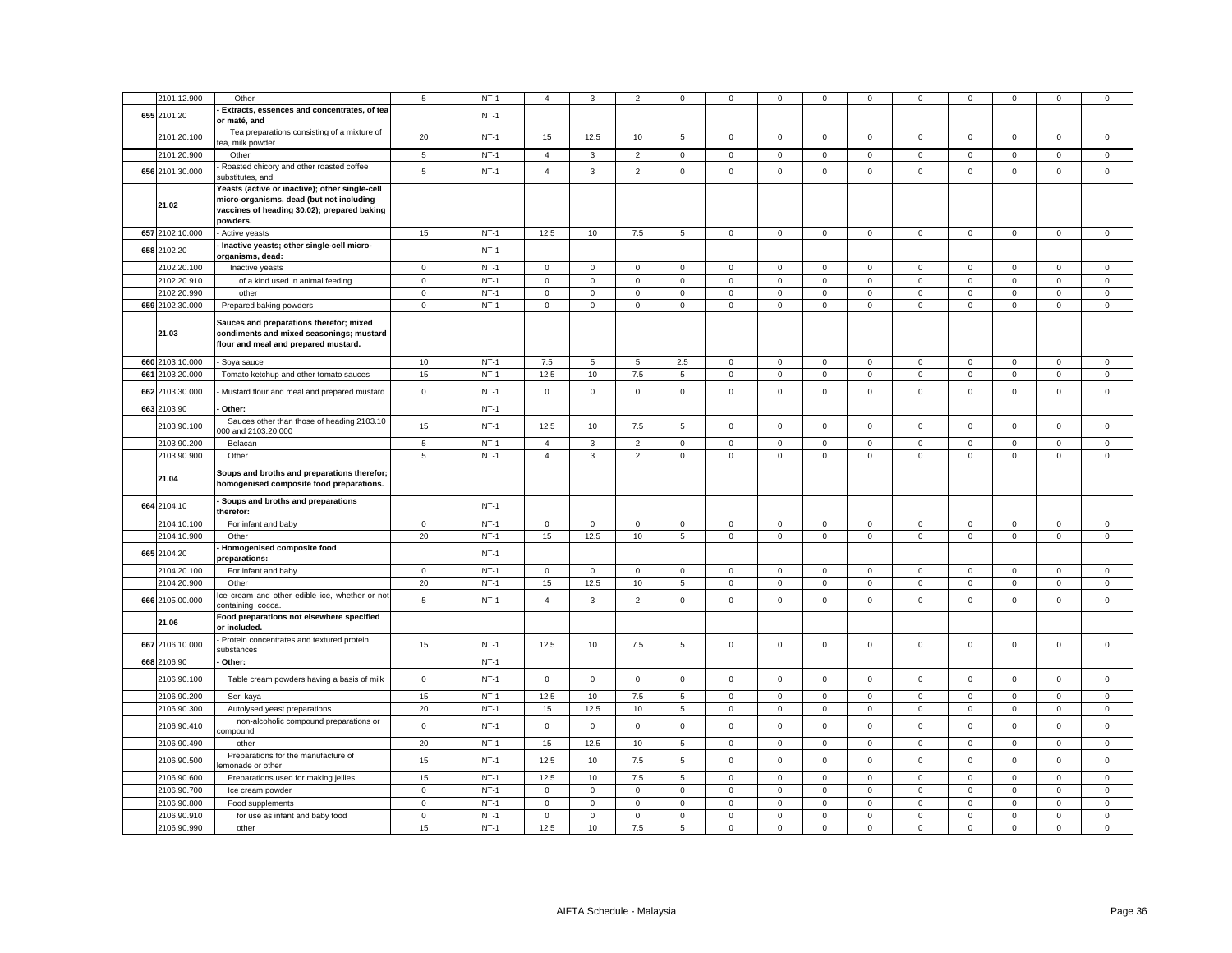|     | 2101.12.900                | Other                                          | 5                 | $NT-1$           | $\overline{4}$      | 3                   | $\overline{c}$         | 0                | 0                   | $\mathbf 0$ | $\mathbf 0$                | $\mathbf 0$            | 0                          | $\mathbf 0$ | $\mathbf 0$  | $\mathsf 0$         | $\mathsf 0$      |
|-----|----------------------------|------------------------------------------------|-------------------|------------------|---------------------|---------------------|------------------------|------------------|---------------------|-------------|----------------------------|------------------------|----------------------------|-------------|--------------|---------------------|------------------|
|     | 655 2101.20                | - Extracts, essences and concentrates, of tea  |                   | $NT-1$           |                     |                     |                        |                  |                     |             |                            |                        |                            |             |              |                     |                  |
|     |                            | or maté, and                                   |                   |                  |                     |                     |                        |                  |                     |             |                            |                        |                            |             |              |                     |                  |
|     |                            | Tea preparations consisting of a mixture of    |                   |                  |                     |                     |                        |                  |                     |             |                            |                        |                            |             |              |                     |                  |
|     | 2101.20.100                | ea, milk powder                                | 20                | $NT-1$           | 15                  | 12.5                | 10                     | 5                | 0                   | $\mathsf 0$ | $\mathbf 0$                | $\mathsf 0$            | $\mathbf 0$                | $\mathbf 0$ | $\mathbf 0$  | $\mathsf 0$         | $\mathsf 0$      |
|     | 2101.20.900                | Other                                          | 5                 | $NT-1$           | $\overline{4}$      | $\mathbf{3}$        | $\overline{2}$         | $\mathsf 0$      | $\mathbf 0$         | $\mathsf 0$ | $\mathbf 0$                | $\mathbf 0$            | $\mathbf 0$                | $\mathsf 0$ | $\mathbf 0$  | $\mathbf 0$         | $\mathsf 0$      |
|     |                            | Roasted chicory and other roasted coffee       |                   |                  |                     |                     |                        |                  |                     |             |                            |                        |                            |             |              |                     |                  |
|     | 656 2101.30.000            | ubstitutes, and                                | 5                 | $NT-1$           | $\overline{4}$      | 3                   | $\overline{2}$         | $\mathsf 0$      | 0                   | $\mathsf 0$ | $\mathsf 0$                | $\mathsf 0$            | $\mathsf 0$                | $\mathbf 0$ | $\mathsf 0$  | $\mathsf 0$         | $\mathsf 0$      |
|     |                            |                                                |                   |                  |                     |                     |                        |                  |                     |             |                            |                        |                            |             |              |                     |                  |
|     |                            | Yeasts (active or inactive); other single-cell |                   |                  |                     |                     |                        |                  |                     |             |                            |                        |                            |             |              |                     |                  |
|     | 21.02                      | micro-organisms, dead (but not including       |                   |                  |                     |                     |                        |                  |                     |             |                            |                        |                            |             |              |                     |                  |
|     |                            | vaccines of heading 30.02); prepared baking    |                   |                  |                     |                     |                        |                  |                     |             |                            |                        |                            |             |              |                     |                  |
|     |                            | powders.                                       |                   |                  |                     |                     |                        |                  |                     |             |                            |                        |                            |             |              |                     |                  |
|     | 657 2102.10.000            | Active yeasts                                  | 15                | $NT-1$           | 12.5                | 10                  | 7.5                    | $\overline{5}$   | 0                   | $\mathsf 0$ | $\mathbf 0$                | $\mathbf 0$            | $\mathsf{O}\xspace$        | $\mathbf 0$ | $\mathsf 0$  | $\mathsf 0$         | $\mathsf 0$      |
|     |                            | Inactive yeasts; other single-cell micro-      |                   |                  |                     |                     |                        |                  |                     |             |                            |                        |                            |             |              |                     |                  |
|     | 658 2102.20                | organisms, dead:                               |                   | $NT-1$           |                     |                     |                        |                  |                     |             |                            |                        |                            |             |              |                     |                  |
|     | 2102.20.100                | Inactive yeasts                                | $\mathbf 0$       | $NT-1$           | $\mathbf 0$         | $\mathbf 0$         | $\mathbf 0$            | $\Omega$         | 0                   | $\mathbf 0$ | $\Omega$                   | $\mathbf 0$            | 0                          | $\mathbf 0$ | $\mathbf 0$  | $\mathbf 0$         | $\mathbf 0$      |
|     | 2102.20.910                | of a kind used in animal feeding               | $\mathsf 0$       | $NT-1$           | $\mathsf 0$         | $\mathsf 0$         | $\mathbf 0$            | $\mathsf 0$      | $\mathsf{O}\xspace$ | $\mathsf 0$ | $\mathsf 0$                | $\mathsf 0$            | $\mathsf 0$                | $\mathbf 0$ | $\mathsf 0$  | $\mathbf 0$         | $\mathsf 0$      |
|     |                            |                                                |                   | $NT-1$           |                     |                     |                        |                  |                     |             |                            |                        |                            |             |              |                     |                  |
|     | 2102.20.990                | other                                          | $\mathbf 0$       |                  | $\mathbf 0$         | $\mathsf 0$         | $\mathsf 0$            | $\mathsf 0$      | $\mathbf 0$         | $\mathsf 0$ | $\mathbf 0$                | $\mathsf 0$            | $\mathsf 0$                | $\mathsf 0$ | $\mathbf 0$  | $\mathsf 0$         | $\mathsf 0$      |
|     | 659 2102.30.000            | - Prepared baking powders                      | $\mathbf 0$       | $NT-1$           | $\mathbf 0$         | $\mathsf 0$         | $\mathbf 0$            | $\mathsf 0$      | 0                   | $\mathsf 0$ | $\mathbf 0$                | $\mathbf 0$            | $\mathbf 0$                | $\pmb{0}$   | $\mathbf 0$  | $\mathbf 0$         | $\mathsf 0$      |
|     |                            |                                                |                   |                  |                     |                     |                        |                  |                     |             |                            |                        |                            |             |              |                     |                  |
|     | 21.03                      | Sauces and preparations therefor; mixed        |                   |                  |                     |                     |                        |                  |                     |             |                            |                        |                            |             |              |                     |                  |
|     |                            | condiments and mixed seasonings; mustard       |                   |                  |                     |                     |                        |                  |                     |             |                            |                        |                            |             |              |                     |                  |
|     |                            | flour and meal and prepared mustard.           |                   |                  |                     |                     |                        |                  |                     |             |                            |                        |                            |             |              |                     |                  |
|     | 660 2103.10.000            | - Soya sauce                                   | 10                | $NT-1$           | 7.5                 | 5                   | 5                      | 2.5              | $\mathbf{0}$        | $\mathbf 0$ | $\mathbf 0$                | $\mathsf 0$            | $\mathbf 0$                | $\mathbf 0$ | $\mathbf 0$  | $\mathbf{0}$        | $\mathsf 0$      |
| 661 | 2103.20.000                | - Tomato ketchup and other tomato sauces       | 15                | $NT-1$           | 12.5                | 10                  | 7.5                    | 5                | $\mathsf 0$         | $\mathsf 0$ | $\mathbf 0$                | $\mathbf 0$            | $\mathsf{O}\xspace$        | $\mathsf 0$ | $\mathbf 0$  | $\mathsf 0$         | $\mathsf 0$      |
|     |                            |                                                |                   |                  |                     |                     |                        |                  |                     |             |                            |                        |                            |             |              |                     |                  |
| 662 | 2103.30.000                | Mustard flour and meal and prepared mustard    | $\mathsf 0$       | $NT-1$           | $\mathsf 0$         | $\mathbf 0$         | $\mathsf 0$            | $\mathbf 0$      | 0                   | $\mathbf 0$ | $\mathbf 0$                | $\mathsf 0$            | $\mathbf 0$                | $\mathbf 0$ | $\mathbf 0$  | $\mathsf 0$         | $\mathsf 0$      |
|     |                            |                                                |                   |                  |                     |                     |                        |                  |                     |             |                            |                        |                            |             |              |                     |                  |
|     | 663 2103.90                | Other:                                         |                   | $NT-1$           |                     |                     |                        |                  |                     |             |                            |                        |                            |             |              |                     |                  |
|     | 2103.90.100                | Sauces other than those of heading 2103.10     | 15                | $NT-1$           | 12.5                | 10                  | 7.5                    | 5                | $\mathbf{0}$        | $\mathbf 0$ | $\mathbf 0$                | $\mathsf 0$            | $\mathbf 0$                | $\mathbf 0$ | $\mathbf 0$  | $\mathbf 0$         | $\mathbf 0$      |
|     |                            | 00 and 2103.20 000                             |                   |                  |                     |                     |                        |                  |                     |             |                            |                        |                            |             |              |                     |                  |
|     | 2103.90.200                | Belacan                                        | 5                 | $NT-1$           | $\overline{4}$      | 3                   | $\overline{2}$         | $\mathbf 0$      | 0                   | $\mathbf 0$ | 0                          | $\mathbf 0$            | $\mathbf 0$                | $\mathbf 0$ | $\mathbf 0$  | $\mathbf 0$         | $\mathbf 0$      |
|     | 2103.90.900                | Other                                          | $\,$ 5 $\,$       | $NT-1$           | $\overline{4}$      | $\mathbf{3}$        | $\overline{2}$         | $\mathsf 0$      | $\mathbf 0$         | $\mathbf 0$ | $\mathsf 0$                | $\mathsf 0$            | $\mathsf 0$                | $\mathbf 0$ | $\mathsf 0$  | $\mathsf 0$         | $\mathsf 0$      |
|     |                            |                                                |                   |                  |                     |                     |                        |                  |                     |             |                            |                        |                            |             |              |                     |                  |
|     |                            | Soups and broths and preparations therefor;    |                   |                  |                     |                     |                        |                  |                     |             |                            |                        |                            |             |              |                     |                  |
|     |                            |                                                |                   |                  |                     |                     |                        |                  |                     |             |                            |                        |                            |             |              |                     |                  |
|     | 21.04                      |                                                |                   |                  |                     |                     |                        |                  |                     |             |                            |                        |                            |             |              |                     |                  |
|     |                            | homogenised composite food preparations.       |                   |                  |                     |                     |                        |                  |                     |             |                            |                        |                            |             |              |                     |                  |
|     |                            | Soups and broths and preparations              |                   |                  |                     |                     |                        |                  |                     |             |                            |                        |                            |             |              |                     |                  |
|     | 664 2104.10                | therefor:                                      |                   | $NT-1$           |                     |                     |                        |                  |                     |             |                            |                        |                            |             |              |                     |                  |
|     | 2104.10.100                | For infant and baby                            | $\mathbf 0$       | $NT-1$           | $\mathbf 0$         | $\circ$             | $\mathsf 0$            | $\mathbf 0$      | 0                   | $\mathsf 0$ | 0                          | $\mathbf 0$            | $\mathsf{O}\xspace$        | $\mathbf 0$ | $\mathsf 0$  | $\mathsf{O}\xspace$ | $\mathsf 0$      |
|     |                            |                                                |                   |                  |                     |                     |                        |                  |                     |             |                            |                        |                            |             |              |                     |                  |
|     | 2104.10.900                | Other                                          | 20                | $NT-1$           | 15                  | 12.5                | 10                     | 5                | 0                   | $\mathsf 0$ | $\mathbf 0$                | $\mathbf 0$            | $\mathsf 0$                | $\mathsf 0$ | $\mathsf 0$  | $\mathsf 0$         | $\mathsf 0$      |
|     | 665 2104.20                | Homogenised composite food                     |                   | $NT-1$           |                     |                     |                        |                  |                     |             |                            |                        |                            |             |              |                     |                  |
|     |                            | oreparations:                                  |                   |                  |                     |                     |                        |                  |                     |             |                            |                        |                            |             |              |                     |                  |
|     | 2104.20.100                | For infant and baby                            | $\mathbf 0$       | $NT-1$           | $\mathsf 0$         | $\mathsf 0$         | $\mathbf 0$            | $\mathsf 0$      | 0                   | $\mathsf 0$ | $\mathbf 0$                | $\,0\,$                | $\mathbf 0$                | $\mathbf 0$ | $\mathsf 0$  | $\mathbf 0$         | 0                |
|     | 2104.20.900                | Other                                          | 20                | $NT-1$           | 15                  | 12.5                | 10 <sub>1</sub>        | 5                | 0                   | $\mathsf 0$ | $\mathbf 0$                | $\mathbf 0$            | $\mathsf 0$                | $\mathbf 0$ | $\mathsf 0$  | $\mathsf 0$         | $\mathsf 0$      |
|     |                            | ce cream and other edible ice, whether or not  |                   |                  |                     |                     |                        |                  |                     |             |                            |                        |                            |             |              |                     |                  |
|     | 666 2105.00.000            | containing cocoa.                              | $\,$ 5 $\,$       | $NT-1$           | $\overline{4}$      | $\mathbf{3}$        | $\overline{2}$         | $\mathsf 0$      | $\mathsf 0$         | $\mathsf 0$ | $\mathsf 0$                | $\mathsf 0$            | $\mathsf 0$                | $\mathbf 0$ | $\mathsf 0$  | $\mathsf 0$         | $\mathsf 0$      |
|     |                            | Food preparations not elsewhere specified      |                   |                  |                     |                     |                        |                  |                     |             |                            |                        |                            |             |              |                     |                  |
|     | 21.06                      | or included.                                   |                   |                  |                     |                     |                        |                  |                     |             |                            |                        |                            |             |              |                     |                  |
|     |                            |                                                |                   |                  |                     |                     |                        |                  |                     |             |                            |                        |                            |             |              |                     |                  |
|     | 667 2106.10.000            | - Protein concentrates and textured protein    | 15                | $NT-1$           | 12.5                | 10                  | 7.5                    | $\overline{5}$   | $\mathbf 0$         | $\mathsf 0$ | $\mathbf 0$                | $\mathsf 0$            | $\mathsf 0$                | $\mathbf 0$ | $\mathsf 0$  | $\mathsf 0$         | $\mathsf 0$      |
|     |                            | substances                                     |                   |                  |                     |                     |                        |                  |                     |             |                            |                        |                            |             |              |                     |                  |
|     | 668 2106.90                | Other:                                         |                   | $NT-1$           |                     |                     |                        |                  |                     |             |                            |                        |                            |             |              |                     |                  |
|     | 2106.90.100                | Table cream powders having a basis of milk     | $\mathsf 0$       | $NT-1$           | $\mathsf 0$         | $\mathsf 0$         | $\mathsf 0$            | $\mathsf 0$      | 0                   | $\mathsf 0$ | $\mathsf 0$                | $\mathbf 0$            | $\mathsf 0$                | $\mathbf 0$ | $\mathbf 0$  | $\mathsf 0$         | $\mathsf 0$      |
|     |                            |                                                |                   |                  |                     |                     |                        |                  |                     |             |                            |                        |                            |             |              |                     |                  |
|     | 2106.90.200                | Seri kaya                                      | 15                | $NT-1$           | 12.5                | 10                  | 7.5                    | 5                | 0                   | $\mathsf 0$ | $\mathsf 0$                | $\mathsf 0$            | $\mathsf 0$                | $\mathbf 0$ | $\mathsf 0$  | $\mathsf 0$         | $\mathsf 0$      |
|     | 2106.90.300                | Autolysed yeast preparations                   | 20                | $NT-1$           | 15                  | 12.5                | 10                     | 5                | 0                   | $\mathbf 0$ | $\mathbf 0$                | $\mathbf 0$            | $\mathbf 0$                | $\mathbf 0$ | $\mathbf{0}$ | $\mathbf 0$         | $\mathbf 0$      |
|     |                            | non-alcoholic compound preparations or         |                   |                  |                     |                     |                        |                  |                     |             |                            |                        |                            |             |              |                     |                  |
|     | 2106.90.410                | ompound                                        | $\mathbf 0$       | $NT-1$           | $\mathbf 0$         | $\mathsf 0$         | $\mathbf 0$            | $\mathbf 0$      | $\mathbf{0}$        | $\mathbf 0$ | $\mathbf 0$                | $\mathbf 0$            | $\mathbf 0$                | $\mathbf 0$ | $\mathbf 0$  | $\mathbf 0$         | $\mathsf 0$      |
|     |                            |                                                |                   |                  |                     |                     |                        |                  |                     |             |                            |                        |                            |             |              |                     |                  |
|     | 2106.90.490                | other                                          | 20                | $NT-1$           | 15                  | 12.5                | 10                     | 5                | 0                   | $\mathbf 0$ | $\mathbf 0$                | $\mathbf{0}$           | $\mathbf{0}$               | $\mathsf 0$ | $\mathbf 0$  | $\mathbf 0$         | $\mathsf 0$      |
|     | 2106.90.500                | Preparations for the manufacture of            | 15                | $NT-1$           | 12.5                | 10                  | 7.5                    | $\mathbf 5$      | $\mathbf 0$         | $\mathsf 0$ | $\mathsf 0$                | $\mathsf 0$            | $\mathsf 0$                | $\mathsf 0$ | $\mathsf 0$  | $\mathsf 0$         | $\mathsf 0$      |
|     |                            | monade or other                                |                   |                  |                     |                     |                        |                  |                     |             |                            |                        |                            |             |              |                     |                  |
|     | 2106.90.600                | Preparations used for making jellies           | 15                | $NT-1$           | 12.5                | 10                  | 7.5                    | 5                | 0                   | 0           | 0                          | 0                      | 0                          | 0           | 0            | 0                   | 0                |
|     | 2106.90.700                | Ice cream powder                               | $\mathbf 0$       | $NT-1$           | $\mathsf 0$         | $\mathsf{O}\xspace$ | 0                      | $\mathsf 0$      | 0                   | $\mathsf 0$ | $\,0\,$                    | $\mathbf 0$            | $\mathsf 0$                | $\mathbf 0$ | $\mathsf 0$  | $\mathsf 0$         | $\mathbf 0$      |
|     | 2106.90.800                | Food supplements                               | $\mathsf 0$       | $NT-1$           | $\mathsf 0$         | $\mathbf 0$         | $\mathsf 0$            | $\mathsf 0$      | 0                   | $\mathsf 0$ | $\mathbf 0$                | $\mathbf 0$            | $\mathbf 0$                | $\mathsf 0$ | $\mathsf 0$  | $\mathsf 0$         | $\mathbf 0$      |
|     |                            |                                                |                   |                  |                     |                     |                        |                  |                     | $\Omega$    |                            |                        |                            | $\Omega$    | $\Omega$     |                     |                  |
|     | 2106.90.910<br>2106.90.990 | for use as infant and baby food<br>other       | $\mathbf 0$<br>15 | $NT-1$<br>$NT-1$ | $\mathsf 0$<br>12.5 | $\mathsf 0$<br>10   | $\mathsf 0$<br>$7.5\,$ | $\mathsf 0$<br>5 | 0<br>0              | $\mathsf 0$ | $\mathbf 0$<br>$\mathbf 0$ | $\mathbf 0$<br>$\,0\,$ | $\mathbf 0$<br>$\mathsf 0$ | $\mathsf 0$ | 0            | $\mathsf 0$<br>0    | 0<br>$\mathsf 0$ |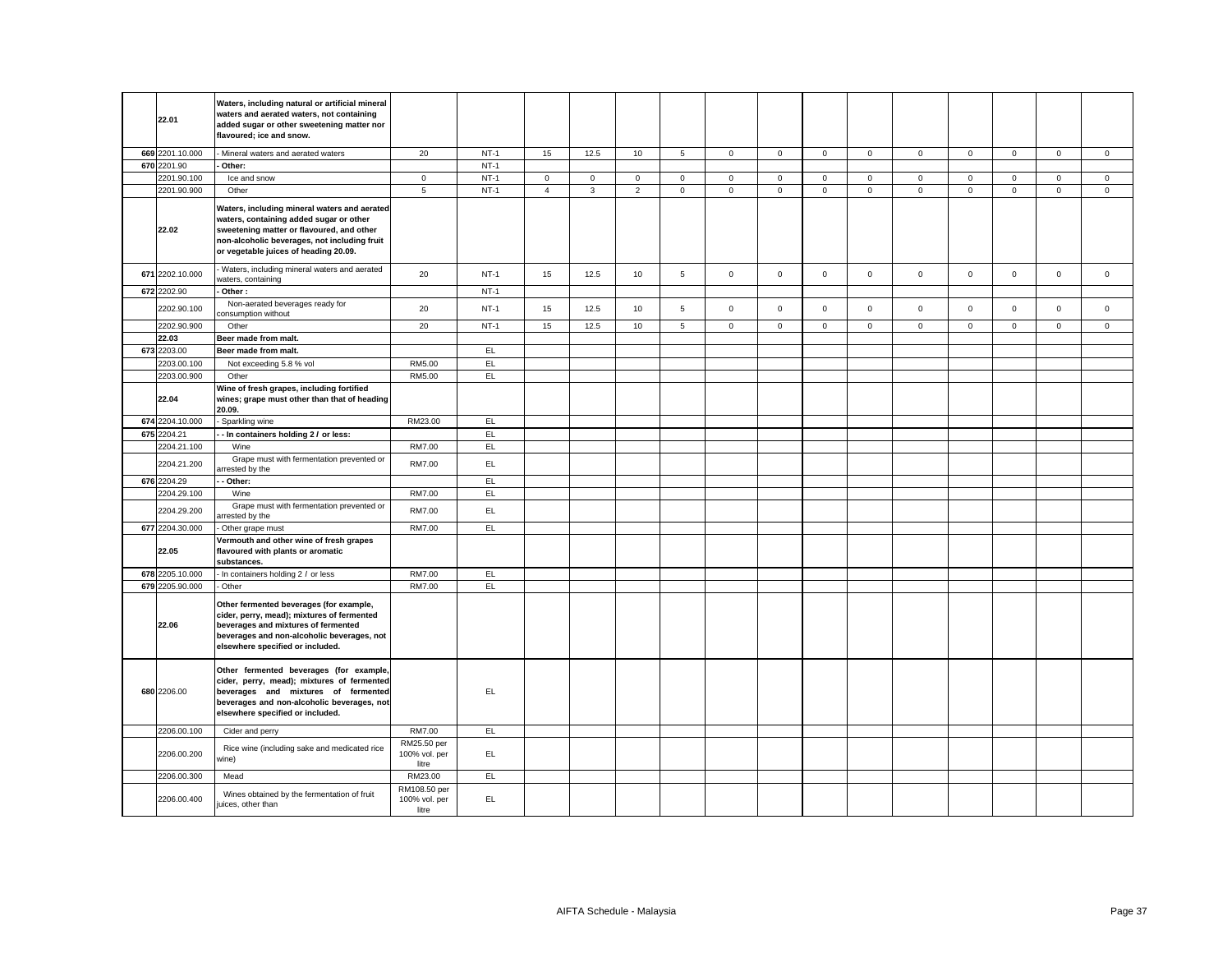| 22.01           | Waters, including natural or artificial mineral<br>waters and aerated waters, not containing<br>added sugar or other sweetening matter nor<br>flavoured; ice and snow.                                                        |                                        |        |                |              |                |                |             |             |              |              |              |             |             |                     |             |
|-----------------|-------------------------------------------------------------------------------------------------------------------------------------------------------------------------------------------------------------------------------|----------------------------------------|--------|----------------|--------------|----------------|----------------|-------------|-------------|--------------|--------------|--------------|-------------|-------------|---------------------|-------------|
| 669 2201.10.000 | - Mineral waters and aerated waters                                                                                                                                                                                           | 20                                     | $NT-1$ | 15             | 12.5         | 10             | $\overline{5}$ | $\mathsf 0$ | $\mathsf 0$ | $\mathsf 0$  | $\mathsf 0$  | $\mathsf 0$  | $\mathbf 0$ | $\mathsf 0$ | $\mathsf 0$         | $\mathbf 0$ |
| 670 2201.90     | Other:                                                                                                                                                                                                                        |                                        | $NT-1$ |                |              |                |                |             |             |              |              |              |             |             |                     |             |
| 2201.90.100     | Ice and snow                                                                                                                                                                                                                  | $\mathbf{0}$                           | $NT-1$ | $\mathbf 0$    | $\mathbf 0$  | $\mathbf 0$    | $\mathbf{0}$   | $\mathbf 0$ | $\mathbf 0$ | $\mathbf 0$  | $\mathbf{0}$ | $\mathbf 0$  | $\Omega$    | $\mathbf 0$ | $\mathbf 0$         | $\mathbf 0$ |
| 2201.90.900     | Other                                                                                                                                                                                                                         | 5                                      | $NT-1$ | $\overline{4}$ | $\mathbf{3}$ | $\overline{2}$ | $\mathsf 0$    | $\mathbf 0$ | $\mathsf 0$ | $\mathbf 0$  | $\mathbf{0}$ | $\mathbf{0}$ | $\mathsf 0$ | $\mathbf 0$ | $\mathsf{O}\xspace$ | $\mathbf 0$ |
| 22.02           | Waters, including mineral waters and aerated<br>waters, containing added sugar or other<br>sweetening matter or flavoured, and other<br>non-alcoholic beverages, not including fruit<br>or vegetable juices of heading 20.09. |                                        |        |                |              |                |                |             |             |              |              |              |             |             |                     |             |
| 671 2202.10.000 | Waters, including mineral waters and aerated<br>vaters, containing                                                                                                                                                            | 20                                     | $NT-1$ | 15             | 12.5         | 10             | 5              | $\mathbf 0$ | $\mathbf 0$ | $\mathbf{0}$ | $\mathbf 0$  | $\mathbf 0$  | $\mathbf 0$ | $\mathbf 0$ | $\mathbf{0}$        | $\mathbf 0$ |
| 672 2202.90     | Other:                                                                                                                                                                                                                        |                                        | $NT-1$ |                |              |                |                |             |             |              |              |              |             |             |                     |             |
| 2202.90.100     | Non-aerated beverages ready for<br>consumption without                                                                                                                                                                        | 20                                     | $NT-1$ | 15             | 12.5         | 10             | 5              | $\mathbf 0$ | $\mathbf 0$ | $\mathsf 0$  | $\mathsf 0$  | $\mathsf 0$  | $\mathbf 0$ | $\mathbf 0$ | $\mathbf 0$         | $\mathbf 0$ |
| 2202.90.900     | Other                                                                                                                                                                                                                         | 20                                     | $NT-1$ | 15             | 12.5         | 10             | $\overline{5}$ | $\mathbf 0$ | $\mathsf 0$ | $\mathbf 0$  | $\mathbf{0}$ | $\mathbf 0$  | $\mathsf 0$ | $\mathbf 0$ | $\overline{0}$      | $\mathbf 0$ |
| 22.03           | Beer made from malt.                                                                                                                                                                                                          |                                        |        |                |              |                |                |             |             |              |              |              |             |             |                     |             |
| 673 2203.00     | Beer made from malt.                                                                                                                                                                                                          |                                        | EL     |                |              |                |                |             |             |              |              |              |             |             |                     |             |
| 2203.00.100     | Not exceeding 5.8 % vol                                                                                                                                                                                                       | RM5.00                                 | E      |                |              |                |                |             |             |              |              |              |             |             |                     |             |
| 2203.00.900     | Other                                                                                                                                                                                                                         | RM5.00                                 | EL     |                |              |                |                |             |             |              |              |              |             |             |                     |             |
| 22.04           | Wine of fresh grapes, including fortified<br>wines; grape must other than that of heading<br>20.09.                                                                                                                           |                                        |        |                |              |                |                |             |             |              |              |              |             |             |                     |             |
| 674 2204.10.000 | Sparkling wine                                                                                                                                                                                                                | RM23.00                                | EL     |                |              |                |                |             |             |              |              |              |             |             |                     |             |
| 675 2204.21     | - In containers holding 2 / or less:                                                                                                                                                                                          |                                        | EL     |                |              |                |                |             |             |              |              |              |             |             |                     |             |
| 2204.21.100     | Wine                                                                                                                                                                                                                          | RM7.00                                 | EL     |                |              |                |                |             |             |              |              |              |             |             |                     |             |
| 2204.21.200     | Grape must with fermentation prevented or<br>rrested by the                                                                                                                                                                   | RM7.00                                 | EL     |                |              |                |                |             |             |              |              |              |             |             |                     |             |
| 676 2204.29     | Other:                                                                                                                                                                                                                        |                                        | EL.    |                |              |                |                |             |             |              |              |              |             |             |                     |             |
| 2204.29.100     | Wine                                                                                                                                                                                                                          | RM7.00                                 | EL.    |                |              |                |                |             |             |              |              |              |             |             |                     |             |
| 2204.29.200     | Grape must with fermentation prevented or<br>arrested by the                                                                                                                                                                  | RM7.00                                 | EL     |                |              |                |                |             |             |              |              |              |             |             |                     |             |
| 677 2204.30.000 | Other grape must                                                                                                                                                                                                              | RM7.00                                 | EL.    |                |              |                |                |             |             |              |              |              |             |             |                     |             |
| 22.05           | Vermouth and other wine of fresh grapes<br>flavoured with plants or aromatic<br>substances.                                                                                                                                   |                                        |        |                |              |                |                |             |             |              |              |              |             |             |                     |             |
| 678 2205.10.000 | In containers holding 2 / or less                                                                                                                                                                                             | RM7.00                                 | EL     |                |              |                |                |             |             |              |              |              |             |             |                     |             |
| 679 2205.90.000 | - Other                                                                                                                                                                                                                       | RM7.00                                 | EL.    |                |              |                |                |             |             |              |              |              |             |             |                     |             |
| 22.06           | Other fermented beverages (for example,<br>cider, perry, mead); mixtures of fermented<br>beverages and mixtures of fermented<br>beverages and non-alcoholic beverages, not<br>elsewhere specified or included.                |                                        |        |                |              |                |                |             |             |              |              |              |             |             |                     |             |
| 680 2206.00     | Other fermented beverages (for example,<br>cider, perry, mead); mixtures of fermented<br>beverages and mixtures of fermented<br>beverages and non-alcoholic beverages, not<br>elsewhere specified or included.                |                                        | EL     |                |              |                |                |             |             |              |              |              |             |             |                     |             |
| 2206.00.100     | Cider and perry                                                                                                                                                                                                               | RM7.00                                 | EL.    |                |              |                |                |             |             |              |              |              |             |             |                     |             |
| 2206.00.200     | Rice wine (including sake and medicated rice<br>vine)                                                                                                                                                                         | RM25.50 per<br>100% vol. per<br>litre  | EL     |                |              |                |                |             |             |              |              |              |             |             |                     |             |
| 2206.00.300     | Mead                                                                                                                                                                                                                          | RM23.00                                | EL     |                |              |                |                |             |             |              |              |              |             |             |                     |             |
| 2206.00.400     | Wines obtained by the fermentation of fruit<br>uices, other than                                                                                                                                                              | RM108.50 per<br>100% vol. per<br>litre | EL     |                |              |                |                |             |             |              |              |              |             |             |                     |             |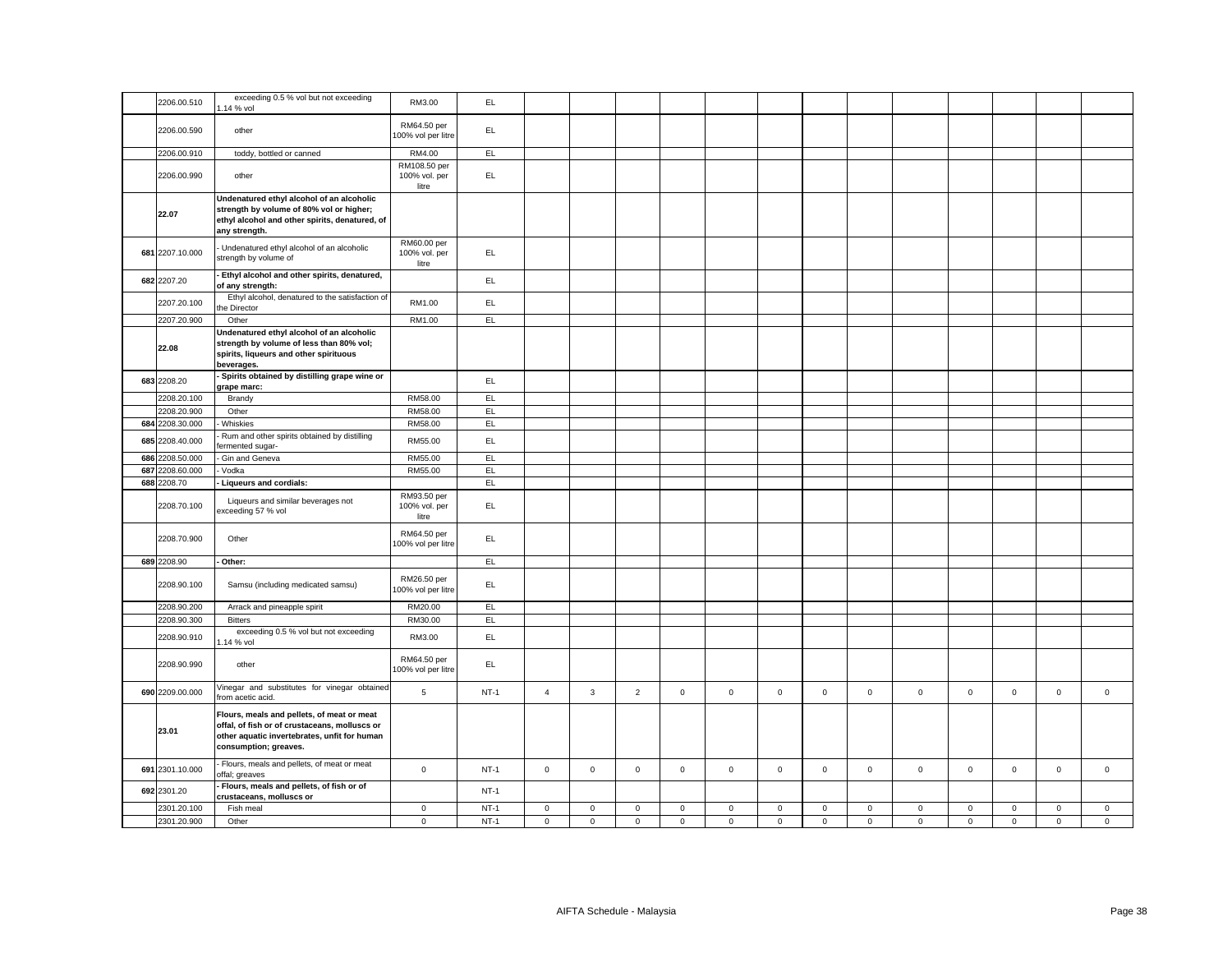| 2206.00.510     | exceeding 0.5 % vol but not exceeding<br>.14 % vol                                                                                                                   | RM3.00                                 | EL        |                |             |                |              |             |             |              |              |              |             |             |             |              |
|-----------------|----------------------------------------------------------------------------------------------------------------------------------------------------------------------|----------------------------------------|-----------|----------------|-------------|----------------|--------------|-------------|-------------|--------------|--------------|--------------|-------------|-------------|-------------|--------------|
| 2206.00.590     | other                                                                                                                                                                | RM64.50 per<br>100% vol per litre      | EL        |                |             |                |              |             |             |              |              |              |             |             |             |              |
| 2206.00.910     | toddy, bottled or canned                                                                                                                                             | RM4.00                                 | EL.       |                |             |                |              |             |             |              |              |              |             |             |             |              |
| 2206.00.990     | other                                                                                                                                                                | RM108.50 per<br>100% vol. per<br>litre | EL.       |                |             |                |              |             |             |              |              |              |             |             |             |              |
| 22.07           | Undenatured ethyl alcohol of an alcoholic<br>strength by volume of 80% vol or higher;<br>ethyl alcohol and other spirits, denatured, of<br>any strength.             |                                        |           |                |             |                |              |             |             |              |              |              |             |             |             |              |
| 681 2207.10.000 | Undenatured ethyl alcohol of an alcoholic<br>strength by volume of                                                                                                   | RM60.00 per<br>100% vol. per<br>litre  | EL.       |                |             |                |              |             |             |              |              |              |             |             |             |              |
| 682 2207.20     | Ethyl alcohol and other spirits, denatured,<br>of any strength:                                                                                                      |                                        | EL.       |                |             |                |              |             |             |              |              |              |             |             |             |              |
| 2207.20.100     | Ethyl alcohol, denatured to the satisfaction of<br>he Director                                                                                                       | RM1.00                                 | EL.       |                |             |                |              |             |             |              |              |              |             |             |             |              |
| 2207.20.900     | Other                                                                                                                                                                | RM1.00                                 | EL        |                |             |                |              |             |             |              |              |              |             |             |             |              |
| 22.08           | Undenatured ethyl alcohol of an alcoholic<br>strength by volume of less than 80% vol;<br>spirits, liqueurs and other spirituous<br>beverages.                        |                                        |           |                |             |                |              |             |             |              |              |              |             |             |             |              |
| 683 2208.20     | Spirits obtained by distilling grape wine or<br>grape marc:                                                                                                          |                                        | EL.       |                |             |                |              |             |             |              |              |              |             |             |             |              |
| 2208.20.100     | Brandy                                                                                                                                                               | RM58.00                                | EL.       |                |             |                |              |             |             |              |              |              |             |             |             |              |
| 2208.20.900     | Other                                                                                                                                                                | RM58.00                                | EL        |                |             |                |              |             |             |              |              |              |             |             |             |              |
| 684 2208.30.000 | Whiskies                                                                                                                                                             | RM58.00                                | <b>EL</b> |                |             |                |              |             |             |              |              |              |             |             |             |              |
| 685 2208.40.000 | Rum and other spirits obtained by distilling<br>ermented sugar-                                                                                                      | RM55.00                                | EL        |                |             |                |              |             |             |              |              |              |             |             |             |              |
| 686 2208.50.000 | Gin and Geneva                                                                                                                                                       | RM55.00                                | EL        |                |             |                |              |             |             |              |              |              |             |             |             |              |
| 687 2208.60.000 | Vodka                                                                                                                                                                | RM55.00                                | EL        |                |             |                |              |             |             |              |              |              |             |             |             |              |
| 688 2208.70     | Liqueurs and cordials:                                                                                                                                               |                                        | EL        |                |             |                |              |             |             |              |              |              |             |             |             |              |
| 2208.70.100     | Liqueurs and similar beverages not<br>exceeding 57 % vol                                                                                                             | RM93.50 per<br>100% vol. per<br>litre  | EL        |                |             |                |              |             |             |              |              |              |             |             |             |              |
| 2208.70.900     | Other                                                                                                                                                                | RM64.50 per<br>00% vol per litre       | EL        |                |             |                |              |             |             |              |              |              |             |             |             |              |
| 689 2208.90     | Other:                                                                                                                                                               |                                        | EL.       |                |             |                |              |             |             |              |              |              |             |             |             |              |
| 2208.90.100     | Samsu (including medicated samsu)                                                                                                                                    | RM26.50 per<br>100% vol per litre      | EL.       |                |             |                |              |             |             |              |              |              |             |             |             |              |
| 2208.90.200     | Arrack and pineapple spirit                                                                                                                                          | RM20.00                                | EL.       |                |             |                |              |             |             |              |              |              |             |             |             |              |
| 2208.90.300     | <b>Bitters</b>                                                                                                                                                       | RM30.00                                | EL.       |                |             |                |              |             |             |              |              |              |             |             |             |              |
| 2208.90.910     | exceeding 0.5 % vol but not exceeding<br>14 % vol                                                                                                                    | RM3.00                                 | EL        |                |             |                |              |             |             |              |              |              |             |             |             |              |
| 2208.90.990     | other                                                                                                                                                                | RM64.50 per<br>00% vol per litre       | EL.       |                |             |                |              |             |             |              |              |              |             |             |             |              |
| 690 2209.00.000 | Vinegar and substitutes for vinegar obtained<br>from acetic acid.                                                                                                    | 5                                      | $NT-1$    | $\overline{4}$ | 3           | $\overline{2}$ | $\mathbf{0}$ | $\mathbf 0$ | $\mathbf 0$ | $\mathbf{0}$ | $\mathbf{0}$ | $\mathbf{0}$ | $\mathbf 0$ | $\mathbf 0$ | $\mathsf 0$ | $\mathbf{0}$ |
| 23.01           | Flours, meals and pellets, of meat or meat<br>offal, of fish or of crustaceans, molluscs or<br>other aquatic invertebrates, unfit for human<br>consumption; greaves. |                                        |           |                |             |                |              |             |             |              |              |              |             |             |             |              |
| 691 2301.10.000 | Flours, meals and pellets, of meat or meat<br>offal; greaves                                                                                                         | $\mathsf 0$                            | $NT-1$    | $\mathsf 0$    | $\mathbf 0$ | $\mathsf 0$    | $\mathbf 0$  | $\mathsf 0$ | $\mathsf 0$ | $\mathsf 0$  | $\mathsf 0$  | $\mathsf 0$  | $\mathsf 0$ | $\mathsf 0$ | $\mathsf 0$ | $\mathsf 0$  |
| 692 2301.20     | Flours, meals and pellets, of fish or of<br>crustaceans, molluscs or                                                                                                 |                                        | $NT-1$    |                |             |                |              |             |             |              |              |              |             |             |             |              |
| 2301.20.100     | Fish meal                                                                                                                                                            | $\mathbf 0$                            | $NT-1$    | 0              | $\mathbf 0$ | $\mathbf 0$    | $\mathbf 0$  | 0           | $\mathbf 0$ | $\mathbf 0$  | 0            | $\mathbf 0$  | $\mathbf 0$ | $\mathbf 0$ | $\mathbf 0$ | $\mathbf 0$  |
| 2301.20.900     | Other                                                                                                                                                                | $\mathbf 0$                            | $NT-1$    | $\mathsf 0$    | $\mathbf 0$ | $\mathsf 0$    | $\mathbf 0$  | $\mathbf 0$ | $\mathsf 0$ | $\mathsf{O}$ | $\mathbf 0$  | $\mathsf 0$  | $\mathbf 0$ | $\mathsf 0$ | $\mathbf 0$ | $\mathbf 0$  |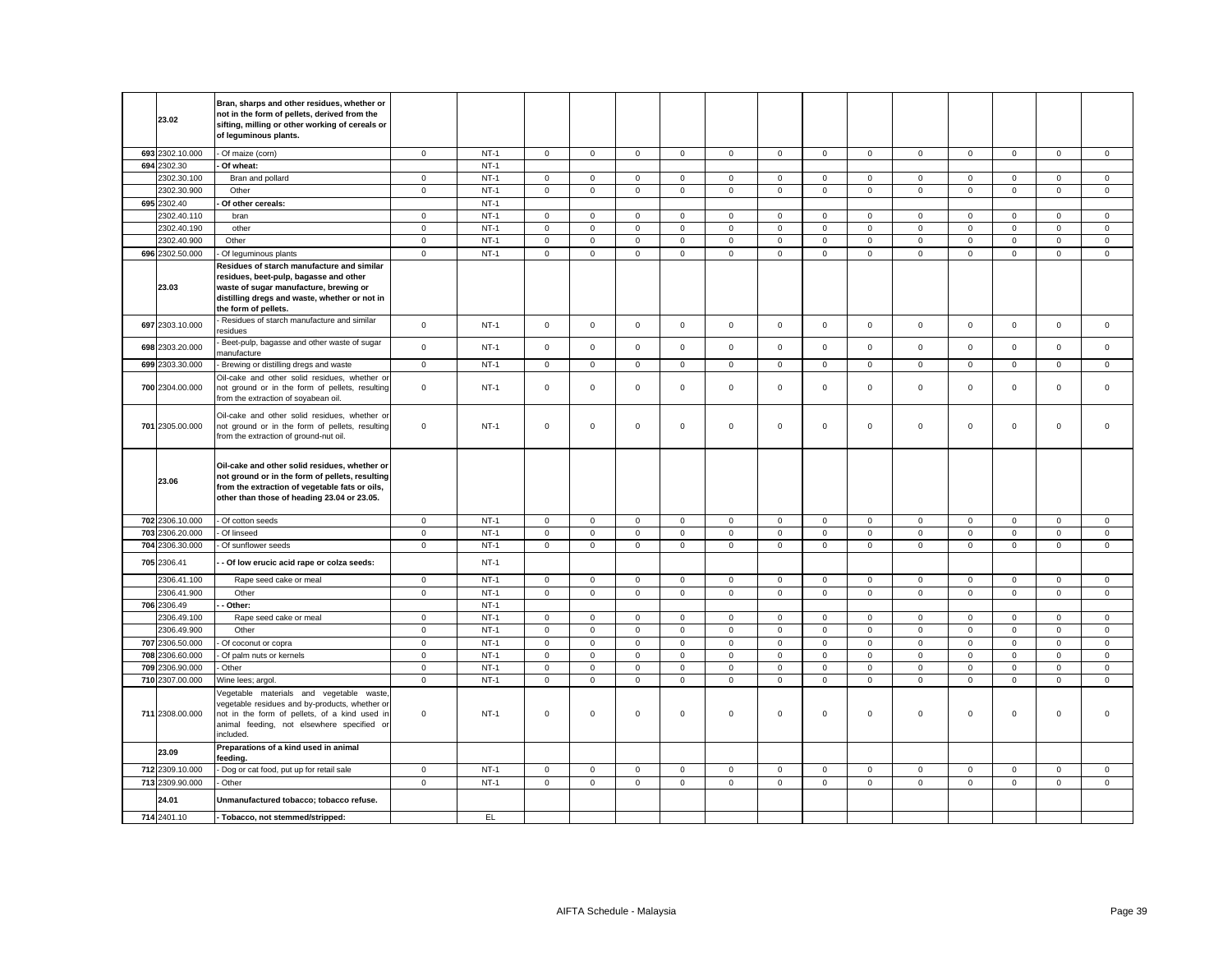| 23.02           | Bran, sharps and other residues, whether or<br>not in the form of pellets, derived from the<br>sifting, milling or other working of cereals or<br>of leguminous plants.                                  |              |        |                     |                     |              |              |             |             |                     |                |              |             |              |              |             |
|-----------------|----------------------------------------------------------------------------------------------------------------------------------------------------------------------------------------------------------|--------------|--------|---------------------|---------------------|--------------|--------------|-------------|-------------|---------------------|----------------|--------------|-------------|--------------|--------------|-------------|
| 693 2302.10.000 | - Of maize (corn)                                                                                                                                                                                        | $\mathsf 0$  | $NT-1$ | $\mathsf{O}$        | $\mathbf{0}$        | $\mathsf 0$  | $\mathsf 0$  | $\mathsf 0$ | $\mathsf 0$ | $\mathsf{O}$        | $\mathsf 0$    | $\mathsf 0$  | $\mathsf 0$ | $\mathbf{0}$ | $\mathsf 0$  | $\mathsf 0$ |
| 694 2302.30     | Of wheat:                                                                                                                                                                                                |              | $NT-1$ |                     |                     |              |              |             |             |                     |                |              |             |              |              |             |
| 2302.30.100     | Bran and pollard                                                                                                                                                                                         | $\mathbf{0}$ | $NT-1$ | $\mathbf 0$         | $\Omega$            | $\mathbf 0$  | $\mathbf{0}$ | $\mathbf 0$ | $\mathbf 0$ | $\mathbf{O}$        | $\mathbf{0}$   | $\mathbf{0}$ | $\mathbf 0$ | $\Omega$     | $\mathbf 0$  | $\mathsf 0$ |
| 2302.30.900     | Other                                                                                                                                                                                                    | $\mathsf 0$  | $NT-1$ | $\mathbf 0$         | $\mathsf 0$         | $\mathsf 0$  | $\mathbf 0$  | $\mathsf 0$ | $\mathsf 0$ | $\mathbf 0$         | $\mathbf 0$    | 0            | $\mathsf 0$ | $\mathbf 0$  | $\mathsf 0$  | $\mathsf 0$ |
| 695 2302.40     | Of other cereals:                                                                                                                                                                                        |              | $NT-1$ |                     |                     |              |              |             |             |                     |                |              |             |              |              |             |
| 2302.40.110     | bran                                                                                                                                                                                                     | $\mathsf 0$  | $NT-1$ | $\mathbf 0$         | $\mathsf{O}\xspace$ | $\mathsf 0$  | $\mathsf 0$  | $\mathbf 0$ | $\mathbf 0$ | $\mathsf 0$         | $\mathbf 0$    | $\mathbf 0$  | $\mathbf 0$ | $\mathsf 0$  | $\mathsf 0$  | $\mathsf 0$ |
| 2302.40.190     | other                                                                                                                                                                                                    | $\mathsf 0$  | $NT-1$ | $\mathsf{O}\xspace$ | $\mathbf 0$         | $\mathbf 0$  | $\mathsf 0$  | $\mathsf 0$ | $\mathsf 0$ | $\mathsf 0$         | $\mathbf 0$    | $\mathsf 0$  | $\mathsf 0$ | $\mathsf 0$  | $\mathsf 0$  | $\mathsf 0$ |
| 2302.40.900     | Other                                                                                                                                                                                                    | $\mathbf 0$  | $NT-1$ | 0                   | $\mathbf 0$         | $\mathsf 0$  | $\mathbf 0$  | $\mathbf 0$ | $\mathbf 0$ | $\mathbf 0$         | $\mathsf 0$    | $\mathbf 0$  | 0           | $\mathbf 0$  | $\mathsf 0$  | $\mathbf 0$ |
| 696 2302.50.000 | Of leguminous plants                                                                                                                                                                                     | $\mathbf 0$  | $NT-1$ | $\mathbf 0$         | $\mathbf 0$         | $\mathsf 0$  | $\mathbf 0$  | $\mathbf 0$ | $\mathsf 0$ | $\mathsf 0$         | $\mathbf 0$    | $\mathbf 0$  | $\Omega$    | $\mathbf 0$  | $\mathbf 0$  | $\mathsf 0$ |
| 23.03           | Residues of starch manufacture and similar<br>residues, beet-pulp, bagasse and other<br>waste of sugar manufacture, brewing or<br>distilling dregs and waste, whether or not in<br>the form of pellets.  |              |        |                     |                     |              |              |             |             |                     |                |              |             |              |              |             |
| 697 2303.10.000 | Residues of starch manufacture and similar<br>esidues                                                                                                                                                    | $\mathsf 0$  | $NT-1$ | $\mathbf 0$         | $\mathbf 0$         | $\mathsf 0$  | $\mathbf 0$  | $\mathbf 0$ | $\mathsf 0$ | $\mathbf 0$         | $\mathsf 0$    | $\mathsf 0$  | $\mathsf 0$ | $\mathsf 0$  | $\mathsf 0$  | $\mathsf 0$ |
| 698 2303.20.000 | Beet-pulp, bagasse and other waste of sugar<br>nanufacture                                                                                                                                               | $\mathbf 0$  | $NT-1$ | $\mathbf 0$         | $\mathsf 0$         | $\mathsf 0$  | $\mathsf 0$  | $\mathbf 0$ | $\mathbf 0$ | $\mathsf 0$         | $\mathsf 0$    | $\mathsf 0$  | $\mathsf 0$ | $\mathbf 0$  | $\mathsf 0$  | $\mathsf 0$ |
| 699 2303.30.000 | Brewing or distilling dregs and waste                                                                                                                                                                    | $\mathbf 0$  | $NT-1$ | $\mathbf 0$         | $\mathsf 0$         | $\mathsf 0$  | $\mathsf 0$  | $\mathbf 0$ | $\mathsf 0$ | $\mathbf 0$         | $\mathsf 0$    | $\mathbf 0$  | $\mathsf 0$ | $\mathsf 0$  | $\mathsf 0$  | $\mathsf 0$ |
| 700 2304.00.000 | Oil-cake and other solid residues, whether or<br>not ground or in the form of pellets, resulting<br>from the extraction of soyabean oil.                                                                 | $\mathbf 0$  | $NT-1$ | $\mathbf{0}$        | $\mathbf 0$         | $\mathsf 0$  | $\mathsf 0$  | $\mathsf 0$ | $\mathbf 0$ | $\mathbf 0$         | $\mathsf 0$    | $\mathsf 0$  | $\mathsf 0$ | $\mathbf 0$  | $\mathsf 0$  | $\mathsf 0$ |
| 701 2305.00.000 | Oil-cake and other solid residues, whether or<br>not ground or in the form of pellets, resulting<br>from the extraction of ground-nut oil.                                                               | $\mathbf 0$  | $NT-1$ | $\mathbf 0$         | $\mathbf 0$         | $\mathsf 0$  | 0            | 0           | $\mathbf 0$ | $\mathbf 0$         | $\mathsf 0$    | 0            | $\mathbf 0$ | $\mathbf 0$  | $\mathsf 0$  | $\mathsf 0$ |
| 23.06           | Oil-cake and other solid residues, whether or<br>not ground or in the form of pellets, resulting<br>from the extraction of vegetable fats or oils,<br>other than those of heading 23.04 or 23.05.        |              |        |                     |                     |              |              |             |             |                     |                |              |             |              |              |             |
| 702 2306.10.000 | - Of cotton seeds                                                                                                                                                                                        | $\mathbf 0$  | $NT-1$ | $\mathbf 0$         | $\mathbf 0$         | $\mathbf{0}$ | $\mathbf{0}$ | $\mathbf 0$ | $\mathbf 0$ | $\mathbf{O}$        | $\mathbf{0}$   | $\mathbf{0}$ | $\mathbf 0$ | $\mathbf{0}$ | $\mathbf{0}$ | $\mathbf 0$ |
| 703 2306.20.000 | Of linseed                                                                                                                                                                                               | $\mathbf 0$  | $NT-1$ | $\mathsf 0$         | $\mathbf 0$         | $\mathsf 0$  | $\mathbf 0$  | $\mathsf 0$ | $\mathsf 0$ | $\mathbf 0$         | $\mathbf 0$    | $\mathsf 0$  | $\mathbf 0$ | $\mathbf 0$  | $\mathsf 0$  | $\mathsf 0$ |
| 704 2306.30.000 | Of sunflower seeds                                                                                                                                                                                       | $\mathsf 0$  | $NT-1$ | $\mathbf 0$         | $\mathbf 0$         | $\mathsf 0$  | $\mathbf 0$  | $\mathbf 0$ | $\mathsf 0$ | $\mathbf 0$         | $\mathbf 0$    | $\mathbf 0$  | $\mathsf 0$ | $\mathbf 0$  | $\mathbf 0$  | $\mathsf 0$ |
| 705 2306.41     | Of low erucic acid rape or colza seeds:                                                                                                                                                                  |              | $NT-1$ |                     |                     |              |              |             |             |                     |                |              |             |              |              |             |
| 2306.41.100     | Rape seed cake or meal                                                                                                                                                                                   | $\mathbf 0$  | $NT-1$ | $\mathbf 0$         | $\mathbf 0$         | $\mathbf 0$  | $\mathbf{0}$ | $\mathbf 0$ | $\mathsf 0$ | $\mathbf 0$         | $\mathbf{0}$   | $\mathbf 0$  | $\mathsf 0$ | $\mathbf 0$  | $\mathsf 0$  | $\mathsf 0$ |
| 2306.41.900     | Other                                                                                                                                                                                                    | $\mathsf 0$  | $NT-1$ | $\mathbf 0$         | $\mathbf 0$         | $\mathbf 0$  | $\mathbf{0}$ | $\mathbf 0$ | $\mathbf 0$ | $\mathbf 0$         | $\mathbf{0}$   | $\mathbf 0$  | $\mathbf 0$ | $\mathbf{0}$ | $\mathbf 0$  | $\mathbf 0$ |
| 706 2306.49     | Other:                                                                                                                                                                                                   |              | $NT-1$ |                     |                     |              |              |             |             |                     |                |              |             |              |              |             |
| 2306.49.100     | Rape seed cake or meal                                                                                                                                                                                   | $\mathbf 0$  | $NT-1$ | $\circ$             | $\mathbf 0$         | $\mathsf 0$  | $\mathbf{0}$ | $\mathbf 0$ | $\mathbf 0$ | $\mathbf{O}$        | $\mathbf 0$    | $\mathbf{0}$ | $\mathbf 0$ | $\mathbf 0$  | $\mathbf{0}$ | $\mathsf 0$ |
| 2306.49.900     | Other                                                                                                                                                                                                    | $\mathbf 0$  | $NT-1$ | $\mathbf 0$         | $\mathsf 0$         | $\mathsf 0$  | $\mathsf 0$  | $\mathbf 0$ | $\mathsf 0$ | $\mathsf 0$         | $\overline{0}$ | $\mathsf 0$  | $\mathsf 0$ | $\mathsf 0$  | $\mathsf 0$  | $\mathsf 0$ |
| 707 2306.50.000 | Of coconut or copra                                                                                                                                                                                      | $\mathbf 0$  | $NT-1$ | $\mathsf{O}\xspace$ | $\mathsf 0$         | $\mathsf 0$  | $\mathsf 0$  | $\mathsf 0$ | $\mathsf 0$ | $\mathsf{O}\xspace$ | $\mathbf 0$    | $\mathsf 0$  | $\mathsf 0$ | $\mathsf 0$  | $\mathsf 0$  | $\mathbf 0$ |
| 708 2306.60.000 | Of palm nuts or kernels                                                                                                                                                                                  | $\mathbf 0$  | $NT-1$ | 0                   | $\mathsf{O}\xspace$ | $\mathsf 0$  | $\mathsf 0$  | $\mathsf 0$ | $\mathbf 0$ | $\mathsf 0$         | $\mathsf 0$    | $\mathsf 0$  | $\mathbf 0$ | $\mathsf 0$  | $\mathsf 0$  | $\mathsf 0$ |
| 709 2306.90.000 | Other                                                                                                                                                                                                    | $\mathbf 0$  | $NT-1$ | $\mathbf 0$         | $\mathsf 0$         | $\mathsf 0$  | $\mathsf 0$  | $\mathsf 0$ | $\mathsf 0$ | $\mathsf 0$         | $\mathsf 0$    | $\mathsf 0$  | $\mathsf 0$ | $\mathsf 0$  | $\mathsf 0$  | $\mathsf 0$ |
| 710 2307.00.000 | Wine lees; argol.                                                                                                                                                                                        | $\mathsf 0$  | $NT-1$ | 0                   | $\mathsf 0$         | $\mathsf 0$  | $\mathsf 0$  | $\mathbf 0$ | $\mathsf 0$ | $\mathsf{O}$        | $\mathsf 0$    | $\mathsf 0$  | $\mathsf 0$ | $\mathsf 0$  | $\mathsf 0$  | $\mathsf 0$ |
| 711 2308,00,000 | Vegetable materials and vegetable<br>waste<br>vegetable residues and by-products, whether or<br>not in the form of pellets, of a kind used in<br>animal feeding, not elsewhere specified or<br>included. | $\mathbf 0$  | $NT-1$ | $\mathbf 0$         | $\mathbf 0$         | $\mathbf 0$  | $\mathsf 0$  | $\mathbf 0$ | $\Omega$    | $\mathbf 0$         | $\mathbf 0$    | $\mathbf 0$  | $\mathbf 0$ | $\mathbf 0$  | $\mathbf 0$  | $\mathbf 0$ |
| 23.09           | Preparations of a kind used in animal<br>feeding.                                                                                                                                                        |              |        |                     |                     |              |              |             |             |                     |                |              |             |              |              |             |
| 712 2309.10.000 | - Dog or cat food, put up for retail sale                                                                                                                                                                | $\mathbf 0$  | $NT-1$ | $\mathbf 0$         | $\mathsf 0$         | $\mathsf 0$  | $\mathsf 0$  | $\mathsf 0$ | $\mathsf 0$ | $\mathbf 0$         | $\mathsf 0$    | $\mathsf 0$  | $\mathsf 0$ | $\mathsf 0$  | $\mathsf 0$  | $\mathsf 0$ |
| 713 2309.90.000 | Other                                                                                                                                                                                                    | $\mathbf 0$  | $NT-1$ | $\mathbf 0$         | $\mathbf 0$         | $\mathsf 0$  | $\mathbf 0$  | $\mathbf 0$ | $\mathsf 0$ | $\mathbf 0$         | $\mathbf 0$    | $\mathbf 0$  | $\mathsf 0$ | $\mathbf 0$  | $\mathbf 0$  | $\mathsf 0$ |
| 24.01           | Unmanufactured tobacco; tobacco refuse.                                                                                                                                                                  |              |        |                     |                     |              |              |             |             |                     |                |              |             |              |              |             |
| 714 2401.10     | - Tobacco, not stemmed/stripped:                                                                                                                                                                         |              | EL     |                     |                     |              |              |             |             |                     |                |              |             |              |              |             |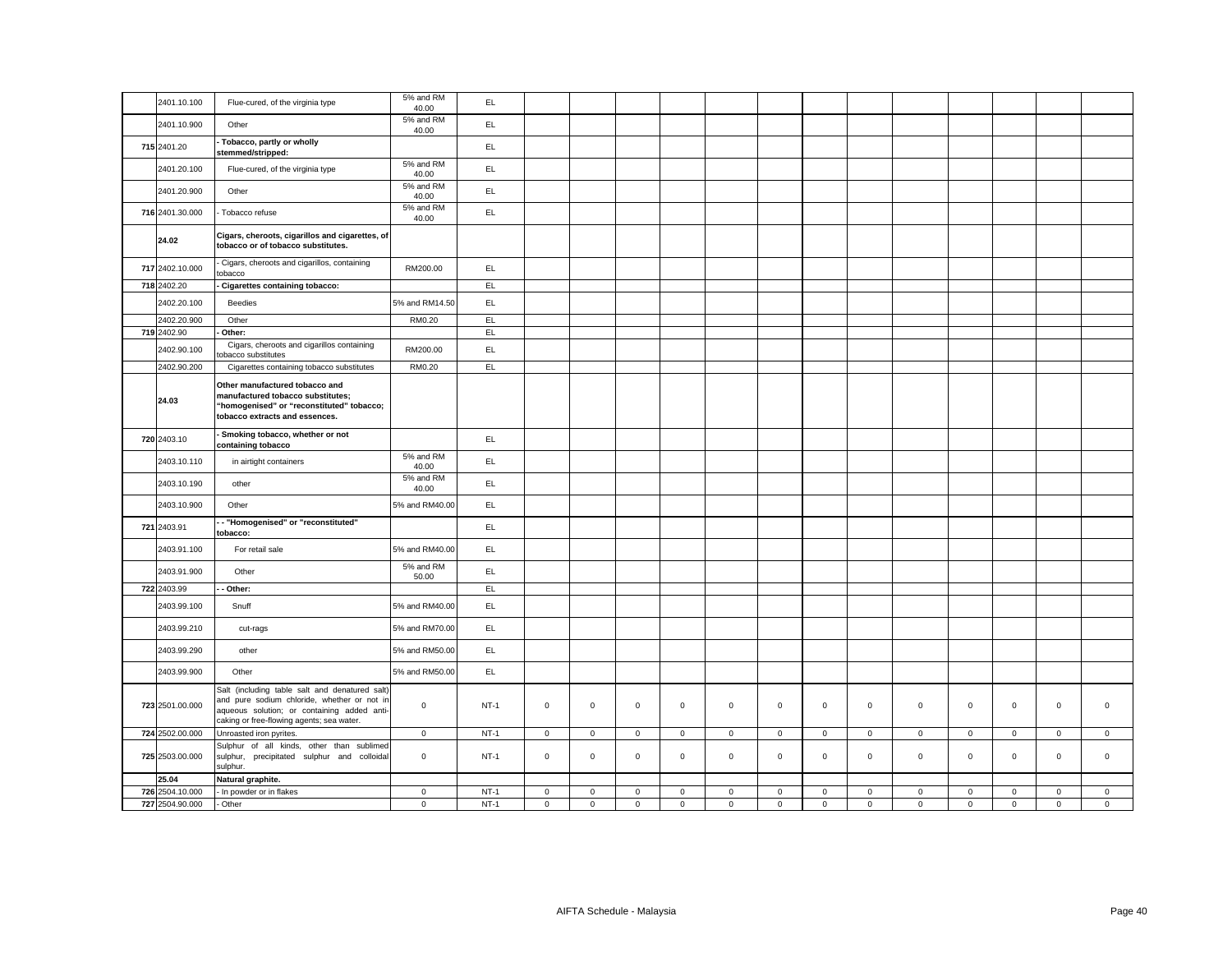| 2401.10.100     | Flue-cured, of the virginia type                                                                                                                                                          | 5% and RM<br>40.00 | EL.    |                     |             |              |             |             |             |                     |              |             |             |              |             |             |
|-----------------|-------------------------------------------------------------------------------------------------------------------------------------------------------------------------------------------|--------------------|--------|---------------------|-------------|--------------|-------------|-------------|-------------|---------------------|--------------|-------------|-------------|--------------|-------------|-------------|
| 2401.10.900     | Other                                                                                                                                                                                     | 5% and RM<br>40.00 | EL.    |                     |             |              |             |             |             |                     |              |             |             |              |             |             |
| 715 2401.20     | Tobacco, partly or wholly<br>stemmed/stripped:                                                                                                                                            |                    | EL.    |                     |             |              |             |             |             |                     |              |             |             |              |             |             |
| 2401.20.100     | Flue-cured, of the virginia type                                                                                                                                                          | 5% and RM<br>40.00 | EL.    |                     |             |              |             |             |             |                     |              |             |             |              |             |             |
| 2401.20.900     | Other                                                                                                                                                                                     | 5% and RM<br>40.00 | EL     |                     |             |              |             |             |             |                     |              |             |             |              |             |             |
| 716 2401.30.000 | Tobacco refuse                                                                                                                                                                            | 5% and RM<br>40.00 | EL     |                     |             |              |             |             |             |                     |              |             |             |              |             |             |
| 24.02           | Cigars, cheroots, cigarillos and cigarettes, of<br>tobacco or of tobacco substitutes.                                                                                                     |                    |        |                     |             |              |             |             |             |                     |              |             |             |              |             |             |
| 717 2402.10.000 | Cigars, cheroots and cigarillos, containing<br>tobacco                                                                                                                                    | RM200.00           | EL.    |                     |             |              |             |             |             |                     |              |             |             |              |             |             |
| 718 2402.20     | Cigarettes containing tobacco:                                                                                                                                                            |                    | EL     |                     |             |              |             |             |             |                     |              |             |             |              |             |             |
| 2402.20.100     | Beedies                                                                                                                                                                                   | 5% and RM14.50     | EL.    |                     |             |              |             |             |             |                     |              |             |             |              |             |             |
| 2402.20.900     | Other                                                                                                                                                                                     | RM0.20             | EL.    |                     |             |              |             |             |             |                     |              |             |             |              |             |             |
| 719 2402.90     | Other:                                                                                                                                                                                    |                    | EL     |                     |             |              |             |             |             |                     |              |             |             |              |             |             |
| 2402.90.100     | Cigars, cheroots and cigarillos containing<br>obacco substitutes                                                                                                                          | RM200.00           | EL     |                     |             |              |             |             |             |                     |              |             |             |              |             |             |
| 2402.90.200     | Cigarettes containing tobacco substitutes                                                                                                                                                 | RM0.20             | EL.    |                     |             |              |             |             |             |                     |              |             |             |              |             |             |
| 24.03           | Other manufactured tobacco and<br>manufactured tobacco substitutes;<br>"homogenised" or "reconstituted" tobacco;<br>tobacco extracts and essences.                                        |                    |        |                     |             |              |             |             |             |                     |              |             |             |              |             |             |
| 720 2403.10     | Smoking tobacco, whether or not<br>containing tobacco                                                                                                                                     |                    | EL.    |                     |             |              |             |             |             |                     |              |             |             |              |             |             |
| 2403.10.110     | in airtight containers                                                                                                                                                                    | 5% and RM<br>40.00 | EL.    |                     |             |              |             |             |             |                     |              |             |             |              |             |             |
| 2403.10.190     | other                                                                                                                                                                                     | 5% and RM<br>40.00 | EL     |                     |             |              |             |             |             |                     |              |             |             |              |             |             |
| 2403.10.900     | Other                                                                                                                                                                                     | 5% and RM40.00     | EL.    |                     |             |              |             |             |             |                     |              |             |             |              |             |             |
| 721 2403.91     | - "Homogenised" or "reconstituted"<br>tobacco:                                                                                                                                            |                    | EL.    |                     |             |              |             |             |             |                     |              |             |             |              |             |             |
| 2403.91.100     | For retail sale                                                                                                                                                                           | 5% and RM40.00     | EL     |                     |             |              |             |             |             |                     |              |             |             |              |             |             |
| 2403.91.900     | Other                                                                                                                                                                                     | 5% and RM<br>50.00 | EL.    |                     |             |              |             |             |             |                     |              |             |             |              |             |             |
| 722 2403.99     | Other:                                                                                                                                                                                    |                    | EL.    |                     |             |              |             |             |             |                     |              |             |             |              |             |             |
| 2403.99.100     | Snuff                                                                                                                                                                                     | 5% and RM40.00     | EL.    |                     |             |              |             |             |             |                     |              |             |             |              |             |             |
| 2403.99.210     | cut-rags                                                                                                                                                                                  | 5% and RM70.00     | EL     |                     |             |              |             |             |             |                     |              |             |             |              |             |             |
| 2403.99.290     | other                                                                                                                                                                                     | 5% and RM50.00     | EL.    |                     |             |              |             |             |             |                     |              |             |             |              |             |             |
| 2403.99.900     | Other                                                                                                                                                                                     | 5% and RM50.00     | EL     |                     |             |              |             |             |             |                     |              |             |             |              |             |             |
| 723 2501.00.000 | Salt (including table salt and denatured salt)<br>and pure sodium chloride, whether or not in<br>aqueous solution; or containing added anti-<br>caking or free-flowing agents; sea water. | $\mathbf 0$        | $NT-1$ | $\mathbf 0$         | $\mathbf 0$ | $\mathbf{0}$ | $\mathbf 0$ | $\mathbf 0$ | $\mathbf 0$ | $\circ$             | $\mathbf{0}$ | $\mathbf 0$ | $\mathbf 0$ | $\mathbf{0}$ | $\mathbf 0$ | $\mathbf 0$ |
| 724 2502.00.000 | Unroasted iron pyrites.                                                                                                                                                                   | $\mathbf 0$        | $NT-1$ | $\mathbf 0$         | $\mathbf 0$ | $\mathbf 0$  | $\mathbf 0$ | $\mathbf 0$ | $\mathsf 0$ | $\mathsf{O}\xspace$ | $\mathbf 0$  | 0           | $\mathbf 0$ | $\mathbf 0$  | $\mathsf 0$ | $\mathbf 0$ |
| 725 2503.00.000 | Sulphur of all kinds, other than sublimed<br>sulphur, precipitated sulphur and colloidal<br>sulphur.                                                                                      | $\mathbf 0$        | $NT-1$ | $\mathbf 0$         | $\mathbf 0$ | $\mathbf 0$  | $\mathbf 0$ | $\mathbf 0$ | $\mathbf 0$ | $\mathbf{O}$        | $\mathbf 0$  | $\mathbf 0$ | $\mathbf 0$ | $\mathbf 0$  | $\mathbf 0$ | $\mathbf 0$ |
| 25.04           | Natural graphite.                                                                                                                                                                         |                    |        |                     |             |              |             |             |             |                     |              |             |             |              |             |             |
| 726 2504.10.000 | In powder or in flakes                                                                                                                                                                    | $\mathbf 0$        | $NT-1$ | $\mathsf{O}\xspace$ | $\mathbf 0$ | $\mathsf 0$  | $\mathsf 0$ | $\mathbf 0$ | $\mathsf 0$ | $\mathsf 0$         | $\mathsf 0$  | $\mathsf 0$ | $\mathbf 0$ | $\mathsf 0$  | $\mathsf 0$ | $\mathsf 0$ |
| 727 2504.90.000 | - Other                                                                                                                                                                                   | $\circ$            | $NT-1$ | $\mathbf 0$         | $\mathbf 0$ | $\mathsf 0$  | $\mathbf 0$ | $\mathsf 0$ | $\mathsf 0$ | $\mathbf{0}$        | $\mathbf 0$  | $\mathbf 0$ | $\mathbf 0$ | $\mathbf 0$  | $\mathsf 0$ | $\mathbf 0$ |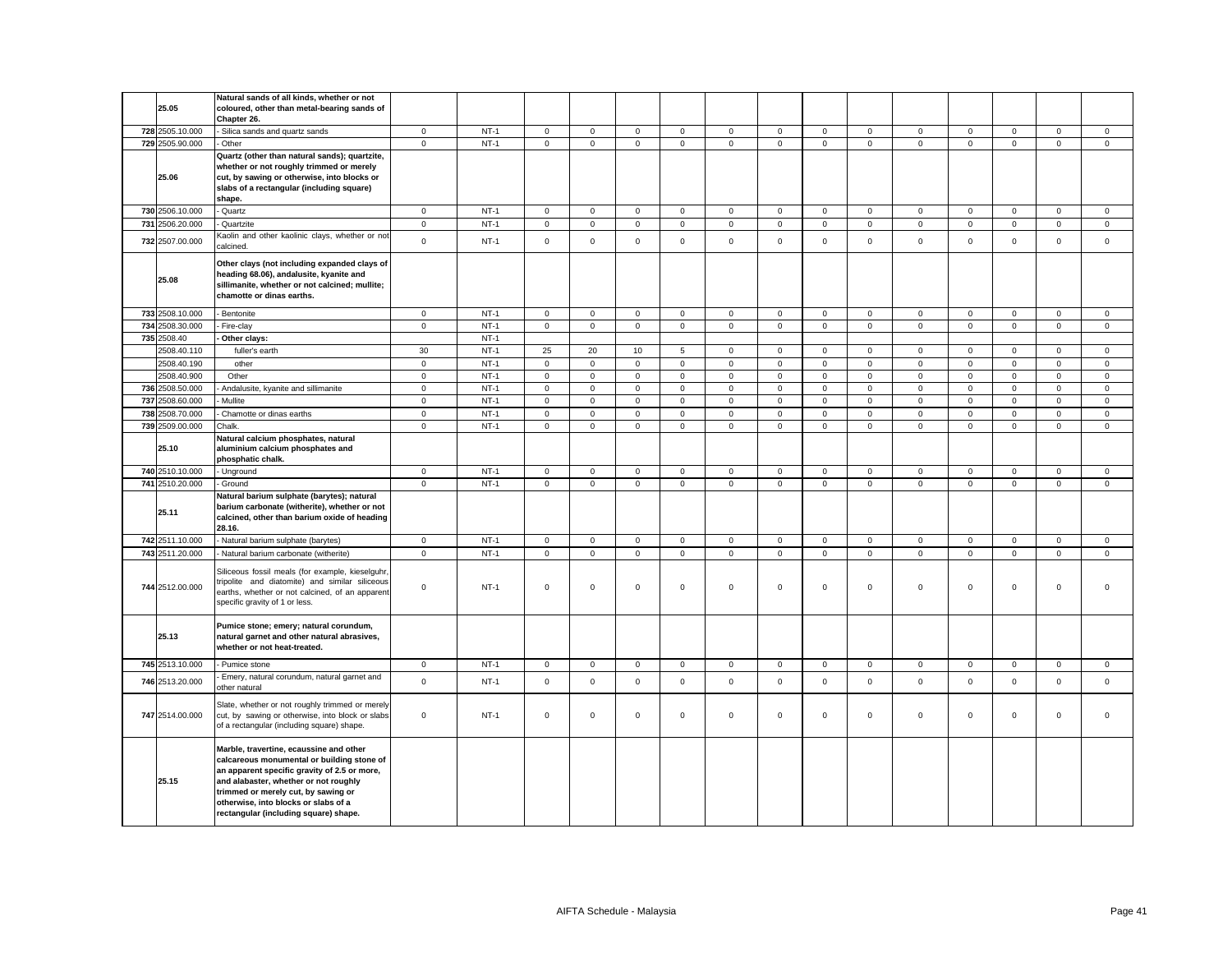| 25.05           | Natural sands of all kinds, whether or not<br>coloured, other than metal-bearing sands of<br>Chapter 26.                                                                                                                                                                                               |                     |        |                     |                     |              |                |             |                |                     |                |                |                |                     |                     |             |
|-----------------|--------------------------------------------------------------------------------------------------------------------------------------------------------------------------------------------------------------------------------------------------------------------------------------------------------|---------------------|--------|---------------------|---------------------|--------------|----------------|-------------|----------------|---------------------|----------------|----------------|----------------|---------------------|---------------------|-------------|
| 728 2505.10.000 | Silica sands and quartz sands                                                                                                                                                                                                                                                                          | $\mathbf 0$         | $NT-1$ | $\mathbf 0$         | $\mathbf 0$         | $\mathbf 0$  | $\mathbf 0$    | $\mathbf 0$ | $\mathbf 0$    | $\mathbf 0$         | $\mathbf 0$    | $\mathsf 0$    | $\mathbf 0$    | $\mathbf 0$         | $\mathbf 0$         | $\mathsf 0$ |
| 729 2505.90.000 | Other                                                                                                                                                                                                                                                                                                  | $\mathbf{0}$        | $NT-1$ | $\mathbf 0$         | $\mathsf 0$         | $\mathsf 0$  | $\mathbf 0$    | $\mathsf 0$ | $\mathbf 0$    | $\mathsf 0$         | $\mathsf 0$    | $\mathsf 0$    | $\mathbf 0$    | $\mathbf{0}$        | $\mathbf{0}$        | $\mathbf 0$ |
| 25.06           | Quartz (other than natural sands); quartzite,<br>whether or not roughly trimmed or merely<br>cut, by sawing or otherwise, into blocks or<br>slabs of a rectangular (including square)<br>shape.                                                                                                        |                     |        |                     |                     |              |                |             |                |                     |                |                |                |                     |                     |             |
| 730 2506.10.000 | - Quartz                                                                                                                                                                                                                                                                                               | $\mathbf 0$         | $NT-1$ | $\mathbf{0}$        | $\mathbf 0$         | $\mathbf{0}$ | $\mathbf 0$    | $\mathbf 0$ | $\mathbf 0$    | $\mathbf 0$         | $\mathbf 0$    | $\mathbf 0$    | $\mathbf 0$    | $\mathbf 0$         | $\mathbf 0$         | $\mathbf 0$ |
| 731 2506.20.000 | Quartzite                                                                                                                                                                                                                                                                                              | $\mathsf 0$         | $NT-1$ | $\mathbf 0$         | $\mathsf 0$         | $\mathsf 0$  | $\mathsf 0$    | $\mathbf 0$ | $\mathsf 0$    | $\mathsf 0$         | $\mathsf 0$    | $\mathsf 0$    | $\mathsf 0$    | $\mathsf 0$         | $\mathsf 0$         | $\mathsf 0$ |
| 732 2507.00.000 | Kaolin and other kaolinic clays, whether or not<br>calcined.                                                                                                                                                                                                                                           | $\mathbf{0}$        | $NT-1$ | $\mathbf 0$         | $\mathsf 0$         | $\mathsf 0$  | $\mathsf 0$    | $\mathbf 0$ | $\mathsf 0$    | $\mathsf{O}$        | $\mathsf 0$    | $\mathsf 0$    | $\mathsf 0$    | $\mathsf 0$         | $\mathsf 0$         | $\mathsf 0$ |
| 25.08           | Other clays (not including expanded clays of<br>heading 68.06), andalusite, kyanite and<br>sillimanite, whether or not calcined; mullite;<br>chamotte or dinas earths.                                                                                                                                 |                     |        |                     |                     |              |                |             |                |                     |                |                |                |                     |                     |             |
| 733 2508.10.000 | Bentonite                                                                                                                                                                                                                                                                                              | $\mathbf 0$         | $NT-1$ | $\mathbf 0$         | $\mathbf 0$         | $\mathsf 0$  | $\mathsf 0$    | $\mathbf 0$ | $\mathsf 0$    | $\mathbf 0$         | $\mathsf 0$    | $\mathsf 0$    | $\mathsf 0$    | $\mathsf 0$         | $\mathsf{O}\xspace$ | $\mathsf 0$ |
| 734 2508.30.000 | Fire-clay                                                                                                                                                                                                                                                                                              | $\mathbf 0$         | $NT-1$ | $\mathbf 0$         | $\mathbf 0$         | $\mathsf 0$  | $\mathbf{0}$   | $\mathbf 0$ | $\mathbf 0$    | $\mathbf 0$         | $\mathbf 0$    | $\mathbf 0$    | $\mathbf 0$    | $\mathsf 0$         | $\mathbf 0$         | $\mathsf 0$ |
| 735 2508.40     | Other clays:                                                                                                                                                                                                                                                                                           |                     | $NT-1$ |                     |                     |              |                |             |                |                     |                |                |                |                     |                     |             |
| 2508.40.110     | fuller's earth                                                                                                                                                                                                                                                                                         | 30                  | $NT-1$ | 25                  | 20                  | $10$         | $\sqrt{5}$     | $\mathsf 0$ | $\mathbf 0$    | $\mathsf 0$         | $\mathsf 0$    | $\mathsf 0$    | $\mathbf 0$    | $\mathsf 0$         | $\mathsf 0$         | $\mathsf 0$ |
| 2508.40.190     | other                                                                                                                                                                                                                                                                                                  | $\mathsf 0$         | $NT-1$ | 0                   | $\mathsf 0$         | $\mathsf 0$  | $\mathbf 0$    | $\mathsf 0$ | $\mathsf 0$    | $\mathbf 0$         | $\mathsf 0$    | $\mathsf 0$    | $\mathbf 0$    | $\mathsf 0$         | $\mathsf 0$         | $\mathsf 0$ |
| 2508.40.900     | Other                                                                                                                                                                                                                                                                                                  | $\mathsf 0$         | $NT-1$ | $\mathsf{O}\xspace$ | $\mathsf{O}\xspace$ | $\mathsf 0$  | $\mathsf 0$    | $\mathsf 0$ | $\mathsf 0$    | $\mathbf 0$         | $\mathsf 0$    | $\mathsf 0$    | $\mathbf 0$    | $\mathsf 0$         | $\mathsf 0$         | $\mathsf 0$ |
| 736 2508.50.000 | Andalusite, kyanite and sillimanite                                                                                                                                                                                                                                                                    | $\mathsf 0$         | $NT-1$ | $\mathsf 0$         | $\mathsf 0$         | $\mathsf 0$  | $\mathsf 0$    | $\mathsf 0$ | $\overline{0}$ | $\mathsf{O}$        | $\mathsf 0$    | $\mathsf 0$    | $\overline{0}$ | $\mathsf{O}\xspace$ | $\mathsf 0$         | $\mathsf 0$ |
| 737 2508.60.000 | Mullite                                                                                                                                                                                                                                                                                                | $\mathsf 0$         | $NT-1$ | $\mathbf 0$         | $\mathsf 0$         | $\mathsf 0$  | $\mathsf 0$    | $\mathbf 0$ | $\mathsf 0$    | $\mathsf{O}\xspace$ | $\mathsf 0$    | $\mathsf 0$    | $\mathsf 0$    | $\mathsf 0$         | $\mathsf 0$         | $\mathsf 0$ |
| 738 2508.70.000 |                                                                                                                                                                                                                                                                                                        |                     | $NT-1$ |                     |                     |              |                |             |                |                     |                |                |                |                     |                     |             |
|                 | Chamotte or dinas earths                                                                                                                                                                                                                                                                               | $\mathsf 0$         |        | $\mathbf 0$         | $\mathsf{O}\xspace$ | $\mathsf 0$  | $\mathsf 0$    | $\mathbf 0$ | $\mathsf 0$    | $\mathsf{O}$        | $\mathsf 0$    | $\mathsf 0$    | $\mathsf 0$    | $\mathsf{O}\xspace$ | $\mathsf 0$         | $\mathsf 0$ |
| 739 2509.00.000 | Chalk.                                                                                                                                                                                                                                                                                                 | $\mathsf 0$         | $NT-1$ | $\mathbf{0}$        | $\mathsf 0$         | $\mathsf 0$  | $\overline{0}$ | $\mathbf 0$ | $\mathsf 0$    | $\mathsf{O}\xspace$ | $\overline{0}$ | $\overline{0}$ | $\mathsf 0$    | $\mathbf 0$         | $\mathsf 0$         | $\mathsf 0$ |
| 25.10           | Natural calcium phosphates, natural<br>aluminium calcium phosphates and<br>phosphatic chalk.                                                                                                                                                                                                           |                     |        |                     |                     |              |                |             |                |                     |                |                |                |                     |                     |             |
| 740 2510.10.000 | - Unground                                                                                                                                                                                                                                                                                             | $\mathbf 0$         | $NT-1$ | $\mathbf 0$         | $\mathsf 0$         | $\mathsf 0$  | $\mathbf 0$    | $\mathbf 0$ | $\mathbf 0$    | $\mathbf 0$         | $\mathbf 0$    | $\mathbf 0$    | $\mathsf 0$    | $\mathsf 0$         | $\mathsf 0$         | $\mathbf 0$ |
| 741 2510.20.000 | Ground                                                                                                                                                                                                                                                                                                 | $\mathbf 0$         | $NT-1$ | $\mathbf 0$         | $\mathsf 0$         | $\mathsf 0$  | $\mathbf 0$    | $\mathsf 0$ | $\mathbf 0$    | $\mathbf{O}$        | $\mathsf 0$    | $\mathbf 0$    | $\mathbf 0$    | $\mathbf 0$         | $\mathsf 0$         | $\mathbf 0$ |
| 25.11           | Natural barium sulphate (barytes); natural<br>barium carbonate (witherite), whether or not<br>calcined, other than barium oxide of heading<br>28.16.                                                                                                                                                   |                     |        |                     |                     |              |                |             |                |                     |                |                |                |                     |                     |             |
| 742 2511.10.000 | Natural barium sulphate (barytes)                                                                                                                                                                                                                                                                      | $\mathbf 0$         | $NT-1$ | 0                   | $\mathbf 0$         | $\mathsf 0$  | $\mathbf 0$    | 0           | $\mathbf 0$    | $\mathbf 0$         | $\mathbf 0$    | 0              | $\mathbf 0$    | $\mathbf 0$         | $\mathbf 0$         | $\mathbf 0$ |
| 743 2511.20.000 | Natural barium carbonate (witherite)                                                                                                                                                                                                                                                                   | $\mathsf 0$         | $NT-1$ | $\mathbf 0$         | $\mathsf 0$         | $\mathbf 0$  | $\mathsf 0$    | $\mathsf 0$ | $\mathsf 0$    | $\mathsf 0$         | $\mathsf 0$    | $\mathsf 0$    | $\mathsf 0$    | $\mathsf 0$         | $\mathsf 0$         | $\mathsf 0$ |
| 744 2512.00.000 | Siliceous fossil meals (for example, kieselguhr,<br>tripolite and diatomite) and similar siliceous<br>earths, whether or not calcined, of an apparent<br>specific gravity of 1 or less.                                                                                                                | $\mathsf 0$         | $NT-1$ | $\mathbf 0$         | $\mathsf 0$         | $\mathsf 0$  | $\mathsf 0$    | $\mathbf 0$ | $\mathsf 0$    | $\mathbf 0$         | $\mathbf 0$    | $\mathbf 0$    | $\mathsf 0$    | $\mathsf 0$         | $\mathsf 0$         | $\Omega$    |
| 25.13           | Pumice stone; emery; natural corundum,<br>natural garnet and other natural abrasives,<br>whether or not heat-treated.                                                                                                                                                                                  |                     |        |                     |                     |              |                |             |                |                     |                |                |                |                     |                     |             |
| 745 2513.10.000 | - Pumice stone                                                                                                                                                                                                                                                                                         | $\mathsf 0$         | $NT-1$ | $\mathsf 0$         | $\mathbf 0$         | $\mathsf 0$  | $\mathbf 0$    | $\mathbf 0$ | $\mathsf 0$    | $\mathbf 0$         | $\mathsf 0$    | $\mathbf 0$    | $\mathsf 0$    | $\mathbf 0$         | $\mathbf 0$         | $\mathbf 0$ |
| 746 2513.20.000 | Emery, natural corundum, natural garnet and<br>other natural                                                                                                                                                                                                                                           | $\mathsf 0$         | $NT-1$ | $\mathbf 0$         | $\mathsf 0$         | $\mathsf 0$  | $\mathsf 0$    | $\mathbf 0$ | $\mathsf 0$    | $\mathsf 0$         | $\mathsf 0$    | $\mathsf 0$    | $\mathsf 0$    | $\mathsf 0$         | $\mathsf 0$         | $\mathsf 0$ |
| 747 2514.00.000 | Slate, whether or not roughly trimmed or merely<br>cut, by sawing or otherwise, into block or slabs<br>of a rectangular (including square) shape.                                                                                                                                                      | $\mathsf{O}\xspace$ | $NT-1$ | $\mathsf 0$         | $\mathsf 0$         | $\mathsf 0$  | $\mathsf 0$    | $\mathsf 0$ | $\mathsf 0$    | $\mathbf 0$         | $\mathsf 0$    | $\mathbf 0$    | $\mathsf 0$    | $\mathsf 0$         | $\mathsf 0$         | $\mathsf 0$ |
| 25.15           | Marble, travertine, ecaussine and other<br>calcareous monumental or building stone of<br>an apparent specific gravity of 2.5 or more,<br>and alabaster, whether or not roughly<br>trimmed or merely cut, by sawing or<br>otherwise, into blocks or slabs of a<br>rectangular (including square) shape. |                     |        |                     |                     |              |                |             |                |                     |                |                |                |                     |                     |             |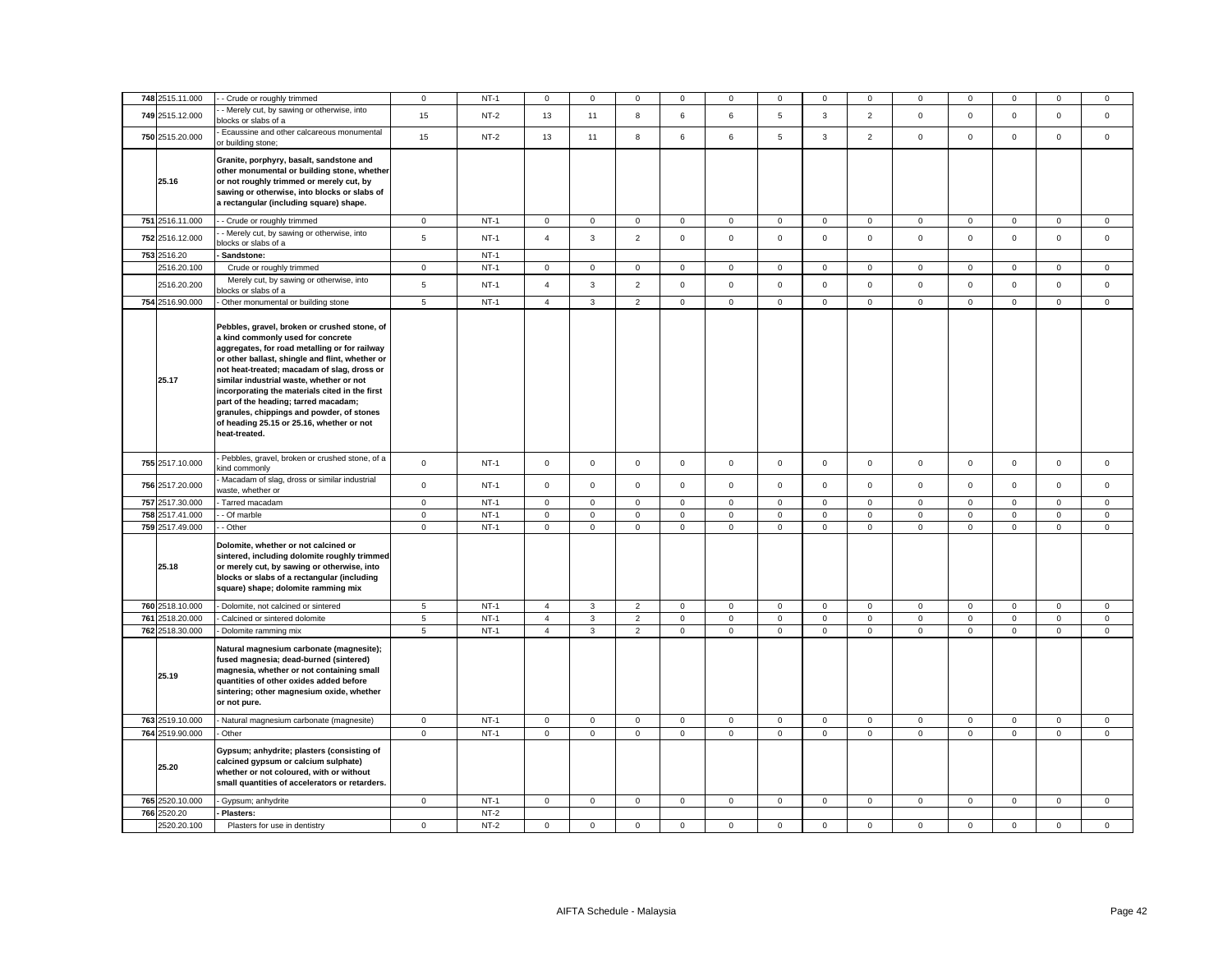| 748 2515.11.000 | - Crude or roughly trimmed                                                                                                                                                                                                                                                                                                                                                                                                                                                            | $\mathbf 0$    | $NT-1$ | $\mathbf 0$    | $\Omega$     | $\mathbf 0$    | $\Omega$     | 0           | $\mathbf 0$ | $\mathbf 0$  | $\Omega$       | $\Omega$            | $\mathbf 0$ | $\mathbf 0$         | $\Omega$       | $\mathbf 0$  |
|-----------------|---------------------------------------------------------------------------------------------------------------------------------------------------------------------------------------------------------------------------------------------------------------------------------------------------------------------------------------------------------------------------------------------------------------------------------------------------------------------------------------|----------------|--------|----------------|--------------|----------------|--------------|-------------|-------------|--------------|----------------|---------------------|-------------|---------------------|----------------|--------------|
| 749 2515.12.000 | - Merely cut, by sawing or otherwise, into<br>blocks or slabs of a                                                                                                                                                                                                                                                                                                                                                                                                                    | 15             | $NT-2$ | 13             | 11           | 8              | 6            | 6           | $\mathbf 5$ | $\mathbf{3}$ | $\overline{2}$ | $\mathsf 0$         | $\mathbf 0$ | $\mathsf 0$         | $\mathsf 0$    | $\mathsf 0$  |
| 750 2515.20.000 | Ecaussine and other calcareous monumental<br>or building stone;                                                                                                                                                                                                                                                                                                                                                                                                                       | 15             | $NT-2$ | 13             | 11           | $\bf8$         | 6            | 6           | $\,$ 5 $\,$ | $\mathbf{3}$ | $\overline{2}$ | $\mathbf 0$         | $\mathbf 0$ | $\mathbf{O}$        | $\mathbf 0$    | $\mathbf{0}$ |
| 25.16           | Granite, porphyry, basalt, sandstone and<br>other monumental or building stone, whether<br>or not roughly trimmed or merely cut, by<br>sawing or otherwise, into blocks or slabs of<br>a rectangular (including square) shape.                                                                                                                                                                                                                                                        |                |        |                |              |                |              |             |             |              |                |                     |             |                     |                |              |
| 751 2516.11.000 | - Crude or roughly trimmed                                                                                                                                                                                                                                                                                                                                                                                                                                                            | $\overline{0}$ | $NT-1$ | $\mathbf 0$    | $\mathbf 0$  | $\overline{0}$ | $\mathbf 0$  | 0           | $\mathbf 0$ | 0            | $\overline{0}$ | 0                   | $\mathbf 0$ | $\mathbf 0$         | $\mathbf 0$    | $\mathbf{0}$ |
| 752 2516.12.000 | - Merely cut, by sawing or otherwise, into<br>blocks or slabs of a                                                                                                                                                                                                                                                                                                                                                                                                                    | 5              | $NT-1$ | $\overline{4}$ | 3            | $\overline{2}$ | $\mathbf 0$  | 0           | $\mathsf 0$ | $\mathsf 0$  | 0              | $\mathbf 0$         | $\mathbf 0$ | $\mathbf{0}$        | $\mathsf 0$    | $\mathbf 0$  |
| 753 2516.20     | Sandstone:                                                                                                                                                                                                                                                                                                                                                                                                                                                                            |                | $NT-1$ |                |              |                |              |             |             |              |                |                     |             |                     |                |              |
| 2516.20.100     | Crude or roughly trimmed                                                                                                                                                                                                                                                                                                                                                                                                                                                              | $\mathbf 0$    | $NT-1$ | $\mathbf 0$    | 0            | $\mathbf 0$    | $\mathbf 0$  | 0           | 0           | $\mathbf 0$  | 0              | 0                   | 0           | $\mathbf 0$         | $\overline{0}$ | 0            |
| 2516.20.200     | Merely cut, by sawing or otherwise, into<br>locks or slabs of a                                                                                                                                                                                                                                                                                                                                                                                                                       | 5              | $NT-1$ | $\overline{4}$ | $\mathbf{3}$ | $\mathbf 2$    | $\mathbf 0$  | $\mathsf 0$ | $\mathbf 0$ | $\mathsf 0$  | $\mathbf{0}$   | $\mathsf{O}\xspace$ | $\mathbf 0$ | $\mathsf 0$         | $\mathbf 0$    | $\mathbf{0}$ |
| 754 2516.90.000 | - Other monumental or building stone                                                                                                                                                                                                                                                                                                                                                                                                                                                  | 5              | $NT-1$ | $\overline{4}$ | 3            | $\overline{2}$ | $\mathbf 0$  | 0           | $\mathsf 0$ | $\mathbf 0$  | $\mathbf 0$    | 0                   | $\mathbf 0$ | $\mathbf{0}$        | $\mathbf{0}$   | $\mathbf{0}$ |
| 25.17           | Pebbles, gravel, broken or crushed stone, of<br>a kind commonly used for concrete<br>aggregates, for road metalling or for railway<br>or other ballast, shingle and flint, whether or<br>not heat-treated; macadam of slag, dross or<br>similar industrial waste, whether or not<br>incorporating the materials cited in the first<br>part of the heading; tarred macadam;<br>granules, chippings and powder, of stones<br>of heading 25.15 or 25.16, whether or not<br>heat-treated. |                |        |                |              |                |              |             |             |              |                |                     |             |                     |                |              |
| 755 2517.10.000 | - Pebbles, gravel, broken or crushed stone, of a<br>kind commonly                                                                                                                                                                                                                                                                                                                                                                                                                     | $\mathsf 0$    | $NT-1$ | $\mathbf 0$    | $\mathbf 0$  | $\mathsf 0$    | $\mathbf 0$  | $\mathsf 0$ | $\mathsf 0$ | $\mathsf 0$  | $\mathbf 0$    | $\mathbf 0$         | $\mathbf 0$ | $\mathsf{O}\xspace$ | $\mathbf 0$    | $\mathbf 0$  |
| 756 2517.20.000 | Macadam of slag, dross or similar industrial<br>waste, whether or                                                                                                                                                                                                                                                                                                                                                                                                                     | $\mathsf 0$    | $NT-1$ | $\mathbf 0$    | $\mathsf 0$  | $\mathsf 0$    | $\mathsf 0$  | $\mathbf 0$ | $\mathsf 0$ | $\mathbf 0$  | $\mathbf 0$    | $\mathsf 0$         | $\mathbf 0$ | $\mathbf 0$         | $\mathsf 0$    | $\mathbf{0}$ |
| 757 2517.30.000 | Tarred macadam                                                                                                                                                                                                                                                                                                                                                                                                                                                                        | $\circ$        | $NT-1$ | $\mathbf 0$    | $\mathbf 0$  | $\mathbf 0$    | $\mathbf 0$  | $\mathbf 0$ | $\mathsf 0$ | $\mathbf 0$  | $\mathbf{0}$   | $\mathbf 0$         | $\mathbf 0$ | $\mathbf 0$         | $\mathsf 0$    | $\mathbf{0}$ |
| 758 2517.41.000 | - Of marble                                                                                                                                                                                                                                                                                                                                                                                                                                                                           | $\mathbf{0}$   | $NT-1$ | $\mathbf 0$    | $\mathbf 0$  | $\mathbf 0$    | $\mathbf{0}$ | $\mathbf 0$ | $\mathbf 0$ | $\mathbf 0$  | $\mathbf{0}$   | $\mathbf 0$         | $\mathbf 0$ | $\mathbf{0}$        | $\mathbf 0$    | $\mathbf{0}$ |
| 759 2517.49.000 | - Other                                                                                                                                                                                                                                                                                                                                                                                                                                                                               | $\mathbf 0$    | $NT-1$ | $\mathbf 0$    | $\mathbf 0$  | $\mathsf 0$    | $\mathbf 0$  | $\mathbf 0$ | $\mathsf 0$ | $\mathbf 0$  | $\mathbf 0$    | $\mathsf 0$         | $\mathsf 0$ | $\mathsf{O}\xspace$ | $\mathsf 0$    | $\mathbf 0$  |
| 25.18           | Dolomite, whether or not calcined or<br>sintered, including dolomite roughly trimmed<br>or merely cut, by sawing or otherwise, into<br>blocks or slabs of a rectangular (including<br>square) shape; dolomite ramming mix                                                                                                                                                                                                                                                             |                |        |                |              |                |              |             |             |              |                |                     |             |                     |                |              |
| 760 2518.10.000 | - Dolomite, not calcined or sintered                                                                                                                                                                                                                                                                                                                                                                                                                                                  | 5              | $NT-1$ | $\overline{4}$ | $\mathbf{3}$ | $\overline{2}$ | $\mathbf 0$  | $\mathbf 0$ | $\mathsf 0$ | $\mathsf 0$  | 0              | $\mathsf 0$         | $\mathsf 0$ | $\mathbf 0$         | $\mathsf 0$    | $\mathsf 0$  |
| 761 2518.20.000 | Calcined or sintered dolomite                                                                                                                                                                                                                                                                                                                                                                                                                                                         | $\,$ 5 $\,$    | $NT-1$ | $\overline{4}$ | $\mathbf{3}$ | $\mathbf 2$    | $\mathbf 0$  | $\mathsf 0$ | $\mathsf 0$ | $\mathsf 0$  | $\mathsf 0$    | $\mathsf{O}\xspace$ | $\pmb{0}$   | $\mathsf{O}\xspace$ | $\mathsf 0$    | $\mathsf 0$  |
| 762 2518.30.000 | - Dolomite ramming mix                                                                                                                                                                                                                                                                                                                                                                                                                                                                | 5              | $NT-1$ | $\overline{4}$ | 3            | $\overline{2}$ | $\mathbf 0$  | $\mathsf 0$ | $\mathsf 0$ | $\mathbf 0$  | $\mathbf{0}$   | 0                   | $\mathbf 0$ | $\mathbf{0}$        | $\mathbf{0}$   | $\mathbf 0$  |
| 25.19           | Natural magnesium carbonate (magnesite);<br>fused magnesia; dead-burned (sintered)<br>magnesia, whether or not containing small<br>quantities of other oxides added before<br>sintering; other magnesium oxide, whether<br>or not pure.                                                                                                                                                                                                                                               |                |        |                |              |                |              |             |             |              |                |                     |             |                     |                |              |
| 763 2519.10.000 | - Natural magnesium carbonate (magnesite)                                                                                                                                                                                                                                                                                                                                                                                                                                             | $\mathbf 0$    | $NT-1$ | $\mathsf 0$    | 0            | $\overline{0}$ | $\mathbf 0$  | 0           | $\mathbf 0$ | 0            | 0              | 0                   | $\mathsf 0$ | $\mathbf 0$         | $\mathbf 0$    | $\mathbf 0$  |
| 764 2519.90.000 | Other                                                                                                                                                                                                                                                                                                                                                                                                                                                                                 | $\mathsf 0$    | $NT-1$ | $\mathsf 0$    | $\mathsf 0$  | $\mathsf 0$    | $\mathsf 0$  | $\mathbf 0$ | $\mathsf 0$ | $\mathsf 0$  | $\mathbf 0$    | $\mathsf 0$         | $\mathbf 0$ | $\mathsf 0$         | $\mathsf 0$    | $\mathbf 0$  |
| 25.20           | Gypsum; anhydrite; plasters (consisting of<br>calcined gypsum or calcium sulphate)<br>whether or not coloured, with or without<br>small quantities of accelerators or retarders.                                                                                                                                                                                                                                                                                                      |                |        |                |              |                |              |             |             |              |                |                     |             |                     |                |              |
| 765 2520.10.000 | - Gypsum; anhydrite                                                                                                                                                                                                                                                                                                                                                                                                                                                                   | $\overline{0}$ | $NT-1$ | $\overline{0}$ | $\mathbf 0$  | $\mathbf{0}$   | $\mathbf 0$  | $\mathbf 0$ | $\mathbf 0$ | $\mathbf 0$  | $\mathbf{0}$   | $\mathbf 0$         | $\mathbf 0$ | $\mathbf 0$         | $\mathbf{0}$   | $\mathbf{0}$ |
| 766 2520.20     | - Plasters:                                                                                                                                                                                                                                                                                                                                                                                                                                                                           |                | $NT-2$ |                |              |                |              |             |             |              |                |                     |             |                     |                |              |
| 2520.20.100     | Plasters for use in dentistry                                                                                                                                                                                                                                                                                                                                                                                                                                                         | $\mathbf 0$    | $NT-2$ | $\mathbf 0$    | $\mathbf 0$  | $\mathsf 0$    | $\mathsf 0$  | $\mathbf 0$ | $\mathsf 0$ | $\mathbf 0$  | $\mathbf 0$    | $\mathsf 0$         | $\mathbf 0$ | $\mathbf 0$         | $\mathsf 0$    | $\mathbf 0$  |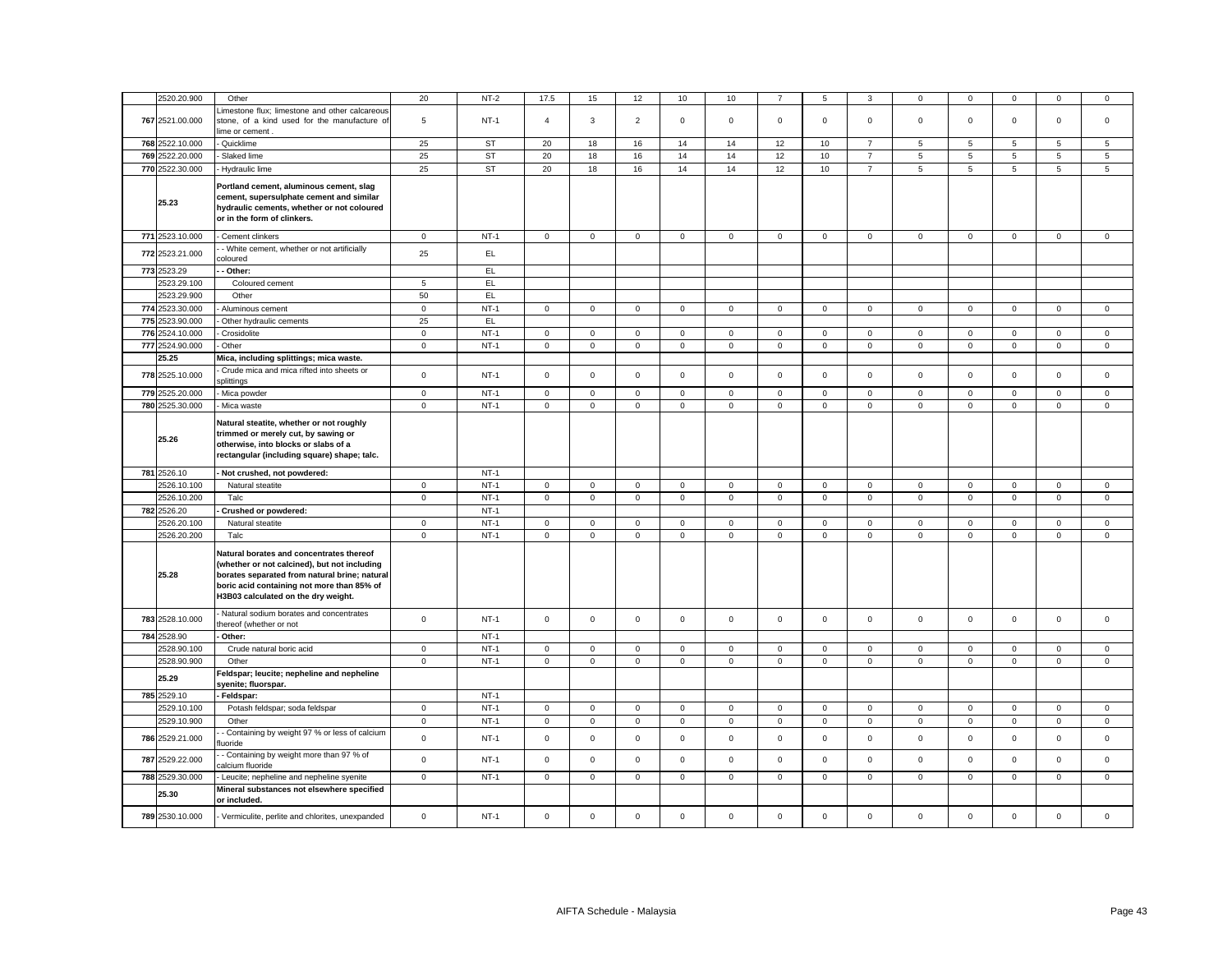| 2520.20.900     | Other                                                                               | 20             | $NT-2$    | 17.5           | 15           | 12                  | 10           | 10           |             | 5              | 3              | 0               | $\mathbf 0$ | $\mathbf 0$  | $\mathbf 0$  | 0              |
|-----------------|-------------------------------------------------------------------------------------|----------------|-----------|----------------|--------------|---------------------|--------------|--------------|-------------|----------------|----------------|-----------------|-------------|--------------|--------------|----------------|
|                 | imestone flux; limestone and other calcareous                                       |                |           |                |              |                     |              |              |             |                |                |                 |             |              |              |                |
| 767 2521.00.000 | stone, of a kind used for the manufacture of                                        | 5              | $NT-1$    | $\overline{4}$ | 3            | $\overline{2}$      | $\mathsf 0$  | $\mathbf 0$  | $\mathsf 0$ | $\mathbf 0$    | $\mathsf 0$    | $\mathbf 0$     | $\mathsf 0$ | $\mathbf 0$  | $\mathsf 0$  | $\mathsf 0$    |
|                 | lime or cement                                                                      |                |           |                |              |                     |              |              |             |                |                |                 |             |              |              |                |
| 768 2522.10.000 | Quicklime                                                                           | 25             | <b>ST</b> | 20             | 18           | 16                  | 14           | 14           | 12          | 10             | $\overline{7}$ | $5\overline{5}$ | 5           | 5            | 5            | $\overline{5}$ |
| 769 2522.20.000 | Slaked lime                                                                         | 25             | <b>ST</b> | 20             | 18           | 16                  | 14           | 14           | 12          | 10             | $\overline{7}$ | 5               | 5           | 5            | 5            | 5              |
| 770 2522.30.000 | Hydraulic lime                                                                      | 25             | <b>ST</b> | 20             | 18           | 16                  | 14           | 14           | 12          | 10             | $\overline{7}$ | $5\overline{5}$ | 5           | 5            | 5            | 5              |
|                 |                                                                                     |                |           |                |              |                     |              |              |             |                |                |                 |             |              |              |                |
|                 | Portland cement, aluminous cement, slag<br>cement, supersulphate cement and similar |                |           |                |              |                     |              |              |             |                |                |                 |             |              |              |                |
| 25.23           | hydraulic cements, whether or not coloured                                          |                |           |                |              |                     |              |              |             |                |                |                 |             |              |              |                |
|                 | or in the form of clinkers.                                                         |                |           |                |              |                     |              |              |             |                |                |                 |             |              |              |                |
|                 |                                                                                     |                |           |                |              |                     |              |              |             |                |                |                 |             |              |              |                |
| 771 2523.10.000 | Cement clinkers                                                                     | $\mathsf 0$    | $NT-1$    | $\mathsf 0$    | $\mathbf 0$  | $\mathbf 0$         | $\mathbf 0$  | $\mathbf 0$  | $\mathsf 0$ | $\mathbf 0$    | $\mathbf 0$    | $\mathbf 0$     | $\mathsf 0$ | $\mathsf 0$  | $\mathsf 0$  | $\mathsf 0$    |
| 772 2523.21.000 | - White cement, whether or not artificially<br>coloured                             | 25             | EL        |                |              |                     |              |              |             |                |                |                 |             |              |              |                |
| 773 2523.29     | - Other:                                                                            |                | EL        |                |              |                     |              |              |             |                |                |                 |             |              |              |                |
| 2523.29.100     | Coloured cement                                                                     | $\overline{5}$ | EL        |                |              |                     |              |              |             |                |                |                 |             |              |              |                |
| 2523.29.900     | Other                                                                               | 50             | EL.       |                |              |                     |              |              |             |                |                |                 |             |              |              |                |
| 774 2523.30.000 | Aluminous cement                                                                    | $\mathbf 0$    | $NT-1$    | $\mathbf 0$    | $\mathsf 0$  | $\mathbf 0$         | $\mathbf 0$  | $\mathsf 0$  | $\mathsf 0$ | $\mathsf 0$    | $\mathbf 0$    | $\mathbf 0$     | $\mathsf 0$ | $\mathsf 0$  | $\mathsf 0$  | $\mathsf 0$    |
| 775 2523.90.000 | Other hydraulic cements                                                             | 25             | EL.       |                |              |                     |              |              |             |                |                |                 |             |              |              |                |
| 776 2524.10.000 | Crosidolite                                                                         | $\mathsf 0$    | $NT-1$    | $\mathbf 0$    | $\mathsf 0$  | $\mathsf 0$         | $\mathsf 0$  | $\mathsf 0$  | $\mathbf 0$ | $\mathbf 0$    | $\mathsf 0$    | $\mathsf 0$     | $\mathbf 0$ | $\mathsf 0$  | $\mathsf 0$  | $\mathsf 0$    |
| 777 2524.90.000 | Other                                                                               | $\mathbf 0$    | $NT-1$    | $\mathbf 0$    | $\mathbf 0$  | $\mathsf 0$         | $\mathbf 0$  | $\mathbf 0$  | $\mathbf 0$ | $\mathbf 0$    | $\mathsf 0$    | $\mathbf{0}$    | $\mathbf 0$ | $\mathsf 0$  | $\mathbf 0$  | $\mathbf 0$    |
| 25.25           | Mica, including splittings; mica waste.                                             |                |           |                |              |                     |              |              |             |                |                |                 |             |              |              |                |
|                 | Crude mica and mica rifted into sheets or                                           |                |           |                |              |                     |              |              |             |                |                |                 |             |              |              |                |
| 778 2525.10.000 | splittings                                                                          | $\mathsf 0$    | $NT-1$    | $\circ$        | $\mathbf 0$  | $\mathbf{0}$        | $\mathbf 0$  | $\mathbf 0$  | $\mathsf 0$ | $\mathbf 0$    | $\mathbf 0$    | $\mathbf{0}$    | $\mathsf 0$ | $\mathbf 0$  | $\mathbf 0$  | $\mathbf 0$    |
| 779 2525.20.000 | Mica powder                                                                         | $\mathsf 0$    | $NT-1$    | $\mathsf 0$    | $\mathsf 0$  | $\mathsf 0$         | $\mathsf 0$  | $\mathsf 0$  | $\mathbf 0$ | $\mathsf 0$    | $\mathsf 0$    | $\mathsf 0$     | $\mathbf 0$ | $\mathsf 0$  | $\mathsf 0$  | $\mathsf 0$    |
| 780 2525.30.000 | Mica waste                                                                          | $\mathbf 0$    | $NT-1$    | $\mathsf 0$    | $\mathsf 0$  | $\mathsf 0$         | $\mathsf 0$  | $\mathbf 0$  | $\mathsf 0$ | $\mathsf 0$    | $\mathsf 0$    | $\mathsf 0$     | $\mathsf 0$ | $\mathsf 0$  | $\mathsf 0$  | $\mathsf 0$    |
|                 | Natural steatite, whether or not roughly                                            |                |           |                |              |                     |              |              |             |                |                |                 |             |              |              |                |
|                 | trimmed or merely cut, by sawing or                                                 |                |           |                |              |                     |              |              |             |                |                |                 |             |              |              |                |
| 25.26           | otherwise, into blocks or slabs of a                                                |                |           |                |              |                     |              |              |             |                |                |                 |             |              |              |                |
|                 | rectangular (including square) shape; talc.                                         |                |           |                |              |                     |              |              |             |                |                |                 |             |              |              |                |
| 781 2526.10     | Not crushed, not powdered:                                                          |                | $NT-1$    |                |              |                     |              |              |             |                |                |                 |             |              |              |                |
| 2526.10.100     |                                                                                     | $\mathbf 0$    | $NT-1$    | $\circ$        | $\mathbf 0$  | $\mathsf 0$         | $\mathsf 0$  | $\mathbf 0$  | $\mathsf 0$ | $\mathbf 0$    | $\mathsf 0$    | $\mathbf{0}$    |             |              | $\mathbf 0$  | $\mathsf 0$    |
|                 |                                                                                     |                |           |                |              |                     |              |              |             |                |                |                 |             |              |              |                |
|                 | Natural steatite                                                                    |                |           |                |              |                     |              |              |             |                |                |                 | $\mathsf 0$ | $\mathbf 0$  |              |                |
| 2526.10.200     | Talc                                                                                | $\mathbf 0$    | $NT-1$    | $\circ$        | $\mathbf 0$  | $\mathbf{0}$        | $\mathsf 0$  | $\mathbf{0}$ | $\mathbf 0$ | $\overline{0}$ | $\overline{0}$ | $\mathbf 0$     | $\mathsf 0$ | $\mathbf{0}$ | $\mathbf 0$  | $\mathbf{0}$   |
| 782 2526.20     | Crushed or powdered:                                                                |                | $NT-1$    |                |              |                     |              |              |             |                |                |                 |             |              |              |                |
| 2526.20.100     | Natural steatite                                                                    | $\mathbf 0$    | $NT-1$    | $\circ$        | $\mathbf 0$  | $\mathbf 0$         | $\mathbf{0}$ | $\mathbf{0}$ | $\mathbf 0$ | $\mathbf{O}$   | $\mathbf{0}$   | $\mathbf 0$     | $\mathbf 0$ | $\mathbf{0}$ | $\mathbf{0}$ | $\mathbf 0$    |
| 2526.20.200     | Talc                                                                                | $\mathbf 0$    | $NT-1$    | $\mathbf{O}$   | $\mathbf{O}$ | $\mathbf 0$         | $\mathbf{0}$ | $\mathbf{0}$ | $\mathbf 0$ | $\mathbf 0$    | $\mathbf 0$    | $\mathsf 0$     | $\mathbf 0$ | $\mathbf{0}$ | $\mathbf 0$  | $\mathbf 0$    |
|                 | Natural borates and concentrates thereof                                            |                |           |                |              |                     |              |              |             |                |                |                 |             |              |              |                |
|                 | (whether or not calcined), but not including                                        |                |           |                |              |                     |              |              |             |                |                |                 |             |              |              |                |
| 25.28           | borates separated from natural brine; natural                                       |                |           |                |              |                     |              |              |             |                |                |                 |             |              |              |                |
|                 | boric acid containing not more than 85% of                                          |                |           |                |              |                     |              |              |             |                |                |                 |             |              |              |                |
|                 | H3B03 calculated on the dry weight.                                                 |                |           |                |              |                     |              |              |             |                |                |                 |             |              |              |                |
| 783 2528.10.000 | Natural sodium borates and concentrates                                             | $\mathbf 0$    | $NT-1$    | $\mathbf 0$    | $\mathsf 0$  | $\mathsf{o}\xspace$ | $\mathsf 0$  | $\mathbf 0$  | $\mathsf 0$ | $\mathsf 0$    | $\mathsf 0$    | $\mathsf 0$     | $\mathsf 0$ | $\mathsf 0$  | $\mathsf 0$  | $\mathsf 0$    |
|                 | hereof (whether or not                                                              |                |           |                |              |                     |              |              |             |                |                |                 |             |              |              |                |
| 784 2528.90     | Other:                                                                              |                | $NT-1$    |                |              |                     |              |              |             |                |                |                 |             |              |              |                |
| 2528.90.100     | Crude natural boric acid                                                            | $\circ$        | $NT-1$    | $\circ$        | $\mathbf 0$  | $\mathbf 0$         | $\mathsf 0$  | $\mathbf 0$  | $\mathsf 0$ | $\mathbf 0$    | $\mathsf 0$    | $\mathbf{0}$    | $\mathsf 0$ | $\mathsf 0$  | $\mathbf 0$  | $\mathsf 0$    |
| 2528.90.900     | Other                                                                               | $\mathbf 0$    | $NT-1$    | $\circ$        | $\mathbf 0$  | $\mathbf 0$         | $\mathbf{0}$ | $\mathbf 0$  | $\mathsf 0$ | $\mathbf{O}$   | $\mathbf{0}$   | $\mathbf 0$     | $\mathbf 0$ | $\mathbf{0}$ | $\mathbf{0}$ | $\mathbf 0$    |
| 25.29           | Feldspar; leucite; nepheline and nepheline<br>syenite; fluorspar.                   |                |           |                |              |                     |              |              |             |                |                |                 |             |              |              |                |
| 785 2529.10     | Feldspar:                                                                           |                | $NT-1$    |                |              |                     |              |              |             |                |                |                 |             |              |              |                |
| 2529.10.100     | Potash feldspar; soda feldspar                                                      | $\mathbf 0$    | $NT-1$    | $\mathbf{0}$   | $\mathbf 0$  | $\mathbf 0$         | $\mathbf{0}$ | $\mathbf 0$  | $\mathsf 0$ | $\mathbf 0$    | $\mathsf 0$    | $\mathbf{0}$    | $\mathsf 0$ | $\mathbf 0$  | $\mathbf 0$  | $\mathsf 0$    |
| 2529.10.900     | Other                                                                               | $\mathbf 0$    | $NT-1$    | $\mathbf{0}$   | $\mathbf 0$  | $\mathsf 0$         | $\mathsf 0$  | $\mathbf{0}$ | $\mathsf 0$ | $\mathsf 0$    | $\mathbf{0}$   | $\mathsf 0$     | $\mathsf 0$ | $\mathsf 0$  | $\mathsf 0$  | $\mathsf 0$    |
| 786 2529.21.000 | - Containing by weight 97 % or less of calcium<br>luoride                           | $\mathbf 0$    | $NT-1$    | $\mathbf 0$    | $\mathbf 0$  | $\mathsf 0$         | $\mathsf 0$  | $\mathbf 0$  | $\mathsf 0$ | $\mathbf 0$    | $\mathsf 0$    | $\mathbf 0$     | $\mathsf 0$ | $\mathsf 0$  | $\mathsf 0$  | $\mathsf 0$    |
| 787 2529.22.000 | - Containing by weight more than 97 % of<br>calcium fluoride                        | $\mathsf 0$    | $NT-1$    | $\mathbf 0$    | $\mathsf 0$  | $\mathsf 0$         | $\mathsf 0$  | $\mathsf 0$  | $\mathsf 0$ | $\mathsf 0$    | $\mathsf 0$    | $\mathsf 0$     | $\mathbf 0$ | $\mathsf 0$  | $\mathsf 0$  | $\mathsf 0$    |
| 788 2529.30.000 | Leucite; nepheline and nepheline syenite                                            | $\mathbf 0$    | $NT-1$    | $\mathbf{0}$   | $\mathbf 0$  | $\mathbf 0$         | $\mathsf 0$  | $\mathbf 0$  | $\mathsf 0$ | $\mathbf 0$    | $\mathbf 0$    | $\mathbf{0}$    | $\mathsf 0$ | $\mathbf 0$  | $\mathbf 0$  | $\mathsf 0$    |
| 25.30           | Mineral substances not elsewhere specified<br>or included.                          |                |           |                |              |                     |              |              |             |                |                |                 |             |              |              |                |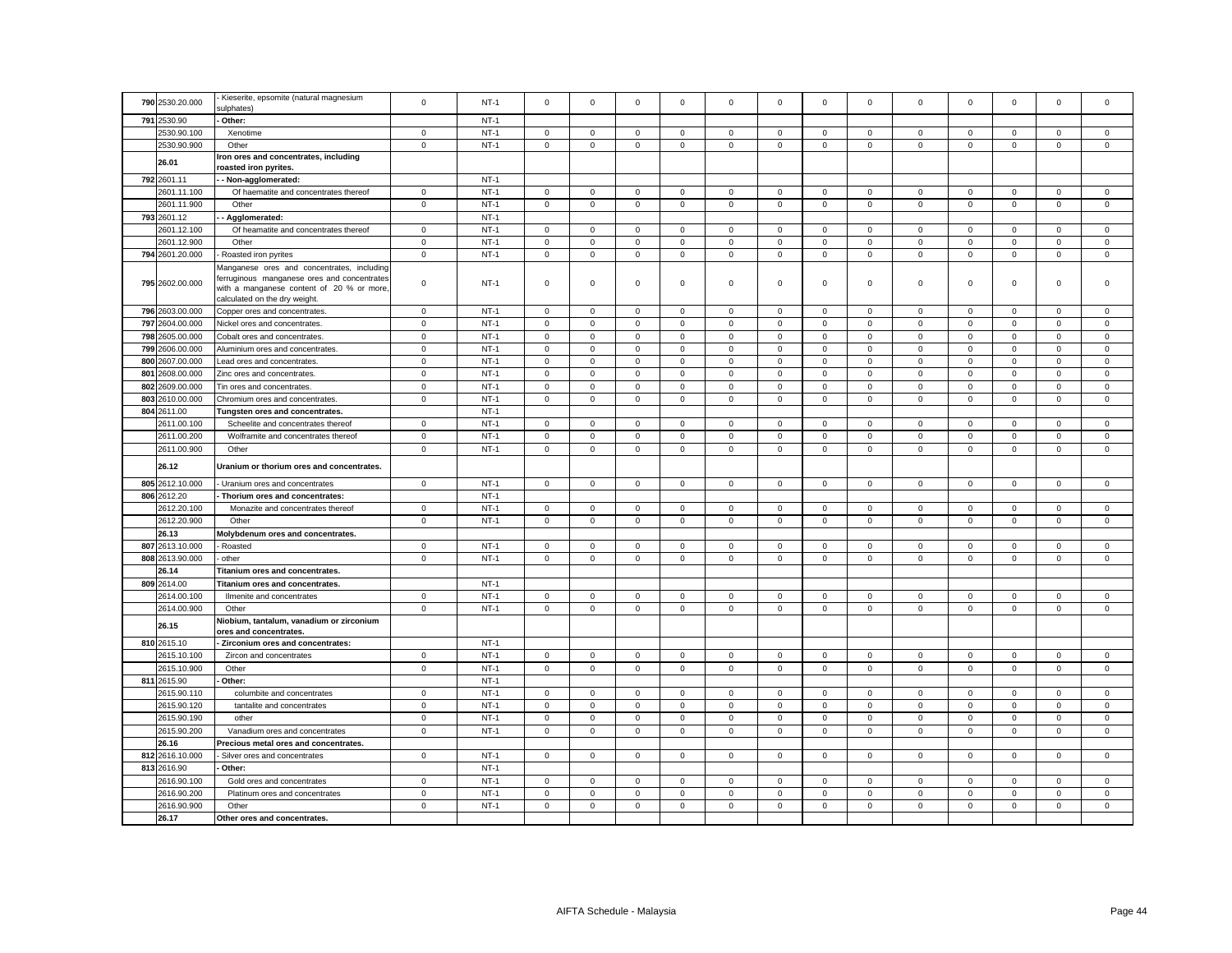| 790 2530.20.000    | Kieserite, epsomite (natural magnesium<br>sulphates)                                                                     | $\mathbf 0$ | $NT-1$ | $\mathbf 0$  | $\mathbf 0$  | $\mathbf 0$ | $\mathbf 0$  | $\mathbf{0}$ | $\mathbf 0$  | $\mathbf 0$ | $\mathsf 0$  | $\mathbf 0$         | $\mathbf 0$  | $\mathbf 0$  | $\mathbf 0$  | $\mathbf 0$ |
|--------------------|--------------------------------------------------------------------------------------------------------------------------|-------------|--------|--------------|--------------|-------------|--------------|--------------|--------------|-------------|--------------|---------------------|--------------|--------------|--------------|-------------|
| 791<br>2530.90     | Other:                                                                                                                   |             | $NT-1$ |              |              |             |              |              |              |             |              |                     |              |              |              |             |
| 2530.90.100        | Xenotime                                                                                                                 | 0           | $NT-1$ | 0            | 0            | 0           | 0            | 0            | 0            | 0           | $\mathbf 0$  | 0                   | $\mathbf 0$  | 0            | 0            | 0           |
| 2530.90.900        | Other                                                                                                                    | $\mathsf 0$ | $NT-1$ | $\mathsf 0$  | $\mathsf 0$  | $\mathsf 0$ | $\mathsf 0$  | 0            | $\mathbf 0$  | $\mathsf 0$ | $\mathbf 0$  | $\mathsf 0$         | $\mathbf 0$  | $\mathsf 0$  | $\mathsf 0$  | $\mathsf 0$ |
| 26.01              | Iron ores and concentrates, including<br>roasted iron pyrites.                                                           |             |        |              |              |             |              |              |              |             |              |                     |              |              |              |             |
| 792 2601.11        | - Non-agglomerated:                                                                                                      |             | $NT-1$ |              |              |             |              |              |              |             |              |                     |              |              |              |             |
| 2601.11.100        | Of haematite and concentrates thereof                                                                                    | $\mathbf 0$ | $NT-1$ | $\mathbf 0$  | $\mathbf 0$  | 0           | $\mathbf 0$  | 0            | $\mathbf 0$  | $\mathbf 0$ | $\mathbf 0$  | $\mathbf 0$         | $\mathbf 0$  | $\mathbf 0$  | $\mathsf 0$  | $\mathbf 0$ |
| 2601.11.900        | Other                                                                                                                    | $\mathsf 0$ | $NT-1$ | $\mathsf 0$  | $\mathsf 0$  | $\mathsf 0$ | $\mathsf 0$  | $\mathbf 0$  | $\mathbf 0$  | $\mathsf 0$ | $\mathsf 0$  | $\mathsf 0$         | $\mathbf 0$  | $\mathsf 0$  | $\mathsf 0$  | $\mathsf 0$ |
| 793 2601.12        | Agglomerated:                                                                                                            |             | $NT-1$ |              |              |             |              |              |              |             |              |                     |              |              |              |             |
| 2601.12.100        | Of heamatite and concentrates thereof                                                                                    | $\mathbf 0$ | $NT-1$ | $\mathsf 0$  | $\mathbf 0$  | $\mathsf 0$ | $\mathbf 0$  | 0            | $\mathbf 0$  | $\mathbf 0$ | $\mathbf 0$  | 0                   | $\mathbf 0$  | $\mathbf 0$  | $\mathbf 0$  | $\mathbf 0$ |
| 2601.12.900        | Other                                                                                                                    | $\mathbf 0$ | $NT-1$ | $\mathsf 0$  | $\mathsf 0$  | $\mathsf 0$ | $\mathbf 0$  | 0            | $\mathsf 0$  | $\mathbf 0$ | $\mathbf 0$  | $\mathsf{O}\xspace$ | $\mathbf 0$  | $\mathsf 0$  | $\mathsf 0$  | $\mathsf 0$ |
| 794 2601.20.000    | Roasted iron pyrites                                                                                                     | $\mathsf 0$ | $NT-1$ | $\mathsf 0$  | $\mathsf 0$  | $\mathsf 0$ | $\mathsf 0$  | 0            | $\mathsf 0$  | $\mathsf 0$ | $\mathsf 0$  | $\mathsf 0$         | $\mathbf 0$  | $\mathbf 0$  | $\mathsf 0$  | $\mathsf 0$ |
|                    | Manganese ores and concentrates, including                                                                               |             |        |              |              |             |              |              |              |             |              |                     |              |              |              |             |
| 795 2602.00.000    | ferruginous manganese ores and concentrates<br>with a manganese content of 20 % or more<br>calculated on the dry weight. | $\mathbf 0$ | $NT-1$ | $\mathsf 0$  | $\mathsf 0$  | $\mathsf 0$ | $\mathsf 0$  | 0            | $\mathsf 0$  | $\mathsf 0$ | $\mathbf 0$  | $\mathsf 0$         | $\mathsf 0$  | $\mathsf 0$  | $\mathsf 0$  | $\mathsf 0$ |
| 796 2603.00.000    | Copper ores and concentrates                                                                                             | $\mathbf 0$ | $NT-1$ | $\mathbf{0}$ | $\mathbf 0$  | $\mathbf 0$ | $\mathbf 0$  | 0            | $\mathbf 0$  | $\mathbf 0$ | $\mathbf 0$  | $\mathsf 0$         | $\mathsf 0$  | $\mathbf{0}$ | $\mathbf 0$  | $\mathbf 0$ |
| 797 2604.00.000    | Nickel ores and concentrates.                                                                                            | $\mathsf 0$ | $NT-1$ | $\mathsf 0$  | $\mathbf 0$  | 0           | $\mathbf 0$  | 0            | 0            | $\mathbf 0$ | $\mathbf 0$  | $\mathsf 0$         | $\mathbf 0$  | $\mathbf 0$  | 0            | 0           |
| 798 2605.00.000    | Cobalt ores and concentrates                                                                                             | $\mathsf 0$ | $NT-1$ | $\mathsf 0$  | $\mathsf 0$  | $\mathsf 0$ | $\mathsf 0$  | 0            | $\mathsf 0$  | $\mathsf 0$ | $\mathsf 0$  | $\mathsf 0$         | $\mathsf 0$  | $\mathbf 0$  | $\mathsf 0$  | $\mathsf 0$ |
| 799 2606.00.000    | Aluminium ores and concentrates.                                                                                         | $\mathsf 0$ | $NT-1$ | $\mathsf 0$  | $\mathsf 0$  | $\mathsf 0$ | $\mathsf 0$  | 0            | $\mathsf 0$  | $\mathsf 0$ | $\mathsf 0$  | $\mathsf 0$         | $\mathbf 0$  | $\mathbf 0$  | $\mathsf 0$  | $\mathsf 0$ |
| 800 2607.00.000    | Lead ores and concentrates.                                                                                              | $\mathbf 0$ | $NT-1$ | $\mathbf 0$  | $\mathbf 0$  | $\mathbf 0$ | $\mathbf 0$  | $\mathbf 0$  | $\mathbf 0$  | $\mathbf 0$ | $\mathbf 0$  | $\mathbf 0$         | $\mathbf 0$  | $\mathbf 0$  | $\mathbf 0$  | $\mathbf 0$ |
| 801 2608,00,000    | Zinc ores and concentrates.                                                                                              | $^{\circ}$  | $NT-1$ | $\mathbf 0$  | $\mathbf 0$  | $\mathbf 0$ | $\mathbf 0$  | $\mathbf{0}$ | $\mathbf{0}$ | $\mathbf 0$ | $\mathbf{0}$ | $\Omega$            | $\mathbf{0}$ | $\mathbf{0}$ | $\mathbf 0$  | $\mathbf 0$ |
| 802 2609.00.000    | Tin ores and concentrates.                                                                                               | $\Omega$    | $NT-1$ | $\Omega$     | $\Omega$     | $\mathsf 0$ | $\mathsf 0$  | 0            | $\Omega$     | $\mathsf 0$ | $\mathbf 0$  | $\mathsf 0$         | $\Omega$     | $\Omega$     | $\mathsf 0$  | $\mathbf 0$ |
| 803 2610.00.000    | Chromium ores and concentrates.                                                                                          | $\mathbf 0$ | $NT-1$ | $\mathbf 0$  | $\mathbf 0$  | $\mathbf 0$ | $\mathbf 0$  | $\mathbf 0$  | $\mathsf 0$  | $\mathbf 0$ | $\mathsf 0$  | $\mathbf 0$         | $\mathsf 0$  | $\mathbf 0$  | $\mathbf 0$  | $\mathsf 0$ |
| 804 2611.00        | Tungsten ores and concentrates.                                                                                          |             | $NT-1$ |              |              |             |              |              |              |             |              |                     |              |              |              |             |
| 2611.00.100        | Scheelite and concentrates thereof                                                                                       | $\mathbf 0$ | $NT-1$ | $\mathsf 0$  | $\mathbf 0$  | $\mathsf 0$ | 0            | 0            | $\mathsf 0$  | $\mathbf 0$ | $\mathsf 0$  | $\mathbf 0$         | $\mathbf 0$  | $\mathbf 0$  | $\mathsf 0$  | $\mathsf 0$ |
| 2611.00.200        | Wolframite and concentrates thereof                                                                                      | $\mathbf 0$ | $NT-1$ | $\mathbf 0$  | $\mathbf 0$  | $\mathbf 0$ | $\mathbf 0$  | $\mathbf{0}$ | $\Omega$     | $\mathbf 0$ | $\mathbf 0$  | $\mathbf 0$         | $\Omega$     | $\mathbf 0$  | $\mathbf 0$  | $\mathsf 0$ |
| 2611.00.900        | Other                                                                                                                    | $\mathbf 0$ | $NT-1$ | $\,0\,$      | $\mathsf 0$  | $\mathbf 0$ | $\mathbf 0$  | 0            | $\mathsf 0$  | 0           | $\mathbf 0$  | $\mathsf 0$         | 0            | 0            | $\mathbf 0$  | $\mathbf 0$ |
|                    |                                                                                                                          |             |        |              |              |             |              |              |              |             |              |                     |              |              |              |             |
| 26.12              | Uranium or thorium ores and concentrates.                                                                                |             |        |              |              |             |              |              |              |             |              |                     |              |              |              |             |
| 805<br>2612.10.000 | Uranium ores and concentrates                                                                                            | $\mathsf 0$ | $NT-1$ | $\mathbf 0$  | $\mathsf 0$  | $\mathsf 0$ | $\mathbf 0$  | 0            | $\mathsf 0$  | $\mathbf 0$ | $\mathsf 0$  | $\mathbf 0$         | $\mathbf 0$  | $\mathbf 0$  | $\mathsf 0$  | $\mathbf 0$ |
| 806 2612.20        | - Thorium ores and concentrates:                                                                                         |             | $NT-1$ |              |              |             |              |              |              |             |              |                     |              |              |              |             |
| 2612.20.100        | Monazite and concentrates thereof                                                                                        | 0           | $NT-1$ | 0            | $\mathbf{0}$ | 0           | 0            | 0            | $\mathbf 0$  | 0           | $\mathbf 0$  | 0                   | $\mathbf 0$  | 0            | 0            | 0           |
| 2612.20.900        | Other                                                                                                                    | $\mathsf 0$ | $NT-1$ | $\mathsf 0$  | $\mathsf 0$  | $\mathsf 0$ | $\mathbf 0$  | 0            | $\Omega$     | $\mathsf 0$ | $\mathbf 0$  | $\mathbf 0$         | $\Omega$     | $\mathbf 0$  | $\mathsf 0$  | $\mathsf 0$ |
| 26.13              | Molybdenum ores and concentrates.                                                                                        |             |        |              |              |             |              |              |              |             |              |                     |              |              |              |             |
| 807 2613.10.000    | - Roasted                                                                                                                | $\mathbf 0$ | $NT-1$ | $\mathbf 0$  | $\mathbf 0$  | 0           | $\mathbf 0$  | 0            | $\mathsf 0$  | $\mathbf 0$ | $\mathbf 0$  | $\mathsf 0$         | $\mathbf 0$  | $\mathbf 0$  | $\mathbf 0$  | $\mathbf 0$ |
| 808 2613.90.000    | - other                                                                                                                  | $\mathbf 0$ | $NT-1$ | $\mathsf{O}$ | $\mathsf 0$  | $\mathsf 0$ | $\mathsf 0$  | $\mathbf 0$  | $\mathsf 0$  | $\mathbf 0$ | $\mathsf 0$  | $\mathsf 0$         | $\mathsf 0$  | $\mathbf{0}$ | $\mathsf 0$  | $\mathsf 0$ |
| 26.14              | Titanium ores and concentrates.                                                                                          |             |        |              |              |             |              |              |              |             |              |                     |              |              |              |             |
| 809 2614.00        | Titanium ores and concentrates.                                                                                          |             | $NT-1$ |              |              |             |              |              |              |             |              |                     |              |              |              |             |
| 2614.00.100        | Ilmenite and concentrates                                                                                                | $\mathbf 0$ | $NT-1$ | $\mathbf 0$  | $\mathbf 0$  | $\mathbf 0$ | $\mathbf 0$  | 0            | $\mathbf 0$  | $\mathbf 0$ | $\mathsf 0$  | 0                   | $\mathbf 0$  | $\mathbf 0$  | $\mathbf 0$  | $\mathbf 0$ |
| 2614.00.900        | Other                                                                                                                    | $\mathbf 0$ | $NT-1$ | $\mathsf 0$  | $\mathbf 0$  | $\mathsf 0$ | $\mathbf 0$  | $\mathbf 0$  | $\mathsf 0$  | $\mathbf 0$ | $\mathbf 0$  | $\mathbf 0$         | $\mathsf 0$  | $\mathsf 0$  | $\mathsf 0$  | $\mathsf 0$ |
| 26.15              | Niobium, tantalum, vanadium or zirconium<br>ores and concentrates.                                                       |             |        |              |              |             |              |              |              |             |              |                     |              |              |              |             |
| 810 2615.10        | - Zirconium ores and concentrates:                                                                                       |             | $NT-1$ |              |              |             |              |              |              |             |              |                     |              |              |              |             |
| 2615.10.100        | Zircon and concentrates                                                                                                  | $^{\circ}$  | $NT-1$ | $\mathbf{0}$ | $\mathbf{0}$ | $\mathbf 0$ | $\mathbf{0}$ | $\mathbf{0}$ | $\mathbf{0}$ | $\mathbf 0$ | $\mathbf{0}$ | $\mathbf 0$         | $\mathbf{0}$ | $\mathbf{0}$ | $\mathbf{0}$ | $\mathbf 0$ |
| 2615.10.900        | Other                                                                                                                    | $\mathbf 0$ | $NT-1$ | $\mathbf{0}$ | $\circ$      | $\mathbf 0$ | $\mathbf{0}$ | $\mathbf{0}$ | $\mathbf 0$  | $\mathbf 0$ | $\mathbf{0}$ | $\mathbf 0$         | $\mathbf 0$  | $\mathbf 0$  | $\mathbf 0$  | $\mathbf 0$ |
| 811 2615.90        | Other:                                                                                                                   |             | $NT-1$ |              |              |             |              |              |              |             |              |                     |              |              |              |             |
| 2615.90.110        | columbite and concentrates                                                                                               | $\mathbf 0$ | $NT-1$ | $\mathbf 0$  | $\mathbf 0$  | $\mathbf 0$ | $\mathbf 0$  | $\mathbf{0}$ | $\mathbf 0$  | $\mathbf 0$ | $\mathbf 0$  | $\mathbf 0$         | $\mathbf 0$  | $\mathbf 0$  | $\mathbf 0$  | $\mathsf 0$ |
| 2615.90.120        | tantalite and concentrates                                                                                               | $\mathsf 0$ | $NT-1$ | $\mathsf 0$  | $\mathbf 0$  | $\mathsf 0$ | $\mathsf 0$  | $\mathbf 0$  | $\mathsf 0$  | $\mathsf 0$ | $\mathsf 0$  | $\mathsf 0$         | $\mathbf 0$  | $\mathsf 0$  | $\mathsf 0$  | $\mathsf 0$ |
| 2615.90.190        | other                                                                                                                    | $\mathbf 0$ | $NT-1$ | $\mathbf 0$  | $\mathbf 0$  | $\mathbf 0$ | $\mathbf 0$  | 0            | $\Omega$     | $\mathbf 0$ | $\mathbf 0$  | $\mathbf 0$         | $\mathbf 0$  | $\Omega$     | $\mathbf 0$  | $\mathsf 0$ |
| 2615.90.200        | Vanadium ores and concentrates                                                                                           | $\mathbf 0$ | $NT-1$ | $\,0\,$      | 0            | $\mathbf 0$ | 0            | 0            | 0            | $\,0\,$     | $\mathbf 0$  | $\mathbf 0$         | 0            | 0            | 0            | 0           |
| 26.16              | Precious metal ores and concentrates.                                                                                    |             |        |              |              |             |              |              |              |             |              |                     |              |              |              |             |
| 812 2616.10.000    | Silver ores and concentrates                                                                                             | $\mathbf 0$ | $NT-1$ | $\mathbf 0$  | 0            | $\mathsf 0$ | $\mathbf 0$  | 0            | $\mathsf 0$  | $\mathbf 0$ | $\mathbf 0$  | $\mathsf 0$         | $\mathbf 0$  | $\mathsf 0$  | $\mathsf 0$  | $\mathsf 0$ |
| 813<br>2616.90     | Other:                                                                                                                   |             | $NT-1$ |              |              |             |              |              |              |             |              |                     |              |              |              |             |
| 2616.90.100        | Gold ores and concentrates                                                                                               | 0           | $NT-1$ | $^{\circ}$   | 0            | 0           | 0            | 0            | 0            | $\Omega$    | 0            | 0                   | 0            | $\Omega$     | 0            | 0           |
| 2616.90.200        | Platinum ores and concentrates                                                                                           | $\mathbf 0$ | $NT-1$ | $\Omega$     | 0            | 0           | $\mathbf 0$  | 0            | $\Omega$     | $\Omega$    | $\mathbf 0$  | $\mathsf 0$         | $\Omega$     | $\mathbf 0$  | $\mathbf 0$  | $\mathsf 0$ |
| 2616.90.900        | Other                                                                                                                    | $\mathsf 0$ | $NT-1$ | $\mathbf 0$  | $\mathbf 0$  | $\mathbf 0$ | $\mathbf 0$  | $\mathbf 0$  | $\mathsf 0$  | $\mathbf 0$ | $\mathbf 0$  | $\mathbf 0$         | $\mathsf 0$  | $\mathbf 0$  | $\mathsf 0$  | $\mathsf 0$ |
| 26.17              | Other ores and concentrates.                                                                                             |             |        |              |              |             |              |              |              |             |              |                     |              |              |              |             |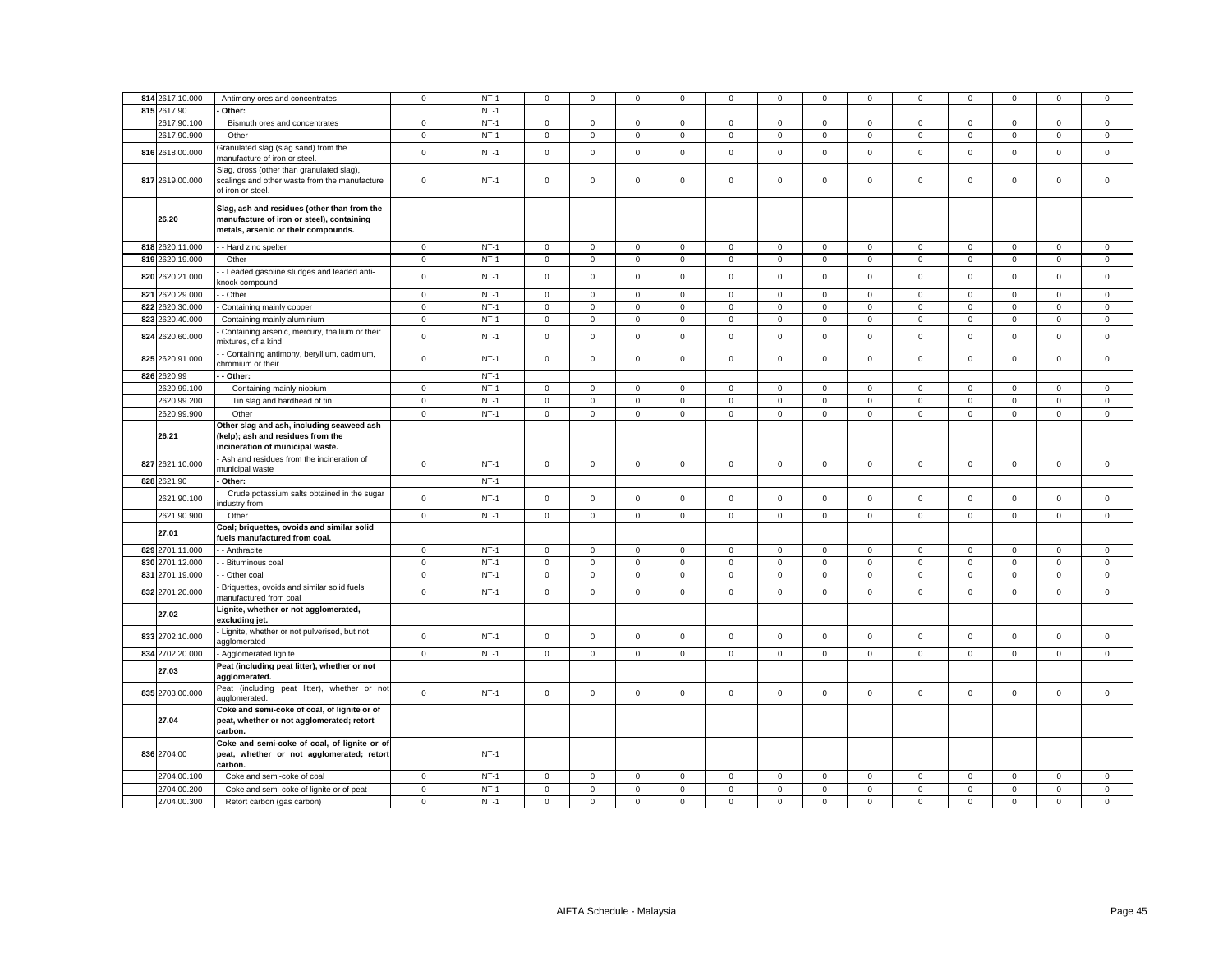| 814 2617.10.000 | Antimony ores and concentrates                                                                                                  | $\mathbf 0$    | $NT-1$ | $^{\circ}$   | $^{\circ}$   | $\mathsf 0$         | $\mathbf 0$         | $\mathbf 0$  | $\mathbf 0$ | $\mathbf{0}$ | $^{\circ}$   | $\Omega$     | $\mathbf 0$ | $\Omega$     | $\mathbf 0$         | $\mathbf 0$         |
|-----------------|---------------------------------------------------------------------------------------------------------------------------------|----------------|--------|--------------|--------------|---------------------|---------------------|--------------|-------------|--------------|--------------|--------------|-------------|--------------|---------------------|---------------------|
| 815 2617.90     | Other:                                                                                                                          |                | $NT-1$ |              |              |                     |                     |              |             |              |              |              |             |              |                     |                     |
| 2617.90.100     |                                                                                                                                 | $\mathbf{0}$   | $NT-1$ | $\circ$      | $\mathbf 0$  | $\mathbf 0$         | $\mathbf{0}$        | $\mathbf{0}$ | $\mathbf 0$ | $\mathbf 0$  | $\mathbf{0}$ | $\mathbf{0}$ | $\mathbf 0$ | $\mathbf 0$  | $\mathbf{0}$        | $\mathbf 0$         |
|                 | Bismuth ores and concentrates                                                                                                   |                |        |              |              |                     |                     |              |             |              |              |              |             |              |                     |                     |
| 2617.90.900     | Other                                                                                                                           | $\mathbf 0$    | $NT-1$ | $\mathbf{0}$ | $\mathbf 0$  | $\mathbf 0$         | 0                   | $\mathbf 0$  | $\mathsf 0$ | $\mathbf{O}$ | $\mathbf 0$  | $\mathbf 0$  | $\mathsf 0$ | $\mathsf 0$  | $\mathsf 0$         | $\mathsf 0$         |
| 816 2618.00.000 | Granulated slag (slag sand) from the<br>nanufacture of iron or steel                                                            | $\mathbf 0$    | $NT-1$ | $\mathbf 0$  | $\mathbf 0$  | $\mathsf{O}\xspace$ | $\mathsf 0$         | $\mathbf 0$  | $\mathsf 0$ | $\mathbf 0$  | $\mathsf 0$  | $\mathsf 0$  | $\mathsf 0$ | $\mathsf 0$  | $\mathsf 0$         | $\mathsf 0$         |
| 817 2619.00.000 | Slag, dross (other than granulated slag),<br>scalings and other waste from the manufacture<br>of iron or steel.                 | $\mathbf 0$    | $NT-1$ | $\mathbf{0}$ | $\Omega$     | $\mathbf 0$         | $\mathbf 0$         | $\mathbf 0$  | $\mathbf 0$ | $\mathbf 0$  | $\mathbf 0$  | $\mathbf 0$  | $\mathbf 0$ | $\mathbf 0$  | $\mathbf 0$         | $\mathbf 0$         |
| 26.20           | Slag, ash and residues (other than from the<br>manufacture of iron or steel), containing<br>metals, arsenic or their compounds. |                |        |              |              |                     |                     |              |             |              |              |              |             |              |                     |                     |
| 818 2620.11.000 | - Hard zinc spelter                                                                                                             | $\overline{0}$ | $NT-1$ | $\circ$      | $\mathbf 0$  | $\mathbf{0}$        | $\mathbf{0}$        | $\mathbf 0$  | $\mathsf 0$ | $\mathbf{0}$ | $\mathsf 0$  | $\mathsf 0$  | $\mathbf 0$ | $\mathbf 0$  | $\mathsf{O}\xspace$ | $\mathsf{O}\xspace$ |
| 819 2620.19.000 | - Other                                                                                                                         | $\circ$        | $NT-1$ | $\circ$      | $\mathbf 0$  | $\mathbf 0$         | $\mathbf{0}$        | $\mathbf{0}$ | $\mathbf 0$ | $\mathbf{O}$ | $\mathbf{0}$ | $\mathbf{0}$ | $\mathbf 0$ | $\mathbf{0}$ | $\mathbf{0}$        | $\mathbf 0$         |
| 820 2620.21.000 | - Leaded gasoline sludges and leaded anti-<br>nock compound                                                                     | $\mathbf 0$    | $NT-1$ | $\mathbf{0}$ | $\mathsf 0$  | $\mathsf{O}\xspace$ | $\mathbf 0$         | $\mathbf 0$  | $\mathbf 0$ | $\mathbf 0$  | $\mathsf 0$  | $\mathbf 0$  | $\mathbf 0$ | $\mathbf 0$  | $\mathbf 0$         | $\mathsf 0$         |
| 821 2620.29.000 | - Other                                                                                                                         | $\mathbf 0$    | $NT-1$ | $\mathbf{0}$ | $\mathbf{0}$ | $\mathbf{0}$        | $\mathbf 0$         | $\mathbf{0}$ | $\mathsf 0$ | $\mathbf{O}$ | $\mathbf 0$  | $\mathbf 0$  | $\mathsf 0$ | $\mathbf 0$  | $\mathbf{0}$        | $\mathsf 0$         |
| 822 2620.30.000 | Containing mainly copper                                                                                                        | $\mathbf 0$    | $NT-1$ | $\mathsf 0$  | $\mathsf 0$  | $\mathbf 0$         | $\mathsf{O}\xspace$ | $\mathsf 0$  | $\mathbf 0$ | $\mathbf 0$  | $\mathsf 0$  | $\mathsf 0$  | $\mathbf 0$ | $\mathbf 0$  | $\mathsf{O}\xspace$ | $\mathbf 0$         |
| 823 2620.40.000 | Containing mainly aluminium                                                                                                     | $\mathbf 0$    | $NT-1$ | $\mathbf 0$  | $\mathbf 0$  | $\mathsf 0$         | $\mathbf 0$         | 0            | $\mathsf 0$ | $\mathbf 0$  | $\mathsf 0$  | $\mathbf 0$  | $\mathsf 0$ | $\mathbf 0$  | $\mathbf 0$         | $\mathbf 0$         |
|                 | Containing arsenic, mercury, thallium or their                                                                                  |                |        |              |              |                     |                     |              |             |              |              |              |             |              |                     |                     |
| 824 2620.60.000 | nixtures, of a kind                                                                                                             | $\mathsf 0$    | $NT-1$ | $\mathsf 0$  | $\mathbf 0$  | $\mathsf 0$         | $\Omega$            | $\mathsf 0$  | $\mathbf 0$ | $\mathbf 0$  | $\mathsf 0$  | $\mathbf 0$  | $\mathbf 0$ | $\mathbf 0$  | $\mathbf 0$         | $\mathsf 0$         |
| 825 2620.91.000 | - Containing antimony, beryllium, cadmium,<br>chromium or their                                                                 | $\mathsf 0$    | $NT-1$ | $\mathbf 0$  | $\Omega$     | $\mathbf 0$         | $\mathbf 0$         | $\mathbf 0$  | $\mathbf 0$ | $\mathbf 0$  | $\mathsf 0$  | $\mathbf 0$  | $\mathbf 0$ | $\mathbf 0$  | $\mathbf 0$         | $\mathbf 0$         |
| 826 2620.99     | - Other:                                                                                                                        |                | $NT-1$ |              |              |                     |                     |              |             |              |              |              |             |              |                     |                     |
| 2620.99.100     | Containing mainly niobium                                                                                                       | $\mathbf 0$    | $NT-1$ | $\mathsf 0$  | $\mathsf 0$  | $\mathsf 0$         | $\mathsf 0$         | $\mathsf 0$  | $\mathbf 0$ | $\mathsf 0$  | $\mathsf 0$  | $\mathbf 0$  | $\mathbf 0$ | $\mathbf 0$  | $\mathsf 0$         | $\mathsf 0$         |
| 2620.99.200     | Tin slag and hardhead of tin                                                                                                    | $\mathbf 0$    | $NT-1$ | $\mathbf{0}$ | $\mathbf 0$  | $\mathbf 0$         | $\mathsf 0$         | $\mathbf 0$  | $\mathsf 0$ | $\mathbf 0$  | $\mathbf 0$  | $\mathbf 0$  | $\mathsf 0$ | $\mathsf 0$  | $\mathbf 0$         | $\mathsf 0$         |
| 2620.99.900     | Other                                                                                                                           | $\mathbf 0$    | $NT-1$ | $\mathsf 0$  | $\mathbf 0$  | $\mathsf 0$         | $\mathsf 0$         | $\mathsf 0$  | $\mathbf 0$ | $\mathbf 0$  | $\mathsf 0$  | $\mathbf 0$  | $\mathbf 0$ | $\mathsf 0$  | $\mathsf 0$         | $\mathsf 0$         |
| 26.21           | Other slag and ash, including seaweed ash<br>(kelp); ash and residues from the<br>incineration of municipal waste.              |                |        |              |              |                     |                     |              |             |              |              |              |             |              |                     |                     |
| 827 2621.10.000 | Ash and residues from the incineration of<br>municipal waste                                                                    | $\mathbf{0}$   | $NT-1$ | $\circ$      | $\mathbf 0$  | $\mathbf 0$         | $\mathbf{0}$        | $\mathbf{0}$ | $\mathbf 0$ | $\mathbf{O}$ | $\mathbf 0$  | $\mathbf{0}$ | $\mathbf 0$ | $\mathbf{0}$ | $\mathbf 0$         | $\mathbf 0$         |
| 828 2621.90     | Other:                                                                                                                          |                | $NT-1$ |              |              |                     |                     |              |             |              |              |              |             |              |                     |                     |
| 2621.90.100     | Crude potassium salts obtained in the sugar<br>ndustry from                                                                     | $\mathbf 0$    | $NT-1$ | $\mathbf{0}$ | $\mathbf 0$  | $\mathbf 0$         | $\mathbf{0}$        | $\mathbf 0$  | $\mathbf 0$ | $\mathbf{O}$ | $\mathbf{0}$ | $\mathbf 0$  | $\mathbf 0$ | $\mathbf 0$  | $\mathbf 0$         | $\mathbf 0$         |
| 2621.90.900     | Other                                                                                                                           | $\mathsf 0$    | $NT-1$ | $\mathbf{0}$ | $\mathbf 0$  | $\mathbf 0$         | $\mathbf{0}$        | $\mathbf 0$  | $\mathsf 0$ | $\mathbf{0}$ | $\mathbf 0$  | $\mathbf 0$  | $\mathsf 0$ | $\mathbf 0$  | $\mathbf 0$         | $\mathsf 0$         |
| 27.01           | Coal; briquettes, ovoids and similar solid<br>uels manufactured from coal.                                                      |                |        |              |              |                     |                     |              |             |              |              |              |             |              |                     |                     |
| 829 2701.11.000 | - Anthracite                                                                                                                    | $\mathbf 0$    | $NT-1$ | $\mathbf{0}$ | $\mathbf 0$  | $\mathbf 0$         | $\mathbf 0$         | $\mathsf 0$  | $\mathsf 0$ | $\mathbf 0$  | $\mathsf 0$  | $\mathbf 0$  | $\mathsf 0$ | $\mathsf 0$  | $\mathsf 0$         | $\mathsf 0$         |
| 830 2701.12.000 | - Bituminous coal                                                                                                               | $\mathbf 0$    | $NT-1$ | $\mathbf 0$  | $\mathbf 0$  | $\mathbf 0$         | $\mathbf 0$         | $\mathbf 0$  | $\mathbf 0$ | $\mathbf 0$  | $\mathbf{0}$ | $\mathbf 0$  | $\mathbf 0$ | $\mathbf 0$  | $\mathbf 0$         | $\mathbf 0$         |
| 831 2701.19.000 | - Other coal                                                                                                                    | $\mathbf 0$    | $NT-1$ | $\mathbf{0}$ | $\mathbf 0$  | $\mathsf 0$         | $\mathsf 0$         | $\mathbf 0$  | $\mathbf 0$ | $\mathbf 0$  | $\mathsf 0$  | $\mathbf{0}$ | $\mathbf 0$ | $\mathbf 0$  | $\mathsf 0$         | $\mathsf 0$         |
| 832 2701.20.000 | Briquettes, ovoids and similar solid fuels<br>nanufactured from coal                                                            | $\mathsf 0$    | $NT-1$ | $\mathsf 0$  | $\mathbf{0}$ | $\mathbf 0$         | $\mathsf 0$         | 0            | $\mathbf 0$ | $\mathbf 0$  | $\mathsf 0$  | $\mathbf 0$  | $\mathsf 0$ | $\mathbf 0$  | $\mathsf 0$         | $\mathbf 0$         |
| 27.02           | Lignite, whether or not agglomerated,<br>excluding jet.                                                                         |                |        |              |              |                     |                     |              |             |              |              |              |             |              |                     |                     |
| 833 2702.10.000 | Lignite, whether or not pulverised, but not<br>agglomerated                                                                     | $\mathbf 0$    | $NT-1$ | $\mathbf{0}$ | $\mathbf 0$  | $\mathsf 0$         | $\mathbf{0}$        | 0            | $\mathsf 0$ | $\mathbf{O}$ | $\mathsf 0$  | $\mathbf 0$  | $\mathsf 0$ | $\mathbf 0$  | $\mathsf 0$         | $\mathbf 0$         |
| 834 2702.20.000 | Agglomerated lignite                                                                                                            | $\mathbf 0$    | $NT-1$ | $\mathsf 0$  | $\mathbf 0$  | $\mathsf 0$         | $\mathsf 0$         | $\mathsf 0$  | $\mathbf 0$ | $\mathbf 0$  | $\mathsf 0$  | $\mathsf 0$  | $\mathsf 0$ | $\mathsf 0$  | $\mathsf 0$         | $\mathsf 0$         |
| 27.03           | Peat (including peat litter), whether or not<br>agglomerated.                                                                   |                |        |              |              |                     |                     |              |             |              |              |              |             |              |                     |                     |
| 835 2703.00.000 | Peat (including peat litter), whether or not<br>agglomerated.                                                                   | $\mathbf 0$    | $NT-1$ | $\mathbf 0$  | $\mathbf 0$  | $\mathbf 0$         | $\mathbf 0$         | $\mathbf 0$  | $\mathsf 0$ | $\mathbf 0$  | $\mathbf{0}$ | $\mathbf 0$  | $\mathsf 0$ | $\mathbf 0$  | $\mathsf 0$         | $\mathbf 0$         |
| 27.04           | Coke and semi-coke of coal, of lignite or of<br>peat, whether or not agglomerated; retort<br>carbon.                            |                |        |              |              |                     |                     |              |             |              |              |              |             |              |                     |                     |
| 836 2704.00     | Coke and semi-coke of coal, of lignite or of<br>peat, whether or not agglomerated; retort<br>carbon.                            |                | $NT-1$ |              |              |                     |                     |              |             |              |              |              |             |              |                     |                     |
| 2704.00.100     | Coke and semi-coke of coal                                                                                                      | $\mathbf{0}$   | $NT-1$ | $\mathbf{0}$ | $\mathbf 0$  | $\mathbf 0$         | $\mathsf 0$         | $\mathbf 0$  | $\mathsf 0$ | $\mathbf 0$  | $\mathsf 0$  | $\mathbf 0$  | $\mathsf 0$ | $\mathsf 0$  | $\mathbf 0$         | $\mathsf 0$         |
| 2704.00.200     | Coke and semi-coke of lignite or of peat                                                                                        | $\mathbf 0$    | $NT-1$ | $\mathsf 0$  | $\mathbf 0$  | $\mathsf 0$         | $\mathsf 0$         | $\mathsf 0$  | $\mathsf 0$ | $\mathbf 0$  | $\mathsf 0$  | $\mathsf 0$  | $\mathsf 0$ | $\mathsf 0$  | $\mathsf 0$         | $\mathsf 0$         |
| 2704.00.300     | Retort carbon (gas carbon)                                                                                                      | $\Omega$       | $NT-1$ | $\Omega$     | $\Omega$     | $\Omega$            | $\Omega$            | $\Omega$     | $\Omega$    | $\Omega$     | $\Omega$     | $\Omega$     | $\Omega$    | $\Omega$     | $\Omega$            | $\Omega$            |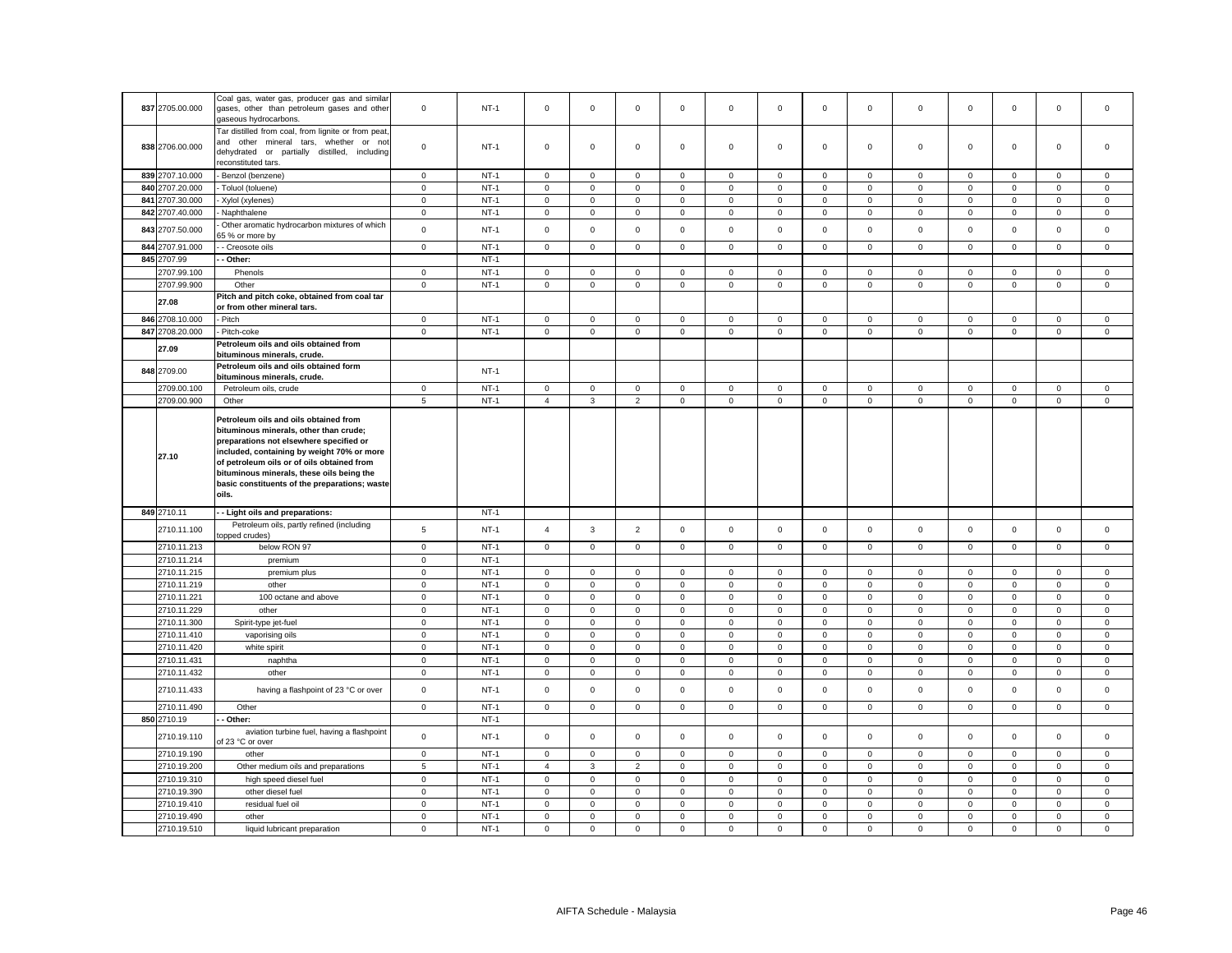|                 | Coal gas, water gas, producer gas and similar                                                                                                                                                                                                                                                                                 |                 |        |                |                     |                |              |              |                     |                     |                |              |              |                     |              |                |
|-----------------|-------------------------------------------------------------------------------------------------------------------------------------------------------------------------------------------------------------------------------------------------------------------------------------------------------------------------------|-----------------|--------|----------------|---------------------|----------------|--------------|--------------|---------------------|---------------------|----------------|--------------|--------------|---------------------|--------------|----------------|
| 837 2705.00.000 | gases, other than petroleum gases and other<br>gaseous hydrocarbons.                                                                                                                                                                                                                                                          | $\mathbf{0}$    | $NT-1$ | $\mathbf 0$    | $\mathbf{0}$        | $\mathbf 0$    | $\mathbf{0}$ | 0            | $\mathbf 0$         | $\mathbf{0}$        | $\mathbf{0}$   | $\mathbf 0$  | $\mathbf 0$  | $\mathbf 0$         | $\mathbf 0$  | $\mathbf{0}$   |
| 838 2706.00.000 | Tar distilled from coal, from lignite or from peat,<br>and other mineral tars, whether or not<br>dehydrated or partially distilled, including<br>econstituted tars.                                                                                                                                                           | $\mathbf 0$     | $NT-1$ | $\mathsf 0$    | $\mathbf 0$         | $\mathsf 0$    | $\mathbf 0$  | 0            | $\mathsf 0$         | $\mathbf{0}$        | $\mathbf 0$    | $\mathbf 0$  | $\mathsf 0$  | 0                   | $\mathsf 0$  | $\mathsf 0$    |
| 839 2707.10.000 | Benzol (benzene)                                                                                                                                                                                                                                                                                                              | $\mathbf 0$     | $NT-1$ | $\mathbf 0$    | $\mathbf 0$         | $\mathsf 0$    | $\mathbf{0}$ | $\mathsf 0$  | $\mathbf 0$         | $\circ$             | $\mathbf{0}$   | $\mathbf 0$  | $\mathbf 0$  | $\mathbf 0$         | $\mathsf 0$  | $\mathbf{0}$   |
| 840 2707.20.000 | Toluol (toluene)                                                                                                                                                                                                                                                                                                              | $\mathsf 0$     | $NT-1$ | 0              | $\mathbf 0$         | $\mathbf 0$    | $\mathbf 0$  | $\mathsf 0$  | $\mathbf 0$         | $\mathsf 0$         | $\mathbf 0$    | $\mathbf 0$  | $\mathbf 0$  | $\mathsf 0$         | $\mathbf 0$  | $\mathbf 0$    |
| 841 2707.30.000 | Xylol (xylenes)                                                                                                                                                                                                                                                                                                               | $\mathbf 0$     | $NT-1$ | $\mathbf 0$    | $\mathbf 0$         | $\mathsf 0$    | $\mathsf 0$  | $\mathbf 0$  | $\mathsf 0$         | $\mathsf 0$         | $\mathbf{0}$   | $\mathbf 0$  | $\mathsf 0$  | $\mathsf 0$         | $\mathsf 0$  | $\mathsf 0$    |
| 842 2707.40.000 | Naphthalene                                                                                                                                                                                                                                                                                                                   | $\mathbf 0$     | $NT-1$ | $\mathbf 0$    | $\mathbf 0$         | $\mathsf 0$    | $\mathsf 0$  | $\mathbf 0$  | $\mathsf 0$         | $\mathbf 0$         | $\mathbf 0$    | $\mathbf 0$  | $\mathsf 0$  | $\mathbf 0$         | $\mathsf 0$  | $\mathsf 0$    |
| 843 2707.50.000 | Other aromatic hydrocarbon mixtures of which<br>65 % or more by                                                                                                                                                                                                                                                               | $\mathsf 0$     | $NT-1$ | 0              | $\mathbf 0$         | $\mathsf 0$    | $\mathbf 0$  | 0            | $\mathsf 0$         | $\mathsf 0$         | $\mathbf 0$    | $\mathbf 0$  | $\mathsf 0$  | $\mathbf 0$         | $\mathsf 0$  | $\mathsf 0$    |
| 844 2707.91.000 | - Creosote oils                                                                                                                                                                                                                                                                                                               | $\mathbf 0$     | $NT-1$ | $\mathsf 0$    | $\mathbf 0$         | $\mathsf 0$    | $\mathsf 0$  | $\mathbf 0$  | $\mathsf 0$         | $\mathsf 0$         | $\mathbf{0}$   | $\mathbf 0$  | $\mathsf 0$  | $\mathsf 0$         | $\mathsf 0$  | $\mathbf 0$    |
| 845 2707.99     | Other:                                                                                                                                                                                                                                                                                                                        |                 | $NT-1$ |                |                     |                |              |              |                     |                     |                |              |              |                     |              |                |
| 2707.99.100     | Phenols                                                                                                                                                                                                                                                                                                                       | $\mathbf 0$     | $NT-1$ | $\mathsf 0$    | $\mathbf 0$         | $\mathsf 0$    | $\mathsf 0$  | $\mathsf 0$  | 0                   | $\mathsf 0$         | 0              | $\mathsf 0$  | $\mathbf 0$  | 0                   | $\mathbf 0$  | $\,0\,$        |
| 2707.99.900     | Other                                                                                                                                                                                                                                                                                                                         | $\mathbf 0$     | $NT-1$ | $\mathsf 0$    | $\mathsf 0$         | $\mathbf{0}$   | $\mathsf 0$  | $\mathsf 0$  | $\mathsf 0$         | $\mathsf 0$         | $\mathbf 0$    | $\mathsf 0$  | $\mathsf 0$  | $\mathbf 0$         | $\mathsf 0$  | $\overline{0}$ |
| 27.08           | Pitch and pitch coke, obtained from coal tar<br>or from other mineral tars.                                                                                                                                                                                                                                                   |                 |        |                |                     |                |              |              |                     |                     |                |              |              |                     |              |                |
| 846 2708.10.000 | Pitch                                                                                                                                                                                                                                                                                                                         | $\mathbf 0$     | $NT-1$ | 0              | $\mathbf 0$         | $\mathbf 0$    | $\mathbf 0$  | 0            | $\mathbf 0$         | $\mathbf{0}$        | $\mathbf 0$    | $\mathbf 0$  | $\mathbf 0$  | $\mathbf 0$         | $\mathbf 0$  | $\mathbf 0$    |
| 847 2708.20.000 | Pitch-coke                                                                                                                                                                                                                                                                                                                    | $\mathbf 0$     | $NT-1$ | $\mathsf 0$    | $\mathsf 0$         | $\mathbf 0$    | $\mathsf 0$  | $\mathsf 0$  | $\mathbf 0$         | $\mathsf 0$         | $\mathsf 0$    | $\mathsf 0$  | $\mathbf 0$  | $\mathsf 0$         | $\mathbf 0$  | $\mathsf 0$    |
| 27.09           | Petroleum oils and oils obtained from<br>bituminous minerals, crude.                                                                                                                                                                                                                                                          |                 |        |                |                     |                |              |              |                     |                     |                |              |              |                     |              |                |
| 848 2709.00     | Petroleum oils and oils obtained form<br>bituminous minerals, crude.                                                                                                                                                                                                                                                          |                 | $NT-1$ |                |                     |                |              |              |                     |                     |                |              |              |                     |              |                |
| 2709.00.100     | Petroleum oils, crude                                                                                                                                                                                                                                                                                                         | $\mathsf 0$     | $NT-1$ | $\mathbf 0$    | $\mathbf 0$         | $\mathbf 0$    | $\mathbf 0$  | $\mathbf 0$  | $\mathbf 0$         | $\mathbf 0$         | $\mathbf{0}$   | $\mathbf 0$  | $\mathbf 0$  | $\mathbf 0$         | $\mathbf 0$  | $\mathbf 0$    |
| 2709.00.900     | Other                                                                                                                                                                                                                                                                                                                         | 5               | $NT-1$ | $\overline{4}$ | 3                   | $\overline{2}$ | $\mathsf 0$  | $\mathbf 0$  | $\mathsf 0$         | $\mathsf 0$         | $\mathbf 0$    | $\mathbf 0$  | $\mathsf 0$  | $\mathbf 0$         | $\mathsf 0$  | $\mathsf 0$    |
| 27.10           | Petroleum oils and oils obtained from<br>bituminous minerals, other than crude;<br>preparations not elsewhere specified or<br>included, containing by weight 70% or more<br>of petroleum oils or of oils obtained from<br>bituminous minerals, these oils being the<br>basic constituents of the preparations; waste<br>oils. |                 |        |                |                     |                |              |              |                     |                     |                |              |              |                     |              |                |
| 849 2710.11     | - Light oils and preparations:                                                                                                                                                                                                                                                                                                |                 | $NT-1$ |                |                     |                |              |              |                     |                     |                |              |              |                     |              |                |
| 2710.11.100     | Petroleum oils, partly refined (including<br>opped crudes)                                                                                                                                                                                                                                                                    | 5               | $NT-1$ | $\overline{4}$ | 3                   | $\overline{2}$ | $\mathsf 0$  | $\mathsf 0$  | $\mathsf{O}\xspace$ | $\mathsf 0$         | $\mathbf 0$    | $\mathbf 0$  | $\mathsf 0$  | $\mathbf 0$         | $\mathsf 0$  | $\mathsf 0$    |
| 2710.11.213     | below RON 97                                                                                                                                                                                                                                                                                                                  | $\mathsf 0$     | $NT-1$ | $\mathsf 0$    | $\mathsf{O}\xspace$ | $\mathsf 0$    | $\mathsf 0$  | $\mathsf 0$  | $\mathsf 0$         | $\mathsf 0$         | $\mathbf 0$    | $\mathsf 0$  | $\mathsf 0$  | $\mathsf 0$         | $\mathsf 0$  | $\mathbf 0$    |
| 2710.11.214     | premium                                                                                                                                                                                                                                                                                                                       | $\mathsf 0$     | $NT-1$ |                |                     |                |              |              |                     |                     |                |              |              |                     |              |                |
| 2710.11.215     | premium plus                                                                                                                                                                                                                                                                                                                  | $\mathbf 0$     | $NT-1$ | $\mathbf 0$    | $\mathsf 0$         | 0              | $\mathsf 0$  | $\mathsf 0$  | 0                   | $\mathsf 0$         | $\mathbf 0$    | $\mathsf 0$  | $\mathbf 0$  | $\mathbf 0$         | 0            | $\,0\,$        |
| 2710.11.219     | other                                                                                                                                                                                                                                                                                                                         | $\mathsf 0$     | $NT-1$ | $\mathbf 0$    | $\mathbf 0$         | $\mathsf 0$    | $\mathsf 0$  | $\mathbf 0$  | $\mathsf 0$         | $\mathsf 0$         | $\mathbf 0$    | $\mathsf 0$  | $\mathsf 0$  | $\mathbf 0$         | $\mathsf 0$  | $\mathsf 0$    |
| 2710.11.221     | 100 octane and above                                                                                                                                                                                                                                                                                                          | $\mathbf 0$     | $NT-1$ | $\mathsf 0$    | $\mathsf 0$         | $\mathsf 0$    | $\mathbf 0$  | $\mathsf 0$  | $\mathbf 0$         | $\mathsf 0$         | $\mathbf 0$    | $\mathsf 0$  | $\mathbf 0$  | $\mathsf 0$         | $\mathsf 0$  | $\,0\,$        |
| 2710.11.229     | other                                                                                                                                                                                                                                                                                                                         | $\mathsf 0$     | $NT-1$ |                | $\mathbf 0$         |                |              |              |                     |                     |                |              |              |                     | $\mathsf 0$  | $\mathsf 0$    |
| 2710.11.300     |                                                                                                                                                                                                                                                                                                                               |                 |        | 0              |                     | $\mathsf 0$    | $\mathbf 0$  | $\mathbf 0$  | $\mathsf 0$         | $\mathsf 0$         | $\mathbf 0$    | $\mathbf 0$  | $\mathsf 0$  | $\mathbf 0$         |              |                |
|                 | Spirit-type jet-fuel                                                                                                                                                                                                                                                                                                          | $\,0\,$         | $NT-1$ | $\mathsf 0$    | $\mathsf 0$         | $\mathsf 0$    | $\mathsf 0$  | $\mathsf 0$  | $\mathbf 0$         | $\mathsf 0$         | $\overline{0}$ | $\mathsf 0$  | $\mathbf 0$  | $\mathsf{O}\xspace$ | $\mathbf 0$  | $\,0\,$        |
| 2710.11.410     | vaporising oils                                                                                                                                                                                                                                                                                                               | $\mathbf 0$     | $NT-1$ | $\mathbf 0$    | $\mathbf 0$         | $\mathsf 0$    | $\mathsf 0$  | $\mathsf 0$  | $\mathsf 0$         | $\mathsf 0$         | $\mathbf 0$    | $\mathsf 0$  | $\mathsf 0$  | $\mathbf 0$         | $\mathsf 0$  | $\mathbf 0$    |
| 2710.11.420     | white spirit                                                                                                                                                                                                                                                                                                                  | $\mathbf 0$     | $NT-1$ | $\mathsf 0$    | $\mathsf 0$         | $\mathbf 0$    | $\mathbf 0$  | $\mathsf 0$  | $\mathbf 0$         | $\mathsf 0$         | $\mathsf 0$    | $\mathsf 0$  | $\mathbf 0$  | $\mathsf 0$         | $\mathbf 0$  | $\,0\,$        |
| 2710.11.431     | naphtha                                                                                                                                                                                                                                                                                                                       | $\mathbf 0$     | $NT-1$ | 0              | $\mathbf 0$         | $\mathsf 0$    | 0            | $\mathsf 0$  | $\mathbf 0$         | $\mathsf 0$         | 0              | $\mathsf 0$  | $\mathbf 0$  | $\mathbf 0$         | $\mathsf 0$  | $\mathbf 0$    |
| 2710.11.432     | other                                                                                                                                                                                                                                                                                                                         | $\,0\,$         | $NT-1$ | $\mathbf 0$    | $\mathsf 0$         | 0              | $\mathbf 0$  | $\mathsf 0$  | 0                   | $\mathsf{O}\xspace$ | $\mathsf 0$    | $\mathsf 0$  | $\mathbf 0$  | $\mathbf 0$         | $\mathbf 0$  | $\,0\,$        |
| 2710.11.433     | having a flashpoint of 23 °C or over                                                                                                                                                                                                                                                                                          | $\mathbf 0$     | $NT-1$ | $\circ$        | $\mathbf 0$         | $\mathbf 0$    | $\mathbf{0}$ | $\mathbf 0$  | $\mathbf 0$         | $\circ$             | $\mathbf 0$    | $\mathbf{0}$ | $\mathbf 0$  | $\mathbf 0$         | $\mathbf 0$  | $\mathbf{0}$   |
| 2710.11.490     | Other                                                                                                                                                                                                                                                                                                                         | $\mathbf 0$     | $NT-1$ | $\mathbf{0}$   | $\mathbf 0$         | $\mathsf 0$    | $\mathbf{0}$ | $\mathbf{0}$ | $\mathbf 0$         | $\mathsf 0$         | $\mathbf{0}$   | $\mathbf{0}$ | $\mathbf 0$  | $\mathbf 0$         | $\mathbf 0$  | $\mathbf 0$    |
| 850 2710.19     | Other:                                                                                                                                                                                                                                                                                                                        |                 | $NT-1$ |                |                     |                |              |              |                     |                     |                |              |              |                     |              |                |
| 2710.19.110     | aviation turbine fuel, having a flashpoint<br>of 23 °C or over                                                                                                                                                                                                                                                                | $\mathsf 0$     | $NT-1$ | $\circ$        | $\mathbf 0$         | $\mathsf 0$    | $\mathbf{0}$ | $\mathbf 0$  | $\mathsf 0$         | $\mathsf 0$         | $\mathbf 0$    | $\mathbf 0$  | $\mathsf 0$  | $\mathbf 0$         | $\mathsf 0$  | $\mathsf 0$    |
| 2710.19.190     | other                                                                                                                                                                                                                                                                                                                         | $\mathbf 0$     | $NT-1$ | $\circ$        | $\mathbf 0$         | $\mathbf{0}$   | $\mathbf{0}$ | $\mathbf 0$  | $\mathbf 0$         | $\mathbf{0}$        | $\mathbf{0}$   | $\mathbf 0$  | $\mathbf 0$  | $\mathbf{0}$        | $\mathbf{0}$ | $\mathbf{0}$   |
| 2710.19.200     | Other medium oils and preparations                                                                                                                                                                                                                                                                                            | $5\phantom{.0}$ | $NT-1$ | $\overline{4}$ | 3                   | $\overline{2}$ | $\mathbf{0}$ | $\mathsf 0$  | $\mathsf 0$         | $\mathbf 0$         | $\mathbf 0$    | $\mathsf 0$  | $\,0\,$      | $\mathbf 0$         | $\mathsf 0$  | $\mathbf 0$    |
| 2710.19.310     | high speed diesel fuel                                                                                                                                                                                                                                                                                                        | $\mathsf 0$     | $NT-1$ | $\mathbf 0$    | $\mathbf 0$         | $\mathsf 0$    | $\mathsf 0$  | $\mathsf 0$  | $\mathsf 0$         | $\mathsf 0$         | $\mathbf 0$    | $\mathbf 0$  | $\mathsf 0$  | $\mathsf 0$         | $\mathsf 0$  | $\mathsf 0$    |
| 2710.19.390     | other diesel fuel                                                                                                                                                                                                                                                                                                             | $\mathbf 0$     | $NT-1$ | $\mathbf{0}$   | $\mathbf 0$         | $\mathbf 0$    | $\mathbf{0}$ | $\mathbf 0$  | $\mathbf 0$         | $\mathbf{0}$        | $\mathbf{0}$   | $\mathbf{0}$ | $\mathbf{0}$ | $\mathbf 0$         | $\mathbf 0$  | $\mathbf 0$    |
| 2710.19.410     | residual fuel oil                                                                                                                                                                                                                                                                                                             | $\mathsf 0$     | $NT-1$ | $\mathbf 0$    | $\mathbf 0$         | $\mathsf 0$    | $\mathbf 0$  | $\mathsf 0$  | $\mathbf 0$         | $\mathsf 0$         | 0              | $\mathbf 0$  | $\mathbf 0$  | $\mathsf 0$         | $\mathsf 0$  | $\mathsf 0$    |
| 2710.19.490     | other                                                                                                                                                                                                                                                                                                                         | $\mathsf 0$     | $NT-1$ | $\mathsf 0$    | $\mathbf 0$         | $\mathsf 0$    | $\mathbf 0$  | $\mathsf 0$  | $\mathsf 0$         | $\mathsf 0$         | $\mathbf 0$    | $\mathsf 0$  | $\mathsf 0$  | $\mathsf 0$         | $\mathsf 0$  | $\mathsf 0$    |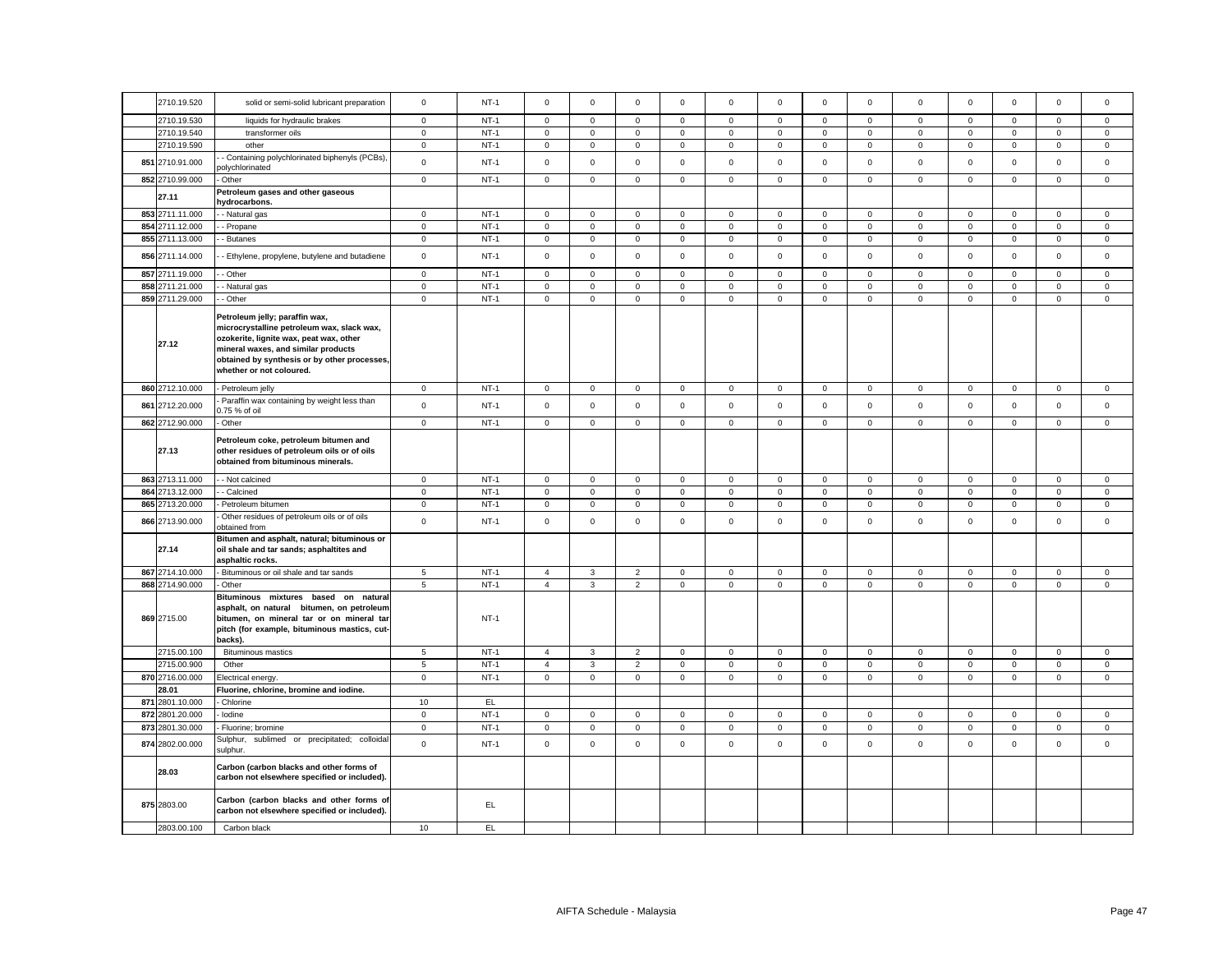|     | 2710.19.520              | solid or semi-solid lubricant preparation                                                                                                                                                                                                  | $\mathsf 0$     | $NT-1$ | $\mathsf 0$         | $\mathbf 0$  | $\mathsf 0$    | $\mathbf 0$ | $\mathbf 0$ | $\mathsf 0$ | $\mathsf 0$    | $\mathsf 0$    | $\mathsf 0$  | $\mathbf 0$ | $\mathsf 0$         | $\mathsf 0$  | $\mathbf 0$  |
|-----|--------------------------|--------------------------------------------------------------------------------------------------------------------------------------------------------------------------------------------------------------------------------------------|-----------------|--------|---------------------|--------------|----------------|-------------|-------------|-------------|----------------|----------------|--------------|-------------|---------------------|--------------|--------------|
|     | 2710.19.530              | liquids for hydraulic brakes                                                                                                                                                                                                               | $\mathbf 0$     | $NT-1$ | $\mathsf 0$         | $\mathbf 0$  | $\mathsf 0$    | $\mathsf 0$ | $\mathbf 0$ | $\mathsf 0$ | $\mathbf{0}$   | $\mathsf 0$    | $\mathbf 0$  | $\mathbf 0$ | $\mathbf 0$         | $\mathsf 0$  | $\mathbf 0$  |
|     | 2710.19.540              | transformer oils                                                                                                                                                                                                                           | $\mathbf 0$     | $NT-1$ | $\mathbf 0$         | $\mathbf 0$  | $\mathbf 0$    | $\mathbf 0$ | $\mathbf 0$ | $\mathbf 0$ | $\mathbf{0}$   | $\mathbf{0}$   | $\mathbf{0}$ | $\mathbf 0$ | $\mathbf 0$         | $\mathbf 0$  | $\mathbf{0}$ |
|     | 2710.19.590              | other                                                                                                                                                                                                                                      | $\mathbf 0$     | $NT-1$ | $\mathbf 0$         | $\circ$      | $\mathbf 0$    | $\mathbf 0$ | $\mathbf 0$ | $\mathbf 0$ | $\circ$        | $\mathbf{0}$   | $\mathbf 0$  | $\mathbf 0$ | $\mathbf{0}$        | $\mathbf{0}$ | $\mathbf{0}$ |
|     | 851 2710.91.000          | - Containing polychlorinated biphenyls (PCBs),<br>olychlorinated                                                                                                                                                                           | $\mathbf 0$     | $NT-1$ | $\mathbf 0$         | $\mathbf 0$  | $\mathsf 0$    | $\Omega$    | $\mathbf 0$ | $\mathbf 0$ | $\mathbf 0$    | $\mathbf{0}$   | $\mathbf 0$  | $\mathbf 0$ | $\mathbf 0$         | $\mathbf{0}$ | $\mathbf 0$  |
|     | 852 2710.99.000          | Other                                                                                                                                                                                                                                      | $\mathsf 0$     | $NT-1$ | $\mathbf 0$         | $\mathbf{0}$ | $\mathsf 0$    | $\mathbf 0$ | $\mathbf 0$ | $\mathbf 0$ | $\mathbf{0}$   | $\mathbf{0}$   | $\mathbf{0}$ | $\mathsf 0$ | $\mathbf{0}$        | $\mathsf 0$  | $\mathbf 0$  |
|     |                          | Petroleum gases and other gaseous                                                                                                                                                                                                          |                 |        |                     |              |                |             |             |             |                |                |              |             |                     |              |              |
|     | 27.11<br>853 2711.11.000 | hydrocarbons.<br>- Natural gas                                                                                                                                                                                                             | $\mathbf 0$     | $NT-1$ | $\mathsf 0$         | $\mathbf 0$  | $\mathsf 0$    | $\mathbf 0$ | $\mathsf 0$ | $\mathsf 0$ | $\mathsf 0$    | $\mathbf 0$    | $\mathbf 0$  | $\mathsf 0$ | $\mathbf 0$         | $\mathsf 0$  | $\mathbf 0$  |
|     | 854 2711.12.000          | - Propane                                                                                                                                                                                                                                  | $\mathsf 0$     | $NT-1$ | $\mathsf 0$         | $\mathsf 0$  | $\mathsf 0$    | $\mathsf 0$ | $\mathsf 0$ | $\mathsf 0$ | $\mathsf 0$    | $\mathsf 0$    | $\mathsf 0$  | $\mathbf 0$ | $\mathsf 0$         | $\mathsf 0$  | $\mathbf 0$  |
|     | 855 2711.13.000          | - Butanes                                                                                                                                                                                                                                  | $\mathbf 0$     | $NT-1$ | $\mathsf 0$         | $\mathsf{O}$ | $\mathsf 0$    | $\mathsf 0$ | $\mathsf 0$ | $\mathsf 0$ | $\mathbf 0$    | $\mathsf 0$    | $\mathbf 0$  | $\mathsf 0$ | $\mathbf 0$         | $\mathsf 0$  | $\mathsf 0$  |
|     |                          |                                                                                                                                                                                                                                            |                 |        |                     |              |                |             |             |             |                |                |              |             |                     |              |              |
|     | 856 2711.14.000          | - Ethylene, propylene, butylene and butadiene                                                                                                                                                                                              | $\mathsf 0$     | $NT-1$ | $\mathsf 0$         | $\mathsf 0$  | $\mathsf 0$    | $\mathsf 0$ | $\mathsf 0$ | $\mathsf 0$ | $\mathbf 0$    | $\mathsf 0$    | $\mathsf 0$  | $\mathbf 0$ | $\mathsf{O}\xspace$ | $\mathsf 0$  | $\mathsf{O}$ |
|     | 857 2711.19.000          | - Other                                                                                                                                                                                                                                    | $\mathbf{0}$    | $NT-1$ | $\mathbf 0$         | $\mathbf 0$  | $\mathsf 0$    | 0           | $\mathbf 0$ | $\mathsf 0$ | $\mathbf 0$    | $\mathbf 0$    | 0            | $\mathbf 0$ | $\mathbf 0$         | $\mathsf 0$  | 0            |
|     | 858 2711.21.000          | - Natural gas                                                                                                                                                                                                                              | $\mathbf 0$     | $NT-1$ | $\mathsf{O}\xspace$ | $\mathsf 0$  | $\mathsf 0$    | $\mathsf 0$ | $\mathbf 0$ | $\mathsf 0$ | $\mathsf 0$    | $\mathsf 0$    | $\mathsf 0$  | $\mathbf 0$ | $\mathsf 0$         | $\mathsf 0$  | $\mathbf 0$  |
|     | 859 2711.29.000          | - Other                                                                                                                                                                                                                                    | $\mathbf 0$     | $NT-1$ | $\mathsf 0$         | $\mathsf 0$  | $\mathbf 0$    | 0           | $\mathbf 0$ | $\mathsf 0$ | $\mathsf 0$    | 0              | $\mathbf 0$  | $\mathbf 0$ | $\mathsf 0$         | $\mathbf 0$  | $\mathsf 0$  |
|     | 27.12                    | Petroleum jelly; paraffin wax,<br>microcrystalline petroleum wax, slack wax,<br>ozokerite, lignite wax, peat wax, other<br>mineral waxes, and similar products<br>obtained by synthesis or by other processes,<br>whether or not coloured. |                 |        |                     |              |                |             |             |             |                |                |              |             |                     |              |              |
|     | 860 2712.10.000          | Petroleum jelly                                                                                                                                                                                                                            | $\mathbf 0$     | $NT-1$ | 0                   | 0            | $\mathbf 0$    | 0           | $\mathbf 0$ | $\mathsf 0$ | $\mathsf 0$    | 0              | $\mathbf 0$  | $\mathbf 0$ | $\mathsf 0$         | $\mathbf 0$  | $\mathsf 0$  |
|     | 861 2712.20.000          | Paraffin wax containing by weight less than<br>0.75 % of oil                                                                                                                                                                               | $\mathsf 0$     | $NT-1$ | $\mathsf 0$         | $\mathsf 0$  | $\mathsf 0$    | $\mathbf 0$ | $\mathsf 0$ | $\mathsf 0$ | $\mathbf 0$    | $\mathsf 0$    | $\mathsf 0$  | $\mathbf 0$ | $\mathsf 0$         | $\mathsf 0$  | $\mathbf 0$  |
|     | 862 2712.90.000          | Other                                                                                                                                                                                                                                      | $\mathbf 0$     | $NT-1$ | $\mathsf 0$         | $\mathbf 0$  | $\mathbf{0}$   | $\mathsf 0$ | $\mathbf 0$ | $\mathbf 0$ | $\mathbf 0$    | $\mathbf 0$    | $\mathbf 0$  | $\mathbf 0$ | $\mathbf 0$         | $\mathbf{0}$ | $\mathbf 0$  |
|     | 27.13                    | Petroleum coke, petroleum bitumen and<br>other residues of petroleum oils or of oils<br>obtained from bituminous minerals.                                                                                                                 |                 |        |                     |              |                |             |             |             |                |                |              |             |                     |              |              |
|     | 863 2713.11.000          | - - Not calcined                                                                                                                                                                                                                           | $\mathbf 0$     | $NT-1$ | $\mathbf 0$         | $\mathbf 0$  | $\mathbf 0$    | 0           | $\mathbf 0$ | $\mathbf 0$ | $\overline{0}$ | $\mathbf 0$    | 0            | $\mathbf 0$ | $\mathbf{0}$        | $\mathbf 0$  | $\mathbf 0$  |
|     | 864 2713.12.000          | - Calcined                                                                                                                                                                                                                                 | $\mathbf 0$     | $NT-1$ | $\mathsf 0$         | $\mathbf 0$  | $\mathsf 0$    | $\mathsf 0$ | $\mathbf 0$ | $\mathsf 0$ | $\mathsf 0$    | $\mathbf 0$    | $\mathsf 0$  | $\mathbf 0$ | $\mathbf 0$         | $\mathsf 0$  | $\mathbf 0$  |
|     | 865 2713.20.000          | Petroleum bitumen                                                                                                                                                                                                                          | $\circ$         | $NT-1$ | $\mathsf 0$         | $\mathbf 0$  | $\mathsf 0$    | $\mathsf 0$ | $\mathbf 0$ | $\mathsf 0$ | $\mathbf{0}$   | $\mathbf 0$    | $\mathbf 0$  | $\mathbf 0$ | $\mathbf 0$         | $\mathsf 0$  | $\mathbf 0$  |
|     | 866 2713.90.000          | Other residues of petroleum oils or of oils<br>obtained from                                                                                                                                                                               | $\mathsf 0$     | $NT-1$ | $\mathsf 0$         | $\mathsf 0$  | $\mathsf 0$    | $\mathbf 0$ | $\mathsf 0$ | $\mathsf 0$ | $\mathsf 0$    | $\mathsf 0$    | $\mathsf 0$  | $\mathbf 0$ | $\mathsf 0$         | $\mathsf 0$  | $\mathsf 0$  |
|     | 27.14                    | Bitumen and asphalt, natural; bituminous or<br>oil shale and tar sands; asphaltites and<br>asphaltic rocks.                                                                                                                                |                 |        |                     |              |                |             |             |             |                |                |              |             |                     |              |              |
|     | 867 2714.10.000          | Bituminous or oil shale and tar sands                                                                                                                                                                                                      | $\overline{5}$  | $NT-1$ | $\overline{4}$      | $\mathbf{3}$ | $\overline{2}$ | $\mathsf 0$ | $\mathbf 0$ | $\mathsf 0$ | $\mathbf 0$    | $\mathbf 0$    | $\mathsf 0$  | $\mathbf 0$ | $\mathbf 0$         | $\mathsf 0$  | $\mathsf 0$  |
|     | 868 2714.90.000          | Other                                                                                                                                                                                                                                      | $5\overline{5}$ | $NT-1$ | $\overline{4}$      | $\mathbf{3}$ | $\overline{2}$ | $\mathsf 0$ | $\mathsf 0$ | $\mathsf 0$ | $\mathbf{0}$   | $\mathbf 0$    | $\mathbf 0$  | $\mathsf 0$ | $\mathbf 0$         | $\mathsf 0$  | $\mathbf{0}$ |
|     | 869 2715.00              | Bituminous mixtures based on natural<br>asphalt, on natural bitumen, on petroleum<br>bitumen, on mineral tar or on mineral tar<br>pitch (for example, bituminous mastics, cut-<br>backs).                                                  |                 | $NT-1$ |                     |              |                |             |             |             |                |                |              |             |                     |              |              |
|     | 2715.00.100              | <b>Bituminous mastics</b>                                                                                                                                                                                                                  | $\sqrt{5}$      | $NT-1$ | $\overline{4}$      | 3            | $\overline{2}$ | $\mathsf 0$ | $\mathbf 0$ | $\mathsf 0$ | $\mathbf{0}$   | $\mathbf 0$    | $\mathsf 0$  | $\mathbf 0$ | $\mathbf 0$         | $\mathsf 0$  | $\mathsf 0$  |
|     | 2715.00.900              | Other                                                                                                                                                                                                                                      | 5               | $NT-1$ | $\overline{4}$      | $\mathbf{3}$ | 2              | $\mathbf 0$ | $\mathbf 0$ | $\mathbf 0$ | $\circ$        | $\overline{0}$ | $\mathbf{0}$ | $\mathbf 0$ | $\mathbf{0}$        | $\mathbf{0}$ | $\mathbf{0}$ |
|     | 870 2716.00.000          | Electrical energy.                                                                                                                                                                                                                         | $\mathbf 0$     | $NT-1$ | $\mathbf 0$         | $\mathbf 0$  | $\mathsf 0$    | 0           | $\mathbf 0$ | $\mathbf 0$ | $\mathbf 0$    | $\mathbf 0$    | $\mathsf 0$  | $\mathbf 0$ | $\mathbf 0$         | $\mathsf 0$  | $\mathsf 0$  |
|     | 28.01                    | Fluorine, chlorine, bromine and iodine.                                                                                                                                                                                                    |                 |        |                     |              |                |             |             |             |                |                |              |             |                     |              |              |
|     | 871 2801.10.000          | Chlorine                                                                                                                                                                                                                                   | 10              | EL.    |                     |              |                |             |             |             |                |                |              |             |                     |              |              |
|     | 872 2801.20.000          | lodine                                                                                                                                                                                                                                     | $\circ$         | $NT-1$ | $\mathsf 0$         | $\mathbf 0$  | $\mathsf 0$    | $\mathsf 0$ | $\mathbf 0$ | $\mathsf 0$ | $\mathbf{0}$   | $\mathsf 0$    | $\mathbf 0$  | $\mathbf 0$ | $\mathbf 0$         | $\mathsf 0$  | $\mathbf 0$  |
|     | 873 2801.30.000          | Fluorine; bromine                                                                                                                                                                                                                          | $\mathbf 0$     | $NT-1$ | $\mathbf 0$         | $\mathbf{O}$ | $\mathbf 0$    | $\mathbf 0$ | $\mathbf 0$ | $\mathsf 0$ | $\mathsf 0$    | $\mathbf{0}$   | $\mathbf 0$  | $\mathbf 0$ | $\mathsf 0$         | $\mathbf{0}$ | $\mathbf{0}$ |
| 874 | 2802.00.000              | Sulphur, sublimed or precipitated; colloidal<br>sulphur.                                                                                                                                                                                   | $\mathbf 0$     | $NT-1$ | $\mathsf 0$         | $\mathbf 0$  | $\mathbf 0$    | $\mathbf 0$ | $\mathbf 0$ | $\mathbf 0$ | $\mathbf 0$    | 0              | $\mathsf 0$  | $\mathbf 0$ | $\mathbf 0$         | $\mathbf{0}$ | $\mathbf 0$  |
|     | 28.03                    | Carbon (carbon blacks and other forms of<br>carbon not elsewhere specified or included).                                                                                                                                                   |                 |        |                     |              |                |             |             |             |                |                |              |             |                     |              |              |
|     | 875 2803.00              | Carbon (carbon blacks and other forms of<br>carbon not elsewhere specified or included).                                                                                                                                                   |                 | EL.    |                     |              |                |             |             |             |                |                |              |             |                     |              |              |
|     | 2803.00.100              | Carbon black                                                                                                                                                                                                                               | 10              | EL     |                     |              |                |             |             |             |                |                |              |             |                     |              |              |
|     |                          |                                                                                                                                                                                                                                            |                 |        |                     |              |                |             |             |             |                |                |              |             |                     |              |              |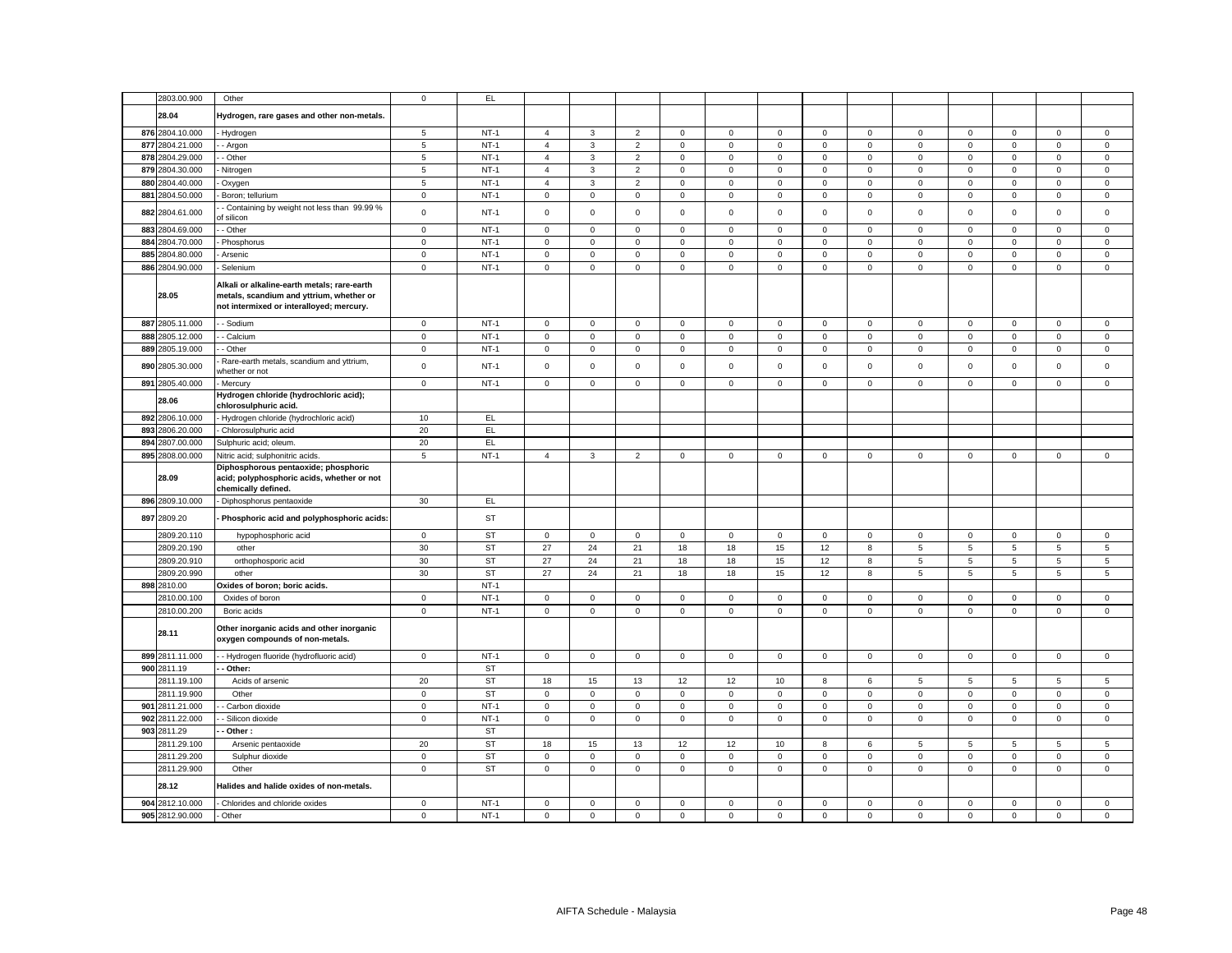| 2803.00.900                        | Other                                                                                                                               | $\mathbf 0$      | EL               |                  |                            |                  |                  |                     |                            |                         |                            |                            |                            |                  |                  |                            |
|------------------------------------|-------------------------------------------------------------------------------------------------------------------------------------|------------------|------------------|------------------|----------------------------|------------------|------------------|---------------------|----------------------------|-------------------------|----------------------------|----------------------------|----------------------------|------------------|------------------|----------------------------|
| 28.04                              | Hydrogen, rare gases and other non-metals.                                                                                          |                  |                  |                  |                            |                  |                  |                     |                            |                         |                            |                            |                            |                  |                  |                            |
| 876 2804.10.000                    | - Hydrogen                                                                                                                          | $\sqrt{5}$       | $NT-1$           | $\overline{4}$   | 3                          | $\overline{2}$   | $\mathbf 0$      | $\mathbf 0$         | $\mathsf 0$                | $\mathbf 0$             | $\mathsf 0$                | $\mathbf 0$                | $\mathsf 0$                | $\mathbf 0$      | $\mathbf 0$      | $\mathsf 0$                |
| 877<br>2804.21.000                 | - Argon                                                                                                                             | $\,$ 5 $\,$      | $NT-1$           | $\overline{4}$   | 3                          | $\overline{2}$   | $\mathsf 0$      | 0                   | $\mathsf 0$                | $\mathsf 0$             | $\mathsf 0$                | $\mathsf 0$                | $\mathbf 0$                | $\mathbf 0$      | $\mathsf 0$      | $\mathsf 0$                |
| 878 2804.29.000                    | - Other                                                                                                                             | $\overline{5}$   | $NT-1$           | $\overline{4}$   | $\mathbf{3}$               | $\overline{2}$   | $\mathbf 0$      | 0                   | $\mathbf 0$                | $\mathbf 0$             | $\mathsf 0$                | $\mathsf 0$                | $\mathbf 0$                | $\mathbf 0$      | $\mathbf 0$      | $\mathsf 0$                |
| 879 2804.30.000                    | Nitrogen                                                                                                                            | 5                | $NT-1$           | $\overline{4}$   | 3                          | $\overline{2}$   | $\mathbf 0$      | $\mathbf{0}$        | $\mathbf{0}$               | $\mathbf 0$             | $\mathbf{0}$               | 0                          | $\mathbf 0$                | $\mathbf{0}$     | $\mathbf 0$      | $\mathbf 0$                |
| 880 2804.40.000                    | - Oxygen                                                                                                                            | 5                | $NT-1$           | $\overline{4}$   | $\mathbf{3}$               | 2                | $\mathbf 0$      | $\mathbf 0$         | $\mathbf 0$                | $\mathbf 0$             | $\mathbf 0$                | $\mathbf 0$                | $\mathbf 0$                | $\mathbf{0}$     | $\mathbf 0$      | $\mathsf 0$                |
| 881 2804.50.000                    | Boron; tellurium                                                                                                                    | $\mathbf 0$      | $NT-1$           | $\mathsf 0$      | $\mathbf{0}$               | $\mathsf 0$      | $\mathbf 0$      | $\mathbf 0$         | $\mathbf 0$                | $\mathbf 0$             | $\mathbf{0}$               | $\mathbf 0$                | $\mathbf 0$                | $\mathbf 0$      | $\mathsf 0$      | $\mathsf 0$                |
|                                    | - Containing by weight not less than 99.99 %                                                                                        |                  |                  |                  |                            |                  |                  |                     |                            |                         |                            |                            |                            |                  |                  |                            |
| 882 2804.61.000                    | of silicon                                                                                                                          | $\mathsf 0$      | $NT-1$           | $\mathsf 0$      | $\mathsf 0$                | $\mathsf 0$      | $\mathsf 0$      | $\mathbf 0$         | $\mathsf 0$                | $\mathsf 0$<br>$\Omega$ | $\mathsf 0$                | $\mathsf 0$                | $\mathsf 0$                | $\mathsf 0$      | $\mathsf 0$      | $\mathsf 0$                |
| 883 2804.69.000                    | - Other                                                                                                                             | $\mathbf 0$      | $NT-1$           | $\mathbf 0$      | $\mathbf 0$                | $\mathsf 0$      | $\mathsf 0$      | $\mathbf{0}$        | $\mathbf 0$                |                         | $\mathbf 0$                | $\mathsf 0$                | $\mathbf 0$                | $\mathbf 0$      | $\mathbf 0$      | $\mathbf 0$                |
| 884 2804.70.000                    | - Phosphorus                                                                                                                        | $\mathbf 0$      | $NT-1$           | $\mathsf 0$      | $\mathsf 0$                | $\mathsf 0$      | $\mathsf 0$      | 0                   | $\Omega$                   | $\mathsf 0$             | $\mathbf 0$                | $\mathsf 0$                | $\Omega$                   | $\Omega$         | $\mathsf 0$      | $\mathsf 0$                |
| 885 2804.80.000                    | Arsenic                                                                                                                             | $\mathbf 0$      | $NT-1$           | $\,0\,$          | $\mathsf 0$                | $\mathsf 0$      | $\mathbf 0$      | 0                   | 0                          | $\mathbf 0$             | $\mathsf 0$                | 0                          | 0                          | $\mathbf 0$      | 0                | 0                          |
| 886 2804.90.000                    | Selenium                                                                                                                            | $\mathbf 0$      | $NT-1$           | $\mathsf 0$      | $\mathsf 0$                | $\mathsf 0$      | $\mathsf 0$      | $\mathsf{O}\xspace$ | $\mathsf 0$                | $\mathbf 0$             | $\mathbf 0$                | $\mathsf 0$                | $\mathbf 0$                | $\mathsf 0$      | $\mathsf 0$      | $\mathbf 0$                |
| 28.05                              | Alkali or alkaline-earth metals; rare-earth<br>metals, scandium and yttrium, whether or<br>not intermixed or interalloyed; mercury. |                  |                  |                  |                            |                  |                  |                     |                            |                         |                            |                            |                            |                  |                  |                            |
| 887 2805.11.000                    | - Sodium                                                                                                                            | 0                | $NT-1$           | $\,0\,$          | 0                          | $\mathsf 0$      | 0                | 0                   | 0                          | $\mathbf 0$             | $\mathbf 0$                | $\mathbf 0$                | 0                          | 0                | 0                | 0                          |
| 888 2805.12.000                    | - Calcium                                                                                                                           | $\mathsf 0$      | $NT-1$           | $\overline{0}$   | $\mathsf{O}\xspace$        | $\mathbf 0$      | $\mathsf 0$      | $\mathsf{O}\xspace$ | $\mathsf 0$                | $\mathsf 0$             | $\mathsf 0$                | $\mathsf 0$                | $\mathbf 0$                | $\mathsf 0$      | $\mathbf 0$      | $\mathsf 0$                |
| 889 2805.19.000                    | - Other                                                                                                                             | $\mathbf 0$      | $NT-1$           | $\mathsf 0$      | $\mathbf 0$                | $\mathsf 0$      | $\mathbf 0$      | $\mathbf 0$         | $\mathsf 0$                | $\mathbf 0$             | $\mathsf 0$                | $\mathsf{O}\xspace$        | $\mathsf 0$                | $\mathsf 0$      | $\mathsf 0$      | $\mathsf 0$                |
| 890 2805.30.000                    | Rare-earth metals, scandium and yttrium,<br>whether or not                                                                          | $\mathbf 0$      | $NT-1$           | $\mathbf 0$      | $\mathbf 0$                | $\mathsf 0$      | 0                | 0                   | $\mathsf 0$                | $\,0\,$                 | $\mathsf 0$                | $\mathsf 0$                | $\mathbf 0$                | $\mathbf{0}$     | $\mathsf 0$      | $\mathsf 0$                |
| 891 2805.40.000                    | Mercury                                                                                                                             | $\mathbf 0$      | $NT-1$           | $\mathsf 0$      | $\mathsf 0$                | $\mathsf 0$      | $\mathbf 0$      | 0                   | $\mathsf 0$                | $\mathbf 0$             | $\mathsf 0$                | $\mathsf 0$                | $\mathsf 0$                | $\mathbf 0$      | $\mathsf 0$      | $\mathsf 0$                |
| 28.06                              | Hydrogen chloride (hydrochloric acid);<br>chlorosulphuric acid.                                                                     |                  |                  |                  |                            |                  |                  |                     |                            |                         |                            |                            |                            |                  |                  |                            |
| 892 2806.10.000                    | - Hydrogen chloride (hydrochloric acid)                                                                                             | 10               | EL               |                  |                            |                  |                  |                     |                            |                         |                            |                            |                            |                  |                  |                            |
| 893<br>2806.20.000                 | - Chlorosulphuric acid                                                                                                              | 20               | EL               |                  |                            |                  |                  |                     |                            |                         |                            |                            |                            |                  |                  |                            |
| 894 2807.00.000                    | Sulphuric acid; oleum                                                                                                               | 20               | EL               |                  |                            |                  |                  |                     |                            |                         |                            |                            |                            |                  |                  |                            |
| 895 2808.00.000                    | Nitric acid; sulphonitric acids.                                                                                                    | 5                | $NT-1$           | $\overline{4}$   | 3                          | $\overline{2}$   | $\mathbf 0$      | $\mathbf{0}$        | $\mathbf{0}$               | $\mathbf{0}$            | $\mathbf 0$                | 0                          | $\mathbf{0}$               | $\mathbf{0}$     | $\mathbf 0$      | $\mathbf 0$                |
|                                    | Diphosphorous pentaoxide; phosphoric<br>acid; polyphosphoric acids, whether or not                                                  |                  |                  |                  |                            |                  |                  |                     |                            |                         |                            |                            |                            |                  |                  |                            |
| 28.09                              |                                                                                                                                     |                  |                  |                  |                            |                  |                  |                     |                            |                         |                            |                            |                            |                  |                  |                            |
|                                    | chemically defined.                                                                                                                 |                  |                  |                  |                            |                  |                  |                     |                            |                         |                            |                            |                            |                  |                  |                            |
| 896 2809.10.000<br>897 2809.20     | - Diphosphorus pentaoxide<br>- Phosphoric acid and polyphosphoric acids:                                                            | 30               | EL<br>ST         |                  |                            |                  |                  |                     |                            |                         |                            |                            |                            |                  |                  |                            |
| 2809.20.110                        |                                                                                                                                     | $\mathbf 0$      |                  | $\mathbf{0}$     | $\mathbf 0$                | $\mathbf 0$      | $\mathbf 0$      | 0                   | $\mathbf 0$                | $\mathbf 0$             | $\mathbf 0$                | $\mathbf{0}$               | $\mathbf 0$                | $\mathbf 0$      | $\mathbf 0$      | $\mathbf 0$                |
|                                    | hypophosphoric acid<br>other                                                                                                        |                  | <b>ST</b>        |                  |                            |                  |                  |                     |                            |                         |                            |                            |                            |                  |                  |                            |
| 2809.20.190                        |                                                                                                                                     | 30               | <b>ST</b>        | 27               | 24                         | 21               | 18               | 18                  | 15                         | 12                      | $\bf8$                     | $\,$ 5 $\,$                | 5                          | $\,$ 5 $\,$      | $\,$ 5 $\,$      | $\,$ 5 $\,$                |
| 2809.20.910                        | orthophosporic acid                                                                                                                 | 30               | <b>ST</b>        | 27               | 24                         | 21               | 18               | 18                  | 15                         | 12                      | 8                          | 5                          | 5                          | 5                | 5                | $\sqrt{5}$                 |
| 2809.20.990                        | other                                                                                                                               | 30               | <b>ST</b>        | 27               | 24                         | 21               | 18               | 18                  | 15                         | 12                      | 8                          | 5                          | 5                          | 5                | 5                | $\overline{5}$             |
| 898 2810.00                        | Oxides of boron; boric acids.                                                                                                       |                  | $NT-1$           |                  |                            |                  |                  |                     |                            |                         |                            |                            |                            |                  |                  |                            |
| 2810.00.100                        | Oxides of boron                                                                                                                     | $\mathbf 0$      | $NT-1$           | $\mathsf 0$      | $\mathsf 0$                | $\mathsf 0$      | $\mathbf 0$      | 0                   | $\mathsf 0$                | $\mathsf 0$             | $\mathsf 0$                | $\mathsf 0$                | $\mathbf 0$                | $\mathsf 0$      | $\mathsf 0$      | $\mathsf 0$                |
| 2810.00.200<br>28.11               | Boric acids<br>Other inorganic acids and other inorganic<br>oxygen compounds of non-metals.                                         | $\mathbf 0$      | $NT-1$           | $\mathsf 0$      | $\mathbf 0$                | $\mathbf 0$      | $\mathsf 0$      | $\mathbf{0}$        | $\mathbf 0$                | $\mathbf 0$             | $\mathbf 0$                | $\mathsf 0$                | $\mathbf 0$                | $\mathbf 0$      | $\mathbf 0$      | $\mathsf 0$                |
| 899 2811.11.000                    | - Hydrogen fluoride (hydrofluoric acid)                                                                                             | $\mathsf 0$      | $NT-1$           | $\mathsf 0$      | $\mathsf 0$                | $\mathsf 0$      | $\mathsf 0$      | $\mathbf 0$         | $\mathsf 0$                | $\mathsf 0$             | $\mathsf 0$                | $\mathsf 0$                | $\mathbf 0$                | $\mathsf 0$      | $\mathsf 0$      | $\mathsf 0$                |
| 900 2811.19                        | - Other:                                                                                                                            |                  | <b>ST</b>        |                  |                            |                  |                  |                     |                            |                         |                            |                            |                            |                  |                  |                            |
| 2811.19.100                        | Acids of arsenic                                                                                                                    | 20               | <b>ST</b>        | 18               | 15                         | 13               | 12               | 12                  | 10                         | 8                       | 6                          | 5                          | 5                          | 5                | 5                | 5                          |
|                                    |                                                                                                                                     |                  |                  |                  |                            |                  |                  |                     |                            |                         |                            |                            |                            |                  |                  |                            |
| 2811.19.900                        | Other                                                                                                                               | $\mathbf 0$      | <b>ST</b>        | $\mathbf{0}$     | $\mathbf 0$                | $\mathsf 0$      | $\mathbf 0$      | 0                   | $\mathsf 0$                | $\mathbf 0$             | $\mathbf 0$                | $\mathbf{0}$               | $\mathsf 0$                | $\mathbf 0$      | $\mathsf 0$      | $\mathsf 0$                |
| 901<br>2811.21.000                 | - Carbon dioxide                                                                                                                    | $\mathbf{0}$     | $NT-1$           | $\circ$          | $\mathbf 0$                | $\mathbf 0$      | $\mathbf 0$      | $\mathbf{0}$        | $\mathbf 0$                | $\mathbf 0$             | $\mathbf 0$                | $\mathbf 0$                | $\mathbf 0$                | $\mathbf 0$      | $\mathbf 0$      | $\mathbf 0$                |
| 902 2811.22.000                    | - Silicon dioxide                                                                                                                   | $\mathbf 0$      | $NT-1$           | $\mathbf 0$      | $\mathsf 0$                | $\mathsf 0$      | $\mathbf 0$      | 0                   | $\mathsf 0$                | $\mathbf 0$             | $\mathsf 0$                | $\mathsf 0$                | $\mathsf 0$                | $\mathbf 0$      | $\mathbf 0$      | $\mathsf 0$                |
| 903 2811.29                        | Other:                                                                                                                              |                  | <b>ST</b>        |                  |                            |                  |                  |                     |                            |                         |                            |                            |                            |                  |                  |                            |
| 2811.29.100                        | Arsenic pentaoxide                                                                                                                  | 20               | <b>ST</b>        | 18               | 15                         | 13               | 12               | 12                  | 10                         | 8                       | 6                          | 5                          | 5                          | 5                | 5                | $\sqrt{5}$                 |
| 2811.29.200                        | Sulphur dioxide                                                                                                                     | $\mathsf 0$      | <b>ST</b>        | $\mathbf 0$      | $\mathbf 0$                | $\mathsf 0$      | $\mathbf 0$      | $\mathbf{0}$        | $\mathbf 0$                | $\mathbf 0$             | $\mathbf 0$                | $\mathbf 0$                | $\mathbf 0$                | $\mathbf 0$      | $\mathbf 0$      | $\mathsf 0$                |
| 2811.29.900<br>28.12               | Other                                                                                                                               | $\mathsf 0$      | <b>ST</b>        | $\mathsf 0$      | $\mathsf 0$                | $\mathsf 0$      | $\mathsf 0$      | $\mathbf 0$         | $\mathsf 0$                | $\mathbf 0$             | $\mathsf 0$                | $\mathsf 0$                | $\mathbf 0$                | $\mathsf 0$      | $\mathsf 0$      | $\mathsf 0$                |
|                                    | Halides and halide oxides of non-metals.                                                                                            |                  |                  |                  |                            |                  |                  |                     |                            |                         |                            |                            |                            |                  |                  |                            |
| 904 2812.10.000<br>905 2812.90.000 | - Chlorides and chloride oxides<br>- Other                                                                                          | $\mathsf 0$<br>0 | $NT-1$<br>$NT-1$ | $\mathsf 0$<br>0 | $\mathsf 0$<br>$\mathsf 0$ | $\mathsf 0$<br>0 | $\mathsf 0$<br>0 | 0<br>0              | $\mathsf 0$<br>$\mathsf 0$ | $\mathsf 0$<br>0        | $\mathbf 0$<br>$\mathbf 0$ | $\mathsf 0$<br>$\mathbf 0$ | $\mathbf 0$<br>$\mathsf 0$ | $\mathsf 0$<br>0 | $\mathsf 0$<br>0 | $\mathsf 0$<br>$\mathsf 0$ |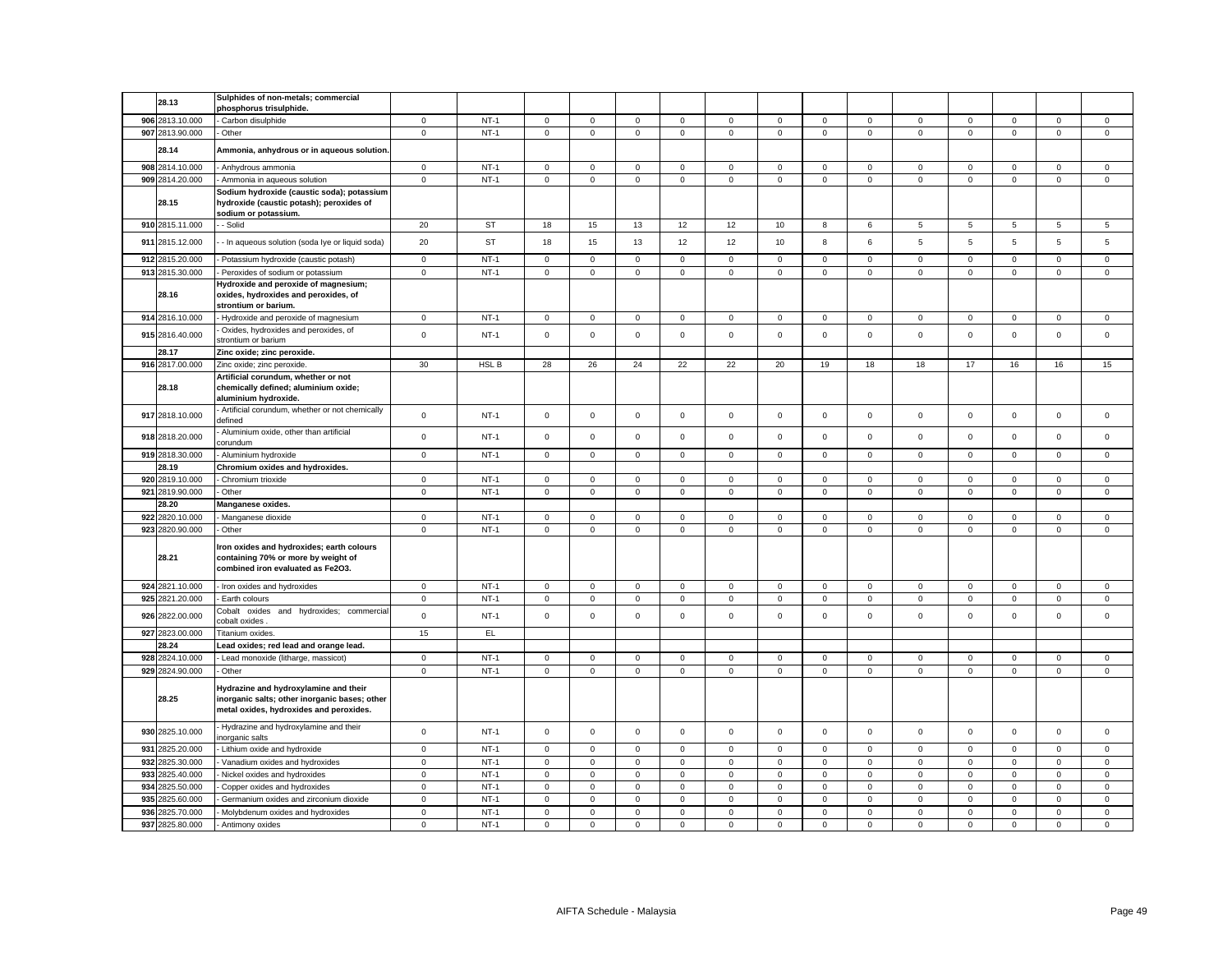|     |                 | Sulphides of non-metals; commercial                                                                                               |             |           |                     |                     |             |              |             |                     |                     |              |             |             |                     |                     |             |
|-----|-----------------|-----------------------------------------------------------------------------------------------------------------------------------|-------------|-----------|---------------------|---------------------|-------------|--------------|-------------|---------------------|---------------------|--------------|-------------|-------------|---------------------|---------------------|-------------|
|     | 28.13           | phosphorus trisulphide.                                                                                                           |             |           |                     |                     |             |              |             |                     |                     |              |             |             |                     |                     |             |
|     | 906 2813.10.000 | Carbon disulphide                                                                                                                 | $\mathbf 0$ | $NT-1$    | 0                   | $\mathbf 0$         | $\mathbf 0$ | $\mathsf 0$  | 0           | $\mathbf 0$         | $\mathbf 0$         | $\mathsf 0$  | $\mathbf 0$ | $\mathbf 0$ | $\mathbf 0$         | $\mathbf 0$         | $\mathsf 0$ |
|     | 907 2813.90.000 | Other                                                                                                                             | $\mathsf 0$ | $NT-1$    | $\mathsf 0$         | $\mathsf 0$         | $\mathsf 0$ | $\mathsf 0$  | $\mathsf 0$ | $\mathsf{O}\xspace$ | $\mathsf{O}$        | $\mathsf 0$  | $\mathsf 0$ | $\mathbf 0$ | $\mathsf 0$         | $\mathsf{O}\xspace$ | $\mathsf 0$ |
|     |                 |                                                                                                                                   |             |           |                     |                     |             |              |             |                     |                     |              |             |             |                     |                     |             |
|     | 28.14           | Ammonia, anhydrous or in aqueous solution                                                                                         |             |           |                     |                     |             |              |             |                     |                     |              |             |             |                     |                     |             |
|     | 908 2814.10.000 | Anhydrous ammonia                                                                                                                 | $\mathbf 0$ | $NT-1$    | 0                   | $\mathbf 0$         | $\mathbf 0$ | 0            | 0           | 0                   | $\mathbf 0$         | $\mathbf 0$  | 0           | 0           | $\mathbf 0$         | 0                   | $\mathbf 0$ |
|     | 909 2814.20.000 | Ammonia in aqueous solution                                                                                                       | $\mathbf 0$ | $NT-1$    | 0                   | $\mathsf 0$         | $\mathbf 0$ | $\mathsf 0$  | $\mathsf 0$ | $\mathbf 0$         | $\mathsf 0$         | $\mathbf 0$  | $\mathsf 0$ | $\mathsf 0$ | $\mathsf 0$         | $\mathbf 0$         | $\mathsf 0$ |
|     |                 | Sodium hydroxide (caustic soda); potassium                                                                                        |             |           |                     |                     |             |              |             |                     |                     |              |             |             |                     |                     |             |
|     | 28.15           | hydroxide (caustic potash); peroxides of                                                                                          |             |           |                     |                     |             |              |             |                     |                     |              |             |             |                     |                     |             |
|     |                 | sodium or potassium.                                                                                                              |             |           |                     |                     |             |              |             |                     |                     |              |             |             |                     |                     |             |
|     | 910 2815.11.000 | - Solid                                                                                                                           | 20          | <b>ST</b> | 18                  | 15                  | 13          | 12           | 12          | 10                  | 8                   | 6            | 5           | 5           | 5                   | 5                   | 5           |
|     | 911 2815.12.000 | - In aqueous solution (soda Iye or liquid soda)                                                                                   | 20          | <b>ST</b> | 18                  | 15                  | 13          | 12           | 12          | 10                  | 8                   | 6            | 5           | 5           | 5                   | 5                   | $\sqrt{5}$  |
|     | 912 2815.20.000 | Potassium hydroxide (caustic potash)                                                                                              | $\mathbf 0$ | $NT-1$    | $\mathbf 0$         | $\mathsf 0$         | $\mathsf 0$ | $\mathsf 0$  | $\mathsf 0$ | $\mathsf 0$         | $\mathsf 0$         | $\mathsf 0$  | $\mathbf 0$ | $\mathsf 0$ | $\mathsf 0$         | $\mathsf 0$         | $\mathsf 0$ |
|     | 913 2815.30.000 | Peroxides of sodium or potassium                                                                                                  | $\mathbf 0$ | $NT-1$    | 0                   | $\mathbf 0$         | $\mathbf 0$ | $\mathbf 0$  | $\mathbf 0$ | $\mathsf 0$         | $\mathbf 0$         | $\mathbf 0$  | $\mathbf 0$ | $\mathsf 0$ | $\mathbf 0$         | $\mathbf 0$         | $\mathbf 0$ |
|     |                 | Hydroxide and peroxide of magnesium;                                                                                              |             |           |                     |                     |             |              |             |                     |                     |              |             |             |                     |                     |             |
|     | 28.16           | oxides, hydroxides and peroxides, of<br>strontium or barium.                                                                      |             |           |                     |                     |             |              |             |                     |                     |              |             |             |                     |                     |             |
|     | 914 2816.10.000 | - Hydroxide and peroxide of magnesium                                                                                             | $\mathbf 0$ | $NT-1$    | $\circ$             | $\mathbf 0$         | $\mathsf 0$ | $\mathbf{0}$ | $\mathbf 0$ | $\mathbf 0$         | $\mathbf 0$         | $\mathsf 0$  | $\mathbf 0$ | $\mathbf 0$ | $\mathbf 0$         | $\mathbf 0$         | $\mathsf 0$ |
|     |                 | Oxides, hydroxides and peroxides, of                                                                                              |             |           |                     |                     |             |              |             |                     |                     |              |             |             |                     |                     |             |
|     | 915 2816.40.000 | strontium or barium                                                                                                               | $\mathbf 0$ | $NT-1$    | $\mathbf 0$         | $\mathbf 0$         | $\mathsf 0$ | $\mathbf 0$  | $\mathsf 0$ | $\mathbf 0$         | $\mathbf 0$         | $\mathbf{0}$ | $\mathsf 0$ | $\mathsf 0$ | $\mathbf 0$         | $\mathbf 0$         | $\mathbf 0$ |
|     | 28.17           | Zinc oxide; zinc peroxide.                                                                                                        |             |           |                     |                     |             |              |             |                     |                     |              |             |             |                     |                     |             |
|     | 916 2817.00.000 | Zinc oxide; zinc peroxide.                                                                                                        | 30          | HSL B     | 28                  | 26                  | 24          | 22           | 22          | 20                  | 19                  | 18           | 18          | 17          | 16                  | 16                  | 15          |
|     | 28.18           | Artificial corundum, whether or not<br>chemically defined; aluminium oxide;<br>aluminium hydroxide.                               |             |           |                     |                     |             |              |             |                     |                     |              |             |             |                     |                     |             |
|     | 917 2818.10.000 | Artificial corundum, whether or not chemically<br>defined                                                                         | $\mathsf 0$ | $NT-1$    | $\mathsf 0$         | $\mathsf 0$         | $\mathsf 0$ | $\mathsf 0$  | $\mathsf 0$ | $\mathsf 0$         | $\mathsf{O}\xspace$ | $\mathsf 0$  | $\mathsf 0$ | $\mathsf 0$ | $\mathsf 0$         | $\mathsf 0$         | $\mathbf 0$ |
|     | 918 2818.20.000 | Aluminium oxide, other than artificial<br>corundum                                                                                | $\mathbf 0$ | $NT-1$    | $\mathbf 0$         | $\mathsf 0$         | $\mathsf 0$ | $\mathsf 0$  | $\mathsf 0$ | $\mathsf 0$         | $\mathsf 0$         | $\mathbf 0$  | $\mathbf 0$ | $\mathsf 0$ | $\mathsf 0$         | $\mathsf 0$         | $\mathsf 0$ |
|     | 919 2818.30.000 | Aluminium hydroxide                                                                                                               | $\mathbf 0$ | $NT-1$    | 0                   | $\mathsf 0$         | $\mathbf 0$ | $\mathbf 0$  | $\mathbf 0$ | $\mathbf 0$         | $\mathbf 0$         | $\mathbf{0}$ | $\mathbf 0$ | $\mathbf 0$ | $\mathsf 0$         | $\mathbf 0$         | $\mathsf 0$ |
|     | 28.19           | Chromium oxides and hydroxides.                                                                                                   |             |           |                     |                     |             |              |             |                     |                     |              |             |             |                     |                     |             |
|     | 920 2819.10.000 | Chromium trioxide                                                                                                                 | $\mathbf 0$ | $NT-1$    | $\mathbf 0$         | $\mathbf 0$         | $\mathbf 0$ | $\mathsf 0$  | $\mathbf 0$ | $\mathsf 0$         | $\mathbf 0$         | $\mathbf 0$  | $\mathsf 0$ | $\mathsf 0$ | $\mathbf 0$         | $\mathbf 0$         | $\mathsf 0$ |
| 921 | 2819.90.000     | Other                                                                                                                             | $\mathbf 0$ | $NT-1$    | $\mathbf 0$         | $\mathsf 0$         | $\mathsf 0$ | $\mathsf 0$  | $\mathbf 0$ | $\mathsf 0$         | $\mathbf 0$         | $\mathbf 0$  | $\mathbf 0$ | $\mathsf 0$ | $\mathsf 0$         | $\mathsf 0$         | $\mathsf 0$ |
|     | 28.20           | Manganese oxides.                                                                                                                 |             |           |                     |                     |             |              |             |                     |                     |              |             |             |                     |                     |             |
|     | 922 2820.10.000 | Manganese dioxide                                                                                                                 | $\mathsf 0$ | $NT-1$    | $\mathbf 0$         | $\mathbf 0$         | $\mathsf 0$ | $\mathbf 0$  | $\mathsf 0$ | $\mathsf 0$         | $\mathsf 0$         | $\mathsf 0$  | $\mathbf 0$ | $\mathbf 0$ | $\Omega$            | $\mathsf 0$         | $\mathsf 0$ |
|     | 923 2820.90.000 | Other                                                                                                                             | $\mathsf 0$ | $NT-1$    | $\mathsf{O}\xspace$ | $\mathsf 0$         | $\mathsf 0$ | $\mathsf 0$  | $\mathbf 0$ | $\mathsf 0$         | $\mathsf 0$         | $\mathsf 0$  | $\mathsf 0$ | $\mathsf 0$ | $\mathsf 0$         | $\mathsf 0$         | $\mathsf 0$ |
|     | 28.21           | Iron oxides and hydroxides; earth colours<br>containing 70% or more by weight of<br>combined iron evaluated as Fe2O3.             |             |           |                     |                     |             |              |             |                     |                     |              |             |             |                     |                     |             |
|     | 924 2821.10.000 | - Iron oxides and hydroxides                                                                                                      | $\mathbf 0$ | $NT-1$    | $\circ$             | $\mathbf 0$         | $\mathsf 0$ | $\mathbf{0}$ | $\mathsf 0$ | $\mathbf 0$         | $\mathsf 0$         | $\mathsf 0$  | $\mathbf 0$ | $\mathbf 0$ | $\mathbf 0$         | $\mathbf 0$         | $\mathsf 0$ |
|     | 925 2821.20.000 | Earth colours                                                                                                                     | $\mathsf 0$ | $NT-1$    | 0                   | $\mathsf{O}\xspace$ | $\mathsf 0$ | 0            | $\mathsf 0$ | $\mathbf 0$         | $\mathsf{O}\xspace$ | $\mathsf 0$  | $\mathsf 0$ | $\mathbf 0$ | $\mathsf{O}\xspace$ | $\mathsf 0$         | $\mathsf 0$ |
|     | 926 2822.00.000 | Cobalt<br>oxides and hydroxides; commercial<br>obalt oxides:                                                                      | $\mathsf 0$ | $NT-1$    | $\mathbf{0}$        | $\mathbf 0$         | $\mathsf 0$ | $^{\circ}$   | $\mathbf 0$ | $\mathbf 0$         | $\mathbf{0}$        | $\mathbf 0$  | $\mathbf 0$ | $\mathbf 0$ | $\mathbf 0$         | $\mathbf 0$         | $\mathbf 0$ |
|     | 927 2823.00.000 | Titanium oxides.                                                                                                                  | 15          | EL        |                     |                     |             |              |             |                     |                     |              |             |             |                     |                     |             |
|     | 28.24           | Lead oxides; red lead and orange lead.                                                                                            |             |           |                     |                     |             |              |             |                     |                     |              |             |             |                     |                     |             |
|     | 928 2824.10.000 | - Lead monoxide (litharge, massicot)                                                                                              | $\mathsf 0$ | $NT-1$    | 0                   | $\mathbf 0$         | $\mathbf 0$ | $\mathbf 0$  | 0           | $\mathbf 0$         | $\mathbf{0}$        | $\mathbf 0$  | 0           | $\mathbf 0$ | $\mathbf 0$         | $\mathbf 0$         | $\mathbf 0$ |
|     | 929 2824.90.000 | - Other                                                                                                                           | $\mathsf 0$ | $NT-1$    | $\mathbf 0$         | $\mathbf 0$         | $\mathsf 0$ | $\mathbf 0$  | $\mathbf 0$ | $\mathbf 0$         | $\mathsf 0$         | $\mathbf 0$  | $\mathsf 0$ | $\mathbf 0$ | $\mathbf 0$         | $\mathbf 0$         | $\mathsf 0$ |
|     | 28.25           | Hydrazine and hydroxylamine and their<br>inorganic salts; other inorganic bases; other<br>metal oxides, hydroxides and peroxides. |             |           |                     |                     |             |              |             |                     |                     |              |             |             |                     |                     |             |
|     | 930 2825.10.000 | Hydrazine and hydroxylamine and their<br>norganic salts                                                                           | $\mathbf 0$ | $NT-1$    | $\mathbf 0$         | $\mathbf 0$         | $\mathbf 0$ | $\mathbf 0$  | $\mathsf 0$ | $\mathbf 0$         | $\mathbf 0$         | $\mathbf 0$  | $\mathbf 0$ | $\mathbf 0$ | $\mathbf 0$         | $\mathbf 0$         | $\mathsf 0$ |
|     | 931 2825.20.000 | - Lithium oxide and hydroxide                                                                                                     | $\mathbf 0$ | $NT-1$    | 0                   | $\mathbf 0$         | $\mathsf 0$ | $\mathbf 0$  | 0           | $\mathsf 0$         | $\mathbf{0}$        | $\mathsf 0$  | $\mathbf 0$ | $\mathsf 0$ | $\mathbf 0$         | $\mathsf 0$         | $\mathbf 0$ |
|     | 932 2825.30.000 | Vanadium oxides and hydroxides                                                                                                    | $\mathbf 0$ | $NT-1$    | $\Omega$            | $\mathsf 0$         | $\mathsf 0$ | $\mathbf 0$  | $\mathsf 0$ | 0                   | $\mathsf 0$         | $\,0\,$      | $\mathsf 0$ | $\mathbf 0$ | $\mathsf 0$         | 0                   | 0           |
|     | 933 2825.40.000 | Nickel oxides and hydroxides                                                                                                      | $\mathbf 0$ | $NT-1$    | 0                   | $\mathsf 0$         | $\mathbf 0$ | $\mathbf 0$  | $\mathbf 0$ | $\mathsf 0$         | $\mathbf 0$         | $\mathsf 0$  | $\mathbf 0$ | $\mathbf 0$ | $\mathsf 0$         | $\mathsf 0$         | $\mathsf 0$ |
| 934 | 2825.50.000     | Copper oxides and hydroxides                                                                                                      | $\mathbf 0$ | $NT-1$    | $\mathbf 0$         | $\mathsf 0$         | $\mathsf 0$ | $\mathsf 0$  | $\mathsf 0$ | $\mathsf 0$         | $\mathsf 0$         | $\mathsf 0$  | $\mathsf 0$ | $\mathsf 0$ | $\mathsf 0$         | $\mathsf 0$         | $\mathsf 0$ |
|     | 935 2825.60.000 | Germanium oxides and zirconium dioxide                                                                                            | $\mathbf 0$ | $NT-1$    | 0                   | $^{\circ}$          | $\mathsf 0$ | $\mathbf 0$  | $\mathsf 0$ | $\mathsf 0$         | $\mathbf 0$         | $\mathbf 0$  | $\mathsf 0$ | $\mathbf 0$ | $^{\circ}$          | $\mathbf 0$         | $\mathsf 0$ |
|     | 936 2825.70.000 | Molybdenum oxides and hydroxides                                                                                                  | $\mathbf 0$ | $NT-1$    | $\mathbf 0$         | $\mathsf 0$         | $\mathsf 0$ | $\mathbf 0$  | $\mathsf 0$ | $\mathsf 0$         | $\mathsf 0$         | $\mathsf 0$  | $\mathsf 0$ | $\mathsf 0$ | $\mathsf 0$         | $\mathsf 0$         | $\mathsf 0$ |
|     | 937 2825.80.000 | - Antimony oxides                                                                                                                 | $\mathbf 0$ | $NT-1$    | $\mathbf 0$         | $\mathbf 0$         | $\mathsf 0$ | $\mathsf 0$  | $\mathsf 0$ | $\mathsf 0$         | $\mathsf 0$         | $\mathsf 0$  | $\mathbf 0$ | $\mathsf 0$ | $\mathbf 0$         | $\mathsf 0$         | $\mathsf 0$ |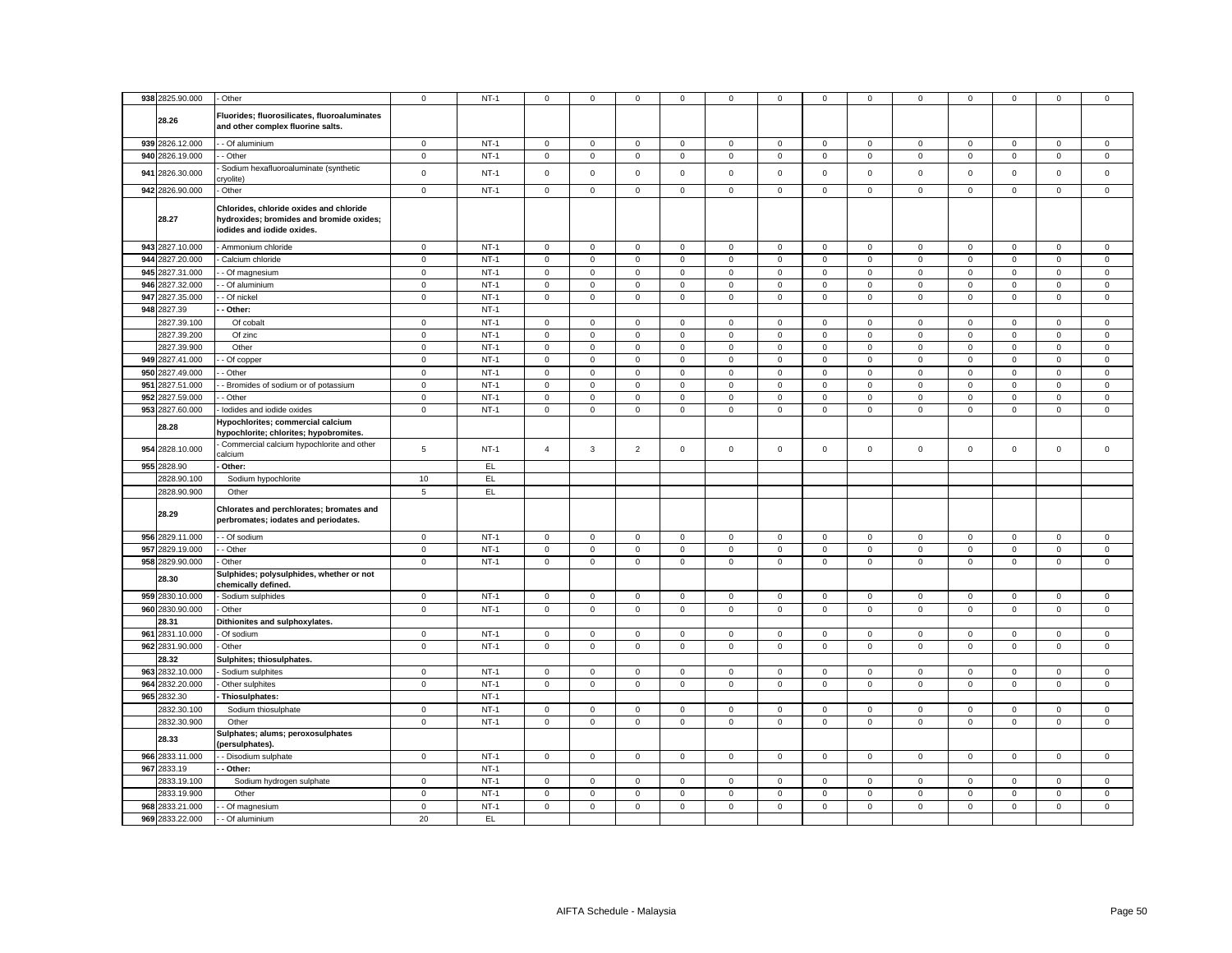| 938 2825.90.000    | - Other                                                                                                           | $\mathsf 0$    | $NT-1$ | $\mathsf 0$                   | $\mathsf 0$         | $\mathsf 0$    | $\mathsf 0$         | 0                   | $\mathsf 0$ | $\mathbf 0$  | $\mathsf 0$    | $\mathsf 0$         | $\mathsf 0$ | 0            | $\mathsf 0$         | $\mathsf 0$ |
|--------------------|-------------------------------------------------------------------------------------------------------------------|----------------|--------|-------------------------------|---------------------|----------------|---------------------|---------------------|-------------|--------------|----------------|---------------------|-------------|--------------|---------------------|-------------|
| 28.26              | Fluorides; fluorosilicates, fluoroaluminates<br>and other complex fluorine salts.                                 |                |        |                               |                     |                |                     |                     |             |              |                |                     |             |              |                     |             |
| 939 2826.12.000    | - - Of aluminium                                                                                                  | $\mathbf 0$    | $NT-1$ | $\overline{0}$                | $\overline{0}$      | $\mathsf 0$    | $\mathbf 0$         | $\mathsf 0$         | $\mathbf 0$ | $\circ$      | $\mathbf 0$    | $\mathbf{0}$        | $\mathbf 0$ | $\mathbf 0$  | $\mathsf 0$         | $\mathsf 0$ |
| 940 2826.19.000    | - Other                                                                                                           | $\mathbf 0$    | $NT-1$ | $\mathsf 0$                   | $\mathbf 0$         | $\mathsf 0$    | $\mathsf 0$         | $\mathbf 0$         | $\mathsf 0$ | $\mathsf 0$  | $\mathsf 0$    | $\mathsf{O}\xspace$ | $\mathsf 0$ | $\mathsf 0$  | $\mathbf 0$         | $\mathsf 0$ |
|                    | Sodium hexafluoroaluminate (synthetic                                                                             |                |        |                               |                     |                |                     |                     |             |              |                |                     |             |              |                     |             |
| 941 2826.30.000    | cryolite)                                                                                                         | $\mathbf 0$    | $NT-1$ | $\mathsf 0$                   | $\mathsf 0$         | $\mathsf 0$    | $\mathsf 0$         | $\mathbf{0}$        | $\mathbf 0$ | $\mathbf 0$  | $\mathsf 0$    | $\mathsf 0$         | $\mathbf 0$ | $\mathbf 0$  | $\mathsf 0$         | $\mathsf 0$ |
| 942 2826.90.000    | - Other                                                                                                           | $\mathsf 0$    | $NT-1$ | $\mathbf 0$                   | $\mathbf 0$         | $\mathbf 0$    | $\mathbf 0$         | 0                   | $\mathsf 0$ | $\mathbf 0$  | $\mathsf 0$    | $\mathsf 0$         | $\mathsf 0$ | $\mathsf 0$  | $\mathbf 0$         | $\mathsf 0$ |
| 28.27              | Chlorides, chloride oxides and chloride<br>hydroxides; bromides and bromide oxides;<br>iodides and iodide oxides. |                |        |                               |                     |                |                     |                     |             |              |                |                     |             |              |                     |             |
| 943 2827.10.000    | - Ammonium chloride                                                                                               | $\mathbf 0$    | $NT-1$ | $\circ$                       | $\mathbf 0$         | $\mathsf 0$    | $\mathbf 0$         | 0                   | $\mathbf 0$ | $\mathbf 0$  | $\mathbf 0$    | $\mathsf 0$         | $\mathbf 0$ | $\mathbf 0$  | $\mathsf 0$         | $\mathsf 0$ |
| 944 2827.20.000    | Calcium chloride                                                                                                  | $\mathbf 0$    | $NT-1$ | $\mathsf 0$                   | $\mathsf{O}\xspace$ | $\mathsf 0$    | $\mathsf 0$         | $\mathbf 0$         | $\mathsf 0$ | $\mathsf 0$  | $\mathsf 0$    | $\mathsf 0$         | $\mathsf 0$ | $\mathsf 0$  | $\mathsf 0$         | $\mathsf 0$ |
| 945 2827.31.000    | - Of magnesium                                                                                                    | $\mathbf 0$    | $NT-1$ | $\mathsf 0$                   | $\mathbf 0$         | $\mathsf 0$    | $\mathbf 0$         | $\mathbf 0$         | $\mathbf 0$ | $\mathbf 0$  | $\mathsf 0$    | $\mathsf 0$         | $\mathbf 0$ | $\mathbf 0$  | $\mathsf 0$         | $\mathsf 0$ |
| 946 2827.32.000    | - Of aluminium                                                                                                    | $\mathbf 0$    | $NT-1$ | $\mathbf 0$                   | $\mathbf 0$         | $\mathbf 0$    | $\mathbf 0$         | $\mathbf{0}$        | $\mathbf 0$ | $\mathbf 0$  | $\mathbf 0$    | $\mathsf 0$         | $\mathbf 0$ | $\mathbf 0$  | $\mathbf 0$         | $\mathsf 0$ |
| 947 2827.35.000    | - Of nickel                                                                                                       | $\mathbf 0$    | $NT-1$ | $\mathsf 0$                   | $\mathbf 0$         | $\mathsf 0$    | $\mathsf 0$         | 0                   | $\mathbf 0$ | $\mathsf 0$  | $\mathsf 0$    | $\mathsf 0$         | $\mathbf 0$ | $\mathsf 0$  | $\mathsf 0$         | $\mathsf 0$ |
| 948 2827.39        | - Other:                                                                                                          |                | $NT-1$ |                               |                     |                |                     |                     |             |              |                |                     |             |              |                     |             |
| 2827.39.100        | Of cobalt                                                                                                         | $\mathbf 0$    | $NT-1$ | $\mathsf 0$                   | $\mathsf 0$         | $\mathbf 0$    | $\mathsf 0$         | 0                   | $\mathsf 0$ | $\mathbf 0$  | $\,0\,$        | $\mathsf 0$         | $\pmb{0}$   | $\mathsf 0$  | $\mathbf 0$         | $\mathsf 0$ |
| 2827.39.200        | Of zinc                                                                                                           | $\mathbf 0$    | $NT-1$ | $\,0\,$                       | $\mathbf 0$         | 0              | 0                   | 0                   | $\mathbf 0$ | $\mathbf 0$  | $\,0\,$        | $\mathsf 0$         | $\mathbf 0$ | $\mathsf 0$  | $\mathbf 0$         | 0           |
| 2827.39.900        | Other                                                                                                             | $\mathbf 0$    | $NT-1$ | $\overline{0}$                | $\mathsf{O}\xspace$ | $\mathsf 0$    | $\mathsf 0$         | $\mathbf 0$         | $\mathsf 0$ | $\mathbf 0$  | $\mathbf 0$    | $\mathsf 0$         | $\mathbf 0$ | $\mathbf 0$  | $\mathsf 0$         | $\mathsf 0$ |
| 949 2827.41.000    | - Of copper                                                                                                       | $\mathbf 0$    | $NT-1$ | $\mathsf 0$                   | $\mathbf 0$         | $\mathbf 0$    | $\mathbf 0$         | $\mathbf 0$         | $\mathsf 0$ | $\mathbf 0$  | $\mathsf 0$    | $\mathbf 0$         | $\mathsf 0$ | $\mathsf 0$  | $\mathbf 0$         | $\mathsf 0$ |
| 950 2827.49.000    | - Other                                                                                                           | $\mathbf 0$    | $NT-1$ | $\mathsf 0$                   | $\mathsf{O}\xspace$ | $\mathbf 0$    | $\mathsf 0$         | $\mathsf{O}\xspace$ | $\mathsf 0$ | $\mathbf 0$  | $\mathsf 0$    | $\mathsf 0$         | $\,0\,$     | $\mathsf 0$  | $\mathbf 0$         | $\mathsf 0$ |
|                    |                                                                                                                   |                | $NT-1$ |                               |                     |                |                     |                     |             |              |                |                     |             |              |                     |             |
| 951 2827.51.000    | Bromides of sodium or of potassium                                                                                | $\mathbf 0$    | $NT-1$ | $\mathbf 0$<br>$\overline{0}$ | $\mathsf 0$         | $\mathsf 0$    | $\mathbf 0$         | 0                   | $\mathsf 0$ | $\mathsf 0$  | $\mathsf 0$    | $\mathsf 0$         | $\mathbf 0$ | $\mathbf 0$  | $\mathsf 0$         | $\mathsf 0$ |
| 952 2827.59.000    | - Other                                                                                                           | $\mathsf 0$    |        |                               | $\mathsf 0$         | $\mathsf 0$    | $\mathsf 0$         | $\mathbf 0$         | $\mathsf 0$ | $\mathsf 0$  | $\mathbf 0$    | $\mathsf 0$         | $\mathbf 0$ | $\mathsf 0$  | $\mathsf 0$         | $\mathsf 0$ |
| 953 2827.60.000    | lodides and iodide oxides                                                                                         | $\mathbf 0$    | $NT-1$ | $\mathsf 0$                   | $\mathbf 0$         | $\mathsf 0$    | $\mathsf 0$         | $\mathbf 0$         | $\mathsf 0$ | $\mathbf 0$  | $\mathsf 0$    | $\mathsf 0$         | $\mathsf 0$ | $\mathbf 0$  | $\mathsf 0$         | $\mathsf 0$ |
| 28.28              | Hypochlorites; commercial calcium<br>hypochlorite; chlorites; hypobromites.                                       |                |        |                               |                     |                |                     |                     |             |              |                |                     |             |              |                     |             |
| 954 2828.10.000    | Commercial calcium hypochlorite and other<br>calcium                                                              | $\overline{5}$ | $NT-1$ | $\overline{4}$                | $\mathbf{3}$        | $\overline{2}$ | $\mathsf 0$         | $\mathbf 0$         | $\mathsf 0$ | $\mathbf 0$  | $\mathsf 0$    | $\mathsf 0$         | $\mathsf 0$ | $\mathsf 0$  | $\mathsf 0$         | $\mathsf 0$ |
| 955 2828.90        | Other:                                                                                                            |                | EL     |                               |                     |                |                     |                     |             |              |                |                     |             |              |                     |             |
| 2828.90.100        | Sodium hypochlorite                                                                                               | 10             | EL     |                               |                     |                |                     |                     |             |              |                |                     |             |              |                     |             |
| 2828.90.900        | Other                                                                                                             | $\,$ 5 $\,$    | EL     |                               |                     |                |                     |                     |             |              |                |                     |             |              |                     |             |
| 28.29              | Chlorates and perchlorates; bromates and<br>perbromates; iodates and periodates.                                  |                |        |                               |                     |                |                     |                     |             |              |                |                     |             |              |                     |             |
| 956 2829.11.000    | - Of sodium                                                                                                       | $\mathbf 0$    | $NT-1$ | $\mathsf 0$                   | $\mathbf 0$         | $\mathbf 0$    | $\mathbf 0$         | $\mathbf 0$         | $\mathsf 0$ | $\mathsf 0$  | $\mathbf{0}$   | $\mathbf 0$         | $\mathsf 0$ | $\mathsf 0$  | $\mathbf 0$         | $\mathsf 0$ |
| 957 2829.19.000    | - Other                                                                                                           | $\mathbf 0$    | $NT-1$ | $\mathsf 0$                   | $\mathsf 0$         | $\mathsf 0$    | $\mathsf 0$         | $\mathbf 0$         | $\mathbf 0$ | $\mathsf 0$  | $\mathsf 0$    | $\mathsf{O}\xspace$ | $\mathbf 0$ | $\mathbf 0$  | $\mathsf 0$         | $\mathsf 0$ |
| 958 2829.90.000    | Other                                                                                                             | $\mathsf 0$    | $NT-1$ | $\mathbf 0$                   | $\mathsf 0$         | $\mathsf 0$    | $\mathbf 0$         | 0                   | $\mathsf 0$ | $\mathsf 0$  | $\mathsf 0$    | $\mathbf 0$         | $\mathbf 0$ | $\mathsf 0$  | $\mathsf 0$         | $\mathsf 0$ |
| 28.30              | Sulphides; polysulphides, whether or not<br>chemically defined.                                                   |                |        |                               |                     |                |                     |                     |             |              |                |                     |             |              |                     |             |
| 959 2830.10.000    | Sodium sulphides                                                                                                  | $\mathbf 0$    | $NT-1$ | $\mathsf 0$                   | $\mathbf{0}$        | $\mathbf 0$    | $\mathbf 0$         | $\mathbf 0$         | $\mathbf 0$ | $\mathbf{0}$ | $\overline{0}$ | $\mathbf 0$         | $\mathbf 0$ | $\mathbf 0$  | $\mathbf 0$         | $\mathbf 0$ |
| 960 2830.90.000    | - Other                                                                                                           | $\mathbf 0$    | $NT-1$ | $\mathsf 0$                   | $\mathsf{O}\xspace$ | $\mathsf 0$    | $\mathsf 0$         | 0                   | $\mathsf 0$ | $\mathbf 0$  | $\mathbf 0$    | $\mathsf 0$         | $\mathsf 0$ | $\mathsf 0$  | $\mathsf 0$         | $\mathsf 0$ |
| 28.31              | Dithionites and sulphoxylates.                                                                                    |                |        |                               |                     |                |                     |                     |             |              |                |                     |             |              |                     |             |
| 961<br>2831.10.000 | - Of sodium                                                                                                       | $\mathsf 0$    | $NT-1$ | $\mathbf 0$                   | $\mathsf{O}\xspace$ | $\mathsf 0$    | $\mathsf 0$         | 0                   | $\mathsf 0$ | $\mathbf 0$  | $\mathbf 0$    | $\mathsf 0$         | $\mathbf 0$ | $\mathbf 0$  | $\mathsf 0$         | $\mathsf 0$ |
| 962 2831.90.000    | Other                                                                                                             | $\mathbf 0$    | $NT-1$ | $\mathbf 0$                   | $\mathbf 0$         | $\mathbf 0$    | $\mathbf 0$         | 0                   | $\mathbf 0$ | $\mathbf 0$  | $\mathbf 0$    | $\mathbf 0$         | $\mathbf 0$ | $\mathbf 0$  | $\mathbf 0$         | $\mathbf 0$ |
| 28.32              | Sulphites; thiosulphates.                                                                                         |                |        |                               |                     |                |                     |                     |             |              |                |                     |             |              |                     |             |
| 963 2832.10.000    | Sodium sulphites                                                                                                  | $\mathbf 0$    | $NT-1$ | $\mathsf 0$                   | 0                   | $\mathbf 0$    | $\mathbf 0$         | 0                   | 0           | $\mathsf 0$  | $\mathbf 0$    | $\mathbf 0$         | 0           | $\mathbf 0$  | 0                   | 0           |
| 964 2832.20.000    | Other sulphites                                                                                                   | $\mathsf 0$    | $NT-1$ | $\mathbf 0$                   | $\mathsf{O}\xspace$ | $\mathsf 0$    | $\mathsf 0$         | 0                   | $\mathsf 0$ | $\mathsf 0$  | $\mathbf 0$    | $\mathsf 0$         | $\mathbf 0$ | $\mathbf 0$  | $\mathsf 0$         | $\mathsf 0$ |
| 965 2832.30        | Thiosulphates:                                                                                                    |                | $NT-1$ |                               |                     |                |                     |                     |             |              |                |                     |             |              |                     |             |
| 2832.30.100        | Sodium thiosulphate                                                                                               | $\mathbf 0$    | $NT-1$ | $\mathbf 0$                   | $\mathbf 0$         | $\mathsf 0$    | $^{\circ}$          | 0                   | $\mathbf 0$ | $\mathbf 0$  | $\mathsf 0$    | $\mathsf 0$         | $\mathbf 0$ | $\mathbf 0$  | $\mathsf 0$         | $\mathbf 0$ |
| 2832.30.900        | Other                                                                                                             | $^{\circ}$     | $NT-1$ | $\mathbf 0$                   | $\mathbf 0$         | $\mathsf 0$    | $\mathbf{0}$        | 0                   | $\mathsf 0$ | $\mathbf{0}$ | $\mathbf 0$    | $\mathbf{0}$        | $\mathbf 0$ | $\mathbf{0}$ | $\mathsf 0$         | $\mathsf 0$ |
| 28.33              | Sulphates; alums; peroxosulphates<br>(persulphates).                                                              |                |        |                               |                     |                |                     |                     |             |              |                |                     |             |              |                     |             |
| 966 2833.11.000    | - Disodium sulphate                                                                                               | $\mathbf 0$    | $NT-1$ | $\mathsf 0$                   | $\mathsf 0$         | $\mathsf 0$    | $\mathsf{O}\xspace$ | 0                   | $\mathsf 0$ | $\mathbf 0$  | $\mathbf 0$    | $\mathsf{O}\xspace$ | $\mathbf 0$ | $\mathbf 0$  | $\mathsf{O}\xspace$ | $\mathsf 0$ |
| 967<br>2833.19     | Other:                                                                                                            |                | $NT-1$ |                               |                     |                |                     |                     |             |              |                |                     |             |              |                     |             |
| 2833.19.100        | Sodium hydrogen sulphate                                                                                          | $\mathbf 0$    | $NT-1$ | $\mathbf 0$                   | $\mathbf 0$         | $\mathbf 0$    | $^{\circ}$          | $\mathbf{0}$        | $\mathbf 0$ | $\mathbf 0$  | $\mathbf 0$    | $\mathbf 0$         | $\mathbf 0$ | $\mathbf{0}$ | $\mathbf 0$         | $\mathbf 0$ |
| 2833.19.900        | Other                                                                                                             | $\mathbf 0$    | $NT-1$ | $\mathsf 0$                   | $\mathsf 0$         | $\mathsf 0$    | $\mathsf 0$         | 0                   | $\mathsf 0$ | $\mathsf 0$  | $\mathbf 0$    | $\mathbf 0$         | $\mathbf 0$ | $\mathsf 0$  | $\mathsf 0$         | $\mathsf 0$ |
|                    |                                                                                                                   | $\mathbf 0$    | $NT-1$ | $\mathsf 0$                   | $\mathbf 0$         |                |                     | $\mathbf 0$         | $\mathsf 0$ |              |                |                     |             |              |                     |             |
| 968 2833.21.000    | - Of magnesium                                                                                                    |                |        |                               |                     | $\mathsf 0$    | $\mathsf 0$         |                     |             | $\mathsf 0$  | $\mathbf 0$    | $\mathsf{O}\xspace$ | $\mathbf 0$ | $\mathsf 0$  | $\mathsf 0$         | $\mathsf 0$ |
| 969 2833.22.000    | - Of aluminium                                                                                                    | 20             | EL     |                               |                     |                |                     |                     |             |              |                |                     |             |              |                     |             |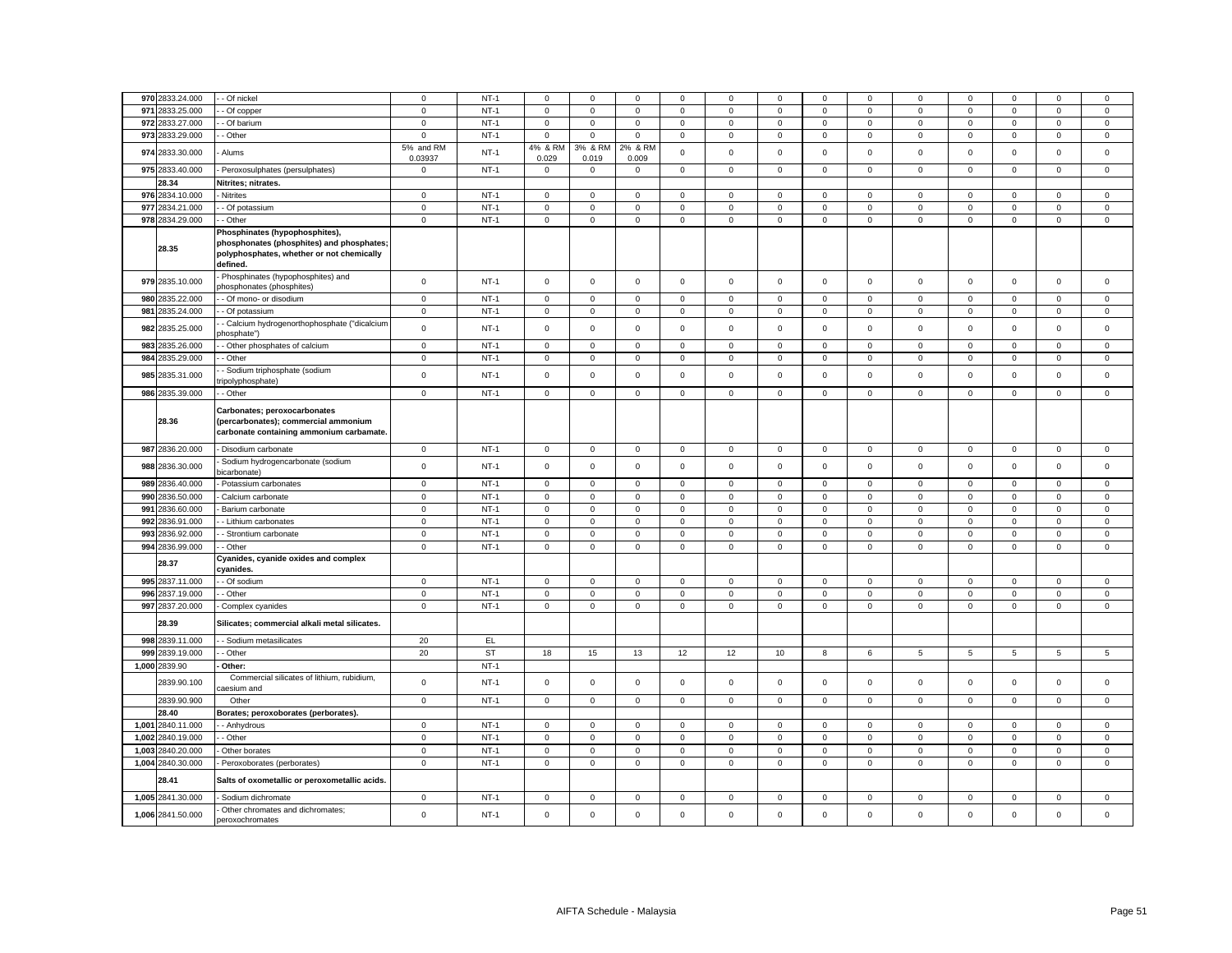|       | 970 2833.24.000   | - Of nickel                                                                                                                          | $\mathbf 0$          | $NT-1$ | $\mathbf 0$         | $\mathbf 0$         | $\mathsf 0$      | $\mathbf 0$ | $\mathbf 0$         | $\mathbf 0$ | $\mathbf 0$         | 0            | 0                   | $\mathsf 0$ | $\mathbf 0$  | $\mathsf 0$ | $\mathsf 0$ |
|-------|-------------------|--------------------------------------------------------------------------------------------------------------------------------------|----------------------|--------|---------------------|---------------------|------------------|-------------|---------------------|-------------|---------------------|--------------|---------------------|-------------|--------------|-------------|-------------|
|       | 971 2833.25.000   | Of copper                                                                                                                            | $\mathbf 0$          | $NT-1$ | $\mathsf 0$         | $\mathsf 0$         | $\mathsf 0$      | $\mathbf 0$ | $\mathbf 0$         | $\mathsf 0$ | $\mathsf 0$         | 0            | $\mathsf 0$         | $\mathsf 0$ | $\mathsf 0$  | $\mathsf 0$ | $\mathsf 0$ |
|       | 972 2833.27.000   |                                                                                                                                      |                      | $NT-1$ |                     | $\mathbf 0$         | $\mathbf 0$      | 0           | $\mathbf 0$         | $\mathsf 0$ | $\mathsf 0$         | $\mathbf 0$  |                     | $\mathbf 0$ | $\mathbf 0$  | $\mathbf 0$ | $\mathsf 0$ |
|       |                   | Of barium                                                                                                                            | $\mathbf 0$          |        | $\mathbf 0$         |                     |                  |             |                     |             |                     |              | 0                   |             |              |             |             |
|       | 973 2833.29.000   | - Other                                                                                                                              | $\mathbf 0$          | $NT-1$ | $\mathsf 0$         | $\mathsf 0$         | $\mathbf 0$      | $\mathsf 0$ | $\mathbf 0$         | $\mathsf 0$ | $\mathbf 0$         | $\mathbf 0$  | $\mathsf 0$         | $\mathsf 0$ | $\mathsf 0$  | $\mathsf 0$ | $\mathsf 0$ |
|       | 974 2833.30.000   | Alums                                                                                                                                | 5% and RM<br>0.03937 | $NT-1$ | 4% & RM<br>0.029    | 3% & RM<br>0.019    | 2% & RM<br>0.009 | $\mathbf 0$ | $\mathbf 0$         | $\mathbf 0$ | $\mathsf 0$         | $\mathbf 0$  | $\mathsf 0$         | $\mathbf 0$ | $\mathsf 0$  | $\mathsf 0$ | $\,0\,$     |
|       | 975 2833.40.000   | Peroxosulphates (persulphates)                                                                                                       | $\mathbf 0$          | $NT-1$ | $\mathbf 0$         | $\mathbf 0$         | $\mathsf 0$      | $\mathsf 0$ | $\mathsf 0$         | $\mathsf 0$ | $\mathsf 0$         | $\mathsf 0$  | $\mathsf 0$         | $\mathbf 0$ | $\mathsf 0$  | $\mathsf 0$ | $\mathsf 0$ |
|       | 28.34             | Nitrites; nitrates.                                                                                                                  |                      |        |                     |                     |                  |             |                     |             |                     |              |                     |             |              |             |             |
|       | 976 2834.10.000   | Nitrites                                                                                                                             | $\mathbf 0$          | $NT-1$ | $\mathsf 0$         | $\mathbf 0$         | $\mathsf 0$      | $\mathsf 0$ | $\mathbf 0$         | $\mathsf 0$ | $\mathbf 0$         | $\mathbf 0$  | $\mathsf 0$         | $\mathsf 0$ | $\mathsf 0$  | $\mathsf 0$ | $\mathsf 0$ |
|       | 977 2834.21.000   | - Of potassium                                                                                                                       | $\mathbf 0$          | $NT-1$ | $\mathsf 0$         | $\mathsf 0$         | $\mathsf 0$      | $\mathsf 0$ | $\mathbf 0$         | $\mathsf 0$ | $\mathbf 0$         | $\mathbf 0$  | $\mathsf 0$         | $\mathsf 0$ | $\mathsf 0$  | $\mathsf 0$ | $\mathsf 0$ |
|       | 978 2834.29.000   | - Other                                                                                                                              | $\mathbf 0$          | $NT-1$ | $\mathbf 0$         | $\mathsf{O}\xspace$ | $\mathsf 0$      | $\mathbf 0$ | $\mathbf{0}$        | $\mathsf 0$ | $\mathsf{O}\xspace$ | $\mathbf{0}$ | $\mathbf 0$         | $\mathsf 0$ | $\mathsf 0$  | $\mathsf 0$ | $\mathsf 0$ |
|       | 28.35             | Phosphinates (hypophosphites),<br>phosphonates (phosphites) and phosphates;<br>polyphosphates, whether or not chemically<br>defined. |                      |        |                     |                     |                  |             |                     |             |                     |              |                     |             |              |             |             |
|       | 979 2835.10.000   | Phosphinates (hypophosphites) and<br>ohosphonates (phosphites)                                                                       | $\mathbf 0$          | $NT-1$ | $\mathsf 0$         | $\mathbf 0$         | $\mathsf 0$      | $\mathsf 0$ | $\mathbf 0$         | $\mathsf 0$ | $\mathsf 0$         | $\mathbf 0$  | $\mathsf 0$         | $\mathsf 0$ | $\mathbf 0$  | $\mathsf 0$ | $\mathsf 0$ |
|       | 980 2835.22.000   | - Of mono- or disodium                                                                                                               | $\mathbf 0$          | $NT-1$ | $\mathsf 0$         | $\mathsf 0$         | $\mathsf 0$      | $\mathbf 0$ | $\mathsf 0$         | $\mathsf 0$ | $\mathsf 0$         | $\mathbf 0$  | $\mathsf 0$         | $\mathsf 0$ | $\mathsf 0$  | $\mathsf 0$ | $\pmb{0}$   |
| 981   | 2835.24.000       | Of potassium                                                                                                                         | $\mathsf 0$          | $NT-1$ | $\mathsf 0$         | $\mathbf 0$         | $\mathsf 0$      | $\mathsf 0$ | $\mathsf{o}\xspace$ | $\mathsf 0$ | $\mathbf 0$         | $\mathbf 0$  | $\mathbf 0$         | $\mathsf 0$ | $\mathbf 0$  | $\mathsf 0$ | $\mathsf 0$ |
|       | 982 2835.25.000   | Calcium hydrogenorthophosphate ("dicalcium<br>hosphate")                                                                             | $\mathsf 0$          | $NT-1$ | $\mathsf{O}\xspace$ | $\mathsf 0$         | $\mathsf 0$      | $\mathsf 0$ | $\mathsf 0$         | $\mathsf 0$ | $\mathsf 0$         | $\mathbf 0$  | $\mathsf 0$         | $\mathsf 0$ | $\mathsf 0$  | $\mathsf 0$ | $\mathsf 0$ |
|       | 983 2835.26.000   | Other phosphates of calcium                                                                                                          | $\mathbf 0$          | $NT-1$ | $\mathbf 0$         | $\mathbf 0$         | $\mathsf 0$      | 0           | $\mathbf 0$         | $\mathsf 0$ | $\mathbf 0$         | 0            | 0                   | $\mathsf 0$ | $\mathbf 0$  | $\mathbf 0$ | $\mathbf 0$ |
|       | 984 2835.29.000   | Other                                                                                                                                | $\mathbf 0$          | $NT-1$ | $\mathsf 0$         | $\mathsf 0$         | $\mathsf 0$      | $\mathsf 0$ | $\mathsf 0$         | $\mathsf 0$ | $\mathsf 0$         | $\mathsf 0$  | $\mathsf 0$         | $\mathsf 0$ | $\mathsf 0$  | $\mathsf 0$ | $\mathsf 0$ |
|       | 985 2835.31.000   | Sodium triphosphate (sodium<br>ipolyphosphate)                                                                                       | $\mathbf 0$          | $NT-1$ | $\mathsf 0$         | $\mathsf 0$         | $\mathsf 0$      | $\mathsf 0$ | $\mathbf 0$         | $\mathsf 0$ | $\mathsf 0$         | 0            | $\mathsf 0$         | $\mathsf 0$ | $\mathsf 0$  | $\mathsf 0$ | $\mathsf 0$ |
|       | 986 2835.39.000   | Other                                                                                                                                | $\mathsf 0$          | $NT-1$ | $\mathsf 0$         | $\mathbf 0$         | $\mathsf 0$      | $\Omega$    | $\mathbf 0$         | $\mathsf 0$ | $\mathsf 0$         | $\mathsf 0$  | $\mathsf 0$         | $\mathsf 0$ | $\mathsf 0$  | $\mathsf 0$ | $\mathsf 0$ |
|       | 28.36             | Carbonates; peroxocarbonates<br>(percarbonates); commercial ammonium<br>carbonate containing ammonium carbamate.                     |                      |        |                     |                     |                  |             |                     |             |                     |              |                     |             |              |             |             |
|       | 987 2836.20.000   | - Disodium carbonate                                                                                                                 | $\mathbf 0$          | $NT-1$ | $\mathsf 0$         | $\mathbf 0$         | $\mathbf 0$      | $\mathbf 0$ | $\mathbf 0$         | $\mathsf 0$ | $\mathbf 0$         | $\mathbf{0}$ | $\mathsf 0$         | $\mathsf 0$ | $\mathbf 0$  | $\mathsf 0$ | $\mathbf 0$ |
|       | 988 2836.30.000   | Sodium hydrogencarbonate (sodium<br>vicarbonate)                                                                                     | $\mathbf 0$          | $NT-1$ | $\mathsf 0$         | $\mathsf 0$         | $\mathbf 0$      | $\mathsf 0$ | $\mathsf 0$         | $\mathbf 0$ | $\mathsf 0$         | $\mathsf 0$  | $\mathsf 0$         | $\mathbf 0$ | $\mathsf 0$  | $\mathbf 0$ | $\,0\,$     |
|       | 989 2836.40.000   | Potassium carbonates                                                                                                                 | $\mathbf 0$          | $NT-1$ | 0                   | $\Omega$            | $\mathbf 0$      | 0           | $\mathbf 0$         | 0           | $\mathbf 0$         | $\Omega$     | 0                   | $\mathbf 0$ | $\Omega$     | 0           | $\mathbf 0$ |
|       | 990 2836.50.000   | Calcium carbonate                                                                                                                    | $\mathsf 0$          | $NT-1$ | $\mathsf 0$         | $\mathsf 0$         | $\mathsf 0$      | $\mathsf 0$ | $\mathsf 0$         | $\mathsf 0$ | $\mathsf 0$         | $\mathbf 0$  | $\mathsf{O}\xspace$ | $\mathbf 0$ | $\mathbf 0$  | $\mathsf 0$ | $\mathsf 0$ |
|       | 991 2836.60.000   | Barium carbonate                                                                                                                     | $\mathbf 0$          | $NT-1$ | $\mathbf 0$         | $\mathbf 0$         | $\mathbf 0$      | 0           | $\mathbf 0$         | $\mathsf 0$ | $\mathbf 0$         | 0            | 0                   | $\mathsf 0$ | $\mathbf 0$  | $\mathsf 0$ | $\mathbf 0$ |
|       | 992 2836.91.000   | - Lithium carbonates                                                                                                                 | $\mathbf 0$          | $NT-1$ | $\mathsf 0$         | $\mathsf 0$         | $\mathbf 0$      | $\mathbf 0$ | $\mathsf 0$         | $\mathsf 0$ | $\mathsf 0$         | $\mathsf 0$  | $\mathsf 0$         | $\mathsf 0$ | $\mathsf 0$  | $\mathsf 0$ | $\mathbf 0$ |
|       | 993 2836.92.000   | Strontium carbonate                                                                                                                  | $\mathbf 0$          | $NT-1$ | $\mathsf{O}\xspace$ | $\mathsf 0$         | $\mathsf 0$      | $\mathsf 0$ | $\mathbf 0$         | $\mathsf 0$ | $\mathsf 0$         | $\mathbf 0$  | $\mathsf 0$         | $\mathsf 0$ | $\mathsf 0$  | $\mathsf 0$ | $\mathbf 0$ |
|       | 994 2836.99.000   | Other                                                                                                                                | $\mathsf 0$          | $NT-1$ | $\mathsf 0$         | $\mathsf 0$         | $\mathsf 0$      | $\mathsf 0$ | $\mathsf 0$         | $\mathsf 0$ | $\mathsf 0$         | $\mathbf 0$  | $\mathsf 0$         | $\mathsf 0$ | $\mathsf 0$  | $\mathsf 0$ | $\mathsf 0$ |
|       | 28.37             | Cyanides, cyanide oxides and complex<br>:vanides.                                                                                    |                      |        |                     |                     |                  |             |                     |             |                     |              |                     |             |              |             |             |
|       | 995 2837.11.000   | - Of sodium                                                                                                                          | $\mathbf 0$          | $NT-1$ | $\mathsf 0$         | $\mathsf 0$         | $\mathsf 0$      | $\mathbf 0$ | $\mathsf 0$         | $\mathsf 0$ | $\mathsf 0$         | $\mathbf 0$  | $\mathsf 0$         | $\mathsf 0$ | $\mathsf 0$  | $\mathsf 0$ | $\mathsf 0$ |
|       | 996 2837.19.000   | - Other                                                                                                                              | $\mathbf 0$          | $NT-1$ | $\mathbf 0$         | $\mathbf 0$         | $\mathsf 0$      | 0           | $\mathbf 0$         | $\mathsf 0$ | $\mathsf 0$         | $\mathbf 0$  | $\mathsf 0$         | $\mathsf 0$ | $\mathbf 0$  | $\mathsf 0$ | $\mathsf 0$ |
|       | 997 2837.20.000   | Complex cyanides                                                                                                                     | $\mathbf 0$          | $NT-1$ | $\mathsf 0$         | $\mathsf 0$         | $\mathsf 0$      | $\mathsf 0$ | $\mathsf 0$         | $\mathsf 0$ | $\mathsf 0$         | $\mathbf 0$  | $\mathsf 0$         | $\mathsf 0$ | $\mathsf 0$  | $\mathsf 0$ | $\mathbf 0$ |
|       | 28.39             | Silicates; commercial alkali metal silicates.                                                                                        |                      |        |                     |                     |                  |             |                     |             |                     |              |                     |             |              |             |             |
|       | 998 2839.11.000   | - Sodium metasilicates                                                                                                               | 20                   | EL     |                     |                     |                  |             |                     |             |                     |              |                     |             |              |             |             |
|       | 999 2839.19.000   | - Other                                                                                                                              | 20                   | ST     | 18                  | 15                  | 13               | 12          | 12                  | 10          | 8                   | 6            | 5                   | 5           | 5            | 5           | 5           |
|       | 1,000 2839.90     | Other:                                                                                                                               |                      | $NT-1$ |                     |                     |                  |             |                     |             |                     |              |                     |             |              |             |             |
|       | 2839.90.100       | Commercial silicates of lithium, rubidium,<br>aesium and                                                                             | $\mathsf 0$          | $NT-1$ | $\mathbf 0$         | $\mathsf 0$         | $\mathbf 0$      | $\mathbf 0$ | $\mathbf 0$         | $\mathsf 0$ | $\mathbf 0$         | 0            | $\mathsf 0$         | $\mathsf 0$ | $\mathsf 0$  | $\mathsf 0$ | $\mathsf 0$ |
|       | 2839.90.900       | Other                                                                                                                                | $\overline{0}$       | $NT-1$ | $\mathsf 0$         | $\mathsf 0$         | $\mathsf 0$      | $\mathbf 0$ | $\mathsf 0$         | $\mathsf 0$ | $\mathsf{O}$        | $\mathbf 0$  | $\mathsf 0$         | $\mathsf 0$ | $\mathsf 0$  | $\mathsf 0$ | $\mathsf 0$ |
|       | 28.40             | Borates; peroxoborates (perborates).                                                                                                 |                      |        |                     |                     |                  |             |                     |             |                     |              |                     |             |              |             |             |
| 1,001 | 2840.11.000       | - Anhydrous                                                                                                                          | $\mathbf{0}$         | $NT-1$ | $\mathbf 0$         | $\mathbf{0}$        | $\mathbf 0$      | $\mathbf 0$ | $\mathbf 0$         | 0           | $\mathbf 0$         | 0            | $\mathbf 0$         | $\mathbf 0$ | $\mathbf{0}$ | 0           | $\mathbf 0$ |
| 1,002 | 2840.19.000       | Other                                                                                                                                | $\mathbf 0$          | $NT-1$ | $\mathsf 0$         | $\mathbf 0$         | $\mathsf 0$      | $\mathsf 0$ | $\mathbf 0$         | $\mathsf 0$ | $\mathbf 0$         | $\mathbf 0$  | $\mathbf 0$         | $\mathbf 0$ | $\mathsf 0$  | $\mathsf 0$ | $\mathsf 0$ |
|       |                   |                                                                                                                                      |                      | $NT-1$ |                     |                     |                  | $\mathbf 0$ | $\mathbf 0$         |             |                     |              |                     |             |              |             |             |
| 1,003 | 2840.20.000       | Other borates                                                                                                                        | $\mathsf 0$          |        | $\mathsf 0$         | $\mathsf 0$         | $\mathbf 0$      |             |                     | $\mathsf 0$ | $\mathsf 0$         | $\mathsf 0$  | $\mathsf 0$         | $\mathsf 0$ | $\mathsf 0$  | $\mathsf 0$ | $\mathsf 0$ |
|       | 1,004 2840.30.000 | Peroxoborates (perborates)                                                                                                           | $\mathsf 0$          | $NT-1$ | $\mathbf 0$         | $\mathbf 0$         | $\mathsf 0$      | $\mathbf 0$ | $\mathbf 0$         | $\mathsf 0$ | $\mathsf{O}$        | $\mathbf 0$  | $\mathbf 0$         | $\mathsf 0$ | $\mathbf 0$  | $\mathsf 0$ | $\mathsf 0$ |
|       |                   | Salts of oxometallic or peroxometallic acids.                                                                                        |                      |        |                     |                     |                  |             |                     |             |                     |              |                     |             |              |             |             |
|       | 28.41             |                                                                                                                                      |                      |        |                     |                     |                  |             |                     |             |                     |              |                     |             |              |             |             |
|       | 1,005 2841.30.000 | Sodium dichromate                                                                                                                    | $\mathbf 0$          | $NT-1$ | $\mathsf 0$         | $\mathbf 0$         | $\mathsf 0$      | $\mathsf 0$ | $\mathbf 0$         | $\mathsf 0$ | $\mathbf 0$         | $\mathbf 0$  | $\mathsf 0$         | $\mathsf 0$ | $\mathbf 0$  | $\mathsf 0$ | $\mathsf 0$ |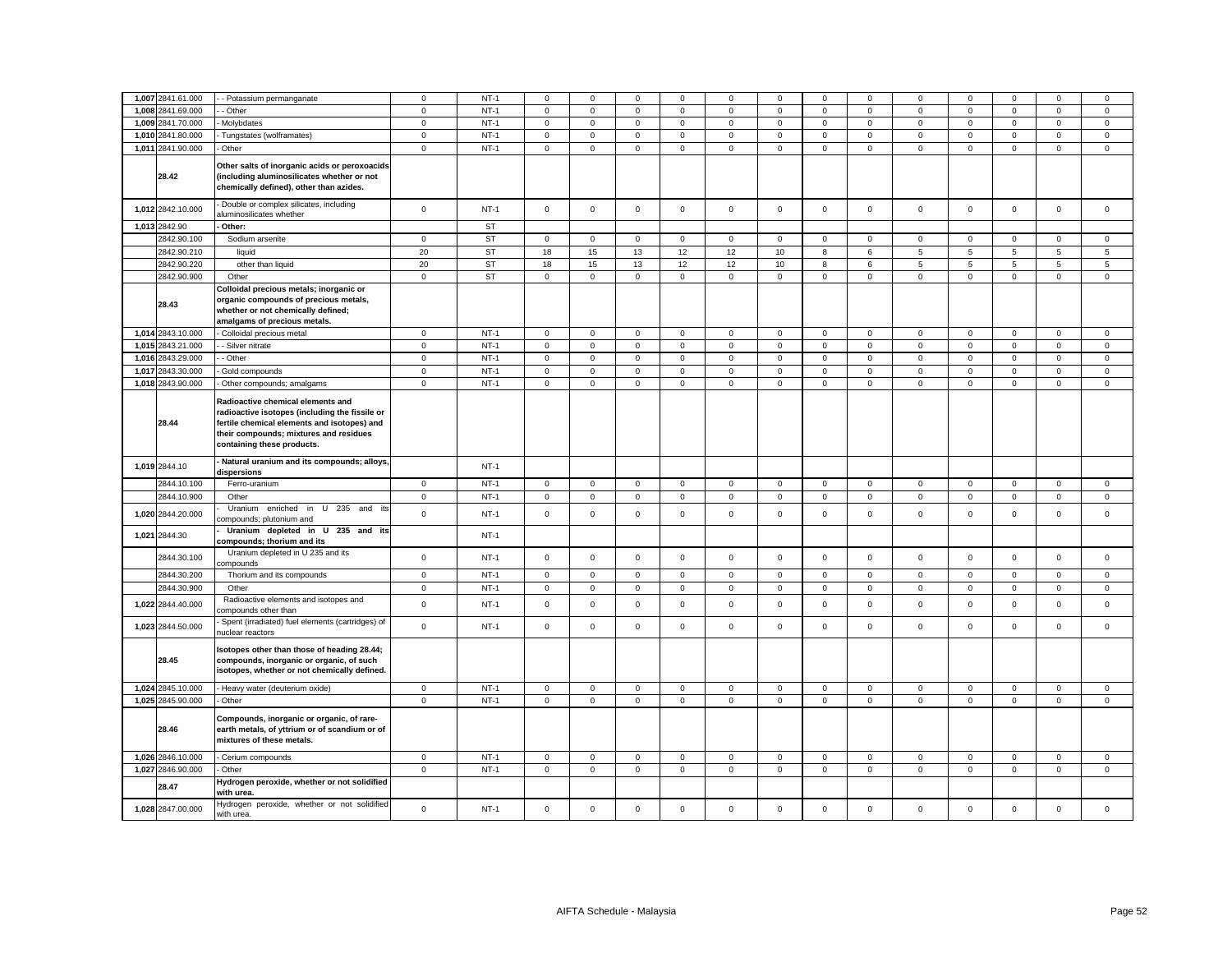| 1,007 2841.61.000 | - Potassium permanganate                                                                                                                                                                                   | $\mathbf 0$         | $NT-1$    | $\mathbf 0$         | $\mathbf 0$ | $\mathbf 0$         | 0                   | 0                   | $\mathbf 0$    | $\mathbf 0$         | $\mathbf 0$    | 0                   | $\mathbf 0$    | $\Omega$            | $\mathbf 0$         | 0              |
|-------------------|------------------------------------------------------------------------------------------------------------------------------------------------------------------------------------------------------------|---------------------|-----------|---------------------|-------------|---------------------|---------------------|---------------------|----------------|---------------------|----------------|---------------------|----------------|---------------------|---------------------|----------------|
| 1,008 2841.69.000 | - Other                                                                                                                                                                                                    | $\mathsf 0$         | $NT-1$    | $\mathsf 0$         | $\mathsf 0$ | $\mathsf 0$         | $\mathbf 0$         | $\mathsf 0$         | $\mathbf 0$    | $\mathsf 0$         | $\mathsf 0$    | $\mathsf 0$         | $\mathbf 0$    | $\mathbf 0$         | $\mathsf 0$         | $\mathsf 0$    |
|                   |                                                                                                                                                                                                            |                     | $NT-1$    |                     |             |                     |                     |                     |                |                     |                |                     |                |                     |                     |                |
| 1,009 2841.70.000 | Molybdates                                                                                                                                                                                                 | $\mathbf 0$         |           | $\mathbf 0$         | $\mathsf 0$ | $\mathsf 0$         | $\mathsf 0$         | $\mathsf{O}\xspace$ | $\mathsf 0$    | $\mathsf{O}\xspace$ | $\mathsf 0$    | $\mathsf 0$         | $\mathbf 0$    | $\mathsf 0$         | $\mathsf 0$         | $\mathsf 0$    |
| 1,010 2841.80.000 | Tungstates (wolframates)                                                                                                                                                                                   | $\mathsf 0$         | $NT-1$    | $\mathsf 0$         | $\mathsf 0$ | $\mathsf 0$         | $\mathbf 0$         | $\mathsf 0$         | $\mathbf 0$    | $\mathbf 0$         | $\mathbf 0$    | $\mathsf 0$         | $\mathbf 0$    | $\mathbf 0$         | $\mathsf 0$         | $\mathsf 0$    |
| 1,011 2841.90.000 | Other                                                                                                                                                                                                      | $\mathbf 0$         | $NT-1$    | $\mathbf 0$         | $\mathbf 0$ | $\mathsf 0$         | $\mathsf 0$         | $\mathsf 0$         | $\mathsf 0$    | $\mathbf 0$         | $\mathsf 0$    | $\mathbf{0}$        | $\mathsf 0$    | $\mathbf 0$         | $\mathsf 0$         | $\mathsf 0$    |
| 28.42             | Other salts of inorganic acids or peroxoacids<br>(including aluminosilicates whether or not<br>chemically defined), other than azides.                                                                     |                     |           |                     |             |                     |                     |                     |                |                     |                |                     |                |                     |                     |                |
| 1,012 2842.10.000 | Double or complex silicates, including<br>aluminosilicates whether                                                                                                                                         | $\mathbf 0$         | $NT-1$    | $\mathbf 0$         | $\mathbf 0$ | $\mathsf 0$         | $\mathsf 0$         | 0                   | $\mathsf 0$    | $\mathbf{0}$        | $\mathsf 0$    | 0                   | $\mathsf 0$    | $\mathbf 0$         | $\mathsf 0$         | $\mathsf 0$    |
| 1,013 2842.90     | Other:                                                                                                                                                                                                     |                     | <b>ST</b> |                     |             |                     |                     |                     |                |                     |                |                     |                |                     |                     |                |
| 2842.90.100       | Sodium arsenite                                                                                                                                                                                            | $\mathbf 0$         | <b>ST</b> | $\mathbf 0$         | $\mathbf 0$ | $\mathbf 0$         | $\mathsf 0$         | 0                   | $\mathbf 0$    | $\mathbf 0$         | $\mathsf 0$    | $\mathbf 0$         | $\mathsf 0$    | $\mathbf 0$         | $\mathbf 0$         | $\mathbf 0$    |
| 2842.90.210       | liquid                                                                                                                                                                                                     | 20                  | <b>ST</b> | 18                  | 15          | 13                  | 12                  | 12                  | 10             | 8                   | 6              | $5\overline{5}$     | 5              | 5                   | $\overline{5}$      | $\overline{5}$ |
| 2842.90.220       | other than liquid                                                                                                                                                                                          | 20                  | <b>ST</b> | 18                  | 15          | 13                  | 12                  | 12                  | 10             | 8                   | 6              | 5                   | 5              | 5                   | 5                   | 5              |
| 2842.90.900       | Other                                                                                                                                                                                                      | $\mathsf 0$         | ST        | $\mathsf 0$         | $\mathsf 0$ | $\mathsf 0$         | $\mathsf 0$         | $\mathsf 0$         | $\mathsf 0$    | $\mathsf 0$         | $\mathsf 0$    | $\mathsf 0$         | $\mathsf 0$    | $\mathsf 0$         | $\mathsf{O}\xspace$ | $\mathsf 0$    |
| 28.43             | Colloidal precious metals; inorganic or<br>organic compounds of precious metals,<br>whether or not chemically defined;<br>amalgams of precious metals.                                                     |                     |           |                     |             |                     |                     |                     |                |                     |                |                     |                |                     |                     |                |
| 1,014 2843.10.000 | Colloidal precious metal                                                                                                                                                                                   | $\mathbf 0$         | $NT-1$    | $\mathbf{0}$        | $\mathsf 0$ | $\mathsf{O}\xspace$ | $\mathbf 0$         | $\mathsf 0$         | $\mathsf 0$    | $\mathbf 0$         | $\mathsf 0$    | $\mathsf 0$         | $\mathbf 0$    | $\mathsf 0$         | $\mathsf 0$         | $\mathsf 0$    |
| 1,015 2843.21.000 | - Silver nitrate                                                                                                                                                                                           | $\mathbf 0$         | $NT-1$    | $\mathsf 0$         | $\mathsf 0$ | $\mathsf 0$         | $\mathsf{O}\xspace$ | $\mathsf 0$         | $\mathsf 0$    | $\mathsf 0$         | $\mathsf 0$    | $\mathsf 0$         | $\mathbf 0$    | $\mathsf 0$         | $\mathsf 0$         | $\mathbf 0$    |
| 1,016 2843.29.000 | - Other                                                                                                                                                                                                    | $\mathbf 0$         | $NT-1$    | $\mathsf{O}\xspace$ | $\mathbf 0$ | $\mathsf 0$         | $\mathsf 0$         | $\mathbf 0$         | $\mathsf 0$    | $\mathsf{O}\xspace$ | $\mathsf 0$    | $\mathsf 0$         | $\mathbf 0$    | $\mathsf{O}\xspace$ | $\mathsf 0$         | $\mathsf 0$    |
| 1,017 2843.30.000 | Gold compounds                                                                                                                                                                                             | $\mathsf 0$         | $NT-1$    | $\mathsf 0$         | $\mathsf 0$ | $\mathsf 0$         | $\mathsf{O}\xspace$ | $\mathsf 0$         | $\mathbf 0$    | $\mathsf 0$         | $\mathsf 0$    | $\mathsf 0$         | $\mathbf 0$    | $\mathsf 0$         | $\mathsf 0$         | $\mathsf 0$    |
| 1,018 2843.90.000 | Other compounds; amalgams                                                                                                                                                                                  | $\mathsf 0$         | $NT-1$    | $\mathsf 0$         | $\mathsf 0$ | $\mathsf{O}\xspace$ | $\mathsf 0$         | $\mathsf 0$         | $\mathsf 0$    | $\mathsf{O}\xspace$ | $\overline{0}$ | $\mathsf 0$         | $\mathbf 0$    | $\mathsf 0$         | $\mathsf 0$         | $\mathsf 0$    |
| 28.44             | Radioactive chemical elements and<br>radioactive isotopes (including the fissile or<br>fertile chemical elements and isotopes) and<br>their compounds; mixtures and residues<br>containing these products. |                     |           |                     |             |                     |                     |                     |                |                     |                |                     |                |                     |                     |                |
|                   |                                                                                                                                                                                                            |                     |           |                     |             |                     |                     |                     |                |                     |                |                     |                |                     |                     |                |
| 1,019 2844.10     | Natural uranium and its compounds; alloys,<br>dispersions                                                                                                                                                  |                     | $NT-1$    |                     |             |                     |                     |                     |                |                     |                |                     |                |                     |                     |                |
| 2844.10.100       | Ferro-uranium                                                                                                                                                                                              | $\mathbf 0$         | $NT-1$    | $\mathsf 0$         | $\mathsf 0$ | $\mathsf 0$         | $\mathbf 0$         | $\mathsf 0$         | $\mathbf 0$    | $\mathsf 0$         | $\mathsf 0$    | $\mathbf 0$         | $\mathbf 0$    | $\mathsf 0$         | $\mathsf 0$         | $\mathbf 0$    |
| 2844.10.900       | Other                                                                                                                                                                                                      | $\mathbf 0$         | $NT-1$    | $\mathbf 0$         | $\mathsf 0$ | $\overline{0}$      | $\mathsf 0$         | $\mathsf{O}\xspace$ | $\overline{0}$ | $\mathbf 0$         | $\mathsf 0$    | $\mathsf 0$         | $\overline{0}$ | $\mathsf 0$         | $\mathsf{O}\xspace$ | $\overline{0}$ |
| 1,020 2844.20.000 | Uranium enriched in U 235 and<br>its<br>ompounds; plutonium and                                                                                                                                            | $\mathsf 0$         | $NT-1$    | $\mathbf 0$         | $\mathbf 0$ | $\mathbf 0$         | $\mathbf 0$         | $\mathsf 0$         | $\Omega$       | $\mathbf 0$         | $\mathbf 0$    | $\mathbf 0$         | $\Omega$       | $\mathbf 0$         | $\mathbf 0$         | $\mathsf 0$    |
| 1,021 2844.30     | Uranium depleted in U 235 and its<br>compounds; thorium and its                                                                                                                                            |                     | $NT-1$    |                     |             |                     |                     |                     |                |                     |                |                     |                |                     |                     |                |
| 2844.30.100       | Uranium depleted in U 235 and its<br>ompounds                                                                                                                                                              | $\mathbf 0$         | $NT-1$    | $\mathsf 0$         | $\mathsf 0$ | $\mathsf 0$         | $\mathsf 0$         | $\mathsf 0$         | $\mathsf 0$    | $\mathsf 0$         | $\mathsf 0$    | $\mathsf 0$         | $\mathbf 0$    | $\mathsf 0$         | $\mathsf 0$         | $\mathsf 0$    |
| 2844.30.200       | Thorium and its compounds                                                                                                                                                                                  | $\overline{0}$      | $NT-1$    | $\mathbf{0}$        | $\mathbf 0$ | $\mathsf 0$         | $\mathsf 0$         | $\mathbf 0$         | $\mathsf 0$    | $\mathsf 0$         | $\mathsf 0$    | $\mathbf 0$         | $\mathbf 0$    | $\mathsf 0$         | $\mathsf 0$         | $\mathsf 0$    |
| 2844.30.900       | Other                                                                                                                                                                                                      | $\mathbf 0$         | $NT-1$    | $\mathsf{O}\xspace$ | $\mathsf 0$ | $\mathbf 0$         | $\mathbf 0$         | $\mathsf 0$         | $\mathsf 0$    | $\mathsf 0$         | $\mathbf 0$    | $\mathsf 0$         | $\mathbf 0$    | $\mathsf 0$         | $\mathbf 0$         | $\mathsf 0$    |
| 1,022 2844.40.000 | Radioactive elements and isotopes and<br>ompounds other than                                                                                                                                               | $\mathsf 0$         | $NT-1$    | $\mathsf 0$         | $\mathsf 0$ | $\mathsf 0$         | $\mathsf 0$         | $\mathsf 0$         | $\mathsf 0$    | $\mathsf 0$         | $\mathsf 0$    | $\mathsf{o}\xspace$ | $\mathbf 0$    | $\mathsf 0$         | $\mathsf 0$         | $\mathsf 0$    |
| 1,023 2844.50.000 | Spent (irradiated) fuel elements (cartridges) of<br>nuclear reactors                                                                                                                                       | $\mathsf{o}\xspace$ | $NT-1$    | $\mathsf 0$         | $\mathbf 0$ | $\mathbf 0$         | $\mathsf 0$         | $\mathsf 0$         | $\mathsf 0$    | $\mathbf 0$         | $\mathsf 0$    | $\mathsf 0$         | $\mathsf 0$    | $\mathbf 0$         | $\mathsf 0$         | $\mathsf 0$    |
| 28.45             | Isotopes other than those of heading 28.44;<br>compounds, inorganic or organic, of such<br>isotopes, whether or not chemically defined.                                                                    |                     |           |                     |             |                     |                     |                     |                |                     |                |                     |                |                     |                     |                |
| 1,024 2845.10.000 | Heavy water (deuterium oxide)                                                                                                                                                                              | $\circ$             | $NT-1$    | $\mathbf{0}$        | $\mathbf 0$ | $\mathbf 0$         | $\mathsf 0$         | $\mathbf 0$         | $\mathsf 0$    | $\mathbf 0$         | $\mathsf 0$    | $\mathbf{0}$        | $\mathsf 0$    | $\mathsf 0$         | $\mathbf 0$         | $\mathsf 0$    |
| 1,025 2845.90.000 | Other                                                                                                                                                                                                      | $\mathbf 0$         | $NT-1$    | $\mathbf{0}$        | $\mathbf 0$ | $\mathbf 0$         | $\mathsf 0$         | $\mathbf 0$         | $\mathsf 0$    | $\mathbf{0}$        | $\mathbf 0$    | $\mathsf 0$         | $\mathsf 0$    | $\mathbf 0$         | $\mathbf 0$         | $\mathsf 0$    |
| 28.46             | Compounds, inorganic or organic, of rare-<br>earth metals, of yttrium or of scandium or of<br>mixtures of these metals.                                                                                    |                     |           |                     |             |                     |                     |                     |                |                     |                |                     |                |                     |                     |                |
| 1,026 2846.10.000 | Cerium compounds                                                                                                                                                                                           | $\mathbf 0$         | $NT-1$    | $\mathbf 0$         | $\mathbf 0$ | $\mathbf 0$         | $\mathbf 0$         | 0                   | $\mathbf 0$    | $\mathbf 0$         | $\mathbf 0$    | $\mathbf 0$         | $\mathbf 0$    | $\mathbf 0$         | $\mathbf 0$         | $\mathbf 0$    |
| 1,027 2846.90.000 | Other                                                                                                                                                                                                      | $\mathbf 0$         | $NT-1$    | $\mathbf{0}$        | $\mathbf 0$ | $\mathbf 0$         | $\mathbf 0$         | $\mathbf{0}$        | $\mathbf 0$    | $\overline{0}$      | $\overline{0}$ | $\mathbf 0$         | $\mathbf 0$    | $\mathbf{0}$        | $\mathbf{0}$        | $\mathbf 0$    |
| 28.47             | Hydrogen peroxide, whether or not solidified<br>with urea.<br>Hydrogen peroxide, whether or not solidified                                                                                                 |                     |           |                     |             |                     |                     |                     |                |                     |                |                     |                |                     |                     |                |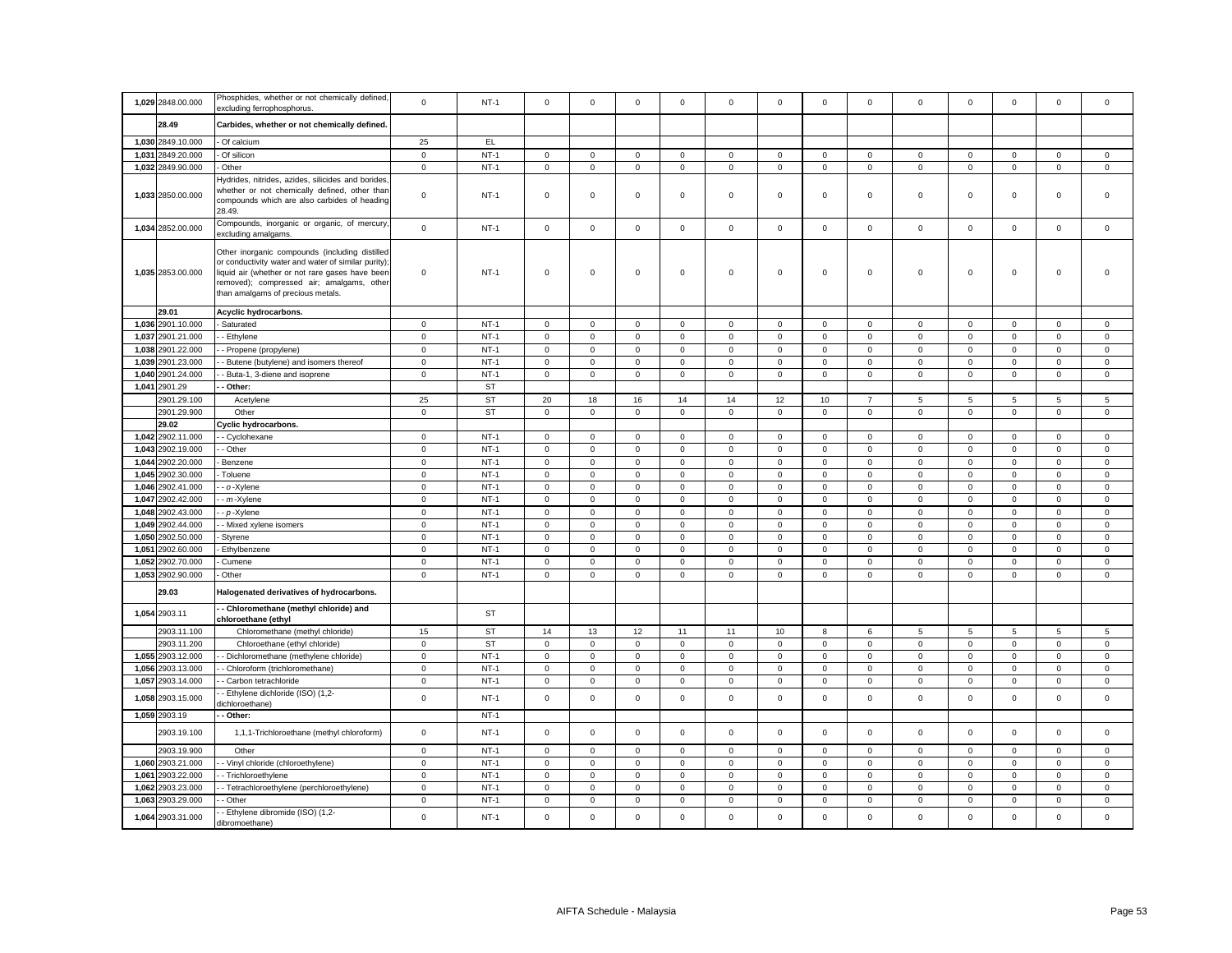| 1,029 2848.00.000                            | Phosphides, whether or not chemically defined,<br>excluding ferrophosphorus.                                                                                                                                                               | $\mathbf 0$                | $NT-1$                 | $\mathbf 0$                | $\mathbf 0$                | $\mathbf 0$                | $\mathbf 0$                | $\mathbf{0}$        | $\mathbf 0$                | $\Omega$                   | $\mathbf 0$                | $\mathbf 0$                | $\mathbf 0$                | $\mathbf 0$                | $\mathbf 0$                | $\mathbf 0$                |
|----------------------------------------------|--------------------------------------------------------------------------------------------------------------------------------------------------------------------------------------------------------------------------------------------|----------------------------|------------------------|----------------------------|----------------------------|----------------------------|----------------------------|---------------------|----------------------------|----------------------------|----------------------------|----------------------------|----------------------------|----------------------------|----------------------------|----------------------------|
| 28.49                                        | Carbides, whether or not chemically defined.                                                                                                                                                                                               |                            |                        |                            |                            |                            |                            |                     |                            |                            |                            |                            |                            |                            |                            |                            |
| 1,030 2849.10.000                            | - Of calcium                                                                                                                                                                                                                               | 25                         | EL.                    |                            |                            |                            |                            |                     |                            |                            |                            |                            |                            |                            |                            |                            |
| 1,031 2849.20.000                            | - Of silicon                                                                                                                                                                                                                               | $\mathbf 0$                | $NT-1$                 | $\mathsf 0$                | $\mathbf 0$                | $\mathsf 0$                | $\mathsf 0$                | $\mathbf 0$         | $\mathbf 0$                | $\mathsf 0$                | $\mathsf 0$                | $\mathsf 0$                | $\mathbf 0$                | $\mathbf 0$                | $\mathsf 0$                | $\mathsf 0$                |
| 1,032 2849.90.000                            | Other                                                                                                                                                                                                                                      | $\mathsf 0$                | $NT-1$                 | $\mathsf 0$                | $\mathsf 0$                | $\mathsf 0$                | $\mathbf 0$                | 0                   | $\mathsf 0$                | $\mathbf 0$                | $\mathsf 0$                | $\mathbf 0$                | $\mathbf 0$                | $\mathsf 0$                | $\mathsf 0$                | $\mathsf 0$                |
| 1,033 2850.00.000                            | Hydrides, nitrides, azides, silicides and borides<br>whether or not chemically defined, other than<br>compounds which are also carbides of heading<br>28.49.                                                                               | $\mathsf 0$                | $NT-1$                 | $\mathsf 0$                | $\mathbf 0$                | $\mathsf 0$                | $\mathsf 0$                | 0                   | $\mathsf 0$                | $\mathbf 0$                | $\mathsf 0$                | $\mathbf 0$                | $\mathbf 0$                | $\mathbf 0$                | $\mathsf 0$                | $\mathsf 0$                |
| 1,034 2852.00.000                            | Compounds, inorganic or organic, of mercury<br>excluding amalgams.                                                                                                                                                                         | $\mathbf 0$                | $NT-1$                 | $\mathbf 0$                | $\mathsf 0$                | $\mathbf 0$                | $\mathbf 0$                | $\mathbf{0}$        | $\mathbf 0$                | $\mathbf 0$                | $\mathsf 0$                | $\mathbf 0$                | $\mathbf 0$                | $\mathbf 0$                | $\mathbf 0$                | $\mathsf 0$                |
| 1,035 2853.00.000                            | Other inorganic compounds (including distilled<br>or conductivity water and water of similar purity);<br>liquid air (whether or not rare gases have been<br>removed); compressed air; amalgams, other<br>than amalgams of precious metals. | $\mathbf 0$                | $NT-1$                 | $\mathbf 0$                | $\mathbf 0$                | $\mathsf 0$                | $\mathsf 0$                | 0                   | $\mathsf 0$                | $\mathbf 0$                | $\mathbf 0$                | $\mathbf 0$                | $\mathbf 0$                | $\mathbf 0$                | $\mathbf 0$                | $\mathsf 0$                |
| 29.01                                        | Acyclic hydrocarbons.                                                                                                                                                                                                                      |                            |                        |                            |                            |                            |                            |                     |                            |                            |                            |                            |                            |                            |                            |                            |
| 1,036 2901.10.000                            | Saturated                                                                                                                                                                                                                                  | $\mathbf 0$                | $NT-1$                 | $\mathsf 0$                | $\mathsf 0$                | $\mathsf 0$                | $\mathsf 0$                | 0                   | $\mathsf 0$                | $\mathsf 0$                | $\mathsf 0$                | $\mathsf 0$                | $\mathbf 0$                | $\mathsf 0$                | $\mathsf 0$                | $\mathsf 0$                |
| 1,037<br>2901.21.000                         | - Ethylene                                                                                                                                                                                                                                 | $\mathbf 0$                | $NT-1$                 | $\mathbf{0}$               | $\mathsf 0$                | $\mathsf 0$                | $\mathbf 0$                | 0                   | $\mathsf 0$                | $\mathbf 0$                | $\mathsf 0$                | $\mathsf 0$                | $\mathsf 0$                | $\mathbf 0$                | $\mathbf 0$                | $\mathsf 0$                |
| 1,038 2901.22.000                            | - Propene (propylene)                                                                                                                                                                                                                      | $\mathbf 0$                | $NT-1$                 | $\mathsf 0$                | 0                          | $\mathbf 0$                | $\mathbf 0$                | 0                   | $\mathsf 0$                | $\mathbf 0$                | $\mathsf 0$                | $\mathsf 0$                | $\mathbf 0$                | $\mathbf 0$                | 0                          | $\mathsf 0$                |
| 1,039<br>2901.23.000<br>1,040<br>2901.24.000 | Butene (butylene) and isomers thereof<br>Buta-1, 3-diene and isoprene                                                                                                                                                                      | $\mathsf 0$<br>$\mathbf 0$ | $NT-1$<br>$NT-1$       | $\mathsf 0$<br>$\mathbf 0$ | $\mathsf 0$<br>$\mathbf 0$ | $\mathsf 0$<br>$\mathbf 0$ | $\mathsf 0$<br>$\mathbf 0$ | $\mathbf 0$<br>0    | $\mathsf 0$<br>$\mathbf 0$ | $\mathsf 0$<br>$\mathbf 0$ | $\mathsf 0$<br>$\mathbf 0$ | $\mathsf 0$<br>$\mathbf 0$ | $\mathsf 0$<br>$\mathbf 0$ | $\mathbf 0$<br>$\mathbf 0$ | $\mathsf 0$<br>$\mathbf 0$ | $\mathsf 0$<br>$\mathbf 0$ |
| 1,041<br>2901.29                             | - Other:                                                                                                                                                                                                                                   |                            | <b>ST</b>              |                            |                            |                            |                            |                     |                            |                            |                            |                            |                            |                            |                            |                            |
| 2901.29.100                                  | Acetylene                                                                                                                                                                                                                                  | 25                         | <b>ST</b>              | 20                         | 18                         | 16                         | 14                         | 14                  | 12                         | 10                         | $\overline{7}$             | 5                          | 5                          | 5                          | 5                          | 5                          |
| 2901.29.900                                  | Other                                                                                                                                                                                                                                      | $\mathbf 0$                | <b>ST</b>              | $\mathsf 0$                | $\mathbf 0$                | $\mathsf 0$                | $\mathbf 0$                | $\mathbf 0$         | $\mathsf 0$                | $\mathbf 0$                | $\circ$                    | $\mathbf 0$                | $\mathsf 0$                | $\mathsf 0$                | $\mathbf 0$                | $\mathsf 0$                |
| 29.02                                        | <b>Cyclic hydrocarbons.</b>                                                                                                                                                                                                                |                            |                        |                            |                            |                            |                            |                     |                            |                            |                            |                            |                            |                            |                            |                            |
| 1,042 2902.11.000                            | - Cyclohexane                                                                                                                                                                                                                              | $\mathbf 0$                | $NT-1$                 | $\mathbf 0$                | $\mathbf 0$                | $\mathsf 0$                | $\mathbf 0$                | 0                   | $\mathbf 0$                | $\mathbf 0$                | $\mathsf 0$                | $\mathbf 0$                | $\mathbf 0$                | $\mathbf 0$                | $\mathsf 0$                | $\mathbf 0$                |
| 1.043<br>2902.19.000                         | - Other                                                                                                                                                                                                                                    | $\mathbf 0$                | $NT-1$                 | $\mathsf 0$                | $\mathbf{0}$               | $\mathbf 0$                | $\mathbf 0$                | $\mathbf{0}$        | $\mathbf 0$                | $\mathbf 0$                | $\mathsf 0$                | $\mathsf 0$                | $\mathbf 0$                | $\mathbf 0$                | $\mathsf 0$                | $\mathsf 0$                |
| 1,044<br>2902.20.000                         | Benzene                                                                                                                                                                                                                                    | $\mathbf 0$                | $NT-1$                 | $\circ$                    | $\mathbf 0$                | $\mathbf 0$                | $\mathbf{0}$               | $\mathbf{0}$        | $\mathbf 0$                | $\mathbf 0$                | $\mathbf 0$                | $\mathbf 0$                | $\mathbf 0$                | $\mathbf 0$                | $\mathbf 0$                | $\mathbf 0$                |
| 1,045 2902.30.000                            | Toluene                                                                                                                                                                                                                                    | $\mathbf 0$                | $NT-1$                 | $\circ$                    | $\mathbf{0}$               | $\mathbf 0$                | $\mathbf 0$                | $\mathbf{0}$        | $\mathsf 0$                | $\mathbf 0$                | $\mathbf{0}$               | $\mathbf 0$                | $\mathbf 0$                | $\mathbf 0$                | $\mathbf 0$                | $\mathsf 0$                |
| 1,046<br>2902.41.000                         | - o-Xylene                                                                                                                                                                                                                                 | $\mathbf 0$                | $NT-1$                 | $\mathsf 0$                | $\mathsf 0$                | $\mathsf 0$                | $\mathsf 0$                | 0                   | $\mathbf 0$                | $\mathsf 0$                | $\mathsf 0$                | $\mathsf 0$                | $\mathbf 0$                | $\mathbf 0$                | $\mathsf 0$                | $\mathsf 0$                |
| 1,047 2902.42.000                            | - m-Xylene                                                                                                                                                                                                                                 | $\mathbf 0$                | $NT-1$                 | $\Omega$                   | $\mathbf 0$                | $\mathsf 0$                | $\mathsf 0$                | $\mathbf{0}$        | $\mathbf 0$                | $\mathbf 0$                | $\mathbf{0}$               | $\mathsf 0$                | $\mathbf 0$                | $\mathbf 0$                | $\mathsf 0$                | $\mathsf 0$                |
| 1,048<br>2902.43.000                         | - p-Xylene                                                                                                                                                                                                                                 | $\mathbf 0$                | $NT-1$                 | $\mathbf 0$                | $\mathbf 0$                | $\mathbf 0$                | $\mathbf 0$                | $\mathbf 0$         | $\mathbf 0$                | $\mathbf 0$                | $\mathsf 0$                | $\mathsf 0$                | $\mathbf 0$                | $\mathbf 0$                | $\mathbf 0$                | $\mathsf 0$                |
| 2902.44.000<br>1,049                         | - Mixed xylene isomers                                                                                                                                                                                                                     | $\mathsf 0$                | $NT-1$                 | $\Omega$                   | $\mathsf 0$                | $\mathsf 0$                | $\mathbf 0$                | 0                   | $\mathbf 0$                | $\mathbf 0$                | $\mathsf 0$                | $\Omega$                   | $\mathbf 0$                | $\Omega$                   | $\mathsf 0$                | $\mathsf 0$                |
| 2902.50.000<br>1,050                         | Styrene                                                                                                                                                                                                                                    | $\mathbf 0$                | $NT-1$                 | $\mathsf 0$                | $\mathsf{O}\xspace$        | $\mathbf 0$                | $\mathsf 0$                | 0                   | $\mathsf 0$                | $\mathsf 0$                | $\mathbf 0$                | $\mathsf 0$                | $\mathbf 0$                | $\mathsf 0$                | $\mathsf 0$                | $\mathsf 0$                |
| 1,051<br>2902.60.000                         | Ethylbenzene                                                                                                                                                                                                                               | $\mathbf 0$                | $NT-1$                 | $\mathsf 0$                | $\mathsf 0$                | $\mathsf 0$                | $\mathsf 0$                | 0                   | $\mathsf 0$                | $\mathbf 0$                | $\mathsf 0$                | $\mathsf 0$                | $\mathsf 0$                | $\mathbf 0$                | $\mathsf 0$                | $\mathsf 0$                |
| 2902.70.000<br>1,052                         | Cumene                                                                                                                                                                                                                                     | $\mathbf 0$                | $NT-1$                 | $\mathsf 0$                | $\mathsf 0$                | $\mathsf 0$                | $\mathbf 0$                | 0                   | $\Omega$                   | $\mathbf 0$                | $\mathbf 0$                | $\mathsf 0$                | $\mathbf 0$                | $\mathbf 0$                | $\mathsf 0$                | $\mathsf 0$                |
| 1,053 2902.90.000                            | Other                                                                                                                                                                                                                                      | $\mathbf 0$                | $NT-1$                 | 0                          | $\mathbf 0$                | $\mathbf 0$                | $\mathbf 0$                | 0                   | 0                          | $\mathbf 0$                | $\mathsf 0$                | $\mathsf 0$                | 0                          | 0                          | $\mathbf 0$                | $\mathsf 0$                |
| 29.03                                        | Halogenated derivatives of hydrocarbons.<br>- Chloromethane (methyl chloride) and                                                                                                                                                          |                            |                        |                            |                            |                            |                            |                     |                            |                            |                            |                            |                            |                            |                            |                            |
| 1,054 2903.11                                | chloroethane (ethyl                                                                                                                                                                                                                        |                            | <b>ST</b>              |                            |                            |                            |                            |                     |                            |                            |                            |                            |                            |                            |                            |                            |
| 2903.11.100                                  | Chloromethane (methyl chloride)                                                                                                                                                                                                            | 15                         | <b>ST</b><br><b>ST</b> | 14                         | 13<br>$\mathbf 0$          | 12                         | 11                         | 11                  | 10                         | 8<br>$\mathbf 0$           | 6                          | 5                          | 5                          | 5<br>$\mathbf 0$           | 5                          | 5                          |
| 2903.11.200<br>1,055 2903.12.000             | Chloroethane (ethyl chloride)<br>Dichloromethane (methylene chloride)                                                                                                                                                                      | $\mathsf 0$<br>$\mathbf 0$ | $NT-1$                 | $\mathsf 0$<br>$\mathsf 0$ | $\mathsf 0$                | $\mathsf 0$<br>$\mathbf 0$ | $\mathbf 0$<br>$\mathsf 0$ | 0<br>0              | $\mathsf 0$<br>$\mathsf 0$ | $\mathsf 0$                | $\mathsf 0$<br>$\mathbf 0$ | $\mathsf 0$<br>$\mathsf 0$ | $\mathsf 0$<br>$\mathbf 0$ | $\mathsf 0$                | $\mathsf 0$<br>$\mathsf 0$ | $\mathsf 0$<br>$\mathbf 0$ |
| 1,056<br>2903.13.000                         | - Chloroform (trichloromethane)                                                                                                                                                                                                            | $\mathbf 0$                | $NT-1$                 | $\mathbf 0$                | $\mathbf 0$                | $\mathsf 0$                | $\mathbf 0$                | 0                   | $^{\circ}$                 | $\mathbf 0$                | $\mathbf 0$                | 0                          | $\mathbf 0$                | $\mathbf 0$                | $\mathbf 0$                | $\mathbf 0$                |
| 2903.14.000<br>1,057                         | - Carbon tetrachloride                                                                                                                                                                                                                     | $\mathbf 0$                | $NT-1$                 | $\mathbf 0$                | $\mathsf{O}\xspace$        | $\mathbf 0$                | 0                          | 0                   | $\mathbf 0$                | $\,0\,$                    | $\mathbf 0$                | $\mathbf 0$                | $\pmb{0}$                  | $\mathsf 0$                | $\mathbf 0$                | $\mathbf 0$                |
| 2903.15.000<br>1,058                         | - Ethylene dichloride (ISO) (1,2-<br>dichloroethane)                                                                                                                                                                                       | $\mathbf 0$                | $NT-1$                 | $\mathsf 0$                | $\mathbf 0$                | $\mathsf 0$                | $\mathbf 0$                | $\mathbf 0$         | $\mathsf 0$                | $\mathbf 0$                | $\mathsf 0$                | $\mathsf 0$                | $\mathbf 0$                | $\mathbf 0$                | $\mathsf 0$                | $\mathbf 0$                |
| 1,059 2903.19                                | - Other:                                                                                                                                                                                                                                   |                            | $NT-1$                 |                            |                            |                            |                            |                     |                            |                            |                            |                            |                            |                            |                            |                            |
| 2903.19.100                                  | 1,1,1-Trichloroethane (methyl chloroform)                                                                                                                                                                                                  | $\mathbf 0$                | $NT-1$                 | $\mathsf 0$                | $\mathsf 0$                | $\mathsf 0$                | $\mathsf 0$                | 0                   | $\mathsf 0$                | $\mathbf 0$                | $\mathsf 0$                | $\mathbf 0$                | $\mathbf 0$                | $\mathbf 0$                | $\mathsf 0$                | $\mathsf 0$                |
| 2903.19.900                                  | Other                                                                                                                                                                                                                                      | $\mathbf 0$                | $NT-1$                 | $\mathsf 0$                | $\mathsf 0$                | $\mathsf 0$                | $\mathsf 0$                | 0                   | $\mathbf 0$                | $\mathsf 0$                | $\mathbf 0$                | $\mathsf 0$                | $\mathbf 0$                | $\mathbf 0$                | $\mathsf 0$                | $\mathsf 0$                |
| 2903.21.000<br>1,060                         | - Vinyl chloride (chloroethylene)                                                                                                                                                                                                          | $\mathsf 0$                | $NT-1$                 | $\mathbf 0$                | $\mathsf 0$                | $\mathsf 0$                | $\mathbf 0$                | 0                   | $\mathsf 0$                | $\Omega$                   | $\mathsf 0$                | $\mathbf 0$                | $\mathbf 0$                | $\mathbf 0$                | $\mathbf 0$                | $\mathbf 0$                |
| 1,061<br>2903.22.000                         | - Trichloroethylene                                                                                                                                                                                                                        | $\mathsf 0$                | $NT-1$                 | $\overline{0}$             | $\mathsf 0$                | $\mathsf 0$                | $\mathsf 0$                | $\mathsf{O}\xspace$ | $\mathsf 0$                | $\mathsf 0$                | $\pmb{0}$                  | $\mathsf 0$                | $\mathbf 0$                | $\mathsf 0$                | $\mathsf 0$                | $\mathbf 0$                |
| 1,062 2903.23.000                            | - Tetrachloroethylene (perchloroethylene)                                                                                                                                                                                                  | $\mathbf 0$                | $NT-1$                 | $\mathbf 0$                | 0                          | 0                          | 0                          | 0                   | 0                          | 0                          | $\mathbf 0$                | $\mathbf 0$                | 0                          | 0                          | 0                          | $\,0\,$                    |
| 1,063<br>2903.29.000                         | - Other                                                                                                                                                                                                                                    | $\mathbf 0$                | $NT-1$                 | $\mathbf 0$                | $\mathsf 0$                | $\mathbf 0$                | $\mathsf 0$                | 0                   | $\mathsf 0$                | $\,0\,$                    | $\mathbf 0$                | $\mathbf 0$                | $\pmb{0}$                  | $\mathsf 0$                | $\mathbf 0$                | $\mathbf 0$                |
| 1,064 2903.31.000                            | - Ethylene dibromide (ISO) (1,2-<br>dibromoethane)                                                                                                                                                                                         | $\mathbf 0$                | $NT-1$                 | $\Omega$                   | $\mathbf 0$                | $\mathbf 0$                | $\mathbf 0$                | $\mathbf{0}$        | $\Omega$                   | $\Omega$                   | $\mathbf 0$                | $\mathbf 0$                | $\Omega$                   | $\Omega$                   | $\mathbf 0$                | $\mathbf 0$                |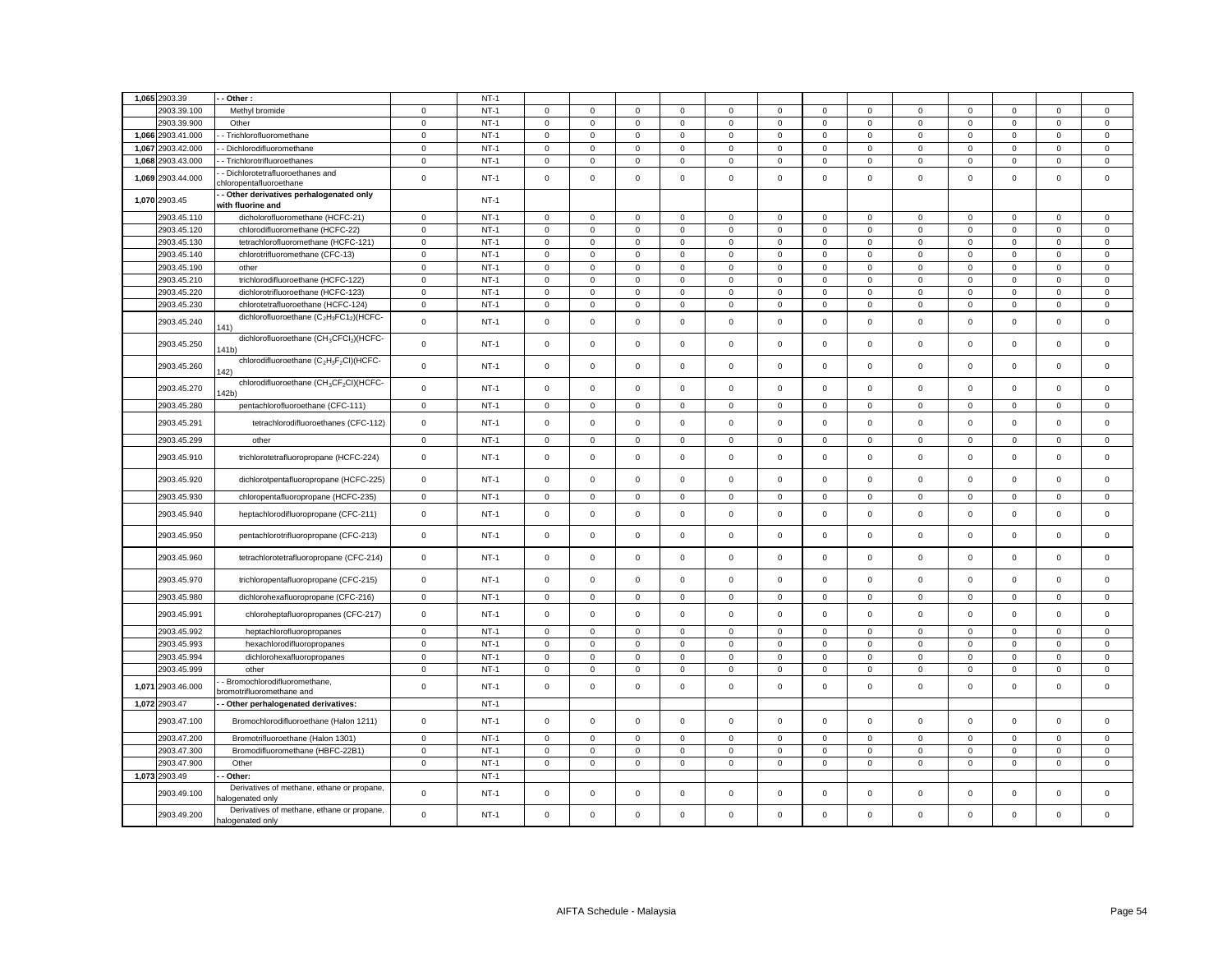|       | 1,065 2903.39                | Other:                                                                               |              | $NT-1$ |                  |              |              |              |              |                     |                     |                |                            |             |                     |              |              |
|-------|------------------------------|--------------------------------------------------------------------------------------|--------------|--------|------------------|--------------|--------------|--------------|--------------|---------------------|---------------------|----------------|----------------------------|-------------|---------------------|--------------|--------------|
|       | 2903.39.100                  | Methyl bromide                                                                       | $\mathbf{0}$ | $NT-1$ | $\mathbf 0$      | $\mathbf{0}$ | $\mathbf{0}$ | $\mathbf{0}$ | $\mathbf 0$  | $\mathbf 0$         | $\mathbf 0$         | $\mathbf{0}$   | $\mathbf{0}$               | $\mathbf 0$ | $\mathbf 0$         | $\mathbf{0}$ | $\mathbf{0}$ |
|       | 2903.39.900                  | Other                                                                                | $\mathsf 0$  | $NT-1$ | $\mathsf 0$      | $\mathbf 0$  | $\mathsf 0$  | $\mathsf 0$  | $\mathbf 0$  | $\mathsf 0$         | $\mathsf 0$         | $\mathbf 0$    | $\mathbf 0$                | $\mathsf 0$ | $\mathbf 0$         | $\mathsf 0$  | $\mathsf 0$  |
| 1,066 | 2903.41.000                  | - Trichlorofluoromethane                                                             | $\mathsf 0$  | $NT-1$ | $\mathsf 0$      | $\mathbf 0$  | $\mathbf 0$  | $\mathbf{0}$ | $\mathbf 0$  | $\mathbf 0$         | $\circ$             | $\mathbf{0}$   | $\mathbf 0$                | $\mathbf 0$ | $\mathbf 0$         | $\mathbf 0$  | $\mathbf{0}$ |
| 1,067 | 2903.42.000                  | - Dichlorodifluoromethane                                                            | $\mathbf 0$  | $NT-1$ | $\mathbf 0$      | $\mathbf 0$  | $\mathsf 0$  | $\mathbf{0}$ | $\mathbf 0$  | $\mathbf 0$         | $\mathsf 0$         | $\mathbf{0}$   | $\mathbf 0$                | $\mathbf 0$ | $\mathbf 0$         | $\mathsf 0$  | $\mathsf 0$  |
|       | 1,068 2903.43.000            | - Trichlorotrifluoroethanes                                                          | $\mathsf 0$  | $NT-1$ | 0                | $\mathbf 0$  | $\mathbf 0$  | $\mathbf 0$  | $\mathbf 0$  | $\mathbf 0$         | $\mathbf{0}$        | $\mathbf 0$    | $\mathsf 0$                | $\mathbf 0$ | 0                   | $\mathbf 0$  | $\mathsf 0$  |
|       | 1,069 2903.44.000            | - Dichlorotetrafluoroethanes and                                                     | $\mathsf 0$  | $NT-1$ | $\mathbf 0$      | $\mathbf 0$  | $\mathsf 0$  | $\mathbf 0$  | $\mathsf 0$  | $\mathsf 0$         | $\mathsf 0$         | $\mathbf{0}$   | $\mathbf 0$                | $\mathsf 0$ | $\mathbf 0$         | $\mathsf 0$  | $\mathsf 0$  |
|       | 1.070 2903.45                | chloropentafluoroethane<br>- Other derivatives perhalogenated only                   |              | $NT-1$ |                  |              |              |              |              |                     |                     |                |                            |             |                     |              |              |
|       |                              | with fluorine and                                                                    |              |        |                  |              |              |              |              |                     |                     |                |                            |             |                     |              |              |
|       | 2903.45.110                  | dicholorofluoromethane (HCFC-21)                                                     | $\mathbf 0$  | $NT-1$ | $\mathbf{0}$     | $\mathbf 0$  | $\mathsf 0$  | $\mathbf{0}$ | $\mathbf 0$  | $\mathbf 0$         | $\circ$             | $\mathbf{0}$   | $\mathbf{0}$               | $\mathbf 0$ | $\mathbf 0$         | $\mathsf 0$  | $\mathsf 0$  |
|       | 2903.45.120                  | chlorodifluoromethane (HCFC-22)                                                      | $\mathsf 0$  | $NT-1$ | $\mathbf 0$      | $\mathbf 0$  | $\mathbf 0$  | $\mathsf 0$  | $\mathbf 0$  | $\mathbf 0$         | $\mathsf 0$         | $\mathbf{0}$   | $\mathbf 0$                | $\mathbf 0$ | $\mathbf 0$         | $\mathsf 0$  | $\mathbf 0$  |
|       | 2903.45.130                  | tetrachlorofluoromethane (HCFC-121)                                                  | $\mathbf 0$  | $NT-1$ | $\mathbf{0}$     | $\mathbf{0}$ | $\mathbf 0$  | $\mathbf{0}$ | $\mathbf{0}$ | $\mathbf 0$         | $\mathbf{0}$        | $\overline{0}$ | $\mathbf{0}$               | $\mathbf 0$ | $\mathbf 0$         | $\mathbf{0}$ | $\mathbf{0}$ |
|       | 2903.45.140                  | chlorotrifluoromethane (CFC-13)                                                      | $\mathbf 0$  | $NT-1$ | $\mathbf 0$      | $\mathbf 0$  | $\mathbf 0$  | $\mathbf{0}$ | $\mathbf 0$  | $\mathbf 0$         | $\circ$             | $\Omega$       | $\mathbf{0}$               | $\mathbf 0$ | $\mathbf 0$         | $\mathbf 0$  | $\mathbf{0}$ |
|       | 2903.45.190                  | other                                                                                | $\mathbf 0$  | $NT-1$ | $\mathbf 0$      | $\mathbf 0$  | $\mathsf 0$  | $\mathbf 0$  | $\mathsf 0$  | $\mathsf 0$         | $\mathsf 0$         | $\mathbf 0$    | $\mathbf 0$                | $\mathsf 0$ | $\mathsf 0$         | $\mathsf 0$  | $\mathsf 0$  |
|       | 2903.45.210                  | trichlorodifluoroethane (HCFC-122)                                                   | $\mathsf 0$  | $NT-1$ | $\mathbf 0$      | 0            | $\mathsf 0$  | $\mathbf 0$  | $\mathbf 0$  | $\mathbf 0$         | $\mathbf 0$         | $\mathbf 0$    | $\mathsf 0$                | $\mathbf 0$ | $\mathbf 0$         | $\mathbf 0$  | $\mathbf 0$  |
|       | 2903.45.220                  | dichlorotrifluoroethane (HCFC-123)                                                   | $\mathbf 0$  | $NT-1$ | $\mathsf 0$      | $\mathbf 0$  | $\mathsf 0$  | $\mathbf 0$  | $\mathsf 0$  | $\mathbf 0$         | $\mathsf{O}\xspace$ | $\mathsf 0$    | $\mathsf 0$                | $\mathbf 0$ | $\mathsf 0$         | $\mathsf 0$  | $\mathsf 0$  |
|       | 2903.45.230                  | chlorotetrafluoroethane (HCFC-124)                                                   | $\mathbf 0$  | $NT-1$ | 0                | $\mathbf 0$  | $\mathbf 0$  | $\mathbf 0$  | 0            | 0                   | $\mathbf{0}$        | $\mathbf 0$    | $\mathbf 0$                | 0           | 0                   | $\mathbf 0$  | $\mathbf 0$  |
|       | 2903.45.240                  | dichlorofluoroethane (C <sub>2</sub> H <sub>3</sub> FC1 <sub>2</sub> )(HCFC-<br>141) | $\mathsf 0$  | $NT-1$ | $\mathsf{O}$     | $\mathsf 0$  | $\mathsf 0$  | $\mathsf 0$  | $\mathsf 0$  | $\mathsf{O}\xspace$ | $\mathsf{O}$        | $\mathsf 0$    | $\mathsf 0$                | $\mathsf 0$ | $\mathsf 0$         | $\mathsf 0$  | $\mathsf 0$  |
|       | 2903.45.250                  | dichlorofluoroethane (CH <sub>3</sub> CFCI <sub>2</sub> )(HCFC-<br>141b)             | $\mathsf 0$  | $NT-1$ | $\mathbf{0}$     | $\mathbf 0$  | $\mathsf 0$  | $\mathbf{0}$ | 0            | $\mathsf 0$         | $\mathbf 0$         | $\mathbf{0}$   | $\mathbf{0}$               | $\mathbf 0$ | $\mathbf 0$         | $\mathbf 0$  | $\mathbf{0}$ |
|       | 2903.45.260                  | chlorodifluoroethane (C <sub>2</sub> H <sub>3</sub> F <sub>2</sub> CI)(HCFC-<br>(42) | $\mathsf 0$  | $NT-1$ | $\circ$          | $\mathsf 0$  | $\mathsf 0$  | $\mathbf{0}$ | $\mathsf 0$  | $\mathsf 0$         | $\mathsf 0$         | $\mathbf 0$    | $\mathsf 0$                | $\mathsf 0$ | $\mathbf 0$         | $\mathsf 0$  | $\mathsf 0$  |
|       | 2903.45.270                  | chlorodifluoroethane (CH <sub>3</sub> CF <sub>2</sub> CI)(HCFC-<br>42b)              | $\,0\,$      | $NT-1$ | $\mathsf 0$      | $\mathsf 0$  | $\mathsf 0$  | $\mathsf 0$  | $\mathsf 0$  | $\Omega$            | $\mathsf 0$         | $\mathbf 0$    | $\mathbf 0$                | $\Omega$    | $\Omega$            | $\mathsf 0$  | $\mathsf 0$  |
|       | 2903.45.280                  | pentachlorofluoroethane (CFC-111)                                                    | $\mathbf 0$  | $NT-1$ | $\mathbf{0}$     | $\mathbf{0}$ | $\mathbf{0}$ | $\mathbf{0}$ | $\mathbf 0$  | $\mathbf 0$         | $\mathbf{0}$        | $\overline{0}$ | $\mathbf{0}$               | $\mathbf 0$ | $\mathbf 0$         | $\mathbf{0}$ | $\mathbf{0}$ |
|       | 2903.45.291                  | tetrachlorodifluoroethanes (CFC-112)                                                 | $\mathsf 0$  | $NT-1$ | $\mathbf 0$      | $\Omega$     | $\mathbf 0$  | $\mathbf 0$  | $\mathbf 0$  | $\mathbf 0$         | $\mathbf 0$         | $\mathbf{0}$   | $\mathbf 0$                | $\mathbf 0$ | $\mathbf 0$         | $\mathbf 0$  | $\mathbf 0$  |
|       | 2903.45.299                  | other                                                                                | $\mathbf 0$  | $NT-1$ | $\mathbf{0}$     | $\mathbf 0$  | $\mathbf 0$  | $\mathbf 0$  | 0            | $\mathbf 0$         | $\mathbf{0}$        | $\mathbf{0}$   | $\mathbf 0$                | $\mathbf 0$ | 0                   | $\mathbf 0$  | $\mathsf 0$  |
|       | 2903.45.910                  | trichlorotetrafluoropropane (HCFC-224)                                               | $\mathsf 0$  | $NT-1$ | $\mathbf 0$      | $\mathbf 0$  | $\mathbf 0$  | $\mathbf{0}$ | $\mathsf 0$  | $\mathbf 0$         | $\circ$             | $\mathbf{0}$   | $\mathbf{0}$               | $\mathbf 0$ | $\mathbf 0$         | $\mathbf 0$  | $\mathbf 0$  |
|       | 2903.45.920                  | dichlorotpentafluoropropane (HCFC-225)                                               | $\mathbf 0$  | $NT-1$ | $\mathsf 0$      | $\mathbf 0$  | $\mathsf 0$  | $\mathsf 0$  | $\mathsf 0$  | $\mathsf 0$         | $\mathsf 0$         | $\mathbf 0$    | $\mathbf 0$                | $\mathsf 0$ | $\mathsf 0$         | $\mathsf 0$  | $\mathsf 0$  |
|       | 2903.45.930                  | chloropentafluoropropane (HCFC-235)                                                  | $\mathbf{0}$ | $NT-1$ | $\mathbf{0}$     | $\mathbf 0$  | $\mathbf 0$  | $\mathbf 0$  | 0            | $\mathbf 0$         | $\mathbf{0}$        | $\mathbf{0}$   | $\mathbf 0$                | $\mathbf 0$ | 0                   | $\mathbf 0$  | $\mathbf 0$  |
|       | 2903.45.940                  | heptachlorodifluoropropane (CFC-211)                                                 | $\mathsf 0$  | $NT-1$ | $\mathbf 0$      | $\mathbf 0$  | $\mathsf 0$  | $\mathsf 0$  | $\mathsf 0$  | $\mathsf 0$         | $\mathsf 0$         | $\mathbf 0$    | $\mathbf 0$                | $\mathsf 0$ | $\mathsf 0$         | $\mathsf 0$  | $\mathsf 0$  |
|       | 2903.45.950                  | pentachlorotrifluoropropane (CFC-213)                                                | $\mathsf 0$  | $NT-1$ | $\mathsf 0$      | $\mathbf 0$  | $\mathsf 0$  | $\mathsf 0$  | $\mathsf 0$  | $\mathsf 0$         | $\mathsf 0$         | $\mathbf 0$    | $\mathbf 0$                | $\mathsf 0$ | $\mathsf 0$         | $\mathsf 0$  | $\mathsf 0$  |
|       | 2903.45.960                  | tetrachlorotetrafluoropropane (CFC-214)                                              | $\mathbf 0$  | $NT-1$ | $\mathsf{O}$     | $\mathsf 0$  | $\mathsf 0$  | $\mathsf 0$  | $\mathbf 0$  | $\mathsf 0$         | $\mathsf{O}$        | $\mathsf 0$    | $\mathsf 0$                | $\mathsf 0$ | $\mathbf 0$         | $\mathsf 0$  | $\mathsf 0$  |
|       | 2903.45.970                  | trichloropentafluoropropane (CFC-215)                                                | $\mathbf 0$  | $NT-1$ | $\mathsf 0$      | $\mathbf 0$  | $\mathsf 0$  | $\mathbf 0$  | $\mathbf 0$  | $\mathsf 0$         | $\mathsf 0$         | $\mathbf 0$    | $\mathbf 0$                | $\mathsf 0$ | $\mathbf 0$         | $\mathsf 0$  | $\mathsf 0$  |
|       | 2903.45.980                  | dichlorohexafluoropropane (CFC-216)                                                  | $\mathbf 0$  | $NT-1$ | $\mathbf 0$      | $\mathbf 0$  | $\mathbf 0$  | $\mathbf 0$  | 0            | 0                   | $\mathbf 0$         | $\mathbf 0$    | $\mathbf 0$                | 0           | 0                   | $\mathbf 0$  | $\mathbf 0$  |
|       | 2903.45.991                  | chloroheptafluoropropanes (CFC-217)                                                  | $\mathbf 0$  | $NT-1$ | $\mathsf{O}$     | $\mathbf 0$  | $\mathsf 0$  | $\mathsf 0$  | $\mathsf 0$  | $\mathsf 0$         | $\mathsf 0$         | $\mathbf{0}$   | $\mathsf 0$                | $\mathsf 0$ | $\mathsf 0$         | $\mathsf 0$  | $\mathsf 0$  |
|       | 2903.45.992                  | heptachlorofluoropropanes                                                            | 0            | $NT-1$ | 0                | $\Omega$     | $\mathbf 0$  | $\Omega$     | 0            | 0                   | $\mathbf 0$         | $\mathbf 0$    | $\mathbf 0$                | $\mathbf 0$ | $\Omega$            | $\mathbf 0$  | $\mathbf 0$  |
|       | 2903.45.993                  | hexachlorodifluoropropanes                                                           | $\mathbf 0$  | $NT-1$ | $\mathsf 0$      | $\mathbf 0$  | $\mathsf 0$  | $\mathsf 0$  | $\mathsf 0$  | $\mathbf 0$         | $\mathsf 0$         | $\overline{0}$ | $\mathsf 0$                | $\mathbf 0$ | $\mathsf{O}\xspace$ | $\mathsf 0$  | $\mathbf 0$  |
|       | 2903.45.994                  | dichlorohexafluoropropanes                                                           | $\mathbf 0$  | $NT-1$ | $\mathbf{0}$     | $\mathbf 0$  | $\mathbf 0$  | $\mathbf 0$  | 0            | $\mathbf 0$         | $\mathbf{0}$        | $\mathbf 0$    | $\mathbf 0$                | $\mathbf 0$ | $\mathbf 0$         | $\mathsf 0$  | $\mathsf 0$  |
|       | 2903.45.999                  | other                                                                                | $\mathbf 0$  | $NT-1$ | $\mathbf 0$      | $\mathbf 0$  | $\mathbf 0$  | $\mathbf 0$  | 0            | $^{\circ}$          | $\mathbf 0$         | $\mathbf 0$    | $\mathsf 0$                | $^{\circ}$  | $\mathbf 0$         | $\mathbf 0$  | $\mathbf 0$  |
|       | 1,071 2903.46.000            | - Bromochlorodifluoromethane,<br>romotrifluoromethane and                            | $\mathsf 0$  | $NT-1$ | $\mathsf 0$      | $\mathbf 0$  | $\mathsf 0$  | $\mathsf 0$  | $\mathbf 0$  | $\mathsf 0$         | $\mathsf{O}$        | $\mathbf 0$    | $\mathsf 0$                | $\mathbf 0$ | $\mathbf 0$         | $\mathsf 0$  | $\mathbf 0$  |
|       | 1,072 2903.47                | Other perhalogenated derivatives:                                                    |              | $NT-1$ |                  |              |              |              |              |                     |                     |                |                            |             |                     |              |              |
|       | 2903.47.100                  | Bromochlorodifluoroethane (Halon 1211)                                               | $\mathsf 0$  | $NT-1$ | $\mathbf{0}$     | $\mathbf{0}$ | $\mathsf 0$  | $\mathbf{0}$ | 0            | $\mathsf 0$         | $\circ$             | $\mathbf 0$    | $\mathbf{0}$               | $\mathbf 0$ | $\mathbf 0$         | $\mathsf 0$  | $\mathbf 0$  |
|       |                              |                                                                                      |              | $NT-1$ |                  |              |              |              |              |                     |                     |                |                            |             |                     |              |              |
|       | 2903.47.200<br>2903.47.300   | Bromotrifluoroethane (Halon 1301)                                                    | $\mathbf 0$  | $NT-1$ | $\mathsf 0$      | $\mathsf 0$  | $\mathsf 0$  | $\mathsf 0$  | $\mathsf 0$  | $\mathsf 0$         | $\mathbf 0$         | $\mathsf 0$    | $\mathsf 0$                | $\mathsf 0$ | $\mathbf 0$         | $\mathsf 0$  | $\mathsf 0$  |
|       |                              | Bromodifluoromethane (HBFC-22B1)                                                     | $\mathbf 0$  | $NT-1$ | 0<br>$\mathbf 0$ | $\mathbf 0$  | $\mathbf 0$  | $\mathbf 0$  | 0            | $\mathbf 0$         | $\mathbf{0}$        | $\mathbf 0$    | $\mathbf 0$<br>$\mathsf 0$ | $\mathbf 0$ | 0                   | $\mathbf 0$  | $\mathbf 0$  |
|       | 2903.47.900<br>1,073 2903.49 | Other<br>Other:                                                                      | $\mathbf 0$  | $NT-1$ |                  | $\mathsf 0$  | $\mathsf 0$  | $\mathsf 0$  | $\mathsf 0$  | 0                   | $\mathsf 0$         | 0              |                            | $\mathbf 0$ | $\mathsf 0$         | $\mathbf 0$  | $\,0\,$      |
|       | 2903.49.100                  | Derivatives of methane, ethane or propane,                                           | $\mathsf 0$  | $NT-1$ | $\mathbf{0}$     | $\mathbf 0$  | $\mathsf 0$  | $\mathbf 0$  | 0            | $\mathbf 0$         | $\mathsf 0$         | $\mathbf 0$    | $\mathbf 0$                | $\mathbf 0$ | $\mathbf 0$         | $\mathsf 0$  | $\mathsf 0$  |
|       | 2903.49.200                  | alogenated only<br>Derivatives of methane, ethane or propane,                        | $\mathbf 0$  | $NT-1$ | $\mathbf 0$      | $\Omega$     | $\mathsf 0$  | $\Omega$     | $\mathsf 0$  | $\Omega$            | $\mathsf{O}\xspace$ | $\mathbf 0$    | $\mathsf 0$                | $\Omega$    | $\Omega$            | $\mathsf 0$  | $\mathsf 0$  |
|       |                              | alogenated only                                                                      |              |        |                  |              |              |              |              |                     |                     |                |                            |             |                     |              |              |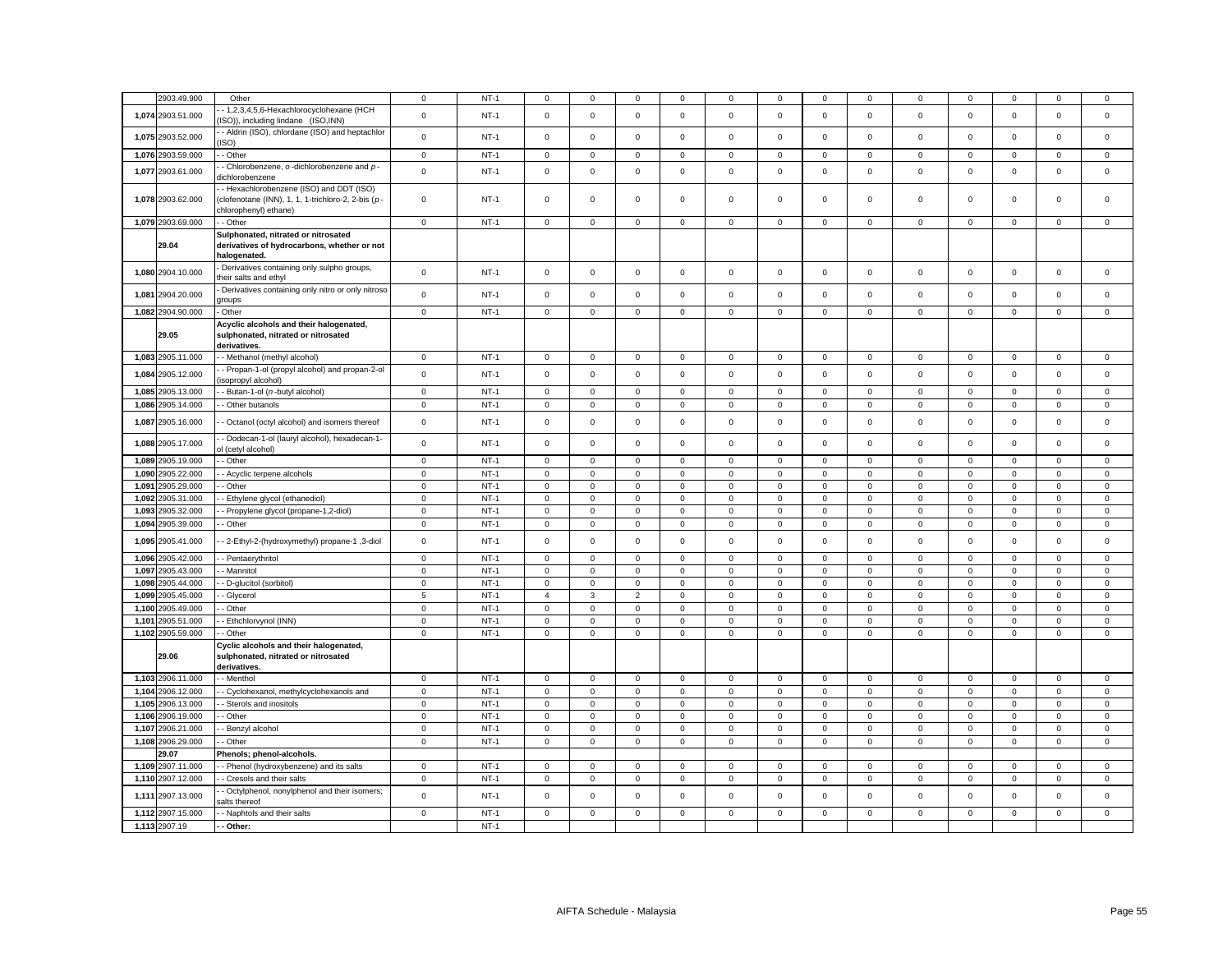|       | 2903.49.900       | Other                                                                                                                 | $\mathbf 0$    | $NT-1$ | $\mathbf 0$         | $\Omega$    | $\mathbf 0$    | 0           | $\mathbf 0$         | $\mathbf 0$    | 0                   | $\Omega$     | 0           | $\mathbf 0$    | 0                   | $\mathbf 0$  | $\mathbf 0$  |
|-------|-------------------|-----------------------------------------------------------------------------------------------------------------------|----------------|--------|---------------------|-------------|----------------|-------------|---------------------|----------------|---------------------|--------------|-------------|----------------|---------------------|--------------|--------------|
| 1,074 | 2903.51.000       | 1,2,3,4,5,6-Hexachlorocyclohexane (HCH<br>ISO)), including lindane (ISO, INN)                                         | $\mathsf 0$    | $NT-1$ | $\mathsf 0$         | $\mathsf 0$ | $\mathsf 0$    | $\mathsf 0$ | $\mathsf 0$         | $\mathsf 0$    | $\mathsf 0$         | $\mathsf 0$  | $\mathsf 0$ | $\mathbf 0$    | $\mathsf 0$         | $\mathsf 0$  | $\mathsf 0$  |
|       | 1,075 2903.52.000 | - Aldrin (ISO), chlordane (ISO) and heptachlor<br>ISO)                                                                | $\mathsf 0$    | $NT-1$ | $\mathbf 0$         | $\mathsf 0$ | $\mathsf 0$    | $\mathsf 0$ | $\mathbf 0$         | $\mathbf 0$    | $\mathbf{0}$        | $\mathbf 0$  | $\mathsf 0$ | $\,0\,$        | $\mathbf 0$         | $\mathsf 0$  | 0            |
| 1,076 | 2903.59.000       | - Other                                                                                                               | $\mathsf 0$    | $NT-1$ | $\mathbf 0$         | $\mathbf 0$ | $\mathsf 0$    | $\mathbf 0$ | $\mathbf 0$         | $\mathsf 0$    | $\mathbf 0$         | $\mathbf 0$  | $\mathbf 0$ | $\mathbf 0$    | $\mathsf 0$         | $\mathsf 0$  | $\mathbf 0$  |
| 1,077 | 2903.61.000       | - Chlorobenzene, o-dichlorobenzene and p-<br>dichlorobenzene                                                          | $\mathsf 0$    | $NT-1$ | $\mathbf 0$         | $\mathsf 0$ | $\mathsf 0$    | $\mathbf 0$ | $\mathsf 0$         | $\mathsf 0$    | $\mathbf 0$         | $\mathbf 0$  | $\mathsf 0$ | $\mathbf 0$    | $\mathbf 0$         | $\mathsf 0$  | $\mathsf 0$  |
|       | 1,078 2903.62.000 | - Hexachlorobenzene (ISO) and DDT (ISO)<br>clofenotane (INN), 1, 1, 1-trichloro-2, 2-bis (p-<br>chlorophenyl) ethane) | $\mathsf 0$    | $NT-1$ | $^{\circ}$          | $^{\circ}$  | $\mathsf 0$    | $\mathbf 0$ | $\mathsf 0$         | $\mathsf 0$    | $\mathbf 0$         | $\mathbf{0}$ | $\mathbf 0$ | $\mathbf 0$    | $\mathbf 0$         | $\mathsf 0$  | $\mathbf 0$  |
|       | 1,079 2903.69.000 | - Other                                                                                                               | $\mathbf 0$    | $NT-1$ | $\mathsf 0$         | $\mathsf 0$ | $\mathbf 0$    | $\mathsf 0$ | $\mathbf 0$         | $\mathsf 0$    | $\mathsf 0$         | $\mathsf 0$  | $\mathbf 0$ | $\mathbf 0$    | $\mathsf 0$         | $\mathbf 0$  | $\mathbf 0$  |
|       | 29.04             | Sulphonated, nitrated or nitrosated<br>derivatives of hydrocarbons, whether or not<br>halogenated.                    |                |        |                     |             |                |             |                     |                |                     |              |             |                |                     |              |              |
|       | 1,080 2904.10.000 | Derivatives containing only sulpho groups,<br>their salts and ethyl                                                   | $\mathsf 0$    | $NT-1$ | $\mathsf 0$         | $\mathsf 0$ | $\mathsf 0$    | $\mathsf 0$ | $\mathsf 0$         | $\mathbf 0$    | $\mathsf 0$         | $\mathsf 0$  | $\mathsf 0$ | $\mathbf 0$    | $\mathbf 0$         | $\mathsf 0$  | $\mathsf 0$  |
| 1,081 | 2904.20.000       | Derivatives containing only nitro or only nitroso<br><i><b>roups</b></i>                                              | $\mathsf 0$    | $NT-1$ | $\mathsf 0$         | $\mathbf 0$ | $\mathbf 0$    | $\mathsf 0$ | $\mathbf 0$         | $\mathbf 0$    | $\mathsf 0$         | $\mathsf 0$  | $\mathsf 0$ | $\pmb{0}$      | $\mathsf 0$         | $\mathsf 0$  | $\mathsf 0$  |
|       | 1,082 2904.90.000 | Other                                                                                                                 | $\mathbf 0$    | $NT-1$ | 0                   | 0           | $\mathbf 0$    | 0           | $\mathbf 0$         | $\mathbf 0$    | $\mathsf 0$         | 0            | 0           | $\,0\,$        | 0                   | $\mathbf 0$  | 0            |
|       | 29.05             | Acyclic alcohols and their halogenated,<br>sulphonated, nitrated or nitrosated<br>derivatives.                        |                |        |                     |             |                |             |                     |                |                     |              |             |                |                     |              |              |
|       | 1,083 2905.11.000 | - Methanol (methyl alcohol)                                                                                           | $\mathbf 0$    | $NT-1$ | $\mathbf 0$         | 0           | $\mathbf 0$    | 0           | $\mathbf 0$         | $\mathbf 0$    | $\mathsf 0$         | $\mathbf 0$  | 0           | $\mathbf 0$    | $\mathbf 0$         | $\mathbf 0$  | $\mathbf 0$  |
| 1,084 | 2905.12.000       | Propan-1-ol (propyl alcohol) and propan-2-ol<br>isopropyl alcohol)                                                    | $\mathbf{0}$   | $NT-1$ | $\mathbf 0$         | $\mathbf 0$ | $\mathsf 0$    | $\mathbf 0$ | $\mathbf 0$         | $\mathbf 0$    | $\,$ 0 $\,$         | $\mathbf 0$  | $\mathsf 0$ | $\pmb{0}$      | $\mathsf 0$         | $\mathsf 0$  | $\mathbf 0$  |
|       | 1,085 2905.13.000 | - Butan-1-ol (n-butyl alcohol)                                                                                        | $\mathbf 0$    | $NT-1$ | $\mathbf 0$         | $\mathbf 0$ | $\mathsf 0$    | 0           | $\mathbf 0$         | $\mathsf 0$    | $\mathbf 0$         | $\mathbf 0$  | 0           | $\mathbf 0$    | $\mathbf{0}$        | $\mathsf 0$  | 0            |
| 1,086 | 2905.14.000       | - Other butanols                                                                                                      | $\mathsf 0$    | $NT-1$ | $\mathsf{O}\xspace$ | $\mathsf 0$ | $\mathsf 0$    | $\mathbf 0$ | $\mathsf 0$         | $\mathsf 0$    | $\mathsf 0$         | 0            | $\mathsf 0$ | $\pmb{0}$      | $\mathsf 0$         | $\mathsf 0$  | $\mathsf 0$  |
| 1,087 | 2905.16.000       | - Octanol (octyl alcohol) and isomers thereof                                                                         | $\mathsf 0$    | $NT-1$ | $\mathsf 0$         | $\mathbf 0$ | $\mathsf 0$    | $\mathsf 0$ | $\mathbf 0$         | $\mathbf 0$    | $\circ$             | $\mathsf 0$  | $\mathsf 0$ | $\mathbf 0$    | $\mathbf 0$         | $\mathsf 0$  | $\mathbf 0$  |
|       | 1,088 2905.17.000 | - Dodecan-1-ol (lauryl alcohol), hexadecan-1-<br>d (cetyl alcohol)                                                    | $\mathsf 0$    | $NT-1$ | $\mathsf 0$         | $\mathsf 0$ | $\mathsf 0$    | $\mathsf 0$ | $\mathsf 0$         | $\mathsf 0$    | $\mathbf 0$         | $\mathsf 0$  | $\mathsf 0$ | $\mathbf 0$    | $\mathbf 0$         | $\mathsf 0$  | $\mathbf 0$  |
|       | 1,089 2905.19.000 | - Other                                                                                                               | $\mathsf 0$    | $NT-1$ | $\mathsf 0$         | $\mathbf 0$ | $\mathsf 0$    | $\mathsf 0$ | $\mathbf 0$         | $\mathsf 0$    | $\mathbf 0$         | $\mathbf 0$  | $\mathbf 0$ | $\mathbf 0$    | $\mathbf 0$         | $\mathsf 0$  | $\mathbf 0$  |
| 1,090 | 2905.22.000       | - Acyclic terpene alcohols                                                                                            | $\mathbf 0$    | $NT-1$ | $\mathbf 0$         | $\mathbf 0$ | $\mathsf 0$    | $\mathbf 0$ | $\mathbf 0$         | $\mathsf 0$    | $\circ$             | $\mathbf 0$  | $\mathbf 0$ | $\mathbf 0$    | $\mathsf 0$         | $\mathsf 0$  | $\mathbf 0$  |
| 1,091 | 2905.29.000       | - Other                                                                                                               | $\mathbf 0$    | $NT-1$ | $\mathsf 0$         | $\mathsf 0$ | $\mathsf 0$    | $\Omega$    | $\mathbf 0$         | $\mathsf 0$    | $\mathbf 0$         | $\mathbf 0$  | $\mathbf 0$ | $\mathbf 0$    | $\mathbf 0$         | $\mathsf 0$  | $\mathbf 0$  |
| 1,092 | 2905.31.000       | Ethylene glycol (ethanediol)                                                                                          | $\mathsf 0$    | $NT-1$ | $\mathsf{O}\xspace$ | $\mathsf 0$ | $\mathbf 0$    | $\Omega$    | $\mathsf 0$         | $\mathbf 0$    | $\mathsf 0$         | $\mathsf 0$  | $\mathsf 0$ | $\mathbf 0$    | $\mathsf 0$         | $\mathbf 0$  | $\mathsf 0$  |
| 1.093 | 2905.32.000       | - Propylene glycol (propane-1,2-diol)                                                                                 | $\mathbf{0}$   | $NT-1$ | $\mathbf 0$         | $^{\circ}$  | $\mathbf 0$    | $\mathbf 0$ | $\mathbf 0$         | $\mathbf 0$    | $\mathbf{O}$        | $\mathbf 0$  | $\mathbf 0$ | $\mathbf 0$    | 0                   | $\mathbf 0$  | $\mathbf 0$  |
| 1,094 | 2905.39.000       | - Other                                                                                                               | $\mathsf 0$    | $NT-1$ | $\mathsf{O}\xspace$ | $\mathsf 0$ | $\mathsf 0$    | $\mathbf 0$ | $\mathsf{O}\xspace$ | $\mathsf 0$    | $\mathsf 0$         | $\mathsf 0$  | $\mathsf 0$ | $\,0\,$        | $\mathbf 0$         | $\mathbf 0$  | $\mathsf 0$  |
| 1,095 | 2905.41.000       | - 2-Ethyl-2-(hydroxymethyl) propane-1, 3-diol                                                                         | $\mathbf 0$    | $NT-1$ | $\mathsf 0$         | $\mathsf 0$ | $\mathsf 0$    | $\Omega$    | $\mathbf 0$         | $\mathsf 0$    | $\mathbf 0$         | $\mathsf 0$  | $\mathsf 0$ | $\mathbf 0$    | $\mathbf 0$         | $\mathsf 0$  | $\mathsf 0$  |
|       | 1,096 2905.42.000 | - Pentaerythritol                                                                                                     | $\mathbf 0$    | $NT-1$ | $\mathsf 0$         | $\mathsf 0$ | $\mathsf 0$    | $\mathbf 0$ | $\mathbf 0$         | $\mathsf 0$    | $\mathbf 0$         | $\mathbf 0$  | $\mathbf 0$ | $\mathbf 0$    | $\mathsf 0$         | $\mathsf 0$  | $\mathbf 0$  |
| 1.097 | 2905.43.000       | - Mannitol                                                                                                            | $\mathbf 0$    | $NT-1$ | $\mathbf 0$         | $\mathbf 0$ | $\mathbf 0$    | $\mathbf 0$ | $\mathbf 0$         | $\mathbf 0$    | $\mathbf 0$         | $\mathbf 0$  | $\mathbf 0$ | $\mathbf 0$    | $\mathbf 0$         | $\mathbf 0$  | $\mathbf 0$  |
| 1,098 | 2905.44.000       | - D-glucitol (sorbitol)                                                                                               | $\mathbf 0$    | $NT-1$ | $\mathbf 0$         | $\mathbf 0$ | $\mathsf 0$    | $\mathbf 0$ | $\mathbf 0$         | $\mathsf 0$    | $\mathbf{0}$        | $\mathbf{0}$ | $\mathbf 0$ | $\mathbf 0$    | $\mathbf 0$         | $\mathsf 0$  | $\mathbf 0$  |
| 1,099 | 2905.45.000       | - Glycerol                                                                                                            | 5              | $NT-1$ | $\overline{4}$      | 3           | $\overline{2}$ | 0           | $\mathbf 0$         | $\mathsf 0$    | $\mathbf 0$         | $\Omega$     | $\mathbf 0$ | $\mathbf 0$    | $\mathsf 0$         | $\mathbf{0}$ | $\mathbf 0$  |
| 1,100 | 2905.49.000       | Other                                                                                                                 | $\mathsf 0$    | $NT-1$ | $\mathsf{O}\xspace$ | $\mathsf 0$ | $\mathbf 0$    | $\Omega$    | $\mathsf 0$         | $\mathbf 0$    | $\mathsf 0$         | $\mathsf 0$  | $\mathsf 0$ | $\mathbf 0$    | $\mathsf 0$         | $\mathbf 0$  | $\mathsf 0$  |
| 1,101 | 2905.51.000       | - Ethchlorvynol (INN)                                                                                                 | $\mathbf 0$    | $NT-1$ | $\mathbf 0$         | $^{\circ}$  | $\mathbf 0$    | $\mathbf 0$ | $\mathbf 0$         | $\mathsf 0$    | $\mathsf 0$         | $\mathbf 0$  | $\mathbf 0$ | $\mathbf 0$    | 0                   | $\mathbf 0$  | $\mathbf 0$  |
|       | 1,102 2905.59.000 | - Other                                                                                                               | $\mathsf 0$    | $NT-1$ | $\mathsf 0$         | $\mathsf 0$ | $\mathbf 0$    | $\mathsf 0$ | $\mathsf 0$         | $\mathbf 0$    | $\mathsf 0$         | $\mathsf 0$  | $\mathsf 0$ | $\mathbf 0$    | $\mathsf{O}\xspace$ | $\mathsf 0$  | $\mathsf 0$  |
|       | 29.06             | Cyclic alcohols and their halogenated,<br>sulphonated, nitrated or nitrosated<br>derivatives.                         |                |        |                     |             |                |             |                     |                |                     |              |             |                |                     |              |              |
|       | 1,103 2906.11.000 | - Menthol                                                                                                             | $\mathbf 0$    | $NT-1$ | $\mathbf 0$         | $\mathbf 0$ | $\mathbf 0$    | $\mathbf 0$ | $\mathbf 0$         | $\mathbf 0$    | $\mathsf 0$         | $\mathbf 0$  | $\mathsf 0$ | $\mathbf 0$    | $\mathbf 0$         | $\mathbf 0$  | $\mathbf 0$  |
| 1,104 | 2906.12.000       | - Cyclohexanol, methylcyclohexanols and                                                                               | $\mathsf 0$    | $NT-1$ | $\mathsf{O}\xspace$ | $\mathsf 0$ | $\mathsf 0$    | $\mathsf 0$ | $\mathsf 0$         | $\overline{0}$ | $\mathsf 0$         | $\mathsf 0$  | $\mathbf 0$ | $\overline{0}$ | $\mathsf 0$         | $\mathsf 0$  | $\mathsf{O}$ |
| 1,105 | 2906.13.000       | Sterols and inositols                                                                                                 | $\mathsf 0$    | $NT-1$ | $\mathsf 0$         | $\mathsf 0$ | $\mathbf 0$    | $\mathbf 0$ | $\mathsf 0$         | $\mathsf 0$    | $\mathsf 0$         | $\mathsf 0$  | $\mathsf 0$ | $\mathbf 0$    | $\mathsf 0$         | $\mathbf 0$  | $\mathsf 0$  |
|       | 1,106 2906.19.000 | Other                                                                                                                 | $\mathsf 0$    | $NT-1$ | $\mathbf 0$         | $\mathbf 0$ | $\mathsf 0$    | $\mathbf 0$ | $\mathbf 0$         | $\mathbf 0$    | $\mathsf 0$         | $\mathbf 0$  | 0           | $\mathbf 0$    | $\mathbf 0$         | $\mathbf 0$  | 0            |
| 1,107 | 2906.21.000       | Benzyl alcohol                                                                                                        | $\overline{0}$ | $NT-1$ | $\mathbf 0$         | $\mathbf 0$ | $\mathbf 0$    | $\mathbf 0$ | $\mathsf 0$         | $\mathsf 0$    | $\mathsf{O}\xspace$ | 0            | 0           | $\mathbf 0$    | $\mathsf 0$         | $\mathbf 0$  | $\mathbf 0$  |
|       | 1,108 2906.29.000 | Other                                                                                                                 | $\mathsf 0$    | $NT-1$ | $\mathsf 0$         | $\mathsf 0$ | $\mathbf 0$    | $\mathsf 0$ | $\mathsf{O}\xspace$ | $\mathsf 0$    | $\mathsf 0$         | $\mathsf 0$  | 0           | $\mathbf 0$    | $\mathbf 0$         | $\mathbf 0$  | $\mathbf 0$  |
|       | 29.07             | Phenols; phenol-alcohols.                                                                                             |                |        |                     |             |                |             |                     |                |                     |              |             |                |                     |              |              |
|       | 1,109 2907.11.000 | - Phenol (hydroxybenzene) and its salts                                                                               | $\mathbf 0$    | $NT-1$ | $\mathbf 0$         | $^{\circ}$  | $^{\circ}$     | $\mathbf 0$ | $\mathbf 0$         | 0              | $^{\circ}$          | $\mathbf 0$  | $\mathbf 0$ | $\mathbf 0$    | $^{\circ}$          | $^{\circ}$   | $\mathbf 0$  |
| 1,110 | 2907.12.000       | Cresols and their salts                                                                                               | $\mathsf 0$    | $NT-1$ | $\mathsf 0$         | $\mathsf 0$ | $\mathsf 0$    | $\mathbf 0$ | $\mathsf 0$         | $\mathsf 0$    | $\mathsf 0$         | 0            | $\mathsf 0$ | $\mathbf 0$    | $\mathsf 0$         | $\mathbf 0$  | $\mathsf 0$  |
| 1,111 | 2907.13.000       | Octylphenol, nonylphenol and their isomers;<br>alts thereof                                                           | $\mathsf 0$    | $NT-1$ | $\mathsf 0$         | $\mathsf 0$ | $\mathbf 0$    | $\mathbf 0$ | $\mathsf 0$         | $\mathsf 0$    | $\mathsf 0$         | 0            | $\mathsf 0$ | $\mathbf 0$    | $\mathsf 0$         | $\mathbf 0$  | $\mathsf 0$  |
| 1,112 | 2907.15.000       | - Naphtols and their salts                                                                                            | $\mathsf 0$    | $NT-1$ | $\mathsf 0$         | $\mathbf 0$ | $\mathbf 0$    | $\mathsf 0$ | $\mathsf 0$         | $\mathsf 0$    | $\mathsf 0$         | $\mathsf 0$  | $\mathsf 0$ | $\mathsf 0$    | $\mathsf 0$         | $\mathbf 0$  | $\mathbf 0$  |
|       | 1,113 2907.19     | - Other:                                                                                                              |                | $NT-1$ |                     |             |                |             |                     |                |                     |              |             |                |                     |              |              |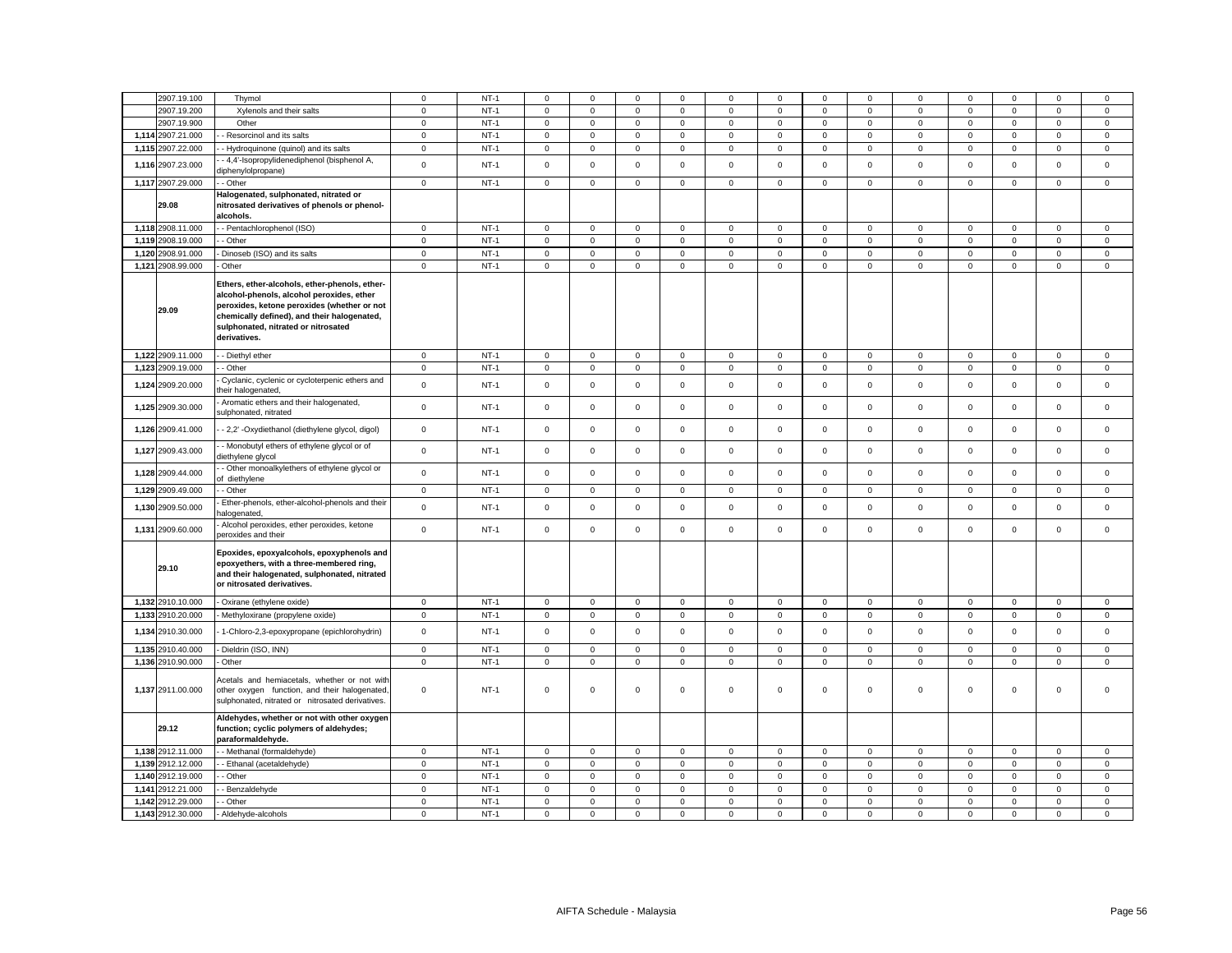|       | 2907.19.100       | Thymol                                                                                                                                                                                                                                          | $\mathbf 0$ | $NT-1$ | $\mathbf 0$  | $\mathbf 0$  | $\mathbf 0$         | $\mathbf 0$  | 0           | $\mathbf 0$ | $\mathbf 0$  | $\mathbf 0$  | 0            | $\mathbf 0$  | $\mathbf 0$ | $\mathbf 0$         | $\mathbf 0$ |
|-------|-------------------|-------------------------------------------------------------------------------------------------------------------------------------------------------------------------------------------------------------------------------------------------|-------------|--------|--------------|--------------|---------------------|--------------|-------------|-------------|--------------|--------------|--------------|--------------|-------------|---------------------|-------------|
|       | 2907.19.200       | Xylenols and their salts                                                                                                                                                                                                                        | $\mathsf 0$ | $NT-1$ | $\mathbf 0$  | $\mathbf 0$  | $\mathsf 0$         | $\mathsf 0$  | $\mathsf 0$ | $\mathbf 0$ | $\mathsf 0$  | $\mathsf 0$  | $\mathsf 0$  | $\mathbf 0$  | $\mathsf 0$ | $\mathsf 0$         | $\mathsf 0$ |
|       | 2907.19.900       | Other                                                                                                                                                                                                                                           | $\mathbf 0$ | $NT-1$ | $\mathbf{0}$ | $\mathbf 0$  | $\mathsf 0$         | $\mathsf 0$  | $\mathsf 0$ | $\mathsf 0$ | $\mathbf 0$  | $\mathbf 0$  | $\mathbf{0}$ | $\mathsf 0$  | $\mathsf 0$ | $\mathsf 0$         | $\mathsf 0$ |
|       | 1,114 2907.21.000 | - Resorcinol and its salts                                                                                                                                                                                                                      | $\mathsf 0$ | $NT-1$ | $\mathbf 0$  | $\mathbf 0$  | $\mathbf 0$         | $\mathbf 0$  | $\mathbf 0$ | $\mathbf 0$ | $\mathbf 0$  | $\mathbf{0}$ | $\mathbf 0$  | $\mathbf 0$  | $\mathbf 0$ | $\mathbf 0$         | $\mathbf 0$ |
|       | 1,115 2907.22.000 | - Hydroquinone (quinol) and its salts                                                                                                                                                                                                           | $\mathsf 0$ | $NT-1$ | $\mathbf 0$  | $\mathbf 0$  | $\mathsf 0$         | $\mathsf 0$  | $\mathbf 0$ | $\mathbf 0$ | $\mathbf 0$  | $\mathsf 0$  | $\mathbf 0$  | $\mathbf 0$  | $\mathbf 0$ | $\mathsf 0$         | $\mathsf 0$ |
|       | 1,116 2907.23.000 | - 4,4'-Isopropylidenediphenol (bisphenol A,<br>diphenylolpropane)                                                                                                                                                                               | $\mathbf 0$ | $NT-1$ | $\mathbf{0}$ | $\Omega$     | $\mathbf 0$         | $\mathbf 0$  | $\mathbf 0$ | $\Omega$    | $\mathbf 0$  | $\mathbf 0$  | $\mathbf 0$  | $\Omega$     | $\mathbf 0$ | $\mathbf 0$         | $\mathbf 0$ |
|       | 1,117 2907.29.000 | - Other                                                                                                                                                                                                                                         | $\mathsf 0$ | $NT-1$ | $\mathbf 0$  | $\mathbf 0$  | $\mathbf 0$         | $\mathbf 0$  | $\mathbf 0$ | $\mathbf 0$ | $\mathbf 0$  | $\mathsf 0$  | $\mathsf 0$  | $\mathbf 0$  | $\mathbf 0$ | $\mathbf 0$         | $\mathsf 0$ |
|       | 29.08             | Halogenated, sulphonated, nitrated or<br>nitrosated derivatives of phenols or phenol-<br>alcohols.                                                                                                                                              |             |        |              |              |                     |              |             |             |              |              |              |              |             |                     |             |
|       | 1,118 2908.11.000 | - Pentachlorophenol (ISO)                                                                                                                                                                                                                       | $\mathbf 0$ | $NT-1$ | $\mathsf 0$  | $\mathsf 0$  | $\mathbf 0$         | $\mathsf 0$  | 0           | $\mathbf 0$ | $\mathbf 0$  | $\mathbf 0$  | $\mathbf 0$  | $\mathbf 0$  | $\mathsf 0$ | $\mathbf 0$         | $\mathsf 0$ |
|       | 1,119 2908.19.000 | - Other                                                                                                                                                                                                                                         | $\mathbf 0$ | $NT-1$ | $\mathbf{0}$ | $\mathbf 0$  | $\mathsf 0$         | $\mathsf 0$  | $\mathbf 0$ | $\mathsf 0$ | $\mathsf 0$  | $\mathsf 0$  | $\mathsf 0$  | $\mathsf 0$  | $\mathsf 0$ | $\mathsf 0$         | $\mathsf 0$ |
| 1,120 | 2908.91.000       | Dinoseb (ISO) and its salts                                                                                                                                                                                                                     | $\mathbf 0$ | $NT-1$ | $\mathsf 0$  | $\mathsf 0$  | $\mathsf 0$         | $\mathsf 0$  | $\mathsf 0$ | $\mathsf 0$ | $\mathbf 0$  | $\mathsf 0$  | $\mathbf 0$  | $\mathbf 0$  | $\mathsf 0$ | $\mathsf 0$         | $\mathsf 0$ |
|       | 1,121 2908.99.000 | Other                                                                                                                                                                                                                                           | $\mathsf 0$ | $NT-1$ | $\mathsf 0$  | $\mathbf 0$  | $\mathsf 0$         | $\mathsf 0$  | $\mathbf 0$ | $\mathsf 0$ | $\mathbf 0$  | $\mathsf 0$  | $\mathsf 0$  | $\mathbf 0$  | $\mathbf 0$ | $\mathsf 0$         | $\mathsf 0$ |
|       | 29.09             | Ethers, ether-alcohols, ether-phenols, ether-<br>alcohol-phenols, alcohol peroxides, ether<br>peroxides, ketone peroxides (whether or not<br>chemically defined), and their halogenated,<br>sulphonated, nitrated or nitrosated<br>derivatives. |             |        |              |              |                     |              |             |             |              |              |              |              |             |                     |             |
|       | 1,122 2909.11.000 | - Diethyl ether                                                                                                                                                                                                                                 | $\mathbf 0$ | $NT-1$ | $\mathbf{0}$ | $\mathsf 0$  | $\mathsf 0$         | $\mathbf{0}$ | $\mathsf 0$ | $\Omega$    | $\mathbf 0$  | $\mathsf 0$  | $\mathbf 0$  | $\Omega$     | $\mathsf 0$ | $\mathsf 0$         | $\mathsf 0$ |
|       | 1,123 2909.19.000 | - Other                                                                                                                                                                                                                                         | $\mathbf 0$ | $NT-1$ | $\circ$      | 0            | $\mathsf 0$         | $\mathbf 0$  | $\mathbf 0$ | $\mathsf 0$ | $\mathsf 0$  | $\mathsf 0$  | $\mathbf 0$  | $\mathbf 0$  | $\mathsf 0$ | $\mathsf{O}\xspace$ | $\mathsf 0$ |
|       | 1,124 2909.20.000 | Cyclanic, cyclenic or cycloterpenic ethers and<br>heir halogenated,                                                                                                                                                                             | $\mathsf 0$ | $NT-1$ | $\mathsf 0$  | $\mathsf 0$  | $\mathsf{O}\xspace$ | $\mathsf 0$  | $\mathsf 0$ | $\mathsf 0$ | $\mathbf 0$  | $\mathsf 0$  | $\mathsf 0$  | $\mathsf 0$  | $\mathsf 0$ | $\mathsf 0$         | $\mathsf 0$ |
|       | 1,125 2909.30.000 | Aromatic ethers and their halogenated,<br>sulphonated, nitrated                                                                                                                                                                                 | $\mathsf 0$ | $NT-1$ | $\mathbf 0$  | $\mathsf 0$  | $\mathsf 0$         | $\mathsf 0$  | $\mathsf 0$ | $\mathsf 0$ | $\mathsf 0$  | $\mathsf 0$  | $\mathsf 0$  | $\mathsf 0$  | $\mathsf 0$ | $\mathsf 0$         | $\mathsf 0$ |
|       | 1,126 2909.41.000 | - 2,2' - Oxydiethanol (diethylene glycol, digol)                                                                                                                                                                                                | $\mathbf 0$ | $NT-1$ | $\mathbf 0$  | $\mathsf 0$  | $\mathsf{O}\xspace$ | $\mathsf 0$  | $\mathsf 0$ | $\mathsf 0$ | $\mathbf 0$  | $\mathsf 0$  | $\mathbf 0$  | $\mathsf 0$  | $\mathsf 0$ | $\mathsf{O}\xspace$ | $\mathsf 0$ |
|       | 1,127 2909.43.000 | - Monobutyl ethers of ethylene glycol or of<br>diethylene glycol                                                                                                                                                                                | $\mathsf 0$ | $NT-1$ | $\mathsf 0$  | $\mathsf 0$  | $\mathsf{O}\xspace$ | $\mathsf 0$  | $\mathsf 0$ | $\mathsf 0$ | $\mathbf 0$  | $\mathsf 0$  | $\mathsf 0$  | $\mathsf 0$  | $\mathsf 0$ | $\mathsf{O}\xspace$ | $\mathsf 0$ |
|       | 1,128 2909.44.000 | - Other monoalkylethers of ethylene glycol or<br>of diethylene                                                                                                                                                                                  | $\mathsf 0$ | $NT-1$ | $\mathbf 0$  | $\mathsf 0$  | $\mathsf{O}\xspace$ | $\mathsf 0$  | $\mathsf 0$ | $\mathsf 0$ | $\mathbf 0$  | $\mathsf 0$  | $\mathsf 0$  | $\mathsf 0$  | $\mathsf 0$ | $\mathsf 0$         | $\mathsf 0$ |
|       | 1,129 2909.49.000 | - Other                                                                                                                                                                                                                                         | $\mathbf 0$ | $NT-1$ | $\mathbf 0$  | $\mathbf 0$  | $\mathbf 0$         | $\mathsf 0$  | $\mathsf 0$ | $\mathsf 0$ | $\mathbf 0$  | $\mathsf 0$  | $\mathbf 0$  | $\mathbf 0$  | $\mathbf 0$ | $\mathsf 0$         | $\mathsf 0$ |
|       | 1,130 2909.50.000 | Ether-phenols, ether-alcohol-phenols and their<br>alogenated,                                                                                                                                                                                   | $\mathsf 0$ | $NT-1$ | $\mathsf 0$  | $\mathbf 0$  | $\mathbf 0$         | $\Omega$     | $\mathsf 0$ | $\mathbf 0$ | $\mathbf 0$  | $\mathsf 0$  | $\mathsf 0$  | $\mathbf 0$  | $\mathbf 0$ | $\mathbf 0$         | $\mathsf 0$ |
|       | 1,131 2909.60.000 | Alcohol peroxides, ether peroxides, ketone<br>peroxides and their                                                                                                                                                                               | $\mathbf 0$ | $NT-1$ | $\mathbf 0$  | $\mathbf 0$  | $\mathbf 0$         | $\mathbf{0}$ | $\mathbf 0$ | $\mathsf 0$ | $\mathbf 0$  | $\mathbf 0$  | $\mathbf 0$  | $\mathsf 0$  | $\mathbf 0$ | $\mathsf 0$         | $\mathbf 0$ |
|       | 29.10             | Epoxides, epoxyalcohols, epoxyphenols and<br>epoxyethers, with a three-membered ring,<br>and their halogenated, sulphonated, nitrated<br>or nitrosated derivatives.                                                                             |             |        |              |              |                     |              |             |             |              |              |              |              |             |                     |             |
|       | 1,132 2910.10.000 | Oxirane (ethylene oxide)                                                                                                                                                                                                                        | $\mathbf 0$ | $NT-1$ | $\mathbf{0}$ | $\mathbf{0}$ | $\mathbf 0$         | 0            | $\mathbf 0$ | $\mathbf 0$ | $\mathbf{0}$ | $\mathbf 0$  | 0            | $\mathbf{0}$ | $\mathbf 0$ | $\mathbf 0$         | $\mathbf 0$ |
|       | 1,133 2910.20.000 | Methyloxirane (propylene oxide)                                                                                                                                                                                                                 | $\mathbf 0$ | $NT-1$ | $\mathbf{0}$ | $\mathbf 0$  | $\mathsf 0$         | $\mathsf 0$  | $\mathbf 0$ | $\mathsf 0$ | $\mathbf 0$  | $\mathbf 0$  | $\mathbf 0$  | $\mathsf 0$  | $\mathsf 0$ | $\mathsf 0$         | $\mathsf 0$ |
|       | 1,134 2910.30.000 | 1-Chloro-2,3-epoxypropane (epichlorohydrin)                                                                                                                                                                                                     | $\mathbf 0$ | $NT-1$ | $\mathbf 0$  | $\mathsf 0$  | $\mathsf 0$         | $\mathsf 0$  | $\mathsf 0$ | $\mathbf 0$ | $\mathbf 0$  | $\mathsf 0$  | $\mathsf 0$  | $\mathbf 0$  | $\mathsf 0$ | $\mathsf 0$         | $\mathsf 0$ |
|       | 1,135 2910.40.000 | Dieldrin (ISO, INN)                                                                                                                                                                                                                             | $\mathsf 0$ | $NT-1$ | $\mathbf{0}$ | $\mathbf 0$  | $\mathsf 0$         | $\mathbf 0$  | $\mathbf 0$ | $\mathbf 0$ | $\mathbf 0$  | $\mathsf 0$  | $\mathsf 0$  | $\mathbf 0$  | $\mathbf 0$ | $\mathsf 0$         | $\mathbf 0$ |
|       | 1,136 2910.90.000 | Other                                                                                                                                                                                                                                           | $\mathbf 0$ | $NT-1$ | $\mathbf{0}$ | $\mathbf 0$  | 0                   | 0            | $\mathbf 0$ | $\mathbf 0$ | $\mathbf{0}$ | $\mathsf 0$  | $\mathbf 0$  | $\mathsf 0$  | $\mathbf 0$ | $\mathbf 0$         | $\mathsf 0$ |
|       | 1,137 2911.00.000 | Acetals and hemiacetals, whether or not with<br>other oxygen function, and their halogenated,<br>sulphonated, nitrated or nitrosated derivatives.                                                                                               | $\mathsf 0$ | $NT-1$ | $\mathsf 0$  | $\mathbf 0$  | $\mathsf 0$         | $\mathsf 0$  | $\mathsf 0$ | $\mathbf 0$ | $\mathsf 0$  | $\mathsf 0$  | $\mathbf 0$  | $\mathbf 0$  | $\mathsf 0$ | $\mathsf 0$         | $\mathsf 0$ |
|       | 29.12             | Aldehydes, whether or not with other oxygen<br>function; cyclic polymers of aldehydes;<br>paraformaldehyde.                                                                                                                                     |             |        |              |              |                     |              |             |             |              |              |              |              |             |                     |             |
|       | 1,138 2912.11.000 | - Methanal (formaldehyde)                                                                                                                                                                                                                       | $\mathbf 0$ | $NT-1$ | $\mathbf{0}$ | $\mathbf 0$  | $\mathsf 0$         | $\mathsf 0$  | $\mathsf 0$ | $\mathsf 0$ | $\mathbf 0$  | $\mathsf 0$  | $\mathbf{0}$ | $\mathsf 0$  | $\mathsf 0$ | $\mathsf 0$         | $\mathsf 0$ |
|       | 1,139 2912.12.000 | - Ethanal (acetaldehyde)                                                                                                                                                                                                                        | $\mathbf 0$ | $NT-1$ | $\mathbf{0}$ | $\mathbf 0$  | $\mathbf 0$         | $\mathsf 0$  | $\mathbf 0$ | $\mathsf 0$ | $\mathbf 0$  | $\mathbf{0}$ | $\mathbf 0$  | $\mathsf 0$  | $\mathbf 0$ | $\mathsf 0$         | $\mathsf 0$ |
|       | 1,140 2912.19.000 | - Other                                                                                                                                                                                                                                         | $\mathsf 0$ | $NT-1$ | $\mathbf 0$  | $\mathbf 0$  | $\mathsf 0$         | $\mathsf 0$  | $\mathsf 0$ | $\mathsf 0$ | $\mathbf 0$  | $\mathsf 0$  | $\mathsf 0$  | $\mathbf 0$  | $\mathbf 0$ | $\mathsf 0$         | $\mathsf 0$ |
|       | 1,141 2912.21.000 | - Benzaldehyde                                                                                                                                                                                                                                  | $\mathbf 0$ | $NT-1$ | $\mathsf 0$  | $\mathbf 0$  | $\mathbf 0$         | $\mathsf 0$  | $\mathsf 0$ | $\mathsf 0$ | $\mathbf 0$  | $\mathsf 0$  | $\mathsf 0$  | $\mathsf 0$  | $\mathbf 0$ | $\mathbf 0$         | $\mathbf 0$ |
|       | 1,142 2912.29.000 | - Other                                                                                                                                                                                                                                         | $\mathsf 0$ | $NT-1$ | $\mathsf 0$  | $\mathsf 0$  | $\mathsf 0$         | $\mathsf 0$  | $\mathsf 0$ | $\mathsf 0$ | $\mathsf 0$  | $\mathsf 0$  | $\mathsf 0$  | $\mathsf 0$  | $\mathsf 0$ | $\mathsf 0$         | $\mathsf 0$ |
|       | 1,143 2912.30.000 | Aldehyde-alcohols                                                                                                                                                                                                                               | $\mathsf 0$ | $NT-1$ | $\mathsf 0$  | $\mathbf 0$  | $\mathsf 0$         | 0            | $\mathbf 0$ | $\mathbf 0$ | $\mathsf 0$  | $\mathsf 0$  | 0            | $\mathbf 0$  | $\mathbf 0$ | $\mathsf 0$         | $\mathbf 0$ |
|       |                   |                                                                                                                                                                                                                                                 |             |        |              |              |                     |              |             |             |              |              |              |              |             |                     |             |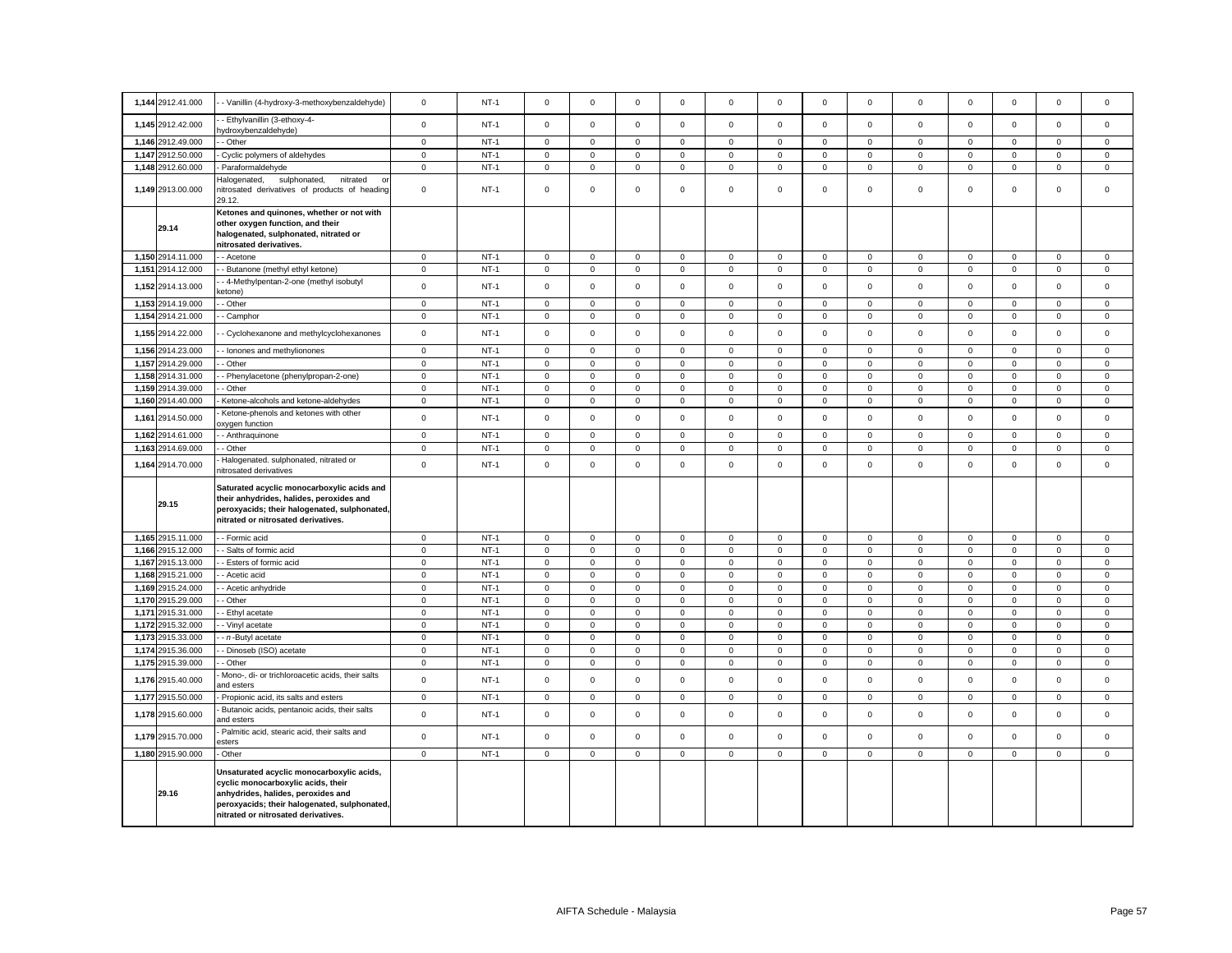|       | 1,144 2912.41.000                | - Vanillin (4-hydroxy-3-methoxybenzaldehyde)                                                                                                                                                                 | $\mathsf 0$                        | $NT-1$           | $\mathbf 0$                        | $\mathbf 0$                | $\mathbf 0$                   | $\Omega$                   | $\Omega$                   | $\mathbf 0$                | $\Omega$            | $\mathbf 0$                | $\mathbf 0$                | $\mathbf 0$                | $\mathbf 0$                | $\mathsf 0$                | $\Omega$               |
|-------|----------------------------------|--------------------------------------------------------------------------------------------------------------------------------------------------------------------------------------------------------------|------------------------------------|------------------|------------------------------------|----------------------------|-------------------------------|----------------------------|----------------------------|----------------------------|---------------------|----------------------------|----------------------------|----------------------------|----------------------------|----------------------------|------------------------|
|       | 1,145 2912.42.000                | - Ethylvanillin (3-ethoxy-4-                                                                                                                                                                                 | $\mathbf{0}$                       | $NT-1$           | $\mathbf 0$                        | $\mathbf 0$                | $\mathbf 0$                   | $\mathbf 0$                | $\mathbf 0$                | $\mathbf 0$                | $\mathbf 0$         | $\mathbf 0$                | $\mathbf 0$                | $\mathbf 0$                | $\mathbf{0}$               | $\mathbf 0$                | $\mathbf 0$            |
|       | 1,146 2912.49.000                | ydroxybenzaldehyde)<br>- Other                                                                                                                                                                               | $\mathbf{0}$                       | $NT-1$           | $\mathbf 0$                        | $\mathbf 0$                | $\mathbf 0$                   | $\mathbf 0$                | $\mathbf 0$                | $\mathbf 0$                | $\mathbf 0$         | $\mathbf{0}$               | $\mathbf 0$                | $\mathbf 0$                | $\mathbf{0}$               | $\mathbf{0}$               | $\mathbf{0}$           |
|       | 1,147 2912.50.000                | Cyclic polymers of aldehydes                                                                                                                                                                                 | $\mathbf{0}$                       | $NT-1$           | $\mathbf 0$                        | $\mathbf{0}$               | $\mathsf 0$                   | $\mathbf 0$                | $\mathbf 0$                | $\mathsf 0$                | $\mathbf{0}$        | $\mathbf 0$                | $\mathbf 0$                | $\mathsf 0$                | $\mathbf{0}$               | $\mathbf 0$                | $\mathsf 0$            |
|       | 1,148 2912.60.000                | Paraformaldehyde                                                                                                                                                                                             | $\mathbf 0$                        | $NT-1$           | $\mathsf 0$                        | $\mathbf 0$                | $\mathsf 0$                   | $\mathbf 0$                | $\mathbf 0$                | $\mathsf 0$                | $\mathbf 0$         | $\mathbf 0$                | $\mathbf 0$                | $\mathsf 0$                | $\mathbf 0$                | $\mathbf 0$                | $\mathsf 0$            |
|       |                                  | Halogenated,<br>sulphonated,<br>nitrated                                                                                                                                                                     |                                    |                  |                                    |                            |                               |                            |                            |                            |                     |                            |                            |                            |                            |                            |                        |
|       | 1,149 2913.00.000                | nitrosated derivatives of products of heading<br>29.12.                                                                                                                                                      | $\mathbf 0$                        | $NT-1$           | 0                                  | $\mathbf 0$                | $\mathsf 0$                   | 0                          | $\mathbf 0$                | 0                          | $\mathbf 0$         | 0                          | 0                          | $\mathbf 0$                | $\mathbf 0$                | $\mathsf 0$                | $\,0\,$                |
|       | 29.14                            | Ketones and quinones, whether or not with<br>other oxygen function, and their<br>halogenated, sulphonated, nitrated or<br>nitrosated derivatives.                                                            |                                    |                  |                                    |                            |                               |                            |                            |                            |                     |                            |                            |                            |                            |                            |                        |
|       | 1,150 2914.11.000                | - Acetone                                                                                                                                                                                                    | $\mathbf 0$                        | $NT-1$           | 0                                  | $\mathbf 0$                | $\mathsf 0$                   | 0                          | $\mathbf 0$                | $\mathsf 0$                | 0                   | $\mathsf 0$                | $\mathsf 0$                | $\mathbf 0$                | $\mathbf 0$                | $\mathsf 0$                | $\mathsf 0$            |
|       | 1,151 2914.12.000                | Butanone (methyl ethyl ketone)                                                                                                                                                                               | $\mathbf 0$                        | $NT-1$           | $\mathsf{O}\xspace$                | $\mathsf 0$                | $\mathsf 0$                   | $\mathbf 0$                | $\mathsf 0$                | $\mathsf 0$                | $\mathsf 0$         | $\mathsf 0$                | $\mathsf 0$                | $\mathsf 0$                | $\mathsf 0$                | $\mathsf 0$                | $\mathbf 0$            |
|       | 1,152 2914.13.000                | - 4-Methylpentan-2-one (methyl isobutyl<br>(etone                                                                                                                                                            | $\mathbf 0$                        | $NT-1$           | $\mathsf 0$                        | $\mathsf 0$                | $\mathsf 0$                   | $\mathsf 0$                | $\mathsf 0$                | $\mathsf 0$                | $\mathsf 0$         | $\mathsf 0$                | $\mathsf 0$                | $\mathsf 0$                | $\mathsf 0$                | $\mathsf 0$                | $\mathsf 0$            |
| 1,153 | 2914.19.000                      | Other                                                                                                                                                                                                        | $\overline{0}$                     | $NT-1$           | $\mathsf 0$                        | $\mathsf 0$                | $\mathsf 0$                   | $\mathbf 0$                | $\mathsf 0$                | $\mathsf 0$                | $\mathsf 0$         | $\mathbf 0$                | $\mathsf 0$                | $\mathsf 0$                | $\mathsf 0$                | $\mathsf 0$                | $\mathsf 0$            |
|       | 1,154 2914.21.000                | Camphor                                                                                                                                                                                                      | $\mathbf 0$                        | $NT-1$           | 0                                  | 0                          | $\mathbf 0$                   | 0                          | $\mathbf 0$                | 0                          | 0                   | $\mathbf 0$                | 0                          | $\mathbf 0$                | 0                          | 0                          | $\mathbf 0$            |
|       | 1,155 2914.22.000                | Cyclohexanone and methylcyclohexanones                                                                                                                                                                       | $\mathsf 0$                        | $NT-1$           | $\mathsf 0$                        | $\mathsf 0$                | $\mathsf 0$                   | $\mathsf 0$                | $\mathsf 0$                | $\mathsf 0$                | $\mathsf 0$         | $\mathsf 0$                | $\mathsf 0$                | $\mathsf 0$                | $\mathsf 0$                | $\mathsf 0$                | $\mathsf 0$            |
|       | 1,156 2914.23.000                | - Ionones and methylionones                                                                                                                                                                                  | $\mathbf 0$                        | $NT-1$           | $\mathbf 0$                        | $\mathbf 0$                | $\mathbf 0$                   | $\mathsf 0$                | $\mathbf 0$                | $\mathsf 0$                | $\mathbf 0$         | 0                          | $\mathsf 0$                | $\mathsf 0$                | $\mathbf 0$                | $\mathbf 0$                | $\mathbf 0$            |
| 1,157 | 2914.29.000                      | Other                                                                                                                                                                                                        | $\mathbf 0$                        | $NT-1$           | $\mathsf{O}\xspace$                | $\mathsf 0$                | $\mathbf 0$                   | $\mathbf 0$                | $\mathsf 0$                | $\mathsf 0$                | $\mathsf 0$         | $\mathbf 0$                | $\mathsf 0$                | $\mathsf 0$                | $\mathsf 0$                | $\mathsf 0$                | $\mathbf 0$            |
|       | 1,158 2914.31.000                | Phenylacetone (phenylpropan-2-one)                                                                                                                                                                           | $\mathbf 0$                        | $NT-1$           | $\mathsf 0$                        | $\mathsf 0$                | $\mathsf 0$                   | $\mathsf 0$                | $\mathsf 0$                | $\mathsf 0$                | $\mathsf 0$         | $\mathsf 0$                | $\mathsf 0$                | $\mathsf 0$                | $\mathsf 0$                | $\mathsf 0$                | $\mathsf 0$            |
|       | 1,159 2914.39.000                | - Other                                                                                                                                                                                                      | $\mathsf 0$                        | $NT-1$           | $\mathbf 0$                        | $\mathbf 0$                | $\mathbf 0$                   | 0                          | $\mathbf 0$                | $\mathbf 0$                | $\mathbf 0$         | 0                          | 0                          | $\mathbf 0$                | $\mathbf 0$                | $\mathbf 0$                | $\mathbf 0$            |
| 1,160 | 2914.40.000                      | Ketone-alcohols and ketone-aldehydes                                                                                                                                                                         | $\mathbf 0$                        | $NT-1$           | $\mathbf{0}$                       | $\mathbf 0$                | $\mathsf 0$                   | 0                          | $\mathbf 0$                | $\mathsf 0$                | $\mathbf 0$         | $\mathbf{0}$               | $\mathbf 0$                | $\mathbf{0}$               | $\mathbf{0}$               | $\mathbf 0$                | $\mathsf 0$            |
| 1,161 | 2914.50.000                      | Ketone-phenols and ketones with other<br>xygen function                                                                                                                                                      | $\mathsf 0$                        | $NT-1$           | $\mathsf 0$                        | $\mathsf 0$                | $\mathsf 0$                   | $\mathbf 0$                | $\mathbf 0$                | $\mathsf 0$                | $\mathsf{O}\xspace$ | $\mathsf 0$                | $\mathsf 0$                | $\mathsf 0$                | $\mathsf 0$                | $\mathsf 0$                | $\mathsf 0$            |
|       | 1,162 2914.61.000                | - Anthraquinone                                                                                                                                                                                              | $\mathbf 0$                        | $NT-1$           | $\mathsf 0$                        | $\mathsf 0$                | $\mathsf 0$                   | $\mathsf 0$                | $\mathbf 0$                | $\mathsf 0$                | $\mathbf 0$         | $\mathbf 0$                | $\mathsf 0$                | $\mathsf 0$                | $\mathsf 0$                | $\mathsf 0$                | $\mathsf 0$            |
|       | 1,163 2914.69.000                | - Other                                                                                                                                                                                                      | $\mathsf 0$                        | $NT-1$           | $\mathsf 0$                        | $\mathbf 0$                | $\mathsf 0$                   | $\mathsf 0$                | $\mathbf 0$                | $\mathsf 0$                | $\mathbf 0$         | $\mathsf 0$                | $\mathsf 0$                | $\mathsf 0$                | $\mathbf 0$                | $\mathsf 0$                | $\mathsf 0$            |
|       | 1,164 2914.70.000                | Halogenated. sulphonated, nitrated or<br>nitrosated derivatives                                                                                                                                              | $\mathsf 0$                        | $NT-1$           | $\mathsf 0$                        | $\mathsf 0$                | $\Omega$                      | $\mathsf 0$                | $\Omega$                   | $\mathsf 0$                | $\mathbf 0$         | $\mathsf 0$                | $\mathsf 0$                | $\mathsf 0$                | $\mathsf 0$                | $\mathsf 0$                | $\mathsf 0$            |
|       | 29.15                            | Saturated acyclic monocarboxylic acids and<br>their anhydrides, halides, peroxides and<br>peroxyacids; their halogenated, sulphonated,<br>nitrated or nitrosated derivatives.                                |                                    |                  |                                    |                            |                               |                            |                            |                            |                     |                            |                            |                            |                            |                            |                        |
|       | 1,165 2915.11.000                | - Formic acid                                                                                                                                                                                                | $\mathbf 0$                        | $NT-1$           | $\mathsf 0$                        | $\mathbf 0$                | $\mathbf{0}$                  | $\mathbf 0$                | $\mathbf 0$                | $\mathbf 0$                | $\mathbf{0}$        | $\mathbf 0$                | $\mathbf 0$                | $\mathbf 0$                | $\mathbf 0$                | $\mathbf 0$                | $\mathbf{0}$           |
|       | 1,166 2915.12.000                | - Salts of formic acid                                                                                                                                                                                       | $\mathbf 0$                        | $NT-1$           | $\mathsf 0$                        | $\mathbf 0$                | $\mathsf 0$                   | $\mathsf 0$                | $\mathbf 0$                | $\mathsf 0$                | $\mathbf 0$         | $\mathbf 0$                | $\mathsf 0$                | $\mathsf 0$                | $\mathsf 0$                | $\mathsf 0$                | $\mathbf 0$            |
| 1,167 | 2915.13.000                      | Esters of formic acid                                                                                                                                                                                        | $\mathbf 0$                        | $NT-1$           | $\mathsf{O}\xspace$                | $\mathsf 0$                | $\mathsf 0$                   | 0                          | $\mathbf 0$                | $\mathsf 0$                | $\mathbf 0$         | 0                          | $\mathsf 0$                | $\mathsf 0$                | $\mathsf 0$                | $\mathbf 0$                | $\,0\,$                |
| 1,168 | 2915.21.000                      | - Acetic acid                                                                                                                                                                                                | $\mathbf 0$                        | $NT-1$           | $\mathsf{O}\xspace$                | $\mathsf 0$                | $\mathbf 0$                   | $\mathbf 0$                | $\mathsf 0$                | $\mathsf 0$                | $\mathsf 0$         | $\mathsf 0$                | $\mathsf{O}\xspace$        | $\mathbf 0$                | $\mathbf 0$                | $\mathsf 0$                | $\mathbf 0$            |
| 1,170 | 1,169 2915.24.000<br>2915.29.000 | - Acetic anhydride                                                                                                                                                                                           | $\mathsf{O}\xspace$<br>$\mathsf 0$ | $NT-1$<br>$NT-1$ | $\mathsf{O}\xspace$<br>$\mathsf 0$ | $\mathsf 0$<br>$\mathsf 0$ | $\overline{0}$<br>$\mathbf 0$ | $\mathsf 0$<br>$\mathbf 0$ | $\mathsf 0$<br>$\mathsf 0$ | $\mathsf 0$<br>$\mathsf 0$ | 0<br>$\mathbf 0$    | $\mathsf 0$<br>$\mathbf 0$ | $\mathsf 0$<br>$\mathsf 0$ | $\mathsf 0$<br>$\mathsf 0$ | $\mathbf 0$<br>$\mathsf 0$ | $\mathsf 0$<br>$\mathsf 0$ | $\,0\,$<br>$\mathsf 0$ |
|       | 1,171 2915.31.000                | Other<br>Ethyl acetate                                                                                                                                                                                       | $\mathbf 0$                        | $NT-1$           | $\mathsf 0$                        | $\mathbf 0$                | $\mathsf 0$                   | 0                          | $\mathbf 0$                | $\mathsf 0$                | $\mathbf 0$         | $\mathbf 0$                | $\mathsf 0$                | $\mathsf 0$                | $\mathsf 0$                | $\mathsf 0$                | $\mathsf 0$            |
|       | 1,172 2915.32.000                | - Vinyl acetate                                                                                                                                                                                              | $\mathbf 0$                        | $NT-1$           | $\mathsf 0$                        | $\mathsf 0$                | $\mathsf 0$                   | $\mathbf 0$                | $\mathsf 0$                | $\mathsf 0$                | $\mathsf 0$         | $\mathsf 0$                | $\mathsf 0$                | $\mathsf 0$                | $\mathsf 0$                | $\mathsf 0$                | $\mathsf 0$            |
| 1,173 | 2915.33.000                      | - n-Butyl acetate                                                                                                                                                                                            | $\mathsf 0$                        | $NT-1$           | $\mathsf{O}\xspace$                | $\mathsf 0$                | $\mathbf 0$                   | $\mathsf 0$                | $\mathsf{O}\xspace$        | $\mathsf 0$                | $\mathsf 0$         | $\mathbf 0$                | $\mathbf 0$                | $\mathsf 0$                | $\mathbf 0$                | $\mathsf 0$                | $\mathsf 0$            |
| 1,174 | 2915.36.000                      | Dinoseb (ISO) acetate                                                                                                                                                                                        | $\mathsf 0$                        | $NT-1$           | $\mathsf 0$                        | $\mathsf 0$                | $\mathbf 0$                   | $\mathbf 0$                | $\mathbf 0$                | $\mathsf 0$                | $\mathsf 0$         | $\mathsf 0$                | $\mathsf 0$                | $\mathsf 0$                | $\mathsf 0$                | $\mathsf 0$                | $\mathsf 0$            |
|       | 1,175 2915.39.000                | - Other                                                                                                                                                                                                      | $\mathbf{0}$                       | $NT-1$           | $\mathbf 0$                        | $\mathbf 0$                | $\mathbf 0$                   | 0                          | $\mathbf 0$                | $\mathbf 0$                | $\mathbf 0$         | 0                          | 0                          | $\mathbf 0$                | $\mathbf 0$                | $\mathbf 0$                | $\mathbf 0$            |
|       | 1,176 2915.40.000                | Mono-, di- or trichloroacetic acids, their salts<br>and esters                                                                                                                                               | $\mathsf 0$                        | $NT-1$           | $\mathsf 0$                        | $\mathsf 0$                | $\mathbf 0$                   | $\mathbf 0$                | $\mathbf 0$                | $\mathsf 0$                | $\mathbf 0$         | $\mathsf 0$                | $\mathsf 0$                | $\mathsf 0$                | $\mathsf 0$                | $\mathsf 0$                | $\mathsf 0$            |
| 1,177 | 2915.50.000                      | Propionic acid, its salts and esters                                                                                                                                                                         | $\mathbf 0$                        | $NT-1$           | $\mathbf 0$                        | $\mathbf 0$                | $\mathbf 0$                   | 0                          | $\mathbf 0$                | $\mathbf 0$                | $\mathbf 0$         | $\mathbf{0}$               | 0                          | $\mathbf 0$                | $\mathbf 0$                | $\mathbf 0$                | $\mathbf 0$            |
|       | 1,178 2915.60.000                | Butanoic acids, pentanoic acids, their salts<br>and esters                                                                                                                                                   | $\mathbf 0$                        | $NT-1$           | $\mathsf 0$                        | $\mathsf 0$                | $\mathsf 0$                   | $\mathsf 0$                | $\mathsf 0$                | $\mathsf 0$                | $\mathbf 0$         | $\mathsf 0$                | $\mathsf 0$                | $\mathsf 0$                | $\mathsf 0$                | $\mathsf 0$                | $\mathsf 0$            |
|       | 1,179 2915.70.000                | Palmitic acid, stearic acid, their salts and<br>esters                                                                                                                                                       | $\mathsf 0$                        | $NT-1$           | $\mathbf 0$                        | $\mathsf 0$                | $\mathsf 0$                   | 0                          | $\mathsf 0$                | $\mathsf 0$                | $\mathsf 0$         | 0                          | $\mathsf 0$                | $\mathbf 0$                | $\mathsf 0$                | $\mathsf 0$                | $\mathsf 0$            |
|       | 1,180 2915.90.000                | Other                                                                                                                                                                                                        | $\mathsf 0$                        | $NT-1$           | $\mathsf 0$                        | $\mathsf{O}\xspace$        | $\mathsf 0$                   | $\mathbf 0$                | $\mathsf 0$                | $\mathsf 0$                | $\mathsf{O}$        | $\mathbf{0}$               | $\mathsf 0$                | $\mathsf 0$                | $\mathbf 0$                | $\mathbf 0$                | $\mathsf 0$            |
|       | 29.16                            | Unsaturated acyclic monocarboxylic acids,<br>cyclic monocarboxylic acids, their<br>anhydrides, halides, peroxides and<br>peroxyacids; their halogenated, sulphonated,<br>nitrated or nitrosated derivatives. |                                    |                  |                                    |                            |                               |                            |                            |                            |                     |                            |                            |                            |                            |                            |                        |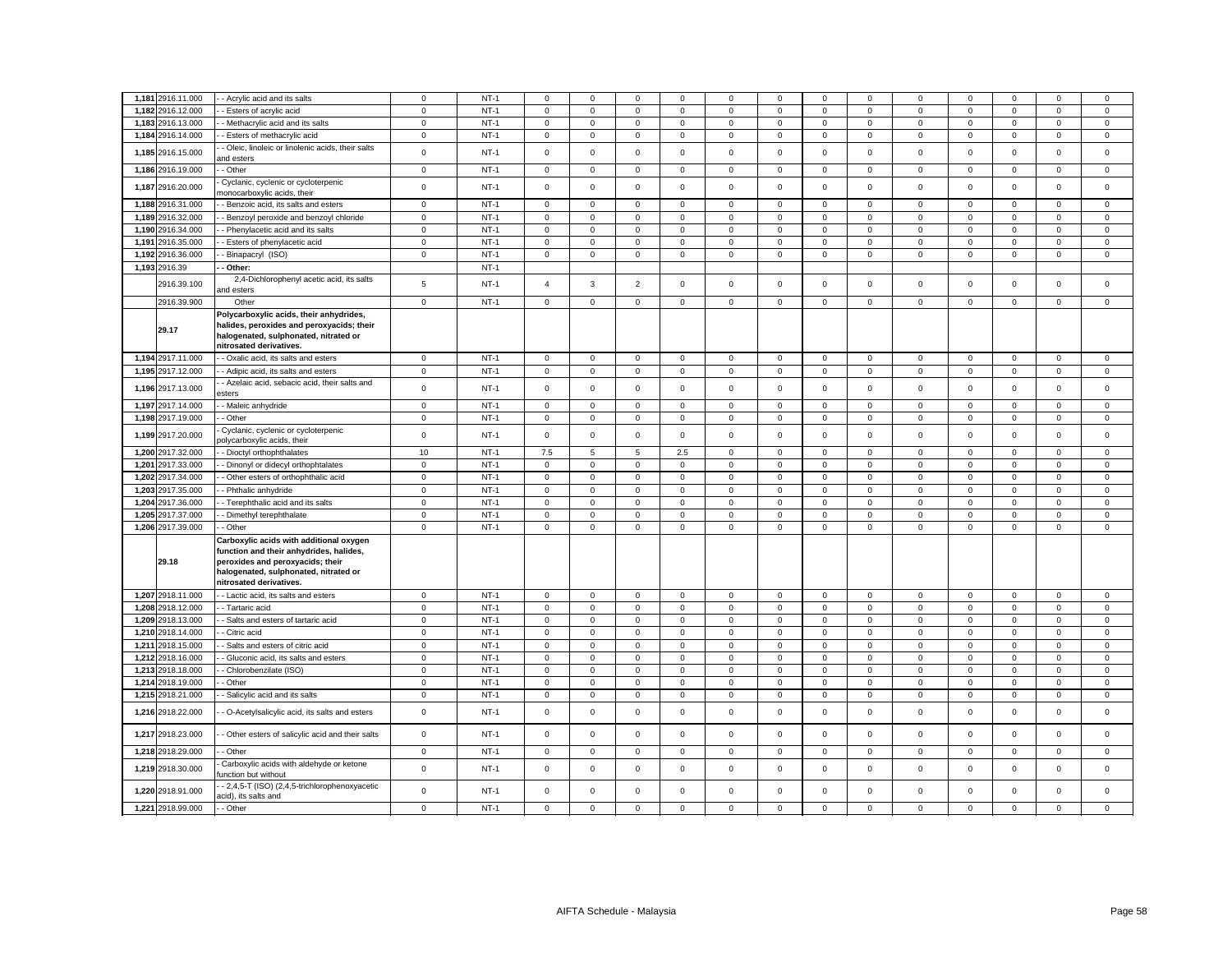| 1,181 2916.11.000 | - Acrylic acid and its salts                                                                                                                                                               | 0                   | $NT-1$ | $\Omega$            | $\Omega$    | $\mathbf 0$     | $\Omega$     | 0           | $\mathbf 0$ | $\mathbf 0$         | $\Omega$     | 0                   | $\mathbf 0$ | $\Omega$            | $\Omega$            | $\mathbf 0$ |
|-------------------|--------------------------------------------------------------------------------------------------------------------------------------------------------------------------------------------|---------------------|--------|---------------------|-------------|-----------------|--------------|-------------|-------------|---------------------|--------------|---------------------|-------------|---------------------|---------------------|-------------|
| 1,182 2916.12.000 | - Esters of acrylic acid                                                                                                                                                                   | $\mathbf{0}$        | $NT-1$ | $\mathsf 0$         | $\mathbf 0$ | $\mathbf{0}$    | $\mathbf 0$  | $\mathbf 0$ | $\mathbf 0$ | $\mathbf 0$         | $\mathbf 0$  | $\mathbf 0$         | $\mathbf 0$ | $\mathbf 0$         | $\mathbf 0$         | $\mathsf 0$ |
| 1,183 2916.13.000 | - Methacrylic acid and its salts                                                                                                                                                           | $\mathbf 0$         | $NT-1$ | $\mathbf 0$         | $\mathsf 0$ | $\mathsf 0$     | $\mathbf 0$  | $\mathbf 0$ | $\mathsf 0$ | $\mathsf 0$         | $\mathbf 0$  | $\mathbf 0$         | $\mathsf 0$ | $\mathsf 0$         | $\mathsf 0$         | $\mathsf 0$ |
| 1,184 2916.14.000 | - Esters of methacrylic acid                                                                                                                                                               | $\mathsf 0$         | $NT-1$ | 0                   | 0           | $\mathsf 0$     | 0            | $\mathsf 0$ | $\mathsf 0$ | $\mathbf 0$         | $\mathbf 0$  | 0                   | $\mathbf 0$ | $\mathsf{O}\xspace$ | 0                   | $\mathsf 0$ |
| 1,185 2916.15.000 | - Oleic, linoleic or linolenic acids, their salts<br>and esters                                                                                                                            | $\mathsf 0$         | $NT-1$ | $\mathsf{O}\xspace$ | $\mathsf 0$ | $\mathsf 0$     | $\mathsf 0$  | $\mathsf 0$ | $\mathsf 0$ | $\mathsf 0$         | $\mathsf 0$  | $\mathsf 0$         | $\mathsf 0$ | $\mathsf 0$         | $\mathsf 0$         | $\mathsf 0$ |
| 1,186 2916.19.000 | - Other                                                                                                                                                                                    | $\mathbf 0$         | $NT-1$ | $\mathbf 0$         | $\mathbf 0$ | $\mathbf{0}$    | $\mathbf 0$  | $\mathbf 0$ | $\mathsf 0$ | 0                   | $\mathbf 0$  | $\mathbf 0$         | $\mathbf 0$ | $\mathbf 0$         | 0                   | $\mathbf 0$ |
| 1,187 2916.20.000 | Cyclanic, cyclenic or cycloterpenic<br>nonocarboxylic acids, their                                                                                                                         | $\mathsf 0$         | $NT-1$ | $\mathsf{O}\xspace$ | $\mathsf 0$ | $\mathbf 0$     | $\mathsf 0$  | $\mathsf 0$ | $\mathbf 0$ | $\mathsf 0$         | $\mathsf 0$  | $\mathsf 0$         | $\mathsf 0$ | $\mathsf 0$         | $\mathsf 0$         | $\mathbf 0$ |
| 1,188 2916.31.000 | - Benzoic acid, its salts and esters                                                                                                                                                       | $\mathbf 0$         | $NT-1$ | $\mathsf 0$         | 0           | $\mathsf 0$     | 0            | $\mathbf 0$ | $\mathsf 0$ | $\mathbf 0$         | $\mathbf{0}$ | $\mathsf 0$         | 0           | 0                   | 0                   | $\mathsf 0$ |
| 1,189 2916.32.000 | - Benzoyl peroxide and benzoyl chloride                                                                                                                                                    | $\mathbf 0$         | $NT-1$ | $\mathsf 0$         | $\mathsf 0$ | $\mathsf 0$     | $\mathbf 0$  | $\mathbf 0$ | $\mathsf 0$ | $\mathsf{O}\xspace$ | $\mathbf 0$  | $\mathsf{O}\xspace$ | $\mathbf 0$ | $\mathsf 0$         | $\mathsf 0$         | $\mathsf 0$ |
| 1,190 2916.34.000 | - Phenylacetic acid and its salts                                                                                                                                                          | $\mathbf 0$         | $NT-1$ | $\mathsf 0$         | $\mathbf 0$ | $\mathsf 0$     | $\mathbf 0$  | $\mathbf 0$ | $\mathsf 0$ | $\mathbf 0$         | $\mathbf 0$  | $\mathbf 0$         | $\mathsf 0$ | $\mathsf 0$         | $\mathsf 0$         | $\mathsf 0$ |
| 1,191 2916.35.000 | - Esters of phenylacetic acid                                                                                                                                                              | $\mathbf 0$         | $NT-1$ | $\mathsf 0$         | $\mathsf 0$ | $\mathbf 0$     | $\mathbf 0$  | $\mathbf 0$ | $\mathsf 0$ | $\mathsf 0$         | $\mathbf 0$  | $\mathsf 0$         | $\mathsf 0$ | $\mathsf 0$         | $\mathsf 0$         | $\mathsf 0$ |
| 1,192 2916.36.000 | Binapacryl (ISO)                                                                                                                                                                           | $\mathsf 0$         | $NT-1$ | $\mathbf 0$         | $\mathbf 0$ | $\mathsf 0$     | $\mathbf 0$  | $\mathbf 0$ | $\mathsf 0$ | $\mathsf{O}$        | $\mathbf{0}$ | $\mathsf 0$         | $\mathbf 0$ | $\mathbf 0$         | $\mathbf 0$         | $\mathsf 0$ |
| 1,193 2916.39     | Other:                                                                                                                                                                                     |                     | $NT-1$ |                     |             |                 |              |             |             |                     |              |                     |             |                     |                     |             |
| 2916.39.100       | 2,4-Dichlorophenyl acetic acid, its salts<br>and esters                                                                                                                                    | 5                   | $NT-1$ | $\overline{4}$      | 3           | $\overline{2}$  | $\mathbf 0$  | $\mathbf 0$ | $\mathsf 0$ | $\mathbf 0$         | $\mathbf 0$  | $\mathbf 0$         | $\mathbf 0$ | $\mathbf 0$         | $\mathbf 0$         | $\mathsf 0$ |
| 2916.39.900       | Other                                                                                                                                                                                      | $\mathsf{O}\xspace$ | $NT-1$ | $\mathsf{O}\xspace$ | $\mathbf 0$ | $\mathsf 0$     | $\mathbf 0$  | $\mathbf 0$ | $\mathsf 0$ | $\mathbf 0$         | $\mathbf 0$  | $\mathbf 0$         | $\mathbf 0$ | $\mathbf 0$         | $\mathbf 0$         | $\mathbf 0$ |
| 29.17             | Polycarboxylic acids, their anhydrides,<br>halides, peroxides and peroxyacids; their<br>halogenated, sulphonated, nitrated or<br>nitrosated derivatives.                                   |                     |        |                     |             |                 |              |             |             |                     |              |                     |             |                     |                     |             |
| 1,194 2917.11.000 | - Oxalic acid, its salts and esters                                                                                                                                                        | $\mathbf 0$         | $NT-1$ | $\mathsf 0$         | $\mathsf 0$ | $\mathsf 0$     | $\mathsf 0$  | $\mathsf 0$ | $\mathsf 0$ | $\mathsf 0$         | $\mathbf 0$  | $\mathsf 0$         | $\mathsf 0$ | $\mathsf 0$         | $\mathsf 0$         | $\mathsf 0$ |
| 1,195 2917.12.000 | - Adipic acid, its salts and esters                                                                                                                                                        | $\mathbf 0$         | $NT-1$ | $\mathbf 0$         | $\mathbf 0$ | $\mathsf 0$     | 0            | $\mathbf 0$ | $\mathsf 0$ | $\mathsf 0$         | $\mathbf 0$  | $\mathsf 0$         | $\mathsf 0$ | $\mathsf 0$         | $\mathsf 0$         | $\mathsf 0$ |
| 1,196 2917.13.000 | - Azelaic acid, sebacic acid, their salts and<br>sters                                                                                                                                     | $\mathsf 0$         | $NT-1$ | $\mathsf 0$         | $\mathsf 0$ | $\mathsf 0$     | $\mathbf 0$  | $\mathsf 0$ | $\mathsf 0$ | $\mathsf 0$         | $\mathbf 0$  | $\mathsf 0$         | $\mathsf 0$ | $\mathsf 0$         | $\mathsf 0$         | $\mathsf 0$ |
| 1,197 2917.14.000 | - Maleic anhydride                                                                                                                                                                         | $\mathbf 0$         | $NT-1$ | $\mathbf 0$         | $\mathbf 0$ | $\mathsf 0$     | $\mathbf 0$  | $\mathbf 0$ | $\mathsf 0$ | $\mathsf 0$         | $\mathbf 0$  | $\mathbf 0$         | $\mathsf 0$ | $\mathsf 0$         | $\mathbf 0$         | $\mathsf 0$ |
| 1,198 2917.19.000 | - Other                                                                                                                                                                                    | $\mathbf 0$         | $NT-1$ | $\mathsf 0$         | $\mathbf 0$ | $\mathsf 0$     | $\mathbf 0$  | $\mathbf 0$ | $\mathsf 0$ | $\mathbf 0$         | $\mathbf 0$  | $\mathbf 0$         | $\mathsf 0$ | $\mathbf 0$         | $\mathsf 0$         | $\mathsf 0$ |
| 1,199 2917.20.000 | Cyclanic, cyclenic or cycloterpenic<br>olycarboxylic acids, their                                                                                                                          | $\mathbf 0$         | $NT-1$ | $\mathsf 0$         | $\mathsf 0$ | $\mathsf 0$     | $\mathbf 0$  | $\mathbf 0$ | $\mathsf 0$ | $\mathsf 0$         | $\mathbf 0$  | $\mathbf 0$         | $\mathsf 0$ | $\mathsf 0$         | $\mathsf{O}\xspace$ | $\mathsf 0$ |
| 1,200 2917.32.000 | - Dioctyl orthophthalates                                                                                                                                                                  | 10                  | $NT-1$ | 7.5                 | 5           | $5\overline{5}$ | 2.5          | $\mathbf 0$ | $^{\circ}$  | $\mathbf 0$         | $\mathbf{0}$ | $\mathbf 0$         | $\mathbf 0$ | $\mathbf 0$         | $\mathbf 0$         | $\mathbf 0$ |
| 1,201 2917.33.000 | - Dinonyl or didecyl orthophtalates                                                                                                                                                        | $\mathbf{0}$        | $NT-1$ | $\mathbf 0$         | $\mathbf 0$ | $\mathbf 0$     | $\mathbf 0$  | $\mathbf 0$ | $\mathbf 0$ | $\mathbf 0$         | $\mathbf{0}$ | $\mathbf{0}$        | $\mathbf 0$ | $\mathbf 0$         | $\mathbf 0$         | $\mathbf 0$ |
| 1,202 2917.34.000 | - Other esters of orthophthalic acid                                                                                                                                                       | $\mathbf 0$         | $NT-1$ | $\mathbf 0$         | $\mathbf 0$ | $\mathbf{0}$    | $\mathbf 0$  | $\mathbf 0$ | $\mathbf 0$ | $\mathbf 0$         | $\mathbf{0}$ | $\mathbf{0}$        | $\mathbf 0$ | $\mathbf 0$         | $\mathbf 0$         | $\mathbf 0$ |
|                   |                                                                                                                                                                                            |                     |        |                     |             |                 |              |             |             |                     |              |                     |             |                     |                     |             |
| 1,203 2917.35.000 | - Phthalic anhydride                                                                                                                                                                       | 0                   | $NT-1$ | $\mathsf 0$         | $\mathsf 0$ | $\mathbf 0$     | $\mathbf 0$  | $\mathbf 0$ | $\mathsf 0$ | $\mathsf 0$         | $\mathsf 0$  | $\mathbf 0$         | $\mathbf 0$ | $\mathsf 0$         | $\mathsf 0$         | $\mathsf 0$ |
| 1,204 2917.36.000 | - Terephthalic acid and its salts                                                                                                                                                          | 0                   | $NT-1$ | $\mathbf 0$         | $\mathbf 0$ | $\mathsf 0$     | 0            | $\mathbf 0$ | $\mathbf 0$ | $\mathbf 0$         | $\mathbf 0$  | $\mathbf 0$         | $\mathbf 0$ | $\mathbf 0$         | $\mathbf 0$         | $\mathbf 0$ |
| 1,205 2917.37.000 | - Dimethyl terephthalate                                                                                                                                                                   | $\mathbf 0$         | $NT-1$ | $\mathbf 0$         | $\mathbf 0$ | $\mathbf 0$     | $\mathbf 0$  | $\mathsf 0$ | $\mathbf 0$ | $\mathsf 0$         | $\mathbf 0$  | $\mathsf 0$         | $\mathbf 0$ | $\mathbf 0$         | $\mathbf 0$         | $\mathbf 0$ |
| 1,206 2917.39.000 | - Other                                                                                                                                                                                    | 0                   | $NT-1$ | $\mathbf 0$         | $\mathbf 0$ | $\overline{0}$  | 0            | $\mathbf 0$ | $\mathsf 0$ | $\mathbf 0$         | $\mathbf 0$  | $\mathsf 0$         | $\mathsf 0$ | $\mathsf 0$         | $\mathsf 0$         | $\mathsf 0$ |
| 29.18             | Carboxylic acids with additional oxygen<br>function and their anhydrides, halides,<br>peroxides and peroxyacids; their<br>halogenated, sulphonated, nitrated or<br>nitrosated derivatives. |                     |        |                     |             |                 |              |             |             |                     |              |                     |             |                     |                     |             |
| 1,207 2918.11.000 | - Lactic acid, its salts and esters                                                                                                                                                        | 0                   | $NT-1$ | $\mathbf 0$         | $\mathbf 0$ | $\mathsf 0$     | 0            | $\mathsf 0$ | $\mathsf 0$ | $\mathbf 0$         | $\mathbf 0$  | $\mathsf 0$         | $\mathbf 0$ | $\mathbf 0$         | $\mathbf 0$         | $\mathsf 0$ |
| 1,208 2918.12.000 | - Tartaric acid                                                                                                                                                                            | $\mathbf 0$         | $NT-1$ | $\mathsf 0$         | $\mathsf 0$ | $\mathbf 0$     | $\mathbf 0$  | $\mathsf 0$ | $\mathsf 0$ | $\mathsf 0$         | $\mathsf 0$  | $\mathbf 0$         | $\mathbf 0$ | $\mathbf 0$         | $\mathsf 0$         | $\mathsf 0$ |
| 1,209 2918.13.000 | - Salts and esters of tartaric acid                                                                                                                                                        | 0                   | $NT-1$ | $\mathsf 0$         | $\mathbf 0$ | $\mathsf 0$     | 0            | $\mathbf 0$ | $\mathsf 0$ | $\mathbf 0$         | $\mathbf 0$  | $\mathbf 0$         | $\mathsf 0$ | $\mathbf 0$         | $\mathbf 0$         | $\mathsf 0$ |
| 1,210 2918.14.000 | - Citric acid                                                                                                                                                                              | $\mathbf 0$         | $NT-1$ | $\mathbf 0$         | $\mathbf 0$ | $\mathbf{0}$    | $\Omega$     | $\mathbf 0$ | $\mathbf 0$ | $\mathbf 0$         | $\mathbf 0$  | $\mathbf 0$         | $\Omega$    | $\mathbf 0$         | $\mathbf 0$         | $\mathbf 0$ |
| 1,211 2918.15.000 | - Salts and esters of citric acid                                                                                                                                                          | $\mathbf 0$         | $NT-1$ | $\mathbf 0$         | $\mathbf 0$ | $\mathbf 0$     | 0            | $\mathbf 0$ | $\mathbf 0$ | $\mathbf{0}$        | $\mathbf 0$  | $\mathbf 0$         | $\mathbf 0$ | $\mathbf 0$         | $\mathbf 0$         | $\mathbf 0$ |
| 1,212 2918.16.000 | - Gluconic acid, its salts and esters                                                                                                                                                      | 0                   | $NT-1$ | $\mathbf 0$         | $\mathbf 0$ | $\mathsf 0$     | 0            | $\mathbf 0$ | $\mathbf 0$ | 0                   | $\mathbf 0$  | $\mathbf 0$         | $\mathbf 0$ | $\mathbf 0$         | $\mathbf 0$         | $\mathbf 0$ |
| 1,213 2918.18.000 | - Chlorobenzilate (ISO)                                                                                                                                                                    | $\mathbf{0}$        | $NT-1$ | $\mathbf 0$         | $\mathbf 0$ | $\mathsf 0$     | $\mathbf{0}$ | $\mathbf 0$ | $\mathsf 0$ | $\mathbf 0$         | $\mathbf{0}$ | $\mathbf{0}$        | $\mathbf 0$ | $^{\circ}$          | $\mathbf 0$         | $\mathsf 0$ |
| 1,214 2918.19.000 | - Other                                                                                                                                                                                    | $\mathbf 0$         | $NT-1$ | $\mathbf 0$         | $\mathbf 0$ | $\mathbf{0}$    | $\mathbf 0$  | $\mathbf 0$ | $^{\circ}$  | 0                   | $\mathbf{0}$ | $\mathbf 0$         | $\mathbf 0$ | $\mathbf 0$         | $\mathbf 0$         | $\mathbf 0$ |
|                   | - Salicylic acid and its salts                                                                                                                                                             | $\mathbf 0$         | $NT-1$ | $\mathsf 0$         | $\mathbf 0$ |                 | $\mathbf 0$  | $\mathsf 0$ |             |                     | $\mathbf 0$  | $\mathbf 0$         | $\mathsf 0$ | $\mathsf 0$         | $\mathsf 0$         |             |
| 1,215 2918.21.000 |                                                                                                                                                                                            |                     |        |                     |             | $\mathsf 0$     |              |             | $\mathbf 0$ | $\mathsf 0$         |              |                     |             |                     |                     | $\mathbf 0$ |
| 1,216 2918.22.000 | - O-Acetylsalicylic acid, its salts and esters                                                                                                                                             | $\mathsf 0$         | $NT-1$ | $\mathbf 0$         | $\mathbf 0$ | $\mathbf 0$     | $\Omega$     | $\mathbf 0$ | $\mathbf 0$ | $\mathbf 0$         | $\mathbf 0$  | $\mathbf 0$         | $\mathbf 0$ | $\mathbf 0$         | $\mathbf 0$         | $\mathbf 0$ |
| 1,217 2918.23.000 | - Other esters of salicylic acid and their salts                                                                                                                                           | $\mathbf 0$         | $NT-1$ | $\mathbf 0$         | $\mathsf 0$ | $\mathsf 0$     | $\mathbf 0$  | $\mathsf 0$ | $\mathsf 0$ | $\mathbf 0$         | $\mathbf 0$  | $\mathsf 0$         | $\mathsf 0$ | $\mathbf 0$         | $\mathbf 0$         | $\mathsf 0$ |
| 1,218 2918.29.000 | - Other                                                                                                                                                                                    | $\mathbf 0$         | $NT-1$ | 0                   | $\mathbf 0$ | $\mathbf 0$     | 0            | $\mathsf 0$ | $\mathbf 0$ | $\mathsf 0$         | $\mathbf 0$  | $\mathsf 0$         | $\mathbf 0$ | 0                   | 0                   | $\mathbf 0$ |
| 1,219 2918.30.000 | Carboxylic acids with aldehyde or ketone<br>unction but without                                                                                                                            | $\mathbf 0$         | $NT-1$ | $\mathsf 0$         | $\mathsf 0$ | $\mathsf 0$     | $\mathsf 0$  | $\mathsf 0$ | $\mathsf 0$ | $\mathsf 0$         | $\mathbf 0$  | $\mathsf 0$         | $\mathsf 0$ | $\mathsf 0$         | $\mathsf{O}\xspace$ | $\mathsf 0$ |
| 1,220 2918.91.000 | - 2,4,5-T (ISO) (2,4,5-trichlorophenoxyacetic<br>icid), its salts and                                                                                                                      | $\mathsf 0$         | $NT-1$ | $\mathsf 0$         | $\mathsf 0$ | $\mathsf 0$     | $\mathbf 0$  | $\mathbf 0$ | $\mathsf 0$ | $\mathsf 0$         | $\mathbf 0$  | $\mathbf 0$         | $\mathsf 0$ | $\mathsf 0$         | $\mathsf 0$         | $\mathsf 0$ |
| 1,221 2918.99.000 | - Other                                                                                                                                                                                    | $\mathbf 0$         | $NT-1$ | $\mathsf{O}\xspace$ | $\mathsf 0$ | $\mathbf 0$     | $\mathbf 0$  | $\mathbf 0$ | $\mathsf 0$ | $\mathbf 0$         | $\mathbf 0$  | $\mathsf 0$         | $\mathbf 0$ | $\mathbf 0$         | $\mathsf 0$         | $\mathbf 0$ |
|                   |                                                                                                                                                                                            |                     |        |                     |             |                 |              |             |             |                     |              |                     |             |                     |                     |             |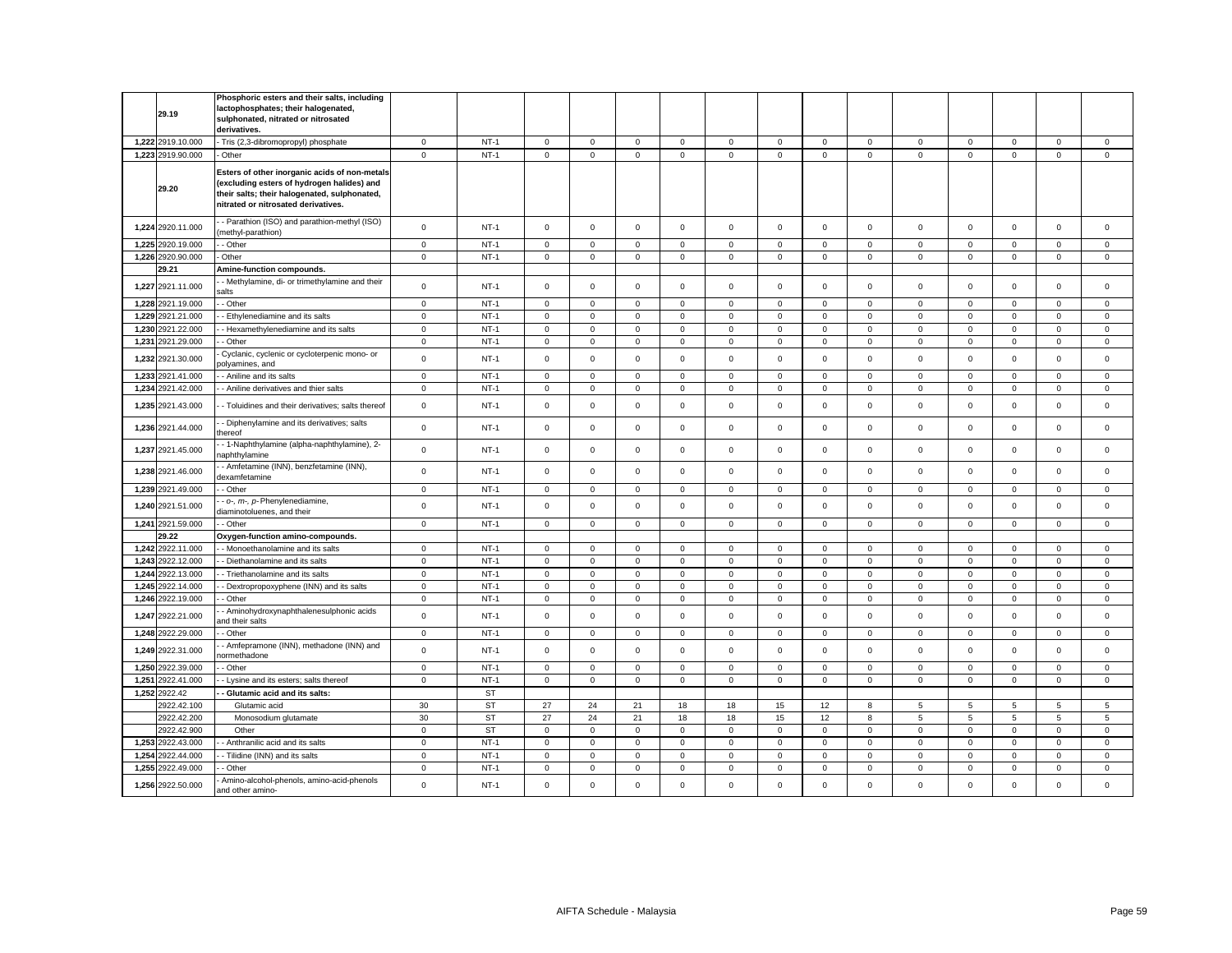|       | 29.19             | Phosphoric esters and their salts, including<br>lactophosphates; their halogenated,<br>sulphonated, nitrated or nitrosated<br>derivatives.                                         |                |           |              |             |                |                     |              |             |              |                |                     |                |                     |                |                |
|-------|-------------------|------------------------------------------------------------------------------------------------------------------------------------------------------------------------------------|----------------|-----------|--------------|-------------|----------------|---------------------|--------------|-------------|--------------|----------------|---------------------|----------------|---------------------|----------------|----------------|
|       | 1,222 2919.10.000 | Tris (2,3-dibromopropyl) phosphate                                                                                                                                                 | $\mathbf 0$    | $NT-1$    | $\mathbf 0$  | $\mathsf 0$ | $\mathsf 0$    | $\mathbf 0$         | $\mathsf 0$  | $\mathbf 0$ | $\mathsf 0$  | $\mathsf 0$    | $\mathsf 0$         | $\mathsf 0$    | $\mathsf 0$         | $\mathsf 0$    | $\mathbf 0$    |
|       | 1,223 2919.90.000 | Other                                                                                                                                                                              | $\mathbf 0$    | $NT-1$    | $\mathbf{0}$ | $\mathbf 0$ | $\overline{0}$ | $\mathbf{0}$        | $\mathbf{0}$ | $\mathbf 0$ | $\mathbf{0}$ | $\overline{0}$ | $\mathbf{0}$        | $\overline{0}$ | $\mathbf 0$         | $\overline{0}$ | $\overline{0}$ |
|       | 29.20             | Esters of other inorganic acids of non-metals<br>(excluding esters of hydrogen halides) and<br>their salts; their halogenated, sulphonated,<br>nitrated or nitrosated derivatives. |                |           |              |             |                |                     |              |             |              |                |                     |                |                     |                |                |
|       | 1,224 2920.11.000 | - Parathion (ISO) and parathion-methyl (ISO)<br>methyl-parathion)                                                                                                                  | $\mathsf 0$    | $NT-1$    | $\mathbf 0$  | $\mathbf 0$ | $\mathbf 0$    | $\mathbf{0}$        | $\mathbf{0}$ | $\mathbf 0$ | $\mathbf 0$  | $\mathsf 0$    | $\mathbf{0}$        | $\mathbf 0$    | $\mathbf 0$         | $\mathsf 0$    | $\mathbf 0$    |
|       | 1,225 2920.19.000 | - Other                                                                                                                                                                            | $\mathbf 0$    | $NT-1$    | 0            | $\mathbf 0$ | $\mathbf 0$    | $\mathbf 0$         | $\mathbf 0$  | $\mathbf 0$ | $\mathbf 0$  | $\mathbf 0$    | $\mathbf{0}$        | $\mathbf 0$    | 0                   | $\mathbf 0$    | $\mathbf 0$    |
|       | 1,226 2920.90.000 | Other                                                                                                                                                                              | $\mathsf 0$    | $NT-1$    | 0            | $\mathsf 0$ | $\mathsf 0$    | $\mathbf 0$         | $\mathsf 0$  | $\mathbf 0$ | $\mathbf 0$  | $\mathsf 0$    | $\mathbf 0$         | $\Omega$       | $\mathbf 0$         | $\mathsf 0$    | $\mathbf 0$    |
|       | 29.21             | Amine-function compounds.                                                                                                                                                          |                |           |              |             |                |                     |              |             |              |                |                     |                |                     |                |                |
|       | 1,227 2921.11.000 | - Methylamine, di- or trimethylamine and their<br>alts                                                                                                                             | $\mathsf 0$    | $NT-1$    | $\mathbf 0$  | $\mathsf 0$ | $\mathsf 0$    | $\mathbf 0$         | $\mathbf 0$  | $\mathsf 0$ | $\mathbf 0$  | $\mathsf 0$    | $\mathbf 0$         | $\mathsf 0$    | $\Omega$            | $\mathbf 0$    | $\mathbf 0$    |
|       | 1.228 2921.19.000 | - Other                                                                                                                                                                            | $\overline{0}$ | $NT-1$    | $\Omega$     | $\mathbf 0$ | $\mathbf 0$    | $\mathbf 0$         | $\mathbf 0$  | $\mathbf 0$ | $\mathbf 0$  | $\mathbf 0$    | $\mathbf 0$         | $\mathbf 0$    | $\mathbf 0$         | $\mathbf 0$    | $\Omega$       |
|       | 1,229 2921.21.000 | Ethylenediamine and its salts                                                                                                                                                      | $\mathsf 0$    | $NT-1$    | 0            | $\mathbf 0$ | $\mathbf 0$    | $\mathbf 0$         | $\mathsf 0$  | $\mathsf 0$ | $\mathbf 0$  | $\mathsf 0$    | $\mathbf 0$         | $\mathsf 0$    | $\mathbf 0$         | $\mathbf 0$    | $\mathsf 0$    |
| 1,230 | 2921.22.000       | - Hexamethylenediamine and its salts                                                                                                                                               | $\mathsf 0$    | $NT-1$    | $\mathbf 0$  | $\mathbf 0$ | $\mathsf 0$    | $\mathbf 0$         | $\mathsf 0$  | $\mathsf 0$ | $\mathbf 0$  | $\mathsf 0$    | $\mathbf 0$         | $\Omega$       | $\mathbf 0$         | $\mathbf 0$    | $\mathsf 0$    |
| 1,231 | 2921.29.000       | - Other                                                                                                                                                                            | $\mathbf 0$    | $NT-1$    | $\mathbf 0$  | $\mathbf 0$ | $\mathsf 0$    | $\mathsf 0$         | $\mathsf 0$  | $\Omega$    | $\mathsf 0$  | $\mathbf 0$    | $\mathsf{O}\xspace$ | $\Omega$       | $\Omega$            | $\mathbf 0$    | $\mathbf 0$    |
|       | 1,232 2921.30.000 | Cyclanic, cyclenic or cycloterpenic mono- or<br>olyamines, and                                                                                                                     | $\mathbf 0$    | $NT-1$    | $\mathbf 0$  | $\mathsf 0$ | $\mathsf 0$    | $\mathsf 0$         | $\mathbf 0$  | $\mathbf 0$ | $\mathbf 0$  | $\mathsf 0$    | $\mathbf 0$         | $\mathsf 0$    | $\Omega$            | $\mathsf 0$    | $\mathbf 0$    |
|       | 1.233 2921.41.000 | - Aniline and its salts                                                                                                                                                            | $\mathbf 0$    | $NT-1$    | $\mathbf 0$  | $\Omega$    | $\mathbf{0}$   | $\mathbf{0}$        | $\mathbf{0}$ | $\mathbf 0$ | $\mathbf 0$  | $\mathbf{0}$   | $\mathbf 0$         | $\Omega$       | $\Omega$            | $\mathbf 0$    | $\mathbf 0$    |
|       | 1,234 2921.42.000 | - Aniline derivatives and thier salts                                                                                                                                              | $\mathbf 0$    | $NT-1$    | $\mathsf 0$  | $\mathbf 0$ | $\mathbf 0$    | $\mathsf 0$         | $\mathsf 0$  | $\mathbf 0$ | $\mathbf 0$  | $\mathsf 0$    | $\mathsf 0$         | $\mathbf 0$    | $\mathsf{O}\xspace$ | $\mathsf 0$    | $\mathbf 0$    |
|       | 1,235 2921.43.000 | - Toluidines and their derivatives; salts thereof                                                                                                                                  | $\mathsf 0$    | $NT-1$    | $\mathbf 0$  | $\mathsf 0$ | $\mathsf 0$    | $\mathbf{0}$        | $\mathsf 0$  | $\mathsf 0$ | $\mathbf 0$  | $\mathsf 0$    | $\mathsf 0$         | $\mathsf 0$    | $\mathsf 0$         | $\mathsf 0$    | $\mathbf 0$    |
|       | 1,236 2921.44.000 | - Diphenylamine and its derivatives; salts<br>hereof                                                                                                                               | $\mathbf 0$    | $NT-1$    | 0            | $\mathsf 0$ | $\mathsf 0$    | $\mathbf 0$         | 0            | $\mathbf 0$ | $\Omega$     | $\mathsf 0$    | $\mathbf 0$         | $\mathsf 0$    | $\Omega$            | $\mathbf 0$    | $\mathsf 0$    |
|       | 1,237 2921.45.000 | - 1-Naphthylamine (alpha-naphthylamine), 2-<br>aphthylamine                                                                                                                        | $\mathbf 0$    | $NT-1$    | $\mathbf 0$  | $\mathsf 0$ | $\mathsf 0$    | $\mathbf 0$         | $\mathbf 0$  | $\mathbf 0$ | $\mathbf 0$  | $\mathsf 0$    | $\mathbf 0$         | $\mathbf 0$    | $\Omega$            | $\mathbf 0$    | $\mathbf 0$    |
|       | 1,238 2921.46.000 | - Amfetamine (INN), benzfetamine (INN),<br>dexamfetamine                                                                                                                           | $\mathsf 0$    | $NT-1$    | $\mathbf 0$  | $\mathsf 0$ | $\mathsf 0$    | $\mathsf 0$         | $\mathbf 0$  | $\mathsf 0$ | $\mathbf 0$  | $\mathsf 0$    | $\mathbf 0$         | $\mathsf 0$    | $\mathsf 0$         | $\mathbf 0$    | $\mathbf 0$    |
|       | 1,239 2921.49.000 | - Other                                                                                                                                                                            | $\mathbf 0$    | $NT-1$    | $\mathbf 0$  | $\mathbf 0$ | $\mathbf 0$    | $\mathbf{0}$        | $\mathbf 0$  | $\mathbf 0$ | $\mathbf 0$  | $\mathbf{0}$   | $\mathbf 0$         | $\mathbf 0$    | $\mathbf 0$         | $\mathbf 0$    | $\mathbf 0$    |
|       | 1,240 2921.51.000 | o-, m-, p-Phenylenediamine,<br>diaminotoluenes, and their                                                                                                                          | $\mathbf 0$    | $NT-1$    | $\mathbf 0$  | $\mathbf 0$ | $\mathsf 0$    | $\mathsf 0$         | $\mathsf 0$  | $\mathsf 0$ | $\mathbf 0$  | $\mathsf 0$    | $\mathbf 0$         | $\mathsf 0$    | $\Omega$            | $\mathbf 0$    | $\mathbf 0$    |
|       | 1,241 2921.59.000 | - Other                                                                                                                                                                            | $\mathsf 0$    | $NT-1$    | 0            | $\mathsf 0$ | $\mathbf 0$    | 0                   | $\mathsf 0$  | $\mathsf 0$ | $\mathbf 0$  | $\mathsf 0$    | $\mathbf 0$         | $\mathsf 0$    | $\mathbf 0$         | $\mathbf 0$    | $\mathbf 0$    |
|       | 29.22             | Oxygen-function amino-compounds.                                                                                                                                                   |                |           |              |             |                |                     |              |             |              |                |                     |                |                     |                |                |
|       | 1,242 2922.11.000 | - Monoethanolamine and its salts                                                                                                                                                   | $\mathsf 0$    | $NT-1$    | $\mathbf 0$  | $\mathbf 0$ | $\mathsf 0$    | $\mathbf{0}$        | $\mathbf{0}$ | $\mathbf 0$ | $\mathbf 0$  | $\mathsf 0$    | $\mathbf{0}$        | $\mathbf 0$    | $\mathbf 0$         | $\mathbf 0$    | $\mathbf 0$    |
|       | 1.243 2922.12.000 | - Diethanolamine and its salts                                                                                                                                                     | $\mathbf 0$    | $NT-1$    | $\mathbf 0$  | $\Omega$    | $\mathbf 0$    | $\mathbf 0$         | $\mathbf 0$  | $\Omega$    | $\Omega$     | $\mathbf 0$    | $\Omega$            | $\Omega$       | $\Omega$            | $\mathbf 0$    | $\mathbf 0$    |
|       | 1,244 2922.13.000 | - Triethanolamine and its salts                                                                                                                                                    | $\mathbf 0$    | $NT-1$    | $\mathbf 0$  | $\mathbf 0$ | $\mathbf 0$    | $\mathsf{O}\xspace$ | $\mathsf 0$  | $\mathbf 0$ | $\mathbf 0$  | $\mathsf 0$    | $\mathsf 0$         | $\mathsf 0$    | $\mathsf{O}\xspace$ | $\mathsf 0$    | $\mathbf 0$    |
|       | 1,245 2922.14.000 | Dextropropoxyphene (INN) and its salts                                                                                                                                             | $\mathsf 0$    | $NT-1$    | 0            | $\mathsf 0$ | $\mathsf 0$    | $\mathsf 0$         | $\mathbf 0$  | $\mathsf 0$ | $\mathbf 0$  | $\mathsf 0$    | $\mathsf{O}\xspace$ | $\mathbf 0$    | 0                   | $\mathbf 0$    | $\mathsf 0$    |
|       | 1,246 2922.19.000 | - Other                                                                                                                                                                            | $\mathsf 0$    | $NT-1$    | $\mathbf 0$  | $\mathbf 0$ | $\mathbf 0$    | $\mathbf{0}$        | $\mathbf 0$  | $\mathbf 0$ | $\mathbf 0$  | $\mathbf{0}$   | $\mathbf{0}$        | $\mathbf 0$    | $\mathbf 0$         | $\mathbf 0$    | $\mathbf 0$    |
|       | 1,247 2922.21.000 | - Aminohydroxynaphthalenesulphonic acids<br>ınd their salts                                                                                                                        | $\mathbf 0$    | $NT-1$    | $\mathbf 0$  | $\mathsf 0$ | $\mathsf 0$    | $\mathsf 0$         | $\mathsf 0$  | $\mathbf 0$ | $\mathsf 0$  | $\mathsf 0$    | $\mathsf 0$         | $\mathsf 0$    | $\mathbf 0$         | $\mathbf 0$    | $\mathsf 0$    |
|       | 1,248 2922.29.000 | Other                                                                                                                                                                              | $\mathbf 0$    | $NT-1$    | 0            | $\mathbf 0$ | $\mathbf 0$    | $\mathbf 0$         | $\mathbf 0$  | $\mathbf 0$ | $\mathbf 0$  | $\mathbf 0$    | $\mathbf 0$         | $\mathbf 0$    | 0                   | 0              | $\mathbf 0$    |
|       | 1,249 2922.31.000 | Amfepramone (INN), methadone (INN) and<br>ormethadone                                                                                                                              | $\mathsf{o}$   | $NT-1$    | $\mathsf 0$  | $\mathsf 0$ | $\mathsf 0$    | $\mathsf{O}\xspace$ | $\mathsf 0$  | $\mathbf 0$ | $\mathsf 0$  | $\mathsf 0$    | $\mathsf 0$         | $\mathsf 0$    | $\mathsf 0$         | $\mathsf 0$    | $\mathsf 0$    |
|       | 1,250 2922.39.000 | Other                                                                                                                                                                              | $\mathbf 0$    | $NT-1$    | $\mathbf 0$  | $\mathbf 0$ | $\mathsf 0$    | $\mathbf 0$         | $\mathbf 0$  | $\mathbf 0$ | $\mathbf 0$  | $\mathsf 0$    | $\mathbf 0$         | $\mathbf 0$    | $\mathbf 0$         | $\mathbf 0$    | $\mathsf 0$    |
| 1,251 | 2922.41.000       | - Lysine and its esters; salts thereof                                                                                                                                             | $\mathsf 0$    | $NT-1$    | $\mathbf 0$  | $\mathsf 0$ | $\mathsf 0$    | $\mathbf 0$         | $\mathsf 0$  | $\mathsf 0$ | $\mathbf 0$  | $\mathsf 0$    | $\mathbf 0$         | $\mathbf 0$    | $\mathbf 0$         | $\mathsf 0$    | $\mathsf 0$    |
|       | 1,252 2922.42     | Glutamic acid and its salts:                                                                                                                                                       |                | <b>ST</b> |              |             |                |                     |              |             |              |                |                     |                |                     |                |                |
|       | 2922.42.100       | Glutamic acid                                                                                                                                                                      | 30             | <b>ST</b> | 27           | 24          | 21             | 18                  | 18           | 15          | 12           | 8              | 5                   | 5              | 5                   | 5              | 5              |
|       | 2922.42.200       | Monosodium glutamate                                                                                                                                                               | 30             | <b>ST</b> | 27           | 24          | 21             | 18                  | 18           | 15          | 12           | 8              | 5                   | 5              | 5                   | 5              | 5              |
|       | 2922.42.900       | Other                                                                                                                                                                              | $\mathbf 0$    | <b>ST</b> | $\mathbf 0$  | $\mathsf 0$ | $\mathbf 0$    | $\mathbf 0$         | $\mathsf 0$  | $\mathbf 0$ | $\mathbf 0$  | $\mathsf 0$    | $\mathsf 0$         | $\mathbf 0$    | $\mathbf 0$         | $\mathsf 0$    | $\mathbf 0$    |
|       | 1,253 2922.43.000 | Anthranilic acid and its salts                                                                                                                                                     | $\mathsf 0$    | $NT-1$    | 0            | $\mathbf 0$ | $\mathsf 0$    | $\mathbf 0$         | $\mathbf 0$  | $\mathsf 0$ | $\mathbf 0$  | $\mathsf 0$    | $\mathbf 0$         | $\mathbf 0$    | $\mathbf 0$         | $\mathbf 0$    | $\mathsf 0$    |
|       | 1.254 2922.44.000 | - Tilidine (INN) and its salts                                                                                                                                                     | $\mathbf 0$    | $NT-1$    | $\Omega$     | $\Omega$    | $\mathbf 0$    | $\mathbf 0$         | $\mathbf 0$  | $\mathbf 0$ | $\Omega$     | $\mathbf 0$    | $\mathbf 0$         | $\Omega$       | $\Omega$            | $\mathbf 0$    | $\Omega$       |
| 1,255 | 2922.49.000       | Other                                                                                                                                                                              | $\mathbf 0$    | $NT-1$    | $\mathbf 0$  | $\mathsf 0$ | $\mathsf 0$    | $\mathsf 0$         | $\mathsf 0$  | $\mathbf 0$ | $\mathbf 0$  | $\mathsf 0$    | $\mathsf 0$         | $\mathbf 0$    | $\mathsf 0$         | $\mathbf 0$    | $\mathbf 0$    |
|       | 1,256 2922.50.000 | Amino-alcohol-phenols, amino-acid-phenols<br>and other amino-                                                                                                                      | $\mathsf 0$    | $NT-1$    | $\mathbf 0$  | $\mathbf 0$ | $\mathbf 0$    | $\Omega$            | $\mathbf 0$  | $\Omega$    | $\mathbf 0$  | $\mathbf 0$    | $\mathbf 0$         | $\Omega$       | $\Omega$            | $\mathbf 0$    | $\Omega$       |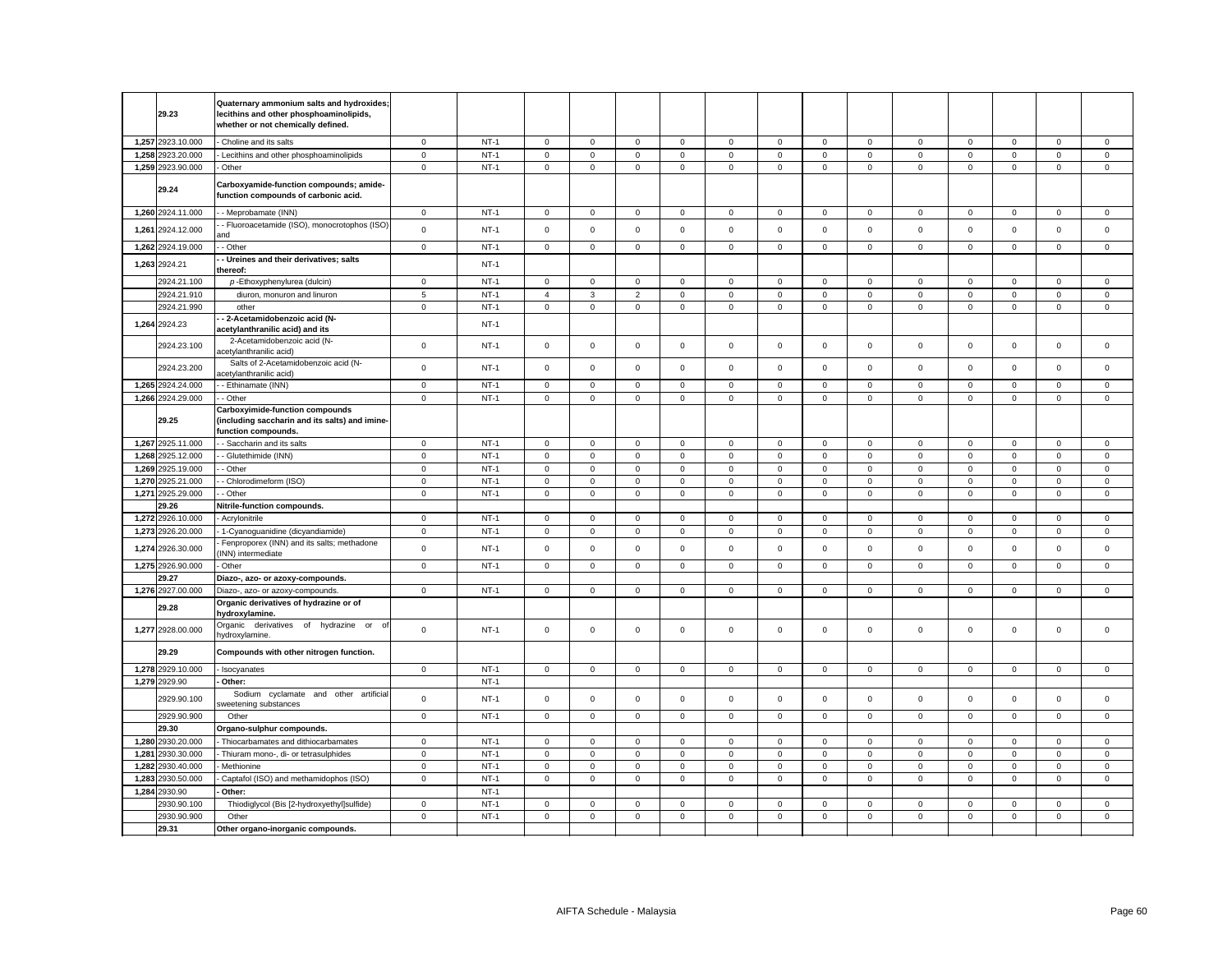|       | 29.23                      | Quaternary ammonium salts and hydroxides;<br>lecithins and other phosphoaminolipids,<br>whether or not chemically defined. |              |        |                |                     |                |              |                     |              |                     |              |                     |             |                     |             |             |
|-------|----------------------------|----------------------------------------------------------------------------------------------------------------------------|--------------|--------|----------------|---------------------|----------------|--------------|---------------------|--------------|---------------------|--------------|---------------------|-------------|---------------------|-------------|-------------|
|       | 1.257 2923.10.000          | Choline and its salts                                                                                                      | $^{\circ}$   | $NT-1$ | $\mathbf 0$    | $\mathbf{0}$        | $\mathbf{0}$   | $\mathbf 0$  | $^{\circ}$          | $\mathbf{0}$ | $\mathbf{0}$        | $\mathbf{0}$ | $\mathbf{0}$        | $\mathbf 0$ | $\mathbf 0$         | $\mathbf 0$ | $\mathbf 0$ |
| 1,258 | 2923.20.000                | Lecithins and other phosphoaminolipids                                                                                     | $\mathbf 0$  | $NT-1$ | $\mathbf 0$    | $\mathbf 0$         | $\mathbf 0$    | $\mathbf 0$  | $\mathbf 0$         | $\mathsf 0$  | $\mathbf 0$         | $\mathbf{0}$ | $\overline{0}$      | $\mathsf 0$ | $\mathsf 0$         | $\mathbf 0$ | $\mathsf 0$ |
|       | 1,259 2923.90.000          | Other                                                                                                                      | $\mathbf 0$  | $NT-1$ | $\mathbf 0$    | $\mathsf 0$         | $\mathbf 0$    | $\mathbf 0$  | $\mathbf 0$         | $\mathsf 0$  | $\mathsf 0$         | $\mathbf{0}$ | $\mathsf 0$         | $\mathbf 0$ | $\mathbf 0$         | $\mathbf 0$ | $\mathbf 0$ |
|       | 29.24                      | Carboxyamide-function compounds; amide-<br>function compounds of carbonic acid.                                            |              |        |                |                     |                |              |                     |              |                     |              |                     |             |                     |             |             |
|       | 1,260 2924.11.000          | - Meprobamate (INN)                                                                                                        | $\circ$      | $NT-1$ | $\mathbf 0$    | $\mathbf 0$         | $\mathsf 0$    | $\mathbf{0}$ | $\mathbf 0$         | $\mathbf 0$  | $\mathsf 0$         | $\mathbf 0$  | $\mathsf{O}\xspace$ | $\mathbf 0$ | $\mathbf 0$         | $\mathsf 0$ | $\mathbf 0$ |
| 1,261 | 2924.12.000                | - Fluoroacetamide (ISO), monocrotophos (ISO)<br>hne                                                                        | $\mathbf 0$  | $NT-1$ | $\mathbf 0$    | $\mathbf{O}$        | $\,0\,$        | $\mathbf 0$  | $\mathbf 0$         | $\mathsf 0$  | $\mathbf 0$         | $\mathbf 0$  | $\mathbf{0}$        | $\mathbf 0$ | $\mathbf 0$         | $\mathbf 0$ | $\mathbf 0$ |
|       | 1,262 2924.19.000          | - Other                                                                                                                    | $\mathbf 0$  | $NT-1$ | $\mathbf 0$    | $\mathsf 0$         | $\mathbf{0}$   | $\mathbf 0$  | $\mathbf 0$         | $\mathbf{0}$ | $\mathbf 0$         | $\mathbf{0}$ | $\mathbf 0$         | $\mathbf 0$ | $\mathbf 0$         | $\mathbf 0$ | $\mathbf 0$ |
|       | 1,263 2924.21              | - Ureines and their derivatives; salts<br>hereof:                                                                          |              | $NT-1$ |                |                     |                |              |                     |              |                     |              |                     |             |                     |             |             |
|       | 2924.21.100                | p-Ethoxyphenylurea (dulcin)                                                                                                | 0            | $NT-1$ | $\,0\,$        | $\mathbf 0$         | $\mathbf 0$    | 0            | $\mathbf 0$         | 0            | 0                   | $\mathbf 0$  | 0                   | $\mathbf 0$ | 0                   | 0           | 0           |
|       | 2924.21.910                | diuron, monuron and linuron                                                                                                | 5            | $NT-1$ | $\overline{4}$ | 3                   | $\overline{2}$ | $\mathbf 0$  | $\mathbf 0$         | $\mathsf 0$  | $\mathbf 0$         | $\mathbf 0$  | $\mathbf 0$         | $\mathsf 0$ | $\mathbf 0$         | $\mathbf 0$ | $\mathsf 0$ |
|       | 2924.21.990                | other                                                                                                                      | 0            | $NT-1$ | $\mathbf 0$    | $\mathbf{0}$        | $\mathbf 0$    | $\mathbf 0$  | $\mathbf 0$         | $\mathbf 0$  | $\mathbf 0$         | $^{\circ}$   | $\mathbf 0$         | $\mathbf 0$ | $\mathbf 0$         | $\mathbf 0$ | $\mathbf 0$ |
|       | 1,264 2924.23              | - 2-Acetamidobenzoic acid (N-<br>acetylanthranilic acid) and its                                                           |              | $NT-1$ |                |                     |                |              |                     |              |                     |              |                     |             |                     |             |             |
|       | 2924.23.100                | 2-Acetamidobenzoic acid (N-<br>acetylanthranilic acid)                                                                     | $\mathbf 0$  | $NT-1$ | $\mathsf 0$    | $\mathbf 0$         | $\mathsf 0$    | $\mathbf 0$  | $\mathsf 0$         | $\mathsf 0$  | $\mathsf{O}$        | $\mathbf{0}$ | $\mathbf 0$         | $\mathsf 0$ | $\mathsf 0$         | $\mathsf 0$ | $\mathsf 0$ |
|       | 2924.23.200                | Salts of 2-Acetamidobenzoic acid (N-<br>acetylanthranilic acid)                                                            | $\mathbf 0$  | $NT-1$ | $\mathbf 0$    | $\mathbf{O}$        | $\mathbf{0}$   | $\mathbf 0$  | $\mathbf 0$         | $\mathbf 0$  | $\circ$             | $\Omega$     | $\mathbf{0}$        | $\mathbf 0$ | $\mathbf 0$         | $\mathbf 0$ | $\mathbf 0$ |
|       | 1,265 2924.24.000          | - Ethinamate (INN)                                                                                                         | $\mathbf 0$  | $NT-1$ | $\mathsf 0$    | $\mathsf 0$         | $\mathbf 0$    | $\Omega$     | $\mathbf 0$         | $\,0\,$      | $\mathsf 0$         | $\mathsf 0$  | $\mathbf 0$         | $\mathbf 0$ | $\mathsf 0$         | $\mathsf 0$ | $\mathsf 0$ |
|       | 1,266 2924.29.000          | - Other                                                                                                                    | $\mathsf 0$  | $NT-1$ | $\mathbf 0$    | $\mathbf 0$         | $\mathbf 0$    | $\mathbf 0$  | $\mathbf 0$         | $\mathsf 0$  | $\mathbf 0$         | $\mathbf 0$  | $\mathbf 0$         | $\mathsf 0$ | $\mathbf 0$         | $\mathbf 0$ | $\mathsf 0$ |
|       | 29.25                      | Carboxyimide-function compounds<br>including saccharin and its salts) and imine-<br>unction compounds.                     |              |        |                |                     |                |              |                     |              |                     |              |                     |             |                     |             |             |
|       | 1,267 2925.11.000          | - Saccharin and its salts                                                                                                  | $\mathsf 0$  | $NT-1$ | $\mathsf 0$    | $\mathbf 0$         | $\mathbf 0$    | 0            | $\mathsf 0$         | $\mathsf 0$  | $\mathsf 0$         | $\mathsf 0$  | $\mathsf{O}\xspace$ | $\mathsf 0$ | $\mathsf 0$         | $\mathsf 0$ | $\mathsf 0$ |
| 1,268 | 2925.12.000                | - Glutethimide (INN)                                                                                                       | $\mathsf 0$  | $NT-1$ | $\mathsf 0$    | $\mathsf{O}\xspace$ | $\mathsf 0$    | $\mathsf 0$  | $\mathsf{O}\xspace$ | $\mathsf 0$  | $\mathsf 0$         | $\mathsf 0$  | $\mathsf 0$         | $\mathbf 0$ | $\mathsf{O}\xspace$ | $\mathbf 0$ | $\mathsf 0$ |
|       | 1,269 2925.19.000          | - Other                                                                                                                    | $\mathsf 0$  | $NT-1$ | $\mathbf 0$    | $\mathsf 0$         | $\mathbf 0$    | 0            | $\mathbf 0$         | 0            | $\mathsf 0$         | 0            | $\mathbf 0$         | $\mathbf 0$ | $\mathbf 0$         | $\mathsf 0$ | $\mathsf 0$ |
|       | 1,270 2925.21.000          | - Chlorodimeform (ISO)                                                                                                     | $\mathsf 0$  | $NT-1$ | $\mathbf 0$    | $\,0\,$             | $\,0\,$        | $\mathbf 0$  | $\mathbf 0$         | 0            | $\mathsf 0$         | 0            | $\mathsf{O}\xspace$ | $\mathbf 0$ | 0                   | 0           | $\mathsf 0$ |
|       | 1,271 2925.29.000          | - Other                                                                                                                    | $\mathsf 0$  | $NT-1$ | $\,0\,$        | $\mathbf 0$         | $\mathsf 0$    | 0            | $\mathbf 0$         | 0            | $\mathbf 0$         | 0            | $\mathsf 0$         | $\mathbf 0$ | 0                   | $\mathsf 0$ | $\mathsf 0$ |
|       | 29.26                      | Nitrile-function compounds.                                                                                                |              |        |                |                     |                |              |                     |              |                     |              |                     |             |                     |             |             |
|       | 1,272 2926.10.000          | Acrylonitrile                                                                                                              | $\mathbf 0$  | $NT-1$ | $\,0\,$        | $\mathbf 0$         | $\mathbf 0$    | 0            | $\mathbf 0$         | 0            | 0                   | 0            | 0                   | 0           | 0                   | $\mathbf 0$ | $\mathsf 0$ |
| 1,273 | 2926.20.000                | 1-Cyanoguanidine (dicyandiamide)                                                                                           | $\mathsf 0$  | $NT-1$ | $\mathsf 0$    | $\mathbf 0$         | $\mathsf 0$    | 0            | $\mathbf 0$         | $\mathbf 0$  | $\mathbf 0$         | 0            | $\mathbf 0$         | $\mathbf 0$ | $\mathbf 0$         | $\mathbf 0$ | $\mathbf 0$ |
| 1,274 | 2926.30.000                | Fenproporex (INN) and its salts; methadone<br>INN) intermediate                                                            | $\mathbf 0$  | $NT-1$ | $\mathbf 0$    | $^{\circ}$          | $\mathbf 0$    | $\mathbf 0$  | $\mathbf 0$         | $\mathbf 0$  | $\mathbf{0}$        | $\mathbf 0$  | $\mathbf{0}$        | $\mathbf 0$ | $\mathbf 0$         | $\mathbf 0$ | $\mathbf 0$ |
|       | 1,275 2926.90.000          | Other                                                                                                                      | $\mathbf 0$  | $NT-1$ | $\mathbf 0$    | $\mathbf 0$         | $\mathbf 0$    | $\mathbf 0$  | $\mathbf 0$         | $\mathsf 0$  | $\mathbf 0$         | $\mathbf{0}$ | $\mathbf 0$         | $\mathbf 0$ | $\mathbf 0$         | $\mathsf 0$ | $\mathsf 0$ |
|       | 29.27                      | Diazo-, azo- or azoxy-compounds.                                                                                           |              |        | $\mathbf 0$    |                     |                |              | $\mathbf 0$         |              |                     | $\mathbf 0$  |                     |             |                     |             |             |
|       | 1,276 2927.00.000<br>29.28 | Diazo-, azo- or azoxy-compounds.<br>Organic derivatives of hydrazine or of<br>hydroxylamine.                               | $\mathsf 0$  | $NT-1$ |                | $\mathsf 0$         | $\mathsf 0$    | $\mathbf 0$  |                     | $\mathsf 0$  | $\mathsf 0$         |              | $\mathsf 0$         | $\mathsf 0$ | $\mathsf{O}\xspace$ | $\mathsf 0$ | $\mathsf 0$ |
|       | 1,277 2928.00.000          | Organic derivatives of hydrazine or of<br>nydroxylamine.                                                                   | $\mathsf 0$  | $NT-1$ | $\mathsf 0$    | $\mathbf 0$         | $\mathsf 0$    | $\mathsf 0$  | $\mathbf 0$         | $\mathsf 0$  | $\mathbf 0$         | $\mathsf 0$  | $\mathbf 0$         | $\mathsf 0$ | $\mathsf 0$         | $\mathsf 0$ | $\mathsf 0$ |
|       | 29.29                      | Compounds with other nitrogen function.                                                                                    |              |        |                |                     |                |              |                     |              |                     |              |                     |             |                     |             |             |
|       | 1,278 2929.10.000          | Isocyanates                                                                                                                | $\mathbf{0}$ | $NT-1$ | $\mathbf 0$    | $\mathbf{0}$        | $\mathsf 0$    | 0            | $\mathbf 0$         | $\mathbf 0$  | $\mathbf{0}$        | $\mathbf{0}$ | $\mathbf 0$         | $\mathbf 0$ | 0                   | 0           | $\mathsf 0$ |
|       | 1,279 2929.90              | Other:                                                                                                                     |              | $NT-1$ |                |                     |                |              |                     |              |                     |              |                     |             |                     |             |             |
|       | 2929.90.100                | Sodium cyclamate and other artificial<br>sweetening substances                                                             | $\mathsf 0$  | $NT-1$ | $\mathsf 0$    | $\mathbf 0$         | $\mathsf 0$    | 0            | $\mathbf 0$         | $\mathsf 0$  | $\mathbf 0$         | 0            | $\mathbf 0$         | $\mathsf 0$ | $\mathbf 0$         | $\mathsf 0$ | $\mathsf 0$ |
|       | 2929.90.900                | Other                                                                                                                      | $\mathsf 0$  | $NT-1$ | $\mathsf 0$    | $\mathsf 0$         | $\mathbf 0$    | $\mathsf 0$  | $\mathsf{O}\xspace$ | $\mathsf 0$  | $\mathsf 0$         | $\mathbf 0$  | $\mathsf 0$         | $\mathsf 0$ | $\mathbf 0$         | $\mathsf 0$ | $\mathsf 0$ |
|       | 29.30                      | Organo-sulphur compounds.                                                                                                  |              |        |                |                     |                |              |                     |              |                     |              |                     |             |                     |             |             |
|       | 1,280 2930.20.000          | Thiocarbamates and dithiocarbamates                                                                                        | 0            | $NT-1$ | $\mathsf 0$    | $\mathbf 0$         | $\,0\,$        | $\Omega$     | $\mathbf 0$         | 0            | $\mathsf 0$         | 0            | 0                   | $\mathbf 0$ | $\mathbf 0$         | 0           | 0           |
| 1,281 | 2930.30.000                | Thiuram mono-, di- or tetrasulphides                                                                                       | $\mathsf 0$  | $NT-1$ | $\mathsf 0$    | $\mathbf 0$         | $\mathsf 0$    | $\mathbf 0$  | $\mathsf 0$         | $\mathsf 0$  | $\mathsf{O}\xspace$ | $\mathsf 0$  | $\mathsf 0$         | $\mathsf 0$ | $\mathsf 0$         | $\mathbf 0$ | $\mathsf 0$ |
| 1,282 | 2930.40.000                | Methionine                                                                                                                 | $\mathsf 0$  | $NT-1$ | $\mathsf 0$    | $\mathbf 0$         | $\,0\,$        | 0            | $\mathbf 0$         | 0            | $\mathsf 0$         | $\mathbf 0$  | $\mathsf 0$         | $\mathbf 0$ | 0                   | $\mathbf 0$ | $\mathbf 0$ |
| 1,283 | 2930.50.000                | Captafol (ISO) and methamidophos (ISO)                                                                                     | 0            | $NT-1$ | $\mathbf 0$    | $\mathbf 0$         | $\mathbf 0$    | 0            | $\mathbf 0$         | 0            | $\mathsf 0$         | 0            | $\mathsf 0$         | $\mathbf 0$ | $\mathbf 0$         | 0           | $\mathbf 0$ |
| 1,284 | 2930.90                    | Other:                                                                                                                     |              | $NT-1$ |                |                     |                |              |                     |              |                     |              |                     |             |                     |             |             |
|       | 2930.90.100                | Thiodiglycol (Bis [2-hydroxyethyl]sulfide)                                                                                 | 0            | $NT-1$ | 0              | $\overline{0}$      | $\mathbf 0$    | 0            | $\mathbf 0$         | 0            | 0                   | 0            | 0                   | $\mathbf 0$ | $\mathbf 0$         | $\mathbf 0$ | $\mathbf 0$ |
|       | 2930.90.900                | Other                                                                                                                      | $\mathbf 0$  | $NT-1$ | $\mathbf 0$    | $\mathbf 0$         | $\mathsf 0$    | $\mathbf 0$  | $\mathbf 0$         | $\mathsf 0$  | $\mathbf 0$         | $\mathbf 0$  | $\mathbf 0$         | $\mathbf 0$ | $\mathbf 0$         | $\mathbf 0$ | $\mathsf 0$ |
|       | 29.31                      | Other organo-inorganic compounds.                                                                                          |              |        |                |                     |                |              |                     |              |                     |              |                     |             |                     |             |             |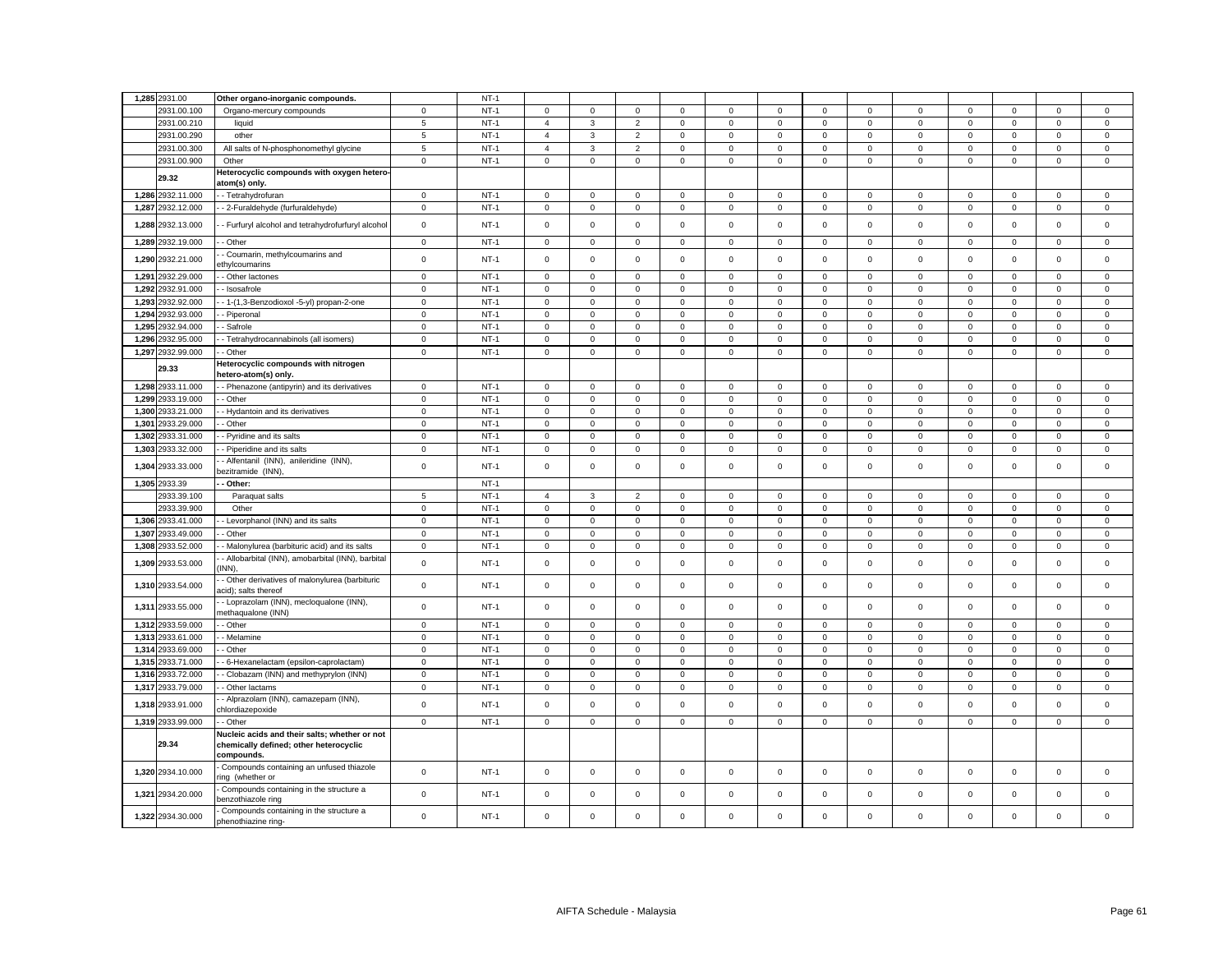|       | 1,285 2931.00     | Other organo-inorganic compounds                                                                      |                | $NT-1$ |                     |              |                |             |             |             |                     |              |             |             |              |              |              |
|-------|-------------------|-------------------------------------------------------------------------------------------------------|----------------|--------|---------------------|--------------|----------------|-------------|-------------|-------------|---------------------|--------------|-------------|-------------|--------------|--------------|--------------|
|       | 2931.00.100       | Organo-mercury compounds                                                                              | $\mathbf{0}$   | $NT-1$ | $\mathbf 0$         | $\mathbf 0$  | $\mathbf{0}$   | $\mathbf 0$ | $^{\circ}$  | $^{\circ}$  | $\Omega$            | $\mathbf 0$  | $\mathbf 0$ | $\mathbf 0$ | $\mathbf 0$  | $\mathbf{0}$ | $\mathbf{0}$ |
|       | 2931.00.210       | liquid                                                                                                | $\sqrt{5}$     | $NT-1$ | $\overline{4}$      | $\mathbf{3}$ | $\overline{2}$ | $\mathsf 0$ | $\mathbf 0$ | $\mathsf 0$ | $\mathbf 0$         | $\mathbf 0$  | $\mathsf 0$ | $\mathsf 0$ | $\mathbf 0$  | $\mathsf 0$  | $\mathsf 0$  |
|       | 2931.00.290       | other                                                                                                 | $\overline{5}$ | $NT-1$ | $\overline{4}$      | $\mathbf{3}$ | 2              | $\mathbf 0$ | $\mathbf 0$ | $\mathsf 0$ | $\mathbf 0$         | $\mathbf{0}$ | $\mathbf 0$ | $\mathsf 0$ | $\mathbf 0$  | $\mathbf 0$  | $\mathbf{0}$ |
|       | 2931.00.300       | All salts of N-phosphonomethyl glycine                                                                | 5              | $NT-1$ | $\overline{4}$      | 3            | $\overline{2}$ | $\mathbf 0$ | $\mathbf 0$ | $\mathsf 0$ | $\mathbf 0$         | $\mathbf 0$  | $\mathbf 0$ | $\mathbf 0$ | $\mathbf 0$  | $\mathbf 0$  | $\mathsf 0$  |
|       | 2931.00.900       | Other                                                                                                 | $\mathbf 0$    | $NT-1$ | $\mathbf 0$         | $\mathbf{O}$ | $\mathbf 0$    | $\mathbf 0$ | $\mathbf 0$ | $\mathsf 0$ | $\mathsf 0$         | $\mathbf{0}$ | $\mathbf 0$ | $\mathbf 0$ | $\mathsf 0$  | $\mathsf 0$  | $\mathbf{0}$ |
|       | 29.32             | leterocyclic compounds with oxygen hetero-                                                            |                |        |                     |              |                |             |             |             |                     |              |             |             |              |              |              |
|       |                   | atom(s) only.                                                                                         |                |        |                     |              |                |             |             |             |                     |              |             |             |              |              |              |
|       | 1,286 2932.11.000 | - Tetrahydrofuran                                                                                     | $\mathbf 0$    | $NT-1$ | $\mathsf 0$         | $\mathbf 0$  | $\mathsf 0$    | $\mathbf 0$ | $\mathbf 0$ | $\mathsf 0$ | $\mathbf 0$         | $\mathbf 0$  | $\mathbf 0$ | $\mathsf 0$ | $\mathbf 0$  | $\mathsf 0$  | $\mathbf{0}$ |
| 1,287 | 2932.12.000       | - 2-Furaldehyde (furfuraldehyde)                                                                      | $\mathsf 0$    | $NT-1$ | $\mathbf 0$         | $\mathbf 0$  | $\mathsf 0$    | $\mathbf 0$ | $\mathbf 0$ | $\mathsf 0$ | $\mathbf 0$         | $\mathbf 0$  | $\mathbf 0$ | $\mathbf 0$ | $\mathbf 0$  | $\mathsf 0$  | $\mathsf 0$  |
| 1,288 | 2932.13.000       | - Furfuryl alcohol and tetrahydrofurfuryl alcohol                                                     | $\mathbf 0$    | $NT-1$ | $\mathbf 0$         | $\mathsf 0$  | $\mathbf 0$    | $\Omega$    | $\mathsf 0$ | $\mathsf 0$ | $\mathsf 0$         | $\mathbf 0$  | $\mathbf 0$ | $\mathsf 0$ | $\mathbf 0$  | $\mathbf 0$  | $\mathsf 0$  |
|       | 1,289 2932.19.000 | - Other                                                                                               | $\mathbf 0$    | $NT-1$ | $\mathsf 0$         | $\mathbf 0$  | $\mathsf 0$    | 0           | $\mathbf 0$ | $\mathsf 0$ | $\mathsf 0$         | 0            | 0           | $\mathsf 0$ | $\mathbf 0$  | $\mathbf 0$  | $\mathsf 0$  |
|       | 1,290 2932.21.000 | Coumarin, methylcoumarins and<br>thylcoumarins                                                        | $\mathbf 0$    | $NT-1$ | $\mathbf 0$         | $\mathbf 0$  | $\mathsf 0$    | $\Omega$    | $\mathbf 0$ | $\mathsf 0$ | $\mathsf 0$         | $\mathbf 0$  | $\mathbf 0$ | $\mathbf 0$ | $\mathbf{0}$ | $\mathbf 0$  | $\mathbf 0$  |
| 1.291 | 2932.29.000       | Other lactones                                                                                        | $\mathbf{0}$   | $NT-1$ | $\mathbf 0$         | $\mathbf 0$  | $\mathbf 0$    | $\Omega$    | $\mathbf 0$ | $\mathbf 0$ | $\mathbf 0$         | $\mathbf 0$  | $\mathbf 0$ | $\mathbf 0$ | $\mathbf 0$  | $\mathbf 0$  | $\mathbf 0$  |
|       | 1.292 2932.91.000 | - Isosafrole                                                                                          | $\mathbf 0$    | $NT-1$ | $\mathbf 0$         | $\mathbf 0$  | $\mathbf 0$    | $\mathbf 0$ | $\mathbf 0$ | $\mathbf 0$ | $\mathbf 0$         | $\mathbf 0$  | $\mathbf 0$ | $\mathbf 0$ | $\mathbf 0$  | $\mathbf 0$  | $\mathbf{0}$ |
| 1,293 | 2932.92.000       | - 1-(1,3-Benzodioxol -5-yl) propan-2-one                                                              | $\mathbf 0$    | $NT-1$ | $\mathsf 0$         | $\mathbf 0$  | $\mathsf 0$    | $\mathsf 0$ | $\mathbf 0$ | $\mathsf 0$ | $\mathbf 0$         | $\mathbf 0$  | $\mathsf 0$ | $\mathbf 0$ | $\mathbf 0$  | $\mathsf 0$  | $\mathsf 0$  |
| 1.294 | 2932.93.000       | Piperonal                                                                                             | $\mathbf 0$    | $NT-1$ | $\mathbf 0$         | $\mathbf 0$  | $\mathbf 0$    | $\mathbf 0$ | $\mathbf 0$ | $\mathsf 0$ | $\mathbf 0$         | $\mathbf 0$  | $\mathbf 0$ | $\mathsf 0$ | $\mathbf 0$  | $\mathbf 0$  | $\mathbf{0}$ |
| 1.295 | 2932.94.000       | Safrole                                                                                               | $\mathbf 0$    | $NT-1$ | $\mathbf 0$         | $\mathbf 0$  | $\mathbf 0$    | $\mathbf 0$ | $\mathbf 0$ | $\mathsf 0$ | $\mathbf 0$         | $\mathbf 0$  | $\mathbf 0$ | $\mathbf 0$ | $\mathbf 0$  | $\mathbf 0$  | $\mathbf 0$  |
|       | 1.296 2932.95.000 | - Tetrahydrocannabinols (all isomers)                                                                 | $\mathbf 0$    | $NT-1$ | $\mathbf 0$         | $\mathbf 0$  | $\mathbf{0}$   | $\mathbf 0$ | $\mathbf 0$ | $\mathbf 0$ | 0                   | $\Omega$     | $\mathbf 0$ | $\mathbf 0$ | $\mathbf 0$  | $\mathbf 0$  | $\circ$      |
| 1,297 | 2932.99.000       | Other                                                                                                 | $\mathbf 0$    | $NT-1$ | $\mathsf 0$         | $\mathsf 0$  | $\mathbf 0$    | $\mathsf 0$ | $\mathbf 0$ | $\mathsf 0$ | 0                   | $\mathsf 0$  | $\mathsf 0$ | $\mathsf 0$ | $\mathsf 0$  | $\mathsf 0$  | $\mathsf 0$  |
|       | 29.33             | Heterocyclic compounds with nitrogen<br>netero-atom(s) only.                                          |                |        |                     |              |                |             |             |             |                     |              |             |             |              |              |              |
|       | 1,298 2933.11.000 | - Phenazone (antipyrin) and its derivatives                                                           | $\mathbf 0$    | $NT-1$ | $\mathbf 0$         | $\mathbf 0$  | $\mathbf 0$    | $\Omega$    | $\Omega$    | $\mathsf 0$ | $\mathbf 0$         | $\Omega$     | $\mathbf 0$ | $\mathbf 0$ | $\mathbf 0$  | $\mathbf 0$  | $\mathsf 0$  |
|       | 1.299 2933.19.000 | - Other                                                                                               | $\overline{0}$ | $NT-1$ | $\mathbf 0$         | $\mathbf 0$  | $\mathbf{0}$   | $\mathbf 0$ | $\mathbf 0$ | $\mathbf 0$ | $\mathbf{0}$        | $\Omega$     | $\mathbf 0$ | $\mathbf 0$ | $\mathbf 0$  | $\mathbf 0$  | $\mathbf{0}$ |
| 1,300 | 2933.21.000       | - Hydantoin and its derivatives                                                                       | $\mathbf 0$    | $NT-1$ | $\mathsf 0$         | $\mathsf 0$  | $\mathbf 0$    | $\mathbf 0$ | $\mathbf 0$ | $\mathsf 0$ | $\mathbf 0$         | $\mathbf 0$  | $\mathsf 0$ | $\mathsf 0$ | $\mathsf 0$  | $\mathsf 0$  | $\mathsf 0$  |
| 1,301 | 2933.29.000       | - Other                                                                                               | $\mathsf 0$    | $NT-1$ | $\mathbf 0$         | $\mathsf 0$  | $\mathsf 0$    | 0           | $\mathsf 0$ | 0           | $\mathbf 0$         | $\Omega$     | $\mathsf 0$ | $\mathbf 0$ | $\mathsf 0$  | $\mathbf 0$  | $\,0\,$      |
| 1,302 | 2933.31.000       | Pyridine and its salts                                                                                | $\mathsf 0$    | $NT-1$ | $\mathbf 0$         | $\mathsf 0$  | $\mathbf 0$    | $\Omega$    | $\mathbf 0$ | $\mathsf 0$ | $\mathsf{O}\xspace$ | $\mathbf 0$  | $\mathsf 0$ | $\mathsf 0$ | $\mathbf 0$  | $\mathsf 0$  | $\mathbf 0$  |
| 1,303 | 2933.32.000       | Piperidine and its salts                                                                              | $\mathbf 0$    | $NT-1$ | 0                   | 0            | $\mathbf 0$    | 0           | $\mathbf 0$ | 0           | 0                   | 0            | 0           | $\mathbf 0$ | 0            | 0            | $\mathbf 0$  |
| 1,304 | 2933.33.000       | Alfentanil (INN), anileridine (INN),<br>bezitramide (INN)                                             | $\mathbf 0$    | $NT-1$ | $\mathsf{O}\xspace$ | $\mathsf 0$  | $\mathsf 0$    | $\mathsf 0$ | $\mathsf 0$ | $\mathsf 0$ | $\mathsf 0$         | $\mathsf 0$  | $\mathsf 0$ | $\mathsf 0$ | $\mathsf 0$  | $\mathsf 0$  | $\mathsf 0$  |
|       | 1,305 2933.39     | Other:                                                                                                |                | $NT-1$ |                     |              |                |             |             |             |                     |              |             |             |              |              |              |
|       | 2933.39.100       | Paraquat salts                                                                                        | 5              | $NT-1$ | $\overline{4}$      | 3            | $\overline{2}$ | $\Omega$    | $\Omega$    | $\mathbf 0$ | $\mathsf 0$         | $\mathbf 0$  | $\mathbf 0$ | $\mathsf 0$ | $^{\circ}$   | $\mathbf 0$  | $\mathsf 0$  |
|       | 2933.39.900       | Other                                                                                                 | $\mathbf 0$    | $NT-1$ | 0                   | $\,0\,$      | $\mathbf 0$    | 0           | $\mathbf 0$ | 0           | $\mathsf 0$         | 0            | 0           | $\mathbf 0$ | 0            | 0            | $\mathbf 0$  |
| 1,306 | 2933.41.000       | Levorphanol (INN) and its salts                                                                       | $\mathbf 0$    | $NT-1$ | $\mathsf{O}\xspace$ | $\mathbf 0$  | $\mathbf 0$    | $\pmb{0}$   | $\mathsf 0$ | $\mathbf 0$ | $\mathsf 0$         | $\mathbf 0$  | $\mathsf 0$ | $\mathbf 0$ | $\mathbf 0$  | $\mathbf 0$  | $\,0\,$      |
| 1,307 | 2933.49.000       | Other                                                                                                 | $\mathbf 0$    | $NT-1$ | $\mathbf 0$         | $\mathsf 0$  | $\mathbf 0$    | $\mathbf 0$ | $\mathsf 0$ | $\mathsf 0$ | $\mathbf 0$         | 0            | $\mathsf 0$ | $\mathsf 0$ | $\mathsf 0$  | $\mathsf 0$  | $\mathsf 0$  |
| 1,308 | 2933.52.000       | Malonylurea (barbituric acid) and its salts                                                           | $\overline{0}$ | $NT-1$ | $\mathbf 0$         | $\mathsf 0$  | $\overline{0}$ | $\mathbf 0$ | $\mathbf 0$ | $\mathsf 0$ | $\overline{0}$      | 0            | 0           | $\mathbf 0$ | $\mathsf 0$  | $\mathbf 0$  | $\mathbf 0$  |
| 1,309 | 2933.53.000       | Allobarbital (INN), amobarbital (INN), barbital<br>INN),                                              | $\mathsf 0$    | $NT-1$ | $\mathsf 0$         | $\mathsf 0$  | $\mathsf 0$    | $\mathsf 0$ | $\mathbf 0$ | $\mathsf 0$ | $\mathsf 0$         | $\mathsf 0$  | $\mathsf 0$ | $\mathsf 0$ | $\mathsf 0$  | $\mathsf 0$  | $\mathsf 0$  |
|       | 1,310 2933.54.000 | Other derivatives of malonylurea (barbituric                                                          |                | $NT-1$ | $\mathsf{O}\xspace$ | $\mathsf 0$  | $\mathsf 0$    | $\mathbf 0$ | $\mathsf 0$ | $\mathsf 0$ | $\mathsf 0$         | $\mathbf 0$  | $\mathsf 0$ | $\mathsf 0$ | $\mathbf 0$  | $\mathsf 0$  | $\mathsf 0$  |
|       |                   | acid); salts thereof<br>- Loprazolam (INN), mecloqualone (INN),                                       | $\mathbf 0$    |        |                     |              |                |             |             |             |                     |              |             |             |              |              |              |
| 1.31  | 2933.55.000       | nethaqualone (INN)                                                                                    | $\mathbf 0$    | $NT-1$ | $\mathbf 0$         | $\mathbf 0$  | $\mathbf 0$    | $\Omega$    | $\mathbf 0$ | $\mathsf 0$ | $\mathsf 0$         | $\mathbf 0$  | $\mathsf 0$ | $\mathbf 0$ | $\mathbf 0$  | $\mathsf 0$  | $\mathbf 0$  |
|       | 1,312 2933.59.000 | Other                                                                                                 | $\mathsf 0$    | $NT-1$ | $\mathbf 0$         | $\mathbf 0$  | $\mathsf 0$    | $\Omega$    | $\mathbf 0$ | $\mathsf 0$ | $\mathsf 0$         | $\mathbf 0$  | $\mathbf 0$ | $\mathsf 0$ | $\mathbf 0$  | $\mathsf 0$  | $\mathsf 0$  |
| 1.313 | 2933.61.000       | - Melamine                                                                                            | $\mathbf 0$    | $NT-1$ | 0                   | $\mathsf 0$  | $\mathsf 0$    | $\mathbf 0$ | $\mathbf 0$ | 0           | 0                   | $\mathbf 0$  | 0           | $\mathbf 0$ | $\mathbf 0$  | 0            | $\mathbf 0$  |
| 1,314 | 2933.69.000       | Other                                                                                                 | $\mathbf 0$    | $NT-1$ | $\mathsf 0$         | $\mathbf 0$  | $\mathbf 0$    | $\mathsf 0$ | $\mathsf 0$ | $\mathsf 0$ | $\mathsf 0$         | $\mathbf 0$  | $\mathsf 0$ | $\mathbf 0$ | $\mathsf 0$  | $\mathsf 0$  | $\,0\,$      |
| 1,315 | 2933.71.000       | 6-Hexanelactam (epsilon-caprolactam)                                                                  | $\mathbf 0$    | $NT-1$ | 0                   | $\mathbf 0$  | $\mathsf 0$    | 0           | $\mathbf 0$ | 0           | 0                   | 0            | $\mathsf 0$ | $\mathbf 0$ | $\mathbf 0$  | 0            | $\,0\,$      |
| 1,316 | 2933.72.000       | Clobazam (INN) and methyprylon (INN)                                                                  | $\mathbf 0$    | $NT-1$ | $\mathbf 0$         | $\mathbf 0$  | $\mathbf 0$    | $\Omega$    | $\mathbf 0$ | $\mathbf 0$ | $\mathbf 0$         | $\mathbf 0$  | $\mathbf 0$ | $\mathbf 0$ | $\mathbf 0$  | $\mathbf 0$  | $\mathbf 0$  |
| 1,317 | 2933.79.000       | Other lactams                                                                                         | $\mathbf 0$    | $NT-1$ | 0                   | $\mathsf 0$  | $\mathsf 0$    | 0           | $\mathbf 0$ | $\mathsf 0$ | $\mathsf{O}\xspace$ | 0            | 0           | $\mathbf 0$ | $\mathbf 0$  | $\mathbf 0$  | $\mathbf 0$  |
|       | 1,318 2933.91.000 | Alprazolam (INN), camazepam (INN),<br>chlordiazepoxide                                                | $\mathsf 0$    | $NT-1$ | $\mathsf{O}\xspace$ | $\mathsf 0$  | $\mathsf 0$    | $\mathbf 0$ | $\mathsf 0$ | $\mathsf 0$ | $\mathsf 0$         | $\mathbf 0$  | $\mathsf 0$ | $\mathsf 0$ | $\mathsf 0$  | $\mathsf 0$  | $\mathsf 0$  |
|       | 1,319 2933.99.000 | - Other                                                                                               | $\mathbf 0$    | $NT-1$ | 0                   | 0            | $\mathbf 0$    | 0           | $\mathbf 0$ | 0           | 0                   | $\mathsf 0$  | $\mathsf 0$ | $\mathbf 0$ | $\mathbf 0$  | $\mathsf 0$  | $\mathsf 0$  |
|       | 29.34             | Nucleic acids and their salts; whether or not<br>chemically defined; other heterocyclic<br>compounds. |                |        |                     |              |                |             |             |             |                     |              |             |             |              |              |              |
|       | 1,320 2934.10.000 | Compounds containing an unfused thiazole<br>ing (whether or                                           | $\mathsf 0$    | $NT-1$ | $\mathsf 0$         | $\mathsf 0$  | $\mathsf 0$    | $\mathsf 0$ | $\mathsf 0$ | $\mathsf 0$ | $\mathbf 0$         | 0            | $\mathsf 0$ | $\mathsf 0$ | $\mathsf 0$  | $\mathsf 0$  | $\mathsf 0$  |
|       | 1,321 2934.20.000 | Compounds containing in the structure a                                                               | $\mathbf 0$    | $NT-1$ | $\mathbf 0$         | $\mathbf 0$  | $\mathsf 0$    | 0           | $\mathbf 0$ | $\mathbf 0$ | $\mathbf 0$         | 0            | 0           | $\mathbf 0$ | $\mathbf 0$  | $\mathbf 0$  | $\mathsf 0$  |
|       | 1,322 2934.30.000 | enzothiazole ring<br>Compounds containing in the structure a                                          | $\mathsf 0$    | $NT-1$ | $\mathsf 0$         | $\mathsf 0$  | $\mathsf 0$    | $\mathsf 0$ | $\Omega$    | $\mathsf 0$ | $\mathbf 0$         | 0            | $\mathsf 0$ | $\mathsf 0$ | $\mathsf 0$  | $\mathsf 0$  | $\mathsf 0$  |
|       |                   | phenothiazine ring-                                                                                   |                |        |                     |              |                |             |             |             |                     |              |             |             |              |              |              |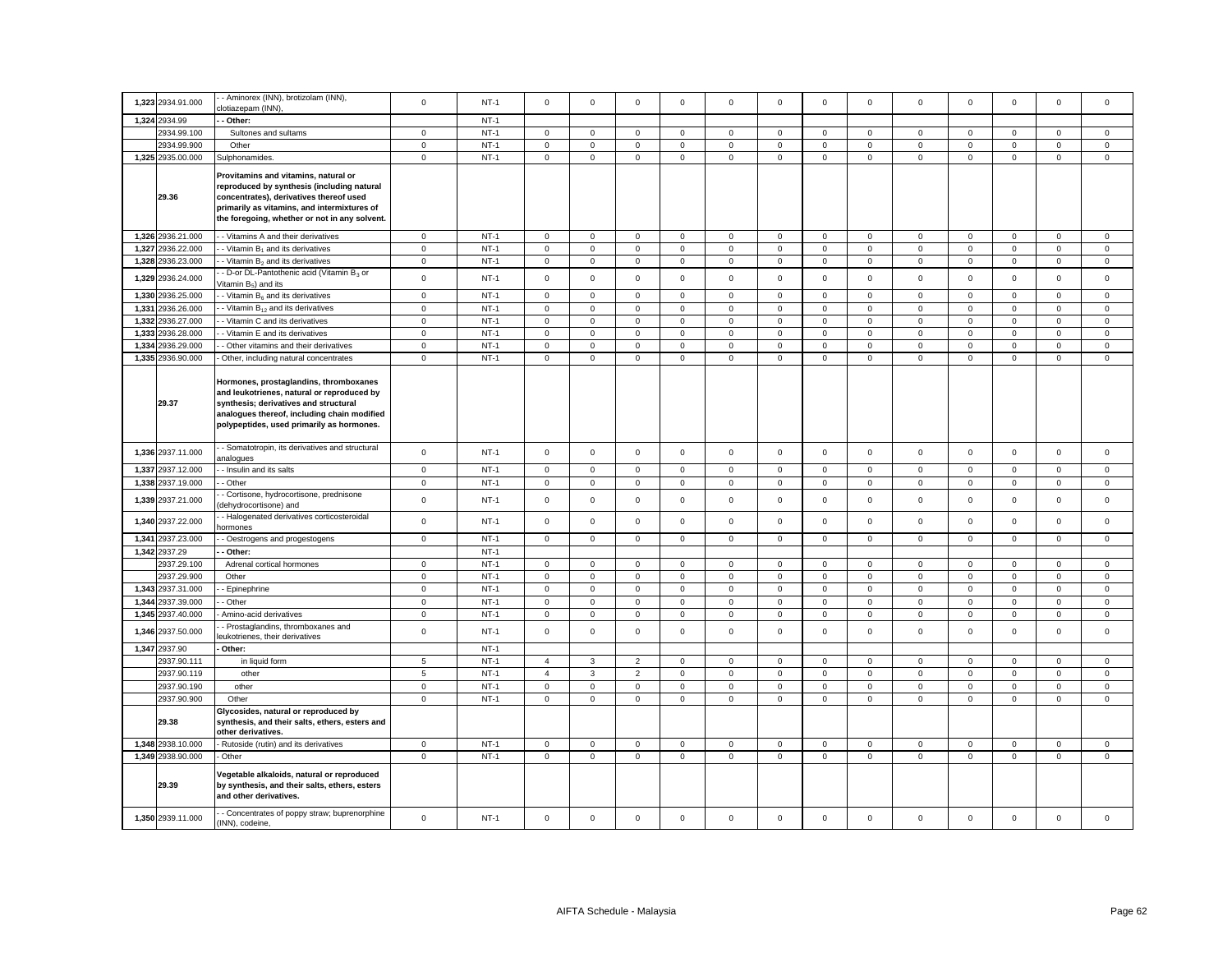|       | 1,323 2934.91.000 | - Aminorex (INN), brotizolam (INN),                                                                                                                                                                                           | $\mathbf 0$  | $NT-1$ | $\mathbf 0$         | $\mathbf 0$         | $\mathsf 0$    | $\mathbf 0$ | $\mathsf 0$         | $\mathbf 0$ | $\mathbf 0$         | $\mathbf 0$  | $\mathbf 0$         | $\mathbf 0$ | $\mathbf 0$ | $\mathbf 0$ | $\mathbf 0$ |
|-------|-------------------|-------------------------------------------------------------------------------------------------------------------------------------------------------------------------------------------------------------------------------|--------------|--------|---------------------|---------------------|----------------|-------------|---------------------|-------------|---------------------|--------------|---------------------|-------------|-------------|-------------|-------------|
|       |                   | clotiazepam (INN),                                                                                                                                                                                                            |              |        |                     |                     |                |             |                     |             |                     |              |                     |             |             |             |             |
|       | 1,324 2934.99     | Other:                                                                                                                                                                                                                        |              | $NT-1$ |                     |                     |                |             |                     |             |                     |              |                     |             |             |             |             |
|       | 2934.99.100       | Sultones and sultams                                                                                                                                                                                                          | $\mathbf 0$  | $NT-1$ | 0                   | $\mathbf 0$         | $\mathbf 0$    | 0           | 0                   | 0           | $\mathbf 0$         | $\mathbf{0}$ | 0                   | 0           | 0           | $\mathbf 0$ | $\mathbf 0$ |
|       | 2934.99.900       | Other                                                                                                                                                                                                                         | $\mathbf 0$  | $NT-1$ | $\mathsf{O}\xspace$ | $\mathsf 0$         | $\mathsf 0$    | $\mathsf 0$ | $\mathsf 0$         | $\mathsf 0$ | $\mathsf 0$         | $\mathsf 0$  | $\mathsf 0$         | $\mathbf 0$ | $\mathsf 0$ | $\mathsf 0$ | $\mathbf 0$ |
|       | 1,325 2935.00.000 | Sulphonamides.                                                                                                                                                                                                                | $\mathbf 0$  | $NT-1$ | $\mathsf 0$         | $\mathbf 0$         | $\mathsf 0$    | 0           | $\mathbf 0$         | $\mathsf 0$ | $\mathbf 0$         | 0            | $\mathsf 0$         | $\mathbf 0$ | $\mathbf 0$ | $\mathbf 0$ | $\mathsf 0$ |
|       | 29.36             | Provitamins and vitamins, natural or<br>reproduced by synthesis (including natural<br>concentrates), derivatives thereof used<br>primarily as vitamins, and intermixtures of<br>the foregoing, whether or not in any solvent. |              |        |                     |                     |                |             |                     |             |                     |              |                     |             |             |             |             |
|       | 1,326 2936.21.000 | - Vitamins A and their derivatives                                                                                                                                                                                            | $\mathbf 0$  | $NT-1$ | $\mathsf 0$         | $\mathbf 0$         | $\mathsf 0$    | $\mathsf 0$ | $\mathbf 0$         | $\mathsf 0$ | $\mathbf 0$         | $\mathbf 0$  | $\mathsf 0$         | $\mathsf 0$ | $\mathsf 0$ | $\mathsf 0$ | $\mathsf 0$ |
| 1,327 | 2936.22.000       | - Vitamin B <sub>1</sub> and its derivatives                                                                                                                                                                                  | $\mathbf 0$  | $NT-1$ | $\mathsf{O}\xspace$ | $\mathbf 0$         | $\mathsf 0$    | $\mathsf 0$ | $\mathsf 0$         | $\mathbf 0$ | $\mathsf 0$         | $\mathbf 0$  | $\mathsf{O}\xspace$ | $\mathsf 0$ | $\mathsf 0$ | $\mathsf 0$ | $\mathsf 0$ |
|       | 1,328 2936.23.000 | - Vitamin B <sub>2</sub> and its derivatives                                                                                                                                                                                  | $\mathbf 0$  | $NT-1$ | 0                   | $\mathbf{0}$        | $\mathsf 0$    | 0           | $\mathsf 0$         | 0           | $\mathsf 0$         | 0            | 0                   | $\mathbf 0$ | $\mathbf 0$ | $\mathbf 0$ | $\mathsf 0$ |
|       | 1,329 2936.24.000 | D-or DL-Pantothenic acid (Vitamin B3 or<br>/itamin B <sub>5</sub> ) and its                                                                                                                                                   | $\mathbf 0$  | $NT-1$ | $\mathsf 0$         | $\mathsf 0$         | $\mathsf 0$    | $\mathsf 0$ | $\mathsf 0$         | $\mathsf 0$ | $\mathsf 0$         | $\mathbf 0$  | $\mathsf 0$         | $\mathbf 0$ | $\mathsf 0$ | $\mathsf 0$ | $\,0\,$     |
|       | 1,330 2936.25.000 | - Vitamin $B_6$ and its derivatives                                                                                                                                                                                           | $\mathsf 0$  | $NT-1$ | $\mathsf 0$         | $\mathsf 0$         | $\mathsf 0$    | $\mathsf 0$ | $\mathbf 0$         | $\mathsf 0$ | $\mathbf 0$         | $\mathbf 0$  | $\mathbf 0$         | $\mathsf 0$ | $\mathsf 0$ | $\mathsf 0$ | $\mathsf 0$ |
| 1,331 | 2936.26.000       | - Vitamin B <sub>12</sub> and its derivatives                                                                                                                                                                                 | $\mathbf 0$  | $NT-1$ | $\mathsf{O}\xspace$ | $\mathsf 0$         | $\mathsf 0$    | $\mathsf 0$ | $\mathsf 0$         | $\mathsf 0$ | $\mathsf 0$         | $\mathbf 0$  | $\mathsf{O}\xspace$ | $\mathsf 0$ | $\mathsf 0$ | $\mathsf 0$ | $\mathsf 0$ |
| 1,332 | 2936.27.000       | - Vitamin C and its derivatives                                                                                                                                                                                               | $\mathbf 0$  | $NT-1$ | $\mathsf{O}\xspace$ | $\mathsf 0$         | $\mathbf 0$    | $\mathsf 0$ | $\mathsf 0$         | $\mathsf 0$ | $\mathsf 0$         | $\mathbf 0$  | $\mathsf 0$         | $\mathsf 0$ | $\mathbf 0$ | $\mathsf 0$ | $\mathbf 0$ |
| 1,333 | 2936.28.000       | - Vitamin E and its derivatives                                                                                                                                                                                               | $\mathbf 0$  | $NT-1$ | $\mathsf 0$         | $\mathsf 0$         | $\mathbf 0$    | $\mathbf 0$ | $\mathsf 0$         | $\mathbf 0$ | $\mathbf 0$         | 0            | $\mathsf 0$         | $\mathbf 0$ | $\mathbf 0$ | $\mathsf 0$ | $\mathbf 0$ |
|       | 1,334 2936.29.000 | Other vitamins and their derivatives                                                                                                                                                                                          | $\mathbf 0$  | $NT-1$ | 0                   | 0                   | $\mathbf 0$    | 0           | $\mathbf 0$         | 0           | $\mathsf{O}\xspace$ | 0            | 0                   | $\mathbf 0$ | 0           | 0           | $\mathbf 0$ |
|       | 1,335 2936.90.000 | Other, including natural concentrates                                                                                                                                                                                         | $\mathsf 0$  | $NT-1$ | $\mathsf{O}\xspace$ | $\mathsf 0$         | $\mathsf 0$    | $\mathsf 0$ | $\mathsf{o}\xspace$ | $\mathsf 0$ | $\mathsf 0$         | $\mathsf 0$  | $\mathsf 0$         | $\mathsf 0$ | $\mathsf 0$ | $\mathsf 0$ | $\mathsf 0$ |
|       | 29.37             | Hormones, prostaglandins, thromboxanes<br>and leukotrienes, natural or reproduced by<br>synthesis; derivatives and structural<br>analogues thereof, including chain modified<br>polypeptides, used primarily as hormones.     |              |        |                     |                     |                |             |                     |             |                     |              |                     |             |             |             |             |
|       | 1,336 2937.11.000 | - Somatotropin, its derivatives and structural<br>nalogues                                                                                                                                                                    | $\mathbf 0$  | $NT-1$ | $\mathbf 0$         | $\mathbf 0$         | $\mathsf 0$    | 0           | $\mathbf 0$         | $\mathsf 0$ | $\mathsf 0$         | $\mathbf{0}$ | 0                   | $\mathsf 0$ | $\mathsf 0$ | $\mathsf 0$ | $\mathsf 0$ |
|       | 1,337 2937.12.000 | Insulin and its salts                                                                                                                                                                                                         | $\mathbf 0$  | $NT-1$ | $\mathbf 0$         | 0                   | $\mathsf 0$    | 0           | $\mathbf 0$         | $\mathbf 0$ | $\mathbf 0$         | 0            | 0                   | $\mathbf 0$ | $\mathbf 0$ | $\mathbf 0$ | $\mathbf 0$ |
|       | 1,338 2937.19.000 | Other                                                                                                                                                                                                                         | $\mathbf 0$  | $NT-1$ | $\mathsf{O}\xspace$ | $\mathsf 0$         | $\mathbf 0$    | $\mathbf 0$ | $\mathsf 0$         | $\mathbf 0$ | $\mathsf 0$         | 0            | 0                   | $\mathbf 0$ | $\mathbf 0$ | $\mathbf 0$ | $\mathsf 0$ |
| 1,339 | 2937.21.000       | Cortisone, hydrocortisone, prednisone<br>dehydrocortisone) and                                                                                                                                                                | $\mathsf 0$  | $NT-1$ | $\mathsf 0$         | $\mathsf 0$         | $\mathsf 0$    | $\mathsf 0$ | $\mathsf 0$         | $\mathsf 0$ | $\mathsf 0$         | $\mathbf 0$  | $\mathsf 0$         | $\mathsf 0$ | $\mathsf 0$ | $\mathsf 0$ | $\mathsf 0$ |
|       | 1,340 2937.22.000 | - Halogenated derivatives corticosteroidal<br>ormones                                                                                                                                                                         | $\mathsf 0$  | $NT-1$ | $\mathsf{O}\xspace$ | $\mathsf 0$         | $\mathsf 0$    | $\mathsf 0$ | $\mathsf 0$         | $\mathsf 0$ | $\mathsf 0$         | $\mathbf 0$  | $\mathsf 0$         | $\mathsf 0$ | $\mathsf 0$ | $\mathsf 0$ | $\mathsf 0$ |
|       | 1,341 2937.23.000 | Oestrogens and progestogens                                                                                                                                                                                                   | $\mathbf 0$  | $NT-1$ | $\mathsf{O}\xspace$ | $\mathsf 0$         | $\mathbf 0$    | $\mathsf 0$ | $\mathbf 0$         | $\mathsf 0$ | $\mathsf 0$         | $\mathbf 0$  | $\mathbf 0$         | $\mathbf 0$ | $\mathbf 0$ | $\mathbf 0$ | $\mathsf 0$ |
|       | 1,342 2937.29     | Other:                                                                                                                                                                                                                        |              | $NT-1$ |                     |                     |                |             |                     |             |                     |              |                     |             |             |             |             |
|       | 2937.29.100       | Adrenal cortical hormones                                                                                                                                                                                                     | $\mathbf{0}$ | $NT-1$ | $\mathbf 0$         | $\mathbf 0$         | $\mathsf 0$    | 0           | $\mathbf 0$         | $\mathbf 0$ | $\mathbf 0$         | 0            | 0                   | $\mathbf 0$ | $\mathbf 0$ | $\mathbf 0$ | $\mathbf 0$ |
|       | 2937.29.900       | Other                                                                                                                                                                                                                         | $\mathsf 0$  | $NT-1$ | $\mathsf 0$         | $\mathbf 0$         | $\mathsf 0$    | $\mathbf 0$ | $\mathbf 0$         | $\mathsf 0$ | $\mathsf 0$         | $\mathbf 0$  | $\mathsf 0$         | $\mathsf 0$ | $\mathsf 0$ | $\mathbf 0$ | $\,0\,$     |
|       | 1,343 2937.31.000 | Epinephrine                                                                                                                                                                                                                   | $\mathbf 0$  | $NT-1$ | $\mathbf 0$         | $\mathsf 0$         | $\mathbf 0$    | $\mathsf 0$ | $\mathsf{O}\xspace$ | $\mathsf 0$ | $\mathsf 0$         | $\mathbf 0$  | $\mathsf 0$         | $\mathsf 0$ | $\mathsf 0$ | $\mathsf 0$ | $\mathsf 0$ |
|       | 1,344 2937.39.000 | Other                                                                                                                                                                                                                         | $\mathsf 0$  | $NT-1$ | $\mathsf 0$         | $\mathsf 0$         | $\mathbf 0$    | $\mathbf 0$ | $\mathsf 0$         | $\mathsf 0$ | $\mathsf{O}$        | $\mathbf 0$  | $\mathsf 0$         | $\mathsf 0$ | $\mathsf 0$ | $\mathsf 0$ | $\mathsf 0$ |
|       | 1,345 2937.40.000 | Amino-acid derivatives                                                                                                                                                                                                        | $\mathbf 0$  | $NT-1$ | $\mathbf 0$         | $\mathbf 0$         | $\mathsf 0$    | 0           | $\mathbf 0$         | $\mathsf 0$ | $\mathbf 0$         | 0            | 0                   | $\mathsf 0$ | $\mathbf 0$ | $\mathsf 0$ | $\mathsf 0$ |
|       | 1,346 2937.50.000 | - Prostaglandins, thromboxanes and<br>eukotrienes, their derivatives                                                                                                                                                          | $\mathsf 0$  | $NT-1$ | $\mathsf{O}\xspace$ | $\mathsf 0$         | $\mathsf 0$    | $\mathsf 0$ | $\mathsf 0$         | $\mathsf 0$ | $\mathsf 0$         | $\mathsf 0$  | $\mathsf 0$         | $\mathsf 0$ | $\mathsf 0$ | $\mathsf 0$ | $\mathsf 0$ |
|       | 1,347 2937.90     | - Other:                                                                                                                                                                                                                      |              | $NT-1$ |                     |                     |                |             |                     |             |                     |              |                     |             |             |             |             |
|       | 2937.90.111       | in liquid form                                                                                                                                                                                                                | 5            | $NT-1$ | $\overline{4}$      | 3                   | $\overline{2}$ | $\mathsf 0$ | $\mathsf 0$         | $\mathsf 0$ | $\mathsf{O}$        | $\mathbf 0$  | $\mathsf 0$         | $\mathsf 0$ | $\mathsf 0$ | $\mathsf 0$ | $\mathsf 0$ |
|       | 2937.90.119       | other                                                                                                                                                                                                                         | 5            | $NT-1$ | $\overline{4}$      | 3                   | $\overline{2}$ | 0           | $\mathbf 0$         | $\mathsf 0$ | $\mathsf 0$         | $\mathbf 0$  | 0                   | $\mathsf 0$ | $\mathbf 0$ | $\mathbf 0$ | $\mathsf 0$ |
|       | 2937.90.190       | other                                                                                                                                                                                                                         | $\mathbf 0$  | $NT-1$ | 0                   | $\mathsf 0$         | $\mathbf 0$    | 0           | $\mathbf 0$         | 0           | $\mathsf 0$         | 0            | $\mathsf 0$         | $\mathbf 0$ | $\mathsf 0$ | 0           | $\mathbf 0$ |
|       | 2937.90.900       | Other                                                                                                                                                                                                                         | $\mathbf 0$  | $NT-1$ | $\mathsf 0$         | $\mathbf 0$         | $\mathsf 0$    | $\mathsf 0$ | $\mathsf 0$         | $\mathsf 0$ | $\mathbf 0$         | $\mathbf 0$  | $\mathbf 0$         | $\mathsf 0$ | $\mathbf 0$ | $\mathsf 0$ | $\mathsf 0$ |
|       | 29.38             | Glycosides, natural or reproduced by<br>synthesis, and their salts, ethers, esters and<br>other derivatives.                                                                                                                  |              |        |                     |                     |                |             |                     |             |                     |              |                     |             |             |             |             |
|       | 1,348 2938.10.000 | - Rutoside (rutin) and its derivatives                                                                                                                                                                                        | $\mathbf 0$  | $NT-1$ | $\mathsf 0$         | $\mathbf 0$         | $\mathsf 0$    | $\mathbf 0$ | $\mathbf 0$         | $\mathsf 0$ | $\mathsf 0$         | $\mathbf 0$  | $\mathsf 0$         | $\mathsf 0$ | $\mathbf 0$ | $\mathsf 0$ | $\mathsf 0$ |
|       | 1,349 2938.90.000 | Other                                                                                                                                                                                                                         | $\mathsf 0$  | $NT-1$ | $\mathsf{O}\xspace$ | $\mathsf{O}\xspace$ | $\mathbf 0$    | $\mathsf 0$ | $\mathbf 0$         | $\mathsf 0$ | $\mathsf{O}\xspace$ | $\mathbf 0$  | $\mathbf 0$         | $\mathbf 0$ | $\mathsf 0$ | $\mathsf 0$ | $\mathsf 0$ |
|       | 29.39             | Vegetable alkaloids, natural or reproduced<br>by synthesis, and their salts, ethers, esters<br>and other derivatives.                                                                                                         |              |        |                     |                     |                |             |                     |             |                     |              |                     |             |             |             |             |
|       | 1,350 2939.11.000 | - Concentrates of poppy straw; buprenorphine<br>INN), codeine,                                                                                                                                                                | $\mathsf 0$  | $NT-1$ | $\mathsf 0$         | $\mathsf 0$         | $\mathsf 0$    | $\mathsf 0$ | $\mathbf 0$         | $\mathsf 0$ | $\mathbf 0$         | $\mathsf 0$  | $\mathsf 0$         | $\mathsf 0$ | $\mathsf 0$ | $\mathsf 0$ | $\mathsf 0$ |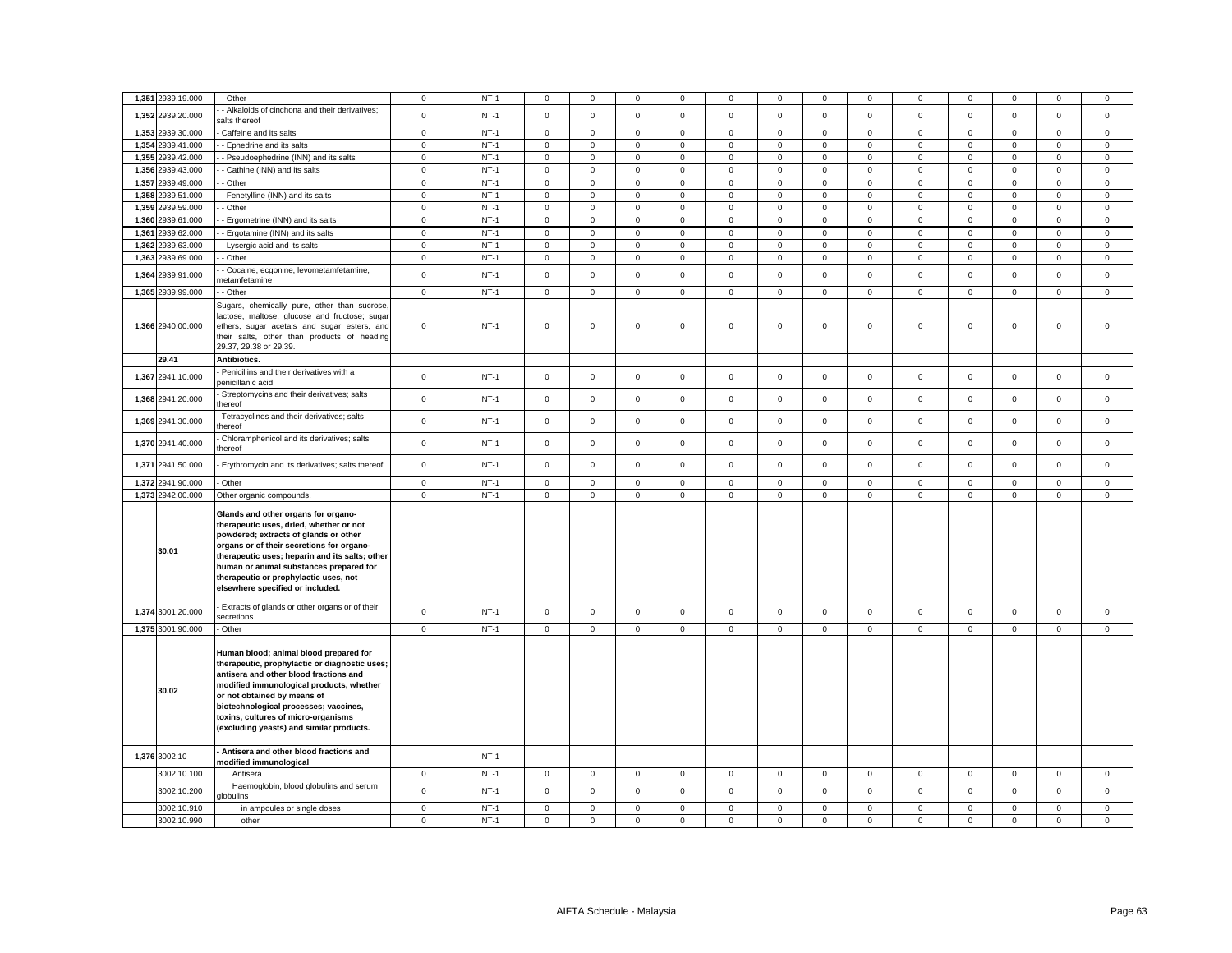|       | 1,351 2939.19.000 | - Other                                                                                                                                                                                                                                                                                                                                        | $\mathbf 0$    | $NT-1$ | $^{\circ}$          | 0            | 0              | 0           | 0                   | 0                   | 0              | 0            | 0                   | 0           | 0            | 0            | 0            |
|-------|-------------------|------------------------------------------------------------------------------------------------------------------------------------------------------------------------------------------------------------------------------------------------------------------------------------------------------------------------------------------------|----------------|--------|---------------------|--------------|----------------|-------------|---------------------|---------------------|----------------|--------------|---------------------|-------------|--------------|--------------|--------------|
|       | 1,352 2939.20.000 | - Alkaloids of cinchona and their derivatives;<br>salts thereof                                                                                                                                                                                                                                                                                | $\mathsf 0$    | $NT-1$ | $\mathsf 0$         | $\mathbf 0$  | $\mathsf 0$    | $\mathsf 0$ | $\mathsf{O}\xspace$ | $\mathsf 0$         | $\mathsf 0$    | $\mathbf 0$  | $\mathbf 0$         | $\mathsf 0$ | $\mathsf 0$  | $\mathsf 0$  | $\mathsf 0$  |
|       | 1,353 2939.30.000 | Caffeine and its salts                                                                                                                                                                                                                                                                                                                         | $\mathbf{0}$   | $NT-1$ | $\mathbf 0$         | $\mathbf 0$  | $\mathbf 0$    | 0           | $\mathbf 0$         | $\mathbf 0$         | 0              | $\mathbf{0}$ | 0                   | $\mathbf 0$ | $\mathbf{0}$ | $\mathbf 0$  | $\mathbf 0$  |
|       | 1,354 2939.41.000 | - Ephedrine and its salts                                                                                                                                                                                                                                                                                                                      | $\mathbf 0$    | $NT-1$ | $\mathsf{O}\xspace$ | $\mathsf 0$  | $\mathsf 0$    | $\mathsf 0$ | $\mathsf{O}\xspace$ | $\mathsf 0$         | $\mathsf 0$    | $\mathsf 0$  | $\mathsf{O}\xspace$ | $\mathbf 0$ | $\mathsf 0$  | $\mathsf 0$  | $\mathbf 0$  |
|       | 1,355 2939.42.000 | - Pseudoephedrine (INN) and its salts                                                                                                                                                                                                                                                                                                          | $\mathbf 0$    | $NT-1$ | $\mathsf 0$         | $\mathbf 0$  | $\mathsf 0$    | 0           | $\mathbf 0$         | $\mathsf 0$         | $\mathbf 0$    | $\mathbf 0$  | $\mathsf 0$         | $\mathsf 0$ | $\mathbf 0$  | $\mathbf 0$  | $\mathsf 0$  |
|       | 1,356 2939.43.000 | Cathine (INN) and its salts                                                                                                                                                                                                                                                                                                                    | $\mathsf 0$    | $NT-1$ | $\mathsf{O}\xspace$ | $\mathsf 0$  | $\mathsf 0$    | $\mathbf 0$ | $\mathsf 0$         | $\mathsf 0$         | $\mathsf 0$    | $\mathbf 0$  | $\mathsf 0$         | $\mathsf 0$ | $\mathsf 0$  | $\mathsf 0$  | $\mathsf 0$  |
|       | 1,357 2939.49.000 | - Other                                                                                                                                                                                                                                                                                                                                        | $\mathbf 0$    | $NT-1$ | $\mathsf 0$         | $\mathbf 0$  | $\mathbf{0}$   | $\mathsf 0$ | $\mathsf 0$         | $\mathsf 0$         | $\mathbf 0$    | $\mathbf{0}$ | $\mathbf 0$         | $\mathbf 0$ | $\mathbf 0$  | $\mathbf 0$  | $\mathbf 0$  |
| 1,358 | 2939.51.000       | - Fenetylline (INN) and its salts                                                                                                                                                                                                                                                                                                              | $\mathbf 0$    | $NT-1$ | $\mathsf 0$         | $\mathsf 0$  | $\mathsf 0$    | $\mathsf 0$ | $\mathsf 0$         | $\mathsf 0$         | $\mathsf 0$    | $\mathbf 0$  | $\mathsf 0$         | $\mathsf 0$ | $\mathbf 0$  | $\mathsf 0$  | $\mathbf 0$  |
|       | 1,359 2939.59.000 | Other                                                                                                                                                                                                                                                                                                                                          | $\mathbf 0$    | $NT-1$ | $\mathbf 0$         | $\mathbf 0$  | $\mathsf 0$    | $\mathsf 0$ | $\mathsf 0$         | $\mathsf 0$         | $\mathsf 0$    | $\mathbf{0}$ | $\mathsf 0$         | $\mathsf 0$ | $\mathbf 0$  | $\mathbf 0$  | $\mathsf 0$  |
| 1,360 | 2939.61.000       | - Ergometrine (INN) and its salts                                                                                                                                                                                                                                                                                                              | $\mathsf 0$    | $NT-1$ | $\mathsf{O}\xspace$ | $\mathsf 0$  | $\mathsf 0$    | $\mathsf 0$ | $\mathsf 0$         | $\mathsf 0$         | $\mathsf 0$    | $\mathsf 0$  | $\mathsf 0$         | $\mathsf 0$ | $\mathsf 0$  | $\mathsf 0$  | $\mathsf 0$  |
| 1,361 | 2939.62.000       | - Ergotamine (INN) and its salts                                                                                                                                                                                                                                                                                                               | $\mathbf 0$    | $NT-1$ | $\mathbf 0$         | $\mathbf 0$  | $\mathsf 0$    | 0           | $\mathbf 0$         | $\mathsf 0$         | $\mathbf 0$    | $\mathbf{0}$ | $\mathbf{0}$        | $\mathsf 0$ | $\mathbf{0}$ | $\mathbf 0$  | $\mathbf 0$  |
| 1,362 | 2939.63.000       | - Lysergic acid and its salts                                                                                                                                                                                                                                                                                                                  | $\mathbf 0$    | $NT-1$ | $\mathsf 0$         | $\mathbf 0$  | $\mathsf 0$    | $\mathsf 0$ | $\mathbf 0$         | $\mathsf 0$         | $\mathbf 0$    | $\mathbf 0$  | $\mathsf 0$         | $\mathsf 0$ | $\mathbf 0$  | $\mathsf 0$  | $\mathsf 0$  |
|       | 1,363 2939.69.000 | - Other                                                                                                                                                                                                                                                                                                                                        | $\mathbf 0$    | $NT-1$ | $\mathsf 0$         | $\mathbf 0$  | $\mathsf 0$    | $\mathsf 0$ | $\mathbf 0$         | $\mathsf 0$         | $\mathbf 0$    | $\mathbf 0$  | $\mathsf 0$         | $\mathsf 0$ | $\mathbf 0$  | $\mathsf 0$  | $\mathsf 0$  |
| 1,364 | 2939.91.000       | - Cocaine, ecgonine, levometamfetamine,<br>netamfetamine                                                                                                                                                                                                                                                                                       | $\mathsf 0$    | $NT-1$ | $\mathsf 0$         | $\mathsf 0$  | $\mathsf 0$    | $\mathsf 0$ | $\mathbf 0$         | $\mathsf 0$         | $\mathbf 0$    | $\mathsf 0$  | $\mathsf 0$         | $\mathsf 0$ | $\mathsf 0$  | $\mathsf 0$  | $\mathsf 0$  |
|       | 1,365 2939.99.000 | - Other                                                                                                                                                                                                                                                                                                                                        | $\mathbf 0$    | $NT-1$ | $\mathbf 0$         | $\mathbf 0$  | $\mathbf{0}$   | 0           | $\mathbf 0$         | $\mathbf 0$         | $\mathbf 0$    | $\mathbf{0}$ | 0                   | $\mathbf 0$ | $\mathbf{0}$ | $\mathbf{0}$ | $\mathbf 0$  |
|       | 1,366 2940.00.000 | Sugars, chemically pure, other than sucrose,<br>lactose, maltose, glucose and fructose; sugar<br>ethers, sugar acetals and sugar esters, and<br>their salts, other than products of heading<br>29.37, 29.38 or 29.39.                                                                                                                          | $\mathbf 0$    | $NT-1$ | $\mathbf 0$         | $\mathbf 0$  | $\mathsf 0$    | 0           | $\mathbf 0$         | $\mathsf 0$         | $\mathbf 0$    | 0            | 0                   | $\mathbf 0$ | $\mathbf 0$  | $\mathsf 0$  | $\mathsf 0$  |
|       | 29.41             | Antibiotics.                                                                                                                                                                                                                                                                                                                                   |                |        |                     |              |                |             |                     |                     |                |              |                     |             |              |              |              |
|       | 1,367 2941.10.000 | Penicillins and their derivatives with a<br>penicillanic acid                                                                                                                                                                                                                                                                                  | $\mathsf 0$    | $NT-1$ | $\mathsf 0$         | $\mathbf 0$  | $\mathsf 0$    | $\mathbf 0$ | $\mathbf 0$         | $\mathsf 0$         | $\mathbf 0$    | $\mathsf 0$  | $\mathsf 0$         | $\mathsf 0$ | $\mathbf 0$  | $\mathsf 0$  | $\mathbf 0$  |
|       | 1,368 2941.20.000 | Streptomycins and their derivatives; salts<br>hereof                                                                                                                                                                                                                                                                                           | $\mathbf 0$    | $NT-1$ | $\mathsf 0$         | $\mathbf 0$  | $\mathsf 0$    | $\mathsf 0$ | $\mathsf 0$         | $\mathsf 0$         | $\mathbf 0$    | $\mathbf 0$  | $\mathsf 0$         | $\mathsf 0$ | $\mathbf 0$  | $\mathsf 0$  | $\mathsf 0$  |
|       | 1,369 2941.30.000 | Tetracyclines and their derivatives; salts<br>hereof                                                                                                                                                                                                                                                                                           | $\mathbf 0$    | $NT-1$ | $\mathsf 0$         | $\mathsf 0$  | $\mathsf 0$    | $\mathbf 0$ | $\mathsf 0$         | $\mathsf 0$         | $\mathsf 0$    | $\mathbf 0$  | $\mathbf 0$         | $\mathsf 0$ | $\mathbf 0$  | $\mathsf 0$  | $\mathsf 0$  |
|       | 1,370 2941.40.000 | Chloramphenicol and its derivatives; salts<br>thereof                                                                                                                                                                                                                                                                                          | $\mathbf 0$    | $NT-1$ | $\mathbf 0$         | $\mathbf 0$  | $\mathsf 0$    | $\mathbf 0$ | $\mathbf 0$         | $\mathsf 0$         | $\mathbf 0$    | $\mathbf 0$  | $\mathbf 0$         | $\mathbf 0$ | $\mathbf 0$  | $\mathbf 0$  | $\mathsf 0$  |
|       | 1,371 2941.50.000 | Erythromycin and its derivatives; salts thereof                                                                                                                                                                                                                                                                                                | $\mathbf 0$    | $NT-1$ | $\mathsf 0$         | $\mathsf 0$  | $\mathsf 0$    | $\mathsf 0$ | $\mathbf 0$         | $\mathsf 0$         | $\mathbf 0$    | $\mathsf 0$  | $\mathsf 0$         | $\mathsf 0$ | $\mathsf 0$  | $\mathsf 0$  | $\mathsf 0$  |
|       | 1,372 2941.90.000 | Other                                                                                                                                                                                                                                                                                                                                          | $\overline{0}$ | $NT-1$ | $\mathsf{O}\xspace$ | $\mathsf 0$  | $\overline{0}$ | $\mathsf 0$ | $\mathsf 0$         | $\mathsf 0$         | $\overline{0}$ | 0            | $\mathsf 0$         | $\mathsf 0$ | $\mathsf 0$  | $\mathsf 0$  | $\mathsf 0$  |
|       | 1,373 2942.00.000 | Other organic compounds.                                                                                                                                                                                                                                                                                                                       | $\mathbf 0$    | $NT-1$ | $\mathsf 0$         | $\mathbf 0$  | $\mathsf 0$    | $\mathsf 0$ | $\mathsf 0$         | $\mathsf 0$         | $\mathsf 0$    | $\mathsf 0$  | $\mathsf 0$         | $\mathbf 0$ | $\mathbf 0$  | $\mathsf 0$  | $\mathsf 0$  |
|       | 30.01             | Glands and other organs for organo-<br>therapeutic uses, dried, whether or not<br>powdered; extracts of glands or other<br>organs or of their secretions for organo-<br>therapeutic uses; heparin and its salts; other<br>human or animal substances prepared for<br>therapeutic or prophylactic uses, not<br>elsewhere specified or included. |                |        |                     |              |                |             |                     |                     |                |              |                     |             |              |              |              |
|       | 1,374 3001.20.000 | Extracts of glands or other organs or of their<br>secretions                                                                                                                                                                                                                                                                                   | $\mathsf 0$    | $NT-1$ | $\mathsf{O}\xspace$ | $\mathsf 0$  | $\mathsf 0$    | $\mathsf 0$ | $\mathsf 0$         | $\mathbf 0$         | $\mathsf 0$    | $\mathsf 0$  | $\mathsf 0$         | $\mathsf 0$ | $\mathsf 0$  | $\mathsf 0$  | $\mathsf 0$  |
|       | 1,375 3001.90.000 | - Other                                                                                                                                                                                                                                                                                                                                        | $\mathbf 0$    | $NT-1$ | $\mathsf 0$         | $\mathbf{0}$ | $\mathsf 0$    | $\mathbf 0$ | $\mathbf 0$         | $\mathsf{O}\xspace$ | $\mathbf 0$    | $\mathbf{0}$ | $\mathbf 0$         | $\mathbf 0$ | $\mathbf{0}$ | $\mathbf 0$  | $\mathbf{0}$ |
|       | 30.02             | Human blood; animal blood prepared for<br>therapeutic, prophylactic or diagnostic uses;<br>antisera and other blood fractions and<br>modified immunological products, whether<br>or not obtained by means of<br>biotechnological processes; vaccines,<br>toxins, cultures of micro-organisms<br>(excluding yeasts) and similar products.       |                |        |                     |              |                |             |                     |                     |                |              |                     |             |              |              |              |
|       | 1,376 3002.10     | Antisera and other blood fractions and<br>modified immunological                                                                                                                                                                                                                                                                               |                | $NT-1$ |                     |              |                |             |                     |                     |                |              |                     |             |              |              |              |
|       | 3002.10.100       | Antisera                                                                                                                                                                                                                                                                                                                                       | $\mathbf 0$    | $NT-1$ | $\mathbf 0$         | $\mathbf 0$  | $\mathsf 0$    | $\mathbf 0$ | $\mathbf 0$         | $\mathbf 0$         | $\mathbf{0}$   | $\mathbf{0}$ | $\mathbf 0$         | $\mathbf 0$ | $\mathbf 0$  | $\mathbf 0$  | $\mathbf{0}$ |
|       | 3002.10.200       | Haemoglobin, blood globulins and serum<br><b>Jobulins</b>                                                                                                                                                                                                                                                                                      | $\mathbf 0$    | $NT-1$ | $\mathbf 0$         | $\mathbf 0$  | $\mathbf 0$    | $\Omega$    | $\mathbf 0$         | $\mathbf 0$         | $\mathbf 0$    | $\mathbf 0$  | $\mathbf 0$         | $\mathbf 0$ | $\mathbf 0$  | $\mathbf 0$  | $\mathbf{0}$ |
|       | 3002.10.910       | in ampoules or single doses                                                                                                                                                                                                                                                                                                                    | $\mathbf 0$    | $NT-1$ | $\mathsf 0$         | $\mathbf 0$  | $\mathsf 0$    | $\mathbf 0$ | $\mathsf 0$         | $\mathsf 0$         | $\mathsf 0$    | $\mathbf 0$  | $\mathbf 0$         | $\mathsf 0$ | $\mathbf 0$  | $\mathsf 0$  | $\mathsf 0$  |
|       | 3002.10.990       | other                                                                                                                                                                                                                                                                                                                                          | $\mathbf 0$    | $NT-1$ | $\mathsf 0$         | $\mathbf 0$  | $\mathsf 0$    | $\mathbf 0$ | $\mathbf 0$         | $\mathsf 0$         | $\mathbf 0$    | $\mathbf 0$  | $\mathsf 0$         | $\mathsf 0$ | $\mathsf 0$  | $\mathsf 0$  | $\Omega$     |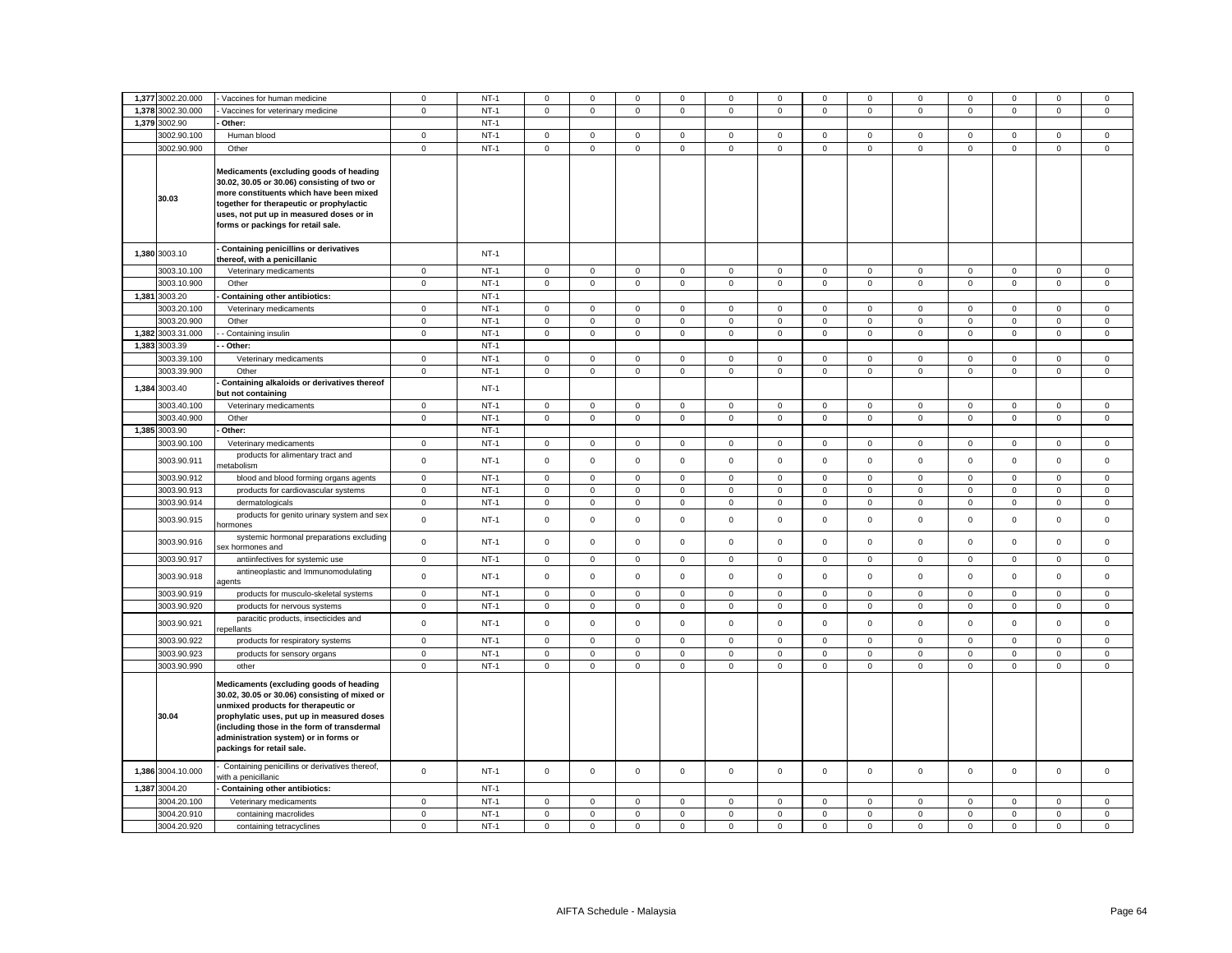|       | 1,377 3002.20.000 | Vaccines for human medicine                                                                                                                                                                                                                                                                        | $\mathbf 0$    | $NT-1$ | 0           | $\mathbf 0$ | 0           | 0            | 0            | $^{\circ}$  | 0            | 0              | 0            | 0            | $^{\circ}$   | $\mathbf 0$         | 0            |
|-------|-------------------|----------------------------------------------------------------------------------------------------------------------------------------------------------------------------------------------------------------------------------------------------------------------------------------------------|----------------|--------|-------------|-------------|-------------|--------------|--------------|-------------|--------------|----------------|--------------|--------------|--------------|---------------------|--------------|
|       |                   |                                                                                                                                                                                                                                                                                                    |                |        |             |             |             |              |              |             |              |                |              |              |              |                     |              |
| 1,378 | 3002.30.000       | Vaccines for veterinary medicine                                                                                                                                                                                                                                                                   | $\mathbf 0$    | $NT-1$ | $\mathbf 0$ | $\mathsf 0$ | $\mathbf 0$ | $\mathsf 0$  | $\mathsf 0$  | $\mathbf 0$ | $\mathbf 0$  | $\mathsf 0$    | $\mathbf 0$  | $\mathbf 0$  | $\mathsf 0$  | $\mathsf 0$         | $\mathsf 0$  |
|       | 1,379 3002.90     | Other:                                                                                                                                                                                                                                                                                             |                | $NT-1$ |             |             |             |              |              |             |              |                |              |              |              |                     |              |
|       | 3002.90.100       | Human blood                                                                                                                                                                                                                                                                                        | $\mathbf 0$    | $NT-1$ | $\mathbf 0$ | $\mathsf 0$ | $\mathsf 0$ | $\mathsf 0$  | $\mathsf 0$  | $\mathsf 0$ | $\mathbf 0$  | $\mathsf 0$    | $\mathbf 0$  | $\mathbf 0$  | $\mathsf 0$  | $\mathsf 0$         | $\mathsf 0$  |
|       | 3002.90.900       | Other                                                                                                                                                                                                                                                                                              | $\mathbf 0$    | $NT-1$ | 0           | $\mathsf 0$ | $\mathbf 0$ | $\mathbf 0$  | $\mathbf 0$  | $\mathsf 0$ | $\mathbf 0$  | $\mathbf 0$    | $\mathbf 0$  | $\mathsf 0$  | $\mathbf 0$  | $\mathsf 0$         | $\mathbf{0}$ |
|       | 30.03             | Medicaments (excluding goods of heading<br>30.02, 30.05 or 30.06) consisting of two or<br>more constituents which have been mixed<br>together for therapeutic or prophylactic<br>uses, not put up in measured doses or in<br>forms or packings for retail sale.                                    |                |        |             |             |             |              |              |             |              |                |              |              |              |                     |              |
|       | 1,380 3003.10     | Containing penicillins or derivatives<br>thereof, with a penicillanic                                                                                                                                                                                                                              |                | $NT-1$ |             |             |             |              |              |             |              |                |              |              |              |                     |              |
|       | 3003.10.100       | Veterinary medicaments                                                                                                                                                                                                                                                                             | $\mathbf{0}$   | $NT-1$ | $\mathbf 0$ | $^{\circ}$  | $\mathbf 0$ | $\mathbf{0}$ | $\mathbf{0}$ | $\mathbf 0$ | $\mathbf{0}$ | $\mathbf 0$    | $\mathbf 0$  | $\mathbf{0}$ | $\mathbf{0}$ | $\mathbf{0}$        | $\mathbf 0$  |
|       | 3003.10.900       | Other                                                                                                                                                                                                                                                                                              | $\mathbf 0$    | $NT-1$ | $\mathbf 0$ | $\mathbf 0$ | $\mathsf 0$ | $\mathbf 0$  | $\mathbf 0$  | $\mathsf 0$ | $\mathbf 0$  | $\mathbf 0$    | $\mathbf 0$  | $\mathsf 0$  | $\mathbf 0$  | $\mathbf 0$         | $\mathsf 0$  |
|       | 1,381 3003.20     | <b>Containing other antibiotics:</b>                                                                                                                                                                                                                                                               |                | $NT-1$ |             |             |             |              |              |             |              |                |              |              |              |                     |              |
|       | 3003.20.100       | Veterinary medicaments                                                                                                                                                                                                                                                                             | $\mathbf{0}$   | $NT-1$ | $\mathbf 0$ | $^{\circ}$  | $\mathbf 0$ | $\mathbf{0}$ | $\mathbf 0$  | $\mathbf 0$ | $\mathbf{0}$ | $\mathbf 0$    | $\mathbf 0$  | $\mathbf{0}$ | $^{\circ}$   | $\mathbf 0$         | $\mathbf 0$  |
|       | 3003.20.900       | Other                                                                                                                                                                                                                                                                                              | $\mathbf 0$    | $NT-1$ | $\mathbf 0$ | $\mathsf 0$ | $\mathsf 0$ | $\mathbf 0$  | $\mathbf 0$  | $\mathsf 0$ | $\mathbf 0$  | $\mathbf 0$    | $\mathbf 0$  | $\mathsf 0$  | $\mathbf 0$  | $\mathbf 0$         | $\mathsf 0$  |
|       | 1,382 3003.31.000 |                                                                                                                                                                                                                                                                                                    |                | $NT-1$ | $\circ$     | $\mathbf 0$ |             |              |              |             |              |                |              |              | $\mathbf 0$  |                     |              |
|       |                   | - Containing insulin                                                                                                                                                                                                                                                                               | $\mathbf 0$    |        |             |             | $\mathsf 0$ | $\mathsf 0$  | $\mathbf 0$  | $\mathsf 0$ | $\mathbf 0$  | $\mathbf 0$    | $\mathbf 0$  | $\mathsf 0$  |              | $\mathsf 0$         | $\mathsf 0$  |
|       | 1,383 3003.39     | Other:                                                                                                                                                                                                                                                                                             |                | $NT-1$ |             |             |             |              |              |             |              |                |              |              |              |                     |              |
|       | 3003.39.100       | Veterinary medicaments                                                                                                                                                                                                                                                                             | $\mathbf 0$    | $NT-1$ | $\mathsf 0$ | $\mathbf 0$ | $\mathsf 0$ | $\mathsf 0$  | $\mathbf 0$  | $\mathsf 0$ | $\mathbf 0$  | $\mathsf 0$    | $\mathsf 0$  | $\mathsf 0$  | $\mathbf 0$  | $\mathsf 0$         | $\mathsf 0$  |
|       | 3003.39.900       | Other                                                                                                                                                                                                                                                                                              | $\mathbf 0$    | $NT-1$ | $\mathbf 0$ | $\mathsf 0$ | $\mathbf 0$ | $\mathbf 0$  | $\mathbf 0$  | $\mathsf 0$ | $\mathbf 0$  | $\mathbf{0}$   | $\mathbf 0$  | $\mathbf 0$  | $\mathbf 0$  | $\mathsf{O}\xspace$ | $\mathsf 0$  |
|       | 1,384 3003.40     | Containing alkaloids or derivatives thereof<br>but not containing                                                                                                                                                                                                                                  |                | $NT-1$ |             |             |             |              |              |             |              |                |              |              |              |                     |              |
|       | 3003.40.100       | Veterinary medicaments                                                                                                                                                                                                                                                                             | $\mathbf 0$    | $NT-1$ | 0           | $\mathsf 0$ | $\mathbf 0$ | $\mathbf 0$  | 0            | $\mathbf 0$ | $\mathbf 0$  | $\mathbf 0$    | $\mathbf 0$  | $\mathbf 0$  | $\mathbf 0$  | $\mathbf 0$         | $\mathbf 0$  |
|       | 3003.40.900       | Other                                                                                                                                                                                                                                                                                              | $\mathsf 0$    | $NT-1$ | $\mathbf 0$ | $\mathbf 0$ | $\mathsf 0$ | $\mathbf{0}$ | $\mathsf 0$  | $\mathbf 0$ | $\mathbf 0$  | $\mathsf 0$    | $\mathsf 0$  | $\mathbf 0$  | $\mathbf 0$  | $\mathbf 0$         | $\mathbf 0$  |
|       | 1,385 3003.90     | Other:                                                                                                                                                                                                                                                                                             |                | $NT-1$ |             |             |             |              |              |             |              |                |              |              |              |                     |              |
|       | 3003.90.100       | Veterinary medicaments                                                                                                                                                                                                                                                                             | $\overline{0}$ | $NT-1$ | $\mathsf 0$ | $\mathsf 0$ | $\mathsf 0$ | $\mathsf 0$  | $\mathbf 0$  | $\mathsf 0$ | $\mathbf 0$  | $\mathsf 0$    | $\mathbf 0$  | $\mathsf 0$  | $\mathsf 0$  | $\mathbf 0$         | $\mathsf 0$  |
|       | 3003.90.911       | products for alimentary tract and<br>netabolism                                                                                                                                                                                                                                                    | $\mathbf 0$    | $NT-1$ | $\Omega$    | $\mathbf 0$ | $\mathbf 0$ | $^{\circ}$   | $\mathbf 0$  | $\Omega$    | $\mathbf{0}$ | $\overline{0}$ | $\mathbf 0$  | $\Omega$     | $\mathbf 0$  | $\mathbf 0$         | $\mathbf 0$  |
|       | 3003.90.912       | blood and blood forming organs agents                                                                                                                                                                                                                                                              | $\mathsf 0$    | $NT-1$ | $\mathbf 0$ | $^{\circ}$  | $\mathbf 0$ | $\mathbf{0}$ | $\mathbf 0$  | $\mathbf 0$ | $^{\circ}$   | $\mathbf{0}$   | $\mathbf{0}$ | $\mathbf{0}$ | $^{\circ}$   | $\mathbf 0$         | $\mathbf 0$  |
|       | 3003.90.913       | products for cardiovascular systems                                                                                                                                                                                                                                                                | $\mathbf 0$    | $NT-1$ | 0           | $\mathsf 0$ | $\mathbf 0$ | $\mathbf 0$  | $\mathsf 0$  | $\mathbf 0$ | $\mathbf 0$  | $\mathbf 0$    | $\mathbf 0$  | $\mathsf 0$  | $\mathsf 0$  | $\mathbf 0$         | $\mathsf 0$  |
|       | 3003.90.914       | dermatologicals                                                                                                                                                                                                                                                                                    | $\mathbf 0$    | $NT-1$ | $\mathbf 0$ | $\mathbf 0$ | $\mathsf 0$ | $\mathsf 0$  | $\mathbf 0$  | $\mathsf 0$ | $\mathbf 0$  | $\mathbf 0$    | $\mathbf 0$  | $\mathsf 0$  | $\mathsf 0$  | $\mathsf 0$         | $\mathsf 0$  |
|       | 3003.90.915       | products for genito urinary system and sex<br><b>ormones</b>                                                                                                                                                                                                                                       | $\mathbf 0$    | $NT-1$ | $\mathbf 0$ | $\mathsf 0$ | $\mathsf 0$ | $\mathsf 0$  | $\mathsf 0$  | $\mathbf 0$ | $\mathsf 0$  | $\mathbf 0$    | $\mathsf 0$  | $\mathbf 0$  | $\mathsf 0$  | $\mathsf 0$         | $\mathsf 0$  |
|       | 3003.90.916       | systemic hormonal preparations excluding<br>sex hormones and                                                                                                                                                                                                                                       | $\mathbf 0$    | $NT-1$ | $\mathbf 0$ | $\mathsf 0$ | $\mathsf 0$ | $\mathsf 0$  | $\mathbf 0$  | $\mathsf 0$ | $\mathbf 0$  | $\mathbf 0$    | $\mathbf 0$  | $\mathsf 0$  | $\mathsf 0$  | $\mathbf 0$         | $\mathsf 0$  |
|       | 3003.90.917       | antiinfectives for systemic use                                                                                                                                                                                                                                                                    | $\mathbf 0$    | $NT-1$ | $\mathbf 0$ | $\mathsf 0$ | $\mathbf 0$ | $\mathsf 0$  | $\mathsf 0$  | $\mathsf 0$ | $\mathbf 0$  | $\mathbf 0$    | $\mathbf 0$  | $\mathsf 0$  | $\mathbf 0$  | $\mathbf 0$         | $\mathsf 0$  |
|       | 3003.90.918       | antineoplastic and Immunomodulating<br>agents                                                                                                                                                                                                                                                      | $\mathbf 0$    | $NT-1$ | 0           | $\mathbf 0$ | $\mathsf 0$ | $\mathsf 0$  | $\mathbf 0$  | $\mathsf 0$ | $\mathbf 0$  | $\mathbf 0$    | $\mathbf 0$  | $\mathsf 0$  | $\mathbf 0$  | $\mathsf 0$         | $\mathsf 0$  |
|       | 3003.90.919       | products for musculo-skeletal systems                                                                                                                                                                                                                                                              | $\mathbf 0$    | $NT-1$ | $\mathbf 0$ | $\mathsf 0$ | $\mathsf 0$ | $\mathsf 0$  | $\mathsf 0$  | $\mathsf 0$ | $\mathsf 0$  | $\mathbf 0$    | $\mathsf 0$  | $\mathsf 0$  | $\mathsf 0$  | $\mathsf 0$         | $\mathbf 0$  |
|       | 3003.90.920       | products for nervous systems                                                                                                                                                                                                                                                                       | $\mathbf 0$    | $NT-1$ | 0           | $\mathsf 0$ | $\mathbf 0$ | $\mathbf 0$  | $\mathsf 0$  | $\mathsf 0$ | $\mathbf{0}$ | $\mathbf{0}$   | $\mathbf 0$  | $\mathbf 0$  | $\mathbf 0$  | $\mathsf 0$         | $\mathsf 0$  |
|       | 3003.90.921       | paracitic products, insecticides and<br>epellants                                                                                                                                                                                                                                                  | $\mathbf 0$    | $NT-1$ | $\mathbf 0$ | $\mathsf 0$ | $\mathsf 0$ | $\mathsf 0$  | $\mathsf 0$  | $\mathsf 0$ | $\mathsf 0$  | $\mathbf 0$    | $\mathbf 0$  | $\mathsf 0$  | $\mathsf 0$  | $\mathsf 0$         | $\mathsf 0$  |
|       | 3003.90.922       | products for respiratory systems                                                                                                                                                                                                                                                                   | $\mathbf 0$    | $NT-1$ | 0           | $\mathbf 0$ | $\mathsf 0$ | $\mathbf 0$  | 0            | $\mathsf 0$ | $\mathbf 0$  | $\mathbf 0$    | $\mathbf 0$  | 0            | $\mathsf 0$  | 0                   | $\mathsf 0$  |
|       | 3003.90.923       | products for sensory organs                                                                                                                                                                                                                                                                        | $\mathsf 0$    | $NT-1$ | $\mathbf 0$ | $\mathsf 0$ | $\mathsf 0$ | $\mathsf 0$  | $\mathsf 0$  | $\mathsf 0$ | $\mathsf 0$  | $\mathsf 0$    | $\mathsf 0$  | $\mathsf 0$  | $\mathsf 0$  | $\mathsf 0$         | $\mathsf 0$  |
|       | 3003.90.990       | other                                                                                                                                                                                                                                                                                              | $\mathsf 0$    | $NT-1$ | $\mathbf 0$ | $\mathbf 0$ | $\mathsf 0$ | $\mathbf 0$  | $\mathbf 0$  | $\mathsf 0$ | $\mathsf 0$  | $\mathbf{0}$   | $\mathbf 0$  | $\mathsf 0$  | $\mathsf 0$  | $\mathsf 0$         | $\mathsf 0$  |
|       | 30.04             | Medicaments (excluding goods of heading<br>30.02, 30.05 or 30.06) consisting of mixed or<br>unmixed products for therapeutic or<br>prophylatic uses, put up in measured doses<br>(including those in the form of transdermal<br>administration system) or in forms or<br>packings for retail sale. |                |        |             |             |             |              |              |             |              |                |              |              |              |                     |              |
|       | 1,386 3004.10.000 | Containing penicillins or derivatives thereof,<br>with a penicillanic                                                                                                                                                                                                                              | $\mathbf 0$    | $NT-1$ | $\circ$     | $^{\circ}$  | $\mathsf 0$ | $\mathbf{0}$ | $\mathbf 0$  | $\mathbf 0$ | $\mathbf{0}$ | $\overline{0}$ | $\mathbf 0$  | $\mathbf 0$  | $\mathbf{0}$ | $\mathbf 0$         | $\mathbf 0$  |
|       | 1,387 3004.20     | Containing other antibiotics:                                                                                                                                                                                                                                                                      |                | $NT-1$ |             |             |             |              |              |             |              |                |              |              |              |                     |              |
|       | 3004.20.100       | Veterinary medicaments                                                                                                                                                                                                                                                                             | $\mathbf 0$    | $NT-1$ | $\mathsf 0$ | $\mathsf 0$ | $\mathsf 0$ | $\mathbf 0$  | $\mathbf 0$  | $\mathsf 0$ | $\mathbf 0$  | $\mathbf 0$    | $\mathbf 0$  | $\mathsf 0$  | $\mathsf 0$  | $\mathbf 0$         | $\mathsf 0$  |
|       | 3004.20.910       | containing macrolides                                                                                                                                                                                                                                                                              | $\mathbf 0$    | $NT-1$ | $\mathbf 0$ | $\mathbf 0$ | $\mathbf 0$ | $\mathbf 0$  | $\mathbf 0$  | $\mathbf 0$ | $\mathbf 0$  | $\mathbf 0$    | $\mathbf 0$  | $\mathbf 0$  | $\mathbf 0$  | $\mathbf 0$         | $\mathbf 0$  |
|       | 3004.20.920       | containing tetracyclines                                                                                                                                                                                                                                                                           | $\mathbf 0$    | $NT-1$ | $\mathbf 0$ | $\mathbf 0$ | $\mathbf 0$ | $\mathbf 0$  | $\mathbf 0$  | $\mathbf 0$ | $\mathbf 0$  | $\mathbf 0$    | $\mathbf 0$  | $\mathbf 0$  | $\mathbf 0$  | $\mathbf 0$         | $\mathbf 0$  |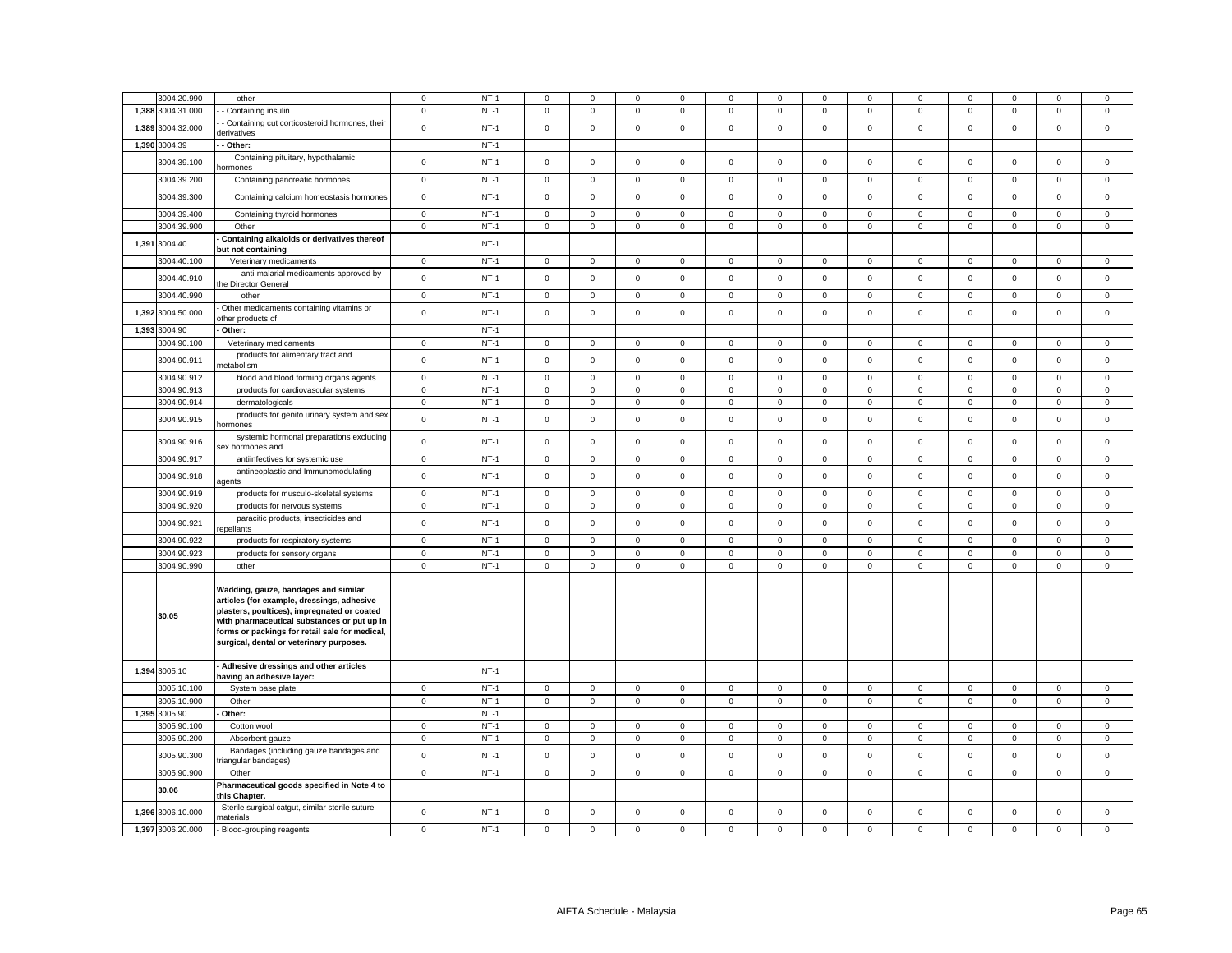| 3004.20.990                | other                                                                                                                                                                                                                                                                          | $\mathbf 0$            | $NT-1$           | 0                                  | $\Omega$                   | 0                | $\Omega$                    | 0                | $^{\circ}$       | $\Omega$                   | $\Omega$                    | $\Omega$                   | $^{\circ}$                 | $\Omega$         | $\Omega$         | $^{\circ}$             |
|----------------------------|--------------------------------------------------------------------------------------------------------------------------------------------------------------------------------------------------------------------------------------------------------------------------------|------------------------|------------------|------------------------------------|----------------------------|------------------|-----------------------------|------------------|------------------|----------------------------|-----------------------------|----------------------------|----------------------------|------------------|------------------|------------------------|
| 1,388 3004.31.000          | Containing insulin                                                                                                                                                                                                                                                             | $\mathbf 0$            | $NT-1$           | $\mathbf 0$                        | $\mathbf 0$                | $\mathsf 0$      | $\mathsf 0$                 | $\mathsf 0$      | $\mathsf 0$      | $\mathsf 0$                | $\mathsf 0$                 | $\mathsf 0$                | $\mathsf 0$                | $\mathsf 0$      | $\mathsf 0$      | $\mathsf 0$            |
| 1,389 3004.32.000          | Containing cut corticosteroid hormones, their<br>derivatives                                                                                                                                                                                                                   | $\mathbf 0$            | $NT-1$           | $\mathbf 0$                        | $\mathbf 0$                | $\mathsf 0$      | $\mathsf 0$                 | $\mathsf 0$      | $\mathsf 0$      | $\mathsf 0$                | $\mathbf 0$                 | $\mathbf 0$                | $\mathsf 0$                | $\mathsf 0$      | $\mathsf 0$      | $\mathsf 0$            |
| 1,390 3004.39              | Other:                                                                                                                                                                                                                                                                         |                        | $NT-1$           |                                    |                            |                  |                             |                  |                  |                            |                             |                            |                            |                  |                  |                        |
| 3004.39.100                | Containing pituitary, hypothalamic<br>ormones                                                                                                                                                                                                                                  | $\mathbf 0$            | $NT-1$           | $\mathsf 0$                        | $\mathbf 0$                | $\mathsf 0$      | $\mathsf 0$                 | $\mathsf 0$      | $\mathsf 0$      | $\mathsf 0$                | $\mathsf 0$                 | $\mathsf 0$                | $\mathsf 0$                | $\mathbf 0$      | $\mathsf 0$      | $\mathsf 0$            |
| 3004.39.200                | Containing pancreatic hormones                                                                                                                                                                                                                                                 | $\mathbf 0$            | $NT-1$           | $\mathbf 0$                        | $\mathbf 0$                | $\mathsf 0$      | $\mathbf 0$                 | $\mathsf 0$      | $\mathbf 0$      | $\mathsf 0$                | $\mathbf 0$                 | $\mathbf 0$                | $\mathsf 0$                | $\mathbf 0$      | $\mathsf 0$      | $\mathbf 0$            |
| 3004.39.300                | Containing calcium homeostasis hormones                                                                                                                                                                                                                                        | $\mathsf 0$            | $NT-1$           | $\mathbf 0$                        | $\mathbf 0$                | $\mathsf 0$      | $\mathbf 0$                 | $\mathsf 0$      | $\mathbf 0$      | $\mathsf 0$                | $\mathbf{0}$                | $\mathbf 0$                | $\mathbf 0$                | $\mathbf 0$      | $\mathbf 0$      | $\mathbf 0$            |
| 3004.39.400                | Containing thyroid hormones                                                                                                                                                                                                                                                    | $\mathsf 0$            | $NT-1$           | $\mathbf 0$                        | $\mathbf 0$                | $\mathsf 0$      | $\mathsf 0$                 | $\mathbf 0$      | $\mathsf 0$      | $\mathbf 0$                | $\mathbf 0$                 | $\mathbf 0$                | $\mathsf 0$                | $\mathbf 0$      | $\mathsf 0$      | $\mathsf 0$            |
| 3004.39.900                | Other                                                                                                                                                                                                                                                                          | $\mathsf 0$            | $NT-1$           | 0                                  | $\mathbf 0$                | $\mathbf{0}$     | $\mathbf 0$                 | $\mathbf 0$      | $\mathbf 0$      | $\mathsf{O}$               | $\mathbf{0}$                | $\mathsf 0$                | $\mathbf 0$                | $\mathbf 0$      | $\mathbf 0$      | $\mathsf 0$            |
| 1,391 3004.40              | Containing alkaloids or derivatives thereof<br>but not containing                                                                                                                                                                                                              |                        | $NT-1$           |                                    |                            |                  |                             |                  |                  |                            |                             |                            |                            |                  |                  |                        |
| 3004.40.100                | Veterinary medicaments                                                                                                                                                                                                                                                         | $\mathbf{0}$           | $NT-1$           | $\mathbf{0}$                       | $\mathbf 0$                | $\mathbf 0$      | $\mathbf 0$                 | 0                | $\mathbf 0$      | $\mathbf{0}$               | $\mathbf 0$                 | $\mathbf 0$                | $\mathbf 0$                | $\mathbf 0$      | $\mathbf 0$      | $\mathbf 0$            |
|                            | anti-malarial medicaments approved by                                                                                                                                                                                                                                          |                        |                  |                                    |                            |                  |                             |                  |                  |                            |                             |                            |                            |                  |                  |                        |
| 3004.40.910<br>3004.40.990 | he Director General<br>other                                                                                                                                                                                                                                                   | $\mathbf 0$<br>$\,0\,$ | $NT-1$<br>$NT-1$ | $\mathbf 0$<br>$\mathsf{O}\xspace$ | $\mathbf 0$<br>$\mathsf 0$ | $\mathbf 0$<br>0 | $\mathbf{0}$<br>$\mathsf 0$ | 0<br>$\mathsf 0$ | $\mathbf 0$<br>0 | $\mathsf 0$<br>$\mathsf 0$ | $\mathbf{0}$<br>$\mathbf 0$ | $\mathbf 0$<br>$\mathbf 0$ | $\mathbf 0$<br>$\mathbf 0$ | $\mathbf 0$<br>0 | $\mathbf 0$<br>0 | $\mathbf 0$<br>$\,0\,$ |
|                            | Other medicaments containing vitamins or                                                                                                                                                                                                                                       |                        |                  |                                    |                            |                  |                             |                  |                  |                            |                             |                            |                            |                  |                  |                        |
| 1,392 3004.50.000          | other products of                                                                                                                                                                                                                                                              | $\,0\,$                | <b>NT-1</b>      | $\mathsf 0$                        | $\mathsf 0$                | $\mathsf 0$      | $\mathbf{0}$                | 0                | $\mathbf 0$      | $\mathsf 0$                | $\mathbf 0$                 | $\mathsf 0$                | $\mathbf 0$                | $\mathbf 0$      | $\mathsf 0$      | $\,0\,$                |
| 1,393 3004.90              | Other:                                                                                                                                                                                                                                                                         |                        | $NT-1$           |                                    |                            |                  |                             |                  |                  |                            |                             |                            |                            |                  |                  |                        |
| 3004.90.100                | Veterinary medicaments                                                                                                                                                                                                                                                         | $\mathbf 0$            | $NT-1$           | $\mathsf 0$                        | $\mathsf 0$                | $\mathbf 0$      | $\mathbf 0$                 | 0                | $\mathsf 0$      | 0                          | $\mathbf{0}$                | $\mathsf 0$                | $\mathsf 0$                | 0                | $\mathbf 0$      | $\mathbf 0$            |
| 3004.90.911                | products for alimentary tract and<br>netabolism                                                                                                                                                                                                                                | $\mathbf 0$            | $NT-1$           | $\circ$                            | $\mathbf 0$                | $\mathsf 0$      | $\mathbf 0$                 | $\mathsf 0$      | $\mathsf 0$      | $\mathsf 0$                | $\mathbf 0$                 | $\mathbf 0$                | $\mathsf 0$                | $\mathsf 0$      | $\mathsf 0$      | $\mathsf 0$            |
| 3004.90.912                | blood and blood forming organs agents                                                                                                                                                                                                                                          | $\mathsf 0$            | $NT-1$           | $\mathbf 0$                        | $\mathbf 0$                | $\mathsf 0$      | $\mathbf 0$                 | $\mathbf 0$      | $\mathbf 0$      | $\mathbf 0$                | $\mathbf 0$                 | 0                          | $\mathbf 0$                | $\mathbf 0$      | $\mathbf 0$      | $\mathbf 0$            |
| 3004.90.913                | products for cardiovascular systems                                                                                                                                                                                                                                            | $\mathbf 0$            | $NT-1$           | $\mathsf 0$                        | $\mathbf 0$                | $\mathsf 0$      | $\mathsf 0$                 | $\mathsf 0$      | $\mathbf 0$      | $\mathsf 0$                | $\mathbf 0$                 | $\mathsf 0$                | $\mathbf 0$                | $\mathbf 0$      | $\mathsf 0$      | $\,0\,$                |
| 3004.90.914                | dermatologicals<br>products for genito urinary system and sex                                                                                                                                                                                                                  | $\mathbf 0$            | $NT-1$           | $\mathbf 0$                        | $\mathbf 0$                | $\mathbf 0$      | $\mathbf 0$                 | $\mathbf 0$      | $\mathsf 0$      | $\mathbf 0$                | $\mathbf 0$                 | $\mathbf 0$                | $\mathsf 0$                | $\mathbf 0$      | $\mathbf 0$      | $\mathsf 0$            |
| 3004.90.915                | ormones                                                                                                                                                                                                                                                                        | $\mathbf 0$            | $NT-1$           | $\mathbf 0$                        | $\mathbf 0$                | $\mathsf 0$      | $\mathsf 0$                 | $\mathsf 0$      | $\mathsf 0$      | $\mathsf 0$                | $\mathbf 0$                 | $\mathbf 0$                | $\mathsf 0$                | $\mathsf 0$      | $\mathsf 0$      | $\mathsf 0$            |
| 3004.90.916                | systemic hormonal preparations excluding<br>sex hormones and                                                                                                                                                                                                                   | $\,0\,$                | <b>NT-1</b>      | $\mathbf 0$                        | $\mathbf 0$                | $\mathsf 0$      | 0                           | 0                | $\mathsf 0$      | $\mathbf 0$                | $\mathbf 0$                 | $\mathsf 0$                | $\mathsf 0$                | $\mathbf 0$      | $\mathsf 0$      | $\mathbf 0$            |
| 3004.90.917                | antiinfectives for systemic use                                                                                                                                                                                                                                                | 0                      | <b>NT-1</b>      | 0                                  | $\mathbf 0$                | $\mathbf 0$      | $\mathbf 0$                 | 0                | 0                | $\mathbf 0$                | $\mathbf 0$                 | $\mathbf 0$                | $\mathbf 0$                | $\mathbf 0$      | $\mathbf 0$      | $\mathbf 0$            |
| 3004.90.918                | antineoplastic and Immunomodulating<br>agents                                                                                                                                                                                                                                  | $\,0\,$                | $NT-1$           | $\mathsf 0$                        | $\mathbf 0$                | $\mathbf 0$      | $\mathsf 0$                 | $\mathsf 0$      | $\mathsf 0$      | $\mathsf 0$                | $\mathsf 0$                 | $\mathbf 0$                | $\mathsf 0$                | $\mathsf 0$      | $\mathsf 0$      | $\mathbf 0$            |
| 3004.90.919                | products for musculo-skeletal systems                                                                                                                                                                                                                                          | $\mathbf 0$            | $NT-1$           | $\mathsf 0$                        | $\mathbf 0$                | $\mathsf 0$      | $\mathbf 0$                 | 0                | 0                | 0                          | 0                           | $\mathsf 0$                | $\mathbf 0$                | $\mathbf 0$      | $\mathbf 0$      | $\mathbf 0$            |
| 3004.90.920                | products for nervous systems                                                                                                                                                                                                                                                   | $\mathbf 0$            | $NT-1$           | $\mathsf 0$                        | $\mathbf 0$                | $\mathsf 0$      | $\mathsf 0$                 | $\mathsf 0$      | $\mathsf 0$      | $\mathsf 0$                | $\mathbf 0$                 | $\mathsf 0$                | $\mathsf 0$                | $\mathsf 0$      | $\mathsf 0$      | $\mathbf 0$            |
| 3004.90.921                | paracitic products, insecticides and<br>epellants                                                                                                                                                                                                                              | $\mathsf 0$            | $NT-1$           | $\mathsf 0$                        | $\mathsf 0$                | $\mathsf 0$      | $\mathsf 0$                 | $\mathbf 0$      | $\mathsf 0$      | $\mathsf{O}$               | $\mathsf 0$                 | $\mathsf 0$                | $\mathsf 0$                | $\mathsf 0$      | $\mathsf 0$      | $\mathsf 0$            |
| 3004.90.922                | products for respiratory systems                                                                                                                                                                                                                                               | $\mathbf 0$            | $NT-1$           | $\mathbf 0$                        | $\mathbf 0$                | $\mathsf 0$      | $\mathbf 0$                 | $\mathsf 0$      | $\mathsf 0$      | $\mathsf 0$                | $\mathbf{0}$                | $\mathbf 0$                | $\mathsf 0$                | $\mathbf 0$      | $\mathsf 0$      | $\mathsf 0$            |
| 3004.90.923                | products for sensory organs                                                                                                                                                                                                                                                    | $\,0\,$                | $NT-1$           | $\mathbf 0$                        | $\mathbf 0$                | $\mathsf 0$      | $\mathsf 0$                 | $\mathsf 0$      | $\mathsf 0$      | $\mathsf 0$                | 0                           | $\mathsf 0$                | $\mathsf 0$                | $\mathbf 0$      | $\mathsf 0$      | $\mathsf 0$            |
| 3004.90.990                | other                                                                                                                                                                                                                                                                          | $\pmb{0}$              | $NT-1$           | $\mathsf 0$                        | $\mathsf 0$                | $\mathbf 0$      | $\mathsf 0$                 | $\mathsf 0$      | $\mathsf 0$      | $\mathsf 0$                | $\mathbf 0$                 | $\mathsf 0$                | $\mathsf 0$                | $\mathsf 0$      | $\mathbf 0$      | $\mathbf 0$            |
| 30.05                      | Wadding, gauze, bandages and similar<br>articles (for example, dressings, adhesive<br>plasters, poultices), impregnated or coated<br>with pharmaceutical substances or put up in<br>forms or packings for retail sale for medical,<br>surgical, dental or veterinary purposes. |                        |                  |                                    |                            |                  |                             |                  |                  |                            |                             |                            |                            |                  |                  |                        |
| 1,394 3005.10              | Adhesive dressings and other articles<br>having an adhesive layer:                                                                                                                                                                                                             |                        | <b>NT-1</b>      |                                    |                            |                  |                             |                  |                  |                            |                             |                            |                            |                  |                  |                        |
| 3005.10.100                | System base plate                                                                                                                                                                                                                                                              | $\mathbf 0$            | $NT-1$           | $\mathbf 0$                        | $\mathbf 0$                | $\mathbf 0$      | $\mathbf 0$                 | 0                | $\mathbf 0$      | $\mathbf 0$                | $\mathbf{0}$                | $\mathbf 0$                | $\mathbf 0$                | $\mathbf 0$      | $\mathbf 0$      | $\mathsf 0$            |
| 3005.10.900                | Other                                                                                                                                                                                                                                                                          | $\,0\,$                | $NT-1$           | $\mathsf 0$                        | $\mathsf 0$                | $\mathsf 0$      | $\mathsf 0$                 | $\mathsf 0$      | $\mathbf 0$      | $\mathsf 0$                | $\mathsf 0$                 | $\mathsf 0$                | $\mathbf 0$                | $\mathbf 0$      | $\mathsf 0$      | $\mathsf 0$            |
| 1,395 3005.90              | Other:                                                                                                                                                                                                                                                                         |                        | $NT-1$           |                                    |                            |                  |                             |                  |                  |                            |                             |                            |                            |                  |                  |                        |
| 3005.90.100                | Cotton wool                                                                                                                                                                                                                                                                    | $\,0\,$                | $NT-1$           | $\mathsf 0$                        | $\mathsf 0$                | $\mathsf 0$      | $\mathsf 0$                 | $\mathsf 0$      | $\mathbf 0$      | $\mathsf 0$                | $\mathsf 0$                 | $\overline{0}$             | $\mathbf 0$                | $\mathbf 0$      | $\mathsf 0$      | $\,0\,$                |
| 3005.90.200                | Absorbent gauze                                                                                                                                                                                                                                                                | $\mathbf 0$            | $NT-1$           | $\mathbf 0$                        | $\mathbf 0$                | $\mathsf 0$      | $\mathsf 0$                 | $\mathbf 0$      | $\mathsf 0$      | $\mathbf 0$                | $\Omega$                    | $\mathsf 0$                | $\mathsf 0$                | $\mathsf 0$      | $\mathsf 0$      | $\mathsf 0$            |
| 3005.90.300                | Bandages (including gauze bandages and<br>iangular bandages)                                                                                                                                                                                                                   | $\mathbf 0$            | $NT-1$           | $\circ$                            | $\mathbf 0$                | $\mathsf 0$      | $\mathbf 0$                 | $\mathsf 0$      | $\mathbf 0$      | $\mathsf 0$                | $\mathbf{0}$                | $\mathbf 0$                | $\mathsf 0$                | $\mathsf 0$      | $\mathsf 0$      | $\mathsf 0$            |
| 3005.90.900                | Other                                                                                                                                                                                                                                                                          | $\mathbf 0$            | $NT-1$           | 0                                  | $\mathbf 0$                | $\mathbf 0$      | $\mathbf 0$                 | 0                | $\mathbf 0$      | $\mathbf 0$                | 0                           | $\mathbf 0$                | $\mathbf 0$                | $\mathbf{0}$     | $\mathbf 0$      | $\mathsf 0$            |
| 30.06                      | Pharmaceutical goods specified in Note 4 to<br>his Chapter.                                                                                                                                                                                                                    |                        |                  |                                    |                            |                  |                             |                  |                  |                            |                             |                            |                            |                  |                  |                        |
| 1,396 3006.10.000          | Sterile surgical catgut, similar sterile suture<br>naterials                                                                                                                                                                                                                   | $\mathbf 0$            | $NT-1$           | $\mathbf 0$                        | $\mathsf 0$                | $\mathsf 0$      | $\mathsf 0$                 | $\mathsf 0$      | $\mathsf 0$      | $\mathsf 0$                | 0                           | $\mathsf 0$                | $\mathsf 0$                | $\mathsf 0$      | $\mathsf 0$      | $\mathsf 0$            |
| 1,397 3006.20.000          | Blood-grouping reagents                                                                                                                                                                                                                                                        | $\mathsf 0$            | $NT-1$           | $\mathbf 0$                        | $\mathbf 0$                | $\mathsf 0$      | $\mathbf 0$                 | $\mathsf 0$      | $\mathsf 0$      | $\mathsf 0$                | $\mathbf 0$                 | $\Omega$                   | $\mathsf 0$                | $\mathbf 0$      | $\mathsf 0$      | $\mathsf 0$            |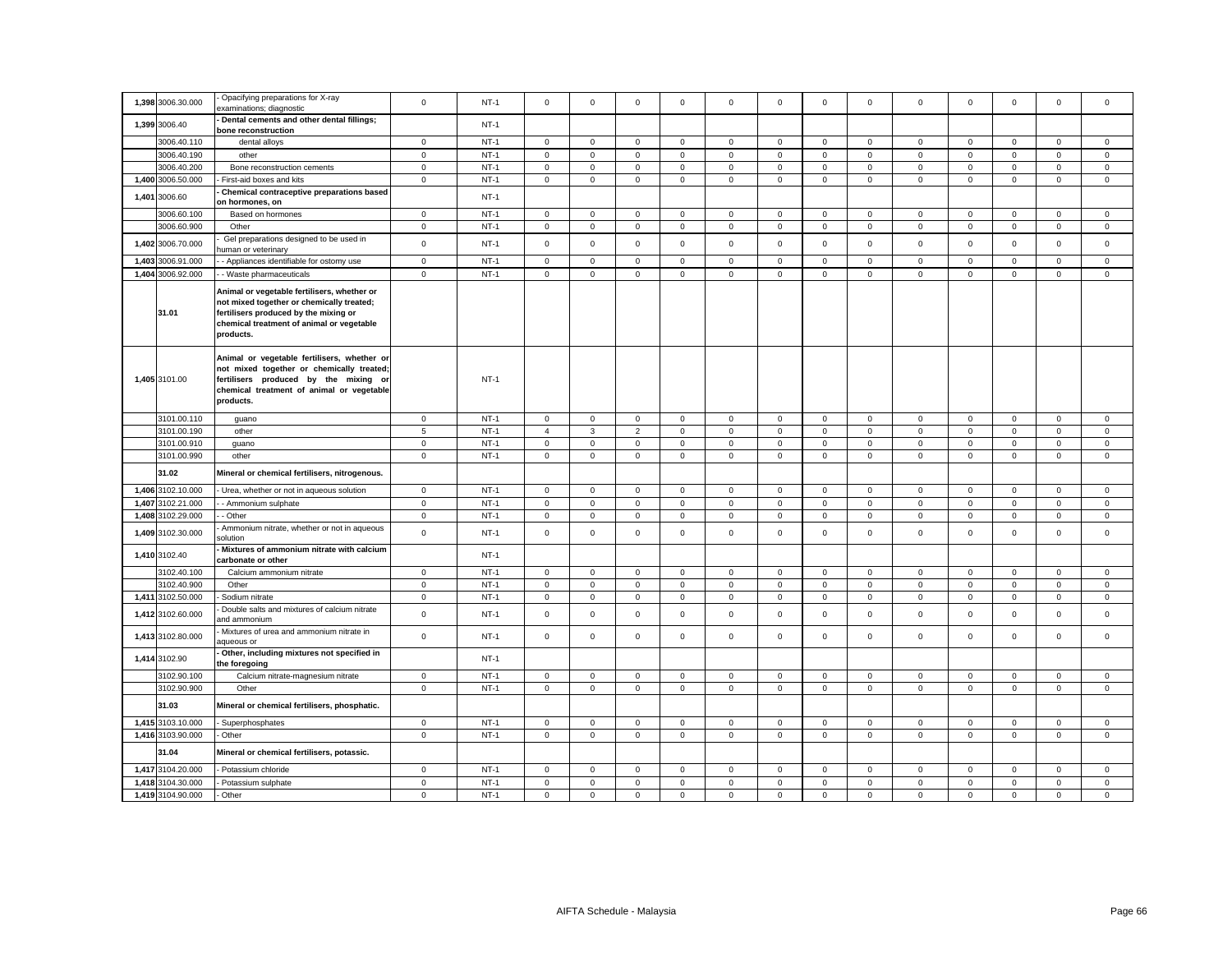|       | 1,398 3006.30.000 | Opacifying preparations for X-ray<br>examinations; diagnostic                                                                                                                               | $\mathsf 0$  | $NT-1$ | $\mathbf 0$    | $\mathbf 0$  | $\mathbf 0$    | $\mathbf{0}$ | $\mathbf 0$ | $\mathbf 0$ | $\mathbf{O}$ | $\mathsf 0$    | $\mathbf 0$  | $\mathbf 0$  | $\mathbf{0}$ | $\mathbf 0$         | $\mathbf 0$ |
|-------|-------------------|---------------------------------------------------------------------------------------------------------------------------------------------------------------------------------------------|--------------|--------|----------------|--------------|----------------|--------------|-------------|-------------|--------------|----------------|--------------|--------------|--------------|---------------------|-------------|
|       | 1,399 3006.40     | Dental cements and other dental fillings;<br>bone reconstruction                                                                                                                            |              | $NT-1$ |                |              |                |              |             |             |              |                |              |              |              |                     |             |
|       | 3006.40.110       | dental alloys                                                                                                                                                                               | $\mathsf 0$  | $NT-1$ | $\mathsf 0$    | $\mathsf 0$  | $\mathbf 0$    | $\mathsf 0$  | $\mathbf 0$ | $\mathsf 0$ | $\mathbf 0$  | $\mathbf 0$    | $\mathbf 0$  | $\mathsf 0$  | $\mathsf 0$  | $\mathsf 0$         | $\mathsf 0$ |
|       | 3006.40.190       | other                                                                                                                                                                                       | $\mathbf 0$  | $NT-1$ | 0              | $\mathbf 0$  | $\mathsf 0$    | $\mathbf 0$  | $\mathbf 0$ | $\mathsf 0$ | $\mathsf 0$  | $\mathbf 0$    | $\mathbf 0$  | $\mathsf 0$  | $\mathbf 0$  | $\mathsf 0$         | $\mathsf 0$ |
|       | 3006.40.200       | Bone reconstruction cements                                                                                                                                                                 | $\mathbf 0$  | $NT-1$ | $\mathbf 0$    | $\mathsf 0$  | $\mathsf 0$    | $\mathsf 0$  | $\mathsf 0$ | $\mathbf 0$ | $\mathsf 0$  | $\mathbf 0$    | $\mathsf 0$  | $\mathbf 0$  | $\mathsf 0$  | $\mathbf 0$         | $\mathsf 0$ |
|       | 1,400 3006.50.000 | First-aid boxes and kits                                                                                                                                                                    | $\mathbf 0$  | $NT-1$ | 0              | $\mathbf 0$  | $\mathsf 0$    | $\mathbf 0$  | $\mathbf 0$ | $\mathsf 0$ | $\mathbf{0}$ | $\mathbf 0$    | $\mathbf 0$  | $\mathsf 0$  | $\mathbf 0$  | $\mathbf 0$         | $\mathbf 0$ |
| 1,401 | 3006.60           | Chemical contraceptive preparations based<br>on hormones, on                                                                                                                                |              | $NT-1$ |                |              |                |              |             |             |              |                |              |              |              |                     |             |
|       | 3006.60.100       | Based on hormones                                                                                                                                                                           | $\mathbf 0$  | $NT-1$ | $\mathbf 0$    | $\mathbf 0$  | $\mathsf 0$    | $\mathbf 0$  | $\mathbf 0$ | $\mathbf 0$ | $\mathbf 0$  | $\mathsf 0$    | $\mathbf 0$  | $\mathbf 0$  | $\Omega$     | $\mathbf 0$         | $\mathsf 0$ |
|       | 3006.60.900       | Other                                                                                                                                                                                       | $\mathsf 0$  | $NT-1$ | $\mathsf 0$    | $\mathsf 0$  | $\mathsf 0$    | $\mathsf 0$  | $\mathsf 0$ | $\mathsf 0$ | $\mathbf 0$  | $\mathbf 0$    | $\mathsf 0$  | $\mathbf 0$  | $\mathsf 0$  | $\mathsf{O}\xspace$ | $\mathsf 0$ |
|       | 1,402 3006.70.000 | Gel preparations designed to be used in<br>uman or veterinary                                                                                                                               | $\mathsf 0$  | $NT-1$ | $\Omega$       | $\mathbf 0$  | $\mathsf 0$    | $\mathbf 0$  | $\mathsf 0$ | $\mathbf 0$ | $\mathbf 0$  | $\mathbf 0$    | $\mathsf 0$  | $\mathbf 0$  | $\mathbf 0$  | $\mathbf 0$         | $\mathbf 0$ |
|       | 1,403 3006.91.000 | - Appliances identifiable for ostomy use                                                                                                                                                    | $\mathbf 0$  | $NT-1$ | $\mathbf 0$    | $^{\circ}$   | $\mathbf 0$    | $\mathbf{0}$ | $\mathbf 0$ | $\mathbf 0$ | $^{\circ}$   | $\mathbf{0}$   | $\mathbf{0}$ | $\mathbf{0}$ | $^{\circ}$   | $\mathbf 0$         | $\mathbf 0$ |
|       | 1,404 3006.92.000 | - Waste pharmaceuticals                                                                                                                                                                     | $\mathbf{0}$ | $NT-1$ | $\mathbf 0$    | $\mathsf 0$  | $\mathsf 0$    | $\mathbf 0$  | $\mathbf 0$ | $\mathsf 0$ | $\mathbf 0$  | $\mathbf 0$    | $\mathsf 0$  | $\mathsf 0$  | $\mathsf 0$  | $\mathsf 0$         | $\mathbf 0$ |
|       | 31.01             | Animal or vegetable fertilisers, whether or<br>not mixed together or chemically treated;<br>fertilisers produced by the mixing or<br>chemical treatment of animal or vegetable<br>products. |              |        |                |              |                |              |             |             |              |                |              |              |              |                     |             |
|       | 1,405 3101.00     | Animal or vegetable fertilisers, whether or<br>not mixed together or chemically treated;<br>fertilisers produced by the mixing or<br>chemical treatment of animal or vegetable<br>products. |              | $NT-1$ |                |              |                |              |             |             |              |                |              |              |              |                     |             |
|       | 3101.00.110       | guano                                                                                                                                                                                       | $\mathbf 0$  | $NT-1$ | $\mathsf 0$    | $\mathsf 0$  | $\mathbf 0$    | $\mathbf 0$  | $\mathsf 0$ | $\mathsf 0$ | $\circ$      | $\mathbf 0$    | $\mathbf 0$  | $\mathsf 0$  | $\mathbf 0$  | $\mathsf 0$         | $\mathsf 0$ |
|       | 3101.00.190       | other                                                                                                                                                                                       | 5            | $NT-1$ | $\overline{4}$ | 3            | $\overline{2}$ | $\mathbf 0$  | $\mathbf 0$ | $\mathsf 0$ | $\mathbf{O}$ | $\mathbf{0}$   | $\mathbf 0$  | $\mathbf 0$  | $\mathbf 0$  | $\mathbf 0$         | $\mathsf 0$ |
|       | 3101.00.910       | guano                                                                                                                                                                                       | $\pmb{0}$    | $NT-1$ | $\mathbf 0$    | $\mathsf 0$  | $\mathsf 0$    | $\mathsf 0$  | $\mathsf 0$ | $\mathbf 0$ | $\mathbf 0$  | $\mathbf 0$    | $\mathsf 0$  | $\mathbf 0$  | $\mathsf 0$  | $\mathbf 0$         | $\mathbf 0$ |
|       | 3101.00.990       | other                                                                                                                                                                                       | $\mathbf 0$  | $NT-1$ | 0              | $\mathbf 0$  | $\mathbf 0$    | $\mathbf 0$  | 0           | $\mathbf 0$ | $\mathbf{0}$ | $\mathbf{0}$   | $\mathbf 0$  | $\mathsf 0$  | $\mathbf 0$  | $\mathbf 0$         | $\mathsf 0$ |
|       | 31.02             | Mineral or chemical fertilisers, nitrogenous.                                                                                                                                               |              |        |                |              |                |              |             |             |              |                |              |              |              |                     |             |
|       | 1,406 3102.10.000 | - Urea, whether or not in aqueous solution                                                                                                                                                  | $\mathbf 0$  | $NT-1$ | $\mathbf 0$    | $\Omega$     | $\mathsf 0$    | $\mathbf{0}$ | $\mathbf 0$ | $\mathbf 0$ | $\mathbf 0$  | $\mathbf{0}$   | $\mathbf 0$  | $\mathbf 0$  | $\mathbf 0$  | $\mathbf 0$         | $\mathsf 0$ |
|       | 1,407 3102.21.000 | - Ammonium sulphate                                                                                                                                                                         | $\mathsf 0$  | $NT-1$ | 0              | $\mathbf 0$  | $\mathbf 0$    | $\mathbf 0$  | 0           | $\mathbf 0$ | $\mathbf{0}$ | $\mathbf 0$    | $\mathbf 0$  | $\mathbf 0$  | $\mathbf 0$  | $\mathbf 0$         | $\mathbf 0$ |
| 1,408 | 3102.29.000       | - Other                                                                                                                                                                                     | $\mathbf 0$  | $NT-1$ | 0              | $\mathbf 0$  | $\mathbf 0$    | $\mathbf 0$  | 0           | $\mathbf 0$ | $\mathbf 0$  | $\mathbf 0$    | $\mathbf 0$  | 0            | $\mathbf 0$  | $\mathbf 0$         | $\mathbf 0$ |
|       | 1,409 3102.30.000 | Ammonium nitrate, whether or not in aqueous<br>olution:                                                                                                                                     | $\mathbf 0$  | $NT-1$ | 0              | $\mathbf 0$  | $\mathsf 0$    | $\mathbf 0$  | 0           | $\mathbf 0$ | $\mathbf{0}$ | $\mathsf 0$    | 0            | 0            | $\mathbf 0$  | $\mathsf 0$         | $\mathsf 0$ |
|       | 1,410 3102.40     | Mixtures of ammonium nitrate with calcium<br>carbonate or other                                                                                                                             |              | $NT-1$ |                |              |                |              |             |             |              |                |              |              |              |                     |             |
|       | 3102.40.100       | Calcium ammonium nitrate                                                                                                                                                                    | $\mathsf 0$  | $NT-1$ | $\mathbf 0$    | $\mathsf 0$  | $\mathsf 0$    | $\mathsf 0$  | $\mathsf 0$ | $\mathbf 0$ | $\mathsf 0$  | $\mathsf 0$    | $\mathbf 0$  | $\mathbf 0$  | $\mathsf 0$  | $\mathsf 0$         | $\mathsf 0$ |
|       | 3102.40.900       | Other                                                                                                                                                                                       | $\mathsf 0$  | $NT-1$ | $\mathbf 0$    | $\mathsf 0$  | $\mathsf 0$    | $\mathsf 0$  | $\mathbf 0$ | $\mathsf 0$ | $\mathbf 0$  | $\mathbf 0$    | $\mathsf 0$  | $\mathbf 0$  | $\mathsf 0$  | $\mathsf 0$         | $\mathsf 0$ |
|       | 1,411 3102.50.000 | Sodium nitrate                                                                                                                                                                              | $\mathbf 0$  | $NT-1$ | $\mathbf 0$    | $\mathbf 0$  | $\mathbf{0}$   | $\mathbf{0}$ | $\mathbf 0$ | $\mathbf 0$ | $\mathbf 0$  | $\mathbf{0}$   | $\mathbf 0$  | $\mathbf 0$  | $\mathbf{O}$ | $\mathbf{0}$        | $\mathbf 0$ |
|       | 1,412 3102.60.000 | Double salts and mixtures of calcium nitrate<br>and ammonium                                                                                                                                | $\mathbf 0$  | $NT-1$ | 0              | $\mathbf 0$  | $\mathsf 0$    | $\mathbf 0$  | 0           | $\mathbf 0$ | $\mathbf 0$  | $\mathbf 0$    | 0            | $\mathbf 0$  | $\mathbf 0$  | $\mathsf 0$         | $\mathbf 0$ |
| 1,413 | 3102.80.000       | Mixtures of urea and ammonium nitrate in<br>aqueous or                                                                                                                                      | $\mathbf 0$  | $NT-1$ | $\mathsf 0$    | $\mathsf 0$  | $\mathsf 0$    | $\mathsf 0$  | $\mathbf 0$ | $\mathsf 0$ | $\mathbf 0$  | $\mathsf 0$    | $\mathsf 0$  | $\mathsf 0$  | $\mathsf 0$  | $\mathsf 0$         | $\mathsf 0$ |
| 1,414 | 3102.90           | Other, including mixtures not specified in<br>the foregoing                                                                                                                                 |              | $NT-1$ |                |              |                |              |             |             |              |                |              |              |              |                     |             |
|       | 3102.90.100       | Calcium nitrate-magnesium nitrate                                                                                                                                                           | $\mathbf 0$  | $NT-1$ | $\circ$        | $\mathbf{O}$ | $\mathsf 0$    | $\mathbf{0}$ | $\mathbf 0$ | $\mathsf 0$ | $\mathbf 0$  | $\mathbf 0$    | $\mathbf 0$  | $\mathsf 0$  | $\mathbf 0$  | $\mathbf 0$         | $\mathbf 0$ |
|       | 3102.90.900       | Other                                                                                                                                                                                       | $\mathsf 0$  | $NT-1$ | $\mathbf 0$    | $\mathbf 0$  | $\mathbf 0$    | $\mathbf{0}$ | $\mathbf 0$ | $\mathbf 0$ | $\mathbf{O}$ | $\mathbf{0}$   | $\mathbf 0$  | $\mathbf 0$  | $\mathbf{0}$ | $\mathbf{0}$        | $\mathbf 0$ |
|       | 31.03             | Mineral or chemical fertilisers, phosphatic.                                                                                                                                                |              |        |                |              |                |              |             |             |              |                |              |              |              |                     |             |
|       | 1,415 3103.10.000 | - Superphosphates                                                                                                                                                                           | $\mathsf 0$  | $NT-1$ | $\mathsf 0$    | $\mathsf 0$  | $\mathsf 0$    | $\mathbf 0$  | $\mathsf 0$ | $\mathsf 0$ | $\mathbf 0$  | $\mathsf 0$    | $\mathsf 0$  | $\mathbf 0$  | $\mathsf 0$  | $\mathsf 0$         | $\mathsf 0$ |
|       | 1,416 3103.90.000 | Other                                                                                                                                                                                       | $\mathbf{0}$ | $NT-1$ | $\mathbf 0$    | $\mathbf 0$  | $\mathbf{0}$   | $\mathbf{0}$ | $\mathbf 0$ | $\mathbf 0$ | $\mathbf{0}$ | $\mathbf{0}$   | $\mathbf{0}$ | $\mathbf 0$  | $\mathbf{0}$ | $\mathbf{0}$        | $\mathbf 0$ |
|       | 31.04             | Mineral or chemical fertilisers, potassic.                                                                                                                                                  |              |        |                |              |                |              |             |             |              |                |              |              |              |                     |             |
|       | 1,417 3104.20.000 | Potassium chloride                                                                                                                                                                          | $\mathbf 0$  | $NT-1$ | 0              | $\mathsf 0$  | $\mathbf 0$    | $\mathbf 0$  | $\mathbf 0$ | $\mathsf 0$ | $\mathbf{0}$ | $\mathbf 0$    | $\mathbf 0$  | $\mathsf 0$  | $\mathbf 0$  | $\mathbf 0$         | $\mathsf 0$ |
|       | 1,418 3104.30.000 | Potassium sulphate                                                                                                                                                                          | $\mathbf 0$  | $NT-1$ | $\mathbf 0$    | $\mathsf 0$  | $\mathsf 0$    | $\mathsf 0$  | $\mathbf 0$ | $\mathbf 0$ | $\mathsf 0$  | $\mathsf 0$    | $\mathsf 0$  | $\mathsf 0$  | $\mathsf 0$  | $\mathsf 0$         | $\mathsf 0$ |
|       | 1,419 3104.90.000 | Other                                                                                                                                                                                       | $\mathbf{0}$ | $NT-1$ | $\mathbf 0$    | $\mathbf 0$  | $\mathbf 0$    | $\mathbf 0$  | $\mathbf 0$ | $\mathbf 0$ | $\mathbf 0$  | $\overline{0}$ | $\mathbf 0$  | $\mathbf 0$  | $\mathbf 0$  | $\mathbf 0$         | $\mathbf 0$ |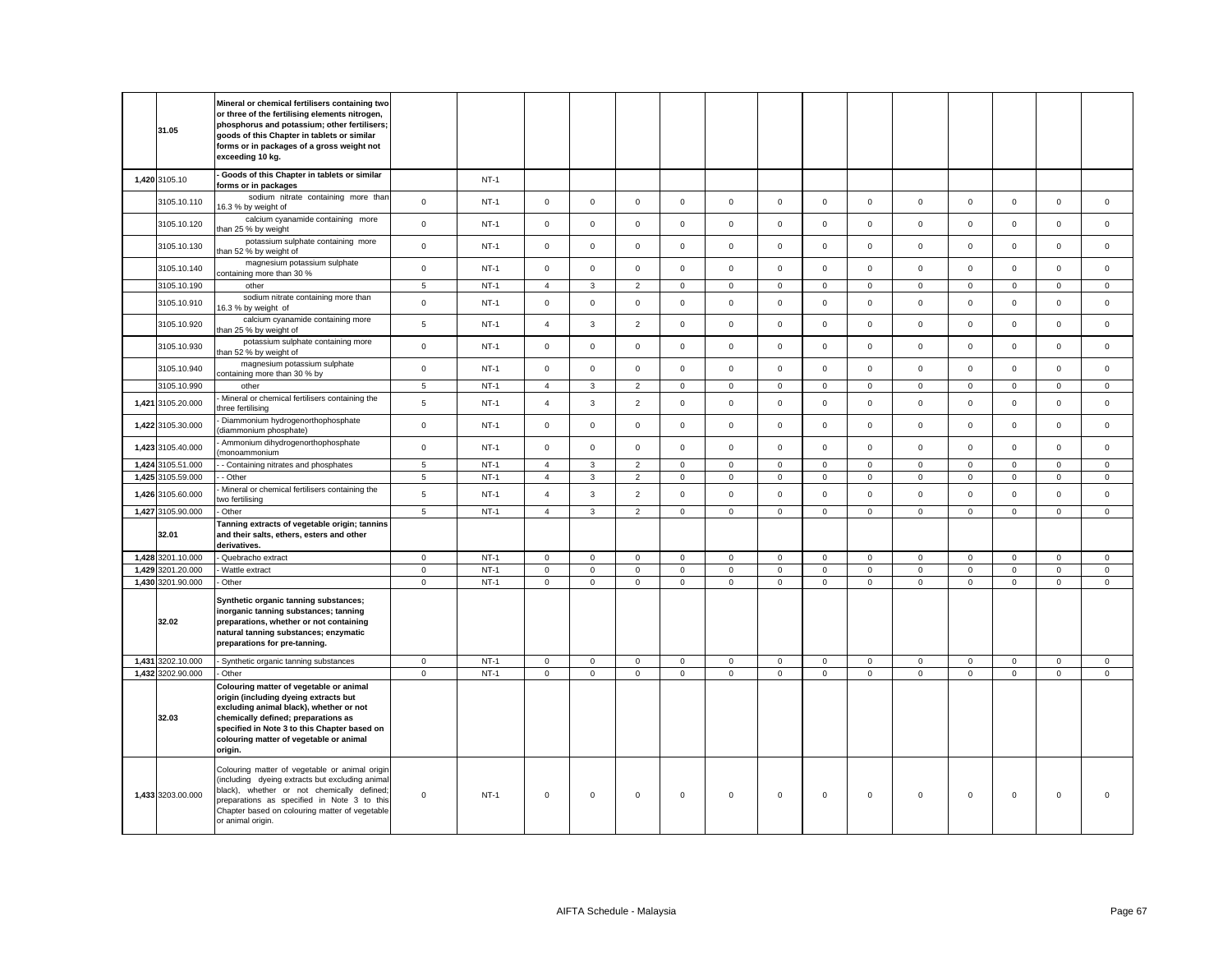|                   | Mineral or chemical fertilisers containing two<br>or three of the fertilising elements nitrogen,                                                                                                                                                                         |                 |        |                     |              |                |              |             |             |              |                |             |             |              |                     |              |
|-------------------|--------------------------------------------------------------------------------------------------------------------------------------------------------------------------------------------------------------------------------------------------------------------------|-----------------|--------|---------------------|--------------|----------------|--------------|-------------|-------------|--------------|----------------|-------------|-------------|--------------|---------------------|--------------|
| 31.05             | phosphorus and potassium; other fertilisers;<br>goods of this Chapter in tablets or similar<br>forms or in packages of a gross weight not<br>exceeding 10 kg.                                                                                                            |                 |        |                     |              |                |              |             |             |              |                |             |             |              |                     |              |
| 1,420 3105.10     | Goods of this Chapter in tablets or similar<br>forms or in packages                                                                                                                                                                                                      |                 | $NT-1$ |                     |              |                |              |             |             |              |                |             |             |              |                     |              |
| 3105.10.110       | sodium nitrate containing more than<br>16.3 % by weight of                                                                                                                                                                                                               | $\mathbf 0$     | $NT-1$ | $\mathbf 0$         | $\mathsf 0$  | $\mathbf 0$    | $\mathsf 0$  | $\mathbf 0$ | $\mathsf 0$ | $\Omega$     | $\mathbf 0$    | $\mathbf 0$ | $\mathsf 0$ | $\mathbf 0$  | $\mathsf 0$         | $\mathsf 0$  |
| 3105.10.120       | calcium cyanamide containing more<br>than 25 % by weight                                                                                                                                                                                                                 | $\mathsf 0$     | $NT-1$ | $\mathbf 0$         | $\mathsf 0$  | $\mathsf 0$    | $\mathbf{0}$ | $\mathbf 0$ | $\mathbf 0$ | $\mathbf 0$  | $\mathsf 0$    | $\mathsf 0$ | $\mathsf 0$ | $\mathbf 0$  | $\mathbf 0$         | $\mathsf 0$  |
| 3105.10.130       | potassium sulphate containing more<br>than 52 % by weight of                                                                                                                                                                                                             | $\mathbf 0$     | $NT-1$ | $\mathbf 0$         | $\mathbf 0$  | $\mathbf 0$    | $\mathbf 0$  | $\mathbf 0$ | $\mathbf 0$ | $\mathbf 0$  | $\mathbf{0}$   | $\mathbf 0$ | $\mathbf 0$ | $\mathbf 0$  | $\mathbf 0$         | $\mathbf 0$  |
| 3105.10.140       | magnesium potassium sulphate<br>containing more than 30 %                                                                                                                                                                                                                | $\mathsf 0$     | $NT-1$ | $\mathbf 0$         | $\mathsf 0$  | $\mathsf 0$    | $\mathsf 0$  | $\mathbf 0$ | $\mathsf 0$ | $\mathsf 0$  | $\mathsf 0$    | $\mathbf 0$ | $\mathsf 0$ | $\mathsf 0$  | $\mathsf 0$         | $\mathsf 0$  |
| 3105.10.190       | other                                                                                                                                                                                                                                                                    | $\sqrt{5}$      | $NT-1$ | $\overline{4}$      | 3            | $\overline{2}$ | $\mathsf 0$  | $\mathsf 0$ | $\mathsf 0$ | $\mathbf 0$  | $\mathbf 0$    | $\mathsf 0$ | $\mathsf 0$ | $\mathbf 0$  | $\mathsf 0$         | $\mathsf 0$  |
| 3105.10.910       | sodium nitrate containing more than<br>16.3 % by weight of                                                                                                                                                                                                               | $\mathsf 0$     | $NT-1$ | $\mathsf{O}\xspace$ | $\mathsf 0$  | $\mathsf 0$    | $\mathsf 0$  | $\mathbf 0$ | $\mathsf 0$ | $\mathsf 0$  | $\mathsf 0$    | $\mathsf 0$ | $\mathsf 0$ | $\mathsf 0$  | $\mathsf 0$         | $\mathsf 0$  |
| 3105.10.920       | calcium cyanamide containing more<br>than 25 % by weight of                                                                                                                                                                                                              | $\overline{5}$  | $NT-1$ | $\overline{4}$      | $\mathbf{3}$ | $\overline{2}$ | $\mathsf 0$  | $\mathbf 0$ | $\mathsf 0$ | $\mathsf 0$  | $\mathsf 0$    | $\mathsf 0$ | $\mathbf 0$ | $\mathsf 0$  | $\mathsf 0$         | $\mathsf 0$  |
| 3105.10.930       | potassium sulphate containing more<br>than 52 % by weight of                                                                                                                                                                                                             | $\mathbf 0$     | $NT-1$ | $\circ$             | $\mathbf 0$  | $\mathbf 0$    | $\mathbf{0}$ | $\mathbf 0$ | $\mathbf 0$ | $\mathbf{O}$ | $\mathbf{0}$   | $\mathbf 0$ | $\mathbf 0$ | $\mathbf 0$  | $\mathbf 0$         | $\mathbf 0$  |
| 3105.10.940       | magnesium potassium sulphate<br>containing more than 30 % by                                                                                                                                                                                                             | $\mathsf 0$     | $NT-1$ | $\mathbf 0$         | $\mathbf 0$  | $\mathsf 0$    | $\mathbf{0}$ | $\mathsf 0$ | $\mathbf 0$ | $\mathbf{O}$ | $\mathbf{0}$   | $\mathbf 0$ | $\mathsf 0$ | $\mathbf 0$  | $\mathbf 0$         | $\mathsf 0$  |
| 3105.10.990       | other                                                                                                                                                                                                                                                                    | $5\phantom{.0}$ | $NT-1$ | $\overline{4}$      | $\mathbf{3}$ | $\overline{2}$ | $\mathbf{0}$ | $\mathbf 0$ | $\mathsf 0$ | $\mathbf 0$  | $\overline{0}$ | $\mathsf 0$ | $\mathsf 0$ | $\mathbf 0$  | $\mathbf 0$         | $\mathsf 0$  |
| 1,421 3105.20.000 | Mineral or chemical fertilisers containing the<br>three fertilisina                                                                                                                                                                                                      | 5               | $NT-1$ | $\overline{4}$      | 3            | $\overline{2}$ | $\mathsf 0$  | $\mathbf 0$ | $\mathsf 0$ | $\mathbf 0$  | $\mathsf 0$    | $\mathbf 0$ | $\mathsf 0$ | $\mathsf 0$  | $\mathsf 0$         | $\mathsf 0$  |
| 1,422 3105.30.000 | Diammonium hydrogenorthophosphate<br>diammonium phosphate)                                                                                                                                                                                                               | $\mathsf 0$     | $NT-1$ | $\mathbf 0$         | $\mathbf 0$  | $\mathsf 0$    | $\mathsf 0$  | $\mathbf 0$ | $\mathsf 0$ | $\mathsf 0$  | $\mathbf 0$    | $\mathsf 0$ | $\mathsf 0$ | $\mathbf 0$  | $\mathsf 0$         | $\mathsf 0$  |
| 1,423 3105.40.000 | Ammonium dihydrogenorthophosphate<br>monoammonium                                                                                                                                                                                                                        | $\mathbf{0}$    | $NT-1$ | $\mathbf 0$         | $\mathbf 0$  | $\mathbf 0$    | $\mathbf{0}$ | $\mathbf 0$ | $\mathbf 0$ | $\mathbf{O}$ | $\mathbf 0$    | $\mathbf 0$ | $\mathbf 0$ | $\mathbf 0$  | $\mathbf 0$         | $\mathbf 0$  |
| 1,424 3105.51.000 | - Containing nitrates and phosphates                                                                                                                                                                                                                                     | 5               | $NT-1$ | $\overline{4}$      | $\mathbf{3}$ | $\overline{2}$ | $\mathbf 0$  | $\mathbf 0$ | $\mathbf 0$ | $\mathbf 0$  | $\mathbf{0}$   | $\mathbf 0$ | $\mathbf 0$ | $\mathbf 0$  | $\mathbf 0$         | $\mathbf 0$  |
| 1,425 3105.59.000 | - Other                                                                                                                                                                                                                                                                  | 5               | $NT-1$ | $\overline{4}$      | 3            | $\overline{2}$ | $\mathbf 0$  | $\mathsf 0$ | $\mathsf 0$ | $\mathbf{0}$ | $\mathbf 0$    | $\mathbf 0$ | $\mathbf 0$ | $\mathbf 0$  | $\mathsf 0$         | $\mathbf{0}$ |
| 1,426 3105.60.000 | Mineral or chemical fertilisers containing the<br>two fertilising                                                                                                                                                                                                        | $5\phantom{.0}$ | $NT-1$ | $\overline{4}$      | $\mathbf{3}$ | $\overline{2}$ | $\mathsf 0$  | $\mathbf 0$ | $\mathsf 0$ | $\mathsf 0$  | $\mathsf 0$    | $\mathsf 0$ | $\mathsf 0$ | $\mathsf 0$  | $\mathsf 0$         | $\mathsf 0$  |
| 1,427 3105.90.000 | Other                                                                                                                                                                                                                                                                    | $\sqrt{5}$      | $NT-1$ | $\overline{4}$      | $\mathbf{3}$ | $\overline{2}$ | $\mathsf 0$  | $\mathsf 0$ | $\mathsf 0$ | $\mathbf 0$  | $\mathsf 0$    | $\mathsf 0$ | $\mathbf 0$ | $\mathsf 0$  | $\overline{0}$      | $\mathbf 0$  |
| 32.01             | Tanning extracts of vegetable origin; tannins<br>and their salts, ethers, esters and other<br>derivatives.                                                                                                                                                               |                 |        |                     |              |                |              |             |             |              |                |             |             |              |                     |              |
| 1,428 3201.10.000 | - Quebracho extract                                                                                                                                                                                                                                                      | $\mathbf 0$     | $NT-1$ | 0                   | $\mathbf 0$  | $\mathbf 0$    | $\mathbf 0$  | 0           | 0           | $\mathbf 0$  | $\mathbf 0$    | 0           | 0           | $\mathbf 0$  | 0                   | $\mathbf 0$  |
| 1,429 3201.20.000 | Wattle extract                                                                                                                                                                                                                                                           | $\mathbf 0$     | $NT-1$ | $\mathbf 0$         | $\mathsf 0$  | $\mathsf 0$    | $\mathsf 0$  | $\mathsf 0$ | $\mathsf 0$ | $\mathsf 0$  | $\mathbf 0$    | $\mathsf 0$ | $\mathsf 0$ | $\mathsf 0$  | $\mathbf 0$         | $\mathsf 0$  |
| 1,430 3201.90.000 | Other                                                                                                                                                                                                                                                                    | $\mathbf 0$     | $NT-1$ | $\mathbf{0}$        | $\mathbf 0$  | $\mathbf{0}$   | $\mathbf{0}$ | $\mathsf 0$ | $\mathbf 0$ | $\mathbf 0$  | $\mathbf 0$    | $\mathsf 0$ | $\mathbf 0$ | $\mathbf{0}$ | $\mathsf{O}\xspace$ | $\mathsf 0$  |
| 32.02             | Synthetic organic tanning substances;<br>inorganic tanning substances; tanning<br>preparations, whether or not containing<br>natural tanning substances; enzymatic<br>preparations for pre-tanning.                                                                      |                 |        |                     |              |                |              |             |             |              |                |             |             |              |                     |              |
| 1,431 3202.10.000 | Synthetic organic tanning substances                                                                                                                                                                                                                                     | $\mathbf 0$     | $NT-1$ | 0                   | $\mathsf 0$  | $\mathsf 0$    | $\mathsf 0$  | $\mathsf 0$ | $\mathbf 0$ | $\mathbf 0$  | $\mathsf 0$    | $\mathsf 0$ | $\mathsf 0$ | $\mathsf 0$  | $\mathsf{O}\xspace$ | $\mathsf 0$  |
| 1,432 3202.90.000 | Other                                                                                                                                                                                                                                                                    | $\mathbf{0}$    | $NT-1$ | $\mathbf{0}$        | $\mathbf 0$  | $\mathbf 0$    | $\mathbf 0$  | $\mathbf 0$ | $\mathbf 0$ | $\mathbf{0}$ | $\mathbf 0$    | $\mathbf 0$ | $\mathbf 0$ | $\mathbf 0$  | $\mathbf 0$         | $\mathbf 0$  |
| 32.03             | Colouring matter of vegetable or animal<br>origin (including dyeing extracts but<br>excluding animal black), whether or not<br>chemically defined; preparations as<br>specified in Note 3 to this Chapter based on<br>colouring matter of vegetable or animal<br>origin. |                 |        |                     |              |                |              |             |             |              |                |             |             |              |                     |              |
| 1,433 3203.00.000 | Colouring matter of vegetable or animal origin<br>(including dyeing extracts but excluding animal<br>black), whether or not chemically defined;<br>preparations as specified in Note 3 to this<br>Chapter based on colouring matter of vegetable<br>or animal origin.    | $\mathbf 0$     | $NT-1$ | $\mathsf 0$         | $\mathsf 0$  | $\mathsf 0$    | $\mathsf 0$  | $\mathbf 0$ | $\mathbf 0$ | $\mathsf 0$  | $\mathsf 0$    | $\mathsf 0$ | $\mathsf 0$ | $\mathsf 0$  | $\mathsf 0$         | $\mathbf 0$  |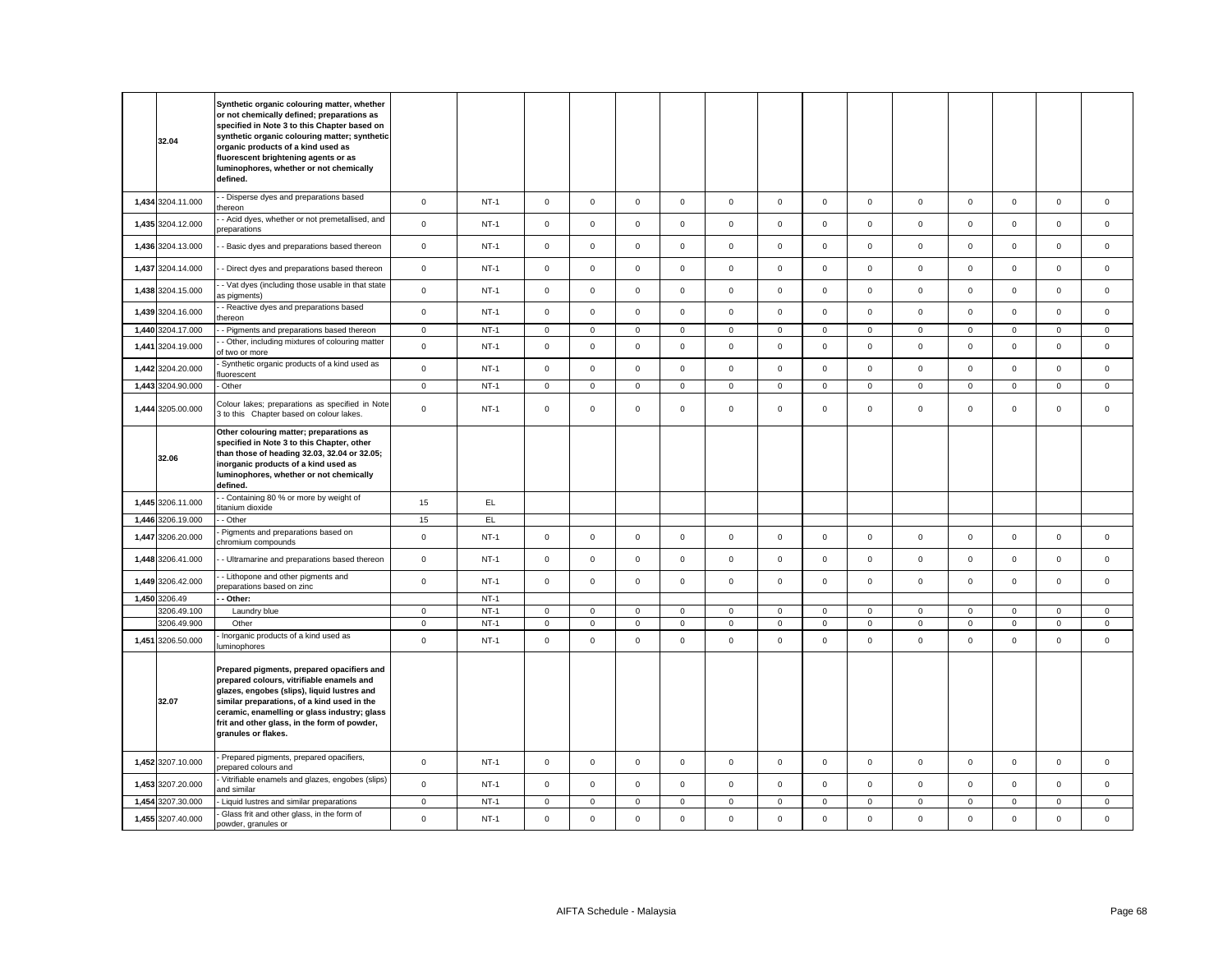| 32.04                      | Synthetic organic colouring matter, whether<br>or not chemically defined; preparations as<br>specified in Note 3 to this Chapter based on<br>synthetic organic colouring matter; synthetic<br>organic products of a kind used as<br>fluorescent brightening agents or as<br>luminophores, whether or not chemically<br>defined. |                             |                  |                              |                            |                            |                              |                            |                            |                              |                             |                             |                            |                            |                            |                            |
|----------------------------|---------------------------------------------------------------------------------------------------------------------------------------------------------------------------------------------------------------------------------------------------------------------------------------------------------------------------------|-----------------------------|------------------|------------------------------|----------------------------|----------------------------|------------------------------|----------------------------|----------------------------|------------------------------|-----------------------------|-----------------------------|----------------------------|----------------------------|----------------------------|----------------------------|
| 1,434 3204.11.000          | - Disperse dyes and preparations based<br>hereon                                                                                                                                                                                                                                                                                | $\mathbf 0$                 | $NT-1$           | $\circ$                      | $\mathbf 0$                | $\mathbf 0$                | $\mathbf{0}$                 | $\mathbf 0$                | $\mathbf 0$                | $\mathbf{O}$                 | $\mathbf{0}$                | $\mathbf{0}$                | $\mathbf 0$                | $\mathbf{0}$               | $\mathbf 0$                | $\mathbf 0$                |
| 1,435 3204.12.000          | - Acid dyes, whether or not premetallised, and<br>preparations                                                                                                                                                                                                                                                                  | $\mathbf 0$                 | $NT-1$           | $\mathbf 0$                  | $\mathbf 0$                | $\mathsf 0$                | $\mathsf 0$                  | $\mathbf 0$                | $\mathsf 0$                | $\mathbf 0$                  | $\mathsf 0$                 | $\mathbf 0$                 | $\mathsf 0$                | $\mathsf 0$                | $\mathsf 0$                | $\mathsf 0$                |
| 1,436 3204.13.000          | - Basic dyes and preparations based thereon                                                                                                                                                                                                                                                                                     | $\mathbf 0$                 | $NT-1$           | $\mathbf 0$                  | $\mathsf 0$                | $\mathsf 0$                | $\mathsf 0$                  | $\mathsf 0$                | $\mathsf 0$                | $\mathbf 0$                  | $\mathsf 0$                 | $\mathsf 0$                 | $\mathbf 0$                | $\mathsf 0$                | $\mathsf 0$                | $\mathsf 0$                |
| 1,437 3204.14.000          | - Direct dyes and preparations based thereon                                                                                                                                                                                                                                                                                    | $\mathsf 0$                 | $NT-1$           | $\mathsf 0$                  | $\Omega$                   | $\mathsf 0$                | $\mathsf 0$                  | $\mathsf 0$                | $\mathsf 0$                | $\mathbf 0$                  | $\mathsf 0$                 | $\mathsf 0$                 | $\mathbf 0$                | $\mathbf 0$                | $\mathsf 0$                | $\mathsf 0$                |
| 1,438 3204.15.000          | - Vat dyes (including those usable in that state<br>as pigments)                                                                                                                                                                                                                                                                | $\mathbf 0$                 | $NT-1$           | $\mathbf 0$                  | $\mathbf 0$                | $\mathbf 0$                | $\mathbf 0$                  | $\mathsf 0$                | $\mathsf 0$                | $\mathbf 0$                  | $\mathsf 0$                 | $\mathbf 0$                 | $\mathbf 0$                | $\mathbf 0$                | $\mathsf 0$                | $\mathsf 0$                |
| 1,439 3204.16.000          | - Reactive dyes and preparations based<br>hereon                                                                                                                                                                                                                                                                                | $\mathsf 0$                 | $NT-1$           | $\mathbf 0$                  | $\mathsf 0$                | $\mathsf 0$                | $\mathsf 0$                  | $\mathbf 0$                | $\mathsf 0$                | $\mathsf 0$                  | $\mathsf 0$                 | $\mathsf 0$                 | $\mathbf 0$                | $\mathsf 0$                | $\mathsf 0$                | $\mathsf 0$                |
| 1,440 3204.17.000          | - Pigments and preparations based thereon                                                                                                                                                                                                                                                                                       | $\mathbf 0$                 | $NT-1$           | $\overline{0}$               | $\mathbf 0$                | $\mathbf 0$                | $\overline{0}$               | $\mathsf 0$                | $\mathsf 0$                | $\mathbf 0$                  | $\overline{0}$              | $\overline{0}$              | $\mathsf 0$                | $\mathsf 0$                | $\mathsf 0$                | $\mathsf 0$                |
| 1,441 3204.19.000          | - Other, including mixtures of colouring matter<br>of two or more                                                                                                                                                                                                                                                               | $\mathsf 0$                 | $NT-1$           | $\circ$                      | $\mathbf 0$                | $\mathbf 0$                | $\mathbf 0$                  | $\mathsf 0$                | $\mathsf 0$                | $\mathbf 0$                  | $\mathbf 0$                 | $\mathbf{0}$                | $\mathbf 0$                | $\mathbf 0$                | $\mathsf 0$                | $\mathbf 0$                |
| 1,442 3204.20.000          | Synthetic organic products of a kind used as<br>luorescent                                                                                                                                                                                                                                                                      | $\mathsf 0$                 | $NT-1$           | $\mathbf 0$                  | $\mathbf 0$                | $\mathsf 0$                | $\mathbf 0$                  | $\mathsf 0$                | $\mathsf 0$                | $\mathbf 0$                  | $\mathsf 0$                 | $\mathsf 0$                 | $\mathsf 0$                | $\mathbf 0$                | $\mathbf 0$                | $\mathsf 0$                |
| 1,443 3204.90.000          | Other                                                                                                                                                                                                                                                                                                                           | $\mathbf 0$                 | $NT-1$           | $\mathsf 0$                  | $\mathsf 0$                | $\mathsf 0$                | $\mathbf 0$                  | $\mathsf 0$                | $\mathsf 0$                | $\mathbf 0$                  | $\mathsf 0$                 | $\mathsf 0$                 | $\mathbf 0$                | $\mathsf 0$                | $\mathsf 0$                | $\mathsf 0$                |
| 1,444 3205.00.000          | Colour lakes; preparations as specified in Note<br>3 to this Chapter based on colour lakes.                                                                                                                                                                                                                                     | $\mathsf 0$                 | $NT-1$           | $\mathbf 0$                  | $\mathbf 0$                | $\mathsf 0$                | $\mathbf 0$                  | $\mathbf 0$                | $\mathsf 0$                | $\mathbf{0}$                 | $\mathbf 0$                 | $\mathbf 0$                 | $\mathsf 0$                | $\mathbf 0$                | $\mathsf 0$                | $\mathsf 0$                |
| 32.06                      | Other colouring matter; preparations as<br>specified in Note 3 to this Chapter, other<br>than those of heading 32.03, 32.04 or 32.05;<br>inorganic products of a kind used as<br>luminophores, whether or not chemically<br>defined.                                                                                            |                             |                  |                              |                            |                            |                              |                            |                            |                              |                             |                             |                            |                            |                            |                            |
| 1,445 3206.11.000          | - Containing 80 % or more by weight of<br>itanium dioxide                                                                                                                                                                                                                                                                       | 15                          | EL               |                              |                            |                            |                              |                            |                            |                              |                             |                             |                            |                            |                            |                            |
| 1,446 3206.19.000          | - Other                                                                                                                                                                                                                                                                                                                         | 15                          | EL.              |                              |                            |                            |                              |                            |                            |                              |                             |                             |                            |                            |                            |                            |
| 1,447 3206.20.000          | Pigments and preparations based on<br>chromium compounds                                                                                                                                                                                                                                                                        | $\mathsf 0$                 | $NT-1$           | $\mathbf 0$                  | $\mathsf 0$                | $\mathsf 0$                | $\mathsf 0$                  | $\mathsf 0$                | $\mathsf 0$                | $\mathbf 0$                  | $\mathsf 0$                 | $\mathsf 0$                 | $\mathbf 0$                | $\mathbf 0$                | $\mathsf 0$                | $\mathsf 0$                |
| 1,448 3206.41.000          | - Ultramarine and preparations based thereon                                                                                                                                                                                                                                                                                    | $\mathsf 0$                 | $NT-1$           | $\circ$                      | $\mathbf 0$                | $\mathbf 0$                | $\mathbf{0}$                 | $\mathbf 0$                | $\mathbf 0$                | $\mathbf 0$                  | $\mathbf{0}$                | $\mathsf 0$                 | $\mathbf 0$                | $\mathbf 0$                | $\mathbf 0$                | $\mathbf 0$                |
| 1,449 3206.42.000          | - Lithopone and other pigments and<br>preparations based on zinc                                                                                                                                                                                                                                                                | $\mathbf 0$                 | $NT-1$           | $\mathbf{0}$                 | $\mathbf 0$                | $\mathsf 0$                | $\mathsf 0$                  | $\mathbf 0$                | $\mathsf 0$                | $\mathbf 0$                  | $\mathsf 0$                 | $\mathbf 0$                 | $\mathsf 0$                | $\mathsf 0$                | $\mathsf 0$                | $\mathsf 0$                |
| 1,450 3206.49              | - Other:                                                                                                                                                                                                                                                                                                                        |                             | $NT-1$           |                              |                            |                            |                              |                            |                            |                              |                             |                             |                            |                            |                            |                            |
| 3206.49.100<br>3206.49.900 | Laundry blue<br>Other                                                                                                                                                                                                                                                                                                           | $\mathbf{0}$<br>$\mathbf 0$ | $NT-1$<br>$NT-1$ | $\mathbf{0}$<br>$\mathbf{0}$ | $\mathbf 0$<br>$\mathbf 0$ | $\mathbf 0$<br>$\mathbf 0$ | $\mathbf{0}$<br>$\mathbf{0}$ | $\mathbf 0$<br>$\mathbf 0$ | $\mathsf 0$<br>$\mathsf 0$ | $\mathbf{0}$<br>$\mathbf{0}$ | $\mathbf 0$<br>$\mathbf{0}$ | $\mathbf{0}$<br>$\mathsf 0$ | $\mathsf 0$<br>$\mathsf 0$ | $\mathbf 0$<br>$\mathsf 0$ | $\mathbf 0$<br>$\mathsf 0$ | $\mathbf 0$<br>$\mathbf 0$ |
| 1,451 3206.50.000          | Inorganic products of a kind used as                                                                                                                                                                                                                                                                                            | $\mathbf 0$                 | $NT-1$           | $\mathsf 0$                  | $\mathbf 0$                | $\mathsf 0$                | $\mathsf 0$                  | $\mathbf 0$                | $\mathsf 0$                | $\mathsf 0$                  | $\mathsf 0$                 | $\mathbf 0$                 | $\mathsf 0$                | $\mathsf 0$                | $\mathsf 0$                | $\mathsf 0$                |
| 32.07                      | luminophores<br>Prepared pigments, prepared opacifiers and<br>prepared colours, vitrifiable enamels and<br>glazes, engobes (slips), liquid lustres and<br>similar preparations, of a kind used in the<br>ceramic, enamelling or glass industry; glass<br>frit and other glass, in the form of powder,<br>granules or flakes.    |                             |                  |                              |                            |                            |                              |                            |                            |                              |                             |                             |                            |                            |                            |                            |
| 1,452 3207.10.000          | Prepared pigments, prepared opacifiers,<br>prepared colours and                                                                                                                                                                                                                                                                 | $\mathbf 0$                 | $NT-1$           | $\mathbf 0$                  | $\mathbf 0$                | $\mathsf 0$                | $\mathsf 0$                  | $\mathsf 0$                | $\mathsf 0$                | $\mathbf 0$                  | $\mathsf 0$                 | $\mathbf 0$                 | $\mathsf 0$                | $\mathsf 0$                | $\mathsf 0$                | $\mathsf 0$                |
| 1,453 3207.20.000          | Vitrifiable enamels and glazes, engobes (slips)<br>and similar                                                                                                                                                                                                                                                                  | $\mathsf 0$                 | $NT-1$           | $\mathbf{0}$                 | $\mathbf 0$                | $\mathsf 0$                | $\mathbf{0}$                 | $\mathsf 0$                | $\mathsf 0$                | $\mathbf 0$                  | $\mathsf 0$                 | $\mathsf 0$                 | $\mathsf 0$                | $\mathsf 0$                | $\mathsf 0$                | $\mathbf 0$                |
| 1,454 3207.30.000          | Liquid lustres and similar preparations                                                                                                                                                                                                                                                                                         | $\mathbf 0$                 | $NT-1$           | $\mathsf 0$                  | $\mathbf 0$                | $\mathbf 0$                | $\mathsf 0$                  | $\mathsf 0$                | $\mathsf 0$                | $\mathbf 0$                  | $\mathsf 0$                 | $\mathbf 0$                 | $\mathsf 0$                | $\mathsf 0$                | $\mathbf 0$                | $\mathsf 0$                |
| 1,455 3207.40.000          | Glass frit and other glass, in the form of<br>powder, granules or                                                                                                                                                                                                                                                               | $\mathsf 0$                 | $NT-1$           | $\mathsf 0$                  | $\mathbf 0$                | $\mathsf 0$                | $\mathsf 0$                  | $\mathsf 0$                | $\mathbf 0$                | $\mathbf 0$                  | $\mathsf 0$                 | $\mathsf 0$                 | $\mathbf 0$                | $\mathsf 0$                | $\mathsf 0$                | $\mathsf 0$                |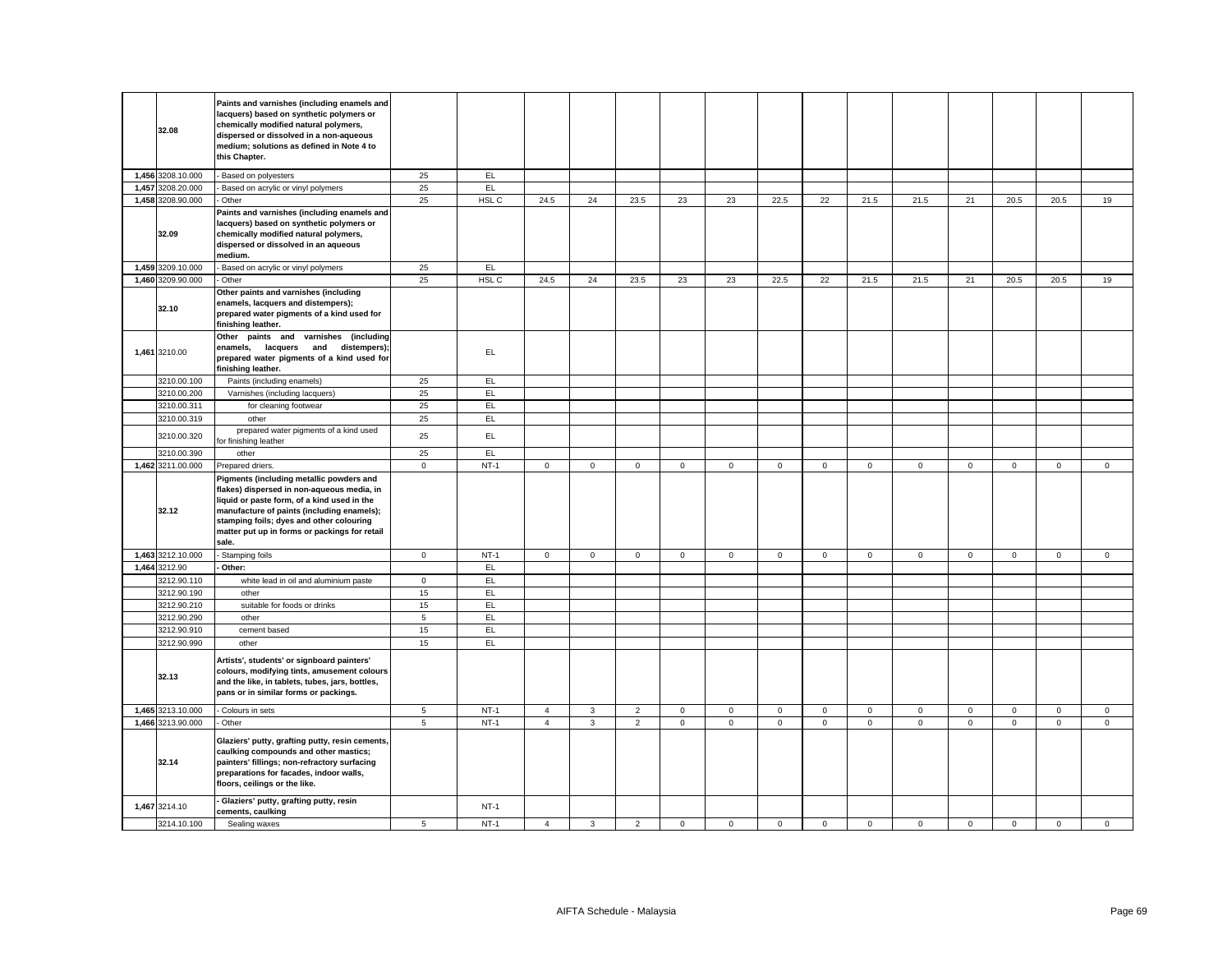| 32.08                        | Paints and varnishes (including enamels and<br>lacquers) based on synthetic polymers or<br>chemically modified natural polymers,<br>dispersed or dissolved in a non-aqueous<br>medium; solutions as defined in Note 4 to<br>this Chapter.                                                 |                 |                  |                |                     |                |             |             |             |              |              |             |             |             |                     |             |
|------------------------------|-------------------------------------------------------------------------------------------------------------------------------------------------------------------------------------------------------------------------------------------------------------------------------------------|-----------------|------------------|----------------|---------------------|----------------|-------------|-------------|-------------|--------------|--------------|-------------|-------------|-------------|---------------------|-------------|
| 1,456 3208.10.000            | Based on polyesters                                                                                                                                                                                                                                                                       | 25              | EL               |                |                     |                |             |             |             |              |              |             |             |             |                     |             |
| 1,457 3208.20.000            | Based on acrylic or vinyl polymers                                                                                                                                                                                                                                                        | 25              | EL               |                |                     |                |             |             |             |              |              |             |             |             |                     |             |
| 1,458 3208.90.000            | Other                                                                                                                                                                                                                                                                                     | 25              | HSL C            | 24.5           | 24                  | 23.5           | 23          | 23          | 22.5        | 22           | 21.5         | 21.5        | 21          | 20.5        | 20.5                | 19          |
| 32.09                        | Paints and varnishes (including enamels and<br>lacquers) based on synthetic polymers or<br>chemically modified natural polymers,<br>dispersed or dissolved in an aqueous<br>medium.                                                                                                       |                 |                  |                |                     |                |             |             |             |              |              |             |             |             |                     |             |
| 1,459 3209.10.000            | Based on acrylic or vinyl polymers                                                                                                                                                                                                                                                        | 25              | EL               |                |                     |                |             |             |             |              |              |             |             |             |                     |             |
| 1,460 3209.90.000            | Other                                                                                                                                                                                                                                                                                     | 25              | HSL C            | 24.5           | 24                  | 23.5           | 23          | 23          | 22.5        | 22           | 21.5         | 21.5        | 21          | 20.5        | 20.5                | 19          |
| 32.10                        | Other paints and varnishes (including<br>enamels, lacquers and distempers);<br>prepared water pigments of a kind used for<br>finishing leather.                                                                                                                                           |                 |                  |                |                     |                |             |             |             |              |              |             |             |             |                     |             |
| 1,461 3210.00                | Other paints and varnishes (including<br>enamels.<br>lacquers and distempers);<br>prepared water pigments of a kind used for<br>finishing leather.                                                                                                                                        |                 | EL.              |                |                     |                |             |             |             |              |              |             |             |             |                     |             |
| 3210.00.100                  | Paints (including enamels)                                                                                                                                                                                                                                                                | 25              | EL.              |                |                     |                |             |             |             |              |              |             |             |             |                     |             |
| 3210.00.200                  | Varnishes (including lacquers)                                                                                                                                                                                                                                                            | 25              | EL               |                |                     |                |             |             |             |              |              |             |             |             |                     |             |
| 3210.00.311                  | for cleaning footwear                                                                                                                                                                                                                                                                     | 25              | EL               |                |                     |                |             |             |             |              |              |             |             |             |                     |             |
| 3210.00.319                  | other                                                                                                                                                                                                                                                                                     | 25              | EL               |                |                     |                |             |             |             |              |              |             |             |             |                     |             |
| 3210.00.320                  | prepared water pigments of a kind used<br>or finishing leather                                                                                                                                                                                                                            | 25              | EL.              |                |                     |                |             |             |             |              |              |             |             |             |                     |             |
| 3210.00.390                  | other                                                                                                                                                                                                                                                                                     | 25              | EL               |                |                     |                |             |             |             |              |              |             |             |             |                     |             |
| 1,462 3211.00.000            | Prepared driers.                                                                                                                                                                                                                                                                          | $\mathbf 0$     | $NT-1$           | 0              | $\mathsf{O}\xspace$ | $\mathbf 0$    | $\mathsf 0$ | $\mathsf 0$ | $\mathbf 0$ | $\mathbf 0$  | $\mathsf 0$  | $\mathsf 0$ | $\mathbf 0$ | $\mathbf 0$ | $\mathsf{O}\xspace$ | $\mathbf 0$ |
|                              |                                                                                                                                                                                                                                                                                           |                 |                  |                |                     |                |             |             |             |              |              |             |             |             |                     |             |
| 32.12                        | Pigments (including metallic powders and<br>flakes) dispersed in non-aqueous media, in<br>liquid or paste form, of a kind used in the<br>manufacture of paints (including enamels);<br>stamping foils; dyes and other colouring<br>matter put up in forms or packings for retail<br>sale. |                 |                  |                |                     |                |             |             |             |              |              |             |             |             |                     |             |
| 1,463 3212.10.000            | Stamping foils                                                                                                                                                                                                                                                                            | $\mathsf 0$     | $NT-1$           | $\mathbf{0}$   | $\mathbf 0$         | $\mathbf{0}$   | $\mathbf 0$ | $\mathbf 0$ | $\mathbf 0$ | $\mathbf 0$  | $\mathbf 0$  | $\mathbf 0$ | $\mathsf 0$ | $\mathbf 0$ | $\mathbf 0$         | $\mathbf 0$ |
| 1,464 3212.90                | Other:                                                                                                                                                                                                                                                                                    |                 | E                |                |                     |                |             |             |             |              |              |             |             |             |                     |             |
| 3212.90.110                  | white lead in oil and aluminium paste                                                                                                                                                                                                                                                     | $\mathbf{0}$    | EL               |                |                     |                |             |             |             |              |              |             |             |             |                     |             |
| 3212.90.190                  | other                                                                                                                                                                                                                                                                                     | 15              | EL.              |                |                     |                |             |             |             |              |              |             |             |             |                     |             |
| 3212.90.210                  | suitable for foods or drinks                                                                                                                                                                                                                                                              | 15              | EL               |                |                     |                |             |             |             |              |              |             |             |             |                     |             |
| 3212.90.290                  | other                                                                                                                                                                                                                                                                                     | $5\phantom{.0}$ | EL               |                |                     |                |             |             |             |              |              |             |             |             |                     |             |
| 3212.90.910                  | cement based                                                                                                                                                                                                                                                                              | 15              | EL               |                |                     |                |             |             |             |              |              |             |             |             |                     |             |
| 3212.90.990<br>32.13         | other<br>Artists', students' or signboard painters'<br>colours, modifying tints, amusement colours<br>and the like, in tablets, tubes, jars, bottles,<br>pans or in similar forms or packings.                                                                                            | 15              | EL               |                |                     |                |             |             |             |              |              |             |             |             |                     |             |
| 1,465 3213.10.000            | - Colours in sets                                                                                                                                                                                                                                                                         | $\sqrt{5}$      | $NT-1$           | $\overline{4}$ | $\mathbf{3}$        | $\overline{2}$ | $\mathbf 0$ | $\mathsf 0$ | $\mathsf 0$ | $\mathsf 0$  | $\mathsf 0$  | $\mathsf 0$ | $\mathbf 0$ | $\mathsf 0$ | $\mathsf{O}\xspace$ | $\mathsf 0$ |
| 1,466 3213.90.000            | Other                                                                                                                                                                                                                                                                                     | 5               | $NT-1$           | $\overline{4}$ | $\mathbf{3}$        | $\overline{2}$ | $\mathsf 0$ | $\mathbf 0$ | $\mathsf 0$ | $\mathsf{O}$ | $\mathbf{0}$ | $\mathsf 0$ | $\mathsf 0$ | $\mathsf 0$ | $\mathsf 0$         | $\mathsf 0$ |
| 32.14                        | Glaziers' putty, grafting putty, resin cements,<br>caulking compounds and other mastics;<br>painters' fillings; non-refractory surfacing<br>preparations for facades, indoor walls,<br>floors, ceilings or the like.                                                                      |                 |                  |                |                     |                |             |             |             |              |              |             |             |             |                     |             |
| 1,467 3214.10<br>3214.10.100 | Glaziers' putty, grafting putty, resin<br>cements, caulking<br>Sealing waxes                                                                                                                                                                                                              | 5               | $NT-1$<br>$NT-1$ | $\overline{4}$ | 3                   | $\overline{2}$ | $\mathsf 0$ | $\mathbf 0$ | $\mathsf 0$ | $\mathsf 0$  | $\mathsf 0$  | $\mathbf 0$ | $\mathsf 0$ | $\mathbf 0$ | $\mathsf 0$         | $\mathsf 0$ |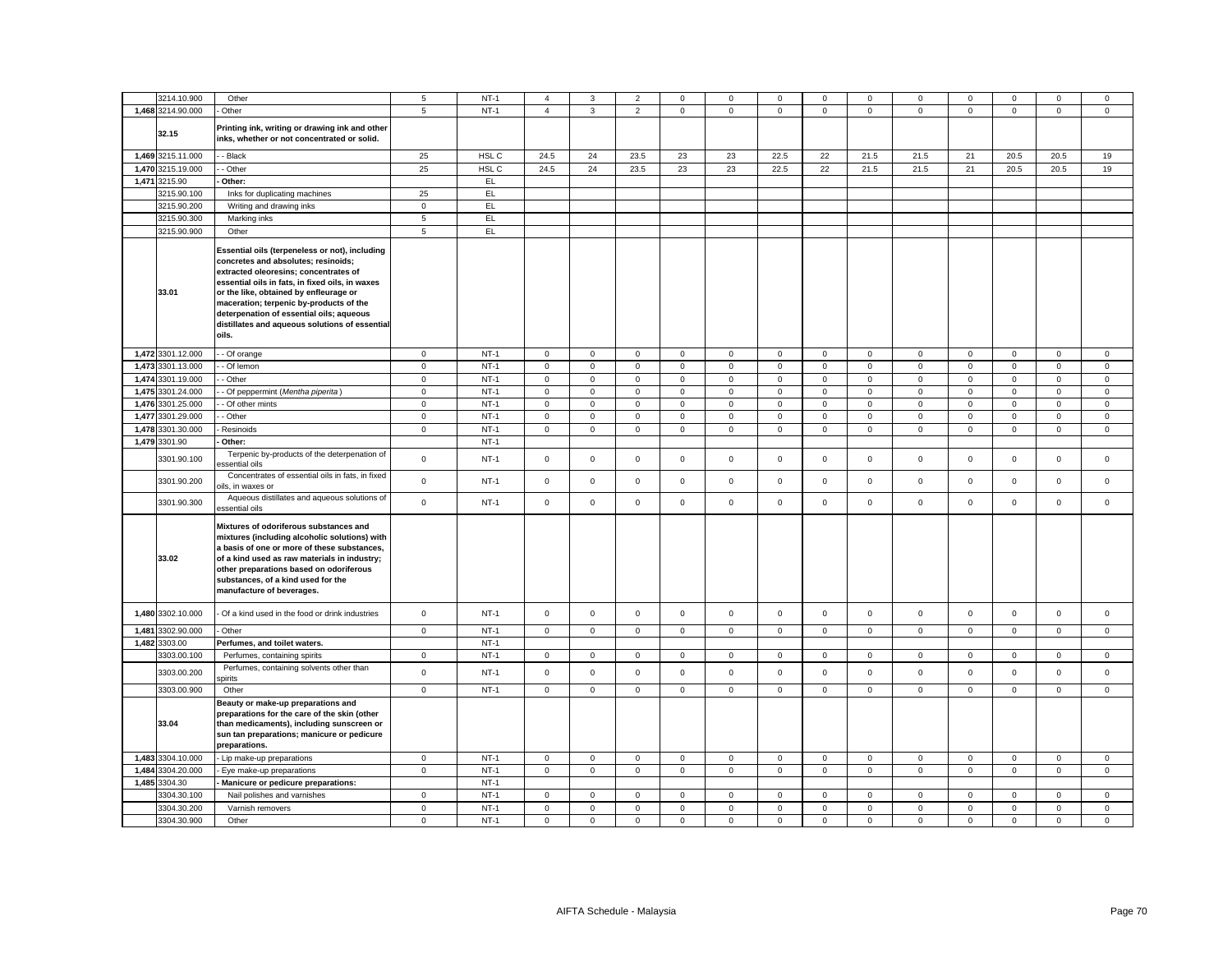| 3214.10.900          | Other                                                                                                                                                                                                                                                                                                                                                                         | 5           | $NT-1$ | 4              | 3                   | $\overline{\mathbf{2}}$ | 0            | 0                   | 0           | 0            | $^{\circ}$   | 0                   | 0           |              | $^{\circ}$  | 0            |
|----------------------|-------------------------------------------------------------------------------------------------------------------------------------------------------------------------------------------------------------------------------------------------------------------------------------------------------------------------------------------------------------------------------|-------------|--------|----------------|---------------------|-------------------------|--------------|---------------------|-------------|--------------|--------------|---------------------|-------------|--------------|-------------|--------------|
| 1,468 3214.90.000    | Other                                                                                                                                                                                                                                                                                                                                                                         | 5           | $NT-1$ | $\overline{4}$ | $\mathbf{3}$        | $\overline{2}$          | $\mathsf 0$  | $\mathbf 0$         | $\mathsf 0$ | $\mathsf 0$  | $\mathsf 0$  | $\mathsf 0$         | $\mathbf 0$ | $\mathsf 0$  | $\mathsf 0$ | $\mathsf 0$  |
| 32.15                | Printing ink, writing or drawing ink and other<br>inks, whether or not concentrated or solid.                                                                                                                                                                                                                                                                                 |             |        |                |                     |                         |              |                     |             |              |              |                     |             |              |             |              |
| 1,469 3215.11.000    | - Black                                                                                                                                                                                                                                                                                                                                                                       | 25          | HSL C  | 24.5           | 24                  | 23.5                    | 23           | 23                  | 22.5        | 22           | 21.5         | 21.5                | 21          | 20.5         | 20.5        | 19           |
| 1,470 3215.19.000    | - Other                                                                                                                                                                                                                                                                                                                                                                       | 25          | HSL C  | 24.5           | 24                  | 23.5                    | 23           | 23                  | 22.5        | 22           | 21.5         | 21.5                | 21          | 20.5         | 20.5        | 19           |
| 1,471 3215.90        | Other:                                                                                                                                                                                                                                                                                                                                                                        |             | EL     |                |                     |                         |              |                     |             |              |              |                     |             |              |             |              |
| 3215.90.100          | Inks for duplicating machines                                                                                                                                                                                                                                                                                                                                                 | 25          | EL     |                |                     |                         |              |                     |             |              |              |                     |             |              |             |              |
| 3215.90.200          | Writing and drawing inks                                                                                                                                                                                                                                                                                                                                                      | $\mathsf 0$ | EL     |                |                     |                         |              |                     |             |              |              |                     |             |              |             |              |
| 3215.90.300          | Marking inks                                                                                                                                                                                                                                                                                                                                                                  | $\,$ 5 $\,$ | E      |                |                     |                         |              |                     |             |              |              |                     |             |              |             |              |
| 3215.90.900          | Other                                                                                                                                                                                                                                                                                                                                                                         | 5           | EL     |                |                     |                         |              |                     |             |              |              |                     |             |              |             |              |
| 33.01                | Essential oils (terpeneless or not), including<br>concretes and absolutes; resinoids;<br>extracted oleoresins; concentrates of<br>essential oils in fats, in fixed oils, in waxes<br>or the like, obtained by enfleurage or<br>maceration; terpenic by-products of the<br>deterpenation of essential oils; aqueous<br>distillates and aqueous solutions of essential<br>oils. |             |        |                |                     |                         |              |                     |             |              |              |                     |             |              |             |              |
| 1,472 3301.12.000    | - Of orange                                                                                                                                                                                                                                                                                                                                                                   | $\mathbf 0$ | $NT-1$ | $\mathbf 0$    | $\mathbf{0}$        | $\mathsf 0$             | $\mathbf 0$  | 0                   | $\mathsf 0$ | $\mathbf 0$  | $\mathsf 0$  | $\mathsf 0$         | $\mathsf 0$ | $\mathbf 0$  | $\mathsf 0$ | $\mathsf 0$  |
| 1,473<br>3301.13.000 | - Of lemon                                                                                                                                                                                                                                                                                                                                                                    | $\mathsf 0$ | $NT-1$ | $\mathsf 0$    | $\mathsf 0$         | $\mathsf 0$             | $\mathsf 0$  | $\mathsf{O}\xspace$ | $\mathsf 0$ | $\mathsf 0$  | $\mathsf 0$  | $\mathsf 0$         | $\mathbf 0$ | $\mathsf 0$  | $\mathsf 0$ | $\mathbf 0$  |
| 1,474 3301.19.000    | - Other                                                                                                                                                                                                                                                                                                                                                                       | $\mathbf 0$ | $NT-1$ | $\mathbf 0$    | $\mathbf 0$         | $\mathsf 0$             | $\mathbf 0$  | $\mathbf 0$         | $\mathsf 0$ | $\mathbf 0$  | $\mathbf 0$  | $\mathsf 0$         | $\mathsf 0$ | $\mathsf 0$  | $\mathsf 0$ | $\mathsf 0$  |
| 1,475<br>3301.24.000 | - Of peppermint (Mentha piperita)                                                                                                                                                                                                                                                                                                                                             | $\mathsf 0$ | $NT-1$ | $\mathsf 0$    | $\mathsf 0$         | $\mathsf 0$             | $\mathsf 0$  | 0                   | $\mathbf 0$ | $\mathsf 0$  | $\mathsf 0$  | $\mathsf 0$         | $\mathsf 0$ | $\mathbf 0$  | $\mathsf 0$ | $\mathsf 0$  |
| 1,476<br>3301.25.000 | - Of other mints                                                                                                                                                                                                                                                                                                                                                              | $\mathbf 0$ | $NT-1$ | $\mathbf 0$    | $\mathbf 0$         | $\mathbf 0$             | $\mathbf 0$  | 0                   | $\mathbf 0$ | $\mathbf 0$  | $\mathbf 0$  | 0                   | $\mathbf 0$ | 0            | $\mathbf 0$ | $\mathbf 0$  |
| 1,477<br>3301.29.000 | - Other                                                                                                                                                                                                                                                                                                                                                                       | $\mathbf 0$ | $NT-1$ | $\mathsf 0$    | $\mathsf 0$         | $\mathsf 0$             | $\mathsf 0$  | $\mathsf{O}\xspace$ | $\mathsf 0$ | $\mathbf 0$  | $\mathsf 0$  | $\mathsf 0$         | $\mathbf 0$ | $\mathsf 0$  | $\mathsf 0$ | $\mathsf 0$  |
| 1,478<br>3301.30.000 | Resinoids                                                                                                                                                                                                                                                                                                                                                                     | $\mathbf 0$ | $NT-1$ | $\mathbf 0$    | 0                   | $\mathsf 0$             | $\mathbf 0$  | 0                   | $\mathsf 0$ | $\mathbf 0$  | $\mathbf 0$  | $\mathsf{O}\xspace$ | $\mathbf 0$ | $\mathbf 0$  | $\mathsf 0$ | $\mathbf 0$  |
| 1,479 3301.90        | Other:                                                                                                                                                                                                                                                                                                                                                                        |             | $NT-1$ |                |                     |                         |              |                     |             |              |              |                     |             |              |             |              |
| 3301.90.100          | Terpenic by-products of the deterpenation of<br>essential oils                                                                                                                                                                                                                                                                                                                | $\mathbf 0$ | $NT-1$ | $\mathsf 0$    | $\mathsf 0$         | $\mathsf 0$             | $\mathbf 0$  | $\mathbf 0$         | $\mathsf 0$ | $\mathbf 0$  | $\mathbf 0$  | $\mathsf{O}\xspace$ | $\mathbf 0$ | $\mathsf 0$  | $\mathsf 0$ | $\mathsf 0$  |
| 3301.90.200          | Concentrates of essential oils in fats, in fixed<br>bils, in waxes or                                                                                                                                                                                                                                                                                                         | $\mathbf 0$ | $NT-1$ | $\mathsf 0$    | $\mathsf 0$         | $\mathsf 0$             | $\mathsf 0$  | $\mathsf 0$         | $\mathsf 0$ | $\mathsf 0$  | $\mathbf 0$  | $\mathsf 0$         | $\mathbf 0$ | $\mathsf 0$  | $\mathsf 0$ | $\mathsf 0$  |
| 3301.90.300          | Aqueous distillates and aqueous solutions of<br>essential oils                                                                                                                                                                                                                                                                                                                | $\mathsf 0$ | $NT-1$ | $\mathsf{O}$   | $\mathsf 0$         | $\mathsf 0$             | $\mathbf 0$  | $\mathbf 0$         | $\mathsf 0$ | $\mathsf 0$  | $\mathsf 0$  | $\mathsf{O}\xspace$ | $\mathbf 0$ | $\mathsf 0$  | $\mathsf 0$ | $\mathsf 0$  |
| 33.02                | Mixtures of odoriferous substances and<br>mixtures (including alcoholic solutions) with<br>a basis of one or more of these substances,<br>of a kind used as raw materials in industry;<br>other preparations based on odoriferous<br>substances, of a kind used for the<br>manufacture of beverages.                                                                          |             |        |                |                     |                         |              |                     |             |              |              |                     |             |              |             |              |
| 1,480 3302.10.000    | - Of a kind used in the food or drink industries                                                                                                                                                                                                                                                                                                                              | $\mathbf 0$ | $NT-1$ | $\mathsf 0$    | $\mathbf 0$         | $\mathsf 0$             | $\mathbf 0$  | $\mathbf 0$         | $\mathsf 0$ | $\mathbf 0$  | $\mathsf 0$  | $\mathbf 0$         | $\mathsf 0$ | $\mathbf 0$  | $\mathsf 0$ | $\mathsf 0$  |
| 1,481 3302.90.000    | Other                                                                                                                                                                                                                                                                                                                                                                         | $\mathsf 0$ | $NT-1$ | $\mathbf 0$    | $\mathbf 0$         | $\mathsf 0$             | $\mathsf 0$  | $\mathbf 0$         | $\mathsf 0$ | $\mathsf 0$  | $\mathsf 0$  | $\mathbf 0$         | $\mathsf 0$ | $\mathsf 0$  | $\mathsf 0$ | $\mathsf 0$  |
| 1,482<br>3303.00     | Perfumes, and toilet waters.                                                                                                                                                                                                                                                                                                                                                  |             | $NT-1$ |                |                     |                         |              |                     |             |              |              |                     |             |              |             |              |
| 3303.00.100          | Perfumes, containing spirits                                                                                                                                                                                                                                                                                                                                                  | $\mathsf 0$ | $NT-1$ | 0              | $\mathsf 0$         | $\mathsf 0$             | $\mathbf 0$  | 0                   | $\mathsf 0$ | $\mathbf 0$  | $\mathbf 0$  | $\mathsf 0$         | $\mathbf 0$ | $\mathbf 0$  | $\mathsf 0$ | $\mathbf 0$  |
| 3303.00.200          | Perfumes, containing solvents other than<br>pirits                                                                                                                                                                                                                                                                                                                            | $\mathbf 0$ | $NT-1$ | $\mathbf 0$    | $\mathsf 0$         | $\mathbf 0$             | $\mathbf 0$  | $\mathbf{0}$        | $\mathbf 0$ | $\mathbf 0$  | $\mathsf 0$  | $\mathsf 0$         | $\mathbf 0$ | $\mathbf 0$  | $\mathsf 0$ | $\mathsf 0$  |
| 3303.00.900          | Other                                                                                                                                                                                                                                                                                                                                                                         | $\mathbf 0$ | $NT-1$ | $\mathbf 0$    | $\mathbf 0$         | $\mathsf 0$             | $\mathsf 0$  | $\mathbf 0$         | $\mathsf 0$ | $\mathbf 0$  | $\mathsf 0$  | $\mathbf 0$         | $\mathsf 0$ | $\mathbf 0$  | $\mathsf 0$ | $\mathsf 0$  |
| 33.04                | Beauty or make-up preparations and<br>preparations for the care of the skin (other<br>than medicaments), including sunscreen or<br>sun tan preparations; manicure or pedicure<br>preparations.                                                                                                                                                                                |             |        |                |                     |                         |              |                     |             |              |              |                     |             |              |             |              |
| 1,483 3304.10.000    | - Lip make-up preparations                                                                                                                                                                                                                                                                                                                                                    | $\mathbf 0$ | $NT-1$ | $\mathsf 0$    | $\mathsf 0$         | $\mathsf 0$             | $\mathbf 0$  | 0                   | $\mathsf 0$ | $\mathsf 0$  | $\mathsf 0$  | $\mathbf 0$         | $\mathsf 0$ | $\mathbf 0$  | $\mathsf 0$ | $\mathbf 0$  |
| 1,484 3304.20.000    | - Eye make-up preparations                                                                                                                                                                                                                                                                                                                                                    | $^{\circ}$  | $NT-1$ | $\mathbf 0$    | $\mathsf{O}\xspace$ | $\mathsf 0$             | $\mathbf{0}$ | 0                   | $\mathsf 0$ | $\mathbf{0}$ | $\mathbf 0$  | $\mathsf{O}\xspace$ | $\mathbf 0$ | $\mathbf{O}$ | $\mathsf 0$ | $\mathbf{0}$ |
| 1,485 3304.30        | Manicure or pedicure preparations:                                                                                                                                                                                                                                                                                                                                            |             | $NT-1$ |                |                     |                         |              |                     |             |              |              |                     |             |              |             |              |
| 3304.30.100          | Nail polishes and varnishes                                                                                                                                                                                                                                                                                                                                                   | $\mathbf 0$ | $NT-1$ | $\mathsf 0$    | $\mathbf 0$         | $\mathbf 0$             | $\mathbf 0$  | $\mathbf 0$         | $\mathsf 0$ | $\mathbf 0$  | $\mathsf 0$  | $\mathbf 0$         | $\mathsf 0$ | $\mathbf 0$  | $\mathbf 0$ | $\mathsf 0$  |
| 3304.30.200          | Varnish removers                                                                                                                                                                                                                                                                                                                                                              | $\mathbf 0$ | $NT-1$ | $\mathbf 0$    | $\mathbf 0$         | $\mathbf 0$             | $\mathbf 0$  | $\mathbf{0}$        | $\mathbf 0$ | $\mathbf 0$  | $\mathbf 0$  | $\mathbf 0$         | $\mathbf 0$ | $\mathbf 0$  | $\mathbf 0$ | $\mathbf 0$  |
| 3304.30.900          | Other                                                                                                                                                                                                                                                                                                                                                                         | $\mathbf 0$ | $NT-1$ | $\mathbf{0}$   | $\mathbf 0$         | $\mathbf 0$             | $\mathbf 0$  | $\mathbf{0}$        | $\mathbf 0$ | $\mathbf 0$  | $\mathbf{0}$ | $\mathbf 0$         | $\mathbf 0$ | $\mathbf{0}$ | $\mathbf 0$ | $\mathbf 0$  |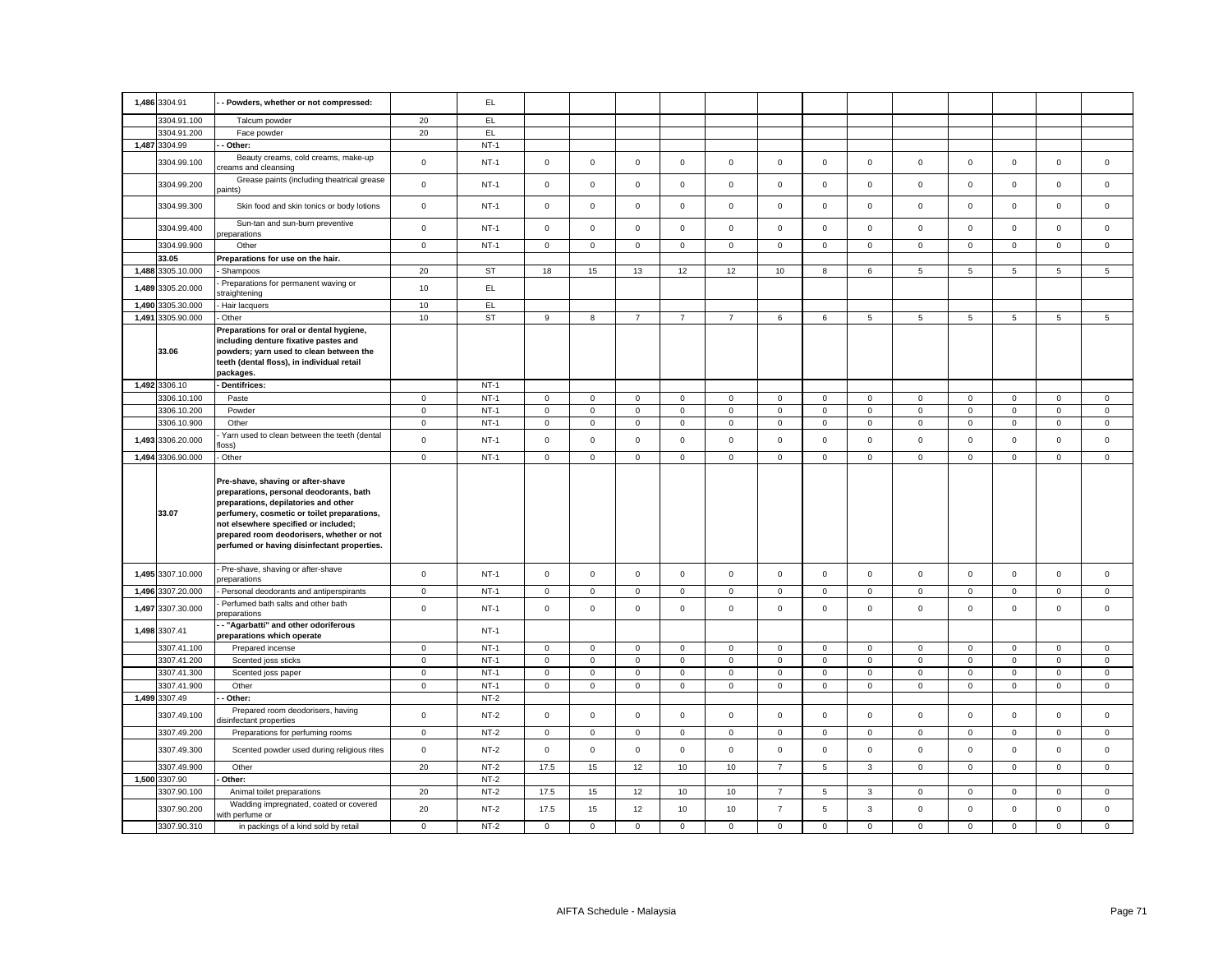| 1,486 3304.91              | - Powders, whether or not compressed:                                                                                                                                                                                                                                                                   |                     | EL.              |                     |                   |                     |                   |                   |                               |                  |                   |                            |                            |                            |                            |                            |
|----------------------------|---------------------------------------------------------------------------------------------------------------------------------------------------------------------------------------------------------------------------------------------------------------------------------------------------------|---------------------|------------------|---------------------|-------------------|---------------------|-------------------|-------------------|-------------------------------|------------------|-------------------|----------------------------|----------------------------|----------------------------|----------------------------|----------------------------|
| 3304.91.100                | Talcum powder                                                                                                                                                                                                                                                                                           | 20                  | EL               |                     |                   |                     |                   |                   |                               |                  |                   |                            |                            |                            |                            |                            |
| 3304.91.200                | Face powder                                                                                                                                                                                                                                                                                             | 20                  | EL               |                     |                   |                     |                   |                   |                               |                  |                   |                            |                            |                            |                            |                            |
| 1,487 3304.99              | - Other:                                                                                                                                                                                                                                                                                                |                     | $NT-1$           |                     |                   |                     |                   |                   |                               |                  |                   |                            |                            |                            |                            |                            |
| 3304.99.100                | Beauty creams, cold creams, make-up<br>creams and cleansing                                                                                                                                                                                                                                             | $\mathbf 0$         | $NT-1$           | $\mathbf 0$         | $\mathbf 0$       | $\mathsf 0$         | $\mathsf 0$       | $\mathsf 0$       | $\mathsf 0$                   | $\mathbf 0$      | $\mathsf 0$       | $\mathsf 0$                | $\mathsf 0$                | $\mathsf 0$                | $\mathsf 0$                | $\mathsf 0$                |
| 3304.99.200                | Grease paints (including theatrical grease<br>paints)                                                                                                                                                                                                                                                   | $\mathsf 0$         | $NT-1$           | $\mathbf 0$         | $\mathsf 0$       | $\mathsf 0$         | $\mathsf 0$       | $\mathbf 0$       | $\mathsf 0$                   | $\mathbf 0$      | $\mathsf 0$       | $\mathsf 0$                | $\mathbf 0$                | $\mathsf 0$                | $\mathsf 0$                | $\mathsf 0$                |
| 3304.99.300                | Skin food and skin tonics or body lotions                                                                                                                                                                                                                                                               | $\mathbf 0$         | $NT-1$           | $\mathbf 0$         | $\mathsf 0$       | $\mathsf 0$         | $\mathsf 0$       | $\mathsf 0$       | $\mathsf 0$                   | $\mathbf 0$      | $\mathsf 0$       | $\mathbf 0$                | $\mathbf 0$                | $\mathsf 0$                | $\mathsf 0$                | $\mathsf 0$                |
| 3304.99.400                | Sun-tan and sun-burn preventive<br>oreparations                                                                                                                                                                                                                                                         | $\mathsf{o}\xspace$ | $NT-1$           | $\circ$             | $\mathbf 0$       | $\mathsf 0$         | $\mathsf 0$       | $\mathsf 0$       | $\mathsf 0$                   | $\mathbf 0$      | $\mathsf 0$       | $\mathsf 0$                | $\mathbf 0$                | $\mathsf 0$                | $\mathsf 0$                | $\mathsf 0$                |
| 3304.99.900                | Other                                                                                                                                                                                                                                                                                                   | $\mathsf 0$         | $NT-1$           | $\mathsf 0$         | $\mathsf 0$       | $\mathsf 0$         | $\mathsf 0$       | $\mathsf 0$       | $\mathsf 0$                   | $\mathsf 0$      | $\mathsf 0$       | $\mathsf 0$                | $\mathsf 0$                | $\mathsf 0$                | $\mathsf 0$                | $\mathsf 0$                |
| 33.05                      | Preparations for use on the hair.                                                                                                                                                                                                                                                                       |                     |                  |                     |                   |                     |                   |                   |                               |                  |                   |                            |                            |                            |                            |                            |
| 1,488 3305.10.000          | Shampoos                                                                                                                                                                                                                                                                                                | 20                  | <b>ST</b>        | 18                  | 15                | 13                  | 12                | 12                | 10                            | 8                | 6                 | 5                          | 5                          | 5                          | 5                          | $\mathbf 5$                |
| 1,489 3305.20.000          | Preparations for permanent waving or<br>straightening                                                                                                                                                                                                                                                   | 10                  | EL               |                     |                   |                     |                   |                   |                               |                  |                   |                            |                            |                            |                            |                            |
| 1,490 3305.30.000          | Hair lacquers                                                                                                                                                                                                                                                                                           | 10                  | EL               |                     |                   |                     |                   |                   |                               |                  |                   |                            |                            |                            |                            |                            |
| 1,491 3305.90.000          | Other                                                                                                                                                                                                                                                                                                   | 10                  | <b>ST</b>        | 9                   | 8                 | $\overline{7}$      | $\overline{7}$    | $\overline{7}$    | 6                             | 6                | 5                 | 5                          | 5                          | 5                          | 5                          | 5                          |
| 33.06                      | Preparations for oral or dental hygiene,<br>including denture fixative pastes and<br>powders; yarn used to clean between the<br>teeth (dental floss), in individual retail<br>packages.                                                                                                                 |                     |                  |                     |                   |                     |                   |                   |                               |                  |                   |                            |                            |                            |                            |                            |
| 1,492 3306.10              | Dentifrices:                                                                                                                                                                                                                                                                                            |                     | $NT-1$           |                     |                   |                     |                   |                   |                               |                  |                   |                            |                            |                            |                            |                            |
| 3306.10.100                | Paste                                                                                                                                                                                                                                                                                                   | $\mathbf 0$         | $NT-1$           | $\mathbf 0$         | $\mathbf 0$       | $\mathbf 0$         | $\mathbf 0$       | $\mathsf 0$       | $\mathsf 0$                   | $\mathbf{O}$     | $\mathbf 0$       | $\mathsf 0$                | $\mathsf 0$                | $\mathbf 0$                | $\mathbf 0$                | $\mathsf 0$                |
| 3306.10.200                | Powder                                                                                                                                                                                                                                                                                                  | $\mathbf 0$         | $NT-1$           | $\mathbf{0}$        | $\mathbf 0$       | $\mathbf 0$         | $\mathbf 0$       | $\mathbf 0$       | $\mathbf 0$                   | $\mathbf 0$      | $\mathsf 0$       | $\mathsf 0$                | $\mathbf 0$                | $\mathbf 0$                | $\mathbf 0$                | $\mathsf 0$                |
| 3306.10.900                | Other                                                                                                                                                                                                                                                                                                   | $\mathbf 0$         | $NT-1$           | $\mathbf 0$         | $\mathbf 0$       | $\mathsf 0$         | $\mathbf 0$       | $\mathbf 0$       | $\mathsf 0$                   | $\mathbf 0$      | $\mathbf 0$       | $\mathbf 0$                | $\mathsf 0$                | $\mathbf 0$                | $\mathbf 0$                | $\mathsf 0$                |
| 1,493 3306.20.000          | Yarn used to clean between the teeth (dental<br>loss)                                                                                                                                                                                                                                                   | $\mathsf 0$         | $NT-1$           | $\mathbf 0$         | $\mathsf 0$       | $\mathsf{O}\xspace$ | $\mathsf 0$       | $\mathsf 0$       | $\mathsf 0$                   | $\mathsf 0$      | $\mathsf 0$       | $\mathbf 0$                | $\mathsf 0$                | $\mathsf 0$                | $\mathsf 0$                | $\mathsf 0$                |
| 1,494 3306.90.000          | Other                                                                                                                                                                                                                                                                                                   | $\circ$             | $NT-1$           | $\mathbf 0$         | $\mathbf 0$       | $\mathsf 0$         | $\mathsf 0$       | $\mathbf 0$       | $\mathsf 0$                   | $\mathbf 0$      | $\mathsf 0$       | $\mathsf 0$                | $\mathsf 0$                | $\mathsf 0$                | $\mathsf 0$                | $\mathsf 0$                |
|                            |                                                                                                                                                                                                                                                                                                         |                     |                  |                     |                   |                     |                   |                   |                               |                  |                   |                            |                            |                            |                            |                            |
| 33.07                      | Pre-shave, shaving or after-shave<br>preparations, personal deodorants, bath<br>preparations, depilatories and other<br>perfumery, cosmetic or toilet preparations,<br>not elsewhere specified or included;<br>prepared room deodorisers, whether or not<br>perfumed or having disinfectant properties. |                     |                  |                     |                   |                     |                   |                   |                               |                  |                   |                            |                            |                            |                            |                            |
| 1,495 3307.10.000          | Pre-shave, shaving or after-shave<br>oreparations                                                                                                                                                                                                                                                       | $\mathsf 0$         | $NT-1$           | $\mathbf 0$         | $\mathsf 0$       | $\mathsf 0$         | $\mathsf 0$       | $\mathsf 0$       | $\mathsf 0$                   | $\mathbf 0$      | $\mathsf 0$       | $\mathsf 0$                | $\mathsf 0$                | $\mathbf 0$                | $\mathsf 0$                | $\mathbf 0$                |
| 1,496 3307.20.000          | Personal deodorants and antiperspirants                                                                                                                                                                                                                                                                 | $\mathbf 0$         | $NT-1$           | $\mathbf 0$         | $\mathsf 0$       | $\mathsf 0$         | $\mathsf 0$       | $\mathsf 0$       | $\mathbf 0$                   | $\mathsf 0$      | $\mathsf 0$       | $\mathbf 0$                | $\mathbf 0$                | $\mathbf 0$                | $\mathsf 0$                | $\mathbf 0$                |
| 1,497 3307.30.000          | Perfumed bath salts and other bath<br>oreparations                                                                                                                                                                                                                                                      | $\mathbf 0$         | $NT-1$           | $\circ$             | $\mathbf 0$       | $\mathbf 0$         | $\mathbf 0$       | $\mathbf 0$       | $\mathsf 0$                   | $\mathbf 0$      | $\mathbf 0$       | $\mathsf 0$                | $\mathbf 0$                | $\mathbf 0$                | $\mathsf 0$                | $\mathsf 0$                |
| 1,498 3307.41              | - "Agarbatti" and other odoriferous<br>preparations which operate                                                                                                                                                                                                                                       |                     | $NT-1$           |                     |                   |                     |                   |                   |                               |                  |                   |                            |                            |                            |                            |                            |
| 3307.41.100                | Prepared incense                                                                                                                                                                                                                                                                                        | $\circ$             | $NT-1$           | $\mathbf{0}$        | $\mathbf 0$       | $\mathbf 0$         | $\mathsf 0$       | $\mathbf 0$       | $\mathbf 0$                   | $\mathbf 0$      | $\mathbf 0$       | $\mathbf 0$                | $\mathbf 0$                | $\mathbf 0$                | $\mathbf 0$                | $\mathsf 0$                |
| 3307.41.200                | Scented joss sticks                                                                                                                                                                                                                                                                                     | $\mathbf{0}$        | $NT-1$           | $\circ$             | $\mathbf 0$       | $\mathbf 0$         | $\mathbf 0$       | $\mathbf{0}$      | $\mathbf 0$                   | $\mathbf{0}$     | $\mathbf{0}$      | $\mathbf{0}$               | $\mathbf 0$                | $\mathbf 0$                | $\mathbf 0$                | $\mathbf 0$                |
| 3307.41.300                | Scented joss paper                                                                                                                                                                                                                                                                                      | $\mathbf 0$         | $NT-1$           | $\mathbf 0$         | $\mathbf 0$       | $\mathbf{0}$        | $\mathbf{0}$      | $\mathbf 0$       | $\mathsf 0$                   | $\mathbf 0$      | $\mathbf 0$       | $\mathsf 0$                | $\mathbf 0$                | $\mathbf 0$                | $\mathsf{O}\xspace$        | $\mathbf 0$                |
| 3307.41.900                | Other                                                                                                                                                                                                                                                                                                   | $\circ$             | $NT-1$           | $\mathbf 0$         | $\mathbf 0$       | $\mathbf 0$         | $\mathbf{0}$      | $\mathbf 0$       | $\mathbf 0$                   | $\mathbf 0$      | $\mathbf 0$       | $\mathsf 0$                | $\mathbf 0$                | $\mathbf{0}$               | $\mathbf 0$                | $\mathsf 0$                |
| 1,499 3307.49              | Other:                                                                                                                                                                                                                                                                                                  |                     | $NT-2$           |                     |                   |                     |                   |                   |                               |                  |                   |                            |                            |                            |                            |                            |
| 3307.49.100                | Prepared room deodorisers, having<br>isinfectant properties                                                                                                                                                                                                                                             | $\mathbf 0$         | $NT-2$           | $\mathbf 0$         | $\mathsf 0$       | $\mathsf 0$         | $\mathsf 0$       | $\mathsf 0$       | $\mathsf 0$                   | $\mathbf 0$      | $\mathsf 0$       | $\mathbf 0$                | $\mathsf 0$                | $\mathsf 0$                | $\mathsf 0$                | $\mathsf 0$                |
| 3307.49.200                | Preparations for perfuming rooms                                                                                                                                                                                                                                                                        | $\circ$             | $NT-2$           | $\mathbf 0$         | $\mathbf 0$       | $\mathbf 0$         | $\mathsf 0$       | $\mathsf 0$       | $\mathsf 0$                   | $\mathbf 0$      | $\mathbf 0$       | $\mathbf 0$                | $\mathsf 0$                | $\mathsf 0$                | $\mathbf 0$                | $\mathsf 0$                |
| 3307.49.300                | Scented powder used during religious rites                                                                                                                                                                                                                                                              | $\mathbf 0$         | $NT-2$           | $\mathbf{0}$        | $\mathbf 0$       | $\mathsf 0$         | $\mathsf 0$       | $\mathsf 0$       | $\mathsf 0$                   | $\mathbf 0$      | $\mathsf 0$       | $\mathbf 0$                | $\mathsf 0$                | $\mathsf 0$                | $\mathsf 0$                | $\mathsf 0$                |
| 3307.49.900                | Other                                                                                                                                                                                                                                                                                                   | 20                  | $NT-2$           | 17.5                | 15                | 12                  | 10                | 10                | $\overline{7}$                | 5                | $\mathbf{3}$      | $\mathsf 0$                | $\mathbf 0$                | $\mathsf 0$                | $\mathsf 0$                | $\mathsf 0$                |
| 1,500 3307.90              | Other:                                                                                                                                                                                                                                                                                                  |                     | $NT-2$           |                     |                   |                     |                   |                   |                               |                  |                   |                            |                            |                            |                            |                            |
| 3307.90.100                | Animal toilet preparations                                                                                                                                                                                                                                                                              | 20                  | $NT-2$           | 17.5                | 15                | 12                  | 10                | 10                | $\overline{7}$                | 5                | 3                 | $\mathbf 0$                | $\mathbf 0$                | $\mathbf 0$                | 0                          | $\mathbf 0$                |
| 3307.90.200<br>3307.90.310 | Wadding impregnated, coated or covered<br>vith perfume or<br>in packings of a kind sold by retail                                                                                                                                                                                                       | 20<br>$\mathbf 0$   | $NT-2$<br>$NT-2$ | 17.5<br>$\mathsf 0$ | 15<br>$\mathbf 0$ | 12<br>$\mathbf 0$   | 10<br>$\mathsf 0$ | 10<br>$\mathsf 0$ | $\overline{7}$<br>$\mathsf 0$ | 5<br>$\mathbf 0$ | $_{3}$<br>$\,0\,$ | $\mathsf 0$<br>$\mathsf 0$ | $\mathbf 0$<br>$\mathsf 0$ | $\mathsf 0$<br>$\mathbf 0$ | $\mathsf 0$<br>$\mathbf 0$ | $\mathsf 0$<br>$\mathsf 0$ |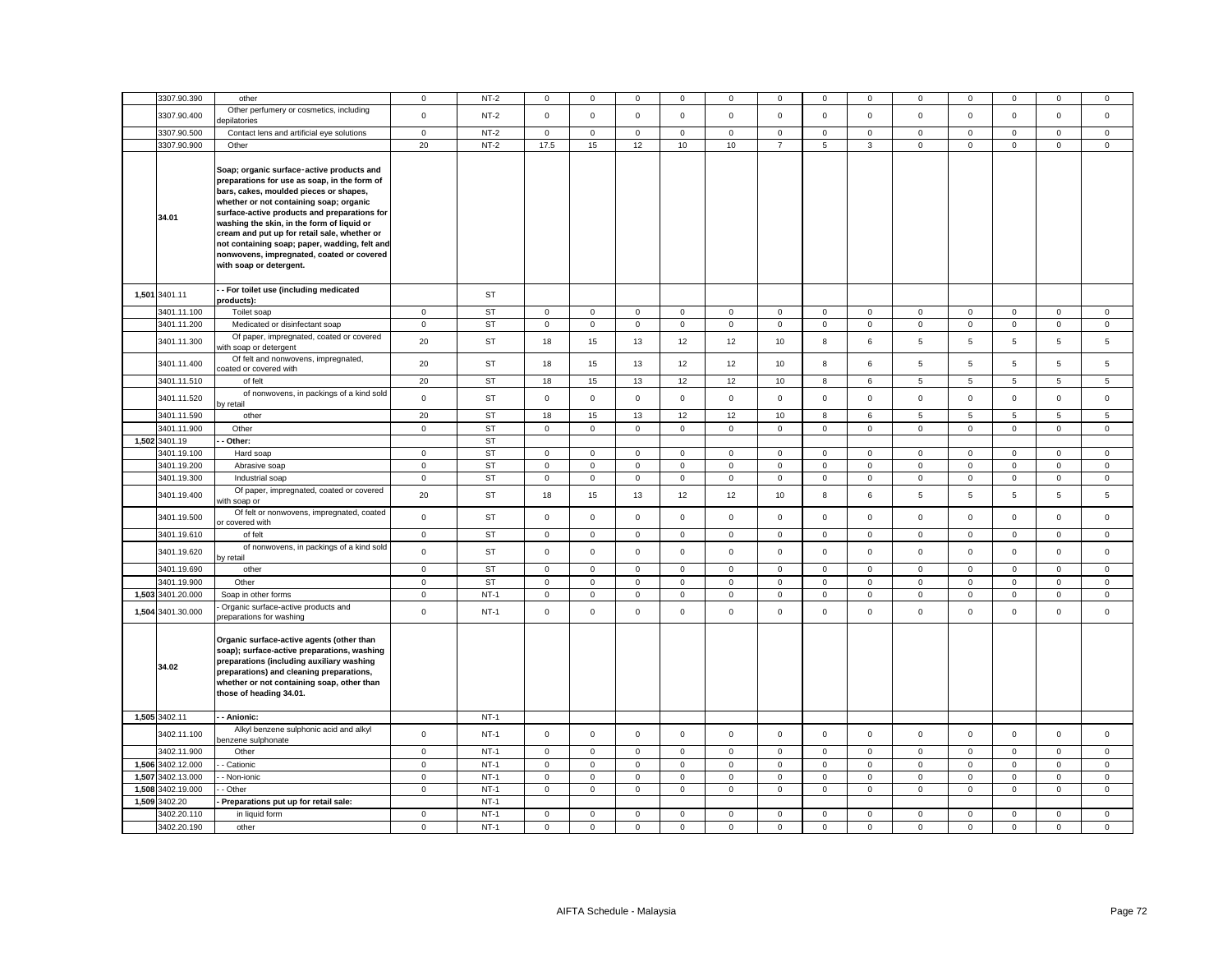|       | 3307.90.390       | other                                                                                                                                                                                                                                                                                                                                                                                                                                                 | 0            | $NT-2$      | $\mathbf{0}$        | 0            | 0            | 0            | 0            | $\mathbf 0$    | 0            | 0            | 0                   | 0            | 0            | 0               | 0            |
|-------|-------------------|-------------------------------------------------------------------------------------------------------------------------------------------------------------------------------------------------------------------------------------------------------------------------------------------------------------------------------------------------------------------------------------------------------------------------------------------------------|--------------|-------------|---------------------|--------------|--------------|--------------|--------------|----------------|--------------|--------------|---------------------|--------------|--------------|-----------------|--------------|
|       | 3307.90.400       | Other perfumery or cosmetics, including<br>lepilatories                                                                                                                                                                                                                                                                                                                                                                                               | $\mathsf 0$  | $NT-2$      | $\mathbf 0$         | $\mathsf 0$  | $\mathsf 0$  | $\mathbf 0$  | $\mathsf 0$  | $\mathsf 0$    | $\mathsf 0$  | $\mathbf 0$  | $\mathbf 0$         | $\pmb{0}$    | $\mathsf 0$  | $\mathsf 0$     | $\mathsf 0$  |
|       | 3307.90.500       | Contact lens and artificial eye solutions                                                                                                                                                                                                                                                                                                                                                                                                             | $\mathbf 0$  | $NT-2$      | $\mathbf 0$         | $\mathbf 0$  | $\mathbf 0$  | $\mathbf 0$  | $\mathbf 0$  | $\mathsf 0$    | $\mathbf 0$  | $\Omega$     | 0                   | $\mathbf 0$  | $\mathbf 0$  | $\mathbf 0$     | $\Omega$     |
|       | 3307.90.900       | Other                                                                                                                                                                                                                                                                                                                                                                                                                                                 | 20           | $NT-2$      | 17.5                | 15           | 12           | 10           | 10           | $\overline{7}$ | 5            | 3            | $\mathsf 0$         | $\mathbf 0$  | $\mathsf 0$  | $\mathsf 0$     | $\mathsf 0$  |
|       | 34.01             | Soap; organic surface-active products and<br>preparations for use as soap, in the form of<br>bars, cakes, moulded pieces or shapes,<br>whether or not containing soap; organic<br>surface-active products and preparations for<br>washing the skin, in the form of liquid or<br>cream and put up for retail sale, whether or<br>not containing soap; paper, wadding, felt and<br>nonwovens, impregnated, coated or covered<br>with soap or detergent. |              |             |                     |              |              |              |              |                |              |              |                     |              |              |                 |              |
|       | 1,501 3401.11     | - For toilet use (including medicated<br>products):                                                                                                                                                                                                                                                                                                                                                                                                   |              | ST          |                     |              |              |              |              |                |              |              |                     |              |              |                 |              |
|       | 3401.11.100       | Toilet soap                                                                                                                                                                                                                                                                                                                                                                                                                                           | $\mathbf 0$  | <b>ST</b>   | $\mathsf 0$         | $\mathbf 0$  | $\mathsf 0$  | $\mathbf 0$  | $\mathsf 0$  | $\mathsf 0$    | 0            | $\mathbf 0$  | $\mathsf 0$         | $\mathbf 0$  | $\mathsf 0$  | $\mathsf 0$     | $\mathbf 0$  |
|       | 3401.11.200       | Medicated or disinfectant soap                                                                                                                                                                                                                                                                                                                                                                                                                        | $\mathbf 0$  | <b>ST</b>   | $\mathsf 0$         | $\mathsf 0$  | $\mathbf 0$  | $\mathsf 0$  | $\mathsf 0$  | $\mathbf 0$    | $\mathsf 0$  | $\mathbf 0$  | $\mathsf{O}\xspace$ | $\pmb{0}$    | $\mathsf 0$  | $\mathsf 0$     | $\mathsf 0$  |
|       |                   | Of paper, impregnated, coated or covered                                                                                                                                                                                                                                                                                                                                                                                                              |              |             |                     |              |              |              |              |                |              |              |                     |              |              |                 |              |
|       | 3401.11.300       | with soap or detergent                                                                                                                                                                                                                                                                                                                                                                                                                                | 20           | ST          | 18                  | 15           | 13           | 12           | 12           | 10             | 8            | 6            | 5                   | 5            | 5            | 5               | 5            |
|       | 3401.11.400       | Of felt and nonwovens, impregnated,<br>coated or covered with                                                                                                                                                                                                                                                                                                                                                                                         | 20           | ST          | 18                  | 15           | 13           | 12           | 12           | 10             | 8            | 6            | 5                   | 5            | 5            | $\overline{5}$  | 5            |
|       | 3401.11.510       | of felt                                                                                                                                                                                                                                                                                                                                                                                                                                               | 20           | ST          | 18                  | 15           | 13           | 12           | 12           | 10             | 8            | 6            | 5                   | 5            | 5            | $5\overline{5}$ | 5            |
|       | 3401.11.520       | of nonwovens, in packings of a kind sold<br>by retail                                                                                                                                                                                                                                                                                                                                                                                                 | $\mathbf 0$  | ST          | $\mathbf 0$         | $\mathbf 0$  | $\mathsf 0$  | $\mathsf 0$  | $\mathbf 0$  | $\mathsf 0$    | $\mathbf 0$  | $\mathsf 0$  | $\mathsf 0$         | $\mathbf 0$  | $\mathbf 0$  | $\mathsf 0$     | $\mathsf 0$  |
|       | 3401.11.590       | other                                                                                                                                                                                                                                                                                                                                                                                                                                                 | 20           | <b>ST</b>   | 18                  | 15           | 13           | 12           | 12           | 10             | 8            | 6            | 5                   | 5            | 5            | 5               | 5            |
|       | 3401.11.900       | Other                                                                                                                                                                                                                                                                                                                                                                                                                                                 | $\mathbf 0$  | <b>ST</b>   | $\mathbf 0$         | $\mathbf{0}$ | $\mathbf 0$  | $\mathbf 0$  | 0            | $\mathbf 0$    | $\mathbf 0$  | $\mathbf{0}$ | 0                   | $\mathbf 0$  | $\mathbf{0}$ | $\mathbf 0$     | $\mathbf 0$  |
|       | 1,502 3401.19     | - Other:                                                                                                                                                                                                                                                                                                                                                                                                                                              |              | <b>ST</b>   |                     |              |              |              |              |                |              |              |                     |              |              |                 |              |
|       | 3401.19.100       | Hard soap                                                                                                                                                                                                                                                                                                                                                                                                                                             | $\circ$      | <b>ST</b>   | $\mathbf 0$         | $\mathbf 0$  | $\mathsf 0$  | $\mathbf 0$  | $\mathbf 0$  | $\mathsf 0$    | $\mathbf 0$  | $\mathbf 0$  | $\mathbf 0$         | $\mathbf 0$  | $\mathbf 0$  | $\mathsf 0$     | $\mathbf 0$  |
|       | 3401.19.200       | Abrasive soap                                                                                                                                                                                                                                                                                                                                                                                                                                         | $\mathbf{0}$ | <b>ST</b>   | $\mathbf{0}$        | $\mathbf 0$  | $\mathbf{0}$ | $\mathbf{0}$ | $\mathbf{0}$ | $\mathbf{0}$   | $\circ$      | $\mathbf{0}$ | $\mathbf{0}$        | $\mathbf{0}$ | $\mathbf{0}$ | $\mathbf 0$     | $\mathbf{0}$ |
|       | 3401.19.300       | Industrial soap                                                                                                                                                                                                                                                                                                                                                                                                                                       | $\mathbf 0$  | <b>ST</b>   | $\mathbf 0$         | $\mathbf 0$  | $\mathsf 0$  | $\mathbf 0$  | $\mathbf 0$  | $\mathsf 0$    | $\mathbf 0$  | $\mathbf 0$  | $\mathbf 0$         | $\mathbf 0$  | $\mathbf 0$  | $\mathsf 0$     | $\mathbf 0$  |
|       | 3401.19.400       | Of paper, impregnated, coated or covered<br>with soap or                                                                                                                                                                                                                                                                                                                                                                                              | 20           | ST          | 18                  | 15           | 13           | 12           | 12           | 10             | 8            | 6            | 5                   | 5            | 5            | 5               | 5            |
|       | 3401.19.500       | Of felt or nonwovens, impregnated, coated<br>or covered with                                                                                                                                                                                                                                                                                                                                                                                          | $\mathsf 0$  | ST          | $\mathbf 0$         | $\mathbf 0$  | $\mathsf 0$  | $\mathsf 0$  | $\mathbf 0$  | $\mathsf 0$    | $\mathsf 0$  | $\mathbf 0$  | $\mathsf 0$         | $\mathbf 0$  | $\mathsf 0$  | $\mathsf 0$     | $\mathbf 0$  |
|       | 3401.19.610       | of felt                                                                                                                                                                                                                                                                                                                                                                                                                                               | $\mathsf 0$  | <b>ST</b>   | $\mathsf 0$         | $\mathsf 0$  | $\mathbf 0$  | $\mathsf 0$  | $\mathsf 0$  | $\mathbf 0$    | $\mathsf 0$  | $\mathbf 0$  | $\mathsf 0$         | $\mathbf 0$  | $\mathsf 0$  | $\mathsf 0$     | 0            |
|       | 3401.19.620       | of nonwovens, in packings of a kind sold<br>by retail                                                                                                                                                                                                                                                                                                                                                                                                 | $\mathsf 0$  | ST          | $\mathbf 0$         | $\mathbf 0$  | $\mathsf 0$  | $\mathsf 0$  | $\mathsf 0$  | $\mathsf 0$    | $\mathsf 0$  | $\circ$      | $\mathsf 0$         | $\mathbf 0$  | $\mathbf 0$  | $\mathsf 0$     | $\mathbf 0$  |
|       | 3401.19.690       | other                                                                                                                                                                                                                                                                                                                                                                                                                                                 | $\mathbf 0$  | ST          | $\mathbf 0$         | $\mathsf 0$  | 0            | $\mathsf 0$  | $\mathsf 0$  | 0              | $\mathbf 0$  | $\mathbf 0$  | $\mathsf 0$         | $\mathbf 0$  | $\mathsf 0$  | $\mathbf 0$     | 0            |
|       | 3401.19.900       | Other                                                                                                                                                                                                                                                                                                                                                                                                                                                 | $\mathbf 0$  | <b>ST</b>   | $\mathbf 0$         | $\mathbf 0$  | $\mathbf 0$  | $\mathbf 0$  | $\mathbf 0$  | $\mathsf 0$    | $\mathbf 0$  | $\mathbf 0$  | 0                   | $\mathsf 0$  | $\mathbf 0$  | $\mathsf 0$     | $\mathbf{0}$ |
| 1,503 | 3401.20.000       | Soap in other forms                                                                                                                                                                                                                                                                                                                                                                                                                                   | $\mathbf 0$  | $NT-1$      | $\mathsf{O}\xspace$ | 0            | 0            | 0            | $\mathsf 0$  | 0              | $\mathsf 0$  | $\mathbf 0$  | 0                   | $\mathbf 0$  | $\mathbf 0$  | $\mathbf 0$     | 0            |
|       | 1,504 3401.30.000 | Organic surface-active products and                                                                                                                                                                                                                                                                                                                                                                                                                   | $\mathbf 0$  | $NT-1$      | $\mathbf 0$         | $\mathbf 0$  | $\mathbf 0$  | $\mathbf{0}$ | $\mathbf 0$  | $\mathbf 0$    | $\mathbf 0$  | $\mathbf{0}$ | $\mathbf 0$         | $\mathbf 0$  | $\mathbf 0$  | $\mathbf{0}$    | $\mathbf 0$  |
|       | 34.02             | preparations for washing<br>Organic surface-active agents (other than<br>soap); surface-active preparations, washing<br>preparations (including auxiliary washing<br>preparations) and cleaning preparations,<br>whether or not containing soap, other than<br>those of heading 34.01.                                                                                                                                                                |              |             |                     |              |              |              |              |                |              |              |                     |              |              |                 |              |
|       | 1,505 3402.11     | - - Anionic:                                                                                                                                                                                                                                                                                                                                                                                                                                          |              | $NT-1$      |                     |              |              |              |              |                |              |              |                     |              |              |                 |              |
|       | 3402.11.100       | Alkyl benzene sulphonic acid and alkyl<br>benzene sulphonate                                                                                                                                                                                                                                                                                                                                                                                          | $\mathbf 0$  | $NT-1$      | $\mathbf 0$         | $\mathbf 0$  | $\mathsf 0$  | $\mathsf 0$  | $\mathbf 0$  | $\mathsf 0$    | $\mathbf 0$  | $\mathbf 0$  | $\mathsf 0$         | $\mathbf 0$  | $\mathbf 0$  | $\mathsf 0$     | $\mathbf 0$  |
|       | 3402.11.900       | Other                                                                                                                                                                                                                                                                                                                                                                                                                                                 | $\mathbf 0$  | <b>NT-1</b> | $\mathbf 0$         | $\mathbf 0$  | $\mathbf 0$  | $\mathbf 0$  | 0            | $\mathbf 0$    | 0            | $\mathbf{0}$ | 0                   | $\mathbf 0$  | $\mathbf 0$  | $\mathbf 0$     | $\mathbf 0$  |
|       | 1,506 3402.12.000 | - Cationic                                                                                                                                                                                                                                                                                                                                                                                                                                            | $\mathsf 0$  | $NT-1$      | $\mathsf 0$         | $\mathbf 0$  | $\mathsf 0$  | $\mathsf 0$  | $\mathsf 0$  | $\mathsf 0$    | $\mathsf{O}$ | $\mathbf 0$  | $\mathsf 0$         | $\mathbf 0$  | $\mathsf 0$  | $\mathbf 0$     | $\mathsf 0$  |
|       | 1,507 3402.13.000 | - Non-ionic                                                                                                                                                                                                                                                                                                                                                                                                                                           | $\mathbf 0$  | $NT-1$      | 0                   | $\mathbf 0$  | $\mathsf 0$  | $\mathbf 0$  | 0            | $\mathsf 0$    | $\mathsf 0$  | 0            | 0                   | $\mathbf 0$  | $\mathbf 0$  | $\mathsf 0$     | $\mathbf 0$  |
|       | 1,508 3402.19.000 | - Other                                                                                                                                                                                                                                                                                                                                                                                                                                               | $\mathbf 0$  | $NT-1$      | $\mathsf 0$         | $\mathbf 0$  | $\mathsf 0$  | $\mathsf 0$  | $\mathsf 0$  | $\mathsf 0$    | $\mathbf 0$  | $\mathbf 0$  | 0                   | $\mathbf 0$  | $\mathbf 0$  | $\mathsf 0$     | 0            |
|       | 1,509 3402.20     | Preparations put up for retail sale:                                                                                                                                                                                                                                                                                                                                                                                                                  |              | $NT-1$      |                     |              |              |              |              |                |              |              |                     |              |              |                 |              |
|       | 3402.20.110       | in liquid form                                                                                                                                                                                                                                                                                                                                                                                                                                        | $\mathbf 0$  | $NT-1$      | $\mathbf 0$         | $\mathbf 0$  | $\mathsf 0$  | $\mathbf 0$  | $\mathsf 0$  | $\mathbf 0$    | $\mathbf 0$  | 0            | 0                   | $\mathbf 0$  | $\mathbf 0$  | $\mathsf 0$     | 0            |
|       | 3402.20.190       | other                                                                                                                                                                                                                                                                                                                                                                                                                                                 | $\mathbf 0$  | $NT-1$      | $\mathbf 0$         | $\mathbf 0$  | $\mathsf 0$  | $\mathsf 0$  | $\mathbf 0$  | $\mathsf 0$    | $\mathsf{O}$ | $\mathbf 0$  | $\mathsf 0$         | $\mathbf 0$  | $\mathbf 0$  | $\mathsf 0$     | $\mathbf 0$  |
|       |                   |                                                                                                                                                                                                                                                                                                                                                                                                                                                       |              |             |                     |              |              |              |              |                |              |              |                     |              |              |                 |              |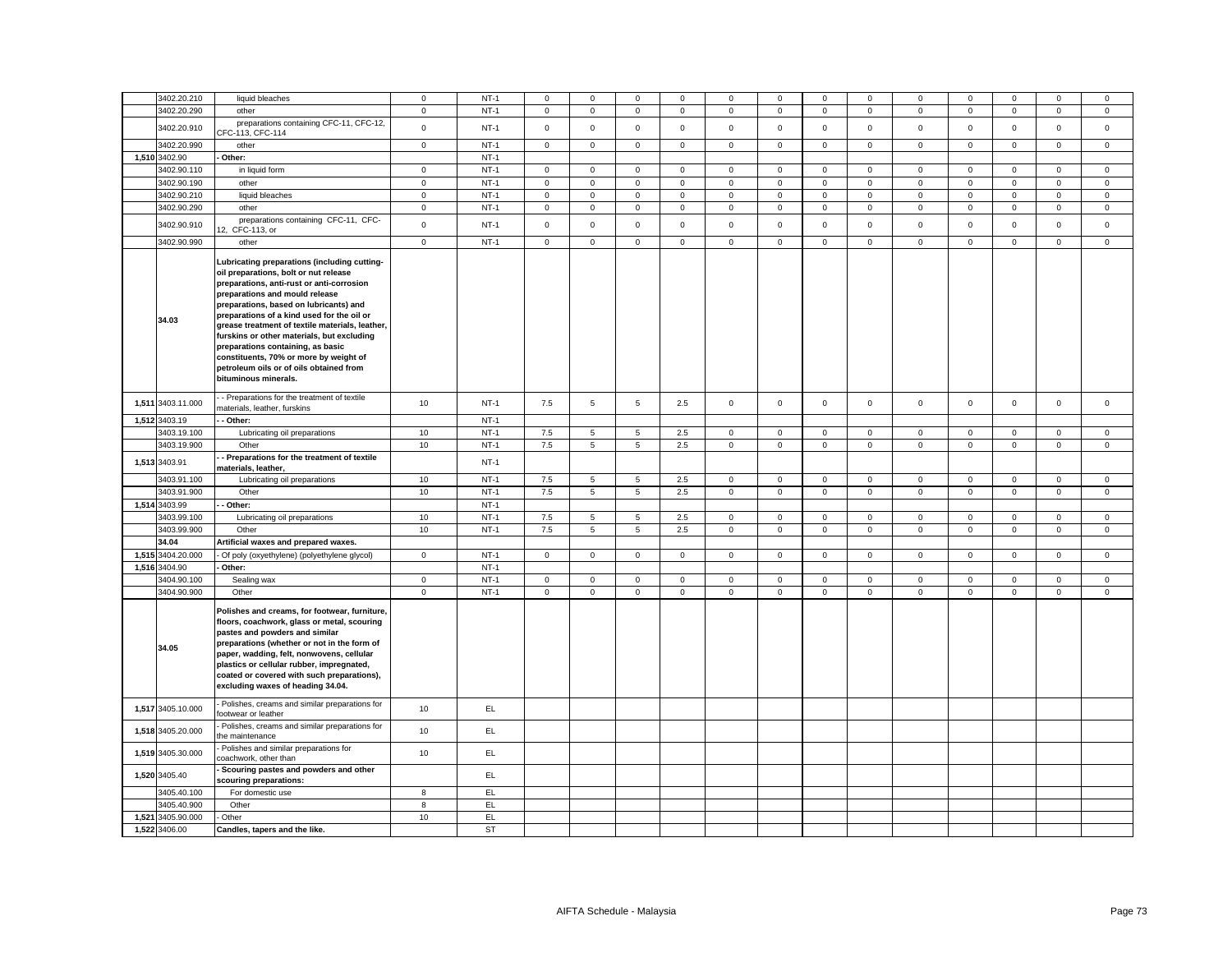|       | 3402.20.210       | liquid bleaches                                                                                                                                                                                                                                                                                                                                                                                                                                                                                                 | $\mathbf 0$  | $NT-1$ | $\mathbf 0$ | $\mathbf 0$     | $\mathbf{0}$    | $\mathbf 0$  | $\mathbf 0$  | $\mathbf 0$    | $\mathbf 0$         | $\mathbf 0$  | $\mathbf 0$  | $\mathbf 0$    | $\mathbf 0$  | $^{\circ}$     | $\mathbf 0$  |
|-------|-------------------|-----------------------------------------------------------------------------------------------------------------------------------------------------------------------------------------------------------------------------------------------------------------------------------------------------------------------------------------------------------------------------------------------------------------------------------------------------------------------------------------------------------------|--------------|--------|-------------|-----------------|-----------------|--------------|--------------|----------------|---------------------|--------------|--------------|----------------|--------------|----------------|--------------|
|       | 3402.20.290       | other                                                                                                                                                                                                                                                                                                                                                                                                                                                                                                           | $\mathbf 0$  | $NT-1$ | $\mathsf 0$ | $\mathbf 0$     | $\mathbf 0$     | $\mathsf 0$  | $\mathsf 0$  | $\mathsf 0$    | $\mathbf 0$         | $\mathbf 0$  | $\mathsf 0$  | $\mathbf 0$    | $\mathbf 0$  | $\mathsf 0$    | $\mathbf 0$  |
|       | 3402.20.910       | preparations containing CFC-11, CFC-12,                                                                                                                                                                                                                                                                                                                                                                                                                                                                         | $\mathsf 0$  | $NT-1$ | $\mathsf 0$ | $\mathbf 0$     | $\mathsf 0$     | $\mathsf 0$  | $\mathsf 0$  | $\mathbf 0$    | $\mathsf 0$         | $\mathbf 0$  | $\mathbf 0$  | $\mathbf 0$    | $\mathsf 0$  | $\mathsf 0$    | $\mathsf 0$  |
|       | 3402.20.990       | CFC-113, CFC-114<br>other                                                                                                                                                                                                                                                                                                                                                                                                                                                                                       | $\mathbf 0$  | $NT-1$ | $\mathsf 0$ | $\mathbf 0$     | $\mathsf 0$     | $\mathsf 0$  | $\mathsf 0$  | $\mathsf 0$    | $\mathsf 0$         | $\mathbf 0$  | $\mathbf 0$  | $\mathbf 0$    | $\mathsf 0$  | $\mathsf 0$    | $\mathbf{0}$ |
|       | 1,510 3402.90     | Other:                                                                                                                                                                                                                                                                                                                                                                                                                                                                                                          |              | $NT-1$ |             |                 |                 |              |              |                |                     |              |              |                |              |                |              |
|       | 3402.90.110       | in liquid form                                                                                                                                                                                                                                                                                                                                                                                                                                                                                                  | $\mathbf 0$  | $NT-1$ | $\mathsf 0$ | $\mathsf 0$     | $\mathsf 0$     | 0            | $\mathsf 0$  | $\mathbf 0$    | $\mathsf{O}$        | $\mathsf 0$  | $\mathsf 0$  | $\mathbf 0$    | $\mathsf 0$  | $\mathsf 0$    | 0            |
|       | 3402.90.190       | other                                                                                                                                                                                                                                                                                                                                                                                                                                                                                                           | $\mathsf 0$  | $NT-1$ | $\mathsf 0$ | $\mathsf{O}$    | $\mathsf 0$     | $\mathbf 0$  | $\mathsf 0$  | $\overline{0}$ | $\mathsf{O}$        | $\mathsf 0$  | $\mathbf 0$  | $\overline{0}$ | $\mathsf 0$  | $\overline{0}$ | $\mathsf 0$  |
|       | 3402.90.210       | liquid bleaches                                                                                                                                                                                                                                                                                                                                                                                                                                                                                                 | $\mathsf 0$  | $NT-1$ | $\mathsf 0$ | $\mathsf 0$     | $\mathsf 0$     | $\mathsf 0$  | $\mathsf 0$  | $\mathbf 0$    | $\mathsf 0$         | $\mathsf 0$  | $\mathsf 0$  | $\mathbf 0$    | $\mathsf{O}$ | $\mathsf 0$    | $\mathbf 0$  |
|       | 3402.90.290       | other                                                                                                                                                                                                                                                                                                                                                                                                                                                                                                           | $\mathbf{0}$ | $NT-1$ | $\mathsf 0$ | $\mathsf{O}$    | $\mathsf 0$     | 0            | $\mathbf 0$  | $\overline{0}$ | $\mathsf 0$         | $\mathbf 0$  | 0            | $\overline{0}$ | $\mathsf 0$  | $\mathsf 0$    | 0            |
|       | 3402.90.910       | preparations containing CFC-11, CFC-<br>12.<br>CFC-113, or                                                                                                                                                                                                                                                                                                                                                                                                                                                      | $\mathsf 0$  | $NT-1$ | $\mathbf 0$ | $\mathbf{0}$    | $\mathsf 0$     | $\mathsf 0$  | $\mathsf 0$  | $\mathsf 0$    | $\mathsf 0$         | $\mathsf 0$  | $\mathsf 0$  | $\mathsf{o}$   | $\mathbf 0$  | $\mathsf 0$    | $\mathbf 0$  |
|       | 3402.90.990       | other                                                                                                                                                                                                                                                                                                                                                                                                                                                                                                           | $\mathbf 0$  | $NT-1$ | $\mathbf 0$ | $\mathbf 0$     | $\mathbf 0$     | $\mathbf 0$  | $\mathbf 0$  | $\mathsf 0$    | $\mathbf 0$         | $\mathbf 0$  | $\mathbf 0$  | $\mathbf 0$    | $\mathbf 0$  | $\mathbf{0}$   | $\mathbf 0$  |
|       | 34.03             | Lubricating preparations (including cutting-<br>oil preparations, bolt or nut release<br>preparations, anti-rust or anti-corrosion<br>preparations and mould release<br>preparations, based on lubricants) and<br>preparations of a kind used for the oil or<br>grease treatment of textile materials, leather,<br>furskins or other materials, but excluding<br>preparations containing, as basic<br>constituents, 70% or more by weight of<br>petroleum oils or of oils obtained from<br>bituminous minerals. |              |        |             |                 |                 |              |              |                |                     |              |              |                |              |                |              |
|       | 1,511 3403.11.000 | - Preparations for the treatment of textile<br>materials, leather, furskins                                                                                                                                                                                                                                                                                                                                                                                                                                     | 10           | $NT-1$ | 7.5         | $5\phantom{.0}$ | $\overline{5}$  | 2.5          | $\mathbf 0$  | $\mathbf 0$    | $\mathbf{0}$        | $\mathbf 0$  | $\mathbf{0}$ | $\mathbf 0$    | $\mathbf{0}$ | $\mathsf 0$    | $\mathbf 0$  |
|       | 1,512 3403.19     | - Other:                                                                                                                                                                                                                                                                                                                                                                                                                                                                                                        |              | $NT-1$ |             |                 |                 |              |              |                |                     |              |              |                |              |                |              |
|       | 3403.19.100       | Lubricating oil preparations                                                                                                                                                                                                                                                                                                                                                                                                                                                                                    | 10           | $NT-1$ | 7.5         | 5               | 5               | 2.5          | $\mathbf 0$  | $\mathbf 0$    | $\mathbf 0$         | $\mathbf 0$  | $\mathbf 0$  | $\mathsf 0$    | $\mathbf 0$  | $\mathsf 0$    | $\Omega$     |
|       | 3403.19.900       | Other                                                                                                                                                                                                                                                                                                                                                                                                                                                                                                           | 10           | $NT-1$ | 7.5         | 5               | $5\phantom{.0}$ | 2.5          | $\mathbf 0$  | $\mathsf 0$    | $\mathsf{O}\xspace$ | $\mathbf 0$  | $\mathbf 0$  | $\mathbf 0$    | $\mathbf 0$  | $\mathbf 0$    | $\mathbf 0$  |
|       | 1,513 3403.91     | Preparations for the treatment of textile<br>materials, leather,                                                                                                                                                                                                                                                                                                                                                                                                                                                |              | $NT-1$ |             |                 |                 |              |              |                |                     |              |              |                |              |                |              |
|       | 3403.91.100       | Lubricating oil preparations                                                                                                                                                                                                                                                                                                                                                                                                                                                                                    | 10           | $NT-1$ | 7.5         | 5               | $5\phantom{.0}$ | 2.5          | $\mathsf 0$  | $\mathsf 0$    | $\mathsf{O}\xspace$ | $\mathbf{0}$ | $\mathbf 0$  | $\mathbf 0$    | $\mathbf{0}$ | $\mathsf 0$    | $\mathbf{0}$ |
|       | 3403.91.900       | Other                                                                                                                                                                                                                                                                                                                                                                                                                                                                                                           | 10           | $NT-1$ | 7.5         | 5               | $5\overline{5}$ | 2.5          | $\mathsf 0$  | $\mathbf 0$    | $\mathsf{O}$        | $\mathbf 0$  | $\mathsf 0$  | $\mathbf{0}$   | $\mathsf 0$  | $\mathsf 0$    | $\mathbf{0}$ |
|       | 1,514 3403.99     | - Other:                                                                                                                                                                                                                                                                                                                                                                                                                                                                                                        |              | $NT-1$ |             |                 |                 |              |              |                |                     |              |              |                |              |                |              |
|       | 3403.99.100       | Lubricating oil preparations                                                                                                                                                                                                                                                                                                                                                                                                                                                                                    | 10           | $NT-1$ | 7.5         | 5               | 5               | 2.5          | $\mathbf 0$  | $\mathbf 0$    | $\mathsf 0$         | $\mathbf{0}$ | $\mathbf 0$  | $\mathbf{0}$   | $\mathbf{0}$ | $\mathbf{0}$   | $\mathbf{0}$ |
|       | 3403.99.900       | Other                                                                                                                                                                                                                                                                                                                                                                                                                                                                                                           | 10           | $NT-1$ | 7.5         | $5^{\circ}$     | 5               | 2.5          | $\mathbf 0$  | $\mathbf 0$    | $\mathsf 0$         | $\mathbf 0$  | $\mathbf 0$  | $\mathbf 0$    | $\mathbf{0}$ | $\mathbf{0}$   | $\mathbf{0}$ |
|       | 34.04             | Artificial waxes and prepared waxes.                                                                                                                                                                                                                                                                                                                                                                                                                                                                            |              |        |             |                 |                 |              |              |                |                     |              |              |                |              |                |              |
|       | 1,515 3404.20.000 | - Of poly (oxyethylene) (polyethylene glycol)                                                                                                                                                                                                                                                                                                                                                                                                                                                                   | $\mathbf{0}$ | $NT-1$ | $\circ$     | $\mathbf 0$     | $\mathbf 0$     | $\mathbf{0}$ | $\mathbf{0}$ | $\mathbf{0}$   | $\overline{0}$      | $\mathbf{0}$ | $\mathbf{0}$ | $\mathbf{0}$   | $\mathbf{0}$ | $\mathbf{0}$   | $\mathbf{0}$ |
|       | 1,516 3404.90     | Other:                                                                                                                                                                                                                                                                                                                                                                                                                                                                                                          |              | $NT-1$ |             |                 |                 |              |              |                |                     |              |              |                |              |                |              |
|       | 3404.90.100       | Sealing wax                                                                                                                                                                                                                                                                                                                                                                                                                                                                                                     | $\mathbf 0$  | $NT-1$ | $\mathbf 0$ | $\mathbf{0}$    | $\mathsf 0$     | $\mathbf 0$  | $\mathbf 0$  | $\mathbf 0$    | $\mathsf{O}\xspace$ | $\mathbf 0$  | $\mathbf{0}$ | $\mathbf{0}$   | $\mathbf{0}$ | $\mathbf 0$    | $\mathbf{0}$ |
|       | 3404.90.900       | Other                                                                                                                                                                                                                                                                                                                                                                                                                                                                                                           | $\mathbf 0$  | $NT-1$ | $\mathsf 0$ | $\mathbf 0$     | $\mathsf 0$     | $\mathsf 0$  | $\mathbf 0$  | $\mathsf 0$    | $\mathsf 0$         | $\mathbf 0$  | $\mathbf 0$  | $\mathbf 0$    | $\mathsf 0$  | $\mathsf 0$    | $\mathbf 0$  |
|       | 34.05             | Polishes and creams, for footwear, furniture,<br>floors, coachwork, glass or metal, scouring<br>pastes and powders and similar<br>preparations (whether or not in the form of<br>paper, wadding, felt, nonwovens, cellular<br>plastics or cellular rubber, impregnated,<br>coated or covered with such preparations),<br>excluding waxes of heading 34.04.                                                                                                                                                      |              |        |             |                 |                 |              |              |                |                     |              |              |                |              |                |              |
|       | 1,517 3405.10.000 | Polishes, creams and similar preparations for<br>footwear or leather                                                                                                                                                                                                                                                                                                                                                                                                                                            | 10           | EL     |             |                 |                 |              |              |                |                     |              |              |                |              |                |              |
|       | 1,518 3405.20.000 | Polishes, creams and similar preparations for<br>the maintenance                                                                                                                                                                                                                                                                                                                                                                                                                                                | 10           | EL     |             |                 |                 |              |              |                |                     |              |              |                |              |                |              |
|       | 1,519 3405.30.000 | Polishes and similar preparations for<br>coachwork, other than                                                                                                                                                                                                                                                                                                                                                                                                                                                  | 10           | EL.    |             |                 |                 |              |              |                |                     |              |              |                |              |                |              |
|       | 1,520 3405.40     | Scouring pastes and powders and other<br>couring preparations:                                                                                                                                                                                                                                                                                                                                                                                                                                                  |              | EL.    |             |                 |                 |              |              |                |                     |              |              |                |              |                |              |
|       | 3405.40.100       | For domestic use                                                                                                                                                                                                                                                                                                                                                                                                                                                                                                | 8            | EL.    |             |                 |                 |              |              |                |                     |              |              |                |              |                |              |
|       | 3405.40.900       | Other                                                                                                                                                                                                                                                                                                                                                                                                                                                                                                           | 8            | EL     |             |                 |                 |              |              |                |                     |              |              |                |              |                |              |
| 1,521 | 3405.90.000       | Other                                                                                                                                                                                                                                                                                                                                                                                                                                                                                                           | 10           | EL.    |             |                 |                 |              |              |                |                     |              |              |                |              |                |              |
|       | 1,522 3406.00     | Candles, tapers and the like.                                                                                                                                                                                                                                                                                                                                                                                                                                                                                   |              | ST     |             |                 |                 |              |              |                |                     |              |              |                |              |                |              |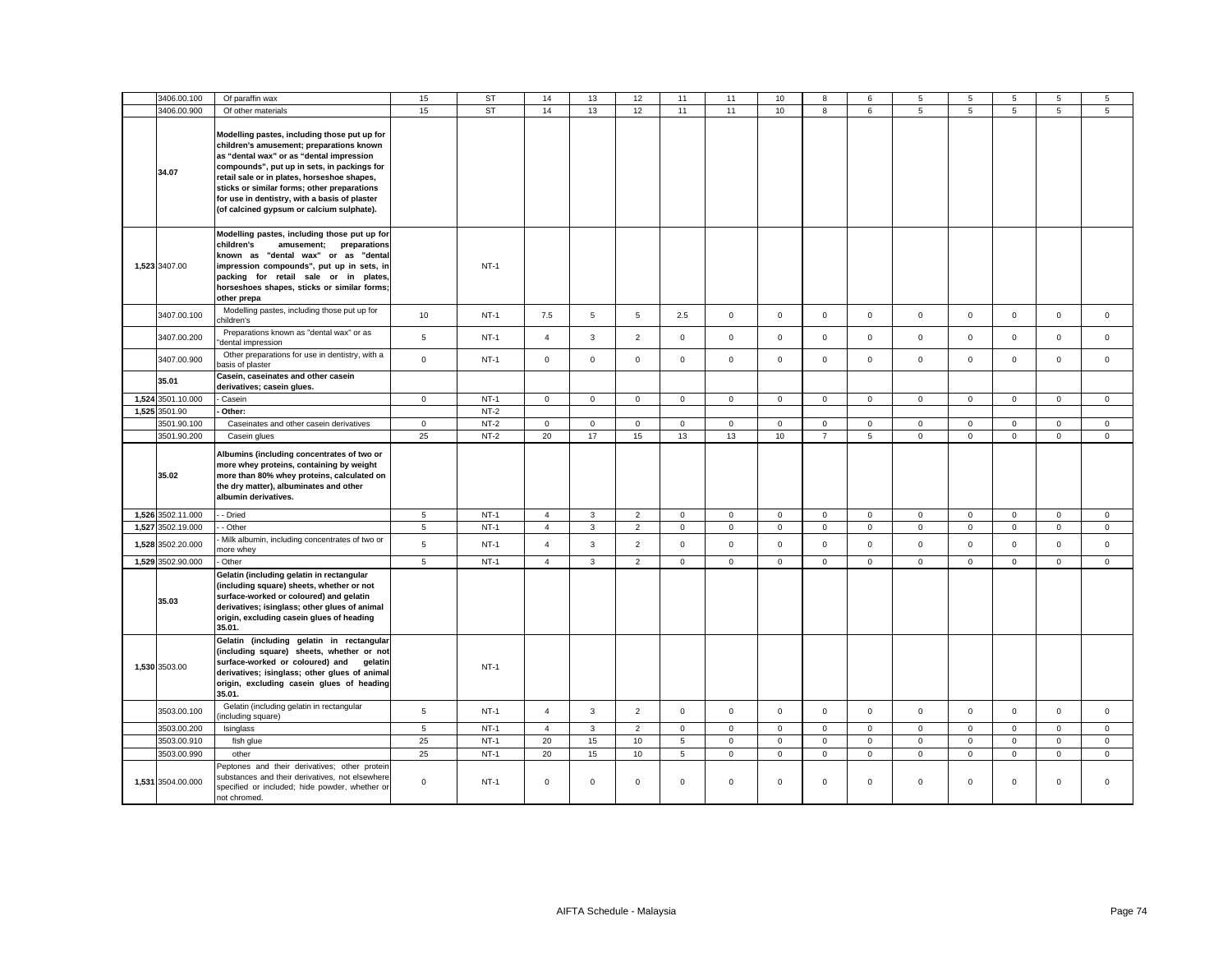|       | 3406.00.100       | Of paraffin wax                                                                                                                                                                                                                                                                                                                                                                 | 15          | <b>ST</b> | 14             | 13           | 12             | 11             | 11           | 10          |                     | 6              | 5                   | 5                   | 5            | 5            | 5              |
|-------|-------------------|---------------------------------------------------------------------------------------------------------------------------------------------------------------------------------------------------------------------------------------------------------------------------------------------------------------------------------------------------------------------------------|-------------|-----------|----------------|--------------|----------------|----------------|--------------|-------------|---------------------|----------------|---------------------|---------------------|--------------|--------------|----------------|
|       | 3406.00.900       | Of other materials                                                                                                                                                                                                                                                                                                                                                              | 15          | <b>ST</b> | 14             | 13           | 12             | 11             | 11           | 10          | 8                   | 6              | 5                   | 5                   | 5            | 5            | $\overline{5}$ |
|       | 34.07             | Modelling pastes, including those put up for<br>children's amusement; preparations known<br>as "dental wax" or as "dental impression<br>compounds", put up in sets, in packings for<br>retail sale or in plates, horseshoe shapes,<br>sticks or similar forms; other preparations<br>for use in dentistry, with a basis of plaster<br>(of calcined gypsum or calcium sulphate). |             |           |                |              |                |                |              |             |                     |                |                     |                     |              |              |                |
|       | 1,523 3407.00     | Modelling pastes, including those put up for<br>preparations<br>children's<br>amusement;<br>known as "dental wax" or as "dental<br>impression compounds", put up in sets, in<br>packing for retail sale or in plates,<br>horseshoes shapes, sticks or similar forms;<br>other prepa                                                                                             |             | $NT-1$    |                |              |                |                |              |             |                     |                |                     |                     |              |              |                |
|       | 3407.00.100       | Modelling pastes, including those put up for<br>children's                                                                                                                                                                                                                                                                                                                      | 10          | $NT-1$    | 7.5            | 5            | 5              | 2.5            | $\mathbf 0$  | $\mathsf 0$ | $\mathsf{O}$        | $\mathsf 0$    | $\mathsf{O}\xspace$ | $\mathsf 0$         | $\mathsf 0$  | $\mathsf 0$  | $\mathsf 0$    |
|       | 3407.00.200       | Preparations known as "dental wax" or as<br>dental impression                                                                                                                                                                                                                                                                                                                   | 5           | $NT-1$    | $\overline{4}$ | $\mathbf{3}$ | $\overline{2}$ | $\mathbf 0$    | $\mathsf 0$  | $\mathsf 0$ | $\mathbf 0$         | $\mathsf 0$    | $\mathsf 0$         | $\mathsf 0$         | $\mathbf 0$  | $\mathsf 0$  | $\mathsf 0$    |
|       | 3407.00.900       | Other preparations for use in dentistry, with a<br>asis of plaster                                                                                                                                                                                                                                                                                                              | $\mathsf 0$ | $NT-1$    | $\mathsf 0$    | $\mathsf 0$  | $\mathsf 0$    | $\mathsf 0$    | $\mathsf 0$  | $\mathsf 0$ | $\mathsf{O}\xspace$ | $\mathsf 0$    | $\mathsf 0$         | $\mathsf{O}\xspace$ | $\mathsf 0$  | $\mathsf 0$  | $\mathsf 0$    |
|       | 35.01             | Casein, caseinates and other casein<br>derivatives; casein glues.                                                                                                                                                                                                                                                                                                               |             |           |                |              |                |                |              |             |                     |                |                     |                     |              |              |                |
| 1,524 | 3501.10.000       | Casein                                                                                                                                                                                                                                                                                                                                                                          | $\mathbf 0$ | $NT-1$    | $\mathbf 0$    | $\mathbf 0$  | $\mathsf 0$    | $\mathbf 0$    | $\mathbf 0$  | $\mathsf 0$ | $\mathbf 0$         | $\mathsf 0$    | $\mathbf 0$         | $\mathbf 0$         | $\mathbf 0$  | $\mathbf 0$  | $\mathsf 0$    |
|       | 1,525 3501.90     | Other:                                                                                                                                                                                                                                                                                                                                                                          |             | $NT-2$    |                |              |                |                |              |             |                     |                |                     |                     |              |              |                |
|       | 3501.90.100       | Caseinates and other casein derivatives                                                                                                                                                                                                                                                                                                                                         | $\mathsf 0$ | $NT-2$    | $\mathbf 0$    | $\mathbf 0$  | $\mathsf 0$    | $\mathsf 0$    | $\mathbf 0$  | $\mathbf 0$ | $\mathbf 0$         | $\mathsf 0$    | $\mathbf 0$         | $\mathbf 0$         | $\mathbf 0$  | $\mathsf 0$  | $\mathsf 0$    |
|       | 3501.90.200       | Casein glues                                                                                                                                                                                                                                                                                                                                                                    | 25          | $NT-2$    | 20             | 17           | 15             | 13             | 13           | 10          | $\overline{7}$      | $\overline{5}$ | $\mathsf 0$         | $\mathsf 0$         | $\mathbf 0$  | $\mathsf 0$  | $\mathsf 0$    |
|       | 35.02             | Albumins (including concentrates of two or<br>more whey proteins, containing by weight<br>more than 80% whey proteins, calculated on<br>the dry matter), albuminates and other<br>albumin derivatives.                                                                                                                                                                          |             |           |                |              |                |                |              |             |                     |                |                     |                     |              |              |                |
|       | 1,526 3502.11.000 | - Dried                                                                                                                                                                                                                                                                                                                                                                         | 5           | $NT-1$    | $\overline{4}$ | 3            | $\overline{2}$ | $\mathsf 0$    | $\mathsf 0$  | $\mathsf 0$ | $\mathbf 0$         | $\mathsf 0$    | $\ddot{\mathbf{0}}$ | $\mathsf{O}\xspace$ | $\mathsf 0$  | $\mathsf 0$  | $\mathsf 0$    |
| 1,527 | 3502.19.000       | - Other                                                                                                                                                                                                                                                                                                                                                                         | 5           | $NT-1$    | $\overline{4}$ | $\mathbf{3}$ | $\overline{2}$ | $\mathsf 0$    | $\mathsf 0$  | $\mathsf 0$ | $\mathsf 0$         | $\mathsf 0$    | $\mathsf 0$         | $\mathsf 0$         | $\mathsf 0$  | $\mathsf 0$  | $\mathsf 0$    |
| 1,528 | 3502.20.000       | Milk albumin, including concentrates of two or<br>more whey                                                                                                                                                                                                                                                                                                                     | 5           | $NT-1$    | $\overline{4}$ | $\mathbf{3}$ | $\overline{2}$ | $\mathbf 0$    | $\mathsf 0$  | $\mathsf 0$ | $\mathsf 0$         | $\mathsf 0$    | $\mathsf 0$         | $\mathbf 0$         | $\mathsf 0$  | $\mathsf 0$  | $\mathsf 0$    |
|       | 1,529 3502.90.000 | Other                                                                                                                                                                                                                                                                                                                                                                           | 5           | $NT-1$    | $\overline{4}$ | $\mathbf{3}$ | $\overline{2}$ | $\mathbf 0$    | $\mathbf 0$  | $\mathbf 0$ | $\mathbf{0}$        | $\mathsf 0$    | $\mathbf 0$         | $\mathbf 0$         | $\mathbf 0$  | $\mathbf 0$  | $\mathsf 0$    |
|       | 35.03             | Gelatin (including gelatin in rectangular<br>(including square) sheets, whether or not<br>surface-worked or coloured) and gelatin<br>derivatives; isinglass; other glues of animal<br>origin, excluding casein glues of heading<br>35.01.                                                                                                                                       |             |           |                |              |                |                |              |             |                     |                |                     |                     |              |              |                |
|       | 1,530 3503.00     | Gelatin (including gelatin in rectangular<br>(including square) sheets, whether or not<br>surface-worked or coloured) and<br>gelatin<br>derivatives; isinglass; other glues of animal<br>origin, excluding casein glues of heading<br>35.01.                                                                                                                                    |             | $NT-1$    |                |              |                |                |              |             |                     |                |                     |                     |              |              |                |
|       | 3503.00.100       | Gelatin (including gelatin in rectangular<br>including square)                                                                                                                                                                                                                                                                                                                  | 5           | $NT-1$    | $\overline{4}$ | 3            | $\overline{2}$ | $\Omega$       | $\mathbf{0}$ | $\mathbf 0$ | $\mathbf 0$         | $\mathbf 0$    | $\mathbf{0}$        | $\mathbf 0$         | $\mathbf 0$  | $\mathbf 0$  | $\mathbf 0$    |
|       | 3503.00.200       | Isinglass                                                                                                                                                                                                                                                                                                                                                                       | 5           | $NT-1$    | $\overline{4}$ | $\mathbf{3}$ | $\overline{2}$ | $\mathsf 0$    | $\mathsf 0$  | $\mathsf 0$ | $\mathsf 0$         | $\mathsf 0$    | $\mathbf 0$         | $\mathsf 0$         | $\mathsf 0$  | $\mathsf 0$  | $\mathsf 0$    |
|       | 3503.00.910       | fish glue                                                                                                                                                                                                                                                                                                                                                                       | 25          | $NT-1$    | 20             | 15           | 10             | $\overline{5}$ | $\mathsf 0$  | $\mathsf 0$ | $\mathsf{O}$        | $\mathsf 0$    | $\mathsf{O}\xspace$ | $\mathsf 0$         | $\mathsf 0$  | $\mathsf 0$  | $\mathsf 0$    |
|       | 3503.00.990       | other                                                                                                                                                                                                                                                                                                                                                                           | 25          | $NT-1$    | 20             | 15           | 10             | 5              | $\mathbf 0$  | $\mathbf 0$ | $\mathbf{0}$        | $\mathbf{0}$   | $\mathbf{0}$        | $\mathbf 0$         | $\mathbf{0}$ | $\mathbf{0}$ | $\mathbf{0}$   |
|       | 1,531 3504.00.000 | Peptones and their derivatives; other protein<br>substances and their derivatives, not elsewhere<br>specified or included; hide powder, whether or<br>not chromed.                                                                                                                                                                                                              | $\mathsf 0$ | $NT-1$    | $\mathsf 0$    | 0            | $\mathsf 0$    | $\mathsf 0$    | $\mathbf 0$  | $\mathsf 0$ | $\mathbf 0$         | $\mathsf 0$    | $\mathbf 0$         | $\mathsf 0$         | $\mathbf 0$  | $\mathsf 0$  | $\mathsf 0$    |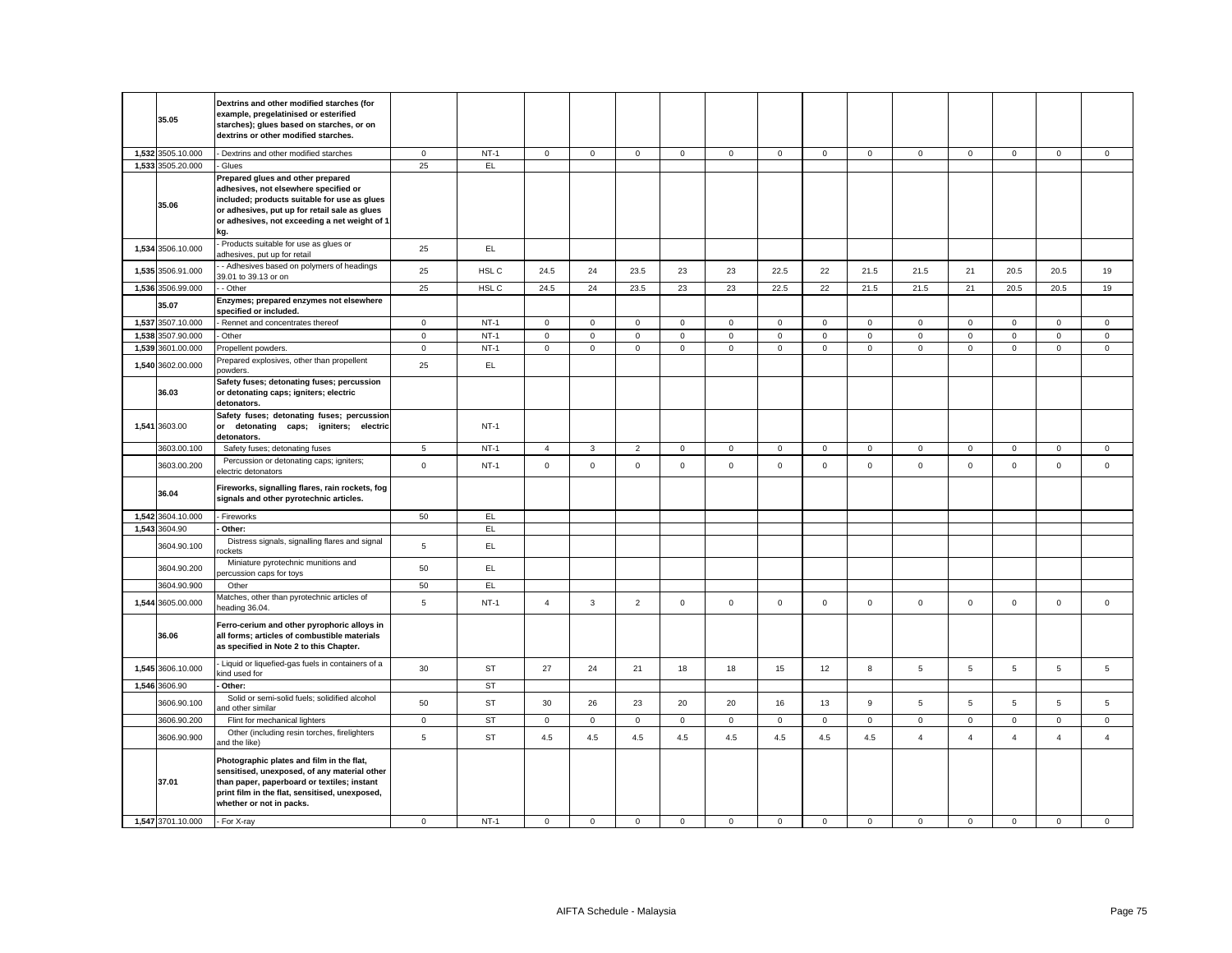| 35.05             | Dextrins and other modified starches (for<br>example, pregelatinised or esterified<br>starches); glues based on starches, or on<br>dextrins or other modified starches.                                                             |                |           |                     |              |                |              |                     |             |             |             |                     |                |                |                |                |
|-------------------|-------------------------------------------------------------------------------------------------------------------------------------------------------------------------------------------------------------------------------------|----------------|-----------|---------------------|--------------|----------------|--------------|---------------------|-------------|-------------|-------------|---------------------|----------------|----------------|----------------|----------------|
| 1,532 3505.10.000 | - Dextrins and other modified starches                                                                                                                                                                                              | $\mathsf 0$    | $NT-1$    | $\mathsf{O}$        | $\mathbf 0$  | $\mathsf 0$    | $\mathsf 0$  | $\mathbf 0$         | $\mathsf 0$ | $\mathsf 0$ | $\mathsf 0$ | $\mathsf{O}\xspace$ | $\mathbf 0$    | $\mathbf 0$    | $\mathsf 0$    | $\mathsf 0$    |
| 1,533 3505.20.000 | Glues                                                                                                                                                                                                                               | 25             | EL.       |                     |              |                |              |                     |             |             |             |                     |                |                |                |                |
| 35.06             | Prepared glues and other prepared<br>adhesives, not elsewhere specified or<br>included; products suitable for use as glues<br>or adhesives, put up for retail sale as glues<br>or adhesives, not exceeding a net weight of 1<br>kg. |                |           |                     |              |                |              |                     |             |             |             |                     |                |                |                |                |
| 1,534 3506.10.000 | Products suitable for use as glues or<br>adhesives, put up for retail                                                                                                                                                               | 25             | EL        |                     |              |                |              |                     |             |             |             |                     |                |                |                |                |
| 1,535 3506.91.000 | - Adhesives based on polymers of headings<br>39.01 to 39.13 or on                                                                                                                                                                   | 25             | HSL C     | 24.5                | 24           | 23.5           | 23           | 23                  | 22.5        | 22          | 21.5        | 21.5                | 21             | 20.5           | 20.5           | 19             |
| 1,536 3506.99.000 | - Other                                                                                                                                                                                                                             | 25             | HSL C     | 24.5                | 24           | 23.5           | 23           | 23                  | 22.5        | 22          | 21.5        | 21.5                | 21             | 20.5           | 20.5           | 19             |
| 35.07             | Enzymes; prepared enzymes not elsewhere<br>specified or included.                                                                                                                                                                   |                |           |                     |              |                |              |                     |             |             |             |                     |                |                |                |                |
| 1,537 3507.10.000 | Rennet and concentrates thereof                                                                                                                                                                                                     | $\mathsf 0$    | $NT-1$    | 0                   | $\mathsf 0$  | $\mathsf 0$    | $\mathbf{0}$ | 0                   | $\mathbf 0$ | $\mathbf 0$ | $\mathsf 0$ | $\mathbf{0}$        | $\mathbf 0$    | $\mathbf 0$    | $\mathsf 0$    | $\mathbf 0$    |
| 1,538 3507.90.000 | Other                                                                                                                                                                                                                               | $\mathsf 0$    | $NT-1$    | 0                   | $\mathbf 0$  | $\mathsf 0$    | $\mathbf 0$  | $\mathbf 0$         | $\mathsf 0$ | $\mathbf 0$ | $\mathsf 0$ | $\mathbf{0}$        | $\mathbf 0$    | $\mathbf 0$    | $\mathbf 0$    | $\mathsf 0$    |
| 1,539 3601.00.000 | Propellent powders.                                                                                                                                                                                                                 | $\mathbf 0$    | $NT-1$    | $\mathbf 0$         | $\mathbf 0$  | $\mathsf 0$    | $\mathbf 0$  | $\mathsf 0$         | $\mathsf 0$ | $\mathbf 0$ | $\mathsf 0$ | $\mathbf 0$         | $\mathsf 0$    | $\mathbf 0$    | $\mathsf 0$    | $\mathsf 0$    |
| 1,540 3602.00.000 | Prepared explosives, other than propellent<br>powders.                                                                                                                                                                              | 25             | EL        |                     |              |                |              |                     |             |             |             |                     |                |                |                |                |
| 36.03             | Safety fuses; detonating fuses; percussion<br>or detonating caps; igniters; electric<br>detonators.                                                                                                                                 |                |           |                     |              |                |              |                     |             |             |             |                     |                |                |                |                |
| 1,541 3603.00     | Safety fuses; detonating fuses; percussion<br>or detonating caps; igniters; electric<br>detonators.                                                                                                                                 |                | $NT-1$    |                     |              |                |              |                     |             |             |             |                     |                |                |                |                |
| 3603.00.100       | Safety fuses; detonating fuses                                                                                                                                                                                                      | $\sqrt{5}$     | $NT-1$    | $\overline{4}$      | $\mathbf{3}$ | $\overline{2}$ | $\mathsf 0$  | $\mathbf 0$         | $\mathsf 0$ | $\mathsf 0$ | $\mathsf 0$ | $\mathsf{O}\xspace$ | $\overline{0}$ | $\mathsf 0$    | $\mathsf 0$    | $\mathsf 0$    |
| 3603.00.200       | Percussion or detonating caps; igniters;<br>electric detonators                                                                                                                                                                     | $\mathsf 0$    | $NT-1$    | $\mathsf{O}\xspace$ | $\mathsf 0$  | $\mathsf 0$    | $\mathsf 0$  | $\mathsf{O}\xspace$ | $\mathsf 0$ | $\mathsf 0$ | $\mathsf 0$ | $\mathsf 0$         | $\mathsf 0$    | $\mathsf 0$    | $\mathsf 0$    | $\mathsf 0$    |
| 36.04             | Fireworks, signalling flares, rain rockets, fog<br>signals and other pyrotechnic articles.                                                                                                                                          |                |           |                     |              |                |              |                     |             |             |             |                     |                |                |                |                |
| 1,542 3604.10.000 | Fireworks                                                                                                                                                                                                                           | 50             | EL.       |                     |              |                |              |                     |             |             |             |                     |                |                |                |                |
| 1,543 3604.90     | Other:                                                                                                                                                                                                                              |                | EL.       |                     |              |                |              |                     |             |             |             |                     |                |                |                |                |
| 3604.90.100       | Distress signals, signalling flares and signal<br>ockets                                                                                                                                                                            | 5              | EL        |                     |              |                |              |                     |             |             |             |                     |                |                |                |                |
| 3604.90.200       | Miniature pyrotechnic munitions and<br>ercussion caps for toys                                                                                                                                                                      | 50             | EL.       |                     |              |                |              |                     |             |             |             |                     |                |                |                |                |
| 3604.90.900       | Other                                                                                                                                                                                                                               | 50             | EL        |                     |              |                |              |                     |             |             |             |                     |                |                |                |                |
| 1,544 3605.00.000 | Matches, other than pyrotechnic articles of<br>eading 36.04.                                                                                                                                                                        | 5              | $NT-1$    | $\overline{4}$      | 3            | $\overline{2}$ | $\mathbf 0$  | $\mathsf 0$         | $\mathsf 0$ | $\mathbf 0$ | $\mathsf 0$ | $\mathbf 0$         | $\mathsf 0$    | $\mathsf 0$    | $\mathbf 0$    | $\mathsf 0$    |
| 36.06             | Ferro-cerium and other pyrophoric alloys in<br>all forms; articles of combustible materials<br>as specified in Note 2 to this Chapter.                                                                                              |                |           |                     |              |                |              |                     |             |             |             |                     |                |                |                |                |
| 1,545 3606.10.000 | Liquid or liquefied-gas fuels in containers of a<br>kind used for                                                                                                                                                                   | 30             | <b>ST</b> | 27                  | 24           | 21             | 18           | 18                  | 15          | 12          | 8           | $\overline{5}$      | $\overline{5}$ | 5              | 5              | 5              |
| 1,546 3606.90     | Other:                                                                                                                                                                                                                              |                | ST        |                     |              |                |              |                     |             |             |             |                     |                |                |                |                |
| 3606.90.100       | Solid or semi-solid fuels; solidified alcohol<br>nd other similar                                                                                                                                                                   | 50             | <b>ST</b> | 30                  | 26           | 23             | 20           | 20                  | 16          | 13          | $\mathsf g$ | $\overline{5}$      | 5              | 5              | 5              | 5              |
| 3606.90.200       | Flint for mechanical lighters                                                                                                                                                                                                       | $\mathbf 0$    | <b>ST</b> | 0                   | $\mathbf 0$  | $\mathbf 0$    | $\mathbf{0}$ | $\mathbf 0$         | $\mathbf 0$ | $\mathbf 0$ | $\mathsf 0$ | $\mathbf 0$         | $\mathbf 0$    | 0              | $\mathbf 0$    | $\mathbf 0$    |
| 3606.90.900       | Other (including resin torches, firelighters<br>and the like)                                                                                                                                                                       | $\overline{5}$ | <b>ST</b> | 4.5                 | 4.5          | 4.5            | 4.5          | 4.5                 | 4.5         | 4.5         | 4.5         | $\overline{4}$      | $\overline{4}$ | $\overline{4}$ | $\overline{4}$ | $\overline{4}$ |
| 37.01             | Photographic plates and film in the flat,<br>sensitised, unexposed, of any material other<br>than paper, paperboard or textiles; instant<br>print film in the flat, sensitised, unexposed,<br>whether or not in packs.              |                |           |                     |              |                |              |                     |             |             |             |                     |                |                |                |                |
| 1,547 3701.10.000 | - For X-ray                                                                                                                                                                                                                         | $\mathbf 0$    | $NT-1$    | $\Omega$            | $\Omega$     | $\mathbf 0$    | $\Omega$     | $\Omega$            | $\Omega$    | $\Omega$    | $\mathbf 0$ | $\mathbf 0$         | $\Omega$       | $\Omega$       | $\Omega$       | $\Omega$       |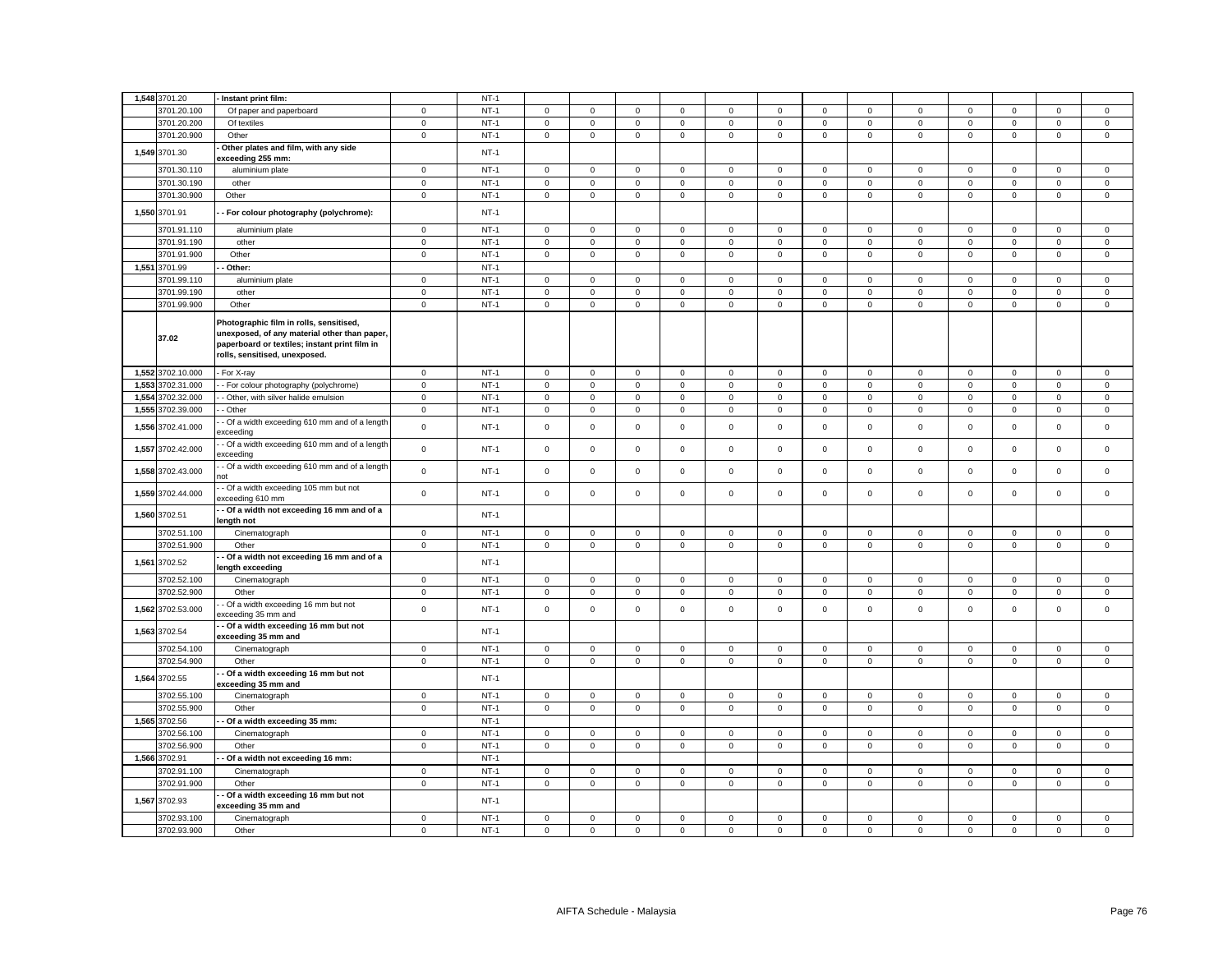|       | 1,548 3701.20          | Instant print film:                                                                                                                                                       |             | $NT-1$           |             |                     |             |              |             |                     |                     |                |                     |             |                     |                     |             |
|-------|------------------------|---------------------------------------------------------------------------------------------------------------------------------------------------------------------------|-------------|------------------|-------------|---------------------|-------------|--------------|-------------|---------------------|---------------------|----------------|---------------------|-------------|---------------------|---------------------|-------------|
|       | 3701.20.100            | Of paper and paperboard                                                                                                                                                   | $\mathbf 0$ | $NT-1$           | $\mathbf 0$ | $\mathsf 0$         | $\mathsf 0$ | $\mathbf 0$  | $\mathsf 0$ | $\mathbf 0$         | $\mathsf 0$         | $\mathsf 0$    | $\mathbf 0$         | $\mathbf 0$ | $\mathbf 0$         | $\mathbf 0$         | $\mathbf 0$ |
|       |                        |                                                                                                                                                                           |             |                  |             |                     |             |              |             |                     |                     |                |                     |             |                     |                     |             |
|       | 3701.20.200            | Of textiles                                                                                                                                                               | $\mathbf 0$ | $NT-1$           | 0           | $\mathbf 0$         | 0           | $\mathbf 0$  | 0           | $\mathbf 0$         | $\mathbf 0$         | $\mathbf 0$    | $\mathbf 0$         | 0           | $\mathbf 0$         | $\mathbf 0$         | $\mathbf 0$ |
|       | 3701.20.900            | Other                                                                                                                                                                     | $\mathbf 0$ | $NT-1$           | 0           | $\mathsf 0$         | $\mathsf 0$ | $\mathsf 0$  | $\mathsf 0$ | $\mathbf 0$         | $\mathsf 0$         | $\mathbf 0$    | $\mathbf 0$         | $\mathbf 0$ | $\mathsf 0$         | $\mathsf 0$         | $\mathsf 0$ |
|       | 1,549 3701.30          | Other plates and film, with any side<br>xceeding 255 mm:                                                                                                                  |             | $NT-1$           |             |                     |             |              |             |                     |                     |                |                     |             |                     |                     |             |
|       | 3701.30.110            | aluminium plate                                                                                                                                                           | $\mathbf 0$ | $NT-1$           | $\mathbf 0$ | $\mathbf 0$         | $\mathbf 0$ | $\mathbf 0$  | 0           | $\mathbf 0$         | $\mathbf 0$         | $\mathbf 0$    | $\mathsf 0$         | $\mathbf 0$ | $\mathbf 0$         | $\mathbf 0$         | $\mathbf 0$ |
|       | 3701.30.190            | other                                                                                                                                                                     | $\mathbf 0$ | $NT-1$           | 0           | $\mathbf 0$         | $\mathsf 0$ | 0            | 0           | 0                   | $\mathbf 0$         | $\mathbf 0$    | $\mathsf{O}\xspace$ | 0           | 0                   | $\mathbf 0$         | $\mathsf 0$ |
|       | 3701.30.900            | Other                                                                                                                                                                     | $\mathbf 0$ | $NT-1$           | $\mathbf 0$ | $\mathbf 0$         | $\mathsf 0$ | $\mathsf 0$  | $\mathsf 0$ | $\mathbf 0$         | $\mathsf 0$         | $\mathsf 0$    | $\mathsf{O}\xspace$ | $\mathbf 0$ | $\mathsf 0$         | $\mathsf 0$         | $\mathsf 0$ |
|       | 1,550 3701.91          | For colour photography (polychrome):                                                                                                                                      |             | $NT-1$           |             |                     |             |              |             |                     |                     |                |                     |             |                     |                     |             |
|       | 3701.91.110            | aluminium plate                                                                                                                                                           | $\mathbf 0$ | $NT-1$           | $\mathbf 0$ | $\Omega$            | $\mathsf 0$ | $\mathbf 0$  | $\mathbf 0$ | $\mathbf 0$         | $\mathbf 0$         | $\mathbf 0$    | $\mathbf 0$         | $\mathbf 0$ | $\mathbf 0$         | $\mathbf 0$         | $\mathsf 0$ |
|       | 3701.91.190            | other                                                                                                                                                                     | $\mathbf 0$ | $NT-1$           | $\mathbf 0$ | $\mathsf 0$         | $\mathsf 0$ | $\mathsf 0$  | $\mathbf 0$ | $\mathsf 0$         | $\mathbf 0$         | 0              | $\mathbf 0$         | $\mathsf 0$ | $\mathsf 0$         | $\mathsf 0$         | $\mathsf 0$ |
|       | 3701.91.900            | Other                                                                                                                                                                     | $\pmb{0}$   | $NT-1$           | $\mathsf 0$ | $\mathsf 0$         | $\mathsf 0$ | $\mathsf 0$  | $\mathbf 0$ | $\mathsf{O}\xspace$ | $\mathsf 0$         | $\mathbf 0$    | $\mathbf 0$         | $\mathsf 0$ | $\mathsf{O}\xspace$ | $\mathsf{O}\xspace$ | $\mathsf 0$ |
|       | 1,551 3701.99          | Other:                                                                                                                                                                    |             | $NT-1$           |             |                     |             |              |             |                     |                     |                |                     |             |                     |                     |             |
|       | 3701.99.110            | aluminium plate                                                                                                                                                           | $\mathbf 0$ | $NT-1$           | $\mathbf 0$ | $\mathbf 0$         | $\mathsf 0$ | $\mathbf 0$  | $\mathbf 0$ | $\mathsf 0$         | $\mathbf 0$         | $\mathbf{0}$   | $\mathbf 0$         | $\mathbf 0$ | $\mathbf 0$         | $\mathbf 0$         | $\mathbf 0$ |
|       | 3701.99.190            | other                                                                                                                                                                     | $\mathsf 0$ | $NT-1$           | $\mathbf 0$ | $\mathsf 0$         | $\mathsf 0$ | $\mathsf 0$  | $\mathbf 0$ | $\mathsf 0$         | $\mathsf{O}\xspace$ | 0              | $\mathsf 0$         | $\mathsf 0$ | $\mathsf 0$         | $\mathsf 0$         | $\mathsf 0$ |
|       | 3701.99.900            | Other                                                                                                                                                                     | $\mathbf 0$ | $NT-1$           | $\mathbf 0$ | $\mathsf 0$         | $\mathsf 0$ | $\mathsf 0$  | $\mathsf 0$ | $\mathsf 0$         | $\mathsf 0$         | $\mathbf 0$    | $\mathsf 0$         | $\mathsf 0$ | $\mathsf 0$         | $\mathsf 0$         | $\mathsf 0$ |
|       | 37.02                  | Photographic film in rolls, sensitised,<br>unexposed, of any material other than paper,<br>paperboard or textiles; instant print film in<br>rolls, sensitised, unexposed. |             |                  |             |                     |             |              |             |                     |                     |                |                     |             |                     |                     |             |
|       | 1,552 3702.10.000      | For X-ray                                                                                                                                                                 | $\mathbf 0$ | $NT-1$           | 0           | $\mathsf 0$         | $\mathsf 0$ | $\mathbf 0$  | $\mathsf 0$ | $\mathsf 0$         | $\mathbf 0$         | $\mathbf 0$    | 0                   | $\mathbf 0$ | $\mathbf 0$         | $\mathsf 0$         | $\mathsf 0$ |
| 1,553 | 3702.31.000            | - For colour photography (polychrome)                                                                                                                                     | $\mathbf 0$ | $NT-1$           | $\mathsf 0$ | $\mathbf 0$         | $\mathsf 0$ | $\mathbf{0}$ | $\mathsf 0$ | $\mathsf 0$         | $\mathsf 0$         | $\mathsf 0$    | $\mathbf 0$         | $\mathsf 0$ | $\mathbf 0$         | $\mathsf 0$         | $\mathsf 0$ |
| 1,554 | 3702.32.000            | - Other, with silver halide emulsion                                                                                                                                      | $\mathbf 0$ | $NT-1$           | 0           | $\mathbf 0$         | $\mathbf 0$ | $\mathbf 0$  | 0           | $\mathbf 0$         | $\mathbf 0$         | $\mathbf 0$    | 0                   | $\mathbf 0$ | $\mathbf 0$         | $\mathbf 0$         | $\mathbf 0$ |
| 1,555 | 3702.39.000            | Other                                                                                                                                                                     | $\mathsf 0$ | $NT-1$           | $\mathbf 0$ | $\mathbf 0$         | $\mathsf 0$ | $\mathbf 0$  | $\mathsf 0$ | $\mathbf 0$         | $\mathsf 0$         | $\mathbf{0}$   | $\mathsf 0$         | $\mathbf 0$ | $\mathbf 0$         | $\mathbf 0$         | $\mathsf 0$ |
| 1,556 | 3702.41.000            | Of a width exceeding 610 mm and of a length<br>xceeding                                                                                                                   | $\mathbf 0$ | $NT-1$           | $\Omega$    | $\mathsf 0$         | $\mathsf 0$ | $\mathbf 0$  | $\mathsf 0$ | $\mathsf 0$         | $\mathsf 0$         | $\mathsf 0$    | $\mathsf 0$         | $\mathsf 0$ | $\mathsf 0$         | $\mathsf 0$         | $\mathsf 0$ |
| 1,557 | 3702.42.000            | - Of a width exceeding 610 mm and of a length<br>xceeding                                                                                                                 | $\mathsf 0$ | $NT-1$           | 0           | $\mathbf 0$         | $\mathsf 0$ | $\mathsf 0$  | 0           | $\mathsf 0$         | $\mathbf{0}$        | $\mathsf 0$    | $\mathbf 0$         | $\mathsf 0$ | $\mathbf 0$         | $\mathsf 0$         | $\mathsf 0$ |
|       | 1,558 3702.43.000      | Of a width exceeding 610 mm and of a length                                                                                                                               | $\mathbf 0$ | $NT-1$           | 0           | $\mathsf{O}\xspace$ | $\mathsf 0$ | $\,0\,$      | 0           | $\mathbf 0$         | $\mathbf 0$         | $\mathbf 0$    | $\mathbf 0$         | $\mathbf 0$ | $\mathbf 0$         | $\mathsf 0$         | $\mathsf 0$ |
|       | 1,559 3702.44.000      | - Of a width exceeding 105 mm but not<br>exceeding 610 mm                                                                                                                 | $\mathbf 0$ | $NT-1$           | $\mathbf 0$ | $\mathsf 0$         | $\mathsf 0$ | $\mathsf 0$  | $\mathsf 0$ | $\mathsf 0$         | $\mathsf 0$         | $\mathsf 0$    | $\mathsf 0$         | $\mathsf 0$ | $\mathsf 0$         | $\mathsf 0$         | $\mathsf 0$ |
|       | 1,560 3702.51          | - Of a width not exceeding 16 mm and of a<br>length not                                                                                                                   |             | $NT-1$           |             |                     |             |              |             |                     |                     |                |                     |             |                     |                     |             |
|       | 3702.51.100            | Cinematograph                                                                                                                                                             | $\mathbf 0$ | $NT-1$           | 0           | $\mathsf 0$         | $\mathsf 0$ | $\mathbf 0$  | 0           | $\mathbf 0$         | $\mathbf 0$         | $\mathbf 0$    | $\mathbf 0$         | $\mathsf 0$ | $\mathbf 0$         | $\mathbf 0$         | $\mathbf 0$ |
|       | 3702.51.900            | Other                                                                                                                                                                     | $\mathbf 0$ | $NT-1$           | $\mathsf 0$ | $\mathbf 0$         | $\mathsf 0$ | $\mathbf{0}$ | $\mathsf 0$ | $\mathbf 0$         | $\mathsf 0$         | $\overline{0}$ | $\mathsf 0$         | $\mathbf 0$ | $\mathsf 0$         | $\mathsf 0$         | $\mathbf 0$ |
| 1,561 | 3702.52                | Of a width not exceeding 16 mm and of a<br>length exceeding                                                                                                               |             | $NT-1$           |             |                     |             |              |             |                     |                     |                |                     |             |                     |                     |             |
|       | 3702.52.100            | Cinematograph                                                                                                                                                             | $\mathbf 0$ | $NT-1$           | $\mathbf 0$ | $\mathbf 0$         | $\mathbf 0$ | $\mathbf 0$  | 0           | $\mathbf 0$         | $\mathbf 0$         | $\mathbf 0$    | $\mathbf 0$         | 0           | $\mathbf 0$         | $\mathbf 0$         | 0           |
|       | 3702.52.900            | Other                                                                                                                                                                     | $\mathbf 0$ | $NT-1$           | $\mathbf 0$ | $\mathsf 0$         | $\mathsf 0$ | $\mathsf 0$  | $\mathsf 0$ | $\mathbf 0$         | $\mathsf{O}\xspace$ | $\mathbf 0$    | $\mathsf 0$         | $\mathbf 0$ | $\mathsf 0$         | $\mathbf 0$         | $\mathsf 0$ |
|       | 1,562 3702.53.000      | Of a width exceeding 16 mm but not                                                                                                                                        | $\mathbf 0$ | $NT-1$           | $\mathbf 0$ | $\mathsf 0$         | $\mathsf 0$ | $\mathsf 0$  | $\mathsf 0$ | $\mathsf 0$         | $\mathsf 0$         | $\mathbf 0$    | $\mathsf 0$         | $\mathsf 0$ | $\mathsf 0$         | $\mathsf 0$         | $\mathsf 0$ |
|       | 1,563 3702.54          | xceeding 35 mm and<br>- Of a width exceeding 16 mm but not                                                                                                                |             | $NT-1$           |             |                     |             |              |             |                     |                     |                |                     |             |                     |                     |             |
|       | 3702.54.100            | exceeding 35 mm and<br>Cinematograph                                                                                                                                      | $\mathbf 0$ | $NT-1$           | $\mathbf 0$ | $\mathbf 0$         | $\mathsf 0$ | $\mathsf 0$  | $\mathbf 0$ | $\mathsf 0$         | $\mathsf 0$         | $\mathbf 0$    | $\mathsf 0$         | $\mathsf 0$ | $\mathsf 0$         | $\mathsf 0$         | $\mathsf 0$ |
|       |                        |                                                                                                                                                                           | $\mathbf 0$ |                  |             |                     |             | $\mathbf{0}$ |             |                     |                     |                |                     |             |                     | $\mathbf 0$         | $\mathbf 0$ |
| 1,564 | 3702.54.900<br>3702.55 | Other<br>Of a width exceeding 16 mm but not                                                                                                                               |             | $NT-1$<br>$NT-1$ | $\mathsf 0$ | $\mathsf 0$         | $\mathsf 0$ |              | $\mathsf 0$ | $\mathsf 0$         | $\mathsf 0$         | $\mathbf 0$    | $\mathbf 0$         | $\mathbf 0$ | $\mathsf 0$         |                     |             |
|       |                        | exceeding 35 mm and                                                                                                                                                       |             |                  |             |                     |             |              |             |                     |                     |                |                     |             |                     |                     |             |
|       | 3702.55.100            | Cinematograph                                                                                                                                                             | $\mathbf 0$ | $NT-1$           | 0           | $\mathsf 0$         | $\mathsf 0$ | $\mathbf 0$  | $\mathbf 0$ | $\mathsf 0$         | $\mathbf{0}$        | $\mathbf{0}$   | $\mathbf 0$         | $\mathsf 0$ | $\mathbf 0$         | $\mathbf 0$         | $\mathsf 0$ |
|       | 3702.55.900            | Other                                                                                                                                                                     | $\mathbf 0$ | $NT-1$           | $\mathbf 0$ | $\mathsf 0$         | $\mathsf 0$ | $\mathsf 0$  | $\mathsf 0$ | $\mathsf 0$         | $\mathbf 0$         | $\mathbf 0$    | $\mathsf 0$         | $\mathsf 0$ | $\mathbf 0$         | $\mathsf 0$         | $\mathsf 0$ |
|       | 1,565 3702.56          | Of a width exceeding 35 mm:                                                                                                                                               |             | $NT-1$           |             |                     |             |              |             |                     |                     |                |                     |             |                     |                     |             |
|       | 3702.56.100            | Cinematograph                                                                                                                                                             | $\mathbf 0$ | $NT-1$           | $\mathbf 0$ | $\mathsf 0$         | $\mathsf 0$ | $\mathbf 0$  | $\mathsf 0$ | $\mathsf 0$         | $\mathsf 0$         | $\mathsf 0$    | $\mathbf 0$         | $\mathsf 0$ | $\mathsf 0$         | $\mathsf 0$         | $\mathsf 0$ |
|       | 3702.56.900            | Other                                                                                                                                                                     | $\mathbf 0$ | $NT-1$           | $\mathsf 0$ | $\mathbf 0$         | $\mathsf 0$ | $\mathsf 0$  | $\mathbf 0$ | $\mathsf 0$         | $\mathbf 0$         | $\mathbf 0$    | $\mathbf 0$         | $\mathsf 0$ | $\mathbf 0$         | $\mathbf 0$         | $\mathsf 0$ |
| 1,566 | 3702.91                | Of a width not exceeding 16 mm:                                                                                                                                           |             | $NT-1$           |             |                     |             |              |             |                     |                     |                |                     |             |                     |                     |             |
|       | 3702.91.100            | Cinematograph                                                                                                                                                             | $\mathbf 0$ | $NT-1$           | 0           | $\mathbf 0$         | 0           | $\mathbf 0$  | 0           | 0                   | $\mathbf 0$         | 0              | $\mathbf 0$         | 0           | $\mathbf 0$         | 0                   | $\mathbf 0$ |
|       | 3702.91.900            | Other                                                                                                                                                                     | $\mathbf 0$ | $NT-1$           | $\mathbf 0$ | $\mathbf 0$         | $\mathsf 0$ | $\mathsf 0$  | $\mathsf 0$ | $\mathsf 0$         | $\mathbf 0$         | $\mathbf 0$    | $\mathsf 0$         | $\mathsf 0$ | $\mathbf 0$         | $\mathsf 0$         | $\mathsf 0$ |
| 1,567 | 3702.93                | Of a width exceeding 16 mm but not<br>exceeding 35 mm and                                                                                                                 |             | $NT-1$           |             |                     |             |              |             |                     |                     |                |                     |             |                     |                     |             |
|       | 3702.93.100            | Cinematograph                                                                                                                                                             | $\mathsf 0$ | $NT-1$           | $\Omega$    | $\mathbf 0$         | $\mathsf 0$ | $\mathbf 0$  | 0           | $\mathbf 0$         | $\mathbf 0$         | $\mathsf 0$    | $\mathbf 0$         | $\Omega$    | $\mathbf 0$         | $\mathbf 0$         | $\mathsf 0$ |
|       | 3702.93.900            | Other                                                                                                                                                                     | $\mathbf 0$ | $NT-1$           | 0           | $\mathbf 0$         | 0           | 0            | 0           | 0                   | $\mathbf 0$         | 0              | $\mathsf 0$         | 0           | 0                   | 0                   | $\mathsf 0$ |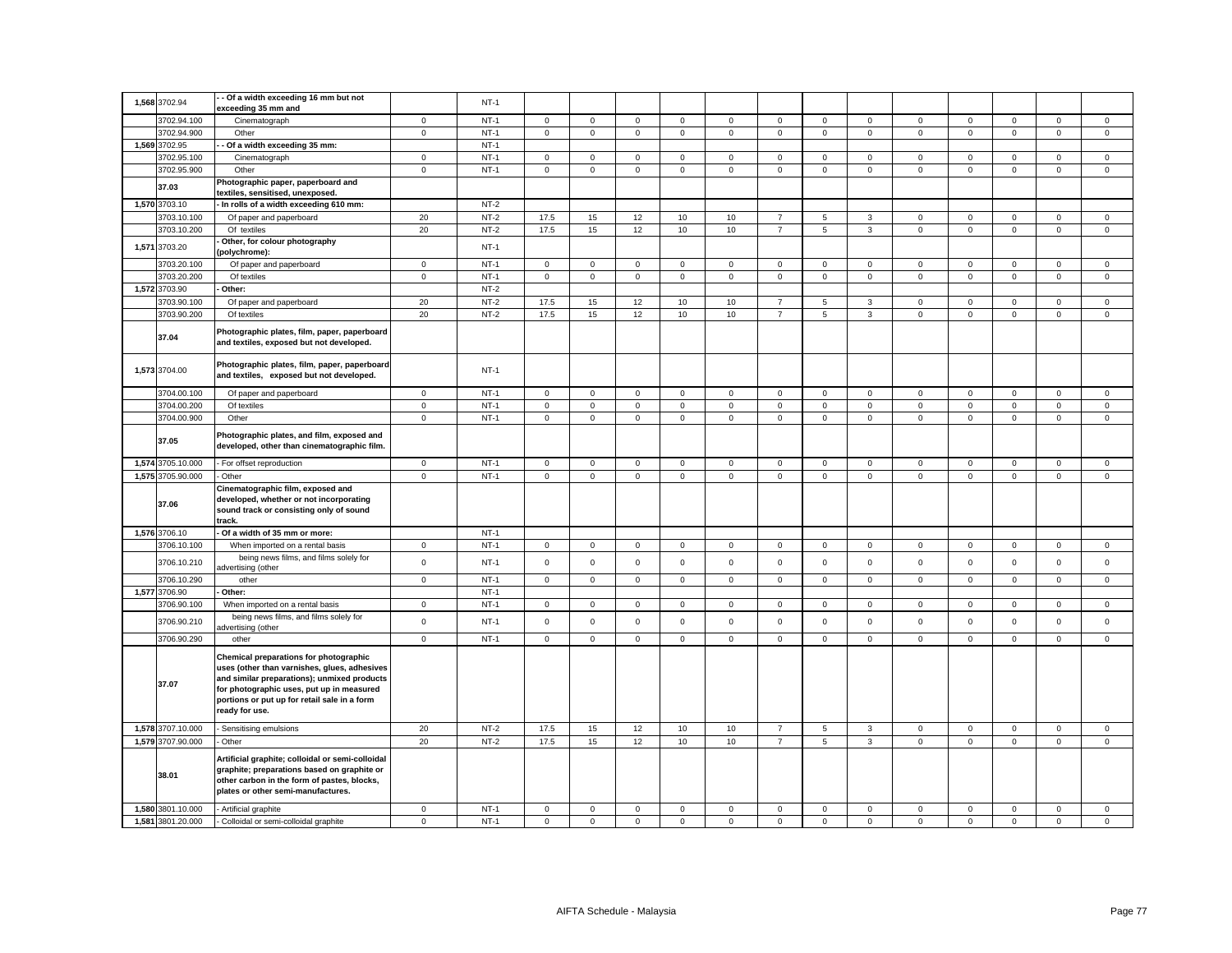|       | 1,568 3702.94     | - Of a width exceeding 16 mm but not<br>exceeding 35 mm and                                                                                                                                                                                          |             | $NT-1$ |                     |              |              |              |             |                     |                     |                |              |             |                     |                     |             |
|-------|-------------------|------------------------------------------------------------------------------------------------------------------------------------------------------------------------------------------------------------------------------------------------------|-------------|--------|---------------------|--------------|--------------|--------------|-------------|---------------------|---------------------|----------------|--------------|-------------|---------------------|---------------------|-------------|
|       | 3702.94.100       | Cinematograph                                                                                                                                                                                                                                        | $\mathbf 0$ | $NT-1$ | $\mathbf 0$         | $\mathsf 0$  | $\mathsf 0$  | $\mathsf 0$  | $\mathsf 0$ | $\mathsf 0$         | $\mathsf 0$         | $\mathsf 0$    | $\mathbf 0$  | $\mathbf 0$ | $\mathsf 0$         | $\mathsf 0$         | $\mathsf 0$ |
|       | 3702.94.900       | Other                                                                                                                                                                                                                                                | $\mathsf 0$ | $NT-1$ | $\mathbf 0$         | $\mathsf 0$  | $\mathbf{0}$ | $\mathsf 0$  | $\mathsf 0$ | $\mathsf 0$         | $\mathsf{O}$        | $\mathbf{0}$   | $\mathbf{0}$ | $\mathsf 0$ | $\mathsf{O}\xspace$ | $\mathsf{O}\xspace$ | $\mathsf 0$ |
|       | 1,569 3702.95     | Of a width exceeding 35 mm:                                                                                                                                                                                                                          |             | $NT-1$ |                     |              |              |              |             |                     |                     |                |              |             |                     |                     |             |
|       | 3702.95.100       | Cinematograph                                                                                                                                                                                                                                        | $\mathbf 0$ | $NT-1$ | $\mathbf 0$         | $\mathsf 0$  | $\mathsf 0$  | $\mathsf 0$  | $\mathbf 0$ | $\mathsf 0$         | $\mathsf 0$         | $\mathsf 0$    | $\mathbf 0$  | $\mathsf 0$ | $\mathsf 0$         | $\mathsf 0$         | $\mathsf 0$ |
|       | 3702.95.900       | Other                                                                                                                                                                                                                                                | $\mathbf 0$ | $NT-1$ | $\mathsf{O}\xspace$ | $\mathsf 0$  | $\mathsf 0$  | $\mathsf 0$  | $\mathsf 0$ | $\mathsf 0$         | $\mathsf 0$         | $\mathsf 0$    | $\mathsf 0$  | $\mathsf 0$ | $\mathsf 0$         | $\mathsf{O}\xspace$ | $\mathsf 0$ |
|       | 37.03             | Photographic paper, paperboard and<br>textiles, sensitised, unexposed.                                                                                                                                                                               |             |        |                     |              |              |              |             |                     |                     |                |              |             |                     |                     |             |
|       | 1,570 3703.10     | In rolls of a width exceeding 610 mm:                                                                                                                                                                                                                |             | $NT-2$ |                     |              |              |              |             |                     |                     |                |              |             |                     |                     |             |
|       | 3703.10.100       | Of paper and paperboard                                                                                                                                                                                                                              | 20          | $NT-2$ | 17.5                | 15           | 12           | 10           | 10          | $\overline{7}$      | 5                   | $\mathbf{3}$   | $\mathbf 0$  | $\mathsf 0$ | $\mathsf 0$         | $\mathsf 0$         | $\mathsf 0$ |
|       | 3703.10.200       | Of textiles                                                                                                                                                                                                                                          | 20          | $NT-2$ | 17.5                | 15           | 12           | 10           | 10          | $\overline{7}$      | 5                   | $\mathbf{3}$   | $\mathsf 0$  | $\mathsf 0$ | $\mathsf 0$         | $\mathsf 0$         | $\mathsf 0$ |
| 1,571 | 3703.20           | Other, for colour photography                                                                                                                                                                                                                        |             | $NT-1$ |                     |              |              |              |             |                     |                     |                |              |             |                     |                     |             |
|       | 3703.20.100       | polychrome):<br>Of paper and paperboard                                                                                                                                                                                                              | $\mathbf 0$ | $NT-1$ | 0                   | $\mathbf 0$  | $\mathbf 0$  | $\mathbf 0$  | 0           | $\mathbf 0$         | $\mathbf{0}$        | $\mathbf 0$    | $\mathbf 0$  | $\mathbf 0$ | $\mathbf 0$         | $\mathbf 0$         | $\mathbf 0$ |
|       | 3703.20.200       | Of textiles                                                                                                                                                                                                                                          | $\mathbf 0$ | $NT-1$ | $\mathbf 0$         | $\mathsf 0$  | $\mathsf 0$  | $\mathsf 0$  | $\mathbf 0$ | $\mathsf 0$         | $\mathbf 0$         | $\mathbf 0$    | $\mathbf 0$  | $\mathsf 0$ | $\mathsf 0$         | $\mathsf 0$         | $\mathsf 0$ |
|       | 1,572 3703.90     | Other:                                                                                                                                                                                                                                               |             | $NT-2$ |                     |              |              |              |             |                     |                     |                |              |             |                     |                     |             |
|       | 3703.90.100       | Of paper and paperboard                                                                                                                                                                                                                              | 20          | $NT-2$ | 17.5                | 15           | 12           | 10           | 10          | $\overline{7}$      | 5                   | $\mathbf{3}$   | $\mathbf 0$  | $\mathsf 0$ | $\mathsf 0$         | $\mathsf 0$         | $\mathsf 0$ |
|       | 3703.90.200       |                                                                                                                                                                                                                                                      | 20          | $NT-2$ | 17.5                | 15           | 12           |              | 10          | $\overline{7}$      | 5                   | $\mathbf{3}$   | $\mathbf 0$  | $\mathbf 0$ | $\mathbf{0}$        | $\mathbf 0$         | $\mathbf 0$ |
|       |                   | Of textiles                                                                                                                                                                                                                                          |             |        |                     |              |              | 10           |             |                     |                     |                |              |             |                     |                     |             |
|       | 37.04             | Photographic plates, film, paper, paperboard<br>and textiles, exposed but not developed.                                                                                                                                                             |             |        |                     |              |              |              |             |                     |                     |                |              |             |                     |                     |             |
|       | 1,573 3704.00     | Photographic plates, film, paper, paperboard<br>and textiles, exposed but not developed.                                                                                                                                                             |             | $NT-1$ |                     |              |              |              |             |                     |                     |                |              |             |                     |                     |             |
|       | 3704.00.100       | Of paper and paperboard                                                                                                                                                                                                                              | $\mathbf 0$ | $NT-1$ | $\mathbf 0$         | $\mathsf 0$  | $\mathsf 0$  | $\mathsf 0$  | $\mathsf 0$ | $\mathsf 0$         | $\mathsf 0$         | $\mathsf 0$    | $\mathbf 0$  | $\mathsf 0$ | $\mathsf 0$         | $\mathsf 0$         | $\mathsf 0$ |
|       | 3704.00.200       | Of textiles                                                                                                                                                                                                                                          | $\mathbf 0$ | $NT-1$ | 0                   | $\mathbf 0$  | $\mathsf 0$  | $\mathbf 0$  | 0           | $\mathbf 0$         | $\mathbf{0}$        | $\mathbf{0}$   | $\mathbf 0$  | $\mathbf 0$ | $\mathbf 0$         | $\mathbf 0$         | $\mathsf 0$ |
|       | 3704.00.900       | Other                                                                                                                                                                                                                                                | $\mathbf 0$ | $NT-1$ | $\mathbf 0$         | $\mathbf{O}$ | $\mathbf{0}$ | $\mathbf 0$  | $\mathbf 0$ | $\mathbf 0$         | $\mathbf 0$         | $\mathbf{0}$   | $\mathsf 0$  | $\mathbf 0$ | $\mathbf{0}$        | $\mathbf{0}$        | $\mathbf 0$ |
|       | 37.05             | Photographic plates, and film, exposed and<br>developed, other than cinematographic film.                                                                                                                                                            |             |        |                     |              |              |              |             |                     |                     |                |              |             |                     |                     |             |
|       | 1,574 3705.10.000 | For offset reproduction                                                                                                                                                                                                                              | $\mathbf 0$ | $NT-1$ | $\mathbf 0$         | $\mathsf 0$  | $\mathsf 0$  | $\mathbf 0$  | $\mathsf 0$ | $\mathsf 0$         | $\mathsf 0$         | $\mathsf 0$    | $\mathbf 0$  | $\mathsf 0$ | $\mathsf 0$         | $\mathsf 0$         | $\mathbf 0$ |
|       | 1,575 3705.90.000 | Other                                                                                                                                                                                                                                                | $\mathsf 0$ | $NT-1$ | $\mathsf 0$         | $\mathsf 0$  | $\mathbf 0$  | $\mathsf 0$  | $\mathsf 0$ | $\mathsf{O}\xspace$ | $\mathsf 0$         | $\mathsf 0$    | $\mathsf 0$  | $\mathsf 0$ | $\mathsf{O}\xspace$ | $\mathsf 0$         | $\mathsf 0$ |
|       | 37.06             | Cinematographic film, exposed and<br>developed, whether or not incorporating<br>sound track or consisting only of sound<br>track.                                                                                                                    |             |        |                     |              |              |              |             |                     |                     |                |              |             |                     |                     |             |
|       | 1,576 3706.10     | Of a width of 35 mm or more:                                                                                                                                                                                                                         |             | $NT-1$ |                     |              |              |              |             |                     |                     |                |              |             |                     |                     |             |
|       | 3706.10.100       | When imported on a rental basis                                                                                                                                                                                                                      | $\mathbf 0$ | $NT-1$ | $\mathbf 0$         | $\mathbf 0$  | $\mathsf 0$  | $\mathbf 0$  | $\mathsf 0$ | $\mathsf 0$         | $\mathsf 0$         | $\mathsf 0$    | $\mathbf 0$  | $\mathbf 0$ | $\mathbf 0$         | $\mathbf 0$         | $\mathsf 0$ |
|       | 3706.10.210       | being news films, and films solely for<br>advertising (other                                                                                                                                                                                         | $\mathbf 0$ | $NT-1$ | $\mathbf 0$         | $\mathsf 0$  | $\mathsf 0$  | $\mathbf 0$  | $\mathsf 0$ | $\mathsf 0$         | $\mathsf 0$         | $\mathbf 0$    | $\mathbf 0$  | $\mathsf 0$ | $\mathsf 0$         | $\mathsf 0$         | $\mathsf 0$ |
|       | 3706.10.290       | other                                                                                                                                                                                                                                                | $\mathbf 0$ | $NT-1$ | $\circ$             | $\mathbf 0$  | $\mathsf 0$  | $\mathbf 0$  | $\mathbf 0$ | $\mathsf 0$         | $\mathbf 0$         | $\mathbf 0$    | $\mathbf 0$  | $\mathbf 0$ | $\mathsf 0$         | $\mathbf 0$         | $\mathsf 0$ |
|       | 1,577 3706.90     | Other:                                                                                                                                                                                                                                               |             | $NT-1$ |                     |              |              |              |             |                     |                     |                |              |             |                     |                     |             |
|       | 3706.90.100       | When imported on a rental basis                                                                                                                                                                                                                      | $\mathbf 0$ | $NT-1$ | $\mathbf 0$         | $\mathsf 0$  | $\mathsf 0$  | $\mathsf 0$  | $\mathsf 0$ | $\mathsf 0$         | $\mathsf{O}\xspace$ | $\mathsf 0$    | $\mathsf 0$  | $\mathsf 0$ | $\mathsf 0$         | $\mathsf 0$         | $\mathsf 0$ |
|       | 3706.90.210       | being news films, and films solely for<br>dvertising (other                                                                                                                                                                                          | $\mathbf 0$ | $NT-1$ | $\mathbf 0$         | $\mathbf 0$  | $\mathbf 0$  | $\mathbf{0}$ | $\mathbf 0$ | $\mathbf 0$         | $\mathbf 0$         | $\overline{0}$ | $\mathbf{0}$ | $\mathbf 0$ | $\mathbf 0$         | $\mathbf 0$         | $\mathbf 0$ |
|       | 3706.90.290       | other                                                                                                                                                                                                                                                | $\mathsf 0$ | $NT-1$ | $\mathsf 0$         | $\mathsf 0$  | $\mathsf 0$  | $\mathsf 0$  | $\mathbf 0$ | $\mathsf 0$         | $\mathsf 0$         | $\mathbf 0$    | $\mathsf 0$  | $\mathsf 0$ | $\mathsf 0$         | $\mathsf 0$         | $\mathsf 0$ |
|       | 37.07             | Chemical preparations for photographic<br>uses (other than varnishes, glues, adhesives<br>and similar preparations); unmixed products<br>for photographic uses, put up in measured<br>portions or put up for retail sale in a form<br>ready for use. |             |        |                     |              |              |              |             |                     |                     |                |              |             |                     |                     |             |
|       | 1,578 3707.10.000 | Sensitising emulsions                                                                                                                                                                                                                                | 20          | $NT-2$ | 17.5                | 15           | 12           | 10           | 10          | $\overline{7}$      | $\sqrt{5}$          | $_{3}$         | $\mathbf 0$  | $\mathbf 0$ | $\mathsf 0$         | $\mathsf 0$         | $\mathsf 0$ |
|       | 1,579 3707.90.000 | · Other                                                                                                                                                                                                                                              | 20          | $NT-2$ | 17.5                | 15           | 12           | 10           | 10          | $\overline{7}$      | 5                   | $\mathbf{3}$   | $\mathsf 0$  | 0           | $\mathbf 0$         | $\mathsf 0$         | $\mathsf 0$ |
|       | 38.01             | Artificial graphite; colloidal or semi-colloidal<br>graphite; preparations based on graphite or<br>other carbon in the form of pastes, blocks,<br>plates or other semi-manufactures.                                                                 |             |        |                     |              |              |              |             |                     |                     |                |              |             |                     |                     |             |
|       | 1,580 3801.10.000 | - Artificial graphite                                                                                                                                                                                                                                | $\mathbf 0$ | $NT-1$ | $\mathbf 0$         | $\mathsf 0$  | $\mathsf 0$  | $\mathsf 0$  | $\mathsf 0$ | $\mathsf 0$         | $\mathsf 0$         | $\mathsf 0$    | $\mathbf 0$  | $\mathsf 0$ | $\mathsf 0$         | $\mathsf 0$         | $\mathsf 0$ |
|       |                   |                                                                                                                                                                                                                                                      |             |        |                     |              |              |              |             |                     |                     |                |              |             |                     |                     | $\mathsf 0$ |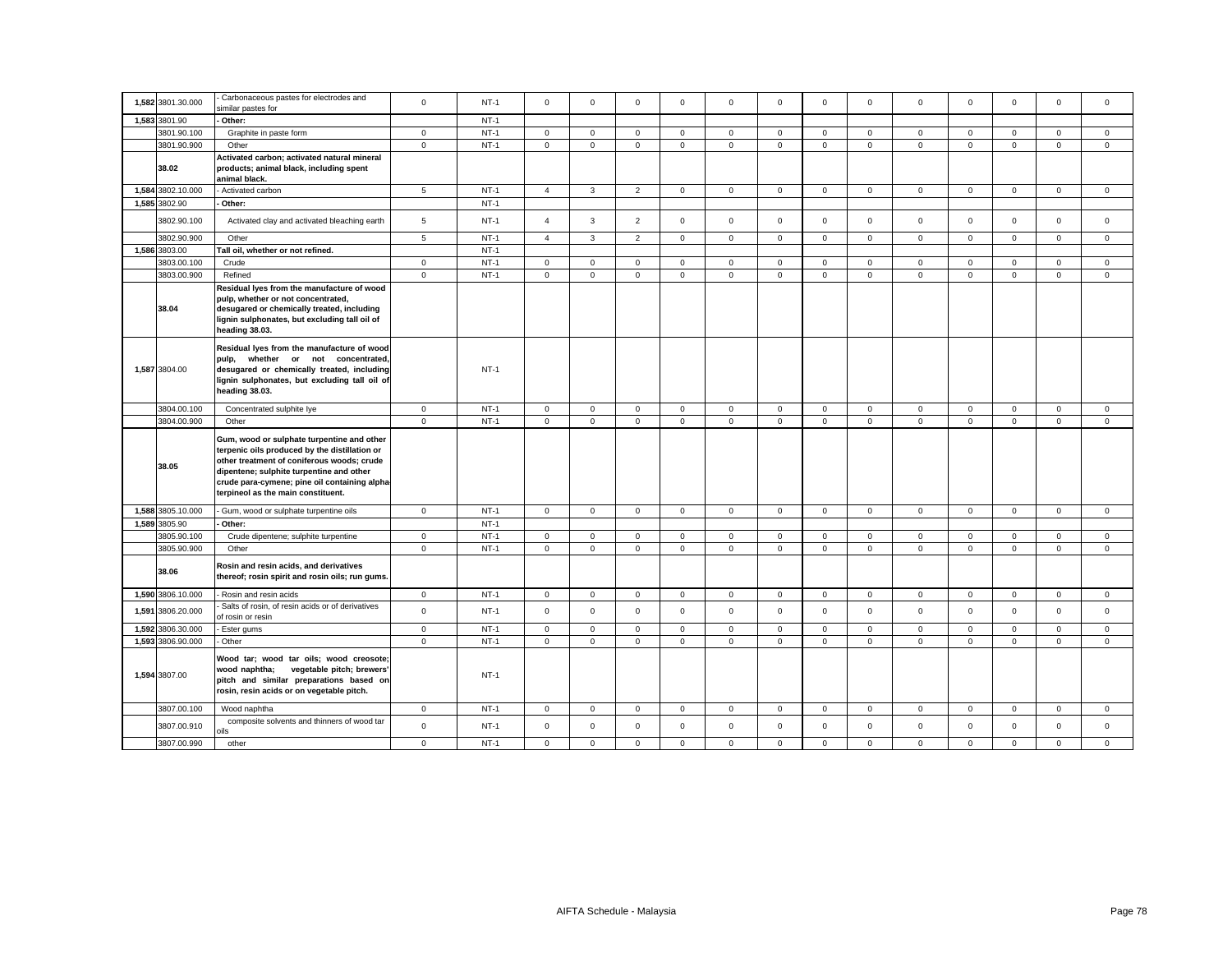| 1,582 3801.30.000 | Carbonaceous pastes for electrodes and                                                                                                                                                                                                                                       | $\mathsf 0$    | $NT-1$ |                     | $\mathbf 0$  | $\mathsf 0$    |              |                     | $\mathbf 0$ |              |                     |              | $\mathbf 0$ | $\mathbf 0$  | $\mathsf 0$  | $\mathsf 0$  |
|-------------------|------------------------------------------------------------------------------------------------------------------------------------------------------------------------------------------------------------------------------------------------------------------------------|----------------|--------|---------------------|--------------|----------------|--------------|---------------------|-------------|--------------|---------------------|--------------|-------------|--------------|--------------|--------------|
|                   | similar pastes for                                                                                                                                                                                                                                                           |                |        | $\mathsf 0$         |              |                | $\mathsf 0$  | $\mathbf 0$         |             | $\mathsf 0$  | $\mathbf 0$         | $\mathbf 0$  |             |              |              |              |
| 1,583 3801.90     | Other:                                                                                                                                                                                                                                                                       |                | $NT-1$ |                     |              |                |              |                     |             |              |                     |              |             |              |              |              |
| 3801.90.100       | Graphite in paste form                                                                                                                                                                                                                                                       | $\mathbf{0}$   | $NT-1$ | $\mathbf 0$         | $\mathbf 0$  | $\mathbf 0$    | $\mathbf 0$  | $\mathbf 0$         | $\mathsf 0$ | $\mathbf{0}$ | $\mathbf 0$         | $\mathbf 0$  | $\mathbf 0$ | $\mathbf{0}$ | $\mathbf 0$  | $\mathbf 0$  |
| 3801.90.900       | Other                                                                                                                                                                                                                                                                        | $\mathsf 0$    | $NT-1$ | $\mathsf{O}\xspace$ | $\mathbf 0$  | $\mathsf 0$    | $\mathbf 0$  | $\mathbf 0$         | $\mathbf 0$ | $\mathsf 0$  | $\overline{0}$      | $\mathsf 0$  | $\mathbf 0$ | $\mathbf{0}$ | $\mathsf 0$  | $\mathsf 0$  |
| 38.02             | Activated carbon; activated natural mineral<br>products; animal black, including spent<br>animal black.                                                                                                                                                                      |                |        |                     |              |                |              |                     |             |              |                     |              |             |              |              |              |
| 1,584 3802.10.000 | Activated carbon                                                                                                                                                                                                                                                             | $\overline{5}$ | $NT-1$ | $\overline{4}$      | $\mathbf{3}$ | $\overline{2}$ | $\mathbf 0$  | $\mathbf 0$         | $\mathsf 0$ | $\mathbf{0}$ | $\mathbf 0$         | $\mathbf{0}$ | $\mathbf 0$ | $\mathbf{0}$ | $\mathbf{0}$ | $\mathbf 0$  |
| 1,585 3802.90     | Other:                                                                                                                                                                                                                                                                       |                | $NT-1$ |                     |              |                |              |                     |             |              |                     |              |             |              |              |              |
| 3802.90.100       | Activated clay and activated bleaching earth                                                                                                                                                                                                                                 | 5              | $NT-1$ | $\overline{4}$      | $\mathbf{3}$ | $\overline{2}$ | $\mathbf 0$  | $\mathbf 0$         | $\mathbf 0$ | $\mathbf 0$  | $\mathbf{0}$        | $\mathbf 0$  | $\mathbf 0$ | $\mathbf 0$  | $\mathbf 0$  | $\mathbf 0$  |
| 3802.90.900       | Other                                                                                                                                                                                                                                                                        | 5              | $NT-1$ | $\overline{4}$      | 3            | $\overline{2}$ | $\mathbf{0}$ | $\mathbf 0$         | $\mathbf 0$ | $\mathbf{0}$ | $\mathbf{0}$        | $\mathbf{0}$ | $\mathbf 0$ | $\mathbf 0$  | $\mathbf 0$  | $\mathbf{0}$ |
| 1,586 3803.00     | Tall oil, whether or not refined.                                                                                                                                                                                                                                            |                | $NT-1$ |                     |              |                |              |                     |             |              |                     |              |             |              |              |              |
| 3803.00.100       | Crude                                                                                                                                                                                                                                                                        | $\mathsf 0$    | $NT-1$ | $\mathsf 0$         | $\mathsf 0$  | $\mathsf 0$    | $\mathsf 0$  | $\mathsf 0$         | $\mathsf 0$ | $\mathsf 0$  | $\mathbf{0}$        | $\mathsf 0$  | $\mathsf 0$ | $\mathbf 0$  | $\mathsf 0$  | $\mathbf 0$  |
| 3803.00.900       | Refined                                                                                                                                                                                                                                                                      | $\mathsf 0$    | $NT-1$ | $\mathsf 0$         | $\mathbf 0$  | $\mathsf 0$    | $\mathsf 0$  | $\mathbf 0$         | $\mathsf 0$ | $\mathsf 0$  | $\mathbf{0}$        | $\mathsf 0$  | $\mathsf 0$ | $\mathsf 0$  | $\mathsf 0$  | $\mathsf 0$  |
| 38.04             | Residual lyes from the manufacture of wood<br>pulp, whether or not concentrated,<br>desugared or chemically treated, including<br>lignin sulphonates, but excluding tall oil of<br>heading 38.03.                                                                            |                |        |                     |              |                |              |                     |             |              |                     |              |             |              |              |              |
| 1,587 3804.00     | Residual lyes from the manufacture of wood<br>pulp, whether or not concentrated,<br>desugared or chemically treated, including<br>lignin sulphonates, but excluding tall oil of<br>heading 38.03.                                                                            |                | $NT-1$ |                     |              |                |              |                     |             |              |                     |              |             |              |              |              |
| 3804.00.100       | Concentrated sulphite lye                                                                                                                                                                                                                                                    | $\mathbf 0$    | $NT-1$ | 0                   | $\mathbf{0}$ | $\mathsf 0$    | $\mathbf{0}$ | $\mathsf 0$         | $\mathbf 0$ | $\mathbf 0$  | $\mathbf 0$         | $\mathbf 0$  | $\mathbf 0$ | $\mathbf 0$  | $\mathbf 0$  | $\mathbf 0$  |
| 3804.00.900       | Other                                                                                                                                                                                                                                                                        | $\mathsf 0$    | $NT-1$ | $\mathbf 0$         | $\mathbf 0$  | $\mathsf 0$    | $\mathbf 0$  | $\mathbf 0$         | $\mathbf 0$ | $\mathsf 0$  | $\mathbf 0$         | $\mathsf 0$  | $\mathbf 0$ | $\mathbf 0$  | $\mathsf 0$  | $\mathbf 0$  |
| 38.05             | Gum, wood or sulphate turpentine and other<br>terpenic oils produced by the distillation or<br>other treatment of coniferous woods; crude<br>dipentene; sulphite turpentine and other<br>crude para-cymene; pine oil containing alpha-<br>terpineol as the main constituent. |                |        |                     |              |                |              |                     |             |              |                     |              |             |              |              |              |
| 1,588 3805.10.000 | Gum, wood or sulphate turpentine oils                                                                                                                                                                                                                                        | $\mathbf 0$    | $NT-1$ | $\mathsf 0$         | $\mathsf 0$  | $\mathsf 0$    | $\mathsf 0$  | $\mathsf{O}\xspace$ | $\mathsf 0$ | $\mathsf 0$  | $\mathbf 0$         | $\mathsf 0$  | $\mathsf 0$ | $\mathsf 0$  | $\mathsf 0$  | $\mathbf 0$  |
| 1.589 3805.90     | Other:                                                                                                                                                                                                                                                                       |                | $NT-1$ |                     |              |                |              |                     |             |              |                     |              |             |              |              |              |
| 3805.90.100       | Crude dipentene; sulphite turpentine                                                                                                                                                                                                                                         | $\overline{0}$ | $NT-1$ | $\mathbf{0}$        | $\mathbf 0$  | $\mathbf 0$    | $\mathbf{0}$ | $\mathbf 0$         | $\mathbf 0$ | $\mathbf{0}$ | $\mathbf 0$         | $\mathbf 0$  | $\mathbf 0$ | $\mathbf 0$  | $\mathbf 0$  | $\mathbf 0$  |
| 3805.90.900       | Other                                                                                                                                                                                                                                                                        | $\mathbf{0}$   | $NT-1$ | $\mathbf 0$         | $\mathbf 0$  | $\mathbf{0}$   | $\mathbf 0$  | $\mathbf 0$         | $\mathsf 0$ | $\mathbf{0}$ | $\mathbf 0$         | $\mathsf 0$  | $\mathsf 0$ | $\mathbf 0$  | $\mathbf 0$  | $\mathbf 0$  |
| 38.06             | Rosin and resin acids, and derivatives<br>thereof; rosin spirit and rosin oils; run gums.                                                                                                                                                                                    |                |        |                     |              |                |              |                     |             |              |                     |              |             |              |              |              |
| 1,590 3806.10.000 | Rosin and resin acids                                                                                                                                                                                                                                                        | $\mathbf 0$    | $NT-1$ | $\mathsf 0$         | $\mathbf 0$  | $\mathsf 0$    | $\mathsf 0$  | $\mathbf 0$         | $\mathbf 0$ | $\mathsf 0$  | $\mathbf{0}$        | $\mathbf 0$  | $\mathbf 0$ | $\mathbf 0$  | $\mathsf 0$  | $\mathsf 0$  |
| 1,591 3806.20.000 | Salts of rosin, of resin acids or of derivatives<br>of rosin or resin                                                                                                                                                                                                        | $\mathsf 0$    | $NT-1$ | $\mathbf 0$         | $\mathbf 0$  | $\mathsf 0$    | $\mathbf{0}$ | $\mathbf 0$         | $\mathbf 0$ | $\mathbf{0}$ | $\mathbf{0}$        | $\mathbf 0$  | $\mathbf 0$ | $\mathbf 0$  | $\mathbf 0$  | $\mathbf{0}$ |
| 1,592 3806.30.000 | Ester gums                                                                                                                                                                                                                                                                   | $\mathbf 0$    | $NT-1$ | $\mathsf 0$         | $\mathsf 0$  | $\mathsf 0$    | $\mathsf 0$  | $\mathbf 0$         | $\mathsf 0$ | $\mathsf 0$  | $\mathsf{O}\xspace$ | $\mathsf 0$  | $\mathsf 0$ | $\mathsf 0$  | $\mathsf 0$  | $\mathbf 0$  |
| 1,593 3806.90.000 | Other                                                                                                                                                                                                                                                                        | $\mathbf{0}$   | $NT-1$ | $\mathbf 0$         | $\mathbf{0}$ | $\mathbf{0}$   | $\mathbf{0}$ | $\mathbf 0$         | $\mathbf 0$ | $\mathbf{0}$ | $\mathbf{0}$        | $\mathbf{0}$ | $\mathbf 0$ | $\mathbf{0}$ | $\mathbf{0}$ | $\mathbf{0}$ |
| 1,594 3807.00     | Wood tar; wood tar oils; wood creosote;<br>wood naphtha; vegetable pitch; brewers'<br>pitch and similar preparations based on<br>rosin, resin acids or on vegetable pitch.                                                                                                   |                | $NT-1$ |                     |              |                |              |                     |             |              |                     |              |             |              |              |              |
| 3807.00.100       | Wood naphtha                                                                                                                                                                                                                                                                 | $\mathbf 0$    | $NT-1$ | $\mathbf 0$         | $\mathbf{0}$ | $\mathbf 0$    | $\mathbf 0$  | 0                   | $\mathbf 0$ | $\mathbf 0$  | $\mathbf 0$         | $\mathbf 0$  | $\mathbf 0$ | $\mathbf{0}$ | $\mathbf 0$  | $\mathbf 0$  |
| 3807.00.910       | composite solvents and thinners of wood tar<br>ils                                                                                                                                                                                                                           | $\mathsf 0$    | $NT-1$ | $\mathbf 0$         | $\mathbf 0$  | $\mathsf 0$    | $\mathsf 0$  | $\mathbf 0$         | $\mathsf 0$ | $\mathsf 0$  | $\mathbf 0$         | $\mathsf 0$  | $\mathsf 0$ | $\mathbf 0$  | $\mathsf 0$  | $\mathsf 0$  |
| 3807.00.990       | other                                                                                                                                                                                                                                                                        | $\mathbf 0$    | $NT-1$ | $\mathbf 0$         | $\mathbf{0}$ | $\mathbf 0$    | $\mathbf 0$  | $\mathbf 0$         | $\mathbf 0$ | $\mathbf{0}$ | $\Omega$            | $\mathbf 0$  | $\mathbf 0$ | $\mathbf 0$  | $\mathbf{0}$ | $\mathbf{0}$ |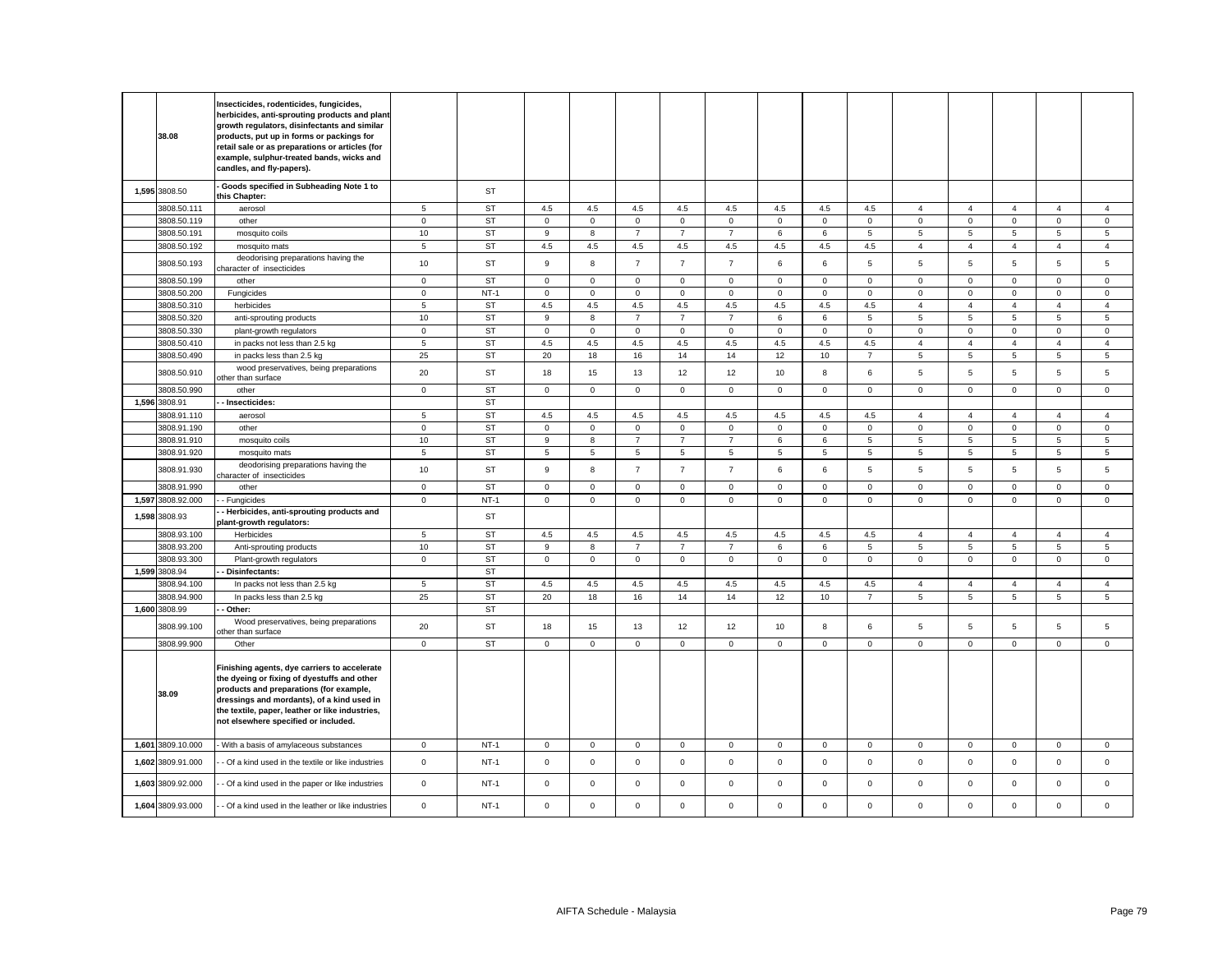| 38.08                        | Insecticides, rodenticides, fungicides,<br>herbicides, anti-sprouting products and plant<br>growth regulators, disinfectants and similar<br>products, put up in forms or packings for<br>retail sale or as preparations or articles (for<br>example, sulphur-treated bands, wicks and<br>candles, and fly-papers). |                     |                        |                     |                     |                |                |                |             |              |                       |                     |                |                     |                     |                 |
|------------------------------|--------------------------------------------------------------------------------------------------------------------------------------------------------------------------------------------------------------------------------------------------------------------------------------------------------------------|---------------------|------------------------|---------------------|---------------------|----------------|----------------|----------------|-------------|--------------|-----------------------|---------------------|----------------|---------------------|---------------------|-----------------|
| 1,595 3808.50                | Goods specified in Subheading Note 1 to<br>this Chapter:                                                                                                                                                                                                                                                           |                     | ST                     |                     |                     |                |                |                |             |              |                       |                     |                |                     |                     |                 |
| 3808.50.111                  | aerosol                                                                                                                                                                                                                                                                                                            | 5                   | ST                     | 4.5                 | 4.5                 | 4.5            | 4.5            | 4.5            | 4.5         | 4.5          | 4.5                   | $\overline{4}$      | $\overline{4}$ | $\overline{4}$      | $\overline{4}$      | $\overline{4}$  |
| 3808.50.119                  | other                                                                                                                                                                                                                                                                                                              | $\mathbf 0$         | <b>ST</b>              | $\mathbf 0$         | $\mathbf 0$         | $\mathbf 0$    | $\mathbf{0}$   | $\mathbf 0$    | $\mathbf 0$ | $\mathbf{O}$ | $\mathbf{0}$          | $\mathbf 0$         | $\mathbf 0$    | $\mathbf{0}$        | $\mathbf{0}$        | $\mathbf 0$     |
| 3808.50.191                  | mosquito coils                                                                                                                                                                                                                                                                                                     | 10                  | <b>ST</b>              | 9                   | 8                   | $\overline{7}$ | $\overline{7}$ | $\overline{7}$ | 6           | 6            | 5                     | 5                   | 5              | 5                   | 5                   | 5               |
| 3808.50.192                  | mosquito mats                                                                                                                                                                                                                                                                                                      | 5                   | <b>ST</b>              | 4.5                 | 4.5                 | 4.5            | 4.5            | 4.5            | 4.5         | 4.5          | 4.5                   | $\overline{4}$      | $\overline{4}$ | $\overline{4}$      | $\overline{4}$      | $\overline{4}$  |
| 3808.50.193                  | deodorising preparations having the<br>character of insecticides                                                                                                                                                                                                                                                   | 10                  | <b>ST</b>              | 9                   | 8                   | $\overline{7}$ | $\overline{7}$ | $\overline{7}$ | 6           | 6            | 5                     | 5                   | 5              | 5                   | 5                   | 5               |
| 3808.50.199                  | other                                                                                                                                                                                                                                                                                                              | $\mathbf 0$         | <b>ST</b>              | $\mathsf 0$         | $\mathsf 0$         | $\mathbf 0$    | $\mathsf 0$    | $\mathsf 0$    | $\mathsf 0$ | $\mathsf 0$  | $\mathsf{O}\xspace$   | $\mathbf 0$         | $\mathsf 0$    | $\mathsf 0$         | $\mathsf 0$         | $\mathbf 0$     |
| 3808.50.200                  | Fungicides                                                                                                                                                                                                                                                                                                         | $\mathbf 0$         | $NT-1$                 | $\mathbf 0$         | $\mathsf 0$         | $\mathsf 0$    | $\mathbf 0$    | $\mathbf 0$    | $\mathsf 0$ | $\mathbf 0$  | $\mathsf 0$           | $\mathbf 0$         | $\mathsf 0$    | $\mathsf 0$         | $\mathsf 0$         | $\mathsf 0$     |
| 3808.50.310                  | herbicides                                                                                                                                                                                                                                                                                                         | $\sqrt{5}$          | <b>ST</b>              | 4.5                 | 4.5                 | $4.5\,$        | 4.5            | 4.5            | $4.5\,$     | $4.5\,$      | 4.5                   | $\overline{4}$      | $\overline{4}$ | $\overline{4}$      | $\overline{4}$      | $\overline{4}$  |
| 3808.50.320                  | anti-sprouting products                                                                                                                                                                                                                                                                                            | 10                  | <b>ST</b>              | 9                   | 8                   | $\overline{7}$ | $\overline{7}$ | $\overline{7}$ | 6           | 6            | $5\phantom{.0}$       | $\overline{5}$      | $\,$ 5 $\,$    | $\sqrt{5}$          | 5                   | $5\phantom{.0}$ |
| 3808.50.330                  | plant-growth regulators                                                                                                                                                                                                                                                                                            | $\mathbf{0}$        | <b>ST</b>              | $\mathbf 0$         | $\mathbf 0$         | $\mathbf 0$    | $\mathbf{0}$   | $\mathbf 0$    | $\mathbf 0$ | $\mathbf{O}$ | $\mathbf{0}$          | $\mathbf 0$         | $\mathbf 0$    | $\mathbf 0$         | $\mathbf 0$         | $\mathbf 0$     |
| 3808.50.410<br>3808.50.490   | in packs not less than 2.5 kg                                                                                                                                                                                                                                                                                      | 5<br>25             | <b>ST</b><br>ST        | 4.5                 | 4.5                 | 4.5            | 4.5            | 4.5            | 4.5         | 4.5          | 4.5<br>$\overline{7}$ | $\overline{4}$      | $\overline{4}$ | $\overline{4}$      | $\overline{4}$      | $\overline{4}$  |
| 3808.50.910                  | in packs less than 2.5 kg<br>wood preservatives, being preparations                                                                                                                                                                                                                                                | 20                  | ST                     | 20<br>18            | 18<br>15            | 16<br>13       | 14<br>12       | 14<br>12       | 12<br>10    | 10<br>8      | 6                     | 5<br>5              | 5<br>5         | 5<br>5              | 5<br>$\sqrt{5}$     | 5<br>5          |
| 3808.50.990                  | other than surface<br>other                                                                                                                                                                                                                                                                                        | $\mathsf{O}\xspace$ | <b>ST</b>              | $\mathbf 0$         | $\mathsf{O}\xspace$ | $\mathsf 0$    | $\mathbf 0$    | $\mathbf 0$    | $\mathsf 0$ | $\mathsf 0$  | $\mathbf 0$           | $\mathsf 0$         | $\mathsf 0$    | $\mathsf 0$         | $\mathsf 0$         | $\mathsf 0$     |
| 1,596 3808.91                | Insecticides:                                                                                                                                                                                                                                                                                                      |                     | <b>ST</b>              |                     |                     |                |                |                |             |              |                       |                     |                |                     |                     |                 |
| 3808.91.110                  | aerosol                                                                                                                                                                                                                                                                                                            | 5                   | ST                     | 4.5                 | 4.5                 | 4.5            | 4.5            | 4.5            | 4.5         | 4.5          | 4.5                   | $\overline{4}$      | $\overline{4}$ | $\overline{4}$      | $\overline{4}$      | $\overline{4}$  |
| 3808.91.190                  | other                                                                                                                                                                                                                                                                                                              | $\mathsf 0$         | <b>ST</b>              | $\mathbf 0$         | $\mathsf 0$         | $\mathsf 0$    | $\mathbf{0}$   | $\mathbf 0$    | $\mathsf 0$ | $\mathbf 0$  | $\mathbf 0$           | $\mathsf 0$         | $\mathsf 0$    | $\mathsf 0$         | $\mathsf 0$         | $\mathsf 0$     |
| 3808.91.910                  | mosquito coils                                                                                                                                                                                                                                                                                                     | 10                  | <b>ST</b>              | 9                   | 8                   | $\overline{7}$ | $\overline{7}$ | $\overline{7}$ | 6           | 6            | 5                     | 5                   | 5              | 5                   | 5                   | 5               |
| 3808.91.920                  | mosquito mats                                                                                                                                                                                                                                                                                                      | 5                   | <b>ST</b>              | 5                   | 5                   | 5              | 5              | 5              | 5           | 5            | $5\overline{5}$       | 5                   | 5              | 5                   | 5                   | 5               |
| 3808.91.930                  | deodorising preparations having the<br>character of insecticides                                                                                                                                                                                                                                                   | 10                  | ST                     | 9                   | 8                   | $\overline{7}$ | $\overline{7}$ | $\overline{7}$ | 6           | 6            | $\sqrt{5}$            | 5                   | 5              | 5                   | $\,$ 5 $\,$         | $\sqrt{5}$      |
| 3808.91.990                  | other                                                                                                                                                                                                                                                                                                              | $\mathsf 0$         | <b>ST</b>              | $\mathbf 0$         | $\mathbf 0$         | $\mathsf 0$    | $\mathsf 0$    | $\mathsf 0$    | $\mathbf 0$ | $\mathbf 0$  | $\mathbf 0$           | $\mathbf 0$         | $\mathbf 0$    | $\mathsf 0$         | $\mathbf 0$         | $\mathsf 0$     |
| 1,597 3808.92.000            | Fungicides                                                                                                                                                                                                                                                                                                         | $\pmb{0}$           | $NT-1$                 | $\mathsf{O}\xspace$ | $\mathsf 0$         | $\mathbf 0$    | $\mathsf 0$    | $\mathsf 0$    | $\mathsf 0$ | $\mathsf 0$  | $\mathbf 0$           | $\mathsf 0$         | $\mathsf 0$    | $\mathsf 0$         | $\mathsf 0$         | $\mathbf 0$     |
| 1,598 3808.93                | Herbicides, anti-sprouting products and<br>plant-growth regulators:                                                                                                                                                                                                                                                |                     | ST                     |                     |                     |                |                |                |             |              |                       |                     |                |                     |                     |                 |
| 3808.93.100                  | Herbicides                                                                                                                                                                                                                                                                                                         | 5                   | <b>ST</b>              | 4.5                 | 4.5                 | 4.5            | 4.5            | 4.5            | 4.5         | 4.5          | 4.5                   | $\overline{4}$      | $\overline{4}$ | $\overline{4}$      | $\overline{4}$      | $\overline{4}$  |
| 3808.93.200                  | Anti-sprouting products                                                                                                                                                                                                                                                                                            | 10                  | <b>ST</b>              | 9                   | 8                   | $\overline{7}$ | $\overline{7}$ | $\overline{7}$ | 6           | 6            | 5                     | $5\phantom{.0}$     | 5              | 5                   | $\overline{5}$      | $\overline{5}$  |
| 3808.93.300                  | Plant-growth regulators                                                                                                                                                                                                                                                                                            | $\mathsf 0$         | <b>ST</b>              | $\mathsf{O}\xspace$ | $\mathsf{O}\xspace$ | $\mathsf 0$    | $\mathsf 0$    | $\mathsf 0$    | $\mathbf 0$ | $\mathsf 0$  | $\mathsf 0$           | $\mathsf 0$         | $\mathsf 0$    | $\mathsf{O}\xspace$ | $\mathsf 0$         | $\mathsf 0$     |
| 1,599 3808.94<br>3808.94.100 | Disinfectants:<br>In packs not less than 2.5 kg                                                                                                                                                                                                                                                                    | 5                   | <b>ST</b><br><b>ST</b> | 4.5                 | 4.5                 | 4.5            | 4.5            | 4.5            | 4.5         | 4.5          | 4.5                   | $\overline{4}$      | $\overline{4}$ | $\overline{4}$      | $\overline{4}$      | $\overline{4}$  |
| 3808.94.900                  | In packs less than 2.5 kg                                                                                                                                                                                                                                                                                          | 25                  | <b>ST</b>              | 20                  | 18                  | 16             | 14             | 14             | 12          | 10           | $\overline{7}$        | 5                   | $\overline{5}$ | 5                   | 5                   | $\overline{5}$  |
| 1,600 3808.99                | Other:                                                                                                                                                                                                                                                                                                             |                     | ST                     |                     |                     |                |                |                |             |              |                       |                     |                |                     |                     |                 |
|                              | Wood preservatives, being preparations                                                                                                                                                                                                                                                                             |                     |                        |                     |                     |                |                |                |             |              |                       |                     |                |                     |                     |                 |
| 3808.99.100                  | ther than surface                                                                                                                                                                                                                                                                                                  | 20                  | ST                     | 18                  | 15                  | 13             | 12             | 12             | 10          | 8            | 6                     | 5                   | 5              | 5                   | 5                   | $\overline{5}$  |
| 3808.99.900                  | Other                                                                                                                                                                                                                                                                                                              | $\mathbf 0$         | <b>ST</b>              | 0                   | $\mathbf 0$         | $\mathbf 0$    | $\mathbf 0$    | 0              | $\mathbf 0$ | $\mathbf{0}$ | $\mathbf 0$           | $\mathbf 0$         | 0              | $\mathbf 0$         | $\mathbf 0$         | $\mathsf 0$     |
| 38.09                        | Finishing agents, dye carriers to accelerate<br>the dyeing or fixing of dyestuffs and other<br>products and preparations (for example,<br>dressings and mordants), of a kind used in<br>the textile, paper, leather or like industries,<br>not elsewhere specified or included.                                    |                     |                        |                     |                     |                |                |                |             |              |                       |                     |                |                     |                     |                 |
| 1,601 3809.10.000            | With a basis of amylaceous substances                                                                                                                                                                                                                                                                              | $\mathsf 0$         | $NT-1$                 | $\mathbf 0$         | $\mathbf{O}$        | $\mathsf 0$    | $\mathsf 0$    | $\mathsf 0$    | $\mathbf 0$ | $\mathbf{O}$ | $\mathsf 0$           | $\mathsf{O}\xspace$ | $\mathbf 0$    | $\mathbf{O}$        | $\mathsf{O}\xspace$ | $\mathbf 0$     |
| 1,602 3809.91.000            | - Of a kind used in the textile or like industries                                                                                                                                                                                                                                                                 | $\mathbf 0$         | $NT-1$                 | $\mathbf 0$         | $\mathsf 0$         | $\mathsf 0$    | $\mathsf 0$    | $\mathsf 0$    | $\mathsf 0$ | $\mathbf 0$  | $\mathsf 0$           | $\mathsf 0$         | $\mathsf 0$    | $\mathsf 0$         | $\mathsf 0$         | $\mathsf 0$     |
| 1,603 3809.92.000            | - Of a kind used in the paper or like industries                                                                                                                                                                                                                                                                   | $\mathbf 0$         | $NT-1$                 | $\mathbf 0$         | $\mathbf 0$         | $\mathbf{0}$   | $\mathbf 0$    | $\mathbf 0$    | $\mathbf 0$ | $\mathbf{O}$ | $\mathbf{0}$          | $\mathbf 0$         | $\mathbf 0$    | $\mathbf 0$         | $\mathbf 0$         | $\mathbf 0$     |
| 1,604 3809.93.000            | - Of a kind used in the leather or like industries                                                                                                                                                                                                                                                                 | $\mathsf 0$         | $NT-1$                 | $\mathbf 0$         | $\mathbf 0$         | $\mathsf 0$    | $\mathbf 0$    | $\mathsf 0$    | $\mathbf 0$ | $\mathbf 0$  | $\mathbf 0$           | $\mathsf 0$         | $\mathsf 0$    | $\Omega$            | $\mathbf 0$         | $\mathsf 0$     |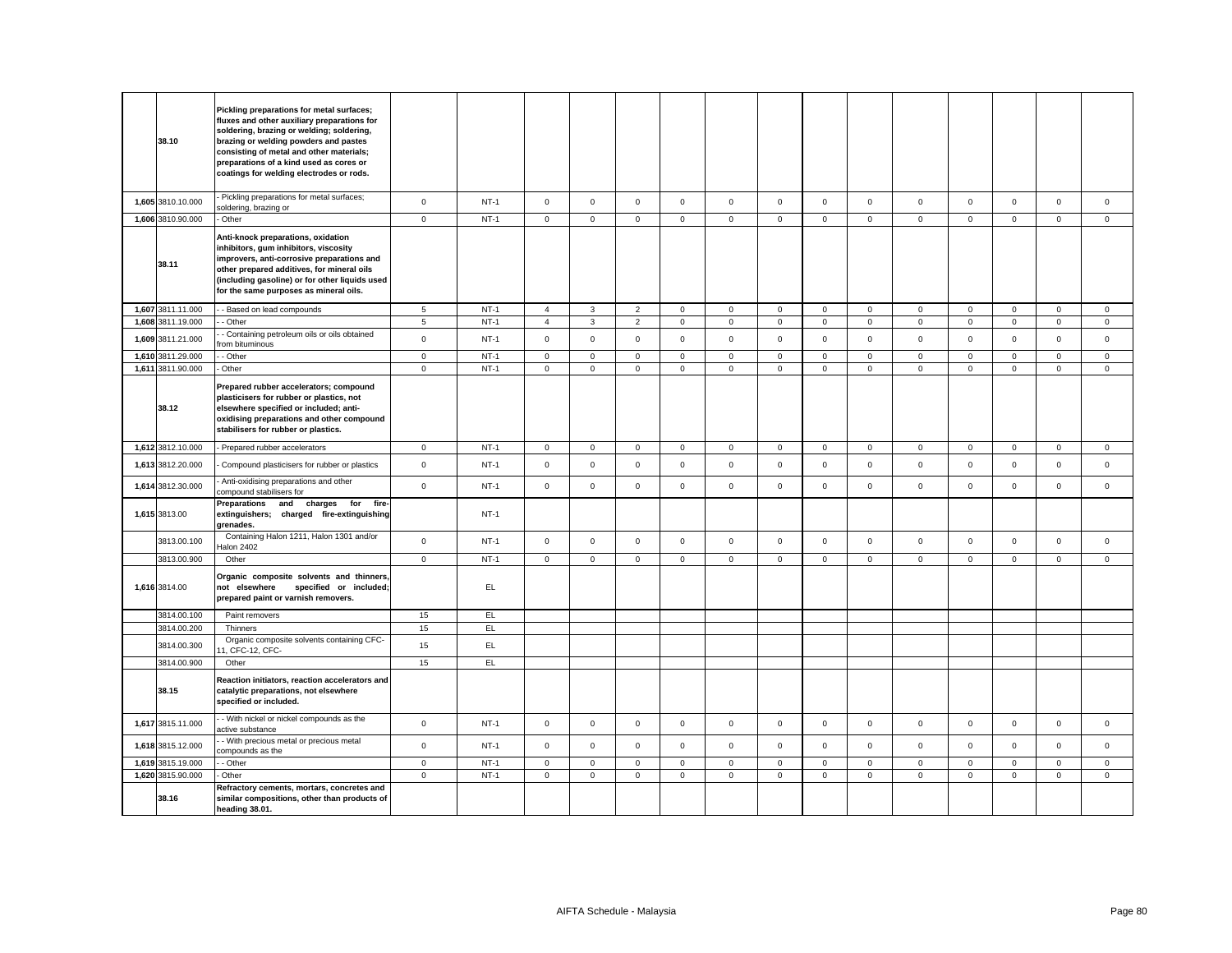| 38.10                      | Pickling preparations for metal surfaces;<br>fluxes and other auxiliary preparations for<br>soldering, brazing or welding; soldering,<br>brazing or welding powders and pastes<br>consisting of metal and other materials;<br>preparations of a kind used as cores or<br>coatings for welding electrodes or rods. |              |            |                     |              |                     |              |                |             |              |                |              |              |                     |                |              |
|----------------------------|-------------------------------------------------------------------------------------------------------------------------------------------------------------------------------------------------------------------------------------------------------------------------------------------------------------------|--------------|------------|---------------------|--------------|---------------------|--------------|----------------|-------------|--------------|----------------|--------------|--------------|---------------------|----------------|--------------|
| 1,605 3810.10.000          | Pickling preparations for metal surfaces;<br>soldering, brazing or                                                                                                                                                                                                                                                | $\mathbf 0$  | $NT-1$     | $\mathbf 0$         | $\mathsf{O}$ | $\mathsf 0$         | $\mathsf 0$  | $\mathbf 0$    | $\mathsf 0$ | $\mathsf{O}$ | $\mathbf 0$    | $\mathsf 0$  | $\mathsf 0$  | $\mathsf 0$         | $\mathsf 0$    | $\mathsf 0$  |
| 1,606 3810.90.000          | Other                                                                                                                                                                                                                                                                                                             | $\mathbf 0$  | $NT-1$     | $\mathsf{O}\xspace$ | $\mathbf 0$  | $\mathsf{O}\xspace$ | $\mathsf 0$  | $\mathsf 0$    | $\mathsf 0$ | $\mathbf 0$  | $\mathsf 0$    | $\mathsf 0$  | $\mathsf 0$  | $\mathbf 0$         | $\mathbf 0$    | $\mathsf 0$  |
| 38.11                      | Anti-knock preparations, oxidation<br>inhibitors, gum inhibitors, viscosity<br>improvers, anti-corrosive preparations and<br>other prepared additives, for mineral oils<br>(including gasoline) or for other liquids used<br>for the same purposes as mineral oils.                                               |              |            |                     |              |                     |              |                |             |              |                |              |              |                     |                |              |
| 1,607 3811.11.000          | - Based on lead compounds                                                                                                                                                                                                                                                                                         | $\sqrt{5}$   | $NT-1$     | $\overline{4}$      | $\mathbf{3}$ | $\overline{c}$      | $\mathsf 0$  | $\mathsf 0$    | $\mathsf 0$ | $\mathsf 0$  | $\mathbf 0$    | $\mathsf 0$  | $\mathsf 0$  | $\mathsf 0$         | $\mathsf 0$    | $\mathbf 0$  |
| 1,608 3811.19.000          | - Other                                                                                                                                                                                                                                                                                                           | $\sqrt{5}$   | $NT-1$     | $\overline{4}$      | 3            | $\overline{c}$      | $\mathsf 0$  | $\mathsf 0$    | $\mathbf 0$ | $\mathbf 0$  | $\mathbf 0$    | $\mathsf 0$  | $\mathbf 0$  | $\mathsf{O}\xspace$ | $\mathsf 0$    | $\mathsf 0$  |
| 1,609 3811.21.000          | - Containing petroleum oils or oils obtained<br>rom bituminous                                                                                                                                                                                                                                                    | $\mathsf 0$  | $NT-1$     | $\mathbf 0$         | $\mathsf 0$  | $\mathsf 0$         | $\mathbf 0$  | $\mathsf{o}\,$ | $\mathsf 0$ | $\mathsf 0$  | $\mathsf 0$    | $\mathsf 0$  | $\mathsf 0$  | $\mathsf 0$         | $\mathsf 0$    | $\mathsf 0$  |
| 1,610 3811.29.000          | - Other                                                                                                                                                                                                                                                                                                           | $\circ$      | $NT-1$     | $\mathbf 0$         | $\mathbf{0}$ | $\mathbf 0$         | $\mathbf 0$  | $\mathbf 0$    | $\mathsf 0$ | $\mathbf 0$  | $\overline{0}$ | $\mathbf{0}$ | $\mathbf 0$  | $\mathbf 0$         | $\mathbf 0$    | $\mathbf{0}$ |
| 1,611 3811.90.000          | Other                                                                                                                                                                                                                                                                                                             | $\mathbf 0$  | $NT-1$     | 0                   | $\mathbf{0}$ | $\mathsf 0$         | $\mathbf 0$  | $\mathbf 0$    | $\mathbf 0$ | $\mathbf 0$  | $\mathbf{0}$   | $\mathbf 0$  | $\mathbf 0$  | $\mathbf 0$         | $\mathbf 0$    | $\mathsf 0$  |
| 38.12                      | Prepared rubber accelerators; compound<br>plasticisers for rubber or plastics, not<br>elsewhere specified or included; anti-<br>oxidising preparations and other compound<br>stabilisers for rubber or plastics.                                                                                                  |              |            |                     |              |                     |              |                |             |              |                |              |              |                     |                |              |
| 1,612 3812.10.000          | - Prepared rubber accelerators                                                                                                                                                                                                                                                                                    | $\mathbf 0$  | $NT-1$     | 0                   | $\mathbf 0$  | $\mathsf{O}\xspace$ | $\mathsf 0$  | $\mathsf 0$    | $\mathbf 0$ | $\mathbf 0$  | $\overline{0}$ | $\mathsf 0$  | $\mathbf 0$  | $\mathbf 0$         | $\mathbf{0}$   | $\mathsf 0$  |
| 1,613 3812.20.000          | Compound plasticisers for rubber or plastics                                                                                                                                                                                                                                                                      | $\mathsf 0$  | $NT-1$     | $\mathbf{0}$        | $\mathsf{O}$ | $\mathsf 0$         | $\mathbf 0$  | $\mathbf 0$    | $\mathsf 0$ | $\mathsf{O}$ | $\mathbf 0$    | $\mathsf 0$  | $\mathsf 0$  | $\mathsf 0$         | $\mathsf 0$    | $\mathsf 0$  |
| 1,614 3812.30.000          | Anti-oxidising preparations and other<br>compound stabilisers for                                                                                                                                                                                                                                                 | $\mathbf{0}$ | $NT-1$     | $\mathbf 0$         | $\mathsf 0$  | $\mathbf{0}$        | $\mathbf{0}$ | $\mathbf 0$    | $\mathbf 0$ | $\mathbf{0}$ | $\mathbf{0}$   | $\mathbf{0}$ | $\mathbf 0$  | $\mathbf{0}$        | $\mathsf 0$    | $\mathbf{0}$ |
| 1,615 3813.00              | Preparations<br>and charges<br>for<br>fire-<br>extinguishers; charged fire-extinguishing<br>grenades.                                                                                                                                                                                                             |              | $NT-1$     |                     |              |                     |              |                |             |              |                |              |              |                     |                |              |
| 3813.00.100                | Containing Halon 1211, Halon 1301 and/or<br>lalon 2402                                                                                                                                                                                                                                                            | $\mathsf 0$  | $NT-1$     | $\mathsf{O}\xspace$ | $\mathsf 0$  | $\mathsf 0$         | $\mathsf 0$  | $\mathbf 0$    | $\mathsf 0$ | $\mathsf{O}$ | $\mathbf 0$    | $\mathsf 0$  | $\mathsf 0$  | $\mathsf 0$         | $\mathsf 0$    | $\mathsf 0$  |
| 3813.00.900                | Other                                                                                                                                                                                                                                                                                                             | $\circ$      | $NT-1$     | $\mathbf 0$         | $\mathbf{0}$ | $\mathbf 0$         | $\mathbf{0}$ | $\mathbf 0$    | $\mathbf 0$ | $\mathbf 0$  | $\overline{0}$ | $\mathbf{0}$ | $\mathbf{0}$ | $\mathbf{0}$        | $\overline{0}$ | $\mathbf{0}$ |
| 1,616 3814.00              | Organic composite solvents and thinners,<br>not elsewhere<br>specified or included;<br>prepared paint or varnish removers.                                                                                                                                                                                        |              | EL.        |                     |              |                     |              |                |             |              |                |              |              |                     |                |              |
| 3814.00.100                | Paint removers                                                                                                                                                                                                                                                                                                    | 15           | EL.        |                     |              |                     |              |                |             |              |                |              |              |                     |                |              |
| 3814.00.200                | Thinners<br>Organic composite solvents containing CFC-                                                                                                                                                                                                                                                            | 15           | EL.<br>EL. |                     |              |                     |              |                |             |              |                |              |              |                     |                |              |
| 3814.00.300<br>3814.00.900 | 1, CFC-12, CFC-<br>Other                                                                                                                                                                                                                                                                                          | 15<br>15     | EL         |                     |              |                     |              |                |             |              |                |              |              |                     |                |              |
| 38.15                      | Reaction initiators, reaction accelerators and<br>catalytic preparations, not elsewhere<br>specified or included.                                                                                                                                                                                                 |              |            |                     |              |                     |              |                |             |              |                |              |              |                     |                |              |
| 1,617 3815.11.000          | - With nickel or nickel compounds as the<br>ctive substance                                                                                                                                                                                                                                                       | $\mathbf 0$  | $NT-1$     | $\mathbf 0$         | $\mathbf 0$  | $\mathbf 0$         | $\mathbf 0$  | $\mathbf 0$    | $\mathbf 0$ | $\mathbf{O}$ | $\mathbf{0}$   | $\mathbf{0}$ | $\mathbf 0$  | $\mathbf 0$         | $\mathbf 0$    | $\mathbf 0$  |
| 1,618 3815.12.000          | - With precious metal or precious metal<br>compounds as the                                                                                                                                                                                                                                                       | $\mathbf 0$  | $NT-1$     | $\mathbf{0}$        | $\mathsf{O}$ | $\mathsf 0$         | $\mathbf 0$  | $\mathbf 0$    | $\mathbf 0$ | $\mathbf{0}$ | $\mathbf{0}$   | $\mathsf 0$  | $\mathbf 0$  | $\mathbf 0$         | $\mathbf 0$    | $\mathbf 0$  |
| 1,619 3815.19.000          | - Other                                                                                                                                                                                                                                                                                                           | $\circ$      | $NT-1$     | $\mathbf 0$         | $\mathbf{0}$ | $\mathbf 0$         | $\mathbf{0}$ | $\mathbf 0$    | $\mathbf 0$ | $\mathbf 0$  | $\mathbf{0}$   | $\mathbf{0}$ | $\mathbf 0$  | $\mathbf{0}$        | $\mathbf{0}$   | $\mathbf{0}$ |
| 1,620 3815.90.000          | Other                                                                                                                                                                                                                                                                                                             | $\mathbf 0$  | $NT-1$     | $\mathbf{0}$        | $\mathsf 0$  | $\mathsf 0$         | $\mathsf 0$  | $\mathbf 0$    | $\mathsf 0$ | $\mathsf 0$  | $\mathbf 0$    | $\mathsf 0$  | $\mathsf 0$  | $\mathsf 0$         | $\mathsf 0$    | $\mathsf 0$  |
| 38.16                      | Refractory cements, mortars, concretes and<br>similar compositions, other than products of<br>heading 38.01.                                                                                                                                                                                                      |              |            |                     |              |                     |              |                |             |              |                |              |              |                     |                |              |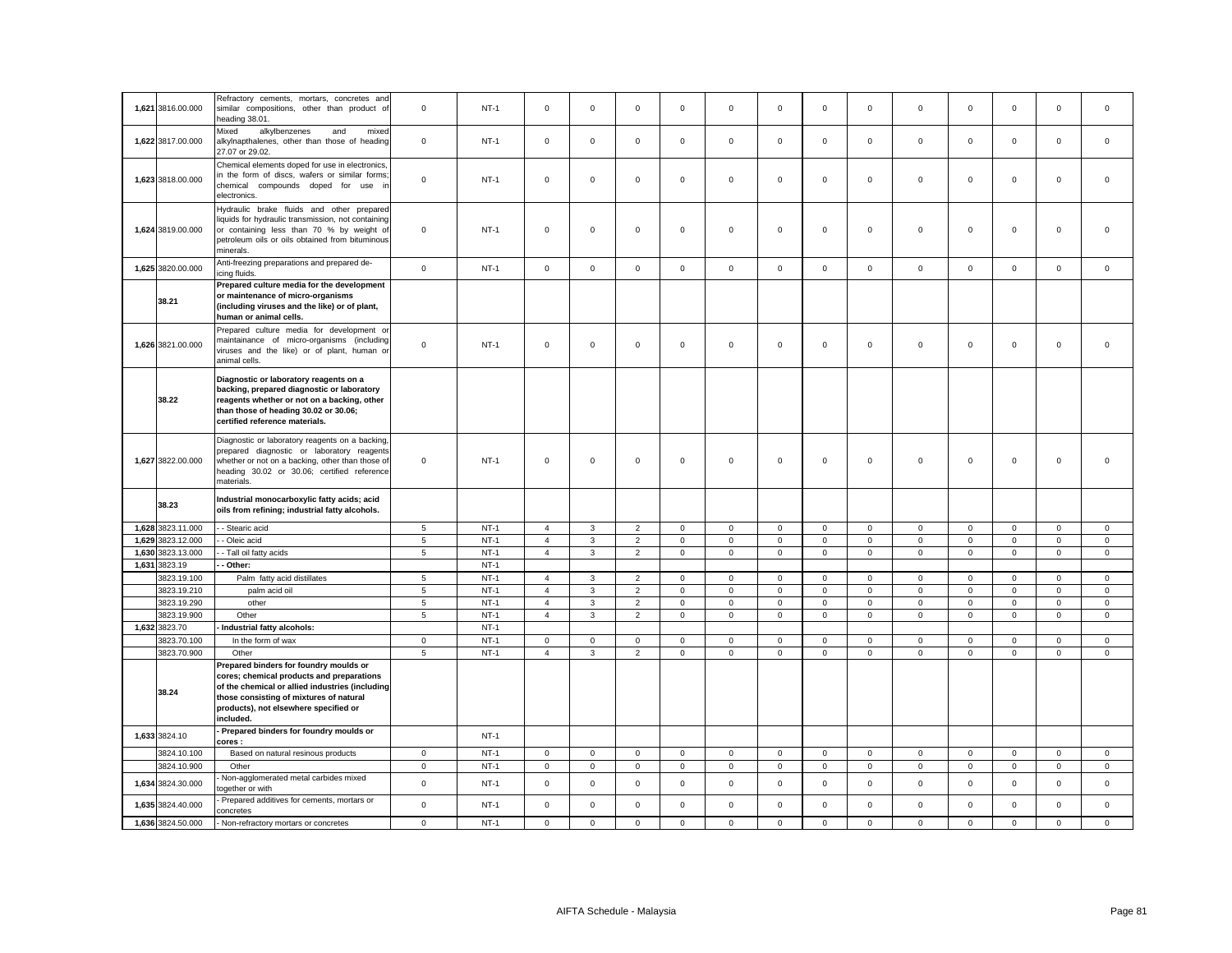|       | 1,621 3816.00.000 | Refractory cements, mortars, concretes and<br>similar compositions, other than product of<br>heading 38.01.                                                                                                                             | $\mathbf 0$     | $NT-1$ | $\mathbf 0$    | $\mathbf 0$  | $\mathsf 0$                      | $\mathsf 0$  | $\mathsf 0$                | $\mathbf 0$    | $\mathsf 0$  | $\mathbf 0$    | $\mathbf 0$                | $\mathbf 0$    | $\mathbf 0$  | $\mathbf 0$                | $\mathsf 0$    |
|-------|-------------------|-----------------------------------------------------------------------------------------------------------------------------------------------------------------------------------------------------------------------------------------|-----------------|--------|----------------|--------------|----------------------------------|--------------|----------------------------|----------------|--------------|----------------|----------------------------|----------------|--------------|----------------------------|----------------|
|       | 1,622 3817.00.000 | Mixed<br>alkylbenzenes<br>and<br>mixed<br>alkylnapthalenes, other than those of heading<br>27.07 or 29.02.                                                                                                                              | $\mathsf 0$     | $NT-1$ | $\mathsf 0$    | $\mathbf 0$  | $\mathsf 0$                      | $\mathbf 0$  | $\mathbf 0$                | $\mathsf 0$    | $\mathsf 0$  | $\mathbf 0$    | $\mathbf 0$                | $\mathsf 0$    | $\mathbf 0$  | $\mathsf 0$                | $\mathsf 0$    |
|       | 1,623 3818.00.000 | Chemical elements doped for use in electronics,<br>in the form of discs, wafers or similar forms;<br>chemical compounds doped for use ir<br>electronics.                                                                                | $\mathsf 0$     | $NT-1$ | $\mathbf 0$    | $\Omega$     | $\mathsf 0$                      | $\mathsf 0$  | $\mathsf 0$                | $\mathbf 0$    | $\mathbf{0}$ | $\mathbf 0$    | $\mathbf{0}$               | $\mathbf 0$    | $\mathbf 0$  | $\mathsf 0$                | $\mathbf 0$    |
|       | 1,624 3819.00.000 | Hydraulic brake fluids and other prepared<br>liquids for hydraulic transmission, not containing<br>or containing less than 70 % by weight of<br>petroleum oils or oils obtained from bituminous<br>minerals.                            | $\mathbf 0$     | $NT-1$ | $\mathsf 0$    | $\mathsf 0$  | $\mathbf 0$                      | $\mathsf 0$  | $\mathsf 0$                | $\mathsf 0$    | $\mathsf 0$  | $\mathbf 0$    | $\mathbf 0$                | $\mathsf 0$    | $\mathbf 0$  | $\mathsf 0$                | $\mathbf 0$    |
|       | 1,625 3820.00.000 | Anti-freezing preparations and prepared de-<br>icing fluids.                                                                                                                                                                            | $\mathsf 0$     | $NT-1$ | $\mathsf 0$    | $\mathbf 0$  | $\mathsf 0$                      | $\mathbf{0}$ | $\mathbf 0$                | $\mathsf 0$    | $\mathbf{0}$ | $\mathbf 0$    | $\mathbf 0$                | $\mathsf 0$    | $\mathbf{0}$ | $\mathsf 0$                | $\mathbf 0$    |
|       | 38.21             | Prepared culture media for the development<br>or maintenance of micro-organisms<br>(including viruses and the like) or of plant,<br>human or animal cells.                                                                              |                 |        |                |              |                                  |              |                            |                |              |                |                            |                |              |                            |                |
|       | 1,626 3821.00.000 | Prepared culture media for development or<br>maintainance of micro-organisms (including<br>viruses and the like) or of plant, human or<br>animal cells.                                                                                 | $\mathsf 0$     | $NT-1$ | $\mathbf 0$    | $\mathbf 0$  | $\mathsf 0$                      | $\mathsf 0$  | $\mathsf 0$                | $\mathsf 0$    | $\mathsf 0$  | $\mathbf 0$    | $\mathbf 0$                | $\mathsf 0$    | $\mathbf 0$  | $\mathsf 0$                | $\mathsf 0$    |
|       | 38.22             | Diagnostic or laboratory reagents on a<br>backing, prepared diagnostic or laboratory<br>reagents whether or not on a backing, other<br>than those of heading 30.02 or 30.06;<br>certified reference materials.                          |                 |        |                |              |                                  |              |                            |                |              |                |                            |                |              |                            |                |
|       | 1,627 3822.00.000 | Diagnostic or laboratory reagents on a backing,<br>prepared diagnostic or laboratory reagents<br>whether or not on a backing, other than those of<br>heading 30.02 or 30.06; certified reference<br>materials.                          | $\mathsf 0$     | $NT-1$ | $\mathbf 0$    | $\mathbf 0$  | $\mathsf 0$                      | $\mathsf 0$  | $\mathsf 0$                | $\mathsf 0$    | $\mathsf 0$  | $\mathbf 0$    | $\mathbf 0$                | $\mathsf 0$    | $\mathbf 0$  | $\mathsf 0$                | $\mathbf 0$    |
|       | 38.23             | Industrial monocarboxylic fatty acids; acid<br>oils from refining; industrial fatty alcohols.                                                                                                                                           |                 |        |                |              |                                  |              |                            |                |              |                |                            |                |              |                            |                |
|       | 1,628 3823.11.000 | - Stearic acid                                                                                                                                                                                                                          | 5               | $NT-1$ | $\overline{4}$ | 3            | $\overline{2}$                   | $\mathsf 0$  | $\mathsf 0$                | $\mathsf 0$    | $\mathsf{O}$ | $\mathbf 0$    | $\mathsf 0$                | $\mathsf 0$    | $\mathbf 0$  | $\mathsf 0$                | $\mathbf 0$    |
|       | 1,629 3823.12.000 | - Oleic acid                                                                                                                                                                                                                            | $5\phantom{.0}$ | $NT-1$ | $\overline{4}$ | $\mathbf{3}$ | $\overline{2}$                   | $\mathsf 0$  | $\mathsf 0$                | $\overline{0}$ | $\mathsf 0$  | $\mathbf 0$    | $\mathsf 0$                | $\overline{0}$ | $\mathbf 0$  | $\mathsf 0$                | $\overline{0}$ |
| 1,630 | 3823.13.000       | - Tall oil fatty acids                                                                                                                                                                                                                  | $5\phantom{.0}$ | $NT-1$ | $\overline{4}$ | $\mathbf{3}$ | $\overline{2}$                   | $\mathsf 0$  | $\mathsf 0$                | $\mathsf 0$    | $\mathsf{O}$ | $\mathbf 0$    | $\mathsf 0$                | $\mathsf 0$    | $\mathsf 0$  | $\mathsf 0$                | $\mathsf 0$    |
|       | 1,631 3823.19     | Other:                                                                                                                                                                                                                                  |                 | $NT-1$ |                |              |                                  |              |                            |                |              |                |                            |                |              |                            |                |
|       | 3823.19.100       | Palm fatty acid distillates                                                                                                                                                                                                             | 5               | $NT-1$ | $\overline{4}$ | 3            | $\overline{2}$                   | $\mathbf{0}$ | $\mathbf 0$                | $\mathbf 0$    | $\circ$      | $\mathbf{0}$   | $\mathbf{0}$               | $\mathbf 0$    | $\mathbf{0}$ | $\mathbf{0}$               | $\mathbf{0}$   |
|       | 3823.19.210       | palm acid oil                                                                                                                                                                                                                           | $5\overline{5}$ | $NT-1$ | $\overline{4}$ |              |                                  |              |                            |                |              |                |                            |                |              |                            | $\mathsf 0$    |
|       | 3823.19.290       | other                                                                                                                                                                                                                                   |                 |        |                | $\mathbf{3}$ |                                  | $\mathbf 0$  |                            | $\mathsf 0$    | $\mathbf{0}$ | $\overline{0}$ |                            | $\mathbf 0$    | $\mathbf 0$  |                            |                |
|       | 3823.19.900       |                                                                                                                                                                                                                                         | 5               | $NT-1$ | $\overline{4}$ | 3            | $\overline{2}$<br>$\overline{2}$ | $\mathsf 0$  | $\mathsf 0$<br>$\mathbf 0$ | $\mathsf 0$    | $\mathsf 0$  | $\mathbf 0$    | $\mathbf 0$<br>$\mathbf 0$ | $\mathsf 0$    | $\mathbf 0$  | $\mathsf 0$<br>$\mathsf 0$ | $\mathsf 0$    |
|       |                   | Other                                                                                                                                                                                                                                   | $\overline{5}$  | $NT-1$ | $\overline{4}$ | $\mathbf{3}$ | $\overline{2}$                   | $\mathbf 0$  | $\mathbf{0}$               | $\mathbf 0$    | $\mathbf{0}$ | $\mathbf{0}$   | $\mathbf{0}$               | $\mathbf 0$    | $\mathbf{0}$ | $\mathbf 0$                | $\mathbf 0$    |
|       | 1,632 3823.70     | Industrial fatty alcohols:                                                                                                                                                                                                              |                 | $NT-1$ |                |              |                                  |              |                            |                |              |                |                            |                |              |                            |                |
|       | 3823.70.100       | In the form of wax                                                                                                                                                                                                                      | $\mathbf 0$     | $NT-1$ | $\mathbf 0$    | $\mathbf 0$  | $\mathsf 0$                      | $\mathbf{0}$ | $\mathbf 0$                | $\mathbf 0$    | $\mathbf 0$  | $\mathsf 0$    | $\mathbf 0$                | $\mathbf 0$    | $\mathsf 0$  | $\mathsf 0$                | $\mathbf 0$    |
|       | 3823.70.900       | Other                                                                                                                                                                                                                                   | 5               | $NT-1$ | $\overline{4}$ | 3            | $\overline{2}$                   | $\mathsf 0$  | $\mathbf 0$                | $\mathsf 0$    | $\mathbf 0$  | $\mathbf{0}$   | $\mathbf 0$                | $\mathsf 0$    | $\mathbf 0$  | $\mathbf 0$                | $\mathsf 0$    |
|       | 38.24             | Prepared binders for foundry moulds or<br>cores; chemical products and preparations<br>of the chemical or allied industries (including<br>those consisting of mixtures of natural<br>products), not elsewhere specified or<br>included. |                 |        |                |              |                                  |              |                            |                |              |                |                            |                |              |                            |                |
|       | 1,633 3824.10     | Prepared binders for foundry moulds or<br>cores :                                                                                                                                                                                       |                 | $NT-1$ |                |              |                                  |              |                            |                |              |                |                            |                |              |                            |                |
|       | 3824.10.100       | Based on natural resinous products                                                                                                                                                                                                      | $\mathbf 0$     | $NT-1$ | $\circ$        | $\mathbf 0$  | $\mathsf 0$                      | $\mathbf{0}$ | $\mathsf 0$                | $\mathbf 0$    | $\circ$      | $\mathbf{0}$   | $\mathbf{0}$               | $\mathsf 0$    | $\mathbf 0$  | $\mathsf 0$                | $\mathsf 0$    |
|       | 3824.10.900       | Other                                                                                                                                                                                                                                   | $\mathbf 0$     | $NT-1$ | $\mathsf 0$    | $\mathbf 0$  | $\mathsf 0$                      | $\mathbf 0$  | $\mathsf 0$                | $\mathsf 0$    | $\mathbf 0$  | $\mathbf 0$    | $\mathsf 0$                | $\mathsf 0$    | $\mathbf 0$  | $\mathsf 0$                | $\mathsf 0$    |
|       | 1,634 3824.30.000 | Non-agglomerated metal carbides mixed<br>ogether or with                                                                                                                                                                                | $\mathbf 0$     | $NT-1$ | $\mathbf 0$    | $\mathbf 0$  | $\mathsf 0$                      | $\mathbf 0$  | $\mathsf 0$                | $\mathbf 0$    | $\circ$      | $\mathbf{0}$   | $\mathbf{0}$               | $\mathbf 0$    | $\mathbf 0$  | $\mathbf 0$                | $\mathbf 0$    |
|       | 1,635 3824.40.000 | Prepared additives for cements, mortars or<br>concretes                                                                                                                                                                                 | $\mathsf 0$     | $NT-1$ | $\mathbf 0$    | $\mathbf 0$  | $\mathbf 0$                      | $\mathbf 0$  | $\mathbf 0$                | $\mathbf 0$    | $\circ$      | $\mathbf 0$    | $\mathbf{0}$               | $\mathbf 0$    | $\mathbf 0$  | $\mathbf 0$                | $\mathbf 0$    |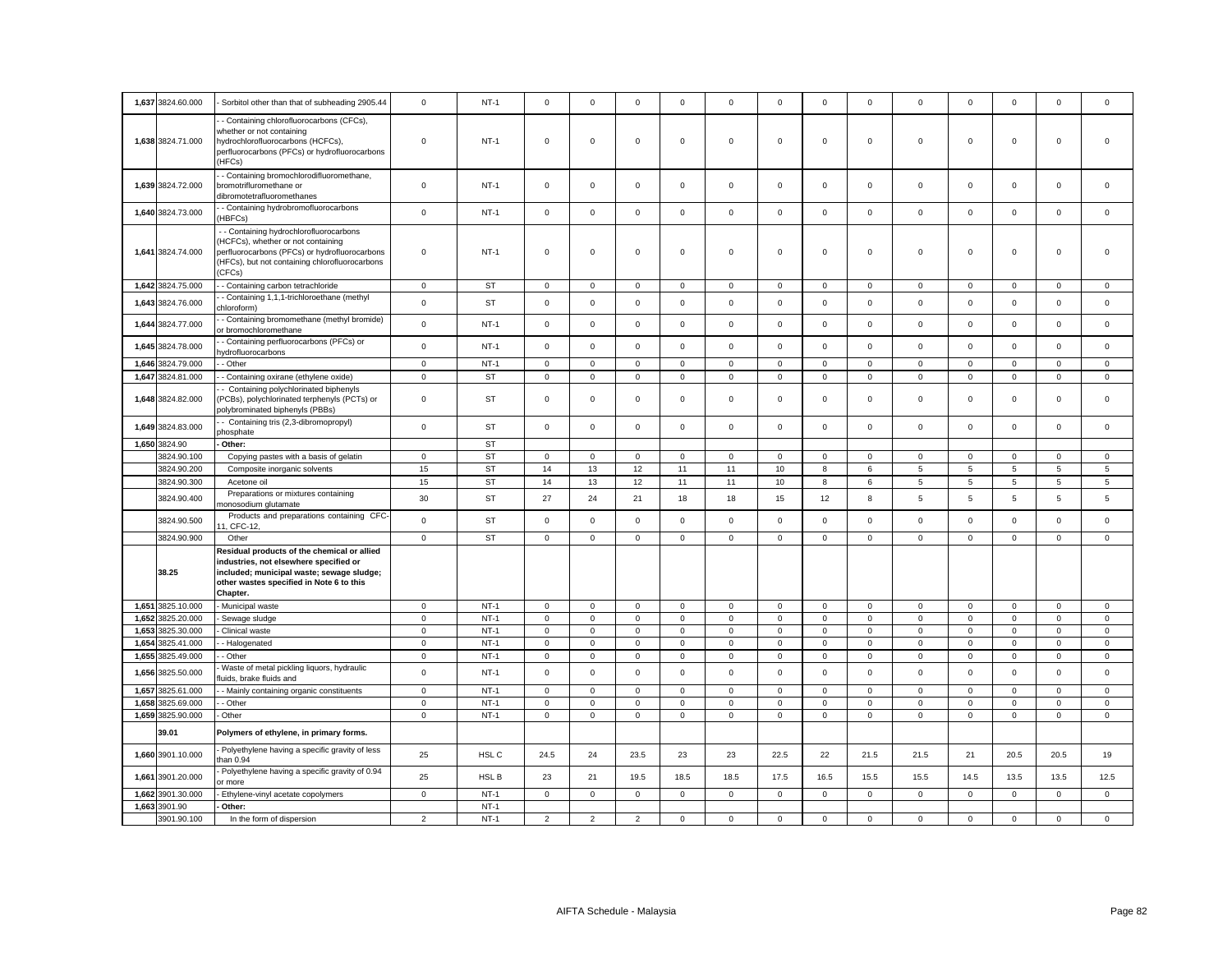|       | 1,637 3824.60.000 | Sorbitol other than that of subheading 2905.44                                                                                                                                             | $\mathbf 0$         | $NT-1$    | $\mathbf 0$         | $\mathbf 0$    | $\mathsf 0$    | $\mathbf 0$  | 0            | $\mathbf 0$ | $\mathbf 0$  | $\mathsf 0$    | $\mathbf 0$    | $\mathbf 0$ | $\mathbf 0$         | $\mathsf 0$  | $\mathbf 0$  |
|-------|-------------------|--------------------------------------------------------------------------------------------------------------------------------------------------------------------------------------------|---------------------|-----------|---------------------|----------------|----------------|--------------|--------------|-------------|--------------|----------------|----------------|-------------|---------------------|--------------|--------------|
|       | 1,638 3824.71.000 | - Containing chlorofluorocarbons (CFCs),<br>whether or not containing<br>hydrochlorofluorocarbons (HCFCs),<br>perfluorocarbons (PFCs) or hydrofluorocarbons<br>HFCs)                       | $\mathsf 0$         | $NT-1$    | $\mathsf 0$         | $\mathbf 0$    | $\mathsf 0$    | $\mathsf 0$  | 0            | $\mathsf 0$ | $\mathsf 0$  | $\mathsf 0$    | $\mathbf 0$    | $\mathbf 0$ | $\mathbf 0$         | $\mathsf 0$  | $\mathbf 0$  |
|       | 1,639 3824.72.000 | - Containing bromochlorodifluoromethane,<br>bromotrifluromethane or<br>dibromotetrafluoromethanes                                                                                          | $\mathsf 0$         | $NT-1$    | $\mathsf 0$         | $\mathsf 0$    | $\mathsf 0$    | $\mathsf 0$  | $\mathsf 0$  | $\mathsf 0$ | $\mathbf 0$  | $\mathsf 0$    | $\mathsf 0$    | $\mathsf 0$ | $\mathbf 0$         | $\mathsf 0$  | $\mathsf 0$  |
|       | 1,640 3824.73.000 | - Containing hydrobromofluorocarbons<br>HBFCs)                                                                                                                                             | $\mathsf 0$         | $NT-1$    | $\mathsf 0$         | $\mathbf 0$    | $\mathsf 0$    | $\mathsf 0$  | $\mathsf 0$  | $\mathsf 0$ | $\mathbf 0$  | $\mathbf 0$    | $\mathsf 0$    | $\mathsf 0$ | $\mathsf 0$         | $\mathsf 0$  | $\mathsf 0$  |
|       | 1,641 3824.74.000 | - - Containing hydrochlorofluorocarbons<br>HCFCs), whether or not containing<br>perfluorocarbons (PFCs) or hydrofluorocarbons<br>(HFCs), but not containing chlorofluorocarbons<br>(CFCs)  | $\mathsf 0$         | $NT-1$    | $\mathbf 0$         | $\mathbf 0$    | $\mathbf 0$    | $\mathbf 0$  | $\mathbf 0$  | $\mathbf 0$ | $\mathbf 0$  | $\mathbf 0$    | $\Omega$       | $\mathbf 0$ | $\mathbf 0$         | $\mathbf 0$  | $\mathbf 0$  |
|       | 1,642 3824.75.000 | - Containing carbon tetrachloride                                                                                                                                                          | $\mathbf 0$         | <b>ST</b> | $\mathbf 0$         | 0              | $\mathbf 0$    | $\mathbf 0$  | 0            | $\mathbf 0$ | $\mathbf 0$  | $\mathbf 0$    | $\mathbf 0$    | 0           | $\mathbf 0$         | $\mathbf 0$  | $\,0\,$      |
|       | 1,643 3824.76.000 | - Containing 1,1,1-trichloroethane (methyl<br>hloroform)                                                                                                                                   | $\mathsf 0$         | <b>ST</b> | $\mathsf 0$         | $\mathsf 0$    | $\mathsf 0$    | $\mathsf 0$  | $\mathsf 0$  | $\mathbf 0$ | $\mathsf 0$  | $\mathsf 0$    | $\mathsf 0$    | $\mathsf 0$ | $\mathsf 0$         | $\mathsf 0$  | $\mathsf 0$  |
|       | 1,644 3824.77.000 | - Containing bromomethane (methyl bromide)<br>or bromochloromethane                                                                                                                        | $\mathsf 0$         | $NT-1$    | $\mathsf 0$         | $\mathbf 0$    | $\mathsf 0$    | $\mathbf 0$  | $\mathsf 0$  | $\mathbf 0$ | $\mathsf 0$  | $\mathsf 0$    | $\mathbf 0$    | $\mathbf 0$ | $\mathsf 0$         | $\mathbf 0$  | $\mathsf 0$  |
|       | 1,645 3824.78.000 | - Containing perfluorocarbons (PFCs) or<br>ydrofluorocarbons                                                                                                                               | $\mathsf{o}\xspace$ | $NT-1$    | $\mathbf{0}$        | $\mathbf 0$    | $\mathsf 0$    | $\mathbf 0$  | $\mathsf 0$  | $\mathsf 0$ | $\mathbf 0$  | $\mathsf 0$    | $\mathbf 0$    | $\mathsf 0$ | $\mathbf 0$         | $\mathsf 0$  | $\mathbf 0$  |
|       | 1,646 3824.79.000 | - Other                                                                                                                                                                                    | $\mathsf 0$         | $NT-1$    | $\mathsf 0$         | $\mathsf 0$    | $\mathsf 0$    | $\mathbf 0$  | $\mathsf 0$  | $\mathbf 0$ | $\mathsf 0$  | $\mathsf 0$    | $\mathsf 0$    | $\mathbf 0$ | $\mathsf 0$         | $\mathsf 0$  | $\mathsf 0$  |
|       | 1,647 3824.81.000 | - Containing oxirane (ethylene oxide)                                                                                                                                                      | $\mathsf 0$         | ST        | $\mathsf 0$         | $\mathsf 0$    | $\mathsf 0$    | $\mathsf 0$  | $\mathsf 0$  | $\mathsf 0$ | $\mathsf 0$  | $\mathsf 0$    | $\mathsf{O}$   | $\mathsf 0$ | $\mathbf 0$         | $\mathsf 0$  | $\mathbf 0$  |
|       | 1.648 3824.82.000 | - Containing polychlorinated biphenyls<br>PCBs), polychlorinated terphenyls (PCTs) or<br>polybrominated biphenyls (PBBs)                                                                   | $\mathsf 0$         | <b>ST</b> | $\mathbf 0$         | $\Omega$       | $\mathbf 0$    | $\Omega$     | $\mathbf 0$  | $\Omega$    | $\mathbf 0$  | $\mathbf 0$    | $\Omega$       | $\Omega$    | $\mathbf 0$         | $\mathbf 0$  | $\mathbf 0$  |
|       | 1,649 3824.83.000 | - Containing tris (2,3-dibromopropyl)<br>hosphate                                                                                                                                          | $\mathsf{O}\xspace$ | <b>ST</b> | $\mathsf 0$         | $\mathbf 0$    | $\mathsf 0$    | $\mathsf 0$  | $\mathsf 0$  | $\mathbf 0$ | $\mathsf 0$  | $\mathsf 0$    | $\mathsf 0$    | $\mathbf 0$ | $\mathsf 0$         | $\mathsf 0$  | $\mathsf 0$  |
|       | 1,650 3824.90     | Other:                                                                                                                                                                                     |                     | <b>ST</b> |                     |                |                |              |              |             |              |                |                |             |                     |              |              |
|       | 3824.90.100       | Copying pastes with a basis of gelatin                                                                                                                                                     | $\mathbf 0$         | <b>ST</b> | $\circ$             | $\mathbf 0$    | $\mathsf 0$    | $\mathsf 0$  | $\mathsf 0$  | $\mathsf 0$ | $\mathbf 0$  | $\mathsf 0$    | $\mathsf 0$    | $\mathsf 0$ | $\mathbf 0$         | $\mathsf 0$  | $\mathsf 0$  |
|       | 3824.90.200       | Composite inorganic solvents                                                                                                                                                               | 15                  | <b>ST</b> | 14                  | 13             | 12             | 11           | 11           | 10          | 8            | 6              | 5              | 5           | 5                   | 5            | 5            |
|       | 3824.90.300       | Acetone oil                                                                                                                                                                                | 15                  | <b>ST</b> | 14                  | 13             | 12             | 11           | 11           | 10          | 8            | $\,6$          | $\,$ 5 $\,$    | 5           | 5                   | 5            | $\mathbf 5$  |
|       | 3824.90.400       | Preparations or mixtures containing<br>nonosodium glutamate                                                                                                                                | 30                  | ST        | 27                  | 24             | 21             | 18           | 18           | 15          | 12           | 8              | 5              | 5           | 5                   | 5            | 5            |
|       | 3824.90.500       | Products and preparations containing CFC-<br>1, CFC-12,                                                                                                                                    | $\mathbf 0$         | <b>ST</b> | $\mathbf 0$         | $\mathsf 0$    | $\mathsf 0$    | $\mathsf 0$  | $\mathsf 0$  | $\mathsf 0$ | $\mathbf 0$  | $\mathsf 0$    | $\mathbf 0$    | $\mathbf 0$ | $\mathsf 0$         | $\mathsf 0$  | $\mathsf 0$  |
|       | 3824.90.900       | Other                                                                                                                                                                                      | $\mathbf{0}$        | <b>ST</b> | $\circ$             | $\mathbf 0$    | $\mathbf{0}$   | $\mathbf{0}$ | $\mathbf{0}$ | $\mathbf 0$ | $\mathbf{O}$ | $\overline{0}$ | $\mathbf{0}$   | $\mathbf 0$ | $\mathbf 0$         | $\mathbf{0}$ | $\mathbf{0}$ |
|       | 38.25             | Residual products of the chemical or allied<br>industries, not elsewhere specified or<br>included; municipal waste; sewage sludge;<br>other wastes specified in Note 6 to this<br>Chapter. |                     |           |                     |                |                |              |              |             |              |                |                |             |                     |              |              |
|       | 1,651 3825.10.000 | Municipal waste                                                                                                                                                                            | $\mathbf 0$         | $NT-1$    | $\mathsf 0$         | $\mathsf 0$    | $\mathsf 0$    | $\mathsf 0$  | $\mathsf 0$  | $\mathbf 0$ | $\mathbf 0$  | $\mathsf 0$    | $\mathsf 0$    | $\mathbf 0$ | $\mathsf 0$         | $\mathsf 0$  | $\mathsf 0$  |
|       | 1,652 3825.20.000 | Sewage sludge                                                                                                                                                                              | $\mathbf 0$         | $NT-1$    | $\mathbf 0$         | $\mathbf 0$    | $\mathsf 0$    | $\mathsf 0$  | $\mathsf 0$  | $\mathsf 0$ | $\mathbf 0$  | $\mathsf 0$    | $\mathsf 0$    | $\mathsf 0$ | $\mathsf 0$         | $\mathsf 0$  | $\mathsf 0$  |
| 1,653 | 3825.30.000       | Clinical waste                                                                                                                                                                             | $\mathsf 0$         | $NT-1$    | $\mathsf 0$         | $\mathsf 0$    | $\mathsf 0$    | $\mathsf 0$  | $\mathsf 0$  | $\mathbf 0$ | $\mathsf 0$  | $\mathsf 0$    | $\overline{0}$ | $\mathbf 0$ | $\mathsf 0$         | $\mathsf 0$  | $\mathsf 0$  |
|       | 1,654 3825.41.000 | - Halogenated                                                                                                                                                                              | $\mathbf 0$         | $NT-1$    | $\circ$             | $\mathbf 0$    | $\mathsf 0$    | $\mathsf 0$  | $\mathsf 0$  | $\mathsf 0$ | $\mathbf 0$  | $\mathsf 0$    | $\mathsf 0$    | $\mathsf 0$ | $\mathsf 0$         | $\mathsf 0$  | $\mathsf 0$  |
| 1,655 | 3825.49.000       | - Other                                                                                                                                                                                    | $\mathbf 0$         | $NT-1$    | $\mathsf{O}\xspace$ | $\mathsf 0$    | $\mathsf 0$    | $\mathbf 0$  | $\mathsf 0$  | $\mathbf 0$ | $\mathsf 0$  | $\mathbf 0$    | $\mathsf 0$    | $\mathbf 0$ | $\mathsf{O}\xspace$ | $\mathbf 0$  | $\mathsf 0$  |
|       | 1,656 3825.50.000 | Waste of metal pickling liquors, hydraulic<br>luids, brake fluids and                                                                                                                      | $\mathsf 0$         | $NT-1$    | $\mathbf 0$         | $\Omega$       | $\mathsf 0$    | $\mathbf 0$  | $\mathbf 0$  | $\mathsf 0$ | $\mathbf 0$  | $\mathsf 0$    | $\mathsf 0$    | $\mathsf 0$ | $\mathbf 0$         | $\mathsf 0$  | $\mathsf 0$  |
| 1,657 | 3825.61.000       | - Mainly containing organic constituents                                                                                                                                                   | $\mathsf 0$         | $NT-1$    | $\mathsf 0$         | $\mathsf 0$    | $\mathsf 0$    | $\mathsf 0$  | $\mathsf 0$  | $\mathbf 0$ | $\mathsf 0$  | $\mathsf 0$    | $\mathsf 0$    | $\mathbf 0$ | $\mathsf 0$         | $\mathsf 0$  | $\mathsf 0$  |
|       | 1,658 3825.69.000 | - Other                                                                                                                                                                                    | $\mathsf 0$         | $NT-1$    | $\mathbf 0$         | $\mathbf 0$    | $\mathsf 0$    | $\mathsf 0$  | $\mathsf 0$  | $\mathsf 0$ | $\mathbf 0$  | $\mathsf 0$    | $\mathsf 0$    | $\mathsf 0$ | $\mathsf 0$         | $\mathsf 0$  | $\mathsf 0$  |
|       | 1,659 3825.90.000 | Other                                                                                                                                                                                      | $\mathbf 0$         | $NT-1$    | $\mathsf 0$         | $\mathbf 0$    | $\mathbf 0$    | $\mathsf 0$  | $\mathsf 0$  | $\mathsf 0$ | $\mathbf 0$  | $\mathsf 0$    | $\mathbf 0$    | $\mathsf 0$ | $\mathsf 0$         | $\mathbf 0$  | $\mathsf 0$  |
|       | 39.01             | Polymers of ethylene, in primary forms.                                                                                                                                                    |                     |           |                     |                |                |              |              |             |              |                |                |             |                     |              |              |
|       | 1,660 3901.10.000 | Polyethylene having a specific gravity of less<br>han 0.94                                                                                                                                 | 25                  | HSL C     | 24.5                | 24             | 23.5           | 23           | 23           | 22.5        | 22           | 21.5           | 21.5           | 21          | 20.5                | 20.5         | 19           |
| 1,661 | 3901.20.000       | Polyethylene having a specific gravity of 0.94<br>or more                                                                                                                                  | 25                  | HSL B     | 23                  | 21             | 19.5           | 18.5         | 18.5         | 17.5        | 16.5         | 15.5           | 15.5           | 14.5        | 13.5                | 13.5         | 12.5         |
| 1,662 | 3901.30.000       | Ethylene-vinyl acetate copolymers                                                                                                                                                          | $\mathsf 0$         | $NT-1$    | $\mathsf 0$         | $\mathbf 0$    | $\mathbf 0$    | $\mathsf 0$  | $\mathsf 0$  | $\mathsf 0$ | $\mathbf 0$  | $\mathbf 0$    | $\mathsf 0$    | $\mathbf 0$ | $\mathsf 0$         | $\mathbf 0$  | $\mathsf 0$  |
|       | 1,663 3901.90     | Other:                                                                                                                                                                                     |                     | $NT-1$    |                     |                |                |              |              |             |              |                |                |             |                     |              |              |
|       | 3901.90.100       | In the form of dispersion                                                                                                                                                                  | $\overline{2}$      | $NT-1$    | $\overline{2}$      | $\overline{2}$ | $\overline{2}$ | $\mathsf 0$  | $\mathsf 0$  | $\mathbf 0$ | $\mathsf 0$  | $\mathbf 0$    | $\mathbf 0$    | $\mathbf 0$ | $\mathsf 0$         | $\mathsf 0$  | $\mathsf 0$  |
|       |                   |                                                                                                                                                                                            |                     |           |                     |                |                |              |              |             |              |                |                |             |                     |              |              |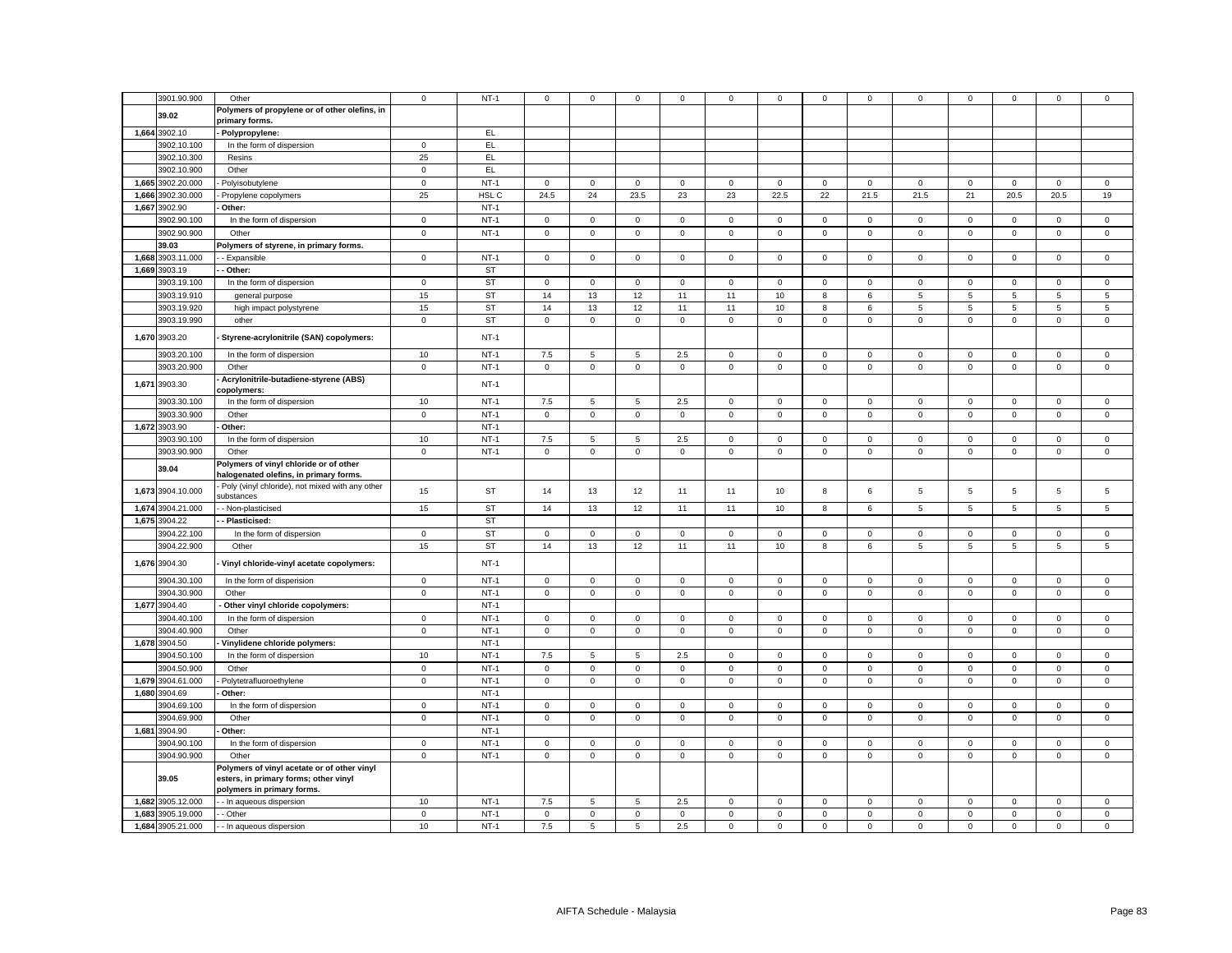|       | 3901.90.900                            | Other                                                                                     | $\mathsf 0$       | $NT-1$           | $\mathbf 0$            | $\mathbf 0$      | $\mathbf 0$                   | $\mathbf 0$        | 0                          | $\mathbf 0$                | $\mathbf 0$                | $\mathbf 0$                | $\mathbf 0$                | $\mathbf 0$                | $\mathbf 0$                | $\mathbf 0$                | $\mathbf 0$                |
|-------|----------------------------------------|-------------------------------------------------------------------------------------------|-------------------|------------------|------------------------|------------------|-------------------------------|--------------------|----------------------------|----------------------------|----------------------------|----------------------------|----------------------------|----------------------------|----------------------------|----------------------------|----------------------------|
|       |                                        |                                                                                           |                   |                  |                        |                  |                               |                    |                            |                            |                            |                            |                            |                            |                            |                            |                            |
|       | 39.02                                  | Polymers of propylene or of other olefins, in<br>primary forms.                           |                   |                  |                        |                  |                               |                    |                            |                            |                            |                            |                            |                            |                            |                            |                            |
|       | 1,664 3902.10                          | Polypropylene:                                                                            |                   | EL.              |                        |                  |                               |                    |                            |                            |                            |                            |                            |                            |                            |                            |                            |
|       | 3902.10.100                            | In the form of dispersion                                                                 | $\mathbf 0$       | EL               |                        |                  |                               |                    |                            |                            |                            |                            |                            |                            |                            |                            |                            |
|       | 3902.10.300                            | Resins                                                                                    | 25                | EL               |                        |                  |                               |                    |                            |                            |                            |                            |                            |                            |                            |                            |                            |
|       | 3902.10.900                            | Other                                                                                     | $\mathbf 0$       | EL.              |                        |                  |                               |                    |                            |                            |                            |                            |                            |                            |                            |                            |                            |
|       | 1,665 3902.20.000                      | Polyisobutylene                                                                           | $\mathbf 0$       | $NT-1$           | $\mathbf 0$            | $\mathbf 0$      | $\mathbf 0$                   | $\mathbf 0$        | 0                          | $\mathbf 0$                | $\mathbf 0$                | $\mathbf 0$                | $\mathbf 0$                | $\mathbf 0$                | $\mathbf 0$                | $\mathbf 0$                | $\mathbf 0$                |
| 1,666 | 3902.30.000                            |                                                                                           | 25                | HSL C            | 24.5                   | 24               | 23.5                          | 23                 | 23                         | 22.5                       | 22                         | 21.5                       | 21.5                       | 21                         | 20.5                       | 20.5                       | 19                         |
|       |                                        | Propylene copolymers                                                                      |                   | $NT-1$           |                        |                  |                               |                    |                            |                            |                            |                            |                            |                            |                            |                            |                            |
|       | 1,667 3902.90                          | Other:                                                                                    |                   |                  |                        |                  |                               |                    |                            |                            |                            |                            |                            |                            |                            |                            |                            |
|       | 3902.90.100                            | In the form of dispersion                                                                 | $\mathsf 0$       | $NT-1$           | $\mathbf{0}$           | $\mathbf 0$      | $\mathbf 0$                   | $\mathbf 0$        | $\mathbf 0$                | $\mathbf 0$                | $\mathbf 0$                | $\mathbf 0$                | $\mathsf 0$                | $\mathbf 0$                | $\mathbf 0$                | $\mathsf 0$                | $\mathsf 0$                |
|       | 3902.90.900                            | Other                                                                                     | $\mathsf 0$       | $NT-1$           | $\mathsf 0$            | $\mathbf 0$      | $\mathsf 0$                   | $\mathbf 0$        | $\mathbf 0$                | $\mathsf 0$                | $\mathbf 0$                | $\mathbf 0$                | $\mathbf 0$                | $\mathsf 0$                | $\mathbf 0$                | $\mathbf 0$                | $\mathsf 0$                |
|       | 39.03                                  | Polymers of styrene, in primary forms.                                                    |                   |                  |                        |                  |                               |                    |                            |                            |                            |                            |                            |                            |                            |                            |                            |
|       | 1,668 3903.11.000                      | - Expansible                                                                              | $\mathbf 0$       | $NT-1$           | $\mathbf 0$            | $\mathbf 0$      | $\mathbf 0$                   | $\mathbf 0$        | $\mathbf 0$                | $\mathsf 0$                | $\mathbf 0$                | $\mathsf 0$                | $\mathbf 0$                | $\mathsf 0$                | $\mathsf 0$                | $\mathbf 0$                | $\mathsf 0$                |
|       | 1,669 3903.19                          | Other:                                                                                    |                   | <b>ST</b>        |                        |                  |                               |                    |                            |                            |                            |                            |                            |                            |                            |                            |                            |
|       | 3903.19.100                            | In the form of dispersion                                                                 | $\mathsf 0$       | <b>ST</b>        | $\overline{0}$         | $\mathbf 0$      | $\mathbf 0$                   | $\mathbf 0$        | $\mathbf 0$                | $\mathsf 0$                | $\mathbf 0$                | $\mathbf{0}$               | $\mathbf 0$                | $\mathsf 0$                | $\mathbf 0$                | $\mathbf 0$                | $\mathbf 0$                |
|       | 3903.19.910                            | general purpose                                                                           | 15                | <b>ST</b>        | 14                     | 13               | 12                            | 11                 | 11                         | 10                         | 8                          | 6                          | $5\overline{5}$            | 5                          | 5                          | 5                          | $\overline{5}$             |
|       | 3903.19.920                            | high impact polystyrene                                                                   | 15                | <b>ST</b>        | 14                     | 13               | 12                            | 11                 | 11                         | 10                         | 8                          | 6                          | 5                          | 5                          | 5                          | 5                          | $\sqrt{5}$                 |
|       | 3903.19.990                            | other                                                                                     | $\mathbf 0$       | <b>ST</b>        | $\mathbf 0$            | $\mathbf 0$      | $\mathbf 0$                   | $\mathbf 0$        | $\mathbf 0$                | $\mathbf 0$                | $\mathsf 0$                | $\mathbf 0$                | $\mathsf 0$                | $\mathbf 0$                | $\mathsf 0$                | $\mathbf 0$                | $\mathbf 0$                |
|       | 1,670 3903.20                          | Styrene-acrylonitrile (SAN) copolymers:                                                   |                   | $NT-1$           |                        |                  |                               |                    |                            |                            |                            |                            |                            |                            |                            |                            |                            |
|       | 3903.20.100                            | In the form of dispersion                                                                 | 10                | $NT-1$           | 7.5                    | 5                | $5\overline{5}$               | 2.5                | $\mathbf 0$                | $\mathbf 0$                | $\mathbf{O}$               | $\mathsf 0$                | $\mathbf{0}$               | $\mathbf 0$                | $\mathbf 0$                | $\mathbf 0$                | $\mathsf 0$                |
|       | 3903.20.900                            | Other                                                                                     | $\mathbf 0$       | $NT-1$           | $\mathbf{O}$           | $\mathbf 0$      | $\mathbf 0$                   | $\mathbf 0$        | $\mathbf{0}$               | $\mathsf 0$                | $\mathbf{O}$               | $\overline{0}$             | $\mathsf 0$                | $\mathbf 0$                | $\mathbf 0$                | $\mathbf 0$                | $\mathbf 0$                |
|       |                                        | Acrylonitrile-butadiene-styrene (ABS)                                                     |                   |                  |                        |                  |                               |                    |                            |                            |                            |                            |                            |                            |                            |                            |                            |
|       | 1,671 3903.30                          | copolymers:                                                                               |                   | $NT-1$           |                        |                  |                               |                    |                            |                            |                            |                            |                            |                            |                            |                            |                            |
|       | 3903.30.100                            | In the form of dispersion                                                                 | 10                | $NT-1$           | 7.5                    | 5                | 5                             | 2.5                | $\mathbf 0$                | $\mathbf 0$                | $\mathbf 0$                | $\mathbf 0$                | $\mathsf 0$                | $\mathbf 0$                | $\mathbf 0$                | $\mathbf 0$                | $\mathsf 0$                |
|       | 3903.30.900                            | Other                                                                                     | $\mathbf 0$       | $NT-1$           | $\overline{0}$         | $\mathsf 0$      | $\mathbf 0$                   | $\mathsf 0$        | $\mathsf 0$                | $\mathsf 0$                | $\mathsf 0$                | $\mathbf 0$                | $\mathbf 0$                | $\mathbf 0$                | $\mathsf 0$                | $\mathsf 0$                | $\mathsf 0$                |
|       | 1,672 3903.90                          | Other:                                                                                    |                   | $NT-1$           |                        |                  |                               |                    |                            |                            |                            |                            |                            |                            |                            |                            |                            |
|       | 3903.90.100                            | In the form of dispersion                                                                 | 10                | $NT-1$           | 7.5                    | 5                | 5                             | 2.5                | $\mathbf 0$                | $\mathbf 0$                | $\mathbf 0$                | $\mathbf{0}$               | $\mathbf 0$                | $\mathbf 0$                | $\mathbf 0$                | $\mathbf 0$                | $\mathsf 0$                |
|       | 3903.90.900                            | Other                                                                                     | $\mathbf 0$       | $NT-1$           | $\circ$                | $\mathbf 0$      | $\mathsf 0$                   | $\mathsf 0$        | $\mathbf 0$                | $\mathsf 0$                | $\mathbf 0$                | $\mathbf 0$                | $\mathbf 0$                | $\mathsf 0$                | $\mathbf 0$                | $\mathbf 0$                | $\mathsf 0$                |
|       | 39.04                                  | Polymers of vinyl chloride or of other                                                    |                   |                  |                        |                  |                               |                    |                            |                            |                            |                            |                            |                            |                            |                            |                            |
|       |                                        |                                                                                           |                   |                  |                        |                  |                               |                    |                            |                            |                            |                            |                            |                            |                            |                            |                            |
|       | 1,673 3904.10.000                      | halogenated olefins, in primary forms.<br>Poly (vinyl chloride), not mixed with any other | 15                | ST               | 14                     | 13               | 12                            | 11                 | 11                         | 10                         | 8                          | 6                          | 5                          | 5                          | 5                          | 5                          | 5                          |
|       |                                        | substances                                                                                |                   |                  |                        |                  |                               |                    |                            |                            |                            |                            |                            |                            |                            |                            |                            |
|       | 1,674 3904.21.000                      | - Non-plasticised                                                                         | 15                | <b>ST</b>        | 14                     | 13               | 12                            | 11                 | 11                         | 10                         | 8                          | 6                          | 5                          | 5                          | 5                          | 5                          | 5                          |
|       | 1,675 3904.22                          | - Plasticised:                                                                            |                   | <b>ST</b>        |                        |                  |                               |                    |                            |                            |                            |                            |                            |                            |                            |                            |                            |
|       | 3904.22.100                            | In the form of dispersion                                                                 | $\mathbf 0$       | <b>ST</b>        | $\mathbf 0$            | $\mathbf 0$      | $\mathsf 0$                   | $\mathbf{0}$       | $\mathbf{0}$               | $\mathbf 0$                | $\mathbf 0$                | $\mathbf 0$                | $\mathsf 0$                | $\mathbf 0$                | $\mathbf 0$                | $\mathsf 0$                | $\mathsf 0$                |
|       | 3904.22.900                            | Other                                                                                     | 15                | <b>ST</b>        | 14                     | 13               | 12                            | 11                 | 11                         | 10                         | 8                          | 6                          | 5                          | 5                          | 5                          | 5                          | 5                          |
|       | 1,676 3904.30                          | Vinyl chloride-vinyl acetate copolymers:                                                  |                   | $NT-1$           |                        |                  |                               |                    |                            |                            |                            |                            |                            |                            |                            |                            |                            |
|       | 3904.30.100                            | In the form of disperision                                                                | $\mathsf 0$       | $NT-1$           | $\mathbf 0$            | $\mathbf 0$      | $\mathsf 0$                   | $\mathbf 0$        | $\mathsf 0$                | $\mathsf 0$                | $\mathbf 0$                | $\mathbf 0$                | $\mathbf 0$                | $\mathsf 0$                | $\mathsf 0$                | $\mathsf 0$                | $\mathbf 0$                |
|       | 3904.30.900                            | Other                                                                                     | $\mathbf 0$       | $NT-1$           | $\overline{0}$         | $\circ$          | $\mathsf 0$                   | $\mathsf 0$        | $\mathbf 0$                | $\mathbf 0$                | $\mathbf{0}$               | $\mathbf 0$                | $\mathbf{0}$               | $\mathbf 0$                | $\mathbf 0$                | $\mathsf 0$                | $\mathsf 0$                |
|       | 1,677 3904.40                          | Other vinyl chloride copolymers:                                                          |                   | $NT-1$           |                        |                  |                               |                    |                            |                            |                            |                            |                            |                            |                            |                            |                            |
|       | 3904.40.100                            | In the form of dispersion                                                                 | $\mathbf 0$       | $NT-1$           | $\mathbf 0$            | $\mathbf 0$      | $\mathbf 0$                   | $\mathbf 0$        | $\mathbf 0$                | $\mathbf 0$                | $\mathbf 0$                | $\mathbf 0$                | $\mathbf 0$                | $\mathbf 0$                | $\mathbf 0$                | $\mathbf 0$                | $\mathsf 0$                |
|       | 3904.40.900                            | Other                                                                                     | $\mathbf 0$       | $NT-1$           | $\mathbf 0$            | $\mathbf 0$      | $\mathbf 0$                   | 0                  | $\mathbf 0$                | $\mathbf 0$                | $\mathbf{0}$               | $\mathbf{0}$               | 0                          | $\mathbf 0$                | $\mathbf 0$                | $\mathbf 0$                | $\mathbf 0$                |
|       | 1,678 3904.50                          | Vinylidene chloride polymers:                                                             |                   | $NT-1$           |                        |                  |                               |                    |                            |                            |                            |                            |                            |                            |                            |                            |                            |
|       | 3904.50.100                            | In the form of dispersion                                                                 | 10                | $NT-1$           | 7.5                    | 5                | 5                             | 2.5                | $\mathbf{0}$               | $\mathsf 0$                | $\mathbf 0$                | $\overline{0}$             | $\mathbf 0$                | $\mathsf 0$                | $\mathbf 0$                | $\mathbf{0}$               | $\mathsf 0$                |
|       | 3904.50.900                            | Other                                                                                     | $\mathbf{0}$      | $NT-1$           | $\overline{0}$         | $\mathbf{0}$     | $\mathbf 0$                   | $\mathbf{0}$       | $\mathbf 0$                | $\mathbf 0$                | $\mathbf{0}$               | $\overline{0}$             | $\mathbf{0}$               | $\mathbf{0}$               | $\mathbf 0$                | $\mathbf 0$                | $\mathbf 0$                |
|       | 1,679 3904.61.000                      | Polytetrafluoroethylene                                                                   | $\mathsf 0$       | $NT-1$           | $\overline{0}$         | $\mathbf 0$      | $\mathbf 0$                   | $\mathsf 0$        | $\mathbf 0$                | $\mathsf 0$                | $\mathbf 0$                | $\mathbf 0$                | $\mathsf 0$                | $\mathsf 0$                | $\mathsf 0$                | $\mathsf 0$                | $\mathsf 0$                |
|       | 1,680 3904.69                          | Other:                                                                                    |                   | $NT-1$           |                        |                  |                               |                    |                            |                            |                            |                            |                            |                            |                            |                            |                            |
|       |                                        |                                                                                           |                   | $NT-1$           |                        | $\mathbf{0}$     | $\mathbf 0$                   |                    | $\mathbf 0$                |                            | $\mathbf{0}$               | $\overline{0}$             |                            |                            |                            | $\mathbf 0$                |                            |
|       | 3904.69.100                            | In the form of dispersion                                                                 | $\mathbf 0$       |                  | $\mathbf 0$            |                  |                               | $\mathbf 0$        |                            | $\mathbf 0$                |                            |                            | 0                          | $\mathbf 0$                | $\mathbf 0$                |                            | $\mathbf 0$                |
|       | 3904.69.900                            | Other                                                                                     | $\mathbf 0$       | $NT-1$           | $\mathsf 0$            | $\mathbf 0$      | $\mathsf 0$                   | $\mathsf 0$        | $\mathsf 0$                | $\mathsf 0$                | $\mathbf 0$                | $\mathbf 0$                | $\mathbf 0$                | $\mathbf 0$                | $\mathsf 0$                | $\mathsf 0$                | $\mathsf 0$                |
|       | 1,681 3904.90                          | Other:                                                                                    |                   | $NT-1$           |                        |                  |                               |                    |                            |                            |                            |                            |                            |                            |                            |                            |                            |
|       | 3904.90.100                            | In the form of dispersion                                                                 | $\mathsf 0$       | $NT-1$           | $\mathbf 0$            | $\mathsf 0$      | $\mathsf 0$                   | $\mathsf 0$        | $\mathsf 0$                | $\mathsf 0$                | $\mathsf 0$                | $\mathbf 0$                | $\mathsf 0$                | $\mathbf 0$                | $\mathsf 0$                | $\mathsf 0$                | $\mathsf 0$                |
|       | 3904.90.900                            | Other                                                                                     | $\mathsf 0$       | $NT-1$           | $\mathsf 0$            | $\mathbf 0$      | $\mathsf 0$                   | $\Omega$           | $\mathsf 0$                | $\mathsf 0$                | $\mathbf 0$                | $\mathsf 0$                | $\mathsf 0$                | $\mathsf 0$                | $\mathsf 0$                | $\mathsf 0$                | $\mathsf 0$                |
|       | 39.05                                  | Polymers of vinyl acetate or of other vinyl<br>esters, in primary forms; other vinyl      |                   |                  |                        |                  |                               |                    |                            |                            |                            |                            |                            |                            |                            |                            |                            |
|       |                                        | polymers in primary forms.                                                                |                   |                  |                        |                  |                               |                    |                            |                            |                            |                            |                            |                            |                            |                            |                            |
|       | 1,682 3905.12.000                      | - In aqueous dispersion                                                                   | 10                | $NT-1$           | 7.5                    | 5                | 5                             | 2.5                | 0                          | $\mathbf 0$                | $\mathbf 0$                | $\mathbf 0$                | 0                          | $\mathbf 0$                | $\mathbf 0$                | $\mathbf 0$                | $\mathbf 0$                |
|       | 1,683 3905.19.000<br>1,684 3905.21.000 | - Other<br>- In aqueous dispersion                                                        | $\mathsf 0$<br>10 | $NT-1$<br>$NT-1$ | $\mathsf 0$<br>$7.5\,$ | $\mathsf 0$<br>5 | $\mathsf 0$<br>$\overline{5}$ | $\mathsf 0$<br>2.5 | $\mathsf 0$<br>$\mathsf 0$ | $\mathsf 0$<br>$\mathsf 0$ | $\mathsf 0$<br>$\mathsf 0$ | $\mathsf 0$<br>$\mathsf 0$ | $\mathsf 0$<br>$\mathsf 0$ | $\mathsf 0$<br>$\mathsf 0$ | $\mathsf 0$<br>$\mathsf 0$ | $\mathsf 0$<br>$\mathsf 0$ | $\mathsf 0$<br>$\mathsf 0$ |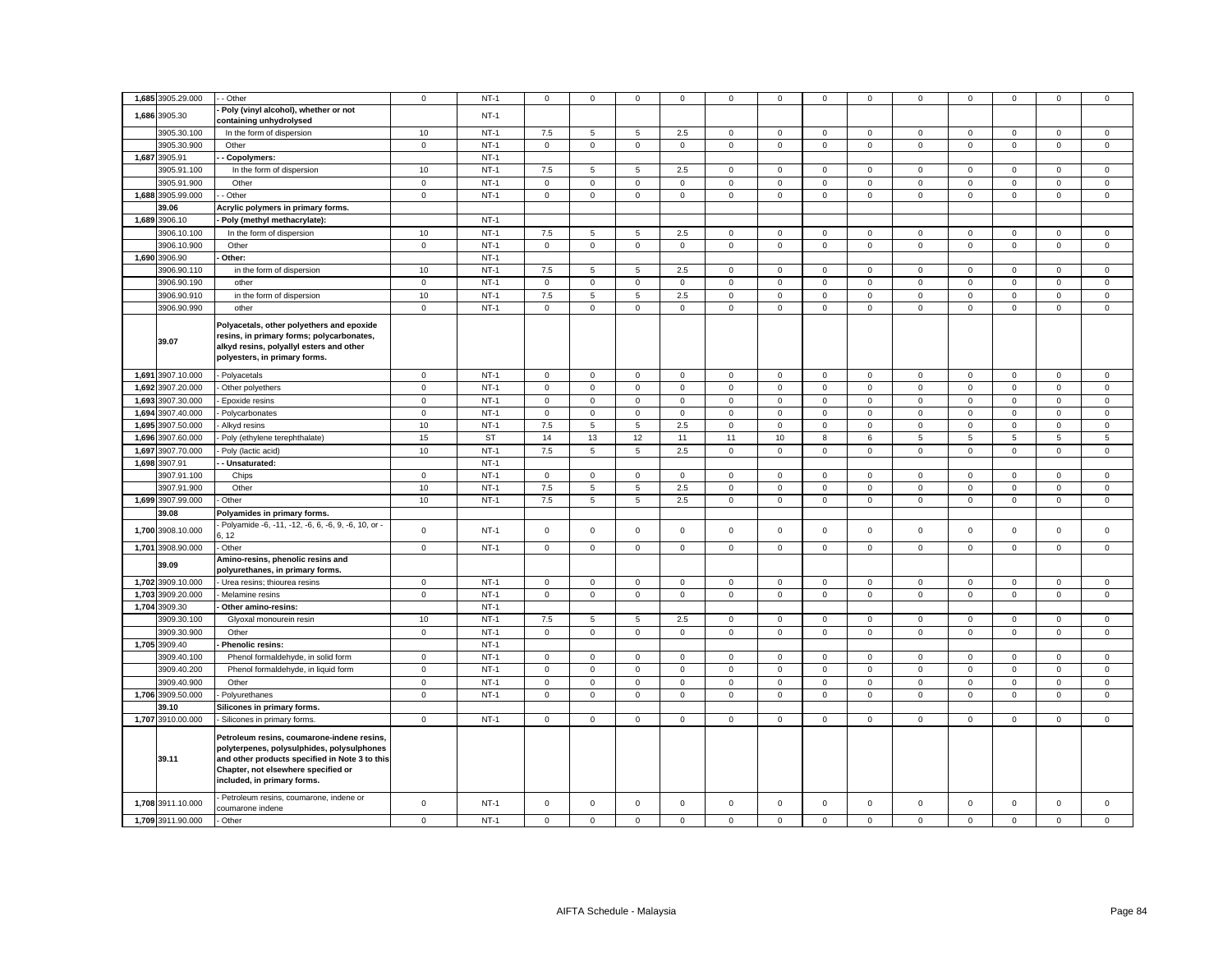|       | 1,685 3905.29.000                      | - Other                                                                                                                                                                                                          | $\mathbf 0$                | $NT-1$           | 0            | $\mathbf 0$ | 0                          | 0              | 0              | 0           | 0            | 0            | 0                   | 0            | $\mathbf 0$  | 0                   | 0           |
|-------|----------------------------------------|------------------------------------------------------------------------------------------------------------------------------------------------------------------------------------------------------------------|----------------------------|------------------|--------------|-------------|----------------------------|----------------|----------------|-------------|--------------|--------------|---------------------|--------------|--------------|---------------------|-------------|
|       | 1,686 3905.30                          | Poly (vinyl alcohol), whether or not<br>containing unhydrolysed                                                                                                                                                  |                            | $NT-1$           |              |             |                            |                |                |             |              |              |                     |              |              |                     |             |
|       | 3905.30.100                            | In the form of dispersion                                                                                                                                                                                        | 10                         | $NT-1$           | 7.5          | 5           | 5                          | 2.5            | $\mathbf 0$    | $\mathsf 0$ | $\mathbf 0$  | $\mathbf 0$  | $\mathbf 0$         | $\mathsf 0$  | $\mathsf 0$  | $\mathbf 0$         | $\mathsf 0$ |
|       | 3905.30.900                            | Other                                                                                                                                                                                                            | $\mathsf 0$                | $NT-1$           | $\mathbf 0$  | $\mathsf 0$ | $\mathsf 0$                | $\mathsf 0$    | $\mathsf 0$    | $\mathbf 0$ | $\mathbf 0$  | $\mathsf 0$  | $\mathsf 0$         | $\mathbf 0$  | $\mathsf 0$  | $\mathsf 0$         | $\mathsf 0$ |
|       | 1,687 3905.91                          | Copolymers:                                                                                                                                                                                                      |                            | $NT-1$           |              |             |                            |                |                |             |              |              |                     |              |              |                     |             |
|       |                                        |                                                                                                                                                                                                                  |                            |                  |              |             |                            |                |                |             |              |              |                     |              |              |                     |             |
|       | 3905.91.100                            | In the form of dispersion                                                                                                                                                                                        | 10                         | $NT-1$           | 7.5          | 5           | $\sqrt{5}$                 | 2.5            | $\mathsf 0$    | $\mathbf 0$ | $\mathbf 0$  | $\mathbf 0$  | $\mathbf 0$         | $\mathbf 0$  | $\mathbf 0$  | $\mathbf 0$         | $\mathbf 0$ |
|       | 3905.91.900                            | Other                                                                                                                                                                                                            | $\mathsf{O}\xspace$        | $NT-1$           | $\mathsf 0$  | $\mathsf 0$ | $\mathsf 0$                | $\mathsf 0$    | $\mathsf 0$    | $\mathsf 0$ | $\mathsf 0$  | $\mathbf 0$  | $\mathsf 0$         | $\mathbf 0$  | $\mathsf 0$  | $\mathsf 0$         | $\mathsf 0$ |
|       | 1,688 3905.99.000                      | Other                                                                                                                                                                                                            | $\mathsf 0$                | $NT-1$           | $\mathbf 0$  | $\mathsf 0$ | $\mathsf 0$                | $\mathsf 0$    | $\mathsf 0$    | $\mathsf 0$ | $\mathsf 0$  | $\mathsf 0$  | $\mathsf 0$         | $\mathsf 0$  | $\mathsf 0$  | $\mathsf 0$         | $\mathsf 0$ |
|       | 39.06                                  | Acrylic polymers in primary forms.                                                                                                                                                                               |                            |                  |              |             |                            |                |                |             |              |              |                     |              |              |                     |             |
|       | 1,689 3906.10                          | Poly (methyl methacrylate):                                                                                                                                                                                      |                            | $NT-1$           |              |             |                            |                |                |             |              |              |                     |              |              |                     |             |
|       | 3906.10.100                            | In the form of dispersion                                                                                                                                                                                        | 10                         | $NT-1$           | 7.5          | 5           | $5\overline{5}$            | 2.5            | $\mathbf 0$    | $\mathbf 0$ | $\mathbf{O}$ | $\mathbf 0$  | $\mathbf 0$         | $\mathbf 0$  | $\mathbf{0}$ | $\mathbf 0$         | $\mathsf 0$ |
|       | 3906.10.900                            | Other                                                                                                                                                                                                            | $\mathsf 0$                | $NT-1$           | $\mathbf 0$  | $\mathsf 0$ | $\mathsf 0$                | $\mathbf 0$    | $\mathbf 0$    | $\mathsf 0$ | $\mathbf 0$  | $\mathbf 0$  | $\mathsf 0$         | $\mathsf 0$  | $\mathsf 0$  | $\mathsf 0$         | $\mathsf 0$ |
|       | 1,690 3906.90                          | Other:                                                                                                                                                                                                           |                            | $NT-1$           |              |             |                            |                |                |             |              |              |                     |              |              |                     |             |
|       | 3906.90.110                            | in the form of dispersion                                                                                                                                                                                        | 10                         | $NT-1$           | 7.5          | 5           | 5                          | 2.5            | $\mathbf 0$    | $\mathsf 0$ | $\mathbf 0$  | $\mathbf 0$  | $\mathsf 0$         | $\mathbf 0$  | $\mathbf 0$  | $\mathbf 0$         | $\mathsf 0$ |
|       | 3906.90.190                            | other                                                                                                                                                                                                            | $\mathsf 0$                | $NT-1$           | $\mathbf{0}$ | $\mathbf 0$ | $\mathsf 0$                | $\mathbf 0$    | $\mathbf 0$    | $\mathsf 0$ | $\mathsf 0$  | $\mathbf 0$  | $\mathsf 0$         | $\mathbf 0$  | $\mathsf 0$  | $\mathsf 0$         | $\mathsf 0$ |
|       | 3906.90.910                            | in the form of dispersion                                                                                                                                                                                        | 10                         | $NT-1$           | 7.5          | 5           | $\sqrt{5}$                 | 2.5            | $\mathsf 0$    | $\mathbf 0$ | $\mathbf 0$  | 0            | $\mathbf 0$         | 0            | $\mathsf 0$  | $\mathbf 0$         | $\mathsf 0$ |
|       |                                        |                                                                                                                                                                                                                  |                            |                  |              |             |                            |                |                |             |              |              |                     |              |              |                     |             |
|       | 3906.90.990                            | other                                                                                                                                                                                                            | $\mathbf 0$                | $NT-1$           | $\mathbf 0$  | $\mathsf 0$ | $\mathsf 0$                | $\mathbf 0$    | $\mathsf 0$    | $\mathsf 0$ | $\mathsf 0$  | $\mathsf 0$  | $\mathsf 0$         | $\Omega$     | $\mathsf 0$  | $\mathsf 0$         | $\mathsf 0$ |
|       | 39.07                                  | Polyacetals, other polyethers and epoxide<br>resins, in primary forms; polycarbonates,<br>alkyd resins, polyallyl esters and other<br>polyesters, in primary forms.                                              |                            |                  |              |             |                            |                |                |             |              |              |                     |              |              |                     |             |
|       | 1,691 3907.10.000                      | - Polyacetals                                                                                                                                                                                                    | $\mathbf 0$                | $NT-1$           | $\mathbf 0$  | $\mathsf 0$ | $\mathsf 0$                | $\mathsf 0$    | $\mathbf 0$    | $\mathsf 0$ | $\mathbf 0$  | $\mathsf 0$  | $\mathbf 0$         | $\mathsf 0$  | $\mathsf 0$  | $\mathbf 0$         | $\mathsf 0$ |
|       | 1,692 3907.20.000                      | Other polyethers                                                                                                                                                                                                 | $\mathbf 0$                | $NT-1$           | $\mathbf 0$  | $\mathsf 0$ | $\mathsf 0$                | $\mathsf 0$    | $\mathsf 0$    | $\mathsf 0$ | $\mathbf 0$  | $\mathsf 0$  | $\mathbf 0$         | $\mathsf 0$  | $\mathsf 0$  | $\mathbf 0$         | $\mathsf 0$ |
| 1,693 | 3907.30.000                            | Epoxide resins                                                                                                                                                                                                   | $\mathsf 0$                | $NT-1$           | $\circ$      | $\mathbf 0$ | $\mathsf 0$                | $\mathbf{0}$   | $\mathsf 0$    | $\mathsf 0$ | $\mathsf 0$  | $\mathsf 0$  | $\mathsf 0$         | $\mathsf 0$  | $\mathbf 0$  | $\mathsf 0$         | $\mathsf 0$ |
| 1.694 | 3907.40.000                            | Polycarbonates                                                                                                                                                                                                   | $\mathbf{0}$               | $NT-1$           | $\mathbf 0$  | $\mathbf 0$ | $\mathbf{0}$               | $\mathbf{0}$   | $\mathbf 0$    | $\mathbf 0$ | $\mathbf 0$  | $\mathbf{0}$ | $\mathbf 0$         | $\mathbf{0}$ | $\mathbf 0$  | $\mathbf 0$         | $\mathbf 0$ |
|       | 1,695 3907.50.000                      | Alkyd resins                                                                                                                                                                                                     | 10                         | $NT-1$           | 7.5          | 5           | 5                          | 2.5            | $\mathbf 0$    | $\mathbf 0$ | $\mathbf 0$  | $\mathbf 0$  | $\mathbf{0}$        | $\mathbf 0$  | $\mathbf 0$  | $\mathbf 0$         | $\mathsf 0$ |
|       |                                        |                                                                                                                                                                                                                  |                            |                  |              |             |                            |                |                |             |              |              |                     |              |              |                     |             |
| 1,696 | 3907.60.000                            | Poly (ethylene terephthalate)                                                                                                                                                                                    | 15                         | <b>ST</b>        | 14           | 13          | 12                         | 11             | 11             | 10          | 8            | 6            | 5                   | 5            | 5            | 5                   | 5           |
| 1,697 | 3907.70.000                            | Poly (lactic acid)                                                                                                                                                                                               | 10                         | $NT-1$           | 7.5          | 5           | $\,$ 5 $\,$                | 2.5            | $\mathbf 0$    | $\mathsf 0$ | $\mathbf 0$  | $\mathsf 0$  | $\mathbf 0$         | $\mathsf 0$  | $\mathsf 0$  | $\mathsf 0$         | $\mathsf 0$ |
|       | 1,698 3907.91                          | - Unsaturated:                                                                                                                                                                                                   |                            | $NT-1$           |              |             |                            |                |                |             |              |              |                     |              |              |                     |             |
|       | 3907.91.100                            | Chips                                                                                                                                                                                                            | $\mathbf 0$                | $NT-1$           | $\mathsf{O}$ | $\mathsf 0$ | $\mathsf 0$                | $\mathsf 0$    | $\mathsf 0$    | $\mathsf 0$ | $\mathbf 0$  | $\mathsf 0$  | $\mathsf 0$         | $\mathbf 0$  | $\mathsf 0$  | $\mathsf 0$         | $\mathsf 0$ |
|       | 3907.91.900                            | Other                                                                                                                                                                                                            | 10                         | $NT-1$           | 7.5          | 5           | 5                          | 2.5            | 0              | $\mathbf 0$ | $\mathbf{0}$ | $\mathbf 0$  | $\mathbf 0$         | $\mathbf 0$  | $\mathbf 0$  | $\mathbf 0$         | $\mathbf 0$ |
|       | 1,699 3907.99.000                      | Other                                                                                                                                                                                                            | 10                         | $NT-1$           | 7.5          | 5           | $\mathbf 5$                | 2.5            | $\mathsf 0$    | $\mathsf 0$ | $\mathsf 0$  | $\mathsf 0$  | $\mathsf 0$         | $\mathbf 0$  | $\mathsf 0$  | $\mathsf 0$         | $\mathsf 0$ |
|       | 39.08                                  | Polyamides in primary forms.                                                                                                                                                                                     |                            |                  |              |             |                            |                |                |             |              |              |                     |              |              |                     |             |
|       | 1,700 3908.10.000                      | Polyamide -6, -11, -12, -6, 6, -6, 9, -6, 10, or<br>i, 12                                                                                                                                                        | $\mathsf{o}$               | $NT-1$           | $\mathbf 0$  | $\mathsf 0$ | $\mathsf 0$                | $\mathsf 0$    | $\mathsf 0$    | $\mathsf 0$ | $\mathsf 0$  | $\mathbf 0$  | $\mathsf 0$         | $\mathbf 0$  | $\mathsf 0$  | $\mathsf 0$         | $\mathsf 0$ |
|       | 1,701 3908.90.000                      | Other                                                                                                                                                                                                            | $\mathbf 0$                | <b>NT-1</b>      | 0            | $\mathbf 0$ | $\mathbf 0$                | $\mathbf 0$    | $\mathsf 0$    | $\mathsf 0$ | $\mathbf{0}$ | $\mathbf 0$  | $\mathbf 0$         | $\mathbf 0$  | $\mathbf 0$  | $\mathsf{O}\xspace$ | $\mathbf 0$ |
|       | 39.09                                  | Amino-resins, phenolic resins and<br>polyurethanes, in primary forms.                                                                                                                                            |                            |                  |              |             |                            |                |                |             |              |              |                     |              |              |                     |             |
|       | 1,702 3909.10.000                      | - Urea resins; thiourea resins                                                                                                                                                                                   | $\mathbf 0$                | $NT-1$           | 0            | $\mathsf 0$ | $\mathsf 0$                | $\mathbf 0$    | $\mathsf 0$    | $\mathsf 0$ | $\mathbf 0$  | $\mathbf 0$  | $\mathbf 0$         | 0            | $\mathbf 0$  | 0                   | $\mathsf 0$ |
|       | 1,703 3909.20.000                      | Melamine resins                                                                                                                                                                                                  | $\overline{0}$             | $NT-1$           | $\mathbf 0$  | $\mathsf 0$ | $\mathsf 0$                | $\overline{0}$ | $\overline{0}$ | $\mathsf 0$ | $\mathsf 0$  | $\mathsf 0$  | $\overline{0}$      | $\mathbf 0$  | $\mathsf 0$  | $\mathsf 0$         | $\mathsf 0$ |
|       | 1,704 3909.30                          | Other amino-resins:                                                                                                                                                                                              |                            | $NT-1$           |              |             |                            |                |                |             |              |              |                     |              |              |                     |             |
|       | 3909.30.100                            |                                                                                                                                                                                                                  |                            | $NT-1$           | 7.5          | 5           | $\sqrt{5}$                 | 2.5            |                |             |              | $\mathbf 0$  | $\mathsf 0$         |              |              |                     |             |
|       |                                        | Glyoxal monourein resin                                                                                                                                                                                          | 10                         |                  |              |             |                            |                | 0              | 0           | $\mathbf 0$  |              |                     | 0            | $\mathbf 0$  | 0                   | 0           |
|       | 3909.30.900                            | Other                                                                                                                                                                                                            | $\mathbf 0$                | $NT-1$           | $\mathbf 0$  | $\mathsf 0$ | $\mathsf 0$                | $\mathsf 0$    | $\mathbf 0$    | $\mathsf 0$ | $\mathbf 0$  | $\mathbf 0$  | $\mathbf 0$         | $\mathsf 0$  | $\mathsf 0$  | $\mathsf 0$         | $\mathsf 0$ |
|       | 1,705 3909.40                          | <b>Phenolic resins:</b>                                                                                                                                                                                          |                            | $NT-1$           |              |             |                            |                |                |             |              |              |                     |              |              |                     |             |
|       | 3909.40.100                            | Phenol formaldehyde, in solid form                                                                                                                                                                               | $\mathbf 0$                | $NT-1$           | $\circ$      | $\mathbf 0$ | $\mathsf 0$                | $\mathbf{0}$   | $\mathsf 0$    | $\mathsf 0$ | $\mathsf 0$  | $\mathbf 0$  | $\mathsf 0$         | $\mathsf 0$  | $\mathbf 0$  | $\mathsf 0$         | $\mathsf 0$ |
|       | 3909.40.200                            | Phenol formaldehyde, in liquid form                                                                                                                                                                              | $\mathsf 0$                | $NT-1$           | $\mathbf 0$  | $\mathbf 0$ | $\mathbf 0$                | $\mathbf 0$    | $\mathbf 0$    | $\mathbf 0$ | $\mathbf 0$  | $\mathbf{0}$ | $\mathbf 0$         | $\mathbf 0$  | $\mathbf 0$  | $\mathbf 0$         | $\mathbf 0$ |
|       | 3909.40.900                            | Other                                                                                                                                                                                                            | $\mathbf 0$                | $NT-1$           | $\mathbf 0$  | $\mathbf 0$ | $\mathsf 0$                | $\mathbf{0}$   | $\mathbf 0$    | $\mathbf 0$ | $\mathbf 0$  | $\mathbf{0}$ | $\mathbf{0}$        | $\mathbf 0$  | $\mathbf 0$  | $\mathbf 0$         | $\mathsf 0$ |
|       |                                        | Polyurethanes                                                                                                                                                                                                    | $\mathsf 0$                | $NT-1$           | $\mathbf 0$  | $\mathbf 0$ | $\mathbf{0}$               | $\mathbf{0}$   | $\mathbf 0$    | $\mathbf 0$ | $\mathbf{0}$ | $\mathbf{0}$ | $\mathsf{O}\xspace$ | $\mathbf 0$  | $\mathbf{O}$ | $\mathbf{0}$        | $\mathbf 0$ |
|       | 1,706 3909.50.000                      |                                                                                                                                                                                                                  |                            |                  |              |             |                            |                |                |             |              |              |                     |              |              |                     |             |
|       | 39.10                                  | Silicones in primary forms.                                                                                                                                                                                      |                            |                  |              |             |                            |                |                |             |              |              |                     |              |              |                     |             |
|       | 1,707 3910.00.000                      | - Silicones in primary forms.                                                                                                                                                                                    | $\mathsf 0$                | $NT-1$           | $\mathbf 0$  | $\mathsf 0$ | $\mathsf 0$                | $\mathbf 0$    | $\mathsf 0$    | $\mathsf 0$ | $\mathsf 0$  | $\mathsf 0$  | $\mathsf 0$         | $\mathsf 0$  | $\mathsf 0$  | $\mathsf 0$         | $\mathsf 0$ |
|       | 39.11                                  | Petroleum resins, coumarone-indene resins,<br>polyterpenes, polysulphides, polysulphones<br>and other products specified in Note 3 to this<br>Chapter, not elsewhere specified or<br>included, in primary forms. |                            |                  |              |             |                            |                |                |             |              |              |                     |              |              |                     |             |
|       | 1,708 3911.10.000<br>1,709 3911.90.000 | Petroleum resins, coumarone, indene or<br>coumarone indene<br>- Other                                                                                                                                            | $\mathbf 0$<br>$\mathbf 0$ | $NT-1$<br>$NT-1$ | $\mathbf 0$  | $\mathsf 0$ | $\mathsf 0$<br>$\mathbf 0$ | $\mathsf 0$    | $\mathsf 0$    | $\mathsf 0$ | $\mathsf 0$  | $\mathbf 0$  | $\mathbf 0$         | $\mathsf 0$  | $\mathsf 0$  | $\mathsf 0$         | $\mathsf 0$ |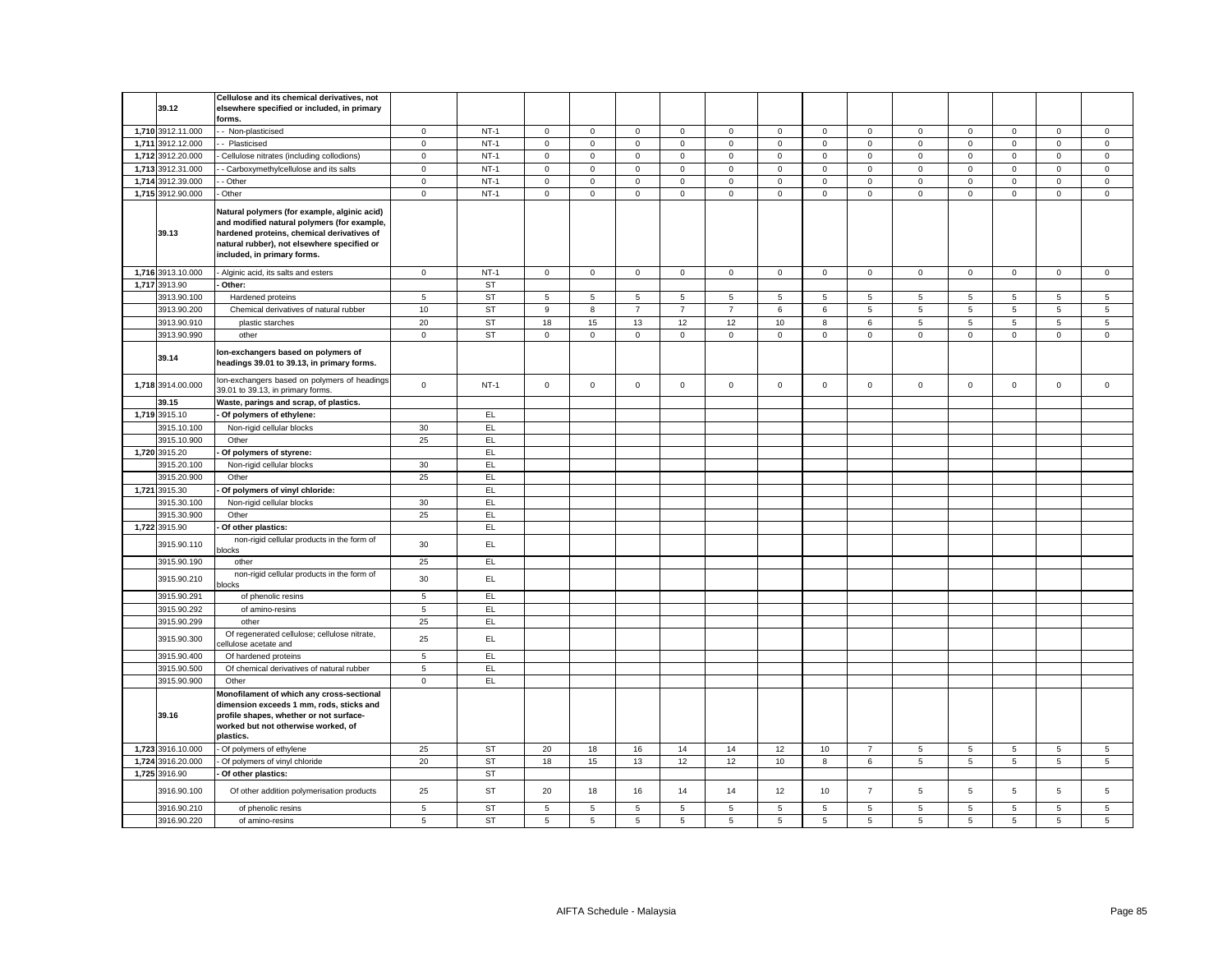| 39.12             | Cellulose and its chemical derivatives, not<br>elsewhere specified or included, in primary<br>forms.                                                                                                                    |                     |           |                     |              |                |                |                |                |              |                     |                |                |                     |                |                |
|-------------------|-------------------------------------------------------------------------------------------------------------------------------------------------------------------------------------------------------------------------|---------------------|-----------|---------------------|--------------|----------------|----------------|----------------|----------------|--------------|---------------------|----------------|----------------|---------------------|----------------|----------------|
| 1,710 3912.11.000 | - Non-plasticised                                                                                                                                                                                                       | $\mathbf 0$         | $NT-1$    | $\mathsf 0$         | $\mathbf 0$  | $\mathsf 0$    | $\mathbf 0$    | $\mathbf 0$    | $\mathbf 0$    | $\mathbf 0$  | $\mathbf 0$         | $\mathbf 0$    | $\mathbf 0$    | $\mathbf 0$         | $\mathbf 0$    | $\mathsf 0$    |
| 1,711 3912.12.000 | - Plasticised                                                                                                                                                                                                           | $\mathsf{O}\xspace$ | $NT-1$    | $\mathsf{O}\xspace$ | $\mathsf 0$  | $\mathsf 0$    | $\mathsf 0$    | $\mathsf 0$    | $\mathbf 0$    | $\mathsf 0$  | $\mathsf 0$         | $\mathsf 0$    | $\mathsf 0$    | $\mathsf 0$         | $\mathsf 0$    | $\mathbf 0$    |
| 1,712 3912.20.000 | Cellulose nitrates (including collodions)                                                                                                                                                                               | $\mathsf 0$         | $NT-1$    | $\mathsf{O}\xspace$ | $\mathbf 0$  | $\mathsf 0$    | 0              | $\mathsf 0$    | $\mathsf 0$    | $\mathsf 0$  | $\mathbf 0$         | $\mathsf 0$    | $\mathbf 0$    | $\mathsf{O}\xspace$ | $\mathsf 0$    | $\,0\,$        |
| 1,713 3912.31.000 | - Carboxymethylcellulose and its salts                                                                                                                                                                                  | $\mathbf 0$         | $NT-1$    | $\mathbf 0$         | $\mathsf 0$  | $\mathsf 0$    | $\mathbf{0}$   | $\mathsf 0$    | $\mathsf 0$    | $\mathsf 0$  | $\mathsf 0$         | $\mathsf 0$    | $\mathsf 0$    | $\mathsf{O}\xspace$ | $\mathsf 0$    | $\mathsf 0$    |
| 1,714 3912.39.000 | - Other                                                                                                                                                                                                                 | $\mathbf 0$         | $NT-1$    | $\mathbf 0$         | $\mathbf 0$  | $\mathsf 0$    | 0              | $\mathbf 0$    | $\mathbf 0$    | $\mathbf 0$  | $\mathbf 0$         | $\mathbf 0$    | $\mathbf 0$    | $\mathbf 0$         | 0              | $\mathbf 0$    |
| 1,715 3912.90.000 | Other                                                                                                                                                                                                                   | $\mathsf{O}\xspace$ | $NT-1$    | $\mathsf{O}\xspace$ | $\mathsf 0$  | $\mathsf 0$    | 0              | $\mathsf 0$    | $\mathbf 0$    | $\mathsf 0$  | $\mathsf{O}\xspace$ | $\mathsf 0$    | $\mathbf 0$    | $\mathsf 0$         | $\mathbf 0$    | $\mathbf 0$    |
| 39.13             | Natural polymers (for example, alginic acid)<br>and modified natural polymers (for example,<br>hardened proteins, chemical derivatives of<br>natural rubber), not elsewhere specified or<br>included, in primary forms. |                     |           |                     |              |                |                |                |                |              |                     |                |                |                     |                |                |
| 1,716 3913.10.000 | Alginic acid, its salts and esters                                                                                                                                                                                      | $\mathbf 0$         | $NT-1$    | $\circ$             | $\mathbf{0}$ | $\mathbf 0$    | $\mathbf{0}$   | $\mathbf 0$    | $\mathbf{0}$   | $\mathbf{0}$ | $\overline{0}$      | $\mathbf 0$    | $\mathbf 0$    | $\mathbf{0}$        | $\mathbf 0$    | $\mathbf 0$    |
| 1,717 3913.90     | Other:                                                                                                                                                                                                                  |                     | <b>ST</b> |                     |              |                |                |                |                |              |                     |                |                |                     |                |                |
| 3913.90.100       | Hardened proteins                                                                                                                                                                                                       | $\,$ 5 $\,$         | <b>ST</b> | 5                   | 5            | $\,$ 5 $\,$    | 5              | 5              | $\mathbf 5$    | 5            | 5                   | 5              | $\,$ 5 $\,$    | 5                   | 5              | 5              |
| 3913.90.200       | Chemical derivatives of natural rubber                                                                                                                                                                                  | 10                  | <b>ST</b> | 9                   | 8            | $\overline{7}$ | $\overline{7}$ | $\overline{7}$ | $\,6\,$        | 6            | 5                   | 5              | $\,$ 5 $\,$    | 5                   | $\,$ 5 $\,$    | $\,$ 5 $\,$    |
| 3913.90.910       | plastic starches                                                                                                                                                                                                        | 20                  | <b>ST</b> | 18                  | 15           | 13             | 12             | 12             | 10             | 8            | 6                   | 5              | 5              | 5                   | 5              | 5              |
| 3913.90.990       | other                                                                                                                                                                                                                   | $\mathsf 0$         | ST        | 0                   | $\mathbf 0$  | $\mathbf 0$    | 0              | $\mathsf 0$    | $\mathsf 0$    | $\mathbf 0$  | 0                   | $\mathsf 0$    | $\mathbf 0$    | 0                   | $\mathsf 0$    | $\mathsf 0$    |
| 39.14             | lon-exchangers based on polymers of<br>headings 39.01 to 39.13, in primary forms.                                                                                                                                       |                     |           |                     |              |                |                |                |                |              |                     |                |                |                     |                |                |
| 1,718 3914.00.000 | Ion-exchangers based on polymers of headings<br>39.01 to 39.13, in primary forms.                                                                                                                                       | $\mathsf 0$         | $NT-1$    | $\mathsf 0$         | $\mathsf 0$  | $\mathsf 0$    | $\mathbf 0$    | $\mathbf 0$    | $\mathsf 0$    | $\mathbf{0}$ | $\mathbf 0$         | $\mathbf 0$    | $\mathsf 0$    | $\mathbf 0$         | $\mathsf 0$    | $\mathsf 0$    |
| 39.15             | Waste, parings and scrap, of plastics.                                                                                                                                                                                  |                     |           |                     |              |                |                |                |                |              |                     |                |                |                     |                |                |
| 1,719 3915.10     | Of polymers of ethylene:                                                                                                                                                                                                |                     | EL.       |                     |              |                |                |                |                |              |                     |                |                |                     |                |                |
| 3915.10.100       | Non-rigid cellular blocks                                                                                                                                                                                               | 30                  | EL        |                     |              |                |                |                |                |              |                     |                |                |                     |                |                |
| 3915.10.900       | Other                                                                                                                                                                                                                   | 25                  | EL        |                     |              |                |                |                |                |              |                     |                |                |                     |                |                |
| 1,720 3915.20     | Of polymers of styrene:                                                                                                                                                                                                 |                     | EL.       |                     |              |                |                |                |                |              |                     |                |                |                     |                |                |
| 3915.20.100       | Non-rigid cellular blocks                                                                                                                                                                                               | 30                  | EL.       |                     |              |                |                |                |                |              |                     |                |                |                     |                |                |
| 3915.20.900       | Other                                                                                                                                                                                                                   | 25                  | EL.       |                     |              |                |                |                |                |              |                     |                |                |                     |                |                |
| 1,721 3915.30     | Of polymers of vinyl chloride:                                                                                                                                                                                          |                     | EL        |                     |              |                |                |                |                |              |                     |                |                |                     |                |                |
| 3915.30.100       | Non-rigid cellular blocks                                                                                                                                                                                               | 30                  | EL        |                     |              |                |                |                |                |              |                     |                |                |                     |                |                |
| 3915.30.900       | Other                                                                                                                                                                                                                   | 25                  | EL        |                     |              |                |                |                |                |              |                     |                |                |                     |                |                |
| 1,722 3915.90     | Of other plastics:                                                                                                                                                                                                      |                     | EL        |                     |              |                |                |                |                |              |                     |                |                |                     |                |                |
| 3915.90.110       | non-rigid cellular products in the form of<br>blocks                                                                                                                                                                    | 30                  | EL        |                     |              |                |                |                |                |              |                     |                |                |                     |                |                |
| 3915.90.190       | other                                                                                                                                                                                                                   | 25                  | EL        |                     |              |                |                |                |                |              |                     |                |                |                     |                |                |
| 3915.90.210       | non-rigid cellular products in the form of<br><b>locks</b>                                                                                                                                                              | 30                  | EL.       |                     |              |                |                |                |                |              |                     |                |                |                     |                |                |
| 3915.90.291       | of phenolic resins                                                                                                                                                                                                      | 5                   | EL        |                     |              |                |                |                |                |              |                     |                |                |                     |                |                |
| 3915.90.292       | of amino-resins                                                                                                                                                                                                         | $5\phantom{.0}$     | EL        |                     |              |                |                |                |                |              |                     |                |                |                     |                |                |
| 3915.90.299       | other<br>Of regenerated cellulose; cellulose nitrate,                                                                                                                                                                   | 25                  | EL        |                     |              |                |                |                |                |              |                     |                |                |                     |                |                |
| 3915.90.300       | ellulose acetate and                                                                                                                                                                                                    | 25                  | EL.       |                     |              |                |                |                |                |              |                     |                |                |                     |                |                |
| 3915.90.400       | Of hardened proteins                                                                                                                                                                                                    | 5                   | EL        |                     |              |                |                |                |                |              |                     |                |                |                     |                |                |
| 3915.90.500       | Of chemical derivatives of natural rubber                                                                                                                                                                               | 5                   | EL        |                     |              |                |                |                |                |              |                     |                |                |                     |                |                |
| 3915.90.900       | Other                                                                                                                                                                                                                   | $\mathbf 0$         | EL        |                     |              |                |                |                |                |              |                     |                |                |                     |                |                |
| 39.16             | Monofilament of which any cross-sectional<br>dimension exceeds 1 mm, rods, sticks and<br>profile shapes, whether or not surface-<br>worked but not otherwise worked, of                                                 |                     |           |                     |              |                |                |                |                |              |                     |                |                |                     |                |                |
|                   | plastics.                                                                                                                                                                                                               |                     |           |                     |              |                |                |                |                |              |                     |                |                |                     |                |                |
| 1,723 3916.10.000 | Of polymers of ethylene                                                                                                                                                                                                 | 25                  | <b>ST</b> | 20                  | 18           | 16             | 14             | 14             | 12             | 10           | $\overline{7}$      | $\overline{5}$ | $\,$ 5 $\,$    | 5                   | $\overline{5}$ | $\,$ 5 $\,$    |
| 1,724 3916.20.000 | Of polymers of vinyl chloride                                                                                                                                                                                           | 20                  | <b>ST</b> | 18                  | 15           | 13             | 12             | 12             | 10             | 8            | 6                   | 5              | $\overline{5}$ | 5                   | 5              | $\overline{5}$ |
| 1,725 3916.90     | Of other plastics:                                                                                                                                                                                                      |                     | <b>ST</b> |                     |              |                |                |                |                |              |                     |                |                |                     |                |                |
| 3916.90.100       | Of other addition polymerisation products                                                                                                                                                                               | 25                  | <b>ST</b> | 20                  | 18           | 16             | 14             | 14             | 12             | 10           | $\overline{7}$      | 5              | $\overline{5}$ | 5                   | $\overline{5}$ | $\mathbf 5$    |
| 3916.90.210       | of phenolic resins                                                                                                                                                                                                      | $\,$ 5 $\,$         | <b>ST</b> | 5                   | 5            | $\,$ 5 $\,$    | 5              | $\,$ 5 $\,$    | $\mathbf 5$    | 5            | $5\phantom{.0}$     | $\,$ 5 $\,$    | $\,$ 5 $\,$    | 5                   | 5              | $\,$ 5 $\,$    |
| 3916.90.220       | of amino-resins                                                                                                                                                                                                         | 5                   | ST        | 5                   | 5            | $\overline{5}$ | 5              | 5              | $\overline{5}$ | 5            | $5\phantom{.0}$     | 5              | $\overline{5}$ | $\overline{5}$      | $\overline{5}$ | $\overline{5}$ |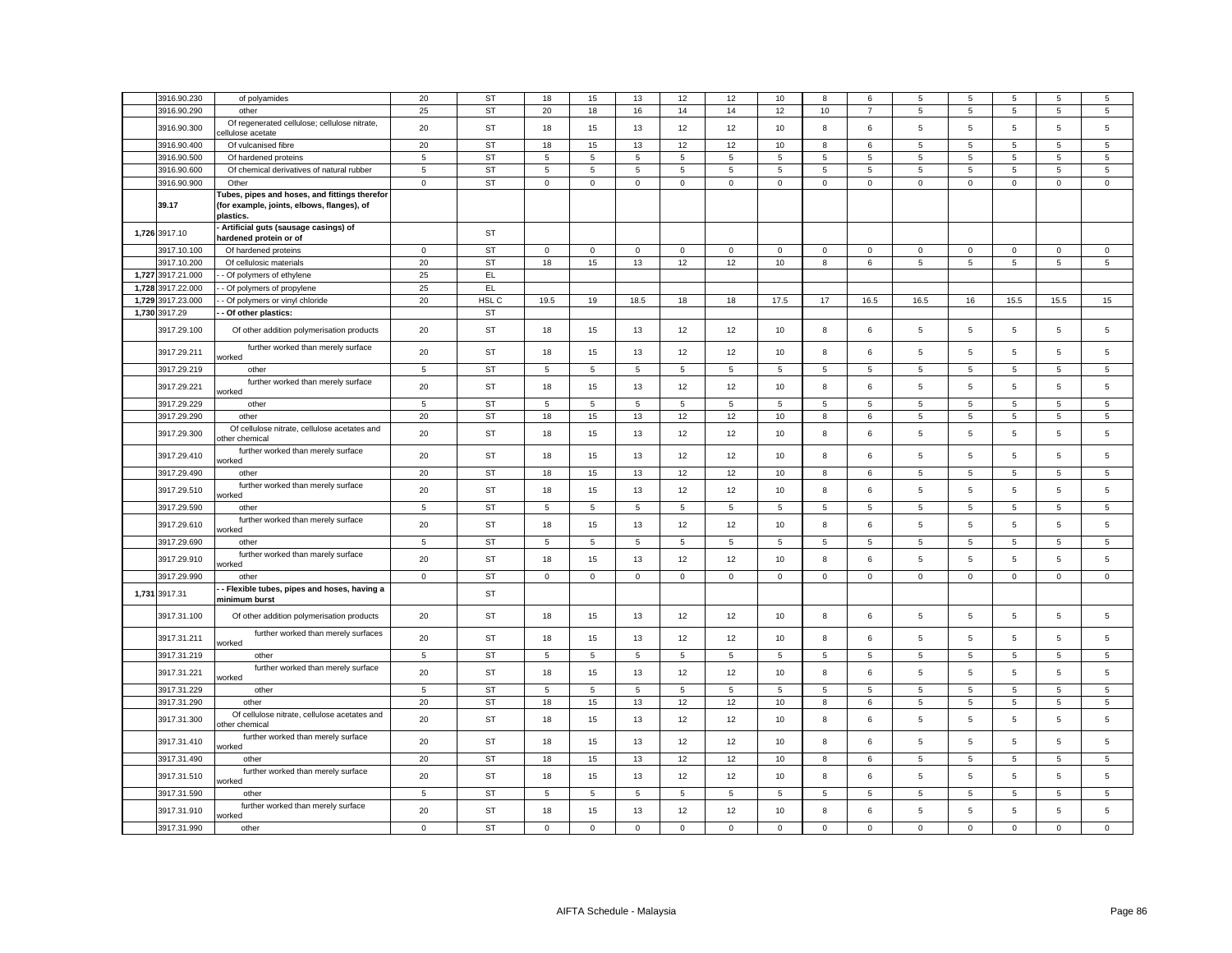| 3916.90.230       | of polyamides                                                                                           | 20             | <b>ST</b> | 18          | 15          | 13          | 12             | 12          | 10             | 8           | 6               | 5               | 5           | 5           | 5           | 5              |
|-------------------|---------------------------------------------------------------------------------------------------------|----------------|-----------|-------------|-------------|-------------|----------------|-------------|----------------|-------------|-----------------|-----------------|-------------|-------------|-------------|----------------|
| 3916.90.290       | other                                                                                                   | 25             | <b>ST</b> | 20          | 18          | 16          | 14             | 14          | 12             | 10          | $\overline{7}$  | 5               | 5           | 5           | $\sqrt{5}$  | $\sqrt{5}$     |
| 3916.90.300       | Of regenerated cellulose; cellulose nitrate,<br>ellulose acetate                                        | 20             | ST        | 18          | 15          | 13          | 12             | 12          | 10             | 8           | 6               | $\overline{5}$  | 5           | 5           | $\sqrt{5}$  | 5              |
| 3916.90.400       | Of vulcanised fibre                                                                                     | 20             | <b>ST</b> | 18          | 15          | 13          | 12             | 12          | 10             | 8           | 6               | 5               | 5           | 5           | 5           | 5              |
| 3916.90.500       | Of hardened proteins                                                                                    | 5              | <b>ST</b> | 5           | 5           | $\mathbf 5$ | 5              | 5           | 5              | 5           | 5               | 5               | $\,$ 5 $\,$ | 5           | $\mathbf 5$ | $\mathbf 5$    |
| 3916.90.600       | Of chemical derivatives of natural rubber                                                               | $\sqrt{5}$     | <b>ST</b> | 5           | 5           | $\sqrt{5}$  | 5              | 5           | $\overline{5}$ | 5           | 5               | 5               | 5           | 5           | 5           | 5              |
| 3916.90.900       | Other                                                                                                   | $\mathsf 0$    | ST        | $\mathbf 0$ | $\mathbf 0$ | $\mathsf 0$ | $\mathsf 0$    | $\mathbf 0$ | $\mathsf 0$    | $\mathbf 0$ | $\mathbf{0}$    | $\mathsf 0$     | $\mathbf 0$ | $\mathbf 0$ | $\mathsf 0$ | $\mathbf 0$    |
| 39.17             | ubes, pipes and hoses, and fittings therefor<br>(for example, joints, elbows, flanges), of<br>plastics. |                |           |             |             |             |                |             |                |             |                 |                 |             |             |             |                |
| 1,726 3917.10     | Artificial guts (sausage casings) of<br>hardened protein or of                                          |                | ST        |             |             |             |                |             |                |             |                 |                 |             |             |             |                |
| 3917.10.100       | Of hardened proteins                                                                                    | $\mathbf 0$    | <b>ST</b> | $\mathbf 0$ | $\mathbf 0$ | $\mathsf 0$ | $\mathbf 0$    | $\mathsf 0$ | $\mathbf 0$    | $\mathbf 0$ | $\mathbf 0$     | $\mathbf 0$     | $\mathbf 0$ | $\mathbf 0$ | $\mathsf 0$ | $\mathsf 0$    |
| 3917.10.200       | Of cellulosic materials                                                                                 | 20             | <b>ST</b> | 18          | 15          | 13          | 12             | 12          | 10             | 8           | 6               | 5               | $\,$ 5 $\,$ | 5           | 5           | 5              |
| 1,727 3917.21.000 | - Of polymers of ethylene                                                                               | 25             | EL        |             |             |             |                |             |                |             |                 |                 |             |             |             |                |
| 1,728 3917.22.000 | - Of polymers of propylene                                                                              | 25             | EL        |             |             |             |                |             |                |             |                 |                 |             |             |             |                |
| 1,729 3917.23.000 | - Of polymers or vinyl chloride                                                                         | 20             | HSL C     | 19.5        | 19          | 18.5        | 18             | 18          | 17.5           | $17\,$      | 16.5            | 16.5            | 16          | 15.5        | 15.5        | 15             |
|                   |                                                                                                         |                | ST        |             |             |             |                |             |                |             |                 |                 |             |             |             |                |
| 1,730 3917.29     | - Of other plastics:                                                                                    |                |           |             |             |             |                |             |                |             |                 |                 |             |             |             |                |
| 3917.29.100       | Of other addition polymerisation products                                                               | 20             | ST        | 18          | 15          | 13          | 12             | 12          | 10             | 8           | 6               | 5               | 5           | 5           | $\mathbf 5$ | 5              |
| 3917.29.211       | further worked than merely surface<br>vorked                                                            | 20             | ST        | 18          | 15          | 13          | 12             | 12          | 10             | 8           | 6               | 5               | 5           | 5           | 5           | 5              |
| 3917.29.219       | other                                                                                                   | 5              | <b>ST</b> | 5           | 5           | 5           | $\overline{5}$ | 5           | $\overline{5}$ | 5           | 5               | 5               | $\sqrt{5}$  | 5           | 5           | 5              |
| 3917.29.221       | further worked than merely surface<br>worked                                                            | 20             | <b>ST</b> | 18          | 15          | 13          | 12             | 12          | 10             | 8           | 6               | 5               | $\,$ 5 $\,$ | 5           | $\mathbf 5$ | $\sqrt{5}$     |
| 3917.29.229       | other                                                                                                   | $\overline{5}$ | <b>ST</b> | 5           | 5           | 5           | $\overline{5}$ | 5           | $\sqrt{5}$     | 5           | 5               | $\overline{5}$  | $\sqrt{5}$  | 5           | 5           | $\overline{5}$ |
| 3917.29.290       | other                                                                                                   | 20             | <b>ST</b> | 18          | 15          | 13          | 12             | 12          | 10             | 8           | 6               | 5               | 5           | 5           | 5           | 5              |
| 3917.29.300       | Of cellulose nitrate, cellulose acetates and<br>other chemical                                          | 20             | ST        | 18          | 15          | 13          | 12             | 12          | 10             | 8           | 6               | $\sqrt{5}$      | $\,$ 5 $\,$ | 5           | $\,$ 5 $\,$ | $\sqrt{5}$     |
| 3917.29.410       | further worked than merely surface<br>vorked                                                            | 20             | ST        | 18          | 15          | 13          | 12             | 12          | 10             | 8           | 6               | $\sqrt{5}$      | 5           | 5           | 5           | 5              |
| 3917.29.490       | other                                                                                                   | 20             | <b>ST</b> | 18          | 15          | 13          | 12             | 12          | 10             | 8           | 6               | 5               | 5           | 5           | $\sqrt{5}$  | 5              |
| 3917.29.510       | further worked than merely surface<br>vorked                                                            | 20             | ST        | 18          | 15          | 13          | 12             | 12          | 10             | 8           | 6               | 5               | 5           | 5           | 5           | 5              |
| 3917.29.590       | other                                                                                                   | 5              | <b>ST</b> | 5           | 5           | $\sqrt{5}$  | 5              | 5           | 5              | 5           | 5               | 5               | 5           | 5           | 5           | 5              |
| 3917.29.610       | further worked than merely surface<br>vorked                                                            | 20             | ST        | 18          | 15          | 13          | 12             | 12          | 10             | 8           | 6               | 5               | 5           | 5           | $\mathbf 5$ | 5              |
| 3917.29.690       | other                                                                                                   | $\overline{5}$ | <b>ST</b> | 5           | 5           | 5           | $\overline{5}$ | 5           | 5              | 5           | 5               | 5               | 5           | 5           | $\sqrt{5}$  | 5              |
| 3917.29.910       | further worked than marely surface<br>worked                                                            | 20             | <b>ST</b> | 18          | 15          | 13          | 12             | 12          | 10             | 8           | 6               | 5               | 5           | 5           | $\mathbf 5$ | 5              |
| 3917.29.990       | other                                                                                                   | $\mathsf 0$    | <b>ST</b> | $\mathsf 0$ | $\mathbf 0$ | $\mathsf 0$ | $\mathsf 0$    | $\mathsf 0$ | $\mathbf 0$    | $\mathsf 0$ | $\mathbf 0$     | $\mathsf 0$     | $\mathsf 0$ | $\mathsf 0$ | $\mathsf 0$ | $\mathsf 0$    |
| 1,731 3917.31     | - Flexible tubes, pipes and hoses, having a<br>minimum burst                                            |                | ST        |             |             |             |                |             |                |             |                 |                 |             |             |             |                |
| 3917.31.100       | Of other addition polymerisation products                                                               | 20             | ST        | 18          | 15          | 13          | 12             | 12          | 10             | 8           | 6               | 5               | $\,$ 5 $\,$ | 5           | $\,$ 5 $\,$ | $\sqrt{5}$     |
| 3917.31.211       | further worked than merely surfaces<br>vorked                                                           | 20             | ST        | 18          | 15          | 13          | 12             | 12          | 10             | 8           | 6               | 5               | 5           | 5           | 5           | 5              |
| 3917.31.219       | other                                                                                                   | $\overline{5}$ | ST        | 5           | 5           | 5           | 5              | 5           | 5              | 5           | $5\phantom{.0}$ | $5\phantom{.0}$ | 5           | 5           | $\sqrt{5}$  | 5              |
| 3917.31.221       | further worked than merely surface<br>vorked                                                            | 20             | ST        | 18          | 15          | 13          | 12             | 12          | 10             | 8           | 6               | 5               | 5           | 5           | $\mathbf 5$ | 5              |
| 3917.31.229       | other                                                                                                   | 5              | <b>ST</b> | 5           | 5           | 5           | 5              | 5           | 5              | 5           | 5               | 5               | 5           | 5           | 5           | 5              |
| 3917.31.290       | other                                                                                                   | 20             | <b>ST</b> | 18          | 15          | 13          | 12             | 12          | 10             | 8           | 6               | 5               | 5           | 5           | 5           | 5              |
| 3917.31.300       | Of cellulose nitrate, cellulose acetates and<br>other chemical                                          | 20             | <b>ST</b> | 18          | 15          | 13          | 12             | 12          | 10             | 8           | 6               | 5               | $\,$ 5 $\,$ | 5           | $\mathbf 5$ | $\mathbf 5$    |
| 3917.31.410       | further worked than merely surface<br>worked                                                            | 20             | ST        | 18          | 15          | 13          | 12             | 12          | 10             | 8           | 6               | 5               | 5           | 5           | $\,$ 5 $\,$ | $\sqrt{5}$     |
| 3917.31.490       | other                                                                                                   | 20             | <b>ST</b> | 18          | 15          | 13          | 12             | 12          | 10             | 8           | 6               | 5               | 5           | 5           | 5           | 5              |
| 3917.31.510       | further worked than merely surface<br>worked                                                            | 20             | ST        | 18          | 15          | 13          | 12             | 12          | 10             | 8           | 6               | $\sqrt{5}$      | 5           | 5           | 5           | $\sqrt{5}$     |
| 3917.31.590       | other                                                                                                   | 5              | <b>ST</b> | 5           | 5           | 5           | 5              | 5           | 5              | 5           | 5               | 5               | 5           | 5           | 5           | 5              |
| 3917.31.910       | further worked than merely surface<br>worked                                                            | 20             | ST        | 18          | 15          | 13          | 12             | 12          | 10             | 8           | 6               | 5               | 5           | 5           | $\mathbf 5$ | 5              |
| 3917.31.990       | other                                                                                                   | $\mathbf 0$    | <b>ST</b> | $\mathbf 0$ | $\mathbf 0$ | $\mathsf 0$ | $\mathsf 0$    | $\mathsf 0$ | $\mathsf 0$    | $\mathsf 0$ | 0               | $\mathbf 0$     | $\mathsf 0$ | $\mathsf 0$ | $\mathsf 0$ | $\mathsf 0$    |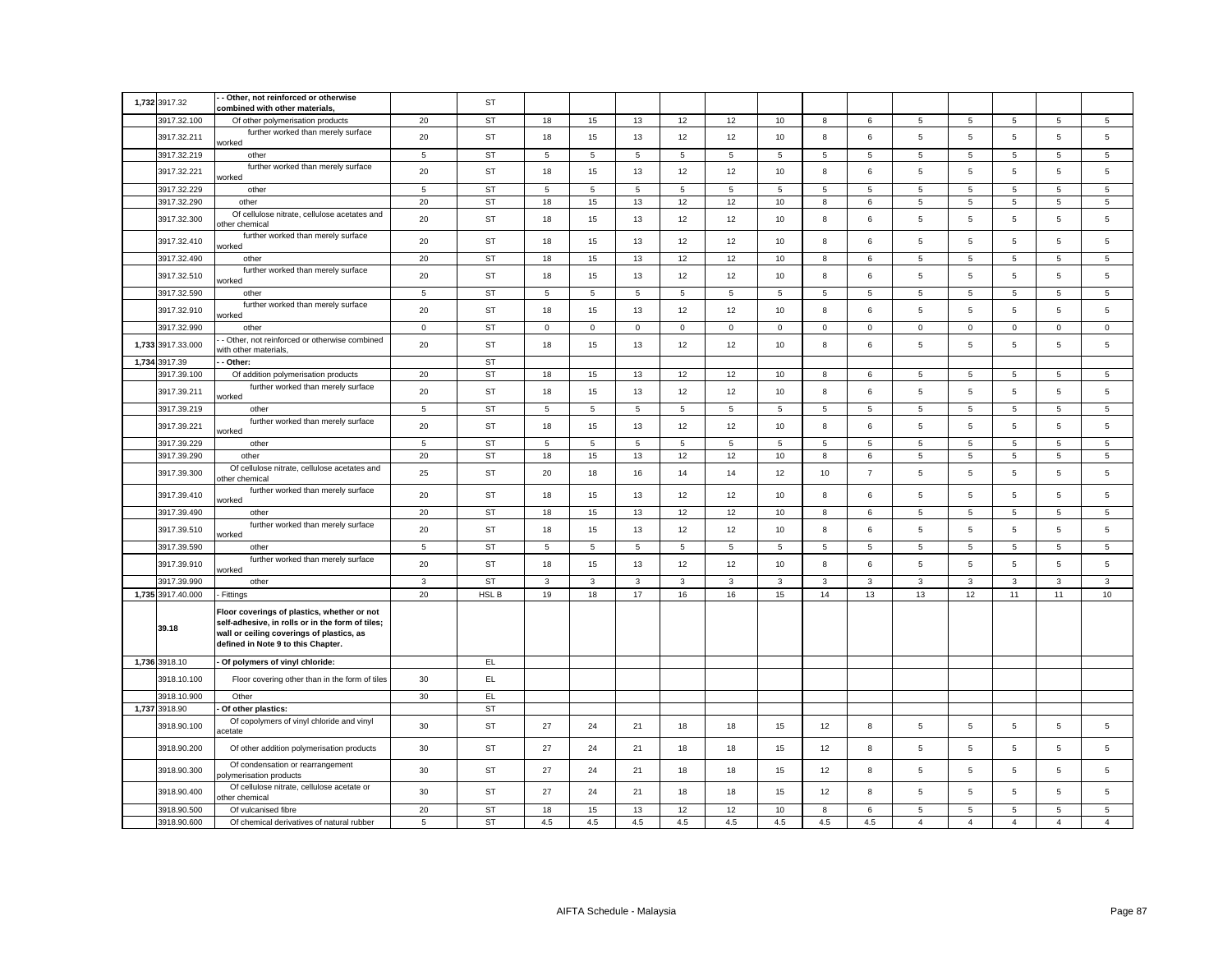| 1,732 3917.32     | - Other, not reinforced or otherwise                                                                                                                                               |                | ST        |                |             |                |                |             |             |              |                |                 |                |                 |                 |                |
|-------------------|------------------------------------------------------------------------------------------------------------------------------------------------------------------------------------|----------------|-----------|----------------|-------------|----------------|----------------|-------------|-------------|--------------|----------------|-----------------|----------------|-----------------|-----------------|----------------|
| 3917.32.100       | combined with other materials,                                                                                                                                                     | 20             | <b>ST</b> | 18             | 15          | 13             | 12             | 12          | 10          | 8            | 6              | 5               | 5              |                 | 5               | 5              |
|                   | Of other polymerisation products<br>further worked than merely surface                                                                                                             |                |           |                |             |                |                |             |             |              |                |                 |                | 5               |                 |                |
| 3917.32.211       | worked                                                                                                                                                                             | 20             | <b>ST</b> | 18             | 15          | 13             | 12             | 12          | 10          | 8            | 6              | 5               | 5              | 5               | $\overline{5}$  | $\overline{5}$ |
| 3917.32.219       | other                                                                                                                                                                              | $\sqrt{5}$     | <b>ST</b> | 5              | 5           | $\overline{5}$ | $\overline{5}$ | $\,$ 5 $\,$ | 5           | 5            | $\sqrt{5}$     | 5               | 5              | 5               | 5               | $\sqrt{5}$     |
| 3917.32.221       | further worked than merely surface<br>vorked                                                                                                                                       | 20             | <b>ST</b> | 18             | 15          | 13             | 12             | 12          | 10          | 8            | 6              | $\,$ 5 $\,$     | 5              | 5               | 5               | $\mathbf 5$    |
| 3917.32.229       | other                                                                                                                                                                              | $\sqrt{5}$     | <b>ST</b> | 5              | 5           | 5              | 5              | 5           | 5           | 5            | 5              | 5               | 5              | 5               | 5               | 5              |
| 3917.32.290       | other                                                                                                                                                                              | 20             | ST        | 18             | 15          | 13             | 12             | 12          | 10          | 8            | 6              | $5\phantom{.0}$ | $\,$ 5 $\,$    | $5\phantom{.0}$ | $5\phantom{.0}$ | $\overline{5}$ |
| 3917.32.300       | Of cellulose nitrate, cellulose acetates and<br>other chemical                                                                                                                     | 20             | ST        | 18             | 15          | 13             | 12             | 12          | 10          | 8            | 6              | 5               | 5              | 5               | $\,$ 5 $\,$     | $\sqrt{5}$     |
| 3917.32.410       | further worked than merely surface<br>vorked                                                                                                                                       | 20             | ST        | 18             | 15          | 13             | 12             | 12          | 10          | 8            | $\,6\,$        | $\sqrt{5}$      | $\,$ 5 $\,$    | 5               | $\,$ 5 $\,$     | $\mathbf 5$    |
| 3917.32.490       | other                                                                                                                                                                              | 20             | <b>ST</b> | 18             | 15          | 13             | 12             | 12          | 10          | 8            | 6              | 5               | 5              | 5               | 5               | $\sqrt{5}$     |
| 3917.32.510       | further worked than merely surface<br>vorked                                                                                                                                       | 20             | <b>ST</b> | 18             | 15          | 13             | 12             | 12          | 10          | 8            | 6              | 5               | 5              | 5               | 5               | 5              |
| 3917.32.590       | other                                                                                                                                                                              | $\overline{5}$ | ST        | $\overline{5}$ | 5           | $\,$ 5 $\,$    | $\,$ 5 $\,$    | 5           | 5           | 5            | $\,$ 5 $\,$    | $\,$ 5 $\,$     | 5              | 5               | $\,$ 5 $\,$     | $\mathbf 5$    |
| 3917.32.910       | further worked than merely surface<br>vorked                                                                                                                                       | 20             | <b>ST</b> | 18             | 15          | 13             | 12             | 12          | 10          | 8            | 6              | $\overline{5}$  | 5              | 5               | $\,$ 5 $\,$     | 5              |
| 3917.32.990       | other                                                                                                                                                                              | $\mathbf 0$    | <b>ST</b> | $\mathbf{0}$   | $\mathbf 0$ | $\mathbf 0$    | $\mathbf 0$    | $\mathbf 0$ | $\mathbf 0$ | $\mathbf 0$  | $\mathbf{0}$   | $\mathbf 0$     | $\mathbf 0$    | $\mathbf 0$     | $\mathbf 0$     | $\mathsf 0$    |
| 1,733 3917.33.000 | - Other, not reinforced or otherwise combined<br>vith other materials,                                                                                                             | 20             | <b>ST</b> | 18             | 15          | 13             | 12             | 12          | 10          | 8            | 6              | 5               | 5              | 5               | 5               | 5              |
| 1,734 3917.39     | - Other:                                                                                                                                                                           |                | <b>ST</b> |                |             |                |                |             |             |              |                |                 |                |                 |                 |                |
| 3917.39.100       | Of addition polymerisation products                                                                                                                                                | 20             | <b>ST</b> | 18             | 15          | 13             | 12             | 12          | 10          | 8            | 6              | 5               | 5              | 5               | 5               | 5              |
| 3917.39.211       | further worked than merely surface<br>worked                                                                                                                                       | 20             | <b>ST</b> | 18             | 15          | 13             | 12             | 12          | 10          | 8            | 6              | 5               | 5              | 5               | 5               | $\sqrt{5}$     |
| 3917.39.219       | other                                                                                                                                                                              | $\,$ 5 $\,$    | <b>ST</b> | 5              | 5           | 5              | 5              | 5           | 5           | 5            | 5              | 5               | 5              | 5               | 5               | 5              |
| 3917.39.221       | further worked than merely surface<br>vorked                                                                                                                                       | 20             | <b>ST</b> | 18             | 15          | 13             | 12             | 12          | 10          | 8            | 6              | 5               | 5              | 5               | $\overline{5}$  | 5              |
| 3917.39.229       | other                                                                                                                                                                              | 5              | <b>ST</b> | 5              | 5           | 5              | 5              | 5           | 5           | 5            | 5              | 5               | 5              | 5               | 5               | 5              |
| 3917.39.290       | other                                                                                                                                                                              | 20             | <b>ST</b> | 18             | 15          | 13             | 12             | 12          | 10          | 8            | 6              | $5\overline{5}$ | 5              | $\overline{5}$  | $\overline{5}$  | 5              |
| 3917.39.300       | Of cellulose nitrate, cellulose acetates and<br>other chemical                                                                                                                     | 25             | <b>ST</b> | 20             | 18          | 16             | 14             | 14          | 12          | 10           | $\overline{7}$ | 5               | 5              | 5               | 5               | 5              |
| 3917.39.410       | further worked than merely surface<br>vorked                                                                                                                                       | 20             | <b>ST</b> | 18             | 15          | 13             | 12             | 12          | 10          | 8            | 6              | 5               | 5              | 5               | 5               | 5              |
| 3917.39.490       | other                                                                                                                                                                              | 20             | <b>ST</b> | 18             | 15          | 13             | 12             | 12          | 10          | 8            | 6              | 5               | 5              | 5               | 5               | 5              |
| 3917.39.510       | further worked than merely surface<br>vorked                                                                                                                                       | 20             | <b>ST</b> | 18             | 15          | 13             | 12             | 12          | 10          | 8            | 6              | $\,$ 5 $\,$     | 5              | 5               | $\overline{5}$  | $\mathbf 5$    |
| 3917.39.590       | other                                                                                                                                                                              | $\sqrt{5}$     | <b>ST</b> | 5              | 5           | $\sqrt{5}$     | $\overline{5}$ | 5           | 5           | 5            | 5              | 5               | 5              | $\overline{5}$  | $\overline{5}$  | 5              |
| 3917.39.910       | further worked than merely surface<br>vorked                                                                                                                                       | 20             | <b>ST</b> | 18             | 15          | 13             | 12             | 12          | 10          | 8            | 6              | 5               | 5              | 5               | 5               | 5              |
| 3917.39.990       | other                                                                                                                                                                              | 3              | <b>ST</b> | $\mathbf{3}$   | 3           | $\mathbf 3$    | 3              | 3           | 3           | $\mathbf{3}$ | 3              | $\mathbf{3}$    | $\mathbf{3}$   | $\mathbf{3}$    | $\mathbf{3}$    | 3              |
| 1,735 3917.40.000 | Fittings                                                                                                                                                                           | 20             | HSL B     | 19             | 18          | $17\,$         | 16             | 16          | 15          | 14           | 13             | 13              | 12             | 11              | 11              | 10             |
| 39.18             | Floor coverings of plastics, whether or not<br>self-adhesive, in rolls or in the form of tiles;<br>wall or ceiling coverings of plastics, as<br>defined in Note 9 to this Chapter. |                |           |                |             |                |                |             |             |              |                |                 |                |                 |                 |                |
| 1,736 3918.10     | Of polymers of vinyl chloride:                                                                                                                                                     |                | EL.       |                |             |                |                |             |             |              |                |                 |                |                 |                 |                |
| 3918.10.100       | Floor covering other than in the form of tiles                                                                                                                                     | 30             | EL        |                |             |                |                |             |             |              |                |                 |                |                 |                 |                |
| 3918.10.900       | Other                                                                                                                                                                              | 30             | EL        |                |             |                |                |             |             |              |                |                 |                |                 |                 |                |
| 1,737 3918.90     | Of other plastics:                                                                                                                                                                 |                | <b>ST</b> |                |             |                |                |             |             |              |                |                 |                |                 |                 |                |
| 3918.90.100       | Of copolymers of vinyl chloride and vinyl<br>cetate                                                                                                                                | 30             | <b>ST</b> | 27             | 24          | 21             | 18             | 18          | 15          | 12           | 8              | 5               | 5              | 5               | 5               | 5              |
| 3918.90.200       | Of other addition polymerisation products                                                                                                                                          | 30             | ST        | 27             | 24          | 21             | 18             | 18          | 15          | 12           | 8              | 5               | 5              | 5               | 5               | 5              |
| 3918.90.300       | Of condensation or rearrangement<br>olymerisation products                                                                                                                         | 30             | ST        | 27             | 24          | 21             | 18             | 18          | 15          | 12           | 8              | 5               | $\,$ 5 $\,$    | 5               | $\,$ 5 $\,$     | $\sqrt{5}$     |
| 3918.90.400       | Of cellulose nitrate, cellulose acetate or<br>ther chemical                                                                                                                        | 30             | ST        | 27             | 24          | 21             | 18             | 18          | 15          | 12           | 8              | 5               | $\,$ 5 $\,$    | 5               | 5               | 5              |
| 3918.90.500       | Of vulcanised fibre                                                                                                                                                                | 20             | <b>ST</b> | 18             | 15          | 13             | 12             | 12          | 10          | 8            | 6              | $\,$ 5 $\,$     | 5              | 5               | $\,$ 5 $\,$     | $\sqrt{5}$     |
| 3918.90.600       | Of chemical derivatives of natural rubber                                                                                                                                          | 5              | <b>ST</b> | 4.5            | $4.5\,$     | $4.5\,$        | 4.5            | 4.5         | 4.5         | 4.5          | 4.5            | $\overline{4}$  | $\overline{4}$ | $\overline{4}$  | 4               | $\overline{4}$ |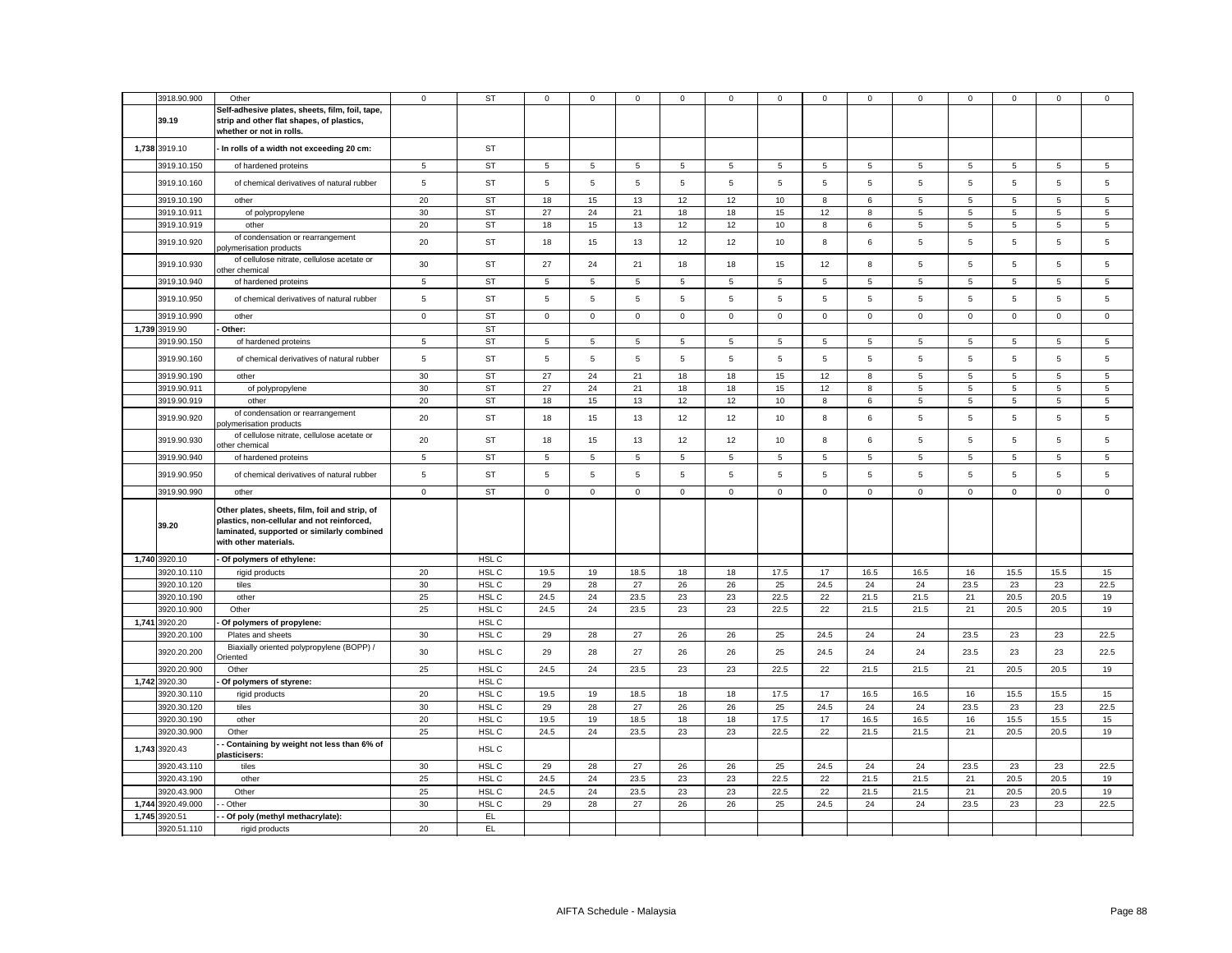| 3918.90.900       | Other                                                                                                                                                               | $\mathbf 0$ | <b>ST</b> | 0           | $\mathbf 0$  | $\mathbf 0$    | 0           | 0              | $\mathbf 0$ | 0           | $\mathbf 0$  | 0              | $\mathbf 0$ | $\Omega$    | $\mathbf 0$ | $\mathbf 0$ |
|-------------------|---------------------------------------------------------------------------------------------------------------------------------------------------------------------|-------------|-----------|-------------|--------------|----------------|-------------|----------------|-------------|-------------|--------------|----------------|-------------|-------------|-------------|-------------|
| 39.19             | Self-adhesive plates, sheets, film, foil, tape,<br>strip and other flat shapes, of plastics,                                                                        |             |           |             |              |                |             |                |             |             |              |                |             |             |             |             |
|                   | whether or not in rolls.                                                                                                                                            |             |           |             |              |                |             |                |             |             |              |                |             |             |             |             |
| 1,738 3919.10     | - In rolls of a width not exceeding 20 cm:                                                                                                                          |             | <b>ST</b> |             |              |                |             |                |             |             |              |                |             |             |             |             |
|                   |                                                                                                                                                                     |             | <b>ST</b> |             |              | $\,$ 5 $\,$    |             |                |             |             |              |                |             |             |             |             |
| 3919.10.150       | of hardened proteins                                                                                                                                                | 5           |           | 5           | 5            |                | 5           | 5              | 5           | 5           | $\sqrt{5}$   | 5              | 5           | 5           | 5           | 5           |
| 3919.10.160       | of chemical derivatives of natural rubber                                                                                                                           | $\sqrt{5}$  | <b>ST</b> | 5           | 5            | $\,$ 5 $\,$    | 5           | $\overline{5}$ | 5           | 5           | $\,$ 5 $\,$  | 5              | 5           | 5           | $\,$ 5 $\,$ | $\mathbf 5$ |
| 3919.10.190       | other                                                                                                                                                               | 20          | <b>ST</b> | 18          | 15           | 13             | 12          | 12             | 10          | 8           | 6            | 5              | 5           | 5           | 5           | 5           |
| 3919.10.911       | of polypropylene                                                                                                                                                    | 30          | <b>ST</b> | 27          | 24           | 21             | 18          | 18             | 15          | 12          | 8            | 5              | 5           | 5           | 5           | 5           |
| 3919.10.919       | other                                                                                                                                                               | 20          | <b>ST</b> | 18          | 15           | 13             | 12          | 12             | 10          | 8           | 6            | 5              | 5           | 5           | 5           | $\sqrt{5}$  |
| 3919.10.920       | of condensation or rearrangement<br>polymerisation products                                                                                                         | 20          | <b>ST</b> | 18          | 15           | 13             | 12          | 12             | 10          | 8           | 6            | 5              | 5           | 5           | 5           | 5           |
| 3919.10.930       | of cellulose nitrate, cellulose acetate or<br>other chemical                                                                                                        | 30          | <b>ST</b> | 27          | 24           | 21             | 18          | 18             | 15          | 12          | 8            | 5              | 5           | 5           | 5           | 5           |
| 3919.10.940       | of hardened proteins                                                                                                                                                | 5           | <b>ST</b> | 5           | 5            | 5              | 5           | 5              | 5           | 5           | 5            | 5              | 5           | 5           | 5           | 5           |
| 3919.10.950       | of chemical derivatives of natural rubber                                                                                                                           | 5           | <b>ST</b> | 5           | 5            | 5              | 5           | 5              | 5           | 5           | 5            | 5              | 5           | 5           | 5           | 5           |
| 3919.10.990       | other                                                                                                                                                               | $\mathbf 0$ | <b>ST</b> | $\mathsf 0$ | $\circ$      | $\mathsf 0$    | $\mathsf 0$ | 0              | $\mathsf 0$ | $\mathsf 0$ | $\mathbf 0$  | $\mathsf 0$    | $\mathsf 0$ | $\mathsf 0$ | $\mathsf 0$ | $\mathsf 0$ |
| 1,739 3919.90     | Other:                                                                                                                                                              |             | <b>ST</b> |             |              |                |             |                |             |             |              |                |             |             |             |             |
| 3919.90.150       | of hardened proteins                                                                                                                                                | 5           | <b>ST</b> | 5           | 5            | 5              | 5           | 5              | 5           | 5           | $\sqrt{5}$   | 5              | 5           | 5           | 5           | 5           |
| 3919.90.160       | of chemical derivatives of natural rubber                                                                                                                           | 5           | <b>ST</b> | 5           | 5            | $\overline{5}$ | 5           | 5              | 5           | 5           | 5            | 5              | 5           | 5           | 5           | 5           |
| 3919.90.190       | other                                                                                                                                                               | 30          | <b>ST</b> | 27          | 24           | 21             | 18          | 18             | 15          | 12          | 8            | $\overline{5}$ | $\,$ 5 $\,$ | 5           | 5           | $\,$ 5 $\,$ |
| 3919.90.911       |                                                                                                                                                                     | 30          | ST        | 27          | 24           | 21             | 18          | 18             | 15          | 12          | 8            | 5              | 5           | 5           | 5           | 5           |
| 3919.90.919       | of polypropylene<br>other                                                                                                                                           | 20          | <b>ST</b> | 18          | 15           | 13             | 12          | 12             | 10          | 8           | 6            | $\,$ 5 $\,$    | 5           | 5           | 5           | $\,$ 5 $\,$ |
| 3919.90.920       | of condensation or rearrangement                                                                                                                                    | 20          | <b>ST</b> | 18          | 15           | 13             | 12          | 12             | 10          | 8           | 6            | 5              | 5           | 5           | 5           | 5           |
|                   | oolymerisation products<br>of cellulose nitrate, cellulose acetate or                                                                                               |             |           |             |              |                |             |                |             |             |              |                |             |             |             |             |
| 3919.90.930       | other chemical                                                                                                                                                      | 20          | <b>ST</b> | 18          | 15           | 13             | 12          | 12             | 10          | 8           | 6            | 5              | 5           | 5           | $\,$ 5 $\,$ | 5           |
| 3919.90.940       | of hardened proteins                                                                                                                                                | 5           | <b>ST</b> | 5           | 5            | 5              | 5           | 5              | 5           | 5           | 5            | 5              | 5           | 5           | 5           | 5           |
| 3919.90.950       | of chemical derivatives of natural rubber                                                                                                                           | 5           | <b>ST</b> | 5           | 5            | $\overline{5}$ | 5           | 5              | 5           | 5           | 5            | 5              | 5           | 5           | 5           | 5           |
| 3919.90.990       | other                                                                                                                                                               | $\mathbf 0$ | <b>ST</b> | $\mathsf 0$ | $\mathbf{0}$ | $\mathbf 0$    | $\mathbf 0$ | $\mathbf{0}$   | $\mathbf 0$ | $\mathbf 0$ | $\mathbf{0}$ | $\mathbf 0$    | $\mathbf 0$ | $\mathbf 0$ | $\mathbf 0$ | $\mathsf 0$ |
| 39.20             | Other plates, sheets, film, foil and strip, of<br>plastics, non-cellular and not reinforced,<br>laminated, supported or similarly combined<br>with other materials. |             |           |             |              |                |             |                |             |             |              |                |             |             |             |             |
| 1,740 3920.10     | - Of polymers of ethylene:                                                                                                                                          |             | HSL C     |             |              |                |             |                |             |             |              |                |             |             |             |             |
| 3920.10.110       | rigid products                                                                                                                                                      | 20          | HSL C     | 19.5        | 19           | 18.5           | 18          | 18             | 17.5        | 17          | 16.5         | 16.5           | 16          | 15.5        | 15.5        | 15          |
| 3920.10.120       | tiles                                                                                                                                                               | 30          | HSL C     | 29          | 28           | 27             | 26          | 26             | 25          | 24.5        | 24           | 24             | 23.5        | 23          | 23          | 22.5        |
| 3920.10.190       | other                                                                                                                                                               | 25          | HSL C     | 24.5        | 24           | 23.5           | 23          | 23             | 22.5        | 22          | 21.5         | 21.5           | 21          | 20.5        | 20.5        | 19          |
| 3920.10.900       | Other                                                                                                                                                               | 25          | HSL C     | 24.5        | 24           | 23.5           | 23          | 23             | 22.5        | 22          | 21.5         | 21.5           | 21          | 20.5        | 20.5        | 19          |
| 1,741 3920.20     | Of polymers of propylene:                                                                                                                                           |             | HSL C     |             |              |                |             |                |             |             |              |                |             |             |             |             |
| 3920.20.100       | Plates and sheets                                                                                                                                                   | 30          | HSL C     | 29          | 28           | 27             | 26          | 26             | 25          | 24.5        | 24           | 24             | 23.5        | 23          | 23          | 22.5        |
| 3920.20.200       | Biaxially oriented polypropylene (BOPP) /<br>riented                                                                                                                | 30          | HSL C     | 29          | 28           | 27             | 26          | 26             | 25          | 24.5        | 24           | 24             | 23.5        | 23          | 23          | 22.5        |
| 3920.20.900       | Other                                                                                                                                                               | 25          | HSL C     | 24.5        | 24           | 23.5           | 23          | 23             | 22.5        | 22          | 21.5         | 21.5           | 21          | 20.5        | 20.5        | 19          |
| 1,742 3920.30     | Of polymers of styrene:                                                                                                                                             |             | HSL C     |             |              |                |             |                |             |             |              |                |             |             |             |             |
| 3920.30.110       | rigid products                                                                                                                                                      | 20          | HSL C     | 19.5        | 19           | 18.5           | 18          | 18             | 17.5        | 17          | 16.5         | 16.5           | 16          | 15.5        | 15.5        | 15          |
| 3920.30.120       | tiles                                                                                                                                                               | 30          | HSL C     | 29          | 28           | 27             | 26          | 26             | 25          | 24.5        | 24           | 24             | 23.5        | 23          | 23          | 22.5        |
| 3920.30.190       | other                                                                                                                                                               | 20          | HSL C     | 19.5        | 19           | 18.5           | 18          | 18             | 17.5        | 17          | 16.5         | 16.5           | 16          | 15.5        | 15.5        | 15          |
| 3920.30.900       | Other                                                                                                                                                               | 25          | HSL C     | 24.5        | 24           | 23.5           | 23          | 23             | 22.5        | 22          | 21.5         | 21.5           | 21          | 20.5        | 20.5        | 19          |
| 1,743 3920.43     | Containing by weight not less than 6% of<br>plasticisers:                                                                                                           |             | HSL C     |             |              |                |             |                |             |             |              |                |             |             |             |             |
| 3920.43.110       | tiles                                                                                                                                                               | 30          | HSL C     | 29          | 28           | 27             | 26          | 26             | 25          | 24.5        | 24           | 24             | 23.5        | 23          | 23          | 22.5        |
| 3920.43.190       | other                                                                                                                                                               | 25          | HSL C     | 24.5        | 24           | 23.5           | 23          | 23             | 22.5        | 22          | 21.5         | 21.5           | 21          | 20.5        | 20.5        | 19          |
| 3920.43.900       | Other                                                                                                                                                               | 25          | HSL C     | 24.5        | 24           | 23.5           | 23          | 23             | 22.5        | 22          | 21.5         | 21.5           | 21          | 20.5        | 20.5        | 19          |
| 1,744 3920.49.000 | - Other                                                                                                                                                             | 30          | HSL C     | 29          | 28           | 27             | 26          | 26             | 25          | 24.5        | 24           | 24             | 23.5        | 23          | 23          | 22.5        |
| 1,745 3920.51     | - Of poly (methyl methacrylate):                                                                                                                                    |             | EL        |             |              |                |             |                |             |             |              |                |             |             |             |             |
| 3920.51.110       | rigid products                                                                                                                                                      | 20          | EL        |             |              |                |             |                |             |             |              |                |             |             |             |             |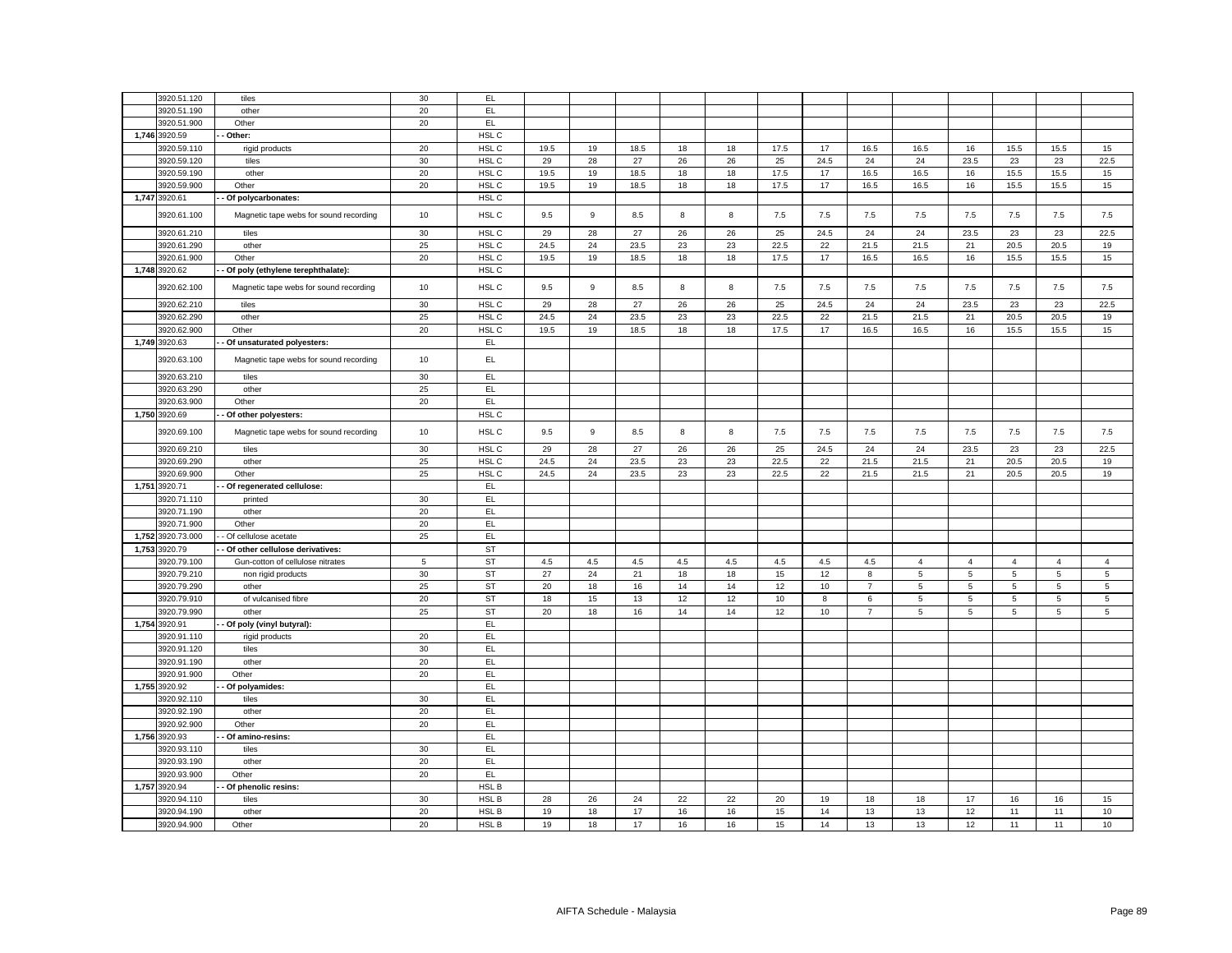|       | 3920.51.120                  |                                                 | 30       | EL.                    |           |          |              |          |          |           |             |                |                 |                     |                |                |                |
|-------|------------------------------|-------------------------------------------------|----------|------------------------|-----------|----------|--------------|----------|----------|-----------|-------------|----------------|-----------------|---------------------|----------------|----------------|----------------|
|       | 3920.51.190                  | tiles                                           | 20       | EL                     |           |          |              |          |          |           |             |                |                 |                     |                |                |                |
|       | 3920.51.900                  | other<br>Other                                  | 20       | EL.                    |           |          |              |          |          |           |             |                |                 |                     |                |                |                |
|       |                              |                                                 |          | HSL C                  |           |          |              |          |          |           |             |                |                 |                     |                |                |                |
|       | 1,746 3920.59                | Other:                                          |          | HSL C                  |           |          |              |          |          |           |             |                |                 |                     |                |                |                |
|       | 3920.59.110                  | rigid products                                  | 20       |                        | 19.5      | 19       | 18.5         | 18       | 18       | 17.5      | 17          | 16.5           | 16.5            | 16                  | 15.5           | 15.5           | 15             |
|       | 3920.59.120                  | tiles                                           | 30       | HSL C                  | 29        | 28       | 27           | 26       | 26       | 25        | 24.5        | 24             | 24              | 23.5                | 23             | 23             | 22.5           |
|       | 3920.59.190                  | other                                           | 20       | HSL C                  | 19.5      | 19       | 18.5         | 18       | 18       | 17.5      | 17          | 16.5           | 16.5            | 16                  | 15.5           | 15.5           | 15             |
|       | 3920.59.900                  | Other                                           | 20       | HSL C                  | 19.5      | 19       | 18.5         | 18       | 18       | 17.5      | 17          | 16.5           | 16.5            | 16                  | 15.5           | 15.5           | 15             |
|       | 1,747 3920.61                | Of polycarbonates:                              |          | HSL C                  |           |          |              |          |          |           |             |                |                 |                     |                |                |                |
|       | 3920.61.100                  | Magnetic tape webs for sound recording          | 10       | HSL C                  | 9.5       | 9        | 8.5          | 8        | 8        | 7.5       | 7.5         | 7.5            | 7.5             | 7.5                 | 7.5            | 7.5            | 7.5            |
|       | 3920.61.210                  | tiles                                           | 30       | HSL C                  | 29        | 28       | 27           | 26       | 26       | 25        | 24.5        | 24             | 24              | 23.5                | 23             | 23             | 22.5           |
|       | 3920.61.290                  | other                                           | 25       | HSL C                  | 24.5      | 24       | 23.5         | 23       | 23       | 22.5      | 22          | 21.5           | 21.5            | 21                  | 20.5           | 20.5           | 19             |
|       | 3920.61.900                  | Other                                           | 20       | HSL C                  | 19.5      | 19       | 18.5         | 18       | 18       | 17.5      | 17          | 16.5           | 16.5            | 16                  | 15.5           | 15.5           | 15             |
|       | 1,748 3920.62                | - Of poly (ethylene terephthalate):             |          | HSL C                  |           |          |              |          |          |           |             |                |                 |                     |                |                |                |
|       | 3920.62.100                  | Magnetic tape webs for sound recording          | 10       | HSL C                  | 9.5       | 9        | 8.5          | 8        | 8        | 7.5       | 7.5         | 7.5            | 7.5             | 7.5                 | 7.5            | 7.5            | 7.5            |
|       | 3920.62.210                  | tiles                                           | 30       | HSL C                  | 29        | 28       | 27           | 26       | 26       | 25        | 24.5        | 24             | 24              | 23.5                | 23             | 23             | 22.5           |
|       | 3920.62.290                  | other                                           | 25       | HSL C                  | 24.5      | 24       | 23.5         | 23       | 23       | 22.5      | 22          | 21.5           | 21.5            | 21                  | 20.5           | 20.5           | 19             |
|       | 3920.62.900                  | Other                                           | 20       | HSL C                  | 19.5      | 19       | 18.5         | 18       | 18       | 17.5      | 17          | 16.5           | 16.5            | 16                  | 15.5           | 15.5           | 15             |
|       | 1,749 3920.63                | Of unsaturated polyesters:                      |          | EL                     |           |          |              |          |          |           |             |                |                 |                     |                |                |                |
|       | 3920.63.100                  | Magnetic tape webs for sound recording          | 10       | EL                     |           |          |              |          |          |           |             |                |                 |                     |                |                |                |
|       | 3920.63.210                  | tiles                                           | 30       | EL                     |           |          |              |          |          |           |             |                |                 |                     |                |                |                |
|       | 3920.63.290                  | other                                           | 25       | EL.                    |           |          |              |          |          |           |             |                |                 |                     |                |                |                |
|       | 3920.63.900                  | Other                                           | 20       | EL.                    |           |          |              |          |          |           |             |                |                 |                     |                |                |                |
|       | 1,750 3920.69                | Of other polyesters:                            |          | HSL C                  |           |          |              |          |          |           |             |                |                 |                     |                |                |                |
|       |                              |                                                 |          |                        |           |          |              |          |          |           |             |                |                 |                     |                |                |                |
|       | 3920.69.100<br>3920.69.210   | Magnetic tape webs for sound recording<br>tiles | 10<br>30 | HSL C<br>HSL C         | 9.5<br>29 | 9<br>28  | 8.5<br>27    | 8<br>26  | 8<br>26  | 7.5<br>25 | 7.5<br>24.5 | 7.5<br>24      | 7.5<br>24       | 7.5<br>23.5         | 7.5<br>23      | 7.5<br>23      | 7.5<br>22.5    |
|       | 3920.69.290                  | other                                           | 25       | HSL C                  | 24.5      | 24       | 23.5         | 23       | 23       | 22.5      | 22          | 21.5           | 21.5            | 21                  | 20.5           | 20.5           | 19             |
|       | 3920.69.900                  | Other                                           | 25       | HSL C                  | 24.5      | 24       | 23.5         | 23       | 23       | 22.5      | 22          | 21.5           | 21.5            | 21                  | 20.5           | 20.5           | 19             |
|       | 1,751 3920.71                | - Of regenerated cellulose:                     |          | EL                     |           |          |              |          |          |           |             |                |                 |                     |                |                |                |
|       | 3920.71.110                  | printed                                         | 30       | EL                     |           |          |              |          |          |           |             |                |                 |                     |                |                |                |
|       | 3920.71.190                  | other                                           | 20       | EL                     |           |          |              |          |          |           |             |                |                 |                     |                |                |                |
|       | 3920.71.900                  | Other                                           | 20       | EL.                    |           |          |              |          |          |           |             |                |                 |                     |                |                |                |
|       | 1,752 3920.73.000            | - Of cellulose acetate                          | 25       | EL.                    |           |          |              |          |          |           |             |                |                 |                     |                |                |                |
|       | 1,753 3920.79                | - Of other cellulose derivatives:               |          | <b>ST</b>              |           |          |              |          |          |           |             |                |                 |                     |                |                |                |
|       | 3920.79.100                  | Gun-cotton of cellulose nitrates                | 5        | <b>ST</b>              | 4.5       | 4.5      | 4.5          | 4.5      | 4.5      | 4.5       | 4.5         | 4.5            | $\overline{4}$  | $\overline{4}$      | $\overline{4}$ | $\overline{4}$ | $\overline{4}$ |
|       | 3920.79.210                  | non rigid products                              | 30       | <b>ST</b>              | 27        | 24       | 21           |          | 18       | 15        | 12          | 8              | 5               | 5                   | 5              | 5              | 5              |
|       |                              |                                                 |          |                        | 20        |          |              | 18       |          | 12        |             | $\overline{7}$ | $5\phantom{.0}$ |                     |                |                |                |
|       | 3920.79.290<br>3920.79.910   | other<br>of vulcanised fibre                    | 25<br>20 | <b>ST</b><br><b>ST</b> | 18        | 18<br>15 | 16<br>13     | 14<br>12 | 14<br>12 | 10        | 10<br>8     | 6              | 5               | 5<br>$\overline{5}$ | 5<br>5         | 5<br>5         | 5<br>5         |
|       | 3920.79.990                  | other                                           | 25       | <b>ST</b>              | 20        | 18       | 16           | 14       | 14       | 12        | 10          | $\overline{7}$ | 5               | 5                   | 5              | 5              | 5              |
| 1,754 | 3920.91                      |                                                 |          | EL.                    |           |          |              |          |          |           |             |                |                 |                     |                |                |                |
|       | 3920.91.110                  | - Of poly (vinyl butyral):<br>rigid products    | 20       | EL                     |           |          |              |          |          |           |             |                |                 |                     |                |                |                |
|       | 3920.91.120                  | tiles                                           | 30       | EL                     |           |          |              |          |          |           |             |                |                 |                     |                |                |                |
|       | 3920.91.190                  | other                                           | 20       | EL                     |           |          |              |          |          |           |             |                |                 |                     |                |                |                |
|       |                              | Other                                           | 20       | EL.                    |           |          |              |          |          |           |             |                |                 |                     |                |                |                |
|       | 3920.91.900<br>1,755 3920.92 | Of polyamides:                                  |          | EL                     |           |          |              |          |          |           |             |                |                 |                     |                |                |                |
|       | 3920.92.110                  | tiles                                           | 30       | EL.                    |           |          |              |          |          |           |             |                |                 |                     |                |                |                |
|       | 3920.92.190                  | other                                           | 20       | EL.                    |           |          |              |          |          |           |             |                |                 |                     |                |                |                |
|       | 3920.92.900                  | Other                                           | 20       | EL.                    |           |          |              |          |          |           |             |                |                 |                     |                |                |                |
|       | 1,756 3920.93                | Of amino-resins:                                |          | EL                     |           |          |              |          |          |           |             |                |                 |                     |                |                |                |
|       |                              |                                                 | 30       | EL                     |           |          |              |          |          |           |             |                |                 |                     |                |                |                |
|       | 3920.93.110                  | tiles                                           |          |                        |           |          |              |          |          |           |             |                |                 |                     |                |                |                |
|       | 3920.93.190                  | other                                           | 20       | EL                     |           |          |              |          |          |           |             |                |                 |                     |                |                |                |
|       | 3920.93.900                  | Other                                           | 20       | EL.                    |           |          |              |          |          |           |             |                |                 |                     |                |                |                |
|       | 1,757 3920.94<br>3920.94.110 | Of phenolic resins:                             | 30       | HSL B<br>HSL B         |           |          |              |          |          |           |             |                |                 | 17                  |                |                |                |
|       | 3920.94.190                  | tiles                                           | 20       | HSL B                  | 28        | 26       | 24<br>$17\,$ | 22       | 22       | 20<br>15  | 19<br>14    | 18<br>13       | 18<br>13        | 12                  | 16             | 16<br>11       | 15<br>10       |
|       |                              | other                                           |          |                        | 19        | 18       |              | 16       | 16       |           |             |                |                 |                     | 11             |                |                |
|       | 3920.94.900                  | Other                                           | 20       | HSL B                  | 19        | 18       | $17\,$       | 16       | 16       | 15        | 14          | 13             | 13              | 12                  | 11             | 11             | 10             |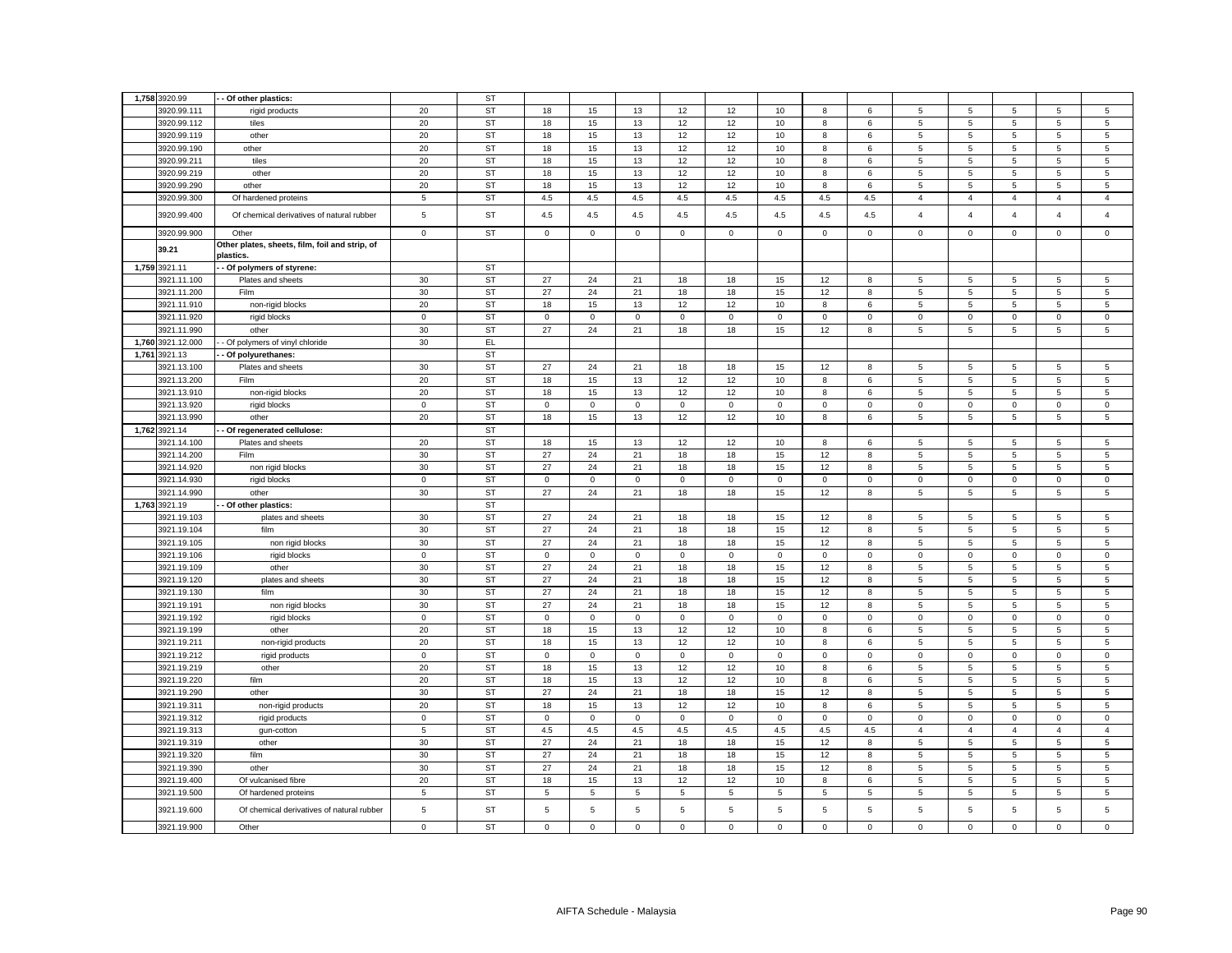|       | 1,758 3920.99     | - Of other plastics:                                        |                | <b>ST</b> |              |             |             |              |              |             |              |              |                 |                |                |                |                |
|-------|-------------------|-------------------------------------------------------------|----------------|-----------|--------------|-------------|-------------|--------------|--------------|-------------|--------------|--------------|-----------------|----------------|----------------|----------------|----------------|
|       | 3920.99.111       | rigid products                                              | 20             | <b>ST</b> | 18           | 15          | 13          | 12           | 12           | 10          | 8            | 6            | 5               | 5              | 5              | 5              | 5              |
|       | 3920.99.112       | tiles                                                       | 20             | ST        | 18           | 15          | 13          | 12           | 12           | 10          | 8            | 6            | 5               | 5              | 5              | 5              | 5              |
|       | 3920.99.119       | other                                                       | 20             | <b>ST</b> | 18           | 15          | 13          | 12           | 12           | 10          | 8            | 6            | 5               | 5              | 5              | 5              | 5              |
|       | 3920.99.190       | other                                                       | 20             | <b>ST</b> | 18           | 15          | 13          | 12           | 12           | 10          | 8            | 6            | $5\overline{5}$ | 5              | 5              | 5              | 5              |
|       | 3920.99.211       | tiles                                                       | 20             | <b>ST</b> | 18           | 15          | 13          | 12           | 12           | 10          | 8            | 6            | 5               | 5              | 5              | 5              | 5              |
|       | 3920.99.219       | other                                                       | 20             | <b>ST</b> | 18           | 15          | 13          | 12           | 12           | 10          | 8            | 6            | $5\overline{5}$ | 5              | 5              | 5              | 5              |
|       | 3920.99.290       | other                                                       | 20             | <b>ST</b> | 18           | 15          | 13          |              | 12           | 10          | 8            | 6            | 5               | 5              | 5              | 5              | 5              |
|       |                   |                                                             |                | <b>ST</b> |              | 4.5         | 4.5         | 12           |              | 4.5         | 4.5          |              |                 |                | $\overline{4}$ |                |                |
|       | 3920.99.300       | Of hardened proteins                                        | 5              |           | 4.5          |             |             | 4.5          | 4.5          |             |              | 4.5          | $\overline{4}$  | $\overline{4}$ |                | $\overline{4}$ | $\overline{4}$ |
|       | 3920.99.400       | Of chemical derivatives of natural rubber                   | $\,$ 5 $\,$    | <b>ST</b> | 4.5          | 4.5         | 4.5         | 4.5          | 4.5          | 4.5         | 4.5          | 4.5          | $\overline{4}$  | $\overline{4}$ | $\overline{4}$ | $\overline{4}$ | $\overline{4}$ |
|       | 3920.99.900       | Other                                                       | $\circ$        | <b>ST</b> | $\mathbf{0}$ | $\mathbf 0$ | $\mathsf 0$ | $\mathsf 0$  | $\mathbf 0$  | $\mathsf 0$ | $\mathbf 0$  | $\mathbf 0$  | $\mathbf 0$     | $\mathsf 0$    | $\mathbf 0$    | $\mathbf 0$    | $\mathsf 0$    |
|       | 39.21             | Other plates, sheets, film, foil and strip, of<br>plastics. |                |           |              |             |             |              |              |             |              |              |                 |                |                |                |                |
|       | 1,759 3921.11     | - Of polymers of styrene:                                   |                | <b>ST</b> |              |             |             |              |              |             |              |              |                 |                |                |                |                |
|       | 3921.11.100       | Plates and sheets                                           | 30             | <b>ST</b> | 27           | 24          | 21          | 18           | 18           | 15          | 12           | 8            | 5               | 5              | 5              | 5              | $\sqrt{5}$     |
|       | 3921.11.200       | Film                                                        | 30             | <b>ST</b> | 27           | 24          | 21          | 18           | 18           | 15          | 12           | 8            | 5               | 5              | 5              | 5              | $\,$ 5 $\,$    |
|       | 3921.11.910       | non-rigid blocks                                            | 20             | <b>ST</b> | 18           | 15          | 13          | 12           | 12           | 10          | 8            | 6            | $\,$ 5 $\,$     | 5              | 5              | 5              | $\sqrt{5}$     |
|       | 3921.11.920       | rigid blocks                                                | $\mathsf 0$    | <b>ST</b> | $\Omega$     | $\Omega$    | $\mathsf 0$ | 0            | $\mathbf 0$  | $\mathbf 0$ | $\Omega$     | $\mathbf 0$  | $\mathsf 0$     | $\mathbf 0$    | $\mathbf 0$    | $\mathsf 0$    | $\mathsf 0$    |
|       | 3921.11.990       | other                                                       | 30             | <b>ST</b> | 27           | 24          | 21          | 18           | 18           | 15          | 12           | 8            | 5               | $\overline{5}$ | 5              | 5              | $\mathbf 5$    |
|       | 1,760 3921.12.000 | - Of polymers of vinyl chloride                             | 30             | EL        |              |             |             |              |              |             |              |              |                 |                |                |                |                |
| 1,761 | 3921.13           | Of polyurethanes:                                           |                | <b>ST</b> |              |             |             |              |              |             |              |              |                 |                |                |                |                |
|       | 3921.13.100       | Plates and sheets                                           | 30             | <b>ST</b> | 27           | 24          | 21          | 18           | 18           | 15          | 12           | 8            | 5               | 5              | 5              | 5              | 5              |
|       | 3921.13.200       | Film                                                        | 20             | <b>ST</b> | 18           | 15          | 13          | 12           | 12           | 10          | 8            | 6            | 5               | 5              | 5              | 5              | $\sqrt{5}$     |
|       | 3921.13.910       |                                                             |                | <b>ST</b> | 18           |             |             |              |              | 10          | 8            |              |                 | 5              | 5              |                | $\overline{5}$ |
|       |                   | non-rigid blocks                                            | 20             |           |              | 15          | 13          | 12           | 12           |             |              | 6            | 5               |                |                | $\,$ 5 $\,$    |                |
|       | 3921.13.920       | rigid blocks                                                | $\mathsf 0$    | <b>ST</b> | $\mathbf 0$  | $\mathbf 0$ | $\mathsf 0$ | $\mathbf 0$  | $\mathsf 0$  | $\mathbf 0$ | $\mathsf 0$  | $\mathbf 0$  | $\mathbf 0$     | $\mathbf 0$    | $\mathbf 0$    | $\mathsf 0$    | $\mathsf 0$    |
|       | 3921.13.990       | other                                                       | 20             | <b>ST</b> | 18           | 15          | 13          | 12           | 12           | 10          | 8            | 6            | 5               | 5              | 5              | 5              | 5              |
|       | 1,762 3921.14     | - Of regenerated cellulose:                                 |                | <b>ST</b> |              |             |             |              |              |             |              |              |                 |                |                |                |                |
|       | 3921.14.100       | Plates and sheets                                           | 20             | <b>ST</b> | 18           | 15          | 13          | 12           | 12           | 10          | 8            | 6            | 5               | 5              | 5              | 5              | 5              |
|       | 3921.14.200       | Film                                                        | 30             | <b>ST</b> | 27           | 24          | 21          | 18           | 18           | 15          | 12           | 8            | 5               | 5              | 5              | 5              | 5              |
|       | 3921.14.920       | non rigid blocks                                            | 30             | <b>ST</b> | 27           | 24          | 21          | 18           | 18           | 15          | 12           | 8            | 5               | 5              | 5              | 5              | 5              |
|       | 3921.14.930       | rigid blocks                                                | $\,0\,$        | <b>ST</b> | $\mathbf 0$  | $\mathsf 0$ | $\mathsf 0$ | $\mathsf 0$  | $\mathsf 0$  | $\mathsf 0$ | $\mathbf 0$  | $\mathbf 0$  | $\mathsf 0$     | $\mathsf 0$    | $\mathsf 0$    | $\mathsf 0$    | $\mathsf 0$    |
|       | 3921.14.990       | other                                                       | 30             | <b>ST</b> | 27           | 24          | 21          | 18           | 18           | 15          | 12           | 8            | 5               | 5              | 5              | 5              | $\overline{5}$ |
|       | 1,763 3921.19     | - Of other plastics:                                        |                | <b>ST</b> |              |             |             |              |              |             |              |              |                 |                |                |                |                |
|       | 3921.19.103       | plates and sheets                                           | 30             | <b>ST</b> | 27           | 24          | 21          | 18           | 18           | 15          | 12           | 8            | 5               | 5              | 5              | 5              | 5              |
|       | 3921.19.104       | film                                                        | 30             | <b>ST</b> | 27           | 24          | 21          | 18           | 18           | 15          | 12           | 8            | 5               | 5              | $\overline{5}$ | 5              | $\sqrt{5}$     |
|       | 3921.19.105       | non rigid blocks                                            | 30             | <b>ST</b> | 27           | 24          | 21          | 18           | 18           | 15          | 12           | 8            | 5               | 5              | 5              | 5              | 5              |
|       | 3921.19.106       | rigid blocks                                                | $\mathbf{0}$   | <b>ST</b> | $\mathbf{0}$ | $\mathbf 0$ | $\mathbf 0$ | $\mathbf{0}$ | $\mathbf 0$  | $\mathbf 0$ | $\mathbf{0}$ | $\mathbf{0}$ | $\mathbf{0}$    | $\mathbf 0$    | $\mathbf 0$    | $\mathbf 0$    | $\mathsf 0$    |
|       | 3921.19.109       | other                                                       | 30             | <b>ST</b> | 27           | 24          | 21          | 18           | 18           | 15          | 12           | 8            | $5\overline{5}$ | 5              | 5              | 5              | 5              |
|       | 3921.19.120       | plates and sheets                                           | 30             | <b>ST</b> | 27           | 24          | 21          | 18           | 18           | 15          | 12           | 8            | 5               | 5              | 5              | 5              | $\overline{5}$ |
|       | 3921.19.130       | film                                                        | 30             | <b>ST</b> | 27           | 24          | 21          | 18           | 18           | 15          | 12           | 8            | 5               | 5              | 5              | 5              | 5              |
|       | 3921.19.191       | non rigid blocks                                            | 30             | <b>ST</b> | 27           | 24          | 21          | 18           | 18           | 15          | 12           | 8            | 5               | 5              | 5              | 5              | $\overline{5}$ |
|       | 3921.19.192       | rigid blocks                                                | $\mathsf 0$    | <b>ST</b> | $\mathbf{O}$ | $\mathbf 0$ | $\mathbf 0$ | $\Omega$     | $\mathbf{0}$ | $\mathsf 0$ | $\mathbf 0$  | $\mathbf 0$  | $\mathbf 0$     | $\mathsf 0$    | $\mathsf 0$    | $\mathbf 0$    | $\mathsf 0$    |
|       | 3921.19.199       | other                                                       | 20             | <b>ST</b> | 18           | 15          | 13          | 12           | 12           | 10          | 8            | 6            | 5               | 5              | 5              | 5              | $\overline{5}$ |
|       | 3921.19.211       | non-rigid products                                          | 20             | <b>ST</b> | 18           | 15          | 13          | 12           | 12           | 10          | 8            | 6            | $\,$ 5 $\,$     | 5              | 5              | $\overline{5}$ | $\,$ 5 $\,$    |
|       | 3921.19.212       | rigid products                                              | $\mathsf 0$    | <b>ST</b> | $\mathbf{0}$ | $\mathbf 0$ | $\mathbf 0$ | $\mathbf 0$  | $\mathbf 0$  | $\mathbf 0$ | $\mathbf 0$  | $\mathbf{0}$ | $\mathbf 0$     | $\mathbf 0$    | $\mathbf 0$    | $\mathbf 0$    | $\mathsf 0$    |
|       | 3921.19.219       | other                                                       | 20             | <b>ST</b> | 18           | 15          | 13          | 12           | 12           | 10          | 8            | 6            | 5               | 5              | 5              | 5              | 5              |
|       | 3921.19.220       | film                                                        | 20             | <b>ST</b> | 18           | 15          | 13          | 12           | 12           | 10          | 8            | 6            | $\overline{5}$  | 5              | 5              | 5              | $\overline{5}$ |
|       | 3921.19.290       | other                                                       | 30             | <b>ST</b> | 27           | 24          | 21          | 18           | 18           | 15          | 12           | 8            | 5               | 5              | 5              | 5              | $\sqrt{5}$     |
|       | 3921.19.311       | non-rigid products                                          | 20             | <b>ST</b> | 18           | 15          | 13          | 12           | 12           | 10          | 8            | 6            | 5               | 5              | 5              | 5              | $\overline{5}$ |
|       | 3921.19.312       | rigid products                                              | $\mathsf 0$    | <b>ST</b> | $\mathbf 0$  | $\mathbf 0$ | $\mathbf 0$ | $\mathbf 0$  | 0            | $\mathbf 0$ | $\mathbf 0$  | $\mathbf 0$  | $\mathsf 0$     | $\mathbf 0$    | $\mathbf 0$    | $\mathbf 0$    | $\mathbf 0$    |
|       | 3921.19.313       | gun-cotton                                                  | $\overline{5}$ | <b>ST</b> | 4.5          | 4.5         | 4.5         | 4.5          | 4.5          | 4.5         | 4.5          | 4.5          | $\overline{4}$  | $\overline{4}$ | $\overline{4}$ | $\overline{4}$ | $\overline{4}$ |
|       | 3921.19.319       | other                                                       |                | <b>ST</b> | 27           | 24          | 21          | 18           |              |             |              |              |                 |                |                |                |                |
|       |                   |                                                             | 30             |           |              |             |             |              | 18           | 15          | 12           | 8            | 5               | 5              | 5              | 5              | $\sqrt{5}$     |
|       | 3921.19.320       | film                                                        | 30             | <b>ST</b> | 27           | 24          | 21          | 18           | 18           | 15          | 12           | 8            | $5\overline{5}$ | 5              | 5              | 5              | 5              |
|       | 3921.19.390       | other                                                       | 30             | <b>ST</b> | 27           | 24          | 21          | 18           | 18           | 15          | 12           | 8            | 5               | 5              | 5              | 5              | 5              |
|       | 3921.19.400       | Of vulcanised fibre                                         | 20             | <b>ST</b> | 18           | 15          | 13          | 12           | 12           | 10          | 8            | 6            | $5\overline{5}$ | 5              | 5              | 5              | 5              |
|       | 3921.19.500       | Of hardened proteins                                        | $\sqrt{5}$     | <b>ST</b> | 5            | 5           | $\sqrt{5}$  | 5            | 5            | 5           | 5            | 5            | 5               | 5              | 5              | $\overline{5}$ | 5              |
|       | 3921.19.600       | Of chemical derivatives of natural rubber                   | 5              | <b>ST</b> | 5            | 5           | 5           | 5            | 5            | 5           | 5            | 5            | 5               | 5              | 5              | 5              | 5              |
|       | 3921.19.900       | Other                                                       | $\mathsf 0$    | <b>ST</b> | $\mathbf 0$  | $\mathsf 0$ | $\mathsf 0$ | $\mathsf 0$  | $\mathsf 0$  | $\mathsf 0$ | $\mathsf 0$  | $\mathbf 0$  | $\mathbf 0$     | $\mathsf 0$    | $\mathsf 0$    | $\mathsf 0$    | $\mathsf 0$    |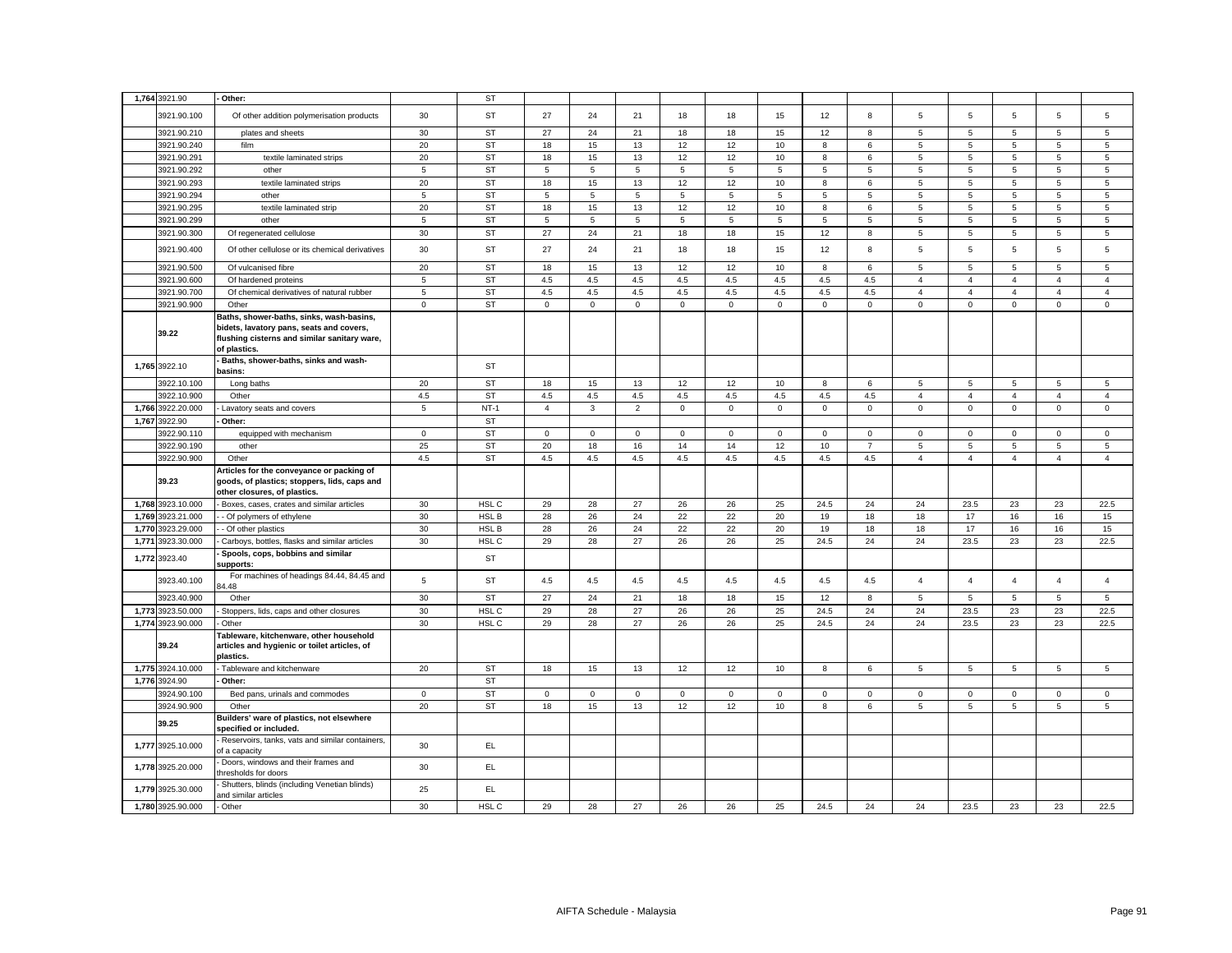|       | 1,764 3921.90              | - Other:                                                                                                                                             |                | <b>ST</b>   |                |              |                |              |             |             |             |                |                |                |                |                |                |
|-------|----------------------------|------------------------------------------------------------------------------------------------------------------------------------------------------|----------------|-------------|----------------|--------------|----------------|--------------|-------------|-------------|-------------|----------------|----------------|----------------|----------------|----------------|----------------|
|       |                            |                                                                                                                                                      |                |             |                |              |                |              |             |             |             |                |                |                |                |                |                |
|       | 3921.90.100                | Of other addition polymerisation products                                                                                                            | 30             | <b>ST</b>   | 27             | 24           | 21             | 18           | 18          | 15          | 12          | 8              | 5              | 5              | 5              | 5              | 5              |
|       | 3921.90.210                | plates and sheets                                                                                                                                    | 30             | <b>ST</b>   | 27             | 24           | 21             | 18           | 18          | 15          | 12          | 8              | 5              | 5              | $\overline{5}$ | $\overline{5}$ | 5              |
|       | 3921.90.240                | film                                                                                                                                                 | 20             | <b>ST</b>   | 18             | 15           | 13             | 12           | 12          | 10          | 8           | 6              | 5              | 5              | 5              | 5              | 5              |
|       | 3921.90.291                | textile laminated strips                                                                                                                             | 20             | <b>ST</b>   | 18             | 15           | 13             | 12           | 12          | 10          | 8           | 6              | 5              | $\sqrt{5}$     | $\,$ 5 $\,$    | 5              | 5              |
|       | 3921.90.292                | other                                                                                                                                                | 5              | <b>ST</b>   | 5              | 5            | 5              | 5            | 5           | $\sqrt{5}$  | 5           | 5              | 5              | $\sqrt{5}$     | 5              | $\overline{5}$ | 5              |
|       | 3921.90.293                | textile laminated strips                                                                                                                             | 20             | <b>ST</b>   | 18             | 15           | 13             | 12           | 12          | 10          | 8           | 6              | 5              | 5              | $\overline{5}$ | 5              | 5              |
|       | 3921.90.294                | other                                                                                                                                                | 5              | <b>ST</b>   | 5              | 5            | 5              | 5            | 5           | 5           | 5           | 5              | 5              | 5              | 5              | 5              | 5              |
|       | 3921.90.295                | textile laminated strip                                                                                                                              | 20             | <b>ST</b>   | 18             | 15           | 13             | 12           | 12          | 10          | 8           | 6              | 5              | 5              | 5              | 5              | 5              |
|       | 3921.90.299                | other                                                                                                                                                | 5              | <b>ST</b>   | 5              | 5            | 5              | 5            | 5           | 5           | 5           | 5              | 5              | 5              | 5              | $\overline{5}$ | 5              |
|       | 3921.90.300                | Of regenerated cellulose                                                                                                                             | 30             | <b>ST</b>   | 27             | 24           | 21             | 18           | 18          | 15          | 12          | 8              | 5              | 5              | 5              | 5              | 5              |
|       | 3921.90.400                | Of other cellulose or its chemical derivatives                                                                                                       | 30             | <b>ST</b>   | 27             | 24           | 21             | 18           | 18          | 15          | 12          | 8              | 5              | 5              | 5              | $\overline{5}$ | 5              |
|       | 3921.90.500                | Of vulcanised fibre                                                                                                                                  | 20             | <b>ST</b>   | 18             | 15           | 13             | 12           | 12          | 10          | 8           | 6              | 5              | 5              | 5              | 5              | 5              |
|       | 3921.90.600                | Of hardened proteins                                                                                                                                 | 5              | <b>ST</b>   | 4.5            | 4.5          | 4.5            | 4.5          | 4.5         | 4.5         | 4.5         | 4.5            | $\overline{4}$ | $\overline{4}$ | $\overline{4}$ | $\overline{4}$ | $\overline{4}$ |
|       | 3921.90.700                | Of chemical derivatives of natural rubber                                                                                                            | $\,$ 5 $\,$    | <b>ST</b>   | 4.5            | 4.5          | 4.5            | 4.5          | 4.5         | 4.5         | 4.5         | 4.5            | $\overline{4}$ | $\overline{4}$ | $\overline{4}$ | $\overline{4}$ | $\overline{4}$ |
|       | 3921.90.900                | Other                                                                                                                                                | $\mathsf 0$    | <b>ST</b>   | $\mathsf 0$    | $\mathsf 0$  | $\mathsf 0$    | $\mathsf 0$  | $\mathsf 0$ | $\mathsf 0$ | $\mathsf 0$ | $\mathbf 0$    | $\mathsf 0$    | $\mathbf 0$    | $\mathsf 0$    | $\mathsf 0$    | $\mathsf 0$    |
|       | 39.22                      | Baths, shower-baths, sinks, wash-basins,<br>bidets, lavatory pans, seats and covers,<br>flushing cisterns and similar sanitary ware,<br>of plastics. |                |             |                |              |                |              |             |             |             |                |                |                |                |                |                |
|       | 1,765 3922.10              | - Baths, shower-baths, sinks and wash-<br>basins:                                                                                                    |                | ST          |                |              |                |              |             |             |             |                |                |                |                |                |                |
|       | 3922.10.100                | Long baths                                                                                                                                           | 20             | <b>ST</b>   | 18             | 15           | 13             | 12           | 12          | 10          | 8           | 6              | 5              | 5              | 5              | 5              | 5              |
|       | 3922.10.900                | Other                                                                                                                                                | 4.5            | <b>ST</b>   | 4.5            | 4.5          | 4.5            | 4.5          | $4.5\,$     | 4.5         | 4.5         | 4.5            | $\overline{4}$ | $\overline{4}$ | $\overline{4}$ | $\overline{4}$ | $\overline{4}$ |
| 1,766 | 3922.20.000                | Lavatory seats and covers                                                                                                                            | 5              | $NT-1$      | $\overline{4}$ | 3            | $\overline{2}$ | 0            | 0           | $\mathsf 0$ | 0           | 0              | $\mathsf 0$    | $\,0\,$        | $\mathbf 0$    | $\mathsf 0$    | $\mathsf 0$    |
| 1,767 | 3922.90                    | Other:                                                                                                                                               |                | <b>ST</b>   |                |              |                |              |             |             |             |                |                |                |                |                |                |
|       | 3922.90.110                | equipped with mechanism                                                                                                                              | $\overline{0}$ | ST          | $\mathbf 0$    | $\mathbf 0$  | $\mathbf 0$    | $\mathbf 0$  | 0           | $\mathsf 0$ | $\mathsf 0$ | $\mathbf{0}$   | 0              | $\mathbf 0$    | $\mathbf 0$    | $\mathbf 0$    | 0              |
|       | 3922.90.190                | other                                                                                                                                                | 25             | <b>ST</b>   | 20             | 18           | 16             | 14           | 14          | 12          | 10          | $\overline{7}$ | 5              | 5              | 5              | 5              | 5              |
|       | 3922.90.900                | Other                                                                                                                                                | 4.5            | <b>ST</b>   | 4.5            | 4.5          | 4.5            | 4.5          | 4.5         | 4.5         | 4.5         | 4.5            | $\overline{4}$ | $\overline{4}$ | $\overline{4}$ | $\overline{4}$ | $\overline{4}$ |
|       | 39.23                      | Articles for the conveyance or packing of<br>goods, of plastics; stoppers, lids, caps and<br>other closures, of plastics.                            |                |             |                |              |                |              |             |             |             |                |                |                |                |                |                |
|       | 1,768 3923.10.000          | Boxes, cases, crates and similar articles                                                                                                            | 30             | HSL C       | 29             | 28           | 27             | 26           | 26          | 25          | 24.5        | 24             | 24             | 23.5           | 23             | 23             | 22.5           |
| 1,769 | 3923.21.000                | - Of polymers of ethylene                                                                                                                            | 30             | HSL B       | 28             | 26           | 24             | 22           | 22          | 20          | 19          | 18             | 18             | 17             | 16             | 16             | 15             |
| 1,770 | 3923.29.000                | - Of other plastics                                                                                                                                  | 30             | <b>HSLB</b> | 28             | 26           | 24             | 22           | 22          | 20          | 19          | 18             | 18             | 17             | 16             | 16             | 15             |
|       | 1,771 3923.30.000          | - Carboys, bottles, flasks and similar articles                                                                                                      | 30             | HSL C       | 29             | 28           | 27             | 26           | 26          | 25          | 24.5        | 24             | 24             | 23.5           | 23             | 23             | 22.5           |
|       | 1,772 3923.40              | Spools, cops, bobbins and similar<br>supports:                                                                                                       |                | ST          |                |              |                |              |             |             |             |                |                |                |                |                |                |
|       | 3923.40.100                | For machines of headings 84.44, 84.45 and                                                                                                            | $\,$ 5 $\,$    | ST          | 4.5            | $4.5\,$      | 4.5            | 4.5          | 4.5         | 4.5         | 4.5         | 4.5            | $\overline{4}$ | $\overline{4}$ | $\overline{4}$ | $\overline{4}$ | $\overline{4}$ |
|       |                            | 34.48                                                                                                                                                |                |             |                |              |                |              |             |             |             |                |                |                |                |                |                |
|       | 3923.40.900                | Other                                                                                                                                                | 30             | <b>ST</b>   | 27             | 24           | 21             | 18           | 18          | 15          | 12          | 8              | 5              | $\sqrt{5}$     | 5              | 5              | 5              |
| 1,773 | 3923.50.000                | Stoppers, lids, caps and other closures                                                                                                              | 30             | HSL C       | 29             | 28           | 27             | 26           | 26          | 25          | 24.5        | 24             | 24             | 23.5           | 23             | 23             | 22.5           |
|       | 1,774 3923.90.000<br>39.24 | Other<br>Tableware, kitchenware, other household<br>articles and hygienic or toilet articles, of<br>plastics.                                        | 30             | HSL C       | 29             | 28           | 27             | 26           | 26          | 25          | 24.5        | 24             | 24             | 23.5           | 23             | 23             | 22.5           |
|       | 1,775 3924.10.000          | Tableware and kitchenware                                                                                                                            | 20             | ST          | 18             | 15           | 13             | 12           | 12          | 10          | 8           | 6              | 5              | $\sqrt{5}$     | $\,$ 5 $\,$    | $\,$ 5 $\,$    | $\,$ 5 $\,$    |
|       | 1,776 3924.90              | Other:                                                                                                                                               |                | <b>ST</b>   |                |              |                |              |             |             |             |                |                |                |                |                |                |
|       | 3924.90.100                | Bed pans, urinals and commodes                                                                                                                       | $\mathbf 0$    | <b>ST</b>   | $\mathbf 0$    | $\mathbf{0}$ | $\mathbf 0$    | $\mathbf{0}$ | 0           | $\mathbf 0$ | $\mathbf 0$ | 0              | 0              | $\mathbf 0$    | $\mathbf 0$    | $\mathbf 0$    | 0              |
|       | 3924.90.900                | Other                                                                                                                                                | 20             | <b>ST</b>   | 18             | 15           | 13             | 12           | 12          | 10          | 8           | 6              | 5              | 5              | 5              | 5              | 5              |
|       | 39.25                      | Builders' ware of plastics, not elsewhere<br>specified or included.                                                                                  |                |             |                |              |                |              |             |             |             |                |                |                |                |                |                |
|       |                            |                                                                                                                                                      |                |             |                |              |                |              |             |             |             |                |                |                |                |                |                |
|       | 1,777 3925.10.000          | Reservoirs, tanks, vats and similar containers,<br>of a capacity                                                                                     | 30             | EL          |                |              |                |              |             |             |             |                |                |                |                |                |                |
|       | 1,778 3925.20.000          | Doors, windows and their frames and<br>thresholds for doors                                                                                          | 30             | EL.         |                |              |                |              |             |             |             |                |                |                |                |                |                |
|       | 1,779 3925.30.000          | Shutters, blinds (including Venetian blinds)<br>and similar articles                                                                                 | 25             | EL          |                |              |                |              |             |             |             |                |                |                |                |                |                |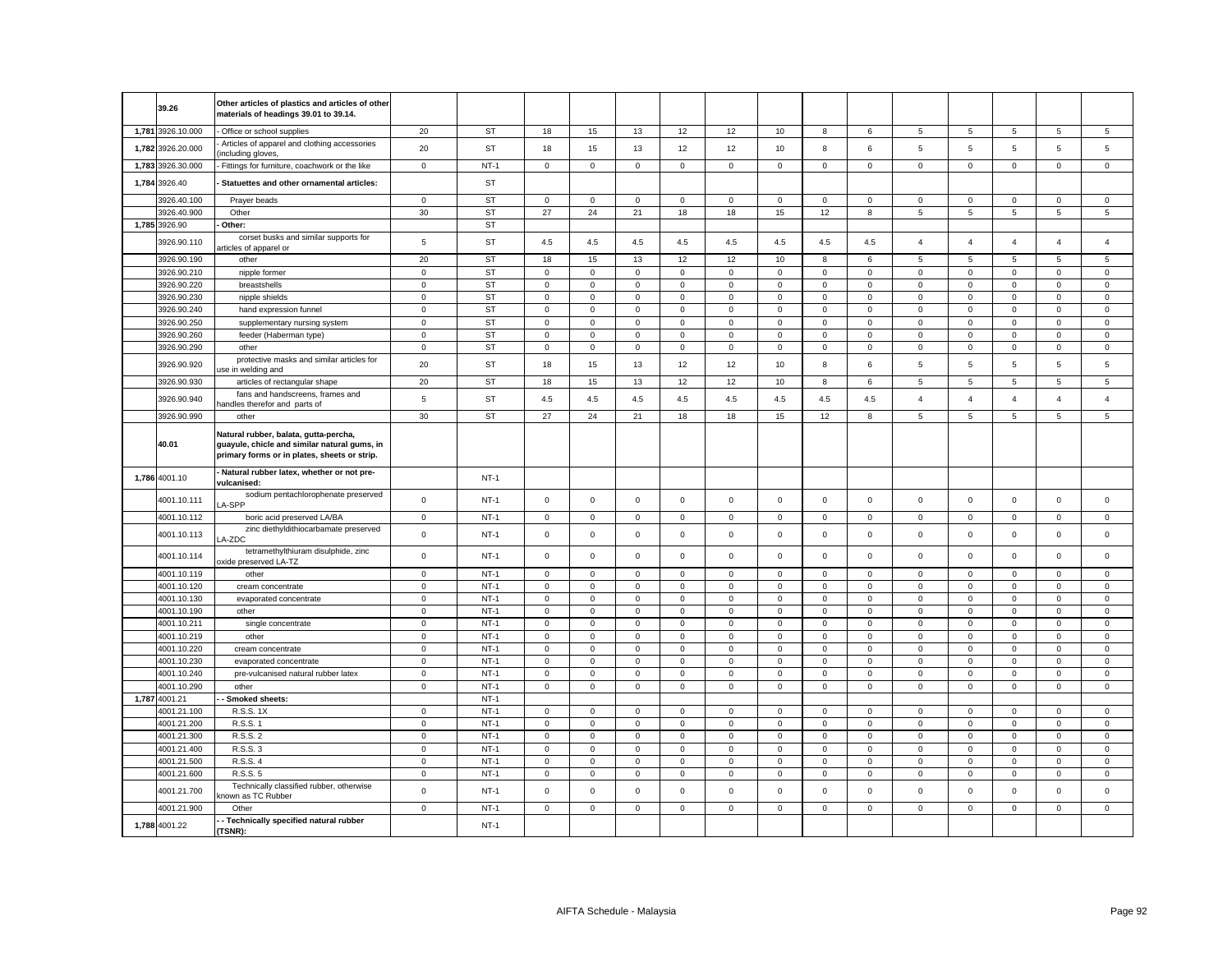|       | 39.26             | Other articles of plastics and articles of other<br>materials of headings 39.01 to 39.14.                                             |                |           |             |              |              |              |             |             |              |              |                |                |                     |                |                |
|-------|-------------------|---------------------------------------------------------------------------------------------------------------------------------------|----------------|-----------|-------------|--------------|--------------|--------------|-------------|-------------|--------------|--------------|----------------|----------------|---------------------|----------------|----------------|
|       | 1,781 3926.10.000 | Office or school supplies                                                                                                             | 20             | <b>ST</b> | 18          | 15           | 13           | 12           | 12          | 10          | 8            | 6            | 5              | 5              | 5                   | 5              | 5              |
|       | 1,782 3926.20.000 | Articles of apparel and clothing accessories<br>including gloves,                                                                     | 20             | <b>ST</b> | 18          | 15           | 13           | 12           | 12          | 10          | 8            | 6            | 5              | 5              | 5                   | 5              | 5              |
|       | 1,783 3926.30.000 | Fittings for furniture, coachwork or the like                                                                                         | $\mathbf 0$    | $NT-1$    | 0           | $\mathsf 0$  | $\mathbf 0$  | $\mathbf 0$  | $\mathsf 0$ | $\mathbf 0$ | $\mathbf 0$  | $\mathsf 0$  | $\mathsf 0$    | $\mathbf 0$    | $\mathsf{O}\xspace$ | $\mathsf 0$    | $\mathbf 0$    |
|       | 1,784 3926.40     | Statuettes and other ornamental articles:                                                                                             |                | ST        |             |              |              |              |             |             |              |              |                |                |                     |                |                |
|       | 3926.40.100       | Prayer beads                                                                                                                          | $\mathsf 0$    | <b>ST</b> | $\mathbf 0$ | $\mathbf 0$  | $\mathsf 0$  | $\mathbf 0$  | $\mathsf 0$ | $\mathbf 0$ | $\mathsf 0$  | $\mathsf 0$  | $\mathbf 0$    | $\mathbf 0$    | $\Omega$            | $\mathbf 0$    | $\mathsf 0$    |
|       | 3926.40.900       | Other                                                                                                                                 | 30             | <b>ST</b> | 27          | 24           | 21           | 18           | 18          | 15          | 12           | 8            | 5              | 5              | 5                   | $\,$ 5 $\,$    | $\,$ 5 $\,$    |
|       | 1,785 3926.90     | Other:                                                                                                                                |                | <b>ST</b> |             |              |              |              |             |             |              |              |                |                |                     |                |                |
|       | 3926.90.110       | corset busks and similar supports for<br>rticles of apparel or                                                                        | $\sqrt{5}$     | ST        | 4.5         | 4.5          | 4.5          | 4.5          | 4.5         | 4.5         | 4.5          | 4.5          | $\overline{4}$ | $\overline{4}$ | $\overline{4}$      | $\overline{4}$ | $\overline{4}$ |
|       | 3926.90.190       | other                                                                                                                                 | 20             | <b>ST</b> | 18          | 15           | 13           | 12           | 12          | 10          | 8            | 6            | 5              | 5              | 5                   | 5              | 5              |
|       | 3926.90.210       | nipple former                                                                                                                         | $\mathsf 0$    | <b>ST</b> | $\mathbf 0$ | $\mathbf 0$  | $\mathbf{0}$ | 0            | $\mathbf 0$ | $\mathbf 0$ | $\mathbf{0}$ | $\mathbf{0}$ | $\mathbf 0$    | $\mathbf{0}$   | $\mathbf 0$         | $\mathbf 0$    | $\mathbf 0$    |
|       | 3926.90.220       | breastshells                                                                                                                          | $\mathbf 0$    | ST        | $\mathbf 0$ | $\mathsf 0$  | $\mathsf 0$  | $\mathsf 0$  | $\mathbf 0$ | $\mathsf 0$ | $\mathbf 0$  | $\mathbf 0$  | $\mathbf 0$    | $\mathbf 0$    | $\mathbf 0$         | $\mathbf 0$    | $\mathsf 0$    |
|       | 3926.90.230       | nipple shields                                                                                                                        | $\mathbf 0$    | <b>ST</b> | $\mathbf 0$ | $\mathbf 0$  | $^{\circ}$   | $\mathbf 0$  | $\mathbf 0$ | $\mathbf 0$ | $\mathbf{0}$ | $\mathbf{0}$ | $\mathbf{0}$   | $\mathbf 0$    | $\mathbf 0$         | $\mathbf 0$    | $\mathbf 0$    |
|       | 3926.90.240       | hand expression funnel                                                                                                                | $\mathbf 0$    | <b>ST</b> | $\mathbf 0$ | $\mathsf 0$  | $\mathsf 0$  | $\mathbf 0$  | $\mathsf 0$ | $\mathsf 0$ | $\mathbf 0$  | $\mathsf 0$  | $\mathsf 0$    | $\mathsf 0$    | $\mathsf 0$         | $\mathbf 0$    | $\mathsf 0$    |
|       | 3926.90.250       | supplementary nursing system                                                                                                          | $\mathbf 0$    | <b>ST</b> | $\mathbf 0$ | $\mathbf 0$  | $\mathbf 0$  | $\mathbf 0$  | $\mathbf 0$ | $\mathbf 0$ | $\mathbf 0$  | $\mathbf{0}$ | $\mathbf 0$    | $\mathbf 0$    | $\mathbf 0$         | $\mathbf 0$    | $\mathbf 0$    |
|       | 3926.90.260       | feeder (Haberman type)                                                                                                                | $\mathsf 0$    | <b>ST</b> | $\mathbf 0$ | $\mathsf 0$  | $\mathsf 0$  | $\mathsf 0$  | $\mathbf 0$ | $\mathsf 0$ | $\mathbf 0$  | $\mathbf 0$  | $\mathbf 0$    | $\mathbf 0$    | $\mathbf 0$         | $\mathbf 0$    | $\mathsf 0$    |
|       | 3926.90.290       | other                                                                                                                                 | $\mathbf 0$    | <b>ST</b> | 0           | $\mathbf{0}$ | $\mathbf 0$  | $\mathbf 0$  | $\mathbf 0$ | $\mathbf 0$ | $\mathbf 0$  | $\mathbf 0$  | $\mathbf 0$    | $\mathbf 0$    | 0                   | 0              | $\mathbf 0$    |
|       | 3926.90.920       | protective masks and similar articles for<br>use in welding and                                                                       | 20             | <b>ST</b> | 18          | 15           | 13           | 12           | 12          | 10          | 8            | 6            | 5              | 5              | 5                   | 5              | 5              |
|       | 3926.90.930       | articles of rectangular shape                                                                                                         | 20             | <b>ST</b> | 18          | 15           | 13           | 12           | 12          | 10          | 8            | 6            | 5              | 5              | 5                   | 5              | 5              |
|       | 3926.90.940       | fans and handscreens, frames and<br>nandles therefor and parts of                                                                     | $\overline{5}$ | <b>ST</b> | 4.5         | $4.5\,$      | $4.5\,$      | 4.5          | 4.5         | 4.5         | 4.5          | 4.5          | $\overline{4}$ | $\overline{4}$ | $\overline{4}$      | $\overline{4}$ | $\overline{4}$ |
|       | 3926.90.990       | other                                                                                                                                 | 30             | ST        | 27          | 24           | 21           | 18           | 18          | 15          | 12           | 8            | $\sqrt{5}$     | $\,$ 5 $\,$    | $\,$ 5 $\,$         | $\,$ 5 $\,$    | $\,$ 5 $\,$    |
|       | 40.01             | Natural rubber, balata, gutta-percha,<br>guayule, chicle and similar natural gums, in<br>primary forms or in plates, sheets or strip. |                |           |             |              |              |              |             |             |              |              |                |                |                     |                |                |
|       | 1,786 4001.10     | Natural rubber latex, whether or not pre-<br>vulcanised:                                                                              |                | $NT-1$    |             |              |              |              |             |             |              |              |                |                |                     |                |                |
|       | 4001.10.111       | sodium pentachlorophenate preserved<br>A-SPP                                                                                          | $\mathsf 0$    | $NT-1$    | 0           | $\mathsf 0$  | $\mathsf 0$  | $\mathbf 0$  | $\mathsf 0$ | $\mathsf 0$ | $\mathbf 0$  | $\mathsf 0$  | $\mathbf 0$    | $\mathsf 0$    | $\mathsf 0$         | $\mathbf 0$    | $\mathsf 0$    |
|       | 4001.10.112       | boric acid preserved LA/BA                                                                                                            | $\mathsf 0$    | $NT-1$    | $\mathbf 0$ | $\mathsf 0$  | $\mathsf 0$  | $\mathsf 0$  | $\mathsf 0$ | $\mathsf 0$ | $\mathbf 0$  | $\mathbf 0$  | $\mathsf 0$    | $\mathsf 0$    | $\mathbf 0$         | $\mathsf 0$    | $\mathsf 0$    |
|       | 4001.10.113       | zinc diethyldithiocarbamate preserved<br>A-ZDC                                                                                        | $\mathbf 0$    | $NT-1$    | $\mathbf 0$ | $\mathsf 0$  | $\mathsf 0$  | $\mathsf 0$  | $\mathsf 0$ | $\mathsf 0$ | $\mathsf 0$  | $\mathsf 0$  | $\mathbf 0$    | $\mathsf 0$    | $\mathbf 0$         | $\mathsf 0$    | $\mathsf 0$    |
|       | 4001.10.114       | tetramethylthiuram disulphide, zinc<br>oxide preserved LA-TZ                                                                          | $\mathbf 0$    | $NT-1$    | $\mathbf 0$ | $\mathsf 0$  | $\mathsf 0$  | $\mathsf 0$  | $\mathbf 0$ | $\mathsf 0$ | $\mathbf 0$  | $\mathsf 0$  | $\mathbf 0$    | $\mathsf 0$    | $\mathsf 0$         | $\mathbf 0$    | $\mathbf 0$    |
|       | 4001.10.119       | other                                                                                                                                 | $\mathbf 0$    | $NT-1$    | $\mathbf 0$ | $\mathsf 0$  | $\mathsf 0$  | $\mathsf 0$  | $\mathsf 0$ | $\mathsf 0$ | $\mathbf 0$  | $\mathbf 0$  | $\mathsf 0$    | $\mathsf 0$    | $\mathsf 0$         | $\mathbf 0$    | $\mathbf 0$    |
|       | 4001.10.120       | cream concentrate                                                                                                                     | $\mathbf 0$    | $NT-1$    | $\mathbf 0$ | $\mathbf 0$  | $\mathsf 0$  | $\mathbf 0$  | $\mathbf 0$ | $\mathbf 0$ | $\mathbf 0$  | $\mathsf 0$  | $\mathbf{0}$   | $\mathbf 0$    | $\mathbf 0$         | $\mathbf 0$    | $\mathbf 0$    |
|       | 4001.10.130       | evaporated concentrate                                                                                                                | $\mathbf 0$    | $NT-1$    | 0           | $\mathbf 0$  | $\mathbf 0$  | $\mathbf 0$  | $\mathsf 0$ | $\mathbf 0$ | $\mathsf 0$  | $\mathsf 0$  | $\mathsf 0$    | $\mathbf 0$    | $\mathbf 0$         | $\mathbf 0$    | $\mathbf 0$    |
|       | 4001.10.190       | other                                                                                                                                 | $\mathbf 0$    | $NT-1$    | $\mathbf 0$ | $\mathbf 0$  | $\mathsf 0$  | $\mathbf{0}$ | $\mathbf 0$ | $\mathbf 0$ | $\mathbf{0}$ | $\mathsf 0$  | $\mathsf 0$    | $\mathbf 0$    | $\mathbf 0$         | $\mathbf 0$    | $\mathsf 0$    |
|       | 4001.10.211       | single concentrate                                                                                                                    | $\mathbf 0$    | $NT-1$    | $\mathbf 0$ | $\mathsf 0$  | $\mathsf 0$  | $\mathsf 0$  | $\mathsf 0$ | $\mathsf 0$ | $\mathbf 0$  | $\mathbf 0$  | $\mathsf 0$    | $\mathsf 0$    | $\mathbf 0$         | $\mathbf 0$    | $\mathsf 0$    |
|       | 4001.10.219       | other                                                                                                                                 | $\mathbf 0$    | $NT-1$    | $\mathbf 0$ | $\mathbf 0$  | $\mathbf 0$  | $\mathbf{0}$ | $\mathbf 0$ | $\mathbf 0$ | $\mathbf 0$  | $\mathsf 0$  | $\mathbf{0}$   | $\mathbf 0$    | $\mathbf 0$         | $\mathbf 0$    | $\mathbf 0$    |
|       | 4001.10.220       | cream concentrate                                                                                                                     | $\mathbf 0$    | $NT-1$    | 0           | $\mathbf 0$  | $\mathbf 0$  | $\mathbf 0$  | $\mathsf 0$ | $\mathbf 0$ | $\mathsf 0$  | $\mathbf 0$  | $\mathsf 0$    | $\mathbf 0$    | $\mathbf 0$         | $\mathbf 0$    | $\mathbf 0$    |
|       | 4001.10.230       | evaporated concentrate                                                                                                                | $\mathbf 0$    | $NT-1$    | $\mathbf 0$ | $\mathbf 0$  | $\mathbf 0$  | $\mathbf 0$  | $\mathbf 0$ | $\mathbf 0$ | $\mathbf 0$  | $\mathbf 0$  | $\mathbf{0}$   | $\mathbf 0$    | $\mathbf 0$         | $\mathbf 0$    | $\mathbf 0$    |
|       | 4001.10.240       | pre-vulcanised natural rubber latex                                                                                                   | $\mathbf 0$    | $NT-1$    | $\mathbf 0$ | $\mathsf 0$  | $\mathsf 0$  | $\mathsf 0$  | $\mathsf 0$ | $\mathsf 0$ | $\mathbf 0$  | $\mathsf 0$  | $\mathbf 0$    | $\mathsf 0$    | $\mathsf 0$         | $\mathbf 0$    | $\mathbf 0$    |
|       | 4001.10.290       | other                                                                                                                                 | $\mathbf 0$    | $NT-1$    | 0           | $\mathbf 0$  | $\mathbf 0$  | $\mathbf 0$  | $\mathbf 0$ | $\mathbf 0$ | $\mathbf 0$  | $\mathbf{0}$ | $\mathbf 0$    | $\mathbf 0$    | 0                   | 0              | $\mathbf 0$    |
| 1,787 | 4001.21           | Smoked sheets:                                                                                                                        |                | $NT-1$    |             |              |              |              |             |             |              |              |                |                |                     |                |                |
|       | 4001.21.100       | R.S.S. 1X                                                                                                                             | $\mathbf 0$    | $NT-1$    | $\mathbf 0$ | $^{\circ}$   | $\mathbf 0$  | $\mathbf 0$  | $\mathbf 0$ | $\mathbf 0$ | $\mathbf{0}$ | $\mathbf 0$  | $\mathbf{0}$   | $\mathbf 0$    | $\mathbf 0$         | $\mathbf 0$    | $\mathbf 0$    |
|       | 4001.21.200       | R.S.S. 1                                                                                                                              | $\mathsf 0$    | $NT-1$    | $\mathbf 0$ | $\mathsf 0$  | $\mathsf 0$  | $\mathsf 0$  | $\mathsf 0$ | $\mathsf 0$ | $\mathsf 0$  | $\mathbf 0$  | $\mathbf 0$    | $\mathsf 0$    | $\mathbf 0$         | $\mathbf 0$    | $\mathsf 0$    |
|       | 4001.21.300       | R.S.S. 2                                                                                                                              | 0              | $NT-1$    | 0           | $\mathbf 0$  | 0            | $\mathbf 0$  | $\mathbf 0$ | $\mathsf 0$ | 0            | $\mathbf 0$  | $\mathbf 0$    | $\mathbf 0$    | $\mathbf 0$         | $\mathbf 0$    | 0              |
|       | 4001.21.400       | R.S.S. 3                                                                                                                              | $\mathbf 0$    | $NT-1$    | $\mathbf 0$ | $\mathsf 0$  | $\mathsf 0$  | $\mathsf 0$  | $\mathsf 0$ | $\mathsf 0$ | $\mathbf 0$  | $\mathsf 0$  | $\mathsf 0$    | $\mathbf 0$    | $\mathsf 0$         | $\mathsf 0$    | $\mathsf 0$    |
|       | 4001.21.500       | R.S.S. 4                                                                                                                              | 0              | $NT-1$    | 0           | $\mathbf 0$  | 0            | $\mathbf 0$  | $\mathbf 0$ | $\mathsf 0$ | 0            | $\mathbf 0$  | $\mathbf 0$    | $\mathbf 0$    | $\mathbf 0$         | $\mathbf 0$    | 0              |
|       | 4001.21.600       | R.S.S. 5                                                                                                                              | $\mathsf 0$    | $NT-1$    | $\mathbf 0$ | $\mathsf 0$  | $\mathsf 0$  | $\mathsf 0$  | $\mathsf 0$ | $\mathsf 0$ | $\mathbf 0$  | $\mathsf 0$  | $\mathbf 0$    | $\mathsf 0$    | $\mathsf 0$         | $\mathbf 0$    | $\mathsf 0$    |
|       | 4001.21.700       | Technically classified rubber, otherwise<br>nown as TC Rubber                                                                         | $\mathsf 0$    | $NT-1$    | $\mathbf 0$ | $\mathsf 0$  | $\mathsf 0$  | $\mathsf 0$  | $\mathsf 0$ | $\mathsf 0$ | $\mathsf 0$  | $\mathsf 0$  | $\mathsf 0$    | $\mathsf 0$    | $\mathsf 0$         | $\mathbf 0$    | $\mathbf 0$    |
|       | 4001.21.900       | Other                                                                                                                                 | $\mathsf 0$    | $NT-1$    | $\mathbf 0$ | $\mathsf 0$  | $\mathsf 0$  | $\mathsf 0$  | $\mathsf 0$ | $\mathbf 0$ | $\mathsf 0$  | $\mathsf 0$  | $\mathsf 0$    | $\mathbf 0$    | $\mathsf 0$         | $\mathsf 0$    | $\mathsf 0$    |
|       | 1,788 4001.22     | - Technically specified natural rubber<br>(TSNR):                                                                                     |                | $NT-1$    |             |              |              |              |             |             |              |              |                |                |                     |                |                |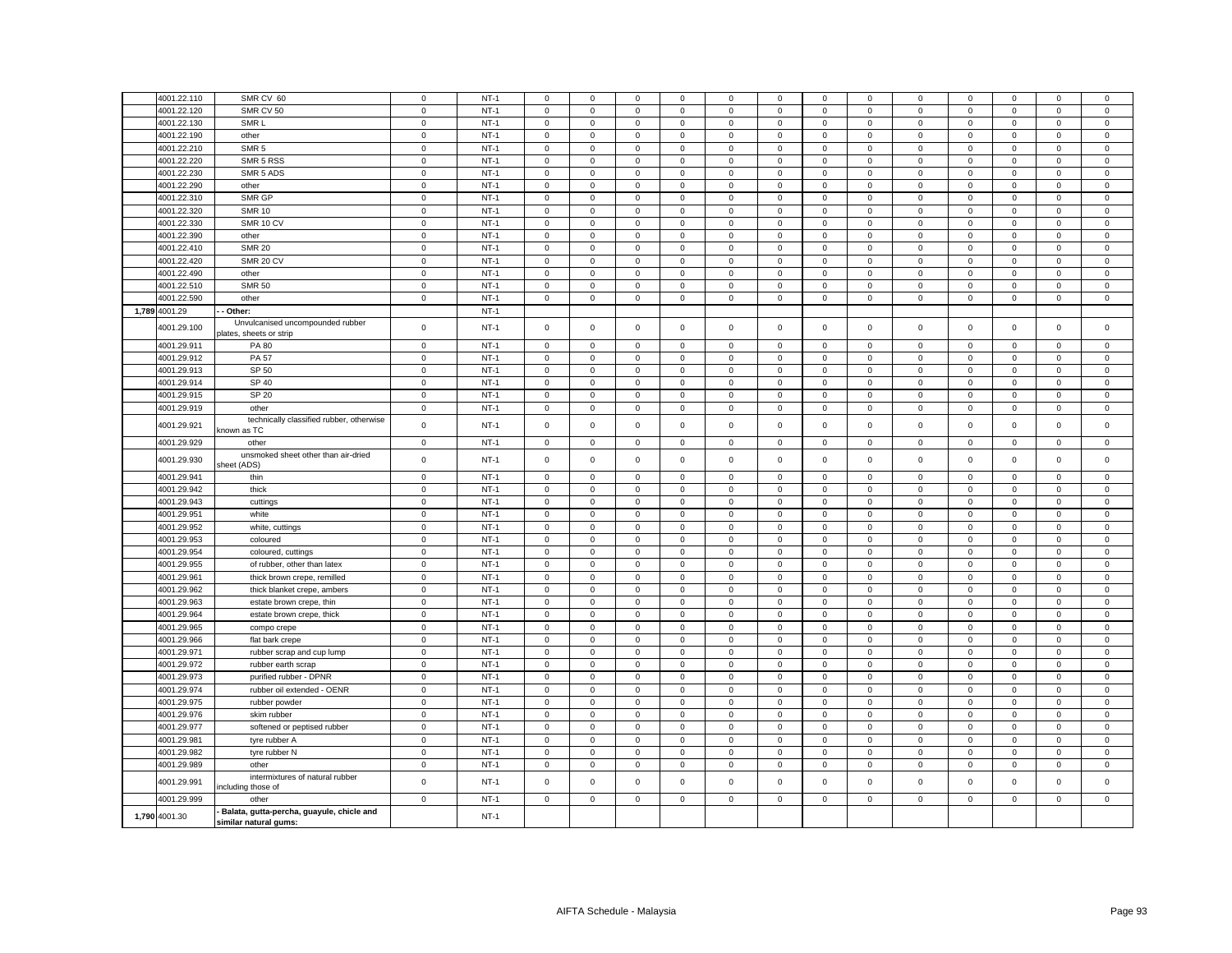| $\mathsf 0$<br>$NT-1$<br>$\mathsf{O}\xspace$<br>4001.22.120<br>SMR CV 50<br>$\mathsf 0$<br>$\mathsf 0$<br>$\mathbf 0$<br>$\mathsf 0$<br>$\mathsf 0$<br>$\mathbf 0$<br>$\mathsf 0$<br>$\mathsf 0$<br>$\mathbf 0$<br>$\mathbf 0$<br>0<br>SMR <sub>L</sub><br>$NT-1$<br>4001.22.130<br>$\mathbf 0$<br>$\mathsf 0$<br>$\mathbf 0$<br>$\mathsf 0$<br>$\mathbf{0}$<br>$\mathbf 0$<br>$\mathbf 0$<br>$\mathbf 0$<br>$\mathsf 0$<br>$\mathbf 0$<br>$\mathbf 0$<br>0<br>$\mathbf 0$<br>$\mathsf 0$<br>$NT-1$<br>4001.22.190<br>other<br>$\mathbf 0$<br>$\mathsf 0$<br>$\mathbf 0$<br>$\mathbf 0$<br>$\mathsf 0$<br>$\mathsf 0$<br>$\mathsf 0$<br>$\mathsf 0$<br>$\mathsf 0$<br>$\mathbf 0$<br>$\mathsf 0$<br>$\mathbf 0$<br>SMR <sub>5</sub><br>$NT-1$<br>4001.22.210<br>$\mathbf 0$<br>$\mathbf 0$<br>$\mathbf 0$<br>$\mathbf 0$<br>0<br>$\mathbf 0$<br>$\mathbf 0$<br>$\mathbf{0}$<br>$\mathbf 0$<br>0<br>$\mathbf 0$<br>$\mathbf 0$<br>$\mathbf 0$<br>4001.22.220<br>SMR 5 RSS<br>$\mathbf 0$<br>$NT-1$<br>$\mathbf 0$<br>$\mathsf 0$<br>$\mathbf 0$<br>$\mathsf 0$<br>$\mathbf 0$<br>$\mathsf 0$<br>$\mathbf 0$<br>$\mathbf 0$<br>$\mathsf 0$<br>$\mathbf 0$<br>0<br>0<br>4001.22.230<br>SMR 5 ADS<br>$\mathbf 0$<br>$NT-1$<br>$\mathsf 0$<br>$\mathsf 0$<br>$\mathsf 0$<br>$\mathbf 0$<br>$\mathsf 0$<br>$\mathbf 0$<br>$\mathsf 0$<br>$\mathbf 0$<br>$\mathbf 0$<br>$\mathbf 0$<br>0<br>0<br>4001.22.290<br>$\mathsf 0$<br>$NT-1$<br>$\mathbf 0$<br>$\mathbf 0$<br>$\mathsf{O}\xspace$<br>$\mathbf 0$<br>$\mathbf 0$<br>$\mathbf 0$<br>other<br>$\mathsf 0$<br>$\mathbf 0$<br>$\mathbf 0$<br>$\mathsf 0$<br>$\mathbf 0$<br>$\mathbf 0$<br>4001.22.310<br>SMR GP<br>$\mathbf 0$<br>$NT-1$<br>$\mathbf 0$<br>$\circ$<br>$\mathsf 0$<br>$\mathbf 0$<br>$\mathbf 0$<br>$\mathsf 0$<br>$\mathbf{0}$<br>$\mathbf 0$<br>$\mathbf 0$<br>$\mathbf 0$<br>$\mathsf 0$<br>$\mathbf{0}$<br>$NT-1$<br>4001.22.320<br><b>SMR 10</b><br>$\mathbf 0$<br>$\mathsf 0$<br>$\mathsf 0$<br>$\mathbf 0$<br>$\mathsf 0$<br>$\mathbf 0$<br>$\mathsf 0$<br>$\mathsf 0$<br>$\mathbf 0$<br>$\mathbf 0$<br>$\mathsf 0$<br>$\mathbf 0$<br>0<br>4001.22.330<br>$\mathsf 0$<br>$NT-1$<br>$\mathsf 0$<br>$\mathsf 0$<br>$\mathbf 0$<br>SMR 10 CV<br>$\mathbf 0$<br>$\mathbf 0$<br>$\mathbf 0$<br>$\mathbf 0$<br>$\mathbf 0$<br>$\mathbf 0$<br>$\mathbf 0$<br>$\mathsf 0$<br>$\mathsf 0$<br>4001.22.390<br>$\mathbf 0$<br>$NT-1$<br>other<br>$\mathbf 0$<br>$\mathbf{0}$<br>$\mathbf{0}$<br>$\mathbf 0$<br>$\mathbf 0$<br>$\mathbf 0$<br>$\mathbf 0$<br>$\mathbf 0$<br>$\mathbf 0$<br>$\mathbf 0$<br>$\mathbf 0$<br>$\mathbf{0}$<br>4001.22.410<br>$\mathsf 0$<br>$NT-1$<br>$\mathsf 0$<br>$\mathbf 0$<br>$\pmb{0}$<br><b>SMR 20</b><br>$\mathsf 0$<br>$\mathsf 0$<br>$\mathbf 0$<br>$\mathbf 0$<br>$\overline{0}$<br>$\mathsf 0$<br>$\mathsf 0$<br>$\mathsf 0$<br>$\mathbf 0$<br>4001.22.420<br><b>SMR 20 CV</b><br>$\mathsf 0$<br>$NT-1$<br>$\mathsf 0$<br>$\mathbf 0$<br>$\mathsf 0$<br>$\mathbf 0$<br>$\mathbf 0$<br>$\mathsf 0$<br>$\mathbf 0$<br>$\mathbf 0$<br>$\mathsf 0$<br>$\mathbf 0$<br>$\mathbf 0$<br>$\mathsf 0$<br>4001.22.490<br>$\mathsf 0$<br>$NT-1$<br>$\mathbf 0$<br>$\mathsf 0$<br>$\mathsf 0$<br>$\mathbf 0$<br>$\mathbf{0}$<br>$\mathsf 0$<br>$\overline{0}$<br>$\mathbf 0$<br>$\mathbf 0$<br>$\mathbf 0$<br>$\mathsf 0$<br>$\mathbf 0$<br>other<br>4001.22.510<br>$NT-1$<br><b>SMR 50</b><br>$\mathbf 0$<br>$\mathsf 0$<br>$\mathbf 0$<br>$\mathsf 0$<br>$\mathbf 0$<br>$\,0\,$<br>0<br>$\mathbf 0$<br>$\mathbf 0$<br>$\mathbf 0$<br>0<br>$\mathbf 0$<br>$\mathbf{0}$<br>4001.22.590<br>$\mathsf 0$<br>$NT-1$<br>$\mathsf 0$<br>other<br>$\mathbf 0$<br>$\mathbf 0$<br>$\Omega$<br>$\mathbf 0$<br>$\mathsf 0$<br>$\mathbf 0$<br>$\mathbf 0$<br>$\mathsf 0$<br>$\mathbf 0$<br>$\mathbf 0$<br>$\mathbf 0$<br>1,789 4001.29<br>$NT-1$<br>Other:<br>Unvulcanised uncompounded rubber<br>$NT-1$<br>4001.29.100<br>$\mathbf 0$<br>$\mathsf 0$<br>$\mathbf 0$<br>$\mathsf 0$<br>$\mathbf 0$<br>$\mathbf 0$<br>$\mathsf 0$<br>$\mathbf 0$<br>$\mathsf 0$<br>$\mathsf 0$<br>$\mathbf 0$<br>$\mathbf 0$<br>$\mathsf 0$<br>plates, sheets or strip<br>$NT-1$<br>4001.29.911<br>PA 80<br>$\mathbf 0$<br>$\mathsf 0$<br>$\mathsf 0$<br>$\mathbf 0$<br>$\mathsf 0$<br>$\mathbf 0$<br>$\mathsf 0$<br>$\mathbf 0$<br>$\mathbf 0$<br>$\mathbf 0$<br>$\mathbf 0$<br>$\mathbf 0$<br>$\mathbf 0$<br>4001.29.912<br><b>PA 57</b><br>$\overline{0}$<br>$NT-1$<br>$\mathbf 0$<br>$\mathbf 0$<br>$\mathbf{0}$<br>$\mathsf 0$<br>$\mathsf 0$<br>$\mathbf 0$<br>$\mathbf 0$<br>$\mathsf{O}\xspace$<br>$\mathbf 0$<br>$\mathsf 0$<br>$\Omega$<br>$\mathbf 0$<br>4001.29.913<br>SP 50<br>$\mathsf 0$<br>$NT-1$<br>$\mathsf 0$<br>$\mathsf 0$<br>$\mathsf 0$<br>$\mathbf 0$<br>$\mathbf 0$<br>0<br>$\mathbf 0$<br>$\mathbf 0$<br>$\mathbf 0$<br>$\mathbf 0$<br>$\mathbf 0$<br>$\mathbf 0$<br>SP 40<br>4001.29.914<br>$\mathbf 0$<br>$NT-1$<br>$\mathbf 0$<br>$\mathbf 0$<br>$\mathbf 0$<br>$\mathbf 0$<br>$\mathbf 0$<br>$\mathsf 0$<br>$\mathsf{O}\xspace$<br>$\mathbf 0$<br>$\mathsf 0$<br>$\mathbf 0$<br>$\mathsf 0$<br>$\mathbf 0$<br>4001.29.915<br>SP 20<br>$\mathsf 0$<br>$NT-1$<br>$\mathsf 0$<br>$\mathbf 0$<br>$\mathsf 0$<br>$\mathsf{O}\xspace$<br>$\mathsf 0$<br>$\mathbf 0$<br>0<br>0<br>$\mathbf 0$<br>0<br>0<br>$\mathbf 0$<br>4001.29.919<br>$\mathsf 0$<br>$NT-1$<br>$\mathsf{O}\xspace$<br>$\mathbf 0$<br>$\mathsf 0$<br>$\mathbf 0$<br>$\mathsf 0$<br>$\mathsf 0$<br>$\mathsf 0$<br>$\pmb{0}$<br>$\mathsf 0$<br>$\mathbf 0$<br>$\mathsf 0$<br>$\mathbf 0$<br>other<br>technically classified rubber, otherwise<br>$\mathsf 0$<br>$NT-1$<br>$\mathsf 0$<br>4001.29.921<br>$\mathsf 0$<br>$\mathbf 0$<br>$\mathsf 0$<br>$\mathbf 0$<br>$\mathsf 0$<br>$\mathbf 0$<br>$\mathbf 0$<br>$\mathsf 0$<br>$\mathbf 0$<br>$\Omega$<br>$\mathbf 0$<br>known as TC<br>4001.29.929<br>$\mathbf 0$<br>$NT-1$<br>$\mathsf 0$<br>$\mathsf 0$<br>$\mathbf 0$<br>$\mathsf 0$<br>$\pmb{0}$<br>$\mathsf 0$<br>$\mathsf 0$<br>$\mathsf 0$<br>$\mathsf 0$<br>$\mathsf 0$<br>$\mathsf 0$<br>$\mathsf 0$<br>other<br>unsmoked sheet other than air-dried<br>4001.29.930<br>$\mathbf 0$<br>$NT-1$<br>$\mathbf 0$<br>$\mathbf 0$<br>$\mathbf 0$<br>$\Omega$<br>$\mathbf 0$<br>$\mathsf 0$<br>$\overline{0}$<br>$\mathbf 0$<br>$\mathbf 0$<br>$\mathsf 0$<br>$\mathbf 0$<br>$\mathbf{0}$<br>sheet (ADS)<br>4001.29.941<br>$\mathsf 0$<br>$NT-1$<br>$\mathbf 0$<br>$\mathbf 0$<br>$\mathsf 0$<br>$\mathbf 0$<br>$\mathsf 0$<br>$\mathbf 0$<br>$\mathbf 0$<br>$\mathbf 0$<br>$\mathbf 0$<br>$\mathsf 0$<br>$\mathbf 0$<br>thin<br>$\Omega$<br>$NT-1$<br>4001.29.942<br>thick<br>$\mathbf 0$<br>$\mathsf 0$<br>$\mathsf 0$<br>$\mathsf 0$<br>$\mathbf 0$<br>$\mathsf 0$<br>$\mathbf 0$<br>$\mathsf 0$<br>$\mathbf 0$<br>0<br>$\mathsf 0$<br>0<br>$\Omega$<br>4001.29.943<br>$\mathbf 0$<br>$NT-1$<br>$\mathbf 0$<br>$\mathsf 0$<br>$\mathbf 0$<br>$\overline{0}$<br>$\mathsf 0$<br>$\mathbf 0$<br>$\mathsf 0$<br>$\mathsf 0$<br>$\mathsf 0$<br>$\mathbf 0$<br>$\mathsf 0$<br>$\mathbf 0$<br>cuttings<br>4001.29.951<br>$\mathbf 0$<br>$NT-1$<br>white<br>$\mathsf 0$<br>$\mathsf 0$<br>$\mathbf 0$<br>$\mathsf 0$<br>$\mathsf{O}\xspace$<br>$\mathsf 0$<br>$\,0\,$<br>0<br>$\mathsf 0$<br>$\mathbf 0$<br>0<br>0<br>$NT-1$<br>4001.29.952<br>$\mathbf 0$<br>$\mathbf 0$<br>$\mathbf 0$<br>$\mathbf 0$<br>$\Omega$<br>$\mathbf 0$<br>$\mathsf 0$<br>$\mathbf 0$<br>$\mathbf 0$<br>$\mathbf 0$<br>$\mathbf 0$<br>$\mathbf 0$<br>$\mathbf 0$<br>white, cuttings<br>$NT-1$<br>4001.29.953<br>$\mathbf 0$<br>$\mathsf 0$<br>$\mathsf 0$<br>$\mathbf 0$<br>$\mathsf 0$<br>$\mathsf{O}\xspace$<br>$\mathsf 0$<br>$\mathbf 0$<br>0<br>$\mathsf 0$<br>$\mathbf 0$<br>0<br>0<br>coloured<br>4001.29.954<br>$\mathsf 0$<br>$NT-1$<br>$\mathbf 0$<br>$\mathsf 0$<br>$\mathsf 0$<br>$\mathsf 0$<br>$\pmb{0}$<br>$\mathsf 0$<br>$\mathsf 0$<br>$\mathsf 0$<br>$\mathbf 0$<br>$\mathsf 0$<br>$\mathsf 0$<br>$\mathbf 0$<br>coloured, cuttings<br>$\mathbf 0$<br>$NT-1$<br>4001.29.955<br>$\mathbf 0$<br>$\mathbf 0$<br>$\mathbf 0$<br>$\mathbf{0}$<br>0<br>$\mathbf 0$<br>$\mathbf 0$<br>$\mathbf 0$<br>of rubber, other than latex<br>0<br>0<br>0<br>0<br>$\mathsf 0$<br>$NT-1$<br>$\mathsf 0$<br>$\mathsf 0$<br>$\pmb{0}$<br>$\mathsf 0$<br>4001.29.961<br>$\mathsf{O}\xspace$<br>$\mathsf{O}\xspace$<br>$\mathbf 0$<br>$\mathbf 0$<br>$\mathsf 0$<br>$\mathsf 0$<br>$\mathsf 0$<br>$\mathbf 0$<br>thick brown crepe, remilled<br>$\mathsf 0$<br>$NT-1$<br>$\mathsf 0$<br>$\mathbf 0$<br>4001.29.962<br>$\mathsf 0$<br>$\mathbf 0$<br>$\mathsf 0$<br>$\mathsf 0$<br>$\mathsf 0$<br>$\mathbf 0$<br>$\mathsf 0$<br>thick blanket crepe, ambers<br>$\mathbf 0$<br>0<br>0<br>$\overline{0}$<br>4001.29.963<br>$NT-1$<br>$\mathbf 0$<br>$\mathsf 0$<br>$\mathsf 0$<br>$\mathsf 0$<br>$\mathbf 0$<br>$\mathsf 0$<br>$\mathbf 0$<br>$\mathsf 0$<br>$\mathsf 0$<br>$\mathsf 0$<br>$\mathsf 0$<br>estate brown crepe, thin<br>0<br>$NT-1$<br>4001.29.964<br>$\mathbf 0$<br>$\mathsf 0$<br>$\mathbf 0$<br>$\mathsf 0$<br>$\,0\,$<br>estate brown crepe, thick<br>$\mathbf 0$<br>$\mathbf 0$<br>$\mathbf 0$<br>$\mathbf 0$<br>$\mathbf 0$<br>0<br>0<br>$\mathbf{0}$<br>$\mathsf 0$<br>$NT-1$<br>$\mathsf 0$<br>$\mathsf 0$<br>$\mathsf 0$<br>4001.29.965<br>$\mathsf 0$<br>$\mathsf 0$<br>$\mathbf 0$<br>$\mathbf 0$<br>$\mathsf 0$<br>$\,0\,$<br>$\mathbf 0$<br>compo crepe<br>$\mathbf 0$<br>0<br>$\overline{0}$<br>$\overline{0}$<br>4001.29.966<br>$\mathsf 0$<br>$NT-1$<br>$\mathsf 0$<br>$\mathsf 0$<br>$\mathbf 0$<br>$\mathsf{O}\xspace$<br>$\mathsf 0$<br>$\mathbf 0$<br>$\mathsf 0$<br>$\mathsf 0$<br>$\mathbf 0$<br>$\mathbf 0$<br>flat bark crepe<br>$\mathsf 0$<br>4001.29.971<br>$NT-1$<br>$\mathbf 0$<br>$\mathbf 0$<br>$\mathsf 0$<br>$\mathsf 0$<br>$\mathsf 0$<br>$\mathsf 0$<br>$\mathbf 0$<br>$\mathbf 0$<br>$\mathbf 0$<br>rubber scrap and cup lump<br>$\mathbf 0$<br>$\Omega$<br>$\mathbf 0$<br>$NT-1$<br>4001.29.972<br>$\mathbf 0$<br>$\mathsf 0$<br>$\mathbf 0$<br>$\mathsf 0$<br>$\overline{0}$<br>$\mathbf 0$<br>$\mathsf 0$<br>$\mathsf 0$<br>rubber earth scrap<br>0<br>0<br>0<br>$\mathbf 0$<br>0<br>$\mathsf 0$<br>$NT-1$<br>$\mathsf 0$<br>$\mathsf 0$<br>4001.29.973<br>purified rubber - DPNR<br>$\mathsf 0$<br>$\mathsf 0$<br>$\mathbf 0$<br>$\mathbf 0$<br>$\mathsf 0$<br>$\mathsf 0$<br>$\mathsf 0$<br>$\mathbf 0$<br>$\mathsf 0$<br>$\mathsf 0$<br>$NT-1$<br>4001.29.974<br>rubber oil extended - OENR<br>$\circ$<br>$\mathsf 0$<br>$\mathbf 0$<br>$\mathsf 0$<br>$\mathsf 0$<br>$\mathbf 0$<br>$\mathsf 0$<br>$\mathbf 0$<br>$\mathsf 0$<br>$\mathbf 0$<br>$\mathbf 0$<br>$\mathbf 0$<br>$\mathsf 0$<br>4001.29.975<br>$\mathbf 0$<br>$NT-1$<br>$\mathbf 0$<br>$\mathsf 0$<br>$\mathbf 0$<br>$\mathsf 0$<br>$\mathsf 0$<br>$\mathsf 0$<br>$\mathbf 0$<br>$\mathsf 0$<br>$\mathsf 0$<br>rubber powder<br>$\mathbf 0$<br>0<br>0<br>$NT-1$<br>4001.29.976<br>$\mathsf 0$<br>$\mathsf 0$<br>$\mathbf 0$<br>$\mathbf 0$<br>$\mathsf 0$<br>$\mathsf 0$<br>$\mathsf 0$<br>$\mathbf 0$<br>$\mathsf 0$<br>$\mathbf 0$<br>skim rubber<br>$\mathbf 0$<br>0<br>0<br>$NT-1$<br>4001.29.977<br>softened or peptised rubber<br>$\mathsf 0$<br>$\mathsf 0$<br>$\mathsf 0$<br>$\mathsf 0$<br>$\mathbf 0$<br>$\mathsf 0$<br>$\mathsf 0$<br>$\mathsf 0$<br>$\mathbf 0$<br>$\mathsf 0$<br>$\mathsf 0$<br>$\mathbf 0$<br>0<br>4001.29.981<br>$\mathbf{0}$<br>$NT-1$<br>$\mathbf 0$<br>$\mathbf 0$<br>$\mathbf 0$<br>$\mathbf 0$<br>$\mathbf 0$<br>$\mathbf{0}$<br>$\mathbf 0$<br>$\mathbf 0$<br>$\mathbf 0$<br>$\mathbf 0$<br>tyre rubber A<br>$\mathbf 0$<br>$\mathbf{0}$<br>4001.29.982<br>tyre rubber N<br>$\mathbf 0$<br>$NT-1$<br>$\mathsf 0$<br>$\mathbf 0$<br>$\mathsf 0$<br>$\mathbf 0$<br>$\mathbf 0$<br>$\mathbf 0$<br>$\mathbf 0$<br>0<br>0<br>$\mathbf 0$<br>$\mathbf 0$<br>$\mathbf 0$<br>4001.29.989<br>$\mathsf 0$<br>$NT-1$<br>$\mathsf 0$<br>$\mathsf 0$<br>$\mathsf{O}\xspace$<br>$\mathbf 0$<br>$\mathsf 0$<br>other<br>$\mathbf 0$<br>$\circ$<br>$\mathbf 0$<br>$\mathbf 0$<br>$\mathbf 0$<br>$\mathbf 0$<br>$\mathsf 0$<br>intermixtures of natural rubber<br>4001.29.991<br>$\mathbf 0$<br>$NT-1$<br>$\mathsf 0$<br>$\mathbf 0$<br>$\mathsf 0$<br>$\mathsf 0$<br>$\mathsf 0$<br>$\mathsf 0$<br>$\mathbf 0$<br>$\mathbf 0$<br>$\mathbf 0$<br>$\mathbf 0$<br>$\mathbf 0$<br>0<br>including those of<br>4001.29.999<br>$\mathbf 0$<br>$NT-1$<br>$\mathsf 0$<br>$\mathbf 0$<br>$\mathsf 0$<br>$\mathsf 0$<br>$\mathbf 0$<br>$\mathsf 0$<br>$\mathbf{0}$<br>$\mathbf 0$<br>$\mathbf 0$<br>$\mathbf 0$<br>$\mathbf 0$<br>$\mathsf 0$<br>other<br>Balata, gutta-percha, guayule, chicle and<br>1,790 4001.30<br>$NT-1$ |             |                       |             |        |             |             |             |             |             |             |             |   |   |             |             |             |              |
|-----------------------------------------------------------------------------------------------------------------------------------------------------------------------------------------------------------------------------------------------------------------------------------------------------------------------------------------------------------------------------------------------------------------------------------------------------------------------------------------------------------------------------------------------------------------------------------------------------------------------------------------------------------------------------------------------------------------------------------------------------------------------------------------------------------------------------------------------------------------------------------------------------------------------------------------------------------------------------------------------------------------------------------------------------------------------------------------------------------------------------------------------------------------------------------------------------------------------------------------------------------------------------------------------------------------------------------------------------------------------------------------------------------------------------------------------------------------------------------------------------------------------------------------------------------------------------------------------------------------------------------------------------------------------------------------------------------------------------------------------------------------------------------------------------------------------------------------------------------------------------------------------------------------------------------------------------------------------------------------------------------------------------------------------------------------------------------------------------------------------------------------------------------------------------------------------------------------------------------------------------------------------------------------------------------------------------------------------------------------------------------------------------------------------------------------------------------------------------------------------------------------------------------------------------------------------------------------------------------------------------------------------------------------------------------------------------------------------------------------------------------------------------------------------------------------------------------------------------------------------------------------------------------------------------------------------------------------------------------------------------------------------------------------------------------------------------------------------------------------------------------------------------------------------------------------------------------------------------------------------------------------------------------------------------------------------------------------------------------------------------------------------------------------------------------------------------------------------------------------------------------------------------------------------------------------------------------------------------------------------------------------------------------------------------------------------------------------------------------------------------------------------------------------------------------------------------------------------------------------------------------------------------------------------------------------------------------------------------------------------------------------------------------------------------------------------------------------------------------------------------------------------------------------------------------------------------------------------------------------------------------------------------------------------------------------------------------------------------------------------------------------------------------------------------------------------------------------------------------------------------------------------------------------------------------------------------------------------------------------------------------------------------------------------------------------------------------------------------------------------------------------------------------------------------------------------------------------------------------------------------------------------------------------------------------------------------------------------------------------------------------------------------------------------------------------------------------------------------------------------------------------------------------------------------------------------------------------------------------------------------------------------------------------------------------------------------------------------------------------------------------------------------------------------------------------------------------------------------------------------------------------------------------------------------------------------------------------------------------------------------------------------------------------------------------------------------------------------------------------------------------------------------------------------------------------------------------------------------------------------------------------------------------------------------------------------------------------------------------------------------------------------------------------------------------------------------------------------------------------------------------------------------------------------------------------------------------------------------------------------------------------------------------------------------------------------------------------------------------------------------------------------------------------------------------------------------------------------------------------------------------------------------------------------------------------------------------------------------------------------------------------------------------------------------------------------------------------------------------------------------------------------------------------------------------------------------------------------------------------------------------------------------------------------------------------------------------------------------------------------------------------------------------------------------------------------------------------------------------------------------------------------------------------------------------------------------------------------------------------------------------------------------------------------------------------------------------------------------------------------------------------------------------------------------------------------------------------------------------------------------------------------------------------------------------------------------------------------------------------------------------------------------------------------------------------------------------------------------------------------------------------------------------------------------------------------------------------------------------------------------------------------------------------------------------------------------------------------------------------------------------------------------------------------------------------------------------------------------------------------------------------------------------------------------------------------------------------------------------------------------------------------------------------------------------------------------------------------------------------------------------------------------------------------------------------------------------------------------------------------------------------------------------------------------------------------------------------------------------------------------------------------------------------------------------------------------------------------------------------------------------------------------------------------------------------------------------------------------------------------------------------------------------------------------------------------------------------------------------------------------------------------------------------------------------------------------------------------------------------------------------------------------------------------------------------------------------------------------------------------------------------------------------------------------------------------------------------------------------------------------------------------------------------------------------------------------------------------------------------------------------------------------------------------------------------------------------------------------------------------------------------------------------------------------------------------------------------------------------------------------------------------------------------------------------------------------------------------------------------------------------------------------------------------------------------------------------------------------------------------------------------------------------------------------------------------------------------------------------------------------------------------------------------------------------------------------------------------------------------------------------------------------------------------------------------------------------------------------------------------------------------------------------------------------------------------------------------------------------------------------------------------------------------------------------------------------------------------------------------------------------------------------------------------------------------------------------------------------------------------------------------------------------------------------------------------------------------------------------------------------------------------------------------------------------------------------------------------------------------------------------------------------------------------------------------------------------------------------------------------------------------------------------------------------------------------------------------------------------------------------------------------------------------------------------------------------------------------------------------------------------------------------------------------------------------------------------------------------------------------------------------------------------------------------------------------------------------------------------------------------------------------------------------------------------------------------------------------------------------------------------------------------------------------------------------------------------------------------------------------------------------------------------------------------------------------------------------------------------------------------------------------------------------------------------------------------------------------------------------------------------------------------------------------------------------------------------------------------------------------------------------------------------------------------------------------------------------------------------------------------------------------------------------------------------------------------------------------------------------------------------------------------------------------------------------------------------------------------------------------------------------------------------------------------|-------------|-----------------------|-------------|--------|-------------|-------------|-------------|-------------|-------------|-------------|-------------|---|---|-------------|-------------|-------------|--------------|
|                                                                                                                                                                                                                                                                                                                                                                                                                                                                                                                                                                                                                                                                                                                                                                                                                                                                                                                                                                                                                                                                                                                                                                                                                                                                                                                                                                                                                                                                                                                                                                                                                                                                                                                                                                                                                                                                                                                                                                                                                                                                                                                                                                                                                                                                                                                                                                                                                                                                                                                                                                                                                                                                                                                                                                                                                                                                                                                                                                                                                                                                                                                                                                                                                                                                                                                                                                                                                                                                                                                                                                                                                                                                                                                                                                                                                                                                                                                                                                                                                                                                                                                                                                                                                                                                                                                                                                                                                                                                                                                                                                                                                                                                                                                                                                                                                                                                                                                                                                                                                                                                                                                                                                                                                                                                                                                                                                                                                                                                                                                                                                                                                                                                                                                                                                                                                                                                                                                                                                                                                                                                                                                                                                                                                                                                                                                                                                                                                                                                                                                                                                                                                                                                                                                                                                                                                                                                                                                                                                                                                                                                                                                                                                                                                                                                                                                                                                                                                                                                                                                                                                                                                                                                                                                                                                                                                                                                                                                                                                                                                                                                                                                                                                                                                                                                                                                                                                                                                                                                                                                                                                                                                                                                                                                                                                                                                                                                                                                                                                                                                                                                                                                                                                                                                                                                                                                                                                                                                                                                                                                                                                                                                                                                                                                                                                                                                                                                                                                                                                                                                                                                                                                                                                                                                                                                                                                                                                                                                                                                                                                                                                                                                                                                                                                                                                                                                                                                                                                                                                                                                                                                                                                                                                                                                                                                                                                                                                                                                                                                                                                                                                                                                                                                                                                                                                                                                                                                                                                                                                                                                                                                                                                                                                                                                                                                                                                                                                                                                                                                                                                                                                                                                                                                             | 4001.22.110 | SMR CV 60             | $\mathsf 0$ | $NT-1$ | $\mathbf 0$ | $\mathbf 0$ | $\mathsf 0$ | $\mathbf 0$ | $\mathbf 0$ | $\mathsf 0$ | $\mathsf 0$ | 0 | 0 | $\mathbf 0$ | $\mathsf 0$ | $\mathbf 0$ | $\mathbf 0$  |
|                                                                                                                                                                                                                                                                                                                                                                                                                                                                                                                                                                                                                                                                                                                                                                                                                                                                                                                                                                                                                                                                                                                                                                                                                                                                                                                                                                                                                                                                                                                                                                                                                                                                                                                                                                                                                                                                                                                                                                                                                                                                                                                                                                                                                                                                                                                                                                                                                                                                                                                                                                                                                                                                                                                                                                                                                                                                                                                                                                                                                                                                                                                                                                                                                                                                                                                                                                                                                                                                                                                                                                                                                                                                                                                                                                                                                                                                                                                                                                                                                                                                                                                                                                                                                                                                                                                                                                                                                                                                                                                                                                                                                                                                                                                                                                                                                                                                                                                                                                                                                                                                                                                                                                                                                                                                                                                                                                                                                                                                                                                                                                                                                                                                                                                                                                                                                                                                                                                                                                                                                                                                                                                                                                                                                                                                                                                                                                                                                                                                                                                                                                                                                                                                                                                                                                                                                                                                                                                                                                                                                                                                                                                                                                                                                                                                                                                                                                                                                                                                                                                                                                                                                                                                                                                                                                                                                                                                                                                                                                                                                                                                                                                                                                                                                                                                                                                                                                                                                                                                                                                                                                                                                                                                                                                                                                                                                                                                                                                                                                                                                                                                                                                                                                                                                                                                                                                                                                                                                                                                                                                                                                                                                                                                                                                                                                                                                                                                                                                                                                                                                                                                                                                                                                                                                                                                                                                                                                                                                                                                                                                                                                                                                                                                                                                                                                                                                                                                                                                                                                                                                                                                                                                                                                                                                                                                                                                                                                                                                                                                                                                                                                                                                                                                                                                                                                                                                                                                                                                                                                                                                                                                                                                                                                                                                                                                                                                                                                                                                                                                                                                                                                                                                                                                             |             |                       |             |        |             |             |             |             |             |             |             |   |   |             |             |             | $\mathsf 0$  |
|                                                                                                                                                                                                                                                                                                                                                                                                                                                                                                                                                                                                                                                                                                                                                                                                                                                                                                                                                                                                                                                                                                                                                                                                                                                                                                                                                                                                                                                                                                                                                                                                                                                                                                                                                                                                                                                                                                                                                                                                                                                                                                                                                                                                                                                                                                                                                                                                                                                                                                                                                                                                                                                                                                                                                                                                                                                                                                                                                                                                                                                                                                                                                                                                                                                                                                                                                                                                                                                                                                                                                                                                                                                                                                                                                                                                                                                                                                                                                                                                                                                                                                                                                                                                                                                                                                                                                                                                                                                                                                                                                                                                                                                                                                                                                                                                                                                                                                                                                                                                                                                                                                                                                                                                                                                                                                                                                                                                                                                                                                                                                                                                                                                                                                                                                                                                                                                                                                                                                                                                                                                                                                                                                                                                                                                                                                                                                                                                                                                                                                                                                                                                                                                                                                                                                                                                                                                                                                                                                                                                                                                                                                                                                                                                                                                                                                                                                                                                                                                                                                                                                                                                                                                                                                                                                                                                                                                                                                                                                                                                                                                                                                                                                                                                                                                                                                                                                                                                                                                                                                                                                                                                                                                                                                                                                                                                                                                                                                                                                                                                                                                                                                                                                                                                                                                                                                                                                                                                                                                                                                                                                                                                                                                                                                                                                                                                                                                                                                                                                                                                                                                                                                                                                                                                                                                                                                                                                                                                                                                                                                                                                                                                                                                                                                                                                                                                                                                                                                                                                                                                                                                                                                                                                                                                                                                                                                                                                                                                                                                                                                                                                                                                                                                                                                                                                                                                                                                                                                                                                                                                                                                                                                                                                                                                                                                                                                                                                                                                                                                                                                                                                                                                                                                                             |             |                       |             |        |             |             |             |             |             |             |             |   |   |             |             |             | $\mathbf{0}$ |
|                                                                                                                                                                                                                                                                                                                                                                                                                                                                                                                                                                                                                                                                                                                                                                                                                                                                                                                                                                                                                                                                                                                                                                                                                                                                                                                                                                                                                                                                                                                                                                                                                                                                                                                                                                                                                                                                                                                                                                                                                                                                                                                                                                                                                                                                                                                                                                                                                                                                                                                                                                                                                                                                                                                                                                                                                                                                                                                                                                                                                                                                                                                                                                                                                                                                                                                                                                                                                                                                                                                                                                                                                                                                                                                                                                                                                                                                                                                                                                                                                                                                                                                                                                                                                                                                                                                                                                                                                                                                                                                                                                                                                                                                                                                                                                                                                                                                                                                                                                                                                                                                                                                                                                                                                                                                                                                                                                                                                                                                                                                                                                                                                                                                                                                                                                                                                                                                                                                                                                                                                                                                                                                                                                                                                                                                                                                                                                                                                                                                                                                                                                                                                                                                                                                                                                                                                                                                                                                                                                                                                                                                                                                                                                                                                                                                                                                                                                                                                                                                                                                                                                                                                                                                                                                                                                                                                                                                                                                                                                                                                                                                                                                                                                                                                                                                                                                                                                                                                                                                                                                                                                                                                                                                                                                                                                                                                                                                                                                                                                                                                                                                                                                                                                                                                                                                                                                                                                                                                                                                                                                                                                                                                                                                                                                                                                                                                                                                                                                                                                                                                                                                                                                                                                                                                                                                                                                                                                                                                                                                                                                                                                                                                                                                                                                                                                                                                                                                                                                                                                                                                                                                                                                                                                                                                                                                                                                                                                                                                                                                                                                                                                                                                                                                                                                                                                                                                                                                                                                                                                                                                                                                                                                                                                                                                                                                                                                                                                                                                                                                                                                                                                                                                                                                             |             |                       |             |        |             |             |             |             |             |             |             |   |   |             |             |             | $\mathbf 0$  |
|                                                                                                                                                                                                                                                                                                                                                                                                                                                                                                                                                                                                                                                                                                                                                                                                                                                                                                                                                                                                                                                                                                                                                                                                                                                                                                                                                                                                                                                                                                                                                                                                                                                                                                                                                                                                                                                                                                                                                                                                                                                                                                                                                                                                                                                                                                                                                                                                                                                                                                                                                                                                                                                                                                                                                                                                                                                                                                                                                                                                                                                                                                                                                                                                                                                                                                                                                                                                                                                                                                                                                                                                                                                                                                                                                                                                                                                                                                                                                                                                                                                                                                                                                                                                                                                                                                                                                                                                                                                                                                                                                                                                                                                                                                                                                                                                                                                                                                                                                                                                                                                                                                                                                                                                                                                                                                                                                                                                                                                                                                                                                                                                                                                                                                                                                                                                                                                                                                                                                                                                                                                                                                                                                                                                                                                                                                                                                                                                                                                                                                                                                                                                                                                                                                                                                                                                                                                                                                                                                                                                                                                                                                                                                                                                                                                                                                                                                                                                                                                                                                                                                                                                                                                                                                                                                                                                                                                                                                                                                                                                                                                                                                                                                                                                                                                                                                                                                                                                                                                                                                                                                                                                                                                                                                                                                                                                                                                                                                                                                                                                                                                                                                                                                                                                                                                                                                                                                                                                                                                                                                                                                                                                                                                                                                                                                                                                                                                                                                                                                                                                                                                                                                                                                                                                                                                                                                                                                                                                                                                                                                                                                                                                                                                                                                                                                                                                                                                                                                                                                                                                                                                                                                                                                                                                                                                                                                                                                                                                                                                                                                                                                                                                                                                                                                                                                                                                                                                                                                                                                                                                                                                                                                                                                                                                                                                                                                                                                                                                                                                                                                                                                                                                                                                                             |             |                       |             |        |             |             |             |             |             |             |             |   |   |             |             |             | 0            |
|                                                                                                                                                                                                                                                                                                                                                                                                                                                                                                                                                                                                                                                                                                                                                                                                                                                                                                                                                                                                                                                                                                                                                                                                                                                                                                                                                                                                                                                                                                                                                                                                                                                                                                                                                                                                                                                                                                                                                                                                                                                                                                                                                                                                                                                                                                                                                                                                                                                                                                                                                                                                                                                                                                                                                                                                                                                                                                                                                                                                                                                                                                                                                                                                                                                                                                                                                                                                                                                                                                                                                                                                                                                                                                                                                                                                                                                                                                                                                                                                                                                                                                                                                                                                                                                                                                                                                                                                                                                                                                                                                                                                                                                                                                                                                                                                                                                                                                                                                                                                                                                                                                                                                                                                                                                                                                                                                                                                                                                                                                                                                                                                                                                                                                                                                                                                                                                                                                                                                                                                                                                                                                                                                                                                                                                                                                                                                                                                                                                                                                                                                                                                                                                                                                                                                                                                                                                                                                                                                                                                                                                                                                                                                                                                                                                                                                                                                                                                                                                                                                                                                                                                                                                                                                                                                                                                                                                                                                                                                                                                                                                                                                                                                                                                                                                                                                                                                                                                                                                                                                                                                                                                                                                                                                                                                                                                                                                                                                                                                                                                                                                                                                                                                                                                                                                                                                                                                                                                                                                                                                                                                                                                                                                                                                                                                                                                                                                                                                                                                                                                                                                                                                                                                                                                                                                                                                                                                                                                                                                                                                                                                                                                                                                                                                                                                                                                                                                                                                                                                                                                                                                                                                                                                                                                                                                                                                                                                                                                                                                                                                                                                                                                                                                                                                                                                                                                                                                                                                                                                                                                                                                                                                                                                                                                                                                                                                                                                                                                                                                                                                                                                                                                                                                                             |             |                       |             |        |             |             |             |             |             |             |             |   |   |             |             |             |              |
|                                                                                                                                                                                                                                                                                                                                                                                                                                                                                                                                                                                                                                                                                                                                                                                                                                                                                                                                                                                                                                                                                                                                                                                                                                                                                                                                                                                                                                                                                                                                                                                                                                                                                                                                                                                                                                                                                                                                                                                                                                                                                                                                                                                                                                                                                                                                                                                                                                                                                                                                                                                                                                                                                                                                                                                                                                                                                                                                                                                                                                                                                                                                                                                                                                                                                                                                                                                                                                                                                                                                                                                                                                                                                                                                                                                                                                                                                                                                                                                                                                                                                                                                                                                                                                                                                                                                                                                                                                                                                                                                                                                                                                                                                                                                                                                                                                                                                                                                                                                                                                                                                                                                                                                                                                                                                                                                                                                                                                                                                                                                                                                                                                                                                                                                                                                                                                                                                                                                                                                                                                                                                                                                                                                                                                                                                                                                                                                                                                                                                                                                                                                                                                                                                                                                                                                                                                                                                                                                                                                                                                                                                                                                                                                                                                                                                                                                                                                                                                                                                                                                                                                                                                                                                                                                                                                                                                                                                                                                                                                                                                                                                                                                                                                                                                                                                                                                                                                                                                                                                                                                                                                                                                                                                                                                                                                                                                                                                                                                                                                                                                                                                                                                                                                                                                                                                                                                                                                                                                                                                                                                                                                                                                                                                                                                                                                                                                                                                                                                                                                                                                                                                                                                                                                                                                                                                                                                                                                                                                                                                                                                                                                                                                                                                                                                                                                                                                                                                                                                                                                                                                                                                                                                                                                                                                                                                                                                                                                                                                                                                                                                                                                                                                                                                                                                                                                                                                                                                                                                                                                                                                                                                                                                                                                                                                                                                                                                                                                                                                                                                                                                                                                                                                                                             |             |                       |             |        |             |             |             |             |             |             |             |   |   |             |             |             | $\mathsf 0$  |
|                                                                                                                                                                                                                                                                                                                                                                                                                                                                                                                                                                                                                                                                                                                                                                                                                                                                                                                                                                                                                                                                                                                                                                                                                                                                                                                                                                                                                                                                                                                                                                                                                                                                                                                                                                                                                                                                                                                                                                                                                                                                                                                                                                                                                                                                                                                                                                                                                                                                                                                                                                                                                                                                                                                                                                                                                                                                                                                                                                                                                                                                                                                                                                                                                                                                                                                                                                                                                                                                                                                                                                                                                                                                                                                                                                                                                                                                                                                                                                                                                                                                                                                                                                                                                                                                                                                                                                                                                                                                                                                                                                                                                                                                                                                                                                                                                                                                                                                                                                                                                                                                                                                                                                                                                                                                                                                                                                                                                                                                                                                                                                                                                                                                                                                                                                                                                                                                                                                                                                                                                                                                                                                                                                                                                                                                                                                                                                                                                                                                                                                                                                                                                                                                                                                                                                                                                                                                                                                                                                                                                                                                                                                                                                                                                                                                                                                                                                                                                                                                                                                                                                                                                                                                                                                                                                                                                                                                                                                                                                                                                                                                                                                                                                                                                                                                                                                                                                                                                                                                                                                                                                                                                                                                                                                                                                                                                                                                                                                                                                                                                                                                                                                                                                                                                                                                                                                                                                                                                                                                                                                                                                                                                                                                                                                                                                                                                                                                                                                                                                                                                                                                                                                                                                                                                                                                                                                                                                                                                                                                                                                                                                                                                                                                                                                                                                                                                                                                                                                                                                                                                                                                                                                                                                                                                                                                                                                                                                                                                                                                                                                                                                                                                                                                                                                                                                                                                                                                                                                                                                                                                                                                                                                                                                                                                                                                                                                                                                                                                                                                                                                                                                                                                                                                             |             |                       |             |        |             |             |             |             |             |             |             |   |   |             |             |             | $\mathbf 0$  |
|                                                                                                                                                                                                                                                                                                                                                                                                                                                                                                                                                                                                                                                                                                                                                                                                                                                                                                                                                                                                                                                                                                                                                                                                                                                                                                                                                                                                                                                                                                                                                                                                                                                                                                                                                                                                                                                                                                                                                                                                                                                                                                                                                                                                                                                                                                                                                                                                                                                                                                                                                                                                                                                                                                                                                                                                                                                                                                                                                                                                                                                                                                                                                                                                                                                                                                                                                                                                                                                                                                                                                                                                                                                                                                                                                                                                                                                                                                                                                                                                                                                                                                                                                                                                                                                                                                                                                                                                                                                                                                                                                                                                                                                                                                                                                                                                                                                                                                                                                                                                                                                                                                                                                                                                                                                                                                                                                                                                                                                                                                                                                                                                                                                                                                                                                                                                                                                                                                                                                                                                                                                                                                                                                                                                                                                                                                                                                                                                                                                                                                                                                                                                                                                                                                                                                                                                                                                                                                                                                                                                                                                                                                                                                                                                                                                                                                                                                                                                                                                                                                                                                                                                                                                                                                                                                                                                                                                                                                                                                                                                                                                                                                                                                                                                                                                                                                                                                                                                                                                                                                                                                                                                                                                                                                                                                                                                                                                                                                                                                                                                                                                                                                                                                                                                                                                                                                                                                                                                                                                                                                                                                                                                                                                                                                                                                                                                                                                                                                                                                                                                                                                                                                                                                                                                                                                                                                                                                                                                                                                                                                                                                                                                                                                                                                                                                                                                                                                                                                                                                                                                                                                                                                                                                                                                                                                                                                                                                                                                                                                                                                                                                                                                                                                                                                                                                                                                                                                                                                                                                                                                                                                                                                                                                                                                                                                                                                                                                                                                                                                                                                                                                                                                                                                                             |             |                       |             |        |             |             |             |             |             |             |             |   |   |             |             |             | $\mathbf 0$  |
|                                                                                                                                                                                                                                                                                                                                                                                                                                                                                                                                                                                                                                                                                                                                                                                                                                                                                                                                                                                                                                                                                                                                                                                                                                                                                                                                                                                                                                                                                                                                                                                                                                                                                                                                                                                                                                                                                                                                                                                                                                                                                                                                                                                                                                                                                                                                                                                                                                                                                                                                                                                                                                                                                                                                                                                                                                                                                                                                                                                                                                                                                                                                                                                                                                                                                                                                                                                                                                                                                                                                                                                                                                                                                                                                                                                                                                                                                                                                                                                                                                                                                                                                                                                                                                                                                                                                                                                                                                                                                                                                                                                                                                                                                                                                                                                                                                                                                                                                                                                                                                                                                                                                                                                                                                                                                                                                                                                                                                                                                                                                                                                                                                                                                                                                                                                                                                                                                                                                                                                                                                                                                                                                                                                                                                                                                                                                                                                                                                                                                                                                                                                                                                                                                                                                                                                                                                                                                                                                                                                                                                                                                                                                                                                                                                                                                                                                                                                                                                                                                                                                                                                                                                                                                                                                                                                                                                                                                                                                                                                                                                                                                                                                                                                                                                                                                                                                                                                                                                                                                                                                                                                                                                                                                                                                                                                                                                                                                                                                                                                                                                                                                                                                                                                                                                                                                                                                                                                                                                                                                                                                                                                                                                                                                                                                                                                                                                                                                                                                                                                                                                                                                                                                                                                                                                                                                                                                                                                                                                                                                                                                                                                                                                                                                                                                                                                                                                                                                                                                                                                                                                                                                                                                                                                                                                                                                                                                                                                                                                                                                                                                                                                                                                                                                                                                                                                                                                                                                                                                                                                                                                                                                                                                                                                                                                                                                                                                                                                                                                                                                                                                                                                                                                                                             |             |                       |             |        |             |             |             |             |             |             |             |   |   |             |             |             | $\mathbf 0$  |
|                                                                                                                                                                                                                                                                                                                                                                                                                                                                                                                                                                                                                                                                                                                                                                                                                                                                                                                                                                                                                                                                                                                                                                                                                                                                                                                                                                                                                                                                                                                                                                                                                                                                                                                                                                                                                                                                                                                                                                                                                                                                                                                                                                                                                                                                                                                                                                                                                                                                                                                                                                                                                                                                                                                                                                                                                                                                                                                                                                                                                                                                                                                                                                                                                                                                                                                                                                                                                                                                                                                                                                                                                                                                                                                                                                                                                                                                                                                                                                                                                                                                                                                                                                                                                                                                                                                                                                                                                                                                                                                                                                                                                                                                                                                                                                                                                                                                                                                                                                                                                                                                                                                                                                                                                                                                                                                                                                                                                                                                                                                                                                                                                                                                                                                                                                                                                                                                                                                                                                                                                                                                                                                                                                                                                                                                                                                                                                                                                                                                                                                                                                                                                                                                                                                                                                                                                                                                                                                                                                                                                                                                                                                                                                                                                                                                                                                                                                                                                                                                                                                                                                                                                                                                                                                                                                                                                                                                                                                                                                                                                                                                                                                                                                                                                                                                                                                                                                                                                                                                                                                                                                                                                                                                                                                                                                                                                                                                                                                                                                                                                                                                                                                                                                                                                                                                                                                                                                                                                                                                                                                                                                                                                                                                                                                                                                                                                                                                                                                                                                                                                                                                                                                                                                                                                                                                                                                                                                                                                                                                                                                                                                                                                                                                                                                                                                                                                                                                                                                                                                                                                                                                                                                                                                                                                                                                                                                                                                                                                                                                                                                                                                                                                                                                                                                                                                                                                                                                                                                                                                                                                                                                                                                                                                                                                                                                                                                                                                                                                                                                                                                                                                                                                                                                             |             |                       |             |        |             |             |             |             |             |             |             |   |   |             |             |             | $\mathsf 0$  |
|                                                                                                                                                                                                                                                                                                                                                                                                                                                                                                                                                                                                                                                                                                                                                                                                                                                                                                                                                                                                                                                                                                                                                                                                                                                                                                                                                                                                                                                                                                                                                                                                                                                                                                                                                                                                                                                                                                                                                                                                                                                                                                                                                                                                                                                                                                                                                                                                                                                                                                                                                                                                                                                                                                                                                                                                                                                                                                                                                                                                                                                                                                                                                                                                                                                                                                                                                                                                                                                                                                                                                                                                                                                                                                                                                                                                                                                                                                                                                                                                                                                                                                                                                                                                                                                                                                                                                                                                                                                                                                                                                                                                                                                                                                                                                                                                                                                                                                                                                                                                                                                                                                                                                                                                                                                                                                                                                                                                                                                                                                                                                                                                                                                                                                                                                                                                                                                                                                                                                                                                                                                                                                                                                                                                                                                                                                                                                                                                                                                                                                                                                                                                                                                                                                                                                                                                                                                                                                                                                                                                                                                                                                                                                                                                                                                                                                                                                                                                                                                                                                                                                                                                                                                                                                                                                                                                                                                                                                                                                                                                                                                                                                                                                                                                                                                                                                                                                                                                                                                                                                                                                                                                                                                                                                                                                                                                                                                                                                                                                                                                                                                                                                                                                                                                                                                                                                                                                                                                                                                                                                                                                                                                                                                                                                                                                                                                                                                                                                                                                                                                                                                                                                                                                                                                                                                                                                                                                                                                                                                                                                                                                                                                                                                                                                                                                                                                                                                                                                                                                                                                                                                                                                                                                                                                                                                                                                                                                                                                                                                                                                                                                                                                                                                                                                                                                                                                                                                                                                                                                                                                                                                                                                                                                                                                                                                                                                                                                                                                                                                                                                                                                                                                                                                                             |             |                       |             |        |             |             |             |             |             |             |             |   |   |             |             |             | $\mathbf{0}$ |
|                                                                                                                                                                                                                                                                                                                                                                                                                                                                                                                                                                                                                                                                                                                                                                                                                                                                                                                                                                                                                                                                                                                                                                                                                                                                                                                                                                                                                                                                                                                                                                                                                                                                                                                                                                                                                                                                                                                                                                                                                                                                                                                                                                                                                                                                                                                                                                                                                                                                                                                                                                                                                                                                                                                                                                                                                                                                                                                                                                                                                                                                                                                                                                                                                                                                                                                                                                                                                                                                                                                                                                                                                                                                                                                                                                                                                                                                                                                                                                                                                                                                                                                                                                                                                                                                                                                                                                                                                                                                                                                                                                                                                                                                                                                                                                                                                                                                                                                                                                                                                                                                                                                                                                                                                                                                                                                                                                                                                                                                                                                                                                                                                                                                                                                                                                                                                                                                                                                                                                                                                                                                                                                                                                                                                                                                                                                                                                                                                                                                                                                                                                                                                                                                                                                                                                                                                                                                                                                                                                                                                                                                                                                                                                                                                                                                                                                                                                                                                                                                                                                                                                                                                                                                                                                                                                                                                                                                                                                                                                                                                                                                                                                                                                                                                                                                                                                                                                                                                                                                                                                                                                                                                                                                                                                                                                                                                                                                                                                                                                                                                                                                                                                                                                                                                                                                                                                                                                                                                                                                                                                                                                                                                                                                                                                                                                                                                                                                                                                                                                                                                                                                                                                                                                                                                                                                                                                                                                                                                                                                                                                                                                                                                                                                                                                                                                                                                                                                                                                                                                                                                                                                                                                                                                                                                                                                                                                                                                                                                                                                                                                                                                                                                                                                                                                                                                                                                                                                                                                                                                                                                                                                                                                                                                                                                                                                                                                                                                                                                                                                                                                                                                                                                                                                             |             |                       |             |        |             |             |             |             |             |             |             |   |   |             |             |             | $\mathbf 0$  |
|                                                                                                                                                                                                                                                                                                                                                                                                                                                                                                                                                                                                                                                                                                                                                                                                                                                                                                                                                                                                                                                                                                                                                                                                                                                                                                                                                                                                                                                                                                                                                                                                                                                                                                                                                                                                                                                                                                                                                                                                                                                                                                                                                                                                                                                                                                                                                                                                                                                                                                                                                                                                                                                                                                                                                                                                                                                                                                                                                                                                                                                                                                                                                                                                                                                                                                                                                                                                                                                                                                                                                                                                                                                                                                                                                                                                                                                                                                                                                                                                                                                                                                                                                                                                                                                                                                                                                                                                                                                                                                                                                                                                                                                                                                                                                                                                                                                                                                                                                                                                                                                                                                                                                                                                                                                                                                                                                                                                                                                                                                                                                                                                                                                                                                                                                                                                                                                                                                                                                                                                                                                                                                                                                                                                                                                                                                                                                                                                                                                                                                                                                                                                                                                                                                                                                                                                                                                                                                                                                                                                                                                                                                                                                                                                                                                                                                                                                                                                                                                                                                                                                                                                                                                                                                                                                                                                                                                                                                                                                                                                                                                                                                                                                                                                                                                                                                                                                                                                                                                                                                                                                                                                                                                                                                                                                                                                                                                                                                                                                                                                                                                                                                                                                                                                                                                                                                                                                                                                                                                                                                                                                                                                                                                                                                                                                                                                                                                                                                                                                                                                                                                                                                                                                                                                                                                                                                                                                                                                                                                                                                                                                                                                                                                                                                                                                                                                                                                                                                                                                                                                                                                                                                                                                                                                                                                                                                                                                                                                                                                                                                                                                                                                                                                                                                                                                                                                                                                                                                                                                                                                                                                                                                                                                                                                                                                                                                                                                                                                                                                                                                                                                                                                                                                                             |             |                       |             |        |             |             |             |             |             |             |             |   |   |             |             |             | $\mathbf 0$  |
|                                                                                                                                                                                                                                                                                                                                                                                                                                                                                                                                                                                                                                                                                                                                                                                                                                                                                                                                                                                                                                                                                                                                                                                                                                                                                                                                                                                                                                                                                                                                                                                                                                                                                                                                                                                                                                                                                                                                                                                                                                                                                                                                                                                                                                                                                                                                                                                                                                                                                                                                                                                                                                                                                                                                                                                                                                                                                                                                                                                                                                                                                                                                                                                                                                                                                                                                                                                                                                                                                                                                                                                                                                                                                                                                                                                                                                                                                                                                                                                                                                                                                                                                                                                                                                                                                                                                                                                                                                                                                                                                                                                                                                                                                                                                                                                                                                                                                                                                                                                                                                                                                                                                                                                                                                                                                                                                                                                                                                                                                                                                                                                                                                                                                                                                                                                                                                                                                                                                                                                                                                                                                                                                                                                                                                                                                                                                                                                                                                                                                                                                                                                                                                                                                                                                                                                                                                                                                                                                                                                                                                                                                                                                                                                                                                                                                                                                                                                                                                                                                                                                                                                                                                                                                                                                                                                                                                                                                                                                                                                                                                                                                                                                                                                                                                                                                                                                                                                                                                                                                                                                                                                                                                                                                                                                                                                                                                                                                                                                                                                                                                                                                                                                                                                                                                                                                                                                                                                                                                                                                                                                                                                                                                                                                                                                                                                                                                                                                                                                                                                                                                                                                                                                                                                                                                                                                                                                                                                                                                                                                                                                                                                                                                                                                                                                                                                                                                                                                                                                                                                                                                                                                                                                                                                                                                                                                                                                                                                                                                                                                                                                                                                                                                                                                                                                                                                                                                                                                                                                                                                                                                                                                                                                                                                                                                                                                                                                                                                                                                                                                                                                                                                                                                                                             |             |                       |             |        |             |             |             |             |             |             |             |   |   |             |             |             | $\mathbf 0$  |
|                                                                                                                                                                                                                                                                                                                                                                                                                                                                                                                                                                                                                                                                                                                                                                                                                                                                                                                                                                                                                                                                                                                                                                                                                                                                                                                                                                                                                                                                                                                                                                                                                                                                                                                                                                                                                                                                                                                                                                                                                                                                                                                                                                                                                                                                                                                                                                                                                                                                                                                                                                                                                                                                                                                                                                                                                                                                                                                                                                                                                                                                                                                                                                                                                                                                                                                                                                                                                                                                                                                                                                                                                                                                                                                                                                                                                                                                                                                                                                                                                                                                                                                                                                                                                                                                                                                                                                                                                                                                                                                                                                                                                                                                                                                                                                                                                                                                                                                                                                                                                                                                                                                                                                                                                                                                                                                                                                                                                                                                                                                                                                                                                                                                                                                                                                                                                                                                                                                                                                                                                                                                                                                                                                                                                                                                                                                                                                                                                                                                                                                                                                                                                                                                                                                                                                                                                                                                                                                                                                                                                                                                                                                                                                                                                                                                                                                                                                                                                                                                                                                                                                                                                                                                                                                                                                                                                                                                                                                                                                                                                                                                                                                                                                                                                                                                                                                                                                                                                                                                                                                                                                                                                                                                                                                                                                                                                                                                                                                                                                                                                                                                                                                                                                                                                                                                                                                                                                                                                                                                                                                                                                                                                                                                                                                                                                                                                                                                                                                                                                                                                                                                                                                                                                                                                                                                                                                                                                                                                                                                                                                                                                                                                                                                                                                                                                                                                                                                                                                                                                                                                                                                                                                                                                                                                                                                                                                                                                                                                                                                                                                                                                                                                                                                                                                                                                                                                                                                                                                                                                                                                                                                                                                                                                                                                                                                                                                                                                                                                                                                                                                                                                                                                                                                             |             |                       |             |        |             |             |             |             |             |             |             |   |   |             |             |             |              |
|                                                                                                                                                                                                                                                                                                                                                                                                                                                                                                                                                                                                                                                                                                                                                                                                                                                                                                                                                                                                                                                                                                                                                                                                                                                                                                                                                                                                                                                                                                                                                                                                                                                                                                                                                                                                                                                                                                                                                                                                                                                                                                                                                                                                                                                                                                                                                                                                                                                                                                                                                                                                                                                                                                                                                                                                                                                                                                                                                                                                                                                                                                                                                                                                                                                                                                                                                                                                                                                                                                                                                                                                                                                                                                                                                                                                                                                                                                                                                                                                                                                                                                                                                                                                                                                                                                                                                                                                                                                                                                                                                                                                                                                                                                                                                                                                                                                                                                                                                                                                                                                                                                                                                                                                                                                                                                                                                                                                                                                                                                                                                                                                                                                                                                                                                                                                                                                                                                                                                                                                                                                                                                                                                                                                                                                                                                                                                                                                                                                                                                                                                                                                                                                                                                                                                                                                                                                                                                                                                                                                                                                                                                                                                                                                                                                                                                                                                                                                                                                                                                                                                                                                                                                                                                                                                                                                                                                                                                                                                                                                                                                                                                                                                                                                                                                                                                                                                                                                                                                                                                                                                                                                                                                                                                                                                                                                                                                                                                                                                                                                                                                                                                                                                                                                                                                                                                                                                                                                                                                                                                                                                                                                                                                                                                                                                                                                                                                                                                                                                                                                                                                                                                                                                                                                                                                                                                                                                                                                                                                                                                                                                                                                                                                                                                                                                                                                                                                                                                                                                                                                                                                                                                                                                                                                                                                                                                                                                                                                                                                                                                                                                                                                                                                                                                                                                                                                                                                                                                                                                                                                                                                                                                                                                                                                                                                                                                                                                                                                                                                                                                                                                                                                                                                                             |             |                       |             |        |             |             |             |             |             |             |             |   |   |             |             |             | $\mathbf 0$  |
|                                                                                                                                                                                                                                                                                                                                                                                                                                                                                                                                                                                                                                                                                                                                                                                                                                                                                                                                                                                                                                                                                                                                                                                                                                                                                                                                                                                                                                                                                                                                                                                                                                                                                                                                                                                                                                                                                                                                                                                                                                                                                                                                                                                                                                                                                                                                                                                                                                                                                                                                                                                                                                                                                                                                                                                                                                                                                                                                                                                                                                                                                                                                                                                                                                                                                                                                                                                                                                                                                                                                                                                                                                                                                                                                                                                                                                                                                                                                                                                                                                                                                                                                                                                                                                                                                                                                                                                                                                                                                                                                                                                                                                                                                                                                                                                                                                                                                                                                                                                                                                                                                                                                                                                                                                                                                                                                                                                                                                                                                                                                                                                                                                                                                                                                                                                                                                                                                                                                                                                                                                                                                                                                                                                                                                                                                                                                                                                                                                                                                                                                                                                                                                                                                                                                                                                                                                                                                                                                                                                                                                                                                                                                                                                                                                                                                                                                                                                                                                                                                                                                                                                                                                                                                                                                                                                                                                                                                                                                                                                                                                                                                                                                                                                                                                                                                                                                                                                                                                                                                                                                                                                                                                                                                                                                                                                                                                                                                                                                                                                                                                                                                                                                                                                                                                                                                                                                                                                                                                                                                                                                                                                                                                                                                                                                                                                                                                                                                                                                                                                                                                                                                                                                                                                                                                                                                                                                                                                                                                                                                                                                                                                                                                                                                                                                                                                                                                                                                                                                                                                                                                                                                                                                                                                                                                                                                                                                                                                                                                                                                                                                                                                                                                                                                                                                                                                                                                                                                                                                                                                                                                                                                                                                                                                                                                                                                                                                                                                                                                                                                                                                                                                                                                                                             |             |                       |             |        |             |             |             |             |             |             |             |   |   |             |             |             | $\mathbf 0$  |
|                                                                                                                                                                                                                                                                                                                                                                                                                                                                                                                                                                                                                                                                                                                                                                                                                                                                                                                                                                                                                                                                                                                                                                                                                                                                                                                                                                                                                                                                                                                                                                                                                                                                                                                                                                                                                                                                                                                                                                                                                                                                                                                                                                                                                                                                                                                                                                                                                                                                                                                                                                                                                                                                                                                                                                                                                                                                                                                                                                                                                                                                                                                                                                                                                                                                                                                                                                                                                                                                                                                                                                                                                                                                                                                                                                                                                                                                                                                                                                                                                                                                                                                                                                                                                                                                                                                                                                                                                                                                                                                                                                                                                                                                                                                                                                                                                                                                                                                                                                                                                                                                                                                                                                                                                                                                                                                                                                                                                                                                                                                                                                                                                                                                                                                                                                                                                                                                                                                                                                                                                                                                                                                                                                                                                                                                                                                                                                                                                                                                                                                                                                                                                                                                                                                                                                                                                                                                                                                                                                                                                                                                                                                                                                                                                                                                                                                                                                                                                                                                                                                                                                                                                                                                                                                                                                                                                                                                                                                                                                                                                                                                                                                                                                                                                                                                                                                                                                                                                                                                                                                                                                                                                                                                                                                                                                                                                                                                                                                                                                                                                                                                                                                                                                                                                                                                                                                                                                                                                                                                                                                                                                                                                                                                                                                                                                                                                                                                                                                                                                                                                                                                                                                                                                                                                                                                                                                                                                                                                                                                                                                                                                                                                                                                                                                                                                                                                                                                                                                                                                                                                                                                                                                                                                                                                                                                                                                                                                                                                                                                                                                                                                                                                                                                                                                                                                                                                                                                                                                                                                                                                                                                                                                                                                                                                                                                                                                                                                                                                                                                                                                                                                                                                                                                             |             |                       |             |        |             |             |             |             |             |             |             |   |   |             |             |             | $\mathbf 0$  |
|                                                                                                                                                                                                                                                                                                                                                                                                                                                                                                                                                                                                                                                                                                                                                                                                                                                                                                                                                                                                                                                                                                                                                                                                                                                                                                                                                                                                                                                                                                                                                                                                                                                                                                                                                                                                                                                                                                                                                                                                                                                                                                                                                                                                                                                                                                                                                                                                                                                                                                                                                                                                                                                                                                                                                                                                                                                                                                                                                                                                                                                                                                                                                                                                                                                                                                                                                                                                                                                                                                                                                                                                                                                                                                                                                                                                                                                                                                                                                                                                                                                                                                                                                                                                                                                                                                                                                                                                                                                                                                                                                                                                                                                                                                                                                                                                                                                                                                                                                                                                                                                                                                                                                                                                                                                                                                                                                                                                                                                                                                                                                                                                                                                                                                                                                                                                                                                                                                                                                                                                                                                                                                                                                                                                                                                                                                                                                                                                                                                                                                                                                                                                                                                                                                                                                                                                                                                                                                                                                                                                                                                                                                                                                                                                                                                                                                                                                                                                                                                                                                                                                                                                                                                                                                                                                                                                                                                                                                                                                                                                                                                                                                                                                                                                                                                                                                                                                                                                                                                                                                                                                                                                                                                                                                                                                                                                                                                                                                                                                                                                                                                                                                                                                                                                                                                                                                                                                                                                                                                                                                                                                                                                                                                                                                                                                                                                                                                                                                                                                                                                                                                                                                                                                                                                                                                                                                                                                                                                                                                                                                                                                                                                                                                                                                                                                                                                                                                                                                                                                                                                                                                                                                                                                                                                                                                                                                                                                                                                                                                                                                                                                                                                                                                                                                                                                                                                                                                                                                                                                                                                                                                                                                                                                                                                                                                                                                                                                                                                                                                                                                                                                                                                                                                                             |             |                       |             |        |             |             |             |             |             |             |             |   |   |             |             |             |              |
|                                                                                                                                                                                                                                                                                                                                                                                                                                                                                                                                                                                                                                                                                                                                                                                                                                                                                                                                                                                                                                                                                                                                                                                                                                                                                                                                                                                                                                                                                                                                                                                                                                                                                                                                                                                                                                                                                                                                                                                                                                                                                                                                                                                                                                                                                                                                                                                                                                                                                                                                                                                                                                                                                                                                                                                                                                                                                                                                                                                                                                                                                                                                                                                                                                                                                                                                                                                                                                                                                                                                                                                                                                                                                                                                                                                                                                                                                                                                                                                                                                                                                                                                                                                                                                                                                                                                                                                                                                                                                                                                                                                                                                                                                                                                                                                                                                                                                                                                                                                                                                                                                                                                                                                                                                                                                                                                                                                                                                                                                                                                                                                                                                                                                                                                                                                                                                                                                                                                                                                                                                                                                                                                                                                                                                                                                                                                                                                                                                                                                                                                                                                                                                                                                                                                                                                                                                                                                                                                                                                                                                                                                                                                                                                                                                                                                                                                                                                                                                                                                                                                                                                                                                                                                                                                                                                                                                                                                                                                                                                                                                                                                                                                                                                                                                                                                                                                                                                                                                                                                                                                                                                                                                                                                                                                                                                                                                                                                                                                                                                                                                                                                                                                                                                                                                                                                                                                                                                                                                                                                                                                                                                                                                                                                                                                                                                                                                                                                                                                                                                                                                                                                                                                                                                                                                                                                                                                                                                                                                                                                                                                                                                                                                                                                                                                                                                                                                                                                                                                                                                                                                                                                                                                                                                                                                                                                                                                                                                                                                                                                                                                                                                                                                                                                                                                                                                                                                                                                                                                                                                                                                                                                                                                                                                                                                                                                                                                                                                                                                                                                                                                                                                                                                                                             |             |                       |             |        |             |             |             |             |             |             |             |   |   |             |             |             | $\mathbf 0$  |
|                                                                                                                                                                                                                                                                                                                                                                                                                                                                                                                                                                                                                                                                                                                                                                                                                                                                                                                                                                                                                                                                                                                                                                                                                                                                                                                                                                                                                                                                                                                                                                                                                                                                                                                                                                                                                                                                                                                                                                                                                                                                                                                                                                                                                                                                                                                                                                                                                                                                                                                                                                                                                                                                                                                                                                                                                                                                                                                                                                                                                                                                                                                                                                                                                                                                                                                                                                                                                                                                                                                                                                                                                                                                                                                                                                                                                                                                                                                                                                                                                                                                                                                                                                                                                                                                                                                                                                                                                                                                                                                                                                                                                                                                                                                                                                                                                                                                                                                                                                                                                                                                                                                                                                                                                                                                                                                                                                                                                                                                                                                                                                                                                                                                                                                                                                                                                                                                                                                                                                                                                                                                                                                                                                                                                                                                                                                                                                                                                                                                                                                                                                                                                                                                                                                                                                                                                                                                                                                                                                                                                                                                                                                                                                                                                                                                                                                                                                                                                                                                                                                                                                                                                                                                                                                                                                                                                                                                                                                                                                                                                                                                                                                                                                                                                                                                                                                                                                                                                                                                                                                                                                                                                                                                                                                                                                                                                                                                                                                                                                                                                                                                                                                                                                                                                                                                                                                                                                                                                                                                                                                                                                                                                                                                                                                                                                                                                                                                                                                                                                                                                                                                                                                                                                                                                                                                                                                                                                                                                                                                                                                                                                                                                                                                                                                                                                                                                                                                                                                                                                                                                                                                                                                                                                                                                                                                                                                                                                                                                                                                                                                                                                                                                                                                                                                                                                                                                                                                                                                                                                                                                                                                                                                                                                                                                                                                                                                                                                                                                                                                                                                                                                                                                                                                             |             |                       |             |        |             |             |             |             |             |             |             |   |   |             |             |             |              |
|                                                                                                                                                                                                                                                                                                                                                                                                                                                                                                                                                                                                                                                                                                                                                                                                                                                                                                                                                                                                                                                                                                                                                                                                                                                                                                                                                                                                                                                                                                                                                                                                                                                                                                                                                                                                                                                                                                                                                                                                                                                                                                                                                                                                                                                                                                                                                                                                                                                                                                                                                                                                                                                                                                                                                                                                                                                                                                                                                                                                                                                                                                                                                                                                                                                                                                                                                                                                                                                                                                                                                                                                                                                                                                                                                                                                                                                                                                                                                                                                                                                                                                                                                                                                                                                                                                                                                                                                                                                                                                                                                                                                                                                                                                                                                                                                                                                                                                                                                                                                                                                                                                                                                                                                                                                                                                                                                                                                                                                                                                                                                                                                                                                                                                                                                                                                                                                                                                                                                                                                                                                                                                                                                                                                                                                                                                                                                                                                                                                                                                                                                                                                                                                                                                                                                                                                                                                                                                                                                                                                                                                                                                                                                                                                                                                                                                                                                                                                                                                                                                                                                                                                                                                                                                                                                                                                                                                                                                                                                                                                                                                                                                                                                                                                                                                                                                                                                                                                                                                                                                                                                                                                                                                                                                                                                                                                                                                                                                                                                                                                                                                                                                                                                                                                                                                                                                                                                                                                                                                                                                                                                                                                                                                                                                                                                                                                                                                                                                                                                                                                                                                                                                                                                                                                                                                                                                                                                                                                                                                                                                                                                                                                                                                                                                                                                                                                                                                                                                                                                                                                                                                                                                                                                                                                                                                                                                                                                                                                                                                                                                                                                                                                                                                                                                                                                                                                                                                                                                                                                                                                                                                                                                                                                                                                                                                                                                                                                                                                                                                                                                                                                                                                                                                                             |             |                       |             |        |             |             |             |             |             |             |             |   |   |             |             |             | $\mathbf 0$  |
|                                                                                                                                                                                                                                                                                                                                                                                                                                                                                                                                                                                                                                                                                                                                                                                                                                                                                                                                                                                                                                                                                                                                                                                                                                                                                                                                                                                                                                                                                                                                                                                                                                                                                                                                                                                                                                                                                                                                                                                                                                                                                                                                                                                                                                                                                                                                                                                                                                                                                                                                                                                                                                                                                                                                                                                                                                                                                                                                                                                                                                                                                                                                                                                                                                                                                                                                                                                                                                                                                                                                                                                                                                                                                                                                                                                                                                                                                                                                                                                                                                                                                                                                                                                                                                                                                                                                                                                                                                                                                                                                                                                                                                                                                                                                                                                                                                                                                                                                                                                                                                                                                                                                                                                                                                                                                                                                                                                                                                                                                                                                                                                                                                                                                                                                                                                                                                                                                                                                                                                                                                                                                                                                                                                                                                                                                                                                                                                                                                                                                                                                                                                                                                                                                                                                                                                                                                                                                                                                                                                                                                                                                                                                                                                                                                                                                                                                                                                                                                                                                                                                                                                                                                                                                                                                                                                                                                                                                                                                                                                                                                                                                                                                                                                                                                                                                                                                                                                                                                                                                                                                                                                                                                                                                                                                                                                                                                                                                                                                                                                                                                                                                                                                                                                                                                                                                                                                                                                                                                                                                                                                                                                                                                                                                                                                                                                                                                                                                                                                                                                                                                                                                                                                                                                                                                                                                                                                                                                                                                                                                                                                                                                                                                                                                                                                                                                                                                                                                                                                                                                                                                                                                                                                                                                                                                                                                                                                                                                                                                                                                                                                                                                                                                                                                                                                                                                                                                                                                                                                                                                                                                                                                                                                                                                                                                                                                                                                                                                                                                                                                                                                                                                                                                                                             |             |                       |             |        |             |             |             |             |             |             |             |   |   |             |             |             | $\mathsf 0$  |
|                                                                                                                                                                                                                                                                                                                                                                                                                                                                                                                                                                                                                                                                                                                                                                                                                                                                                                                                                                                                                                                                                                                                                                                                                                                                                                                                                                                                                                                                                                                                                                                                                                                                                                                                                                                                                                                                                                                                                                                                                                                                                                                                                                                                                                                                                                                                                                                                                                                                                                                                                                                                                                                                                                                                                                                                                                                                                                                                                                                                                                                                                                                                                                                                                                                                                                                                                                                                                                                                                                                                                                                                                                                                                                                                                                                                                                                                                                                                                                                                                                                                                                                                                                                                                                                                                                                                                                                                                                                                                                                                                                                                                                                                                                                                                                                                                                                                                                                                                                                                                                                                                                                                                                                                                                                                                                                                                                                                                                                                                                                                                                                                                                                                                                                                                                                                                                                                                                                                                                                                                                                                                                                                                                                                                                                                                                                                                                                                                                                                                                                                                                                                                                                                                                                                                                                                                                                                                                                                                                                                                                                                                                                                                                                                                                                                                                                                                                                                                                                                                                                                                                                                                                                                                                                                                                                                                                                                                                                                                                                                                                                                                                                                                                                                                                                                                                                                                                                                                                                                                                                                                                                                                                                                                                                                                                                                                                                                                                                                                                                                                                                                                                                                                                                                                                                                                                                                                                                                                                                                                                                                                                                                                                                                                                                                                                                                                                                                                                                                                                                                                                                                                                                                                                                                                                                                                                                                                                                                                                                                                                                                                                                                                                                                                                                                                                                                                                                                                                                                                                                                                                                                                                                                                                                                                                                                                                                                                                                                                                                                                                                                                                                                                                                                                                                                                                                                                                                                                                                                                                                                                                                                                                                                                                                                                                                                                                                                                                                                                                                                                                                                                                                                                                                                             |             |                       |             |        |             |             |             |             |             |             |             |   |   |             |             |             | $\mathbf 0$  |
|                                                                                                                                                                                                                                                                                                                                                                                                                                                                                                                                                                                                                                                                                                                                                                                                                                                                                                                                                                                                                                                                                                                                                                                                                                                                                                                                                                                                                                                                                                                                                                                                                                                                                                                                                                                                                                                                                                                                                                                                                                                                                                                                                                                                                                                                                                                                                                                                                                                                                                                                                                                                                                                                                                                                                                                                                                                                                                                                                                                                                                                                                                                                                                                                                                                                                                                                                                                                                                                                                                                                                                                                                                                                                                                                                                                                                                                                                                                                                                                                                                                                                                                                                                                                                                                                                                                                                                                                                                                                                                                                                                                                                                                                                                                                                                                                                                                                                                                                                                                                                                                                                                                                                                                                                                                                                                                                                                                                                                                                                                                                                                                                                                                                                                                                                                                                                                                                                                                                                                                                                                                                                                                                                                                                                                                                                                                                                                                                                                                                                                                                                                                                                                                                                                                                                                                                                                                                                                                                                                                                                                                                                                                                                                                                                                                                                                                                                                                                                                                                                                                                                                                                                                                                                                                                                                                                                                                                                                                                                                                                                                                                                                                                                                                                                                                                                                                                                                                                                                                                                                                                                                                                                                                                                                                                                                                                                                                                                                                                                                                                                                                                                                                                                                                                                                                                                                                                                                                                                                                                                                                                                                                                                                                                                                                                                                                                                                                                                                                                                                                                                                                                                                                                                                                                                                                                                                                                                                                                                                                                                                                                                                                                                                                                                                                                                                                                                                                                                                                                                                                                                                                                                                                                                                                                                                                                                                                                                                                                                                                                                                                                                                                                                                                                                                                                                                                                                                                                                                                                                                                                                                                                                                                                                                                                                                                                                                                                                                                                                                                                                                                                                                                                                                                                             |             |                       |             |        |             |             |             |             |             |             |             |   |   |             |             |             | $\mathbf 0$  |
|                                                                                                                                                                                                                                                                                                                                                                                                                                                                                                                                                                                                                                                                                                                                                                                                                                                                                                                                                                                                                                                                                                                                                                                                                                                                                                                                                                                                                                                                                                                                                                                                                                                                                                                                                                                                                                                                                                                                                                                                                                                                                                                                                                                                                                                                                                                                                                                                                                                                                                                                                                                                                                                                                                                                                                                                                                                                                                                                                                                                                                                                                                                                                                                                                                                                                                                                                                                                                                                                                                                                                                                                                                                                                                                                                                                                                                                                                                                                                                                                                                                                                                                                                                                                                                                                                                                                                                                                                                                                                                                                                                                                                                                                                                                                                                                                                                                                                                                                                                                                                                                                                                                                                                                                                                                                                                                                                                                                                                                                                                                                                                                                                                                                                                                                                                                                                                                                                                                                                                                                                                                                                                                                                                                                                                                                                                                                                                                                                                                                                                                                                                                                                                                                                                                                                                                                                                                                                                                                                                                                                                                                                                                                                                                                                                                                                                                                                                                                                                                                                                                                                                                                                                                                                                                                                                                                                                                                                                                                                                                                                                                                                                                                                                                                                                                                                                                                                                                                                                                                                                                                                                                                                                                                                                                                                                                                                                                                                                                                                                                                                                                                                                                                                                                                                                                                                                                                                                                                                                                                                                                                                                                                                                                                                                                                                                                                                                                                                                                                                                                                                                                                                                                                                                                                                                                                                                                                                                                                                                                                                                                                                                                                                                                                                                                                                                                                                                                                                                                                                                                                                                                                                                                                                                                                                                                                                                                                                                                                                                                                                                                                                                                                                                                                                                                                                                                                                                                                                                                                                                                                                                                                                                                                                                                                                                                                                                                                                                                                                                                                                                                                                                                                                                                                             |             |                       |             |        |             |             |             |             |             |             |             |   |   |             |             |             |              |
|                                                                                                                                                                                                                                                                                                                                                                                                                                                                                                                                                                                                                                                                                                                                                                                                                                                                                                                                                                                                                                                                                                                                                                                                                                                                                                                                                                                                                                                                                                                                                                                                                                                                                                                                                                                                                                                                                                                                                                                                                                                                                                                                                                                                                                                                                                                                                                                                                                                                                                                                                                                                                                                                                                                                                                                                                                                                                                                                                                                                                                                                                                                                                                                                                                                                                                                                                                                                                                                                                                                                                                                                                                                                                                                                                                                                                                                                                                                                                                                                                                                                                                                                                                                                                                                                                                                                                                                                                                                                                                                                                                                                                                                                                                                                                                                                                                                                                                                                                                                                                                                                                                                                                                                                                                                                                                                                                                                                                                                                                                                                                                                                                                                                                                                                                                                                                                                                                                                                                                                                                                                                                                                                                                                                                                                                                                                                                                                                                                                                                                                                                                                                                                                                                                                                                                                                                                                                                                                                                                                                                                                                                                                                                                                                                                                                                                                                                                                                                                                                                                                                                                                                                                                                                                                                                                                                                                                                                                                                                                                                                                                                                                                                                                                                                                                                                                                                                                                                                                                                                                                                                                                                                                                                                                                                                                                                                                                                                                                                                                                                                                                                                                                                                                                                                                                                                                                                                                                                                                                                                                                                                                                                                                                                                                                                                                                                                                                                                                                                                                                                                                                                                                                                                                                                                                                                                                                                                                                                                                                                                                                                                                                                                                                                                                                                                                                                                                                                                                                                                                                                                                                                                                                                                                                                                                                                                                                                                                                                                                                                                                                                                                                                                                                                                                                                                                                                                                                                                                                                                                                                                                                                                                                                                                                                                                                                                                                                                                                                                                                                                                                                                                                                                                                                             |             |                       |             |        |             |             |             |             |             |             |             |   |   |             |             |             | 0            |
|                                                                                                                                                                                                                                                                                                                                                                                                                                                                                                                                                                                                                                                                                                                                                                                                                                                                                                                                                                                                                                                                                                                                                                                                                                                                                                                                                                                                                                                                                                                                                                                                                                                                                                                                                                                                                                                                                                                                                                                                                                                                                                                                                                                                                                                                                                                                                                                                                                                                                                                                                                                                                                                                                                                                                                                                                                                                                                                                                                                                                                                                                                                                                                                                                                                                                                                                                                                                                                                                                                                                                                                                                                                                                                                                                                                                                                                                                                                                                                                                                                                                                                                                                                                                                                                                                                                                                                                                                                                                                                                                                                                                                                                                                                                                                                                                                                                                                                                                                                                                                                                                                                                                                                                                                                                                                                                                                                                                                                                                                                                                                                                                                                                                                                                                                                                                                                                                                                                                                                                                                                                                                                                                                                                                                                                                                                                                                                                                                                                                                                                                                                                                                                                                                                                                                                                                                                                                                                                                                                                                                                                                                                                                                                                                                                                                                                                                                                                                                                                                                                                                                                                                                                                                                                                                                                                                                                                                                                                                                                                                                                                                                                                                                                                                                                                                                                                                                                                                                                                                                                                                                                                                                                                                                                                                                                                                                                                                                                                                                                                                                                                                                                                                                                                                                                                                                                                                                                                                                                                                                                                                                                                                                                                                                                                                                                                                                                                                                                                                                                                                                                                                                                                                                                                                                                                                                                                                                                                                                                                                                                                                                                                                                                                                                                                                                                                                                                                                                                                                                                                                                                                                                                                                                                                                                                                                                                                                                                                                                                                                                                                                                                                                                                                                                                                                                                                                                                                                                                                                                                                                                                                                                                                                                                                                                                                                                                                                                                                                                                                                                                                                                                                                                                                                             |             |                       |             |        |             |             |             |             |             |             |             |   |   |             |             |             | $\mathbf 0$  |
|                                                                                                                                                                                                                                                                                                                                                                                                                                                                                                                                                                                                                                                                                                                                                                                                                                                                                                                                                                                                                                                                                                                                                                                                                                                                                                                                                                                                                                                                                                                                                                                                                                                                                                                                                                                                                                                                                                                                                                                                                                                                                                                                                                                                                                                                                                                                                                                                                                                                                                                                                                                                                                                                                                                                                                                                                                                                                                                                                                                                                                                                                                                                                                                                                                                                                                                                                                                                                                                                                                                                                                                                                                                                                                                                                                                                                                                                                                                                                                                                                                                                                                                                                                                                                                                                                                                                                                                                                                                                                                                                                                                                                                                                                                                                                                                                                                                                                                                                                                                                                                                                                                                                                                                                                                                                                                                                                                                                                                                                                                                                                                                                                                                                                                                                                                                                                                                                                                                                                                                                                                                                                                                                                                                                                                                                                                                                                                                                                                                                                                                                                                                                                                                                                                                                                                                                                                                                                                                                                                                                                                                                                                                                                                                                                                                                                                                                                                                                                                                                                                                                                                                                                                                                                                                                                                                                                                                                                                                                                                                                                                                                                                                                                                                                                                                                                                                                                                                                                                                                                                                                                                                                                                                                                                                                                                                                                                                                                                                                                                                                                                                                                                                                                                                                                                                                                                                                                                                                                                                                                                                                                                                                                                                                                                                                                                                                                                                                                                                                                                                                                                                                                                                                                                                                                                                                                                                                                                                                                                                                                                                                                                                                                                                                                                                                                                                                                                                                                                                                                                                                                                                                                                                                                                                                                                                                                                                                                                                                                                                                                                                                                                                                                                                                                                                                                                                                                                                                                                                                                                                                                                                                                                                                                                                                                                                                                                                                                                                                                                                                                                                                                                                                                                                                             |             |                       |             |        |             |             |             |             |             |             |             |   |   |             |             |             | $\mathsf 0$  |
|                                                                                                                                                                                                                                                                                                                                                                                                                                                                                                                                                                                                                                                                                                                                                                                                                                                                                                                                                                                                                                                                                                                                                                                                                                                                                                                                                                                                                                                                                                                                                                                                                                                                                                                                                                                                                                                                                                                                                                                                                                                                                                                                                                                                                                                                                                                                                                                                                                                                                                                                                                                                                                                                                                                                                                                                                                                                                                                                                                                                                                                                                                                                                                                                                                                                                                                                                                                                                                                                                                                                                                                                                                                                                                                                                                                                                                                                                                                                                                                                                                                                                                                                                                                                                                                                                                                                                                                                                                                                                                                                                                                                                                                                                                                                                                                                                                                                                                                                                                                                                                                                                                                                                                                                                                                                                                                                                                                                                                                                                                                                                                                                                                                                                                                                                                                                                                                                                                                                                                                                                                                                                                                                                                                                                                                                                                                                                                                                                                                                                                                                                                                                                                                                                                                                                                                                                                                                                                                                                                                                                                                                                                                                                                                                                                                                                                                                                                                                                                                                                                                                                                                                                                                                                                                                                                                                                                                                                                                                                                                                                                                                                                                                                                                                                                                                                                                                                                                                                                                                                                                                                                                                                                                                                                                                                                                                                                                                                                                                                                                                                                                                                                                                                                                                                                                                                                                                                                                                                                                                                                                                                                                                                                                                                                                                                                                                                                                                                                                                                                                                                                                                                                                                                                                                                                                                                                                                                                                                                                                                                                                                                                                                                                                                                                                                                                                                                                                                                                                                                                                                                                                                                                                                                                                                                                                                                                                                                                                                                                                                                                                                                                                                                                                                                                                                                                                                                                                                                                                                                                                                                                                                                                                                                                                                                                                                                                                                                                                                                                                                                                                                                                                                                                                                             |             |                       |             |        |             |             |             |             |             |             |             |   |   |             |             |             | $\mathbf 0$  |
|                                                                                                                                                                                                                                                                                                                                                                                                                                                                                                                                                                                                                                                                                                                                                                                                                                                                                                                                                                                                                                                                                                                                                                                                                                                                                                                                                                                                                                                                                                                                                                                                                                                                                                                                                                                                                                                                                                                                                                                                                                                                                                                                                                                                                                                                                                                                                                                                                                                                                                                                                                                                                                                                                                                                                                                                                                                                                                                                                                                                                                                                                                                                                                                                                                                                                                                                                                                                                                                                                                                                                                                                                                                                                                                                                                                                                                                                                                                                                                                                                                                                                                                                                                                                                                                                                                                                                                                                                                                                                                                                                                                                                                                                                                                                                                                                                                                                                                                                                                                                                                                                                                                                                                                                                                                                                                                                                                                                                                                                                                                                                                                                                                                                                                                                                                                                                                                                                                                                                                                                                                                                                                                                                                                                                                                                                                                                                                                                                                                                                                                                                                                                                                                                                                                                                                                                                                                                                                                                                                                                                                                                                                                                                                                                                                                                                                                                                                                                                                                                                                                                                                                                                                                                                                                                                                                                                                                                                                                                                                                                                                                                                                                                                                                                                                                                                                                                                                                                                                                                                                                                                                                                                                                                                                                                                                                                                                                                                                                                                                                                                                                                                                                                                                                                                                                                                                                                                                                                                                                                                                                                                                                                                                                                                                                                                                                                                                                                                                                                                                                                                                                                                                                                                                                                                                                                                                                                                                                                                                                                                                                                                                                                                                                                                                                                                                                                                                                                                                                                                                                                                                                                                                                                                                                                                                                                                                                                                                                                                                                                                                                                                                                                                                                                                                                                                                                                                                                                                                                                                                                                                                                                                                                                                                                                                                                                                                                                                                                                                                                                                                                                                                                                                                                                             |             |                       |             |        |             |             |             |             |             |             |             |   |   |             |             |             | $\mathbf 0$  |
|                                                                                                                                                                                                                                                                                                                                                                                                                                                                                                                                                                                                                                                                                                                                                                                                                                                                                                                                                                                                                                                                                                                                                                                                                                                                                                                                                                                                                                                                                                                                                                                                                                                                                                                                                                                                                                                                                                                                                                                                                                                                                                                                                                                                                                                                                                                                                                                                                                                                                                                                                                                                                                                                                                                                                                                                                                                                                                                                                                                                                                                                                                                                                                                                                                                                                                                                                                                                                                                                                                                                                                                                                                                                                                                                                                                                                                                                                                                                                                                                                                                                                                                                                                                                                                                                                                                                                                                                                                                                                                                                                                                                                                                                                                                                                                                                                                                                                                                                                                                                                                                                                                                                                                                                                                                                                                                                                                                                                                                                                                                                                                                                                                                                                                                                                                                                                                                                                                                                                                                                                                                                                                                                                                                                                                                                                                                                                                                                                                                                                                                                                                                                                                                                                                                                                                                                                                                                                                                                                                                                                                                                                                                                                                                                                                                                                                                                                                                                                                                                                                                                                                                                                                                                                                                                                                                                                                                                                                                                                                                                                                                                                                                                                                                                                                                                                                                                                                                                                                                                                                                                                                                                                                                                                                                                                                                                                                                                                                                                                                                                                                                                                                                                                                                                                                                                                                                                                                                                                                                                                                                                                                                                                                                                                                                                                                                                                                                                                                                                                                                                                                                                                                                                                                                                                                                                                                                                                                                                                                                                                                                                                                                                                                                                                                                                                                                                                                                                                                                                                                                                                                                                                                                                                                                                                                                                                                                                                                                                                                                                                                                                                                                                                                                                                                                                                                                                                                                                                                                                                                                                                                                                                                                                                                                                                                                                                                                                                                                                                                                                                                                                                                                                                                                                             |             |                       |             |        |             |             |             |             |             |             |             |   |   |             |             |             | $\mathbf 0$  |
|                                                                                                                                                                                                                                                                                                                                                                                                                                                                                                                                                                                                                                                                                                                                                                                                                                                                                                                                                                                                                                                                                                                                                                                                                                                                                                                                                                                                                                                                                                                                                                                                                                                                                                                                                                                                                                                                                                                                                                                                                                                                                                                                                                                                                                                                                                                                                                                                                                                                                                                                                                                                                                                                                                                                                                                                                                                                                                                                                                                                                                                                                                                                                                                                                                                                                                                                                                                                                                                                                                                                                                                                                                                                                                                                                                                                                                                                                                                                                                                                                                                                                                                                                                                                                                                                                                                                                                                                                                                                                                                                                                                                                                                                                                                                                                                                                                                                                                                                                                                                                                                                                                                                                                                                                                                                                                                                                                                                                                                                                                                                                                                                                                                                                                                                                                                                                                                                                                                                                                                                                                                                                                                                                                                                                                                                                                                                                                                                                                                                                                                                                                                                                                                                                                                                                                                                                                                                                                                                                                                                                                                                                                                                                                                                                                                                                                                                                                                                                                                                                                                                                                                                                                                                                                                                                                                                                                                                                                                                                                                                                                                                                                                                                                                                                                                                                                                                                                                                                                                                                                                                                                                                                                                                                                                                                                                                                                                                                                                                                                                                                                                                                                                                                                                                                                                                                                                                                                                                                                                                                                                                                                                                                                                                                                                                                                                                                                                                                                                                                                                                                                                                                                                                                                                                                                                                                                                                                                                                                                                                                                                                                                                                                                                                                                                                                                                                                                                                                                                                                                                                                                                                                                                                                                                                                                                                                                                                                                                                                                                                                                                                                                                                                                                                                                                                                                                                                                                                                                                                                                                                                                                                                                                                                                                                                                                                                                                                                                                                                                                                                                                                                                                                                                                                             |             |                       |             |        |             |             |             |             |             |             |             |   |   |             |             |             | $\mathsf 0$  |
|                                                                                                                                                                                                                                                                                                                                                                                                                                                                                                                                                                                                                                                                                                                                                                                                                                                                                                                                                                                                                                                                                                                                                                                                                                                                                                                                                                                                                                                                                                                                                                                                                                                                                                                                                                                                                                                                                                                                                                                                                                                                                                                                                                                                                                                                                                                                                                                                                                                                                                                                                                                                                                                                                                                                                                                                                                                                                                                                                                                                                                                                                                                                                                                                                                                                                                                                                                                                                                                                                                                                                                                                                                                                                                                                                                                                                                                                                                                                                                                                                                                                                                                                                                                                                                                                                                                                                                                                                                                                                                                                                                                                                                                                                                                                                                                                                                                                                                                                                                                                                                                                                                                                                                                                                                                                                                                                                                                                                                                                                                                                                                                                                                                                                                                                                                                                                                                                                                                                                                                                                                                                                                                                                                                                                                                                                                                                                                                                                                                                                                                                                                                                                                                                                                                                                                                                                                                                                                                                                                                                                                                                                                                                                                                                                                                                                                                                                                                                                                                                                                                                                                                                                                                                                                                                                                                                                                                                                                                                                                                                                                                                                                                                                                                                                                                                                                                                                                                                                                                                                                                                                                                                                                                                                                                                                                                                                                                                                                                                                                                                                                                                                                                                                                                                                                                                                                                                                                                                                                                                                                                                                                                                                                                                                                                                                                                                                                                                                                                                                                                                                                                                                                                                                                                                                                                                                                                                                                                                                                                                                                                                                                                                                                                                                                                                                                                                                                                                                                                                                                                                                                                                                                                                                                                                                                                                                                                                                                                                                                                                                                                                                                                                                                                                                                                                                                                                                                                                                                                                                                                                                                                                                                                                                                                                                                                                                                                                                                                                                                                                                                                                                                                                                                                                             |             |                       |             |        |             |             |             |             |             |             |             |   |   |             |             |             | $\mathbf 0$  |
|                                                                                                                                                                                                                                                                                                                                                                                                                                                                                                                                                                                                                                                                                                                                                                                                                                                                                                                                                                                                                                                                                                                                                                                                                                                                                                                                                                                                                                                                                                                                                                                                                                                                                                                                                                                                                                                                                                                                                                                                                                                                                                                                                                                                                                                                                                                                                                                                                                                                                                                                                                                                                                                                                                                                                                                                                                                                                                                                                                                                                                                                                                                                                                                                                                                                                                                                                                                                                                                                                                                                                                                                                                                                                                                                                                                                                                                                                                                                                                                                                                                                                                                                                                                                                                                                                                                                                                                                                                                                                                                                                                                                                                                                                                                                                                                                                                                                                                                                                                                                                                                                                                                                                                                                                                                                                                                                                                                                                                                                                                                                                                                                                                                                                                                                                                                                                                                                                                                                                                                                                                                                                                                                                                                                                                                                                                                                                                                                                                                                                                                                                                                                                                                                                                                                                                                                                                                                                                                                                                                                                                                                                                                                                                                                                                                                                                                                                                                                                                                                                                                                                                                                                                                                                                                                                                                                                                                                                                                                                                                                                                                                                                                                                                                                                                                                                                                                                                                                                                                                                                                                                                                                                                                                                                                                                                                                                                                                                                                                                                                                                                                                                                                                                                                                                                                                                                                                                                                                                                                                                                                                                                                                                                                                                                                                                                                                                                                                                                                                                                                                                                                                                                                                                                                                                                                                                                                                                                                                                                                                                                                                                                                                                                                                                                                                                                                                                                                                                                                                                                                                                                                                                                                                                                                                                                                                                                                                                                                                                                                                                                                                                                                                                                                                                                                                                                                                                                                                                                                                                                                                                                                                                                                                                                                                                                                                                                                                                                                                                                                                                                                                                                                                                                                                             |             |                       |             |        |             |             |             |             |             |             |             |   |   |             |             |             | $\mathsf 0$  |
|                                                                                                                                                                                                                                                                                                                                                                                                                                                                                                                                                                                                                                                                                                                                                                                                                                                                                                                                                                                                                                                                                                                                                                                                                                                                                                                                                                                                                                                                                                                                                                                                                                                                                                                                                                                                                                                                                                                                                                                                                                                                                                                                                                                                                                                                                                                                                                                                                                                                                                                                                                                                                                                                                                                                                                                                                                                                                                                                                                                                                                                                                                                                                                                                                                                                                                                                                                                                                                                                                                                                                                                                                                                                                                                                                                                                                                                                                                                                                                                                                                                                                                                                                                                                                                                                                                                                                                                                                                                                                                                                                                                                                                                                                                                                                                                                                                                                                                                                                                                                                                                                                                                                                                                                                                                                                                                                                                                                                                                                                                                                                                                                                                                                                                                                                                                                                                                                                                                                                                                                                                                                                                                                                                                                                                                                                                                                                                                                                                                                                                                                                                                                                                                                                                                                                                                                                                                                                                                                                                                                                                                                                                                                                                                                                                                                                                                                                                                                                                                                                                                                                                                                                                                                                                                                                                                                                                                                                                                                                                                                                                                                                                                                                                                                                                                                                                                                                                                                                                                                                                                                                                                                                                                                                                                                                                                                                                                                                                                                                                                                                                                                                                                                                                                                                                                                                                                                                                                                                                                                                                                                                                                                                                                                                                                                                                                                                                                                                                                                                                                                                                                                                                                                                                                                                                                                                                                                                                                                                                                                                                                                                                                                                                                                                                                                                                                                                                                                                                                                                                                                                                                                                                                                                                                                                                                                                                                                                                                                                                                                                                                                                                                                                                                                                                                                                                                                                                                                                                                                                                                                                                                                                                                                                                                                                                                                                                                                                                                                                                                                                                                                                                                                                                                                             |             |                       |             |        |             |             |             |             |             |             |             |   |   |             |             |             | $\mathbf 0$  |
|                                                                                                                                                                                                                                                                                                                                                                                                                                                                                                                                                                                                                                                                                                                                                                                                                                                                                                                                                                                                                                                                                                                                                                                                                                                                                                                                                                                                                                                                                                                                                                                                                                                                                                                                                                                                                                                                                                                                                                                                                                                                                                                                                                                                                                                                                                                                                                                                                                                                                                                                                                                                                                                                                                                                                                                                                                                                                                                                                                                                                                                                                                                                                                                                                                                                                                                                                                                                                                                                                                                                                                                                                                                                                                                                                                                                                                                                                                                                                                                                                                                                                                                                                                                                                                                                                                                                                                                                                                                                                                                                                                                                                                                                                                                                                                                                                                                                                                                                                                                                                                                                                                                                                                                                                                                                                                                                                                                                                                                                                                                                                                                                                                                                                                                                                                                                                                                                                                                                                                                                                                                                                                                                                                                                                                                                                                                                                                                                                                                                                                                                                                                                                                                                                                                                                                                                                                                                                                                                                                                                                                                                                                                                                                                                                                                                                                                                                                                                                                                                                                                                                                                                                                                                                                                                                                                                                                                                                                                                                                                                                                                                                                                                                                                                                                                                                                                                                                                                                                                                                                                                                                                                                                                                                                                                                                                                                                                                                                                                                                                                                                                                                                                                                                                                                                                                                                                                                                                                                                                                                                                                                                                                                                                                                                                                                                                                                                                                                                                                                                                                                                                                                                                                                                                                                                                                                                                                                                                                                                                                                                                                                                                                                                                                                                                                                                                                                                                                                                                                                                                                                                                                                                                                                                                                                                                                                                                                                                                                                                                                                                                                                                                                                                                                                                                                                                                                                                                                                                                                                                                                                                                                                                                                                                                                                                                                                                                                                                                                                                                                                                                                                                                                                                                                             |             |                       |             |        |             |             |             |             |             |             |             |   |   |             |             |             |              |
|                                                                                                                                                                                                                                                                                                                                                                                                                                                                                                                                                                                                                                                                                                                                                                                                                                                                                                                                                                                                                                                                                                                                                                                                                                                                                                                                                                                                                                                                                                                                                                                                                                                                                                                                                                                                                                                                                                                                                                                                                                                                                                                                                                                                                                                                                                                                                                                                                                                                                                                                                                                                                                                                                                                                                                                                                                                                                                                                                                                                                                                                                                                                                                                                                                                                                                                                                                                                                                                                                                                                                                                                                                                                                                                                                                                                                                                                                                                                                                                                                                                                                                                                                                                                                                                                                                                                                                                                                                                                                                                                                                                                                                                                                                                                                                                                                                                                                                                                                                                                                                                                                                                                                                                                                                                                                                                                                                                                                                                                                                                                                                                                                                                                                                                                                                                                                                                                                                                                                                                                                                                                                                                                                                                                                                                                                                                                                                                                                                                                                                                                                                                                                                                                                                                                                                                                                                                                                                                                                                                                                                                                                                                                                                                                                                                                                                                                                                                                                                                                                                                                                                                                                                                                                                                                                                                                                                                                                                                                                                                                                                                                                                                                                                                                                                                                                                                                                                                                                                                                                                                                                                                                                                                                                                                                                                                                                                                                                                                                                                                                                                                                                                                                                                                                                                                                                                                                                                                                                                                                                                                                                                                                                                                                                                                                                                                                                                                                                                                                                                                                                                                                                                                                                                                                                                                                                                                                                                                                                                                                                                                                                                                                                                                                                                                                                                                                                                                                                                                                                                                                                                                                                                                                                                                                                                                                                                                                                                                                                                                                                                                                                                                                                                                                                                                                                                                                                                                                                                                                                                                                                                                                                                                                                                                                                                                                                                                                                                                                                                                                                                                                                                                                                                                                             |             |                       |             |        |             |             |             |             |             |             |             |   |   |             |             |             | 0            |
|                                                                                                                                                                                                                                                                                                                                                                                                                                                                                                                                                                                                                                                                                                                                                                                                                                                                                                                                                                                                                                                                                                                                                                                                                                                                                                                                                                                                                                                                                                                                                                                                                                                                                                                                                                                                                                                                                                                                                                                                                                                                                                                                                                                                                                                                                                                                                                                                                                                                                                                                                                                                                                                                                                                                                                                                                                                                                                                                                                                                                                                                                                                                                                                                                                                                                                                                                                                                                                                                                                                                                                                                                                                                                                                                                                                                                                                                                                                                                                                                                                                                                                                                                                                                                                                                                                                                                                                                                                                                                                                                                                                                                                                                                                                                                                                                                                                                                                                                                                                                                                                                                                                                                                                                                                                                                                                                                                                                                                                                                                                                                                                                                                                                                                                                                                                                                                                                                                                                                                                                                                                                                                                                                                                                                                                                                                                                                                                                                                                                                                                                                                                                                                                                                                                                                                                                                                                                                                                                                                                                                                                                                                                                                                                                                                                                                                                                                                                                                                                                                                                                                                                                                                                                                                                                                                                                                                                                                                                                                                                                                                                                                                                                                                                                                                                                                                                                                                                                                                                                                                                                                                                                                                                                                                                                                                                                                                                                                                                                                                                                                                                                                                                                                                                                                                                                                                                                                                                                                                                                                                                                                                                                                                                                                                                                                                                                                                                                                                                                                                                                                                                                                                                                                                                                                                                                                                                                                                                                                                                                                                                                                                                                                                                                                                                                                                                                                                                                                                                                                                                                                                                                                                                                                                                                                                                                                                                                                                                                                                                                                                                                                                                                                                                                                                                                                                                                                                                                                                                                                                                                                                                                                                                                                                                                                                                                                                                                                                                                                                                                                                                                                                                                                                                                             |             |                       |             |        |             |             |             |             |             |             |             |   |   |             |             |             | $\mathbf 0$  |
|                                                                                                                                                                                                                                                                                                                                                                                                                                                                                                                                                                                                                                                                                                                                                                                                                                                                                                                                                                                                                                                                                                                                                                                                                                                                                                                                                                                                                                                                                                                                                                                                                                                                                                                                                                                                                                                                                                                                                                                                                                                                                                                                                                                                                                                                                                                                                                                                                                                                                                                                                                                                                                                                                                                                                                                                                                                                                                                                                                                                                                                                                                                                                                                                                                                                                                                                                                                                                                                                                                                                                                                                                                                                                                                                                                                                                                                                                                                                                                                                                                                                                                                                                                                                                                                                                                                                                                                                                                                                                                                                                                                                                                                                                                                                                                                                                                                                                                                                                                                                                                                                                                                                                                                                                                                                                                                                                                                                                                                                                                                                                                                                                                                                                                                                                                                                                                                                                                                                                                                                                                                                                                                                                                                                                                                                                                                                                                                                                                                                                                                                                                                                                                                                                                                                                                                                                                                                                                                                                                                                                                                                                                                                                                                                                                                                                                                                                                                                                                                                                                                                                                                                                                                                                                                                                                                                                                                                                                                                                                                                                                                                                                                                                                                                                                                                                                                                                                                                                                                                                                                                                                                                                                                                                                                                                                                                                                                                                                                                                                                                                                                                                                                                                                                                                                                                                                                                                                                                                                                                                                                                                                                                                                                                                                                                                                                                                                                                                                                                                                                                                                                                                                                                                                                                                                                                                                                                                                                                                                                                                                                                                                                                                                                                                                                                                                                                                                                                                                                                                                                                                                                                                                                                                                                                                                                                                                                                                                                                                                                                                                                                                                                                                                                                                                                                                                                                                                                                                                                                                                                                                                                                                                                                                                                                                                                                                                                                                                                                                                                                                                                                                                                                                                                                             |             |                       |             |        |             |             |             |             |             |             |             |   |   |             |             |             | 0            |
|                                                                                                                                                                                                                                                                                                                                                                                                                                                                                                                                                                                                                                                                                                                                                                                                                                                                                                                                                                                                                                                                                                                                                                                                                                                                                                                                                                                                                                                                                                                                                                                                                                                                                                                                                                                                                                                                                                                                                                                                                                                                                                                                                                                                                                                                                                                                                                                                                                                                                                                                                                                                                                                                                                                                                                                                                                                                                                                                                                                                                                                                                                                                                                                                                                                                                                                                                                                                                                                                                                                                                                                                                                                                                                                                                                                                                                                                                                                                                                                                                                                                                                                                                                                                                                                                                                                                                                                                                                                                                                                                                                                                                                                                                                                                                                                                                                                                                                                                                                                                                                                                                                                                                                                                                                                                                                                                                                                                                                                                                                                                                                                                                                                                                                                                                                                                                                                                                                                                                                                                                                                                                                                                                                                                                                                                                                                                                                                                                                                                                                                                                                                                                                                                                                                                                                                                                                                                                                                                                                                                                                                                                                                                                                                                                                                                                                                                                                                                                                                                                                                                                                                                                                                                                                                                                                                                                                                                                                                                                                                                                                                                                                                                                                                                                                                                                                                                                                                                                                                                                                                                                                                                                                                                                                                                                                                                                                                                                                                                                                                                                                                                                                                                                                                                                                                                                                                                                                                                                                                                                                                                                                                                                                                                                                                                                                                                                                                                                                                                                                                                                                                                                                                                                                                                                                                                                                                                                                                                                                                                                                                                                                                                                                                                                                                                                                                                                                                                                                                                                                                                                                                                                                                                                                                                                                                                                                                                                                                                                                                                                                                                                                                                                                                                                                                                                                                                                                                                                                                                                                                                                                                                                                                                                                                                                                                                                                                                                                                                                                                                                                                                                                                                                                                                             |             |                       |             |        |             |             |             |             |             |             |             |   |   |             |             |             | $\mathsf 0$  |
|                                                                                                                                                                                                                                                                                                                                                                                                                                                                                                                                                                                                                                                                                                                                                                                                                                                                                                                                                                                                                                                                                                                                                                                                                                                                                                                                                                                                                                                                                                                                                                                                                                                                                                                                                                                                                                                                                                                                                                                                                                                                                                                                                                                                                                                                                                                                                                                                                                                                                                                                                                                                                                                                                                                                                                                                                                                                                                                                                                                                                                                                                                                                                                                                                                                                                                                                                                                                                                                                                                                                                                                                                                                                                                                                                                                                                                                                                                                                                                                                                                                                                                                                                                                                                                                                                                                                                                                                                                                                                                                                                                                                                                                                                                                                                                                                                                                                                                                                                                                                                                                                                                                                                                                                                                                                                                                                                                                                                                                                                                                                                                                                                                                                                                                                                                                                                                                                                                                                                                                                                                                                                                                                                                                                                                                                                                                                                                                                                                                                                                                                                                                                                                                                                                                                                                                                                                                                                                                                                                                                                                                                                                                                                                                                                                                                                                                                                                                                                                                                                                                                                                                                                                                                                                                                                                                                                                                                                                                                                                                                                                                                                                                                                                                                                                                                                                                                                                                                                                                                                                                                                                                                                                                                                                                                                                                                                                                                                                                                                                                                                                                                                                                                                                                                                                                                                                                                                                                                                                                                                                                                                                                                                                                                                                                                                                                                                                                                                                                                                                                                                                                                                                                                                                                                                                                                                                                                                                                                                                                                                                                                                                                                                                                                                                                                                                                                                                                                                                                                                                                                                                                                                                                                                                                                                                                                                                                                                                                                                                                                                                                                                                                                                                                                                                                                                                                                                                                                                                                                                                                                                                                                                                                                                                                                                                                                                                                                                                                                                                                                                                                                                                                                                                                                             |             |                       |             |        |             |             |             |             |             |             |             |   |   |             |             |             | $\mathsf 0$  |
|                                                                                                                                                                                                                                                                                                                                                                                                                                                                                                                                                                                                                                                                                                                                                                                                                                                                                                                                                                                                                                                                                                                                                                                                                                                                                                                                                                                                                                                                                                                                                                                                                                                                                                                                                                                                                                                                                                                                                                                                                                                                                                                                                                                                                                                                                                                                                                                                                                                                                                                                                                                                                                                                                                                                                                                                                                                                                                                                                                                                                                                                                                                                                                                                                                                                                                                                                                                                                                                                                                                                                                                                                                                                                                                                                                                                                                                                                                                                                                                                                                                                                                                                                                                                                                                                                                                                                                                                                                                                                                                                                                                                                                                                                                                                                                                                                                                                                                                                                                                                                                                                                                                                                                                                                                                                                                                                                                                                                                                                                                                                                                                                                                                                                                                                                                                                                                                                                                                                                                                                                                                                                                                                                                                                                                                                                                                                                                                                                                                                                                                                                                                                                                                                                                                                                                                                                                                                                                                                                                                                                                                                                                                                                                                                                                                                                                                                                                                                                                                                                                                                                                                                                                                                                                                                                                                                                                                                                                                                                                                                                                                                                                                                                                                                                                                                                                                                                                                                                                                                                                                                                                                                                                                                                                                                                                                                                                                                                                                                                                                                                                                                                                                                                                                                                                                                                                                                                                                                                                                                                                                                                                                                                                                                                                                                                                                                                                                                                                                                                                                                                                                                                                                                                                                                                                                                                                                                                                                                                                                                                                                                                                                                                                                                                                                                                                                                                                                                                                                                                                                                                                                                                                                                                                                                                                                                                                                                                                                                                                                                                                                                                                                                                                                                                                                                                                                                                                                                                                                                                                                                                                                                                                                                                                                                                                                                                                                                                                                                                                                                                                                                                                                                                                                                             |             |                       |             |        |             |             |             |             |             |             |             |   |   |             |             |             | $\mathbf 0$  |
|                                                                                                                                                                                                                                                                                                                                                                                                                                                                                                                                                                                                                                                                                                                                                                                                                                                                                                                                                                                                                                                                                                                                                                                                                                                                                                                                                                                                                                                                                                                                                                                                                                                                                                                                                                                                                                                                                                                                                                                                                                                                                                                                                                                                                                                                                                                                                                                                                                                                                                                                                                                                                                                                                                                                                                                                                                                                                                                                                                                                                                                                                                                                                                                                                                                                                                                                                                                                                                                                                                                                                                                                                                                                                                                                                                                                                                                                                                                                                                                                                                                                                                                                                                                                                                                                                                                                                                                                                                                                                                                                                                                                                                                                                                                                                                                                                                                                                                                                                                                                                                                                                                                                                                                                                                                                                                                                                                                                                                                                                                                                                                                                                                                                                                                                                                                                                                                                                                                                                                                                                                                                                                                                                                                                                                                                                                                                                                                                                                                                                                                                                                                                                                                                                                                                                                                                                                                                                                                                                                                                                                                                                                                                                                                                                                                                                                                                                                                                                                                                                                                                                                                                                                                                                                                                                                                                                                                                                                                                                                                                                                                                                                                                                                                                                                                                                                                                                                                                                                                                                                                                                                                                                                                                                                                                                                                                                                                                                                                                                                                                                                                                                                                                                                                                                                                                                                                                                                                                                                                                                                                                                                                                                                                                                                                                                                                                                                                                                                                                                                                                                                                                                                                                                                                                                                                                                                                                                                                                                                                                                                                                                                                                                                                                                                                                                                                                                                                                                                                                                                                                                                                                                                                                                                                                                                                                                                                                                                                                                                                                                                                                                                                                                                                                                                                                                                                                                                                                                                                                                                                                                                                                                                                                                                                                                                                                                                                                                                                                                                                                                                                                                                                                                                                                             |             |                       |             |        |             |             |             |             |             |             |             |   |   |             |             |             | $\mathbf 0$  |
|                                                                                                                                                                                                                                                                                                                                                                                                                                                                                                                                                                                                                                                                                                                                                                                                                                                                                                                                                                                                                                                                                                                                                                                                                                                                                                                                                                                                                                                                                                                                                                                                                                                                                                                                                                                                                                                                                                                                                                                                                                                                                                                                                                                                                                                                                                                                                                                                                                                                                                                                                                                                                                                                                                                                                                                                                                                                                                                                                                                                                                                                                                                                                                                                                                                                                                                                                                                                                                                                                                                                                                                                                                                                                                                                                                                                                                                                                                                                                                                                                                                                                                                                                                                                                                                                                                                                                                                                                                                                                                                                                                                                                                                                                                                                                                                                                                                                                                                                                                                                                                                                                                                                                                                                                                                                                                                                                                                                                                                                                                                                                                                                                                                                                                                                                                                                                                                                                                                                                                                                                                                                                                                                                                                                                                                                                                                                                                                                                                                                                                                                                                                                                                                                                                                                                                                                                                                                                                                                                                                                                                                                                                                                                                                                                                                                                                                                                                                                                                                                                                                                                                                                                                                                                                                                                                                                                                                                                                                                                                                                                                                                                                                                                                                                                                                                                                                                                                                                                                                                                                                                                                                                                                                                                                                                                                                                                                                                                                                                                                                                                                                                                                                                                                                                                                                                                                                                                                                                                                                                                                                                                                                                                                                                                                                                                                                                                                                                                                                                                                                                                                                                                                                                                                                                                                                                                                                                                                                                                                                                                                                                                                                                                                                                                                                                                                                                                                                                                                                                                                                                                                                                                                                                                                                                                                                                                                                                                                                                                                                                                                                                                                                                                                                                                                                                                                                                                                                                                                                                                                                                                                                                                                                                                                                                                                                                                                                                                                                                                                                                                                                                                                                                                                                                             |             |                       |             |        |             |             |             |             |             |             |             |   |   |             |             |             | 0            |
|                                                                                                                                                                                                                                                                                                                                                                                                                                                                                                                                                                                                                                                                                                                                                                                                                                                                                                                                                                                                                                                                                                                                                                                                                                                                                                                                                                                                                                                                                                                                                                                                                                                                                                                                                                                                                                                                                                                                                                                                                                                                                                                                                                                                                                                                                                                                                                                                                                                                                                                                                                                                                                                                                                                                                                                                                                                                                                                                                                                                                                                                                                                                                                                                                                                                                                                                                                                                                                                                                                                                                                                                                                                                                                                                                                                                                                                                                                                                                                                                                                                                                                                                                                                                                                                                                                                                                                                                                                                                                                                                                                                                                                                                                                                                                                                                                                                                                                                                                                                                                                                                                                                                                                                                                                                                                                                                                                                                                                                                                                                                                                                                                                                                                                                                                                                                                                                                                                                                                                                                                                                                                                                                                                                                                                                                                                                                                                                                                                                                                                                                                                                                                                                                                                                                                                                                                                                                                                                                                                                                                                                                                                                                                                                                                                                                                                                                                                                                                                                                                                                                                                                                                                                                                                                                                                                                                                                                                                                                                                                                                                                                                                                                                                                                                                                                                                                                                                                                                                                                                                                                                                                                                                                                                                                                                                                                                                                                                                                                                                                                                                                                                                                                                                                                                                                                                                                                                                                                                                                                                                                                                                                                                                                                                                                                                                                                                                                                                                                                                                                                                                                                                                                                                                                                                                                                                                                                                                                                                                                                                                                                                                                                                                                                                                                                                                                                                                                                                                                                                                                                                                                                                                                                                                                                                                                                                                                                                                                                                                                                                                                                                                                                                                                                                                                                                                                                                                                                                                                                                                                                                                                                                                                                                                                                                                                                                                                                                                                                                                                                                                                                                                                                                                                                             |             |                       |             |        |             |             |             |             |             |             |             |   |   |             |             |             | $\mathsf 0$  |
|                                                                                                                                                                                                                                                                                                                                                                                                                                                                                                                                                                                                                                                                                                                                                                                                                                                                                                                                                                                                                                                                                                                                                                                                                                                                                                                                                                                                                                                                                                                                                                                                                                                                                                                                                                                                                                                                                                                                                                                                                                                                                                                                                                                                                                                                                                                                                                                                                                                                                                                                                                                                                                                                                                                                                                                                                                                                                                                                                                                                                                                                                                                                                                                                                                                                                                                                                                                                                                                                                                                                                                                                                                                                                                                                                                                                                                                                                                                                                                                                                                                                                                                                                                                                                                                                                                                                                                                                                                                                                                                                                                                                                                                                                                                                                                                                                                                                                                                                                                                                                                                                                                                                                                                                                                                                                                                                                                                                                                                                                                                                                                                                                                                                                                                                                                                                                                                                                                                                                                                                                                                                                                                                                                                                                                                                                                                                                                                                                                                                                                                                                                                                                                                                                                                                                                                                                                                                                                                                                                                                                                                                                                                                                                                                                                                                                                                                                                                                                                                                                                                                                                                                                                                                                                                                                                                                                                                                                                                                                                                                                                                                                                                                                                                                                                                                                                                                                                                                                                                                                                                                                                                                                                                                                                                                                                                                                                                                                                                                                                                                                                                                                                                                                                                                                                                                                                                                                                                                                                                                                                                                                                                                                                                                                                                                                                                                                                                                                                                                                                                                                                                                                                                                                                                                                                                                                                                                                                                                                                                                                                                                                                                                                                                                                                                                                                                                                                                                                                                                                                                                                                                                                                                                                                                                                                                                                                                                                                                                                                                                                                                                                                                                                                                                                                                                                                                                                                                                                                                                                                                                                                                                                                                                                                                                                                                                                                                                                                                                                                                                                                                                                                                                                                                                             |             |                       |             |        |             |             |             |             |             |             |             |   |   |             |             |             |              |
|                                                                                                                                                                                                                                                                                                                                                                                                                                                                                                                                                                                                                                                                                                                                                                                                                                                                                                                                                                                                                                                                                                                                                                                                                                                                                                                                                                                                                                                                                                                                                                                                                                                                                                                                                                                                                                                                                                                                                                                                                                                                                                                                                                                                                                                                                                                                                                                                                                                                                                                                                                                                                                                                                                                                                                                                                                                                                                                                                                                                                                                                                                                                                                                                                                                                                                                                                                                                                                                                                                                                                                                                                                                                                                                                                                                                                                                                                                                                                                                                                                                                                                                                                                                                                                                                                                                                                                                                                                                                                                                                                                                                                                                                                                                                                                                                                                                                                                                                                                                                                                                                                                                                                                                                                                                                                                                                                                                                                                                                                                                                                                                                                                                                                                                                                                                                                                                                                                                                                                                                                                                                                                                                                                                                                                                                                                                                                                                                                                                                                                                                                                                                                                                                                                                                                                                                                                                                                                                                                                                                                                                                                                                                                                                                                                                                                                                                                                                                                                                                                                                                                                                                                                                                                                                                                                                                                                                                                                                                                                                                                                                                                                                                                                                                                                                                                                                                                                                                                                                                                                                                                                                                                                                                                                                                                                                                                                                                                                                                                                                                                                                                                                                                                                                                                                                                                                                                                                                                                                                                                                                                                                                                                                                                                                                                                                                                                                                                                                                                                                                                                                                                                                                                                                                                                                                                                                                                                                                                                                                                                                                                                                                                                                                                                                                                                                                                                                                                                                                                                                                                                                                                                                                                                                                                                                                                                                                                                                                                                                                                                                                                                                                                                                                                                                                                                                                                                                                                                                                                                                                                                                                                                                                                                                                                                                                                                                                                                                                                                                                                                                                                                                                                                                                                             |             |                       |             |        |             |             |             |             |             |             |             |   |   |             |             |             | $\mathbf 0$  |
|                                                                                                                                                                                                                                                                                                                                                                                                                                                                                                                                                                                                                                                                                                                                                                                                                                                                                                                                                                                                                                                                                                                                                                                                                                                                                                                                                                                                                                                                                                                                                                                                                                                                                                                                                                                                                                                                                                                                                                                                                                                                                                                                                                                                                                                                                                                                                                                                                                                                                                                                                                                                                                                                                                                                                                                                                                                                                                                                                                                                                                                                                                                                                                                                                                                                                                                                                                                                                                                                                                                                                                                                                                                                                                                                                                                                                                                                                                                                                                                                                                                                                                                                                                                                                                                                                                                                                                                                                                                                                                                                                                                                                                                                                                                                                                                                                                                                                                                                                                                                                                                                                                                                                                                                                                                                                                                                                                                                                                                                                                                                                                                                                                                                                                                                                                                                                                                                                                                                                                                                                                                                                                                                                                                                                                                                                                                                                                                                                                                                                                                                                                                                                                                                                                                                                                                                                                                                                                                                                                                                                                                                                                                                                                                                                                                                                                                                                                                                                                                                                                                                                                                                                                                                                                                                                                                                                                                                                                                                                                                                                                                                                                                                                                                                                                                                                                                                                                                                                                                                                                                                                                                                                                                                                                                                                                                                                                                                                                                                                                                                                                                                                                                                                                                                                                                                                                                                                                                                                                                                                                                                                                                                                                                                                                                                                                                                                                                                                                                                                                                                                                                                                                                                                                                                                                                                                                                                                                                                                                                                                                                                                                                                                                                                                                                                                                                                                                                                                                                                                                                                                                                                                                                                                                                                                                                                                                                                                                                                                                                                                                                                                                                                                                                                                                                                                                                                                                                                                                                                                                                                                                                                                                                                                                                                                                                                                                                                                                                                                                                                                                                                                                                                                                                                             |             |                       |             |        |             |             |             |             |             |             |             |   |   |             |             |             | $\mathbf 0$  |
|                                                                                                                                                                                                                                                                                                                                                                                                                                                                                                                                                                                                                                                                                                                                                                                                                                                                                                                                                                                                                                                                                                                                                                                                                                                                                                                                                                                                                                                                                                                                                                                                                                                                                                                                                                                                                                                                                                                                                                                                                                                                                                                                                                                                                                                                                                                                                                                                                                                                                                                                                                                                                                                                                                                                                                                                                                                                                                                                                                                                                                                                                                                                                                                                                                                                                                                                                                                                                                                                                                                                                                                                                                                                                                                                                                                                                                                                                                                                                                                                                                                                                                                                                                                                                                                                                                                                                                                                                                                                                                                                                                                                                                                                                                                                                                                                                                                                                                                                                                                                                                                                                                                                                                                                                                                                                                                                                                                                                                                                                                                                                                                                                                                                                                                                                                                                                                                                                                                                                                                                                                                                                                                                                                                                                                                                                                                                                                                                                                                                                                                                                                                                                                                                                                                                                                                                                                                                                                                                                                                                                                                                                                                                                                                                                                                                                                                                                                                                                                                                                                                                                                                                                                                                                                                                                                                                                                                                                                                                                                                                                                                                                                                                                                                                                                                                                                                                                                                                                                                                                                                                                                                                                                                                                                                                                                                                                                                                                                                                                                                                                                                                                                                                                                                                                                                                                                                                                                                                                                                                                                                                                                                                                                                                                                                                                                                                                                                                                                                                                                                                                                                                                                                                                                                                                                                                                                                                                                                                                                                                                                                                                                                                                                                                                                                                                                                                                                                                                                                                                                                                                                                                                                                                                                                                                                                                                                                                                                                                                                                                                                                                                                                                                                                                                                                                                                                                                                                                                                                                                                                                                                                                                                                                                                                                                                                                                                                                                                                                                                                                                                                                                                                                                                                                             |             |                       |             |        |             |             |             |             |             |             |             |   |   |             |             |             | $\mathsf 0$  |
|                                                                                                                                                                                                                                                                                                                                                                                                                                                                                                                                                                                                                                                                                                                                                                                                                                                                                                                                                                                                                                                                                                                                                                                                                                                                                                                                                                                                                                                                                                                                                                                                                                                                                                                                                                                                                                                                                                                                                                                                                                                                                                                                                                                                                                                                                                                                                                                                                                                                                                                                                                                                                                                                                                                                                                                                                                                                                                                                                                                                                                                                                                                                                                                                                                                                                                                                                                                                                                                                                                                                                                                                                                                                                                                                                                                                                                                                                                                                                                                                                                                                                                                                                                                                                                                                                                                                                                                                                                                                                                                                                                                                                                                                                                                                                                                                                                                                                                                                                                                                                                                                                                                                                                                                                                                                                                                                                                                                                                                                                                                                                                                                                                                                                                                                                                                                                                                                                                                                                                                                                                                                                                                                                                                                                                                                                                                                                                                                                                                                                                                                                                                                                                                                                                                                                                                                                                                                                                                                                                                                                                                                                                                                                                                                                                                                                                                                                                                                                                                                                                                                                                                                                                                                                                                                                                                                                                                                                                                                                                                                                                                                                                                                                                                                                                                                                                                                                                                                                                                                                                                                                                                                                                                                                                                                                                                                                                                                                                                                                                                                                                                                                                                                                                                                                                                                                                                                                                                                                                                                                                                                                                                                                                                                                                                                                                                                                                                                                                                                                                                                                                                                                                                                                                                                                                                                                                                                                                                                                                                                                                                                                                                                                                                                                                                                                                                                                                                                                                                                                                                                                                                                                                                                                                                                                                                                                                                                                                                                                                                                                                                                                                                                                                                                                                                                                                                                                                                                                                                                                                                                                                                                                                                                                                                                                                                                                                                                                                                                                                                                                                                                                                                                                                                                             |             |                       |             |        |             |             |             |             |             |             |             |   |   |             |             |             | $\mathbf 0$  |
|                                                                                                                                                                                                                                                                                                                                                                                                                                                                                                                                                                                                                                                                                                                                                                                                                                                                                                                                                                                                                                                                                                                                                                                                                                                                                                                                                                                                                                                                                                                                                                                                                                                                                                                                                                                                                                                                                                                                                                                                                                                                                                                                                                                                                                                                                                                                                                                                                                                                                                                                                                                                                                                                                                                                                                                                                                                                                                                                                                                                                                                                                                                                                                                                                                                                                                                                                                                                                                                                                                                                                                                                                                                                                                                                                                                                                                                                                                                                                                                                                                                                                                                                                                                                                                                                                                                                                                                                                                                                                                                                                                                                                                                                                                                                                                                                                                                                                                                                                                                                                                                                                                                                                                                                                                                                                                                                                                                                                                                                                                                                                                                                                                                                                                                                                                                                                                                                                                                                                                                                                                                                                                                                                                                                                                                                                                                                                                                                                                                                                                                                                                                                                                                                                                                                                                                                                                                                                                                                                                                                                                                                                                                                                                                                                                                                                                                                                                                                                                                                                                                                                                                                                                                                                                                                                                                                                                                                                                                                                                                                                                                                                                                                                                                                                                                                                                                                                                                                                                                                                                                                                                                                                                                                                                                                                                                                                                                                                                                                                                                                                                                                                                                                                                                                                                                                                                                                                                                                                                                                                                                                                                                                                                                                                                                                                                                                                                                                                                                                                                                                                                                                                                                                                                                                                                                                                                                                                                                                                                                                                                                                                                                                                                                                                                                                                                                                                                                                                                                                                                                                                                                                                                                                                                                                                                                                                                                                                                                                                                                                                                                                                                                                                                                                                                                                                                                                                                                                                                                                                                                                                                                                                                                                                                                                                                                                                                                                                                                                                                                                                                                                                                                                                                                                             |             |                       |             |        |             |             |             |             |             |             |             |   |   |             |             |             | $\mathsf 0$  |
|                                                                                                                                                                                                                                                                                                                                                                                                                                                                                                                                                                                                                                                                                                                                                                                                                                                                                                                                                                                                                                                                                                                                                                                                                                                                                                                                                                                                                                                                                                                                                                                                                                                                                                                                                                                                                                                                                                                                                                                                                                                                                                                                                                                                                                                                                                                                                                                                                                                                                                                                                                                                                                                                                                                                                                                                                                                                                                                                                                                                                                                                                                                                                                                                                                                                                                                                                                                                                                                                                                                                                                                                                                                                                                                                                                                                                                                                                                                                                                                                                                                                                                                                                                                                                                                                                                                                                                                                                                                                                                                                                                                                                                                                                                                                                                                                                                                                                                                                                                                                                                                                                                                                                                                                                                                                                                                                                                                                                                                                                                                                                                                                                                                                                                                                                                                                                                                                                                                                                                                                                                                                                                                                                                                                                                                                                                                                                                                                                                                                                                                                                                                                                                                                                                                                                                                                                                                                                                                                                                                                                                                                                                                                                                                                                                                                                                                                                                                                                                                                                                                                                                                                                                                                                                                                                                                                                                                                                                                                                                                                                                                                                                                                                                                                                                                                                                                                                                                                                                                                                                                                                                                                                                                                                                                                                                                                                                                                                                                                                                                                                                                                                                                                                                                                                                                                                                                                                                                                                                                                                                                                                                                                                                                                                                                                                                                                                                                                                                                                                                                                                                                                                                                                                                                                                                                                                                                                                                                                                                                                                                                                                                                                                                                                                                                                                                                                                                                                                                                                                                                                                                                                                                                                                                                                                                                                                                                                                                                                                                                                                                                                                                                                                                                                                                                                                                                                                                                                                                                                                                                                                                                                                                                                                                                                                                                                                                                                                                                                                                                                                                                                                                                                                                                                             |             |                       |             |        |             |             |             |             |             |             |             |   |   |             |             |             | $\mathbf 0$  |
|                                                                                                                                                                                                                                                                                                                                                                                                                                                                                                                                                                                                                                                                                                                                                                                                                                                                                                                                                                                                                                                                                                                                                                                                                                                                                                                                                                                                                                                                                                                                                                                                                                                                                                                                                                                                                                                                                                                                                                                                                                                                                                                                                                                                                                                                                                                                                                                                                                                                                                                                                                                                                                                                                                                                                                                                                                                                                                                                                                                                                                                                                                                                                                                                                                                                                                                                                                                                                                                                                                                                                                                                                                                                                                                                                                                                                                                                                                                                                                                                                                                                                                                                                                                                                                                                                                                                                                                                                                                                                                                                                                                                                                                                                                                                                                                                                                                                                                                                                                                                                                                                                                                                                                                                                                                                                                                                                                                                                                                                                                                                                                                                                                                                                                                                                                                                                                                                                                                                                                                                                                                                                                                                                                                                                                                                                                                                                                                                                                                                                                                                                                                                                                                                                                                                                                                                                                                                                                                                                                                                                                                                                                                                                                                                                                                                                                                                                                                                                                                                                                                                                                                                                                                                                                                                                                                                                                                                                                                                                                                                                                                                                                                                                                                                                                                                                                                                                                                                                                                                                                                                                                                                                                                                                                                                                                                                                                                                                                                                                                                                                                                                                                                                                                                                                                                                                                                                                                                                                                                                                                                                                                                                                                                                                                                                                                                                                                                                                                                                                                                                                                                                                                                                                                                                                                                                                                                                                                                                                                                                                                                                                                                                                                                                                                                                                                                                                                                                                                                                                                                                                                                                                                                                                                                                                                                                                                                                                                                                                                                                                                                                                                                                                                                                                                                                                                                                                                                                                                                                                                                                                                                                                                                                                                                                                                                                                                                                                                                                                                                                                                                                                                                                                                                                             |             |                       |             |        |             |             |             |             |             |             |             |   |   |             |             |             | $\mathsf 0$  |
|                                                                                                                                                                                                                                                                                                                                                                                                                                                                                                                                                                                                                                                                                                                                                                                                                                                                                                                                                                                                                                                                                                                                                                                                                                                                                                                                                                                                                                                                                                                                                                                                                                                                                                                                                                                                                                                                                                                                                                                                                                                                                                                                                                                                                                                                                                                                                                                                                                                                                                                                                                                                                                                                                                                                                                                                                                                                                                                                                                                                                                                                                                                                                                                                                                                                                                                                                                                                                                                                                                                                                                                                                                                                                                                                                                                                                                                                                                                                                                                                                                                                                                                                                                                                                                                                                                                                                                                                                                                                                                                                                                                                                                                                                                                                                                                                                                                                                                                                                                                                                                                                                                                                                                                                                                                                                                                                                                                                                                                                                                                                                                                                                                                                                                                                                                                                                                                                                                                                                                                                                                                                                                                                                                                                                                                                                                                                                                                                                                                                                                                                                                                                                                                                                                                                                                                                                                                                                                                                                                                                                                                                                                                                                                                                                                                                                                                                                                                                                                                                                                                                                                                                                                                                                                                                                                                                                                                                                                                                                                                                                                                                                                                                                                                                                                                                                                                                                                                                                                                                                                                                                                                                                                                                                                                                                                                                                                                                                                                                                                                                                                                                                                                                                                                                                                                                                                                                                                                                                                                                                                                                                                                                                                                                                                                                                                                                                                                                                                                                                                                                                                                                                                                                                                                                                                                                                                                                                                                                                                                                                                                                                                                                                                                                                                                                                                                                                                                                                                                                                                                                                                                                                                                                                                                                                                                                                                                                                                                                                                                                                                                                                                                                                                                                                                                                                                                                                                                                                                                                                                                                                                                                                                                                                                                                                                                                                                                                                                                                                                                                                                                                                                                                                                                                             |             |                       |             |        |             |             |             |             |             |             |             |   |   |             |             |             | $\mathbf 0$  |
|                                                                                                                                                                                                                                                                                                                                                                                                                                                                                                                                                                                                                                                                                                                                                                                                                                                                                                                                                                                                                                                                                                                                                                                                                                                                                                                                                                                                                                                                                                                                                                                                                                                                                                                                                                                                                                                                                                                                                                                                                                                                                                                                                                                                                                                                                                                                                                                                                                                                                                                                                                                                                                                                                                                                                                                                                                                                                                                                                                                                                                                                                                                                                                                                                                                                                                                                                                                                                                                                                                                                                                                                                                                                                                                                                                                                                                                                                                                                                                                                                                                                                                                                                                                                                                                                                                                                                                                                                                                                                                                                                                                                                                                                                                                                                                                                                                                                                                                                                                                                                                                                                                                                                                                                                                                                                                                                                                                                                                                                                                                                                                                                                                                                                                                                                                                                                                                                                                                                                                                                                                                                                                                                                                                                                                                                                                                                                                                                                                                                                                                                                                                                                                                                                                                                                                                                                                                                                                                                                                                                                                                                                                                                                                                                                                                                                                                                                                                                                                                                                                                                                                                                                                                                                                                                                                                                                                                                                                                                                                                                                                                                                                                                                                                                                                                                                                                                                                                                                                                                                                                                                                                                                                                                                                                                                                                                                                                                                                                                                                                                                                                                                                                                                                                                                                                                                                                                                                                                                                                                                                                                                                                                                                                                                                                                                                                                                                                                                                                                                                                                                                                                                                                                                                                                                                                                                                                                                                                                                                                                                                                                                                                                                                                                                                                                                                                                                                                                                                                                                                                                                                                                                                                                                                                                                                                                                                                                                                                                                                                                                                                                                                                                                                                                                                                                                                                                                                                                                                                                                                                                                                                                                                                                                                                                                                                                                                                                                                                                                                                                                                                                                                                                                                                                             |             |                       |             |        |             |             |             |             |             |             |             |   |   |             |             |             | 0            |
|                                                                                                                                                                                                                                                                                                                                                                                                                                                                                                                                                                                                                                                                                                                                                                                                                                                                                                                                                                                                                                                                                                                                                                                                                                                                                                                                                                                                                                                                                                                                                                                                                                                                                                                                                                                                                                                                                                                                                                                                                                                                                                                                                                                                                                                                                                                                                                                                                                                                                                                                                                                                                                                                                                                                                                                                                                                                                                                                                                                                                                                                                                                                                                                                                                                                                                                                                                                                                                                                                                                                                                                                                                                                                                                                                                                                                                                                                                                                                                                                                                                                                                                                                                                                                                                                                                                                                                                                                                                                                                                                                                                                                                                                                                                                                                                                                                                                                                                                                                                                                                                                                                                                                                                                                                                                                                                                                                                                                                                                                                                                                                                                                                                                                                                                                                                                                                                                                                                                                                                                                                                                                                                                                                                                                                                                                                                                                                                                                                                                                                                                                                                                                                                                                                                                                                                                                                                                                                                                                                                                                                                                                                                                                                                                                                                                                                                                                                                                                                                                                                                                                                                                                                                                                                                                                                                                                                                                                                                                                                                                                                                                                                                                                                                                                                                                                                                                                                                                                                                                                                                                                                                                                                                                                                                                                                                                                                                                                                                                                                                                                                                                                                                                                                                                                                                                                                                                                                                                                                                                                                                                                                                                                                                                                                                                                                                                                                                                                                                                                                                                                                                                                                                                                                                                                                                                                                                                                                                                                                                                                                                                                                                                                                                                                                                                                                                                                                                                                                                                                                                                                                                                                                                                                                                                                                                                                                                                                                                                                                                                                                                                                                                                                                                                                                                                                                                                                                                                                                                                                                                                                                                                                                                                                                                                                                                                                                                                                                                                                                                                                                                                                                                                                                                                             |             |                       |             |        |             |             |             |             |             |             |             |   |   |             |             |             |              |
|                                                                                                                                                                                                                                                                                                                                                                                                                                                                                                                                                                                                                                                                                                                                                                                                                                                                                                                                                                                                                                                                                                                                                                                                                                                                                                                                                                                                                                                                                                                                                                                                                                                                                                                                                                                                                                                                                                                                                                                                                                                                                                                                                                                                                                                                                                                                                                                                                                                                                                                                                                                                                                                                                                                                                                                                                                                                                                                                                                                                                                                                                                                                                                                                                                                                                                                                                                                                                                                                                                                                                                                                                                                                                                                                                                                                                                                                                                                                                                                                                                                                                                                                                                                                                                                                                                                                                                                                                                                                                                                                                                                                                                                                                                                                                                                                                                                                                                                                                                                                                                                                                                                                                                                                                                                                                                                                                                                                                                                                                                                                                                                                                                                                                                                                                                                                                                                                                                                                                                                                                                                                                                                                                                                                                                                                                                                                                                                                                                                                                                                                                                                                                                                                                                                                                                                                                                                                                                                                                                                                                                                                                                                                                                                                                                                                                                                                                                                                                                                                                                                                                                                                                                                                                                                                                                                                                                                                                                                                                                                                                                                                                                                                                                                                                                                                                                                                                                                                                                                                                                                                                                                                                                                                                                                                                                                                                                                                                                                                                                                                                                                                                                                                                                                                                                                                                                                                                                                                                                                                                                                                                                                                                                                                                                                                                                                                                                                                                                                                                                                                                                                                                                                                                                                                                                                                                                                                                                                                                                                                                                                                                                                                                                                                                                                                                                                                                                                                                                                                                                                                                                                                                                                                                                                                                                                                                                                                                                                                                                                                                                                                                                                                                                                                                                                                                                                                                                                                                                                                                                                                                                                                                                                                                                                                                                                                                                                                                                                                                                                                                                                                                                                                                                                                             |             |                       |             |        |             |             |             |             |             |             |             |   |   |             |             |             | $\mathbf 0$  |
|                                                                                                                                                                                                                                                                                                                                                                                                                                                                                                                                                                                                                                                                                                                                                                                                                                                                                                                                                                                                                                                                                                                                                                                                                                                                                                                                                                                                                                                                                                                                                                                                                                                                                                                                                                                                                                                                                                                                                                                                                                                                                                                                                                                                                                                                                                                                                                                                                                                                                                                                                                                                                                                                                                                                                                                                                                                                                                                                                                                                                                                                                                                                                                                                                                                                                                                                                                                                                                                                                                                                                                                                                                                                                                                                                                                                                                                                                                                                                                                                                                                                                                                                                                                                                                                                                                                                                                                                                                                                                                                                                                                                                                                                                                                                                                                                                                                                                                                                                                                                                                                                                                                                                                                                                                                                                                                                                                                                                                                                                                                                                                                                                                                                                                                                                                                                                                                                                                                                                                                                                                                                                                                                                                                                                                                                                                                                                                                                                                                                                                                                                                                                                                                                                                                                                                                                                                                                                                                                                                                                                                                                                                                                                                                                                                                                                                                                                                                                                                                                                                                                                                                                                                                                                                                                                                                                                                                                                                                                                                                                                                                                                                                                                                                                                                                                                                                                                                                                                                                                                                                                                                                                                                                                                                                                                                                                                                                                                                                                                                                                                                                                                                                                                                                                                                                                                                                                                                                                                                                                                                                                                                                                                                                                                                                                                                                                                                                                                                                                                                                                                                                                                                                                                                                                                                                                                                                                                                                                                                                                                                                                                                                                                                                                                                                                                                                                                                                                                                                                                                                                                                                                                                                                                                                                                                                                                                                                                                                                                                                                                                                                                                                                                                                                                                                                                                                                                                                                                                                                                                                                                                                                                                                                                                                                                                                                                                                                                                                                                                                                                                                                                                                                                                                                             |             |                       |             |        |             |             |             |             |             |             |             |   |   |             |             |             | $\mathbf 0$  |
|                                                                                                                                                                                                                                                                                                                                                                                                                                                                                                                                                                                                                                                                                                                                                                                                                                                                                                                                                                                                                                                                                                                                                                                                                                                                                                                                                                                                                                                                                                                                                                                                                                                                                                                                                                                                                                                                                                                                                                                                                                                                                                                                                                                                                                                                                                                                                                                                                                                                                                                                                                                                                                                                                                                                                                                                                                                                                                                                                                                                                                                                                                                                                                                                                                                                                                                                                                                                                                                                                                                                                                                                                                                                                                                                                                                                                                                                                                                                                                                                                                                                                                                                                                                                                                                                                                                                                                                                                                                                                                                                                                                                                                                                                                                                                                                                                                                                                                                                                                                                                                                                                                                                                                                                                                                                                                                                                                                                                                                                                                                                                                                                                                                                                                                                                                                                                                                                                                                                                                                                                                                                                                                                                                                                                                                                                                                                                                                                                                                                                                                                                                                                                                                                                                                                                                                                                                                                                                                                                                                                                                                                                                                                                                                                                                                                                                                                                                                                                                                                                                                                                                                                                                                                                                                                                                                                                                                                                                                                                                                                                                                                                                                                                                                                                                                                                                                                                                                                                                                                                                                                                                                                                                                                                                                                                                                                                                                                                                                                                                                                                                                                                                                                                                                                                                                                                                                                                                                                                                                                                                                                                                                                                                                                                                                                                                                                                                                                                                                                                                                                                                                                                                                                                                                                                                                                                                                                                                                                                                                                                                                                                                                                                                                                                                                                                                                                                                                                                                                                                                                                                                                                                                                                                                                                                                                                                                                                                                                                                                                                                                                                                                                                                                                                                                                                                                                                                                                                                                                                                                                                                                                                                                                                                                                                                                                                                                                                                                                                                                                                                                                                                                                                                                                                             |             |                       |             |        |             |             |             |             |             |             |             |   |   |             |             |             | $\mathbf 0$  |
|                                                                                                                                                                                                                                                                                                                                                                                                                                                                                                                                                                                                                                                                                                                                                                                                                                                                                                                                                                                                                                                                                                                                                                                                                                                                                                                                                                                                                                                                                                                                                                                                                                                                                                                                                                                                                                                                                                                                                                                                                                                                                                                                                                                                                                                                                                                                                                                                                                                                                                                                                                                                                                                                                                                                                                                                                                                                                                                                                                                                                                                                                                                                                                                                                                                                                                                                                                                                                                                                                                                                                                                                                                                                                                                                                                                                                                                                                                                                                                                                                                                                                                                                                                                                                                                                                                                                                                                                                                                                                                                                                                                                                                                                                                                                                                                                                                                                                                                                                                                                                                                                                                                                                                                                                                                                                                                                                                                                                                                                                                                                                                                                                                                                                                                                                                                                                                                                                                                                                                                                                                                                                                                                                                                                                                                                                                                                                                                                                                                                                                                                                                                                                                                                                                                                                                                                                                                                                                                                                                                                                                                                                                                                                                                                                                                                                                                                                                                                                                                                                                                                                                                                                                                                                                                                                                                                                                                                                                                                                                                                                                                                                                                                                                                                                                                                                                                                                                                                                                                                                                                                                                                                                                                                                                                                                                                                                                                                                                                                                                                                                                                                                                                                                                                                                                                                                                                                                                                                                                                                                                                                                                                                                                                                                                                                                                                                                                                                                                                                                                                                                                                                                                                                                                                                                                                                                                                                                                                                                                                                                                                                                                                                                                                                                                                                                                                                                                                                                                                                                                                                                                                                                                                                                                                                                                                                                                                                                                                                                                                                                                                                                                                                                                                                                                                                                                                                                                                                                                                                                                                                                                                                                                                                                                                                                                                                                                                                                                                                                                                                                                                                                                                                                                                                             |             | similar natural gums: |             |        |             |             |             |             |             |             |             |   |   |             |             |             |              |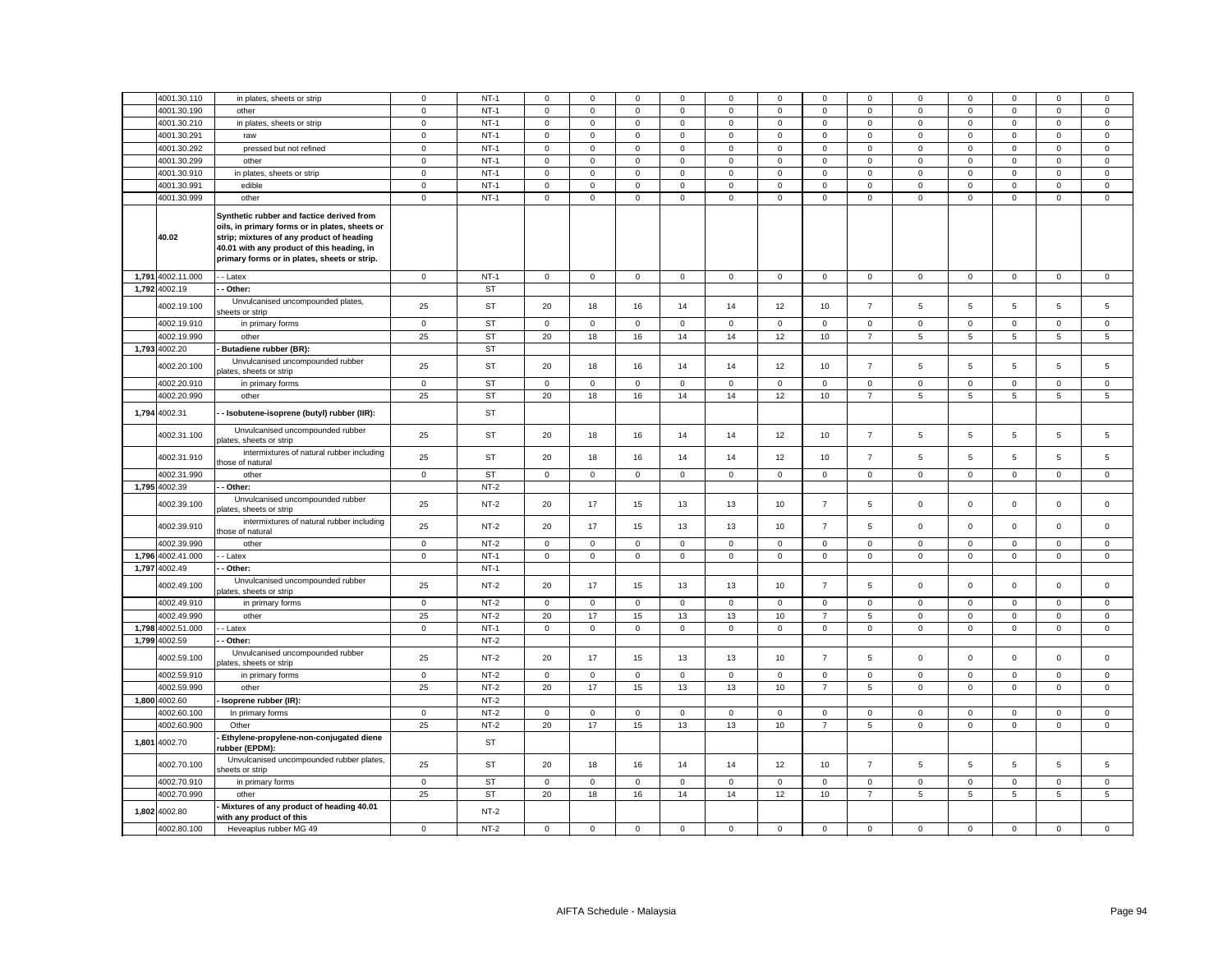|       | 4001.30.110                  | in plates, sheets or strip                                                                                                                                                                                                             | $\mathbf 0$ | $NT-1$              | 0            | $\Omega$     | $\mathbf 0$ | $\Omega$     | 0           | $^{\circ}$  | $^{\circ}$     | $\Omega$       | 0                   | 0           | $\Omega$            | 0                   | 0                   |
|-------|------------------------------|----------------------------------------------------------------------------------------------------------------------------------------------------------------------------------------------------------------------------------------|-------------|---------------------|--------------|--------------|-------------|--------------|-------------|-------------|----------------|----------------|---------------------|-------------|---------------------|---------------------|---------------------|
|       | 4001.30.190                  | other                                                                                                                                                                                                                                  | $\mathbf 0$ | $NT-1$              | $\mathbf 0$  | $\mathsf 0$  | $\mathsf 0$ | $\mathsf 0$  | $\mathsf 0$ | $\mathbf 0$ | $\mathsf 0$    | $\mathsf 0$    | $\mathsf 0$         | $\mathbf 0$ | $\mathsf 0$         | $\mathbf 0$         | $\mathsf 0$         |
|       | 4001.30.210                  | in plates, sheets or strip                                                                                                                                                                                                             | $\mathbf 0$ | $NT-1$              | $\mathbf 0$  | $\mathsf 0$  | $\mathsf 0$ | $\mathsf 0$  | $\mathbf 0$ | $\mathsf 0$ | $\mathbf 0$    | $\mathbf 0$    | $\mathsf 0$         | $\mathsf 0$ | $\mathsf 0$         | $\mathsf 0$         | $\mathsf 0$         |
|       | 4001.30.291                  | raw                                                                                                                                                                                                                                    | $\mathbf 0$ | $NT-1$              | $\mathbf 0$  | $\mathsf 0$  | $\mathsf 0$ | $\mathsf 0$  | $\mathsf 0$ | $\mathbf 0$ | $\mathsf 0$    | $\mathsf 0$    | $\mathsf 0$         | $\mathbf 0$ | $\mathsf 0$         | $\mathsf 0$         | $\mathsf 0$         |
|       | 4001.30.292                  | pressed but not refined                                                                                                                                                                                                                | $\mathbf 0$ | $NT-1$              | 0            | $\mathsf 0$  | $\mathsf 0$ | $\mathsf 0$  | $\mathbf 0$ | $\mathsf 0$ | $\mathbf 0$    | $\mathbf 0$    | $\mathbf 0$         | $\mathbf 0$ | $\mathsf 0$         | $\mathsf 0$         | $\mathsf 0$         |
|       | 4001.30.299                  | other                                                                                                                                                                                                                                  | $\mathbf 0$ | $NT-1$              | $\Omega$     | $\mathsf 0$  | $\mathsf 0$ | $\mathbf 0$  | $\mathsf 0$ | 0           | $\mathsf 0$    | $\mathsf 0$    | $\mathsf 0$         | $\mathbf 0$ | $\mathbf 0$         | $\mathbf 0$         | $\mathsf 0$         |
|       |                              |                                                                                                                                                                                                                                        |             | $NT-1$              |              |              | $\mathsf 0$ |              | $\mathsf 0$ | $\mathsf 0$ |                |                |                     |             |                     |                     | $\mathsf 0$         |
|       | 4001.30.910                  | in plates, sheets or strip                                                                                                                                                                                                             | $\mathbf 0$ |                     | $\mathbf 0$  | $\mathsf 0$  |             | $\mathbf 0$  |             |             | $\mathbf 0$    | $\mathbf 0$    | $\mathbf 0$         | $\mathsf 0$ | $\mathbf 0$         | $\mathbf 0$         |                     |
|       | 4001.30.991                  | edible                                                                                                                                                                                                                                 | $\mathsf 0$ | $NT-1$              | $\mathbf 0$  | $\mathsf 0$  | $\mathsf 0$ | $\mathbf 0$  | $\mathsf 0$ | $\mathbf 0$ | $\mathsf 0$    | $\mathbf 0$    | $\mathsf{o}\xspace$ | $\mathbf 0$ | $\mathsf 0$         | $\mathsf 0$         | $\mathsf 0$         |
|       | 4001.30.999                  | other                                                                                                                                                                                                                                  | $\mathbf 0$ | $NT-1$              | 0            | $\mathsf 0$  | $\mathsf 0$ | $\mathsf 0$  | $\mathbf 0$ | $\mathsf 0$ | $\mathbf 0$    | $\mathbf 0$    | $\mathbf 0$         | $\mathsf 0$ | $\mathbf 0$         | $\mathsf 0$         | $\mathsf 0$         |
|       | 40.02                        | Synthetic rubber and factice derived from<br>oils, in primary forms or in plates, sheets or<br>strip; mixtures of any product of heading<br>40.01 with any product of this heading, in<br>primary forms or in plates, sheets or strip. |             |                     |              |              |             |              |             |             |                |                |                     |             |                     |                     |                     |
|       | 1,791 4002.11.000            | - Latex                                                                                                                                                                                                                                | $\mathbf 0$ | $NT-1$              | $\mathbf 0$  | $\mathbf 0$  | $\mathsf 0$ | $\mathbf 0$  | $\mathbf 0$ | $\mathbf 0$ | $\mathbf 0$    | $\mathbf 0$    | $\mathbf 0$         | $\mathsf 0$ | $\mathsf{O}\xspace$ | $\mathbf 0$         | $\mathsf{O}\xspace$ |
|       | 1,792 4002.19                | - Other:                                                                                                                                                                                                                               |             | <b>ST</b>           |              |              |             |              |             |             |                |                |                     |             |                     |                     |                     |
|       | 4002.19.100                  | Unvulcanised uncompounded plates,<br>heets or strip                                                                                                                                                                                    | 25          | <b>ST</b>           | 20           | 18           | 16          | 14           | 14          | 12          | 10             | $\overline{7}$ | 5                   | 5           | 5                   | 5                   | 5                   |
|       | 4002.19.910                  | in primary forms                                                                                                                                                                                                                       | $\mathbf 0$ | <b>ST</b>           | $\mathbf 0$  | $\mathsf 0$  | $\mathsf 0$ | $\mathsf 0$  | $\mathbf 0$ | $\mathsf 0$ | $\mathbf 0$    | $\mathbf 0$    | $\mathbf 0$         | $\mathsf 0$ | $\mathsf 0$         | $\mathbf 0$         | $\mathsf 0$         |
|       | 4002.19.990                  | other                                                                                                                                                                                                                                  | 25          | <b>ST</b>           | 20           | 18           | 16          | 14           | 14          | 12          | 10             | $\overline{7}$ | 5                   | 5           | 5                   | 5                   | 5                   |
|       | 1,793 4002.20                | Butadiene rubber (BR):                                                                                                                                                                                                                 |             | <b>ST</b>           |              |              |             |              |             |             |                |                |                     |             |                     |                     |                     |
|       |                              | Unvulcanised uncompounded rubber                                                                                                                                                                                                       |             |                     |              |              |             |              |             |             |                |                |                     |             |                     |                     |                     |
|       | 4002.20.100                  | plates, sheets or strip                                                                                                                                                                                                                | 25          | <b>ST</b>           | 20           | 18           | 16          | 14           | 14          | 12          | 10             | $\overline{7}$ | 5                   | 5           | 5                   | 5                   | 5                   |
|       | 4002.20.910                  | in primary forms                                                                                                                                                                                                                       | $\mathbf 0$ | <b>ST</b>           | $\mathbf{0}$ | $\mathbf 0$  | $\mathbf 0$ | $\mathsf 0$  | $\mathbf 0$ | $\mathsf 0$ | $\mathbf 0$    | $\mathbf 0$    | $\mathbf 0$         | $\mathsf 0$ | $\mathbf 0$         | $\mathbf 0$         | $\mathsf 0$         |
|       | 4002.20.990                  | other                                                                                                                                                                                                                                  | 25          | <b>ST</b>           | 20           | 18           | 16          | 14           | 14          | 12          | 10             | $\overline{7}$ | 5                   | 5           | 5                   | 5                   | 5                   |
| 1,794 | 4002.31                      | - Isobutene-isoprene (butyl) rubber (IIR):                                                                                                                                                                                             |             | <b>ST</b>           |              |              |             |              |             |             |                |                |                     |             |                     |                     |                     |
|       | 4002.31.100                  | Unvulcanised uncompounded rubber<br>plates, sheets or strip                                                                                                                                                                            | 25          | ST                  | 20           | 18           | 16          | 14           | 14          | 12          | 10             | $\overline{7}$ | 5                   | $\,$ 5 $\,$ | 5                   | $\,$ 5 $\,$         | $\,$ 5 $\,$         |
|       | 4002.31.910                  | intermixtures of natural rubber including                                                                                                                                                                                              | 25          | <b>ST</b>           | 20           | 18           | 16          | 14           | 14          | 12          | 10             | $\overline{7}$ | $\sqrt{5}$          | 5           | 5                   | 5                   | $\sqrt{5}$          |
|       |                              | those of natural                                                                                                                                                                                                                       |             |                     |              |              |             |              |             |             |                |                |                     |             |                     |                     |                     |
|       | 4002.31.990                  | other                                                                                                                                                                                                                                  | $\mathbf 0$ | <b>ST</b>           | $\circ$      | $\mathbf 0$  | $\mathbf 0$ | $\mathbf{0}$ | $\mathsf 0$ | $\mathsf 0$ | $\mathsf 0$    | $\mathbf 0$    | $\mathsf 0$         | $\mathbf 0$ | $\mathsf 0$         | $\mathsf 0$         | $\mathsf 0$         |
|       | 1,795 4002.39                | Other:                                                                                                                                                                                                                                 |             | $NT-2$              |              |              |             |              |             |             |                |                |                     |             |                     |                     |                     |
|       | 4002.39.100                  | Unvulcanised uncompounded rubber<br>plates, sheets or strip                                                                                                                                                                            | 25          | $NT-2$              | 20           | 17           | 15          | 13           | 13          | 10          | $\overline{7}$ | 5              | $\mathbf 0$         | $\mathsf 0$ | $\mathsf 0$         | $\mathsf 0$         | $\mathsf 0$         |
|       | 4002.39.910                  | intermixtures of natural rubber including<br>those of natural                                                                                                                                                                          | 25          | $NT-2$              | 20           | 17           | 15          | 13           | 13          | 10          | $\overline{7}$ | 5              | $\mathbf 0$         | $\mathbf 0$ | $\mathbf 0$         | $\mathbf 0$         | $\mathsf 0$         |
|       | 4002.39.990                  | other                                                                                                                                                                                                                                  | $\mathbf 0$ | $NT-2$              | 0            | $\mathbf{0}$ | $\mathsf 0$ | $\mathbf 0$  | 0           | $\mathbf 0$ | $\mathbf{0}$   | $\mathbf{0}$   | $\mathsf 0$         | $\mathsf 0$ | $\mathbf 0$         | $\mathsf{O}\xspace$ | $\mathbf 0$         |
|       | 1,796 4002.41.000            | - Latex                                                                                                                                                                                                                                | $\mathbf 0$ | $NT-1$              | 0            | $\mathsf 0$  | $\mathbf 0$ | $\mathbf 0$  | $\mathsf 0$ | 0           | $\mathsf 0$    | $\mathsf 0$    | $\mathbf 0$         | 0           | $\mathsf 0$         | $\mathbf 0$         | $\mathsf 0$         |
|       | 1,797 4002.49                | Other:                                                                                                                                                                                                                                 |             | $NT-1$              |              |              |             |              |             |             |                |                |                     |             |                     |                     |                     |
|       | 4002.49.100                  | Unvulcanised uncompounded rubber<br>plates, sheets or strip                                                                                                                                                                            | 25          | $NT-2$              | 20           | 17           | 15          | 13           | 13          | 10          | $\overline{7}$ | 5              | $\mathsf 0$         | $\mathsf 0$ | $\mathsf 0$         | $\mathsf{O}\xspace$ | $\mathsf 0$         |
|       | 4002.49.910                  | in primary forms                                                                                                                                                                                                                       | $\mathbf 0$ | $NT-2$              | $\mathsf 0$  | $\mathbf 0$  | $\mathbf 0$ | $\mathsf 0$  | $\mathbf 0$ | $\mathsf 0$ | $\mathsf 0$    | $\mathbf 0$    | $\mathbf 0$         | $\mathsf 0$ | $\mathbf 0$         | $\mathsf 0$         | $\mathsf 0$         |
|       | 4002.49.990                  | other                                                                                                                                                                                                                                  | 25          | $NT-2$              | 20           | 17           | 15          | 13           | 13          | 10          | $\overline{7}$ | 5              | $\mathsf 0$         | $\pmb{0}$   | $\mathsf 0$         | $\mathbf 0$         | $\mathbf 0$         |
|       | 1,798 4002.51.000            | - Latex                                                                                                                                                                                                                                | $\mathbf 0$ | $NT-1$              | 0            | $\mathsf 0$  | $\mathsf 0$ | $\mathbf 0$  | $\mathbf 0$ | $\mathsf 0$ | $\mathbf 0$    | $\mathbf 0$    | $\mathsf 0$         | $\mathsf 0$ | $\mathsf 0$         | $\mathsf 0$         | $\mathsf 0$         |
|       | 1,799 4002.59                | Other:                                                                                                                                                                                                                                 |             | $NT-2$              |              |              |             |              |             |             |                |                |                     |             |                     |                     |                     |
|       | 4002.59.100                  | Unvulcanised uncompounded rubber                                                                                                                                                                                                       | 25          | $NT-2$              | 20           | 17           | 15          | 13           | 13          | 10          | $\overline{7}$ | 5              | $\mathbf 0$         | $\mathbf 0$ | $\mathbf 0$         | $\mathbf 0$         | $\mathbf 0$         |
|       | 4002.59.910                  | plates, sheets or strip<br>in primary forms                                                                                                                                                                                            | $\mathbf 0$ | $NT-2$              | $\mathsf 0$  | $\mathsf 0$  | $\mathbf 0$ | $\,0\,$      | $\mathsf 0$ | $\mathbf 0$ | $\mathsf 0$    | $\mathbf 0$    | $\mathbf 0$         | $\mathbf 0$ | $\mathbf 0$         | $\mathbf 0$         | $\mathbf 0$         |
|       | 4002.59.990                  | other                                                                                                                                                                                                                                  | 25          | $NT-2$              | 20           | 17           | 15          | 13           | 13          | 10          | $\overline{7}$ | 5              | $\mathsf 0$         | 0           | $\mathsf 0$         | 0                   | $\mathbf 0$         |
|       | 1,800 4002.60                | Isoprene rubber (IR):                                                                                                                                                                                                                  |             | $NT-2$              |              |              |             |              |             |             |                |                |                     |             |                     |                     |                     |
|       | 4002.60.100                  | In primary forms                                                                                                                                                                                                                       | $\mathbf 0$ | $NT-2$              | 0            | 0            | 0           | 0            | 0           | 0           | $\mathbf 0$    | 0              | $\mathbf 0$         | 0           | $^{\circ}$          | 0                   | $\mathsf 0$         |
|       | 4002.60.900                  | Other                                                                                                                                                                                                                                  | 25          | $NT-2$              | 20           | 17           | 15          | 13           | 13          | 10          | $\overline{7}$ | 5              | $\mathsf 0$         | $\mathbf 0$ | $\mathsf{O}\xspace$ | $\mathsf{O}\xspace$ | $\mathbf 0$         |
|       | 1,801 4002.70                | Ethylene-propylene-non-conjugated diene<br>rubber (EPDM):                                                                                                                                                                              |             | ST                  |              |              |             |              |             |             |                |                |                     |             |                     |                     |                     |
|       | 4002.70.100                  | Unvulcanised uncompounded rubber plates,<br>sheets or strip                                                                                                                                                                            | 25          | ST                  | 20           | 18           | 16          | 14           | 14          | 12          | 10             | $\overline{7}$ | 5                   | 5           | 5                   | 5                   | $\sqrt{5}$          |
|       |                              |                                                                                                                                                                                                                                        |             |                     |              |              |             |              |             |             |                |                |                     |             |                     |                     |                     |
|       | 4002.70.910                  | in primary forms                                                                                                                                                                                                                       | $\mathsf 0$ | <b>ST</b>           | $\mathbf 0$  | $\mathsf 0$  | $\mathsf 0$ | $\mathsf 0$  | $\mathbf 0$ | $\mathsf 0$ | $\mathbf 0$    | $\mathbf 0$    | $\mathbf 0$         | $\mathsf 0$ | $\mathbf 0$         | $\mathbf 0$         | $\mathsf 0$         |
|       | 4002.70.990<br>1,802 4002.80 | other<br>Mixtures of any product of heading 40.01                                                                                                                                                                                      | 25          | <b>ST</b><br>$NT-2$ | 20           | 18           | 16          | 14           | 14          | 12          | 10             | $\overline{7}$ | $5\phantom{.0}$     | 5           | 5                   | 5                   | 5                   |
|       |                              | with any product of this                                                                                                                                                                                                               |             |                     |              |              |             |              |             |             |                |                |                     |             |                     |                     |                     |
|       | 4002.80.100                  | Heveaplus rubber MG 49                                                                                                                                                                                                                 | $\mathbf 0$ | $NT-2$              | $\mathbf 0$  | $\mathsf 0$  | $\mathsf 0$ | $\mathsf 0$  | $\mathsf 0$ | $\mathsf 0$ | $\mathsf 0$    | $\mathsf 0$    | $\mathbf 0$         | $\mathsf 0$ | $\mathsf 0$         | $\mathsf 0$         | $\mathsf 0$         |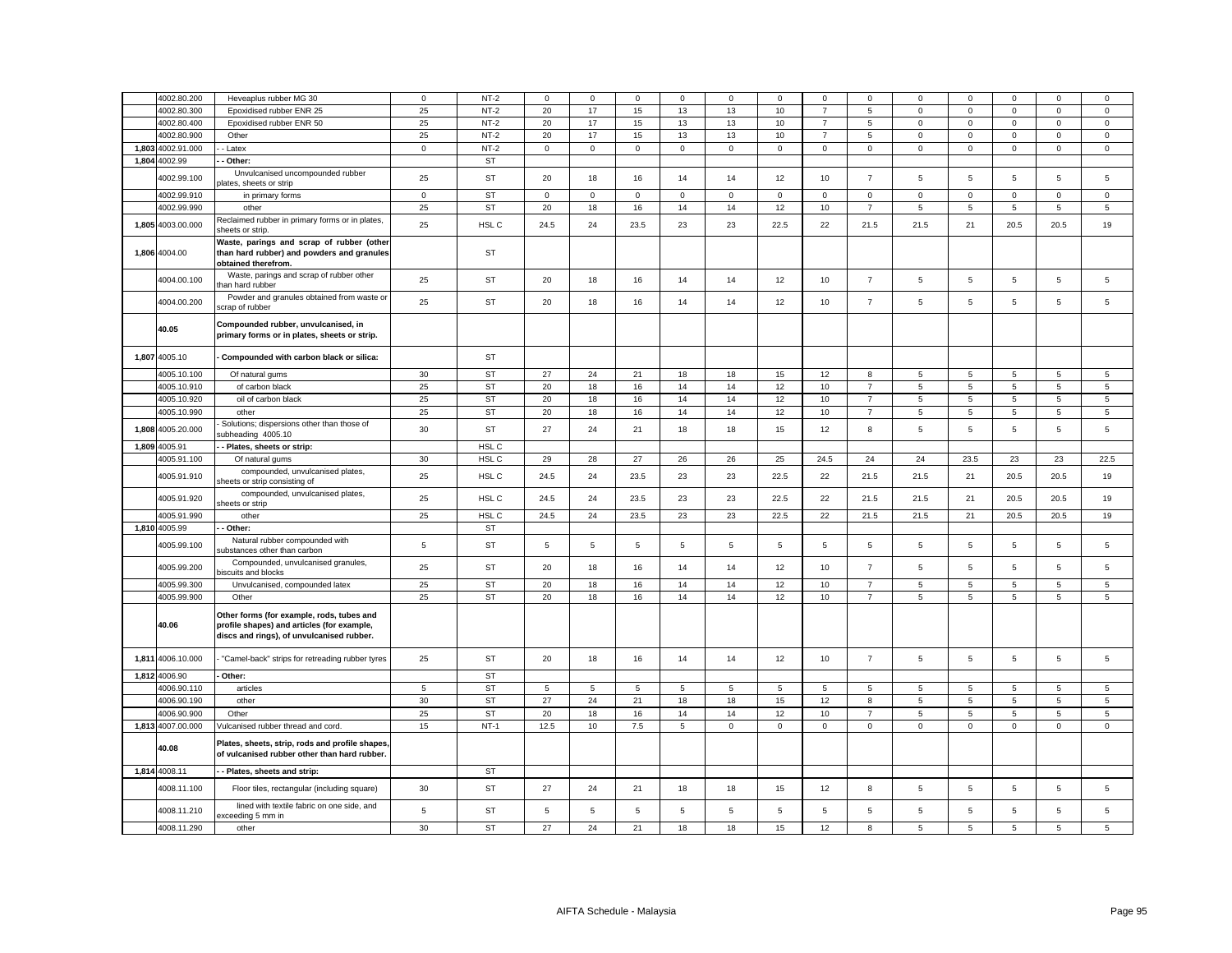| 4002.80.200       | Heveaplus rubber MG 30                                                                                                               | $\mathsf 0$ | $NT-2$    | $\Omega$     | $\Omega$            | $\mathsf 0$ | $\Omega$    | $\mathsf 0$ | $^{\circ}$  | $\Omega$       | $\Omega$            | $\Omega$       | $\Omega$       | $\Omega$    | $\Omega$    | $^{\circ}$  |
|-------------------|--------------------------------------------------------------------------------------------------------------------------------------|-------------|-----------|--------------|---------------------|-------------|-------------|-------------|-------------|----------------|---------------------|----------------|----------------|-------------|-------------|-------------|
| 4002.80.300       | Epoxidised rubber ENR 25                                                                                                             | 25          | $NT-2$    | 20           | 17                  | 15          | 13          | 13          | 10          | $\overline{7}$ | $\overline{5}$      | $\mathsf 0$    | $\mathsf 0$    | $\mathsf 0$ | $\mathsf 0$ | $\mathsf 0$ |
| 4002.80.400       | Epoxidised rubber ENR 50                                                                                                             | 25          | $NT-2$    | 20           | 17                  | 15          | 13          | 13          | 10          | $\overline{7}$ | 5                   | $\mathsf 0$    | $\mathsf 0$    | $\mathbf 0$ | $\mathsf 0$ | $\mathsf 0$ |
| 4002.80.900       | Other                                                                                                                                | 25          | $NT-2$    | 20           | 17                  | 15          | 13          | 13          | 10          | $\overline{7}$ | 5                   | $\mathsf 0$    | $\mathsf 0$    | $\mathsf 0$ | $\mathsf 0$ | $\mathsf 0$ |
| 1,803 4002.91.000 | - Latex                                                                                                                              | $\mathbf 0$ | $NT-2$    | 0            | $\mathbf 0$         | $\mathsf 0$ | $\mathsf 0$ | $\mathbf 0$ | $\mathsf 0$ | $\mathsf{O}$   | $\mathbf 0$         | $\mathbf 0$    | $\mathsf 0$    | $\mathsf 0$ | $\mathsf 0$ | $\mathsf 0$ |
| 1,804 4002.99     | Other:                                                                                                                               |             | <b>ST</b> |              |                     |             |             |             |             |                |                     |                |                |             |             |             |
|                   | Unvulcanised uncompounded rubber                                                                                                     |             |           |              |                     |             |             |             |             |                |                     |                |                |             |             |             |
| 4002.99.100       | olates, sheets or strip                                                                                                              | 25          | ST        | 20           | 18                  | 16          | 14          | 14          | 12          | 10             | $\overline{7}$      | 5              | $\,$ 5 $\,$    | 5           | $\mathbf 5$ | 5           |
| 4002.99.910       | in primary forms                                                                                                                     | $\mathbf 0$ | <b>ST</b> | $\mathsf{O}$ | $\mathsf{O}\xspace$ | $\mathsf 0$ | $\mathsf 0$ | $\mathsf 0$ | $\mathbf 0$ | $\mathsf 0$    | $\mathbf 0$         | $\mathsf 0$    | $\mathsf 0$    | $\mathbf 0$ | $\mathsf 0$ | $\mathbf 0$ |
| 4002.99.990       | other                                                                                                                                | 25          | <b>ST</b> | 20           | 18                  | 16          | 14          | 14          | 12          | 10             | $\overline{7}$      | 5              | 5              | $\,$ 5 $\,$ | 5           | 5           |
|                   | Reclaimed rubber in primary forms or in plates,                                                                                      |             |           |              |                     |             |             |             |             |                |                     |                |                |             |             |             |
| 1,805 4003.00.000 | sheets or strip.                                                                                                                     | 25          | HSL C     | 24.5         | 24                  | 23.5        | 23          | 23          | 22.5        | 22             | 21.5                | 21.5           | 21             | 20.5        | 20.5        | 19          |
| 1,806 4004.00     | Waste, parings and scrap of rubber (other<br>than hard rubber) and powders and granules                                              |             | ST        |              |                     |             |             |             |             |                |                     |                |                |             |             |             |
|                   | obtained therefrom.                                                                                                                  |             |           |              |                     |             |             |             |             |                |                     |                |                |             |             |             |
| 4004.00.100       | Waste, parings and scrap of rubber other                                                                                             | 25          | ST        | 20           | 18                  | 16          | 14          | 14          | 12          | 10             | $\overline{7}$      | $\overline{5}$ | 5              | 5           | 5           | 5           |
|                   | han hard rubber<br>Powder and granules obtained from waste or                                                                        |             | <b>ST</b> | 20           | 18                  | 16          |             |             | 12          | 10             | $\overline{7}$      | 5              | 5              | 5           |             | 5           |
| 4004.00.200       | scrap of rubber                                                                                                                      | 25          |           |              |                     |             | 14          | 14          |             |                |                     |                |                |             | 5           |             |
| 40.05             | Compounded rubber, unvulcanised, in<br>primary forms or in plates, sheets or strip.                                                  |             |           |              |                     |             |             |             |             |                |                     |                |                |             |             |             |
| 1,807 4005.10     | Compounded with carbon black or silica:                                                                                              |             | ST        |              |                     |             |             |             |             |                |                     |                |                |             |             |             |
| 4005.10.100       | Of natural gums                                                                                                                      | 30          | ST        | 27           | 24                  | 21          | 18          | 18          | 15          | 12             | 8                   | 5              | 5              | 5           | 5           | 5           |
| 4005.10.910       | of carbon black                                                                                                                      | 25          | <b>ST</b> | 20           | 18                  | 16          | 14          | 14          | 12          | 10             | $\overline{7}$      | 5              | 5              | 5           | 5           | 5           |
| 4005.10.920       | oil of carbon black                                                                                                                  | 25          | <b>ST</b> | 20           | 18                  | 16          | 14          | 14          | 12          | 10             | $\overline{7}$      | 5              | 5              | 5           | 5           | 5           |
| 4005.10.990       | other                                                                                                                                | 25          | <b>ST</b> | 20           | 18                  | 16          | 14          | 14          | 12          | 10             | $\overline{7}$      | 5              | $\,$ 5 $\,$    | 5           | 5           | 5           |
| 1,808 4005.20.000 | Solutions; dispersions other than those of<br>subheading 4005.10                                                                     | 30          | ST        | 27           | 24                  | 21          | 18          | 18          | 15          | 12             | 8                   | 5              | $\,$ 5 $\,$    | 5           | $\mathbf 5$ | 5           |
| 1,809 4005.91     | Plates, sheets or strip:                                                                                                             |             | HSL C     |              |                     |             |             |             |             |                |                     |                |                |             |             |             |
| 4005.91.100       | Of natural gums                                                                                                                      | 30          | HSL C     | 29           | 28                  | 27          | 26          | 26          | 25          | 24.5           | 24                  | 24             | 23.5           | 23          | 23          | 22.5        |
| 4005.91.910       | compounded, unvulcanised plates,<br>sheets or strip consisting of                                                                    | 25          | HSL C     | 24.5         | 24                  | 23.5        | 23          | 23          | 22.5        | 22             | 21.5                | 21.5           | 21             | 20.5        | 20.5        | 19          |
| 4005.91.920       | compounded, unvulcanised plates,<br>sheets or strip                                                                                  | 25          | HSL C     | 24.5         | 24                  | 23.5        | 23          | 23          | 22.5        | 22             | 21.5                | 21.5           | 21             | 20.5        | 20.5        | 19          |
| 4005.91.990       | other                                                                                                                                | 25          | HSL C     | 24.5         | 24                  | 23.5        | 23          | 23          | 22.5        | 22             | 21.5                | 21.5           | 21             | 20.5        | 20.5        | 19          |
| 1,810 4005.99     | - Other:                                                                                                                             |             | ST        |              |                     |             |             |             |             |                |                     |                |                |             |             |             |
| 4005.99.100       | Natural rubber compounded with<br>substances other than carbon                                                                       | 5           | ST        | 5            | 5                   | $\,$ 5 $\,$ | 5           | 5           | 5           | 5              | $\sqrt{5}$          | 5              | 5              | 5           | 5           | $\sqrt{5}$  |
| 4005.99.200       | Compounded, unvulcanised granules,<br>iscuits and blocks                                                                             | 25          | <b>ST</b> | 20           | 18                  | 16          | 14          | 14          | 12          | 10             | $\overline{7}$      | 5              | 5              | 5           | 5           | 5           |
| 4005.99.300       | Unvulcanised, compounded latex                                                                                                       | 25          | ST        | 20           | 18                  | 16          | 14          | 14          | 12          | 10             | $\overline{7}$      | 5              | 5              | 5           | 5           | 5           |
| 4005.99.900       | Other                                                                                                                                | 25          | <b>ST</b> | 20           | 18                  | 16          | 14          | 14          | 12          | 10             | $\overline{7}$      | 5              | 5              | 5           | 5           | 5           |
| 40.06             | Other forms (for example, rods, tubes and<br>profile shapes) and articles (for example,<br>discs and rings), of unvulcanised rubber. |             |           |              |                     |             |             |             |             |                |                     |                |                |             |             |             |
| 1,811 4006.10.000 | "Camel-back" strips for retreading rubber tyres                                                                                      | 25          | ST        | 20           | 18                  | 16          | 14          | 14          | 12          | 10             | $\overline{7}$      | 5              | $\,$ 5 $\,$    | 5           | $\mathbf 5$ | 5           |
| 1,812 4006.90     | Other:                                                                                                                               |             | <b>ST</b> |              |                     |             |             |             |             |                |                     |                |                |             |             |             |
| 4006.90.110       | articles                                                                                                                             | 5           | <b>ST</b> | 5            | 5                   | 5           |             | 5           | 5           | 5              | 5                   | 5              | 5              | 5           | 5           |             |
| 4006.90.190       |                                                                                                                                      | 30          | <b>ST</b> | 27           | 24                  | 21          | 5<br>18     |             | 15          |                |                     | 5              | $\overline{5}$ |             | $\mathbf 5$ | 5           |
|                   | other                                                                                                                                |             |           |              |                     |             |             | 18          |             | 12             | 8<br>$\overline{7}$ |                |                | 5           |             | 5           |
| 4006.90.900       | Other                                                                                                                                | 25          | <b>ST</b> | 20           | 18                  | 16          | 14          | 14          | 12          | 10             |                     | 5              | 5              | 5           | 5           | 5           |
| 1,813 4007.00.000 | Vulcanised rubber thread and cord.                                                                                                   | 15          | $NT-1$    | 12.5         | 10                  | 7.5         | 5           | $\mathsf 0$ | $\mathbf 0$ | $\mathbf 0$    | $\mathsf 0$         | $\mathbf 0$    | $\mathsf 0$    | $\mathbf 0$ | $\mathsf 0$ | $\mathsf 0$ |
| 40.08             | Plates, sheets, strip, rods and profile shapes,<br>of vulcanised rubber other than hard rubber.                                      |             |           |              |                     |             |             |             |             |                |                     |                |                |             |             |             |
| 1,814 4008.11     | - Plates, sheets and strip:                                                                                                          |             | ST        |              |                     |             |             |             |             |                |                     |                |                |             |             |             |
| 4008.11.100       | Floor tiles, rectangular (including square)                                                                                          | 30          | ST        | 27           | 24                  | 21          | 18          | 18          | 15          | 12             | 8                   | 5              | $\,$ 5 $\,$    | 5           | $\mathbf 5$ | 5           |
| 4008.11.210       | lined with textile fabric on one side, and<br>exceeding 5 mm in                                                                      | 5           | ST        | 5            | 5                   | $\mathbf 5$ | 5           | 5           | 5           | 5              | 5                   | 5              | 5              | 5           | $\mathbf 5$ | 5           |
| 4008.11.290       | other                                                                                                                                | 30          | <b>ST</b> | 27           | 24                  | 21          | 18          | 18          | 15          | 12             | 8                   | 5              | 5              | 5           | 5           | 5           |
|                   |                                                                                                                                      |             |           |              |                     |             |             |             |             |                |                     |                |                |             |             |             |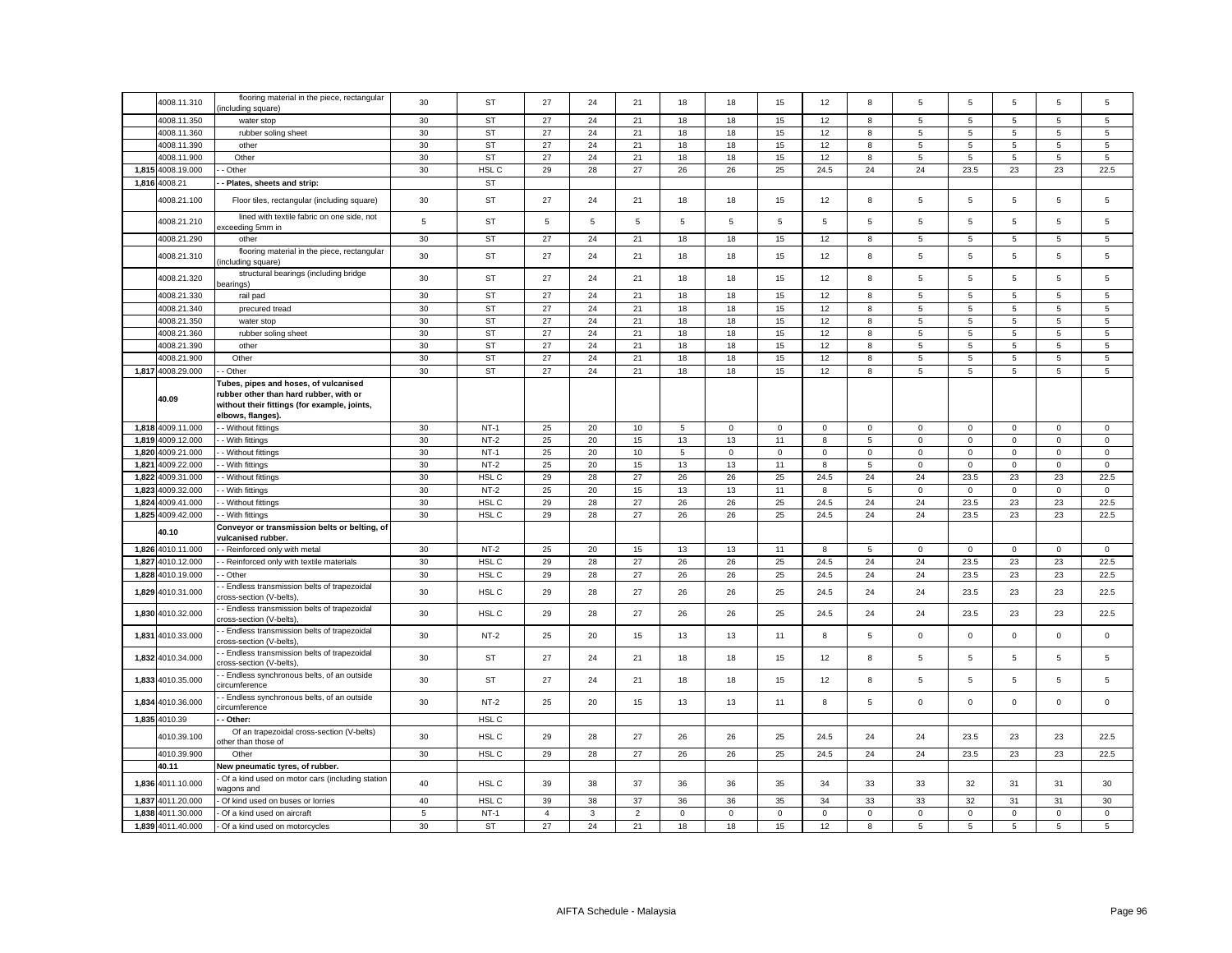|       | 4008.11.310       | flooring material in the piece, rectangular<br>including square)                                                                                     | 30          | ST               | 27             | 24           | 21             | 18          | 18          | 15          | 12              | 8            | 5              | 5               | 5              | 5              | 5              |
|-------|-------------------|------------------------------------------------------------------------------------------------------------------------------------------------------|-------------|------------------|----------------|--------------|----------------|-------------|-------------|-------------|-----------------|--------------|----------------|-----------------|----------------|----------------|----------------|
|       | 4008.11.350       | water stop                                                                                                                                           | 30          | <b>ST</b>        | 27             | 24           | 21             | 18          | 18          | 15          | 12              | 8            | 5              | $\sqrt{5}$      | 5              | $\overline{5}$ | 5              |
|       | 4008.11.360       | rubber soling sheet                                                                                                                                  | 30          | <b>ST</b>        | 27             | 24           | 21             | 18          | 18          | 15          | 12              | 8            | 5              | 5               | 5              | 5              | 5              |
|       | 4008.11.390       | other                                                                                                                                                | 30          | <b>ST</b>        | 27             | 24           | 21             | 18          | 18          | 15          | 12              | 8            | $\overline{5}$ | 5               | 5              | 5              | 5              |
|       | 4008.11.900       | Other                                                                                                                                                | 30          | <b>ST</b>        | 27             | 24           | 21             | 18          | 18          | 15          | 12              | 8            | 5              | $\overline{5}$  | 5              | 5              | 5              |
|       | 1,815 4008.19.000 | Other                                                                                                                                                | 30          | HSL C            | 29             | 28           | 27             | 26          | 26          | 25          | 24.5            | 24           | 24             | 23.5            | 23             | 23             | 22.5           |
|       | 1,816 4008.21     | Plates, sheets and strip:                                                                                                                            |             | <b>ST</b>        |                |              |                |             |             |             |                 |              |                |                 |                |                |                |
|       | 4008.21.100       | Floor tiles, rectangular (including square)                                                                                                          | 30          | ST               | 27             | 24           | 21             | 18          | 18          | 15          | 12              | 8            | 5              | 5               | 5              | 5              | 5              |
|       | 4008.21.210       | lined with textile fabric on one side, not<br>xceeding 5mm in                                                                                        | $\sqrt{5}$  | ST               | 5              | 5            | 5              | 5           | 5           | $\sqrt{5}$  | $5\phantom{.0}$ | 5            | 5              | $\sqrt{5}$      | 5              | $\overline{5}$ | 5              |
|       | 4008.21.290       | other                                                                                                                                                | 30          | <b>ST</b>        | 27             | 24           | 21             | 18          | 18          | 15          | 12              | 8            | 5              | 5               | 5              | 5              | 5              |
|       | 4008.21.310       | flooring material in the piece, rectangular<br>including square)                                                                                     | 30          | ST               | 27             | 24           | 21             | 18          | 18          | 15          | 12              | 8            | 5              | 5               | 5              | 5              | 5              |
|       | 4008.21.320       | structural bearings (including bridge<br>pearings)                                                                                                   | 30          | ST               | 27             | 24           | 21             | 18          | 18          | 15          | 12              | 8            | 5              | 5               | 5              | 5              | 5              |
|       | 4008.21.330       | rail pad                                                                                                                                             | 30          | <b>ST</b>        | 27             | 24           | 21             | 18          | 18          | 15          | 12              | 8            | 5              | 5               | 5              | 5              | 5              |
|       | 4008.21.340       | precured tread                                                                                                                                       | 30          | <b>ST</b>        | 27             | 24           | 21             | 18          | 18          | 15          | 12              | 8            | 5              | $\overline{5}$  | 5              | 5              | $\overline{5}$ |
|       | 4008.21.350       | water stop                                                                                                                                           | 30          | <b>ST</b>        | 27             | 24           | 21             | 18          | 18          | 15          | 12              | 8            | 5              | 5               | 5              | 5              | 5              |
|       | 4008.21.360       | rubber soling sheet                                                                                                                                  | 30          | <b>ST</b>        | 27             | 24           | 21             | 18          | 18          | 15          | 12              | 8            | 5              | $\overline{5}$  | 5              | 5              | 5              |
|       | 4008.21.390       | other                                                                                                                                                | 30          | <b>ST</b>        | 27             | 24           | 21             | 18          | 18          | 15          | 12              | 8            | 5              | 5               | 5              | 5              | 5              |
|       | 4008.21.900       | Other                                                                                                                                                | 30          | <b>ST</b>        | 27             | 24           | 21             | 18          | 18          | 15          | 12              | 8            | 5              | $\,$ 5 $\,$     | $\overline{5}$ | 5              | 5              |
|       | 1,817 4008.29.000 | - Other                                                                                                                                              | 30          | <b>ST</b>        | 27             | 24           | 21             | 18          | 18          | 15          | 12              | 8            | 5              | $5\phantom{.0}$ | 5              | $\overline{5}$ | 5              |
|       | 40.09             | Tubes, pipes and hoses, of vulcanised<br>rubber other than hard rubber, with or<br>without their fittings (for example, joints,<br>elbows, flanges). |             |                  |                |              |                |             |             |             |                 |              |                |                 |                |                |                |
|       | 1,818 4009.11.000 | - Without fittings                                                                                                                                   | 30          | $NT-1$           | 25             | 20           | 10             | 5           | $\mathbf 0$ | $\mathbf 0$ | $\mathbf 0$     | $\mathbf{0}$ | 0              | $\mathbf 0$     | $\mathbf 0$    | $\mathbf 0$    | 0              |
| 1,819 | 4009.12.000       | - With fittings                                                                                                                                      | 30          | $NT-2$           | 25             | 20           | 15             | 13          | 13          | 11          | 8               | 5            | $\mathsf 0$    | $\mathbf 0$     | $\mathsf 0$    | $\mathsf 0$    | $\mathsf 0$    |
| 1,820 | 4009.21.000       | - Without fittings                                                                                                                                   | 30          | $NT-1$           | 25             | 20           | 10             | 5           | $\mathbf 0$ | $\mathsf 0$ | $\mathbf 0$     | $\mathsf 0$  | $\mathbf 0$    | $\mathbf 0$     | $\mathsf 0$    | $\mathsf 0$    | $\mathbf 0$    |
| 1.821 | 4009.22.000       | - With fittings                                                                                                                                      | 30          | $NT-2$           | 25             | 20           | 15             | 13          | 13          | 11          | 8               | 5            | 0              | $\mathbf 0$     | $\mathbf 0$    | $\mathbf 0$    | 0              |
| 1,822 | 4009.31.000       | - Without fittings                                                                                                                                   | 30          | HSL C            | 29             | 28           | 27             | 26          | 26          | 25          | 24.5            | 24           | 24             | 23.5            | 23             | 23             | 22.5           |
| 1,823 | 4009.32.000       | - With fittings                                                                                                                                      | 30          | $NT-2$           | 25             | 20           | 15             | 13          | 13          | 11          | 8               | 5            | $\mathsf 0$    | $\mathbf 0$     | $\mathsf 0$    | $\mathbf 0$    | $\mathbf 0$    |
| 1,824 | 4009.41.000       | - Without fittings                                                                                                                                   | 30          | HSL C            | 29             | 28           | 27             | 26          | 26          | 25          | 24.5            | 24           | 24             | 23.5            | 23             | 23             | 22.5           |
|       | 1,825 4009.42.000 | - With fittings                                                                                                                                      | 30          | HSL C            | 29             | 28           | 27             | 26          | 26          | 25          | 24.5            | 24           | 24             | 23.5            | 23             | 23             | 22.5           |
|       |                   | Conveyor or transmission belts or belting, of                                                                                                        |             |                  |                |              |                |             |             |             |                 |              |                |                 |                |                |                |
|       | 40.10             | ulcanised rubber                                                                                                                                     |             |                  |                |              |                |             |             |             |                 |              |                |                 |                |                |                |
| 1,826 | 4010.11.000       | - Reinforced only with metal                                                                                                                         | 30          | $NT-2$           | 25             | 20           | 15             | 13          | 13          | 11          | 8               | 5            | 0              | $\mathbf 0$     | $\mathbf 0$    | $\mathbf 0$    | $\mathbf 0$    |
| 1,827 | 4010.12.000       | - Reinforced only with textile materials                                                                                                             | 30          | HSL C            | 29             | 28           | 27             | 26          | 26          | 25          | 24.5            | 24           | 24             | 23.5            | 23             | 23             | 22.5           |
| 1,828 | 4010.19.000       | - Other                                                                                                                                              | 30          | HSL C            | 29             | 28           | 27             | 26          | 26          | 25          | 24.5            | 24           | 24             | 23.5            | 23             | 23             | 22.5           |
| 1,829 | 4010.31.000       | - Endless transmission belts of trapezoidal<br>cross-section (V-belts),                                                                              | 30          | HSL C            | 29             | 28           | 27             | 26          | 26          | 25          | 24.5            | 24           | 24             | 23.5            | 23             | 23             | 22.5           |
|       | 1,830 4010.32.000 | - Endless transmission belts of trapezoidal<br>cross-section (V-belts)                                                                               | 30          | HSL C            | 29             | 28           | 27             | 26          | 26          | 25          | 24.5            | 24           | 24             | 23.5            | 23             | 23             | 22.5           |
| 1,831 | 4010.33.000       | - Endless transmission belts of trapezoidal<br>cross-section (V-belts),                                                                              | 30          | $NT-2$           | 25             | 20           | 15             | 13          | 13          | 11          | 8               | 5            | $\mathbf 0$    | $\mathbf 0$     | $\mathbf{0}$   | $\mathsf 0$    | $\mathbf 0$    |
|       | 1,832 4010.34.000 | - Endless transmission belts of trapezoidal<br>:ross-section (V-belts),                                                                              | 30          | ST               | 27             | 24           | 21             | 18          | 18          | 15          | 12              | 8            | 5              | $\sqrt{5}$      | 5              | $\overline{5}$ | 5              |
| 1,833 | 4010.35.000       | - Endless synchronous belts, of an outside<br>:ircumference                                                                                          | 30          | ST               | 27             | 24           | 21             | 18          | 18          | 15          | 12              | 8            | 5              | 5               | 5              | 5              | 5              |
| 1,834 | 4010.36.000       | - Endless synchronous belts, of an outside<br>ircumference                                                                                           | 30          | $NT-2$           | 25             | 20           | 15             | 13          | 13          | 11          | 8               | 5            | $\mathbf 0$    | $\mathbf 0$     | $\mathbf{0}$   | $\mathbf 0$    | $\mathbf 0$    |
|       | 1,835 4010.39     | - Other:                                                                                                                                             |             | HSL <sub>C</sub> |                |              |                |             |             |             |                 |              |                |                 |                |                |                |
|       | 4010.39.100       | Of an trapezoidal cross-section (V-belts)<br>other than those of                                                                                     | 30          | HSL C            | 29             | 28           | 27             | 26          | 26          | 25          | 24.5            | 24           | 24             | 23.5            | 23             | 23             | 22.5           |
|       | 4010.39.900       | Other                                                                                                                                                | 30          | HSL C            | 29             | 28           | 27             | 26          | 26          | 25          | 24.5            | 24           | 24             | 23.5            | 23             | 23             | 22.5           |
|       | 40.11             | New pneumatic tyres, of rubber                                                                                                                       |             |                  |                |              |                |             |             |             |                 |              |                |                 |                |                |                |
|       | 1,836 4011.10.000 | Of a kind used on motor cars (including station<br>wagons and                                                                                        | 40          | HSL C            | 39             | 38           | 37             | 36          | 36          | 35          | 34              | 33           | 33             | 32              | 31             | 31             | 30             |
| 1,837 | 4011.20.000       | Of kind used on buses or lorries                                                                                                                     | 40          | HSL C            | 39             | 38           | 37             | 36          | 36          | 35          | 34              | 33           | 33             | 32              | 31             | 31             | 30             |
| 1,838 | 4011.30.000       | Of a kind used on aircraft                                                                                                                           | $\,$ 5 $\,$ | $NT-1$           | $\overline{4}$ | $\mathbf{3}$ | $\overline{c}$ | $\mathbf 0$ | $\mathbf 0$ | $\mathbf 0$ | $\mathsf 0$     | $\mathbf 0$  | $\mathsf 0$    | $\pmb{0}$       | $\mathbf 0$    | $\mathbf 0$    | $\mathbf 0$    |
|       | 1,839 4011.40.000 | Of a kind used on motorcycles                                                                                                                        | 30          | ST               | 27             | 24           | 21             | 18          | 18          | 15          | 12              | 8            | 5              | 5               | 5              | 5              | 5              |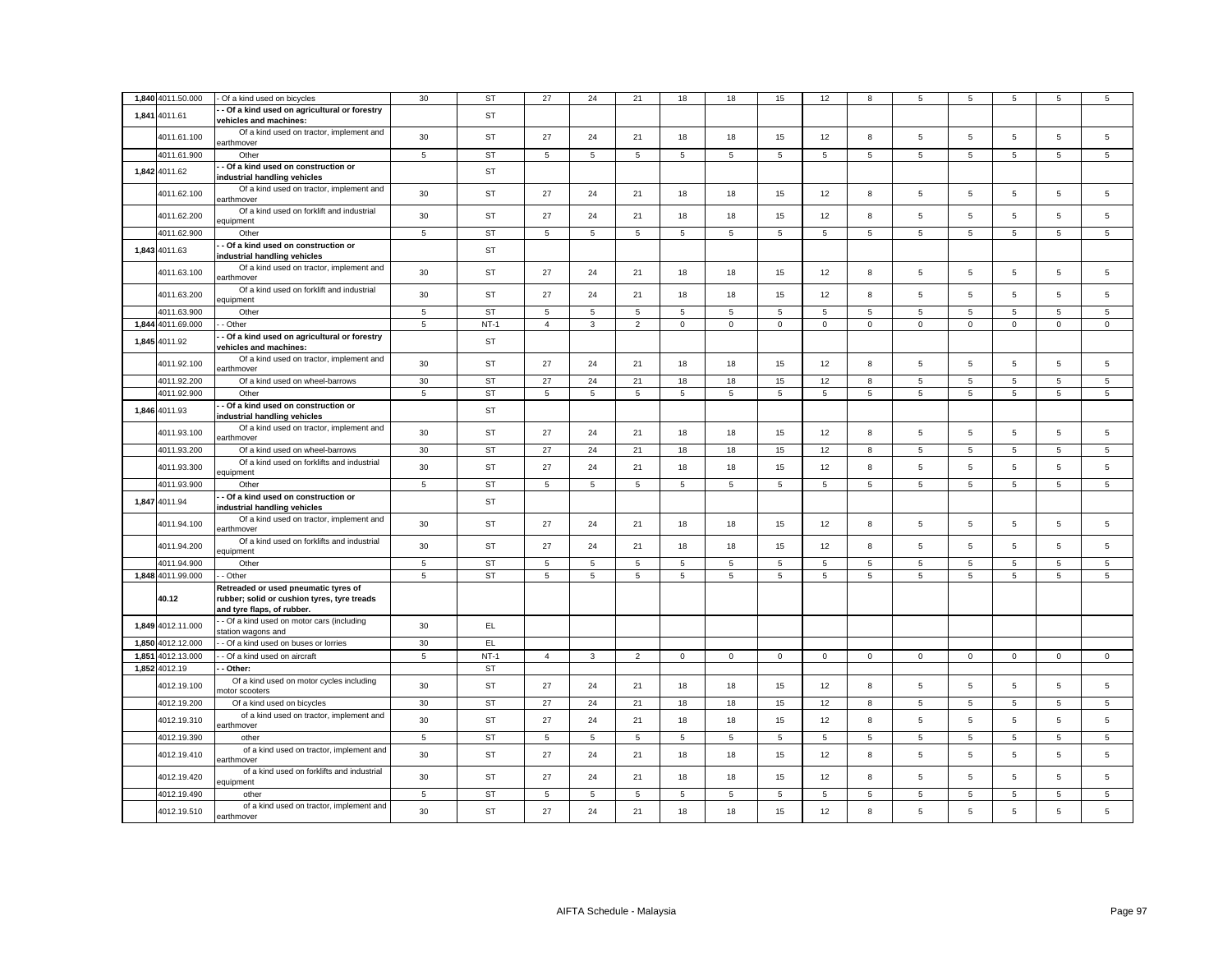|       | 1,840 4011.50.000 | Of a kind used on bicycles                                                                                        | 30          | <b>ST</b> | 27             | 24             | 21             | 18             | 18          | 15             | 12             | 8              | 5               | 5              | 5           | 5              | 5              |
|-------|-------------------|-------------------------------------------------------------------------------------------------------------------|-------------|-----------|----------------|----------------|----------------|----------------|-------------|----------------|----------------|----------------|-----------------|----------------|-------------|----------------|----------------|
|       | 1,841 4011.61     | - Of a kind used on agricultural or forestry                                                                      |             | <b>ST</b> |                |                |                |                |             |                |                |                |                 |                |             |                |                |
|       |                   | vehicles and machines:<br>Of a kind used on tractor, implement and                                                |             |           |                |                |                |                |             |                |                |                |                 |                |             |                |                |
|       | 4011.61.100       | earthmover                                                                                                        | 30          | ST        | 27             | 24             | 21             | 18             | 18          | 15             | 12             | 8              | 5               | 5              | 5           | 5              | 5              |
|       | 4011.61.900       | Other                                                                                                             | $\,$ 5 $\,$ | ST        | $\,$ 5 $\,$    | $\overline{5}$ | $\,$ 5 $\,$    | $\,$ 5 $\,$    | 5           | $\,$ 5 $\,$    | $\overline{5}$ | $\overline{5}$ | $5\phantom{.0}$ | 5              | 5           | 5              | $\,$ 5 $\,$    |
|       | 1,842 4011.62     | - Of a kind used on construction or<br>industrial handling vehicles                                               |             | <b>ST</b> |                |                |                |                |             |                |                |                |                 |                |             |                |                |
|       | 4011.62.100       | Of a kind used on tractor, implement and<br>earthmover                                                            | 30          | ST        | 27             | 24             | 21             | 18             | 18          | 15             | 12             | 8              | 5               | 5              | 5           | 5              | $\mathbf 5$    |
|       | 4011.62.200       | Of a kind used on forklift and industrial<br>equipment                                                            | 30          | <b>ST</b> | 27             | 24             | 21             | 18             | 18          | 15             | 12             | 8              | 5               | 5              | 5           | 5              | 5              |
|       | 4011.62.900       | Other                                                                                                             | $\,$ 5 $\,$ | ST        | 5              | 5              | $\,$ 5 $\,$    | $\overline{5}$ | 5           | 5              | 5              | $\overline{5}$ | $5\phantom{.0}$ | 5              | 5           | $\,$ 5 $\,$    | $\,$ 5 $\,$    |
|       | 1,843 4011.63     | - Of a kind used on construction or<br>industrial handling vehicles                                               |             | ST        |                |                |                |                |             |                |                |                |                 |                |             |                |                |
|       | 4011.63.100       | Of a kind used on tractor, implement and<br>earthmover                                                            | 30          | ST        | 27             | 24             | 21             | 18             | 18          | 15             | 12             | 8              | 5               | 5              | 5           | 5              | $\mathbf 5$    |
|       | 4011.63.200       | Of a kind used on forklift and industrial<br>equipment                                                            | 30          | ST        | 27             | 24             | 21             | 18             | 18          | 15             | 12             | 8              | 5               | 5              | 5           | 5              | 5              |
|       | 4011.63.900       | Other                                                                                                             | $\,$ 5 $\,$ | <b>ST</b> | 5              | 5              | 5              | 5              | 5           | $\overline{5}$ | 5              | 5              | $\overline{5}$  | $\overline{5}$ | 5           | 5              | 5              |
|       | 1,844 4011.69.000 | - Other                                                                                                           | 5           | $NT-1$    | $\overline{4}$ | $\mathbf{3}$   | $\overline{2}$ | $\mathbf 0$    | $\mathsf 0$ | $\mathsf 0$    | $\mathbf 0$    | $\mathsf 0$    | $\mathbf 0$     | $\mathsf 0$    | $\mathsf 0$ | $\mathsf 0$    | $\mathsf 0$    |
|       | 1,845 4011.92     | - Of a kind used on agricultural or forestry<br>vehicles and machines:                                            |             | <b>ST</b> |                |                |                |                |             |                |                |                |                 |                |             |                |                |
|       | 4011.92.100       | Of a kind used on tractor, implement and<br>earthmover                                                            | 30          | <b>ST</b> | 27             | 24             | 21             | 18             | 18          | 15             | 12             | 8              | 5               | $\overline{5}$ | 5           | 5              | 5              |
|       | 4011.92.200       | Of a kind used on wheel-barrows                                                                                   | 30          | <b>ST</b> | 27             | 24             | 21             | 18             | 18          | 15             | 12             | 8              | $\overline{5}$  | 5              | 5           | 5              | $\mathbf 5$    |
|       | 4011.92.900       | Other                                                                                                             | 5           | <b>ST</b> | 5              | 5              | 5              | 5              | 5           | 5              | 5              | 5              | $5\overline{5}$ | 5              | 5           | 5              | 5              |
|       | 1,846 4011.93     | - Of a kind used on construction or<br>industrial handling vehicles                                               |             | <b>ST</b> |                |                |                |                |             |                |                |                |                 |                |             |                |                |
|       | 4011.93.100       | Of a kind used on tractor, implement and<br>earthmover                                                            | 30          | <b>ST</b> | 27             | 24             | 21             | 18             | 18          | 15             | 12             | 8              | 5               | 5              | 5           | 5              | $\mathbf 5$    |
|       | 4011.93.200       | Of a kind used on wheel-barrows                                                                                   | 30          | <b>ST</b> | 27             | 24             | 21             | 18             | 18          | 15             | 12             | 8              | 5               | $\overline{5}$ | 5           | 5              | $\mathbf 5$    |
|       | 4011.93.300       | Of a kind used on forklifts and industrial<br>equipment                                                           | 30          | <b>ST</b> | 27             | 24             | 21             | 18             | 18          | 15             | 12             | 8              | $\overline{5}$  | $\overline{5}$ | 5           | 5              | $\overline{5}$ |
|       | 4011.93.900       | Other                                                                                                             | 5           | <b>ST</b> | 5              | 5              | 5              | 5              | 5           | 5              | 5              | 5              | 5               | 5              | 5           | 5              | 5              |
|       | 1,847 4011.94     | - Of a kind used on construction or<br>industrial handling vehicles                                               |             | <b>ST</b> |                |                |                |                |             |                |                |                |                 |                |             |                |                |
|       | 4011.94.100       | Of a kind used on tractor, implement and<br>earthmover                                                            | 30          | <b>ST</b> | 27             | 24             | 21             | 18             | 18          | 15             | 12             | 8              | 5               | $\overline{5}$ | 5           | $\overline{5}$ | $\mathbf 5$    |
|       | 4011.94.200       | Of a kind used on forklifts and industrial<br>equipment                                                           | 30          | ST        | 27             | 24             | 21             | 18             | 18          | 15             | 12             | 8              | $5\overline{5}$ | $\overline{5}$ | 5           | 5              | $\mathbf 5$    |
|       | 4011.94.900       | Other                                                                                                             | 5           | <b>ST</b> | 5              | 5              | 5              | 5              | 5           | 5              | 5              | 5              | 5               | 5              | 5           | 5              | 5              |
|       | 1,848 4011.99.000 | - Other                                                                                                           | 5           | ST        | 5              | 5              | 5              | 5              | 5           | 5              | 5              | 5              | $5\overline{5}$ | 5              | 5           | 5              | 5              |
|       | 40.12             | Retreaded or used pneumatic tyres of<br>rubber; solid or cushion tyres, tyre treads<br>and tyre flaps, of rubber. |             |           |                |                |                |                |             |                |                |                |                 |                |             |                |                |
|       | 1,849 4012.11.000 | - Of a kind used on motor cars (including<br>station wagons and                                                   | 30          | EL        |                |                |                |                |             |                |                |                |                 |                |             |                |                |
|       | 1,850 4012.12.000 | - Of a kind used on buses or lorries                                                                              | 30          | EL.       |                |                |                |                |             |                |                |                |                 |                |             |                |                |
| 1,851 | 4012.13.000       | - Of a kind used on aircraft                                                                                      | 5           | $NT-1$    | $\overline{4}$ | $\mathbf{3}$   | $\overline{2}$ | $\mathsf 0$    | $\mathsf 0$ | $\mathbf 0$    | $\mathbf 0$    | $\mathsf 0$    | $\mathbf 0$     | $\mathsf 0$    | $\mathbf 0$ | $\mathsf 0$    | $\mathsf 0$    |
|       | 1,852 4012.19     | - Other:                                                                                                          |             | <b>ST</b> |                |                |                |                |             |                |                |                |                 |                |             |                |                |
|       | 4012.19.100       | Of a kind used on motor cycles including<br>notor scooters                                                        | 30          | <b>ST</b> | 27             | 24             | 21             | 18             | 18          | 15             | 12             | 8              | 5               | 5              | 5           | 5              | $\mathbf 5$    |
|       | 4012.19.200       | Of a kind used on bicycles                                                                                        | 30          | <b>ST</b> | 27             | 24             | 21             | 18             | 18          | 15             | 12             | 8              | 5               | 5              | 5           | 5              | 5              |
|       | 4012.19.310       | of a kind used on tractor, implement and<br>earthmover                                                            | 30          | ST        | 27             | 24             | 21             | 18             | 18          | 15             | 12             | $\bf8$         | $\,$ 5 $\,$     | 5              | 5           | $\,$ 5 $\,$    | $\mathbf 5$    |
|       | 4012.19.390       | other                                                                                                             | 5           | <b>ST</b> | 5              | 5              | 5              | 5              | 5           | 5              | 5              | 5              | 5               | 5              | 5           | 5              | 5              |
|       | 4012.19.410       | of a kind used on tractor, implement and                                                                          | 30          | <b>ST</b> | 27             | 24             | 21             | 18             | 18          | 15             | 12             | 8              | 5               | $\overline{5}$ | 5           | 5              | $\mathbf 5$    |
|       | 4012.19.420       | earthmover<br>of a kind used on forklifts and industrial                                                          | 30          | <b>ST</b> | 27             | 24             | 21             | 18             | 18          | 15             | 12             | 8              | 5               | 5              | 5           | 5              | $\mathbf 5$    |
|       | 4012.19.490       | equipment<br>other                                                                                                | 5           | <b>ST</b> | 5              | 5              | 5              | 5              | 5           | 5              | 5              | 5              | 5               | 5              | 5           | 5              | 5              |
|       |                   | of a kind used on tractor, implement and                                                                          |             |           |                |                |                |                |             |                |                |                |                 |                |             |                |                |
|       | 4012.19.510       | earthmover                                                                                                        | 30          | <b>ST</b> | 27             | 24             | 21             | 18             | 18          | 15             | 12             | 8              | 5               | 5              | 5           | 5              | $\overline{5}$ |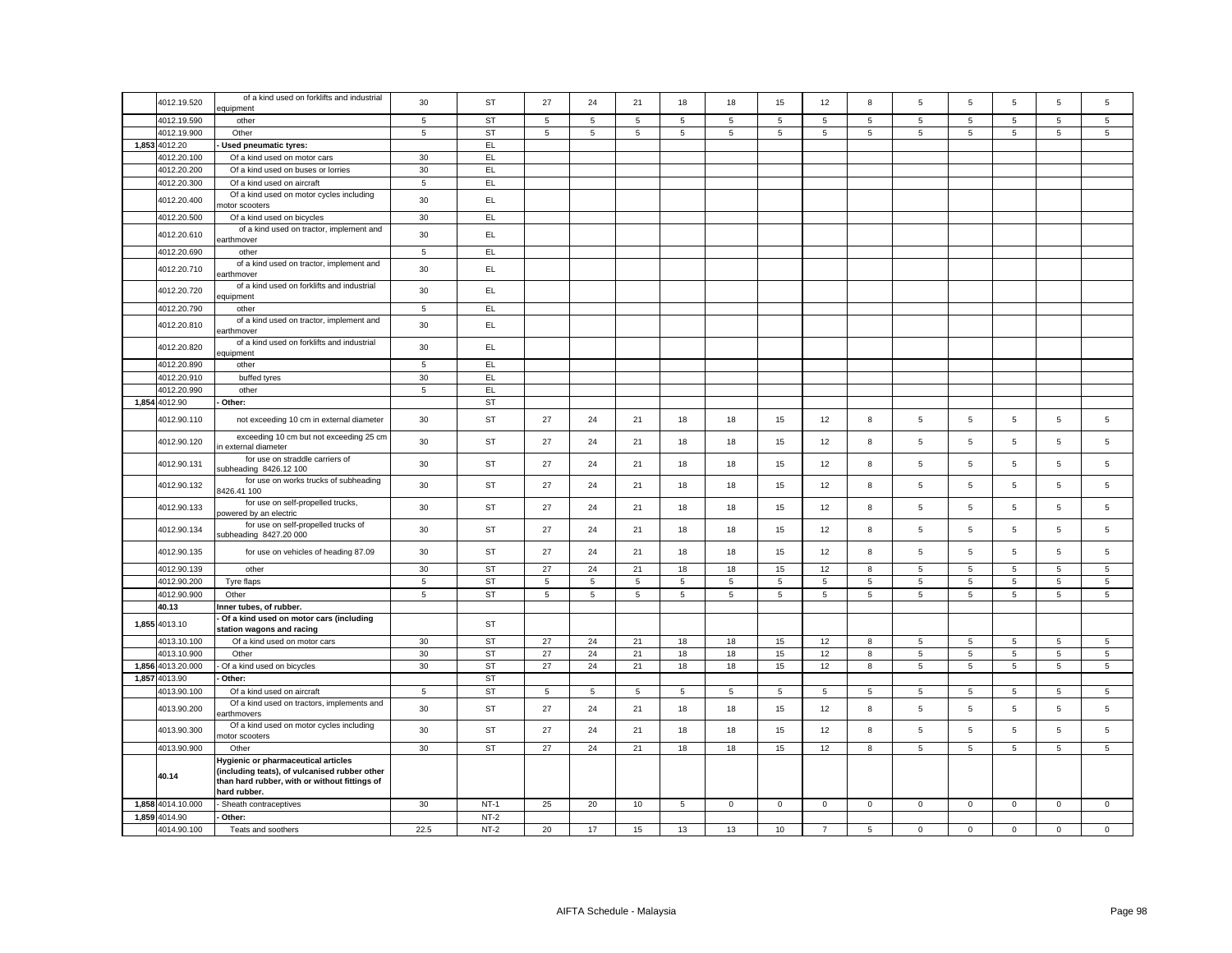|                   | of a kind used on forklifts and industrial                                                                                                            |                |           | 27          | 24             |                 |             |                |                |                |             |                | 5                   | 5               |                 | 5               |
|-------------------|-------------------------------------------------------------------------------------------------------------------------------------------------------|----------------|-----------|-------------|----------------|-----------------|-------------|----------------|----------------|----------------|-------------|----------------|---------------------|-----------------|-----------------|-----------------|
| 4012.19.520       | equipment                                                                                                                                             | 30             | <b>ST</b> |             |                | 21              | 18          | 18             | 15             | 12             | 8           | 5              |                     |                 | $\overline{5}$  |                 |
| 4012.19.590       | other                                                                                                                                                 | 5              | <b>ST</b> | 5           | 5              | $\overline{5}$  | 5           | 5              | 5              | 5              | 5           | $\overline{5}$ | $\overline{5}$      | $\overline{5}$  | $\overline{5}$  | $\overline{5}$  |
| 4012.19.900       | Other                                                                                                                                                 | $\,$ 5 $\,$    | <b>ST</b> | 5           | 5              | $\overline{5}$  | 5           | 5              | $\overline{5}$ | 5              | 5           | 5              | $5\phantom{.0}$     | 5               | $\overline{5}$  | 5               |
| 1,853 4012.20     | Used pneumatic tyres:                                                                                                                                 |                | EL.       |             |                |                 |             |                |                |                |             |                |                     |                 |                 |                 |
| 4012.20.100       | Of a kind used on motor cars                                                                                                                          | 30             | EL        |             |                |                 |             |                |                |                |             |                |                     |                 |                 |                 |
| 4012.20.200       | Of a kind used on buses or lorries                                                                                                                    | 30             | EL        |             |                |                 |             |                |                |                |             |                |                     |                 |                 |                 |
| 4012.20.300       | Of a kind used on aircraft                                                                                                                            | $\,$ 5 $\,$    | EL.       |             |                |                 |             |                |                |                |             |                |                     |                 |                 |                 |
| 4012.20.400       | Of a kind used on motor cycles including<br>notor scooters                                                                                            | 30             | EL        |             |                |                 |             |                |                |                |             |                |                     |                 |                 |                 |
| 4012.20.500       | Of a kind used on bicycles                                                                                                                            | 30             | EL.       |             |                |                 |             |                |                |                |             |                |                     |                 |                 |                 |
| 4012.20.610       | of a kind used on tractor, implement and<br>earthmover                                                                                                | 30             | EL.       |             |                |                 |             |                |                |                |             |                |                     |                 |                 |                 |
| 4012.20.690       | other                                                                                                                                                 | $\,$ 5         | EL        |             |                |                 |             |                |                |                |             |                |                     |                 |                 |                 |
| 4012.20.710       | of a kind used on tractor, implement and<br>earthmover                                                                                                | 30             | EL        |             |                |                 |             |                |                |                |             |                |                     |                 |                 |                 |
| 4012.20.720       | of a kind used on forklifts and industrial<br>aquipment                                                                                               | 30             | EL        |             |                |                 |             |                |                |                |             |                |                     |                 |                 |                 |
| 4012.20.790       | other                                                                                                                                                 | $\overline{5}$ | EL.       |             |                |                 |             |                |                |                |             |                |                     |                 |                 |                 |
| 4012.20.810       | of a kind used on tractor, implement and<br>earthmover                                                                                                | 30             | EL        |             |                |                 |             |                |                |                |             |                |                     |                 |                 |                 |
| 4012.20.820       | of a kind used on forklifts and industrial<br>equipment                                                                                               | 30             | EL.       |             |                |                 |             |                |                |                |             |                |                     |                 |                 |                 |
| 4012.20.890       | other                                                                                                                                                 | $\sqrt{5}$     | EL.       |             |                |                 |             |                |                |                |             |                |                     |                 |                 |                 |
| 4012.20.910       | buffed tyres                                                                                                                                          | 30             | EL        |             |                |                 |             |                |                |                |             |                |                     |                 |                 |                 |
| 4012.20.990       | other                                                                                                                                                 | $\sqrt{5}$     | EL.       |             |                |                 |             |                |                |                |             |                |                     |                 |                 |                 |
| 1,854 4012.90     | Other:                                                                                                                                                |                | <b>ST</b> |             |                |                 |             |                |                |                |             |                |                     |                 |                 |                 |
| 4012.90.110       | not exceeding 10 cm in external diameter                                                                                                              | 30             | <b>ST</b> | 27          | 24             | 21              | 18          | 18             | 15             | 12             | 8           | 5              | $\overline{5}$      | 5               | $\overline{5}$  | 5               |
| 4012.90.120       | exceeding 10 cm but not exceeding 25 cm<br>in external diameter                                                                                       | 30             | ST        | 27          | 24             | 21              | 18          | 18             | 15             | 12             | 8           | 5              | 5                   | 5               | 5               | 5               |
| 4012.90.131       | for use on straddle carriers of<br>subheading 8426.12 100                                                                                             | 30             | <b>ST</b> | 27          | 24             | 21              | 18          | 18             | 15             | 12             | 8           | 5              | 5                   | 5               | $\overline{5}$  | 5               |
| 4012.90.132       | for use on works trucks of subheading<br>3426.41 100                                                                                                  | 30             | ST        | 27          | 24             | 21              | 18          | 18             | 15             | 12             | 8           | 5              | $\sqrt{5}$          | 5               | 5               | 5               |
| 4012.90.133       | for use on self-propelled trucks,<br>powered by an electric                                                                                           | 30             | ST        | 27          | 24             | 21              | 18          | 18             | 15             | 12             | 8           | 5              | 5                   | 5               | $\overline{5}$  | 5               |
| 4012.90.134       | for use on self-propelled trucks of<br>subheading 8427.20 000                                                                                         | 30             | <b>ST</b> | 27          | 24             | 21              | 18          | 18             | 15             | 12             | 8           | 5              | $\sqrt{5}$          | 5               | $\,$ 5 $\,$     | 5               |
| 4012.90.135       | for use on vehicles of heading 87.09                                                                                                                  | 30             | <b>ST</b> | 27          | 24             | 21              | 18          | 18             | 15             | 12             | 8           | 5              | 5                   | 5               | $\overline{5}$  | $\,$ 5 $\,$     |
| 4012.90.139       | other                                                                                                                                                 | 30             | <b>ST</b> | 27          | 24             | 21              | 18          | 18             | 15             | 12             | 8           | 5              | 5                   | 5               | 5               | 5               |
| 4012.90.200       | Tyre flaps                                                                                                                                            | $\sqrt{5}$     | <b>ST</b> | 5           | 5              | $\sqrt{5}$      | 5           | $\overline{5}$ | $\sqrt{5}$     | $\overline{5}$ | 5           | 5              | $\sqrt{5}$          | $\sqrt{5}$      | $\sqrt{5}$      | 5               |
| 4012.90.900       | Other                                                                                                                                                 | $\,$ 5 $\,$    | <b>ST</b> | $\mathbf 5$ | $\overline{5}$ | $5\phantom{.0}$ | 5           | $\,$ 5 $\,$    | $\,$ 5 $\,$    | 5              | 5           | 5              | $\,$ 5 $\,$         | 5               | $\,$ 5 $\,$     | 5               |
| 40.13             | Inner tubes, of rubber.                                                                                                                               |                |           |             |                |                 |             |                |                |                |             |                |                     |                 |                 |                 |
| 1,855 4013.10     | Of a kind used on motor cars (including<br>station wagons and racing                                                                                  |                | <b>ST</b> |             |                |                 |             |                |                |                |             |                |                     |                 |                 |                 |
| 4013.10.100       | Of a kind used on motor cars                                                                                                                          | 30             | <b>ST</b> | 27          | 24             | 21              | 18          | 18             | 15             | 12             | 8           | 5              | $5\phantom{.0}$     | 5               | $\overline{5}$  | 5               |
| 4013.10.900       | Other                                                                                                                                                 | 30             | <b>ST</b> | 27          | 24             | 21              | 18          | 18             | 15             | 12             | 8           | 5              | $5\phantom{.0}$     | $5\phantom{.0}$ | $5\overline{5}$ | $5\overline{5}$ |
| 1,856 4013.20.000 | - Of a kind used on bicycles                                                                                                                          | 30             | <b>ST</b> | 27          | 24             | 21              | 18          | 18             | 15             | 12             | 8           | 5              | 5                   | 5               | $5\overline{5}$ | 5               |
| 1,857 4013.90     | Other:                                                                                                                                                |                | <b>ST</b> |             |                |                 |             |                |                |                |             |                |                     |                 |                 |                 |
| 4013.90.100       | Of a kind used on aircraft                                                                                                                            | 5              | <b>ST</b> | 5           | 5              | 5               | 5           | 5              | 5              | 5              | 5           | 5              | 5                   | 5               | 5               | 5               |
| 4013.90.200       | Of a kind used on tractors, implements and<br>arthmovers                                                                                              | 30             | <b>ST</b> | 27          | 24             | 21              | 18          | 18             | 15             | 12             | 8           | 5              | 5                   | 5               | 5               | 5               |
| 4013.90.300       | Of a kind used on motor cycles including<br>notor scooters                                                                                            | 30             | <b>ST</b> | 27          | 24             | 21              | 18          | 18             | 15             | 12             | 8           | 5              | $\sqrt{5}$          | 5               | $\overline{5}$  | 5               |
| 4013.90.900       | Other                                                                                                                                                 | 30             | <b>ST</b> | 27          | 24             | 21              | 18          | 18             | 15             | 12             | 8           | $\,$ 5 $\,$    | $\,$ 5 $\,$         | $\sqrt{5}$      | $\,$ 5 $\,$     | $\,$ 5 $\,$     |
| 40.14             | Hygienic or pharmaceutical articles<br>(including teats), of vulcanised rubber other<br>than hard rubber, with or without fittings of<br>hard rubber. |                |           |             |                |                 |             |                |                |                |             |                |                     |                 |                 |                 |
| 1,858 4014.10.000 | Sheath contraceptives                                                                                                                                 | 30             | $NT-1$    | 25          | 20             | 10              | $\,$ 5 $\,$ | $\mathsf 0$    | $\mathsf 0$    | $\mathsf 0$    | $\mathbf 0$ | $\mathbf 0$    | $\mathsf{O}\xspace$ | $\mathbf 0$     | $\mathsf 0$     | $\mathbf 0$     |
| 1.859 4014.90     | Other:                                                                                                                                                |                | $NT-2$    |             |                |                 |             |                |                |                |             |                |                     |                 |                 |                 |
| 4014.90.100       | Teats and soothers                                                                                                                                    | 22.5           | $NT-2$    | 20          | 17             | 15              | 13          | 13             | 10             | $\overline{7}$ | 5           | $\mathsf 0$    | $\,0\,$             | $\mathsf 0$     | $\mathsf 0$     | $\Omega$        |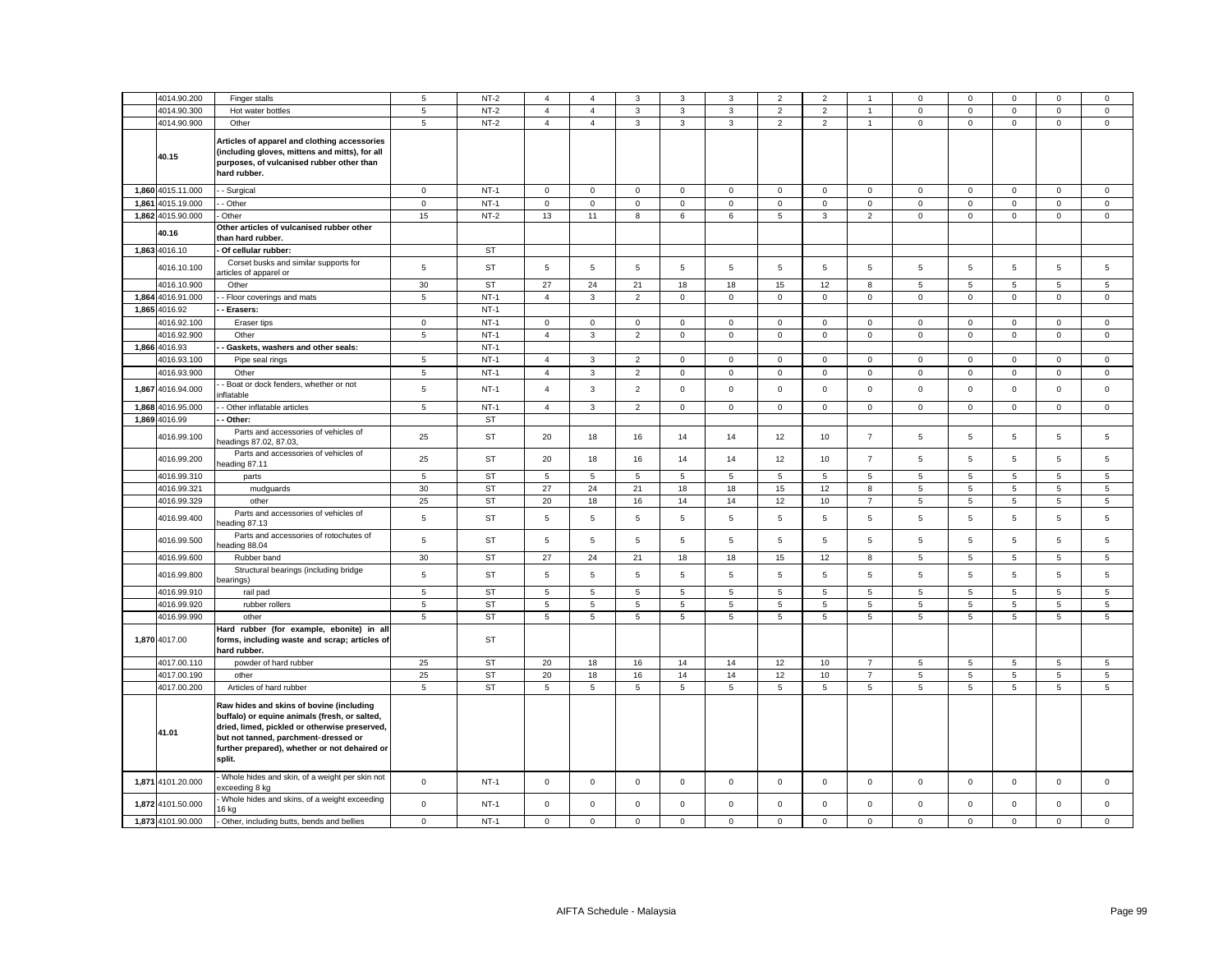|       | 4014.90.200       | Finger stalls                                                                                                                                                                                                                                 | 5               | $NT-2$    | $\overline{4}$ | $\overline{4}$ | 3              | 3              | 3              | $\overline{\mathbf{2}}$ | 2                   |                 | 0                   | 0              | $^{\circ}$          | $\mathbf 0$     | 0              |
|-------|-------------------|-----------------------------------------------------------------------------------------------------------------------------------------------------------------------------------------------------------------------------------------------|-----------------|-----------|----------------|----------------|----------------|----------------|----------------|-------------------------|---------------------|-----------------|---------------------|----------------|---------------------|-----------------|----------------|
|       | 4014.90.300       | Hot water bottles                                                                                                                                                                                                                             | 5               | $NT-2$    | $\overline{4}$ | $\overline{4}$ | $\mathbf{3}$   | $\overline{3}$ | $\mathbf 3$    | $\overline{2}$          | $\overline{2}$      | $\overline{1}$  | $\mathsf{O}\xspace$ | $\mathbf 0$    | $\mathsf{O}\xspace$ | $\mathsf 0$     | $\mathsf 0$    |
|       | 4014.90.900       | Other                                                                                                                                                                                                                                         | $5\phantom{.0}$ | $NT-2$    | $\overline{4}$ | $\overline{4}$ | $\overline{3}$ | $\mathbf{3}$   | $\overline{3}$ | $\overline{2}$          | $\overline{2}$      | $\mathbf{1}$    | $\mathsf 0$         | $\mathsf 0$    | $\mathsf{O}\xspace$ | $\overline{0}$  | $\overline{0}$ |
|       | 40.15             | Articles of apparel and clothing accessories<br>(including gloves, mittens and mitts), for all<br>purposes, of vulcanised rubber other than<br>hard rubber.                                                                                   |                 |           |                |                |                |                |                |                         |                     |                 |                     |                |                     |                 |                |
|       | 1,860 4015.11.000 | - Surgical                                                                                                                                                                                                                                    | $\mathbf 0$     | $NT-1$    | 0              | $\mathbf 0$    | $\mathsf 0$    | $\mathbf 0$    | $\mathsf 0$    | $\mathbf 0$             | $\mathbf{0}$        | $\mathsf 0$     | $\mathbf 0$         | $\mathbf 0$    | $\mathbf 0$         | $\mathbf 0$     | $\mathbf 0$    |
|       | 1,861 4015.19.000 | - Other                                                                                                                                                                                                                                       | $\mathbf 0$     | $NT-1$    | $\mathsf 0$    | $\mathbf 0$    | $\mathsf 0$    | $\mathsf 0$    | $\mathsf 0$    | $\mathsf 0$             | $\mathsf 0$         | $\mathsf 0$     | $\mathsf 0$         | $\mathsf 0$    | $\mathbf 0$         | $\mathsf 0$     | $\mathsf 0$    |
|       | 1,862 4015.90.000 | Other                                                                                                                                                                                                                                         | 15              | $NT-2$    | 13             | 11             | 8              | 6              | 6              | 5                       | 3                   | $\overline{2}$  | $\mathsf 0$         | $\mathsf 0$    | $\mathsf 0$         | $\mathsf 0$     | $\mathsf 0$    |
|       | 40.16             | Other articles of vulcanised rubber other<br>than hard rubber.                                                                                                                                                                                |                 |           |                |                |                |                |                |                         |                     |                 |                     |                |                     |                 |                |
|       | 1,863 4016.10     | Of cellular rubber:                                                                                                                                                                                                                           |                 | ST        |                |                |                |                |                |                         |                     |                 |                     |                |                     |                 |                |
|       | 4016.10.100       | Corset busks and similar supports for<br>urticles of apparel or                                                                                                                                                                               | $\,$ 5 $\,$     | ST        | 5              | 5              | $\mathbf 5$    | 5              | 5              | 5                       | 5                   | 5               | 5                   | 5              | 5                   | 5               | 5              |
|       | 4016.10.900       | Other                                                                                                                                                                                                                                         | 30              | <b>ST</b> | 27             | 24             | 21             | 18             | 18             | 15                      | 12                  | 8               | 5                   | 5              | 5                   | 5               | 5              |
|       | 1,864 4016.91.000 | - Floor coverings and mats                                                                                                                                                                                                                    | $\sqrt{5}$      | $NT-1$    | $\overline{4}$ | 3              | $\overline{2}$ | $\mathbf{0}$   | $\mathbf{0}$   | $\mathbf 0$             | $\mathsf 0$         | $\mathbf 0$     | $\mathbf 0$         | $\mathbf 0$    | $\mathbf 0$         | $\mathbf 0$     | $\mathbf 0$    |
|       | 1,865 4016.92     | Erasers:                                                                                                                                                                                                                                      |                 | $NT-1$    |                |                |                |                |                |                         |                     |                 |                     |                |                     |                 |                |
|       | 4016.92.100       | Eraser tips                                                                                                                                                                                                                                   | $\mathsf 0$     | $NT-1$    | $\mathsf 0$    | $\mathsf 0$    | $\mathbf 0$    | $\mathsf 0$    | $\mathsf 0$    | $\mathsf 0$             | $\mathsf{O}\xspace$ | $\mathbf 0$     | $\mathbf 0$         | $\mathsf 0$    | $\mathsf 0$         | $\mathsf 0$     | $\mathsf 0$    |
|       | 4016.92.900       | Other                                                                                                                                                                                                                                         | $\sqrt{5}$      | $NT-1$    | $\overline{4}$ | 3              | $\overline{2}$ | $\mathsf 0$    | $\mathsf 0$    | $\mathsf 0$             | $\mathsf 0$         | $\mathbf 0$     | $\mathsf 0$         | $\mathsf 0$    | $\mathsf 0$         | $\mathsf 0$     | $\mathsf 0$    |
|       | 1,866 4016.93     | Gaskets, washers and other seals:                                                                                                                                                                                                             |                 | $NT-1$    |                |                |                |                |                |                         |                     |                 |                     |                |                     |                 |                |
|       | 4016.93.100       | Pipe seal rings                                                                                                                                                                                                                               | 5               | $NT-1$    | $\overline{4}$ | 3              | $\overline{2}$ | $\mathbf 0$    | $\mathbf 0$    | $\mathbf 0$             | $\mathbf{0}$        | $\mathbf 0$     | $\mathbf 0$         | $\mathbf 0$    | $\mathbf 0$         | $\mathbf 0$     | $\mathbf 0$    |
|       |                   |                                                                                                                                                                                                                                               |                 |           |                |                |                |                |                |                         |                     |                 |                     |                |                     |                 |                |
|       | 4016.93.900       | Other                                                                                                                                                                                                                                         | $\overline{5}$  | $NT-1$    | $\overline{4}$ | $\mathbf 3$    | $\mathbf 2$    | $\mathbf 0$    | $\mathsf 0$    | $\mathbf 0$             | $\mathsf 0$         | $\mathbf 0$     | $\mathsf 0$         | $\mathbf 0$    | $\mathbf 0$         | $\mathbf 0$     | $\mathsf 0$    |
|       | 1,867 4016.94.000 | Boat or dock fenders, whether or not<br>iflatable                                                                                                                                                                                             | $\sqrt{5}$      | $NT-1$    | $\overline{4}$ | $\mathbf{3}$   | $\overline{2}$ | $\mathbf 0$    | $\mathbf 0$    | $\mathbf 0$             | $\mathsf 0$         | $\mathbf{0}$    | $\mathsf 0$         | $\mathsf 0$    | $\mathsf 0$         | $\mathsf 0$     | $\mathsf 0$    |
| 1,868 | 4016.95.000       | Other inflatable articles                                                                                                                                                                                                                     | $\,$ 5 $\,$     | $NT-1$    | $\overline{4}$ | $\mathbf{3}$   | $\overline{2}$ | $\mathsf 0$    | $\mathbf 0$    | $\mathsf 0$             | $\mathsf 0$         | $\mathsf 0$     | $\mathsf 0$         | $\mathsf 0$    | $\mathsf 0$         | $\mathsf 0$     | $\mathsf 0$    |
|       | 1,869 4016.99     | Other:                                                                                                                                                                                                                                        |                 | ST        |                |                |                |                |                |                         |                     |                 |                     |                |                     |                 |                |
|       | 4016.99.100       | Parts and accessories of vehicles of<br>eadings 87.02, 87.03,                                                                                                                                                                                 | 25              | ST        | 20             | 18             | 16             | 14             | 14             | 12                      | 10                  | $\overline{7}$  | 5                   | 5              | 5                   | $\,$ 5 $\,$     | $\,$ 5 $\,$    |
|       | 4016.99.200       | Parts and accessories of vehicles of<br>heading 87.11                                                                                                                                                                                         | 25              | ST        | 20             | 18             | 16             | 14             | 14             | 12                      | 10                  | $\overline{7}$  | $5\phantom{.0}$     | 5              | 5                   | $\,$ 5 $\,$     | 5              |
|       | 4016.99.310       | parts                                                                                                                                                                                                                                         | $\overline{5}$  | <b>ST</b> | 5              | 5              | $\mathbf 5$    | $\overline{5}$ | 5              | 5                       | 5                   | $\overline{5}$  | 5                   | 5              | 5                   | 5               | 5              |
|       | 4016.99.321       | mudguards                                                                                                                                                                                                                                     | 30              | <b>ST</b> | 27             | 24             | 21             | 18             | 18             | 15                      | 12                  | 8               | $5\phantom{.0}$     | $\overline{5}$ | 5                   | 5               | 5              |
|       | 4016.99.329       | other                                                                                                                                                                                                                                         | 25              | <b>ST</b> | 20             | 18             | 16             | 14             | 14             | 12                      | 10                  | $\overline{7}$  | 5                   | 5              | 5                   | 5               | 5              |
|       | 4016.99.400       | Parts and accessories of vehicles of<br>eading 87.13                                                                                                                                                                                          | $\,$ 5 $\,$     | <b>ST</b> | 5              | 5              | $\overline{5}$ | $\overline{5}$ | 5              | $\overline{5}$          | 5                   | $\overline{5}$  | $\overline{5}$      | $\overline{5}$ | $\overline{5}$      | 5               | $\mathbf 5$    |
|       | 4016.99.500       | Parts and accessories of rotochutes of<br>eading 88.04                                                                                                                                                                                        | $\overline{5}$  | <b>ST</b> | 5              | 5              | $\overline{5}$ | $\overline{5}$ | 5              | $\overline{5}$          | 5                   | $5\phantom{.0}$ | $\overline{5}$      | $\overline{5}$ | 5                   | 5               | $\mathbf 5$    |
|       | 4016.99.600       | Rubber band                                                                                                                                                                                                                                   | 30              | <b>ST</b> | 27             | 24             | 21             | 18             | 18             | 15                      | 12                  | 8               | $\sqrt{5}$          | 5              | 5                   | $5\phantom{.0}$ | 5              |
|       | 4016.99.800       | Structural bearings (including bridge<br>bearings)                                                                                                                                                                                            | $\overline{5}$  | <b>ST</b> | 5              | 5              | $\overline{5}$ | 5              | 5              | $\overline{5}$          | 5                   | $5\phantom{.0}$ | 5                   | $\overline{5}$ | 5                   | $\overline{5}$  | $\mathbf 5$    |
|       | 4016.99.910       | rail pad                                                                                                                                                                                                                                      | $\overline{5}$  | <b>ST</b> | 5              | 5              | $\overline{5}$ | 5              | 5              | 5                       | 5                   | 5               | 5                   | 5              | 5                   | 5               | 5              |
|       | 4016.99.920       | rubber rollers                                                                                                                                                                                                                                | $\,$ 5 $\,$     | <b>ST</b> | 5              | 5              | 5              | 5              | 5              | 5                       | 5                   | 5               | 5                   | 5              | 5                   | 5               | $\overline{5}$ |
|       | 4016.99.990       | other                                                                                                                                                                                                                                         | 5               | ST        | 5              | 5              | 5              | 5              | 5              | 5                       | 5                   | 5               | 5                   | 5              | 5                   | 5               | 5              |
|       | 1,870 4017.00     | Hard rubber (for example, ebonite) in all<br>forms, including waste and scrap; articles of<br>hard rubber.                                                                                                                                    |                 | <b>ST</b> |                |                |                |                |                |                         |                     |                 |                     |                |                     |                 |                |
|       | 4017.00.110       | powder of hard rubber                                                                                                                                                                                                                         | 25              | <b>ST</b> | 20             | 18             | 16             | 14             | 14             | 12                      | 10 <sup>10</sup>    | $\overline{7}$  | 5                   | 5              | $\overline{5}$      | 5               | $\sqrt{5}$     |
|       | 4017.00.190       | other                                                                                                                                                                                                                                         | 25              | <b>ST</b> | 20             | 18             | 16             | 14             | 14             | 12                      | 10                  | $\overline{7}$  | 5                   | 5              | $\,$ 5 $\,$         | 5               | $\,$ 5 $\,$    |
|       | 4017.00.200       | Articles of hard rubber                                                                                                                                                                                                                       | $\overline{5}$  | <b>ST</b> | 5              | $\overline{5}$ | $\,$ 5 $\,$    | $\,$ 5 $\,$    | 5              | $\,$ 5 $\,$             | $\overline{5}$      | $\overline{5}$  | 5                   | 5              | 5                   | $\,$ 5 $\,$     | $\mathbf 5$    |
|       | 41.01             | Raw hides and skins of bovine (including<br>buffalo) or equine animals (fresh, or salted,<br>dried, limed, pickled or otherwise preserved,<br>but not tanned, parchment-dressed or<br>further prepared), whether or not dehaired or<br>split. |                 |           |                |                |                |                |                |                         |                     |                 |                     |                |                     |                 |                |
|       | 1,871 4101.20.000 | Whole hides and skin, of a weight per skin not<br>xceeding 8 kg                                                                                                                                                                               | $\mathsf 0$     | $NT-1$    | $\mathbf 0$    | $\mathsf 0$    | $\mathsf 0$    | $\mathsf 0$    | $\mathsf 0$    | $\mathsf 0$             | $\mathbf 0$         | $\mathbf 0$     | $\mathsf 0$         | $\mathsf 0$    | $\mathsf 0$         | $\mathsf 0$     | $\mathsf 0$    |
|       | 1,872 4101.50.000 | Whole hides and skins, of a weight exceeding<br>16 kg                                                                                                                                                                                         | $\mathsf 0$     | $NT-1$    | $\mathsf 0$    | $\mathsf 0$    | $\mathsf 0$    | $\mathsf 0$    | $\mathbf 0$    | $\mathsf 0$             | $\mathbf 0$         | $\mathsf 0$     | $\mathsf 0$         | $\mathsf 0$    | $\mathbf 0$         | $\mathsf 0$     | $\mathbf 0$    |
|       | 1,873 4101.90.000 | Other, including butts, bends and bellies                                                                                                                                                                                                     | $\mathbf 0$     | $NT-1$    | $\mathbf 0$    | $\mathbf 0$    | $\mathsf 0$    | $\mathbf 0$    | $\mathbf 0$    | $\mathsf 0$             | $\mathbf 0$         | $\mathbf 0$     | $\mathbf 0$         | $\mathbf 0$    | $\mathbf 0$         | $\mathbf 0$     | $\mathbf 0$    |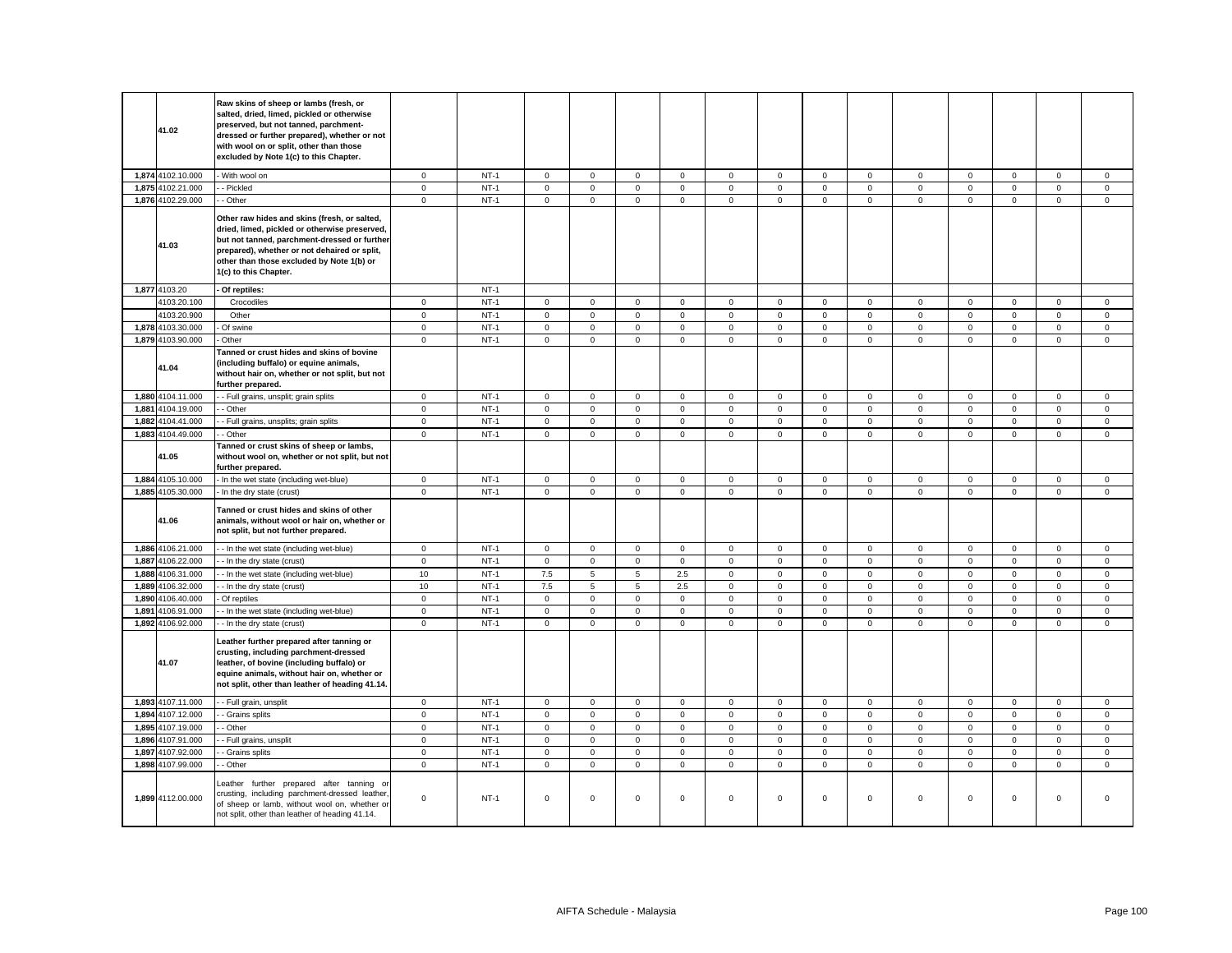| 41.02             | Raw skins of sheep or lambs (fresh, or<br>salted, dried, limed, pickled or otherwise<br>preserved, but not tanned, parchment-<br>dressed or further prepared), whether or not<br>with wool on or split, other than those<br>excluded by Note 1(c) to this Chapter.  |              |        |                     |                     |                 |              |                |             |              |                     |              |             |                     |                     |             |
|-------------------|---------------------------------------------------------------------------------------------------------------------------------------------------------------------------------------------------------------------------------------------------------------------|--------------|--------|---------------------|---------------------|-----------------|--------------|----------------|-------------|--------------|---------------------|--------------|-------------|---------------------|---------------------|-------------|
| 1,874 4102.10.000 | With wool on                                                                                                                                                                                                                                                        | $\mathbf 0$  | $NT-1$ | $\mathbf 0$         | $\mathbf{O}$        | $\mathbf{0}$    | $\mathbf 0$  | $\mathbf 0$    | $\mathbf 0$ | $\circ$      | $\mathbf{0}$        | $\mathbf{0}$ | $\mathbf 0$ | $\mathbf{O}$        | $\mathbf 0$         | $\mathbf 0$ |
| 1,875 4102.21.000 | - Pickled                                                                                                                                                                                                                                                           | $\mathbf{0}$ | $NT-1$ | $\mathbf 0$         | $\mathbf{O}$        | $\mathbf{0}$    | $\mathbf 0$  | $\mathbf 0$    | $\mathbf 0$ | $\mathbf{0}$ | $\mathbf{0}$        | $\mathbf{0}$ | $\mathbf 0$ | $\mathbf{O}$        | $\mathbf 0$         | $\mathbf 0$ |
| 1,876 4102.29.000 | - Other                                                                                                                                                                                                                                                             | $\mathbf 0$  | $NT-1$ | $\mathsf 0$         | $\mathbf{0}$        | $\mathbf{0}$    | $\mathbf 0$  | $\mathbf 0$    | $\mathsf 0$ | $\mathbf 0$  | $\mathbf 0$         | $\mathbf 0$  | $\mathsf 0$ | $\mathbf 0$         | $\mathbf 0$         | $\mathsf 0$ |
| 41.03             | Other raw hides and skins (fresh, or salted,<br>dried, limed, pickled or otherwise preserved,<br>but not tanned, parchment-dressed or further<br>prepared), whether or not dehaired or split,<br>other than those excluded by Note 1(b) or<br>1(c) to this Chapter. |              |        |                     |                     |                 |              |                |             |              |                     |              |             |                     |                     |             |
| 1,877 4103.20     | Of reptiles:                                                                                                                                                                                                                                                        |              | $NT-1$ |                     |                     |                 |              |                |             |              |                     |              |             |                     |                     |             |
| 4103.20.100       | Crocodiles                                                                                                                                                                                                                                                          | $\mathbf 0$  | $NT-1$ | $\mathbf 0$         | $\mathbf 0$         | $\mathsf 0$     | $\mathbf 0$  | $\mathbf 0$    | $\mathsf 0$ | $\mathbf{0}$ | $\mathbf 0$         | $\mathbf 0$  | $\mathsf 0$ | $\mathbf 0$         | $\mathsf 0$         | $\mathsf 0$ |
| 4103.20.900       | Other                                                                                                                                                                                                                                                               | $\mathbf 0$  | $NT-1$ | $\mathbf 0$         | $\mathbf 0$         | $\mathbf 0$     | 0            | $\mathbf 0$    | $\mathbf 0$ | 0            | $\mathbf 0$         | $\mathbf 0$  | $\mathbf 0$ | $\mathbf 0$         | $\mathbf 0$         | $\mathbf 0$ |
| 1,878 4103.30.000 | Of swine                                                                                                                                                                                                                                                            | $\mathbf 0$  | $NT-1$ | $\mathsf{O}\xspace$ | $\mathsf{O}\xspace$ | $\mathbf 0$     | $\mathbf 0$  | $\mathsf 0$    | $\mathsf 0$ | $\mathsf 0$  | $\mathsf 0$         | $\mathsf 0$  | $\mathbf 0$ | $\mathsf{O}\xspace$ | $\mathbf 0$         | $\mathbf 0$ |
| 1,879 4103.90.000 | Other                                                                                                                                                                                                                                                               | $\mathbf 0$  | $NT-1$ | $\mathsf{O}$        | $\mathbf 0$         | $\mathsf 0$     | $\mathsf 0$  | $\mathsf 0$    | $\mathsf 0$ | $\mathsf 0$  | $\mathsf 0$         | $\mathsf 0$  | $\mathsf 0$ | $\mathsf 0$         | $\mathsf 0$         | $\mathsf 0$ |
| 41.04             | Tanned or crust hides and skins of bovine<br>(including buffalo) or equine animals,<br>without hair on, whether or not split, but not<br>further prepared.                                                                                                          |              |        |                     |                     |                 |              |                |             |              |                     |              |             |                     |                     |             |
| 1,880 4104.11.000 | - Full grains, unsplit; grain splits                                                                                                                                                                                                                                | $\mathbf 0$  | $NT-1$ | $\mathsf{O}\xspace$ | $\mathsf 0$         | $\mathsf 0$     | $\mathsf 0$  | $\mathsf 0$    | $\mathsf 0$ | $\mathsf{O}$ | $\mathsf 0$         | $\mathsf 0$  | $\mathsf 0$ | $\mathsf{O}\xspace$ | $\mathsf 0$         | $\mathsf 0$ |
| 1,881 4104.19.000 | - Other                                                                                                                                                                                                                                                             | $\mathbf 0$  | $NT-1$ | $\mathbf 0$         | $\mathbf 0$         | $\mathsf 0$     | $\mathbf 0$  | $\mathsf 0$    | $\mathsf 0$ | $\mathsf 0$  | $\mathbf 0$         | $\mathsf 0$  | $\mathsf 0$ | $\mathbf 0$         | $\mathsf{O}\xspace$ | $\mathsf 0$ |
| 1,882 4104.41.000 | - Full grains, unsplits; grain splits                                                                                                                                                                                                                               | $\mathsf 0$  | $NT-1$ | $\mathsf 0$         | $\mathsf 0$         | $\mathsf 0$     | $\mathbf 0$  | $\mathsf 0$    | $\mathsf 0$ | $\mathsf 0$  | $\mathbf 0$         | $\mathsf 0$  | $\mathsf 0$ | $\mathsf{O}\xspace$ | $\mathsf 0$         | $\mathsf 0$ |
| 1,883 4104.49.000 | - Other                                                                                                                                                                                                                                                             | $\mathbf 0$  | $NT-1$ | $\mathbf 0$         | $\mathbf{0}$        | $\mathsf 0$     | $\mathbf 0$  | $\mathsf 0$    | $\mathsf 0$ | $\mathsf 0$  | $\mathbf{0}$        | $\mathbf 0$  | $\mathbf 0$ | $\mathbf 0$         | $\mathsf 0$         | $\mathsf 0$ |
| 41.05             | Tanned or crust skins of sheep or lambs,<br>without wool on, whether or not split, but not<br>further prepared.                                                                                                                                                     |              |        |                     |                     |                 |              |                |             |              |                     |              |             |                     |                     |             |
| 1,884 4105.10.000 | - In the wet state (including wet-blue)                                                                                                                                                                                                                             | $\mathbf 0$  | $NT-1$ | $\mathbf 0$         | $\mathbf{O}$        | $\mathsf 0$     | $\mathbf{0}$ | $\mathbf 0$    | $\mathsf 0$ | $\mathbf{0}$ | $\mathbf{0}$        | $\mathsf 0$  | $\mathbf 0$ | $\mathbf{0}$        | $\mathsf 0$         | $\mathbf 0$ |
| 1,885 4105.30.000 | - In the dry state (crust)                                                                                                                                                                                                                                          | $\mathsf 0$  | $NT-1$ | $\mathsf{O}\xspace$ | $\mathbf 0$         | $\mathsf 0$     | $\mathbf 0$  | $\mathsf 0$    | $\mathbf 0$ | $\mathbf 0$  | $\mathbf 0$         | $\mathsf 0$  | $\mathsf 0$ | $\mathsf 0$         | $\mathsf 0$         | $\mathbf 0$ |
| 41.06             | Tanned or crust hides and skins of other<br>animals, without wool or hair on, whether or<br>not split, but not further prepared.                                                                                                                                    |              |        |                     |                     |                 |              |                |             |              |                     |              |             |                     |                     |             |
| 1,886 4106.21.000 | - - In the wet state (including wet-blue)                                                                                                                                                                                                                           | $\mathbf 0$  | $NT-1$ | $\mathbf{0}$        | $\mathbf 0$         | $\mathbf 0$     | $\mathbf 0$  | $\mathsf 0$    | $\mathsf 0$ | $\mathbf{0}$ | $\mathbf{0}$        | $\mathsf 0$  | $\mathbf 0$ | $\mathbf 0$         | $\mathsf 0$         | $\mathsf 0$ |
| 1,887 4106.22.000 | - In the dry state (crust)                                                                                                                                                                                                                                          | $\mathbf 0$  | $NT-1$ | $\mathsf 0$         | $\mathbf 0$         | $\mathbf 0$     | $\mathbf 0$  | $\mathbf 0$    | $\mathbf 0$ | $\mathbf 0$  | $\mathbf 0$         | $\mathsf 0$  | $\mathbf 0$ | $\mathbf 0$         | $\mathbf 0$         | $\mathsf 0$ |
| 1,888 4106.31.000 | - In the wet state (including wet-blue)                                                                                                                                                                                                                             | $10$         | $NT-1$ | $7.5\,$             | 5                   | $\overline{5}$  | 2.5          | $\mathsf 0$    | $\mathsf 0$ | $\mathbf{0}$ | $\mathbf{0}$        | $\mathbf 0$  | $\mathbf 0$ | $\mathbf{O}$        | $\mathsf{O}\xspace$ | $\mathsf 0$ |
| 1,889 4106.32.000 | - In the dry state (crust)                                                                                                                                                                                                                                          | 10           | $NT-1$ | $7.5\,$             | $\overline{5}$      | $5\phantom{.0}$ | 2.5          | $\mathsf 0$    | $\mathsf 0$ | $\mathbf 0$  | $\mathsf 0$         | $\mathsf 0$  | $\mathsf 0$ | $\mathsf{O}\xspace$ | $\mathsf 0$         | $\mathsf 0$ |
| 1,890 4106.40.000 | Of reptiles                                                                                                                                                                                                                                                         | $\mathbf 0$  | $NT-1$ | $\mathbf 0$         | $\mathbf 0$         | $\mathsf 0$     | $\mathbf 0$  | $\mathbf 0$    | $\mathbf 0$ | $\mathsf 0$  | $\mathbf{0}$        | $\mathbf{0}$ | $\mathbf 0$ | $\mathbf 0$         | $\mathbf 0$         | $\mathsf 0$ |
| 1,891 4106.91.000 | - In the wet state (including wet-blue)                                                                                                                                                                                                                             | $\mathbf 0$  | $NT-1$ | $\mathsf 0$         | $\mathbf 0$         | $\mathsf 0$     | 0            | $\mathbf 0$    | $\mathbf 0$ | $\mathbf 0$  | $\mathbf{0}$        | $\mathbf 0$  | $\mathsf 0$ | $\mathbf 0$         | $\mathsf 0$         | $\mathsf 0$ |
| 1,892 4106.92.000 | - In the dry state (crust)                                                                                                                                                                                                                                          | $\mathbf 0$  | $NT-1$ | $\mathsf{O}\xspace$ | $\mathsf 0$         | $\mathsf 0$     | $\mathsf 0$  | $\mathbf 0$    | $\mathbf 0$ | $\mathsf 0$  | $\mathsf 0$         | $\mathsf 0$  | $\mathbf 0$ | $\mathsf{O}\xspace$ | $\mathsf{O}\xspace$ | $\mathsf 0$ |
| 41.07             | Leather further prepared after tanning or<br>crusting, including parchment-dressed<br>leather, of bovine (including buffalo) or<br>equine animals, without hair on, whether or<br>not split, other than leather of heading 41.14.                                   |              |        |                     |                     |                 |              |                |             |              |                     |              |             |                     |                     |             |
| 1,893 4107.11.000 | - Full grain, unsplit                                                                                                                                                                                                                                               | $\mathbf 0$  | $NT-1$ | $\mathsf{O}\xspace$ | $\mathbf 0$         | $\mathsf 0$     | $\mathbf 0$  | $\mathsf 0$    | $\mathsf 0$ | $\mathsf{O}$ | $\mathsf 0$         | $\mathsf 0$  | $\mathsf 0$ | $\mathsf 0$         | $\mathsf{O}\xspace$ | $\mathsf 0$ |
| 1,894 4107.12.000 | - Grains splits                                                                                                                                                                                                                                                     | $\mathsf 0$  | $NT-1$ | $\mathsf{O}\xspace$ | $\mathsf{O}\xspace$ | $\mathsf 0$     | $\mathsf 0$  | $\mathsf 0$    | $\mathsf 0$ | $\mathsf 0$  | $\mathsf 0$         | $\mathsf 0$  | $\mathsf 0$ | $\mathsf{O}\xspace$ | $\mathsf 0$         | $\mathsf 0$ |
| 1,895 4107.19.000 | - Other                                                                                                                                                                                                                                                             | $\mathbf 0$  | $NT-1$ | $\mathsf 0$         | $\mathbf 0$         | $\mathsf 0$     | $\mathbf 0$  | $\mathsf 0$    | $\mathsf 0$ | $\mathbf 0$  | $\mathbf 0$         | $\mathsf 0$  | $\mathbf 0$ | $\mathsf 0$         | $\mathsf 0$         | $\mathsf 0$ |
| 1,896 4107.91.000 | - Full grains, unsplit                                                                                                                                                                                                                                              | $\mathsf 0$  | $NT-1$ | $\mathsf 0$         | $\mathbf 0$         | $\mathbf 0$     | 0            | $\mathsf 0$    | $\mathsf 0$ | $\mathsf 0$  | $\mathbf 0$         | $\mathsf 0$  | $\mathbf 0$ | $\mathsf 0$         | $\mathsf 0$         | $\mathsf 0$ |
| 1,897 4107.92.000 | - Grains splits                                                                                                                                                                                                                                                     | $\mathbf 0$  | $NT-1$ | $\mathsf 0$         | $\mathsf 0$         | $\mathsf 0$     | $\mathbf 0$  | $\mathsf 0$    | $\mathsf 0$ | $\mathsf{O}$ | $\mathbf 0$         | $\mathsf 0$  | $\mathsf 0$ | $\mathsf 0$         | $\mathsf 0$         | $\mathsf 0$ |
| 1,898 4107.99.000 | - Other                                                                                                                                                                                                                                                             | $\mathbf 0$  | $NT-1$ | $\mathsf{O}$        | $\mathsf{O}\xspace$ | $\overline{0}$  | $\mathsf 0$  | $\overline{0}$ | $\mathsf 0$ | $\mathsf 0$  | $\mathsf{O}\xspace$ | $\mathsf 0$  | $\mathsf 0$ | $\mathsf{O}\xspace$ | $\mathsf 0$         | $\mathsf 0$ |
| 1,899 4112.00.000 | eather further prepared after tanning or<br>crusting, including parchment-dressed leather,<br>of sheep or lamb, without wool on, whether or<br>not split, other than leather of heading 41.14.                                                                      | $\mathbf 0$  | $NT-1$ | $\mathbf 0$         | $\mathbf 0$         | $\mathsf 0$     | $\mathbf 0$  | $\mathbf 0$    | $\mathbf 0$ | $\mathsf 0$  | $\mathbf{0}$        | $\mathbf{0}$ | $\mathsf 0$ | $\mathbf 0$         | $\mathbf 0$         | $\mathbf 0$ |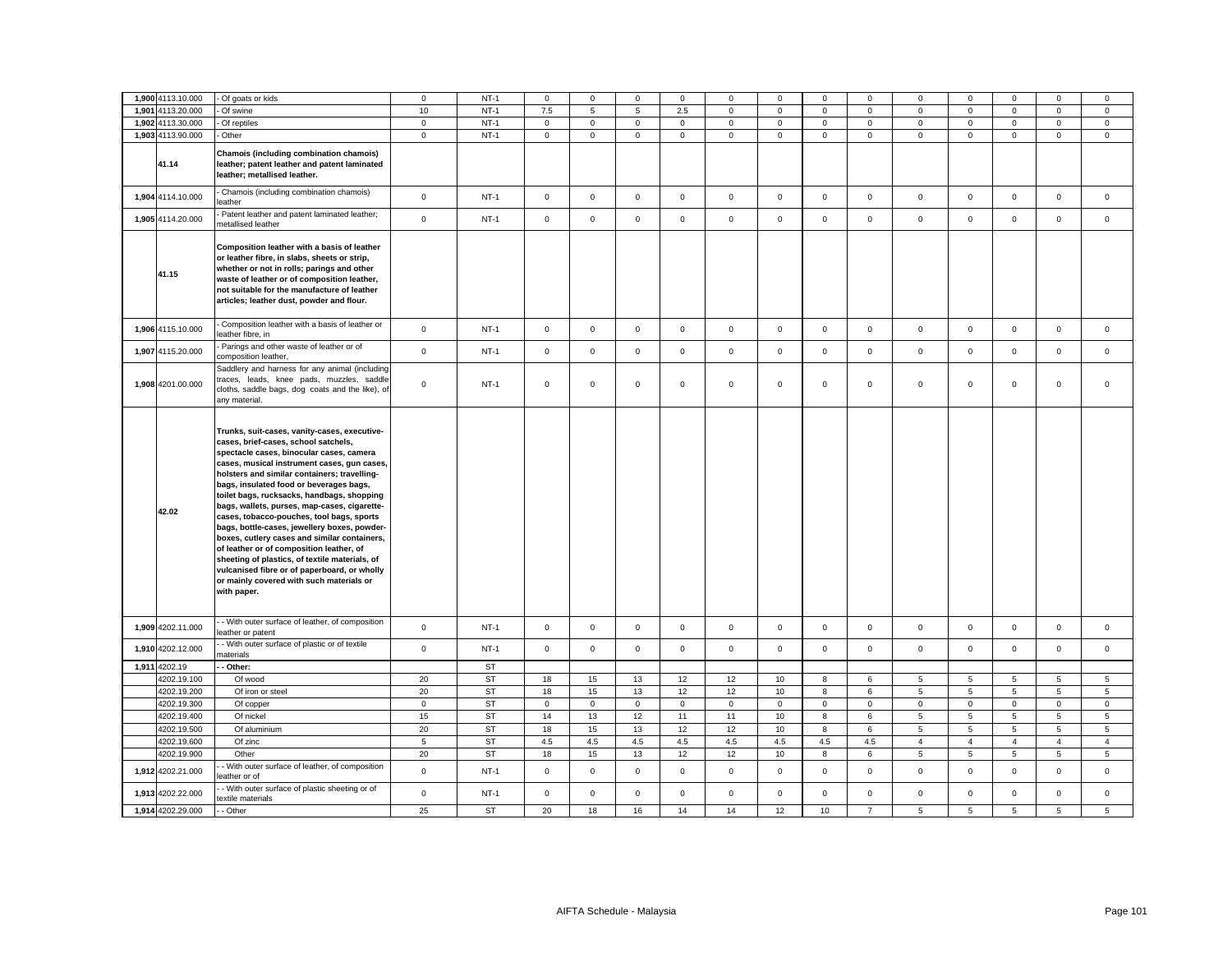| 1,900 4113.10.000 | - Of goats or kids                                                                                                                                                                                                                                                                                                                                                                                                                                                                                                                                                                                                                                                                                                             | $\mathbf 0$     | $NT-1$    | $\mathsf 0$         | $\mathsf 0$  | $\mathsf 0$     | 0           | $\mathbf 0$         | $\mathsf 0$ | $\mathbf 0$  | 0              | 0              | $\mathsf 0$    | $\mathbf 0$     | $\mathbf 0$     | $\mathbf 0$     |
|-------------------|--------------------------------------------------------------------------------------------------------------------------------------------------------------------------------------------------------------------------------------------------------------------------------------------------------------------------------------------------------------------------------------------------------------------------------------------------------------------------------------------------------------------------------------------------------------------------------------------------------------------------------------------------------------------------------------------------------------------------------|-----------------|-----------|---------------------|--------------|-----------------|-------------|---------------------|-------------|--------------|----------------|----------------|----------------|-----------------|-----------------|-----------------|
| 1,901 4113.20.000 | Of swine                                                                                                                                                                                                                                                                                                                                                                                                                                                                                                                                                                                                                                                                                                                       | 10              | $NT-1$    | 7.5                 | 5            | $5\overline{5}$ | 2.5         | $\mathsf 0$         | $\mathsf 0$ | $\mathsf 0$  | $\mathbf 0$    | $\mathsf 0$    | $\mathsf 0$    | $\mathbf 0$     | $\mathsf 0$     | $\mathsf 0$     |
| 1,902 4113.30.000 | Of reptiles                                                                                                                                                                                                                                                                                                                                                                                                                                                                                                                                                                                                                                                                                                                    | $\mathbf 0$     | $NT-1$    | $\mathsf 0$         | $\mathbf 0$  | $\mathsf 0$     | $\mathsf 0$ | $\mathbf 0$         | $\mathsf 0$ | $\mathbf 0$  | $\mathbf 0$    | $\mathbf 0$    | $\mathsf 0$    | $\mathbf 0$     | $\mathsf 0$     | $\mathbf 0$     |
| 1,903 4113.90.000 | - Other                                                                                                                                                                                                                                                                                                                                                                                                                                                                                                                                                                                                                                                                                                                        | $\mathbf 0$     | $NT-1$    | $\mathbf 0$         | $\mathsf 0$  | $\mathsf 0$     | $\mathbf 0$ | $\mathbf 0$         | $\mathsf 0$ | $\mathsf 0$  | $\mathbf{0}$   | $\mathbf 0$    | $\mathbf 0$    | $\mathsf 0$     | $\mathbf{0}$    | $\mathsf 0$     |
| 41.14             | Chamois (including combination chamois)<br>leather; patent leather and patent laminated<br>leather; metallised leather.                                                                                                                                                                                                                                                                                                                                                                                                                                                                                                                                                                                                        |                 |           |                     |              |                 |             |                     |             |              |                |                |                |                 |                 |                 |
| 1,904 4114.10.000 | Chamois (including combination chamois)<br>leather                                                                                                                                                                                                                                                                                                                                                                                                                                                                                                                                                                                                                                                                             | $\mathsf 0$     | $NT-1$    | $\mathsf{O}\xspace$ | $\mathsf 0$  | $\mathbf 0$     | $\mathsf 0$ | $\mathsf{O}\xspace$ | $\mathsf 0$ | $\mathsf 0$  | $\mathsf 0$    | $\mathsf 0$    | $\mathsf 0$    | $\mathsf 0$     | $\mathsf 0$     | $\mathsf 0$     |
| 1,905 4114.20.000 | Patent leather and patent laminated leather;<br>metallised leather                                                                                                                                                                                                                                                                                                                                                                                                                                                                                                                                                                                                                                                             | $\mathbf{0}$    | $NT-1$    | $\mathbf 0$         | $\mathbf 0$  | $\mathbf{0}$    | $\mathbf 0$ | $\mathbf 0$         | $\mathbf 0$ | $\mathbf{O}$ | $\mathbf 0$    | $\mathbf 0$    | $\mathbf 0$    | $\mathbf{0}$    | $\mathbf{0}$    | $\mathbf{0}$    |
| 41.15             | Composition leather with a basis of leather<br>or leather fibre, in slabs, sheets or strip,<br>whether or not in rolls; parings and other<br>waste of leather or of composition leather,<br>not suitable for the manufacture of leather<br>articles; leather dust, powder and flour.                                                                                                                                                                                                                                                                                                                                                                                                                                           |                 |           |                     |              |                 |             |                     |             |              |                |                |                |                 |                 |                 |
| 1,906 4115.10.000 | Composition leather with a basis of leather or<br>leather fibre, in                                                                                                                                                                                                                                                                                                                                                                                                                                                                                                                                                                                                                                                            | $\mathbf 0$     | $NT-1$    | $\mathsf 0$         | $\mathbf 0$  | $\mathsf 0$     | $\mathbf 0$ | $\mathbf 0$         | $\mathsf 0$ | $\mathbf 0$  | $\mathbf 0$    | $\mathbf 0$    | $\mathsf 0$    | $\mathbf 0$     | $\mathsf 0$     | $\mathsf 0$     |
| 1,907 4115.20.000 | Parings and other waste of leather or of<br>composition leather,                                                                                                                                                                                                                                                                                                                                                                                                                                                                                                                                                                                                                                                               | $\mathbf 0$     | $NT-1$    | $\mathbf 0$         | $\mathbf 0$  | $\mathbf 0$     | $\mathbf 0$ | $\mathbf 0$         | $\mathbf 0$ | $\mathbf 0$  | $\mathbf 0$    | $\mathbf 0$    | $\mathbf 0$    | $\mathbf{0}$    | $\mathbf 0$     | $\mathbf 0$     |
| 1,908 4201.00.000 | Saddlery and harness for any animal (including<br>traces, leads, knee pads, muzzles, saddle<br>cloths, saddle bags, dog coats and the like), of<br>any material.                                                                                                                                                                                                                                                                                                                                                                                                                                                                                                                                                               | $\mathsf 0$     | $NT-1$    | $\mathsf 0$         | $\mathbf 0$  | $\mathsf 0$     | $\mathsf 0$ | $\mathbf 0$         | $\mathsf 0$ | $\mathbf 0$  | $\mathbf 0$    | $\mathsf 0$    | $\mathsf 0$    | $\mathbf 0$     | $\mathsf 0$     | $\mathsf 0$     |
| 42.02             | Trunks, suit-cases, vanity-cases, executive-<br>cases, brief-cases, school satchels,<br>spectacle cases, binocular cases, camera<br>cases, musical instrument cases, gun cases,<br>holsters and similar containers; travelling-<br>bags, insulated food or beverages bags,<br>toilet bags, rucksacks, handbags, shopping<br>bags, wallets, purses, map-cases, cigarette-<br>cases, tobacco-pouches, tool bags, sports<br>bags, bottle-cases, jewellery boxes, powder-<br>boxes, cutlery cases and similar containers,<br>of leather or of composition leather, of<br>sheeting of plastics, of textile materials, of<br>vulcanised fibre or of paperboard, or wholly<br>or mainly covered with such materials or<br>with paper. |                 |           |                     |              |                 |             |                     |             |              |                |                |                |                 |                 |                 |
| 1,909 4202.11.000 | - With outer surface of leather, of composition<br>eather or patent                                                                                                                                                                                                                                                                                                                                                                                                                                                                                                                                                                                                                                                            | $\mathbf 0$     | $NT-1$    | $\mathbf 0$         | $\mathbf 0$  | $\mathsf 0$     | $\mathbf 0$ | $\mathbf 0$         | $\mathsf 0$ | $\mathbf 0$  | $\mathbf 0$    | $\mathsf 0$    | $\mathsf 0$    | $\mathbf 0$     | $\mathsf 0$     | $\mathbf{0}$    |
| 1,910 4202.12.000 | - With outer surface of plastic or of textile<br>naterials                                                                                                                                                                                                                                                                                                                                                                                                                                                                                                                                                                                                                                                                     | $\mathsf 0$     | $NT-1$    | $\mathsf{O}\xspace$ | $\mathsf 0$  | $\mathsf 0$     | $\mathsf 0$ | $\mathsf 0$         | $\mathsf 0$ | $\mathsf 0$  | $\mathsf 0$    | $\mathsf 0$    | $\mathsf 0$    | $\mathbf 0$     | $\mathsf 0$     | $\mathsf 0$     |
| 1,911 4202.19     | Other:                                                                                                                                                                                                                                                                                                                                                                                                                                                                                                                                                                                                                                                                                                                         |                 | <b>ST</b> |                     |              |                 |             |                     |             |              |                |                |                |                 |                 |                 |
| 4202.19.100       | Of wood                                                                                                                                                                                                                                                                                                                                                                                                                                                                                                                                                                                                                                                                                                                        | 20              | <b>ST</b> | 18                  | 15           | 13              | 12          | 12                  | 10          | 8            | 6              | 5              | 5              | 5               | 5               | 5               |
| 4202.19.200       | Of iron or steel                                                                                                                                                                                                                                                                                                                                                                                                                                                                                                                                                                                                                                                                                                               | 20              | ST        | 18                  | 15           | 13              | 12          | 12                  | 10          | 8            | 6              | 5              | 5              | $5\overline{5}$ | $5\overline{5}$ | $5\overline{5}$ |
| 4202.19.300       | Of copper                                                                                                                                                                                                                                                                                                                                                                                                                                                                                                                                                                                                                                                                                                                      | $\mathbf 0$     | <b>ST</b> | $\mathbf{0}$        | $\mathbf{O}$ | $\mathbf{0}$    | $\mathbf 0$ | $\mathbf 0$         | $\mathbf 0$ | $\mathsf 0$  | $\Omega$       | $\mathbf 0$    | $\mathbf 0$    | $\mathbf{0}$    | $\mathbf 0$     | $\mathbf{0}$    |
| 4202.19.400       | Of nickel                                                                                                                                                                                                                                                                                                                                                                                                                                                                                                                                                                                                                                                                                                                      | 15              | <b>ST</b> | 14                  | 13           | 12              | 11          | 11                  | 10          | 8            | 6              | 5              | 5              | 5               | 5               | $\sqrt{5}$      |
| 4202.19.500       | Of aluminium                                                                                                                                                                                                                                                                                                                                                                                                                                                                                                                                                                                                                                                                                                                   | 20              | ST        | 18                  | 15           | 13              | 12          | 12                  | 10          | 8            | 6              | 5              | 5              | 5               | 5               | 5               |
| 4202.19.600       | Of zinc                                                                                                                                                                                                                                                                                                                                                                                                                                                                                                                                                                                                                                                                                                                        | $5\phantom{.0}$ | ST        | 4.5                 | 4.5          | 4.5             | 4.5         | 4.5                 | 4.5         | 4.5          | 4.5            | $\overline{4}$ | $\overline{4}$ | $\overline{4}$  | $\overline{4}$  | $\overline{4}$  |
| 4202.19.900       | Other                                                                                                                                                                                                                                                                                                                                                                                                                                                                                                                                                                                                                                                                                                                          | 20              | <b>ST</b> | 18                  | 15           | 13              | 12          | 12                  | 10          | 8            | 6              | 5              | $\overline{5}$ | 5               | $5\phantom{.0}$ | 5               |
| 1,912 4202.21.000 | - With outer surface of leather, of composition<br>eather or of                                                                                                                                                                                                                                                                                                                                                                                                                                                                                                                                                                                                                                                                | $\mathsf 0$     | $NT-1$    | $\mathsf{O}\xspace$ | $\mathsf 0$  | $\mathsf 0$     | $\mathsf 0$ | $\mathsf 0$         | $\mathbf 0$ | $\mathsf 0$  | $\mathsf 0$    | $\mathsf 0$    | $\mathsf 0$    | $\mathsf 0$     | $\mathsf 0$     | $\mathsf 0$     |
| 1,913 4202.22.000 | - With outer surface of plastic sheeting or of<br>extile materials                                                                                                                                                                                                                                                                                                                                                                                                                                                                                                                                                                                                                                                             | $\mathbf 0$     | $NT-1$    | $\mathsf 0$         | $\mathsf 0$  | $\mathsf 0$     | $\mathsf 0$ | $\mathsf 0$         | $\mathsf 0$ | $\mathsf 0$  | $\mathbf 0$    | $\mathsf 0$    | $\mathsf 0$    | $\mathsf 0$     | $\mathsf 0$     | $\mathsf 0$     |
| 1,914 4202.29.000 | - Other                                                                                                                                                                                                                                                                                                                                                                                                                                                                                                                                                                                                                                                                                                                        | 25              | ST        | 20                  | 18           | 16              | 14          | 14                  | 12          | 10           | $\overline{7}$ | 5              | $\sqrt{5}$     | 5               | $\overline{5}$  | 5               |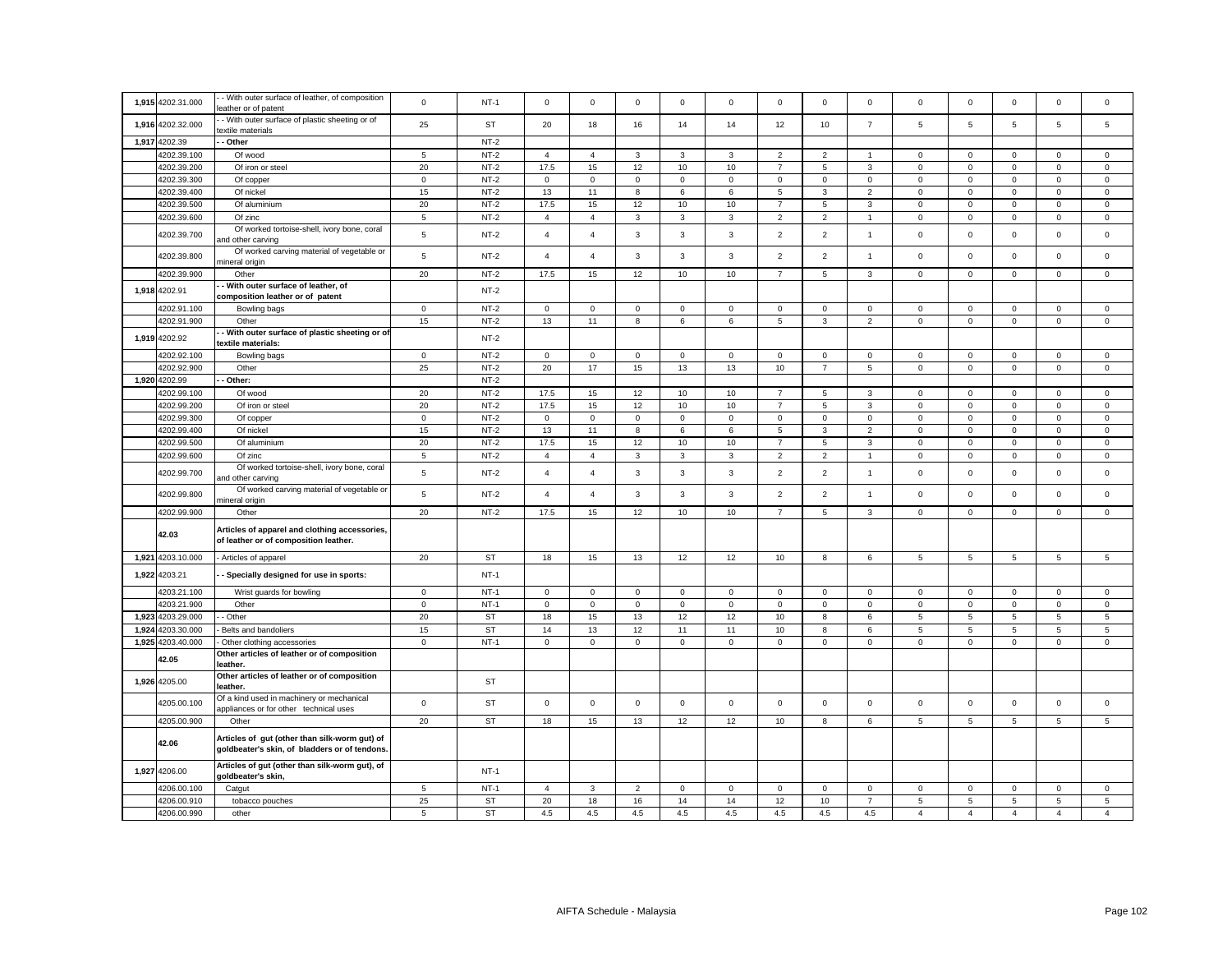| 1,915 | 4202.31.000       | - With outer surface of leather, of composition<br>leather or of patent                        | $\mathsf 0$     | $NT-1$    | $\mathbf 0$         | $\mathsf 0$         | $\mathsf 0$    | $\mathbf 0$ | $\mathsf 0$  | $\mathbf 0$    | $\mathbf 0$         | $\mathsf 0$    | $\mathbf 0$    | $\mathbf 0$     | $\mathbf 0$         | $\mathsf 0$     | $\mathbf 0$     |
|-------|-------------------|------------------------------------------------------------------------------------------------|-----------------|-----------|---------------------|---------------------|----------------|-------------|--------------|----------------|---------------------|----------------|----------------|-----------------|---------------------|-----------------|-----------------|
| 1,916 | 4202.32.000       | - With outer surface of plastic sheeting or of<br>extile materials                             | 25              | <b>ST</b> | 20                  | 18                  | 16             | 14          | 14           | 12             | 10                  | $\overline{7}$ | 5              | $\overline{5}$  | 5                   | $\overline{5}$  | $\overline{5}$  |
|       | 1,917 4202.39     | - Other                                                                                        |                 | $NT-2$    |                     |                     |                |             |              |                |                     |                |                |                 |                     |                 |                 |
|       | 4202.39.100       | Of wood                                                                                        | 5               | $NT-2$    | $\overline{4}$      | $\overline{4}$      | 3              | 3           | 3            | $\overline{2}$ | $\overline{2}$      | $\overline{1}$ | $\mathsf 0$    | $\mathbf 0$     | $\mathbf 0$         | $\mathsf 0$     | 0               |
|       | 4202.39.200       | Of iron or steel                                                                               | 20              | $NT-2$    | 17.5                | 15                  | 12             | 10          | 10           | $\overline{7}$ | 5                   | 3              | $\mathbf 0$    | $\mathbf 0$     | $\mathbf 0$         | $\mathsf 0$     | $\mathbf 0$     |
|       | 4202.39.300       | Of copper                                                                                      | $\mathbf 0$     | $NT-2$    | $\mathbf 0$         | $\mathbf 0$         | $\mathsf 0$    | 0           | $\mathbf 0$  | $\mathsf 0$    | $\mathbf 0$         | $\mathbf 0$    | $\mathbf 0$    | $\mathbf 0$     | $\mathbf 0$         | $\mathsf 0$     | 0               |
|       | 4202.39.400       | Of nickel                                                                                      | 15              | $NT-2$    | 13                  | 11                  | 8              | 6           | 6            | 5              | $\mathbf{3}$        | 2              | $\mathbf 0$    | $\mathbf 0$     | $\mathbf{0}$        | $\mathbf 0$     | $\mathbf{0}$    |
|       | 4202.39.500       | Of aluminium                                                                                   | 20              | $NT-2$    | 17.5                | 15                  | 12             | 10          | 10           | $\overline{7}$ | 5                   | 3              | $\mathbf 0$    | $\mathbf 0$     | $\mathbf{0}$        | $\mathbf{0}$    | $\mathbf 0$     |
|       |                   |                                                                                                |                 |           |                     |                     |                |             |              |                |                     |                |                |                 |                     |                 |                 |
|       | 4202.39.600       | Of zinc                                                                                        | $\sqrt{5}$      | $NT-2$    | $\overline{4}$      | $\overline{4}$      | $_{3}$         | 3           | $\mathbf{3}$ | $\overline{2}$ | $\overline{2}$      | $\overline{1}$ | $\mathbf 0$    | $\pmb{0}$       | $\mathsf{O}\xspace$ | $\mathsf 0$     | $\mathbf 0$     |
|       | 4202.39.700       | Of worked tortoise-shell, ivory bone, coral<br>and other carving                               | $\overline{5}$  | $NT-2$    | $\overline{4}$      | $\overline{4}$      | $\mathbf{3}$   | 3           | 3            | $\overline{2}$ | $\overline{2}$      | $\mathbf{1}$   | $\mathbf 0$    | $\mathbf 0$     | $\mathsf 0$         | $\mathsf 0$     | $\mathbf 0$     |
|       | 4202.39.800       | Of worked carving material of vegetable or<br>nineral origin                                   | $\,$ 5          | $NT-2$    | $\overline{4}$      | $\overline{4}$      | $\mathbf{3}$   | 3           | 3            | $\overline{2}$ | $\overline{2}$      | $\mathbf{1}$   | $\mathsf 0$    | $\mathbf 0$     | $\mathsf{O}\xspace$ | $\mathsf 0$     | $\mathbf 0$     |
|       | 4202.39.900       | Other                                                                                          | 20              | $NT-2$    | 17.5                | 15                  | 12             | 10          | 10           | $\overline{7}$ | 5                   | 3              | $\mathbf{0}$   | $\mathsf 0$     | $\mathsf{O}\xspace$ | $\mathsf 0$     | $\mathbf{0}$    |
|       | 1,918 4202.91     | - With outer surface of leather, of<br>composition leather or of patent                        |                 | $NT-2$    |                     |                     |                |             |              |                |                     |                |                |                 |                     |                 |                 |
|       | 4202.91.100       | Bowling bags                                                                                   | $\mathbf 0$     | $NT-2$    | $\mathsf 0$         | $\mathsf 0$         | $\mathbf 0$    | $\mathsf 0$ | $\mathbf 0$  | $\mathsf 0$    | $\mathsf 0$         | $\mathbf 0$    | $\mathsf 0$    | $\mathbf 0$     | 0                   | $\mathbf 0$     | $\mathsf 0$     |
|       | 4202.91.900       | Other                                                                                          | 15              | $NT-2$    | 13                  | 11                  | 8              | 6           | $\,6\,$      | $\,$ 5 $\,$    | $\mathbf{3}$        | $\overline{c}$ | $\mathsf 0$    | $\pmb{0}$       | $\mathsf 0$         | $\mathsf 0$     | $\mathsf 0$     |
| 1,919 | 4202.92           | - With outer surface of plastic sheeting or of<br>textile materials:                           |                 | $NT-2$    |                     |                     |                |             |              |                |                     |                |                |                 |                     |                 |                 |
|       | 4202.92.100       | Bowling bags                                                                                   | $\mathbf 0$     | $NT-2$    | $\mathsf{O}\xspace$ | $\mathsf{O}\xspace$ | $\mathsf 0$    | $\mathsf 0$ | $\mathsf 0$  | $\mathsf 0$    | $\mathsf{O}\xspace$ | $\mathsf 0$    | $\mathsf 0$    | $\,0\,$         | $\mathbf 0$         | $\mathsf 0$     | $\mathsf 0$     |
|       | 4202.92.900       | Other                                                                                          | 25              | $NT-2$    | 20                  | $17$                | 15             | 13          | 13           | 10             | $\overline{7}$      | 5              | 0              | $\mathbf 0$     | $\mathsf{O}\xspace$ | $\mathsf 0$     | $\mathsf 0$     |
| 1,920 | 4202.99           | Other:                                                                                         |                 | $NT-2$    |                     |                     |                |             |              |                |                     |                |                |                 |                     |                 |                 |
|       |                   |                                                                                                |                 |           |                     |                     |                |             |              |                |                     |                |                |                 |                     |                 |                 |
|       | 4202.99.100       | Of wood                                                                                        | 20              | $NT-2$    | 17.5                | 15                  | 12             | 10          | 10           | $\overline{7}$ | 5                   | 3              | $\mathsf 0$    | $\mathbf 0$     | $\mathbf 0$         | $\mathsf 0$     | $\mathbf 0$     |
|       | 4202.99.200       | Of iron or steel                                                                               | 20              | $NT-2$    | 17.5                | 15                  | 12             | 10          | 10           | $\overline{7}$ | 5                   | 3              | $\mathsf 0$    | $\mathbf 0$     | $\mathbf 0$         | $\mathsf 0$     | $\mathsf 0$     |
|       | 4202.99.300       | Of copper                                                                                      | $\mathbf 0$     | $NT-2$    | $\mathsf 0$         | $\mathsf 0$         | $\mathsf 0$    | $\mathbf 0$ | $\mathsf 0$  | $\mathsf 0$    | $\mathbf 0$         | $\mathsf 0$    | $\mathsf 0$    | $\mathbf 0$     | $\mathbf 0$         | $\mathsf 0$     | $\mathbf{0}$    |
|       | 4202.99.400       | Of nickel                                                                                      | 15              | $NT-2$    | 13                  | 11                  | 8              | 6           | 6            | 5              | 3                   | $\overline{2}$ | $\mathbf 0$    | $\mathbf 0$     | $\mathbf 0$         | $\mathbf 0$     | $\mathbf 0$     |
|       | 4202.99.500       | Of aluminium                                                                                   | 20              | $NT-2$    | 17.5                | 15                  | 12             | $10$        | 10           | $\overline{7}$ | $\overline{5}$      | 3              | $\mathsf 0$    | $\mathbf 0$     | $\mathsf{O}\xspace$ | $\mathsf 0$     | $\mathbf 0$     |
|       | 4202.99.600       | Of zinc                                                                                        | $\,$ 5 $\,$     | $NT-2$    | $\overline{4}$      | $\overline{4}$      | $\mathbf{3}$   | 3           | $\mathbf{3}$ | $\mathbf 2$    | $\overline{2}$      | $\mathbf{1}$   | $\mathbf 0$    | $\mathbf 0$     | $\mathsf 0$         | $\mathbf 0$     | $\mathsf 0$     |
|       | 4202.99.700       | Of worked tortoise-shell, ivory bone, coral<br>and other carving                               | $\sqrt{5}$      | $NT-2$    | $\overline{4}$      | $\overline{4}$      | 3              | 3           | 3            | $\overline{2}$ | $\overline{2}$      | $\mathbf{1}$   | $\mathsf 0$    | $\mathbf 0$     | $\mathbf 0$         | $\mathsf 0$     | $\mathbf 0$     |
|       | 4202.99.800       | Of worked carving material of vegetable or<br>mineral origin                                   | $\,$ 5 $\,$     | $NT-2$    | $\overline{4}$      | $\overline{4}$      | $_{3}$         | 3           | $\mathbf{3}$ | $\overline{2}$ | $\overline{2}$      | $\mathbf{1}$   | $\mathsf 0$    | $\mathbf 0$     | $\mathsf 0$         | $\mathsf 0$     | $\mathsf 0$     |
|       | 4202.99.900       | Other                                                                                          | 20              | $NT-2$    | 17.5                | 15                  | 12             | $10$        | 10           | $\overline{7}$ | 5                   | 3              | $\mathsf 0$    | $\pmb{0}$       | $\mathbf 0$         | $\mathsf 0$     | $\mathsf 0$     |
|       | 42.03             | Articles of apparel and clothing accessories,<br>of leather or of composition leather.         |                 |           |                     |                     |                |             |              |                |                     |                |                |                 |                     |                 |                 |
|       | 1,921 4203.10.000 | - Articles of apparel                                                                          | 20              | ST        | 18                  | 15                  | 13             | 12          | 12           | 10             | 8                   | 6              | 5              | 5               | 5                   | $5\overline{5}$ | $5\overline{5}$ |
|       | 1,922 4203.21     | Specially designed for use in sports:                                                          |                 | $NT-1$    |                     |                     |                |             |              |                |                     |                |                |                 |                     |                 |                 |
|       | 4203.21.100       | Wrist guards for bowling                                                                       | $\circ$         | $NT-1$    | $\mathsf 0$         | $\mathbf 0$         | $\mathbf{0}$   | $\mathbf 0$ | $\mathbf 0$  | $\mathsf 0$    | $\mathbf 0$         | $\mathbf 0$    | $\mathbf 0$    | $\mathbf 0$     | $\mathbf 0$         | $\mathsf 0$     | $\mathbf 0$     |
|       | 4203.21.900       | Other                                                                                          |                 | $NT-1$    | $\mathsf 0$         | $\mathsf 0$         | $\mathsf 0$    | $\mathsf 0$ | $\mathsf 0$  | $\mathbf 0$    | $\mathbf 0$         | $\mathsf 0$    | $\mathsf 0$    | $\mathbf 0$     | $\mathsf{O}\xspace$ | $\mathsf 0$     | $\mathsf 0$     |
|       |                   |                                                                                                | $\mathsf 0$     |           |                     |                     |                |             |              |                |                     |                |                |                 |                     |                 |                 |
| 1,923 | 4203.29.000       | - Other                                                                                        | 20              | <b>ST</b> | 18                  | 15                  | 13             | 12          | 12           | 10             | 8                   | 6              | 5              | $\overline{5}$  | 5                   | $\sqrt{5}$      | 5               |
| 1,924 | 4203.30.000       | Belts and bandoliers                                                                           | 15              | <b>ST</b> | 14                  | 13                  | 12             | 11          | 11           | $10$           | 8                   | 6              | 5              | $\sqrt{5}$      | $\mathbf 5$         | 5               | 5               |
|       | 1,925 4203.40.000 | Other clothing accessories                                                                     | $\mathbf 0$     | $NT-1$    | $\mathbf 0$         | $\mathbf 0$         | $\mathbf{0}$   | 0           | $\mathbf 0$  | $\mathsf 0$    | $\mathbf 0$         | 0              | 0              | $\mathbf 0$     | $\mathbf{0}$        | $\mathsf 0$     | 0               |
|       | 42.05             | Other articles of leather or of composition<br>leather.                                        |                 |           |                     |                     |                |             |              |                |                     |                |                |                 |                     |                 |                 |
|       | 1,926 4205.00     | Other articles of leather or of composition<br>leather.                                        |                 | ST        |                     |                     |                |             |              |                |                     |                |                |                 |                     |                 |                 |
|       | 4205.00.100       | Of a kind used in machinery or mechanical<br>appliances or for other technical uses            | $\mathbf 0$     | ST        | $\mathbf 0$         | $\mathsf 0$         | $\mathsf 0$    | 0           | $\mathbf 0$  | $\mathbf 0$    | $\mathbf 0$         | $\mathsf 0$    | $\mathsf 0$    | $\mathbf 0$     | $\mathbf 0$         | $\mathsf 0$     | $\mathbf 0$     |
|       | 4205.00.900       | Other                                                                                          | 20              | <b>ST</b> | 18                  | 15                  | 13             | 12          | 12           | 10             | 8                   | 6              | $\overline{5}$ | $5\phantom{.0}$ | $5\phantom{.0}$     | 5               | 5               |
|       | 42.06             | Articles of gut (other than silk-worm gut) of<br>goldbeater's skin, of bladders or of tendons. |                 |           |                     |                     |                |             |              |                |                     |                |                |                 |                     |                 |                 |
|       | 1,927 4206.00     | Articles of gut (other than silk-worm gut), of<br>goldbeater's skin,                           |                 | $NT-1$    |                     |                     |                |             |              |                |                     |                |                |                 |                     |                 |                 |
|       | 4206.00.100       | Catgut                                                                                         | $5\overline{5}$ | $NT-1$    | $\overline{4}$      | 3                   | $\overline{2}$ | $\mathbf 0$ | $\mathbf 0$  | $\mathsf 0$    | $\mathbf 0$         | $\mathbf 0$    | $\mathbf 0$    | $\mathbf 0$     | $\mathbf 0$         | $\mathsf 0$     | $\mathbf 0$     |
|       | 4206.00.910       | tobacco pouches                                                                                | 25              | <b>ST</b> | 20                  | 18                  | 16             | 14          | 14           | 12             | 10                  | $\overline{7}$ | 5              | $\overline{5}$  | $\sqrt{5}$          | $\,$ 5 $\,$     | 5               |
|       | 4206.00.990       | other                                                                                          | 5               | <b>ST</b> | 4.5                 | $4.5\,$             | 4.5            | 4.5         | $4.5\,$      | 4.5            | 4.5                 | 4.5            | $\overline{4}$ | $\overline{4}$  | $\overline{4}$      | $\overline{4}$  | $\overline{4}$  |
|       |                   |                                                                                                |                 |           |                     |                     |                |             |              |                |                     |                |                |                 |                     |                 |                 |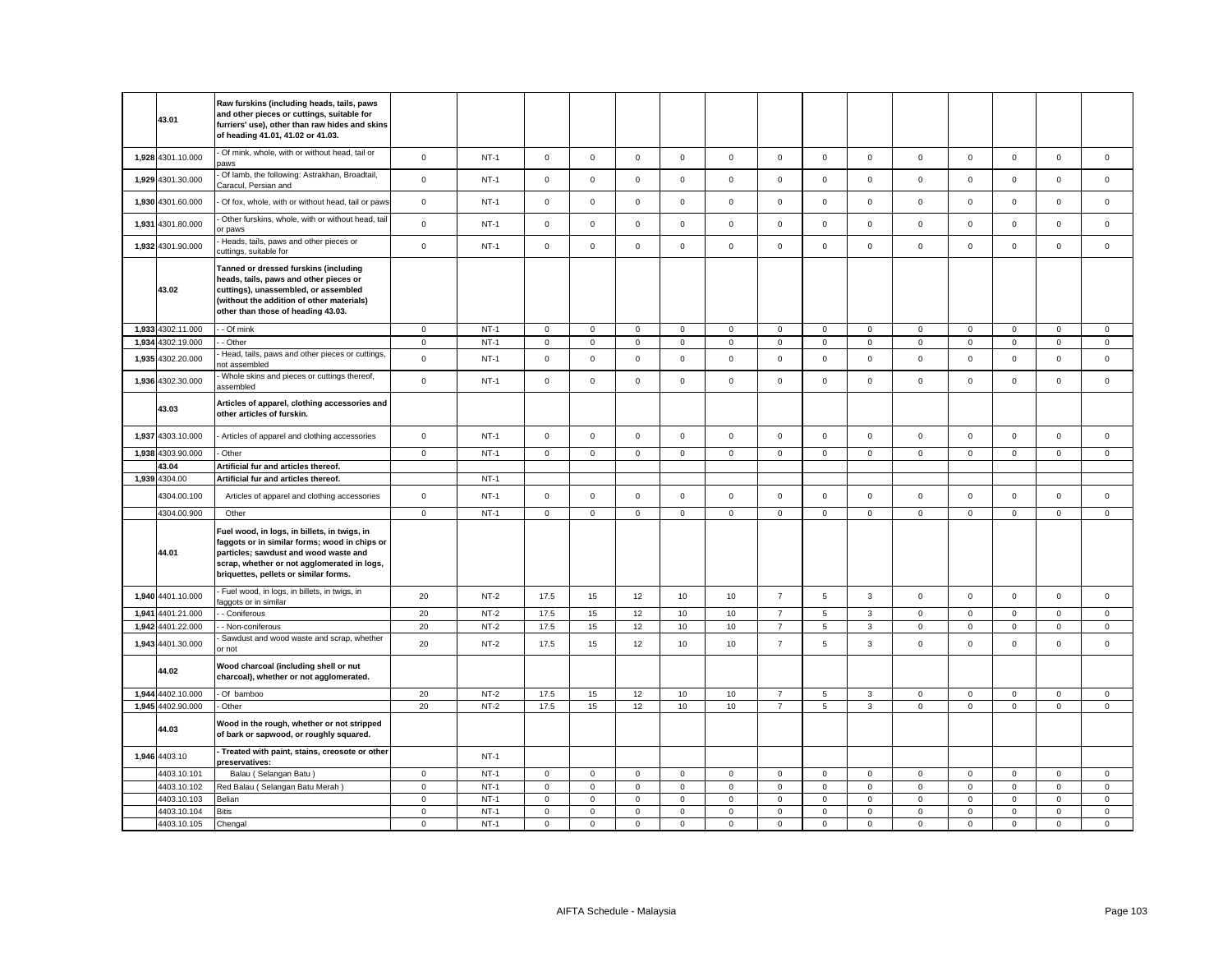|       | 43.01             | Raw furskins (including heads, tails, paws<br>and other pieces or cuttings, suitable for<br>furriers' use), other than raw hides and skins<br>of heading 41.01, 41.02 or 41.03.                                                |                |        |              |             |             |              |             |                |              |              |              |             |             |                     |             |
|-------|-------------------|--------------------------------------------------------------------------------------------------------------------------------------------------------------------------------------------------------------------------------|----------------|--------|--------------|-------------|-------------|--------------|-------------|----------------|--------------|--------------|--------------|-------------|-------------|---------------------|-------------|
|       | 1,928 4301.10.000 | - Of mink, whole, with or without head, tail or<br>aws                                                                                                                                                                         | $\mathsf 0$    | $NT-1$ | $\mathbf 0$  | $\mathbf 0$ | $\mathsf 0$ | $\mathbf 0$  | $\mathbf 0$ | $\mathsf 0$    | $\mathsf{O}$ | $\mathsf 0$  | $\mathsf 0$  | $\mathsf 0$ | $\mathbf 0$ | $\mathsf 0$         | $\mathbf 0$ |
|       | 1,929 4301.30.000 | Of lamb, the following: Astrakhan, Broadtail<br>Caracul, Persian and                                                                                                                                                           | $\mathbf 0$    | $NT-1$ | $\mathbf 0$  | $\mathsf 0$ | $\mathsf 0$ | $\mathsf 0$  | $\mathsf 0$ | $\mathsf 0$    | $\mathbf 0$  | $\mathsf 0$  | $\mathbf 0$  | $\mathsf 0$ | $\mathsf 0$ | $\mathsf 0$         | $\mathsf 0$ |
|       | 1,930 4301.60.000 | Of fox, whole, with or without head, tail or paws                                                                                                                                                                              | $\mathsf 0$    | $NT-1$ | $\mathsf 0$  | $\mathsf 0$ | $\mathsf 0$ | $\mathsf 0$  | $\mathbf 0$ | $\mathsf 0$    | $\mathsf 0$  | $\mathsf 0$  | $\mathsf 0$  | $\mathsf 0$ | $\mathsf 0$ | $\mathsf 0$         | $\mathsf 0$ |
|       | 1,931 4301.80.000 | Other furskins, whole, with or without head, tail<br>or paws                                                                                                                                                                   | $\mathsf 0$    | $NT-1$ | $\mathsf 0$  | $\mathsf 0$ | $\mathsf 0$ | $\mathsf 0$  | $\mathbf 0$ | $\mathsf 0$    | $\mathsf 0$  | $\mathsf 0$  | $\mathsf 0$  | $\mathsf 0$ | $\mathsf 0$ | $\mathsf 0$         | $\mathsf 0$ |
|       | 1,932 4301.90.000 | Heads, tails, paws and other pieces or<br>cuttings, suitable for                                                                                                                                                               | $\mathbf{0}$   | $NT-1$ | $\mathbf 0$  | $\mathbf 0$ | $\mathbf 0$ | $\mathbf{0}$ | $\mathbf 0$ | $\mathbf 0$    | $\mathbf 0$  | $\mathbf{0}$ | $\mathbf 0$  | $\mathbf 0$ | $\mathbf 0$ | $\mathbf 0$         | $\mathbf 0$ |
|       | 43.02             | Tanned or dressed furskins (including<br>heads, tails, paws and other pieces or<br>cuttings), unassembled, or assembled<br>(without the addition of other materials)<br>other than those of heading 43.03.                     |                |        |              |             |             |              |             |                |              |              |              |             |             |                     |             |
|       | 1,933 4302.11.000 | - Of mink                                                                                                                                                                                                                      | $\mathbf 0$    | $NT-1$ | $\mathbf 0$  | $\mathsf 0$ | $\mathsf 0$ | $\mathsf 0$  | $\mathsf 0$ | $\mathsf 0$    | $\mathbf 0$  | $\mathbf 0$  | $\mathbf 0$  | $\mathsf 0$ | $\mathsf 0$ | $\mathbf 0$         | $\mathsf 0$ |
|       | 1,934 4302.19.000 | - Other                                                                                                                                                                                                                        | $\overline{0}$ | $NT-1$ | $\mathbf{0}$ | $\mathsf 0$ | $\mathsf 0$ | $\mathbf 0$  | $\mathbf 0$ | $\mathsf 0$    | $\mathbf{0}$ | $\mathsf 0$  | $\mathbf 0$  | $\mathsf 0$ | $\mathbf 0$ | $\mathsf{O}\xspace$ | $\mathsf 0$ |
|       | 1,935 4302.20.000 | Head, tails, paws and other pieces or cuttings,<br>ot assembled                                                                                                                                                                | $\mathbf 0$    | $NT-1$ | $\mathbf 0$  | $\mathsf 0$ | $\mathsf 0$ | $\mathsf 0$  | $\mathbf 0$ | $\mathsf 0$    | $\mathsf 0$  | $\mathsf 0$  | $\mathsf 0$  | $\mathsf 0$ | $\mathsf 0$ | $\mathsf 0$         | $\mathsf 0$ |
|       | 1,936 4302.30.000 | Whole skins and pieces or cuttings thereof,<br>assembled                                                                                                                                                                       | $\mathsf 0$    | $NT-1$ | $\mathbf 0$  | $\mathbf 0$ | $\mathbf 0$ | $\mathbf{0}$ | $\mathbf 0$ | $\mathbf 0$    | $\mathbf{O}$ | $\mathbf 0$  | $\mathsf 0$  | $\mathbf 0$ | $\mathbf 0$ | $\mathbf 0$         | $\mathsf 0$ |
|       | 43.03             | Articles of apparel, clothing accessories and<br>other articles of furskin.                                                                                                                                                    |                |        |              |             |             |              |             |                |              |              |              |             |             |                     |             |
|       | 1,937 4303.10.000 | Articles of apparel and clothing accessories                                                                                                                                                                                   | $\mathsf 0$    | $NT-1$ | $\mathbf 0$  | $\mathbf 0$ | $\mathsf 0$ | $\mathsf 0$  | $\mathbf 0$ | $\mathsf 0$    | $\mathbf 0$  | $\mathsf 0$  | $\mathsf 0$  | $\mathsf 0$ | $\mathbf 0$ | $\mathsf 0$         | $\mathsf 0$ |
| 1,938 | 4303.90.000       | Other                                                                                                                                                                                                                          | $\mathbf 0$    | $NT-1$ | $\mathbf 0$  | $\mathsf 0$ | $\mathsf 0$ | $\mathsf 0$  | $\mathsf 0$ | $\mathsf 0$    | $\mathsf 0$  | $\mathsf 0$  | $\mathsf 0$  | $\mathsf 0$ | $\mathsf 0$ | $\mathsf 0$         | $\mathsf 0$ |
|       | 43.04             | Artificial fur and articles thereof.                                                                                                                                                                                           |                |        |              |             |             |              |             |                |              |              |              |             |             |                     |             |
|       | 1,939 4304.00     | Artificial fur and articles thereof.                                                                                                                                                                                           |                | $NT-1$ |              |             |             |              |             |                |              |              |              |             |             |                     |             |
|       |                   |                                                                                                                                                                                                                                |                |        |              |             |             |              |             |                |              |              |              |             |             |                     |             |
|       | 4304.00.100       | Articles of apparel and clothing accessories                                                                                                                                                                                   | $\mathsf 0$    | $NT-1$ | $\mathbf 0$  | $\mathbf 0$ | $\mathsf 0$ | $\mathsf 0$  | $\mathbf 0$ | $\mathsf 0$    | $\mathsf 0$  | $\mathsf 0$  | $\mathsf 0$  | $\mathsf 0$ | $\mathbf 0$ | $\mathsf 0$         | $\mathsf 0$ |
|       | 4304.00.900       | Other                                                                                                                                                                                                                          | $\mathsf 0$    | $NT-1$ | $\mathbf 0$  | $\mathsf 0$ | $\mathsf 0$ | $\mathsf 0$  | $\mathsf 0$ | $\mathsf 0$    | $\mathsf 0$  | $\mathsf 0$  | $\mathsf 0$  | $\mathsf 0$ | $\mathsf 0$ | $\mathsf 0$         | $\mathsf 0$ |
|       | 44.01             | Fuel wood, in logs, in billets, in twigs, in<br>faggots or in similar forms; wood in chips or<br>particles; sawdust and wood waste and<br>scrap, whether or not agglomerated in logs,<br>briquettes, pellets or similar forms. |                |        |              |             |             |              |             |                |              |              |              |             |             |                     |             |
|       | 1,940 4401.10.000 | Fuel wood, in logs, in billets, in twigs, in<br>aggots or in similar                                                                                                                                                           | 20             | $NT-2$ | 17.5         | 15          | 12          | 10           | 10          | $\overline{7}$ | $\,$ 5 $\,$  | $\mathbf{3}$ | $\mathsf 0$  | $\mathbf 0$ | $\mathsf 0$ | $\mathsf 0$         | $\mathsf 0$ |
|       | 1,941 4401.21.000 | - Coniferous                                                                                                                                                                                                                   | 20             | $NT-2$ | 17.5         | 15          | 12          | 10           | 10          | $\overline{7}$ | 5            | 3            | $\mathbf 0$  | $\mathbf 0$ | $\mathbf 0$ | $\mathbf 0$         | $\mathsf 0$ |
|       | 1,942 4401.22.000 | - Non-coniferous                                                                                                                                                                                                               | 20             | $NT-2$ | 17.5         | 15          | 12          | 10           | 10          | $\overline{7}$ | $\,$ 5 $\,$  | $\mathbf{3}$ | $\mathsf 0$  | $\mathsf 0$ | $\mathsf 0$ | $\mathsf 0$         | $\mathsf 0$ |
|       | 1,943 4401.30.000 | Sawdust and wood waste and scrap, whether<br>or not                                                                                                                                                                            | 20             | $NT-2$ | 17.5         | 15          | 12          | 10           | 10          | $\overline{7}$ | 5            | $\mathbf{3}$ | $\mathbf{0}$ | $\mathbf 0$ | $\mathbf 0$ | $\mathbf 0$         | $\mathbf 0$ |
|       | 44.02             | Wood charcoal (including shell or nut<br>charcoal), whether or not agglomerated.                                                                                                                                               |                |        |              |             |             |              |             |                |              |              |              |             |             |                     |             |
|       | 1,944 4402.10.000 | - Of bamboo                                                                                                                                                                                                                    | 20             | $NT-2$ | 17.5         | 15          | 12          | 10           | 10          | $\overline{7}$ | 5            | $\mathbf{3}$ | $\mathsf 0$  | $\mathbf 0$ | $\mathbf 0$ | $\mathsf 0$         | $\mathsf 0$ |
|       | 1,945 4402.90.000 | Other                                                                                                                                                                                                                          | 20             | $NT-2$ | 17.5         | 15          | 12          | 10           | $10$        | $\overline{7}$ | 5            | $\mathbf{3}$ | $\mathsf 0$  | $\mathsf 0$ | $\mathsf 0$ | $\mathsf 0$         | $\mathsf 0$ |
|       | 44.03             | Wood in the rough, whether or not stripped<br>of bark or sapwood, or roughly squared.                                                                                                                                          |                |        |              |             |             |              |             |                |              |              |              |             |             |                     |             |
|       | 1,946 4403.10     | - Treated with paint, stains, creosote or other<br>preservatives:                                                                                                                                                              |                | $NT-1$ |              |             |             |              |             |                |              |              |              |             |             |                     |             |
|       | 4403.10.101       | Balau (Selangan Batu)                                                                                                                                                                                                          | $\mathbf 0$    | $NT-1$ | $\mathbf 0$  | $\mathsf 0$ | $\mathsf 0$ | $\mathsf 0$  | $\mathbf 0$ | $\mathsf 0$    | $\mathbf 0$  | $\mathsf 0$  | $\mathbf 0$  | $\mathsf 0$ | $\mathsf 0$ | $\mathsf 0$         | $\mathsf 0$ |
|       | 4403.10.102       | Red Balau (Selangan Batu Merah)                                                                                                                                                                                                | $\mathsf 0$    | $NT-1$ | $\mathbf 0$  | $\mathsf 0$ | $\mathsf 0$ | $\mathsf 0$  | $\mathsf 0$ | $\mathsf 0$    | $\mathbf 0$  | $\mathsf 0$  | $\mathsf 0$  | $\mathsf 0$ | $\mathsf 0$ | $\mathsf 0$         | $\mathsf 0$ |
|       | 4403.10.103       | Belian                                                                                                                                                                                                                         | $\mathbf 0$    | $NT-1$ | $\mathbf 0$  | $\mathsf 0$ | $\mathsf 0$ | $\mathsf 0$  | $\mathbf 0$ | $\mathsf 0$    | $\mathsf 0$  | $\mathbf 0$  | $\mathbf 0$  | $\mathsf 0$ | $\mathsf 0$ | $\mathsf 0$         | $\mathsf 0$ |
|       | 4403.10.104       | <b>Bitis</b>                                                                                                                                                                                                                   | $\mathsf 0$    | $NT-1$ | $\mathbf 0$  | $\mathsf 0$ | $\mathsf 0$ | $\mathbf 0$  | $\mathsf 0$ | $\mathsf 0$    | $\mathsf 0$  | $\mathsf 0$  | $\mathbf 0$  | $\mathsf 0$ | $\mathsf 0$ | $\mathsf 0$         | $\mathsf 0$ |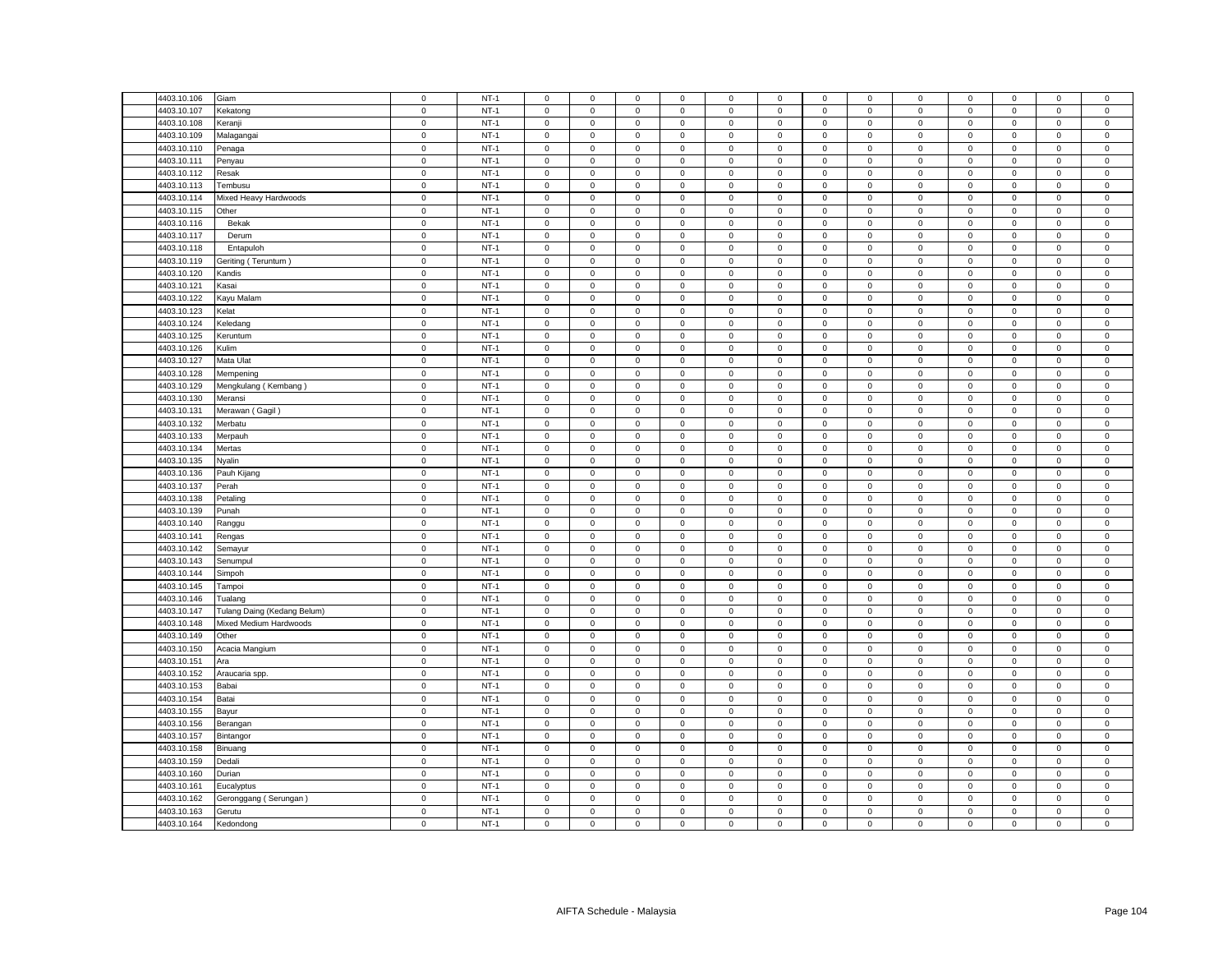| 4403.10.106                | Giam                        | $\mathsf 0$ | $NT-1$ | $\mathsf 0$         | $\mathsf 0$                                | $\mathsf 0$ | $\mathbf 0$    | 0                   | $\mathsf 0$ | $\mathbf 0$  | $\mathsf 0$    | $\mathbf 0$ | $\mathsf 0$ | $\mathsf 0$         | $\mathsf 0$ | $\mathsf 0$    |
|----------------------------|-----------------------------|-------------|--------|---------------------|--------------------------------------------|-------------|----------------|---------------------|-------------|--------------|----------------|-------------|-------------|---------------------|-------------|----------------|
| 4403.10.107                | Kekatong                    | $\mathsf 0$ | $NT-1$ | $\Omega$            | $\mathsf 0$                                | $\mathsf 0$ | $\mathbf 0$    | 0                   | $\mathbf 0$ | $\mathsf 0$  | $\mathsf 0$    | $\mathsf 0$ | $\mathbf 0$ | $\mathsf 0$         | $\mathbf 0$ | $\mathsf 0$    |
| 4403.10.108                | Keranji                     | $\mathbf 0$ | $NT-1$ | $\mathbf{0}$        | $\mathbf 0$                                | $\mathsf 0$ | $\mathbf 0$    | $\mathbf 0$         | $\mathsf 0$ | $\mathbf 0$  | $\mathbf 0$    | $\mathbf 0$ | $\mathbf 0$ | $\mathbf{0}$        | $\mathsf 0$ | $\mathsf 0$    |
| 4403.10.109                | Malagangai                  | $\mathsf 0$ | $NT-1$ | $\mathbf 0$         | $\mathsf 0$                                | $\mathsf 0$ | $\mathsf 0$    | 0                   | $\mathsf 0$ | $\mathsf 0$  | $\mathsf 0$    | $\mathsf 0$ | $\mathsf 0$ | $\mathsf 0$         | $\mathsf 0$ | $\mathbf 0$    |
| 4403.10.110                | Penaga                      | $\mathbf 0$ | $NT-1$ | $\mathbf 0$         | $\mathbf 0$                                | $\mathbf 0$ | $\mathbf 0$    | 0                   | $\mathbf 0$ | $\mathbf 0$  | $\mathbf 0$    | $\mathbf 0$ | $\mathbf 0$ | $\mathbf 0$         | $\mathbf 0$ | $\mathbf 0$    |
| 4403.10.111                | Penyau                      | $\mathsf 0$ | $NT-1$ | $\mathsf 0$         | $\mathsf 0$                                | $\mathsf 0$ | $\mathbf 0$    | 0                   | $\mathsf 0$ | $\mathbf 0$  | $\mathsf 0$    | $\mathsf 0$ | $\mathsf 0$ | $\mathsf 0$         | $\mathsf 0$ | $\mathsf 0$    |
| 4403.10.112                | Resak                       | $\mathsf 0$ | $NT-1$ | $\mathsf 0$         | $\mathsf 0$                                | $\mathsf 0$ | $\mathsf 0$    | 0                   | $\mathsf 0$ | $\mathbf 0$  | $\mathsf 0$    | $\mathsf 0$ | $\mathsf 0$ | $\mathsf 0$         | $\mathsf 0$ | $\mathsf 0$    |
| 4403.10.113                | Tembusu                     | $\mathsf 0$ | $NT-1$ | $\mathbf{0}$        | $\mathsf 0$                                | $\mathbf 0$ | $^{\circ}$     | $\mathbf{0}$        | $\mathbf 0$ | $\mathbf{0}$ | $\mathbf 0$    | $\mathsf 0$ | $\mathbf 0$ | $\mathbf 0$         | $\mathbf 0$ | $\mathsf 0$    |
| 4403.10.114                | Mixed Heavy Hardwoods       | $\mathsf 0$ | $NT-1$ | $\mathsf 0$         | $\mathsf 0$                                | $\mathsf 0$ | $\mathsf 0$    | 0                   | $\mathsf 0$ | $\mathbf 0$  | $\mathsf 0$    | $\mathsf 0$ | $\mathbf 0$ | $\mathsf 0$         | $\mathsf 0$ | $\mathsf 0$    |
| 4403.10.115                | Other                       | $\mathsf 0$ | $NT-1$ | $\mathsf 0$         | $\mathsf 0$                                | $\mathsf 0$ | $\mathsf 0$    | 0                   | $\mathsf 0$ | $\mathbf 0$  | $\mathsf 0$    | $\mathsf 0$ | $\mathsf 0$ | $\mathsf 0$         | $\mathsf 0$ | $\mathsf 0$    |
|                            |                             |             |        |                     |                                            |             |                |                     |             |              |                |             |             |                     |             |                |
| 4403.10.116                | Bekak                       | $\mathbf 0$ | $NT-1$ | $\mathbf 0$         | $\mathbf 0$                                | $\mathbf 0$ | $\mathbf 0$    | $\mathbf{0}$        | $\mathbf 0$ | $\mathbf 0$  | $\mathsf 0$    | $\mathsf 0$ | $\mathbf 0$ | $\mathbf 0$         | $\mathsf 0$ | $\mathsf 0$    |
| 4403.10.117                | Derum                       | $\mathbf 0$ | $NT-1$ | $\mathbf 0$         | $\mathbf 0$                                | $\mathbf 0$ | $\mathbf 0$    | $\mathbf{0}$        | $\mathbf 0$ | $\mathbf{0}$ | $^{\circ}$     | $\mathsf 0$ | $\mathbf 0$ | $\mathbf 0$         | $^{\circ}$  | $\overline{0}$ |
| 4403.10.118                | Entapuloh                   | $\mathbf 0$ | $NT-1$ | $\mathsf 0$         | $\mathsf 0$                                | $\mathsf 0$ | $\mathsf 0$    | $\mathbf{0}$        | $\mathbf 0$ | $\mathbf 0$  | $\mathsf 0$    | $\mathsf 0$ | $\mathbf 0$ | $\mathsf 0$         | $\mathsf 0$ | $\mathbf 0$    |
| 4403.10.119                | Geriting (Teruntum)         | $\mathsf 0$ | $NT-1$ | $\mathsf 0$         | $\mathbf 0$                                | $\mathsf 0$ | $\mathsf 0$    | 0                   | $\mathsf 0$ | $\mathbf 0$  | $\mathsf 0$    | $\mathsf 0$ | $\mathbf 0$ | $\mathbf 0$         | $\mathsf 0$ | $\mathsf 0$    |
| 4403.10.120                | Kandis                      | $\mathbf 0$ | $NT-1$ | $\mathsf 0$         | $\mathsf 0$                                | $\mathsf 0$ | $\mathsf 0$    | 0                   | $\mathsf 0$ | $\mathsf 0$  | $\mathbf 0$    | $\mathsf 0$ | $\mathbf 0$ | $\mathsf{O}\xspace$ | $\mathsf 0$ | $\mathsf{O}$   |
| 4403.10.121                | Kasai                       | $\mathsf 0$ | $NT-1$ | $\mathbf 0$         | $\mathbf 0$                                | $\mathsf 0$ | $\mathbf 0$    | 0                   | $\mathsf 0$ | $\mathbf 0$  | $\mathbf 0$    | $\mathsf 0$ | $\mathsf 0$ | $\mathsf 0$         | $\mathsf 0$ | $\mathbf 0$    |
| 4403.10.122                | Kayu Malam                  | $\mathbf 0$ | $NT-1$ | $\mathbf 0$         | $\mathbf 0$                                | $\mathsf 0$ | $\mathbf 0$    | $\mathbf{0}$        | $\mathbf 0$ | $\mathbf 0$  | $\mathsf 0$    | $\mathsf 0$ | $\mathbf 0$ | $\mathbf 0$         | $\mathsf 0$ | $\mathbf 0$    |
| 4403.10.123                | Kelat                       | $\mathsf 0$ | $NT-1$ | $\mathsf 0$         | $\mathbf 0$                                | $\mathsf 0$ | $\mathbf 0$    | 0                   | $\mathsf 0$ | $\mathbf 0$  | $\mathsf 0$    | $\mathbf 0$ | $\mathsf 0$ | $\mathbf 0$         | $\mathsf 0$ | $\mathsf 0$    |
| 4403.10.124                | Keledang                    | $\mathsf 0$ | $NT-1$ | $\mathbf 0$         | $\mathsf 0$                                | $\mathsf 0$ | $\mathbf 0$    | 0                   | $\mathbf 0$ | $\mathbf 0$  | $\mathsf 0$    | $\mathsf 0$ | $\mathbf 0$ | $\mathsf 0$         | $\mathsf 0$ | $\mathbf 0$    |
| 4403.10.125                | Keruntum                    | $\mathsf 0$ | $NT-1$ | $\mathsf 0$         | $\mathsf 0$                                | $\mathsf 0$ | $\mathbf 0$    | 0                   | $\mathbf 0$ | $\mathsf 0$  | $\mathsf 0$    | $\mathsf 0$ | $\mathsf 0$ | $\mathbf 0$         | $\mathsf 0$ | $\,0\,$        |
| 4403.10.126                | Kulim                       | $\mathsf 0$ | $NT-1$ | $\mathbf 0$         | $\mathsf{O}\xspace$                        | $\mathsf 0$ | $\mathsf 0$    | $\mathbf 0$         | $\mathsf 0$ | $\mathbf 0$  | $\mathsf 0$    | $\mathsf 0$ | $\mathbf 0$ | 0                   | $\mathbf 0$ | $\pmb{0}$      |
| 4403.10.127                | Mata Ulat                   | $\mathsf 0$ | $NT-1$ | 0                   | 0                                          | 0           | 0              | 0                   | 0           | 0            | 0              | 0           | $\mathbf 0$ | 0                   | 0           | $\mathbf 0$    |
| 4403.10.128                | Mempening                   | $\mathbf 0$ | $NT-1$ | $\mathbf 0$         | $\mathsf{O}\xspace$                        | $\mathbf 0$ | $\mathsf 0$    | $\mathsf{O}\xspace$ | $\mathbf 0$ | $\mathbf 0$  | $\mathbf 0$    | $\mathsf 0$ | $\mathbf 0$ | $\mathsf 0$         | $\mathsf 0$ | $\mathbf 0$    |
| 4403.10.129                | Mengkulang (Kembang)        | $\mathbf 0$ | $NT-1$ | 0                   | $\mathbf 0$                                | 0           | $^{\circ}$     | 0                   | 0           | $\mathbf 0$  | 0              | $\mathbf 0$ | 0           | 0                   | 0           | $\mathbf 0$    |
| 4403.10.130                | Meransi                     | $\mathsf 0$ | $NT-1$ | $\mathbf 0$         | $\mathsf{O}\xspace$                        | $\mathbf 0$ | $\mathsf 0$    | 0                   | $\mathsf 0$ | $\,0\,$      | $\,0\,$        | $\mathsf 0$ | $\mathbf 0$ | $\mathsf{O}\xspace$ | 0           | $\mathbf 0$    |
| 4403.10.131                | Merawan (Gagil)             | $\mathbf 0$ | $NT-1$ | 0                   | 0                                          | $\mathbf 0$ | 0              | 0                   | $\mathsf 0$ | 0            | $\mathbf 0$    | $\mathsf 0$ | $\mathbf 0$ | 0                   | $\mathsf 0$ | $\,0\,$        |
| 4403.10.132                | Merbatu                     | $\mathbf 0$ | $NT-1$ | $\mathbf 0$         | $\mathsf 0$                                | $\mathsf 0$ | $\mathsf 0$    | 0                   | $\mathbf 0$ | $\mathsf 0$  | $\mathbf 0$    | $\mathsf 0$ | $\mathbf 0$ | $\mathsf 0$         | $\mathsf 0$ | $\mathbf 0$    |
| 4403.10.133                |                             | $\mathsf 0$ | $NT-1$ | $\mathbf 0$         | $\mathbf 0$                                | $\mathbf 0$ | $\mathbf 0$    | 0                   | $\mathbf 0$ | $\mathbf 0$  | $\mathbf 0$    | $\mathsf 0$ | $\mathbf 0$ | $\mathbf 0$         | $\mathbf 0$ | $\mathsf 0$    |
|                            | Merpauh                     | $\mathbf 0$ | $NT-1$ | $\mathbf 0$         |                                            |             | $\mathsf 0$    | 0                   | $\mathbf 0$ | $\mathsf 0$  | $\mathsf 0$    | $\mathsf 0$ | $\mathbf 0$ | $\mathsf 0$         |             | $\mathbf 0$    |
| 4403.10.134<br>4403.10.135 | Mertas                      |             | $NT-1$ |                     | $\mathsf{O}\xspace$<br>$\mathsf{O}\xspace$ | $\mathbf 0$ |                |                     | $\mathsf 0$ |              |                | $\mathsf 0$ |             |                     | $\mathbf 0$ | $\mathsf 0$    |
|                            | Nyalin                      | $\mathbf 0$ |        | $\mathsf 0$         |                                            | $\mathsf 0$ | $\mathsf 0$    | 0                   |             | $\mathbf 0$  | $\mathsf 0$    |             | $\mathbf 0$ | $\mathsf 0$         | $\mathsf 0$ |                |
| 4403.10.136                | Pauh Kijang                 | $\mathsf 0$ | $NT-1$ | $\mathbf 0$         | $\mathsf 0$                                | $\mathbf 0$ | $\mathbf 0$    | 0                   | $\mathbf 0$ | $\mathsf 0$  | $\mathsf 0$    | $\mathsf 0$ | $\mathbf 0$ | $\mathbf 0$         | $\mathbf 0$ | $\mathbf 0$    |
| 4403.10.137                | Perah                       | 0           | $NT-1$ | $\mathbf{0}$        | $\mathbf 0$                                | $\mathsf 0$ | $\mathbf 0$    | 0                   | $\mathsf 0$ | $\mathbf 0$  | $\mathbf 0$    | $\mathsf 0$ | $\mathbf 0$ | $\mathbf 0$         | $\mathsf 0$ | $\,0\,$        |
| 4403.10.138                | Petaling                    | $\mathbf 0$ | $NT-1$ | $\mathbf 0$         | $\mathsf 0$                                | $\mathsf 0$ | $\mathsf 0$    | 0                   | $\mathbf 0$ | $\mathbf 0$  | $\mathsf 0$    | $\mathsf 0$ | $\mathsf 0$ | $\mathsf 0$         | $\mathsf 0$ | $\mathsf 0$    |
| 4403.10.139                | Punah                       | $\mathsf 0$ | $NT-1$ | $\mathbf{0}$        | $\mathbf 0$                                | $\mathsf 0$ | $\mathbf 0$    | 0                   | $\mathsf 0$ | $\mathbf{0}$ | $\mathbf 0$    | $\mathbf 0$ | $\mathbf 0$ | $\mathbf 0$         | $\mathsf 0$ | $\mathsf 0$    |
| 4403.10.140                | Ranggu                      | $\mathbf 0$ | $NT-1$ | $\mathbf 0$         | $\mathbf 0$                                | $\mathsf 0$ | $\mathbf 0$    | 0                   | $\mathsf 0$ | $\mathbf 0$  | $\mathbf 0$    | $\mathsf 0$ | $\mathbf 0$ | $\mathbf 0$         | $\mathbf 0$ | $\,0\,$        |
| 4403.10.141                | Rengas                      | $\mathsf 0$ | $NT-1$ | $\mathsf 0$         | $\mathsf 0$                                | $\mathsf 0$ | $\mathsf 0$    | 0                   | $\mathsf 0$ | $\mathbf 0$  | $\mathsf 0$    | $\mathsf 0$ | $\mathsf 0$ | $\mathsf 0$         | $\mathsf 0$ | $\mathsf 0$    |
| 4403.10.142                | Semayur                     | $\mathsf 0$ | $NT-1$ | $\mathbf 0$         | $\mathsf 0$                                | $\mathsf 0$ | $\mathsf 0$    | 0                   | $\mathsf 0$ | $\mathsf 0$  | $\mathsf 0$    | $\mathsf 0$ | $\mathsf 0$ | $\mathsf 0$         | $\mathsf 0$ | $\mathbf 0$    |
| 4403.10.143                | Senumpul                    | $\mathsf 0$ | $NT-1$ | $\mathsf 0$         | $\mathsf 0$                                | $\mathsf 0$ | $\mathbf 0$    | 0                   | $\mathsf 0$ | $\mathbf 0$  | $\mathsf 0$    | $\mathbf 0$ | $\mathbf 0$ | $\mathsf 0$         | $\mathsf 0$ | $\,0\,$        |
| 4403.10.144                | Simpoh                      | $\mathsf 0$ | $NT-1$ | $\mathbf 0$         | $\mathsf 0$                                | $\mathsf 0$ | $\mathbf 0$    | 0                   | $\mathsf 0$ | $\mathbf 0$  | $\mathsf 0$    | $\mathsf 0$ | $\mathsf 0$ | $\mathsf 0$         | $\mathbf 0$ | $\mathbf 0$    |
| 4403.10.145                | Tampoi                      | $\mathbf 0$ | $NT-1$ | $\mathbf 0$         | $\mathbf 0$                                | $\mathbf 0$ | $\mathbf 0$    | $\mathbf{0}$        | $\mathbf 0$ | $\mathbf 0$  | $\mathbf 0$    | $\mathbf 0$ | $\mathbf 0$ | $\mathbf 0$         | $\mathsf 0$ | $\mathbf 0$    |
| 4403.10.146                | Tualang                     | $\mathbf 0$ | $NT-1$ | 0                   | $\mathbf 0$                                | $\mathsf 0$ | $\mathbf 0$    | 0                   | $\mathbf 0$ | 0            | 0              | $\mathsf 0$ | $\mathbf 0$ | 0                   | 0           | $\,0\,$        |
| 4403.10.147                | Tulang Daing (Kedang Belum) | $\mathsf 0$ | $NT-1$ | $\mathsf 0$         | $\mathsf 0$                                | $\mathsf 0$ | $\mathsf 0$    | 0                   | $\mathsf 0$ | $\mathbf 0$  | $\mathsf 0$    | $\mathbf 0$ | $\mathsf 0$ | $\mathsf 0$         | $\mathsf 0$ | $\mathsf 0$    |
| 4403.10.148                | Mixed Medium Hardwoods      | $\mathsf 0$ | $NT-1$ | $\mathbf 0$         | $\mathbf 0$                                | $\mathbf 0$ | $\mathbf 0$    | $\mathbf{0}$        | $\mathbf 0$ | $\mathbf 0$  | $\mathbf{0}$   | $\mathbf 0$ | $\mathbf 0$ | $\mathbf 0$         | $\mathbf 0$ | $\mathsf 0$    |
| 4403.10.149                | Other                       | $\mathbf 0$ | $NT-1$ | $\mathbf{0}$        | $\mathbf 0$                                | $\mathsf 0$ | $^{\circ}$     | 0                   | $\mathbf 0$ | $\mathbf 0$  | $\mathbf 0$    | $\mathbf 0$ | $\mathbf 0$ | $\mathbf 0$         | $\mathbf 0$ | $\mathbf 0$    |
| 4403.10.150                | Acacia Mangium              | $\mathsf 0$ | $NT-1$ | $\mathsf 0$         | $\mathbf 0$                                | $\mathsf 0$ | $\mathsf 0$    | 0                   | $\mathsf 0$ | $\mathbf 0$  | $\mathsf 0$    | $\mathsf 0$ | $\mathbf 0$ | $\mathsf 0$         | $\mathsf 0$ | $\mathsf 0$    |
| 4403.10.151                | Ara                         | $\mathbf 0$ | $NT-1$ | $\mathbf 0$         | $\mathbf 0$                                | $\mathbf 0$ | $\mathbf 0$    | $\mathbf{0}$        | $\mathbf 0$ | $\mathbf 0$  | $\mathsf 0$    | $\mathsf 0$ | $\mathbf 0$ | $\mathbf 0$         | $\mathsf 0$ | $\mathsf 0$    |
| 4403.10.152                | Araucaria spp.              | $\mathsf 0$ | $NT-1$ | $\mathbf 0$         | $\mathbf 0$                                | $\mathbf 0$ | 0              | $\mathbf{0}$        | $\mathbf 0$ | $\mathbf{0}$ | $\mathbf{0}$   | $\mathsf 0$ | $\mathbf 0$ | $\mathbf 0$         | $\mathbf 0$ | $\mathsf 0$    |
| 4403.10.153                | Babai                       | $\mathsf 0$ | $NT-1$ | $\mathbf 0$         | $\mathsf 0$                                | $\mathsf 0$ | $\mathsf 0$    | 0                   | $\mathsf 0$ | $\mathsf 0$  | $\,0\,$        | $\mathsf 0$ | $\mathsf 0$ | $\mathsf 0$         | $\mathsf 0$ | $\mathbf 0$    |
| 4403.10.154                | Batai                       | $\mathbf 0$ | $NT-1$ | $\mathsf 0$         | $\mathsf 0$                                | $\mathsf 0$ | $\mathsf 0$    | 0                   | $\mathsf 0$ | $\mathbf 0$  | $\mathsf 0$    | $\mathsf 0$ | $\mathsf 0$ | $\mathsf 0$         | $\mathsf 0$ | $\mathsf 0$    |
| 4403.10.155                |                             | $\mathbf 0$ | $NT-1$ | $\mathsf 0$         | $\mathsf 0$                                | $\mathsf 0$ | $\mathsf 0$    | $\mathbf 0$         | $\mathsf 0$ | $\mathsf 0$  | $\mathsf 0$    | $\mathsf 0$ | $\mathsf 0$ | $\mathsf{O}\xspace$ | $\mathsf 0$ | $\mathsf 0$    |
|                            | Bayur                       | $\mathsf 0$ | $NT-1$ |                     | $\mathsf 0$                                | $\mathsf 0$ | $\Omega$       | 0                   | $\mathsf 0$ | $\mathbf 0$  |                |             |             | $\mathsf 0$         |             |                |
| 4403.10.156                | Berangan                    |             |        | 0                   |                                            |             |                |                     |             |              | $\mathbf 0$    | $\mathsf 0$ | $\mathbf 0$ |                     | $\mathbf 0$ | $\,0\,$        |
| 4403.10.157                | Bintangor                   | $\pmb{0}$   | $NT-1$ | $\mathbf 0$         | $\mathsf{O}\xspace$                        | $\mathbf 0$ | $\mathsf 0$    | 0                   | $\mathsf 0$ | $\mathbf 0$  | $\,0\,$        | $\mathsf 0$ | $\mathbf 0$ | $\mathsf 0$         | $\mathsf 0$ | $\mathbf 0$    |
| 4403.10.158                | Binuang                     | $\mathsf 0$ | $NT-1$ | 0                   | $\mathsf 0$                                | $\mathbf 0$ | $\mathbf 0$    | 0                   | $\mathsf 0$ | $\mathbf 0$  | $\mathsf 0$    | $\mathsf 0$ | $\mathsf 0$ | $\mathsf 0$         | $\mathsf 0$ | $\,0\,$        |
| 4403.10.159                | Dedali                      | $\mathbf 0$ | $NT-1$ | $\mathbf 0$         | $\mathsf{O}\xspace$                        | $\mathbf 0$ | 0              | 0                   | $\mathbf 0$ | $\mathbf 0$  | $\,0\,$        | $\mathsf 0$ | $\mathbf 0$ | 0                   | $\mathsf 0$ | $\mathbf 0$    |
| 4403.10.160                | Durian                      | $\mathbf 0$ | $NT-1$ | 0                   | $\mathsf{O}\xspace$                        | $\mathsf 0$ | $\overline{0}$ | 0                   | $\mathsf 0$ | 0            | $\mathbf 0$    | $\mathsf 0$ | $\mathbf 0$ | $\mathsf{O}\xspace$ | 0           | $\,0\,$        |
| 4403.10.161                | Eucalyptus                  | $\mathsf 0$ | $NT-1$ | $\mathbf 0$         | $\mathsf 0$                                | $\mathsf 0$ | $\mathbf 0$    | 0                   | $\mathbf 0$ | $\mathbf 0$  | $\overline{0}$ | $\mathbf 0$ | $\mathbf 0$ | $\mathbf 0$         | $\mathbf 0$ | $\mathbf 0$    |
| 4403.10.162                | Geronggang (Serungan)       | $\mathsf 0$ | $NT-1$ | $\mathbf 0$         | $\mathbf 0$                                | $\mathbf 0$ | $\mathbf 0$    | 0                   | $\mathbf 0$ | $\mathbf 0$  | $\mathbf 0$    | $\mathsf 0$ | $\mathbf 0$ | $\mathbf 0$         | $\mathbf 0$ | $\mathsf 0$    |
| 4403.10.163                | Gerutu                      | $\mathsf 0$ | $NT-1$ | $\mathsf{O}\xspace$ | $\mathsf 0$                                | $\mathsf 0$ | $\mathbf 0$    | 0                   | $\mathbf 0$ | $\mathbf 0$  | $\mathbf 0$    | $\mathsf 0$ | $\mathbf 0$ | $\mathsf 0$         | $\mathsf 0$ | $\mathbf 0$    |
| 4403.10.164                | Kedondong                   | $\mathbf 0$ | $NT-1$ | $\mathbf 0$         | $\mathsf 0$                                | $\mathsf 0$ | $\mathbf 0$    | 0                   | $\mathsf 0$ | $\mathbf 0$  | $\mathsf 0$    | $\mathbf 0$ | $\mathsf 0$ | $\mathbf 0$         | $\mathsf 0$ | $\mathsf 0$    |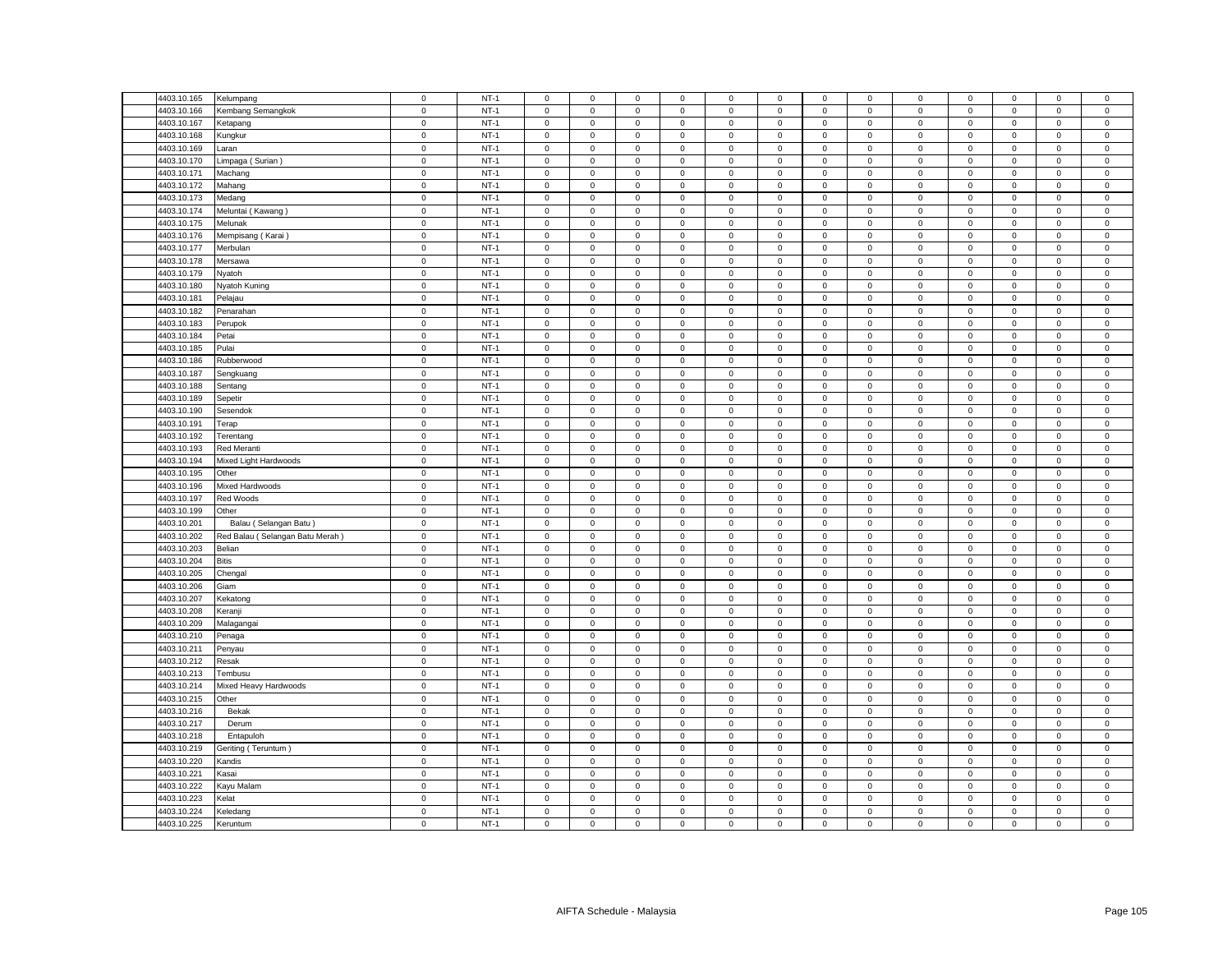| 4403.10.165 | Kelumpang                                                                                                                                                                                                                                                                                                                                                                                                                                                                                                                                                                                                               | $\mathsf 0$ | $NT-1$ | $\mathsf 0$         | $\mathsf 0$         | $\mathbf 0$ | $\mathbf 0$      | 0                   | $\mathsf 0$                | $\mathsf 0$  | $\mathsf 0$    | $\mathsf 0$  | $\mathsf 0$ | $\mathbf 0$         | $\mathbf 0$ | $\mathsf 0$    |
|-------------|-------------------------------------------------------------------------------------------------------------------------------------------------------------------------------------------------------------------------------------------------------------------------------------------------------------------------------------------------------------------------------------------------------------------------------------------------------------------------------------------------------------------------------------------------------------------------------------------------------------------------|-------------|--------|---------------------|---------------------|-------------|------------------|---------------------|----------------------------|--------------|----------------|--------------|-------------|---------------------|-------------|----------------|
| 4403.10.166 | Kembang Semangkok                                                                                                                                                                                                                                                                                                                                                                                                                                                                                                                                                                                                       | $\mathsf 0$ | $NT-1$ | $\mathsf 0$         | $\mathsf 0$         | $\mathsf 0$ | $\mathbf 0$      | 0                   | $\mathsf 0$                | $\mathbf 0$  | $\mathsf 0$    | $\mathsf 0$  | $\mathsf 0$ | $\mathsf 0$         | $\mathsf 0$ | $\mathsf 0$    |
| 4403.10.167 | Ketapang                                                                                                                                                                                                                                                                                                                                                                                                                                                                                                                                                                                                                | $\mathsf 0$ | $NT-1$ | $\mathsf 0$         | $\mathsf 0$         | $\mathsf 0$ | $\mathsf 0$      | $\mathbf 0$         | $\mathsf 0$                | $\mathbf 0$  | $\mathsf 0$    | $\mathbf 0$  | $\mathsf 0$ | $\mathsf 0$         | $\mathsf 0$ | $\mathsf 0$    |
| 4403.10.168 | Kungkur                                                                                                                                                                                                                                                                                                                                                                                                                                                                                                                                                                                                                 | $\mathsf 0$ | $NT-1$ | $\mathbf 0$         | $\mathbf{O}$        | $\mathbf 0$ | $\mathbf 0$      | $\mathbf{0}$        | $\mathsf 0$                | $\mathbf 0$  | $\mathbf{0}$   | $\mathsf 0$  | $\mathbf 0$ | $\mathbf 0$         | $\mathbf 0$ | $\mathsf 0$    |
| 4403.10.169 | Laran                                                                                                                                                                                                                                                                                                                                                                                                                                                                                                                                                                                                                   | $\mathbf 0$ | $NT-1$ | $\mathbf{0}$        | $\mathbf 0$         | $\mathbf 0$ | $\mathbf 0$      | $\mathbf{0}$        | $\mathsf 0$                | 0            | $\mathbf{0}$   | 0            | $\mathbf 0$ | $\mathbf{0}$        | $\mathbf 0$ | $\,0\,$        |
| 4403.10.170 | Limpaga (Surian)                                                                                                                                                                                                                                                                                                                                                                                                                                                                                                                                                                                                        | $\mathsf 0$ | $NT-1$ | $\mathsf 0$         | $\mathbf{0}$        | $\mathsf 0$ | $\mathsf 0$      | 0                   | $\mathsf 0$                | $\mathbf 0$  | $\mathsf 0$    | $\mathsf 0$  | $\mathbf 0$ | $\mathbf 0$         | $\mathsf 0$ | $\mathsf 0$    |
| 4403.10.171 | Machang                                                                                                                                                                                                                                                                                                                                                                                                                                                                                                                                                                                                                 | $\mathsf 0$ | $NT-1$ | $\circ$             | $\mathbf 0$         | $\mathbf 0$ | $\mathbf 0$      | $\mathbf{0}$        | $\mathbf 0$                | $\mathbf 0$  | $\mathsf 0$    | $\mathsf 0$  | $\mathbf 0$ | $\mathbf 0$         | $\mathsf 0$ | $\mathsf 0$    |
| 4403.10.172 | Mahang                                                                                                                                                                                                                                                                                                                                                                                                                                                                                                                                                                                                                  | $\mathbf 0$ | $NT-1$ | $\mathsf 0$         | $\mathbf{0}$        | $\mathbf 0$ | $\mathbf 0$      | 0                   | $\mathsf 0$                | $\mathbf{O}$ | $\mathbf{0}$   | $\mathsf 0$  | $\mathbf 0$ | $\mathbf 0$         | $\mathbf 0$ | $\mathbf 0$    |
| 4403.10.173 | Medang                                                                                                                                                                                                                                                                                                                                                                                                                                                                                                                                                                                                                  | $\mathsf 0$ | $NT-1$ | $\mathsf 0$         | $\mathsf 0$         | $\mathsf 0$ | $\mathsf 0$      | $\mathbf 0$         | $\mathsf 0$                | $\mathsf 0$  | $\mathsf 0$    | $\mathsf 0$  | $\mathsf 0$ | $\mathsf 0$         | $\mathsf 0$ | $\mathsf 0$    |
| 4403.10.174 | Meluntai (Kawang)                                                                                                                                                                                                                                                                                                                                                                                                                                                                                                                                                                                                       | $\mathbf 0$ | $NT-1$ | $\mathsf 0$         | $\mathbf 0$         | $\mathsf 0$ | $\mathsf 0$      | 0                   | $\mathsf 0$                | $\mathbf 0$  | $\mathsf 0$    | $\mathsf 0$  | $\mathbf 0$ | $\mathbf 0$         | $\mathsf 0$ | $\mathsf 0$    |
| 4403.10.175 | Melunak                                                                                                                                                                                                                                                                                                                                                                                                                                                                                                                                                                                                                 | $\mathbf 0$ | $NT-1$ | $\mathsf 0$         | $\mathsf 0$         | $\mathsf 0$ | $\mathbf 0$      | 0                   | $\mathbf 0$                | $\mathsf 0$  | $\mathbf 0$    | $\mathbf 0$  | $\mathbf 0$ | $\mathbf 0$         | $\mathsf 0$ | $\,0\,$        |
| 4403.10.176 | Mempisang (Karai)                                                                                                                                                                                                                                                                                                                                                                                                                                                                                                                                                                                                       | $\mathsf 0$ | $NT-1$ | $\mathbf 0$         | $\mathsf 0$         | $\mathsf 0$ | $\mathbf 0$      | 0                   | $\mathsf 0$                | $\mathbf 0$  | $\mathsf 0$    | $\mathsf 0$  | $\mathsf 0$ | $\mathsf 0$         | $\mathsf 0$ | $\mathsf 0$    |
| 4403.10.177 | Merbulan                                                                                                                                                                                                                                                                                                                                                                                                                                                                                                                                                                                                                | $\mathbf 0$ | $NT-1$ | $\mathbf 0$         | $\mathsf 0$         | $\mathsf 0$ | $\mathsf 0$      | $\mathsf{O}\xspace$ | $\mathsf 0$                | $\mathbf 0$  | $\mathsf 0$    | $\mathsf 0$  | $\mathsf 0$ | $\mathsf{O}\xspace$ | $\mathbf 0$ | $\mathbf 0$    |
| 4403.10.178 | Mersawa                                                                                                                                                                                                                                                                                                                                                                                                                                                                                                                                                                                                                 | $\mathsf 0$ | $NT-1$ | $\mathbf 0$         | $\mathbf 0$         | $\mathsf 0$ | $\mathbf 0$      | 0                   | $\mathbf 0$                | $\mathbf 0$  | $\mathsf 0$    | $\mathsf 0$  | $\mathsf 0$ | $\mathbf 0$         | $\mathsf 0$ | $\mathsf 0$    |
| 4403.10.179 |                                                                                                                                                                                                                                                                                                                                                                                                                                                                                                                                                                                                                         | $\mathbf 0$ | $NT-1$ |                     |                     |             |                  |                     | $\mathbf 0$                |              |                | $\mathbf 0$  |             |                     |             | $\mathsf 0$    |
|             | Nyatoh                                                                                                                                                                                                                                                                                                                                                                                                                                                                                                                                                                                                                  |             | $NT-1$ | $\mathsf 0$         | $\mathsf 0$         | $\mathbf 0$ | $\mathsf 0$      | 0                   |                            | $\mathbf 0$  | $\,0\,$        |              | $\mathbf 0$ | $\mathsf{O}\xspace$ | $\mathsf 0$ |                |
| 4403.10.180 | Nyatoh Kuning                                                                                                                                                                                                                                                                                                                                                                                                                                                                                                                                                                                                           | $\mathbf 0$ |        | 0<br>$\mathbf 0$    | $\mathsf{O}\xspace$ | $\mathbf 0$ | 0<br>$\mathbf 0$ | 0                   | $\mathsf 0$<br>$\mathbf 0$ | $\mathsf 0$  | 0              | $\mathsf 0$  | $\mathbf 0$ | $\mathsf{O}\xspace$ | $\mathsf 0$ | $\,0\,$        |
| 4403.10.181 | Pelajau                                                                                                                                                                                                                                                                                                                                                                                                                                                                                                                                                                                                                 | $\mathsf 0$ | $NT-1$ |                     | $\mathsf 0$         | $\mathsf 0$ |                  | 0                   |                            | $\mathbf 0$  | $\mathsf 0$    | $\mathsf 0$  | $\mathsf 0$ | $\mathsf 0$         | $\mathsf 0$ | $\mathbf 0$    |
| 4403.10.182 | Penarahan                                                                                                                                                                                                                                                                                                                                                                                                                                                                                                                                                                                                               | $\mathbf 0$ | $NT-1$ | 0                   | $\mathsf{O}\xspace$ | $\mathbf 0$ | 0                | 0                   | $\mathsf 0$                | $\mathbf 0$  | 0              | $\mathsf 0$  | $\mathbf 0$ | $\mathbf 0$         | $\mathsf 0$ | $\,0\,$        |
| 4403.10.183 | Perupok                                                                                                                                                                                                                                                                                                                                                                                                                                                                                                                                                                                                                 | $\mathbf 0$ | $NT-1$ | $\mathsf{O}\xspace$ | $\mathsf{O}\xspace$ | $\mathsf 0$ | $\mathsf 0$      | $\mathsf{O}\xspace$ | $\mathbf 0$                | $\mathbf 0$  | $\mathbf 0$    | $\mathsf 0$  | $\mathbf 0$ | $\mathsf 0$         | $\mathsf 0$ | $\pmb{0}$      |
| 4403.10.184 | Petai                                                                                                                                                                                                                                                                                                                                                                                                                                                                                                                                                                                                                   | $\mathbf 0$ | $NT-1$ | $\mathbf 0$         | $\mathbf 0$         | $\mathbf 0$ | 0                | 0                   | $\mathbf 0$                | $\mathbf 0$  | $\mathbf 0$    | $\mathbf 0$  | $\mathbf 0$ | $\mathbf 0$         | $\mathbf 0$ | $\mathsf 0$    |
| 4403.10.185 | Pulai                                                                                                                                                                                                                                                                                                                                                                                                                                                                                                                                                                                                                   | $\mathbf 0$ | $NT-1$ | $\mathsf 0$         | $\mathsf{O}\xspace$ | $\mathbf 0$ | $\mathsf 0$      | 0                   | $\mathsf 0$                | $\mathsf 0$  | $\,0\,$        | $\mathsf 0$  | $\mathbf 0$ | $\mathsf{O}\xspace$ | $\mathsf 0$ | $\pmb{0}$      |
| 4403.10.186 | Rubberwood                                                                                                                                                                                                                                                                                                                                                                                                                                                                                                                                                                                                              | $\mathbf 0$ | $NT-1$ | $\mathsf 0$         | $\mathsf 0$         | $\mathbf 0$ | $\mathbf 0$      | 0                   | $\mathsf 0$                | $\mathbf 0$  | $\mathsf 0$    | $\mathsf 0$  | $\mathbf 0$ | $\mathsf 0$         | $\mathsf 0$ | $\,0\,$        |
| 4403.10.187 | Sengkuang                                                                                                                                                                                                                                                                                                                                                                                                                                                                                                                                                                                                               | $\mathsf 0$ | $NT-1$ | $\mathsf 0$         | $\mathsf 0$         | $\mathsf 0$ | $\mathsf 0$      | 0                   | $\Omega$                   | $\mathsf 0$  | $\mathbf 0$    | $\mathsf 0$  | $\mathbf 0$ | $\mathbf 0$         | $\mathsf 0$ | $\mathbf 0$    |
| 4403.10.188 | Sentang                                                                                                                                                                                                                                                                                                                                                                                                                                                                                                                                                                                                                 | $\mathbf 0$ | $NT-1$ | $\mathbf 0$         | $\mathbf 0$         | $\mathbf 0$ | $\mathbf 0$      | 0                   | $\mathbf 0$                | $\mathbf 0$  | $\mathbf 0$    | $\mathsf 0$  | $\mathbf 0$ | $\mathbf 0$         | $\mathbf 0$ | $\,0\,$        |
| 4403.10.189 | Sepetir                                                                                                                                                                                                                                                                                                                                                                                                                                                                                                                                                                                                                 | $\mathbf 0$ | $NT-1$ | $\mathbf 0$         | $\mathsf{O}\xspace$ | $\mathbf 0$ | $\mathsf 0$      | 0                   | $\mathbf 0$                | $\mathbf 0$  | $\mathsf 0$    | $\mathsf 0$  | $\mathsf 0$ | $\mathsf 0$         | $\mathsf 0$ | $\pmb{0}$      |
| 4403.10.190 | Sesendok                                                                                                                                                                                                                                                                                                                                                                                                                                                                                                                                                                                                                | $\mathsf 0$ | $NT-1$ | $\mathsf{O}\xspace$ | $\mathsf{O}$        | $\mathsf 0$ | $\mathbf 0$      | $\mathbf 0$         | $\mathsf 0$                | $\mathsf 0$  | $\mathsf 0$    | $\mathsf 0$  | $\mathsf 0$ | $\mathsf{O}\xspace$ | $\mathsf 0$ | $\overline{0}$ |
| 4403.10.191 | Terap                                                                                                                                                                                                                                                                                                                                                                                                                                                                                                                                                                                                                   | $\mathbf 0$ | $NT-1$ | $\mathbf 0$         | $\mathsf 0$         | $\mathsf 0$ | $\mathbf 0$      | 0                   | $\mathbf 0$                | $\mathbf 0$  | $\mathsf 0$    | $\mathsf 0$  | $\mathbf 0$ | $\mathsf 0$         | $\mathsf 0$ | $\mathbf 0$    |
| 4403.10.192 | Terentang                                                                                                                                                                                                                                                                                                                                                                                                                                                                                                                                                                                                               | $\mathsf 0$ | $NT-1$ | $\mathsf 0$         | $\mathbf 0$         | $\mathsf 0$ | $\mathbf 0$      | 0                   | $\mathsf 0$                | $\mathbf 0$  | $\mathsf 0$    | $\mathsf 0$  | $\mathbf 0$ | $\mathsf 0$         | $\mathsf 0$ | $\mathsf 0$    |
| 4403.10.193 | Red Meranti                                                                                                                                                                                                                                                                                                                                                                                                                                                                                                                                                                                                             | $\mathsf 0$ | $NT-1$ | $\mathbf 0$         | $\mathsf{O}\xspace$ | $\mathsf 0$ | $\mathbf 0$      | $\mathbf 0$         | $\mathbf 0$                | $\mathsf 0$  | $\mathsf 0$    | $\mathsf 0$  | $\mathbf 0$ | $\mathbf 0$         | $\mathsf 0$ | $\mathsf 0$    |
| 4403.10.194 | Mixed Light Hardwoods                                                                                                                                                                                                                                                                                                                                                                                                                                                                                                                                                                                                   | $\mathbf 0$ | $NT-1$ | $\mathbf 0$         | $\mathsf 0$         | $\mathsf 0$ | $\mathbf 0$      | 0                   | $\mathsf 0$                | $\mathbf 0$  | $\mathbf 0$    | $\mathsf 0$  | $\mathbf 0$ | 0                   | $\mathsf 0$ | $\mathsf 0$    |
| 4403.10.195 | Other                                                                                                                                                                                                                                                                                                                                                                                                                                                                                                                                                                                                                   | $\mathsf 0$ | $NT-1$ | $\mathbf 0$         | $\mathsf 0$         | $\mathsf 0$ | $\mathsf 0$      | 0                   | $\mathsf 0$                | $\mathsf 0$  | $\mathsf 0$    | $\mathsf 0$  | $\mathsf 0$ | $\mathsf 0$         | $\mathsf 0$ | $\mathbf 0$    |
| 4403.10.196 | Mixed Hardwoods                                                                                                                                                                                                                                                                                                                                                                                                                                                                                                                                                                                                         | $\mathbf 0$ | $NT-1$ | $\mathbf 0$         | $\mathbf 0$         | $\mathbf 0$ | $\mathbf 0$      | 0                   | $\mathbf 0$                | $\mathbf 0$  | $\mathbf 0$    | $\mathbf 0$  | $\mathbf 0$ | $\mathbf 0$         | $\mathbf 0$ | $\mathbf 0$    |
| 4403.10.197 | Red Woods                                                                                                                                                                                                                                                                                                                                                                                                                                                                                                                                                                                                               | $\mathsf 0$ | $NT-1$ | $\mathsf 0$         | $\mathsf 0$         | $\mathsf 0$ | $\mathsf 0$      | 0                   | $\mathsf 0$                | $\mathbf 0$  | $\mathsf 0$    | $\mathsf 0$  | $\mathbf 0$ | $\mathsf 0$         | $\mathsf 0$ | $\mathsf 0$    |
| 4403.10.199 | Other                                                                                                                                                                                                                                                                                                                                                                                                                                                                                                                                                                                                                   | $\mathsf 0$ | $NT-1$ | $\mathsf 0$         | $\mathsf 0$         | $\mathsf 0$ | $\mathsf 0$      | $\mathbf 0$         | $\mathsf 0$                | $\mathbf 0$  | $\mathsf 0$    | $\mathbf 0$  | $\mathsf 0$ | $\mathsf 0$         | $\mathsf 0$ | $\mathsf 0$    |
| 4403.10.201 | Balau (Selangan Batu)                                                                                                                                                                                                                                                                                                                                                                                                                                                                                                                                                                                                   | $\mathsf 0$ | $NT-1$ | $\mathsf 0$         | $\mathsf 0$         | $\mathsf 0$ | $\mathsf 0$      | 0                   | $\mathbf 0$                | $\mathbf 0$  | $\mathsf 0$    | $\mathsf 0$  | $\mathsf 0$ | $\mathsf 0$         | $\mathsf 0$ | $\mathsf 0$    |
| 4403.10.202 | Red Balau (Selangan Batu Merah)                                                                                                                                                                                                                                                                                                                                                                                                                                                                                                                                                                                         | $\mathsf 0$ | $NT-1$ | $\mathsf 0$         | $\mathsf 0$         | $\mathsf 0$ | $\mathsf 0$      | 0                   | $\mathsf 0$                | $\mathbf 0$  | $\mathsf 0$    | $\mathsf 0$  | $\mathbf 0$ | $\mathsf 0$         | $\mathsf 0$ | $\mathsf 0$    |
| 4403.10.203 | Belian                                                                                                                                                                                                                                                                                                                                                                                                                                                                                                                                                                                                                  | $\mathsf 0$ | $NT-1$ | $\mathbf 0$         | $\mathsf 0$         | $\mathsf 0$ | $\mathbf 0$      | 0                   | $\mathsf 0$                | $\mathsf 0$  | $\mathsf 0$    | $\mathsf 0$  | $\mathsf 0$ | $\mathsf 0$         | $\mathsf 0$ | $\mathsf 0$    |
| 4403.10.204 | <b>Bitis</b>                                                                                                                                                                                                                                                                                                                                                                                                                                                                                                                                                                                                            | $\mathsf 0$ | $NT-1$ | $\mathsf 0$         | $\mathsf 0$         | $\mathsf 0$ | $\mathsf 0$      | $\mathbf 0$         | $\mathbf 0$                | $\mathbf 0$  | $\mathsf 0$    | $\mathsf 0$  | $\mathsf 0$ | $\mathsf 0$         | $\mathsf 0$ | $\mathsf 0$    |
| 4403.10.205 |                                                                                                                                                                                                                                                                                                                                                                                                                                                                                                                                                                                                                         | $\mathsf 0$ | $NT-1$ |                     | $\mathsf 0$         | $\mathsf 0$ |                  | 0                   |                            | $\mathbf 0$  | $\mathsf 0$    | $\mathsf 0$  |             | $\mathsf 0$         |             | $\mathbf 0$    |
|             | Chengal                                                                                                                                                                                                                                                                                                                                                                                                                                                                                                                                                                                                                 |             |        | $\mathbf 0$         |                     |             | $\mathbf 0$      |                     | $\mathbf 0$                |              |                |              | $\mathbf 0$ |                     | $\mathbf 0$ |                |
| 4403.10.206 | Giam                                                                                                                                                                                                                                                                                                                                                                                                                                                                                                                                                                                                                    | $\mathbf 0$ | $NT-1$ | $\mathsf 0$         | $\mathsf 0$         | $\mathsf 0$ | $\mathsf 0$      | 0                   | $\mathsf 0$                | $\mathbf 0$  | $\mathsf 0$    | $\mathsf 0$  | $\mathbf 0$ | $\mathsf 0$         | $\mathsf 0$ | $\mathsf 0$    |
| 4403.10.207 | Kekatong                                                                                                                                                                                                                                                                                                                                                                                                                                                                                                                                                                                                                | $\mathsf 0$ | $NT-1$ | $\mathbf 0$         | $\mathsf 0$         | $\mathsf 0$ | $\mathsf 0$      | 0                   | $\mathsf 0$                | $\mathbf 0$  | $\mathsf 0$    | $\mathsf 0$  | $\mathbf 0$ | $\mathsf 0$         | $\mathsf 0$ | $\mathsf 0$    |
| 4403.10.208 | Keranji                                                                                                                                                                                                                                                                                                                                                                                                                                                                                                                                                                                                                 | $\mathbf 0$ | $NT-1$ | $\mathbf 0$         | $\mathbf 0$         | $\mathbf 0$ | $\mathbf 0$      | $\mathbf{0}$        | $\mathbf 0$                | $\mathbf 0$  | $\mathbf{0}$   | $\mathbf{0}$ | $\mathbf 0$ | $\mathbf 0$         | $\mathbf 0$ | $\mathbf 0$    |
| 4403.10.209 | Malagangai                                                                                                                                                                                                                                                                                                                                                                                                                                                                                                                                                                                                              | $\mathsf 0$ | $NT-1$ | $\mathbf 0$         | $\mathbf{0}$        | $\mathbf 0$ | $\mathbf 0$      | $\mathbf{0}$        | $\mathsf 0$                | $\mathbf 0$  | $\mathbf{0}$   | $\mathbf 0$  | $\mathbf 0$ | $\mathsf 0$         | $\mathbf 0$ | $\mathsf 0$    |
| 4403.10.210 | Penaga                                                                                                                                                                                                                                                                                                                                                                                                                                                                                                                                                                                                                  | $\mathbf 0$ | $NT-1$ | $\mathbf 0$         | $\mathsf 0$         | $\mathsf 0$ | $\mathbf 0$      | $\mathbf{0}$        | $\mathbf 0$                | $\mathbf 0$  | $\mathsf 0$    | $\mathsf 0$  | $\mathbf 0$ | $\mathbf 0$         | $\mathsf 0$ | $\mathsf 0$    |
| 4403.10.211 | Penyau                                                                                                                                                                                                                                                                                                                                                                                                                                                                                                                                                                                                                  | $\mathbf 0$ | $NT-1$ | $\mathsf{O}\xspace$ | $\mathbf{0}$        | $\mathsf 0$ | $\mathbf 0$      | $\mathbf{0}$        | $\mathbf 0$                | $\mathbf{O}$ | $\mathbf 0$    | $\mathsf 0$  | $\mathbf 0$ | $\mathbf 0$         | $\mathsf 0$ | $\mathbf 0$    |
| 4403.10.212 | Resak                                                                                                                                                                                                                                                                                                                                                                                                                                                                                                                                                                                                                   | $\mathsf 0$ | $NT-1$ | $\mathsf 0$         | $\mathsf 0$         | $\mathsf 0$ | $\mathbf 0$      | 0                   | $\mathbf 0$                | $\mathbf 0$  | $\mathsf 0$    | $\mathsf 0$  | $\mathsf 0$ | $\mathsf 0$         | $\mathsf 0$ | $\mathsf 0$    |
| 4403.10.213 | Tembusu                                                                                                                                                                                                                                                                                                                                                                                                                                                                                                                                                                                                                 | $\mathsf 0$ | $NT-1$ | $\mathsf 0$         | $\mathbf 0$         | $\mathsf 0$ | $\mathbf 0$      | $\mathbf 0$         | $\mathsf 0$                | $\mathbf 0$  | $\mathsf 0$    | $\mathsf 0$  | $\mathsf 0$ | $\mathsf 0$         | $\mathsf 0$ | $\mathsf 0$    |
| 4403.10.214 | Mixed Heavy Hardwoods                                                                                                                                                                                                                                                                                                                                                                                                                                                                                                                                                                                                   | $\mathsf 0$ | $NT-1$ | $\mathbf 0$         | $\mathsf 0$         | $\mathsf 0$ | $\mathsf 0$      | 0                   | $\mathsf 0$                | $\mathsf 0$  | $\mathsf 0$    | $\mathsf 0$  | $\mathsf 0$ | $\mathsf 0$         | $\mathsf 0$ | $\,0\,$        |
| 4403.10.215 | Other                                                                                                                                                                                                                                                                                                                                                                                                                                                                                                                                                                                                                   | $\mathsf 0$ | $NT-1$ | $\mathsf 0$         | $\mathsf 0$         | $\mathbf 0$ | 0                | 0                   | $\mathsf 0$                | 0            | $\mathsf 0$    | $\mathsf 0$  | $\mathbf 0$ | $\mathsf 0$         | $\mathsf 0$ | $\,0\,$        |
| 4403.10.216 | Bekak                                                                                                                                                                                                                                                                                                                                                                                                                                                                                                                                                                                                                   | $\mathsf 0$ | $NT-1$ | $\mathsf 0$         | $\mathsf 0$         | $\mathsf 0$ | $\mathsf 0$      | $\mathbf 0$         | $\mathsf 0$                | $\mathsf 0$  | $\mathsf 0$    | $\mathbf 0$  | $\mathsf 0$ | $\mathsf 0$         | $\mathsf 0$ | $\mathsf 0$    |
| 4403.10.217 | Derum                                                                                                                                                                                                                                                                                                                                                                                                                                                                                                                                                                                                                   | $\mathsf 0$ | $NT-1$ | $\mathbf 0$         | $\mathbf 0$         | $\mathsf 0$ | $\mathbf 0$      | 0                   | $\mathbf 0$                | $\mathbf 0$  | $\mathbf 0$    | $\mathsf 0$  | $\mathbf 0$ | $\mathbf 0$         | $\mathsf 0$ | $\mathsf 0$    |
| 4403.10.218 | Entapuloh                                                                                                                                                                                                                                                                                                                                                                                                                                                                                                                                                                                                               | $\mathsf 0$ | $NT-1$ | $\mathbf 0$         | $\mathsf{O}\xspace$ | $\mathbf 0$ | $\mathbf 0$      | 0                   | $\mathbf 0$                | $\mathbf 0$  | $\,0\,$        | $\mathsf 0$  | $\mathbf 0$ | $\mathsf{O}\xspace$ | $\mathsf 0$ | $\pmb{0}$      |
| 4403.10.219 | Geriting (Teruntum)                                                                                                                                                                                                                                                                                                                                                                                                                                                                                                                                                                                                     | $\mathsf 0$ | $NT-1$ | 0                   | $\mathsf 0$         | $\mathbf 0$ | 0                | 0                   | $\mathsf 0$                | $\mathbf 0$  | $\mathsf 0$    | $\mathsf 0$  | $\mathbf 0$ | $\mathbf 0$         | $\mathsf 0$ | $\,0\,$        |
| 4403.10.220 | Kandis                                                                                                                                                                                                                                                                                                                                                                                                                                                                                                                                                                                                                  | $\mathsf 0$ | $NT-1$ | $\mathbf 0$         | $\mathsf 0$         | $\mathsf 0$ | $\mathsf 0$      | 0                   | $\mathbf 0$                | $\mathsf 0$  | $\mathsf 0$    | $\mathsf 0$  | $\mathbf 0$ | $\mathsf 0$         | $\mathsf 0$ | $\mathbf 0$    |
| 4403.10.221 | ≺asai                                                                                                                                                                                                                                                                                                                                                                                                                                                                                                                                                                                                                   | $\mathbf 0$ | $NT-1$ | $\mathsf{O}\xspace$ | $\mathsf{O}\xspace$ | $\mathsf 0$ | $\mathsf 0$      | 0                   | $\mathsf 0$                | $\mathsf 0$  | $\mathbf 0$    | $\mathsf 0$  | $\mathbf 0$ | $\mathsf{O}\xspace$ | $\mathsf 0$ | $\,0\,$        |
| 4403.10.222 | Kayu Malam                                                                                                                                                                                                                                                                                                                                                                                                                                                                                                                                                                                                              | $\mathsf 0$ | $NT-1$ | $\mathbf 0$         | $\mathsf 0$         | $\mathsf 0$ | $\mathbf 0$      | 0                   | $\mathbf 0$                | $\mathsf 0$  | $\overline{0}$ | $\mathbf 0$  | $\mathbf 0$ | $\mathbf 0$         | $\mathbf 0$ | $\mathbf 0$    |
| 4403.10.223 | <elat< td=""><td><math display="inline">\mathsf 0</math></td><td><math>NT-1</math></td><td><math display="inline">\mathsf 0</math></td><td><math display="inline">\mathsf 0</math></td><td><math display="inline">\mathsf 0</math></td><td><math>\mathbf 0</math></td><td>0</td><td><math display="inline">\mathsf 0</math></td><td><math>\mathbf 0</math></td><td><math display="inline">\mathsf 0</math></td><td><math display="inline">\mathsf 0</math></td><td><math>\mathbf 0</math></td><td><math>\mathbf 0</math></td><td><math display="inline">\mathsf 0</math></td><td><math>\overline{0}</math></td></elat<> | $\mathsf 0$ | $NT-1$ | $\mathsf 0$         | $\mathsf 0$         | $\mathsf 0$ | $\mathbf 0$      | 0                   | $\mathsf 0$                | $\mathbf 0$  | $\mathsf 0$    | $\mathsf 0$  | $\mathbf 0$ | $\mathbf 0$         | $\mathsf 0$ | $\overline{0}$ |
| 4403.10.224 | Keledang                                                                                                                                                                                                                                                                                                                                                                                                                                                                                                                                                                                                                | $\mathsf 0$ | $NT-1$ | $\mathsf{O}\xspace$ | $\mathsf 0$         | $\mathsf 0$ | $\mathbf 0$      | $\mathsf{O}\xspace$ | $\mathbf 0$                | $\mathsf 0$  | $\mathsf 0$    | $\mathsf 0$  | $\mathbf 0$ | $\mathsf 0$         | $\mathsf 0$ | $\mathbf 0$    |
| 4403.10.225 | Keruntum                                                                                                                                                                                                                                                                                                                                                                                                                                                                                                                                                                                                                | $\mathsf 0$ | $NT-1$ | $\mathbf 0$         | $\mathsf 0$         | $\mathsf 0$ | $\mathbf 0$      | 0                   | $\mathsf 0$                | $\mathsf 0$  | $\mathsf 0$    | $\mathsf 0$  | $\mathsf 0$ | $\mathsf 0$         | $\mathsf 0$ | $\mathsf 0$    |
|             |                                                                                                                                                                                                                                                                                                                                                                                                                                                                                                                                                                                                                         |             |        |                     |                     |             |                  |                     |                            |              |                |              |             |                     |             |                |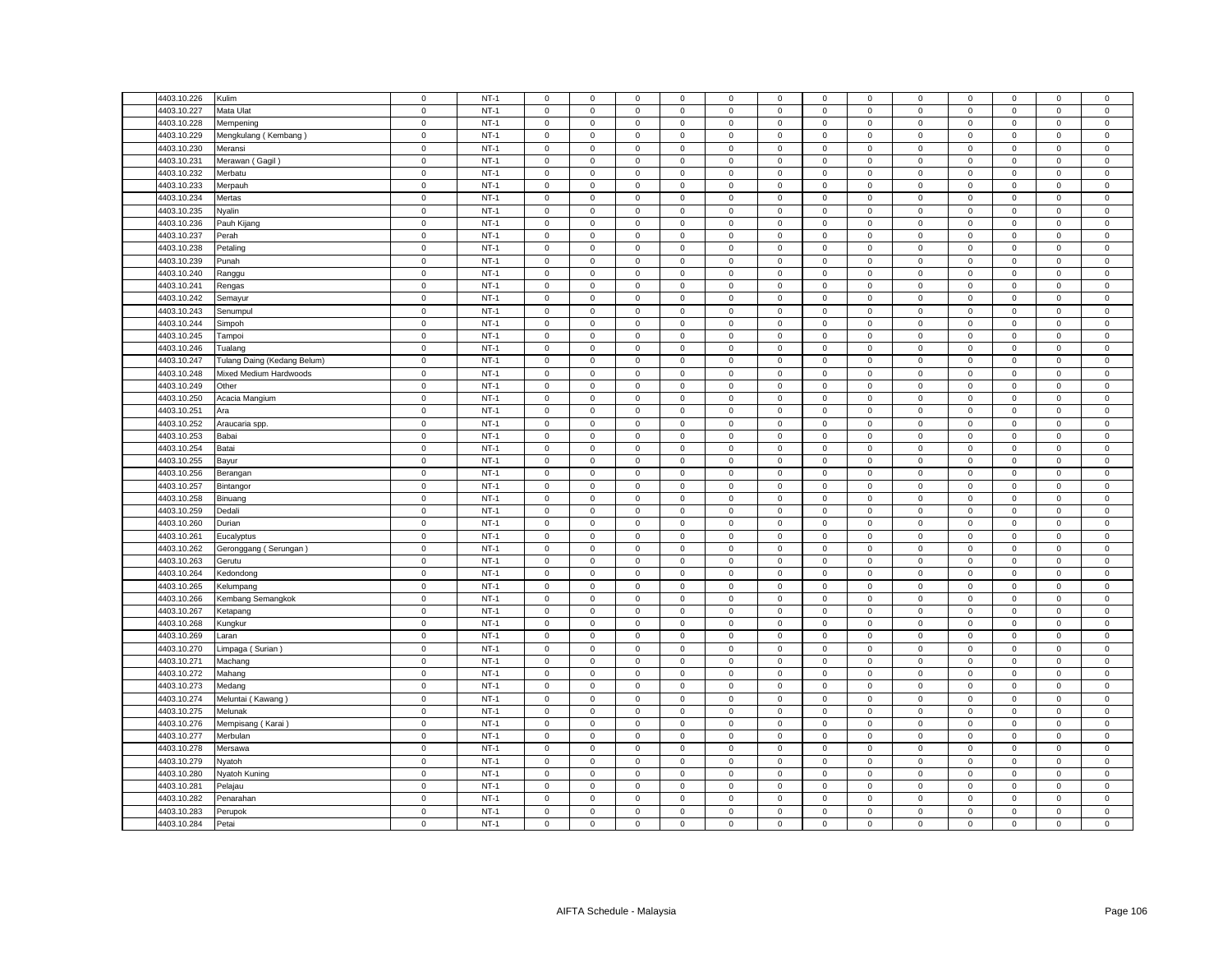| 4403.10.226 | Kulim                       | $\mathsf 0$ | $NT-1$ | $\mathsf 0$         | $\mathsf 0$         | $\mathsf 0$         | $\mathbf 0$    | 0                   | $\mathsf 0$ | $\mathsf 0$  | $\mathsf 0$    | $\mathsf 0$ | $\mathsf 0$ | $\mathsf 0$         | $\mathsf 0$ | $\mathsf 0$    |
|-------------|-----------------------------|-------------|--------|---------------------|---------------------|---------------------|----------------|---------------------|-------------|--------------|----------------|-------------|-------------|---------------------|-------------|----------------|
| 4403.10.227 | Mata Ulat                   | $\mathsf 0$ | $NT-1$ | $\Omega$            | $\mathbf 0$         | $\mathsf 0$         | $\mathbf 0$    | 0                   | $\mathbf 0$ | $\mathsf 0$  | $\mathsf 0$    | $\mathsf 0$ | $\mathbf 0$ | $\mathsf 0$         | $\mathbf 0$ | $\mathsf 0$    |
| 4403.10.228 | Mempening                   | $\mathbf 0$ | $NT-1$ | $\mathbf{0}$        | $\mathbf 0$         | $\mathsf 0$         | $\mathbf 0$    | 0                   | $\mathsf 0$ | $\mathbf 0$  | $\mathbf 0$    | $\mathbf 0$ | $\mathbf 0$ | $\mathbf{0}$        | $\mathsf 0$ | $\mathsf 0$    |
| 4403.10.229 | Mengkulang (Kembang)        | $\mathsf 0$ | $NT-1$ | $\mathbf 0$         | $\mathsf 0$         | $\mathsf 0$         | $\mathsf 0$    | 0                   | $\mathsf 0$ | $\mathsf 0$  | $\mathsf 0$    | $\mathsf 0$ | $\mathsf 0$ | $\mathsf 0$         | $\mathsf 0$ | $\mathbf 0$    |
| 4403.10.230 | Meransi                     | $\mathbf 0$ | $NT-1$ | $\mathbf 0$         | $\mathbf 0$         | $\mathbf 0$         | $\mathbf 0$    | 0                   | $\mathbf 0$ | $\mathbf 0$  | $\mathbf 0$    | $\mathbf 0$ | $\mathbf 0$ | $\mathbf 0$         | $\mathbf 0$ | $\mathbf 0$    |
| 4403.10.231 | Merawan (Gagil)             | $\mathsf 0$ | $NT-1$ | $\mathbf 0$         | $\mathsf 0$         | $\mathsf 0$         | $\mathbf 0$    | 0                   | $\mathsf 0$ | $\mathbf 0$  | $\mathsf 0$    | $\mathsf 0$ | $\mathsf 0$ | $\mathsf 0$         | $\mathsf 0$ | $\mathsf 0$    |
| 4403.10.232 | Merbatu                     | $\mathsf 0$ | $NT-1$ | $\mathsf 0$         | $\mathsf 0$         | $\mathsf 0$         | $\mathsf 0$    | 0                   | $\mathsf 0$ | $\mathsf 0$  | $\mathsf 0$    | $\mathsf 0$ | $\mathsf 0$ | $\mathsf 0$         | $\mathsf 0$ | $\mathsf 0$    |
| 4403.10.233 | Merpauh                     | $\mathsf 0$ | $NT-1$ | $\mathbf{0}$        | $\mathsf 0$         | $\mathbf 0$         | $\mathbf 0$    | $\mathbf{0}$        | $\mathbf 0$ | $\mathbf{0}$ | $\mathbf{0}$   | $\mathsf 0$ | $\mathbf 0$ | $\mathbf 0$         | $\mathbf 0$ | $\mathsf 0$    |
| 4403.10.234 | Mertas                      | $\mathsf 0$ | $NT-1$ | $\mathsf 0$         | $\mathsf 0$         | $\mathsf 0$         | $\mathsf 0$    | 0                   | $\mathsf 0$ | $\mathbf 0$  | $\mathsf 0$    | $\mathsf 0$ | $\mathbf 0$ | $\mathsf 0$         | $\mathsf 0$ | $\,0\,$        |
| 4403.10.235 | Nyalin                      | $\mathsf 0$ | $NT-1$ | $\mathbf 0$         | $\mathsf 0$         | $\mathsf 0$         | $\mathsf 0$    | 0                   | $\mathsf 0$ | $\mathbf 0$  | $\mathsf 0$    | $\mathsf 0$ | $\mathsf 0$ | $\mathsf 0$         | $\mathsf 0$ | $\mathsf 0$    |
|             |                             |             |        |                     |                     |                     |                |                     |             |              |                |             |             |                     |             |                |
| 4403.10.236 | Pauh Kijang                 | $\mathsf 0$ | $NT-1$ | $\mathbf 0$         | $\mathbf 0$         | $\mathbf 0$         | $\mathbf 0$    | 0                   | $\mathbf 0$ | $\mathbf 0$  | $\mathsf 0$    | $\mathsf 0$ | $\mathbf 0$ | $\mathbf 0$         | $\mathsf 0$ | $\mathsf 0$    |
| 4403.10.237 | Perah                       | $\mathbf 0$ | $NT-1$ | $\mathbf 0$         | $\mathbf 0$         | $\mathbf 0$         | $\mathbf 0$    | $\mathbf{0}$        | $\mathbf 0$ | $\mathbf 0$  | $^{\circ}$     | $\mathsf 0$ | $\mathbf 0$ | $\mathbf 0$         | $^{\circ}$  | $\overline{0}$ |
| 4403.10.238 | Petaling                    | $\mathbf 0$ | $NT-1$ | $\mathbf 0$         | $\mathsf 0$         | $\mathsf 0$         | $\mathbf 0$    | 0                   | $\mathbf 0$ | $\mathbf 0$  | $\mathsf 0$    | $\mathsf 0$ | $\mathbf 0$ | $\mathsf 0$         | $\mathsf 0$ | $\mathbf 0$    |
| 4403.10.239 | Punah                       | $\mathsf 0$ | $NT-1$ | $\mathsf 0$         | $\mathbf 0$         | $\mathsf 0$         | $\mathsf 0$    | 0                   | $\mathsf 0$ | $\mathbf 0$  | $\mathsf 0$    | $\mathsf 0$ | $\mathbf 0$ | $\mathbf 0$         | $\mathsf 0$ | $\mathsf 0$    |
| 4403.10.240 | Ranggu                      | $\mathbf 0$ | $NT-1$ | $\mathsf 0$         | $\mathsf 0$         | $\mathsf 0$         | $\mathsf 0$    | 0                   | $\mathsf 0$ | $\mathsf 0$  | $\mathbf 0$    | $\mathbf 0$ | $\mathbf 0$ | $\mathsf{O}\xspace$ | $\mathsf 0$ | $\mathsf{O}$   |
| 4403.10.241 | Rengas                      | $\mathsf 0$ | $NT-1$ | $\mathbf 0$         | $\mathbf 0$         | $\mathsf 0$         | $\mathbf 0$    | 0                   | $\mathsf 0$ | $\mathbf 0$  | $\mathbf 0$    | $\mathsf 0$ | $\mathsf 0$ | $\mathsf 0$         | $\mathsf 0$ | $\mathbf 0$    |
| 4403.10.242 | Semayur                     | $\mathbf 0$ | $NT-1$ | $\mathbf 0$         | $\mathsf 0$         | $\mathbf 0$         | $\mathbf 0$    | $\mathbf{0}$        | $\mathbf 0$ | $\mathbf 0$  | $\mathsf 0$    | $\mathsf 0$ | $\mathbf 0$ | $\mathbf 0$         | $\mathsf 0$ | $\mathsf 0$    |
| 4403.10.243 | Senumpul                    | $\mathsf 0$ | $NT-1$ | $\mathsf 0$         | $\mathbf 0$         | $\mathsf 0$         | $\mathbf 0$    | 0                   | $\mathsf 0$ | $\mathbf 0$  | $\mathsf 0$    | $\mathsf 0$ | $\mathsf 0$ | $\mathbf 0$         | $\mathsf 0$ | $\mathsf 0$    |
| 4403.10.244 | Simpoh                      | $\mathsf 0$ | $NT-1$ | $\mathbf 0$         | $\mathsf 0$         | $\mathsf 0$         | $\mathbf 0$    | 0                   | $\mathbf 0$ | $\mathsf 0$  | $\mathsf 0$    | $\mathsf 0$ | $\mathbf 0$ | $\mathsf 0$         | $\mathsf 0$ | $\mathbf 0$    |
| 4403.10.245 | Tampoi                      | $\mathsf 0$ | $NT-1$ | $\mathsf 0$         | $\mathsf 0$         | $\mathsf 0$         | $\mathbf 0$    | 0                   | $\mathsf 0$ | $\mathsf 0$  | $\mathsf 0$    | $\mathsf 0$ | $\mathsf 0$ | $\mathsf 0$         | $\mathsf 0$ | $\,0\,$        |
| 4403.10.246 | Tualang                     | $\mathbf 0$ | $NT-1$ | $\mathbf 0$         | $\mathsf{O}\xspace$ | $\mathsf 0$         | $\mathsf 0$    | $\mathbf 0$         | $\mathsf 0$ | $\mathbf 0$  | $\mathsf 0$    | $\mathsf 0$ | $\mathsf 0$ | $\mathbf 0$         | $\mathbf 0$ | $\pmb{0}$      |
| 4403.10.247 | Tulang Daing (Kedang Belum) | $\mathsf 0$ | $NT-1$ | 0                   | 0                   | 0                   | $\mathbf 0$    | 0                   | 0           | 0            | 0              | $\mathsf 0$ | $\mathbf 0$ | 0                   | 0           | $\mathbf 0$    |
| 4403.10.248 | Mixed Medium Hardwoods      | $\mathbf 0$ | $NT-1$ | $\mathbf 0$         | $\mathsf{O}\xspace$ | $\mathsf 0$         | $\mathsf 0$    | $\mathsf{O}\xspace$ | $\mathbf 0$ | $\mathbf 0$  | $\mathbf 0$    | $\mathsf 0$ | $\mathbf 0$ | $\mathsf 0$         | $\mathsf 0$ | $\mathbf 0$    |
| 4403.10.249 | Other                       | $\mathbf 0$ | $NT-1$ | 0                   | $\mathbf 0$         | 0                   | $^{\circ}$     | 0                   | 0           | $\mathbf 0$  | 0              | $\mathbf 0$ | 0           | 0                   | $\mathbf 0$ | $\mathbf 0$    |
| 4403.10.250 |                             | $\mathsf 0$ | $NT-1$ | $\Omega$            | $\mathsf{O}\xspace$ | $\mathbf 0$         | $\mathsf 0$    | 0                   | $\mathsf 0$ |              | $\,0\,$        | $\mathsf 0$ | $\mathbf 0$ | $\mathsf{O}\xspace$ |             | $\mathbf 0$    |
| 4403.10.251 | Acacia Mangium              |             | $NT-1$ |                     |                     |                     |                |                     |             | $\mathsf 0$  |                |             |             |                     | 0           |                |
|             | Ara                         | $\mathsf 0$ |        | 0                   | 0                   | $\mathbf 0$         | 0              | 0                   | $\mathsf 0$ | 0            | $\mathsf 0$    | $\mathsf 0$ | $\mathbf 0$ | 0                   | $\mathsf 0$ | $\,0\,$        |
| 4403.10.252 | Araucaria spp.              | $\mathsf 0$ | $NT-1$ | $\mathbf 0$         | $\mathsf 0$         | $\mathsf 0$         | $\mathsf 0$    | $\mathbf 0$         | $\mathbf 0$ | $\mathsf 0$  | $\mathbf 0$    | $\mathsf 0$ | $\mathbf 0$ | $\mathsf 0$         | $\mathsf 0$ | $\mathbf 0$    |
| 4403.10.253 | Babai                       | $\mathsf 0$ | $NT-1$ | $\mathbf 0$         | $\mathbf 0$         | $\mathsf 0$         | $\mathbf 0$    | 0                   | $\mathbf 0$ | $\mathbf 0$  | $\mathbf 0$    | $\mathsf 0$ | $\mathbf 0$ | $\mathbf 0$         | $\mathbf 0$ | $\mathsf 0$    |
| 4403.10.254 | Batai                       | $\mathsf 0$ | $NT-1$ | $\mathbf 0$         | $\mathsf{O}\xspace$ | $\mathbf 0$         | $\mathsf 0$    | 0                   | $\mathbf 0$ | $\mathsf 0$  | $\mathsf 0$    | $\mathsf 0$ | $\mathbf 0$ | $\mathsf 0$         | $\mathsf 0$ | $\mathbf 0$    |
| 4403.10.255 | Bayur                       | $\mathbf 0$ | $NT-1$ | $\mathsf 0$         | $\mathsf 0$         | $\mathsf 0$         | $\mathsf 0$    | 0                   | $\mathsf 0$ | $\mathbf 0$  | $\mathsf 0$    | $\mathsf 0$ | $\mathsf 0$ | $\mathsf 0$         | $\mathsf 0$ | $\mathsf 0$    |
| 4403.10.256 | Berangan                    | $\mathsf 0$ | $NT-1$ | $\mathbf 0$         | $\mathsf 0$         | $\mathbf 0$         | $^{\circ}$     | 0                   | $\mathbf 0$ | $\mathsf 0$  | $\mathsf 0$    | $\mathsf 0$ | $\mathbf 0$ | $\mathsf 0$         | $^{\circ}$  | $\mathbf 0$    |
| 4403.10.257 | Bintangor                   | $\mathbf 0$ | $NT-1$ | $\mathbf{0}$        | $\circ$             | $\mathsf 0$         | $\mathbf 0$    | 0                   | $\mathsf 0$ | $\mathbf 0$  | $\mathsf 0$    | $\mathsf 0$ | $\mathbf 0$ | $\mathbf 0$         | $\mathsf 0$ | $\,0\,$        |
| 4403.10.258 | Binuang                     | $\mathsf 0$ | $NT-1$ | $\mathbf 0$         | $\mathsf 0$         | $\mathsf 0$         | $\mathsf 0$    | 0                   | $\mathbf 0$ | $\mathsf 0$  | $\mathsf 0$    | $\mathsf 0$ | $\mathsf 0$ | $\mathsf 0$         | $\mathsf 0$ | $\mathsf 0$    |
| 4403.10.259 | Dedali                      | $\mathsf 0$ | $NT-1$ | $\mathbf{0}$        | $\mathbf 0$         | $\mathsf 0$         | $\mathbf 0$    | 0                   | $\mathsf 0$ | $\mathbf{0}$ | $\mathbf 0$    | $\mathbf 0$ | $\mathbf 0$ | $\mathbf 0$         | $\mathsf 0$ | $\mathsf 0$    |
| 4403.10.260 | Durian                      | $\mathbf 0$ | $NT-1$ | $\mathbf 0$         | $\mathbf 0$         | $\mathsf 0$         | $\mathbf 0$    | 0                   | $\mathsf 0$ | $\mathbf 0$  | $\mathbf 0$    | $\mathsf 0$ | $\mathbf 0$ | $\mathbf 0$         | $\mathbf 0$ | $\,0\,$        |
| 4403.10.261 | Eucalyptus                  | $\mathsf 0$ | $NT-1$ | $\mathsf 0$         | $\mathsf 0$         | $\mathsf 0$         | $\mathsf 0$    | 0                   | $\mathsf 0$ | $\mathbf 0$  | $\mathsf 0$    | $\mathsf 0$ | $\mathsf 0$ | $\mathsf 0$         | $\mathsf 0$ | $\mathsf 0$    |
| 4403.10.262 | Geronggang (Serungan)       | $\mathsf 0$ | $NT-1$ | $\mathbf 0$         | $\mathsf 0$         | $\mathsf 0$         | $\mathsf 0$    | 0                   | $\mathsf 0$ | $\mathsf 0$  | $\mathsf 0$    | $\mathsf 0$ | $\mathsf 0$ | $\mathsf 0$         | $\mathsf 0$ | $\mathbf 0$    |
| 4403.10.263 | Gerutu                      | $\mathbf 0$ | $NT-1$ | $\mathsf 0$         | $\mathsf 0$         | $\mathsf 0$         | $\mathbf 0$    | 0                   | $\mathsf 0$ | $\mathbf 0$  | $\mathsf 0$    | $\mathbf 0$ | $\mathbf 0$ | $\mathsf 0$         | $\mathsf 0$ | $\,0\,$        |
| 4403.10.264 | Kedondong                   | $\mathsf 0$ | $NT-1$ | $\mathbf 0$         | $\mathsf 0$         | $\mathsf 0$         | $\mathbf 0$    | 0                   | $\mathsf 0$ | $\mathbf 0$  | $\mathsf 0$    | $\mathsf 0$ | $\mathsf 0$ | $\mathsf 0$         | $\mathsf 0$ | $\mathbf 0$    |
| 4403.10.265 | Kelumpang                   | $\mathbf 0$ | $NT-1$ | $\mathbf 0$         | $\mathbf 0$         | $\mathbf 0$         | $\mathbf 0$    | $\mathbf{0}$        | $\mathbf 0$ | $\mathbf 0$  | $\mathbf 0$    | $\mathsf 0$ | $\mathbf 0$ | $\mathbf 0$         | $\mathsf 0$ | $\mathbf 0$    |
| 4403.10.266 | Kembang Semangkok           | $\mathbf 0$ | $NT-1$ | $\mathbf 0$         | 0                   | $\mathsf 0$         | $\mathbf 0$    | 0                   | $\mathbf 0$ | 0            | $\mathbf{0}$   | $\mathsf 0$ | $\mathbf 0$ | 0                   | 0           | $\,0\,$        |
| 4403.10.267 | Ketapang                    | $\mathsf 0$ | $NT-1$ | $\mathsf 0$         | $\mathsf 0$         | $\mathsf 0$         | $\mathsf 0$    | 0                   | $\mathsf 0$ | $\mathbf 0$  | $\mathsf 0$    | $\mathbf 0$ | $\mathsf 0$ | $\mathsf 0$         | $\mathsf 0$ | $\mathsf 0$    |
| 4403.10.268 | Kungkur                     | $\mathbf 0$ | $NT-1$ | $\mathbf 0$         | $\mathbf 0$         | $\mathbf 0$         | $\mathbf 0$    | $\mathbf{0}$        | $\mathbf 0$ | $\mathbf 0$  | $\mathbf{0}$   | $\mathbf 0$ | $\mathbf 0$ | $\mathbf 0$         | $\mathbf 0$ | $\mathsf 0$    |
| 4403.10.269 | Laran                       | $\mathbf 0$ | $NT-1$ | $\mathbf{0}$        | $\mathsf 0$         | $\mathsf 0$         | $^{\circ}$     | 0                   | $\mathbf 0$ | $\mathbf 0$  | $\mathbf 0$    | $\mathbf 0$ | $\mathbf 0$ | $\mathbf 0$         | $\mathbf 0$ | $\,0\,$        |
|             |                             |             |        |                     |                     |                     |                |                     |             |              |                |             |             |                     |             |                |
| 4403.10.270 | Limpaga (Surian)            | $\mathbf 0$ | $NT-1$ | $\mathsf 0$         | $\mathbf 0$         | $\mathsf 0$         | $\mathsf 0$    | 0                   | $\mathsf 0$ | $\mathbf 0$  | $\mathsf 0$    | $\mathsf 0$ | $\mathbf 0$ | $\mathsf 0$         | $\mathsf 0$ | $\mathsf 0$    |
| 4403.10.271 | Machang                     | $\mathsf 0$ | $NT-1$ | $\mathbf 0$         | $\mathsf 0$         | $\mathbf 0$         | $\mathbf 0$    | $\mathbf{0}$        | $\mathbf 0$ | $\mathbf 0$  | $\mathsf 0$    | $\mathsf 0$ | $\mathbf 0$ | $\mathbf 0$         | $\mathsf 0$ | $\mathsf 0$    |
| 4403.10.272 | Mahang                      | $\mathsf 0$ | $NT-1$ | $\mathbf 0$         | $\mathbf 0$         | $\mathbf 0$         | $\mathbf 0$    | $\mathbf{0}$        | $\mathbf 0$ | $\mathbf{0}$ | $\mathbf{0}$   | $\mathsf 0$ | $\mathbf 0$ | $\mathbf 0$         | $^{\circ}$  | $\mathsf 0$    |
| 4403.10.273 | Medang                      | $\mathsf 0$ | $NT-1$ | $\mathbf 0$         | $\mathsf 0$         | $\mathsf 0$         | $\mathsf 0$    | 0                   | $\mathsf 0$ | $\mathsf 0$  | $\,0\,$        | $\mathsf 0$ | $\mathsf 0$ | $\mathsf 0$         | $\mathsf 0$ | $\mathbf 0$    |
| 4403.10.274 | Meluntai (Kawang)           | $\mathsf 0$ | $NT-1$ | $\mathsf 0$         | $\mathsf{O}\xspace$ | $\mathsf 0$         | $\mathsf 0$    | 0                   | $\mathsf 0$ | $\mathbf 0$  | $\mathsf 0$    | $\mathsf 0$ | $\mathsf 0$ | $\mathsf 0$         | $\mathsf 0$ | $\,0\,$        |
| 4403.10.275 | Melunak                     | $\mathsf 0$ | $NT-1$ | $\mathsf 0$         | $\mathsf 0$         | $\mathsf 0$         | $\mathsf 0$    | $\mathbf 0$         | $\mathsf 0$ | $\mathsf 0$  | $\mathsf 0$    | $\mathsf 0$ | $\mathsf 0$ | $\mathsf{O}\xspace$ | $\mathsf 0$ | $\,0\,$        |
| 4403.10.276 | Mempisang (Karai)           | $\mathsf 0$ | $NT-1$ | $\Omega$            | $\mathsf 0$         | $\mathsf 0$         | $\Omega$       | 0                   | $\mathsf 0$ | $\mathbf 0$  | $\mathbf 0$    | $\mathsf 0$ | $\mathbf 0$ | $\mathsf 0$         | $\mathsf 0$ | $\,0\,$        |
| 4403.10.277 | Merbulan                    | $\pmb{0}$   | $NT-1$ | $\mathbf 0$         | $\mathsf{O}\xspace$ | $\mathbf 0$         | $\mathsf 0$    | 0                   | $\mathsf 0$ | $\mathbf 0$  | $\,0\,$        | $\mathsf 0$ | $\mathbf 0$ | $\mathsf 0$         | $\mathsf 0$ | $\mathbf 0$    |
| 4403.10.278 | Mersawa                     | $\mathsf 0$ | $NT-1$ | 0                   | $\mathsf 0$         | $\mathbf 0$         | $\mathbf 0$    | 0                   | $\mathsf 0$ | $\mathbf 0$  | $\mathsf 0$    | $\mathsf 0$ | $\mathsf 0$ | $\mathbf 0$         | $\mathsf 0$ | $\,0\,$        |
| 4403.10.279 | Nyatoh                      | $\mathbf 0$ | $NT-1$ | $\mathbf 0$         | $\mathsf{O}\xspace$ | $\mathbf 0$         | $\mathsf 0$    | 0                   | $\mathbf 0$ | $\mathbf 0$  | $\,0\,$        | $\mathsf 0$ | $\mathbf 0$ | 0                   | $\mathsf 0$ | $\mathbf 0$    |
| 4403.10.280 | Nyatoh Kuning               | $\mathbf 0$ | $NT-1$ | 0                   | $\mathsf{O}\xspace$ | $\mathsf 0$         | $\overline{0}$ | 0                   | $\mathsf 0$ | 0            | $\mathbf 0$    | $\mathsf 0$ | $\mathbf 0$ | $\mathsf{O}\xspace$ | 0           | $\,0\,$        |
| 4403.10.281 | Pelajau                     | $\mathbf 0$ | $NT-1$ | $\mathbf 0$         | $\mathsf 0$         | $\mathsf 0$         | $\mathbf 0$    | 0                   | $\mathbf 0$ | $\mathbf 0$  | $\overline{0}$ | $\mathbf 0$ | $\mathbf 0$ | $\mathbf 0$         | $\mathbf 0$ | $\mathbf 0$    |
| 4403.10.282 | Penarahan                   | $\mathsf 0$ | $NT-1$ | $\mathbf 0$         | $\mathbf 0$         | $\mathsf 0$         | $\mathbf 0$    | 0                   | $\mathbf 0$ | $\mathbf 0$  | $\mathsf 0$    | $\mathsf 0$ | $\mathbf 0$ | $\mathbf 0$         | $\mathsf 0$ | $\mathsf 0$    |
| 4403.10.283 | Perupok                     | $\mathsf 0$ | $NT-1$ | $\mathsf{O}\xspace$ | $\mathsf{O}\xspace$ | $\mathsf{O}\xspace$ | $\mathbf 0$    | 0                   | $\mathbf 0$ | $\mathbf 0$  | $\mathbf 0$    | $\mathsf 0$ | $\mathbf 0$ | $\mathsf 0$         | $\mathsf 0$ | $\mathbf 0$    |
| 4403.10.284 | Petai                       | $\mathbf 0$ | $NT-1$ | $\mathbf 0$         | $\mathsf 0$         | $\mathsf 0$         | $\mathbf 0$    | 0                   | $\mathsf 0$ | $\mathbf 0$  | $\mathsf 0$    | $\mathbf 0$ | $\mathsf 0$ | $\mathbf 0$         | $\mathsf 0$ | $\mathsf 0$    |
|             |                             |             |        |                     |                     |                     |                |                     |             |              |                |             |             |                     |             |                |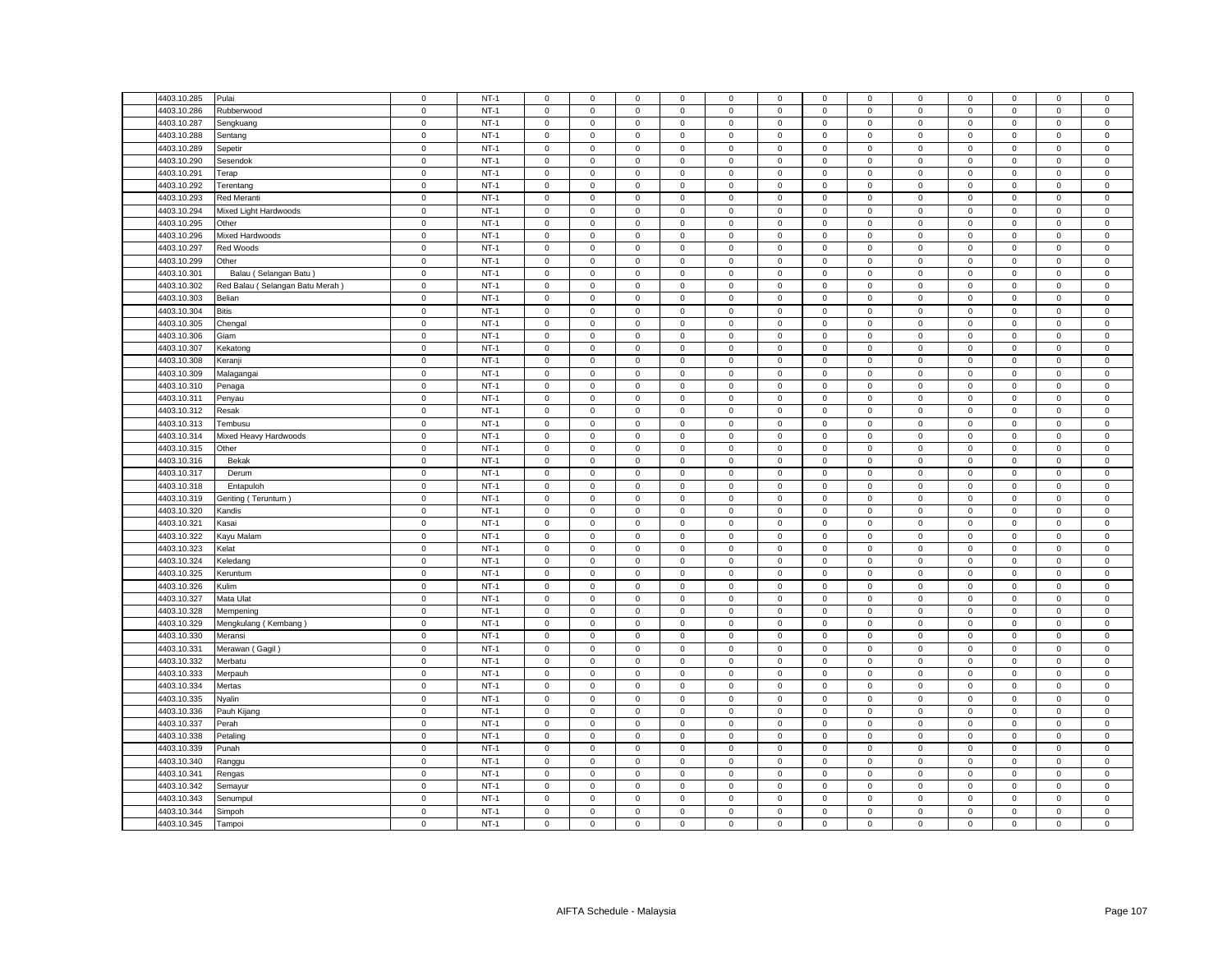| 4403.10.285 | Pulai                           | $\mathsf 0$ | $NT-1$ | $\mathsf 0$         | $\mathsf 0$         | $\mathsf 0$         | $\mathsf 0$ | 0            | $\mathsf 0$ | $\mathsf 0$  | $\mathsf 0$  | $\mathsf 0$ | $\mathsf 0$ | $\mathsf 0$         | $\mathbf 0$  | $\mathsf 0$    |
|-------------|---------------------------------|-------------|--------|---------------------|---------------------|---------------------|-------------|--------------|-------------|--------------|--------------|-------------|-------------|---------------------|--------------|----------------|
| 4403.10.286 | Rubberwood                      | $\mathsf 0$ | $NT-1$ | $\mathsf 0$         | $\mathsf 0$         | $\mathsf 0$         | $\mathbf 0$ | 0            | $\mathsf 0$ | $\mathsf 0$  | $\mathsf 0$  | $\mathsf 0$ | $\mathbf 0$ | $\mathsf 0$         | $\mathsf 0$  | $\mathsf 0$    |
| 4403.10.287 | Sengkuang                       | $\mathsf 0$ | $NT-1$ | $\mathsf 0$         | $\mathsf 0$         | $\mathsf 0$         | $\mathsf 0$ | $\mathbf 0$  | $\mathsf 0$ | $\mathbf 0$  | $\mathsf 0$  | $\mathbf 0$ | $\mathsf 0$ | $\mathsf 0$         | $\mathsf 0$  | $\mathsf 0$    |
| 4403.10.288 | Sentang                         | $\mathbf 0$ | $NT-1$ | $\mathbf{0}$        | $\mathbf{0}$        | $\mathbf 0$         | $\mathbf 0$ | $\mathbf{0}$ | $\mathbf 0$ | $\mathbf{0}$ | $\mathbf{0}$ | $\mathbf 0$ | $^{\circ}$  | $\mathbf{0}$        | $\mathbf{0}$ | $\mathbf 0$    |
| 4403.10.289 | Sepetir                         | $\mathsf 0$ | $NT-1$ | $\mathbf 0$         | $\mathsf 0$         | $\mathsf 0$         | $\mathbf 0$ | 0            | $\mathsf 0$ | $\mathbf 0$  | $\mathbf 0$  | 0           | $\mathbf 0$ | $\mathbf 0$         | $\mathbf 0$  | $\,0\,$        |
| 4403.10.290 | Sesendok                        | $\mathbf 0$ | $NT-1$ | $\mathsf 0$         | $\mathbf{0}$        | $\mathsf 0$         | $\mathsf 0$ | $\mathbf{0}$ | $\mathbf 0$ | $\mathbf 0$  | $\mathbf{0}$ | $\mathsf 0$ | $\mathbf 0$ | $\mathbf 0$         | $\mathsf 0$  | $\mathsf 0$    |
| 4403.10.291 | Terap                           | $\mathbf 0$ | $NT-1$ | $\mathbf{0}$        | $\mathbf 0$         | $\mathbf 0$         | $\mathbf 0$ | $\mathbf{0}$ | $\mathbf 0$ | $\mathbf{0}$ | $\mathbf 0$  | $\mathbf 0$ | $\mathbf 0$ | $\mathbf 0$         | $\mathbf 0$  | $\mathsf 0$    |
| 4403.10.292 | Terentang                       | $\mathbf 0$ | $NT-1$ | $\mathsf 0$         | $\mathbf 0$         | $\mathsf 0$         | $\mathbf 0$ | $\mathbf 0$  | $\mathsf 0$ | $\mathbf 0$  | $\mathsf 0$  | $\mathbf 0$ | $\mathbf 0$ | $\mathsf 0$         | $\mathsf 0$  | $\mathbf 0$    |
| 4403.10.293 | Red Meranti                     | $\mathbf 0$ | $NT-1$ | $\mathsf 0$         | $\mathsf 0$         | $\mathsf 0$         | $\mathsf 0$ | $\mathbf{0}$ | $\mathbf 0$ | $\mathbf 0$  | $\mathsf 0$  | $\mathsf 0$ | $\mathbf 0$ | $\mathsf 0$         | $\mathsf 0$  | $\mathsf 0$    |
| 4403.10.294 | Mixed Light Hardwoods           | $\mathsf 0$ | $NT-1$ | $\mathbf 0$         | $\mathbf 0$         | $\mathbf 0$         | $\mathbf 0$ | 0            | $\mathbf 0$ | $\mathbf 0$  | $\mathbf 0$  | 0           | $\mathbf 0$ | $\mathbf 0$         | $\mathbf 0$  | $\mathsf 0$    |
| 4403.10.295 | Other                           | $\mathsf 0$ | $NT-1$ | $\mathsf 0$         | $\mathbf 0$         | $\mathsf 0$         | $\mathsf 0$ | 0            | $\mathsf 0$ | $\mathsf 0$  | $\mathsf 0$  | $\mathsf 0$ | $\mathbf 0$ | $\mathsf 0$         | $\mathsf 0$  | $\,0\,$        |
| 4403.10.296 | Mixed Hardwoods                 | $\mathsf 0$ | $NT-1$ | $\mathsf 0$         | $\mathbf 0$         | $\mathsf 0$         | $\mathsf 0$ | $\mathbf{0}$ | $\mathsf 0$ | $\mathbf 0$  | $\mathbf 0$  | $\mathsf 0$ | $\mathsf 0$ | $\mathbf 0$         | $\mathsf 0$  | $\mathsf 0$    |
| 4403.10.297 | Red Woods                       | $\mathsf 0$ | $NT-1$ | $\mathsf 0$         | $\mathsf 0$         | $\mathsf 0$         | $\mathsf 0$ | 0            | $\mathsf 0$ | $\mathsf 0$  | $\mathsf 0$  | $\mathsf 0$ | $\mathsf 0$ | $\mathsf 0$         | $\mathsf 0$  | $\,0\,$        |
| 4403.10.299 | Other                           | $\mathsf 0$ | $NT-1$ | $\mathbf 0$         | $\mathsf 0$         | $\mathsf 0$         | $\mathsf 0$ | 0            | $\mathsf 0$ | $\mathbf 0$  | $\mathsf 0$  | $\mathsf 0$ | $\mathsf 0$ | $\mathsf 0$         | $\mathsf 0$  | $\mathsf 0$    |
| 4403.10.301 | Balau (Selangan Batu)           | $\mathbf 0$ | $NT-1$ | $\mathsf 0$         | $\mathsf 0$         | $\mathsf{O}\xspace$ | $\mathsf 0$ | $\mathbf 0$  | $\mathsf 0$ | $\mathsf 0$  | $\,0\,$      | $\mathbf 0$ | $\mathsf 0$ | $\mathsf 0$         | $\mathsf 0$  | $\mathbf 0$    |
| 4403.10.302 | Red Balau (Selangan Batu Merah) | $\mathsf 0$ | $NT-1$ | $\mathbf 0$         | $\mathbf 0$         | $\mathbf 0$         | $^{\circ}$  | 0            | $\mathbf 0$ | $\mathbf 0$  | $\mathbf 0$  | $\mathsf 0$ | $\mathbf 0$ | $\mathbf 0$         | $\mathbf 0$  | $\mathbf 0$    |
| 4403.10.303 | Belian                          | $\mathbf 0$ | $NT-1$ | $\mathbf 0$         | $\mathsf 0$         | $\mathsf 0$         | $\mathbf 0$ | 0            | $\mathbf 0$ | $\mathbf 0$  | $\mathsf 0$  | $\mathsf 0$ | $\mathsf 0$ | $\mathsf 0$         | $\mathsf 0$  | $\mathbf 0$    |
|             |                                 |             |        |                     |                     |                     |             |              |             |              |              |             |             |                     |              |                |
| 4403.10.304 | <b>Bitis</b>                    | $\mathbf 0$ | $NT-1$ | $\mathsf 0$         | $\mathsf 0$         | $\mathsf 0$         | $\mathbf 0$ | 0            | $\mathsf 0$ | $\mathbf 0$  | $\mathsf 0$  | $\mathsf 0$ | $\mathsf 0$ | $\mathbf 0$         | $\mathsf 0$  | $\,0\,$        |
| 4403.10.305 | Chengal                         | $\mathsf 0$ | $NT-1$ | $\mathsf 0$         | $\mathsf 0$         | $\mathsf 0$         | $\mathsf 0$ | 0            | $\mathsf 0$ | $\mathsf 0$  | $\mathsf 0$  | $\mathsf 0$ | $\mathsf 0$ | $\mathbf 0$         | $\mathsf 0$  | $\mathbf 0$    |
| 4403.10.306 | Giam                            | $\mathsf 0$ | $NT-1$ | 0                   | $\mathsf{O}\xspace$ | 0                   | $\mathbf 0$ | 0            | $\mathbf 0$ | $\mathbf 0$  | $\mathbf 0$  | $\mathsf 0$ | $\mathbf 0$ | $\mathbf 0$         | $\mathbf 0$  | $\mathbf 0$    |
| 4403.10.307 | Kekatong                        | $\mathsf 0$ | $NT-1$ | $\mathbf 0$         | $\mathsf{O}\xspace$ | $\mathsf 0$         | $\mathsf 0$ | $\mathbf 0$  | $\mathsf 0$ | $\mathbf 0$  | $\mathsf 0$  | $\mathsf 0$ | $\mathsf 0$ | $\mathsf 0$         | $\mathsf 0$  | $\mathbf 0$    |
| 4403.10.308 | Keranji                         | $\mathsf 0$ | $NT-1$ | $\mathbf 0$         | $\mathbf 0$         | $\mathbf 0$         | $\mathbf 0$ | 0            | 0           | $\mathbf 0$  | $\mathbf 0$  | $\mathbf 0$ | $\mathbf 0$ | 0                   | $\mathbf 0$  | $\mathbf 0$    |
| 4403.10.309 | Malagangai                      | $\mathbf 0$ | $NT-1$ | $\mathsf 0$         | $\mathsf{O}\xspace$ | $\mathbf 0$         | $\mathsf 0$ | 0            | $\mathbf 0$ | $\mathsf 0$  | $\,0\,$      | $\mathbf 0$ | $\mathbf 0$ | $\mathsf{O}\xspace$ | $\mathsf 0$  | $\mathbf 0$    |
| 4403.10.310 | Penaga                          | $\mathsf 0$ | $NT-1$ | $\mathbf 0$         | $\mathsf 0$         | $\mathsf 0$         | $\mathbf 0$ | 0            | $\mathsf 0$ | $\mathbf 0$  | $\mathsf 0$  | $\mathsf 0$ | $\mathsf 0$ | $\mathbf 0$         | $\mathsf 0$  | $\mathsf 0$    |
| 4403.10.311 | Penyau                          | $\mathsf 0$ | $NT-1$ | $\mathbf 0$         | $\mathbf 0$         | $\mathbf 0$         | $\mathbf 0$ | 0            | $\mathbf 0$ | $\mathbf 0$  | $\mathsf 0$  | $\mathsf 0$ | $\mathbf 0$ | $\mathbf 0$         | $\mathbf 0$  | $\mathbf 0$    |
| 4403.10.312 | Resak                           | $\mathbf 0$ | $NT-1$ | 0                   | $\mathsf 0$         | $\mathsf 0$         | 0           | 0            | $\mathbf 0$ | $\mathbf 0$  | $\mathbf 0$  | $\mathsf 0$ | $\mathbf 0$ | 0                   | $\mathsf 0$  | $\mathbf 0$    |
| 4403.10.313 | Tembusu                         | $\mathsf 0$ | $NT-1$ | $\mathbf 0$         | $\mathsf 0$         | $\mathsf 0$         | $\mathsf 0$ | 0            | $\mathbf 0$ | $\mathsf 0$  | $\mathbf 0$  | $\mathsf 0$ | $\mathbf 0$ | $\mathsf 0$         | $\mathsf 0$  | $\mathbf 0$    |
| 4403.10.314 | Mixed Heavy Hardwoods           | $\mathsf 0$ | $NT-1$ | $\mathbf 0$         | $\mathsf 0$         | $\mathbf 0$         | $\mathbf 0$ | 0            | $\mathbf 0$ | $\mathbf 0$  | $\mathbf 0$  | $\mathsf 0$ | $\mathbf 0$ | $\mathbf 0$         | $\mathbf 0$  | $\mathsf 0$    |
| 4403.10.315 | Other                           | $\mathbf 0$ | $NT-1$ | $\mathbf 0$         | $\mathsf{O}\xspace$ | $\mathbf 0$         | $\mathsf 0$ | 0            | $\mathbf 0$ | $\mathsf 0$  | $\mathsf 0$  | $\mathsf 0$ | $\mathsf 0$ | $\mathsf{O}\xspace$ | $\mathsf 0$  | $\mathbf 0$    |
| 4403.10.316 | Bekak                           | $\mathbf 0$ | $NT-1$ | $\mathsf 0$         | $\mathsf 0$         | $\mathsf 0$         | $\mathbf 0$ | $\mathbf 0$  | $\mathsf 0$ | $\mathbf 0$  | $\mathbf 0$  | $\mathsf 0$ | $\mathsf 0$ | $\mathsf 0$         | $\mathsf 0$  | $\mathsf 0$    |
| 4403.10.317 | Derum                           | $\mathbf 0$ | $NT-1$ | $\mathbf 0$         | 0                   | 0                   | $\mathbf 0$ | 0            | $\mathbf 0$ | $\mathbf 0$  | $\mathbf{0}$ | $\mathsf 0$ | $\mathbf 0$ | 0                   | $\mathbf 0$  | $\mathbf 0$    |
| 4403.10.318 | Entapuloh                       | $\mathbf 0$ | $NT-1$ | $\mathbf 0$         | $\mathsf{O}\xspace$ | $\mathsf 0$         | $\mathbf 0$ | 0            | $\mathsf 0$ | $\mathsf 0$  | $\mathbf 0$  | $\mathbf 0$ | $\mathbf 0$ | $\mathbf 0$         | $\mathsf 0$  | $\mathsf 0$    |
| 4403.10.319 | Geriting (Teruntum)             | $\mathsf 0$ | $NT-1$ | $\mathbf 0$         | $\mathsf 0$         | $\mathsf 0$         | $\mathsf 0$ | 0            | $\mathsf 0$ | $\mathsf 0$  | $\mathsf 0$  | $\mathsf 0$ | $\mathsf 0$ | $\mathsf 0$         | $\mathsf 0$  | $\mathbf 0$    |
| 4403.10.320 | Kandis                          | $\mathbf 0$ | $NT-1$ | $\mathbf 0$         | $\mathbf 0$         | $\mathsf 0$         | $\mathsf 0$ | 0            | $\mathsf 0$ | 0            | $\mathbf 0$  | $\mathsf 0$ | $\mathbf 0$ | 0                   | $\mathsf 0$  | $\mathbf 0$    |
| 4403.10.321 | Kasai                           | $\mathbf 0$ | $NT-1$ | $\mathsf 0$         | $\mathsf 0$         | $\mathbf 0$         | $\mathbf 0$ | 0            | $\mathbf 0$ | $\mathbf 0$  | $\mathsf 0$  | $\mathsf 0$ | $\mathbf 0$ | $\mathsf{O}\xspace$ | $\mathsf 0$  | $\mathbf 0$    |
| 4403.10.322 | Kayu Malam                      | $\mathbf 0$ | $NT-1$ | $\mathsf 0$         | $\mathbf 0$         | $\mathsf 0$         | $\mathsf 0$ | $\mathbf 0$  | $\mathsf 0$ | $\mathbf 0$  | $\mathsf 0$  | $\mathsf 0$ | $\mathsf 0$ | $\mathsf 0$         | $\mathsf 0$  | $\mathsf 0$    |
| 4403.10.323 | Kelat                           | $\mathbf 0$ | $NT-1$ | $\mathbf 0$         | 0                   | 0                   | $\mathsf 0$ | 0            | $\mathbf 0$ | 0            | $\mathbf 0$  | $\mathsf 0$ | $\mathbf 0$ | 0                   | 0            | $\,0\,$        |
| 4403.10.324 | Keledang                        | $\mathsf 0$ | $NT-1$ | $\mathsf 0$         | $\mathsf 0$         | $\mathsf 0$         | $\mathsf 0$ | 0            | $\mathsf 0$ | $\mathbf 0$  | $\mathsf 0$  | $\mathsf 0$ | $\mathbf 0$ | $\mathsf 0$         | $\mathsf 0$  | $\mathsf 0$    |
| 4403.10.325 | Keruntum                        | $\mathsf 0$ | $NT-1$ | $\mathbf 0$         | $\mathsf 0$         | $\mathsf 0$         | $\mathbf 0$ | 0            | $\mathbf 0$ | $\mathsf 0$  | $\mathsf 0$  | $\mathsf 0$ | $\mathsf 0$ | $\mathsf 0$         | $\mathsf 0$  | $\mathbf 0$    |
| 4403.10.326 | Kulim                           | $\mathsf 0$ | $NT-1$ | $\mathsf 0$         | $\mathsf 0$         | $\mathsf 0$         | $\mathbf 0$ | 0            | $\mathsf 0$ | $\mathbf 0$  | $\,0\,$      | $\mathbf 0$ | $\mathbf 0$ | $\mathsf 0$         | $\mathbf 0$  | $\,0\,$        |
| 4403.10.327 | Mata Ulat                       | $\mathsf 0$ | $NT-1$ | $\mathsf 0$         | $\mathsf 0$         | $\mathsf 0$         | $\mathbf 0$ | 0            | $\mathsf 0$ | $\mathbf 0$  | $\mathsf 0$  | $\mathsf 0$ | $\mathsf 0$ | $\mathsf 0$         | $\mathsf 0$  | $\mathsf 0$    |
| 4403.10.328 | Mempening                       | $\mathsf 0$ | $NT-1$ | $\mathsf 0$         | $\mathsf 0$         | $\mathsf 0$         | $\mathsf 0$ | 0            | $\mathsf 0$ | $\mathbf 0$  | $\mathsf 0$  | $\mathbf 0$ | $\mathsf 0$ | $\mathsf 0$         | $\mathsf 0$  | $\mathsf 0$    |
| 4403.10.329 | Mengkulang (Kembang)            | $\mathsf 0$ | $NT-1$ | $\mathbf 0$         | $\mathsf 0$         | $\mathbf 0$         | $\mathbf 0$ | 0            | $\mathbf 0$ | $\mathbf 0$  | $\mathbf 0$  | $\mathsf 0$ | $\mathbf 0$ | $\mathsf 0$         | $\mathbf 0$  | $\,0\,$        |
| 4403.10.330 | Meransi                         | $\mathsf 0$ | $NT-1$ | $\mathsf 0$         | $\mathsf 0$         | $\mathsf 0$         | $\mathsf 0$ | 0            | $\mathsf 0$ | $\mathbf 0$  | $\mathsf 0$  | $\mathsf 0$ | $\mathsf 0$ | $\mathsf 0$         | $\mathsf 0$  | $\mathsf 0$    |
| 4403.10.331 | Merawan (Gagil)                 | $\mathsf 0$ | $NT-1$ | $\mathbf 0$         | $\mathbf 0$         | $\mathbf 0$         | $\mathsf 0$ | $\mathbf{0}$ | $\mathbf 0$ | $\mathbf 0$  | $\mathbf{0}$ | $\mathsf 0$ | $\mathbf 0$ | $\mathbf 0$         | $\mathbf 0$  | $\mathsf 0$    |
| 4403.10.332 | Merbatu                         | $\mathbf 0$ | $NT-1$ | $\mathsf 0$         | $\mathsf 0$         | $\mathsf 0$         | $\mathbf 0$ | 0            | $\mathsf 0$ | $\,0\,$      | $\mathbf 0$  | $\mathbf 0$ | $\mathbf 0$ | $\mathbf 0$         | 0            | $\,0\,$        |
| 4403.10.333 | Merpauh                         | $\mathsf 0$ | $NT-1$ | $\mathsf 0$         | $\mathbf{0}$        | $\mathsf 0$         | $\mathsf 0$ | $\mathbf{0}$ | $\mathsf 0$ | $\mathbf 0$  | $\mathbf{0}$ | $\mathsf 0$ | $\mathbf 0$ | $\mathsf 0$         | $\mathbf 0$  | $\mathsf 0$    |
| 4403.10.334 | Mertas                          | $\mathbf 0$ | $NT-1$ | $\mathbf 0$         | $\mathbf 0$         | $\mathbf 0$         | $\mathbf 0$ | $\mathbf{0}$ | $\mathbf 0$ | $\mathbf 0$  | $\mathbf 0$  | $\mathbf 0$ | $\mathbf 0$ | $\mathbf 0$         | $\mathsf 0$  | $\mathsf 0$    |
| 4403.10.335 | Nyalin                          | $\mathbf 0$ | $NT-1$ | $\mathsf{O}\xspace$ | $\mathbf 0$         | $\mathsf 0$         | $\mathsf 0$ | $\mathbf 0$  | $\mathsf 0$ | $\mathbf 0$  | $\mathbf 0$  | $\mathsf 0$ | $\mathbf 0$ | $\mathsf 0$         | $\mathsf 0$  | $\mathbf 0$    |
| 4403.10.336 | Pauh Kijang                     | $\mathbf 0$ | $NT-1$ | $\mathsf 0$         | $\mathsf 0$         | $\mathsf 0$         | $\mathsf 0$ | $\mathbf 0$  | $\mathsf 0$ | $\mathbf 0$  | $\mathsf 0$  | $\mathsf 0$ | $\mathbf 0$ | $\mathsf 0$         | $\mathsf 0$  | $\mathsf 0$    |
| 4403.10.337 | Perah                           | $\mathbf 0$ | $NT-1$ | $\mathsf 0$         | $\mathbf 0$         | $\mathbf 0$         | $\mathbf 0$ | $\mathbf{0}$ | $\mathbf 0$ | $\mathbf 0$  | $\mathbf 0$  | $\mathbf 0$ | $\mathbf 0$ | $\mathbf 0$         | $\mathbf 0$  | $\mathsf 0$    |
| 4403.10.338 | Petaling                        | $\mathsf 0$ | $NT-1$ | $\mathsf 0$         | $\mathsf{O}\xspace$ | $\mathsf 0$         | $\mathsf 0$ | 0            | $\mathsf 0$ | $\mathsf 0$  | $\,0\,$      | $\mathbf 0$ | $\mathbf 0$ | $\mathsf 0$         | $\mathsf 0$  | $\,0\,$        |
| 4403.10.339 | Punah                           | $\mathsf 0$ | $NT-1$ | $\mathbf 0$         | $\mathsf 0$         | $\mathsf 0$         | $\mathsf 0$ | 0            | $\mathsf 0$ | $\mathbf 0$  | $\mathsf 0$  | $\mathsf 0$ | $\mathsf 0$ | $\mathsf 0$         | $\mathsf 0$  | $\mathsf 0$    |
| 4403.10.340 |                                 | $\mathbf 0$ | $NT-1$ | $\mathsf 0$         | $\mathsf 0$         | $\mathsf 0$         | $\mathsf 0$ | $\mathbf 0$  | $\mathsf 0$ | $\mathsf 0$  | $\mathsf 0$  | $\mathsf 0$ | $\mathsf 0$ | $\mathsf{O}\xspace$ | $\mathsf 0$  | $\mathsf 0$    |
|             | Ranggu                          |             |        |                     |                     |                     |             |              |             |              |              |             |             |                     |              |                |
| 4403.10.341 | Rengas                          | $\mathsf 0$ | $NT-1$ | 0                   | $\mathsf 0$         | $\mathsf 0$         | $\mathbf 0$ | 0            | $\mathsf 0$ | $\mathbf 0$  | $\mathbf 0$  | $\mathsf 0$ | $\mathbf 0$ | $\mathbf 0$         | $\mathbf 0$  | $\mathbf 0$    |
| 4403.10.342 | Semayur                         | $\mathbf 0$ | $NT-1$ | $\mathbf 0$         | $\mathsf{O}\xspace$ | $\mathsf 0$         | $\mathbf 0$ | 0            | $\mathsf 0$ | $\mathsf 0$  | $\mathbf 0$  | $\mathsf 0$ | $\mathbf 0$ | $\mathsf 0$         | $\mathsf 0$  | $\mathbf 0$    |
| 4403.10.343 | Senumpul                        | $\mathsf 0$ | $NT-1$ | $\mathbf 0$         | $\mathbf 0$         | $\mathsf 0$         | $\mathbf 0$ | 0            | $\mathbf 0$ | 0            | $\mathbf 0$  | $\mathsf 0$ | $\mathbf 0$ | $\mathbf 0$         | $\mathbf 0$  | $\mathsf 0$    |
| 4403.10.344 | Simpoh                          | $\mathsf 0$ | $NT-1$ | $\mathsf 0$         | $\mathsf 0$         | $\mathsf 0$         | $\mathbf 0$ | 0            | $\mathsf 0$ | $\mathbf 0$  | $\mathsf 0$  | $\mathsf 0$ | $\mathsf 0$ | $\mathsf 0$         | $\mathsf 0$  | $\mathbf 0$    |
| 4403.10.345 | Tampoi                          | $\mathsf 0$ | $NT-1$ | $\mathbf 0$         | $\mathsf 0$         | $\mathsf 0$         | $\mathbf 0$ | 0            | $\mathbf 0$ | $\mathsf 0$  | $\mathsf 0$  | $\mathsf 0$ | $\mathsf 0$ | $\mathsf 0$         | $\mathsf 0$  | $\overline{0}$ |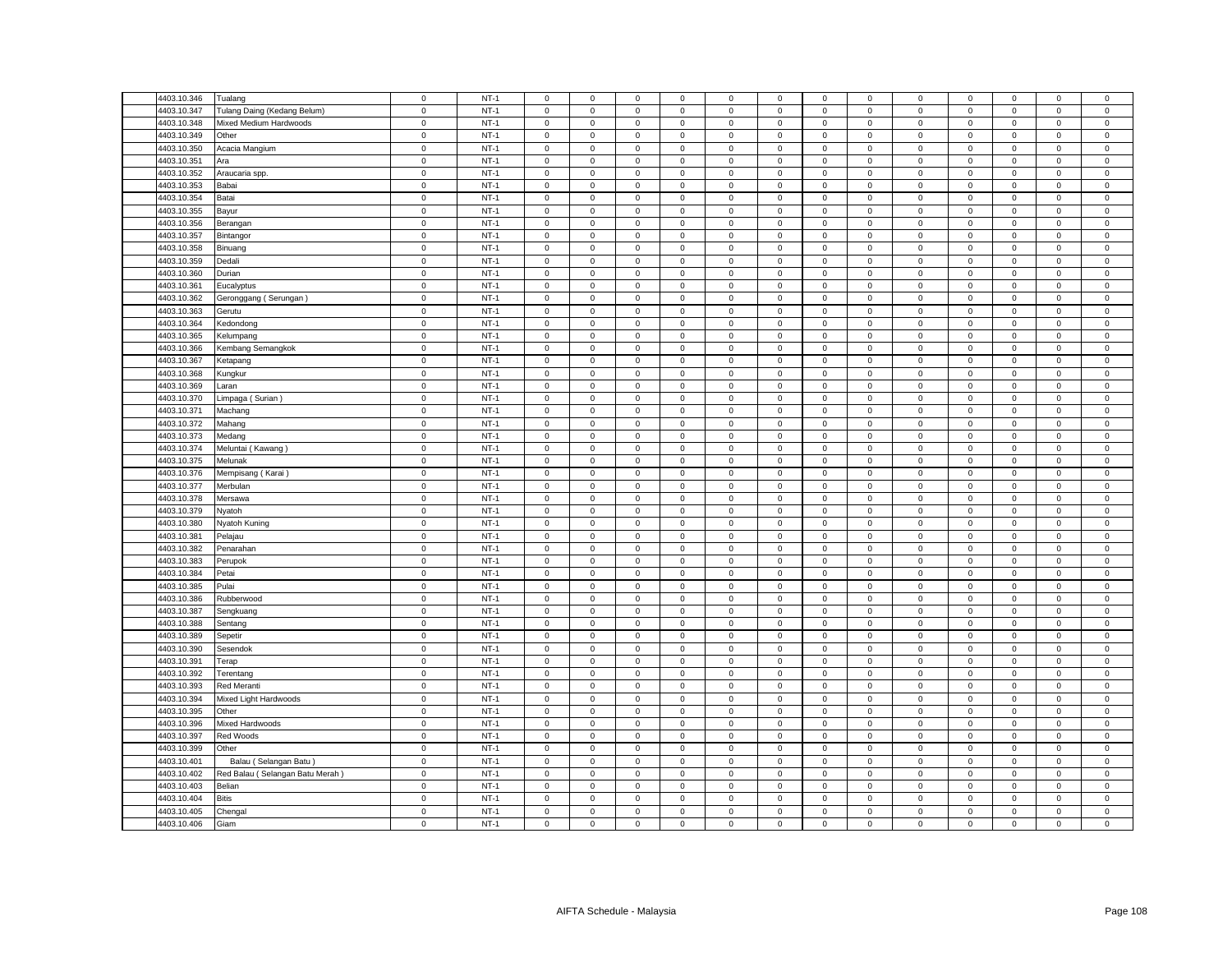| 4403.10.346 | Tualang                         | $\mathsf 0$ | $NT-1$ | $\mathsf 0$         | $\mathsf 0$         | $\mathsf 0$ | $\mathbf 0$    | 0                   | $\mathsf 0$                | $\mathsf 0$  | $\mathsf 0$    | $\mathsf 0$  | $\mathsf 0$ | $\mathbf 0$         | $\mathbf 0$ | $\mathsf 0$ |
|-------------|---------------------------------|-------------|--------|---------------------|---------------------|-------------|----------------|---------------------|----------------------------|--------------|----------------|--------------|-------------|---------------------|-------------|-------------|
| 4403.10.347 | Tulang Daing (Kedang Belum)     | $\mathsf 0$ | $NT-1$ | $\mathsf 0$         | $\mathsf 0$         | $\mathsf 0$ | $\mathbf 0$    | 0                   | $\mathsf 0$                | $\mathsf 0$  | $\mathsf 0$    | $\mathsf 0$  | $\mathbf 0$ | $\mathsf 0$         | $\mathsf 0$ | $\mathsf 0$ |
| 4403.10.348 | Mixed Medium Hardwoods          | $\mathsf 0$ | $NT-1$ | $\mathsf 0$         | $\mathsf 0$         | $\mathsf 0$ | $\mathsf 0$    | $\mathbf 0$         | $\mathsf 0$                | $\mathbf 0$  | $\mathsf 0$    | $\mathbf 0$  | $\mathsf 0$ | $\mathsf 0$         | $\mathsf 0$ | $\mathsf 0$ |
| 4403.10.349 | Other                           | $\mathsf 0$ | $NT-1$ | $\mathbf 0$         | $\mathbf{0}$        | $\mathbf 0$ | $\mathbf 0$    | $\mathbf{0}$        | $\mathbf 0$                | $\mathbf 0$  | $\mathbf{0}$   | $\mathsf 0$  | $\mathbf 0$ | $\mathbf 0$         | $\mathbf 0$ | $\mathsf 0$ |
| 4403.10.350 | Acacia Mangium                  | $\mathbf 0$ | $NT-1$ | $\mathbf{0}$        | $\mathbf 0$         | $\mathbf 0$ | $\mathbf 0$    | $\mathbf{0}$        | $\mathbf 0$                | $\mathbf 0$  | $\mathbf{0}$   | 0            | $\mathbf 0$ | $\mathbf{0}$        | $^{\circ}$  | $\,0\,$     |
| 4403.10.351 | Ara                             | $\mathsf 0$ | $NT-1$ | $\mathsf 0$         | $\mathbf{0}$        | $\mathsf 0$ | $\mathsf 0$    | $\mathbf{0}$        | $\mathbf 0$                | $\mathbf 0$  | $\mathbf{0}$   | $\mathsf 0$  | $\mathbf 0$ | $\mathbf 0$         | $\mathsf 0$ | $\mathsf 0$ |
| 4403.10.352 | Araucaria spp.                  | $\mathbf 0$ | $NT-1$ | $\mathbf 0$         | $\mathbf 0$         | $\mathbf 0$ | $\mathbf 0$    | $\mathbf{0}$        | $\mathbf 0$                | $\mathbf 0$  | $\mathbf 0$    | $\mathbf 0$  | $\mathbf 0$ | $\mathbf 0$         | $\mathbf 0$ | $\mathsf 0$ |
| 4403.10.353 | Babai                           | $\mathbf 0$ | $NT-1$ | $\mathsf 0$         | $\mathbf{0}$        | $\mathbf 0$ | $\mathbf 0$    | $\mathbf{0}$        | $\mathsf 0$                | $\mathbf 0$  | $\mathbf{0}$   | $\mathsf 0$  | $\mathbf 0$ | $\mathbf 0$         | $\mathbf 0$ | $\,0\,$     |
| 4403.10.354 | Batai                           | $\mathbf 0$ | $NT-1$ | $\mathsf 0$         | $\mathsf 0$         | $\mathsf 0$ | $\mathsf 0$    | $\mathbf 0$         | $\mathsf 0$                | $\mathbf 0$  | $\mathsf 0$    | $\mathsf 0$  | $\mathsf 0$ | $\mathsf 0$         | $\mathsf 0$ | $\mathsf 0$ |
| 4403.10.355 | Bayur                           | $\mathsf 0$ | $NT-1$ | $\mathsf 0$         | $\mathbf 0$         | $\mathsf 0$ | $\mathsf 0$    | $\mathbf{0}$        | $\mathsf 0$                | $\mathbf 0$  | $\mathsf 0$    | $\mathsf 0$  | $\mathbf 0$ | $\mathbf 0$         | $\mathsf 0$ | $\mathsf 0$ |
| 4403.10.356 | Berangan                        | $\mathbf 0$ | $NT-1$ | $\mathbf 0$         | $\mathsf 0$         | $\mathbf 0$ | $\mathbf 0$    | $\mathbf{0}$        | $\mathbf 0$                | $\mathbf 0$  | $\mathbf 0$    | $\mathbf 0$  | $\mathbf 0$ | $\mathbf 0$         | $\mathsf 0$ | $\,0\,$     |
| 4403.10.357 | Bintangor                       | $\mathsf 0$ | $NT-1$ | $\mathbf 0$         | $\mathsf 0$         | $\mathsf 0$ | $\mathbf 0$    | 0                   | $\mathsf 0$                | $\mathsf 0$  | $\mathsf 0$    | $\mathsf 0$  | $\mathsf 0$ | $\mathsf 0$         | $\mathsf 0$ | $\mathsf 0$ |
| 4403.10.358 | Binuang                         | $\mathbf 0$ | $NT-1$ | $\mathbf 0$         | $\mathsf 0$         | $\mathsf 0$ | $\mathsf 0$    | $\mathsf{O}\xspace$ | $\mathsf 0$                | $\mathbf 0$  | $\mathsf 0$    | $\mathsf 0$  | $\mathsf 0$ | $\mathsf 0$         | $\mathsf 0$ | $\mathbf 0$ |
| 4403.10.359 | Dedali                          | $\mathbf 0$ | $NT-1$ | $\mathbf 0$         | $\mathbf 0$         | $\mathsf 0$ | $\mathbf 0$    | 0                   | $\mathbf 0$                | $\mathbf 0$  | $\mathsf 0$    | $\mathsf 0$  | $\mathbf 0$ | $\mathbf 0$         | $\mathsf 0$ | $\mathsf 0$ |
| 4403.10.360 | Durian                          | $\mathbf 0$ | $NT-1$ | $\mathsf 0$         | $\mathsf 0$         | $\mathbf 0$ | $\mathsf 0$    | 0                   | $\mathsf 0$                | $\mathbf 0$  | $\,0\,$        | $\mathbf 0$  | $\mathbf 0$ | $\mathsf{O}\xspace$ | $\mathsf 0$ | $\mathbf 0$ |
| 4403.10.361 | Eucalyptus                      | $\mathbf 0$ | $NT-1$ | 0                   | $\mathsf{O}\xspace$ | $\mathbf 0$ | 0              | 0                   | $\mathsf 0$                | $\mathbf 0$  | 0              | $\mathsf 0$  | $\mathbf 0$ | $\mathbf 0$         | 0           | $\mathbf 0$ |
| 4403.10.362 | Geronggang (Serungan)           | $\mathbf 0$ | $NT-1$ | $\Omega$            | $\mathsf 0$         | $\mathsf 0$ | $\mathbf 0$    | $\mathbf{0}$        | $\mathbf 0$                | $\mathsf 0$  | $\mathsf 0$    | $\mathsf 0$  | $\mathbf 0$ | $\mathbf 0$         | $\mathsf 0$ | $\mathbf 0$ |
|             |                                 |             |        |                     |                     |             |                |                     |                            |              |                |              |             |                     |             |             |
| 4403.10.363 | Gerutu                          | $\mathbf 0$ | $NT-1$ | 0<br>$\mathbf 0$    | $\mathsf 0$         | $\mathsf 0$ | 0              | 0                   | $\mathbf 0$<br>$\mathbf 0$ | $\mathbf 0$  | $\mathbf 0$    | $\mathsf 0$  | $\mathbf 0$ | $\mathbf 0$         | 0           | $\,0\,$     |
| 4403.10.364 | Kedondong                       | $\mathbf 0$ | $NT-1$ |                     | $\mathsf{O}\xspace$ | $\mathsf 0$ | $\mathsf 0$    | $\mathsf{O}\xspace$ |                            | $\mathbf 0$  | $\mathbf 0$    | $\mathsf 0$  | $\mathbf 0$ | $\mathsf 0$         | $\mathsf 0$ | $\mathbf 0$ |
| 4403.10.365 | Kelumpang                       | $\mathbf 0$ | $NT-1$ | 0                   | $\mathbf 0$         | $\mathbf 0$ | 0              | 0                   | $\mathbf 0$                | 0            | $\mathbf 0$    | $\mathbf 0$  | $\mathbf 0$ | 0                   | $\mathbf 0$ | $\mathbf 0$ |
| 4403.10.366 | Kembang Semangkok               | $\mathbf 0$ | $NT-1$ | $\mathbf 0$         | $\mathsf{O}\xspace$ | $\mathbf 0$ | $\mathsf 0$    | 0                   | $\mathsf 0$                | $\mathbf 0$  | $\,0\,$        | $\mathsf 0$  | $\mathbf 0$ | $\mathsf{O}\xspace$ | 0           | $\pmb{0}$   |
| 4403.10.367 | Ketapang                        | $\mathbf 0$ | $NT-1$ | $\mathsf 0$         | $\mathsf 0$         | $\mathbf 0$ | $\mathbf 0$    | 0                   | $\mathsf 0$                | $\mathbf 0$  | $\mathsf 0$    | $\mathsf 0$  | $\mathsf 0$ | $\mathbf 0$         | $\mathsf 0$ | $\,0\,$     |
| 4403.10.368 | Kungkur                         | $\mathsf 0$ | $NT-1$ | $\mathbf 0$         | $\mathsf 0$         | $\mathsf 0$ | $\mathbf 0$    | 0                   | $\Omega$                   | $\mathbf 0$  | $\mathbf 0$    | $\mathsf 0$  | $\mathbf 0$ | $\mathbf 0$         | $\mathbf 0$ | $\mathbf 0$ |
| 4403.10.369 | .aran                           | $\mathsf 0$ | $NT-1$ | $\mathbf 0$         | $\mathbf 0$         | $\mathbf 0$ | $\mathbf 0$    | 0                   | $\mathbf 0$                | $\mathbf 0$  | $\mathbf 0$    | $\mathbf 0$  | $\mathbf 0$ | $\mathbf 0$         | $\mathbf 0$ | $\,0\,$     |
| 4403.10.370 | Limpaga (Surian)                | $\mathsf 0$ | $NT-1$ | $\mathbf 0$         | $\mathsf{O}\xspace$ | $\mathbf 0$ | $\mathsf 0$    | 0                   | $\mathsf 0$                | $\mathsf 0$  | $\mathsf 0$    | $\mathsf 0$  | $\mathsf 0$ | $\mathsf 0$         | $\mathsf 0$ | $\mathbf 0$ |
| 4403.10.371 | Machang                         | $\mathsf 0$ | $NT-1$ | $\mathbf 0$         | $\mathsf{O}$        | $\mathsf 0$ | $\mathbf 0$    | 0                   | $\mathsf 0$                | $\mathbf 0$  | $\mathsf 0$    | $\mathsf 0$  | $\mathbf 0$ | $\mathbf 0$         | $\mathsf 0$ | $\mathsf 0$ |
| 4403.10.372 | Mahang                          | $\mathbf 0$ | $NT-1$ | $\mathbf 0$         | $\mathbf 0$         | $\mathbf 0$ | $\mathbf 0$    | 0                   | $\mathbf 0$                | $\mathsf 0$  | $\mathsf 0$    | $\mathsf 0$  | $\mathbf 0$ | $\mathbf 0$         | $\mathbf 0$ | $\mathbf 0$ |
| 4403.10.373 | Medang                          | $\mathsf 0$ | $NT-1$ | $\mathsf 0$         | $\mathsf 0$         | $\mathsf 0$ | $\mathbf 0$    | 0                   | $\mathsf 0$                | $\mathbf 0$  | $\mathsf 0$    | $\mathsf 0$  | $\mathbf 0$ | $\mathsf 0$         | $\mathsf 0$ | $\,0\,$     |
| 4403.10.374 | Meluntai (Kawang)               | $\mathsf 0$ | $NT-1$ | $\mathbf 0$         | $\mathbf 0$         | $\mathbf 0$ | $\mathbf 0$    | $\mathbf 0$         | $\mathbf 0$                | $\mathbf 0$  | $\mathsf 0$    | $\mathsf 0$  | $\mathbf 0$ | $\mathbf 0$         | $\mathbf 0$ | $\mathsf 0$ |
| 4403.10.375 | Melunak                         | $\mathbf 0$ | $NT-1$ | $\mathbf 0$         | $\mathbf 0$         | $\mathsf 0$ | $\mathbf 0$    | 0                   | $\mathsf 0$                | $\mathbf 0$  | $\mathbf 0$    | $\mathsf 0$  | $\mathbf 0$ | $\mathbf 0$         | $\mathsf 0$ | $\mathbf 0$ |
| 4403.10.376 | Mempisang (Karai)               | $\mathsf 0$ | $NT-1$ | $\mathbf 0$         | $\mathsf 0$         | $\mathsf 0$ | $\mathsf 0$    | 0                   | $\mathsf 0$                | $\mathsf 0$  | $\mathsf 0$    | $\mathsf 0$  | $\mathsf 0$ | $\mathsf 0$         | $\mathsf 0$ | $\mathbf 0$ |
| 4403.10.377 | Merbulan                        | $\mathbf 0$ | $NT-1$ | $\mathbf 0$         | $\mathbf 0$         | $\mathbf 0$ | $\mathbf 0$    | 0                   | $\mathbf 0$                | $\mathbf 0$  | $\mathbf 0$    | $\mathbf 0$  | $\mathbf 0$ | $\mathbf 0$         | $\mathbf 0$ | $\mathbf 0$ |
| 4403.10.378 | Mersawa                         | $\mathsf 0$ | $NT-1$ | $\mathsf 0$         | $\mathsf 0$         | $\mathsf 0$ | $\mathbf 0$    | 0                   | $\mathsf 0$                | $\mathbf 0$  | $\mathsf 0$    | $\mathsf 0$  | $\mathbf 0$ | $\mathsf 0$         | $\mathsf 0$ | $\mathsf 0$ |
| 4403.10.379 | Nyatoh                          | $\mathsf 0$ | $NT-1$ | $\mathsf 0$         | $\mathsf 0$         | $\mathsf 0$ | $\mathsf 0$    | 0                   | $\mathsf 0$                | $\mathbf 0$  | $\mathsf 0$    | $\mathsf 0$  | $\mathbf 0$ | $\mathsf 0$         | $\mathsf 0$ | $\mathsf 0$ |
| 4403.10.380 | Nyatoh Kuning                   | $\mathsf 0$ | $NT-1$ | $\mathbf 0$         | $\mathsf 0$         | $\mathsf 0$ | $\mathsf 0$    | 0                   | $\mathbf 0$                | $\mathsf 0$  | $\mathsf 0$    | $\mathsf 0$  | $\mathsf 0$ | $\mathsf 0$         | $\mathsf 0$ | $\mathbf 0$ |
| 4403.10.381 | Pelajau                         | $\mathsf 0$ | $NT-1$ | $\mathsf 0$         | $\mathsf 0$         | $\mathsf 0$ | $\mathbf 0$    | 0                   | $\mathsf 0$                | $\mathbf 0$  | $\mathsf 0$    | $\mathsf 0$  | $\mathbf 0$ | $\mathsf 0$         | $\mathsf 0$ | $\mathbf 0$ |
| 4403.10.382 | Penarahan                       | $\mathsf 0$ | $NT-1$ | $\mathbf 0$         | $\mathsf 0$         | $\mathsf 0$ | $\mathbf 0$    | 0                   | $\mathsf 0$                | $\mathsf 0$  | $\mathsf 0$    | $\mathsf 0$  | $\mathsf 0$ | $\mathsf 0$         | $\mathsf 0$ | $\mathbf 0$ |
| 4403.10.383 | Perupok                         | $\mathsf 0$ | $NT-1$ | $\mathsf 0$         | $\mathsf 0$         | $\mathsf 0$ | $\mathbf 0$    | $\mathbf 0$         | $\mathbf 0$                | $\mathsf 0$  | $\mathsf 0$    | $\mathsf 0$  | $\mathbf 0$ | $\mathbf 0$         | $\mathsf 0$ | $\mathsf 0$ |
| 4403.10.384 | Petai                           | $\mathsf 0$ | $NT-1$ | $\mathbf 0$         | $\mathsf 0$         | $\mathsf 0$ | $\mathbf 0$    | 0                   | $\mathbf 0$                | $\mathbf 0$  | $\mathbf 0$    | $\mathsf 0$  | $\mathbf 0$ | $\mathbf 0$         | $\mathbf 0$ | $\mathbf 0$ |
| 4403.10.385 | Pulai                           | $\mathbf 0$ | $NT-1$ | $\mathbf 0$         | $\mathsf 0$         | $\mathsf 0$ | $\mathbf 0$    | $\mathbf{0}$        | $\mathbf 0$                | $\mathbf 0$  | $\mathsf 0$    | $\mathsf 0$  | $\mathbf 0$ | $\mathsf 0$         | $\mathsf 0$ | $\mathbf 0$ |
| 4403.10.386 | Rubberwood                      | $\mathsf 0$ | $NT-1$ | $\mathbf 0$         | $\mathsf 0$         | $\mathsf 0$ | $\mathsf 0$    | 0                   | $\mathsf 0$                | $\mathbf 0$  | $\mathbf 0$    | $\mathsf 0$  | $\mathbf 0$ | $\mathbf 0$         | $\mathsf 0$ | $\mathsf 0$ |
| 4403.10.387 | Sengkuang                       | $\mathbf 0$ | $NT-1$ | $\mathbf 0$         | $\mathbf 0$         | $\mathbf 0$ | $\mathbf 0$    | $\mathbf{0}$        | $\mathbf 0$                | $\mathbf{0}$ | $\mathbf{0}$   | $\mathbf{0}$ | $\mathbf 0$ | $\mathbf{0}$        | $\mathbf 0$ | $\mathbf 0$ |
| 4403.10.388 | Sentang                         | $\mathsf 0$ | $NT-1$ | $\mathsf 0$         | $\mathbf{0}$        | $\mathbf 0$ | $\mathsf 0$    | $\mathbf{0}$        | $\mathsf 0$                | $\mathbf{O}$ | $\mathbf{0}$   | $\mathsf 0$  | $\mathbf 0$ | $\mathbf 0$         | $\mathbf 0$ | $\mathsf 0$ |
| 4403.10.389 | Sepetir                         | $\mathbf 0$ | $NT-1$ | $\mathbf 0$         | $\mathbf 0$         | $\mathbf 0$ | $\mathbf 0$    | $\mathbf{0}$        | $\mathbf 0$                | $\mathbf 0$  | $\mathsf 0$    | $\mathsf 0$  | $\mathbf 0$ | $\mathbf 0$         | $\mathsf 0$ | $\mathbf 0$ |
| 4403.10.390 | Sesendok                        | $\mathbf 0$ | $NT-1$ | $\mathsf{O}\xspace$ | $\mathbf{0}$        | $\mathbf 0$ | $\mathsf 0$    | $\mathbf{0}$        | $\mathbf 0$                | $\mathbf 0$  | $\mathbf{0}$   | $\mathsf 0$  | $\mathbf 0$ | $\mathbf 0$         | $\mathbf 0$ | $\mathbf 0$ |
| 4403.10.391 | Terap                           | $\mathsf 0$ | $NT-1$ | $\mathbf 0$         | $\mathsf 0$         | $\mathsf 0$ | $\mathbf 0$    | $\mathbf{0}$        | $\mathbf 0$                | $\mathsf 0$  | $\mathsf 0$    | $\mathsf 0$  | $\mathbf 0$ | $\mathbf 0$         | $\mathsf 0$ | $\mathbf 0$ |
| 4403.10.392 | Terentang                       | $\mathsf 0$ | $NT-1$ | $\mathbf 0$         | $\mathbf 0$         | $\mathbf 0$ | $\mathbf 0$    | $\mathbf{0}$        | $\mathsf 0$                | $\mathbf 0$  | $\mathsf 0$    | $\mathsf 0$  | $\mathsf 0$ | $\mathbf 0$         | $\mathbf 0$ | $\mathbf 0$ |
| 4403.10.393 | Red Meranti                     | $\mathsf 0$ | $NT-1$ | $\Omega$            | $\mathsf 0$         | $\mathsf 0$ | $\mathbf 0$    | 0                   | $\mathbf 0$                | $\mathsf 0$  | $\mathsf 0$    | $\mathsf 0$  | $\mathsf 0$ | $\mathbf 0$         | $\mathsf 0$ | $\,0\,$     |
| 4403.10.394 | Mixed Light Hardwoods           | $\mathsf 0$ | $NT-1$ | $\mathsf 0$         | $\mathsf 0$         | $\mathbf 0$ | 0              | 0                   | $\mathsf 0$                | $\mathbf 0$  | $\mathsf 0$    | $\mathsf 0$  | $\mathbf 0$ | $\mathsf 0$         | $\mathsf 0$ | $\mathsf 0$ |
| 4403.10.395 | Other                           | $\mathsf 0$ | $NT-1$ | $\mathsf 0$         | $\mathsf 0$         | $\mathsf 0$ | $\mathsf 0$    | $\mathbf 0$         | $\mathbf 0$                | $\mathsf 0$  | $\mathsf 0$    | $\mathsf 0$  | $\mathsf 0$ | $\mathsf 0$         | $\mathsf 0$ | $\mathbf 0$ |
| 4403.10.396 | Mixed Hardwoods                 | $\mathsf 0$ | $NT-1$ | $\mathbf 0$         | $\mathbf 0$         | $\mathbf 0$ | $^{\circ}$     | $\mathbf{0}$        | $\mathbf 0$                | $\mathbf 0$  | $\mathbf 0$    | $\mathsf 0$  | $\mathbf 0$ | $\mathbf 0$         | $^{\circ}$  | $\mathbf 0$ |
| 4403.10.397 | Red Woods                       | $\,0\,$     | $NT-1$ | $\mathbf 0$         | $\mathsf{O}\xspace$ | $\mathbf 0$ | $\mathsf 0$    | 0                   | $\mathsf 0$                | $\,0\,$      | $\,0\,$        | $\mathsf 0$  | $\mathbf 0$ | $\mathsf 0$         | $\mathsf 0$ | $\mathbf 0$ |
| 4403.10.399 | Other                           | $\mathsf 0$ | $NT-1$ | 0                   | $\mathsf 0$         | $\mathsf 0$ | 0              | 0                   | $\mathsf 0$                | $\mathbf 0$  | $\mathsf 0$    | $\mathsf 0$  | $\mathsf 0$ | $\mathbf 0$         | $\mathsf 0$ | $\,0\,$     |
| 4403.10.401 |                                 | $\mathsf 0$ | $NT-1$ | $\mathbf 0$         | $\mathsf 0$         | $\mathsf 0$ | $\mathsf 0$    | 0                   | $\mathbf 0$                | $\mathbf 0$  | $\mathsf 0$    | $\mathsf 0$  | $\mathbf 0$ | $\mathbf 0$         | $\mathbf 0$ | $\mathbf 0$ |
|             | Balau (Selangan Batu            |             | $NT-1$ |                     |                     |             |                |                     |                            | $\mathbf 0$  |                |              |             | $\mathsf 0$         |             |             |
| 4403.10.402 | Red Balau (Selangan Batu Merah) | $\mathbf 0$ |        | $\mathsf{O}\xspace$ | $\mathsf{O}\xspace$ | $\mathsf 0$ | $\overline{0}$ | 0                   | $\mathsf 0$                |              | $\mathbf 0$    | $\mathsf 0$  | $\mathbf 0$ |                     | 0           | $\mathbf 0$ |
| 4403.10.403 | Belian                          | $\mathbf 0$ | $NT-1$ | $\mathbf 0$         | $\mathsf 0$         | $\mathbf 0$ | $\mathbf 0$    | 0                   | $\mathbf 0$                | $\mathbf 0$  | $\overline{0}$ | $\mathsf 0$  | $\mathbf 0$ | $\mathbf 0$         | $\mathbf 0$ | $\mathbf 0$ |
| 4403.10.404 | <b>Bitis</b>                    | $\mathsf 0$ | $NT-1$ | $\mathbf 0$         | $\mathbf 0$         | $\mathbf 0$ | $\mathbf 0$    | 0                   | $\mathbf 0$                | $\mathbf 0$  | $\mathbf 0$    | $\mathsf 0$  | $\mathbf 0$ | $\mathbf 0$         | $\mathbf 0$ | $\mathsf 0$ |
| 4403.10.405 | Chengal                         | $\mathsf 0$ | $NT-1$ | $\mathsf{O}\xspace$ | $\mathsf{O}\xspace$ | $\mathsf 0$ | $\mathbf 0$    | 0                   | $\mathbf 0$                | $\mathsf 0$  | $\overline{0}$ | $\mathsf 0$  | $\mathbf 0$ | $\mathsf 0$         | $\mathsf 0$ | $\mathbf 0$ |
| 4403.10.406 | Giam                            | $\mathbf 0$ | $NT-1$ | $\mathbf 0$         | $\mathsf 0$         | $\mathbf 0$ | $\mathbf 0$    | 0                   | $\mathsf 0$                | $\mathbf 0$  | $\mathsf 0$    | $\mathbf 0$  | $\mathsf 0$ | $\mathbf 0$         | $\mathsf 0$ | $\mathsf 0$ |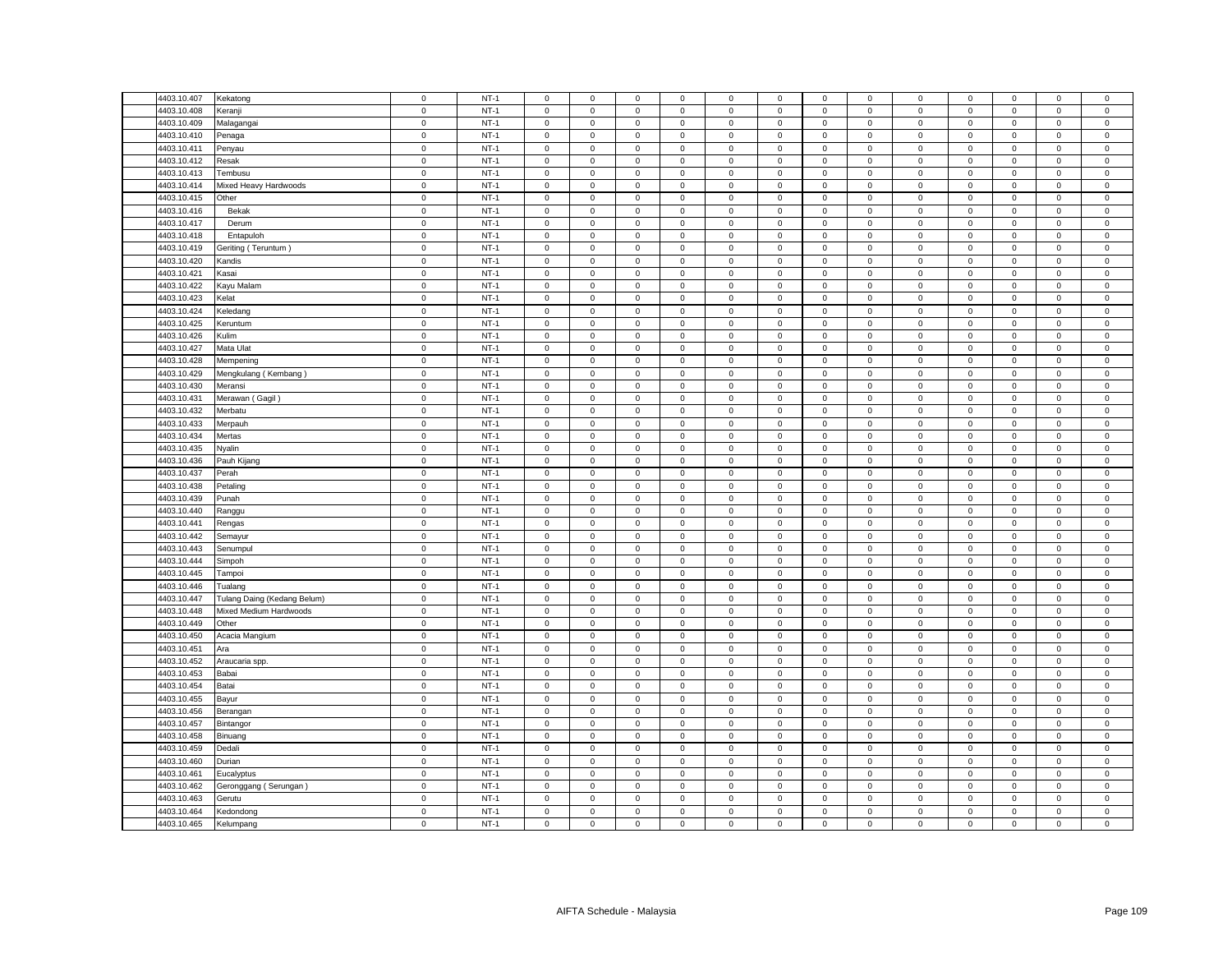| 4403.10.407                | Kekatong                    | $\mathsf 0$                | $NT-1$ | $\mathsf 0$                        | $\mathsf 0$         | $\mathsf 0$                | $\mathbf 0$                | 0                   | $\mathsf 0$                | $\mathbf 0$                | $\mathsf 0$                | $\mathsf 0$                | $\mathsf 0$                | $\mathsf 0$                | $\mathsf 0$                | $\mathsf 0$                |
|----------------------------|-----------------------------|----------------------------|--------|------------------------------------|---------------------|----------------------------|----------------------------|---------------------|----------------------------|----------------------------|----------------------------|----------------------------|----------------------------|----------------------------|----------------------------|----------------------------|
| 4403.10.408                | Keranji                     | $\mathsf 0$                | $NT-1$ | $\Omega$                           | $\mathsf 0$         | $\mathsf 0$                | $\mathbf 0$                | 0                   | $\mathbf 0$                | $\mathsf 0$                | $\mathsf 0$                | $\mathsf 0$                | $\mathbf 0$                | $\mathsf 0$                | $\mathbf 0$                | $\mathsf 0$                |
| 4403.10.409                | Malagangai                  | $\mathbf 0$                | $NT-1$ | $\mathbf{0}$                       | $\mathbf 0$         | $\mathsf 0$                | $\mathbf 0$                | 0                   | $\mathsf 0$                | $\mathbf 0$                | $\mathbf 0$                | $\mathsf 0$                | $\mathbf 0$                | $\mathbf 0$                | $\mathbf 0$                | $\mathsf 0$                |
| 4403.10.410                | Penaga                      | $\mathsf 0$                | $NT-1$ | $\mathbf 0$                        | $\mathsf 0$         | $\mathsf 0$                | $\mathsf 0$                | 0                   | $\mathbf 0$                | $\mathsf 0$                | $\mathsf 0$                | $\mathsf 0$                | $\mathsf 0$                | $\mathsf 0$                | $\mathsf 0$                | $\mathsf 0$                |
| 4403.10.411                | Penyau                      | $\mathbf 0$                | $NT-1$ | $\mathbf 0$                        | $\mathbf 0$         | $\mathbf 0$                | $\mathbf 0$                | 0                   | $\mathbf 0$                | $\mathbf 0$                | $\mathbf 0$                | $\mathbf 0$                | $\mathbf 0$                | $\mathbf 0$                | $\mathbf 0$                | $\mathbf 0$                |
| 4403.10.412                | Resak                       | $\mathsf 0$                | $NT-1$ | $\mathbf 0$                        | $\mathsf 0$         | $\mathsf 0$                | $\mathbf 0$                | 0                   | $\mathsf 0$                | $\mathbf 0$                | $\mathsf 0$                | $\mathsf 0$                | $\mathsf 0$                | $\mathsf 0$                | $\mathsf 0$                | $\mathsf 0$                |
| 4403.10.413                | Tembusu                     | $\mathsf 0$                | $NT-1$ | $\mathsf 0$                        | $\mathsf 0$         | $\mathsf 0$                | $\mathsf 0$                | 0                   | $\mathsf 0$                | $\mathsf 0$                | $\mathsf 0$                | $\mathsf 0$                | $\mathsf 0$                | $\mathsf 0$                | $\mathsf 0$                | $\mathsf 0$                |
| 4403.10.414                | Mixed Heavy Hardwoods       | $\mathsf 0$                | $NT-1$ | $\mathbf{0}$                       | $\mathsf 0$         | $\mathbf 0$                | $\mathbf 0$                | 0                   | $\mathbf 0$                | $\mathbf{0}$               | $\mathbf 0$                | $\mathsf 0$                | $\mathbf 0$                | $\mathbf 0$                | $\mathbf 0$                | $\mathsf 0$                |
| 4403.10.415                | Other                       | $\mathsf 0$                | $NT-1$ | $\mathsf 0$                        | $\mathsf 0$         | $\mathsf 0$                | $\mathsf 0$                | 0                   | $\mathsf 0$                | $\mathbf 0$                | $\mathsf 0$                | $\mathsf 0$                | $\mathbf 0$                | $\mathsf 0$                | $\mathsf 0$                | $\,0\,$                    |
| 4403.10.416                | Bekak                       | $\mathsf 0$                | $NT-1$ | $\mathbf 0$                        | $\mathsf 0$         | $\mathsf 0$                | $\mathsf 0$                | 0                   | $\mathsf 0$                | $\mathbf 0$                | $\mathsf 0$                | $\mathsf 0$                | $\mathsf 0$                | $\mathsf 0$                | $\mathsf 0$                | $\mathsf 0$                |
| 4403.10.417                | Derum                       | $\mathbf 0$                | $NT-1$ | $\mathsf 0$                        | $\mathsf 0$         | $\mathbf 0$                | $\mathbf 0$                | 0                   | $\mathbf 0$                | $\mathbf 0$                | $\mathsf 0$                | $\mathsf 0$                | $\mathbf 0$                | $\mathbf 0$                | $\mathsf 0$                | $\mathsf 0$                |
| 4403.10.418                | Entapuloh                   | $\mathbf 0$                | $NT-1$ | $\mathbf 0$                        | $\mathbf 0$         | $\mathbf 0$                | $\mathbf 0$                | $\mathbf{0}$        | $\mathbf 0$                | $\mathbf{0}$               | $^{\circ}$                 | $\mathsf 0$                | $\mathbf 0$                | $\mathbf 0$                | $^{\circ}$                 | $\overline{0}$             |
| 4403.10.419                | Geriting (Teruntum)         | $\mathbf 0$                | $NT-1$ | $\mathsf 0$                        | $\mathsf 0$         | $\mathsf 0$                | $\mathsf 0$                | 0                   | $\mathsf 0$                | $\mathbf 0$                | $\mathsf 0$                | $\mathsf 0$                | $\mathbf 0$                | $\mathsf 0$                | $\mathsf 0$                | $\mathsf 0$                |
| 4403.10.420                | Kandis                      | $\mathsf 0$                | $NT-1$ | $\mathbf 0$                        | $\mathsf 0$         | $\mathsf 0$                | $\mathsf 0$                | 0                   | $\mathsf 0$                | $\mathbf 0$                | $\mathsf 0$                | $\mathsf 0$                | $\mathsf 0$                | $\mathsf 0$                | $\mathsf 0$                | $\mathsf 0$                |
| 4403.10.421                | Kasai                       | $\mathbf 0$                | $NT-1$ | $\mathsf 0$                        | $\mathsf 0$         | $\mathsf 0$                | $\mathsf 0$                | 0                   | $\mathsf 0$                | $\mathsf 0$                | $\mathbf 0$                | $\mathbf 0$                | $\mathbf 0$                | $\mathsf{O}\xspace$        | $\mathsf 0$                | $\mathsf{O}$               |
| 4403.10.422                | Kayu Malam                  | $\mathsf 0$                | $NT-1$ | $\mathbf 0$                        | $\mathsf 0$         | $\mathsf 0$                | $\mathbf 0$                | 0                   | $\mathsf 0$                | $\mathbf 0$                | $\mathsf 0$                | $\mathsf 0$                | $\mathsf 0$                | $\mathsf 0$                | $\mathsf 0$                | $\overline{0}$             |
| 4403.10.423                | Kelat                       | $\mathbf 0$                | $NT-1$ | $\mathbf 0$                        | $\mathsf 0$         | $\mathsf 0$                | $\mathbf 0$                | $\mathbf{0}$        | $\mathbf 0$                | $\mathbf 0$                | $\mathsf 0$                | $\mathsf 0$                | $\mathbf 0$                | $\mathbf 0$                | $\mathsf 0$                | $\mathsf 0$                |
|                            |                             |                            | $NT-1$ | $\mathbf 0$                        | $\mathbf 0$         |                            |                            |                     |                            |                            |                            |                            |                            |                            |                            |                            |
| 4403.10.424<br>4403.10.425 | Keledang<br>Keruntum        | $\mathsf 0$<br>$\mathsf 0$ | $NT-1$ | $\mathbf 0$                        | $\mathsf 0$         | $\mathsf 0$<br>$\mathsf 0$ | $\mathbf 0$<br>$\mathbf 0$ | 0<br>0              | $\mathsf 0$<br>$\mathbf 0$ | $\mathbf 0$<br>$\mathsf 0$ | $\mathsf 0$<br>$\mathsf 0$ | $\mathbf 0$<br>$\mathsf 0$ | $\mathsf 0$<br>$\mathsf 0$ | $\mathbf 0$<br>$\mathsf 0$ | $\mathsf 0$<br>$\mathsf 0$ | $\mathsf 0$<br>$\mathbf 0$ |
|                            |                             |                            |        |                                    |                     |                            |                            |                     |                            |                            |                            |                            |                            |                            |                            |                            |
| 4403.10.426                | Kulim                       | $\mathsf 0$                | $NT-1$ | $\mathsf 0$                        | $\mathsf 0$         | $\mathsf 0$                | $\mathbf 0$                | 0                   | $\mathsf 0$                | $\mathsf 0$                | $\mathsf 0$                | $\mathsf 0$                | $\mathsf 0$                | $\mathsf 0$                | $\mathsf 0$                | $\,0\,$                    |
| 4403.10.427                | Mata Ulat                   | $\mathbf 0$                | $NT-1$ | $\mathbf 0$                        | $\mathsf 0$         | $\mathsf 0$                | $\mathbf 0$                | $\mathsf{O}\xspace$ | $\mathsf 0$                | $\mathbf 0$                | $\mathsf 0$                | $\mathsf 0$                | $\mathsf 0$                | 0                          | $\mathbf 0$                | $\pmb{0}$                  |
| 4403.10.428                | Mempening                   | $\mathsf 0$                | $NT-1$ | 0                                  | 0                   | 0                          | 0                          | 0                   | 0                          | 0                          | 0                          | $\mathsf 0$                | $\mathbf 0$                | 0                          | 0                          | $\mathbf 0$                |
| 4403.10.429                | Mengkulang (Kembang)        | $\mathsf 0$                | $NT-1$ | $\mathbf 0$                        | $\mathsf{O}\xspace$ | $\mathbf 0$                | $\mathbf 0$                | 0                   | $\mathbf 0$                | $\mathbf 0$                | $\mathbf 0$                | $\mathsf 0$                | $\mathbf 0$                | $\mathsf 0$                | $\mathsf 0$                | $\mathbf 0$                |
| 4403.10.430                | Meransi                     | $\mathbf 0$                | $NT-1$ | 0                                  | $\mathbf 0$         | $\mathbf 0$                | 0                          | 0                   | 0                          | $\mathbf 0$                | 0                          | $\mathbf 0$                | 0                          | 0                          | $\mathbf 0$                | $\mathbf 0$                |
| 4403.10.431                | Merawan (Gagil)             | $\mathsf 0$                | $NT-1$ | $\Omega$                           | $\mathsf{O}\xspace$ | $\mathbf 0$                | $\mathbf 0$                | 0                   | $\mathsf 0$                | $\mathsf 0$                | $\,0\,$                    | $\mathsf 0$                | $\mathbf 0$                | $\mathsf{O}\xspace$        | $\mathsf 0$                | $\mathbf 0$                |
| 4403.10.432                | Merbatu                     | $\mathsf 0$                | $NT-1$ | 0                                  | 0                   | $\mathbf 0$                | 0                          | 0                   | $\mathbf 0$                | 0                          | $\mathsf 0$                | $\mathsf 0$                | $\mathbf 0$                | 0                          | $\mathsf 0$                | $\mathbf 0$                |
| 4403.10.433                | Merpauh                     | $\mathbf 0$                | $NT-1$ | $\mathbf 0$                        | $\mathsf 0$         | $\mathsf 0$                | $\mathsf 0$                | $\mathbf 0$         | $\mathbf 0$                | $\mathsf 0$                | $\mathbf 0$                | $\mathsf 0$                | $\mathbf 0$                | $\mathsf 0$                | $\mathsf 0$                | $\mathbf 0$                |
| 4403.10.434                | Mertas                      | $\mathsf 0$                | $NT-1$ | $\mathbf 0$                        | $\mathbf 0$         | $\mathsf 0$                | $\mathbf 0$                | 0                   | $\mathsf 0$                | $\mathbf{0}$               | $\mathbf 0$                | $\mathsf 0$                | $\mathsf 0$                | $\mathbf 0$                | $\mathsf 0$                | $\mathsf 0$                |
| 4403.10.435                | Nyalin                      | $\mathbf 0$                | $NT-1$ | $\mathbf 0$                        | $\mathsf{O}\xspace$ | $\mathbf 0$                | $\mathsf 0$                | 0                   | $\mathbf 0$                | $\mathsf 0$                | $\mathsf 0$                | $\mathsf 0$                | $\mathbf 0$                | $\mathsf 0$                | $\mathsf 0$                | $\mathbf 0$                |
| 4403.10.436                | Pauh Kijang                 | $\mathbf 0$                | $NT-1$ | $\mathsf 0$                        | $\mathsf 0$         | $\mathsf 0$                | $\mathsf 0$                | 0                   | $\mathsf 0$                | $\mathbf 0$                | $\mathsf 0$                | $\mathsf 0$                | $\mathbf 0$                | $\mathsf 0$                | $\mathsf 0$                | $\mathsf 0$                |
| 4403.10.437                | Perah                       | $\mathsf 0$                | $NT-1$ | $\mathbf 0$                        | $\mathsf 0$         | $\mathsf 0$                | $^{\circ}$                 | 0                   | $\mathbf 0$                | $\mathbf 0$                | $\mathsf 0$                | $\mathsf 0$                | $\mathbf 0$                | $\mathsf 0$                | $\mathsf 0$                | $\mathbf 0$                |
| 4403.10.438                | Petaling                    | $\mathbf 0$                | $NT-1$ | $\mathbf 0$                        | $\mathsf{O}\xspace$ | $\mathsf 0$                | $\mathbf 0$                | 0                   | $\mathsf 0$                | $\mathbf 0$                | $\mathsf 0$                | $\mathsf 0$                | $\mathbf 0$                | $\mathbf 0$                | $\mathsf 0$                | $\mathbf 0$                |
| 4403.10.439                | Punah                       | $\mathsf 0$                | $NT-1$ | $\mathbf 0$                        | $\mathsf 0$         | $\mathsf 0$                | $\mathsf 0$                | 0                   | $\mathbf 0$                | $\mathbf 0$                | $\mathsf 0$                | $\mathsf 0$                | $\mathsf 0$                | $\mathsf 0$                | $\mathsf 0$                | $\mathsf 0$                |
| 4403.10.440                | Ranggu                      | $\mathsf 0$                | $NT-1$ | $\mathbf 0$                        | $\mathbf 0$         | $\mathsf 0$                | $\mathbf 0$                | 0                   | $\mathsf 0$                | $\mathbf{0}$               | $\mathbf 0$                | $\mathbf 0$                | $\mathsf 0$                | $\mathbf 0$                | $\mathsf 0$                | $\mathbf 0$                |
| 4403.10.441                | Rengas                      | $\mathbf 0$                | $NT-1$ | $\mathbf 0$                        | $\mathbf 0$         | 0                          | $\mathbf 0$                | 0                   | $\mathbf 0$                | $\mathsf 0$                | $\mathbf 0$                | $\mathsf 0$                | $\mathbf 0$                | 0                          | $\mathbf 0$                | $\,0\,$                    |
| 4403.10.442                | Semayur                     | $\mathsf 0$                | $NT-1$ | $\mathsf 0$                        | $\mathsf 0$         | $\mathsf 0$                | $\mathsf 0$                | 0                   | $\mathsf 0$                | $\mathbf 0$                | $\mathsf 0$                | $\mathsf 0$                | $\mathsf 0$                | $\mathsf 0$                | $\mathsf 0$                | $\mathsf 0$                |
| 4403.10.443                | Senumpul                    | $\mathsf 0$                | $NT-1$ | $\mathbf 0$                        | $\mathsf 0$         | $\mathsf 0$                | $\mathsf 0$                | 0                   | $\mathsf 0$                | $\mathsf 0$                | $\mathsf 0$                | $\mathsf 0$                | $\mathsf 0$                | $\mathsf 0$                | $\mathsf 0$                | $\mathsf 0$                |
| 4403.10.444                | Simpoh                      | $\mathbf 0$                | $NT-1$ | $\mathsf 0$                        | $\mathsf 0$         | $\mathsf 0$                | $\mathbf 0$                | 0                   | $\mathsf 0$                | $\mathsf 0$                | $\mathsf 0$                | $\mathbf 0$                | $\mathbf 0$                | $\mathbf 0$                | $\mathsf 0$                | $\,0\,$                    |
| 4403.10.445                | Tampoi                      | $\mathsf 0$                | $NT-1$ | $\mathbf 0$                        | $\mathsf 0$         | $\mathsf 0$                | $\mathbf 0$                | 0                   | $\mathsf 0$                | $\mathbf 0$                | $\mathsf 0$                | $\mathsf 0$                | $\mathsf 0$                | $\mathsf 0$                | $\mathsf 0$                | $\mathbf 0$                |
| 4403.10.446                | Tualang                     | $\mathbf 0$                | $NT-1$ | $\mathbf 0$                        | $\mathbf 0$         | $\mathbf 0$                | $\mathbf 0$                | $\mathbf{0}$        | $\mathbf 0$                | $\mathbf 0$                | $\mathsf 0$                | $\mathsf 0$                | $\mathbf 0$                | $\mathbf 0$                | $\mathsf 0$                | $\mathsf 0$                |
| 4403.10.447                | Tulang Daing (Kedang Belum) | $\mathbf 0$                | $NT-1$ | $\mathbf 0$                        | 0                   | $\mathsf 0$                | 0                          | 0                   | $\mathbf 0$                | 0                          | 0                          | $\mathsf 0$                | $\mathbf 0$                | 0                          | 0                          | $\mathsf 0$                |
| 4403.10.448                | Mixed Medium Hardwoods      | $\mathsf 0$                | $NT-1$ | $\mathsf 0$                        | $\mathsf 0$         | $\mathsf 0$                | $\mathsf 0$                | 0                   | $\mathsf 0$                | $\mathbf 0$                | $\mathsf 0$                | $\mathbf 0$                | $\mathsf 0$                | $\mathsf 0$                | $\mathsf 0$                | $\mathsf 0$                |
| 4403.10.449                | Other                       | $\mathsf 0$                | $NT-1$ | $\mathbf 0$                        | $\mathbf 0$         | $\mathbf 0$                | $\mathbf 0$                | $\mathbf{0}$        | $\mathbf 0$                | $\mathbf 0$                | $\mathbf{0}$               | $\mathsf 0$                | $\mathbf 0$                | $\mathbf 0$                | $\mathbf 0$                | $\mathsf 0$                |
| 4403.10.450                | Acacia Mangium              | $\mathbf 0$                | $NT-1$ | $\mathbf 0$                        | $\mathsf 0$         | $\mathsf 0$                | $\mathbf 0$                | 0                   | $\mathsf 0$                | $\mathbf 0$                | $\mathbf 0$                | $\mathbf 0$                | $\mathbf 0$                | $\mathbf 0$                | $\mathbf 0$                | $\,0\,$                    |
| 4403.10.451                | Ara                         | $\mathsf 0$                | $NT-1$ | $\mathsf 0$                        | $\mathbf 0$         | $\mathsf 0$                | $\mathsf 0$                | 0                   | $\mathsf 0$                | $\mathbf 0$                | $\mathsf 0$                | $\mathsf 0$                | $\mathbf 0$                | $\mathsf 0$                | $\mathsf 0$                | $\mathsf 0$                |
| 4403.10.452                | Araucaria spp.              | $\mathsf 0$                | $NT-1$ | $\mathbf 0$                        | $\mathsf 0$         | $\mathsf 0$                | $\mathbf 0$                | 0                   | $\mathbf 0$                | $\mathbf 0$                | $\mathsf 0$                | $\mathsf 0$                | $\mathbf 0$                | $\mathbf 0$                | $\mathsf 0$                | $\mathsf 0$                |
| 4403.10.453                | Babai                       | $\mathsf 0$                | $NT-1$ | $\mathbf 0$                        | $\mathbf 0$         | $\mathbf 0$                | $\mathbf 0$                | $\mathbf{0}$        | $\mathbf 0$                | $\mathbf 0$                | $\mathbf{0}$               | $\mathsf 0$                | $\mathbf 0$                | $\mathbf 0$                | $\mathbf 0$                | $\mathsf 0$                |
| 4403.10.454                | Batai                       | $\mathsf 0$                | $NT-1$ | $\mathbf 0$                        | $\mathsf{O}\xspace$ | $\mathsf 0$                | $\mathsf 0$                | 0                   | $\mathsf 0$                | $\mathsf 0$                | $\,0\,$                    | $\mathsf 0$                | $\mathsf 0$                | $\mathsf{O}\xspace$        | $\mathsf 0$                | $\mathbf 0$                |
| 4403.10.455                | Bayur                       | $\mathsf 0$                | $NT-1$ | $\mathsf 0$                        | $\mathsf{O}\xspace$ | $\mathsf 0$                | $\mathsf 0$                | 0                   | $\mathsf 0$                | $\mathbf 0$                | $\mathsf 0$                | $\mathsf 0$                | $\mathsf 0$                | $\mathsf 0$                | $\mathsf 0$                | $\mathsf 0$                |
| 4403.10.456                | Berangan                    | $\mathbf 0$                | $NT-1$ | $\mathsf 0$                        | $\mathsf 0$         | $\mathsf 0$                | $\mathsf 0$                | $\mathbf 0$         | $\mathsf 0$                | $\mathsf 0$                | $\mathsf 0$                | $\mathbf 0$                | $\mathsf 0$                | $\mathsf{O}\xspace$        | $\mathsf 0$                | $\mathsf 0$                |
| 4403.10.457                | Bintangor                   | $\mathsf 0$                | $NT-1$ | 0                                  | $\mathsf 0$         | $\mathsf 0$                | 0                          | 0                   | $\mathsf 0$                | $\mathbf 0$                | $\mathbf 0$                | $\mathsf 0$                | $\mathbf 0$                | $\mathsf 0$                | $\mathsf 0$                | $\,0\,$                    |
| 4403.10.458                | Binuang                     | $\pmb{0}$                  | $NT-1$ | $\mathbf 0$                        | $\mathsf{O}\xspace$ | $\mathbf 0$                | $\mathsf 0$                | 0                   | $\mathsf 0$                | $\mathbf 0$                | $\,0\,$                    | $\mathsf 0$                | $\mathbf 0$                | $\mathsf 0$                | $\mathsf 0$                | $\pmb{0}$                  |
| 4403.10.459                | Dedali                      | $\mathsf 0$                | $NT-1$ | 0                                  | $\mathsf 0$         | $\mathbf 0$                | $\mathbf 0$                | 0                   | $\mathsf 0$                | 0                          | $\mathsf 0$                | $\mathsf 0$                | $\mathsf 0$                | $\mathbf 0$                | $\mathsf 0$                | $\,0\,$                    |
| 4403.10.460                | Durian                      | $\mathbf 0$                | $NT-1$ | $\mathbf 0$                        | $\mathsf{O}\xspace$ | $\mathbf 0$                | $\mathsf 0$                | 0                   | $\mathbf 0$                | $\mathbf 0$                | $\,0\,$                    | $\mathsf 0$                | $\mathbf 0$                | 0                          | $\mathsf 0$                | $\mathbf 0$                |
| 4403.10.461                |                             | $\mathbf 0$                | $NT-1$ | $\mathsf{O}\xspace$                | $\mathsf{O}\xspace$ | $\mathbf 0$                | 0                          | 0                   | $\mathsf 0$                | 0                          | $\mathbf 0$                | $\mathsf 0$                | $\mathbf 0$                | $\mathsf{O}\xspace$        | $\mathsf 0$                | $\,0\,$                    |
|                            | Eucalyptus                  | $\mathsf 0$                | $NT-1$ | $\mathbf 0$                        | $\mathsf 0$         | $\mathsf 0$                | $\mathbf 0$                | 0                   | $\mathbf 0$                |                            | $\overline{0}$             | $\mathbf 0$                | $\mathbf 0$                |                            |                            | $\mathbf 0$                |
| 4403.10.462                | Geronggang (Serungan)       |                            |        |                                    |                     |                            |                            |                     |                            | $\mathbf 0$                |                            |                            |                            | $\mathbf 0$                | $\mathbf 0$                | $\mathsf 0$                |
| 4403.10.463                | Gerutu                      | $\mathsf 0$                | $NT-1$ | $\mathsf 0$<br>$\mathsf{O}\xspace$ | $\mathsf 0$         | $\mathsf 0$<br>$\mathsf 0$ | $\mathbf 0$<br>$\mathbf 0$ | 0                   | $\mathbf 0$<br>$\mathbf 0$ | $\mathbf 0$                | $\mathbf 0$                | $\mathsf 0$                | $\mathbf 0$                | $\mathbf 0$                | $\mathsf 0$                |                            |
| 4403.10.464                | Kedondong                   | $\mathsf 0$                | $NT-1$ |                                    | $\mathsf{O}\xspace$ |                            |                            | $\mathsf{O}\xspace$ |                            | $\mathsf 0$                | $\mathbf 0$                | $\mathsf 0$                | $\mathbf 0$                | $\mathsf 0$                | $\mathsf 0$                | $\mathbf 0$                |
| 4403.10.465                | Kelumpang                   | $\mathbf 0$                | $NT-1$ | $\mathbf 0$                        | $\mathsf 0$         | $\mathsf 0$                | $\mathbf 0$                | 0                   | $\mathsf 0$                | $\mathsf 0$                | $\mathsf 0$                | $\mathbf 0$                | $\mathsf 0$                | $\mathsf 0$                | $\mathsf 0$                | $\mathsf 0$                |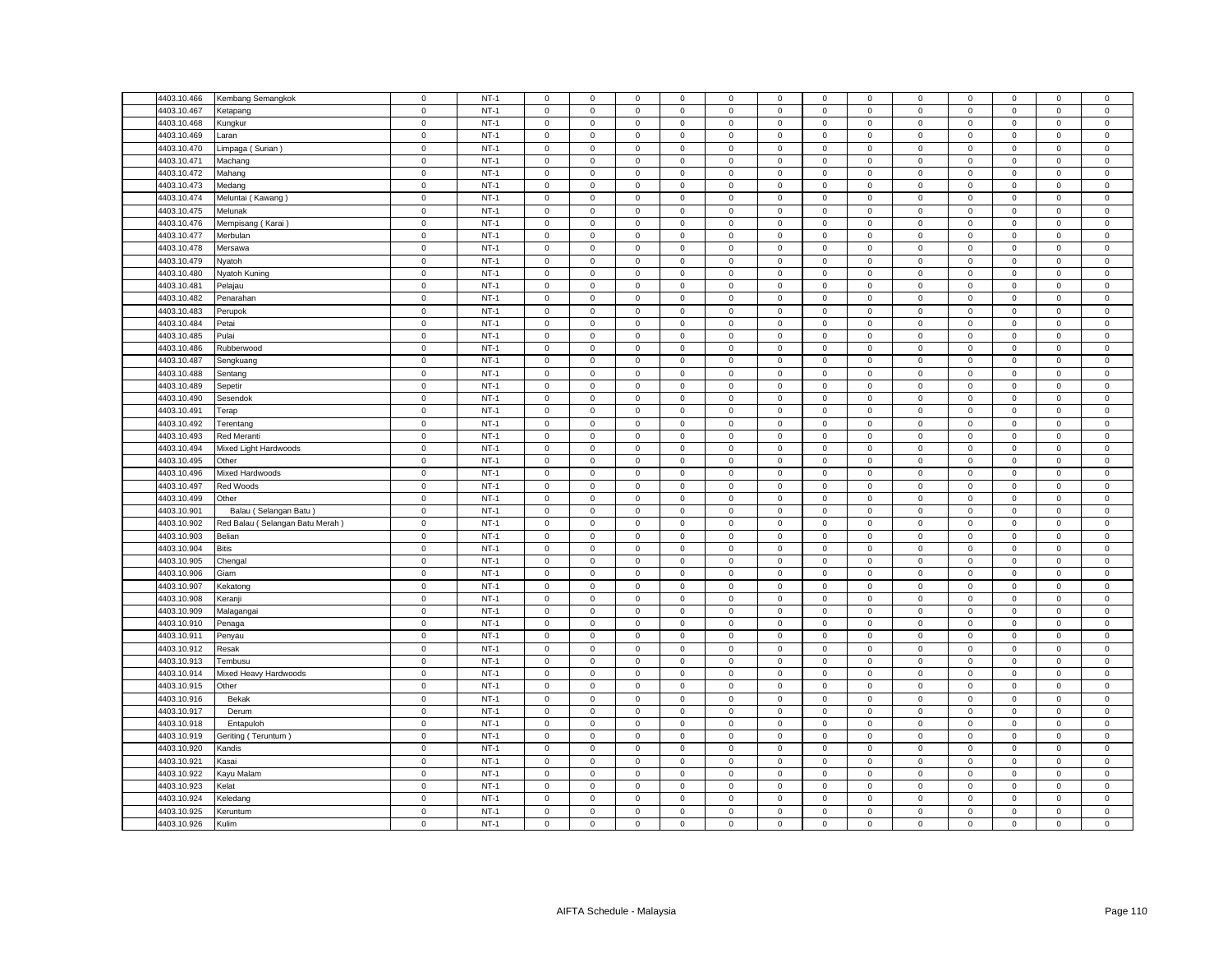| 4403.10.466                | Kembang Semangkok                                                                                                                                                                                                                                                                                                                                                                                                                                                                                                                                                                                                                                          | $\mathbf 0$         | $NT-1$ | $\mathsf 0$         | $\mathsf 0$                                | $\mathsf 0$                | $\mathsf 0$ | $\mathsf 0$  | $\mathsf 0$ | $\mathbf 0$         | $\mathbf 0$    | 0                   | $\mathsf 0$ | $\mathsf 0$         | $\mathsf 0$ | $\mathsf 0$         |
|----------------------------|------------------------------------------------------------------------------------------------------------------------------------------------------------------------------------------------------------------------------------------------------------------------------------------------------------------------------------------------------------------------------------------------------------------------------------------------------------------------------------------------------------------------------------------------------------------------------------------------------------------------------------------------------------|---------------------|--------|---------------------|--------------------------------------------|----------------------------|-------------|--------------|-------------|---------------------|----------------|---------------------|-------------|---------------------|-------------|---------------------|
| 4403.10.467                | <b>Ketapang</b>                                                                                                                                                                                                                                                                                                                                                                                                                                                                                                                                                                                                                                            | $\mathbf 0$         | $NT-1$ | $\mathsf 0$         | $\mathsf 0$                                | $\mathsf 0$                | $\mathbf 0$ | $\mathsf 0$  | $\mathsf 0$ | $\mathsf 0$         | $\mathbf 0$    | $\mathbf 0$         | $\mathsf 0$ | $\mathbf 0$         | $\mathsf 0$ | $\mathsf 0$         |
| 4403.10.468                | Kungkur                                                                                                                                                                                                                                                                                                                                                                                                                                                                                                                                                                                                                                                    | $\mathbf 0$         | $NT-1$ | $\mathsf 0$         | $\mathsf 0$                                | $\mathsf 0$                | $\mathbf 0$ | $\mathbf 0$  | $\mathsf 0$ | $\mathsf 0$         | $\mathbf 0$    | $\mathbf 0$         | $\mathsf 0$ | $\mathbf 0$         | $\mathsf 0$ | $\mathbf 0$         |
| 4403.10.469                | .aran                                                                                                                                                                                                                                                                                                                                                                                                                                                                                                                                                                                                                                                      | $\mathsf 0$         | $NT-1$ | $\mathsf 0$         | $\mathbf{O}$                               | $\mathbf 0$                | $\mathbf 0$ | $\mathbf{0}$ | $\mathsf 0$ | $\mathbf 0$         | $\mathbf{0}$   | $\mathbf 0$         | $\mathbf 0$ | $\mathbf 0$         | $\mathbf 0$ | $\mathbf 0$         |
| 4403.10.470                | _impaga ( Surian )                                                                                                                                                                                                                                                                                                                                                                                                                                                                                                                                                                                                                                         | $\mathbf 0$         | $NT-1$ | $\mathbf{0}$        | $\mathbf 0$                                | $\mathsf 0$                | $\mathbf 0$ | $\mathbf 0$  | $\mathsf 0$ | $\mathbf 0$         | $\mathbf 0$    | 0                   | $\mathbf 0$ | 0                   | 0           | $\mathbf 0$         |
| 4403.10.471                | Machang                                                                                                                                                                                                                                                                                                                                                                                                                                                                                                                                                                                                                                                    | $\mathsf 0$         | $NT-1$ | $\mathsf 0$         | $\mathbf 0$                                | $\mathsf 0$                | $\mathbf 0$ | $\mathbf 0$  | $\mathsf 0$ | $\mathbf 0$         | $\mathbf 0$    | $\mathsf 0$         | $\mathbf 0$ | $\mathbf 0$         | $\mathsf 0$ | $\mathsf 0$         |
| 4403.10.472                | Mahang                                                                                                                                                                                                                                                                                                                                                                                                                                                                                                                                                                                                                                                     | $\mathbf 0$         | $NT-1$ | $\circ$             | $\mathbf 0$                                | $\mathbf 0$                | $\mathbf 0$ | $\mathbf 0$  | $\mathbf 0$ | $\mathsf 0$         | $\mathbf{0}$   | $\mathbf 0$         | $\mathsf 0$ | $\mathbf 0$         | $\mathsf 0$ | $\mathbf 0$         |
| 4403.10.473                | Medang                                                                                                                                                                                                                                                                                                                                                                                                                                                                                                                                                                                                                                                     | $\mathbf 0$         | $NT-1$ | $\mathsf 0$         | $\mathbf{0}$                               | $\mathbf 0$                | $\mathbf 0$ | $\mathbf{0}$ | $\mathsf 0$ | $\mathsf 0$         | $\mathbf{0}$   | $\mathsf 0$         | $\mathbf 0$ | $\mathbf{O}$        | $\mathsf 0$ | $\mathsf 0$         |
| 4403.10.474                | Meluntai (Kawang)                                                                                                                                                                                                                                                                                                                                                                                                                                                                                                                                                                                                                                          | $\mathsf 0$         | $NT-1$ | $\mathsf 0$         | $\mathsf 0$                                | $\mathsf 0$                | $\mathsf 0$ | $\mathsf 0$  | $\mathsf 0$ | $\mathsf{O}\xspace$ | $\mathsf 0$    | $\mathsf 0$         | $\mathsf 0$ | $\mathsf 0$         | $\mathsf 0$ | $\mathsf 0$         |
| 4403.10.475                | Melunak                                                                                                                                                                                                                                                                                                                                                                                                                                                                                                                                                                                                                                                    | $\mathsf 0$         | $NT-1$ | $\mathsf 0$         | $\mathbf 0$                                | $\mathbf 0$                | $\mathsf 0$ | $\mathsf 0$  | $\mathsf 0$ | $\mathbf 0$         | $\mathbf{0}$   | $\mathbf 0$         | $\mathsf 0$ | $\mathbf 0$         | $\mathsf 0$ | $\mathbf 0$         |
| 4403.10.476                | Mempisang (Karai)                                                                                                                                                                                                                                                                                                                                                                                                                                                                                                                                                                                                                                          | $\mathbf 0$         | $NT-1$ | $\mathsf 0$         | $\mathsf 0$                                | $\mathsf 0$                | $\mathsf 0$ | $\mathsf 0$  | $\mathsf 0$ | $\mathsf 0$         | $\mathbf 0$    | $\mathsf 0$         | $\mathbf 0$ | $\mathsf 0$         | $\mathsf 0$ | $\mathsf 0$         |
| 4403.10.477                | Merbulan                                                                                                                                                                                                                                                                                                                                                                                                                                                                                                                                                                                                                                                   | $\mathbf 0$         | $NT-1$ | $\mathsf 0$         | $\mathsf 0$                                | $\mathsf 0$                | $\mathbf 0$ | $\mathsf 0$  | $\mathsf 0$ | $\mathsf 0$         | $\Omega$       | 0                   | $\mathsf 0$ | $\mathbf 0$         | $\mathsf 0$ | $\mathsf 0$         |
| 4403.10.478                | Mersawa                                                                                                                                                                                                                                                                                                                                                                                                                                                                                                                                                                                                                                                    | $\mathsf 0$         | $NT-1$ | $\mathbf 0$         | $\mathsf 0$                                | $\mathsf 0$                | $\mathsf 0$ | $\mathsf 0$  | $\mathsf 0$ | $\mathsf 0$         | $\mathsf 0$    | $\mathsf 0$         | $\mathbf 0$ | $\mathbf 0$         | $\mathbf 0$ | $\mathbf 0$         |
| 4403.10.479                | Nyatoh                                                                                                                                                                                                                                                                                                                                                                                                                                                                                                                                                                                                                                                     | $\mathbf 0$         | $NT-1$ | $\mathbf 0$         | $\mathsf 0$                                | $\mathsf 0$                | $\mathbf 0$ | $\mathsf 0$  | $\mathbf 0$ | $\mathbf 0$         | $\mathbf 0$    | $\mathbf 0$         | $\mathbf 0$ | $\mathbf 0$         | $\mathsf 0$ | $\mathbf 0$         |
| 4403.10.480                | <b>Vyatoh Kuning</b>                                                                                                                                                                                                                                                                                                                                                                                                                                                                                                                                                                                                                                       | $\mathbf 0$         | $NT-1$ | $\mathbf 0$         | $\mathsf 0$                                | $\mathsf 0$                | $\mathbf 0$ | $\mathsf 0$  | $\mathbf 0$ | $\mathsf 0$         | $\mathsf 0$    | $\mathsf 0$         | $\mathbf 0$ | $\mathbf 0$         | $\mathsf 0$ | $\pmb{0}$           |
| 4403.10.481                | Pelajau                                                                                                                                                                                                                                                                                                                                                                                                                                                                                                                                                                                                                                                    | $\mathsf 0$         | $NT-1$ | $\mathsf 0$         | $\mathsf 0$                                | $\mathsf 0$                | $\mathbf 0$ | $\mathsf 0$  | $\mathsf 0$ | $\mathsf 0$         | $\mathbf 0$    | $\mathbf 0$         | $\mathbf 0$ | $\mathbf 0$         | $\mathsf 0$ | $\mathsf 0$         |
| 4403.10.482                | Penarahan                                                                                                                                                                                                                                                                                                                                                                                                                                                                                                                                                                                                                                                  | $\mathsf 0$         | $NT-1$ | $\mathsf 0$         | $\mathsf{O}\xspace$                        | $\mathsf 0$                | $\mathbf 0$ | $\mathsf 0$  | $\mathsf 0$ | $\mathsf{O}\xspace$ | $\mathsf 0$    | 0                   | $\mathbf 0$ | $\mathbf 0$         | $\mathsf 0$ | $\mathsf 0$         |
| 4403.10.483                | Perupok                                                                                                                                                                                                                                                                                                                                                                                                                                                                                                                                                                                                                                                    | $\mathbf 0$         | $NT-1$ | 0                   | $\mathsf{O}\xspace$                        | $\mathbf 0$                | 0           | 0            | 0           | 0                   | 0              | 0                   | $\mathbf 0$ | 0                   | $\mathsf 0$ | 0                   |
| 4403.10.484                | Petai                                                                                                                                                                                                                                                                                                                                                                                                                                                                                                                                                                                                                                                      | $\mathbf 0$         | $NT-1$ | $\mathbf 0$         | $\mathsf{O}\xspace$                        | $\mathsf 0$                | $\mathbf 0$ | $\mathsf 0$  | $\mathbf 0$ | $\mathsf 0$         | $\mathsf 0$    | $\mathsf 0$         | $\mathbf 0$ | $\mathsf 0$         | $\mathbf 0$ | $\mathbf 0$         |
| 4403.10.485                | Pulai                                                                                                                                                                                                                                                                                                                                                                                                                                                                                                                                                                                                                                                      | $\mathbf 0$         | $NT-1$ | $\mathbf 0$         | $\mathbf 0$                                | $\mathbf 0$                | $^{\circ}$  | 0            | 0           | $\mathbf 0$         | 0              | $\mathbf 0$         | $\mathbf 0$ | $\mathbf 0$         | $\mathbf 0$ | 0                   |
| 4403.10.486                | Rubberwood                                                                                                                                                                                                                                                                                                                                                                                                                                                                                                                                                                                                                                                 | $\mathsf{O}\xspace$ | $NT-1$ | $\mathsf 0$         | $\mathsf{O}\xspace$                        | $\mathbf 0$                | $\mathbf 0$ | $\mathsf 0$  | $\mathbf 0$ | $\mathsf{O}\xspace$ | $\mathbf 0$    | 0                   | $\mathbf 0$ | $\mathsf 0$         | $\mathsf 0$ | $\mathsf 0$         |
| 4403.10.487                | Sengkuang                                                                                                                                                                                                                                                                                                                                                                                                                                                                                                                                                                                                                                                  | $\mathsf{O}\xspace$ | $NT-1$ | $\mathsf 0$         | $\mathsf 0$                                | $\mathsf 0$                | $\mathsf 0$ | $\mathsf 0$  | $\mathsf 0$ | $\mathsf 0$         | $\mathbf 0$    | $\mathbf 0$         | $\mathsf 0$ | $\mathbf 0$         | $\mathsf 0$ | $\mathbf 0$         |
| 4403.10.488                | Sentang                                                                                                                                                                                                                                                                                                                                                                                                                                                                                                                                                                                                                                                    | $\mathsf 0$         | $NT-1$ | $\mathbf 0$         | $\mathbf 0$                                | $\mathsf 0$                | $\mathbf 0$ | $\mathsf 0$  | $\mathbf 0$ | $\mathsf 0$         | $\mathbf 0$    | 0                   | $\mathbf 0$ | $\mathbf 0$         | $\mathsf 0$ | $\mathbf 0$         |
| 4403.10.489                |                                                                                                                                                                                                                                                                                                                                                                                                                                                                                                                                                                                                                                                            | $\mathbf 0$         | $NT-1$ | $\mathbf 0$         | $\mathsf 0$                                | $\mathsf 0$                | $\mathbf 0$ | 0            | $\mathsf 0$ | $\mathbf 0$         | $\mathbf 0$    | 0                   | $\mathsf 0$ | $\mathbf 0$         | $\mathsf 0$ | $\mathsf 0$         |
|                            | Sepetir                                                                                                                                                                                                                                                                                                                                                                                                                                                                                                                                                                                                                                                    | $\mathbf 0$         | $NT-1$ | $\mathbf 0$         |                                            |                            | $\mathsf 0$ | $\mathsf 0$  | $\mathbf 0$ | $\mathsf 0$         | $\mathsf 0$    | $\mathsf 0$         | $\mathsf 0$ | $\mathsf 0$         | $\mathsf 0$ | $\mathbf 0$         |
| 4403.10.490<br>4403.10.491 | Sesendok                                                                                                                                                                                                                                                                                                                                                                                                                                                                                                                                                                                                                                                   | $\mathsf{O}\xspace$ | $NT-1$ |                     | $\mathsf{O}\xspace$<br>$\mathsf{O}\xspace$ | $\mathbf 0$<br>$\mathsf 0$ |             |              |             |                     |                | $\mathsf 0$         | $\mathsf 0$ |                     | $\mathsf 0$ |                     |
|                            | Terap                                                                                                                                                                                                                                                                                                                                                                                                                                                                                                                                                                                                                                                      |                     |        | $\mathbf 0$         |                                            |                            | $\mathbf 0$ | 0            | $\mathbf 0$ | $\mathbf 0$         | $\mathbf 0$    |                     |             | $\mathbf 0$         |             | 0                   |
| 4403.10.492                | Terentang                                                                                                                                                                                                                                                                                                                                                                                                                                                                                                                                                                                                                                                  | $\mathsf{O}\xspace$ | $NT-1$ | $\mathsf 0$         | $\mathsf{O}\xspace$                        | $\mathbf 0$                | $\mathsf 0$ | $\mathsf 0$  | $\mathbf 0$ | $\mathsf 0$         | $\mathsf 0$    | $\mathsf 0$         | $\mathbf 0$ | $\mathbf 0$         | $\mathsf 0$ | $\pmb{0}$           |
| 4403.10.493                | Red Meranti                                                                                                                                                                                                                                                                                                                                                                                                                                                                                                                                                                                                                                                | $\mathsf 0$         | $NT-1$ | $\mathsf 0$         | $\mathsf{O}\xspace$                        | $\mathsf 0$                | $\mathbf 0$ | $\mathbf 0$  | $\mathsf 0$ | $\mathbf 0$         | $\mathbf{0}$   | $\mathbf 0$         | $\mathsf 0$ | $\mathbf 0$         | $\mathsf 0$ | $\mathsf 0$         |
| 4403.10.494                | Mixed Light Hardwoods                                                                                                                                                                                                                                                                                                                                                                                                                                                                                                                                                                                                                                      | $\mathsf 0$         | $NT-1$ | $\mathbf 0$         | $\mathbf 0$                                | $\mathbf 0$                | $\mathbf 0$ | $\mathsf 0$  | $\mathbf 0$ | $\mathbf 0$         | $\mathbf 0$    | $\mathbf 0$         | $\mathbf 0$ | $\mathbf 0$         | $\mathsf 0$ | $\mathsf{O}\xspace$ |
| 4403.10.495                | Other                                                                                                                                                                                                                                                                                                                                                                                                                                                                                                                                                                                                                                                      | $\mathbf 0$         | $NT-1$ | $\mathbf 0$         | $\mathbf 0$                                | $\mathsf 0$                | $\mathbf 0$ | $\mathbf 0$  | $\mathbf 0$ | $\mathbf 0$         | $\overline{0}$ | $\mathsf 0$         | $\mathbf 0$ | $\mathbf 0$         | $\mathsf 0$ | $\mathsf 0$         |
| 4403.10.496                | Mixed Hardwoods                                                                                                                                                                                                                                                                                                                                                                                                                                                                                                                                                                                                                                            | $\mathsf 0$         | $NT-1$ | $\mathbf 0$         | $\mathsf 0$                                | $\mathsf 0$                | $\mathsf 0$ | $\mathsf 0$  | $\mathsf 0$ | $\mathsf 0$         | $\mathsf 0$    | 0                   | $\mathsf 0$ | $\mathsf 0$         | $\mathsf 0$ | $\mathbf 0$         |
| 4403.10.497                | <b>Red Woods</b>                                                                                                                                                                                                                                                                                                                                                                                                                                                                                                                                                                                                                                           | $\mathbf 0$         | $NT-1$ | $\mathbf 0$         | $\mathbf 0$                                | $\mathbf 0$                | $\mathbf 0$ | 0            | $\mathbf 0$ | $\mathbf 0$         | $\mathbf{0}$   | $\mathbf 0$         | $\mathbf 0$ | $\mathbf 0$         | $\mathbf 0$ | 0                   |
| 4403.10.499                | Other                                                                                                                                                                                                                                                                                                                                                                                                                                                                                                                                                                                                                                                      | $\mathbf 0$         | $NT-1$ | $\mathsf 0$         | $\mathbf 0$                                | $\mathsf 0$                | $\mathsf 0$ | $\mathsf 0$  | $\mathsf 0$ | $\mathsf 0$         | $\mathbf 0$    | $\mathbf 0$         | $\mathsf 0$ | $\mathbf 0$         | $\mathsf 0$ | $\mathbf 0$         |
| 4403.10.901                | Balau (Selangan Batu)                                                                                                                                                                                                                                                                                                                                                                                                                                                                                                                                                                                                                                      | $\mathbf 0$         | $NT-1$ | $\mathsf 0$         | $\mathsf 0$                                | $\mathsf 0$                | $\mathsf 0$ | $\mathbf 0$  | $\mathsf 0$ | $\mathsf 0$         | $\mathbf 0$    | $\mathbf 0$         | $\mathsf 0$ | $\mathbf 0$         | $\mathsf 0$ | $\mathbf 0$         |
| 4403.10.902                | Red Balau (Selangan Batu Merah)                                                                                                                                                                                                                                                                                                                                                                                                                                                                                                                                                                                                                            | $\mathsf 0$         | $NT-1$ | $\mathbf 0$         | $\mathsf 0$                                | $\mathsf 0$                | $\mathsf 0$ | $\mathsf 0$  | $\mathsf 0$ | $\mathsf 0$         | $\mathsf 0$    | $\mathbf 0$         | $\mathsf 0$ | $\mathsf 0$         | $\mathsf 0$ | $\mathsf 0$         |
| 4403.10.903                | Belian                                                                                                                                                                                                                                                                                                                                                                                                                                                                                                                                                                                                                                                     | $\mathsf 0$         | $NT-1$ | $\mathsf 0$         | $\mathsf 0$                                | $\mathsf 0$                | $\mathsf 0$ | $\mathsf 0$  | $\mathsf 0$ | $\mathsf 0$         | $\mathbf 0$    | $\mathsf 0$         | $\,0\,$     | $\mathbf 0$         | $\mathsf 0$ | $\mathbf 0$         |
| 4403.10.904                | <b>Bitis</b>                                                                                                                                                                                                                                                                                                                                                                                                                                                                                                                                                                                                                                               | $\mathbf 0$         | $NT-1$ | $\mathsf 0$         | $\mathsf 0$                                | $\mathsf 0$                | $\mathsf 0$ | $\mathsf 0$  | $\mathsf 0$ | $\mathsf 0$         | $\mathbf 0$    | $\mathbf 0$         | $\mathsf 0$ | $\mathbf 0$         | $\mathsf 0$ | $\mathbf 0$         |
| 4403.10.905                | Chengal                                                                                                                                                                                                                                                                                                                                                                                                                                                                                                                                                                                                                                                    | $\mathsf 0$         | $NT-1$ | $\mathsf 0$         | $\mathbf 0$                                | $\mathsf 0$                | $\mathbf 0$ | $\mathbf 0$  | $\mathbf 0$ | $\mathsf 0$         | $\mathbf{0}$   | $\mathsf 0$         | $\mathsf 0$ | $\mathbf 0$         | $\mathsf 0$ | $\mathbf{0}$        |
| 4403.10.906                | <b>Giam</b>                                                                                                                                                                                                                                                                                                                                                                                                                                                                                                                                                                                                                                                | $\mathbf 0$         | $NT-1$ | $\mathbf 0$         | $\mathbf 0$                                | $\mathbf 0$                | $\mathbf 0$ | 0            | $\mathbf 0$ | $\mathbf 0$         | $\mathbf 0$    | 0                   | $\mathbf 0$ | $\mathbf 0$         | $\mathbf 0$ | 0                   |
| 4403.10.907                | Kekatong                                                                                                                                                                                                                                                                                                                                                                                                                                                                                                                                                                                                                                                   | $\mathbf 0$         | $NT-1$ | $\mathsf 0$         | $\mathsf 0$                                | $\mathsf 0$                | $\mathsf 0$ | $\mathsf 0$  | $\mathsf 0$ | $\mathsf{O}\xspace$ | $\mathsf 0$    | $\mathsf 0$         | $\mathsf 0$ | $\mathbf 0$         | $\mathsf 0$ | $\mathbf 0$         |
| 4403.10.908                | Keranji                                                                                                                                                                                                                                                                                                                                                                                                                                                                                                                                                                                                                                                    | $\mathsf 0$         | $NT-1$ | $\mathsf 0$         | $\mathbf 0$                                | $\mathsf 0$                | $\mathsf 0$ | $\mathbf 0$  | $\mathsf 0$ | $\mathbf 0$         | $\mathbf{0}$   | $\mathbf 0$         | $\mathsf 0$ | $\mathbf 0$         | $\mathsf 0$ | $\mathbf 0$         |
| 4403.10.909                | Malagangai                                                                                                                                                                                                                                                                                                                                                                                                                                                                                                                                                                                                                                                 | $\mathbf 0$         | $NT-1$ | $\mathsf 0$         | $\mathsf{O}\xspace$                        | $\mathsf 0$                | $\mathbf 0$ | $\mathsf 0$  | $\mathsf 0$ | $\mathbf 0$         | $\mathbf 0$    | $\mathsf 0$         | $\mathbf 0$ | 0                   | $\mathsf 0$ | $\mathsf 0$         |
| 4403.10.910                | Penaga                                                                                                                                                                                                                                                                                                                                                                                                                                                                                                                                                                                                                                                     | $\mathsf 0$         | $NT-1$ | $\mathsf 0$         | $\mathbf{0}$                               | $\mathsf 0$                | $\mathsf 0$ | $\mathbf{0}$ | $\mathsf 0$ | $\mathbf 0$         | $\mathbf{0}$   | $\mathsf 0$         | $\mathbf 0$ | $\mathbf 0$         | $\mathsf 0$ | $\mathsf 0$         |
| 4403.10.911                | Penyau                                                                                                                                                                                                                                                                                                                                                                                                                                                                                                                                                                                                                                                     | $\mathbf 0$         | $NT-1$ | $\mathbf 0$         | $\mathbf 0$                                | $\mathbf 0$                | $\mathbf 0$ | $\mathbf 0$  | $\mathbf 0$ | $\mathsf 0$         | $\mathbf 0$    | $\mathbf 0$         | $\mathsf 0$ | $\mathbf 0$         | $\mathsf 0$ | $\mathbf 0$         |
| 4403.10.912                | Resak                                                                                                                                                                                                                                                                                                                                                                                                                                                                                                                                                                                                                                                      | $\mathbf 0$         | $NT-1$ | $\mathsf{O}\xspace$ | $\mathbf{0}$                               | $\mathsf 0$                | $\mathbf 0$ | $\mathbf{0}$ | $\mathbf 0$ | $\overline{0}$      | $\mathbf 0$    | $\mathsf 0$         | $\mathbf 0$ | $\mathsf 0$         | $\mathsf 0$ | $\mathbf 0$         |
| 4403.10.913                | Tembusu                                                                                                                                                                                                                                                                                                                                                                                                                                                                                                                                                                                                                                                    | $\mathsf 0$         | $NT-1$ | $\mathbf 0$         | $\mathsf 0$                                | $\mathsf 0$                | $\mathbf 0$ | $\mathsf 0$  | $\mathbf 0$ | $\mathsf 0$         | $\mathsf 0$    | $\mathbf 0$         | $\mathsf 0$ | $\mathbf 0$         | $\mathsf 0$ | $\Omega$            |
| 4403.10.914                | Mixed Heavy Hardwoods                                                                                                                                                                                                                                                                                                                                                                                                                                                                                                                                                                                                                                      | $\mathsf 0$         | $NT-1$ | $\mathsf 0$         | $\mathbf 0$                                | $\mathsf 0$                | $\mathbf 0$ | $\mathbf 0$  | $\mathsf 0$ | $\mathsf 0$         | $\mathbf 0$    | $\mathsf 0$         | $\mathsf 0$ | $\mathbf 0$         | $\mathsf 0$ | $\mathbf 0$         |
| 4403.10.915                | Other                                                                                                                                                                                                                                                                                                                                                                                                                                                                                                                                                                                                                                                      | $\mathsf 0$         | $NT-1$ | $\mathbf 0$         | $\mathsf 0$                                | $\mathsf 0$                | $\mathbf 0$ | $\mathsf 0$  | $\mathsf 0$ | $\mathbf 0$         | $\mathsf 0$    | $\mathsf{O}\xspace$ | $\mathsf 0$ | $\mathsf{O}\xspace$ | $\,0\,$     | $\mathbf 0$         |
| 4403.10.916                | Bekak                                                                                                                                                                                                                                                                                                                                                                                                                                                                                                                                                                                                                                                      | $\mathsf 0$         | $NT-1$ | $\mathsf{O}\xspace$ | $\mathsf 0$                                | $\mathbf 0$                | $\mathsf 0$ | $\mathsf 0$  | $\mathbf 0$ | $\mathsf{O}\xspace$ | $\mathbf 0$    | 0                   | $\mathbf 0$ | 0                   | $\mathsf 0$ | $\mathsf 0$         |
| 4403.10.917                | Derum                                                                                                                                                                                                                                                                                                                                                                                                                                                                                                                                                                                                                                                      | $\mathsf 0$         | $NT-1$ | $\mathsf 0$         | $\mathsf 0$                                | $\mathsf 0$                | $\mathsf 0$ | $\mathsf 0$  | $\mathsf 0$ | $\mathsf 0$         | $\mathsf 0$    | $\mathsf 0$         | $\mathsf 0$ | $\mathsf 0$         | $\mathsf 0$ | $\mathbf 0$         |
| 4403.10.918                | Entapuloh                                                                                                                                                                                                                                                                                                                                                                                                                                                                                                                                                                                                                                                  | $\mathbf 0$         | $NT-1$ | $\mathbf 0$         | $\mathbf 0$                                | $\mathbf 0$                | 0           | $\mathsf 0$  | $\mathbf 0$ | $\mathbf 0$         | $\mathbf 0$    | $\mathbf 0$         | $\mathbf 0$ | $\mathbf 0$         | $\mathbf 0$ | 0                   |
| 4403.10.919                | Geriting (Teruntum)                                                                                                                                                                                                                                                                                                                                                                                                                                                                                                                                                                                                                                        | $\mathbf 0$         | $NT-1$ | $\mathbf 0$         | $\mathsf{O}\xspace$                        | $\mathbf 0$                | $\mathbf 0$ | $\mathsf 0$  | $\mathbf 0$ | $\mathbf 0$         | $\mathbf 0$    | 0                   | $\mathbf 0$ | $\mathbf 0$         | $\mathsf 0$ | $\pmb{0}$           |
| 4403.10.920                | <b>Kandis</b>                                                                                                                                                                                                                                                                                                                                                                                                                                                                                                                                                                                                                                              | $\mathsf 0$         | $NT-1$ | $\mathsf{O}\xspace$ | $\mathsf 0$                                | $\mathsf 0$                | $\mathsf 0$ | $\mathsf 0$  | $\mathsf 0$ | $\mathsf{O}\xspace$ | $\mathbf 0$    | $\mathsf 0$         | $\mathbf 0$ | $\mathbf 0$         | $\mathsf 0$ | $\mathsf 0$         |
| 4403.10.921                | <b>Kasai</b>                                                                                                                                                                                                                                                                                                                                                                                                                                                                                                                                                                                                                                               | $\mathbf 0$         | $NT-1$ | $\mathbf 0$         | $\mathsf 0$                                | $\mathsf 0$                | $\mathsf 0$ | $\mathsf 0$  | $\mathbf 0$ | $\mathsf 0$         | $\mathsf 0$    | $\mathbf 0$         | $\mathbf 0$ | $\mathbf 0$         | $\mathsf 0$ | $\mathbf 0$         |
| 4403.10.922                | Kayu Malam                                                                                                                                                                                                                                                                                                                                                                                                                                                                                                                                                                                                                                                 | $\mathbf 0$         | $NT-1$ | $\mathsf{O}\xspace$ | $\mathsf{O}\xspace$                        | $\mathsf 0$                | 0           | $\mathsf 0$  | $\mathsf 0$ | $\mathsf{O}\xspace$ | 0              | 0                   | $\mathbf 0$ | $\mathsf 0$         | $\mathsf 0$ | $\mathsf 0$         |
| 4403.10.923                | <elat< td=""><td><math display="inline">\mathsf 0</math></td><td><math>NT-1</math></td><td><math>\mathbf 0</math></td><td><math display="inline">\mathsf 0</math></td><td><math display="inline">\mathsf 0</math></td><td><math>\mathbf 0</math></td><td><math display="inline">\mathsf 0</math></td><td><math>\mathbf 0</math></td><td><math display="inline">\mathsf 0</math></td><td><math display="inline">\mathsf 0</math></td><td><math>\mathbf 0</math></td><td><math display="inline">\mathsf 0</math></td><td><math display="inline">\mathsf 0</math></td><td><math display="inline">\mathsf 0</math></td><td><math>\mathbf 0</math></td></elat<> | $\mathsf 0$         | $NT-1$ | $\mathbf 0$         | $\mathsf 0$                                | $\mathsf 0$                | $\mathbf 0$ | $\mathsf 0$  | $\mathbf 0$ | $\mathsf 0$         | $\mathsf 0$    | $\mathbf 0$         | $\mathsf 0$ | $\mathsf 0$         | $\mathsf 0$ | $\mathbf 0$         |
| 4403.10.924                | <eledang< td=""><td><math display="inline">\mathbf 0</math></td><td><math>NT-1</math></td><td><math>\mathbf 0</math></td><td><math>\mathbf 0</math></td><td><math display="inline">\mathsf 0</math></td><td><math>\mathbf 0</math></td><td>0</td><td><math>\mathbf 0</math></td><td><math>\mathbf 0</math></td><td><math>\mathbf 0</math></td><td><math>\mathbf 0</math></td><td><math display="inline">\mathsf 0</math></td><td><math>\mathbf 0</math></td><td><math display="inline">\mathsf 0</math></td><td>0</td></eledang<>                                                                                                                          | $\mathbf 0$         | $NT-1$ | $\mathbf 0$         | $\mathbf 0$                                | $\mathsf 0$                | $\mathbf 0$ | 0            | $\mathbf 0$ | $\mathbf 0$         | $\mathbf 0$    | $\mathbf 0$         | $\mathsf 0$ | $\mathbf 0$         | $\mathsf 0$ | 0                   |
| 4403.10.925                | Keruntum                                                                                                                                                                                                                                                                                                                                                                                                                                                                                                                                                                                                                                                   | $\mathbf 0$         | $NT-1$ | $\mathsf 0$         | $\mathsf{O}\xspace$                        | $\mathsf 0$                | $\mathsf 0$ | $\mathsf 0$  | $\mathbf 0$ | $\mathsf{O}\xspace$ | $\mathbf 0$    | 0                   | $\mathbf 0$ | $\mathsf 0$         | $\mathbf 0$ | $\pmb{0}$           |
| 4403.10.926                | Kulim                                                                                                                                                                                                                                                                                                                                                                                                                                                                                                                                                                                                                                                      | $\mathsf 0$         | $NT-1$ | $\mathbf 0$         | $\mathsf 0$                                | $\mathsf 0$                | $\mathbf 0$ | $\mathsf 0$  | $\mathsf 0$ | $\mathsf 0$         | $\mathsf 0$    | 0                   | $\mathsf 0$ | $\mathsf 0$         | $\mathsf 0$ | $\mathsf 0$         |
|                            |                                                                                                                                                                                                                                                                                                                                                                                                                                                                                                                                                                                                                                                            |                     |        |                     |                                            |                            |             |              |             |                     |                |                     |             |                     |             |                     |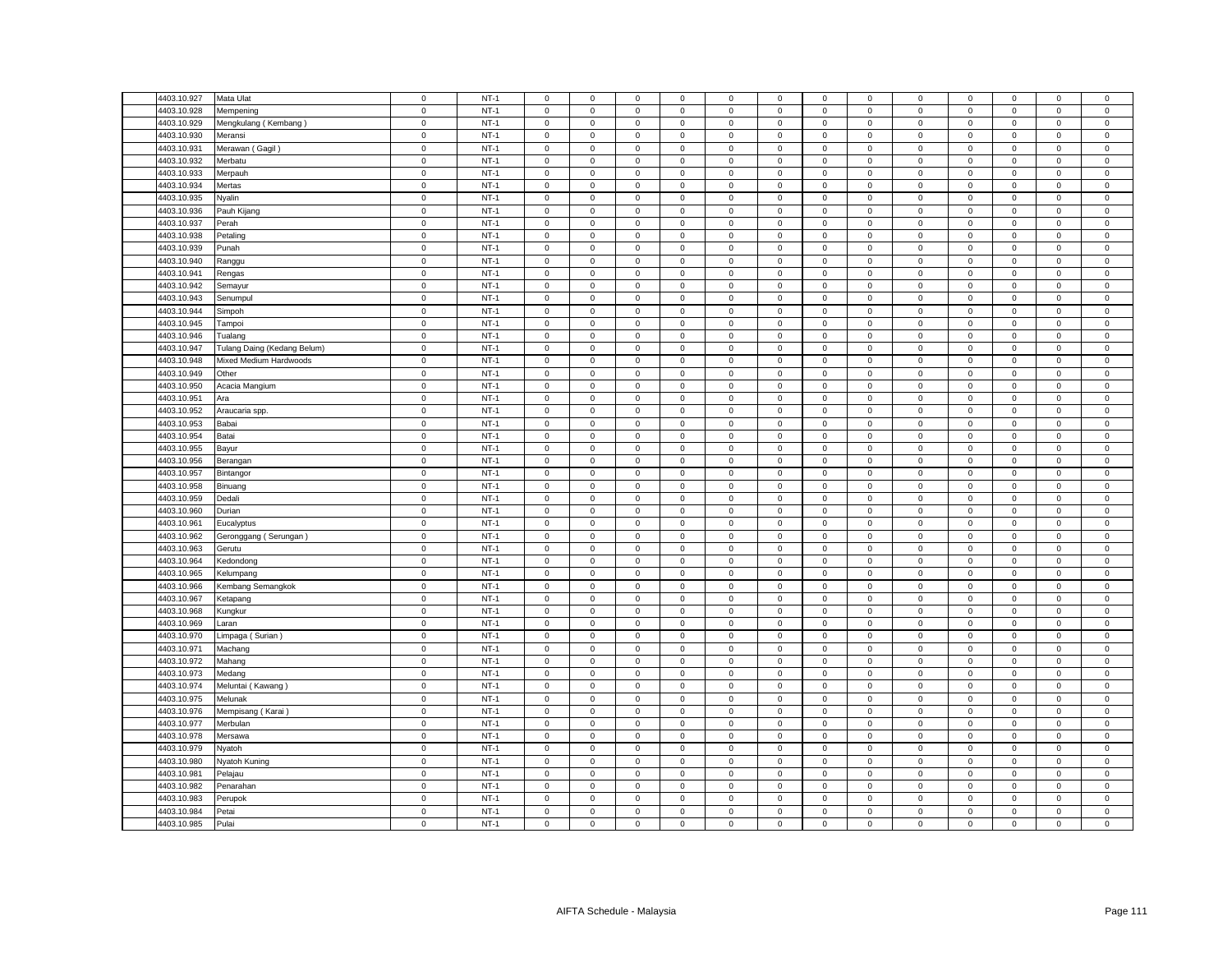| 4403.10.927 | Mata Ulat                   | $\mathsf 0$                | $NT-1$ | $\mathsf 0$         | $\mathsf 0$         | $\mathsf 0$ | $\mathsf 0$                | 0                   | $\mathsf 0$                | $\mathsf 0$ | $\mathsf 0$    | $\mathsf 0$    | $\mathsf 0$                | $\mathsf 0$         | $\mathbf 0$ | $\mathsf 0$    |
|-------------|-----------------------------|----------------------------|--------|---------------------|---------------------|-------------|----------------------------|---------------------|----------------------------|-------------|----------------|----------------|----------------------------|---------------------|-------------|----------------|
| 4403.10.928 | Mempening                   | $\mathsf 0$                | $NT-1$ | $\mathsf 0$         | $\mathsf 0$         | $\mathsf 0$ | $\mathbf 0$                | 0                   | $\mathsf 0$                | $\mathsf 0$ | $\mathsf 0$    | $\mathsf 0$    | $\mathbf 0$                | $\mathsf 0$         | $\mathsf 0$ | $\,0\,$        |
| 4403.10.929 | Mengkulang (Kembang)        | $\mathsf 0$                | $NT-1$ | $\mathsf 0$         | $\mathsf 0$         | $\mathsf 0$ | $\mathsf 0$                | $\mathbf 0$         | $\mathsf 0$                | $\mathbf 0$ | $\mathsf 0$    | $\mathbf 0$    | $\mathsf 0$                | $\mathsf 0$         | $\mathsf 0$ | $\mathsf 0$    |
| 4403.10.930 | Meransi                     | $\mathsf 0$                | $NT-1$ | $\mathbf 0$         | $\mathbf{0}$        | $\mathbf 0$ | $\mathbf 0$                | $\mathbf{0}$        | $\mathsf 0$                | $\mathbf 0$ | $\mathbf{0}$   | $\mathsf 0$    | $\mathbf 0$                | $\mathbf 0$         | $\mathbf 0$ | $\mathsf 0$    |
| 4403.10.931 | Merawan (Gagil)             | $\mathbf 0$                | $NT-1$ | $\mathbf{0}$        | $\mathbf 0$         | $\mathbf 0$ | $\mathbf 0$                | $\mathbf{0}$        | $\mathbf 0$                | $\,0\,$     | $\mathbf 0$    | 0              | $\mathbf 0$                | $\mathbf 0$         | $\mathbf 0$ | $\,0\,$        |
| 4403.10.932 | Merbatu                     | $\mathsf 0$                | $NT-1$ | $\mathsf 0$         | $\mathbf{0}$        | $\mathsf 0$ | $\mathsf 0$                | $\mathbf{0}$        | $\mathbf 0$                | $\mathbf 0$ | $\mathsf 0$    | $\mathsf 0$    | $\mathbf 0$                | $\mathbf 0$         | $\mathsf 0$ | $\mathsf 0$    |
| 4403.10.933 | Merpauh                     | $\mathbf 0$                | $NT-1$ | $\mathbf 0$         | $\mathbf 0$         | $\mathbf 0$ | $\mathbf 0$                | $\mathbf{0}$        | $\mathbf 0$                | $\mathbf 0$ | $\mathsf 0$    | $\mathbf 0$    | $\mathbf 0$                | $\mathbf 0$         | $\mathsf 0$ | $\mathsf 0$    |
| 4403.10.934 | Mertas                      | $\mathbf 0$                | $NT-1$ | $\mathsf 0$         | $\mathbf{0}$        | $\mathbf 0$ | $\mathbf 0$                | $\mathbf{0}$        | $\mathsf 0$                | $\mathbf 0$ | $\mathbf{0}$   | $\mathsf 0$    | $\mathbf 0$                | $\mathbf 0$         | $\mathbf 0$ | $\mathbf 0$    |
| 4403.10.935 | Nyalin                      | $\mathsf 0$                | $NT-1$ | $\mathsf 0$         | $\mathsf 0$         | $\mathsf 0$ | $\mathsf 0$                | $\mathbf 0$         | $\mathsf 0$                | $\mathsf 0$ | $\mathsf 0$    | $\mathsf 0$    | $\mathsf 0$                | $\mathsf 0$         | $\mathsf 0$ | $\mathsf 0$    |
| 4403.10.936 | Pauh Kijang                 | $\mathsf 0$                | $NT-1$ | $\mathsf 0$         | $\mathbf 0$         | $\mathsf 0$ | $\mathsf 0$                | 0                   | $\mathsf 0$                | $\mathbf 0$ | $\mathsf 0$    | $\mathsf 0$    | $\mathbf 0$                | $\mathbf 0$         | $\mathsf 0$ | $\mathsf 0$    |
| 4403.10.937 | Perah                       | $\mathbf 0$                | $NT-1$ | $\mathbf 0$         | $\mathsf 0$         | $\mathbf 0$ | $\mathbf 0$                | $\mathbf{0}$        | $\mathbf 0$                | $\mathbf 0$ | $\mathbf 0$    | $\mathbf 0$    | $\mathbf 0$                | $\mathbf 0$         | $\mathsf 0$ | $\,0\,$        |
| 4403.10.938 | Petaling                    | $\mathsf 0$                | $NT-1$ | $\mathbf 0$         | $\mathsf 0$         | $\mathsf 0$ | $\mathbf 0$                | 0                   | $\mathsf 0$                | $\mathsf 0$ | $\mathsf 0$    | $\mathsf 0$    | $\mathsf 0$                | $\mathsf 0$         | $\mathsf 0$ | $\mathsf 0$    |
| 4403.10.939 | Punah                       | $\mathbf 0$                | $NT-1$ | $\mathbf 0$         | $\mathsf 0$         | $\mathsf 0$ | $\mathsf 0$                | $\mathsf{O}\xspace$ | $\mathsf 0$                | $\mathbf 0$ | $\mathsf 0$    | $\mathsf 0$    | $\mathsf 0$                | $\mathsf 0$         | $\mathsf 0$ | $\mathbf 0$    |
| 4403.10.940 | Ranggu                      | $\mathbf 0$                | $NT-1$ | $\mathsf 0$         | $\mathbf 0$         | $\mathsf 0$ | $\mathbf 0$                | 0                   | $\mathbf 0$                | $\mathbf 0$ | $\mathsf 0$    | $\mathsf 0$    | $\mathbf 0$                | $\mathbf 0$         | $\mathsf 0$ | $\mathsf 0$    |
| 4403.10.941 |                             | $\mathbf 0$                | $NT-1$ |                     |                     |             |                            |                     |                            |             |                | $\mathbf 0$    |                            |                     |             |                |
| 4403.10.942 | Rengas                      |                            | $NT-1$ | $\mathsf 0$         | $\mathsf{O}\xspace$ | $\mathbf 0$ | $\mathsf 0$                | 0                   | $\mathsf 0$                | $\mathbf 0$ | $\,0\,$        |                | $\mathbf 0$                | $\mathsf{O}\xspace$ | $\mathsf 0$ | $\mathbf 0$    |
|             | Semayur                     | $\mathbf 0$<br>$\mathbf 0$ |        | 0<br>$\Omega$       | $\mathsf{O}\xspace$ | $\mathbf 0$ | $\mathbf 0$<br>$\mathbf 0$ | 0<br>$\mathbf{0}$   | $\mathsf 0$<br>$\mathbf 0$ | $\,0\,$     | 0              | $\mathsf 0$    | $\mathbf 0$<br>$\mathbf 0$ | $\mathsf 0$         | 0           | $\mathbf 0$    |
| 4403.10.943 | Senumpul                    |                            | $NT-1$ |                     | $\mathsf 0$         | $\mathsf 0$ |                            |                     |                            | $\mathsf 0$ | $\mathsf 0$    | $\mathsf 0$    |                            | $\mathsf 0$         | $\mathsf 0$ | $\mathbf 0$    |
| 4403.10.944 | Simpoh                      | $\mathbf 0$                | $NT-1$ | 0                   | $\mathsf 0$         | $\mathsf 0$ | 0                          | 0                   | $\mathbf 0$                | $\mathbf 0$ | $\mathbf 0$    | $\mathsf 0$    | $\mathbf 0$                | $\mathbf 0$         | $\mathsf 0$ | $\,0\,$        |
| 4403.10.945 | Tampoi                      | $\mathbf 0$                | $NT-1$ | $\mathbf 0$         | $\mathsf{O}\xspace$ | $\mathsf 0$ | $\mathsf 0$                | $\mathsf{O}\xspace$ | $\mathbf 0$                | $\mathbf 0$ | $\mathbf 0$    | $\mathsf 0$    | $\mathbf 0$                | $\mathsf 0$         | $\mathsf 0$ | $\mathbf 0$    |
| 4403.10.946 | Tualang                     | $\mathbf 0$                | $NT-1$ | 0                   | $\mathbf 0$         | $\mathbf 0$ | 0                          | 0                   | $\mathbf 0$                | $\mathbf 0$ | $\mathbf 0$    | $\mathbf 0$    | $\mathbf 0$                | 0                   | $\mathbf 0$ | $\mathbf 0$    |
| 4403.10.947 | Tulang Daing (Kedang Belum) | $\mathbf 0$                | $NT-1$ | $\mathbf 0$         | $\mathsf{O}\xspace$ | $\mathbf 0$ | $\mathsf 0$                | 0                   | $\mathsf 0$                | $\mathsf 0$ | $\,0\,$        | $\mathsf 0$    | $\mathbf 0$                | $\mathsf{O}\xspace$ | 0           | $\pmb{0}$      |
| 4403.10.948 | Mixed Medium Hardwoods      | $\mathbf 0$                | $NT-1$ | $\mathsf 0$         | $\mathsf 0$         | $\mathbf 0$ | $\mathbf 0$                | 0                   | $\mathsf 0$                | $\mathbf 0$ | $\mathsf 0$    | $\mathsf 0$    | $\mathsf 0$                | $\mathsf 0$         | $\mathsf 0$ | $\mathbf 0$    |
| 4403.10.949 | Other                       | $\mathsf 0$                | $NT-1$ | $\mathbf 0$         | $\mathsf 0$         | $\mathsf 0$ | $\mathbf 0$                | 0                   | $\Omega$                   | $\mathbf 0$ | $\mathbf 0$    | $\overline{0}$ | $\mathbf 0$                | $\mathbf 0$         | $\mathbf 0$ | $\mathbf 0$    |
| 4403.10.950 | Acacia Mangium              | $\mathsf 0$                | $NT-1$ | $\mathbf 0$         | $\mathbf 0$         | $\mathbf 0$ | $\mathbf 0$                | 0                   | $\mathbf 0$                | $\mathbf 0$ | $\mathbf 0$    | 0              | $\mathbf 0$                | $\mathbf 0$         | $\mathbf 0$ | $\,0\,$        |
| 4403.10.951 | Ara                         | $\mathbf 0$                | $NT-1$ | $\mathbf 0$         | $\mathsf{O}\xspace$ | $\mathbf 0$ | $\mathsf 0$                | 0                   | $\mathsf 0$                | $\mathsf 0$ | $\mathsf 0$    | $\mathsf 0$    | $\mathsf 0$                | $\mathsf 0$         | $\mathsf 0$ | $\mathbf 0$    |
| 4403.10.952 | Araucaria spp.              | $\mathsf 0$                | $NT-1$ | $\mathbf 0$         | $\mathsf{O}$        | $\mathsf 0$ | $\mathbf 0$                | $\mathbf 0$         | $\mathsf 0$                | $\mathbf 0$ | $\mathsf 0$    | $\mathsf 0$    | $\mathsf 0$                | $\mathsf{O}\xspace$ | $\mathsf 0$ | $\mathsf 0$    |
| 4403.10.953 | Babai                       | $\mathbf 0$                | $NT-1$ | $\mathbf 0$         | $\mathsf{O}\xspace$ | $\mathbf 0$ | $\mathbf 0$                | 0                   | $\mathbf 0$                | $\mathsf 0$ | $\mathsf 0$    | $\mathsf 0$    | $\mathbf 0$                | $\mathsf 0$         | $\mathbf 0$ | $\mathbf 0$    |
| 4403.10.954 | Batai                       | $\mathsf 0$                | $NT-1$ | $\mathsf 0$         | $\mathsf 0$         | $\mathsf 0$ | $\mathbf 0$                | 0                   | $\mathsf 0$                | $\mathbf 0$ | $\mathsf 0$    | $\mathsf 0$    | $\mathbf 0$                | $\mathsf 0$         | $\mathsf 0$ | $\mathsf 0$    |
| 4403.10.955 | Bayur                       | $\mathsf 0$                | $NT-1$ | $\mathbf 0$         | $\mathsf{O}\xspace$ | $\mathsf 0$ | $\mathbf 0$                | $\mathbf 0$         | $\mathbf 0$                | $\mathsf 0$ | $\mathsf 0$    | $\mathsf 0$    | $\mathbf 0$                | $\mathbf 0$         | $\mathbf 0$ | $\mathsf 0$    |
| 4403.10.956 | Berangan                    | $\mathbf 0$                | $NT-1$ | $\mathbf 0$         | $\mathsf 0$         | $\mathsf 0$ | $\mathbf 0$                | 0                   | $\mathsf 0$                | $\mathbf 0$ | $\mathbf 0$    | $\mathsf 0$    | $\mathbf 0$                | 0                   | $\mathsf 0$ | $\mathbf 0$    |
| 4403.10.957 | Bintangor                   | $\mathsf 0$                | $NT-1$ | $\mathbf 0$         | $\mathsf 0$         | $\mathsf 0$ | $\mathsf 0$                | 0                   | $\mathsf 0$                | $\mathsf 0$ | $\mathsf 0$    | $\mathsf 0$    | $\mathsf 0$                | $\mathsf 0$         | $\mathsf 0$ | $\mathbf 0$    |
| 4403.10.958 | Binuang                     | $\mathbf 0$                | $NT-1$ | $\mathbf 0$         | $\mathbf 0$         | $\mathbf 0$ | $\mathbf 0$                | 0                   | $\mathbf 0$                | $\mathbf 0$ | $\mathbf 0$    | $\mathbf 0$    | $\mathbf 0$                | $\mathbf 0$         | $\mathbf 0$ | $\mathbf 0$    |
| 4403.10.959 | Dedali                      | $\mathsf 0$                | $NT-1$ | $\mathsf 0$         | $\mathsf 0$         | $\mathsf 0$ | $\mathsf 0$                | 0                   | $\mathsf 0$                | $\mathbf 0$ | $\mathsf 0$    | $\mathsf 0$    | $\mathbf 0$                | $\mathsf 0$         | $\mathsf 0$ | $\mathsf 0$    |
| 4403.10.960 | Durian                      | $\mathsf 0$                | $NT-1$ | $\mathsf 0$         | $\mathsf 0$         | $\mathsf 0$ | $\mathsf 0$                | 0                   | $\mathsf 0$                | $\mathbf 0$ | $\mathsf 0$    | $\mathsf 0$    | $\mathbf 0$                | $\mathsf 0$         | $\mathsf 0$ | $\mathsf 0$    |
| 4403.10.961 | Eucalyptus                  | $\mathsf 0$                | $NT-1$ | $\mathbf 0$         | $\mathsf 0$         | $\mathsf 0$ | $\mathsf 0$                | 0                   | $\mathbf 0$                | $\mathsf 0$ | $\mathsf 0$    | $\mathsf 0$    | $\mathsf 0$                | $\mathsf 0$         | $\mathsf 0$ | $\mathbf 0$    |
| 4403.10.962 | Geronggang (Serungan)       | $\mathsf 0$                | $NT-1$ | $\mathsf 0$         | $\mathsf 0$         | $\mathsf 0$ | $\mathsf 0$                | 0                   | $\mathsf 0$                | $\mathbf 0$ | $\mathsf 0$    | $\mathsf 0$    | $\mathbf 0$                | $\mathsf 0$         | $\mathsf 0$ | $\mathbf 0$    |
| 4403.10.963 | Gerutu                      | $\mathsf 0$                | $NT-1$ | $\mathbf 0$         | $\mathsf 0$         | $\mathsf 0$ | $\mathsf 0$                | 0                   | $\mathsf 0$                | $\mathsf 0$ | $\mathsf 0$    | $\mathsf 0$    | $\mathsf 0$                | $\mathsf 0$         | $\mathsf 0$ | $\mathbf 0$    |
| 4403.10.964 | Kedondong                   | $\mathsf 0$                | $NT-1$ | $\mathsf 0$         | $\mathsf 0$         | $\mathsf 0$ | $\mathbf 0$                | $\mathbf 0$         | $\mathbf 0$                | $\mathsf 0$ | $\mathsf 0$    | $\mathsf 0$    | $\mathsf 0$                | $\mathbf 0$         | $\mathsf 0$ | $\mathsf 0$    |
| 4403.10.965 |                             | $\mathsf 0$                | $NT-1$ | $\mathbf 0$         | $\mathsf 0$         | $\mathsf 0$ | $\mathbf 0$                | 0                   | $\mathbf 0$                | $\mathsf 0$ | $\mathbf 0$    | $\mathsf 0$    | $\mathbf 0$                | $\mathsf 0$         | $\mathbf 0$ | $\mathbf 0$    |
|             | Kelumpang                   | $\mathbf 0$                |        |                     |                     |             |                            |                     |                            |             |                |                |                            |                     |             |                |
| 4403.10.966 | Kembang Semangkok           |                            | $NT-1$ | $\mathsf 0$         | $\mathsf 0$         | $\mathsf 0$ | $\mathsf 0$                | 0                   | $\mathbf 0$                | $\mathbf 0$ | $\mathsf 0$    | $\mathsf 0$    | $\mathbf 0$                | $\mathsf 0$         | $\mathsf 0$ | $\pmb{0}$      |
| 4403.10.967 | Ketapang                    | $\mathsf 0$                | $NT-1$ | $\mathsf 0$         | $\mathsf 0$         | $\mathsf 0$ | $\mathsf 0$                | 0                   | $\mathsf 0$                | $\mathbf 0$ | $\mathsf 0$    | $\mathsf 0$    | $\mathbf 0$                | $\mathbf 0$         | $\mathsf 0$ | $\mathsf 0$    |
| 4403.10.968 | Kungkur                     | $\mathbf 0$                | $NT-1$ | $\mathbf 0$         | $\mathbf 0$         | $\mathbf 0$ | $\mathbf 0$                | $\mathbf{0}$        | $\mathbf 0$                | $\mathbf 0$ | $\mathbf{0}$   | $\mathbf{0}$   | $\mathbf 0$                | $\mathbf 0$         | $\mathbf 0$ | $\,0\,$        |
| 4403.10.969 | Laran                       | $\mathsf 0$                | $NT-1$ | $\mathsf 0$         | $\mathbf{0}$        | $\mathbf 0$ | $\mathsf 0$                | $\mathbf{0}$        | $\mathsf 0$                | $\mathbf 0$ | $\mathbf{0}$   | $\mathsf 0$    | $\mathbf 0$                | $\mathbf 0$         | $\mathbf 0$ | $\mathsf 0$    |
| 4403.10.970 | Limpaga (Surian)            | $\mathbf 0$                | $NT-1$ | $\mathbf 0$         | $\mathbf 0$         | $\mathbf 0$ | $\mathbf 0$                | $\mathbf{0}$        | $\mathbf 0$                | $\mathbf 0$ | $\mathsf 0$    | $\mathsf 0$    | $\mathbf 0$                | $\mathbf 0$         | $\mathsf 0$ | $\mathbf 0$    |
| 4403.10.971 | Machang                     | $\mathbf 0$                | $NT-1$ | $\mathsf{O}\xspace$ | $\mathbf{0}$        | $\mathbf 0$ | $\mathsf 0$                | $\mathbf{0}$        | $\mathbf 0$                | $\mathbf 0$ | $\mathbf{0}$   | $\mathsf 0$    | $\mathbf 0$                | $\mathbf 0$         | $\mathsf 0$ | $\mathbf 0$    |
| 4403.10.972 | Mahang                      | $\mathsf 0$                | $NT-1$ | $\mathbf 0$         | $\mathsf 0$         | $\mathsf 0$ | $\mathbf 0$                | 0                   | $\mathbf 0$                | $\mathsf 0$ | $\mathsf 0$    | $\mathsf 0$    | $\mathbf 0$                | $\mathbf 0$         | $\mathsf 0$ | $\mathbf 0$    |
| 4403.10.973 | Medang                      | $\mathsf 0$                | $NT-1$ | $\mathbf 0$         | $\mathbf 0$         | $\mathbf 0$ | $\mathbf 0$                | 0                   | $\mathsf 0$                | $\mathbf 0$ | $\mathsf 0$    | $\mathsf 0$    | $\mathsf 0$                | $\mathbf 0$         | $\mathbf 0$ | $\mathbf 0$    |
| 4403.10.974 | Meluntai (Kawang)           | $\mathsf 0$                | $NT-1$ | $\Omega$            | $\mathsf 0$         | $\mathsf 0$ | $\mathsf 0$                | 0                   | $\mathbf 0$                | $\mathsf 0$ | $\mathsf 0$    | $\mathsf 0$    | $\mathsf 0$                | $\mathsf 0$         | $\mathsf 0$ | $\,0\,$        |
| 4403.10.975 | Melunak                     | $\mathsf 0$                | $NT-1$ | $\mathsf{O}\xspace$ | $\mathsf 0$         | $\mathbf 0$ | 0                          | 0                   | $\mathsf 0$                | $\mathsf 0$ | $\mathsf 0$    | $\mathsf 0$    | $\mathbf 0$                | $\mathsf 0$         | $\mathsf 0$ | $\,0\,$        |
| 4403.10.976 | Mempisang (Karai)           | $\mathsf 0$                | $NT-1$ | $\mathsf 0$         | $\mathsf 0$         | $\mathsf 0$ | $\mathsf 0$                | $\mathbf 0$         | $\mathbf 0$                | $\mathsf 0$ | $\mathsf 0$    | $\mathsf 0$    | $\mathsf 0$                | $\mathsf 0$         | $\mathsf 0$ | $\mathbf 0$    |
| 4403.10.977 | Merbulan                    | $\mathsf 0$                | $NT-1$ | $\mathbf 0$         | $\mathbf 0$         | $\mathbf 0$ | $\mathbf 0$                | 0                   | $\mathbf 0$                | $\mathbf 0$ | $\mathbf 0$    | $\mathsf 0$    | $\mathbf 0$                | $\mathbf 0$         | $\mathbf 0$ | $\mathbf 0$    |
| 4403.10.978 | Mersawa                     | $\pmb{0}$                  | $NT-1$ | $\mathbf 0$         | $\mathsf{O}\xspace$ | $\mathbf 0$ | $\mathsf 0$                | 0                   | $\mathsf 0$                | $\mathbf 0$ | $\,0\,$        | $\mathsf 0$    | $\mathbf 0$                | $\mathsf 0$         | $\mathsf 0$ | $\mathbf 0$    |
| 4403.10.979 | Nyatoh                      | $\mathsf 0$                | $NT-1$ | 0                   | $\mathsf 0$         | $\mathsf 0$ | 0                          | 0                   | $\mathsf 0$                | $\mathbf 0$ | $\mathsf 0$    | $\mathsf 0$    | $\mathsf 0$                | $\mathbf 0$         | $\mathsf 0$ | $\,0\,$        |
| 4403.10.980 | Nyatoh Kuning               | $\mathsf 0$                | $NT-1$ | $\mathbf 0$         | $\mathsf 0$         | $\mathsf 0$ | $\mathsf 0$                | 0                   | $\mathbf 0$                | $\mathbf 0$ | $\mathbf 0$    | $\mathsf 0$    | $\mathbf 0$                | $\mathbf 0$         | $\mathbf 0$ | $\mathbf 0$    |
| 4403.10.981 | Pelajau                     | $\mathbf 0$                | $NT-1$ | $\mathsf{O}\xspace$ | $\mathsf{O}\xspace$ | $\mathsf 0$ | $\overline{0}$             | 0                   | $\mathsf 0$                | $\mathsf 0$ | $\,0\,$        | $\mathsf 0$    | $\mathbf 0$                | $\mathsf{O}\xspace$ | $\mathsf 0$ | $\,0\,$        |
| 4403.10.982 | Penarahan                   | $\mathsf 0$                | $NT-1$ | $\mathbf 0$         | $\mathsf 0$         | $\mathbf 0$ | $\mathbf 0$                | 0                   | $\mathbf 0$                | $\mathbf 0$ | $\overline{0}$ | $\mathsf 0$    | $\mathbf 0$                | $\mathbf 0$         | $\mathbf 0$ | $\mathbf 0$    |
| 4403.10.983 | Perupok                     | $\mathsf 0$                | $NT-1$ | $\mathbf 0$         | $\mathbf 0$         | $\mathbf 0$ | $\mathbf 0$                | 0                   | $\mathbf 0$                | $\mathbf 0$ | $\mathbf 0$    | $\mathsf 0$    | $\mathbf 0$                | $\mathbf 0$         | $\mathbf 0$ | $\mathsf 0$    |
| 4403.10.984 | Petai                       | $\mathsf 0$                | $NT-1$ | $\mathsf{O}\xspace$ | $\mathsf{O}\xspace$ | $\mathsf 0$ | $\mathbf 0$                | 0                   | $\mathbf 0$                | $\mathbf 0$ | $\mathbf 0$    | $\mathsf 0$    | $\mathbf 0$                | $\mathsf 0$         | $\mathsf 0$ | $\mathbf 0$    |
| 4403.10.985 | Pulai                       | $\mathbf 0$                | $NT-1$ | $\mathbf 0$         | $\mathsf 0$         | $\mathsf 0$ | $\mathbf 0$                | 0                   | $\mathsf 0$                | $\mathbf 0$ | $\mathsf 0$    | $\mathbf 0$    | $\mathsf 0$                | $\mathbf 0$         | $\mathsf 0$ | $\overline{0}$ |
|             |                             |                            |        |                     |                     |             |                            |                     |                            |             |                |                |                            |                     |             |                |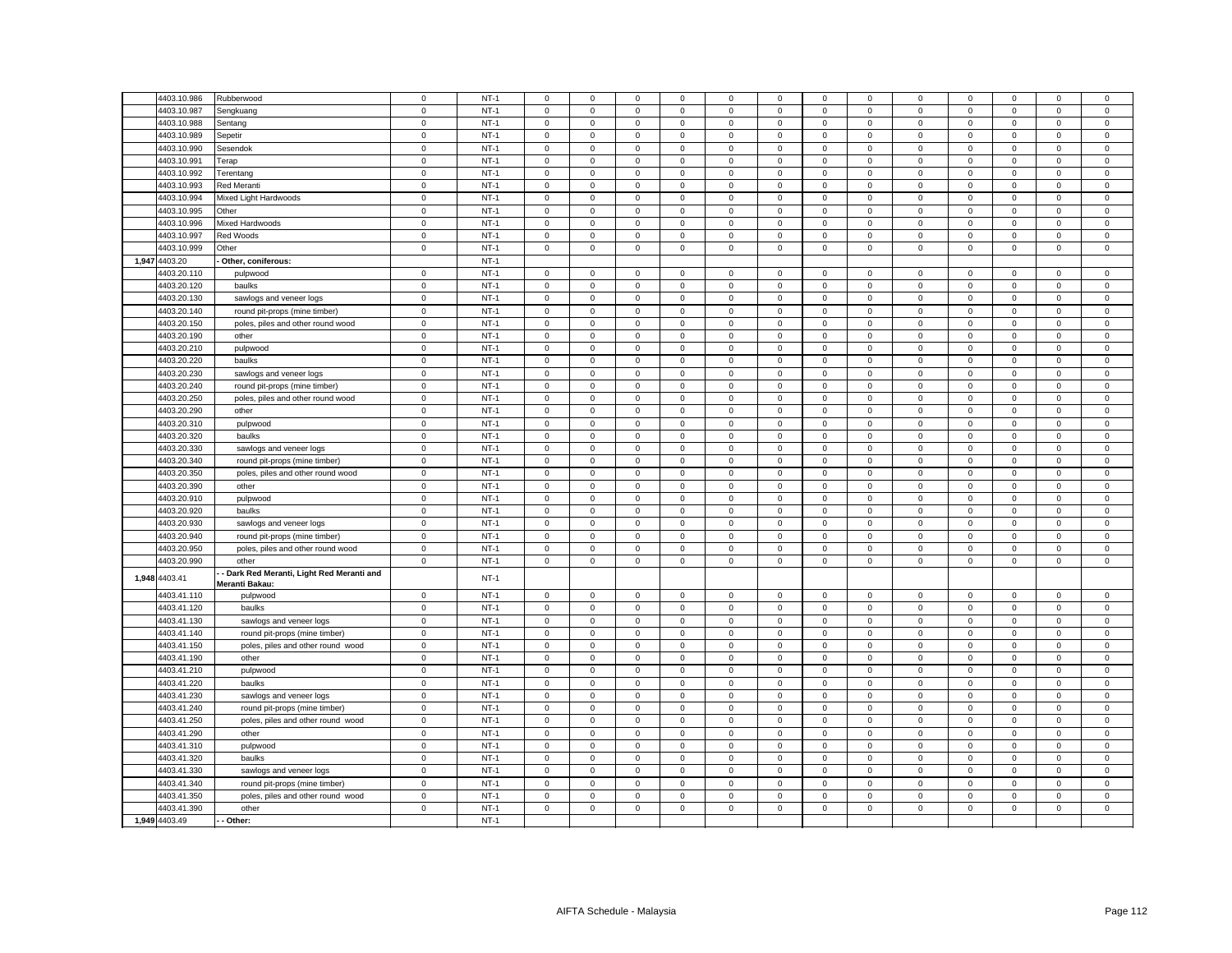| 4403.10.986   | Rubberwood                                 | $\mathbf 0$ | $NT-1$ | $\mathbf 0$         | $\mathbf 0$  | $\mathbf 0$ | $\mathbf 0$    | 0           | $\mathbf 0$ | $\mathbf 0$         | $\mathbf 0$  | 0           | $\mathbf 0$ | $\mathbf 0$         | $\mathbf 0$  | $\mathbf 0$ |
|---------------|--------------------------------------------|-------------|--------|---------------------|--------------|-------------|----------------|-------------|-------------|---------------------|--------------|-------------|-------------|---------------------|--------------|-------------|
| 1403.10.987   | Sengkuang                                  | $\mathbf 0$ | $NT-1$ | $\mathbf 0$         | $\mathbf 0$  | $\mathbf 0$ | $\mathsf 0$    | 0           | $\mathbf 0$ | $\mathbf 0$         | 0            | 0           | $\mathbf 0$ | $\mathbf 0$         | $\mathsf 0$  | $\mathbf 0$ |
| 4403.10.988   | Sentang                                    | $\mathbf 0$ | $NT-1$ | $\mathbf{0}$        | $\mathbf{0}$ | 0           | $\mathbf{0}$   | 0           | 0           | $\mathbf 0$         | $\mathbf{0}$ | 0           | $\mathbf 0$ | $\mathbf{0}$        | $\mathbf 0$  | $\mathbf 0$ |
| 4403.10.989   | Sepetir                                    | $\mathsf 0$ | $NT-1$ | $\mathsf 0$         | $\mathsf 0$  | $\mathsf 0$ | $\mathsf 0$    | $\mathsf 0$ | $\mathsf 0$ | $\mathsf 0$         | 0            | $\mathsf 0$ | $\mathbf 0$ | $\mathsf 0$         | $\mathbf 0$  | $\mathsf 0$ |
| 4403.10.990   | Sesendok                                   | $\mathsf 0$ | $NT-1$ | $\mathsf 0$         | $\mathbf 0$  | $\mathsf 0$ | $\mathsf 0$    | $\mathsf 0$ | $\mathsf 0$ | $\mathsf 0$         | 0            | $\mathsf 0$ | $\mathbf 0$ | $\mathsf 0$         | $\mathbf 0$  | $\mathbf 0$ |
| 4403.10.991   | Terap                                      | $\mathsf 0$ | $NT-1$ | $\mathbf 0$         | $\mathbf 0$  | $\mathbf 0$ | $\mathbf 0$    | $\mathbf 0$ | $\mathsf 0$ | $\mathbf 0$         | $\mathbf 0$  | $\mathbf 0$ | $\mathbf 0$ | $\mathsf 0$         | $\mathbf 0$  | $\mathbf 0$ |
| 4403.10.992   | Terentang                                  | $\mathbf 0$ | $NT-1$ | $\mathbf{0}$        | $\mathbf 0$  | $\mathbf 0$ | $\mathbf{0}$   | $\mathbf 0$ | $\mathbf 0$ | $\mathbf 0$         | $\mathbf 0$  | $\mathbf 0$ | $\mathbf 0$ | $\mathbf 0$         | $\mathbf 0$  | $\mathbf 0$ |
| 4403.10.993   | Red Meranti                                | $\mathsf 0$ | $NT-1$ | $\mathbf 0$         | $\mathbf 0$  | $\mathsf 0$ | $\mathsf 0$    | $\mathbf 0$ | $\mathsf 0$ | $\mathbf 0$         | $\Omega$     | $\mathsf 0$ | $\,0\,$     | $\mathsf 0$         | $\mathsf 0$  | $\mathsf 0$ |
| 4403.10.994   | Mixed Light Hardwoods                      | $\mathbf 0$ | $NT-1$ | $\mathbf 0$         | $\mathbf 0$  | $\mathsf 0$ | $\mathbf 0$    | $\mathsf 0$ | $\mathsf 0$ | $\mathsf 0$         | $\mathbf 0$  | $\mathsf 0$ | $\mathbf 0$ | $\mathsf{O}\xspace$ | $\mathbf 0$  | $\mathsf 0$ |
| 4403.10.995   | Other                                      | $\mathsf 0$ | $NT-1$ | $\mathbf 0$         | $\mathbf 0$  | $\mathsf 0$ | $\Omega$       | $\mathsf 0$ | $\mathsf 0$ | $\mathbf 0$         | $\mathbf 0$  | $\mathbf 0$ | $\mathbf 0$ | $\mathsf 0$         | $\mathsf 0$  | $\mathbf 0$ |
|               |                                            |             |        |                     |              |             |                |             |             |                     |              |             |             |                     |              |             |
| 4403.10.996   | Mixed Hardwoods                            | $\mathbf 0$ | $NT-1$ | $\mathbf 0$         | $\mathbf 0$  | $\mathsf 0$ | $\mathbf{0}$   | $\mathsf 0$ | $\mathsf 0$ | $\mathsf 0$         | $\mathbf 0$  | $\mathsf 0$ | $\mathbf 0$ | $\mathbf 0$         | $\mathbf 0$  | $\mathbf 0$ |
| 4403.10.997   | Red Woods                                  | $\mathbf 0$ | $NT-1$ | $\mathsf{O}\xspace$ | $\Omega$     | $\mathsf 0$ | 0              | $\mathsf 0$ | $\mathsf 0$ | $\mathsf 0$         | $\Omega$     | $\mathsf 0$ | $\mathbf 0$ | 0                   | $\mathbf 0$  | $\mathsf 0$ |
| 4403.10.999   | Other                                      | $\mathbf 0$ | $NT-1$ | $\mathsf 0$         | $\mathsf 0$  | $\mathsf 0$ | $\mathsf 0$    | $\mathsf 0$ | $\mathsf 0$ | $\mathsf{O}\xspace$ | $\mathsf 0$  | $\mathsf 0$ | $\,0\,$     | $\mathbf 0$         | $\mathbf 0$  | $\mathsf 0$ |
| 1,947 4403.20 | Other, coniferous:                         |             | $NT-1$ |                     |              |             |                |             |             |                     |              |             |             |                     |              |             |
| 1403.20.110   | pulpwood                                   | $\mathbf 0$ | $NT-1$ | $\mathsf 0$         | $\mathbf 0$  | $\mathbf 0$ | $\mathbf 0$    | $\mathsf 0$ | $\mathbf 0$ | $\mathsf 0$         | $\mathbf 0$  | 0           | $\mathbf 0$ | $\mathbf 0$         | $\mathbf 0$  | $\mathbf 0$ |
| 4403.20.120   | baulks                                     | $\mathbf 0$ | $NT-1$ | 0                   | 0            | 0           | 0              | 0           | $\mathsf 0$ | $\mathsf 0$         | 0            | 0           | $\,0\,$     | $\mathbf 0$         | $\mathbf 0$  | $\mathbf 0$ |
| 4403.20.130   | sawlogs and veneer logs                    | $\mathbf 0$ | $NT-1$ | $\mathsf{O}\xspace$ | $\mathsf 0$  | 0           | $\mathsf 0$    | $\mathsf 0$ | $\mathsf 0$ | $\mathsf 0$         | 0            | $\mathsf 0$ | $\,0\,$     | $\mathbf 0$         | $\mathbf 0$  | $\mathsf 0$ |
| 4403.20.140   | round pit-props (mine timber)              | $\mathbf 0$ | $NT-1$ | $\mathbf 0$         | $\mathbf 0$  | $\mathsf 0$ | $\mathbf 0$    | 0           | $\mathsf 0$ | $\mathsf 0$         | 0            | 0           | $\mathbf 0$ | $\mathbf 0$         | $\mathsf 0$  | 0           |
| 4403.20.150   | poles, piles and other round wood          | $\mathsf 0$ | $NT-1$ | $\mathbf 0$         | $\mathsf 0$  | $\mathsf 0$ | $\overline{0}$ | $\mathsf 0$ | $\mathsf 0$ | $\mathsf{O}\xspace$ | $\mathbf 0$  | $\mathsf 0$ | $\mathbf 0$ | $\mathsf 0$         | $\mathbf 0$  | $\mathbf 0$ |
| 4403.20.190   | other                                      | $\mathsf 0$ | $NT-1$ | $\mathbf 0$         | $\mathbf{0}$ | $\mathsf 0$ | $\mathbf 0$    | 0           | $\mathsf 0$ | $\mathsf 0$         | $\mathbf 0$  | 0           | $\mathbf 0$ | $\mathbf 0$         | $\mathbf 0$  | $\mathbf 0$ |
| 4403.20.210   | pulpwood                                   | $\mathbf 0$ | $NT-1$ | $\mathbf 0$         | $\mathsf 0$  | 0           | $\mathsf 0$    | 0           | 0           | $\mathsf{O}\xspace$ | 0            | 0           | $\,0\,$     | $\mathbf 0$         | $\mathbf 0$  | 0           |
| 4403.20.220   | baulks                                     | $\mathsf 0$ | $NT-1$ | $\mathbf 0$         | $\mathbf 0$  | $\mathsf 0$ | $\mathsf 0$    | $\mathsf 0$ | $\mathsf 0$ | $\mathbf 0$         | $\mathbf 0$  | $\mathsf 0$ | $\mathbf 0$ | $\mathsf 0$         | $\mathsf 0$  | $\mathbf 0$ |
| 4403.20.230   | sawlogs and veneer logs                    | $\mathsf 0$ | $NT-1$ | $\mathsf 0$         | $\mathbf 0$  | $\mathsf 0$ | $\mathbf 0$    | $\mathsf 0$ | $\mathsf 0$ | $\mathsf 0$         | $\mathbf 0$  | $\mathsf 0$ | $\mathbf 0$ | $\mathsf 0$         | $\mathbf 0$  | $\mathbf 0$ |
| 4403.20.240   | round pit-props (mine timber)              | $\mathbf 0$ | $NT-1$ | $\mathbf{0}$        | $\mathbf 0$  | $\mathbf 0$ | $\mathbf{0}$   | $\mathbf 0$ | $\mathbf 0$ | $\mathbf 0$         | $\mathbf 0$  | $\mathbf 0$ | $\mathbf 0$ | $\mathbf 0$         | $\mathbf 0$  | $\mathbf 0$ |
| 4403.20.250   | poles, piles and other round wood          | $\mathbf 0$ | $NT-1$ | $\mathbf 0$         | $\mathbf 0$  | $\mathbf 0$ | $\mathbf 0$    | 0           | $\mathbf 0$ | $\Omega$            | 0            | 0           | $\mathbf 0$ | $\mathbf 0$         | $\mathsf 0$  | 0           |
| 4403.20.290   | other                                      | $\mathsf 0$ | $NT-1$ | $\mathbf 0$         | $\mathbf 0$  | $\mathsf 0$ | $\mathbf 0$    | $\mathsf 0$ | $\mathsf 0$ | $\mathbf 0$         | $\mathbf 0$  | $\mathsf 0$ | $\mathbf 0$ | $\mathbf 0$         | $\mathbf 0$  | $\mathbf 0$ |
| 4403.20.310   | pulpwood                                   | $\mathbf 0$ | $NT-1$ | $\mathbf 0$         | $\mathbf 0$  | $\mathbf 0$ | $\mathbf 0$    | $\mathbf 0$ | $\mathbf 0$ | $\mathbf 0$         | $\mathbf 0$  | $\mathbf 0$ | $\mathbf 0$ | $\mathbf 0$         | $\mathbf 0$  | $\mathbf 0$ |
| 4403.20.320   | baulks                                     | $\mathbf 0$ | $NT-1$ | $\mathbf 0$         | $\mathbf 0$  | $\mathbf 0$ | $\mathbf 0$    | $\mathbf 0$ | $\mathbf 0$ | $\mathbf 0$         | $^{\circ}$   | $\mathbf 0$ | $\mathbf 0$ | $\mathbf 0$         | $^{\circ}$   | $\mathbf 0$ |
| 4403.20.330   |                                            | $\mathbf 0$ | $NT-1$ | $\mathsf 0$         | $\mathbf 0$  | $\mathsf 0$ | $\mathbf 0$    | $\mathbf 0$ | $\mathbf 0$ | 0                   | $\mathbf 0$  | $\mathbf 0$ | $\,0\,$     | $\mathsf{O}\xspace$ | $\mathbf 0$  | $\mathbf 0$ |
| 4403.20.340   | sawlogs and veneer logs                    | $\mathsf 0$ | $NT-1$ | $\mathbf 0$         | $\mathbf 0$  | $\mathsf 0$ | $\mathbf 0$    | $\mathsf 0$ | $\mathsf 0$ | $\mathsf 0$         | $\mathbf 0$  | $\mathsf 0$ | $\mathbf 0$ | $\mathsf 0$         | $\mathbf 0$  | $\Omega$    |
|               | round pit-props (mine timber)              |             |        |                     |              |             |                |             |             |                     |              |             |             |                     |              |             |
| 4403.20.350   | poles, piles and other round wood          | $\mathsf 0$ | $NT-1$ | $\mathsf 0$         | $\mathbf 0$  | $\mathsf 0$ | $\mathbf 0$    | $\mathsf 0$ | $\mathsf 0$ | $\mathbf 0$         | $\Omega$     | $\mathsf 0$ | $\mathbf 0$ | $\mathbf 0$         | $\mathbf 0$  | $\mathsf 0$ |
| 4403.20.390   | other                                      | $\mathsf 0$ | $NT-1$ | $\mathbf 0$         | $\Omega$     | $\mathsf 0$ | $\mathsf 0$    | $\mathsf 0$ | $\mathbf 0$ | $\mathsf 0$         | $\mathbf 0$  | $\mathsf 0$ | $\pmb{0}$   | $\mathbf 0$         | $\pmb{0}$    | $\mathbf 0$ |
| 4403.20.910   | pulpwood                                   | $\mathbf 0$ | $NT-1$ | $\mathbf 0$         | 0            | $\mathbf 0$ | 0              | 0           | $\mathbf 0$ | $\mathbf 0$         | $\Omega$     | 0           | $\mathbf 0$ | 0                   | $\mathbf 0$  | 0           |
| 4403.20.920   | baulks                                     | $\mathbf 0$ | $NT-1$ | $\mathsf{O}\xspace$ | $\mathbf 0$  | 0           | $\mathbf 0$    | $\mathsf 0$ | 0           | $\mathsf{O}\xspace$ | $\mathbf 0$  | $\mathsf 0$ | $\,0\,$     | $\mathbf 0$         | $\mathbf 0$  | 0           |
| 4403.20.930   | sawlogs and veneer logs                    | $\mathbf 0$ | $NT-1$ | 0                   | $\mathbf 0$  | 0           | 0              | 0           | 0           | 0                   | 0            | 0           | $\mathbf 0$ | 0                   | $\mathbf 0$  | 0           |
| 4403.20.940   | round pit-props (mine timber)              | $\mathsf 0$ | $NT-1$ | $\mathbf 0$         | $\mathbf 0$  | $\mathsf 0$ | $\mathbf 0$    | $\mathsf 0$ | $\mathsf 0$ | $\mathbf 0$         | $\mathbf 0$  | $\mathbf 0$ | $\mathbf 0$ | $\mathbf 0$         | $\mathbf 0$  | $\mathbf 0$ |
| 4403.20.950   | poles, piles and other round wood          | $\mathbf 0$ | $NT-1$ | $\mathbf 0$         | $\mathbf 0$  | $\mathbf 0$ | $\mathbf 0$    | 0           | $\mathbf 0$ | 0                   | 0            | 0           | $\mathbf 0$ | $\mathbf 0$         | $\mathbf 0$  | 0           |
| 4403.20.990   | other                                      | $\mathbf 0$ | $NT-1$ | $\mathsf 0$         | $\mathbf 0$  | $\mathbf 0$ | $\mathsf 0$    | $\mathsf 0$ | $\mathbf 0$ | $\mathsf 0$         | 0            | $\mathsf 0$ | $\mathbf 0$ | $\mathbf 0$         | $\mathbf 0$  | $\mathsf 0$ |
| 1,948 4403.41 | - Dark Red Meranti, Light Red Meranti and  |             | $NT-1$ |                     |              |             |                |             |             |                     |              |             |             |                     |              |             |
|               | Meranti Bakau:                             |             |        |                     |              |             |                |             |             |                     |              |             |             |                     |              |             |
| 4403.41.110   | pulpwood                                   | $\mathsf 0$ | $NT-1$ | $\mathsf 0$         | $\mathsf 0$  | $\mathbf 0$ | $\mathbf 0$    | $\mathsf 0$ | $\mathsf 0$ | $\mathbf 0$         | $\mathbf 0$  | $\mathbf 0$ | $\mathbf 0$ | $\mathbf 0$         | $\mathbf 0$  | $\mathsf 0$ |
| 4403.41.120   | baulks                                     | $\mathsf 0$ | $NT-1$ | $\mathbf 0$         | $\mathsf 0$  | $\mathsf 0$ | $\mathsf 0$    | $\mathbf 0$ | $\mathsf 0$ | $\mathsf 0$         | $\mathbf 0$  | $\mathsf 0$ | $\mathbf 0$ | $\mathsf 0$         | $\mathsf 0$  | $\mathsf 0$ |
| 4403.41.130   | sawlogs and veneer logs                    | $\mathsf 0$ | $NT-1$ | $\Omega$            | $\mathbf 0$  | $\mathbf 0$ | $^{\circ}$     | 0           | $\mathbf 0$ | $\mathsf 0$         | $\mathbf 0$  | $\mathsf 0$ | $\mathbf 0$ | $\mathbf 0$         | $\mathbf 0$  | $\mathbf 0$ |
| 4403.41.140   | round pit-props (mine timber)              | $\mathbf 0$ | $NT-1$ | 0                   | $\mathbf 0$  | $\mathsf 0$ | $\mathbf 0$    | 0           | $\mathsf 0$ | $\mathbf 0$         | $\mathbf 0$  | 0           | $\mathbf 0$ | $\mathbf 0$         | $\mathbf 0$  | $\mathsf 0$ |
| 4403.41.150   | poles, piles and other round wood          | $\mathsf 0$ | $NT-1$ | $\mathbf 0$         | $\mathbf 0$  | $\mathsf 0$ | $\mathsf 0$    | $\mathsf 0$ | $\mathsf 0$ | $\mathbf 0$         | 0            | $\mathsf 0$ | $\mathbf 0$ | $\mathbf 0$         | $\mathbf 0$  | $\mathsf 0$ |
| 4403.41.190   | other                                      | $\mathsf 0$ | $NT-1$ | $\mathsf 0$         | $\mathbf 0$  | $\mathsf 0$ | $\mathsf 0$    | $\mathsf 0$ | $\mathsf 0$ | $\mathsf 0$         | $\mathbf 0$  | $\mathsf 0$ | $\mathbf 0$ | $\mathsf 0$         | $\mathsf 0$  | $\mathbf 0$ |
| 4403.41.210   | pulpwood                                   | $\mathbf 0$ | $NT-1$ | $\mathbf 0$         | $\mathbf{0}$ | $\mathbf 0$ | $\mathbf 0$    | $\mathbf 0$ | $\mathbf 0$ | $\mathbf 0$         | $\mathbf 0$  | $\mathbf 0$ | $\mathbf 0$ | $\mathbf 0$         | $^{\circ}$   | $\mathbf 0$ |
| 4403.41.220   | baulks                                     | $\mathsf 0$ | $NT-1$ | $\mathsf 0$         | $\mathbf 0$  | $\mathsf 0$ | $\mathbf 0$    | $\mathsf 0$ | $\mathsf 0$ | $\mathsf 0$         | $\mathbf 0$  | 0           | $\mathbf 0$ | $\mathbf 0$         | $\mathsf 0$  | $\mathbf 0$ |
| 4403.41.230   | sawlogs and veneer logs                    | $\mathsf 0$ | $NT-1$ | $\mathbf 0$         | $\mathsf 0$  | $\mathsf 0$ | $\mathbf 0$    | $\mathsf 0$ | $\mathsf 0$ | $\mathbf 0$         | 0            | $\mathsf 0$ | $\mathbf 0$ | $\mathbf 0$         | $\mathsf 0$  | $\mathsf 0$ |
| 4403.41.240   | round pit-props (mine timber)              | $\mathsf 0$ | $NT-1$ | $\mathbf 0$         | $\mathbf 0$  | $\mathsf 0$ | $\mathbf{0}$   | $\mathsf 0$ | $\mathsf 0$ | $\mathsf 0$         | $\mathbf{0}$ | $\mathsf 0$ | $\mathbf 0$ | $\mathsf 0$         | $\mathbf 0$  | $\mathbf 0$ |
| 4403.41.250   | poles, piles and other round wood          | $\mathsf 0$ | $NT-1$ | $\mathbf 0$         | $\mathbf 0$  | $\mathbf 0$ | $\Omega$       | $\mathbf 0$ | $\mathsf 0$ | $\mathbf 0$         | $\mathbf 0$  | $\mathbf 0$ | $\mathbf 0$ | $\mathbf 0$         | $\mathbf{0}$ | $\mathbf 0$ |
| 4403.41.290   | other                                      | $\mathbf 0$ | $NT-1$ | $\mathbf 0$         | $\Omega$     | $\mathsf 0$ | $\mathbf 0$    | $\mathbf 0$ | $\mathsf 0$ | $\mathsf 0$         | $\mathbf 0$  | $\mathbf 0$ | $\mathbf 0$ | $\mathsf 0$         | $\mathbf{0}$ | $\mathbf 0$ |
| 4403.41.310   | pulpwood                                   | $\mathbf 0$ | $NT-1$ | $\mathbf 0$         | $\mathbf 0$  | $\mathsf 0$ | $\mathsf 0$    | $\mathsf 0$ | $\mathsf 0$ | $\mathbf 0$         | $\Omega$     | $\mathsf 0$ | $\mathbf 0$ | $\mathsf{O}\xspace$ | $\mathsf 0$  | $\mathbf 0$ |
| 4403.41.320   | baulks                                     | $\mathbf 0$ | $NT-1$ | $\mathsf 0$         | $\mathsf 0$  | $\mathsf 0$ | $\mathsf 0$    | $\mathsf 0$ | $\mathsf 0$ | $\mathsf 0$         | $\mathbf 0$  | $\mathsf 0$ | $\pmb{0}$   | $\mathsf 0$         | $\mathbf 0$  | $\mathsf 0$ |
| 4403.41.330   | sawlogs and veneer logs                    | $\mathsf 0$ | $NT-1$ | $\mathsf 0$         | $\Omega$     | $\mathsf 0$ | $\mathbf 0$    | $\mathsf 0$ | $\mathsf 0$ | $\mathbf 0$         | $\Omega$     | $\mathsf 0$ | $\mathbf 0$ | $\mathbf 0$         | $\mathbf 0$  | $\Omega$    |
| 4403.41.340   | round pit-props (mine timber)              | $\mathsf 0$ | $NT-1$ | $\Omega$            | $\Omega$     | 0           | $\Omega$       | 0           | $\mathbf 0$ | $\mathbf 0$         | $\Omega$     | 0           | $\mathbf 0$ | 0                   | $\mathbf 0$  | $\Omega$    |
| 4403.41.350   |                                            | $\mathbf 0$ | $NT-1$ | 0                   | 0            | 0           | 0              | 0           | 0           | 0                   | 0            | 0           | $\mathbf 0$ | 0                   | $\mathbf 0$  | $\mathbf 0$ |
| 4403.41.390   | poles, piles and other round wood<br>other | $\mathbf 0$ | $NT-1$ | $\mathsf{O}\xspace$ | $\mathbf 0$  | $\mathsf 0$ | $\mathsf 0$    | $\mathsf 0$ | $\mathsf 0$ | $\mathsf 0$         | $\mathsf 0$  | $\mathsf 0$ | $\,0\,$     | $\mathsf{O}\xspace$ | $\mathsf 0$  | $\mathsf 0$ |
|               |                                            |             | $NT-1$ |                     |              |             |                |             |             |                     |              |             |             |                     |              |             |
| 1,949 4403.49 | - Other:                                   |             |        |                     |              |             |                |             |             |                     |              |             |             |                     |              |             |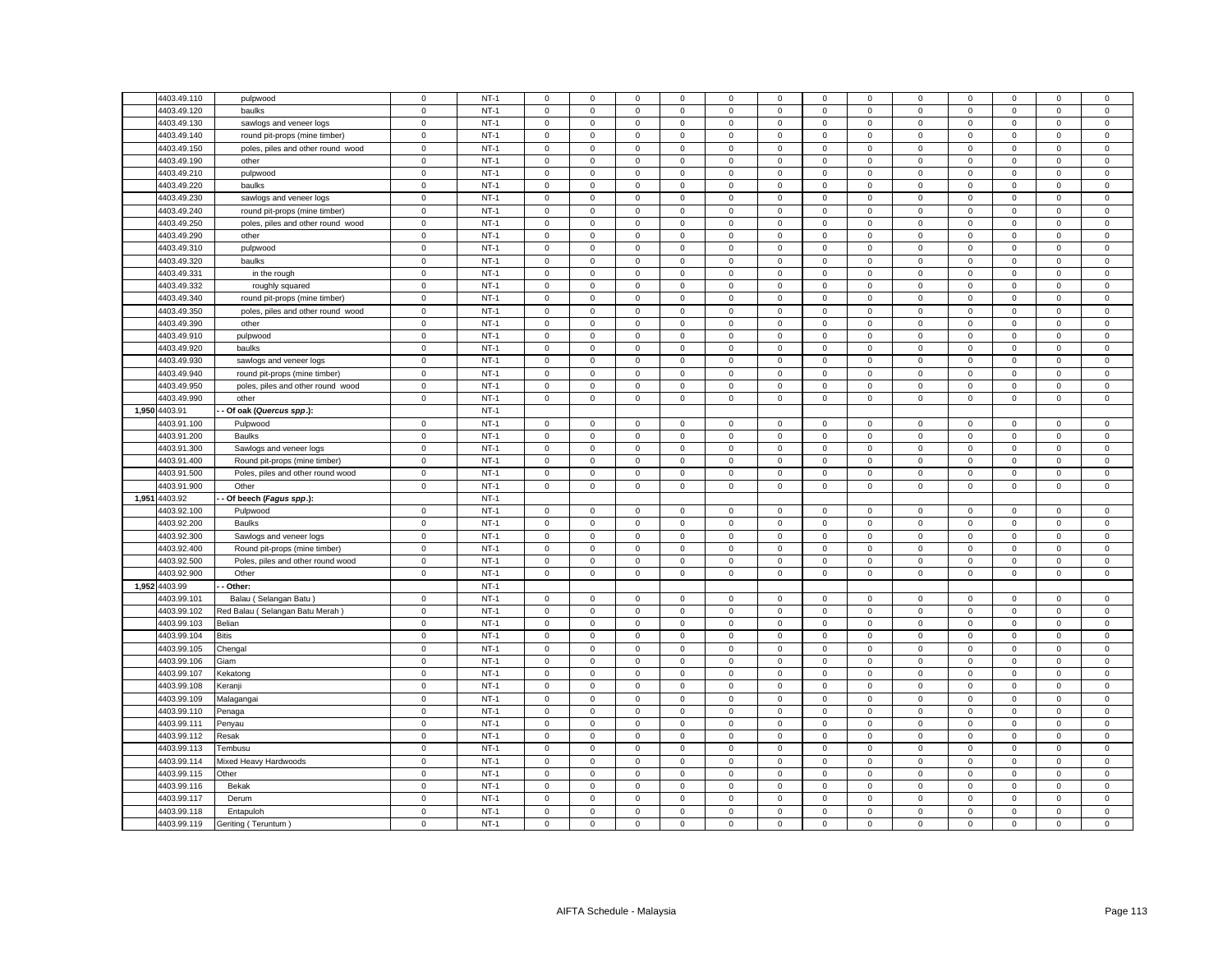|       | 4403.49.110   | pulpwood                          | $\mathbf 0$ | $NT-1$ | $\mathbf 0$         | $\mathbf 0$  | $\mathbf 0$ | $\mathbf 0$    | $\mathbf 0$ | $\mathsf 0$  | $\Omega$     | $\Omega$       | $\mathbf 0$         | $\mathbf 0$ | $\Omega$    | $\mathbf 0$ | $\mathbf 0$    |
|-------|---------------|-----------------------------------|-------------|--------|---------------------|--------------|-------------|----------------|-------------|--------------|--------------|----------------|---------------------|-------------|-------------|-------------|----------------|
|       |               |                                   |             |        |                     |              |             |                |             |              |              |                |                     |             |             |             |                |
|       | 4403.49.120   | baulks                            | $\mathbf 0$ | $NT-1$ | 0                   | $\mathbf 0$  | $\mathbf 0$ | $\mathsf 0$    | $\mathsf 0$ | $\mathbf 0$  | $\mathsf 0$  | $\mathbf 0$    | $\mathbf 0$         | $\mathbf 0$ | $\mathsf 0$ | $\mathbf 0$ | $\mathsf 0$    |
|       | 4403.49.130   | sawlogs and veneer logs           | $\mathbf 0$ | $NT-1$ | $\mathbf 0$         | $\mathbf 0$  | $\mathsf 0$ | $\mathsf 0$    | $\mathbf 0$ | $\mathsf 0$  | $\mathsf 0$  | $\mathbf 0$    | $\mathbf 0$         | $\mathsf 0$ | $\mathsf 0$ | $\mathsf 0$ | $\mathsf 0$    |
|       | 4403.49.140   | round pit-props (mine timber)     | $\mathsf 0$ | $NT-1$ | $\mathbf 0$         | $\mathbf{0}$ | $\mathbf 0$ | $\mathbf{0}$   | $\mathbf 0$ | $\mathbf{0}$ | $\mathbf{0}$ | $\mathbf{0}$   | $\mathbf{0}$        | $\mathbf 0$ | $\mathbf 0$ | $\mathbf 0$ | $\mathbf{0}$   |
|       | 4403.49.150   | poles, piles and other round wood | $\mathbf 0$ | $NT-1$ | 0                   | $\mathbf 0$  | $\mathbf 0$ | $\mathbf 0$    | 0           | $\mathsf 0$  | $\mathbf 0$  | $\mathbf 0$    | $\mathbf 0$         | $\mathsf 0$ | $\mathbf 0$ | $\mathbf 0$ | $\mathbf 0$    |
|       | 4403.49.190   | other                             | $\mathsf 0$ | $NT-1$ | $\mathbf 0$         | $\mathbf 0$  | $\mathbf 0$ | $\mathbf 0$    | $\mathbf 0$ | $\mathbf 0$  | $\circ$      | $\mathbf 0$    | $\mathbf{0}$        | $\mathbf 0$ | $\mathbf 0$ | $\mathsf 0$ | $\mathbf 0$    |
|       | 4403.49.210   | pulpwood                          | $\mathsf 0$ | $NT-1$ | $\mathbf 0$         | $\mathbf{0}$ | $\mathbf 0$ | $\mathbf{0}$   | $\mathbf 0$ | $\mathbf 0$  | $\mathbf{0}$ | $\mathbf 0$    | $\mathbf{0}$        | $\mathbf 0$ | $\mathbf 0$ | $\mathbf 0$ | $\mathsf 0$    |
|       | 4403.49.220   | baulks                            | $\mathsf 0$ | $NT-1$ | $\mathsf 0$         | $\mathbf 0$  | $\mathsf 0$ | $\mathsf 0$    | $\mathbf 0$ | $\mathsf 0$  | $\mathsf 0$  | $\Omega$       | $\mathbf 0$         | $\mathsf 0$ | $\mathsf 0$ | $\mathsf 0$ | $\mathsf 0$    |
|       | 4403.49.230   | sawlogs and veneer logs           | $\mathbf 0$ | $NT-1$ | $\circ$             | $\mathbf 0$  | $\mathsf 0$ | $\mathbf 0$    | $\mathbf 0$ | $\mathbf 0$  | $\mathsf 0$  | $\overline{0}$ | $\mathbf 0$         | $\mathsf 0$ | $\mathbf 0$ | $\mathsf 0$ | $\mathsf 0$    |
|       | 4403.49.240   | round pit-props (mine timber)     | $\mathbf 0$ | $NT-1$ | 0                   | $\mathbf{0}$ | $\mathbf 0$ | $\mathbf 0$    | 0           | $\mathbf 0$  | $\mathbf 0$  | $\mathbf{0}$   | 0                   | $\mathbf 0$ | $\mathbf 0$ | $\mathbf 0$ | $\mathbf 0$    |
|       | 4403.49.250   | poles, piles and other round wood | $\mathbf 0$ | $NT-1$ | $\mathsf 0$         | $\mathbf 0$  | $\mathsf 0$ | $\mathsf 0$    | $\mathsf 0$ | $\mathsf 0$  | $\mathsf 0$  | $\mathsf 0$    | $\mathbf 0$         | $\mathsf 0$ | $\mathsf 0$ | $\mathsf 0$ | $\,0\,$        |
|       | 4403.49.290   | other                             | $\mathbf 0$ | $NT-1$ | $\mathbf 0$         | $\mathbf 0$  | $\mathbf 0$ | $\Omega$       | $\mathbf 0$ | $\mathbf 0$  | $\mathsf 0$  | $\mathbf{0}$   | 0                   | $\mathbf 0$ | $\mathbf 0$ | $\mathbf 0$ | $\overline{0}$ |
|       | 4403.49.310   | pulpwood                          | $\mathbf 0$ | $NT-1$ | $\mathbf 0$         | $\mathbf 0$  | $\mathsf 0$ | $\mathbf 0$    | $\mathsf 0$ | $\mathbf 0$  | $\mathsf 0$  | $\mathbf 0$    | $\mathbf 0$         | $\mathbf 0$ | $\mathbf 0$ | $\mathsf 0$ | $\mathbf 0$    |
|       | 4403.49.320   | baulks                            | $\,0\,$     | $NT-1$ | $\mathbf 0$         | $\mathbf 0$  | $\mathsf 0$ | 0              | $\mathbf 0$ | $\mathsf 0$  | $\mathsf 0$  | $\Omega$       | $\mathbf 0$         | $\mathsf 0$ | $\mathbf 0$ | $\mathsf 0$ | $\mathsf 0$    |
|       | 4403.49.331   | in the rough                      | $\pmb{0}$   | $NT-1$ | $\mathsf 0$         | $\mathsf 0$  | $\mathsf 0$ | $\mathsf 0$    | $\mathsf 0$ | $\mathbf 0$  | $\mathbf 0$  | $\mathsf 0$    | $\mathsf 0$         | $\mathbf 0$ | $\mathsf 0$ | $\mathsf 0$ | $\mathbf 0$    |
|       | 4403.49.332   | roughly squared                   | $\mathbf 0$ | $NT-1$ | $\mathbf 0$         | $\Omega$     | $\mathbf 0$ | $\Omega$       | $\mathbf 0$ | 0            | 0            | $\Omega$       | $\mathbf 0$         | 0           | $\Omega$    | 0           | $\mathbf 0$    |
|       | 4403.49.340   | round pit-props (mine timber)     | $\mathbf 0$ | $NT-1$ | $\mathbf 0$         | $\mathbf 0$  | $\mathsf 0$ | $\mathbf 0$    | $\mathsf 0$ | $\mathsf 0$  | $\mathsf 0$  | $\mathsf 0$    | $\mathbf 0$         | $\mathsf 0$ | $\mathsf 0$ | $\mathsf 0$ | $\mathbf 0$    |
|       | 4403.49.350   | poles, piles and other round wood | $\mathbf 0$ | $NT-1$ | $\mathbf 0$         | 0            | $\mathsf 0$ | $\mathbf 0$    | $\mathsf 0$ | $\mathbf 0$  | 0            | $\mathbf 0$    | $\mathsf 0$         | $\mathbf 0$ | $\mathbf 0$ | 0           | $\,0\,$        |
|       | 4403.49.390   | other                             | $\mathbf 0$ | $NT-1$ | $\mathbf 0$         | $\mathbf 0$  | $\mathsf 0$ | $\mathbf 0$    | $\mathbf 0$ | $\mathbf 0$  | $\mathbf 0$  | $\Omega$       | $\mathbf 0$         | $\mathbf 0$ | $\mathbf 0$ | $\mathbf 0$ | $\mathbf 0$    |
|       | 4403.49.910   | pulpwood                          | $\mathbf 0$ | $NT-1$ | 0                   | $\mathbf 0$  | $\mathbf 0$ | $^{\circ}$     | 0           | $\mathbf 0$  | $\mathbf 0$  | $^{\circ}$     | $\mathbf 0$         | $\mathbf 0$ | $\mathbf 0$ | $\mathbf 0$ | $\mathbf 0$    |
|       | 4403.49.920   | baulks                            | $\pmb{0}$   | $NT-1$ | $\mathbf 0$         | $\mathbf 0$  | $\mathsf 0$ | $\overline{0}$ | $\mathsf 0$ | $\mathbf 0$  | $\mathbf 0$  | $\mathbf 0$    | $\mathsf 0$         | $\mathbf 0$ | $\mathbf 0$ | $\mathsf 0$ | $\mathbf 0$    |
|       | 4403.49.930   | sawlogs and veneer logs           | $\mathbf 0$ | $NT-1$ | 0                   | $\mathbf 0$  | $\mathbf 0$ | 0              | 0           | 0            | 0            | $\mathbf{0}$   | $\mathbf 0$         | 0           | 0           | 0           | $\mathbf 0$    |
|       | 4403.49.940   | round pit-props (mine timber)     | $\,0\,$     | $NT-1$ | $\mathsf{O}\xspace$ | $\mathbf 0$  | 0           | $\mathsf 0$    | $\mathsf 0$ | 0            | $\mathsf 0$  | $\mathsf 0$    | $\mathsf 0$         | $\mathbf 0$ | 0           | 0           | $\mathbf 0$    |
|       | 4403.49.950   | poles, piles and other round wood | $\mathbf 0$ | $NT-1$ | $\mathbf 0$         | 0            | $\mathbf 0$ | $\mathbf 0$    | 0           | $\mathbf 0$  | $\mathbf 0$  | $\mathbf 0$    | $\mathbf 0$         | $\mathbf 0$ | $\mathbf 0$ | $\mathbf 0$ | $\mathbf 0$    |
|       | 4403.49.990   | other                             | $\mathbf 0$ | $NT-1$ | $\mathbf 0$         | $\mathbf 0$  | $\mathbf 0$ | $\mathsf 0$    | $\mathsf 0$ | $\mathbf 0$  | $\mathsf 0$  | $\mathbf 0$    | $\mathbf 0$         | $\mathbf 0$ | $\mathbf 0$ | $\mathbf 0$ | $\mathbf 0$    |
|       | 1,950 4403.91 | Of oak (Quercus spp.):            |             | $NT-1$ |                     |              |             |                |             |              |              |                |                     |             |             |             |                |
|       | 4403.91.100   |                                   | $\mathbf 0$ | $NT-1$ |                     | $\mathsf 0$  | $\mathsf 0$ | $\mathbf 0$    | $\mathsf 0$ |              | $\mathbf 0$  |                | $\mathsf 0$         |             | $\mathsf 0$ |             | $\mathbf 0$    |
|       |               | Pulpwood                          |             | $NT-1$ | $\mathbf 0$         |              |             |                |             | $\mathbf 0$  |              | $\mathbf 0$    |                     | $\mathbf 0$ |             | $\mathbf 0$ |                |
|       | 4403.91.200   | Baulks                            | $\mathbf 0$ |        | 0                   | $\mathbf 0$  | $\mathbf 0$ | $\mathbf 0$    | 0           | $\mathbf 0$  | $\mathbf 0$  | $\mathbf 0$    | $\mathbf 0$         | $\mathbf 0$ | $\mathbf 0$ | $\mathbf 0$ | $\mathsf 0$    |
|       | 4403.91.300   | Sawlogs and veneer logs           | $\mathbf 0$ | $NT-1$ | $\mathbf 0$         | $\mathsf 0$  | $\mathbf 0$ | $\overline{0}$ | $\mathsf 0$ | $\mathbf 0$  | $\mathsf 0$  | $\mathbf 0$    | $\mathsf 0$         | $\mathbf 0$ | $\mathbf 0$ | $\mathbf 0$ | $\mathbf 0$    |
|       | 4403.91.400   | Round pit-props (mine timber)     | $\mathsf 0$ | $NT-1$ | 0                   | $\mathbf 0$  | $\mathsf 0$ | $\mathsf 0$    | $\mathbf 0$ | $\mathsf 0$  | $\mathsf 0$  | $\mathbf 0$    | $\mathbf 0$         | $\mathbf 0$ | $\mathsf 0$ | $\mathsf 0$ | $\mathsf 0$    |
|       | 4403.91.500   | Poles, piles and other round wood | $\,0\,$     | $NT-1$ | $\Omega$            | $\mathbf 0$  | 0           | $\Omega$       | $\mathsf 0$ | 0            | $\mathbf 0$  | $\Omega$       | $\mathbf 0$         | $\mathbf 0$ | 0           | $\mathbf 0$ | $\mathbf 0$    |
|       | 4403.91.900   | Other                             | $\mathbf 0$ | $NT-1$ | 0                   | $\mathbf 0$  | $\mathsf 0$ | $\mathbf 0$    | $\mathbf 0$ | $\mathsf 0$  | $\mathbf{0}$ | $\mathbf 0$    | $\mathbf 0$         | $\mathbf 0$ | 0           | $\mathsf 0$ | $\mathsf 0$    |
| 1,951 | 4403.92       | - Of beech (Fagus spp.):          |             | $NT-1$ |                     |              |             |                |             |              |              |                |                     |             |             |             |                |
|       | 4403.92.100   | Pulpwood                          | $\mathbf 0$ | $NT-1$ | $\mathbf 0$         | 0            | 0           | $\mathbf 0$    | 0           | 0            | $\mathbf 0$  | $\mathbf 0$    | $\mathsf 0$         | $\mathbf 0$ | $\mathbf 0$ | 0           | $\mathbf 0$    |
|       | 4403.92.200   | Baulks                            | $\mathsf 0$ | $NT-1$ | $\mathbf 0$         | $\mathbf 0$  | $\mathbf 0$ | $\mathbf 0$    | $\mathsf 0$ | $\mathbf 0$  | $\mathsf 0$  | $\mathbf 0$    | $\mathbf 0$         | $\mathbf 0$ | $\mathbf 0$ | $\mathbf 0$ | $\mathbf 0$    |
|       | 4403.92.300   | Sawlogs and veneer logs           | $\mathbf 0$ | $NT-1$ | $\mathbf 0$         | $\mathbf 0$  | $\mathsf 0$ | $\mathsf 0$    | $\mathsf 0$ | $\mathsf 0$  | $\mathsf 0$  | $\mathbf 0$    | $\mathbf 0$         | $\mathsf 0$ | $\mathsf 0$ | $\mathsf 0$ | $\mathsf 0$    |
|       | 4403.92.400   | Round pit-props (mine timber)     | $\,0\,$     | $NT-1$ | $\Omega$            | 0            | 0           | $^{\circ}$     | 0           | 0            | $\mathbf 0$  | 0              | $\mathsf{O}\xspace$ | $\mathbf 0$ | 0           | 0           | $\mathbf 0$    |
|       | 4403.92.500   | Poles, piles and other round wood | $\mathsf 0$ | $NT-1$ | $\mathbf 0$         | $\mathbf 0$  | $\mathsf 0$ | $\mathsf 0$    | $\mathsf 0$ | $\mathsf 0$  | $\mathsf 0$  | $\mathbf 0$    | $\mathbf 0$         | $\mathsf 0$ | $\mathsf 0$ | $\mathsf 0$ | $\mathsf 0$    |
|       | 4403.92.900   | Other                             | $\mathbf 0$ | $NT-1$ | $\mathbf 0$         | $\mathbf 0$  | $\mathsf 0$ | $\mathbf 0$    | $\mathsf 0$ | $\mathsf 0$  | $\mathsf 0$  | $\mathbf 0$    | $\mathsf 0$         | $\mathbf 0$ | $\mathsf 0$ | $\mathsf 0$ | $\mathbf 0$    |
| 1,952 | 4403.99       | Other:                            |             | $NT-1$ |                     |              |             |                |             |              |              |                |                     |             |             |             |                |
|       | 4403.99.101   | Balau (Selangan Batu)             | $\mathbf 0$ | $NT-1$ | 0                   | $\mathbf 0$  | $\mathbf 0$ | $\mathbf 0$    | 0           | $\mathbf 0$  | $\mathbf 0$  | $\mathbf 0$    | 0                   | $\mathbf 0$ | $\mathbf 0$ | $\mathbf 0$ | $\mathbf 0$    |
|       | 4403.99.102   | Red Balau (Selangan Batu Merah)   | $\mathsf 0$ | $NT-1$ | $\mathbf 0$         | $\mathbf 0$  | $\mathsf 0$ | $\mathsf 0$    | $\mathbf 0$ | $\mathsf 0$  | $\mathsf 0$  | $\mathbf 0$    | $\mathbf 0$         | $\mathsf 0$ | $\mathsf 0$ | $\mathsf 0$ | $\mathsf 0$    |
|       | 4403.99.103   | Belian                            | $\mathsf 0$ | $NT-1$ | 0                   | $\mathbf 0$  | $\mathbf 0$ | $\mathbf 0$    | 0           | $\mathbf 0$  | $\mathsf 0$  | $\mathbf 0$    | $\mathbf 0$         | $\mathbf 0$ | $\mathbf 0$ | $\mathbf 0$ | $\mathsf 0$    |
|       | 4403.99.104   | Bitis                             | $\mathbf 0$ | $NT-1$ | $\mathbf 0$         | $\mathsf 0$  | $\mathbf 0$ | $\mathbf 0$    | 0           | $\mathsf 0$  | $\mathbf 0$  | $\mathbf 0$    | $\mathbf 0$         | $\mathsf 0$ | $\mathbf 0$ | $\mathbf 0$ | $\mathbf 0$    |
|       | 4403.99.105   | Chengal                           | $\mathbf 0$ | $NT-1$ | $\mathbf 0$         | $\mathbf 0$  | $\mathbf 0$ | $\mathbf 0$    | $\mathbf 0$ | $\mathbf 0$  | $\mathbf 0$  | $\mathbf{0}$   | $\mathbf 0$         | $\mathbf 0$ | $\mathbf 0$ | $\mathbf 0$ | $\mathbf 0$    |
|       | 4403.99.106   | Giam                              | $\mathbf 0$ | $NT-1$ | 0                   | $\mathbf 0$  | $\mathsf 0$ | $\mathbf 0$    | $\mathsf 0$ | $\mathsf 0$  | $\mathbf 0$  | $\mathbf 0$    | $\mathbf 0$         | $\mathsf 0$ | $\mathbf 0$ | $\mathbf 0$ | $\mathsf 0$    |
|       | 4403.99.107   | Kekatong                          | $\mathsf 0$ | $NT-1$ | $\mathbf 0$         | $\mathbf 0$  | $\mathbf 0$ | $\mathsf 0$    | $\mathbf 0$ | $\mathbf 0$  | $\mathsf 0$  | $\mathbf{0}$   | $\mathbf{0}$        | $\mathbf 0$ | $\mathbf 0$ | $\mathbf 0$ | $\mathsf 0$    |
|       | 4403.99.108   | Keranji                           | $\mathbf 0$ | $NT-1$ | $\mathbf 0$         | $\mathbf 0$  | $\mathbf 0$ | $\mathbf 0$    | $\mathbf 0$ | $\mathbf 0$  | $\mathbf 0$  | $\mathbf 0$    | $\mathbf 0$         | $\mathbf 0$ | $\mathbf 0$ | $\mathbf 0$ | $\mathbf 0$    |
|       | 4403.99.109   | Malagangai                        | $\,0\,$     | $NT-1$ | $\mathbf 0$         | $\mathbf 0$  | $\mathsf 0$ | $\mathsf 0$    | $\mathbf 0$ | $\mathsf 0$  | $\mathbf 0$  | $\mathbf 0$    | $\mathsf 0$         | $\mathsf 0$ | $\mathsf 0$ | $\mathsf 0$ | $\mathsf 0$    |
|       | 4403.99.110   | Penaga                            | $\mathbf 0$ | $NT-1$ | $\circ$             | $\mathbf 0$  | $\mathsf 0$ | $\mathbf 0$    | $\mathbf 0$ | $\mathbf 0$  | $\mathsf 0$  | $\overline{0}$ | $\mathbf 0$         | $\mathsf 0$ | $\mathbf 0$ | $\mathsf 0$ | $\mathsf 0$    |
|       | 4403.99.111   | Penyau                            | $\mathsf 0$ | $NT-1$ | $\mathbf 0$         | $\mathbf 0$  | $\mathbf 0$ | $\mathbf 0$    | $\mathbf 0$ | $\mathbf 0$  | $\mathbf 0$  | $\mathbf 0$    | $\mathbf 0$         | $\mathbf 0$ | $\mathbf 0$ | $\mathbf 0$ | $\Omega$       |
|       | 4403.99.112   | Resak                             | $\mathbf 0$ | $NT-1$ | $\mathsf 0$         | $\mathbf 0$  | $\mathsf 0$ | $\mathsf 0$    | $\mathsf 0$ | $\mathsf 0$  | $\mathsf 0$  | $\mathsf 0$    | $\mathbf 0$         | $\mathsf 0$ | $\mathsf 0$ | $\mathsf 0$ | $\,0\,$        |
|       | 4403.99.113   | Tembusu                           | $\mathbf 0$ | $NT-1$ | $\mathbf 0$         | $\mathbf 0$  | $\mathsf 0$ | $\mathbf 0$    | $\mathsf 0$ | $\mathsf 0$  | $\mathbf 0$  | $\mathbf 0$    | $\mathbf 0$         | $\mathsf 0$ | $\mathbf 0$ | $\mathsf 0$ | $\mathsf 0$    |
|       | 4403.99.114   | Mixed Heavy Hardwoods             | $\mathbf 0$ | $NT-1$ | $\mathbf{0}$        | $\mathbf 0$  | $\mathsf 0$ | $\mathbf{0}$   | $\mathsf 0$ | $\mathsf 0$  | $\mathsf 0$  | $\mathbf 0$    | $\mathsf 0$         | $\mathsf 0$ | $\mathbf 0$ | $\mathsf 0$ | $\mathsf 0$    |
|       | 4403.99.115   | Other                             | $\mathbf 0$ | $NT-1$ | 0                   | $\Omega$     | $\mathbf 0$ | $\mathbf 0$    | $\mathsf 0$ | $\mathbf 0$  | $\mathbf 0$  | $\Omega$       | 0                   | $\mathbf 0$ | $\mathbf 0$ | $\mathbf 0$ | $\overline{0}$ |
|       | 4403.99.116   | Bekak                             | $\pmb{0}$   | $NT-1$ | $\Omega$            | $\Omega$     | $\mathsf 0$ | $\Omega$       | $\mathsf 0$ | $\mathbf 0$  | $\mathbf 0$  | $\mathbf 0$    | $\mathsf 0$         | $\mathbf 0$ | $\mathsf 0$ | $\mathsf 0$ | $\mathbf 0$    |
|       | 4403.99.117   | Derum                             | $\mathbf 0$ | $NT-1$ | 0                   | $\mathbf 0$  | $\mathbf 0$ | $\mathbf 0$    | 0           | $\mathbf 0$  | $\mathbf 0$  | 0              | $\mathsf 0$         | $\mathbf 0$ | $\Omega$    | $\mathbf 0$ | $\mathbf 0$    |
|       | 4403.99.118   | Entapuloh                         | $\mathbf 0$ | $NT-1$ | $\mathbf 0$         | $\mathbf 0$  | $\mathsf 0$ | $\mathbf 0$    | $\mathsf 0$ | $\mathsf 0$  | $\mathbf 0$  | $\mathsf 0$    | $\mathbf 0$         | $\mathsf 0$ | $\mathsf 0$ | $\mathsf 0$ | $\mathbf 0$    |
|       | 4403.99.119   | Geriting (Teruntum)               | $\mathbf 0$ | $NT-1$ | $\mathbf 0$         | $\mathbf 0$  | $\mathsf 0$ | $\mathbf 0$    | $\mathsf 0$ | $\mathsf 0$  | $\mathbf 0$  | $\Omega$       | $\mathbf 0$         | $\mathsf 0$ | $\mathbf 0$ | $\mathsf 0$ | $\overline{0}$ |
|       |               |                                   |             |        |                     |              |             |                |             |              |              |                |                     |             |             |             |                |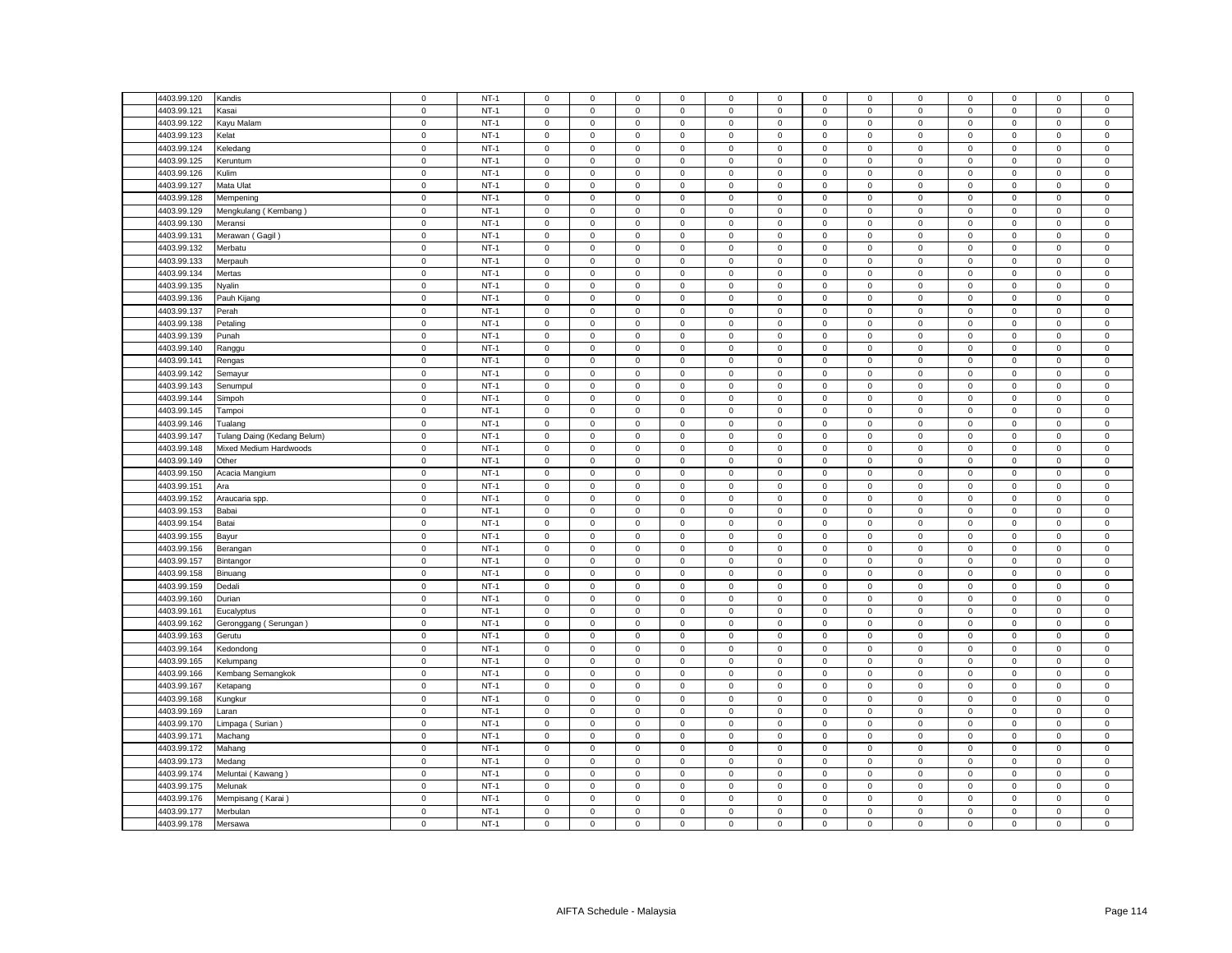| 4403.99.120 | Kandis                      | $\mathbf 0$         | $NT-1$ | $\mathsf 0$         | $\mathsf 0$         | $\mathsf 0$         | $\mathsf 0$ | $\mathsf 0$  | $\mathsf 0$ | $\mathsf 0$         | $\mathbf 0$  | 0                   | $\mathsf 0$ | $\mathsf 0$         | $\mathsf 0$ | $\mathsf 0$         |
|-------------|-----------------------------|---------------------|--------|---------------------|---------------------|---------------------|-------------|--------------|-------------|---------------------|--------------|---------------------|-------------|---------------------|-------------|---------------------|
| 4403.99.121 | Kasai                       | $\mathbf 0$         | $NT-1$ | $\mathsf 0$         | $\mathsf 0$         | $\mathsf 0$         | $\mathbf 0$ | $\mathsf 0$  | $\mathsf 0$ | $\mathsf 0$         | $\mathbf 0$  | $\mathbf 0$         | $\mathsf 0$ | $\mathbf 0$         | $\mathsf 0$ | $\mathsf 0$         |
| 4403.99.122 | Kayu Malam                  | $\mathbf 0$         | $NT-1$ | $\mathsf 0$         | $\mathsf 0$         | $\mathsf 0$         | $\mathbf 0$ | $\mathbf 0$  | $\mathsf 0$ | $\mathsf 0$         | $\mathbf 0$  | $\mathbf 0$         | $\mathsf 0$ | $\mathbf 0$         | $\mathsf 0$ | $\mathbf 0$         |
| 4403.99.123 | Kelat                       | $\mathsf 0$         | $NT-1$ | $\mathbf{0}$        | $\mathbf{0}$        | $\mathbf 0$         | $\mathbf 0$ | $\mathbf{0}$ | $\mathbf 0$ | $\mathbf 0$         | $\mathbf{0}$ | $\mathbf{0}$        | $\mathbf 0$ | $\mathbf{0}$        | $\mathbf 0$ | $\mathbf 0$         |
| 4403.99.124 | Keledang                    | $\mathsf 0$         | $NT-1$ | $\mathbf 0$         | $\mathbf 0$         | $\mathsf 0$         | $\mathbf 0$ | 0            | $\mathsf 0$ | $\mathbf 0$         | $\mathbf 0$  | 0                   | $\mathbf 0$ | $\mathbf 0$         | $\mathbf 0$ | $\mathsf 0$         |
| 4403.99.125 | Keruntum                    | $\mathsf 0$         | $NT-1$ | $\mathsf 0$         | $\mathbf{0}$        | $\mathsf 0$         | $\mathbf 0$ | $\mathbf{0}$ | $\mathsf 0$ | $\mathbf 0$         | $\mathbf{0}$ | $\mathbf 0$         | $\mathbf 0$ | $\mathbf 0$         | $\mathsf 0$ | $\mathbf 0$         |
| 4403.99.126 | Kulim                       | $\mathbf 0$         | $NT-1$ | $\mathbf{0}$        | $\mathbf 0$         | $\mathbf 0$         | $\mathbf 0$ | $\mathbf 0$  | $\mathbf 0$ | $\mathbf 0$         | $\mathbf{0}$ | $\mathbf 0$         | $\mathsf 0$ | $\mathbf{0}$        | $\mathsf 0$ | $\mathbf 0$         |
| 4403.99.127 | Mata Ulat                   | $\mathbf 0$         | $NT-1$ | $\mathsf 0$         | $\mathbf 0$         | $\mathbf 0$         | $\mathbf 0$ | $\mathbf 0$  | $\mathsf 0$ | $\mathbf 0$         | $\mathbf 0$  | $\mathsf{O}\xspace$ | $\mathbf 0$ | $\mathbf 0$         | $\mathsf 0$ | $\mathsf 0$         |
| 4403.99.128 | Mempening                   | $\mathsf 0$         | $NT-1$ | $\mathsf 0$         | $\mathsf 0$         | $\mathsf 0$         | $\mathsf 0$ | $\mathsf 0$  | $\mathsf 0$ | $\mathsf{O}\xspace$ | $\mathsf 0$  | $\mathsf 0$         | $\mathsf 0$ | $\mathbf 0$         | $\mathsf 0$ | $\mathsf 0$         |
| 4403.99.129 | Mengkulang (Kembang)        | $\mathsf 0$         | $NT-1$ | $\mathbf 0$         | $\mathbf 0$         | $\mathsf 0$         | $\mathbf 0$ | $\mathbf 0$  | $\mathbf 0$ | $\mathbf 0$         | $\mathbf{0}$ | $\mathbf 0$         | $\mathbf 0$ | $\mathbf 0$         | $\mathbf 0$ | $\mathbf 0$         |
| 4403.99.130 | Meransi                     | $\mathbf 0$         | $NT-1$ | $\mathsf 0$         | $\mathbf 0$         | $\mathsf 0$         | $\mathsf 0$ | $\mathsf 0$  | $\mathsf 0$ | $\mathsf{O}\xspace$ | $\mathbf{0}$ | $\mathsf 0$         | $\,0\,$     | $\mathsf 0$         | $\mathsf 0$ | $\mathbf 0$         |
| 4403.99.131 | Merawan (Gagil)             | $\mathbf 0$         | $NT-1$ | $\mathsf 0$         | $\mathsf 0$         | $\mathsf 0$         | $\mathbf 0$ | $\mathsf 0$  | $\mathsf 0$ | $\mathsf 0$         | $\mathbf 0$  | 0                   | $\mathsf 0$ | $\mathbf 0$         | $\mathsf 0$ | $\mathsf 0$         |
| 4403.99.132 | Merbatu                     | $\mathsf 0$         | $NT-1$ | $\mathbf 0$         | $\mathsf 0$         | $\mathsf 0$         | $\mathsf 0$ | $\mathsf 0$  | $\mathsf 0$ | $\mathsf{O}\xspace$ | $\mathsf 0$  | $\mathbf 0$         | $\mathsf 0$ | $\mathbf 0$         | $\mathsf 0$ | $\mathbf 0$         |
| 4403.99.133 | Merpauh                     | $\mathbf 0$         | $NT-1$ | $\mathsf{O}\xspace$ | $\mathsf 0$         | $\mathsf 0$         | $\mathsf 0$ | $\mathsf 0$  | $\mathsf 0$ | $\mathsf 0$         | $\mathbf 0$  | $\mathsf{O}\xspace$ | $\mathsf 0$ | $\mathbf 0$         | $\mathsf 0$ | $\mathsf 0$         |
| 4403.99.134 | Mertas                      | $\mathbf 0$         | $NT-1$ | $\mathbf 0$         | $\mathsf 0$         | $\mathsf{O}\xspace$ | $\mathsf 0$ | $\mathsf 0$  | $\mathsf 0$ | $\mathbf 0$         | $\mathsf 0$  | $\mathsf 0$         | $\mathsf 0$ | $\mathsf 0$         | $\mathsf 0$ | $\mathsf 0$         |
| 4403.99.135 | Nyalin                      | $\mathsf 0$         | $NT-1$ | $\mathbf 0$         | $\mathbf 0$         | $\mathbf 0$         | $^{\circ}$  | $\mathbf 0$  | $\mathbf 0$ | $\mathbf 0$         | $\mathbf 0$  | 0                   | $\mathbf 0$ | $\mathbf 0$         | $\mathbf 0$ | 0                   |
| 4403.99.136 | Pauh Kijang                 | $\mathsf 0$         | $NT-1$ | $\mathsf 0$         | $\mathsf 0$         | $\mathsf 0$         | $\mathsf 0$ | $\mathsf 0$  | $\mathsf 0$ | $\mathsf 0$         | $\mathsf 0$  | 0                   | $\mathbf 0$ | $\mathsf 0$         | $\mathsf 0$ | $\mathsf 0$         |
| 4403.99.137 |                             | $\mathsf 0$         | $NT-1$ | $\mathbf 0$         | $\mathsf 0$         | $\mathbf 0$         | 0           | $\mathsf 0$  | $\mathsf 0$ | $\mathsf{O}\xspace$ | $\mathbf 0$  | 0                   | $\mathsf 0$ | $\mathbf 0$         | $\mathbf 0$ | $\mathsf 0$         |
|             | Perah                       | $\mathsf 0$         | $NT-1$ | $\mathbf 0$         | $\mathsf 0$         | $\mathsf 0$         | $\Omega$    | $\mathsf 0$  | $\Omega$    | $\mathsf 0$         | $\mathsf 0$  | $\mathbf 0$         | $\mathsf 0$ | $\mathsf 0$         | $\mathsf 0$ | $\mathbf 0$         |
| 4403.99.138 | Petaling                    |                     |        |                     |                     |                     |             |              |             |                     |              |                     |             |                     |             |                     |
| 4403.99.139 | Punah                       | $\mathbf 0$         | $NT-1$ | 0                   | $\mathsf{O}\xspace$ | $\mathbf 0$         | 0           | 0            | $\mathbf 0$ | $\mathbf 0$         | $\mathbf 0$  | $\mathsf{O}\xspace$ | $\mathbf 0$ | $\,0\,$             | 0           | 0                   |
| 4403.99.140 | Ranggu                      | $\mathsf 0$         | $NT-1$ | $\mathbf 0$         | $\mathsf{O}\xspace$ | $\mathbf 0$         | $\mathbf 0$ | $\mathsf 0$  | $\mathbf 0$ | $\mathbf 0$         | $\mathbf 0$  | 0                   | $\mathbf 0$ | $\mathbf 0$         | $\mathbf 0$ | $\pmb{0}$           |
| 4403.99.141 | Rengas                      | $\mathbf 0$         | $NT-1$ | $\mathbf 0$         | $\mathbf 0$         | $\mathbf 0$         | $\mathbf 0$ | 0            | $\mathbf 0$ | $\mathbf 0$         | $\mathbf 0$  | $\mathbf 0$         | $\mathbf 0$ | $\mathbf 0$         | $\mathbf 0$ | 0                   |
| 4403.99.142 | Semayur                     | $\mathsf 0$         | $NT-1$ | $\mathsf 0$         | $\mathsf 0$         | $\mathsf 0$         | $\mathsf 0$ | $\mathsf 0$  | $\mathbf 0$ | $\mathsf 0$         | $\mathsf 0$  | $\mathsf 0$         | $\mathbf 0$ | $\mathsf 0$         | $\mathsf 0$ | $\pmb{0}$           |
| 4403.99.143 | Senumpul                    | $\mathbf 0$         | $NT-1$ | $\mathbf 0$         | $\mathbf 0$         | $\mathbf 0$         | $\mathbf 0$ | 0            | $\mathbf 0$ | $\mathbf 0$         | $\mathbf 0$  | 0                   | $\mathbf 0$ | $\mathbf 0$         | $\mathbf 0$ | 0                   |
| 4403.99.144 | Simpoh                      | $\mathsf 0$         | $NT-1$ | $\mathbf 0$         | $\mathsf 0$         | $\mathsf 0$         | $\mathbf 0$ | $\mathsf 0$  | $\mathbf 0$ | $\mathsf 0$         | $\mathbf 0$  | 0                   | $\mathbf 0$ | $\mathbf 0$         | $\mathsf 0$ | $\mathbf 0$         |
| 4403.99.145 | Tampoi                      | $\mathbf 0$         | $NT-1$ | $\mathsf 0$         | $\mathsf 0$         | $\mathsf 0$         | $\mathbf 0$ | $\mathbf 0$  | $\mathsf 0$ | $\mathsf 0$         | $\mathsf 0$  | $\mathsf 0$         | $\mathbf 0$ | $\mathsf 0$         | $\mathsf 0$ | $\mathsf 0$         |
| 4403.99.146 | <b>Tualang</b>              | $\mathsf 0$         | $NT-1$ | $\mathbf 0$         | $\mathsf 0$         | $\mathsf 0$         | $\mathbf 0$ | $\mathsf 0$  | $\mathbf 0$ | $\mathsf 0$         | $\mathsf 0$  | $\mathsf 0$         | $\mathsf 0$ | $\mathsf 0$         | $\mathsf 0$ | $\mathbf 0$         |
| 4403.99.147 | Tulang Daing (Kedang Belum) | $\mathbf 0$         | $NT-1$ | $\mathbf 0$         | $\mathbf 0$         | $\mathbf 0$         | $\mathbf 0$ | 0            | $\mathbf 0$ | $\mathbf 0$         | $\mathbf 0$  | $\mathbf 0$         | $\mathsf 0$ | $\mathbf 0$         | $\mathsf 0$ | $\mathsf 0$         |
| 4403.99.148 | Mixed Medium Hardwoods      | $\mathsf{O}\xspace$ | $NT-1$ | $\mathbf 0$         | $\mathsf{O}\xspace$ | $\mathbf 0$         | $\mathbf 0$ | $\mathsf 0$  | $\mathbf 0$ | $\mathsf 0$         | $\mathsf 0$  | $\mathsf 0$         | $\mathsf 0$ | $\mathsf 0$         | $\mathbf 0$ | $\mathsf{O}\xspace$ |
| 4403.99.149 | Other                       | $\mathsf{O}\xspace$ | $NT-1$ | $\mathsf 0$         | $\mathsf{O}\xspace$ | $\mathsf 0$         | $\mathsf 0$ | $\mathbf 0$  | $\mathsf 0$ | $\mathbf 0$         | $\mathbf 0$  | $\mathsf 0$         | $\mathsf 0$ | $\mathbf 0$         | $\mathsf 0$ | $\mathbf 0$         |
| 4403.99.150 | Acacia Mangium              | $\mathsf{O}\xspace$ | $NT-1$ | $\mathbf 0$         | $\mathsf{O}\xspace$ | 0                   | $^{\circ}$  | $\mathsf 0$  | $\mathbf 0$ | $\mathsf{O}\xspace$ | 0            | $\mathsf 0$         | $\mathbf 0$ | $\mathsf 0$         | $\mathbf 0$ | $\mathbf 0$         |
| 4403.99.151 | Ara                         | $\mathbf 0$         | $NT-1$ | $\mathbf{0}$        | $\mathbf{0}$        | $\mathsf 0$         | $\mathbf 0$ | $\mathbf 0$  | $\mathsf 0$ | $\mathbf 0$         | $\mathbf{0}$ | $\mathbf 0$         | $\mathbf 0$ | $\mathbf 0$         | $\mathsf 0$ | $\mathsf 0$         |
| 4403.99.152 | Araucaria spp.              | $\mathsf 0$         | $NT-1$ | $\mathbf 0$         | $\mathsf 0$         | $\mathsf 0$         | $\mathbf 0$ | $\mathsf 0$  | $\mathsf 0$ | $\mathsf 0$         | $\mathsf 0$  | $\mathbf 0$         | $\mathsf 0$ | $\mathbf 0$         | $\mathsf 0$ | $\mathsf 0$         |
| 4403.99.153 | Babai                       | $\mathbf 0$         | $NT-1$ | $\mathbf 0$         | $\mathsf 0$         | $\mathsf 0$         | $\mathbf 0$ | $\mathbf 0$  | $\mathsf 0$ | $\mathsf 0$         | $\mathsf 0$  | $\mathsf 0$         | $\mathbf 0$ | $\mathsf 0$         | $\mathsf 0$ | $\mathsf 0$         |
| 4403.99.154 | Batai                       | $\mathbf 0$         | $NT-1$ | $\mathbf 0$         | $\mathsf{O}\xspace$ | $\mathsf 0$         | $\mathbf 0$ | $\mathsf 0$  | $\mathbf 0$ | $\mathsf 0$         | $\mathbf 0$  | $\mathbf 0$         | $\mathbf 0$ | $\mathbf 0$         | $\mathsf 0$ | 0                   |
| 4403.99.155 | Bayur                       | $\mathsf 0$         | $NT-1$ | $\mathsf 0$         | $\mathsf 0$         | $\mathsf 0$         | $\mathsf 0$ | $\mathsf 0$  | $\mathsf 0$ | $\mathsf 0$         | $\mathbf{0}$ | $\mathbf 0$         | $\mathsf 0$ | $\mathbf 0$         | $\mathsf 0$ | $\mathbf 0$         |
| 4403.99.156 | Berangan                    | $\mathbf 0$         | $NT-1$ | $\mathbf 0$         | 0                   | 0                   | 0           | 0            | 0           | $\mathbf 0$         | 0            | 0                   | $\mathbf 0$ | 0                   | 0           | 0                   |
| 4403.99.157 | Bintangor                   | $\mathbf 0$         | $NT-1$ | $\mathsf 0$         | $\mathsf 0$         | $\mathsf 0$         | $\mathsf 0$ | $\mathbf 0$  | $\mathsf 0$ | $\mathsf 0$         | $\mathbf 0$  | $\mathbf 0$         | $\mathsf 0$ | $\mathbf 0$         | $\mathsf 0$ | $\mathbf 0$         |
| 4403.99.158 | Binuang                     | $\mathbf 0$         | $NT-1$ | $\mathbf 0$         | $\mathsf 0$         | $\mathsf 0$         | $\mathsf 0$ | $\mathsf 0$  | $\mathsf 0$ | $\mathsf 0$         | $\mathsf 0$  | $\mathbf 0$         | $\mathsf 0$ | $\mathsf 0$         | $\mathsf 0$ | $\mathsf 0$         |
| 4403.99.159 | Dedali                      | $\mathbf 0$         | $NT-1$ | $\mathsf 0$         | $\mathsf 0$         | $\mathsf 0$         | $\mathbf 0$ | $\mathsf 0$  | $\mathsf 0$ | $\mathbf 0$         | $\mathbf{0}$ | $\mathsf 0$         | $\mathbf 0$ | $\mathsf 0$         | $\mathsf 0$ | $\mathbf 0$         |
| 4403.99.160 | Durian                      | $\mathbf 0$         | $NT-1$ | $\mathbf 0$         | $\mathsf 0$         | $\mathsf 0$         | $\mathbf 0$ | $\mathsf 0$  | $\mathsf 0$ | $\mathsf 0$         | $\mathbf 0$  | 0                   | $\mathsf 0$ | $\mathbf 0$         | $\mathsf 0$ | $\mathsf 0$         |
| 4403.99.161 | Eucalyptus                  | $\mathbf 0$         | $NT-1$ | $\mathsf 0$         | $\mathsf 0$         | $\mathsf 0$         | $\mathsf 0$ | $\mathsf 0$  | $\mathsf 0$ | $\mathsf 0$         | $\mathbf 0$  | $\mathbf 0$         | $\mathsf 0$ | $\mathbf 0$         | $\mathsf 0$ | $\mathbf 0$         |
| 4403.99.162 | Geronggang (Serungan)       | $\mathbf 0$         | $NT-1$ | $\mathsf 0$         | $\mathsf 0$         | $\mathsf 0$         | $\mathbf 0$ | $\mathsf 0$  | $\mathbf 0$ | $\mathsf 0$         | $\mathbf 0$  | $\mathbf 0$         | $\mathbf 0$ | $\mathbf 0$         | $\mathsf 0$ | $\mathsf 0$         |
| 4403.99.163 | Gerutu                      | $\mathbf 0$         | $NT-1$ | $\mathsf 0$         | $\mathsf 0$         | $\mathsf 0$         | $\mathsf 0$ | $\mathsf 0$  | $\mathsf 0$ | $\mathsf 0$         | $\mathbf 0$  | $\mathbf 0$         | $\mathsf 0$ | $\mathbf 0$         | $\mathsf 0$ | $\mathbf 0$         |
| 4403.99.164 | Kedondong                   | $\mathsf 0$         | $NT-1$ | $\mathsf 0$         | $\mathbf{0}$        | $\mathsf 0$         | $\mathsf 0$ | $\mathbf 0$  | $\mathsf 0$ | $\mathbf 0$         | $\mathbf{0}$ | $\mathbf 0$         | $\mathsf 0$ | $\mathbf{O}$        | $\mathsf 0$ | $\mathbf 0$         |
| 4403.99.165 | Kelumpang                   | $\mathbf 0$         | $NT-1$ | $\mathsf 0$         | $\mathsf{O}\xspace$ | $\mathsf 0$         | $\mathbf 0$ | $\mathsf 0$  | $\mathsf 0$ | $\mathbf 0$         | $\mathbf{0}$ | $\mathsf 0$         | $\,0\,$     | 0                   | $\mathsf 0$ | $\mathsf 0$         |
| 4403.99.166 | Kembang Semangkok           | $\mathbf 0$         | $NT-1$ | $\mathsf 0$         | $\mathbf 0$         | $\mathbf 0$         | $\mathsf 0$ | $\mathbf 0$  | $\mathsf 0$ | $\mathbf 0$         | $\mathbf{0}$ | $\mathsf 0$         | $\mathsf 0$ | $\mathbf 0$         | $\mathbf 0$ | $\mathbf 0$         |
| 4403.99.167 | Ketapang                    | $\mathbf 0$         | $NT-1$ | $\mathbf 0$         | $\mathbf 0$         | $\mathbf 0$         | $\mathbf 0$ | $\mathbf 0$  | $\mathbf 0$ | $\mathsf 0$         | $\mathbf 0$  | $\mathbf 0$         | $\mathsf 0$ | $\mathbf 0$         | $\mathsf 0$ | $\mathbf 0$         |
| 4403.99.168 | Kungkur                     | $\mathbf 0$         | $NT-1$ | $\mathsf 0$         | $\mathbf 0$         | $\mathsf 0$         | $\mathsf 0$ | $\mathbf 0$  | $\mathsf 0$ | $\mathsf{O}\xspace$ | $\mathsf 0$  | $\mathbf 0$         | $\mathbf 0$ | $\mathsf{O}\xspace$ | $\mathsf 0$ | $\mathsf 0$         |
| 4403.99.169 | .aran                       | $\mathsf 0$         | $NT-1$ | $\mathsf 0$         | $\mathsf 0$         | $\mathsf 0$         | $\mathsf 0$ | $\mathsf 0$  | $\mathsf 0$ | $\mathsf{O}\xspace$ | $\mathbf{0}$ | $\mathsf 0$         | $\mathsf 0$ | $\mathbf 0$         | $\mathsf 0$ | $\mathbf 0$         |
| 4403.99.170 | Limpaga (Surian)            | $\mathsf 0$         | $NT-1$ | $\mathsf 0$         | $\mathbf 0$         | $\mathbf 0$         | $\mathbf 0$ | $\mathbf 0$  | $\mathsf 0$ | $\mathsf 0$         | $\mathbf 0$  | 0                   | $\mathsf 0$ | $\mathbf 0$         | $\mathbf 0$ | $\mathbf 0$         |
| 4403.99.171 | Machang                     | $\mathsf 0$         | $NT-1$ | $\mathsf 0$         | $\mathsf 0$         | $\mathsf 0$         | $\mathsf 0$ | $\mathsf 0$  | $\mathsf 0$ | $\mathsf{O}\xspace$ | $\mathsf 0$  | $\mathsf 0$         | $\mathbf 0$ | $\mathsf 0$         | $\mathbf 0$ | $\mathbf 0$         |
| 4403.99.172 | Mahang                      | $\mathbf 0$         | $NT-1$ | $\mathsf 0$         | $\mathsf 0$         | $\mathsf 0$         | $\mathsf 0$ | $\mathsf 0$  | $\mathsf 0$ | $\mathbf 0$         | $\mathbf 0$  | 0                   | $\mathsf 0$ | $\mathbf 0$         | $\mathsf 0$ | $\mathsf 0$         |
|             |                             | $\mathsf 0$         | $NT-1$ | $\mathsf 0$         | $\mathsf 0$         | $\mathsf 0$         | $\mathsf 0$ | $\mathsf 0$  | $\mathsf 0$ |                     | $\mathsf 0$  |                     |             | $\mathsf 0$         | $\mathsf 0$ | $\mathsf 0$         |
| 4403.99.173 | Medang                      |                     |        |                     |                     |                     |             |              |             | $\mathsf 0$         |              | $\mathsf 0$         | $\mathbf 0$ |                     |             |                     |
| 4403.99.174 | Meluntai (Kawang)           | $\mathbf 0$         | $NT-1$ | 0                   | $\mathsf 0$         | $\mathsf 0$         | $\mathbf 0$ | $\mathsf 0$  | $\mathbf 0$ | $\mathsf{O}\xspace$ | $\mathbf 0$  | 0                   | $\mathbf 0$ | $\mathbf 0$         | $\mathbf 0$ | $\mathsf 0$         |
| 4403.99.175 | Melunak                     | $\mathsf 0$         | $NT-1$ | $\mathbf 0$         | $\mathsf 0$         | $\mathsf 0$         | $\mathbf 0$ | $\mathsf 0$  | $\mathbf 0$ | $\mathbf 0$         | $\mathsf 0$  | 0                   | $\mathsf 0$ | $\mathsf 0$         | $\mathsf 0$ | $\mathbf 0$         |
| 4403.99.176 | Mempisang ( Karai )         | $\mathsf 0$         | $NT-1$ | $\mathbf 0$         | $\mathbf 0$         | $\mathsf 0$         | 0           | 0            | $\mathbf 0$ | 0                   | 0            | 0                   | $\mathbf 0$ | 0                   | $\mathbf 0$ | 0                   |
| 4403.99.177 | Merbulan                    | $\mathsf 0$         | $NT-1$ | $\mathsf 0$         | $\mathsf 0$         | $\mathsf 0$         | $\mathbf 0$ | $\mathsf 0$  | $\mathbf 0$ | $\mathbf 0$         | $\mathsf 0$  | 0                   | $\mathbf 0$ | $\mathbf 0$         | $\mathsf 0$ | $\mathbf 0$         |
| 4403.99.178 | Mersawa                     | $\mathbf 0$         | $NT-1$ | $\mathbf 0$         | $\mathsf 0$         | $\mathsf 0$         | $\mathbf 0$ | $\mathsf 0$  | $\mathsf 0$ | $\mathbf 0$         | $\mathbf 0$  | 0                   | $\mathsf 0$ | $\mathsf 0$         | $\mathsf 0$ | $\mathbf 0$         |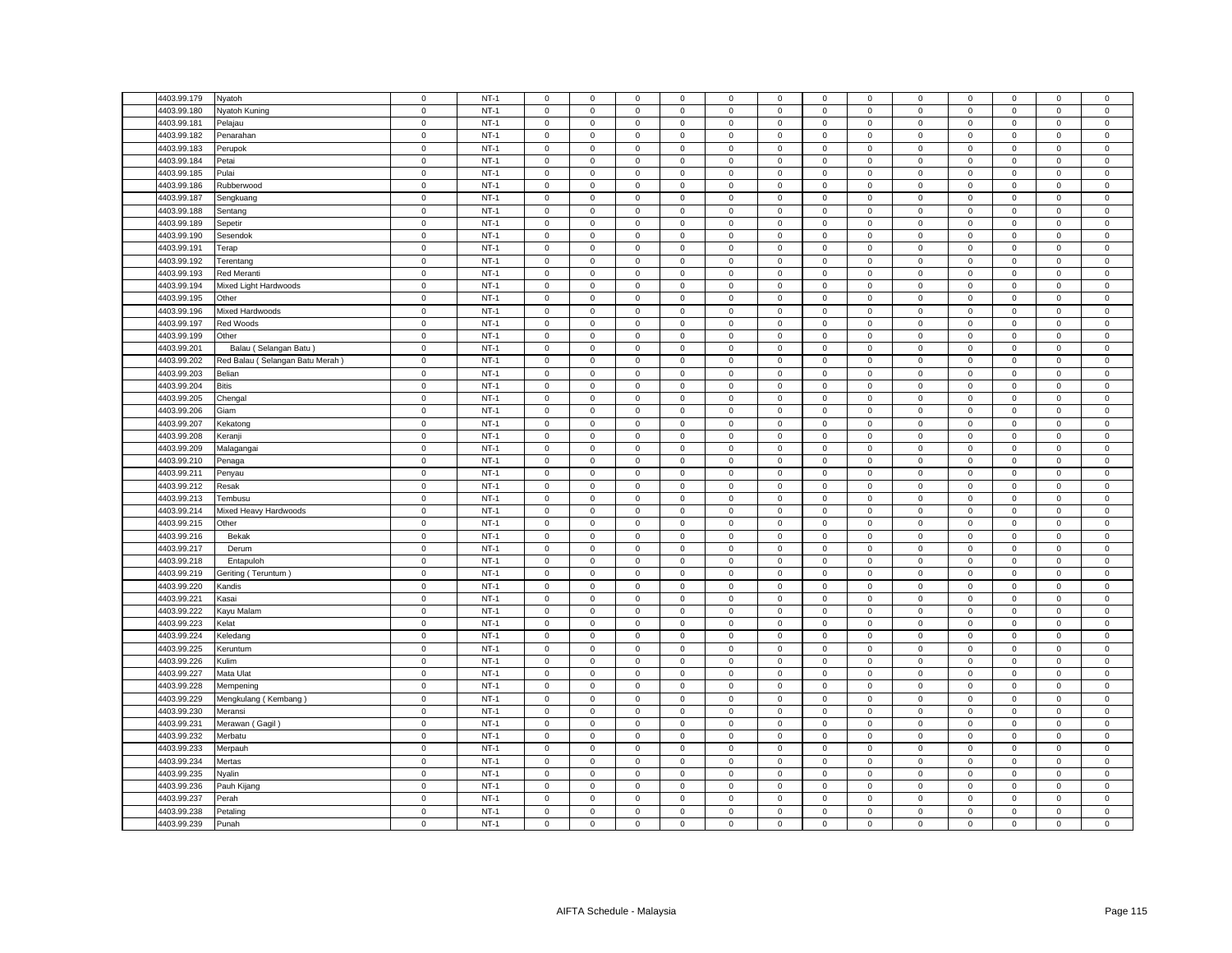| 4403.99.179 | Nyatoh                                                                                                                                                                                                                                                                                                                                                                                                                                                                                                                                                                                                                                                                            | $\mathbf 0$         | $NT-1$ | $\mathbf 0$         | $\mathbf 0$  | $\mathbf 0$  | $\mathbf 0$  | $\mathbf 0$         | $\mathsf 0$ | $\mathbf 0$         | $\mathbf 0$  | $\mathsf 0$         | $\mathbf 0$ | $\mathbf 0$  | $\mathbf 0$ | $\mathsf 0$ |
|-------------|-----------------------------------------------------------------------------------------------------------------------------------------------------------------------------------------------------------------------------------------------------------------------------------------------------------------------------------------------------------------------------------------------------------------------------------------------------------------------------------------------------------------------------------------------------------------------------------------------------------------------------------------------------------------------------------|---------------------|--------|---------------------|--------------|--------------|--------------|---------------------|-------------|---------------------|--------------|---------------------|-------------|--------------|-------------|-------------|
| 4403.99.180 | Nyatoh Kuning                                                                                                                                                                                                                                                                                                                                                                                                                                                                                                                                                                                                                                                                     | $\mathbf 0$         | $NT-1$ | $\mathsf 0$         | $\mathbf 0$  | $\mathsf 0$  | $\mathbf 0$  | $\mathbf 0$         | $\mathsf 0$ | $\mathsf 0$         | $\mathsf 0$  | $\mathbf 0$         | $\mathsf 0$ | $\mathbf 0$  | $\mathsf 0$ | $\mathsf 0$ |
| 4403.99.181 | Pelajau                                                                                                                                                                                                                                                                                                                                                                                                                                                                                                                                                                                                                                                                           | $\mathbf 0$         | $NT-1$ | $\mathsf 0$         | $\mathbf 0$  | $\mathsf 0$  | $\mathsf 0$  | $\mathbf 0$         | $\mathbf 0$ | $\mathsf 0$         | $\mathsf 0$  | $\mathbf 0$         | $\mathbf 0$ | $\mathbf 0$  | $\mathsf 0$ | $\mathsf 0$ |
| 4403.99.182 | Penarahan                                                                                                                                                                                                                                                                                                                                                                                                                                                                                                                                                                                                                                                                         | $\mathbf 0$         | $NT-1$ | $\mathbf 0$         | $\mathbf{0}$ | $\mathbf{0}$ | $\mathbf{0}$ | $\mathbf{0}$        | $\mathbf 0$ | $\mathbf 0$         | $\mathbf{0}$ | $\mathbf 0$         | $^{\circ}$  | $\mathbf{0}$ | $\mathbf 0$ | $\mathbf 0$ |
| 4403.99.183 | Perupok                                                                                                                                                                                                                                                                                                                                                                                                                                                                                                                                                                                                                                                                           | $\mathbf 0$         | $NT-1$ | $\mathbf 0$         | 0            | $\mathsf 0$  | $\mathbf 0$  | 0                   | $\mathbf 0$ | $\mathbf 0$         | $\mathbf 0$  | $\mathbf 0$         | $\mathbf 0$ | $\mathbf 0$  | $\mathbf 0$ | $\mathsf 0$ |
| 4403.99.184 | Petai                                                                                                                                                                                                                                                                                                                                                                                                                                                                                                                                                                                                                                                                             | $\mathbf 0$         | $NT-1$ | $\mathsf 0$         | $\mathbf 0$  | $\mathbf 0$  | $\mathsf 0$  | $\mathbf 0$         | $\mathbf 0$ | $\mathbf 0$         | $\mathsf 0$  | $\mathbf 0$         | $\mathbf 0$ | $\mathbf 0$  | $\mathsf 0$ | $\mathsf 0$ |
| 4403.99.185 | Pulai                                                                                                                                                                                                                                                                                                                                                                                                                                                                                                                                                                                                                                                                             | $\mathbf 0$         | $NT-1$ | $\mathbf 0$         | $\mathbf{0}$ | $\mathbf 0$  | $^{\circ}$   | $\mathbf 0$         | $\mathbf 0$ | $\mathbf 0$         | $\mathsf 0$  | $\mathbf 0$         | $\mathbf 0$ | $\mathbf{0}$ | $\mathbf 0$ | $\mathsf 0$ |
| 4403.99.186 | Rubberwood                                                                                                                                                                                                                                                                                                                                                                                                                                                                                                                                                                                                                                                                        | $\mathbf 0$         | $NT-1$ | $\mathsf 0$         | $\mathbf 0$  | $\mathsf 0$  | $\mathbf 0$  | $\mathsf 0$         | $\mathsf 0$ | $\mathsf 0$         | $\mathsf 0$  | $\mathsf 0$         | $\mathbf 0$ | $\mathbf 0$  | $\mathsf 0$ | $\mathsf 0$ |
| 4403.99.187 | Sengkuang                                                                                                                                                                                                                                                                                                                                                                                                                                                                                                                                                                                                                                                                         | $\mathbf 0$         | $NT-1$ | $\mathsf 0$         | $\mathsf 0$  | $\mathbf 0$  | $\mathbf 0$  | $\mathsf 0$         | $\mathbf 0$ | $\mathbf 0$         | $\mathbf 0$  | $\mathsf 0$         | $\mathbf 0$ | $\mathbf 0$  | $\mathsf 0$ | $\mathbf 0$ |
| 4403.99.188 | Sentang                                                                                                                                                                                                                                                                                                                                                                                                                                                                                                                                                                                                                                                                           | $\mathsf 0$         | $NT-1$ | $\mathbf 0$         | $\mathbf 0$  | $\mathsf 0$  | $\mathbf 0$  | 0                   | $\mathbf 0$ | $\mathbf 0$         | $\mathbf 0$  | $\mathbf 0$         | $\mathbf 0$ | $\mathbf 0$  | $\mathbf 0$ | $\mathbf 0$ |
| 4403.99.189 | Sepetir                                                                                                                                                                                                                                                                                                                                                                                                                                                                                                                                                                                                                                                                           | $\mathbf 0$         | $NT-1$ | $\mathsf 0$         | $\mathbf 0$  | $\mathsf 0$  | $\mathsf 0$  | $\mathbf 0$         | $\mathbf 0$ | $\mathsf 0$         | $\mathbf 0$  | $\mathsf 0$         | $\mathbf 0$ | $\mathbf 0$  | $\mathsf 0$ | $\mathsf 0$ |
| 4403.99.190 | Sesendok                                                                                                                                                                                                                                                                                                                                                                                                                                                                                                                                                                                                                                                                          | $\mathbf 0$         | $NT-1$ | $\mathsf 0$         | $\mathbf 0$  | $\mathsf 0$  | $\mathsf 0$  | $\mathbf 0$         | $\mathbf 0$ | $\mathbf 0$         | $\mathbf 0$  | $\mathsf 0$         | $\mathbf 0$ | $\Omega$     | $\mathsf 0$ | $\mathsf 0$ |
| 4403.99.191 | Terap                                                                                                                                                                                                                                                                                                                                                                                                                                                                                                                                                                                                                                                                             | $\mathbf 0$         | $NT-1$ | $\mathsf 0$         | $\mathbf 0$  | $\mathsf 0$  | $\mathsf 0$  | $\mathsf 0$         | $\mathbf 0$ | $\mathsf 0$         | $\mathbf 0$  | $\mathsf 0$         | $\mathbf 0$ | $\mathbf 0$  | $\mathsf 0$ | $\mathsf 0$ |
| 4403.99.192 |                                                                                                                                                                                                                                                                                                                                                                                                                                                                                                                                                                                                                                                                                   | $\mathbf 0$         | $NT-1$ | $\mathsf 0$         | $\mathbf 0$  | $\mathsf 0$  | $\mathbf 0$  | $\mathsf 0$         | $\mathsf 0$ | $\mathsf 0$         | $\mathsf 0$  | $\mathsf 0$         | $\mathbf 0$ | $\mathbf 0$  | $\mathsf 0$ | $\mathsf 0$ |
|             | Terentang                                                                                                                                                                                                                                                                                                                                                                                                                                                                                                                                                                                                                                                                         |                     |        |                     |              |              |              |                     | $\mathbf 0$ |                     |              |                     |             |              |             |             |
| 4403.99.193 | Red Meranti                                                                                                                                                                                                                                                                                                                                                                                                                                                                                                                                                                                                                                                                       | $\mathsf 0$         | $NT-1$ | $\mathsf 0$         | $\mathbf 0$  | $\mathsf 0$  | $\mathsf 0$  | $\overline{0}$      |             | $\mathsf 0$         | $\mathbf 0$  | $\mathsf 0$         | $\mathsf 0$ | $\mathsf 0$  | $\mathsf 0$ | $\mathbf 0$ |
| 4403.99.194 | Mixed Light Hardwoods                                                                                                                                                                                                                                                                                                                                                                                                                                                                                                                                                                                                                                                             | $\mathbf 0$         | $NT-1$ | $^{\circ}$          | $\mathbf 0$  | $\mathsf 0$  | 0            | $\mathbf 0$         | $\mathbf 0$ | 0                   | $\mathbf 0$  | $\mathbf 0$         | $\mathbf 0$ | $\Omega$     | $\mathbf 0$ | $\,0\,$     |
| 4403.99.195 | Other                                                                                                                                                                                                                                                                                                                                                                                                                                                                                                                                                                                                                                                                             | $\mathbf 0$         | $NT-1$ | $\mathbf 0$         | $\mathbf 0$  | $\mathsf 0$  | $\mathsf 0$  | $\mathbf 0$         | $\mathbf 0$ | $\mathsf 0$         | $\mathbf 0$  | $\mathsf 0$         | $\mathbf 0$ | $\mathbf 0$  | $\mathsf 0$ | $\mathsf 0$ |
| 4403.99.196 | Mixed Hardwoods                                                                                                                                                                                                                                                                                                                                                                                                                                                                                                                                                                                                                                                                   | $\mathsf 0$         | $NT-1$ | $\mathbf 0$         | $\mathbf 0$  | $\mathsf 0$  | $\mathbf 0$  | $\mathsf 0$         | $\mathsf 0$ | $\mathbf 0$         | $\mathsf 0$  | $\mathbf 0$         | $\mathbf 0$ | $\Omega$     | $\mathsf 0$ | $\mathsf 0$ |
| 4403.99.197 | Red Woods                                                                                                                                                                                                                                                                                                                                                                                                                                                                                                                                                                                                                                                                         | $\mathbf 0$         | $NT-1$ | $\mathsf 0$         | $\mathbf 0$  | $\mathsf 0$  | $\mathbf 0$  | $\mathsf 0$         | $\mathbf 0$ | $\mathbf 0$         | $\mathbf 0$  | $\mathsf 0$         | $\mathbf 0$ | $\mathbf 0$  | $\mathsf 0$ | $\mathsf 0$ |
| 4403.99.199 | Other                                                                                                                                                                                                                                                                                                                                                                                                                                                                                                                                                                                                                                                                             | $\mathbf 0$         | $NT-1$ | $\mathsf 0$         | 0            | $\mathsf 0$  | $^{\circ}$   | $\mathsf 0$         | $\mathbf 0$ | $\mathbf 0$         | $\mathbf 0$  | 0                   | $\mathbf 0$ | $\mathbf 0$  | 0           | 0           |
| 4403.99.201 | Balau (Selangan Batu)                                                                                                                                                                                                                                                                                                                                                                                                                                                                                                                                                                                                                                                             | $\mathsf 0$         | $NT-1$ | $\mathsf 0$         | $\mathbf 0$  | $\mathsf 0$  | $\mathsf 0$  | $\mathsf 0$         | $\mathbf 0$ | $\mathsf 0$         | $\mathbf 0$  | $\mathsf 0$         | $\mathbf 0$ | $\mathbf 0$  | $\mathsf 0$ | $\mathbf 0$ |
| 4403.99.202 | Red Balau (Selangan Batu Merah)                                                                                                                                                                                                                                                                                                                                                                                                                                                                                                                                                                                                                                                   | $\mathbf 0$         | $NT-1$ | 0                   | 0            | $\mathbf 0$  | 0            | 0                   | 0           | 0                   | $\mathbf 0$  | $\mathbf 0$         | $\mathbf 0$ | $\mathbf 0$  | $\mathbf 0$ | $\mathbf 0$ |
| 4403.99.203 | Belian                                                                                                                                                                                                                                                                                                                                                                                                                                                                                                                                                                                                                                                                            | $\mathsf{O}\xspace$ | $NT-1$ | $\mathbf 0$         | $\mathbf 0$  | $\mathsf 0$  | 0            | $\mathsf 0$         | $\mathsf 0$ | $\mathsf{O}\xspace$ | $\mathbf 0$  | $\mathsf 0$         | $\mathbf 0$ | $\mathbf 0$  | $\mathbf 0$ | $\mathsf 0$ |
| 4403.99.204 | Bitis                                                                                                                                                                                                                                                                                                                                                                                                                                                                                                                                                                                                                                                                             | $\mathbf 0$         | $NT-1$ | $\mathbf 0$         | $\mathbf 0$  | $\mathsf 0$  | $\mathbf 0$  | $\mathbf 0$         | $\mathsf 0$ | $\mathbf 0$         | $\mathsf 0$  | $\mathbf 0$         | $\mathbf 0$ | $\mathbf 0$  | $\mathbf 0$ | $\mathsf 0$ |
| 4403.99.205 | Chengal                                                                                                                                                                                                                                                                                                                                                                                                                                                                                                                                                                                                                                                                           | $\mathbf 0$         | $NT-1$ | $\mathbf 0$         | 0            | $\mathsf 0$  | $\mathbf 0$  | $\mathbf 0$         | $\mathsf 0$ | $\mathbf 0$         | $\mathbf 0$  | $\mathsf 0$         | $\mathsf 0$ | $\mathbf 0$  | $\mathbf 0$ | $\mathsf 0$ |
| 4403.99.206 | Giam                                                                                                                                                                                                                                                                                                                                                                                                                                                                                                                                                                                                                                                                              | $\mathbf 0$         | $NT-1$ | $\mathbf 0$         | 0            | $\mathsf 0$  | 0            | $\mathsf 0$         | $\mathbf 0$ | 0                   | $\mathbf 0$  | $\mathsf 0$         | $\mathbf 0$ | 0            | 0           | $\mathsf 0$ |
| 4403.99.207 | <ekatong< td=""><td><math display="inline">\mathsf 0</math></td><td><math>NT-1</math></td><td><math display="inline">\mathsf 0</math></td><td><math>\mathbf 0</math></td><td><math display="inline">\mathsf 0</math></td><td><math>\mathbf 0</math></td><td><math display="inline">\mathsf 0</math></td><td><math display="inline">\mathsf 0</math></td><td><math display="inline">\mathsf 0</math></td><td><math>\mathbf 0</math></td><td><math display="inline">\mathsf 0</math></td><td><math display="inline">\mathsf 0</math></td><td><math display="inline">\mathsf 0</math></td><td><math>\mathbf 0</math></td><td><math display="inline">\mathsf 0</math></td></ekatong<> | $\mathsf 0$         | $NT-1$ | $\mathsf 0$         | $\mathbf 0$  | $\mathsf 0$  | $\mathbf 0$  | $\mathsf 0$         | $\mathsf 0$ | $\mathsf 0$         | $\mathbf 0$  | $\mathsf 0$         | $\mathsf 0$ | $\mathsf 0$  | $\mathbf 0$ | $\mathsf 0$ |
| 4403.99.208 | Keranji                                                                                                                                                                                                                                                                                                                                                                                                                                                                                                                                                                                                                                                                           | $\mathbf 0$         | $NT-1$ | $\mathbf 0$         | 0            | $\mathsf 0$  | 0            | $\mathbf 0$         | 0           | $\mathbf 0$         | $\mathsf 0$  | $\mathbf 0$         | $\mathbf 0$ | $\mathbf 0$  | $\mathbf 0$ | $\mathsf 0$ |
| 4403.99.209 | Malagangai                                                                                                                                                                                                                                                                                                                                                                                                                                                                                                                                                                                                                                                                        | $\mathsf 0$         | $NT-1$ | $\mathsf 0$         | 0            | $\mathsf 0$  | $\mathbf 0$  | $\mathsf 0$         | $\mathsf 0$ | $\mathsf 0$         | $\mathbf 0$  | $\mathsf 0$         | $\mathsf 0$ | $\mathsf 0$  | $\mathbf 0$ | $\mathbf 0$ |
| 4403.99.210 | Penaga                                                                                                                                                                                                                                                                                                                                                                                                                                                                                                                                                                                                                                                                            | $\mathsf 0$         | $NT-1$ | $\mathsf 0$         | $\mathbf 0$  | $\mathsf 0$  | $\mathbf 0$  | $\mathsf 0$         | $\mathsf 0$ | $\mathsf 0$         | $\mathsf 0$  | $\mathsf 0$         | $\mathsf 0$ | $\mathbf 0$  | $\mathsf 0$ | $\mathbf 0$ |
| 4403.99.211 | Penyau                                                                                                                                                                                                                                                                                                                                                                                                                                                                                                                                                                                                                                                                            | $\mathbf 0$         | $NT-1$ | $\mathbf 0$         | 0            | $\mathsf 0$  | $\mathbf 0$  | $\mathsf 0$         | 0           | $\mathbf 0$         | $\mathbf{0}$ | $\mathsf 0$         | $\mathbf 0$ | $\mathbf 0$  | $\Omega$    | 0           |
| 4403.99.212 | Resak                                                                                                                                                                                                                                                                                                                                                                                                                                                                                                                                                                                                                                                                             | $\mathbf 0$         | $NT-1$ | $\mathbf 0$         | $\mathsf 0$  | $\mathsf 0$  | $\mathbf 0$  | $\mathsf 0$         | $\mathsf 0$ | $\mathbf 0$         | $\mathbf 0$  | $\mathsf 0$         | $\mathbf 0$ | $\mathbf 0$  | $\mathsf 0$ | $\mathsf 0$ |
| 4403.99.213 | Tembusu                                                                                                                                                                                                                                                                                                                                                                                                                                                                                                                                                                                                                                                                           | $\mathsf 0$         | $NT-1$ | $\mathsf 0$         | $\mathbf 0$  | $\mathsf 0$  | $\mathsf 0$  | $\mathsf 0$         | $\mathsf 0$ | $\mathsf 0$         | $\mathbf 0$  | $\mathsf 0$         | $\mathsf 0$ | $\mathsf 0$  | $\mathsf 0$ | $\mathsf 0$ |
|             |                                                                                                                                                                                                                                                                                                                                                                                                                                                                                                                                                                                                                                                                                   |                     |        |                     |              |              |              |                     |             |                     |              |                     |             |              |             |             |
| 4403.99.214 | Mixed Heavy Hardwoods                                                                                                                                                                                                                                                                                                                                                                                                                                                                                                                                                                                                                                                             | $\mathbf 0$         | $NT-1$ | $\mathbf 0$         | 0            | $\mathsf 0$  | $\mathbf 0$  | $\mathsf 0$         | $\mathbf 0$ | 0                   | $\mathbf 0$  | $\mathbf 0$         | $\mathbf 0$ | $\mathbf{0}$ | $\mathbf 0$ | $\mathbf 0$ |
| 4403.99.215 | Other                                                                                                                                                                                                                                                                                                                                                                                                                                                                                                                                                                                                                                                                             | $\mathbf 0$         | $NT-1$ | $\mathsf 0$         | $\mathbf 0$  | $\mathsf 0$  | $\mathbf 0$  | $\mathsf 0$         | $\mathsf 0$ | $\mathsf{O}\xspace$ | $\mathbf 0$  | $\mathsf 0$         | $\mathsf 0$ | $\mathbf 0$  | $\mathsf 0$ | $\mathsf 0$ |
| 4403.99.216 | Bekak                                                                                                                                                                                                                                                                                                                                                                                                                                                                                                                                                                                                                                                                             | $\mathsf 0$         | $NT-1$ | $\mathsf 0$         | $\mathbf 0$  | $\mathsf 0$  | $\mathsf 0$  | $\mathsf 0$         | $\mathsf 0$ | $\mathsf 0$         | $\mathsf 0$  | $\mathbf 0$         | $\mathsf 0$ | $\mathbf 0$  | $\mathsf 0$ | $\mathbf 0$ |
| 4403.99.217 | Derum                                                                                                                                                                                                                                                                                                                                                                                                                                                                                                                                                                                                                                                                             | $\mathbf 0$         | $NT-1$ | $\,0\,$             | 0            | $\mathsf 0$  | $\mathbf 0$  | $\mathsf 0$         | 0           | 0                   | $\mathbf 0$  | 0                   | $\mathbf 0$ | 0            | 0           | 0           |
| 4403.99.218 | Entapuloh                                                                                                                                                                                                                                                                                                                                                                                                                                                                                                                                                                                                                                                                         | $\mathbf 0$         | $NT-1$ | $\mathsf 0$         | $\mathbf 0$  | $\mathsf 0$  | $\mathsf 0$  | $\mathbf 0$         | $\mathsf 0$ | $\mathsf 0$         | $\mathsf 0$  | $\mathbf 0$         | $\mathbf 0$ | $\mathbf 0$  | $\mathsf 0$ | $\mathsf 0$ |
| 4403.99.219 | Geriting (Teruntum)                                                                                                                                                                                                                                                                                                                                                                                                                                                                                                                                                                                                                                                               | $\mathbf 0$         | $NT-1$ | $\mathsf 0$         | $\mathbf 0$  | $\mathsf 0$  | $\mathsf 0$  | $\mathsf 0$         | $\mathsf 0$ | $\mathsf 0$         | $\mathbf 0$  | $\mathsf 0$         | $\mathbf 0$ | $\mathsf 0$  | $\mathsf 0$ | $\mathsf 0$ |
| 4403.99.220 | Kandis                                                                                                                                                                                                                                                                                                                                                                                                                                                                                                                                                                                                                                                                            | $\mathbf 0$         | $NT-1$ | $\mathsf 0$         | $\mathbf 0$  | $\mathsf 0$  | $\mathbf 0$  | $\mathsf 0$         | $\mathsf 0$ | $\mathbf 0$         | $\mathbf 0$  | $\mathsf 0$         | $\mathbf 0$ | $\mathbf 0$  | $\mathsf 0$ | $\mathbf 0$ |
| 4403.99.221 | Kasai                                                                                                                                                                                                                                                                                                                                                                                                                                                                                                                                                                                                                                                                             | $\mathbf 0$         | $NT-1$ | $\mathsf 0$         | $\mathbf 0$  | $\mathsf 0$  | $\mathbf 0$  | $\mathbf 0$         | $\mathsf 0$ | $\mathsf 0$         | $\mathbf 0$  | $\mathsf 0$         | $\mathsf 0$ | $\mathsf 0$  | $\mathsf 0$ | $\mathsf 0$ |
| 4403.99.222 | Kayu Malam                                                                                                                                                                                                                                                                                                                                                                                                                                                                                                                                                                                                                                                                        | $\mathbf 0$         | $NT-1$ | $\mathsf 0$         | $\mathbf 0$  | $\mathsf 0$  | $\mathsf 0$  | $\mathbf 0$         | $\mathbf 0$ | $\mathsf 0$         | $\mathbf 0$  | $\mathbf 0$         | $\mathbf 0$ | $\mathbf 0$  | $\mathsf 0$ | $\mathsf 0$ |
| 4403.99.223 | Kelat                                                                                                                                                                                                                                                                                                                                                                                                                                                                                                                                                                                                                                                                             | $\mathbf 0$         | $NT-1$ | $\mathbf 0$         | $\mathbf 0$  | $\mathsf 0$  | $\mathbf 0$  | $\mathbf 0$         | $\mathsf 0$ | $\mathsf 0$         | $\mathsf 0$  | $\mathbf 0$         | $\mathbf 0$ | $\mathbf 0$  | $\mathbf 0$ | $\mathsf 0$ |
| 4403.99.224 | Keledang                                                                                                                                                                                                                                                                                                                                                                                                                                                                                                                                                                                                                                                                          | $\mathbf 0$         | $NT-1$ | $\mathsf 0$         | $\mathbf 0$  | $\mathsf 0$  | $\mathbf 0$  | $\mathbf 0$         | $\mathbf 0$ | $\mathsf 0$         | $\mathbf 0$  | $\mathsf 0$         | $\mathbf 0$ | $\mathbf 0$  | $\mathsf 0$ | $\mathsf 0$ |
| 4403.99.225 | Keruntum                                                                                                                                                                                                                                                                                                                                                                                                                                                                                                                                                                                                                                                                          | $\mathbf 0$         | $NT-1$ | $\mathbf 0$         | $\mathbf 0$  | $\mathbf 0$  | $\mathbf 0$  | $\mathbf{0}$        | $\mathbf 0$ | $\mathbf 0$         | $\mathbf 0$  | $\mathbf 0$         | $\mathbf 0$ | $\mathbf 0$  | $\mathbf 0$ | $\mathsf 0$ |
| 4403.99.226 | Kulim                                                                                                                                                                                                                                                                                                                                                                                                                                                                                                                                                                                                                                                                             | $\mathbf 0$         | $NT-1$ | $\mathbf 0$         | $\mathbf 0$  | $\mathsf 0$  | $\mathbf 0$  | $\mathsf 0$         | $\mathbf 0$ | $\mathbf 0$         | $\mathsf 0$  | $\mathsf 0$         | $\mathbf 0$ | $\mathbf 0$  | $\mathsf 0$ | $\mathsf 0$ |
| 4403.99.227 | Mata Ulat                                                                                                                                                                                                                                                                                                                                                                                                                                                                                                                                                                                                                                                                         | $\mathsf 0$         | $NT-1$ | $\mathsf 0$         | $\mathbf 0$  | $\mathbf 0$  | $\mathsf 0$  | $\mathsf 0$         | $\mathbf 0$ | $\mathbf 0$         | $\mathbf 0$  | $\mathbf 0$         | $\mathbf 0$ | $\mathbf 0$  | $\mathbf 0$ | $\mathsf 0$ |
| 4403.99.228 | Mempening                                                                                                                                                                                                                                                                                                                                                                                                                                                                                                                                                                                                                                                                         | $\mathbf 0$         | $NT-1$ | $\mathbf 0$         | $\mathbf 0$  | $\mathbf 0$  | $\mathbf 0$  | $\mathbf 0$         | $\mathbf 0$ | $\mathbf 0$         | $\mathbf{0}$ | $\mathbf 0$         | $\mathbf 0$ | $\mathbf 0$  | $\mathbf 0$ | $\mathsf 0$ |
| 4403.99.229 | Mengkulang (Kembang)                                                                                                                                                                                                                                                                                                                                                                                                                                                                                                                                                                                                                                                              | $\mathbf 0$         | $NT-1$ | $\mathsf{O}\xspace$ | $\mathbf 0$  | $\mathsf 0$  | $\mathsf 0$  | $\mathsf 0$         | $\mathbf 0$ | $\mathsf 0$         | $\mathsf 0$  | $\mathsf 0$         | $\mathbf 0$ | $\mathbf 0$  | $\mathsf 0$ | $\mathsf 0$ |
| 4403.99.230 | Meransi                                                                                                                                                                                                                                                                                                                                                                                                                                                                                                                                                                                                                                                                           | $\mathsf 0$         | $NT-1$ | $\mathsf 0$         | $\mathbf 0$  | $\mathsf 0$  | $\mathsf 0$  | $\mathsf 0$         | $\mathbf 0$ | $\mathsf 0$         | $\mathbf 0$  | $\mathsf 0$         | $\mathbf 0$ | $\mathbf 0$  | $\mathsf 0$ | $\mathbf 0$ |
| 4403.99.231 | Merawan (Gagil)                                                                                                                                                                                                                                                                                                                                                                                                                                                                                                                                                                                                                                                                   | $\mathbf 0$         | $NT-1$ | $\mathbf 0$         | $\mathbf 0$  | $\mathbf 0$  | $\mathbf 0$  | $\mathbf 0$         | $\mathbf 0$ | $\mathbf 0$         | $\mathbf 0$  | $\mathsf 0$         | $\mathbf 0$ | $\mathbf 0$  | $\mathbf 0$ | $\mathsf 0$ |
| 4403.99.232 | Merbatu                                                                                                                                                                                                                                                                                                                                                                                                                                                                                                                                                                                                                                                                           | $\mathbf 0$         | $NT-1$ | $\mathbf 0$         | $\mathsf 0$  | $\mathsf 0$  | $\mathsf 0$  | $\mathbf 0$         | $\mathsf 0$ | $\mathsf 0$         | $\mathbf 0$  | $\mathsf 0$         | $\mathbf 0$ | $\mathbf 0$  | $\mathsf 0$ | $\mathsf 0$ |
| 4403.99.233 | Merpauh                                                                                                                                                                                                                                                                                                                                                                                                                                                                                                                                                                                                                                                                           | $\mathbf 0$         | $NT-1$ | $\mathsf 0$         | $\mathbf 0$  | $\mathsf 0$  | $\mathsf 0$  | 0                   | $\mathsf 0$ | $\mathsf 0$         | $\mathsf 0$  | $\mathsf{O}\xspace$ | $\mathbf 0$ | $\mathbf 0$  | $\mathsf 0$ | $\mathsf 0$ |
| 4403.99.234 | Mertas                                                                                                                                                                                                                                                                                                                                                                                                                                                                                                                                                                                                                                                                            | $\mathsf 0$         | $NT-1$ | $\mathsf 0$         | $\mathsf 0$  | $\mathsf 0$  | $\mathbf 0$  | $\mathbf 0$         | $\mathbf 0$ | $\mathbf 0$         | $\mathbf 0$  | $\mathsf 0$         | $\mathbf 0$ | $\mathbf 0$  | $\mathsf 0$ | $\mathbf 0$ |
| 4403.99.235 | Nyalin                                                                                                                                                                                                                                                                                                                                                                                                                                                                                                                                                                                                                                                                            | $\mathbf 0$         | $NT-1$ | $\mathbf 0$         | $\mathbf 0$  | $\mathsf 0$  | $\mathbf 0$  | $\mathsf 0$         | $\mathsf 0$ | $\mathbf 0$         | $\mathbf 0$  | $\mathbf 0$         | $\mathsf 0$ | $\Omega$     | $\mathsf 0$ | $\mathsf 0$ |
| 4403.99.236 |                                                                                                                                                                                                                                                                                                                                                                                                                                                                                                                                                                                                                                                                                   | $\mathsf 0$         | $NT-1$ | $\mathsf 0$         | $\mathbf 0$  | $\mathsf 0$  | $\mathsf 0$  | $\mathsf 0$         | $\mathbf 0$ | $\mathsf 0$         | $\mathbf 0$  |                     | $\mathbf 0$ | $\mathbf 0$  | $\mathsf 0$ | $\mathbf 0$ |
| 4403.99.237 | Pauh Kijang                                                                                                                                                                                                                                                                                                                                                                                                                                                                                                                                                                                                                                                                       | $\mathsf 0$         | $NT-1$ |                     |              | $\mathsf 0$  |              |                     |             |                     | $\mathsf 0$  | $\mathbf 0$         |             |              | $\mathsf 0$ |             |
|             | Perah                                                                                                                                                                                                                                                                                                                                                                                                                                                                                                                                                                                                                                                                             |                     |        | $\mathbf 0$         | 0            |              | 0            | $\mathsf{O}\xspace$ | $\mathbf 0$ | $\Omega$            |              | 0                   | $\mathbf 0$ | $\Omega$     |             | $\mathbf 0$ |
| 4403.99.238 | Petaling                                                                                                                                                                                                                                                                                                                                                                                                                                                                                                                                                                                                                                                                          | $\mathbf 0$         | $NT-1$ | $\mathsf 0$         | $\mathbf 0$  | $\mathsf 0$  | $\mathsf 0$  | $\mathsf 0$         | $\mathbf 0$ | $\mathsf 0$         | $\mathbf 0$  | $\mathbf 0$         | $\mathbf 0$ | $\mathbf 0$  | $\mathsf 0$ | $\mathsf 0$ |
| 4403.99.239 | Punah                                                                                                                                                                                                                                                                                                                                                                                                                                                                                                                                                                                                                                                                             | $\mathbf 0$         | $NT-1$ | $\mathbf 0$         | $\mathbf 0$  | $\mathsf 0$  | $\Omega$     | $\mathbf 0$         | $\mathbf 0$ | $\mathsf 0$         | $\mathbf 0$  | $\mathbf 0$         | $\mathbf 0$ | $\mathbf 0$  | $\mathsf 0$ | $\mathsf 0$ |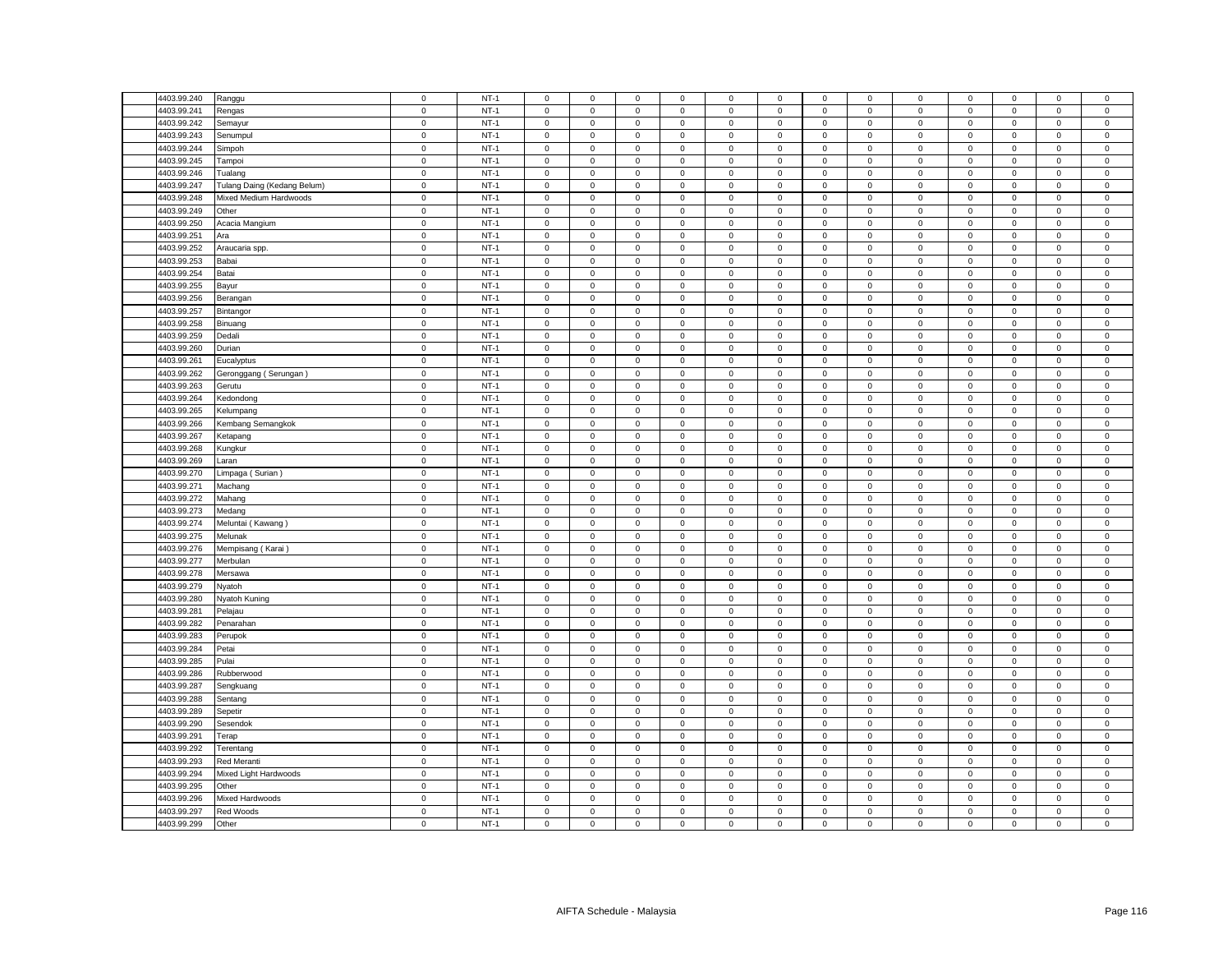| 4403.99.240 | Ranggu                      | $\mathsf 0$              | $NT-1$           | $\mathsf 0$         | $\mathsf 0$         | $\mathsf 0$         | $\mathbf 0$                | 0                | $\mathsf 0$      | $\mathsf 0$  | $\mathsf 0$  | $\mathsf 0$                | $\mathsf 0$                | $\mathbf 0$         | $\mathbf 0$  | $\mathsf 0$                |
|-------------|-----------------------------|--------------------------|------------------|---------------------|---------------------|---------------------|----------------------------|------------------|------------------|--------------|--------------|----------------------------|----------------------------|---------------------|--------------|----------------------------|
| 4403.99.241 | Rengas                      | $\mathsf 0$              | $NT-1$           | $\mathsf 0$         | $\mathsf 0$         | $\mathsf 0$         | $\mathbf 0$                | 0                | $\mathsf 0$      | $\mathsf 0$  | $\mathsf 0$  | $\mathsf 0$                | $\mathbf 0$                | $\mathsf 0$         | $\mathsf 0$  | $\mathsf 0$                |
| 4403.99.242 | Semayur                     | $\mathsf 0$              | $NT-1$           | $\mathsf 0$         | $\mathsf 0$         | $\mathsf 0$         | $\mathsf 0$                | 0                | $\mathsf 0$      | $\mathbf 0$  | $\mathsf 0$  | $\mathbf 0$                | $\mathsf 0$                | $\mathsf 0$         | $\mathsf 0$  | $\mathsf 0$                |
| 4403.99.243 | Senumpul                    | $\mathbf 0$              | $NT-1$           | $\mathbf{0}$        | $\mathbf 0$         | $\mathbf 0$         | $\mathbf 0$                | $\mathbf{0}$     | $\mathbf 0$      | $\mathbf{0}$ | $\mathbf{0}$ | $\mathbf{0}$               | $\mathbf 0$                | $\mathbf{0}$        | $\mathbf{0}$ | $\mathsf 0$                |
| 4403.99.244 | Simpoh                      | $\mathsf 0$              | $NT-1$           | $\mathbf 0$         | $\mathsf 0$         | $\mathsf 0$         | $\mathbf 0$                | 0                | $\mathsf 0$      | $\mathbf 0$  | $\mathbf 0$  | 0                          | $\mathbf 0$                | $\mathbf 0$         | $\mathbf 0$  | $\mathbf 0$                |
| 4403.99.245 | Tampoi                      | $\mathsf 0$              | $NT-1$           | $\mathsf 0$         | $\mathbf{0}$        | $\mathsf 0$         | $\mathsf 0$                | $\mathbf{0}$     | $\mathbf 0$      | $\mathbf 0$  | $\mathbf{0}$ | $\mathsf 0$                | $\mathbf 0$                | $\mathbf 0$         | $\mathsf 0$  | $\mathsf 0$                |
| 4403.99.246 | Tualang                     | $\mathbf 0$              | $NT-1$           | $\mathbf{0}$        | $\mathbf 0$         | $\mathbf 0$         | $\mathbf 0$                | $\mathbf{0}$     | $\mathbf 0$      | $\mathbf{0}$ | $\mathbf 0$  | $\mathbf 0$                | $\mathbf 0$                | $\mathbf 0$         | $\mathbf 0$  | $\mathsf 0$                |
| 4403.99.247 | Tulang Daing (Kedang Belum) | $\mathbf 0$              | $NT-1$           | $\mathsf 0$         | $\mathsf 0$         | $\mathsf 0$         | $\mathbf 0$                | 0                | $\mathsf 0$      | $\mathbf 0$  | $\mathsf 0$  | $\mathbf 0$                | $\mathbf 0$                | $\mathsf 0$         | $\mathsf 0$  | $\mathsf 0$                |
| 4403.99.248 | Mixed Medium Hardwoods      | $\mathbf 0$              | $NT-1$           | $\mathsf 0$         | $\mathsf 0$         | $\mathsf 0$         | $\mathsf 0$                | $\mathbf{0}$     | $\mathbf 0$      | $\mathbf 0$  | $\mathsf 0$  | $\mathsf 0$                | $\mathsf 0$                | $\mathsf 0$         | $\mathsf 0$  | $\pmb{0}$                  |
| 4403.99.249 | Other                       | $\mathsf 0$              | $NT-1$           | $\mathbf 0$         | $\mathbf 0$         | $\mathsf 0$         | $\mathbf 0$                | $\mathbf{0}$     | $\mathbf 0$      | $\mathbf 0$  | $\mathbf 0$  | 0                          | $\mathbf 0$                | $\mathbf 0$         | $\mathbf 0$  | $\mathsf 0$                |
| 4403.99.250 | Acacia Mangium              | $\mathsf 0$              | $NT-1$           | $\mathsf 0$         | $\mathbf 0$         | $\mathsf 0$         | $\mathsf 0$                | 0                | $\mathsf 0$      | $\mathsf 0$  | $\mathsf 0$  | $\mathsf 0$                | $\mathbf 0$                | $\mathsf 0$         | $\mathsf 0$  | $\,0\,$                    |
| 4403.99.251 | Ara                         | $\mathsf 0$              | $NT-1$           | $\mathbf 0$         | $\mathbf 0$         | $\mathsf 0$         | $\mathsf 0$                | $\mathbf{0}$     | $\mathsf 0$      | $\mathbf 0$  | $\mathbf 0$  | $\mathsf 0$                | $\mathsf 0$                | $\mathbf 0$         | $\mathsf 0$  | $\overline{0}$             |
| 4403.99.252 | Araucaria spp.              | $\mathsf 0$              | $NT-1$           | $\mathbf 0$         | $\mathsf 0$         | $\mathsf 0$         | $\mathsf 0$                | 0                | $\mathsf 0$      | $\mathsf 0$  | $\mathsf 0$  | $\mathsf 0$                | $\mathsf 0$                | $\mathsf 0$         | $\mathsf 0$  | $\mathbf 0$                |
| 4403.99.253 | Babai                       | $\mathsf 0$              | $NT-1$           | $\mathbf 0$         | $\mathsf 0$         | $\mathsf 0$         | $\mathsf 0$                | 0                | $\mathsf 0$      | $\mathbf 0$  | $\mathsf 0$  | $\mathsf 0$                | $\mathsf 0$                | $\mathsf 0$         | $\mathsf 0$  | $\mathsf 0$                |
| 4403.99.254 | Batai                       | $\mathbf 0$              | $NT-1$           | $\mathbf 0$         | $\mathsf 0$         | $\mathsf{O}\xspace$ | $\mathsf 0$                | $\mathbf 0$      | $\mathsf 0$      | $\mathsf 0$  | $\,0\,$      | $\mathbf 0$                | $\mathsf 0$                | $\mathsf 0$         | $\mathsf 0$  | $\mathbf 0$                |
| 4403.99.255 | Bayur                       | $\mathsf 0$              | $NT-1$           | $\mathbf 0$         | $\mathbf 0$         | $\mathbf 0$         | $^{\circ}$                 | 0                | $\mathbf 0$      | $\mathbf 0$  | $\mathbf 0$  | $\mathsf 0$                | $\mathbf 0$                | $\mathbf 0$         | $\mathbf 0$  | $\overline{0}$             |
| 4403.99.256 |                             | $\mathbf 0$              | $NT-1$           | $\Omega$            | $\mathsf 0$         | $\mathsf 0$         | $\mathbf 0$                | 0                | $\mathbf 0$      | $\mathsf 0$  | $\mathsf 0$  | $\mathsf 0$                | $\mathbf 0$                | $\mathsf 0$         | $\mathsf 0$  | $\mathbf 0$                |
| 4403.99.257 | Berangan                    | $\mathbf 0$              | $NT-1$           | $\mathsf 0$         | $\mathsf 0$         | $\mathsf 0$         | $\mathbf 0$                | 0                | $\mathsf 0$      | $\mathbf 0$  | $\mathsf 0$  | $\mathsf 0$                | $\mathsf 0$                | $\mathsf 0$         | $\mathsf 0$  | $\,0\,$                    |
| 4403.99.258 | Bintangor                   | $\mathsf 0$              | $NT-1$           | $\mathsf 0$         | $\mathsf 0$         | $\mathsf 0$         | $\mathsf 0$                | 0                | $\mathsf 0$      | $\mathsf 0$  | $\mathsf 0$  | $\mathsf 0$                | $\mathsf 0$                |                     | $\mathsf 0$  |                            |
|             | Binuang                     |                          |                  |                     |                     |                     |                            |                  |                  |              |              |                            |                            | $\mathbf 0$         |              | $\mathbf 0$                |
| 4403.99.259 | Dedali                      | $\pmb{0}$<br>$\mathsf 0$ | $NT-1$<br>$NT-1$ | 0<br>$\mathbf 0$    | $\mathsf{O}\xspace$ | 0                   | $\mathbf 0$                | 0<br>$\mathbf 0$ | 0<br>$\mathsf 0$ | $\mathbf 0$  | $\mathbf 0$  | $\pmb{0}$                  | $\mathbf 0$<br>$\mathbf 0$ | $\mathbf 0$         | $\mathbf 0$  | $\mathbf 0$                |
| 4403.99.260 | Durian                      |                          |                  |                     | $\mathsf{O}\xspace$ | $\mathsf 0$         | $\mathsf 0$                |                  |                  | $\mathbf 0$  | $\mathbf 0$  | $\mathbf 0$                |                            | $\mathsf 0$         | $\mathsf 0$  | $\mathbf 0$                |
| 4403.99.261 | Eucalyptus                  | $\mathsf 0$              | $NT-1$           | $\mathbf 0$         | $\mathbf 0$         | $\mathbf 0$         | 0                          | 0                | $\mathbf 0$      | $\mathbf 0$  | $\mathbf 0$  | $\mathbf 0$                | $\mathbf 0$                | 0                   | $\mathbf 0$  | $\mathbf 0$                |
| 4403.99.262 | Geronggang (Serungan)       | $\mathbf 0$              | $NT-1$           | $\mathsf 0$         | $\mathsf{O}\xspace$ | $\mathbf 0$         | $\mathsf 0$                | 0                | $\mathbf 0$      | $\mathbf 0$  | $\,0\,$      | $\mathbf 0$                | $\mathbf 0$                | $\mathsf{O}\xspace$ | $\mathsf 0$  | $\mathbf 0$                |
| 4403.99.263 | Gerutu                      | $\mathsf 0$              | $NT-1$           | $\mathbf 0$         | $\mathsf 0$         | $\mathsf 0$         | $\mathbf 0$                | 0                | $\mathsf 0$      | $\mathbf 0$  | $\mathsf 0$  | $\mathsf 0$                | $\mathsf 0$                | $\mathsf 0$         | $\mathsf 0$  | $\mathbf 0$                |
| 4403.99.264 | Kedondong                   | $\mathsf 0$              | $NT-1$           | $\mathbf 0$         | $\mathbf 0$         | $\mathbf 0$         | $\mathbf 0$                | 0                | $\mathbf 0$      | $\mathbf 0$  | $\mathsf 0$  | $\mathsf 0$                | $\mathbf 0$                | $\mathbf 0$         | $\mathbf 0$  | $\mathbf 0$                |
| 4403.99.265 | Kelumpang                   | $\mathbf 0$              | $NT-1$           | 0                   | $\mathsf{O}\xspace$ | $\mathsf 0$         | 0                          | 0                | $\mathbf 0$      | 0            | $\mathsf 0$  | $\mathsf 0$                | $\mathbf 0$                | 0                   | $\mathsf 0$  | $\mathbf 0$                |
| 4403.99.266 | Kembang Semangkok           | $\mathsf 0$              | $NT-1$           | $\mathbf 0$         | $\mathsf 0$         | $\mathsf 0$         | $\mathsf 0$                | 0                | $\mathbf 0$      | $\mathsf 0$  | $\mathbf 0$  | $\mathsf 0$                | $\mathbf 0$                | $\mathsf 0$         | $\mathsf 0$  | $\mathbf 0$                |
| 4403.99.267 | Ketapang                    | $\mathsf 0$              | $NT-1$           | $\mathbf 0$         | $\mathsf 0$         | $\mathbf 0$         | $\mathbf 0$                | 0                | $\mathbf 0$      | $\mathbf 0$  | $\mathbf 0$  | $\mathsf 0$                | $\mathbf 0$                | $\mathbf 0$         | $\mathbf 0$  | $\mathsf 0$                |
| 4403.99.268 | Kungkur                     | $\mathbf 0$              | $NT-1$           | $\mathbf 0$         | $\mathsf{O}\xspace$ | $\mathbf 0$         | $\mathsf 0$                | 0                | $\mathbf 0$      | $\mathbf 0$  | $\mathsf 0$  | $\mathsf 0$                | $\mathbf 0$                | $\mathsf 0$         | $\mathsf 0$  | $\mathbf 0$                |
| 4403.99.269 | Laran                       | $\mathsf 0$              | $NT-1$           | $\mathsf 0$         | $\mathsf 0$         | $\mathsf 0$         | $\mathsf 0$                | $\mathbf 0$      | $\mathsf 0$      | $\mathbf 0$  | $\mathsf 0$  | $\mathsf 0$                | $\mathsf 0$                | $\mathsf 0$         | $\mathsf 0$  | $\mathsf 0$                |
| 4403.99.270 | Limpaga (Surian)            | $\mathbf 0$              | $NT-1$           | $\mathbf 0$         | 0                   | 0                   | $\mathbf 0$                | 0                | $\mathbf 0$      | $\mathbf 0$  | $\mathbf{0}$ | $\mathsf 0$                | $\mathbf 0$                | $\mathbf 0$         | $\mathbf 0$  | $\mathbf 0$                |
| 4403.99.271 | Machang                     | $\mathbf 0$              | $NT-1$           | $\mathbf 0$         | $\mathsf{O}\xspace$ | $\mathsf 0$         | $\mathbf 0$                | 0                | $\mathsf 0$      | $\mathsf 0$  | $\mathbf 0$  | $\mathsf 0$                | $\mathbf 0$                | $\mathbf 0$         | $\mathsf 0$  | $\mathsf 0$                |
| 4403.99.272 | Mahang                      | $\mathsf 0$              | $NT-1$           | $\mathbf 0$         | $\mathsf 0$         | $\mathsf 0$         | $\mathsf 0$                | 0                | $\mathsf 0$      | $\mathsf 0$  | $\mathsf 0$  | $\mathsf 0$                | $\mathsf 0$                | $\mathsf 0$         | $\mathsf 0$  | $\mathbf 0$                |
| 4403.99.273 | Medang                      | $\mathbf 0$              | $NT-1$           | $\mathbf 0$         | $\mathbf 0$         | $\mathsf 0$         | $\mathbf 0$                | 0                | $\mathsf 0$      | 0            | $\mathbf 0$  | $\mathsf 0$                | $\mathbf 0$                | 0                   | $\mathsf 0$  | $\,0\,$                    |
| 4403.99.274 | Meluntai (Kawang)           | $\mathbf 0$              | $NT-1$           | $\mathbf 0$         | $\mathsf{O}\xspace$ | $\mathbf 0$         | $\mathbf 0$                | 0                | $\mathbf 0$      | $\mathbf 0$  | $\mathsf 0$  | $\mathsf 0$                | $\mathbf 0$                | $\mathsf{O}\xspace$ | $\mathsf 0$  | $\mathbf 0$                |
| 4403.99.275 | Melunak                     | $\mathsf 0$              | $NT-1$           | $\mathsf 0$         | $\mathsf 0$         | $\mathsf 0$         | $\mathsf 0$                | $\mathbf 0$      | $\mathsf 0$      | $\mathsf 0$  | $\mathsf 0$  | $\mathsf 0$                | $\mathsf 0$                | $\mathsf 0$         | $\mathsf 0$  | $\mathsf 0$                |
| 4403.99.276 | Mempisang (Karai)           | $\mathbf 0$              | $NT-1$           | $\mathsf 0$         | 0                   | 0                   | 0                          | 0                | $\mathbf 0$      | 0            | $\mathbf 0$  | $\mathsf 0$                | $\mathbf 0$                | 0                   | 0            | $\,0\,$                    |
| 4403.99.277 | Merbulan                    | $\mathsf 0$              | $NT-1$           | $\mathsf 0$         | $\mathsf 0$         | $\mathsf 0$         | $\mathsf 0$                | 0                | $\mathsf 0$      | $\mathsf 0$  | $\mathsf 0$  | $\mathsf 0$                | $\mathbf 0$                | $\mathsf 0$         | $\mathsf 0$  | $\mathsf 0$                |
| 4403.99.278 | Mersawa                     | $\mathsf 0$              | $NT-1$           | $\mathbf 0$         | $\mathsf 0$         | $\mathsf 0$         | $\mathbf 0$                | 0                | $\mathbf 0$      | $\mathsf 0$  | $\mathbf 0$  | $\mathsf 0$                | $\mathsf 0$                | $\mathsf 0$         | $\mathsf 0$  | $\mathbf 0$                |
| 4403.99.279 | Nyatoh                      | $\mathsf 0$              | $NT-1$           | $\mathsf 0$         | $\mathsf 0$         | $\mathsf 0$         | $\mathbf 0$                | 0                | $\mathsf 0$      | $\mathbf 0$  | $\,0\,$      | $\mathsf 0$                | $\mathbf 0$                | $\mathsf 0$         | $\mathsf 0$  | $\mathbf 0$                |
| 4403.99.280 | Nyatoh Kuning               | $\mathsf 0$              | $NT-1$           | $\mathbf 0$         | $\mathsf 0$         | $\mathsf 0$         | $\mathbf 0$                | 0                | $\mathsf 0$      | $\mathbf 0$  | $\mathsf 0$  | $\mathsf 0$                | $\mathsf 0$                | $\mathsf 0$         | $\mathsf 0$  | $\mathbf 0$                |
| 4403.99.281 | Pelajau                     | $\mathsf 0$              | $NT-1$           | $\mathsf 0$         | $\mathsf 0$         | $\mathsf 0$         | $\mathsf 0$                | 0                | $\mathsf 0$      | $\mathbf 0$  | $\mathsf 0$  | $\mathsf 0$                | $\mathsf 0$                | $\mathsf 0$         | $\mathsf 0$  | $\mathsf 0$                |
| 4403.99.282 | Penarahan                   | $\mathsf 0$              | $NT-1$           | $\mathbf 0$         | $\mathsf 0$         | $\mathsf 0$         | $\mathbf 0$                | 0                | $\mathbf 0$      | $\mathbf 0$  | $\mathbf 0$  | $\mathsf 0$                | $\mathbf 0$                | $\mathsf 0$         | $\mathbf 0$  | $\,0\,$                    |
| 4403.99.283 | Perupok                     | $\mathsf 0$              | $NT-1$           | $\mathsf 0$         | $\mathsf 0$         | $\mathsf 0$         | $\mathsf 0$                | 0                | $\mathsf 0$      | $\mathbf 0$  | $\mathsf 0$  | $\mathsf 0$                | $\mathsf 0$                | $\mathsf 0$         | $\mathsf 0$  | $\mathbf 0$                |
| 4403.99.284 | Petai                       | $\mathbf 0$              | $NT-1$           | $\mathbf 0$         | $\mathbf 0$         | $\mathbf 0$         | $\mathbf 0$                | $\mathbf{0}$     | $\mathbf 0$      | $\mathbf 0$  | $\mathbf{0}$ | $\mathbf 0$                | $\mathbf 0$                | $\mathbf 0$         | $\mathbf 0$  | $\mathbf 0$                |
| 4403.99.285 | Pulai                       | $\mathbf 0$              | $NT-1$           | $\mathsf 0$         | $\mathsf 0$         | $\mathsf 0$         | $\mathbf 0$                | 0                | $\mathsf 0$      | $\,0\,$      | $\,0\,$      | $\mathsf 0$                | $\mathbf 0$                | $\mathbf 0$         | 0            | $\,0\,$                    |
| 4403.99.286 | Rubberwood                  | $\mathsf 0$              | $NT-1$           | $\mathsf 0$         | $\mathbf 0$         | $\mathsf 0$         | $\mathsf 0$                | $\mathbf{0}$     | $\mathsf 0$      | $\mathbf 0$  | $\mathbf{0}$ | $\mathsf 0$                | $\mathbf 0$                | $\mathbf 0$         | $\mathbf 0$  | $\mathsf 0$                |
| 4403.99.287 | Sengkuang                   | $\mathbf 0$              | $NT-1$           | $\mathbf 0$         | $\mathbf 0$         | $\mathbf 0$         | $\mathbf 0$                | $\mathbf{0}$     | $\mathbf 0$      | $\mathbf 0$  | $\mathbf 0$  | $\mathbf 0$                | $\mathbf 0$                | $\mathbf 0$         | $\mathbf 0$  | $\mathbf 0$                |
| 4403.99.288 | Sentang                     | $\mathbf 0$              | $NT-1$           | $\mathsf{O}\xspace$ | $\mathbf 0$         | $\mathsf 0$         | $\mathsf 0$                | 0                | $\mathsf 0$      | $\mathbf 0$  | $\mathsf 0$  | $\mathsf 0$                | $\mathbf 0$                | $\mathsf 0$         | $\mathsf 0$  | $\,0\,$                    |
| 4403.99.289 | Sepetir                     | $\mathsf 0$              | $NT-1$           | $\mathsf 0$         | $\mathsf 0$         | $\mathsf 0$         | $\mathsf 0$                | $\mathbf 0$      | $\mathsf 0$      | $\mathbf 0$  | $\mathsf 0$  | $\mathsf 0$                | $\mathbf 0$                | $\mathsf 0$         | $\mathsf 0$  | $\mathsf 0$                |
| 4403.99.290 | Sesendok                    | $\mathsf 0$              | $NT-1$           | $\mathbf 0$         | $\mathbf 0$         | $\mathbf 0$         | $\mathbf 0$                | $\mathbf{0}$     | $\mathbf 0$      | $\mathbf 0$  | $\mathbf 0$  | $\Omega$                   | $\mathbf 0$                | $\mathbf 0$         | $\mathbf 0$  | $\mathbf 0$                |
| 4403.99.291 | Terap                       | $\mathsf 0$              | $NT-1$           | $\mathsf 0$         | $\mathsf{O}\xspace$ | $\mathsf 0$         | $\mathsf 0$                | 0                | $\mathsf 0$      | $\mathsf 0$  | $\,0\,$      | $\mathbf 0$                | $\mathbf 0$                | $\mathsf 0$         | $\mathbf 0$  | $\,0\,$                    |
| 4403.99.292 | Terentang                   | $\mathsf 0$              | $NT-1$           | $\mathbf 0$         | $\mathsf 0$         | $\mathsf 0$         | $\mathsf 0$                | 0                | $\mathsf 0$      | $\mathbf 0$  | $\mathsf 0$  | $\mathsf 0$                | $\mathsf 0$                | $\mathsf 0$         | $\mathsf 0$  | $\mathsf 0$                |
| 4403.99.293 | Red Meranti                 | $\mathsf 0$              | $NT-1$           | $\mathsf 0$         | $\mathsf 0$         | $\mathsf 0$         | $\mathsf 0$                | $\mathbf 0$      | $\mathsf 0$      | $\mathsf 0$  | $\mathsf 0$  | $\mathsf 0$                | $\mathsf 0$                | $\mathsf{O}\xspace$ | $\mathsf 0$  | $\mathsf 0$                |
| 4403.99.294 | Mixed Light Hardwoods       | $\mathsf 0$              | $NT-1$           | 0                   | $\mathsf 0$         | $\mathsf 0$         | $\mathbf 0$                | 0                | $\mathsf 0$      | $\mathsf 0$  | $\mathbf 0$  | $\mathsf 0$                | $\mathbf 0$                | $\mathsf 0$         | $\mathsf 0$  | $\mathbf 0$                |
| 4403.99.295 |                             | $\mathbf 0$              | $NT-1$           | $\mathbf 0$         |                     | $\mathsf 0$         | $\mathbf 0$                |                  | $\mathsf 0$      |              |              |                            | $\mathbf 0$                |                     |              |                            |
| 4403.99.296 | Other                       | $\mathsf 0$              | $NT-1$           |                     | $\mathsf 0$         | $\mathsf 0$         |                            | 0                |                  | $\mathsf 0$  | $\mathbf 0$  | $\mathsf 0$<br>$\mathsf 0$ |                            | $\mathsf 0$         | $\mathsf 0$  | $\mathbf 0$<br>$\mathsf 0$ |
|             | Mixed Hardwoods             |                          |                  | $\mathbf 0$         | $\mathbf 0$         |                     | $\mathbf 0$<br>$\mathbf 0$ | 0                | $\mathbf 0$      | $\mathbf 0$  | $\mathbf 0$  |                            | $\mathbf 0$                | $\mathbf 0$         | $\mathbf 0$  |                            |
| 4403.99.297 | Red Woods                   | $\mathsf 0$              | $NT-1$           | $\mathsf 0$         | $\mathsf 0$         | $\mathsf 0$         |                            | 0                | $\mathsf 0$      | $\mathbf 0$  | $\mathsf 0$  | $\mathsf 0$                | $\mathsf 0$                | $\mathsf 0$         | $\mathsf 0$  | $\mathbf 0$                |
| 4403.99.299 | Other                       | $\mathsf 0$              | $NT-1$           | $\mathbf 0$         | $\mathsf 0$         | $\mathsf 0$         | $\mathbf 0$                | 0                | $\mathbf 0$      | $\mathsf 0$  | $\mathsf 0$  | $\mathsf 0$                | $\mathsf 0$                | $\mathsf 0$         | $\mathsf 0$  | $\overline{0}$             |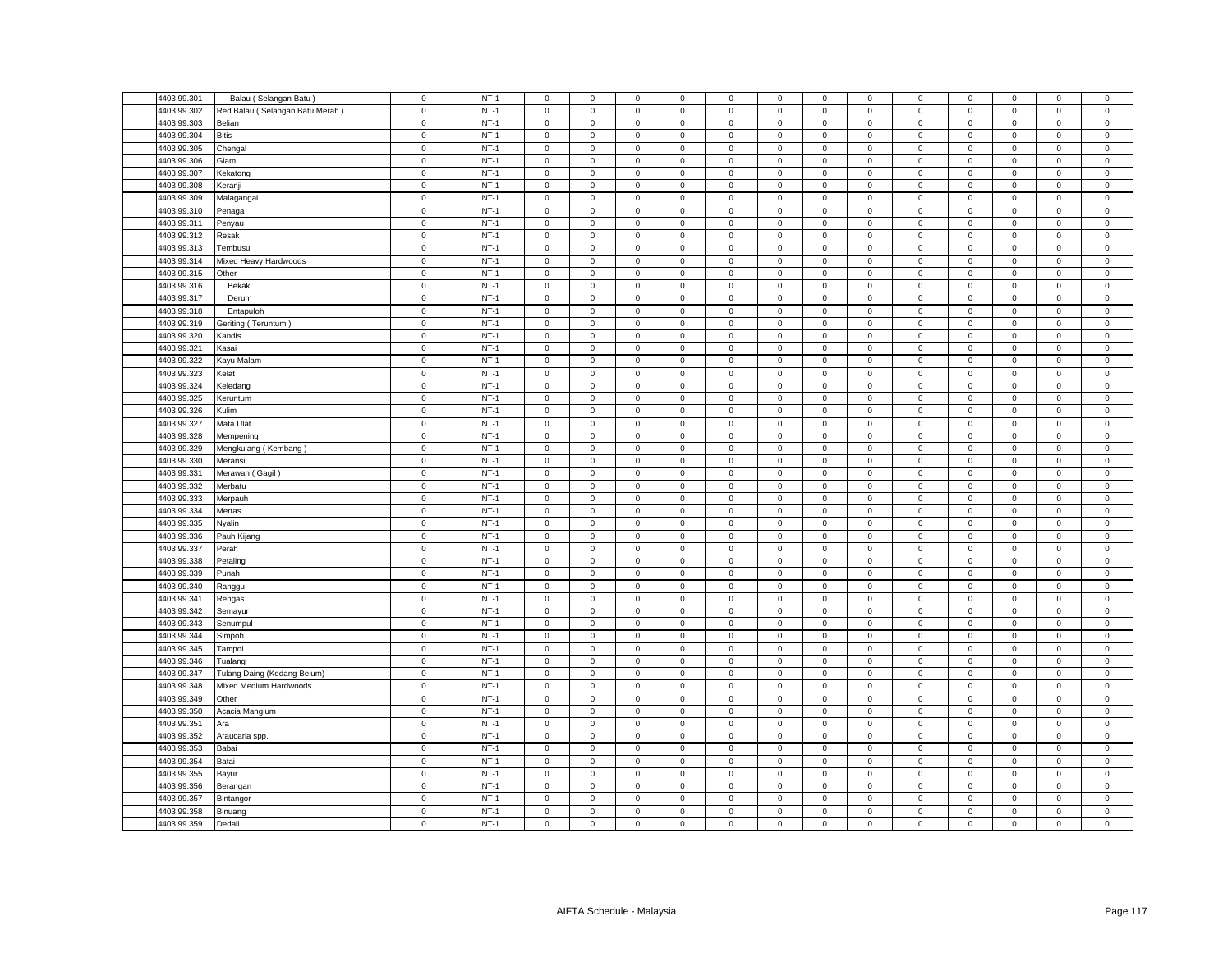| 4403.99.301 | Balau (Selangan Batu)           | $\mathsf 0$ | $NT-1$ | $\mathsf 0$         | $\mathsf 0$         | $\mathsf 0$ | $\mathbf 0$ | 0                   | $\mathsf 0$ | $\mathsf 0$  | $\mathsf 0$    | $\mathbf 0$ | $\mathsf 0$ | $\mathsf 0$         | $\mathsf 0$ | $\mathsf 0$    |
|-------------|---------------------------------|-------------|--------|---------------------|---------------------|-------------|-------------|---------------------|-------------|--------------|----------------|-------------|-------------|---------------------|-------------|----------------|
| 4403.99.302 | Red Balau (Selangan Batu Merah) | $\mathsf 0$ | $NT-1$ | $\mathbf 0$         | $\mathsf 0$         | $\mathsf 0$ | $\mathsf 0$ | 0                   | $\mathbf 0$ | $\mathsf 0$  | $\mathsf 0$    | $\mathsf 0$ | $\mathbf 0$ | $\mathsf 0$         | $\mathbf 0$ | $\mathbf 0$    |
| 4403.99.303 | Belian                          | $\mathbf 0$ | $NT-1$ | $\mathbf 0$         | $\mathbf 0$         | $\mathsf 0$ | $\mathbf 0$ | 0                   | $\mathsf 0$ | $\mathbf 0$  | $\mathbf 0$    | $\mathsf 0$ | $\mathbf 0$ | $\mathbf 0$         | $\mathsf 0$ | $\mathsf 0$    |
| 4403.99.304 | <b>Bitis</b>                    | $\mathsf 0$ | $NT-1$ | $\mathbf 0$         | $\mathsf 0$         | $\mathsf 0$ | $\mathsf 0$ | 0                   | $\mathbf 0$ | $\mathsf 0$  | $\mathsf 0$    | $\mathsf 0$ | $\mathsf 0$ | $\mathsf 0$         | $\mathsf 0$ | $\mathbf 0$    |
| 4403.99.305 | Chengal                         | $\mathbf 0$ | $NT-1$ | $\mathbf 0$         | $\mathbf 0$         | $\mathbf 0$ | $\mathbf 0$ | 0                   | $\mathbf 0$ | $\mathbf 0$  | $\mathbf 0$    | $\mathbf 0$ | $\mathbf 0$ | $\mathbf 0$         | $\mathbf 0$ | $\mathbf 0$    |
| 4403.99.306 | Giam                            | $\mathsf 0$ | $NT-1$ | $\mathbf 0$         | $\mathsf 0$         | $\mathsf 0$ | $\mathbf 0$ | 0                   | $\mathsf 0$ | $\mathbf 0$  | $\mathsf 0$    | $\mathsf 0$ | $\mathsf 0$ | $\mathsf 0$         | $\mathsf 0$ | $\mathsf 0$    |
| 4403.99.307 | Kekatong                        | $\mathsf 0$ | $NT-1$ | $\mathsf 0$         | $\mathsf 0$         | $\mathsf 0$ | $\mathsf 0$ | 0                   | $\mathsf 0$ | $\mathbf 0$  | $\mathsf 0$    | $\mathsf 0$ | $\mathsf 0$ | $\mathsf 0$         | $\mathsf 0$ | $\mathsf 0$    |
| 4403.99.308 | Keranji                         | $\mathsf 0$ | $NT-1$ | $\mathbf{0}$        | $\mathsf 0$         | $\mathbf 0$ | $\mathbf 0$ | 0                   | $\mathbf 0$ | $\mathbf 0$  | $\mathbf 0$    | $\mathsf 0$ | $\mathbf 0$ | $\mathbf 0$         | $\mathbf 0$ | $\mathsf 0$    |
|             |                                 |             |        |                     |                     |             |             |                     |             |              |                |             |             |                     |             |                |
| 4403.99.309 | Malagangai                      | $\mathsf 0$ | $NT-1$ | $\mathsf 0$         | $\mathsf 0$         | $\mathsf 0$ | $\mathsf 0$ | 0                   | $\mathsf 0$ | $\mathbf 0$  | $\mathsf 0$    | $\mathsf 0$ | $\mathbf 0$ | $\mathsf 0$         | $\mathsf 0$ | $\,0\,$        |
| 4403.99.310 | Penaga                          | $\mathsf 0$ | $NT-1$ | $\mathsf 0$         | $\mathsf 0$         | $\mathsf 0$ | $\mathsf 0$ | 0                   | $\mathsf 0$ | $\mathbf 0$  | $\mathsf 0$    | $\mathsf 0$ | $\mathsf 0$ | $\mathsf 0$         | $\mathsf 0$ | $\mathsf 0$    |
| 4403.99.311 | Penyau                          | $\mathsf 0$ | $NT-1$ | $\mathsf 0$         | $\mathbf 0$         | $\mathsf 0$ | $\mathbf 0$ | $\mathbf 0$         | $\mathbf 0$ | $\mathbf 0$  | $\mathsf 0$    | $\mathsf 0$ | $\mathsf 0$ | $\mathbf 0$         | $\mathsf 0$ | $\mathsf 0$    |
| 4403.99.312 | Resak                           | $\mathbf 0$ | $NT-1$ | 0                   | $\mathbf 0$         | $\mathbf 0$ | $\mathbf 0$ | $\mathbf{0}$        | $\mathbf 0$ | $\mathbf{0}$ | $^{\circ}$     | $\mathsf 0$ | $\mathbf 0$ | $\mathbf 0$         | $^{\circ}$  | $\mathbf 0$    |
| 4403.99.313 | Tembusu                         | $\mathbf 0$ | $NT-1$ | $\mathsf 0$         | $\mathsf 0$         | $\mathsf 0$ | $\mathsf 0$ | 0                   | $\mathsf 0$ | $\mathbf 0$  | $\mathsf 0$    | $\mathsf 0$ | $\mathbf 0$ | $\mathsf 0$         | $\mathsf 0$ | $\mathbf 0$    |
| 4403.99.314 | Mixed Heavy Hardwoods           | $\mathsf 0$ | $NT-1$ | $\mathsf 0$         | $\mathsf 0$         | $\mathsf 0$ | $\mathsf 0$ | 0                   | $\mathsf 0$ | $\mathbf 0$  | $\mathsf 0$    | $\mathsf 0$ | $\mathbf 0$ | $\mathsf 0$         | $\mathsf 0$ | $\mathsf 0$    |
| 4403.99.315 | Other                           | $\mathbf 0$ | $NT-1$ | $\mathsf 0$         | $\mathsf 0$         | $\mathsf 0$ | $\mathsf 0$ | 0                   | $\mathsf 0$ | $\mathsf 0$  | $\mathbf 0$    | $\mathsf 0$ | $\mathbf 0$ | $\mathsf{O}\xspace$ | $\mathsf 0$ | $\mathsf{O}$   |
| 4403.99.316 | Bekak                           | $\mathsf 0$ | $NT-1$ | $\mathbf 0$         | $\mathbf 0$         | $\mathsf 0$ | $\mathbf 0$ | 0                   | $\mathsf 0$ | $\mathbf 0$  | $\mathsf 0$    | $\mathsf 0$ | $\mathsf 0$ | $\mathsf 0$         | $\mathsf 0$ | $\overline{0}$ |
| 4403.99.317 | Derum                           | $\mathbf 0$ | $NT-1$ | $\mathbf 0$         | $\mathsf 0$         | $\mathsf 0$ | $\mathbf 0$ | $\mathbf{0}$        | $\mathbf 0$ | $\mathbf 0$  | $\mathsf 0$    | $\mathsf 0$ | $\mathbf 0$ | $\mathbf 0$         | $\mathsf 0$ | $\mathsf 0$    |
| 4403.99.318 | Entapuloh                       | $\mathsf 0$ | $NT-1$ | $\mathsf 0$         | $\mathsf 0$         | $\mathsf 0$ | $\mathbf 0$ | 0                   | $\mathsf 0$ | $\mathbf 0$  | $\mathsf 0$    | $\mathbf 0$ | $\mathsf 0$ | $\mathsf 0$         | $\mathsf 0$ | $\mathsf 0$    |
| 4403.99.319 | Geriting (Teruntum)             | $\mathsf 0$ | $NT-1$ | $\mathbf 0$         | $\mathsf 0$         | $\mathsf 0$ | $\mathbf 0$ | 0                   | $\mathbf 0$ | $\mathbf 0$  | $\mathsf 0$    | $\mathsf 0$ | $\mathsf 0$ | $\mathsf 0$         | $\mathsf 0$ | $\mathbf 0$    |
|             |                                 |             |        |                     |                     |             |             |                     |             |              |                |             |             |                     |             |                |
| 4403.99.320 | Kandis                          | $\mathsf 0$ | $NT-1$ | $\mathsf 0$         | $\mathsf 0$         | $\mathsf 0$ | $\mathbf 0$ | 0                   | $\mathsf 0$ | $\mathsf 0$  | $\mathsf 0$    | $\mathsf 0$ | $\mathsf 0$ | $\mathbf 0$         | $\mathsf 0$ | $\,0\,$        |
| 4403.99.321 | Kasai                           | $\mathsf 0$ | $NT-1$ | $\mathsf{O}\xspace$ | $\mathsf 0$         | $\mathsf 0$ | $\mathsf 0$ | $\mathbf 0$         | $\mathsf 0$ | $\,0\,$      | $\mathsf 0$    | $\mathsf 0$ | $\mathsf 0$ | 0                   | $\mathbf 0$ | $\mathbf 0$    |
| 4403.99.322 | Kayu Malam                      | $\mathsf 0$ | $NT-1$ | 0                   | 0                   | 0           | 0           | 0                   | 0           | 0            | 0              | $\mathsf 0$ | $\mathbf 0$ | 0                   | 0           | $\mathbf 0$    |
| 4403.99.323 | Kelat                           | $\mathbf 0$ | $NT-1$ | $\mathbf 0$         | $\mathsf{O}\xspace$ | $\mathbf 0$ | $\mathsf 0$ | $\mathsf{O}\xspace$ | $\mathbf 0$ | $\mathbf 0$  | $\mathbf 0$    | $\mathsf 0$ | $\mathbf 0$ | $\mathsf 0$         | $\mathbf 0$ | $\mathbf 0$    |
| 4403.99.324 | Keledang                        | $\mathbf 0$ | $NT-1$ | 0                   | $\mathbf 0$         | 0           | $^{\circ}$  | 0                   | 0           | $\mathbf 0$  | 0              | $\mathbf 0$ | 0           | 0                   | $\mathbf 0$ | $\mathbf 0$    |
| 4403.99.325 | Keruntum                        | $\mathsf 0$ | $NT-1$ | $\mathbf 0$         | $\mathsf{O}\xspace$ | $\mathbf 0$ | $\mathbf 0$ | 0                   | $\mathbf 0$ | $\mathbf 0$  | $\,0\,$        | $\mathsf 0$ | $\mathbf 0$ | $\mathsf{O}\xspace$ | 0           | $\mathbf 0$    |
| 4403.99.326 | Kulim                           | $\mathsf 0$ | $NT-1$ | 0                   | $\mathsf{O}\xspace$ | $\mathsf 0$ | 0           | 0                   | $\mathsf 0$ | 0            | $\mathbf 0$    | $\mathsf 0$ | $\mathbf 0$ | 0                   | $\mathsf 0$ | $\,0\,$        |
| 4403.99.327 | Mata Ulat                       | $\mathsf 0$ | $NT-1$ | $\mathbf 0$         | $\mathsf 0$         | $\mathsf 0$ | $\mathsf 0$ | $\mathbf 0$         | $\mathbf 0$ | $\mathsf 0$  | $\mathbf 0$    | $\mathsf 0$ | $\mathbf 0$ | $\mathsf 0$         | $\mathsf 0$ | $\mathbf 0$    |
| 4403.99.328 | Mempening                       | $\mathsf 0$ | $NT-1$ | $\mathbf 0$         | $\mathbf 0$         | $\mathsf 0$ | $\mathbf 0$ | 0                   | $\mathbf 0$ | $\mathbf 0$  | $\mathbf 0$    | $\mathsf 0$ | $\mathbf 0$ | $\mathbf 0$         | $\mathbf 0$ | $\mathsf 0$    |
| 4403.99.329 | Mengkulang (Kembang             | $\mathbf 0$ | $NT-1$ | $\mathbf 0$         | $\mathsf{O}\xspace$ | $\mathbf 0$ | $\mathsf 0$ | 0                   | $\mathbf 0$ | $\mathbf 0$  | $\mathsf 0$    | $\mathsf 0$ | $\mathbf 0$ | $\mathsf 0$         | $\mathsf 0$ | $\mathbf 0$    |
| 4403.99.330 | Meransi                         | $\mathbf 0$ | $NT-1$ | $\mathsf 0$         | $\mathsf{O}$        | $\mathsf 0$ | $\mathsf 0$ | 0                   | $\mathsf 0$ | $\mathbf 0$  | $\mathbf 0$    | $\mathsf 0$ | $\mathbf 0$ | $\mathsf 0$         | $\mathsf 0$ | $\mathbf 0$    |
| 4403.99.331 |                                 | $\mathsf 0$ | $NT-1$ | $\mathbf 0$         | $\mathsf 0$         | $\mathbf 0$ | $\mathbf 0$ | 0                   | $\mathbf 0$ | $\mathsf 0$  | $\mathsf 0$    | $\mathsf 0$ | $\mathbf 0$ | $\mathbf 0$         | $\mathbf 0$ | $\mathbf 0$    |
|             | Merawan (Gagil)                 |             |        |                     |                     |             |             |                     |             |              |                |             |             |                     |             |                |
| 4403.99.332 | Merbatu                         | $\mathbf 0$ | $NT-1$ | $\mathbf 0$         | $\mathsf{O}\xspace$ | $\mathsf 0$ | $\mathbf 0$ | 0                   | $\mathsf 0$ | $\mathsf 0$  | $\mathbf 0$    | $\mathsf 0$ | $\mathbf 0$ | $\mathbf 0$         | $\mathsf 0$ | $\,0\,$        |
| 4403.99.333 | Merpauh                         | $\mathsf 0$ | $NT-1$ | $\mathbf 0$         | $\mathsf 0$         | $\mathsf 0$ | $\mathsf 0$ | 0                   | $\mathbf 0$ | $\mathsf 0$  | $\mathsf 0$    | $\mathsf 0$ | $\mathsf 0$ | $\mathsf 0$         | $\mathsf 0$ | $\mathsf 0$    |
| 4403.99.334 | Mertas                          | $\mathsf 0$ | $NT-1$ | $\mathbf{0}$        | $\mathbf 0$         | $\mathsf 0$ | $\mathbf 0$ | $\mathbf 0$         | $\mathsf 0$ | $\mathbf{0}$ | $\mathbf 0$    | $\mathbf 0$ | $\mathbf 0$ | $\mathbf 0$         | $\mathsf 0$ | $\mathsf 0$    |
| 4403.99.335 | Nyalin                          | $\mathbf 0$ | $NT-1$ | $\mathbf 0$         | $\mathbf 0$         | 0           | $\mathbf 0$ | 0                   | $\mathbf 0$ | $\mathsf 0$  | $\mathbf 0$    | $\mathsf 0$ | $\mathbf 0$ | 0                   | $\mathbf 0$ | $\,0\,$        |
| 4403.99.336 | Pauh Kijang                     | $\mathsf 0$ | $NT-1$ | $\mathsf 0$         | $\mathsf 0$         | $\mathsf 0$ | $\mathsf 0$ | 0                   | $\mathsf 0$ | $\mathbf 0$  | $\mathsf 0$    | $\mathsf 0$ | $\mathsf 0$ | $\mathsf 0$         | $\mathsf 0$ | $\mathsf 0$    |
| 4403.99.337 | Perah                           | $\mathsf 0$ | $NT-1$ | $\mathbf 0$         | $\mathsf 0$         | $\mathsf 0$ | $\mathsf 0$ | 0                   | $\mathsf 0$ | $\mathsf 0$  | $\mathsf 0$    | $\mathsf 0$ | $\mathsf 0$ | $\mathsf 0$         | $\mathsf 0$ | $\mathbf 0$    |
| 4403.99.338 | Petaling                        | $\mathbf 0$ | $NT-1$ | $\mathsf 0$         | $\mathsf 0$         | $\mathsf 0$ | $\mathsf 0$ | 0                   | $\mathsf 0$ | $\mathsf 0$  | $\mathbf 0$    | $\mathbf 0$ | $\mathbf 0$ | $\mathsf 0$         | $\mathbf 0$ | $\,0\,$        |
| 4403.99.339 | Punah                           | $\mathsf 0$ | $NT-1$ | $\mathbf 0$         | $\mathsf 0$         | $\mathsf 0$ | $\mathbf 0$ | 0                   | $\mathsf 0$ | $\mathsf 0$  | $\mathsf 0$    | $\mathsf 0$ | $\mathsf 0$ | $\mathsf 0$         | $\mathbf 0$ | $\mathbf 0$    |
| 4403.99.340 | Ranggu                          | $\mathbf 0$ | $NT-1$ | $\mathbf 0$         | $\mathbf 0$         | $\mathbf 0$ | $\mathbf 0$ | $\mathbf{0}$        | $\mathbf 0$ | $\mathbf 0$  | $\mathsf 0$    | $\mathsf 0$ | $\mathbf 0$ | $\mathbf 0$         | $\mathsf 0$ | $\mathbf 0$    |
| 4403.99.341 | Rengas                          | $\mathbf 0$ | $NT-1$ | 0                   | 0                   | $\mathsf 0$ | 0           | 0                   | $\mathbf 0$ | 0            | 0              | $\mathsf 0$ | $\mathbf 0$ | 0                   | 0           | $\,0\,$        |
| 4403.99.342 | Semayur                         | $\mathsf 0$ | $NT-1$ | $\mathsf 0$         | $\mathsf 0$         | $\mathsf 0$ | $\mathsf 0$ | 0                   | $\mathsf 0$ | $\mathbf 0$  | $\mathsf 0$    | $\mathbf 0$ | $\mathsf 0$ | $\mathsf 0$         | $\mathsf 0$ | $\mathsf 0$    |
| 4403.99.343 | Senumpul                        | $\mathsf 0$ | $NT-1$ | $\mathsf 0$         | $\mathbf 0$         | $\mathbf 0$ | $\mathsf 0$ | $\mathbf{0}$        | $\mathsf 0$ | $\mathbf 0$  | $\mathbf{0}$   | $\mathsf 0$ | $\mathbf 0$ | $\mathbf 0$         | $\mathbf 0$ | $\mathsf 0$    |
| 4403.99.344 | Simpoh                          | $\mathbf 0$ | $NT-1$ | $\mathbf{0}$        | $\mathbf 0$         | $\mathsf 0$ | $\mathbf 0$ | 0                   | $\mathsf 0$ | $\mathbf 0$  | $\mathbf 0$    | $\mathbf 0$ | $\mathbf 0$ | $\mathbf 0$         | $\mathbf 0$ | $\,0\,$        |
| 4403.99.345 |                                 | $\mathsf 0$ | $NT-1$ | $\mathsf 0$         | $\mathbf 0$         | $\mathsf 0$ | $\mathsf 0$ | 0                   | $\mathsf 0$ | $\mathbf 0$  | $\mathsf 0$    | $\mathbf 0$ | $\mathbf 0$ | $\mathsf 0$         | $\mathsf 0$ | $\mathsf 0$    |
|             | Tampoi                          |             |        |                     |                     |             |             |                     | $\mathbf 0$ |              |                |             | $\mathbf 0$ |                     |             |                |
| 4403.99.346 | Tualang                         | $\mathsf 0$ | $NT-1$ | $\circ$             | $\mathsf 0$         | $\mathsf 0$ | $\mathbf 0$ | $\mathbf{0}$        |             | $\mathbf 0$  | $\mathsf 0$    | $\mathsf 0$ |             | $\mathbf 0$         | $\mathsf 0$ | $\mathsf 0$    |
| 4403.99.347 | Tulang Daing (Kedang Belum)     | $\mathsf 0$ | $NT-1$ | $\mathbf 0$         | $\mathbf 0$         | $\mathbf 0$ | $\mathbf 0$ | $\mathbf{0}$        | $\mathbf 0$ | $\mathbf{0}$ | $\mathbf{0}$   | $\mathsf 0$ | $\mathbf 0$ | $\mathbf 0$         | $\mathbf 0$ | $\overline{0}$ |
| 4403.99.348 | Mixed Medium Hardwoods          | $\mathsf 0$ | $NT-1$ | $\mathsf 0$         | $\mathsf{O}\xspace$ | $\mathsf 0$ | $\mathsf 0$ | 0                   | $\mathsf 0$ | $\mathsf 0$  | $\,0\,$        | $\mathsf 0$ | $\mathsf 0$ | $\mathsf 0$         | $\mathsf 0$ | $\mathbf 0$    |
| 4403.99.349 | Other                           | $\mathsf 0$ | $NT-1$ | $\mathsf 0$         | $\mathsf{O}\xspace$ | $\mathsf 0$ | $\mathsf 0$ | $\mathbf 0$         | $\mathsf 0$ | $\mathbf 0$  | $\mathsf 0$    | $\mathsf 0$ | $\mathsf 0$ | $\mathsf 0$         | $\mathsf 0$ | $\mathsf 0$    |
| 4403.99.350 | Acacia Mangium                  | $\mathsf 0$ | $NT-1$ | $\mathsf 0$         | $\mathsf 0$         | $\mathsf 0$ | $\mathsf 0$ | $\mathbf 0$         | $\mathsf 0$ | $\mathsf 0$  | $\mathsf 0$    | $\mathsf 0$ | $\mathsf 0$ | $\mathsf{O}\xspace$ | $\mathsf 0$ | $\mathsf 0$    |
| 4403.99.351 | Ara                             | $\mathsf 0$ | $NT-1$ | 0                   | $\mathsf 0$         | $\mathsf 0$ | 0           | 0                   | $\mathsf 0$ | $\mathbf 0$  | $\mathbf 0$    | $\mathsf 0$ | $\mathbf 0$ | $\mathsf 0$         | $\mathbf 0$ | $\mathbf 0$    |
| 4403.99.352 | Araucaria spp.                  | $\pmb{0}$   | $NT-1$ | $\mathbf 0$         | $\mathsf{O}\xspace$ | $\mathbf 0$ | $\mathsf 0$ | 0                   | $\mathsf 0$ | $\mathbf 0$  | $\,0\,$        | $\mathsf 0$ | $\mathbf 0$ | $\mathsf{O}\xspace$ | $\mathsf 0$ | $\mathbf 0$    |
| 4403.99.353 | Babai                           | $\mathsf 0$ | $NT-1$ | $\mathsf 0$         | $\mathsf 0$         | $\mathbf 0$ | 0           | 0                   | $\mathsf 0$ | $\mathbf 0$  | $\mathsf 0$    | $\mathsf 0$ | $\mathsf 0$ | $\mathsf 0$         | $\mathsf 0$ | $\,0\,$        |
| 4403.99.354 | Batai                           | $\mathsf 0$ | $NT-1$ | $\mathbf 0$         | $\mathsf{O}\xspace$ | $\mathbf 0$ | $\mathsf 0$ | 0                   | $\mathbf 0$ | $\mathbf 0$  | $\,0\,$        | $\mathsf 0$ | $\mathbf 0$ | 0                   | $\mathsf 0$ | $\mathbf 0$    |
| 4403.99.355 | Bayur                           | $\mathbf 0$ | $NT-1$ | $\mathsf{O}\xspace$ | $\mathsf{O}\xspace$ | $\mathsf 0$ | $\mathbf 0$ | 0                   | $\mathsf 0$ | 0            | $\mathbf 0$    | $\mathsf 0$ | $\mathbf 0$ | $\mathsf{O}\xspace$ | 0           | $\,0\,$        |
| 4403.99.356 | Berangan                        | $\mathbf 0$ | $NT-1$ | $\mathbf 0$         | $\mathsf 0$         | $\mathsf 0$ | $\mathbf 0$ | 0                   | $\mathbf 0$ | $\mathsf 0$  | $\overline{0}$ | $\mathbf 0$ | $\mathbf 0$ | $\mathbf 0$         | $\mathbf 0$ | $\mathbf 0$    |
| 4403.99.357 |                                 | $\mathsf 0$ | $NT-1$ | $\mathbf 0$         | $\mathbf 0$         | $\mathsf 0$ | $\mathbf 0$ | 0                   | $\mathbf 0$ | $\mathbf 0$  | $\mathsf 0$    | $\mathbf 0$ | $\mathbf 0$ | $\mathbf 0$         | $\mathsf 0$ | $\mathsf 0$    |
|             | Bintangor                       |             |        |                     |                     |             |             |                     |             |              |                |             |             |                     |             |                |
| 4403.99.358 | Binuang                         | $\mathsf 0$ | $NT-1$ | $\mathsf{O}\xspace$ | $\mathsf{O}\xspace$ | $\mathsf 0$ | $\mathbf 0$ | 0                   | $\mathbf 0$ | $\mathsf 0$  | $\mathsf 0$    | $\mathsf 0$ | $\mathbf 0$ | $\mathsf 0$         | $\mathsf 0$ | $\mathbf 0$    |
| 4403.99.359 | Dedali                          | $\mathbf 0$ | $NT-1$ | $\mathbf 0$         | $\mathsf 0$         | $\mathsf 0$ | $\mathbf 0$ | 0                   | $\mathsf 0$ | $\mathbf 0$  | $\mathsf 0$    | $\mathbf 0$ | $\mathsf 0$ | $\mathbf 0$         | $\mathsf 0$ | $\mathsf 0$    |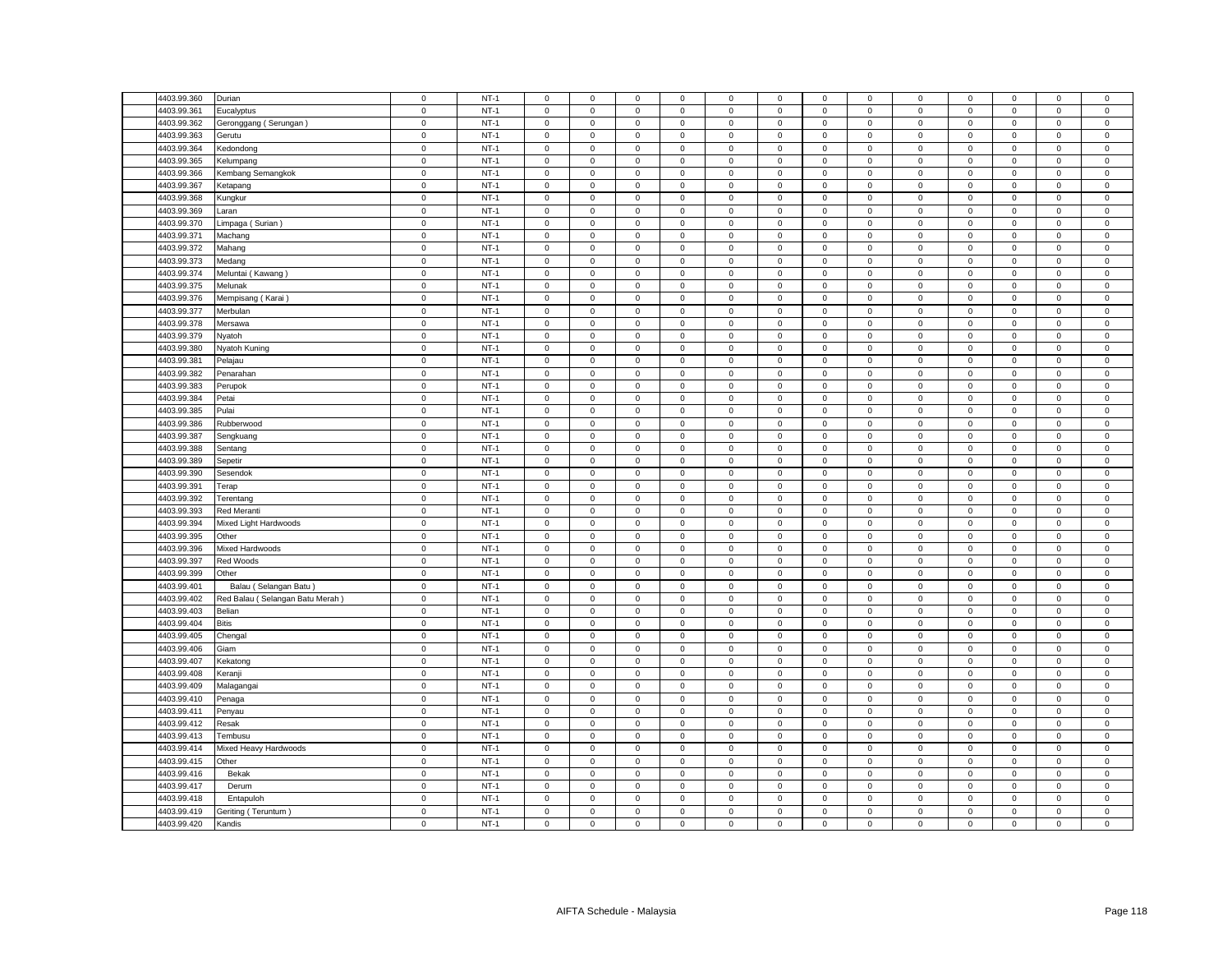| 4403.99.360 | Durian                          | $\mathsf 0$ | $NT-1$ | $\mathsf 0$         | $\mathsf 0$         | $\mathsf 0$ | $\mathbf 0$    | 0                   | $\mathsf 0$ | $\mathsf 0$  | $\mathsf 0$    | $\mathsf 0$  | $\mathsf 0$ | $\mathbf 0$         | $\mathbf 0$  | $\mathbf 0$    |
|-------------|---------------------------------|-------------|--------|---------------------|---------------------|-------------|----------------|---------------------|-------------|--------------|----------------|--------------|-------------|---------------------|--------------|----------------|
| 4403.99.361 | Eucalyptus                      | $\mathsf 0$ | $NT-1$ | $\mathbf 0$         | $\mathsf 0$         | $\mathsf 0$ | $\mathbf 0$    | 0                   | $\mathsf 0$ | $\mathsf 0$  | $\mathsf 0$    | $\mathsf 0$  | $\mathbf 0$ | $\mathsf 0$         | $\mathbf 0$  | $\mathsf 0$    |
| 4403.99.362 | Geronggang (Serungan)           | $\mathsf 0$ | $NT-1$ | $\mathsf 0$         | $\mathsf 0$         | $\mathsf 0$ | $\mathsf 0$    | $\mathbf 0$         | $\mathsf 0$ | $\mathbf 0$  | $\mathsf 0$    | $\mathbf 0$  | $\mathsf 0$ | $\mathsf 0$         | $\mathsf 0$  | $\mathsf 0$    |
| 4403.99.363 | Gerutu                          | $\mathsf 0$ | $NT-1$ | $\mathbf 0$         | $\mathbf{O}$        | $\mathbf 0$ | $\mathbf 0$    | $\mathbf{0}$        | $\mathbf 0$ | $\mathbf 0$  | $\mathbf{0}$   | $\mathbf 0$  | $\mathbf 0$ | $\mathbf 0$         | $\mathbf 0$  | $\mathsf 0$    |
| 4403.99.364 | Kedondong                       | $\mathbf 0$ | $NT-1$ | $\mathbf{0}$        | $\mathbf 0$         | $\mathbf 0$ | $^{\circ}$     | $\mathbf{0}$        | $\mathbf 0$ | $\mathbf 0$  | $\mathbf{0}$   | 0            | $\mathbf 0$ | $\mathbf{0}$        | $^{\circ}$   | $\,0\,$        |
| 4403.99.365 | Kelumpang                       | $\mathsf 0$ | $NT-1$ | $\mathsf 0$         | $\mathbf{0}$        | $\mathsf 0$ | $\mathsf 0$    | $\mathbf{0}$        | $\mathbf 0$ | $\mathbf 0$  | $\mathbf{0}$   | $\mathsf 0$  | $\mathbf 0$ | $\mathbf 0$         | $\mathsf 0$  | $\mathsf 0$    |
| 4403.99.366 | Kembang Semangkok               | $\mathbf 0$ | $NT-1$ | $\mathbf 0$         | $\mathbf 0$         | $\mathbf 0$ | $\mathbf 0$    | $\mathbf{0}$        | $\mathbf 0$ | $\mathbf 0$  | $\mathbf 0$    | $\mathbf 0$  | $\mathbf 0$ | $\mathbf 0$         | $\mathbf 0$  | $\mathsf 0$    |
| 4403.99.367 | Ketapang                        | $\mathbf 0$ | $NT-1$ | $\mathbf 0$         | $\mathbf{0}$        | $\mathbf 0$ | $\mathbf 0$    | $\mathbf{0}$        | $\mathbf 0$ | $\mathbf{0}$ | $\mathbf{0}$   | $\mathsf 0$  | $\mathbf 0$ | $\mathbf{0}$        | $\mathbf{0}$ | $\,0\,$        |
| 4403.99.368 | Kungkur                         | $\mathbf 0$ | $NT-1$ | $\mathsf 0$         | $\mathsf 0$         | $\mathsf 0$ | $\mathsf 0$    | 0                   | $\mathsf 0$ | $\mathbf 0$  | $\mathsf 0$    | $\mathsf 0$  | $\mathsf 0$ | $\mathsf 0$         | $\mathsf 0$  | $\mathsf 0$    |
| 4403.99.369 | Laran                           | $\mathsf 0$ | $NT-1$ | $\mathsf 0$         | $\mathbf 0$         | $\mathsf 0$ | $\mathsf 0$    | $\mathbf{0}$        | $\mathsf 0$ | $\mathbf 0$  | $\mathsf 0$    | $\mathsf 0$  | $\mathbf 0$ | $\mathbf 0$         | $\mathsf 0$  | $\mathsf 0$    |
| 4403.99.370 | Limpaga (Surian)                | $\mathbf 0$ | $NT-1$ | $\mathbf 0$         | $\mathsf 0$         | $\mathbf 0$ | $\mathbf 0$    | $\mathbf{0}$        | $\mathbf 0$ | $\mathbf 0$  | $\mathbf 0$    | $\mathbf 0$  | $\mathbf 0$ | $\mathbf 0$         | $\mathsf 0$  | $\,0\,$        |
| 4403.99.371 | Machang                         | $\mathsf 0$ | $NT-1$ | $\mathbf 0$         | $\mathsf 0$         | $\mathsf 0$ | $\mathbf 0$    | 0                   | $\mathsf 0$ | $\mathsf 0$  | $\mathsf 0$    | $\mathsf 0$  | $\mathsf 0$ | $\mathsf 0$         | $\mathsf 0$  | $\mathbf 0$    |
| 4403.99.372 | Mahang                          | $\mathbf 0$ | $NT-1$ | $\mathbf 0$         | $\mathsf 0$         | $\mathsf 0$ | $\mathsf 0$    | $\mathsf{O}\xspace$ | $\mathsf 0$ | $\mathbf 0$  | $\mathsf 0$    | $\mathsf 0$  | $\mathsf 0$ | $\mathsf 0$         | $\mathsf 0$  | $\mathbf 0$    |
| 4403.99.373 | Medang                          | $\mathbf 0$ | $NT-1$ | $\mathbf 0$         | $\mathbf 0$         | $\mathsf 0$ | $\mathbf 0$    | 0                   | $\mathbf 0$ | $\mathbf 0$  | $\mathbf 0$    | $\mathsf 0$  | $\mathbf 0$ | $\mathbf 0$         | $\mathsf 0$  | $\mathsf 0$    |
| 4403.99.374 | Meluntai (Kawang)               | $\mathbf 0$ | $NT-1$ | $\mathbf 0$         | $\mathsf{O}\xspace$ | $\mathbf 0$ | $\mathsf 0$    | 0                   | $\mathsf 0$ | $\,0\,$      | $\,0\,$        | $\mathbf 0$  | $\mathbf 0$ | 0                   | $\mathsf 0$  | $\mathbf 0$    |
| 4403.99.375 | Melunak                         | $\mathbf 0$ | $NT-1$ | 0                   | $\mathsf{O}\xspace$ | $\mathbf 0$ | 0              | 0                   | $\mathbf 0$ | $\,0\,$      | 0              | $\mathsf 0$  | $\mathbf 0$ | $\mathbf 0$         | 0            | $\mathbf 0$    |
| 4403.99.376 | Mempisang (Karai                | $\mathbf 0$ | $NT-1$ | $\Omega$            | $\mathsf 0$         | $\mathsf 0$ | $\mathbf 0$    | $\mathbf{0}$        | $\mathbf 0$ | $\mathsf 0$  | $\mathsf 0$    | $\mathsf 0$  | $\mathbf 0$ | $\mathbf 0$         | $\mathsf 0$  | $\mathbf 0$    |
| 4403.99.377 |                                 | $\mathbf 0$ | $NT-1$ | 0                   | $\mathbf 0$         | $\mathbf 0$ | 0              | 0                   | $\mathbf 0$ | $\mathbf 0$  | $\mathbf 0$    | $\mathsf 0$  | $\mathbf 0$ | $\mathbf 0$         | 0            | $\,0\,$        |
| 4403.99.378 | Merbulan                        | $\mathbf 0$ | $NT-1$ | $\mathbf 0$         | $\mathsf{O}\xspace$ | $\mathbf 0$ | $\mathsf 0$    | $\mathsf{O}\xspace$ | $\mathbf 0$ | $\mathbf 0$  | $\mathbf 0$    | $\mathsf 0$  | $\mathbf 0$ | $\mathsf 0$         | $\mathsf 0$  | $\mathbf 0$    |
|             | Mersawa                         |             |        |                     |                     |             |                |                     |             |              |                |              |             |                     |              |                |
| 4403.99.379 | Nyatoh                          | $\mathbf 0$ | $NT-1$ | $^{\circ}$          | $\mathbf 0$         | 0           | 0              | 0                   | $\mathbf 0$ | 0            | $\mathbf 0$    | $\mathbf 0$  | 0           | 0                   | $\mathbf 0$  | $\mathbf 0$    |
| 4403.99.380 | Nyatoh Kuning                   | $\mathbf 0$ | $NT-1$ | $\mathbf 0$         | $\mathsf{O}\xspace$ | $\mathbf 0$ | $\mathsf 0$    | 0                   | $\mathsf 0$ | $\,0\,$      | $\,0\,$        | $\mathsf 0$  | $\mathbf 0$ | $\mathsf{O}\xspace$ | 0            | $\mathbf 0$    |
| 4403.99.381 | Pelajau                         | $\mathbf 0$ | $NT-1$ | $\mathbf 0$         | $\mathsf 0$         | $\mathbf 0$ | $\mathbf 0$    | 0                   | $\mathbf 0$ | $\mathbf 0$  | $\mathsf 0$    | $\mathsf 0$  | $\mathbf 0$ | $\mathbf 0$         | $\mathsf 0$  | $\,0\,$        |
| 4403.99.382 | Penarahan                       | $\mathsf 0$ | $NT-1$ | $\mathbf 0$         | $\mathsf 0$         | $\mathbf 0$ | $\mathbf 0$    | 0                   | $\Omega$    | $\mathbf 0$  | $\mathbf 0$    | $\mathsf 0$  | $\mathbf 0$ | $\mathbf 0$         | $\mathbf 0$  | $\mathbf 0$    |
| 4403.99.383 | Perupok                         | $\mathbf 0$ | $NT-1$ | $\mathbf 0$         | $\mathbf 0$         | $\mathbf 0$ | $\mathbf 0$    | 0                   | $\mathbf 0$ | $\mathbf 0$  | $\mathbf 0$    | 0            | $\mathbf 0$ | $\mathbf 0$         | $\mathbf 0$  | $\,0\,$        |
| 4403.99.384 | Petai                           | $\mathsf 0$ | $NT-1$ | $\mathbf 0$         | $\mathsf{O}\xspace$ | $\mathbf 0$ | $\mathsf 0$    | 0                   | $\mathsf 0$ | $\mathsf 0$  | $\mathsf 0$    | $\mathsf 0$  | $\mathbf 0$ | $\mathsf 0$         | $\mathsf 0$  | $\mathbf 0$    |
| 4403.99.385 | Pulai                           | $\mathsf 0$ | $NT-1$ | $\mathbf 0$         | $\mathsf{O}$        | $\mathsf 0$ | $\mathbf 0$    | 0                   | $\mathsf 0$ | $\mathbf{0}$ | $\mathbf 0$    | $\mathsf 0$  | $\mathsf 0$ | $\mathbf 0$         | $\mathbf 0$  | $\mathsf 0$    |
| 4403.99.386 | Rubberwood                      | $\mathbf 0$ | $NT-1$ | $\mathbf 0$         | $\mathbf 0$         | $\mathbf 0$ | $\mathbf 0$    | 0                   | $\mathbf 0$ | $\mathbf 0$  | $\mathbf 0$    | $\mathsf 0$  | $\mathbf 0$ | $\mathbf 0$         | $\mathbf 0$  | $\mathbf 0$    |
| 4403.99.387 | Sengkuang                       | $\mathsf 0$ | $NT-1$ | $\mathbf 0$         | $\mathsf 0$         | $\mathsf 0$ | $\mathbf 0$    | 0                   | $\mathsf 0$ | $\mathbf 0$  | $\mathsf 0$    | $\mathsf 0$  | $\mathbf 0$ | $\mathbf 0$         | $\mathsf 0$  | $\mathsf 0$    |
| 4403.99.388 | Sentang                         | $\mathsf 0$ | $NT-1$ | $\mathbf 0$         | $\mathbf 0$         | $\mathbf 0$ | $\mathbf 0$    | $\mathbf 0$         | $\mathbf 0$ | $\mathbf 0$  | $\mathsf 0$    | $\mathsf 0$  | $\mathbf 0$ | $\mathbf 0$         | $\mathbf 0$  | $\mathsf 0$    |
| 4403.99.389 | Sepetir                         | 0           | $NT-1$ | $\mathbf 0$         | $\mathbf 0$         | $\mathsf 0$ | $\mathbf 0$    | 0                   | $\mathsf 0$ | $\mathbf 0$  | $\mathbf 0$    | $\mathsf 0$  | $\mathbf 0$ | $\mathbf 0$         | 0            | $\mathbf 0$    |
| 4403.99.390 | Sesendok                        | $\mathsf 0$ | $NT-1$ | $\mathbf 0$         | $\mathsf 0$         | $\mathsf 0$ | $\mathsf 0$    | 0                   | $\mathsf 0$ | $\mathsf 0$  | $\mathsf 0$    | $\mathsf 0$  | $\mathsf 0$ | $\mathsf 0$         | $\mathsf 0$  | $\mathbf 0$    |
| 4403.99.391 | Terap                           | $\mathbf 0$ | $NT-1$ | $\mathbf 0$         | $\mathbf 0$         | $\mathbf 0$ | $\mathbf 0$    | 0                   | $\mathbf 0$ | $\mathbf 0$  | $\mathbf 0$    | $\mathbf 0$  | $\mathbf 0$ | $\mathbf 0$         | $\mathbf 0$  | $\mathbf 0$    |
| 4403.99.392 | Terentang                       | $\mathsf 0$ | $NT-1$ | $\mathsf 0$         | $\mathsf 0$         | $\mathsf 0$ | $\mathbf 0$    | 0                   | $\mathsf 0$ | $\mathbf 0$  | $\mathsf 0$    | $\mathsf 0$  | $\mathbf 0$ | $\mathsf 0$         | $\mathsf 0$  | $\mathsf 0$    |
| 4403.99.393 | Red Meranti                     | $\mathsf 0$ | $NT-1$ | $\mathsf 0$         | $\mathsf 0$         | $\mathsf 0$ | $\mathsf 0$    | 0                   | $\mathsf 0$ | $\mathbf 0$  | $\mathsf 0$    | $\mathsf 0$  | $\mathbf 0$ | $\mathsf 0$         | $\mathsf 0$  | $\mathsf 0$    |
| 4403.99.394 | Mixed Light Hardwoods           | $\mathsf 0$ | $NT-1$ | $\mathbf 0$         | $\mathsf 0$         | $\mathsf 0$ | 0              | 0                   | $\mathsf 0$ | $\mathsf 0$  | $\mathsf 0$    | $\mathsf 0$  | $\mathsf 0$ | $\mathsf 0$         | $\mathsf 0$  | $\mathbf 0$    |
| 4403.99.395 | Other                           | $\mathsf 0$ | $NT-1$ | $\mathsf 0$         | $\mathsf 0$         | $\mathsf 0$ | $\mathbf 0$    | 0                   | $\mathsf 0$ | $\mathbf 0$  | $\mathsf 0$    | $\mathsf 0$  | $\mathbf 0$ | $\mathsf 0$         | $\mathsf 0$  | $\mathbf 0$    |
| 4403.99.396 | Mixed Hardwoods                 | $\mathsf 0$ | $NT-1$ | $\mathbf 0$         | $\mathsf 0$         | $\mathsf 0$ | $\mathbf 0$    | 0                   | $\mathsf 0$ | $\mathsf 0$  | $\mathsf 0$    | $\mathsf 0$  | $\mathsf 0$ | $\mathsf 0$         | $\mathsf 0$  | $\mathbf 0$    |
| 4403.99.397 | Red Woods                       | $\mathsf 0$ | $NT-1$ | $\mathsf 0$         | $\mathsf 0$         | $\mathsf 0$ | $\mathbf 0$    | 0                   | $\mathbf 0$ | $\mathsf 0$  | $\mathsf 0$    | $\mathsf 0$  | $\mathbf 0$ | $\mathbf 0$         | $\mathsf 0$  | $\mathsf 0$    |
| 4403.99.399 | Other                           | $\mathsf 0$ | $NT-1$ | $\Omega$            | $\mathsf 0$         | $\mathsf 0$ | $\mathbf 0$    | 0                   | $\mathbf 0$ | $\mathbf 0$  | $\mathbf 0$    | $\mathsf 0$  | $\mathbf 0$ | $\mathbf 0$         | $\mathbf 0$  | $\mathbf 0$    |
| 4403.99.401 | Balau (Selangan Batu)           | $\mathbf 0$ | $NT-1$ | $\mathbf 0$         | $\mathsf 0$         | $\mathsf 0$ | $\mathbf 0$    | $\mathbf{0}$        | $\mathbf 0$ | $\mathbf 0$  | $\mathsf 0$    | $\mathsf 0$  | $\mathbf 0$ | $\mathsf 0$         | $\mathsf 0$  | $\mathbf 0$    |
| 4403.99.402 | Red Balau (Selangan Batu Merah) | $\mathsf 0$ | $NT-1$ | $\mathbf 0$         | $\mathsf 0$         | $\mathsf 0$ | $\mathsf 0$    | 0                   | $\mathsf 0$ | $\mathbf 0$  | $\mathsf 0$    | $\mathsf 0$  | $\mathbf 0$ | $\mathbf 0$         | $\mathsf 0$  | $\mathbf 0$    |
| 4403.99.403 | Belian                          | $\mathbf 0$ | $NT-1$ | $\mathbf 0$         | $\mathbf 0$         | $\mathbf 0$ | $\mathbf 0$    | $\mathbf{0}$        | $\mathbf 0$ | $\mathbf{0}$ | $\mathbf{0}$   | $\mathbf{0}$ | $\mathbf 0$ | $\mathbf{0}$        | $\mathbf 0$  | $\mathbf 0$    |
| 4403.99.404 | <b>Bitis</b>                    | $\mathsf 0$ | $NT-1$ | $\mathsf 0$         | $\mathbf{0}$        | $\mathbf 0$ | $\mathsf 0$    | $\mathbf{0}$        | $\mathsf 0$ | $\mathbf 0$  | $\mathbf{0}$   | $\mathsf 0$  | $\mathbf 0$ | $\mathbf 0$         | $\mathbf 0$  | $\mathsf 0$    |
| 4403.99.405 | Chengal                         | $\mathbf 0$ | $NT-1$ | $\mathbf 0$         | $\mathbf 0$         | $\mathbf 0$ | $\mathbf 0$    | $\mathbf{0}$        | $\mathbf 0$ | $\mathbf 0$  | $\mathsf 0$    | $\mathsf 0$  | $\mathbf 0$ | $\mathbf 0$         | $\mathsf 0$  | $\mathbf 0$    |
| 4403.99.406 | Giam                            | $\mathbf 0$ | $NT-1$ | $\mathsf{O}\xspace$ | $\mathbf{0}$        | $\mathbf 0$ | $\mathbf 0$    | $\mathbf{0}$        | $\mathbf 0$ | $\mathbf 0$  | $\mathbf{0}$   | $\mathsf 0$  | $\mathbf 0$ | $\mathbf 0$         | $\mathbf 0$  | $\mathbf 0$    |
| 4403.99.407 | Kekatong                        | $\mathbf 0$ | $NT-1$ | $\mathbf 0$         | $\mathsf 0$         | $\mathsf 0$ | $\mathbf 0$    | $\mathbf{0}$        | $\mathbf 0$ | $\mathsf 0$  | $\mathsf 0$    | $\mathsf 0$  | $\mathbf 0$ | $\mathbf 0$         | $\mathsf 0$  | $\mathbf 0$    |
| 4403.99.408 | Keranji                         | $\mathsf 0$ | $NT-1$ | $\mathbf 0$         | $\mathbf 0$         | $\mathbf 0$ | $\mathbf 0$    | $\mathbf{0}$        | $\mathsf 0$ | $\mathbf 0$  | $\mathsf 0$    | $\mathsf 0$  | $\mathsf 0$ | $\mathbf 0$         | $\mathbf 0$  | $\mathbf 0$    |
| 4403.99.409 | Malagangai                      | $\mathsf 0$ | $NT-1$ | $\Omega$            | $\mathsf 0$         | $\mathsf 0$ | $\mathbf 0$    | 0                   | $\mathbf 0$ | $\mathsf 0$  | $\mathsf 0$    | $\mathsf 0$  | $\mathsf 0$ | $\mathbf 0$         | $\mathsf 0$  | $\,0\,$        |
| 4403.99.410 | Penaga                          | $\mathsf 0$ | $NT-1$ | $\mathsf 0$         | $\mathsf 0$         | $\mathbf 0$ | 0              | 0                   | $\mathsf 0$ | $\mathbf 0$  | 0              | $\mathsf 0$  | $\mathbf 0$ | $\mathbf 0$         | $\mathsf 0$  | $\,0\,$        |
| 4403.99.411 | Penyau                          | $\mathsf 0$ | $NT-1$ | $\mathbf 0$         | $\mathsf 0$         | $\mathsf 0$ | $\mathsf 0$    | $\mathbf 0$         | $\mathbf 0$ | $\mathsf 0$  | $\mathsf 0$    | $\mathsf 0$  | $\mathsf 0$ | $\mathsf 0$         | $\mathsf 0$  | $\mathbf 0$    |
| 4403.99.412 | Resak                           | $\mathsf 0$ | $NT-1$ | $\mathbf 0$         | $\mathbf 0$         | $\mathbf 0$ | $^{\circ}$     | $\mathbf{0}$        | $\mathbf 0$ | $\mathbf 0$  | $\mathbf 0$    | $\mathsf 0$  | $\mathbf 0$ | $\mathbf 0$         | $^{\circ}$   | $\mathbf 0$    |
| 4403.99.413 | Tembusu                         | $\,0\,$     | $NT-1$ | $\mathbf 0$         | $\mathsf{O}\xspace$ | $\mathbf 0$ | $\mathsf 0$    | 0                   | $\mathbf 0$ | $\,0\,$      | $\,0\,$        | $\mathsf 0$  | $\mathbf 0$ | $\mathbf 0$         | 0            | $\mathbf 0$    |
| 4403.99.414 | Mixed Heavy Hardwoods           | $\mathsf 0$ | $NT-1$ | 0                   | $\mathbf 0$         | $\mathsf 0$ | 0              | 0                   | $\mathbf 0$ | $\mathbf 0$  | $\mathsf 0$    | $\mathsf 0$  | $\mathbf 0$ | $\mathbf 0$         | 0            | $\mathsf 0$    |
| 4403.99.415 | Other                           | $\mathsf 0$ | $NT-1$ | $\mathbf 0$         | $\mathsf 0$         | $\mathsf 0$ | $\mathbf 0$    | 0                   | $\mathbf 0$ | $\mathbf 0$  | $\mathbf 0$    | $\mathsf 0$  | $\mathbf 0$ | $\mathbf 0$         | $\mathbf 0$  | $\mathbf 0$    |
| 4403.99.416 | Bekak                           | $\mathbf 0$ | $NT-1$ | 0                   | $\mathsf{O}\xspace$ | $\mathsf 0$ | $\overline{0}$ | 0                   | $\mathsf 0$ | 0            | $\mathbf 0$    | $\mathsf 0$  | $\mathbf 0$ | $\mathsf 0$         | 0            | $\,0\,$        |
| 4403.99.417 | Derum                           | $\mathbf 0$ | $NT-1$ | $\mathbf 0$         | $\mathsf 0$         | $\mathbf 0$ | $\mathbf 0$    | 0                   | $\mathbf 0$ | $\mathbf 0$  | $\overline{0}$ | $\mathsf 0$  | $\mathbf 0$ | $\mathbf 0$         | $\mathbf 0$  | $\mathbf 0$    |
| 4403.99.418 | Entapuloh                       | $\mathbf 0$ | $NT-1$ | $\mathbf 0$         | $\mathbf 0$         | $\mathbf 0$ | $\mathbf 0$    | 0                   | $\mathbf 0$ | $\mathbf 0$  | $\mathbf 0$    | $\mathbf 0$  | $\mathbf 0$ | 0                   | $\mathbf 0$  | $\mathsf 0$    |
| 4403.99.419 | Geriting (Teruntum)             | $\mathsf 0$ | $NT-1$ | $\mathsf{O}\xspace$ | $\mathsf{O}\xspace$ | $\mathsf 0$ | $\mathsf 0$    | 0                   | $\mathbf 0$ | $\mathbf 0$  | $\overline{0}$ | $\mathsf 0$  | $\mathbf 0$ | $\mathsf 0$         | $\mathsf 0$  | $\mathbf 0$    |
| 4403.99.420 | Kandis                          | $\mathbf 0$ | $NT-1$ | $\mathbf 0$         | $\mathsf 0$         | $\mathbf 0$ | $\mathbf 0$    | 0                   | $\mathsf 0$ | $\mathbf 0$  | $\mathsf 0$    | $\mathbf 0$  | $\mathbf 0$ | $\mathbf 0$         | $\mathbf 0$  | $\overline{0}$ |
|             |                                 |             |        |                     |                     |             |                |                     |             |              |                |              |             |                     |              |                |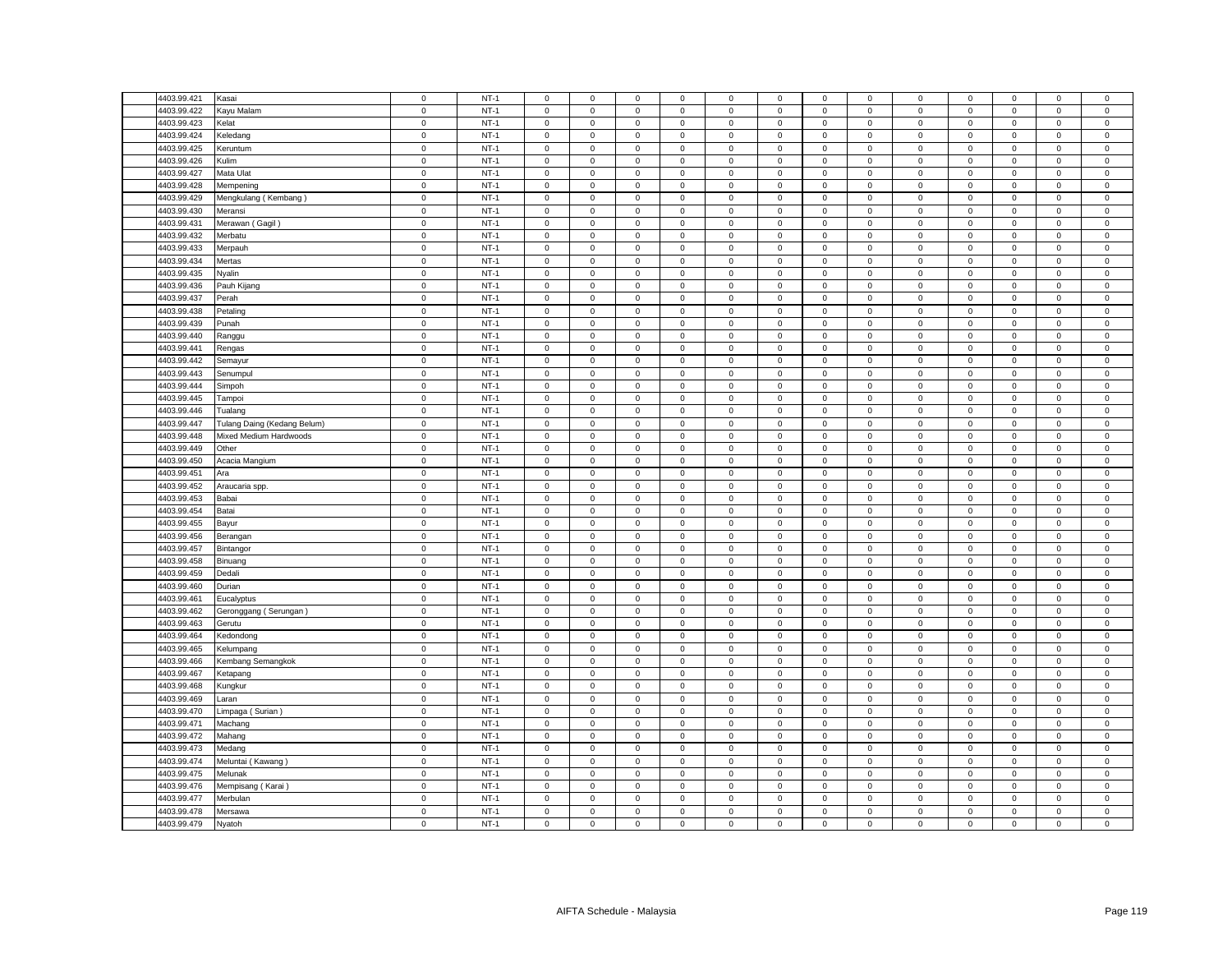| 4403.99.421 | Kasai                       | $\mathsf 0$              | $NT-1$           | $\mathsf 0$         | $\mathsf 0$         | $\mathsf 0$         | $\mathbf 0$ | 0                | $\mathsf 0$      | $\mathsf 0$  | $\mathsf 0$  | $\mathsf 0$ | $\mathsf 0$                | $\mathbf 0$         | $\mathbf 0$  | $\mathsf 0$    |
|-------------|-----------------------------|--------------------------|------------------|---------------------|---------------------|---------------------|-------------|------------------|------------------|--------------|--------------|-------------|----------------------------|---------------------|--------------|----------------|
| 4403.99.422 | Kayu Malam                  | $\mathsf 0$              | $NT-1$           | $\mathsf 0$         | $\mathsf 0$         | $\mathsf 0$         | $\mathbf 0$ | 0                | $\mathsf 0$      | $\mathsf 0$  | $\mathsf 0$  | $\mathsf 0$ | $\mathbf 0$                | $\mathsf 0$         | $\mathsf 0$  | $\mathsf 0$    |
| 4403.99.423 | Kelat                       | $\mathsf 0$              | $NT-1$           | $\mathsf 0$         | $\mathsf 0$         | $\mathsf 0$         | $\mathsf 0$ | $\mathbf 0$      | $\mathsf 0$      | $\mathbf 0$  | $\mathsf 0$  | $\mathbf 0$ | $\mathsf 0$                | $\mathsf 0$         | $\mathsf 0$  | $\mathsf 0$    |
| 4403.99.424 | Keledang                    | $\mathbf 0$              | $NT-1$           | $\mathbf{0}$        | $\mathbf 0$         | $\mathbf 0$         | $\mathbf 0$ | $\mathbf{0}$     | $\mathbf 0$      | $\mathbf{0}$ | $\mathbf{0}$ | $\mathbf 0$ | $\mathbf 0$                | $\mathbf{0}$        | $\mathbf{0}$ | $\mathsf 0$    |
| 4403.99.425 | Keruntum                    | $\mathsf 0$              | $NT-1$           | $\mathbf 0$         | $\mathsf 0$         | $\mathsf 0$         | $\mathbf 0$ | 0                | $\mathsf 0$      | $\mathbf 0$  | $\mathbf 0$  | 0           | $\mathbf 0$                | $\mathbf 0$         | $\mathbf 0$  | $\,0\,$        |
| 4403.99.426 | Kulim                       | $\mathbf 0$              | $NT-1$           | $\mathsf 0$         | $\mathbf{0}$        | $\mathsf 0$         | $\mathsf 0$ | $\mathbf{0}$     | $\mathbf 0$      | $\mathbf 0$  | $\mathbf{0}$ | $\mathsf 0$ | $\mathbf 0$                | $\mathbf 0$         | $\mathsf 0$  | $\mathsf 0$    |
| 4403.99.427 | Mata Ulat                   | $\mathbf 0$              | $NT-1$           | $\mathbf{0}$        | $\mathbf 0$         | $\mathbf 0$         | $\mathbf 0$ | $\mathbf{0}$     | $\mathbf 0$      | $\mathbf{0}$ | $\mathbf 0$  | $\mathsf 0$ | $\mathbf 0$                | $\mathbf 0$         | $\mathbf 0$  | $\mathsf 0$    |
| 4403.99.428 | Mempening                   | $\mathbf 0$              | $NT-1$           | $\mathsf 0$         | $\mathsf 0$         | $\mathsf 0$         | $\mathbf 0$ | $\mathbf 0$      | $\mathsf 0$      | $\mathbf 0$  | $\mathsf 0$  | $\mathsf 0$ | $\mathbf 0$                | $\mathsf 0$         | $\mathsf 0$  | $\,0\,$        |
| 4403.99.429 | Mengkulang (Kembang)        | $\mathbf 0$              | $NT-1$           | $\mathsf 0$         | $\mathsf 0$         | $\mathsf 0$         | $\mathsf 0$ | $\mathbf 0$      | $\mathsf 0$      | $\mathbf 0$  | $\mathsf 0$  | $\mathsf 0$ | $\mathsf 0$                | $\mathsf 0$         | $\mathsf 0$  | $\mathsf 0$    |
| 4403.99.430 | Meransi                     | $\mathsf 0$              | $NT-1$           | $\mathbf 0$         | $\mathbf 0$         | $\mathsf 0$         | $\mathbf 0$ | $\mathbf{0}$     | $\mathbf 0$      | $\mathbf 0$  | $\mathbf 0$  | 0           | $\mathbf 0$                | $\mathbf 0$         | $\mathbf 0$  | $\mathsf 0$    |
| 4403.99.431 | Merawan (Gagil)             | $\mathsf 0$              | $NT-1$           | $\mathsf 0$         | $\mathbf 0$         | $\mathsf 0$         | $\mathsf 0$ | 0                | $\mathsf 0$      | $\mathsf 0$  | $\mathsf 0$  | $\mathbf 0$ | $\mathbf 0$                | $\mathsf 0$         | $\mathsf 0$  | $\,0\,$        |
| 4403.99.432 | Merbatu                     | $\mathsf 0$              | $NT-1$           | $\mathbf 0$         | $\mathbf 0$         | $\mathsf 0$         | $\mathsf 0$ | $\mathbf{0}$     | $\mathsf 0$      | $\mathbf 0$  | $\mathbf 0$  | $\mathsf 0$ | $\mathsf 0$                | $\mathbf 0$         | $\mathsf 0$  | $\mathsf 0$    |
| 4403.99.433 | Merpauh                     | $\mathsf 0$              | $NT-1$           | $\mathbf 0$         | $\mathsf 0$         | $\mathsf 0$         | $\mathsf 0$ | 0                | $\mathsf 0$      | $\mathsf 0$  | $\mathsf 0$  | $\mathsf 0$ | $\mathsf 0$                | $\mathsf 0$         | $\mathsf 0$  | $\,0\,$        |
| 4403.99.434 | Mertas                      | $\mathsf 0$              | $NT-1$           | $\mathbf 0$         | $\mathsf 0$         | $\mathsf 0$         | $\mathbf 0$ | 0                | $\mathsf 0$      | $\mathbf 0$  | $\mathsf 0$  | $\mathsf 0$ | $\mathsf 0$                | $\mathsf 0$         | $\mathsf 0$  | $\mathsf 0$    |
| 4403.99.435 | Nyalin                      | $\mathbf 0$              | $NT-1$           | $\mathsf 0$         | $\mathsf 0$         | $\mathsf{O}\xspace$ | $\mathsf 0$ | $\mathbf 0$      | $\mathsf 0$      | $\mathsf 0$  | $\,0\,$      | $\mathbf 0$ | $\mathsf 0$                | $\mathsf 0$         | $\mathsf 0$  | $\mathbf 0$    |
| 4403.99.436 | Pauh Kijang                 | $\mathsf 0$              | $NT-1$           | $\mathbf 0$         | $\mathbf 0$         | $\mathbf 0$         | $^{\circ}$  | 0                | $\mathbf 0$      | $\mathbf 0$  | $\mathbf 0$  | $\mathsf 0$ | $\mathbf 0$                | $\mathbf 0$         | $\mathbf 0$  | $\mathbf 0$    |
| 4403.99.437 | Perah                       | $\mathsf 0$              | $NT-1$           | $\Omega$            | $\mathsf 0$         | $\mathsf 0$         | $\mathbf 0$ | 0                | $\mathbf 0$      | $\mathbf 0$  | $\mathsf 0$  | $\mathsf 0$ | $\mathsf 0$                | $\mathsf 0$         | $\mathsf 0$  | $\mathbf 0$    |
| 4403.99.438 |                             | $\mathbf 0$              | $NT-1$           | $\mathsf 0$         | $\mathsf 0$         | $\mathsf 0$         | $\mathbf 0$ | 0                | $\mathsf 0$      | $\mathbf 0$  | $\mathsf 0$  | $\mathsf 0$ | $\mathsf 0$                | $\mathsf 0$         | $\mathsf 0$  | $\,0\,$        |
| 4403.99.439 | Petaling                    |                          | $NT-1$           | $\mathsf 0$         | $\mathsf 0$         | $\mathsf 0$         | $\mathsf 0$ | 0                | $\mathsf 0$      | $\mathsf 0$  | $\mathsf 0$  |             | $\mathsf 0$                | $\mathsf 0$         | $\mathsf 0$  |                |
|             | Punah                       | $\mathbf 0$              |                  |                     |                     |                     |             |                  |                  |              |              | $\mathsf 0$ |                            |                     |              | $\mathbf 0$    |
| 4403.99.440 | Ranggu                      | $\pmb{0}$<br>$\mathsf 0$ | $NT-1$<br>$NT-1$ | 0<br>$\mathbf 0$    | $\mathsf{O}\xspace$ | 0                   | $\mathbf 0$ | 0<br>$\mathbf 0$ | 0<br>$\mathsf 0$ | 0            | $\mathbf 0$  | $\mathsf 0$ | $\mathbf 0$<br>$\mathbf 0$ | 0                   | $\mathbf 0$  | $\mathbf 0$    |
| 4403.99.441 | Rengas                      |                          |                  |                     | $\mathsf 0$         | $\mathsf 0$         | $\mathsf 0$ |                  |                  | $\mathbf 0$  | $\mathsf 0$  | $\mathsf 0$ |                            | $\mathsf 0$         | $\mathsf 0$  | $\mathbf 0$    |
| 4403.99.442 | Semayur                     | $\mathsf 0$              | $NT-1$           | $\mathbf 0$         | $\mathbf 0$         | $\mathbf 0$         | 0           | 0                | $\mathbf 0$      | $\mathbf 0$  | $\mathbf 0$  | $\mathbf 0$ | $\mathbf 0$                | $\mathbf 0$         | $\mathbf 0$  | $\mathbf 0$    |
| 4403.99.443 | Senumpul                    | $\mathbf 0$              | $NT-1$           | $\mathsf 0$         | $\mathsf{O}\xspace$ | $\mathbf 0$         | $\mathsf 0$ | 0                | $\mathbf 0$      | $\mathsf 0$  | $\,0\,$      | $\mathbf 0$ | $\mathbf 0$                | $\mathsf{O}\xspace$ | $\mathsf 0$  | $\mathbf 0$    |
| 4403.99.444 | Simpoh                      | $\mathsf 0$              | $NT-1$           | $\mathbf 0$         | $\mathsf 0$         | $\mathsf 0$         | $\mathbf 0$ | 0                | $\mathsf 0$      | $\mathbf 0$  | $\mathsf 0$  | $\mathsf 0$ | $\mathsf 0$                | $\mathsf 0$         | $\mathsf 0$  | $\mathsf 0$    |
| 4403.99.445 | Tampoi                      | $\mathsf 0$              | $NT-1$           | $\mathbf 0$         | $\mathbf 0$         | $\mathbf 0$         | $\mathbf 0$ | 0                | $\mathsf 0$      | $\mathbf 0$  | $\mathsf 0$  | $\mathsf 0$ | $\mathbf 0$                | $\mathbf 0$         | $\mathbf 0$  | $\mathbf 0$    |
| 4403.99.446 | Tualang                     | $\mathbf 0$              | $NT-1$           | 0                   | $\mathsf 0$         | $\mathsf 0$         | 0           | 0                | $\mathbf 0$      | $\mathbf 0$  | $\mathsf 0$  | $\mathsf 0$ | $\mathbf 0$                | 0                   | $\mathsf 0$  | $\mathbf 0$    |
| 4403.99.447 | Tulang Daing (Kedang Belum) | $\mathsf 0$              | $NT-1$           | $\mathbf 0$         | $\mathsf 0$         | $\mathsf 0$         | $\mathsf 0$ | 0                | $\mathbf 0$      | $\mathsf 0$  | $\mathbf 0$  | $\mathsf 0$ | $\mathbf 0$                | $\mathsf 0$         | $\mathsf 0$  | $\mathbf 0$    |
| 4403.99.448 | Mixed Medium Hardwoods      | $\mathsf 0$              | $NT-1$           | $\mathbf 0$         | $\mathsf 0$         | $\mathsf 0$         | $\mathbf 0$ | 0                | $\mathbf 0$      | $\mathbf 0$  | $\mathbf 0$  | $\mathsf 0$ | $\mathbf 0$                | $\mathbf 0$         | $\mathbf 0$  | $\mathsf 0$    |
| 4403.99.449 | Other                       | $\mathbf 0$              | $NT-1$           | $\mathbf 0$         | $\mathsf{O}\xspace$ | $\mathbf 0$         | $\mathsf 0$ | 0                | $\mathbf 0$      | $\mathsf 0$  | $\mathbf 0$  | $\mathsf 0$ | $\mathbf 0$                | $\mathsf{O}\xspace$ | $\mathbf 0$  | $\mathbf 0$    |
| 4403.99.450 | Acacia Mangium              | $\mathsf 0$              | $NT-1$           | $\mathsf 0$         | $\mathsf 0$         | $\mathsf 0$         | $\mathbf 0$ | $\mathbf 0$      | $\mathsf 0$      | $\mathsf 0$  | $\mathsf 0$  | $\mathsf 0$ | $\mathsf 0$                | $\mathsf 0$         | $\mathsf 0$  | $\overline{0}$ |
| 4403.99.451 | Ara                         | $\mathbf 0$              | $NT-1$           | $\mathbf 0$         | 0                   | 0                   | $^{\circ}$  | 0                | $\mathbf 0$      | $\mathbf 0$  | $\mathbf 0$  | $\mathsf 0$ | $\mathbf 0$                | 0                   | $^{\circ}$   | $\mathbf 0$    |
| 4403.99.452 | Araucaria spp.              | $\mathbf 0$              | $NT-1$           | $\mathbf 0$         | $\mathsf{O}\xspace$ | $\mathsf 0$         | $\mathbf 0$ | 0                | $\mathsf 0$      | $\mathsf 0$  | $\mathbf 0$  | $\mathsf 0$ | $\mathbf 0$                | $\mathbf 0$         | $\mathsf 0$  | $\mathsf 0$    |
| 4403.99.453 | Babai                       | $\mathsf 0$              | $NT-1$           | $\mathbf 0$         | $\mathsf 0$         | $\mathsf 0$         | $\mathsf 0$ | 0                | $\mathsf 0$      | $\mathsf 0$  | $\mathsf 0$  | $\mathsf 0$ | $\mathsf 0$                | $\mathsf 0$         | $\mathsf 0$  | $\mathbf 0$    |
| 4403.99.454 | Batai                       | 0                        | $NT-1$           | $\mathbf 0$         | $\mathbf 0$         | $\mathsf 0$         | $\mathbf 0$ | 0                | $\mathsf 0$      | 0            | $\mathbf 0$  | $\mathsf 0$ | $\mathbf 0$                | 0                   | 0            | $\mathbf 0$    |
| 4403.99.455 | Bayur                       | $\mathbf 0$              | $NT-1$           | $\mathsf 0$         | $\mathsf{O}\xspace$ | $\mathbf 0$         | $\mathbf 0$ | 0                | $\mathsf 0$      | $\mathsf 0$  | $\mathsf 0$  | $\mathsf 0$ | $\mathbf 0$                | $\mathsf{O}\xspace$ | $\mathsf 0$  | $\mathbf 0$    |
| 4403.99.456 | Berangan                    | $\mathbf 0$              | $NT-1$           | $\mathsf 0$         | $\mathsf 0$         | $\mathsf 0$         | $\mathsf 0$ | $\mathbf 0$      | $\mathsf 0$      | $\mathsf 0$  | $\mathsf 0$  | $\mathsf 0$ | $\mathsf 0$                | $\mathsf 0$         | $\mathsf 0$  | $\mathsf 0$    |
| 4403.99.457 | Bintangor                   | $\mathbf 0$              | $NT-1$           | $\mathbf 0$         | 0                   | $\mathbf 0$         | 0           | 0                | $\mathbf 0$      | 0            | $\mathbf 0$  | $\mathsf 0$ | $\mathbf 0$                | 0                   | 0            | $\,0\,$        |
| 4403.99.458 | Binuang                     | $\mathsf 0$              | $NT-1$           | $\mathsf 0$         | $\mathsf 0$         | $\mathsf 0$         | $\mathsf 0$ | 0                | $\mathsf 0$      | $\mathbf 0$  | $\mathsf 0$  | $\mathsf 0$ | $\mathbf 0$                | $\mathsf 0$         | $\mathsf 0$  | $\mathsf 0$    |
| 4403.99.459 | Dedali                      | $\mathsf 0$              | $NT-1$           | $\mathbf 0$         | $\mathsf 0$         | $\mathsf 0$         | $\mathbf 0$ | 0                | $\mathbf 0$      | $\mathsf 0$  | $\mathsf 0$  | $\mathsf 0$ | $\mathsf 0$                | $\mathsf 0$         | $\mathsf 0$  | $\mathbf 0$    |
| 4403.99.460 | Durian                      | $\mathsf 0$              | $NT-1$           | $\mathsf 0$         | $\mathsf 0$         | $\mathsf 0$         | $\mathbf 0$ | 0                | $\mathsf 0$      | $\mathsf 0$  | $\,0\,$      | $\mathsf 0$ | $\mathbf 0$                | $\mathsf 0$         | $\mathsf 0$  | $\,0\,$        |
| 4403.99.461 | Eucalyptus                  | $\mathsf 0$              | $NT-1$           | $\mathbf 0$         | $\mathsf 0$         | $\mathsf 0$         | $\mathbf 0$ | 0                | $\mathsf 0$      | $\mathbf 0$  | $\mathsf 0$  | $\mathsf 0$ | $\mathsf 0$                | $\mathsf 0$         | $\mathsf 0$  | $\mathsf 0$    |
| 4403.99.462 | Geronggang (Serungan)       | $\mathsf 0$              | $NT-1$           | $\mathsf 0$         | $\mathsf 0$         | $\mathsf 0$         | $\mathsf 0$ | 0                | $\mathsf 0$      | $\mathbf 0$  | $\mathsf 0$  | $\mathbf 0$ | $\mathsf 0$                | $\mathsf 0$         | $\mathsf 0$  | $\mathsf 0$    |
| 4403.99.463 | Gerutu                      | $\mathsf 0$              | $NT-1$           | $\mathbf 0$         | $\mathsf 0$         | $\mathsf 0$         | $\mathbf 0$ | 0                | $\mathbf 0$      | $\mathbf 0$  | $\mathbf 0$  | $\mathsf 0$ | $\mathbf 0$                | $\mathsf 0$         | $\mathbf 0$  | $\,0\,$        |
| 4403.99.464 | Kedondong                   | $\mathsf 0$              | $NT-1$           | $\mathsf 0$         | $\mathsf 0$         | $\mathsf 0$         | $\mathsf 0$ | 0                | $\mathsf 0$      | $\mathbf 0$  | $\mathsf 0$  | $\mathsf 0$ | $\mathsf 0$                | $\mathsf 0$         | $\mathsf 0$  | $\mathsf 0$    |
| 4403.99.465 | Kelumpang                   | $\mathsf 0$              | $NT-1$           | $\mathbf 0$         | $\mathbf 0$         | $\mathbf 0$         | $\mathbf 0$ | $\mathbf{0}$     | $\mathbf 0$      | $\mathbf 0$  | $\mathbf{0}$ | $\mathbf 0$ | $\mathbf 0$                | $\mathbf 0$         | $\mathbf 0$  | $\mathsf 0$    |
| 4403.99.466 | Kembang Semangkok           | $\mathbf 0$              | $NT-1$           | $\mathsf 0$         | $\mathsf{O}\xspace$ | $\mathsf 0$         | $\mathbf 0$ | 0                | $\mathsf 0$      | $\mathbf 0$  | $\mathbf 0$  | $\mathsf 0$ | $\mathbf 0$                | 0                   | 0            | $\,0\,$        |
| 4403.99.467 | Ketapang                    | $\mathsf 0$              | $NT-1$           | $\mathsf 0$         | $\mathbf 0$         | $\mathsf 0$         | $\mathsf 0$ | $\mathbf{0}$     | $\mathsf 0$      | $\mathsf 0$  | $\mathbf{0}$ | $\mathsf 0$ | $\mathbf 0$                | $\mathsf 0$         | $\mathbf 0$  | $\mathsf 0$    |
| 4403.99.468 | Kungkur                     | $\mathbf 0$              | $NT-1$           | $\mathbf 0$         | $\mathbf 0$         | $\mathbf 0$         | $\mathbf 0$ | $\mathbf{0}$     | $\mathbf 0$      | $\mathbf 0$  | $\mathbf 0$  | $\mathbf 0$ | $\mathbf 0$                | $\mathbf 0$         | $\mathbf 0$  | $\mathsf 0$    |
| 4403.99.469 | Laran                       | $\mathbf 0$              | $NT-1$           | $\mathsf{O}\xspace$ | $\mathbf 0$         | $\mathsf 0$         | $\mathsf 0$ | 0                | $\mathsf 0$      | $\mathbf 0$  | $\mathsf 0$  | $\mathsf 0$ | $\mathbf 0$                | $\mathsf 0$         | $\mathsf 0$  | $\mathbf 0$    |
| 4403.99.470 | Limpaga (Surian)            | $\mathsf 0$              | $NT-1$           | $\mathsf 0$         | $\mathsf 0$         | $\mathsf 0$         | $\mathsf 0$ | $\mathbf 0$      | $\mathsf 0$      | $\mathbf 0$  | $\mathsf 0$  | $\mathsf 0$ | $\mathbf 0$                | $\mathsf 0$         | $\mathsf 0$  | $\mathsf 0$    |
| 4403.99.471 | Machang                     | $\mathbf 0$              | $NT-1$           | $\mathsf 0$         | $\mathbf 0$         | $\mathbf 0$         | $\mathbf 0$ | $\mathbf{0}$     | $\mathbf 0$      | $\mathbf 0$  | $\mathbf 0$  | $\mathsf 0$ | $\mathbf 0$                | $\mathbf 0$         | $\mathbf 0$  | $\mathsf 0$    |
| 4403.99.472 | Mahang                      | $\mathsf 0$              | $NT-1$           | $\mathsf 0$         | $\mathsf{O}\xspace$ | $\mathsf 0$         | $\mathsf 0$ | 0                | $\mathsf 0$      | $\mathsf 0$  | $\,0\,$      | $\mathbf 0$ | $\mathbf 0$                | $\mathsf{O}\xspace$ | $\mathsf 0$  | $\,0\,$        |
| 4403.99.473 | Medang                      | $\mathsf 0$              | $NT-1$           | $\mathbf 0$         | $\mathsf 0$         | $\mathsf 0$         | $\mathsf 0$ | 0                | $\mathsf 0$      | $\mathbf 0$  | $\mathsf 0$  | $\mathsf 0$ | $\mathsf 0$                | $\mathsf 0$         | $\mathsf 0$  | $\mathsf 0$    |
| 4403.99.474 | Meluntai (Kawang)           | $\mathbf 0$              | $NT-1$           | $\mathsf 0$         | $\mathsf 0$         | $\mathsf 0$         | $\mathsf 0$ | $\mathbf 0$      | $\mathsf 0$      | $\mathsf 0$  | $\mathsf 0$  | $\mathsf 0$ | $\mathsf 0$                | $\mathsf{O}\xspace$ | $\mathsf 0$  | $\mathsf 0$    |
| 4403.99.475 | Melunak                     | $\mathsf 0$              | $NT-1$           | 0                   | $\mathsf 0$         | $\mathsf 0$         | $\mathbf 0$ | 0                | $\mathsf 0$      | $\mathsf 0$  | $\mathbf 0$  | $\mathsf 0$ | $\mathbf 0$                | $\mathsf 0$         | $\mathsf 0$  | $\mathbf 0$    |
| 4403.99.476 |                             | $\mathbf 0$              | $NT-1$           | $\mathbf 0$         | $\mathsf 0$         | $\mathsf 0$         | $\mathbf 0$ | 0                | $\mathsf 0$      | $\mathsf 0$  | $\mathbf 0$  | $\mathsf 0$ | $\mathbf 0$                | $\mathsf 0$         | $\mathsf 0$  | $\mathbf 0$    |
| 4403.99.477 | Mempisang (Karai)           | $\mathsf 0$              | $NT-1$           | $\mathbf 0$         | $\mathbf 0$         | $\mathsf 0$         | 0           | 0                | $\mathbf 0$      | 0            | $\mathbf 0$  | $\mathsf 0$ | $\mathbf 0$                | $\mathbf 0$         | $\mathbf 0$  | $\mathsf 0$    |
| 4403.99.478 | Merbulan<br>Mersawa         | $\mathsf 0$              | $NT-1$           | $\mathbf 0$         | $\mathsf 0$         | $\mathsf 0$         | $\mathbf 0$ | 0                | $\mathsf 0$      | $\mathbf 0$  | $\mathsf 0$  | $\mathsf 0$ | $\mathsf 0$                | $\mathsf 0$         | $\mathsf 0$  | $\mathbf 0$    |
|             |                             |                          |                  |                     |                     |                     |             |                  |                  |              |              |             |                            |                     |              |                |
| 4403.99.479 | Nyatoh                      | $\mathsf 0$              | $NT-1$           | $\mathbf 0$         | $\mathsf 0$         | $\mathsf 0$         | $\mathbf 0$ | 0                | $\mathbf 0$      | $\mathsf 0$  | $\mathsf 0$  | $\mathsf 0$ | $\mathsf 0$                | $\mathsf 0$         | $\mathsf 0$  | $\overline{0}$ |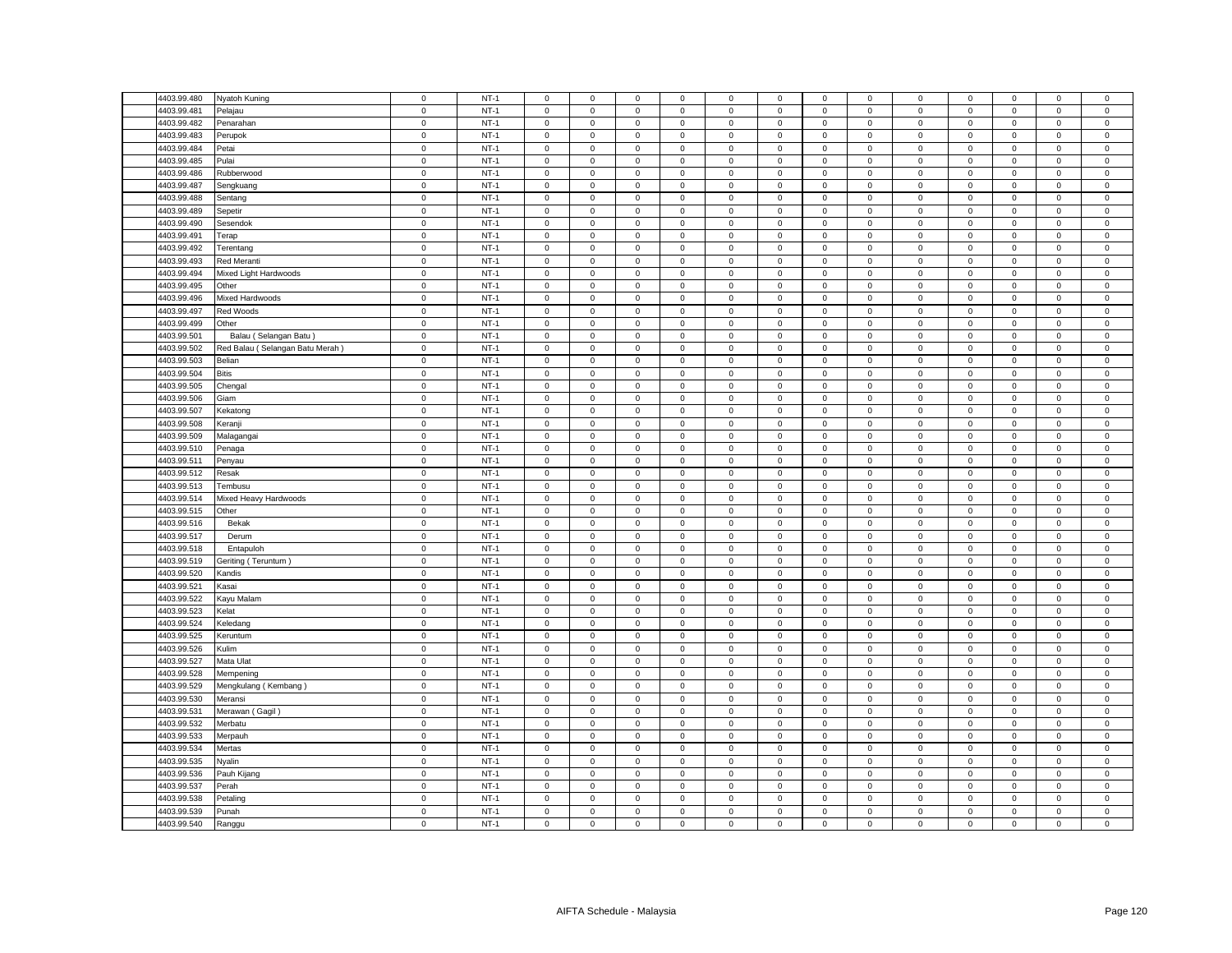| 4403.99.480                | Nyatoh Kuning                                                                                                                                                                                                                                                                                                                             | $\mathsf 0$                | $NT-1$ | $\mathsf 0$         | $\mathsf 0$         | $\mathsf 0$                | $\mathbf 0$ | 0                   | $\mathsf 0$ | $\mathsf 0$                | $\mathsf 0$                | $\mathsf 0$                | $\mathsf 0$ | $\mathsf 0$         | $\mathsf 0$                | $\mathsf 0$            |
|----------------------------|-------------------------------------------------------------------------------------------------------------------------------------------------------------------------------------------------------------------------------------------------------------------------------------------------------------------------------------------|----------------------------|--------|---------------------|---------------------|----------------------------|-------------|---------------------|-------------|----------------------------|----------------------------|----------------------------|-------------|---------------------|----------------------------|------------------------|
| 4403.99.481                | Pelajau                                                                                                                                                                                                                                                                                                                                   | $\mathsf 0$                | $NT-1$ | $\mathbf 0$         | $\mathsf 0$         | $\mathsf 0$                | $\mathsf 0$ | 0                   | $\mathbf 0$ | $\mathsf 0$                | $\mathsf 0$                | $\mathsf 0$                | $\mathbf 0$ | $\mathsf 0$         | $\mathbf 0$                | $\mathbf 0$            |
| 4403.99.482                | Penarahan                                                                                                                                                                                                                                                                                                                                 | $\mathbf 0$                | $NT-1$ | $\mathbf 0$         | $\mathbf 0$         | $\mathsf 0$                | $\mathbf 0$ | 0                   | $\mathsf 0$ | $\mathbf 0$                | $\mathbf 0$                | $\mathbf 0$                | $\mathbf 0$ | $\mathsf 0$         | $\mathsf 0$                | $\mathsf 0$            |
| 4403.99.483                | Perupok                                                                                                                                                                                                                                                                                                                                   | $\mathsf 0$                | $NT-1$ | $\mathbf 0$         | $\mathsf 0$         | $\mathsf 0$                | $\mathsf 0$ | 0                   | $\mathbf 0$ | $\mathsf 0$                | $\mathsf 0$                | $\mathsf 0$                | $\mathsf 0$ | $\mathsf 0$         | $\mathsf 0$                | $\mathbf 0$            |
| 4403.99.484                | Petai                                                                                                                                                                                                                                                                                                                                     | $\mathbf 0$                | $NT-1$ | $\mathbf 0$         | $\mathbf 0$         | $\mathbf 0$                | $\mathbf 0$ | 0                   | $\mathbf 0$ | $\mathbf 0$                | $\mathbf 0$                | $\mathbf 0$                | $\mathbf 0$ | $\mathbf 0$         | $\mathbf 0$                | $\mathbf 0$            |
| 4403.99.485                | Pulai                                                                                                                                                                                                                                                                                                                                     | $\mathsf 0$                | $NT-1$ | $\mathbf 0$         | $\mathsf 0$         | $\mathsf 0$                | $\mathbf 0$ | 0                   | $\mathsf 0$ | $\mathbf 0$                | $\mathsf 0$                | $\mathsf 0$                | $\mathsf 0$ | $\mathsf 0$         | $\mathsf 0$                | $\mathsf 0$            |
| 4403.99.486                | Rubberwood                                                                                                                                                                                                                                                                                                                                | $\mathsf 0$                | $NT-1$ | $\mathsf 0$         | $\mathsf 0$         | $\mathsf 0$                | $\mathsf 0$ | 0                   | $\mathsf 0$ | $\mathbf 0$                | $\mathsf 0$                | $\mathsf 0$                | $\mathsf 0$ | $\mathsf 0$         | $\mathsf 0$                | $\mathsf 0$            |
| 4403.99.487                | Sengkuang                                                                                                                                                                                                                                                                                                                                 | $\mathsf 0$                | $NT-1$ | $\mathbf 0$         | $\mathsf 0$         | $\mathbf 0$                | $\mathbf 0$ | 0                   | $\mathbf 0$ | $\mathbf 0$                | $\mathbf 0$                | $\mathsf 0$                | $\mathbf 0$ | $\mathsf 0$         | $\mathbf 0$                | $\mathsf 0$            |
| 4403.99.488                | Sentang                                                                                                                                                                                                                                                                                                                                   | $\mathsf 0$                | $NT-1$ | $\mathsf 0$         | $\mathsf 0$         | $\mathsf 0$                | $\mathsf 0$ | 0                   | $\mathsf 0$ | $\mathbf 0$                | $\mathsf 0$                | $\mathsf 0$                | $\mathbf 0$ | $\mathsf 0$         | $\mathsf 0$                | $\,0\,$                |
| 4403.99.489                | Sepetir                                                                                                                                                                                                                                                                                                                                   | $\mathsf 0$                | $NT-1$ | $\mathsf 0$         | $\mathsf 0$         | $\mathsf 0$                | $\mathsf 0$ | 0                   | $\mathsf 0$ | $\mathbf 0$                | $\mathsf 0$                | $\mathsf 0$                | $\mathsf 0$ | $\mathsf 0$         | $\mathsf 0$                | $\mathsf 0$            |
| 4403.99.490                | Sesendok                                                                                                                                                                                                                                                                                                                                  | $\mathsf 0$                | $NT-1$ | $\mathsf 0$         | $\mathsf 0$         | $\mathsf 0$                | $\mathbf 0$ | $\mathbf 0$         | $\mathbf 0$ | $\mathbf 0$                | $\mathsf 0$                | $\mathsf 0$                | $\mathsf 0$ | $\mathbf 0$         | $\mathsf 0$                | $\mathsf 0$            |
| 4403.99.491                | Terap                                                                                                                                                                                                                                                                                                                                     | $\mathbf 0$                | $NT-1$ | 0                   | $\mathbf 0$         | $\mathbf 0$                | $\mathbf 0$ | $\mathbf{0}$        | $\mathbf 0$ | $\mathbf{0}$               | $\mathbf 0$                | $\mathsf 0$                | $\mathbf 0$ | $\mathbf 0$         | $\mathbf 0$                | $\overline{0}$         |
| 4403.99.492                | Terentang                                                                                                                                                                                                                                                                                                                                 | $\mathbf 0$                | $NT-1$ | $\mathsf 0$         | $\mathsf 0$         | $\mathsf 0$                | $\mathsf 0$ | 0                   | $\mathsf 0$ | $\mathbf 0$                | $\mathsf 0$                | $\mathsf 0$                | $\mathsf 0$ | $\mathsf 0$         | $\mathsf 0$                | $\mathbf 0$            |
| 4403.99.493                | Red Meranti                                                                                                                                                                                                                                                                                                                               | $\mathsf 0$                | $NT-1$ | $\mathsf 0$         | $\mathsf 0$         | $\mathsf 0$                | $\mathsf 0$ | 0                   | $\mathsf 0$ | $\mathbf 0$                | $\mathsf 0$                | $\mathsf 0$                | $\mathbf 0$ | $\mathsf 0$         | $\mathsf 0$                | $\mathsf 0$            |
|                            |                                                                                                                                                                                                                                                                                                                                           |                            |        |                     |                     |                            |             |                     |             |                            |                            |                            |             |                     |                            |                        |
| 4403.99.494                | Mixed Light Hardwoods                                                                                                                                                                                                                                                                                                                     | $\mathbf 0$                | $NT-1$ | $\mathsf 0$         | $\mathsf 0$         | $\mathsf 0$                | $\mathsf 0$ | 0                   | $\mathsf 0$ | $\mathsf 0$                | $\mathbf 0$                | $\mathsf 0$                | $\mathbf 0$ | $\mathsf{O}\xspace$ | $\mathsf 0$                | $\mathsf{O}$           |
| 4403.99.495                | Other                                                                                                                                                                                                                                                                                                                                     | $\mathsf 0$                | $NT-1$ | $\mathbf 0$         | $\mathsf 0$         | $\mathsf 0$                | $\mathbf 0$ | 0                   | $\mathsf 0$ | $\mathbf 0$                | $\mathsf 0$                | $\mathsf 0$                | $\mathsf 0$ | $\mathsf 0$         | $\mathsf 0$                | $\mathbf 0$            |
| 4403.99.496                | Mixed Hardwoods                                                                                                                                                                                                                                                                                                                           | $\mathbf 0$                | $NT-1$ | $\mathbf 0$         | $\mathsf 0$         | $\mathsf 0$                | $\mathbf 0$ | $\mathbf{0}$        | $\mathbf 0$ | $\mathbf 0$                | $\mathsf 0$                | $\mathsf 0$                | $\mathbf 0$ | $\mathbf 0$         | $\mathsf 0$                | $\mathsf 0$            |
| 4403.99.497                | Red Woods                                                                                                                                                                                                                                                                                                                                 | $\mathsf 0$                | $NT-1$ | $\mathsf 0$         | $\mathbf 0$         | $\mathsf 0$                | $\mathbf 0$ | 0                   | $\mathsf 0$ | $\mathbf 0$                | $\mathsf 0$                | $\mathbf 0$                | $\mathsf 0$ | $\mathsf 0$         | $\mathsf 0$                | $\mathsf 0$            |
| 4403.99.499                | Other                                                                                                                                                                                                                                                                                                                                     | $\mathsf 0$                | $NT-1$ | $\mathsf 0$         | $\mathsf 0$         | $\mathsf 0$                | $\mathbf 0$ | 0                   | $\mathbf 0$ | $\mathbf 0$                | $\mathsf 0$                | $\mathsf 0$                | $\mathsf 0$ | $\mathsf 0$         | $\mathsf 0$                | $\mathbf 0$            |
| 4403.99.501                | Balau (Selangan Batu)                                                                                                                                                                                                                                                                                                                     | $\mathsf 0$                | $NT-1$ | $\mathsf 0$         | $\mathsf 0$         | $\mathsf 0$                | $\mathbf 0$ | 0                   | $\mathsf 0$ | $\mathsf 0$                | $\mathsf 0$                | $\mathsf 0$                | $\mathsf 0$ | $\mathsf 0$         | $\mathsf 0$                | $\,0\,$                |
| 4403.99.502                | Red Balau (Selangan Batu Merah)                                                                                                                                                                                                                                                                                                           | $\mathbf 0$                | $NT-1$ | $\mathsf{O}\xspace$ | $\mathsf 0$         | $\mathsf 0$                | $\mathbf 0$ | $\mathsf{O}\xspace$ | $\mathsf 0$ | $\,0\,$                    | $\mathsf 0$                | $\mathsf 0$                | $\mathbf 0$ | 0                   | $\mathbf 0$                | $\pmb{0}$              |
| 4403.99.503                | Belian                                                                                                                                                                                                                                                                                                                                    | $\mathsf 0$                | $NT-1$ | 0                   | $\mathsf{O}\xspace$ | $\mathbf 0$                | 0           | 0                   | 0           | 0                          | 0                          | $\mathsf 0$                | $\mathbf 0$ | 0                   | 0                          | $\mathbf 0$            |
| 4403.99.504                | <b>Bitis</b>                                                                                                                                                                                                                                                                                                                              | $\mathbf 0$                | $NT-1$ | $\mathsf 0$         | $\mathsf{O}\xspace$ | $\mathsf 0$                | $\mathbf 0$ | $\mathsf{O}\xspace$ | $\mathbf 0$ | $\mathbf 0$                | $\mathbf 0$                | $\mathsf 0$                | $\mathbf 0$ | $\mathsf 0$         | $\mathbf 0$                | $\mathbf 0$            |
| 4403.99.505                | Chengal                                                                                                                                                                                                                                                                                                                                   | $\mathbf 0$                | $NT-1$ | 0                   | $\mathbf 0$         | $\mathbf 0$                | 0           | 0                   | 0           | $\mathbf 0$                | $\mathbf 0$                | $\mathbf 0$                | 0           | 0                   | $\mathbf 0$                | $\mathbf 0$            |
| 4403.99.506                | Giam                                                                                                                                                                                                                                                                                                                                      | $\mathsf 0$                | $NT-1$ | $\mathsf{O}\xspace$ | $\mathsf{O}\xspace$ | $\mathbf 0$                | $\mathbf 0$ | 0                   | $\mathsf 0$ | $\mathsf 0$                | $\,0\,$                    | $\mathsf 0$                | $\mathbf 0$ | $\mathsf{O}\xspace$ | 0                          | $\mathbf 0$            |
| 4403.99.507                | Kekatong                                                                                                                                                                                                                                                                                                                                  | $\mathsf 0$                | $NT-1$ | $\mathsf{O}\xspace$ | $\mathsf{O}\xspace$ | $\mathbf 0$                | 0           | 0                   | $\mathsf 0$ | 0                          | $\mathsf 0$                | $\mathsf 0$                | $\mathbf 0$ | $\mathsf{O}\xspace$ | $\mathsf 0$                | $\mathbf 0$            |
| 4403.99.508                | Keranji                                                                                                                                                                                                                                                                                                                                   | $\mathbf 0$                | $NT-1$ | $\mathbf 0$         | $\mathsf 0$         | $\mathsf 0$                | $\mathsf 0$ | $\mathbf 0$         | $\mathbf 0$ | $\mathsf 0$                | $\mathbf 0$                | $\mathsf 0$                | $\mathbf 0$ | $\mathsf 0$         | $\mathsf 0$                | $\mathbf 0$            |
| 4403.99.509                | Malagangai                                                                                                                                                                                                                                                                                                                                | $\mathsf 0$                | $NT-1$ | $\mathbf 0$         | $\mathbf 0$         | $\mathsf 0$                | $\mathbf 0$ | 0                   | $\mathsf 0$ | $\mathbf 0$                | $\mathsf 0$                | $\mathsf 0$                | $\mathsf 0$ | $\mathbf 0$         | $\mathsf 0$                | $\mathsf 0$            |
| 4403.99.510                | Penaga                                                                                                                                                                                                                                                                                                                                    | $\mathbf 0$                | $NT-1$ | $\mathbf 0$         | $\mathsf{O}\xspace$ | $\mathbf 0$                | $\mathsf 0$ | 0                   | $\mathbf 0$ | $\mathsf 0$                | $\mathsf 0$                | $\mathsf 0$                | $\mathbf 0$ | $\mathsf 0$         | $\mathsf 0$                | $\mathbf 0$            |
| 4403.99.511                | Penyau                                                                                                                                                                                                                                                                                                                                    | $\mathbf 0$                | $NT-1$ | $\mathsf 0$         | $\mathsf 0$         | $\mathsf 0$                | $\mathsf 0$ | 0                   | $\mathsf 0$ | $\mathbf 0$                | $\mathsf 0$                | $\mathsf 0$                | $\mathbf 0$ | $\mathsf 0$         | $\mathsf 0$                | $\mathbf 0$            |
| 4403.99.512                | Resak                                                                                                                                                                                                                                                                                                                                     | $\mathsf 0$                | $NT-1$ | $\mathsf 0$         | $\mathsf 0$         | $\mathsf 0$                | $\mathbf 0$ | 0                   | $\mathbf 0$ | $\mathbf 0$                | $\mathsf 0$                | $\mathsf 0$                | $\mathbf 0$ | $\mathsf 0$         | $\mathsf 0$                | $\mathbf 0$            |
| 4403.99.513                | Tembusu                                                                                                                                                                                                                                                                                                                                   | $\mathbf 0$                | $NT-1$ | $\mathbf{0}$        | $\circ$             | $\mathsf 0$                | $\mathbf 0$ | 0                   | $\mathsf 0$ | $\mathbf 0$                | $\mathbf 0$                | $\mathsf 0$                | $\mathbf 0$ | $\mathbf 0$         | $\mathsf 0$                | $\,0\,$                |
| 4403.99.514                | Mixed Heavy Hardwoods                                                                                                                                                                                                                                                                                                                     | $\mathsf 0$                | $NT-1$ | $\mathbf 0$         | $\mathsf 0$         | $\mathsf 0$                | $\mathsf 0$ | 0                   | $\mathbf 0$ | $\mathbf 0$                | $\mathsf 0$                | $\mathsf 0$                | $\mathsf 0$ | $\mathsf 0$         | $\mathsf 0$                | $\mathsf 0$            |
| 4403.99.515                | Other                                                                                                                                                                                                                                                                                                                                     | $\mathsf 0$                | $NT-1$ | $\mathsf 0$         | $\mathbf 0$         | $\mathsf 0$                | $\mathbf 0$ | $\mathbf 0$         | $\mathsf 0$ | $\mathbf 0$                | $\mathbf 0$                | $\mathbf 0$                | $\mathbf 0$ | $\mathbf 0$         | $\mathsf 0$                | $\mathsf 0$            |
| 4403.99.516                | Bekak                                                                                                                                                                                                                                                                                                                                     | $\mathbf 0$                | $NT-1$ | $\mathbf 0$         | $\mathbf 0$         | $\mathbf 0$                | $\mathbf 0$ | 0                   | $\mathbf 0$ | $\mathsf 0$                | $\mathbf 0$                | $\mathsf 0$                | $\mathbf 0$ | 0                   | $\mathbf 0$                | $\,0\,$                |
| 4403.99.517                | Derum                                                                                                                                                                                                                                                                                                                                     | $\mathsf 0$                | $NT-1$ | $\mathsf 0$         | $\mathsf 0$         | $\mathsf 0$                | $\mathsf 0$ | 0                   | $\mathsf 0$ | $\mathbf 0$                | $\mathsf 0$                | $\mathsf 0$                | $\mathsf 0$ | $\mathsf 0$         | $\mathsf 0$                | $\mathsf 0$            |
| 4403.99.518                | Entapuloh                                                                                                                                                                                                                                                                                                                                 | $\mathsf 0$                | $NT-1$ | $\mathbf 0$         | $\mathsf 0$         | $\mathsf 0$                | $\mathsf 0$ | 0                   | $\mathsf 0$ | $\mathbf 0$                | $\mathsf 0$                | $\mathsf 0$                | $\mathsf 0$ | $\mathsf 0$         | $\mathsf 0$                | $\mathsf 0$            |
|                            |                                                                                                                                                                                                                                                                                                                                           |                            | $NT-1$ | $\mathsf 0$         | $\mathsf 0$         |                            | $\mathsf 0$ | 0                   | $\mathsf 0$ |                            |                            |                            | $\mathbf 0$ | $\mathsf 0$         |                            |                        |
| 4403.99.519<br>4403.99.520 | Geriting (Teruntum)                                                                                                                                                                                                                                                                                                                       | $\mathbf 0$<br>$\mathsf 0$ | $NT-1$ | $\mathbf 0$         | $\mathsf 0$         | $\mathsf 0$<br>$\mathsf 0$ |             | 0                   | $\mathsf 0$ | $\mathsf 0$<br>$\mathbf 0$ | $\mathbf 0$<br>$\mathsf 0$ | $\mathbf 0$<br>$\mathsf 0$ | $\mathsf 0$ | $\mathsf 0$         | $\mathsf 0$<br>$\mathsf 0$ | $\,0\,$<br>$\mathbf 0$ |
|                            | <andis< td=""><td><math>\mathbf 0</math></td><td><math>NT-1</math></td><td><math>\mathbf 0</math></td><td><math>\mathbf 0</math></td><td><math>\mathbf 0</math></td><td><math>\mathbf 0</math></td><td></td><td><math>\mathbf 0</math></td><td></td><td></td><td></td><td><math>\mathbf 0</math></td><td></td><td></td><td></td></andis<> | $\mathbf 0$                | $NT-1$ | $\mathbf 0$         | $\mathbf 0$         | $\mathbf 0$                | $\mathbf 0$ |                     | $\mathbf 0$ |                            |                            |                            | $\mathbf 0$ |                     |                            |                        |
| 4403.99.521                | Kasai                                                                                                                                                                                                                                                                                                                                     |                            |        |                     |                     |                            | $\mathbf 0$ | $\mathbf{0}$        |             | $\mathbf 0$                | $\mathsf 0$                | $\mathsf 0$                |             | $\mathbf 0$         | $\mathsf 0$                | $\mathsf 0$            |
| 4403.99.522                | Kayu Malam                                                                                                                                                                                                                                                                                                                                | $\mathbf 0$                | $NT-1$ | 0                   | 0                   | $\mathsf 0$                | 0           | 0                   | $\mathbf 0$ | 0                          | 0                          | $\mathsf 0$                | $\mathbf 0$ | 0                   | 0                          | $\,0\,$                |
| 4403.99.523                | Kelat                                                                                                                                                                                                                                                                                                                                     | $\mathsf 0$                | $NT-1$ | $\mathsf 0$         | $\mathsf 0$         | $\mathsf 0$                | $\mathsf 0$ | 0                   | $\mathsf 0$ | $\mathbf 0$                | $\mathsf 0$                | $\mathbf 0$                | $\mathsf 0$ | $\mathsf 0$         | $\mathsf 0$                | $\mathsf 0$            |
| 4403.99.524                | Keledang                                                                                                                                                                                                                                                                                                                                  | $\mathbf 0$                | $NT-1$ | $\mathbf 0$         | $\mathbf 0$         | $\mathbf 0$                | $\mathbf 0$ | $\mathbf{0}$        | $\mathsf 0$ | $\mathbf 0$                | $\mathbf{0}$               | $\mathsf 0$                | $\mathbf 0$ | $\mathbf 0$         | $\mathbf 0$                | $\mathsf 0$            |
| 4403.99.525                | Keruntum                                                                                                                                                                                                                                                                                                                                  | $\mathbf 0$                | $NT-1$ | $\mathbf 0$         | $\mathsf 0$         | $\mathsf 0$                | $\mathbf 0$ | 0                   | $\mathsf 0$ | $\mathbf 0$                | $\mathbf 0$                | $\mathbf 0$                | $\mathsf 0$ | $\mathbf 0$         | $\mathbf 0$                | $\,0\,$                |
| 4403.99.526                | Kulim                                                                                                                                                                                                                                                                                                                                     | $\mathbf 0$                | $NT-1$ | $\mathsf 0$         | $\mathbf 0$         | $\mathsf 0$                | $\mathsf 0$ | 0                   | $\mathsf 0$ | $\mathbf 0$                | $\mathsf 0$                | $\mathsf 0$                | $\mathbf 0$ | $\mathsf 0$         | $\mathsf 0$                | $\mathsf 0$            |
| 4403.99.527                | Mata Ulat                                                                                                                                                                                                                                                                                                                                 | $\mathbf 0$                | $NT-1$ | $\mathsf 0$         | $\mathsf 0$         | $\mathsf 0$                | $\mathbf 0$ | $\mathbf{0}$        | $\mathbf 0$ | $\mathbf 0$                | $\mathsf 0$                | $\mathsf 0$                | $\mathbf 0$ | $\mathbf 0$         | $\mathsf 0$                | $\mathsf 0$            |
| 4403.99.528                | Mempening                                                                                                                                                                                                                                                                                                                                 | $\mathsf 0$                | $NT-1$ | $\mathbf 0$         | $\mathbf 0$         | $\mathbf 0$                | $\mathbf 0$ | $\mathbf{0}$        | $\mathbf 0$ | $\mathbf{0}$               | $\mathbf{0}$               | $\mathsf 0$                | $\mathbf 0$ | $\mathbf 0$         | $\mathbf 0$                | $\mathsf 0$            |
| 4403.99.529                | Mengkulang (Kembang)                                                                                                                                                                                                                                                                                                                      | $\mathsf 0$                | $NT-1$ | $\mathsf 0$         | $\mathsf{O}\xspace$ | $\mathsf 0$                | $\mathsf 0$ | 0                   | $\mathsf 0$ | $\mathsf 0$                | $\,0\,$                    | $\mathsf 0$                | $\mathsf 0$ | $\mathsf{O}\xspace$ | $\mathsf 0$                | $\mathbf 0$            |
| 4403.99.530                | Meransi                                                                                                                                                                                                                                                                                                                                   | $\mathbf 0$                | $NT-1$ | $\mathsf 0$         | $\mathsf{O}\xspace$ | $\mathsf 0$                | $\mathsf 0$ | $\mathbf 0$         | $\mathsf 0$ | $\mathbf 0$                | $\mathsf 0$                | $\mathsf 0$                | $\mathsf 0$ | $\mathsf 0$         | $\mathsf 0$                | $\mathsf 0$            |
| 4403.99.531                | Merawan (Gagil)                                                                                                                                                                                                                                                                                                                           | $\mathsf 0$                | $NT-1$ | $\mathsf 0$         | $\mathsf 0$         | $\mathsf 0$                | $\mathsf 0$ | $\mathbf 0$         | $\mathsf 0$ | $\mathsf 0$                | $\mathsf 0$                | $\mathsf 0$                | $\mathsf 0$ | $\mathsf{O}\xspace$ | $\mathsf 0$                | $\mathsf 0$            |
| 4403.99.532                | Merbatu                                                                                                                                                                                                                                                                                                                                   | $\mathsf 0$                | $NT-1$ | 0                   | $\mathsf 0$         | $\mathsf 0$                | 0           | 0                   | $\mathsf 0$ | $\mathbf 0$                | $\mathbf 0$                | $\mathsf 0$                | $\mathbf 0$ | $\mathsf 0$         | $\mathsf 0$                | $\,0\,$                |
| 4403.99.533                | Merpauh                                                                                                                                                                                                                                                                                                                                   | $\mathbf 0$                | $NT-1$ | $\mathbf 0$         | $\mathsf{O}\xspace$ | $\mathbf 0$                | $\mathsf 0$ | 0                   | $\mathsf 0$ | $\mathbf 0$                | $\,0\,$                    | $\mathsf 0$                | $\mathbf 0$ | $\mathsf{O}\xspace$ | $\mathsf 0$                | $\pmb{0}$              |
| 4403.99.534                | Mertas                                                                                                                                                                                                                                                                                                                                    | $\mathsf 0$                | $NT-1$ | $\mathsf 0$         | $\mathsf 0$         | $\mathbf 0$                | $\mathbf 0$ | 0                   | $\mathsf 0$ | 0                          | $\mathsf 0$                | $\mathsf 0$                | $\mathsf 0$ | $\mathsf 0$         | $\mathsf 0$                | $\,0\,$                |
| 4403.99.535                | Nyalin                                                                                                                                                                                                                                                                                                                                    | $\mathsf 0$                | $NT-1$ | $\mathbf 0$         | $\mathsf{O}\xspace$ | $\mathbf 0$                | $\mathsf 0$ | 0                   | $\mathbf 0$ | $\mathbf 0$                | $\,0\,$                    | $\mathsf 0$                | $\mathbf 0$ | 0                   | $\mathsf 0$                | $\mathbf 0$            |
| 4403.99.536                | Pauh Kijang                                                                                                                                                                                                                                                                                                                               | $\mathbf 0$                | $NT-1$ | $\mathsf{O}\xspace$ | $\mathsf{O}\xspace$ | $\mathbf 0$                | 0           | 0                   | $\mathsf 0$ | $\mathsf 0$                | $\mathbf 0$                | $\mathsf 0$                | $\mathbf 0$ | $\mathsf{O}\xspace$ | 0                          | $\,0\,$                |
| 4403.99.537                | Perah                                                                                                                                                                                                                                                                                                                                     | $\mathsf 0$                | $NT-1$ | $\mathbf 0$         | $\mathsf 0$         | $\mathsf 0$                | $\mathbf 0$ | 0                   | $\mathbf 0$ | $\mathsf 0$                | $\overline{0}$             | $\mathbf 0$                | $\mathbf 0$ | $\mathbf 0$         | $\mathbf 0$                | $\mathbf 0$            |
| 4403.99.538                | Petaling                                                                                                                                                                                                                                                                                                                                  | $\mathsf 0$                | $NT-1$ | $\mathsf 0$         | $\mathsf 0$         | $\mathsf 0$                | $\mathbf 0$ | 0                   | $\mathbf 0$ | $\mathbf 0$                | $\mathsf 0$                | $\mathsf 0$                | $\mathbf 0$ | $\mathbf 0$         | $\mathsf 0$                | $\mathsf 0$            |
| 4403.99.539                | Punah                                                                                                                                                                                                                                                                                                                                     | $\mathsf 0$                | $NT-1$ | $\mathsf{O}\xspace$ | $\mathsf{O}\xspace$ | $\mathsf 0$                | $\mathbf 0$ | $\mathsf{O}\xspace$ | $\mathbf 0$ | $\mathsf 0$                | $\mathsf 0$                | $\mathsf 0$                | $\mathbf 0$ | $\mathsf 0$         | $\mathsf 0$                | $\mathbf 0$            |
| 4403.99.540                | Ranggu                                                                                                                                                                                                                                                                                                                                    | $\mathsf 0$                | $NT-1$ | $\mathbf 0$         | $\mathsf 0$         | $\mathsf 0$                | $\mathbf 0$ | 0                   | $\mathsf 0$ | $\mathsf 0$                | $\mathsf 0$                | $\mathsf 0$                | $\mathsf 0$ | $\mathsf 0$         | $\mathsf 0$                | $\mathsf 0$            |
|                            |                                                                                                                                                                                                                                                                                                                                           |                            |        |                     |                     |                            |             |                     |             |                            |                            |                            |             |                     |                            |                        |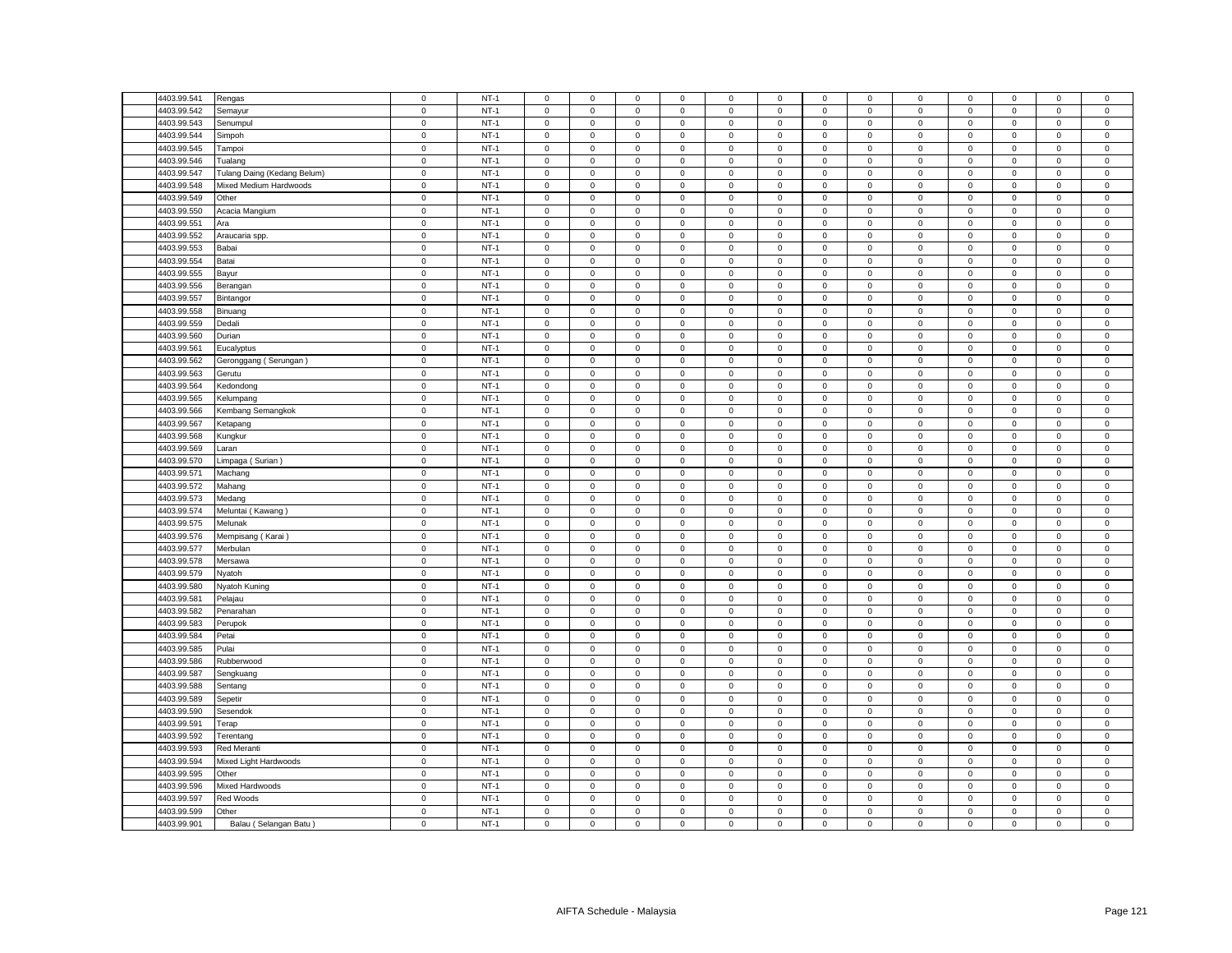| 4403.99.541 | Rengas                                                                                                                                                                                                                                                                                                                                                                                                                                                                                                                                                                                                    | $\mathbf 0$                | $NT-1$ | $\mathsf 0$         | $\mathsf 0$         | $\mathbf 0$      | $\mathbf 0$               | $\mathbf{0}$ | $\mathbf 0$                | $\mathbf 0$                | $\mathsf 0$                | $\mathsf 0$              | $\mathsf 0$                | $\mathbf 0$      | $\mathbf 0$                | $\mathsf 0$              |
|-------------|-----------------------------------------------------------------------------------------------------------------------------------------------------------------------------------------------------------------------------------------------------------------------------------------------------------------------------------------------------------------------------------------------------------------------------------------------------------------------------------------------------------------------------------------------------------------------------------------------------------|----------------------------|--------|---------------------|---------------------|------------------|---------------------------|--------------|----------------------------|----------------------------|----------------------------|--------------------------|----------------------------|------------------|----------------------------|--------------------------|
| 4403.99.542 | Semayur                                                                                                                                                                                                                                                                                                                                                                                                                                                                                                                                                                                                   | $\mathsf 0$                | $NT-1$ | $\mathbf 0$         | $\mathsf 0$         | $\mathsf 0$      | $\mathbf 0$               | 0            | $\mathbf 0$                | $\mathsf 0$                | $\mathsf 0$                | $\mathsf 0$              | $\mathsf 0$                | $\mathbf 0$      | $\mathbf 0$                | $\mathsf 0$              |
| 4403.99.543 | Senumpul                                                                                                                                                                                                                                                                                                                                                                                                                                                                                                                                                                                                  | $\mathsf 0$                | $NT-1$ | $\mathsf 0$         | $\mathsf 0$         | $\mathsf 0$      | $\mathsf 0$               | 0            | $\mathsf 0$                | $\mathbf 0$                | $\mathsf 0$                | $\mathbf 0$              | $\mathsf 0$                | $\mathsf 0$      | $\mathsf 0$                | $\mathsf 0$              |
| 4403.99.544 | Simpoh                                                                                                                                                                                                                                                                                                                                                                                                                                                                                                                                                                                                    | $\mathbf 0$                | $NT-1$ | $\mathbf 0$         | $\mathbf 0$         | $\mathbf 0$      | $\mathbf 0$               | $\mathbf{0}$ | $\mathbf 0$                | $\mathbf{0}$               | $\mathbf{0}$               | $\mathbf 0$              | $\mathbf 0$                | $\mathbf{0}$     | $\mathbf 0$                | $\mathsf 0$              |
| 4403.99.545 | Tampoi                                                                                                                                                                                                                                                                                                                                                                                                                                                                                                                                                                                                    | $\mathsf 0$                | $NT-1$ | $\mathbf 0$         | $\mathsf 0$         | $\mathsf 0$      | $\mathbf 0$               | 0            | $\mathbf 0$                | $\mathbf 0$                | $\mathbf 0$                | 0                        | $\mathbf 0$                | $\mathbf 0$      | $\mathbf 0$                | $\,0\,$                  |
| 4403.99.546 | Tualang                                                                                                                                                                                                                                                                                                                                                                                                                                                                                                                                                                                                   | $\mathsf 0$                | $NT-1$ | $\mathsf 0$         | $\mathbf 0$         | $\mathbf 0$      | $\mathsf 0$               | $\mathbf{0}$ | $\mathbf 0$                | $\mathbf 0$                | $\mathbf{0}$               | $\mathsf 0$              | $\mathbf 0$                | $\mathbf 0$      | $\mathbf 0$                | $\mathsf 0$              |
| 4403.99.547 | Tulang Daing (Kedang Belum)                                                                                                                                                                                                                                                                                                                                                                                                                                                                                                                                                                               | $\mathbf 0$                | $NT-1$ | $\mathbf{0}$        | $\mathbf 0$         | $\mathbf 0$      | $\mathbf 0$               | $\mathbf{0}$ | $\mathbf 0$                | $\mathbf 0$                | $\mathbf 0$                | $\mathbf 0$              | $\mathbf 0$                | $\mathbf 0$      | $\mathbf 0$                | $\mathsf 0$              |
| 4403.99.548 | Mixed Medium Hardwoods                                                                                                                                                                                                                                                                                                                                                                                                                                                                                                                                                                                    | $\mathbf 0$                | $NT-1$ | $\mathsf 0$         | $\mathsf 0$         | $\mathsf 0$      | $\mathbf 0$               | 0            | $\mathsf 0$                | $\mathbf 0$                | $\mathsf 0$                | $\mathsf 0$              | $\mathbf 0$                | $\mathsf 0$      | $\mathsf 0$                | $\mathsf 0$              |
| 4403.99.549 | Other                                                                                                                                                                                                                                                                                                                                                                                                                                                                                                                                                                                                     | $\mathbf 0$                | $NT-1$ | $\mathsf 0$         | $\mathsf 0$         | $\mathsf 0$      | $\mathbf 0$               | 0            | $\mathbf 0$                | $\mathbf 0$                | $\mathsf 0$                | $\mathsf 0$              | $\mathbf 0$                | $\mathsf 0$      | $\mathsf 0$                | $\mathsf 0$              |
| 4403.99.550 | Acacia Mangium                                                                                                                                                                                                                                                                                                                                                                                                                                                                                                                                                                                            | $\mathbf 0$                | $NT-1$ | $\mathbf 0$         | $\mathbf 0$         | $\mathbf 0$      | $\mathbf 0$               | $\mathbf{0}$ | $\mathbf 0$                | $\mathbf 0$                | $\mathbf 0$                | 0                        | $\mathbf 0$                | $\mathbf 0$      | $\mathbf 0$                | $\mathsf 0$              |
| 4403.99.551 | Ara                                                                                                                                                                                                                                                                                                                                                                                                                                                                                                                                                                                                       | $\mathsf 0$                | $NT-1$ | $\mathsf 0$         | $\mathbf 0$         | $\mathsf 0$      | $\mathsf 0$               | 0            | $\mathsf 0$                | $\mathsf 0$                | $\mathsf 0$                | $\mathbf 0$              | $\mathbf 0$                | $\mathsf 0$      | $\mathsf 0$                | $\,0\,$                  |
| 4403.99.552 | Araucaria spp.                                                                                                                                                                                                                                                                                                                                                                                                                                                                                                                                                                                            | $\mathsf 0$                | $NT-1$ | $\mathbf 0$         | $\mathbf 0$         | $\mathbf 0$      | $\mathsf 0$               | 0            | $\mathsf 0$                | $\mathbf 0$                | $\mathbf 0$                | $\mathsf 0$              | $\mathsf 0$                | $\mathbf 0$      | $\mathsf 0$                | $\mathsf 0$              |
| 4403.99.553 | Babai                                                                                                                                                                                                                                                                                                                                                                                                                                                                                                                                                                                                     | $\mathsf 0$                | $NT-1$ | $\mathbf 0$         | $\mathsf 0$         | $\mathsf 0$      | $\mathsf 0$               | 0            | $\mathsf 0$                | $\,0\,$                    | $\mathsf 0$                | $\mathsf 0$              | $\mathsf 0$                | $\mathbf 0$      | $\mathsf 0$                | $\,0\,$                  |
| 4403.99.554 | Batai                                                                                                                                                                                                                                                                                                                                                                                                                                                                                                                                                                                                     | $\mathsf 0$                | $NT-1$ | $\mathbf 0$         | $\mathsf 0$         | $\mathsf 0$      | $\mathbf 0$               | 0            | $\mathsf 0$                | $\mathbf 0$                | $\mathsf 0$                | $\mathsf 0$              | $\mathsf 0$                | $\mathsf 0$      | $\mathsf 0$                | $\mathsf 0$              |
| 4403.99.555 | Bayur                                                                                                                                                                                                                                                                                                                                                                                                                                                                                                                                                                                                     | $\mathbf 0$                | $NT-1$ | $\mathbf 0$         | $\mathsf{O}\xspace$ | $\mathsf 0$      | $\mathsf 0$               | 0            | $\mathsf 0$                | $\mathsf 0$                | $\,0\,$                    | $\mathsf 0$              | $\mathsf 0$                | $\mathsf 0$      | $\mathsf 0$                | $\mathbf 0$              |
| 4403.99.556 | Berangan                                                                                                                                                                                                                                                                                                                                                                                                                                                                                                                                                                                                  | 0                          | $NT-1$ | 0                   | $\mathbf 0$         | $\mathbf 0$      | $^{\circ}$                | 0            | $\mathbf 0$                | $\mathbf 0$                | $\mathbf 0$                | $\mathsf 0$              | $\mathbf 0$                | 0                | $\mathbf 0$                | $\overline{0}$           |
| 4403.99.557 | Bintangor                                                                                                                                                                                                                                                                                                                                                                                                                                                                                                                                                                                                 | $\mathbf 0$                | $NT-1$ | $\Omega$            | $\mathsf 0$         | $\mathsf 0$      | $\Omega$                  | 0            | $\mathbf 0$                | $\mathsf 0$                | $\mathsf 0$                | $\mathsf 0$              | $\mathsf 0$                | $\mathsf 0$      | $\mathsf 0$                | $\mathbf 0$              |
| 4403.99.558 |                                                                                                                                                                                                                                                                                                                                                                                                                                                                                                                                                                                                           | $\mathsf 0$                | $NT-1$ | $\mathbf 0$         | $\mathsf 0$         | $\mathsf 0$      | $\mathbf 0$               | 0            | $\mathsf 0$                | $\mathbf 0$                | $\mathbf 0$                | $\mathsf 0$              | $\mathsf 0$                | $\mathbf 0$      | $\mathsf 0$                | $\mathsf 0$              |
| 4403.99.559 | Binuang                                                                                                                                                                                                                                                                                                                                                                                                                                                                                                                                                                                                   | $\mathsf 0$                | $NT-1$ | $\mathsf 0$         | $\mathsf 0$         | $\mathsf 0$      | $\mathsf 0$               | 0            | $\mathsf 0$                |                            | $\mathsf 0$                |                          | $\mathbf 0$                |                  | $\mathsf 0$                |                          |
|             | Dedali                                                                                                                                                                                                                                                                                                                                                                                                                                                                                                                                                                                                    |                            | $NT-1$ |                     | $\mathsf 0$         |                  |                           |              |                            | $\mathbf 0$<br>$\mathbf 0$ |                            | $\mathsf 0$<br>$\pmb{0}$ |                            | $\mathbf 0$      |                            | $\mathbf 0$              |
| 4403.99.560 | Durian                                                                                                                                                                                                                                                                                                                                                                                                                                                                                                                                                                                                    | $\mathsf 0$<br>$\mathsf 0$ | $NT-1$ | 0<br>$\mathbf 0$    | $\mathsf 0$         | 0<br>$\mathsf 0$ | $^{\circ}$<br>$\mathbf 0$ | 0<br>0       | $\mathbf 0$<br>$\mathsf 0$ |                            | $\mathbf 0$<br>$\mathbf 0$ | $\mathbf 0$              | $\mathbf 0$<br>$\mathbf 0$ | 0<br>$\mathsf 0$ | $\mathbf 0$<br>$\mathsf 0$ | $\mathbf 0$<br>$\pmb{0}$ |
| 4403.99.561 | Eucalyptus                                                                                                                                                                                                                                                                                                                                                                                                                                                                                                                                                                                                |                            |        |                     |                     |                  |                           |              |                            | $\mathbf 0$                |                            |                          |                            |                  |                            |                          |
| 4403.99.562 | Geronggang (Serungan)                                                                                                                                                                                                                                                                                                                                                                                                                                                                                                                                                                                     | $\mathbf 0$                | $NT-1$ | 0                   | $\mathbf 0$         | $\mathbf 0$      | 0                         | 0            | 0                          | $\mathbf 0$                | $\mathbf 0$                | $\mathbf 0$              | 0                          | 0                | $\mathbf 0$                | $\mathbf 0$              |
| 4403.99.563 | Gerutu                                                                                                                                                                                                                                                                                                                                                                                                                                                                                                                                                                                                    | $\mathbf 0$                | $NT-1$ | $\mathsf{O}\xspace$ | $\mathsf{O}\xspace$ | $\mathbf 0$      | $\mathsf 0$               | 0            | $\mathbf 0$                | 0                          | $\,0\,$                    | $\mathsf 0$              | $\mathbf 0$                | 0                | 0                          | $\mathbf 0$              |
| 4403.99.564 | <edondong< td=""><td><math display="inline">\mathsf 0</math></td><td><math>NT-1</math></td><td><math>\mathbf 0</math></td><td><math display="inline">\mathsf 0</math></td><td><math display="inline">\mathsf 0</math></td><td><math>\mathbf 0</math></td><td>0</td><td><math>\mathbf 0</math></td><td><math>\mathbf 0</math></td><td><math>\mathbf 0</math></td><td><math display="inline">\mathsf 0</math></td><td><math>\mathbf 0</math></td><td><math>\mathbf 0</math></td><td><math display="inline">\mathsf 0</math></td><td><math display="inline">\mathsf 0</math></td></edondong<>                | $\mathsf 0$                | $NT-1$ | $\mathbf 0$         | $\mathsf 0$         | $\mathsf 0$      | $\mathbf 0$               | 0            | $\mathbf 0$                | $\mathbf 0$                | $\mathbf 0$                | $\mathsf 0$              | $\mathbf 0$                | $\mathbf 0$      | $\mathsf 0$                | $\mathsf 0$              |
| 4403.99.565 | Kelumpang                                                                                                                                                                                                                                                                                                                                                                                                                                                                                                                                                                                                 | $\mathsf 0$                | $NT-1$ | $\mathbf 0$         | $\mathbf 0$         | $\mathbf 0$      | $\mathbf 0$               | 0            | $\mathbf 0$                | $\mathbf 0$                | $\mathsf 0$                | $\mathsf 0$              | $\mathbf 0$                | $\mathbf 0$      | $\mathbf 0$                | $\mathbf 0$              |
| 4403.99.566 | Kembang Semangkok                                                                                                                                                                                                                                                                                                                                                                                                                                                                                                                                                                                         | $\mathsf 0$                | $NT-1$ | 0                   | 0                   | 0                | 0                         | 0            | $\mathbf 0$                | 0                          | 0                          | $\mathsf 0$              | $\mathbf 0$                | 0                | 0                          | $\mathbf 0$              |
| 4403.99.567 | <etapang< td=""><td><math display="inline">\mathsf 0</math></td><td><math>NT-1</math></td><td><math>\mathbf 0</math></td><td><math display="inline">\mathsf 0</math></td><td><math display="inline">\mathsf 0</math></td><td><math>\mathbf 0</math></td><td>0</td><td><math>\mathbf 0</math></td><td><math display="inline">\mathsf 0</math></td><td><math>\mathbf 0</math></td><td><math display="inline">\mathsf 0</math></td><td><math>\mathbf 0</math></td><td><math display="inline">\mathsf 0</math></td><td><math display="inline">\mathsf 0</math></td><td><math>\mathbf 0</math></td></etapang<> | $\mathsf 0$                | $NT-1$ | $\mathbf 0$         | $\mathsf 0$         | $\mathsf 0$      | $\mathbf 0$               | 0            | $\mathbf 0$                | $\mathsf 0$                | $\mathbf 0$                | $\mathsf 0$              | $\mathbf 0$                | $\mathsf 0$      | $\mathsf 0$                | $\mathbf 0$              |
| 4403.99.568 | Kungkur                                                                                                                                                                                                                                                                                                                                                                                                                                                                                                                                                                                                   | $\mathbf 0$                | $NT-1$ | $\mathbf 0$         | $\mathbf 0$         | $\mathbf 0$      | 0                         | 0            | $\mathbf 0$                | $\mathbf 0$                | $\mathbf 0$                | $\mathsf 0$              | $\mathbf 0$                | $\mathbf 0$      | $\mathbf 0$                | $\mathsf 0$              |
| 4403.99.569 | .aran                                                                                                                                                                                                                                                                                                                                                                                                                                                                                                                                                                                                     | $\mathbf 0$                | $NT-1$ | $\mathbf 0$         | $\mathsf{O}\xspace$ | $\mathbf 0$      | $\mathbf 0$               | 0            | $\mathbf 0$                | $\mathbf 0$                | $\mathsf 0$                | $\mathsf{O}\xspace$      | $\mathbf 0$                | $\mathsf 0$      | 0                          | $\pmb{0}$                |
| 4403.99.570 | impaga (Surian)                                                                                                                                                                                                                                                                                                                                                                                                                                                                                                                                                                                           | $\mathsf 0$                | $NT-1$ | $\mathsf 0$         | $\mathsf 0$         | $\mathsf 0$      | $\mathbf 0$               | $\mathbf 0$  | $\mathsf 0$                | $\mathbf 0$                | $\mathbf 0$                | $\mathbf 0$              | $\mathbf 0$                | $\mathsf 0$      | $\mathbf 0$                | $\mathsf 0$              |
| 4403.99.571 | Machang                                                                                                                                                                                                                                                                                                                                                                                                                                                                                                                                                                                                   | $\mathbf 0$                | $NT-1$ | $\mathbf 0$         | 0                   | $\mathbf 0$      | $\mathbf 0$               | 0            | $\mathbf 0$                | $\mathbf 0$                | $\mathbf 0$                | $\mathsf 0$              | $\mathbf 0$                | $\mathbf 0$      | $\mathbf 0$                | $\mathbf 0$              |
| 4403.99.572 | Mahang                                                                                                                                                                                                                                                                                                                                                                                                                                                                                                                                                                                                    | $\mathbf 0$                | $NT-1$ | $\mathbf 0$         | $\mathsf{O}\xspace$ | $\mathsf 0$      | $\mathbf 0$               | 0            | $\mathsf 0$                | 0                          | $\mathbf 0$                | $\mathsf 0$              | $\mathbf 0$                | $\mathbf 0$      | $\mathsf 0$                | $\mathbf 0$              |
| 4403.99.573 | Medang                                                                                                                                                                                                                                                                                                                                                                                                                                                                                                                                                                                                    | $\mathsf 0$                | $NT-1$ | $\Omega$            | $\mathsf 0$         | $\mathsf 0$      | $\Omega$                  | 0            | $\mathbf 0$                | $\mathsf 0$                | $\mathsf 0$                | $\mathsf 0$              | $\mathsf 0$                | $\mathsf 0$      | $\mathsf 0$                | $\mathbf 0$              |
| 4403.99.574 | Meluntai (Kawang)                                                                                                                                                                                                                                                                                                                                                                                                                                                                                                                                                                                         | 0                          | $NT-1$ | $\mathbf 0$         | $\mathbf 0$         | 0                | $\mathbf 0$               | 0            | $\mathbf 0$                | 0                          | $\mathbf 0$                | 0                        | $\mathbf 0$                | 0                | 0                          | $\mathbf 0$              |
| 4403.99.575 | Melunak                                                                                                                                                                                                                                                                                                                                                                                                                                                                                                                                                                                                   | $\mathbf 0$                | $NT-1$ | $\mathbf 0$         | $\mathsf{O}\xspace$ | $\mathbf 0$      | $\mathbf 0$               | 0            | $\mathbf 0$                | $\mathsf 0$                | $\mathbf 0$                | $\mathsf 0$              | $\mathbf 0$                | $\mathsf 0$      | $\mathsf 0$                | $\mathbf 0$              |
| 4403.99.576 | Mempisang (Karai)                                                                                                                                                                                                                                                                                                                                                                                                                                                                                                                                                                                         | $\mathbf 0$                | $NT-1$ | $\mathsf 0$         | $\mathbf 0$         | $\mathsf 0$      | $\mathsf 0$               | $\mathbf 0$  | $\mathsf 0$                | $\mathbf 0$                | $\mathsf 0$                | $\mathsf 0$              | $\mathsf 0$                | $\mathsf 0$      | $\mathsf 0$                | $\mathsf 0$              |
| 4403.99.577 | Merbulan                                                                                                                                                                                                                                                                                                                                                                                                                                                                                                                                                                                                  | $\mathbf 0$                | $NT-1$ | $\mathbf 0$         | 0                   | 0                | $\mathbf 0$               | 0            | 0                          | 0                          | $\mathbf 0$                | 0                        | $\mathbf 0$                | 0                | 0                          | $\,0\,$                  |
| 4403.99.578 | Mersawa                                                                                                                                                                                                                                                                                                                                                                                                                                                                                                                                                                                                   | $\mathsf 0$                | $NT-1$ | $\mathsf 0$         | $\mathsf 0$         | $\mathsf 0$      | $\mathsf 0$               | 0            | $\mathsf 0$                | $\mathbf 0$                | $\mathsf 0$                | $\mathsf 0$              | $\mathsf 0$                | $\mathsf 0$      | $\mathsf 0$                | $\mathsf 0$              |
| 4403.99.579 | Nyatoh                                                                                                                                                                                                                                                                                                                                                                                                                                                                                                                                                                                                    | $\mathsf 0$                | $NT-1$ | $\mathbf 0$         | $\mathsf 0$         | $\mathsf 0$      | $\mathbf 0$               | 0            | $\mathbf 0$                | $\mathsf 0$                | $\mathsf 0$                | $\mathsf 0$              | $\mathsf 0$                | $\mathsf 0$      | $\mathsf 0$                | $\mathbf 0$              |
| 4403.99.580 | Nyatoh Kuning                                                                                                                                                                                                                                                                                                                                                                                                                                                                                                                                                                                             | $\mathsf 0$                | $NT-1$ | $\mathsf 0$         | $\mathsf 0$         | $\mathsf 0$      | $\mathbf 0$               | 0            | $\mathsf 0$                | $\mathsf 0$                | $\mathsf 0$                | $\mathsf 0$              | $\mathbf 0$                | $\mathbf 0$      | $\mathsf 0$                | $\,0\,$                  |
| 4403.99.581 | Pelajau                                                                                                                                                                                                                                                                                                                                                                                                                                                                                                                                                                                                   | $\mathsf 0$                | $NT-1$ | $\mathbf 0$         | $\mathsf 0$         | $\mathsf 0$      | $\mathbf 0$               | 0            | $\mathsf 0$                | $\mathbf 0$                | $\mathsf 0$                | $\mathsf 0$              | $\mathsf 0$                | $\mathsf 0$      | $\mathsf 0$                | $\mathbf 0$              |
| 4403.99.582 | Penarahan                                                                                                                                                                                                                                                                                                                                                                                                                                                                                                                                                                                                 | $\mathsf 0$                | $NT-1$ | $\mathsf 0$         | $\mathsf 0$         | $\mathsf 0$      | $\mathsf 0$               | 0            | $\mathsf 0$                | $\mathbf 0$                | $\mathsf 0$                | $\mathsf 0$              | $\mathsf 0$                | $\mathsf 0$      | $\mathsf 0$                | $\mathsf 0$              |
| 4403.99.583 | Perupok                                                                                                                                                                                                                                                                                                                                                                                                                                                                                                                                                                                                   | $\mathsf 0$                | $NT-1$ | $\mathbf 0$         | $\mathsf 0$         | $\mathsf 0$      | $\mathbf 0$               | 0            | $\mathbf 0$                | $\mathbf 0$                | $\mathbf 0$                | $\mathsf 0$              | $\mathbf 0$                | $\mathbf 0$      | $\mathbf 0$                | $\,0\,$                  |
| 4403.99.584 | Petai                                                                                                                                                                                                                                                                                                                                                                                                                                                                                                                                                                                                     | $\mathsf 0$                | $NT-1$ | $\mathsf 0$         | $\mathsf 0$         | $\mathsf 0$      | $\mathbf 0$               | 0            | $\mathsf 0$                | $\mathbf 0$                | $\mathsf 0$                | $\mathsf 0$              | $\mathsf 0$                | $\mathsf 0$      | $\mathsf 0$                | $\mathsf 0$              |
| 4403.99.585 | Pulai                                                                                                                                                                                                                                                                                                                                                                                                                                                                                                                                                                                                     | $\mathbf 0$                | $NT-1$ | $\mathbf 0$         | $\mathbf 0$         | $\mathbf 0$      | $\mathbf 0$               | $\mathbf{0}$ | $\mathbf 0$                | $\mathbf 0$                | $\mathbf 0$                | $\mathbf 0$              | $\mathbf 0$                | $\mathbf 0$      | $\mathbf 0$                | $\mathsf 0$              |
| 4403.99.586 | Rubberwood                                                                                                                                                                                                                                                                                                                                                                                                                                                                                                                                                                                                | $\mathbf 0$                | $NT-1$ | $\mathbf 0$         | $\mathsf 0$         | $\mathsf 0$      | $\mathbf 0$               | 0            | $\mathsf 0$                | $\,0\,$                    | $\mathbf 0$                | $\mathsf 0$              | $\mathbf 0$                | $\mathbf 0$      | 0                          | $\mathbf 0$              |
| 4403.99.587 | Sengkuang                                                                                                                                                                                                                                                                                                                                                                                                                                                                                                                                                                                                 | $\mathbf 0$                | $NT-1$ | $\mathsf 0$         | $\mathbf 0$         | $\mathbf 0$      | $\mathsf 0$               | 0            | $\mathsf 0$                | $\mathbf 0$                | $\mathbf{0}$               | $\mathsf 0$              | $\mathbf 0$                | $\mathsf 0$      | $\mathbf 0$                | $\mathsf 0$              |
| 4403.99.588 | Sentang                                                                                                                                                                                                                                                                                                                                                                                                                                                                                                                                                                                                   | $\mathbf 0$                | $NT-1$ | $\mathbf 0$         | $\mathbf 0$         | $\mathbf 0$      | $\mathbf 0$               | $\mathbf{0}$ | $\mathbf 0$                | $\mathbf 0$                | $\mathbf 0$                | $\mathbf 0$              | $\mathbf 0$                | $\mathbf 0$      | $\mathbf 0$                | $\mathsf 0$              |
| 4403.99.589 | Sepetir                                                                                                                                                                                                                                                                                                                                                                                                                                                                                                                                                                                                   | $\mathbf 0$                | $NT-1$ | $\mathsf{O}\xspace$ | $\mathsf 0$         | $\mathsf 0$      | $\mathsf 0$               | 0            | $\mathsf 0$                | $\mathbf 0$                | $\mathsf 0$                | $\mathsf 0$              | $\mathbf 0$                | $\mathsf 0$      | $\mathsf 0$                | $\mathbf 0$              |
| 4403.99.590 | Sesendok                                                                                                                                                                                                                                                                                                                                                                                                                                                                                                                                                                                                  | $\mathsf 0$                | $NT-1$ | $\mathsf 0$         | $\mathsf 0$         | $\mathsf 0$      | $\mathsf 0$               | 0            | $\mathsf 0$                | $\mathbf 0$                | $\mathsf 0$                | $\mathsf 0$              | $\mathbf 0$                | $\mathsf 0$      | $\mathsf 0$                | $\mathsf 0$              |
| 4403.99.591 | Terap                                                                                                                                                                                                                                                                                                                                                                                                                                                                                                                                                                                                     | $\mathsf 0$                | $NT-1$ | $\mathbf 0$         | $\mathbf 0$         | $\mathbf 0$      | $\mathbf 0$               | $\mathbf{0}$ | $\mathbf 0$                | $\mathbf 0$                | $\mathbf 0$                | $\mathbf 0$              | $\mathbf 0$                | $\mathbf 0$      | $\mathbf 0$                | $\mathsf 0$              |
| 4403.99.592 | Terentang                                                                                                                                                                                                                                                                                                                                                                                                                                                                                                                                                                                                 | $\mathsf 0$                | $NT-1$ | $\mathsf 0$         | $\mathsf{O}\xspace$ | $\mathsf 0$      | $\mathsf 0$               | 0            | $\mathsf 0$                | $\mathsf 0$                | $\,0\,$                    | $\mathsf 0$              | $\mathbf 0$                | $\mathsf 0$      | $\mathsf 0$                | $\,0\,$                  |
| 4403.99.593 | Red Meranti                                                                                                                                                                                                                                                                                                                                                                                                                                                                                                                                                                                               | $\mathsf 0$                | $NT-1$ | $\mathbf 0$         | $\mathsf 0$         | $\mathsf 0$      | $\mathbf 0$               | 0            | $\mathsf 0$                | $\mathbf 0$                | $\mathsf 0$                | $\mathsf 0$              | $\mathsf 0$                | $\mathsf 0$      | $\mathsf 0$                | $\mathsf 0$              |
| 4403.99.594 | Mixed Light Hardwoods                                                                                                                                                                                                                                                                                                                                                                                                                                                                                                                                                                                     | $\mathsf 0$                | $NT-1$ | $\mathsf 0$         | $\mathsf 0$         | $\mathsf 0$      | $\mathbf 0$               | $\mathbf 0$  | $\mathsf 0$                | $\mathsf 0$                | $\mathsf 0$                | $\mathbf 0$              | $\mathsf 0$                | $\mathbf 0$      | $\mathsf 0$                | $\pmb{0}$                |
| 4403.99.595 | Other                                                                                                                                                                                                                                                                                                                                                                                                                                                                                                                                                                                                     | $\mathsf 0$                | $NT-1$ | 0                   | $\mathsf 0$         | $\mathsf 0$      | $\mathbf 0$               | 0            | $\mathbf 0$                | $\mathbf 0$                | $\mathbf 0$                | $\mathsf 0$              | $\mathbf 0$                | $\mathbf 0$      | $\mathbf 0$                | $\mathbf 0$              |
| 4403.99.596 | Mixed Hardwoods                                                                                                                                                                                                                                                                                                                                                                                                                                                                                                                                                                                           | $\mathbf 0$                | $NT-1$ | $\mathbf 0$         | $\mathsf 0$         | $\mathsf 0$      | $\mathbf 0$               | 0            | $\mathsf 0$                | $\mathbf 0$                | $\mathbf 0$                | $\mathbf 0$              | $\mathbf 0$                | $\mathsf 0$      | $\mathsf 0$                | $\mathbf 0$              |
| 4403.99.597 | Red Woods                                                                                                                                                                                                                                                                                                                                                                                                                                                                                                                                                                                                 | $\mathsf 0$                | $NT-1$ | 0                   | $\mathbf 0$         | $\mathbf 0$      | 0                         | 0            | $\mathbf 0$                | 0                          | $\mathbf 0$                | 0                        | $\mathbf 0$                | $\Omega$         | $\mathbf 0$                | $\mathsf 0$              |
| 4403.99.599 | Other                                                                                                                                                                                                                                                                                                                                                                                                                                                                                                                                                                                                     | $\mathsf 0$                | $NT-1$ | $\mathbf 0$         | $\mathsf 0$         | $\mathsf 0$      | $\mathbf 0$               | 0            | $\mathsf 0$                | $\mathsf 0$                | $\mathsf 0$                | $\mathsf 0$              | $\mathsf 0$                | $\mathsf 0$      | $\mathsf 0$                | $\mathbf 0$              |
| 4403.99.901 | Balau (Selangan Batu)                                                                                                                                                                                                                                                                                                                                                                                                                                                                                                                                                                                     | $\mathsf 0$                | $NT-1$ | $\mathbf 0$         | $\mathbf 0$         | $\mathsf 0$      | $\mathbf 0$               | $\mathbf 0$  | $\mathbf 0$                | $\Omega$                   | $\mathsf 0$                | $\mathbf 0$              | $\mathsf 0$                | $\mathsf 0$      | $\mathbf 0$                | $\mathbf 0$              |
|             |                                                                                                                                                                                                                                                                                                                                                                                                                                                                                                                                                                                                           |                            |        |                     |                     |                  |                           |              |                            |                            |                            |                          |                            |                  |                            |                          |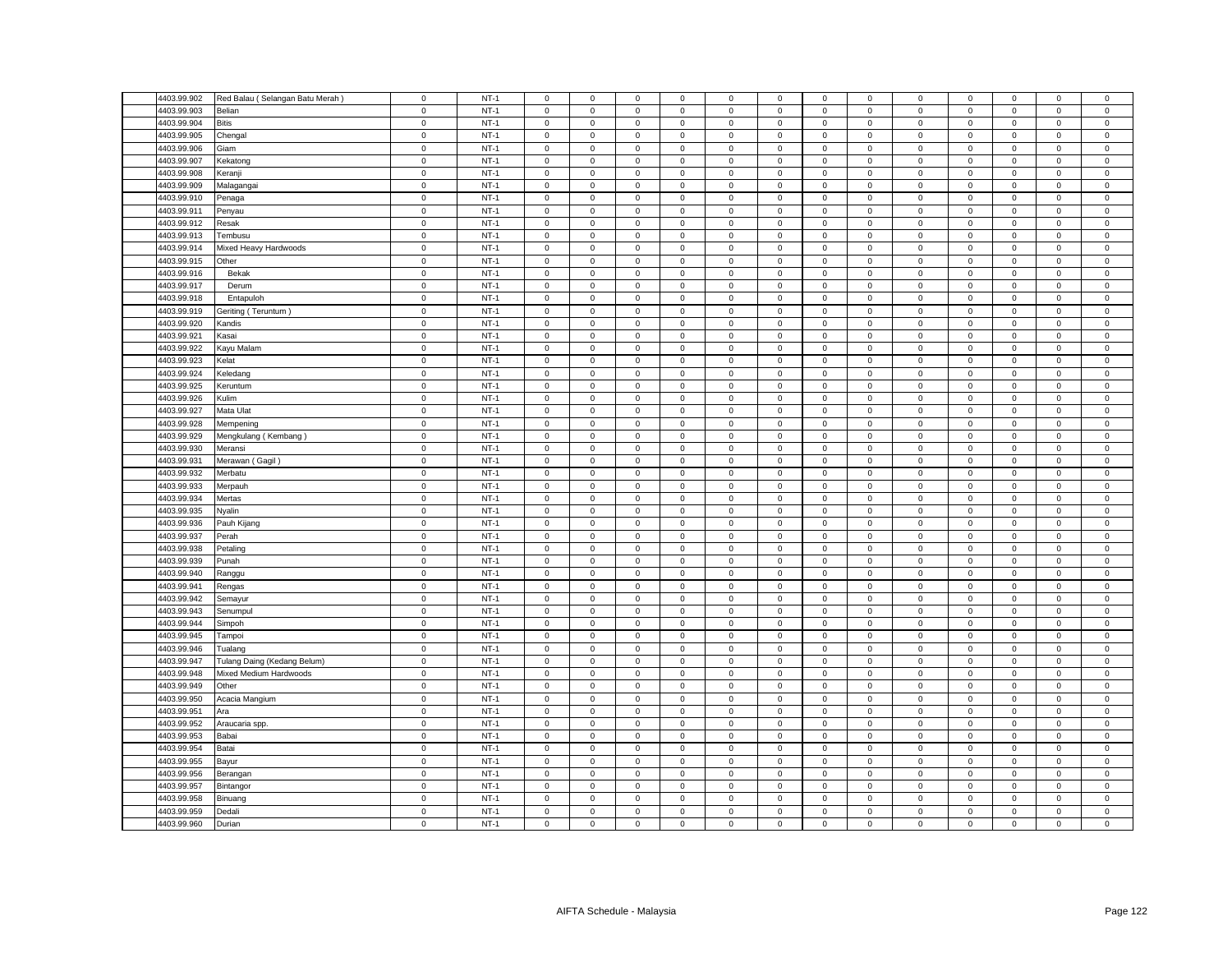| 4403.99.902 | Red Balau (Selangan Batu Merah | $\mathsf 0$ | $NT-1$ | $\mathsf 0$         | $\mathsf 0$         | $\mathsf 0$ | $\mathbf 0$      | 0                   | $\mathsf 0$ | $\mathbf 0$  | $\mathsf 0$    | $\mathsf 0$ | $\mathsf 0$ | $\mathsf 0$         | $\mathsf 0$ | $\mathsf 0$  |
|-------------|--------------------------------|-------------|--------|---------------------|---------------------|-------------|------------------|---------------------|-------------|--------------|----------------|-------------|-------------|---------------------|-------------|--------------|
|             |                                |             |        |                     |                     |             |                  |                     |             |              |                |             |             |                     |             |              |
| 4403.99.903 | Belian                         | $\mathsf 0$ | $NT-1$ | $\mathbf 0$         | $\mathsf 0$         | $\mathsf 0$ | $\mathbf 0$      | 0                   | $\mathbf 0$ | $\mathsf 0$  | $\mathsf 0$    | $\mathsf 0$ | $\mathbf 0$ | $\mathsf 0$         | $\mathbf 0$ | $\mathsf 0$  |
| 4403.99.904 | Bitis                          | $\mathbf 0$ | $NT-1$ | $\mathbf{0}$        | $\mathbf{0}$        | $\mathsf 0$ | $\mathbf 0$      | 0                   | $\mathsf 0$ | $\mathbf 0$  | $\mathbf 0$    | $\mathsf 0$ | $\mathbf 0$ | $\mathbf{0}$        | $\mathsf 0$ | $\mathsf 0$  |
| 4403.99.905 | Chengal                        | $\mathsf 0$ | $NT-1$ | $\mathbf 0$         | $\mathsf 0$         | $\mathsf 0$ | $\mathsf 0$      | 0                   | $\mathsf 0$ | $\mathsf 0$  | $\mathsf 0$    | $\mathsf 0$ | $\mathsf 0$ | $\mathsf 0$         | $\mathsf 0$ | $\mathbf 0$  |
| 4403.99.906 | Giam                           | $\mathbf 0$ | $NT-1$ | $\mathbf 0$         | $\mathbf 0$         | $\mathbf 0$ | $\mathbf 0$      | 0                   | $\mathbf 0$ | $\mathbf 0$  | $\mathbf 0$    | $\mathbf 0$ | $\mathbf 0$ | $\mathbf 0$         | $\mathbf 0$ | $\mathbf 0$  |
| 4403.99.907 | Kekatong                       | $\mathsf 0$ | $NT-1$ | $\mathbf 0$         | $\mathsf 0$         | $\mathsf 0$ | $\mathbf 0$      | 0                   | $\mathsf 0$ | $\mathbf 0$  | $\mathsf 0$    | $\mathsf 0$ | $\mathsf 0$ | $\mathsf 0$         | $\mathsf 0$ | $\mathsf 0$  |
| 4403.99.908 | Keranji                        | $\mathsf 0$ | $NT-1$ | $\mathsf 0$         | $\mathsf 0$         | $\mathsf 0$ | $\mathsf 0$      | 0                   | $\mathsf 0$ | $\mathbf 0$  | $\mathsf 0$    | $\mathsf 0$ | $\mathsf 0$ | $\mathsf 0$         | $\mathsf 0$ | $\mathsf 0$  |
| 4403.99.909 | Malagangai                     | $\mathsf 0$ | $NT-1$ | $\mathbf{0}$        | $\mathsf 0$         | $\mathbf 0$ | $\mathbf 0$      | 0                   | $\mathbf 0$ | $\mathbf{0}$ | $\mathbf 0$    | $\mathsf 0$ | $\mathbf 0$ | $\mathbf 0$         | $\mathbf 0$ | $\mathsf 0$  |
| 4403.99.910 | Penaga                         | $\mathsf 0$ | $NT-1$ | $\mathsf 0$         | $\mathsf 0$         | $\mathsf 0$ | $\mathsf 0$      | 0                   | $\mathsf 0$ | $\mathbf 0$  | $\mathsf 0$    | $\mathsf 0$ | $\mathbf 0$ | $\mathsf 0$         | $\mathsf 0$ | $\,0\,$      |
| 4403.99.911 | Penyau                         | $\mathsf 0$ | $NT-1$ | $\mathsf 0$         | $\mathsf 0$         | $\mathsf 0$ | $\mathsf 0$      | 0                   | $\mathsf 0$ | $\mathbf 0$  | $\mathsf 0$    | $\mathsf 0$ | $\mathsf 0$ | $\mathsf 0$         | $\mathsf 0$ | $\mathsf 0$  |
| 4403.99.912 | Resak                          | $\mathbf 0$ | $NT-1$ | $\mathsf 0$         | $\mathbf 0$         | $\mathsf 0$ | $\mathbf 0$      | 0                   | $\mathbf 0$ | $\mathbf 0$  | $\mathsf 0$    | $\mathsf 0$ | $\mathbf 0$ | $\mathbf 0$         | $\mathsf 0$ | $\mathsf 0$  |
| 4403.99.913 | Tembusu                        | $\mathbf 0$ | $NT-1$ | 0                   | $\mathbf 0$         | $\mathbf 0$ | $\mathbf 0$      | $\mathbf{0}$        | $\mathbf 0$ | $\mathbf{0}$ | $\mathbf 0$    | $\mathsf 0$ | $\mathbf 0$ | $\mathbf 0$         | $\mathbf 0$ | $\mathbf 0$  |
| 4403.99.914 | Mixed Heavy Hardwoods          | $\mathbf 0$ | $NT-1$ | $\mathsf 0$         | $\mathsf 0$         | $\mathsf 0$ | $\mathsf 0$      | 0                   | $\mathsf 0$ | $\mathbf 0$  | $\mathsf 0$    | $\mathsf 0$ | $\mathbf 0$ | $\mathsf 0$         | $\mathsf 0$ | $\pmb{0}$    |
| 4403.99.915 | Other                          | $\mathbf 0$ | $NT-1$ | $\mathsf 0$         | $\mathbf 0$         | $\mathsf 0$ | $\mathsf 0$      | 0                   | $\mathsf 0$ | $\mathbf 0$  | $\mathsf 0$    | $\mathsf 0$ | $\mathbf 0$ | $\mathsf 0$         | $\mathsf 0$ | $\mathsf 0$  |
| 4403.99.916 | Bekak                          | $\mathbf 0$ | $NT-1$ | $\mathsf 0$         | $\mathsf 0$         | $\mathsf 0$ | $\mathsf 0$      | 0                   | $\mathsf 0$ | $\mathsf 0$  | $\mathbf 0$    | $\mathsf 0$ | $\mathbf 0$ | $\mathsf{O}\xspace$ | $\mathsf 0$ | $\mathsf{O}$ |
| 4403.99.917 | Derum                          | $\mathsf 0$ | $NT-1$ | $\mathbf 0$         | $\mathbf 0$         | $\mathsf 0$ | $\mathbf 0$      | 0                   | $\mathsf 0$ | $\mathbf 0$  | $\mathsf 0$    | $\mathsf 0$ | $\mathsf 0$ | $\mathsf 0$         | $\mathsf 0$ | $\mathbf 0$  |
| 4403.99.918 | Entapuloh                      | $\mathbf 0$ | $NT-1$ | $\mathbf 0$         | $\mathsf 0$         | $\mathsf 0$ | $\mathbf 0$      | $\mathbf{0}$        | $\mathbf 0$ | $\mathbf 0$  | $\mathsf 0$    | $\mathsf 0$ | $\mathbf 0$ | $\mathbf 0$         | $\mathsf 0$ | $\mathsf 0$  |
| 4403.99.919 | Geriting (Teruntum)            | $\mathsf 0$ | $NT-1$ | $\mathsf 0$         | $\mathbf 0$         | $\mathsf 0$ | $\mathbf 0$      | 0                   | $\mathsf 0$ | $\mathbf 0$  | $\mathsf 0$    | $\mathbf 0$ | $\mathsf 0$ | $\mathsf 0$         | $\mathsf 0$ | $\mathsf 0$  |
| 4403.99.920 | Kandis                         | $\mathsf 0$ | $NT-1$ | $\mathbf 0$         | $\mathsf 0$         | $\mathsf 0$ | $\mathbf 0$      | 0                   | $\mathbf 0$ | $\mathsf 0$  | $\mathsf 0$    | $\mathsf 0$ | $\mathsf 0$ | $\mathsf 0$         | $\mathsf 0$ | $\mathbf 0$  |
| 4403.99.921 | Kasai                          | $\mathsf 0$ | $NT-1$ | $\mathsf 0$         | $\mathsf 0$         | $\mathsf 0$ | $\mathbf 0$      | 0                   | $\mathsf 0$ | $\mathsf 0$  | $\mathsf 0$    | $\mathsf 0$ | $\mathsf 0$ | $\mathsf 0$         | $\mathsf 0$ | $\,0\,$      |
| 4403.99.922 |                                | $\mathbf 0$ | $NT-1$ | $\mathbf 0$         | $\mathsf 0$         | $\mathsf 0$ | $\mathsf 0$      | $\mathbf 0$         | $\mathsf 0$ |              | $\mathsf 0$    | $\mathsf 0$ | $\mathbf 0$ |                     | $\mathbf 0$ | $\mathbf 0$  |
|             | Kayu Malam                     |             |        |                     |                     |             |                  |                     |             | $\,0\,$      |                |             |             | 0                   |             |              |
| 4403.99.923 | Kelat                          | $\mathsf 0$ | $NT-1$ | 0                   | 0                   | $\mathbf 0$ | 0                | 0                   | 0           | 0            | 0              | $\mathsf 0$ | $\mathbf 0$ | 0                   | 0           | $\mathbf 0$  |
| 4403.99.924 | Keledang                       | $\mathbf 0$ | $NT-1$ | $\mathbf 0$         | $\mathsf{O}\xspace$ | $\mathbf 0$ | $\mathbf 0$      | $\mathsf{O}\xspace$ | $\mathbf 0$ | $\mathbf 0$  | $\mathbf 0$    | $\mathsf 0$ | $\mathbf 0$ | $\mathsf 0$         | $\mathsf 0$ | $\mathbf 0$  |
| 4403.99.925 | Keruntum                       | $\mathbf 0$ | $NT-1$ | 0                   | $\mathbf 0$         | 0           | $^{\circ}$       | 0                   | 0           | $\mathbf 0$  | 0              | $\mathbf 0$ | 0           | 0                   | $\mathbf 0$ | $\mathbf 0$  |
| 4403.99.926 | Kulim                          | $\mathsf 0$ | $NT-1$ | $\mathbf 0$         | $\mathsf{O}\xspace$ | $\mathbf 0$ | $\mathsf 0$      | 0                   | $\mathsf 0$ | $\mathsf 0$  | $\,0\,$        | $\mathsf 0$ | $\mathbf 0$ | $\mathsf{O}\xspace$ | 0           | $\mathbf 0$  |
| 4403.99.927 | Mata Ulat                      | $\mathbf 0$ | $NT-1$ | 0                   | 0                   | $\mathsf 0$ | 0                | 0                   | $\mathsf 0$ | 0            | $\mathbf 0$    | $\mathsf 0$ | $\mathbf 0$ | 0                   | $\mathsf 0$ | $\,0\,$      |
| 4403.99.928 | Mempening                      | $\mathsf 0$ | $NT-1$ | $\mathbf 0$         | $\mathsf 0$         | $\mathsf 0$ | $\mathsf 0$      | 0                   | $\mathbf 0$ | $\mathsf 0$  | $\mathbf 0$    | $\mathsf 0$ | $\mathbf 0$ | $\mathsf 0$         | $\mathsf 0$ | $\mathbf 0$  |
| 4403.99.929 | Mengkulang (Kembang)           | $\mathsf 0$ | $NT-1$ | $\mathbf 0$         | $\mathbf 0$         | $\mathsf 0$ | $\mathbf 0$      | 0                   | $\mathbf 0$ | $\mathbf 0$  | $\mathbf 0$    | $\mathsf 0$ | $\mathbf 0$ | $\mathbf 0$         | $\mathbf 0$ | $\mathsf 0$  |
| 4403.99.930 | Meransi                        | $\mathbf 0$ | $NT-1$ | $\mathbf 0$         | $\mathsf{O}\xspace$ | $\mathbf 0$ | $\mathsf 0$      | 0                   | $\mathbf 0$ | $\mathsf 0$  | $\mathsf 0$    | $\mathsf 0$ | $\mathbf 0$ | $\mathsf 0$         | $\mathsf 0$ | $\mathbf 0$  |
| 4403.99.931 | Merawan (Gagil)                | $\mathbf 0$ | $NT-1$ | $\mathsf 0$         | $\mathsf 0$         | $\mathsf 0$ | $\mathsf 0$      | 0                   | $\mathsf 0$ | $\mathbf 0$  | $\mathsf 0$    | $\mathsf 0$ | $\mathbf 0$ | $\mathsf 0$         | $\mathsf 0$ | $\mathbf 0$  |
| 4403.99.932 | Merbatu                        | $\mathsf 0$ | $NT-1$ | $\mathbf 0$         | $\mathsf 0$         | $\mathsf 0$ | $^{\circ}$       | 0                   | $\mathbf 0$ | $\mathsf 0$  | $\mathsf 0$    | $\mathsf 0$ | $\mathbf 0$ | $\mathbf 0$         | $\mathbf 0$ | $\mathbf 0$  |
| 4403.99.933 | Merpauh                        | $\mathbf 0$ | $NT-1$ | $\mathbf 0$         | $\circ$             | $\mathsf 0$ | $\mathbf 0$      | 0                   | $\mathsf 0$ | $\mathbf 0$  | $\mathbf 0$    | $\mathsf 0$ | $\mathbf 0$ | $\mathbf 0$         | $\mathsf 0$ | $\mathbf 0$  |
| 4403.99.934 | Mertas                         | $\mathsf 0$ | $NT-1$ | $\mathbf 0$         | $\mathsf 0$         | $\mathsf 0$ | $\mathsf 0$      | 0                   | $\mathsf 0$ | $\mathsf 0$  | $\mathsf 0$    | $\mathsf 0$ | $\mathsf 0$ | $\mathsf 0$         | $\mathsf 0$ | $\mathsf 0$  |
| 4403.99.935 | Nyalin                         | $\mathsf 0$ | $NT-1$ | $\mathbf{0}$        | $\mathbf 0$         | $\mathsf 0$ | $\mathbf 0$      | 0                   | $\mathsf 0$ | $\mathbf 0$  | $\mathbf 0$    | $\mathbf 0$ | $\mathbf 0$ | $\mathbf 0$         | $\mathsf 0$ | $\mathsf 0$  |
| 4403.99.936 | Pauh Kijang                    | $\mathbf 0$ | $NT-1$ | $\mathbf 0$         | $\mathbf 0$         | $\mathbf 0$ | $\mathbf 0$      | 0                   | $\mathbf 0$ | 0            | $\mathbf 0$    | $\mathsf 0$ | $\mathbf 0$ | 0                   | $\mathbf 0$ | $\,0\,$      |
| 4403.99.937 | Perah                          | $\mathsf 0$ | $NT-1$ | $\mathsf 0$         | $\mathsf 0$         | $\mathsf 0$ | $\mathsf 0$      | 0                   | $\mathsf 0$ | $\mathbf 0$  | $\mathsf 0$    | $\mathsf 0$ | $\mathsf 0$ | $\mathsf 0$         | $\mathsf 0$ | $\mathsf 0$  |
| 4403.99.938 | Petaling                       | $\mathsf 0$ | $NT-1$ | $\mathbf 0$         | $\mathsf 0$         | $\mathsf 0$ | $\mathsf 0$      | 0                   | $\mathsf 0$ | $\mathsf 0$  | $\mathsf 0$    | $\mathsf 0$ | $\mathsf 0$ | $\mathsf 0$         | $\mathsf 0$ | $\mathbf 0$  |
| 4403.99.939 | Punah                          | $\mathbf 0$ | $NT-1$ | $\mathsf 0$         | $\mathsf 0$         | $\mathsf 0$ | $\mathbf 0$      | 0                   | $\mathsf 0$ | $\mathbf 0$  | $\mathsf 0$    | $\mathbf 0$ | $\mathbf 0$ | $\mathsf 0$         | $\mathsf 0$ | $\,0\,$      |
| 4403.99.940 | Ranggu                         | $\mathsf 0$ | $NT-1$ | $\mathbf 0$         | $\mathsf 0$         | $\mathsf 0$ | $\mathbf 0$      | 0                   | $\mathsf 0$ | $\mathbf 0$  | $\mathsf 0$    | $\mathsf 0$ | $\mathsf 0$ | $\mathsf 0$         | $\mathsf 0$ | $\mathbf 0$  |
| 4403.99.941 | Rengas                         | $\mathbf 0$ | $NT-1$ | $\mathbf 0$         | $\mathbf 0$         | $\mathbf 0$ | $\mathbf 0$      | $\mathbf{0}$        | $\mathbf 0$ | $\mathbf 0$  | $\mathsf 0$    | $\mathsf 0$ | $\mathbf 0$ | $\mathbf 0$         | $\mathsf 0$ | $\mathbf 0$  |
| 4403.99.942 | Semayur                        | $\mathbf 0$ | $NT-1$ | 0                   | 0                   | $\mathsf 0$ | 0                | 0                   | $\mathbf 0$ | 0            | 0              | $\mathsf 0$ | $\mathbf 0$ | 0                   | 0           | $\,0\,$      |
| 4403.99.943 | Senumpul                       | $\mathsf 0$ | $NT-1$ | $\mathsf 0$         | $\mathsf 0$         | $\mathsf 0$ | $\mathsf 0$      | 0                   | $\mathsf 0$ | $\mathbf 0$  | $\mathsf 0$    | $\mathbf 0$ | $\mathsf 0$ | $\mathsf 0$         | $\mathsf 0$ | $\mathsf 0$  |
| 4403.99.944 | Simpoh                         | $\mathsf 0$ | $NT-1$ | $\mathbf 0$         | $\mathbf 0$         | $\mathbf 0$ | $\mathbf 0$      | $\mathbf{0}$        | $\mathsf 0$ | $\mathbf 0$  | $\mathbf{0}$   | $\mathbf 0$ | $\mathbf 0$ | $\mathbf 0$         | $\mathbf 0$ | $\mathsf 0$  |
| 4403.99.945 | Tampoi                         | $\mathbf 0$ | $NT-1$ | $\mathbf{0}$        | $\mathsf 0$         | $\mathsf 0$ | $\mathbf 0$      | 0                   | $\mathsf 0$ | $\mathbf 0$  | $\mathbf 0$    | $\mathbf 0$ | $\mathbf 0$ | $\mathbf 0$         | $\mathbf 0$ | $\,0\,$      |
| 4403.99.946 | Tualang                        | $\mathsf 0$ | $NT-1$ | $\mathsf 0$         | $\mathbf 0$         | $\mathsf 0$ | $\mathsf 0$      | 0                   | $\mathsf 0$ | $\mathbf 0$  | $\mathsf 0$    | $\mathsf 0$ | $\mathbf 0$ | $\mathsf 0$         | $\mathsf 0$ | $\mathsf 0$  |
| 4403.99.947 | Tulang Daing (Kedang Belum)    | $\mathsf 0$ | $NT-1$ | $\mathbf 0$         | $\mathsf 0$         | $\mathsf 0$ | $\mathbf 0$      | $\mathbf{0}$        | $\mathbf 0$ | $\mathbf 0$  | $\mathsf 0$    | $\mathsf 0$ | $\mathbf 0$ | $\mathbf 0$         | $\mathsf 0$ | $\mathsf 0$  |
| 4403.99.948 | Mixed Medium Hardwoods         | $\mathsf 0$ | $NT-1$ | $\mathbf 0$         | $\mathbf 0$         | $\mathbf 0$ |                  | $\mathbf{0}$        | $\mathbf 0$ | $\mathbf{0}$ | $\mathbf{0}$   | $\mathsf 0$ | $\mathbf 0$ | $\mathbf 0$         | $^{\circ}$  | $\mathbf 0$  |
|             |                                | $\mathsf 0$ | $NT-1$ | $\mathbf 0$         | $\mathsf 0$         | $\mathsf 0$ | 0<br>$\mathsf 0$ | 0                   | $\mathsf 0$ |              |                |             | $\mathsf 0$ | $\mathsf 0$         |             |              |
| 4403.99.949 | Other                          |             |        |                     |                     |             |                  |                     |             | $\mathsf 0$  | $\,0\,$        | $\mathsf 0$ |             |                     | $\mathsf 0$ | $\mathbf 0$  |
| 4403.99.950 | Acacia Mangium                 | $\mathsf 0$ | $NT-1$ | $\mathsf 0$         | $\mathsf{O}\xspace$ | $\mathsf 0$ | $\mathsf 0$      | 0                   | $\mathsf 0$ | $\mathbf 0$  | $\mathsf 0$    | $\mathsf 0$ | $\mathsf 0$ | $\mathsf 0$         | $\mathsf 0$ | $\mathsf 0$  |
| 4403.99.951 | Ara                            | $\mathbf 0$ | $NT-1$ | $\mathsf 0$         | $\mathsf 0$         | $\mathsf 0$ | $\mathsf 0$      | $\mathbf 0$         | $\mathsf 0$ | $\mathsf 0$  | $\mathsf 0$    | $\mathsf 0$ | $\mathsf 0$ | $\mathsf{O}\xspace$ | $\mathsf 0$ | $\mathsf 0$  |
| 4403.99.952 | Araucaria spp.                 | $\mathsf 0$ | $NT-1$ | 0                   | $\mathsf 0$         | $\mathsf 0$ | $\Omega$         | 0                   | $\mathsf 0$ | $\mathbf 0$  | $\mathbf 0$    | $\mathsf 0$ | $\mathbf 0$ | $\mathsf 0$         | $\mathsf 0$ | $\,0\,$      |
| 4403.99.953 | Babai                          | $\pmb{0}$   | $NT-1$ | $\mathbf 0$         | $\mathsf{O}\xspace$ | $\mathbf 0$ | $\mathsf 0$      | 0                   | $\mathsf 0$ | $\mathbf 0$  | $\,0\,$        | $\mathsf 0$ | $\mathbf 0$ | $\mathsf 0$         | $\mathsf 0$ | $\mathbf 0$  |
| 4403.99.954 | Batai                          | $\mathsf 0$ | $NT-1$ | $\mathsf 0$         | $\mathsf 0$         | $\mathbf 0$ | $\mathbf 0$      | 0                   | $\mathsf 0$ | $\mathbf 0$  | $\mathsf 0$    | $\mathsf 0$ | $\mathsf 0$ | $\mathsf 0$         | $\mathsf 0$ | $\,0\,$      |
| 4403.99.955 | Bayur                          | $\mathbf 0$ | $NT-1$ | $\mathbf 0$         | $\mathsf{O}\xspace$ | $\mathbf 0$ | 0                | 0                   | $\mathbf 0$ | $\,0\,$      | $\,0\,$        | $\mathsf 0$ | $\mathbf 0$ | 0                   | $\mathsf 0$ | $\mathbf 0$  |
| 4403.99.956 | Berangan                       | $\mathbf 0$ | $NT-1$ | $\mathsf{O}\xspace$ | $\mathsf{O}\xspace$ | $\mathsf 0$ | $\mathbf 0$      | 0                   | $\mathsf 0$ | 0            | $\mathbf 0$    | $\mathsf 0$ | $\mathbf 0$ | $\mathsf{O}\xspace$ | 0           | $\,0\,$      |
| 4403.99.957 | Bintangor                      | $\mathbf 0$ | $NT-1$ | $\mathbf 0$         | $\mathsf 0$         | $\mathsf 0$ | $\mathbf 0$      | 0                   | $\mathbf 0$ | $\mathbf 0$  | $\overline{0}$ | $\mathbf 0$ | $\mathbf 0$ | $\mathbf 0$         | $\mathbf 0$ | $\mathbf 0$  |
| 4403.99.958 | Binuang                        | $\mathsf 0$ | $NT-1$ | $\mathsf 0$         | $\mathbf 0$         | $\mathsf 0$ | $\mathbf 0$      | 0                   | $\mathbf 0$ | $\mathbf 0$  | $\mathbf 0$    | $\mathsf 0$ | $\mathbf 0$ | $\mathbf 0$         | $\mathsf 0$ | $\mathsf 0$  |
| 4403.99.959 | Dedali                         | $\mathsf 0$ | $NT-1$ | $\mathsf{O}\xspace$ | $\mathsf{O}\xspace$ | $\mathsf 0$ | $\mathbf 0$      | 0                   | $\mathbf 0$ | $\mathsf 0$  | $\mathsf 0$    | $\mathsf 0$ | $\mathbf 0$ | $\mathsf 0$         | $\mathsf 0$ | $\mathbf 0$  |
| 4403.99.960 | Durian                         | $\mathbf 0$ | $NT-1$ | $\mathbf 0$         | $\mathsf 0$         | $\mathsf 0$ | $\mathbf 0$      | 0                   | $\mathsf 0$ | $\mathbf 0$  | $\mathsf 0$    | $\mathsf 0$ | $\mathsf 0$ | $\mathbf 0$         | $\mathsf 0$ | $\mathsf 0$  |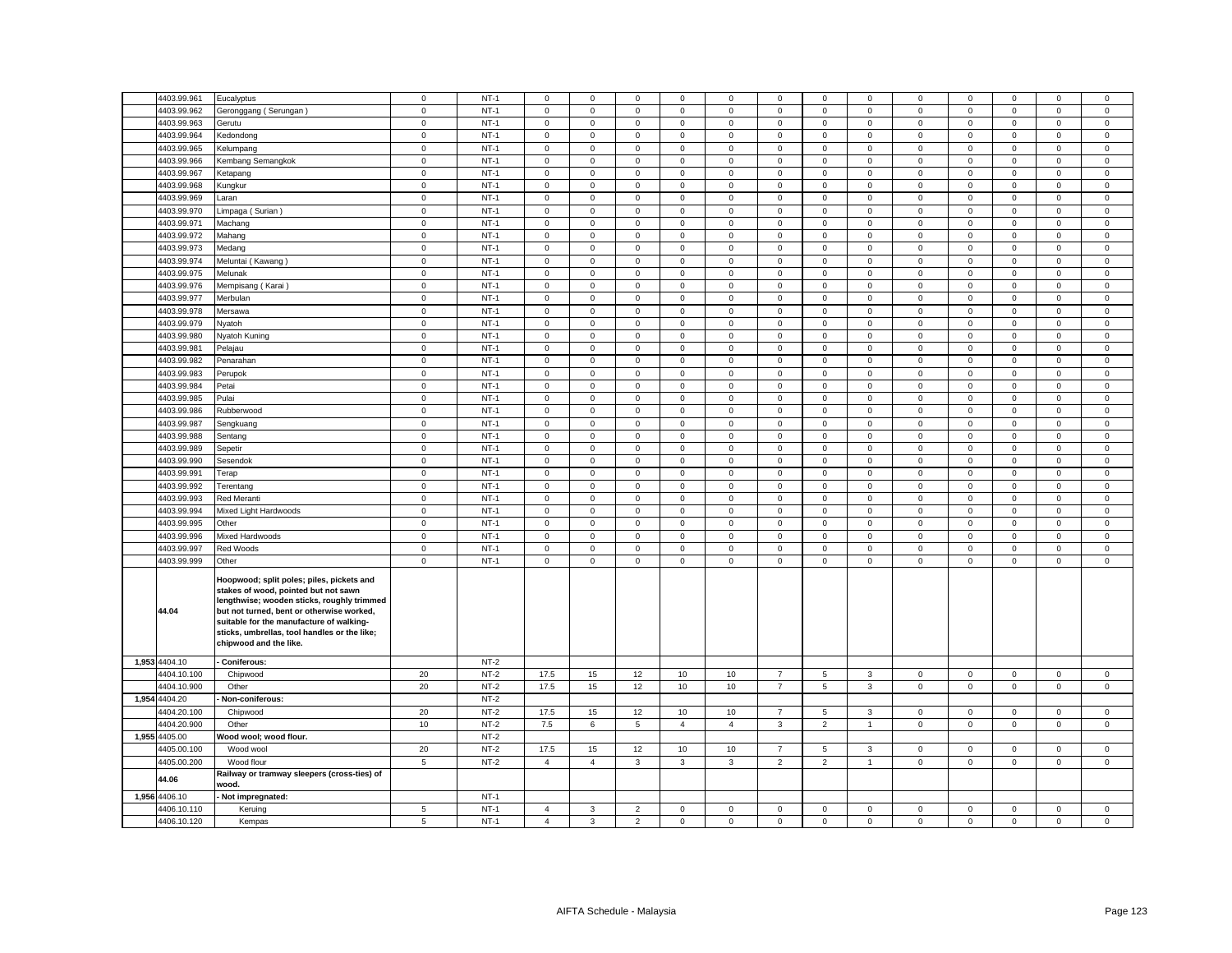|       | 4403.99.961   | Eucalyptus                                                                                                                                                                                                                                                                                         | $\mathbf 0$ | $NT-1$ | $\mathbf 0$         | $\mathbf 0$         | $\mathbf 0$    | $\mathbf 0$    | 0              | $\mathbf 0$    | $\mathbf 0$    | $\mathbf 0$    | $\mathbf 0$  | $\mathbf 0$ | $\mathbf 0$         | $\mathbf 0$  | $\mathsf 0$    |
|-------|---------------|----------------------------------------------------------------------------------------------------------------------------------------------------------------------------------------------------------------------------------------------------------------------------------------------------|-------------|--------|---------------------|---------------------|----------------|----------------|----------------|----------------|----------------|----------------|--------------|-------------|---------------------|--------------|----------------|
|       | 4403.99.962   | Geronggang (Serungan)                                                                                                                                                                                                                                                                              | $\mathsf 0$ | $NT-1$ | $\mathbf 0$         | $\mathbf 0$         | $\mathbf 0$    | $\mathbf 0$    | 0              | $\mathbf 0$    | $\mathsf 0$    | $\mathsf 0$    | $\mathsf 0$  | $\mathbf 0$ | $\mathbf 0$         | $\mathbf 0$  | $\mathbf 0$    |
|       | 4403.99.963   | Gerutu                                                                                                                                                                                                                                                                                             | 0           | $NT-1$ | $\mathbf 0$         | $\mathbf 0$         | $\mathsf 0$    | $\mathbf 0$    | 0              | $\mathsf 0$    | $\mathbf 0$    | $\mathbf 0$    | $\mathsf 0$  | $\mathbf 0$ | $\mathbf{0}$        | $\mathbf 0$  | $\mathbf 0$    |
|       | 4403.99.964   | Kedondong                                                                                                                                                                                                                                                                                          | $\mathsf 0$ | $NT-1$ | $\mathsf 0$         | $\mathsf 0$         | $\mathsf 0$    | $\mathsf 0$    | 0              | $\mathsf 0$    | $\mathsf 0$    | $\mathsf 0$    | $\mathsf 0$  | $\mathsf 0$ | $\mathsf 0$         | $\mathsf 0$  | $\mathsf 0$    |
|       | 4403.99.965   | Kelumpang                                                                                                                                                                                                                                                                                          | $\mathsf 0$ | $NT-1$ | $\mathsf 0$         | $\mathsf 0$         | $\mathsf 0$    | $\mathsf 0$    | 0              | $\mathsf 0$    | $\mathbf 0$    | $\mathsf 0$    | $\mathsf 0$  | $\mathsf 0$ | $\mathsf 0$         | $\mathsf 0$  | $\mathsf 0$    |
|       | 4403.99.966   | Kembang Semangkok                                                                                                                                                                                                                                                                                  | $\mathbf 0$ | $NT-1$ | $\mathbf 0$         | $\mathbf{0}$        | $\mathbf{0}$   | $\mathbf{0}$   | $\mathbf{0}$   | $\mathbf 0$    | $\mathbf{0}$   | $\mathbf{0}$   | $\mathbf 0$  | $\mathbf 0$ | $\mathbf 0$         | $\mathbf{0}$ | $\mathbf 0$    |
|       | 4403.99.967   | Ketapang                                                                                                                                                                                                                                                                                           | $\mathsf 0$ | $NT-1$ | $\mathsf 0$         | $\mathsf 0$         | $\mathsf 0$    | $\mathsf 0$    | $\mathbf 0$    | $\mathsf 0$    | $\mathbf 0$    | $\mathsf 0$    | $\mathbf 0$  | $\mathbf 0$ | $\mathbf 0$         | $\mathsf 0$  | $\mathsf 0$    |
|       | 4403.99.968   | Kungkur                                                                                                                                                                                                                                                                                            | $\mathsf 0$ | $NT-1$ | $\mathsf 0$         | $\mathbf 0$         | $\mathsf 0$    | $\mathsf 0$    | $\mathbf{0}$   | $\mathsf 0$    | $\mathbf 0$    | $\mathsf 0$    | $\mathsf 0$  | $\mathbf 0$ | $\mathsf 0$         | $\mathsf 0$  | $\mathsf 0$    |
|       | 4403.99.969   | Laran                                                                                                                                                                                                                                                                                              | $\mathbf 0$ | $NT-1$ | $\mathbf 0$         | $\mathsf 0$         | $\mathbf 0$    | $\mathbf 0$    | $\mathbf{0}$   | $\mathbf 0$    | $\mathbf 0$    | $\mathsf 0$    | $\mathsf 0$  | $\mathbf 0$ | $\mathbf 0$         | $\mathsf 0$  | $\mathsf 0$    |
|       | 4403.99.970   | Limpaga (Surian)                                                                                                                                                                                                                                                                                   | $\mathbf 0$ | $NT-1$ | $\mathbf 0$         | $\mathbf 0$         | $\mathbf 0$    | $\mathbf 0$    | $\mathbf{0}$   | $\mathbf 0$    | $\mathbf{0}$   | $\mathbf{0}$   | 0            | $\mathbf 0$ | $\mathbf 0$         | $\mathbf 0$  | $\mathbf{0}$   |
|       | 4403.99.971   | Machang                                                                                                                                                                                                                                                                                            | $\mathbf 0$ | $NT-1$ | $\circ$             | $\mathsf 0$         | $\mathsf 0$    | $\mathbf 0$    | $\mathbf{0}$   | $\mathbf 0$    | $\mathsf 0$    | $\mathbf 0$    | $\mathsf 0$  | $\mathbf 0$ | $\mathsf 0$         | $\mathsf 0$  | $\mathbf 0$    |
|       | 4403.99.972   | Mahang                                                                                                                                                                                                                                                                                             | $\mathsf 0$ | $NT-1$ | $\mathsf 0$         | $\mathbf 0$         | $\mathsf 0$    | $\mathbf 0$    | 0              | $\mathsf 0$    | $\mathbf 0$    | $\mathsf 0$    | $\mathsf 0$  | $\mathsf 0$ | $\mathsf 0$         | $\mathsf 0$  | $\mathsf 0$    |
|       | 4403.99.973   | Medang                                                                                                                                                                                                                                                                                             | $\mathsf 0$ | $NT-1$ | $\mathsf 0$         | $\mathsf 0$         | $\mathsf 0$    | $\mathsf 0$    | 0              | $\mathsf 0$    | $\mathbf 0$    | $\mathsf 0$    | $\mathsf 0$  | $\mathsf 0$ | $\mathsf 0$         | $\mathbf 0$  | $\mathbf 0$    |
|       | 4403.99.974   | Meluntai (Kawang)                                                                                                                                                                                                                                                                                  | $\mathsf 0$ | $NT-1$ | $\mathbf 0$         | $\mathbf 0$         | $\mathbf 0$    | $\mathbf 0$    | 0              | $\mathbf 0$    | $\mathbf 0$    | $\mathbf 0$    | $\mathsf 0$  | $\mathbf 0$ | $\mathbf 0$         | $\mathbf 0$  | $\mathbf 0$    |
|       | 4403.99.975   | Melunak                                                                                                                                                                                                                                                                                            | $\mathbf 0$ | $NT-1$ | $\mathsf 0$         | $\mathsf{O}\xspace$ | $\mathbf 0$    | $\mathbf 0$    | 0              | $\mathbf 0$    | $\,0\,$        | $\,0\,$        | $\mathsf 0$  | $\mathbf 0$ | 0                   | $\mathbf 0$  | $\mathbf 0$    |
|       | 4403.99.976   | Mempisang (Karai)                                                                                                                                                                                                                                                                                  | $\mathbf 0$ | $NT-1$ | $\mathsf 0$         | $\mathsf{O}\xspace$ | $\mathbf 0$    | $\mathbf 0$    | 0              | $\mathbf 0$    | $\mathbf 0$    | $\mathbf 0$    | $\mathsf 0$  | $\mathbf 0$ | $\mathbf 0$         | 0            | $\,0\,$        |
|       | 4403.99.977   | Merbulan                                                                                                                                                                                                                                                                                           | $\mathsf 0$ | $NT-1$ | $\mathsf{O}\xspace$ | $\mathsf{O}\xspace$ | $\mathbf 0$    | $\mathsf 0$    | $\mathbf 0$    | $\mathsf 0$    | $\mathbf 0$    | $\mathsf 0$    | $\mathsf 0$  | $\mathsf 0$ | $\mathsf 0$         | $\mathsf 0$  | $\pmb{0}$      |
|       | 4403.99.978   | Mersawa                                                                                                                                                                                                                                                                                            | 0           | $NT-1$ | $\mathbf 0$         | $\mathbf 0$         | $\mathbf 0$    | $\mathbf 0$    | 0              | $\mathbf 0$    | $\mathbf 0$    | $\mathbf 0$    | $\mathsf 0$  | $\mathbf 0$ | $\mathbf 0$         | $\mathbf 0$  | $\mathbf 0$    |
|       | 4403.99.979   | Nyatoh                                                                                                                                                                                                                                                                                             | $\mathsf 0$ | $NT-1$ | $\mathsf 0$         | $\mathsf 0$         | $\mathsf 0$    | $\mathbf 0$    | 0              | $\Omega$       | $\mathbf 0$    | $\mathsf 0$    | $\mathsf 0$  | $\mathbf 0$ | $\mathbf 0$         | $\mathsf 0$  | $\mathbf 0$    |
|       | 4403.99.980   | Nyatoh Kuning                                                                                                                                                                                                                                                                                      | $\mathbf 0$ | $NT-1$ | $\mathbf 0$         | $\mathbf 0$         | $\mathbf 0$    | $\mathbf 0$    | 0              | $\mathbf 0$    | $\mathbf 0$    | $\mathbf 0$    | $\mathsf 0$  | $\mathbf 0$ | $\mathbf 0$         | $\mathbf 0$  | $\,0\,$        |
|       | 4403.99.981   | Pelajau                                                                                                                                                                                                                                                                                            | $\mathbf 0$ | $NT-1$ | $\mathbf 0$         | $\mathsf{O}\xspace$ | $\mathsf 0$    | $\mathsf 0$    | 0              | $\mathsf 0$    | $\mathbf 0$    | $\,0\,$        | $\mathsf 0$  | $\mathsf 0$ | $\mathsf 0$         | $\mathsf 0$  | $\mathbf 0$    |
|       | 4403.99.982   | Penarahan                                                                                                                                                                                                                                                                                          | $\mathbf 0$ | $NT-1$ | $\mathsf{O}$        | $\mathsf 0$         | $\mathsf 0$    | $\mathsf 0$    | $\mathbf 0$    | $\mathsf 0$    | $\mathsf 0$    | $\mathsf 0$    | $\mathsf 0$  | $\mathsf 0$ | $\mathsf{O}\xspace$ | $\mathsf 0$  | $\mathsf 0$    |
|       | 4403.99.983   | Perupok                                                                                                                                                                                                                                                                                            | $\mathbf 0$ | $NT-1$ | $\mathbf 0$         | $\mathbf 0$         | $\mathbf 0$    | $\mathbf 0$    | 0              | $\mathbf 0$    | $\mathbf{0}$   | $\mathbf{0}$   | $\mathbf 0$  | $\mathbf 0$ | $\mathbf 0$         | $\mathbf 0$  | $\mathbf 0$    |
|       | 4403.99.984   | Petai                                                                                                                                                                                                                                                                                              | $\mathsf 0$ | $NT-1$ | $\mathsf 0$         | $\mathsf 0$         | $\mathsf 0$    | $\mathsf 0$    | 0              | $\mathsf 0$    | $\mathbf 0$    | $\mathsf 0$    | $\mathsf 0$  | $\mathbf 0$ | $\mathsf 0$         | $\mathsf 0$  | $\mathsf 0$    |
|       | 4403.99.985   | Pulai                                                                                                                                                                                                                                                                                              | $\mathsf 0$ | $NT-1$ | $\mathsf 0$         | $\mathsf 0$         | $\mathsf 0$    | $\mathbf 0$    | 0              | $\mathsf 0$    | $\mathbf 0$    | $\mathsf 0$    | $\mathsf 0$  | $\mathsf 0$ | $\mathsf 0$         | $\mathsf 0$  | $\mathsf 0$    |
|       | 4403.99.986   | Rubberwood                                                                                                                                                                                                                                                                                         | $\mathsf 0$ | $NT-1$ | $\mathsf 0$         | $\mathsf 0$         | $\mathsf 0$    | $\mathsf 0$    | $\mathbf 0$    | $\mathsf 0$    | $\mathbf 0$    | $\mathsf 0$    | $\mathbf 0$  | $\mathsf 0$ | $\mathsf 0$         | $\mathsf 0$  | $\mathsf 0$    |
|       | 4403.99.987   | Sengkuang                                                                                                                                                                                                                                                                                          | $\mathbf 0$ | $NT-1$ | $\mathbf 0$         | $\mathbf 0$         | $\mathbf 0$    | $\mathbf 0$    | $\mathbf{0}$   | $\mathbf 0$    | $\mathbf 0$    | $\mathbf{0}$   | $\mathbf 0$  | $\mathbf 0$ | $\mathbf 0$         | $^{\circ}$   | $\mathbf 0$    |
|       | 4403.99.988   | Sentang                                                                                                                                                                                                                                                                                            | $\mathsf 0$ | $NT-1$ | $\mathsf 0$         | $\mathsf 0$         | $\mathsf 0$    | $\mathbf 0$    | 0              | $\mathsf 0$    | $\mathbf 0$    | $\mathsf 0$    | $\mathsf 0$  | $\mathbf 0$ | $\mathbf 0$         | $\mathsf 0$  | $\,0\,$        |
|       | 4403.99.989   | Sepetir                                                                                                                                                                                                                                                                                            | $\mathsf 0$ | $NT-1$ | $\mathsf 0$         | $\mathbf{0}$        | $\mathsf 0$    | $\mathbf 0$    | $\mathbf{0}$   | $\mathsf 0$    | $\mathbf 0$    | $\mathbf 0$    | $\mathsf 0$  | $\mathbf 0$ | $\mathsf 0$         | $\mathsf 0$  | $\mathsf 0$    |
|       | 4403.99.990   | Sesendok                                                                                                                                                                                                                                                                                           | $\mathbf 0$ | $NT-1$ | $\circ$             | $\mathbf 0$         | $\mathbf 0$    | $\mathbf 0$    | $\mathbf{0}$   | $\mathbf 0$    | $\mathbf 0$    | $\mathbf{0}$   | $\mathbf 0$  | $\mathbf 0$ | $\mathbf 0$         | $\mathbf 0$  | $\mathbf 0$    |
|       | 4403.99.991   | Terap                                                                                                                                                                                                                                                                                              | $\mathbf 0$ | $NT-1$ | $\circ$             | $\mathbf 0$         | $\mathbf 0$    | $\mathbf 0$    | $\mathbf{0}$   | $\mathbf 0$    | $\mathbf 0$    | $\mathbf{0}$   | $\mathbf 0$  | $\mathbf 0$ | $\mathbf 0$         | $^{\circ}$   | $\mathbf 0$    |
|       | 4403.99.992   | Terentang                                                                                                                                                                                                                                                                                          | $\mathbf 0$ | $NT-1$ | $\mathsf 0$         | $\mathsf 0$         | $\mathsf 0$    | $\mathsf 0$    | 0              | $\mathbf 0$    | $\mathsf 0$    | $\mathsf 0$    | $\mathsf 0$  | $\mathsf 0$ | $\mathsf 0$         | $\mathsf 0$  | $\mathbf 0$    |
|       | 4403.99.993   | Red Meranti                                                                                                                                                                                                                                                                                        | $\mathsf 0$ | $NT-1$ | $\mathbf 0$         | $\mathbf 0$         | $\mathsf 0$    | $\mathsf 0$    | $\mathbf 0$    | $\mathsf 0$    | $\mathbf 0$    | $\mathsf 0$    | $\mathsf 0$  | $\mathsf 0$ | $\mathsf 0$         | $\mathsf 0$  | $\mathsf 0$    |
|       | 4403.99.994   | Mixed Light Hardwoods                                                                                                                                                                                                                                                                              | $\mathsf 0$ | $NT-1$ | $\mathsf 0$         | $\mathsf 0$         | $\mathsf 0$    | $\mathsf 0$    | $\mathbf 0$    | $\mathbf 0$    | $\mathsf 0$    | $\mathsf 0$    | $\mathsf 0$  | $\mathsf 0$ | $\mathsf{O}\xspace$ | $\mathsf 0$  | $\mathbf 0$    |
|       | 4403.99.995   | Other                                                                                                                                                                                                                                                                                              | $\mathbf 0$ | $NT-1$ | $\mathbf 0$         | $\mathbf 0$         | $\mathbf 0$    | $\mathbf 0$    | $\mathbf{0}$   | $\mathbf 0$    | $\mathbf{0}$   | $\mathbf 0$    | $\mathsf 0$  | $\mathbf 0$ | $\mathbf 0$         | $\mathbf 0$  | $\mathbf 0$    |
|       | 4403.99.996   | Mixed Hardwoods                                                                                                                                                                                                                                                                                    | $\mathsf 0$ | $NT-1$ | $\mathsf{O}\xspace$ | $\mathsf{O}\xspace$ | $\mathbf 0$    | $\mathsf 0$    | 0              | $\mathsf 0$    | $\mathbf 0$    | $\,0\,$        | $\mathsf 0$  | $\mathbf 0$ | $\mathsf{O}\xspace$ | $\mathsf 0$  | $\mathbf 0$    |
|       | 4403.99.997   | Red Woods                                                                                                                                                                                                                                                                                          | $\mathbf 0$ | $NT-1$ | 0                   | 0                   | $\mathsf 0$    | 0              | 0              | $\mathsf 0$    | $\mathbf 0$    | $\mathbf 0$    | $\mathsf 0$  | $\mathbf 0$ | $\mathbf 0$         | $\mathsf 0$  | $\mathbf 0$    |
|       | 4403.99.999   | Other                                                                                                                                                                                                                                                                                              | $\mathsf 0$ | $NT-1$ | $\mathbf 0$         | $\mathsf{O}\xspace$ | $\mathsf 0$    | $\mathsf 0$    | $\mathbf 0$    | $\mathbf 0$    | $\mathsf 0$    | $\mathsf 0$    | $\mathsf 0$  | $\mathsf 0$ | $\mathsf 0$         | $\mathsf 0$  | $\mathsf 0$    |
|       | 44.04         | Hoopwood; split poles; piles, pickets and<br>stakes of wood, pointed but not sawn<br>lengthwise; wooden sticks, roughly trimmed<br>but not turned, bent or otherwise worked,<br>suitable for the manufacture of walking-<br>sticks, umbrellas, tool handles or the like;<br>chipwood and the like. |             |        |                     |                     |                |                |                |                |                |                |              |             |                     |              |                |
|       | 1,953 4404.10 | Coniferous:                                                                                                                                                                                                                                                                                        |             | $NT-2$ |                     |                     |                |                |                |                |                |                |              |             |                     |              |                |
|       | 4404.10.100   | Chipwood                                                                                                                                                                                                                                                                                           | 20          | $NT-2$ | 17.5                | 15                  | 12             | 10             | 10             | $\overline{7}$ | 5              | 3              | $\mathbf{0}$ | $\mathsf 0$ | $\mathbf 0$         | $\mathsf 0$  | $\mathsf 0$    |
|       | 4404.10.900   | Other                                                                                                                                                                                                                                                                                              | 20          | $NT-2$ | 17.5                | 15                  | 12             | 10             | 10             | $\overline{7}$ | 5              | 3              | $\mathsf 0$  | $\mathbf 0$ | $\mathsf 0$         | $\mathbf 0$  | $\mathsf 0$    |
| 1,954 | 4404.20       | Non-coniferous:                                                                                                                                                                                                                                                                                    |             | $NT-2$ |                     |                     |                |                |                |                |                |                |              |             |                     |              |                |
|       | 4404.20.100   | Chipwood                                                                                                                                                                                                                                                                                           | 20          | $NT-2$ | 17.5                | 15                  | 12             | 10             | 10             | $\overline{7}$ | 5              | 3              | $\mathsf 0$  | $\mathbf 0$ | $\mathbf 0$         | $\mathbf 0$  | $\mathbf 0$    |
|       | 4404.20.900   | Other                                                                                                                                                                                                                                                                                              | 10          | $NT-2$ | 7.5                 | 6                   | 5              | $\overline{4}$ | $\overline{4}$ | 3              | $\overline{2}$ | $\overline{1}$ | $\mathsf 0$  | $\mathbf 0$ | $\mathbf 0$         | $\mathbf 0$  | $\mathsf 0$    |
|       | 1,955 4405.00 | Wood wool; wood flour.                                                                                                                                                                                                                                                                             |             | $NT-2$ |                     |                     |                |                |                |                |                |                |              |             |                     |              |                |
|       | 4405.00.100   | Wood wool                                                                                                                                                                                                                                                                                          | 20          | $NT-2$ | 17.5                | 15                  | 12             | 10             | 10             | $\overline{7}$ | 5              | 3              | $\mathsf 0$  | $\mathbf 0$ | $\mathsf 0$         | $\mathsf 0$  | $\mathbf 0$    |
|       | 4405.00.200   | Wood flour                                                                                                                                                                                                                                                                                         | 5           | $NT-2$ | $\overline{4}$      | $\overline{4}$      | $\mathbf{3}$   | 3              | 3              | $\overline{2}$ | $\overline{2}$ | $\overline{1}$ | $\mathsf 0$  | $\mathbf 0$ | $\mathbf 0$         | $\mathsf 0$  | $\mathsf 0$    |
|       | 44.06         | Railway or tramway sleepers (cross-ties) of<br>wood.                                                                                                                                                                                                                                               |             |        |                     |                     |                |                |                |                |                |                |              |             |                     |              |                |
|       | 1,956 4406.10 | Not impregnated:                                                                                                                                                                                                                                                                                   |             | $NT-1$ |                     |                     |                |                |                |                |                |                |              |             |                     |              |                |
|       | 4406.10.110   | Keruing                                                                                                                                                                                                                                                                                            | 5           | $NT-1$ | $\overline{4}$      | 3                   | $\mathbf 2$    | $\mathbf 0$    | 0              | $\mathbf 0$    | $\mathbf 0$    | $\mathsf 0$    | $\mathsf 0$  | $\mathbf 0$ | $\mathbf 0$         | $\mathsf 0$  | $\,0\,$        |
|       | 4406.10.120   | Kempas                                                                                                                                                                                                                                                                                             | 5           | $NT-1$ | $\overline{4}$      | $\mathbf{3}$        | $\overline{2}$ | $\mathsf 0$    | 0              | $\mathsf 0$    | $\mathbf 0$    | $\mathsf 0$    | $\mathsf 0$  | $\mathsf 0$ | $\mathsf 0$         | $\mathsf 0$  | $\overline{0}$ |
|       |               |                                                                                                                                                                                                                                                                                                    |             |        |                     |                     |                |                |                |                |                |                |              |             |                     |              |                |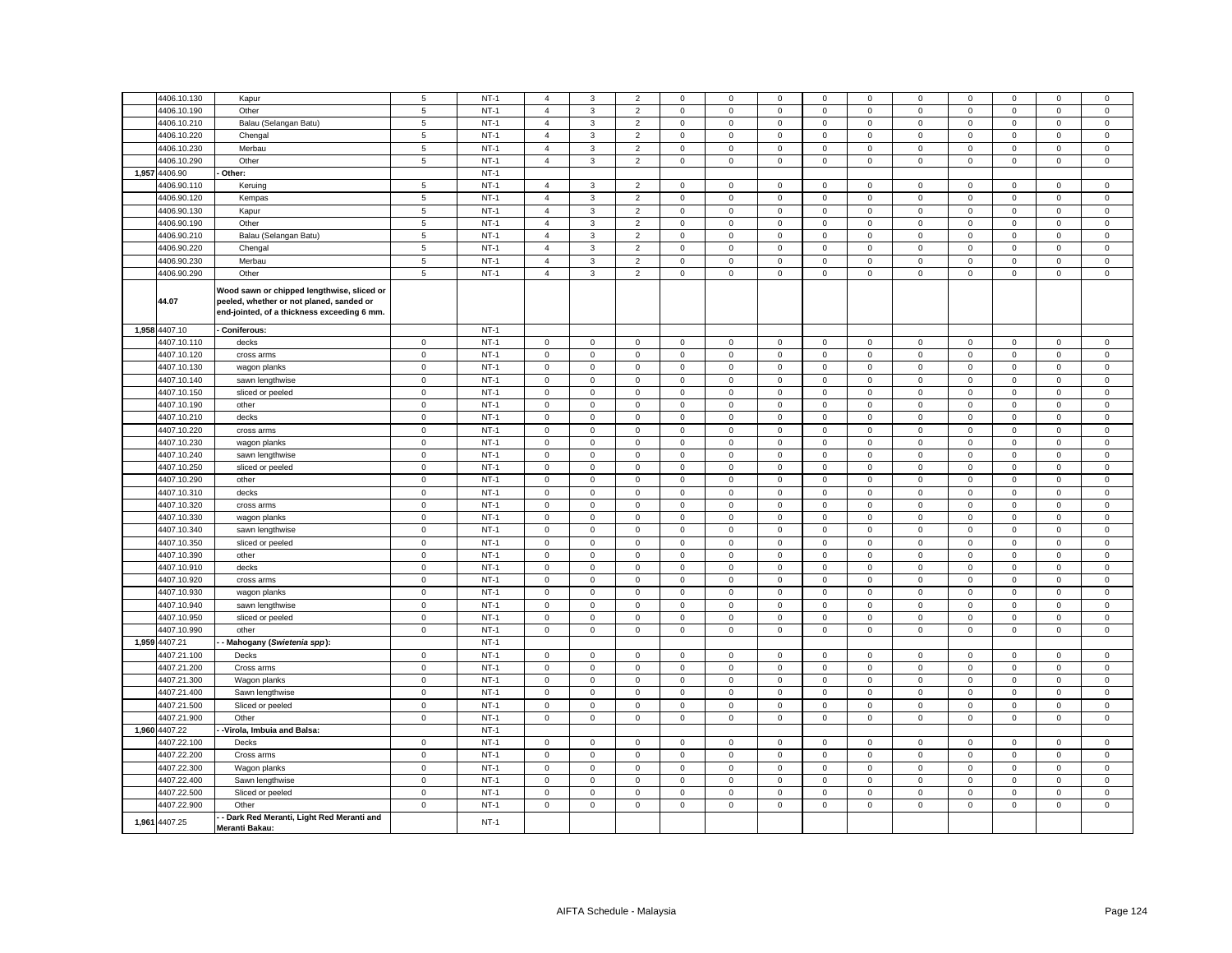| 4406.10.130   | Kapur                                                                                                                                 | 5              | $NT-1$ | 4                   | 3                   | $\overline{2}$ | 0                   | 0           | 0           | 0           | 0           | 0                   | 0           | $\Omega$    | 0           | $\mathsf 0$ |
|---------------|---------------------------------------------------------------------------------------------------------------------------------------|----------------|--------|---------------------|---------------------|----------------|---------------------|-------------|-------------|-------------|-------------|---------------------|-------------|-------------|-------------|-------------|
| 4406.10.190   | Other                                                                                                                                 | $\,$ 5 $\,$    | $NT-1$ | $\overline{4}$      | 3                   | $\mathbf 2$    | $\mathbf 0$         | $\mathsf 0$ | $\mathsf 0$ | $\mathsf 0$ | $\,0\,$     | $\mathsf 0$         | $\,0\,$     | $\mathsf 0$ | $\mathbf 0$ | $\mathbf 0$ |
| 4406.10.210   | Balau (Selangan Batu)                                                                                                                 | $\overline{5}$ | $NT-1$ | $\overline{4}$      | $\mathbf{3}$        | $\overline{2}$ | $\mathsf 0$         | $\mathbf 0$ | $\mathsf 0$ | $\mathbf 0$ | $\mathbf 0$ | $\mathsf 0$         | $\mathbf 0$ | $\mathsf 0$ | $\mathbf 0$ | $\mathsf 0$ |
|               |                                                                                                                                       |                |        |                     |                     |                |                     |             |             |             |             |                     |             |             |             |             |
| 4406.10.220   | Chengal                                                                                                                               | 5              | $NT-1$ | $\overline{4}$      | 3                   | $\mathbf 2$    | $\mathbf 0$         | $\mathsf 0$ | $\mathbf 0$ | $\mathsf 0$ | $\mathbf 0$ | $\mathsf 0$         | $\mathbf 0$ | $\mathsf 0$ | $\mathbf 0$ | $\mathbf 0$ |
| 4406.10.230   | Merbau                                                                                                                                | $\sqrt{5}$     | $NT-1$ | $\overline{4}$      | $\mathbf{3}$        | $\overline{2}$ | $\mathbf 0$         | 0           | $\mathsf 0$ | $\mathbf 0$ | $\mathbf 0$ | $\mathsf 0$         | $\mathbf 0$ | $\mathsf 0$ | $\mathbf 0$ | $\mathbf 0$ |
| 4406.10.290   | Other                                                                                                                                 | $\,$ 5 $\,$    | $NT-1$ | $\overline{4}$      | 3                   | $\mathbf 2$    | $\mathbf 0$         | $\mathsf 0$ | $\mathbf 0$ | $\mathsf 0$ | $\mathbf 0$ | $\mathsf 0$         | $\mathbf 0$ | $\mathsf 0$ | $\mathbf 0$ | $\mathbf 0$ |
| 1,957 4406.90 | Other:                                                                                                                                |                | $NT-1$ |                     |                     |                |                     |             |             |             |             |                     |             |             |             |             |
|               |                                                                                                                                       |                |        |                     |                     |                |                     |             |             |             |             |                     |             |             |             |             |
| 4406.90.110   | Keruing                                                                                                                               | $\,$ 5 $\,$    | $NT-1$ | $\overline{4}$      | $\mathbf{3}$        | $\overline{2}$ | $\mathbf 0$         | 0           | $\mathbf 0$ | $\mathsf 0$ | $\mathbf 0$ | $\mathsf{O}\xspace$ | $\mathbf 0$ | $\mathsf 0$ | $\mathbf 0$ | $\mathbf 0$ |
| 4406.90.120   | Kempas                                                                                                                                | $\sqrt{5}$     | $NT-1$ | $\overline{4}$      | 3                   | $\overline{2}$ | $\mathbf 0$         | $\mathsf 0$ | $\mathsf 0$ | $\mathbf 0$ | $\mathbf 0$ | $\mathbf 0$         | $\mathbf 0$ | $\mathsf 0$ | $\mathbf 0$ | $\mathsf 0$ |
| 4406.90.130   | Kapur                                                                                                                                 | $\,$ 5 $\,$    | $NT-1$ | $\overline{4}$      | $\mathbf{3}$        | $\mathbf 2$    | $\mathbf 0$         | $\mathsf 0$ | $\mathsf 0$ | $\mathsf 0$ | $\mathbf 0$ | $\overline{0}$      | $\mathbf 0$ | $\mathsf 0$ | $\mathsf 0$ | $\mathsf 0$ |
| 4406.90.190   | Other                                                                                                                                 | $\sqrt{5}$     | $NT-1$ | $\overline{4}$      | 3                   | $\overline{2}$ | $\mathbf 0$         | $\mathsf 0$ | $\mathsf 0$ | $\mathsf 0$ | $\mathbf 0$ | $\mathbf 0$         | $\mathbf 0$ | $\mathsf 0$ | $\mathsf 0$ | $\mathsf 0$ |
| 4406.90.210   |                                                                                                                                       | $\,$ 5 $\,$    | $NT-1$ | $\overline{4}$      | 3                   | $\mathbf 2$    | $\mathbf 0$         | $\mathsf 0$ | $\mathbf 0$ | $\mathsf 0$ | $\mathbf 0$ | $\mathsf 0$         | $\mathbf 0$ | $\mathsf 0$ | $\mathsf 0$ | $\mathsf 0$ |
|               | Balau (Selangan Batu)                                                                                                                 |                |        |                     |                     |                |                     |             |             |             |             |                     |             |             |             |             |
| 4406.90.220   | Chengal                                                                                                                               | $\,$ 5         | $NT-1$ | $\overline{4}$      | 3                   | $\overline{2}$ | $\mathbf 0$         | $\mathsf 0$ | $\mathsf 0$ | $\mathsf 0$ | $\mathbf 0$ | $\mathbf 0$         | $\mathbf 0$ | $\mathsf 0$ | $\mathsf 0$ | $\mathbf 0$ |
| 4406.90.230   | Merbau                                                                                                                                | $\overline{5}$ | $NT-1$ | $\overline{4}$      | 3                   | $\overline{2}$ | $\mathsf 0$         | $\mathsf 0$ | $\mathsf 0$ | $\mathsf 0$ | $\mathbf 0$ | $\mathsf 0$         | $\mathbf 0$ | $\mathsf 0$ | $\mathbf 0$ | $\mathsf 0$ |
| 4406.90.290   | Other                                                                                                                                 | $\overline{5}$ | $NT-1$ | $\overline{4}$      | $\mathbf{3}$        | $\overline{2}$ | $\mathbf 0$         | $\mathsf 0$ | $\mathsf 0$ | $\mathsf 0$ | $\mathsf 0$ | $\mathsf 0$         | $\mathbf 0$ | $\mathsf 0$ | $\mathsf 0$ | $\mathsf 0$ |
| 44.07         | Wood sawn or chipped lengthwise, sliced or<br>peeled, whether or not planed, sanded or<br>end-jointed, of a thickness exceeding 6 mm. |                |        |                     |                     |                |                     |             |             |             |             |                     |             |             |             |             |
| 1,958 4407.10 | Coniferous:                                                                                                                           |                | $NT-1$ |                     |                     |                |                     |             |             |             |             |                     |             |             |             |             |
| 4407.10.110   | decks                                                                                                                                 | $\mathbf 0$    | $NT-1$ | $\mathbf 0$         | $\mathbf 0$         | $\mathsf 0$    | $\mathbf 0$         | $\mathsf 0$ | $\mathsf 0$ | $\mathbf 0$ | $\mathbf 0$ | $\mathsf 0$         | $\mathbf 0$ | $\mathbf 0$ | $\mathbf 0$ | $\mathsf 0$ |
| 4407.10.120   | cross arms                                                                                                                            | $\mathsf 0$    | $NT-1$ | $\mathbf 0$         | $\mathsf 0$         | $\mathsf 0$    | $\mathsf 0$         | $\mathsf 0$ | $\mathbf 0$ | $\mathsf 0$ | $\mathbf 0$ | $\mathsf 0$         | $\mathsf 0$ | $\mathbf 0$ | $\mathsf 0$ | $\mathsf 0$ |
|               |                                                                                                                                       |                | $NT-1$ |                     |                     |                |                     |             |             |             |             |                     |             |             |             |             |
| 4407.10.130   | wagon planks                                                                                                                          | $\mathbf 0$    |        | $\mathsf 0$         | $\mathsf 0$         | $\mathsf 0$    | $\mathbf 0$         | $\mathsf 0$ | $\mathsf 0$ | $\mathsf 0$ | $\mathsf 0$ | $\mathsf 0$         | $\mathsf 0$ | $\mathsf 0$ | $\mathsf 0$ | $\mathbf 0$ |
| 4407.10.140   | sawn lengthwise                                                                                                                       | $\mathsf 0$    | $NT-1$ | $\Omega$            | $\mathsf 0$         | $\mathsf 0$    | $\Omega$            | $\mathsf 0$ | $\Omega$    | $\mathsf 0$ | $\mathbf 0$ | $\mathbf 0$         | $\Omega$    | $\mathsf 0$ | $\mathsf 0$ | $\mathbf 0$ |
| 4407.10.150   | sliced or peeled                                                                                                                      | $\mathsf 0$    | $NT-1$ | $\mathbf 0$         | $\mathbf 0$         | $\mathsf 0$    | $\mathbf 0$         | $\mathsf 0$ | $\mathbf 0$ | $\mathbf 0$ | $\,0\,$     | $\mathsf 0$         | $\mathsf 0$ | $\mathbf 0$ | $\mathbf 0$ | $\mathbf 0$ |
| 4407.10.190   | other                                                                                                                                 | $\mathsf 0$    | $NT-1$ | $\mathbf{0}$        | $\mathbf 0$         | $\mathsf 0$    | $\mathbf 0$         | $\mathsf 0$ | $\mathbf 0$ | $\mathsf 0$ | $\mathbf 0$ | $\mathsf 0$         | $\mathbf 0$ | $\mathbf 0$ | $\mathsf 0$ | $\mathsf 0$ |
| 4407.10.210   | decks                                                                                                                                 | $\mathbf 0$    | $NT-1$ | $\mathbf 0$         | $\mathsf 0$         | $\mathbf 0$    | 0                   | $\mathsf 0$ | $\mathbf 0$ | $\mathbf 0$ | 0           | $\pmb{0}$           | $\mathbf 0$ | $\mathsf 0$ | 0           | 0           |
| 4407.10.220   | cross arms                                                                                                                            | $\mathsf 0$    | $NT-1$ | $\mathbf 0$         | $\mathbf 0$         | $\mathsf 0$    | $\Omega$            | $\mathbf 0$ | $\mathbf 0$ | $\mathsf 0$ | $\mathbf 0$ | $\mathsf 0$         | $\mathbf 0$ | $\mathbf 0$ | $\mathsf 0$ | $\mathsf 0$ |
|               |                                                                                                                                       |                |        |                     |                     |                |                     |             |             |             |             |                     |             |             |             |             |
| 4407.10.230   | wagon planks                                                                                                                          | $\mathbf 0$    | $NT-1$ | $\mathsf{O}\xspace$ | $\mathbf 0$         | $\mathbf 0$    | 0                   | $\mathbf 0$ | $\mathbf 0$ | $\mathbf 0$ | $\mathbf 0$ | $\mathsf 0$         | $\mathsf 0$ | $\mathbf 0$ | $\mathsf 0$ | $\mathsf 0$ |
| 4407.10.240   | sawn lengthwise                                                                                                                       | $\mathbf 0$    | $NT-1$ | $\mathsf 0$         | $\mathsf 0$         | $\mathsf 0$    | $\mathsf 0$         | $\mathsf 0$ | $\mathsf 0$ | $\mathsf 0$ | $\,0\,$     | $\mathbf 0$         | $\mathbf 0$ | $\mathbf 0$ | $\mathsf 0$ | $\mathbf 0$ |
| 4407.10.250   | sliced or peeled                                                                                                                      | $\mathsf 0$    | $NT-1$ | $\mathsf 0$         | $\mathbf 0$         | $\mathsf 0$    | $\mathbf 0$         | $\mathsf 0$ | $\mathsf 0$ | $\mathsf 0$ | $\mathsf 0$ | $\mathsf 0$         | $\mathsf 0$ | $\mathsf 0$ | $\mathsf 0$ | $\mathsf 0$ |
| 4407.10.290   | other                                                                                                                                 | $\mathsf 0$    | $NT-1$ | $\mathbf 0$         | $\mathsf 0$         | $\mathsf 0$    | $\mathbf 0$         | $\mathsf 0$ | $\mathbf 0$ | $\mathsf 0$ | $\mathbf 0$ | $\mathsf 0$         | $\mathbf 0$ | $\mathbf 0$ | $\mathsf 0$ | $\mathbf 0$ |
| 4407.10.310   | decks                                                                                                                                 | $\mathbf 0$    | $NT-1$ | $\mathsf{O}\xspace$ | $\mathbf{0}$        | $\mathbf 0$    | $\mathbf 0$         | $\mathsf 0$ | $\mathbf 0$ | 0           | $\mathbf 0$ | $\mathsf 0$         | $\mathbf 0$ | 0           | $\mathsf 0$ | $\mathbf 0$ |
|               |                                                                                                                                       |                |        | $\mathsf 0$         |                     |                | $\mathbf 0$         |             | $\mathsf 0$ |             |             |                     | $\mathbf 0$ |             |             |             |
| 4407.10.320   | cross arms                                                                                                                            | $\mathbf 0$    | $NT-1$ |                     | $\mathsf{O}\xspace$ | $\mathbf 0$    |                     | $\mathsf 0$ |             | $\mathbf 0$ | $\mathbf 0$ | $\mathsf 0$         |             | $\mathsf 0$ | $\mathbf 0$ | $\mathbf 0$ |
| 4407.10.330   | wagon planks                                                                                                                          | $\mathsf 0$    | $NT-1$ | $\mathbf 0$         | $\mathbf 0$         | $\mathbf 0$    | $\mathbf 0$         | $\mathbf 0$ | $\mathbf 0$ | $\mathbf 0$ | $\mathbf 0$ | $\mathsf 0$         | $\mathbf 0$ | $\mathbf 0$ | $\mathbf 0$ | $\mathbf 0$ |
| 4407.10.340   | sawn lengthwise                                                                                                                       | $\mathbf 0$    | $NT-1$ | $\mathsf 0$         | $\mathsf 0$         | $\mathbf 0$    | $\mathbf 0$         | $\mathsf 0$ | $\mathsf 0$ | $\,0\,$     | $\mathbf 0$ | $\mathbf 0$         | $\mathbf 0$ | $\mathbf 0$ | $\mathbf 0$ | $\mathsf 0$ |
| 4407.10.350   | sliced or peeled                                                                                                                      | $\mathbf 0$    | $NT-1$ | $\mathsf{O}\xspace$ | 0                   | $\mathbf 0$    | $\pmb{0}$           | $\mathsf 0$ | $\mathsf 0$ | $\mathsf 0$ | $\mathbf 0$ | $\mathsf 0$         | $\mathbf 0$ | $\mathsf 0$ | $\mathsf 0$ | $\mathsf 0$ |
| 4407.10.390   | other                                                                                                                                 | $\mathsf 0$    | $NT-1$ | $\mathbf 0$         | $\mathbf 0$         | $\mathsf 0$    | $\mathbf 0$         | $\mathsf 0$ | $\mathbf 0$ | $\mathsf 0$ | $\mathbf 0$ | $\mathbf 0$         | $\mathbf 0$ | $\mathbf 0$ | $\mathsf 0$ | $\mathsf 0$ |
| 4407.10.910   | decks                                                                                                                                 | $\mathsf 0$    | $NT-1$ | $\mathsf 0$         | $\mathbf 0$         | $\mathbf 0$    | $\mathbf 0$         | $\mathbf 0$ | $\mathsf 0$ | $\Omega$    | $\mathbf 0$ | $\mathsf 0$         | $\mathsf 0$ | $\mathsf 0$ | $\mathsf 0$ | $\mathsf 0$ |
|               |                                                                                                                                       |                |        |                     |                     |                |                     |             |             |             |             |                     |             |             |             |             |
| 4407.10.920   | cross arms                                                                                                                            | $\mathbf 0$    | $NT-1$ | $\mathbf 0$         | $\mathbf 0$         | $\mathbf 0$    | $\mathbf 0$         | $\mathsf 0$ | $\mathbf 0$ | $\mathbf 0$ | $\mathbf 0$ | $\mathsf 0$         | $\mathbf 0$ | $\mathbf 0$ | $\mathsf 0$ | $\mathbf 0$ |
| 4407.10.930   | wagon planks                                                                                                                          | $\mathbf 0$    | $NT-1$ | $\mathsf{O}\xspace$ | $\mathbf 0$         | $\mathbf 0$    | 0                   | $\mathsf 0$ | $\mathbf 0$ | 0           | $\mathbf 0$ | $\mathsf 0$         | $\mathbf 0$ | $\mathbf 0$ | $\mathbf 0$ | $\mathbf 0$ |
| 4407.10.940   | sawn lengthwise                                                                                                                       | $\mathsf 0$    | $NT-1$ | $\mathbf 0$         | $\mathbf 0$         | $\mathbf 0$    | $\mathbf 0$         | $\mathbf 0$ | $\mathbf 0$ | $\mathbf 0$ | $\mathbf 0$ | $\mathsf 0$         | $\mathbf 0$ | $\mathbf 0$ | $\mathbf 0$ | $\mathsf 0$ |
| 4407.10.950   | sliced or peeled                                                                                                                      | $\mathbf 0$    | $NT-1$ | $\mathbf 0$         | $\mathbf 0$         | $\mathbf 0$    | 0                   | $\mathsf 0$ | $\mathbf 0$ | $\mathbf 0$ | $\mathbf 0$ | $\mathsf 0$         | $\mathbf 0$ | $\mathbf 0$ | $\mathbf 0$ | $\mathbf 0$ |
| 4407.10.990   | other                                                                                                                                 | $\mathbf 0$    | $NT-1$ | $\mathbf 0$         | $\mathsf 0$         | $\mathsf 0$    | $\mathsf{O}\xspace$ | $\mathsf 0$ | $\mathsf 0$ | $\mathbf 0$ | $\mathbf 0$ | $\mathsf 0$         | $\mathsf 0$ | $\mathsf 0$ | $\mathsf 0$ | $\mathbf 0$ |
| 1,959 4407.21 |                                                                                                                                       |                | $NT-1$ |                     |                     |                |                     |             |             |             |             |                     |             |             |             |             |
|               | Mahogany (Swietenia spp):                                                                                                             |                |        |                     |                     |                |                     |             |             |             |             |                     |             |             |             |             |
| 4407.21.100   | Decks                                                                                                                                 | $\mathsf 0$    | $NT-1$ | $\mathbf 0$         | $\mathsf 0$         | $\mathsf 0$    | $\mathbf 0$         | $\mathbf 0$ | $\mathbf 0$ | $\mathsf 0$ | $\mathbf 0$ | $\mathsf 0$         | $\mathbf 0$ | $\mathbf 0$ | $\mathsf 0$ | $\mathsf 0$ |
| 4407.21.200   | Cross arms                                                                                                                            | $\mathbf 0$    | $NT-1$ | $\mathbf 0$         | $\Omega$            | $\mathbf 0$    | 0                   | $\mathsf 0$ | $\mathbf 0$ | $\mathbf 0$ | $\mathbf 0$ | $\mathsf 0$         | $\mathbf 0$ | $\mathbf 0$ | $\mathbf 0$ | $\mathsf 0$ |
| 4407.21.300   | Wagon planks                                                                                                                          | $\mathbf 0$    | $NT-1$ | $\mathsf 0$         | $\mathsf 0$         | $\mathbf 0$    | $\mathbf 0$         | $\mathsf 0$ | $\mathsf 0$ | $\mathsf 0$ | $\mathbf 0$ | $\mathsf 0$         | $\mathbf 0$ | $\mathsf 0$ | $\mathbf 0$ | $\mathbf 0$ |
| 4407.21.400   | Sawn lengthwise                                                                                                                       | $\mathsf 0$    | $NT-1$ | $\mathsf 0$         | $\mathbf 0$         | $\mathsf 0$    | $\mathbf 0$         | $\mathsf 0$ | $\mathbf 0$ | $\mathbf 0$ | $\mathsf 0$ | $\mathsf 0$         | $\mathbf 0$ | $\mathbf 0$ | $\mathsf 0$ | $\mathsf 0$ |
| 4407.21.500   | Sliced or peeled                                                                                                                      | $\,0\,$        | $NT-1$ | $\mathbf 0$         | $\mathsf{O}\xspace$ | $\mathbf 0$    | $\mathsf 0$         | $\mathsf 0$ | $\mathsf 0$ | $\mathbf 0$ | $\,0\,$     | $\mathbf 0$         | $\mathsf 0$ | $\mathsf 0$ | $\mathsf 0$ | $\mathsf 0$ |
| 4407.21.900   | Other                                                                                                                                 | $\mathbf 0$    | $NT-1$ | $\mathsf 0$         | $\mathbf 0$         | $\mathsf 0$    | 0                   | $\mathsf 0$ | $\mathsf 0$ | $\mathsf 0$ | $\mathbf 0$ | $\mathsf 0$         | $\mathsf 0$ | $\mathsf 0$ | $\mathsf 0$ | $\mathsf 0$ |
|               |                                                                                                                                       |                |        |                     |                     |                |                     |             |             |             |             |                     |             |             |             |             |
| 1,960 4407.22 | -Virola, Imbuia and Balsa:                                                                                                            |                | $NT-1$ |                     |                     |                |                     |             |             |             |             |                     |             |             |             |             |
| 4407.22.100   | Decks                                                                                                                                 | $\mathbf 0$    | $NT-1$ | $\mathbf 0$         | $\mathsf 0$         | $\mathsf 0$    | $\mathbf 0$         | $\mathsf 0$ | $\mathsf 0$ | $\mathbf 0$ | $\mathbf 0$ | $\mathsf 0$         | $\mathsf 0$ | $\mathsf 0$ | $\mathbf 0$ | $\mathsf 0$ |
| 4407.22.200   | Cross arms                                                                                                                            | $\,0\,$        | $NT-1$ | $\mathbf 0$         | $\mathsf 0$         | $\mathsf 0$    | $\mathsf 0$         | $\mathsf 0$ | $\mathsf 0$ | $\mathbf 0$ | $\mathbf 0$ | $\mathbf 0$         | $\mathsf 0$ | $\mathsf 0$ | $\mathsf 0$ | $\mathsf 0$ |
| 4407.22.300   | Wagon planks                                                                                                                          | $\mathbf 0$    | $NT-1$ | $\mathsf 0$         | $\mathsf 0$         | $\mathsf 0$    | $\mathbf 0$         | $\mathsf 0$ | $\mathbf 0$ | $\mathsf 0$ | $\mathbf 0$ | $\mathsf 0$         | $\mathbf 0$ | $\mathsf 0$ | $\mathbf 0$ | $\mathsf 0$ |
| 4407.22.400   | Sawn lengthwise                                                                                                                       | $\mathbf 0$    | $NT-1$ | $\mathbf 0$         | $\mathbf 0$         | $\mathsf 0$    | $\mathbf 0$         | $\mathbf 0$ | $\mathbf 0$ | $\mathsf 0$ | $\mathbf 0$ | $\mathsf 0$         | $\mathbf 0$ | $\mathbf 0$ | $\mathbf 0$ | $\mathsf 0$ |
|               |                                                                                                                                       |                |        |                     |                     |                |                     |             |             |             |             |                     |             |             |             |             |
| 4407.22.500   | Sliced or peeled                                                                                                                      | $\mathbf 0$    | $NT-1$ | $\mathbf 0$         | $\mathbf 0$         | $\mathbf 0$    | 0                   | $\mathsf 0$ | $\mathbf 0$ | $\mathbf 0$ | $\mathbf 0$ | $\mathsf 0$         | $\mathbf 0$ | $\mathbf 0$ | 0           | $\mathsf 0$ |
| 4407.22.900   | Other                                                                                                                                 | $\mathbf 0$    | $NT-1$ | $\mathbf 0$         | $\mathsf 0$         | $\mathsf 0$    | $\Omega$            | $\mathsf 0$ | $\Omega$    | $\mathsf 0$ | $\mathbf 0$ | $\mathsf 0$         | $\mathbf 0$ | $\mathsf 0$ | $\mathsf 0$ | $\mathbf 0$ |
| 1,961 4407.25 | - Dark Red Meranti, Light Red Meranti and<br>Meranti Bakau:                                                                           |                | $NT-1$ |                     |                     |                |                     |             |             |             |             |                     |             |             |             |             |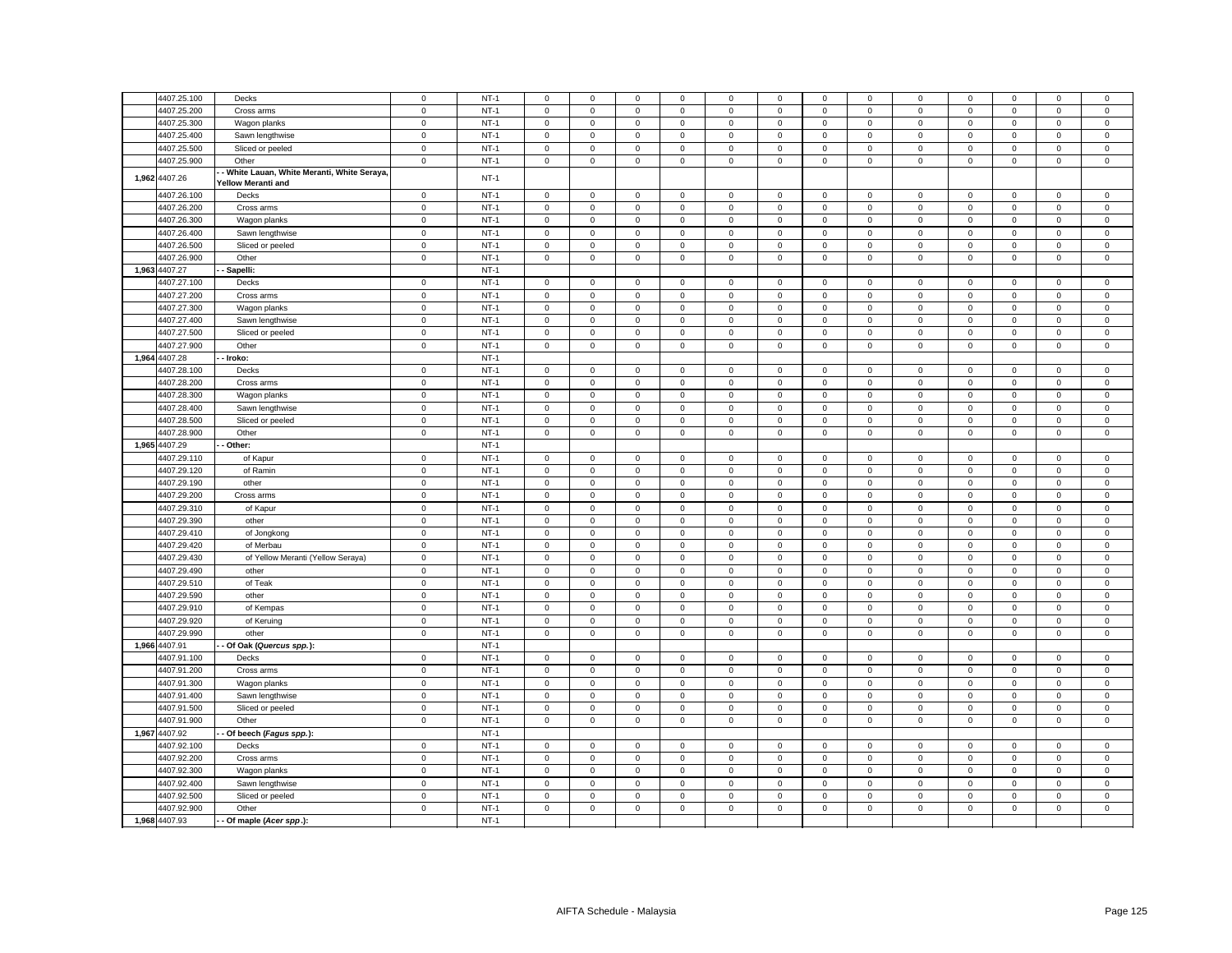| 4407.25.100   | Decks                                                                    | $\mathsf 0$ | $NT-1$ | $\mathbf 0$         | $\mathbf 0$         | $\mathsf 0$         | $\mathbf 0$  | 0            | $\mathsf 0$ | $\mathsf 0$         | $\mathbf 0$    | $\mathbf 0$         | $\mathsf 0$ | $\mathbf 0$  | $\mathbf 0$ | $\mathsf 0$ |
|---------------|--------------------------------------------------------------------------|-------------|--------|---------------------|---------------------|---------------------|--------------|--------------|-------------|---------------------|----------------|---------------------|-------------|--------------|-------------|-------------|
|               |                                                                          |             |        |                     |                     |                     |              |              |             |                     |                |                     |             |              |             |             |
| 4407.25.200   | Cross arms                                                               | $\mathsf 0$ | $NT-1$ | $\mathsf 0$         | $\mathbf 0$         | $\mathbf 0$         | $\mathbf 0$  | $\mathsf 0$  | $\mathbf 0$ | $\mathsf 0$         | $\mathsf 0$    | $\mathsf{o}\xspace$ | $\mathbf 0$ | $\mathsf 0$  | $\mathbf 0$ | $\mathsf 0$ |
| 4407.25.300   | Wagon planks                                                             | $\mathbf 0$ | $NT-1$ | $\overline{0}$      | $\mathbf{0}$        | $\mathbf 0$         | $\mathbf 0$  | $\mathbf 0$  | $\mathsf 0$ | $\mathbf{0}$        | $\mathbf 0$    | $\mathbf 0$         | $\mathbf 0$ | $\mathbf{0}$ | $\mathsf 0$ | $\mathsf 0$ |
| 4407.25.400   | Sawn lengthwise                                                          | $\mathsf 0$ | $NT-1$ | $\mathbf 0$         | $\mathsf 0$         | $\mathsf 0$         | $\mathbf 0$  | $\mathsf 0$  | $\mathsf 0$ | $\mathsf 0$         | $\mathsf 0$    | $\mathsf 0$         | $\mathsf 0$ | $\mathsf 0$  | $\mathbf 0$ | $\mathsf 0$ |
| 4407.25.500   | Sliced or peeled                                                         | $\mathsf 0$ | $NT-1$ | $\mathsf 0$         | $\mathbf 0$         | $\mathsf 0$         | $\mathsf 0$  | $\mathsf 0$  | $\mathsf 0$ | $\mathsf 0$         | $\mathsf 0$    | $\mathsf 0$         | $\mathsf 0$ | $\mathsf 0$  | $\mathsf 0$ | $\mathbf 0$ |
| 4407.25.900   | Other                                                                    | $\mathbf 0$ | $NT-1$ | $\mathsf 0$         | $\mathsf 0$         | $\mathsf 0$         | $\mathbf 0$  | $\mathbf 0$  | $\mathsf 0$ | $\mathsf{O}\xspace$ | $\mathbf 0$    | $\mathsf 0$         | $\mathsf 0$ | $\mathsf 0$  | $\mathsf 0$ | $\mathsf 0$ |
| 1,962 4407.26 | - White Lauan, White Meranti, White Seraya,<br><b>Yellow Meranti and</b> |             | $NT-1$ |                     |                     |                     |              |              |             |                     |                |                     |             |              |             |             |
| 4407.26.100   | Decks                                                                    | $\mathbf 0$ | $NT-1$ | $\mathbf 0$         | $\mathbf 0$         | $\mathsf 0$         | $\mathsf 0$  | $\mathsf 0$  | $\mathsf 0$ | $\mathbf 0$         | $\mathbf 0$    | $\mathsf 0$         | $\mathsf 0$ | $\mathsf 0$  | $\mathsf 0$ | $\mathsf 0$ |
| 4407.26.200   | Cross arms                                                               | $\mathsf 0$ | $NT-1$ | $\mathbf 0$         | $\mathbf 0$         | $\mathsf 0$         | $\mathsf 0$  | $\mathsf 0$  | $\mathsf 0$ | $\mathbf 0$         | $\mathbf 0$    | $\mathsf 0$         | $\mathsf 0$ | $\mathsf 0$  | $\mathsf 0$ | $\mathbf 0$ |
| 4407.26.300   | Wagon planks                                                             | $\mathbf 0$ | $NT-1$ | $\mathsf 0$         | $\mathbf 0$         | $\mathbf 0$         | $\mathbf 0$  | $\mathbf 0$  | $\mathsf 0$ | $\mathbf 0$         | $\overline{0}$ | $\mathsf 0$         | $\mathsf 0$ | $\mathbf 0$  | $\mathsf 0$ | $\mathsf 0$ |
| 4407.26.400   | Sawn lengthwise                                                          | $\mathsf 0$ | $NT-1$ | $\mathbf{0}$        | $\mathbf 0$         | $\mathbf 0$         | $\mathbf{0}$ | $\mathbf 0$  | $\mathbf 0$ | $\mathbf{0}$        | $\mathbf{0}$   | $\mathbf 0$         | $\mathbf 0$ | $\mathbf 0$  | $\mathbf 0$ | $\mathsf 0$ |
| 4407.26.500   | Sliced or peeled                                                         | $\mathbf 0$ | $NT-1$ | $\mathbf 0$         | $\mathbf 0$         | $\mathbf 0$         | $\mathbf 0$  | $\mathbf{0}$ | $\mathbf 0$ | $\mathbf 0$         | $\mathbf{0}$   | $\mathbf 0$         | $\mathbf 0$ | $\mathbf 0$  | $\mathbf 0$ | $\mathsf 0$ |
| 4407.26.900   | Other                                                                    | $\mathbf 0$ | $NT-1$ | $\mathsf 0$         | $\mathbf 0$         | $\mathsf 0$         | $\mathsf 0$  | $\mathsf 0$  | $\mathsf 0$ | $\mathbf 0$         | $\mathbf 0$    | $\mathbf 0$         | $\mathbf 0$ | $\mathsf 0$  | $\mathsf 0$ | $\mathsf 0$ |
| 1,963 4407.27 | - Sapelli:                                                               |             | $NT-1$ |                     |                     |                     |              |              |             |                     |                |                     |             |              |             |             |
| 4407.27.100   | Decks                                                                    | $\,0\,$     | $NT-1$ | $\mathsf 0$         | $\mathsf 0$         | $\mathsf 0$         | $\mathbf 0$  | $\mathbf 0$  | $\mathbf 0$ | $\mathbf 0$         | $\mathbf 0$    | $\mathsf 0$         | $\mathbf 0$ | $\mathbf 0$  | $\mathsf 0$ | $\mathsf 0$ |
| 4407.27.200   |                                                                          | $\mathsf 0$ | $NT-1$ |                     | $\Omega$            | $\mathbf 0$         |              | $\mathbf 0$  |             | $\mathbf 0$         | $\mathbf{0}$   | $\mathsf 0$         | $\mathbf 0$ | $\mathbf 0$  |             | $\mathsf 0$ |
|               | Cross arms                                                               |             |        | $\mathbf 0$         |                     |                     | 0            |              | $\mathbf 0$ |                     |                |                     |             |              | $\mathbf 0$ |             |
| 4407.27.300   | Wagon planks                                                             | $\mathbf 0$ | $NT-1$ | $\mathsf 0$         | $\mathsf{O}\xspace$ | $\mathbf 0$         | $\mathbf 0$  | $\mathsf 0$  | $\mathbf 0$ | $\mathbf 0$         | $\mathbf 0$    | $\pmb{0}$           | $\mathbf 0$ | $\mathsf 0$  | $\mathbf 0$ | $\mathbf 0$ |
| 4407.27.400   | Sawn lengthwise                                                          | $\mathbf 0$ | $NT-1$ | $\mathbf 0$         | $\mathsf 0$         | $\mathsf 0$         | 0            | $\mathsf 0$  | $\mathsf 0$ | 0                   | $\mathbf 0$    | $\mathsf 0$         | $\mathbf 0$ | $\mathbf 0$  | $\mathsf 0$ | $\mathsf 0$ |
| 4407.27.500   | Sliced or peeled                                                         | $\mathsf 0$ | $NT-1$ | $\mathsf 0$         | $\mathsf 0$         | $\mathsf 0$         | $\mathbf 0$  | $\mathsf 0$  | $\mathbf 0$ | $\mathsf 0$         | $\mathbf 0$    | $\mathsf{O}\xspace$ | $\mathbf 0$ | $\mathbf 0$  | $\mathbf 0$ | $\mathsf 0$ |
| 4407.27.900   | Other                                                                    | $\mathbf 0$ | $NT-1$ | $\mathbf 0$         | $\mathbf 0$         | $\mathsf 0$         | $\mathbf 0$  | 0            | $\mathbf 0$ | $\mathbf{0}$        | $\mathbf 0$    | $\mathbf 0$         | $\mathsf 0$ | $\mathsf 0$  | $\mathbf 0$ | $\mathsf 0$ |
| 1,964 4407.28 | - Iroko:                                                                 |             | $NT-1$ |                     |                     |                     |              |              |             |                     |                |                     |             |              |             |             |
| 4407.28.100   | Decks                                                                    | $\mathbf 0$ | $NT-1$ | $\mathbf 0$         | $\mathbf 0$         | $\mathbf 0$         | $\mathbf 0$  | 0            | $\mathbf 0$ | $\mathbf 0$         | $\mathbf 0$    | $\mathbf 0$         | 0           | $\mathbf 0$  | $\mathbf 0$ | $\mathbf 0$ |
| 4407.28.200   | Cross arms                                                               | $\mathbf 0$ | $NT-1$ | $\mathsf 0$         | $\mathsf 0$         | $\mathsf 0$         | $\mathbf 0$  | $\mathsf 0$  | $\mathbf 0$ | $\mathsf 0$         | $\mathbf 0$    | $\mathsf 0$         | $\mathbf 0$ | $\mathsf 0$  | $\mathsf 0$ | $\mathsf 0$ |
| 4407.28.300   | Wagon planks                                                             | $\mathsf 0$ | $NT-1$ | $\mathsf 0$         | $\mathsf 0$         | $\mathsf{O}\xspace$ | $\mathbf 0$  | $\mathbf 0$  | $\mathsf 0$ | $\mathsf 0$         | $\mathsf 0$    | $\mathsf 0$         | $\mathsf 0$ | $\mathsf 0$  | $\mathsf 0$ | $\mathbf 0$ |
| 4407.28.400   | Sawn lengthwise                                                          | $\mathbf 0$ | $NT-1$ | $\mathbf 0$         | $\mathbf 0$         | $\mathbf 0$         | $\mathbf 0$  | 0            | $\mathbf 0$ | $\mathbf 0$         | $\mathsf 0$    | $\mathbf 0$         | $\mathbf 0$ | $\mathbf 0$  | $\mathbf 0$ | $\mathsf 0$ |
| 4407.28.500   | Sliced or peeled                                                         | $\mathbf 0$ | $NT-1$ | $\mathbf 0$         | $\mathbf 0$         | $\mathsf 0$         | $\mathsf 0$  | $\mathsf 0$  | $\mathsf 0$ | $\mathbf 0$         | $\mathsf 0$    | $\mathsf 0$         | $\mathsf 0$ | $\mathsf 0$  | $\mathsf 0$ | $\mathsf 0$ |
| 4407.28.900   | Other                                                                    | $\mathbf 0$ | $NT-1$ | $\mathsf 0$         | $\mathbf 0$         | $\mathsf 0$         | $\mathsf 0$  | $\mathsf 0$  | $\mathsf 0$ | $\mathbf 0$         | $\mathbf 0$    | $\mathsf 0$         | $\mathsf 0$ | $\mathsf 0$  | $\mathsf 0$ | $\mathsf 0$ |
| 1,965 4407.29 | - Other:                                                                 |             | $NT-1$ |                     |                     |                     |              |              |             |                     |                |                     |             |              |             |             |
| 4407.29.110   | of Kapur                                                                 | $\mathbf 0$ | $NT-1$ | $\mathbf 0$         | $\mathbf 0$         | $\mathbf 0$         | $\mathbf{0}$ | $\mathbf 0$  | $\mathsf 0$ | $\mathbf{0}$        | $\overline{0}$ | $\mathbf 0$         | $\mathsf 0$ | $\mathbf 0$  | $\mathbf 0$ | $\mathbf 0$ |
| 4407.29.120   | of Ramin                                                                 | $\mathbf 0$ | $NT-1$ | $\mathbf{0}$        | $\mathsf 0$         | $\mathsf 0$         | $\mathsf 0$  | $\mathbf 0$  | $\mathsf 0$ | $\mathsf 0$         | $\mathbf 0$    | $\mathbf 0$         | $\mathbf 0$ | $\mathsf 0$  | $\mathsf 0$ | $\mathbf 0$ |
| 4407.29.190   | other                                                                    | $\mathsf 0$ | $NT-1$ | $\mathsf 0$         | $\mathbf 0$         | $\mathbf 0$         | $\mathsf 0$  | $\mathbf{0}$ | $\mathsf 0$ | $\mathbf 0$         | $\mathbf{0}$   | $\mathbf 0$         | $\mathsf 0$ | $\mathbf 0$  | $\mathbf 0$ | $\mathsf 0$ |
| 4407.29.200   | Cross arms                                                               | $\mathbf 0$ | $NT-1$ | $\mathbf 0$         | $\mathbf 0$         | $\mathbf 0$         | $\mathbf 0$  | $\mathbf 0$  | $\mathbf 0$ | $\mathbf 0$         | $\mathbf{0}$   | $\mathbf 0$         | $\mathbf 0$ | $\mathbf 0$  | $\mathbf 0$ | $\mathsf 0$ |
| 4407.29.310   | of Kapur                                                                 | $\mathbf 0$ | $NT-1$ | $\mathsf 0$         | $\mathbf 0$         | $\mathbf 0$         | $\mathbf 0$  | $\mathbf 0$  | $\mathbf 0$ | $\mathbf{0}$        | $\mathsf 0$    | $\mathbf 0$         | $\mathbf 0$ | $\mathbf 0$  | $\mathbf 0$ | $\mathsf 0$ |
| 4407.29.390   | other                                                                    | $\mathbf 0$ | $NT-1$ | $\mathbf 0$         | $\mathbf 0$         | $\mathbf 0$         | $\mathsf 0$  | $\mathsf 0$  | $\mathsf 0$ | $\mathbf 0$         | $\mathbf 0$    | $\mathbf 0$         | $\mathsf 0$ | $\mathsf 0$  | $\mathsf 0$ | $\mathsf 0$ |
| 4407.29.410   | of Jongkong                                                              | $\mathbf 0$ | $NT-1$ | $\mathbf 0$         | $\mathsf 0$         | $\mathsf 0$         | 0            | $\mathsf 0$  | $\mathsf 0$ | $\mathsf 0$         | $\mathbf 0$    | $\pmb{0}$           | $\mathbf 0$ | $\mathbf 0$  | $\mathbf 0$ | $\mathsf 0$ |
| 4407.29.420   | of Merbau                                                                | $\mathbf 0$ | $NT-1$ | $\mathsf 0$         | $\mathsf 0$         | $\mathbf 0$         | $\mathbf 0$  | $\mathsf 0$  | $\mathsf 0$ | $\mathbf 0$         | $\mathbf 0$    | $\mathsf 0$         | $\mathbf 0$ | $\mathsf 0$  | $\mathsf 0$ | $\mathbf 0$ |
| 4407.29.430   | of Yellow Meranti (Yellow Seraya)                                        | $\mathbf 0$ | $NT-1$ | $\mathbf 0$         | $\mathbf 0$         | $\mathbf 0$         | $\mathbf 0$  | 0            | $\mathbf 0$ | $\mathbf 0$         | $\mathbf 0$    | 0                   | $\mathbf 0$ | $\mathbf 0$  | 0           | $\mathbf 0$ |
| 4407.29.490   | other                                                                    | $\mathsf 0$ | $NT-1$ | $\mathsf 0$         | $\mathsf 0$         | $\mathsf 0$         | $\mathbf 0$  | $\mathsf 0$  | $\mathbf 0$ | $\mathbf 0$         | $\mathbf 0$    | $\mathsf 0$         | $\mathbf 0$ | $\mathsf 0$  | $\mathbf 0$ | $\mathsf 0$ |
| 4407.29.510   | of Teak                                                                  | $\mathbf 0$ | $NT-1$ | $\mathsf{O}\xspace$ | $\mathbf 0$         | $\mathbf 0$         | 0            | $\mathsf 0$  | $\mathsf 0$ | $\mathbf 0$         | $\mathbf 0$    | $\mathsf 0$         | $\mathbf 0$ | $\mathsf 0$  | 0           | $\mathbf 0$ |
| 4407.29.590   | other                                                                    | $\mathsf 0$ | $NT-1$ | $\mathsf 0$         | $\mathsf 0$         | $\mathsf 0$         | $\mathbf 0$  | $\mathsf 0$  | $\mathbf 0$ | $\mathsf 0$         | $\mathbf 0$    | $\mathsf 0$         | $\mathbf 0$ | $\mathsf 0$  | $\mathbf 0$ | $\mathsf 0$ |
| 4407.29.910   | of Kempas                                                                | $\mathsf 0$ | $NT-1$ | $\mathbf 0$         | $\mathsf 0$         | $\mathsf 0$         | $\mathsf 0$  | $\mathbf 0$  | $\mathsf 0$ | $\mathbf 0$         | $\mathbf 0$    | $\mathsf 0$         | $\mathsf 0$ | $\mathsf 0$  | $\mathsf 0$ | $\mathsf 0$ |
| 4407.29.920   | of Keruing                                                               | $\mathsf 0$ | $NT-1$ | $\mathbf 0$         | $\mathbf 0$         | $\mathsf 0$         | $\Omega$     | $\mathsf 0$  | $\mathbf 0$ | $\mathbf 0$         | $\mathbf 0$    | $\mathsf 0$         | $\mathbf 0$ | $\mathsf 0$  | $\mathbf 0$ | $\mathsf 0$ |
| 4407.29.990   | other                                                                    | $\mathbf 0$ | $NT-1$ | $\mathsf 0$         | $\mathbf 0$         | $\mathsf 0$         | $\mathbf 0$  | $\mathbf 0$  | $\mathsf 0$ | $\mathbf 0$         | $\mathbf 0$    | $\mathsf 0$         | $\mathsf 0$ | $\mathbf 0$  | $\mathsf 0$ | $\mathsf 0$ |
| 1,966 4407.91 | - Of Oak (Quercus spp.):                                                 |             | $NT-1$ |                     |                     |                     |              |              |             |                     |                |                     |             |              |             |             |
| 4407.91.100   | Decks                                                                    | $\mathbf 0$ | $NT-1$ | $\mathbf{0}$        | $\mathbf 0$         | $\mathsf 0$         | $\mathsf 0$  | $\mathbf 0$  | $\mathsf 0$ | $\mathbf 0$         | $\mathbf 0$    | $\mathbf{0}$        | $\mathsf 0$ | $\mathbf 0$  | $\mathbf 0$ | $\mathsf 0$ |
|               |                                                                          |             |        |                     |                     |                     |              |              |             |                     |                |                     |             |              |             |             |
| 4407.91.200   | Cross arms                                                               | $\mathbf 0$ | $NT-1$ | $\mathbf{0}$        | $\mathbf 0$         | $\mathbf 0$         | $\mathbf{0}$ | $\mathbf{0}$ | $\mathbf 0$ | $\mathbf 0$         | $\mathbf{0}$   | $\mathbf 0$         | $\mathbf 0$ | $\mathbf 0$  | $\mathbf 0$ | $\mathsf 0$ |
| 4407.91.300   | Wagon planks                                                             | $\mathsf 0$ | $NT-1$ | $\mathbf 0$         | $\mathbf 0$         | $\mathsf 0$         | $\mathbf 0$  | $\mathsf 0$  | $\mathsf 0$ | $\mathbf 0$         | $\mathbf 0$    | $\mathsf 0$         | $\mathsf 0$ | $\mathsf 0$  | $\mathsf 0$ | $\mathsf 0$ |
| 4407.91.400   | Sawn lengthwise                                                          | $\mathbf 0$ | $NT-1$ | $\mathsf 0$         | $\mathbf 0$         | $\mathsf 0$         | $\mathbf 0$  | $\mathsf 0$  | $\mathsf 0$ | $\mathbf 0$         | $\mathsf 0$    | $\mathsf 0$         | $\mathsf 0$ | $\mathsf 0$  | $\mathbf 0$ | $\mathsf 0$ |
| 4407.91.500   | Sliced or peeled                                                         | $\mathsf 0$ | $NT-1$ | $\mathbf 0$         | $\mathbf 0$         | $\mathsf 0$         | $\mathsf 0$  | $\mathsf 0$  | $\mathsf 0$ | $\mathbf 0$         | $\mathbf 0$    | $\mathsf 0$         | $\mathbf 0$ | $\mathbf 0$  | $\mathsf 0$ | $\mathbf 0$ |
| 4407.91.900   | Other                                                                    | $\mathsf 0$ | $NT-1$ | $\mathbf 0$         | $\mathbf 0$         | $\mathsf 0$         | $\mathsf 0$  | $\mathsf 0$  | $\mathsf 0$ | $\mathbf 0$         | $\mathbf{0}$   | $\mathbf 0$         | $\mathsf 0$ | $\mathsf 0$  | $\mathsf 0$ | $\mathsf 0$ |
| 1,967 4407.92 | - Of beech (Fagus spp.):                                                 |             | $NT-1$ |                     |                     |                     |              |              |             |                     |                |                     |             |              |             |             |
| 4407.92.100   | Decks                                                                    | $\mathbf 0$ | $NT-1$ | $\mathbf 0$         | $\mathbf 0$         | $\mathsf 0$         | $\mathbf 0$  | $\mathsf 0$  | $\mathsf 0$ | $\mathbf 0$         | $\mathbf 0$    | $\mathsf 0$         | $\mathsf 0$ | $\mathsf 0$  | $\mathbf 0$ | $\mathsf 0$ |
| 4407.92.200   | Cross arms                                                               | $\mathbf 0$ | $NT-1$ | $\mathsf 0$         | $\mathsf 0$         | $\mathsf 0$         | $\mathsf 0$  | $\mathsf 0$  | $\mathsf 0$ | $\mathbf 0$         | $\mathbf 0$    | $\mathbf 0$         | $\mathsf 0$ | $\mathsf 0$  | $\mathsf 0$ | $\mathbf 0$ |
| 4407.92.300   | Wagon planks                                                             | $\mathsf 0$ | $NT-1$ | $\mathsf 0$         | $\mathbf 0$         | $\mathsf 0$         | $\mathbf 0$  | $\mathsf 0$  | $\mathsf 0$ | $\mathbf 0$         | $\mathbf 0$    | $\mathbf 0$         | $\mathsf 0$ | $\mathsf 0$  | $\mathsf 0$ | $\mathsf 0$ |
| 4407.92.400   | Sawn lengthwise                                                          | $\mathsf 0$ | $NT-1$ | $\mathsf 0$         | $\mathbf 0$         | $\mathsf 0$         | $\mathbf 0$  | $\mathsf 0$  | $\mathsf 0$ | $\mathbf 0$         | $\mathbf 0$    | $\pmb{0}$           | $\mathbf 0$ | $\mathsf 0$  | $\mathbf 0$ | $\mathsf 0$ |
| 4407.92.500   | Sliced or peeled                                                         | $\mathbf 0$ | $NT-1$ | $\mathbf 0$         | $\mathbf 0$         | $\mathbf 0$         | 0            | 0            | $\mathbf 0$ | 0                   | 0              | 0                   | $\mathbf 0$ | 0            | 0           | 0           |
| 4407.92.900   | Other                                                                    | $\mathbf 0$ | $NT-1$ | $\mathsf 0$         | $\mathsf 0$         | $\mathbf 0$         | $\mathsf 0$  | $\mathsf 0$  | $\mathbf 0$ | $\mathsf 0$         | $\mathbf 0$    | $\mathsf 0$         | $\mathbf 0$ | $\mathbf 0$  | $\mathsf 0$ | $\mathsf 0$ |
| 1,968 4407.93 | Of maple (Acer spp.):                                                    |             | $NT-1$ |                     |                     |                     |              |              |             |                     |                |                     |             |              |             |             |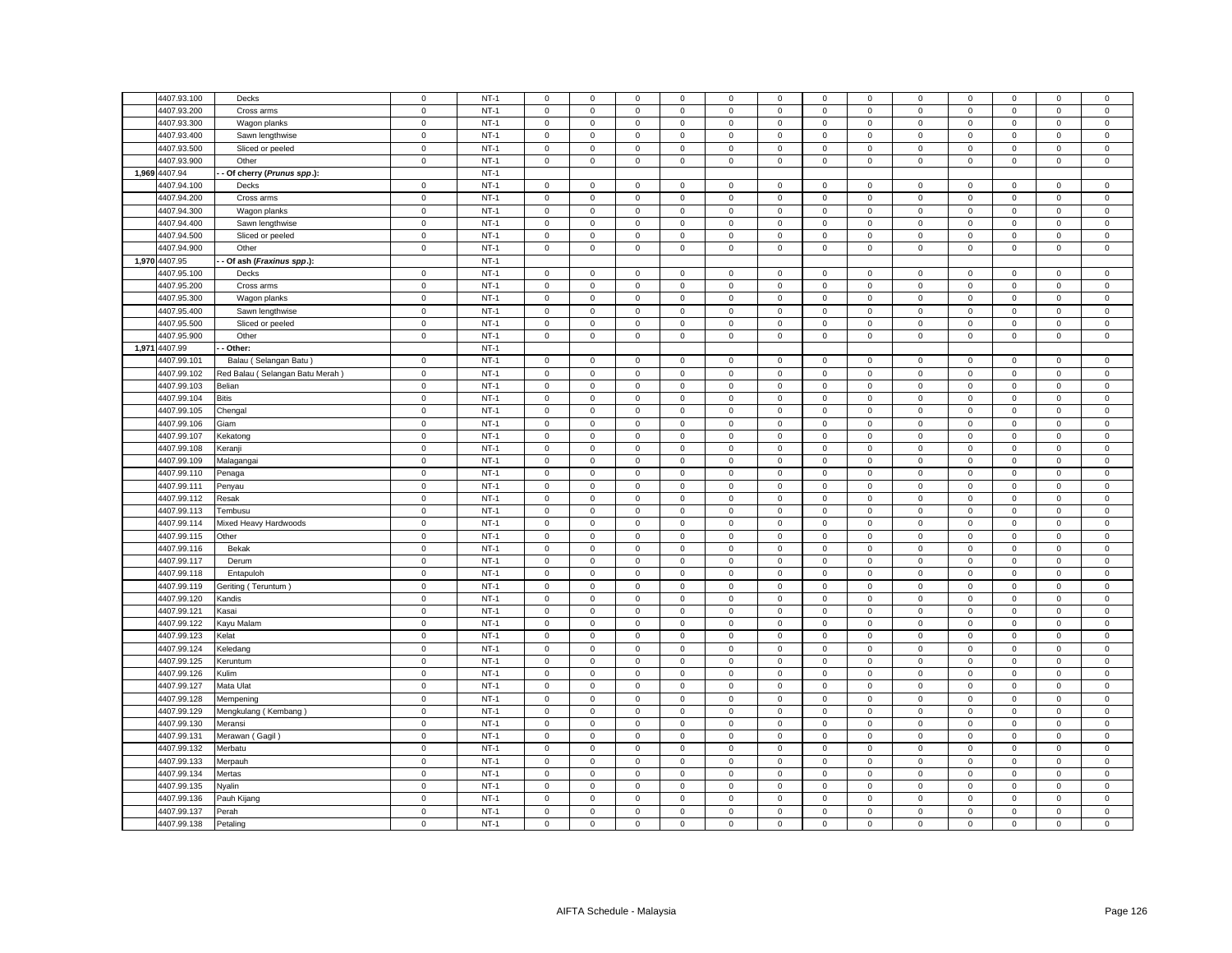|               |                                 |             |        |              |              |              |                |             |              | $\mathbf 0$         | $\mathbf{0}$ |              |             | $\mathbf 0$         | $\mathbf 0$  |                |
|---------------|---------------------------------|-------------|--------|--------------|--------------|--------------|----------------|-------------|--------------|---------------------|--------------|--------------|-------------|---------------------|--------------|----------------|
| 4407.93.100   | Decks                           | $\mathbf 0$ | $NT-1$ | $\mathbf 0$  | $\mathbf 0$  | $\mathsf 0$  | $\mathsf 0$    | $\mathsf 0$ | $\mathsf 0$  |                     |              | $\mathsf 0$  | $\mathsf 0$ |                     |              | $\mathsf 0$    |
| 4407.93.200   | Cross arms                      | $\mathbf 0$ | $NT-1$ | $\mathbf 0$  | $\mathbf 0$  | $\mathsf 0$  | $\mathsf 0$    | $\mathsf 0$ | $\mathsf 0$  | $\mathsf 0$         | $\mathbf 0$  | $\mathbf 0$  | $\mathsf 0$ | $\mathsf 0$         | $\mathbf 0$  | $\mathsf 0$    |
| 4407.93.300   | Wagon planks                    | $\mathsf 0$ | $NT-1$ | $\mathbf 0$  | $\mathbf 0$  | $\mathsf 0$  | $\mathsf 0$    | $\mathbf 0$ | $\mathsf 0$  | $\mathsf 0$         | $\mathbf 0$  | $\mathbf 0$  | $\mathsf 0$ | $\mathbf 0$         | $\mathsf 0$  | $\mathsf 0$    |
| 4407.93.400   | Sawn lengthwise                 | $\mathsf 0$ | $NT-1$ | $\mathbf 0$  | $\mathbf{0}$ | $\mathbf{0}$ | $\mathbf{0}$   | $\mathbf 0$ | $\mathbf{0}$ | $\mathbf{0}$        | $\mathbf{0}$ | $\mathbf{0}$ | $\mathbf 0$ | $\mathbf 0$         | $\mathbf{0}$ | $\mathbf 0$    |
| 4407.93.500   | Sliced or peeled                | $\mathbf 0$ | $NT-1$ | 0            | $\mathbf 0$  | $\mathsf 0$  | $\mathbf 0$    | 0           | $\mathsf 0$  | $\mathbf 0$         | $\mathbf 0$  | $\mathbf 0$  | $\mathsf 0$ | $\mathbf 0$         | $\mathbf 0$  | $\,0\,$        |
| 4407.93.900   | Other                           | $\mathsf 0$ | $NT-1$ | $\mathbf 0$  | $\mathbf 0$  | $\mathsf 0$  | $\mathsf 0$    | $\mathbf 0$ | $\mathsf 0$  | $\mathbf{0}$        | $\mathbf{0}$ | $\mathsf 0$  | $\mathsf 0$ | $\mathbf 0$         | $\mathbf 0$  | $\mathsf 0$    |
| 1,969 4407.94 | Of cherry (Prunus spp.):        |             | $NT-1$ |              |              |              |                |             |              |                     |              |              |             |                     |              |                |
| 4407.94.100   | Decks                           | $\mathsf 0$ | $NT-1$ | $\mathsf 0$  | $\mathbf 0$  | $\mathsf 0$  | $\mathsf 0$    | $\mathbf 0$ | $\mathsf 0$  | $\mathsf 0$         | $\mathbf 0$  | $\mathbf 0$  | $\mathbf 0$ | $\mathbf 0$         | $\mathsf 0$  | $\mathbf 0$    |
| 4407.94.200   | Cross arms                      | $\mathbf 0$ | $NT-1$ | $\mathsf 0$  | $\mathbf 0$  | $\mathsf 0$  | $\mathbf{0}$   | $\mathsf 0$ | $\mathsf 0$  | $\mathsf 0$         | $\mathbf{0}$ | $\mathbf 0$  | $\mathbf 0$ | $\mathsf 0$         | $\mathsf 0$  | $\mathsf 0$    |
| 4407.94.300   | Wagon planks                    | $\mathsf 0$ | $NT-1$ | 0            | $\mathbf 0$  | $\mathbf 0$  | $\mathbf 0$    | 0           | $\mathbf 0$  | 0                   | $\mathbf{0}$ | $\mathbf 0$  | $\mathbf 0$ | 0                   | $\mathbf 0$  | $\mathbf 0$    |
| 4407.94.400   | Sawn lengthwise                 | $\mathbf 0$ | $NT-1$ | $\mathsf 0$  | $\mathbf 0$  | $\mathsf 0$  | $\mathsf 0$    | $\mathbf 0$ | $\mathsf 0$  | $\mathsf 0$         | $\mathbf{0}$ | $\mathsf 0$  | $\mathsf 0$ | $\mathsf 0$         | $\mathsf 0$  | $\mathsf 0$    |
| 4407.94.500   | Sliced or peeled                | $\mathbf 0$ | $NT-1$ | $\mathbf 0$  | $\mathbf 0$  | $\mathsf 0$  | $\mathsf 0$    | $\mathsf 0$ | $\mathsf 0$  | $\mathsf 0$         | $\mathbf 0$  | $\mathbf 0$  | $\mathsf 0$ | $\mathsf 0$         | $\mathsf 0$  | $\mathsf 0$    |
| 4407.94.900   | Other                           | $\mathbf 0$ | $NT-1$ | $\mathbf 0$  | $\mathbf 0$  | $\mathsf 0$  | $\mathsf 0$    | $\mathsf 0$ | $\mathsf 0$  | $\mathsf 0$         | $\mathbf 0$  | $\mathbf 0$  | $\mathsf 0$ | $\mathbf 0$         | $\mathsf 0$  | $\mathsf 0$    |
| 1,970 4407.95 | - Of ash (Fraxinus spp.):       |             | $NT-1$ |              |              |              |                |             |              |                     |              |              |             |                     |              |                |
| 4407.95.100   | Decks                           | $\pmb{0}$   | $NT-1$ | $\mathsf 0$  | $\mathsf 0$  | $\mathbf 0$  | $\mathsf 0$    | $\mathsf 0$ | $\mathbf 0$  | $\mathsf 0$         | $\mathbf 0$  | $\mathsf 0$  | $\mathsf 0$ | $\mathsf 0$         | $\mathsf 0$  | $\mathsf 0$    |
| 4407.95.200   | Cross arms                      | $\mathbf 0$ | $NT-1$ | $\mathbf 0$  | $\Omega$     | $\mathbf 0$  | $\mathbf 0$    | 0           | $\mathbf 0$  | $\mathbf 0$         | $\Omega$     | $\mathbf 0$  | $\mathbf 0$ | $\mathbf 0$         | $\mathbf 0$  | $\mathbf 0$    |
| 4407.95.300   | Wagon planks                    | $\,0\,$     | $NT-1$ | $\mathsf 0$  | $\mathbf 0$  | $\mathsf 0$  | $\mathsf 0$    | $\mathsf 0$ | $\mathsf 0$  | $\mathsf 0$         | $\mathsf 0$  | $\mathbf 0$  | $\mathsf 0$ | $\mathsf 0$         | $\mathsf 0$  | $\mathbf 0$    |
| 4407.95.400   | Sawn lengthwise                 | $\pmb{0}$   | $NT-1$ | 0            | $\mathbf 0$  | $\mathsf 0$  | $\mathsf 0$    | $\mathsf 0$ | $\mathbf 0$  | $\mathsf{O}\xspace$ | $\mathsf 0$  | $\mathsf 0$  | $\mathbf 0$ | $\mathbf 0$         | $\mathsf 0$  | $\,0\,$        |
| 4407.95.500   | Sliced or peeled                | $\mathbf 0$ | $NT-1$ | $\mathbf 0$  | $\mathbf 0$  | $\mathsf 0$  | $\mathbf 0$    | $\mathsf 0$ | $\mathbf 0$  | $\mathsf 0$         | $\mathbf 0$  | $\mathbf 0$  | $\mathbf 0$ | $\mathbf 0$         | $\mathsf 0$  | $\mathbf 0$    |
| 4407.95.900   |                                 | $\mathbf 0$ | $NT-1$ |              |              | $\mathsf 0$  |                | $\mathsf 0$ |              |                     | 0            | $\mathsf 0$  | $\mathbf 0$ | $\mathbf 0$         |              | $\,0\,$        |
| 1,971 4407.99 | Other<br>Other:                 |             | $NT-1$ | 0            | 0            |              | 0              |             | 0            | $\mathbf 0$         |              |              |             |                     | 0            |                |
|               |                                 |             | $NT-1$ |              |              |              |                |             |              |                     |              |              |             |                     |              |                |
| 4407.99.101   | Balau (Selangan Batu            | $\mathbf 0$ |        | $\mathbf 0$  | $\mathbf 0$  | $\mathbf 0$  | $\mathbf 0$    | 0           | 0            | $\mathbf 0$         | $\mathbf 0$  | $\mathbf 0$  | $\mathbf 0$ | 0                   | $\mathbf 0$  | $\mathbf 0$    |
| 4407.99.102   | Red Balau (Selangan Batu Merah) | $\mathbf 0$ | $NT-1$ | $\mathsf 0$  | $\mathsf 0$  | $\mathsf 0$  | $\mathsf 0$    | $\mathsf 0$ | $\mathbf 0$  | $\mathsf 0$         | $\mathsf 0$  | $\mathsf 0$  | $\mathbf 0$ | $\mathsf{O}\xspace$ | 0            | $\mathbf 0$    |
| 4407.99.103   | Belian                          | $\mathsf 0$ | $NT-1$ | $\mathbf 0$  | $\mathbf 0$  | $\mathsf 0$  | $\mathbf 0$    | 0           | $\mathsf 0$  | $\mathbf 0$         | $\mathbf 0$  | $\mathbf 0$  | $\mathsf 0$ | $\mathbf 0$         | $\mathbf 0$  | $\mathsf 0$    |
| 4407.99.104   | Bitis                           | $\mathbf 0$ | $NT-1$ | $\mathbf 0$  | $\mathbf 0$  | $\mathbf 0$  | $\mathsf 0$    | 0           | $\mathbf 0$  | $\mathsf 0$         | $\mathbf 0$  | $\mathbf 0$  | $\mathbf 0$ | $\mathbf 0$         | $\mathbf 0$  | $\mathbf 0$    |
| 4407.99.105   | Chengal                         | $\mathbf 0$ | $NT-1$ | 0            | 0            | $\mathsf 0$  | 0              | $\mathsf 0$ | $\mathbf 0$  | 0                   | 0            | $\mathsf 0$  | $\mathbf 0$ | 0                   | 0            | $\,0\,$        |
| 4407.99.106   | Giam                            | $\mathbf 0$ | $NT-1$ | $\mathbf 0$  | $\mathsf 0$  | $\mathsf 0$  | $\overline{0}$ | $\mathsf 0$ | $\mathsf 0$  | $\mathsf 0$         | $\mathsf 0$  | $\mathsf 0$  | $\mathsf 0$ | $\mathsf 0$         | $\mathsf 0$  | $\mathbf 0$    |
| 4407.99.107   | Kekatong                        | $\mathsf 0$ | $NT-1$ | 0            | $\mathbf 0$  | $\mathsf 0$  | $\mathbf 0$    | $\mathbf 0$ | $\mathsf 0$  | $\mathsf 0$         | $\mathbf 0$  | $\mathbf 0$  | $\mathsf 0$ | $\mathbf 0$         | $\mathbf 0$  | $\mathsf 0$    |
| 4407.99.108   | Keranji                         | $\pmb{0}$   | $NT-1$ | $\mathbf 0$  | $\mathsf 0$  | $\mathsf 0$  | $\mathsf 0$    | $\mathsf 0$ | $\mathbf 0$  | $\mathsf 0$         | $\mathsf 0$  | $\mathsf 0$  | $\mathsf 0$ | $\mathsf 0$         | $\mathbf 0$  | $\mathbf 0$    |
| 4407.99.109   | Malagangai                      | $\mathsf 0$ | $NT-1$ | $\mathbf 0$  | $\mathbf 0$  | $\mathsf 0$  | $\mathsf 0$    | $\mathbf 0$ | $\mathsf 0$  | $\mathsf 0$         | $\mathbf 0$  | $\mathsf 0$  | $\mathsf 0$ | $\mathsf 0$         | $\mathsf 0$  | $\mathbf 0$    |
| 4407.99.110   | Penaga                          | $\pmb{0}$   | $NT-1$ | 0            | $\mathsf 0$  | $\mathsf 0$  | $\mathbf 0$    | $\mathsf 0$ | 0            | $\mathsf 0$         | $\mathbf 0$  | $\mathsf 0$  | $\mathbf 0$ | 0                   | 0            | $\mathbf 0$    |
| 4407.99.111   | Penyau                          | $\mathbf 0$ | $NT-1$ | $\mathbf{0}$ | $\mathbf 0$  | $\mathsf 0$  | $\mathbf 0$    | $\mathbf 0$ | $\mathsf 0$  | $\mathbf{0}$        | $\mathbf{0}$ | $\mathbf 0$  | $\mathsf 0$ | $\mathbf{0}$        | $\mathsf 0$  | $\,0\,$        |
| 4407.99.112   | Resak                           | $\mathbf 0$ | $NT-1$ | $\mathbf 0$  | $\mathbf 0$  | $\mathsf 0$  | $\mathsf 0$    | $\mathsf 0$ | $\mathsf 0$  | $\mathsf 0$         | $\mathsf 0$  | $\mathsf 0$  | $\mathsf 0$ | $\mathsf 0$         | $\mathsf 0$  | $\mathbf 0$    |
| 4407.99.113   | Tembusu                         | $\mathbf 0$ | $NT-1$ | $\mathbf 0$  | $\mathsf 0$  | $\mathsf 0$  | $\mathbf 0$    | $\mathsf 0$ | $\mathsf 0$  | $\mathsf 0$         | $\mathsf 0$  | $\mathsf 0$  | $\,0\,$     | 0                   | $\mathsf 0$  | $\mathbf 0$    |
| 4407.99.114   | Mixed Heavy Hardwoods           | $\mathbf 0$ | $NT-1$ | $\mathbf 0$  | $\mathbf 0$  | $\mathsf 0$  | $\mathbf 0$    | $\mathsf 0$ | 0            | $\mathsf 0$         | $\mathbf 0$  | $\mathbf 0$  | $\mathbf 0$ | 0                   | $\mathbf 0$  | $\,0\,$        |
| 4407.99.115   | Other                           | $\mathbf 0$ | $NT-1$ | $\mathbf 0$  | $\mathbf 0$  | $\mathsf 0$  | $\mathsf 0$    | $\mathbf 0$ | $\mathsf 0$  | $\mathsf 0$         | $\mathbf 0$  | $\mathsf 0$  | $\mathsf 0$ | $\mathsf 0$         | $\mathsf 0$  | $\mathsf 0$    |
| 4407.99.116   | Bekak                           | $\,0\,$     | $NT-1$ | 0            | 0            | 0            | $\mathsf 0$    | 0           | 0            | $\mathbf 0$         | 0            | $\mathsf 0$  | $\mathbf 0$ | 0                   | 0            | $\,0\,$        |
| 4407.99.117   | Derum                           | $\mathsf 0$ | $NT-1$ | $\mathsf 0$  | $\mathbf 0$  | $\mathsf 0$  | $\mathsf 0$    | $\mathbf 0$ | $\mathsf 0$  | $\mathsf 0$         | $\mathbf 0$  | $\mathbf 0$  | $\mathsf 0$ | $\mathsf 0$         | $\mathsf 0$  | $\mathsf 0$    |
| 4407.99.118   | Entapuloh                       | $\mathbf 0$ | $NT-1$ | $\mathsf 0$  | $\mathsf 0$  | $\mathsf 0$  | $\mathbf 0$    | $\mathsf 0$ | $\mathsf 0$  | $\mathsf 0$         | $\mathsf 0$  | $\mathsf 0$  | $\mathsf 0$ | $\mathsf 0$         | $\mathsf 0$  | $\mathbf 0$    |
| 4407.99.119   | Geriting (Teruntum)             | $\mathbf 0$ | $NT-1$ | $\mathsf 0$  | $\mathbf 0$  | $\mathsf 0$  | $\mathsf 0$    | $\mathsf 0$ | $\mathsf 0$  | $\mathsf 0$         | $\mathsf 0$  | $\mathbf 0$  | $\mathsf 0$ | $\mathbf 0$         | $\mathsf 0$  | $\mathbf 0$    |
| 4407.99.120   | Kandis                          | $\mathbf 0$ | $NT-1$ | $\mathbf 0$  | $\mathbf 0$  | $\mathsf 0$  | $\mathbf 0$    | $\mathsf 0$ | $\mathsf 0$  | $\mathsf 0$         | $\mathbf 0$  | $\mathbf 0$  | $\mathsf 0$ | $\mathsf 0$         | $\mathsf 0$  | $\mathsf 0$    |
| 4407.99.121   | Kasai                           | $\mathsf 0$ | $NT-1$ | $\mathbf 0$  | $\mathbf 0$  | $\mathsf 0$  | $\mathsf 0$    | $\mathbf 0$ | $\mathsf 0$  | $\mathsf 0$         | $\mathbf 0$  | $\mathbf 0$  | $\mathsf 0$ | $\mathsf 0$         | $\mathsf 0$  | $\mathsf 0$    |
| 4407.99.122   | Kayu Malam                      | $\mathbf 0$ | $NT-1$ | 0            | $\mathbf 0$  | $\mathsf 0$  | $\mathbf 0$    | $\mathsf 0$ | $\mathbf 0$  | $\mathsf 0$         | $\mathbf 0$  | $\mathbf 0$  | $\mathbf 0$ | $\mathsf 0$         | $\mathbf 0$  | $\mathsf 0$    |
| 4407.99.123   | Kelat                           | $\mathbf 0$ | $NT-1$ | $\mathbf 0$  | $\mathbf 0$  | $\mathsf 0$  | $\mathbf 0$    | $\mathsf 0$ | $\mathsf 0$  | $\mathbf 0$         | $\mathsf 0$  | $\mathbf 0$  | $\mathsf 0$ | $\mathbf 0$         | $\mathbf 0$  | $\mathbf 0$    |
| 4407.99.124   | Keledang                        | $\mathsf 0$ | $NT-1$ | $\mathbf 0$  | $\mathbf 0$  | $\mathsf 0$  | $\mathsf 0$    | $\mathbf 0$ | $\mathbf 0$  | $\mathsf 0$         | $\mathbf{0}$ | $\mathsf 0$  | $\mathbf 0$ | $\mathbf 0$         | $\mathsf 0$  | $\mathsf 0$    |
| 4407.99.125   | Keruntum                        | $\mathbf 0$ | $NT-1$ | $\mathsf 0$  | $\mathbf 0$  | $\mathsf 0$  | $\mathbf 0$    | $\mathbf 0$ | $\mathsf 0$  | $\mathsf 0$         | $\mathbf 0$  | $\mathbf 0$  | $\mathsf 0$ | $\mathbf 0$         | $\mathsf 0$  | $\,0\,$        |
| 4407.99.126   | Kulim                           | $\mathsf 0$ | $NT-1$ | $\mathbf 0$  | $\mathbf 0$  | $\mathsf 0$  | $\mathsf 0$    | $\mathbf 0$ | $\mathsf 0$  | $\mathsf 0$         | $\mathbf{0}$ | $\mathbf 0$  | $\mathsf 0$ | $\mathsf 0$         | $\mathsf 0$  | $\mathsf 0$    |
| 4407.99.127   | Mata Ulat                       | $\mathsf 0$ | $NT-1$ | $\mathbf 0$  | $\mathbf 0$  | $\mathsf 0$  | $\mathbf 0$    | $\mathbf 0$ | $\mathbf 0$  | $\mathsf 0$         | $\mathbf 0$  | $\mathbf 0$  | $\mathbf 0$ | $\mathbf 0$         | $\mathsf 0$  | $\mathsf 0$    |
| 4407.99.128   | Mempening                       | $\mathbf 0$ | $NT-1$ | $\mathsf 0$  | $\mathbf 0$  | $\mathsf 0$  | $\mathsf 0$    | $\mathsf 0$ | $\mathsf 0$  | $\mathsf 0$         | $\mathbf 0$  | $\mathsf 0$  | $\mathsf 0$ | $\mathsf 0$         | $\mathsf 0$  | $\mathbf 0$    |
| 4407.99.129   | Mengkulang (Kembang)            | $\mathbf 0$ | $NT-1$ | $\mathsf 0$  | $\mathbf 0$  | $\mathsf 0$  | $\mathbf{0}$   | $\mathsf 0$ | $\mathsf 0$  | $\mathsf 0$         | $\mathsf 0$  | $\mathbf 0$  | $\mathsf 0$ | $\mathsf 0$         | $\mathsf 0$  | $\mathsf 0$    |
| 4407.99.130   | Meransi                         | $\mathsf 0$ | $NT-1$ | $\mathbf 0$  | $\mathbf 0$  | $\mathsf 0$  | $\mathsf 0$    | $\mathbf 0$ | $\mathbf 0$  | $\mathsf 0$         | $\mathbf 0$  | $\mathbf 0$  | $\mathsf 0$ | $\mathbf 0$         | $\mathbf 0$  | $\mathsf 0$    |
| 4407.99.131   |                                 | $\mathbf 0$ | $NT-1$ | $\mathbf 0$  | $\mathbf 0$  | $\mathsf 0$  | $\mathsf 0$    | $\mathsf 0$ | $\mathbf 0$  | $\mathsf 0$         | $\mathsf 0$  | $\mathsf 0$  | $\mathbf 0$ | $\mathsf 0$         | $\mathsf 0$  | $\,0\,$        |
| 4407.99.132   | Merawan (Gagil)<br>Merbatu      | $\mathsf 0$ | $NT-1$ | $\mathbf 0$  | $\mathbf 0$  | $\mathsf 0$  | $\mathsf 0$    | $\mathbf 0$ | $\mathsf 0$  | $\mathbf 0$         | $\mathbf 0$  | $\mathbf 0$  | $\mathsf 0$ | $\mathsf 0$         | $\mathsf 0$  | $\mathsf 0$    |
|               |                                 | $\mathbf 0$ | $NT-1$ | $\mathbf{0}$ | $\mathbf 0$  | $\mathsf 0$  | $\mathbf 0$    | $\mathsf 0$ | $\mathsf 0$  | $\mathsf 0$         |              | $\mathsf 0$  | $\mathsf 0$ |                     | $\mathsf 0$  | $\mathsf 0$    |
| 4407.99.133   | Merpauh                         |             |        |              |              |              |                |             |              |                     | $\mathbf 0$  |              |             | $\mathbf 0$         |              |                |
| 4407.99.134   | Mertas                          | $\,0\,$     | $NT-1$ | 0            | $\mathbf 0$  | $\mathsf 0$  | $\mathbf 0$    | $\mathsf 0$ | $\mathbf 0$  | $\mathsf{O}\xspace$ | 0            | $\mathbf 0$  | $\mathbf 0$ | $\mathbf 0$         | $\mathbf 0$  | $\overline{0}$ |
| 4407.99.135   | Vyalin                          | $\pmb{0}$   | $NT-1$ | $\mathbf 0$  | $\mathsf 0$  | $\mathsf 0$  | $\mathbf 0$    | $\mathsf 0$ | $\mathbf 0$  | $\mathsf{O}\xspace$ | $\mathsf 0$  | $\mathsf 0$  | $\mathbf 0$ | $\mathsf 0$         | $\mathsf 0$  | $\pmb{0}$      |
| 4407.99.136   | Pauh Kijang                     | $\mathbf 0$ | $NT-1$ | 0            | $\mathbf 0$  | $\mathsf 0$  | $\mathbf 0$    | 0           | $\mathbf 0$  | $\mathbf 0$         | 0            | $\mathsf 0$  | $\mathbf 0$ | $\mathbf 0$         | $\mathbf 0$  | $\mathsf 0$    |
| 4407.99.137   | Perah                           | $\,0\,$     | $NT-1$ | $\mathbf 0$  | $\mathsf 0$  | $\mathsf 0$  | $\mathsf 0$    | $\mathsf 0$ | $\mathsf 0$  | $\mathsf{O}\xspace$ | $\mathsf 0$  | $\mathsf 0$  | $\mathsf 0$ | $\mathsf 0$         | $\mathsf 0$  | $\mathbf 0$    |
| 4407.99.138   | Petaling                        | $\mathbf 0$ | $NT-1$ | $\mathbf 0$  | $\mathbf 0$  | $\mathsf 0$  | $\mathbf 0$    | $\mathsf 0$ | $\mathsf 0$  | $\mathsf 0$         | $\mathbf 0$  | $\mathbf 0$  | $\mathsf 0$ | $\mathsf 0$         | $\mathsf 0$  | $\overline{0}$ |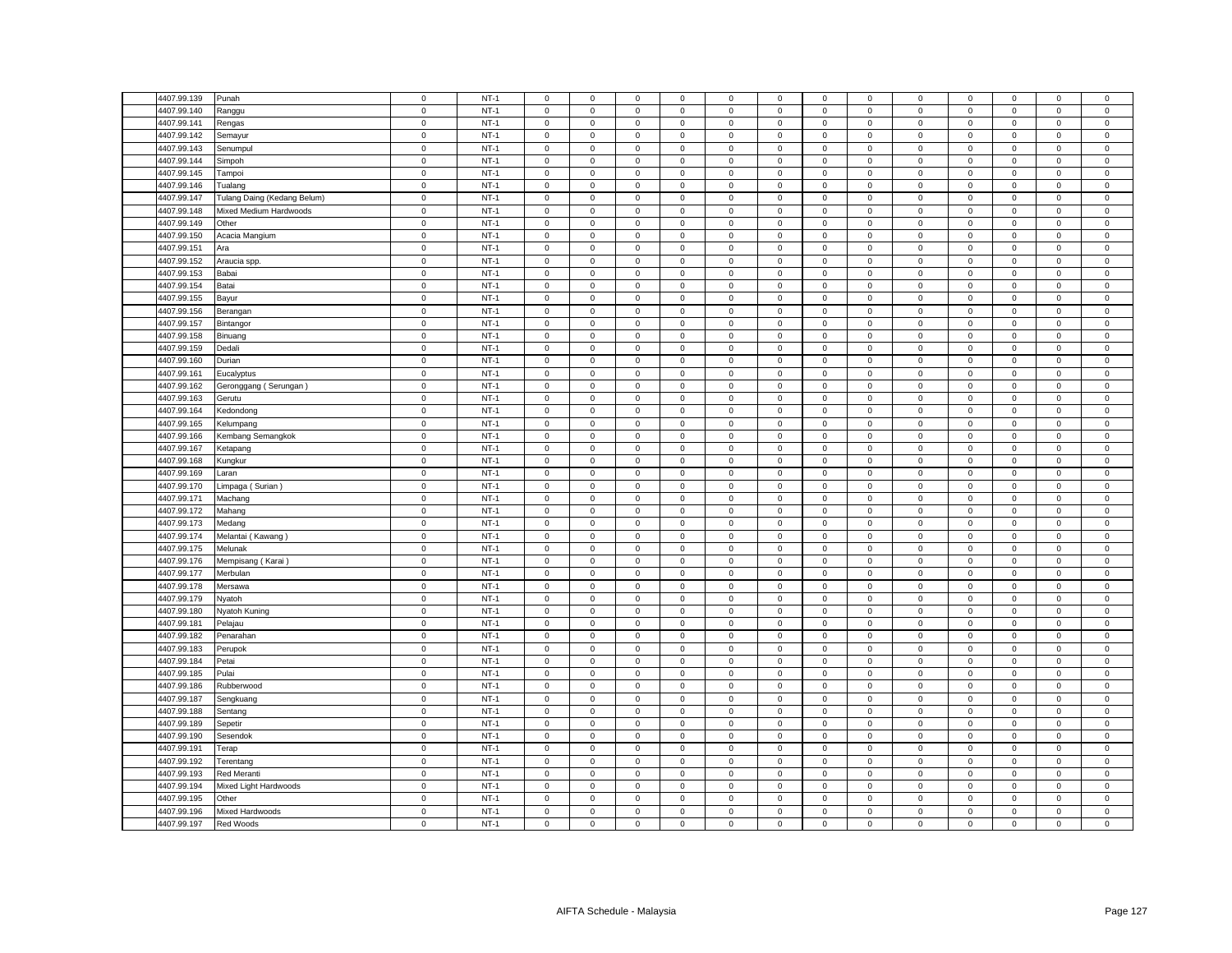| 4407.99.139                | Punah                       | $\mathbf 0$                | $NT-1$ | $\mathsf 0$                        | $\mathsf 0$                | $\mathsf 0$                | $\mathbf 0$                | 0                   | $\mathsf 0$                | $\mathsf 0$                | $\mathsf 0$                | $\mathsf 0$                | $\mathsf 0$                | $\mathbf 0$                | $\mathbf 0$                | $\mathsf 0$            |
|----------------------------|-----------------------------|----------------------------|--------|------------------------------------|----------------------------|----------------------------|----------------------------|---------------------|----------------------------|----------------------------|----------------------------|----------------------------|----------------------------|----------------------------|----------------------------|------------------------|
| 4407.99.140                | Ranggu                      | $\mathsf 0$                | $NT-1$ | $\mathsf 0$                        | $\mathsf 0$                | $\mathsf 0$                | $\mathbf 0$                | 0                   | $\mathsf 0$                | $\mathsf 0$                | $\mathsf 0$                | $\mathsf 0$                | $\mathsf 0$                | $\mathsf 0$                | $\mathsf 0$                | $\mathsf 0$            |
| 4407.99.141                | Rengas                      | $\mathsf 0$                | $NT-1$ | $\mathsf 0$                        | $\mathsf 0$                | $\mathsf 0$                | $\mathsf 0$                | $\mathbf 0$         | $\mathsf 0$                | $\mathbf 0$                | $\mathsf 0$                | $\mathbf 0$                | $\mathsf 0$                | $\mathsf 0$                | $\mathsf 0$                | $\mathsf 0$            |
| 4407.99.142                | Semayur                     | $\mathsf 0$                | $NT-1$ | $\mathbf{0}$                       | $\mathbf 0$                | $\mathbf 0$                | $\mathbf 0$                | $\mathbf{0}$        | $\mathbf 0$                | $\mathbf{0}$               | $\mathbf{0}$               | $\mathbf{0}$               | $\mathbf 0$                | $\mathbf{0}$               | $\mathbf{0}$               | $\mathsf 0$            |
| 4407.99.143                | Senumpu                     | $\mathsf 0$                | $NT-1$ | $\mathbf 0$                        | $\mathsf 0$                | $\mathsf 0$                | $\mathbf 0$                | 0                   | $\mathsf 0$                | $\mathbf 0$                | $\mathbf 0$                | $\mathbf 0$                | $\mathsf 0$                | $\mathbf 0$                | $\mathbf 0$                | $\,0\,$                |
| 4407.99.144                | Simpoh                      | $\mathsf 0$                | $NT-1$ | $\mathsf 0$                        | $\mathbf{0}$               | $\mathsf 0$                | $\mathsf 0$                | $\mathbf{0}$        | $\mathbf 0$                | $\mathbf 0$                | $\mathbf{0}$               | $\mathsf 0$                | $\mathbf 0$                | $\mathbf 0$                | $\mathbf 0$                | $\mathsf 0$            |
| 4407.99.145                | Tampoi                      | $\mathbf 0$                | $NT-1$ | $\circ$                            | $\mathbf 0$                | $\mathbf 0$                | $\mathbf 0$                | $\mathbf{0}$        | $\mathbf 0$                | $\mathbf{0}$               | $\mathbf 0$                | $\mathsf 0$                | $\mathbf 0$                | $\mathbf 0$                | $\mathsf 0$                | $\mathsf 0$            |
| 4407.99.146                | Tualang                     | $\mathbf 0$                | $NT-1$ | $\mathsf 0$                        | $\mathbf 0$                | $\mathsf 0$                | $\mathsf 0$                | $\mathbf 0$         | $\mathsf 0$                | $\mathbf 0$                | $\mathsf 0$                | $\mathbf 0$                | $\mathbf 0$                | $\mathsf 0$                | $\mathsf 0$                | $\mathbf 0$            |
| 4407.99.147                | Tulang Daing (Kedang Belum) | $\mathbf 0$                | $NT-1$ | $\mathsf 0$                        | $\mathsf 0$                | $\mathsf 0$                | $\mathsf 0$                | $\mathbf{0}$        | $\mathbf 0$                | $\mathbf 0$                | $\mathsf 0$                | $\mathsf 0$                | $\mathbf 0$                | $\mathsf 0$                | $\mathsf 0$                | $\mathsf 0$            |
| 4407.99.148                | Mixed Medium Hardwoods      | $\mathsf 0$                | $NT-1$ | $\mathbf 0$                        | $\mathbf 0$                | $\mathbf 0$                | $\mathbf 0$                | $\mathbf{0}$        | $\mathbf 0$                | $\mathbf{0}$               | $\mathbf{0}$               | $\mathsf 0$                | $^{\circ}$                 | $\mathbf 0$                | $\mathbf 0$                | $\mathsf 0$            |
| 4407.99.149                | Other                       | $\mathsf 0$                | $NT-1$ | $\mathsf 0$                        | $\mathbf 0$                | $\mathsf 0$                | $\mathsf 0$                | 0                   | $\mathsf 0$                | $\mathbf 0$                | $\mathsf 0$                | $\mathsf 0$                | $\mathbf 0$                | $\mathsf 0$                | $\mathsf 0$                | $\mathsf 0$            |
| 4407.99.150                | Acacia Mangium              | $\mathsf 0$                | $NT-1$ | $\mathsf 0$                        | $\mathbf 0$                | $\mathsf 0$                | $\mathsf 0$                | $\mathbf{0}$        | $\mathsf 0$                | $\mathbf 0$                | $\mathbf 0$                | $\mathsf 0$                | $\mathsf 0$                | $\mathbf 0$                | $\mathsf 0$                | $\mathsf 0$            |
| 4407.99.151                | Ara                         | $\mathsf 0$                | $NT-1$ | $\mathsf 0$                        | $\mathsf 0$                | $\mathsf 0$                | $\mathsf 0$                | 0                   | $\mathsf 0$                | $\mathsf 0$                | $\,0\,$                    | $\mathsf 0$                | $\mathbf 0$                | $\mathsf{O}\xspace$        | $\mathsf 0$                | $\,0\,$                |
| 4407.99.152                | Araucia spp.                | $\mathsf 0$                | $NT-1$ | $\mathbf 0$                        | $\mathsf 0$                | $\mathsf 0$                | $\mathsf 0$                | 0                   | $\mathsf 0$                | $\mathbf 0$                | $\mathsf 0$                | $\mathsf 0$                | $\mathsf 0$                | $\mathsf 0$                | $\mathsf 0$                | $\mathsf 0$            |
| 4407.99.153                | Babai                       | $\mathsf 0$                | $NT-1$ | $\mathsf 0$                        | $\mathsf 0$                | $\mathsf 0$                | $\mathsf 0$                | $\mathbf 0$         | $\mathbf 0$                | $\mathsf 0$                | $\mathsf 0$                | $\mathsf 0$                | $\mathsf 0$                | $\mathsf{O}\xspace$        | $\mathsf 0$                | $\mathsf 0$            |
| 4407.99.154                | Batai                       | $\mathsf 0$                | $NT-1$ | 0                                  | $\mathsf 0$                | $\mathsf 0$                | $\mathbf 0$                | 0                   | $\mathsf 0$                | $\mathbf 0$                | $\mathbf 0$                | $\mathsf 0$                | $\mathbf 0$                | $\mathbf 0$                | $\mathsf 0$                | $\mathsf 0$            |
| 4407.99.155                | Bayur                       | $\mathbf 0$                | $NT-1$ | $\mathbf 0$                        | $\mathsf 0$                | $\mathsf 0$                | $\mathbf 0$                | $\mathbf{0}$        | $\mathbf 0$                | $\mathbf 0$                | $\mathsf 0$                | $\mathsf 0$                | $\mathbf 0$                | $\mathbf 0$                | $\mathsf 0$                | $\mathsf 0$            |
| 4407.99.156                | Berangan                    | $\mathsf 0$                | $NT-1$ | $\mathbf 0$                        | $\mathbf 0$                | $\mathsf 0$                | $\mathbf 0$                | $\mathbf 0$         | $\mathbf 0$                | $\mathbf 0$                | $\mathbf 0$                | $\mathsf 0$                | $\mathsf 0$                | $\mathbf 0$                | $\mathsf 0$                | $\mathsf 0$            |
| 4407.99.157                | Bintangor                   | $\mathsf 0$                | $NT-1$ | $\mathsf 0$                        | $\mathsf 0$                | $\mathsf 0$                | $\mathsf 0$                | 0                   | $\mathsf 0$                | $\mathbf 0$                | $\,0\,$                    | $\mathsf 0$                | $\mathsf 0$                | $\mathsf 0$                | $\mathsf 0$                | $\mathbf 0$            |
|                            |                             |                            | $NT-1$ |                                    |                            |                            |                            |                     |                            |                            |                            |                            |                            |                            |                            |                        |
| 4407.99.158<br>4407.99.159 | Binuang<br>Dedali           | $\mathbf 0$<br>$\mathsf 0$ | $NT-1$ | $\mathsf{O}\xspace$<br>$\mathsf 0$ | $\mathsf 0$<br>$\mathsf 0$ | $\mathsf 0$<br>$\mathsf 0$ | $\mathbf 0$<br>$\mathsf 0$ | 0<br>$\mathbf{0}$   | $\mathsf 0$<br>$\mathbf 0$ | $\mathsf 0$<br>$\mathsf 0$ | $\mathsf 0$<br>$\mathsf 0$ | $\mathsf 0$<br>$\mathsf 0$ | $\mathbf 0$<br>$\mathsf 0$ | $\mathsf 0$<br>$\mathsf 0$ | $\mathsf 0$<br>$\mathsf 0$ | $\,0\,$<br>$\mathbf 0$ |
|                            |                             |                            |        |                                    |                            |                            |                            |                     |                            |                            |                            |                            |                            |                            |                            |                        |
| 4407.99.160                | Durian                      | $\mathbf 0$                | $NT-1$ | 0<br>$\mathbf 0$                   | $\mathsf 0$                | $\mathsf 0$                | 0<br>$\mathbf 0$           | 0                   | $\mathbf 0$<br>$\mathbf 0$ | 0                          | 0                          | $\mathsf 0$                | $\mathbf 0$<br>$\mathbf 0$ | 0                          | $\mathsf 0$                | $\,0\,$                |
| 4407.99.161                | Eucalyptus                  | $\mathbf 0$                | $NT-1$ |                                    | $\mathsf{O}\xspace$        | $\mathsf 0$                |                            | $\mathsf{O}\xspace$ |                            | $\mathbf 0$                | $\mathbf 0$                | $\mathsf 0$                |                            | $\mathsf 0$                | $\mathsf 0$                | $\mathbf 0$            |
| 4407.99.162                | Geronggang (Serungan)       | 0                          | $NT-1$ | 0                                  | 0                          | 0                          | $^{\circ}$                 | 0                   | $\mathbf 0$                | $\mathbf 0$                | $\mathbf 0$                | 0                          | 0                          | 0                          | 0                          | $\mathbf 0$            |
| 4407.99.163                | Gerutu                      | $\mathbf 0$                | $NT-1$ | $\mathsf 0$                        | $\mathsf{O}\xspace$        | $\mathbf 0$                | $\mathsf 0$                | 0                   | $\mathbf 0$                | $\mathbf 0$                | $\,0\,$                    | $\mathsf 0$                | $\mathbf 0$                | $\mathsf{O}\xspace$        | $\mathbf 0$                | $\mathbf 0$            |
| 4407.99.164                | Kedondong                   | $\mathsf 0$                | $NT-1$ | $\mathsf 0$                        | $\mathsf{O}\xspace$        | $\mathsf 0$                | 0                          | 0                   | $\mathbf 0$                | 0                          | $\mathsf 0$                | $\mathsf 0$                | $\mathbf 0$                | $\mathsf{O}\xspace$        | $\mathsf 0$                | $\mathbf 0$            |
| 4407.99.165                | Kelumpang                   | $\mathbf 0$                | $NT-1$ | $\mathbf 0$                        | $\mathsf{O}\xspace$        | $\mathbf 0$                | 0                          | 0                   | $\mathbf 0$                | $\mathbf 0$                | $\mathbf 0$                | $\mathsf 0$                | $\mathbf 0$                | 0                          | 0                          | $\mathbf 0$            |
| 4407.99.166                | Kembang Semangkok           | $\mathbf 0$                | $NT-1$ | 0                                  | 0                          | $\mathbf 0$                | 0                          | 0                   | $\mathbf 0$                | $\overline{0}$             | $\mathbf 0$                | $\mathsf 0$                | $\mathbf 0$                | 0                          | 0                          | $\,0\,$                |
| 4407.99.167                | <b>Ketapang</b>             | $\mathbf 0$                | $NT-1$ | $\mathbf 0$                        | $\mathsf 0$                | $\mathsf 0$                | $\mathbf 0$                | $\mathbf 0$         | $\mathbf 0$                | $\mathsf 0$                | $\mathsf 0$                | $\mathsf 0$                | $\mathbf 0$                | $\mathsf 0$                | $\mathsf 0$                | $\pmb{0}$              |
| 4407.99.168                | Kungkur                     | $\mathbf 0$                | $NT-1$ | $\mathsf 0$                        | $\mathsf 0$                | $\mathsf 0$                | $\mathbf 0$                | 0                   | $\mathsf 0$                | $\mathsf{O}\xspace$        | $\mathbf 0$                | $\mathsf 0$                | $\mathbf 0$                | $\mathsf 0$                | $\mathsf 0$                | $\mathbf 0$            |
| 4407.99.169                | .aran                       | $\mathbf 0$                | $NT-1$ | $\mathbf 0$                        | $\mathsf 0$                | $\mathsf 0$                | $\mathbf 0$                | 0                   | $\mathbf 0$                | $\mathsf 0$                | $\mathsf 0$                | $\mathsf 0$                | $\mathbf 0$                | $\mathbf 0$                | $\mathsf 0$                | $\mathbf 0$            |
| 4407.99.170                | Limpaga (Surian)            | $\mathsf 0$                | $NT-1$ | $\mathsf 0$                        | $\mathsf 0$                | $\mathsf 0$                | 0                          | 0                   | $\mathsf 0$                | $\mathbf 0$                | $\mathsf 0$                | $\mathsf 0$                | $\mathbf 0$                | $\mathsf 0$                | $\mathsf 0$                | $\,0\,$                |
| 4407.99.171                | Machang                     | $\mathsf 0$                | $NT-1$ | $\mathsf{O}\xspace$                | $\mathsf 0$                | $\mathsf 0$                | $\mathsf 0$                | 0                   | $\mathsf 0$                | $\mathbf 0$                | $\mathsf 0$                | $\mathsf 0$                | $\mathsf 0$                | $\mathsf 0$                | $\mathsf 0$                | $\mathbf 0$            |
| 4407.99.172                | Mahang                      | 0                          | $NT-1$ | $\mathbf 0$                        | 0                          | $\mathbf 0$                | $\mathbf 0$                | 0                   | $\mathbf 0$                | $\mathbf 0$                | $\mathbf 0$                | 0                          | $\mathbf 0$                | $\mathbf 0$                | $\mathbf 0$                | $\mathbf 0$            |
| 4407.99.173                | Medang                      | $\mathbf 0$                | $NT-1$ | $\mathbf 0$                        | $\mathbf 0$                | $\mathbf 0$                | $\mathbf 0$                | $\mathbf 0$         | $\mathbf 0$                | $\mathbf 0$                | $\mathbf 0$                | $\mathsf 0$                | $\mathbf 0$                | $\mathbf 0$                | $\mathbf 0$                | $\pmb{0}$              |
| 4407.99.174                | Melantai (Kawang)           | $\mathbf 0$                | $NT-1$ | $\mathsf 0$                        | $\mathsf 0$                | $\mathsf 0$                | $\mathbf 0$                | 0                   | $\mathsf 0$                | $\mathbf 0$                | $\mathsf 0$                | $\mathsf 0$                | $\mathbf 0$                | $\mathsf 0$                | $\mathsf 0$                | $\mathsf 0$            |
| 4407.99.175                | Melunak                     | $\mathbf 0$                | $NT-1$ | $\mathbf 0$                        | $\mathsf 0$                | $\mathsf 0$                | $\mathsf 0$                | 0                   | $\mathsf 0$                | $\mathbf 0$                | $\mathsf 0$                | $\mathsf 0$                | $\mathsf 0$                | $\mathsf 0$                | $\mathsf 0$                | $\mathbf 0$            |
| 4407.99.176                | Mempisang (Karai)           | $\mathsf 0$                | $NT-1$ | $\mathsf 0$                        | $\mathbf 0$                | $\mathsf 0$                | $\mathbf 0$                | $\mathbf 0$         | $\mathsf 0$                | $\mathbf 0$                | $\mathsf 0$                | $\mathbf 0$                | $\mathbf 0$                | $\mathsf 0$                | $\mathsf 0$                | $\mathsf 0$            |
| 4407.99.177                | Merbulan                    | $\mathbf 0$                | $NT-1$ | $\mathsf 0$                        | $\mathbf 0$                | $\mathsf 0$                | $\mathbf 0$                | 0                   | 0                          | $\mathsf 0$                | $\mathsf 0$                | $\mathsf 0$                | $\mathbf 0$                | $\mathsf{O}\xspace$        | $\mathbf 0$                | $\,0\,$                |
| 4407.99.178                | Mersawa                     | $\mathsf 0$                | $NT-1$ | $\mathsf 0$                        | $\mathsf 0$                | $\mathsf 0$                | $\mathsf 0$                | 0                   | $\mathsf 0$                | $\mathbf 0$                | $\mathsf 0$                | $\mathsf 0$                | $\mathsf 0$                | $\mathsf 0$                | $\mathsf 0$                | $\mathsf 0$            |
| 4407.99.179                | Nyatoh                      | $\mathbf 0$                | $NT-1$ | $\mathsf 0$                        | $\mathbf 0$                | $\mathbf 0$                | 0                          | 0                   | $\mathbf 0$                | 0                          | $\,0\,$                    | $\mathsf 0$                | $\mathbf 0$                | 0                          | 0                          | $\,0\,$                |
| 4407.99.180                | Nyatoh Kuning               | $\mathbf 0$                | $NT-1$ | $\mathbf{0}$                       | $\mathsf{O}\xspace$        | $\mathsf 0$                | $\mathbf 0$                | 0                   | $\mathsf 0$                | $\mathbf 0$                | $\mathbf 0$                | $\mathsf 0$                | $\mathbf 0$                | $\mathbf 0$                | $\mathsf 0$                | $\mathbf 0$            |
| 4407.99.181                | Pelajau                     | $\mathbf 0$                | $NT-1$ | $\mathbf 0$                        | $\mathsf 0$                | $\mathsf 0$                | $\mathsf 0$                | 0                   | $\mathbf 0$                | $\mathsf 0$                | $\mathsf 0$                | $\mathsf 0$                | $\mathsf 0$                | $\mathsf 0$                | $\mathsf 0$                | $\mathsf 0$            |
| 4407.99.182                | Penarahan                   | 0                          | $NT-1$ | $\mathbf 0$                        | $\mathbf 0$                | $\mathsf 0$                | $\mathbf 0$                | 0                   | $\mathsf 0$                | 0                          | $\mathbf 0$                | $\mathbf 0$                | $\mathbf 0$                | $\mathbf 0$                | $\mathsf 0$                | $\,0\,$                |
| 4407.99.183                | Perupok                     | $\mathsf 0$                | $NT-1$ | $\mathbf 0$                        | $\mathsf 0$                | $\mathsf 0$                | $\mathbf 0$                | 0                   | $\mathsf 0$                | $\mathsf 0$                | $\mathsf 0$                | $\mathsf 0$                | $\mathsf 0$                | $\mathsf 0$                | $\mathsf 0$                | $\mathsf 0$            |
| 4407.99.184                | Petai                       | $\mathsf 0$                | $NT-1$ | $\mathsf 0$                        | $\mathsf 0$                | $\mathsf 0$                | $\mathsf 0$                | 0                   | $\mathsf 0$                | $\mathbf 0$                | $\mathsf 0$                | $\mathbf 0$                | $\mathsf 0$                | $\mathsf 0$                | $\mathsf 0$                | $\mathsf 0$            |
| 4407.99.185                | Pulai                       | $\mathsf 0$                | $NT-1$ | $\mathsf 0$                        | $\mathsf 0$                | $\mathsf 0$                | $\mathbf 0$                | 0                   | $\mathsf 0$                | $\mathbf 0$                | $\mathsf 0$                | $\mathsf 0$                | $\mathsf 0$                | $\mathsf 0$                | $\mathsf 0$                | $\mathsf 0$            |
| 4407.99.186                | Rubberwood                  | $\mathsf 0$                | $NT-1$ | $\mathsf 0$                        | $\mathsf 0$                | $\mathsf 0$                | $\mathbf 0$                | 0                   | $\mathsf 0$                | $\mathsf 0$                | $\mathsf 0$                | $\mathsf 0$                | $\mathsf 0$                | $\mathsf 0$                | $\mathsf 0$                | $\mathsf 0$            |
| 4407.99.187                | Sengkuang                   | $\mathsf 0$                | $NT-1$ | $\mathbf 0$                        | $\mathbf 0$                | $\mathsf 0$                | $\mathbf 0$                | $\mathbf{0}$        | $\mathsf 0$                | $\mathbf 0$                | $\mathbf{0}$               | $\mathsf 0$                | $\mathbf 0$                | $\mathsf 0$                | $\mathsf 0$                | $\mathsf 0$            |
| 4407.99.188                | Sentang                     | $\mathsf 0$                | $NT-1$ | $\mathsf 0$                        | $\mathsf 0$                | $\mathsf 0$                | $\mathbf 0$                | 0                   | $\mathsf 0$                | $\mathbf 0$                | $\mathsf 0$                | $\mathsf 0$                | $\mathbf 0$                | $\mathsf 0$                | $\mathsf 0$                | $\mathsf 0$            |
| 4407.99.189                | Sepetir                     | $\mathsf 0$                | $NT-1$ | $\mathbf 0$                        | $\mathsf 0$                | $\mathsf 0$                | $\mathbf 0$                | 0                   | $\mathbf 0$                | $\mathsf 0$                | $\mathsf 0$                | $\mathsf 0$                | $\mathsf 0$                | $\mathsf 0$                | $\mathsf 0$                | $\mathbf 0$            |
| 4407.99.190                | Sesendok                    | $\mathsf 0$                | $NT-1$ | $\mathsf 0$                        | $\mathsf 0$                | $\mathsf 0$                | $\mathbf 0$                | 0                   | $\mathsf 0$                | $\mathbf 0$                | $\mathsf 0$                | $\mathsf 0$                | $\mathbf 0$                | $\mathsf 0$                | $\mathsf 0$                | $\mathsf{O}$           |
| 4407.99.191                | Terap                       | $\mathsf 0$                | $NT-1$ | $\mathsf 0$                        | $\mathsf 0$                | $\mathsf 0$                | $\mathbf 0$                | 0                   | $\mathsf 0$                | $\mathbf 0$                | $\mathsf 0$                | $\mathsf 0$                | $\mathbf 0$                | $\mathsf 0$                | $\mathsf 0$                | $\mathsf 0$            |
| 4407.99.192                | Terentang                   | $\mathbf 0$                | $NT-1$ | $\mathsf 0$                        | $\mathbf 0$                | $\mathsf 0$                | $\mathbf 0$                | $\mathbf{0}$        | $\mathbf 0$                | $\mathbf 0$                | $\mathsf 0$                | $\mathsf 0$                | $\mathsf 0$                | $\mathbf 0$                | $\mathsf 0$                | $\mathsf 0$            |
| 4407.99.193                | Red Meranti                 | $\mathsf 0$                | $NT-1$ | $\mathbf 0$                        | $\mathbf 0$                | $\mathbf 0$                | $\mathbf 0$                | $\mathbf{0}$        | $\mathbf 0$                | $\mathbf 0$                | $\mathbf 0$                | 0                          | $\mathbf 0$                | $\mathbf 0$                | $\mathbf 0$                | $\mathbf 0$            |
| 4407.99.194                | Mixed Light Hardwoods       | $\mathbf 0$                | $NT-1$ | $\mathsf 0$                        | $\mathbf 0$                | $\mathsf 0$                | $\mathsf 0$                | 0                   | $\mathsf 0$                | $\mathsf 0$                | $\mathsf 0$                | $\mathsf 0$                | $\mathbf 0$                | $\mathsf 0$                | $\mathsf 0$                | $\pmb{0}$              |
| 4407.99.195                | Other                       | $\mathsf 0$                | $NT-1$ | $\Omega$                           | $\mathbf 0$                | $\mathbf 0$                | $\mathbf 0$                | $\mathbf{0}$        | $\mathbf 0$                | $\mathbf 0$                | $\mathbf 0$                | $\mathsf 0$                | $\mathbf 0$                | $\mathbf 0$                | $\mathsf 0$                | $\mathsf 0$            |
| 4407.99.196                | Mixed Hardwoods             | $\mathbf 0$                | $NT-1$ | $\mathbf 0$                        | $\mathbf 0$                | $\mathsf 0$                | $\mathbf 0$                | 0                   | $\mathsf 0$                | $\mathbf 0$                | $\mathbf 0$                | $\mathsf 0$                | $\mathbf 0$                | $\mathbf 0$                | $\mathbf 0$                | $\,0\,$                |
| 4407.99.197                | Red Woods                   | $\mathbf 0$                | $NT-1$ | $\mathbf 0$                        | $\mathbf 0$                | $\mathsf 0$                | $\mathsf 0$                | $\mathbf 0$         | $\mathsf 0$                | $\mathsf 0$                | $\mathbf 0$                | $\mathsf 0$                | $\mathsf 0$                | $\mathsf{O}\xspace$        | $\mathsf 0$                | $\mathsf 0$            |
|                            |                             |                            |        |                                    |                            |                            |                            |                     |                            |                            |                            |                            |                            |                            |                            |                        |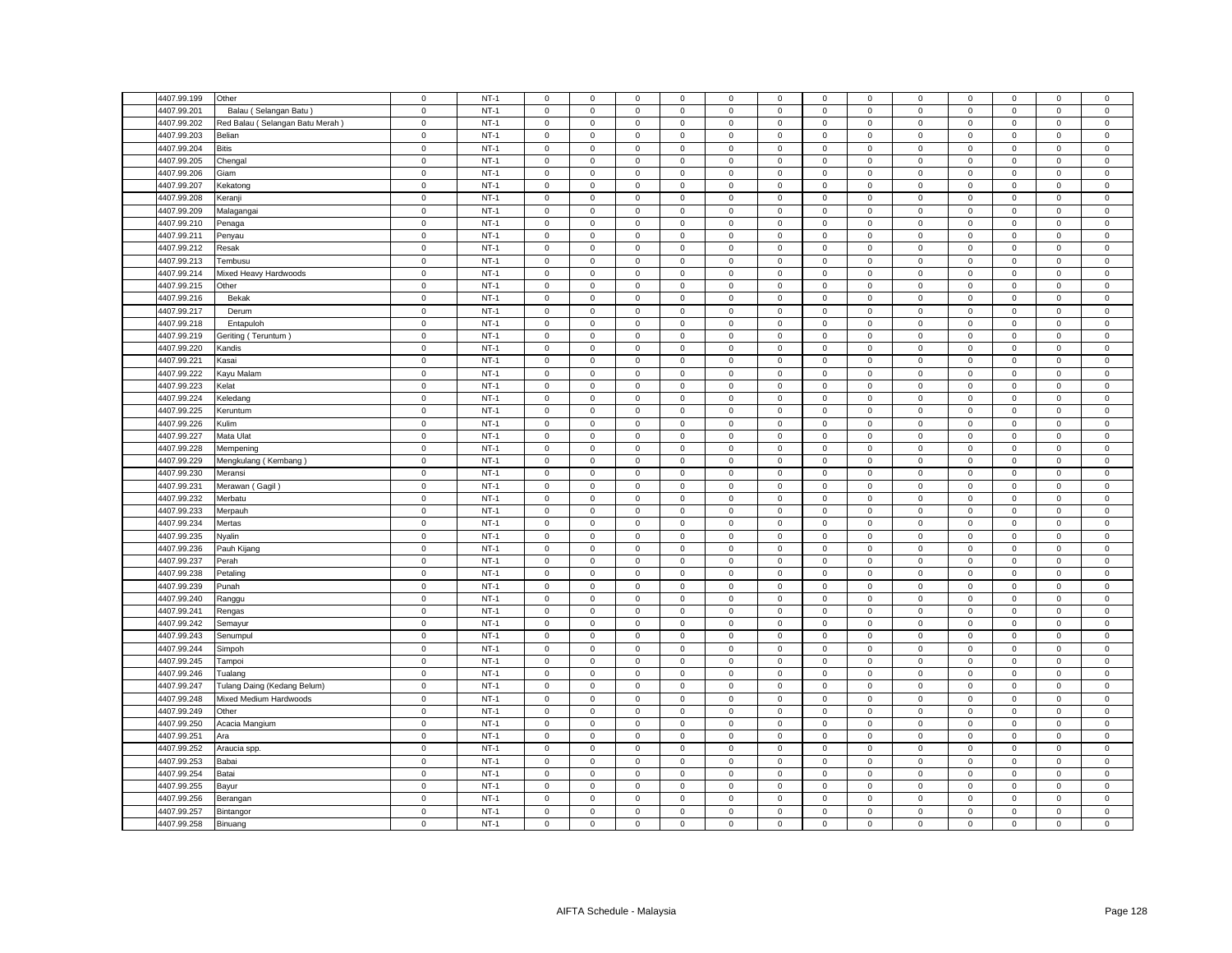| 4407.99.199 | Other                           | $\mathsf 0$ | $NT-1$           | $\mathsf 0$         | $\mathbf 0$  | $\mathsf 0$  | $\mathsf 0$  | $\mathsf 0$ | $\mathsf 0$      | $\mathsf 0$         | $\mathbf 0$ | $\mathsf 0$         | $\mathbf 0$                | $\mathsf 0$         | $\mathbf 0$ | $\mathsf 0$ |
|-------------|---------------------------------|-------------|------------------|---------------------|--------------|--------------|--------------|-------------|------------------|---------------------|-------------|---------------------|----------------------------|---------------------|-------------|-------------|
| 4407.99.201 | Balau (Selangan Batu            | $\mathsf 0$ | $NT-1$           | $\mathsf 0$         | $\mathbf 0$  | $\mathsf 0$  | $\mathsf 0$  | $\mathsf 0$ | $\mathsf 0$      | $\mathsf 0$         | $\mathbf 0$ | $\mathsf 0$         | $\mathbf 0$                | $\mathsf 0$         | $\mathsf 0$ | $\mathsf 0$ |
| 4407.99.202 | Red Balau (Selangan Batu Merah) | $\mathsf 0$ | $NT-1$           | $\mathbf 0$         | $\mathbf 0$  | $\mathsf 0$  | $\mathsf 0$  | $\mathbf 0$ | $\mathsf 0$      | $\mathsf 0$         | $\mathbf 0$ | $\mathbf 0$         | $\mathbf 0$                | $\mathsf 0$         | $\mathsf 0$ | $\mathsf 0$ |
| 4407.99.203 | Belian                          | $\mathsf 0$ | $NT-1$           | $\mathbf 0$         | $\mathbf 0$  | $\mathbf 0$  | $\mathbf{0}$ | $\mathbf 0$ | $\mathbf 0$      | $\mathbf 0$         | $\mathbf 0$ | $\mathbf 0$         | $\mathsf 0$                | $\mathbf 0$         | $\mathbf 0$ | $\mathbf 0$ |
| 4407.99.204 | <b>Bitis</b>                    | $\mathbf 0$ | $NT-1$           | $\mathbf 0$         | $\mathbf{0}$ | $\mathsf 0$  | $\mathbf{0}$ | $\mathbf 0$ | $\mathsf 0$      | 0                   | $\mathbf 0$ | $\mathbf 0$         | $\,0\,$                    | $\mathbf 0$         | $^{\circ}$  | $\mathsf 0$ |
| 4407.99.205 | Chengal                         | $\mathsf 0$ | $NT-1$           | $\mathbf 0$         | $\mathbf 0$  | $\mathsf 0$  | $\mathsf 0$  | $\mathbf 0$ | $\mathsf 0$      | $\mathsf 0$         | $\mathbf 0$ | $\mathbf 0$         | $\mathsf 0$                | $\mathbf 0$         | $\mathsf 0$ | $\mathbf 0$ |
| 4407.99.206 | Giam                            | $\mathsf 0$ | $NT-1$           | $\mathbf 0$         | $\mathbf 0$  | $\mathsf 0$  | $\mathbf 0$  | $\mathbf 0$ | $\mathsf 0$      | $\mathbf 0$         | $\mathbf 0$ | $\mathbf 0$         | $\mathbf 0$                | $\mathsf 0$         | $\mathbf 0$ | $\mathbf 0$ |
| 4407.99.207 | Kekatong                        | $\,0\,$     | $NT-1$           | $\mathsf 0$         | $\mathbf 0$  | $\mathbf{0}$ | $\mathbf 0$  | $\mathbf 0$ | $\mathsf 0$      | $\mathsf 0$         | $\mathbf 0$ | $\mathbf 0$         | $\mathbf 0$                | $\mathbf{O}$        | $\mathsf 0$ | $\mathbf 0$ |
| 4407.99.208 | Keranji                         | $\mathsf 0$ | $NT-1$           | $\mathsf 0$         | $\mathbf 0$  | $\mathsf 0$  | $\mathsf 0$  | $\mathsf 0$ | $\mathsf 0$      | $\mathsf 0$         | $\mathbf 0$ | $\mathsf 0$         | $\mathbf 0$                | $\mathsf{O}\xspace$ | $\mathbf 0$ | $\mathsf 0$ |
| 4407.99.209 | Malagangai                      | $\mathsf 0$ | $NT-1$           | $\mathsf 0$         | $\mathbf 0$  | $\mathsf 0$  | $\mathsf 0$  | $\mathbf 0$ | $\mathsf 0$      | $\mathbf 0$         | $\mathbf 0$ | $\mathbf 0$         | $\mathbf 0$                | $\mathbf 0$         | $\mathsf 0$ | $\mathbf 0$ |
|             |                                 |             |                  | $\mathbf{0}$        | $\mathbf 0$  |              | $\mathbf{0}$ | $\mathbf 0$ |                  |                     | $\mathbf 0$ | $\mathbf 0$         |                            |                     |             | $\mathbf 0$ |
| 4407.99.210 | Penaga                          | $\,0\,$     | $NT-1$<br>$NT-1$ |                     |              | $\mathbf 0$  |              |             | $\mathbf 0$      | $\mathsf 0$         |             |                     | $\,0\,$                    | $\mathsf{O}\xspace$ | $\mathsf 0$ |             |
| 4407.99.211 | Penyau                          | $\mathsf 0$ |                  | $\mathsf 0$         | $\mathbf 0$  | $\mathsf 0$  | $\mathsf 0$  | $\mathsf 0$ | $\mathsf 0$      | $\mathbf 0$         | $\Omega$    | $\mathsf 0$         | $\mathbf 0$                | $\mathsf 0$         | $\mathbf 0$ | $\mathsf 0$ |
| 4407.99.212 | Resak                           | $\mathbf 0$ | $NT-1$           | $\mathsf{O}\xspace$ | $\mathsf 0$  | $\mathbf 0$  | $\mathsf 0$  | $\mathsf 0$ | $\mathbf 0$      | $\mathsf 0$         | $\mathbf 0$ | $\mathsf{O}\xspace$ | $\pmb{0}$                  | $\mathsf{O}\xspace$ | $\pmb{0}$   | $\mathsf 0$ |
| 4407.99.213 | Tembusu                         | $\mathsf 0$ | $NT-1$           | $\mathsf 0$         | $\mathbf 0$  | $\mathsf 0$  | $\mathbf 0$  | $\mathbf 0$ | $\mathsf 0$      | $\mathbf 0$         | $\mathbf 0$ | $\mathsf 0$         | $\mathbf 0$                | $\mathbf 0$         | $\mathsf 0$ | $\mathbf 0$ |
| 4407.99.214 | Mixed Heavy Hardwoods           | $\mathbf 0$ | $NT-1$           | $\mathsf{O}\xspace$ | $\mathbf 0$  | $\mathsf 0$  | $\mathsf 0$  | $\mathsf 0$ | $\mathsf 0$      | $\mathsf{O}\xspace$ | $\mathsf 0$ | $\mathsf 0$         | $\,0\,$                    | $\mathbf 0$         | $\mathbf 0$ | $\mathsf 0$ |
| 4407.99.215 | Other                           | $\mathbf 0$ | $NT-1$           | 0                   | $\mathbf 0$  | $\mathsf 0$  | 0            | $\mathsf 0$ | $\mathsf 0$      | 0                   | 0           | $\mathsf 0$         | $\,0\,$                    | 0                   | $\mathbf 0$ | 0           |
| 4407.99.216 | Bekak                           | $\mathsf 0$ | $NT-1$           | $\mathbf 0$         | $\mathbf 0$  | $\mathsf 0$  | $\mathbf 0$  | $\mathbf 0$ | $\mathsf 0$      | $\mathbf 0$         | $\mathbf 0$ | $\mathbf 0$         | $\mathbf 0$                | $\mathsf 0$         | $\mathbf 0$ | $\mathbf 0$ |
| 4407.99.217 | Derum                           | $\mathbf 0$ | $NT-1$           | 0                   | $\mathbf 0$  | $\mathbf 0$  | 0            | $\mathsf 0$ | $\mathbf 0$      | 0                   | 0           | $\mathsf 0$         | $\,0\,$                    | $\mathbf 0$         | $\mathsf 0$ | 0           |
| 4407.99.218 | Entapuloh                       | $\mathbf 0$ | $NT-1$           | $\mathsf{O}\xspace$ | $\mathsf 0$  | $\mathsf 0$  | $\mathsf 0$  | $\mathsf 0$ | $\mathsf 0$      | $\mathsf 0$         | $\mathbf 0$ | $\mathsf{O}\xspace$ | $\,0\,$                    | $\mathbf 0$         | $\mathbf 0$ | $\pmb{0}$   |
| 4407.99.219 | (Teruntum Teruntum              | $\mathbf 0$ | $NT-1$           | 0                   | $\mathbf 0$  | $\mathbf 0$  | 0            | 0           | $\mathbf 0$      | $\mathbf 0$         | 0           | 0                   | $\mathbf 0$                | 0                   | $\mathbf 0$ | 0           |
| 4407.99.220 | Kandis                          | $\mathbf 0$ | $NT-1$           | $\mathsf{O}\xspace$ | $\mathsf 0$  | $\mathsf 0$  | $\mathsf 0$  | $\mathsf 0$ | $\mathsf 0$      | $\mathsf 0$         | 0           | $\mathsf 0$         | $\,0\,$                    | $\mathsf{O}\xspace$ | $\mathbf 0$ | $\mathsf 0$ |
| 4407.99.221 | Kasai                           | $\mathbf 0$ | $NT-1$           | $\mathbf 0$         | $\mathbf 0$  | $\mathsf 0$  | $\mathbf 0$  | $\mathbf 0$ | $\mathsf 0$      | $\mathbf 0$         | 0           | $\mathsf 0$         | $\mathbf 0$                | $\mathsf 0$         | $\mathsf 0$ | 0           |
| 4407.99.222 | Kayu Malam                      | $\mathsf 0$ | $NT-1$           | $\mathbf 0$         | $\mathsf 0$  | $\mathsf 0$  | $\mathbf 0$  | $\mathsf 0$ | $\mathbf 0$      | $\overline{0}$      | $\Omega$    | $\mathsf 0$         | $\mathbf 0$                | $\mathsf 0$         | $\mathbf 0$ | $\mathbf 0$ |
| 4407.99.223 | Kelat                           | $\mathbf 0$ | $NT-1$           | $\mathbf 0$         | $\mathbf 0$  | $\mathbf 0$  | $\mathbf 0$  | 0           | $\mathbf 0$      | 0                   | 0           | 0                   | $\mathbf 0$                | $\mathbf 0$         | $\mathbf 0$ | 0           |
| 4407.99.224 | Keledang                        | $\mathbf 0$ | $NT-1$           | $\mathbf 0$         | $\mathsf 0$  | $\mathsf 0$  | $\mathsf 0$  | $\mathsf 0$ | $\mathsf 0$      | $\mathsf{O}\xspace$ | 0           | $\mathsf 0$         | $\mathbf 0$                | $\mathsf 0$         | $\mathbf 0$ | $\pmb{0}$   |
| 4407.99.225 | Keruntum                        | $\mathsf 0$ | $NT-1$           | $\mathbf 0$         | $\mathsf 0$  | $\mathsf 0$  | $\mathbf 0$  | $\mathbf 0$ | $\mathsf 0$      | $\mathsf 0$         | 0           | 0                   | $\mathbf 0$                | $\mathbf 0$         | $\mathsf 0$ | $\mathsf 0$ |
|             |                                 |             |                  | $\mathbf 0$         | $\mathsf 0$  | $\mathsf 0$  | $\mathsf 0$  |             |                  | $\mathsf 0$         |             | $\mathsf 0$         |                            | $\mathsf 0$         | $\mathbf 0$ | $\pmb{0}$   |
| 4407.99.226 | Kulim                           | $\mathbf 0$ | $NT-1$<br>$NT-1$ |                     |              |              |              | $\mathsf 0$ | 0<br>$\mathsf 0$ |                     | 0           |                     | $\mathbf 0$<br>$\mathsf 0$ |                     |             |             |
| 4407.99.227 | Mata Ulat                       | $\mathsf 0$ |                  | $\mathbf 0$         | $\mathbf 0$  | $\mathsf 0$  | $\mathbf 0$  | $\mathbf 0$ |                  | $\mathsf 0$         | 0           | $\mathsf 0$         |                            | $\mathbf 0$         | $\mathsf 0$ | $\mathsf 0$ |
| 4407.99.228 | Mempening                       | $\mathsf 0$ | $NT-1$           | $\mathbf 0$         | $\mathsf 0$  | $\mathsf 0$  | $\mathsf 0$  | $\mathsf 0$ | $\mathbf 0$      | $\mathsf 0$         | 0           | $\mathsf 0$         | $\mathbf 0$                | $\mathsf 0$         | $\mathsf 0$ | $\mathsf 0$ |
| 4407.99.229 | Mengkulang (Kembang)            | $\mathbf 0$ | $NT-1$           | 0                   | $\mathbf 0$  | $\mathbf 0$  | $\mathbf 0$  | 0           | $\,0\,$          | $\mathsf 0$         | 0           | 0                   | $\mathbf 0$                | $\mathbf 0$         | $\mathsf 0$ | $\mathbf 0$ |
| 4407.99.230 | Meransi                         | $\mathsf 0$ | $NT-1$           | $\mathsf 0$         | $\mathsf 0$  | $\mathsf 0$  | $\mathsf 0$  | $\mathsf 0$ | $\mathsf 0$      | $\mathsf 0$         | $\mathsf 0$ | $\mathsf 0$         | $\mathbf 0$                | $\mathsf 0$         | $\mathbf 0$ | $\mathbf 0$ |
| 4407.99.231 | Merawan (Gagil)                 | $\mathbf 0$ | $NT-1$           | $\mathbf 0$         | $\mathbf 0$  | $\mathbf 0$  | $\mathbf 0$  | 0           | $\mathbf 0$      | $\mathbf{0}$        | 0           | 0                   | $\mathbf 0$                | $\mathbf 0$         | $\mathbf 0$ | 0           |
| 4407.99.232 | Merbatu                         | $\mathsf 0$ | $NT-1$           | $\mathsf 0$         | $\mathbf 0$  | $\mathsf 0$  | $\mathsf 0$  | $\mathsf 0$ | $\mathsf 0$      | $\mathbf 0$         | $\mathbf 0$ | $\mathsf 0$         | $\mathbf 0$                | $\mathsf 0$         | $\mathsf 0$ | $\mathbf 0$ |
| 4407.99.233 | Merpauh                         | $\mathsf 0$ | $NT-1$           | $\mathbf 0$         | $\mathbf 0$  | $\mathsf 0$  | $\mathsf 0$  | $\mathbf 0$ | $\mathsf 0$      | $\mathbf 0$         | $\mathbf 0$ | $\mathsf 0$         | $\mathbf 0$                | $\mathsf 0$         | $\mathsf 0$ | $\mathbf 0$ |
| 4407.99.234 | Mertas                          | $\mathsf 0$ | $NT-1$           | $\mathsf 0$         | $\mathbf 0$  | $\mathsf 0$  | $\mathsf 0$  | $\mathsf 0$ | $\mathsf 0$      | $\mathsf 0$         | $\mathsf 0$ | $\mathsf 0$         | $\mathbf 0$                | $\mathsf 0$         | $\mathbf 0$ | $\mathsf 0$ |
| 4407.99.235 | Nyalin                          | $\mathsf 0$ | $NT-1$           | $\mathsf 0$         | $\mathbf 0$  | $\mathsf 0$  | $\mathsf 0$  | $\mathsf 0$ | $\mathsf 0$      | $\mathbf 0$         | $\mathbf 0$ | $\mathsf 0$         | $\mathbf 0$                | $\mathsf 0$         | $\mathbf 0$ | $\mathbf 0$ |
| 4407.99.236 | Pauh Kijang                     | $\mathsf 0$ | $NT-1$           | $\mathsf 0$         | $\mathsf 0$  | $\mathsf 0$  | $\mathsf 0$  | $\mathsf 0$ | $\mathsf 0$      | $\mathbf 0$         | $\mathsf 0$ | $\mathsf 0$         | $\mathbf 0$                | $\mathsf 0$         | $\mathbf 0$ | $\mathsf 0$ |
| 4407.99.237 | Perah                           | $\mathsf 0$ | $NT-1$           | $\mathbf 0$         | $\mathbf 0$  | $\mathsf 0$  | $\mathbf{0}$ | $\mathsf 0$ | $\mathsf 0$      | $\mathsf{O}\xspace$ | $\mathbf 0$ | $\mathsf 0$         | $\mathbf 0$                | $\mathsf 0$         | $\mathbf 0$ | $\mathbf 0$ |
| 4407.99.238 | Petaling                        | $\mathbf 0$ | $NT-1$           | $\mathbf 0$         | $\mathsf 0$  | $\mathbf 0$  | $\mathbf 0$  | $\mathsf 0$ | $\mathbf 0$      | $\Omega$            | 0           | $\mathsf 0$         | $\mathbf 0$                | $\mathbf 0$         | $\mathbf 0$ | 0           |
| 4407.99.239 | Punah                           | $\mathbf 0$ | $NT-1$           | $\mathbf 0$         | $\mathbf 0$  | $\mathsf 0$  | $\mathbf{0}$ | $\mathbf 0$ | $\mathsf 0$      | $\mathsf 0$         | $\mathbf 0$ | $\mathbf 0$         | $\mathbf 0$                | $\mathsf 0$         | $\mathbf 0$ | $\mathbf 0$ |
| 4407.99.240 | Ranggu                          | $\mathsf 0$ | $NT-1$           | $\mathsf 0$         | $\mathbf 0$  | $\mathsf 0$  | $\mathsf 0$  | $\mathsf 0$ | $\mathsf 0$      | $\mathbf 0$         | $\mathbf 0$ | $\mathsf 0$         | $\mathbf 0$                | $\mathbf 0$         | $\mathsf 0$ | $\mathsf 0$ |
| 4407.99.241 | Rengas                          | $\mathbf 0$ | $NT-1$           | $\mathbf 0$         | $\mathbf 0$  | $\mathbf 0$  | $\mathbf{0}$ | $\mathbf 0$ | $\mathbf 0$      | $\mathbf 0$         | $\mathbf 0$ | $\mathbf 0$         | $\mathbf 0$                | $\mathbf 0$         | $\mathbf 0$ | $\mathbf 0$ |
| 4407.99.242 | Semayur                         | $\mathsf 0$ | $NT-1$           | $\mathbf 0$         | $\mathbf 0$  | $\mathsf 0$  | $\mathsf 0$  | $\mathbf 0$ | $\mathsf 0$      | $\mathbf 0$         | $\mathbf 0$ | $\mathbf 0$         | $\mathsf 0$                | $\mathbf 0$         | $\mathbf 0$ | $\mathbf 0$ |
| 4407.99.243 | Senumpul                        | $\mathsf 0$ | $NT-1$           | $\mathbf 0$         | $\mathbf 0$  | $\mathsf 0$  | $\mathbf 0$  | $\mathbf 0$ | $\mathsf 0$      | $\mathsf 0$         | $\mathbf 0$ | $\mathbf 0$         | $\mathbf 0$                | $\mathsf 0$         | $\mathbf 0$ | $\mathbf 0$ |
| 4407.99.244 | Simpoh                          | $\mathbf 0$ | $NT-1$           | $\mathsf 0$         | $\mathbf 0$  | $\mathsf 0$  | $\mathbf 0$  | $\mathbf 0$ | $\mathbf 0$      | 0                   | $\mathbf 0$ | $\mathbf 0$         | $\mathbf 0$                | $\mathsf{O}\xspace$ | $\mathsf 0$ | $\mathbf 0$ |
| 4407.99.245 | Tampoi                          | $\mathsf 0$ | $NT-1$           | $\mathbf 0$         | $\mathbf 0$  | $\mathsf 0$  | $\mathbf 0$  | $\mathsf 0$ | $\mathsf 0$      | $\mathbf 0$         | $\mathbf 0$ | $\mathsf 0$         | $\mathbf 0$                | $\mathsf 0$         | $\mathbf 0$ | $\Omega$    |
| 4407.99.246 |                                 | $\mathsf 0$ | $NT-1$           | $\mathsf 0$         | $\mathbf 0$  | $\mathsf 0$  |              | $\mathsf 0$ | $\mathsf 0$      | $\mathbf 0$         | $\Omega$    | $\mathsf 0$         | $\mathbf 0$                | $\mathsf 0$         | $\mathbf 0$ | $\mathbf 0$ |
|             | Tualang                         |             |                  |                     |              |              | $\mathbf 0$  |             |                  |                     |             |                     |                            |                     |             |             |
| 4407.99.247 | Tulang Daing (Kedang Belum)     | $\mathsf 0$ | $NT-1$           | $\mathbf 0$         | $\mathbf 0$  | $\,0\,$      | $\mathbf 0$  | $\mathsf 0$ | $\mathsf 0$      | $\mathsf 0$         | $\mathbf 0$ | $\mathsf 0$         | $\mathbf 0$                | $\,0\,$             | $\mathbf 0$ | $\mathsf 0$ |
| 4407.99.248 | Mixed Medium Hardwoods          | $\mathbf 0$ | $NT-1$           | $\mathsf{O}\xspace$ | $\mathbf 0$  | $\mathsf 0$  | $\mathsf 0$  | $\mathsf 0$ | $\mathsf 0$      | $\mathbf 0$         | 0           | $\mathsf 0$         | $\mathbf 0$                | 0                   | $\mathsf 0$ | 0           |
| 4407.99.249 | Other                           | $\mathsf 0$ | $NT-1$           | $\mathsf 0$         | $\mathsf 0$  | $\mathbf 0$  | $\mathbf 0$  | $\mathsf 0$ | $\mathsf 0$      | $\mathsf{O}\xspace$ | $\mathbf 0$ | $\mathsf 0$         | $\mathbf 0$                | $\mathsf 0$         | $\mathbf 0$ | $\mathbf 0$ |
| 4407.99.250 | Acacia Mangium                  | $\mathsf 0$ | $NT-1$           | $\mathbf 0$         | $\mathbf 0$  | $\mathbf 0$  | $\mathbf 0$  | 0           | $\mathbf 0$      | $\mathbf 0$         | $\mathbf 0$ | $\mathsf 0$         | $\mathbf 0$                | $\mathbf 0$         | $\mathbf 0$ | $\mathbf 0$ |
| 4407.99.251 | Ara                             | $\mathbf 0$ | $NT-1$           | $\mathbf 0$         | $\mathbf 0$  | $\mathsf 0$  | $\mathsf 0$  | $\mathsf 0$ | $\mathsf 0$      | $\mathsf 0$         | $\mathbf 0$ | $\mathsf 0$         | $\,0\,$                    | $\mathbf 0$         | $\mathbf 0$ | $\pmb{0}$   |
| 4407.99.252 | Araucia spp.                    | $\mathbf 0$ | $NT-1$           | 0                   | 0            | $\mathsf 0$  | 0            | $\mathsf 0$ | $\mathsf 0$      | 0                   | 0           | $\mathsf 0$         | $\,0\,$                    | 0                   | $\mathsf 0$ | $\mathsf 0$ |
| 4407.99.253 | Babai                           | $\mathsf 0$ | $NT-1$           | $\mathsf 0$         | $\mathsf 0$  | $\mathsf 0$  | $\mathsf 0$  | $\mathsf 0$ | $\mathbf 0$      | $\mathsf 0$         | $\mathbf 0$ | $\mathsf 0$         | $\mathbf 0$                | $\mathsf 0$         | $\mathbf 0$ | $\mathbf 0$ |
| 4407.99.254 | Batai                           | $\mathbf 0$ | $NT-1$           | 0                   | $\mathbf 0$  | $\mathsf 0$  | 0            | $\mathsf 0$ | $\mathsf 0$      | 0                   | 0           | $\mathsf 0$         | $\,0\,$                    | $\mathsf{O}\xspace$ | $\mathsf 0$ | $\mathsf 0$ |
| 4407.99.255 | Bayur                           | $\mathsf 0$ | $NT-1$           | $\mathbf 0$         | $\mathsf 0$  | $\mathsf 0$  | $\mathbf 0$  | $\mathsf 0$ | $\mathsf 0$      | $\mathbf 0$         | $\mathbf 0$ | $\mathbf 0$         | $\mathbf 0$                | $\mathbf 0$         | $\mathbf 0$ | $\mathbf 0$ |
| 4407.99.256 | Berangan                        | $\mathbf 0$ | $NT-1$           | $\mathbf 0$         | $\mathbf 0$  | $\mathsf 0$  | $\mathbf 0$  | 0           | $\mathsf 0$      | $\mathbf 0$         | 0           | 0                   | $\mathbf 0$                | $\mathbf 0$         | $\mathsf 0$ | 0           |
| 4407.99.257 | Bintangor                       | $\mathbf 0$ | $NT-1$           | $\mathsf{O}\xspace$ | $\mathsf 0$  | $\mathsf 0$  | $\mathsf 0$  | $\mathsf 0$ | $\mathsf 0$      | $\mathsf 0$         | $\mathbf 0$ | $\mathsf 0$         | $\,0\,$                    | $\mathsf{O}\xspace$ | $\mathbf 0$ | $\pmb{0}$   |
| 4407.99.258 | Binuang                         | $\mathsf 0$ | $NT-1$           | $\mathbf 0$         | $\mathsf 0$  | $\mathsf 0$  | $\mathbf 0$  | 0           | $\mathsf 0$      | $\mathbf 0$         | $\mathbf 0$ | 0                   | $\mathbf 0$                | $\mathbf 0$         | $\mathbf 0$ | $\mathbf 0$ |
|             |                                 |             |                  |                     |              |              |              |             |                  |                     |             |                     |                            |                     |             |             |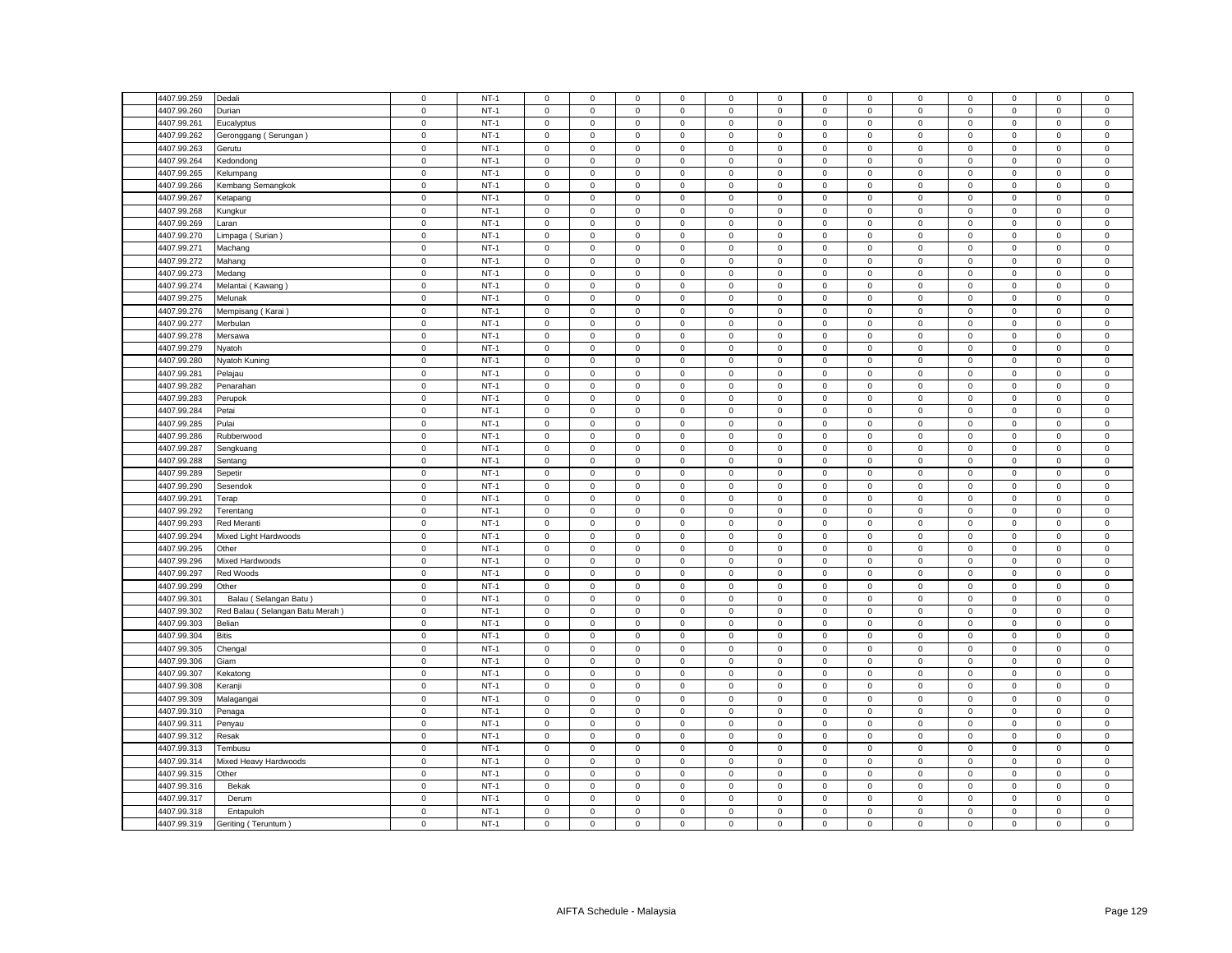| 4407.99.259 | Dedali                          | $\mathbf 0$         | $NT-1$ | $\mathsf 0$         | $\mathsf 0$         | $\mathsf 0$ | $\mathbf 0$ | 0            | $\mathbf 0$ | $\mathsf 0$         | $\mathsf 0$    | $\mathbf 0$         | $\mathsf 0$ | $\mathsf 0$         | $\mathsf 0$ | $\mathbf 0$         |
|-------------|---------------------------------|---------------------|--------|---------------------|---------------------|-------------|-------------|--------------|-------------|---------------------|----------------|---------------------|-------------|---------------------|-------------|---------------------|
| 4407.99.260 | Durian                          | $\mathsf 0$         | $NT-1$ | $\mathbf 0$         | $\mathsf 0$         | $\mathsf 0$ | $\mathbf 0$ | $\mathsf 0$  | $\mathbf 0$ | $\mathsf 0$         | $\mathbf 0$    | $\mathbf 0$         | $\mathsf 0$ | $\mathbf 0$         | $\mathsf 0$ | $\mathbf 0$         |
| 4407.99.261 | Eucalyptus                      | $\mathbf 0$         | $NT-1$ | $\mathbf{0}$        | $\mathbf 0$         | $\mathsf 0$ | $\mathbf 0$ | $\mathbf 0$  | $\mathsf 0$ | $\mathbf 0$         | $\mathbf{0}$   | $\mathsf{O}\xspace$ | $\mathbf 0$ | $\mathbf 0$         | $\mathsf 0$ | $\mathsf 0$         |
| 4407.99.262 | Geronggang (Serungan)           | $\mathbf 0$         | $NT-1$ | $\mathbf 0$         | $\mathsf 0$         | $\mathsf 0$ | $\mathsf 0$ | $\mathsf 0$  | $\mathsf 0$ | $\mathsf 0$         | $\mathsf 0$    | 0                   | $\mathsf 0$ | $\mathsf 0$         | $\mathsf 0$ | $\mathbf 0$         |
| 4407.99.263 | Gerutu                          | $\mathbf 0$         | $NT-1$ | $\mathbf 0$         | $\mathbf 0$         | $\mathbf 0$ | $\mathbf 0$ | 0            | $\mathbf 0$ | $\mathbf 0$         | $\mathbf 0$    | $\mathbf 0$         | $\mathbf 0$ | $\mathbf 0$         | $\mathbf 0$ | 0                   |
| 4407.99.264 | <b>Kedondong</b>                | $\mathbf 0$         | $NT-1$ | $\mathsf 0$         | $\mathsf 0$         | $\mathsf 0$ | $\mathsf 0$ | $\mathsf 0$  | $\mathsf 0$ | $\mathsf 0$         | $\mathbf 0$    | 0                   | $\mathsf 0$ | $\mathbf 0$         | $\mathsf 0$ | $\mathsf 0$         |
| 4407.99.265 | Kelumpang                       | $\mathbf 0$         | $NT-1$ | $\mathsf 0$         | $\mathsf 0$         | $\mathsf 0$ | $\mathsf 0$ | $\mathsf 0$  | $\mathsf 0$ | $\mathsf 0$         | $\mathbf 0$    | $\mathbf 0$         | $\mathsf 0$ | $\mathbf 0$         | $\mathsf 0$ | $\mathbf 0$         |
| 4407.99.266 | Kembang Semangkok               | $\mathbf 0$         | $NT-1$ | $\mathbf{0}$        | $\mathsf 0$         | $\mathbf 0$ | $\mathbf 0$ | $\mathbf 0$  | $\mathbf 0$ | $\mathbf 0$         | $\mathbf 0$    | $\mathbf 0$         | $\mathbf 0$ | $\mathbf{0}$        | $\mathsf 0$ | 0                   |
| 4407.99.267 | Ketapang                        | $\mathsf 0$         | $NT-1$ | $\mathsf 0$         | $\mathsf 0$         | $\mathsf 0$ | $\mathsf 0$ | $\mathsf 0$  | $\mathsf 0$ | $\mathsf 0$         | $\mathbf 0$    | $\mathbf 0$         | $\mathsf 0$ | $\mathbf 0$         | $\mathsf 0$ | $\mathbf 0$         |
| 4407.99.268 | Kungkur                         | $\mathbf 0$         | $NT-1$ | $\mathsf 0$         | $\mathsf 0$         | $\mathsf 0$ | $\mathsf 0$ | $\mathsf 0$  | $\mathsf 0$ | $\mathsf 0$         | $\mathbf 0$    | 0                   | $\mathsf 0$ | $\mathbf 0$         | $\mathsf 0$ | $\mathsf 0$         |
| 4407.99.269 | .aran                           | $\mathsf 0$         | $NT-1$ | $\mathsf 0$         | $\mathsf 0$         | $\mathsf 0$ | $\mathsf 0$ | $\mathsf 0$  | $\mathsf 0$ | $\mathsf 0$         | $\mathsf 0$    | $\mathsf 0$         | $\mathsf 0$ | $\mathbf 0$         | $\mathsf 0$ | $\mathbf 0$         |
| 4407.99.270 |                                 | $\mathbf 0$         | $NT-1$ | $\mathbf{0}$        | $\mathbf 0$         | $\mathbf 0$ | $\mathbf 0$ | $\mathbf 0$  | $\mathbf 0$ | $\mathbf 0$         | $\mathbf{0}$   | $\mathbf 0$         | $\mathbf 0$ | $\mathbf{0}$        | $\mathbf 0$ | $\mathbf 0$         |
| 4407.99.271 | impaga (Surian)                 | $\mathsf 0$         | $NT-1$ |                     |                     |             |             |              |             |                     |                |                     |             |                     |             |                     |
| 4407.99.272 | Machang                         |                     | $NT-1$ | $\mathsf 0$         | $\mathsf 0$         | $\mathsf 0$ | $\mathsf 0$ | $\mathsf 0$  | $\mathsf 0$ | $\mathsf{O}\xspace$ | $\mathsf 0$    | $\mathbf 0$         | $\mathbf 0$ | $\mathsf 0$         | $\mathsf 0$ | $\mathbf 0$         |
|             | Mahang                          | $\mathbf 0$         |        | $\mathsf 0$         | $\mathsf 0$         | $\mathsf 0$ | $\mathsf 0$ | $\mathsf 0$  | $\mathsf 0$ | $\mathbf 0$         | $\mathbf 0$    | 0                   | $\mathsf 0$ | $\mathbf 0$         | $\mathsf 0$ | $\mathsf 0$         |
| 4407.99.273 | Medang                          | $\mathbf 0$         | $NT-1$ | $\mathsf 0$         | $\mathsf 0$         | $\mathsf 0$ | $\mathsf 0$ | $\mathsf 0$  | $\mathsf 0$ | $\mathsf{O}\xspace$ | $\mathbf 0$    | $\mathsf 0$         | $\mathbf 0$ | $\mathsf 0$         | $\mathsf 0$ | $\mathsf 0$         |
| 4407.99.274 | Melantai (Kawang)               | $\mathbf 0$         | $NT-1$ | $\mathsf 0$         | $\mathbf 0$         | $\mathsf 0$ | $\mathbf 0$ | $\mathsf 0$  | $\mathsf 0$ | $\mathsf 0$         | $\mathbf 0$    | 0                   | $\mathsf 0$ | $\mathbf 0$         | $\mathsf 0$ | $\mathsf 0$         |
| 4407.99.275 | Melunak                         | $\mathbf 0$         | $NT-1$ | $\mathbf 0$         | $\mathsf 0$         | $\mathsf 0$ | $\mathbf 0$ | $\mathbf 0$  | $\mathbf 0$ | $\mathsf 0$         | $\mathsf 0$    | 0                   | $\mathsf 0$ | $\mathbf 0$         | $\mathsf 0$ | $\mathsf 0$         |
| 4407.99.276 | Mempisang (Karai)               | $\mathbf 0$         | $NT-1$ | $\mathsf 0$         | $\mathbf 0$         | $\mathsf 0$ | $\mathbf 0$ | $\mathbf 0$  | $\mathsf 0$ | $\mathbf 0$         | $\mathbf 0$    | $\mathbf 0$         | $\mathsf 0$ | $\mathbf 0$         | $\mathsf 0$ | $\mathbf 0$         |
| 4407.99.277 | Merbulan                        | $\mathbf 0$         | $NT-1$ | $\mathsf 0$         | $\mathsf 0$         | $\mathsf 0$ | $\mathsf 0$ | $\mathsf 0$  | $\mathsf 0$ | $\mathsf{O}\xspace$ | $\mathsf 0$    | $\mathsf 0$         | $\mathbf 0$ | $\mathbf 0$         | $\mathsf 0$ | $\mathbf 0$         |
| 4407.99.278 | Mersawa                         | $\mathsf 0$         | $NT-1$ | $\mathbf 0$         | $\mathsf 0$         | $\mathsf 0$ | $\mathbf 0$ | $\mathsf 0$  | $\mathbf 0$ | $\mathbf 0$         | $\mathbf 0$    | 0                   | $\mathsf 0$ | $\mathbf 0$         | $\mathsf 0$ | $\mathbf 0$         |
| 4407.99.279 | Nyatoh                          | $\mathsf 0$         | $NT-1$ | $\mathbf 0$         | $\mathsf{O}\xspace$ | $\mathsf 0$ | $\mathbf 0$ | $\mathsf 0$  | $\mathsf 0$ | $\mathsf 0$         | $\mathsf 0$    | $\mathbf 0$         | $\mathsf 0$ | $\mathsf 0$         | $\mathsf 0$ | $\mathbf 0$         |
| 4407.99.280 | Nyatoh Kuning                   | $\mathbf 0$         | $NT-1$ | 0                   | 0                   | $\mathbf 0$ | 0           | 0            | 0           | 0                   | 0              | $\mathsf 0$         | $\mathbf 0$ | 0                   | $\mathsf 0$ | 0                   |
| 4407.99.281 | Pelajau                         | $\mathsf 0$         | $NT-1$ | $\mathsf 0$         | $\mathsf{O}\xspace$ | $\mathbf 0$ | $\mathbf 0$ | $\mathsf 0$  | $\mathbf 0$ | $\mathbf 0$         | $\mathbf 0$    | $\mathsf 0$         | $\mathbf 0$ | $\mathbf 0$         | $\mathbf 0$ | $\pmb{0}$           |
| 4407.99.282 | Penarahan                       | $\mathsf 0$         | $NT-1$ | $\mathbf 0$         | $\mathbf 0$         | $\mathbf 0$ | 0           | 0            | $\mathbf 0$ | $\mathbf 0$         | $\mathbf 0$    | 0                   | $\mathbf 0$ | $\mathbf 0$         | $\mathbf 0$ | 0                   |
| 4407.99.283 | Perupok                         | $\mathbf 0$         | $NT-1$ | $\mathbf 0$         | $\mathsf{O}\xspace$ | $\mathbf 0$ | $\mathbf 0$ | $\mathsf 0$  | $\mathbf 0$ | $\,0\,$             | $\mathbf 0$    | 0                   | $\mathbf 0$ | $\mathsf 0$         | $\mathbf 0$ | $\pmb{0}$           |
| 4407.99.284 | Petai                           | $\mathbf 0$         | $NT-1$ | 0                   | 0                   | $\mathsf 0$ | 0           | 0            | 0           | 0                   | 0              | $\mathsf 0$         | $\mathbf 0$ | 0                   | $\mathsf 0$ | 0                   |
| 4407.99.285 | <sup>2</sup> ulai               | $\mathsf 0$         | $NT-1$ | $\mathbf 0$         | $\mathsf 0$         | $\mathsf 0$ | $\mathsf 0$ | $\mathsf 0$  | $\mathbf 0$ | $\mathsf 0$         | $\mathsf 0$    | $\mathsf 0$         | $\mathsf 0$ | $\mathsf 0$         | $\mathsf 0$ | $\mathbf 0$         |
| 4407.99.286 | Rubberwood                      | $\mathbf 0$         | $NT-1$ | $\mathbf 0$         | $\mathsf 0$         | $\mathsf 0$ | $\mathbf 0$ | 0            | $\mathbf 0$ | $\mathbf 0$         | $\mathbf 0$    | 0                   | $\mathsf 0$ | $\mathbf 0$         | $\mathsf 0$ | $\mathbf 0$         |
| 4407.99.287 | Sengkuang                       | $\mathsf 0$         | $NT-1$ | $\mathbf 0$         | $\mathsf{O}\xspace$ | $\mathbf 0$ | $\mathbf 0$ | $\mathsf 0$  | $\mathbf 0$ | $\mathsf 0$         | $\mathbf 0$    | 0                   | $\mathsf 0$ | $\mathsf 0$         | $\mathsf 0$ | $\pmb{0}$           |
| 4407.99.288 | Sentang                         | $\mathsf 0$         | $NT-1$ | $\mathsf 0$         | $\mathbf 0$         | $\mathsf 0$ | $\mathbf 0$ | $\mathbf 0$  | $\mathsf 0$ | $\mathbf 0$         | $\mathbf{0}$   | $\mathsf 0$         | $\mathsf 0$ | $\mathsf 0$         | $\mathsf 0$ | $\mathsf 0$         |
| 4407.99.289 | Sepetir                         | $\mathsf 0$         | $NT-1$ | $\mathbf 0$         | $\mathbf 0$         | $\mathbf 0$ | $\mathbf 0$ | $\mathsf 0$  | $\mathbf 0$ | $\mathsf 0$         | $\mathbf 0$    | $\mathsf 0$         | $\mathbf 0$ | $\mathbf 0$         | $\mathsf 0$ | $\mathbf 0$         |
| 4407.99.290 | Sesendok                        | $\mathbf 0$         | $NT-1$ | $\mathbf 0$         | $\mathsf{O}\xspace$ | $\mathsf 0$ | $\mathbf 0$ | 0            | $\mathsf 0$ | $\mathsf{O}\xspace$ | $\overline{0}$ | $\mathsf{O}\xspace$ | $\,0\,$     | $\mathsf{O}\xspace$ | $\mathsf 0$ | $\mathsf 0$         |
| 4407.99.291 | Terap                           | $\mathsf 0$         | $NT-1$ | $\mathbf 0$         | $\mathsf 0$         | $\mathsf 0$ | $\mathbf 0$ | $\mathsf 0$  | $\mathsf 0$ | $\mathsf 0$         | $\mathbf 0$    | $\mathbf 0$         | $\mathsf 0$ | $\mathbf 0$         | $\mathsf 0$ | $\mathsf 0$         |
| 4407.99.292 | Terentang                       | $\mathbf 0$         | $NT-1$ | $\mathbf 0$         | $\mathbf 0$         | $\mathsf 0$ | $\mathbf 0$ | 0            | $\mathsf 0$ | $\mathbf 0$         | $\mathbf 0$    | $\mathbf 0$         | $\mathsf 0$ | $\mathbf 0$         | $\mathbf 0$ | 0                   |
| 4407.99.293 | Red Meranti                     | $\mathbf 0$         | $NT-1$ | $\mathsf 0$         | $\mathbf 0$         | 0           | $\mathbf 0$ | $\mathsf 0$  | 0           | $\mathsf 0$         | $\mathsf 0$    | $\mathsf{O}\xspace$ | $\mathbf 0$ | $\mathsf 0$         | $\mathsf 0$ | 0                   |
| 4407.99.294 | Mixed Light Hardwoods           | $\mathbf 0$         | $NT-1$ | $\mathsf 0$         | $\mathsf 0$         | $\mathsf 0$ | $\mathsf 0$ | $\mathbf 0$  | $\mathsf 0$ | $\mathsf 0$         | $\mathbf 0$    | $\mathbf 0$         | $\mathsf 0$ | $\mathbf 0$         | $\mathsf 0$ | $\mathsf 0$         |
| 4407.99.295 | Other                           | $\mathbf 0$         | $NT-1$ | $\mathsf 0$         | $\mathsf 0$         | $\mathsf 0$ | $\mathsf 0$ | $\mathsf 0$  | $\mathsf 0$ | $\mathsf 0$         | $\mathbf 0$    | $\mathsf 0$         | $\mathsf 0$ | $\mathbf 0$         | $\mathsf 0$ | $\mathsf 0$         |
|             |                                 |                     |        |                     |                     |             |             |              |             |                     |                |                     |             |                     |             |                     |
| 4407.99.296 | Mixed Hardwoods                 | $\mathbf 0$         | $NT-1$ | $\mathsf 0$         | $\mathbf 0$         | $\mathsf 0$ | $\mathsf 0$ | $\mathsf 0$  | $\mathsf 0$ | $\mathsf 0$         | $\mathbf 0$    | $\mathsf 0$         | $\,0\,$     | $\mathsf 0$         | $\mathsf 0$ | $\mathbf 0$         |
| 4407.99.297 | <b>Red Woods</b>                | $\mathbf 0$         | $NT-1$ | $\mathbf 0$         | $\mathsf 0$         | $\mathsf 0$ | $\mathbf 0$ | $\mathsf 0$  | $\mathbf 0$ | $\mathsf 0$         | $\mathsf 0$    | 0                   | $\mathsf 0$ | $\mathbf 0$         | $\mathsf 0$ | $\mathbf 0$         |
| 4407.99.299 | Other                           | $\mathbf 0$         | $NT-1$ | $\mathbf 0$         | $\mathsf 0$         | $\mathbf 0$ | $\mathbf 0$ | $\mathbf 0$  | $\mathbf 0$ | $\mathsf 0$         | $\mathsf 0$    | $\mathsf 0$         | $\mathsf 0$ | $\mathbf 0$         | $\mathsf 0$ | $\mathsf 0$         |
| 4407.99.301 | Balau (Selangan Batu)           | $\mathbf 0$         | $NT-1$ | 0                   | 0                   | $\mathsf 0$ | 0           | 0            | $\mathbf 0$ | $\mathbf 0$         | 0              | 0                   | $\mathbf 0$ | 0                   | $\mathsf 0$ | 0                   |
| 4407.99.302 | Red Balau (Selangan Batu Merah) | $\mathbf 0$         | $NT-1$ | $\mathsf 0$         | $\mathsf 0$         | $\mathsf 0$ | $\mathsf 0$ | $\mathsf 0$  | $\mathsf 0$ | $\mathsf 0$         | $\mathbf 0$    | $\mathbf 0$         | $\mathsf 0$ | $\mathbf 0$         | $\mathsf 0$ | $\mathsf 0$         |
| 4407.99.303 | Belian                          | $\mathsf 0$         | $NT-1$ | $\mathsf 0$         | $\mathbf{0}$        | $\mathbf 0$ | $\mathsf 0$ | $\mathbf{0}$ | $\mathsf 0$ | $\mathbf 0$         | $\mathbf{0}$   | $\mathsf 0$         | $\mathbf 0$ | $\mathbf{O}$        | $\mathbf 0$ | $\mathbf 0$         |
| 4407.99.304 | <b>Bitis</b>                    | $\mathbf 0$         | $NT-1$ | $\mathbf{0}$        | $\mathbf 0$         | $\mathsf 0$ | $\mathbf 0$ | $\mathbf 0$  | $\mathbf 0$ | $\mathbf 0$         | $\mathbf 0$    | $\mathbf 0$         | $\mathsf 0$ | $\mathbf 0$         | $\mathsf 0$ | 0                   |
| 4407.99.305 | Chengal                         | $\mathsf 0$         | $NT-1$ | $\mathsf 0$         | $\mathbf 0$         | $\mathsf 0$ | $\mathsf 0$ | $\mathbf 0$  | $\mathsf 0$ | $\mathbf 0$         | $\mathbf 0$    | $\mathbf 0$         | $\mathsf 0$ | $\mathbf 0$         | $\mathsf 0$ | $\mathsf 0$         |
| 4407.99.306 | Giam                            | $\mathbf{0}$        | $NT-1$ | $\mathbf 0$         | $\mathbf 0$         | $\mathbf 0$ | $\mathbf 0$ | $\mathbf 0$  | $\mathbf 0$ | $\mathsf 0$         | $\mathbf 0$    | $\mathbf 0$         | $\mathsf 0$ | $\mathbf 0$         | $\mathsf 0$ | $\mathbf 0$         |
| 4407.99.307 | Kekatong                        | $\mathbf 0$         | $NT-1$ | $\mathbf 0$         | $\mathbf 0$         | $\mathbf 0$ | $\mathbf 0$ | $\mathbf 0$  | $\mathbf 0$ | $\mathbf 0$         | $\mathbf{0}$   | $\mathbf 0$         | $\mathbf 0$ | $\mathbf{0}$        | $\mathbf 0$ | $\mathbf 0$         |
| 4407.99.308 | Keranji                         | $\mathsf 0$         | $NT-1$ | $\mathbf 0$         | $\mathsf{O}\xspace$ | $\mathsf 0$ | $\mathsf 0$ | $\mathsf 0$  | $\mathsf 0$ | $\mathsf 0$         | $\mathsf 0$    | $\mathsf 0$         | $\mathbf 0$ | $\mathsf 0$         | $\mathsf 0$ | $\mathbf 0$         |
| 4407.99.309 | Malagangai                      | $\mathsf 0$         | $NT-1$ | $\mathsf 0$         | $\mathsf{O}\xspace$ | $\mathsf 0$ | $\mathsf 0$ | $\mathbf 0$  | $\mathsf 0$ | $\mathsf{O}\xspace$ | $\mathbf 0$    | $\mathsf 0$         | $\mathsf 0$ | $\mathbf 0$         | $\mathsf 0$ | $\mathsf 0$         |
| 4407.99.310 | Penaga                          | $\mathsf 0$         | $NT-1$ | $\mathsf 0$         | $\mathsf 0$         | $\mathsf 0$ | $\mathsf 0$ | $\mathsf 0$  | $\mathsf 0$ | $\mathsf 0$         | $\mathsf 0$    | $\mathsf 0$         | $\mathsf 0$ | $\mathsf 0$         | $\mathsf 0$ | $\mathsf 0$         |
| 4407.99.311 | Penyau                          | $\mathbf 0$         | $NT-1$ | 0                   | $\mathsf 0$         | $\mathbf 0$ | 0           | $\mathsf 0$  | 0           | 0                   | $\mathbf 0$    | $\mathsf 0$         | $\mathbf 0$ | $\mathbf 0$         | 0           | $\mathsf 0$         |
| 4407.99.312 | Resak                           | $\mathbf 0$         | $NT-1$ | $\mathbf 0$         | $\mathsf{O}\xspace$ | $\mathbf 0$ | $\mathbf 0$ | $\mathsf 0$  | $\mathbf 0$ | $\mathbf 0$         | $\mathsf 0$    | 0                   | $\mathbf 0$ | $\mathbf 0$         | $\mathsf 0$ | $\pmb{0}$           |
| 4407.99.313 | Tembusu                         | $\mathsf 0$         | $NT-1$ | $\mathsf 0$         | $\mathsf 0$         | $\mathsf 0$ | $\mathsf 0$ | $\mathsf 0$  | $\mathsf 0$ | $\mathsf 0$         | $\mathbf 0$    | $\mathsf 0$         | $\mathsf 0$ | $\mathbf 0$         | $\mathsf 0$ | $\mathsf 0$         |
| 4407.99.314 | Mixed Heavy Hardwoods           | $\mathsf{O}\xspace$ | $NT-1$ | $\mathbf 0$         | $\mathsf 0$         | $\mathbf 0$ | $\mathsf 0$ | $\mathsf 0$  | $\mathbf 0$ | $\mathsf 0$         | $\mathsf 0$    | $\mathsf 0$         | $\mathbf 0$ | $\mathbf 0$         | $\mathsf 0$ | $\mathsf{O}\xspace$ |
| 4407.99.315 | Other                           | $\mathbf 0$         | $NT-1$ | $\mathsf{O}\xspace$ | $\mathsf{O}\xspace$ | $\mathsf 0$ | 0           | $\mathsf 0$  | $\mathsf 0$ | $\mathsf 0$         | 0              | 0                   | $\mathbf 0$ | $\mathsf 0$         | $\mathsf 0$ | $\mathsf 0$         |
| 4407.99.316 | Bekak                           | $\mathsf 0$         | $NT-1$ | $\mathbf 0$         | $\mathsf 0$         | $\mathsf 0$ | $\mathbf 0$ | $\mathsf 0$  | $\mathbf 0$ | $\mathsf 0$         | $\mathsf 0$    | $\mathbf 0$         | $\mathsf 0$ | $\mathsf 0$         | $\mathsf 0$ | $\mathbf 0$         |
| 4407.99.317 | Derum                           | $\mathbf 0$         | $NT-1$ | $\mathsf 0$         | $\mathbf 0$         | $\mathsf 0$ | $\mathbf 0$ | 0            | $\mathbf 0$ | $\mathbf 0$         | $\mathbf 0$    | $\mathbf 0$         | $\mathsf 0$ | $\mathbf 0$         | $\mathsf 0$ | 0                   |
| 4407.99.318 | Entapuloh                       | $\mathbf 0$         | $NT-1$ | $\mathsf{O}\xspace$ | $\mathsf 0$         | $\mathbf 0$ | $\mathbf 0$ | $\mathsf 0$  | $\mathbf 0$ | $\mathsf 0$         | $\mathbf 0$    | 0                   | $\mathbf 0$ | $\mathsf 0$         | $\mathbf 0$ | $\pmb{0}$           |
|             |                                 |                     | $NT-1$ |                     |                     |             |             |              |             |                     |                | $\mathbf 0$         |             |                     |             | $\mathbf 0$         |
| 4407.99.319 | Geriting (Teruntum              | $\mathsf 0$         |        | $\mathbf 0$         | $\mathsf 0$         | $\mathsf 0$ | $\mathbf 0$ | $\mathsf 0$  | $\mathsf 0$ | $\mathsf 0$         | $\mathbf 0$    |                     | $\mathsf 0$ | $\mathsf 0$         | $\mathsf 0$ |                     |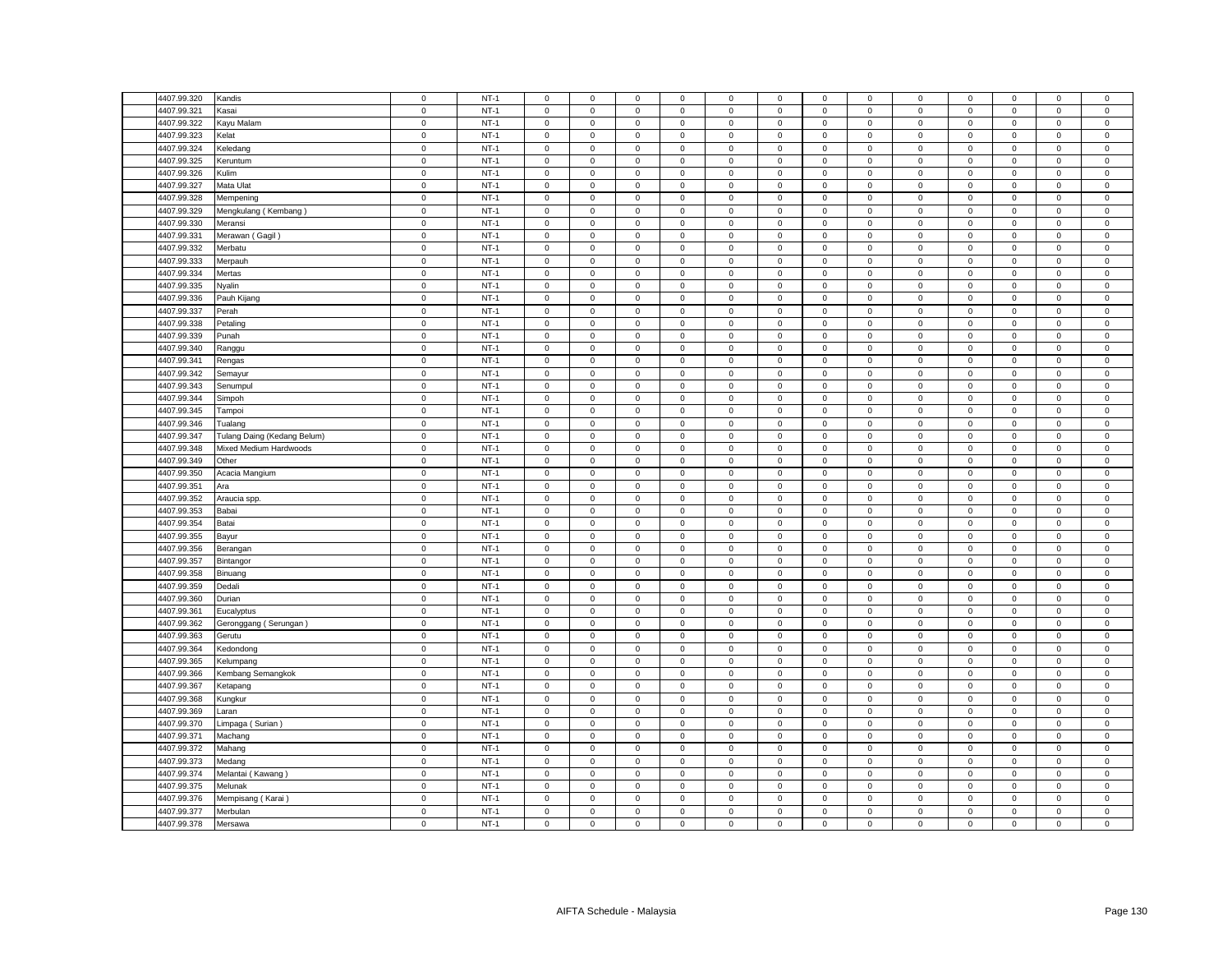| 4407.99.320 | Kandis                      | $\mathsf 0$ | $NT-1$ | $\mathsf 0$         | $\mathsf 0$         | $\mathsf 0$ | $\mathsf 0$ | 0            | $\mathsf 0$ | $\mathsf 0$  | $\mathsf 0$  | $\mathsf 0$ | $\mathsf 0$ | $\mathbf 0$         | $\mathbf 0$  | $\mathbf 0$    |
|-------------|-----------------------------|-------------|--------|---------------------|---------------------|-------------|-------------|--------------|-------------|--------------|--------------|-------------|-------------|---------------------|--------------|----------------|
| 4407.99.321 | Kasai                       | $\mathsf 0$ | $NT-1$ | $\mathsf 0$         | $\mathsf 0$         | $\mathsf 0$ | $\mathbf 0$ | 0            | $\mathsf 0$ | $\mathsf 0$  | $\mathsf 0$  | $\mathsf 0$ | $\mathbf 0$ | $\mathsf 0$         | $\mathsf 0$  | $\mathsf 0$    |
| 4407.99.322 | Kayu Malam                  | $\mathsf 0$ | $NT-1$ | $\mathsf 0$         | $\mathsf 0$         | $\mathsf 0$ | $\mathsf 0$ | $\mathbf 0$  | $\mathsf 0$ | $\mathbf 0$  | $\mathsf 0$  | $\mathbf 0$ | $\mathsf 0$ | $\mathsf 0$         | $\mathsf 0$  | $\mathsf 0$    |
| 4407.99.323 | Kelat                       | $\mathsf 0$ | $NT-1$ | $\mathbf{0}$        | $\mathbf 0$         | $\mathbf 0$ | $\mathbf 0$ | $\mathbf{0}$ | $\mathbf 0$ | $\mathbf{0}$ | $\mathbf{0}$ | $\mathbf 0$ | $^{\circ}$  | $\mathbf{0}$        | $\mathbf{0}$ | $\mathsf 0$    |
| 4407.99.324 | Keledang                    | $\mathsf 0$ | $NT-1$ | $\mathbf 0$         | $\mathsf 0$         | $\mathsf 0$ | $\mathbf 0$ | 0            | $\mathsf 0$ | $\mathbf 0$  | $\mathbf 0$  | 0           | $\mathsf 0$ | $\mathbf 0$         | $\mathbf 0$  | $\,0\,$        |
| 4407.99.325 | Keruntum                    | $\mathsf 0$ | $NT-1$ | $\mathsf 0$         | $\mathbf{0}$        | $\mathsf 0$ | $\mathsf 0$ | $\mathbf{0}$ | $\mathbf 0$ | $\mathbf 0$  | $\mathsf 0$  | $\mathsf 0$ | $\mathbf 0$ | $\mathbf 0$         | $\mathsf 0$  | $\mathsf 0$    |
| 4407.99.326 | Kulim                       | $\mathbf 0$ | $NT-1$ | $\mathbf{0}$        | $\mathbf 0$         | $\mathbf 0$ | $\mathbf 0$ | $\mathbf{0}$ | $\mathbf 0$ | $\mathbf{0}$ | $\mathbf 0$  | $\mathbf 0$ | $\mathbf 0$ | $\mathbf 0$         | $\mathbf 0$  | $\mathsf 0$    |
| 4407.99.327 | Mata Ulat                   | $\mathbf 0$ | $NT-1$ | $\mathsf 0$         | $\mathsf 0$         | $\mathsf 0$ | $\mathbf 0$ | $\mathbf 0$  | $\mathsf 0$ | $\mathbf 0$  | $\mathsf 0$  | $\mathsf 0$ | $\mathbf 0$ | $\mathsf 0$         | $\mathsf 0$  | $\,0\,$        |
| 4407.99.328 | Mempening                   | $\mathbf 0$ | $NT-1$ | $\mathsf 0$         | $\mathsf 0$         | $\mathsf 0$ | $\mathsf 0$ | $\mathbf 0$  | $\mathsf 0$ | $\mathbf 0$  | $\mathsf 0$  | $\mathsf 0$ | $\mathsf 0$ | $\mathsf 0$         | $\mathsf 0$  | $\mathsf 0$    |
| 4407.99.329 | Mengkulang (Kembang)        | $\mathsf 0$ | $NT-1$ | $\mathbf 0$         | $\mathbf 0$         | $\mathsf 0$ | $\mathbf 0$ | 0            | $\mathbf 0$ | $\mathbf 0$  | $\mathbf 0$  | 0           | $\mathbf 0$ | $\mathbf 0$         | $\mathbf 0$  | $\mathsf 0$    |
| 4407.99.330 | Meransi                     | $\mathsf 0$ | $NT-1$ | $\mathsf 0$         | $\mathbf 0$         | $\mathsf 0$ | $\mathsf 0$ | 0            | $\mathsf 0$ | $\mathsf 0$  | $\mathbf 0$  | $\mathbf 0$ | $\mathbf 0$ | $\mathsf 0$         | $\mathsf 0$  | $\,0\,$        |
| 4407.99.331 | Merawan (Gagil)             | $\mathsf 0$ | $NT-1$ | $\mathbf 0$         | $\mathbf 0$         | $\mathsf 0$ | $\mathsf 0$ | $\mathbf{0}$ | $\mathsf 0$ | $\mathbf 0$  | $\mathbf 0$  | $\mathsf 0$ | $\mathsf 0$ | $\mathbf 0$         | $\mathsf 0$  | $\mathsf 0$    |
| 4407.99.332 | Merbatu                     | $\mathsf 0$ | $NT-1$ | $\mathbf 0$         | $\mathsf 0$         | $\mathsf 0$ | $\mathsf 0$ | 0            | $\mathsf 0$ | $\mathsf 0$  | $\,0\,$      | $\mathsf 0$ | $\mathsf 0$ | $\mathsf 0$         | $\mathsf 0$  | $\mathbf 0$    |
| 4407.99.333 | Merpauh                     | $\mathsf 0$ | $NT-1$ | $\mathbf 0$         | $\mathsf 0$         | $\mathsf 0$ | $\mathsf 0$ | 0            | $\mathsf 0$ | $\mathbf 0$  | $\mathsf 0$  | $\mathsf 0$ | $\mathsf 0$ | $\mathsf 0$         | $\mathsf 0$  | $\mathsf 0$    |
| 4407.99.334 | Mertas                      | $\mathbf 0$ | $NT-1$ | $\mathsf 0$         | $\mathsf 0$         | $\mathsf 0$ | $\mathsf 0$ | $\mathbf 0$  | $\mathsf 0$ | $\mathsf 0$  | $\,0\,$      | $\mathbf 0$ | $\mathsf 0$ | $\mathsf 0$         | $\mathsf 0$  | $\mathbf 0$    |
| 4407.99.335 | Nyalin                      | $\mathsf 0$ | $NT-1$ | $\mathbf 0$         | $\mathbf 0$         | $\mathbf 0$ | $^{\circ}$  | 0            | $\mathbf 0$ | $\mathbf 0$  | $\mathbf 0$  | $\mathsf 0$ | $\mathbf 0$ | $\mathbf 0$         | $\mathbf 0$  | $\mathbf 0$    |
| 4407.99.336 | Pauh Kijang                 | $\mathsf 0$ | $NT-1$ | $\Omega$            | $\mathsf 0$         | $\mathsf 0$ | $\mathsf 0$ | 0            | $\mathbf 0$ | $\mathbf 0$  | $\mathsf 0$  | $\mathsf 0$ | $\mathsf 0$ | $\mathsf 0$         | $\mathsf 0$  | $\mathbf 0$    |
| 4407.99.337 |                             | $\mathbf 0$ | $NT-1$ | $\mathsf{O}\xspace$ | $\mathsf 0$         | $\mathsf 0$ | $\mathbf 0$ | 0            | $\mathsf 0$ | $\mathbf 0$  | $\mathsf 0$  | $\mathsf 0$ | $\mathsf 0$ | $\mathsf 0$         | $\mathsf 0$  | $\,0\,$        |
|             | Perah                       |             | $NT-1$ | $\mathsf 0$         | $\mathsf 0$         | $\mathsf 0$ | $\mathsf 0$ | 0            | $\mathsf 0$ | $\mathsf 0$  | $\mathsf 0$  |             | $\mathsf 0$ | $\mathsf 0$         | $\mathsf 0$  |                |
| 4407.99.338 | Petaling                    | $\mathbf 0$ |        |                     |                     |             |             |              |             |              |              | $\mathsf 0$ |             |                     |              | $\mathbf 0$    |
| 4407.99.339 | Punah                       | $\pmb{0}$   | $NT-1$ | 0                   | $\mathsf{O}\xspace$ | 0           | $\mathbf 0$ | 0            | 0           | 0            | 0            | $\mathsf 0$ | $\mathbf 0$ | 0                   | $\mathbf 0$  | $\mathbf 0$    |
| 4407.99.340 | Ranggu                      | $\mathsf 0$ | $NT-1$ | $\mathbf 0$         | $\mathsf{O}\xspace$ | $\mathsf 0$ | $\mathsf 0$ | $\mathbf 0$  | $\mathsf 0$ | $\mathbf 0$  | $\mathsf 0$  | $\mathsf 0$ | $\mathbf 0$ | $\mathsf 0$         | $\mathsf 0$  | $\mathbf 0$    |
| 4407.99.341 | Rengas                      | $\mathsf 0$ | $NT-1$ | $\mathbf 0$         | $\mathbf 0$         | $\mathbf 0$ | 0           | 0            | $\mathbf 0$ | $\mathbf 0$  | $\mathbf 0$  | $\mathbf 0$ | $\mathbf 0$ | 0                   | $\mathbf 0$  | $\mathbf 0$    |
| 4407.99.342 | Semayur                     | $\mathbf 0$ | $NT-1$ | $\mathsf 0$         | $\mathsf{O}\xspace$ | $\mathbf 0$ | $\mathsf 0$ | 0            | $\mathbf 0$ | $\mathsf 0$  | $\,0\,$      | $\mathsf 0$ | $\mathbf 0$ | $\mathsf{O}\xspace$ | $\mathbf 0$  | $\mathbf 0$    |
| 4407.99.343 | Senumpul                    | $\mathsf 0$ | $NT-1$ | $\mathbf 0$         | $\mathsf 0$         | $\mathsf 0$ | $\mathbf 0$ | 0            | $\mathsf 0$ | $\mathbf 0$  | $\mathsf 0$  | $\mathsf 0$ | $\mathsf 0$ | $\mathsf 0$         | $\mathsf 0$  | $\mathsf 0$    |
| 4407.99.344 | Simpoh                      | $\mathsf 0$ | $NT-1$ | $\mathbf 0$         | $\mathbf 0$         | $\mathbf 0$ | $\mathbf 0$ | 0            | $\mathbf 0$ | $\mathbf 0$  | $\mathsf 0$  | $\mathsf 0$ | $\mathbf 0$ | $\mathbf 0$         | $\mathbf 0$  | $\mathbf 0$    |
| 4407.99.345 | Tampoi                      | $\mathbf 0$ | $NT-1$ | 0                   | $\mathsf 0$         | $\mathsf 0$ | 0           | 0            | $\mathsf 0$ | $\mathbf 0$  | $\mathsf 0$  | $\mathsf 0$ | $\mathbf 0$ | 0                   | $\mathsf 0$  | $\mathbf 0$    |
| 4407.99.346 | Tualang                     | $\mathsf 0$ | $NT-1$ | $\mathbf 0$         | $\mathsf 0$         | $\mathsf 0$ | $\mathsf 0$ | 0            | $\mathbf 0$ | $\mathsf 0$  | $\mathbf 0$  | $\mathsf 0$ | $\mathbf 0$ | $\mathsf 0$         | $\mathsf 0$  | $\mathbf 0$    |
| 4407.99.347 | Tulang Daing (Kedang Belum) | $\mathsf 0$ | $NT-1$ | $\mathbf 0$         | $\mathsf 0$         | $\mathbf 0$ | $\mathbf 0$ | 0            | $\mathbf 0$ | $\mathbf 0$  | $\mathbf 0$  | $\mathsf 0$ | $\mathbf 0$ | $\mathbf 0$         | $\mathbf 0$  | $\mathsf 0$    |
| 4407.99.348 | Mixed Medium Hardwoods      | $\mathbf 0$ | $NT-1$ | $\mathbf 0$         | $\mathsf{O}\xspace$ | $\mathbf 0$ | $\mathsf 0$ | 0            | $\mathbf 0$ | $\mathsf 0$  | $\mathsf 0$  | $\mathsf 0$ | $\mathbf 0$ | $\mathsf{O}\xspace$ | $\mathsf 0$  | $\pmb{0}$      |
| 4407.99.349 | Other                       | $\mathsf 0$ | $NT-1$ | $\mathsf 0$         | $\mathsf 0$         | $\mathsf 0$ | $\mathbf 0$ | $\mathbf 0$  | $\mathsf 0$ | $\mathbf 0$  | $\mathsf 0$  | $\mathsf 0$ | $\mathsf 0$ | $\mathsf 0$         | $\mathsf 0$  | $\overline{0}$ |
| 4407.99.350 | Acacia Mangium              | $\mathbf 0$ | $NT-1$ | $\mathbf 0$         | 0                   | 0           | $\mathbf 0$ | 0            | $\mathbf 0$ | $\mathbf 0$  | $\mathbf 0$  | $\mathsf 0$ | $\mathbf 0$ | 0                   | $^{\circ}$   | $\mathbf 0$    |
| 4407.99.351 | Ara                         | $\mathbf 0$ | $NT-1$ | $\mathbf 0$         | $\mathsf 0$         | $\mathsf 0$ | $\mathbf 0$ | 0            | $\mathsf 0$ | $\mathsf 0$  | $\mathbf 0$  | $\mathsf 0$ | $\mathbf 0$ | $\mathbf 0$         | $\mathbf 0$  | $\mathsf 0$    |
| 4407.99.352 | Araucia spp.                | $\mathsf 0$ | $NT-1$ | $\mathbf 0$         | $\mathsf 0$         | $\mathsf 0$ | $\mathsf 0$ | 0            | $\mathsf 0$ | $\mathsf 0$  | $\mathsf 0$  | $\mathsf 0$ | $\mathsf 0$ | $\mathsf 0$         | $\mathsf 0$  | $\mathbf 0$    |
| 4407.99.353 | Babai                       | $\mathbf 0$ | $NT-1$ | $\mathbf 0$         | $\mathbf 0$         | $\mathsf 0$ | $\mathsf 0$ | 0            | $\mathsf 0$ | 0            | $\mathbf 0$  | $\mathsf 0$ | $\mathbf 0$ | 0                   | $\mathsf 0$  | $\mathbf 0$    |
| 4407.99.354 | Batai                       | $\mathbf 0$ | $NT-1$ | $\mathsf 0$         | $\mathsf{O}\xspace$ | $\mathbf 0$ | $\mathbf 0$ | 0            | $\mathbf 0$ | $\mathsf 0$  | $\mathsf 0$  | $\mathsf 0$ | $\mathbf 0$ | $\mathsf{O}\xspace$ | $\mathsf 0$  | $\mathbf 0$    |
| 4407.99.355 | Bayur                       | $\mathbf 0$ | $NT-1$ | $\mathsf 0$         | $\mathsf 0$         | $\mathsf 0$ | $\mathsf 0$ | $\mathbf 0$  | $\mathsf 0$ | $\mathbf 0$  | $\mathsf 0$  | $\mathsf 0$ | $\mathsf 0$ | $\mathsf 0$         | $\mathsf 0$  | $\mathsf 0$    |
| 4407.99.356 | Berangan                    | $\mathbf 0$ | $NT-1$ | $\mathsf 0$         | 0                   | 0           | 0           | 0            | $\mathsf 0$ | 0            | $\mathbf 0$  | $\mathsf 0$ | $\mathbf 0$ | 0                   | 0            | $\,0\,$        |
| 4407.99.357 | Bintangor                   | $\mathsf 0$ | $NT-1$ | $\mathsf 0$         | $\mathsf 0$         | $\mathsf 0$ | $\mathsf 0$ | 0            | $\mathsf 0$ | $\mathbf 0$  | $\mathsf 0$  | $\mathsf 0$ | $\mathsf 0$ | $\mathsf 0$         | $\mathsf 0$  | $\mathsf 0$    |
| 4407.99.358 | Binuang                     | $\mathsf 0$ | $NT-1$ | $\mathbf 0$         | $\mathsf 0$         | $\mathsf 0$ | $\mathbf 0$ | 0            | $\mathbf 0$ | $\mathsf 0$  | $\mathsf 0$  | $\mathsf 0$ | $\mathsf 0$ | $\mathsf 0$         | $\mathsf 0$  | $\mathbf 0$    |
| 4407.99.359 | Dedali                      | $\mathsf 0$ | $NT-1$ | $\mathsf 0$         | $\mathsf 0$         | $\mathsf 0$ | $\mathbf 0$ | 0            | $\mathsf 0$ | $\mathsf 0$  | $\,0\,$      | $\mathsf 0$ | $\mathbf 0$ | $\mathsf 0$         | $\mathsf 0$  | $\,0\,$        |
| 4407.99.360 | Durian                      | $\mathsf 0$ | $NT-1$ | $\mathbf 0$         | $\mathsf 0$         | $\mathsf 0$ | $\mathbf 0$ | 0            | $\mathsf 0$ | $\mathbf 0$  | $\mathsf 0$  | $\mathsf 0$ | $\mathsf 0$ | $\mathsf 0$         | $\mathsf 0$  | $\mathbf 0$    |
| 4407.99.361 | Eucalyptus                  | $\mathsf 0$ | $NT-1$ | $\mathsf 0$         | $\mathsf 0$         | $\mathsf 0$ | $\mathsf 0$ | 0            | $\mathsf 0$ | $\mathbf 0$  | $\mathsf 0$  | $\mathbf 0$ | $\mathsf 0$ | $\mathsf 0$         | $\mathsf 0$  | $\mathsf 0$    |
| 4407.99.362 | Geronggang (Serungan)       | $\mathbf 0$ | $NT-1$ | $\mathbf 0$         | $\mathsf 0$         | $\mathsf 0$ | $\mathbf 0$ | 0            | $\mathbf 0$ | $\mathbf 0$  | $\mathbf 0$  | $\mathsf 0$ | $\mathbf 0$ | $\mathsf 0$         | $\mathbf 0$  | $\,0\,$        |
| 4407.99.363 | Gerutu                      | $\mathsf 0$ | $NT-1$ | $\mathsf 0$         | $\mathsf 0$         | $\mathsf 0$ | $\mathsf 0$ | 0            | $\mathsf 0$ | $\mathbf 0$  | $\mathsf 0$  | $\mathsf 0$ | $\mathsf 0$ | $\mathsf 0$         | $\mathsf 0$  | $\mathsf 0$    |
| 4407.99.364 | Kedondong                   | $\mathsf 0$ | $NT-1$ | $\mathbf 0$         | $\mathbf 0$         | $\mathbf 0$ | $\mathsf 0$ | $\mathbf{0}$ | $\mathbf 0$ | $\mathbf 0$  | $\mathbf{0}$ | $\mathsf 0$ | $\mathbf 0$ | $\mathbf 0$         | $\mathbf 0$  | $\mathsf 0$    |
| 4407.99.365 | Kelumpang                   | $\mathbf 0$ | $NT-1$ | $\mathsf 0$         | $\mathsf 0$         | $\mathsf 0$ | $\mathbf 0$ | 0            | $\mathsf 0$ | $\mathsf 0$  | $\mathbf 0$  | $\mathsf 0$ | $\mathbf 0$ | 0                   | 0            | $\,0\,$        |
| 4407.99.366 | Kembang Semangkok           | $\mathsf 0$ | $NT-1$ | $\mathsf 0$         | $\mathbf 0$         | $\mathsf 0$ | $\mathsf 0$ | 0            | $\mathsf 0$ | $\mathbf 0$  | $\mathbf{0}$ | $\mathsf 0$ | $\mathbf 0$ | $\mathsf 0$         | $\mathbf 0$  | $\mathsf 0$    |
| 4407.99.367 | Ketapang                    | $\mathbf 0$ | $NT-1$ | $\mathbf 0$         | $\mathbf 0$         | $\mathbf 0$ | $\mathbf 0$ | $\mathbf{0}$ | $\mathbf 0$ | $\mathbf 0$  | $\mathbf 0$  | $\mathbf 0$ | $\mathbf 0$ | $\mathbf 0$         | $\mathsf 0$  | $\mathsf 0$    |
| 4407.99.368 | Kungkur                     | $\mathbf 0$ | $NT-1$ | $\mathsf{O}\xspace$ | $\mathbf 0$         | $\mathsf 0$ | $\mathsf 0$ | 0            | $\mathsf 0$ | $\mathbf 0$  | $\mathbf 0$  | $\mathsf 0$ | $\mathbf 0$ | $\mathsf 0$         | $\mathsf 0$  | $\mathbf 0$    |
| 4407.99.369 | Laran                       | $\mathsf 0$ | $NT-1$ | $\mathsf 0$         | $\mathsf 0$         | $\mathsf 0$ | $\mathsf 0$ | $\mathbf 0$  | $\mathsf 0$ | $\mathbf 0$  | $\mathsf 0$  | $\mathsf 0$ | $\mathbf 0$ | $\mathsf 0$         | $\mathsf 0$  | $\mathsf 0$    |
| 4407.99.370 | Limpaga (Surian)            | $\mathsf 0$ | $NT-1$ | $\mathsf 0$         | $\mathbf 0$         | $\mathbf 0$ | $\mathbf 0$ | $\mathbf{0}$ | $\mathbf 0$ | $\mathbf 0$  | $\mathbf 0$  | $\mathsf 0$ | $\mathbf 0$ | $\mathbf 0$         | $\mathbf 0$  | $\mathsf 0$    |
| 4407.99.371 | Machang                     | $\mathsf 0$ | $NT-1$ | $\mathsf 0$         | $\mathsf 0$         | $\mathsf 0$ | $\mathsf 0$ | 0            | $\mathsf 0$ | $\mathsf 0$  | $\,0\,$      | $\mathsf 0$ | $\mathbf 0$ | $\mathsf{O}\xspace$ | $\mathsf 0$  | $\,0\,$        |
| 4407.99.372 | Mahang                      | $\mathsf 0$ | $NT-1$ | $\mathbf 0$         | $\mathsf 0$         | $\mathsf 0$ | $\mathsf 0$ | 0            | $\mathsf 0$ | $\mathbf 0$  | $\mathsf 0$  | $\mathsf 0$ | $\mathsf 0$ | $\mathsf 0$         | $\mathsf 0$  | $\mathsf 0$    |
|             |                             | $\mathbf 0$ | $NT-1$ | $\mathsf 0$         | $\mathsf 0$         | $\mathsf 0$ | $\mathsf 0$ | $\mathbf 0$  | $\mathsf 0$ | $\mathsf 0$  | $\mathsf 0$  | $\mathsf 0$ | $\mathsf 0$ | $\mathsf{O}\xspace$ | $\mathsf 0$  |                |
| 4407.99.373 | Medang                      |             |        |                     |                     |             |             |              |             |              |              |             |             |                     |              | $\mathsf 0$    |
| 4407.99.374 | Melantai (Kawang)           | $\mathsf 0$ | $NT-1$ | 0                   | $\mathsf 0$         | $\mathsf 0$ | $\mathbf 0$ | 0            | $\mathsf 0$ | $\mathbf 0$  | $\mathbf 0$  | $\mathsf 0$ | $\mathbf 0$ | $\mathsf 0$         | $\mathsf 0$  | $\mathbf 0$    |
| 4407.99.375 | Melunak                     | $\mathbf 0$ | $NT-1$ | $\mathbf 0$         | $\mathsf{O}\xspace$ | $\mathsf 0$ | $\mathbf 0$ | 0            | $\mathsf 0$ | $\mathbf 0$  | $\mathbf 0$  | $\mathsf 0$ | $\mathbf 0$ | $\mathsf 0$         | $\mathsf 0$  | $\pmb{0}$      |
| 4407.99.376 | Mempisang (Karai)           | $\mathsf 0$ | $NT-1$ | $\mathbf 0$         | $\mathbf 0$         | $\mathsf 0$ | 0           | 0            | $\mathbf 0$ | 0            | $\mathbf 0$  | $\mathsf 0$ | $\mathbf 0$ | $\mathbf 0$         | $\mathbf 0$  | $\mathsf 0$    |
| 4407.99.377 | Merbulan                    | $\mathsf 0$ | $NT-1$ | $\mathsf 0$         | $\mathsf 0$         | $\mathsf 0$ | $\mathbf 0$ | 0            | $\mathsf 0$ | $\mathbf 0$  | $\mathsf 0$  | $\mathsf 0$ | $\mathsf 0$ | $\mathsf 0$         | $\mathsf 0$  | $\mathbf 0$    |
| 4407.99.378 | Mersawa                     | $\mathsf 0$ | $NT-1$ | 0                   | $\mathsf 0$         | $\mathsf 0$ | $\mathbf 0$ | 0            | $\mathbf 0$ | $\mathsf 0$  | $\mathsf 0$  | $\mathsf 0$ | $\mathsf 0$ | $\mathsf 0$         | $\mathsf 0$  | $\overline{0}$ |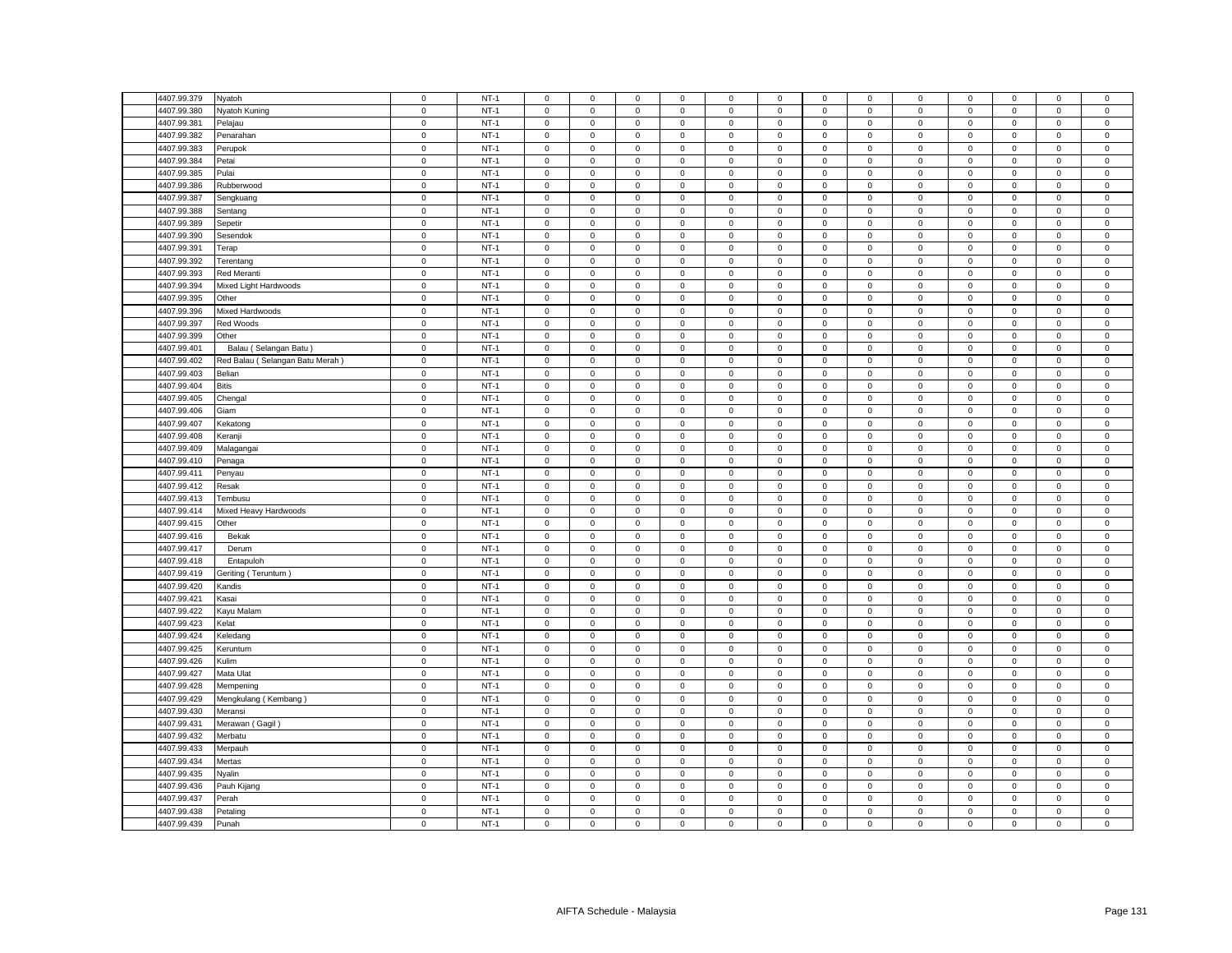| 4407.99.379 | Nyatoh                                                                                                                                                                                                                                                                                                                                                                                                                                                                                                                                                                                                                                                                            | $\mathbf 0$         | $NT-1$ | $\mathbf 0$         | $\mathbf 0$  | $\mathsf 0$ | $\mathbf 0$  | $\mathsf 0$ | $\mathsf 0$ | $\mathbf 0$         | $\mathsf 0$ | $\mathsf 0$         | $\mathsf 0$ | $\mathbf 0$  | $\mathbf 0$ | $\mathsf 0$    |
|-------------|-----------------------------------------------------------------------------------------------------------------------------------------------------------------------------------------------------------------------------------------------------------------------------------------------------------------------------------------------------------------------------------------------------------------------------------------------------------------------------------------------------------------------------------------------------------------------------------------------------------------------------------------------------------------------------------|---------------------|--------|---------------------|--------------|-------------|--------------|-------------|-------------|---------------------|-------------|---------------------|-------------|--------------|-------------|----------------|
| 4407.99.380 | Nyatoh Kuning                                                                                                                                                                                                                                                                                                                                                                                                                                                                                                                                                                                                                                                                     | $\mathbf 0$         | $NT-1$ | $\mathbf 0$         | 0            | $\mathsf 0$ | $\mathbf 0$  | $\mathbf 0$ | $\mathsf 0$ | $\mathbf 0$         | $\mathsf 0$ | $\mathsf 0$         | $\mathsf 0$ | $\mathsf 0$  | $\mathbf 0$ | $\mathsf 0$    |
| 4407.99.381 | Pelajau                                                                                                                                                                                                                                                                                                                                                                                                                                                                                                                                                                                                                                                                           | $\mathbf 0$         | $NT-1$ | $\mathbf 0$         | $\mathbf 0$  | $\mathsf 0$ | $\mathbf 0$  | $\mathbf 0$ | $\mathbf 0$ | $\mathbf{0}$        | $\mathsf 0$ | $\mathbf 0$         | $\mathbf 0$ | $\mathbf 0$  | $\mathbf 0$ | $\mathsf 0$    |
| 4407.99.382 | Penarahan                                                                                                                                                                                                                                                                                                                                                                                                                                                                                                                                                                                                                                                                         | $\mathbf 0$         | $NT-1$ | $\mathsf 0$         | $\mathbf 0$  | $\mathsf 0$ | $\mathsf 0$  | $\mathsf 0$ | $\mathsf 0$ | $\mathsf 0$         | $\mathbf 0$ | $\mathsf 0$         | $\mathbf 0$ | $\mathsf 0$  | $\mathsf 0$ | $\mathsf 0$    |
| 4407.99.383 | Perupok                                                                                                                                                                                                                                                                                                                                                                                                                                                                                                                                                                                                                                                                           | $\mathbf 0$         | $NT-1$ | $\mathbf 0$         | $\mathbf 0$  | $\mathbf 0$ | $\mathbf 0$  | $\mathbf 0$ | 0           | $\mathbf 0$         | $\mathbf 0$ | $\mathbf 0$         | $\mathbf 0$ | $\mathbf 0$  | $\mathbf 0$ | $\mathbf 0$    |
| 4407.99.384 | Petai                                                                                                                                                                                                                                                                                                                                                                                                                                                                                                                                                                                                                                                                             | $\mathbf 0$         | $NT-1$ | $\mathsf 0$         | $\mathbf 0$  | $\mathsf 0$ | $\mathbf 0$  | $\mathbf 0$ | $\mathsf 0$ | $\mathsf 0$         | $\mathsf 0$ | $\mathbf 0$         | $\mathsf 0$ | $\mathbf 0$  | $\mathsf 0$ | $\mathsf 0$    |
|             |                                                                                                                                                                                                                                                                                                                                                                                                                                                                                                                                                                                                                                                                                   |                     |        |                     |              |             |              |             |             |                     |             |                     |             |              |             |                |
| 4407.99.385 | Pulai                                                                                                                                                                                                                                                                                                                                                                                                                                                                                                                                                                                                                                                                             | $\mathbf 0$         | $NT-1$ | $\mathsf 0$         | $\mathbf 0$  | $\mathsf 0$ | $\mathbf 0$  | $\mathbf 0$ | $\mathsf 0$ | $\mathsf 0$         | $\mathbf 0$ | $\mathbf 0$         | $\mathbf 0$ | $\mathbf 0$  | $\mathsf 0$ | $\mathsf 0$    |
| 4407.99.386 | Rubberwood                                                                                                                                                                                                                                                                                                                                                                                                                                                                                                                                                                                                                                                                        | $\mathbf 0$         | $NT-1$ | $^{\circ}$          | 0            | $\mathsf 0$ | $\mathbf 0$  | $\mathbf 0$ | 0           | $\mathbf 0$         | $\mathbf 0$ | $\mathbf 0$         | $\mathbf 0$ | $\mathbf{0}$ | $\mathbf 0$ | $\mathbf 0$    |
| 4407.99.387 | Sengkuang                                                                                                                                                                                                                                                                                                                                                                                                                                                                                                                                                                                                                                                                         | $\mathbf 0$         | $NT-1$ | $\mathsf 0$         | $\mathbf 0$  | $\mathsf 0$ | $\mathsf 0$  | $\mathbf 0$ | $\mathsf 0$ | $\mathsf 0$         | $\mathsf 0$ | $\mathsf 0$         | $\mathbf 0$ | $\mathbf 0$  | $\mathsf 0$ | $\mathsf 0$    |
| 4407.99.388 | Sentang                                                                                                                                                                                                                                                                                                                                                                                                                                                                                                                                                                                                                                                                           | $\mathbf 0$         | $NT-1$ | $\mathsf 0$         | $\mathbf 0$  | $\mathsf 0$ | $\mathsf 0$  | $\mathbf 0$ | $\mathsf 0$ | $\mathsf 0$         | $\mathsf 0$ | $\mathsf 0$         | $\mathsf 0$ | $\mathbf 0$  | $\mathsf 0$ | $\mathsf 0$    |
| 4407.99.389 | Sepetir                                                                                                                                                                                                                                                                                                                                                                                                                                                                                                                                                                                                                                                                           | $\mathsf 0$         | $NT-1$ | $\mathsf 0$         | $\mathbf 0$  | $\mathbf 0$ | $\mathbf 0$  | $\mathsf 0$ | $\mathbf 0$ | $\mathbf 0$         | $\mathsf 0$ | $\mathsf 0$         | $\mathbf 0$ | $\mathbf 0$  | $\mathsf 0$ | $\mathsf 0$    |
| 4407.99.390 | Sesendok                                                                                                                                                                                                                                                                                                                                                                                                                                                                                                                                                                                                                                                                          | $\mathbf 0$         | $NT-1$ | $\mathbf 0$         | $\mathbf 0$  | $\mathsf 0$ | $\mathbf 0$  | $\mathsf 0$ | 0           | $\mathbf 0$         | $\mathbf 0$ | 0                   | $\mathbf 0$ | $\mathbf 0$  | $\mathsf 0$ | 0              |
| 4407.99.391 | Terap                                                                                                                                                                                                                                                                                                                                                                                                                                                                                                                                                                                                                                                                             | $\mathbf 0$         | $NT-1$ | $\mathsf 0$         | $\mathbf 0$  | $\mathsf 0$ | $\mathsf 0$  | $\mathsf 0$ | $\mathbf 0$ | $\mathsf 0$         | $\mathbf 0$ | $\mathsf 0$         | $\mathbf 0$ | $\mathbf 0$  | $\mathsf 0$ | $\mathbf 0$    |
| 4407.99.392 | Terentang                                                                                                                                                                                                                                                                                                                                                                                                                                                                                                                                                                                                                                                                         | $\mathsf 0$         | $NT-1$ | $\mathsf 0$         | $\mathbf 0$  | $\mathsf 0$ | $\mathsf 0$  | $\mathbf 0$ | $\mathbf 0$ | $\mathbf 0$         | $\mathsf 0$ | $\mathbf 0$         | $\mathbf 0$ | $\mathbf 0$  | $\mathsf 0$ | $\mathsf 0$    |
| 4407.99.393 | Red Meranti                                                                                                                                                                                                                                                                                                                                                                                                                                                                                                                                                                                                                                                                       | $\mathbf 0$         | $NT-1$ | $\mathsf{O}\xspace$ | $\mathsf 0$  | $\mathbf 0$ | $\mathsf 0$  | $\mathbf 0$ | $\mathbf 0$ | $\mathsf{O}\xspace$ | $\mathsf 0$ | $\mathsf 0$         | $\mathbf 0$ | $\mathbf 0$  | $\mathsf 0$ | $\,0\,$        |
| 4407.99.394 | Mixed Light Hardwoods                                                                                                                                                                                                                                                                                                                                                                                                                                                                                                                                                                                                                                                             | $\mathbf 0$         | $NT-1$ | $\mathbf 0$         | $\mathbf 0$  | $\mathsf 0$ | $\mathbf 0$  | $\mathbf 0$ | $\mathsf 0$ | $\mathsf 0$         | $\mathbf 0$ | $\mathbf 0$         | $\mathsf 0$ | $\Omega$     | $\mathsf 0$ | $\mathbf 0$    |
|             |                                                                                                                                                                                                                                                                                                                                                                                                                                                                                                                                                                                                                                                                                   | $\mathbf 0$         | $NT-1$ |                     |              | $\mathbf 0$ |              |             | $\mathbf 0$ |                     |             |                     | $\mathbf 0$ |              | $\mathbf 0$ |                |
| 4407.99.395 | Other                                                                                                                                                                                                                                                                                                                                                                                                                                                                                                                                                                                                                                                                             |                     |        | $\mathbf 0$         | $\mathbf 0$  |             | $\mathbf 0$  | $\mathbf 0$ |             | $\mathbf 0$         | $\mathbf 0$ | $\mathsf 0$         |             | $\mathbf 0$  |             | $\mathsf 0$    |
| 4407.99.396 | Mixed Hardwoods                                                                                                                                                                                                                                                                                                                                                                                                                                                                                                                                                                                                                                                                   | $\mathbf 0$         | $NT-1$ | $\mathbf 0$         | $\mathbf 0$  | $\mathbf 0$ | $\mathbf 0$  | $\mathbf 0$ | $\mathbf 0$ | $\mathbf 0$         | $\mathsf 0$ | $\mathbf 0$         | $\mathbf 0$ | $\mathbf{0}$ | $\mathsf 0$ | $\mathsf 0$    |
| 4407.99.397 | Red Woods                                                                                                                                                                                                                                                                                                                                                                                                                                                                                                                                                                                                                                                                         | $\mathbf 0$         | $NT-1$ | $\mathsf 0$         | $\mathbf 0$  | $\mathsf 0$ | $\mathsf 0$  | $\mathbf 0$ | $\mathbf 0$ | $\mathsf 0$         | $\mathbf 0$ | $\mathsf 0$         | $\mathbf 0$ | $\mathbf 0$  | $\mathsf 0$ | $\mathsf 0$    |
| 4407.99.399 | Other                                                                                                                                                                                                                                                                                                                                                                                                                                                                                                                                                                                                                                                                             | $\mathsf{O}\xspace$ | $NT-1$ | $\mathsf 0$         | $\mathbf 0$  | $\mathsf 0$ | $\mathbf 0$  | $\mathsf 0$ | $\mathbf 0$ | $\mathsf 0$         | $\mathsf 0$ | $\mathbf 0$         | $\mathsf 0$ | $\mathsf 0$  | $\mathsf 0$ | $\mathsf 0$    |
| 4407.99.401 | Balau (Selangan Batu                                                                                                                                                                                                                                                                                                                                                                                                                                                                                                                                                                                                                                                              | $\mathbf 0$         | $NT-1$ | $\mathsf 0$         | $\mathbf{0}$ | $\mathsf 0$ | $\mathbf 0$  | $\mathbf 0$ | $\mathbf 0$ | $\mathsf{O}\xspace$ | $\mathbf 0$ | $\mathsf 0$         | $\mathbf 0$ | $\mathbf 0$  | $\mathsf 0$ | $\mathbf 0$    |
| 4407.99.402 | Red Balau (Selangan Batu Merah)                                                                                                                                                                                                                                                                                                                                                                                                                                                                                                                                                                                                                                                   | $\mathbf 0$         | $NT-1$ | $\mathbf 0$         | 0            | $\mathsf 0$ | 0            | $\mathsf 0$ | 0           | 0                   | $\mathsf 0$ | $\mathsf{O}\xspace$ | $\mathbf 0$ | 0            | 0           | $\mathbf 0$    |
| 4407.99.403 | Belian                                                                                                                                                                                                                                                                                                                                                                                                                                                                                                                                                                                                                                                                            | $\mathsf{O}\xspace$ | $NT-1$ | $\mathbf 0$         | $\mathbf 0$  | $\mathsf 0$ | $\mathsf 0$  | $\mathsf 0$ | $\mathbf 0$ | $\mathsf{O}\xspace$ | $\mathbf 0$ | $\mathsf 0$         | $\mathbf 0$ | $\mathbf 0$  | $\mathbf 0$ | $\mathsf 0$    |
| 4407.99.404 | <b>Bitis</b>                                                                                                                                                                                                                                                                                                                                                                                                                                                                                                                                                                                                                                                                      | $\mathbf 0$         | $NT-1$ | 0                   | 0            | $\mathbf 0$ | 0            | 0           | $\mathbf 0$ | 0                   | $\mathbf 0$ | $\mathbf 0$         | $\mathbf 0$ | $\mathbf 0$  | 0           | $\mathbf 0$    |
| 4407.99.405 |                                                                                                                                                                                                                                                                                                                                                                                                                                                                                                                                                                                                                                                                                   | $\mathbf 0$         | $NT-1$ | $\mathbf 0$         | $\mathbf 0$  | $\mathsf 0$ | 0            | $\mathsf 0$ | $\mathbf 0$ | 0                   | $\mathbf 0$ | $\mathbf 0$         | $\mathbf 0$ | $\mathsf 0$  | $\mathbf 0$ | $\mathsf 0$    |
|             | Chengal                                                                                                                                                                                                                                                                                                                                                                                                                                                                                                                                                                                                                                                                           |                     |        |                     |              |             |              |             |             |                     |             |                     |             |              |             |                |
| 4407.99.406 | Giam                                                                                                                                                                                                                                                                                                                                                                                                                                                                                                                                                                                                                                                                              | $\mathbf 0$         | $NT-1$ | 0                   | $\mathbf 0$  | $\mathsf 0$ | 0            | $\mathsf 0$ | $\mathsf 0$ | 0                   | $\mathsf 0$ | $\mathsf{O}\xspace$ | $\mathbf 0$ | 0            | $\mathbf 0$ | $\mathsf 0$    |
| 4407.99.407 | <ekatong< td=""><td><math display="inline">\mathsf 0</math></td><td><math>NT-1</math></td><td><math display="inline">\mathsf 0</math></td><td><math>\mathbf 0</math></td><td><math display="inline">\mathsf 0</math></td><td><math display="inline">\mathsf 0</math></td><td><math display="inline">\mathsf 0</math></td><td><math display="inline">\mathsf 0</math></td><td><math display="inline">\mathsf 0</math></td><td><math>\mathbf 0</math></td><td><math display="inline">\mathsf 0</math></td><td><math>\mathbf 0</math></td><td><math display="inline">\mathsf 0</math></td><td><math>\mathbf 0</math></td><td><math display="inline">\mathsf 0</math></td></ekatong<> | $\mathsf 0$         | $NT-1$ | $\mathsf 0$         | $\mathbf 0$  | $\mathsf 0$ | $\mathsf 0$  | $\mathsf 0$ | $\mathsf 0$ | $\mathsf 0$         | $\mathbf 0$ | $\mathsf 0$         | $\mathbf 0$ | $\mathsf 0$  | $\mathbf 0$ | $\mathsf 0$    |
| 4407.99.408 | Keranji                                                                                                                                                                                                                                                                                                                                                                                                                                                                                                                                                                                                                                                                           | $\mathbf 0$         | $NT-1$ | $\mathbf 0$         | 0            | $\mathsf 0$ | 0            | $\mathbf 0$ | $\mathbf 0$ | $\mathbf 0$         | $\mathsf 0$ | $\mathbf 0$         | $\mathbf 0$ | $\mathbf 0$  | $\mathbf 0$ | $\mathsf 0$    |
| 4407.99.409 | Malagangai                                                                                                                                                                                                                                                                                                                                                                                                                                                                                                                                                                                                                                                                        | $\mathsf{O}\xspace$ | $NT-1$ | $\mathsf 0$         | 0            | $\mathsf 0$ | $\mathsf 0$  | $\mathsf 0$ | $\mathsf 0$ | $\mathsf 0$         | $\mathbf 0$ | $\mathsf 0$         | $\mathsf 0$ | $\mathsf 0$  | $\mathbf 0$ | $\mathsf 0$    |
| 4407.99.410 | Penaga                                                                                                                                                                                                                                                                                                                                                                                                                                                                                                                                                                                                                                                                            | $\mathsf 0$         | $NT-1$ | $\mathsf 0$         | $\mathbf 0$  | $\mathsf 0$ | $\mathsf 0$  | $\mathsf 0$ | $\mathsf 0$ | $\mathsf 0$         | $\mathsf 0$ | $\mathsf{O}\xspace$ | $\mathsf 0$ | $\mathbf 0$  | $\mathbf 0$ | $\overline{0}$ |
| 4407.99.411 | Penyau                                                                                                                                                                                                                                                                                                                                                                                                                                                                                                                                                                                                                                                                            | $\mathbf 0$         | $NT-1$ | $\mathbf 0$         | 0            | $\mathsf 0$ | $^{\circ}$   | $\mathsf 0$ | $\mathbf 0$ | $\mathbf 0$         | $\mathbf 0$ | $\mathsf 0$         | $\mathbf 0$ | $\mathbf 0$  | $\mathbf 0$ | $\mathsf 0$    |
| 4407.99.412 | Resak                                                                                                                                                                                                                                                                                                                                                                                                                                                                                                                                                                                                                                                                             | $\mathbf 0$         | $NT-1$ | $\mathbf 0$         | $\mathsf 0$  | $\mathsf 0$ | $\mathbf 0$  | $\mathbf 0$ | $\mathsf 0$ | $\mathbf 0$         | $\mathsf 0$ | $\mathsf 0$         | $\mathbf 0$ | $\mathbf 0$  | $\mathsf 0$ | $\mathsf 0$    |
| 4407.99.413 | Tembusu                                                                                                                                                                                                                                                                                                                                                                                                                                                                                                                                                                                                                                                                           | $\mathsf 0$         | $NT-1$ | $\mathsf 0$         | $\mathbf 0$  | $\mathsf 0$ | $\mathsf 0$  | $\mathbf 0$ | $\mathsf 0$ | $\mathsf 0$         | $\mathbf 0$ | $\mathsf 0$         | $\mathsf 0$ | $\mathsf 0$  | $\mathsf 0$ | $\mathsf 0$    |
| 4407.99.414 | Mixed Heavy Hardwoods                                                                                                                                                                                                                                                                                                                                                                                                                                                                                                                                                                                                                                                             | $\mathbf 0$         | $NT-1$ | $\mathbf 0$         | $\mathbf 0$  | $\mathsf 0$ | $\mathbf 0$  | $\mathbf 0$ | 0           | $\mathbf 0$         | $\mathbf 0$ | $\mathbf 0$         | $\mathbf 0$ | $\mathbf 0$  | $\mathbf 0$ | $\mathsf 0$    |
| 4407.99.415 |                                                                                                                                                                                                                                                                                                                                                                                                                                                                                                                                                                                                                                                                                   | $\mathbf 0$         | $NT-1$ | $\mathsf 0$         | 0            | $\mathsf 0$ | $\mathbf 0$  | $\mathsf 0$ | $\mathbf 0$ |                     | $\mathbf 0$ | $\mathsf 0$         |             | $\mathbf 0$  | $\mathbf 0$ | $\mathsf 0$    |
|             | Other                                                                                                                                                                                                                                                                                                                                                                                                                                                                                                                                                                                                                                                                             |                     |        |                     |              |             |              |             |             | 0                   |             |                     | $\mathbf 0$ |              |             |                |
| 4407.99.416 | Bekak                                                                                                                                                                                                                                                                                                                                                                                                                                                                                                                                                                                                                                                                             | $\mathbf 0$         | $NT-1$ | $\mathsf 0$         | $\mathbf 0$  | $\mathsf 0$ | $\mathsf 0$  | $\mathbf 0$ | $\mathbf 0$ | $\mathsf 0$         | $\mathsf 0$ | $\mathbf 0$         | $\mathbf 0$ | $\mathbf 0$  | $\mathsf 0$ | $\mathsf 0$    |
| 4407.99.417 | Derum                                                                                                                                                                                                                                                                                                                                                                                                                                                                                                                                                                                                                                                                             | $\mathbf 0$         | $NT-1$ | $\mathsf 0$         | $\mathbf 0$  | $\mathsf 0$ | $\mathsf 0$  | $\mathbf 0$ | $\mathsf 0$ | $\mathsf 0$         | $\mathsf 0$ | $\mathsf 0$         | $\mathsf 0$ | $\mathbf 0$  | $\mathsf 0$ | $\mathsf 0$    |
| 4407.99.418 | Entapuloh                                                                                                                                                                                                                                                                                                                                                                                                                                                                                                                                                                                                                                                                         | $\mathbf 0$         | $NT-1$ | $\mathsf 0$         | $\mathbf 0$  | $\mathsf 0$ | $\mathbf 0$  | $\mathbf 0$ | $\mathsf 0$ | $\mathbf 0$         | $\mathsf 0$ | $\mathbf 0$         | $\mathsf 0$ | $\mathbf 0$  | $\mathsf 0$ | $\mathsf 0$    |
| 4407.99.419 | Geriting (Teruntum)                                                                                                                                                                                                                                                                                                                                                                                                                                                                                                                                                                                                                                                               | $\mathbf 0$         | $NT-1$ | $\mathsf 0$         | $\mathbf 0$  | $\mathsf 0$ | $\mathbf 0$  | $\mathbf 0$ | $\mathsf 0$ | $\mathsf 0$         | $\mathbf 0$ | $\mathsf 0$         | $\mathsf 0$ | $\mathsf 0$  | $\mathsf 0$ | $\mathsf 0$    |
| 4407.99.420 | Kandis                                                                                                                                                                                                                                                                                                                                                                                                                                                                                                                                                                                                                                                                            | $\mathbf{0}$        | $NT-1$ | $\mathsf 0$         | $\mathbf 0$  | $\mathbf 0$ | $\mathbf 0$  | $\mathsf 0$ | $\mathbf 0$ | $\mathbf 0$         | $\mathbf 0$ | $\mathsf 0$         | $\mathbf 0$ | $\mathbf 0$  | $\mathsf 0$ | $\mathbf 0$    |
| 4407.99.421 | Kasai                                                                                                                                                                                                                                                                                                                                                                                                                                                                                                                                                                                                                                                                             | $\mathbf 0$         | $NT-1$ | $\mathbf 0$         | $\mathbf 0$  | $\mathsf 0$ | $\mathbf{0}$ | $\mathsf 0$ | $\mathbf 0$ | $\mathbf 0$         | $\mathbf 0$ | $\mathsf 0$         | $\mathbf 0$ | $\mathbf{0}$ | $\mathsf 0$ | $\mathsf 0$    |
| 4407.99.422 | Kayu Malam                                                                                                                                                                                                                                                                                                                                                                                                                                                                                                                                                                                                                                                                        | $\mathbf 0$         | $NT-1$ | $\mathbf 0$         | $\mathbf 0$  | $\mathsf 0$ | $\mathbf 0$  | $\mathsf 0$ | $\mathbf 0$ | $\mathbf 0$         | $\mathsf 0$ | $\mathbf 0$         | $\mathbf 0$ | $\mathbf 0$  | $\mathsf 0$ | $\mathsf 0$    |
| 4407.99.423 | Kelat                                                                                                                                                                                                                                                                                                                                                                                                                                                                                                                                                                                                                                                                             | $\mathsf 0$         | $NT-1$ | $\mathsf 0$         | $\mathbf 0$  | $\mathbf 0$ | $\mathbf 0$  | $\mathsf 0$ | $\mathbf 0$ | $\mathbf 0$         | $\mathbf 0$ | $\mathsf 0$         | $\mathbf 0$ | $\mathbf 0$  | $\mathbf 0$ | $\mathsf 0$    |
| 4407.99.424 | Keledang                                                                                                                                                                                                                                                                                                                                                                                                                                                                                                                                                                                                                                                                          | $\mathbf 0$         | $NT-1$ | $\mathbf 0$         | $\mathbf 0$  | $\mathbf 0$ | $^{\circ}$   | $\mathbf 0$ | $\mathbf 0$ | $\mathbf 0$         | $\mathbf 0$ | $\mathbf 0$         | $\mathbf 0$ | $\mathbf 0$  | $\mathbf 0$ | $\mathsf 0$    |
| 4407.99.425 | Keruntum                                                                                                                                                                                                                                                                                                                                                                                                                                                                                                                                                                                                                                                                          | $\mathsf 0$         | $NT-1$ | $\mathsf 0$         | $\mathbf 0$  | $\mathsf 0$ | $\mathsf 0$  | $\mathbf 0$ | $\mathbf 0$ | $\mathsf 0$         | $\mathsf 0$ | $\mathsf 0$         | $\mathbf 0$ | $\mathbf 0$  | $\mathbf 0$ | $\mathsf 0$    |
| 4407.99.426 |                                                                                                                                                                                                                                                                                                                                                                                                                                                                                                                                                                                                                                                                                   |                     | $NT-1$ |                     |              | $\mathbf 0$ |              |             | $\mathbf 0$ |                     |             |                     | $\mathbf 0$ | $\mathbf 0$  |             | $\mathsf 0$    |
|             | Kulim                                                                                                                                                                                                                                                                                                                                                                                                                                                                                                                                                                                                                                                                             | $\mathbf 0$         |        | $\mathsf 0$         | $\mathbf 0$  |             | $\mathsf 0$  | $\mathbf 0$ |             | $\mathsf 0$         | $\mathsf 0$ | $\mathbf 0$         |             |              | $\mathsf 0$ |                |
| 4407.99.427 | Mata Ulat                                                                                                                                                                                                                                                                                                                                                                                                                                                                                                                                                                                                                                                                         | $\mathbf 0$         | $NT-1$ | $\mathbf 0$         | $\mathbf 0$  | $\mathsf 0$ | $\mathbf 0$  | $\mathbf 0$ | $\mathsf 0$ | $\mathbf 0$         | $\mathsf 0$ | $\mathsf 0$         | $\mathsf 0$ | $\mathbf 0$  | $\mathsf 0$ | $\mathsf 0$    |
| 4407.99.428 | Mempening                                                                                                                                                                                                                                                                                                                                                                                                                                                                                                                                                                                                                                                                         | $\mathbf 0$         | $NT-1$ | $\mathsf 0$         | $\mathbf 0$  | $\mathsf 0$ | $\mathsf 0$  | $\mathsf 0$ | $\mathbf 0$ | $\mathsf 0$         | $\mathbf 0$ | $\mathbf 0$         | $\mathbf 0$ | $\mathbf 0$  | $\mathsf 0$ | $\mathsf 0$    |
| 4407.99.429 | Mengkulang (Kembang)                                                                                                                                                                                                                                                                                                                                                                                                                                                                                                                                                                                                                                                              | $\mathsf 0$         | $NT-1$ | $\mathsf 0$         | $\mathbf 0$  | $\mathsf 0$ | $\mathbf 0$  | $\mathsf 0$ | $\mathbf 0$ | $\mathsf 0$         | $\mathsf 0$ | $\mathsf 0$         | $\mathbf 0$ | $\mathbf 0$  | $\mathsf 0$ | $\mathsf 0$    |
| 4407.99.430 | Meransi                                                                                                                                                                                                                                                                                                                                                                                                                                                                                                                                                                                                                                                                           | $\mathsf 0$         | $NT-1$ | $\mathsf 0$         | $\mathsf 0$  | $\mathsf 0$ | $\mathbf 0$  | $\mathbf 0$ | $\mathbf 0$ | $\mathsf{O}\xspace$ | $\mathbf 0$ | $\mathsf 0$         | $\mathsf 0$ | $\mathsf 0$  | $\mathsf 0$ | $\mathbf 0$    |
| 4407.99.431 | Merawan (Gagil)                                                                                                                                                                                                                                                                                                                                                                                                                                                                                                                                                                                                                                                                   | $\mathbf 0$         | $NT-1$ | $\mathbf 0$         | $\mathbf 0$  | $\mathsf 0$ | $\mathbf 0$  | $\mathsf 0$ | $\mathsf 0$ | $\mathsf 0$         | $\mathbf 0$ | $\mathbf 0$         | $\mathsf 0$ | $\Omega$     | $\mathsf 0$ | $\mathsf 0$    |
| 4407.99.432 | Merbatu                                                                                                                                                                                                                                                                                                                                                                                                                                                                                                                                                                                                                                                                           | $\mathbf 0$         | $NT-1$ | $\mathbf 0$         | $\mathsf 0$  | $\mathsf 0$ | $\mathsf 0$  | $\mathsf 0$ | $\mathsf 0$ | $\mathsf{O}\xspace$ | $\mathbf 0$ | $\mathsf 0$         | $\mathsf 0$ | $\mathsf 0$  | $\mathbf 0$ | $\mathbf 0$    |
| 4407.99.433 | Merpauh                                                                                                                                                                                                                                                                                                                                                                                                                                                                                                                                                                                                                                                                           | $\mathsf{O}\xspace$ | $NT-1$ | $\mathbf 0$         | $\mathbf 0$  | $\mathsf 0$ | 0            | $\mathsf 0$ | $\mathsf 0$ | $\mathbf 0$         | $\mathbf 0$ | $\mathsf 0$         | $\mathbf 0$ | 0            | $\mathbf 0$ | $\mathsf 0$    |
| 4407.99.434 | Mertas                                                                                                                                                                                                                                                                                                                                                                                                                                                                                                                                                                                                                                                                            | $\mathbf 0$         | $NT-1$ | $\mathbf 0$         | 0            | $\mathsf 0$ | 0            | $\mathsf 0$ | $\Omega$    | 0                   | $\mathbf 0$ | $\mathsf 0$         | $\mathbf 0$ | $\mathbf 0$  | $\mathbf 0$ | $\mathsf 0$    |
| 4407.99.435 |                                                                                                                                                                                                                                                                                                                                                                                                                                                                                                                                                                                                                                                                                   | $\mathbf 0$         | $NT-1$ |                     | 0            | $\mathsf 0$ | $^{\circ}$   | $\mathsf 0$ | $\mathsf 0$ |                     | $\mathsf 0$ | $\mathbf 0$         | $\mathbf 0$ | $\mathbf 0$  |             | $\mathsf 0$    |
|             | Nyalin                                                                                                                                                                                                                                                                                                                                                                                                                                                                                                                                                                                                                                                                            |                     |        | $\,0\,$             |              |             |              |             |             | 0                   |             |                     |             |              | 0           |                |
| 4407.99.436 | Pauh Kijang                                                                                                                                                                                                                                                                                                                                                                                                                                                                                                                                                                                                                                                                       | $\mathsf 0$         | $NT-1$ | $\mathsf 0$         | $\mathbf 0$  | $\mathsf 0$ | $\mathbf 0$  | $\mathbf 0$ | $\mathsf 0$ | $\mathbf 0$         | $\mathbf 0$ | $\mathbf 0$         | $\mathsf 0$ | $\mathbf 0$  | $\mathbf 0$ | $\mathsf 0$    |
| 4407.99.437 | Perah                                                                                                                                                                                                                                                                                                                                                                                                                                                                                                                                                                                                                                                                             | $\mathbf 0$         | $NT-1$ | $\mathbf 0$         | 0            | $\mathsf 0$ | $\mathbf 0$  | $\mathbf 0$ | $\mathbf 0$ | $\mathbf 0$         | $\mathsf 0$ | $\mathbf 0$         | $\mathbf 0$ | $\mathbf{0}$ | $\mathbf 0$ | $\mathsf 0$    |
| 4407.99.438 | Petaling                                                                                                                                                                                                                                                                                                                                                                                                                                                                                                                                                                                                                                                                          | $\mathsf{O}\xspace$ | $NT-1$ | $\mathsf 0$         | $\mathbf 0$  | $\mathsf 0$ | $\mathsf 0$  | $\mathsf 0$ | $\mathbf 0$ | $\mathsf 0$         | $\mathbf 0$ | $\mathsf 0$         | $\mathbf 0$ | $\mathsf 0$  | $\mathsf 0$ | $\mathsf 0$    |
| 4407.99.439 | Punah                                                                                                                                                                                                                                                                                                                                                                                                                                                                                                                                                                                                                                                                             | $\mathsf 0$         | $NT-1$ | $\mathbf 0$         | $\mathbf 0$  | $\mathsf 0$ | $\mathbf 0$  | $\mathsf 0$ | $\mathbf 0$ | $\mathbf 0$         | $\mathbf 0$ | $\mathsf 0$         | $\mathsf 0$ | $\mathsf 0$  | $\mathbf 0$ | $\mathsf 0$    |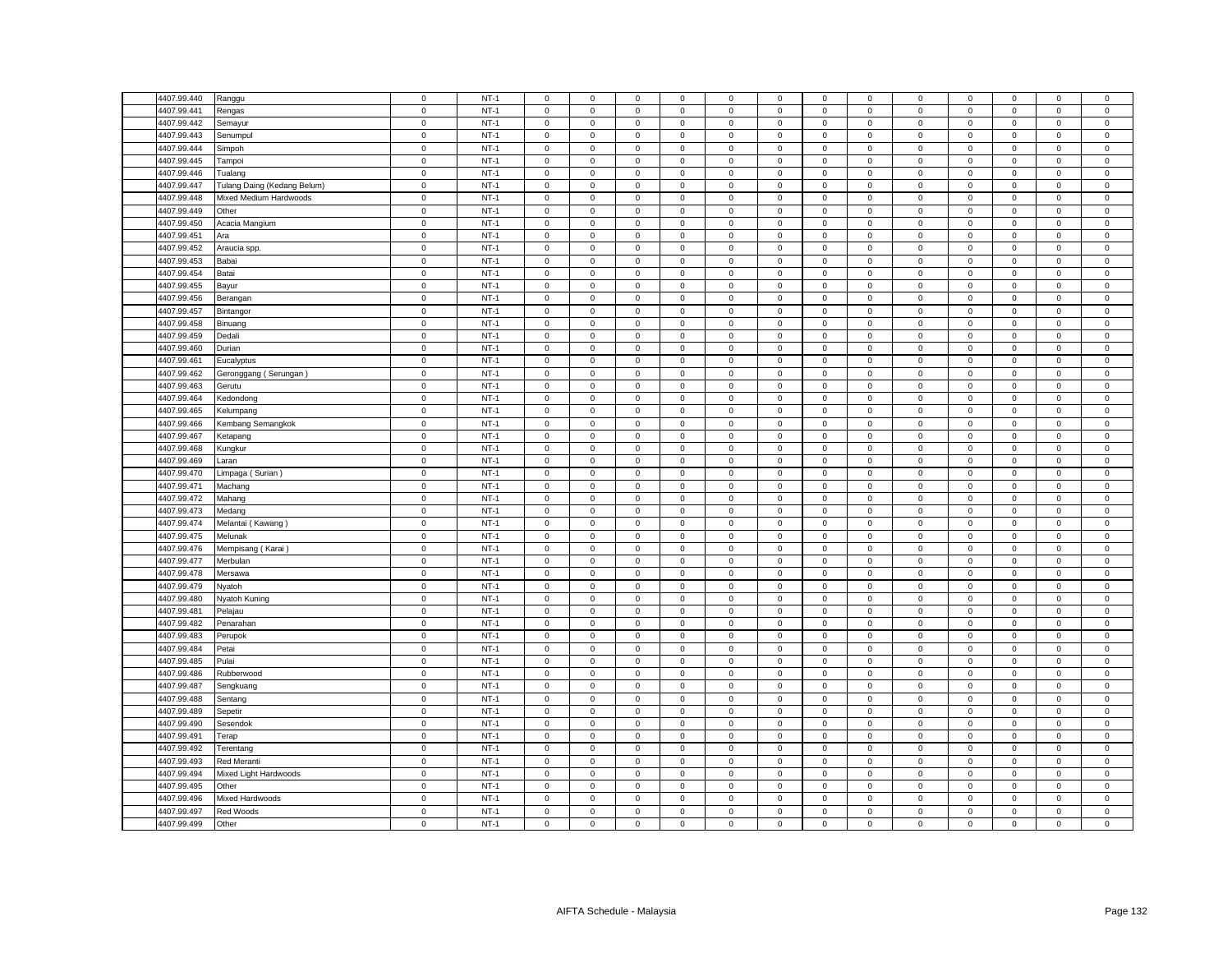| 4407.99.440                | Ranggu                      | $\mathbf 0$                | $NT-1$           | $\mathsf 0$                | $\mathsf 0$                | $\mathsf 0$                | $\mathbf 0$                | 0            | $\mathsf 0$                | $\mathsf 0$                | $\mathsf 0$                | $\mathbf 0$                | $\mathbf 0$                | $\mathbf 0$                | $\mathsf 0$                | $\mathsf 0$                |
|----------------------------|-----------------------------|----------------------------|------------------|----------------------------|----------------------------|----------------------------|----------------------------|--------------|----------------------------|----------------------------|----------------------------|----------------------------|----------------------------|----------------------------|----------------------------|----------------------------|
| 4407.99.441                | Rengas                      | $\mathsf 0$                | $NT-1$           | $\Omega$                   | $\mathbf 0$                | $\mathsf 0$                | $^{\circ}$                 | 0            | $\mathbf 0$                | $\mathsf 0$                | $\mathsf 0$                | $\mathsf 0$                | $\mathbf 0$                | $\mathsf 0$                | $\mathbf 0$                | $\mathsf 0$                |
| 4407.99.442                | Semayur                     | $\mathbf 0$                | $NT-1$           | $\mathbf 0$                | $\mathbf 0$                | $\mathsf 0$                | $\mathbf 0$                | 0            | $\mathsf 0$                | $\mathbf 0$                | $\mathbf 0$                | $\mathbf 0$                | $\mathbf 0$                | $\mathbf 0$                | $\mathsf 0$                | $\mathsf 0$                |
| 4407.99.443                | Senumpul                    | $\mathsf 0$                | $NT-1$           | $\mathbf 0$                | $\mathsf 0$                | $\mathsf 0$                | $\mathsf 0$                | 0            | $\mathsf 0$                | $\mathsf 0$                | $\mathsf 0$                | $\mathsf 0$                | $\mathsf 0$                | $\mathsf 0$                | $\mathsf 0$                | $\mathbf 0$                |
| 4407.99.444                | Simpoh                      | $\mathbf 0$                | $NT-1$           | $\mathbf 0$                | $\mathbf 0$                | $\mathbf 0$                | $\mathbf 0$                | 0            | $\mathbf 0$                | $\mathbf 0$                | $\mathbf 0$                | $\mathbf 0$                | $\mathbf 0$                | $\mathbf 0$                | $\mathbf 0$                | $\mathbf 0$                |
| 4407.99.445                | Tampoi                      | $\mathsf 0$                | $NT-1$           | $\mathbf 0$                | $\mathsf 0$                | $\mathsf 0$                | $\mathbf 0$                | 0            | $\mathsf 0$                | $\mathbf 0$                | $\mathsf 0$                | $\mathsf 0$                | $\mathsf 0$                | $\mathsf 0$                | $\mathsf 0$                | $\mathsf 0$                |
| 4407.99.446                | Tualang                     | $\mathsf 0$                | $NT-1$           | $\mathsf 0$                | $\mathsf 0$                | $\mathsf 0$                | $\mathsf 0$                | 0            | $\mathsf 0$                | $\mathsf 0$                | $\mathsf 0$                | $\mathsf 0$                | $\mathsf 0$                | $\mathsf 0$                | $\mathsf 0$                | $\mathsf 0$                |
| 4407.99.447                | Tulang Daing (Kedang Belum) | $\mathsf 0$                | $NT-1$           | $\mathbf 0$                | $\mathsf 0$                | $\mathbf 0$                | $\mathbf 0$                | $\mathbf{0}$ | $\mathbf 0$                | $\mathbf{0}$               | $\mathbf{0}$               | $\mathsf 0$                | $\mathbf 0$                | $\mathbf 0$                | $\mathbf 0$                | $\mathsf 0$                |
| 4407.99.448                | Mixed Medium Hardwoods      | $\mathsf 0$                | $NT-1$           | $\mathsf 0$                | $\mathsf 0$                | $\mathsf 0$                | $\mathsf 0$                | 0            | $\mathsf 0$                | $\mathbf 0$                | $\mathsf 0$                | $\mathsf 0$                | $\mathbf 0$                | $\mathsf 0$                | $\mathsf 0$                | $\mathsf 0$                |
| 4407.99.449                | Other                       | $\mathsf 0$                | $NT-1$           | $\mathbf 0$                | $\mathsf 0$                | $\mathsf 0$                | $\mathsf 0$                | 0            | $\mathsf 0$                | $\mathbf 0$                | $\mathsf 0$                | $\mathsf 0$                | $\mathsf 0$                | $\mathsf 0$                | $\mathsf 0$                | $\mathsf 0$                |
| 4407.99.450                | Acacia Mangium              | $\mathsf 0$                | $NT-1$           | $\mathbf 0$                | $\mathbf 0$                | $\mathbf 0$                | $\mathbf 0$                | 0            | $\mathbf 0$                | $\mathbf 0$                | $\mathsf 0$                | $\mathsf 0$                | $\mathbf 0$                | $\mathbf 0$                | $\mathsf 0$                | $\mathsf 0$                |
| 4407.99.451                | Ara                         | $\mathbf 0$                | $NT-1$           | $\mathbf 0$                | $\mathbf 0$                | $\mathbf 0$                | $\mathbf 0$                | $\mathbf{0}$ | $\mathbf 0$                | $\mathbf{0}$               | $\mathbf 0$                | $\mathsf 0$                | $\mathbf 0$                | $\mathbf 0$                | $\mathbf 0$                | $\overline{0}$             |
| 4407.99.452                | Araucia spp.                | $\mathbf 0$                | $NT-1$           | $\mathsf 0$                | $\mathbf 0$                | $\mathsf 0$                | $\mathsf 0$                | 0            | $\mathbf 0$                | $\mathbf 0$                | $\mathsf 0$                | $\mathsf 0$                | $\mathbf 0$                | $\mathsf 0$                | $\mathsf 0$                | $\mathsf 0$                |
| 4407.99.453                | Babai                       | $\mathsf 0$                | $NT-1$           | $\mathsf 0$                | $\mathbf 0$                | $\mathsf 0$                | $\mathsf 0$                | 0            | $\mathsf 0$                | $\mathbf 0$                | $\mathsf 0$                | $\mathsf 0$                | $\mathbf 0$                | $\mathsf 0$                | $\mathsf 0$                | $\mathsf 0$                |
| 4407.99.454                | Batai                       | $\mathbf 0$                | $NT-1$           | $\mathsf 0$                | $\mathsf 0$                | $\mathsf 0$                | $\mathsf 0$                | 0            | $\mathsf 0$                | $\mathsf 0$                | $\mathbf 0$                | $\mathbf 0$                | $\mathbf 0$                | $\mathsf{O}\xspace$        | $\mathsf 0$                | $\mathsf{O}$               |
| 4407.99.455                | Bayur                       | $\mathsf 0$                | $NT-1$           | $\mathbf 0$                | $\mathbf 0$                | $\mathsf 0$                | $\mathbf 0$                | 0            | $\mathsf 0$                | $\mathbf 0$                | $\mathbf 0$                | $\mathsf 0$                | $\mathsf 0$                | $\mathsf 0$                | $\mathsf 0$                | $\mathsf 0$                |
| 4407.99.456                | Berangan                    | $\mathbf 0$                | $NT-1$           | $\mathbf 0$                | $\mathsf 0$                | $\mathsf 0$                | $\mathbf 0$                | $\mathbf{0}$ | $\mathbf 0$                | $\mathbf 0$                | $\mathsf 0$                | $\mathsf 0$                | $\mathbf 0$                | $\mathbf 0$                | $\mathsf 0$                | $\mathsf 0$                |
|                            |                             |                            |                  |                            |                            |                            |                            |              |                            |                            |                            |                            |                            |                            |                            |                            |
| 4407.99.457<br>4407.99.458 | Bintangor                   | $\mathsf 0$<br>$\mathsf 0$ | $NT-1$<br>$NT-1$ | $\mathsf 0$<br>$\mathbf 0$ | $\mathbf 0$<br>$\mathsf 0$ | $\mathsf 0$<br>$\mathsf 0$ | $\mathbf 0$<br>$\mathbf 0$ | 0<br>0       | $\mathsf 0$<br>$\mathbf 0$ | $\mathbf 0$<br>$\mathsf 0$ | $\mathsf 0$<br>$\mathsf 0$ | $\mathsf 0$<br>$\mathsf 0$ | $\mathsf 0$<br>$\mathsf 0$ | $\mathsf 0$<br>$\mathsf 0$ | $\mathsf 0$<br>$\mathsf 0$ | $\mathsf 0$<br>$\mathbf 0$ |
|                            | Binuang                     |                            |                  |                            |                            |                            |                            |              |                            |                            |                            |                            |                            |                            |                            |                            |
| 4407.99.459                | Dedali                      | $\mathsf 0$                | $NT-1$           | $\mathsf 0$                | $\mathsf 0$                | $\mathsf 0$                | $\mathbf 0$                | 0            | $\mathsf 0$                | $\mathsf 0$                | $\mathsf 0$                | $\mathsf 0$                | $\mathsf 0$                | $\mathsf 0$                | $\mathsf 0$                | $\,0\,$                    |
| 4407.99.460                | Durian                      | $\mathsf 0$                | $NT-1$           | $\mathbf 0$                | $\mathsf 0$                | $\mathsf 0$                | $\mathsf 0$                | $\mathbf 0$  | $\mathsf 0$                | $\,0\,$                    | $\mathsf 0$                | $\mathsf 0$                | $\mathbf 0$                | 0                          | $\mathbf 0$                | $\mathbf 0$                |
| 4407.99.461                | Eucalyptus                  | $\mathsf 0$                | $NT-1$           | 0                          | 0                          | 0                          | $\mathbf 0$                | 0            | 0                          | 0                          | 0                          | 0                          | $\mathbf 0$                | 0                          | 0                          | $\mathbf 0$                |
| 4407.99.462                | Geronggang (Serungan)       | $\mathbf 0$                | $NT-1$           | $\mathbf 0$                | $\mathsf{O}\xspace$        | $\mathbf 0$                | $\mathsf 0$                | 0            | $\mathbf 0$                | $\mathbf 0$                | $\mathbf 0$                | $\mathsf 0$                | $\mathbf 0$                | $\mathsf 0$                | $\mathsf 0$                | $\mathbf 0$                |
| 4407.99.463                | Gerutu                      | $\mathbf 0$                | $NT-1$           | 0                          | $\mathbf 0$                | 0                          | $^{\circ}$                 | 0            | 0                          | $\mathbf 0$                | 0                          | $\mathbf 0$                | 0                          | 0                          | $\mathbf 0$                | $\mathbf 0$                |
| 4407.99.464                | Kedondong                   | $\mathsf 0$                | $NT-1$           | $\Omega$                   | $\mathsf{O}\xspace$        | $\mathbf 0$                | $\mathsf 0$                | 0            | $\mathsf 0$                | $\,0\,$                    | $\,0\,$                    | $\mathsf 0$                | $\mathbf 0$                | $\mathsf{O}\xspace$        | 0                          | $\mathbf 0$                |
| 4407.99.465                | Kelumpang                   | $\mathbf 0$                | $NT-1$           | 0                          | 0                          | $\mathbf 0$                | 0                          | 0            | $\mathsf 0$                | 0                          | $\mathsf 0$                | $\mathsf 0$                | $\mathbf 0$                | $\mathsf{O}\xspace$        | 0                          | $\,0\,$                    |
| 4407.99.466                | Kembang Semangkok           | $\mathsf 0$                | $NT-1$           | $\mathbf 0$                | $\mathsf 0$                | $\mathsf 0$                | $\mathsf 0$                | 0            | $\mathbf 0$                | $\mathsf 0$                | $\mathbf 0$                | $\mathsf 0$                | $\mathbf 0$                | $\mathsf 0$                | $\mathsf 0$                | $\mathbf 0$                |
| 4407.99.467                | Ketapang                    | $\mathsf 0$                | $NT-1$           | $\mathbf 0$                | $\mathbf 0$                | $\mathbf 0$                | $\mathbf 0$                | 0            | $\mathbf 0$                | $\mathbf 0$                | $\mathbf 0$                | $\mathsf 0$                | $\mathbf 0$                | $\mathbf 0$                | $\mathbf 0$                | $\mathsf 0$                |
| 4407.99.468                | Kungkur                     | $\mathbf 0$                | $NT-1$           | $\mathbf 0$                | $\mathsf{O}\xspace$        | $\mathbf 0$                | $\mathbf 0$                | 0            | $\mathbf 0$                | $\mathsf 0$                | $\mathsf 0$                | $\mathsf 0$                | $\mathbf 0$                | $\mathsf 0$                | $\mathbf 0$                | $\mathbf 0$                |
| 4407.99.469                | Laran                       | $\mathbf 0$                | $NT-1$           | $\mathsf 0$                | $\mathsf 0$                | $\mathsf 0$                | $\mathsf 0$                | 0            | $\mathsf 0$                | $\mathbf 0$                | $\mathsf 0$                | $\mathsf 0$                | $\mathbf 0$                | $\mathsf 0$                | $\mathsf 0$                | $\mathbf 0$                |
| 4407.99.470                | Limpaga (Surian)            | $\mathsf 0$                | $NT-1$           | $\mathbf 0$                | $\mathsf 0$                | $\mathbf 0$                | $^{\circ}$                 | 0            | $\mathbf 0$                | $\mathsf 0$                | $\mathsf 0$                | $\mathsf 0$                | $\mathbf 0$                | $\mathsf 0$                | $\mathbf 0$                | $\mathbf 0$                |
| 4407.99.471                | Machang                     | 0                          | $NT-1$           | $\mathbf{0}$               | $\circ$                    | $\mathsf 0$                | $\mathbf 0$                | 0            | $\mathsf 0$                | $\mathbf 0$                | $\mathbf 0$                | $\mathsf 0$                | $\mathbf 0$                | $\mathbf 0$                | $\mathsf 0$                | $\mathbf 0$                |
| 4407.99.472                | Mahang                      | $\mathbf 0$                | $NT-1$           | $\mathbf 0$                | $\mathsf 0$                | $\mathsf 0$                | $\mathsf 0$                | 0            | $\mathbf 0$                | $\mathsf 0$                | $\mathsf 0$                | $\mathsf 0$                | $\mathsf 0$                | $\mathsf 0$                | $\mathsf 0$                | $\mathsf 0$                |
| 4407.99.473                | Medang                      | $\mathsf 0$                | $NT-1$           | $\mathbf{0}$               | $\mathbf 0$                | $\mathsf 0$                | $\mathbf 0$                | 0            | $\mathsf 0$                | $\mathbf{0}$               | $\mathbf 0$                | $\mathbf 0$                | $\mathbf 0$                | $\mathbf 0$                | $\mathbf 0$                | $\mathsf 0$                |
| 4407.99.474                | Melantai (Kawang)           | $\mathbf 0$                | $NT-1$           | $\mathbf 0$                | $\mathbf 0$                | $\mathbf 0$                | $\mathbf 0$                | 0            | $\mathbf 0$                | 0                          | $\mathbf 0$                | $\mathsf 0$                | $\mathbf 0$                | $\mathbf 0$                | $\mathbf 0$                | $\,0\,$                    |
| 4407.99.475                | Melunak                     | $\mathsf 0$                | $NT-1$           | $\mathsf 0$                | $\mathsf 0$                | $\mathsf 0$                | $\mathsf 0$                | 0            | $\mathsf 0$                | $\mathbf 0$                | $\mathsf 0$                | $\mathsf 0$                | $\mathsf 0$                | $\mathsf 0$                | $\mathsf 0$                | $\mathsf 0$                |
| 4407.99.476                | Mempisang (Karai            | $\mathsf 0$                | $NT-1$           | $\mathbf 0$                | $\mathsf 0$                | $\mathsf 0$                | $\mathsf 0$                | 0            | $\mathsf 0$                | $\mathsf 0$                | $\mathsf 0$                | $\mathsf 0$                | $\mathsf 0$                | $\mathsf 0$                | $\mathsf 0$                | $\mathsf 0$                |
| 4407.99.477                | Merbulan                    | $\mathbf 0$                | $NT-1$           | $\mathsf 0$                | $\mathsf 0$                | $\mathsf 0$                | $\mathbf 0$                | 0            | $\mathsf 0$                | $\mathbf 0$                | $\mathsf 0$                | $\mathbf 0$                | $\mathbf 0$                | $\mathsf 0$                | $\mathsf 0$                | $\,0\,$                    |
| 4407.99.478                | Mersawa                     | $\mathsf 0$                | $NT-1$           | $\mathbf 0$                | $\mathsf 0$                | $\mathsf 0$                | $\mathbf 0$                | 0            | $\mathsf 0$                | $\mathbf 0$                | $\mathsf 0$                | $\mathsf 0$                | $\mathsf 0$                | $\mathsf 0$                | $\mathbf 0$                | $\mathbf 0$                |
| 4407.99.479                | Nyatoh                      | $\mathbf 0$                | $NT-1$           | $\mathbf 0$                | $\mathbf 0$                | $\mathbf 0$                | $\mathbf 0$                | $\mathbf{0}$ | $\mathbf 0$                | $\mathbf 0$                | $\mathbf 0$                | $\mathsf 0$                | $\mathbf 0$                | $\mathbf 0$                | $\mathsf 0$                | $\mathsf 0$                |
| 4407.99.480                | Nyatoh Kuning               | $\mathbf 0$                | $NT-1$           | $\mathbf 0$                | 0                          | $\mathsf 0$                | $\mathbf 0$                | 0            | $\mathsf 0$                | 0                          | 0                          | $\mathsf 0$                | $\mathbf 0$                | 0                          | 0                          | $\,0\,$                    |
| 4407.99.481                | Pelajau                     | $\mathsf 0$                | $NT-1$           | $\mathsf 0$                | $\mathsf 0$                | $\mathsf 0$                | $\mathsf 0$                | 0            | $\mathsf 0$                | $\mathbf 0$                | $\mathsf 0$                | $\mathbf 0$                | $\mathsf 0$                | $\mathsf 0$                | $\mathsf 0$                | $\mathsf 0$                |
| 4407.99.482                | Penarahan                   | $\mathbf 0$                | $NT-1$           | $\mathbf 0$                | $\mathbf 0$                | $\mathbf 0$                | $\mathbf 0$                | $\mathbf{0}$ | $\mathbf 0$                | $\mathbf 0$                | $\mathbf{0}$               | $\mathbf 0$                | $\mathbf 0$                | $\mathbf 0$                | $\mathbf 0$                | $\mathsf 0$                |
| 4407.99.483                | Perupok                     | $\mathbf 0$                | $NT-1$           | $\mathbf 0$                | $\mathbf 0$                | $\mathsf 0$                | $\mathbf 0$                | 0            | $\mathsf 0$                | $\mathbf 0$                | $\mathbf 0$                | $\mathbf 0$                | $\mathbf 0$                | $\mathbf 0$                | $\mathbf 0$                | $\,0\,$                    |
| 4407.99.484                | Petai                       | $\mathsf 0$                | $NT-1$           | $\mathsf 0$                | $\mathbf 0$                | $\mathsf 0$                | $\mathsf 0$                | 0            | $\mathsf 0$                | $\mathbf 0$                | $\mathsf 0$                | $\mathsf 0$                | $\mathbf 0$                | $\mathsf 0$                | $\mathsf 0$                | $\mathsf 0$                |
| 4407.99.485                | Pulai                       | $\mathbf 0$                | $NT-1$           | $\mathbf 0$                | $\mathsf 0$                | $\mathbf 0$                | $\mathbf 0$                | $\mathbf{0}$ | $\mathbf 0$                | $\mathbf 0$                | $\mathsf 0$                | $\mathsf 0$                | $\mathbf 0$                | $\mathbf 0$                | $\mathsf 0$                | $\mathsf 0$                |
| 4407.99.486                | Rubberwood                  | $\mathsf 0$                | $NT-1$           | $\mathbf 0$                | $\mathbf 0$                | $\mathbf 0$                | $\mathbf 0$                | $\mathbf{0}$ | $\mathbf 0$                | $\mathbf{0}$               | $\mathbf{0}$               | $\mathsf 0$                | $\mathbf 0$                | $\mathbf 0$                | $\mathbf 0$                | $\mathsf 0$                |
| 4407.99.487                | Sengkuang                   | $\mathsf 0$                | $NT-1$           | $\mathbf 0$                | $\mathsf 0$                | $\mathsf 0$                | $\mathsf 0$                | 0            | $\mathsf 0$                | $\mathsf 0$                | $\,0\,$                    | $\mathsf 0$                | $\mathsf 0$                | $\mathsf 0$                | $\mathsf 0$                | $\mathbf 0$                |
| 4407.99.488                | Sentang                     | $\mathsf 0$                | $NT-1$           | $\mathsf 0$                | $\mathsf 0$                | $\mathsf 0$                | $\mathsf 0$                | 0            | $\mathsf 0$                | $\mathbf 0$                | $\mathsf 0$                | $\mathsf 0$                | $\mathsf 0$                | $\mathsf 0$                | $\mathsf 0$                | $\mathsf 0$                |
| 4407.99.489                | Sepetir                     | $\mathsf 0$                | $NT-1$           | $\mathsf 0$                | $\mathsf 0$                | $\mathsf 0$                | $\mathsf 0$                | $\mathbf 0$  | $\mathsf 0$                | $\mathsf 0$                | $\mathsf 0$                | $\mathsf 0$                | $\mathsf 0$                | $\mathsf{O}\xspace$        | $\mathsf 0$                | $\mathsf 0$                |
| 4407.99.490                | Sesendok                    | $\mathsf 0$                | $NT-1$           | 0                          | $\mathsf 0$                | $\mathsf 0$                | $\Omega$                   | 0            | $\mathsf 0$                | $\mathbf 0$                | $\mathbf 0$                | $\mathsf 0$                | $\mathbf 0$                | $\mathsf 0$                | $\mathsf 0$                | $\,0\,$                    |
| 4407.99.491                | Terap                       | $\pmb{0}$                  | $NT-1$           | $\mathbf 0$                | $\mathsf 0$                | $\mathbf 0$                | $\mathsf 0$                | 0            | $\mathsf 0$                | $\mathbf 0$                | $\,0\,$                    | $\mathsf 0$                | $\mathbf 0$                | $\mathsf 0$                | $\mathsf 0$                | $\pmb{0}$                  |
| 4407.99.492                | Terentang                   | $\mathsf 0$                | $NT-1$           | 0                          | $\mathsf 0$                | $\mathbf 0$                | $\mathbf 0$                | 0            | $\mathsf 0$                | $\mathbf 0$                | $\mathsf 0$                | $\mathsf 0$                | $\mathsf 0$                | $\mathsf 0$                | $\mathsf 0$                | $\,0\,$                    |
| 4407.99.493                | Red Meranti                 | $\mathbf 0$                | $NT-1$           | $\mathbf 0$                | $\mathsf 0$                | $\mathbf 0$                | 0                          | 0            | $\mathbf 0$                | $\mathbf 0$                | $\mathbf 0$                | $\mathsf 0$                | $\mathbf 0$                | 0                          | 0                          | $\mathbf 0$                |
| 4407.99.494                | Mixed Light Hardwoods       | $\mathbf 0$                | $NT-1$           | 0                          | $\mathsf{O}\xspace$        | $\mathsf 0$                | $\overline{0}$             | 0            | $\mathsf 0$                | 0                          | $\mathbf 0$                | $\mathsf 0$                | $\mathbf 0$                | $\mathsf{O}\xspace$        | 0                          | $\mathsf 0$                |
| 4407.99.495                | Other                       | $\mathsf 0$                | $NT-1$           | $\mathbf 0$                | $\mathsf 0$                | $\mathsf 0$                | $\mathbf 0$                | 0            | $\mathbf 0$                | $\mathbf 0$                | $\overline{0}$             | $\mathbf 0$                | $\mathbf 0$                | $\mathbf 0$                | $\mathbf 0$                | $\mathbf 0$                |
| 4407.99.496                | Mixed Hardwoods             | $\mathsf 0$                | $NT-1$           | $\mathbf 0$                | $\mathbf 0$                | $\mathsf 0$                | $\mathbf 0$                | 0            | $\mathbf 0$                | $\mathbf 0$                | $\mathbf 0$                | $\mathsf 0$                | $\mathbf 0$                | $\mathbf 0$                | $\mathbf 0$                | $\mathsf 0$                |
| 4407.99.497                | Red Woods                   | $\mathsf 0$                | $NT-1$           | $\mathsf{O}\xspace$        | $\mathsf 0$                | $\mathsf 0$                | $\mathbf 0$                | 0            | $\mathbf 0$                | $\mathbf 0$                | $\mathbf 0$                | $\mathsf 0$                | $\mathbf 0$                | $\mathsf 0$                | $\mathsf 0$                | $\mathbf 0$                |
| 4407.99.499                |                             | $\mathbf 0$                | $NT-1$           | $\mathbf 0$                | $\mathsf 0$                | $\mathsf 0$                | $\mathbf 0$                | 0            | $\mathsf 0$                | $\mathbf 0$                | $\mathsf 0$                | $\mathbf 0$                | $\mathsf 0$                | $\mathbf 0$                | $\mathsf 0$                | $\mathsf 0$                |
|                            | Other                       |                            |                  |                            |                            |                            |                            |              |                            |                            |                            |                            |                            |                            |                            |                            |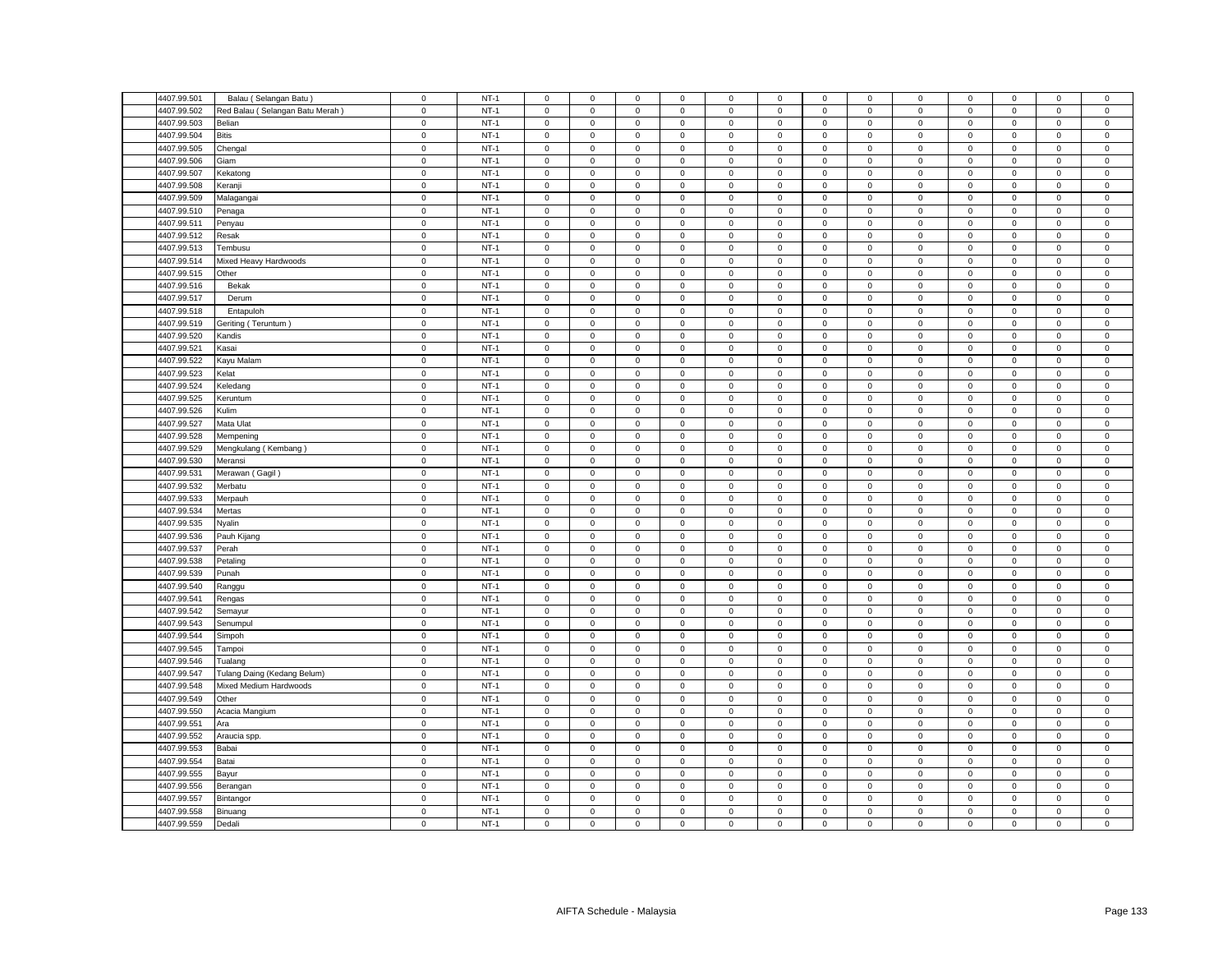| 4407.99.501 | Balau (Selangan Batu)           | $\mathsf 0$ | $NT-1$ | $\mathsf 0$         | $\mathsf 0$         | $\mathsf 0$ | $\mathbf 0$ | 0                   | $\mathsf 0$ | $\mathsf 0$         | $\mathsf 0$    | $\mathbf 0$ | $\mathsf 0$ | $\mathsf 0$         | $\mathsf 0$ | $\mathsf 0$    |
|-------------|---------------------------------|-------------|--------|---------------------|---------------------|-------------|-------------|---------------------|-------------|---------------------|----------------|-------------|-------------|---------------------|-------------|----------------|
|             |                                 |             |        |                     |                     |             |             |                     |             |                     |                |             |             |                     |             |                |
| 4407.99.502 | Red Balau (Selangan Batu Merah) | $\mathsf 0$ | $NT-1$ | $\mathbf 0$         | $\mathsf 0$         | $\mathsf 0$ | $\mathsf 0$ | 0                   | $\mathbf 0$ | $\mathsf 0$         | $\mathsf 0$    | $\mathsf 0$ | $\mathbf 0$ | $\mathsf 0$         | $\mathbf 0$ | $\mathbf 0$    |
| 4407.99.503 | Belian                          | $\mathbf 0$ | $NT-1$ | $\mathsf 0$         | $\mathbf 0$         | $\mathsf 0$ | $\mathbf 0$ | 0                   | $\mathsf 0$ | $\mathbf 0$         | $\mathbf 0$    | $\mathsf 0$ | $\mathbf 0$ | $\mathbf{0}$        | $\mathsf 0$ | $\mathsf 0$    |
| 4407.99.504 | <b>Bitis</b>                    | $\mathsf 0$ | $NT-1$ | $\mathbf 0$         | $\mathsf 0$         | $\mathsf 0$ | $\mathsf 0$ | 0                   | $\mathbf 0$ | $\mathsf 0$         | $\mathsf 0$    | $\mathsf 0$ | $\mathsf 0$ | $\mathsf 0$         | $\mathsf 0$ | $\mathbf 0$    |
| 4407.99.505 | Chengal                         | $\mathbf 0$ | $NT-1$ | $\mathbf 0$         | $\mathbf 0$         | $\mathbf 0$ | $\mathbf 0$ | 0                   | $\mathbf 0$ | $\mathbf 0$         | $\mathbf 0$    | $\mathbf 0$ | $\mathbf 0$ | $\mathbf 0$         | $\mathbf 0$ | $\mathbf 0$    |
| 4407.99.506 | Giam                            | $\mathsf 0$ | $NT-1$ | $\mathbf 0$         | $\mathsf 0$         | $\mathsf 0$ | $\mathsf 0$ | 0                   | $\mathsf 0$ | $\mathbf 0$         | $\mathsf 0$    | $\mathsf 0$ | $\mathsf 0$ | $\mathsf 0$         | $\mathsf 0$ | $\mathsf 0$    |
| 4407.99.507 | Kekatong                        | $\mathsf 0$ | $NT-1$ | $\mathsf 0$         | $\mathsf 0$         | $\mathsf 0$ | $\mathsf 0$ | 0                   | $\mathsf 0$ | $\mathbf 0$         | $\mathsf 0$    | $\mathsf 0$ | $\mathsf 0$ | $\mathsf 0$         | $\mathsf 0$ | $\mathsf 0$    |
| 4407.99.508 | Keranji                         | $\mathsf 0$ | $NT-1$ | $\mathbf 0$         | $\mathsf 0$         | $\mathbf 0$ | $\mathbf 0$ | 0                   | $\mathbf 0$ | $\mathbf 0$         | $\mathbf 0$    | $\mathsf 0$ | $\mathbf 0$ | $\mathbf 0$         | $\mathbf 0$ | $\mathsf 0$    |
| 4407.99.509 | Malagangai                      | $\mathsf 0$ | $NT-1$ | $\mathsf 0$         | $\mathsf 0$         | $\mathsf 0$ | $\mathsf 0$ | 0                   | $\mathsf 0$ | $\mathbf 0$         | $\mathsf 0$    | $\mathsf 0$ | $\mathbf 0$ | $\mathsf 0$         | $\mathsf 0$ | $\,0\,$        |
| 4407.99.510 | Penaga                          | $\mathsf 0$ | $NT-1$ | $\mathsf 0$         | $\mathsf 0$         | $\mathsf 0$ | $\mathsf 0$ | 0                   | $\mathsf 0$ | $\mathbf 0$         | $\mathsf 0$    | $\mathsf 0$ | $\mathsf 0$ | $\mathsf 0$         | $\mathsf 0$ | $\mathsf 0$    |
| 4407.99.511 | Penyau                          | $\mathsf 0$ | $NT-1$ | $\mathsf 0$         | $\mathbf 0$         | $\mathsf 0$ | $\mathbf 0$ | $\mathbf 0$         | $\mathbf 0$ | $\mathbf 0$         | $\mathsf 0$    | $\mathsf 0$ | $\mathsf 0$ | $\mathbf 0$         | $\mathsf 0$ | $\mathsf 0$    |
| 4407.99.512 | Resak                           | $\mathbf 0$ | $NT-1$ | 0                   | $\mathbf 0$         | $\mathbf 0$ | $\mathbf 0$ | $\mathbf{0}$        | $\mathbf 0$ | $\mathbf{0}$        | $\mathbf 0$    | $\mathsf 0$ | $\mathbf 0$ | $\mathbf 0$         | $\mathbf 0$ | $\mathbf 0$    |
| 4407.99.513 | Tembusu                         | $\mathbf 0$ | $NT-1$ | $\mathsf 0$         | $\mathsf 0$         | $\mathsf 0$ | $\mathsf 0$ | 0                   | $\mathsf 0$ | $\mathbf 0$         | $\mathsf 0$    | $\mathsf 0$ | $\mathbf 0$ | $\mathsf 0$         | $\mathsf 0$ | $\mathbf 0$    |
| 4407.99.514 | Mixed Heavy Hardwoods           | $\mathsf 0$ | $NT-1$ | $\mathsf 0$         | $\mathsf 0$         | $\mathsf 0$ | $\mathsf 0$ | 0                   | $\mathsf 0$ | $\mathbf 0$         | $\mathsf 0$    | $\mathsf 0$ | $\mathbf 0$ | $\mathsf 0$         | $\mathsf 0$ | $\mathsf 0$    |
| 4407.99.515 | Other                           | $\mathbf 0$ | $NT-1$ | $\mathsf 0$         | $\mathsf 0$         | $\mathsf 0$ | $\mathsf 0$ | 0                   | $\mathsf 0$ | $\mathsf 0$         | $\mathbf 0$    | $\mathsf 0$ | $\mathbf 0$ | $\mathsf{O}\xspace$ | $\mathsf 0$ | $\mathsf{O}$   |
| 4407.99.516 | Bekak                           | $\mathsf 0$ | $NT-1$ | $\mathbf 0$         | $\mathbf 0$         | $\mathsf 0$ | $\mathbf 0$ | 0                   | $\mathsf 0$ | $\mathbf 0$         | $\mathsf 0$    | $\mathsf 0$ | $\mathsf 0$ | $\mathsf 0$         | $\mathsf 0$ | $\overline{0}$ |
| 4407.99.517 | Derum                           | $\mathbf 0$ | $NT-1$ | $\mathbf 0$         | $\mathsf 0$         | $\mathsf 0$ | $\mathbf 0$ | $\mathbf{0}$        | $\mathbf 0$ | $\mathbf 0$         | $\mathsf 0$    | $\mathsf 0$ | $\mathbf 0$ | $\mathbf 0$         | $\mathsf 0$ | $\mathsf 0$    |
| 4407.99.518 | Entapuloh                       | $\mathsf 0$ | $NT-1$ | $\mathsf 0$         | $\mathsf 0$         | $\mathsf 0$ | $\mathbf 0$ | 0                   | $\mathsf 0$ | $\mathbf 0$         | $\mathsf 0$    | $\mathbf 0$ | $\mathsf 0$ | $\mathsf 0$         | $\mathsf 0$ | $\mathsf 0$    |
| 4407.99.519 | Geriting (Teruntum)             | $\mathsf 0$ | $NT-1$ | $\mathsf 0$         | $\mathsf 0$         | $\mathsf 0$ | $\mathbf 0$ | 0                   | $\mathbf 0$ | $\mathbf 0$         | $\mathsf 0$    | $\mathsf 0$ | $\mathsf 0$ | $\mathsf 0$         | $\mathsf 0$ | $\mathbf 0$    |
| 4407.99.520 | Kandis                          | $\mathbf 0$ | $NT-1$ | $\mathsf 0$         | $\mathsf 0$         | $\mathsf 0$ | $\mathbf 0$ | 0                   | $\mathsf 0$ | $\mathsf 0$         | $\mathsf 0$    | $\mathsf 0$ | $\mathsf 0$ | $\mathbf 0$         | $\mathsf 0$ | $\,0\,$        |
| 4407.99.521 | Kasai                           | $\mathsf 0$ | $NT-1$ | $\mathsf{O}\xspace$ | $\mathsf 0$         | $\mathsf 0$ | $\mathsf 0$ | $\mathsf{O}\xspace$ | $\mathsf 0$ | $\mathsf 0$         | $\mathsf 0$    | $\mathsf 0$ | $\mathsf 0$ | 0                   | $\mathbf 0$ | $\mathbf 0$    |
| 4407.99.522 | Kayu Malam                      | $\mathsf 0$ | $NT-1$ | 0                   | 0                   | $\mathbf 0$ | 0           | 0                   | 0           | 0                   | 0              | $\mathsf 0$ | $\mathbf 0$ | 0                   | 0           | $\mathbf 0$    |
| 4407.99.523 | Kelat                           | $\mathbf 0$ | $NT-1$ | $\mathsf 0$         | $\mathsf{O}\xspace$ | $\mathbf 0$ | $\mathsf 0$ | $\mathsf{O}\xspace$ | $\mathbf 0$ | $\mathbf 0$         | $\mathbf 0$    | $\mathsf 0$ | $\mathbf 0$ | $\mathsf 0$         | $\mathsf 0$ | $\mathbf 0$    |
| 4407.99.524 |                                 |             | $NT-1$ |                     |                     |             |             |                     |             |                     |                |             |             |                     |             |                |
|             | Keledang                        | $\mathbf 0$ |        | 0                   | $\mathbf 0$         | $\mathbf 0$ | 0           | 0                   | 0           | $\mathbf 0$         | 0              | $\mathbf 0$ | 0           | 0                   | $\mathbf 0$ | $\mathbf 0$    |
| 4407.99.525 | Keruntum                        | $\mathsf 0$ | $NT-1$ | $\mathsf{O}\xspace$ | $\mathsf{O}\xspace$ | $\mathbf 0$ | $\mathbf 0$ | 0                   | $\mathbf 0$ | $\mathbf 0$         | $\,0\,$        | $\mathsf 0$ | $\mathbf 0$ | $\mathsf{O}\xspace$ | 0           | $\mathbf 0$    |
| 4407.99.526 | Kulim                           | $\mathsf 0$ | $NT-1$ | $\mathsf{O}\xspace$ | $\mathsf{O}\xspace$ | $\mathbf 0$ | 0           | 0                   | $\mathsf 0$ | 0                   | $\mathbf 0$    | $\mathsf 0$ | $\mathbf 0$ | $\mathsf{O}\xspace$ | $\mathsf 0$ | $\,0\,$        |
| 4407.99.527 | Mata Ulat                       | $\mathbf 0$ | $NT-1$ | $\mathbf 0$         | $\mathsf 0$         | $\mathsf 0$ | $\mathsf 0$ | $\mathbf 0$         | $\mathbf 0$ | $\mathsf 0$         | $\mathbf 0$    | $\mathsf 0$ | $\mathbf 0$ | $\mathsf 0$         | $\mathsf 0$ | $\mathbf 0$    |
| 4407.99.528 | Mempening                       | $\mathsf 0$ | $NT-1$ | $\mathbf 0$         | $\mathbf 0$         | $\mathsf 0$ | $\mathbf 0$ | 0                   | $\mathbf 0$ | $\mathbf 0$         | $\mathbf 0$    | $\mathsf 0$ | $\mathbf 0$ | $\mathbf 0$         | $\mathbf 0$ | $\mathsf 0$    |
| 4407.99.529 | Mengkulang (Kembang             | $\mathbf 0$ | $NT-1$ | $\mathbf 0$         | $\mathsf{O}\xspace$ | $\mathbf 0$ | $\mathsf 0$ | 0                   | $\mathbf 0$ | $\mathbf 0$         | $\mathbf 0$    | $\mathsf 0$ | $\mathbf 0$ | $\mathsf 0$         | $\mathbf 0$ | $\mathbf 0$    |
| 4407.99.530 | Meransi                         | $\mathbf 0$ | $NT-1$ | $\mathsf 0$         | $\mathsf{O}\xspace$ | $\mathsf 0$ | $\mathsf 0$ | 0                   | $\mathsf 0$ | $\mathbf 0$         | $\mathbf 0$    | $\mathsf 0$ | $\mathbf 0$ | $\mathsf 0$         | $\mathsf 0$ | $\mathbf 0$    |
| 4407.99.531 | Merawan (Gagil)                 | $\mathbf 0$ | $NT-1$ | $\mathsf 0$         | $\mathsf 0$         | $\mathsf 0$ | $^{\circ}$  | 0                   | $\mathbf 0$ | $\mathsf 0$         | $\mathsf 0$    | $\mathsf 0$ | $\mathbf 0$ | $\mathbf 0$         | $\mathsf 0$ | $\mathbf 0$    |
| 4407.99.532 | Merbatu                         | $\mathbf 0$ | $NT-1$ | $\mathbf 0$         | $\mathsf{O}\xspace$ | $\mathsf 0$ | $\mathbf 0$ | 0                   | $\mathsf 0$ | $\mathsf{O}\xspace$ | $\mathbf 0$    | $\mathsf 0$ | $\mathbf 0$ | $\mathbf 0$         | $\mathsf 0$ | $\,0\,$        |
| 4407.99.533 | Merpauh                         | $\mathsf 0$ | $NT-1$ | $\mathsf{O}\xspace$ | $\mathsf 0$         | $\mathsf 0$ | $\mathsf 0$ | 0                   | $\mathbf 0$ | $\mathbf 0$         | $\mathsf 0$    | $\mathsf 0$ | $\mathsf 0$ | $\mathsf 0$         | $\mathsf 0$ | $\mathsf 0$    |
| 4407.99.534 | Mertas                          | $\mathsf 0$ | $NT-1$ | $\mathsf 0$         | $\mathbf 0$         | $\mathsf 0$ | $\mathbf 0$ | $\mathbf 0$         | $\mathsf 0$ | $\mathbf 0$         | $\mathsf 0$    | $\mathbf 0$ | $\mathbf 0$ | $\mathbf 0$         | $\mathsf 0$ | $\mathsf 0$    |
| 4407.99.535 | Nyalin                          | $\mathbf 0$ | $NT-1$ | $\mathbf 0$         | $\mathbf 0$         | 0           | $\mathbf 0$ | 0                   | $\mathbf 0$ | $\mathsf 0$         | $\mathbf 0$    | $\mathsf 0$ | $\mathbf 0$ | 0                   | $\mathbf 0$ | $\,0\,$        |
| 4407.99.536 | Pauh Kijang                     | $\mathsf 0$ | $NT-1$ | $\mathsf 0$         | $\mathsf 0$         | $\mathsf 0$ | $\mathsf 0$ | 0                   | $\mathsf 0$ | $\mathbf 0$         | $\mathsf 0$    | $\mathsf 0$ | $\mathsf 0$ | $\mathsf 0$         | $\mathsf 0$ | $\mathsf 0$    |
| 4407.99.537 | Perah                           | $\mathsf 0$ | $NT-1$ | $\mathbf 0$         | $\mathsf 0$         | $\mathsf 0$ | $\mathsf 0$ | 0                   | $\mathsf 0$ | $\mathbf 0$         | $\mathsf 0$    | $\mathsf 0$ | $\mathsf 0$ | $\mathsf 0$         | $\mathsf 0$ | $\mathsf 0$    |
| 4407.99.538 | Petaling                        | $\mathbf 0$ | $NT-1$ | $\mathsf 0$         | $\mathsf 0$         | $\mathsf 0$ | $\mathsf 0$ | 0                   | $\mathsf 0$ | $\mathsf 0$         | $\mathbf 0$    | $\mathbf 0$ | $\mathbf 0$ | $\mathsf 0$         | $\mathsf 0$ | $\,0\,$        |
| 4407.99.539 | Punah                           | $\mathsf 0$ | $NT-1$ | $\mathsf 0$         | $\mathsf 0$         | $\mathsf 0$ | $\mathbf 0$ | 0                   | $\mathsf 0$ | $\mathbf 0$         | $\mathsf 0$    | $\mathsf 0$ | $\mathsf 0$ | $\mathsf 0$         | $\mathbf 0$ | $\mathbf 0$    |
| 4407.99.540 | Ranggu                          | $\mathbf 0$ | $NT-1$ | $\mathbf 0$         | $\mathbf 0$         | $\mathbf 0$ | $\mathbf 0$ | $\mathbf{0}$        | $\mathbf 0$ | $\mathbf 0$         | $\mathsf 0$    | $\mathsf 0$ | $\mathbf 0$ | $\mathbf 0$         | $\mathsf 0$ | $\mathbf 0$    |
| 4407.99.541 | Rengas                          | $\mathbf 0$ | $NT-1$ | 0                   | 0                   | $\mathsf 0$ | 0           | 0                   | $\mathsf 0$ | 0                   | 0              | $\mathsf 0$ | $\mathbf 0$ | 0                   | 0           | $\,0\,$        |
| 4407.99.542 | Semayur                         | $\mathsf 0$ | $NT-1$ | $\mathsf 0$         | $\mathsf 0$         | $\mathsf 0$ | $\mathsf 0$ | 0                   | $\mathsf 0$ | $\mathbf 0$         | $\mathsf 0$    | $\mathbf 0$ | $\mathsf 0$ | $\mathsf 0$         | $\mathsf 0$ | $\mathsf 0$    |
| 4407.99.543 | Senumpul                        | $\mathsf 0$ | $NT-1$ | $\mathsf 0$         | $\mathbf 0$         | $\mathbf 0$ | $\mathsf 0$ | $\mathbf{0}$        | $\mathsf 0$ | $\mathbf 0$         | $\mathbf{0}$   | $\mathsf 0$ | $\mathbf 0$ | $\mathbf 0$         | $\mathbf 0$ | $\mathsf 0$    |
| 4407.99.544 | Simpoh                          | $\mathbf 0$ | $NT-1$ | $\mathbf 0$         | $\mathbf 0$         | $\mathsf 0$ | $\mathbf 0$ | 0                   | $\mathsf 0$ | $\mathbf 0$         | $\mathbf 0$    | $\mathbf 0$ | $\mathbf 0$ | $\mathbf 0$         | $\mathbf 0$ | $\,0\,$        |
| 4407.99.545 | Tampoi                          | $\mathbf 0$ | $NT-1$ | $\mathsf 0$         | $\mathbf 0$         | $\mathsf 0$ | $\mathsf 0$ | 0                   | $\mathsf 0$ | $\mathbf 0$         | $\mathsf 0$    | $\mathbf 0$ | $\mathbf 0$ | $\mathsf 0$         | $\mathsf 0$ | $\mathsf 0$    |
| 4407.99.546 | Tualang                         | $\mathbf 0$ | $NT-1$ | $\mathsf 0$         | $\mathsf 0$         | $\mathsf 0$ | $\mathbf 0$ | $\mathbf{0}$        | $\mathbf 0$ | $\mathbf 0$         | $\mathsf 0$    | $\mathsf 0$ | $\mathbf 0$ | $\mathbf 0$         | $\mathsf 0$ | $\mathsf 0$    |
| 4407.99.547 | Tulang Daing (Kedang Belum)     | $\mathsf 0$ | $NT-1$ | $\mathbf 0$         | $\mathbf 0$         | $\mathbf 0$ | $\mathbf 0$ | $\mathbf{0}$        | $\mathbf 0$ | $\mathbf{0}$        | $\mathbf{0}$   | $\mathsf 0$ | $\mathbf 0$ | $\mathbf 0$         | $\mathbf 0$ | $\overline{0}$ |
| 4407.99.548 | Mixed Medium Hardwoods          | $\mathsf 0$ | $NT-1$ | $\mathsf 0$         | $\mathsf{O}\xspace$ | $\mathsf 0$ | $\mathsf 0$ | 0                   | $\mathsf 0$ | $\mathsf 0$         | $\,0\,$        | $\mathsf 0$ | $\mathsf 0$ | $\mathsf 0$         | $\mathsf 0$ | $\mathbf 0$    |
| 4407.99.549 | Other                           | $\mathbf 0$ | $NT-1$ | $\mathsf 0$         | $\mathsf{O}\xspace$ | $\mathsf 0$ | $\mathsf 0$ | $\mathbf 0$         | $\mathsf 0$ | $\mathbf 0$         | $\mathsf 0$    | $\mathsf 0$ | $\mathsf 0$ | $\mathsf 0$         | $\mathsf 0$ | $\mathsf 0$    |
| 4407.99.550 | Acacia Mangium                  | $\mathbf 0$ | $NT-1$ | $\mathsf 0$         | $\mathsf 0$         | $\mathsf 0$ | $\mathsf 0$ | $\mathbf 0$         | $\mathsf 0$ | $\mathsf 0$         | $\mathsf 0$    | $\mathsf 0$ | $\mathsf 0$ | $\mathsf{O}\xspace$ | $\mathsf 0$ | $\mathsf 0$    |
| 4407.99.551 | Ara                             | $\mathsf 0$ | $NT-1$ | 0                   | $\mathsf 0$         | $\mathsf 0$ | 0           | 0                   | $\mathsf 0$ | $\mathbf 0$         | $\mathbf 0$    | $\mathsf 0$ | $\mathbf 0$ | $\mathsf 0$         | $\mathbf 0$ | $\mathbf 0$    |
| 4407.99.552 | Araucia spp.                    | $\pmb{0}$   | $NT-1$ | $\mathbf 0$         | $\mathsf{O}\xspace$ | $\mathbf 0$ | $\mathsf 0$ | 0                   | $\mathsf 0$ | $\mathbf 0$         | $\,0\,$        | $\mathsf 0$ | $\mathbf 0$ | $\mathsf{O}\xspace$ | $\mathsf 0$ | $\mathbf 0$    |
| 4407.99.553 | Babai                           | $\mathsf 0$ | $NT-1$ | $\mathsf 0$         | $\mathsf 0$         | $\mathbf 0$ | 0           | 0                   | $\mathsf 0$ | $\mathbf 0$         | $\mathsf 0$    | $\mathsf 0$ | $\mathsf 0$ | $\mathsf 0$         | $\mathsf 0$ | $\,0\,$        |
| 4407.99.554 | Batai                           | $\mathsf 0$ | $NT-1$ | $\mathbf 0$         | $\mathsf{O}\xspace$ | $\mathbf 0$ | $\mathsf 0$ | 0                   | $\mathbf 0$ | $\mathbf 0$         | $\,0\,$        | $\mathsf 0$ | $\mathbf 0$ | 0                   | $\mathsf 0$ | $\mathbf 0$    |
| 4407.99.555 | Bayur                           | $\mathbf 0$ | $NT-1$ | $\mathsf{O}\xspace$ | $\mathsf{O}\xspace$ | $\mathsf 0$ | $\mathsf 0$ | 0                   | $\mathsf 0$ | 0                   | $\mathbf 0$    | $\mathsf 0$ | $\mathbf 0$ | $\mathsf{O}\xspace$ | 0           | $\,0\,$        |
| 4407.99.556 | Berangan                        | $\mathsf 0$ | $NT-1$ | $\mathbf 0$         | $\mathsf 0$         | $\mathsf 0$ | $\mathbf 0$ | 0                   | $\mathbf 0$ | $\mathsf 0$         | $\overline{0}$ | $\mathbf 0$ | $\mathbf 0$ | $\mathbf 0$         | $\mathbf 0$ | $\mathbf 0$    |
| 4407.99.557 |                                 | $\mathsf 0$ | $NT-1$ | $\mathsf 0$         | $\mathbf 0$         | $\mathsf 0$ | $\mathbf 0$ | 0                   | $\mathbf 0$ | $\mathbf 0$         | $\mathsf 0$    | $\mathbf 0$ | $\mathbf 0$ | $\mathbf 0$         | $\mathsf 0$ | $\mathsf 0$    |
| 4407.99.558 | Bintangor                       | $\mathsf 0$ | $NT-1$ | $\mathsf{O}\xspace$ | $\mathsf 0$         | $\mathsf 0$ | $\mathbf 0$ | 0                   | $\mathbf 0$ | $\mathsf 0$         | $\mathsf 0$    | $\mathsf 0$ | $\mathbf 0$ | $\mathsf 0$         | $\mathsf 0$ | $\mathbf 0$    |
|             | Binuang                         |             |        |                     |                     |             |             |                     |             |                     |                |             |             |                     |             |                |
| 4407.99.559 | Dedali                          | $\mathbf 0$ | $NT-1$ | $\mathbf 0$         | $\mathsf 0$         | $\mathsf 0$ | $\mathbf 0$ | 0                   | $\mathsf 0$ | $\mathbf 0$         | $\mathsf 0$    | $\mathbf 0$ | $\mathsf 0$ | $\mathbf 0$         | $\mathsf 0$ | $\mathsf 0$    |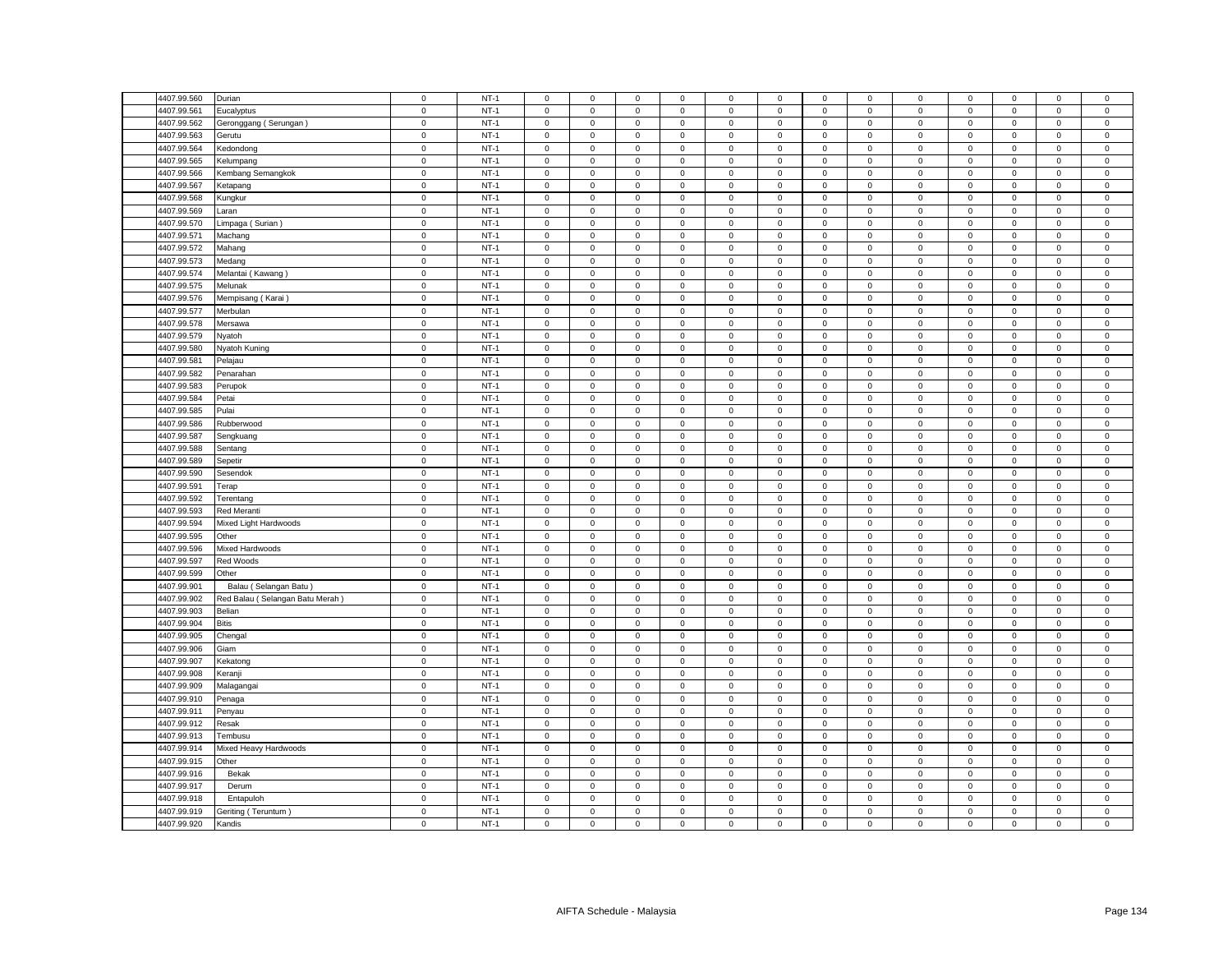| 4407.99.560 | Durian                          | $\mathsf 0$ | $NT-1$ | $\mathsf 0$         | $\mathsf 0$         | $\mathsf 0$ | $\mathbf 0$    | 0                   | $\mathsf 0$ | $\mathsf 0$  | $\mathsf 0$    | $\mathsf 0$  | $\mathsf 0$ | $\mathbf 0$         | $\mathbf 0$  | $\mathbf 0$    |
|-------------|---------------------------------|-------------|--------|---------------------|---------------------|-------------|----------------|---------------------|-------------|--------------|----------------|--------------|-------------|---------------------|--------------|----------------|
| 4407.99.561 | Eucalyptus                      | $\mathsf 0$ | $NT-1$ | $\mathbf 0$         | $\mathsf 0$         | $\mathsf 0$ | $\mathbf 0$    | 0                   | $\mathsf 0$ | $\mathsf 0$  | $\mathsf 0$    | $\mathsf 0$  | $\mathbf 0$ | $\mathsf 0$         | $\mathbf 0$  | $\mathsf 0$    |
| 4407.99.562 | Geronggang (Serungan)           | $\mathsf 0$ | $NT-1$ | $\mathsf 0$         | $\mathsf 0$         | $\mathsf 0$ | $\mathsf 0$    | $\mathbf 0$         | $\mathsf 0$ | $\mathbf 0$  | $\mathsf 0$    | $\mathbf 0$  | $\mathsf 0$ | $\mathsf 0$         | $\mathsf 0$  | $\mathsf 0$    |
| 4407.99.563 | Gerutu                          | $\mathsf 0$ | $NT-1$ | $\mathbf 0$         | $\mathbf{O}$        | $\mathbf 0$ | $\mathbf 0$    | $\mathbf{0}$        | $\mathsf 0$ | $\mathbf 0$  | $\mathbf{0}$   | $\mathsf 0$  | $\mathbf 0$ | $\mathbf 0$         | $\mathbf 0$  | $\mathsf 0$    |
| 4407.99.564 | Kedondong                       | $\mathbf 0$ | $NT-1$ | $\mathbf{0}$        | $\mathbf 0$         | $\mathbf 0$ | $\mathbf 0$    | $\mathbf{0}$        | $\mathbf 0$ | $\mathbf 0$  | $\mathbf{0}$   | 0            | $^{\circ}$  | $\mathbf{0}$        | $\mathbf 0$  | $\mathbf 0$    |
| 4407.99.565 | Kelumpang                       | $\mathsf 0$ | $NT-1$ | $\mathsf 0$         | $\mathbf{0}$        | $\mathsf 0$ | $\mathsf 0$    | $\mathbf{0}$        | $\mathbf 0$ | $\mathbf 0$  | $\mathbf{0}$   | $\mathsf 0$  | $\mathbf 0$ | $\mathbf 0$         | $\mathsf 0$  | $\mathsf 0$    |
| 4407.99.566 | Kembang Semangkok               | $\mathbf 0$ | $NT-1$ | $\mathbf 0$         | $\mathbf 0$         | $\mathbf 0$ | $\mathbf 0$    | $\mathbf{0}$        | $\mathbf 0$ | $\mathbf 0$  | $\mathsf 0$    | $\mathbf 0$  | $\mathbf 0$ | $\mathbf 0$         | $\mathsf 0$  | $\mathsf 0$    |
| 4407.99.567 | Ketapang                        | $\mathbf 0$ | $NT-1$ | $\mathbf 0$         | $\mathbf{0}$        | $\mathbf 0$ | $\mathbf 0$    | $\mathbf{0}$        | $\mathbf 0$ | $\mathbf{0}$ | $\mathbf{0}$   | $\mathsf 0$  | $\mathbf 0$ | $\mathbf{0}$        | $\mathbf{0}$ | $\,0\,$        |
| 4407.99.568 | Kungkur                         | $\mathbf 0$ | $NT-1$ | $\mathsf 0$         | $\mathsf 0$         | $\mathsf 0$ | $\mathsf 0$    | 0                   | $\mathsf 0$ | $\mathbf 0$  | $\mathsf 0$    | $\mathsf 0$  | $\mathsf 0$ | $\mathsf 0$         | $\mathsf 0$  | $\mathsf 0$    |
| 4407.99.569 | Laran                           | $\mathbf 0$ | $NT-1$ | $\mathsf 0$         | $\mathbf 0$         | $\mathsf 0$ | $\mathsf 0$    | $\mathbf{0}$        | $\mathsf 0$ | $\mathbf 0$  | $\mathsf 0$    | $\mathsf 0$  | $\mathbf 0$ | $\mathbf 0$         | $\mathsf 0$  | $\mathsf 0$    |
| 4407.99.570 | Limpaga (Surian)                | $\mathbf 0$ | $NT-1$ | $\mathbf 0$         | $\mathsf 0$         | $\mathbf 0$ | $\mathbf 0$    | $\mathbf{0}$        | $\mathbf 0$ | $\mathsf 0$  | $\mathbf 0$    | $\mathbf 0$  | $\mathbf 0$ | $\mathbf 0$         | $\mathsf 0$  | $\,0\,$        |
| 4407.99.571 | Machang                         | $\mathsf 0$ | $NT-1$ | $\mathbf 0$         | $\mathsf 0$         | $\mathsf 0$ | $\mathbf 0$    | 0                   | $\mathsf 0$ | $\mathsf 0$  | $\mathsf 0$    | $\mathsf 0$  | $\mathsf 0$ | $\mathsf 0$         | $\mathsf 0$  | $\mathbf 0$    |
| 4407.99.572 | Mahang                          | $\mathbf 0$ | $NT-1$ | $\mathbf 0$         | $\mathsf 0$         | $\mathsf 0$ | $\mathsf 0$    | $\mathsf{O}\xspace$ | $\mathsf 0$ | $\mathbf 0$  | $\mathsf 0$    | $\mathsf 0$  | $\mathsf 0$ | $\mathsf 0$         | $\mathsf 0$  | $\pmb{0}$      |
| 4407.99.573 |                                 | $\mathbf 0$ | $NT-1$ | $\mathbf 0$         | $\mathbf 0$         | $\mathsf 0$ | $\mathbf 0$    | 0                   | $\mathbf 0$ | $\mathbf 0$  | $\mathbf 0$    | $\mathsf 0$  | $\mathbf 0$ | $\mathbf 0$         | $\mathsf 0$  | $\mathsf 0$    |
|             | Medang                          |             |        |                     |                     |             |                |                     |             |              |                |              |             |                     |              |                |
| 4407.99.574 | Melantai (Kawang)               | $\mathbf 0$ | $NT-1$ | $\mathbf 0$         | $\mathsf 0$         | $\mathbf 0$ | $\mathsf 0$    | 0                   | $\mathsf 0$ | $\mathbf 0$  | $\,0\,$        | $\mathbf 0$  | $\mathbf 0$ | 0                   | $\mathsf 0$  | $\mathbf 0$    |
| 4407.99.575 | Melunak                         | $\mathbf 0$ | $NT-1$ | 0                   | $\mathsf{O}\xspace$ | $\mathbf 0$ | 0              | 0                   | $\mathsf 0$ | $\mathbf 0$  | 0              | $\mathsf 0$  | $\mathbf 0$ | $\mathbf 0$         | 0            | $\mathbf 0$    |
| 4407.99.576 | Mempisang (Karai                | $\mathbf 0$ | $NT-1$ | $\Omega$            | $\mathsf 0$         | $\mathsf 0$ | $\mathbf 0$    | $\mathbf{0}$        | $\mathbf 0$ | $\mathsf 0$  | $\mathsf 0$    | $\mathsf 0$  | $\mathbf 0$ | $\mathbf 0$         | $\mathsf 0$  | $\mathbf 0$    |
| 4407.99.577 | Merbulan                        | $\mathbf 0$ | $NT-1$ | 0                   | $\mathbf 0$         | $\mathsf 0$ | 0              | 0                   | $\mathsf 0$ | $\mathbf 0$  | $\mathbf 0$    | $\mathsf 0$  | $\mathbf 0$ | $\mathbf 0$         | 0            | $\,0\,$        |
| 4407.99.578 | Mersawa                         | $\mathbf 0$ | $NT-1$ | $\mathbf 0$         | $\mathsf{O}\xspace$ | $\mathbf 0$ | $\mathsf 0$    | $\mathsf{O}\xspace$ | $\mathbf 0$ | $\mathbf 0$  | $\mathbf 0$    | $\mathsf 0$  | $\mathbf 0$ | $\mathsf 0$         | $\mathsf 0$  | $\mathbf 0$    |
| 4407.99.579 | Nyatoh                          | $\mathbf 0$ | $NT-1$ | $^{\circ}$          | $\mathbf 0$         | 0           | 0              | 0                   | $\mathbf 0$ | 0            | $\mathbf 0$    | $\mathbf 0$  | 0           | 0                   | $\mathbf 0$  | $\mathbf 0$    |
| 4407.99.580 | Nyatoh Kuning                   | $\mathbf 0$ | $NT-1$ | $\mathbf 0$         | $\mathsf{O}\xspace$ | $\mathbf 0$ | $\mathsf 0$    | 0                   | $\mathsf 0$ | $\mathsf 0$  | $\,0\,$        | $\mathsf 0$  | $\mathbf 0$ | $\mathsf{O}\xspace$ | 0            | $\mathbf 0$    |
| 4407.99.581 | Pelajau                         | $\mathbf 0$ | $NT-1$ | $\mathbf 0$         | $\mathsf 0$         | $\mathbf 0$ | $\mathbf 0$    | 0                   | $\mathbf 0$ | $\mathbf 0$  | $\mathsf 0$    | $\mathsf 0$  | $\mathbf 0$ | $\mathbf 0$         | $\mathsf 0$  | $\,0\,$        |
| 4407.99.582 | Penarahan                       | $\mathsf 0$ | $NT-1$ | $\mathbf 0$         | $\mathsf 0$         | $\mathbf 0$ | $\mathbf 0$    | 0                   | $\mathbf 0$ | $\mathbf 0$  | $\mathbf 0$    | $\mathsf 0$  | $\mathbf 0$ | $\mathbf 0$         | $\mathbf 0$  | $\mathbf 0$    |
| 4407.99.583 | Perupok                         | 0           | $NT-1$ | $\mathbf 0$         | $\mathbf 0$         | $\mathsf 0$ | $\mathbf 0$    | 0                   | $\mathsf 0$ | $\mathbf 0$  | $\mathbf 0$    | 0            | $\mathbf 0$ | $\mathbf 0$         | $\mathbf 0$  | $\,0\,$        |
| 4407.99.584 | Petai                           | $\mathbf 0$ | $NT-1$ | $\mathbf 0$         | $\mathsf{O}\xspace$ | $\mathbf 0$ | $\mathsf 0$    | 0                   | $\mathsf 0$ | $\mathsf 0$  | $\mathsf 0$    | $\mathsf 0$  | $\mathbf 0$ | $\mathsf 0$         | $\mathsf 0$  | $\mathbf 0$    |
| 4407.99.585 | Pulai                           | $\mathsf 0$ | $NT-1$ | $\mathbf 0$         | $\mathsf{O}$        | $\mathsf 0$ | $\mathbf 0$    | 0                   | $\mathsf 0$ | $\mathbf 0$  | $\mathbf 0$    | $\mathsf 0$  | $\mathsf 0$ | $\mathbf 0$         | $\mathbf 0$  | $\mathsf 0$    |
| 4407.99.586 | Rubberwood                      | $\mathbf 0$ | $NT-1$ | $\mathbf 0$         | $\mathbf 0$         | $\mathbf 0$ | $\mathbf 0$    | 0                   | $\mathbf 0$ | $\mathbf 0$  | $\mathbf 0$    | $\mathsf 0$  | $\mathbf 0$ | $\mathbf 0$         | $\mathbf 0$  | $\mathbf 0$    |
| 4407.99.587 | Sengkuang                       | $\mathsf 0$ | $NT-1$ | $\mathbf 0$         | $\mathsf 0$         | $\mathsf 0$ | $\mathbf 0$    | 0                   | $\mathsf 0$ | $\mathbf 0$  | $\mathsf 0$    | $\mathsf 0$  | $\mathbf 0$ | $\mathbf 0$         | $\mathsf 0$  | $\mathsf 0$    |
| 4407.99.588 | Sentang                         | $\mathsf 0$ | $NT-1$ | $\mathbf 0$         | $\mathbf 0$         | $\mathbf 0$ | $\mathbf 0$    | $\mathbf 0$         | $\mathbf 0$ | $\mathbf 0$  | $\mathsf 0$    | $\mathsf 0$  | $\mathbf 0$ | $\mathbf 0$         | $\mathbf 0$  | $\mathsf 0$    |
| 4407.99.589 | Sepetir                         | 0           | $NT-1$ | $\mathbf 0$         | $\mathbf 0$         | $\mathsf 0$ | $\mathbf 0$    | 0                   | $\mathsf 0$ | $\mathbf 0$  | $\mathbf 0$    | $\mathsf 0$  | $\mathbf 0$ | $\mathbf 0$         | $\mathsf 0$  | $\mathbf 0$    |
| 4407.99.590 | Sesendok                        | $\mathsf 0$ | $NT-1$ | $\mathbf 0$         | $\mathsf 0$         | $\mathsf 0$ | $\mathsf 0$    | 0                   | $\mathsf 0$ | $\mathsf 0$  | $\mathsf 0$    | $\mathsf 0$  | $\mathsf 0$ | $\mathsf 0$         | $\mathsf 0$  | $\mathbf 0$    |
| 4407.99.591 | Terap                           | $\mathbf 0$ | $NT-1$ | $\mathbf 0$         | $\mathbf 0$         | $\mathbf 0$ | $\mathbf 0$    | 0                   | $\mathbf 0$ | $\mathbf 0$  | $\mathbf 0$    | $\mathbf 0$  | $\mathbf 0$ | $\mathbf 0$         | $\mathbf 0$  | $\mathbf 0$    |
| 4407.99.592 | Terentang                       | $\mathsf 0$ | $NT-1$ | $\mathsf 0$         | $\mathsf 0$         | $\mathsf 0$ | $\mathbf 0$    | 0                   | $\mathsf 0$ | $\mathbf 0$  | $\mathsf 0$    | $\mathsf 0$  | $\mathbf 0$ | $\mathsf 0$         | $\mathsf 0$  | $\mathsf 0$    |
|             |                                 |             |        |                     |                     |             |                |                     |             |              |                |              |             |                     |              |                |
| 4407.99.593 | Red Meranti                     | $\mathsf 0$ | $NT-1$ | $\mathsf 0$         | $\mathsf 0$         | $\mathsf 0$ | $\mathsf 0$    | 0                   | $\mathsf 0$ | $\mathbf 0$  | $\mathsf 0$    | $\mathsf 0$  | $\mathbf 0$ | $\mathsf 0$         | $\mathsf 0$  | $\mathsf 0$    |
| 4407.99.594 | Mixed Light Hardwoods           | $\mathsf 0$ | $NT-1$ | $\mathbf 0$         | $\mathsf 0$         | $\mathsf 0$ | 0              | 0                   | $\mathsf 0$ | $\mathsf 0$  | $\mathsf 0$    | $\mathsf 0$  | $\mathsf 0$ | $\mathsf 0$         | $\mathsf 0$  | $\mathbf 0$    |
| 4407.99.595 | Other                           | $\mathsf 0$ | $NT-1$ | $\mathsf 0$         | $\mathsf 0$         | $\mathsf 0$ | $\mathbf 0$    | 0                   | $\mathsf 0$ | $\mathbf 0$  | $\mathsf 0$    | $\mathsf 0$  | $\mathbf 0$ | $\mathsf 0$         | $\mathsf 0$  | $\mathbf 0$    |
| 4407.99.596 | Mixed Hardwoods                 | $\mathsf 0$ | $NT-1$ | $\mathbf 0$         | $\mathsf 0$         | $\mathsf 0$ | $\mathbf 0$    | 0                   | $\mathsf 0$ | $\mathsf 0$  | $\mathsf 0$    | $\mathsf 0$  | $\mathsf 0$ | $\mathsf 0$         | $\mathsf 0$  | $\mathbf 0$    |
| 4407.99.597 | Red Woods                       | $\mathsf 0$ | $NT-1$ | $\mathsf 0$         | $\mathsf 0$         | $\mathsf 0$ | $\mathbf 0$    | 0                   | $\mathbf 0$ | $\mathsf 0$  | $\mathsf 0$    | $\mathsf 0$  | $\mathbf 0$ | $\mathbf 0$         | $\mathsf 0$  | $\mathsf 0$    |
| 4407.99.599 | Other                           | $\mathsf 0$ | $NT-1$ | $\mathbf 0$         | $\mathsf 0$         | $\mathsf 0$ | $\mathbf 0$    | 0                   | $\mathbf 0$ | $\mathbf 0$  | $\mathbf 0$    | $\mathsf 0$  | $\mathbf 0$ | $\mathbf 0$         | $\mathbf 0$  | $\mathbf 0$    |
| 4407.99.901 | Balau (Selangan Batu)           | $\mathbf 0$ | $NT-1$ | $\mathbf 0$         | $\mathsf 0$         | $\mathsf 0$ | $\mathsf 0$    | $\mathbf{0}$        | $\mathbf 0$ | $\mathbf 0$  | $\mathsf 0$    | $\mathsf 0$  | $\mathbf 0$ | $\mathsf 0$         | $\mathsf 0$  | $\mathbf 0$    |
| 4407.99.902 | Red Balau (Selangan Batu Merah) | $\mathsf 0$ | $NT-1$ | $\mathsf 0$         | $\mathsf 0$         | $\mathsf 0$ | $\mathsf 0$    | 0                   | $\mathsf 0$ | $\mathbf 0$  | $\mathsf 0$    | $\mathsf 0$  | $\mathbf 0$ | $\mathbf 0$         | $\mathsf 0$  | $\mathsf 0$    |
| 4407.99.903 | Belian                          | $\mathbf 0$ | $NT-1$ | $\mathbf 0$         | $\mathbf 0$         | $\mathbf 0$ | $\mathbf 0$    | $\mathbf{0}$        | $\mathbf 0$ | $\mathbf{0}$ | $\mathbf{0}$   | $\mathbf{0}$ | $\mathbf 0$ | $\mathbf{0}$        | $\mathbf 0$  | $\mathbf 0$    |
| 4407.99.904 | <b>Bitis</b>                    | $\mathsf 0$ | $NT-1$ | $\mathsf 0$         | $\mathbf{0}$        | $\mathbf 0$ | $\mathsf 0$    | $\mathbf{0}$        | $\mathsf 0$ | $\mathbf 0$  | $\mathbf{0}$   | $\mathsf 0$  | $\mathbf 0$ | $\mathbf 0$         | $\mathbf 0$  | $\mathsf 0$    |
| 4407.99.905 | Chengal                         | $\mathbf 0$ | $NT-1$ | $\mathbf 0$         | $\mathbf 0$         | $\mathbf 0$ | $\mathbf 0$    | $\mathbf{0}$        | $\mathbf 0$ | $\mathbf 0$  | $\mathsf 0$    | $\mathsf 0$  | $\mathbf 0$ | $\mathbf 0$         | $\mathsf 0$  | $\mathbf 0$    |
| 4407.99.906 | Giam                            | $\mathbf 0$ | $NT-1$ | $\mathsf{O}\xspace$ | $\mathbf{0}$        | $\mathsf 0$ | $\mathbf 0$    | $\mathbf{0}$        | $\mathbf 0$ | $\mathbf 0$  | $\mathbf{0}$   | $\mathsf 0$  | $\mathbf 0$ | $\mathbf 0$         | $\mathbf 0$  | $\mathbf 0$    |
| 4407.99.907 | Kekatong                        | $\mathbf 0$ | $NT-1$ | $\mathbf 0$         | $\mathsf 0$         | $\mathsf 0$ | $\mathbf 0$    | $\mathbf{0}$        | $\mathbf 0$ | $\mathsf 0$  | $\mathsf 0$    | $\mathsf 0$  | $\mathbf 0$ | $\mathbf 0$         | $\mathsf 0$  | $\mathbf 0$    |
| 4407.99.908 | Keranji                         | $\mathsf 0$ | $NT-1$ | $\mathbf 0$         | $\mathbf 0$         | $\mathbf 0$ | $\mathbf 0$    | $\mathbf{0}$        | $\mathsf 0$ | $\mathbf 0$  | $\mathsf 0$    | $\mathsf 0$  | $\mathsf 0$ | $\mathbf 0$         | $\mathbf 0$  | $\mathbf 0$    |
| 4407.99.909 | Malagangai                      | $\mathsf 0$ | $NT-1$ | $\Omega$            | $\mathsf 0$         | $\mathsf 0$ | $\mathbf 0$    | 0                   | $\mathbf 0$ | $\mathsf 0$  | $\mathsf 0$    | $\mathsf 0$  | $\mathsf 0$ | $\mathbf 0$         | $\mathsf 0$  | $\,0\,$        |
| 4407.99.910 | Penaga                          | $\mathsf 0$ | $NT-1$ | $\mathsf 0$         | $\mathsf 0$         | $\mathbf 0$ | 0              | 0                   | $\mathsf 0$ | 0            | $\mathsf 0$    | $\mathsf 0$  | $\mathbf 0$ | $\mathbf 0$         | $\mathsf 0$  | $\,0\,$        |
| 4407.99.911 | Penyau                          | $\mathsf 0$ | $NT-1$ | $\mathbf 0$         | $\mathsf 0$         | $\mathsf 0$ | $\mathsf 0$    | $\mathbf 0$         | $\mathbf 0$ | $\mathsf 0$  | $\mathsf 0$    | $\mathsf 0$  | $\mathsf 0$ | $\mathsf 0$         | $\mathsf 0$  | $\mathbf 0$    |
| 4407.99.912 | Resak                           | $\mathsf 0$ | $NT-1$ | $\mathbf 0$         | $\mathbf 0$         | $\mathbf 0$ | $^{\circ}$     | $\mathbf{0}$        | $\mathbf 0$ | $\mathbf 0$  | $\mathbf 0$    | $\mathsf 0$  | $\mathbf 0$ | $\mathbf 0$         | $\mathbf 0$  | $\mathbf 0$    |
| 4407.99.913 | Tembusu                         | $\mathbf 0$ | $NT-1$ | $\mathbf 0$         | $\mathsf{O}\xspace$ | $\mathbf 0$ | $\mathsf 0$    | 0                   | $\mathbf 0$ | $\,0\,$      | $\,0\,$        | $\mathsf 0$  | $\mathbf 0$ | $\mathbf 0$         | 0            | $\mathbf 0$    |
| 4407.99.914 | Mixed Heavy Hardwoods           | $\mathsf 0$ | $NT-1$ | 0                   | $\mathbf 0$         | $\mathsf 0$ | 0              | 0                   | $\mathbf 0$ | $\mathbf 0$  | $\mathsf 0$    | $\mathsf 0$  | $\mathbf 0$ | $\mathbf 0$         | 0            | $\mathsf 0$    |
| 4407.99.915 | Other                           | $\mathsf 0$ | $NT-1$ | $\mathbf 0$         | $\mathsf 0$         | $\mathsf 0$ | $\mathbf 0$    | 0                   | $\mathbf 0$ | $\mathbf 0$  | $\mathbf 0$    | $\mathsf 0$  | $\mathbf 0$ | $\mathbf 0$         | $\mathbf 0$  | $\mathbf 0$    |
| 4407.99.916 | Bekak                           | $\mathbf 0$ | $NT-1$ | 0                   | $\mathsf{O}\xspace$ | $\mathsf 0$ | $\overline{0}$ | 0                   | $\mathsf 0$ | 0            | $\mathbf 0$    | $\mathsf 0$  | $\mathbf 0$ | $\mathsf{O}\xspace$ | 0            | $\,0\,$        |
|             |                                 |             | $NT-1$ | $\mathbf 0$         |                     |             |                |                     | $\mathbf 0$ |              | $\overline{0}$ |              |             |                     |              |                |
| 4407.99.917 | Derum                           | $\mathbf 0$ |        |                     | $\mathsf 0$         | $\mathbf 0$ | $\mathbf 0$    | 0                   |             | $\mathbf 0$  |                | $\mathsf 0$  | $\mathbf 0$ | $\mathbf 0$         | $\mathbf 0$  | $\mathbf 0$    |
| 4407.99.918 | Entapuloh                       | $\mathbf 0$ | $NT-1$ | $\mathbf 0$         | $\mathbf 0$         | $\mathbf 0$ | $\mathbf 0$    | 0                   | $\mathbf 0$ | $\mathbf 0$  | $\mathbf 0$    | $\mathbf 0$  | $\mathbf 0$ | 0                   | $\mathbf 0$  | $\mathsf 0$    |
| 4407.99.919 | Geriting (Teruntum)             | $\mathsf 0$ | $NT-1$ | $\mathsf{O}\xspace$ | $\mathsf{O}\xspace$ | $\mathsf 0$ | $\mathsf 0$    | 0                   | $\mathbf 0$ | $\mathbf 0$  | $\mathbf 0$    | $\mathsf 0$  | $\mathbf 0$ | $\mathsf 0$         | $\mathsf 0$  | $\mathbf 0$    |
| 4407.99.920 | Kandis                          | $\mathbf 0$ | $NT-1$ | $\mathbf 0$         | $\mathsf 0$         | $\mathbf 0$ | $\mathbf 0$    | 0                   | $\mathsf 0$ | $\mathbf 0$  | $\mathsf 0$    | $\mathbf 0$  | $\mathbf 0$ | $\mathbf 0$         | $\mathbf 0$  | $\overline{0}$ |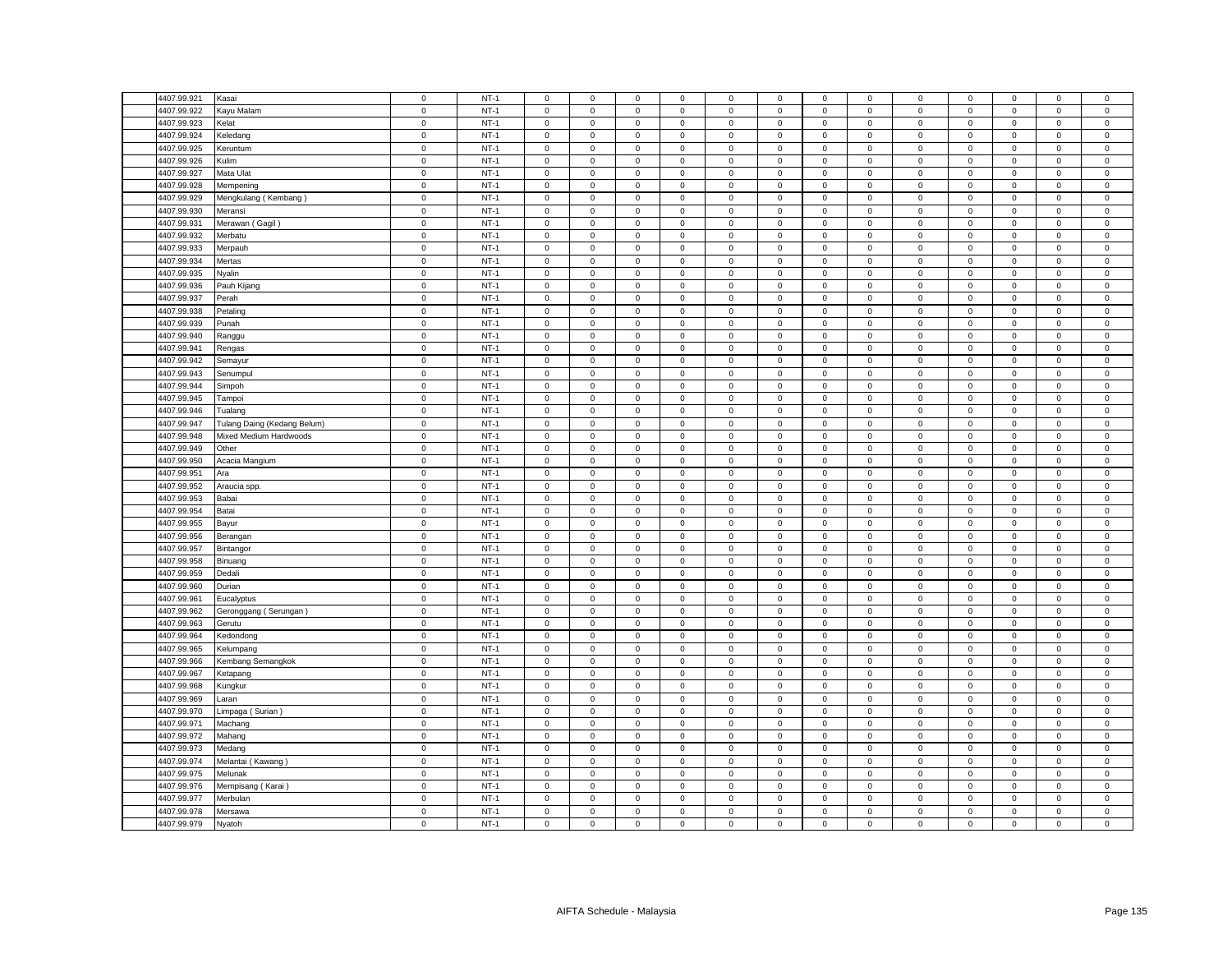| 4407.99.921 | Kasai                       | $\mathbf 0$ | $NT-1$ | $\mathsf 0$         | $\mathsf 0$         | $\mathsf 0$         | $\mathbf 0$ | 0            | $\mathsf 0$ | $\mathsf 0$  | $\mathsf 0$    | $\mathsf 0$ | $\mathsf 0$ | $\mathbf 0$         | $\mathsf 0$ | $\mathsf 0$    |
|-------------|-----------------------------|-------------|--------|---------------------|---------------------|---------------------|-------------|--------------|-------------|--------------|----------------|-------------|-------------|---------------------|-------------|----------------|
| 4407.99.922 | Kayu Malam                  | $\mathsf 0$ | $NT-1$ | $\Omega$            | $\mathsf 0$         | $\mathsf 0$         | $\mathbf 0$ | 0            | $\mathbf 0$ | $\mathbf 0$  | $\mathsf 0$    | $\mathsf 0$ | $\mathbf 0$ | $\mathsf 0$         | $\mathbf 0$ | $\mathsf 0$    |
| 4407.99.923 | Kelat                       | $\mathbf 0$ | $NT-1$ | $\mathbf 0$         | $\mathbf 0$         | $\mathsf 0$         | $\mathbf 0$ | 0            | $\mathsf 0$ | $\mathbf 0$  | $\mathbf 0$    | $\mathsf 0$ | $\mathbf 0$ | $\mathsf 0$         | $\mathsf 0$ | $\mathsf 0$    |
| 4407.99.924 | Keledang                    | $\mathsf 0$ | $NT-1$ | $\mathbf 0$         | $\mathsf 0$         | $\mathsf 0$         | $\mathsf 0$ | 0            | $\mathbf 0$ | $\mathsf 0$  | $\mathsf 0$    | $\mathsf 0$ | $\mathsf 0$ | $\mathsf 0$         | $\mathsf 0$ | $\mathsf 0$    |
| 4407.99.925 | Keruntum                    | $\mathbf 0$ | $NT-1$ | $\mathbf 0$         | $\mathbf 0$         | $\mathbf 0$         | $\mathbf 0$ | 0            | $\mathbf 0$ | $\mathbf 0$  | $\mathbf 0$    | $\mathbf 0$ | $\mathbf 0$ | $\mathbf 0$         | $\mathbf 0$ | $\mathbf 0$    |
|             |                             |             |        | $\mathbf 0$         |                     |                     |             |              |             |              |                |             |             |                     |             |                |
| 4407.99.926 | Kulim                       | $\mathsf 0$ | $NT-1$ |                     | $\mathsf 0$         | $\mathsf 0$         | $\mathbf 0$ | 0            | $\mathsf 0$ | $\mathbf 0$  | $\mathsf 0$    | $\mathsf 0$ | $\mathsf 0$ | $\mathsf 0$         | $\mathsf 0$ | $\mathsf 0$    |
| 4407.99.927 | Mata Ulat                   | $\mathsf 0$ | $NT-1$ | $\mathsf 0$         | $\mathsf 0$         | $\mathsf 0$         | $\mathsf 0$ | 0            | $\mathsf 0$ | $\mathbf 0$  | $\mathsf 0$    | $\mathsf 0$ | $\mathsf 0$ | $\mathsf 0$         | $\mathsf 0$ | $\mathsf 0$    |
| 4407.99.928 | Mempening                   | $\mathsf 0$ | $NT-1$ | $\mathbf 0$         | $\mathsf 0$         | $\mathbf 0$         | $\mathbf 0$ | 0            | $\mathbf 0$ | $\mathbf 0$  | $\mathbf 0$    | $\mathsf 0$ | $\mathbf 0$ | $\mathsf 0$         | $\mathbf 0$ | $\mathsf 0$    |
| 4407.99.929 | Mengkulang (Kembang)        | $\mathsf 0$ | $NT-1$ | $\mathsf 0$         | $\mathsf 0$         | $\mathsf 0$         | $\mathsf 0$ | 0            | $\mathsf 0$ | $\mathbf 0$  | $\mathsf 0$    | $\mathsf 0$ | $\mathbf 0$ | $\mathsf 0$         | $\mathsf 0$ | $\,0\,$        |
| 4407.99.930 | Meransi                     | $\mathsf 0$ | $NT-1$ | $\mathsf 0$         | $\mathsf 0$         | $\mathsf 0$         | $\mathsf 0$ | 0            | $\mathsf 0$ | $\mathbf 0$  | $\mathsf 0$    | $\mathsf 0$ | $\mathsf 0$ | $\mathsf 0$         | $\mathsf 0$ | $\mathsf 0$    |
| 4407.99.931 | Merawan (Gagil)             | $\mathsf 0$ | $NT-1$ | $\mathsf 0$         | $\mathsf 0$         | $\mathbf 0$         | $\mathbf 0$ | 0            | $\mathbf 0$ | $\mathbf 0$  | $\mathsf 0$    | $\mathsf 0$ | $\mathbf 0$ | $\mathbf 0$         | $\mathsf 0$ | $\mathsf 0$    |
| 4407.99.932 | Merbatu                     | $\mathbf 0$ | $NT-1$ | $\mathbf 0$         | $\mathbf 0$         | $\mathbf 0$         | $\mathbf 0$ | $\mathbf{0}$ | $\mathsf 0$ | $\mathbf{0}$ | $^{\circ}$     | $\mathsf 0$ | $\mathbf 0$ | $\mathbf 0$         | $^{\circ}$  | $\overline{0}$ |
| 4407.99.933 | Merpauh                     | $\mathbf 0$ | $NT-1$ | $\mathsf 0$         | $\mathsf 0$         | $\mathsf 0$         | $\mathsf 0$ | 0            | $\mathsf 0$ | $\mathbf 0$  | $\mathsf 0$    | $\mathsf 0$ | $\mathbf 0$ | $\mathsf 0$         | $\mathsf 0$ | $\mathsf 0$    |
| 4407.99.934 | Mertas                      | $\mathsf 0$ | $NT-1$ | $\mathsf 0$         | $\mathsf 0$         | $\mathsf 0$         | $\mathsf 0$ | 0            | $\mathsf 0$ | $\mathbf 0$  | $\mathsf 0$    | $\mathsf 0$ | $\mathbf 0$ | $\mathsf 0$         | $\mathsf 0$ | $\mathsf 0$    |
|             |                             |             |        |                     |                     |                     |             |              |             |              |                |             |             |                     |             |                |
| 4407.99.935 | Nyalin                      | $\mathbf 0$ | $NT-1$ | $\mathsf 0$         | $\mathsf 0$         | $\mathsf 0$         | $\mathsf 0$ | 0            | $\mathsf 0$ | $\mathsf 0$  | $\mathbf 0$    | $\mathbf 0$ | $\mathbf 0$ | $\mathsf{O}\xspace$ | $\mathbf 0$ | $\mathsf{O}$   |
| 4407.99.936 | Pauh Kijang                 | $\mathsf 0$ | $NT-1$ | $\mathbf 0$         | $\mathsf 0$         | $\mathsf 0$         | $\mathbf 0$ | 0            | $\mathsf 0$ | $\mathbf 0$  | $\mathsf 0$    | $\mathsf 0$ | $\mathsf 0$ | $\mathsf 0$         | $\mathsf 0$ | $\mathsf 0$    |
| 4407.99.937 | Perah                       | $\mathbf 0$ | $NT-1$ | $\mathbf 0$         | $\mathsf 0$         | $\mathsf 0$         | $\mathbf 0$ | $\mathbf{0}$ | $\mathbf 0$ | $\mathbf 0$  | $\mathsf 0$    | $\mathsf 0$ | $\mathbf 0$ | $\mathbf 0$         | $\mathsf 0$ | $\mathsf 0$    |
| 4407.99.938 | Petaling                    | $\mathsf 0$ | $NT-1$ | $\mathbf 0$         | $\mathbf 0$         | $\mathsf 0$         | $\mathbf 0$ | 0            | $\mathsf 0$ | $\mathbf 0$  | $\mathsf 0$    | $\mathbf 0$ | $\mathsf 0$ | $\mathsf 0$         | $\mathsf 0$ | $\mathsf 0$    |
| 4407.99.939 | Punah                       | $\mathsf 0$ | $NT-1$ | $\mathsf 0$         | $\mathsf 0$         | $\mathsf 0$         | $\mathbf 0$ | 0            | $\mathbf 0$ | $\mathbf 0$  | $\mathsf 0$    | $\mathsf 0$ | $\mathsf 0$ | $\mathsf 0$         | $\mathsf 0$ | $\mathbf 0$    |
| 4407.99.940 | Ranggu                      | $\mathsf 0$ | $NT-1$ | $\mathsf 0$         | $\mathsf 0$         | $\mathsf 0$         | $\mathbf 0$ | 0            | $\mathsf 0$ | $\mathsf 0$  | $\mathsf 0$    | $\mathsf 0$ | $\mathsf 0$ | $\mathsf 0$         | $\mathsf 0$ | $\,0\,$        |
| 4407.99.941 | Rengas                      | $\mathbf 0$ | $NT-1$ | $\mathbf 0$         | $\mathsf 0$         | $\mathsf 0$         | $\mathsf 0$ | $\mathbf 0$  | $\mathsf 0$ | $\,0\,$      | $\mathsf 0$    | $\mathsf 0$ | $\mathsf 0$ | 0                   | $\mathbf 0$ | $\mathbf 0$    |
| 4407.99.942 | Semayur                     | $\mathsf 0$ | $NT-1$ | 0                   | 0                   | 0                   | 0           | 0            | 0           | 0            | 0              | 0           | $\mathbf 0$ | 0                   | 0           | $\mathbf 0$    |
| 4407.99.943 |                             | $\mathbf 0$ | $NT-1$ | $\mathbf 0$         | $\mathsf{O}\xspace$ | $\mathbf 0$         | $\mathsf 0$ | 0            | $\mathbf 0$ | $\mathbf 0$  | $\mathbf 0$    | $\mathsf 0$ | $\mathbf 0$ | $\mathsf 0$         | $\mathsf 0$ | $\mathbf 0$    |
|             | Senumpul                    |             |        |                     |                     |                     |             |              |             |              |                |             |             |                     |             |                |
| 4407.99.944 | Simpoh                      | $\mathbf 0$ | $NT-1$ | 0                   | $\mathbf 0$         | $\mathbf 0$         | 0           | 0            | 0           | $\mathbf 0$  | 0              | $\mathbf 0$ | 0           | 0                   | $\mathbf 0$ | $\mathbf 0$    |
| 4407.99.945 | Tampoi                      | $\mathsf 0$ | $NT-1$ | $\mathbf 0$         | $\mathsf{O}\xspace$ | $\mathbf 0$         | $\mathbf 0$ | 0            | $\mathsf 0$ | $\,0\,$      | $\,0\,$        | $\mathsf 0$ | $\mathbf 0$ | $\mathsf{O}\xspace$ | 0           | $\mathbf 0$    |
| 4407.99.946 | Tualang                     | $\mathsf 0$ | $NT-1$ | 0                   | 0                   | $\mathbf 0$         | 0           | 0            | $\mathsf 0$ | 0            | $\mathsf 0$    | $\mathsf 0$ | $\mathbf 0$ | 0                   | 0           | $\mathbf 0$    |
| 4407.99.947 | Tulang Daing (Kedang Belum) | $\mathsf 0$ | $NT-1$ | $\mathbf 0$         | $\mathsf 0$         | $\mathsf 0$         | $\mathsf 0$ | $\mathbf 0$  | $\mathbf 0$ | $\mathsf 0$  | $\mathbf 0$    | $\mathsf 0$ | $\mathbf 0$ | $\mathsf 0$         | $\mathsf 0$ | $\mathbf 0$    |
| 4407.99.948 | Mixed Medium Hardwoods      | $\mathsf 0$ | $NT-1$ | $\mathbf 0$         | $\mathbf 0$         | $\mathsf 0$         | $\mathbf 0$ | 0            | $\mathbf 0$ | $\mathbf{0}$ | $\mathbf 0$    | $\mathsf 0$ | $\mathbf 0$ | $\mathbf 0$         | $\mathbf 0$ | $\mathsf 0$    |
| 4407.99.949 | Other                       | $\mathsf 0$ | $NT-1$ | $\mathbf 0$         | $\mathsf{O}\xspace$ | $\mathbf 0$         | $\mathsf 0$ | 0            | $\mathbf 0$ | $\mathsf 0$  | $\mathsf 0$    | $\mathsf 0$ | $\mathbf 0$ | $\mathsf 0$         | $\mathbf 0$ | $\mathbf 0$    |
| 4407.99.950 | Acacia Mangium              | $\mathbf 0$ | $NT-1$ | $\mathsf 0$         | $\mathsf 0$         | $\mathsf 0$         | $\mathsf 0$ | 0            | $\mathsf 0$ | $\mathbf 0$  | $\mathsf 0$    | $\mathsf 0$ | $\mathsf 0$ | $\mathsf 0$         | $\mathsf 0$ | $\mathsf 0$    |
| 4407.99.951 | Ara                         | $\mathsf 0$ | $NT-1$ | $\mathbf 0$         | $\mathsf 0$         | $\mathsf 0$         | $\mathbf 0$ | 0            | $\mathbf 0$ | $\mathbf 0$  | $\mathsf 0$    | $\mathsf 0$ | $\mathbf 0$ | $\mathsf 0$         | $\mathbf 0$ | $\mathsf 0$    |
| 4407.99.952 | Araucia spp.                | $\mathbf 0$ | $NT-1$ | $\mathbf{0}$        | $\circ$             | $\mathsf 0$         | $\mathbf 0$ | 0            | $\mathsf 0$ | $\mathbf 0$  | $\mathbf 0$    | $\mathsf 0$ | $\mathbf 0$ | $\mathbf 0$         | $\mathsf 0$ | $\mathbf 0$    |
|             |                             |             |        |                     |                     |                     |             |              |             |              |                |             |             |                     |             |                |
| 4407.99.953 | Babai                       | $\mathsf 0$ | $NT-1$ | $\mathbf 0$         | $\mathsf 0$         | $\mathsf 0$         | $\mathsf 0$ | 0            | $\mathbf 0$ | $\mathbf 0$  | $\mathsf 0$    | $\mathsf 0$ | $\mathsf 0$ | $\mathsf 0$         | $\mathsf 0$ | $\mathsf 0$    |
| 4407.99.954 | Batai                       | $\mathsf 0$ | $NT-1$ | $\mathbf{0}$        | $\mathbf 0$         | $\mathsf 0$         | $\mathbf 0$ | 0            | $\mathsf 0$ | $\mathbf{0}$ | $\mathbf 0$    | $\mathbf 0$ | $\mathsf 0$ | $\mathbf 0$         | $\mathsf 0$ | $\mathbf 0$    |
| 4407.99.955 | Bayur                       | $\mathbf 0$ | $NT-1$ | $\mathbf 0$         | $\mathbf 0$         | $\mathsf 0$         | $\mathbf 0$ | 0            | $\mathsf 0$ | 0            | $\mathbf 0$    | $\mathsf 0$ | $\mathbf 0$ | 0                   | $\mathbf 0$ | $\,0\,$        |
| 4407.99.956 | Berangan                    | $\mathsf 0$ | $NT-1$ | $\mathsf 0$         | $\mathsf 0$         | $\mathsf 0$         | $\mathsf 0$ | 0            | $\mathsf 0$ | $\mathbf 0$  | $\mathsf 0$    | $\mathsf 0$ | $\mathsf 0$ | $\mathsf 0$         | $\mathsf 0$ | $\mathsf 0$    |
| 4407.99.957 | Bintangor                   | $\mathsf 0$ | $NT-1$ | $\mathbf 0$         | $\mathsf 0$         | $\mathsf 0$         | $\mathsf 0$ | 0            | $\mathsf 0$ | $\mathbf 0$  | $\mathsf 0$    | $\mathsf 0$ | $\mathsf 0$ | $\mathsf 0$         | $\mathsf 0$ | $\mathsf 0$    |
| 4407.99.958 | Binuang                     | $\mathbf 0$ | $NT-1$ | $\mathsf 0$         | $\mathsf 0$         | $\mathsf 0$         | $\mathbf 0$ | 0            | $\mathsf 0$ | $\mathbf 0$  | $\mathsf 0$    | $\mathbf 0$ | $\mathbf 0$ | $\mathsf 0$         | $\mathsf 0$ | $\,0\,$        |
| 4407.99.959 | Dedali                      | $\mathsf 0$ | $NT-1$ | $\mathbf 0$         | $\mathsf 0$         | $\mathsf 0$         | $\mathbf 0$ | 0            | $\mathsf 0$ | $\mathbf 0$  | $\mathsf 0$    | $\mathsf 0$ | $\mathsf 0$ | $\mathsf 0$         | $\mathsf 0$ | $\mathbf 0$    |
| 4407.99.960 | Durian                      | $\mathbf 0$ | $NT-1$ | $\mathbf 0$         | $\mathbf 0$         | $\mathbf 0$         | $\mathbf 0$ | $\mathbf{0}$ | $\mathbf 0$ | $\mathbf 0$  | $\mathsf 0$    | $\mathsf 0$ | $\mathbf 0$ | $\mathbf 0$         | $\mathsf 0$ | $\mathsf 0$    |
| 4407.99.961 | Eucalyptus                  | $\mathbf 0$ | $NT-1$ | $\mathbf 0$         | 0                   | $\mathsf 0$         | 0           | 0            | $\mathsf 0$ | 0            | 0              | $\mathsf 0$ | $\mathbf 0$ | 0                   | 0           | $\,0\,$        |
| 4407.99.962 |                             | $\mathsf 0$ | $NT-1$ | $\mathsf 0$         | $\mathsf 0$         | $\mathsf 0$         | $\mathsf 0$ | 0            | $\mathsf 0$ | $\mathbf 0$  | $\mathsf 0$    | $\mathbf 0$ | $\mathsf 0$ | $\mathsf 0$         | $\mathsf 0$ | $\mathsf 0$    |
|             | Geronggang (Serungan)       |             |        |                     |                     |                     |             |              |             |              |                |             |             |                     |             |                |
| 4407.99.963 | Gerutu                      | $\mathsf 0$ | $NT-1$ | $\mathbf 0$         | $\mathbf 0$         | $\mathbf 0$         | $\mathbf 0$ | $\mathbf{0}$ | $\mathbf 0$ | $\mathbf 0$  | $\mathbf{0}$   | $\mathsf 0$ | $\mathbf 0$ | $\mathbf 0$         | $\mathbf 0$ | $\mathsf 0$    |
| 4407.99.964 | Kedondong                   | $\mathbf 0$ | $NT-1$ | $\mathbf 0$         | $\mathsf 0$         | $\mathsf 0$         | $\mathbf 0$ | 0            | $\mathsf 0$ | $\mathbf 0$  | $\mathbf 0$    | $\mathbf 0$ | $\mathbf 0$ | $\mathbf 0$         | $\mathbf 0$ | $\,0\,$        |
| 4407.99.965 | Kelumpang                   | $\mathsf 0$ | $NT-1$ | $\mathsf 0$         | $\mathbf 0$         | $\mathsf 0$         | $\mathsf 0$ | 0            | $\mathsf 0$ | $\mathbf 0$  | $\mathsf 0$    | $\mathsf 0$ | $\mathbf 0$ | $\mathsf 0$         | $\mathsf 0$ | $\mathsf 0$    |
| 4407.99.966 | Kembang Semangkok           | $\mathsf 0$ | $NT-1$ | $\mathsf 0$         | $\mathsf 0$         | $\mathsf 0$         | $\mathbf 0$ | 0            | $\mathbf 0$ | $\mathbf 0$  | $\mathsf 0$    | $\mathsf 0$ | $\mathbf 0$ | $\mathbf 0$         | $\mathsf 0$ | $\mathsf 0$    |
| 4407.99.967 | Ketapang                    | $\mathsf 0$ | $NT-1$ | $\mathbf 0$         | $\mathbf 0$         | $\mathbf 0$         | $\mathbf 0$ | $\mathbf{0}$ | $\mathbf 0$ | $\mathbf 0$  | $\mathbf{0}$   | $\mathsf 0$ | $\mathbf 0$ | $\mathbf 0$         | $^{\circ}$  | $\mathsf 0$    |
| 4407.99.968 | Kungkur                     | $\mathsf 0$ | $NT-1$ | $\mathbf 0$         | $\mathsf{O}\xspace$ | $\mathsf 0$         | $\mathsf 0$ | 0            | $\mathsf 0$ | $\mathsf 0$  | $\,0\,$        | $\mathsf 0$ | $\mathsf 0$ | $\mathsf{O}\xspace$ | $\mathbf 0$ | $\mathbf 0$    |
| 4407.99.969 | Laran                       | $\mathsf 0$ | $NT-1$ | $\mathsf 0$         | $\mathsf{O}\xspace$ | $\mathsf 0$         | $\mathsf 0$ | 0            | $\mathsf 0$ | $\mathbf 0$  | $\mathsf 0$    | $\mathsf 0$ | $\mathsf 0$ | $\mathsf 0$         | $\mathsf 0$ | $\mathbf 0$    |
| 4407.99.970 | Limpaga (Surian)            | $\mathsf 0$ | $NT-1$ | $\mathsf 0$         | $\mathsf 0$         | $\mathsf 0$         | $\mathsf 0$ | $\mathbf 0$  | $\mathsf 0$ | $\mathsf 0$  | $\mathsf 0$    | $\mathbf 0$ | $\mathsf 0$ | $\mathsf{O}\xspace$ | $\mathsf 0$ | $\mathsf 0$    |
| 4407.99.971 |                             | $\mathsf 0$ | $NT-1$ | 0                   | $\mathsf 0$         | $\mathsf 0$         |             | 0            | $\mathsf 0$ | $\mathbf 0$  | $\mathbf 0$    | $\mathsf 0$ |             | $\mathsf 0$         | $\mathsf 0$ | $\,0\,$        |
|             | Machang                     |             |        |                     |                     |                     | 0           |              |             |              |                |             | $\mathbf 0$ |                     |             |                |
| 4407.99.972 | Mahang                      | $\pmb{0}$   | $NT-1$ | $\mathbf 0$         | $\mathsf 0$         | $\mathbf 0$         | $\mathsf 0$ | 0            | $\mathsf 0$ | $\mathbf 0$  | $\,0\,$        | $\mathsf 0$ | $\mathbf 0$ | $\mathsf{O}\xspace$ | $\mathsf 0$ | $\mathbf 0$    |
| 4407.99.973 | Medang                      | $\mathsf 0$ | $NT-1$ | 0                   | $\mathsf 0$         | $\mathbf 0$         | $\mathbf 0$ | 0            | $\mathsf 0$ | 0            | $\mathsf 0$    | $\mathsf 0$ | $\mathsf 0$ | $\mathbf 0$         | $\mathsf 0$ | $\,0\,$        |
| 4407.99.974 | Melantai (Kawang)           | $\mathbf 0$ | $NT-1$ | $\mathbf 0$         | $\mathsf 0$         | $\mathbf 0$         | $\mathsf 0$ | 0            | $\mathbf 0$ | $\,0\,$      | $\,0\,$        | $\mathsf 0$ | $\mathbf 0$ | 0                   | 0           | $\mathbf 0$    |
| 4407.99.975 | Melunak                     | $\mathbf 0$ | $NT-1$ | 0                   | $\mathsf{O}\xspace$ | $\mathsf 0$         | 0           | 0            | $\mathsf 0$ | 0            | $\mathbf 0$    | $\mathsf 0$ | $\mathbf 0$ | $\mathsf{O}\xspace$ | 0           | $\,0\,$        |
| 4407.99.976 | Mempisang (Karai            | $\mathsf 0$ | $NT-1$ | $\mathbf 0$         | $\mathsf 0$         | $\mathsf 0$         | $\mathbf 0$ | 0            | $\mathbf 0$ | $\mathbf 0$  | $\overline{0}$ | $\mathbf 0$ | $\mathbf 0$ | $\mathbf 0$         | $\mathbf 0$ | $\mathbf 0$    |
| 4407.99.977 | Merbulan                    | $\mathsf 0$ | $NT-1$ | $\mathbf 0$         | $\mathbf 0$         | $\mathsf 0$         | $\mathbf 0$ | 0            | $\mathbf 0$ | $\mathbf 0$  | $\mathbf 0$    | $\mathsf 0$ | $\mathbf 0$ | $\mathbf 0$         | $\mathsf 0$ | $\mathsf 0$    |
| 4407.99.978 | Mersawa                     | $\mathsf 0$ | $NT-1$ | $\mathsf{O}\xspace$ | $\mathsf{O}\xspace$ | $\mathsf{O}\xspace$ | $\mathbf 0$ | 0            | $\mathbf 0$ | $\mathsf 0$  | $\mathbf 0$    | $\mathsf 0$ | $\mathbf 0$ | $\mathsf 0$         | $\mathsf 0$ | $\mathbf 0$    |
|             |                             | $\mathbf 0$ | $NT-1$ |                     |                     |                     |             |              |             |              |                | $\mathbf 0$ |             |                     |             | $\mathsf 0$    |
| 4407.99.979 | Nyatoh                      |             |        | $\mathbf 0$         | $\mathsf 0$         | $\mathsf 0$         | $\mathbf 0$ | 0            | $\mathsf 0$ | $\mathbf 0$  | $\mathsf 0$    |             | $\mathsf 0$ | $\mathbf 0$         | $\mathsf 0$ |                |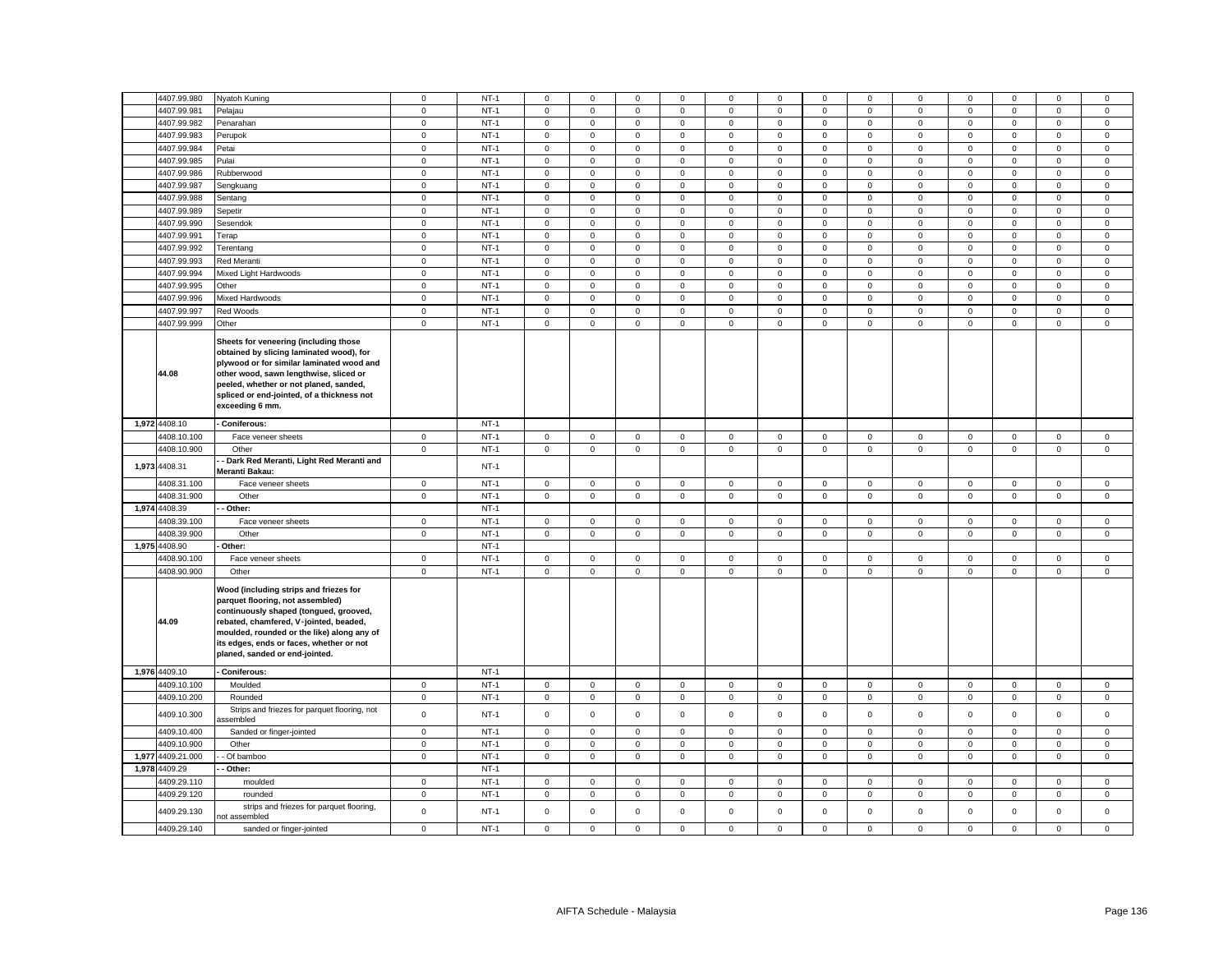|       | 4407.99.980   | Nyatoh Kuning                                                                                                                                                                                                                                                                              | $^{\circ}$   | $NT-1$ | $\mathbf 0$ | $\mathbf 0$  | $\mathbf{0}$ | $\mathbf 0$  | $\Omega$     | $\mathbf 0$ | $\Omega$    | $^{\circ}$   | $\mathbf 0$         | $\mathbf 0$  | $\Omega$     | $\mathbf 0$  | $\mathbf 0$ |
|-------|---------------|--------------------------------------------------------------------------------------------------------------------------------------------------------------------------------------------------------------------------------------------------------------------------------------------|--------------|--------|-------------|--------------|--------------|--------------|--------------|-------------|-------------|--------------|---------------------|--------------|--------------|--------------|-------------|
|       | 4407.99.981   | Pelajau                                                                                                                                                                                                                                                                                    | $\mathbf 0$  | $NT-1$ | $\mathsf 0$ | $\mathbf 0$  | $\mathsf 0$  | $\mathsf 0$  | $\mathbf 0$  | $\mathsf 0$ | $\mathsf 0$ | $\mathsf 0$  | $\mathbf 0$         | $\mathsf 0$  | $\mathsf 0$  | $\mathsf 0$  | $\mathsf 0$ |
|       | 4407.99.982   | Penarahan                                                                                                                                                                                                                                                                                  | $\mathbf 0$  | $NT-1$ | $\mathbf 0$ | $\mathbf 0$  | $\mathsf 0$  | $\mathsf 0$  | $\mathbf 0$  | $\mathbf 0$ | $\mathsf 0$ | $\mathsf 0$  | $\mathbf 0$         | $\mathbf 0$  | $\mathbf 0$  | $\mathsf 0$  | $\mathsf 0$ |
|       | 4407.99.983   | Perupok                                                                                                                                                                                                                                                                                    | $\mathbf 0$  | $NT-1$ | $\mathsf 0$ | $\mathbf 0$  | $\mathsf 0$  | $\mathbf 0$  | $\mathbf 0$  | $\mathsf 0$ | $\mathsf 0$ | $\mathsf 0$  | $\mathbf 0$         | $\mathsf 0$  | $\mathbf 0$  | $\mathsf 0$  | $\mathbf 0$ |
|       | 4407.99.984   | Petai                                                                                                                                                                                                                                                                                      | $\mathbf 0$  | $NT-1$ | $\mathsf 0$ | $\mathbf 0$  | $\mathsf 0$  | $\mathsf 0$  | $\mathbf 0$  | $\mathbf 0$ | $\mathsf 0$ | $\mathsf 0$  | $\mathbf 0$         | $\mathbf 0$  | $\mathbf 0$  | $\mathsf 0$  | $\mathsf 0$ |
|       | 4407.99.985   | Pulai                                                                                                                                                                                                                                                                                      | $\mathbf 0$  | $NT-1$ | $\mathsf 0$ | $\mathbf 0$  | $\mathsf 0$  | $\mathsf 0$  | $\mathbf 0$  | $\mathsf 0$ | $\mathbf 0$ | $\mathsf 0$  | $\mathbf 0$         | $\mathsf 0$  | $\mathbf 0$  | $\mathsf 0$  | $\mathsf 0$ |
|       | 4407.99.986   | Rubberwood                                                                                                                                                                                                                                                                                 | $\mathbf 0$  | $NT-1$ | $\mathbf 0$ | $\mathbf 0$  | $\mathsf 0$  | $\mathsf 0$  | $\mathbf 0$  | $\mathbf 0$ | $\mathsf 0$ | $\mathsf 0$  | $\mathbf 0$         | $\mathbf 0$  | $\mathbf 0$  | $\mathsf 0$  | $\mathsf 0$ |
|       |               |                                                                                                                                                                                                                                                                                            |              |        |             |              |              |              |              |             |             |              |                     |              |              |              |             |
|       | 4407.99.987   | Sengkuang                                                                                                                                                                                                                                                                                  | $\mathbf 0$  | $NT-1$ | $\mathsf 0$ | $\mathbf 0$  | $\mathsf 0$  | $\mathbf 0$  | $\mathbf 0$  | $\mathbf 0$ | $\mathsf 0$ | $\mathsf 0$  | $\mathbf 0$         | $\mathbf 0$  | $\mathbf 0$  | $\mathsf 0$  | $\mathbf 0$ |
|       | 4407.99.988   | Sentang                                                                                                                                                                                                                                                                                    | $\mathbf 0$  | $NT-1$ | $\mathbf 0$ | $\mathbf 0$  | $\mathsf 0$  | $\mathsf 0$  | $\mathbf 0$  | $\mathbf 0$ | $\mathbf 0$ | $\mathsf 0$  | $\mathbf 0$         | $\mathbf 0$  | $\mathbf 0$  | $\mathsf 0$  | $\mathsf 0$ |
|       | 4407.99.989   | Sepetir                                                                                                                                                                                                                                                                                    | $\mathbf 0$  | $NT-1$ | $\mathbf 0$ | 0            | $\mathsf 0$  | $\mathbf{0}$ | $\mathbf 0$  | $\mathbf 0$ | $\mathbf 0$ | $\mathsf 0$  | $\mathbf 0$         | $\mathbf 0$  | $\mathbf 0$  | $\mathbf 0$  | $\mathbf 0$ |
|       | 4407.99.990   | Sesendok                                                                                                                                                                                                                                                                                   | $\mathbf 0$  | $NT-1$ | $\mathbf 0$ | $\mathbf 0$  | $\mathsf 0$  | $\mathsf 0$  | $\mathbf 0$  | $\mathbf 0$ | $\mathsf 0$ | $\mathsf 0$  | $\mathbf 0$         | $\mathbf 0$  | $\mathbf 0$  | $\mathsf 0$  | $\mathsf 0$ |
|       | 4407.99.991   | Terap                                                                                                                                                                                                                                                                                      | $\mathbf 0$  | $NT-1$ | $\mathsf 0$ | $\mathbf 0$  | $\mathsf 0$  | $\mathsf 0$  | $\mathsf 0$  | $\mathsf 0$ | $\mathsf 0$ | $\mathbf 0$  | $\mathsf 0$         | $\mathsf 0$  | $\mathbf 0$  | $\mathsf 0$  | $\mathsf 0$ |
|       | 4407.99.992   | Terentang                                                                                                                                                                                                                                                                                  | $\mathbf 0$  | $NT-1$ | $\mathsf 0$ | $\mathbf 0$  | $\mathsf 0$  | $\mathsf 0$  | $\mathbf 0$  | $\mathbf 0$ | $\mathsf 0$ | $\mathsf 0$  | $\mathbf 0$         | $\mathbf 0$  | $\mathbf 0$  | $\mathsf 0$  | $\mathsf 0$ |
|       | 4407.99.993   | Red Meranti                                                                                                                                                                                                                                                                                | $\mathbf 0$  | $NT-1$ | $\mathsf 0$ | $\mathbf 0$  | $\mathsf 0$  | $\mathsf 0$  | $\mathbf 0$  | $\mathsf 0$ | $\mathsf 0$ | $\mathsf 0$  | $\mathbf 0$         | $\mathsf 0$  | $\mathbf 0$  | $\mathsf 0$  | $\mathsf 0$ |
|       | 4407.99.994   | Mixed Light Hardwoods                                                                                                                                                                                                                                                                      | $\mathbf 0$  | $NT-1$ | $\mathbf 0$ | $\mathbf 0$  | $\mathsf 0$  | $\mathsf 0$  | $\mathbf 0$  | $\mathbf 0$ | $\mathsf 0$ | $\mathsf 0$  | $\mathbf 0$         | $\mathbf 0$  | $\mathbf 0$  | $\mathsf 0$  | $\mathbf 0$ |
|       | 4407.99.995   | Other                                                                                                                                                                                                                                                                                      | $\mathbf 0$  | $NT-1$ | $\mathsf 0$ | $\mathbf 0$  | $\mathsf 0$  | $\mathsf 0$  | $\mathbf 0$  | $\mathbf 0$ | $\mathsf 0$ | $\mathbf 0$  | $\mathsf 0$         | $\mathbf 0$  | $\mathbf 0$  | $\mathsf 0$  | $\mathsf 0$ |
|       |               |                                                                                                                                                                                                                                                                                            |              |        |             |              |              |              |              |             |             |              |                     |              |              |              |             |
|       | 4407.99.996   | Mixed Hardwoods                                                                                                                                                                                                                                                                            | $\mathbf 0$  | $NT-1$ | 0           | $\mathbf 0$  | $\mathsf 0$  | $\mathbf 0$  | $\mathbf 0$  | $\mathbf 0$ | $\mathbf 0$ | $\mathbf 0$  | $\mathbf 0$         | $\mathbf 0$  | $\mathbf 0$  | $\mathsf 0$  | $\mathsf 0$ |
|       | 4407.99.997   | Red Woods                                                                                                                                                                                                                                                                                  | $\mathbf 0$  | $NT-1$ | $\mathsf 0$ | $\mathbf 0$  | $\mathsf 0$  | $\mathsf 0$  | $\mathbf 0$  | $\mathsf 0$ | $\mathsf 0$ | $\mathsf 0$  | $\mathsf 0$         | $\mathsf 0$  | $\mathbf 0$  | $\mathsf 0$  | $\mathsf 0$ |
|       | 4407.99.999   | Other                                                                                                                                                                                                                                                                                      | $\mathbf 0$  | $NT-1$ | $\mathbf 0$ | $\mathbf{0}$ | $\mathsf 0$  | $\mathbf 0$  | $\mathbf 0$  | 0           | 0           | $\mathsf 0$  | $\mathbf{0}$        | $\mathbf 0$  | $\mathbf{0}$ | $\mathbf 0$  | $\mathbf 0$ |
|       | 44.08         | Sheets for veneering (including those<br>obtained by slicing laminated wood), for<br>plywood or for similar laminated wood and<br>other wood, sawn lengthwise, sliced or<br>peeled, whether or not planed, sanded,<br>spliced or end-jointed, of a thickness not<br>exceeding 6 mm.        |              |        |             |              |              |              |              |             |             |              |                     |              |              |              |             |
|       | 1,972 4408.10 | - Coniferous:                                                                                                                                                                                                                                                                              |              | $NT-1$ |             |              |              |              |              |             |             |              |                     |              |              |              |             |
|       | 4408.10.100   | Face veneer sheets                                                                                                                                                                                                                                                                         | $\mathbf 0$  | $NT-1$ | $\mathbf 0$ | $\mathbf{0}$ | $\mathsf 0$  | $\mathbf 0$  | $\mathbf 0$  | $\mathbf 0$ | $\mathsf 0$ | $\circ$      | $\mathbf 0$         | $\mathbf 0$  | $\mathsf 0$  | $\mathbf 0$  | $\mathbf 0$ |
|       | 4408.10.900   | Other                                                                                                                                                                                                                                                                                      | $\mathbf 0$  | $NT-1$ | $\mathbf 0$ | $\mathbf{O}$ | $\mathbf 0$  | $\mathbf{0}$ | $\mathbf{0}$ | $\mathbf 0$ | $\circ$     | $\mathbf{0}$ | $\mathbf{0}$        | $\mathbf 0$  | $\mathbf 0$  | $\mathbf 0$  | $\mathsf 0$ |
|       |               | Dark Red Meranti, Light Red Meranti and                                                                                                                                                                                                                                                    |              |        |             |              |              |              |              |             |             |              |                     |              |              |              |             |
| 1,973 | 4408.31       | Meranti Bakau:                                                                                                                                                                                                                                                                             |              | $NT-1$ |             |              |              |              |              |             |             |              |                     |              |              |              |             |
|       | 4408.31.100   | Face veneer sheets                                                                                                                                                                                                                                                                         | $\mathbf 0$  | $NT-1$ | $\mathbf 0$ | $\mathbf 0$  | $\mathsf 0$  | $\mathbf 0$  | $\mathbf{0}$ | $\mathbf 0$ | $\mathsf 0$ | $\mathbf 0$  | $\mathbf 0$         | $\mathbf 0$  | $\mathbf 0$  | $\mathbf 0$  | $\mathsf 0$ |
|       |               |                                                                                                                                                                                                                                                                                            |              |        |             |              |              |              |              |             |             |              |                     |              |              |              |             |
|       | 4408.31.900   | Other                                                                                                                                                                                                                                                                                      | $\mathbf 0$  | $NT-1$ | $\mathbf 0$ | $\mathbf{O}$ | $\mathbf 0$  | $\mathbf{0}$ | $\mathbf 0$  | $\mathbf 0$ | $\circ$     | $\mathbf{0}$ | $\mathsf 0$         | $\mathbf 0$  | $\mathbf{0}$ | $\mathbf{0}$ | $\mathbf 0$ |
| 1,974 | 4408.39       | - Other:                                                                                                                                                                                                                                                                                   |              | $NT-1$ |             |              |              |              |              |             |             |              |                     |              |              |              |             |
|       | 4408.39.100   | Face veneer sheets                                                                                                                                                                                                                                                                         | $\mathbf 0$  | $NT-1$ | $\mathbf 0$ | $\mathbf 0$  | $\mathsf 0$  | $\mathbf{0}$ | $\mathbf{0}$ | $\mathbf 0$ | $\mathbf 0$ | $\mathbf{0}$ | $\mathbf{0}$        | $^{\circ}$   | $\mathbf{0}$ | $\mathbf 0$  | $\mathbf 0$ |
|       | 4408.39.900   | Other                                                                                                                                                                                                                                                                                      | $\mathbf 0$  | $NT-1$ | $\mathbf 0$ | $\mathbf 0$  | $\mathsf 0$  | $\mathbf 0$  | $\mathbf{0}$ | $\mathbf 0$ | $\mathbf 0$ | $\mathbf 0$  | $\mathbf 0$         | $\mathbf 0$  | $\mathbf 0$  | $\mathbf 0$  | $\mathsf 0$ |
|       | 1,975 4408.90 | Other:                                                                                                                                                                                                                                                                                     |              | $NT-1$ |             |              |              |              |              |             |             |              |                     |              |              |              |             |
|       | 4408.90.100   | Face veneer sheets                                                                                                                                                                                                                                                                         | $\mathbf 0$  | $NT-1$ | $\mathbf 0$ | $\mathbf 0$  | $\mathsf 0$  | $\mathsf 0$  | $\mathbf 0$  | $\mathbf 0$ | $\mathbf 0$ | $\mathbf 0$  | $\mathbf 0$         | $\mathbf 0$  | $\mathsf 0$  | $\mathsf 0$  | $\mathsf 0$ |
|       | 4408.90.900   | Other                                                                                                                                                                                                                                                                                      | $\mathbf 0$  | $NT-1$ | $\mathbf 0$ | $\mathbf 0$  | $\mathsf 0$  | $\mathsf 0$  | $\mathbf 0$  | $\mathbf 0$ | $\mathbf 0$ | $\mathbf 0$  | $\mathbf 0$         | $\mathbf 0$  | $\mathsf 0$  | $\mathsf 0$  | $\mathsf 0$ |
|       | 44.09         | Wood (including strips and friezes for<br>parquet flooring, not assembled)<br>continuously shaped (tongued, grooved,<br>rebated, chamfered, V-jointed, beaded,<br>moulded, rounded or the like) along any of<br>its edges, ends or faces, whether or not<br>planed, sanded or end-jointed. |              |        |             |              |              |              |              |             |             |              |                     |              |              |              |             |
|       | 1,976 4409.10 | Coniferous:                                                                                                                                                                                                                                                                                |              | $NT-1$ |             |              |              |              |              |             |             |              |                     |              |              |              |             |
|       | 4409.10.100   | Moulded                                                                                                                                                                                                                                                                                    | $\mathbf{0}$ | $NT-1$ | $\mathbf 0$ | $\mathbf{0}$ | $\mathbf 0$  | $\mathbf 0$  | $\mathbf 0$  | $\mathbf 0$ | $\mathbf 0$ | $\mathsf 0$  | $\mathsf{O}\xspace$ | $\mathbf{0}$ | $\mathbf 0$  | $\mathsf 0$  | $\mathsf 0$ |
|       | 4409.10.200   | Rounded                                                                                                                                                                                                                                                                                    | $\mathbf 0$  | $NT-1$ | $\mathbf 0$ | $\mathbf 0$  | $\mathsf 0$  | $\mathsf 0$  | $\mathbf{0}$ | $\mathbf 0$ | $\mathsf 0$ | $\mathsf 0$  | $\mathbf 0$         | $\mathbf 0$  | $\mathbf 0$  | $\mathbf 0$  | $\mathsf 0$ |
|       | 4409.10.300   | Strips and friezes for parquet flooring, not<br>ssembled                                                                                                                                                                                                                                   | $\mathbf 0$  | $NT-1$ | $\mathsf 0$ | $\mathbf 0$  | $\mathsf 0$  | $\mathsf 0$  | $\mathbf 0$  | $\mathsf 0$ | $\mathsf 0$ | $\mathbf 0$  | $\mathbf 0$         | $\mathsf 0$  | $\mathsf 0$  | $\mathsf 0$  | $\mathsf 0$ |
|       | 4409.10.400   | Sanded or finger-jointed                                                                                                                                                                                                                                                                   | $\mathbf 0$  | $NT-1$ | $\mathsf 0$ | $\mathbf 0$  | $\mathsf 0$  | $\mathsf 0$  | $\mathbf 0$  | $\mathsf 0$ | $\mathsf 0$ | $\mathsf 0$  | $\mathbf 0$         | $\mathsf 0$  | $\mathbf 0$  | $\mathbf 0$  | $\mathbf 0$ |
|       | 4409.10.900   | Other                                                                                                                                                                                                                                                                                      | $\mathbf{0}$ | $NT-1$ | $\mathbf 0$ | $\mathbf{0}$ | $\mathbf 0$  | $\mathbf{0}$ | $\mathbf 0$  | $\mathbf 0$ | $\mathbf 0$ | $\mathsf 0$  | $\mathbf 0$         | $\mathbf{0}$ | $\mathbf 0$  | $\mathbf 0$  | $\mathsf 0$ |
| 1,977 | 4409.21.000   | Of bamboo                                                                                                                                                                                                                                                                                  | $\mathbf 0$  | $NT-1$ | $\mathbf 0$ | 0            | $\mathsf 0$  | $\mathbf 0$  | $\mathbf 0$  | 0           | 0           | $\mathsf 0$  | $\mathbf 0$         | $\mathbf 0$  | $\mathbf 0$  | $\mathbf 0$  | $\mathbf 0$ |
| 1,978 | 4409.29       | Other:                                                                                                                                                                                                                                                                                     |              | $NT-1$ |             |              |              |              |              |             |             |              |                     |              |              |              |             |
|       | 4409.29.110   | moulded                                                                                                                                                                                                                                                                                    | $\mathbf 0$  | $NT-1$ | $\mathbf 0$ | $\mathbf 0$  | $\mathsf 0$  | $\mathbf 0$  | $\mathbf 0$  | $\mathbf 0$ | $\mathbf 0$ | $\mathbf 0$  | $\mathbf 0$         | $\mathbf 0$  | $\mathbf 0$  | $\mathsf 0$  | $\mathbf 0$ |
|       | 4409.29.120   | rounded                                                                                                                                                                                                                                                                                    | $\mathbf 0$  | $NT-1$ | $\mathbf 0$ | $\mathbf 0$  | $\mathsf 0$  | $\mathsf 0$  | $\mathbf 0$  | $\mathbf 0$ | $\mathsf 0$ | $\mathbf 0$  | $\mathbf 0$         | $\mathbf 0$  | $\mathsf 0$  | $\mathsf 0$  | $\mathsf 0$ |
|       | 4409.29.130   | strips and friezes for parquet flooring,                                                                                                                                                                                                                                                   | $\mathsf 0$  | $NT-1$ | $\mathsf 0$ | $\mathbf 0$  | $\mathsf 0$  | $\mathsf 0$  | $\mathsf 0$  | $\mathsf 0$ | $\mathsf 0$ | $\mathsf 0$  | $\mathsf 0$         | $\mathsf 0$  | $\mathsf 0$  | $\mathsf 0$  | $\mathsf 0$ |
|       | 4409.29.140   | not assembled<br>sanded or finger-jointed                                                                                                                                                                                                                                                  | $\mathbf 0$  | $NT-1$ | $\mathsf 0$ | $\mathbf 0$  | $\mathsf 0$  | $\mathbf 0$  | $\mathbf 0$  | $\mathsf 0$ | $\mathsf 0$ | $\mathbf 0$  | $\mathbf 0$         | $\mathbf 0$  | $\mathbf 0$  | $\mathsf 0$  | $\mathsf 0$ |
|       |               |                                                                                                                                                                                                                                                                                            |              |        |             |              |              |              |              |             |             |              |                     |              |              |              |             |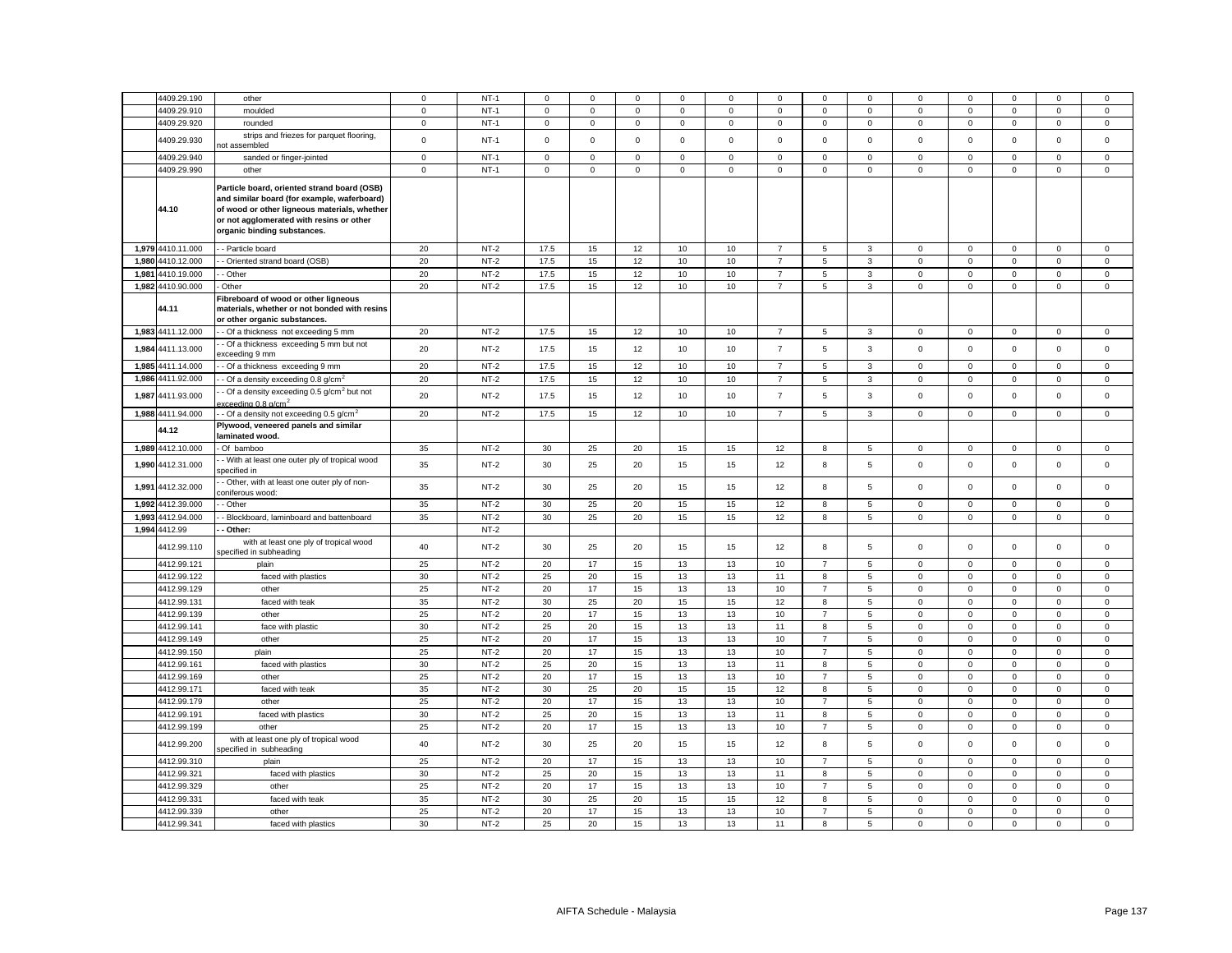|       | 4409.29.190       | other                                                                                                                                                                                                                 | $\mathbf 0$ | $NT-1$ | $\mathbf 0$ | $\Omega$            | $\mathbf 0$ | $\mathbf 0$ | 0           | $\mathbf 0$    | $\mathbf 0$         | $\mathbf 0$  | 0                   | $\mathbf 0$  | $\Omega$    | $\mathbf 0$ | $\mathbf 0$ |
|-------|-------------------|-----------------------------------------------------------------------------------------------------------------------------------------------------------------------------------------------------------------------|-------------|--------|-------------|---------------------|-------------|-------------|-------------|----------------|---------------------|--------------|---------------------|--------------|-------------|-------------|-------------|
|       | 4409.29.910       | moulded                                                                                                                                                                                                               | $\mathbf 0$ | $NT-1$ | $\Omega$    | $\mathsf{O}\xspace$ | 0           | $\mathsf 0$ | $\mathsf 0$ | $\Omega$       | $\mathsf 0$         | $\mathsf 0$  | $\mathsf{O}\xspace$ | $\Omega$     | $\mathsf 0$ | 0           | $\mathsf 0$ |
|       | 4409.29.920       | rounded                                                                                                                                                                                                               | $\mathbf 0$ | $NT-1$ | 0           | $\mathsf 0$         | $\mathbf 0$ | $\mathbf 0$ | $\mathbf 0$ | $\mathsf 0$    | $\mathbf 0$         | $\mathbf 0$  | $\mathbf 0$         | $\mathsf 0$  | $\mathbf 0$ | $\mathbf 0$ | $\mathsf 0$ |
|       | 4409.29.930       | strips and friezes for parquet flooring,                                                                                                                                                                              | $\mathbf 0$ | $NT-1$ | $\mathbf 0$ | $\mathsf 0$         | $\mathsf 0$ | $\mathsf 0$ | $\mathsf 0$ | $\mathbf 0$    | $\mathsf 0$         | $\mathsf 0$  | $\mathsf 0$         | $\mathbf 0$  | $\mathsf 0$ | $\mathsf 0$ | $\mathsf 0$ |
|       |                   | hot assembled                                                                                                                                                                                                         |             |        |             |                     |             |             |             |                |                     |              |                     |              |             |             |             |
|       | 4409.29.940       | sanded or finger-jointed                                                                                                                                                                                              | $\mathbf 0$ | $NT-1$ | $\mathbf 0$ | $\mathbf 0$         | $\mathbf 0$ | $\mathbf 0$ | 0           | $\mathbf 0$    | $\mathbf 0$         | $\mathbf 0$  | $\mathbf 0$         | $\mathbf 0$  | $\mathbf 0$ | $\mathbf 0$ | 0           |
|       | 4409.29.990       | other                                                                                                                                                                                                                 | $\mathbf 0$ | $NT-1$ | $\mathbf 0$ | $\mathsf 0$         | $\mathsf 0$ | $\mathbf 0$ | $\mathsf 0$ | $\mathsf 0$    | $\mathsf{O}\xspace$ | $\mathbf 0$  | $\mathsf{o}\xspace$ | $\mathbf 0$  | $\mathsf 0$ | $\mathsf 0$ | $\mathsf 0$ |
|       | 44.10             | Particle board, oriented strand board (OSB)<br>and similar board (for example, waferboard)<br>of wood or other ligneous materials, whether<br>or not agglomerated with resins or other<br>organic binding substances. |             |        |             |                     |             |             |             |                |                     |              |                     |              |             |             |             |
|       | 1.979 4410.11.000 | - Particle board                                                                                                                                                                                                      | 20          | $NT-2$ | 17.5        | 15                  | 12          | 10          | 10          | $\overline{7}$ | 5                   | 3            | $\mathbf 0$         | $\mathbf 0$  | $\Omega$    | $\mathbf 0$ | $\mathsf 0$ |
|       | 1,980 4410.12.000 | - Oriented strand board (OSB)                                                                                                                                                                                         | 20          | $NT-2$ | 17.5        | 15                  | 12          | 10          | 10          | $\overline{7}$ | 5                   | 3            | $\mathbf 0$         | $\mathsf 0$  | $\mathbf 0$ | $\mathsf 0$ | $\mathsf 0$ |
| 1,981 | 4410.19.000       | Other                                                                                                                                                                                                                 | 20          | $NT-2$ | 17.5        | 15                  | 12          | 10          | 10          | $\overline{7}$ | 5                   | 3            | $\mathbf 0$         | $\Omega$     | $\mathbf 0$ | $\mathbf 0$ | $\mathsf 0$ |
|       | 1,982 4410.90.000 | Other                                                                                                                                                                                                                 | 20          | $NT-2$ | 17.5        | 15                  | 12          | 10          | 10          | $\overline{7}$ | 5                   | 3            | $\mathbf 0$         | $\mathbf 0$  | $\mathbf 0$ | $\mathbf 0$ | $\mathbf 0$ |
|       | 44.11             | Fibreboard of wood or other ligneous<br>materials, whether or not bonded with resins<br>or other organic substances.                                                                                                  |             |        |             |                     |             |             |             |                |                     |              |                     |              |             |             |             |
|       | 1,983 4411.12.000 | - Of a thickness not exceeding 5 mm                                                                                                                                                                                   | 20          | $NT-2$ | 17.5        | 15                  | 12          | 10          | 10          | $\overline{7}$ | 5                   | 3            | $\mathbf 0$         | $\mathsf 0$  | $\mathsf 0$ | $\mathbf 0$ | $\mathsf 0$ |
| 1,984 | 4411.13.000       | Of a thickness exceeding 5 mm but not<br>xceeding 9 mm                                                                                                                                                                | 20          | $NT-2$ | 17.5        | 15                  | 12          | 10          | 10          | $\overline{7}$ | 5                   | $\mathbf{3}$ | $\mathsf 0$         | $\mathsf 0$  | $\mathsf 0$ | $\mathsf 0$ | $\mathsf 0$ |
|       | 1,985 4411.14.000 | - Of a thickness exceeding 9 mm                                                                                                                                                                                       | 20          | $NT-2$ | 17.5        | 15                  | 12          | 10          | 10          | $\overline{7}$ | 5                   | 3            | $\mathbf 0$         | 0            | $\mathbf 0$ | $\mathbf 0$ | 0           |
| 1,986 | 4411.92.000       | Of a density exceeding 0.8 g/cm                                                                                                                                                                                       | 20          | $NT-2$ | 17.5        | 15                  | 12          | 10          | 10          | $\overline{7}$ | 5                   | $\mathbf{3}$ | $\mathsf 0$         | $\mathbf 0$  | $\mathbf 0$ | $\mathbf 0$ | $\mathbf 0$ |
| 1,987 | 4411.93.000       | Of a density exceeding 0.5 g/cm <sup>2</sup> but not<br>$\alpha$ eeding 0.8 g/cm <sup>2</sup>                                                                                                                         | 20          | $NT-2$ | 17.5        | 15                  | 12          | 10          | 10          | $\overline{7}$ | 5                   | $\mathbf{3}$ | $\mathsf 0$         | $\mathsf 0$  | $\mathsf 0$ | $\mathsf 0$ | $\mathsf 0$ |
|       | 1,988 4411.94.000 | $\cdot$ Of a density not exceeding 0.5 g/cm <sup>2</sup>                                                                                                                                                              | 20          | $NT-2$ | 17.5        | 15                  | 12          | 10          | 10          | $\overline{7}$ | 5                   | $\mathsf 3$  | $\mathsf 0$         | $\mathbf 0$  | $\mathsf 0$ | $\mathsf 0$ | $\mathsf 0$ |
|       |                   | Plywood, veneered panels and similar                                                                                                                                                                                  |             |        |             |                     |             |             |             |                |                     |              |                     |              |             |             |             |
|       | 44.12             | laminated wood.                                                                                                                                                                                                       |             |        |             |                     |             |             |             |                |                     |              |                     |              |             |             |             |
|       | 1,989 4412.10.000 | Of bamboo                                                                                                                                                                                                             | 35          | $NT-2$ | 30          | 25                  | 20          | 15          | 15          | 12             | 8                   | 5            | $\Omega$            | $\mathbf 0$  | $\mathbf 0$ | $\mathbf 0$ | $\mathsf 0$ |
|       |                   | - With at least one outer ply of tropical wood                                                                                                                                                                        |             |        |             |                     |             |             |             |                |                     |              |                     |              |             |             |             |
| 1,990 | 4412.31.000       | specified in                                                                                                                                                                                                          | 35          | $NT-2$ | 30          | 25                  | 20          | 15          | 15          | 12             | 8                   | 5            | $\mathbf 0$         | $\mathbf 0$  | $\mathsf 0$ | $\mathsf 0$ | $\mathsf 0$ |
| 1,991 | 4412.32.000       | - Other, with at least one outer ply of non-<br>coniferous wood:                                                                                                                                                      | 35          | $NT-2$ | 30          | 25                  | 20          | 15          | 15          | 12             | 8                   | 5            | $\mathbf 0$         | $\mathbf 0$  | $\Omega$    | $\mathsf 0$ | $\mathsf 0$ |
| 1,992 | 4412.39.000       | - Other                                                                                                                                                                                                               | 35          | $NT-2$ | 30          | 25                  | 20          | 15          | 15          | 12             | 8                   | 5            | $\mathbf 0$         | $\mathsf 0$  | $\mathsf 0$ | $\mathsf 0$ | $\mathsf 0$ |
| 1,993 | 4412.94.000       | Blockboard, laminboard and battenboard                                                                                                                                                                                | 35          | $NT-2$ | 30          | 25                  | 20          | 15          | 15          | 12             | 8                   | 5            | $\mathsf 0$         | $\mathsf 0$  | $\mathsf 0$ | $\mathsf 0$ | $\mathsf 0$ |
|       | 1,994 4412.99     | Other:                                                                                                                                                                                                                |             | $NT-2$ |             |                     |             |             |             |                |                     |              |                     |              |             |             |             |
|       | 4412.99.110       | with at least one ply of tropical wood<br>specified in subheading                                                                                                                                                     | 40          | $NT-2$ | 30          | 25                  | 20          | 15          | 15          | 12             | 8                   | 5            | $\mathbf 0$         | $\mathsf 0$  | $\mathbf 0$ | $\mathsf 0$ | $\mathsf 0$ |
|       | 4412.99.121       | plain                                                                                                                                                                                                                 | 25          | $NT-2$ | 20          | 17                  | 15          | 13          | 13          | 10             | $\overline{7}$      | 5            | $\mathsf 0$         | $\mathsf 0$  | $\mathsf 0$ | $\mathsf 0$ | $\mathsf 0$ |
|       | 4412.99.122       | faced with plastics                                                                                                                                                                                                   | 30          | $NT-2$ | 25          | 20                  | 15          | 13          | 13          | 11             | 8                   | 5            | $\mathbf 0$         | $\mathbf 0$  | $\mathbf 0$ | $\mathbf 0$ | $\mathsf 0$ |
|       | 4412.99.129       | other                                                                                                                                                                                                                 | 25          | $NT-2$ | 20          | 17                  | 15          | 13          | 13          | 10             | $\overline{7}$      | 5            | $\mathbf 0$         | $\mathsf 0$  | $\mathsf 0$ | $\mathsf 0$ | $\mathsf 0$ |
|       | 4412.99.131       | faced with teak                                                                                                                                                                                                       | 35          | $NT-2$ | 30          | 25                  | 20          | 15          | 15          | 12             | 8                   | 5            | $\mathsf 0$         | $\mathsf 0$  | $\mathsf 0$ | $\mathsf 0$ | $\mathsf 0$ |
|       | 4412.99.139       | other                                                                                                                                                                                                                 |             | $NT-2$ | 20          | 17                  | 15          | 13          | 13          | 10             | $\overline{7}$      | 5            | $\mathbf 0$         | $\mathbf{0}$ | $\mathbf 0$ | $\mathbf 0$ | $^{\circ}$  |
|       |                   |                                                                                                                                                                                                                       | 25          |        |             |                     |             |             |             |                |                     |              |                     |              |             |             |             |
|       | 4412.99.141       | face with plastic                                                                                                                                                                                                     | 30          | $NT-2$ | 25          | 20                  | 15          | 13          | 13          | 11             | 8                   | 5            | $\mathsf 0$         | $\mathsf 0$  | $\mathsf 0$ | $\mathsf 0$ | $\mathsf 0$ |
|       | 4412.99.149       | other                                                                                                                                                                                                                 | 25          | $NT-2$ | 20          | 17                  | 15          | 13          | 13          | 10             | $\overline{7}$      | 5            | $\mathbf 0$         | $\mathbf 0$  | $\mathbf 0$ | $\mathbf 0$ | $\mathbf 0$ |
|       | 4412.99.150       | plain                                                                                                                                                                                                                 | 25          | $NT-2$ | 20          | 17                  | 15          | 13          | 13          | 10             | $\overline{7}$      | $\sqrt{5}$   | $\mathbf{0}$        | $\mathbf 0$  | $\mathbf 0$ | $\mathbf 0$ | $\mathsf 0$ |
|       | 4412.99.161       | faced with plastics                                                                                                                                                                                                   | 30          | $NT-2$ | 25          | 20                  | 15          | 13          | 13          | 11             | 8                   | 5            | $\mathbf 0$         | $\mathbf 0$  | $\mathbf 0$ | $\mathbf 0$ | $\mathbf 0$ |
|       | 4412.99.169       | other                                                                                                                                                                                                                 | 25          | $NT-2$ | 20          | 17                  | 15          | 13          | 13          | 10             | $\overline{7}$      | 5            | $\mathbf 0$         | $\mathbf 0$  | $\mathbf 0$ | $\mathbf 0$ | $\mathbf 0$ |
|       | 4412.99.171       | faced with teak                                                                                                                                                                                                       | 35          | $NT-2$ | 30          | 25                  | 20          | 15          | 15          | 12             | 8                   | 5            | $\mathbf 0$         | $\mathsf 0$  | $\mathsf 0$ | $\mathbf 0$ | $\mathsf 0$ |
|       | 4412.99.179       | other                                                                                                                                                                                                                 | 25          | $NT-2$ | 20          | 17                  | 15          | 13          | 13          | 10             | $\overline{7}$      | 5            | $\mathsf 0$         | $\mathsf 0$  | $\mathsf 0$ | $\mathsf 0$ | $\mathsf 0$ |
|       | 4412.99.191       | faced with plastics                                                                                                                                                                                                   | 30          | $NT-2$ | 25          | 20                  | 15          | 13          | 13          | 11             | 8                   | 5            | $\Omega$            | $\mathbf 0$  | $\mathbf 0$ | $\mathbf 0$ | $\mathbf 0$ |
|       | 4412.99.199       | other                                                                                                                                                                                                                 | 25          | $NT-2$ | 20          | 17                  | 15          | 13          | 13          | 10             | $\overline{7}$      | 5            | $\mathbf 0$         | $\mathsf 0$  | $\mathsf 0$ | $\mathsf 0$ | $\mathsf 0$ |
|       | 4412.99.200       | with at least one ply of tropical wood<br>pecified in subheading                                                                                                                                                      | 40          | $NT-2$ | 30          | 25                  | 20          | 15          | 15          | 12             | 8                   | 5            | $\mathbf 0$         | $\Omega$     | $\Omega$    | $\mathbf 0$ | $^{\circ}$  |
|       | 4412.99.310       | plain                                                                                                                                                                                                                 | 25          | $NT-2$ | 20          | 17                  | 15          | 13          | 13          | 10             | $\overline{7}$      | 5            | $\mathbf 0$         | $\mathbf 0$  | $\mathbf 0$ | $\mathbf 0$ | $\mathbf 0$ |
|       | 4412.99.321       | faced with plastics                                                                                                                                                                                                   | 30          | $NT-2$ | 25          | 20                  | 15          | 13          | 13          | 11             | 8                   | 5            | $\mathsf 0$         | $\mathsf 0$  | $\mathsf 0$ | $\mathsf 0$ | $\mathsf 0$ |
|       | 4412.99.329       | other                                                                                                                                                                                                                 | 25          | $NT-2$ | 20          | 17                  | 15          | 13          | 13          | 10             | $\overline{7}$      | 5            | $\mathsf 0$         | $\mathbf 0$  | $\mathbf 0$ | $\mathbf 0$ | $\mathsf 0$ |
|       | 4412.99.331       | faced with teak                                                                                                                                                                                                       | 35          | $NT-2$ | 30          | 25                  | 20          | 15          | 15          | 12             | 8                   | 5            | $\mathbf 0$         | $\mathbf 0$  | $\mathbf 0$ | $\mathbf 0$ | $\mathbf 0$ |
|       | 4412.99.339       | other                                                                                                                                                                                                                 | 25          | $NT-2$ | 20          | 17                  | 15          | 13          | 13          | 10             | $\overline{7}$      | 5            | $\mathbf 0$         | $\mathsf 0$  | $\mathsf 0$ | $\mathsf 0$ | $\mathsf 0$ |
|       | 4412.99.341       | faced with plastics                                                                                                                                                                                                   | 30          | $NT-2$ | 25          | 20                  | 15          | 13          | 13          | 11             | 8                   | 5            | $\mathsf 0$         | $\mathsf 0$  | $\mathbf 0$ | $\mathsf 0$ | $\mathbf 0$ |
|       |                   |                                                                                                                                                                                                                       |             |        |             |                     |             |             |             |                |                     |              |                     |              |             |             |             |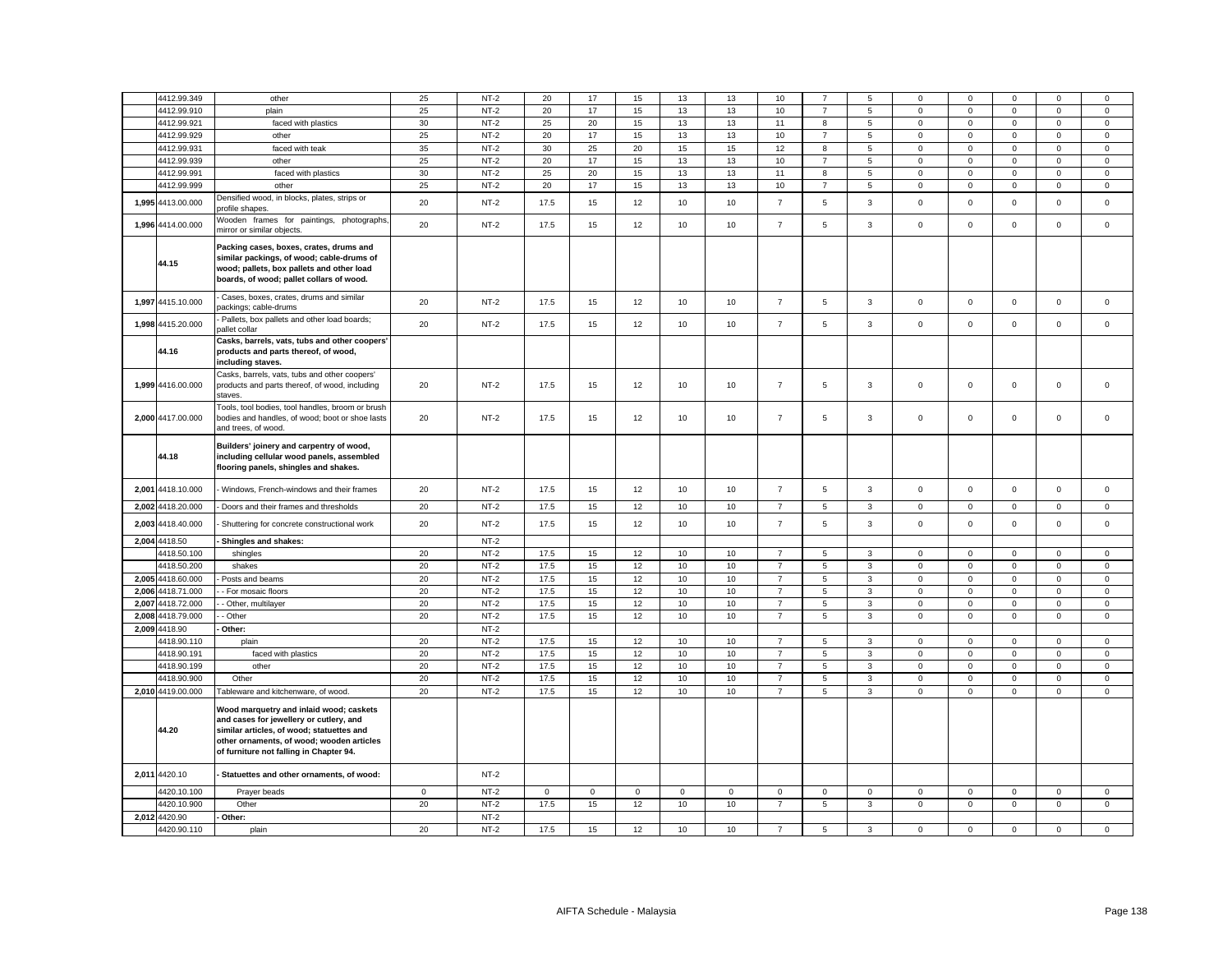|               | 4412.99.349       | other                                                                                                                                                                                                                   | 25          | $NT-2$ | 20           | 17      | 15          | 13          | 13           | 10             |                | 5              | 0                   | 0           |              | 0           | 0            |
|---------------|-------------------|-------------------------------------------------------------------------------------------------------------------------------------------------------------------------------------------------------------------------|-------------|--------|--------------|---------|-------------|-------------|--------------|----------------|----------------|----------------|---------------------|-------------|--------------|-------------|--------------|
|               | 4412.99.910       | plain                                                                                                                                                                                                                   | 25          | $NT-2$ | 20           | 17      | 15          | 13          | 13           | 10             | $\overline{7}$ | $\,$ 5 $\,$    | $\mathsf 0$         | $\mathbf 0$ | $\mathsf 0$  | $\mathsf 0$ | $\mathsf 0$  |
|               | 4412.99.921       | faced with plastics                                                                                                                                                                                                     | 30          | $NT-2$ | 25           | 20      | 15          | 13          | 13           | 11             | 8              | 5              | $\mathsf{O}\xspace$ | $\mathsf 0$ | $\mathsf 0$  | $\mathsf 0$ | $\mathsf 0$  |
|               | 4412.99.929       | other                                                                                                                                                                                                                   | 25          | $NT-2$ | 20           | 17      | 15          | 13          | 13           | 10             | $\overline{7}$ | $\overline{5}$ | $\mathsf 0$         | $\mathbf 0$ | $\mathsf 0$  | $\mathsf 0$ | $\mathsf 0$  |
|               | 4412.99.931       | faced with teak                                                                                                                                                                                                         | 35          | $NT-2$ | 30           | 25      | 20          | 15          | 15           | 12             | 8              | 5              | $\mathsf 0$         | $\mathsf 0$ | $\mathsf 0$  | $\mathsf 0$ | $\mathsf 0$  |
|               | 4412.99.939       | other                                                                                                                                                                                                                   | 25          | $NT-2$ | 20           | 17      | 15          | 13          | 13           | 10             | $\overline{7}$ | $\,$ 5 $\,$    | $\mathsf 0$         | $\mathbf 0$ | $\mathsf 0$  | $\mathsf 0$ | $\mathsf 0$  |
|               | 4412.99.991       | faced with plastics                                                                                                                                                                                                     | 30          | $NT-2$ | 25           | 20      | 15          | 13          | 13           | 11             | 8              | 5              | $\mathsf{O}\xspace$ | $\mathsf 0$ | $\mathsf 0$  | $\mathsf 0$ | $\mathsf 0$  |
|               | 4412.99.999       | other                                                                                                                                                                                                                   | 25          | $NT-2$ | 20           | 17      | 15          | 13          | 13           | 10             | $\overline{7}$ | $\overline{5}$ | $\mathsf{O}\xspace$ | $\mathbf 0$ | $\mathsf 0$  | $\mathsf 0$ | $\mathsf 0$  |
|               |                   | Densified wood, in blocks, plates, strips or                                                                                                                                                                            |             |        |              |         |             |             |              |                |                |                |                     |             |              |             |              |
|               | 1,995 4413.00.000 | profile shapes.                                                                                                                                                                                                         | 20          | $NT-2$ | 17.5         | 15      | 12          | 10          | 10           | $\overline{7}$ | 5              | $\mathbf{3}$   | $\mathsf{O}\xspace$ | $\mathsf 0$ | $\mathsf 0$  | $\mathsf 0$ | $\mathsf 0$  |
|               | 1,996 4414.00.000 | Wooden frames for paintings, photographs,<br>mirror or similar objects.                                                                                                                                                 | 20          | $NT-2$ | 17.5         | 15      | 12          | 10          | 10           | $\overline{7}$ | 5              | 3              | $\mathsf 0$         | $\mathbf 0$ | $\mathbf 0$  | $\mathsf 0$ | $\mathsf 0$  |
|               | 44.15             | Packing cases, boxes, crates, drums and<br>similar packings, of wood; cable-drums of<br>wood; pallets, box pallets and other load<br>boards, of wood; pallet collars of wood.                                           |             |        |              |         |             |             |              |                |                |                |                     |             |              |             |              |
|               | 1,997 4415.10.000 | Cases, boxes, crates, drums and similar<br>packings; cable-drums                                                                                                                                                        | 20          | $NT-2$ | 17.5         | 15      | 12          | 10          | 10           | $\overline{7}$ | 5              | $\mathbf{3}$   | $\mathbf 0$         | $\mathbf 0$ | $\mathbf 0$  | $\mathsf 0$ | $\mathsf 0$  |
|               | 1,998 4415.20.000 | Pallets, box pallets and other load boards;<br>pallet collar                                                                                                                                                            | 20          | $NT-2$ | 17.5         | 15      | 12          | 10          | 10           | $\overline{7}$ | 5              | $\overline{3}$ | $\mathbf 0$         | $\mathbf 0$ | $\mathbf{0}$ | $\mathbf 0$ | $\mathbf 0$  |
|               | 44.16             | Casks, barrels, vats, tubs and other coopers'<br>products and parts thereof, of wood,<br>including staves.                                                                                                              |             |        |              |         |             |             |              |                |                |                |                     |             |              |             |              |
|               | 1,999 4416.00.000 | Casks, barrels, vats, tubs and other coopers'<br>products and parts thereof, of wood, including<br>staves.                                                                                                              | 20          | $NT-2$ | 17.5         | 15      | 12          | 10          | 10           | $\overline{7}$ | 5              | 3              | $\mathsf 0$         | $\mathsf 0$ | $\mathsf 0$  | $\mathsf 0$ | $\mathsf 0$  |
|               | 2,000 4417.00.000 | Tools, tool bodies, tool handles, broom or brush<br>bodies and handles, of wood; boot or shoe lasts<br>and trees, of wood.                                                                                              | 20          | $NT-2$ | 17.5         | 15      | 12          | 10          | 10           | $\overline{7}$ | 5              | 3              | $\mathbf 0$         | $\mathbf 0$ | $\Omega$     | $\mathsf 0$ | $\mathsf 0$  |
|               | 44.18             | Builders' joinery and carpentry of wood,<br>including cellular wood panels, assembled<br>flooring panels, shingles and shakes.                                                                                          |             |        |              |         |             |             |              |                |                |                |                     |             |              |             |              |
|               | 2,001 4418.10.000 | - Windows, French-windows and their frames                                                                                                                                                                              | 20          | $NT-2$ | 17.5         | 15      | 12          | 10          | 10           | $\overline{7}$ | 5              | $\mathbf{3}$   | $\mathbf 0$         | $\mathbf 0$ | $\mathbf 0$  | $\mathsf 0$ | $\mathbf 0$  |
| 2,002         | 4418.20.000       | Doors and their frames and thresholds                                                                                                                                                                                   | 20          | $NT-2$ | 17.5         | 15      | 12          | 10          | 10           | $\overline{7}$ | 5              | $\mathbf{3}$   | $\mathsf 0$         | $\mathbf 0$ | $\mathsf 0$  | $\mathsf 0$ | $\mathsf 0$  |
| 2,003         | 4418.40.000       | Shuttering for concrete constructional work                                                                                                                                                                             | 20          | $NT-2$ | 17.5         | 15      | 12          | 10          | 10           | $\overline{7}$ | 5              | $\mathbf{3}$   | $\mathsf{O}\xspace$ | $\mathbf 0$ | $\mathbf 0$  | $\mathsf 0$ | $\mathbf 0$  |
| 2,004 4418.50 |                   | Shingles and shakes:                                                                                                                                                                                                    |             | $NT-2$ |              |         |             |             |              |                |                |                |                     |             |              |             |              |
|               | 4418.50.100       | shingles                                                                                                                                                                                                                | 20          | $NT-2$ | 17.5         | 15      | 12          | 10          | 10           | $\overline{7}$ | 5              | 3              | $\mathsf 0$         | $\Omega$    | $\mathbf 0$  | $\mathbf 0$ | $\mathsf 0$  |
|               | 4418.50.200       | shakes                                                                                                                                                                                                                  | 20          | $NT-2$ | 17.5         | 15      | 12          | 10          | 10           | $\overline{7}$ | 5              | $\mathbf{3}$   | $\mathsf{O}\xspace$ | $\mathbf 0$ | $\mathbf 0$  | $\mathbf 0$ | $\mathsf 0$  |
|               | 2,005 4418.60.000 | Posts and beams                                                                                                                                                                                                         | 20          | $NT-2$ | 17.5         | 15      | 12          | 10          | 10           | $\overline{7}$ | 5              | 3              | $\mathsf 0$         | $\mathbf 0$ | $\mathbf 0$  | $\mathbf 0$ | $\mathsf 0$  |
| 2.006         | 4418.71.000       | - For mosaic floors                                                                                                                                                                                                     | 20          | $NT-2$ | 17.5         | 15      | 12          | 10          | 10           | $\overline{7}$ | 5              | $\mathbf{3}$   | $\mathbf 0$         | $\mathbf 0$ | $\mathbf 0$  | $\mathbf 0$ | $\mathsf 0$  |
| 2.007         | 4418.72.000       | - Other, multilayer                                                                                                                                                                                                     | 20          | $NT-2$ | 17.5         | 15      | 12          | 10          | 10           | $\overline{7}$ | 5              | $\mathbf{3}$   | $\mathbf 0$         | $\mathbf 0$ | $\mathbf 0$  | $\mathbf 0$ | $\mathbf 0$  |
| 2,008         | 4418.79.000       | - Other                                                                                                                                                                                                                 | 20          | $NT-2$ | 17.5         | 15      | 12          | 10          | 10           | $\overline{7}$ | 5              | $\mathbf{3}$   | $\mathsf{O}\xspace$ | $\mathbf 0$ | $\mathbf 0$  | $\mathbf 0$ | $\mathsf 0$  |
| 2.009 4418.90 |                   | Other:                                                                                                                                                                                                                  |             | $NT-2$ |              |         |             |             |              |                |                |                |                     |             |              |             |              |
|               | 4418.90.110       | plain                                                                                                                                                                                                                   | 20          | $NT-2$ | 17.5         | 15      | 12          | 10          | 10           | $\overline{7}$ | 5              | $\overline{3}$ | $\mathbf{0}$        | $\mathbf 0$ | $\mathbf 0$  | $\mathbf 0$ | $\mathbf 0$  |
|               | 4418.90.191       | faced with plastics                                                                                                                                                                                                     | 20          | $NT-2$ | 17.5         | 15      | 12          | 10          | 10           | $\overline{7}$ | 5              | $\mathbf{3}$   | $\mathbf 0$         | $\mathbf 0$ | $\mathbf 0$  | $\mathsf 0$ | $\mathsf 0$  |
|               | 4418.90.199       | other                                                                                                                                                                                                                   | 20          | $NT-2$ | 17.5         | 15      | 12          | 10          | 10           | $\overline{7}$ | 5              | $\mathbf{3}$   | $\mathbf{0}$        | $\mathbf 0$ | $\mathbf 0$  | $\mathbf 0$ | $\mathbf 0$  |
|               | 4418.90.900       | Other                                                                                                                                                                                                                   | 20          | $NT-2$ | 17.5         | 15      | 12          | 10          | 10           | $\overline{7}$ | 5              | $\overline{3}$ | $\mathbf 0$         | $\mathbf 0$ | $\mathbf 0$  | $\mathbf 0$ | $\mathsf 0$  |
|               | 2,010 4419.00.000 | Tableware and kitchenware, of wood.                                                                                                                                                                                     | 20          | $NT-2$ | 17.5         | 15      | 12          | 10          | 10           | $\overline{7}$ | 5              | $\overline{3}$ | $\mathbf 0$         | $\mathbf 0$ | $\mathbf 0$  | $\mathbf 0$ | $\mathbf 0$  |
|               | 44.20             | Wood marquetry and inlaid wood; caskets<br>and cases for jewellery or cutlery, and<br>similar articles, of wood; statuettes and<br>other ornaments, of wood; wooden articles<br>of furniture not falling in Chapter 94. |             |        |              |         |             |             |              |                |                |                |                     |             |              |             |              |
| 2,011 4420.10 |                   | - Statuettes and other ornaments, of wood:                                                                                                                                                                              |             | $NT-2$ |              |         |             |             |              |                |                |                |                     |             |              |             |              |
|               | 4420.10.100       | Prayer beads                                                                                                                                                                                                            | $\mathbf 0$ | $NT-2$ | $\mathbf{0}$ | $\circ$ | $\mathbf 0$ | $\mathbf 0$ | $\mathbf{0}$ | $\Omega$       | $\Omega$       | $\mathbf 0$    | $\mathbf 0$         | $\Omega$    | $\Omega$     | $\mathbf 0$ | $\mathbf 0$  |
|               | 4420.10.900       | Other                                                                                                                                                                                                                   | 20          | $NT-2$ | 17.5         | 15      | 12          | 10          | 10           | $\overline{7}$ | 5              | $\mathbf{3}$   | $\mathbf 0$         | $\mathsf 0$ | $\mathbf 0$  | $\mathbf 0$ | $\mathbf{0}$ |
| 2,012 4420.90 |                   | - Other:                                                                                                                                                                                                                |             | $NT-2$ |              |         |             |             |              |                |                |                |                     |             |              |             |              |
|               | 4420.90.110       | plain                                                                                                                                                                                                                   | 20          | $NT-2$ | 17.5         | 15      | 12          | 10          | 10           | $\overline{7}$ | 5              | 3              | $\mathbf 0$         | $\mathsf 0$ | $\mathbf 0$  | $\mathsf 0$ | $\mathsf 0$  |
|               |                   |                                                                                                                                                                                                                         |             |        |              |         |             |             |              |                |                |                |                     |             |              |             |              |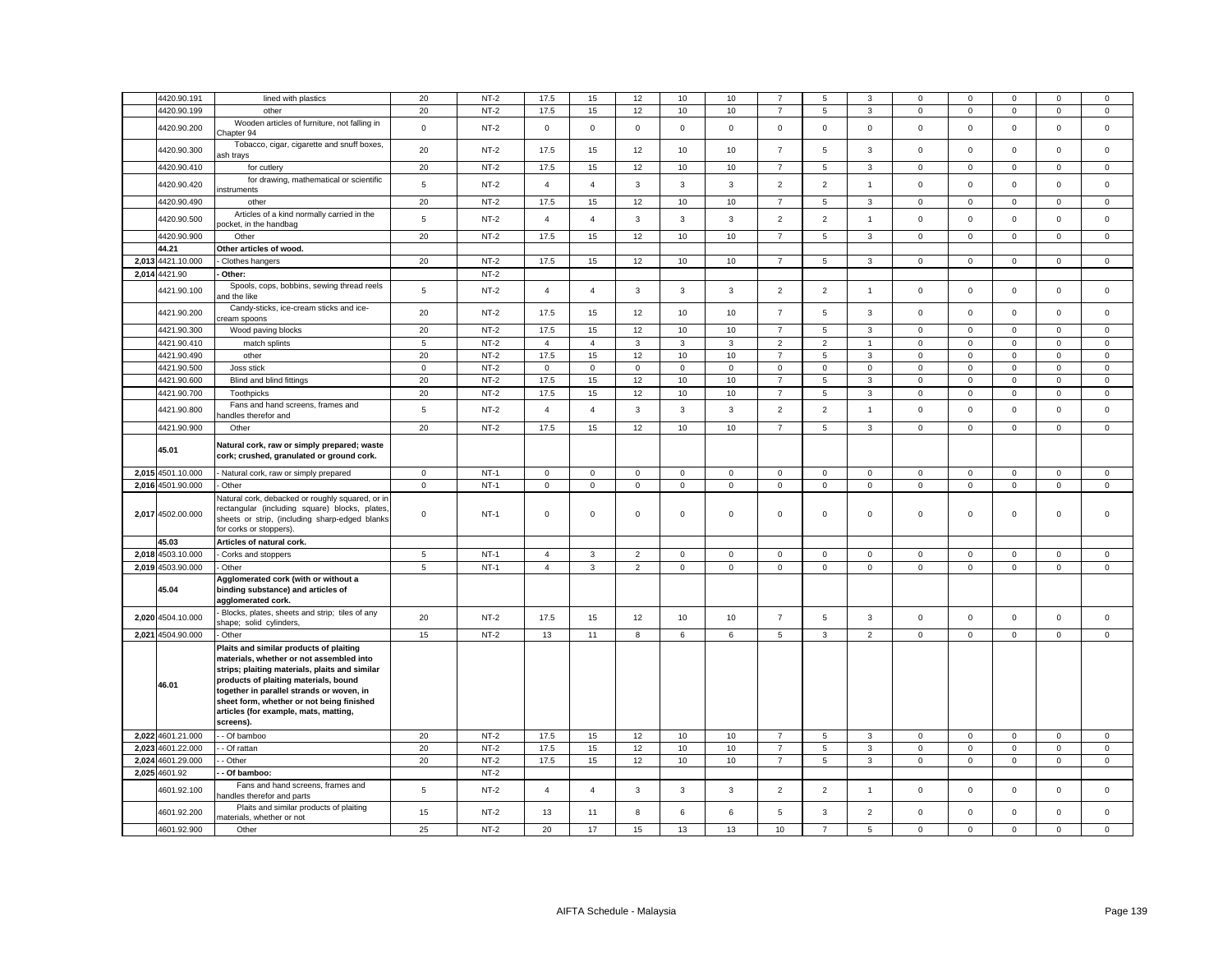|       |                            |                                                                                                                                                                                                                                                                                                                                |                | $NT-2$ |                |                |                |              |              |                                  |                | 3              |                            |                            |                         |                            |                           |
|-------|----------------------------|--------------------------------------------------------------------------------------------------------------------------------------------------------------------------------------------------------------------------------------------------------------------------------------------------------------------------------|----------------|--------|----------------|----------------|----------------|--------------|--------------|----------------------------------|----------------|----------------|----------------------------|----------------------------|-------------------------|----------------------------|---------------------------|
|       | 4420.90.191<br>4420.90.199 | lined with plastics<br>other                                                                                                                                                                                                                                                                                                   | 20<br>20       | $NT-2$ | 17.5<br>17.5   | 15<br>15       | 12<br>12       | 10<br>10     | 10<br>10     | $\overline{7}$<br>$\overline{7}$ | 5<br>5         | $\mathbf{3}$   | $\mathbf 0$<br>$\mathbf 0$ | $\mathbf 0$<br>$\mathsf 0$ | $\Omega$<br>$\mathsf 0$ | $\mathbf 0$<br>$\mathsf 0$ | $^{\circ}$<br>$\mathsf 0$ |
|       | 4420.90.200                | Wooden articles of furniture, not falling in                                                                                                                                                                                                                                                                                   | $\mathbf 0$    | $NT-2$ | $\mathbf 0$    | 0              | $\mathsf 0$    | $\mathbf 0$  | $\mathbf 0$  | $\mathsf 0$                      | $\mathsf 0$    | $\mathsf 0$    | $\mathbf 0$                | $\mathsf 0$                | $\mathsf 0$             | $\mathsf 0$                | $\mathsf 0$               |
|       | 4420.90.300                | Chapter 94<br>Tobacco, cigar, cigarette and snuff boxes,                                                                                                                                                                                                                                                                       | 20             | $NT-2$ | 17.5           | 15             | 12             | 10           | 10           | $\overline{7}$                   | 5              | $\mathbf{3}$   | $\mathsf 0$                | $\mathbf 0$                | $\mathsf 0$             | $\mathsf 0$                | $\mathsf 0$               |
|       | 4420.90.410                | ash trays<br>for cutlery                                                                                                                                                                                                                                                                                                       | 20             | $NT-2$ | 17.5           | 15             | 12             | 10           | 10           | $\overline{7}$                   | 5              | 3              | 0                          | $\mathbf 0$                | $\mathbf 0$             | 0                          | 0                         |
|       | 4420.90.420                | for drawing, mathematical or scientific                                                                                                                                                                                                                                                                                        | $\overline{5}$ | $NT-2$ | $\overline{4}$ | $\overline{4}$ | 3              | 3            | 3            | $\overline{2}$                   | $\overline{2}$ | $\mathbf{1}$   | $\mathbf 0$                | $\mathsf 0$                | $\mathsf 0$             | $\mathsf 0$                | $\mathsf 0$               |
|       | 4420.90.490                | instruments<br>other                                                                                                                                                                                                                                                                                                           | 20             | $NT-2$ | 17.5           | 15             | 12             | 10           | 10           | $\overline{7}$                   | 5              | $\mathbf{3}$   | $\mathbf 0$                | $\mathbf 0$                | $\mathbf 0$             | $\mathbf 0$                | $\mathsf 0$               |
|       | 4420.90.500                | Articles of a kind normally carried in the                                                                                                                                                                                                                                                                                     | 5              | $NT-2$ | $\overline{4}$ | $\overline{4}$ | 3              | 3            | $\mathbf{3}$ | $\overline{2}$                   | $\overline{2}$ | $\mathbf{1}$   | $\mathsf 0$                | $\mathsf 0$                | $\mathbf 0$             | $\mathsf 0$                | $\mathsf 0$               |
|       | 4420.90.900                | oocket, in the handbag<br>Other                                                                                                                                                                                                                                                                                                | 20             | $NT-2$ | 17.5           | 15             | 12             | 10           | 10           | $\overline{7}$                   | 5              | $\mathbf{3}$   | $\mathbf 0$                | $\mathbf 0$                | $\mathsf 0$             | $\mathsf 0$                | $\mathsf 0$               |
|       | 44.21                      | Other articles of wood.                                                                                                                                                                                                                                                                                                        |                |        |                |                |                |              |              |                                  |                |                |                            |                            |                         |                            |                           |
| 2,013 | 4421.10.000                | Clothes hangers                                                                                                                                                                                                                                                                                                                | 20             | $NT-2$ | 17.5           | 15             | 12             | 10           | 10           | $\overline{7}$                   | 5              | $\mathbf{3}$   | $\mathbf 0$                | $\mathbf 0$                | $\mathbf 0$             | $\mathbf 0$                | $\mathsf 0$               |
| 2,014 | 4421.90                    | Other:                                                                                                                                                                                                                                                                                                                         |                | $NT-2$ |                |                |                |              |              |                                  |                |                |                            |                            |                         |                            |                           |
|       | 4421.90.100                | Spools, cops, bobbins, sewing thread reels<br>and the like                                                                                                                                                                                                                                                                     | 5              | $NT-2$ | $\overline{4}$ | $\overline{4}$ | 3              | 3            | $\mathbf{3}$ | $\overline{2}$                   | $\overline{2}$ | $\overline{1}$ | $\mathbf 0$                | $\mathbf 0$                | $\mathbf{0}$            | $\mathsf 0$                | $\mathsf 0$               |
|       | 4421.90.200                | Candy-sticks, ice-cream sticks and ice-<br>ream spoons                                                                                                                                                                                                                                                                         | 20             | $NT-2$ | 17.5           | 15             | 12             | 10           | 10           | $\overline{7}$                   | 5              | $\mathbf{3}$   | $\mathsf 0$                | $\mathsf 0$                | $\mathbf 0$             | $\mathsf 0$                | $\mathbf 0$               |
|       | 4421.90.300                | Wood paving blocks                                                                                                                                                                                                                                                                                                             | 20             | $NT-2$ | 17.5           | 15             | 12             | 10           | 10           | $\overline{7}$                   | 5              | 3              | $\mathsf 0$                | $\Omega$                   | $\Omega$                | $\mathsf 0$                | $\mathsf 0$               |
|       | 4421.90.410                | match splints                                                                                                                                                                                                                                                                                                                  | 5              | $NT-2$ | $\overline{4}$ | 4              | 3              | 3            | 3            | $\overline{2}$                   | $\overline{2}$ | $\overline{1}$ | 0                          | $\mathbf 0$                | 0                       | 0                          | $\mathbf 0$               |
|       | 4421.90.490                | other                                                                                                                                                                                                                                                                                                                          | 20             | $NT-2$ | 17.5           | 15             | 12             | 10           | 10           | $\overline{7}$                   | 5              | 3              | $\mathsf 0$                | $\mathbf 0$                | $\mathbf 0$             | $\mathsf 0$                | $\mathsf 0$               |
|       | 4421.90.500                | Joss stick                                                                                                                                                                                                                                                                                                                     | $\mathbf 0$    | $NT-2$ | $\mathbf 0$    | 0              | $\mathsf 0$    | $^{\circ}$   | 0            | $\mathsf 0$                      | $\mathbf 0$    | $\mathbf 0$    | 0                          | $\mathbf 0$                | $\mathsf 0$             | 0                          | 0                         |
|       | 4421.90.600                | Blind and blind fittings                                                                                                                                                                                                                                                                                                       | 20             | $NT-2$ | 17.5           | 15             | 12             | 10           | $10$         | $\overline{7}$                   | 5              | 3              | $\mathsf 0$                | $\mathbf 0$                | $\mathbf 0$             | $\mathsf 0$                | $\mathbf 0$               |
|       | 4421.90.700                | Toothpicks                                                                                                                                                                                                                                                                                                                     | 20             | $NT-2$ | 17.5           | 15             | 12             | 10           | 10           | $\overline{7}$                   | 5              | $\mathbf{3}$   | $\mathsf 0$                | $\mathbf 0$                | 0                       | 0                          | $\mathsf 0$               |
|       | 4421.90.800                | Fans and hand screens, frames and<br>andles therefor and                                                                                                                                                                                                                                                                       | 5              | $NT-2$ | $\overline{4}$ | $\overline{4}$ | 3              | 3            | $\mathbf{3}$ | $\overline{2}$                   | $\overline{2}$ | $\overline{1}$ | $\mathbf 0$                | $\mathsf 0$                | $\mathbf 0$             | $\mathsf 0$                | $\mathsf 0$               |
|       | 4421.90.900                | Other                                                                                                                                                                                                                                                                                                                          | 20             | $NT-2$ | 17.5           | 15             | 12             | 10           | 10           | $\overline{7}$                   | 5              | $\mathbf{3}$   | $\mathbf 0$                | $\mathbf 0$                | $\mathbf 0$             | $\mathsf 0$                | $\mathsf 0$               |
|       | 45.01                      | Natural cork, raw or simply prepared; waste<br>cork; crushed, granulated or ground cork.                                                                                                                                                                                                                                       |                |        |                |                |                |              |              |                                  |                |                |                            |                            |                         |                            |                           |
|       | 2,015 4501.10.000          | Natural cork, raw or simply prepared                                                                                                                                                                                                                                                                                           | $\mathsf 0$    | $NT-1$ | $\mathsf 0$    | $\mathbf 0$    | $\mathsf 0$    | $\mathsf 0$  | $\mathbf 0$  | $\mathbf 0$                      | $\mathbf 0$    | $\mathsf 0$    | $\mathbf 0$                | $\mathbf 0$                | $\mathbf{0}$            | $\mathsf 0$                | $\mathsf 0$               |
|       | 2,016 4501.90.000          | Other                                                                                                                                                                                                                                                                                                                          | $\mathbf 0$    | $NT-1$ | $\mathsf 0$    | $\mathbf 0$    | $\mathbf 0$    | $\mathsf 0$  | $\mathbf 0$  | $\mathbf 0$                      | $\mathsf 0$    | $\mathsf 0$    | $\mathbf 0$                | $\mathbf 0$                | $\mathbf 0$             | $\mathsf 0$                | $\mathsf 0$               |
|       | 2,017 4502.00.000          | Natural cork, debacked or roughly squared, or in<br>rectangular (including square) blocks, plates,<br>sheets or strip, (including sharp-edged blanks<br>for corks or stoppers)                                                                                                                                                 | $\mathsf 0$    | $NT-1$ | $\mathsf 0$    | 0              | $\mathsf 0$    | $\mathsf 0$  | $\mathbf 0$  | $\mathsf 0$                      | $\mathbf 0$    | $\mathsf 0$    | $\mathsf 0$                | $\mathsf 0$                | $\Omega$                | $\mathsf 0$                | $\mathbf 0$               |
|       | 45.03                      | Articles of natural cork.                                                                                                                                                                                                                                                                                                      |                |        |                |                |                |              |              |                                  |                |                |                            |                            |                         |                            |                           |
|       | 2,018 4503.10.000          | Corks and stoppers                                                                                                                                                                                                                                                                                                             | 5              | $NT-1$ | $\overline{4}$ | 3              | $\overline{2}$ | $\mathbf 0$  | $\mathbf 0$  | $\mathbf 0$                      | $\mathbf 0$    | $\mathsf 0$    | $\mathbf 0$                | $\mathbf 0$                | $\mathbf 0$             | $\mathbf 0$                | $\mathsf 0$               |
|       | 2,019 4503.90.000          | Other                                                                                                                                                                                                                                                                                                                          | 5              | $NT-1$ | $\overline{4}$ | $\mathbf{3}$   | $\overline{2}$ | $\mathbf{0}$ | $\mathsf 0$  | $\mathbf 0$                      | 0              | $\mathsf 0$    | $\mathbf 0$                | $^{\circ}$                 | $\mathbf{0}$            | $\mathsf 0$                | $\mathbf 0$               |
|       | 45.04                      | Agglomerated cork (with or without a<br>binding substance) and articles of<br>agglomerated cork.                                                                                                                                                                                                                               |                |        |                |                |                |              |              |                                  |                |                |                            |                            |                         |                            |                           |
|       | 2,020 4504.10.000          | Blocks, plates, sheets and strip; tiles of any<br>shape; solid cylinders.                                                                                                                                                                                                                                                      | 20             | $NT-2$ | 17.5           | 15             | 12             | 10           | 10           | $\overline{7}$                   | 5              | $\mathbf{3}$   | $\mathbf{0}$               | $\mathbf 0$                | $\mathbf 0$             | $\mathbf 0$                | $\mathbf 0$               |
|       | 2,021 4504.90.000          | - Other                                                                                                                                                                                                                                                                                                                        | 15             | $NT-2$ | 13             | 11             | 8              | 6            | 6            | 5                                | $\mathbf{3}$   | $\overline{2}$ | $\mathbf{0}$               | $\mathbf 0$                | $\mathbf 0$             | $\mathsf{O}\xspace$        | $\mathbf 0$               |
|       | 46.01                      | Plaits and similar products of plaiting<br>materials, whether or not assembled into<br>strips; plaiting materials, plaits and similar<br>products of plaiting materials, bound<br>together in parallel strands or woven, in<br>sheet form, whether or not being finished<br>articles (for example, mats, matting,<br>screens). |                |        |                |                |                |              |              |                                  |                |                |                            |                            |                         |                            |                           |
|       | 2,022 4601.21.000          | - Of bamboo                                                                                                                                                                                                                                                                                                                    | 20             | $NT-2$ | 17.5           | 15             | 12             | 10           | 10           | $\overline{7}$                   | 5              | $\mathbf{3}$   | $\mathbf 0$                | $\mathbf 0$                | $\mathbf 0$             | $\mathsf 0$                | $\mathsf 0$               |
| 2,023 | 4601.22.000                | - Of rattan                                                                                                                                                                                                                                                                                                                    | 20             | $NT-2$ | 17.5           | 15             | 12             | 10           | 10           | $\overline{7}$                   | 5              | 3              | $\mathsf 0$                | $\mathsf 0$                | $\mathbf 0$             | $\mathsf 0$                | $\mathsf 0$               |
| 2,024 | 4601.29.000                | - Other                                                                                                                                                                                                                                                                                                                        | 20             | $NT-2$ | 17.5           | 15             | 12             | 10           | 10           | $\overline{7}$                   | 5              | 3              | $\mathbf 0$                | $\mathbf 0$                | $\mathbf 0$             | $\mathsf 0$                | $\mathsf 0$               |
|       | 2,025 4601.92              | Of bamboo:                                                                                                                                                                                                                                                                                                                     |                | $NT-2$ |                |                |                |              |              |                                  |                |                |                            |                            |                         |                            |                           |
|       | 4601.92.100                | Fans and hand screens, frames and<br>nandles therefor and parts                                                                                                                                                                                                                                                                | 5              | $NT-2$ | $\overline{4}$ | $\overline{4}$ | 3              | 3            | 3            | $\overline{2}$                   | $\overline{2}$ | $\overline{1}$ | $\mathbf 0$                | $\mathbf 0$                | $\Omega$                | $\mathsf 0$                | $\mathbf 0$               |
|       | 4601.92.200                | Plaits and similar products of plaiting<br>materials, whether or not                                                                                                                                                                                                                                                           | 15             | $NT-2$ | 13             | 11             | 8              | 6            | 6            | 5                                | 3              | $\overline{2}$ | $\mathsf 0$                | $\mathsf 0$                | $\mathsf 0$             | $\mathsf 0$                | $\mathsf 0$               |
|       | 4601.92.900                | Other                                                                                                                                                                                                                                                                                                                          | 25             | $NT-2$ | 20             | 17             | 15             | 13           | 13           | 10                               |                | 5              | $\mathbf 0$                | $\mathsf 0$                | 0                       | $\mathbf 0$                | $\mathbf 0$               |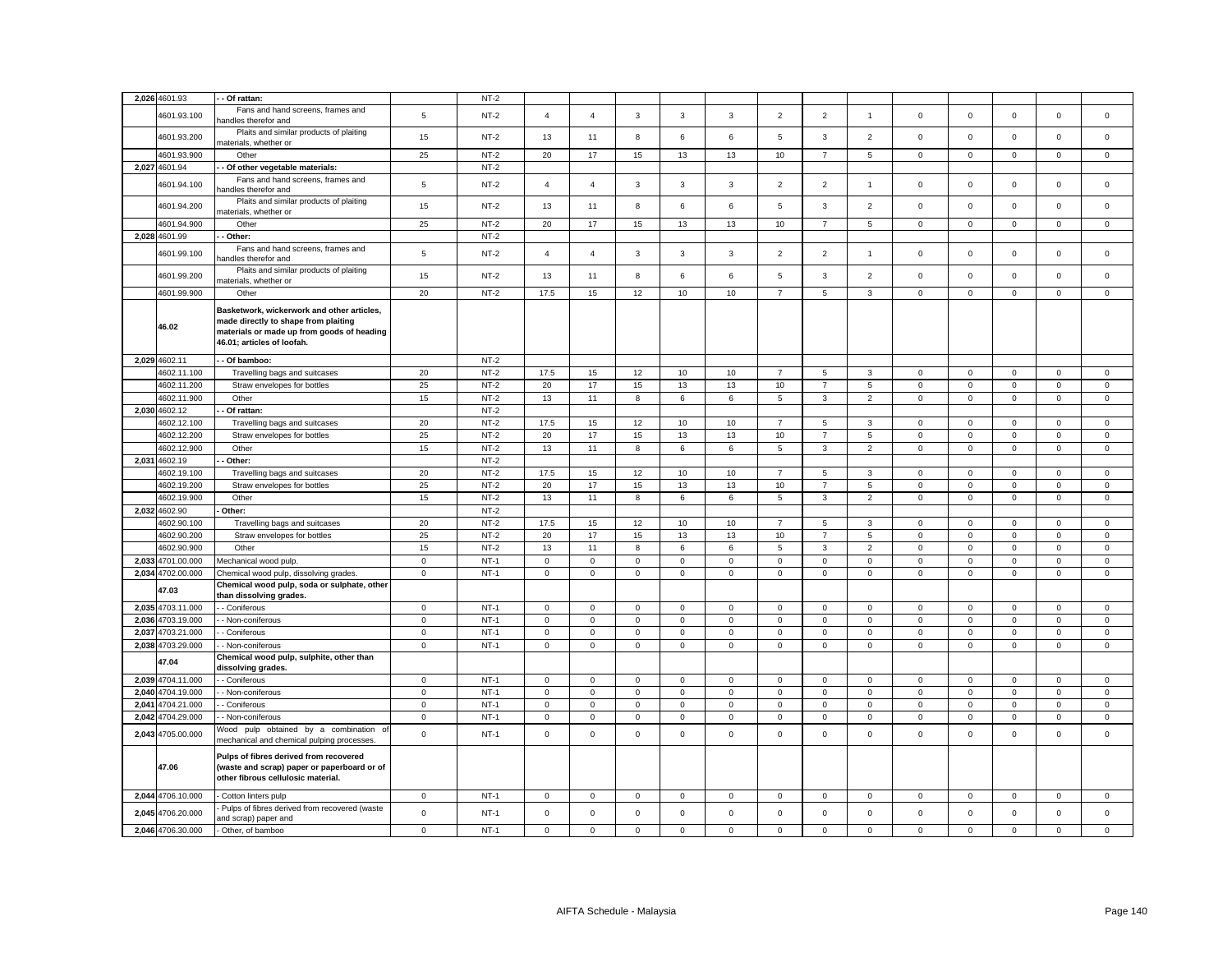|       | 2,026 4601.93                    | - Of rattan:                                                                                                                                                   |                            | $NT-2$           |                            |                  |                            |                  |                            |                            |                               |                  |                  |                        |                            |                            |                            |
|-------|----------------------------------|----------------------------------------------------------------------------------------------------------------------------------------------------------------|----------------------------|------------------|----------------------------|------------------|----------------------------|------------------|----------------------------|----------------------------|-------------------------------|------------------|------------------|------------------------|----------------------------|----------------------------|----------------------------|
|       | 4601.93.100                      | Fans and hand screens, frames and<br>andles therefor and                                                                                                       | 5                          | $NT-2$           | $\overline{4}$             | $\overline{4}$   | $\mathbf{3}$               | 3                | 3                          | $\overline{2}$             | $\overline{2}$                | $\mathbf{1}$     | $\mathsf 0$      | $\mathbf 0$            | $\mathsf 0$                | $\mathsf 0$                | $\mathbf 0$                |
|       | 4601.93.200                      | Plaits and similar products of plaiting<br>naterials, whether or                                                                                               | 15                         | $NT-2$           | 13                         | 11               | 8                          | 6                | 6                          | $\mathbf 5$                | $\overline{3}$                | $\overline{2}$   | $\mathbf 0$      | $\mathbf 0$            | $\mathbf{0}$               | $\mathbf 0$                | $\mathbf 0$                |
|       | 4601.93.900                      | Other                                                                                                                                                          | 25                         | $NT-2$           | 20                         | 17               | 15                         | 13               | 13                         | $10$                       | $\overline{7}$                | 5                | $\mathsf 0$      | $\mathbf 0$            | $\mathsf 0$                | $\mathsf 0$                | $\mathsf 0$                |
|       | 2,027 4601.94                    | - Of other vegetable materials:                                                                                                                                |                            | $NT-2$           |                            |                  |                            |                  |                            |                            |                               |                  |                  |                        |                            |                            |                            |
|       |                                  | Fans and hand screens, frames and                                                                                                                              |                            |                  |                            |                  |                            |                  |                            |                            |                               |                  |                  |                        |                            |                            |                            |
|       | 4601.94.100                      | handles therefor and<br>Plaits and similar products of plaiting                                                                                                | $\sqrt{5}$                 | $NT-2$           | $\overline{4}$             | $\overline{4}$   | $\mathbf{3}$               | $\mathbf{3}$     | 3                          | $\overline{2}$             | $\overline{2}$                | $\mathbf{1}$     | $\mathsf 0$      | $\,0\,$                | $\mathbf 0$                | $\mathsf 0$                | $\mathbf 0$                |
|       | 4601.94.200                      | naterials, whether or                                                                                                                                          | 15                         | $NT-2$           | 13                         | 11               | 8                          | 6                | 6                          | 5                          | $\mathbf{3}$                  | $\overline{2}$   | 0                | $\mathbf 0$            | $\mathbf 0$                | $\mathsf 0$                | 0                          |
|       | 4601.94.900                      | Other                                                                                                                                                          | 25                         | $NT-2$           | 20                         | 17               | 15                         | 13               | 13                         | 10                         | $\overline{7}$                | 5                | $\mathbf 0$      | $\mathbf 0$            | $\mathbf 0$                | $\mathbf{0}$               | $\mathbf 0$                |
|       | 2,028 4601.99                    | - Other:                                                                                                                                                       |                            | $NT-2$           |                            |                  |                            |                  |                            |                            |                               |                  |                  |                        |                            |                            |                            |
|       | 4601.99.100                      | Fans and hand screens, frames and<br>nandles therefor and                                                                                                      | $\overline{5}$             | $NT-2$           | $\overline{4}$             | $\overline{4}$   | $\mathbf{3}$               | 3                | 3                          | $\overline{2}$             | $\overline{2}$                | $\mathbf{1}$     | $\mathsf 0$      | $\mathbf 0$            | $\mathsf 0$                | $\mathsf 0$                | $\mathsf 0$                |
|       | 4601.99.200                      | Plaits and similar products of plaiting<br>materials, whether or                                                                                               | 15                         | $NT-2$           | 13                         | 11               | $\bf 8$                    | 6                | 6                          | $\mathbf 5$                | $\mathbf{3}$                  | $\overline{2}$   | $\mathbf 0$      | $\mathbf 0$            | $\mathsf{O}\xspace$        | $\mathsf 0$                | $\mathsf 0$                |
|       | 4601.99.900                      | Other                                                                                                                                                          | 20                         | $NT-2$           | 17.5                       | 15               | 12                         | 10               | 10                         | $\overline{7}$             | 5                             | 3                | $\mathbf 0$      | $\mathbf 0$            | $\mathsf 0$                | $\mathbf 0$                | $\mathbf 0$                |
|       | 46.02                            | Basketwork, wickerwork and other articles,<br>made directly to shape from plaiting<br>materials or made up from goods of heading<br>46.01; articles of loofah. |                            |                  |                            |                  |                            |                  |                            |                            |                               |                  |                  |                        |                            |                            |                            |
|       | 2,029 4602.11                    | - Of bamboo:                                                                                                                                                   |                            | $NT-2$           |                            |                  |                            |                  |                            |                            |                               |                  |                  |                        |                            |                            |                            |
|       | 4602.11.100                      | Travelling bags and suitcases                                                                                                                                  | 20                         | $NT-2$           | 17.5                       | 15               | 12                         | 10               | 10                         | $\overline{7}$             | 5                             | 3                | $\mathsf 0$      | $\mathbf 0$            | $\mathbf 0$                | $\mathbf 0$                | $\mathsf 0$                |
|       | 4602.11.200                      | Straw envelopes for bottles                                                                                                                                    | 25                         | $NT-2$           | 20                         | 17               | 15                         | 13               | 13                         | $10$                       | $\overline{7}$                | 5                | $\mathsf 0$      | $\mathbf 0$            | $\mathsf 0$                | $\mathsf 0$                | $\mathsf 0$                |
|       | 4602.11.900                      | Other                                                                                                                                                          | 15                         | $NT-2$           | 13                         | 11               | 8                          | 6                | 6                          | 5                          | 3                             | $\overline{2}$   | $\mathbf 0$      | $\mathbf 0$            | $\mathsf 0$                | $\mathsf 0$                | $\mathbf 0$                |
|       | 2,030 4602.12                    | Of rattan:                                                                                                                                                     |                            | $NT-2$           |                            |                  |                            |                  |                            |                            |                               |                  |                  |                        |                            |                            |                            |
|       | 4602.12.100                      | Travelling bags and suitcases                                                                                                                                  | 20                         | $NT-2$           | 17.5                       | 15               | 12                         | 10               | 10                         | $\overline{7}$             | 5                             | 3                | $\mathsf 0$      | $\mathbf 0$            | $\mathbf 0$                | $\mathsf 0$                | 0                          |
|       | 4602.12.200                      | Straw envelopes for bottles                                                                                                                                    | 25                         | $NT-2$           | 20                         | 17               | 15                         | 13               | 13                         | 10                         | $\overline{7}$                | 5                | $\mathbf{0}$     | $\mathbf 0$            | $\mathsf 0$                | $\mathsf 0$                | $\mathbf 0$                |
|       | 4602.12.900                      | Other                                                                                                                                                          | 15                         | $NT-2$           | 13                         | 11               | 8                          | 6                | 6                          | 5                          | 3                             | $\overline{2}$   | $\mathbf 0$      | $\mathbf 0$            | $\mathsf 0$                | $\mathsf 0$                | $\mathbf 0$                |
|       | 2,031 4602.19                    | Other:                                                                                                                                                         |                            | $NT-2$           |                            |                  |                            |                  |                            |                            |                               |                  |                  |                        |                            |                            |                            |
|       | 4602.19.100                      | Travelling bags and suitcases                                                                                                                                  | 20                         | $NT-2$           | 17.5                       | 15               | 12                         | 10               | 10                         | $\overline{7}$             | 5                             | 3                | $\mathbf 0$      | $\mathbf 0$            | $\mathbf 0$                | $\mathsf 0$                | $\mathbf 0$                |
|       | 4602.19.200                      | Straw envelopes for bottles                                                                                                                                    | 25                         | $NT-2$           | 20                         | 17               | 15                         | 13               | 13                         | 10                         | $\overline{7}$                | 5                | $\mathbf{0}$     | $\mathbf 0$            | $\mathbf{O}$               | $\mathbf 0$                | $\mathbf 0$                |
|       | 4602.19.900                      | Other                                                                                                                                                          | 15                         | $NT-2$           | 13                         | 11               | 8                          | 6                | 6                          | 5                          | $\mathbf{3}$                  | $\overline{2}$   | $\mathbf 0$      | $\mathbf 0$            | $\mathbf 0$                | $\mathsf 0$                | $\mathbf 0$                |
|       | 2,032 4602.90                    | Other:                                                                                                                                                         |                            | $NT-2$           |                            |                  |                            |                  |                            |                            |                               |                  |                  |                        |                            |                            |                            |
|       |                                  |                                                                                                                                                                |                            |                  |                            |                  |                            |                  |                            |                            |                               |                  |                  |                        |                            |                            |                            |
|       | 4602.90.100                      | Travelling bags and suitcases                                                                                                                                  | 20                         | $NT-2$           | 17.5                       | 15               | 12                         | 10               | 10                         | $\overline{7}$             | 5                             | 3                | $\mathbf 0$      | $\mathbf 0$            | $\mathbf 0$                | $\mathbf{0}$               | $\mathbf 0$                |
|       | 4602.90.200                      | Straw envelopes for bottles                                                                                                                                    | 25                         | $NT-2$           | 20                         | 17               | 15                         | 13               | 13                         | 10                         | $\overline{7}$                | $5\phantom{.0}$  | $\mathsf 0$      | $\mathsf 0$            | $\mathbf 0$                | $\mathsf 0$                | $\mathbf 0$                |
|       | 4602.90.900                      | Other                                                                                                                                                          | 15                         | $NT-2$           | 13                         | 11               | 8                          | 6                | 6                          | $\overline{5}$             | $\mathbf{3}$                  | $\overline{2}$   | $\mathbf{0}$     | $\mathsf 0$            | $\mathsf 0$                | $\mathbf 0$                | $\mathbf 0$                |
|       | 2,033 4701.00.000                | Mechanical wood pulp.                                                                                                                                          | $\mathbf 0$                | $NT-1$           | $\mathbf 0$                | $\mathbf 0$      | $\mathsf 0$                | $\mathbf 0$      | $\mathbf{0}$               | $\mathsf 0$                | $\circ$                       | $\mathbf 0$      | $\mathbf 0$      | $\mathbf 0$            | $\mathbf 0$                | $\mathbf 0$                | $\mathbf 0$                |
|       | 2,034 4702.00.000                | Chemical wood pulp, dissolving grades                                                                                                                          | $\overline{0}$             | $NT-1$           | $\mathsf 0$                | $\mathsf 0$      | $\mathsf 0$                | $\mathsf 0$      | $\mathsf 0$                | $\mathsf 0$                | $\overline{0}$                | $\mathbf 0$      | $\mathbf 0$      | $\mathbf 0$            | $\mathbf 0$                | $\mathsf 0$                | $\mathbf 0$                |
|       | 47.03                            | Chemical wood pulp, soda or sulphate, other                                                                                                                    |                            |                  |                            |                  |                            |                  |                            |                            |                               |                  |                  |                        |                            |                            |                            |
|       | 2,035 4703.11.000                | than dissolving grades.<br>- Coniferous                                                                                                                        | $\mathbf 0$                | $NT-1$           | $\mathsf 0$                | $\mathbf 0$      | $\mathsf 0$                | $\mathsf 0$      | $\mathbf 0$                | $\mathsf 0$                | $\mathbf 0$                   | $\mathsf 0$      | $\mathsf 0$      | $\mathbf 0$            | $\mathbf 0$                | $\mathsf 0$                | $\mathsf 0$                |
|       |                                  |                                                                                                                                                                |                            |                  |                            |                  |                            |                  |                            |                            |                               |                  |                  |                        |                            |                            |                            |
| 2,037 | 2,036 4703.19.000<br>4703.21.000 | - Non-coniferous<br>- Coniferous                                                                                                                               | $\mathbf 0$<br>$\mathsf 0$ | $NT-1$<br>$NT-1$ | $\mathbf 0$<br>$\mathsf 0$ | 0<br>$\mathbf 0$ | $\mathsf 0$<br>$\mathsf 0$ | 0<br>$\mathbf 0$ | $\mathbf 0$<br>$\mathbf 0$ | $\mathbf 0$<br>$\mathsf 0$ | $\overline{0}$<br>$\mathsf 0$ | 0<br>$\mathsf 0$ | 0<br>$\mathsf 0$ | $\,0\,$<br>$\mathbf 0$ | $\mathbf 0$<br>$\mathsf 0$ | $\mathsf 0$<br>$\mathsf 0$ | $\mathbf 0$<br>$\mathsf 0$ |
|       | 2,038 4703.29.000                |                                                                                                                                                                |                            | $NT-1$           |                            |                  | $\mathbf 0$                |                  | $\mathbf 0$                |                            |                               |                  |                  | $\mathbf 0$            |                            | $\mathbf 0$                |                            |
|       | 47.04                            | - Non-coniferous<br>Chemical wood pulp, sulphite, other than                                                                                                   | $\overline{0}$             |                  | 0                          | 0                |                            | 0                |                            | $\mathbf 0$                | $\mathbf 0$                   | 0                | 0                |                        | $\mathbf 0$                |                            | $\mathbf 0$                |
|       |                                  | dissolving grades.                                                                                                                                             |                            | $NT-1$           |                            |                  |                            |                  |                            |                            |                               |                  |                  |                        |                            |                            |                            |
|       | 2,039 4704.11.000                | - Coniferous                                                                                                                                                   | $\mathbf 0$                |                  | 0                          | $\mathbf 0$      | $\mathbf 0$                | 0                | $\mathbf 0$                | $\mathsf 0$                | $\mathsf 0$                   | 0                | 0                | $\mathbf 0$            | $\mathsf 0$                | $\mathsf 0$                | 0                          |
| 2,040 | 4704.19.000                      | - Non-coniferous                                                                                                                                               | $\mathsf 0$                | $NT-1$           | $\mathsf{O}\xspace$        | $\mathsf 0$      | $\mathsf 0$                | $\mathbf 0$      | $\mathsf 0$                | $\mathsf 0$                | $\mathsf{O}\xspace$           | $\mathsf 0$      | $\mathsf 0$      | $\mathbf 0$            | $\mathsf 0$                | $\mathbf 0$                | $\mathsf 0$                |
| 2,041 | 4704.21.000                      | - Coniferous                                                                                                                                                   | $\overline{0}$             | $NT-1$           | $\mathsf{O}\xspace$        | $\mathsf 0$      | $\mathsf 0$                | 0                | $\mathbf 0$                | $\mathsf 0$                | $\mathsf 0$                   | 0                | 0                | $\mathbf 0$            | $\mathsf 0$                | $\mathbf 0$                | $\mathsf 0$                |
| 2,042 | 4704.29.000                      | - Non-coniferous                                                                                                                                               | $\mathsf 0$                | $NT-1$           | $\mathsf{O}\xspace$        | $\mathsf 0$      | $\mathsf 0$                | $\mathbf 0$      | $\mathsf 0$                | $\mathsf 0$                | $\mathsf 0$                   | $\mathsf 0$      | $\mathsf 0$      | $\mathbf 0$            | $\mathsf 0$                | $\mathbf 0$                | $\mathbf 0$                |
| 2,043 | 4705.00.000                      | Vood pulp obtained by a combination of<br>mechanical and chemical pulping processes.                                                                           | $\mathsf 0$                | $NT-1$           | $\mathbf 0$                | $\mathbf 0$      | $\mathsf 0$                | $\Omega$         | $\mathsf 0$                | $\mathsf 0$                | $\mathsf 0$                   | $\mathsf 0$      | $\mathbf 0$      | $\mathbf 0$            | $\mathsf 0$                | $\mathsf 0$                | $\mathbf 0$                |
|       | 47.06                            | Pulps of fibres derived from recovered<br>(waste and scrap) paper or paperboard or of<br>other fibrous cellulosic material.                                    |                            |                  |                            |                  |                            |                  |                            |                            |                               |                  |                  |                        |                            |                            |                            |
|       | 2,044 4706.10.000                | - Cotton linters pulp                                                                                                                                          | $\overline{0}$             | $NT-1$           | $\mathbf{0}$               | $\mathbf 0$      | $\mathbf{0}$               | 0                | $\mathbf 0$                | $\mathbf 0$                | $\mathbf 0$                   | $\mathbf 0$      | 0                | $\mathbf 0$            | $\mathbf{0}$               | $\mathbf{0}$               | $\mathbf{0}$               |
|       | 2,045 4706.20.000                | Pulps of fibres derived from recovered (waste<br>and scrap) paper and                                                                                          | $\mathsf 0$                | $NT-1$           | $\mathsf 0$                | $\mathbf 0$      | $\mathsf 0$                | $\mathsf 0$      | $\mathbf 0$                | $\mathsf 0$                | $\mathbf 0$                   | $\mathbf 0$      | $\mathsf 0$      | $\mathbf 0$            | $\mathbf 0$                | $\mathsf 0$                | $\mathsf 0$                |
|       | 2,046 4706.30.000                | Other, of bamboo                                                                                                                                               | $\mathbf 0$                | $NT-1$           | $\mathbf 0$                | $^{\circ}$       | $\mathbf 0$                | 0                | 0                          | $\mathsf 0$                | 0                             | 0                | $\mathsf 0$      | $\mathbf 0$            | $\mathbf 0$                | $\mathbf 0$                | $\Omega$                   |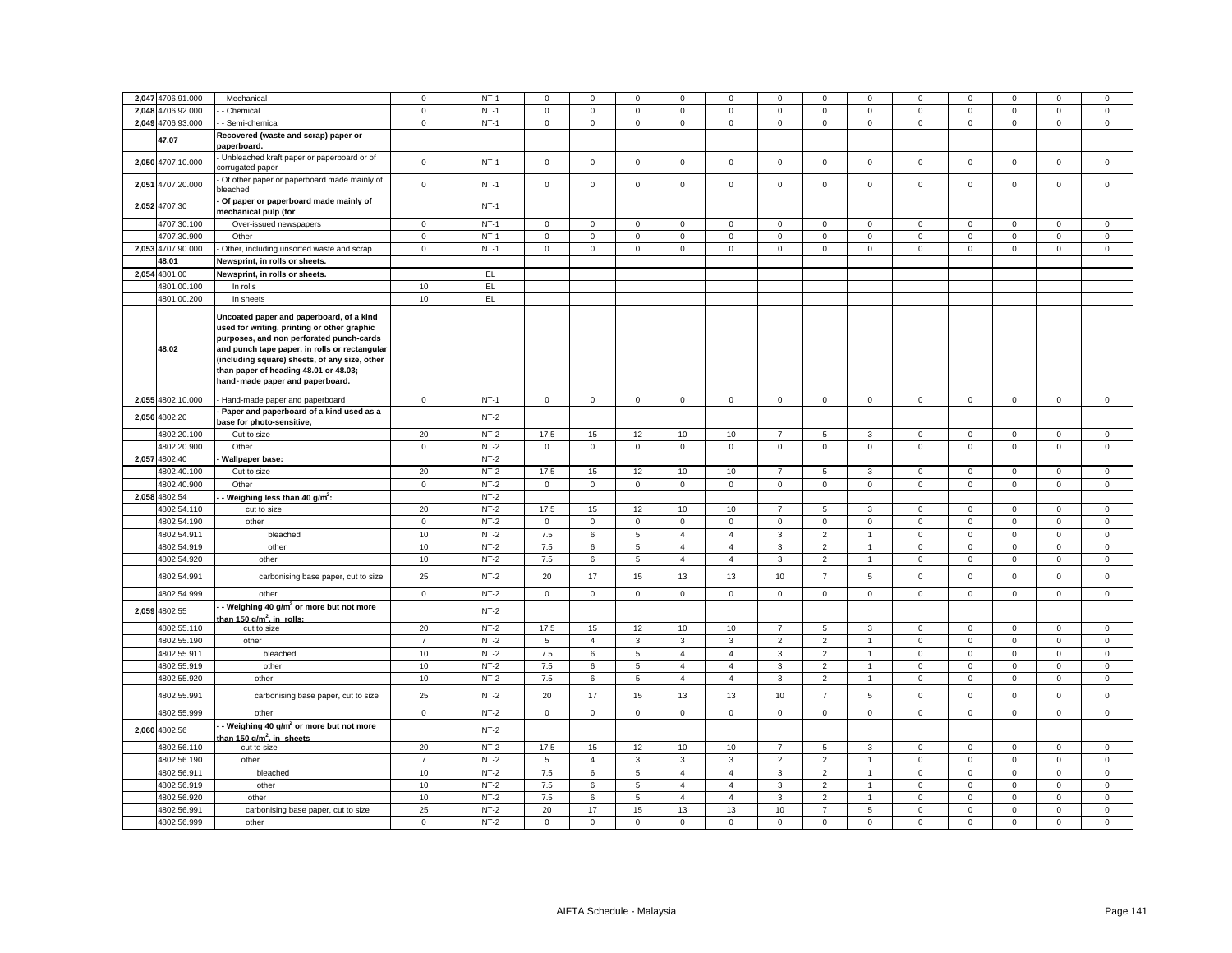|       | 2,047 4706.91.000          | - Mechanical                                                                                                                                                                                                                                                                                                      | $\mathbf 0$    | $NT-1$           | $\Omega$     | $\Omega$       | $\mathbf 0$                | $\Omega$                         | $\Omega$                         | $\Omega$       | $\Omega$                         | $\mathbf 0$                    | $\Omega$                   | $\Omega$                   | $\Omega$                   | $\mathbf 0$                | $\mathbf 0$                |
|-------|----------------------------|-------------------------------------------------------------------------------------------------------------------------------------------------------------------------------------------------------------------------------------------------------------------------------------------------------------------|----------------|------------------|--------------|----------------|----------------------------|----------------------------------|----------------------------------|----------------|----------------------------------|--------------------------------|----------------------------|----------------------------|----------------------------|----------------------------|----------------------------|
|       | 2.048 4706.92.000          | - Chemical                                                                                                                                                                                                                                                                                                        | $\mathbf 0$    | $NT-1$           | $\mathbf 0$  | $\mathbf 0$    | $\mathbf 0$                | $\mathbf{0}$                     | $\mathbf 0$                      | $\mathbf 0$    | $\circ$                          | $\mathbf{0}$                   | $\mathbf{0}$               | $\mathbf 0$                | $\mathbf 0$                | $\mathbf 0$                | $\mathbf{0}$               |
|       | 2,049 4706.93.000          | - Semi-chemical                                                                                                                                                                                                                                                                                                   | $\mathsf 0$    | $NT-1$           | $\mathbf 0$  | $\mathbf 0$    | $\mathsf 0$                | $\mathbf 0$                      | $\mathbf 0$                      | $\mathsf 0$    | $\mathbf{0}$                     | $\mathbf 0$                    | $\mathbf{0}$               | $\mathsf 0$                | $\mathbf 0$                | $\mathsf 0$                | $\mathbf 0$                |
|       |                            | Recovered (waste and scrap) paper or                                                                                                                                                                                                                                                                              |                |                  |              |                |                            |                                  |                                  |                |                                  |                                |                            |                            |                            |                            |                            |
|       | 47.07                      | paperboard.                                                                                                                                                                                                                                                                                                       |                |                  |              |                |                            |                                  |                                  |                |                                  |                                |                            |                            |                            |                            |                            |
|       | 2,050 4707.10.000          | Unbleached kraft paper or paperboard or of<br>corrugated paper                                                                                                                                                                                                                                                    | $\mathsf 0$    | $NT-1$           | $\mathsf 0$  | $\mathbf 0$    | $\mathsf 0$                | $\mathsf 0$                      | $\mathbf 0$                      | $\mathsf 0$    | $\mathsf 0$                      | $\mathbf 0$                    | $\mathsf 0$                | $\mathsf 0$                | $\mathbf 0$                | $\mathsf 0$                | $\mathsf 0$                |
|       | 2,051 4707.20.000          | Of other paper or paperboard made mainly of<br>bleached                                                                                                                                                                                                                                                           | $\mathsf 0$    | $NT-1$           | $\mathsf{O}$ | $\mathsf 0$    | $\mathsf 0$                | $\mathsf 0$                      | $\mathbf 0$                      | $\mathsf 0$    | $\mathsf{O}$                     | $\mathsf 0$                    | $\mathsf 0$                | $\mathsf 0$                | $\mathsf 0$                | $\mathsf 0$                | $\mathsf 0$                |
|       | 2,052 4707.30              | Of paper or paperboard made mainly of<br>mechanical pulp (for                                                                                                                                                                                                                                                     |                | $NT-1$           |              |                |                            |                                  |                                  |                |                                  |                                |                            |                            |                            |                            |                            |
|       | 4707.30.100                | Over-issued newspapers                                                                                                                                                                                                                                                                                            | $\mathsf 0$    | $NT-1$           | $\mathsf 0$  | $\mathbf 0$    | $\mathsf 0$                | $\mathsf 0$                      | $\mathsf 0$                      | $\mathsf 0$    | $\mathsf 0$                      | $\mathbf 0$                    | $\mathbf 0$                | $\mathsf 0$                | $\mathsf 0$                | $\mathsf 0$                | $\mathsf 0$                |
|       | 4707.30.900                | Other                                                                                                                                                                                                                                                                                                             | $\mathbf 0$    | $NT-1$           | $\mathsf 0$  | $\mathbf 0$    | $\mathsf 0$                | $\mathbf 0$                      | $\mathsf 0$                      | $\mathsf 0$    | $\mathsf 0$                      | $\mathbf 0$                    | $\mathsf 0$                | $\mathbf 0$                | $\mathbf 0$                | $\mathsf 0$                | $\mathsf 0$                |
|       | 2,053 4707.90.000          | Other, including unsorted waste and scrap                                                                                                                                                                                                                                                                         | $\mathbf 0$    | $NT-1$           | $\mathbf 0$  | $\mathsf 0$    | $\mathsf 0$                | $\mathsf 0$                      | $\mathsf 0$                      | $\mathsf 0$    | $\mathsf{O}$                     | $\mathsf 0$                    | $\mathsf 0$                | $\mathsf 0$                | $\mathsf 0$                | $\mathsf 0$                | $\mathsf 0$                |
|       | 48.01                      | Newsprint, in rolls or sheets.                                                                                                                                                                                                                                                                                    |                |                  |              |                |                            |                                  |                                  |                |                                  |                                |                            |                            |                            |                            |                            |
| 2,054 | 4801.00                    | Newsprint, in rolls or sheets.                                                                                                                                                                                                                                                                                    |                | EL               |              |                |                            |                                  |                                  |                |                                  |                                |                            |                            |                            |                            |                            |
|       | 4801.00.100                | In rolls                                                                                                                                                                                                                                                                                                          | 10             | EL.              |              |                |                            |                                  |                                  |                |                                  |                                |                            |                            |                            |                            |                            |
|       | 4801.00.200                | In sheets                                                                                                                                                                                                                                                                                                         | 10             | EL               |              |                |                            |                                  |                                  |                |                                  |                                |                            |                            |                            |                            |                            |
|       | 48.02                      | Uncoated paper and paperboard, of a kind<br>used for writing, printing or other graphic<br>purposes, and non perforated punch-cards<br>and punch tape paper, in rolls or rectangular<br>(including square) sheets, of any size, other<br>than paper of heading 48.01 or 48.03;<br>hand-made paper and paperboard. |                |                  |              |                |                            |                                  |                                  |                |                                  |                                |                            |                            |                            |                            |                            |
|       | 2,055 4802.10.000          | Hand-made paper and paperboard                                                                                                                                                                                                                                                                                    | $\mathbf 0$    | $NT-1$           | $\mathsf 0$  | $\mathbf 0$    | $\mathbf 0$                | $\mathbf 0$                      | $\mathbf 0$                      | $\mathsf 0$    | $\mathbf{0}$                     | $\mathbf 0$                    | $\mathbf 0$                | $\mathbf 0$                | $\mathbf 0$                | $\mathbf 0$                | $\mathsf 0$                |
|       | 2,056 4802.20              | Paper and paperboard of a kind used as a<br>base for photo-sensitive,                                                                                                                                                                                                                                             |                | $NT-2$           |              |                |                            |                                  |                                  |                |                                  |                                |                            |                            |                            |                            |                            |
|       | 4802.20.100                | Cut to size                                                                                                                                                                                                                                                                                                       | 20             | $NT-2$           | 17.5         | 15             | 12                         | 10                               | 10                               | $\overline{7}$ | 5                                | $\mathbf{3}$                   | $\mathbf 0$                | $\mathbf 0$                | $\mathbf 0$                | $\mathbf{0}$               | $\mathbf{0}$               |
|       | 4802.20.900                | Other                                                                                                                                                                                                                                                                                                             | $\mathbf 0$    | $NT-2$           | $\mathbf 0$  | $\mathbf 0$    | $\mathsf 0$                | $\mathbf 0$                      | $\mathsf 0$                      | $\mathsf 0$    | $\mathbf{0}$                     | $\mathbf{0}$                   | $\mathbf 0$                | $\mathsf 0$                | $\mathbf 0$                | $\mathsf 0$                | $\mathsf 0$                |
|       | 2,057 4802.40              | Wallpaper base:                                                                                                                                                                                                                                                                                                   |                | $NT-2$           |              |                |                            |                                  |                                  |                |                                  |                                |                            |                            |                            |                            |                            |
|       | 4802.40.100                | Cut to size                                                                                                                                                                                                                                                                                                       | 20             | $NT-2$           | 17.5         | 15             | 12                         | 10                               | 10                               | $\overline{7}$ | 5                                | $\mathbf{3}$                   | $\mathsf 0$                | $\mathsf 0$                | $\mathsf 0$                | $\mathsf 0$                | $\mathsf 0$                |
|       | 4802.40.900                | Other                                                                                                                                                                                                                                                                                                             | $\mathbf 0$    | $NT-2$           | $\mathsf 0$  | $\mathbf 0$    | $\mathsf 0$                | $\mathbf 0$                      | $\mathbf 0$                      | $\mathsf 0$    | $\mathbf{0}$                     | $\mathbf 0$                    | $\mathbf 0$                | $\mathsf 0$                | $\mathbf 0$                | $\mathsf 0$                | $\mathsf 0$                |
|       | 2,058 4802.54              | Weighing less than 40 g/m <sup>2</sup> :                                                                                                                                                                                                                                                                          |                | $NT-2$           |              |                |                            |                                  |                                  |                |                                  |                                |                            |                            |                            |                            |                            |
|       | 4802.54.110                | cut to size                                                                                                                                                                                                                                                                                                       | 20             | $NT-2$           | 17.5         | 15             | 12                         | 10                               | 10                               |                | 5                                | 3                              | $\mathbf 0$                | $\mathsf 0$                | $\mathsf 0$                | $\mathsf 0$                | $\mathsf 0$                |
|       | 4802.54.190                | other                                                                                                                                                                                                                                                                                                             | $\mathbf 0$    | $NT-2$           | $\mathbf 0$  | $\mathsf 0$    | $\mathbf 0$                | $\mathsf 0$                      | $\mathsf 0$                      | $\mathsf 0$    | $\mathsf 0$                      | $\mathsf 0$                    | $\mathsf 0$                | $\mathsf 0$                | $\mathbf 0$                | $\mathsf 0$                | $\mathsf 0$                |
|       | 4802.54.911                | bleached                                                                                                                                                                                                                                                                                                          | 10             | $NT-2$           | 7.5          | 6              | $\sqrt{5}$                 | $\overline{4}$                   | $\overline{4}$                   | 3              | $\overline{2}$                   | $\overline{1}$                 | $\mathbf 0$                | $\mathsf 0$                | $\mathsf 0$                | $\mathbf 0$                | $\mathbf 0$                |
|       | 4802.54.919                | other                                                                                                                                                                                                                                                                                                             | $10$           | $NT-2$           | 7.5          | 6              | $\,$ 5 $\,$                | $\overline{4}$                   | $\overline{4}$                   | $\mathbf{3}$   | $\overline{2}$                   | $\ddot{\phantom{0}}$           | $\mathsf 0$                | $\mathsf 0$                | $\mathsf 0$                | $\mathsf 0$                | $\mathsf 0$                |
|       | 4802.54.920<br>4802.54.991 | other<br>carbonising base paper, cut to size                                                                                                                                                                                                                                                                      | 10<br>25       | $NT-2$<br>$NT-2$ | 7.5<br>20    | 6<br>17        | 5<br>15                    | $\overline{4}$<br>13             | $\overline{4}$<br>13             | 3<br>10        | $\overline{2}$<br>$\overline{7}$ | $\mathbf{1}$<br>5              | $\mathbf 0$<br>$\mathsf 0$ | $\mathbf 0$<br>$\mathsf 0$ | 0<br>$\mathsf{O}\xspace$   | $\mathbf 0$<br>$\mathsf 0$ | $\mathbf 0$<br>$\mathsf 0$ |
|       | 4802.54.999                |                                                                                                                                                                                                                                                                                                                   | $\mathbf 0$    | $NT-2$           | $\mathbf 0$  | $\mathsf 0$    | $\mathsf 0$                | $\mathsf 0$                      | $\mathbf 0$                      | $\mathsf 0$    | $\mathsf 0$                      | $\mathbf{0}$                   | $\mathsf 0$                | $\mathsf 0$                | $\mathbf 0$                | $\mathsf 0$                | $\mathsf 0$                |
|       |                            | other<br>- Weighing 40 g/m <sup>2</sup> or more but not more                                                                                                                                                                                                                                                      |                |                  |              |                |                            |                                  |                                  |                |                                  |                                |                            |                            |                            |                            |                            |
|       | 2,059 4802.55              | than 150 q/m <sup>2</sup> . in rolls:                                                                                                                                                                                                                                                                             |                | $NT-2$           |              |                |                            |                                  |                                  |                |                                  |                                |                            |                            |                            |                            |                            |
|       | 4802.55.110                | cut to size                                                                                                                                                                                                                                                                                                       | 20             | $NT-2$           | 17.5         | 15             | 12                         | 10                               | 10                               | $\overline{7}$ | 5                                | 3                              | $\mathbf 0$                | $\mathsf 0$                | $\mathbf 0$                | $\mathsf 0$                | $\mathsf 0$                |
|       | 4802.55.190                | other                                                                                                                                                                                                                                                                                                             | $\overline{7}$ | $NT-2$           | $\sqrt{5}$   | $\overline{4}$ | $\mathsf 3$                | $_{3}$                           | 3                                | $\overline{2}$ | $\overline{2}$                   | $\mathbf{1}$                   | $\mathsf 0$                | $\mathsf 0$                | $\mathsf 0$                | $\mathbf 0$                | $\mathsf 0$                |
|       | 4802.55.911                | bleached                                                                                                                                                                                                                                                                                                          | 10             | $NT-2$           | 7.5          | 6              | $\mathbf 5$                | $\overline{4}$<br>$\overline{4}$ | $\overline{4}$                   | 3              | $\overline{2}$                   | $\mathbf{1}$<br>$\overline{1}$ | $\mathsf 0$                | $\mathbf 0$                | $\mathbf 0$                | $\mathbf 0$                | $\mathsf 0$                |
|       | 4802.55.919<br>4802.55.920 | other                                                                                                                                                                                                                                                                                                             | $10$<br>10     | $NT-2$<br>$NT-2$ | 7.5          | 6              | $\,$ 5 $\,$<br>$\,$ 5 $\,$ | $\overline{4}$                   | $\overline{4}$<br>$\overline{4}$ | $\mathbf 3$    | $\overline{2}$<br>$\overline{2}$ |                                | $\mathsf 0$<br>$\mathsf 0$ | $\mathbf 0$<br>$\mathsf 0$ | $\mathbf 0$<br>$\mathbf 0$ | $\mathsf 0$                | $\,0\,$                    |
|       | 4802.55.991                | other<br>carbonising base paper, cut to size                                                                                                                                                                                                                                                                      | 25             | $NT-2$           | 7.5<br>20    | 6<br>17        | 15                         | 13                               | 13                               | 3<br>10        | $\overline{7}$                   | $\mathbf{1}$<br>$\overline{5}$ | $\mathbf 0$                | $\mathsf 0$                | $\mathsf 0$                | $\mathsf 0$<br>$\mathsf 0$ | $\mathbf 0$<br>$\mathsf 0$ |
|       | 4802.55.999                | other                                                                                                                                                                                                                                                                                                             | $\mathbf 0$    | $NT-2$           | $\mathbf 0$  | $\mathbf 0$    | $\mathbf 0$                | $\mathbf 0$                      | $\mathbf 0$                      | $\mathbf 0$    | $\mathbf 0$                      | $\Omega$                       | $\mathbf{0}$               | $\mathbf 0$                | $\mathbf 0$                | $\mathbf 0$                | $\mathbf 0$                |
|       |                            |                                                                                                                                                                                                                                                                                                                   |                |                  |              |                |                            |                                  |                                  |                |                                  |                                |                            |                            |                            |                            |                            |
|       | 2,060 4802.56              | - Weighing 40 g/m <sup>2</sup> or more but not more<br>than 150 g/m <sup>2</sup> , in sheets                                                                                                                                                                                                                      |                | $NT-2$           |              |                |                            |                                  |                                  |                |                                  |                                |                            |                            |                            |                            |                            |
|       | 4802.56.110                | cut to size                                                                                                                                                                                                                                                                                                       | 20             | $NT-2$           | 17.5         | 15             | 12                         | 10                               | 10                               | $\overline{7}$ | 5                                | 3                              | 0                          | $\mathbf 0$                | $\mathbf 0$                | $\mathbf 0$                | $\mathsf 0$                |
|       | 4802.56.190                | other                                                                                                                                                                                                                                                                                                             | $\overline{7}$ | $NT-2$           | 5            | $\overline{4}$ | $\mathbf{3}$               | $\mathbf{3}$                     | 3                                | $\overline{2}$ | $\overline{2}$                   | $\overline{1}$                 | $\mathbf 0$                | $\mathbf 0$                | $\mathbf 0$                | $\mathsf 0$                | $\mathsf 0$                |
|       | 4802.56.911                | bleached                                                                                                                                                                                                                                                                                                          | 10             | $NT-2$           | 7.5          | 6              | 5                          | $\overline{4}$                   | $\overline{4}$                   | 3              | $\overline{2}$                   | $\mathbf{1}$                   | $\mathbf 0$                | $\mathsf 0$                | $\mathbf 0$                | $\mathbf 0$                | $\mathsf 0$                |
|       | 4802.56.919                | other                                                                                                                                                                                                                                                                                                             | $10$           | $NT-2$           | 7.5          | 6              | $\,$ 5 $\,$                | $\overline{4}$                   | $\overline{4}$                   | 3              | $\overline{2}$                   | $\overline{1}$                 | $\mathsf 0$                | $\mathsf 0$                | $\mathsf 0$                | $\mathsf 0$                | $\mathsf 0$                |
|       | 4802.56.920                | other                                                                                                                                                                                                                                                                                                             | 10             | $NT-2$           | 7.5          | 6              | 5                          | $\overline{4}$                   | $\overline{4}$                   | 3              | $\overline{2}$                   | $\mathbf{1}$                   | $\mathbf 0$                | $\mathbf 0$                | $\mathbf 0$                | $\mathsf 0$                | $\mathbf{0}$               |
|       | 4802.56.991                | carbonising base paper, cut to size                                                                                                                                                                                                                                                                               | 25             | $NT-2$           | 20           | 17             | 15                         | 13                               | 13                               | $10$           | $\overline{7}$                   | 5                              | $\mathsf 0$                | $\mathsf 0$                | $\mathsf 0$                | $\mathsf 0$                | $\,0\,$                    |
|       | 4802.56.999                | other                                                                                                                                                                                                                                                                                                             | $\mathsf 0$    | $NT-2$           | $\mathbf 0$  | $\mathbf 0$    | $\mathsf 0$                | $\mathsf 0$                      | $\mathsf 0$                      | $\mathsf 0$    | $\mathsf 0$                      | 0                              | $\mathbf 0$                | $\mathsf 0$                | $\mathsf 0$                | $\mathsf 0$                | $\mathsf 0$                |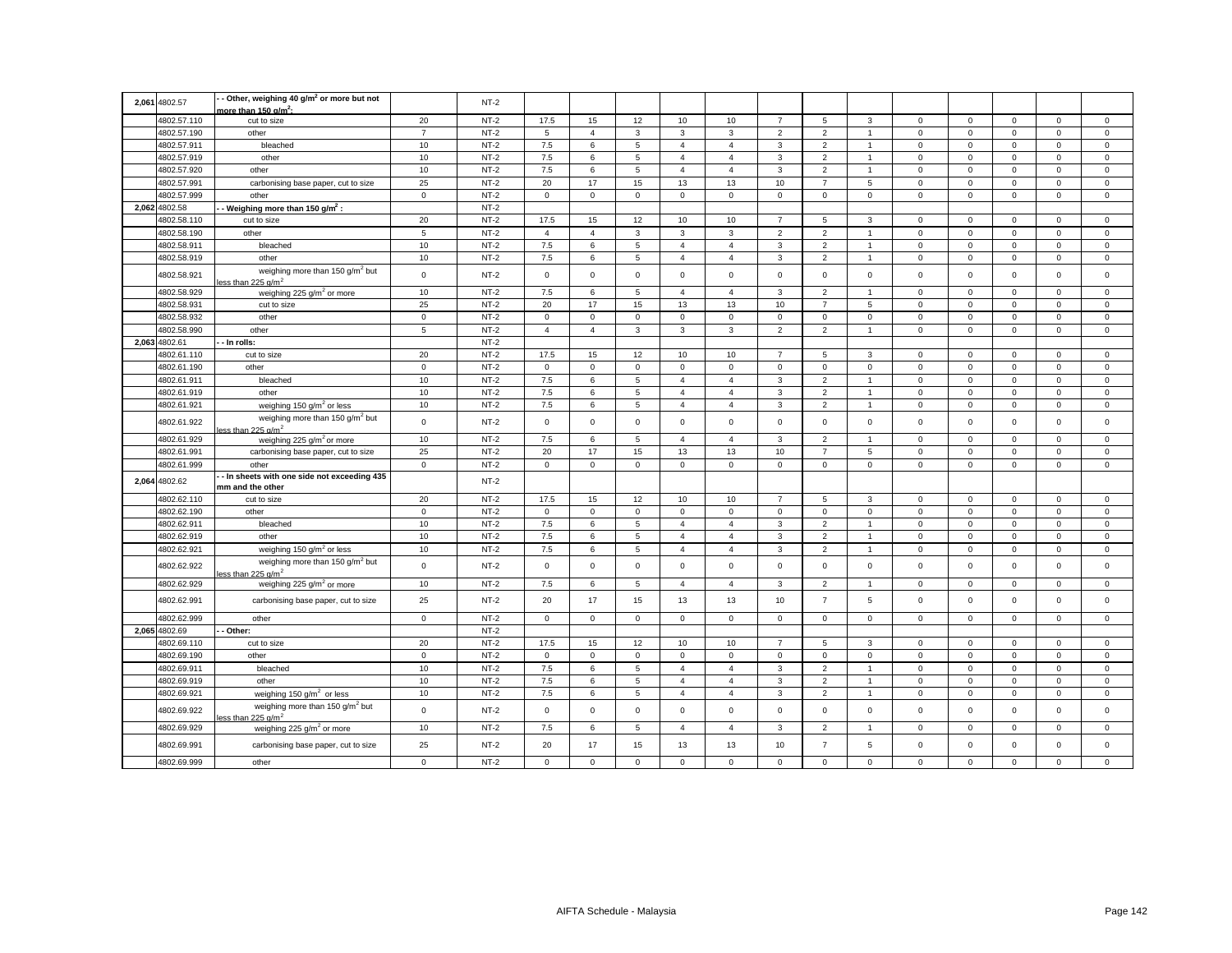|       | 2,061 4802.57 | - Other, weighing 40 g/m <sup>2</sup> or more but not<br>nore than 150 g/m <sup>2</sup> : |                | $NT-2$ |                |                |                 |                |                |                |                     |                |             |             |              |              |                |
|-------|---------------|-------------------------------------------------------------------------------------------|----------------|--------|----------------|----------------|-----------------|----------------|----------------|----------------|---------------------|----------------|-------------|-------------|--------------|--------------|----------------|
|       | 4802.57.110   | cut to size                                                                               | 20             | $NT-2$ | 17.5           | 15             | 12              | 10             | 10             | $\overline{7}$ | 5                   | 3              | $\mathbf 0$ | $\mathbf 0$ | $\mathbf 0$  | $\mathbf 0$  | $\mathbf 0$    |
|       | 4802.57.190   | other                                                                                     | $\overline{7}$ | $NT-2$ | 5              | $\overline{4}$ | $\mathbf{3}$    | $\mathbf{3}$   | 3              | $\overline{2}$ | $\overline{2}$      | $\mathbf{1}$   | $\mathsf 0$ | $\mathsf 0$ | $\mathsf 0$  | $\mathsf 0$  | $\mathsf 0$    |
|       | 4802.57.911   | bleached                                                                                  | 10             | $NT-2$ | $7.5\,$        | 6              | $\,$ 5 $\,$     | $\overline{4}$ | $\overline{4}$ | $\mathsf 3$    | $\overline{2}$      | $\mathbf{1}$   | $\mathsf 0$ | $\mathsf 0$ | $\mathsf 0$  | $\mathsf 0$  | $\mathsf 0$    |
|       | 4802.57.919   | other                                                                                     | 10             | $NT-2$ | 7.5            | 6              | $5\overline{5}$ | $\overline{4}$ | $\overline{4}$ | $\mathbf{3}$   | $\overline{2}$      | $\mathbf{1}$   | $\mathbf 0$ | $\mathsf 0$ | $\mathbf 0$  | $\mathsf 0$  | $\mathsf 0$    |
|       | 4802.57.920   | other                                                                                     | 10             | $NT-2$ | 7.5            | 6              | $\overline{5}$  | $\overline{4}$ | $\overline{4}$ | 3              | $\overline{2}$      | $\overline{1}$ | $\mathbf 0$ | $\mathbf 0$ | $\mathbf 0$  | $\mathbf 0$  | $\mathsf 0$    |
|       | 4802.57.991   | carbonising base paper, cut to size                                                       | 25             | $NT-2$ | 20             | 17             | 15              | 13             | 13             | $10$           | $\overline{7}$      | $\,$ 5 $\,$    | $\mathsf 0$ | $\mathsf 0$ | $\mathsf 0$  | $\mathsf 0$  | $\,0\,$        |
|       | 4802.57.999   | other                                                                                     | $\mathsf 0$    | $NT-2$ | $\mathsf 0$    | $\mathsf 0$    | $\mathsf 0$     | $\mathsf 0$    | $\mathsf 0$    | $\mathsf 0$    | $\mathsf 0$         | $\mathsf 0$    | $\mathsf 0$ | $\mathsf 0$ | $\mathsf 0$  | $\mathsf 0$  | $\mathsf 0$    |
|       | 2,062 4802.58 | - Weighing more than 150 g/m <sup>2</sup> :                                               |                | $NT-2$ |                |                |                 |                |                |                |                     |                |             |             |              |              |                |
|       | 4802.58.110   | cut to size                                                                               | 20             | $NT-2$ | 17.5           | 15             | 12              | 10             | 10             | $\overline{7}$ | 5                   | 3              | $\mathbf 0$ | $\mathbf 0$ | $\mathbf 0$  | $\mathbf{0}$ | $\mathbf{0}$   |
|       | 4802.58.190   | other                                                                                     | $\sqrt{5}$     | $NT-2$ | $\overline{4}$ | $\overline{4}$ | $\mathbf{3}$    | 3              | 3              | $\mathbf 2$    | $\overline{2}$      | $\overline{1}$ | $\mathsf 0$ | $\mathsf 0$ | $\mathsf 0$  | $\mathsf 0$  | $\mathsf 0$    |
|       | 4802.58.911   | bleached                                                                                  | $10$           | $NT-2$ | 7.5            | 6              | $\,$ 5 $\,$     | $\overline{4}$ | $\overline{4}$ | $\mathbf{3}$   | $\overline{2}$      | $\mathbf{1}$   | $\mathsf 0$ | $\mathsf 0$ | $\mathsf 0$  | $\mathsf 0$  | $\mathsf 0$    |
|       | 4802.58.919   | other                                                                                     | 10             | $NT-2$ | $7.5\,$        | 6              | $5\phantom{.0}$ | $\overline{4}$ | $\overline{4}$ | $\mathsf 3$    | $\overline{2}$      | $\mathbf{1}$   | $\mathsf 0$ | $\mathsf 0$ | $\mathbf 0$  | $\mathbf 0$  | $\mathbf 0$    |
|       | 4802.58.921   | weighing more than 150 g/m <sup>2</sup> but<br><u>ารร than 225 ɑ/</u> m <sup>2</sup>      | $\mathsf 0$    | $NT-2$ | $\mathbf 0$    | $\mathbf 0$    | $\mathsf 0$     | $\mathbf 0$    | $\mathbf 0$    | $\mathbf 0$    | $\mathbf{0}$        | $\mathbf 0$    | $\mathbf 0$ | $\mathbf 0$ | $\mathbf 0$  | $\mathbf 0$  | $\mathsf 0$    |
|       | 4802.58.929   | weighing 225 $g/m2$ or more                                                               | 10             | $NT-2$ | 7.5            | 6              | 5               | $\overline{4}$ | $\overline{4}$ | 3              | $\overline{2}$      | $\mathbf{1}$   | $\mathbf 0$ | $\mathbf 0$ | $\mathbf 0$  | $\mathbf 0$  | $\mathsf 0$    |
|       | 4802.58.931   | cut to size                                                                               | 25             | $NT-2$ | 20             | 17             | 15              | 13             | 13             | 10             | $\overline{7}$      | 5              | $\mathbf 0$ | $\mathsf 0$ | $\mathsf 0$  | $\mathsf 0$  | $\mathsf 0$    |
|       | 4802.58.932   | other                                                                                     | $\mathbf 0$    | $NT-2$ | $\mathbf 0$    | $\mathbf{0}$   | $\mathsf 0$     | $\mathbf 0$    | $\mathbf 0$    | $\mathbf 0$    | $\mathbf 0$         | $\mathbf 0$    | $\mathbf 0$ | $\mathbf 0$ | $\mathbf{0}$ | $\mathbf 0$  | $\mathsf 0$    |
|       | 4802.58.990   | other                                                                                     | $\overline{5}$ | $NT-2$ | $\overline{4}$ | $\overline{4}$ | $\mathbf{3}$    | 3              | $\mathbf{3}$   | $\overline{2}$ | $\overline{2}$      | $\mathbf{1}$   | $\mathbf 0$ | $\mathbf 0$ | $\mathbf 0$  | $\mathsf 0$  | $\mathsf 0$    |
| 2.063 | 4802.61       | - In rolls:                                                                               |                | $NT-2$ |                |                |                 |                |                |                |                     |                |             |             |              |              |                |
|       | 4802.61.110   | cut to size                                                                               | 20             | $NT-2$ | 17.5           | 15             | 12              | 10             | 10             | $\overline{7}$ | 5                   | 3              | $\mathbf 0$ | $\mathbf 0$ | $^{\circ}$   | $\mathsf 0$  | $\mathsf 0$    |
|       | 4802.61.190   | other                                                                                     | $\mathbf 0$    | $NT-2$ | $\circ$        | $\mathbf 0$    | $\mathsf 0$     | $\mathbf 0$    | $\mathbf 0$    | $\mathbf 0$    | $\circ$             | $\mathbf{0}$   | $\mathbf 0$ | $\mathbf 0$ | $\mathbf 0$  | $\mathbf 0$  | $\mathsf 0$    |
|       | 4802.61.911   | bleached                                                                                  | 10             | $NT-2$ | 7.5            | 6              | 5               | $\overline{4}$ | $\overline{4}$ | 3              | $\overline{2}$      | $\mathbf{1}$   | $\mathbf 0$ | $\mathbf 0$ | $\mathsf 0$  | $\mathbf 0$  | $\mathsf 0$    |
|       | 4802.61.919   | other                                                                                     | 10             | $NT-2$ | 7.5            | 6              | $\overline{5}$  | $\overline{4}$ | $\overline{4}$ | 3              | $\overline{2}$      | $\overline{1}$ | $\mathbf 0$ | $\Omega$    | $\mathbf 0$  | $\mathsf 0$  | $\mathbf 0$    |
|       | 4802.61.921   | weighing 150 $g/m^2$ or less                                                              | 10             | $NT-2$ | 7.5            | 6              | $\,$ 5 $\,$     | $\overline{4}$ | $\overline{4}$ | 3              | $\overline{2}$      | $\overline{1}$ | $\mathbf 0$ | $\mathsf 0$ | $\mathsf 0$  | $\mathsf 0$  | $\mathsf 0$    |
|       | 4802.61.922   | weighing more than 150 g/m <sup>2</sup> but<br>ass than 225 $\alpha/m^2$                  | $\mathsf 0$    | $NT-2$ | $\mathbf 0$    | $\mathbf 0$    | $\mathsf 0$     | $\mathbf 0$    | $\mathsf 0$    | $\mathsf 0$    | $\mathsf 0$         | $\mathsf 0$    | $\mathsf 0$ | $\mathbf 0$ | $\mathsf 0$  | $\mathsf 0$  | $\mathsf 0$    |
|       | 4802.61.929   | weighing 225 $q/m^2$ or more                                                              | 10             | $NT-2$ | 7.5            | 6              | $5\overline{5}$ | $\overline{4}$ | $\overline{4}$ | 3              | $\overline{2}$      | $\mathbf{1}$   | $\mathbf 0$ | $\mathbf 0$ | $\mathbf 0$  | $\mathbf 0$  | $\mathbf 0$    |
|       | 4802.61.991   | carbonising base paper, cut to size                                                       | 25             | $NT-2$ | 20             | 17             | 15              | 13             | 13             | 10             | $\overline{7}$      | 5              | $\mathsf 0$ | $\mathsf 0$ | $\mathsf 0$  | $\mathsf 0$  | $\mathsf 0$    |
|       | 4802.61.999   | other                                                                                     | $\mathbf{0}$   | $NT-2$ | $\mathbf 0$    | $\mathbf 0$    | $\mathbf 0$     | $\mathbf 0$    | $\mathbf 0$    | $\mathbf 0$    | $\mathbf 0$         | $\mathbf 0$    | $\mathbf 0$ | $\mathbf 0$ | $\mathbf 0$  | $\mathbf 0$  | $\mathbf 0$    |
|       | 2,064 4802.62 | - In sheets with one side not exceeding 435<br>mm and the other                           |                | $NT-2$ |                |                |                 |                |                |                |                     |                |             |             |              |              |                |
|       | 4802.62.110   | cut to size                                                                               | 20             | $NT-2$ | 17.5           | 15             | 12              | 10             | 10             | $\overline{7}$ | 5                   | 3              | $\mathbf 0$ | $\mathbf 0$ | $\mathbf 0$  | $\mathbf 0$  | $\mathsf 0$    |
|       | 4802.62.190   | other                                                                                     | $\mathsf 0$    | $NT-2$ | $\mathbf 0$    | $\mathsf 0$    | $\mathsf 0$     | $\mathbf 0$    | $\mathbf 0$    | $\mathsf 0$    | $\mathsf{O}\xspace$ | $\mathsf 0$    | $\mathsf 0$ | $\mathsf 0$ | $\mathsf 0$  | $\mathsf 0$  | $\mathsf 0$    |
|       | 4802.62.911   | bleached                                                                                  | 10             | $NT-2$ | 7.5            | 6              | $\overline{5}$  | $\overline{4}$ | $\overline{4}$ | $\mathbf{3}$   | $\overline{2}$      | $\overline{1}$ | $\mathbf 0$ | $\mathbf 0$ | $\mathsf 0$  | $\mathsf 0$  | $\mathsf 0$    |
|       | 4802.62.919   | other                                                                                     | 10             | $NT-2$ | 7.5            | 6              | 5               | $\overline{4}$ | $\overline{4}$ | 3              | $\overline{2}$      | $\overline{1}$ | 0           | $\mathbf 0$ | $\mathbf 0$  | $\mathbf 0$  | $\mathbf 0$    |
|       | 4802.62.921   | weighing 150 $q/m^2$ or less                                                              | 10             | $NT-2$ | 7.5            | 6              | $5\phantom{.0}$ | $\overline{4}$ | $\overline{4}$ | $\mathbf{3}$   | $\overline{2}$      | $\mathbf{1}$   | $\mathsf 0$ | $\mathsf 0$ | $\mathbf 0$  | $\mathbf 0$  | $\mathsf 0$    |
|       | 4802.62.922   | weighing more than 150 g/m <sup>2</sup> but<br>ess than 225 $\alpha/m^2$                  | $\mathbf 0$    | $NT-2$ | $\mathbf 0$    | $\mathbf 0$    | $\mathbf 0$     | $\mathbf 0$    | $\mathbf 0$    | $\mathbf 0$    | $\mathbf 0$         | $\mathbf 0$    | $\mathbf 0$ | $\mathbf 0$ | $\mathbf 0$  | $\mathbf 0$  | $\mathbf 0$    |
|       | 4802.62.929   | weighing 225 g/m <sup>2</sup> or more                                                     | 10             | $NT-2$ | 7.5            | 6              | $\overline{5}$  | $\overline{4}$ | $\overline{4}$ | 3              | $\overline{2}$      | $\overline{1}$ | $\Omega$    | $\mathsf 0$ | $\mathsf 0$  | $\mathsf 0$  | $\mathsf 0$    |
|       | 4802.62.991   | carbonising base paper, cut to size                                                       | 25             | $NT-2$ | 20             | 17             | 15              | 13             | 13             | 10             | $\overline{7}$      | 5              | $\mathbf 0$ | $\mathbf 0$ | $\mathbf 0$  | $\mathbf 0$  | $\mathbf 0$    |
|       | 4802.62.999   | other                                                                                     | $\mathbf 0$    | $NT-2$ | $\mathbf 0$    | $\mathbf{0}$   | $\mathbf{0}$    | $\mathbf 0$    | $\mathbf 0$    | $^{\circ}$     | $\circ$             | $\mathbf 0$    | $\mathbf 0$ | $\mathbf 0$ | $\mathbf{0}$ | $\mathbf{0}$ | $\mathbf{0}$   |
|       | 2,065 4802.69 | - Other:                                                                                  |                | $NT-2$ |                |                |                 |                |                |                |                     |                |             |             |              |              |                |
|       | 4802.69.110   | cut to size                                                                               | 20             | $NT-2$ | 17.5           | 15             | 12              | 10             | 10             | $\overline{7}$ | 5                   | 3              | $\mathbf 0$ | $\mathbf 0$ | $\mathbf 0$  | $\mathbf 0$  | $\mathbf 0$    |
|       | 4802.69.190   | other                                                                                     | $\mathbf{0}$   | $NT-2$ | $\mathbf 0$    | $\mathbf 0$    | $\mathbf 0$     | $\mathbf 0$    | $\mathbf{0}$   | $\mathsf 0$    | $\mathbf{0}$        | $\mathbf{0}$   | $\mathbf 0$ | $\mathbf 0$ | $\mathbf 0$  | $\mathsf 0$  | $\mathsf 0$    |
|       | 4802.69.911   | bleached                                                                                  | 10             | $NT-2$ | 7.5            | 6              | 5               | $\overline{4}$ | $\overline{4}$ | 3              | $\overline{2}$      | $\overline{1}$ | $\mathsf 0$ | $\mathbf 0$ | $\mathbf 0$  | $\mathsf 0$  | $\mathsf 0$    |
|       | 4802.69.919   | other                                                                                     | 10             | $NT-2$ | 7.5            | 6              | 5               | $\overline{4}$ | $\overline{4}$ | 3              | $\overline{2}$      | $\overline{1}$ | $\mathbf 0$ | $\mathbf 0$ | $\mathbf 0$  | $\mathbf 0$  | $\mathbf 0$    |
|       | 4802.69.921   | weighing 150 g/m <sup>2</sup> or less                                                     | 10             | $NT-2$ | 7.5            | 6              | 5               | $\overline{4}$ | $\overline{4}$ | 3              | $\overline{2}$      | $\mathbf{1}$   | $\mathbf 0$ | $\mathbf 0$ | $\mathsf 0$  | $\mathsf 0$  | $\mathbf 0$    |
|       | 4802.69.922   | weighing more than 150 g/m <sup>2</sup> but<br>ess than 225 $\alpha/m^2$                  | $\mathsf 0$    | $NT-2$ | $\mathbf 0$    | $\mathbf 0$    | $\mathbf 0$     | $\mathbf 0$    | $\mathsf 0$    | $\mathsf 0$    | $\mathbf 0$         | $\mathbf 0$    | $\mathbf 0$ | $\mathsf 0$ | $\mathbf 0$  | $\mathsf 0$  | $\mathbf 0$    |
|       | 4802.69.929   | weighing 225 g/m <sup>2</sup> or more                                                     | 10             | $NT-2$ | 7.5            | 6              | $\overline{5}$  | $\overline{4}$ | $\overline{4}$ | 3              | $\overline{2}$      | $\mathbf{1}$   | $\mathsf 0$ | $\mathsf 0$ | $\mathsf 0$  | $\mathbf 0$  | $\mathsf 0$    |
|       | 4802.69.991   | carbonising base paper, cut to size                                                       | 25             | $NT-2$ | 20             | 17             | 15              | 13             | 13             | 10             | $\overline{7}$      | 5              | $\mathbf 0$ | $\mathbf 0$ | $\Omega$     | $\mathbf 0$  | $\mathbf 0$    |
|       | 4802.69.999   | other                                                                                     | $\mathbf 0$    | $NT-2$ | $\mathbf 0$    | $\mathbf 0$    | $\mathbf 0$     | $\Omega$       | $\mathbf 0$    | $\mathbf 0$    | $\mathbf 0$         | $\Omega$       | $\mathbf 0$ | $\mathbf 0$ | $\mathbf 0$  | $\mathsf 0$  | $\overline{0}$ |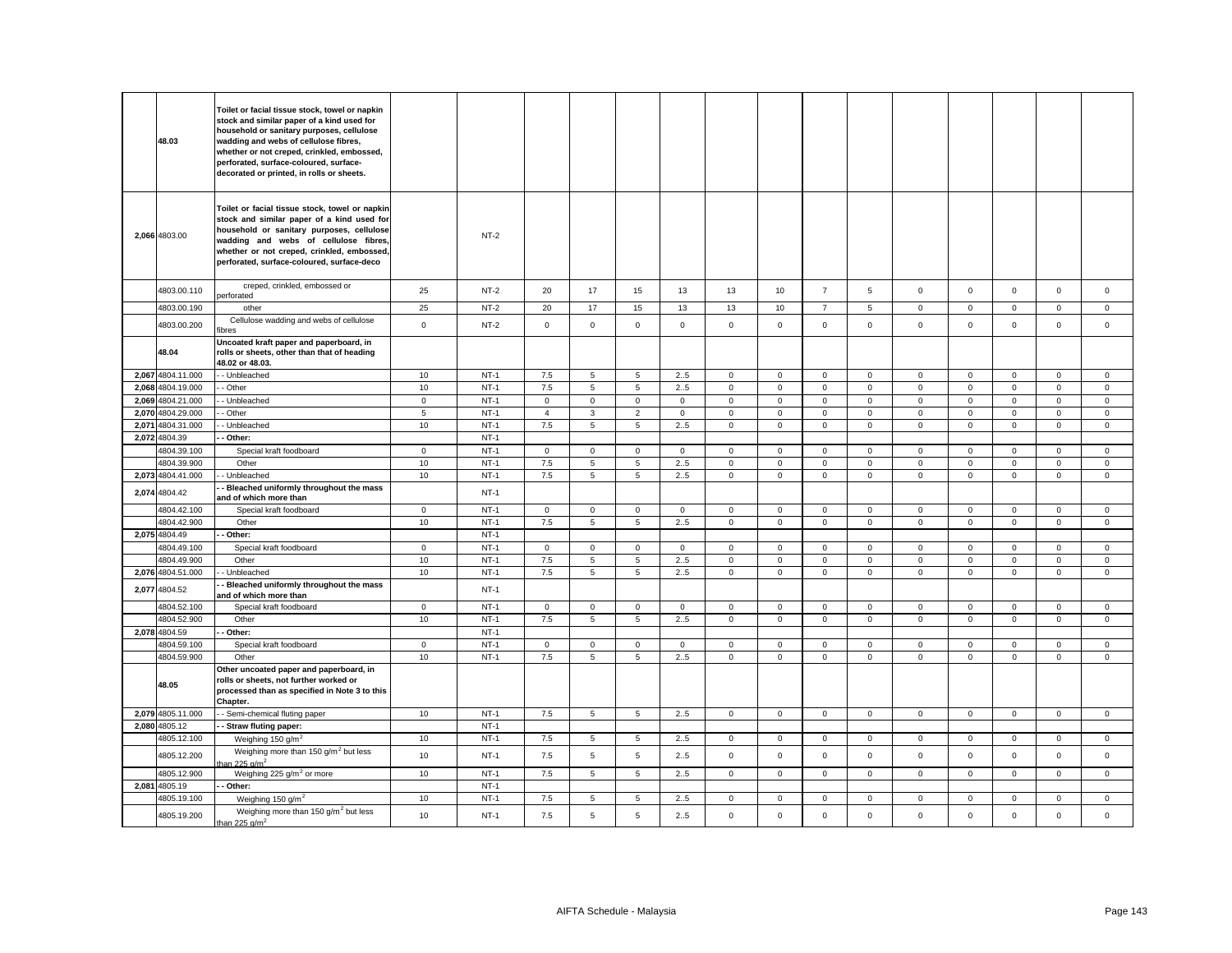| 48.03             | Toilet or facial tissue stock, towel or napkin<br>stock and similar paper of a kind used for<br>household or sanitary purposes, cellulose<br>wadding and webs of cellulose fibres,<br>whether or not creped, crinkled, embossed,<br>perforated, surface-coloured, surface-<br>decorated or printed, in rolls or sheets. |             |        |             |                 |                 |              |                |              |                |             |             |              |                |              |              |
|-------------------|-------------------------------------------------------------------------------------------------------------------------------------------------------------------------------------------------------------------------------------------------------------------------------------------------------------------------|-------------|--------|-------------|-----------------|-----------------|--------------|----------------|--------------|----------------|-------------|-------------|--------------|----------------|--------------|--------------|
| 2,066 4803.00     | Toilet or facial tissue stock, towel or napkin<br>stock and similar paper of a kind used for<br>household or sanitary purposes, cellulose<br>wadding and webs of cellulose fibres.<br>whether or not creped, crinkled, embossed,<br>perforated, surface-coloured, surface-deco                                          |             | $NT-2$ |             |                 |                 |              |                |              |                |             |             |              |                |              |              |
| 4803.00.110       | creped, crinkled, embossed or<br>berforated                                                                                                                                                                                                                                                                             | 25          | $NT-2$ | 20          | 17              | 15              | 13           | 13             | 10           | $\overline{7}$ | 5           | $\mathbf 0$ | $\mathbf 0$  | $\mathbf 0$    | $\mathsf 0$  | $\mathbf 0$  |
| 4803.00.190       | other                                                                                                                                                                                                                                                                                                                   | 25          | $NT-2$ | 20          | 17              | 15              | 13           | 13             | 10           | $\overline{7}$ | 5           | $\mathbf 0$ | $\mathsf 0$  | $\mathbf 0$    | $\mathsf 0$  | $\mathbf 0$  |
| 4803.00.200       | Cellulose wadding and webs of cellulose<br>ibres                                                                                                                                                                                                                                                                        | $\mathbf 0$ | $NT-2$ | $\mathbf 0$ | $\mathbf{O}$    | $\mathbf 0$     | $\Omega$     | $\mathbf 0$    | $\mathbf{0}$ | $\mathbf 0$    | $\Omega$    | $\mathbf 0$ | $\mathbf 0$  | $\Omega$       | $\mathbf 0$  | $\mathbf 0$  |
| 48.04             | Uncoated kraft paper and paperboard, in<br>rolls or sheets, other than that of heading<br>48.02 or 48.03.                                                                                                                                                                                                               |             |        |             |                 |                 |              |                |              |                |             |             |              |                |              |              |
| 2,067 4804.11.000 | - Unbleached                                                                                                                                                                                                                                                                                                            | 10          | $NT-1$ | 7.5         | 5               | 5               | 2.5          | $\mathbf 0$    | $\mathsf 0$  | $\mathbf 0$    | $\mathbf 0$ | $\mathbf 0$ | $\mathbf 0$  | $\mathbf 0$    | $\mathsf 0$  | 0            |
| 2,068 4804.19.000 | - Other                                                                                                                                                                                                                                                                                                                 | 10          | $NT-1$ | 7.5         | $\overline{5}$  | 5               | 2.5          | $\mathsf 0$    | $\mathsf 0$  | $\mathbf 0$    | $\mathsf 0$ | $\mathbf 0$ | $\mathbf 0$  | $\overline{0}$ | $\mathsf 0$  | 0            |
| 2,069 4804.21.000 | - Unbleached                                                                                                                                                                                                                                                                                                            | $\mathsf 0$ | $NT-1$ | $\mathbf 0$ | $\mathsf 0$     | $\mathbf 0$     | $\mathbf 0$  | $\mathbf 0$    | $\mathbf 0$  | $\mathbf 0$    | $\mathbf 0$ | $\mathsf 0$ | $\mathsf 0$  | $\mathbf 0$    | $\mathsf 0$  | $\mathbf{0}$ |
| 2,070 4804.29.000 | - Other                                                                                                                                                                                                                                                                                                                 | 5           | $NT-1$ | 4           | $\mathbf{3}$    | $\overline{2}$  | $\mathbf 0$  | $\mathsf 0$    | $\mathsf 0$  | $\mathbf 0$    | $\mathbf 0$ | $\mathsf 0$ | $\,0\,$      | $\mathsf 0$    | $\mathsf 0$  | 0            |
| 2,071 4804.31.000 | - Unbleached                                                                                                                                                                                                                                                                                                            | 10          | $NT-1$ | $7.5\,$     | $5\phantom{.0}$ | 5               | 2.5          | $\circ$        | $\mathbf 0$  | $\mathbf 0$    | $\mathbf 0$ | $\mathbf 0$ | $\mathsf 0$  | $\mathbf{0}$   | $\mathsf 0$  | $\mathbf 0$  |
| 2,072 4804.39     | - Other:                                                                                                                                                                                                                                                                                                                |             | $NT-1$ |             |                 |                 |              |                |              |                |             |             |              |                |              |              |
| 4804.39.100       | Special kraft foodboard                                                                                                                                                                                                                                                                                                 | $\mathbf 0$ | $NT-1$ | $\mathsf 0$ | $\mathbf{0}$    | $\mathbf 0$     | $\mathsf 0$  | $\mathbf 0$    | $\mathbf{0}$ | $\mathbf 0$    | $\mathsf 0$ | $\mathbf 0$ | $\mathbf 0$  | $\mathbf 0$    | $\mathsf 0$  | $\mathbf 0$  |
| 4804.39.900       | Other                                                                                                                                                                                                                                                                                                                   | 10          | $NT-1$ | 7.5         | 5               | 5               | 2.5          | $\mathbf 0$    | $\mathbf{0}$ | $\mathbf 0$    | $\mathbf 0$ | $\mathbf 0$ | $\mathbf 0$  | $\mathbf 0$    | $\mathbf{0}$ | $\mathbf{0}$ |
| 2,073 4804.41.000 | - Unbleached                                                                                                                                                                                                                                                                                                            | 10          | $NT-1$ | 7.5         | $5^{\circ}$     | 5               | 2.5          | $\mathbf 0$    | $\mathbf{0}$ | $\mathbf 0$    | $\mathbf 0$ | $\mathbf 0$ | $\mathbf{0}$ | $\mathbf{0}$   | $\mathbf{0}$ | $\mathbf{0}$ |
| 2,074 4804.42     | Bleached uniformly throughout the mass<br>and of which more than                                                                                                                                                                                                                                                        |             | $NT-1$ |             |                 |                 |              |                |              |                |             |             |              |                |              |              |
| 4804.42.100       | Special kraft foodboard                                                                                                                                                                                                                                                                                                 | $\mathbf 0$ | $NT-1$ | $\mathsf 0$ | $\mathbf{0}$    | $\mathbf 0$     | $\mathsf 0$  | $\mathbf 0$    | $\mathbf{0}$ | $\mathbf 0$    | $\mathsf 0$ | $\mathbf 0$ | $\mathbf 0$  | $\mathbf 0$    | $\mathsf 0$  | $\mathbf 0$  |
| 4804.42.900       | Other                                                                                                                                                                                                                                                                                                                   | 10          | $NT-1$ | 7.5         | $5\overline{5}$ | $5\phantom{.0}$ | 25           | $\mathbf 0$    | $\mathsf 0$  | $\mathbf 0$    | $\mathbf 0$ | $\mathsf 0$ | $\mathbf 0$  | $\mathsf 0$    | $\mathbf 0$  | $\mathbf{0}$ |
| 2,075 4804.49     | Other:                                                                                                                                                                                                                                                                                                                  |             | $NT-1$ |             |                 |                 |              |                |              |                |             |             |              |                |              |              |
| 4804.49.100       | Special kraft foodboard                                                                                                                                                                                                                                                                                                 | $\mathbf 0$ | $NT-1$ | $\mathbf 0$ | $\mathbf 0$     | $\mathbf 0$     | $\mathbf{0}$ | $\mathbf 0$    | $\mathbf 0$  | $\mathbf{0}$   | $\mathbf 0$ | $\mathbf 0$ | $\mathbf{0}$ | $\mathbf 0$    | $\mathbf{0}$ | $\Omega$     |
| 4804.49.900       | Other                                                                                                                                                                                                                                                                                                                   | $10$        | $NT-1$ | $7.5\,$     | $\overline{5}$  | $\overline{5}$  | 2.5          | $\mathsf 0$    | $\mathsf 0$  | 0              | $\mathbf 0$ | $\mathsf 0$ | $\,0\,$      | $\mathsf 0$    | $\mathbf 0$  | $\mathbf 0$  |
| 2,076 4804.51.000 | - Unbleached                                                                                                                                                                                                                                                                                                            | 10          | $NT-1$ | 7.5         | 5               | 5               | 2.5          | $\mathbf 0$    | $\mathbf 0$  | $\mathbf 0$    | 0           | $\mathsf 0$ | $\mathbf 0$  | $\mathbf 0$    | $\mathsf 0$  | $\mathbf 0$  |
| 2,077 4804.52     | Bleached uniformly throughout the mass<br>and of which more than                                                                                                                                                                                                                                                        |             | $NT-1$ |             |                 |                 |              |                |              |                |             |             |              |                |              |              |
| 4804.52.100       | Special kraft foodboard                                                                                                                                                                                                                                                                                                 | $\mathbf 0$ | $NT-1$ | $\mathsf 0$ | $\mathsf 0$     | $\mathbf 0$     | $\mathsf 0$  | $\mathsf 0$    | $\mathbf 0$  | $\mathbf 0$    | $\mathsf 0$ | $\mathsf 0$ | $\mathbf 0$  | $\mathbf 0$    | $\mathsf 0$  | $\Omega$     |
| 4804.52.900       | Other                                                                                                                                                                                                                                                                                                                   | 10          | $NT-1$ | 7.5         | $\overline{5}$  | 5               | 25           | $\mathsf 0$    | $\mathsf 0$  | $\mathbf 0$    | $\mathbf 0$ | $\mathsf 0$ | $\mathsf 0$  | $\mathsf 0$    | $\mathsf 0$  | $\mathsf 0$  |
| 2,078 4804.59     | Other:                                                                                                                                                                                                                                                                                                                  |             | $NT-1$ |             |                 |                 |              |                |              |                |             |             |              |                |              |              |
| 4804.59.100       | Special kraft foodboard                                                                                                                                                                                                                                                                                                 | $\mathbf 0$ | $NT-1$ | $\mathsf 0$ | $\mathsf 0$     | $\mathsf 0$     | $\mathbf 0$  | $\mathbf 0$    | $\mathsf 0$  | $\mathbf 0$    | $\mathbf 0$ | $\mathsf 0$ | $\,0\,$      | $\overline{0}$ | $\mathbf 0$  | $\mathbf 0$  |
| 4804.59.900       | Other                                                                                                                                                                                                                                                                                                                   | 10          | $NT-1$ | 7.5         | 5               | $\overline{5}$  | 25           | $\overline{0}$ | $\mathsf 0$  | 0              | $\mathbf 0$ | $\mathsf 0$ | $\mathbf 0$  | $\mathsf 0$    | $\mathsf 0$  | $\mathbf{0}$ |
| 48.05             | Other uncoated paper and paperboard, in<br>rolls or sheets, not further worked or<br>processed than as specified in Note 3 to this<br>Chapter.                                                                                                                                                                          |             |        |             |                 |                 |              |                |              |                |             |             |              |                |              |              |
| 2,079 4805.11.000 | - Semi-chemical fluting paper                                                                                                                                                                                                                                                                                           | 10          | $NT-1$ | $7.5\,$     | $\overline{5}$  | $\overline{5}$  | 25           | $\mathbf 0$    | $\mathbf 0$  | $\mathbf 0$    | $\mathsf 0$ | $\mathsf 0$ | $\mathbf 0$  | $\mathsf 0$    | $\mathbf 0$  | $\mathsf 0$  |
| 2,080 4805.12     | - Straw fluting paper:                                                                                                                                                                                                                                                                                                  |             | $NT-1$ |             |                 |                 |              |                |              |                |             |             |              |                |              |              |
| 4805.12.100       | Weighing 150 g/m <sup>2</sup>                                                                                                                                                                                                                                                                                           | 10          | $NT-1$ | 7.5         | 5               | 5               | 2.5          | $\mathbf 0$    | $\mathsf 0$  | $\mathbf 0$    | $\mathbf 0$ | $\mathbf 0$ | $\mathbf 0$  | $\mathbf{0}$   | $\mathsf 0$  | 0            |
| 4805.12.200       | Weighing more than 150 g/m <sup>2</sup> but less<br>an 225 a/m <sup>2</sup>                                                                                                                                                                                                                                             | 10          | $NT-1$ | 7.5         | 5               | 5               | 2.5          | $\mathbf 0$    | $\mathsf 0$  | $\mathbf 0$    | $\mathsf 0$ | $\mathsf 0$ | $\mathsf 0$  | $\mathsf 0$    | $\mathsf 0$  | $\mathbf 0$  |
| 4805.12.900       | Weighing 225 g/m <sup>2</sup> or more                                                                                                                                                                                                                                                                                   | 10          | $NT-1$ | $7.5\,$     | $\overline{5}$  | 5               | 25           | $\mathbf 0$    | $\mathbf 0$  | $\mathbf 0$    | $\mathsf 0$ | $\mathbf 0$ | $\mathsf 0$  | $\mathsf 0$    | $\mathsf 0$  | $\mathbf 0$  |
| 2,081 4805.19     | Other:                                                                                                                                                                                                                                                                                                                  |             | $NT-1$ |             |                 |                 |              |                |              |                |             |             |              |                |              |              |
| 4805.19.100       | Weighing 150 g/m <sup>2</sup>                                                                                                                                                                                                                                                                                           | 10          | $NT-1$ | 7.5         | 5               | 5               | 2.5          | $\mathbf 0$    | $\mathsf 0$  | $\mathbf 0$    | $\mathsf 0$ | $\mathbf 0$ | $\mathbf 0$  | $\mathsf 0$    | $\mathsf 0$  | 0            |
| 4805.19.200       | Weighing more than 150 g/m <sup>2</sup> but less<br>than 225 $\alpha/m^2$                                                                                                                                                                                                                                               | 10          | $NT-1$ | 7.5         | 5               | 5               | 25           | $\mathsf 0$    | $\mathsf 0$  | $\mathbf 0$    | $\mathbf 0$ | $\mathsf 0$ | $\mathsf 0$  | $\mathsf 0$    | $\mathbf 0$  | $\mathsf 0$  |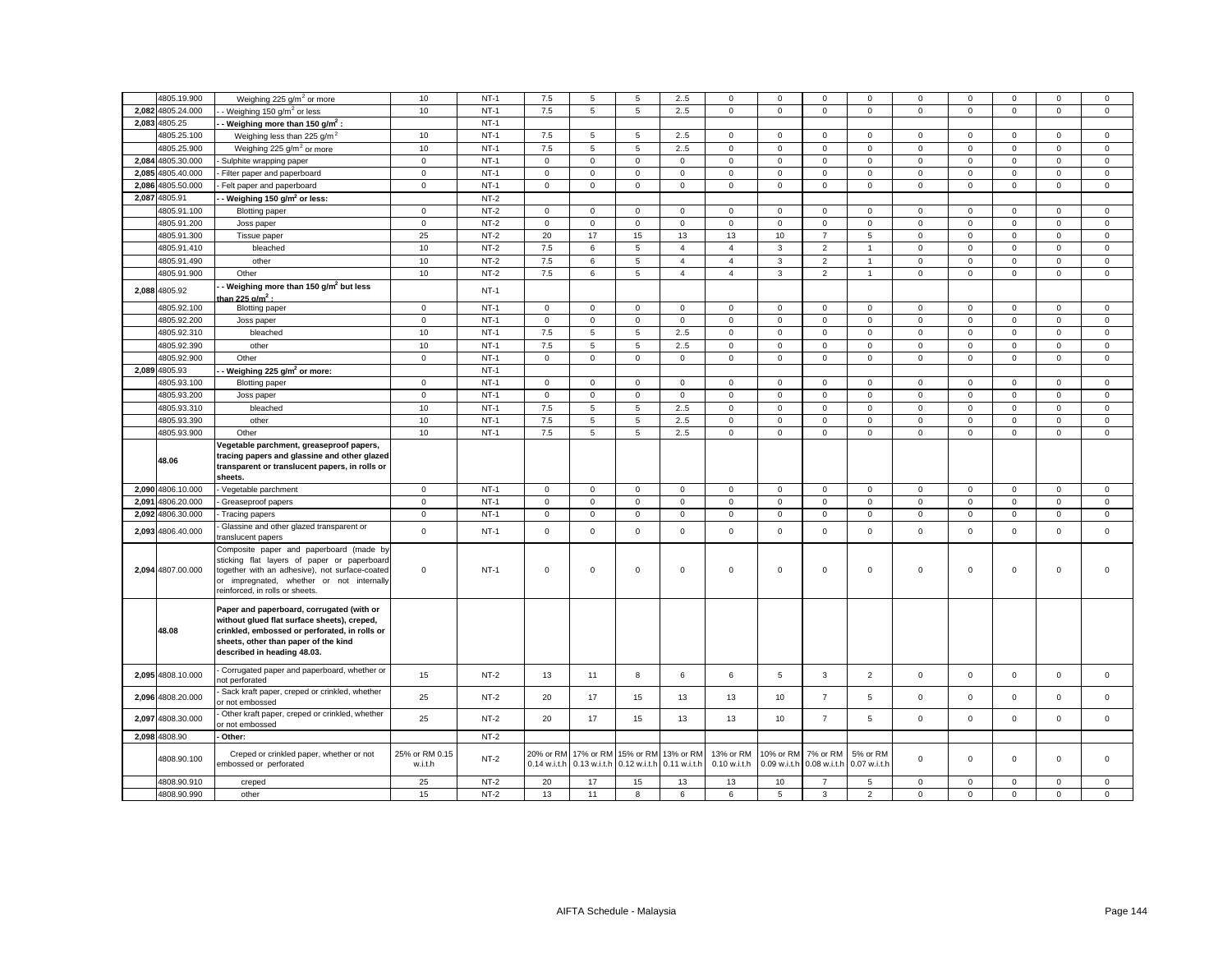|       | 4805.19.900       | Weighing 225 g/m <sup>2</sup> or more                                                                                                                                                                                    | 10                        | $NT-1$ | 7.5                       | 5                   | 5                                                          | 2.5            | $\mathbf 0$               | $\Omega$                  | $\Omega$                 | $\Omega$                 | $\Omega$    | $\Omega$    | $\Omega$            | $\Omega$    | $\mathbf 0$  |
|-------|-------------------|--------------------------------------------------------------------------------------------------------------------------------------------------------------------------------------------------------------------------|---------------------------|--------|---------------------------|---------------------|------------------------------------------------------------|----------------|---------------------------|---------------------------|--------------------------|--------------------------|-------------|-------------|---------------------|-------------|--------------|
|       | 2,082 4805.24.000 | - Weighing 150 g/m <sup>2</sup> or less                                                                                                                                                                                  | 10                        | $NT-1$ | 7.5                       | 5                   | 5                                                          | 25             | $\mathbf 0$               | $\mathsf 0$               | $\mathbf 0$              | $\mathsf 0$              | $\mathsf 0$ | $\mathsf 0$ | $\mathsf 0$         | $\mathsf 0$ | $\mathsf 0$  |
| 2,083 | 4805.25           | Weighing more than 150 $q/m^2$ :                                                                                                                                                                                         |                           | $NT-1$ |                           |                     |                                                            |                |                           |                           |                          |                          |             |             |                     |             |              |
|       | 4805.25.100       | Weighing less than 225 g/m <sup>2</sup>                                                                                                                                                                                  | 10                        | $NT-1$ | 7.5                       | 5                   | 5                                                          | 2.5            | $\mathbf 0$               | $\mathbf 0$               | $\mathbf 0$              | $\mathbf 0$              | 0           | $\mathbf 0$ | $\mathbf 0$         | $\mathbf 0$ | $\mathbf 0$  |
|       | 4805.25.900       | Weighing 225 $q/m^2$ or more                                                                                                                                                                                             | 10                        | $NT-1$ | 7.5                       | 5                   | $\mathbf 5$                                                | 2.5            | $\mathsf 0$               | $\mathbf 0$               | $\mathsf 0$              | $\mathsf 0$              | $\mathsf 0$ | $\mathbf 0$ | $\mathbf 0$         | $\mathsf 0$ | $\mathsf 0$  |
| 2.084 | 4805.30.000       | Sulphite wrapping paper                                                                                                                                                                                                  | $\mathsf 0$               | $NT-1$ | $\mathsf 0$               | $\mathsf 0$         | $\mathbf 0$                                                | $\mathsf 0$    | $\mathbf 0$               | $\mathsf 0$               | $\mathsf 0$              | $\mathsf 0$              | $\mathsf 0$ | $\mathsf 0$ | $\mathsf 0$         | $\mathsf 0$ | $\mathbf 0$  |
| 2.085 | 4805.40.000       | Filter paper and paperboard                                                                                                                                                                                              | $\mathbf 0$               | $NT-1$ | 0                         | $\mathbf 0$         | $\mathsf 0$                                                | $\mathbf 0$    | $\mathsf 0$               | $\mathbf 0$               | $\mathbf 0$              | $\mathbf 0$              | $\mathsf 0$ | $\mathsf 0$ | $\mathbf 0$         | $\mathbf 0$ | $\mathbf 0$  |
| 2,086 | 4805.50.000       | Felt paper and paperboard                                                                                                                                                                                                | $\mathbf 0$               | $NT-1$ | $\mathbf 0$               | $\mathsf{O}\xspace$ | $\mathsf 0$                                                | $\mathsf 0$    | $\mathsf 0$               | $\mathbf 0$               | $\mathbf 0$              | $\mathsf 0$              | $\mathsf 0$ | $\mathbf 0$ | $\mathsf{O}\xspace$ | $\mathsf 0$ | $\mathsf 0$  |
|       | 2,087 4805.91     | Weighing 150 g/m <sup>2</sup> or less:                                                                                                                                                                                   |                           | $NT-2$ |                           |                     |                                                            |                |                           |                           |                          |                          |             |             |                     |             |              |
|       | 4805.91.100       | <b>Blotting paper</b>                                                                                                                                                                                                    | $\mathbf 0$               | $NT-2$ | $\mathbf 0$               | $\mathsf 0$         | $\mathsf 0$                                                | $\mathsf 0$    | $\mathsf 0$               | $\mathbf 0$               | $\mathsf 0$              | $\mathsf 0$              | $\mathbf 0$ | $\mathsf 0$ | $\mathsf 0$         | $\mathsf 0$ | $\mathsf 0$  |
|       | 4805.91.200       | Joss paper                                                                                                                                                                                                               | $\mathbf 0$               | $NT-2$ | $\mathbf 0$               | $\mathbf 0$         | $\mathsf 0$                                                | $\mathsf 0$    | $\mathsf 0$               | $\mathbf 0$               | $\mathsf 0$              | $\mathsf 0$              | $\mathsf 0$ | $\mathbf 0$ | $\mathbf 0$         | $\mathsf 0$ | $\mathsf 0$  |
|       | 4805.91.300       | Tissue paper                                                                                                                                                                                                             | 25                        | $NT-2$ | 20                        | 17                  | 15                                                         | 13             | 13                        | 10                        | $\overline{7}$           | 5                        | $\mathsf 0$ | $\mathsf 0$ | $\mathsf 0$         | $\mathsf 0$ | $\mathsf 0$  |
|       | 4805.91.410       | bleached                                                                                                                                                                                                                 | 10                        | $NT-2$ | 7.5                       | 6                   | 5                                                          | $\overline{4}$ | $\overline{4}$            | 3                         | $\overline{2}$           | $\overline{1}$           | $\mathbf 0$ | $\Omega$    | $\mathbf 0$         | $\mathbf 0$ | $\mathbf 0$  |
|       | 4805.91.490       | other                                                                                                                                                                                                                    | 10                        | $NT-2$ | 7.5                       | 6                   | 5                                                          | $\overline{4}$ | $\overline{4}$            | 3                         | $\overline{2}$           | $\overline{1}$           | $\mathsf 0$ | $\mathsf 0$ | $\mathsf 0$         | $\mathsf 0$ | $\mathsf 0$  |
|       | 4805.91.900       | Other                                                                                                                                                                                                                    | 10                        | $NT-2$ | 7.5                       | 6                   | 5                                                          | $\overline{4}$ | $\overline{4}$            | 3                         | $\overline{2}$           | $\mathbf{1}$             | $\mathbf 0$ | $\mathbf 0$ | $\mathbf 0$         | $\mathbf 0$ | $\mathbf{0}$ |
|       | 2,088 4805.92     | Weighing more than 150 g/m <sup>2</sup> but less<br>han 225 g/m <sup>2</sup> :                                                                                                                                           |                           | $NT-1$ |                           |                     |                                                            |                |                           |                           |                          |                          |             |             |                     |             |              |
|       | 4805.92.100       | <b>Blotting paper</b>                                                                                                                                                                                                    | $\mathbf 0$               | $NT-1$ | 0                         | $\mathsf 0$         | $\mathsf 0$                                                | $\mathbf 0$    | $\mathbf 0$               | $\mathbf 0$               | $\mathbf 0$              | $\mathsf 0$              | 0           | $\mathbf 0$ | $\mathsf 0$         | $\mathsf 0$ | $\mathbf 0$  |
|       | 4805.92.200       | Joss paper                                                                                                                                                                                                               | $\mathbf 0$               | $NT-1$ | $\mathbf 0$               | $\mathsf 0$         | $\mathbf 0$                                                | $\mathsf 0$    | $\mathsf 0$               | $\mathbf 0$               | $\mathbf 0$              | $\mathsf 0$              | $\mathsf 0$ | $\mathbf 0$ | $\mathsf 0$         | $\mathsf 0$ | $\mathbf 0$  |
|       | 4805.92.310       | bleached                                                                                                                                                                                                                 | 10                        | $NT-1$ | 7.5                       | 5                   | 5                                                          | 2.5            | $\mathsf 0$               | $\mathsf 0$               | $\mathsf 0$              | $\mathsf 0$              | $\mathsf 0$ | $\mathsf 0$ | $\mathbf 0$         | $\mathsf 0$ | $\mathsf 0$  |
|       | 4805.92.390       | other                                                                                                                                                                                                                    | 10                        | $NT-1$ | 7.5                       | 5                   | 5                                                          | 2.5            | $\mathbf 0$               | $\mathsf 0$               | $\mathbf 0$              | $\mathbf 0$              | $\mathsf 0$ | $\mathbf 0$ | $\mathbf 0$         | $\mathbf 0$ | $\mathsf 0$  |
|       | 4805.92.900       | Other                                                                                                                                                                                                                    | $\mathsf 0$               | $NT-1$ | $\mathbf 0$               | $\mathsf{O}\xspace$ | $\mathsf 0$                                                | $\mathsf 0$    | $\mathsf 0$               | $\mathbf 0$               | $\mathsf 0$              | $\mathsf 0$              | $\mathsf 0$ | $\mathbf 0$ | $\mathsf 0$         | $\mathsf 0$ | $\mathsf 0$  |
|       | 2,089 4805.93     | Weighing 225 g/m <sup>2</sup> or more:                                                                                                                                                                                   |                           | $NT-1$ |                           |                     |                                                            |                |                           |                           |                          |                          |             |             |                     |             |              |
|       | 4805.93.100       | <b>Blotting paper</b>                                                                                                                                                                                                    | $\mathbf 0$               | $NT-1$ | $\mathbf 0$               | $\mathsf 0$         | $\mathsf 0$                                                | $\mathsf 0$    | $\mathsf 0$               | $\mathsf 0$               | $\mathsf 0$              | $\mathsf 0$              | $\mathbf 0$ | $\mathsf 0$ | $\mathsf 0$         | $\mathsf 0$ | $\mathsf 0$  |
|       | 4805.93.200       | Joss paper                                                                                                                                                                                                               | $\mathbf 0$               | $NT-1$ | $\circ$                   | $\mathbf 0$         | $\mathsf 0$                                                | $\mathbf{0}$   | $\mathsf 0$               | $\mathbf 0$               | $\mathsf 0$              | $\mathsf 0$              | $\mathsf 0$ | $\mathbf 0$ | $\mathbf 0$         | $\mathsf 0$ | $\mathsf 0$  |
|       | 4805.93.310       | bleached                                                                                                                                                                                                                 | 10                        | $NT-1$ | 7.5                       | 5                   | $\,$ 5 $\,$                                                | 25             | $\mathsf 0$               | $\mathbf 0$               | $\mathsf 0$              | $\mathsf 0$              | $\mathsf 0$ | $\mathsf 0$ | $\mathbf 0$         | $\mathsf 0$ | $\mathsf 0$  |
|       | 4805.93.390       | other                                                                                                                                                                                                                    | 10                        | $NT-1$ | 7.5                       | 5                   | $\mathbf 5$                                                | 2.5            | $\mathsf 0$               | $\mathbf 0$               | $\mathbf 0$              | $\mathbf 0$              | $\mathsf 0$ | $\mathbf 0$ | $\mathbf 0$         | $\mathsf 0$ | $\mathsf 0$  |
|       | 4805.93.900       | Other                                                                                                                                                                                                                    | 10                        | $NT-1$ | 7.5                       | 5                   | $\mathbf 5$                                                | 2.5            | $\mathsf 0$               | $\mathsf 0$               | $\mathbf 0$              | $\mathbf 0$              | $\mathbf 0$ | $\mathsf 0$ | $\mathsf 0$         | $\mathsf 0$ | $\mathsf 0$  |
|       | 48.06             | Vegetable parchment, greaseproof papers,<br>tracing papers and glassine and other glazed<br>transparent or translucent papers, in rolls or<br>sheets.                                                                    |                           |        |                           |                     |                                                            |                |                           |                           |                          |                          |             |             |                     |             |              |
|       | 2,090 4806.10.000 | Vegetable parchment                                                                                                                                                                                                      | $\mathbf 0$               | $NT-1$ | 0                         | $\mathbf 0$         | $\mathbf 0$                                                | $\mathbf 0$    | 0                         | $\mathbf 0$               | $\mathbf{0}$             | $\mathbf 0$              | $\mathbf 0$ | $\mathbf 0$ | $\mathbf 0$         | $\mathbf 0$ | $\mathbf 0$  |
| 2.091 | 4806.20.000       | Greaseproof papers                                                                                                                                                                                                       | $\mathbf{0}$              | $NT-1$ | $\mathbf 0$               | $\mathbf 0$         | $\mathbf 0$                                                | $\mathbf 0$    | $\mathbf 0$               | $\mathbf 0$               | $\mathbf{O}$             | $\mathbf 0$              | $\mathbf 0$ | $\mathbf 0$ | $\mathbf 0$         | $\mathbf 0$ | $\mathbf 0$  |
| 2,092 | 4806.30.000       | Tracing papers                                                                                                                                                                                                           | $\mathbf 0$               | $NT-1$ | 0                         | $\mathbf 0$         | $\mathsf 0$                                                | $\mathbf 0$    | $\mathbf 0$               | $\mathsf 0$               | $\mathbf{0}$             | $\mathbf 0$              | $\mathbf 0$ | $\mathbf 0$ | $\mathbf 0$         | $\mathbf 0$ | $\mathsf 0$  |
|       | 2,093 4806.40.000 | Glassine and other glazed transparent or<br>ranslucent papers                                                                                                                                                            | $\mathbf 0$               | $NT-1$ | $\mathbf 0$               | $\mathsf 0$         | $\mathsf 0$                                                | $\mathsf 0$    | $\mathsf 0$               | $\mathsf 0$               | $\mathbf 0$              | $\mathsf 0$              | $\mathsf 0$ | $\mathbf 0$ | $\mathsf 0$         | $\mathsf 0$ | $\mathsf 0$  |
|       | 2,094 4807.00.000 | Composite paper and paperboard (made by<br>sticking flat layers of paper or paperboard<br>together with an adhesive), not surface-coated<br>or impregnated, whether or not internally<br>reinforced, in rolls or sheets. | $\mathbf 0$               | $NT-1$ | $\mathbf 0$               | $\mathbf 0$         | $\mathsf 0$                                                | $\mathsf 0$    | 0                         | $\mathbf 0$               | $\mathbf 0$              | $\mathsf 0$              | $\Omega$    | $\mathbf 0$ | $\mathbf 0$         | $\mathbf 0$ | $\mathbf 0$  |
|       | 48.08             | Paper and paperboard, corrugated (with or<br>without glued flat surface sheets), creped,<br>crinkled, embossed or perforated, in rolls or                                                                                |                           |        |                           |                     |                                                            |                |                           |                           |                          |                          |             |             |                     |             |              |
|       |                   | sheets, other than paper of the kind<br>described in heading 48.03.                                                                                                                                                      |                           |        |                           |                     |                                                            |                |                           |                           |                          |                          |             |             |                     |             |              |
|       | 2.095 4808.10.000 | Corrugated paper and paperboard, whether or<br>hot perforated                                                                                                                                                            | 15                        | $NT-2$ | 13                        | 11                  | 8                                                          | 6              | 6                         | 5                         | $\mathbf{3}$             | $\overline{2}$           | $\mathsf 0$ | $\mathbf 0$ | $\mathbf 0$         | $\mathsf 0$ | $\mathbf 0$  |
|       | 2,096 4808.20.000 | Sack kraft paper, creped or crinkled, whether<br>or not embossed                                                                                                                                                         | 25                        | $NT-2$ | 20                        | 17                  | 15                                                         | 13             | 13                        | 10                        | $\overline{7}$           | 5                        | $\mathbf 0$ | $\mathbf 0$ | $\mathbf 0$         | $\mathbf 0$ | $\mathbf 0$  |
|       | 2,097 4808.30.000 | Other kraft paper, creped or crinkled, whether<br>or not embossed                                                                                                                                                        | 25                        | $NT-2$ | 20                        | 17                  | 15                                                         | 13             | 13                        | 10                        | $\overline{7}$           | 5                        | $\mathbf 0$ | $\mathsf 0$ | $\mathsf 0$         | $\mathsf 0$ | $\mathbf 0$  |
|       | 2,098 4808.90     | Other:                                                                                                                                                                                                                   |                           | $NT-2$ |                           |                     |                                                            |                |                           |                           |                          |                          |             |             |                     |             |              |
|       | 4808.90.100       | Creped or crinkled paper, whether or not<br>embossed or perforated                                                                                                                                                       | 25% or RM 0.15<br>w.i.t.h | $NT-2$ | 20% or RM<br>0.14 w.i.t.h | 0.13 w.i.t.h        | 17% or RM 15% or RM 13% or RM<br>0.12 w.i.t.h 0.11 w.i.t.h |                | 13% or RM<br>0.10 w.i.t.h | 10% or RM<br>0.09 w.i.t.h | 7% or RM<br>0.08 w.i.t.h | 5% or RM<br>0.07 w.i.t.h | 0           | 0           | $\mathbf 0$         | $\mathsf 0$ | $\mathbf 0$  |
|       | 4808.90.910       | creped                                                                                                                                                                                                                   | 25                        | $NT-2$ | 20                        | 17                  | 15                                                         | 13             | 13                        | 10                        | $\overline{7}$           | 5                        | $\mathbf 0$ | $\mathsf 0$ | $\mathsf 0$         | $\mathsf 0$ | $\mathsf 0$  |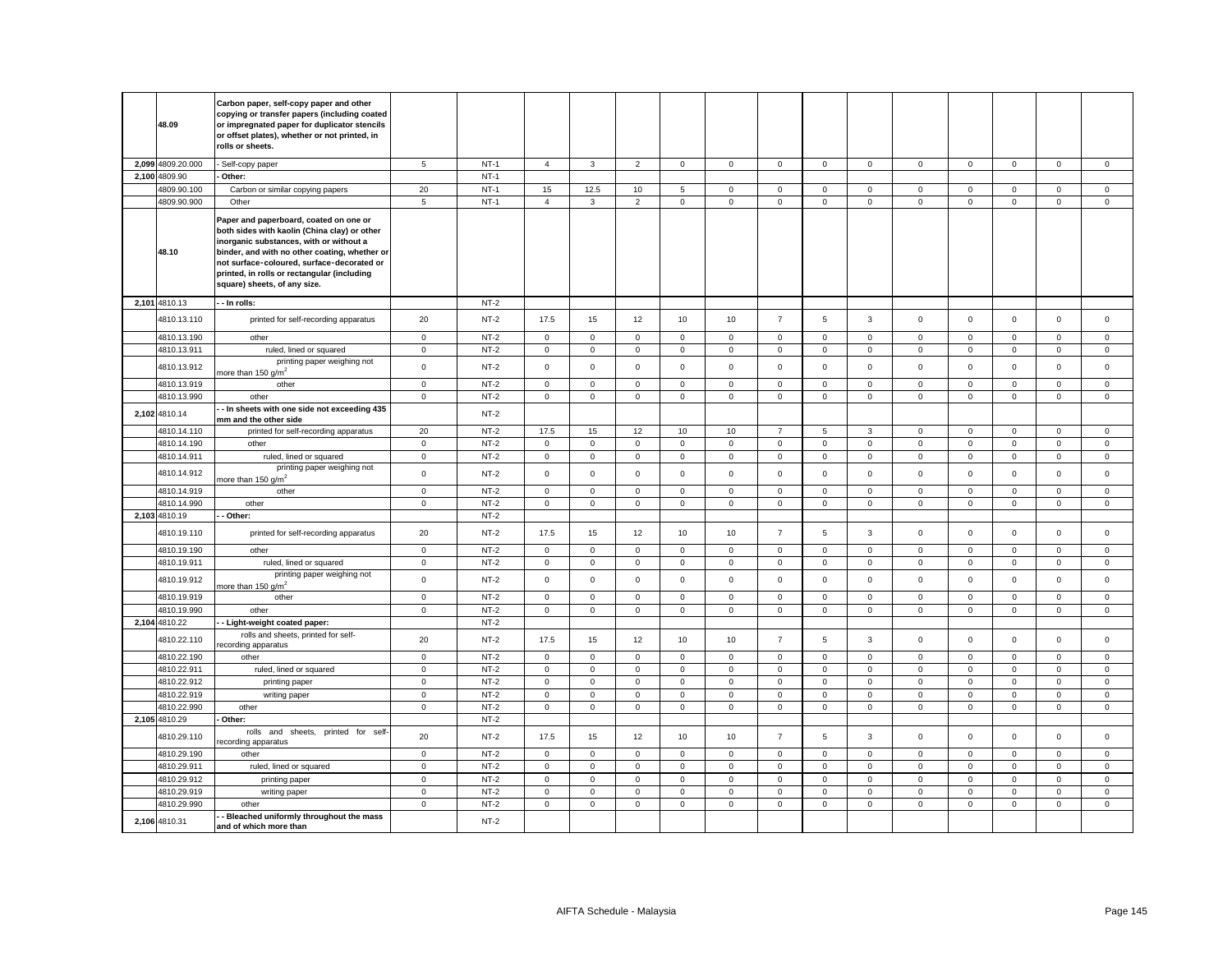| 48.09                        | Carbon paper, self-copy paper and other<br>copying or transfer papers (including coated<br>or impregnated paper for duplicator stencils<br>or offset plates), whether or not printed, in<br>rolls or sheets.                                                                                                    |                   |                  |                     |                     |                            |                   |                            |                     |                  |                  |                            |                            |                            |                            |                            |
|------------------------------|-----------------------------------------------------------------------------------------------------------------------------------------------------------------------------------------------------------------------------------------------------------------------------------------------------------------|-------------------|------------------|---------------------|---------------------|----------------------------|-------------------|----------------------------|---------------------|------------------|------------------|----------------------------|----------------------------|----------------------------|----------------------------|----------------------------|
| 2,099 4809.20.000            | - Self-copy paper                                                                                                                                                                                                                                                                                               | 5                 | $NT-1$           | $\overline{4}$      | $\mathbf{3}$        | $\overline{2}$             | $\mathsf 0$       | $\mathbf{0}$               | $\mathbf 0$         | $\mathsf 0$      | $\mathbf 0$      | $\mathsf 0$                | $\mathbf 0$                | $\mathbf 0$                | $\mathsf 0$                | $\mathbf 0$                |
| 2,100 4809.90                | Other:                                                                                                                                                                                                                                                                                                          |                   | $NT-1$           |                     |                     |                            |                   |                            |                     |                  |                  |                            |                            |                            |                            |                            |
| 4809.90.100                  | Carbon or similar copying papers                                                                                                                                                                                                                                                                                | 20                | $NT-1$           | 15                  | 12.5                | 10                         | 5                 | $\mathbf 0$                | $\mathsf 0$         | $\mathbf 0$      | $\mathbf{0}$     | $\mathbf 0$                | $\mathbf 0$                | $\mathbf 0$                | $\mathbf 0$                | $\mathbf 0$                |
| 4809.90.900                  | Other                                                                                                                                                                                                                                                                                                           | 5                 | $NT-1$           | $\overline{4}$      | $\mathbf{3}$        | $\overline{2}$             | $\mathbf 0$       | $\mathbf 0$                | $\mathbf 0$         | $\mathsf{O}$     | $\mathbf{0}$     | $\mathsf 0$                | $\mathsf 0$                | $\mathsf 0$                | $\mathsf 0$                | $\mathbf 0$                |
| 48.10                        | Paper and paperboard, coated on one or<br>both sides with kaolin (China clay) or other<br>inorganic substances, with or without a<br>binder, and with no other coating, whether or<br>not surface-coloured, surface-decorated or<br>printed, in rolls or rectangular (including<br>square) sheets, of any size. |                   |                  |                     |                     |                            |                   |                            |                     |                  |                  |                            |                            |                            |                            |                            |
| 2,101 4810.13                | - In rolls:                                                                                                                                                                                                                                                                                                     |                   | $NT-2$           |                     |                     |                            |                   |                            |                     |                  |                  |                            |                            |                            |                            |                            |
| 4810.13.110                  | printed for self-recording apparatus                                                                                                                                                                                                                                                                            | 20                | $NT-2$           | 17.5                | 15                  | 12                         | 10                | 10                         | $\overline{7}$      | 5                | $\mathbf{3}$     | $\mathsf 0$                | $\mathsf 0$                | $\mathsf 0$                | $\mathsf 0$                | $\mathsf 0$                |
| 4810.13.190                  | other                                                                                                                                                                                                                                                                                                           | $\mathbf 0$       | $NT-2$           | 0                   | 0                   | $\mathsf 0$                | $\mathbf 0$       | $\mathbf 0$                | $\mathbf 0$         | $\mathbf 0$      | $\mathbf 0$      | $\mathsf 0$                | $\mathbf 0$                | $\mathbf 0$                | 0                          | $\mathsf 0$                |
| 4810.13.911                  | ruled, lined or squared<br>printing paper weighing not                                                                                                                                                                                                                                                          | $\mathsf 0$       | $NT-2$           | $\mathbf{0}$        | $\mathsf{O}\xspace$ | $\mathbf 0$                | $\mathsf 0$       | $\mathsf 0$                | $\mathsf 0$         | $\mathsf 0$      | $\mathsf 0$      | $\mathsf 0$                | $\mathsf 0$                | $\mathsf{O}\xspace$        | $\mathsf{O}\xspace$        | $\mathbf 0$                |
| 4810.13.912                  | nore than 150 $g/m^2$                                                                                                                                                                                                                                                                                           | $\mathsf 0$       | $NT-2$           | $\mathbf 0$         | $\mathbf 0$         | $\mathsf 0$                | $\mathbf 0$       | $\mathbf 0$                | $\mathsf 0$         | $\mathbf 0$      | $\mathbf{0}$     | $\mathsf 0$                | $\mathsf 0$                | $\mathsf 0$                | $\mathsf{O}\xspace$        | $\mathsf 0$                |
| 4810.13.919                  | other                                                                                                                                                                                                                                                                                                           | $\mathbf 0$       | $NT-2$           | $\mathsf 0$         | $\mathsf{O}\xspace$ | $\mathbf 0$                | $\mathsf 0$       | $\mathsf 0$                | $\mathsf{O}\xspace$ | $\mathsf 0$      | $\mathsf 0$      | $\mathbf 0$                | $\mathsf 0$                | $\mathsf{O}\xspace$        | $\mathsf 0$                | $\mathbf 0$                |
| 4810.13.990<br>2,102 4810.14 | other<br>- In sheets with one side not exceeding 435                                                                                                                                                                                                                                                            | $\mathsf 0$       | $NT-2$<br>$NT-2$ | $\mathbf 0$         | $\mathbf 0$         | $\mathsf 0$                | $\mathbf 0$       | $\mathbf 0$                | $\mathsf 0$         | $\mathbf 0$      | 0                | $\mathsf 0$                | $\mathsf 0$                | $\mathsf 0$                | $\mathsf 0$                | $\mathsf 0$                |
|                              | mm and the other side                                                                                                                                                                                                                                                                                           |                   |                  |                     |                     |                            |                   |                            | $\overline{7}$      |                  |                  |                            |                            |                            |                            |                            |
| 4810.14.110<br>4810.14.190   | printed for self-recording apparatus<br>other                                                                                                                                                                                                                                                                   | 20<br>$\mathsf 0$ | $NT-2$<br>$NT-2$ | 17.5<br>$\mathbf 0$ | 15<br>$\mathsf{O}$  | 12                         | 10<br>$\mathsf 0$ | 10                         | $\mathsf 0$         | 5<br>$\mathsf 0$ | 3<br>$\mathsf 0$ | $\mathbf 0$<br>$\mathsf 0$ | $\mathbf 0$<br>$\mathsf 0$ | $\mathbf 0$<br>$\mathsf 0$ | $\mathbf 0$<br>$\mathsf 0$ | $\mathsf 0$                |
| 4810.14.911                  | ruled, lined or squared                                                                                                                                                                                                                                                                                         | $\mathbf 0$       | $NT-2$           | $\mathbf 0$         | $\mathbf 0$         | $\mathsf 0$<br>$\mathsf 0$ | $\mathsf 0$       | $\mathsf 0$<br>$\mathsf 0$ | $\mathbf 0$         | $\mathsf 0$      | $\mathbf{0}$     | $\mathsf 0$                | $\mathbf 0$                | $\mathbf 0$                | $\mathsf 0$                | $\mathbf 0$<br>$\mathsf 0$ |
| 4810.14.912                  | printing paper weighing not<br>nore than 150 g/m <sup>2</sup>                                                                                                                                                                                                                                                   | $\mathbf 0$       | $NT-2$           | $\mathbf 0$         | $\mathsf 0$         | $\mathsf 0$                | $\mathbf{0}$      | $\mathbf 0$                | $\mathbf 0$         | $\mathbf 0$      | $\mathbf{0}$     | $\mathbf 0$                | $\mathbf 0$                | $\mathsf 0$                | $\mathbf 0$                | $\mathsf 0$                |
| 4810.14.919                  | other                                                                                                                                                                                                                                                                                                           | $\mathbf{0}$      | $NT-2$           | $\mathbf 0$         | $\mathbf 0$         | $\mathbf 0$                | $\mathbf{0}$      | $\mathbf{0}$               | $\mathbf 0$         | $\mathbf 0$      | $\mathbf{0}$     | $\mathbf{0}$               | $\mathbf 0$                | $\mathbf 0$                | $\mathbf{0}$               | $\mathbf 0$                |
| 4810.14.990                  | other                                                                                                                                                                                                                                                                                                           | $\circ$           | $NT-2$           | $\mathbf 0$         | $\mathsf 0$         | $\mathsf 0$                | $\mathbf 0$       | $\mathsf 0$                | $\mathsf 0$         | $\mathsf 0$      | $\mathbf 0$      | $\mathbf 0$                | $\mathbf 0$                | $\mathsf 0$                | $\mathsf 0$                | $\mathsf 0$                |
| 2,103 4810.19                | $-$ Other:                                                                                                                                                                                                                                                                                                      |                   | $NT-2$           |                     |                     |                            |                   |                            |                     |                  |                  |                            |                            |                            |                            |                            |
| 4810.19.110                  | printed for self-recording apparatus                                                                                                                                                                                                                                                                            | 20                | $NT-2$           | 17.5                | 15                  | 12                         | 10                | 10                         | $\overline{7}$      | 5                | $\mathbf{3}$     | $\mathbf 0$                | $\mathsf 0$                | $\mathsf 0$                | $\mathsf 0$                | $\mathsf 0$                |
| 4810.19.190                  | other                                                                                                                                                                                                                                                                                                           | $\mathbf 0$       | $NT-2$           | $\mathbf 0$         | $\mathbf 0$         | $\mathbf 0$                | $\mathbf 0$       | $\mathbf 0$                | $\mathsf 0$         | $\mathbf 0$      | $\mathbf 0$      | $\mathbf 0$                | $\mathbf 0$                | $\mathbf 0$                | $\mathbf 0$                | $\mathbf 0$                |
| 4810.19.911                  | ruled, lined or squared                                                                                                                                                                                                                                                                                         | $\mathbf 0$       | $NT-2$           | $\mathbf 0$         | $\mathsf{O}$        | $\mathsf 0$                | $\mathsf 0$       | $\mathbf 0$                | $\mathbf 0$         | $\mathsf 0$      | $\mathbf 0$      | $\mathsf 0$                | $\mathbf 0$                | $\mathsf 0$                | $\mathsf 0$                | $\mathsf 0$                |
| 4810.19.912                  | printing paper weighing not<br>nore than 150 g/m <sup>2</sup>                                                                                                                                                                                                                                                   | $\mathsf 0$       | $NT-2$           | $\mathbf 0$         | $\mathsf 0$         | $\mathsf 0$                | $\mathsf 0$       | $\mathsf 0$                | $\mathsf 0$         | $\mathbf 0$      | $\mathbf 0$      | $\mathsf 0$                | $\mathbf 0$                | $\mathsf 0$                | $\mathsf 0$                | $\mathsf 0$                |
| 4810.19.919                  | other                                                                                                                                                                                                                                                                                                           | $\mathbf 0$       | $NT-2$           | $\mathbf 0$         | $\mathsf 0$         | $\mathsf 0$                | $\mathbf 0$       | $\mathbf 0$                | $\mathsf 0$         | $\mathbf 0$      | $\mathbf 0$      | $\mathbf 0$                | $\mathbf 0$                | $\mathbf 0$                | $\mathbf 0$                | $\mathsf 0$                |
| 4810.19.990                  | other                                                                                                                                                                                                                                                                                                           | $\mathbf 0$       | $NT-2$           | $\mathbf{0}$        | $\mathsf 0$         | $\mathsf 0$                | $\mathsf 0$       | $\mathbf 0$                | $\mathsf 0$         | $\mathbf 0$      | $\mathbf{0}$     | $\mathsf 0$                | $\mathbf 0$                | $\mathsf{O}\xspace$        | $\mathsf{O}\xspace$        | $\mathsf 0$                |
| 2,104 4810.22                | - Light-weight coated paper:                                                                                                                                                                                                                                                                                    |                   | $NT-2$           |                     |                     |                            |                   |                            |                     |                  |                  |                            |                            |                            |                            |                            |
| 4810.22.110                  | rolls and sheets, printed for self-<br>ecording apparatus                                                                                                                                                                                                                                                       | 20                | $NT-2$           | 17.5                | 15                  | 12                         | 10                | 10                         | $\overline{7}$      | 5                | $\mathbf{3}$     | $\mathsf 0$                | $\mathbf 0$                | $\mathbf 0$                | $\mathsf 0$                | $\mathsf 0$                |
| 4810.22.190                  | other                                                                                                                                                                                                                                                                                                           | $\circ$           | $NT-2$           | $\mathbf 0$         | $\mathsf 0$         | $\mathsf 0$                | $\mathbf 0$       | $\mathbf 0$                | $\mathsf 0$         | $\mathbf 0$      | $\mathbf 0$      | $\mathbf 0$                | $\mathbf 0$                | $\mathsf 0$                | $\mathsf 0$                | $\mathsf 0$                |
| 4810.22.911                  | ruled, lined or squared                                                                                                                                                                                                                                                                                         | $\mathbf{0}$      | $NT-2$           | $\mathbf 0$         | $\mathbf 0$         | $\mathbf{0}$               | $\mathbf{0}$      | $\mathbf 0$                | $\mathbf 0$         | $\mathbf{O}$     | $\mathbf{0}$     | $\mathbf{0}$               | $\mathbf 0$                | $\mathbf 0$                | $\mathbf{0}$               | $\mathbf 0$                |
| 4810.22.912                  | printing paper                                                                                                                                                                                                                                                                                                  | $\circ$           | $NT-2$           | $\mathbf 0$         | $\mathsf 0$         | $\mathsf 0$                | $\mathbf 0$       | $\mathbf 0$                | $\mathsf 0$         | $\mathbf 0$      | $\mathbf 0$      | $\mathbf 0$                | $\mathbf 0$                | $\mathbf 0$                | $\mathsf 0$                | $\mathbf 0$                |
| 4810.22.919                  | writing paper                                                                                                                                                                                                                                                                                                   | $\mathbf 0$       | $NT-2$           | $\mathbf 0$         | $\mathsf 0$         | $\mathsf 0$                | $\mathbf 0$       | $\mathbf 0$                | $\mathsf 0$         | $\mathbf 0$      | $\mathbf{0}$     | $\mathsf 0$                | $\mathbf 0$                | $\mathbf 0$                | $\mathbf 0$                | $\mathsf 0$                |
| 4810.22.990<br>2,105 4810.29 | other<br>Other:                                                                                                                                                                                                                                                                                                 | $\mathbf{0}$      | $NT-2$<br>$NT-2$ | $\mathbf 0$         | $\circ$             | $\mathbf 0$                | $\mathbf 0$       | $\mathbf 0$                | $\mathbf 0$         | $\mathbf{O}$     | $\overline{0}$   | $\mathbf{0}$               | $\mathbf 0$                | $\mathbf{0}$               | $\mathbf 0$                | $\mathbf 0$                |
| 4810.29.110                  | rolls and sheets, printed for self-<br>recording apparatus                                                                                                                                                                                                                                                      | 20                | $NT-2$           | 17.5                | 15                  | 12                         | 10                | 10                         | $\overline{7}$      | 5                | 3                | $\mathsf 0$                | $\mathsf 0$                | $\mathsf 0$                | $\mathsf 0$                | $\mathsf 0$                |
| 4810.29.190                  | other                                                                                                                                                                                                                                                                                                           | $\mathbf{0}$      | $NT-2$           | $\mathbf{0}$        | $\circ$             | $\mathbf 0$                | $\mathbf{0}$      | $\mathbf 0$                | $\mathbf 0$         | $\mathbf{O}$     | $\mathbf{0}$     | $\mathbf 0$                | $\mathbf 0$                | $\mathbf{0}$               | $\mathbf{0}$               | $\mathbf 0$                |
| 4810.29.911                  | ruled, lined or squared                                                                                                                                                                                                                                                                                         | $\circ$           | $NT-2$           | $\mathbf 0$         | $\mathsf 0$         | $\mathsf 0$                | $\mathbf 0$       | $\mathbf 0$                | $\mathsf 0$         | $\mathbf 0$      | $\mathbf{0}$     | $\mathbf 0$                | $\mathbf 0$                | $\mathbf 0$                | $\mathsf 0$                | $\mathsf 0$                |
| 4810.29.912                  | printing paper                                                                                                                                                                                                                                                                                                  | $\mathsf 0$       | $NT-2$           | $\mathbf 0$         | $\mathbf 0$         | $\mathsf 0$                | $\mathsf 0$       | $\mathsf 0$                | $\mathsf 0$         | $\mathsf 0$      | $\mathbf 0$      | $\mathsf 0$                | $\mathsf 0$                | $\mathsf 0$                | $\mathsf 0$                | $\mathsf 0$                |
| 4810.29.919                  | writing paper                                                                                                                                                                                                                                                                                                   | $\circ$           | $NT-2$           | $\mathbf 0$         | $\mathbf 0$         | $\mathsf 0$                | $\mathbf{0}$      | $\mathbf 0$                | $\mathbf 0$         | $\mathbf 0$      | $\mathbf{0}$     | $\mathbf 0$                | $\mathbf 0$                | $\mathbf 0$                | $\mathbf 0$                | $\mathsf 0$                |
| 4810.29.990                  | other                                                                                                                                                                                                                                                                                                           | $\mathbf 0$       | $NT-2$           | 0                   | $\mathbf 0$         | $\mathsf 0$                | 0                 | $\mathsf 0$                | $\mathbf 0$         | $\mathsf 0$      | 0                | $\mathsf 0$                | $\mathbf 0$                | $\mathbf 0$                | $\mathsf 0$                | $\mathsf 0$                |
| 2,106 4810.31                | Bleached uniformly throughout the mass<br>and of which more than                                                                                                                                                                                                                                                |                   | $NT-2$           |                     |                     |                            |                   |                            |                     |                  |                  |                            |                            |                            |                            |                            |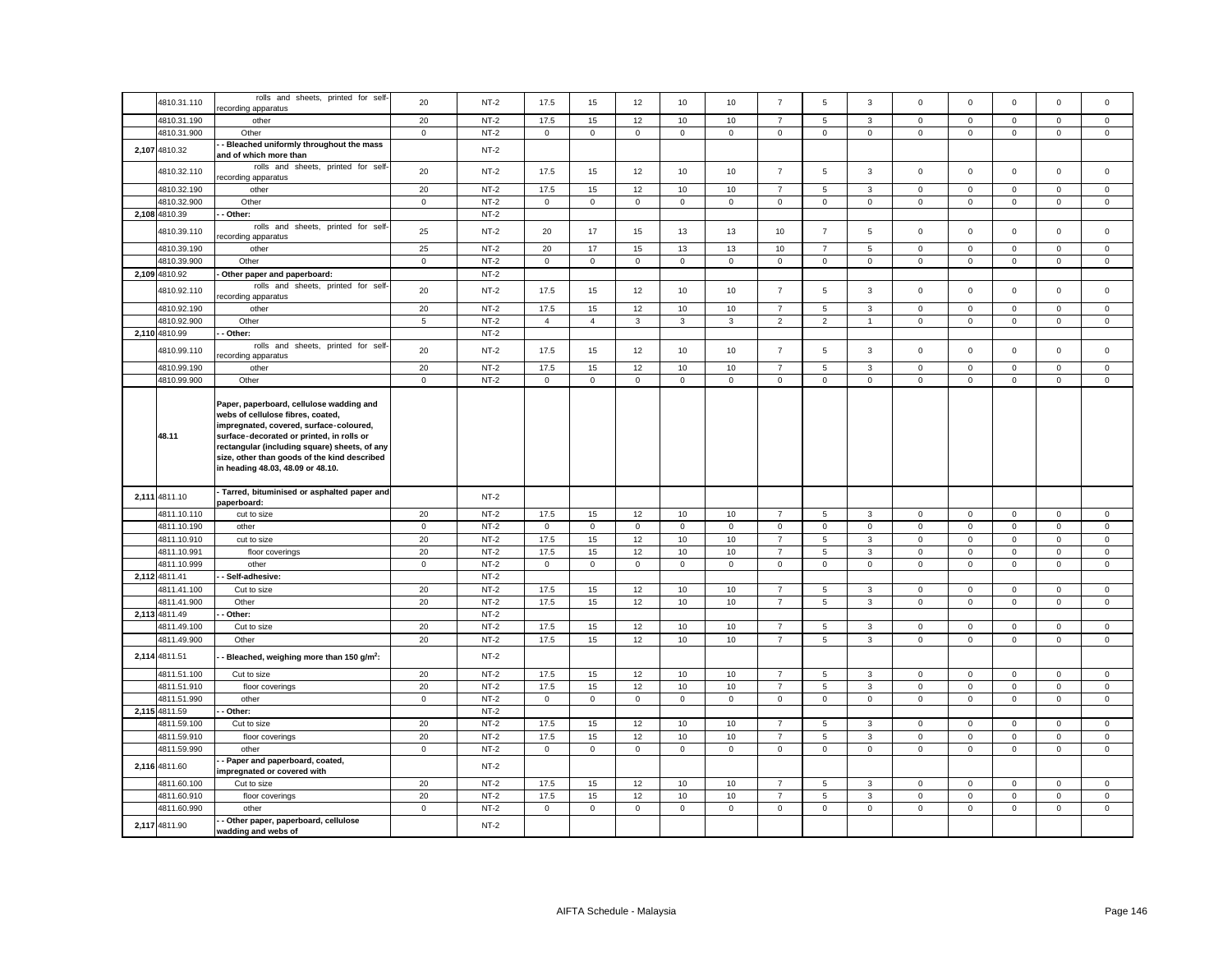| 4810.31.110   | rolls and sheets, printed for self-                         | 20          | $NT-2$ | 17.5           | 15             | 12          | 10           | 10           | $\overline{7}$ | 5              | 3              | $\mathsf 0$  | $\mathbf 0$ | $\mathbf 0$         | $\mathsf 0$  | $\mathbf 0$ |
|---------------|-------------------------------------------------------------|-------------|--------|----------------|----------------|-------------|--------------|--------------|----------------|----------------|----------------|--------------|-------------|---------------------|--------------|-------------|
|               | ecording apparatus                                          |             |        |                |                |             |              |              |                |                |                |              |             |                     |              |             |
| 4810.31.190   | other                                                       | 20          | $NT-2$ | 17.5           | 15             | 12          | 10           | 10           | $\overline{7}$ | 5              | $\mathbf{3}$   | $\mathbf{0}$ | $\mathbf 0$ | $\mathbf 0$         | $\mathbf 0$  | $\mathbf 0$ |
| 4810.31.900   | Other                                                       | $\mathbf 0$ | $NT-2$ | $\mathbf{0}$   | $\mathbf 0$    | $\mathbf 0$ | $\mathbf 0$  | $\mathbf 0$  | $\mathsf 0$    | $\mathbf 0$    | $\mathbf 0$    | $\mathsf 0$  | $\mathsf 0$ | $\mathbf 0$         | $\mathbf 0$  | $\mathbf 0$ |
| 2,107 4810.32 | Bleached uniformly throughout the mass                      |             | $NT-2$ |                |                |             |              |              |                |                |                |              |             |                     |              |             |
|               | and of which more than                                      |             |        |                |                |             |              |              |                |                |                |              |             |                     |              |             |
| 4810.32.110   | rolls and sheets, printed for self-                         | 20          | $NT-2$ | 17.5           | 15             | 12          | 10           | 10           | $\overline{7}$ | 5              | $\mathbf{3}$   | $\mathsf 0$  | $\mathsf 0$ | $\mathbf 0$         | $\mathsf 0$  | $\mathsf 0$ |
|               | ecording apparatus                                          |             |        |                |                |             |              |              |                |                |                |              |             |                     |              |             |
| 4810.32.190   | other                                                       | $20\,$      | $NT-2$ | 17.5           | 15             | 12          | 10           | 10           | $\overline{7}$ | 5              | 3              | $\mathbf 0$  | $\mathbf 0$ | $\mathbf 0$         | $\mathsf 0$  | $\mathsf 0$ |
| 4810.32.900   | Other                                                       | $\mathbf 0$ | $NT-2$ | $\mathbf 0$    | $\mathsf 0$    | $\mathsf 0$ | $\mathsf 0$  | $\mathsf 0$  | $\mathsf 0$    | $\mathbf 0$    | $\mathbf 0$    | $\mathsf 0$  | $\mathbf 0$ | $\mathsf 0$         | $\mathsf 0$  | $\mathsf 0$ |
| 2,108 4810.39 | - Other:                                                    |             | $NT-2$ |                |                |             |              |              |                |                |                |              |             |                     |              |             |
|               | rolls and sheets, printed for self-                         |             |        |                |                |             |              |              |                |                |                |              |             |                     |              |             |
| 4810.39.110   | ecording apparatus                                          | 25          | $NT-2$ | 20             | 17             | 15          | 13           | 13           | 10             | $\overline{7}$ | 5              | $\mathsf 0$  | $\mathbf 0$ | $\mathsf 0$         | $\mathbf 0$  | $\mathsf 0$ |
| 4810.39.190   |                                                             | 25          | $NT-2$ |                | 17             |             |              |              |                | $\overline{7}$ |                |              |             |                     |              |             |
|               | other                                                       |             |        | 20             |                | 15          | 13           | 13           | 10             |                | 5              | 0            | $\mathbf 0$ | $\mathbf 0$         | 0            | 0           |
| 4810.39.900   | Other                                                       | $\mathsf 0$ | $NT-2$ | $\mathbf 0$    | $\mathsf 0$    | $\mathsf 0$ | $\mathsf 0$  | $\mathbf 0$  | $\mathbf 0$    | $\mathsf 0$    | $\mathbf 0$    | $\mathsf 0$  | $\mathbf 0$ | $\mathsf 0$         | $\mathbf 0$  | $\mathsf 0$ |
| 2,109 4810.92 | Other paper and paperboard:                                 |             | $NT-2$ |                |                |             |              |              |                |                |                |              |             |                     |              |             |
| 4810.92.110   | rolls and sheets, printed for self-                         | 20          | $NT-2$ | 17.5           | 15             | 12          | 10           | 10           | $\overline{7}$ | 5              | 3              | $\mathbf 0$  | $\mathsf 0$ | $\mathbf 0$         | $\mathsf 0$  | $\mathsf 0$ |
|               | ecording apparatus                                          |             |        |                |                |             |              |              |                |                |                |              |             |                     |              |             |
| 4810.92.190   | other                                                       | 20          | $NT-2$ | 17.5           | 15             | 12          | 10           | 10           | $\overline{7}$ | 5              | $\overline{3}$ | $\mathbf 0$  | $\mathbf 0$ | $\mathbf 0$         | $\mathbf 0$  | $\mathbf 0$ |
| 4810.92.900   | Other                                                       | 5           | $NT-2$ | $\overline{4}$ | $\overline{4}$ | 3           | $\mathbf{3}$ | $\mathbf{3}$ | 2              | 2              | $\overline{1}$ | $\mathbf{0}$ | $\mathbf 0$ | $\mathbf{0}$        | $\mathbf 0$  | $\mathbf 0$ |
| 2,110 4810.99 | - Other:                                                    |             | $NT-2$ |                |                |             |              |              |                |                |                |              |             |                     |              |             |
|               | rolls and sheets, printed for self-                         |             |        |                |                |             |              |              |                |                |                |              |             |                     |              |             |
| 4810.99.110   | ecording apparatus                                          | 20          | $NT-2$ | 17.5           | 15             | 12          | 10           | 10           | $\overline{7}$ | 5              | 3              | $\mathbf 0$  | $\mathsf 0$ | $\mathbf 0$         | $\mathsf 0$  | $\mathbf 0$ |
| 4810.99.190   | other                                                       | 20          | $NT-2$ | 17.5           | 15             | 12          | 10           | 10           | $\overline{7}$ | 5              | $\mathbf{3}$   | $\mathsf 0$  | $\mathsf 0$ | $\mathsf 0$         | $\mathsf 0$  | $\mathsf 0$ |
| 4810.99.900   | Other                                                       | $\mathbf 0$ | $NT-2$ | $\mathbf{0}$   | $\mathbf 0$    | $\mathsf 0$ | $\mathbf 0$  | $\mathbf 0$  | $\mathsf 0$    | $\mathbf{0}$   | $\mathbf 0$    | $\mathbf 0$  | $\mathsf 0$ | $\mathbf 0$         | $\mathsf 0$  | $\mathsf 0$ |
|               |                                                             |             |        |                |                |             |              |              |                |                |                |              |             |                     |              |             |
|               | Paper, paperboard, cellulose wadding and                    |             |        |                |                |             |              |              |                |                |                |              |             |                     |              |             |
|               | webs of cellulose fibres, coated,                           |             |        |                |                |             |              |              |                |                |                |              |             |                     |              |             |
|               | impregnated, covered, surface-coloured,                     |             |        |                |                |             |              |              |                |                |                |              |             |                     |              |             |
| 48.11         | surface decorated or printed, in rolls or                   |             |        |                |                |             |              |              |                |                |                |              |             |                     |              |             |
|               | rectangular (including square) sheets, of any               |             |        |                |                |             |              |              |                |                |                |              |             |                     |              |             |
|               | size, other than goods of the kind described                |             |        |                |                |             |              |              |                |                |                |              |             |                     |              |             |
|               | in heading 48.03, 48.09 or 48.10.                           |             |        |                |                |             |              |              |                |                |                |              |             |                     |              |             |
|               |                                                             |             |        |                |                |             |              |              |                |                |                |              |             |                     |              |             |
|               | Tarred, bituminised or asphalted paper and                  |             |        |                |                |             |              |              |                |                |                |              |             |                     |              |             |
| 2,111 4811.10 | paperboard:                                                 |             | $NT-2$ |                |                |             |              |              |                |                |                |              |             |                     |              |             |
|               |                                                             |             |        |                |                |             |              |              | $\overline{7}$ | 5              |                |              |             |                     |              |             |
|               |                                                             |             |        |                |                |             |              |              |                |                |                |              |             |                     |              |             |
| 4811.10.110   | cut to size                                                 | 20          | $NT-2$ | 17.5           | 15             | 12          | 10           | 10           |                |                | $\mathbf{3}$   | $\mathbf 0$  | $\mathbf 0$ | $\mathbf 0$         | $\mathbf{0}$ | $\mathbf 0$ |
| 4811.10.190   | other                                                       | $\mathbf 0$ | $NT-2$ | $\mathbf 0$    | $\mathbf 0$    | $\mathsf 0$ | $\mathbf{0}$ | $\mathbf 0$  | $\mathsf 0$    | $\mathbf 0$    | $\mathbf 0$    | $\mathbf{0}$ | $\mathsf 0$ | $\mathsf 0$         | $\mathbf 0$  | $\mathbf 0$ |
| 4811.10.910   | cut to size                                                 | 20          | $NT-2$ | 17.5           | 15             | 12          | 10           | 10           | $\overline{7}$ | 5              | $\overline{3}$ | $\mathsf 0$  | $\mathbf 0$ | $\mathbf{0}$        | $\mathbf{0}$ | $\mathbf 0$ |
| 4811.10.991   | floor coverings                                             | 20          | $NT-2$ | 17.5           | 15             | 12          | 10           | 10           | $\overline{7}$ | 5              | $\mathbf{3}$   | $\mathbf{0}$ | $\mathsf 0$ | $\mathsf 0$         | $\mathsf 0$  | $\mathsf 0$ |
| 4811.10.999   | other                                                       | $\mathbf 0$ | $NT-2$ | $\mathbf 0$    | $\mathbf 0$    | $\mathbf 0$ | $\mathsf 0$  | $\mathbf 0$  | $\mathsf 0$    | $\mathbf 0$    | $\mathbf 0$    | $\mathsf 0$  | $\mathsf 0$ | $\mathsf 0$         | $\mathsf 0$  | $\mathsf 0$ |
| 2,112 4811.41 | - Self-adhesive:                                            |             | $NT-2$ |                |                |             |              |              |                |                |                |              |             |                     |              |             |
| 4811.41.100   | Cut to size                                                 | 20          | $NT-2$ | 17.5           | 15             | 12          | 10           | 10           | $\overline{7}$ | 5              | $\mathbf{3}$   | $\mathsf 0$  | $\mathsf 0$ | $\mathsf 0$         | $\mathsf 0$  | $\mathsf 0$ |
|               |                                                             |             |        |                |                |             |              |              |                |                |                |              |             |                     |              |             |
| 4811.41.900   | Other                                                       | 20          | $NT-2$ | 17.5           | 15             | 12          | 10           | 10           | $\overline{7}$ | 5              | $\mathbf{3}$   | $\mathsf 0$  | $\mathsf 0$ | $\mathsf 0$         | $\mathsf 0$  | $\mathsf 0$ |
| 2,113 4811.49 | Other:                                                      |             | $NT-2$ |                |                |             |              |              |                |                |                |              |             |                     |              |             |
| 4811.49.100   | Cut to size                                                 | 20          | $NT-2$ | 17.5           | 15             | 12          | 10           | 10           | $\overline{7}$ | 5              | 3              | $\mathbf{0}$ | $\mathsf 0$ | $\mathsf 0$         | $\mathbf 0$  | $\mathbf 0$ |
| 4811.49.900   | Other                                                       | 20          | $NT-2$ | 17.5           | 15             | 12          | 10           | 10           | $\overline{7}$ | 5              | $\mathbf{3}$   | $\mathsf 0$  | 0           | $\mathbf 0$         | $\mathbf 0$  | $^{\circ}$  |
| 2,114 4811.51 | Bleached, weighing more than 150 g/m <sup>2</sup> :         |             | $NT-2$ |                |                |             |              |              |                |                |                |              |             |                     |              |             |
|               |                                                             |             |        |                |                |             |              |              |                |                |                |              |             |                     |              |             |
| 4811.51.100   | Cut to size                                                 | 20          | $NT-2$ | 17.5           | 15             | 12          | 10           | 10           | $\overline{7}$ | 5              | 3              | $\mathsf 0$  | $\mathbf 0$ | $\mathsf 0$         | 0            | $\mathsf 0$ |
| 4811.51.910   | floor coverings                                             | 20          | $NT-2$ | 17.5           | 15             | 12          | 10           | 10           | $\overline{7}$ | 5              | $\mathbf{3}$   | $\mathsf 0$  | $\mathsf 0$ | $\mathsf 0$         | $\mathsf 0$  | $\mathsf 0$ |
| 4811.51.990   | other                                                       | $\mathbf 0$ | $NT-2$ | $\mathsf 0$    | $\mathsf 0$    | $\mathbf 0$ | $\mathsf 0$  | $\mathsf 0$  | $\mathsf 0$    | $\mathsf 0$    | $\mathbf 0$    | $\mathsf 0$  | $\mathsf 0$ | $\mathbf 0$         | $\mathsf 0$  | $\mathbf 0$ |
| 2,115 4811.59 | Other:                                                      |             | $NT-2$ |                |                |             |              |              |                |                |                |              |             |                     |              |             |
| 4811.59.100   | Cut to size                                                 | 20          | $NT-2$ | 17.5           | 15             | 12          | 10           | 10           | $\overline{7}$ | 5              | 3              | $\mathsf 0$  | $\mathsf 0$ | $\mathsf{O}\xspace$ | $\mathbf 0$  | 0           |
|               |                                                             |             |        |                |                |             |              |              |                |                |                |              |             |                     |              |             |
| 4811.59.910   | floor coverings                                             | 20          | $NT-2$ | 17.5           | 15             | 12          | 10           | 10           | $\overline{7}$ | 5              | $\mathbf{3}$   | $\mathsf 0$  | $\mathbf 0$ | $\mathsf{O}\xspace$ | $\mathsf 0$  | $\mathsf 0$ |
| 4811.59.990   | other                                                       | $\mathbf 0$ | $NT-2$ | $\overline{0}$ | $\mathsf 0$    | $\mathbf 0$ | $\mathsf 0$  | $\mathsf 0$  | $\mathbf 0$    | $\mathsf 0$    | $\mathbf 0$    | $\mathbf 0$  | $\mathsf 0$ | $\mathsf 0$         | $\mathbf 0$  | $\mathsf 0$ |
| 2,116 4811.60 | - Paper and paperboard, coated,                             |             | $NT-2$ |                |                |             |              |              |                |                |                |              |             |                     |              |             |
|               | mpregnated or covered with                                  |             |        |                |                |             |              |              |                |                |                |              |             |                     |              |             |
| 4811.60.100   | Cut to size                                                 | 20          | $NT-2$ | 17.5           | 15             | 12          | 10           | 10           | $\overline{7}$ | 5              | 3              | $\mathbf 0$  | $\mathbf 0$ | $\mathbf 0$         | $\mathbf 0$  | $\mathsf 0$ |
| 4811.60.910   | floor coverings                                             | 20          | $NT-2$ | 17.5           | 15             | 12          | 10           | 10           | $\overline{7}$ | 5              | $\mathbf{3}$   | $\mathbf 0$  | $\mathsf 0$ | $\mathsf 0$         | $\mathbf 0$  | $\mathsf 0$ |
| 4811.60.990   | other                                                       | $\mathbf 0$ | $NT-2$ | $\circ$        | $\mathbf 0$    | $\mathbf 0$ | $\mathbf{0}$ | $\mathbf 0$  | $\mathbf 0$    | $\mathbf 0$    | $\mathbf 0$    | $\mathbf 0$  | $\mathbf 0$ | $\mathbf 0$         | $\mathbf 0$  | $\mathsf 0$ |
| 2,117 4811.90 | - Other paper, paperboard, cellulose<br>wadding and webs of |             | $NT-2$ |                |                |             |              |              |                |                |                |              |             |                     |              |             |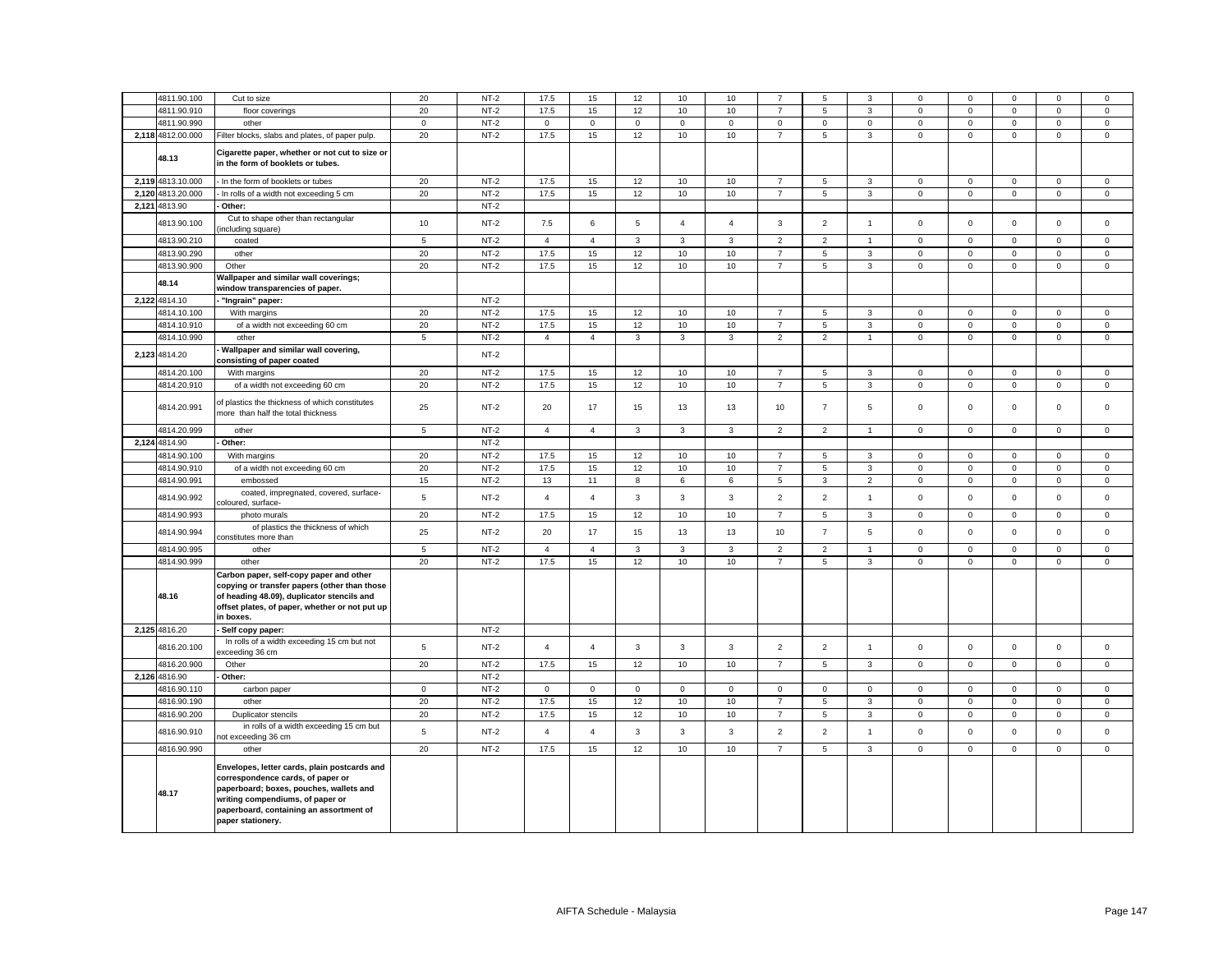|       | 4811.90.100       | Cut to size                                                                                                                                                                                                                      | 20              | $NT-2$ | 17.5           | 15             | 12           | 10             | 10             | $\overline{7}$ | 5              | 3              | 0              | $\mathbf 0$ | $\Omega$    | $\mathbf 0$    | $\mathbf 0$  |
|-------|-------------------|----------------------------------------------------------------------------------------------------------------------------------------------------------------------------------------------------------------------------------|-----------------|--------|----------------|----------------|--------------|----------------|----------------|----------------|----------------|----------------|----------------|-------------|-------------|----------------|--------------|
|       | 4811.90.910       | floor coverings                                                                                                                                                                                                                  | 20              | $NT-2$ | 17.5           | 15             | 12           | 10             | 10             | $\overline{7}$ | 5              | $\mathbf{3}$   | $\mathsf 0$    | $\mathbf 0$ | $\mathbf 0$ | $\mathsf 0$    | $\mathsf 0$  |
|       | 4811.90.990       | other                                                                                                                                                                                                                            | $\mathbf 0$     | $NT-2$ | $\overline{0}$ | $\mathbf 0$    | $\mathbf 0$  | $\mathbf 0$    | $\mathsf 0$    | $\mathsf 0$    | $\mathbf 0$    | $\mathbf 0$    | $\mathsf 0$    | $\mathsf 0$ | $\mathbf 0$ | $\mathsf 0$    | $\mathbf 0$  |
|       | 2,118 4812.00.000 | Filter blocks, slabs and plates, of paper pulp.                                                                                                                                                                                  | 20              | $NT-2$ | 17.5           | 15             | 12           | 10             | 10             | $\overline{7}$ | 5              | 3              | $\mathsf 0$    | $\mathsf 0$ | $\mathsf 0$ | $\mathsf 0$    | $\mathsf 0$  |
|       | 48.13             | Cigarette paper, whether or not cut to size or<br>in the form of booklets or tubes.                                                                                                                                              |                 |        |                |                |              |                |                |                |                |                |                |             |             |                |              |
|       | 2.119 4813.10.000 | - In the form of booklets or tubes                                                                                                                                                                                               | 20              | $NT-2$ | 17.5           | 15             | 12           | 10             | 10             | $\overline{7}$ | 5              | $\mathbf{3}$   | 0              | $\mathbf 0$ | $\mathbf 0$ | $\mathbf 0$    | $\mathbf{0}$ |
| 2,120 | 4813.20.000       | In rolls of a width not exceeding 5 cm                                                                                                                                                                                           | 20              | $NT-2$ | 17.5           | 15             | 12           | 10             | 10             | $\overline{7}$ | 5              | $\overline{3}$ | $\mathbf 0$    | $\mathbf 0$ | $\mathbf 0$ | $\mathsf 0$    | $\mathsf 0$  |
|       | 2,121 4813.90     | Other:                                                                                                                                                                                                                           |                 | $NT-2$ |                |                |              |                |                |                |                |                |                |             |             |                |              |
|       | 4813.90.100       | Cut to shape other than rectangular<br>including square)                                                                                                                                                                         | 10              | $NT-2$ | 7.5            | 6              | $\,$ 5 $\,$  | $\overline{4}$ | $\overline{4}$ | 3              | $\overline{2}$ | $\overline{1}$ | $\mathbf 0$    | $\mathsf 0$ | $\mathsf 0$ | $\mathsf 0$    | $\mathsf 0$  |
|       | 4813.90.210       | coated                                                                                                                                                                                                                           | $\sqrt{5}$      | $NT-2$ | $\overline{4}$ | $\overline{4}$ | 3            | $\mathbf{3}$   | 3              | 2              | $\overline{2}$ | $\mathbf{1}$   | $\mathbf 0$    | $\mathbf 0$ | $\mathbf 0$ | $\mathbf 0$    | $\mathbf 0$  |
|       | 4813.90.290       | other                                                                                                                                                                                                                            | 20              | $NT-2$ | 17.5           | 15             | 12           | 10             | 10             | $\overline{7}$ | 5              | 3              | $\mathbf 0$    | $\mathbf 0$ | $\mathbf 0$ | $\mathbf 0$    | $\mathsf 0$  |
|       | 4813.90.900       | Other                                                                                                                                                                                                                            | 20              | $NT-2$ | 17.5           | 15             | 12           | 10             | 10             | $\overline{7}$ | 5              | 3              | $\mathsf 0$    | $\mathsf 0$ | $\mathsf 0$ | $\mathbf 0$    | $\mathsf 0$  |
|       | 48.14             | Wallpaper and similar wall coverings;                                                                                                                                                                                            |                 |        |                |                |              |                |                |                |                |                |                |             |             |                |              |
|       |                   | window transparencies of paper.                                                                                                                                                                                                  |                 |        |                |                |              |                |                |                |                |                |                |             |             |                |              |
|       | 2,122 4814.10     | "Ingrain" paper:                                                                                                                                                                                                                 |                 | $NT-2$ |                |                |              |                |                |                |                |                |                |             |             |                |              |
|       | 4814.10.100       | With margins                                                                                                                                                                                                                     | 20              | $NT-2$ | 17.5           | 15             | 12           | 10             | 10             | $\overline{7}$ | 5              | 3              | $\mathbf 0$    | $\mathbf 0$ | $\mathbf 0$ | $\mathsf 0$    | $\mathsf 0$  |
|       | 4814.10.910       | of a width not exceeding 60 cm                                                                                                                                                                                                   | 20              | $NT-2$ | 17.5           | 15             | 12           | 10             | 10             | $\overline{7}$ | 5              | $_{3}$         | $\mathsf 0$    | $\mathsf 0$ | $\mathsf 0$ | $\mathsf 0$    | $\mathsf 0$  |
|       | 4814.10.990       | other                                                                                                                                                                                                                            | $\overline{5}$  | $NT-2$ | $\overline{4}$ | $\overline{4}$ | $\mathbf{3}$ | $\mathbf{3}$   | 3              | $\overline{2}$ | $\overline{2}$ | $\overline{1}$ | $\mathsf 0$    | $\mathbf 0$ | $\mathsf 0$ | $\mathsf 0$    | $\mathsf 0$  |
|       | 2,123 4814.20     | Wallpaper and similar wall covering,<br>consisting of paper coated                                                                                                                                                               |                 | $NT-2$ |                |                |              |                |                |                |                |                |                |             |             |                |              |
|       | 4814.20.100       | With margins                                                                                                                                                                                                                     | 20              | $NT-2$ | 17.5           | 15             | 12           | 10             | 10             | $\overline{7}$ | 5              | $\mathbf{3}$   | $\mathbf 0$    | $\mathbf 0$ | $\mathbf 0$ | $\mathsf 0$    | $\mathsf 0$  |
|       | 4814.20.910       | of a width not exceeding 60 cm                                                                                                                                                                                                   | 20              | $NT-2$ | 17.5           | 15             | 12           | 10             | 10             | $\overline{7}$ | 5              | $\mathbf{3}$   | $\mathbf 0$    | $\mathsf 0$ | $\mathsf 0$ | $\mathsf 0$    | $\mathsf 0$  |
|       | 4814.20.991       | of plastics the thickness of which constitutes<br>more than half the total thickness                                                                                                                                             | 25              | $NT-2$ | 20             | 17             | 15           | 13             | 13             | 10             | $\overline{7}$ | 5              | 0              | $\mathbf 0$ | $\mathbf 0$ | $\mathbf 0$    | $\mathbf 0$  |
|       | 4814.20.999       | other                                                                                                                                                                                                                            | $5\phantom{.0}$ | $NT-2$ | $\overline{4}$ | $\overline{4}$ | $\mathbf{3}$ | $\mathbf{3}$   | $\mathbf{3}$   | $\overline{2}$ | $\overline{2}$ | $\overline{1}$ | $\overline{0}$ | $\mathbf 0$ | $\mathbf 0$ | $\overline{0}$ | $\mathsf 0$  |
| 2,124 | 4814.90           | Other:                                                                                                                                                                                                                           |                 | $NT-2$ |                |                |              |                |                |                |                |                |                |             |             |                |              |
|       | 4814.90.100       | With margins                                                                                                                                                                                                                     | 20              | $NT-2$ | 17.5           | 15             | 12           | 10             | 10             | $\overline{7}$ | 5              | $\mathbf{3}$   | $\mathbf 0$    | $\mathsf 0$ | $\mathsf 0$ | $\mathbf 0$    | $\mathsf 0$  |
|       | 4814.90.910       | of a width not exceeding 60 cm                                                                                                                                                                                                   | 20              | $NT-2$ | 17.5           | 15             | 12           | 10             | 10             | $\overline{7}$ | 5              | 3              | $\mathbf 0$    | $\mathbf 0$ | $\mathbf 0$ | $\mathbf 0$    | $\mathbf 0$  |
|       | 4814.90.991       | embossed                                                                                                                                                                                                                         | 15              | $NT-2$ | 13             | 11             | 8            | 6              | 6              | 5              | 3              | $\overline{2}$ | $\mathbf 0$    | $\mathsf 0$ | $\mathbf 0$ | $\mathsf 0$    | $\mathsf 0$  |
|       | 4814.90.992       | coated, impregnated, covered, surface-<br>coloured, surface-                                                                                                                                                                     | 5               | $NT-2$ | $\overline{4}$ | $\overline{4}$ | 3            | 3              | 3              | $\overline{2}$ | $\overline{2}$ | $\overline{1}$ | $\mathsf 0$    | $\Omega$    | $\mathbf 0$ | $\mathsf 0$    | $\mathbf 0$  |
|       | 4814.90.993       | photo murals                                                                                                                                                                                                                     | 20              | $NT-2$ | 17.5           | 15             | 12           | 10             | 10             | $\overline{7}$ | 5              | $\mathbf{3}$   | $\mathsf 0$    | $\mathsf 0$ | $\mathsf 0$ | $\mathsf 0$    | $\mathsf 0$  |
|       | 4814.90.994       | of plastics the thickness of which<br>constitutes more than                                                                                                                                                                      | 25              | $NT-2$ | 20             | 17             | 15           | 13             | 13             | 10             | $\overline{7}$ | $\overline{5}$ | $\mathsf 0$    | $\mathsf 0$ | $\mathsf 0$ | $\mathsf 0$    | $\mathsf 0$  |
|       | 4814.90.995       | other                                                                                                                                                                                                                            | 5               | $NT-2$ | $\overline{4}$ | 4              | 3            | 3              | 3              | $\overline{2}$ | $\overline{2}$ | $\overline{1}$ | $\mathsf 0$    | 0           | $\mathbf 0$ | $\mathbf 0$    | $\mathbf 0$  |
|       | 4814.90.999       | other                                                                                                                                                                                                                            | 20              | $NT-2$ | 17.5           | 15             | 12           | 10             | 10             | $\overline{7}$ | 5              | 3              | $\mathsf 0$    | $\mathsf 0$ | $\mathsf 0$ | $\mathsf 0$    | $\mathsf 0$  |
|       | 48.16             | Carbon paper, self-copy paper and other<br>copying or transfer papers (other than those<br>of heading 48.09), duplicator stencils and<br>offset plates, of paper, whether or not put up<br>in boxes.                             |                 |        |                |                |              |                |                |                |                |                |                |             |             |                |              |
|       | 2,125 4816.20     | - Self copy paper:                                                                                                                                                                                                               |                 | $NT-2$ |                |                |              |                |                |                |                |                |                |             |             |                |              |
|       | 4816.20.100       | In rolls of a width exceeding 15 cm but not<br>xceeding 36 cm                                                                                                                                                                    | 5               | $NT-2$ | $\overline{4}$ | $\overline{4}$ | 3            | 3              | 3              | 2              | 2              | $\overline{1}$ | $\mathbf 0$    | $\Omega$    | $\mathbf 0$ | $\mathbf 0$    | $\mathbf 0$  |
|       | 4816.20.900       | Other                                                                                                                                                                                                                            | 20              | $NT-2$ | 17.5           | 15             | 12           | 10             | 10             | $\overline{7}$ | 5              | $\overline{3}$ | $\mathbf 0$    | $\mathbf 0$ | $\mathbf 0$ | $\mathbf 0$    | $\mathbf 0$  |
|       | 2,126 4816.90     | Other:                                                                                                                                                                                                                           |                 | $NT-2$ |                |                |              |                |                |                |                |                |                |             |             |                |              |
|       | 4816.90.110       | carbon paper                                                                                                                                                                                                                     | $\mathbf{0}$    | $NT-2$ | $\mathbf 0$    | $\mathsf 0$    | $\mathsf 0$  | $\mathbf 0$    | $\mathbf 0$    | $\mathsf 0$    | $\mathbf 0$    | $\mathbf 0$    | $\mathbf 0$    | $\mathsf 0$ | $\mathbf 0$ | $\mathbf 0$    | $\mathsf 0$  |
|       | 4816.90.190       | other                                                                                                                                                                                                                            | 20              | $NT-2$ | 17.5           | 15             | 12           | 10             | 10             | $\overline{7}$ | 5              | $\mathbf{3}$   | $\mathbf 0$    | $\mathbf 0$ | $\mathbf 0$ | $\mathbf 0$    | $\mathbf 0$  |
|       | 4816.90.200       | Duplicator stencils                                                                                                                                                                                                              | 20              | $NT-2$ | 17.5           | 15             | 12           | 10             | 10             | $\overline{7}$ | 5              | $\overline{3}$ | $\mathbf 0$    | $\mathbf 0$ | $\mathbf 0$ | $\mathbf 0$    | $\mathbf 0$  |
|       | 4816.90.910       | in rolls of a width exceeding 15 cm but<br>not exceeding 36 cm                                                                                                                                                                   | 5               | $NT-2$ | $\overline{4}$ | $\overline{4}$ | $\mathbf{3}$ | 3              | 3              | $\overline{2}$ | $\overline{2}$ | $\overline{1}$ | $\mathbf 0$    | $\mathbf 0$ | $\mathbf 0$ | $\mathbf 0$    | $\mathbf 0$  |
|       | 4816.90.990       | other                                                                                                                                                                                                                            | 20              | $NT-2$ | 17.5           | 15             | 12           | 10             | 10             | $\overline{7}$ | 5              | $\mathbf{3}$   | $\mathsf 0$    | $\mathsf 0$ | $\mathbf 0$ | $\mathsf 0$    | $\mathsf 0$  |
|       | 48.17             | Envelopes, letter cards, plain postcards and<br>correspondence cards, of paper or<br>paperboard; boxes, pouches, wallets and<br>writing compendiums, of paper or<br>paperboard, containing an assortment of<br>paper stationery. |                 |        |                |                |              |                |                |                |                |                |                |             |             |                |              |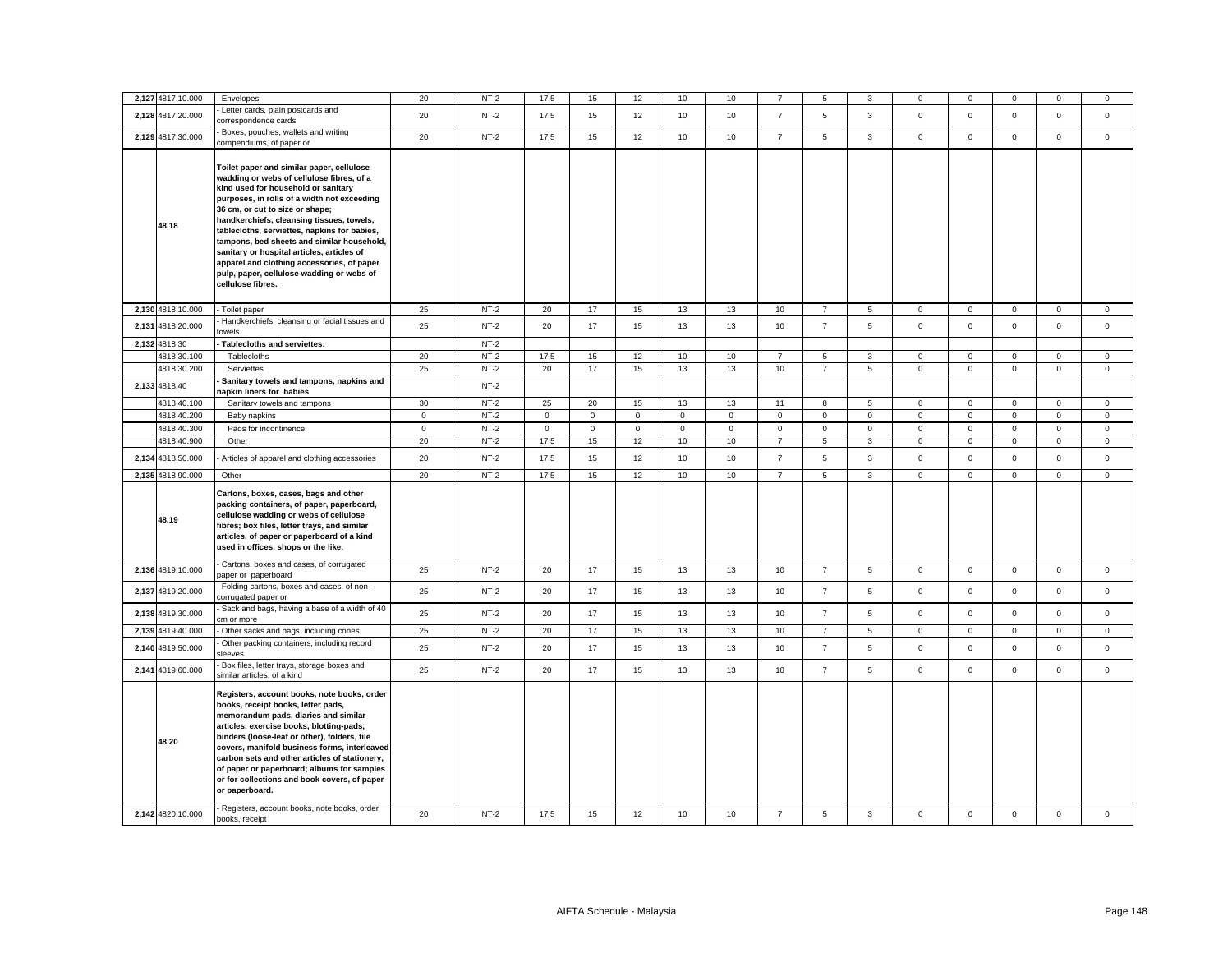| 2,127 4817.10.000 | Envelopes                                                                                                                                                                                                                                                                                                                                                                                                                                                                                                                | 20          | $NT-2$ | 17.5        | 15          | 12           | 10           | 10          |                | 5              | 3              | 0            | $\mathbf 0$    | $\mathbf 0$  | $\mathbf 0$    | 0            |
|-------------------|--------------------------------------------------------------------------------------------------------------------------------------------------------------------------------------------------------------------------------------------------------------------------------------------------------------------------------------------------------------------------------------------------------------------------------------------------------------------------------------------------------------------------|-------------|--------|-------------|-------------|--------------|--------------|-------------|----------------|----------------|----------------|--------------|----------------|--------------|----------------|--------------|
| 2,128 4817.20.000 | Letter cards, plain postcards and<br>correspondence cards                                                                                                                                                                                                                                                                                                                                                                                                                                                                | 20          | $NT-2$ | 17.5        | 15          | 12           | 10           | 10          | $\overline{7}$ | 5              | 3              | $\mathbf 0$  | $\mathbf 0$    | $\mathbf 0$  | $\mathbf 0$    | $\mathbf{0}$ |
| 2,129 4817.30.000 | Boxes, pouches, wallets and writing<br>compendiums, of paper or                                                                                                                                                                                                                                                                                                                                                                                                                                                          | 20          | $NT-2$ | 17.5        | 15          | 12           | 10           | 10          | $\overline{7}$ | 5              | 3              | $\mathbf{0}$ | $\mathbf 0$    | $\mathbf 0$  | $\mathbf{0}$   | $\mathbf{0}$ |
| 48.18             | Toilet paper and similar paper, cellulose<br>wadding or webs of cellulose fibres, of a<br>kind used for household or sanitary<br>purposes, in rolls of a width not exceeding<br>36 cm, or cut to size or shape;<br>handkerchiefs, cleansing tissues, towels,<br>tablecloths, serviettes, napkins for babies,<br>tampons, bed sheets and similar household,<br>sanitary or hospital articles, articles of<br>apparel and clothing accessories, of paper<br>pulp, paper, cellulose wadding or webs of<br>cellulose fibres. |             |        |             |             |              |              |             |                |                |                |              |                |              |                |              |
| 2,130 4818.10.000 | Toilet paper                                                                                                                                                                                                                                                                                                                                                                                                                                                                                                             | 25          | $NT-2$ | 20          | 17          | 15           | 13           | 13          | 10             | $\overline{7}$ | $\sqrt{5}$     | 0            | $\mathsf 0$    | $\mathbf 0$  | $\mathbf 0$    | $\mathbf 0$  |
| 2,131 4818.20.000 | Handkerchiefs, cleansing or facial tissues and<br>towels                                                                                                                                                                                                                                                                                                                                                                                                                                                                 | 25          | $NT-2$ | 20          | 17          | 15           | 13           | 13          | 10             | $\overline{7}$ | 5              | $\mathbf 0$  | $\mathbf 0$    | $\mathbf 0$  | $\mathsf 0$    | $\mathbf 0$  |
| 2,132 4818.30     | Tablecloths and serviettes:                                                                                                                                                                                                                                                                                                                                                                                                                                                                                              |             | $NT-2$ |             |             |              |              |             |                |                |                |              |                |              |                |              |
| 4818.30.100       | Tablecloths                                                                                                                                                                                                                                                                                                                                                                                                                                                                                                              | 20          | $NT-2$ | 17.5        | 15          | 12           | 10           | 10          | $\overline{7}$ | $\,$ 5 $\,$    | $\mathbf{3}$   | $\mathsf 0$  | $\mathbf 0$    | $\mathsf 0$  | $\mathsf 0$    | $\mathbf 0$  |
| 4818.30.200       | Serviettes                                                                                                                                                                                                                                                                                                                                                                                                                                                                                                               | 25          | $NT-2$ | 20          | 17          | 15           | 13           | 13          | 10             | $\overline{7}$ | $\overline{5}$ | $\mathsf 0$  | $\overline{0}$ | $\mathsf{O}$ | $\overline{0}$ | $\mathsf 0$  |
| 2,133 4818.40     | Sanitary towels and tampons, napkins and<br>apkin liners for babies                                                                                                                                                                                                                                                                                                                                                                                                                                                      |             | $NT-2$ |             |             |              |              |             |                |                |                |              |                |              |                |              |
| 4818.40.100       | Sanitary towels and tampons                                                                                                                                                                                                                                                                                                                                                                                                                                                                                              | 30          | $NT-2$ | 25          | 20          | 15           | 13           | 13          | 11             | 8              | 5              | $\mathbf 0$  | $\mathsf 0$    | $\mathbf 0$  | $\mathsf 0$    | $\mathbf 0$  |
| 4818.40.200       | Baby napkins                                                                                                                                                                                                                                                                                                                                                                                                                                                                                                             | $\mathsf 0$ | $NT-2$ | $\mathbf 0$ | $\mathsf 0$ | $\mathsf 0$  | $\mathbf 0$  | $\mathsf 0$ | $\mathsf 0$    | $\mathsf 0$    | $\mathsf 0$    | $\mathsf 0$  | $\mathbf 0$    | $\mathsf 0$  | $\mathsf 0$    | $\mathsf 0$  |
| 4818.40.300       | Pads for incontinence                                                                                                                                                                                                                                                                                                                                                                                                                                                                                                    | $\circ$     | $NT-2$ | $\mathbf 0$ | $\mathbf 0$ | $\mathbf{0}$ | $\mathbf{0}$ | $\mathbf 0$ | $\mathbf 0$    | $\mathbf{0}$   | $\mathbf 0$    | $\mathbf 0$  | $\mathbf 0$    | $\mathbf 0$  | $\mathbf{0}$   | $\mathbf{0}$ |
| 4818.40.900       | Other                                                                                                                                                                                                                                                                                                                                                                                                                                                                                                                    | 20          | $NT-2$ | 17.5        | 15          | 12           | 10           | 10          | $\overline{7}$ | 5              | $\mathbf{3}$   | $\mathbf 0$  | $\mathbf 0$    | $\mathsf 0$  | $\mathbf{0}$   | $\mathbf 0$  |
| 2,134 4818.50.000 | Articles of apparel and clothing accessories                                                                                                                                                                                                                                                                                                                                                                                                                                                                             | 20          | $NT-2$ | 17.5        | 15          | 12           | 10           | 10          | $\overline{7}$ | 5              | 3              | $\mathsf 0$  | $\mathbf 0$    | $\mathsf 0$  | $\mathsf 0$    | $\mathsf 0$  |
| 2,135 4818.90.000 | Other                                                                                                                                                                                                                                                                                                                                                                                                                                                                                                                    | 20          | $NT-2$ | 17.5        | 15          | 12           | 10           | 10          | $\overline{7}$ | 5              | $\mathbf{3}$   | $\mathbf 0$  | $\mathbf 0$    | $\mathbf 0$  | $\mathbf{0}$   | $\mathbf 0$  |
| 48.19             | Cartons, boxes, cases, bags and other<br>packing containers, of paper, paperboard,<br>cellulose wadding or webs of cellulose<br>fibres; box files, letter trays, and similar<br>articles, of paper or paperboard of a kind<br>used in offices, shops or the like.                                                                                                                                                                                                                                                        |             |        |             |             |              |              |             |                |                |                |              |                |              |                |              |
| 2,136 4819.10.000 | Cartons, boxes and cases, of corrugated<br>paper or paperboard                                                                                                                                                                                                                                                                                                                                                                                                                                                           | 25          | $NT-2$ | 20          | 17          | 15           | 13           | 13          | 10             | $\overline{7}$ | 5              | $\mathbf 0$  | $\mathsf 0$    | $\mathbf 0$  | $\mathsf 0$    | $\mathbf 0$  |
| 2,137 4819.20.000 | Folding cartons, boxes and cases, of non-<br>corrugated paper or                                                                                                                                                                                                                                                                                                                                                                                                                                                         | 25          | $NT-2$ | 20          | 17          | 15           | 13           | 13          | 10             | $\overline{7}$ | 5              | $\mathsf 0$  | $\mathbf 0$    | $\mathbf 0$  | $\mathsf 0$    | $\mathbf 0$  |
| 2,138 4819.30.000 | Sack and bags, having a base of a width of 40<br>cm or more                                                                                                                                                                                                                                                                                                                                                                                                                                                              | 25          | $NT-2$ | 20          | 17          | 15           | 13           | 13          | 10             | $\overline{7}$ | 5              | $\mathsf 0$  | $\mathbf 0$    | $\mathsf{O}$ | $\mathsf 0$    | $\mathbf 0$  |
| 2,139 4819.40.000 | Other sacks and bags, including cones                                                                                                                                                                                                                                                                                                                                                                                                                                                                                    | 25          | $NT-2$ | 20          | 17          | 15           | 13           | 13          | 10             | $\overline{7}$ | 5              | $\mathbf 0$  | $\mathbf 0$    | $\mathbf 0$  | $\mathsf 0$    | $\mathbf 0$  |
| 2,140 4819.50.000 | Other packing containers, including record<br>leeves                                                                                                                                                                                                                                                                                                                                                                                                                                                                     | 25          | $NT-2$ | 20          | 17          | 15           | 13           | 13          | 10             | $\overline{7}$ | 5              | $\mathbf 0$  | $\mathbf 0$    | $\mathbf{O}$ | $\mathbf 0$    | $\mathbf 0$  |
| 2,141 4819.60.000 | Box files, letter trays, storage boxes and<br>similar articles, of a kind                                                                                                                                                                                                                                                                                                                                                                                                                                                | 25          | $NT-2$ | 20          | 17          | 15           | 13           | 13          | 10             | $\overline{7}$ | 5              | $\mathbf 0$  | $\mathsf 0$    | $\mathsf{O}$ | $\mathbf 0$    | $\mathbf{0}$ |
| 48.20             | Registers, account books, note books, order<br>books, receipt books, letter pads,<br>memorandum pads, diaries and similar<br>articles, exercise books, blotting-pads,<br>binders (loose-leaf or other), folders, file<br>covers, manifold business forms, interleaved<br>carbon sets and other articles of stationery,<br>of paper or paperboard; albums for samples<br>or for collections and book covers, of paper<br>or paperboard.                                                                                   |             |        |             |             |              |              |             |                |                |                |              |                |              |                |              |
| 2,142 4820.10.000 | Registers, account books, note books, order<br>books, receipt                                                                                                                                                                                                                                                                                                                                                                                                                                                            | 20          | $NT-2$ | 17.5        | 15          | 12           | 10           | 10          | $\overline{7}$ | 5              | 3              | $\mathsf 0$  | $\mathbf 0$    | $\mathbf 0$  | $\mathsf 0$    | $\mathsf 0$  |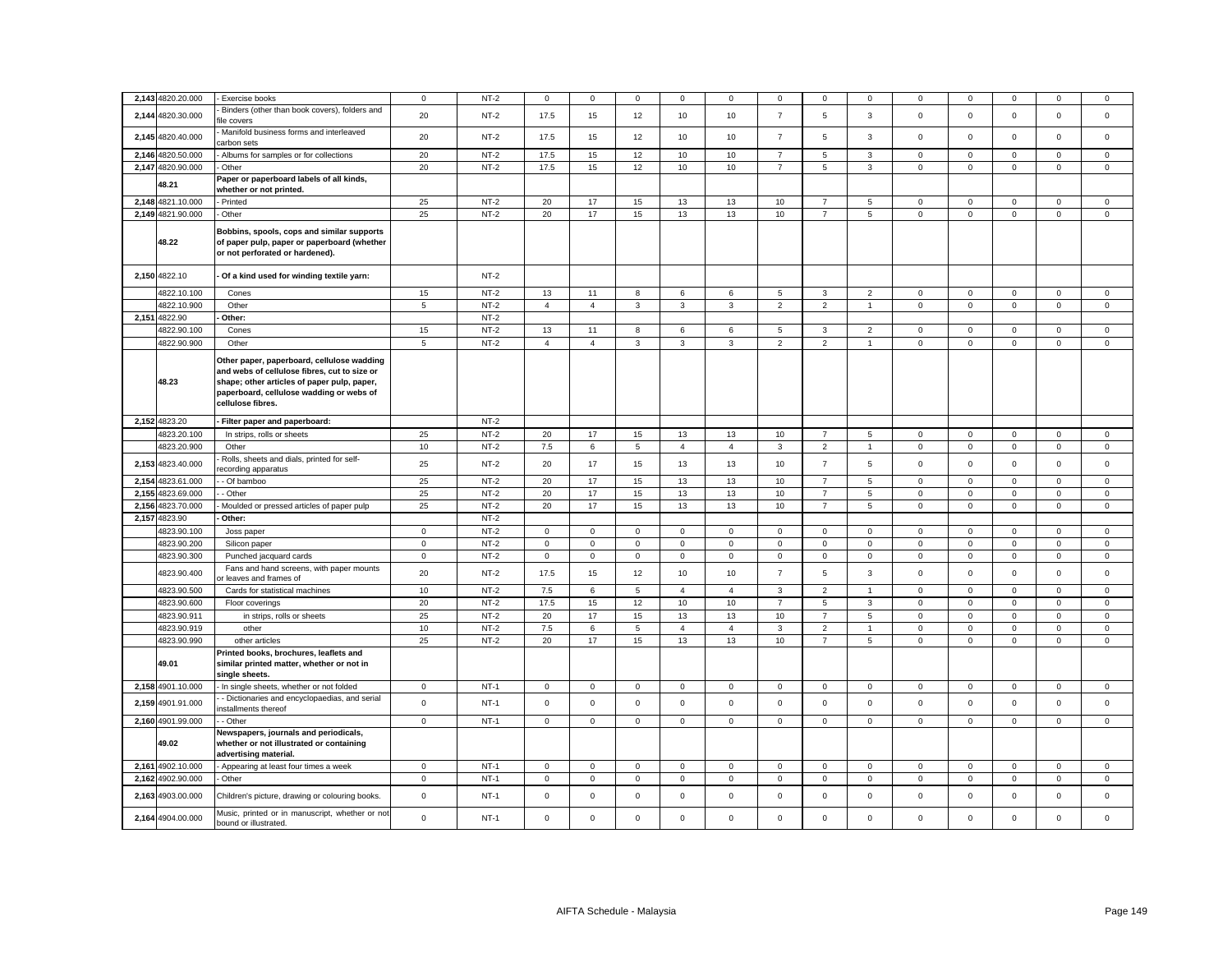| 2,143 4820.20.000 | Exercise books                                                                                                                                                                                             | $\mathbf 0$ | $NT-2$ | 0              | 0              | 0              | 0              | 0              | 0              | 0              | $^{\circ}$     | 0            | 0            |                     | $^{\circ}$   | 0           |
|-------------------|------------------------------------------------------------------------------------------------------------------------------------------------------------------------------------------------------------|-------------|--------|----------------|----------------|----------------|----------------|----------------|----------------|----------------|----------------|--------------|--------------|---------------------|--------------|-------------|
| 2,144 4820.30.000 | Binders (other than book covers), folders and<br>ile covers                                                                                                                                                | 20          | $NT-2$ | 17.5           | 15             | 12             | 10             | 10             | $\overline{7}$ | 5              | $\mathbf{3}$   | $\mathsf 0$  | $\mathbf 0$  | $\mathsf 0$         | $\mathsf 0$  | $\mathbf 0$ |
| 2,145 4820.40.000 | Manifold business forms and interleaved<br>carbon sets                                                                                                                                                     | 20          | $NT-2$ | 17.5           | 15             | 12             | 10             | 10             | $\overline{7}$ | 5              | $\mathbf{3}$   | $\mathsf 0$  | $\mathsf 0$  | $\mathbf 0$         | $\mathsf 0$  | $\mathsf 0$ |
| 2,146 4820.50.000 | Albums for samples or for collections                                                                                                                                                                      | 20          | $NT-2$ | 17.5           | 15             | $12\,$         | 10             | 10             | $\overline{7}$ | 5              | 3              | $\mathsf 0$  | $\mathsf 0$  | $\mathbf 0$         | $\mathsf 0$  | $\mathsf 0$ |
| 2,147 4820.90.000 | Other                                                                                                                                                                                                      | 20          | $NT-2$ | 17.5           | 15             | 12             | 10             | 10             | $\overline{7}$ | 5              | 3              | $\mathsf 0$  | $\mathsf 0$  | $\mathsf 0$         | $\mathsf 0$  | $\mathsf 0$ |
|                   | Paper or paperboard labels of all kinds,                                                                                                                                                                   |             |        |                |                |                |                |                |                |                |                |              |              |                     |              |             |
| 48.21             | whether or not printed.                                                                                                                                                                                    |             |        |                |                |                |                |                |                |                |                |              |              |                     |              |             |
| 2,148 4821.10.000 | Printed                                                                                                                                                                                                    | 25          | $NT-2$ | 20             | 17             | 15             | 13             | 13             | 10             |                | 5              | 0            | $\mathbf 0$  | $\mathbf 0$         | $\mathbf 0$  | $\mathbf 0$ |
| 2,149 4821.90.000 | Other                                                                                                                                                                                                      | 25          | $NT-2$ | 20             | 17             | 15             | 13             | 13             | 10             | $\overline{7}$ | 5              | $\mathbf 0$  | $\mathsf 0$  | $\mathsf 0$         | $\mathsf 0$  | $\mathbf 0$ |
| 48.22             | Bobbins, spools, cops and similar supports<br>of paper pulp, paper or paperboard (whether<br>or not perforated or hardened).                                                                               |             |        |                |                |                |                |                |                |                |                |              |              |                     |              |             |
| 2,150 4822.10     | Of a kind used for winding textile yarn:                                                                                                                                                                   |             | $NT-2$ |                |                |                |                |                |                |                |                |              |              |                     |              |             |
| 4822.10.100       | Cones                                                                                                                                                                                                      | 15          | $NT-2$ | 13             | 11             | 8              | 6              | 6              | 5              | $\mathbf{3}$   | $\overline{2}$ | $\mathbf{0}$ | $\mathbf 0$  | $\mathbf 0$         | $\mathbf{0}$ | $\mathbf 0$ |
| 4822.10.900       | Other                                                                                                                                                                                                      | 5           | $NT-2$ | $\overline{4}$ | $\overline{4}$ | $\mathbf{3}$   | $\mathbf{3}$   | $\mathbf{3}$   | $\overline{2}$ | $\overline{2}$ | $\overline{1}$ | $\mathbf 0$  | $\mathsf 0$  | $\mathsf 0$         | $\mathbf 0$  | $\mathsf 0$ |
| 2,151 4822.90     | Other:                                                                                                                                                                                                     |             | $NT-2$ |                |                |                |                |                |                |                |                |              |              |                     |              |             |
| 4822.90.100       | Cones                                                                                                                                                                                                      | 15          | $NT-2$ | 13             | 11             | 8              | 6              | 6              | 5              | $\mathbf{3}$   | $\overline{2}$ | $\mathbf 0$  | $\mathsf 0$  | $\mathbf 0$         | $\mathbf 0$  | $\mathsf 0$ |
| 4822.90.900       | Other                                                                                                                                                                                                      | 5           | $NT-2$ | $\overline{4}$ | $\overline{4}$ | 3              | $\mathbf{3}$   | 3              | 2              | $\overline{2}$ | $\overline{1}$ | $\mathbf{0}$ | $\mathsf 0$  | $\mathbf 0$         | $\mathsf 0$  | $\mathsf 0$ |
| 48.23             | Other paper, paperboard, cellulose wadding<br>and webs of cellulose fibres, cut to size or<br>shape; other articles of paper pulp, paper,<br>paperboard, cellulose wadding or webs of<br>cellulose fibres. |             |        |                |                |                |                |                |                |                |                |              |              |                     |              |             |
| 2,152 4823.20     | Filter paper and paperboard:                                                                                                                                                                               |             | $NT-2$ |                |                |                |                |                |                |                |                |              |              |                     |              |             |
| 4823.20.100       | In strips, rolls or sheets                                                                                                                                                                                 | 25          | $NT-2$ | 20             | 17             | 15             | 13             | 13             | 10             | $\overline{7}$ | 5              | $\mathbf 0$  | $\mathbf{0}$ | $\mathbf 0$         | $\mathbf{0}$ | $\mathbf 0$ |
| 4823.20.900       | Other                                                                                                                                                                                                      | 10          | $NT-2$ | 7.5            | 6              | $\overline{5}$ | $\overline{4}$ | $\overline{4}$ | $\mathbf{3}$   | $\overline{2}$ | $\overline{1}$ | $\mathsf 0$  | $\mathsf 0$  | $\mathsf 0$         | $\mathsf 0$  | $\mathsf 0$ |
|                   | Rolls, sheets and dials, printed for self-                                                                                                                                                                 |             |        |                |                |                |                |                |                |                |                |              |              |                     |              |             |
| 2,153 4823.40.000 | ecording apparatus                                                                                                                                                                                         | 25          | $NT-2$ | 20             | 17             | 15             | 13             | 13             | 10             | $\overline{7}$ | 5              | $\Omega$     | $\Omega$     | $\Omega$            | $\mathbf 0$  | $\mathbf 0$ |
| 2,154 4823.61.000 | - Of bamboo                                                                                                                                                                                                | 25          | $NT-2$ | 20             | 17             | 15             | 13             | 13             | 10             | $\overline{7}$ | 5              | $\mathbf 0$  | $\mathbf 0$  | $\mathbf 0$         | $\mathbf 0$  | $\mathbf 0$ |
| 2,155 4823.69.000 | - Other                                                                                                                                                                                                    | 25          | $NT-2$ | 20             | 17             | 15             | 13             | 13             | 10             | $\overline{7}$ | 5              | $\mathbf 0$  | $\mathbf{0}$ | $\mathbf 0$         | $\mathbf 0$  | $\mathbf 0$ |
| 2,156 4823.70.000 | Moulded or pressed articles of paper pulp                                                                                                                                                                  | $25\,$      | $NT-2$ | 20             | 17             | 15             | 13             | 13             | 10             | $\overline{7}$ | $\overline{5}$ | $\mathsf 0$  | $\mathbf 0$  | $\mathsf 0$         | $\mathsf 0$  | $\mathsf 0$ |
| 2,157 4823.90     | Other:                                                                                                                                                                                                     |             | $NT-2$ |                |                |                |                |                |                |                |                |              |              |                     |              |             |
|                   |                                                                                                                                                                                                            |             |        |                |                |                |                |                |                |                |                |              |              |                     |              |             |
| 4823.90.100       | Joss paper                                                                                                                                                                                                 | $\mathsf 0$ | $NT-2$ | $\circ$        | $\mathbf{0}$   | $\mathsf 0$    | $\mathbf{0}$   | $\mathbf{0}$   | $\mathbf 0$    | $\mathsf 0$    | $\mathsf 0$    | $\mathsf 0$  | $\mathbf 0$  | $\mathbf 0$         | $\mathsf 0$  | $\mathsf 0$ |
| 4823.90.200       | Silicon paper                                                                                                                                                                                              | $\mathsf 0$ | $NT-2$ | $\mathbf 0$    | $\mathbf 0$    | $\mathbf 0$    | $\mathbf 0$    | $\mathbf 0$    | $\mathbf 0$    | $\mathbf 0$    | $\mathbf{0}$   | $\mathsf 0$  | $\mathbf 0$  | $\mathbf 0$         | $\mathbf 0$  | $\mathbf 0$ |
| 4823.90.300       | Punched jacquard cards                                                                                                                                                                                     | $\mathbf 0$ | $NT-2$ | $\mathbf 0$    | $\mathbf 0$    | $\mathsf 0$    | $\mathsf 0$    | $\mathsf 0$    | $\mathsf 0$    | $\mathsf 0$    | $\,0\,$        | $\mathsf 0$  | $\mathsf 0$  | $\mathsf 0$         | $\mathsf 0$  | $\mathsf 0$ |
| 4823.90.400       | Fans and hand screens, with paper mounts<br>r leaves and frames of                                                                                                                                         | 20          | $NT-2$ | 17.5           | 15             | 12             | 10             | 10             | $\overline{7}$ | 5              | 3              | $\mathbf 0$  | $\mathbf 0$  | $\mathbf 0$         | $\mathbf 0$  | $\mathsf 0$ |
| 4823.90.500       | Cards for statistical machines                                                                                                                                                                             | $10$        | $NT-2$ | 7.5            | 6              | 5              | $\overline{4}$ | $\overline{4}$ | $\mathbf{3}$   | $\overline{2}$ | $\overline{1}$ | $\mathsf 0$  | $\mathbf 0$  | $\mathbf 0$         | $\mathsf 0$  | $\mathsf 0$ |
| 4823.90.600       | Floor coverings                                                                                                                                                                                            | 20          | $NT-2$ | 17.5           | 15             | 12             | 10             | 10             | $\overline{7}$ | 5              | 3              | 0            | $\mathbf 0$  | $\mathbf 0$         | $\mathbf 0$  | $\mathbf 0$ |
| 4823.90.911       | in strips, rolls or sheets                                                                                                                                                                                 | 25          | $NT-2$ | 20             | 17             | 15             | 13             | 13             | 10             | $\overline{7}$ | 5              | $\mathbf 0$  | $\mathbf 0$  | $\mathbf 0$         | $\mathbf 0$  | $\mathsf 0$ |
| 4823.90.919       | other                                                                                                                                                                                                      | 10          | $NT-2$ | 7.5            | 6              | $\,$ 5 $\,$    | $\overline{4}$ | $\overline{4}$ | 3              | $\overline{c}$ | $\overline{1}$ | $\mathsf 0$  | $\mathsf 0$  | $\mathsf 0$         | $\mathbf 0$  | $\mathsf 0$ |
| 4823.90.990       | other articles                                                                                                                                                                                             | 25          | $NT-2$ | 20             | 17             | 15             | 13             | 13             | 10             | $\overline{7}$ | $\,$ 5 $\,$    | $\mathsf 0$  | $\mathbf 0$  | $\mathsf{O}\xspace$ | $\mathsf 0$  | $\mathsf 0$ |
| 49.01             | Printed books, brochures, leaflets and<br>similar printed matter, whether or not in<br>single sheets.                                                                                                      |             |        |                |                |                |                |                |                |                |                |              |              |                     |              |             |
| 2,158 4901.10.000 | In single sheets, whether or not folded                                                                                                                                                                    | $\mathbf 0$ | $NT-1$ | $\mathbf 0$    | $\mathsf 0$    | $\mathsf 0$    | $\mathbf 0$    | 0              | $\mathsf 0$    | $\mathbf 0$    | $\mathbf 0$    | $\mathbf 0$  | $\mathsf 0$  | $\mathsf 0$         | $\mathbf 0$  | 0           |
|                   | - Dictionaries and encyclopaedias, and serial                                                                                                                                                              |             |        |                |                |                |                |                |                |                |                |              |              |                     |              |             |
| 2,159 4901.91.000 | nstallments thereof                                                                                                                                                                                        | $\mathbf 0$ | $NT-1$ | $\mathbf 0$    | $\mathbf 0$    | $\mathsf 0$    | $\mathbf 0$    | 0              | $\mathsf 0$    | $\mathbf 0$    | $\mathsf 0$    | $\mathsf 0$  | $\mathbf 0$  | $\mathbf 0$         | $\mathsf 0$  | $\mathsf 0$ |
| 2,160 4901.99.000 | - Other                                                                                                                                                                                                    | $\mathbf 0$ | $NT-1$ | $\mathsf 0$    | $\mathbf 0$    | $\mathsf 0$    | $\mathsf 0$    | $\mathsf 0$    | $\mathsf 0$    | $\mathbf 0$    | $\mathbf 0$    | $\mathbf 0$  | $\mathsf 0$  | $\mathsf 0$         | $\mathsf 0$  | $\mathsf 0$ |
| 49.02             | Newspapers, journals and periodicals,<br>whether or not illustrated or containing<br>advertising material.                                                                                                 |             |        |                |                |                |                |                |                |                |                |              |              |                     |              |             |
| 2,161 4902.10.000 | Appearing at least four times a week                                                                                                                                                                       | $\mathbf 0$ | $NT-1$ | $\mathbf{0}$   | $\mathbf 0$    | $\mathbf 0$    | $\mathsf 0$    | $\mathsf 0$    | $\mathsf 0$    | $\mathbf 0$    | $\mathbf 0$    | $\mathbf 0$  | $\mathsf 0$  | $\mathsf 0$         | $\mathbf 0$  | $\mathbf 0$ |
| 2,162 4902.90.000 | Other                                                                                                                                                                                                      | $\mathbf 0$ | $NT-1$ | $\mathbf{0}$   | $\mathbf 0$    | $\mathsf 0$    | $\mathsf 0$    | $\mathbf 0$    | $\mathsf 0$    | $\mathbf 0$    | $\mathbf 0$    | $\mathbf 0$  | $\mathsf 0$  | $\mathsf 0$         | $\mathsf 0$  | $\mathsf 0$ |
| 2,163 4903.00.000 | Children's picture, drawing or colouring books.                                                                                                                                                            | $\mathbf 0$ | $NT-1$ | $\mathsf 0$    | $\mathbf 0$    | $\mathsf 0$    | $\mathsf 0$    | $\mathbf 0$    | $\mathbf 0$    | $\mathbf 0$    | $\mathbf 0$    | $\mathsf 0$  | $\mathbf 0$  | $\mathbf 0$         | $\mathsf 0$  | $\mathbf 0$ |
| 2,164 4904.00.000 | Music, printed or in manuscript, whether or not<br>bound or illustrated.                                                                                                                                   | $\mathsf 0$ | $NT-1$ | $\mathsf 0$    | $\mathbf 0$    | $\mathsf 0$    | $\mathsf 0$    | $\mathsf 0$    | $\mathbf 0$    | $\mathsf 0$    | $\mathsf 0$    | $\mathsf 0$  | $\mathbf 0$  | $\mathbf 0$         | $\mathsf 0$  | $\mathsf 0$ |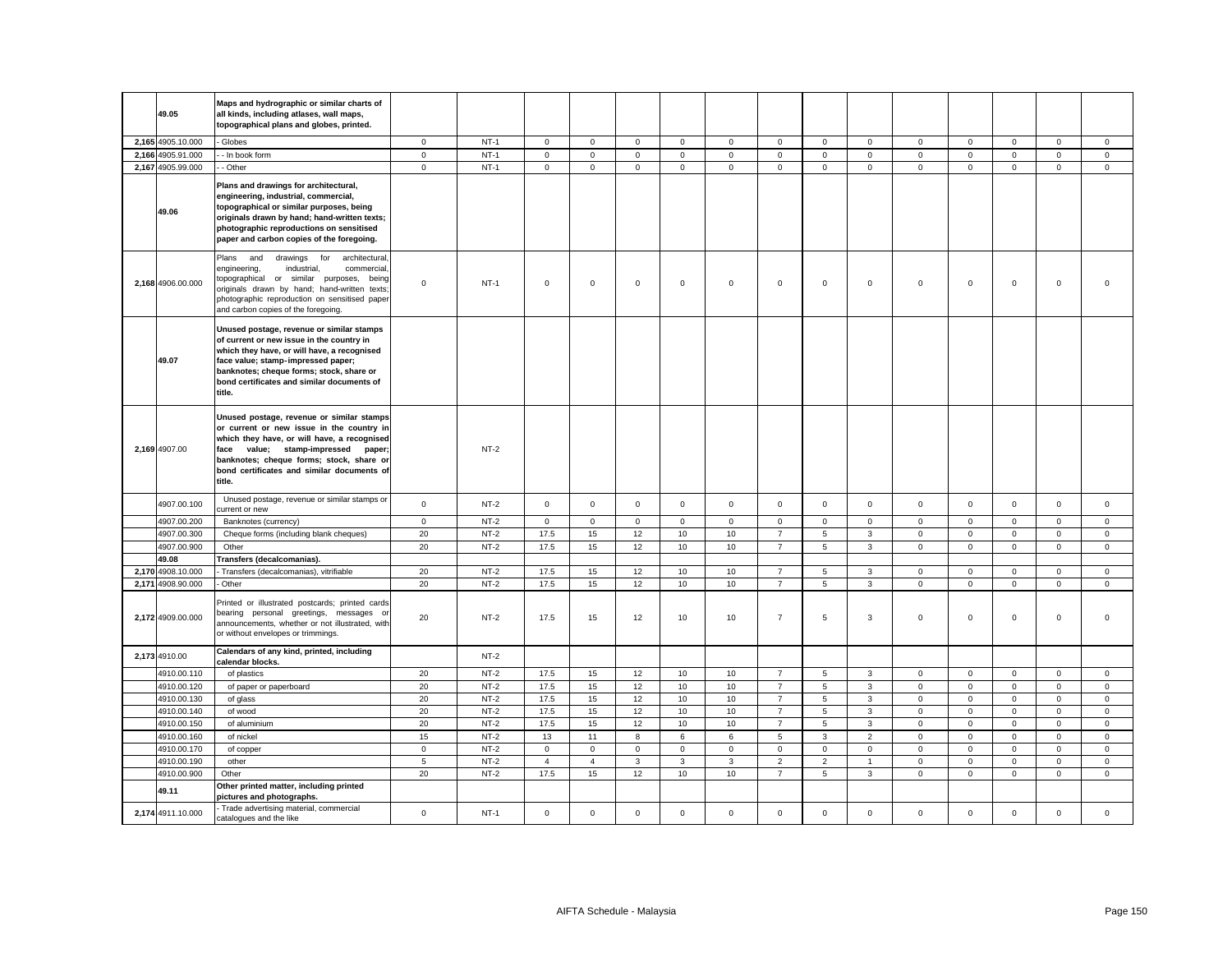| 49.05             | Maps and hydrographic or similar charts of<br>all kinds, including atlases, wall maps,                                                                                                                                                                                           |             |        |                |                |              |              |                |                     |                     |                |              |              |              |             |              |
|-------------------|----------------------------------------------------------------------------------------------------------------------------------------------------------------------------------------------------------------------------------------------------------------------------------|-------------|--------|----------------|----------------|--------------|--------------|----------------|---------------------|---------------------|----------------|--------------|--------------|--------------|-------------|--------------|
|                   | topographical plans and globes, printed.                                                                                                                                                                                                                                         |             |        |                |                |              |              |                |                     |                     |                |              |              |              |             |              |
| 2,165 4905.10.000 | - Globes                                                                                                                                                                                                                                                                         | $\mathbf 0$ | $NT-1$ | $\mathbf 0$    | $\mathsf 0$    | $\mathsf 0$  | $\mathbf{0}$ | $\mathsf 0$    | $\mathbf 0$         | $\mathsf 0$         | $\mathbf{0}$   | $\mathbf{0}$ | $\mathbf 0$  | $\mathbf 0$  | $\mathbf 0$ | $\mathbf 0$  |
| 2,166 4905.91.000 | - In book form                                                                                                                                                                                                                                                                   | $\mathsf 0$ | $NT-1$ | $\mathsf{O}$   | $\mathsf 0$    | $\mathsf 0$  | $\mathsf 0$  | $\overline{0}$ | $\mathsf{O}\xspace$ | $\mathsf 0$         | $\mathsf 0$    | $\mathsf 0$  | $\mathsf 0$  | $\mathsf 0$  | $\mathsf 0$ | $\mathsf 0$  |
| 2,167 4905.99.000 | - Other                                                                                                                                                                                                                                                                          | $\mathsf 0$ | $NT-1$ | $\mathsf{O}$   | $\mathsf{O}$   | $\mathsf 0$  | $\mathbf{0}$ | $\mathsf 0$    | $\mathsf 0$         | $\mathsf{O}\xspace$ | $\mathbf 0$    | $\mathbf{0}$ | $\mathsf 0$  | $\mathbf 0$  | $\mathsf 0$ | $\mathsf 0$  |
| 49.06             | Plans and drawings for architectural,<br>engineering, industrial, commercial,<br>topographical or similar purposes, being<br>originals drawn by hand; hand-written texts;<br>photographic reproductions on sensitised<br>paper and carbon copies of the foregoing.               |             |        |                |                |              |              |                |                     |                     |                |              |              |              |             |              |
| 2.168 4906.00.000 | Plans and<br>for<br>architectural,<br>drawings<br>industrial,<br>engineering,<br>commercial,<br>topographical or similar purposes, being<br>originals drawn by hand; hand-written texts;<br>photographic reproduction on sensitised paper<br>and carbon copies of the foregoing. | $\mathbf 0$ | $NT-1$ | $\mathbf 0$    | $\mathbf 0$    | $\mathbf 0$  | $\mathbf{0}$ | $\mathbf{0}$   | $\mathbf 0$         | $\mathbf 0$         | $\mathbf 0$    | $\mathbf 0$  | $\mathbf 0$  | $\mathbf{0}$ | $\mathbf 0$ | $\Omega$     |
| 49.07             | Unused postage, revenue or similar stamps<br>of current or new issue in the country in<br>which they have, or will have, a recognised<br>face value; stamp-impressed paper;<br>banknotes; cheque forms; stock, share or<br>bond certificates and similar documents of<br>title.  |             |        |                |                |              |              |                |                     |                     |                |              |              |              |             |              |
| 2,169 4907.00     | Unused postage, revenue or similar stamps<br>or current or new issue in the country in<br>which they have, or will have, a recognised<br>face value; stamp-impressed paper;<br>banknotes; cheque forms; stock, share or<br>bond certificates and similar documents of<br>title.  |             | $NT-2$ |                |                |              |              |                |                     |                     |                |              |              |              |             |              |
| 4907.00.100       | Unused postage, revenue or similar stamps or<br>current or new                                                                                                                                                                                                                   | $\mathbf 0$ | $NT-2$ | $\mathsf{O}$   | $\mathsf{O}$   | $\mathsf 0$  | $\mathbf 0$  | $\mathbf 0$    | $\mathsf{O}\xspace$ | $\mathsf 0$         | $\mathsf 0$    | $\mathsf 0$  | $\mathsf 0$  | $\mathbf 0$  | $\mathsf 0$ | $\mathsf 0$  |
| 4907.00.200       | Banknotes (currency)                                                                                                                                                                                                                                                             | $\mathbf 0$ | $NT-2$ | $\mathbf 0$    | $\mathsf 0$    | $\mathbf 0$  | $\mathbf 0$  | $\mathbf 0$    | $\mathbf 0$         | $\mathbf 0$         | $\mathbf 0$    | 0            | $\mathbf 0$  | 0            | $\mathbf 0$ | $\mathsf 0$  |
| 4907.00.300       | Cheque forms (including blank cheques)                                                                                                                                                                                                                                           | 20          | $NT-2$ | 17.5           | 15             | 12           | 10           | 10             | $\overline{7}$      | 5                   | $\mathbf{3}$   | $\mathbf 0$  | $\mathsf 0$  | $\mathbf 0$  | $\mathsf 0$ | $\mathbf 0$  |
| 4907.00.900       | Other                                                                                                                                                                                                                                                                            | 20          | $NT-2$ | 17.5           | 15             | 12           | 10           | 10             | $\overline{7}$      | 5                   | $\mathbf{3}$   | $\mathbf 0$  | $\mathbf 0$  | $\mathbf 0$  | $\mathbf 0$ | $\mathsf 0$  |
| 49.08             | Transfers (decalcomanias).                                                                                                                                                                                                                                                       |             |        |                |                |              |              |                |                     |                     |                |              |              |              |             |              |
| 2,170 4908.10.000 | - Transfers (decalcomanias), vitrifiable                                                                                                                                                                                                                                         | 20          | $NT-2$ | 17.5           | 15             | 12           | 10           | 10             | $\overline{7}$      | 5                   | $\mathbf{3}$   | $\mathbf 0$  | $\mathbf{0}$ | $\mathbf{0}$ | $\mathbf 0$ | $\mathbf{0}$ |
| 2,171 4908.90.000 | - Other                                                                                                                                                                                                                                                                          | 20          | $NT-2$ | 17.5           | 15             | 12           | 10           | 10             | $\overline{7}$      | 5                   | $\mathbf{3}$   | $\mathbf 0$  | 0            | $\mathbf 0$  | $\mathbf 0$ | $\mathsf 0$  |
| 2,172 4909.00.000 | Printed or illustrated postcards; printed cards<br>bearing personal greetings, messages or<br>announcements, whether or not illustrated, with<br>or without envelopes or trimmings.                                                                                              | 20          | NT-2   | 17.5           | 15             | 12           | 10           | 10             | $\overline{7}$      | 5                   | 3              | $\mathbf 0$  | 0            | $\mathbf 0$  | 0           | $\mathsf 0$  |
| 2,173 4910.00     | Calendars of any kind, printed, including<br>calendar blocks.                                                                                                                                                                                                                    |             | $NT-2$ |                |                |              |              |                |                     |                     |                |              |              |              |             |              |
| 4910.00.110       | of plastics                                                                                                                                                                                                                                                                      | 20          | NT-2   | 17.5           | 15             | 12           | 10           | 10             | $\overline{7}$      | 5                   | 3              | $\mathbf{0}$ | 0            | 0            | 0           | $\mathbf 0$  |
| 4910.00.120       | of paper or paperboard                                                                                                                                                                                                                                                           | $20\,$      | $NT-2$ | 17.5           | 15             | 12           | 10           | 10             | $\overline{7}$      | 5                   | $\mathbf{3}$   | $\mathbf 0$  | $\mathsf 0$  | $\mathbf 0$  | $\mathsf 0$ | $\mathsf 0$  |
| 4910.00.130       | of glass                                                                                                                                                                                                                                                                         | 20          | $NT-2$ | 17.5           | 15             | 12           | 10           | 10             | $\overline{7}$      | $\sqrt{5}$          | 3              | $\mathbf 0$  | $\mathsf 0$  | $\mathbf 0$  | 0           | $\mathsf 0$  |
| 4910.00.140       | of wood                                                                                                                                                                                                                                                                          | 20          | $NT-2$ | 17.5           | 15             | 12           | 10           | 10             | $\overline{7}$      | $\sqrt{5}$          | $\mathbf{3}$   | $\mathbf 0$  | $\mathsf 0$  | $\mathbf 0$  | $\mathsf 0$ | $\mathsf 0$  |
| 4910.00.150       | of aluminium                                                                                                                                                                                                                                                                     | 20          | $NT-2$ | 17.5           | 15             | 12           | 10           | 10             | $\overline{7}$      | 5                   | $\mathbf{3}$   | $\mathbf 0$  | $\mathsf 0$  | $\mathbf 0$  | $\mathsf 0$ | $\mathsf 0$  |
| 4910.00.160       | of nickel                                                                                                                                                                                                                                                                        | 15          | $NT-2$ | 13             | 11             | 8            | 6            | 6              | 5                   | 3                   | $\overline{2}$ | $\mathbf 0$  | $\mathsf 0$  | $\mathbf 0$  | $\mathsf 0$ | $\mathsf 0$  |
| 4910.00.170       | of copper                                                                                                                                                                                                                                                                        | $\mathsf 0$ | $NT-2$ | $\mathsf{O}$   | $\mathbf 0$    | $\mathsf 0$  | $\mathsf 0$  | $\mathsf 0$    | $\mathbf 0$         | $\mathbf 0$         | $\mathbf 0$    | $\mathsf 0$  | $\mathbf 0$  | $\mathsf 0$  | $\mathsf 0$ | $\mathsf 0$  |
| 4910.00.190       | other                                                                                                                                                                                                                                                                            | 5           | $NT-2$ | $\overline{4}$ | $\overline{4}$ | $\mathbf{3}$ | $\mathbf{3}$ | $\mathbf{3}$   | $\overline{2}$      | $\overline{2}$      | $\overline{1}$ | $\mathbf{0}$ | $\mathbf 0$  | $\mathbf 0$  | $\mathsf 0$ | $\mathbf 0$  |
| 4910.00.900       | Other                                                                                                                                                                                                                                                                            | 20          | $NT-2$ | 17.5           | 15             | 12           | 10           | 10             | $\overline{7}$      | 5                   | 3              | $\mathbf{0}$ | $\mathbf{0}$ | $\mathbf{0}$ | $\mathbf 0$ | $\mathbf 0$  |
| 49.11             | Other printed matter, including printed<br>pictures and photographs.                                                                                                                                                                                                             |             |        |                |                |              |              |                |                     |                     |                |              |              |              |             |              |
| 2,174 4911.10.000 | - Trade advertising material, commercial<br>catalogues and the like                                                                                                                                                                                                              | $\mathsf 0$ | $NT-1$ | $\mathsf{O}$   | $\mathbf 0$    | $\mathsf 0$  | $\mathbf{0}$ | $\mathsf 0$    | $\mathsf 0$         | $\mathsf 0$         | $\mathbf 0$    | $\mathbf 0$  | $\mathbf 0$  | $\mathbf 0$  | $\mathsf 0$ | $\mathsf 0$  |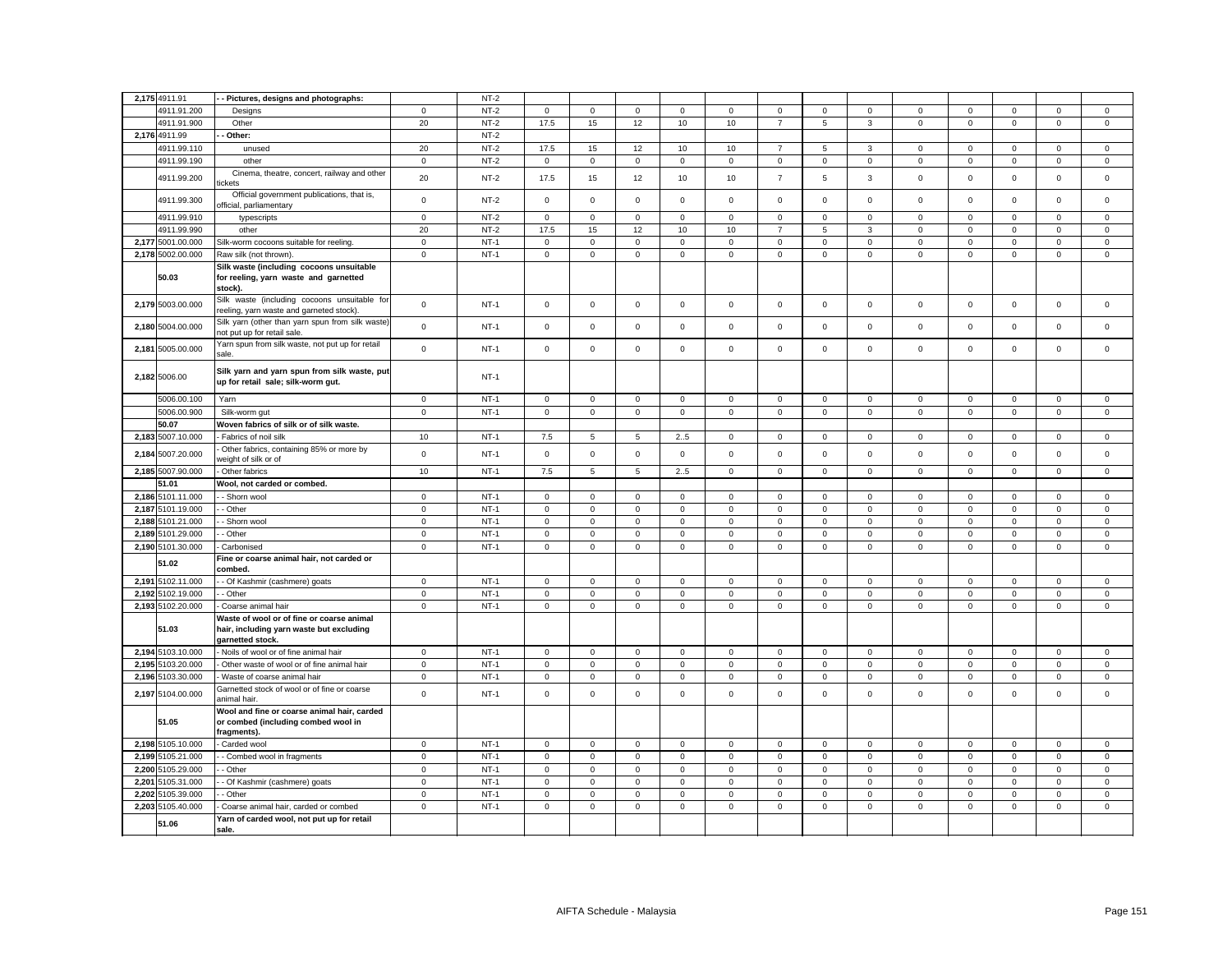|       | 2,175 4911.91     | Pictures, designs and photographs:                                                                        |             | $NT-2$ |                |             |                     |              |              |                |              |              |              |                |             |                     |                |
|-------|-------------------|-----------------------------------------------------------------------------------------------------------|-------------|--------|----------------|-------------|---------------------|--------------|--------------|----------------|--------------|--------------|--------------|----------------|-------------|---------------------|----------------|
|       | 4911.91.200       | Designs                                                                                                   | $\mathbf 0$ | $NT-2$ | $\mathbf 0$    | $\mathsf 0$ | $\mathsf 0$         | $\mathsf 0$  | $\mathsf 0$  | $\mathbf 0$    | $\mathbf 0$  | $\mathsf 0$  | $\mathsf 0$  | $\mathbf 0$    | $\mathsf 0$ | $\mathsf 0$         | $\mathsf 0$    |
|       | 4911.91.900       | Other                                                                                                     | 20          | $NT-2$ | 17.5           | 15          | 12                  | 10           | 10           | $\overline{7}$ | 5            | $\mathbf{3}$ | $\mathsf 0$  | $\overline{0}$ | $\mathsf 0$ | $\overline{0}$      | $\overline{0}$ |
|       | 2,176 4911.99     | Other:                                                                                                    |             | $NT-2$ |                |             |                     |              |              |                |              |              |              |                |             |                     |                |
|       | 4911.99.110       | unused                                                                                                    | 20          | $NT-2$ | 17.5           | 15          | 12                  | 10           | 10           | $\overline{7}$ | 5            | 3            | $\mathbf 0$  | $\mathbf 0$    | $\mathbf 0$ | $\mathbf 0$         | $\mathbf 0$    |
|       | 4911.99.190       | other                                                                                                     | $\mathbf 0$ | $NT-2$ | $\mathbf 0$    | $\mathsf 0$ | $\mathbf 0$         | $\mathsf 0$  | $\mathsf 0$  | $\mathbf 0$    | $\mathsf 0$  | $\mathbf 0$  | $\mathsf 0$  | $\Omega$       | $\mathbf 0$ | $\mathbf 0$         | $\mathbf 0$    |
|       | 4911.99.200       | Cinema, theatre, concert, railway and other<br>ckets                                                      | 20          | $NT-2$ | 17.5           | 15          | 12                  | 10           | 10           | $\overline{7}$ | 5            | 3            | $\mathbf 0$  | $\mathsf 0$    | $\mathbf 0$ | $\mathsf 0$         | $\mathsf 0$    |
|       | 4911.99.300       | Official government publications, that is,<br>official, parliamentary                                     | $\mathsf 0$ | $NT-2$ | $\mathsf 0$    | $\mathbf 0$ | $\mathsf{O}\xspace$ | $\mathsf 0$  | $\mathsf 0$  | $\mathsf 0$    | $\mathbf 0$  | $\mathsf 0$  | $\mathsf 0$  | $\mathsf 0$    | $\mathsf 0$ | $\mathsf{O}\xspace$ | $\mathsf 0$    |
|       | 4911.99.910       | typescripts                                                                                               | $\mathsf 0$ | $NT-2$ | $\mathbf 0$    | $\Omega$    | $\mathbf 0$         | $\mathbf 0$  | $\mathbf 0$  | $\mathsf 0$    | $\mathbf 0$  | $\mathbf{0}$ | $\mathbf 0$  | $\mathbf 0$    | $\mathbf 0$ | $\mathbf 0$         | $\mathsf 0$    |
|       | 4911.99.990       | other                                                                                                     | 20          | $NT-2$ | 17.5           | 15          | 12                  | 10           | 10           | $\overline{7}$ | 5            | 3            | $\mathsf 0$  | $\mathbf 0$    | $\mathsf 0$ | $\mathsf 0$         | $\mathbf 0$    |
|       | 2,177 5001.00.000 | Silk-worm cocoons suitable for reeling.                                                                   | $\mathbf 0$ | $NT-1$ | $\mathbf 0$    | $\mathbf 0$ | $\mathbf 0$         | $\mathsf 0$  | $\mathbf{0}$ | $\mathbf 0$    | $\mathbf{O}$ | $\mathsf 0$  | $\mathsf 0$  | $\mathbf 0$    | $\mathbf 0$ | $\mathbf 0$         | $\mathsf 0$    |
|       | 2,178 5002.00.000 | Raw silk (not thrown).                                                                                    | $\mathbf 0$ | $NT-1$ | $\overline{0}$ | $\mathsf 0$ | $\mathbf 0$         | $\mathbf 0$  | $\mathbf 0$  | $\mathbf 0$    | $\mathsf 0$  | $\mathbf 0$  | $\mathbf 0$  | $\mathbf 0$    | $\mathbf 0$ | $\mathsf 0$         | $\mathsf 0$    |
|       | 50.03             | Silk waste (including cocoons unsuitable<br>for reeling, yarn waste and garnetted<br>stock).              |             |        |                |             |                     |              |              |                |              |              |              |                |             |                     |                |
|       | 2,179 5003.00.000 | Silk waste (including cocoons unsuitable for<br>reeling, yarn waste and garneted stock).                  | $\mathsf 0$ | $NT-1$ | $\mathsf 0$    | $\mathsf 0$ | $\mathsf 0$         | $\mathsf 0$  | $\mathsf 0$  | $\mathsf 0$    | $\mathsf 0$  | $\mathsf 0$  | $\mathsf 0$  | $\mathsf 0$    | $\mathsf 0$ | $\mathsf 0$         | $\mathsf 0$    |
|       | 2,180 5004.00.000 | Silk yarn (other than yarn spun from silk waste)<br>not put up for retail sale.                           | $\mathbf 0$ | $NT-1$ | $\mathbf 0$    | $\mathbf 0$ | $\mathsf 0$         | $\mathsf 0$  | $\mathbf 0$  | $\mathsf 0$    | $\mathbf 0$  | $\mathbf 0$  | $\mathbf 0$  | $\mathsf 0$    | $\mathbf 0$ | $\mathsf 0$         | $\mathsf 0$    |
|       | 2,181 5005.00.000 | Yarn spun from silk waste, not put up for retail<br>sale.                                                 | $\mathsf 0$ | $NT-1$ | $\mathbf 0$    | $\mathbf 0$ | $\mathbf 0$         | $\mathbf 0$  | $\mathbf 0$  | $\mathsf 0$    | $\mathbf 0$  | $\mathsf 0$  | $\mathbf 0$  | $\mathsf 0$    | $\mathbf 0$ | $\mathsf 0$         | $\mathsf 0$    |
|       | 2,182 5006.00     | Silk yarn and yarn spun from silk waste, put<br>up for retail sale; silk-worm gut.                        |             | $NT-1$ |                |             |                     |              |              |                |              |              |              |                |             |                     |                |
|       | 5006.00.100       | Yarn                                                                                                      | $\mathbf 0$ | $NT-1$ | $\mathbf 0$    | $\mathbf 0$ | $\mathsf 0$         | $\mathsf 0$  | $\mathsf 0$  | $\mathsf 0$    | $\mathbf 0$  | $\mathsf 0$  | $\mathsf 0$  | $\mathbf 0$    | $\mathbf 0$ | $\mathsf 0$         | $\mathsf 0$    |
|       | 5006.00.900       | Silk-worm gut                                                                                             | $\mathbf 0$ | $NT-1$ | $\mathsf 0$    | $\mathbf 0$ | $\mathbf 0$         | $\mathsf 0$  | $\mathsf 0$  | $\mathsf 0$    | $\mathbf 0$  | $\mathsf 0$  | $\mathbf 0$  | $\mathsf 0$    | $\mathsf 0$ | $\mathsf 0$         | $\mathsf 0$    |
|       | 50.07             | Woven fabrics of silk or of silk waste.                                                                   |             |        |                |             |                     |              |              |                |              |              |              |                |             |                     |                |
|       | 2,183 5007.10.000 | Fabrics of noil silk                                                                                      | 10          | $NT-1$ | 7.5            | 5           | 5                   | 25           | 0            | $\mathbf 0$    | $\mathbf{0}$ | $\mathbf 0$  | $\mathbf 0$  | 0              | $\mathbf 0$ | $\mathbf 0$         | $\mathbf 0$    |
|       | 2,184 5007.20.000 | Other fabrics, containing 85% or more by<br>veight of silk or of                                          | $\mathsf 0$ | $NT-1$ | $\mathbf 0$    | $\mathsf 0$ | $\mathsf 0$         | $\mathsf 0$  | $\mathsf 0$  | $\mathsf 0$    | $\mathbf 0$  | $\mathsf 0$  | $\mathbf 0$  | $\mathbf 0$    | $\mathsf 0$ | $\mathsf 0$         | $\mathsf 0$    |
|       | 2,185 5007.90.000 | Other fabrics                                                                                             | 10          | $NT-1$ | 7.5            | 5           | $\sqrt{5}$          | 25           | $\mathbf 0$  | $\mathbf 0$    | $\mathbf{0}$ | $\mathsf 0$  | $\mathbf 0$  | $\mathsf 0$    | $\mathbf 0$ | $\mathbf 0$         | $\mathbf 0$    |
|       | 51.01             | Wool, not carded or combed.                                                                               |             |        |                |             |                     |              |              |                |              |              |              |                |             |                     |                |
|       | 2,186 5101.11.000 | - Shorn wool                                                                                              | $\mathbf 0$ | $NT-1$ | $\mathbf{0}$   | $\mathbf 0$ | $\mathbf 0$         | $\mathbf{0}$ | 0            | $\mathbf 0$    | $\mathbf{0}$ | $\mathbf 0$  | $\mathbf{0}$ | $\mathbf 0$    | $\mathbf 0$ | $\mathbf 0$         | $\mathbf 0$    |
|       | 2,187 5101.19.000 | - Other                                                                                                   | $\mathbf 0$ | $NT-1$ | $\mathbf 0$    | $\mathbf 0$ | $\mathsf 0$         | $\mathsf 0$  | $\mathsf 0$  | $\mathsf 0$    | $\mathbf 0$  | $\mathbf 0$  | $\mathbf{0}$ | $\mathsf 0$    | $\mathbf 0$ | $\mathsf 0$         | $\mathsf 0$    |
| 2,188 | 5101.21.000       | - Shorn wool                                                                                              | $\mathbf 0$ | $NT-1$ | $\mathbf 0$    | $\mathbf 0$ | $\mathbf 0$         | $\mathbf 0$  | 0            | $\mathbf 0$    | $\mathbf 0$  | $\mathbf 0$  | $\mathsf 0$  | $\mathbf 0$    | $\mathbf 0$ | $\mathbf 0$         | $\mathbf 0$    |
|       | 2,189 5101.29.000 | - Other                                                                                                   | $\mathbf 0$ | $NT-1$ | $\mathbf{0}$   | $\mathbf 0$ | $\mathsf 0$         | $\mathsf 0$  | $\mathbf 0$  | $\mathsf 0$    | $\mathbf 0$  | $\mathbf 0$  | $\mathbf{0}$ | $\mathsf 0$    | $\mathsf 0$ | $\mathsf 0$         | $\mathsf 0$    |
|       | 2,190 5101.30.000 | Carbonised                                                                                                | $\mathbf 0$ | $NT-1$ | $\mathsf 0$    | $\mathsf 0$ | $\mathsf 0$         | $\mathsf 0$  | $\mathsf 0$  | $\mathbf 0$    | $\mathbf 0$  | $\mathsf 0$  | $\mathsf 0$  | $\mathbf 0$    | $\mathsf 0$ | $\mathsf 0$         | $\mathsf 0$    |
|       | 51.02             | Fine or coarse animal hair, not carded or<br>combed.                                                      |             |        |                |             |                     |              |              |                |              |              |              |                |             |                     |                |
|       | 2,191 5102.11.000 | - Of Kashmir (cashmere) goats                                                                             | $\mathbf 0$ | $NT-1$ | $\mathbf 0$    | $\mathsf 0$ | $\mathsf 0$         | $\mathsf 0$  | $\mathsf 0$  | $\mathbf 0$    | $\mathsf 0$  | $\mathsf 0$  | $\mathsf 0$  | $\mathbf 0$    | $\mathsf 0$ | $\mathsf 0$         | $\mathsf 0$    |
|       | 2,192 5102.19.000 | - Other                                                                                                   | $\mathbf 0$ | $NT-1$ | $\overline{0}$ | $\mathsf 0$ | $\mathsf 0$         | $\mathbf 0$  | $\mathbf 0$  | $\mathsf 0$    | $\mathbf 0$  | $\mathsf 0$  | $\mathbf 0$  | $\mathbf 0$    | $\mathsf 0$ | $\mathsf 0$         | $\mathsf 0$    |
|       | 2,193 5102.20.000 | Coarse animal hair                                                                                        | $\mathbf 0$ | $NT-1$ | $\mathsf 0$    | $\mathbf 0$ | $\mathsf 0$         | $\mathsf 0$  | $\mathsf 0$  | $\mathbf 0$    | $\mathbf 0$  | $\mathsf 0$  | $\mathsf 0$  | $\mathbf 0$    | $\mathsf 0$ | $\mathsf 0$         | $\mathsf 0$    |
|       | 51.03             | Waste of wool or of fine or coarse animal<br>hair, including yarn waste but excluding<br>garnetted stock. |             |        |                |             |                     |              |              |                |              |              |              |                |             |                     |                |
|       | 2,194 5103.10.000 | Noils of wool or of fine animal hair                                                                      | $\mathbf 0$ | $NT-1$ | $\mathbf{0}$   | $\mathbf 0$ | $\mathbf 0$         | $\mathbf 0$  | 0            | $\mathbf 0$    | $\mathbf 0$  | $\mathbf 0$  | $\mathbf 0$  | $\mathbf 0$    | $\mathbf 0$ | $\mathbf 0$         | $\mathbf 0$    |
| 2,195 | 5103.20.000       | Other waste of wool or of fine animal hair                                                                | $\mathbf 0$ | $NT-1$ | $\mathbf{0}$   | $\mathbf 0$ | $\mathsf 0$         | $\mathsf 0$  | $\mathbf 0$  | $\mathsf 0$    | $\mathbf 0$  | $\mathsf 0$  | $\mathbf{0}$ | $\mathsf 0$    | $\mathsf 0$ | $\mathsf 0$         | $\mathsf 0$    |
| 2,196 | 5103.30.000       | Waste of coarse animal hair                                                                               | $\mathbf 0$ | $NT-1$ | $\mathbf 0$    | $\mathbf 0$ | $\mathbf 0$         | $\mathbf 0$  | 0            | $\mathbf 0$    | $\mathbf 0$  | $\mathbf 0$  | 0            | 0              | $\mathbf 0$ | $\mathbf 0$         | $\mathbf 0$    |
|       | 2,197 5104.00.000 | Garnetted stock of wool or of fine or coarse<br>animal hair                                               | $\mathsf 0$ | $NT-1$ | $\mathsf 0$    | $\mathbf 0$ | $\mathsf 0$         | $\mathbf 0$  | $\mathsf 0$  | $\mathbf 0$    | $\mathsf 0$  | $\mathsf 0$  | $\mathsf 0$  | $\mathbf 0$    | $\mathbf 0$ | $\mathsf 0$         | $\mathsf 0$    |
|       | 51.05             | Wool and fine or coarse animal hair, carded<br>or combed (including combed wool in<br>fragments).         |             |        |                |             |                     |              |              |                |              |              |              |                |             |                     |                |
|       | 2,198 5105.10.000 | Carded wool                                                                                               | $\mathbf 0$ | $NT-1$ | $\mathbf{0}$   | $\mathbf 0$ | $\mathsf 0$         | $\mathsf 0$  | $\mathbf 0$  | $\mathsf 0$    | $\mathbf 0$  | $\mathbf 0$  | $\mathbf{0}$ | $\mathsf 0$    | $\mathbf 0$ | $\mathbf 0$         | $\mathbf{0}$   |
|       | 2,199 5105.21.000 | - Combed wool in fragments                                                                                | $\mathbf 0$ | $NT-1$ | $\mathsf 0$    | $\mathbf 0$ | $\mathbf 0$         | $\mathbf 0$  | $\mathsf 0$  | $\mathbf 0$    | $\mathbf 0$  | $\mathsf 0$  | $\mathbf 0$  | 0              | $\mathsf 0$ | $\mathbf 0$         | 0              |
|       | 2,200 5105.29.000 | - Other                                                                                                   | $\mathsf 0$ | $NT-1$ | $\mathbf 0$    | $\mathbf 0$ | $\mathsf 0$         | $\mathsf 0$  | $\mathsf 0$  | $\mathsf 0$    | $\mathbf 0$  | $\mathbf 0$  | $\mathsf 0$  | $\mathsf 0$    | $\mathsf 0$ | $\mathsf 0$         | $\mathsf 0$    |
| 2,201 | 5105.31.000       | - Of Kashmir (cashmere) goats                                                                             | $\mathbf 0$ | $NT-1$ | $\mathsf 0$    | 0           | 0                   | $\mathbf 0$  | 0            | $\mathbf 0$    | $\mathsf 0$  | $\mathbf 0$  | $\mathsf 0$  | $\mathbf 0$    | $\mathbf 0$ | 0                   | 0              |
|       | 2,202 5105.39.000 | - Other                                                                                                   | $\mathbf 0$ | $NT-1$ | $\mathbf 0$    | $\mathbf 0$ | $\mathsf 0$         | $\mathsf 0$  | $\mathbf 0$  | $\mathsf 0$    | $\mathbf 0$  | $\mathsf 0$  | $\mathbf 0$  | $\mathsf 0$    | $\mathsf 0$ | $\mathsf 0$         | $\mathsf 0$    |
|       | 2,203 5105.40.000 | Coarse animal hair, carded or combed                                                                      | $\mathbf 0$ | $NT-1$ | $\mathbf 0$    | $\mathbf 0$ | $\mathbf 0$         | $\mathbf 0$  | 0            | $\Omega$       | $\mathbf{0}$ | $\mathsf 0$  | 0            | $\Omega$       | $\mathbf 0$ | $\mathbf 0$         | $\mathbf 0$    |
|       | 51.06             | Yarn of carded wool, not put up for retail<br>sale.                                                       |             |        |                |             |                     |              |              |                |              |              |              |                |             |                     |                |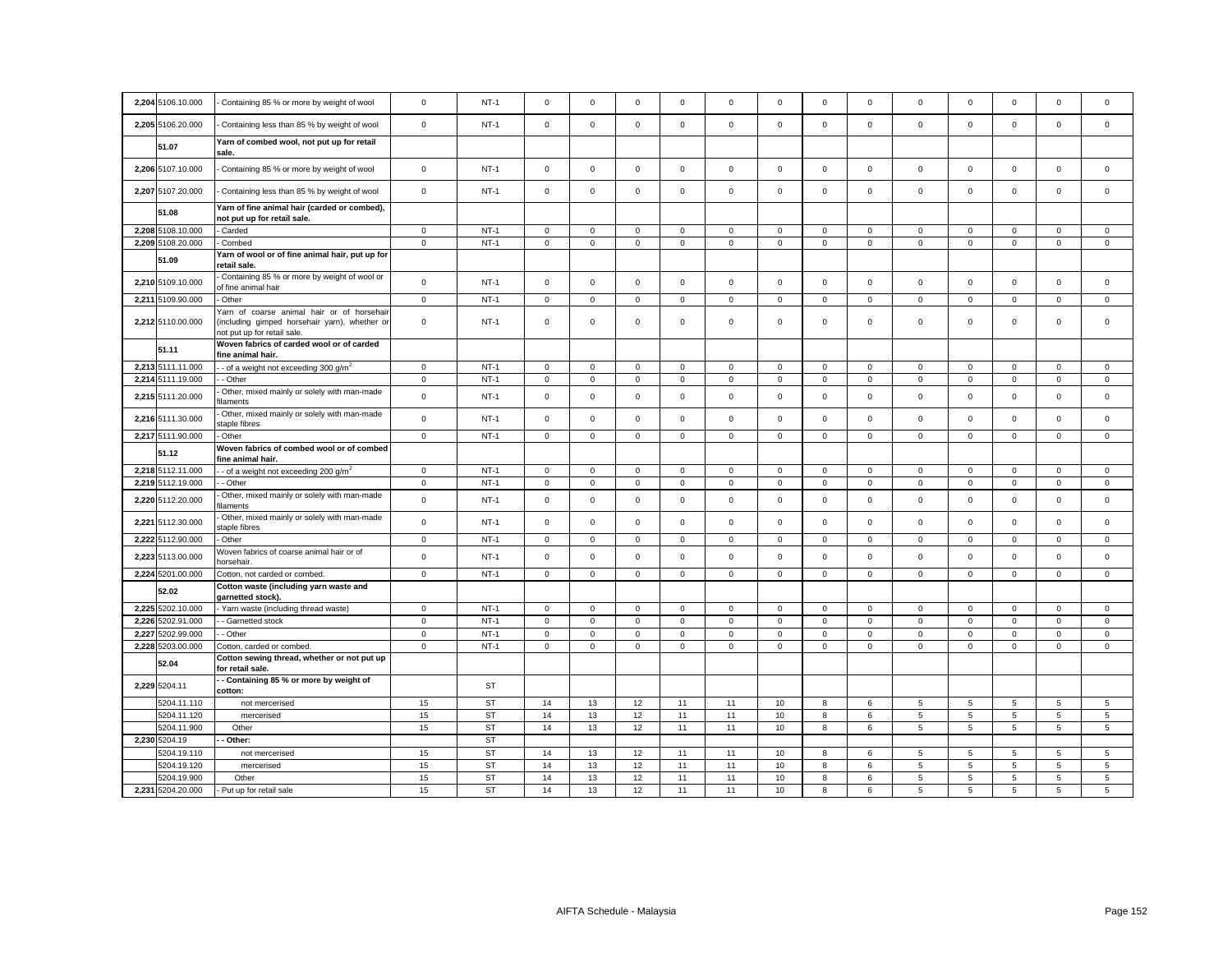| 2,204 5106.10.000                | Containing 85 % or more by weight of wool                                                                                  | $\mathsf 0$  | $NT-1$                 | $\mathbf 0$         | $\mathbf 0$ | $\mathsf 0$ | $\mathbf 0$  | $\mathsf 0$ | $\mathbf 0$ | $\mathbf 0$  | $\mathbf 0$  | $\mathsf 0$    | $\mathbf 0$ | $\mathbf 0$         | $\mathsf 0$      | $\mathbf 0$     |
|----------------------------------|----------------------------------------------------------------------------------------------------------------------------|--------------|------------------------|---------------------|-------------|-------------|--------------|-------------|-------------|--------------|--------------|----------------|-------------|---------------------|------------------|-----------------|
| 2,205 5106.20.000                | Containing less than 85 % by weight of wool                                                                                | $\mathsf 0$  | $NT-1$                 | $\mathsf 0$         | $\mathbf 0$ | $\mathbf 0$ | $\mathsf 0$  | $\mathbf 0$ | $\mathbf 0$ | $\circ$      | $\mathbf 0$  | $\mathbf{0}$   | $\mathbf 0$ | $\mathbf 0$         | $\mathbf 0$      | $\mathbf 0$     |
| 51.07                            | Yarn of combed wool, not put up for retail<br>sale.                                                                        |              |                        |                     |             |             |              |             |             |              |              |                |             |                     |                  |                 |
| 2.206 5107.10.000                | Containing 85 % or more by weight of wool                                                                                  | $\mathsf 0$  | $NT-1$                 | $\circ$             | $\mathbf 0$ | $\mathbf 0$ | $\mathbf{0}$ | $\mathsf 0$ | $\mathbf 0$ | $\circ$      | $\mathbf 0$  | $\mathbf 0$    | $\mathbf 0$ | $\Omega$            | $\mathbf 0$      | $\mathbf 0$     |
| 2,207 5107.20.000                | Containing less than 85 % by weight of wool                                                                                | $\mathbf 0$  | $NT-1$                 | $\mathsf 0$         | $\mathbf 0$ | $\mathsf 0$ | $\mathsf 0$  | $\mathbf 0$ | $\mathsf 0$ | $\mathsf 0$  | $\mathbf 0$  | $\mathbf 0$    | $\mathsf 0$ | $\mathsf 0$         | $\mathsf 0$      | $\mathsf 0$     |
| 51.08                            | Yarn of fine animal hair (carded or combed),<br>not put up for retail sale.                                                |              |                        |                     |             |             |              |             |             |              |              |                |             |                     |                  |                 |
| 2,208 5108.10.000                | Carded                                                                                                                     | $\mathbf 0$  | $NT-1$                 | $\mathbf{0}$        | $\mathbf 0$ | $\mathbf 0$ | $\mathbf{0}$ | $\mathsf 0$ | $\mathbf 0$ | $\circ$      | $\mathbf{0}$ | $\mathbf{0}$   | $\mathbf 0$ | $\mathbf 0$         | $\mathbf 0$      | $\mathbf{0}$    |
| 2,209 5108.20.000                | Combed                                                                                                                     | $\mathbf 0$  | $NT-1$                 | $\mathbf 0$         | $\mathbf 0$ | $\mathsf 0$ | $\mathsf 0$  | $\mathsf 0$ | $\mathsf 0$ | $\mathsf 0$  | $\mathsf 0$  | $\mathsf 0$    | $\mathsf 0$ | $\mathsf{O}\xspace$ | $\mathsf 0$      | $\,0\,$         |
|                                  |                                                                                                                            |              |                        |                     |             |             |              |             |             |              |              |                |             |                     |                  |                 |
| 51.09                            | Yarn of wool or of fine animal hair, put up for<br>retail sale.                                                            |              |                        |                     |             |             |              |             |             |              |              |                |             |                     |                  |                 |
| 2,210 5109.10.000                | Containing 85 % or more by weight of wool or<br>of fine animal hair                                                        | $\mathsf 0$  | $NT-1$                 | $\mathbf 0$         | $\mathbf 0$ | $\mathsf 0$ | $\mathsf 0$  | $\mathsf 0$ | $\mathbf 0$ | $\mathbf 0$  | $\mathbf 0$  | $\mathsf 0$    | $\mathbf 0$ | $\mathbf 0$         | $\mathsf 0$      | $\mathbf 0$     |
| 2.211 5109.90.000                | Other                                                                                                                      | $\mathsf 0$  | $NT-1$                 | $\circ$             | $\Omega$    | $\mathsf 0$ | $\mathbf{0}$ | $\mathbf 0$ | $\mathbf 0$ | $\mathbf 0$  | $\mathbf{0}$ | $\mathbf 0$    | $\mathbf 0$ | $\mathbf 0$         | $\mathbf 0$      | $\mathbf 0$     |
| 2,212 5110.00.000                | Yarn of coarse animal hair or of horsehair<br>(including gimped horsehair yarn), whether or<br>not put up for retail sale. | $\mathbf 0$  | $NT-1$                 | 0                   | $\Omega$    | $\mathsf 0$ | $\mathbf 0$  | 0           | $\mathbf 0$ | 0            | $\mathbf 0$  | $\mathbf 0$    | $\mathbf 0$ | $\mathbf 0$         | $\mathsf 0$      | $\mathbf 0$     |
| 51.11                            | Woven fabrics of carded wool or of carded<br>fine animal hair.                                                             |              |                        |                     |             |             |              |             |             |              |              |                |             |                     |                  |                 |
| 2,213 5111.11.000                | - of a weight not exceeding 300 $g/m^2$                                                                                    | $\mathbf 0$  | $NT-1$                 | $\mathbf{0}$        | $\mathbf 0$ | $\mathbf 0$ | $\mathbf 0$  | 0           | $\mathbf 0$ | 0            | $\mathbf 0$  | $\mathbf 0$    | $\mathbf 0$ | $\mathbf 0$         | $\mathbf 0$      | $\mathbf 0$     |
| 2,214 5111.19.000                | - Other                                                                                                                    | $\mathbf 0$  | $NT-1$                 | $\mathsf 0$         | $\mathbf 0$ | $\mathsf 0$ | $\mathsf 0$  | $\mathbf 0$ | $\mathsf 0$ | $\mathsf 0$  | $\mathbf{0}$ | $\mathbf 0$    | $\mathsf 0$ | $\mathbf 0$         | $\mathsf 0$      | $\mathsf 0$     |
| 2,215 5111.20.000                | Other, mixed mainly or solely with man-made<br>ilaments                                                                    | $\mathbf 0$  | $NT-1$                 | $\mathsf{O}$        | $\mathsf 0$ | $\mathsf 0$ | $\mathsf 0$  | $\mathsf 0$ | $\mathsf 0$ | $\mathsf{O}$ | $\mathsf 0$  | $\mathsf 0$    | $\mathsf 0$ | $\mathsf 0$         | $\mathsf 0$      | $\mathsf 0$     |
| 2,216 5111.30.000                | Other, mixed mainly or solely with man-made<br>staple fibres                                                               | $\mathsf 0$  | $NT-1$                 | $\mathbf 0$         | $\mathbf 0$ | $\mathsf 0$ | $\mathsf 0$  | $\mathsf 0$ | $\mathbf 0$ | $\mathsf 0$  | $\mathbf 0$  | $\mathsf 0$    | $\mathbf 0$ | $\mathbf 0$         | $\mathsf 0$      | $\mathsf 0$     |
| 2,217 5111.90.000                | Other                                                                                                                      | $\mathsf 0$  | $NT-1$                 | $\mathbf{0}$        | $\mathbf 0$ | $\mathsf 0$ | $\mathbf 0$  | $\mathbf 0$ | $\mathbf 0$ | $\mathsf 0$  | $\mathbf{0}$ | $\mathsf 0$    | $\mathbf 0$ | $\mathbf 0$         | $\mathsf 0$      | $\mathbf 0$     |
|                                  | Woven fabrics of combed wool or of combed                                                                                  |              |                        |                     |             |             |              |             |             |              |              |                |             |                     |                  |                 |
|                                  |                                                                                                                            |              |                        |                     |             |             |              |             |             |              |              |                |             |                     |                  |                 |
| 51.12                            | ine animal hair.                                                                                                           |              |                        |                     |             |             |              |             |             |              |              |                |             |                     |                  |                 |
| 2,218 5112.11.000                | - of a weight not exceeding 200 $q/m^2$                                                                                    | $\mathbf 0$  | $NT-1$                 | $\mathbf 0$         | $\mathbf 0$ | $\mathbf 0$ | $^{\circ}$   | 0           | $\mathbf 0$ | $\mathbf 0$  | $\mathbf 0$  | $\mathbf 0$    | $\Omega$    | $\mathbf 0$         | $\mathbf 0$      | $\mathbf 0$     |
| 2,219 5112.19.000                | - Other                                                                                                                    | $\mathbf 0$  | $NT-1$                 | $\circ$             | $\mathbf 0$ | $\mathsf 0$ | $\mathbf{0}$ | $\mathsf 0$ | $\mathbf 0$ | $\circ$      | $\mathbf{0}$ | $\mathsf 0$    | $\mathbf 0$ | $\mathbf{0}$        | $\mathsf 0$      | $\mathbf 0$     |
| 2,220 5112.20.000                | Other, mixed mainly or solely with man-made<br>ilaments                                                                    | $\mathbf 0$  | $NT-1$                 | $\mathsf 0$         | $\mathbf 0$ | $\mathsf 0$ | $\mathsf 0$  | $\mathsf 0$ | $\mathsf 0$ | $\mathsf 0$  | $\mathbf 0$  | $\mathbf 0$    | $\mathsf 0$ | $\mathsf 0$         | $\mathsf 0$      | $\mathsf 0$     |
| 2,221 5112.30.000                | Other, mixed mainly or solely with man-made<br>staple fibres                                                               | $\mathsf 0$  | $NT-1$                 | $\mathsf 0$         | $\mathbf 0$ | $\mathsf 0$ | $\mathbf{0}$ | $\mathbf 0$ | $\mathbf 0$ | $\mathsf 0$  | $\mathbf 0$  | $\mathbf 0$    | $\mathbf 0$ | $\mathbf 0$         | $\mathbf 0$      | $\mathsf 0$     |
| 2,222 5112.90.000                | Other                                                                                                                      | $\mathbf{0}$ | $NT-1$                 | $\mathbf{0}$        | $\mathbf 0$ | $\mathbf 0$ | $\mathbf 0$  | 0           | $\mathbf 0$ | $\mathbf{0}$ | $\mathbf 0$  | $\mathbf 0$    | $\mathbf 0$ | 0                   | $\mathbf 0$      | $\mathbf 0$     |
| 2,223 5113.00.000                | Noven fabrics of coarse animal hair or of<br>horsehair.                                                                    | $\mathsf 0$  | $NT-1$                 | $\mathbf 0$         | $\mathbf 0$ | $\mathsf 0$ | $\mathbf 0$  | $\mathsf 0$ | $\mathbf 0$ | $\mathsf 0$  | $\mathbf 0$  | $\mathsf 0$    | $\mathbf 0$ | $\mathbf 0$         | $\mathsf 0$      | $\mathsf 0$     |
| 2,224 5201.00.000                | Cotton, not carded or combed.                                                                                              | $\pmb{0}$    | $NT-1$                 | $\mathsf{O}\xspace$ | $\mathsf 0$ | $\mathbf 0$ | $\mathsf 0$  | $\mathsf 0$ | $\mathbf 0$ | $\mathsf 0$  | $\mathsf 0$  | $\mathsf 0$    | $\mathsf 0$ | $\mathsf 0$         | $\mathbf 0$      | $\mathsf 0$     |
| 52.02                            | Cotton waste (including yarn waste and<br>garnetted stock).                                                                |              |                        |                     |             |             |              |             |             |              |              |                |             |                     |                  |                 |
| 2,225 5202.10.000                | Yarn waste (including thread waste)                                                                                        | $\mathbf 0$  | $NT-1$                 | $\circ$             | $\mathbf 0$ | $\mathbf 0$ | $\mathbf{0}$ | $\mathbf 0$ | $\mathbf 0$ | $\circ$      | $\mathbf{0}$ | $\mathbf{0}$   | $\mathbf 0$ | $\mathbf 0$         | $\mathbf 0$      | $\mathbf{0}$    |
| 2,226 5202.91.000                | - Garnetted stock                                                                                                          | $\pmb{0}$    | $NT-1$                 | $\mathsf 0$         | $\mathbf 0$ | $\mathsf 0$ | $\mathbf 0$  | $\mathsf 0$ | $\mathbf 0$ | $\mathsf 0$  | $\mathsf 0$  | $\mathsf 0$    | $\mathbf 0$ | $\mathsf 0$         | $\mathsf 0$      | $\mathbf 0$     |
|                                  |                                                                                                                            |              |                        |                     |             |             |              |             |             |              |              |                |             |                     |                  |                 |
| 2,227 5202.99.000                | - Other                                                                                                                    | $\mathbf 0$  | $NT-1$                 | $\mathbf 0$         | $\mathbf 0$ | $\mathsf 0$ | $\mathsf 0$  | $\mathbf 0$ | $\mathsf 0$ | $\mathsf 0$  | $\mathbf 0$  | $\mathsf 0$    | $\mathsf 0$ | $\mathbf 0$         | $\mathsf 0$      | $\mathsf 0$     |
| 2,228 5203.00.000<br>52.04       | Cotton, carded or combed.<br>Cotton sewing thread, whether or not put up                                                   | $\mathbf 0$  | $NT-1$                 | $\mathbf 0$         | $\mathbf 0$ | $\mathbf 0$ | $\mathbf 0$  | $\mathbf 0$ | $\mathbf 0$ | $\mathbf 0$  | $\mathbf 0$  | $\mathbf{0}$   | $\mathbf 0$ | $\mathbf 0$         | $\mathbf 0$      | $\mathbf 0$     |
| 2,229 5204.11                    | for retail sale.<br>- Containing 85 % or more by weight of                                                                 |              | ST                     |                     |             |             |              |             |             |              |              |                |             |                     |                  |                 |
|                                  | cotton:                                                                                                                    |              |                        |                     |             |             |              |             |             |              |              |                |             |                     |                  |                 |
| 5204.11.110                      | not mercerised                                                                                                             | 15           | <b>ST</b>              | 14                  | 13          | 12          | 11           | 11          | 10          | 8            | 6            | 5              | 5           | 5                   | 5                | 5               |
| 5204.11.120                      | mercerised                                                                                                                 | 15           | <b>ST</b>              | 14                  | 13          | 12          | 11           | 11          | 10          | 8            | 6            | $\overline{5}$ | 5           | 5                   | 5                | $5\phantom{.0}$ |
| 5204.11.900                      | Other                                                                                                                      | 15           | ST                     | 14                  | 13          | 12          | 11           | 11          | 10          | 8            | 6            | 5              | 5           | 5                   | 5                | $5\phantom{.0}$ |
| 2,230 5204.19                    | Other:                                                                                                                     |              | <b>ST</b>              |                     |             |             |              |             |             |              |              |                |             |                     |                  |                 |
| 5204.19.110                      | not mercerised                                                                                                             | 15           | <b>ST</b>              | 14                  | 13          | 12          | 11           | 11          | 10          | 8            | 6            | 5              | 5           | 5                   | 5                | $\sqrt{5}$      |
| 5204.19.120                      | mercerised                                                                                                                 | 15           | <b>ST</b>              | 14                  | 13          | 12          | 11           | 11          | 10          | 8            | 6            | 5              | 5           | 5                   | 5                | 5               |
| 5204.19.900<br>2,231 5204.20.000 | Other<br>- Put up for retail sale                                                                                          | 15<br>15     | <b>ST</b><br><b>ST</b> | 14<br>14            | 13<br>13    | 12<br>12    | 11<br>11     | 11<br>11    | 10<br>10    | 8<br>8       | 6<br>6       | 5<br>5         | 5<br>5      | 5<br>5              | $\mathbf 5$<br>5 | 5<br>5          |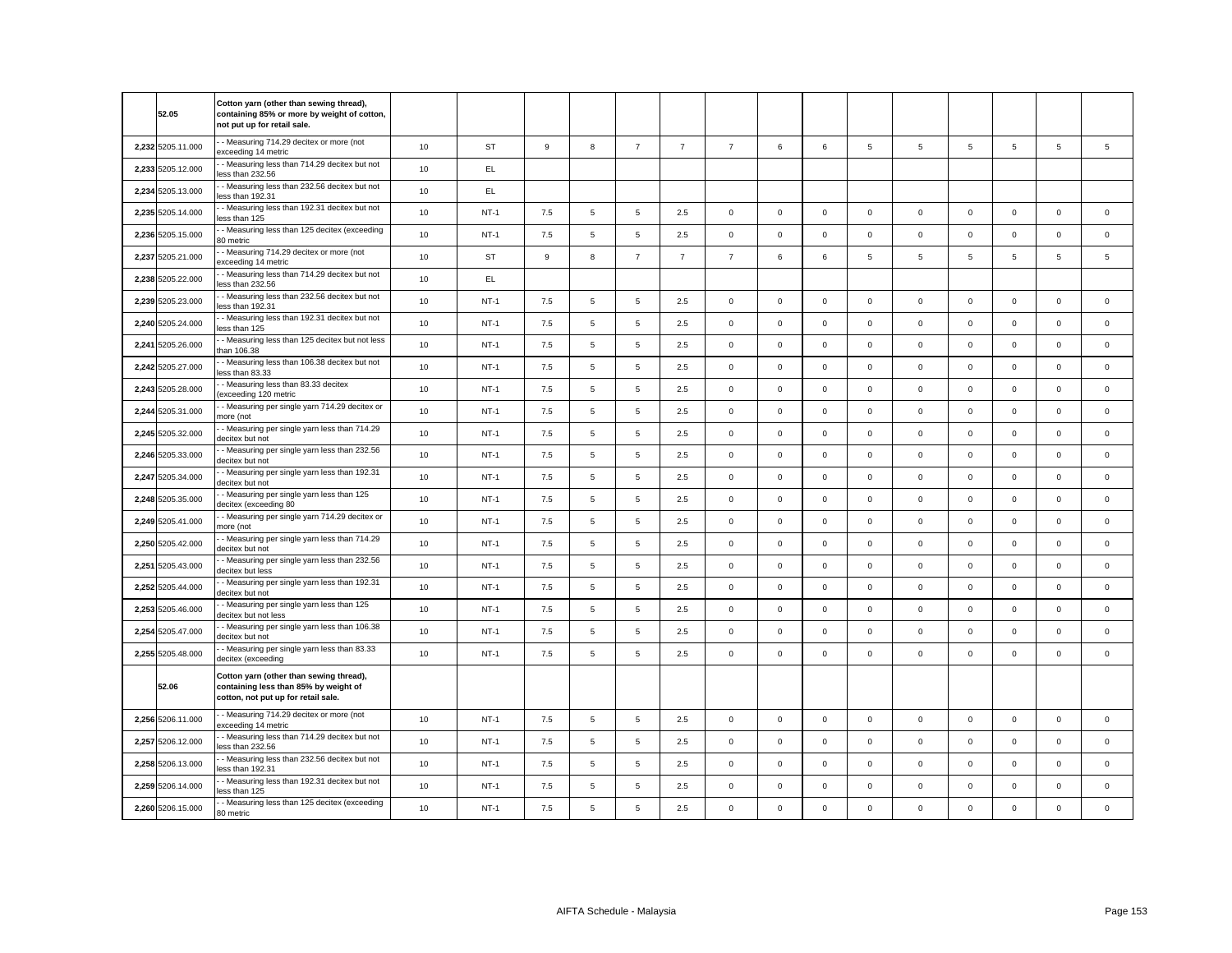|       | 52.05             | Cotton yarn (other than sewing thread),<br>containing 85% or more by weight of cotton,<br>not put up for retail sale.   |    |        |     |   |                |                |                |             |              |                |              |             |             |                |                |
|-------|-------------------|-------------------------------------------------------------------------------------------------------------------------|----|--------|-----|---|----------------|----------------|----------------|-------------|--------------|----------------|--------------|-------------|-------------|----------------|----------------|
|       | 2,232 5205.11.000 | - Measuring 714.29 decitex or more (not<br>exceeding 14 metric                                                          | 10 | ST     | 9   | 8 | $\overline{7}$ | $\overline{7}$ | $\overline{7}$ | 6           | 6            | $\overline{5}$ | 5            | 5           | 5           | $\overline{5}$ | $\overline{5}$ |
| 2,233 | 5205.12.000       | - Measuring less than 714.29 decitex but not<br>ess than 232.56                                                         | 10 | EL     |     |   |                |                |                |             |              |                |              |             |             |                |                |
| 2,234 | 5205.13.000       | - Measuring less than 232.56 decitex but not<br>ess than 192.31                                                         | 10 | EL.    |     |   |                |                |                |             |              |                |              |             |             |                |                |
|       | 2,235 5205.14.000 | - Measuring less than 192.31 decitex but not<br>ess than 125                                                            | 10 | $NT-1$ | 7.5 | 5 | $\,$ 5 $\,$    | 2.5            | $\mathsf 0$    | $\mathbf 0$ | $\mathbf 0$  | $\mathbf 0$    | $\mathbf{0}$ | $\mathbf 0$ | $\mathbf 0$ | $\mathbf 0$    | $\mathbf 0$    |
|       | 2,236 5205.15.000 | - Measuring less than 125 decitex (exceeding<br>30 metric                                                               | 10 | $NT-1$ | 7.5 | 5 | $\mathbf 5$    | 2.5            | $\mathbf 0$    | $\mathbf 0$ | $\mathbf 0$  | $\mathbf{0}$   | $\mathbf 0$  | $\mathbf 0$ | $\mathbf 0$ | $\mathbf 0$    | $\mathbf 0$    |
|       | 2,237 5205.21.000 | - Measuring 714.29 decitex or more (not<br>xceeding 14 metric                                                           | 10 | ST     | 9   | 8 | $\overline{7}$ | $\overline{7}$ | $\overline{7}$ | 6           | 6            | 5              | 5            | 5           | 5           | 5              | 5              |
| 2,238 | 5205.22.000       | - Measuring less than 714.29 decitex but not<br>ess than 232.56                                                         | 10 | EL     |     |   |                |                |                |             |              |                |              |             |             |                |                |
|       | 2,239 5205.23.000 | - Measuring less than 232.56 decitex but not<br>less than 192.31                                                        | 10 | $NT-1$ | 7.5 | 5 | $\mathbf 5$    | 2.5            | $\mathsf 0$    | $\mathsf 0$ | $\mathsf 0$  | $\mathsf 0$    | $\mathsf 0$  | $\mathsf 0$ | $\mathsf 0$ | $\mathsf 0$    | $\mathsf 0$    |
|       | 2,240 5205.24.000 | - Measuring less than 192.31 decitex but not<br>less than 125                                                           | 10 | $NT-1$ | 7.5 | 5 | $\mathbf 5$    | 2.5            | $\mathsf 0$    | $\mathsf 0$ | $\mathsf 0$  | $\mathsf 0$    | $\mathsf 0$  | $\mathsf 0$ | $\mathsf 0$ | $\mathsf 0$    | $\mathsf 0$    |
| 2,241 | 5205.26.000       | - Measuring less than 125 decitex but not less<br>han 106.38                                                            | 10 | $NT-1$ | 7.5 | 5 | $\,$ 5 $\,$    | 2.5            | $\mathsf 0$    | $\mathsf 0$ | $\mathsf 0$  | $\mathsf 0$    | $\mathbf 0$  | $\mathsf 0$ | $\mathsf 0$ | $\mathsf 0$    | $\mathsf 0$    |
|       | 2,242 5205.27.000 | - Measuring less than 106.38 decitex but not<br>less than 83.33                                                         | 10 | $NT-1$ | 7.5 | 5 | $\,$ 5 $\,$    | 2.5            | $\mathsf 0$    | $\mathbf 0$ | $\mathbf{O}$ | $\mathsf 0$    | $\mathsf 0$  | $\mathbf 0$ | $\mathbf 0$ | $\mathbf 0$    | $\mathbf 0$    |
|       | 2,243 5205.28.000 | - Measuring less than 83.33 decitex<br>exceeding 120 metric                                                             | 10 | $NT-1$ | 7.5 | 5 | 5              | 2.5            | $\mathbf 0$    | $\mathbf 0$ | $\mathbf 0$  | $\mathbf{0}$   | $\mathsf 0$  | $\mathsf 0$ | $\mathbf 0$ | $\mathbf 0$    | $\mathbf 0$    |
| 2,244 | 5205.31.000       | - Measuring per single yarn 714.29 decitex or<br>more (not                                                              | 10 | $NT-1$ | 7.5 | 5 | 5              | 2.5            | $\mathsf 0$    | $\mathbf 0$ | $\mathbf 0$  | $\mathbf{0}$   | $\mathbf{0}$ | $\mathbf 0$ | $\mathbf 0$ | $\mathsf 0$    | $\mathbf 0$    |
|       | 2,245 5205.32.000 | - Measuring per single yarn less than 714.29<br>decitex but not                                                         | 10 | $NT-1$ | 7.5 | 5 | $\mathbf 5$    | 2.5            | $\mathsf 0$    | $\mathsf 0$ | $\mathsf 0$  | $\mathsf 0$    | $\mathsf 0$  | $\mathsf 0$ | $\mathsf 0$ | $\mathsf 0$    | $\mathsf 0$    |
|       | 2,246 5205.33.000 | - Measuring per single yarn less than 232.56<br>decitex but not                                                         | 10 | $NT-1$ | 7.5 | 5 | $\mathbf 5$    | 2.5            | $\mathsf 0$    | $\mathsf 0$ | $\mathsf 0$  | $\mathsf 0$    | $\mathsf 0$  | $\mathsf 0$ | $\mathsf 0$ | $\mathsf 0$    | $\mathsf 0$    |
|       | 2,247 5205.34.000 | - Measuring per single yarn less than 192.31<br>decitex but not                                                         | 10 | $NT-1$ | 7.5 | 5 | $\mathbf 5$    | 2.5            | $\mathsf 0$    | $\mathsf 0$ | $\mathsf 0$  | $\mathsf 0$    | $\mathbf 0$  | $\mathsf 0$ | $\mathsf 0$ | $\mathsf 0$    | $\mathsf 0$    |
|       | 2,248 5205.35.000 | - Measuring per single yarn less than 125<br>decitex (exceeding 80                                                      | 10 | $NT-1$ | 7.5 | 5 | 5              | 2.5            | $\mathsf 0$    | $\mathsf 0$ | $\mathsf 0$  | $\mathsf 0$    | $\mathbf 0$  | $\mathsf 0$ | $\mathsf 0$ | $\mathsf 0$    | $\mathsf 0$    |
|       | 2,249 5205.41.000 | - Measuring per single yarn 714.29 decitex or<br>more (not                                                              | 10 | $NT-1$ | 7.5 | 5 | 5              | 2.5            | $\mathsf 0$    | $\mathbf 0$ | $\mathbf 0$  | $\mathsf 0$    | $\mathbf 0$  | $\mathbf 0$ | $\mathbf 0$ | $\mathbf 0$    | $\mathsf 0$    |
| 2.250 | 5205.42.000       | - Measuring per single yarn less than 714.29<br>decitex but not                                                         | 10 | $NT-1$ | 7.5 | 5 | 5              | 2.5            | $\mathsf 0$    | $\Omega$    | $\mathbf 0$  | $\mathbf 0$    | $\mathbf 0$  | $\mathbf 0$ | $\Omega$    | $\mathsf 0$    | $\mathbf 0$    |
| 2,251 | 5205.43.000       | - Measuring per single yarn less than 232.56<br>decitex but less                                                        | 10 | $NT-1$ | 7.5 | 5 | $\mathbf 5$    | 2.5            | $\mathbf 0$    | $\mathbf 0$ | $\mathbf{0}$ | $\mathbf 0$    | $\mathbf 0$  | $\mathbf 0$ | $\mathbf 0$ | $\mathbf 0$    | $\mathbf 0$    |
|       | 2,252 5205.44.000 | - Measuring per single yarn less than 192.31<br>decitex but not                                                         | 10 | $NT-1$ | 7.5 | 5 | 5              | 2.5            | $\mathbf 0$    | $\mathbf 0$ | $\mathbf 0$  | $\mathbf 0$    | $\mathbf 0$  | $\mathbf 0$ | $\mathbf 0$ | $\mathbf 0$    | $\mathbf 0$    |
|       | 2,253 5205.46.000 | - Measuring per single yarn less than 125<br>decitex but not less                                                       | 10 | $NT-1$ | 7.5 | 5 | $\mathbf 5$    | 2.5            | $\mathsf 0$    | $\mathbf 0$ | $\mathbf 0$  | $\mathsf 0$    | $\mathbf 0$  | $\mathsf 0$ | $\mathbf 0$ | $\mathbf 0$    | $\mathsf 0$    |
| 2,254 | 5205.47.000       | - Measuring per single yarn less than 106.38<br>decitex but not                                                         | 10 | $NT-1$ | 7.5 | 5 | $\mathbf 5$    | 2.5            | $\mathsf 0$    | $\mathbf 0$ | $\mathbf 0$  | $\mathsf 0$    | $\mathsf 0$  | $\mathsf 0$ | $\mathbf 0$ | $\mathsf 0$    | $\mathsf 0$    |
|       | 2,255 5205.48.000 | - Measuring per single yarn less than 83.33<br>decitex (exceeding                                                       | 10 | $NT-1$ | 7.5 | 5 | 5              | 2.5            | $\mathbf 0$    | $\Omega$    | $\mathbf 0$  | $\mathsf 0$    | $\mathbf 0$  | $\Omega$    | $\mathsf 0$ | $\mathsf 0$    | $\mathsf 0$    |
|       | 52.06             | Cotton yarn (other than sewing thread),<br>containing less than 85% by weight of<br>cotton, not put up for retail sale. |    |        |     |   |                |                |                |             |              |                |              |             |             |                |                |
|       | 2.256 5206.11.000 | - Measuring 714.29 decitex or more (not<br>exceeding 14 metric                                                          | 10 | $NT-1$ | 7.5 | 5 | 5              | 2.5            | $\mathsf 0$    | $\Omega$    | $\mathbf 0$  | $\mathsf 0$    | $\mathsf 0$  | $\mathbf 0$ | $\mathbf 0$ | $\mathbf 0$    | $\mathbf 0$    |
|       | 2,257 5206.12.000 | - Measuring less than 714.29 decitex but not<br>ess than 232.56                                                         | 10 | $NT-1$ | 7.5 | 5 | $\overline{5}$ | 2.5            | $\mathbf 0$    | $\mathsf 0$ | $\mathsf 0$  | $\mathsf 0$    | $\mathsf 0$  | $\mathsf 0$ | $\mathbf 0$ | $\mathsf 0$    | $\mathbf 0$    |
|       | 2,258 5206.13.000 | - Measuring less than 232.56 decitex but not<br>ess than 192.31                                                         | 10 | $NT-1$ | 7.5 | 5 | $\overline{5}$ | 2.5            | $\mathsf 0$    | $\mathsf 0$ | $\mathsf 0$  | $\mathsf 0$    | $\mathbf 0$  | $\mathsf 0$ | $\mathsf 0$ | $\mathsf 0$    | $\mathsf 0$    |
|       | 2,259 5206.14.000 | - Measuring less than 192.31 decitex but not<br>ess than 125                                                            | 10 | $NT-1$ | 7.5 | 5 | $\mathbf 5$    | 2.5            | $\mathsf 0$    | $\mathbf 0$ | $\mathsf 0$  | $\mathsf 0$    | $\mathbf 0$  | $\mathbf 0$ | $\mathsf 0$ | $\mathsf 0$    | $\mathsf 0$    |
|       | 2,260 5206.15.000 | - Measuring less than 125 decitex (exceeding<br>80 metric                                                               | 10 | $NT-1$ | 7.5 | 5 | $\mathbf 5$    | 2.5            | $\mathsf 0$    | $\mathbf 0$ | $\mathsf 0$  | $\mathsf 0$    | $\mathbf 0$  | $\mathbf 0$ | $\mathbf 0$ | $\mathsf 0$    | $\mathbf 0$    |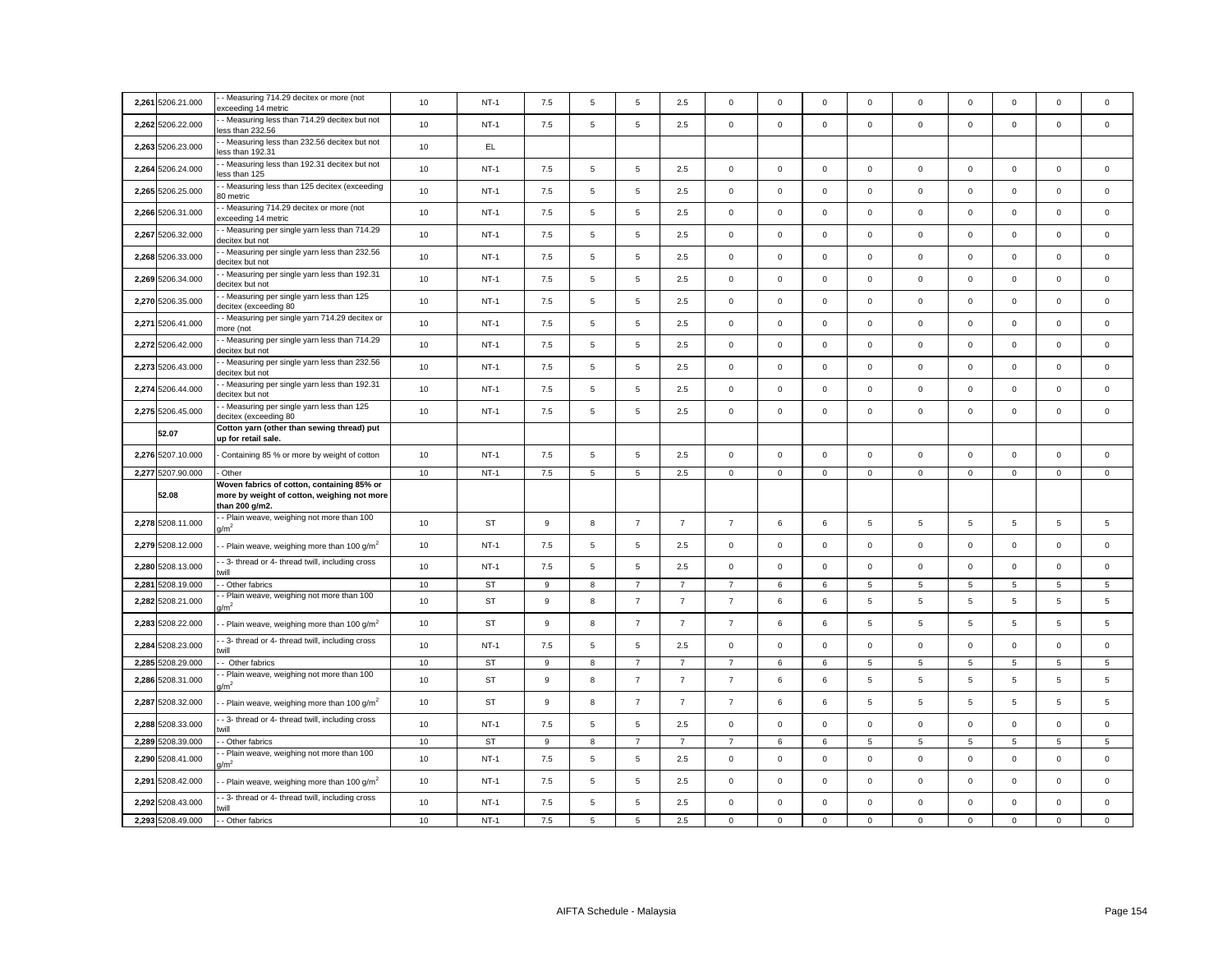|       | 2,261 5206.21.000 | - Measuring 714.29 decitex or more (not<br>exceeding 14 metric                                              | 10 | $NT-1$    | 7.5 | 5 | 5              | 2.5            | $\Omega$       | $^{\circ}$  | $\Omega$     | $\mathbf 0$  | $\Omega$    | $\mathbf 0$ | $\mathbf 0$     | $\Omega$       | $\Omega$    |
|-------|-------------------|-------------------------------------------------------------------------------------------------------------|----|-----------|-----|---|----------------|----------------|----------------|-------------|--------------|--------------|-------------|-------------|-----------------|----------------|-------------|
|       | 2,262 5206.22.000 | - Measuring less than 714.29 decitex but not<br>ess than 232.56                                             | 10 | $NT-1$    | 7.5 | 5 | 5              | 2.5            | $\mathbf{0}$   | $\mathbf 0$ | $\mathbf 0$  | $\mathbf{0}$ | $\mathbf 0$ | $\mathbf 0$ | $\mathbf 0$     | $\mathbf 0$    | $\mathbf 0$ |
|       | 2,263 5206.23.000 | - Measuring less than 232.56 decitex but not<br>ess than 192.31                                             | 10 | EL.       |     |   |                |                |                |             |              |              |             |             |                 |                |             |
|       | 2,264 5206.24.000 | - Measuring less than 192.31 decitex but not<br>less than 125                                               | 10 | $NT-1$    | 7.5 | 5 | 5              | 2.5            | $\Omega$       | $\mathsf 0$ | $\mathbf 0$  | 0            | $\mathsf 0$ | $\mathbf 0$ | $\mathbf 0$     | $\mathbf 0$    | $\mathsf 0$ |
|       | 2,265 5206.25.000 | - Measuring less than 125 decitex (exceeding<br>30 metric                                                   | 10 | $NT-1$    | 7.5 | 5 | 5              | 2.5            | $\mathbf 0$    | $\mathsf 0$ | $\mathbf 0$  | $\mathbf 0$  | 0           | $\mathbf 0$ | $\mathsf 0$     | $\mathbf 0$    | $\mathbf 0$ |
|       | 2,266 5206.31.000 | - Measuring 714.29 decitex or more (not<br>exceeding 14 metric                                              | 10 | $NT-1$    | 7.5 | 5 | $\overline{5}$ | 2.5            | $\mathbf 0$    | $\mathsf 0$ | $\mathsf 0$  | $\mathbf 0$  | $\mathsf 0$ | $\mathbf 0$ | $\mathbf 0$     | $\mathsf 0$    | $\mathbf 0$ |
|       | 2,267 5206.32.000 | - Measuring per single yarn less than 714.29<br>decitex but not                                             | 10 | $NT-1$    | 7.5 | 5 | $\overline{5}$ | 2.5            | $\mathsf 0$    | $\mathsf 0$ | $\mathbf 0$  | $\mathsf 0$  | $\mathsf 0$ | $\mathbf 0$ | $\mathsf 0$     | $\mathsf 0$    | $\mathbf 0$ |
|       | 2,268 5206.33.000 | - Measuring per single yarn less than 232.56<br>decitex but not                                             | 10 | $NT-1$    | 7.5 | 5 | $\overline{5}$ | 2.5            | $\mathsf 0$    | $\mathsf 0$ | $\mathsf 0$  | $\mathsf 0$  | $\mathsf 0$ | $\mathbf 0$ | $\mathbf 0$     | $\mathsf 0$    | $\mathbf 0$ |
|       | 2,269 5206.34.000 | - Measuring per single yarn less than 192.31<br>decitex but not                                             | 10 | $NT-1$    | 7.5 | 5 | $\overline{5}$ | 2.5            | $\mathbf 0$    | $\mathsf 0$ | $\mathsf{O}$ | $\mathsf 0$  | $\mathsf 0$ | $\mathbf 0$ | $\mathsf 0$     | $\mathsf 0$    | $\mathbf 0$ |
|       | 2,270 5206.35.000 | - Measuring per single yarn less than 125<br>decitex (exceeding 80                                          | 10 | $NT-1$    | 7.5 | 5 | $\overline{5}$ | 2.5            | $\mathsf 0$    | $\mathsf 0$ | $\mathsf 0$  | $\mathsf 0$  | $\mathbf 0$ | $\mathbf 0$ | $\mathsf 0$     | $\mathsf 0$    | $\mathsf 0$ |
|       | 2,271 5206.41.000 | - Measuring per single yarn 714.29 decitex or<br>nore (not                                                  | 10 | $NT-1$    | 7.5 | 5 | $\overline{5}$ | 2.5            | $\mathsf 0$    | $\mathsf 0$ | $\mathsf 0$  | $\mathsf 0$  | $\mathsf 0$ | $\mathbf 0$ | $\mathsf 0$     | $\mathsf 0$    | $\mathsf 0$ |
|       | 2,272 5206.42.000 | - Measuring per single yarn less than 714.29<br>decitex but not                                             | 10 | $NT-1$    | 7.5 | 5 | $\overline{5}$ | 2.5            | $\mathsf 0$    | $\mathsf 0$ | $\mathsf 0$  | $\mathbf 0$  | $\mathbf 0$ | $\mathbf 0$ | $\mathbf 0$     | $\mathsf 0$    | $\mathbf 0$ |
|       | 2,273 5206.43.000 | - Measuring per single yarn less than 232.56<br>decitex but not                                             | 10 | $NT-1$    | 7.5 | 5 | 5              | 2.5            | $\mathsf 0$    | $\mathsf 0$ | $\mathbf 0$  | $\mathsf 0$  | $\mathsf 0$ | $\mathbf 0$ | $\mathsf 0$     | $\mathsf 0$    | $\mathbf 0$ |
| 2.274 | 5206.44.000       | - Measuring per single yarn less than 192.31<br>decitex but not                                             | 10 | $NT-1$    | 7.5 | 5 | 5              | 2.5            | $\mathbf 0$    | $^{\circ}$  | $\mathbf 0$  | $\mathbf{0}$ | $\mathbf 0$ | $\mathbf 0$ | $\mathbf 0$     | $\mathbf 0$    | $\Omega$    |
|       | 2,275 5206.45.000 | - Measuring per single yarn less than 125<br>decitex (exceeding 80                                          | 10 | $NT-1$    | 7.5 | 5 | 5              | 2.5            | $\mathbf 0$    | $\mathbf 0$ | $\mathbf 0$  | $\mathbf 0$  | $\mathbf 0$ | $\mathbf 0$ | $\mathbf 0$     | $\mathbf 0$    | $\mathbf 0$ |
|       | 52.07             | Cotton yarn (other than sewing thread) put<br>up for retail sale.                                           |    |           |     |   |                |                |                |             |              |              |             |             |                 |                |             |
|       | 2,276 5207.10.000 | Containing 85 % or more by weight of cotton                                                                 | 10 | $NT-1$    | 7.5 | 5 | 5              | 2.5            | $\mathbf 0$    | $\mathsf 0$ | $\mathbf 0$  | $\mathsf 0$  | $\mathsf 0$ | $\mathbf 0$ | $\mathsf 0$     | $\mathbf 0$    | $\mathsf 0$ |
|       | 2,277 5207.90.000 |                                                                                                             |    |           |     |   |                |                |                |             |              |              |             |             |                 |                |             |
|       |                   | Other                                                                                                       | 10 | $NT-1$    | 7.5 | 5 | $\overline{5}$ | 2.5            | $\mathsf 0$    | $\mathbf 0$ | $\mathsf{O}$ | $\mathbf 0$  | $\mathbf 0$ | $\mathbf 0$ | $\mathsf 0$     | $\mathsf 0$    | 0           |
|       | 52.08             | Woven fabrics of cotton, containing 85% or<br>more by weight of cotton, weighing not more<br>than 200 g/m2. |    |           |     |   |                |                |                |             |              |              |             |             |                 |                |             |
|       | 2,278 5208.11.000 | - Plain weave, weighing not more than 100<br>1/m <sup>2</sup>                                               | 10 | <b>ST</b> | 9   | 8 | $\overline{7}$ | $\overline{7}$ | $\overline{7}$ | 6           | 6            | 5            | 5           | 5           | 5               | 5              | 5           |
|       | 2,279 5208.12.000 | - Plain weave, weighing more than 100 $g/m^2$                                                               | 10 | $NT-1$    | 7.5 | 5 | $\mathbf 5$    | 2.5            | $\mathbf 0$    | $\mathsf 0$ | $\mathsf 0$  | $\mathbf 0$  | $\mathbf 0$ | $\mathbf 0$ | $\mathsf 0$     | $\mathbf 0$    | $\mathbf 0$ |
|       | 2,280 5208.13.000 | - 3- thread or 4- thread twill, including cross<br>will                                                     | 10 | $NT-1$    | 7.5 | 5 | $\overline{5}$ | 2.5            | $\mathsf 0$    | $\mathsf 0$ | $\mathsf 0$  | $\mathbf 0$  | $\mathbf 0$ | $\mathbf 0$ | $\mathbf{O}$    | $\mathbf 0$    | $\mathbf 0$ |
|       | 2,281 5208.19.000 | - Other fabrics                                                                                             | 10 | <b>ST</b> | 9   | 8 | $\overline{7}$ | $\overline{7}$ | $\overline{7}$ | 6           | 6            | 5            | 5           | 5           | 5               | 5              | 5           |
|       | 2,282 5208.21.000 | - Plain weave, weighing not more than 100<br>$\sqrt{m}^2$                                                   | 10 | <b>ST</b> | 9   | 8 | $\overline{7}$ | $\overline{7}$ | $\overline{7}$ | 6           | 6            | 5            | 5           | 5           | 5               | 5              | 5           |
|       | 2,283 5208.22.000 | - Plain weave, weighing more than 100 g/m <sup>2</sup>                                                      | 10 | <b>ST</b> | 9   | 8 | $\overline{7}$ | $\overline{7}$ | $\overline{7}$ | 6           | 6            | 5            | 5           | 5           | 5               | 5              | 5           |
|       | 2,284 5208.23.000 | - 3- thread or 4- thread twill, including cross<br>will                                                     | 10 | $NT-1$    | 7.5 | 5 | $\overline{5}$ | 2.5            | $\mathsf 0$    | $\mathsf 0$ | $\mathbf 0$  | $\mathsf 0$  | $\mathsf 0$ | $\mathbf 0$ | $\mathsf 0$     | $\mathsf 0$    | $\mathsf 0$ |
|       | 2,285 5208.29.000 | - Other fabrics                                                                                             | 10 | <b>ST</b> | 9   | 8 | $\overline{7}$ | $\overline{7}$ | $\overline{7}$ | 6           | 6            | 5            | 5           | 5           | 5               | 5              | 5           |
|       | 2,286 5208.31.000 | - Plain weave, weighing not more than 100<br>$1/m^2$                                                        | 10 | <b>ST</b> | 9   | 8 | $\overline{7}$ | $\overline{7}$ | $\overline{7}$ | 6           | 6            | 5            | 5           | 5           | 5               | 5              | 5           |
|       | 2,287 5208.32.000 | - Plain weave, weighing more than 100 g/m <sup>2</sup>                                                      | 10 | <b>ST</b> | 9   | 8 | $\overline{7}$ | $\overline{7}$ | $\overline{7}$ | 6           | 6            | 5            | 5           | 5           | 5               | 5              | 5           |
|       | 2,288 5208.33.000 | - 3- thread or 4- thread twill, including cross<br>will                                                     | 10 | $NT-1$    | 7.5 | 5 | $\,$ 5 $\,$    | 2.5            | $\mathsf 0$    | $\mathsf 0$ | $\mathbf 0$  | $\mathsf 0$  | $\mathsf 0$ | $\mathbf 0$ | $\mathsf 0$     | $\mathsf 0$    | $\mathbf 0$ |
|       | 2,289 5208.39.000 | - Other fabrics                                                                                             | 10 | ST        | 9   | 8 | $\overline{7}$ | $\overline{7}$ | $\overline{7}$ | 6           | 6            | 5            | 5           | 5           | $5\phantom{.0}$ | $\overline{5}$ | 5           |
|       | 2,290 5208.41.000 | - Plain weave, weighing not more than 100<br>$\sqrt{m^2}$                                                   | 10 | $NT-1$    | 7.5 | 5 | 5              | 2.5            | $\mathbf 0$    | $\mathsf 0$ | $\mathsf 0$  | $\mathbf 0$  | 0           | $\mathbf 0$ | $\mathbf 0$     | $\mathbf 0$    | $\mathbf 0$ |
|       | 2,291 5208.42.000 | - Plain weave, weighing more than 100 g/m <sup>2</sup>                                                      | 10 | $NT-1$    | 7.5 | 5 | 5              | 2.5            | $\mathsf 0$    | $\mathsf 0$ | $\mathbf 0$  | $\mathbf 0$  | $\mathbf 0$ | $\mathbf 0$ | $\mathbf 0$     | $\mathbf 0$    | $\mathbf 0$ |
|       | 2,292 5208.43.000 | - 3- thread or 4- thread twill, including cross<br>will                                                     | 10 | $NT-1$    | 7.5 | 5 | $\overline{5}$ | 2.5            | $\mathsf 0$    | $\mathbf 0$ | $\mathbf 0$  | $\mathsf 0$  | $\mathsf 0$ | $\mathbf 0$ | $\mathbf 0$     | $\mathsf 0$    | $\mathbf 0$ |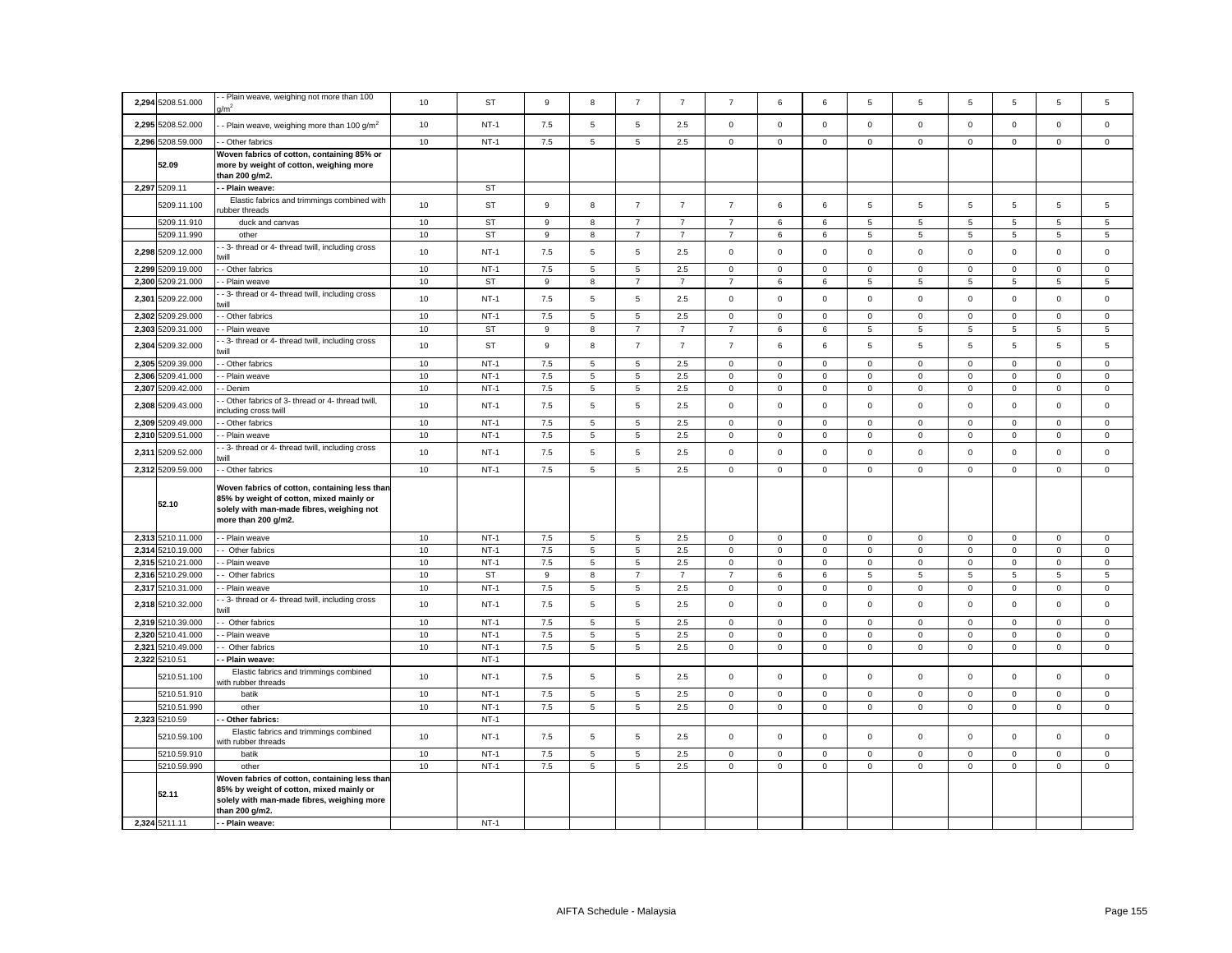| 2,294 5208.51.000 | - Plain weave, weighing not more than 100<br>/m <sup>2</sup>                                                                                                  | 10   | <b>ST</b> | 9              | 8               | $\overline{7}$ | $\overline{7}$ | $\overline{7}$ | 6           | 6            | 5            | 5           | 5              | 5              | 5              | 5                   |
|-------------------|---------------------------------------------------------------------------------------------------------------------------------------------------------------|------|-----------|----------------|-----------------|----------------|----------------|----------------|-------------|--------------|--------------|-------------|----------------|----------------|----------------|---------------------|
| 2,295 5208.52.000 | - Plain weave, weighing more than 100 g/m <sup>2</sup>                                                                                                        | 10   | $NT-1$    | 7.5            | 5               | 5              | 2.5            | $\mathbf 0$    | $\mathbf 0$ | $\mathbf 0$  | $\mathbf 0$  | $\mathbf 0$ | $\mathbf 0$    | $\mathbf 0$    | $\mathbf 0$    | $\mathbf 0$         |
| 2,296 5208.59.000 | - Other fabrics                                                                                                                                               | 10   | $NT-1$    | 7.5            | 5               | 5              | 2.5            | $\mathbf{0}$   | $\mathbf 0$ | $\mathbf{0}$ | $\mathbf{0}$ | $\mathbf 0$ | $\mathbf 0$    | $\mathsf{O}$   | $\mathbf{0}$   | $\mathbf{0}$        |
| 52.09             | Woven fabrics of cotton, containing 85% or<br>more by weight of cotton, weighing more<br>than 200 g/m2.                                                       |      |           |                |                 |                |                |                |             |              |              |             |                |                |                |                     |
| 2,297 5209.11     | - Plain weave:                                                                                                                                                |      | <b>ST</b> |                |                 |                |                |                |             |              |              |             |                |                |                |                     |
| 5209.11.100       | Elastic fabrics and trimmings combined with<br>ubber threads                                                                                                  | 10   | <b>ST</b> | $\mathsf g$    | 8               | $\overline{7}$ | $\overline{7}$ | $\overline{7}$ | $\,6\,$     | 6            | 5            | 5           | $\,$ 5 $\,$    | 5              | $\,$ 5 $\,$    | 5                   |
| 5209.11.910       | duck and canvas                                                                                                                                               | 10   | <b>ST</b> | 9              | 8               | $\overline{7}$ | $\overline{7}$ | $\overline{7}$ | 6           | 6            | 5            | 5           | $\overline{5}$ | 5              | $\overline{5}$ | 5                   |
| 5209.11.990       | other                                                                                                                                                         | 10   | <b>ST</b> | 9              | 8               | $\overline{7}$ | $\overline{7}$ | $\overline{7}$ | 6           | 6            | 5            | 5           | 5              | 5              | 5              | 5                   |
| 2,298 5209.12.000 | - 3- thread or 4- thread twill, including cross<br>will                                                                                                       | 10   | $NT-1$    | 7.5            | $\,$ 5 $\,$     | $\sqrt{5}$     | 2.5            | $\mathsf 0$    | $\mathsf 0$ | $\mathbf 0$  | $\mathsf 0$  | $\mathbf 0$ | $\mathbf 0$    | $\mathsf{O}$   | $\mathsf 0$    | $\mathsf 0$         |
| 2,299 5209.19.000 | - Other fabrics                                                                                                                                               | 10   | $NT-1$    | $7.5\,$        | 5               | 5              | 2.5            | $\mathbf 0$    | $\mathbf 0$ | $\mathbf 0$  | $\mathsf 0$  | $\mathbf 0$ | $\,0\,$        | $\mathsf 0$    | $\mathsf 0$    | $\Omega$            |
| 2,300 5209.21.000 | - Plain weave                                                                                                                                                 | 10   | <b>ST</b> | 9              | 8               | $\overline{7}$ | $\overline{7}$ | $\overline{7}$ | 6           | 6            | 5            | 5           | $\sqrt{5}$     | 5              | 5              | 5                   |
| 2,301 5209.22.000 | 3- thread or 4- thread twill, including cross<br>will                                                                                                         | $10$ | $NT-1$    | 7.5            | 5               | 5              | 2.5            | $\mathsf 0$    | $\mathsf 0$ | $\mathbf 0$  | $\mathbf 0$  | $\mathsf 0$ | $\mathbf 0$    | $\mathsf 0$    | $\mathsf 0$    | 0                   |
| 2,302 5209.29.000 | - Other fabrics                                                                                                                                               | 10   | $NT-1$    | 7.5            | 5               | 5              | 2.5            | $\mathbf 0$    | $\mathbf 0$ | 0            | $\mathbf 0$  | $\mathbf 0$ | $\mathbf 0$    | $\mathbf 0$    | $\mathbf 0$    | 0                   |
| 2,303 5209.31.000 | - Plain weave                                                                                                                                                 | 10   | ST        | 9              | 8               | $\overline{7}$ | $\overline{7}$ | $\overline{7}$ | 6           | 6            | 5            | 5           | 5              | 5              | 5              | 5                   |
| 2,304 5209.32.000 | - 3- thread or 4- thread twill, including cross<br>will                                                                                                       | 10   | <b>ST</b> | $\mathsf g$    | 8               | $\overline{7}$ | $\overline{7}$ | $\overline{7}$ | 6           | 6            | 5            | 5           | $\overline{5}$ | $\overline{5}$ | $\overline{5}$ | 5                   |
| 2,305 5209.39.000 | - Other fabrics                                                                                                                                               | $10$ | $NT-1$    | $7.5\,$        | $\,$ 5 $\,$     | $\sqrt{5}$     | 2.5            | $\mathbf 0$    | $\mathsf 0$ | 0            | $\mathsf 0$  | $\mathbf 0$ | $\mathbf 0$    | $\mathsf 0$    | $\mathsf 0$    | $\mathsf 0$         |
| 2,306 5209.41.000 | - Plain weave                                                                                                                                                 | 10   | $NT-1$    | 7.5            | 5               | 5              | 2.5            | $\mathbf 0$    | $\mathbf 0$ | $\mathbf 0$  | $\mathbf 0$  | $\mathsf 0$ | $\pmb{0}$      | $\mathsf 0$    | $\mathbf 0$    | $\mathsf 0$         |
| 2,307 5209.42.000 | - Denim                                                                                                                                                       | 10   | $NT-1$    | 7.5            | $\,$ 5 $\,$     | $\sqrt{5}$     | 2.5            | $\mathsf 0$    | $\mathbf 0$ | $\mathbf 0$  | $\mathsf 0$  | $\mathsf 0$ | $\mathbf 0$    | $\mathsf{O}$   | $\mathbf 0$    | $\mathsf 0$         |
| 2,308 5209.43.000 | - Other fabrics of 3- thread or 4- thread twill,<br>ncluding cross twill                                                                                      | 10   | $NT-1$    | 7.5            | 5               | $\sqrt{5}$     | 2.5            | $\mathsf 0$    | $\mathbf 0$ | $\mathbf 0$  | $\mathsf 0$  | $\mathsf 0$ | $\mathbf 0$    | $\mathsf 0$    | $\mathsf 0$    | $\mathbf 0$         |
| 2,309 5209.49.000 | - Other fabrics                                                                                                                                               | $10$ | $NT-1$    | 7.5            | 5               | $\overline{5}$ | 2.5            | $\mathbf 0$    | $\mathbf 0$ | $\mathbf 0$  | $\mathsf 0$  | $\mathsf 0$ | $\mathbf 0$    | $\mathsf 0$    | $\mathsf 0$    | $\ddot{\mathbf{0}}$ |
| 2,310 5209.51.000 | - Plain weave                                                                                                                                                 | 10   | $NT-1$    | 7.5            | 5               | 5              | 2.5            | $\mathbf 0$    | $\mathsf 0$ | 0            | $\mathbf 0$  | $\mathsf 0$ | $\mathbf 0$    | $\mathsf 0$    | $\mathsf 0$    | $\mathsf 0$         |
|                   | - 3- thread or 4- thread twill, including cross                                                                                                               |      |           |                |                 |                |                |                |             |              |              |             |                |                |                |                     |
| 2,311 5209.52.000 |                                                                                                                                                               | 10   | $NT-1$    | 7.5            | 5               | 5              | 2.5            | $\mathsf 0$    | $\mathbf 0$ | $\mathbf 0$  | $\mathsf 0$  | $\mathsf 0$ | $\mathbf 0$    | $\mathsf 0$    | $\mathsf 0$    | $\mathsf 0$         |
| 2,312 5209.59.000 | - Other fabrics                                                                                                                                               | 10   | $NT-1$    | 7.5            | 5               | $\overline{5}$ | 2.5            | $\mathbf 0$    | $\mathsf 0$ | 0            | $\mathbf 0$  | $\mathbf 0$ | $\mathbf 0$    | 0              | $\mathsf 0$    | 0                   |
| 52.10             | Woven fabrics of cotton, containing less than<br>85% by weight of cotton, mixed mainly or<br>solely with man-made fibres, weighing not<br>more than 200 g/m2. |      |           |                |                 |                |                |                |             |              |              |             |                |                |                |                     |
| 2,313 5210.11.000 | - Plain weave                                                                                                                                                 | 10   | $NT-1$    | 7.5            | 5               | $\overline{5}$ | 2.5            | $\mathbf 0$    | $\mathsf 0$ | 0            | $\mathbf 0$  | $\mathbf 0$ | $\mathbf 0$    | 0              | $\mathbf 0$    | $\mathbf{0}$        |
| 2,314 5210.19.000 | - Other fabrics                                                                                                                                               | 10   | $NT-1$    | 7.5            | $5\overline{5}$ | 5              | 2.5            | $\mathbf 0$    | $\mathsf 0$ | $\mathbf 0$  | $\mathsf 0$  | $\mathbf 0$ | $\mathbf 0$    | $\mathsf 0$    | $\mathsf 0$    | $\mathbf 0$         |
| 2.315 5210.21.000 | - Plain weave                                                                                                                                                 | 10   | $NT-1$    | 7.5            | 5               | 5              | 2.5            | $\mathbf{0}$   | $\mathbf 0$ | $\mathbf 0$  | $\mathbf 0$  | $\mathbf 0$ | $\mathbf 0$    | $\circ$        | $\mathbf 0$    | $\mathbf 0$         |
| 2,316 5210.29.000 | - Other fabrics                                                                                                                                               | 10   | <b>ST</b> | $\overline{9}$ | 8               | $\overline{7}$ | $\overline{7}$ | $\overline{7}$ | 6           | 6            | 5            | 5           | $\overline{5}$ | 5              | 5              | 5                   |
| 2,317 5210.31.000 | - Plain weave                                                                                                                                                 | 10   | $NT-1$    | 7.5            | $5\overline{5}$ | 5              | 2.5            | $\mathbf 0$    | $\mathsf 0$ | 0            | $\mathbf{0}$ | $\mathbf 0$ | $\mathbf 0$    | $\mathbf 0$    | $\mathsf 0$    | $\mathbf 0$         |
| 2,318 5210.32.000 | - 3- thread or 4- thread twill, including cross<br>urill                                                                                                      | 10   | $NT-1$    | 7.5            | 5               | 5              | 2.5            | $\mathbf 0$    | $\mathbf 0$ | $\mathbf 0$  | $\mathbf 0$  | $\mathsf 0$ | $\mathbf 0$    | $\mathbf 0$    | $\mathsf 0$    | $\mathbf 0$         |
| 2,319 5210.39.000 | - Other fabrics                                                                                                                                               | 10   | $NT-1$    | 7.5            | 5               | 5              | 2.5            | $\mathbf 0$    | $\mathbf 0$ | $\mathbf 0$  | $\mathbf 0$  | $\mathbf 0$ | $\mathbf 0$    | $\mathbf 0$    | $\mathbf{0}$   | $\mathbf 0$         |
| 2,320 5210.41.000 | - Plain weave                                                                                                                                                 | 10   | $NT-1$    | $7.5\,$        | 5               | 5              | 2.5            | $\mathbf 0$    | $\mathbf 0$ | $\mathbf 0$  | $\mathbf 0$  | $\mathsf 0$ | $\mathbf 0$    | $\mathbf 0$    | $\mathbf 0$    | $\mathbf 0$         |
| 2,321 5210.49.000 | Other fabrics                                                                                                                                                 | 10   | $NT-1$    | $7.5\,$        | $5\phantom{.0}$ | 5              | $2.5\,$        | $\mathsf 0$    | $\mathsf 0$ | $\mathbf 0$  | $\mathsf 0$  | $\mathsf 0$ | $\mathsf 0$    | $\mathsf 0$    | $\mathsf 0$    | $\mathbf{0}$        |
| 2,322 5210.51     | - Plain weave:                                                                                                                                                |      | $NT-1$    |                |                 |                |                |                |             |              |              |             |                |                |                |                     |
| 5210.51.100       | Elastic fabrics and trimmings combined<br>vith rubber threads                                                                                                 | 10   | $NT-1$    | 7.5            | 5               | 5              | 2.5            | $\mathbf 0$    | $\mathbf 0$ | $\mathbf 0$  | $\mathbf 0$  | $\mathsf 0$ | $\mathbf 0$    | $\mathbf 0$    | $\mathsf 0$    | $\mathbf 0$         |
| 5210.51.910       | batik                                                                                                                                                         | 10   | $NT-1$    | $7.5\,$        | 5               | 5              | 2.5            | $\mathbf 0$    | $\mathbf 0$ | $\mathbf 0$  | $\mathbf 0$  | $\mathsf 0$ | $\mathbf 0$    | $\mathbf 0$    | $\mathsf 0$    | $\mathbf 0$         |
| 5210.51.990       | other                                                                                                                                                         | 10   | $NT-1$    | $7.5\,$        | 5               | 5              | $2.5\,$        | $\mathbf 0$    | $\mathsf 0$ | 0            | $\mathbf 0$  | $\mathsf 0$ | $\mathsf 0$    | $\mathbf 0$    | $\mathbf 0$    | $\mathsf 0$         |
| 2,323 5210.59     | Other fabrics:                                                                                                                                                |      | $NT-1$    |                |                 |                |                |                |             |              |              |             |                |                |                |                     |
| 5210.59.100       | Elastic fabrics and trimmings combined<br>vith rubber threads                                                                                                 | 10   | $NT-1$    | 7.5            | $\,$ 5 $\,$     | 5              | 2.5            | $\mathsf 0$    | $\mathsf 0$ | $\mathbf 0$  | $\mathsf 0$  | $\mathsf 0$ | $\mathbf 0$    | $\mathsf 0$    | $\mathsf 0$    | $\mathsf 0$         |
| 5210.59.910       | batik                                                                                                                                                         | $10$ | $NT-1$    | $7.5\,$        | 5               | $\overline{5}$ | 2.5            | $\mathbf 0$    | $\mathbf 0$ | $\mathbf 0$  | $\Omega$     | $\mathbf 0$ | $\mathbf 0$    | $\mathbf 0$    | $\mathbf 0$    | $\Omega$            |
| 5210.59.990       | other                                                                                                                                                         | 10   | $NT-1$    | $7.5\,$        | 5               | 5              | $2.5\,$        | $\mathbf 0$    | $\mathsf 0$ | $\mathbf 0$  | $\mathbf 0$  | $\mathbf 0$ | $\mathsf 0$    | $\mathbf 0$    | $\mathbf 0$    | $\mathsf 0$         |
| 52.11             | Woven fabrics of cotton, containing less than<br>85% by weight of cotton, mixed mainly or<br>solely with man-made fibres, weighing more<br>than 200 g/m2.     |      |           |                |                 |                |                |                |             |              |              |             |                |                |                |                     |
| 2,324 5211.11     | - - Plain weave:                                                                                                                                              |      | $NT-1$    |                |                 |                |                |                |             |              |              |             |                |                |                |                     |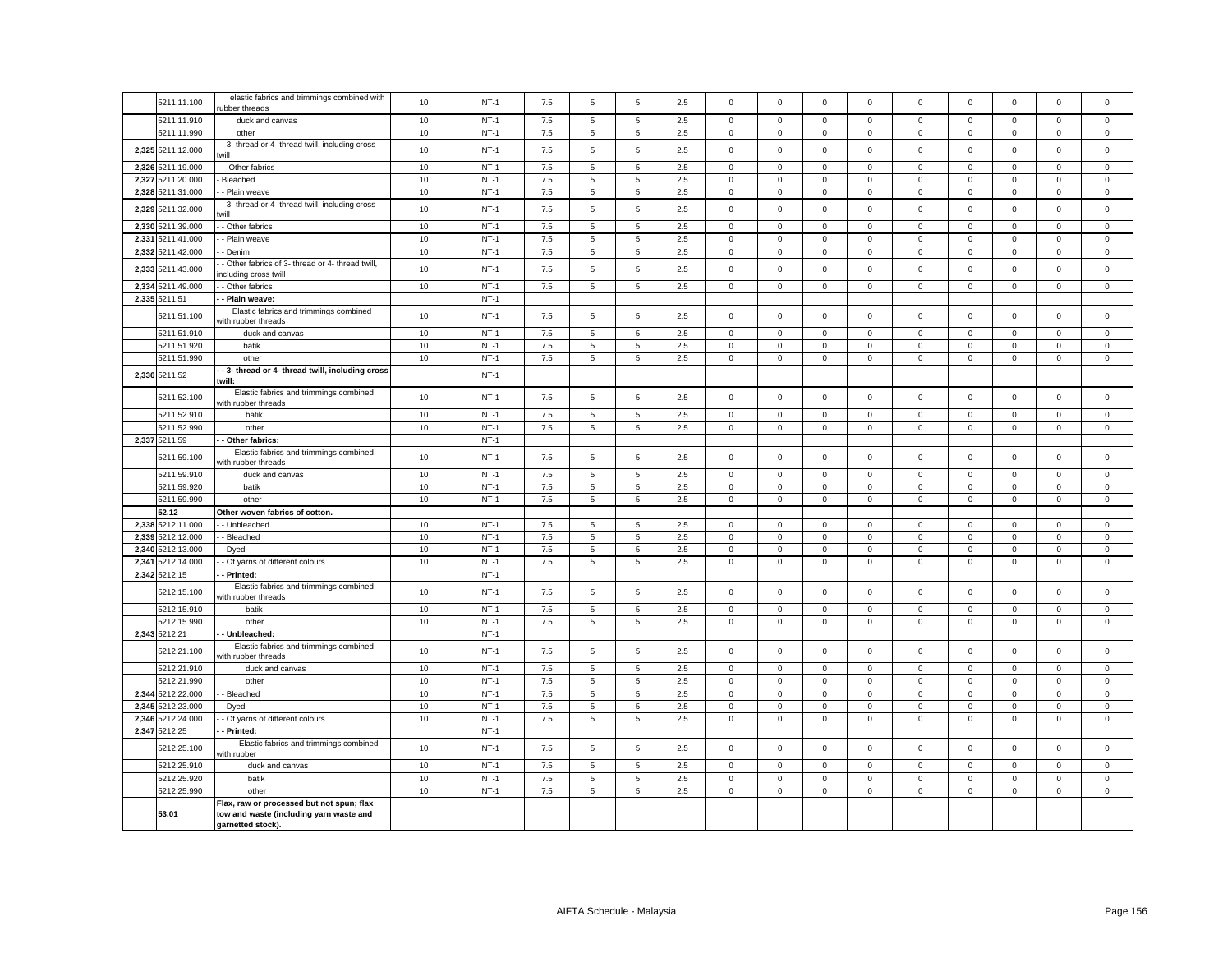|       | 5211.11.100       | elastic fabrics and trimmings combined with<br>ubber threads             | 10   | $NT-1$ | 7.5     | 5               | 5              | 2.5     | $\mathbf 0$ | $\mathbf{0}$ | $\mathbf 0$         | $\mathbf 0$ | $\mathbf 0$         | $\mathbf 0$ | $\mathbf 0$  | $\mathbf 0$  | $\Omega$     |
|-------|-------------------|--------------------------------------------------------------------------|------|--------|---------|-----------------|----------------|---------|-------------|--------------|---------------------|-------------|---------------------|-------------|--------------|--------------|--------------|
|       | 5211.11.910       | duck and canvas                                                          | 10   | $NT-1$ | 7.5     | 5               | 5              | 2.5     | $\mathbf 0$ | $\mathbf 0$  | $\mathbf 0$         | $\mathbf 0$ | $\mathbf 0$         | $\mathbf 0$ | $\mathbf 0$  | $\mathbf 0$  | $\Omega$     |
|       | 5211.11.990       | other                                                                    | 10   | $NT-1$ | 7.5     | 5               | $\overline{5}$ | 2.5     | $\mathbf 0$ | $\mathbf 0$  | $\mathbf 0$         | $\mathbf 0$ | 0                   | $\mathbf 0$ | 0            | $\mathbf 0$  | 0            |
|       | 2,325 5211.12.000 | - 3- thread or 4- thread twill, including cross<br>will                  | 10   | $NT-1$ | 7.5     | 5               | 5              | 2.5     | $\mathbf 0$ | $\mathbf 0$  | $\mathbf 0$         | $\mathbf 0$ | $\mathsf 0$         | $\mathbf 0$ | $\mathsf 0$  | $\mathsf 0$  | $\mathbf 0$  |
|       | 2,326 5211.19.000 | - Other fabrics                                                          | 10   | $NT-1$ | 7.5     | 5               | 5              | 2.5     | $\mathbf 0$ | $\Omega$     | $\mathbf{0}$        | $\Omega$    | $\mathbf 0$         | $\Omega$    | $\Omega$     | $\mathbf 0$  | $\Omega$     |
|       | 2,327 5211.20.000 | Bleached                                                                 | $10$ | $NT-1$ | $7.5\,$ | 5               | $\overline{5}$ | 2.5     | $\mathbf 0$ | $\mathbf 0$  | 0                   | $\mathbf 0$ | $\mathbf 0$         | $\,0\,$     | $\mathsf 0$  | $\mathbf 0$  | $\mathbf 0$  |
|       | 2,328 5211.31.000 | - Plain weave                                                            | 10   | $NT-1$ | $7.5\,$ | 5               | $\overline{5}$ | 2.5     | $\mathbf 0$ | $\mathsf 0$  | $\mathbf 0$         | 0           | $\mathsf 0$         | $\mathbf 0$ | $\mathsf 0$  | $\mathbf 0$  | 0            |
|       | 2,329 5211.32.000 | - 3- thread or 4- thread twill, including cross<br>will                  | $10$ | $NT-1$ | 7.5     | 5               | $\overline{5}$ | 2.5     | $\mathbf 0$ | $\mathbf 0$  | $\mathbf 0$         | $\mathsf 0$ | $\mathbf 0$         | $\,0\,$     | $\mathsf 0$  | $\mathsf 0$  | $\mathsf 0$  |
|       | 2.330 5211.39.000 | - Other fabrics                                                          | 10   | $NT-1$ | 7.5     | 5               | 5              | 2.5     | $\mathbf 0$ | $\mathbf 0$  | $\mathbf 0$         | $\Omega$    | $\mathbf 0$         | $\mathbf 0$ | $\mathbf 0$  | $\mathbf 0$  | $\Omega$     |
|       | 2,331 5211.41.000 | - Plain weave                                                            | $10$ | $NT-1$ | $7.5\,$ | 5               | $\overline{5}$ | 2.5     | $\mathsf 0$ | $\mathbf 0$  | $\mathbf 0$         | $\mathbf 0$ | $\mathsf 0$         | $\,0\,$     | $\mathbf 0$  | $\mathbf 0$  | $\mathsf 0$  |
|       | 2,332 5211.42.000 | - Denim                                                                  | 10   | $NT-1$ | $7.5\,$ | 5               | $\overline{5}$ | 2.5     | $\mathbf 0$ | $\mathsf 0$  | $\mathbf 0$         | $\mathsf 0$ | $\mathsf 0$         | $\mathbf 0$ | $\mathsf 0$  | $\mathbf 0$  | $\mathsf 0$  |
|       | 2,333 5211.43.000 | - Other fabrics of 3- thread or 4- thread twill,<br>ncluding cross twill | 10   | $NT-1$ | 7.5     | 5               | $\overline{5}$ | 2.5     | $\mathsf 0$ | $\mathbf 0$  | $\mathbf 0$         | $\mathsf 0$ | $\mathsf 0$         | $\,0\,$     | $\mathsf 0$  | $\mathsf 0$  | $\mathbf 0$  |
|       | 2.334 5211.49.000 | - Other fabrics                                                          | 10   | $NT-1$ | 7.5     | 5               | 5              | 2.5     | $\mathbf 0$ | $\mathbf{0}$ | $\mathbf{0}$        | $\Omega$    | $\mathbf 0$         | $\mathbf 0$ | $\mathbf 0$  | $\mathbf{0}$ | $\Omega$     |
|       | 2,335 5211.51     | - Plain weave:                                                           |      | $NT-1$ |         |                 |                |         |             |              |                     |             |                     |             |              |              |              |
|       | 5211.51.100       | Elastic fabrics and trimmings combined<br>with rubber threads            | 10   | $NT-1$ | 7.5     | 5               | 5              | 2.5     | $\mathbf 0$ | $\mathbf 0$  | $\mathbf 0$         | $\Omega$    | $\Omega$            | $\mathbf 0$ | $\mathbf 0$  | $\mathsf 0$  | $\Omega$     |
|       | 5211.51.910       | duck and canvas                                                          | 10   | $NT-1$ | 7.5     | 5               | 5              | 2.5     | $\mathbf 0$ | $\mathbf 0$  | $\mathbf 0$         | $\mathbf 0$ | $\mathbf 0$         | $\mathbf 0$ | $\mathbf 0$  | $\mathsf 0$  | $\mathbf 0$  |
|       | 5211.51.920       | batik                                                                    | 10   | $NT-1$ | 7.5     | 5               | 5              | 2.5     | $\mathsf 0$ | $\mathbf 0$  | $\mathbf 0$         | $\Omega$    | $\mathsf 0$         | $\mathbf 0$ | $\mathsf 0$  | $\mathsf 0$  | $\mathbf 0$  |
|       | 5211.51.990       | other                                                                    | 10   | $NT-1$ | $7.5\,$ | 5               | 5              | 2.5     | $\mathsf 0$ | $\mathsf 0$  | $\mathbf 0$         | $\mathbf 0$ | $\mathsf 0$         | $\mathbf 0$ | $\mathsf 0$  | $\mathbf 0$  | $\mathbf 0$  |
|       | 2,336 5211.52     | - 3- thread or 4- thread twill, including cross<br>:will:                |      | $NT-1$ |         |                 |                |         |             |              |                     |             |                     |             |              |              |              |
|       | 5211.52.100       | Elastic fabrics and trimmings combined<br>with rubber threads            | 10   | $NT-1$ | 7.5     | 5               | 5              | 2.5     | $\mathbf 0$ | $\mathbf 0$  | $\mathbf 0$         | $\mathbf 0$ | $\mathbf 0$         | $\mathbf 0$ | $\mathbf 0$  | $\mathsf 0$  | $\mathbf 0$  |
|       | 5211.52.910       | batik                                                                    | 10   | $NT-1$ | 7.5     | 5               | 5              | 2.5     | $\mathsf 0$ | $\mathbf 0$  | $\mathbf 0$         | $\mathsf 0$ | $\mathsf 0$         | $\mathbf 0$ | $\mathsf 0$  | $\mathsf 0$  | $\mathsf 0$  |
|       | 5211.52.990       | other                                                                    | 10   | $NT-1$ | 7.5     | 5               | 5              | 2.5     | $\mathbf 0$ | $\mathbf 0$  | $\mathbf 0$         | $\mathbf 0$ | $\mathbf 0$         | $\mathbf 0$ | $\mathsf 0$  | $\mathbf 0$  | $\mathbf{0}$ |
|       | 2,337 5211.59     | Other fabrics:                                                           |      | $NT-1$ |         |                 |                |         |             |              |                     |             |                     |             |              |              |              |
|       | 5211.59.100       | Elastic fabrics and trimmings combined<br>with rubber threads            | 10   | $NT-1$ | 7.5     | 5               | 5              | 2.5     | $\mathbf 0$ | $\mathbf 0$  | $\mathbf{0}$        | $\mathbf 0$ | $\mathbf 0$         | $\mathbf 0$ | $\mathsf 0$  | $\mathbf 0$  | $\mathbf 0$  |
|       | 5211.59.910       | duck and canvas                                                          | 10   | $NT-1$ | 7.5     | 5               | 5              | 2.5     | $\mathbf 0$ | $\mathsf 0$  | $\mathbf 0$         | $\mathbf 0$ | $\mathbf 0$         | $\mathbf 0$ | $\mathbf 0$  | $\mathbf 0$  | $\mathbf 0$  |
|       | 5211.59.920       | batik                                                                    | 10   | $NT-1$ | 7.5     | 5               | 5              | 2.5     | $^{\circ}$  | $\mathsf 0$  | $\mathbf 0$         | $\mathbf 0$ | $\mathbf 0$         | $\mathbf 0$ | $\mathbf{0}$ | $^{\circ}$   | $\mathbf{0}$ |
|       | 5211.59.990       | other                                                                    | 10   | $NT-1$ | $7.5\,$ | 5               | 5              | 2.5     | $\mathbf 0$ | $\mathsf 0$  | $\mathbf 0$         | $\mathbf 0$ | $\mathbf 0$         | $\mathbf 0$ | $\mathbf 0$  | $\mathbf 0$  | $\mathbf 0$  |
|       | 52.12             | Other woven fabrics of cotton.                                           |      |        |         |                 |                |         |             |              |                     |             |                     |             |              |              |              |
|       | 2,338 5212.11.000 | - Unbleached                                                             | 10   | $NT-1$ | 7.5     | 5               | 5              | 2.5     | $\mathbf 0$ | $\mathbf 0$  | $\mathbf 0$         | $\mathbf 0$ | $\mathbf 0$         | $\Omega$    | $\mathbf 0$  | $\mathbf 0$  | $\mathbf 0$  |
|       | 2,339 5212.12.000 | - Bleached                                                               | $10$ | $NT-1$ | 7.5     | 5               | 5              | 2.5     | $\mathbf 0$ | $\mathbf 0$  | $\mathbf 0$         | $\mathbf 0$ | $\mathsf 0$         | $\mathbf 0$ | $\mathsf 0$  | $\mathbf 0$  | $\mathbf 0$  |
|       | 2,340 5212.13.000 | - Dyed                                                                   | 10   | $NT-1$ | $7.5\,$ | 5               | 5              | 2.5     | $\mathbf 0$ | $\mathsf 0$  | $\mathbf 0$         | $\Omega$    | $\mathbf 0$         | $\mathsf 0$ | $\mathsf 0$  | $\mathsf 0$  | $\mathbf 0$  |
| 2,341 | 5212.14.000       | - Of yarns of different colours                                          | 10   | $NT-1$ | $7.5\,$ | $\,$ 5 $\,$     | $\sqrt{5}$     | $2.5\,$ | $\mathbf 0$ | $\mathbf 0$  | $\mathsf{O}\xspace$ | $\mathsf 0$ | $\mathsf 0$         | $\pmb{0}$   | $\mathsf 0$  | $\mathbf 0$  | $\mathbf 0$  |
|       | 2,342 5212.15     | - Printed:                                                               |      | $NT-1$ |         |                 |                |         |             |              |                     |             |                     |             |              |              |              |
|       |                   | Elastic fabrics and trimmings combined                                   |      |        |         |                 |                |         |             |              |                     |             |                     |             |              |              |              |
|       | 5212.15.100       | with rubber threads                                                      | 10   | $NT-1$ | 7.5     | 5               | $\sqrt{5}$     | 2.5     | $\mathsf 0$ | $\mathsf 0$  | $\mathbf 0$         | $\mathsf 0$ | $\mathsf 0$         | $\mathbf 0$ | $\mathbf 0$  | $\mathsf 0$  | $\mathbf 0$  |
|       | 5212.15.910       | batik                                                                    | 10   | $NT-1$ | $7.5\,$ | 5               | 5              | 2.5     | $\mathbf 0$ | $\mathsf 0$  | $\mathbf 0$         | $\mathbf 0$ | $\mathbf 0$         | $\mathbf 0$ | $\mathsf 0$  | $\mathsf 0$  | $\mathbf 0$  |
|       | 5212.15.990       | other                                                                    | 10   | $NT-1$ | $7.5\,$ | $\,$ 5 $\,$     | $\sqrt{5}$     | 2.5     | $\mathsf 0$ | $\pmb{0}$    | $\mathsf{O}\xspace$ | $\mathsf 0$ | $\mathsf 0$         | $\mathbf 0$ | $\mathsf 0$  | $\mathsf 0$  | $\mathsf 0$  |
|       | 2,343 5212.21     | - Unbleached:                                                            |      | $NT-1$ |         |                 |                |         |             |              |                     |             |                     |             |              |              |              |
|       | 5212.21.100       | Elastic fabrics and trimmings combined<br>with rubber threads            | 10   | $NT-1$ | 7.5     | 5               | $\sqrt{5}$     | 2.5     | $\mathbf 0$ | $\mathsf 0$  | $\mathbf 0$         | $\mathbf 0$ | $\mathbf 0$         | $\mathbf 0$ | $\mathsf 0$  | $\mathsf 0$  | $\mathsf 0$  |
|       | 5212.21.910       | duck and canvas                                                          | 10   | $NT-1$ | 7.5     | 5               | 5              | 2.5     | $\mathbf 0$ | $\mathbf 0$  | $\mathbf 0$         | $\mathbf 0$ | $\mathbf 0$         | $\mathbf 0$ | $\mathsf 0$  | $\mathsf 0$  | $\mathbf 0$  |
|       | 5212.21.990       | other                                                                    | 10   | $NT-1$ | 7.5     | 5               | $\sqrt{5}$     | 2.5     | $\mathbf 0$ | $\mathsf 0$  | $\mathbf 0$         | $\mathbf 0$ | $\mathbf 0$         | $\mathbf 0$ | $\mathbf 0$  | $\mathsf 0$  | $\mathbf 0$  |
|       | 2,344 5212.22.000 | - Bleached                                                               | 10   | $NT-1$ | $7.5\,$ | 5               | 5              | 2.5     | $\mathbf 0$ | $\mathbf 0$  | $\mathbf 0$         | $\Omega$    | $\mathsf 0$         | $\mathbf 0$ | $\mathbf 0$  | $\mathsf 0$  | $\mathbf 0$  |
|       | 2,345 5212.23.000 | Dyed                                                                     | 10   | $NT-1$ | $7.5\,$ | 5               | $\,$ 5 $\,$    | 2.5     | $\mathsf 0$ | $\pmb{0}$    | 0                   | $\mathsf 0$ | $\mathbf 0$         | $\pmb{0}$   | $\mathsf 0$  | $\mathbf 0$  | $\mathsf 0$  |
| 2,346 | 212.24.000        | - Of yarns of different colours                                          | 10   | $NT-1$ | $7.5\,$ | $5\phantom{.0}$ | 5              | $2.5\,$ | $\mathsf 0$ | $\mathsf 0$  | $\mathbf 0$         | $\mathsf 0$ | $\mathsf{O}\xspace$ | $\mathbf 0$ | $\mathsf 0$  | $\mathbf 0$  | $\mathsf 0$  |
|       | 2,347 5212.25     | Printed:                                                                 |      | $NT-1$ |         |                 |                |         |             |              |                     |             |                     |             |              |              |              |
|       | 5212.25.100       | Elastic fabrics and trimmings combined<br>vith rubber                    | 10   | $NT-1$ | 7.5     | 5               | 5              | 2.5     | $\mathsf 0$ | $\mathbf 0$  | $\mathbf 0$         | $\mathbf 0$ | $\mathbf 0$         | $\mathbf 0$ | $\mathsf 0$  | $\mathsf 0$  | $\mathbf 0$  |
|       | 5212.25.910       | duck and canvas                                                          | 10   | $NT-1$ | $7.5\,$ | 5               | 5              | 2.5     | $\mathbf 0$ | $\mathbf 0$  | $\mathbf 0$         | $\Omega$    | $\mathbf 0$         | $\mathbf 0$ | $\mathbf 0$  | $\mathbf 0$  | $\Omega$     |
|       | 5212.25.920       | batik                                                                    | 10   | $NT-1$ | $7.5\,$ | 5               | 5              | 2.5     | $\mathbf 0$ | $\mathsf 0$  | $\mathbf 0$         | $\mathbf 0$ | 0                   | $\mathbf 0$ | 0            | $\mathsf 0$  | 0            |
|       | 5212.25.990       | other                                                                    | 10   | $NT-1$ | $7.5\,$ | 5               | $\,$ 5 $\,$    | 2.5     | $\mathbf 0$ | $\mathbf 0$  | 0                   | $\mathbf 0$ | $\mathbf 0$         | $\,0\,$     | $\mathsf 0$  | $\mathsf 0$  | $\mathsf 0$  |
|       |                   | Flax, raw or processed but not spun; flax                                |      |        |         |                 |                |         |             |              |                     |             |                     |             |              |              |              |
|       | 53.01             | tow and waste (including yarn waste and<br>garnetted stock).             |      |        |         |                 |                |         |             |              |                     |             |                     |             |              |              |              |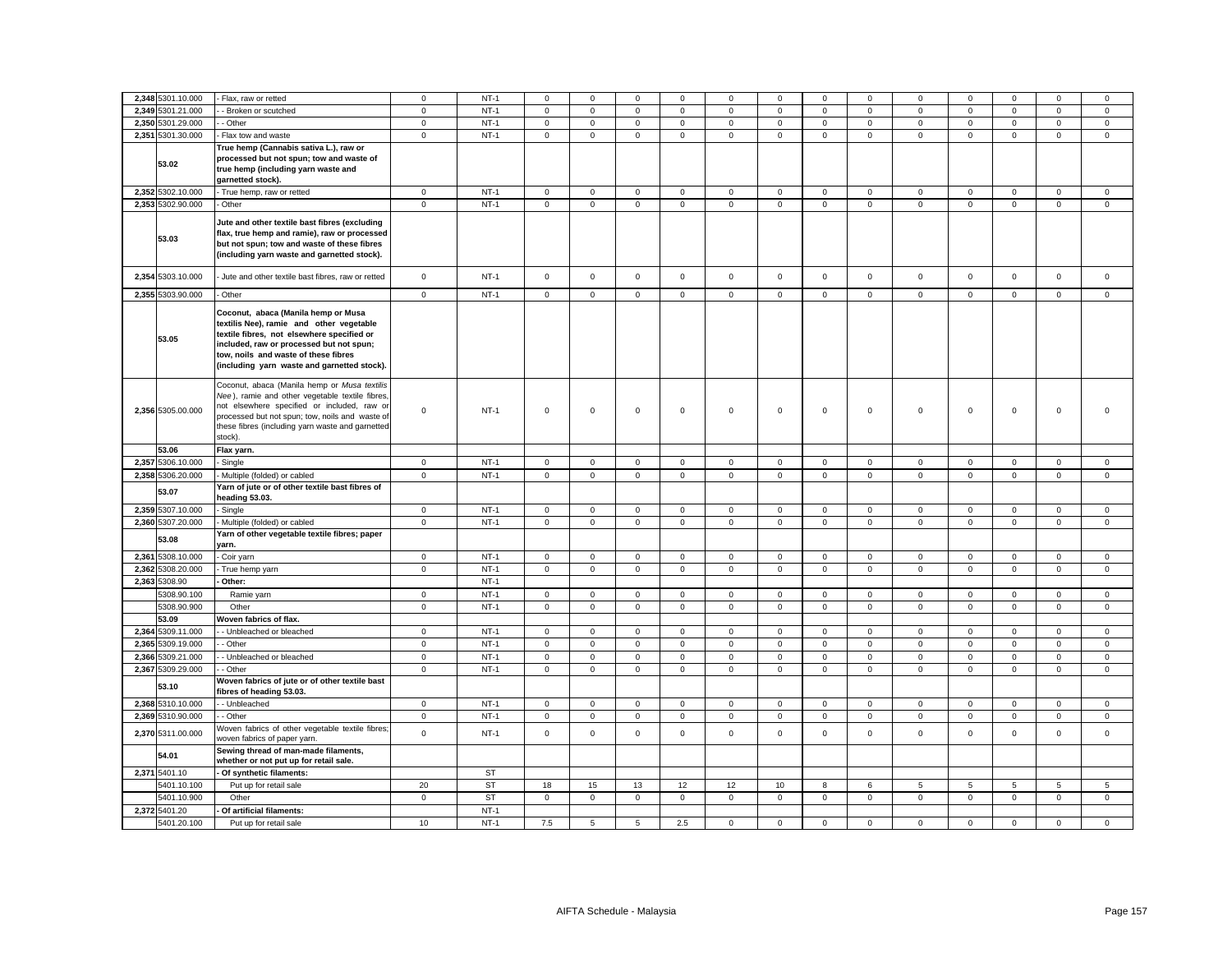| 2,348 5301.10.000    | - Flax, raw or retted                                                                          | $\mathbf 0$  | $NT-1$    | $\mathbf 0$  | $\mathbf 0$         | $\mathbf 0$         | $\mathbf 0$  | 0            | $\mathbf 0$ | $\mathbf 0$  | $\mathbf 0$  | $\mathbf 0$         | $\mathbf 0$ | $\Omega$            | $\mathbf 0$         | $\mathbf 0$ |
|----------------------|------------------------------------------------------------------------------------------------|--------------|-----------|--------------|---------------------|---------------------|--------------|--------------|-------------|--------------|--------------|---------------------|-------------|---------------------|---------------------|-------------|
| 2,349 5301.21.000    | Broken or scutched                                                                             | $\mathbf 0$  | $NT-1$    | $\mathbf 0$  | $\mathbf 0$         | $\mathsf 0$         | $^{\circ}$   | 0            | $\mathbf 0$ | $\mathbf 0$  | $\mathsf 0$  | $\mathbf 0$         | $\mathbf 0$ | $\mathbf 0$         | $\mathbf 0$         | $\mathsf 0$ |
| 2,350 5301.29.000    | - Other                                                                                        | $\mathbf 0$  | $NT-1$    | $\mathbf 0$  | $\mathbf{0}$        | $\mathsf 0$         | $\mathbf 0$  | $\mathsf 0$  | $\mathsf 0$ | $\mathbf{0}$ | $\mathbf 0$  | $\mathsf 0$         | $\mathsf 0$ | $\mathbf 0$         | $\mathsf 0$         | $\mathbf 0$ |
| 2,351 5301.30.000    | - Flax tow and waste                                                                           | $\mathsf 0$  | $NT-1$    | $\mathsf 0$  | $\mathsf 0$         | $\mathsf 0$         | $\mathsf 0$  | 0            | $\mathsf 0$ | $\mathsf 0$  | $\mathsf 0$  | $\mathbf 0$         | $\mathbf 0$ | $\mathbf 0$         | $\mathsf 0$         | $\mathsf 0$ |
|                      | True hemp (Cannabis sativa L.), raw or                                                         |              |           |              |                     |                     |              |              |             |              |              |                     |             |                     |                     |             |
|                      | processed but not spun; tow and waste of                                                       |              |           |              |                     |                     |              |              |             |              |              |                     |             |                     |                     |             |
| 53.02                | true hemp (including yarn waste and                                                            |              |           |              |                     |                     |              |              |             |              |              |                     |             |                     |                     |             |
|                      | garnetted stock).                                                                              |              |           |              |                     |                     |              |              |             |              |              |                     |             |                     |                     |             |
| 2,352 5302.10.000    | - True hemp, raw or retted                                                                     | $\mathbf 0$  | $NT-1$    | $\mathbf 0$  | $\mathsf{O}\xspace$ | $\mathsf 0$         | $\mathbf 0$  | 0            | $\mathsf 0$ | $\mathbf 0$  | $\mathbf 0$  | $\mathsf 0$         | $\mathbf 0$ | $\mathbf 0$         | $\mathsf 0$         | $\mathsf 0$ |
| 2,353 5302.90.000    | Other                                                                                          | $\mathsf 0$  | $NT-1$    | $\mathsf 0$  | $\mathsf 0$         | $\mathsf 0$         | $\mathsf 0$  | $\mathbf 0$  | $\mathbf 0$ | $\mathsf 0$  | $\mathsf 0$  | $\mathsf 0$         | $\mathbf 0$ | $\mathsf 0$         | $\mathsf 0$         | $\mathsf 0$ |
|                      |                                                                                                |              |           |              |                     |                     |              |              |             |              |              |                     |             |                     |                     |             |
|                      | Jute and other textile bast fibres (excluding                                                  |              |           |              |                     |                     |              |              |             |              |              |                     |             |                     |                     |             |
| 53.03                | flax, true hemp and ramie), raw or processed                                                   |              |           |              |                     |                     |              |              |             |              |              |                     |             |                     |                     |             |
|                      | but not spun; tow and waste of these fibres                                                    |              |           |              |                     |                     |              |              |             |              |              |                     |             |                     |                     |             |
|                      | (including yarn waste and garnetted stock).                                                    |              |           |              |                     |                     |              |              |             |              |              |                     |             |                     |                     |             |
|                      |                                                                                                | $\mathsf 0$  |           |              |                     | $\mathsf 0$         |              | $\mathbf 0$  | $\mathsf 0$ | $\mathsf 0$  | $\mathsf 0$  | $\mathsf 0$         | $\mathbf 0$ | $\mathbf 0$         | $\mathsf 0$         | $\mathsf 0$ |
| 2,354 5303.10.000    | Jute and other textile bast fibres, raw or retted                                              |              | $NT-1$    | $\mathbf 0$  | $\mathsf 0$         |                     | $\mathsf 0$  |              |             |              |              |                     |             |                     |                     |             |
| 2,355 5303.90.000    | - Other                                                                                        | $\mathsf 0$  | $NT-1$    | $\mathsf 0$  | $\mathsf 0$         | $\mathsf 0$         | $\mathsf 0$  | 0            | $\mathsf 0$ | $\mathbf 0$  | $\mathsf 0$  | $\mathsf 0$         | $\mathsf 0$ | $\mathsf 0$         | $\mathsf 0$         | $\mathsf 0$ |
|                      |                                                                                                |              |           |              |                     |                     |              |              |             |              |              |                     |             |                     |                     |             |
|                      | Coconut, abaca (Manila hemp or Musa                                                            |              |           |              |                     |                     |              |              |             |              |              |                     |             |                     |                     |             |
|                      | textilis Nee), ramie and other vegetable<br>textile fibres, not elsewhere specified or         |              |           |              |                     |                     |              |              |             |              |              |                     |             |                     |                     |             |
| 53.05                | included, raw or processed but not spun;                                                       |              |           |              |                     |                     |              |              |             |              |              |                     |             |                     |                     |             |
|                      | tow, noils and waste of these fibres                                                           |              |           |              |                     |                     |              |              |             |              |              |                     |             |                     |                     |             |
|                      | (including yarn waste and garnetted stock).                                                    |              |           |              |                     |                     |              |              |             |              |              |                     |             |                     |                     |             |
|                      |                                                                                                |              |           |              |                     |                     |              |              |             |              |              |                     |             |                     |                     |             |
|                      | Coconut, abaca (Manila hemp or Musa textilis                                                   |              |           |              |                     |                     |              |              |             |              |              |                     |             |                     |                     |             |
|                      | Nee), ramie and other vegetable textile fibres,                                                |              |           |              |                     |                     |              |              |             |              |              |                     |             |                     |                     |             |
| 2,356 5305.00.000    | not elsewhere specified or included, raw or<br>processed but not spun; tow, noils and waste of | $\mathbf 0$  | $NT-1$    | $\mathbf 0$  | $\mathbf 0$         | $\mathsf 0$         | $\mathsf 0$  | 0            | $\mathsf 0$ | $\mathbf 0$  | $\mathbf 0$  | $\mathsf 0$         | $\mathbf 0$ | $\mathbf 0$         | $\mathsf 0$         | $\mathsf 0$ |
|                      | these fibres (including yarn waste and garnetted                                               |              |           |              |                     |                     |              |              |             |              |              |                     |             |                     |                     |             |
|                      | stock).                                                                                        |              |           |              |                     |                     |              |              |             |              |              |                     |             |                     |                     |             |
| 53.06                | Flax yarn.                                                                                     |              |           |              |                     |                     |              |              |             |              |              |                     |             |                     |                     |             |
| 2,357 5306.10.000    | - Single                                                                                       | $\mathbf 0$  | $NT-1$    | $\mathsf 0$  | $\overline{0}$      | $\mathsf 0$         | $\mathbf 0$  | 0            | $\mathsf 0$ | $\mathsf 0$  | $\mathbf 0$  | $\mathsf 0$         | $\mathsf 0$ | $\mathsf 0$         | $\mathsf 0$         | $\mathsf 0$ |
| 2,358 5306.20.000    |                                                                                                |              | $NT-1$    |              |                     | $\mathsf 0$         |              |              |             |              | $\mathsf 0$  |                     | $\mathbf 0$ | $\mathbf 0$         | $\mathsf 0$         | $\mathsf 0$ |
|                      | - Multiple (folded) or cabled                                                                  | $\mathsf 0$  |           | $\mathbf 0$  | $\mathbf 0$         |                     | $\mathsf 0$  | 0            | $\mathsf 0$ | $\mathbf 0$  |              | $\mathsf 0$         |             |                     |                     |             |
| 53.07                | Yarn of jute or of other textile bast fibres of<br>heading 53.03.                              |              |           |              |                     |                     |              |              |             |              |              |                     |             |                     |                     |             |
| 2,359 5307.10.000    | - Single                                                                                       | $\mathbf 0$  | $NT-1$    | $\mathsf 0$  | $\mathsf 0$         | $\mathsf 0$         | $\mathsf 0$  | 0            | $\mathsf 0$ | $\mathsf 0$  | $\mathbf 0$  | $\mathsf 0$         | $\mathbf 0$ | $\mathbf 0$         | $\mathsf 0$         | $\mathsf 0$ |
| 2,360 5307.20.000    | Multiple (folded) or cabled                                                                    | $\mathsf 0$  | $NT-1$    | $\mathsf{O}$ | $\mathsf 0$         | $\mathsf 0$         | $\mathbf 0$  | 0            | $\mathsf 0$ | $\mathsf 0$  | $\mathsf 0$  | $\mathsf 0$         | $\mathbf 0$ | $\mathsf 0$         | $\mathsf 0$         | $\mathsf 0$ |
|                      | Yarn of other vegetable textile fibres; paper                                                  |              |           |              |                     |                     |              |              |             |              |              |                     |             |                     |                     |             |
| 53.08                | yarn.                                                                                          |              |           |              |                     |                     |              |              |             |              |              |                     |             |                     |                     |             |
| 2,361 5308.10.000    | - Coir yarn                                                                                    | $\mathbf 0$  | $NT-1$    | $\mathsf 0$  | $\mathbf 0$         | $\mathbf 0$         | $\mathbf 0$  | 0            | $\mathbf 0$ | $\mathbf 0$  | $\mathbf 0$  | $\mathbf 0$         | $\mathbf 0$ | $\mathbf 0$         | $\mathbf 0$         | $\mathbf 0$ |
| 2,362 5308.20.000    | True hemp yarn                                                                                 | $\mathsf 0$  | $NT-1$    | $\mathsf 0$  | $\mathsf 0$         | $\mathsf{O}\xspace$ | $\mathbf 0$  | $\mathsf 0$  | $\mathsf 0$ | $\mathsf 0$  | $\mathsf 0$  | $\mathsf{O}\xspace$ | $\mathbf 0$ | $\mathsf{O}\xspace$ | $\mathsf{O}\xspace$ | $\mathsf 0$ |
| 2,363 5308.90        | Other:                                                                                         |              | $NT-1$    |              |                     |                     |              |              |             |              |              |                     |             |                     |                     |             |
| 5308.90.100          | Ramie yarn                                                                                     | $\mathbf 0$  | $NT-1$    | $\mathsf 0$  | $\mathsf 0$         | $\mathsf 0$         | $\mathsf 0$  | 0            | $\mathsf 0$ | $\mathsf 0$  | $\mathsf 0$  | $\mathsf 0$         | $\mathsf 0$ | $\mathsf 0$         | $\mathsf 0$         | $\mathsf 0$ |
| 5308.90.900          | Other                                                                                          | $\mathbf 0$  | $NT-1$    | $\mathsf 0$  | $\mathbf 0$         | $\mathbf 0$         | $\mathbf 0$  | 0            | $\mathbf 0$ | $\mathbf 0$  | $\mathbf 0$  | $\mathsf 0$         | $\mathbf 0$ | $\mathsf 0$         | $\mathsf 0$         | $\mathbf 0$ |
| 53.09                | Woven fabrics of flax.                                                                         |              |           |              |                     |                     |              |              |             |              |              |                     |             |                     |                     |             |
| 2,364<br>5309.11.000 | - Unbleached or bleached                                                                       | $\mathsf 0$  | $NT-1$    | $\mathsf 0$  | $\mathsf 0$         | $\mathsf 0$         | $\mathsf 0$  | 0            | $\mathsf 0$ | $\mathsf 0$  | $\mathsf 0$  | $\mathsf 0$         | $\mathbf 0$ | $\mathbf 0$         | $\mathsf 0$         | $\mathsf 0$ |
| 2,365<br>5309.19.000 | - Other                                                                                        | $\mathbf 0$  | $NT-1$    | $\mathsf 0$  | $\mathsf 0$         | $\mathsf 0$         | $\mathsf 0$  | 0            | $\mathsf 0$ | $\mathbf 0$  | $\mathsf 0$  | $\mathsf 0$         | $\mathsf 0$ | $\mathsf 0$         | $\mathsf 0$         | $\mathsf 0$ |
|                      |                                                                                                |              | $NT-1$    | $\mathbf 0$  |                     | $\mathbf{0}$        |              | $\mathbf{0}$ | $\mathbf 0$ |              | $\mathbf{0}$ |                     | $\mathbf 0$ | $\mathbf 0$         |                     |             |
| 2,366<br>5309.21.000 | - Unbleached or bleached                                                                       | $\mathbf{0}$ |           |              | $\mathbf{0}$        |                     | $\mathbf{0}$ |              |             | $\mathbf{0}$ |              | $\mathbf 0$         |             |                     | $\mathbf 0$         | $\mathbf 0$ |
| 2,367 5309.29.000    | - Other                                                                                        | $\mathbf 0$  | $NT-1$    | $\mathsf 0$  | $\mathbf 0$         | $\mathsf 0$         | $\mathbf 0$  | $\mathbf 0$  | $\mathsf 0$ | $\mathbf 0$  | $\mathsf 0$  | $\mathbf 0$         | $\mathsf 0$ | $\mathsf 0$         | $\mathbf 0$         | $\mathsf 0$ |
| 53.10                | Woven fabrics of jute or of other textile bast<br>fibres of heading 53.03.                     |              |           |              |                     |                     |              |              |             |              |              |                     |             |                     |                     |             |
| 2,368 5310.10.000    | - Unbleached                                                                                   | $\mathbf 0$  | $NT-1$    | $\circ$      | $\mathbf 0$         | $\mathsf 0$         | $\mathbf{0}$ | $\mathbf{0}$ | $\mathbf 0$ | $\mathbf 0$  | $\mathbf 0$  | $\mathbf 0$         | $\mathbf 0$ | $\mathbf 0$         | $\mathsf 0$         | $\mathsf 0$ |
|                      |                                                                                                |              |           |              | $\mathbf{0}$        |                     |              |              | $\mathbf 0$ | $\mathbf{O}$ | $\mathbf{0}$ |                     | $\mathbf 0$ | $\mathbf{0}$        |                     |             |
| 2,369 5310.90.000    | - Other                                                                                        | $\mathbf 0$  | $NT-1$    | $\mathbf 0$  |                     | $\mathbf 0$         | $\mathbf 0$  | $\mathbf 0$  |             |              |              | $\mathbf 0$         |             |                     | $\mathbf 0$         | $\mathsf 0$ |
| 2,370 5311.00.000    | Woven fabrics of other vegetable textile fibres;<br>woven fabrics of paper yarn.               | $\mathsf 0$  | $NT-1$    | $\mathsf 0$  | $\mathsf 0$         | $\mathsf{O}\xspace$ | $\mathsf 0$  | 0            | $\mathsf 0$ | $\mathbf 0$  | $\mathsf 0$  | $\mathbf 0$         | $\mathsf 0$ | $\mathbf 0$         | $\mathsf{O}\xspace$ | $\mathsf 0$ |
| 54.01                | Sewing thread of man-made filaments,<br>whether or not put up for retail sale.                 |              |           |              |                     |                     |              |              |             |              |              |                     |             |                     |                     |             |
| 2,371 5401.10        | Of synthetic filaments:                                                                        |              | <b>ST</b> |              |                     |                     |              |              |             |              |              |                     |             |                     |                     |             |
| 5401.10.100          | Put up for retail sale                                                                         | 20           | <b>ST</b> | 18           | 15                  | 13                  | 12           | 12           | 10          | 8            | 6            | 5                   | 5           | 5                   | 5                   | 5           |
| 5401.10.900          | Other                                                                                          | $\mathbf 0$  | <b>ST</b> | $\mathsf 0$  | $\mathbf 0$         | $\mathsf 0$         | $\mathbf 0$  | $\mathbf 0$  | $\mathsf 0$ | $\mathbf 0$  | $\mathbf 0$  | $\mathbf 0$         | $\mathsf 0$ | $\mathbf 0$         | $\mathsf 0$         | $\mathsf 0$ |
| 2,372 5401.20        | Of artificial filaments:                                                                       |              | $NT-1$    |              |                     |                     |              |              |             |              |              |                     |             |                     |                     |             |
| 5401.20.100          | Put up for retail sale                                                                         | 10           | $NT-1$    | 7.5          | 5                   | 5                   | 2.5          | $\mathbf{0}$ | $\mathbf 0$ | $\mathbf 0$  | $\mathbf 0$  | $\mathbf 0$         | $\mathbf 0$ | $\mathbf 0$         | $\mathbf 0$         | $\mathbf 0$ |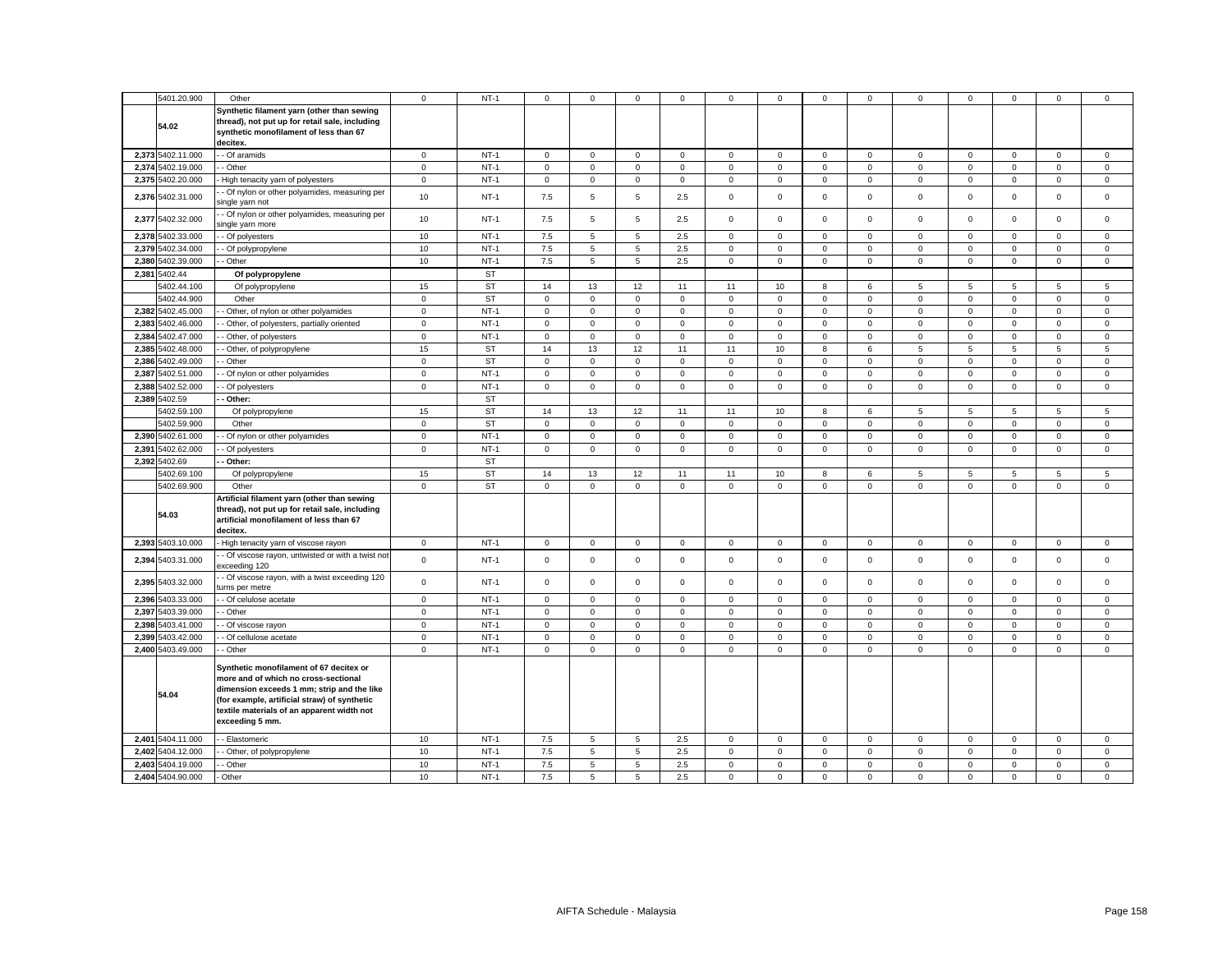|       | 5401.20.900       | Other                                                                                                                                                                                                                                          | $\mathbf 0$ | $NT-1$    | $\mathbf 0$    | $\mathbf{0}$ | $\mathbf 0$ | $\mathbf 0$ | $\mathbf 0$ | $\mathbf 0$ | $\mathbf{0}$ | $\mathbf 0$    | $\mathbf 0$     | $\mathbf 0$ | $\mathbf 0$         | $\mathbf 0$  | $\mathbf 0$ |
|-------|-------------------|------------------------------------------------------------------------------------------------------------------------------------------------------------------------------------------------------------------------------------------------|-------------|-----------|----------------|--------------|-------------|-------------|-------------|-------------|--------------|----------------|-----------------|-------------|---------------------|--------------|-------------|
|       |                   |                                                                                                                                                                                                                                                |             |           |                |              |             |             |             |             |              |                |                 |             |                     |              |             |
|       | 54.02             | Synthetic filament yarn (other than sewing<br>thread), not put up for retail sale, including<br>synthetic monofilament of less than 67<br>decitex.                                                                                             |             |           |                |              |             |             |             |             |              |                |                 |             |                     |              |             |
|       | 2,373 5402.11.000 | - Of aramids                                                                                                                                                                                                                                   | $\mathbf 0$ | $NT-1$    | $\mathbf 0$    | $\mathbf 0$  | $\mathsf 0$ | $\mathsf 0$ | $\mathsf 0$ | $\mathsf 0$ | $\mathbf 0$  | $\mathsf 0$    | $\mathsf 0$     | $\mathsf 0$ | $\mathbf 0$         | $\mathsf 0$  | $\mathsf 0$ |
|       | 2,374 5402.19.000 |                                                                                                                                                                                                                                                |             | $NT-1$    |                |              |             |             |             |             |              |                |                 |             |                     |              |             |
|       |                   | - Other                                                                                                                                                                                                                                        | $\mathsf 0$ |           | $\circ$        | $\mathbf 0$  | $\mathsf 0$ | $\mathsf 0$ | $\mathsf 0$ | $\mathsf 0$ | $\mathbf 0$  | $\mathsf 0$    | $\mathbf 0$     | $\mathsf 0$ | $\mathsf 0$         | $\mathsf 0$  | $\mathsf 0$ |
|       | 2,375 5402.20.000 | High tenacity yarn of polyesters                                                                                                                                                                                                               | $\mathbf 0$ | $NT-1$    | $\mathbf 0$    | $\mathbf 0$  | $\mathbf 0$ | $\mathbf 0$ | 0           | $\mathbf 0$ | $\mathbf 0$  | $\mathbf 0$    | $\mathbf 0$     | $\mathbf 0$ | $\mathbf 0$         | $\mathbf 0$  | $\mathbf 0$ |
|       | 2,376 5402.31.000 | - Of nylon or other polyamides, measuring per<br>single yarn not                                                                                                                                                                               | 10          | $NT-1$    | 7.5            | 5            | $\,$ 5 $\,$ | 2.5         | $\mathsf 0$ | $\mathsf 0$ | $\mathsf 0$  | $\mathsf 0$    | $\mathbf 0$     | $\mathsf 0$ | $\mathsf 0$         | $\mathsf 0$  | $\mathsf 0$ |
|       | 2,377 5402.32.000 | - Of nylon or other polyamides, measuring per<br>single yarn more                                                                                                                                                                              | 10          | $NT-1$    | 7.5            | 5            | 5           | 2.5         | $\mathbf 0$ | $\mathbf 0$ | $\mathbf 0$  | $\mathbf 0$    | $\mathbf 0$     | $\mathbf 0$ | $\mathbf 0$         | $\mathbf 0$  | $\mathbf 0$ |
|       | 2,378 5402.33.000 | - Of polyesters                                                                                                                                                                                                                                | 10          | $NT-1$    | 7.5            | 5            | 5           | 2.5         | $\mathbf 0$ | $\mathbf 0$ | $\mathbf 0$  | $\mathbf{0}$   | $\mathbf 0$     | $\mathbf 0$ | $\mathbf 0$         | $\mathbf 0$  | $\mathsf 0$ |
|       | 2,379 5402.34.000 | - Of polypropylene                                                                                                                                                                                                                             | 10          | $NT-1$    | 7.5            | 5            | 5           | 2.5         | $\mathsf 0$ | $\mathbf 0$ | $\mathbf 0$  | $\mathsf 0$    | $\mathbf 0$     | $\mathbf 0$ | $\Omega$            | $\mathsf 0$  | $\mathsf 0$ |
|       | 2,380 5402.39.000 | - Other                                                                                                                                                                                                                                        | 10          | $NT-1$    | 7.5            | 5            | 5           | 2.5         | $\mathbf 0$ | $\mathbf 0$ | $\mathbf 0$  | $\mathsf 0$    | $\mathsf 0$     | $\mathbf 0$ | $\mathbf 0$         | $\mathsf 0$  | $\mathsf 0$ |
|       | 2,381 5402.44     | Of polypropylene                                                                                                                                                                                                                               |             | <b>ST</b> |                |              |             |             |             |             |              |                |                 |             |                     |              |             |
|       | 5402.44.100       | Of polypropylene                                                                                                                                                                                                                               | 15          | <b>ST</b> | 14             | 13           | 12          | 11          | 11          | 10          | 8            | 6              | 5               | 5           | 5                   | 5            | 5           |
|       | 5402.44.900       | Other                                                                                                                                                                                                                                          | $\mathbf 0$ | <b>ST</b> | $\circ$        | $\mathbf 0$  | $\mathsf 0$ | $\mathsf 0$ | $\mathsf 0$ | $\mathbf 0$ | $\mathbf 0$  | $\mathbf 0$    | $\mathbf{0}$    | $\mathbf 0$ | $\mathbf 0$         | $\mathsf 0$  | $\mathsf 0$ |
|       | 2,382 5402.45.000 |                                                                                                                                                                                                                                                |             |           |                |              |             |             |             |             |              |                |                 |             |                     |              |             |
|       |                   | Other, of nylon or other polyamides                                                                                                                                                                                                            | $\mathbf 0$ | $NT-1$    | $\mathbf 0$    | $\mathbf 0$  | $\mathbf 0$ | $\mathbf 0$ | 0           | $\mathbf 0$ | $\mathbf 0$  | $\mathbf 0$    | 0               | $\mathbf 0$ | $\mathbf 0$         | $\mathbf 0$  | $\mathbf 0$ |
|       | 2.383 5402.46.000 | - Other, of polyesters, partially oriented                                                                                                                                                                                                     | $\mathbf 0$ | $NT-1$    | $\mathbf 0$    | $\mathbf 0$  | $\mathbf 0$ | $\mathbf 0$ | $\mathbf 0$ | $\Omega$    | $\mathbf 0$  | $\mathbf{0}$   | $\mathbf 0$     | $\Omega$    | $\mathbf 0$         | $\mathbf 0$  | $\mathbf 0$ |
|       | 2,384 5402.47.000 | - Other, of polyesters                                                                                                                                                                                                                         | $\mathsf 0$ | $NT-1$    | $\mathsf 0$    | $\mathsf 0$  | $\mathsf 0$ | $\mathsf 0$ | $\mathsf 0$ | $\mathsf 0$ | $\mathsf 0$  | $\mathsf 0$    | $\mathsf 0$     | $\mathbf 0$ | $\mathsf 0$         | $\mathsf 0$  | $\mathsf 0$ |
|       | 2,385 5402.48.000 | - Other, of polypropylene                                                                                                                                                                                                                      | 15          | <b>ST</b> | 14             | 13           | 12          | 11          | 11          | 10          | 8            | 6              | $\overline{5}$  | 5           | 5                   | 5            | 5           |
|       | 2.386 5402.49.000 | - Other                                                                                                                                                                                                                                        | $\mathsf 0$ | <b>ST</b> | $\mathbf 0$    | $\mathbf 0$  | $\mathbf 0$ | $\mathbf 0$ | $\mathbf 0$ | $\mathbf 0$ | $\mathbf 0$  | $\overline{0}$ | $\mathbf 0$     | $\mathbf 0$ | $\mathbf 0$         | $\mathbf{0}$ | $\mathbf 0$ |
| 2,387 | 5402.51.000       | - Of nylon or other polyamides                                                                                                                                                                                                                 | $\mathsf 0$ | $NT-1$    | $\mathbf 0$    | $\mathsf 0$  | $\mathsf 0$ | $\mathsf 0$ | $\mathsf 0$ | $\mathbf 0$ | $\mathsf 0$  | $\mathsf 0$    | $\mathsf 0$     | $\mathbf 0$ | $\mathbf 0$         | $\mathsf 0$  | $\mathsf 0$ |
|       | 2,388 5402.52.000 | - Of polyesters                                                                                                                                                                                                                                | $\mathbf 0$ | $NT-1$    | $\mathbf 0$    | $\mathbf 0$  | $\mathbf 0$ | $\mathbf 0$ | $\mathbf 0$ | $\mathbf 0$ | $\mathbf 0$  | $\mathbf 0$    | $\mathbf 0$     | $\mathbf 0$ | $\mathbf 0$         | $\mathbf 0$  | $\mathbf 0$ |
|       | 2,389 5402.59     | - Other:                                                                                                                                                                                                                                       |             | <b>ST</b> |                |              |             |             |             |             |              |                |                 |             |                     |              |             |
|       | 5402.59.100       | Of polypropylene                                                                                                                                                                                                                               | 15          | <b>ST</b> | 14             | 13           | 12          | 11          | 11          | 10          | 8            | 6              | 5               | 5           | 5                   | 5            | $\sqrt{5}$  |
|       | 5402.59.900       | Other                                                                                                                                                                                                                                          | $\mathbf 0$ | <b>ST</b> | $\mathbf 0$    | $\mathbf 0$  | $\mathsf 0$ | $\mathbf 0$ | $\mathsf 0$ | $\mathsf 0$ | $\mathbf 0$  | $\mathbf 0$    | $\mathsf 0$     | $\mathsf 0$ | $\mathsf 0$         | $\mathsf 0$  | $\mathsf 0$ |
|       |                   |                                                                                                                                                                                                                                                |             |           |                |              |             |             |             |             |              |                |                 |             |                     |              |             |
|       | 2,390 5402.61.000 | - Of nylon or other polyamides                                                                                                                                                                                                                 | $\mathsf 0$ | $NT-1$    | $\mathbf 0$    | $\mathbf 0$  | $\mathbf 0$ | 0           | 0           | $\mathbf 0$ | $\mathbf{0}$ | $\mathbf 0$    | $\mathbf 0$     | $\mathsf 0$ | $\mathbf 0$         | $\mathbf 0$  | $\mathbf 0$ |
| 2.391 | 5402.62.000       | - Of polyesters                                                                                                                                                                                                                                | $\mathbf 0$ | $NT-1$    | $\mathbf{0}$   | $\mathbf 0$  | $\mathbf 0$ | $\mathbf 0$ | $\mathbf 0$ | $\Omega$    | $\mathbf 0$  | $\mathbf{0}$   | $\mathbf 0$     | $\mathbf 0$ | $\mathbf 0$         | $\mathbf 0$  | $\mathbf 0$ |
|       | 2,392 5402.69     | - Other:                                                                                                                                                                                                                                       |             | <b>ST</b> |                |              |             |             |             |             |              |                |                 |             |                     |              |             |
|       | 5402.69.100       | Of polypropylene                                                                                                                                                                                                                               | 15          | <b>ST</b> | 14             | 13           | 12          | 11          | 11          | 10          | 8            | 6              | $5\overline{5}$ | 5           | 5                   | 5            | 5           |
|       | 5402.69.900       | Other                                                                                                                                                                                                                                          | $\mathbf 0$ | <b>ST</b> | $\mathbf 0$    | $\mathbf 0$  | $\mathbf 0$ | $\mathbf 0$ | $\mathbf 0$ | $\mathbf 0$ | $\mathbf 0$  | $\mathbf 0$    | $\mathbf 0$     | $\mathbf 0$ | $\mathbf 0$         | $\mathbf 0$  | $\mathbf 0$ |
|       | 54.03             | Artificial filament yarn (other than sewing<br>thread), not put up for retail sale, including<br>artificial monofilament of less than 67<br>decitex.                                                                                           |             |           |                |              |             |             |             |             |              |                |                 |             |                     |              |             |
|       | 2,393 5403.10.000 | High tenacity yarn of viscose rayon                                                                                                                                                                                                            | $\mathbf 0$ | $NT-1$    | $\overline{0}$ | $\mathsf 0$  | $\mathsf 0$ | $\mathbf 0$ | $\mathsf 0$ | $\mathsf 0$ | $\mathbf 0$  | $\mathsf 0$    | $\mathsf 0$     | $\mathbf 0$ | $\mathsf{O}\xspace$ | $\mathsf 0$  | $\mathsf 0$ |
|       | 2,394 5403.31.000 | - Of viscose rayon, untwisted or with a twist not<br>exceeding 120                                                                                                                                                                             | $\mathbf 0$ | $NT-1$    | $\mathbf{0}$   | $\mathbf 0$  | $\mathbf 0$ | $\mathbf 0$ | $\mathbf 0$ | $\mathbf 0$ | $\mathbf 0$  | $\mathbf 0$    | $\mathbf 0$     | $\mathbf 0$ | $\mathbf 0$         | $\mathbf 0$  | $\mathbf 0$ |
|       | 2,395 5403.32.000 | - Of viscose rayon, with a twist exceeding 120<br>urns per metre                                                                                                                                                                               | $\mathsf 0$ | $NT-1$    | $\mathbf{0}$   | $\mathsf 0$  | $\mathsf 0$ | $\mathbf 0$ | $\mathsf 0$ | $\mathsf 0$ | $\mathbf 0$  | $\mathsf 0$    | $\mathbf 0$     | $\mathsf 0$ | $\mathbf 0$         | $\mathsf 0$  | $\mathbf 0$ |
|       | 2,396 5403.33.000 | - Of celulose acetate                                                                                                                                                                                                                          | $\mathbf 0$ | $NT-1$    | $\mathbf 0$    | $\mathbf 0$  | $\mathbf 0$ | $\mathbf 0$ | 0           | $\mathbf 0$ | $\mathbf 0$  | $\mathbf 0$    | 0               | $\mathbf 0$ | $\mathbf 0$         | $\mathbf 0$  | $\mathbf 0$ |
|       | 2,397 5403.39.000 | - Other                                                                                                                                                                                                                                        | $\mathbf 0$ | $NT-1$    | $\mathbf 0$    | $\mathbf 0$  | $\mathbf 0$ | $\mathbf 0$ | $\mathbf 0$ | $\mathbf 0$ | $\mathbf{O}$ | $\mathbf{0}$   | $\mathbf 0$     | $\mathbf 0$ | $\mathbf 0$         | $\mathbf 0$  | $\mathbf 0$ |
|       | 2,398 5403.41.000 | - Of viscose rayon                                                                                                                                                                                                                             | $\mathsf 0$ | $NT-1$    | $\mathbf 0$    | $\mathsf 0$  | $\mathsf 0$ | $\mathsf 0$ | $\mathsf 0$ | $\mathbf 0$ | $\mathsf 0$  | $\mathsf 0$    | $\mathsf 0$     | $\mathbf 0$ | $\mathsf 0$         | $\mathsf 0$  | $\mathsf 0$ |
|       | 2,399 5403.42.000 | - Of cellulose acetate                                                                                                                                                                                                                         | $\mathsf 0$ | $NT-1$    | $\mathbf 0$    | $\mathbf 0$  | $\mathsf 0$ | $\mathbf 0$ | $\mathsf 0$ | $\mathsf 0$ | $\mathbf 0$  | $\mathsf 0$    | $\mathsf 0$     | $\mathsf 0$ | $\mathsf 0$         | $\mathsf 0$  | $\mathsf 0$ |
|       | 2,400 5403.49.000 | - Other                                                                                                                                                                                                                                        | $\mathbf 0$ | $NT-1$    | $\mathbf 0$    | $\mathbf 0$  | $\mathbf 0$ | $\mathbf 0$ | $\mathsf 0$ | $\mathsf 0$ | $\mathbf 0$  | $\mathsf 0$    | $\mathbf 0$     | $\mathsf 0$ | $\mathbf 0$         | $\mathbf 0$  | $\mathsf 0$ |
|       | 54.04             | Synthetic monofilament of 67 decitex or<br>more and of which no cross-sectional<br>dimension exceeds 1 mm; strip and the like<br>(for example, artificial straw) of synthetic<br>textile materials of an apparent width not<br>exceeding 5 mm. |             |           |                |              |             |             |             |             |              |                |                 |             |                     |              |             |
|       |                   |                                                                                                                                                                                                                                                |             |           |                |              |             |             |             |             |              |                |                 |             |                     |              |             |
|       | 2,401 5404.11.000 | - Elastomeric                                                                                                                                                                                                                                  | 10          | $NT-1$    | 7.5            | 5            | 5           | 2.5         | 0           | $\mathbf 0$ | $\mathbf 0$  | $\mathbf 0$    | 0               | $\mathbf 0$ | $\mathbf 0$         | $\mathbf 0$  | $\mathbf 0$ |
|       | 2,402 5404.12.000 | - Other, of polypropylene                                                                                                                                                                                                                      | 10          | $NT-1$    | 7.5            | 5            | $\,$ 5 $\,$ | 2.5         | $\mathsf 0$ | $\mathsf 0$ | $\mathbf 0$  | $\mathsf 0$    | $\mathbf 0$     | $\mathsf 0$ | $\mathbf 0$         | $\mathsf 0$  | $\mathsf 0$ |
|       | 2,403 5404.19.000 | - Other                                                                                                                                                                                                                                        | 10          | $NT-1$    | 7.5            | 5            | 5           | 2.5         | $\mathsf 0$ | $\mathbf 0$ | $\mathbf 0$  | $\mathbf 0$    | $\mathbf 0$     | $\mathbf 0$ | $\mathsf 0$         | $\mathsf 0$  | $\mathsf 0$ |
|       | 2,404 5404.90.000 | Other                                                                                                                                                                                                                                          | 10          | $NT-1$    | 7.5            | 5            | 5           | 2.5         | $\mathbf 0$ | $\mathbf 0$ | $\mathbf 0$  | $\mathbf 0$    | $\mathbf 0$     | $\mathbf 0$ | $\mathbf 0$         | $\mathbf 0$  | $\mathbf 0$ |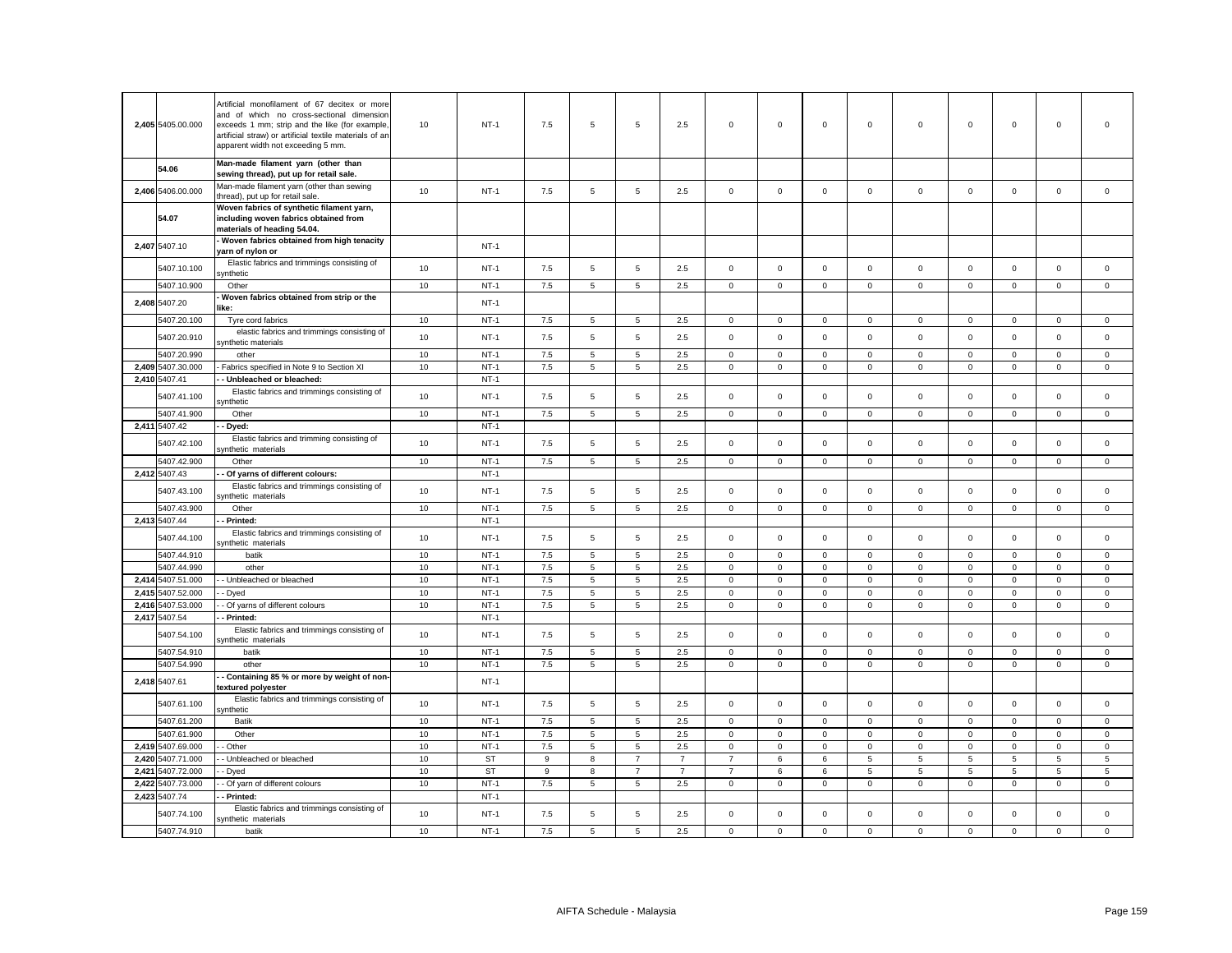|       | 2.405 5405.00.000          | Artificial monofilament of 67 decitex or more<br>and of which no cross-sectional dimension<br>exceeds 1 mm; strip and the like (for example,<br>artificial straw) or artificial textile materials of an<br>apparent width not exceeding 5 mm. | 10       | $NT-1$           | 7.5        | 5 | 5                | 2.5            | $\mathbf 0$    | $\mathbf 0$ | $\mathbf 0$  | $\mathbf 0$  | $\mathbf 0$  | $\mathbf{0}$ | $\mathbf 0$  | $\mathbf 0$         | $\mathbf 0$                |
|-------|----------------------------|-----------------------------------------------------------------------------------------------------------------------------------------------------------------------------------------------------------------------------------------------|----------|------------------|------------|---|------------------|----------------|----------------|-------------|--------------|--------------|--------------|--------------|--------------|---------------------|----------------------------|
|       | 54.06                      | Man-made filament yarn (other than<br>sewing thread), put up for retail sale.                                                                                                                                                                 |          |                  |            |   |                  |                |                |             |              |              |              |              |              |                     |                            |
|       | 2,406 5406.00.000          | Man-made filament yarn (other than sewing<br>thread), put up for retail sale                                                                                                                                                                  | 10       | $NT-1$           | 7.5        | 5 | 5                | 2.5            | $\mathbf 0$    | $\mathsf 0$ | $\mathsf 0$  | $\mathsf 0$  | $\mathsf 0$  | $\mathsf 0$  | $\mathbf 0$  | $\mathsf 0$         | $\mathsf 0$                |
|       |                            | Woven fabrics of synthetic filament yarn,                                                                                                                                                                                                     |          |                  |            |   |                  |                |                |             |              |              |              |              |              |                     |                            |
|       | 54.07                      | including woven fabrics obtained from<br>materials of heading 54.04.                                                                                                                                                                          |          |                  |            |   |                  |                |                |             |              |              |              |              |              |                     |                            |
|       | 2,407 5407.10              | Woven fabrics obtained from high tenacity<br>yarn of nylon or                                                                                                                                                                                 |          | $NT-1$           |            |   |                  |                |                |             |              |              |              |              |              |                     |                            |
|       | 5407.10.100                | Elastic fabrics and trimmings consisting of<br>ynthetic                                                                                                                                                                                       | 10       | $NT-1$           | 7.5        | 5 | $\mathbf 5$      | 2.5            | 0              | $\mathbf 0$ | $\mathbf{0}$ | $\mathbf 0$  | $\mathbf 0$  | $\mathbf 0$  | $\mathbf 0$  | $\mathbf 0$         | $\mathbf 0$                |
|       | 5407.10.900                | Other                                                                                                                                                                                                                                         | 10       | $NT-1$           | 7.5        | 5 | 5                | 2.5            | $\mathbf 0$    | $\mathbf 0$ | $\mathbf{0}$ | $\mathbf{0}$ | $\mathbf 0$  | $\mathbf 0$  | $\mathbf{0}$ | $\mathbf 0$         | $\mathbf 0$                |
|       | 2,408 5407.20              | Woven fabrics obtained from strip or the<br>like:                                                                                                                                                                                             |          | $NT-1$           |            |   |                  |                |                |             |              |              |              |              |              |                     |                            |
|       | 5407.20.100                | Tyre cord fabrics                                                                                                                                                                                                                             | 10       | $NT-1$           | 7.5        | 5 | 5                | 2.5            | 0              | $\mathbf 0$ | $\mathbf 0$  | $\mathbf 0$  | 0            | $\mathbf 0$  | $\mathbf 0$  | $\mathbf 0$         | $\mathbf 0$                |
|       | 5407.20.910                | elastic fabrics and trimmings consisting of<br>synthetic materials                                                                                                                                                                            | 10       | $NT-1$           | 7.5        | 5 | $\sqrt{5}$       | 2.5            | 0              | $\mathbf 0$ | $\mathbf 0$  | $\mathsf 0$  | $\mathbf 0$  | $\mathbf 0$  | $\mathbf 0$  | $\mathsf 0$         | $\mathbf 0$                |
|       | 5407.20.990                | other                                                                                                                                                                                                                                         | 10       | $NT-1$           | 7.5        | 5 | 5                | 2.5            | 0              | $\mathbf 0$ | $\mathbf 0$  | $\mathbf 0$  | 0            | 0            | $\mathbf 0$  | 0                   | $\mathbf 0$                |
|       | 2,409 5407.30.000          | Fabrics specified in Note 9 to Section XI                                                                                                                                                                                                     | 10       | $NT-1$           | 7.5        | 5 | 5                | 2.5            | $\mathsf 0$    | $\mathsf 0$ | $\mathbf 0$  | $\mathsf 0$  | $\mathbf 0$  | $\mathsf 0$  | $\mathsf 0$  | $\mathsf 0$         | $\mathsf 0$                |
|       | 2,410 5407.41              | - Unbleached or bleached:                                                                                                                                                                                                                     |          | $NT-1$           |            |   |                  |                |                |             |              |              |              |              |              |                     |                            |
|       | 5407.41.100                | Elastic fabrics and trimmings consisting of<br>ynthetic                                                                                                                                                                                       | 10       | $NT-1$           | 7.5        | 5 | 5                | 2.5            | $\mathbf 0$    | $\mathsf 0$ | $\mathbf 0$  | $\mathsf 0$  | $\mathbf 0$  | $\mathbf 0$  | $\mathbf 0$  | $\mathbf 0$         | $\mathsf 0$                |
|       | 5407.41.900                | Other                                                                                                                                                                                                                                         | 10       | $NT-1$           | 7.5        | 5 | 5                | 2.5            | 0              | $\mathbf 0$ | $\mathbf{0}$ | $\mathbf 0$  | 0            | 0            | 0            | 0                   | $\mathbf 0$                |
|       | 2,411 5407.42              | Dyed:                                                                                                                                                                                                                                         |          | $NT-1$           |            |   |                  |                |                |             |              |              |              |              |              |                     |                            |
|       | 5407.42.100                | Elastic fabrics and trimming consisting of<br>ynthetic materials                                                                                                                                                                              | 10       | $NT-1$           | 7.5        | 5 | $\mathbf 5$      | 2.5            | $\mathbf 0$    | $\mathsf 0$ | $\mathbf 0$  | $\mathsf 0$  | $\mathsf 0$  | $\mathsf 0$  | $\mathsf 0$  | $\mathsf{O}\xspace$ | $\mathbf 0$                |
|       | 5407.42.900                | Other                                                                                                                                                                                                                                         | 10       | $NT-1$           | 7.5        | 5 | 5                | 2.5            | $\mathbf 0$    | $\mathbf 0$ | $\mathbf 0$  | $\mathbf{0}$ | $\mathbf 0$  | $\mathbf 0$  | $\Omega$     | $\mathbf 0$         | $\mathbf 0$                |
|       | 2,412 5407.43              | Of yarns of different colours:                                                                                                                                                                                                                |          | $NT-1$           |            |   |                  |                |                |             |              |              |              |              |              |                     |                            |
|       |                            |                                                                                                                                                                                                                                               |          |                  |            |   |                  |                |                |             |              |              |              |              |              |                     |                            |
|       | 5407.43.100                | Elastic fabrics and trimmings consisting of<br>vnthetic materials                                                                                                                                                                             | 10       | $NT-1$           | 7.5        | 5 | 5                | 2.5            | $\mathsf 0$    | $\mathbf 0$ | $\mathbf 0$  | $\mathsf 0$  | $\mathsf 0$  | $\mathbf 0$  | $\mathbf 0$  | $\mathsf 0$         | $\mathsf 0$                |
|       | 5407.43.900                | Other                                                                                                                                                                                                                                         | 10       | $NT-1$           | 7.5        | 5 | 5                | 2.5            | $\mathbf 0$    | $\mathsf 0$ | $\mathbf 0$  | $\mathbf 0$  | $\mathsf 0$  | $\mathsf 0$  | $\mathsf 0$  | $\mathbf 0$         | $\mathsf 0$                |
|       | 2,413 5407.44              | - Printed:                                                                                                                                                                                                                                    |          | $NT-1$           |            |   |                  |                |                |             |              |              |              |              |              |                     |                            |
|       | 5407.44.100                | Elastic fabrics and trimmings consisting of<br>vnthetic materials                                                                                                                                                                             | 10       | $NT-1$           | 7.5        | 5 | 5                | 2.5            | $\mathsf 0$    | $\mathbf 0$ | $\mathbf 0$  | $\mathbf{0}$ | $\mathbf 0$  | $\mathsf 0$  | $\mathbf 0$  | $\mathbf 0$         | $\mathsf 0$                |
|       | 5407.44.910                | batik                                                                                                                                                                                                                                         | 10       | $NT-1$           | 7.5        | 5 | 5                | 2.5            | $\mathbf 0$    | $\mathbf 0$ | $\mathbf 0$  | $\mathbf{0}$ | $\mathbf 0$  | $\mathbf 0$  | $\mathbf 0$  | $\mathbf 0$         | $\mathbf 0$                |
|       | 5407.44.990                | other                                                                                                                                                                                                                                         | 10       | $NT-1$           | 7.5        | 5 | 5                | 2.5            | 0              | $\mathbf 0$ | $\mathbf 0$  | $\mathbf 0$  | $\mathbf 0$  | $\mathbf 0$  | $\mathsf 0$  | $\mathbf 0$         | $\mathbf 0$                |
| 2,414 | 5407.51.000                | - Unbleached or bleached                                                                                                                                                                                                                      | 10       | $NT-1$           | 7.5        | 5 | 5                | 2.5            | $\mathbf 0$    | $\mathsf 0$ | $\mathsf 0$  | $\mathsf 0$  | $\mathbf 0$  | $\mathsf 0$  | $\mathsf 0$  | $\mathsf 0$         | $\mathsf 0$                |
|       | 2,415 5407.52.000          | - Dyed                                                                                                                                                                                                                                        | 10       | $NT-1$           | 7.5        | 5 | 5                | 2.5            | 0              | $\mathbf 0$ | $\mathbf 0$  | 0            | $\mathsf 0$  | $\mathbf 0$  | $\mathbf 0$  | 0                   | $\mathsf 0$                |
| 2,416 | 5407.53.000                | Of yarns of different colours                                                                                                                                                                                                                 | 10       | $NT-1$           | 7.5        | 5 | 5                | 2.5            | $\mathbf 0$    | $\mathsf 0$ | $\mathbf 0$  | $\mathbf 0$  | $\mathbf 0$  | $\mathsf 0$  | $\mathbf 0$  | $\mathsf 0$         | $\mathsf 0$                |
|       | 2,417 5407.54              | Printed:<br>Elastic fabrics and trimmings consisting of                                                                                                                                                                                       |          | $NT-1$<br>$NT-1$ |            |   |                  |                | $\mathbf 0$    | $\mathsf 0$ | $\mathbf 0$  | $\mathbf 0$  | $\mathbf 0$  | $\mathsf 0$  | $\mathsf 0$  | $\mathsf 0$         | $\mathsf 0$                |
|       | 5407.54.100                | vnthetic materials                                                                                                                                                                                                                            | 10       |                  | 7.5        | 5 | $\,$ 5 $\,$      | 2.5            |                |             |              |              |              |              |              |                     |                            |
|       | 5407.54.910                | batik                                                                                                                                                                                                                                         | 10       | $NT-1$           | 7.5        | 5 | $\,$ 5 $\,$      | 2.5            | $\mathsf 0$    | $\mathbf 0$ | $\mathbf 0$  | $\mathbf 0$  | $\mathbf 0$  | $\mathsf 0$  | $\mathbf 0$  | $\mathbf 0$         | $\mathsf 0$                |
|       | 5407.54.990                | other                                                                                                                                                                                                                                         | 10       | $NT-1$           | 7.5        | 5 | 5                | 2.5            | 0              | $\mathbf 0$ | $\mathbf 0$  | $\mathbf 0$  | 0            | 0            | $\mathbf 0$  | $\mathbf 0$         | $\mathsf 0$                |
|       | 2,418 5407.61              | Containing 85 % or more by weight of non-<br>textured polyester                                                                                                                                                                               |          | $NT-1$           |            |   |                  |                |                |             |              |              |              |              |              |                     |                            |
|       | 5407.61.100                | Elastic fabrics and trimmings consisting of<br>synthetic                                                                                                                                                                                      | 10       | $NT-1$           | 7.5        | 5 | 5                | 2.5            | $\mathsf 0$    | $\mathbf 0$ | $\mathbf 0$  | $\mathbf 0$  | $\mathbf 0$  | $\mathbf 0$  | $\mathbf 0$  | $\mathsf 0$         | $\mathbf 0$                |
|       | 5407.61.200                | Batik                                                                                                                                                                                                                                         | 10       | $NT-1$           | 7.5        | 5 | 5                | 2.5            | $\mathbf 0$    | $\mathbf 0$ | $\mathbf 0$  | $\mathbf{0}$ | $\mathbf{0}$ | $\mathbf 0$  | $\mathbf 0$  | $\mathbf 0$         | $\mathbf 0$                |
|       | 5407.61.900                | Other                                                                                                                                                                                                                                         | 10       | $NT-1$           | 7.5        | 5 | $\sqrt{5}$       | 2.5            | $\mathbf 0$    | $\mathbf 0$ | $\mathbf 0$  | $\mathbf 0$  | $\mathbf 0$  | $\mathbf{0}$ | $\mathbf 0$  | $\mathbf 0$         | $\mathbf 0$                |
|       | 2,419 5407.69.000          | Other                                                                                                                                                                                                                                         | 10       | $NT-1$           | 7.5        | 5 | 5                | 2.5            | $\mathbf 0$    | $\mathsf 0$ | $\mathbf 0$  | $\mathsf 0$  | $\mathbf 0$  | $\mathsf 0$  | $\mathsf 0$  | $\mathsf 0$         | $\mathsf 0$                |
| 2.420 | 5407.71.000                | - Unbleached or bleached                                                                                                                                                                                                                      | 10       | <b>ST</b>        | 9          | 8 | $\overline{7}$   | $\overline{7}$ | $\overline{7}$ | 6           | 6            | 5            | 5            | 5            | 5            | 5                   | 5                          |
| 2,421 | 5407.72.000                | Dyed                                                                                                                                                                                                                                          | 10       | <b>ST</b>        | 9          | 8 | $\overline{7}$   | $\overline{7}$ | $\overline{7}$ | 6           | 6            | 5            | 5            | 5            | 5            | 5                   | 5                          |
|       | 2.422 5407.73.000          | - Of yarn of different colours                                                                                                                                                                                                                | 10       | $NT-1$           | 7.5        | 5 | 5                | 2.5            | $\mathbf 0$    | $\mathbf 0$ | $\mathbf 0$  | $\mathbf{0}$ | $\mathbf 0$  | $\mathbf 0$  | $\mathbf 0$  | $\mathbf 0$         | $\mathbf 0$                |
|       | 2,423 5407.74              | - Printed:                                                                                                                                                                                                                                    |          | $NT-1$           |            |   |                  |                |                |             |              |              |              |              |              |                     |                            |
|       | 5407.74.100<br>5407.74.910 | Elastic fabrics and trimmings consisting of<br>synthetic materials<br>batik                                                                                                                                                                   | 10<br>10 | $NT-1$<br>$NT-1$ | 7.5<br>7.5 | 5 | $\mathbf 5$<br>5 | 2.5<br>2.5     | $\mathsf 0$    | $\mathbf 0$ | $\mathsf 0$  | $\mathsf 0$  | $\mathbf 0$  | $\mathbf 0$  | $\mathsf 0$  | $\mathsf 0$         | $\mathsf 0$<br>$\mathsf 0$ |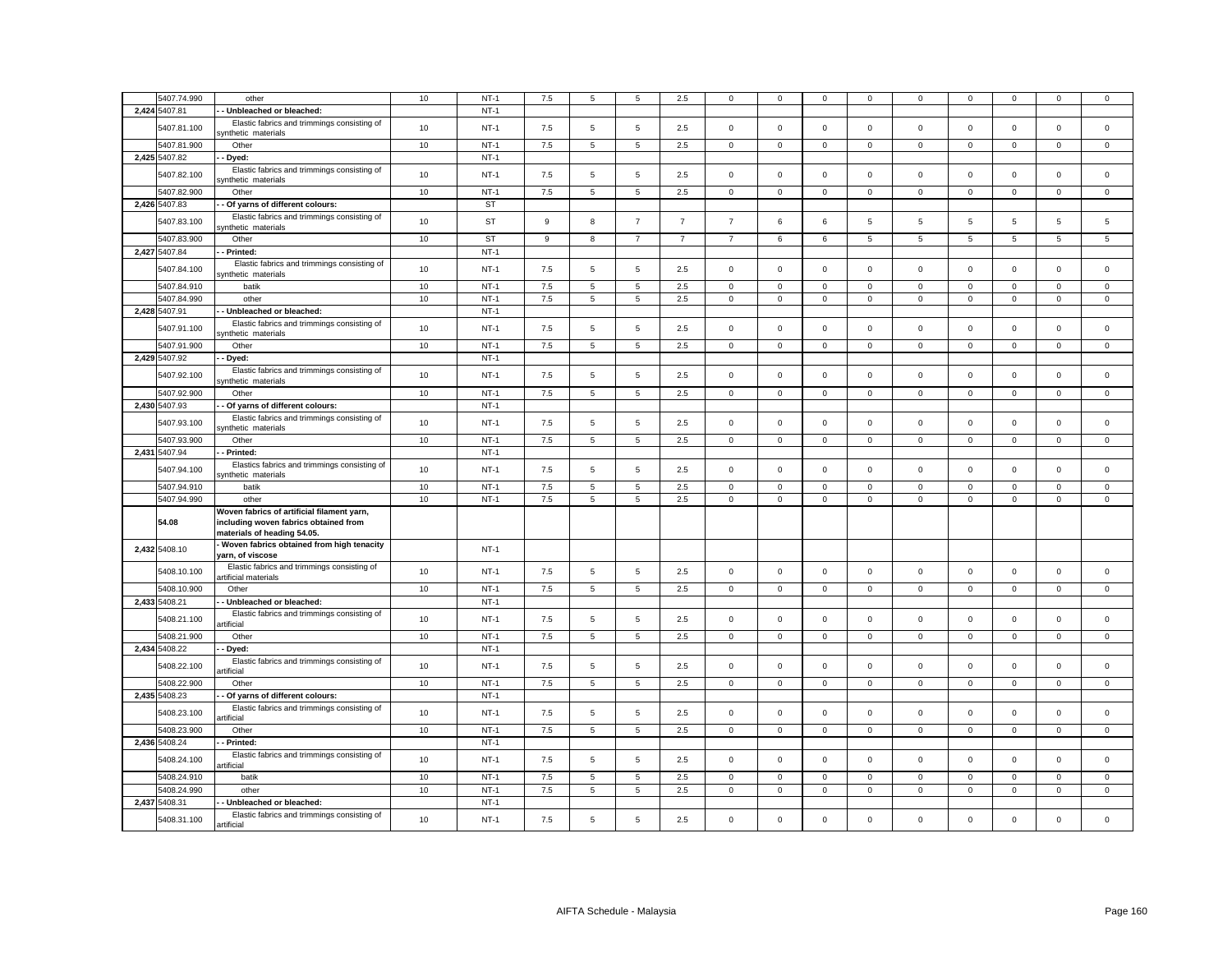| 5407.74.990                  | other                                                                                                              | 10   | $NT-1$           | 7.5     | 5              | 5              | 2.5            | 0              | 0           | 0            | 0              | 0            | $\mathbf 0$ | $\Omega$    | $\mathbf 0$ | 0           |
|------------------------------|--------------------------------------------------------------------------------------------------------------------|------|------------------|---------|----------------|----------------|----------------|----------------|-------------|--------------|----------------|--------------|-------------|-------------|-------------|-------------|
| 2,424 5407.81                | Unbleached or bleached:                                                                                            |      | $NT-1$           |         |                |                |                |                |             |              |                |              |             |             |             |             |
| 5407.81.100                  | Elastic fabrics and trimmings consisting of<br>synthetic materials                                                 | 10   | $NT-1$           | 7.5     | 5              | 5              | 2.5            | $\mathsf 0$    | $\mathsf 0$ | $\mathbf 0$  | $\mathsf 0$    | $\mathbf 0$  | $\mathsf 0$ | $\mathbf 0$ | $\mathbf 0$ | $\mathbf 0$ |
| 5407.81.900                  | Other                                                                                                              | $10$ | $NT-1$           | 7.5     | $\overline{5}$ | $\,$ 5 $\,$    | 2.5            | $\mathsf 0$    | $\mathsf 0$ | $\mathsf 0$  | $\mathbf 0$    | $\mathsf 0$  | $\mathsf 0$ | $\mathsf 0$ | $\mathsf 0$ | $\mathsf 0$ |
| 2,425 5407.82                | Dyed:                                                                                                              |      | $NT-1$           |         |                |                |                |                |             |              |                |              |             |             |             |             |
| 5407.82.100                  | Elastic fabrics and trimmings consisting of<br>ynthetic materials                                                  | 10   | $NT-1$           | 7.5     | 5              | $\,$ 5 $\,$    | 2.5            | $\mathsf 0$    | $\mathsf 0$ | $\mathbf 0$  | $\mathsf 0$    | $\mathsf 0$  | $\mathsf 0$ | $\mathsf 0$ | $\mathsf 0$ | $\mathsf 0$ |
| 5407.82.900                  | Other                                                                                                              | 10   | $NT-1$           | 7.5     | 5              | $\,$ 5 $\,$    | 2.5            | $\mathbf 0$    | $\mathsf 0$ | $\mathbf 0$  | $\mathbf 0$    | $\mathsf 0$  | $\mathsf 0$ | $\mathbf 0$ | $\mathsf 0$ | $\mathsf 0$ |
| 2,426 5407.83                | Of yarns of different colours:                                                                                     |      | <b>ST</b>        |         |                |                |                |                |             |              |                |              |             |             |             |             |
| 5407.83.100                  | Elastic fabrics and trimmings consisting of<br>ynthetic materials                                                  | 10   | <b>ST</b>        | 9       | 8              | $\overline{7}$ | $\overline{7}$ | $\overline{7}$ | 6           | 6            | 5              | 5            | 5           | 5           | $\,$ 5 $\,$ | 5           |
| 5407.83.900                  | Other                                                                                                              | 10   | <b>ST</b>        | 9       | 8              | $\overline{7}$ | $\overline{7}$ | $\overline{7}$ | 6           | 6            | 5              | 5            | 5           | 5           | 5           | 5           |
| 2,427 5407.84                | - Printed:                                                                                                         |      | $NT-1$           |         |                |                |                |                |             |              |                |              |             |             |             |             |
| 5407.84.100                  | Elastic fabrics and trimmings consisting of<br>synthetic materials                                                 | 10   | $NT-1$           | 7.5     | 5              | 5              | 2.5            | $\mathsf 0$    | $\mathsf 0$ | $\mathbf 0$  | $\mathsf 0$    | $\mathsf 0$  | $\mathbf 0$ | $\Omega$    | $\mathbf 0$ | $\mathsf 0$ |
| 5407.84.910                  | batik                                                                                                              | 10   | $NT-1$           | 7.5     | 5              | 5              | 2.5            | $\mathbf 0$    | $\mathbf 0$ | $\mathbf 0$  | $\mathbf{0}$   | $\mathbf 0$  | $\mathbf 0$ | $\mathbf 0$ | $\mathbf 0$ | $\mathsf 0$ |
| 5407.84.990                  | other                                                                                                              | 10   | $NT-1$           | 7.5     | 5              | 5              | 2.5            | $\mathbf 0$    | $\mathbf 0$ | $\mathbf 0$  | $\mathbf{0}$   | $\mathbf 0$  | $\mathbf 0$ | $\mathbf 0$ | $\mathbf 0$ | $\mathbf 0$ |
| 2,428 5407.91                | - Unbleached or bleached:                                                                                          |      | $NT-1$           |         |                |                |                |                |             |              |                |              |             |             |             |             |
| 5407.91.100                  | Elastic fabrics and trimmings consisting of<br>synthetic materials                                                 | 10   | $NT-1$           | 7.5     | 5              | $\overline{5}$ | 2.5            | $\mathsf 0$    | $\mathbf 0$ | $\mathbf 0$  | $\mathsf 0$    | $\mathsf 0$  | $\mathbf 0$ | $\mathbf 0$ | $\mathsf 0$ | $\mathbf 0$ |
| 5407.91.900                  | Other                                                                                                              | 10   | $NT-1$           | 7.5     | 5              | $\overline{5}$ | 2.5            | $\mathbf 0$    | $\mathbf 0$ | $\mathbf 0$  | $\mathbf 0$    | $\mathbf 0$  | $\mathbf 0$ | $\mathbf 0$ | $\mathbf 0$ | $\mathbf 0$ |
| 2,429 5407.92                | - Dyed:                                                                                                            |      | $NT-1$           |         |                |                |                |                |             |              |                |              |             |             |             |             |
| 5407.92.100                  | Elastic fabrics and trimmings consisting of<br>ynthetic materials                                                  | 10   | $NT-1$           | 7.5     | 5              | 5              | 2.5            | $\mathbf 0$    | $\mathbf 0$ | $\mathbf 0$  | $\mathbf 0$    | $\Omega$     | $\mathbf 0$ | $\mathbf 0$ | $\mathbf 0$ | $\mathbf 0$ |
| 5407.92.900                  | Other                                                                                                              | 10   | $NT-1$           | 7.5     | 5              | $\overline{5}$ | 2.5            | $\mathbf{0}$   | $\mathbf 0$ | $\mathbf 0$  | $\mathbf 0$    | $\mathsf 0$  | $\mathbf 0$ | $\mathbf 0$ | $\mathsf 0$ | $\mathsf 0$ |
| 2,430 5407.93                | - Of yarns of different colours:                                                                                   |      | $NT-1$           |         |                |                |                |                |             |              |                |              |             |             |             |             |
| 5407.93.100                  | Elastic fabrics and trimmings consisting of<br>ynthetic materials                                                  | 10   | $NT-1$           | 7.5     | 5              | 5              | 2.5            | $\mathsf 0$    | $\mathbf 0$ | $\mathbf 0$  | $\mathsf 0$    | $\mathbf 0$  | $\mathbf 0$ | $\mathbf 0$ | $\mathsf 0$ | $\mathsf 0$ |
| 5407.93.900                  | Other                                                                                                              | 10   | $NT-1$           | 7.5     | 5              | 5              | 2.5            | $\mathbf 0$    | $\mathsf 0$ | $\mathbf 0$  | $\mathbf 0$    | $\mathbf 0$  | $\mathsf 0$ | $\mathsf 0$ | $\mathbf 0$ | $\mathsf 0$ |
| 2,431 5407.94                | - Printed:                                                                                                         |      | $NT-1$           |         |                |                |                |                |             |              |                |              |             |             |             |             |
| 5407.94.100                  | Elastics fabrics and trimmings consisting of<br>synthetic materials                                                | 10   | $NT-1$           | 7.5     | 5              | 5              | 2.5            | $\mathsf 0$    | $\mathsf 0$ | $\mathbf 0$  | $\mathbf 0$    | $\mathsf 0$  | $\mathbf 0$ | $\mathsf 0$ | $\mathsf 0$ | $\mathsf 0$ |
| 5407.94.910                  | batik                                                                                                              | 10   | $NT-1$           | 7.5     | 5              | 5              | 2.5            | $\mathsf 0$    | $\mathsf 0$ | $\mathbf 0$  | $\mathbf 0$    | $\mathsf 0$  | $\mathsf 0$ | $\mathsf 0$ | $\mathsf 0$ | $\mathsf 0$ |
| 5407.94.990                  | other                                                                                                              | 10   | $NT-1$           | 7.5     | 5              | 5              | 2.5            | $\mathsf 0$    | $\mathsf 0$ | $\mathbf 0$  | $\mathbf 0$    | $\mathbf 0$  | $\mathsf 0$ | $\mathsf 0$ | $\mathsf 0$ | $\mathsf 0$ |
| 54.08                        | Woven fabrics of artificial filament yarn,<br>including woven fabrics obtained from<br>materials of heading 54.05. |      |                  |         |                |                |                |                |             |              |                |              |             |             |             |             |
| 2,432 5408.10                | Woven fabrics obtained from high tenacity<br>yarn, of viscose                                                      |      | $NT-1$           |         |                |                |                |                |             |              |                |              |             |             |             |             |
| 5408.10.100                  | Elastic fabrics and trimmings consisting of<br>artificial materials                                                | 10   | $NT-1$           | 7.5     | 5              | 5              | 2.5            | $\mathsf 0$    | $\mathsf 0$ | $\mathbf 0$  | $\mathbf 0$    | $\mathbf 0$  | $\mathsf 0$ | $\mathsf 0$ | $\mathsf 0$ | $\mathsf 0$ |
| 5408.10.900                  | Other                                                                                                              | 10   | $NT-1$           | $7.5\,$ | 5              | 5              | 2.5            | $\mathbf{0}$   | $\mathbf 0$ | $\mathbf 0$  | $\mathbf{0}$   | $\mathbf 0$  | $\mathsf 0$ | $\mathbf 0$ | $\mathbf 0$ | $\mathbf 0$ |
| 2,433 5408.21                | - Unbleached or bleached:                                                                                          |      | $NT-1$           |         |                |                |                |                |             |              |                |              |             |             |             |             |
| 5408.21.100                  | Elastic fabrics and trimmings consisting of<br>artificial                                                          | 10   | $NT-1$           | 7.5     | 5              | 5              | 2.5            | 0              | $\mathsf 0$ | $\mathsf 0$  | $\mathbf 0$    | $\pmb{0}$    | $\mathbf 0$ | $\mathsf 0$ | $\mathbf 0$ | $\mathsf 0$ |
| 5408.21.900                  | Other                                                                                                              | 10   | $NT-1$           | 7.5     | 5              | 5              | 2.5            | $\mathbf 0$    | $\mathbf 0$ | $\mathbf 0$  | $\overline{0}$ | $\mathbf 0$  | $\mathbf 0$ | $\mathbf 0$ | $\mathbf 0$ | $\mathbf 0$ |
| 2,434 5408.22                | - Dyed:<br>Elastic fabrics and trimmings consisting of                                                             |      | $NT-1$           |         |                |                |                |                |             |              |                |              |             |             |             |             |
| 5408.22.100                  | artificial                                                                                                         | 10   | $NT-1$           | 7.5     | 5              | 5              | 2.5            | $\mathbf 0$    | $\mathbf 0$ | $\mathbf 0$  | $\mathbf 0$    | $\Omega$     | $\mathbf 0$ | $\mathbf 0$ | $\mathbf 0$ | $\mathbf 0$ |
| 5408.22.900                  | Other                                                                                                              | 10   | $NT-1$           | 7.5     | 5              | $\overline{5}$ | 2.5            | 0              | $\mathbf 0$ | $\mathbf{0}$ | $\mathbf 0$    | $\mathbf 0$  | $\mathbf 0$ | $\mathbf 0$ | $\mathbf 0$ | $\mathbf 0$ |
| 2,435 5408.23                | - Of yarns of different colours:                                                                                   |      | $NT-1$           |         |                |                |                |                |             |              |                |              |             |             |             |             |
| 5408.23.100                  | Elastic fabrics and trimmings consisting of<br>artificial                                                          | 10   | $NT-1$           | 7.5     | 5              | 5              | 2.5            | 0              | $\mathbf 0$ | $\mathbf 0$  | $\mathbf{0}$   | $\mathbf 0$  | $\mathbf 0$ | $\mathbf 0$ | $\mathbf 0$ | $\mathbf 0$ |
| 5408.23.900                  | Other                                                                                                              | 10   | $NT-1$           | 7.5     | 5              | 5              | 2.5            | $\mathbf 0$    | $\mathsf 0$ | $\mathbf 0$  | $\mathbf 0$    | $\mathbf{0}$ | $\mathsf 0$ | $\mathbf 0$ | $\mathsf 0$ | $\mathsf 0$ |
| 2,436 5408.24                | Printed:                                                                                                           |      | $NT-1$           |         |                |                |                |                |             |              |                |              |             |             |             |             |
| 5408.24.100                  | Elastic fabrics and trimmings consisting of<br>artificial                                                          | 10   | $NT-1$           | 7.5     | 5              | 5              | 2.5            | $\mathsf 0$    | $\mathbf 0$ | $\mathbf 0$  | $\mathsf 0$    | $\mathsf 0$  | $\mathbf 0$ | $\mathbf 0$ | $\mathsf 0$ | $\mathsf 0$ |
| 5408.24.910                  | batik                                                                                                              | 10   | $NT-1$           | 7.5     | 5              | 5              | 2.5            | $\mathsf 0$    | $\mathsf 0$ | $\mathsf 0$  | $\mathbf 0$    | $\mathsf 0$  | $\mathbf 0$ | $\mathsf 0$ | $\mathsf 0$ | $\mathsf 0$ |
| 5408.24.990                  | other                                                                                                              | 10   | $NT-1$           | 7.5     | 5              | 5              | 2.5            | $\mathbf 0$    | $\mathbf 0$ | $\mathbf 0$  | $\mathbf{0}$   | $\mathbf 0$  | $\mathbf 0$ | $\mathbf 0$ | $\mathbf 0$ | $\mathbf 0$ |
| 2,437 5408.31<br>5408.31.100 | Unbleached or bleached:<br>Elastic fabrics and trimmings consisting of                                             | 10   | $NT-1$<br>$NT-1$ | 7.5     | 5              | 5              | 2.5            | $\mathsf 0$    | $\Omega$    | $\mathsf 0$  | $\Omega$       | $\Omega$     | $\Omega$    | $\Omega$    | $\mathsf 0$ | $\mathsf 0$ |
|                              | artificial                                                                                                         |      |                  |         |                |                |                |                |             |              |                |              |             |             |             |             |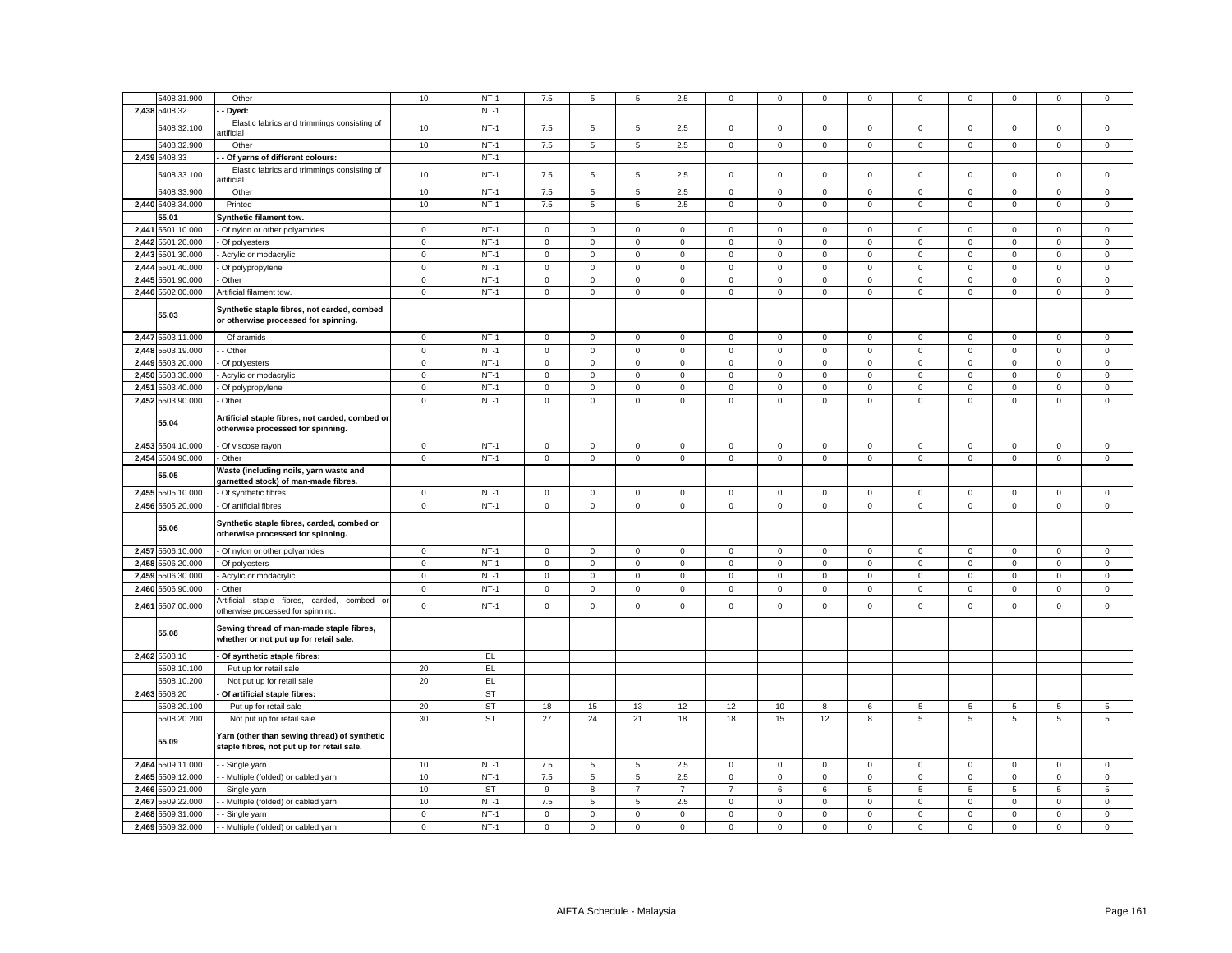|       | 5408.31.900       | Other                                                                                      | 10           | $NT-1$    | 7.5                 | 5            | 5              | 2.5            | 0              | $\mathbf 0$ | $\mathbf 0$  | 0              | 0               | $\mathbf 0$  | $\mathbf 0$         | $\mathsf 0$  | $\mathsf 0$    |
|-------|-------------------|--------------------------------------------------------------------------------------------|--------------|-----------|---------------------|--------------|----------------|----------------|----------------|-------------|--------------|----------------|-----------------|--------------|---------------------|--------------|----------------|
|       | 2,438 5408.32     | Dyed:                                                                                      |              | $NT-1$    |                     |              |                |                |                |             |              |                |                 |              |                     |              |                |
|       | 5408.32.100       | Elastic fabrics and trimmings consisting of<br>rtificial                                   | 10           | $NT-1$    | 7.5                 | 5            | 5              | 2.5            | $\mathsf 0$    | $\mathsf 0$ | $\mathbf 0$  | $\mathsf 0$    | $\mathsf 0$     | $\mathsf 0$  | $\mathsf 0$         | $\mathsf 0$  | $\mathsf 0$    |
|       | 5408.32.900       | Other                                                                                      | 10           | $NT-1$    | 7.5                 | 5            | $\,$ 5 $\,$    | 2.5            | $\mathbf 0$    | $\mathsf 0$ | $\mathbf 0$  | $\mathbf 0$    | $\mathsf 0$     | $\mathsf 0$  | $\mathsf 0$         | $\mathsf 0$  | $\mathsf 0$    |
|       | 2,439 5408.33     | Of yarns of different colours:                                                             |              | $NT-1$    |                     |              |                |                |                |             |              |                |                 |              |                     |              |                |
|       | 5408.33.100       | Elastic fabrics and trimmings consisting of<br>rtificial                                   | 10           | $NT-1$    | 7.5                 | 5            | 5              | 2.5            | $\mathsf 0$    | $\mathsf 0$ | $\mathbf 0$  | $\mathsf 0$    | $\mathbf 0$     | $\mathsf 0$  | $\mathbf 0$         | $\mathsf 0$  | $\mathsf 0$    |
|       | 5408.33.900       | Other                                                                                      | 10           | $NT-1$    | 7.5                 | 5            | $\overline{5}$ | 2.5            | $\mathbf{0}$   | $\mathbf 0$ | $\mathbf{O}$ | $\overline{0}$ | $\mathbf 0$     | $\mathbf 0$  | $\mathbf 0$         | $\mathbf{0}$ | $\mathbf 0$    |
|       | 2,440 5408.34.000 | - Printed                                                                                  | 10           | $NT-1$    | 7.5                 | 5            | 5              | 2.5            | $\mathbf 0$    | $\mathsf 0$ | $\mathbf 0$  | $\mathbf 0$    | $\mathbf 0$     | $\mathsf 0$  | $\mathsf 0$         | $\mathbf 0$  | $\mathsf 0$    |
|       | 55.01             | Synthetic filament tow.                                                                    |              |           |                     |              |                |                |                |             |              |                |                 |              |                     |              |                |
|       | 2,441 5501.10.000 |                                                                                            | $\mathbf{0}$ | $NT-1$    | $\mathbf{0}$        | $\mathbf{0}$ | $\mathbf 0$    | $\mathbf{0}$   | $\mathbf 0$    | $\mathbf 0$ | $\mathbf{0}$ | $\mathbf{0}$   | $\mathbf{0}$    | $\mathbf{0}$ | $\mathbf 0$         | $\mathbf 0$  | $\mathbf 0$    |
|       | 2,442 5501.20.000 | Of nylon or other polyamides<br>Of polyesters                                              | $\mathsf 0$  | $NT-1$    | $\mathsf 0$         | $\mathsf 0$  | $\mathsf 0$    | $\mathsf 0$    | $\mathsf 0$    | $\mathsf 0$ | $\mathbf 0$  | $\mathsf 0$    | $\mathbf 0$     | $\mathsf 0$  | $\mathsf 0$         | $\mathsf 0$  | $\mathsf 0$    |
|       |                   |                                                                                            |              |           |                     | $\mathbf 0$  |                |                |                |             |              |                |                 |              |                     |              |                |
|       | 2,443 5501.30.000 | Acrylic or modacrylic                                                                      | $\mathsf 0$  | $NT-1$    | $\mathsf 0$         |              | $\mathsf 0$    | $\mathsf 0$    | $\mathbf 0$    | $\mathsf 0$ | $\mathsf 0$  | $\mathsf 0$    | $\mathsf 0$     | $\mathsf 0$  | $\mathsf 0$         | $\mathsf 0$  | $\mathsf 0$    |
|       | 2,444 5501.40.000 | Of polypropylene                                                                           | $\mathsf 0$  | $NT-1$    | $\mathsf 0$         | $\mathsf 0$  | $\mathsf 0$    | $\mathbf 0$    | $\mathsf 0$    | $\mathsf 0$ | $\mathbf 0$  | $\mathsf 0$    | $\mathbf 0$     | $\mathsf 0$  | $\mathsf 0$         | $\mathsf 0$  | $\mathbf 0$    |
|       | 2,445 5501.90.000 | Other                                                                                      | $\mathbf 0$  | $NT-1$    | $\mathbf 0$         | $\mathbf 0$  | $\mathbf 0$    | $\mathbf 0$    | $\mathbf 0$    | $\mathbf 0$ | $\mathbf 0$  | $\mathsf 0$    | $\mathsf 0$     | $\mathbf 0$  | $\mathbf 0$         | $\mathbf 0$  | $\mathsf 0$    |
|       | 2,446 5502.00.000 | Artificial filament tow.                                                                   | $\mathbf 0$  | $NT-1$    | $\mathsf 0$         | $\mathbf 0$  | $\mathsf 0$    | $\mathbf 0$    | $\mathsf 0$    | $\mathbf 0$ | $\mathsf 0$  | $\mathbf 0$    | $\mathsf 0$     | $\mathsf 0$  | $\mathsf 0$         | $\mathsf 0$  | $\mathsf 0$    |
|       | 55.03             | Synthetic staple fibres, not carded, combed<br>or otherwise processed for spinning.        |              |           |                     |              |                |                |                |             |              |                |                 |              |                     |              |                |
|       | 2,447 5503.11.000 | - Of aramids                                                                               | $\mathbf 0$  | $NT-1$    | $\mathsf 0$         | $\mathbf 0$  | $\mathbf 0$    | $\mathsf 0$    | $\mathbf 0$    | $\mathsf 0$ | $\mathbf 0$  | $\mathsf 0$    | $\mathsf 0$     | $\mathsf 0$  | $\mathbf 0$         | $\mathbf 0$  | $\mathsf 0$    |
|       | 2,448 5503.19.000 | - Other                                                                                    | $\,0\,$      | $NT-1$    | $\mathbf{0}$        | $\mathbf 0$  | $\mathbf 0$    | $\mathbf 0$    | $\mathbf 0$    | $\mathbf 0$ | $\mathsf 0$  | $\,0\,$        | $\mathbf 0$     | $\mathbf 0$  | $\mathbf 0$         | $\mathbf 0$  | $\mathsf 0$    |
|       | 2,449 5503.20.000 | Of polyesters                                                                              | $\mathbf 0$  | $NT-1$    | $\mathsf 0$         | $\mathbf 0$  | $\mathbf 0$    | $\mathsf 0$    | $\mathbf 0$    | $\mathsf 0$ | $\mathbf 0$  | $\mathsf 0$    | $\mathsf 0$     | $\mathsf 0$  | $\mathsf 0$         | $\mathbf 0$  | $\mathsf 0$    |
|       | 2,450 5503.30.000 | Acrylic or modacrylic                                                                      | $\mathsf 0$  | $NT-1$    | $\mathsf 0$         | $\mathsf 0$  | $\mathsf 0$    | $\mathsf 0$    | $\mathsf 0$    | $\mathsf 0$ | $\mathsf 0$  | $\mathsf 0$    | $\mathsf 0$     | $\mathsf 0$  | $\mathbf 0$         | $\mathsf 0$  | $\mathsf 0$    |
| 2,451 | 5503.40.000       | Of polypropylene                                                                           | $\mathsf 0$  | $NT-1$    | $\mathsf 0$         | $\mathbf 0$  | $\mathsf 0$    | $\mathbf 0$    | $\mathsf 0$    | $\mathsf 0$ | $\mathbf 0$  | $\mathsf 0$    | $\mathsf 0$     | $\mathsf 0$  | $\mathsf 0$         | $\mathsf 0$  | $\mathsf 0$    |
|       | 2,452 5503.90.000 | Other                                                                                      | $\mathsf 0$  | $NT-1$    | $\mathsf 0$         | $\mathbf 0$  | $\mathsf 0$    | $\mathsf 0$    | $\mathbf 0$    | $\mathbf 0$ | $\mathsf 0$  | $\mathsf 0$    | $\mathsf 0$     | $\mathbf 0$  | $\mathsf 0$         | $\mathsf 0$  | $\mathsf 0$    |
|       | 55.04             | Artificial staple fibres, not carded, combed or<br>otherwise processed for spinning.       |              |           |                     |              |                |                |                |             |              |                |                 |              |                     |              |                |
|       | 2,453 5504.10.000 | Of viscose rayon                                                                           | $\mathbf 0$  | $NT-1$    | $\mathsf 0$         | $\mathsf 0$  | $\mathbf 0$    | $\mathbf 0$    | 0              | $\mathsf 0$ | $\mathsf 0$  | $\mathbf 0$    | $\mathbf 0$     | $\,0\,$      | $\mathsf 0$         | $\mathbf 0$  | $\mathsf 0$    |
|       | 2,454 5504.90.000 | Other                                                                                      | $\mathsf 0$  | $NT-1$    | $\mathsf 0$         | $\mathbf 0$  | $\mathsf 0$    | 0              | $\mathsf 0$    | $\mathsf 0$ | $\mathbf 0$  | $\mathbf 0$    | $\mathsf 0$     | $\mathsf 0$  | $\mathsf 0$         | $\mathsf 0$  | $\mathsf 0$    |
|       | 55.05             | Waste (including noils, yarn waste and<br>garnetted stock) of man-made fibres.             |              |           |                     |              |                |                |                |             |              |                |                 |              |                     |              |                |
|       | 2,455 5505.10.000 | Of synthetic fibres                                                                        | $\mathsf 0$  | $NT-1$    | $\mathsf 0$         | $\Omega$     | $\mathbf 0$    | $\mathbf 0$    | $\mathsf 0$    | $\mathsf 0$ | $\mathbf 0$  | $\mathsf 0$    | 0               | $\mathsf 0$  | $\mathbf 0$         | $\mathsf 0$  | $\mathsf 0$    |
|       | 2,456 5505.20.000 | Of artificial fibres                                                                       | $\mathbf 0$  | $NT-1$    | $\overline{0}$      | $\mathsf 0$  | $\mathbf 0$    | $\mathbf 0$    | $\mathbf 0$    | $\mathsf 0$ | $\mathsf 0$  | $\mathbf 0$    | $\mathbf 0$     | $\mathbf 0$  | $\mathsf 0$         | $\mathsf 0$  | $\mathsf 0$    |
|       | 55.06             | Synthetic staple fibres, carded, combed or<br>otherwise processed for spinning.            |              |           |                     |              |                |                |                |             |              |                |                 |              |                     |              |                |
|       | 2,457 5506.10.000 | Of nylon or other polyamides                                                               | $\mathbf 0$  | $NT-1$    | $\mathsf 0$         | $\mathsf 0$  | $\mathbf 0$    | $\mathsf 0$    | $\mathsf 0$    | $\mathbf 0$ | $\mathbf 0$  | $\,0\,$        | $\mathbf 0$     | $\mathbf 0$  | $\mathbf 0$         | $\mathbf 0$  | $\mathsf 0$    |
|       | 2,458 5506.20.000 | Of polyesters                                                                              | $\mathbf 0$  | $NT-1$    | $\mathsf{O}\xspace$ | $\mathbf 0$  | $\mathsf 0$    | $\mathsf 0$    | $\mathbf 0$    | $\mathbf 0$ | $\mathbf 0$  | $\mathbf 0$    | $\mathsf 0$     | $\mathsf 0$  | $\mathsf 0$         | $\mathsf 0$  | $\mathsf 0$    |
| 2,459 | 5506.30.000       | Acrylic or modacrylic                                                                      | $\mathbf 0$  | $NT-1$    | $\mathsf 0$         | $\mathsf 0$  | $\mathbf 0$    | $\mathbf 0$    | $\mathsf 0$    | $\mathbf 0$ | $\mathbf 0$  | $\,0\,$        | $\mathsf 0$     | $\pmb{0}$    | $\mathsf 0$         | $\mathbf 0$  | $\mathsf 0$    |
|       | 2,460 5506.90.000 | Other                                                                                      | $\mathbf 0$  | $NT-1$    | $\mathbf 0$         | 0            | $\mathbf 0$    | 0              | $\mathsf 0$    | $\mathsf 0$ | 0            | $\mathbf 0$    | $\mathsf 0$     | $\mathbf 0$  | $\mathbf 0$         | 0            | 0              |
|       | 2,461 5507.00.000 | Artificial<br>staple fibres, carded, combed or<br>otherwise processed for spinning.        | $\mathsf 0$  | $NT-1$    | $\mathsf 0$         | $\mathsf 0$  | $\mathsf 0$    | $\mathsf 0$    | $\mathsf 0$    | $\mathsf 0$ | $\mathsf 0$  | $\mathsf 0$    | $\mathsf 0$     | $\mathsf 0$  | $\mathsf 0$         | $\mathsf 0$  | $\mathsf 0$    |
|       | 55.08             | Sewing thread of man-made staple fibres,<br>whether or not put up for retail sale.         |              |           |                     |              |                |                |                |             |              |                |                 |              |                     |              |                |
|       | 2,462 5508.10     | Of synthetic staple fibres:                                                                |              | EL        |                     |              |                |                |                |             |              |                |                 |              |                     |              |                |
|       | 5508.10.100       | Put up for retail sale                                                                     | 20           | EL        |                     |              |                |                |                |             |              |                |                 |              |                     |              |                |
|       | 5508.10.200       | Not put up for retail sale                                                                 | 20           | EL        |                     |              |                |                |                |             |              |                |                 |              |                     |              |                |
|       | 2,463 5508.20     | Of artificial staple fibres:                                                               |              | <b>ST</b> |                     |              |                |                |                |             |              |                |                 |              |                     |              |                |
|       | 5508.20.100       | Put up for retail sale                                                                     | 20           | <b>ST</b> | 18                  | 15           | 13             | 12             | 12             | 10          | 8            | 6              | 5               | 5            | 5                   | 5            | 5              |
|       | 5508.20.200       | Not put up for retail sale                                                                 | 30           | <b>ST</b> | 27                  | 24           | 21             | 18             | 18             | 15          | 12           | 8              | 5               | 5            | $\mathbf 5$         | 5            | $\,$ 5 $\,$    |
|       | 55.09             | Yarn (other than sewing thread) of synthetic<br>staple fibres, not put up for retail sale. |              |           |                     |              |                |                |                |             |              |                |                 |              |                     |              |                |
|       | 2,464 5509.11.000 | - Single yarn                                                                              | 10           | $NT-1$    | 7.5                 | 5            | 5              | 2.5            | $\mathbf 0$    | $\mathsf 0$ | $\mathbf{0}$ | $\mathbf 0$    | $\mathbf 0$     | $\mathsf 0$  | $\mathsf 0$         | $\mathbf{0}$ | $\mathbf 0$    |
|       | 2,465 5509.12.000 | - Multiple (folded) or cabled yarn                                                         | $10$         | $NT-1$    | 7.5                 | 5            | $\,$ 5 $\,$    | 2.5            | $\mathsf 0$    | $\mathsf 0$ | $\mathbf 0$  | $\mathsf 0$    | $\mathsf 0$     | $\mathsf 0$  | $\mathsf 0$         | $\mathsf 0$  | $\mathsf 0$    |
|       | 2,466 5509.21.000 | - Single yarn                                                                              | 10           | <b>ST</b> | 9                   | 8            | $\overline{7}$ | $\overline{7}$ | $\overline{7}$ | 6           | 6            | 5              | $5\overline{5}$ | 5            | 5                   | 5            | $\overline{5}$ |
| 2,467 | 5509.22.000       | - Multiple (folded) or cabled yarn                                                         | 10           | $NT-1$    | 7.5                 | 5            | $\,$ 5 $\,$    | 2.5            | $\mathsf 0$    | $\mathbf 0$ | $\mathbf 0$  | $\mathsf 0$    | $\mathsf 0$     | $\mathsf 0$  | $\mathsf{O}\xspace$ | $\mathbf 0$  | $\mathsf 0$    |
|       | 2,468 5509.31.000 | Single yarn                                                                                | $\mathbf 0$  | $NT-1$    | $\mathbf 0$         | $\mathbf 0$  | $\mathbf 0$    | $\mathbf 0$    | $\mathsf 0$    | $\mathsf 0$ | $\mathbf 0$  | $\mathsf 0$    | $\mathsf 0$     | $\mathsf 0$  | $\mathsf 0$         | $\mathsf 0$  | $\mathsf 0$    |
|       | 2,469 5509.32.000 | - Multiple (folded) or cabled yarn                                                         | $\mathbf 0$  | $NT-1$    | $\mathsf 0$         | $\mathsf 0$  | $\mathbf 0$    | $\mathsf 0$    | $\mathsf 0$    | $\mathbf 0$ | $\mathbf 0$  | $\mathbf 0$    | $\mathsf 0$     | $\pmb{0}$    | $\mathsf{O}\xspace$ | $\mathbf 0$  | $\mathsf 0$    |
|       |                   |                                                                                            |              |           |                     |              |                |                |                |             |              |                |                 |              |                     |              |                |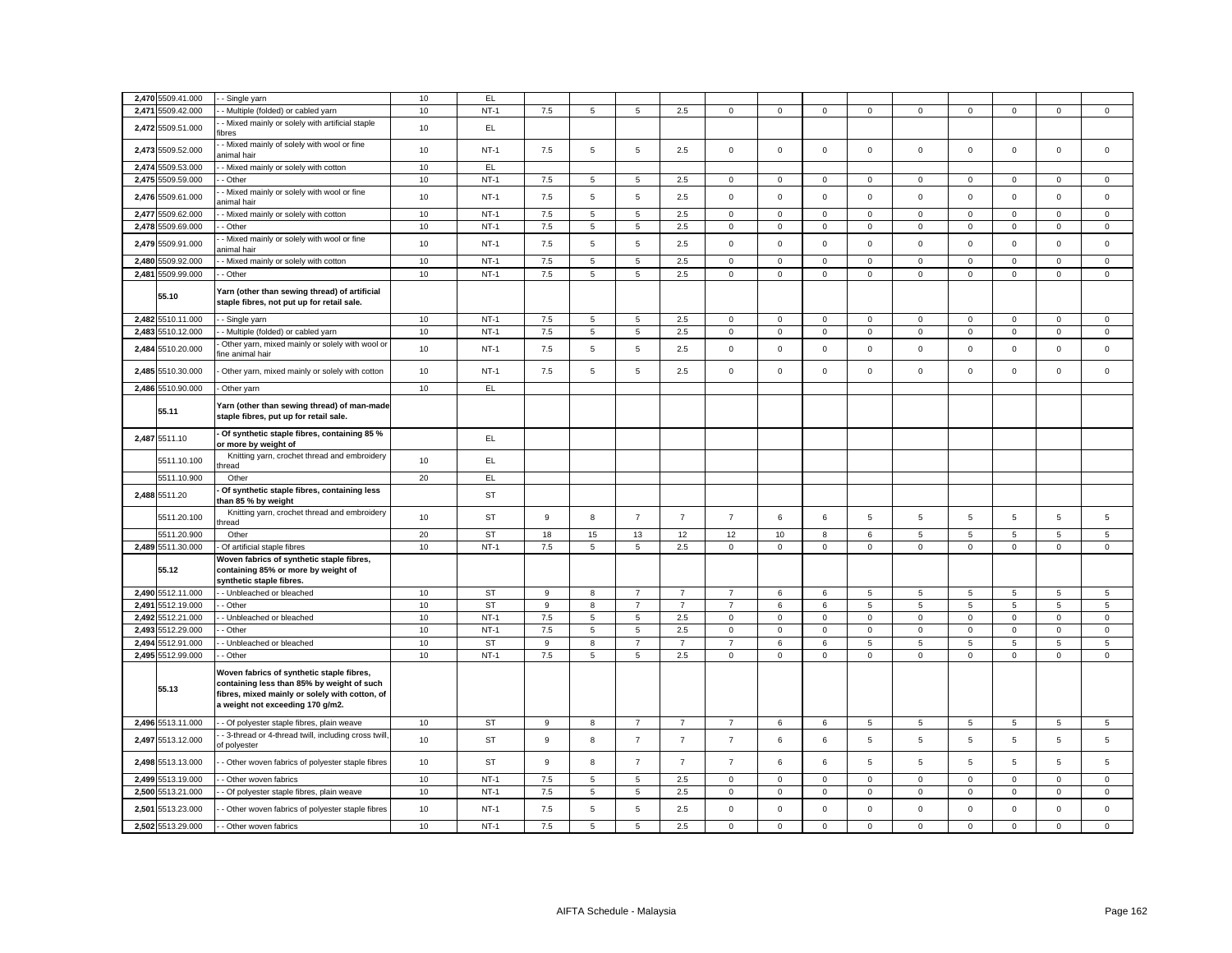| 2,470 5509.41.000    | - Single yarn                                                                                                                                                                 | 10 | EL        |     |                |                  |                |                     |             |             |                 |                     |             |             |                     |             |
|----------------------|-------------------------------------------------------------------------------------------------------------------------------------------------------------------------------|----|-----------|-----|----------------|------------------|----------------|---------------------|-------------|-------------|-----------------|---------------------|-------------|-------------|---------------------|-------------|
| 2,471 5509.42.000    | - Multiple (folded) or cabled yarn                                                                                                                                            | 10 | $NT-1$    | 7.5 | 5              | 5                | 2.5            | 0                   | $\mathsf 0$ | $\mathbf 0$ | $\mathsf 0$     | $\mathbf 0$         | $\mathbf 0$ | $\mathbf 0$ | $\mathsf 0$         | $\mathsf 0$ |
| 2,472 5509.51.000    | - Mixed mainly or solely with artificial staple<br>fibres                                                                                                                     | 10 | EL.       |     |                |                  |                |                     |             |             |                 |                     |             |             |                     |             |
| 2,473<br>5509.52.000 | - Mixed mainly of solely with wool or fine<br><b>inimal</b> hair                                                                                                              | 10 | $NT-1$    | 7.5 | 5              | $\overline{5}$   | 2.5            | $\mathbf 0$         | $\mathsf 0$ | $\mathsf 0$ | $\mathsf 0$     | $\mathsf 0$         | $\mathbf 0$ | $\mathbf 0$ | $\mathsf 0$         | $\mathsf 0$ |
| 2,474 5509.53.000    | - Mixed mainly or solely with cotton                                                                                                                                          | 10 | EL        |     |                |                  |                |                     |             |             |                 |                     |             |             |                     |             |
| 2,475<br>5509.59.000 | - Other                                                                                                                                                                       | 10 | $NT-1$    | 7.5 | 5              | 5                | 2.5            | 0                   | $\mathbf 0$ | 0           | $\mathbf 0$     | $\mathbf 0$         | $\mathbf 0$ | 0           | 0                   | $\mathbf 0$ |
| 2,476<br>5509.61.000 | Mixed mainly or solely with wool or fine<br>nimal hair                                                                                                                        | 10 | $NT-1$    | 7.5 | 5              | $\overline{5}$   | 2.5            | $\mathbf 0$         | $\mathsf 0$ | $\mathsf 0$ | $\mathsf 0$     | $\mathsf 0$         | $\mathsf 0$ | $\mathbf 0$ | $\mathsf 0$         | $\mathbf 0$ |
| 2,477<br>5509.62.000 | - Mixed mainly or solely with cotton                                                                                                                                          | 10 | $NT-1$    | 7.5 | $\sqrt{5}$     | $\,$ 5 $\,$      | 2.5            | $\mathsf{O}\xspace$ | $\mathsf 0$ | $\mathsf 0$ | $\mathsf 0$     | $\mathsf 0$         | $\mathbf 0$ | $\mathsf 0$ | $\mathsf 0$         | $\mathsf 0$ |
| 2,478 5509.69.000    | - Other                                                                                                                                                                       | 10 | $NT-1$    | 7.5 | 5              | 5                | 2.5            | 0                   | 0           | $\mathsf 0$ | $\mathbf 0$     | $\mathbf 0$         | 0           | 0           | 0                   | 0           |
| 2,479 5509.91.000    | Mixed mainly or solely with wool or fine<br>nimal hair                                                                                                                        | 10 | $NT-1$    | 7.5 | 5              | 5                | 2.5            | $\mathbf 0$         | $\mathsf 0$ | $\mathsf 0$ | $\mathsf 0$     | $\mathsf 0$         | $\mathsf 0$ | $\mathbf 0$ | $\mathsf 0$         | $\mathsf 0$ |
| 2,480 5509.92.000    | - Mixed mainly or solely with cotton                                                                                                                                          | 10 | $NT-1$    | 7.5 | 5              | 5                | 2.5            | 0                   | $\mathbf 0$ | $\mathbf 0$ | 0               | 0                   | $\mathbf 0$ | $\mathbf 0$ | $\mathbf 0$         | $\mathbf 0$ |
| 2,481<br>5509.99.000 | - Other                                                                                                                                                                       | 10 | $NT-1$    | 7.5 | $\mathbf 5$    | $\,$ 5 $\,$      | 2.5            | 0                   | $\mathbf 0$ | $\mathbf 0$ | $\mathsf 0$     | $\mathbf 0$         | $\mathbf 0$ | $\mathsf 0$ | $\mathsf 0$         | $\mathbf 0$ |
| 55.10                | Yarn (other than sewing thread) of artificial<br>staple fibres, not put up for retail sale.                                                                                   |    |           |     |                |                  |                |                     |             |             |                 |                     |             |             |                     |             |
| 2,482 5510.11.000    | - Single yarn                                                                                                                                                                 | 10 | $NT-1$    | 7.5 | 5              | 5                | 2.5            | 0                   | $\mathbf 0$ | $\mathbf 0$ | $\mathbf 0$     | $\mathbf 0$         | $\mathbf 0$ | $\mathbf 0$ | $\mathbf 0$         | $\mathbf 0$ |
| 2,483 5510.12.000    | - Multiple (folded) or cabled yarn                                                                                                                                            | 10 | $NT-1$    | 7.5 | $\overline{5}$ | $\sqrt{5}$       | 2.5            | $\mathsf 0$         | $\mathsf 0$ | $\mathbf 0$ | $\mathsf 0$     | $\mathsf{O}\xspace$ | $\mathsf 0$ | $\mathsf 0$ | $\mathsf 0$         | $\mathsf 0$ |
| 2,484<br>5510.20.000 | Other yarn, mixed mainly or solely with wool or<br>ine animal hair                                                                                                            | 10 | $NT-1$    | 7.5 | 5              | 5                | 2.5            | 0                   | $\mathsf 0$ | $\mathsf 0$ | $\mathsf 0$     | $\mathsf 0$         | $\mathbf 0$ | $\mathbf 0$ | $\mathsf 0$         | $\mathsf 0$ |
| 2,485 5510.30.000    | Other yarn, mixed mainly or solely with cotton                                                                                                                                | 10 | $NT-1$    | 7.5 | 5              | 5                | 2.5            | 0                   | $\mathsf 0$ | $\mathsf 0$ | $\mathbf 0$     | $\mathsf 0$         | $\mathbf 0$ | $\mathbf 0$ | $\mathsf 0$         | $\mathsf 0$ |
| 2,486 5510.90.000    | - Other yarn                                                                                                                                                                  | 10 | EL        |     |                |                  |                |                     |             |             |                 |                     |             |             |                     |             |
| 55.11                | Yarn (other than sewing thread) of man-made<br>staple fibres, put up for retail sale.                                                                                         |    |           |     |                |                  |                |                     |             |             |                 |                     |             |             |                     |             |
| 2,487 5511.10        | - Of synthetic staple fibres, containing 85 %<br>or more by weight of                                                                                                         |    | EL        |     |                |                  |                |                     |             |             |                 |                     |             |             |                     |             |
| 5511.10.100          | Knitting yarn, crochet thread and embroidery<br>hread                                                                                                                         | 10 | EL.       |     |                |                  |                |                     |             |             |                 |                     |             |             |                     |             |
| 5511.10.900          | Other                                                                                                                                                                         | 20 | EL        |     |                |                  |                |                     |             |             |                 |                     |             |             |                     |             |
| 2,488 5511.20        | Of synthetic staple fibres, containing less<br>than 85 % by weight                                                                                                            |    | <b>ST</b> |     |                |                  |                |                     |             |             |                 |                     |             |             |                     |             |
| 5511.20.100          | Knitting yarn, crochet thread and embroidery<br>thread                                                                                                                        | 10 | ST        | 9   | 8              | $\overline{7}$   | $\overline{7}$ | $\overline{7}$      | 6           | 6           | 5               | 5                   | 5           | 5           | 5                   | 5           |
| 5511.20.900          | Other                                                                                                                                                                         | 20 | <b>ST</b> | 18  | 15             | 13               | 12             | 12                  | 10          | 8           | 6               | 5                   | 5           | 5           | 5                   | 5           |
| 2,489 5511.30.000    | Of artificial staple fibres                                                                                                                                                   | 10 | $NT-1$    | 7.5 | 5              | 5                | 2.5            | 0                   | $\mathsf 0$ | $\mathbf 0$ | $\mathsf 0$     | $\mathsf 0$         | $\mathsf 0$ | $\mathbf 0$ | $\mathsf 0$         | $\mathsf 0$ |
| 55.12                | Woven fabrics of synthetic staple fibres,<br>containing 85% or more by weight of<br>synthetic staple fibres.                                                                  |    |           |     |                |                  |                |                     |             |             |                 |                     |             |             |                     |             |
| 2,490 5512.11.000    | - Unbleached or bleached                                                                                                                                                      | 10 | ST        | 9   | 8              | $\overline{7}$   | $\overline{7}$ | $\overline{7}$      | 6           | 6           | $5\overline{5}$ | 5                   | 5           | 5           | 5                   | 5           |
| 2,491 5512.19.000    | - Other                                                                                                                                                                       | 10 | <b>ST</b> | 9   | 8              | $\overline{7}$   | $\overline{7}$ | $\overline{7}$      | 6           | 6           | 5               | $5\phantom{.0}$     | 5           | 5           | 5                   | 5           |
| 2,492 5512.21.000    | - Unbleached or bleached                                                                                                                                                      | 10 | $NT-1$    | 7.5 | 5              | 5                | 2.5            | $\mathbf 0$         | $\mathbf 0$ | $\mathbf 0$ | $\mathsf 0$     | $\mathsf 0$         | $\mathbf 0$ | $\mathbf 0$ | $\mathsf 0$         | $\mathsf 0$ |
| 2,493 5512.29.000    | - Other                                                                                                                                                                       | 10 | $NT-1$    | 7.5 | 5              | 5                | 2.5            | 0                   | $\mathsf 0$ | $\mathbf 0$ | $\mathbf 0$     | $\mathsf 0$         | $\mathsf 0$ | $\mathsf 0$ | $\mathsf 0$         | $\mathsf 0$ |
| 2,494 5512.91.000    | - Unbleached or bleached                                                                                                                                                      | 10 | <b>ST</b> | 9   | 8              | $\overline{7}$   | $\overline{7}$ | $\overline{7}$      | 6           | 6           | $\sqrt{5}$      | $5\phantom{.0}$     | 5           | 5           | $\,$ 5 $\,$         | $\,$ 5 $\,$ |
| 2,495 5512.99.000    | - Other                                                                                                                                                                       | 10 | $NT-1$    | 7.5 | 5              | 5                | 2.5            | 0                   | $\mathsf 0$ | $\mathbf 0$ | $\mathbf 0$     | $\mathbf 0$         | $\mathsf 0$ | $\mathsf 0$ | $\mathsf 0$         | $\mathsf 0$ |
| 55.13                | Woven fabrics of synthetic staple fibres,<br>containing less than 85% by weight of such<br>fibres, mixed mainly or solely with cotton, of<br>a weight not exceeding 170 g/m2. |    |           |     |                |                  |                |                     |             |             |                 |                     |             |             |                     |             |
| 2,496 5513.11.000    | - Of polyester staple fibres, plain weave                                                                                                                                     | 10 | <b>ST</b> | 9   | 8              | $\overline{7}$   | $\overline{7}$ | $\overline{7}$      | 6           | 6           | $\overline{5}$  | $\sqrt{5}$          | 5           | 5           | $\overline{5}$      | 5           |
| 2,497 5513.12.000    | - 3-thread or 4-thread twill, including cross twill<br>of polyester                                                                                                           | 10 | <b>ST</b> | 9   | 8              | $\boldsymbol{7}$ | $\overline{7}$ | $\overline{7}$      | 6           | 6           | $\sqrt{5}$      | 5                   | $\sqrt{5}$  | 5           | 5                   | $\sqrt{5}$  |
| 2,498 5513.13.000    | Other woven fabrics of polyester staple fibres                                                                                                                                | 10 | <b>ST</b> | 9   | 8              | $\overline{7}$   | $\overline{7}$ | $\overline{7}$      | 6           | 6           | 5               | 5                   | 5           | 5           | 5                   | 5           |
| 2,499 5513.19.000    | - Other woven fabrics                                                                                                                                                         | 10 | $NT-1$    | 7.5 | 5              | 5                | 2.5            | 0                   | $\mathsf 0$ | $\mathsf 0$ | $\mathsf 0$     | $\mathbf 0$         | $\mathbf 0$ | $\mathbf 0$ | $\mathbf 0$         | $\mathbf 0$ |
| 2,500<br>5513.21.000 | - Of polyester staple fibres, plain weave                                                                                                                                     | 10 | $NT-1$    | 7.5 | 5              | $\sqrt{5}$       | 2.5            | $\mathbf 0$         | $\mathsf 0$ | $\mathbf 0$ | $\mathsf 0$     | $\mathsf 0$         | $\mathbf 0$ | $\mathbf 0$ | $\mathsf 0$         | $\mathsf 0$ |
| 2,501<br>5513.23.000 | - Other woven fabrics of polyester staple fibres                                                                                                                              | 10 | $NT-1$    | 7.5 | 5              | 5                | 2.5            | $\mathbf 0$         | $\mathsf 0$ | $\mathsf 0$ | $\mathsf 0$     | $\mathsf 0$         | $\mathbf 0$ | $\mathbf 0$ | $\mathsf{O}\xspace$ | $\mathsf 0$ |
| 2,502 5513.29.000    | - Other woven fabrics                                                                                                                                                         | 10 | $NT-1$    | 7.5 | 5              | 5                | 2.5            | $\mathbf{0}$        | $\mathsf 0$ | $\mathbf 0$ | $\mathsf 0$     | $\mathbf 0$         | $\mathbf 0$ | $\mathbf 0$ | $\mathbf 0$         | $\mathsf 0$ |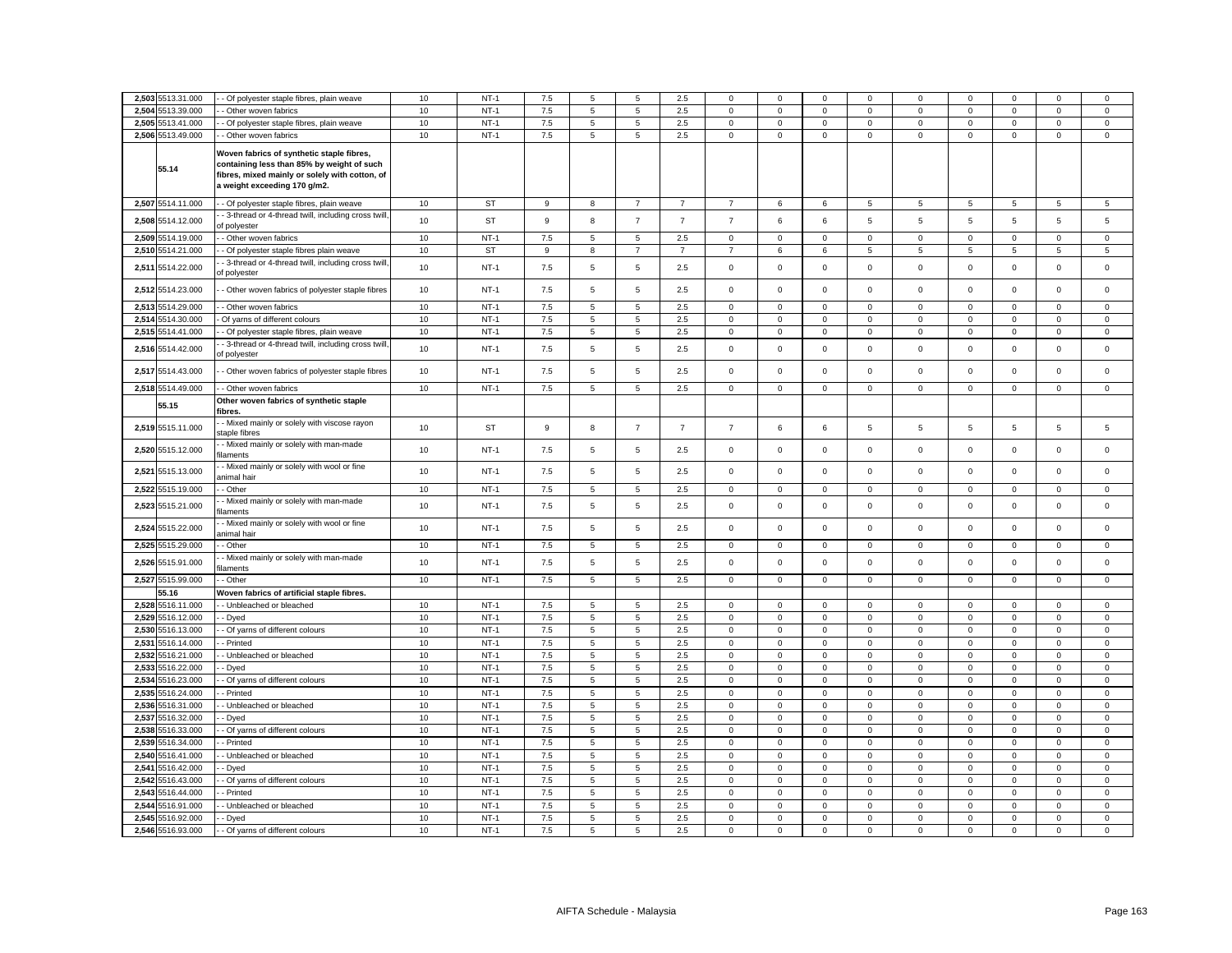|       | 2,503 5513.31.000                | - Of polyester staple fibres, plain weave                                                    | 10       | $NT-1$           | 7.5        | 5           | 5                | 2.5            | $\mathbf 0$                | $\mathbf 0$                | $\Omega$                   | $\mathbf 0$             | $\Omega$                   | $\mathbf 0$                | $\Omega$                   | $\mathbf 0$                | $\mathbf 0$                |
|-------|----------------------------------|----------------------------------------------------------------------------------------------|----------|------------------|------------|-------------|------------------|----------------|----------------------------|----------------------------|----------------------------|-------------------------|----------------------------|----------------------------|----------------------------|----------------------------|----------------------------|
|       | 2,504 5513.39.000                | Other woven fabrics                                                                          | 10       | $NT-1$           | 7.5        | 5           | 5                | 2.5            | $\mathsf 0$                | $\mathsf 0$                | $\mathsf{O}\xspace$        | $\mathsf 0$             | $\mathsf 0$                | $\mathbf 0$                | $\mathsf 0$                | $\mathsf 0$                | $\mathsf 0$                |
| 2.505 | 5513.41.000                      | Of polyester staple fibres, plain weave                                                      | 10       | $NT-1$           | 7.5        | 5           | 5                | 2.5            | $\mathbf 0$                | $\mathbf 0$                | $\mathbf 0$                | $\mathbf 0$             | $\mathsf 0$                | $\mathbf 0$                | $\mathbf 0$                | $\mathbf 0$                | $\mathsf 0$                |
|       | 2,506 5513.49.000                | Other woven fabrics                                                                          | 10       | $NT-1$           | $7.5\,$    | 5           | 5                | 2.5            | $\mathsf 0$                | $\mathsf 0$                | $\mathsf 0$                | $\mathsf 0$             | $\mathsf 0$                | $\mathsf 0$                | $\mathsf 0$                | $\mathsf 0$                | $\mathsf 0$                |
|       |                                  |                                                                                              |          |                  |            |             |                  |                |                            |                            |                            |                         |                            |                            |                            |                            |                            |
|       |                                  | Woven fabrics of synthetic staple fibres,                                                    |          |                  |            |             |                  |                |                            |                            |                            |                         |                            |                            |                            |                            |                            |
|       | 55.14                            | containing less than 85% by weight of such<br>fibres, mixed mainly or solely with cotton, of |          |                  |            |             |                  |                |                            |                            |                            |                         |                            |                            |                            |                            |                            |
|       |                                  | a weight exceeding 170 g/m2.                                                                 |          |                  |            |             |                  |                |                            |                            |                            |                         |                            |                            |                            |                            |                            |
|       |                                  |                                                                                              |          |                  |            |             |                  |                |                            |                            |                            |                         |                            |                            |                            |                            |                            |
|       | 2,507 5514.11.000                | - Of polyester staple fibres, plain weave                                                    | 10       | ST               | 9          | 8           | $\overline{7}$   | $\overline{7}$ | $\overline{7}$             | 6                          | 6                          | 5                       | 5                          | 5                          | 5                          | 5                          | 5                          |
|       | 2,508 5514.12.000                | - 3-thread or 4-thread twill, including cross twill,<br>of polyester                         | 10       | ST               | 9          | 8           | $\overline{7}$   | $\overline{7}$ | $\overline{7}$             | 6                          | 6                          | 5                       | 5                          | 5                          | 5                          | 5                          | 5                          |
| 2,509 | 5514.19.000                      | Other woven fabrics                                                                          | 10       | $NT-1$           | 7.5        | 5           | 5                | 2.5            | $\mathsf 0$                | $\mathsf 0$                | $\mathsf 0$                | $\mathsf 0$             | $\mathsf 0$                | $\mathsf 0$                | $\mathsf 0$                | $\mathsf 0$                | $\mathsf 0$                |
| 2,510 | 5514.21.000                      | Of polyester staple fibres plain weave                                                       | 10       | <b>ST</b>        | 9          | 8           | $\overline{7}$   | $\overline{7}$ | $\overline{7}$             | 6                          | 6                          | 5                       | 5                          | 5                          | 5                          | 5                          | 5                          |
|       |                                  | 3-thread or 4-thread twill, including cross twill,                                           |          |                  |            |             |                  |                |                            |                            |                            |                         |                            |                            |                            |                            |                            |
| 2,51  | 5514.22.000                      | of polyester                                                                                 | 10       | $NT-1$           | 7.5        | 5           | $\,$ 5 $\,$      | 2.5            | 0                          | $\Omega$                   | $\mathbf 0$                | $\mathbf 0$             | $\mathbf 0$                | $\Omega$                   | $\Omega$                   | $\mathbf 0$                | $\mathbf 0$                |
|       | 2,512 5514.23.000                | - Other woven fabrics of polyester staple fibres                                             | 10       | $NT-1$           | 7.5        | 5           | $\overline{5}$   | 2.5            | $\mathsf 0$                | $\mathsf 0$                | $\mathsf 0$                | $\mathbf{0}$            | $\mathbf 0$                | $\mathsf 0$                | $\mathbf 0$                | $\mathsf 0$                | $\mathbf 0$                |
|       |                                  |                                                                                              |          |                  |            |             |                  |                |                            |                            |                            |                         |                            |                            |                            |                            |                            |
| 2,51  | 5514.29.000                      | - Other woven fabrics                                                                        | $10$     | $NT-1$           | $7.5\,$    | $\mathbf 5$ | $\,$ 5 $\,$      | 2.5            | $\mathsf 0$                | $\mathsf 0$                | $\mathsf 0$                | $\mathsf 0$             | $\mathsf 0$                | $\mathbf 0$                | $\mathsf{O}\xspace$        | $\mathsf 0$                | $\mathsf 0$                |
| 2,514 | 5514.30.000                      | Of yarns of different colours                                                                | 10       | $NT-1$           | 7.5        | 5           | $\sqrt{5}$       | 2.5            | 0                          | 0                          | 0                          | $\mathbf 0$             | 0                          | $\mathbf 0$                | 0                          | 0                          | 0                          |
| 2,515 | 5514.41.000                      | - Of polyester staple fibres, plain weave                                                    | 10       | $NT-1$           | 7.5        | $\mathbf 5$ | $\,$ 5 $\,$      | 2.5            | $\mathsf 0$                | $\mathbf 0$                | $\mathsf{O}\xspace$        | $\mathsf 0$             | $\mathsf{O}\xspace$        | $\mathbf 0$                | $\mathsf{O}\xspace$        | $\mathsf 0$                | $\mathbf 0$                |
| 2,516 | 5514.42.000                      | - 3-thread or 4-thread twill, including cross twill,<br>of polyester                         | 10       | $NT-1$           | 7.5        | 5           | 5                | 2.5            | $\mathsf 0$                | $\mathsf 0$                | $\mathsf 0$                | $\mathbf 0$             | $\mathsf 0$                | $\mathsf 0$                | $\mathsf 0$                | $\mathsf 0$                | $\mathsf 0$                |
|       |                                  |                                                                                              |          |                  |            |             |                  |                |                            |                            |                            |                         |                            |                            |                            |                            |                            |
|       | 2,517 5514.43.000                | Other woven fabrics of polyester staple fibres                                               | 10       | $NT-1$           | 7.5        | 5           | 5                | 2.5            | $\mathsf 0$                | $\mathbf 0$                | $\mathsf 0$                | $\mathsf 0$             | $\mathsf 0$                | $\mathbf 0$                | $\mathbf 0$                | $\mathsf 0$                | $\mathsf 0$                |
|       | 2,518 5514.49.000                | Other woven fabrics                                                                          | 10       | $NT-1$           | 7.5        | 5           | 5                | 2.5            | $\mathsf 0$                | $\mathsf 0$                | $\mathsf 0$                | $\mathbf 0$             | $\mathbf 0$                | $\mathbf 0$                | $\mathsf 0$                | $\mathsf 0$                | $\mathsf 0$                |
|       | 55.15                            | Other woven fabrics of synthetic staple                                                      |          |                  |            |             |                  |                |                            |                            |                            |                         |                            |                            |                            |                            |                            |
|       |                                  | ibres.                                                                                       |          |                  |            |             |                  |                |                            |                            |                            |                         |                            |                            |                            |                            |                            |
|       | 2,519 5515.11.000                | - Mixed mainly or solely with viscose rayon<br>taple fibres                                  | 10       | <b>ST</b>        | 9          | 8           | $\boldsymbol{7}$ | $\overline{7}$ | $\overline{7}$             | 6                          | 6                          | $\overline{5}$          | 5                          | 5                          | 5                          | 5                          | $\sqrt{5}$                 |
|       |                                  | - Mixed mainly or solely with man-made                                                       |          |                  |            |             |                  |                |                            |                            |                            |                         |                            |                            |                            |                            |                            |
|       | 2,520 5515.12.000                | ilaments                                                                                     | 10       | $NT-1$           | 7.5        | 5           | 5                | 2.5            | $\mathsf 0$                | $\mathsf 0$                | $\mathsf 0$                | $\mathbf 0$             | $\mathsf 0$                | $\mathsf 0$                | $\mathsf 0$                | $\mathsf 0$                | $\mathsf 0$                |
|       | 2,521 5515.13.000                | - Mixed mainly or solely with wool or fine                                                   | 10       | $NT-1$           | 7.5        | 5           | 5                | 2.5            | $\mathsf 0$                | $\mathsf 0$                | $\mathbf 0$                | $\mathbf{0}$            | $\mathsf 0$                | $\mathsf 0$                | $\mathbf 0$                | $\mathsf 0$                | $\mathsf 0$                |
|       |                                  | ınimal hair                                                                                  |          |                  |            |             |                  |                |                            |                            |                            |                         |                            |                            |                            |                            |                            |
|       | 2,522 5515.19.000                | - Other                                                                                      | 10       | $NT-1$           | 7.5        | $\,$ 5 $\,$ | $\sqrt{5}$       | 2.5            | $\mathbf 0$                | $\mathbf 0$                | $\mathbf 0$                | $\mathbf{0}$            | $\mathbf 0$                | $\mathbf 0$                | $\mathsf 0$                | $\mathbf 0$                | $\mathsf 0$                |
| 2,523 | 5515.21.000                      | Mixed mainly or solely with man-made<br>laments                                              | 10       | $NT-1$           | 7.5        | 5           | $\sqrt{5}$       | 2.5            | $\mathbf 0$                | $\mathsf 0$                | $\mathbf 0$                | $\mathsf 0$             | $\mathsf 0$                | $\mathsf 0$                | $\mathsf 0$                | $\mathsf 0$                | $\mathsf 0$                |
|       |                                  | Mixed mainly or solely with wool or fine                                                     |          |                  |            |             |                  |                |                            |                            |                            |                         |                            |                            |                            |                            |                            |
| 2,524 | 5515.22.000                      | nimal hair                                                                                   | 10       | $NT-1$           | 7.5        | 5           | $\overline{5}$   | 2.5            | 0                          | $\mathsf 0$                | $\mathsf 0$                | $\mathbf 0$             | $\mathsf 0$                | $\mathsf 0$                | $\mathsf 0$                | $\mathsf 0$                | $\mathsf 0$                |
|       | 2,525 5515.29.000                | - Other                                                                                      | 10       | $NT-1$           | $7.5\,$    | 5           | $5\phantom{.0}$  | 2.5            | 0                          | $\mathbf 0$                | $\mathbf 0$                | $\mathbf 0$             | $\mathsf 0$                | $\mathbf 0$                | 0                          | 0                          | $\mathsf 0$                |
|       | 2,526 5515.91.000                | Mixed mainly or solely with man-made                                                         | 10       | $NT-1$           | 7.5        | 5           | 5                | 2.5            | $\mathsf 0$                | $\mathbf 0$                | $\mathsf{O}\xspace$        | $\mathbf 0$             | $\mathbf 0$                | $\mathbf 0$                | $\mathsf 0$                | $\mathbf 0$                | $\mathsf 0$                |
|       |                                  | laments                                                                                      |          |                  |            |             |                  |                |                            |                            |                            |                         |                            |                            |                            |                            |                            |
|       | 2,527 5515.99.000                | Other                                                                                        | 10       | $NT-1$           | 7.5        | 5           | 5                | 2.5            | $\mathbf 0$                | $\mathsf 0$                | $\mathbf 0$                | $\mathbf 0$             | $\mathsf 0$                | $\mathsf 0$                | $\mathbf 0$                | $\mathsf 0$                | $\mathsf 0$                |
|       | 55.16                            | Noven fabrics of artificial staple fibres.                                                   |          |                  |            |             |                  |                |                            |                            |                            |                         |                            |                            |                            |                            |                            |
|       | 2,528 5516.11.000                | - Unbleached or bleached                                                                     | 10       | $NT-1$           | $7.5\,$    | 5           | 5                | 2.5            | 0                          | $\mathbf 0$                | $\mathbf 0$                | $\mathbf 0$             | $\mathbf 0$                | $\mathbf 0$                | $\mathbf 0$                | $\mathbf 0$                | $\mathbf 0$                |
| 2.529 | 5516.12.000                      | Dyed                                                                                         | 10       | $NT-1$<br>$NT-1$ | 7.5        | 5           | $\overline{5}$   | 2.5            | $\mathbf 0$                | $\mathsf 0$                | $\mathsf 0$                | $\mathbf 0$             | $\mathsf 0$                | $\mathsf 0$                | $\mathbf 0$                | $\mathsf 0$                | $\mathsf 0$                |
| 2,531 | 2,530 5516.13.000<br>5516.14.000 | Of yarns of different colours                                                                | 10       | $NT-1$           | 7.5<br>7.5 | 5<br>5      | 5                | 2.5<br>2.5     | $\mathbf 0$<br>$\mathsf 0$ | $\mathsf 0$<br>$\mathsf 0$ | $\mathbf 0$                | $\Omega$<br>$\mathsf 0$ | $\mathsf 0$<br>$\mathsf 0$ | $\mathbf 0$<br>$\mathbf 0$ | $\mathsf 0$<br>$\mathbf 0$ | $\mathbf 0$<br>$\mathsf 0$ | $\mathsf 0$<br>$\mathsf 0$ |
|       | 2,532 5516.21.000                | Printed<br>Unbleached or bleached                                                            | 10<br>10 | $NT-1$           | 7.5        | 5           | $\,$ 5 $\,$<br>5 | 2.5            | $\mathbf 0$                | $\mathsf 0$                | $\mathbf 0$<br>$\mathbf 0$ | $\mathbf 0$             | $\mathsf 0$                | $\mathsf 0$                | $\mathsf 0$                | $\mathsf 0$                | $\mathsf 0$                |
| 2.53  | 5516.22.000                      | Dyed                                                                                         | 10       | $NT-1$           | 7.5        | 5           | $\overline{5}$   | 2.5            | $\mathbf 0$                | $\mathsf 0$                | $\mathsf 0$                | $\mathsf 0$             | $\mathsf 0$                | $\mathsf 0$                | $\mathbf 0$                | $\mathsf 0$                | $\mathsf 0$                |
| 2.534 | 5516.23.000                      | Of yarns of different colours                                                                | 10       | $NT-1$           | 7.5        | 5           | 5                | 2.5            | $\mathsf 0$                | $\mathsf 0$                | $\mathsf 0$                | $\Omega$                | $\mathsf 0$                | $\mathbf 0$                | $\mathsf 0$                | $\mathbf 0$                | $\mathsf 0$                |
| 2.535 | 5516.24.000                      | Printed                                                                                      | 10       | $NT-1$           | 7.5        | 5           | $\,$ 5 $\,$      | 2.5            | $\mathsf 0$                | $\mathsf 0$                | $\mathbf 0$                | $\mathsf 0$             | $\mathbf 0$                | $\mathbf 0$                | $\mathsf{O}\xspace$        | $\mathsf 0$                | $\mathsf 0$                |
|       | 2,536 5516.31.000                | Unbleached or bleached                                                                       | 10       | $NT-1$           | 7.5        | 5           | 5                | 2.5            | $\mathbf 0$                | $\mathsf 0$                | $\mathbf 0$                | $\mathbf 0$             | $\mathsf 0$                | $\mathsf 0$                | $\mathsf 0$                | $\mathbf 0$                | $\mathsf 0$                |
| 2.537 | 5516.32.000                      | Dyed                                                                                         | 10       | $NT-1$           | 7.5        | 5           | $\overline{5}$   | 2.5            | $\mathbf 0$                | $\mathsf 0$                | $\mathsf 0$                | $\mathsf 0$             | $\mathsf 0$                | $\mathsf 0$                | $\mathsf 0$                | $\mathsf 0$                | $\mathsf 0$                |
|       | 2,538 5516.33.000                | Of yarns of different colours                                                                | 10       | $NT-1$           | 7.5        | 5           | 5                | 2.5            | $\mathbf 0$                | $\mathsf 0$                | $\mathbf 0$                | $\mathbf{0}$            | $\mathsf 0$                | $\mathsf 0$                | $\mathbf 0$                | $\mathbf 0$                | $\mathsf 0$                |
| 2.539 | 5516.34.000                      | - Printed                                                                                    | 10       | $NT-1$           | 7.5        | 5           | $\overline{5}$   | 2.5            | $\mathbf 0$                | $\mathbf 0$                | $\mathbf 0$                | $\mathbf 0$             | $\mathbf 0$                | $\mathbf 0$                | $\mathbf 0$                | $\mathbf 0$                | $\mathsf 0$                |
|       | 2,540 5516.41.000                | Unbleached or bleached                                                                       | 10       | $NT-1$           | 7.5        | 5           | 5                | 2.5            | $\mathbf 0$                | $\mathsf 0$                | $\mathbf 0$                | $\mathbf{0}$            | $\mathbf 0$                | $\mathbf 0$                | $\mathbf 0$                | $\mathbf 0$                | $\mathsf 0$                |
| 2.541 | 5516.42.000                      | Dyed                                                                                         | 10       | $NT-1$           | 7.5        | 5           | $\overline{5}$   | 2.5            | $\mathbf 0$                | $\mathsf 0$                | $\mathbf 0$                | $\mathbf{0}$            | $\mathsf 0$                | $\mathsf 0$                | $\mathbf 0$                | $\mathsf 0$                | $\mathsf 0$                |
|       | 2,542 5516.43.000                | Of yarns of different colours                                                                | 10       | $NT-1$           | 7.5        | 5           | $\overline{5}$   | 2.5            | $\mathbf 0$                | $\mathsf 0$                | $\mathbf 0$                | $\mathbf{0}$            | $\mathsf 0$                | $\mathsf 0$                | $\mathbf 0$                | $\mathbf 0$                | $\mathsf 0$                |
| 2.543 | 5516.44.000                      | Printed                                                                                      | 10       | $NT-1$           | 7.5        | 5           | $\overline{5}$   | 2.5            | $\mathbf 0$                | $\mathbf 0$                | $\mathbf 0$                | $\mathbf 0$             | $\mathbf 0$                | $\mathbf 0$                | $\mathbf 0$                | $\mathbf 0$                | $\mathbf 0$                |
|       | 2,544 5516.91.000                | Unbleached or bleached                                                                       | 10       | $NT-1$           | 7.5        | 5           | 5                | 2.5            | $\mathbf 0$                | $\mathsf 0$                | $\mathbf 0$                | $\mathbf 0$             | $\mathbf 0$                | $\mathsf 0$                | $\mathbf 0$                | $\mathbf 0$                | $\mathsf 0$                |
|       | 2,545 5516.92.000                | Dyed                                                                                         | 10       | $NT-1$           | 7.5        | 5           | $\overline{5}$   | 2.5            | $\mathbf 0$                | $\mathsf 0$                | $\mathsf 0$                | $\mathsf 0$             | $\mathsf 0$                | $\mathsf 0$                | $\mathbf 0$                | $\mathsf 0$                | $\mathsf 0$                |
|       | 2,546 5516.93.000                | - Of yarns of different colours                                                              | 10       | $NT-1$           | 7.5        | 5           | 5                | 2.5            | $\mathsf 0$                | $\mathsf 0$                | $\mathsf 0$                | $\mathsf 0$             | $\mathsf 0$                | $\mathsf 0$                | $\mathsf 0$                | $\mathsf 0$                | $\mathsf 0$                |
|       |                                  |                                                                                              |          |                  |            |             |                  |                |                            |                            |                            |                         |                            |                            |                            |                            |                            |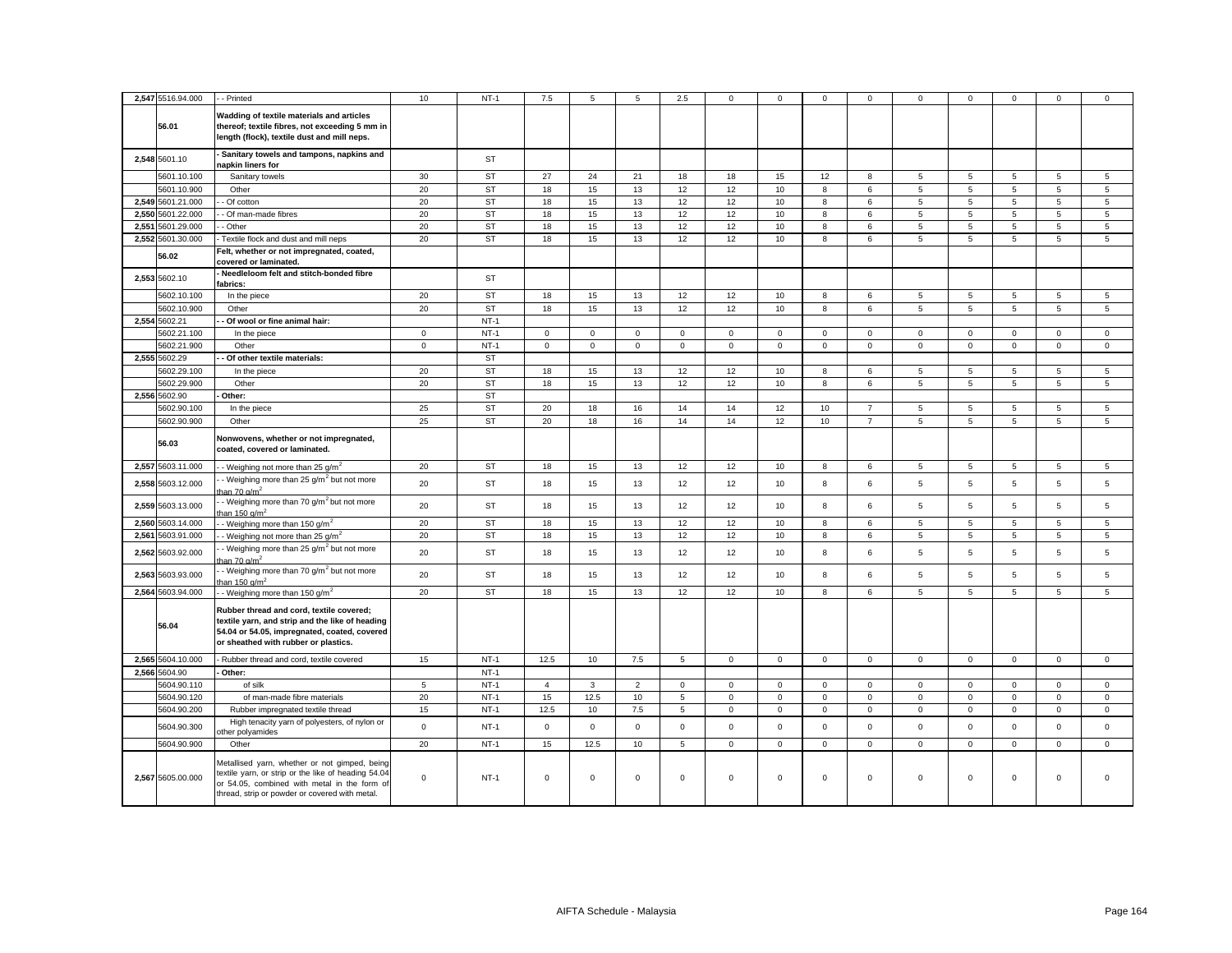|       | 2,547 5516.94.000 | - Printed                                                                                                                                                                                              | 10           | $NT-1$    | 7.5            | 5            | 5           | 2.5            | $\mathbf 0$ | $\Omega$    | $\Omega$         | $\Omega$       | $\Omega$        | $\Omega$    | $\Omega$    | $\mathbf 0$    | $\Omega$       |
|-------|-------------------|--------------------------------------------------------------------------------------------------------------------------------------------------------------------------------------------------------|--------------|-----------|----------------|--------------|-------------|----------------|-------------|-------------|------------------|----------------|-----------------|-------------|-------------|----------------|----------------|
|       | 56.01             | Wadding of textile materials and articles<br>thereof; textile fibres, not exceeding 5 mm in<br>length (flock), textile dust and mill neps.                                                             |              |           |                |              |             |                |             |             |                  |                |                 |             |             |                |                |
|       | 2,548 5601.10     | - Sanitary towels and tampons, napkins and<br>napkin liners for                                                                                                                                        |              | ST        |                |              |             |                |             |             |                  |                |                 |             |             |                |                |
|       | 5601.10.100       | Sanitary towels                                                                                                                                                                                        | 30           | <b>ST</b> | 27             | 24           | 21          | 18             | 18          | 15          | 12               | 8              | 5               | 5           | 5           | 5              | 5              |
|       | 5601.10.900       | Other                                                                                                                                                                                                  | 20           | <b>ST</b> | 18             | 15           | 13          | 12             | 12          | 10          | 8                | 6              | 5               | 5           | 5           | $\overline{5}$ | 5              |
|       | 2,549 5601.21.000 | Of cotton                                                                                                                                                                                              | 20           | <b>ST</b> | 18             | 15           | 13          | 12             | 12          | 10          | 8                | 6              | 5               | 5           | 5           | 5              | 5              |
|       | 2,550 5601.22.000 | - Of man-made fibres                                                                                                                                                                                   | 20           | <b>ST</b> | 18             | 15           | 13          | 12             | 12          | 10          | 8                | 6              | 5               | 5           | 5           | 5              | 5              |
| 2.551 | 5601.29.000       | - Other                                                                                                                                                                                                | 20           | <b>ST</b> | 18             | 15           | 13          | 12             | 12          | 10          | 8                | 6              | 5               | 5           | 5           | 5              | 5              |
|       | 2,552 5601.30.000 | Textile flock and dust and mill neps                                                                                                                                                                   | 20           | <b>ST</b> | 18             | 15           | 13          | 12             | 12          | 10          | 8                | 6              | 5               | 5           | 5           | 5              | 5              |
|       | 56.02             | Felt, whether or not impregnated, coated,<br>covered or laminated.                                                                                                                                     |              |           |                |              |             |                |             |             |                  |                |                 |             |             |                |                |
|       | 2,553 5602.10     | Needleloom felt and stitch-bonded fibre<br>fabrics:                                                                                                                                                    |              | ST        |                |              |             |                |             |             |                  |                |                 |             |             |                |                |
|       | 5602.10.100       | In the piece                                                                                                                                                                                           | 20           | <b>ST</b> | 18             | 15           | 13          | 12             | 12          | 10          | 8                | 6              | 5               | 5           | 5           | 5              | 5              |
|       | 5602.10.900       | Other                                                                                                                                                                                                  | 20           | <b>ST</b> | 18             | 15           | 13          | 12             | 12          | 10          | 8                | 6              | $5\phantom{.0}$ | 5           | 5           | 5              | 5              |
|       | 2,554 5602.21     | Of wool or fine animal hair:                                                                                                                                                                           |              | $NT-1$    |                |              |             |                |             |             |                  |                |                 |             |             |                |                |
|       | 5602.21.100       | In the piece                                                                                                                                                                                           | $\mathbf{0}$ | $NT-1$    | $\mathbf{0}$   | $\mathbf 0$  | $\mathbf 0$ | $\mathbf 0$    | 0           | $\mathbf 0$ | $\mathbf 0$      | $\mathbf{0}$   | $\mathbf 0$     | $\mathbf 0$ | $\mathbf 0$ | $\mathbf{0}$   | $\mathbf 0$    |
|       | 5602.21.900       | Other                                                                                                                                                                                                  | $\mathbf 0$  | $NT-1$    | $\mathbf 0$    | $\mathbf 0$  | $\mathbf 0$ | $\mathbf 0$    | $\mathbf 0$ | $\mathbf 0$ | $\mathbf{O}$     | $\mathbf{0}$   | $\mathbf 0$     | $\mathbf 0$ | $\mathbf 0$ | $\mathbf 0$    | $\mathbf 0$    |
|       | 2,555 5602.29     | Of other textile materials:                                                                                                                                                                            |              | <b>ST</b> |                |              |             |                |             |             |                  |                |                 |             |             |                |                |
|       | 5602.29.100       | In the piece                                                                                                                                                                                           | 20           | ST        | 18             | 15           | 13          | 12             | 12          | 10          | 8                | 6              | 5               | 5           | 5           | 5              | 5              |
|       | 5602.29.900       | Other                                                                                                                                                                                                  | 20           | <b>ST</b> | 18             | 15           | 13          | 12             | 12          | 10          | 8                | 6              | $5\phantom{.0}$ | 5           | 5           | 5              | 5              |
|       | 2,556 5602.90     | Other:                                                                                                                                                                                                 |              | <b>ST</b> |                |              |             |                |             |             |                  |                |                 |             |             |                |                |
|       | 5602.90.100       | In the piece                                                                                                                                                                                           | 25           | <b>ST</b> | 20             | 18           | 16          | 14             | 14          | 12          | 10 <sup>10</sup> | $\overline{7}$ | 5               | 5           | 5           | 5              | 5              |
|       | 5602.90.900       | Other                                                                                                                                                                                                  | 25           | <b>ST</b> | 20             | 18           | 16          | 14             | 14          | 12          | $10$             | $\overline{7}$ | $5\phantom{.0}$ | 5           | 5           | 5              | $\overline{5}$ |
|       | 56.03             | Nonwovens, whether or not impregnated,<br>coated, covered or laminated.                                                                                                                                |              |           |                |              |             |                |             |             |                  |                |                 |             |             |                |                |
|       | 2,557 5603.11.000 | - Weighing not more than 25 g/m <sup>2</sup>                                                                                                                                                           | 20           | ST        | 18             | 15           | 13          | 12             | 12          | 10          | 8                | 6              | 5               | 5           | 5           | 5              | 5              |
|       | 2,558 5603.12.000 | - Weighing more than 25 g/m <sup>2</sup> but not more<br>han 70 g/m <sup>2</sup>                                                                                                                       | 20           | ST        | 18             | 15           | 13          | 12             | 12          | 10          | 8                | 6              | 5               | 5           | 5           | 5              | $\mathbf 5$    |
|       | 2,559 5603.13.000 | - Weighing more than 70 g/m <sup>2</sup> but not more<br>han 150 g/m <sup>2</sup>                                                                                                                      | 20           | ST        | 18             | 15           | 13          | 12             | 12          | 10          | 8                | 6              | 5               | 5           | 5           | 5              | $\mathbf 5$    |
|       | 2,560 5603.14.000 | - Weighing more than 150 g/m <sup>2</sup>                                                                                                                                                              | 20           | <b>ST</b> | 18             | 15           | 13          | 12             | 12          | 10          | 8                | 6              | 5               | 5           | 5           | 5              | 5              |
| 2,561 | 5603.91.000       | - Weighing not more than 25 $g/m^2$                                                                                                                                                                    | 20           | <b>ST</b> | 18             | 15           | 13          | 12             | 12          | 10          | 8                | 6              | 5               | 5           | 5           | 5              | 5              |
|       | 2,562 5603.92.000 | - Weighing more than 25 g/m <sup>2</sup> but not more<br>han 70 q/m $^2$                                                                                                                               | 20           | ST        | 18             | 15           | 13          | 12             | 12          | 10          | 8                | 6              | 5               | 5           | 5           | 5              | 5              |
|       | 2,563 5603.93.000 | - Weighing more than 70 g/m <sup>2</sup> but not more<br>han 150 g/m <sup>2</sup>                                                                                                                      | 20           | <b>ST</b> | 18             | 15           | 13          | 12             | 12          | 10          | 8                | 6              | 5               | 5           | 5           | 5              | 5              |
|       | 2,564 5603.94.000 | - Weighing more than 150 g/m <sup>2</sup>                                                                                                                                                              | 20           | <b>ST</b> | 18             | 15           | 13          | 12             | 12          | 10          | 8                | 6              | $5\phantom{.0}$ | 5           | 5           | 5              | 5              |
|       | 56.04             | Rubber thread and cord, textile covered;<br>textile yarn, and strip and the like of heading<br>54.04 or 54.05, impregnated, coated, covered<br>or sheathed with rubber or plastics.                    |              |           |                |              |             |                |             |             |                  |                |                 |             |             |                |                |
|       | 2,565 5604.10.000 | - Rubber thread and cord, textile covered                                                                                                                                                              | 15           | $NT-1$    | 12.5           | 10           | 7.5         | $\overline{5}$ | $\mathsf 0$ | $\mathsf 0$ | $\mathbf 0$      | $\mathsf 0$    | $\mathsf 0$     | $\mathsf 0$ | $\mathsf 0$ | $\mathsf 0$    | $\mathsf 0$    |
|       | 2,566 5604.90     | Other:                                                                                                                                                                                                 |              | $NT-1$    |                |              |             |                |             |             |                  |                |                 |             |             |                |                |
|       | 5604.90.110       | of silk                                                                                                                                                                                                | $\sqrt{5}$   | $NT-1$    | $\overline{4}$ | $\mathbf{3}$ | $\mathbf 2$ | $\mathsf 0$    | $\mathsf 0$ | $\mathbf 0$ | $\mathsf 0$      | $\mathsf 0$    | $\mathsf 0$     | $\mathbf 0$ | $\mathsf 0$ | $\mathsf 0$    | $\mathsf 0$    |
|       | 5604.90.120       | of man-made fibre materials                                                                                                                                                                            | 20           | $NT-1$    | 15             | 12.5         | 10          | 5              | $\mathbf 0$ | $\mathsf 0$ | $\mathbf 0$      | $\mathbf 0$    | $\mathbf 0$     | $\mathsf 0$ | $\mathbf 0$ | $\mathbf 0$    | $\mathbf 0$    |
|       | 5604.90.200       | Rubber impregnated textile thread                                                                                                                                                                      | 15           | $NT-1$    | 12.5           | 10           | 7.5         | 5              | $\mathbf 0$ | $\mathbf 0$ | $\mathbf 0$      | $\mathbf{0}$   | $\mathbf 0$     | $\mathbf 0$ | $\mathbf 0$ | $\mathbf{0}$   | $\mathsf 0$    |
|       | 5604.90.300       | High tenacity yarn of polyesters, of nylon or<br>ther polyamides                                                                                                                                       | $\mathsf 0$  | $NT-1$    | $\circ$        | $\mathbf 0$  | $\mathsf 0$ | $\mathbf{0}$   | $\mathbf 0$ | $\mathbf 0$ | $\mathbf 0$      | $\mathbf 0$    | $\mathsf 0$     | $\mathbf 0$ | $\mathbf 0$ | $\mathbf 0$    | $\mathbf 0$    |
|       | 5604.90.900       | Other                                                                                                                                                                                                  | 20           | $NT-1$    | 15             | 12.5         | 10          | 5              | $\mathbf 0$ | $\mathsf 0$ | $\mathbf{0}$     | $\mathbf 0$    | $\mathbf 0$     | $\mathsf 0$ | $\mathbf 0$ | $\mathbf 0$    | $\mathbf 0$    |
|       | 2,567 5605.00.000 | Metallised yarn, whether or not gimped, being<br>textile yarn, or strip or the like of heading 54.04<br>or 54.05, combined with metal in the form of<br>thread, strip or powder or covered with metal. | $\mathbf 0$  | $NT-1$    | 0              | $\mathbf 0$  | $\mathsf 0$ | $\mathbf 0$    | 0           | $\mathbf 0$ | $\mathbf 0$      | $\mathsf 0$    | $\mathbf 0$     | $\mathbf 0$ | $\mathbf 0$ | $\mathbf 0$    | $\mathsf 0$    |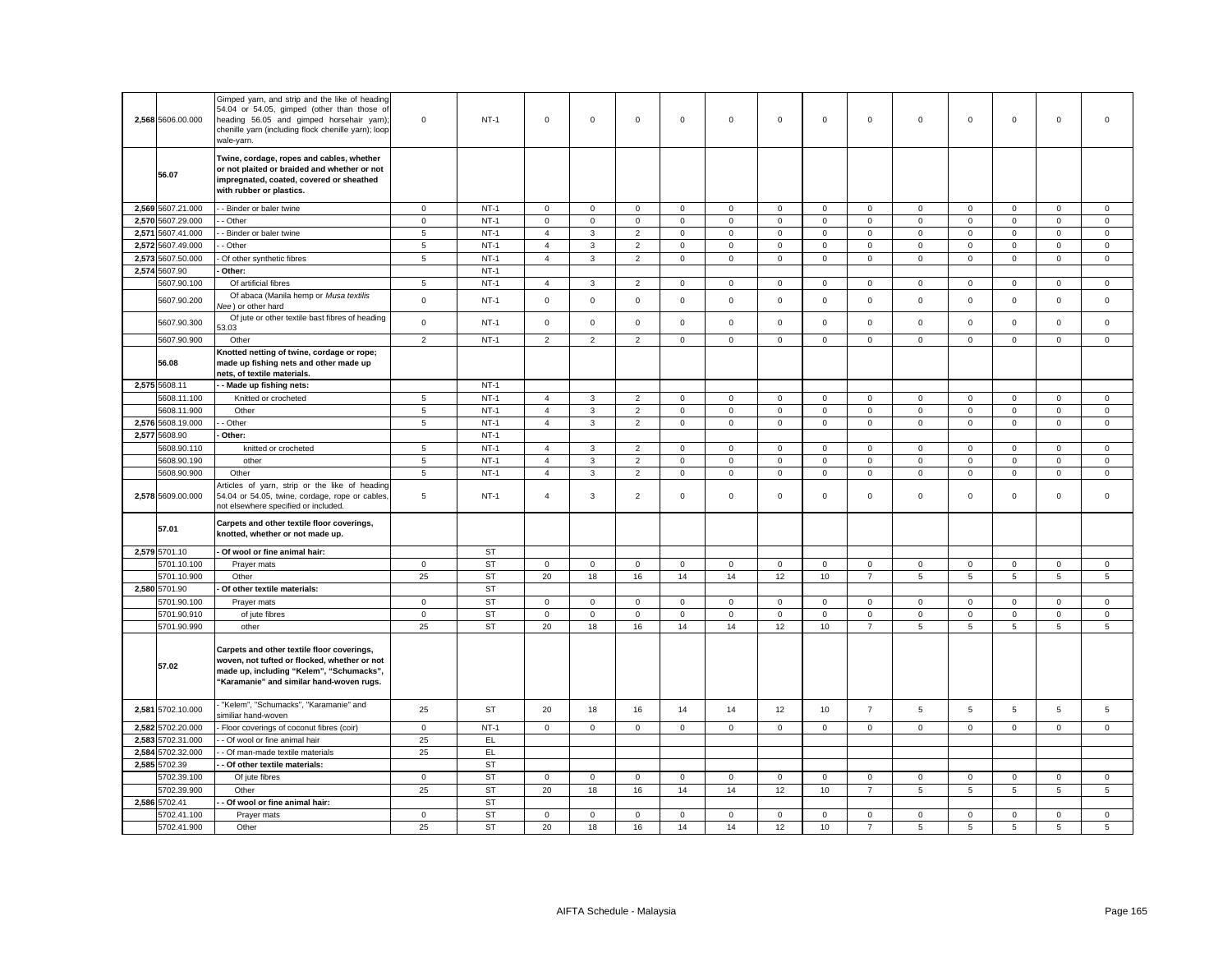|       | 2,568 5606.00.000 | Gimped yarn, and strip and the like of heading<br>54.04 or 54.05, gimped (other than those of<br>heading 56.05 and gimped horsehair yarn);<br>chenille yarn (including flock chenille yarn); loop<br>wale-yarn. | $\mathbf 0$    | $NT-1$    | $\mathbf 0$    | $\mathbf 0$         | $\mathsf 0$    | $\mathbf 0$  | $\mathsf 0$ | $\mathsf 0$         | $\mathbf 0$ | $\mathsf 0$    | $\mathsf 0$     | $\mathsf 0$ | $\mathbf 0$     | $\mathsf 0$     | $\mathbf 0$    |
|-------|-------------------|-----------------------------------------------------------------------------------------------------------------------------------------------------------------------------------------------------------------|----------------|-----------|----------------|---------------------|----------------|--------------|-------------|---------------------|-------------|----------------|-----------------|-------------|-----------------|-----------------|----------------|
|       | 56.07             | Twine, cordage, ropes and cables, whether<br>or not plaited or braided and whether or not<br>impregnated, coated, covered or sheathed<br>with rubber or plastics.                                               |                |           |                |                     |                |              |             |                     |             |                |                 |             |                 |                 |                |
|       | 2,569 5607.21.000 | - Binder or baler twine                                                                                                                                                                                         | $\overline{0}$ | $NT-1$    | 0              | 0                   | $\mathbf 0$    | $\mathbf{0}$ | 0           | 0                   | $\mathbf 0$ | $\mathbf 0$    | $\mathbf 0$     | 0           | 0               | 0               | $\mathbf 0$    |
|       | 2,570 5607.29.000 | Other                                                                                                                                                                                                           | $\mathsf 0$    | $NT-1$    | $\mathbf 0$    | $\mathsf{O}\xspace$ | $\mathsf 0$    | $\mathbf 0$  | $\mathbf 0$ | $\mathsf 0$         | $\mathbf 0$ | $\mathsf 0$    | $\mathsf 0$     | $\mathbf 0$ | $\mathsf 0$     | $\mathsf 0$     | $\mathsf 0$    |
|       | 2,571 5607.41.000 | Binder or baler twine                                                                                                                                                                                           | 5              | $NT-1$    | 4              | $\mathbf{3}$        | $\overline{2}$ | $\mathbf 0$  | $\mathsf 0$ | 0                   | $\mathbf 0$ | $\overline{0}$ | $\mathsf 0$     | $\mathbf 0$ | 0               | 0               | $\mathsf 0$    |
|       | 2,572 5607.49.000 | Other                                                                                                                                                                                                           | 5              | $NT-1$    | $\overline{4}$ | 3                   | $\overline{2}$ | 0            | $\mathsf 0$ | 0                   | $\mathbf 0$ | $\mathbf 0$    | $\mathsf 0$     | $\mathbf 0$ | $\mathbf 0$     | $\mathbf 0$     | $\mathsf 0$    |
| 2,573 | 5607.50.000       | Of other synthetic fibres                                                                                                                                                                                       | 5              | $NT-1$    | 4              | 3                   | $\overline{2}$ | $\mathbf 0$  | 0           | $\mathbf 0$         | $\mathbf 0$ | $\mathbf 0$    | $\mathbf 0$     | 0           | $\mathbf 0$     | $\mathbf 0$     | $\mathbf 0$    |
|       | 2,574 5607.90     | Other:                                                                                                                                                                                                          |                | $NT-1$    |                |                     |                |              |             |                     |             |                |                 |             |                 |                 |                |
|       | 5607.90.100       | Of artificial fibres                                                                                                                                                                                            | 5              | $NT-1$    | $\overline{4}$ | $\mathbf{3}$        | $\overline{2}$ | $\mathbf 0$  | 0           | $\mathbf 0$         | $\mathbf 0$ | $\mathbf 0$    | $\mathbf 0$     | $\mathbf 0$ | $\mathbf 0$     | $\mathsf 0$     | $\mathbf 0$    |
|       | 5607.90.200       | Of abaca (Manila hemp or Musa textilis<br>lee) or other hard                                                                                                                                                    | $\mathbf 0$    | $NT-1$    | $\mathsf 0$    | $\mathsf 0$         | $\mathsf 0$    | $\mathsf 0$  | $\mathsf 0$ | $\mathsf{O}\xspace$ | $\mathsf 0$ | $\mathbf 0$    | $\mathsf 0$     | $\mathsf 0$ | $\mathsf 0$     | $\mathsf 0$     | $\mathsf 0$    |
|       | 5607.90.300       | Of jute or other textile bast fibres of heading<br>3.03                                                                                                                                                         | $\mathbf 0$    | $NT-1$    | $\mathbf 0$    | $\mathsf{O}\xspace$ | $\mathsf 0$    | $\mathbf 0$  | $\mathsf 0$ | $\mathsf 0$         | $\mathbf 0$ | $\mathbf{0}$   | $\mathsf 0$     | $\mathbf 0$ | $\mathsf 0$     | $\mathbf 0$     | $\mathsf 0$    |
|       | 5607.90.900       | Other                                                                                                                                                                                                           | $\overline{2}$ | $NT-1$    | $\overline{2}$ | $\overline{2}$      | $\overline{2}$ | $\mathbf 0$  | $\mathbf 0$ | $\mathsf 0$         | $\mathbf 0$ | $\mathbf 0$    | $\mathbf 0$     | $\mathbf 0$ | $\mathbf 0$     | $\mathsf 0$     | $\mathsf 0$    |
|       | 56.08             | Knotted netting of twine, cordage or rope;<br>made up fishing nets and other made up<br>nets, of textile materials.                                                                                             |                |           |                |                     |                |              |             |                     |             |                |                 |             |                 |                 |                |
|       | 2,575 5608.11     | Made up fishing nets:                                                                                                                                                                                           |                | $NT-1$    |                |                     |                |              |             |                     |             |                |                 |             |                 |                 |                |
|       | 5608.11.100       | Knitted or crocheted                                                                                                                                                                                            | $\overline{5}$ | $NT-1$    | $\overline{4}$ | 3                   | $\overline{2}$ | $\mathbf 0$  | $\mathbf 0$ | $\mathsf 0$         | $\mathbf 0$ | $\mathbf 0$    | $\mathsf 0$     | $\mathbf 0$ | $\mathbf 0$     | $\mathbf 0$     | $\mathsf 0$    |
|       | 5608.11.900       | Other                                                                                                                                                                                                           | $\,$ 5 $\,$    | $NT-1$    | $\overline{4}$ | 3                   | $\overline{2}$ | $\mathsf 0$  | $\mathsf 0$ | 0                   | $\mathbf 0$ | $\mathbf 0$    | $\mathsf 0$     | $\mathbf 0$ | 0               | 0               | $\mathsf 0$    |
|       | 2,576 5608.19.000 | Other                                                                                                                                                                                                           | 5              | $NT-1$    | $\overline{4}$ | $\mathbf{3}$        | $\overline{2}$ | $\mathsf 0$  | $\mathsf 0$ | $\mathsf 0$         | $\mathbf 0$ | $\mathsf 0$    | $\mathsf 0$     | $\mathbf 0$ | $\mathsf 0$     | $\mathsf 0$     | $\mathsf 0$    |
|       | 2,577 5608.90     | Other:                                                                                                                                                                                                          |                | $NT-1$    |                |                     |                |              |             |                     |             |                |                 |             |                 |                 |                |
|       | 5608.90.110       | knitted or crocheted                                                                                                                                                                                            | 5              | $NT-1$    | 4              | 3                   | $\overline{2}$ | $\mathbf 0$  | 0           | 0                   | 0           | $\mathbf 0$    | $\mathbf 0$     | $\mathbf 0$ | 0               | 0               | $\mathbf 0$    |
|       | 5608.90.190       | other                                                                                                                                                                                                           | $\overline{5}$ | $NT-1$    | $\overline{4}$ | 3                   | $\mathbf 2$    | $\mathsf 0$  | $\mathbf 0$ | $\mathbf 0$         | $\mathbf 0$ | $\mathbf 0$    | $\mathsf 0$     | $\mathbf 0$ | $\mathsf 0$     | $\mathbf 0$     | $\mathsf 0$    |
|       | 5608.90.900       | Other                                                                                                                                                                                                           | 5              | $NT-1$    | 4              | 3                   | $\overline{2}$ | $\mathbf 0$  | 0           | $\mathbf 0$         | $\mathbf 0$ | $\mathbf{0}$   | $\mathbf 0$     | $\mathbf 0$ | 0               | 0               | $\mathbf 0$    |
|       | 2,578 5609.00.000 | Articles of yarn, strip or the like of heading<br>54.04 or 54.05, twine, cordage, rope or cables,<br>not elsewhere specified or included.                                                                       | 5              | $NT-1$    | $\overline{4}$ | 3                   | $\overline{2}$ | $\mathbf 0$  | $\mathbf 0$ | $\mathsf 0$         | $\mathbf 0$ | $\mathbf 0$    | $\mathsf 0$     | $\mathsf 0$ | $\mathsf 0$     | $\mathsf 0$     | $\mathsf 0$    |
|       | 57.01             | Carpets and other textile floor coverings,<br>knotted, whether or not made up.                                                                                                                                  |                |           |                |                     |                |              |             |                     |             |                |                 |             |                 |                 |                |
|       | 2,579 5701.10     | Of wool or fine animal hair:                                                                                                                                                                                    |                | ST        |                |                     |                |              |             |                     |             |                |                 |             |                 |                 |                |
|       | 5701.10.100       | Prayer mats                                                                                                                                                                                                     | $\circ$        | ST        | $\mathbf 0$    | $\mathsf 0$         | $\mathsf 0$    | $\mathbf 0$  | $\mathbf 0$ | $\mathsf 0$         | $\mathbf 0$ | $\mathbf 0$    | $\mathbf 0$     | $\mathbf 0$ | $\mathbf 0$     | $\mathbf 0$     | $\mathbf 0$    |
|       | 5701.10.900       | Other                                                                                                                                                                                                           | 25             | <b>ST</b> | 20             | 18                  | 16             | 14           | 14          | 12                  | 10          | $\overline{7}$ | $5\phantom{.0}$ | $\sqrt{5}$  | $5\phantom{.0}$ | $5\phantom{.0}$ | $\overline{5}$ |
|       | 2,580 5701.90     | Of other textile materials:                                                                                                                                                                                     |                | ST        |                |                     |                |              |             |                     |             |                |                 |             |                 |                 |                |
|       | 5701.90.100       | Prayer mats                                                                                                                                                                                                     | $\mathbf 0$    | <b>ST</b> | $\mathbf 0$    | $\mathbf 0$         | $\mathsf 0$    | $\mathsf 0$  | $\mathbf 0$ | $\mathsf 0$         | $\mathsf 0$ | $\mathbf 0$    | $\mathsf 0$     | $\mathsf 0$ | $\mathsf 0$     | $\mathbf 0$     | 0              |
|       | 5701.90.910       | of jute fibres                                                                                                                                                                                                  | $\circ$        | <b>ST</b> | $\mathbf 0$    | $\mathsf 0$         | $\mathbf 0$    | $\mathbf 0$  | $\mathbf 0$ | $\mathsf 0$         | $\mathbf 0$ | $\mathbf 0$    | $\mathbf 0$     | $\mathbf 0$ | $\mathbf 0$     | $\mathbf 0$     | $\mathbf 0$    |
|       | 5701.90.990       | other                                                                                                                                                                                                           | 25             | ST        | 20             | 18                  | 16             | 14           | 14          | 12                  | 10          | $\overline{7}$ | 5               | 5           | 5               | 5               | 5              |
|       | 57.02             | Carpets and other textile floor coverings,<br>woven, not tufted or flocked, whether or not<br>made up, including "Kelem", "Schumacks",<br>'Karamanie" and similar hand-woven rugs.                              |                |           |                |                     |                |              |             |                     |             |                |                 |             |                 |                 |                |
|       | 2,581 5702.10.000 | "Kelem", "Schumacks", "Karamanie" and<br>similiar hand-woven                                                                                                                                                    | 25             | <b>ST</b> | 20             | 18                  | 16             | 14           | 14          | 12                  | 10          | $\overline{7}$ | $\overline{5}$  | $\sqrt{5}$  | 5               | $\overline{5}$  | $\sqrt{5}$     |
|       | 2,582 5702.20.000 | Floor coverings of coconut fibres (coir)                                                                                                                                                                        | $\circ$        | $NT-1$    | $\mathbf 0$    | $\mathbf{0}$        | $\mathbf 0$    | $\mathbf 0$  | $\mathbf 0$ | $\mathbf 0$         | $\mathbf 0$ | $\mathbf 0$    | $\mathbf{0}$    | $\mathbf 0$ | $\mathbf 0$     | $\mathbf 0$     | $\mathbf 0$    |
|       | 2,583 5702.31.000 | - Of wool or fine animal hair                                                                                                                                                                                   | 25             | EL.       |                |                     |                |              |             |                     |             |                |                 |             |                 |                 |                |
|       | 2,584 5702.32.000 | Of man-made textile materials                                                                                                                                                                                   | 25             | EL        |                |                     |                |              |             |                     |             |                |                 |             |                 |                 |                |
|       | 2,585 5702.39     | Of other textile materials:                                                                                                                                                                                     |                | <b>ST</b> |                |                     |                |              |             |                     |             |                |                 |             |                 |                 |                |
|       | 5702.39.100       | Of jute fibres                                                                                                                                                                                                  | $\circ$        | <b>ST</b> | 0              | $\mathbf 0$         | $\mathbf 0$    | $\mathbf 0$  | 0           | $\mathbf 0$         | $\mathbf 0$ | $\Omega$       | $\mathbf 0$     | $\mathbf 0$ | $\mathbf 0$     | $\mathbf 0$     | $\mathbf 0$    |
|       | 5702.39.900       | Other                                                                                                                                                                                                           | 25             | <b>ST</b> | 20             | 18                  | 16             | 14           | 14          | 12                  | 10          | $\overline{7}$ | $\overline{5}$  | 5           | 5               | 5               | 5              |
|       | 2,586 5702.41     | - Of wool or fine animal hair:                                                                                                                                                                                  |                | <b>ST</b> |                |                     |                |              |             |                     |             |                |                 |             |                 |                 |                |
|       | 5702.41.100       | Prayer mats                                                                                                                                                                                                     | $\mathbf 0$    | <b>ST</b> | $\mathbf 0$    | $\mathsf 0$         | $\mathsf 0$    | $\mathsf 0$  | $\mathsf 0$ | $\mathbf 0$         | $\mathsf 0$ | $\mathsf 0$    | $\mathsf 0$     | $\mathbf 0$ | $\mathsf 0$     | $\mathsf 0$     | $\mathsf 0$    |
|       | 5702.41.900       | Other                                                                                                                                                                                                           | 25             | <b>ST</b> | 20             | 18                  | 16             | 14           | 14          | 12                  | 10          | $\overline{7}$ | 5               | 5           | 5               | 5               | 5              |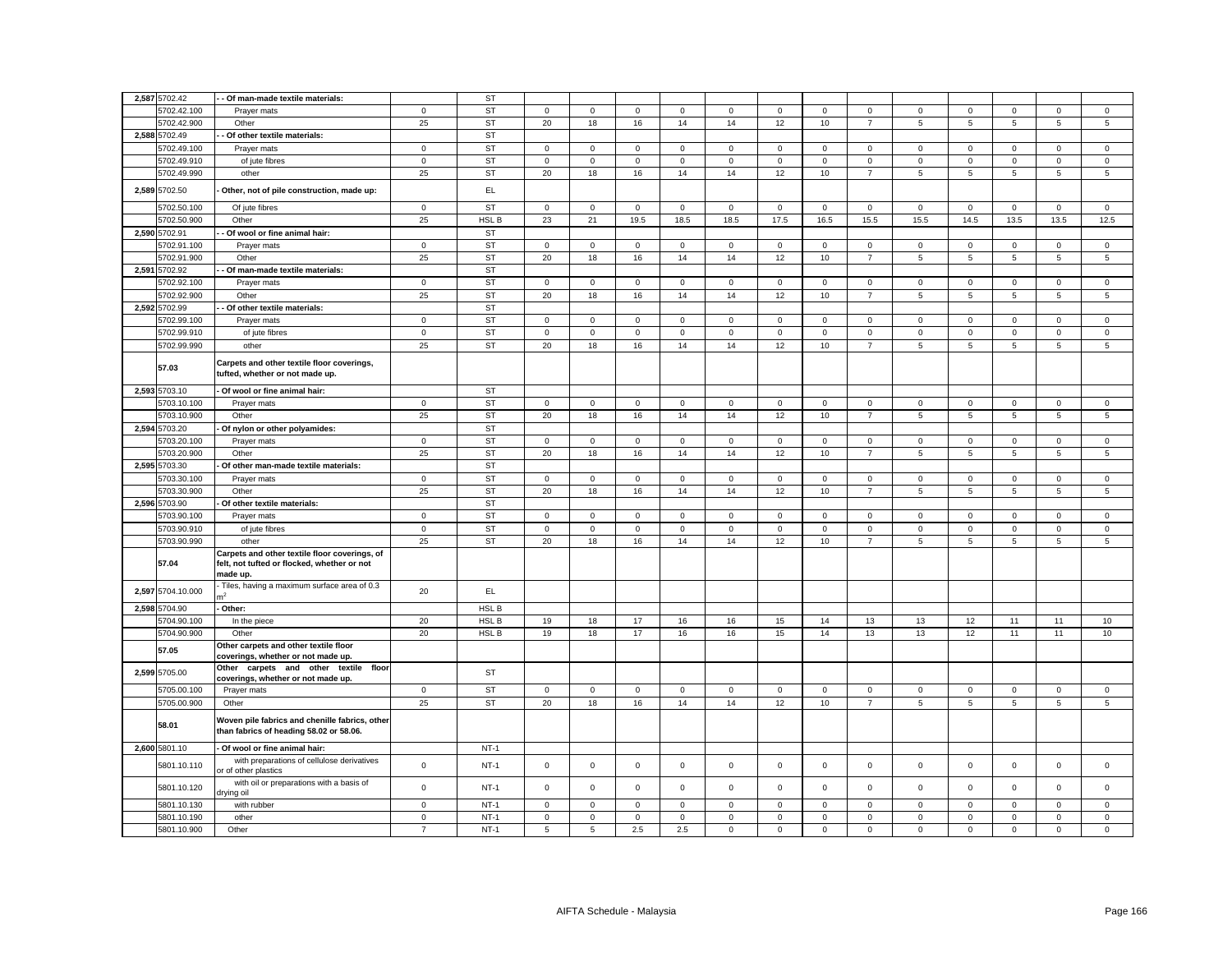| 2,587 5702.42     | - Of man-made textile materials:                                                                         |                | <b>ST</b> |                     |                     |                     |              |              |             |              |                |                 |             |                |                     |                 |
|-------------------|----------------------------------------------------------------------------------------------------------|----------------|-----------|---------------------|---------------------|---------------------|--------------|--------------|-------------|--------------|----------------|-----------------|-------------|----------------|---------------------|-----------------|
| 5702.42.100       | Prayer mats                                                                                              | $\mathbf 0$    | <b>ST</b> | $\mathbf 0$         | $\mathsf 0$         | $\mathsf 0$         | $\mathsf 0$  | $\mathsf 0$  | $\mathsf 0$ | $\mathsf 0$  | $\mathbf 0$    | $\mathbf 0$     | $\mathsf 0$ | $\mathsf 0$    | $\mathsf 0$         | $\mathsf 0$     |
| 5702.42.900       | Other                                                                                                    | 25             | <b>ST</b> | 20                  | 18                  | 16                  | 14           | 14           | 12          | 10           | $\overline{7}$ | $5\overline{5}$ | 5           | $\overline{5}$ | 5                   | $5\phantom{.0}$ |
| 2,588 5702.49     | Of other textile materials:                                                                              |                | <b>ST</b> |                     |                     |                     |              |              |             |              |                |                 |             |                |                     |                 |
| 5702.49.100       | Prayer mats                                                                                              | $\mathbf{0}$   | <b>ST</b> | $\mathbf{0}$        | $\mathbf{0}$        | $\mathbf 0$         | $\mathbf{0}$ | $\mathbf{0}$ | $\mathbf 0$ | $\mathbf{0}$ | $\mathbf 0$    | $\mathbf 0$     | 0           | $\mathbf 0$    | $\mathbf 0$         | 0               |
| 5702.49.910       | of jute fibres                                                                                           | $\mathbf 0$    | <b>ST</b> | $\mathbf 0$         | $\mathsf 0$         | $\mathsf 0$         | $\mathsf 0$  | $\mathsf 0$  | $\mathsf 0$ | $\mathbf 0$  | $\mathbf 0$    | $\mathsf 0$     | $\mathsf 0$ | $\mathsf 0$    | $\mathsf 0$         | $\mathsf 0$     |
| 5702.49.990       |                                                                                                          | 25             | <b>ST</b> | 20                  | 18                  | 16                  | 14           | 14           | 12          | 10           |                | 5               |             |                | $5\phantom{.0}$     | $\overline{5}$  |
|                   | other                                                                                                    |                |           |                     |                     |                     |              |              |             |              | $\overline{7}$ |                 | 5           | $\overline{5}$ |                     |                 |
| 2,589 5702.50     | Other, not of pile construction, made up:                                                                |                | EL        |                     |                     |                     |              |              |             |              |                |                 |             |                |                     |                 |
| 5702.50.100       | Of jute fibres                                                                                           | $\overline{0}$ | <b>ST</b> | $\overline{0}$      | 0                   | $\mathsf 0$         | $\mathbf 0$  | $\mathbf 0$  | $\mathbf 0$ | $\mathbf{0}$ | $\mathbf 0$    | $\mathbf 0$     | 0           | $\mathbf 0$    | 0                   | $\mathsf 0$     |
| 5702.50.900       | Other                                                                                                    | 25             | HSL B     | 23                  | 21                  | 19.5                | 18.5         | 18.5         | 17.5        | 16.5         | 15.5           | 15.5            | 14.5        | 13.5           | 13.5                | 12.5            |
| 2,590 5702.91     | - Of wool or fine animal hair:                                                                           |                | ST        |                     |                     |                     |              |              |             |              |                |                 |             |                |                     |                 |
| 5702.91.100       | Prayer mats                                                                                              | $\mathsf 0$    | <b>ST</b> | $\mathbf 0$         | $\mathsf 0$         | $\mathsf 0$         | $\mathbf 0$  | $\mathsf 0$  | $\mathbf 0$ | $\mathsf 0$  | $\mathbf 0$    | $\mathsf 0$     | $\mathbf 0$ | $\mathsf 0$    | $\mathsf 0$         | $\mathsf 0$     |
| 5702.91.900       | Other                                                                                                    | 25             | <b>ST</b> | 20                  | 18                  | 16                  | 14           | 14           | 12          | 10           | $\overline{7}$ | 5               | 5           | 5              | 5                   | $\,$ 5 $\,$     |
| 2,591 5702.92     | Of man-made textile materials:                                                                           |                | <b>ST</b> |                     |                     |                     |              |              |             |              |                |                 |             |                |                     |                 |
| 5702.92.100       | Prayer mats                                                                                              | $\mathbf 0$    | <b>ST</b> | $\mathbf 0$         | 0                   | 0                   | 0            | 0            | $\mathbf 0$ | 0            | 0              | 0               | 0           | 0              | 0                   | 0               |
| 5702.92.900       | Other                                                                                                    | 25             | <b>ST</b> | 20                  | 18                  | 16                  | 14           | 14           | 12          | 10           | $\overline{7}$ | 5               | 5           | 5              | 5                   | $\mathbf 5$     |
| 2,592 5702.99     | Of other textile materials:                                                                              |                | <b>ST</b> |                     |                     |                     |              |              |             |              |                |                 |             |                |                     |                 |
| 5702.99.100       | Prayer mats                                                                                              | $\mathsf 0$    | <b>ST</b> | $\mathbf 0$         | $\mathsf 0$         | $\mathsf 0$         | $\mathbf 0$  | $\mathbf 0$  | $\mathsf 0$ | $\mathsf 0$  | $\mathbf 0$    | $\mathsf 0$     | $\mathsf 0$ | $\mathsf 0$    | $\mathsf 0$         | $\mathsf 0$     |
| 5702.99.910       | of jute fibres                                                                                           | $\mathbf 0$    | <b>ST</b> | $\mathsf{O}\xspace$ | $\mathbf 0$         | $\mathbf 0$         | $\mathbf 0$  | $\mathbf 0$  | $\mathsf 0$ | $\mathbf 0$  | $\mathbf 0$    | $\mathsf 0$     | $\mathbf 0$ | $\mathbf 0$    | $\mathsf 0$         | $\mathsf 0$     |
| 5702.99.990       | other                                                                                                    | 25             | <b>ST</b> | 20                  | 18                  | 16                  | 14           | 14           | 12          | 10           | $\overline{7}$ | 5               | 5           | 5              | 5                   | $\mathbf 5$     |
| 57.03             | Carpets and other textile floor coverings,<br>tufted, whether or not made up.                            |                |           |                     |                     |                     |              |              |             |              |                |                 |             |                |                     |                 |
| 2,593 5703.10     | Of wool or fine animal hair:                                                                             |                | ST        |                     |                     |                     |              |              |             |              |                |                 |             |                |                     |                 |
| 5703.10.100       | Prayer mats                                                                                              | 0              | <b>ST</b> | $\mathbf 0$         | $\mathbf 0$         | $\mathbf 0$         | $\mathbf 0$  | 0            | $\mathsf 0$ | $\mathbf 0$  | $\mathbf 0$    | 0               | $\mathsf 0$ | $\mathsf 0$    | $\mathbf 0$         | $\mathsf 0$     |
| 5703.10.900       | Other                                                                                                    | 25             | <b>ST</b> | 20                  | 18                  | 16                  | 14           | 14           | 12          | 10           | $\overline{7}$ | 5               | 5           | 5              | $\,$ 5 $\,$         | $\,$ 5 $\,$     |
| 2,594 5703.20     | Of nylon or other polyamides:                                                                            |                | <b>ST</b> |                     |                     |                     |              |              |             |              |                |                 |             |                |                     |                 |
| 5703.20.100       | Prayer mats                                                                                              | $\mathbf 0$    | <b>ST</b> | $\mathbf 0$         | $\mathsf{O}\xspace$ | $\mathbf 0$         | $\mathsf 0$  | $\mathsf 0$  | $\mathsf 0$ | $\mathsf 0$  | $\,0\,$        | $\mathbf 0$     | $\mathbf 0$ | $\mathsf 0$    | $\mathsf 0$         | $\mathsf 0$     |
| 5703.20.900       | Other                                                                                                    | 25             | <b>ST</b> | 20                  | 18                  | 16                  | 14           | 14           | 12          | 10           | $\overline{7}$ | 5               | 5           | 5              | 5                   | $\overline{5}$  |
| 2,595 5703.30     | Of other man-made textile materials:                                                                     |                | <b>ST</b> |                     |                     |                     |              |              |             |              |                |                 |             |                |                     |                 |
| 5703.30.100       | Prayer mats                                                                                              | $\mathbf 0$    | <b>ST</b> | $\mathbf 0$         | 0                   | $\mathbf 0$         | 0            | 0            | $\mathbf 0$ | $\mathbf{0}$ | $\mathbf 0$    | 0               | 0           | $\mathbf 0$    | $\mathbf 0$         | $\mathbf 0$     |
| 5703.30.900       | Other                                                                                                    | 25             | <b>ST</b> | 20                  | 18                  | 16                  | 14           | 14           | 12          | 10           | $\overline{7}$ | 5               | 5           | 5              | $\,$ 5 $\,$         | $\,$ 5 $\,$     |
| 2,596 5703.90     | Of other textile materials:                                                                              |                | <b>ST</b> |                     |                     |                     |              |              |             |              |                |                 |             |                |                     |                 |
| 5703.90.100       | Prayer mats                                                                                              | $\,0\,$        | <b>ST</b> | $\mathbf 0$         | $\mathsf 0$         | $\mathsf 0$         | $\mathsf 0$  | $\mathsf 0$  | $\mathsf 0$ | $\mathbf 0$  | $\mathbf 0$    | $\mathbf 0$     | $\mathbf 0$ | $\mathsf 0$    | $\mathsf 0$         | $\mathsf 0$     |
| 5703.90.910       | of jute fibres                                                                                           | $\mathsf 0$    | ST        | $\mathsf 0$         | $\mathbf 0$         | $\mathbf 0$         | $\mathbf 0$  | $\mathbf 0$  | $\mathsf 0$ | $\mathbf 0$  | $\mathsf 0$    | $\mathbf 0$     | $\mathsf 0$ | $\mathsf 0$    | $\mathsf 0$         | $\mathsf 0$     |
| 5703.90.990       | other                                                                                                    | 25             | <b>ST</b> | 20                  | 18                  | 16                  | 14           | 14           | 12          | 10           | $\overline{7}$ | 5               | 5           | 5              | 5                   | $\overline{5}$  |
| 57.04             | Carpets and other textile floor coverings, of<br>felt, not tufted or flocked, whether or not<br>made up. |                |           |                     |                     |                     |              |              |             |              |                |                 |             |                |                     |                 |
| 2,597 5704.10.000 | Tiles, having a maximum surface area of 0.3                                                              | 20             | EL.       |                     |                     |                     |              |              |             |              |                |                 |             |                |                     |                 |
| 2,598 5704.90     | Other:                                                                                                   |                | HSL B     |                     |                     |                     |              |              |             |              |                |                 |             |                |                     |                 |
| 5704.90.100       | In the piece                                                                                             | 20             | HSL B     | 19                  | 18                  | 17                  | 16           | 16           | 15          | 14           | 13             | 13              | 12          | 11             | 11                  | 10              |
| 5704.90.900       | Other                                                                                                    | 20             | HSL B     | 19                  | 18                  | 17                  | 16           | 16           | 15          | 14           | 13             | 13              | 12          | 11             | 11                  | 10              |
| 57.05             | Other carpets and other textile floor<br>coverings, whether or not made up.                              |                |           |                     |                     |                     |              |              |             |              |                |                 |             |                |                     |                 |
| 2,599 5705.00     | Other carpets and other textile floor                                                                    |                | ST        |                     |                     |                     |              |              |             |              |                |                 |             |                |                     |                 |
|                   | coverings, whether or not made up.                                                                       |                |           |                     |                     |                     |              |              |             |              |                |                 |             |                |                     |                 |
| 5705.00.100       | Prayer mats                                                                                              | $\mathbf 0$    | <b>ST</b> | $\mathbf 0$         | $\mathbf 0$         | $\mathsf 0$         | $\mathbf 0$  | $\mathbf 0$  | $\mathsf 0$ | $\mathbf{0}$ | $\mathbf 0$    | $\mathbf{0}$    | $\mathsf 0$ | $\mathbf 0$    | $\mathbf 0$         | $\mathbf{0}$    |
| 5705.00.900       | Other                                                                                                    | 25             | <b>ST</b> | 20                  | 18                  | 16                  | 14           | 14           | 12          | 10           | $\overline{7}$ | $\,$ 5 $\,$     | 5           | $\,$ 5 $\,$    | $\,$ 5 $\,$         | 5               |
| 58.01             | Woven pile fabrics and chenille fabrics, other<br>than fabrics of heading 58.02 or 58.06.                |                |           |                     |                     |                     |              |              |             |              |                |                 |             |                |                     |                 |
| 2,600 5801.10     | Of wool or fine animal hair:                                                                             |                | $NT-1$    |                     |                     |                     |              |              |             |              |                |                 |             |                |                     |                 |
| 5801.10.110       | with preparations of cellulose derivatives<br>or of other plastics                                       | $\mathsf 0$    | $NT-1$    | $\mathbf{0}$        | $\mathsf 0$         | $\mathsf{o}\xspace$ | $\mathsf 0$  | $\mathbf 0$  | $\mathsf 0$ | $\mathsf 0$  | $\mathsf 0$    | $\mathsf 0$     | $\mathbf 0$ | $\mathsf 0$    | $\mathsf 0$         | $\mathsf 0$     |
| 5801.10.120       | with oil or preparations with a basis of<br>drying oil                                                   | $\mathsf 0$    | $NT-1$    | $\mathbf 0$         | $\mathsf 0$         | $\mathsf 0$         | $\mathsf 0$  | $\mathsf 0$  | $\mathsf 0$ | $\mathbf 0$  | $\mathsf 0$    | $\mathsf 0$     | $\mathbf 0$ | $\mathsf 0$    | $\mathsf 0$         | $\mathsf 0$     |
| 5801.10.130       | with rubber                                                                                              | $\mathbf 0$    | $NT-1$    | $\mathbf 0$         | $\mathbf 0$         | $\mathsf 0$         | $\mathbf 0$  | $\mathbf 0$  | $\mathsf 0$ | $\mathbf 0$  | $\mathbf 0$    | 0               | $\mathbf 0$ | 0              | $\mathsf{O}\xspace$ | 0               |
| 5801.10.190       | other                                                                                                    | $\mathsf 0$    | $NT-1$    | $\mathbf 0$         | $\mathbf 0$         | $\mathsf 0$         | $\mathbf 0$  | $\mathbf 0$  | $\mathbf 0$ | $\mathsf 0$  | $\mathsf 0$    | $\mathsf 0$     | $\mathbf 0$ | $\mathbf 0$    | $\mathsf 0$         | $\mathsf 0$     |
| 5801.10.900       | Other                                                                                                    | $\overline{7}$ | $NT-1$    | $\mathbf 5$         | $\overline{5}$      | $2.5\,$             | 2.5          | $\mathsf 0$  | $\mathsf 0$ | $\mathsf 0$  | $\mathsf 0$    | $\mathsf 0$     | $\mathsf 0$ | $\mathsf 0$    | $\mathsf 0$         | $\mathsf 0$     |
|                   |                                                                                                          |                |           |                     |                     |                     |              |              |             |              |                |                 |             |                |                     |                 |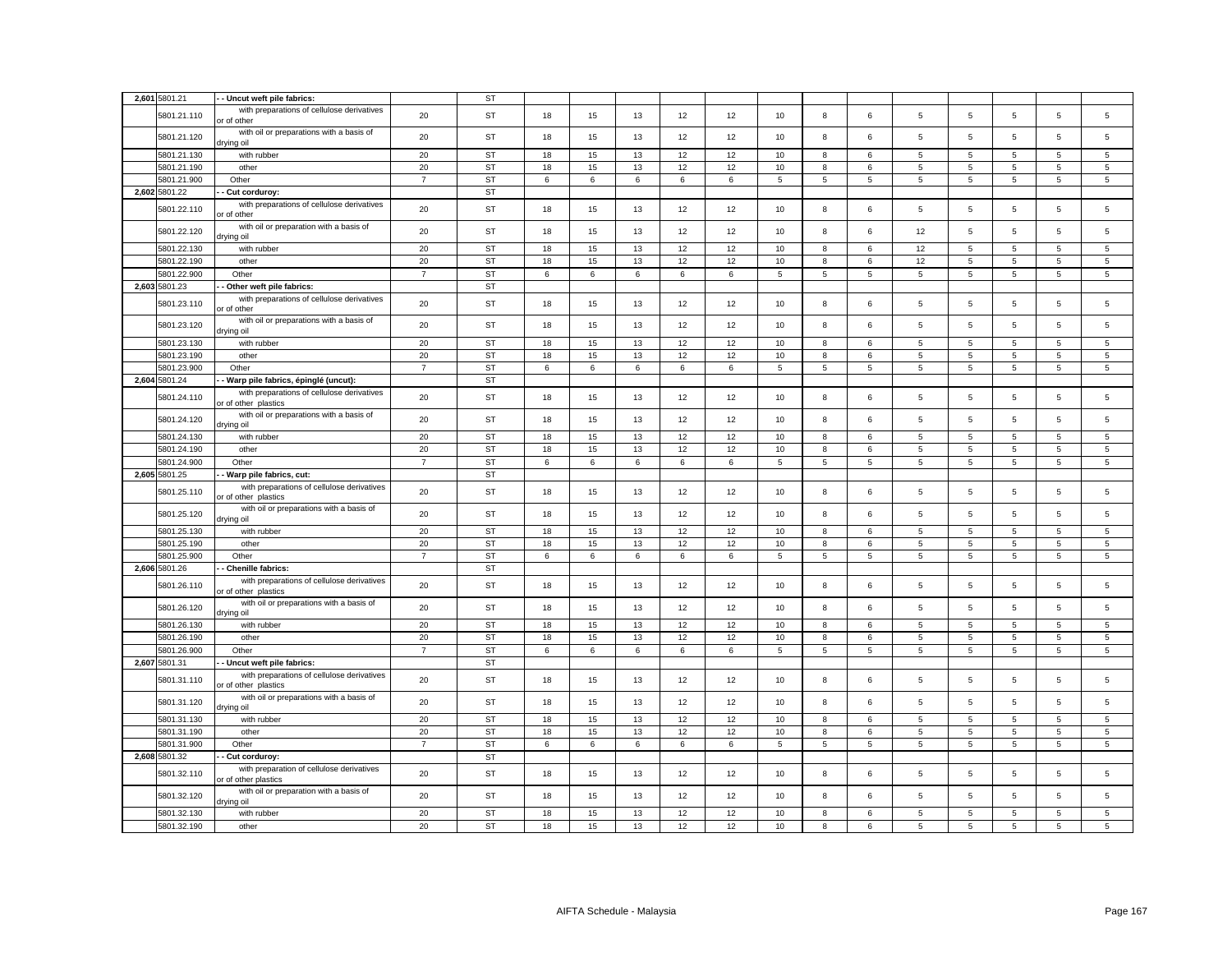| 2,601 5801.21              | - Uncut weft pile fabrics:                                                                                     |                | <b>ST</b>              |          |          |          |          |          |             |                 |            |             |                 |                |                     |                 |
|----------------------------|----------------------------------------------------------------------------------------------------------------|----------------|------------------------|----------|----------|----------|----------|----------|-------------|-----------------|------------|-------------|-----------------|----------------|---------------------|-----------------|
| 5801.21.110                | with preparations of cellulose derivatives<br>or of other                                                      | 20             | <b>ST</b>              | 18       | 15       | 13       | 12       | 12       | 10          | 8               | 6          | 5           | 5               | 5              | 5                   | 5               |
| 5801.21.120                | with oil or preparations with a basis of<br>drying oil                                                         | 20             | <b>ST</b>              | 18       | 15       | 13       | 12       | 12       | 10          | 8               | 6          | 5           | 5               | 5              | 5                   | 5               |
| 5801.21.130                | with rubber                                                                                                    | 20             | <b>ST</b>              | 18       | 15       | 13       | 12       | 12       | $10$        | $\bf8$          | 6          | $\,$ 5 $\,$ | $\,$ 5 $\,$     | $\sqrt{5}$     | $\,$ 5 $\,$         | $\sqrt{5}$      |
| 5801.21.190                | other                                                                                                          | 20             | <b>ST</b>              | 18       | 15       | 13       | 12       | 12       | 10          | 8               | 6          | 5           | $\overline{5}$  | 5              | 5                   | $5\overline{5}$ |
| 5801.21.900                | Other                                                                                                          | $\overline{7}$ | ST                     | 6        | 6        | 6        | 6        | 6        | 5           | 5               | 5          | 5           | $\overline{5}$  | 5              | $\overline{5}$      | $\overline{5}$  |
| 2,602 5801.22              | - Cut corduroy:                                                                                                |                | <b>ST</b>              |          |          |          |          |          |             |                 |            |             |                 |                |                     |                 |
| 5801.22.110                | with preparations of cellulose derivatives<br>or of other                                                      | 20             | ST                     | 18       | 15       | 13       | 12       | 12       | 10          | 8               | 6          | 5           | $\sqrt{5}$      | 5              | $\overline{5}$      | 5               |
| 5801.22.120                | with oil or preparation with a basis of<br>drying oil                                                          | 20             | <b>ST</b>              | 18       | 15       | 13       | 12       | 12       | 10          | 8               | 6          | 12          | 5               | 5              | $\overline{5}$      | 5               |
| 5801.22.130                | with rubber                                                                                                    | 20             | <b>ST</b>              | 18       | 15       | 13       | 12       | 12       | 10          | 8               | 6          | 12          | 5               | $\overline{5}$ | 5                   | 5               |
| 5801.22.190                | other                                                                                                          | 20             | ST                     | 18       | 15       | 13       | 12       | 12       | 10          | 8               | 6          | 12          | $\overline{5}$  | 5              | $\overline{5}$      | $\overline{5}$  |
| 5801.22.900                | Other                                                                                                          | $\overline{7}$ | <b>ST</b>              | 6        | 6        | 6        | 6        | 6        | $\mathbf 5$ | $\overline{5}$  | 5          | 5           | 5               | 5              | $\overline{5}$      | 5               |
| 2,603 5801.23              | Other weft pile fabrics:                                                                                       |                | <b>ST</b>              |          |          |          |          |          |             |                 |            |             |                 |                |                     |                 |
| 5801.23.110                | with preparations of cellulose derivatives<br>or of other                                                      | 20             | ST                     | 18       | 15       | 13       | 12       | 12       | 10          | 8               | 6          | 5           | $\,$ 5 $\,$     | 5              | $\sqrt{5}$          | 5               |
| 5801.23.120                | with oil or preparations with a basis of<br>drying oil                                                         | 20             | <b>ST</b>              | 18       | 15       | 13       | 12       | 12       | 10          | 8               | 6          | 5           | 5               | 5              | $\overline{5}$      | 5               |
| 5801.23.130                | with rubber                                                                                                    | 20             | <b>ST</b>              | 18       | 15       | 13       | 12       | 12       | 10          | 8               | 6          | 5           | 5               | 5              | $\overline{5}$      | $\,$ 5 $\,$     |
| 5801.23.190                | other                                                                                                          | 20             | <b>ST</b>              | 18       | 15       | 13       | 12       | 12       | 10          | 8               | $\epsilon$ | 5           | 5               | 5              | 5                   | 5               |
| 5801.23.900                | Other                                                                                                          | $\overline{7}$ | <b>ST</b>              | 6        | 6        | $\,6\,$  | 6        | $\,6\,$  | $\,$ 5 $\,$ | $\overline{5}$  | 5          | 5           | $\sqrt{5}$      | 5              | 5                   | 5               |
| 2,604 5801.24              | - Warp pile fabrics, épinglé (uncut):                                                                          |                | <b>ST</b>              |          |          |          |          |          |             |                 |            |             |                 |                |                     |                 |
|                            |                                                                                                                |                |                        |          |          |          |          |          |             |                 |            |             |                 |                |                     |                 |
| 5801.24.110                | with preparations of cellulose derivatives<br>or of other plastics<br>with oil or preparations with a basis of | 20             | ST                     | 18       | 15       | 13       | 12       | 12       | 10          | 8               | 6          | 5           | 5               | 5              | $\overline{5}$      | 5               |
| 5801.24.120                | drying oil                                                                                                     | 20             | <b>ST</b>              | 18       | 15       | 13       | 12       | 12       | 10          | 8               | 6          | 5           | 5               | 5              | 5                   | 5               |
| 5801.24.130                | with rubber                                                                                                    | 20             | <b>ST</b>              | 18       | 15       | 13       | 12       | 12       | 10          | 8               | 6          | 5           | 5               | 5              | 5                   | 5               |
| 5801.24.190                | other                                                                                                          | 20             | <b>ST</b>              | 18       | 15       | 13       | 12       | 12       | 10          | 8               | 6          | 5           | $\overline{5}$  | 5              | $\overline{5}$      | 5               |
| 5801.24.900                | Other                                                                                                          | $\overline{7}$ | <b>ST</b>              | 6        | 6        | 6        | 6        | 6        | 5           | 5               | 5          | 5           | $5\phantom{.0}$ | 5              | $\overline{5}$      | $5\overline{5}$ |
| 2,605 5801.25              | - Warp pile fabrics, cut:                                                                                      |                | <b>ST</b>              |          |          |          |          |          |             |                 |            |             |                 |                |                     |                 |
| 5801.25.110                | with preparations of cellulose derivatives<br>or of other plastics                                             | 20             | ST                     | 18       | 15       | 13       | 12       | 12       | 10          | 8               | 6          | 5           | $\sqrt{5}$      | 5              | 5                   | 5               |
| 5801.25.120                | with oil or preparations with a basis of<br>drying oil                                                         | 20             | <b>ST</b>              | 18       | 15       | 13       | 12       | 12       | 10          | 8               | 6          | 5           | 5               | 5              | 5                   | 5               |
| 5801.25.130                | with rubber                                                                                                    | 20             | <b>ST</b>              | 18       | 15       | 13       | 12       | 12       | 10          | 8               | 6          | 5           | 5               | 5              | 5                   | 5               |
| 5801.25.190                | other                                                                                                          | 20             | <b>ST</b>              | 18       | 15       | 13       | 12       | 12       | 10          | 8               | 6          | 5           | $\overline{5}$  | 5              | $\overline{5}$      | 5               |
| 5801.25.900                | Other                                                                                                          | $\overline{7}$ | <b>ST</b>              | 6        | 6        | 6        | 6        | 6        | 5           | $5\phantom{.0}$ | 5          | 5           | $5\phantom{.0}$ | 5              | 5                   | 5               |
| 2,606 5801.26              | - Chenille fabrics:                                                                                            |                | <b>ST</b>              |          |          |          |          |          |             |                 |            |             |                 |                |                     |                 |
| 5801.26.110                | with preparations of cellulose derivatives<br>or of other plastics                                             | 20             | <b>ST</b>              | 18       | 15       | 13       | 12       | 12       | 10          | 8               | 6          | 5           | 5               | 5              | 5                   | 5               |
| 5801.26.120                | with oil or preparations with a basis of<br>drying oil                                                         | 20             | <b>ST</b>              | 18       | 15       | 13       | 12       | 12       | 10          | 8               | 6          | 5           | 5               | 5              | $\overline{5}$      | 5               |
| 5801.26.130                | with rubber                                                                                                    | 20             | <b>ST</b>              | 18       | 15       | 13       | 12       | 12       | 10          | 8               | 6          | 5           | 5               | 5              | 5                   | 5               |
| 5801.26.190                | other                                                                                                          | $20\,$         | <b>ST</b>              | 18       | 15       | 13       | 12       | 12       | $10$        | 8               | 6          | 5           | $\sqrt{5}$      | $\,$ 5 $\,$    | $\,$ 5 $\,$         | $\,$ 5 $\,$     |
| 5801.26.900                | Other                                                                                                          | $\overline{7}$ | <b>ST</b>              | 6        | 6        | $\,6\,$  | 6        | 6        | 5           | 5               | 5          | 5           | $\,$ 5 $\,$     | 5              | $\,$ 5 $\,$         | $5\overline{5}$ |
| 2,607 5801.31              | Uncut weft pile fabrics:                                                                                       |                | <b>ST</b>              |          |          |          |          |          |             |                 |            |             |                 |                |                     |                 |
|                            | with preparations of cellulose derivatives                                                                     |                |                        |          |          |          |          |          |             |                 |            |             |                 |                |                     |                 |
| 5801.31.110                | or of other plastics                                                                                           | 20             | <b>ST</b>              | 18       | 15       | 13       | 12       | 12       | 10          | 8               | 6          | 5           | 5               | 5              | $\overline{5}$      | 5               |
| 5801.31.120                | with oil or preparations with a basis of<br>drying oil                                                         | 20             | ST                     | 18       | 15       | 13       | 12       | 12       | 10          | 8               | 6          | 5           | $\sqrt{5}$      | 5              | $\overline{5}$      | 5               |
| 5801.31.130                | with rubber                                                                                                    | 20             | <b>ST</b>              | 18       | 15       | 13       | 12       | 12       | 10          | 8               | 6          | 5           | 5               | 5              | 5                   | 5               |
| 5801.31.190                | other                                                                                                          | 20             | <b>ST</b>              | 18       | 15       | 13       | 12       | 12       | $10$        | 8               | 6          | 5           | 5               | 5              | $\overline{5}$      | $\,$ 5 $\,$     |
| 5801.31.900                | Other                                                                                                          | $\overline{7}$ | <b>ST</b>              | 6        | 6        | 6        | 6        | 6        | 5           | 5               | 5          | 5           | 5               | 5              | 5                   | 5               |
| 2,608 5801.32              | Cut corduroy:                                                                                                  |                | <b>ST</b>              |          |          |          |          |          |             |                 |            |             |                 |                |                     |                 |
|                            | with preparation of cellulose derivatives                                                                      |                |                        |          |          |          |          |          |             |                 |            |             |                 |                |                     |                 |
| 5801.32.110                | or of other plastics<br>with oil or preparation with a basis of                                                | 20             | <b>ST</b>              | 18       | 15       | 13       | 12       | 12       | 10          | 8               | 6          | 5           | 5               | 5              | 5                   | 5               |
| 5801.32.120<br>5801.32.130 | lio pniyit<br>with rubber                                                                                      | 20<br>20       | <b>ST</b><br><b>ST</b> | 18<br>18 | 15<br>15 | 13<br>13 | 12<br>12 | 12<br>12 | 10<br>10    | 8<br>8          | 6<br>6     | 5<br>5      | 5<br>5          | 5<br>5         | $\overline{5}$<br>5 | 5<br>5          |
|                            |                                                                                                                | 20             | <b>ST</b>              | 18       | 15       | 13       | 12       | 12       | 10          | 8               | 6          | 5           | 5               | 5              | 5                   | 5               |
| 5801.32.190                | other                                                                                                          |                |                        |          |          |          |          |          |             |                 |            |             |                 |                |                     |                 |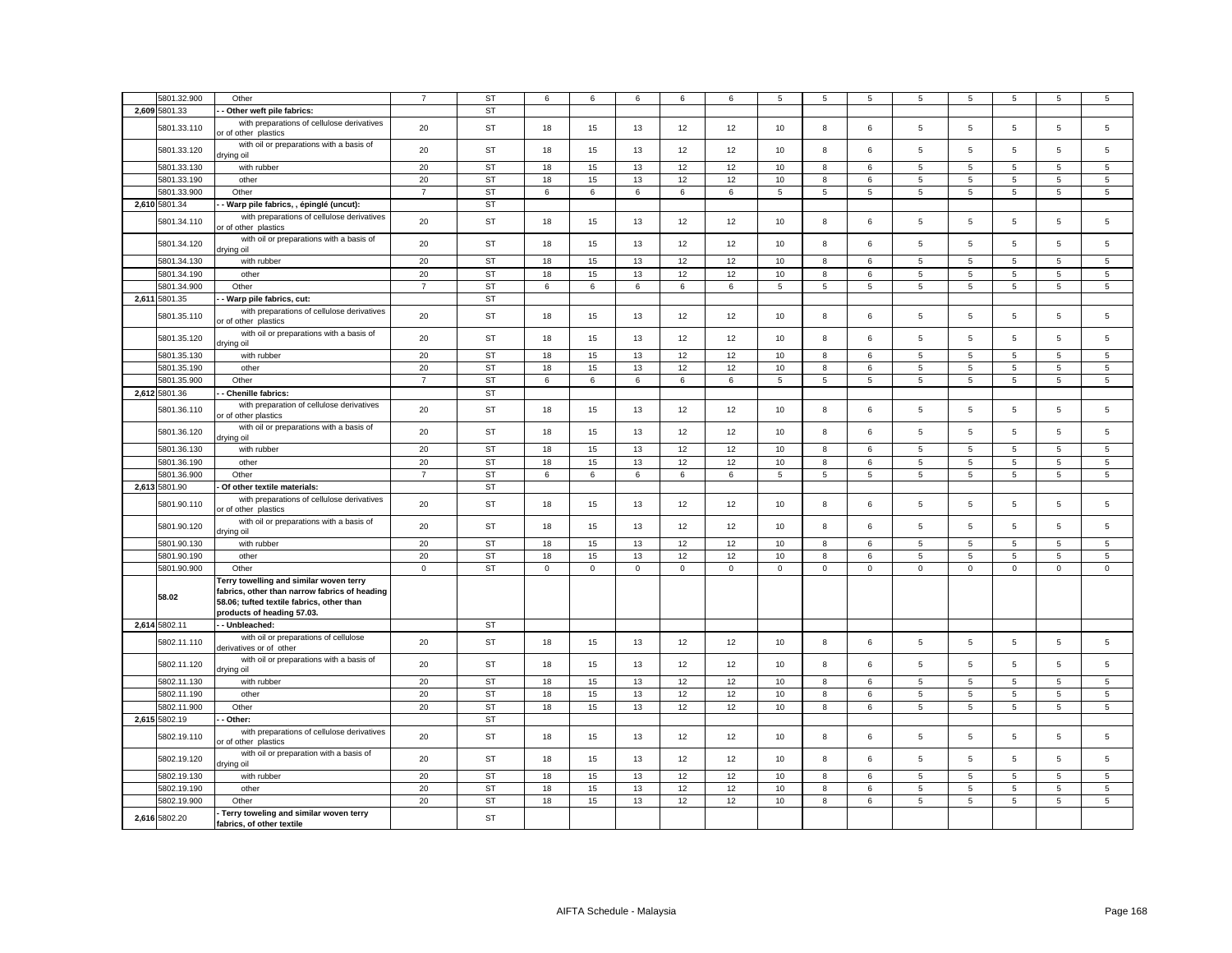| 2,609 5801.33<br>ST<br>Other weft pile fabrics:<br>with preparations of cellulose derivatives<br>20<br><b>ST</b><br>13<br>12<br>10<br>8<br>5<br>$\overline{5}$<br>5<br>$\overline{5}$<br>5801.33.110<br>18<br>15<br>12<br>6<br>or of other plastics<br>with oil or preparations with a basis of<br>5801.33.120<br>20<br>ST<br>18<br>15<br>13<br>12<br>12<br>10<br>8<br>6<br>5<br>5<br>5<br>5<br>drying oil<br>5801.33.130<br>20<br><b>ST</b><br>15<br>13<br>12<br>12<br>10<br>8<br>5<br>5<br>5<br>5<br>with rubber<br>18<br>6<br>ST<br>12<br>5801.33.190<br>20<br>18<br>15<br>13<br>12<br>10<br>8<br>6<br>5<br>5<br>5<br>5<br>other<br>5801.33.900<br><b>ST</b><br>6<br>$\overline{5}$<br>5<br>$5\phantom{.0}$<br>Other<br>$\overline{7}$<br>6<br>6<br>6<br>6<br>5<br>5<br>$\sqrt{5}$<br>5<br>2,610 5801.34<br><b>ST</b><br>Warp pile fabrics, , épinglé (uncut):<br>with preparations of cellulose derivatives<br>20<br><b>ST</b><br>8<br>5<br>5<br>5<br>$\,$ 5 $\,$<br>5801.34.110<br>18<br>15<br>13<br>12<br>12<br>10<br>6<br>or of other plastics<br>with oil or preparations with a basis of<br>20<br>5<br>$\overline{5}$<br>5801.34.120<br>ST<br>18<br>15<br>13<br>12<br>12<br>10<br>8<br>6<br>5<br>5<br>drying oil<br>20<br><b>ST</b><br>5801.34.130<br>with rubber<br>18<br>15<br>13<br>12<br>12<br>10<br>8<br>6<br>5<br>5<br>5<br>5<br>5801.34.190<br>20<br><b>ST</b><br>18<br>15<br>13<br>12<br>12<br>10<br>$\boldsymbol{8}$<br>6<br>5<br>$\overline{5}$<br>5<br>$\overline{5}$<br>other<br>5801.34.900<br>Other<br>$\overline{7}$<br><b>ST</b><br>6<br>6<br>6<br>6<br>6<br>$\overline{5}$<br>$\overline{5}$<br>5<br>$\overline{5}$<br>5<br>$\overline{5}$<br>5<br><b>ST</b><br>2,611 5801.35<br>Warp pile fabrics, cut:<br>with preparations of cellulose derivatives<br>20<br><b>ST</b><br>18<br>15<br>13<br>12<br>12<br>10<br>8<br>5<br>5<br>5<br>$\overline{5}$<br>5801.35.110<br>6<br>or of other plastics<br>with oil or preparations with a basis of<br>20<br>5801.35.120<br>ST<br>18<br>15<br>13<br>12<br>12<br>10<br>8<br>6<br>5<br>5<br>5<br>$\overline{5}$<br>drying oil<br>20<br>5801.35.130<br><b>ST</b><br>18<br>15<br>13<br>12<br>12<br>10<br>8<br>5<br>5<br>5<br>5<br>with rubber<br>6<br>20<br><b>ST</b><br>18<br>15<br>13<br>12<br>12<br>10<br>$\boldsymbol{8}$<br>5<br>$\,$ 5 $\,$<br>$5\phantom{.0}$<br>$\,$ 5 $\,$<br>5801.35.190<br>other<br>6<br>5801.35.900<br>Other<br><b>ST</b><br>6<br>6<br>$\overline{5}$<br>5<br>5<br>$5\phantom{.0}$<br>5<br>$5\overline{5}$<br>$\overline{7}$<br>6<br>6<br>6<br>5<br>2,612 5801.36<br>Chenille fabrics:<br><b>ST</b><br>with preparation of cellulose derivatives<br>5801.36.110<br>20<br><b>ST</b><br>$\overline{5}$<br>18<br>15<br>13<br>12<br>12<br>10<br>8<br>6<br>5<br>5<br>5<br>or of other plastics<br>with oil or preparations with a basis of<br>20<br><b>ST</b><br>18<br>15<br>13<br>12<br>12<br>10<br>8<br>6<br>5<br>5<br>5<br>5<br>5801.36.120<br>drying oil<br>20<br><b>ST</b><br>18<br>15<br>13<br>12<br>12<br>10<br>8<br>5<br>$\overline{5}$<br>5<br>5801.36.130<br>with rubber<br>6<br>$5\overline{5}$<br>5801.36.190<br>20<br><b>ST</b><br>18<br>15<br>13<br>12<br>12<br>10<br>8<br>6<br>5<br>5<br>5<br>5<br>other<br>5801.36.900<br><b>ST</b><br>Other<br>$\overline{7}$<br>6<br>6<br>6<br>6<br>6<br>$\overline{5}$<br>5<br>5<br>5<br>$\sqrt{5}$<br>5<br>5<br>2,613 5801.90<br><b>ST</b><br>Of other textile materials:<br>with preparations of cellulose derivatives<br>5801.90.110<br>20<br><b>ST</b><br>18<br>15<br>13<br>12<br>12<br>10<br>8<br>5<br>5<br>5<br>5<br>6<br>or of other plastics<br>with oil or preparations with a basis of<br>5801.90.120<br>20<br>ST<br>18<br>15<br>13<br>12<br>12<br>10<br>8<br>6<br>5<br>5<br>5<br>5<br>lio pniyit<br>5<br>5801.90.130<br>with rubber<br>20<br><b>ST</b><br>18<br>15<br>13<br>12<br>12<br>10<br>8<br>6<br>5<br>5<br>5<br>5801.90.190<br>other<br>20<br>ST<br>18<br>15<br>13<br>12<br>12<br>10<br>8<br>6<br>5<br>$\sqrt{5}$<br>$5\phantom{.0}$<br>5<br>5801.90.900<br>Other<br>$\mathsf 0$<br><b>ST</b><br>$\mathbf 0$<br>$\mathsf{O}\xspace$<br>$\mathsf 0$<br>$\mathbf 0$<br>$\mathsf 0$<br>$\mathsf 0$<br>$\mathsf{O}\xspace$<br>$\mathbf 0$<br>$\mathbf 0$<br>$\mathbf 0$<br>$\mathsf 0$<br>$\mathsf 0$<br>Terry towelling and similar woven terry<br>fabrics, other than narrow fabrics of heading<br>58.02<br>58.06; tufted textile fabrics, other than<br>products of heading 57.03.<br>2,614 5802.11<br>- Unbleached:<br>ST<br>with oil or preparations of cellulose<br>$\sqrt{5}$<br>$\,$ 5 $\,$<br>5802.11.110<br>20<br>ST<br>18<br>15<br>13<br>12<br>12<br>10<br>8<br>6<br>5<br>5<br>derivatives or of other<br>with oil or preparations with a basis of<br>20<br><b>ST</b><br>18<br>15<br>13<br>12<br>12<br>10<br>8<br>5<br>5<br>$\overline{5}$<br>$\overline{5}$<br>5802.11.120<br>6<br>lio pniyit<br>20<br><b>ST</b><br>18<br>15<br>13<br>12<br>12<br>$10$<br>8<br>5<br>$\sqrt{5}$<br>$\overline{5}$<br>$\,$ 5 $\,$<br>5802.11.130<br>with rubber<br>6<br>5802.11.190<br>20<br><b>ST</b><br>15<br>13<br>12<br>10<br>$\overline{5}$<br>$\,$ 5 $\,$<br>$\,$ 5 $\,$<br>other<br>18<br>12<br>8<br>$\overline{5}$<br>6 | 5801.32.900   | Other                     | $\overline{7}$ | <b>ST</b> | 6  | 6  | 6  | 6  | 6  | 5  | 5 | 5 | 5 | 5              | 5 | 5              | 5               |
|---------------------------------------------------------------------------------------------------------------------------------------------------------------------------------------------------------------------------------------------------------------------------------------------------------------------------------------------------------------------------------------------------------------------------------------------------------------------------------------------------------------------------------------------------------------------------------------------------------------------------------------------------------------------------------------------------------------------------------------------------------------------------------------------------------------------------------------------------------------------------------------------------------------------------------------------------------------------------------------------------------------------------------------------------------------------------------------------------------------------------------------------------------------------------------------------------------------------------------------------------------------------------------------------------------------------------------------------------------------------------------------------------------------------------------------------------------------------------------------------------------------------------------------------------------------------------------------------------------------------------------------------------------------------------------------------------------------------------------------------------------------------------------------------------------------------------------------------------------------------------------------------------------------------------------------------------------------------------------------------------------------------------------------------------------------------------------------------------------------------------------------------------------------------------------------------------------------------------------------------------------------------------------------------------------------------------------------------------------------------------------------------------------------------------------------------------------------------------------------------------------------------------------------------------------------------------------------------------------------------------------------------------------------------------------------------------------------------------------------------------------------------------------------------------------------------------------------------------------------------------------------------------------------------------------------------------------------------------------------------------------------------------------------------------------------------------------------------------------------------------------------------------------------------------------------------------------------------------------------------------------------------------------------------------------------------------------------------------------------------------------------------------------------------------------------------------------------------------------------------------------------------------------------------------------------------------------------------------------------------------------------------------------------------------------------------------------------------------------------------------------------------------------------------------------------------------------------------------------------------------------------------------------------------------------------------------------------------------------------------------------------------------------------------------------------------------------------------------------------------------------------------------------------------------------------------------------------------------------------------------------------------------------------------------------------------------------------------------------------------------------------------------------------------------------------------------------------------------------------------------------------------------------------------------------------------------------------------------------------------------------------------------------------------------------------------------------------------------------------------------------------------------------------------------------------------------------------------------------------------------------------------------------------------------------------------------------------------------------------------------------------------------------------------------------------------------------------------------------------------------------------------------------------------------------|---------------|---------------------------|----------------|-----------|----|----|----|----|----|----|---|---|---|----------------|---|----------------|-----------------|
|                                                                                                                                                                                                                                                                                                                                                                                                                                                                                                                                                                                                                                                                                                                                                                                                                                                                                                                                                                                                                                                                                                                                                                                                                                                                                                                                                                                                                                                                                                                                                                                                                                                                                                                                                                                                                                                                                                                                                                                                                                                                                                                                                                                                                                                                                                                                                                                                                                                                                                                                                                                                                                                                                                                                                                                                                                                                                                                                                                                                                                                                                                                                                                                                                                                                                                                                                                                                                                                                                                                                                                                                                                                                                                                                                                                                                                                                                                                                                                                                                                                                                                                                                                                                                                                                                                                                                                                                                                                                                                                                                                                                                                                                                                                                                                                                                                                                                                                                                                                                                                                                                                                                                                                 |               |                           |                |           |    |    |    |    |    |    |   |   |   |                |   |                |                 |
|                                                                                                                                                                                                                                                                                                                                                                                                                                                                                                                                                                                                                                                                                                                                                                                                                                                                                                                                                                                                                                                                                                                                                                                                                                                                                                                                                                                                                                                                                                                                                                                                                                                                                                                                                                                                                                                                                                                                                                                                                                                                                                                                                                                                                                                                                                                                                                                                                                                                                                                                                                                                                                                                                                                                                                                                                                                                                                                                                                                                                                                                                                                                                                                                                                                                                                                                                                                                                                                                                                                                                                                                                                                                                                                                                                                                                                                                                                                                                                                                                                                                                                                                                                                                                                                                                                                                                                                                                                                                                                                                                                                                                                                                                                                                                                                                                                                                                                                                                                                                                                                                                                                                                                                 |               |                           |                |           |    |    |    |    |    |    |   |   |   |                |   |                | 5               |
|                                                                                                                                                                                                                                                                                                                                                                                                                                                                                                                                                                                                                                                                                                                                                                                                                                                                                                                                                                                                                                                                                                                                                                                                                                                                                                                                                                                                                                                                                                                                                                                                                                                                                                                                                                                                                                                                                                                                                                                                                                                                                                                                                                                                                                                                                                                                                                                                                                                                                                                                                                                                                                                                                                                                                                                                                                                                                                                                                                                                                                                                                                                                                                                                                                                                                                                                                                                                                                                                                                                                                                                                                                                                                                                                                                                                                                                                                                                                                                                                                                                                                                                                                                                                                                                                                                                                                                                                                                                                                                                                                                                                                                                                                                                                                                                                                                                                                                                                                                                                                                                                                                                                                                                 |               |                           |                |           |    |    |    |    |    |    |   |   |   |                |   |                | 5               |
|                                                                                                                                                                                                                                                                                                                                                                                                                                                                                                                                                                                                                                                                                                                                                                                                                                                                                                                                                                                                                                                                                                                                                                                                                                                                                                                                                                                                                                                                                                                                                                                                                                                                                                                                                                                                                                                                                                                                                                                                                                                                                                                                                                                                                                                                                                                                                                                                                                                                                                                                                                                                                                                                                                                                                                                                                                                                                                                                                                                                                                                                                                                                                                                                                                                                                                                                                                                                                                                                                                                                                                                                                                                                                                                                                                                                                                                                                                                                                                                                                                                                                                                                                                                                                                                                                                                                                                                                                                                                                                                                                                                                                                                                                                                                                                                                                                                                                                                                                                                                                                                                                                                                                                                 |               |                           |                |           |    |    |    |    |    |    |   |   |   |                |   |                | 5               |
|                                                                                                                                                                                                                                                                                                                                                                                                                                                                                                                                                                                                                                                                                                                                                                                                                                                                                                                                                                                                                                                                                                                                                                                                                                                                                                                                                                                                                                                                                                                                                                                                                                                                                                                                                                                                                                                                                                                                                                                                                                                                                                                                                                                                                                                                                                                                                                                                                                                                                                                                                                                                                                                                                                                                                                                                                                                                                                                                                                                                                                                                                                                                                                                                                                                                                                                                                                                                                                                                                                                                                                                                                                                                                                                                                                                                                                                                                                                                                                                                                                                                                                                                                                                                                                                                                                                                                                                                                                                                                                                                                                                                                                                                                                                                                                                                                                                                                                                                                                                                                                                                                                                                                                                 |               |                           |                |           |    |    |    |    |    |    |   |   |   |                |   |                | 5               |
|                                                                                                                                                                                                                                                                                                                                                                                                                                                                                                                                                                                                                                                                                                                                                                                                                                                                                                                                                                                                                                                                                                                                                                                                                                                                                                                                                                                                                                                                                                                                                                                                                                                                                                                                                                                                                                                                                                                                                                                                                                                                                                                                                                                                                                                                                                                                                                                                                                                                                                                                                                                                                                                                                                                                                                                                                                                                                                                                                                                                                                                                                                                                                                                                                                                                                                                                                                                                                                                                                                                                                                                                                                                                                                                                                                                                                                                                                                                                                                                                                                                                                                                                                                                                                                                                                                                                                                                                                                                                                                                                                                                                                                                                                                                                                                                                                                                                                                                                                                                                                                                                                                                                                                                 |               |                           |                |           |    |    |    |    |    |    |   |   |   |                |   |                | 5               |
|                                                                                                                                                                                                                                                                                                                                                                                                                                                                                                                                                                                                                                                                                                                                                                                                                                                                                                                                                                                                                                                                                                                                                                                                                                                                                                                                                                                                                                                                                                                                                                                                                                                                                                                                                                                                                                                                                                                                                                                                                                                                                                                                                                                                                                                                                                                                                                                                                                                                                                                                                                                                                                                                                                                                                                                                                                                                                                                                                                                                                                                                                                                                                                                                                                                                                                                                                                                                                                                                                                                                                                                                                                                                                                                                                                                                                                                                                                                                                                                                                                                                                                                                                                                                                                                                                                                                                                                                                                                                                                                                                                                                                                                                                                                                                                                                                                                                                                                                                                                                                                                                                                                                                                                 |               |                           |                |           |    |    |    |    |    |    |   |   |   |                |   |                |                 |
|                                                                                                                                                                                                                                                                                                                                                                                                                                                                                                                                                                                                                                                                                                                                                                                                                                                                                                                                                                                                                                                                                                                                                                                                                                                                                                                                                                                                                                                                                                                                                                                                                                                                                                                                                                                                                                                                                                                                                                                                                                                                                                                                                                                                                                                                                                                                                                                                                                                                                                                                                                                                                                                                                                                                                                                                                                                                                                                                                                                                                                                                                                                                                                                                                                                                                                                                                                                                                                                                                                                                                                                                                                                                                                                                                                                                                                                                                                                                                                                                                                                                                                                                                                                                                                                                                                                                                                                                                                                                                                                                                                                                                                                                                                                                                                                                                                                                                                                                                                                                                                                                                                                                                                                 |               |                           |                |           |    |    |    |    |    |    |   |   |   |                |   |                | 5               |
|                                                                                                                                                                                                                                                                                                                                                                                                                                                                                                                                                                                                                                                                                                                                                                                                                                                                                                                                                                                                                                                                                                                                                                                                                                                                                                                                                                                                                                                                                                                                                                                                                                                                                                                                                                                                                                                                                                                                                                                                                                                                                                                                                                                                                                                                                                                                                                                                                                                                                                                                                                                                                                                                                                                                                                                                                                                                                                                                                                                                                                                                                                                                                                                                                                                                                                                                                                                                                                                                                                                                                                                                                                                                                                                                                                                                                                                                                                                                                                                                                                                                                                                                                                                                                                                                                                                                                                                                                                                                                                                                                                                                                                                                                                                                                                                                                                                                                                                                                                                                                                                                                                                                                                                 |               |                           |                |           |    |    |    |    |    |    |   |   |   |                |   |                | 5               |
|                                                                                                                                                                                                                                                                                                                                                                                                                                                                                                                                                                                                                                                                                                                                                                                                                                                                                                                                                                                                                                                                                                                                                                                                                                                                                                                                                                                                                                                                                                                                                                                                                                                                                                                                                                                                                                                                                                                                                                                                                                                                                                                                                                                                                                                                                                                                                                                                                                                                                                                                                                                                                                                                                                                                                                                                                                                                                                                                                                                                                                                                                                                                                                                                                                                                                                                                                                                                                                                                                                                                                                                                                                                                                                                                                                                                                                                                                                                                                                                                                                                                                                                                                                                                                                                                                                                                                                                                                                                                                                                                                                                                                                                                                                                                                                                                                                                                                                                                                                                                                                                                                                                                                                                 |               |                           |                |           |    |    |    |    |    |    |   |   |   |                |   |                | 5               |
|                                                                                                                                                                                                                                                                                                                                                                                                                                                                                                                                                                                                                                                                                                                                                                                                                                                                                                                                                                                                                                                                                                                                                                                                                                                                                                                                                                                                                                                                                                                                                                                                                                                                                                                                                                                                                                                                                                                                                                                                                                                                                                                                                                                                                                                                                                                                                                                                                                                                                                                                                                                                                                                                                                                                                                                                                                                                                                                                                                                                                                                                                                                                                                                                                                                                                                                                                                                                                                                                                                                                                                                                                                                                                                                                                                                                                                                                                                                                                                                                                                                                                                                                                                                                                                                                                                                                                                                                                                                                                                                                                                                                                                                                                                                                                                                                                                                                                                                                                                                                                                                                                                                                                                                 |               |                           |                |           |    |    |    |    |    |    |   |   |   |                |   |                | $\overline{5}$  |
|                                                                                                                                                                                                                                                                                                                                                                                                                                                                                                                                                                                                                                                                                                                                                                                                                                                                                                                                                                                                                                                                                                                                                                                                                                                                                                                                                                                                                                                                                                                                                                                                                                                                                                                                                                                                                                                                                                                                                                                                                                                                                                                                                                                                                                                                                                                                                                                                                                                                                                                                                                                                                                                                                                                                                                                                                                                                                                                                                                                                                                                                                                                                                                                                                                                                                                                                                                                                                                                                                                                                                                                                                                                                                                                                                                                                                                                                                                                                                                                                                                                                                                                                                                                                                                                                                                                                                                                                                                                                                                                                                                                                                                                                                                                                                                                                                                                                                                                                                                                                                                                                                                                                                                                 |               |                           |                |           |    |    |    |    |    |    |   |   |   |                |   |                | 5               |
|                                                                                                                                                                                                                                                                                                                                                                                                                                                                                                                                                                                                                                                                                                                                                                                                                                                                                                                                                                                                                                                                                                                                                                                                                                                                                                                                                                                                                                                                                                                                                                                                                                                                                                                                                                                                                                                                                                                                                                                                                                                                                                                                                                                                                                                                                                                                                                                                                                                                                                                                                                                                                                                                                                                                                                                                                                                                                                                                                                                                                                                                                                                                                                                                                                                                                                                                                                                                                                                                                                                                                                                                                                                                                                                                                                                                                                                                                                                                                                                                                                                                                                                                                                                                                                                                                                                                                                                                                                                                                                                                                                                                                                                                                                                                                                                                                                                                                                                                                                                                                                                                                                                                                                                 |               |                           |                |           |    |    |    |    |    |    |   |   |   |                |   |                |                 |
|                                                                                                                                                                                                                                                                                                                                                                                                                                                                                                                                                                                                                                                                                                                                                                                                                                                                                                                                                                                                                                                                                                                                                                                                                                                                                                                                                                                                                                                                                                                                                                                                                                                                                                                                                                                                                                                                                                                                                                                                                                                                                                                                                                                                                                                                                                                                                                                                                                                                                                                                                                                                                                                                                                                                                                                                                                                                                                                                                                                                                                                                                                                                                                                                                                                                                                                                                                                                                                                                                                                                                                                                                                                                                                                                                                                                                                                                                                                                                                                                                                                                                                                                                                                                                                                                                                                                                                                                                                                                                                                                                                                                                                                                                                                                                                                                                                                                                                                                                                                                                                                                                                                                                                                 |               |                           |                |           |    |    |    |    |    |    |   |   |   |                |   |                |                 |
|                                                                                                                                                                                                                                                                                                                                                                                                                                                                                                                                                                                                                                                                                                                                                                                                                                                                                                                                                                                                                                                                                                                                                                                                                                                                                                                                                                                                                                                                                                                                                                                                                                                                                                                                                                                                                                                                                                                                                                                                                                                                                                                                                                                                                                                                                                                                                                                                                                                                                                                                                                                                                                                                                                                                                                                                                                                                                                                                                                                                                                                                                                                                                                                                                                                                                                                                                                                                                                                                                                                                                                                                                                                                                                                                                                                                                                                                                                                                                                                                                                                                                                                                                                                                                                                                                                                                                                                                                                                                                                                                                                                                                                                                                                                                                                                                                                                                                                                                                                                                                                                                                                                                                                                 |               |                           |                |           |    |    |    |    |    |    |   |   |   |                |   |                | 5               |
|                                                                                                                                                                                                                                                                                                                                                                                                                                                                                                                                                                                                                                                                                                                                                                                                                                                                                                                                                                                                                                                                                                                                                                                                                                                                                                                                                                                                                                                                                                                                                                                                                                                                                                                                                                                                                                                                                                                                                                                                                                                                                                                                                                                                                                                                                                                                                                                                                                                                                                                                                                                                                                                                                                                                                                                                                                                                                                                                                                                                                                                                                                                                                                                                                                                                                                                                                                                                                                                                                                                                                                                                                                                                                                                                                                                                                                                                                                                                                                                                                                                                                                                                                                                                                                                                                                                                                                                                                                                                                                                                                                                                                                                                                                                                                                                                                                                                                                                                                                                                                                                                                                                                                                                 |               |                           |                |           |    |    |    |    |    |    |   |   |   |                |   |                | 5               |
|                                                                                                                                                                                                                                                                                                                                                                                                                                                                                                                                                                                                                                                                                                                                                                                                                                                                                                                                                                                                                                                                                                                                                                                                                                                                                                                                                                                                                                                                                                                                                                                                                                                                                                                                                                                                                                                                                                                                                                                                                                                                                                                                                                                                                                                                                                                                                                                                                                                                                                                                                                                                                                                                                                                                                                                                                                                                                                                                                                                                                                                                                                                                                                                                                                                                                                                                                                                                                                                                                                                                                                                                                                                                                                                                                                                                                                                                                                                                                                                                                                                                                                                                                                                                                                                                                                                                                                                                                                                                                                                                                                                                                                                                                                                                                                                                                                                                                                                                                                                                                                                                                                                                                                                 |               |                           |                |           |    |    |    |    |    |    |   |   |   |                |   |                | 5               |
|                                                                                                                                                                                                                                                                                                                                                                                                                                                                                                                                                                                                                                                                                                                                                                                                                                                                                                                                                                                                                                                                                                                                                                                                                                                                                                                                                                                                                                                                                                                                                                                                                                                                                                                                                                                                                                                                                                                                                                                                                                                                                                                                                                                                                                                                                                                                                                                                                                                                                                                                                                                                                                                                                                                                                                                                                                                                                                                                                                                                                                                                                                                                                                                                                                                                                                                                                                                                                                                                                                                                                                                                                                                                                                                                                                                                                                                                                                                                                                                                                                                                                                                                                                                                                                                                                                                                                                                                                                                                                                                                                                                                                                                                                                                                                                                                                                                                                                                                                                                                                                                                                                                                                                                 |               |                           |                |           |    |    |    |    |    |    |   |   |   |                |   |                | $5\phantom{.0}$ |
|                                                                                                                                                                                                                                                                                                                                                                                                                                                                                                                                                                                                                                                                                                                                                                                                                                                                                                                                                                                                                                                                                                                                                                                                                                                                                                                                                                                                                                                                                                                                                                                                                                                                                                                                                                                                                                                                                                                                                                                                                                                                                                                                                                                                                                                                                                                                                                                                                                                                                                                                                                                                                                                                                                                                                                                                                                                                                                                                                                                                                                                                                                                                                                                                                                                                                                                                                                                                                                                                                                                                                                                                                                                                                                                                                                                                                                                                                                                                                                                                                                                                                                                                                                                                                                                                                                                                                                                                                                                                                                                                                                                                                                                                                                                                                                                                                                                                                                                                                                                                                                                                                                                                                                                 |               |                           |                |           |    |    |    |    |    |    |   |   |   |                |   |                | 5               |
|                                                                                                                                                                                                                                                                                                                                                                                                                                                                                                                                                                                                                                                                                                                                                                                                                                                                                                                                                                                                                                                                                                                                                                                                                                                                                                                                                                                                                                                                                                                                                                                                                                                                                                                                                                                                                                                                                                                                                                                                                                                                                                                                                                                                                                                                                                                                                                                                                                                                                                                                                                                                                                                                                                                                                                                                                                                                                                                                                                                                                                                                                                                                                                                                                                                                                                                                                                                                                                                                                                                                                                                                                                                                                                                                                                                                                                                                                                                                                                                                                                                                                                                                                                                                                                                                                                                                                                                                                                                                                                                                                                                                                                                                                                                                                                                                                                                                                                                                                                                                                                                                                                                                                                                 |               |                           |                |           |    |    |    |    |    |    |   |   |   |                |   |                |                 |
|                                                                                                                                                                                                                                                                                                                                                                                                                                                                                                                                                                                                                                                                                                                                                                                                                                                                                                                                                                                                                                                                                                                                                                                                                                                                                                                                                                                                                                                                                                                                                                                                                                                                                                                                                                                                                                                                                                                                                                                                                                                                                                                                                                                                                                                                                                                                                                                                                                                                                                                                                                                                                                                                                                                                                                                                                                                                                                                                                                                                                                                                                                                                                                                                                                                                                                                                                                                                                                                                                                                                                                                                                                                                                                                                                                                                                                                                                                                                                                                                                                                                                                                                                                                                                                                                                                                                                                                                                                                                                                                                                                                                                                                                                                                                                                                                                                                                                                                                                                                                                                                                                                                                                                                 |               |                           |                |           |    |    |    |    |    |    |   |   |   |                |   |                |                 |
|                                                                                                                                                                                                                                                                                                                                                                                                                                                                                                                                                                                                                                                                                                                                                                                                                                                                                                                                                                                                                                                                                                                                                                                                                                                                                                                                                                                                                                                                                                                                                                                                                                                                                                                                                                                                                                                                                                                                                                                                                                                                                                                                                                                                                                                                                                                                                                                                                                                                                                                                                                                                                                                                                                                                                                                                                                                                                                                                                                                                                                                                                                                                                                                                                                                                                                                                                                                                                                                                                                                                                                                                                                                                                                                                                                                                                                                                                                                                                                                                                                                                                                                                                                                                                                                                                                                                                                                                                                                                                                                                                                                                                                                                                                                                                                                                                                                                                                                                                                                                                                                                                                                                                                                 |               |                           |                |           |    |    |    |    |    |    |   |   |   |                |   |                | 5               |
|                                                                                                                                                                                                                                                                                                                                                                                                                                                                                                                                                                                                                                                                                                                                                                                                                                                                                                                                                                                                                                                                                                                                                                                                                                                                                                                                                                                                                                                                                                                                                                                                                                                                                                                                                                                                                                                                                                                                                                                                                                                                                                                                                                                                                                                                                                                                                                                                                                                                                                                                                                                                                                                                                                                                                                                                                                                                                                                                                                                                                                                                                                                                                                                                                                                                                                                                                                                                                                                                                                                                                                                                                                                                                                                                                                                                                                                                                                                                                                                                                                                                                                                                                                                                                                                                                                                                                                                                                                                                                                                                                                                                                                                                                                                                                                                                                                                                                                                                                                                                                                                                                                                                                                                 |               |                           |                |           |    |    |    |    |    |    |   |   |   |                |   |                | 5               |
|                                                                                                                                                                                                                                                                                                                                                                                                                                                                                                                                                                                                                                                                                                                                                                                                                                                                                                                                                                                                                                                                                                                                                                                                                                                                                                                                                                                                                                                                                                                                                                                                                                                                                                                                                                                                                                                                                                                                                                                                                                                                                                                                                                                                                                                                                                                                                                                                                                                                                                                                                                                                                                                                                                                                                                                                                                                                                                                                                                                                                                                                                                                                                                                                                                                                                                                                                                                                                                                                                                                                                                                                                                                                                                                                                                                                                                                                                                                                                                                                                                                                                                                                                                                                                                                                                                                                                                                                                                                                                                                                                                                                                                                                                                                                                                                                                                                                                                                                                                                                                                                                                                                                                                                 |               |                           |                |           |    |    |    |    |    |    |   |   |   |                |   |                | 5               |
|                                                                                                                                                                                                                                                                                                                                                                                                                                                                                                                                                                                                                                                                                                                                                                                                                                                                                                                                                                                                                                                                                                                                                                                                                                                                                                                                                                                                                                                                                                                                                                                                                                                                                                                                                                                                                                                                                                                                                                                                                                                                                                                                                                                                                                                                                                                                                                                                                                                                                                                                                                                                                                                                                                                                                                                                                                                                                                                                                                                                                                                                                                                                                                                                                                                                                                                                                                                                                                                                                                                                                                                                                                                                                                                                                                                                                                                                                                                                                                                                                                                                                                                                                                                                                                                                                                                                                                                                                                                                                                                                                                                                                                                                                                                                                                                                                                                                                                                                                                                                                                                                                                                                                                                 |               |                           |                |           |    |    |    |    |    |    |   |   |   |                |   |                | 5               |
|                                                                                                                                                                                                                                                                                                                                                                                                                                                                                                                                                                                                                                                                                                                                                                                                                                                                                                                                                                                                                                                                                                                                                                                                                                                                                                                                                                                                                                                                                                                                                                                                                                                                                                                                                                                                                                                                                                                                                                                                                                                                                                                                                                                                                                                                                                                                                                                                                                                                                                                                                                                                                                                                                                                                                                                                                                                                                                                                                                                                                                                                                                                                                                                                                                                                                                                                                                                                                                                                                                                                                                                                                                                                                                                                                                                                                                                                                                                                                                                                                                                                                                                                                                                                                                                                                                                                                                                                                                                                                                                                                                                                                                                                                                                                                                                                                                                                                                                                                                                                                                                                                                                                                                                 |               |                           |                |           |    |    |    |    |    |    |   |   |   |                |   |                | 5               |
|                                                                                                                                                                                                                                                                                                                                                                                                                                                                                                                                                                                                                                                                                                                                                                                                                                                                                                                                                                                                                                                                                                                                                                                                                                                                                                                                                                                                                                                                                                                                                                                                                                                                                                                                                                                                                                                                                                                                                                                                                                                                                                                                                                                                                                                                                                                                                                                                                                                                                                                                                                                                                                                                                                                                                                                                                                                                                                                                                                                                                                                                                                                                                                                                                                                                                                                                                                                                                                                                                                                                                                                                                                                                                                                                                                                                                                                                                                                                                                                                                                                                                                                                                                                                                                                                                                                                                                                                                                                                                                                                                                                                                                                                                                                                                                                                                                                                                                                                                                                                                                                                                                                                                                                 |               |                           |                |           |    |    |    |    |    |    |   |   |   |                |   |                |                 |
|                                                                                                                                                                                                                                                                                                                                                                                                                                                                                                                                                                                                                                                                                                                                                                                                                                                                                                                                                                                                                                                                                                                                                                                                                                                                                                                                                                                                                                                                                                                                                                                                                                                                                                                                                                                                                                                                                                                                                                                                                                                                                                                                                                                                                                                                                                                                                                                                                                                                                                                                                                                                                                                                                                                                                                                                                                                                                                                                                                                                                                                                                                                                                                                                                                                                                                                                                                                                                                                                                                                                                                                                                                                                                                                                                                                                                                                                                                                                                                                                                                                                                                                                                                                                                                                                                                                                                                                                                                                                                                                                                                                                                                                                                                                                                                                                                                                                                                                                                                                                                                                                                                                                                                                 |               |                           |                |           |    |    |    |    |    |    |   |   |   |                |   |                | 5               |
|                                                                                                                                                                                                                                                                                                                                                                                                                                                                                                                                                                                                                                                                                                                                                                                                                                                                                                                                                                                                                                                                                                                                                                                                                                                                                                                                                                                                                                                                                                                                                                                                                                                                                                                                                                                                                                                                                                                                                                                                                                                                                                                                                                                                                                                                                                                                                                                                                                                                                                                                                                                                                                                                                                                                                                                                                                                                                                                                                                                                                                                                                                                                                                                                                                                                                                                                                                                                                                                                                                                                                                                                                                                                                                                                                                                                                                                                                                                                                                                                                                                                                                                                                                                                                                                                                                                                                                                                                                                                                                                                                                                                                                                                                                                                                                                                                                                                                                                                                                                                                                                                                                                                                                                 |               |                           |                |           |    |    |    |    |    |    |   |   |   |                |   |                | 5               |
|                                                                                                                                                                                                                                                                                                                                                                                                                                                                                                                                                                                                                                                                                                                                                                                                                                                                                                                                                                                                                                                                                                                                                                                                                                                                                                                                                                                                                                                                                                                                                                                                                                                                                                                                                                                                                                                                                                                                                                                                                                                                                                                                                                                                                                                                                                                                                                                                                                                                                                                                                                                                                                                                                                                                                                                                                                                                                                                                                                                                                                                                                                                                                                                                                                                                                                                                                                                                                                                                                                                                                                                                                                                                                                                                                                                                                                                                                                                                                                                                                                                                                                                                                                                                                                                                                                                                                                                                                                                                                                                                                                                                                                                                                                                                                                                                                                                                                                                                                                                                                                                                                                                                                                                 |               |                           |                |           |    |    |    |    |    |    |   |   |   |                |   |                | 5               |
|                                                                                                                                                                                                                                                                                                                                                                                                                                                                                                                                                                                                                                                                                                                                                                                                                                                                                                                                                                                                                                                                                                                                                                                                                                                                                                                                                                                                                                                                                                                                                                                                                                                                                                                                                                                                                                                                                                                                                                                                                                                                                                                                                                                                                                                                                                                                                                                                                                                                                                                                                                                                                                                                                                                                                                                                                                                                                                                                                                                                                                                                                                                                                                                                                                                                                                                                                                                                                                                                                                                                                                                                                                                                                                                                                                                                                                                                                                                                                                                                                                                                                                                                                                                                                                                                                                                                                                                                                                                                                                                                                                                                                                                                                                                                                                                                                                                                                                                                                                                                                                                                                                                                                                                 |               |                           |                |           |    |    |    |    |    |    |   |   |   |                |   |                | 5               |
|                                                                                                                                                                                                                                                                                                                                                                                                                                                                                                                                                                                                                                                                                                                                                                                                                                                                                                                                                                                                                                                                                                                                                                                                                                                                                                                                                                                                                                                                                                                                                                                                                                                                                                                                                                                                                                                                                                                                                                                                                                                                                                                                                                                                                                                                                                                                                                                                                                                                                                                                                                                                                                                                                                                                                                                                                                                                                                                                                                                                                                                                                                                                                                                                                                                                                                                                                                                                                                                                                                                                                                                                                                                                                                                                                                                                                                                                                                                                                                                                                                                                                                                                                                                                                                                                                                                                                                                                                                                                                                                                                                                                                                                                                                                                                                                                                                                                                                                                                                                                                                                                                                                                                                                 |               |                           |                |           |    |    |    |    |    |    |   |   |   |                |   |                | $\mathbf{0}$    |
|                                                                                                                                                                                                                                                                                                                                                                                                                                                                                                                                                                                                                                                                                                                                                                                                                                                                                                                                                                                                                                                                                                                                                                                                                                                                                                                                                                                                                                                                                                                                                                                                                                                                                                                                                                                                                                                                                                                                                                                                                                                                                                                                                                                                                                                                                                                                                                                                                                                                                                                                                                                                                                                                                                                                                                                                                                                                                                                                                                                                                                                                                                                                                                                                                                                                                                                                                                                                                                                                                                                                                                                                                                                                                                                                                                                                                                                                                                                                                                                                                                                                                                                                                                                                                                                                                                                                                                                                                                                                                                                                                                                                                                                                                                                                                                                                                                                                                                                                                                                                                                                                                                                                                                                 |               |                           |                |           |    |    |    |    |    |    |   |   |   |                |   |                |                 |
|                                                                                                                                                                                                                                                                                                                                                                                                                                                                                                                                                                                                                                                                                                                                                                                                                                                                                                                                                                                                                                                                                                                                                                                                                                                                                                                                                                                                                                                                                                                                                                                                                                                                                                                                                                                                                                                                                                                                                                                                                                                                                                                                                                                                                                                                                                                                                                                                                                                                                                                                                                                                                                                                                                                                                                                                                                                                                                                                                                                                                                                                                                                                                                                                                                                                                                                                                                                                                                                                                                                                                                                                                                                                                                                                                                                                                                                                                                                                                                                                                                                                                                                                                                                                                                                                                                                                                                                                                                                                                                                                                                                                                                                                                                                                                                                                                                                                                                                                                                                                                                                                                                                                                                                 |               |                           |                |           |    |    |    |    |    |    |   |   |   |                |   |                |                 |
|                                                                                                                                                                                                                                                                                                                                                                                                                                                                                                                                                                                                                                                                                                                                                                                                                                                                                                                                                                                                                                                                                                                                                                                                                                                                                                                                                                                                                                                                                                                                                                                                                                                                                                                                                                                                                                                                                                                                                                                                                                                                                                                                                                                                                                                                                                                                                                                                                                                                                                                                                                                                                                                                                                                                                                                                                                                                                                                                                                                                                                                                                                                                                                                                                                                                                                                                                                                                                                                                                                                                                                                                                                                                                                                                                                                                                                                                                                                                                                                                                                                                                                                                                                                                                                                                                                                                                                                                                                                                                                                                                                                                                                                                                                                                                                                                                                                                                                                                                                                                                                                                                                                                                                                 |               |                           |                |           |    |    |    |    |    |    |   |   |   |                |   |                | 5               |
|                                                                                                                                                                                                                                                                                                                                                                                                                                                                                                                                                                                                                                                                                                                                                                                                                                                                                                                                                                                                                                                                                                                                                                                                                                                                                                                                                                                                                                                                                                                                                                                                                                                                                                                                                                                                                                                                                                                                                                                                                                                                                                                                                                                                                                                                                                                                                                                                                                                                                                                                                                                                                                                                                                                                                                                                                                                                                                                                                                                                                                                                                                                                                                                                                                                                                                                                                                                                                                                                                                                                                                                                                                                                                                                                                                                                                                                                                                                                                                                                                                                                                                                                                                                                                                                                                                                                                                                                                                                                                                                                                                                                                                                                                                                                                                                                                                                                                                                                                                                                                                                                                                                                                                                 |               |                           |                |           |    |    |    |    |    |    |   |   |   |                |   |                | 5               |
|                                                                                                                                                                                                                                                                                                                                                                                                                                                                                                                                                                                                                                                                                                                                                                                                                                                                                                                                                                                                                                                                                                                                                                                                                                                                                                                                                                                                                                                                                                                                                                                                                                                                                                                                                                                                                                                                                                                                                                                                                                                                                                                                                                                                                                                                                                                                                                                                                                                                                                                                                                                                                                                                                                                                                                                                                                                                                                                                                                                                                                                                                                                                                                                                                                                                                                                                                                                                                                                                                                                                                                                                                                                                                                                                                                                                                                                                                                                                                                                                                                                                                                                                                                                                                                                                                                                                                                                                                                                                                                                                                                                                                                                                                                                                                                                                                                                                                                                                                                                                                                                                                                                                                                                 |               |                           |                |           |    |    |    |    |    |    |   |   |   |                |   |                | 5               |
|                                                                                                                                                                                                                                                                                                                                                                                                                                                                                                                                                                                                                                                                                                                                                                                                                                                                                                                                                                                                                                                                                                                                                                                                                                                                                                                                                                                                                                                                                                                                                                                                                                                                                                                                                                                                                                                                                                                                                                                                                                                                                                                                                                                                                                                                                                                                                                                                                                                                                                                                                                                                                                                                                                                                                                                                                                                                                                                                                                                                                                                                                                                                                                                                                                                                                                                                                                                                                                                                                                                                                                                                                                                                                                                                                                                                                                                                                                                                                                                                                                                                                                                                                                                                                                                                                                                                                                                                                                                                                                                                                                                                                                                                                                                                                                                                                                                                                                                                                                                                                                                                                                                                                                                 |               |                           |                |           |    |    |    |    |    |    |   |   |   |                |   |                | 5               |
|                                                                                                                                                                                                                                                                                                                                                                                                                                                                                                                                                                                                                                                                                                                                                                                                                                                                                                                                                                                                                                                                                                                                                                                                                                                                                                                                                                                                                                                                                                                                                                                                                                                                                                                                                                                                                                                                                                                                                                                                                                                                                                                                                                                                                                                                                                                                                                                                                                                                                                                                                                                                                                                                                                                                                                                                                                                                                                                                                                                                                                                                                                                                                                                                                                                                                                                                                                                                                                                                                                                                                                                                                                                                                                                                                                                                                                                                                                                                                                                                                                                                                                                                                                                                                                                                                                                                                                                                                                                                                                                                                                                                                                                                                                                                                                                                                                                                                                                                                                                                                                                                                                                                                                                 | 5802.11.900   | Other                     | 20             | ST        | 18 | 15 | 13 | 12 | 12 | 10 | 8 | 6 | 5 | $\overline{5}$ | 5 | $\overline{5}$ | 5               |
| <b>ST</b><br>2,615 5802.19<br>Other:                                                                                                                                                                                                                                                                                                                                                                                                                                                                                                                                                                                                                                                                                                                                                                                                                                                                                                                                                                                                                                                                                                                                                                                                                                                                                                                                                                                                                                                                                                                                                                                                                                                                                                                                                                                                                                                                                                                                                                                                                                                                                                                                                                                                                                                                                                                                                                                                                                                                                                                                                                                                                                                                                                                                                                                                                                                                                                                                                                                                                                                                                                                                                                                                                                                                                                                                                                                                                                                                                                                                                                                                                                                                                                                                                                                                                                                                                                                                                                                                                                                                                                                                                                                                                                                                                                                                                                                                                                                                                                                                                                                                                                                                                                                                                                                                                                                                                                                                                                                                                                                                                                                                            |               |                           |                |           |    |    |    |    |    |    |   |   |   |                |   |                |                 |
| with preparations of cellulose derivatives<br>20<br><b>ST</b><br>12<br>8<br>5<br>5<br>5<br>5<br>5802.19.110<br>18<br>15<br>13<br>12<br>10<br>6<br>or of other plastics                                                                                                                                                                                                                                                                                                                                                                                                                                                                                                                                                                                                                                                                                                                                                                                                                                                                                                                                                                                                                                                                                                                                                                                                                                                                                                                                                                                                                                                                                                                                                                                                                                                                                                                                                                                                                                                                                                                                                                                                                                                                                                                                                                                                                                                                                                                                                                                                                                                                                                                                                                                                                                                                                                                                                                                                                                                                                                                                                                                                                                                                                                                                                                                                                                                                                                                                                                                                                                                                                                                                                                                                                                                                                                                                                                                                                                                                                                                                                                                                                                                                                                                                                                                                                                                                                                                                                                                                                                                                                                                                                                                                                                                                                                                                                                                                                                                                                                                                                                                                          |               |                           |                |           |    |    |    |    |    |    |   |   |   |                |   |                | 5               |
| with oil or preparation with a basis of<br>20<br><b>ST</b><br>8<br>5<br>5<br>5<br>$\overline{5}$<br>5802.19.120<br>18<br>15<br>13<br>12<br>12<br>10<br>6<br>drying oil                                                                                                                                                                                                                                                                                                                                                                                                                                                                                                                                                                                                                                                                                                                                                                                                                                                                                                                                                                                                                                                                                                                                                                                                                                                                                                                                                                                                                                                                                                                                                                                                                                                                                                                                                                                                                                                                                                                                                                                                                                                                                                                                                                                                                                                                                                                                                                                                                                                                                                                                                                                                                                                                                                                                                                                                                                                                                                                                                                                                                                                                                                                                                                                                                                                                                                                                                                                                                                                                                                                                                                                                                                                                                                                                                                                                                                                                                                                                                                                                                                                                                                                                                                                                                                                                                                                                                                                                                                                                                                                                                                                                                                                                                                                                                                                                                                                                                                                                                                                                          |               |                           |                |           |    |    |    |    |    |    |   |   |   |                |   |                | 5               |
| ST<br>18<br>12<br>5802.19.130<br>20<br>15<br>13<br>12<br>$10$<br>8<br>5<br>5<br>5<br>$\overline{5}$<br>6<br>with rubber                                                                                                                                                                                                                                                                                                                                                                                                                                                                                                                                                                                                                                                                                                                                                                                                                                                                                                                                                                                                                                                                                                                                                                                                                                                                                                                                                                                                                                                                                                                                                                                                                                                                                                                                                                                                                                                                                                                                                                                                                                                                                                                                                                                                                                                                                                                                                                                                                                                                                                                                                                                                                                                                                                                                                                                                                                                                                                                                                                                                                                                                                                                                                                                                                                                                                                                                                                                                                                                                                                                                                                                                                                                                                                                                                                                                                                                                                                                                                                                                                                                                                                                                                                                                                                                                                                                                                                                                                                                                                                                                                                                                                                                                                                                                                                                                                                                                                                                                                                                                                                                         |               |                           |                |           |    |    |    |    |    |    |   |   |   |                |   |                | 5               |
| 5802.19.190<br>20<br><b>ST</b><br>18<br>15<br>13<br>12<br>12<br>10<br>5<br>$\,$ 5 $\,$<br>5<br>$\,$ 5 $\,$<br>8<br>6<br>other                                                                                                                                                                                                                                                                                                                                                                                                                                                                                                                                                                                                                                                                                                                                                                                                                                                                                                                                                                                                                                                                                                                                                                                                                                                                                                                                                                                                                                                                                                                                                                                                                                                                                                                                                                                                                                                                                                                                                                                                                                                                                                                                                                                                                                                                                                                                                                                                                                                                                                                                                                                                                                                                                                                                                                                                                                                                                                                                                                                                                                                                                                                                                                                                                                                                                                                                                                                                                                                                                                                                                                                                                                                                                                                                                                                                                                                                                                                                                                                                                                                                                                                                                                                                                                                                                                                                                                                                                                                                                                                                                                                                                                                                                                                                                                                                                                                                                                                                                                                                                                                   |               |                           |                |           |    |    |    |    |    |    |   |   |   |                |   |                | 5               |
| 5802.19.900<br>20<br>18<br>15<br>13<br>12<br>12<br>8<br>5<br>$\,$ 5 $\,$<br>$\overline{5}$<br><b>ST</b><br>10<br>6<br>$\sqrt{5}$<br>Other                                                                                                                                                                                                                                                                                                                                                                                                                                                                                                                                                                                                                                                                                                                                                                                                                                                                                                                                                                                                                                                                                                                                                                                                                                                                                                                                                                                                                                                                                                                                                                                                                                                                                                                                                                                                                                                                                                                                                                                                                                                                                                                                                                                                                                                                                                                                                                                                                                                                                                                                                                                                                                                                                                                                                                                                                                                                                                                                                                                                                                                                                                                                                                                                                                                                                                                                                                                                                                                                                                                                                                                                                                                                                                                                                                                                                                                                                                                                                                                                                                                                                                                                                                                                                                                                                                                                                                                                                                                                                                                                                                                                                                                                                                                                                                                                                                                                                                                                                                                                                                       |               |                           |                |           |    |    |    |    |    |    |   |   |   |                |   |                | 5               |
| Terry toweling and similar woven terry<br><b>ST</b>                                                                                                                                                                                                                                                                                                                                                                                                                                                                                                                                                                                                                                                                                                                                                                                                                                                                                                                                                                                                                                                                                                                                                                                                                                                                                                                                                                                                                                                                                                                                                                                                                                                                                                                                                                                                                                                                                                                                                                                                                                                                                                                                                                                                                                                                                                                                                                                                                                                                                                                                                                                                                                                                                                                                                                                                                                                                                                                                                                                                                                                                                                                                                                                                                                                                                                                                                                                                                                                                                                                                                                                                                                                                                                                                                                                                                                                                                                                                                                                                                                                                                                                                                                                                                                                                                                                                                                                                                                                                                                                                                                                                                                                                                                                                                                                                                                                                                                                                                                                                                                                                                                                             | 2,616 5802.20 | fabrics, of other textile |                |           |    |    |    |    |    |    |   |   |   |                |   |                |                 |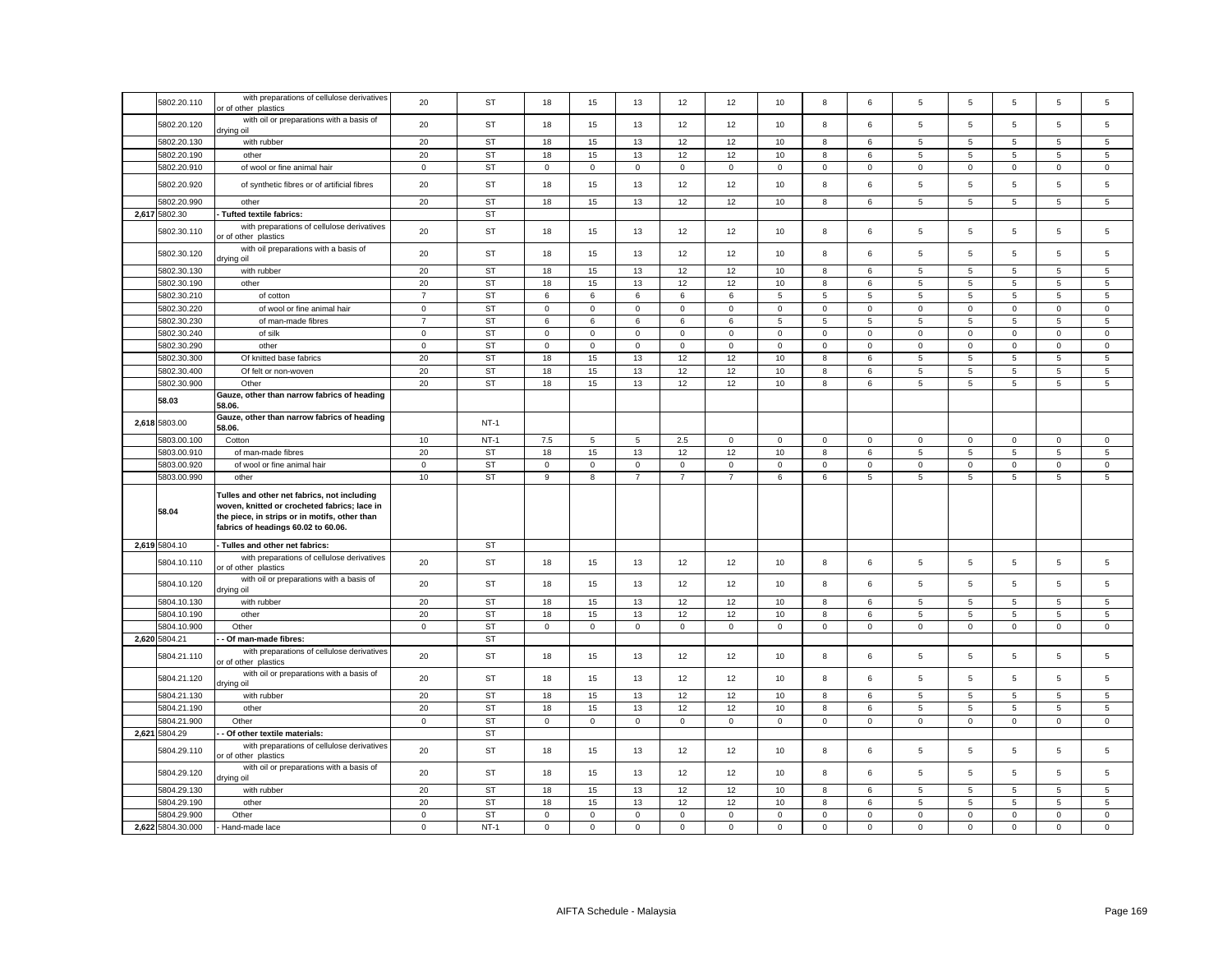| 5802.20.110       | with preparations of cellulose derivatives<br>or of other plastics                                                                                                                  | 20             | ST        | 18          | 15                  | 13              | 12                  | 12             | 10             | 8               | 6              | 5              | 5              | 5                   | $\overline{5}$  | 5               |
|-------------------|-------------------------------------------------------------------------------------------------------------------------------------------------------------------------------------|----------------|-----------|-------------|---------------------|-----------------|---------------------|----------------|----------------|-----------------|----------------|----------------|----------------|---------------------|-----------------|-----------------|
| 5802.20.120       | with oil or preparations with a basis of<br>drying oil                                                                                                                              | 20             | <b>ST</b> | 18          | 15                  | 13              | 12                  | 12             | 10             | 8               | 6              | 5              | 5              | 5                   | 5               | 5               |
| 5802.20.130       | with rubber                                                                                                                                                                         | 20             | <b>ST</b> | 18          | 15                  | 13              | 12                  | 12             | 10             | 8               | 6              | 5              | 5              | 5                   | $5\overline{5}$ | 5               |
| 5802.20.190       | other                                                                                                                                                                               | 20             | <b>ST</b> | 18          | 15                  | 13              | 12                  | 12             | 10             | 8               | 6              | 5              | $\sqrt{5}$     | $5\phantom{.0}$     | 5               | $5\overline{5}$ |
| 5802.20.910       | of wool or fine animal hair                                                                                                                                                         | $\mathbf 0$    | <b>ST</b> | $\mathbf 0$ | $\mathbf 0$         | $\mathsf 0$     | $\mathbf 0$         | $\mathsf 0$    | $\mathsf 0$    | $\mathsf 0$     | $\mathbf{0}$   | $\mathbf 0$    | $\mathsf 0$    | $\mathsf{O}\xspace$ | $\mathsf 0$     | $\mathbf 0$     |
| 5802.20.920       | of synthetic fibres or of artificial fibres                                                                                                                                         | 20             | <b>ST</b> | 18          | 15                  | 13              | 12                  | 12             | 10             | 8               | 6              | 5              | 5              | 5                   | $\overline{5}$  | 5               |
| 5802.20.990       | other                                                                                                                                                                               | 20             | <b>ST</b> | 18          | 15                  | 13              | 12                  | 12             | 10             | 8               | 6              | 5              | 5              | 5                   | 5               | 5               |
| 2,617 5802.30     | Tufted textile fabrics:                                                                                                                                                             |                | <b>ST</b> |             |                     |                 |                     |                |                |                 |                |                |                |                     |                 |                 |
| 5802.30.110       | with preparations of cellulose derivatives<br>or of other plastics                                                                                                                  | 20             | <b>ST</b> | 18          | 15                  | 13              | 12                  | 12             | 10             | 8               | 6              | 5              | 5              | 5                   | 5               | 5               |
| 5802.30.120       | with oil preparations with a basis of<br>lio pniyıt                                                                                                                                 | 20             | <b>ST</b> | 18          | 15                  | 13              | 12                  | 12             | 10             | 8               | 6              | 5              | 5              | 5                   | $\overline{5}$  | 5               |
| 5802.30.130       | with rubber                                                                                                                                                                         | 20             | ST        | 18          | 15                  | 13              | 12                  | 12             | $10$           | 8               | 6              | 5              | $\sqrt{5}$     | 5                   | $\,$ 5 $\,$     | $\,$ 5 $\,$     |
| 5802.30.190       | other                                                                                                                                                                               | 20             | <b>ST</b> | 18          | 15                  | 13              | 12                  | 12             | 10             | 8               | 6              | 5              | $\overline{5}$ | 5                   | $\,$ 5 $\,$     | 5               |
| 5802.30.210       | of cotton                                                                                                                                                                           | $\overline{7}$ | <b>ST</b> | 6           | 6                   | $\,6\,$         | 6                   | 6              | $\,$ 5 $\,$    | $\overline{5}$  | 5              | 5              | $\sqrt{5}$     | $\sqrt{5}$          | $\,$ 5 $\,$     | $\,$ 5 $\,$     |
| 5802.30.220       | of wool or fine animal hair                                                                                                                                                         | $\mathbf 0$    | <b>ST</b> | 0           | $\mathsf 0$         | $\mathsf 0$     | $\mathsf 0$         | $\mathbf 0$    | $\mathsf 0$    | $\mathbf 0$     | $\mathsf 0$    | $\mathsf 0$    | $\mathbf 0$    | $\mathbf 0$         | $\mathsf 0$     | $\mathbf 0$     |
| 5802.30.230       | of man-made fibres                                                                                                                                                                  | $\overline{7}$ | <b>ST</b> | 6           | 6                   | $6\overline{6}$ | $\overline{6}$      | 6              | $\overline{5}$ | $5\overline{5}$ | $\overline{5}$ | $\overline{5}$ | $\overline{5}$ | $\overline{5}$      | $\overline{5}$  | $\overline{5}$  |
| 5802.30.240       | of silk                                                                                                                                                                             | $\mathbf 0$    | <b>ST</b> | $\mathbf 0$ | $\mathsf 0$         | $\mathsf 0$     | $\mathbf 0$         | $\mathsf 0$    | $\mathsf 0$    | $\mathsf 0$     | $\mathbf 0$    | $\mathbf 0$    | $\mathbf 0$    | $\mathbf 0$         | $\mathsf 0$     | $\mathbf 0$     |
| 5802.30.290       | other                                                                                                                                                                               | $\overline{0}$ | <b>ST</b> | $\mathsf 0$ | $\mathsf{O}\xspace$ | $\mathsf 0$     | $\mathsf{O}\xspace$ | $\mathsf 0$    | $\mathsf 0$    | $\overline{0}$  | $\mathbf 0$    | $\mathsf 0$    | $\mathbf 0$    | $\mathsf 0$         | $\overline{0}$  | $\mathsf 0$     |
| 5802.30.300       | Of knitted base fabrics                                                                                                                                                             | 20             | <b>ST</b> | 18          | 15                  | 13              | 12                  | 12             | 10             | 8               | 6              | 5              | 5              | $\sqrt{5}$          | $\overline{5}$  | 5               |
| 5802.30.400       | Of felt or non-woven                                                                                                                                                                | 20             | <b>ST</b> | 18          | 15                  | 13              | 12                  | 12             | 10             | $\bf8$          | 6              | 5              | $\overline{5}$ | $\,$ 5 $\,$         | $\,$ 5 $\,$     | $\,$ 5 $\,$     |
| 5802.30.900       | Other                                                                                                                                                                               | 20             | <b>ST</b> | 18          | 15                  | 13              | 12                  | 12             | 10             | 8               | 6              | 5              | $\overline{5}$ | $5\phantom{.0}$     | $5\phantom{.0}$ | 5               |
| 58.03             | Gauze, other than narrow fabrics of heading<br>58.06.                                                                                                                               |                |           |             |                     |                 |                     |                |                |                 |                |                |                |                     |                 |                 |
| 2,618 5803.00     | Gauze, other than narrow fabrics of heading<br>58.06.                                                                                                                               |                | $NT-1$    |             |                     |                 |                     |                |                |                 |                |                |                |                     |                 |                 |
| 5803.00.100       | Cotton                                                                                                                                                                              | 10             | $NT-1$    | 7.5         | 5                   | 5               | 2.5                 | $\mathbf 0$    | $\mathsf 0$    | $\mathbf 0$     | $\mathbf 0$    | $\mathbf 0$    | $\mathbf 0$    | $\mathbf 0$         | $\mathbf 0$     | $\mathbf 0$     |
| 5803.00.910       | of man-made fibres                                                                                                                                                                  | 20             | ST        | 18          | 15                  | 13              | 12                  | 12             | 10             | 8               | 6              | 5              | 5              | 5                   | 5               | 5               |
| 5803.00.920       | of wool or fine animal hair                                                                                                                                                         | $\mathbf 0$    | <b>ST</b> | $\mathbf 0$ | $\mathbf 0$         | $\mathsf 0$     | $\mathbf{0}$        | $\mathsf 0$    | $\mathsf 0$    | $\mathbf 0$     | $\mathbf 0$    | $\mathbf 0$    | $\mathbf 0$    | $\mathbf 0$         | $\mathbf 0$     | $\mathbf 0$     |
| 5803.00.990       | other                                                                                                                                                                               | 10             | <b>ST</b> | 9           | 8                   | $\overline{7}$  | $\overline{7}$      | $\overline{7}$ | 6              | 6               | 5              | 5              | $\overline{5}$ | 5                   | $\overline{5}$  | 5               |
| 58.04             | Tulles and other net fabrics, not including<br>woven, knitted or crocheted fabrics; lace in<br>the piece, in strips or in motifs, other than<br>fabrics of headings 60.02 to 60.06. |                |           |             |                     |                 |                     |                |                |                 |                |                |                |                     |                 |                 |
| 2,619 5804.10     | - Tulles and other net fabrics:                                                                                                                                                     |                | ST        |             |                     |                 |                     |                |                |                 |                |                |                |                     |                 |                 |
| 5804.10.110       | with preparations of cellulose derivatives<br>or of other plastics                                                                                                                  | 20             | <b>ST</b> | 18          | 15                  | 13              | 12                  | 12             | 10             | 8               | 6              | 5              | 5              | 5                   | $\,$ 5 $\,$     | 5               |
| 5804.10.120       | with oil or preparations with a basis of<br>drying oil                                                                                                                              | 20             | <b>ST</b> | 18          | 15                  | 13              | 12                  | 12             | 10             | 8               | 6              | 5              | 5              | 5                   | 5               | 5               |
| 5804.10.130       | with rubber                                                                                                                                                                         | 20             | <b>ST</b> | 18          | 15                  | 13              | 12                  | 12             | 10             | 8               | 6              | 5              | 5              | 5                   | 5               | 5               |
| 5804.10.190       | other                                                                                                                                                                               | 20             | <b>ST</b> | 18          | 15                  | 13              | 12                  | 12             | 10             | 8               | 6              | 5              | 5              | 5                   | 5               | $5\overline{5}$ |
| 5804.10.900       | Other                                                                                                                                                                               | $\mathbf 0$    | <b>ST</b> | $\mathbf 0$ | $\mathsf 0$         | $\mathsf 0$     | $\mathbf 0$         | $\mathsf 0$    | $\mathsf 0$    | $\mathbf 0$     | $\mathsf 0$    | $\mathsf 0$    | $\mathbf 0$    | $\mathbf 0$         | $\mathsf 0$     | $\mathsf 0$     |
| 2,620 5804.21     | - Of man-made fibres:                                                                                                                                                               |                | <b>ST</b> |             |                     |                 |                     |                |                |                 |                |                |                |                     |                 |                 |
| 5804.21.110       | with preparations of cellulose derivatives<br>or of other plastics                                                                                                                  | 20             | <b>ST</b> | 18          | 15                  | 13              | 12                  | 12             | 10             | 8               | 6              | 5              | $\sqrt{5}$     | 5                   | 5               | 5               |
| 5804.21.120       | with oil or preparations with a basis of<br>drying oil                                                                                                                              | 20             | <b>ST</b> | 18          | 15                  | 13              | 12                  | 12             | 10             | 8               | 6              | 5              | 5              | 5                   | $\overline{5}$  | 5               |
| 5804.21.130       | with rubber                                                                                                                                                                         | 20             | <b>ST</b> | 18          | 15                  | 13              | 12                  | 12             | 10             | 8               | 6              | 5              | 5              | $\overline{5}$      | $\overline{5}$  | $\overline{5}$  |
| 5804.21.190       | other                                                                                                                                                                               | 20             | <b>ST</b> | 18          | 15                  | 13              | 12                  | 12             | 10             | 8               | 6              | 5              | $\overline{5}$ | 5                   | $\overline{5}$  | $\overline{5}$  |
| 5804.21.900       | Other                                                                                                                                                                               | $\mathsf{o}$   | <b>ST</b> | $\mathbf 0$ | $\mathsf 0$         | $\mathsf 0$     | $\mathsf 0$         | $\mathsf{o}\,$ | $\mathsf 0$    | $\mathsf 0$     | $\mathsf 0$    | $\mathsf 0$    | $\mathbf 0$    | $\mathsf 0$         | $\mathsf 0$     | $\mathsf 0$     |
| 2,621 5804.29     | Of other textile materials:                                                                                                                                                         |                | ST        |             |                     |                 |                     |                |                |                 |                |                |                |                     |                 |                 |
| 5804.29.110       | with preparations of cellulose derivatives<br>or of other plastics                                                                                                                  | 20             | <b>ST</b> | 18          | 15                  | 13              | 12                  | 12             | 10             | 8               | 6              | 5              | 5              | 5                   | $\overline{5}$  | 5               |
| 5804.29.120       | with oil or preparations with a basis of<br>drying oil                                                                                                                              | 20             | ST        | 18          | 15                  | 13              | 12                  | 12             | 10             | 8               | 6              | 5              | 5              | 5                   | $\sqrt{5}$      | 5               |
| 5804.29.130       | with rubber                                                                                                                                                                         | 20             | <b>ST</b> | 18          | 15                  | 13              | 12                  | 12             | 10             | 8               | 6              | 5              | $\sqrt{5}$     | 5                   | $\overline{5}$  | 5               |
| 5804.29.190       | other                                                                                                                                                                               | 20             | <b>ST</b> | 18          | 15                  | 13              | 12                  | 12             | 10             | 8               | 6              | 5              | $\overline{5}$ | 5                   | $\overline{5}$  | 5               |
| 5804.29.900       | Other                                                                                                                                                                               | $\mathbf 0$    | <b>ST</b> | $\mathbf 0$ | $\mathbf 0$         | $\mathsf 0$     | $\mathbf{0}$        | $\mathbf 0$    | $\mathbf 0$    | $\mathsf 0$     | $\mathbf 0$    | $\mathbf 0$    | $\,0\,$        | $\mathsf 0$         | $\mathsf 0$     | $\mathbf 0$     |
| 2,622 5804.30.000 | Hand-made lace                                                                                                                                                                      | $\mathsf 0$    | $NT-1$    | $\mathbf 0$ | $\mathsf 0$         | $\mathsf 0$     | $\mathbf 0$         | $\mathbf 0$    | $\mathsf 0$    | $\mathbf 0$     | $\mathbf 0$    | $\mathsf 0$    | $\mathsf 0$    | $\mathsf 0$         | $\mathsf 0$     | $\mathbf 0$     |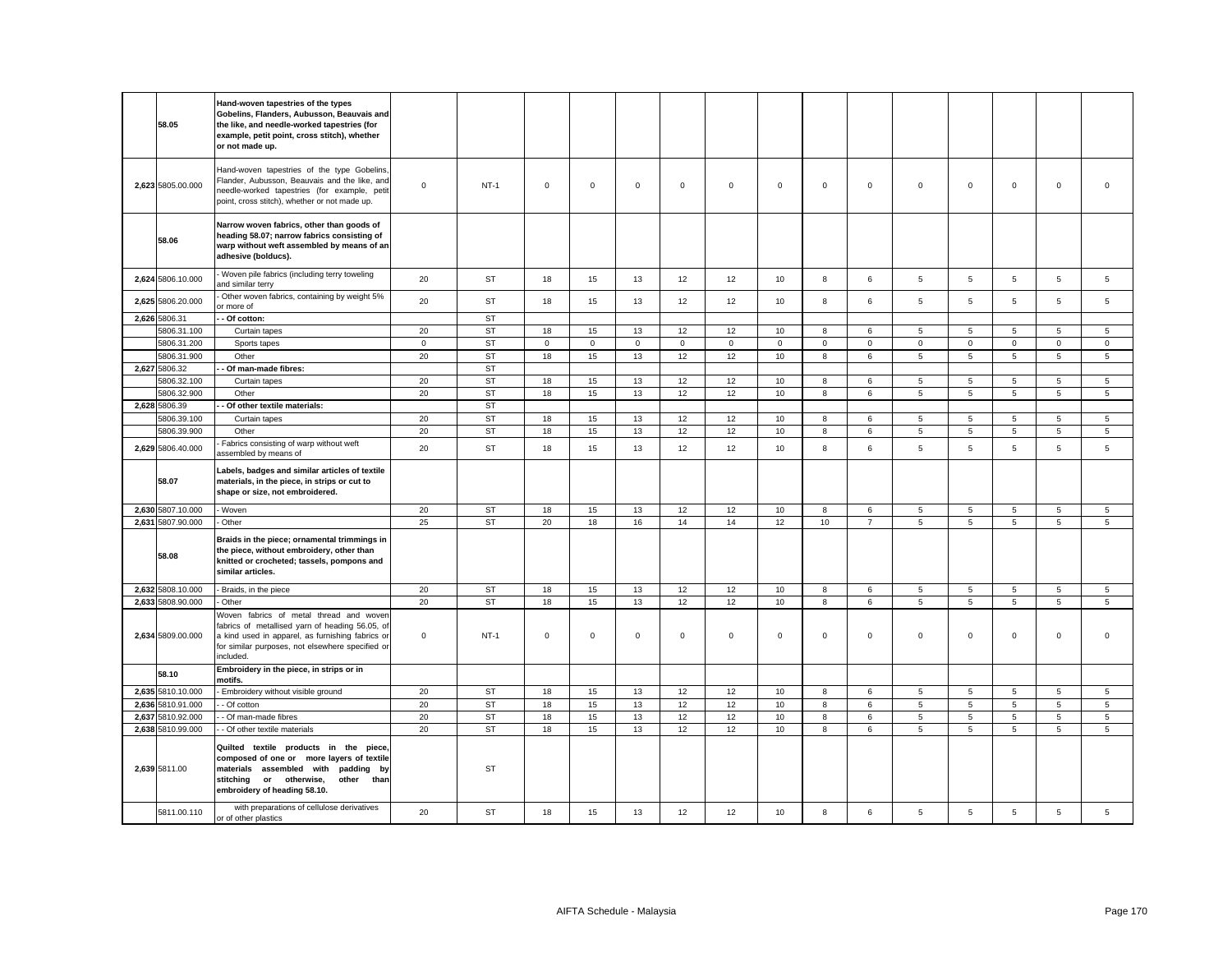|       | 58.05             | Hand-woven tapestries of the types<br>Gobelins, Flanders, Aubusson, Beauvais and<br>the like, and needle-worked tapestries (for<br>example, petit point, cross stitch), whether<br>or not made up.                                                     |             |           |             |             |             |             |             |             |             |                |                     |                |             |                     |                |
|-------|-------------------|--------------------------------------------------------------------------------------------------------------------------------------------------------------------------------------------------------------------------------------------------------|-------------|-----------|-------------|-------------|-------------|-------------|-------------|-------------|-------------|----------------|---------------------|----------------|-------------|---------------------|----------------|
|       | 2,623 5805.00.000 | Hand-woven tapestries of the type Gobelins,<br>Flander, Aubusson, Beauvais and the like, and<br>needle-worked tapestries (for example, petit<br>point, cross stitch), whether or not made up.                                                          | $\mathbf 0$ | $NT-1$    | $\mathbf 0$ | $\mathbf 0$ | $\mathsf 0$ | $\mathbf 0$ | $\mathbf 0$ | $\mathsf 0$ | $\mathbf 0$ | $\mathbf 0$    | $\mathbf 0$         | $\mathsf 0$    | $\mathsf 0$ | $\mathsf 0$         | $\mathsf 0$    |
|       | 58.06             | Narrow woven fabrics, other than goods of<br>heading 58.07; narrow fabrics consisting of<br>warp without weft assembled by means of an<br>adhesive (bolducs).                                                                                          |             |           |             |             |             |             |             |             |             |                |                     |                |             |                     |                |
|       | 2,624 5806.10.000 | Woven pile fabrics (including terry toweling<br>and similar terry                                                                                                                                                                                      | 20          | ST        | 18          | 15          | 13          | 12          | 12          | 10          | 8           | 6              | 5                   | 5              | 5           | 5                   | 5              |
|       | 2,625 5806.20.000 | Other woven fabrics, containing by weight 5%<br>or more of                                                                                                                                                                                             | 20          | ST        | 18          | 15          | 13          | 12          | 12          | 10          | 8           | 6              | $5\phantom{.0}$     | $\overline{5}$ | 5           | 5                   | $\overline{5}$ |
|       | 2,626 5806.31     | - Of cotton:                                                                                                                                                                                                                                           |             | ST        |             |             |             |             |             |             |             |                |                     |                |             |                     |                |
|       | 5806.31.100       | Curtain tapes                                                                                                                                                                                                                                          | 20          | ST        | 18          | 15          | 13          | 12          | 12          | 10          | 8           | 6              | $5\phantom{.0}$     | 5              | 5           | $5\phantom{.0}$     | $\overline{5}$ |
|       | 5806.31.200       | Sports tapes                                                                                                                                                                                                                                           | $\mathsf 0$ | <b>ST</b> | $\mathbf 0$ | $\mathsf 0$ | $\mathsf 0$ | $\mathsf 0$ | $\mathsf 0$ | $\mathsf 0$ | $\mathsf 0$ | $\mathsf 0$    | $\mathsf{o}\xspace$ | $\mathsf 0$    | $\mathsf 0$ | $\mathsf{O}\xspace$ | $\mathsf 0$    |
|       | 5806.31.900       | Other                                                                                                                                                                                                                                                  | 20          | ST        | 18          | 15          | 13          | 12          | 12          | 10          | 8           | 6              | $5\phantom{.0}$     | $\overline{5}$ | 5           | 5                   | $\overline{5}$ |
|       | 2,627 5806.32     | Of man-made fibres:                                                                                                                                                                                                                                    |             | <b>ST</b> |             |             |             |             |             |             |             |                |                     |                |             |                     |                |
|       | 5806.32.100       | Curtain tapes                                                                                                                                                                                                                                          | 20          | <b>ST</b> | 18          | 15          | 13          | 12          | 12          | 10          | 8           | 6              | $5\overline{5}$     | 5              | 5           | 5                   | 5              |
|       | 5806.32.900       | Other                                                                                                                                                                                                                                                  | 20          | <b>ST</b> | 18          | 15          | 13          | 12          | 12          | 10          | 8           | 6              | $\overline{5}$      | $\overline{5}$ | 5           | 5                   | 5              |
|       | 2,628 5806.39     | Of other textile materials:                                                                                                                                                                                                                            |             | <b>ST</b> |             |             |             |             |             |             |             |                |                     |                |             |                     |                |
|       | 5806.39.100       | Curtain tapes                                                                                                                                                                                                                                          | 20          | <b>ST</b> | 18          | 15          | 13          | 12          | 12          | 10          | 8           | 6              | 5                   | 5              | 5           | 5                   | 5              |
|       | 5806.39.900       | Other                                                                                                                                                                                                                                                  | 20          | <b>ST</b> | 18          | 15          | 13          | 12          | 12          | 10          | 8           | 6              | $\overline{5}$      | 5              | 5           | $\,$ 5 $\,$         | $\,$ 5 $\,$    |
|       | 2,629 5806.40.000 | Fabrics consisting of warp without weft<br>assembled by means of                                                                                                                                                                                       | 20          | <b>ST</b> | 18          | 15          | 13          | 12          | 12          | 10          | 8           | 6              | $5\phantom{.0}$     | 5              | 5           | $\,$ 5 $\,$         | 5              |
|       | 58.07             | Labels, badges and similar articles of textile<br>materials, in the piece, in strips or cut to<br>shape or size, not embroidered.                                                                                                                      |             |           |             |             |             |             |             |             |             |                |                     |                |             |                     |                |
|       | 2,630 5807.10.000 | - Woven                                                                                                                                                                                                                                                | 20          | ST        | 18          | 15          | 13          | 12          | 12          | 10          | 8           | $\,6\,$        | $\overline{5}$      |                |             | 5                   | $\overline{5}$ |
|       | 2,631 5807.90.000 | - Other                                                                                                                                                                                                                                                | 25          | <b>ST</b> |             |             |             |             |             |             |             |                |                     | $\overline{5}$ | 5           |                     |                |
|       |                   |                                                                                                                                                                                                                                                        |             |           | 20          | 18          | 16          | 14          | 14          | 12          | 10          | $\overline{7}$ | 5                   | 5              | 5           | 5                   | 5              |
|       | 58.08             | Braids in the piece; ornamental trimmings in<br>the piece, without embroidery, other than<br>knitted or crocheted; tassels, pompons and<br>similar articles.                                                                                           |             |           |             |             |             |             |             |             |             |                |                     |                |             |                     |                |
|       | 2,632 5808.10.000 | Braids, in the piece                                                                                                                                                                                                                                   | 20          | <b>ST</b> | 18          | 15          | 13          | 12          | 12          | 10          | 8           | 6              | 5                   | 5              | 5           | 5                   | 5              |
|       | 2,633 5808.90.000 | Other                                                                                                                                                                                                                                                  | 20          | <b>ST</b> | 18          | 15          | 13          | 12          | 12          | 10          | 8           | 6              | $5\phantom{.0}$     | $\sqrt{5}$     | 5           | $5\phantom{.0}$     | $\overline{5}$ |
|       | 2,634 5809.00.000 | Woven fabrics of metal thread and woven<br>fabrics of metallised yarn of heading 56.05, of<br>a kind used in apparel, as furnishing fabrics or<br>for similar purposes, not elsewhere specified or<br>included.                                        | $\mathbf 0$ | $NT-1$    | $\mathsf 0$ | $\mathsf 0$ | $\mathsf 0$ | $\mathbf 0$ | 0           | $\mathsf 0$ | $\mathsf 0$ | $\mathbf 0$    | $\mathbf 0$         | $\mathsf 0$    | $\mathbf 0$ | $\mathsf 0$         | $\mathsf 0$    |
|       | 58.10             | Embroidery in the piece, in strips or in<br>notifs.                                                                                                                                                                                                    |             |           |             |             |             |             |             |             |             |                |                     |                |             |                     |                |
|       | 2,635 5810.10.000 | Embroidery without visible ground                                                                                                                                                                                                                      | 20          | ST        | 18          | 15          | 13          | 12          | 12          | 10          | 8           | 6              | 5                   | 5              | 5           | 5                   | 5              |
|       | 2,636 5810.91.000 | - Of cotton                                                                                                                                                                                                                                            | 20          | <b>ST</b> | 18          | 15          | 13          | 12          | 12          | 10          | 8           | 6              | 5                   | 5              | 5           | 5                   | 5              |
| 2,637 | 5810.92.000       | - Of man-made fibres                                                                                                                                                                                                                                   | 20          | <b>ST</b> | 18          | 15          | 13          | 12          | 12          | 10          | $\bf8$      | $\,6\,$        | $\overline{5}$      | 5              | $\,$ 5 $\,$ | $\,$ 5 $\,$         | $\,$ 5 $\,$    |
|       | 2,638 5810.99.000 | - Of other textile materials                                                                                                                                                                                                                           | 20          | <b>ST</b> | 18          | 15          | 13          | 12          | 12          | 10          | 8           | 6              | 5                   | 5              | 5           | 5                   | $\overline{5}$ |
|       | 2,639 5811.00     | Quilted textile products in the<br>piece<br>composed of one or more layers of textile<br>materials assembled with padding by<br>stitching or otherwise,<br>other<br>than<br>embroidery of heading 58.10.<br>with preparations of cellulose derivatives |             | <b>ST</b> |             |             |             |             |             |             |             |                |                     |                |             |                     |                |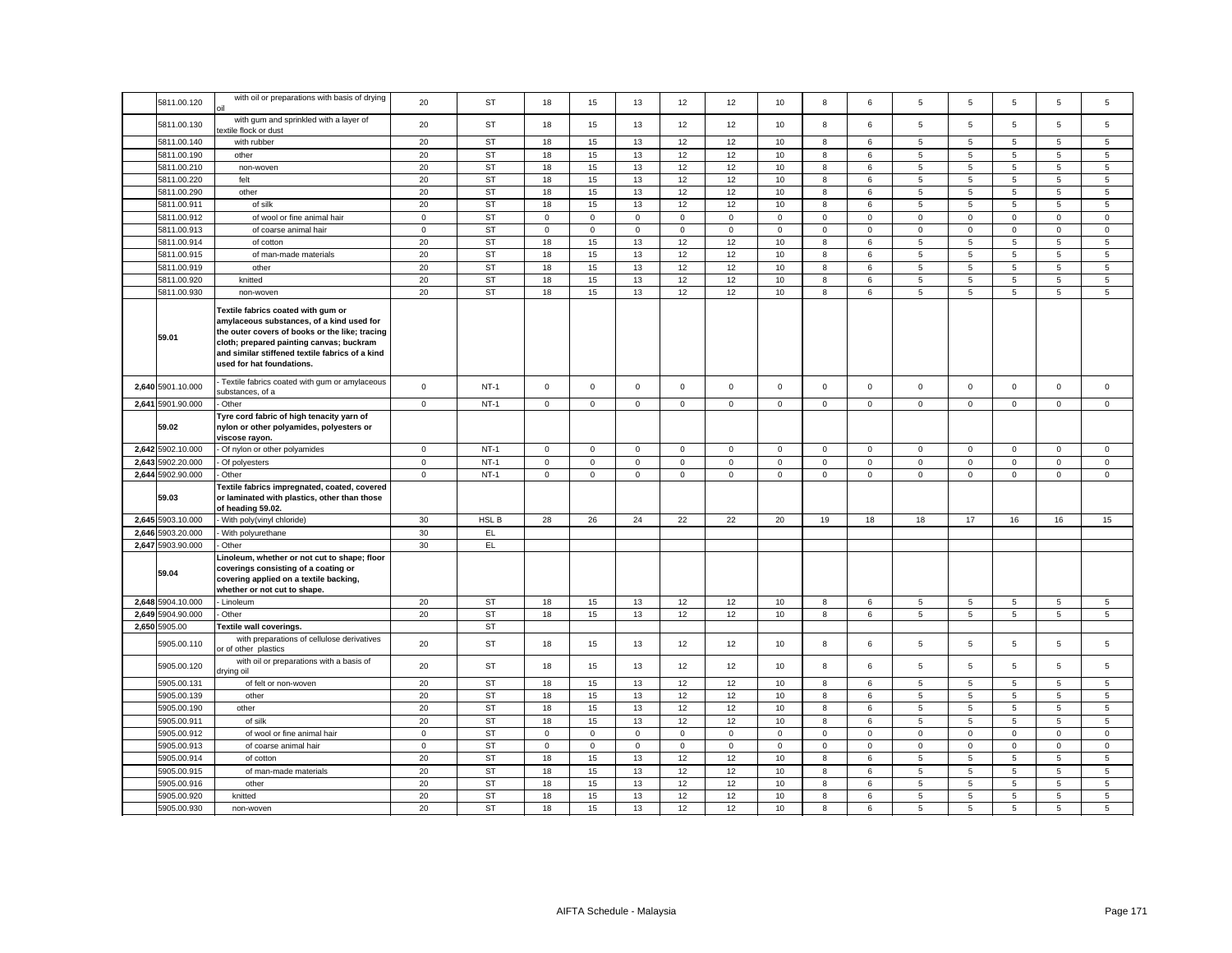| 5811.00.120       | with oil or preparations with basis of drying                                                                                                                                                                                                                 | 20           | ST        | 18                  | 15           | 13             | 12           | 12          | 10          | 8                   | 6            | 5                   | 5              | 5               | 5               | 5               |
|-------------------|---------------------------------------------------------------------------------------------------------------------------------------------------------------------------------------------------------------------------------------------------------------|--------------|-----------|---------------------|--------------|----------------|--------------|-------------|-------------|---------------------|--------------|---------------------|----------------|-----------------|-----------------|-----------------|
| 5811.00.130       | with gum and sprinkled with a layer of<br>textile flock or dust                                                                                                                                                                                               | 20           | ST        | 18                  | 15           | 13             | 12           | 12          | 10          | 8                   | 6            | 5                   | 5              | 5               | $\overline{5}$  | 5               |
| 5811.00.140       | with rubber                                                                                                                                                                                                                                                   | 20           | ST        | 18                  | 15           | 13             | 12           | 12          | 10          | 8                   | 6            | 5                   | 5              | 5               | $\overline{5}$  | $\overline{5}$  |
| 5811.00.190       | other                                                                                                                                                                                                                                                         | 20           | <b>ST</b> | 18                  | 15           | 13             | 12           | 12          | 10          | $\bf8$              | 6            | 5                   | $\sqrt{5}$     | $\sqrt{5}$      | $\,$ 5 $\,$     | $\,$ 5 $\,$     |
| 5811.00.210       | non-woven                                                                                                                                                                                                                                                     | 20           | ST        | 18                  | 15           | 13             | 12           | 12          | 10          | 8                   | 6            | 5                   | 5              | 5               | 5               | $\sqrt{5}$      |
| 5811.00.220       | felt                                                                                                                                                                                                                                                          | 20           | <b>ST</b> | 18                  | 15           | 13             | 12           | 12          | 10          | 8                   | 6            | 5                   | 5              | 5               | 5               | 5               |
| 5811.00.290       | other                                                                                                                                                                                                                                                         | 20           | <b>ST</b> | 18                  | 15           | 13             | 12           | 12          | 10          | 8                   | 6            | 5                   | 5              | 5               | 5               | 5               |
| 5811.00.911       | of silk                                                                                                                                                                                                                                                       | 20           | <b>ST</b> | 18                  | 15           | 13             | 12           | 12          | 10          | 8                   | 6            | 5                   | 5              | 5               | $5\phantom{.0}$ | 5               |
| 5811.00.912       |                                                                                                                                                                                                                                                               | $\mathsf 0$  | <b>ST</b> | $\mathsf 0$         | $\mathsf 0$  | $\mathsf 0$    | $\mathsf 0$  | $\mathsf 0$ | $\mathsf 0$ | $\mathsf 0$         | $\mathbf 0$  | $\mathsf 0$         | $\mathbf 0$    | $\mathsf 0$     | $\mathbf 0$     | $\mathbf 0$     |
|                   | of wool or fine animal hair                                                                                                                                                                                                                                   |              |           |                     |              |                |              |             |             |                     |              |                     | $\overline{0}$ |                 |                 |                 |
| 5811.00.913       | of coarse animal hair                                                                                                                                                                                                                                         | $\mathsf 0$  | ST        | $\mathsf 0$         | $\mathsf 0$  | $\mathsf 0$    | $\mathsf 0$  | $\mathbf 0$ | $\mathsf 0$ | $\mathsf 0$         | $\mathbf 0$  | $\mathsf 0$         |                | $\mathsf 0$     | $\mathsf 0$     | $\mathbf 0$     |
| 5811.00.914       | of cotton                                                                                                                                                                                                                                                     | 20           | <b>ST</b> | 18                  | 15           | 13             | 12           | 12          | 10          | 8                   | 6            | 5                   | $\sqrt{5}$     | 5               | $\overline{5}$  | $\,$ 5 $\,$     |
| 5811.00.915       | of man-made materials                                                                                                                                                                                                                                         | 20           | ST        | 18                  | 15           | 13             | 12           | 12          | 10          | 8                   | 6            | 5                   | $\overline{5}$ | 5               | $\overline{5}$  | 5               |
| 5811.00.919       | other                                                                                                                                                                                                                                                         | 20           | <b>ST</b> | 18                  | 15           | 13             | 12           | 12          | 10          | 8                   | 6            | 5                   | 5              | 5               | 5               | 5               |
| 5811.00.920       | knitted                                                                                                                                                                                                                                                       | 20           | <b>ST</b> | 18                  | 15           | 13             | 12           | 12          | 10          | 8                   | 6            | 5                   | $\,$ 5 $\,$    | $5\phantom{.0}$ | $\,$ 5 $\,$     | $5\phantom{.0}$ |
| 5811.00.930       | non-woven                                                                                                                                                                                                                                                     | 20           | <b>ST</b> | 18                  | 15           | 13             | 12           | 12          | 10          | 8                   | 6            | 5                   | 5              | 5               | 5               | 5               |
| 59.01             | Textile fabrics coated with gum or<br>amylaceous substances, of a kind used for<br>the outer covers of books or the like; tracing<br>cloth; prepared painting canvas; buckram<br>and similar stiffened textile fabrics of a kind<br>used for hat foundations. |              |           |                     |              |                |              |             |             |                     |              |                     |                |                 |                 |                 |
| 2,640 5901.10.000 | Textile fabrics coated with gum or amylaceous<br>substances, of a                                                                                                                                                                                             | $\mathbf 0$  | $NT-1$    | $\mathbf{0}$        | $\mathbf 0$  | $\mathbf 0$    | $\mathbf{0}$ | $\mathbf 0$ | $\mathbf 0$ | $\mathbf 0$         | $\mathbf 0$  | $\mathbf 0$         | $\mathbf 0$    | $\mathbf{0}$    | $\mathsf 0$     | $\mathbf 0$     |
| 2,641 5901.90.000 | - Other                                                                                                                                                                                                                                                       | $\mathbf{0}$ | $NT-1$    | $\mathbf 0$         | $\mathbf{O}$ | $\overline{0}$ | $\mathbf{0}$ | $\mathbf 0$ | $\mathbf 0$ | $\mathbf 0$         | $\mathbf 0$  | $\mathbf 0$         | $\mathbf 0$    | $\mathbf 0$     | $\mathbf{0}$    | $\mathbf 0$     |
| 59.02             | Tyre cord fabric of high tenacity yarn of<br>nylon or other polyamides, polyesters or<br>viscose rayon.                                                                                                                                                       |              |           |                     |              |                |              |             |             |                     |              |                     |                |                 |                 |                 |
| 2,642 5902.10.000 | - Of nylon or other polyamides                                                                                                                                                                                                                                | $\mathbf 0$  | $NT-1$    | $\mathbf 0$         | $\mathbf 0$  | $\mathsf 0$    | $\mathsf 0$  | $\mathbf 0$ | $\mathsf 0$ | $\mathbf 0$         | $\mathbf 0$  | $\mathsf 0$         | $\mathbf 0$    | $\mathsf 0$     | $\mathsf 0$     | $\mathbf 0$     |
| 2.643 5902.20.000 | - Of polyesters                                                                                                                                                                                                                                               | $\mathbf 0$  | $NT-1$    | $\mathbf 0$         | $\mathbf 0$  | $\mathbf 0$    | $\mathbf 0$  | $\mathbf 0$ | $\mathbf 0$ | $\mathbf{0}$        | $\mathbf{0}$ | $\mathbf 0$         | $\mathbf 0$    | $\mathbf{O}$    | $\mathbf{0}$    | $\mathbf 0$     |
| 2,644 5902.90.000 | - Other                                                                                                                                                                                                                                                       | $\mathbf 0$  | $NT-1$    | $\mathbf 0$         | $\mathbf 0$  | $\mathsf 0$    | $\mathbf{0}$ | $\mathbf 0$ | $\mathbf 0$ | $\mathbf 0$         | $\mathbf{0}$ | $\mathbf 0$         | $\mathbf 0$    | $\mathbf 0$     | $\mathbf{0}$    | $\mathbf{0}$    |
| 59.03             | Textile fabrics impregnated, coated, covered<br>or laminated with plastics, other than those<br>of heading 59.02.                                                                                                                                             |              |           |                     |              |                |              |             |             |                     |              |                     |                |                 |                 |                 |
| 2,645 5903.10.000 | - With poly(vinyl chloride)                                                                                                                                                                                                                                   | 30           | HSL B     | 28                  | 26           | 24             | 22           | 22          | 20          | 19                  | 18           | 18                  | 17             | 16              | 16              | 15              |
| 2,646 5903.20.000 | - With polyurethane                                                                                                                                                                                                                                           | 30           | EL.       |                     |              |                |              |             |             |                     |              |                     |                |                 |                 |                 |
| 2,647 5903.90.000 | - Other                                                                                                                                                                                                                                                       | 30           | EL        |                     |              |                |              |             |             |                     |              |                     |                |                 |                 |                 |
| 59.04             | Linoleum, whether or not cut to shape; floor<br>coverings consisting of a coating or<br>covering applied on a textile backing,<br>whether or not cut to shape.                                                                                                |              |           |                     |              |                |              |             |             |                     |              |                     |                |                 |                 |                 |
| 2,648 5904.10.000 | - Linoleum                                                                                                                                                                                                                                                    | 20           | ST        | 18                  | 15           | 13             | 12           | 12          | 10          | 8                   | 6            | 5                   | 5              | 5               | 5               | 5               |
| 2,649 5904.90.000 | Other                                                                                                                                                                                                                                                         | 20           | <b>ST</b> | 18                  | 15           | 13             | 12           | 12          | 10          | 8                   | 6            | 5                   | 5              | 5               | 5               | 5               |
| 2,650 5905.00     | Textile wall coverings.                                                                                                                                                                                                                                       |              | <b>ST</b> |                     |              |                |              |             |             |                     |              |                     |                |                 |                 |                 |
| 5905.00.110       | with preparations of cellulose derivatives<br>or of other plastics                                                                                                                                                                                            | 20           | ST        | 18                  | 15           | 13             | 12           | 12          | 10          | 8                   | 6            | 5                   | 5              | 5               | $\overline{5}$  | 5               |
| 5905.00.120       | with oil or preparations with a basis of<br>drying oil                                                                                                                                                                                                        | 20           | ST        | 18                  | 15           | 13             | 12           | 12          | 10          | 8                   | 6            | 5                   | 5              | 5               | $\overline{5}$  | 5               |
| 5905.00.131       | of felt or non-woven                                                                                                                                                                                                                                          | 20           | <b>ST</b> | 18                  | 15           | 13             | 12           | 12          | 10          | 8                   | 6            | 5                   | 5              | 5               | 5               | 5               |
| 5905.00.139       | other                                                                                                                                                                                                                                                         | 20           | <b>ST</b> | 18                  | 15           | 13             | 12           | 12          | 10          | 8                   | 6            | 5                   | 5              | 5               | $5\overline{5}$ | 5               |
| 5905.00.190       | other                                                                                                                                                                                                                                                         | 20           | <b>ST</b> | 18                  | 15           | 13             | 12           | 12          | 10          | 8                   | 6            | 5                   | 5              | 5               | $\overline{5}$  | 5               |
| 5905.00.911       | of silk                                                                                                                                                                                                                                                       | 20           | <b>ST</b> | 18                  | 15           | 13             | 12           | 12          | 10          | 8                   | 6            | 5                   | 5              | 5               | 5               | 5               |
| 5905.00.912       | of wool or fine animal hair                                                                                                                                                                                                                                   | $\mathbf 0$  | <b>ST</b> | $\mathsf{O}\xspace$ | $\mathbf 0$  | $\mathbf 0$    | $\mathsf 0$  | $\mathsf 0$ | $\mathbf 0$ | $\mathsf{O}\xspace$ | $\mathbf 0$  | $\mathsf{O}\xspace$ | $\pmb{0}$      | $\mathsf 0$     | $\mathbf 0$     | $\mathsf 0$     |
| 5905.00.913       | of coarse animal hair                                                                                                                                                                                                                                         | $\mathbf 0$  | <b>ST</b> | $\mathbf 0$         | $\mathbf 0$  | $\mathbf 0$    | $\mathbf 0$  | $\mathbf 0$ | $\mathsf 0$ | $\mathbf 0$         | $\mathbf 0$  | $\mathbf 0$         | $\mathsf 0$    | $\mathbf 0$     | $\mathbf 0$     | $\mathbf 0$     |
| 5905.00.914       | of cotton                                                                                                                                                                                                                                                     | 20           | <b>ST</b> | 18                  | 15           | 13             | 12           | 12          | 10          | 8                   | 6            | 5                   | $\sqrt{5}$     | 5               | $\,$ 5 $\,$     | 5               |
| 5905.00.915       | of man-made materials                                                                                                                                                                                                                                         | 20           | <b>ST</b> | 18                  | 15           | 13             | 12           | 12          | 10          | 8                   | 6            | 5                   | 5              | 5               | 5               | 5               |
| 5905.00.916       | other                                                                                                                                                                                                                                                         | 20           | <b>ST</b> | 18                  | 15           | 13             | 12           | 12          | 10          | 8                   | 6            | 5                   | 5              | 5               | 5               | 5               |
| 5905.00.920       | knitted                                                                                                                                                                                                                                                       | 20           | <b>ST</b> | 18                  | 15           | 13             | 12           | 12          | 10          | 8                   | 6            | 5                   | 5              | 5               | $5\overline{5}$ | $5\overline{5}$ |
| 5905.00.930       | non-woven                                                                                                                                                                                                                                                     | 20           | <b>ST</b> | 18                  | 15           | 13             | 12           | 12          | 10          | 8                   | 6            | 5                   | 5              | 5               | 5               | 5               |
|                   |                                                                                                                                                                                                                                                               |              |           |                     |              |                |              |             |             |                     |              |                     |                |                 |                 |                 |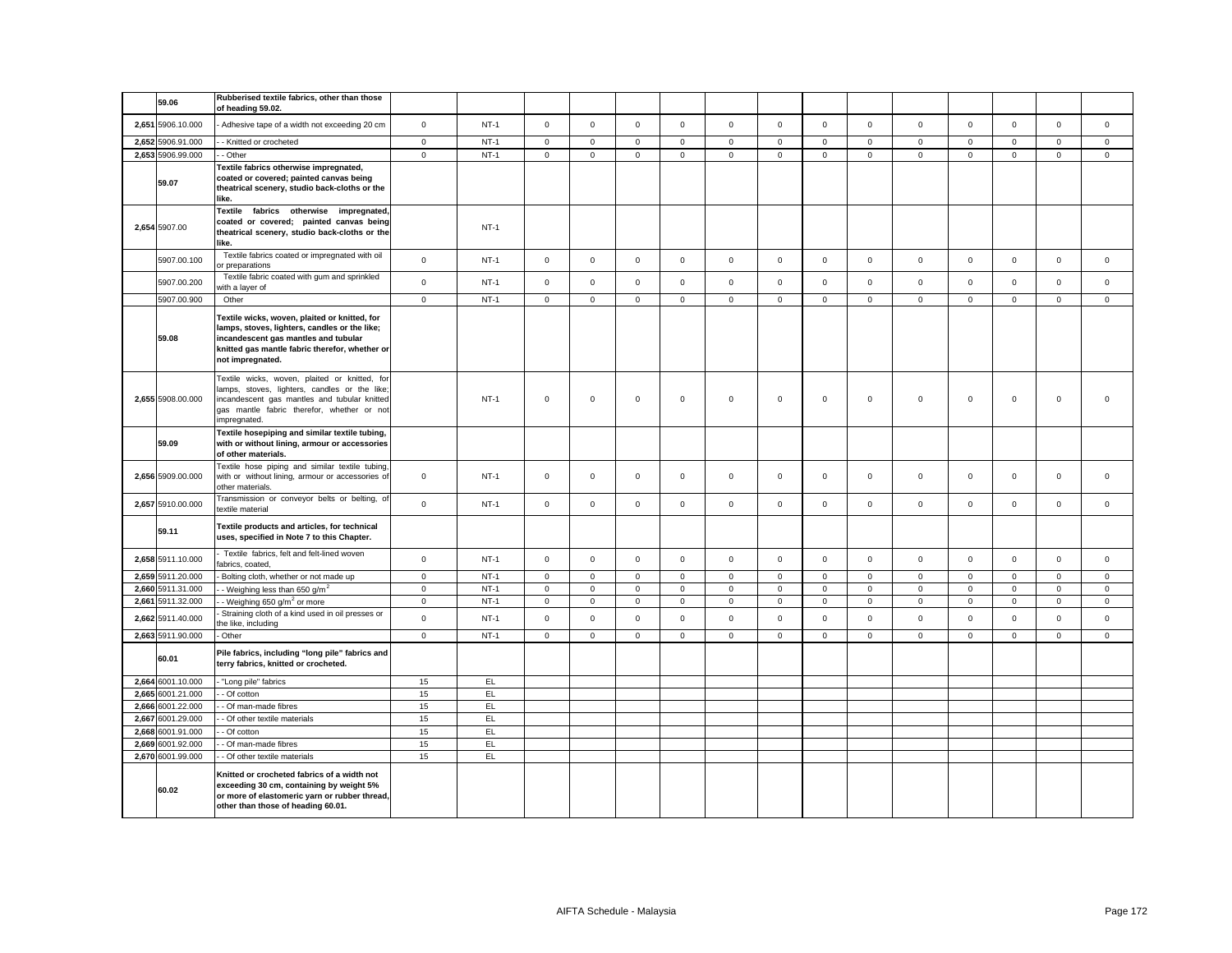| 59.06             | Rubberised textile fabrics, other than those<br>of heading 59.02.                                                                                                                                            |                     |        |              |              |              |              |             |             |                     |              |             |             |             |              |              |
|-------------------|--------------------------------------------------------------------------------------------------------------------------------------------------------------------------------------------------------------|---------------------|--------|--------------|--------------|--------------|--------------|-------------|-------------|---------------------|--------------|-------------|-------------|-------------|--------------|--------------|
| 2,651 5906.10.000 | Adhesive tape of a width not exceeding 20 cm                                                                                                                                                                 | $\mathsf 0$         | $NT-1$ | $\mathsf 0$  | $\mathsf 0$  | $\mathsf 0$  | $\mathsf 0$  | $\mathbf 0$ | $\mathsf 0$ | $\mathsf 0$         | $\mathsf 0$  | $\mathsf 0$ | $\mathbf 0$ | $\mathsf 0$ | $\mathsf 0$  | $\mathsf 0$  |
| 2,652 5906.91.000 | - Knitted or crocheted                                                                                                                                                                                       | $\mathsf 0$         | $NT-1$ | $\mathsf 0$  | $\mathbf 0$  | $\mathsf 0$  | $\mathsf 0$  | $\mathbf 0$ | $\mathsf 0$ | $\mathbf{0}$        | $\mathsf 0$  | $\mathsf 0$ | $\mathbf 0$ | $\mathbf 0$ | $\mathsf 0$  | $\mathsf 0$  |
| 2,653 5906.99.000 | - Other                                                                                                                                                                                                      | $\mathsf 0$         | $NT-1$ | $\mathbf 0$  | $\mathsf 0$  | $\mathsf 0$  | $\mathsf 0$  | $\mathsf 0$ | $\mathsf 0$ | $\mathsf{O}\xspace$ | $\mathsf 0$  | $\mathsf 0$ | $\mathsf 0$ | $\mathsf 0$ | $\mathsf 0$  | $\mathsf 0$  |
| 59.07             | Textile fabrics otherwise impregnated,<br>coated or covered; painted canvas being<br>theatrical scenery, studio back-cloths or the<br>like.                                                                  |                     |        |              |              |              |              |             |             |                     |              |             |             |             |              |              |
| 2,654 5907.00     | Textile fabrics otherwise impregnated,<br>coated or covered; painted canvas being<br>theatrical scenery, studio back-cloths or the<br>like.                                                                  |                     | $NT-1$ |              |              |              |              |             |             |                     |              |             |             |             |              |              |
| 5907.00.100       | Textile fabrics coated or impregnated with oil<br>or preparations                                                                                                                                            | $\mathsf 0$         | $NT-1$ | $\mathbf{0}$ | $\mathbf 0$  | $\mathbf{0}$ | $\mathbf 0$  | $\mathbf 0$ | $\mathbf 0$ | $\mathbf{0}$        | $\mathbf{0}$ | $\mathbf 0$ | $\mathbf 0$ | $\mathbf 0$ | $\mathbf 0$  | $\mathbf 0$  |
| 5907.00.200       | Textile fabric coated with gum and sprinkled<br>vith a layer of                                                                                                                                              | $\mathsf{o}$        | $NT-1$ | $\mathbf 0$  | $\mathbf 0$  | $\mathsf 0$  | $\mathbf 0$  | $\mathbf 0$ | $\mathbf 0$ | $\mathbf{0}$        | $\mathbf 0$  | $\mathbf 0$ | $\mathbf 0$ | $\mathbf 0$ | $\mathbf 0$  | $\mathbf 0$  |
| 5907.00.900       | Other                                                                                                                                                                                                        | $\mathsf 0$         | $NT-1$ | $\mathbf{0}$ | $\mathbf{0}$ | $\mathsf 0$  | $\mathbf 0$  | $\mathbf 0$ | $\mathbf 0$ | $\mathsf{O}\xspace$ | $\mathbf{0}$ | $\mathbf 0$ | $\mathbf 0$ | $\mathbf 0$ | $\mathbf{0}$ | $\mathbf{0}$ |
| 59.08             | Textile wicks, woven, plaited or knitted, for<br>lamps, stoves, lighters, candles or the like;<br>incandescent gas mantles and tubular<br>knitted gas mantle fabric therefor, whether or<br>not impregnated. |                     |        |              |              |              |              |             |             |                     |              |             |             |             |              |              |
| 2,655 5908.00.000 | Textile wicks, woven, plaited or knitted, for<br>lamps, stoves, lighters, candles or the like<br>incandescent gas mantles and tubular knitted<br>gas mantle fabric therefor, whether or not<br>impregnated.  |                     | $NT-1$ | $\mathbf 0$  | $\mathbf 0$  | $\mathbf 0$  | $\mathbf{0}$ | $\mathbf 0$ | $\mathbf 0$ | $\mathbf{O}$        | $\mathbf 0$  | $\mathbf 0$ | $\mathbf 0$ | $\mathbf 0$ | $\mathbf 0$  | $\mathbf 0$  |
| 59.09             | Textile hosepiping and similar textile tubing,<br>with or without lining, armour or accessories<br>of other materials.                                                                                       |                     |        |              |              |              |              |             |             |                     |              |             |             |             |              |              |
| 2,656 5909.00.000 | Textile hose piping and similar textile tubing,<br>with or without lining, armour or accessories of<br>other materials.                                                                                      | $\mathbf 0$         | $NT-1$ | $\mathbf 0$  | $\mathsf 0$  | $\mathsf 0$  | $\mathsf 0$  | $\mathsf 0$ | $\mathsf 0$ | $\mathbf 0$         | $\mathsf 0$  | $\mathsf 0$ | $\mathsf 0$ | $\mathsf 0$ | $\mathsf 0$  | $\mathsf 0$  |
| 2,657 5910.00.000 | Transmission or conveyor belts or belting, of<br>textile material                                                                                                                                            | $\mathsf 0$         | $NT-1$ | $\mathbf 0$  | $\mathsf 0$  | $\mathsf 0$  | $\mathsf 0$  | $\mathbf 0$ | $\mathsf 0$ | $\mathbf 0$         | $\mathsf 0$  | $\mathsf 0$ | $\mathsf 0$ | $\mathsf 0$ | $\mathsf 0$  | $\mathsf 0$  |
| 59.11             | Textile products and articles, for technical<br>uses, specified in Note 7 to this Chapter.                                                                                                                   |                     |        |              |              |              |              |             |             |                     |              |             |             |             |              |              |
| 2,658 5911.10.000 | Textile fabrics, felt and felt-lined woven<br>fabrics, coated,                                                                                                                                               | $\mathsf{O}\xspace$ | $NT-1$ | $\mathsf 0$  | $\mathsf 0$  | $\mathsf 0$  | $\mathsf 0$  | $\mathbf 0$ | $\mathsf 0$ | $\mathsf 0$         | $\mathsf 0$  | $\mathsf 0$ | $\mathbf 0$ | $\mathbf 0$ | $\mathsf 0$  | $\mathsf 0$  |
| 2,659 5911.20.000 | Bolting cloth, whether or not made up                                                                                                                                                                        | $\mathbf 0$         | $NT-1$ | 0            | $\mathsf 0$  | $\mathsf 0$  | $\mathbf 0$  | $\mathbf 0$ | $\mathbf 0$ | $\mathbf{0}$        | $\mathsf 0$  | $\mathbf 0$ | $\mathsf 0$ | $\mathbf 0$ | $\mathbf 0$  | $\mathbf 0$  |
| 2,660 5911.31.000 | - Weighing less than 650 g/m <sup>2</sup>                                                                                                                                                                    | $\mathsf 0$         | $NT-1$ | $\mathbf 0$  | $\mathbf 0$  | $\mathsf 0$  | $\mathsf 0$  | $\mathsf 0$ | $\mathbf 0$ | $\mathsf 0$         | $\mathsf 0$  | $\mathsf 0$ | $\mathbf 0$ | $\mathsf 0$ | $\mathsf 0$  | $\mathsf 0$  |
| 2,661 5911.32.000 | - Weighing 650 g/m <sup>2</sup> or more                                                                                                                                                                      | $\mathbf 0$         | $NT-1$ | $\mathbf 0$  | $\mathsf 0$  | $\mathbf 0$  | $\mathsf 0$  | $\mathbf 0$ | $\mathsf 0$ | $\mathbf 0$         | $\mathsf 0$  | $\mathsf 0$ | $\mathbf 0$ | $\mathbf 0$ | $\mathsf 0$  | $\mathsf 0$  |
| 2,662 5911.40.000 | Straining cloth of a kind used in oil presses or<br>he like, including                                                                                                                                       | $\mathsf 0$         | $NT-1$ | $\mathbf{0}$ | $\mathbf 0$  | $\mathsf 0$  | $\mathbf 0$  | $\mathbf 0$ | $\mathbf 0$ | $\mathbf 0$         | $\mathbf 0$  | $\mathsf 0$ | $\mathbf 0$ | $\mathbf 0$ | $\mathbf 0$  | $\mathbf 0$  |
| 2,663 5911.90.000 | - Other                                                                                                                                                                                                      | $\mathbf 0$         | $NT-1$ | $\mathbf 0$  | $\mathsf 0$  | $\mathsf 0$  | $\mathsf 0$  | $\mathbf 0$ | $\mathsf 0$ | $\mathbf 0$         | $\mathsf 0$  | $\mathbf 0$ | $\mathsf 0$ | $\mathsf 0$ | $\mathsf 0$  | $\mathsf 0$  |
| 60.01             | Pile fabrics, including "long pile" fabrics and<br>terry fabrics, knitted or crocheted.                                                                                                                      |                     |        |              |              |              |              |             |             |                     |              |             |             |             |              |              |
| 2,664 6001.10.000 | "Long pile" fabrics                                                                                                                                                                                          | 15                  | EL     |              |              |              |              |             |             |                     |              |             |             |             |              |              |
| 2,665 6001.21.000 | - Of cotton                                                                                                                                                                                                  | 15                  | EL     |              |              |              |              |             |             |                     |              |             |             |             |              |              |
| 2,666 6001.22.000 | - Of man-made fibres                                                                                                                                                                                         | 15                  | E      |              |              |              |              |             |             |                     |              |             |             |             |              |              |
| 2,667 6001.29.000 | - Of other textile materials                                                                                                                                                                                 | 15                  | EL     |              |              |              |              |             |             |                     |              |             |             |             |              |              |
| 2.668 6001.91.000 | - Of cotton                                                                                                                                                                                                  | 15                  | EL.    |              |              |              |              |             |             |                     |              |             |             |             |              |              |
| 2,669 6001.92.000 | - Of man-made fibres                                                                                                                                                                                         | 15                  | EL     |              |              |              |              |             |             |                     |              |             |             |             |              |              |
| 2,670 6001.99.000 | - Of other textile materials                                                                                                                                                                                 | 15                  | EL     |              |              |              |              |             |             |                     |              |             |             |             |              |              |
| 60.02             | Knitted or crocheted fabrics of a width not<br>exceeding 30 cm, containing by weight 5%<br>or more of elastomeric yarn or rubber thread,<br>other than those of heading 60.01.                               |                     |        |              |              |              |              |             |             |                     |              |             |             |             |              |              |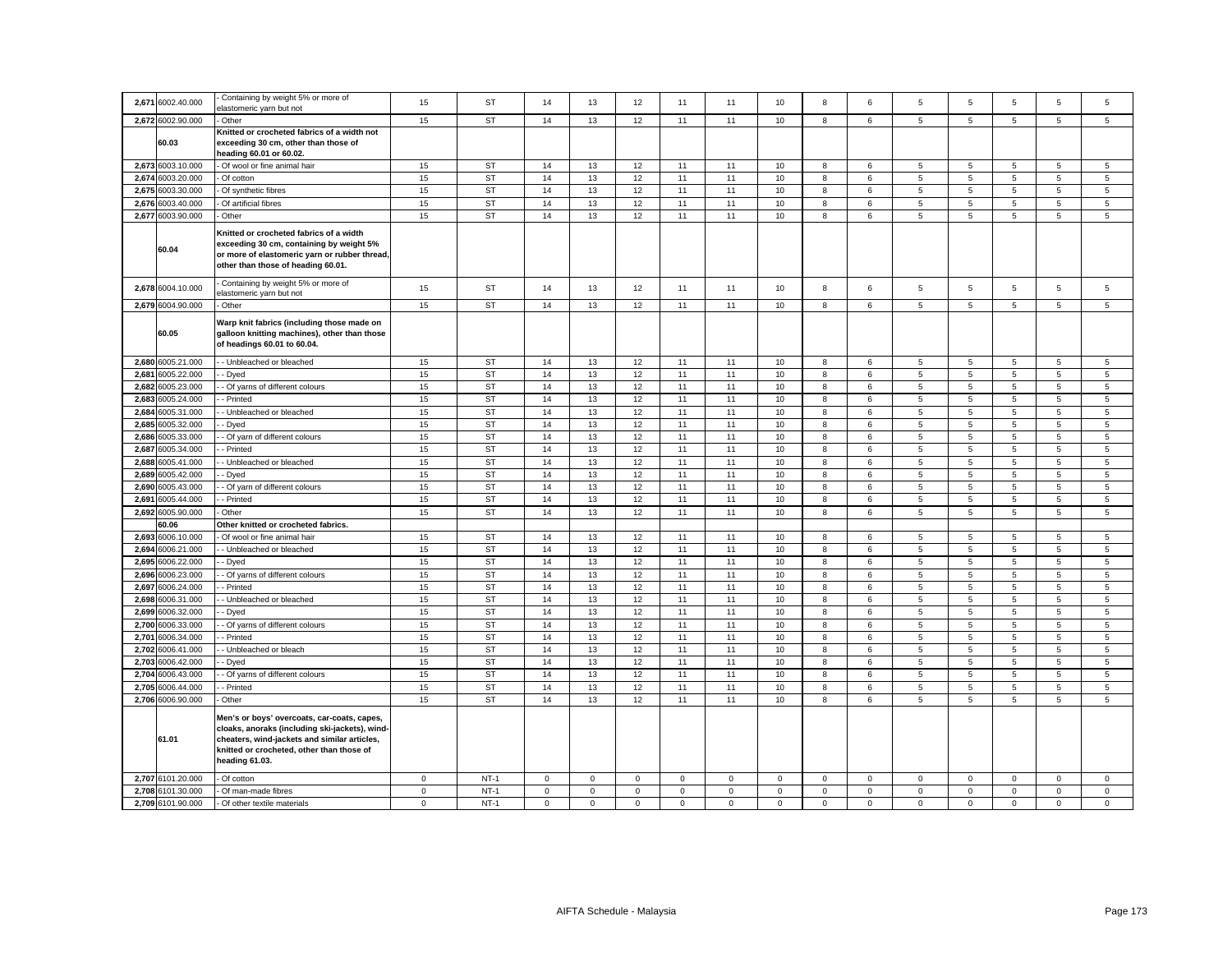| 2,671 | 6002.40.000       | Containing by weight 5% or more of<br>elastomeric yarn but not                                                                                                                                               | 15          | ST        | 14          | 13           | 12          | 11           | 11          | 10          | 8            | 6            | $\sqrt{5}$      | 5              | 5              | 5              | 5              |
|-------|-------------------|--------------------------------------------------------------------------------------------------------------------------------------------------------------------------------------------------------------|-------------|-----------|-------------|--------------|-------------|--------------|-------------|-------------|--------------|--------------|-----------------|----------------|----------------|----------------|----------------|
|       | 2,672 6002.90.000 | Other                                                                                                                                                                                                        | 15          | <b>ST</b> | 14          | 13           | 12          | 11           | 11          | 10          | 8            | 6            | 5               | $\,$ 5 $\,$    | 5              | 5              | $\mathbf 5$    |
|       |                   | Knitted or crocheted fabrics of a width not                                                                                                                                                                  |             |           |             |              |             |              |             |             |              |              |                 |                |                |                |                |
|       | 60.03             | exceeding 30 cm, other than those of                                                                                                                                                                         |             |           |             |              |             |              |             |             |              |              |                 |                |                |                |                |
|       |                   | heading 60.01 or 60.02.                                                                                                                                                                                      |             |           |             |              |             |              |             |             |              |              |                 |                |                |                |                |
|       | 2,673 6003.10.000 | Of wool or fine animal hair                                                                                                                                                                                  | 15          | ST        | 14          | 13           | 12          | 11           | 11          | 10          | 8            | 6            | 5               | 5              | 5              | 5              | 5              |
| 2,674 | 6003.20.000       | Of cotton                                                                                                                                                                                                    | 15          | <b>ST</b> | 14          | 13           | 12          | 11           | 11          | $10$        | 8            | $\,6\,$      | $\,$ 5 $\,$     | $\,$ 5 $\,$    | $\mathbf 5$    | $\,$ 5 $\,$    | $\,$ 5 $\,$    |
| 2,675 | 6003.30.000       | Of synthetic fibres                                                                                                                                                                                          | 15          | <b>ST</b> | 14          | 13           | 12          | 11           | 11          | 10          | 8            | 6            | $5\phantom{.0}$ | $\overline{5}$ | 5              | 5              | 5              |
| 2.676 | 6003.40.000       | Of artificial fibres                                                                                                                                                                                         | 15          | <b>ST</b> | 14          | 13           | 12          | 11           | 11          | 10          | 8            | 6            | 5               | 5              | 5              | 5              | 5              |
|       | 2,677 6003.90.000 | Other                                                                                                                                                                                                        | 15          | <b>ST</b> | 14          | 13           | 12          | 11           | 11          | 10          | 8            | 6            | 5               | $\,$ 5 $\,$    | 5              | 5              | 5              |
|       | 60.04             | Knitted or crocheted fabrics of a width<br>exceeding 30 cm, containing by weight 5%<br>or more of elastomeric yarn or rubber thread,<br>other than those of heading 60.01.                                   |             |           |             |              |             |              |             |             |              |              |                 |                |                |                |                |
|       | 2,678 6004.10.000 | Containing by weight 5% or more of<br>elastomeric yarn but not                                                                                                                                               | 15          | <b>ST</b> | 14          | 13           | 12          | 11           | 11          | 10          | 8            | 6            | 5               | $\,$ 5 $\,$    | 5              | 5              | $\mathbf 5$    |
|       | 2,679 6004.90.000 | Other                                                                                                                                                                                                        | 15          | <b>ST</b> | 14          | 13           | 12          | 11           | 11          | 10          | 8            | 6            | 5               | 5              | 5              | 5              | 5              |
|       | 60.05             | Warp knit fabrics (including those made on<br>galloon knitting machines), other than those<br>of headings 60.01 to 60.04.                                                                                    |             |           |             |              |             |              |             |             |              |              |                 |                |                |                |                |
|       | 2,680 6005.21.000 | - Unbleached or bleached                                                                                                                                                                                     | 15          | <b>ST</b> | 14          | 13           | 12          | 11           | 11          | 10          | 8            | 6            | 5               | 5              | 5              | 5              | 5              |
| 2,681 | 6005.22.000       | - Dyed                                                                                                                                                                                                       | 15          | <b>ST</b> | 14          | 13           | 12          | 11           | 11          | 10          | 8            | 6            | 5               | 5              | 5              | 5              | 5              |
|       | 2.682 6005.23.000 | Of yarns of different colours                                                                                                                                                                                | 15          | ST        | 14          | 13           | 12          | 11           | 11          | 10          | 8            | 6            | 5               | 5              | 5              | 5              | 5              |
| 2,683 | 6005.24.000       | Printed                                                                                                                                                                                                      | 15          | <b>ST</b> | 14          | 13           | 12          | 11           | 11          | 10          | 8            | 6            | $\overline{5}$  | 5              | 5              | 5              | $\sqrt{5}$     |
|       | 2,684 6005.31.000 | - Unbleached or bleached                                                                                                                                                                                     | 15          | <b>ST</b> | 14          | 13           | 12          | 11           | 11          | 10          | 8            | 6            | $\overline{5}$  | 5              | 5              | 5              | 5              |
| 2.685 | 6005.32.000       | Dyed                                                                                                                                                                                                         | 15          | ST        | 14          | 13           | 12          | 11           | 11          | 10          | 8            | 6            | 5               | 5              | 5              | 5              | 5              |
| 2,686 | 6005.33.000       | Of yarn of different colours                                                                                                                                                                                 | 15          | <b>ST</b> | 14          | 13           | 12          | 11           | 11          | 10          | 8            | 6            | 5               | 5              | 5              | 5              | 5              |
| 2.687 | 6005.34.000       | - Printed                                                                                                                                                                                                    | 15          | <b>ST</b> | 14          | 13           | 12          | 11           | 11          | 10          | 8            | 6            | 5               | $\,$ 5 $\,$    | 5              | 5              | $\overline{5}$ |
| 2.688 | 6005.41.000       | - Unbleached or bleached                                                                                                                                                                                     | 15          | <b>ST</b> | 14          | 13           | 12          | 11           | 11          | 10          | 8            | 6            | 5               | 5              | 5              | 5              | 5              |
| 2,689 | 6005.42.000       | Dyed                                                                                                                                                                                                         | 15          | ST        | 14          | 13           | 12          | 11           | 11          | 10          | 8            | 6            | 5               | 5              | 5              | 5              | 5              |
| 2,690 | 6005.43.000       | Of yarn of different colours                                                                                                                                                                                 | 15          | <b>ST</b> | 14          | 13           | 12          | 11           | 11          | $10$        | 8            | 6            | $\,$ 5 $\,$     | $\,$ 5 $\,$    | $\mathbf 5$    | $\,$ 5 $\,$    | $\,$ 5 $\,$    |
| 2.691 | 6005.44.000       | - Printed                                                                                                                                                                                                    | 15          | ST        | 14          | 13           | 12          | 11           | 11          | 10          | 8            | 6            | $\overline{5}$  | $\overline{5}$ | $\overline{5}$ | 5              | $\overline{5}$ |
|       | 2,692 6005.90.000 | Other                                                                                                                                                                                                        | 15          | <b>ST</b> | 14          | 13           | 12          | 11           | 11          | 10          | 8            | 6            | 5               | 5              | 5              | 5              | 5              |
|       | 60.06             | Other knitted or crocheted fabrics.                                                                                                                                                                          |             |           |             |              |             |              |             |             |              |              |                 |                |                |                |                |
|       | 2,693 6006.10.000 | Of wool or fine animal hair                                                                                                                                                                                  | 15          | <b>ST</b> | 14          | 13           | 12          | 11           | 11          | 10          | 8            | 6            | 5               | 5              | 5              | 5              | 5              |
| 2,694 | 6006.21.000       | - Unbleached or bleached                                                                                                                                                                                     | 15          | <b>ST</b> | 14          | 13           | 12          | 11           | 11          | 10          | 8            | 6            | 5               | 5              | 5              | 5              | 5              |
| 2,695 | 6006.22.000       | · Dyed                                                                                                                                                                                                       | 15          | <b>ST</b> | 14          | 13           | 12          | 11           | 11          | 10          | 8            | 6            | 5               | 5              | 5              | 5              | 5              |
| 2,696 | 6006.23.000       | - Of yarns of different colours                                                                                                                                                                              | 15          | <b>ST</b> | 14          | 13           | 12          | 11           | 11          | 10          | 8            | 6            | 5               | 5              | 5              | 5              | 5              |
| 2.697 | 6006.24.000       | - Printed                                                                                                                                                                                                    | 15          | <b>ST</b> | 14          | 13           | 12          | 11           | 11          | 10          | 8            | 6            | $5\phantom{.0}$ | 5              | 5              | 5              | 5              |
| 2,698 | 6006.31.000       | Unbleached or bleached                                                                                                                                                                                       | 15          | ST        | 14          | 13           | 12          | 11           | 11          | 10          | 8            | 6            | 5               | 5              | 5              | 5              | 5              |
| 2,699 | 6006.32.000       | Dyed                                                                                                                                                                                                         | 15          | <b>ST</b> | 14          | 13           | 12          | 11           | 11          | $10$        | 8            | 6            | 5               | $\,$ 5 $\,$    | $\mathbf 5$    | $\,$ 5 $\,$    | $\,$ 5 $\,$    |
| 2,700 | 6006.33.000       | Of yarns of different colours                                                                                                                                                                                | 15          | ST        | 14          | 13           | 12          | 11           | 11          | 10          | 8            | 6            | 5               | 5              | 5              | 5              | 5              |
| 2,701 | 6006.34.000       | - Printed                                                                                                                                                                                                    | 15          | <b>ST</b> | 14          | 13           | 12          | 11           | 11          | 10          | 8            | 6            | 5               | 5              | 5              | 5              | 5              |
| 2,702 | 6006.41.000       | - Unbleached or bleach                                                                                                                                                                                       | 15          | <b>ST</b> | 14          | 13           | 12          | 11           | 11          | 10          | 8            | 6            | $\,$ 5 $\,$     | $\overline{5}$ | 5              | $\overline{5}$ | $\,$ 5 $\,$    |
| 2,703 | 6006.42.000       | - Dyed                                                                                                                                                                                                       | 15          | <b>ST</b> | 14          | 13           | 12          | 11           | 11          | 10          | 8            | 6            | 5               | 5              | 5              | 5              | 5              |
| 2,704 | 6006.43.000       | Of yarns of different colours                                                                                                                                                                                | 15          | ST        | 14          | 13           | 12          | 11           | 11          | 10          | 8            | 6            | 5               | 5              | 5              | 5              | 5              |
| 2,705 | 6006.44.000       | - Printed                                                                                                                                                                                                    | 15          | <b>ST</b> | 14          | 13           | 12          | 11           | 11          | 10          | $\bf8$       | $\,6\,$      | $\overline{5}$  | $\,$ 5 $\,$    | $\,$ 5 $\,$    | $\,$ 5 $\,$    | $\,$ 5 $\,$    |
|       | 2,706 6006.90.000 | Other                                                                                                                                                                                                        | 15          | <b>ST</b> | 14          | 13           | 12          | 11           | 11          | 10          | $\bf8$       | 6            | $\,$ 5 $\,$     | $\,$ 5 $\,$    | $\overline{5}$ | 5              | $\,$ 5 $\,$    |
|       | 61.01             | Men's or boys' overcoats, car-coats, capes,<br>cloaks, anoraks (including ski-jackets), wind-<br>cheaters, wind-jackets and similar articles,<br>knitted or crocheted, other than those of<br>heading 61.03. |             |           |             |              |             |              |             |             |              |              |                 |                |                |                |                |
|       | 2,707 6101.20.000 | Of cotton                                                                                                                                                                                                    | $\mathbf 0$ | $NT-1$    | 0           | 0            | $\mathbf 0$ | $\mathbf 0$  | 0           | $\mathbf 0$ | 0            | $\mathbf 0$  | $\mathbf 0$     | $\mathbf 0$    | 0              | 0              | $\mathbf 0$    |
| 2,708 | 6101.30.000       | Of man-made fibres                                                                                                                                                                                           | $\mathsf 0$ | $NT-1$    | $\mathbf 0$ | $\mathsf 0$  | $\mathsf 0$ | $\mathsf 0$  | $\mathsf 0$ | $\mathsf 0$ | $\mathsf 0$  | $\mathsf 0$  | $\mathsf 0$     | $\mathbf 0$    | $\mathsf 0$    | $\mathsf 0$    | $\mathsf 0$    |
|       | 2,709 6101.90.000 | - Of other textile materials                                                                                                                                                                                 | $\mathbf 0$ | $NT-1$    | $\mathbf 0$ | $\mathbf{0}$ | $\mathsf 0$ | $\mathbf{0}$ | $\mathbf 0$ | $\mathbf 0$ | $\mathbf{O}$ | $\mathbf{0}$ | $\mathbf{0}$    | $\mathbf 0$    | $\mathbf 0$    | $\mathbf 0$    | $\mathbf 0$    |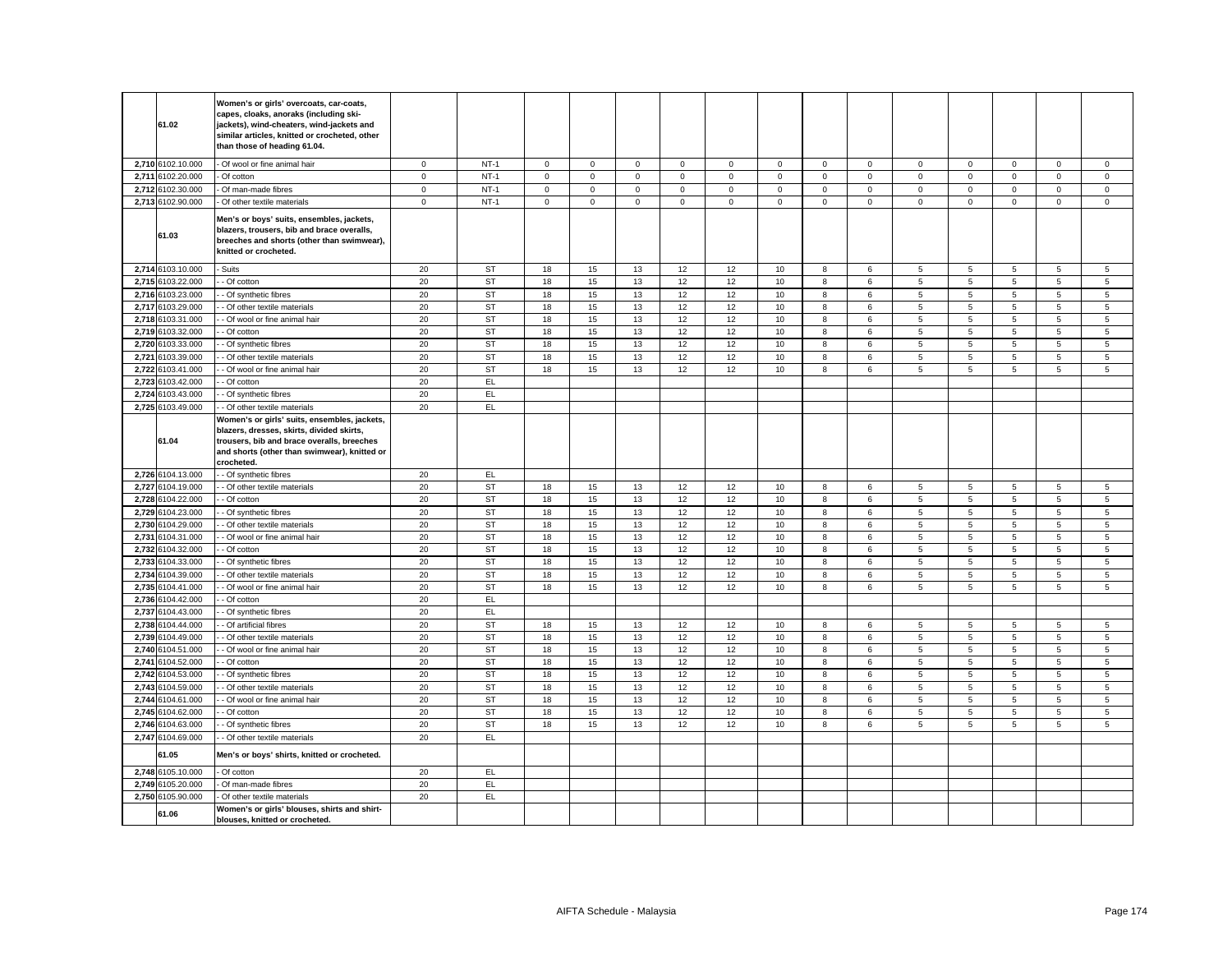|       | 61.02             | Women's or girls' overcoats, car-coats,<br>capes, cloaks, anoraks (including ski-<br>jackets), wind-cheaters, wind-jackets and<br>similar articles, knitted or crocheted, other<br>than those of heading 61.04. |             |           |             |                     |             |             |                |             |              |             |                 |                |                |                 |                |
|-------|-------------------|-----------------------------------------------------------------------------------------------------------------------------------------------------------------------------------------------------------------|-------------|-----------|-------------|---------------------|-------------|-------------|----------------|-------------|--------------|-------------|-----------------|----------------|----------------|-----------------|----------------|
|       | 2,710 6102.10.000 | Of wool or fine animal hair                                                                                                                                                                                     | $\mathbf 0$ | $NT-1$    | $\mathbf 0$ | $\mathsf{O}\xspace$ | $\mathbf 0$ | $\mathsf 0$ | $\mathsf 0$    | $\mathbf 0$ | $\mathsf 0$  | $\mathsf 0$ | $\mathsf 0$     | $\mathbf 0$    | $\mathsf 0$    | $\mathbf 0$     | $\mathbf 0$    |
|       | 2,711 6102.20.000 | Of cotton                                                                                                                                                                                                       | $\mathbf 0$ | $NT-1$    | 0           | $\mathsf 0$         | $\mathsf 0$ | $\mathbf 0$ | $\mathbf 0$    | $\mathbf 0$ | $\mathbf 0$  | $\mathbf 0$ | $\mathsf 0$     | $\mathbf 0$    | $\mathbf 0$    | $\mathsf 0$     | $\mathsf 0$    |
|       | 2,712 6102.30.000 | Of man-made fibres                                                                                                                                                                                              | $\mathsf 0$ | $NT-1$    | $\mathbf 0$ | $\mathsf 0$         | $\mathsf 0$ | $\mathbf 0$ | $\mathsf 0$    | $\mathsf 0$ | $\mathsf 0$  | $\mathsf 0$ | $\mathsf 0$     | $\mathbf 0$    | $\mathsf 0$    | $\mathsf 0$     | $\mathsf 0$    |
|       | 2,713 6102.90.000 | Of other textile materials                                                                                                                                                                                      | $\mathsf 0$ | $NT-1$    | $\mathbf 0$ | $\mathsf 0$         | $\mathsf 0$ | $\mathsf 0$ | $\overline{0}$ | $\mathsf 0$ | $\mathsf{O}$ | $\mathsf 0$ | $\mathsf 0$     | $\mathsf 0$    | $\mathsf 0$    | $\mathsf 0$     | $\overline{0}$ |
|       | 61.03             | Men's or boys' suits, ensembles, jackets,<br>blazers, trousers, bib and brace overalls,<br>breeches and shorts (other than swimwear),<br>knitted or crocheted.                                                  |             |           |             |                     |             |             |                |             |              |             |                 |                |                |                 |                |
|       | 2,714 6103.10.000 | Suits                                                                                                                                                                                                           | 20          | ST        | 18          | 15                  | 13          | 12          | 12             | 10          | 8            | 6           | 5               | 5              | 5              | 5               | 5              |
|       | 2,715 6103.22.000 | - Of cotton                                                                                                                                                                                                     | 20          | <b>ST</b> | 18          | 15                  | 13          | 12          | 12             | 10          | 8            | 6           | 5               | 5              | 5              | 5               | 5              |
|       | 2.716 6103.23.000 | - Of synthetic fibres                                                                                                                                                                                           | 20          | <b>ST</b> | 18          | 15                  | 13          | 12          | 12             | 10          | 8            | 6           | 5               | 5              | 5              | 5               | 5              |
|       | 2,717 6103.29.000 | Of other textile materials                                                                                                                                                                                      | 20          | ST        | 18          | 15                  | 13          | 12          | 12             | 10          | 8            | 6           | 5               | 5              | 5              | 5               | 5              |
|       | 2,718 6103.31.000 | - Of wool or fine animal hair                                                                                                                                                                                   | 20          | <b>ST</b> | 18          | 15                  | 13          | 12          | 12             | 10          | 8            | 6           | $\overline{5}$  | 5              | 5              | $\overline{5}$  | 5              |
|       | 2,719 6103.32.000 | - Of cotton                                                                                                                                                                                                     | 20          | <b>ST</b> | 18          | 15                  | 13          | 12          | 12             | 10          | 8            | 6           | 5               | 5              | 5              | 5               | $\overline{5}$ |
|       | 2,720 6103.33.000 | Of synthetic fibres                                                                                                                                                                                             | 20          | <b>ST</b> | 18          | 15                  | 13          | 12          | 12             | 10          | 8            | 6           | 5               | 5              | 5              | 5               | 5              |
|       | 2,721 6103.39.000 | Of other textile materials                                                                                                                                                                                      | 20          | <b>ST</b> | 18          | 15                  | 13          | 12          | 12             | 10          | 8            | 6           | $\overline{5}$  | 5              | 5              | 5               | 5              |
|       | 2,722 6103.41.000 | - Of wool or fine animal hair                                                                                                                                                                                   | 20          | <b>ST</b> | 18          | 15                  | 13          | 12          | 12             | 10          | 8            | 6           | 5               | 5              | 5              | 5               | 5              |
| 2,723 | 6103.42.000       | Of cotton                                                                                                                                                                                                       | 20          | EL        |             |                     |             |             |                |             |              |             |                 |                |                |                 |                |
|       | 2,724 6103.43.000 | - Of synthetic fibres                                                                                                                                                                                           | 20          | EL        |             |                     |             |             |                |             |              |             |                 |                |                |                 |                |
|       | 2,725 6103.49.000 | - Of other textile materials                                                                                                                                                                                    | 20          | EL        |             |                     |             |             |                |             |              |             |                 |                |                |                 |                |
|       | 61.04             | Women's or girls' suits, ensembles, jackets,<br>blazers, dresses, skirts, divided skirts,<br>trousers, bib and brace overalls, breeches<br>and shorts (other than swimwear), knitted or<br>crocheted.           |             |           |             |                     |             |             |                |             |              |             |                 |                |                |                 |                |
|       | 2,726 6104.13.000 | - Of synthetic fibres                                                                                                                                                                                           | 20          | EL        |             |                     |             |             |                |             |              |             |                 |                |                |                 |                |
|       | 2,727 6104.19.000 | Of other textile materials                                                                                                                                                                                      | 20          | <b>ST</b> | 18          | 15                  | 13          | 12          | 12             | 10          | 8            | 6           | 5               | 5              | 5              | 5               | 5              |
|       | 2,728 6104.22.000 | - Of cotton                                                                                                                                                                                                     | 20          | <b>ST</b> | 18          | 15                  | 13          | 12          | 12             | 10          | 8            | 6           | $5\overline{5}$ | $\sqrt{5}$     | $\overline{5}$ | $5\phantom{.0}$ | $\overline{5}$ |
| 2,729 | 6104.23.000       | - Of synthetic fibres                                                                                                                                                                                           | 20          | ST        | 18          | 15                  | 13          | 12          | 12             | 10          | 8            | 6           | 5               | 5              | 5              | 5               | 5              |
|       | 2,730 6104.29.000 | Of other textile materials                                                                                                                                                                                      | 20          | ST        | 18          | 15                  | 13          | 12          | 12             | 10          | 8            | 6           | $\overline{5}$  | 5              | 5              | 5               | 5              |
|       | 2.731 6104.31.000 | - Of wool or fine animal hair                                                                                                                                                                                   | 20          | <b>ST</b> | 18          | 15                  | 13          | 12          | 12             | 10          | 8            | 6           | 5               | 5              | 5              | 5               | 5              |
|       | 2,732 6104.32.000 | - Of cotton                                                                                                                                                                                                     | 20          | ST        | 18          | 15                  | 13          | 12          | 12             | 10          | 8            | 6           | 5               | 5              | 5              | 5               | 5              |
|       | 2,733 6104.33.000 | Of synthetic fibres                                                                                                                                                                                             | 20          | <b>ST</b> | 18          | 15                  | 13          | 12          | 12             | 10          | 8            | 6           | 5               | 5              | 5              | 5               | 5              |
|       | 2,734 6104.39.000 | Of other textile materials                                                                                                                                                                                      | 20          | <b>ST</b> | 18          | 15                  | 13          | 12          | 12             | 10          | 8            | 6           | 5               | $\overline{5}$ | 5              | 5               | $\overline{5}$ |
|       | 2,735 6104.41.000 | - Of wool or fine animal hair                                                                                                                                                                                   | 20          | <b>ST</b> | 18          | 15                  | 13          | 12          | 12             | 10          | 8            | 6           | $\overline{5}$  | $\,$ 5 $\,$    | 5              | 5               | 5              |
|       | 2,736 6104.42.000 | - Of cotton                                                                                                                                                                                                     | 20          | EL.       |             |                     |             |             |                |             |              |             |                 |                |                |                 |                |
|       | 2,737 6104.43.000 | - Of synthetic fibres                                                                                                                                                                                           | 20          | EL.       |             |                     |             |             |                |             |              |             |                 |                |                |                 |                |
| 2,738 | 6104.44.000       | Of artificial fibres                                                                                                                                                                                            | 20          | <b>ST</b> | 18          | 15                  | 13          | 12          | 12             | 10          | 8            | 6           | 5               | 5              | 5              | 5               | $\sqrt{5}$     |
|       | 2,739 6104.49.000 | - Of other textile materials                                                                                                                                                                                    | 20          | <b>ST</b> | 18          | 15                  | 13          | 12          | 12             | 10          | 8            | 6           | 5               | 5              | $\mathbf 5$    | 5               | $\,$ 5 $\,$    |
| 2,740 | 6104.51.000       | - Of wool or fine animal hair                                                                                                                                                                                   | 20          | <b>ST</b> | 18          | 15                  | 13          | 12          | 12             | 10          | 8            | 6           | $\overline{5}$  | 5              | 5              | 5               | $\mathbf 5$    |
|       | 2,741 6104.52.000 | Of cotton                                                                                                                                                                                                       | 20          | <b>ST</b> | 18          | 15                  | 13          | 12          | 12             | 10          | 8            | 6           | 5               | 5              | 5              | 5               | 5              |
|       | 2,742 6104.53.000 | Of synthetic fibres                                                                                                                                                                                             | 20          | <b>ST</b> | 18          | 15                  | 13          | 12          | 12             | 10          | $\bf8$       | $\,6\,$     | $\,$ 5 $\,$     | $\,$ 5 $\,$    | 5              | $\,$ 5 $\,$     | $\,$ 5 $\,$    |
|       | 2,743 6104.59.000 | - Of other textile materials                                                                                                                                                                                    | 20          | <b>ST</b> | 18          | 15                  | 13          | 12          | 12             | 10          | 8            | 6           | $5\phantom{.0}$ | $\overline{5}$ | 5              | 5               | $\overline{5}$ |
|       | 2,744 6104.61.000 | - Of wool or fine animal hair                                                                                                                                                                                   | 20          | <b>ST</b> | 18          | 15                  | 13          | 12          | 12             | 10          | 8            | 6           | 5               | 5              | 5              | 5               | $\mathbf 5$    |
|       | 2,745 6104.62.000 | Of cotton                                                                                                                                                                                                       | 20          | <b>ST</b> | 18          | 15                  | 13          | 12          | 12             | 10          | 8            | 6           | 5               | 5              | 5              | 5               | 5              |
|       | 2,746 6104.63.000 | - Of synthetic fibres                                                                                                                                                                                           | 20          | <b>ST</b> | 18          | 15                  | 13          | 12          | 12             | 10          | 8            | 6           | 5               | 5              | 5              | $\,$ 5 $\,$     | 5              |
|       | 2,747 6104.69.000 | - Of other textile materials                                                                                                                                                                                    | 20          | EL        |             |                     |             |             |                |             |              |             |                 |                |                |                 |                |
|       | 61.05             | Men's or boys' shirts, knitted or crocheted.                                                                                                                                                                    |             |           |             |                     |             |             |                |             |              |             |                 |                |                |                 |                |
|       | 2,748 6105.10.000 | Of cotton                                                                                                                                                                                                       | 20          | EL        |             |                     |             |             |                |             |              |             |                 |                |                |                 |                |
|       | 2,749 6105.20.000 | Of man-made fibres                                                                                                                                                                                              | 20          | EL.       |             |                     |             |             |                |             |              |             |                 |                |                |                 |                |
|       | 2,750 6105.90.000 | Of other textile materials                                                                                                                                                                                      | 20          | EL.       |             |                     |             |             |                |             |              |             |                 |                |                |                 |                |
|       | 61.06             | Women's or girls' blouses, shirts and shirt-<br>blouses, knitted or crocheted.                                                                                                                                  |             |           |             |                     |             |             |                |             |              |             |                 |                |                |                 |                |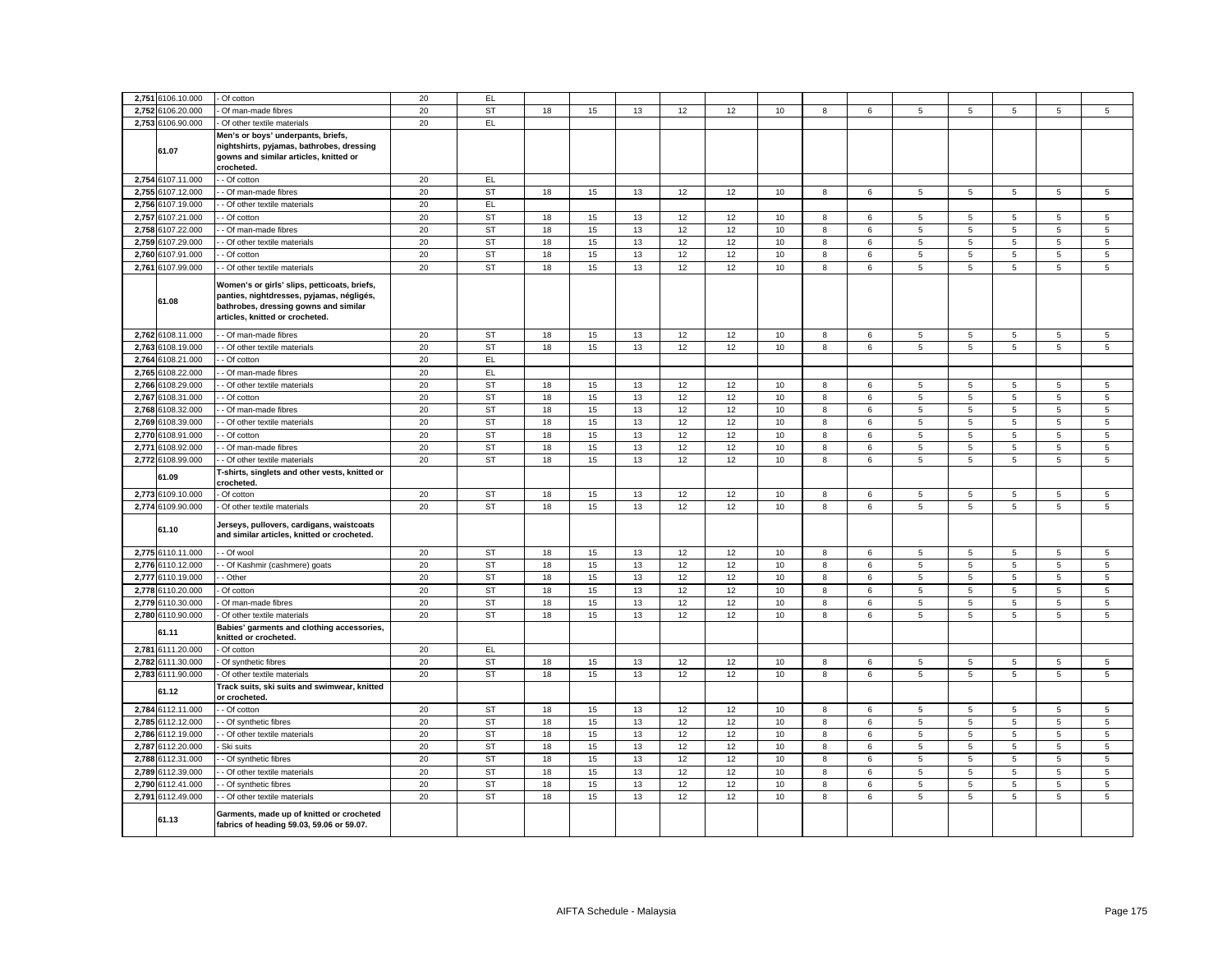|       | 2,751 6106.10.000 |                                                                                        |    |           |    |    |    |    |    |      |   |         |                 |                |   |                |             |
|-------|-------------------|----------------------------------------------------------------------------------------|----|-----------|----|----|----|----|----|------|---|---------|-----------------|----------------|---|----------------|-------------|
|       |                   | Of cotton                                                                              | 20 | EL.       |    |    |    |    |    |      |   |         |                 |                |   |                |             |
| 2,752 | 6106.20.000       | Of man-made fibres                                                                     | 20 | <b>ST</b> | 18 | 15 | 13 | 12 | 12 | 10   | 8 | 6       | 5               | 5              | 5 | $\,$ 5 $\,$    | 5           |
|       | 2,753 6106.90.000 | Of other textile materials                                                             | 20 | EL        |    |    |    |    |    |      |   |         |                 |                |   |                |             |
|       |                   | Men's or boys' underpants, briefs,                                                     |    |           |    |    |    |    |    |      |   |         |                 |                |   |                |             |
|       | 61.07             | nightshirts, pyjamas, bathrobes, dressing                                              |    |           |    |    |    |    |    |      |   |         |                 |                |   |                |             |
|       |                   | gowns and similar articles, knitted or                                                 |    |           |    |    |    |    |    |      |   |         |                 |                |   |                |             |
|       |                   | crocheted.                                                                             |    |           |    |    |    |    |    |      |   |         |                 |                |   |                |             |
|       | 2,754 6107.11.000 | - Of cotton                                                                            | 20 | <b>EL</b> |    |    |    |    |    |      |   |         |                 |                |   |                |             |
| 2,755 | 6107.12.000       | - Of man-made fibres                                                                   | 20 | <b>ST</b> | 18 | 15 | 13 | 12 | 12 | 10   | 8 | 6       | 5               | 5              | 5 | 5              | 5           |
| 2,756 | 6107.19.000       | - Of other textile materials                                                           | 20 | EL        |    |    |    |    |    |      |   |         |                 |                |   |                |             |
| 2,757 | 6107.21.000       | Of cotton                                                                              | 20 | <b>ST</b> | 18 | 15 | 13 | 12 | 12 | 10   | 8 | 6       | 5               | 5              | 5 | 5              | 5           |
| 2,758 | 6107.22.000       | Of man-made fibres                                                                     | 20 | <b>ST</b> | 18 | 15 | 13 | 12 | 12 | $10$ | 8 | 6       | 5               | $\overline{5}$ | 5 | 5              | 5           |
|       | 2,759 6107.29.000 | - Of other textile materials                                                           | 20 | <b>ST</b> | 18 | 15 | 13 | 12 |    | 10   |   |         | 5               |                | 5 | 5              | 5           |
|       |                   |                                                                                        |    |           |    |    |    |    | 12 |      | 8 | 6       |                 | 5              |   |                |             |
| 2,760 | 6107.91.000       | Of cotton                                                                              | 20 | <b>ST</b> | 18 | 15 | 13 | 12 | 12 | $10$ | 8 | 6       | $\sqrt{5}$      | 5              | 5 | $\overline{5}$ | $\,$ 5 $\,$ |
|       | 2,761 6107.99.000 | - Of other textile materials                                                           | 20 | <b>ST</b> | 18 | 15 | 13 | 12 | 12 | 10   | 8 | 6       | 5               | 5              | 5 | 5              | 5           |
|       |                   | Women's or girls' slips, petticoats, briefs,                                           |    |           |    |    |    |    |    |      |   |         |                 |                |   |                |             |
|       |                   | panties, nightdresses, pyjamas, négligés,                                              |    |           |    |    |    |    |    |      |   |         |                 |                |   |                |             |
|       | 61.08             | bathrobes, dressing gowns and similar                                                  |    |           |    |    |    |    |    |      |   |         |                 |                |   |                |             |
|       |                   | articles, knitted or crocheted.                                                        |    |           |    |    |    |    |    |      |   |         |                 |                |   |                |             |
|       |                   |                                                                                        |    |           |    |    |    |    |    |      |   |         |                 |                |   |                |             |
|       | 2,762 6108.11.000 | - Of man-made fibres                                                                   | 20 | <b>ST</b> | 18 | 15 | 13 | 12 | 12 | 10   | 8 | 6       | $\sqrt{5}$      | 5              | 5 | 5              | $\,$ 5 $\,$ |
| 2,763 | 6108.19.000       | - Of other textile materials                                                           | 20 | <b>ST</b> | 18 | 15 | 13 | 12 | 12 | 10   | 8 | 6       | $\overline{5}$  | 5              | 5 | 5              | 5           |
| 2,764 | 6108.21.000       | Of cotton                                                                              | 20 | EL        |    |    |    |    |    |      |   |         |                 |                |   |                |             |
| 2,765 | 6108.22.000       | Of man-made fibres                                                                     | 20 | EL.       |    |    |    |    |    |      |   |         |                 |                |   |                |             |
| 2,766 | 6108.29.000       | Of other textile materials                                                             | 20 | <b>ST</b> | 18 | 15 | 13 | 12 | 12 | 10   | 8 | 6       | $\sqrt{5}$      | 5              | 5 | 5              | 5           |
| 2,767 | 6108.31.000       | - Of cotton                                                                            | 20 | <b>ST</b> | 18 | 15 | 13 | 12 | 12 | 10   | 8 | 6       | 5               | 5              | 5 | 5              | $\,$ 5 $\,$ |
| 2,768 | 3108.32.000       |                                                                                        | 20 | <b>ST</b> | 18 | 15 | 13 | 12 | 12 | 10   | 8 | 6       | 5               | 5              | 5 | 5              | $\,$ 5 $\,$ |
|       |                   | Of man-made fibres                                                                     | 20 | <b>ST</b> |    |    |    |    |    |      |   |         |                 |                |   |                |             |
| 2,769 | \$108.39.000      | Of other textile materials                                                             |    |           | 18 | 15 | 13 | 12 | 12 | 10   | 8 | 6       | 5               | 5              | 5 | 5              | 5           |
| 2,770 | 6108.91.000       | Of cotton                                                                              | 20 | <b>ST</b> | 18 | 15 | 13 | 12 | 12 | 10   | 8 | 6       | 5               | 5              | 5 | 5              | 5           |
| 2,771 | 6108.92.000       | - Of man-made fibres                                                                   | 20 | <b>ST</b> | 18 | 15 | 13 | 12 | 12 | 10   | 8 | 6       | 5               | 5              | 5 | 5              | 5           |
| 2,772 | 6108.99.000       | Of other textile materials                                                             | 20 | <b>ST</b> | 18 | 15 | 13 | 12 | 12 | 10   | 8 | 6       | 5               | 5              | 5 | 5              | 5           |
|       | 61.09             | -shirts, singlets and other vests, knitted or                                          |    |           |    |    |    |    |    |      |   |         |                 |                |   |                |             |
|       |                   | :rocheted.                                                                             |    |           |    |    |    |    |    |      |   |         |                 |                |   |                |             |
| 2,773 | 6109.10.000       | Of cotton                                                                              | 20 | <b>ST</b> | 18 | 15 | 13 | 12 | 12 | 10   | 8 | $\,6\,$ | $\sqrt{5}$      | $\,$ 5 $\,$    | 5 | $\,$ 5 $\,$    | $\,$ 5 $\,$ |
|       | 2,774 6109.90.000 | Of other textile materials                                                             | 20 | ST        | 18 | 15 | 13 | 12 | 12 | 10   | 8 | 6       | 5               | 5              | 5 | 5              | 5           |
|       |                   | Jerseys, pullovers, cardigans, waistcoats                                              |    |           |    |    |    |    |    |      |   |         |                 |                |   |                |             |
|       | 61.10             | and similar articles, knitted or crocheted.                                            |    |           |    |    |    |    |    |      |   |         |                 |                |   |                |             |
|       |                   |                                                                                        |    |           |    |    |    |    |    |      |   |         |                 |                |   |                |             |
|       | 2,775 6110.11.000 | - Of wool                                                                              | 20 | ST        | 18 | 15 | 13 | 12 | 12 | 10   | 8 | 6       | 5               | 5              | 5 | 5              | 5           |
| 2,776 | 6110.12.000       | Of Kashmir (cashmere) goats                                                            | 20 | <b>ST</b> | 18 | 15 | 13 | 12 | 12 | 10   | 8 | 6       | $\overline{5}$  | 5              | 5 | 5              | 5           |
| 2,777 | 6110.19.000       | · Other                                                                                | 20 | <b>ST</b> | 18 | 15 | 13 | 12 | 12 | 10   | 8 | 6       | 5               | 5              | 5 | 5              | 5           |
| 2,778 | 6110.20.000       | Of cotton                                                                              | 20 | <b>ST</b> | 18 | 15 | 13 | 12 | 12 | 10   | 8 | 6       | 5               | 5              | 5 | 5              | 5           |
| 2,779 | 6110.30.000       | Of man-made fibres                                                                     | 20 | <b>ST</b> | 18 | 15 | 13 | 12 | 12 | 10   | 8 | 6       | $5\phantom{.0}$ | 5              | 5 | 5              | $\,$ 5 $\,$ |
|       | 2,780 6110.90.000 | Of other textile materials                                                             | 20 | <b>ST</b> | 18 | 15 | 13 | 12 | 12 | 10   | 8 | 6       | $\overline{5}$  | 5              | 5 | 5              | 5           |
|       |                   | Babies' garments and clothing accessories,                                             |    |           |    |    |    |    |    |      |   |         |                 |                |   |                |             |
|       | 61.11             | knitted or crocheted.                                                                  |    |           |    |    |    |    |    |      |   |         |                 |                |   |                |             |
| 2,781 | 6111.20.000       | Of cotton                                                                              | 20 | EL        |    |    |    |    |    |      |   |         |                 |                |   |                |             |
|       | 2,782 6111.30.000 | Of synthetic fibres                                                                    | 20 | <b>ST</b> | 18 | 15 | 13 | 12 | 12 | 10   | 8 | 6       | 5               | 5              | 5 | 5              | 5           |
| 2,783 | 6111.90.000       |                                                                                        | 20 | <b>ST</b> | 18 | 15 | 13 | 12 | 12 | 10   | 8 | 6       | 5               | 5              | 5 | 5              | $\,$ 5 $\,$ |
|       |                   | Of other textile materials                                                             |    |           |    |    |    |    |    |      |   |         |                 |                |   |                |             |
|       | 61.12             | Track suits, ski suits and swimwear, knitted<br>or crocheted.                          |    |           |    |    |    |    |    |      |   |         |                 |                |   |                |             |
|       |                   |                                                                                        |    |           |    |    |    |    |    |      |   |         |                 |                | 5 |                |             |
|       | 2,784 6112.11.000 | - Of cotton                                                                            | 20 | ST        | 18 | 15 | 13 | 12 | 12 | 10   | 8 | 6       | 5               | 5              |   | 5              | 5           |
|       | 2,785 6112.12.000 | - Of synthetic fibres                                                                  | 20 | <b>ST</b> | 18 | 15 | 13 | 12 | 12 | 10   | 8 | 6       | 5               | 5              | 5 | 5              | 5           |
|       | 2,786 6112.19.000 | - Of other textile materials                                                           | 20 | ST        | 18 | 15 | 13 | 12 | 12 | 10   | 8 | 6       | 5               | 5              | 5 | 5              | 5           |
| 2,787 | 6112.20.000       | Ski suits                                                                              | 20 | <b>ST</b> | 18 | 15 | 13 | 12 | 12 | 10   | 8 | 6       | 5               | 5              | 5 | 5              | 5           |
| 2,788 | 6112.31.000       | Of synthetic fibres                                                                    | 20 | <b>ST</b> | 18 | 15 | 13 | 12 | 12 | 10   | 8 | 6       | 5               | 5              | 5 | 5              | 5           |
|       | 2,789 6112.39.000 | - Of other textile materials                                                           | 20 | <b>ST</b> | 18 | 15 | 13 | 12 | 12 | 10   | 8 | 6       | 5               | 5              | 5 | 5              | 5           |
| 2,790 | 6112.41.000       | Of synthetic fibres                                                                    | 20 | <b>ST</b> | 18 | 15 | 13 | 12 | 12 | 10   | 8 | 6       | 5               | 5              | 5 | 5              | 5           |
|       | 2,791 6112.49.000 | - Of other textile materials                                                           | 20 | <b>ST</b> | 18 | 15 | 13 | 12 | 12 | 10   | 8 | 6       | 5               | 5              | 5 | 5              | 5           |
|       |                   |                                                                                        |    |           |    |    |    |    |    |      |   |         |                 |                |   |                |             |
|       | 61.13             | Garments, made up of knitted or crocheted<br>fabrics of heading 59.03, 59.06 or 59.07. |    |           |    |    |    |    |    |      |   |         |                 |                |   |                |             |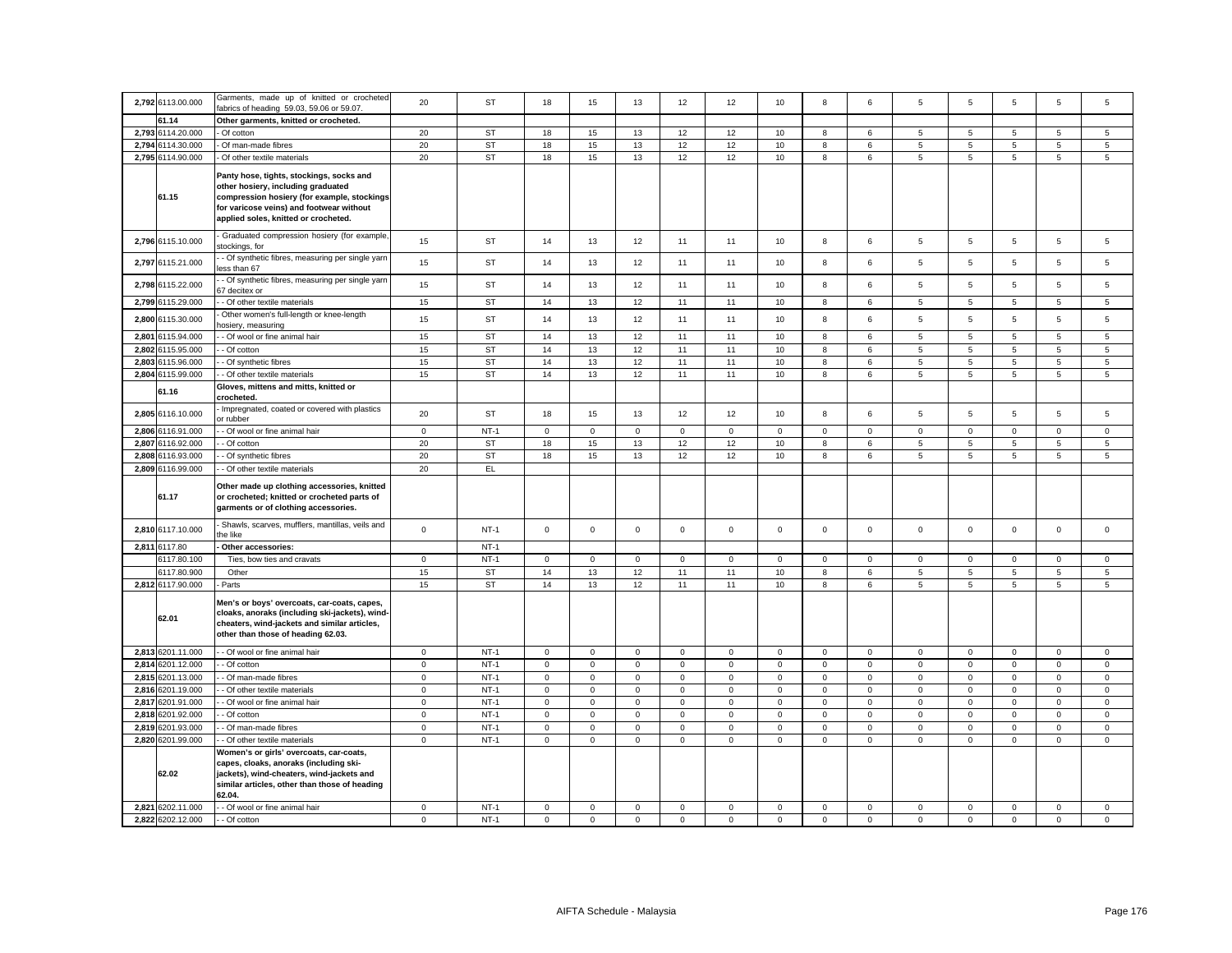| 2,792 6113.00.000                      | Garments, made up of knitted or crocheted<br>abrics of heading 59.03, 59.06 or 59.07.                                                                                                                             | 20                         | <b>ST</b>        | 18                         | 15                         | 13                         | 12               | 12               | 10                         | 8                          | 6                          | 5                | 5                | 5                          | 5                          | 5                          |
|----------------------------------------|-------------------------------------------------------------------------------------------------------------------------------------------------------------------------------------------------------------------|----------------------------|------------------|----------------------------|----------------------------|----------------------------|------------------|------------------|----------------------------|----------------------------|----------------------------|------------------|------------------|----------------------------|----------------------------|----------------------------|
| 61.14                                  | Other garments, knitted or crocheted.                                                                                                                                                                             |                            |                  |                            |                            |                            |                  |                  |                            |                            |                            |                  |                  |                            |                            |                            |
| 2.793 6114.20.000                      | Of cotton                                                                                                                                                                                                         | 20                         | <b>ST</b>        | 18                         | 15                         | 13                         | 12               | 12               | 10                         | 8                          | 6                          | 5                | 5                | 5                          | 5                          | 5                          |
| 2,794 6114.30.000                      | Of man-made fibres                                                                                                                                                                                                | 20                         | ST               | 18                         | 15                         | 13                         | 12               | 12               | 10                         | 8                          | 6                          | $5\overline{5}$  | 5                | 5                          | 5                          | 5                          |
| 2,795 6114.90.000                      | Of other textile materials                                                                                                                                                                                        | 20                         | ST               | 18                         | 15                         | 13                         | 12               | 12               | 10                         | 8                          | 6                          | 5                | 5                | 5                          | 5                          | $\overline{5}$             |
| 61.15                                  | Panty hose, tights, stockings, socks and<br>other hosiery, including graduated<br>compression hosiery (for example, stockings<br>for varicose veins) and footwear without<br>applied soles, knitted or crocheted. |                            |                  |                            |                            |                            |                  |                  |                            |                            |                            |                  |                  |                            |                            |                            |
| 2,796 6115.10.000                      | Graduated compression hosiery (for example,<br>stockings, for                                                                                                                                                     | 15                         | ST               | 14                         | 13                         | 12                         | 11               | 11               | 10                         | 8                          | 6                          | 5                | 5                | 5                          | $\,$ 5 $\,$                | $\sqrt{5}$                 |
| 2,797 6115.21.000                      | - Of synthetic fibres, measuring per single yarn<br>ess than 67                                                                                                                                                   | 15                         | ST               | 14                         | 13                         | 12                         | 11               | 11               | 10                         | 8                          | 6                          | 5                | 5                | 5                          | 5                          | 5                          |
| 2,798 6115.22.000                      | - Of synthetic fibres, measuring per single yarn<br>7 decitex or                                                                                                                                                  | 15                         | ST               | 14                         | 13                         | 12                         | 11               | 11               | 10                         | 8                          | 6                          | 5                | 5                | 5                          | 5                          | $\overline{5}$             |
| 2,799 6115.29.000                      | - Of other textile materials                                                                                                                                                                                      | 15                         | ST               | 14                         | 13                         | 12                         | 11               | 11               | 10                         | 8                          | 6                          | $5\overline{5}$  | 5                | 5                          | 5                          | 5                          |
| 2,800 6115.30.000                      | Other women's full-length or knee-length<br>osiery, measuring                                                                                                                                                     | 15                         | <b>ST</b>        | 14                         | 13                         | 12                         | 11               | 11               | 10                         | 8                          | 6                          | 5                | $\overline{5}$   | 5                          | 5                          | $\mathbf 5$                |
| 2,801 6115.94.000                      | - Of wool or fine animal hair                                                                                                                                                                                     | 15                         | <b>ST</b>        | 14                         | 13                         | 12                         | 11               | 11               | 10                         | 8                          | 6                          | 5                | 5                | 5                          | 5                          | 5                          |
| 2,802 6115.95.000                      | - Of cotton                                                                                                                                                                                                       | 15                         | <b>ST</b>        | 14                         | 13                         | 12                         | 11               | 11               | 10                         | 8                          | $\,6\,$                    | $\,$ 5 $\,$      | 5                | 5                          | $\,$ 5 $\,$                | $\,$ 5 $\,$                |
| 2,803 6115.96.000                      | - Of synthetic fibres                                                                                                                                                                                             | 15                         | ST               | 14                         | 13                         | 12                         | 11               | 11               | 10                         | 8                          | 6                          | $5\overline{5}$  | $\overline{5}$   | 5                          | 5                          | 5                          |
| 2,804 6115.99.000                      | - Of other textile materials                                                                                                                                                                                      | 15                         | <b>ST</b>        | 14                         | 13                         | 12                         | 11               | 11               | 10                         | 8                          | 6                          | 5                | 5                | 5                          | 5                          | 5                          |
| 61.16                                  | Gloves, mittens and mitts, knitted or<br>crocheted.                                                                                                                                                               |                            |                  |                            |                            |                            |                  |                  |                            |                            |                            |                  |                  |                            |                            |                            |
| 2,805 6116.10.000                      | Impregnated, coated or covered with plastics<br>or rubber                                                                                                                                                         | 20                         | ST               | 18                         | 15                         | 13                         | 12               | 12               | 10                         | 8                          | 6                          | $\overline{5}$   | 5                | 5                          | 5                          | $\mathbf 5$                |
| 2,806 6116.91.000                      | - Of wool or fine animal hair                                                                                                                                                                                     | $\mathbf 0$                | $NT-1$           | $\mathbf{0}$               | $\mathbf 0$                | $\mathbf 0$                | $\mathsf 0$      | $\mathbf 0$      | $\mathsf 0$                | $\mathbf 0$                | $\mathsf 0$                | $\mathbf 0$      | $\mathsf 0$      | $\mathsf 0$                | $\mathsf 0$                | $\mathbf 0$                |
| 2,807 6116.92.000                      | - Of cotton                                                                                                                                                                                                       | 20                         | <b>ST</b>        | 18                         | 15                         | 13                         | 12               | 12               | 10                         | 8                          | 6                          | 5                | 5                | 5                          | 5                          | 5                          |
| 2,808 6116.93.000<br>2,809 6116.99.000 | - Of synthetic fibres                                                                                                                                                                                             | 20<br>20                   | <b>ST</b><br>EL  | 18                         | 15                         | 13                         | 12               | 12               | 10                         | 8                          | 6                          | $5\overline{5}$  | 5                | 5                          | 5                          | $\overline{5}$             |
| 61.17                                  | - Of other textile materials<br>Other made up clothing accessories, knitted<br>or crocheted; knitted or crocheted parts of<br>garments or of clothing accessories.                                                |                            |                  |                            |                            |                            |                  |                  |                            |                            |                            |                  |                  |                            |                            |                            |
| 2,810 6117.10.000                      | Shawls, scarves, mufflers, mantillas, veils and<br>he like:                                                                                                                                                       | $\mathsf 0$                | $NT-1$           | $\mathbf 0$                | $\mathsf 0$                | $\mathsf{o}\xspace$        | $\mathsf 0$      | $\mathbf 0$      | $\mathsf 0$                | $\mathsf{O}\xspace$        | $\mathsf 0$                | $\mathsf 0$      | $\mathsf 0$      | $\mathsf 0$                | $\mathsf 0$                | $\mathsf 0$                |
| 2,811 6117.80                          | Other accessories:                                                                                                                                                                                                |                            | $NT-1$           |                            |                            |                            |                  |                  |                            |                            |                            |                  |                  |                            |                            |                            |
| 6117.80.100                            | Ties, bow ties and cravats                                                                                                                                                                                        | $\mathbf{0}$               | $NT-1$           | $\mathbf{0}$               | $\mathbf 0$                | $\mathbf 0$                | $\mathbf{0}$     | $\mathbf 0$      | $\mathsf 0$                | $\mathbf{0}$               | $\mathbf 0$                | $\mathbf{0}$     | $\mathsf 0$      | $\mathbf 0$                | $\mathbf{0}$               | $\mathbf 0$                |
| 6117.80.900                            | Other                                                                                                                                                                                                             | 15                         | <b>ST</b>        | 14                         | 13                         | 12                         | 11               | 11               | 10                         | 8                          | 6                          | 5                | 5                | 5                          | 5                          | $\overline{5}$             |
| 2,812 6117.90.000                      | Parts                                                                                                                                                                                                             | 15                         | <b>ST</b>        | 14                         | 13                         | 12                         | 11               | 11               | 10                         | 8                          | 6                          | $5\overline{5}$  | 5                | 5                          | 5                          | 5                          |
| 62.01                                  | Men's or boys' overcoats, car-coats, capes,<br>cloaks, anoraks (including ski-jackets), wind-<br>cheaters, wind-jackets and similar articles,<br>other than those of heading 62.03.                               |                            |                  |                            |                            |                            |                  |                  |                            |                            |                            |                  |                  |                            |                            |                            |
| 2,813 6201.11.000                      | - Of wool or fine animal hair                                                                                                                                                                                     | $\mathbf 0$                | $NT-1$           | $\mathsf 0$                | $\mathbf 0$                | $\mathbf 0$                | $\mathsf 0$      | $\mathbf 0$      | $\mathsf 0$                | $\mathbf 0$                | $\mathsf 0$                | $\mathsf 0$      | $\mathsf 0$      | $\mathbf 0$                | $\mathbf 0$                | $\mathsf 0$                |
| 2,814 6201.12.000                      | - Of cotton                                                                                                                                                                                                       | $\mathsf 0$                | $NT-1$           | $\mathsf 0$                | $\mathsf 0$                | $\mathsf 0$                | $\mathsf 0$      | $\mathbf 0$      | $\mathsf 0$                | $\mathbf 0$                | $\mathbf 0$                | $\mathsf 0$      | $\Omega$         | $\mathsf 0$                | $\mathsf 0$                | $\mathsf 0$                |
| 2,815 6201.13.000                      | - Of man-made fibres                                                                                                                                                                                              | $\mathbf 0$                | $NT-1$           | $\mathbf 0$                | 0                          | $\mathbf 0$                | 0                | $\mathbf 0$      | $\mathbf 0$                | $\mathbf 0$                | $\mathsf 0$                | $\mathbf 0$      | $\mathsf 0$      | $\mathbf 0$                | $\mathbf 0$                | $\mathbf 0$                |
| 2,816 6201.19.000                      | Of other textile materials                                                                                                                                                                                        | $\mathbf 0$                | $NT-1$           | $\mathbf 0$                | $\mathbf 0$                | $\mathbf 0$                | $\mathbf 0$      | $\mathsf 0$      | $\Omega$                   | $\mathsf 0$                | $\,0\,$                    | $\mathbf 0$      | $\Omega$         | $\mathbf 0$                | $\mathbf 0$                | $\mathbf 0$                |
| 2,817 6201.91.000                      | - Of wool or fine animal hair                                                                                                                                                                                     | $\mathbf 0$                | $NT-1$<br>$NT-1$ | $\mathbf 0$<br>$\mathsf 0$ | $\mathbf 0$<br>$\mathsf 0$ | $\mathbf 0$                | 0<br>$\mathsf 0$ | 0<br>$\mathsf 0$ | $\mathsf 0$<br>$\mathbf 0$ | $\mathbf 0$                | $\mathbf 0$<br>$\mathsf 0$ | 0<br>$\mathsf 0$ | 0<br>$\mathbf 0$ | $\mathsf 0$<br>$\mathsf 0$ | $\mathbf 0$<br>$\mathsf 0$ | 0                          |
| 2,818 6201.92.000<br>2,819 6201.93.000 | Of cotton<br>- Of man-made fibres                                                                                                                                                                                 | $\mathbf 0$<br>$\mathsf 0$ | $NT-1$           | $\mathsf 0$                | $\mathbf 0$                | $\mathbf 0$<br>$\mathsf 0$ | $\mathsf 0$      | $\mathsf 0$      | $\mathsf 0$                | $\mathbf 0$<br>$\mathbf 0$ | $\mathsf 0$                | $\mathsf 0$      | $\mathsf 0$      | $\mathsf 0$                | $\mathbf 0$                | $\mathsf 0$<br>$\mathsf 0$ |
| 2,820 6201.99.000                      | - Of other textile materials                                                                                                                                                                                      | $\mathsf 0$                | $NT-1$           | $\mathsf 0$                | $\mathsf 0$                | $\mathbf 0$                | $\mathbf 0$      | $\mathsf 0$      | $\mathbf 0$                | $\mathsf 0$                | $\mathbf 0$                | $\overline{0}$   | $\mathbf 0$      | $\Omega$                   | $\mathsf 0$                | $\mathsf 0$                |
| 62.02                                  | Women's or girls' overcoats, car-coats,<br>capes, cloaks, anoraks (including ski-<br>jackets), wind-cheaters, wind-jackets and<br>similar articles, other than those of heading<br>62.04.                         |                            |                  |                            |                            |                            |                  |                  |                            |                            |                            |                  |                  |                            |                            |                            |
| 2,821 6202.11.000                      | - Of wool or fine animal hair                                                                                                                                                                                     | $\mathbf 0$                | $NT-1$           | $\mathbf{0}$               | $\mathbf 0$                | $\mathsf 0$                | $\mathsf 0$      | $\mathsf 0$      | $\mathsf 0$                | $\mathbf 0$                | $\mathsf 0$                | $\mathbf 0$      | $\mathsf 0$      | $\mathsf 0$                | $\mathsf 0$                | $\mathsf 0$                |
| 2,822 6202.12.000                      | - Of cotton                                                                                                                                                                                                       | $\mathbf 0$                | $NT-1$           | $\mathbf 0$                | $\mathbf 0$                | $\mathsf 0$                | $\mathbf 0$      | $\mathbf 0$      | $\mathsf 0$                | $\mathsf 0$                | $\mathbf 0$                | $\mathsf 0$      | $\mathsf 0$      | $\mathsf 0$                | $\mathsf 0$                | $\mathsf 0$                |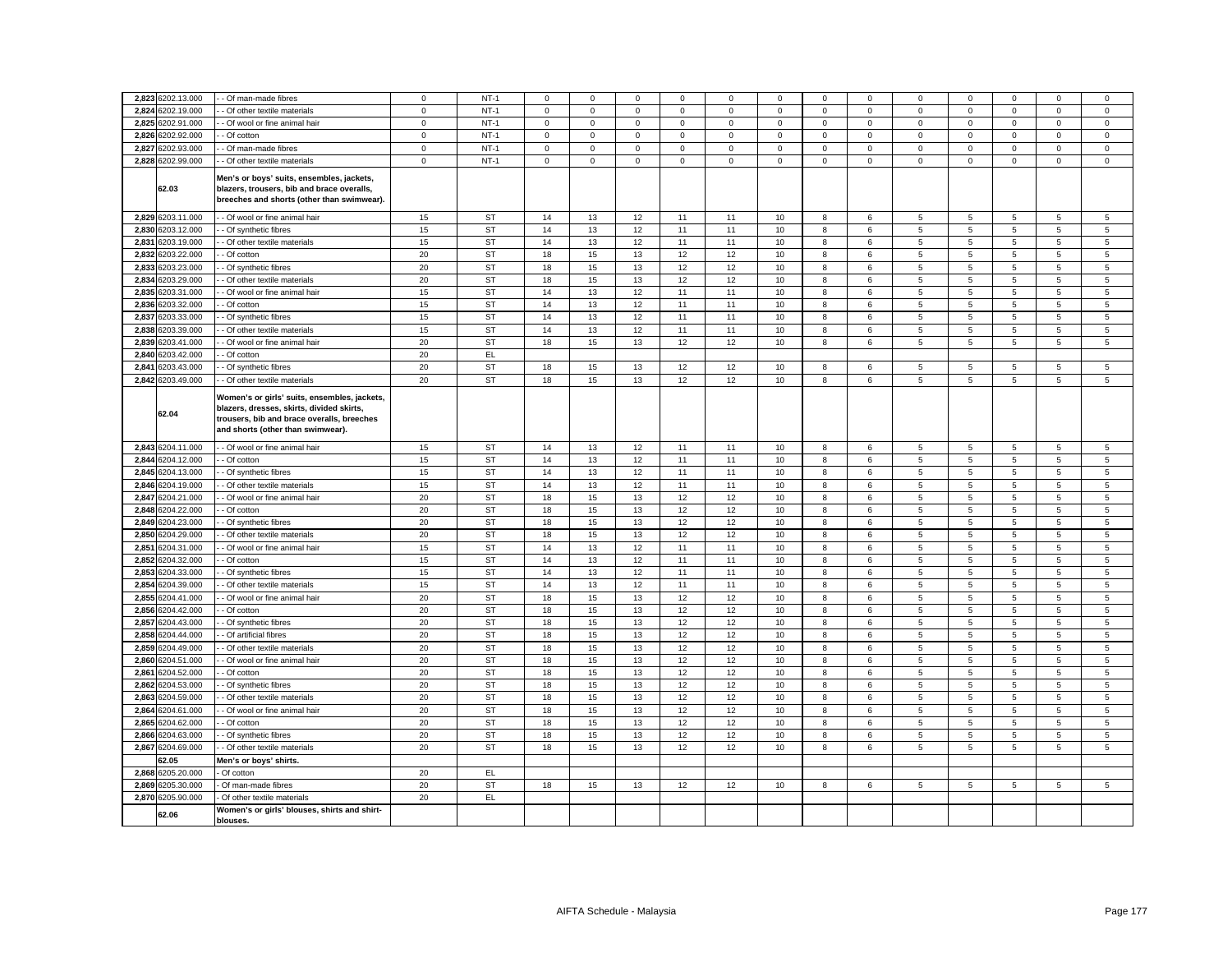|       | 2,823 6202.13.000 | - Of man-made fibres                                                                                                                                                         | $\mathbf 0$    | $NT-1$    | 0           | $\mathbf 0$  | $\mathbf 0$ | $\mathbf 0$ | 0           | $\mathbf 0$ | $\mathbf 0$ | $\mathbf 0$  | $\mathbf 0$     | $\mathbf 0$    | $\Omega$     | $\mathbf 0$    | $\mathbf 0$    |
|-------|-------------------|------------------------------------------------------------------------------------------------------------------------------------------------------------------------------|----------------|-----------|-------------|--------------|-------------|-------------|-------------|-------------|-------------|--------------|-----------------|----------------|--------------|----------------|----------------|
| 2.824 | 3202.19.000       | Of other textile materials                                                                                                                                                   | $\mathbf 0$    | $NT-1$    | $\mathbf 0$ | $\mathbf 0$  | $\mathbf 0$ | $\mathbf 0$ | 0           | $\mathbf 0$ | $\mathsf 0$ | $\mathbf 0$  | $\mathsf 0$     | $\mathbf 0$    | $\mathbf 0$  | $\mathbf 0$    | $\mathbf 0$    |
| 2,825 | 6202.91.000       | Of wool or fine animal hair                                                                                                                                                  | $\overline{0}$ | $NT-1$    | 0           | $\mathbf{0}$ | $\mathbf 0$ | $\mathbf 0$ | 0           | $\mathbf 0$ | $\mathbf 0$ | $\mathbf{0}$ | $\mathbf 0$     | $\mathbf 0$    | $\mathbf 0$  | 0              | $\mathsf 0$    |
| 2,826 | 3202.92.000       | - Of cotton                                                                                                                                                                  | $\mathbf 0$    | $NT-1$    | $\mathbf 0$ | $\mathsf 0$  | $\mathsf 0$ | $\mathsf 0$ | $\mathsf 0$ | $\mathsf 0$ | $\mathsf 0$ | $\mathbf 0$  | $\mathsf 0$     | $\mathbf 0$    | $\mathsf 0$  | $\mathbf 0$    | $\mathsf 0$    |
| 2,827 | 6202.93.000       | Of man-made fibres                                                                                                                                                           | $\mathbf 0$    | $NT-1$    | $\mathbf 0$ | $\mathsf 0$  | $\mathsf 0$ | $\mathsf 0$ | $\mathsf 0$ | $\mathsf 0$ | $\mathsf 0$ | $\mathsf 0$  | $\mathsf 0$     | $\mathsf 0$    | $\mathsf 0$  | $\mathsf 0$    | $\mathsf 0$    |
|       |                   |                                                                                                                                                                              |                |           |             |              |             |             |             |             |             |              |                 |                |              |                |                |
|       | 2,828 6202.99.000 | - Of other textile materials                                                                                                                                                 | $\mathbf 0$    | $NT-1$    | $\mathbf 0$ | $\mathbf 0$  | $\mathbf 0$ | $\mathbf 0$ | $\mathbf 0$ | $\mathbf 0$ | $\mathbf 0$ | $\mathbf{0}$ | $\mathbf 0$     | $\mathbf 0$    | $\mathbf{O}$ | $\mathbf 0$    | $\mathbf 0$    |
|       | 62.03             | Men's or boys' suits, ensembles, jackets,<br>blazers, trousers, bib and brace overalls,<br>breeches and shorts (other than swimwear).                                        |                |           |             |              |             |             |             |             |             |              |                 |                |              |                |                |
|       | 2,829 6203.11.000 | - Of wool or fine animal hair                                                                                                                                                | 15             | ST        | 14          | 13           | 12          | 11          | 11          | 10          | 8           | 6            | 5               | 5              | 5            | 5              | 5              |
| 2.830 | 6203.12.000       | - Of synthetic fibres                                                                                                                                                        | 15             | <b>ST</b> | 14          | 13           | 12          | 11          | 11          | 10          | 8           | 6            | 5               | 5              | 5            | 5              | 5              |
| 2,831 | 6203.19.000       | Of other textile materials                                                                                                                                                   | 15             | ST        | 14          | 13           | 12          | 11          | 11          | 10          | 8           | 6            | 5               | 5              | 5            | 5              | 5              |
| 2,832 | 6203.22.000       | - Of cotton                                                                                                                                                                  | 20             | ST        | 18          | 15           | 13          | 12          | 12          | 10          | 8           | 6            | 5               | 5              | 5            | 5              | 5              |
| 2,833 | 6203.23.000       | Of synthetic fibres                                                                                                                                                          | 20             | ST        | 18          | 15           | 13          | 12          | 12          | 10          | 8           | 6            | 5               | 5              | 5            | 5              | 5              |
| 2.834 | 6203.29.000       | - Of other textile materials                                                                                                                                                 | 20             | <b>ST</b> | 18          | 15           | 13          | 12          | 12          | 10          | 8           | 6            | 5               | 5              | 5            | $\overline{5}$ | 5              |
| 2.835 | 6203.31.000       | - Of wool or fine animal hair                                                                                                                                                | 15             | ST        | 14          | 13           | 12          | 11          | 11          | 10          | 8           | 6            | 5               | 5              | 5            | 5              | 5              |
|       | 2,836 6203.32.000 | - Of cotton                                                                                                                                                                  | 15             | <b>ST</b> | 14          | 13           | 12          | 11          | 11          | 10          | 8           | 6            | 5               | 5              | 5            | 5              | 5              |
| 2.837 | 6203.33.000       | - Of synthetic fibres                                                                                                                                                        | 15             | <b>ST</b> | 14          | 13           | 12          | 11          | 11          | 10          | 8           | 6            | 5               | 5              | 5            | 5              | 5              |
|       | 2,838 6203.39.000 | Of other textile materials                                                                                                                                                   | 15             | <b>ST</b> | 14          | 13           | 12          | 11          | 11          | 10          | 8           | 6            | 5               | $\,$ 5 $\,$    | 5            | 5              | $\overline{5}$ |
| 2.839 | 6203.41.000       | Of wool or fine animal hair                                                                                                                                                  | 20             | ST        | 18          | 15           | 13          | 12          | 12          | 10          | 8           | 6            | 5               | 5              | 5            | 5              | 5              |
|       | 2,840 6203.42.000 | - Of cotton                                                                                                                                                                  | 20             | EL.       |             |              |             |             |             |             |             |              |                 |                |              |                |                |
| 2,841 | 6203.43.000       | Of synthetic fibres                                                                                                                                                          | 20             | <b>ST</b> | 18          | 15           | 13          | 12          | 12          | 10          | 8           | 6            | 5               | $\,$ 5 $\,$    | 5            | 5              | $\sqrt{5}$     |
|       | 2,842 6203.49.000 | - Of other textile materials                                                                                                                                                 | 20             | <b>ST</b> | 18          | 15           | 13          | 12          | 12          | 10          | 8           | 6            | 5               | 5              | 5            | 5              | $\overline{5}$ |
|       | 62.04             | Women's or girls' suits, ensembles, jackets,<br>blazers, dresses, skirts, divided skirts,<br>trousers, bib and brace overalls, breeches<br>and shorts (other than swimwear). |                |           |             |              |             |             |             |             |             |              |                 |                |              |                |                |
|       | 2,843 6204.11.000 | - Of wool or fine animal hair                                                                                                                                                | 15             | <b>ST</b> | 14          | 13           | 12          | 11          | 11          | 10          | 8           | 6            | 5               | 5              | 5            | 5              | $\sqrt{5}$     |
|       | 2,844 6204.12.000 | Of cotton                                                                                                                                                                    | 15             | <b>ST</b> | 14          | 13           | 12          | 11          | 11          | 10          | 8           | 6            | $5\phantom{.0}$ | $\overline{5}$ | 5            | 5              | 5              |
| 2.845 | 6204.13.000       | - Of synthetic fibres                                                                                                                                                        | 15             | ST        | 14          | 13           | 12          | 11          | 11          | 10          | 8           | 6            | 5               | 5              | 5            | 5              | 5              |
| 2,846 | 6204.19.000       | Of other textile materials                                                                                                                                                   | 15             | <b>ST</b> | 14          | 13           | 12          | 11          | 11          | 10          | 8           | 6            | $\overline{5}$  | $\sqrt{5}$     | 5            | 5              | 5              |
| 2,847 | 6204.21.000       | - Of wool or fine animal hair                                                                                                                                                | 20             | ST        | 18          | 15           | 13          | 12          | 12          | 10          | 8           | 6            | 5               | 5              | 5            | 5              | 5              |
| 2,848 | 6204.22.000       | - Of cotton                                                                                                                                                                  | 20             | ST        | 18          | 15           | 13          | 12          | 12          | 10          | 8           | 6            | 5               | 5              | 5            | 5              | 5              |
|       | 2.849 6204.23.000 | Of synthetic fibres                                                                                                                                                          | 20             | <b>ST</b> | 18          | 15           | 13          | 12          | 12          | 10          | 8           | 6            | 5               | 5              | 5            | 5              | 5              |
|       | 2,850 6204.29.000 | - Of other textile materials                                                                                                                                                 | 20             | ST        | 18          | 15           | 13          | 12          | 12          | 10          | 8           | 6            | 5               | 5              | 5            | 5              | 5              |
| 2.851 | 6204.31.000       | Of wool or fine animal hair                                                                                                                                                  | 15             | <b>ST</b> | 14          | 13           | 12          | 11          | 11          | 10          | 8           | 6            | 5               | 5              | 5            | 5              | 5              |
| 2.852 | 6204.32.000       | Of cotton                                                                                                                                                                    | 15             | <b>ST</b> | 14          | 13           | 12          | 11          | 11          | 10          | 8           | 6            | 5               | 5              | 5            | 5              | $\overline{5}$ |
|       | 2,853 6204.33.000 | - Of synthetic fibres                                                                                                                                                        | 15             | ST        | 14          | 13           | 12          | 11          | 11          | 10          | 8           | 6            | 5               | 5              | 5            | 5              | 5              |
|       | 2,854 6204.39.000 | Of other textile materials                                                                                                                                                   | 15             | <b>ST</b> | 14          | 13           | 12          | 11          | 11          | 10          | 8           | 6            | $\overline{5}$  | 5              | 5            | 5              | 5              |
|       | 2,855 6204.41.000 | Of wool or fine animal hair                                                                                                                                                  | 20             | <b>ST</b> | 18          | 15           | 13          | 12          | 12          | 10          | 8           | 6            | 5               | 5              | 5            | 5              | 5              |
| 2,856 | 6204.42.000       | Of cotton                                                                                                                                                                    | 20             | <b>ST</b> | 18          | 15           | 13          | 12          | 12          | 10          | $\bf8$      | 6            | $\sqrt{5}$      | $\,$ 5 $\,$    | $\,$ 5 $\,$  | $\,$ 5 $\,$    | $\,$ 5 $\,$    |
| 2.857 | 6204.43.000       | - Of synthetic fibres                                                                                                                                                        | 20             | <b>ST</b> | 18          | 15           | 13          | 12          | 12          | 10          | 8           | 6            | 5               | 5              | 5            | 5              | 5              |
| 2,858 | 6204.44.000       | Of artificial fibres                                                                                                                                                         | 20             | <b>ST</b> | 18          | 15           | 13          | 12          | 12          | 10          | 8           | 6            | 5               | 5              | 5            | 5              | $\sqrt{5}$     |
| 2,859 | 6204.49.000       | - Of other textile materials                                                                                                                                                 | 20             | <b>ST</b> | 18          | 15           | 13          | 12          | 12          | 10          | 8           | 6            | 5               | 5              | 5            | 5              | 5              |
| 2,860 | 6204.51.000       | Of wool or fine animal hair                                                                                                                                                  | 20             | <b>ST</b> | 18          | 15           | 13          | 12          | 12          | 10          | 8           | 6            | 5               | 5              | 5            | 5              | 5              |
| 2,861 | 6204.52.000       | - Of cotton                                                                                                                                                                  | 20             | <b>ST</b> | 18          | 15           | 13          | 12          | 12          | 10          | 8           | 6            | 5               | 5              | 5            | 5              | 5              |
| 2,862 | 6204.53.000       | Of synthetic fibres                                                                                                                                                          | 20             | <b>ST</b> | 18          | 15           | 13          | 12          | 12          | 10          | 8           | 6            | 5               | $\overline{5}$ | 5            | 5              | $\sqrt{5}$     |
| 2,863 | 3204.59.000       | Of other textile materials                                                                                                                                                   | 20             | <b>ST</b> | 18          | 15           | 13          | 12          | 12          | 10          | 8           | 6            | $5\phantom{.0}$ | 5              | 5            | 5              | 5              |
| 2,864 | 6204.61.000       | - Of wool or fine animal hair                                                                                                                                                | 20             | <b>ST</b> | 18          | 15           | 13          | 12          | 12          | 10          | 8           | 6            | 5               | 5              | 5            | 5              | 5              |
| 2.865 | 6204.62.000       | Of cotton                                                                                                                                                                    | 20             | <b>ST</b> | 18          | 15           | 13          | 12          | 12          | 10          | 8           | 6            | 5               | $\,$ 5 $\,$    | 5            | 5              | 5              |
| 2.866 | 6204.63.000       | - Of synthetic fibres                                                                                                                                                        | 20             | <b>ST</b> | 18          | 15           | 13          | 12          | 12          | 10          | 8           | 6            | 5               | 5              | 5            | 5              | 5              |
| 2,867 | 6204.69.000       | Of other textile materials                                                                                                                                                   | 20             | ST        | 18          | 15           | 13          | 12          | 12          | 10          | 8           | 6            | 5               | 5              | 5            | 5              | 5              |
|       | 32.05             | Men's or boys' shirts.                                                                                                                                                       |                |           |             |              |             |             |             |             |             |              |                 |                |              |                |                |
| 2.868 | 6205.20.000       | Of cotton                                                                                                                                                                    | 20             | EL.       |             |              |             |             |             |             |             |              |                 |                |              |                |                |
| 2.869 | 6205.30.000       | Of man-made fibres                                                                                                                                                           | 20             | ST        | 18          | 15           | 13          | 12          | 12          | 10          | 8           | 6            | 5               | 5              | 5            | 5              | 5              |
| 2,870 | 6205.90.000       | Of other textile materials                                                                                                                                                   | 20             | EL.       |             |              |             |             |             |             |             |              |                 |                |              |                |                |
|       | 62.06             | Women's or girls' blouses, shirts and shirt-<br>blouses.                                                                                                                     |                |           |             |              |             |             |             |             |             |              |                 |                |              |                |                |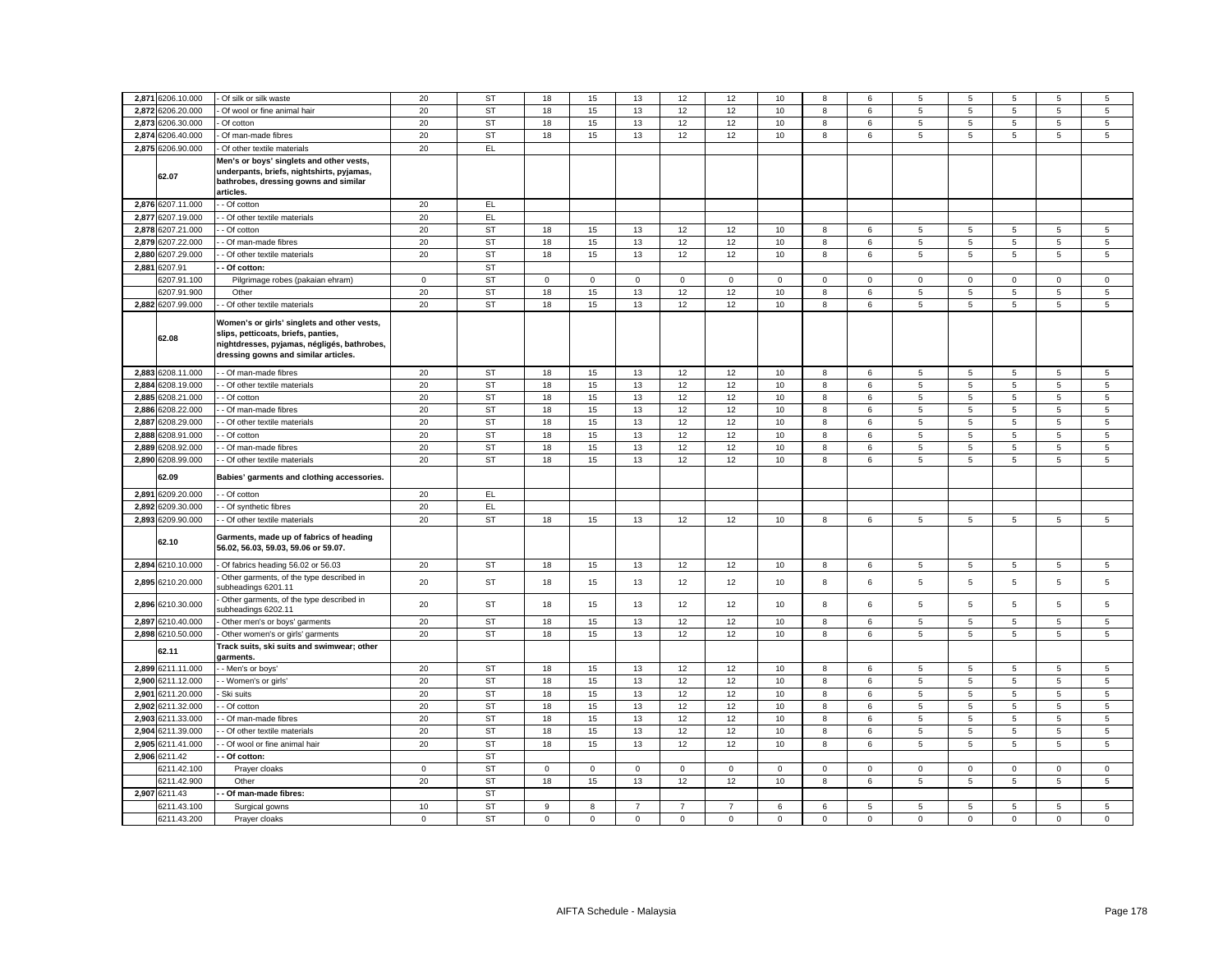| 6206.20.000<br>15<br>12<br>2,872<br>20<br>ST<br>18<br>13<br>12<br>10<br>8<br>5<br>5<br>5<br>5<br>Of wool or fine animal hair<br>6<br>2,873<br>6206.30.000<br>ST<br>15<br>12<br>20<br>18<br>13<br>12<br>10<br>8<br>5<br>5<br>5<br>5<br>Of cotton<br>6<br>6206.40.000<br>2,874<br>20<br><b>ST</b><br>15<br>13<br>12<br>8<br>5<br>5<br>5<br>Of man-made fibres<br>18<br>12<br>10<br>6<br>5<br>2,875<br>20<br>6206.90.000<br>EL.<br>Of other textile materials<br>Men's or boys' singlets and other vests,<br>underpants, briefs, nightshirts, pyjamas,<br>62.07<br>bathrobes, dressing gowns and similar<br>articles.<br>2,876 6207.11.000<br>20<br>EL.<br>- Of cotton<br>2,877<br>6207.19.000<br>Of other textile materials<br>20<br>EL<br>6207.21.000<br><b>ST</b><br>2,878<br>20<br>15<br>Of cotton<br>18<br>13<br>12<br>12<br>10<br>8<br>5<br>5<br>5<br>5<br>6<br>2,879<br>3207.22.000<br>20<br>ST<br>18<br>15<br>13<br>12<br>12<br>10<br>8<br>5<br>5<br>5<br>5<br>Of man-made fibres<br>6<br>2.880<br>3207.29.000<br>20<br><b>ST</b><br>15<br>13<br>12<br>8<br>5<br>Of other textile materials<br>18<br>12<br>10<br>6<br>5<br>5<br>5<br>2,881<br><b>ST</b><br>3207.91<br>Of cotton:<br>207.91.100<br>$\mathbf 0$<br><b>ST</b><br>$\mathsf 0$<br>$\mathbf 0$<br>$\mathbf 0$<br>Pilgrimage robes (pakaian ehram)<br>$\mathbf 0$<br>$\mathbf 0$<br>0<br>$\mathbf 0$<br>0<br>0<br>$\mathbf 0$<br>$\mathbf 0$<br>$\mathbf 0$<br>3207.91.900<br>20<br><b>ST</b><br>18<br>15<br>13<br>12<br>12<br>10<br>8<br>5<br>5<br>5<br>5<br>Other<br>6<br>2,882 6207.99.000<br>20<br><b>ST</b><br>15<br>12<br>5<br>- Of other textile materials<br>18<br>13<br>12<br>10<br>8<br>6<br>5<br>5<br>5<br>Women's or girls' singlets and other vests,<br>slips, petticoats, briefs, panties,<br>62.08<br>nightdresses, pyjamas, négligés, bathrobes,<br>dressing gowns and similar articles.<br>6208.11.000<br>20<br><b>ST</b><br>18<br>15<br>13<br>12<br>12<br>$10$<br>$\,$ 5 $\,$<br>5<br>$\mathbf 5$<br>2.883<br>- Of man-made fibres<br>8<br>6<br>5<br>2,884 6208.19.000<br>20<br>ST<br>15<br>13<br>12<br>10<br>8<br>5<br>5<br>5<br>5<br>- Of other textile materials<br>18<br>12<br>6<br>2.885<br>6208.21.000<br>20<br><b>ST</b><br>18<br>15<br>13<br>12<br>12<br>10<br>5<br>5<br>5<br>5<br>- Of cotton<br>8<br>6<br>2,886<br>208.22.000<br><b>ST</b><br>20<br>15<br>13<br>12<br>10<br>5<br>5<br>5<br>5<br>Of man-made fibres<br>18<br>12<br>8<br>6<br>3208.29.000<br>15<br>12<br>5<br>2,887<br>20<br><b>ST</b><br>18<br>13<br>12<br>10<br>8<br>5<br>5<br>$\sqrt{5}$<br>Of other textile materials<br>6<br>2,888<br>6208.91.000<br>15<br>Of cotton<br>20<br>ST<br>18<br>13<br>12<br>12<br>10<br>8<br>6<br>5<br>5<br>5<br>5<br>2,889<br>3208.92.000<br>20<br><b>ST</b><br>18<br>15<br>13<br>12<br>10<br>8<br>5<br>5<br>12<br>6<br>5<br>5<br>Of man-made fibres<br><b>ST</b><br>5<br>5<br>$\overline{5}$<br>$\overline{5}$<br>2,890<br>208.99.000<br>20<br>18<br>15<br>13<br>12<br>12<br>10<br>8<br>Of other textile materials<br>6<br>62.09<br>Babies' garments and clothing accessories.<br>2,891<br>6209.20.000<br>Of cotton<br>20<br>EL<br>2,892<br>6209.30.000<br>20<br>EL<br>- Of synthetic fibres<br><b>ST</b><br>2,893<br>3209.90.000<br>20<br>$5\overline{5}$<br>Of other textile materials<br>18<br>15<br>13<br>12<br>12<br>10<br>8<br>6<br>5<br>5<br>$5\overline{5}$<br>Garments, made up of fabrics of heading<br>62.10<br>56.02, 56.03, 59.03, 59.06 or 59.07.<br>2,894 6210.10.000<br>- Of fabrics heading 56.02 or 56.03<br>20<br>ST<br>18<br>15<br>13<br>12<br>12<br>10<br>8<br>6<br>5<br>5<br>5<br>5<br>Other garments, of the type described in<br>20<br>ST<br>5<br>5<br>5<br>2,895<br>6210.20.000<br>18<br>15<br>13<br>12<br>12<br>10<br>8<br>6<br>5<br>subheadings 6201.11<br>Other garments, of the type described in<br>2,896 6210.30.000<br>20<br><b>ST</b><br>18<br>15<br>13<br>12<br>10<br>6<br>5<br>5<br>5<br>5<br>12<br>8<br>ubheadings 6202.11<br>20<br><b>ST</b><br>15<br>12<br>12<br>10<br>8<br>5<br>5<br>5<br>5<br>2.897<br>6210.40.000<br>18<br>13<br>6<br>Other men's or boys' garments<br>2,898<br>6210.50.000<br>20<br><b>ST</b><br>18<br>15<br>13<br>12<br>12<br>10<br>8<br>5<br>5<br>5<br>5<br>Other women's or girls' garments<br>6<br>Track suits, ski suits and swimwear; other<br>62.11<br>garments.<br>2,899<br>6211.11.000<br>20<br>ST<br>18<br>15<br>13<br>12<br>12<br>10<br>8<br>5<br>5<br>5<br>5<br>- Men's or boys'<br>6<br>2.900<br>6211.12.000<br>20<br><b>ST</b><br>15<br>- Women's or girls'<br>18<br>13<br>12<br>12<br>10<br>8<br>6<br>5<br>5<br>5<br>5<br>2.901<br>6211.20.000<br>20<br><b>ST</b><br>18<br>15<br>13<br>12<br>12<br>10<br>5<br>5<br>5<br>5<br>Ski suits<br>8<br>6 | 5<br>5<br>5<br>5<br>5<br>5 |
|--------------------------------------------------------------------------------------------------------------------------------------------------------------------------------------------------------------------------------------------------------------------------------------------------------------------------------------------------------------------------------------------------------------------------------------------------------------------------------------------------------------------------------------------------------------------------------------------------------------------------------------------------------------------------------------------------------------------------------------------------------------------------------------------------------------------------------------------------------------------------------------------------------------------------------------------------------------------------------------------------------------------------------------------------------------------------------------------------------------------------------------------------------------------------------------------------------------------------------------------------------------------------------------------------------------------------------------------------------------------------------------------------------------------------------------------------------------------------------------------------------------------------------------------------------------------------------------------------------------------------------------------------------------------------------------------------------------------------------------------------------------------------------------------------------------------------------------------------------------------------------------------------------------------------------------------------------------------------------------------------------------------------------------------------------------------------------------------------------------------------------------------------------------------------------------------------------------------------------------------------------------------------------------------------------------------------------------------------------------------------------------------------------------------------------------------------------------------------------------------------------------------------------------------------------------------------------------------------------------------------------------------------------------------------------------------------------------------------------------------------------------------------------------------------------------------------------------------------------------------------------------------------------------------------------------------------------------------------------------------------------------------------------------------------------------------------------------------------------------------------------------------------------------------------------------------------------------------------------------------------------------------------------------------------------------------------------------------------------------------------------------------------------------------------------------------------------------------------------------------------------------------------------------------------------------------------------------------------------------------------------------------------------------------------------------------------------------------------------------------------------------------------------------------------------------------------------------------------------------------------------------------------------------------------------------------------------------------------------------------------------------------------------------------------------------------------------------------------------------------------------------------------------------------------------------------------------------------------------------------------------------------------------------------------------------------------------------------------------------------------------------------------------------------------------------------------------------------------------------------------------------------------------------------------------------------------------------------------------------------------------------------------------------------------------------------------------------------|----------------------------|
|                                                                                                                                                                                                                                                                                                                                                                                                                                                                                                                                                                                                                                                                                                                                                                                                                                                                                                                                                                                                                                                                                                                                                                                                                                                                                                                                                                                                                                                                                                                                                                                                                                                                                                                                                                                                                                                                                                                                                                                                                                                                                                                                                                                                                                                                                                                                                                                                                                                                                                                                                                                                                                                                                                                                                                                                                                                                                                                                                                                                                                                                                                                                                                                                                                                                                                                                                                                                                                                                                                                                                                                                                                                                                                                                                                                                                                                                                                                                                                                                                                                                                                                                                                                                                                                                                                                                                                                                                                                                                                                                                                                                                                                                                                                    |                            |
|                                                                                                                                                                                                                                                                                                                                                                                                                                                                                                                                                                                                                                                                                                                                                                                                                                                                                                                                                                                                                                                                                                                                                                                                                                                                                                                                                                                                                                                                                                                                                                                                                                                                                                                                                                                                                                                                                                                                                                                                                                                                                                                                                                                                                                                                                                                                                                                                                                                                                                                                                                                                                                                                                                                                                                                                                                                                                                                                                                                                                                                                                                                                                                                                                                                                                                                                                                                                                                                                                                                                                                                                                                                                                                                                                                                                                                                                                                                                                                                                                                                                                                                                                                                                                                                                                                                                                                                                                                                                                                                                                                                                                                                                                                                    |                            |
|                                                                                                                                                                                                                                                                                                                                                                                                                                                                                                                                                                                                                                                                                                                                                                                                                                                                                                                                                                                                                                                                                                                                                                                                                                                                                                                                                                                                                                                                                                                                                                                                                                                                                                                                                                                                                                                                                                                                                                                                                                                                                                                                                                                                                                                                                                                                                                                                                                                                                                                                                                                                                                                                                                                                                                                                                                                                                                                                                                                                                                                                                                                                                                                                                                                                                                                                                                                                                                                                                                                                                                                                                                                                                                                                                                                                                                                                                                                                                                                                                                                                                                                                                                                                                                                                                                                                                                                                                                                                                                                                                                                                                                                                                                                    |                            |
|                                                                                                                                                                                                                                                                                                                                                                                                                                                                                                                                                                                                                                                                                                                                                                                                                                                                                                                                                                                                                                                                                                                                                                                                                                                                                                                                                                                                                                                                                                                                                                                                                                                                                                                                                                                                                                                                                                                                                                                                                                                                                                                                                                                                                                                                                                                                                                                                                                                                                                                                                                                                                                                                                                                                                                                                                                                                                                                                                                                                                                                                                                                                                                                                                                                                                                                                                                                                                                                                                                                                                                                                                                                                                                                                                                                                                                                                                                                                                                                                                                                                                                                                                                                                                                                                                                                                                                                                                                                                                                                                                                                                                                                                                                                    |                            |
|                                                                                                                                                                                                                                                                                                                                                                                                                                                                                                                                                                                                                                                                                                                                                                                                                                                                                                                                                                                                                                                                                                                                                                                                                                                                                                                                                                                                                                                                                                                                                                                                                                                                                                                                                                                                                                                                                                                                                                                                                                                                                                                                                                                                                                                                                                                                                                                                                                                                                                                                                                                                                                                                                                                                                                                                                                                                                                                                                                                                                                                                                                                                                                                                                                                                                                                                                                                                                                                                                                                                                                                                                                                                                                                                                                                                                                                                                                                                                                                                                                                                                                                                                                                                                                                                                                                                                                                                                                                                                                                                                                                                                                                                                                                    |                            |
|                                                                                                                                                                                                                                                                                                                                                                                                                                                                                                                                                                                                                                                                                                                                                                                                                                                                                                                                                                                                                                                                                                                                                                                                                                                                                                                                                                                                                                                                                                                                                                                                                                                                                                                                                                                                                                                                                                                                                                                                                                                                                                                                                                                                                                                                                                                                                                                                                                                                                                                                                                                                                                                                                                                                                                                                                                                                                                                                                                                                                                                                                                                                                                                                                                                                                                                                                                                                                                                                                                                                                                                                                                                                                                                                                                                                                                                                                                                                                                                                                                                                                                                                                                                                                                                                                                                                                                                                                                                                                                                                                                                                                                                                                                                    |                            |
|                                                                                                                                                                                                                                                                                                                                                                                                                                                                                                                                                                                                                                                                                                                                                                                                                                                                                                                                                                                                                                                                                                                                                                                                                                                                                                                                                                                                                                                                                                                                                                                                                                                                                                                                                                                                                                                                                                                                                                                                                                                                                                                                                                                                                                                                                                                                                                                                                                                                                                                                                                                                                                                                                                                                                                                                                                                                                                                                                                                                                                                                                                                                                                                                                                                                                                                                                                                                                                                                                                                                                                                                                                                                                                                                                                                                                                                                                                                                                                                                                                                                                                                                                                                                                                                                                                                                                                                                                                                                                                                                                                                                                                                                                                                    |                            |
|                                                                                                                                                                                                                                                                                                                                                                                                                                                                                                                                                                                                                                                                                                                                                                                                                                                                                                                                                                                                                                                                                                                                                                                                                                                                                                                                                                                                                                                                                                                                                                                                                                                                                                                                                                                                                                                                                                                                                                                                                                                                                                                                                                                                                                                                                                                                                                                                                                                                                                                                                                                                                                                                                                                                                                                                                                                                                                                                                                                                                                                                                                                                                                                                                                                                                                                                                                                                                                                                                                                                                                                                                                                                                                                                                                                                                                                                                                                                                                                                                                                                                                                                                                                                                                                                                                                                                                                                                                                                                                                                                                                                                                                                                                                    |                            |
|                                                                                                                                                                                                                                                                                                                                                                                                                                                                                                                                                                                                                                                                                                                                                                                                                                                                                                                                                                                                                                                                                                                                                                                                                                                                                                                                                                                                                                                                                                                                                                                                                                                                                                                                                                                                                                                                                                                                                                                                                                                                                                                                                                                                                                                                                                                                                                                                                                                                                                                                                                                                                                                                                                                                                                                                                                                                                                                                                                                                                                                                                                                                                                                                                                                                                                                                                                                                                                                                                                                                                                                                                                                                                                                                                                                                                                                                                                                                                                                                                                                                                                                                                                                                                                                                                                                                                                                                                                                                                                                                                                                                                                                                                                                    |                            |
|                                                                                                                                                                                                                                                                                                                                                                                                                                                                                                                                                                                                                                                                                                                                                                                                                                                                                                                                                                                                                                                                                                                                                                                                                                                                                                                                                                                                                                                                                                                                                                                                                                                                                                                                                                                                                                                                                                                                                                                                                                                                                                                                                                                                                                                                                                                                                                                                                                                                                                                                                                                                                                                                                                                                                                                                                                                                                                                                                                                                                                                                                                                                                                                                                                                                                                                                                                                                                                                                                                                                                                                                                                                                                                                                                                                                                                                                                                                                                                                                                                                                                                                                                                                                                                                                                                                                                                                                                                                                                                                                                                                                                                                                                                                    |                            |
|                                                                                                                                                                                                                                                                                                                                                                                                                                                                                                                                                                                                                                                                                                                                                                                                                                                                                                                                                                                                                                                                                                                                                                                                                                                                                                                                                                                                                                                                                                                                                                                                                                                                                                                                                                                                                                                                                                                                                                                                                                                                                                                                                                                                                                                                                                                                                                                                                                                                                                                                                                                                                                                                                                                                                                                                                                                                                                                                                                                                                                                                                                                                                                                                                                                                                                                                                                                                                                                                                                                                                                                                                                                                                                                                                                                                                                                                                                                                                                                                                                                                                                                                                                                                                                                                                                                                                                                                                                                                                                                                                                                                                                                                                                                    |                            |
|                                                                                                                                                                                                                                                                                                                                                                                                                                                                                                                                                                                                                                                                                                                                                                                                                                                                                                                                                                                                                                                                                                                                                                                                                                                                                                                                                                                                                                                                                                                                                                                                                                                                                                                                                                                                                                                                                                                                                                                                                                                                                                                                                                                                                                                                                                                                                                                                                                                                                                                                                                                                                                                                                                                                                                                                                                                                                                                                                                                                                                                                                                                                                                                                                                                                                                                                                                                                                                                                                                                                                                                                                                                                                                                                                                                                                                                                                                                                                                                                                                                                                                                                                                                                                                                                                                                                                                                                                                                                                                                                                                                                                                                                                                                    | $\mathbf 0$                |
|                                                                                                                                                                                                                                                                                                                                                                                                                                                                                                                                                                                                                                                                                                                                                                                                                                                                                                                                                                                                                                                                                                                                                                                                                                                                                                                                                                                                                                                                                                                                                                                                                                                                                                                                                                                                                                                                                                                                                                                                                                                                                                                                                                                                                                                                                                                                                                                                                                                                                                                                                                                                                                                                                                                                                                                                                                                                                                                                                                                                                                                                                                                                                                                                                                                                                                                                                                                                                                                                                                                                                                                                                                                                                                                                                                                                                                                                                                                                                                                                                                                                                                                                                                                                                                                                                                                                                                                                                                                                                                                                                                                                                                                                                                                    | 5                          |
|                                                                                                                                                                                                                                                                                                                                                                                                                                                                                                                                                                                                                                                                                                                                                                                                                                                                                                                                                                                                                                                                                                                                                                                                                                                                                                                                                                                                                                                                                                                                                                                                                                                                                                                                                                                                                                                                                                                                                                                                                                                                                                                                                                                                                                                                                                                                                                                                                                                                                                                                                                                                                                                                                                                                                                                                                                                                                                                                                                                                                                                                                                                                                                                                                                                                                                                                                                                                                                                                                                                                                                                                                                                                                                                                                                                                                                                                                                                                                                                                                                                                                                                                                                                                                                                                                                                                                                                                                                                                                                                                                                                                                                                                                                                    | 5                          |
|                                                                                                                                                                                                                                                                                                                                                                                                                                                                                                                                                                                                                                                                                                                                                                                                                                                                                                                                                                                                                                                                                                                                                                                                                                                                                                                                                                                                                                                                                                                                                                                                                                                                                                                                                                                                                                                                                                                                                                                                                                                                                                                                                                                                                                                                                                                                                                                                                                                                                                                                                                                                                                                                                                                                                                                                                                                                                                                                                                                                                                                                                                                                                                                                                                                                                                                                                                                                                                                                                                                                                                                                                                                                                                                                                                                                                                                                                                                                                                                                                                                                                                                                                                                                                                                                                                                                                                                                                                                                                                                                                                                                                                                                                                                    |                            |
|                                                                                                                                                                                                                                                                                                                                                                                                                                                                                                                                                                                                                                                                                                                                                                                                                                                                                                                                                                                                                                                                                                                                                                                                                                                                                                                                                                                                                                                                                                                                                                                                                                                                                                                                                                                                                                                                                                                                                                                                                                                                                                                                                                                                                                                                                                                                                                                                                                                                                                                                                                                                                                                                                                                                                                                                                                                                                                                                                                                                                                                                                                                                                                                                                                                                                                                                                                                                                                                                                                                                                                                                                                                                                                                                                                                                                                                                                                                                                                                                                                                                                                                                                                                                                                                                                                                                                                                                                                                                                                                                                                                                                                                                                                                    | $\,$ 5 $\,$                |
|                                                                                                                                                                                                                                                                                                                                                                                                                                                                                                                                                                                                                                                                                                                                                                                                                                                                                                                                                                                                                                                                                                                                                                                                                                                                                                                                                                                                                                                                                                                                                                                                                                                                                                                                                                                                                                                                                                                                                                                                                                                                                                                                                                                                                                                                                                                                                                                                                                                                                                                                                                                                                                                                                                                                                                                                                                                                                                                                                                                                                                                                                                                                                                                                                                                                                                                                                                                                                                                                                                                                                                                                                                                                                                                                                                                                                                                                                                                                                                                                                                                                                                                                                                                                                                                                                                                                                                                                                                                                                                                                                                                                                                                                                                                    | 5                          |
|                                                                                                                                                                                                                                                                                                                                                                                                                                                                                                                                                                                                                                                                                                                                                                                                                                                                                                                                                                                                                                                                                                                                                                                                                                                                                                                                                                                                                                                                                                                                                                                                                                                                                                                                                                                                                                                                                                                                                                                                                                                                                                                                                                                                                                                                                                                                                                                                                                                                                                                                                                                                                                                                                                                                                                                                                                                                                                                                                                                                                                                                                                                                                                                                                                                                                                                                                                                                                                                                                                                                                                                                                                                                                                                                                                                                                                                                                                                                                                                                                                                                                                                                                                                                                                                                                                                                                                                                                                                                                                                                                                                                                                                                                                                    | 5                          |
|                                                                                                                                                                                                                                                                                                                                                                                                                                                                                                                                                                                                                                                                                                                                                                                                                                                                                                                                                                                                                                                                                                                                                                                                                                                                                                                                                                                                                                                                                                                                                                                                                                                                                                                                                                                                                                                                                                                                                                                                                                                                                                                                                                                                                                                                                                                                                                                                                                                                                                                                                                                                                                                                                                                                                                                                                                                                                                                                                                                                                                                                                                                                                                                                                                                                                                                                                                                                                                                                                                                                                                                                                                                                                                                                                                                                                                                                                                                                                                                                                                                                                                                                                                                                                                                                                                                                                                                                                                                                                                                                                                                                                                                                                                                    | 5                          |
|                                                                                                                                                                                                                                                                                                                                                                                                                                                                                                                                                                                                                                                                                                                                                                                                                                                                                                                                                                                                                                                                                                                                                                                                                                                                                                                                                                                                                                                                                                                                                                                                                                                                                                                                                                                                                                                                                                                                                                                                                                                                                                                                                                                                                                                                                                                                                                                                                                                                                                                                                                                                                                                                                                                                                                                                                                                                                                                                                                                                                                                                                                                                                                                                                                                                                                                                                                                                                                                                                                                                                                                                                                                                                                                                                                                                                                                                                                                                                                                                                                                                                                                                                                                                                                                                                                                                                                                                                                                                                                                                                                                                                                                                                                                    | $\sqrt{5}$                 |
|                                                                                                                                                                                                                                                                                                                                                                                                                                                                                                                                                                                                                                                                                                                                                                                                                                                                                                                                                                                                                                                                                                                                                                                                                                                                                                                                                                                                                                                                                                                                                                                                                                                                                                                                                                                                                                                                                                                                                                                                                                                                                                                                                                                                                                                                                                                                                                                                                                                                                                                                                                                                                                                                                                                                                                                                                                                                                                                                                                                                                                                                                                                                                                                                                                                                                                                                                                                                                                                                                                                                                                                                                                                                                                                                                                                                                                                                                                                                                                                                                                                                                                                                                                                                                                                                                                                                                                                                                                                                                                                                                                                                                                                                                                                    | 5                          |
|                                                                                                                                                                                                                                                                                                                                                                                                                                                                                                                                                                                                                                                                                                                                                                                                                                                                                                                                                                                                                                                                                                                                                                                                                                                                                                                                                                                                                                                                                                                                                                                                                                                                                                                                                                                                                                                                                                                                                                                                                                                                                                                                                                                                                                                                                                                                                                                                                                                                                                                                                                                                                                                                                                                                                                                                                                                                                                                                                                                                                                                                                                                                                                                                                                                                                                                                                                                                                                                                                                                                                                                                                                                                                                                                                                                                                                                                                                                                                                                                                                                                                                                                                                                                                                                                                                                                                                                                                                                                                                                                                                                                                                                                                                                    |                            |
|                                                                                                                                                                                                                                                                                                                                                                                                                                                                                                                                                                                                                                                                                                                                                                                                                                                                                                                                                                                                                                                                                                                                                                                                                                                                                                                                                                                                                                                                                                                                                                                                                                                                                                                                                                                                                                                                                                                                                                                                                                                                                                                                                                                                                                                                                                                                                                                                                                                                                                                                                                                                                                                                                                                                                                                                                                                                                                                                                                                                                                                                                                                                                                                                                                                                                                                                                                                                                                                                                                                                                                                                                                                                                                                                                                                                                                                                                                                                                                                                                                                                                                                                                                                                                                                                                                                                                                                                                                                                                                                                                                                                                                                                                                                    | $\sqrt{5}$                 |
|                                                                                                                                                                                                                                                                                                                                                                                                                                                                                                                                                                                                                                                                                                                                                                                                                                                                                                                                                                                                                                                                                                                                                                                                                                                                                                                                                                                                                                                                                                                                                                                                                                                                                                                                                                                                                                                                                                                                                                                                                                                                                                                                                                                                                                                                                                                                                                                                                                                                                                                                                                                                                                                                                                                                                                                                                                                                                                                                                                                                                                                                                                                                                                                                                                                                                                                                                                                                                                                                                                                                                                                                                                                                                                                                                                                                                                                                                                                                                                                                                                                                                                                                                                                                                                                                                                                                                                                                                                                                                                                                                                                                                                                                                                                    | $\overline{5}$             |
|                                                                                                                                                                                                                                                                                                                                                                                                                                                                                                                                                                                                                                                                                                                                                                                                                                                                                                                                                                                                                                                                                                                                                                                                                                                                                                                                                                                                                                                                                                                                                                                                                                                                                                                                                                                                                                                                                                                                                                                                                                                                                                                                                                                                                                                                                                                                                                                                                                                                                                                                                                                                                                                                                                                                                                                                                                                                                                                                                                                                                                                                                                                                                                                                                                                                                                                                                                                                                                                                                                                                                                                                                                                                                                                                                                                                                                                                                                                                                                                                                                                                                                                                                                                                                                                                                                                                                                                                                                                                                                                                                                                                                                                                                                                    |                            |
|                                                                                                                                                                                                                                                                                                                                                                                                                                                                                                                                                                                                                                                                                                                                                                                                                                                                                                                                                                                                                                                                                                                                                                                                                                                                                                                                                                                                                                                                                                                                                                                                                                                                                                                                                                                                                                                                                                                                                                                                                                                                                                                                                                                                                                                                                                                                                                                                                                                                                                                                                                                                                                                                                                                                                                                                                                                                                                                                                                                                                                                                                                                                                                                                                                                                                                                                                                                                                                                                                                                                                                                                                                                                                                                                                                                                                                                                                                                                                                                                                                                                                                                                                                                                                                                                                                                                                                                                                                                                                                                                                                                                                                                                                                                    |                            |
|                                                                                                                                                                                                                                                                                                                                                                                                                                                                                                                                                                                                                                                                                                                                                                                                                                                                                                                                                                                                                                                                                                                                                                                                                                                                                                                                                                                                                                                                                                                                                                                                                                                                                                                                                                                                                                                                                                                                                                                                                                                                                                                                                                                                                                                                                                                                                                                                                                                                                                                                                                                                                                                                                                                                                                                                                                                                                                                                                                                                                                                                                                                                                                                                                                                                                                                                                                                                                                                                                                                                                                                                                                                                                                                                                                                                                                                                                                                                                                                                                                                                                                                                                                                                                                                                                                                                                                                                                                                                                                                                                                                                                                                                                                                    |                            |
|                                                                                                                                                                                                                                                                                                                                                                                                                                                                                                                                                                                                                                                                                                                                                                                                                                                                                                                                                                                                                                                                                                                                                                                                                                                                                                                                                                                                                                                                                                                                                                                                                                                                                                                                                                                                                                                                                                                                                                                                                                                                                                                                                                                                                                                                                                                                                                                                                                                                                                                                                                                                                                                                                                                                                                                                                                                                                                                                                                                                                                                                                                                                                                                                                                                                                                                                                                                                                                                                                                                                                                                                                                                                                                                                                                                                                                                                                                                                                                                                                                                                                                                                                                                                                                                                                                                                                                                                                                                                                                                                                                                                                                                                                                                    | 5                          |
|                                                                                                                                                                                                                                                                                                                                                                                                                                                                                                                                                                                                                                                                                                                                                                                                                                                                                                                                                                                                                                                                                                                                                                                                                                                                                                                                                                                                                                                                                                                                                                                                                                                                                                                                                                                                                                                                                                                                                                                                                                                                                                                                                                                                                                                                                                                                                                                                                                                                                                                                                                                                                                                                                                                                                                                                                                                                                                                                                                                                                                                                                                                                                                                                                                                                                                                                                                                                                                                                                                                                                                                                                                                                                                                                                                                                                                                                                                                                                                                                                                                                                                                                                                                                                                                                                                                                                                                                                                                                                                                                                                                                                                                                                                                    | 5                          |
|                                                                                                                                                                                                                                                                                                                                                                                                                                                                                                                                                                                                                                                                                                                                                                                                                                                                                                                                                                                                                                                                                                                                                                                                                                                                                                                                                                                                                                                                                                                                                                                                                                                                                                                                                                                                                                                                                                                                                                                                                                                                                                                                                                                                                                                                                                                                                                                                                                                                                                                                                                                                                                                                                                                                                                                                                                                                                                                                                                                                                                                                                                                                                                                                                                                                                                                                                                                                                                                                                                                                                                                                                                                                                                                                                                                                                                                                                                                                                                                                                                                                                                                                                                                                                                                                                                                                                                                                                                                                                                                                                                                                                                                                                                                    | 5                          |
|                                                                                                                                                                                                                                                                                                                                                                                                                                                                                                                                                                                                                                                                                                                                                                                                                                                                                                                                                                                                                                                                                                                                                                                                                                                                                                                                                                                                                                                                                                                                                                                                                                                                                                                                                                                                                                                                                                                                                                                                                                                                                                                                                                                                                                                                                                                                                                                                                                                                                                                                                                                                                                                                                                                                                                                                                                                                                                                                                                                                                                                                                                                                                                                                                                                                                                                                                                                                                                                                                                                                                                                                                                                                                                                                                                                                                                                                                                                                                                                                                                                                                                                                                                                                                                                                                                                                                                                                                                                                                                                                                                                                                                                                                                                    | 5                          |
|                                                                                                                                                                                                                                                                                                                                                                                                                                                                                                                                                                                                                                                                                                                                                                                                                                                                                                                                                                                                                                                                                                                                                                                                                                                                                                                                                                                                                                                                                                                                                                                                                                                                                                                                                                                                                                                                                                                                                                                                                                                                                                                                                                                                                                                                                                                                                                                                                                                                                                                                                                                                                                                                                                                                                                                                                                                                                                                                                                                                                                                                                                                                                                                                                                                                                                                                                                                                                                                                                                                                                                                                                                                                                                                                                                                                                                                                                                                                                                                                                                                                                                                                                                                                                                                                                                                                                                                                                                                                                                                                                                                                                                                                                                                    | 5                          |
|                                                                                                                                                                                                                                                                                                                                                                                                                                                                                                                                                                                                                                                                                                                                                                                                                                                                                                                                                                                                                                                                                                                                                                                                                                                                                                                                                                                                                                                                                                                                                                                                                                                                                                                                                                                                                                                                                                                                                                                                                                                                                                                                                                                                                                                                                                                                                                                                                                                                                                                                                                                                                                                                                                                                                                                                                                                                                                                                                                                                                                                                                                                                                                                                                                                                                                                                                                                                                                                                                                                                                                                                                                                                                                                                                                                                                                                                                                                                                                                                                                                                                                                                                                                                                                                                                                                                                                                                                                                                                                                                                                                                                                                                                                                    | 5                          |
|                                                                                                                                                                                                                                                                                                                                                                                                                                                                                                                                                                                                                                                                                                                                                                                                                                                                                                                                                                                                                                                                                                                                                                                                                                                                                                                                                                                                                                                                                                                                                                                                                                                                                                                                                                                                                                                                                                                                                                                                                                                                                                                                                                                                                                                                                                                                                                                                                                                                                                                                                                                                                                                                                                                                                                                                                                                                                                                                                                                                                                                                                                                                                                                                                                                                                                                                                                                                                                                                                                                                                                                                                                                                                                                                                                                                                                                                                                                                                                                                                                                                                                                                                                                                                                                                                                                                                                                                                                                                                                                                                                                                                                                                                                                    |                            |
|                                                                                                                                                                                                                                                                                                                                                                                                                                                                                                                                                                                                                                                                                                                                                                                                                                                                                                                                                                                                                                                                                                                                                                                                                                                                                                                                                                                                                                                                                                                                                                                                                                                                                                                                                                                                                                                                                                                                                                                                                                                                                                                                                                                                                                                                                                                                                                                                                                                                                                                                                                                                                                                                                                                                                                                                                                                                                                                                                                                                                                                                                                                                                                                                                                                                                                                                                                                                                                                                                                                                                                                                                                                                                                                                                                                                                                                                                                                                                                                                                                                                                                                                                                                                                                                                                                                                                                                                                                                                                                                                                                                                                                                                                                                    | 5                          |
|                                                                                                                                                                                                                                                                                                                                                                                                                                                                                                                                                                                                                                                                                                                                                                                                                                                                                                                                                                                                                                                                                                                                                                                                                                                                                                                                                                                                                                                                                                                                                                                                                                                                                                                                                                                                                                                                                                                                                                                                                                                                                                                                                                                                                                                                                                                                                                                                                                                                                                                                                                                                                                                                                                                                                                                                                                                                                                                                                                                                                                                                                                                                                                                                                                                                                                                                                                                                                                                                                                                                                                                                                                                                                                                                                                                                                                                                                                                                                                                                                                                                                                                                                                                                                                                                                                                                                                                                                                                                                                                                                                                                                                                                                                                    | 5                          |
| <b>ST</b><br>2,902 6211.32.000<br>20<br>18<br>15<br>13<br>12<br>12<br>10<br>8<br>5<br>5<br>5<br>5<br>Of cotton<br>6                                                                                                                                                                                                                                                                                                                                                                                                                                                                                                                                                                                                                                                                                                                                                                                                                                                                                                                                                                                                                                                                                                                                                                                                                                                                                                                                                                                                                                                                                                                                                                                                                                                                                                                                                                                                                                                                                                                                                                                                                                                                                                                                                                                                                                                                                                                                                                                                                                                                                                                                                                                                                                                                                                                                                                                                                                                                                                                                                                                                                                                                                                                                                                                                                                                                                                                                                                                                                                                                                                                                                                                                                                                                                                                                                                                                                                                                                                                                                                                                                                                                                                                                                                                                                                                                                                                                                                                                                                                                                                                                                                                                | 5                          |
| 6211.33.000<br>20<br><b>ST</b><br>15<br>12<br>2.903<br>Of man-made fibres<br>18<br>13<br>12<br>10<br>8<br>6<br>5<br>5<br>5<br>5                                                                                                                                                                                                                                                                                                                                                                                                                                                                                                                                                                                                                                                                                                                                                                                                                                                                                                                                                                                                                                                                                                                                                                                                                                                                                                                                                                                                                                                                                                                                                                                                                                                                                                                                                                                                                                                                                                                                                                                                                                                                                                                                                                                                                                                                                                                                                                                                                                                                                                                                                                                                                                                                                                                                                                                                                                                                                                                                                                                                                                                                                                                                                                                                                                                                                                                                                                                                                                                                                                                                                                                                                                                                                                                                                                                                                                                                                                                                                                                                                                                                                                                                                                                                                                                                                                                                                                                                                                                                                                                                                                                    | 5                          |
| 2.904<br>6211.39.000<br>20<br><b>ST</b><br>12<br>5<br>Of other textile materials<br>18<br>15<br>13<br>12<br>10<br>8<br>6<br>5<br>5<br>5                                                                                                                                                                                                                                                                                                                                                                                                                                                                                                                                                                                                                                                                                                                                                                                                                                                                                                                                                                                                                                                                                                                                                                                                                                                                                                                                                                                                                                                                                                                                                                                                                                                                                                                                                                                                                                                                                                                                                                                                                                                                                                                                                                                                                                                                                                                                                                                                                                                                                                                                                                                                                                                                                                                                                                                                                                                                                                                                                                                                                                                                                                                                                                                                                                                                                                                                                                                                                                                                                                                                                                                                                                                                                                                                                                                                                                                                                                                                                                                                                                                                                                                                                                                                                                                                                                                                                                                                                                                                                                                                                                            | 5                          |
| 2.905<br>6211.41.000<br>20<br><b>ST</b><br>18<br>15<br>13<br>12<br>12<br>10<br>8<br>6<br>5<br>5<br>5<br>5<br>Of wool or fine animal hair                                                                                                                                                                                                                                                                                                                                                                                                                                                                                                                                                                                                                                                                                                                                                                                                                                                                                                                                                                                                                                                                                                                                                                                                                                                                                                                                                                                                                                                                                                                                                                                                                                                                                                                                                                                                                                                                                                                                                                                                                                                                                                                                                                                                                                                                                                                                                                                                                                                                                                                                                                                                                                                                                                                                                                                                                                                                                                                                                                                                                                                                                                                                                                                                                                                                                                                                                                                                                                                                                                                                                                                                                                                                                                                                                                                                                                                                                                                                                                                                                                                                                                                                                                                                                                                                                                                                                                                                                                                                                                                                                                           | 5                          |
| 2,906 6211.42<br>- Of cotton:<br><b>ST</b>                                                                                                                                                                                                                                                                                                                                                                                                                                                                                                                                                                                                                                                                                                                                                                                                                                                                                                                                                                                                                                                                                                                                                                                                                                                                                                                                                                                                                                                                                                                                                                                                                                                                                                                                                                                                                                                                                                                                                                                                                                                                                                                                                                                                                                                                                                                                                                                                                                                                                                                                                                                                                                                                                                                                                                                                                                                                                                                                                                                                                                                                                                                                                                                                                                                                                                                                                                                                                                                                                                                                                                                                                                                                                                                                                                                                                                                                                                                                                                                                                                                                                                                                                                                                                                                                                                                                                                                                                                                                                                                                                                                                                                                                         | 5                          |
| <b>ST</b><br>3211.42.100<br>$\mathbf 0$<br>$\mathsf 0$<br>$\mathsf 0$<br>$\mathsf 0$<br>$\mathsf 0$<br>$\mathsf 0$<br>$\mathsf 0$<br>$\mathsf 0$<br>$\mathbf 0$<br>Prayer cloaks<br>$\mathbf 0$<br>0<br>$\mathbf 0$<br>$\mathbf 0$                                                                                                                                                                                                                                                                                                                                                                                                                                                                                                                                                                                                                                                                                                                                                                                                                                                                                                                                                                                                                                                                                                                                                                                                                                                                                                                                                                                                                                                                                                                                                                                                                                                                                                                                                                                                                                                                                                                                                                                                                                                                                                                                                                                                                                                                                                                                                                                                                                                                                                                                                                                                                                                                                                                                                                                                                                                                                                                                                                                                                                                                                                                                                                                                                                                                                                                                                                                                                                                                                                                                                                                                                                                                                                                                                                                                                                                                                                                                                                                                                                                                                                                                                                                                                                                                                                                                                                                                                                                                                 |                            |
| 211.42.900<br>20<br><b>ST</b><br>15<br>13<br>12<br>8<br>5<br>5<br>5<br>Other<br>18<br>12<br>10<br>6<br>5                                                                                                                                                                                                                                                                                                                                                                                                                                                                                                                                                                                                                                                                                                                                                                                                                                                                                                                                                                                                                                                                                                                                                                                                                                                                                                                                                                                                                                                                                                                                                                                                                                                                                                                                                                                                                                                                                                                                                                                                                                                                                                                                                                                                                                                                                                                                                                                                                                                                                                                                                                                                                                                                                                                                                                                                                                                                                                                                                                                                                                                                                                                                                                                                                                                                                                                                                                                                                                                                                                                                                                                                                                                                                                                                                                                                                                                                                                                                                                                                                                                                                                                                                                                                                                                                                                                                                                                                                                                                                                                                                                                                           | $\mathbf 0$                |
| 2,907<br>6211.43<br><b>ST</b><br>Of man-made fibres:                                                                                                                                                                                                                                                                                                                                                                                                                                                                                                                                                                                                                                                                                                                                                                                                                                                                                                                                                                                                                                                                                                                                                                                                                                                                                                                                                                                                                                                                                                                                                                                                                                                                                                                                                                                                                                                                                                                                                                                                                                                                                                                                                                                                                                                                                                                                                                                                                                                                                                                                                                                                                                                                                                                                                                                                                                                                                                                                                                                                                                                                                                                                                                                                                                                                                                                                                                                                                                                                                                                                                                                                                                                                                                                                                                                                                                                                                                                                                                                                                                                                                                                                                                                                                                                                                                                                                                                                                                                                                                                                                                                                                                                               | 5                          |
| <b>ST</b><br>6211.43.100<br>5<br>5<br>5<br>5<br>5<br>Surgical gowns<br>10<br>9<br>8<br>$\overline{7}$<br>$\overline{7}$<br>6<br>6<br>7                                                                                                                                                                                                                                                                                                                                                                                                                                                                                                                                                                                                                                                                                                                                                                                                                                                                                                                                                                                                                                                                                                                                                                                                                                                                                                                                                                                                                                                                                                                                                                                                                                                                                                                                                                                                                                                                                                                                                                                                                                                                                                                                                                                                                                                                                                                                                                                                                                                                                                                                                                                                                                                                                                                                                                                                                                                                                                                                                                                                                                                                                                                                                                                                                                                                                                                                                                                                                                                                                                                                                                                                                                                                                                                                                                                                                                                                                                                                                                                                                                                                                                                                                                                                                                                                                                                                                                                                                                                                                                                                                                             |                            |
| $\mathsf 0$<br><b>ST</b><br>$\mathbf 0$<br>$\mathbf 0$<br>$\mathsf 0$<br>6211.43.200<br>$\mathsf 0$<br>$\mathsf 0$<br>$\mathsf 0$<br>$\mathsf 0$<br>$\mathsf 0$<br>$\mathsf 0$<br>$\mathsf 0$<br>Prayer cloaks<br>$\Omega$<br>0                                                                                                                                                                                                                                                                                                                                                                                                                                                                                                                                                                                                                                                                                                                                                                                                                                                                                                                                                                                                                                                                                                                                                                                                                                                                                                                                                                                                                                                                                                                                                                                                                                                                                                                                                                                                                                                                                                                                                                                                                                                                                                                                                                                                                                                                                                                                                                                                                                                                                                                                                                                                                                                                                                                                                                                                                                                                                                                                                                                                                                                                                                                                                                                                                                                                                                                                                                                                                                                                                                                                                                                                                                                                                                                                                                                                                                                                                                                                                                                                                                                                                                                                                                                                                                                                                                                                                                                                                                                                                    | 5                          |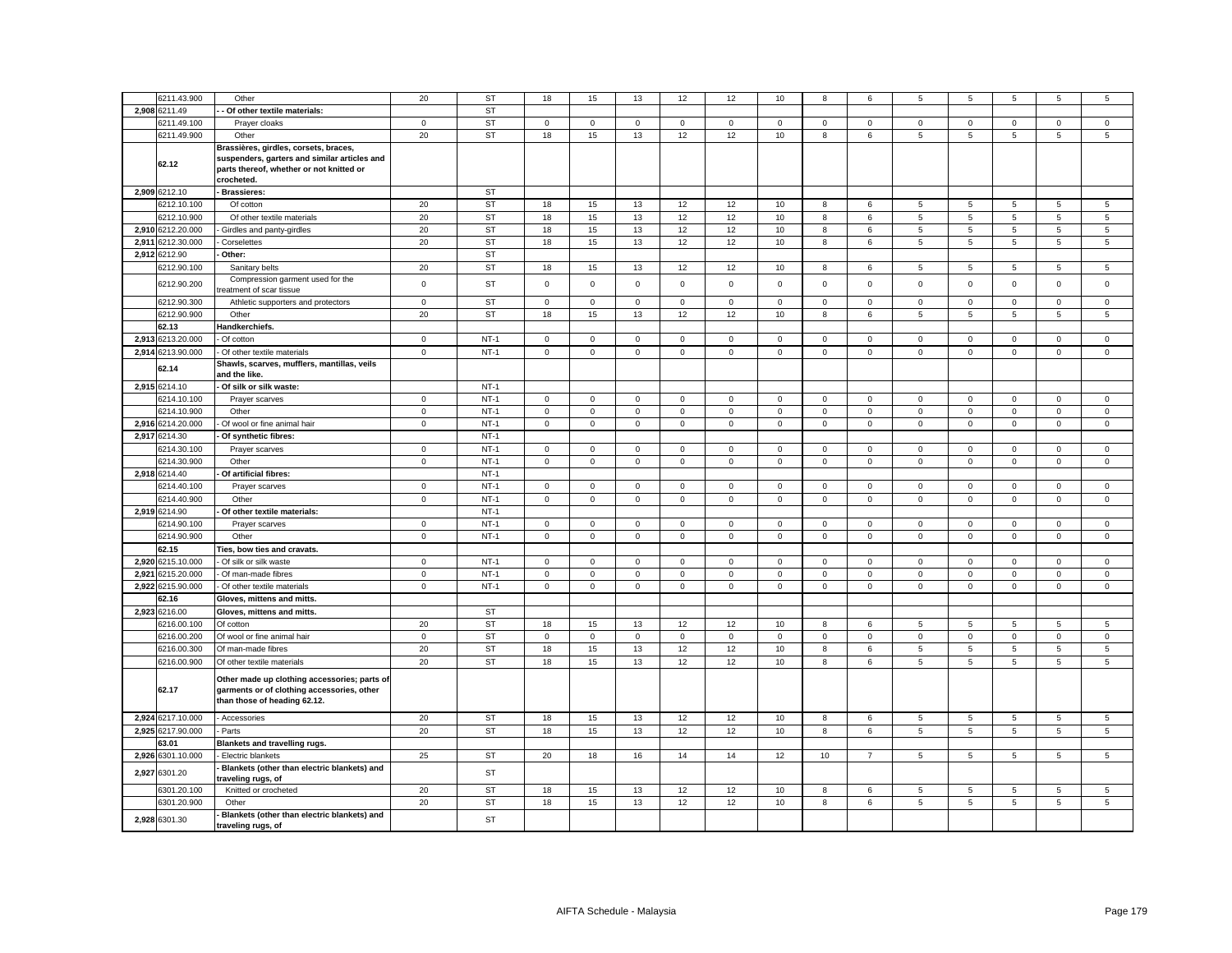|       | 6211.43.900       | Other                                                                                                                                           | 20                         | <b>ST</b> | 18           | 15          | 13          | 12           | 12           | 10                         | 8                   | 6              | 5               | 5                | 5           | 5                          | 5                          |
|-------|-------------------|-------------------------------------------------------------------------------------------------------------------------------------------------|----------------------------|-----------|--------------|-------------|-------------|--------------|--------------|----------------------------|---------------------|----------------|-----------------|------------------|-------------|----------------------------|----------------------------|
|       | 2,908 6211.49     | Of other textile materials:                                                                                                                     |                            | <b>ST</b> |              |             |             |              |              |                            |                     |                |                 |                  |             |                            |                            |
|       |                   |                                                                                                                                                 |                            |           |              |             |             |              |              |                            |                     |                |                 |                  |             |                            |                            |
|       | 6211.49.100       | Prayer cloaks                                                                                                                                   | $\mathbf 0$                | <b>ST</b> | 0            | $\mathbf 0$ | $\mathbf 0$ | $\mathbf 0$  | 0            | 0                          | $\mathbf 0$         | $\mathbf 0$    | $\mathsf 0$     | 0                | 0           | 0                          | $\mathbf 0$                |
|       | 6211.49.900       | Other                                                                                                                                           | 20                         | <b>ST</b> | 18           | 15          | 13          | 12           | 12           | 10                         | 8                   | 6              | 5               | 5                | 5           | 5                          | $\mathbf 5$                |
|       | 62.12             | Brassières, girdles, corsets, braces,<br>suspenders, garters and similar articles and<br>parts thereof, whether or not knitted or<br>crocheted. |                            |           |              |             |             |              |              |                            |                     |                |                 |                  |             |                            |                            |
|       | 2,909 6212.10     | Brassieres:                                                                                                                                     |                            | <b>ST</b> |              |             |             |              |              |                            |                     |                |                 |                  |             |                            |                            |
|       | 6212.10.100       | Of cotton                                                                                                                                       | 20                         | <b>ST</b> | 18           | 15          | 13          | 12           | 12           | 10                         | 8                   | 6              | 5               | 5                | 5           | $\,$ 5 $\,$                | $\,$ 5 $\,$                |
|       | 6212.10.900       | Of other textile materials                                                                                                                      | 20                         | <b>ST</b> | 18           | 15          | 13          | 12           | 12           | 10                         | 8                   | 6              | 5               | 5                | 5           | 5                          | $\sqrt{5}$                 |
| 2,910 | 6212.20.000       | Girdles and panty-girdles                                                                                                                       | 20                         | <b>ST</b> | 18           | 15          | 13          | 12           | 12           | 10                         | 8                   | $\,6\,$        | 5               | 5                | $\mathbf 5$ | $\,$ 5 $\,$                | $\,$ 5 $\,$                |
|       | 2,911 6212.30.000 | Corselettes                                                                                                                                     | 20                         | <b>ST</b> | 18           | 15          | 13          | 12           | 12           | 10                         | 8                   | 6              | 5               | 5                | 5           | $\,$ 5 $\,$                | $\,$ 5 $\,$                |
| 2,912 | 6212.90           | Other:                                                                                                                                          |                            | <b>ST</b> |              |             |             |              |              |                            |                     |                |                 |                  |             |                            |                            |
|       | 6212.90.100       | Sanitary belts                                                                                                                                  | 20                         | ST        | 18           | 15          | 13          | 12           | 12           | 10                         | 8                   | 6              | 5               | 5                |             |                            | 5                          |
|       |                   |                                                                                                                                                 |                            |           |              |             |             |              |              |                            |                     |                |                 |                  | 5           | 5                          |                            |
|       | 6212.90.200       | Compression garment used for the<br>reatment of scar tissue                                                                                     | $\mathbf 0$                | ST        | $\mathbf 0$  | $\mathsf 0$ | $\mathbf 0$ | $\mathsf 0$  | $\mathsf 0$  | $\mathsf 0$                | $\mathsf 0$         | $\mathbf 0$    | $\mathbf 0$     | $\mathsf 0$      | $\mathsf 0$ | $\mathsf 0$                | $\mathbf 0$                |
|       | 6212.90.300       | Athletic supporters and protectors                                                                                                              | $\mathbf 0$                | <b>ST</b> | 0            | $\mathbf 0$ | $\mathbf 0$ | $\mathbf 0$  | 0            | $\mathbf 0$                | $\mathbf 0$         | $\mathbf 0$    | $\mathbf 0$     | $\mathbf 0$      | 0           | $\mathbf 0$                | $\mathbf 0$                |
|       | 6212.90.900       | Other                                                                                                                                           | 20                         | <b>ST</b> | 18           | 15          | 13          | 12           | 12           | 10                         | 8                   | 6              | 5               | 5                | 5           | $\,$ 5 $\,$                | $\,$ 5 $\,$                |
|       | 62.13             | Handkerchiefs.                                                                                                                                  |                            |           |              |             |             |              |              |                            |                     |                |                 |                  |             |                            |                            |
|       | 2,913 6213.20.000 | Of cotton                                                                                                                                       | $\mathbf 0$                | $NT-1$    | $\mathbf 0$  | $\mathbf 0$ | $\mathbf 0$ | $\mathbf 0$  | 0            | $\mathbf 0$                | $\mathbf 0$         | 0              | $\mathsf 0$     | $\mathbf 0$      | $\mathbf 0$ | $\mathbf 0$                | $\mathbf 0$                |
|       | 2,914 6213.90.000 | Of other textile materials                                                                                                                      | $\mathbf 0$                | $NT-1$    | $\mathbf 0$  | $\mathsf 0$ | $\mathsf 0$ | $\mathsf 0$  | $\mathsf 0$  | $\mathsf 0$                | $\mathsf{O}\xspace$ | $\mathsf 0$    | $\mathsf 0$     | $\mathsf 0$      | $\mathsf 0$ | $\mathsf{O}\xspace$        | $\mathsf 0$                |
|       | 62.14             | Shawls, scarves, mufflers, mantillas, veils<br>and the like.                                                                                    |                            |           |              |             |             |              |              |                            |                     |                |                 |                  |             |                            |                            |
|       | 2,915 6214.10     | Of silk or silk waste:                                                                                                                          |                            | $NT-1$    |              |             |             |              |              |                            |                     |                |                 |                  |             |                            |                            |
|       | 6214.10.100       | Prayer scarves                                                                                                                                  | $\mathbf 0$                | $NT-1$    | 0            | $\mathsf 0$ | 0           | $\mathbf 0$  | 0            | 0                          | $\mathbf 0$         | 0              | $\mathbf 0$     | $\pmb{0}$        | $\mathbf 0$ | 0                          | 0                          |
|       | 6214.10.900       | Other                                                                                                                                           | $\mathbf 0$                | $NT-1$    | $\mathbf 0$  | $\mathsf 0$ | $\mathsf 0$ | $\mathsf 0$  | $\mathsf 0$  | $\mathbf 0$                | $\mathbf 0$         | $\mathbf 0$    | $\mathsf 0$     | $\mathbf 0$      | $\mathsf 0$ | $\mathsf 0$                | $\mathsf 0$                |
| 2,916 | 6214.20.000       | Of wool or fine animal hair                                                                                                                     | $\mathsf 0$                | $NT-1$    | $\mathbf 0$  | $\mathsf 0$ | $\mathsf 0$ | $\mathsf 0$  | $\mathsf 0$  | $\mathbf 0$                | $\mathsf 0$         | $\mathsf 0$    | $\mathsf 0$     | $\mathbf 0$      | $\mathbf 0$ | $\mathsf 0$                | $\mathsf 0$                |
|       | 2,917 6214.30     | Of synthetic fibres:                                                                                                                            |                            | $NT-1$    |              |             |             |              |              |                            |                     |                |                 |                  |             |                            |                            |
|       | 6214.30.100       | Prayer scarves                                                                                                                                  | $\mathbf 0$                | $NT-1$    | $\mathbf 0$  | $\mathbf 0$ | $\mathsf 0$ | $\mathsf 0$  | $\mathsf 0$  | $\mathbf 0$                | $\mathsf 0$         | $\mathsf 0$    | $\mathsf 0$     | $\mathbf 0$      | $\mathbf 0$ | $\mathbf 0$                | $\mathbf 0$                |
|       | 6214.30.900       | Other                                                                                                                                           | $\mathsf 0$                | $NT-1$    | $\mathsf 0$  | $\mathsf 0$ | $\mathsf 0$ | $\mathsf 0$  | $\mathbf 0$  | $\mathsf 0$                | $\mathsf{O}\xspace$ | $\mathsf 0$    | $\mathsf 0$     | $\mathsf 0$      | $\mathsf 0$ | $\mathsf 0$                | $\overline{0}$             |
|       | 2,918 6214.40     | Of artificial fibres:                                                                                                                           |                            | $NT-1$    |              |             |             |              |              |                            |                     |                |                 |                  |             |                            |                            |
|       | 6214.40.100       |                                                                                                                                                 |                            | $NT-1$    | 0            | $\mathbf 0$ | $\mathbf 0$ | $\mathbf 0$  | 0            |                            | $\mathbf 0$         | $\mathbf 0$    | 0               |                  | $\mathbf 0$ |                            |                            |
|       | 6214.40.900       | Prayer scarves<br>Other                                                                                                                         | $\mathbf 0$<br>$\mathbf 0$ | $NT-1$    | $\mathbf 0$  | $\mathsf 0$ | $\mathsf 0$ | $\mathsf 0$  | $\mathsf 0$  | $\mathbf 0$<br>$\mathsf 0$ | $\mathsf 0$         | $\mathsf 0$    | $\overline{0}$  | 0<br>$\mathsf 0$ | $\mathsf 0$ | $\mathbf 0$<br>$\mathsf 0$ | $\mathbf 0$<br>$\mathsf 0$ |
|       |                   |                                                                                                                                                 |                            | $NT-1$    |              |             |             |              |              |                            |                     |                |                 |                  |             |                            |                            |
|       | 2,919 6214.90     | Of other textile materials:                                                                                                                     |                            |           |              |             |             |              |              |                            |                     |                |                 |                  |             |                            |                            |
|       | 6214.90.100       | Prayer scarves                                                                                                                                  | $\mathbf 0$                | $NT-1$    | 0            | $\mathbf 0$ | 0           | $\mathbf 0$  | 0            | 0                          | $\mathsf{O}\xspace$ | $\mathbf 0$    | $\mathbf 0$     | 0                | $\mathbf 0$ | $\mathbf 0$                | $\mathbf 0$                |
|       | 6214.90.900       | Other                                                                                                                                           | $\mathbf 0$                | $NT-1$    | $\mathbf 0$  | $\mathsf 0$ | $\mathsf 0$ | $\mathsf 0$  | $\mathbf 0$  | $\mathsf 0$                | $\mathbf 0$         | $\mathbf 0$    | $\mathbf 0$     | $\mathsf 0$      | $\mathbf 0$ | $\mathsf 0$                | $\mathsf 0$                |
|       | 62.15             | Ties, bow ties and cravats.                                                                                                                     |                            |           |              |             |             |              |              |                            |                     |                |                 |                  |             |                            |                            |
|       | 2,920 6215.10.000 | - Of silk or silk waste                                                                                                                         | $\mathbf 0$                | $NT-1$    | $\mathsf 0$  | $\mathsf 0$ | $\mathsf 0$ | $\mathbf 0$  | $\mathsf 0$  | $\mathsf 0$                | $\mathsf{O}\xspace$ | $\mathbf 0$    | $\mathbf 0$     | $\mathbf 0$      | $\mathsf 0$ | $\mathbf 0$                | $\mathsf 0$                |
| 2,921 | 6215.20.000       | Of man-made fibres                                                                                                                              | $\mathbf 0$                | $NT-1$    | 0            | $\mathsf 0$ | $\mathsf 0$ | $\mathbf 0$  | $\mathsf 0$  | $\mathsf 0$                | $\mathsf 0$         | $\mathsf 0$    | $\mathbf 0$     | $\mathsf 0$      | $\mathsf 0$ | $\mathsf 0$                | $\mathsf 0$                |
| 2.922 | 6215.90.000       | - Of other textile materials                                                                                                                    | $\mathsf 0$                | $NT-1$    | $\mathbf{0}$ | $\mathbf 0$ | $\mathsf 0$ | $\mathbf 0$  | $\mathbf{0}$ | $\mathbf 0$                | $\mathsf 0$         | $\mathbf 0$    | $\mathsf 0$     | $\mathbf 0$      | $\mathsf 0$ | $\mathbf 0$                | $\mathsf 0$                |
|       | 62.16             | Gloves, mittens and mitts.                                                                                                                      |                            |           |              |             |             |              |              |                            |                     |                |                 |                  |             |                            |                            |
|       | 2,923 6216.00     | Gloves, mittens and mitts.                                                                                                                      |                            | <b>ST</b> |              |             |             |              |              |                            |                     |                |                 |                  |             |                            |                            |
|       | 6216.00.100       | Of cotton                                                                                                                                       | 20                         | <b>ST</b> | 18           | 15          | 13          | 12           | 12           | 10                         | 8                   | 6              | 5               | 5                | 5           | 5                          | $\overline{5}$             |
|       | 6216.00.200       | Of wool or fine animal hair                                                                                                                     | $\mathbf 0$                | <b>ST</b> | $\mathbf 0$  | $\mathbf 0$ | $\mathsf 0$ | $\mathbf{0}$ | $\mathbf 0$  | $\mathbf 0$                | $\mathbf 0$         | $\mathbf{0}$   | $\mathbf{0}$    | $\mathbf 0$      | $\mathbf 0$ | $\mathbf 0$                | $\mathsf 0$                |
|       | 6216.00.300       | Of man-made fibres                                                                                                                              | 20                         | <b>ST</b> | 18           | 15          | 13          | 12           | 12           | 10                         | 8                   | 6              | 5               | 5                | 5           | 5                          | 5                          |
|       | 6216.00.900       | Of other textile materials                                                                                                                      | 20                         | <b>ST</b> | 18           | 15          | 13          | 12           | 12           | 10                         | 8                   | 6              | 5               | 5                | 5           | 5                          | 5                          |
|       | 62.17             | Other made up clothing accessories; parts of<br>garments or of clothing accessories, other<br>than those of heading 62.12.                      |                            |           |              |             |             |              |              |                            |                     |                |                 |                  |             |                            |                            |
|       | 2,924 6217.10.000 | - Accessories                                                                                                                                   | 20                         | <b>ST</b> | 18           | 15          | 13          | 12           | 12           | 10                         | 8                   | 6              | 5               | 5                | 5           | 5                          | 5                          |
|       | 2,925 6217.90.000 | - Parts                                                                                                                                         | 20                         | <b>ST</b> | 18           | 15          | 13          | 12           | 12           | 10                         | 8                   | 6              | $5\phantom{.0}$ | 5                | 5           | 5                          | 5                          |
|       | 63.01             | <b>Blankets and travelling rugs.</b>                                                                                                            |                            |           |              |             |             |              |              |                            |                     |                |                 |                  |             |                            |                            |
|       | 2,926 6301.10.000 | - Electric blankets                                                                                                                             | 25                         | <b>ST</b> | 20           | 18          | 16          | 14           | 14           | 12                         | 10                  | $\overline{7}$ | 5               | 5                | 5           | 5                          | 5                          |
|       | 2,927 6301.20     | Blankets (other than electric blankets) and<br>traveling rugs, of                                                                               |                            | <b>ST</b> |              |             |             |              |              |                            |                     |                |                 |                  |             |                            |                            |
|       | 6301.20.100       | Knitted or crocheted                                                                                                                            | 20                         | <b>ST</b> | 18           | 15          | 13          | 12           | 12           | 10                         | 8                   | 6              | $\sqrt{5}$      | 5                | 5           | $\overline{5}$             | $\sqrt{5}$                 |
|       | 6301.20.900       | Other                                                                                                                                           | 20                         | <b>ST</b> | 18           | 15          | 13          | 12           | 12           | 10                         | 8                   | 6              | 5               | 5                | 5           | 5                          | 5                          |
|       | 2,928 6301.30     | Blankets (other than electric blankets) and                                                                                                     |                            | <b>ST</b> |              |             |             |              |              |                            |                     |                |                 |                  |             |                            |                            |
|       |                   | traveling rugs, of                                                                                                                              |                            |           |              |             |             |              |              |                            |                     |                |                 |                  |             |                            |                            |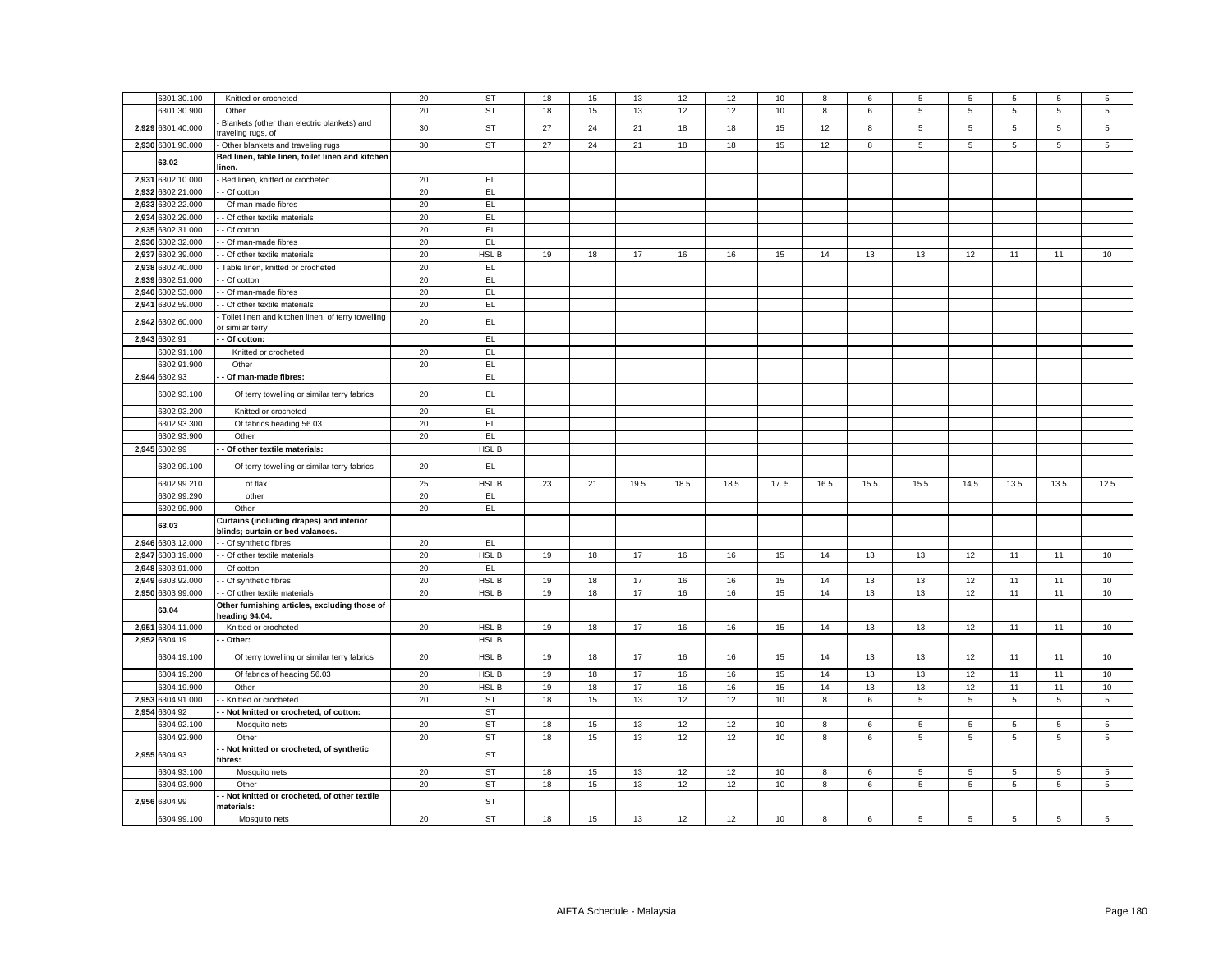|       | 6301.30.100                  | Knitted or crocheted                                                   | 20       | <b>ST</b>       | 18       | 15 | 13   | 12   | 12       | 10       | 8    | 6    | 5    | 5              | 5              | 5              | 5               |
|-------|------------------------------|------------------------------------------------------------------------|----------|-----------------|----------|----|------|------|----------|----------|------|------|------|----------------|----------------|----------------|-----------------|
|       | 3301.30.900                  | Other                                                                  | 20       | <b>ST</b>       | 18       | 15 | 13   | 12   | 12       | 10       | 8    | 6    | 5    | $\,$ 5 $\,$    | 5              | 5              | 5               |
|       | 2,929 6301.40.000            | Blankets (other than electric blankets) and<br>raveling rugs, of       | 30       | <b>ST</b>       | 27       | 24 | 21   | 18   | 18       | 15       | 12   | 8    | 5    | 5              | 5              | $\mathbf 5$    | 5               |
|       | 2,930 6301.90.000            | Other blankets and traveling rugs                                      | 30       | <b>ST</b>       | 27       | 24 | 21   | 18   | 18       | 15       | 12   | 8    | 5    | 5              | 5              | 5              | $\sqrt{5}$      |
|       | 63.02                        | Bed linen, table linen, toilet linen and kitchen<br>linen.             |          |                 |          |    |      |      |          |          |      |      |      |                |                |                |                 |
| 2,931 | 6302.10.000                  | Bed linen, knitted or crocheted                                        | 20       | EL              |          |    |      |      |          |          |      |      |      |                |                |                |                 |
| 2,932 | 6302.21.000                  | Of cotton                                                              | 20       | EL              |          |    |      |      |          |          |      |      |      |                |                |                |                 |
| 2.933 | 3302.22.000                  | - Of man-made fibres                                                   | 20       | EL.             |          |    |      |      |          |          |      |      |      |                |                |                |                 |
| 2,934 | 6302.29.000                  | - Of other textile materials                                           | 20       | EL.             |          |    |      |      |          |          |      |      |      |                |                |                |                 |
| 2,935 | 6302.31.000                  | - Of cotton                                                            | 20       | EL              |          |    |      |      |          |          |      |      |      |                |                |                |                 |
| 2,936 | 6302.32.000                  | - Of man-made fibres                                                   | 20       | EL.             |          |    |      |      |          |          |      |      |      |                |                |                |                 |
| 2.937 | 6302.39.000                  | - Of other textile materials                                           | 20       | HSL B           | 19       | 18 | 17   | 16   | 16       | 15       | 14   | 13   | 13   | 12             | 11             | 11             | 10              |
| 2.938 | 6302.40.000                  |                                                                        | 20       | EL.             |          |    |      |      |          |          |      |      |      |                |                |                |                 |
|       |                              | Table linen, knitted or crocheted                                      |          |                 |          |    |      |      |          |          |      |      |      |                |                |                |                 |
|       | 2,939 6302.51.000            | Of cotton                                                              | 20       | EL              |          |    |      |      |          |          |      |      |      |                |                |                |                 |
| 2.940 | 6302.53.000                  | Of man-made fibres                                                     | 20       | EL              |          |    |      |      |          |          |      |      |      |                |                |                |                 |
|       | 2,941 6302.59.000            | - Of other textile materials                                           | 20       | EL.             |          |    |      |      |          |          |      |      |      |                |                |                |                 |
|       | 2,942 6302.60.000            | Toilet linen and kitchen linen, of terry towelling<br>or similar terry | 20       | EL              |          |    |      |      |          |          |      |      |      |                |                |                |                 |
|       | 2,943 6302.91                | - Of cotton:                                                           |          | EL.             |          |    |      |      |          |          |      |      |      |                |                |                |                 |
|       | 3302.91.100                  | Knitted or crocheted                                                   | 20       | EL              |          |    |      |      |          |          |      |      |      |                |                |                |                 |
|       | 3302.91.900                  | Other                                                                  | 20       | EL              |          |    |      |      |          |          |      |      |      |                |                |                |                 |
|       | 2,944 6302.93                | Of man-made fibres:                                                    |          | <b>EL</b>       |          |    |      |      |          |          |      |      |      |                |                |                |                 |
|       | 6302.93.100                  | Of terry towelling or similar terry fabrics                            | 20       | EL.             |          |    |      |      |          |          |      |      |      |                |                |                |                 |
|       | 6302.93.200                  | Knitted or crocheted                                                   | 20       | EL.             |          |    |      |      |          |          |      |      |      |                |                |                |                 |
|       | 6302.93.300                  | Of fabrics heading 56.03                                               | 20       | EL              |          |    |      |      |          |          |      |      |      |                |                |                |                 |
|       | 6302.93.900                  | Other                                                                  | 20       | EL              |          |    |      |      |          |          |      |      |      |                |                |                |                 |
|       | 2,945 6302.99                | Of other textile materials:                                            |          | HSL B           |          |    |      |      |          |          |      |      |      |                |                |                |                 |
|       | 6302.99.100                  | Of terry towelling or similar terry fabrics                            | 20       | EL.             |          |    |      |      |          |          |      |      |      |                |                |                |                 |
|       | 6302.99.210                  | of flax                                                                | 25       | HSL B           | 23       | 21 | 19.5 | 18.5 | 18.5     | 17.5     | 16.5 | 15.5 | 15.5 | 14.5           | 13.5           | 13.5           | 12.5            |
|       | 6302.99.290                  | other                                                                  | 20       | EL              |          |    |      |      |          |          |      |      |      |                |                |                |                 |
|       | 6302.99.900                  | Other                                                                  | 20       | EL              |          |    |      |      |          |          |      |      |      |                |                |                |                 |
|       |                              | Curtains (including drapes) and interior                               |          |                 |          |    |      |      |          |          |      |      |      |                |                |                |                 |
|       | 63.03                        | blinds; curtain or bed valances.                                       |          |                 |          |    |      |      |          |          |      |      |      |                |                |                |                 |
|       | 2,946 6303.12.000            | - Of synthetic fibres                                                  | 20       | EL.             |          |    |      |      |          |          |      |      |      |                |                |                |                 |
| 2,947 | 6303.19.000                  | - Of other textile materials                                           | 20       | HSL B           | 19       | 18 | 17   | 16   | 16       | 15       | 14   | 13   | 13   | 12             | 11             | 11             | 10              |
| 2,948 | 6303.91.000                  | Of cotton                                                              | 20       | EL              |          |    |      |      |          |          |      |      |      |                |                |                |                 |
| 2,949 | 6303.92.000                  | - Of synthetic fibres                                                  | 20       | HSL B           | 19       |    |      |      |          |          |      |      |      |                |                |                |                 |
|       | 2,950 6303.99.000            |                                                                        |          |                 |          | 18 | $17$ | 16   | 16       | 15       | 14   | 13   | 13   | 12             | 11             | 11             | 10              |
|       |                              | - Of other textile materials                                           | 20       | HSL B           | 19       | 18 | 17   | 16   | 16       | 15       | 14   | 13   | 13   | 12             | 11             | 11             | 10              |
|       | 63.04                        | Other furnishing articles, excluding those of<br>heading 94.04.        |          |                 |          |    |      |      |          |          |      |      |      |                |                |                |                 |
| 2,951 | 6304.11.000                  | - Knitted or crocheted                                                 | 20       | HSL B           | 19       | 18 | 17   | 16   | 16       | 15       | 14   | 13   | 13   | 12             | 11             | 11             | 10              |
|       | 2,952 6304.19                | Other:                                                                 |          | HSL B           |          |    |      |      |          |          |      |      |      |                |                |                |                 |
|       | 6304.19.100                  | Of terry towelling or similar terry fabrics                            | 20       | HSL B           | 19       | 18 | 17   | 16   | 16       | 15       | 14   | 13   | 13   | 12             | 11             | 11             | 10              |
|       | 6304.19.200                  | Of fabrics of heading 56.03                                            | 20       | HSL B           | 19       | 18 | 17   | 16   | 16       | 15       | 14   | 13   | 13   | 12             | 11             | 11             | 10              |
|       | 6304.19.900                  | Other                                                                  |          | HSL B           |          | 18 | 17   | 16   |          |          | 14   | 13   | 13   | 12             | 11             | 11             | 10              |
| 2.953 | 6304.91.000                  | Knitted or crocheted                                                   | 20<br>20 | <b>ST</b>       | 19<br>18 | 15 | 13   | 12   | 16<br>12 | 15<br>10 | 8    | 6    | 5    | 5              | 5              | 5              | 5               |
|       |                              |                                                                        |          |                 |          |    |      |      |          |          |      |      |      |                |                |                |                 |
|       | 2,954 6304.92                | - Not knitted or crocheted, of cotton:                                 |          | <b>ST</b>       |          |    |      |      |          |          |      |      |      |                |                |                |                 |
|       | 304.92.100                   | Mosquito nets                                                          | 20       | <b>ST</b>       | 18       | 15 | 13   | 12   | 12       | 10       | 8    | 6    | 5    | 5              | 5              | 5              | $\sqrt{5}$      |
|       | 6304.92.900<br>2,955 6304.93 | Other<br>Not knitted or crocheted, of synthetic                        | 20       | <b>ST</b><br>ST | 18       | 15 | 13   | 12   | 12       | 10       | 8    | 6    | 5    | $\overline{5}$ | $\overline{5}$ | $\overline{5}$ | $5\phantom{.0}$ |
|       |                              | fibres:                                                                |          |                 |          |    |      |      |          |          |      |      |      |                |                |                |                 |
|       | 6304.93.100                  | Mosquito nets                                                          | 20       | <b>ST</b>       | 18       | 15 | 13   | 12   | 12       | 10       | 8    | 6    | 5    | 5              | 5              | 5              | 5               |
|       | 6304.93.900<br>2,956 6304.99 | Other<br>Not knitted or crocheted, of other textile                    | 20       | <b>ST</b><br>ST | 18       | 15 | 13   | 12   | 12       | 10       | 8    | 6    | 5    | 5              | $\sqrt{5}$     | 5              | $\sqrt{5}$      |
|       | 6304.99.100                  | materials:<br>Mosquito nets                                            | 20       | <b>ST</b>       | 18       | 15 | 13   | 12   | 12       | 10       | 8    | 6    | 5    | 5              | 5              | 5              | $\overline{5}$  |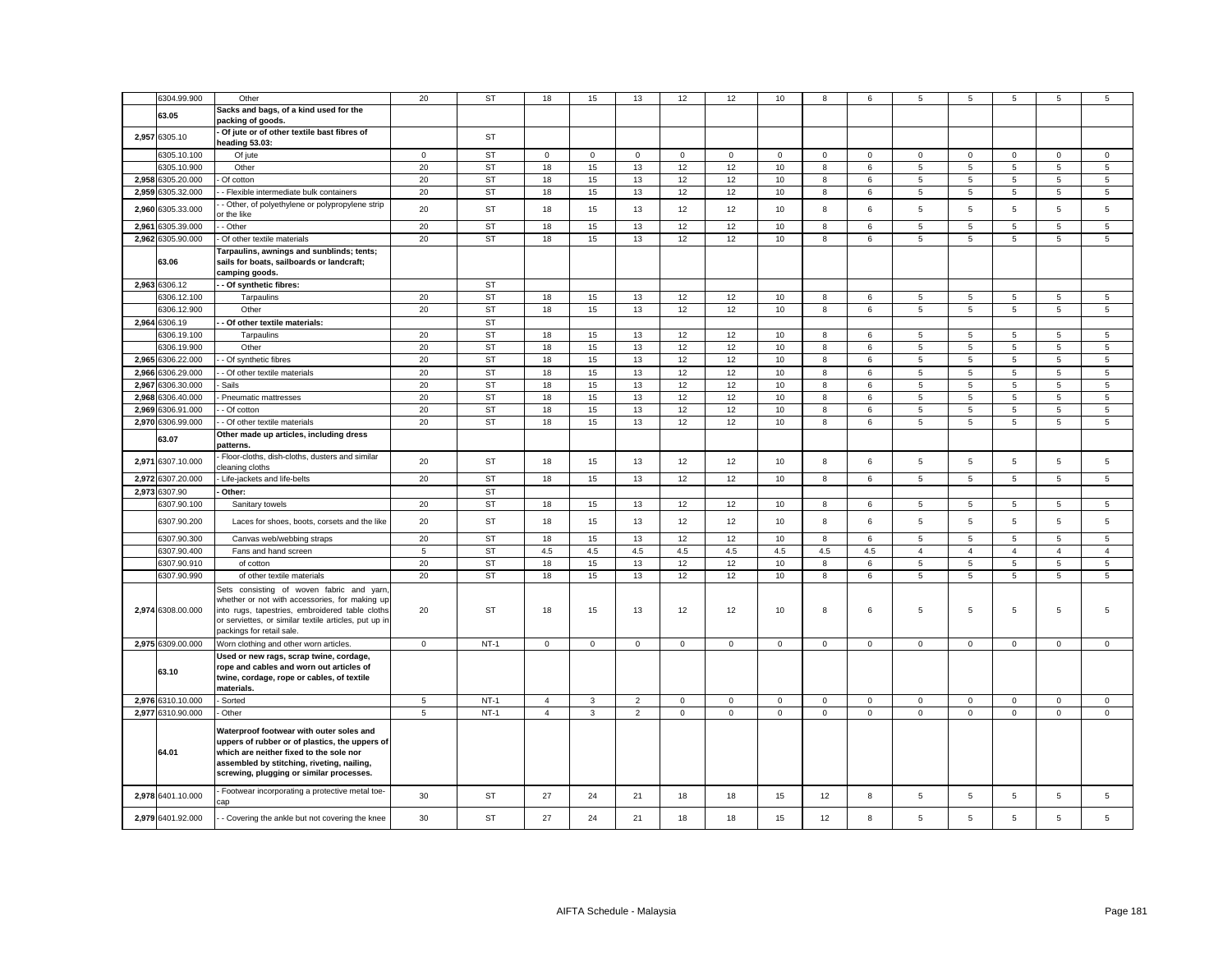|       | 6304.99.900       | Other                                                                                                                                                                                                                                | 20             | <b>ST</b> | 18             | 15           | 13             | 12          | 12          | 10          | 8            | 6               | 5              | 5              | 5              | 5              | 5              |
|-------|-------------------|--------------------------------------------------------------------------------------------------------------------------------------------------------------------------------------------------------------------------------------|----------------|-----------|----------------|--------------|----------------|-------------|-------------|-------------|--------------|-----------------|----------------|----------------|----------------|----------------|----------------|
|       |                   | Sacks and bags, of a kind used for the                                                                                                                                                                                               |                |           |                |              |                |             |             |             |              |                 |                |                |                |                |                |
|       | 63.05             | packing of goods.                                                                                                                                                                                                                    |                |           |                |              |                |             |             |             |              |                 |                |                |                |                |                |
|       | 2,957 6305.10     | Of jute or of other textile bast fibres of<br>heading 53.03:                                                                                                                                                                         |                | <b>ST</b> |                |              |                |             |             |             |              |                 |                |                |                |                |                |
|       | 6305.10.100       | Of jute                                                                                                                                                                                                                              | $\mathbf{0}$   | <b>ST</b> | $\mathbf 0$    | $\mathbf{0}$ | $\mathbf 0$    | $\mathbf 0$ | $\mathbf 0$ | $\mathbf 0$ | $\circ$      | $\mathbf 0$     | $\mathbf{0}$   | $\mathbf 0$    | $\mathbf 0$    | $\mathbf 0$    | $\mathbf 0$    |
|       | 6305.10.900       | Other                                                                                                                                                                                                                                | 20             | <b>ST</b> | 18             | 15           | 13             | 12          | 12          | 10          | 8            | 6               | 5              | 5              | 5              | 5              | 5              |
|       | 2,958 6305.20.000 | Of cotton                                                                                                                                                                                                                            | 20             | <b>ST</b> | 18             | 15           | 13             | 12          | 12          | 10          | 8            | 6               | 5              | 5              | 5              | 5              | $\overline{5}$ |
|       | 2,959 6305.32.000 | - Flexible intermediate bulk containers                                                                                                                                                                                              | 20             | ST        | 18             | 15           | 13             | 12          | 12          | 10          | 8            | 6               | $\sqrt{5}$     | 5              | 5              | $\,$ 5 $\,$    | $\mathbf 5$    |
|       | 2,960 6305.33.000 | - Other, of polyethylene or polypropylene strip<br>or the like                                                                                                                                                                       | 20             | <b>ST</b> | 18             | 15           | 13             | 12          | 12          | 10          | 8            | 6               | 5              | 5              | 5              | 5              | 5              |
|       | 2,961 6305.39.000 | - Other                                                                                                                                                                                                                              | 20             | <b>ST</b> | 18             | 15           | 13             | 12          | 12          | 10          | 8            | 6               | 5              | 5              | 5              | 5              | 5              |
|       | 2,962 6305.90.000 | Of other textile materials                                                                                                                                                                                                           | 20             | <b>ST</b> | 18             | 15           | 13             | 12          | 12          | 10          | 8            | 6               | 5              | 5              | 5              | 5              | 5              |
|       | 63.06             | Tarpaulins, awnings and sunblinds; tents;<br>sails for boats, sailboards or landcraft;<br>camping goods.                                                                                                                             |                |           |                |              |                |             |             |             |              |                 |                |                |                |                |                |
|       | 2,963 6306.12     | - Of synthetic fibres:                                                                                                                                                                                                               |                | <b>ST</b> |                |              |                |             |             |             |              |                 |                |                |                |                |                |
|       | 6306.12.100       | Tarpaulins                                                                                                                                                                                                                           | 20             | <b>ST</b> | 18             | 15           | 13             | 12          | 12          | 10          | 8            | $6\phantom{.0}$ | 5              | 5              | 5              | 5              | 5              |
|       | 6306.12.900       | Other                                                                                                                                                                                                                                | 20             | <b>ST</b> | 18             | 15           | 13             | 12          | 12          | 10          | 8            | $6\phantom{.0}$ | 5              | 5              | 5              | $\overline{5}$ | 5              |
|       | 2,964 6306.19     | - Of other textile materials:                                                                                                                                                                                                        |                | <b>ST</b> |                |              |                |             |             |             |              |                 |                |                |                |                |                |
|       | 6306.19.100       | Tarpaulins                                                                                                                                                                                                                           | 20             | <b>ST</b> | 18             | 15           | 13             | 12          | 12          | 10          | 8            | 6               | 5              | 5              | 5              | 5              | 5              |
|       | 6306.19.900       | Other                                                                                                                                                                                                                                | 20             | <b>ST</b> | 18             | 15           | 13             | 12          | 12          | 10          | 8            | 6               | 5              | 5              | 5              | 5              | 5              |
|       | 2.965 6306.22.000 | - Of synthetic fibres                                                                                                                                                                                                                | 20             | <b>ST</b> | 18             | 15           | 13             | 12          | 12          | 10          | 8            | 6               | 5              | 5              | 5              | 5              | 5              |
|       | 2,966 6306.29.000 | - Of other textile materials                                                                                                                                                                                                         | 20             | <b>ST</b> | 18             | 15           | 13             | 12          | 12          | 10          | 8            | 6               | $\overline{5}$ | 5              | 5              | 5              | $\overline{5}$ |
| 2,967 | 6306.30.000       | Sails                                                                                                                                                                                                                                | 20             | <b>ST</b> | 18             | 15           | 13             | 12          | 12          | 10          | 8            | 6               | 5              | 5              | 5              | 5              | 5              |
|       | 2,968 6306.40.000 | Pneumatic mattresses                                                                                                                                                                                                                 | 20             | <b>ST</b> | 18             | 15           | 13             | 12          | 12          | 10          | 8            | 6               | 5              | 5              | 5              | 5              | $\overline{5}$ |
|       | 2,969 6306.91.000 | - Of cotton                                                                                                                                                                                                                          | 20             | <b>ST</b> | 18             | 15           | 13             | 12          | 12          | 10          | 8            | 6               | 5              | 5              | 5              | 5              | 5              |
|       | 2,970 6306.99.000 | - Of other textile materials                                                                                                                                                                                                         | 20             | <b>ST</b> | 18             | 15           | 13             | 12          | 12          | 10          | 8            | 6               | 5              | 5              | 5              | 5              | 5              |
|       | 63.07             | Other made up articles, including dress<br>patterns.                                                                                                                                                                                 |                |           |                |              |                |             |             |             |              |                 |                |                |                |                |                |
|       | 2,971 6307.10.000 | Floor-cloths, dish-cloths, dusters and similar<br>cleaning cloths                                                                                                                                                                    | 20             | <b>ST</b> | 18             | 15           | 13             | 12          | 12          | 10          | 8            | 6               | 5              | 5              | 5              | 5              | 5              |
|       | 2,972 6307.20.000 | Life-jackets and life-belts                                                                                                                                                                                                          | 20             | <b>ST</b> | 18             | 15           | 13             | 12          | 12          | 10          | 8            | 6               | 5              | 5              | 5              | 5              | 5              |
|       | 2,973 6307.90     | Other:                                                                                                                                                                                                                               |                | <b>ST</b> |                |              |                |             |             |             |              |                 |                |                |                |                |                |
|       | 6307.90.100       | Sanitary towels                                                                                                                                                                                                                      | 20             | <b>ST</b> | 18             | 15           | 13             | 12          | 12          | 10          | 8            | 6               | 5              | 5              | 5              | 5              | 5              |
|       | 6307.90.200       | Laces for shoes, boots, corsets and the like                                                                                                                                                                                         | 20             | <b>ST</b> | 18             | 15           | 13             | 12          | 12          | 10          | 8            | 6               | 5              | 5              | 5              | 5              | 5              |
|       | 6307.90.300       | Canvas web/webbing straps                                                                                                                                                                                                            | 20             | <b>ST</b> | 18             | 15           | 13             | 12          | 12          | 10          | 8            | 6               | 5              | 5              | 5              | 5              | 5              |
|       | 6307.90.400       | Fans and hand screen                                                                                                                                                                                                                 | $\overline{5}$ | <b>ST</b> | 4.5            | 4.5          | $4.5\,$        | 4.5         | 4.5         | $4.5\,$     | $4.5\,$      | 4.5             | $\overline{4}$ | $\overline{4}$ | $\overline{4}$ | $\overline{4}$ | $\overline{4}$ |
|       | 6307.90.910       | of cotton                                                                                                                                                                                                                            | 20             | <b>ST</b> | 18             | 15           | 13             | 12          | 12          | 10          | 8            | 6               | 5              | 5              | 5              | 5              | 5              |
|       | 6307.90.990       | of other textile materials                                                                                                                                                                                                           | 20             | <b>ST</b> | 18             | 15           | 13             | 12          | 12          | 10          | 8            | 6               | 5              | 5              | 5              | 5              | 5              |
|       | 2,974 6308.00.000 | Sets consisting of woven fabric and yarn,<br>whether or not with accessories, for making up<br>into rugs, tapestries, embroidered table cloths<br>or serviettes, or similar textile articles, put up in<br>packings for retail sale. | 20             | <b>ST</b> | 18             | 15           | 13             | 12          | 12          | 10          | 8            | 6               | 5              | 5              | 5              | 5              | 5              |
|       | 2,975 6309.00.000 | Worn clothing and other worn articles.                                                                                                                                                                                               | $\mathbf 0$    | $NT-1$    | $\mathbf{0}$   | $\mathsf 0$  | $\mathbf 0$    | $\mathbf 0$ | $\mathbf 0$ | $\mathbf 0$ | $\mathbf{0}$ | $\mathbf 0$     | $\mathbf 0$    | $\mathbf 0$    | 0              | $\mathbf 0$    | $\mathbf 0$    |
|       | 63.10             | Used or new rags, scrap twine, cordage,<br>rope and cables and worn out articles of<br>twine, cordage, rope or cables, of textile<br>materials.                                                                                      |                |           |                |              |                |             |             |             |              |                 |                |                |                |                |                |
|       | 2,976 6310.10.000 | Sorted                                                                                                                                                                                                                               | 5              | $NT-1$    | $\overline{4}$ | 3            | $\overline{2}$ | $\mathbf 0$ | 0           | $\mathsf 0$ | $\mathbf 0$  | $\mathsf 0$     | $\mathbf 0$    | $\mathsf 0$    | $\mathbf 0$    | $\mathbf 0$    | $\mathbf 0$    |
|       | 2,977 6310.90.000 | Other                                                                                                                                                                                                                                | 5              | $NT-1$    | $\overline{4}$ | 3            | $\overline{2}$ | $\mathbf 0$ | $\mathbf 0$ | $\mathbf 0$ | $\mathsf 0$  | $\mathsf 0$     | $\mathbf 0$    | $\mathbf 0$    | $\mathbf 0$    | $\mathsf 0$    | $\mathsf 0$    |
|       | 64.01             | Waterproof footwear with outer soles and<br>uppers of rubber or of plastics, the uppers of<br>which are neither fixed to the sole nor<br>assembled by stitching, riveting, nailing,<br>screwing, plugging or similar processes.      |                |           |                |              |                |             |             |             |              |                 |                |                |                |                |                |
|       | 2,978 6401.10.000 | Footwear incorporating a protective metal toe-                                                                                                                                                                                       | 30             | <b>ST</b> | 27             | 24           | 21             | 18          | 18          | 15          | 12           | 8               | 5              | 5              | 5              | 5              | 5              |
|       | 2,979 6401.92.000 | - Covering the ankle but not covering the knee                                                                                                                                                                                       | 30             | <b>ST</b> | 27             | 24           | 21             | 18          | 18          | 15          | 12           | 8               | 5              | 5              | 5              | 5              | 5              |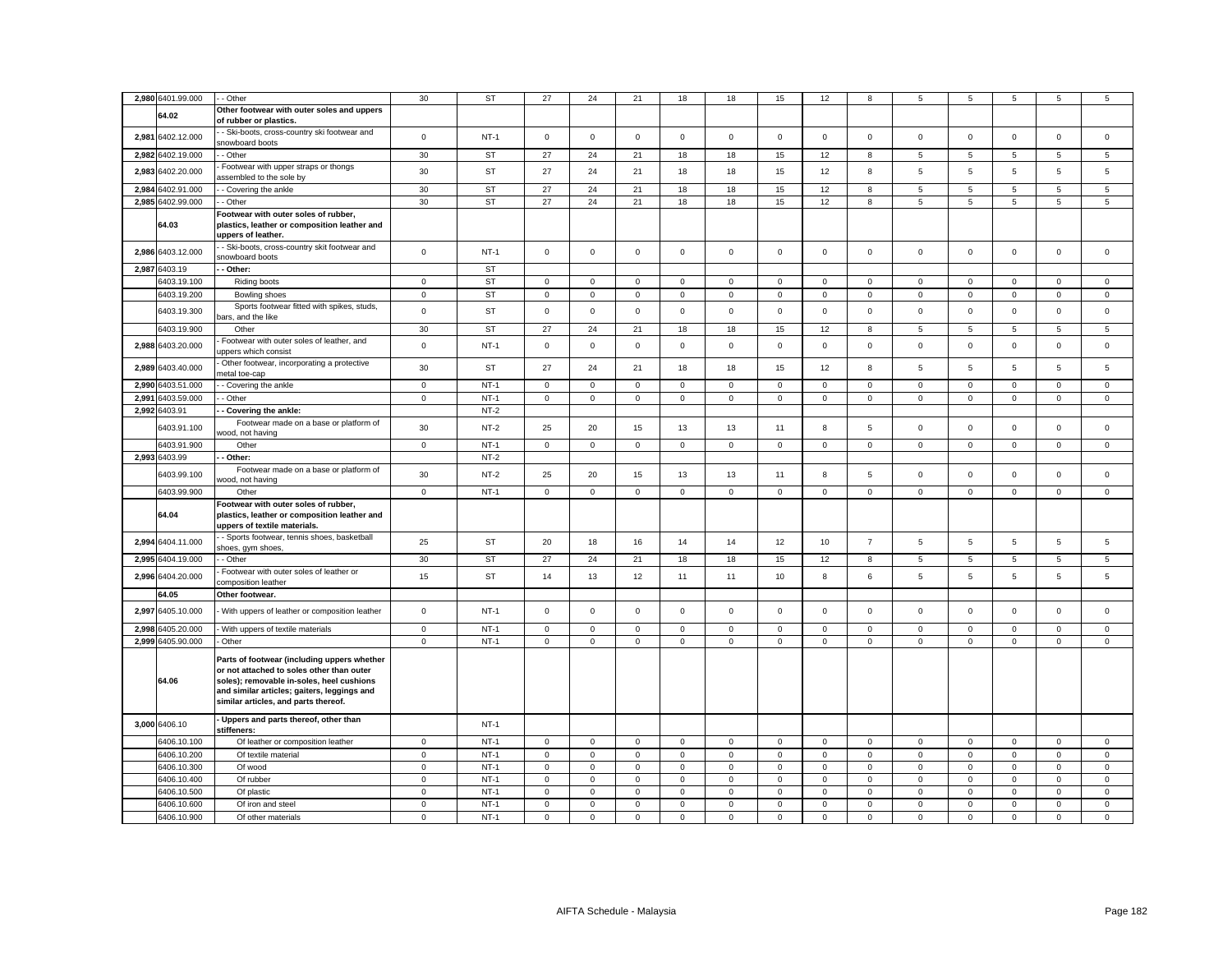| 2,980 6401.99.000    | - Other                                                                                                                                                                                                                      | 30           | ST        | 27           | 24           | 21                  | 18           | 18           | 15          | 12          | 8              | 5              | 5              | 5            | 5                   | 5              |
|----------------------|------------------------------------------------------------------------------------------------------------------------------------------------------------------------------------------------------------------------------|--------------|-----------|--------------|--------------|---------------------|--------------|--------------|-------------|-------------|----------------|----------------|----------------|--------------|---------------------|----------------|
| 64.02                | Other footwear with outer soles and uppers<br>of rubber or plastics.                                                                                                                                                         |              |           |              |              |                     |              |              |             |             |                |                |                |              |                     |                |
| 2,981<br>6402.12.000 | - Ski-boots, cross-country ski footwear and<br>snowboard boots                                                                                                                                                               | $\mathbf 0$  | $NT-1$    | $\mathbf{0}$ | $\mathbf{0}$ | $\mathbf 0$         | $\mathbf{0}$ | $\mathbf{0}$ | $\mathsf 0$ | $\mathbf 0$ | $\mathsf 0$    | $\mathbf 0$    | $\mathbf 0$    | $\mathbf 0$  | $\mathbf 0$         | $\mathbf 0$    |
| 2,982<br>6402.19.000 | - Other                                                                                                                                                                                                                      | 30           | <b>ST</b> | 27           | 24           | 21                  | 18           | 18           | 15          | 12          | 8              | $\,$ 5 $\,$    | 5              | 5            | $\,$ 5 $\,$         | $\,$ 5 $\,$    |
|                      | Footwear with upper straps or thongs                                                                                                                                                                                         |              |           |              |              |                     |              |              |             |             |                |                |                |              |                     |                |
| 6402.20.000<br>2,983 | assembled to the sole by                                                                                                                                                                                                     | 30           | <b>ST</b> | 27           | 24           | 21                  | 18           | 18           | 15          | 12          | 8              | 5              | 5              | 5            | 5                   | 5              |
| 2,984<br>6402.91.000 | - Covering the ankle                                                                                                                                                                                                         | 30           | <b>ST</b> | 27           | 24           | 21                  | 18           | 18           | 15          | 12          | 8              | $\overline{5}$ | 5              | 5            | 5                   | 5              |
| 2,985 6402.99.000    | - Other                                                                                                                                                                                                                      | 30           | ST        | 27           | 24           | 21                  | 18           | 18           | 15          | 12          | 8              | 5              | $\overline{5}$ | 5            | 5                   | $\overline{5}$ |
| 64.03                | Footwear with outer soles of rubber,<br>plastics, leather or composition leather and<br>uppers of leather.                                                                                                                   |              |           |              |              |                     |              |              |             |             |                |                |                |              |                     |                |
| 2,986 6403.12.000    | - Ski-boots, cross-country skit footwear and<br>snowboard boots                                                                                                                                                              | $\mathsf 0$  | $NT-1$    | $\mathsf 0$  | $\mathsf 0$  | $\mathsf 0$         | $\mathsf 0$  | $\mathbf 0$  | $\mathsf 0$ | $\mathsf 0$ | $\mathsf 0$    | $\mathsf 0$    | $\mathsf 0$    | $\mathsf 0$  | $\mathsf 0$         | $\mathsf 0$    |
| 2,987 6403.19        | - Other:                                                                                                                                                                                                                     |              | <b>ST</b> |              |              |                     |              |              |             |             |                |                |                |              |                     |                |
| 6403.19.100          | Riding boots                                                                                                                                                                                                                 | $\mathbf 0$  | <b>ST</b> | $\circ$      | $\circ$      | $\mathbf 0$         | $\mathbf{0}$ | $\mathbf{0}$ | $\mathbf 0$ | $\mathbf 0$ | $\mathbf{0}$   | $\mathbf{0}$   | $\mathbf 0$    | $\mathbf{0}$ | $\mathbf{0}$        | $\mathbf 0$    |
| 6403.19.200          | Bowling shoes                                                                                                                                                                                                                | $\mathbf 0$  | <b>ST</b> | $\mathsf 0$  | $\mathbf 0$  | $\mathbf 0$         | $\mathbf 0$  | $\mathbf 0$  | $\mathbf 0$ | $\mathbf 0$ | $\mathbf{0}$   | $\mathbf 0$    | $\mathbf 0$    | $\mathbf 0$  | $\mathsf 0$         | $\mathsf 0$    |
|                      | Sports footwear fitted with spikes, studs,                                                                                                                                                                                   |              |           |              |              |                     |              |              |             |             |                |                |                |              |                     |                |
| 6403.19.300          | bars, and the like                                                                                                                                                                                                           | $\mathbf 0$  | <b>ST</b> | $\mathsf 0$  | $\mathsf 0$  | $\mathsf 0$         | $\mathsf 0$  | $\mathbf 0$  | $\mathsf 0$ | $\mathsf 0$ | $\mathsf 0$    | $\mathsf 0$    | $\mathbf 0$    | $\mathsf 0$  | $\mathsf 0$         | $\mathsf 0$    |
| 6403.19.900          | Other                                                                                                                                                                                                                        | 30           | ST        | 27           | 24           | 21                  | 18           | 18           | 15          | 12          | 8              | 5              | 5              | 5            | 5                   | 5              |
| 2,988 6403.20.000    | Footwear with outer soles of leather, and<br>uppers which consist                                                                                                                                                            | $\mathbf 0$  | $NT-1$    | $\mathsf 0$  | $\mathsf 0$  | $\mathsf 0$         | $\mathsf 0$  | 0            | $\mathsf 0$ | $\mathbf 0$ | $\mathsf 0$    | $\mathsf 0$    | $\mathbf 0$    | $\mathbf 0$  | $\mathsf 0$         | $\mathsf 0$    |
| 2,989 6403.40.000    | Other footwear, incorporating a protective<br>metal toe-cap                                                                                                                                                                  | 30           | <b>ST</b> | 27           | 24           | 21                  | 18           | 18           | 15          | 12          | 8              | 5              | 5              | 5            | 5                   | 5              |
| 2,990 6403.51.000    | - Covering the ankle                                                                                                                                                                                                         | $\mathbf 0$  | $NT-1$    | $\mathsf 0$  | $\mathsf 0$  | $\mathsf 0$         | $\mathsf 0$  | 0            | $\Omega$    | $\mathsf 0$ | $\mathsf 0$    | $\mathsf 0$    | $\Omega$       | $\Omega$     | $\mathsf 0$         | $\mathbf 0$    |
| 2,991 6403.59.000    | - Other                                                                                                                                                                                                                      | $\mathsf 0$  | $NT-1$    | $\mathbf 0$  | $\mathbf 0$  | $\mathsf 0$         | $\mathbf 0$  | 0            | $\mathbf 0$ | $\mathbf 0$ | $\mathsf 0$    | $\mathbf 0$    | $\mathbf 0$    | $\mathsf 0$  | $\mathsf 0$         | $\mathsf 0$    |
| 2,992<br>6403.91     | - Covering the ankle:                                                                                                                                                                                                        |              | $NT-2$    |              |              |                     |              |              |             |             |                |                |                |              |                     |                |
|                      | Footwear made on a base or platform of                                                                                                                                                                                       |              |           |              |              |                     |              |              |             |             |                |                |                |              |                     |                |
| 6403.91.100          | wood, not having                                                                                                                                                                                                             | 30           | $NT-2$    | 25           | 20           | 15                  | 13           | 13           | 11          | 8           | 5              | $\mathsf 0$    | $\mathbf 0$    | $\mathbf 0$  | $\mathsf 0$         | $\mathsf 0$    |
| 6403.91.900          | Other                                                                                                                                                                                                                        | $\mathbf 0$  | $NT-1$    | $\mathsf 0$  | $\mathsf 0$  | $\mathsf{O}\xspace$ | $\mathsf 0$  | $\mathbf 0$  | $\mathsf 0$ | $\mathsf 0$ | $\mathsf 0$    | $\mathsf 0$    | $\mathbf 0$    | $\mathsf 0$  | $\mathsf{O}\xspace$ | $\mathbf 0$    |
| 2,993 6403.99        | - Other:                                                                                                                                                                                                                     |              | $NT-2$    |              |              |                     |              |              |             |             |                |                |                |              |                     |                |
| 6403.99.100          | Footwear made on a base or platform of<br>wood, not having                                                                                                                                                                   | 30           | $NT-2$    | 25           | 20           | 15                  | 13           | 13           | 11          | 8           | $\sqrt{5}$     | $\mathbf 0$    | $\,0\,$        | $\mathbf 0$  | $\mathsf 0$         | $\mathbf 0$    |
| 6403.99.900          | Other                                                                                                                                                                                                                        | $\mathsf 0$  | $NT-1$    | $\mathbf 0$  | $\mathbf 0$  | $\mathbf 0$         | $\mathbf 0$  | 0            | $\mathbf 0$ | $\mathbf 0$ | $\mathbf 0$    | $\mathbf 0$    | $\mathsf 0$    | $\mathbf 0$  | $\mathsf 0$         | $\mathsf 0$    |
| 64.04                | Footwear with outer soles of rubber,<br>plastics, leather or composition leather and<br>uppers of textile materials.                                                                                                         |              |           |              |              |                     |              |              |             |             |                |                |                |              |                     |                |
| 2,994 6404.11.000    | - Sports footwear, tennis shoes, basketball<br>shoes, gym shoes,                                                                                                                                                             | 25           | <b>ST</b> | 20           | 18           | 16                  | 14           | 14           | 12          | 10          | $\overline{7}$ | 5              | 5              | 5            | 5                   | 5              |
| 2,995 6404.19.000    | - Other                                                                                                                                                                                                                      | 30           | ST        | 27           | 24           | 21                  | 18           | 18           | 15          | 12          | 8              | 5              | 5              | 5            | 5                   | $\mathbf 5$    |
| 2,996 6404.20.000    | Footwear with outer soles of leather or<br>composition leather                                                                                                                                                               | 15           | <b>ST</b> | 14           | 13           | 12                  | 11           | 11           | 10          | 8           | 6              | 5              | 5              | 5            | 5                   | $\mathbf 5$    |
| 64.05                | Other footwear.                                                                                                                                                                                                              |              |           |              |              |                     |              |              |             |             |                |                |                |              |                     |                |
| 2,997<br>6405.10.000 | With uppers of leather or composition leather                                                                                                                                                                                | $\mathsf 0$  | $NT-1$    | $\mathsf 0$  | $\mathsf 0$  | $\mathsf 0$         | $\mathsf 0$  | 0            | $\mathsf 0$ | $\mathsf 0$ | $\mathbf 0$    | $\mathsf 0$    | $\mathbf 0$    | $\mathbf 0$  | $\mathsf 0$         | $\mathsf 0$    |
| 2.998<br>6405.20.000 | With uppers of textile materials                                                                                                                                                                                             | $\mathbf 0$  | $NT-1$    | $\mathbf 0$  | $\mathbf 0$  | $\mathbf 0$         | $\mathbf 0$  | $\mathbf{0}$ | $\mathbf 0$ | $\mathbf 0$ | $\mathbf 0$    | $\mathbf 0$    | $\mathbf 0$    | $\mathbf 0$  | $\mathbf 0$         | $\mathbf 0$    |
| 2,999 6405.90.000    | - Other                                                                                                                                                                                                                      | $\mathbf 0$  | $NT-1$    | $\mathbf 0$  | $\mathbf 0$  | $\mathbf 0$         | $\mathbf 0$  | $\mathbf{0}$ | $\mathbf 0$ | $\mathbf 0$ | $\mathbf 0$    | $\mathbf 0$    | $\mathbf 0$    | $\mathbf 0$  | $\mathbf 0$         | $\mathsf 0$    |
| 64.06                | Parts of footwear (including uppers whether<br>or not attached to soles other than outer<br>soles); removable in-soles, heel cushions<br>and similar articles; gaiters, leggings and<br>similar articles, and parts thereof. |              |           |              |              |                     |              |              |             |             |                |                |                |              |                     |                |
| 3,000 6406.10        | - Uppers and parts thereof, other than<br>stiffeners:                                                                                                                                                                        |              | $NT-1$    |              |              |                     |              |              |             |             |                |                |                |              |                     |                |
| 6406.10.100          | Of leather or composition leather                                                                                                                                                                                            | $\mathbf{0}$ | $NT-1$    | $\mathbf{0}$ | $\mathbf 0$  | $\mathbf{0}$        | $\mathbf{0}$ | $\mathbf{0}$ | $\mathbf 0$ | $\mathbf 0$ | $\mathbf{0}$   | $\mathbf 0$    | $\mathbf 0$    | $\mathbf{0}$ | $\mathbf{0}$        | $\mathbf 0$    |
| 6406.10.200          | Of textile material                                                                                                                                                                                                          | $\mathbf 0$  | $NT-1$    | $\mathbf{0}$ | $\circ$      | $\mathbf 0$         | $\mathbf{0}$ | $\mathbf{0}$ | $\mathbf 0$ | $\circ$     | $\mathbf{0}$   | $\mathbf{0}$   | $\mathbf 0$    | $\mathbf 0$  | $\mathbf 0$         | $\mathbf 0$    |
| 6406.10.300          | Of wood                                                                                                                                                                                                                      | $\mathbf 0$  | $NT-1$    | $\mathsf 0$  | $\mathbf{0}$ | $\mathbf 0$         | $\mathbf 0$  | $\mathbf{0}$ | $\mathbf 0$ | $\mathbf 0$ | $\mathbf{0}$   | $\mathbf 0$    | $\mathbf 0$    | $\mathbf 0$  | $\mathbf 0$         | $\mathsf 0$    |
| 6406.10.400          | Of rubber                                                                                                                                                                                                                    | $\mathbf 0$  | $NT-1$    | $\mathsf 0$  | $\mathsf 0$  | $\mathsf 0$         | $\mathsf 0$  | 0            | $\mathbf 0$ | $\mathsf 0$ | $\mathbf 0$    | $\mathbf 0$    | $\mathbf 0$    | $\mathbf 0$  | $\mathbf 0$         | $\mathsf 0$    |
| 6406.10.500          | Of plastic                                                                                                                                                                                                                   | $\mathbf 0$  | $NT-1$    | $\mathbf 0$  | $\mathbf{0}$ | $\mathsf 0$         | $\mathsf 0$  | $\mathbf 0$  | $\mathsf 0$ | $\Omega$    | $\mathbf 0$    | $\mathsf 0$    | $\mathbf 0$    | $\mathbf 0$  | $\mathsf 0$         | $\mathsf 0$    |
| 6406.10.600          | Of iron and steel                                                                                                                                                                                                            | $\mathsf 0$  | $NT-1$    | $\mathsf 0$  | $\mathsf 0$  | $\mathsf{O}\xspace$ | $\mathsf 0$  | $\mathbf 0$  | $\mathbf 0$ | $\mathsf 0$ | $\mathsf 0$    | $\mathsf 0$    | $\mathbf 0$    | $\mathsf 0$  | $\mathsf{O}\xspace$ | $\mathsf 0$    |
| 6406.10.900          | Of other materials                                                                                                                                                                                                           | $\mathbf 0$  | $NT-1$    | $\mathsf 0$  | $\mathsf 0$  | $\mathsf 0$         | $\mathbf 0$  | 0            | $\mathbf 0$ | $\mathbf 0$ | $\mathsf 0$    | $\mathbf 0$    | $\mathbf 0$    | $\mathbf 0$  | $\mathsf 0$         | $\mathbf 0$    |
|                      |                                                                                                                                                                                                                              |              |           |              |              |                     |              |              |             |             |                |                |                |              |                     |                |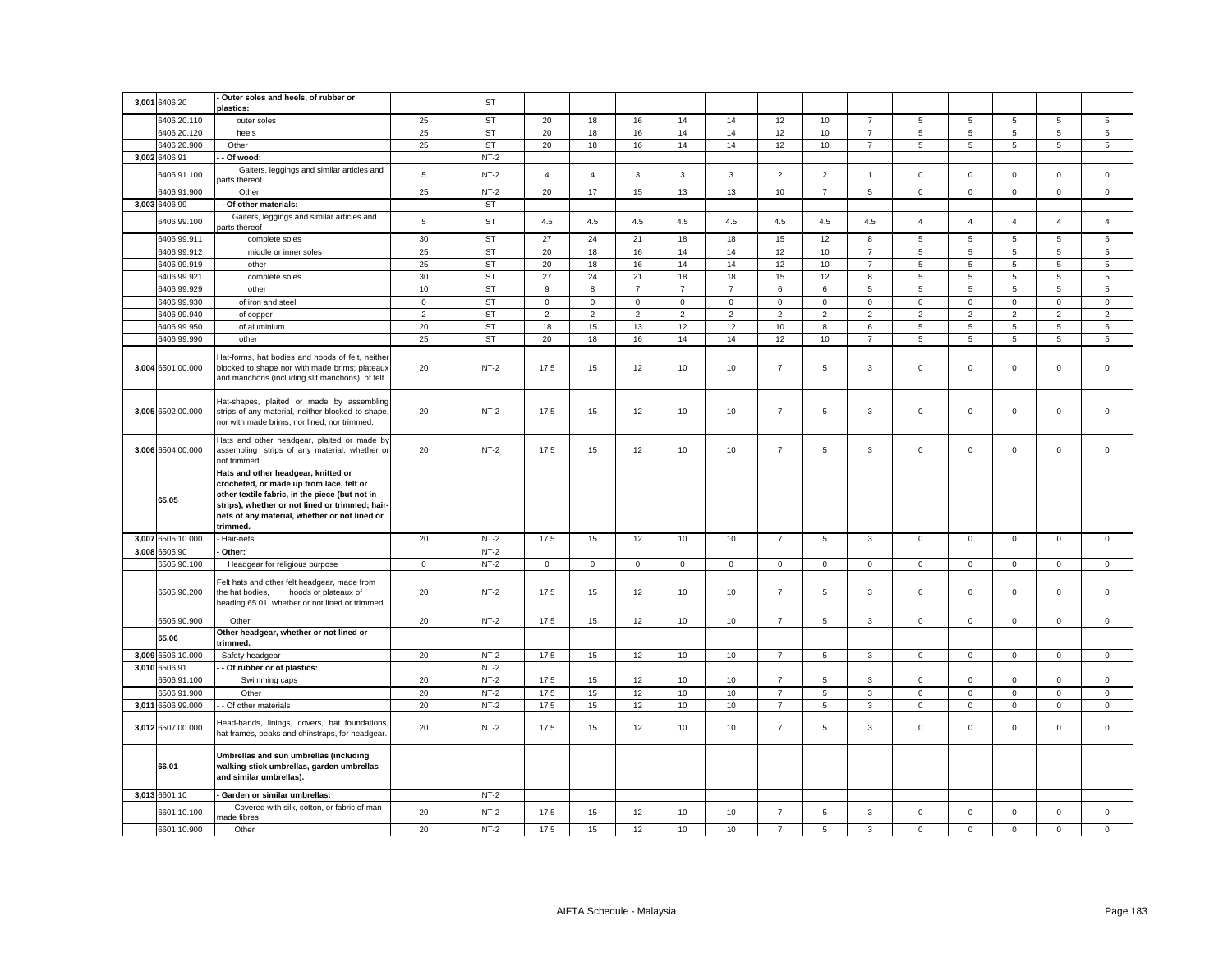| 3,001 6406.20     | Outer soles and heels, of rubber or<br>plastics:                                                                                                                                                                                                  |                | ST        |                |                |                |                |                |                  |                |                |                 |                |                 |                 |                |
|-------------------|---------------------------------------------------------------------------------------------------------------------------------------------------------------------------------------------------------------------------------------------------|----------------|-----------|----------------|----------------|----------------|----------------|----------------|------------------|----------------|----------------|-----------------|----------------|-----------------|-----------------|----------------|
| 6406.20.110       | outer soles                                                                                                                                                                                                                                       | 25             | <b>ST</b> | 20             | 18             | 16             | 14             | 14             | 12               | 10             | $\overline{7}$ | 5               | 5              | 5               | 5               | 5              |
| 6406.20.120       | heels                                                                                                                                                                                                                                             | 25             | ST        | 20             | 18             | 16             | 14             | 14             | 12               | 10             | $\overline{7}$ | $5\overline{5}$ | $\overline{5}$ | $5\overline{5}$ | $5\overline{5}$ | 5              |
| 6406.20.900       | Other                                                                                                                                                                                                                                             | 25             | <b>ST</b> | 20             | 18             | 16             | 14             | 14             | 12               | 10             | $\overline{7}$ | 5               | 5              | 5               | 5               | 5              |
| 3,002 6406.91     | Of wood:                                                                                                                                                                                                                                          |                | $NT-2$    |                |                |                |                |                |                  |                |                |                 |                |                 |                 |                |
|                   |                                                                                                                                                                                                                                                   |                |           |                |                |                |                |                |                  |                |                |                 |                |                 |                 |                |
| 6406.91.100       | Gaiters, leggings and similar articles and<br>parts thereof                                                                                                                                                                                       | 5              | $NT-2$    | $\overline{4}$ | $\overline{4}$ | 3              | $\mathbf{3}$   | $\mathbf{3}$   | $\overline{2}$   | $\overline{2}$ | $\overline{1}$ | $\mathsf 0$     | $\mathsf 0$    | $\mathsf 0$     | $\mathsf 0$     | $\mathsf 0$    |
| 6406.91.900       | Other                                                                                                                                                                                                                                             | 25             | $NT-2$    | 20             | 17             | 15             | 13             | 13             | 10               | $\overline{7}$ | 5              | $\mathbf 0$     | $\mathsf 0$    | $\mathbf 0$     | $\mathbf 0$     | $\mathbf 0$    |
| 3,003 6406.99     | Of other materials:                                                                                                                                                                                                                               |                | <b>ST</b> |                |                |                |                |                |                  |                |                |                 |                |                 |                 |                |
| 6406.99.100       | Gaiters, leggings and similar articles and<br>arts thereof                                                                                                                                                                                        | $\,$ 5 $\,$    | ST        | 4.5            | 4.5            | 4.5            | 4.5            | 4.5            | 4.5              | 4.5            | $4.5\,$        | $\overline{4}$  | $\overline{4}$ | $\overline{4}$  | $\overline{4}$  | $\overline{4}$ |
| 6406.99.911       | complete soles                                                                                                                                                                                                                                    | 30             | <b>ST</b> | 27             | 24             | 21             | 18             | 18             | 15               | 12             | 8              | 5               | 5              | 5               | 5               | $\sqrt{5}$     |
| 6406.99.912       | middle or inner soles                                                                                                                                                                                                                             | 25             | <b>ST</b> | 20             | 18             | 16             | 14             | 14             | 12               | 10             | $\overline{7}$ | 5               | 5              | 5               | $\,$ 5 $\,$     | $\overline{5}$ |
| 6406.99.919       | other                                                                                                                                                                                                                                             | 25             | <b>ST</b> | 20             | 18             | 16             | 14             | 14             | 12               | 10             | $\overline{7}$ | 5               | 5              | 5               | 5               | 5              |
| 6406.99.921       |                                                                                                                                                                                                                                                   | 30             | <b>ST</b> | 27             | 24             | 21             | 18             | 18             | 15               | 12             | 8              |                 |                | 5               | 5               | 5              |
|                   | complete soles                                                                                                                                                                                                                                    |                |           | 9              | 8              | $\overline{7}$ | $\overline{7}$ | $\overline{7}$ |                  |                |                | 5               | 5<br>5         |                 |                 |                |
| 6406.99.929       | other                                                                                                                                                                                                                                             | 10             | <b>ST</b> |                |                |                |                |                | 6                | 6              | 5              | 5               |                | 5               | 5               | $\sqrt{5}$     |
| 6406.99.930       | of iron and steel                                                                                                                                                                                                                                 | $\mathbf 0$    | <b>ST</b> | $\mathsf 0$    | $\mathbf 0$    | $\mathsf 0$    | $\mathbf 0$    | $\mathbf 0$    | $\mathsf 0$      | $\mathbf 0$    | $\mathbf 0$    | $\mathsf 0$     | $\mathsf 0$    | $\mathbf 0$     | $\mathbf 0$     | $\mathsf 0$    |
| 6406.99.940       | of copper                                                                                                                                                                                                                                         | $\overline{2}$ | <b>ST</b> | $\overline{2}$ | $\overline{2}$ | $\overline{2}$ | 2              | $\overline{2}$ | 2                | $\overline{2}$ | $\overline{2}$ | $\overline{2}$  | $\overline{2}$ | 2               | 2               | $\overline{2}$ |
| 6406.99.950       | of aluminium                                                                                                                                                                                                                                      | 20             | <b>ST</b> | 18             | 15             | 13             | 12             | 12             | 10               | 8              | 6              | 5               | 5              | 5               | 5               | 5              |
| 6406.99.990       | other                                                                                                                                                                                                                                             | 25             | <b>ST</b> | 20             | 18             | 16             | 14             | 14             | 12               | 10             | $\overline{7}$ | 5               | 5              | 5               | 5               | $\overline{5}$ |
| 3,004 6501.00.000 | Hat-forms, hat bodies and hoods of felt, neither<br>blocked to shape nor with made brims; plateaux<br>and manchons (including slit manchons), of felt.                                                                                            | 20             | $NT-2$    | 17.5           | 15             | 12             | 10             | 10             | $\overline{7}$   | 5              | $\mathbf{3}$   | $\mathbf 0$     | 0              | $\mathbf 0$     | $\mathbf 0$     | $\mathsf 0$    |
| 3,005 6502.00.000 | Hat-shapes, plaited or made by assembling<br>strips of any material, neither blocked to shape,<br>nor with made brims, nor lined, nor trimmed.                                                                                                    | 20             | $NT-2$    | 17.5           | 15             | 12             | 10             | 10             | $\overline{7}$   | 5              | $\mathbf{3}$   | $\mathbf 0$     | $\mathsf 0$    | $\mathsf 0$     | $\mathsf 0$     | $\mathsf 0$    |
| 3,006 6504.00.000 | Hats and other headgear, plaited or made by<br>assembling strips of any material, whether or<br>not trimmed.                                                                                                                                      | 20             | $NT-2$    | 17.5           | 15             | 12             | 10             | 10             | $\overline{7}$   | 5              | $\mathbf{3}$   | $\mathbf 0$     | $\mathsf 0$    | $\mathsf 0$     | $\mathsf 0$     | $\mathsf 0$    |
| 65.05             | Hats and other headgear, knitted or<br>crocheted, or made up from lace, felt or<br>other textile fabric, in the piece (but not in<br>strips), whether or not lined or trimmed; hair-<br>nets of any material, whether or not lined or<br>trimmed. |                |           |                |                |                |                |                |                  |                |                |                 |                |                 |                 |                |
| 3,007 6505.10.000 | Hair-nets                                                                                                                                                                                                                                         | 20             | $NT-2$    | 17.5           | 15             | 12             | 10             | 10             | $\overline{7}$   | 5              | $\mathbf{3}$   | $\mathbf{0}$    | $\mathbf 0$    | $\mathbf 0$     | $\mathbf{0}$    | $\mathbf{0}$   |
| 3,008 6505.90     | Other:                                                                                                                                                                                                                                            |                | $NT-2$    |                |                |                |                |                |                  |                |                |                 |                |                 |                 |                |
| 6505.90.100       | Headgear for religious purpose                                                                                                                                                                                                                    | $\mathbf{0}$   | $NT-2$    | $\overline{0}$ | $\mathbf{0}$   | $\mathbf{0}$   | $\mathbf{0}$   | $\mathbf{0}$   | $\mathsf 0$      | $\mathbf{0}$   | $\mathbf 0$    | $\mathsf 0$     | $\mathbf 0$    | $\mathbf{0}$    | $\mathbf{0}$    | $\mathsf 0$    |
| 6505.90.200       | Felt hats and other felt headgear, made from<br>the hat bodies,<br>hoods or plateaux of<br>heading 65.01, whether or not lined or trimmed                                                                                                         | 20             | $NT-2$    | 17.5           | 15             | 12             | 10             | 10             | $\overline{7}$   | 5              | $\mathbf{3}$   | $\mathbf 0$     | $\mathbf 0$    | $\mathsf 0$     | $\mathbf 0$     | $\mathsf 0$    |
| 6505.90.900       | Other                                                                                                                                                                                                                                             | 20             | $NT-2$    | 17.5           | 15             | 12             | 10             | 10             | $\overline{7}$   | 5              | $\mathbf{3}$   | $\mathbf 0$     | $\mathsf 0$    | $\mathsf 0$     | $\mathsf 0$     | $\mathsf 0$    |
| 65.06             | Other headgear, whether or not lined or                                                                                                                                                                                                           |                |           |                |                |                |                |                |                  |                |                |                 |                |                 |                 |                |
| 3,009 6506.10.000 | trimmed.<br>Safety headgear                                                                                                                                                                                                                       | 20             | $NT-2$    | 17.5           | 15             | 12             | 10             | 10             | $\overline{7}$   | 5              | $\mathbf{3}$   | $\mathsf 0$     | $\mathsf 0$    | $\mathsf 0$     | $\mathsf 0$     | $\mathsf 0$    |
| 3,010 6506.91     |                                                                                                                                                                                                                                                   |                | $NT-2$    |                |                |                |                |                |                  |                |                |                 |                |                 |                 |                |
| 6506.91.100       | - Of rubber or of plastics:                                                                                                                                                                                                                       | 20             | $NT-2$    | 17.5           | 15             | 12             | 10             | 10             | $\overline{7}$   | 5              | 3              | $\mathsf 0$     | $\mathsf 0$    | $\mathsf 0$     | $\mathbf 0$     | $\mathbf 0$    |
|                   | Swimming caps                                                                                                                                                                                                                                     |                | $NT-2$    | 17.5           |                | 12             |                |                |                  | 5              |                |                 |                |                 |                 |                |
| 6506.91.900       | Other                                                                                                                                                                                                                                             | 20             |           |                | 15             |                | 10             | 10             | $\overline{7}$   |                | $\mathbf{3}$   | $\mathbf 0$     | $\mathsf 0$    | $\mathsf 0$     | $\mathsf 0$     | $\mathsf 0$    |
| 3,011 6506.99.000 | - Of other materials                                                                                                                                                                                                                              | 20             | $NT-2$    | 17.5           | 15             | 12             | 10             | 10             | $\boldsymbol{7}$ | $\sqrt{5}$     | $\mathbf{3}$   | $\mathsf 0$     | $\mathsf 0$    | $\mathsf 0$     | $\mathsf 0$     | $\mathsf 0$    |
| 3,012 6507.00.000 | Head-bands, linings, covers, hat foundations,<br>hat frames, peaks and chinstraps, for headgear.                                                                                                                                                  | 20             | NT-2      | 17.5           | 15             | 12             | 10             | 10             | $\overline{7}$   | 5              | 3              | 0               | $\mathbf 0$    | $\mathbf 0$     | $\mathbf 0$     | $\mathbf 0$    |
| 66.01             | Umbrellas and sun umbrellas (including<br>walking-stick umbrellas, garden umbrellas<br>and similar umbrellas).                                                                                                                                    |                |           |                |                |                |                |                |                  |                |                |                 |                |                 |                 |                |
| 3,013 6601.10     | Garden or similar umbrellas:                                                                                                                                                                                                                      |                | $NT-2$    |                |                |                |                |                |                  |                |                |                 |                |                 |                 |                |
| 6601.10.100       | Covered with silk, cotton, or fabric of man-<br>nade fibres                                                                                                                                                                                       | 20             | $NT-2$    | 17.5           | 15             | 12             | 10             | 10             | $\overline{7}$   | 5              | $\mathbf{3}$   | $\mathbf 0$     | $\mathsf 0$    | $\mathbf 0$     | $\mathsf 0$     | $\mathbf 0$    |
| 6601.10.900       | Other                                                                                                                                                                                                                                             | 20             | $NT-2$    | 17.5           | 15             | 12             | 10             | 10             | $\overline{7}$   | 5              | $\overline{3}$ | $\mathbf 0$     | $\mathbf 0$    | $\mathbf 0$     | $\mathbf 0$     | $\mathbf 0$    |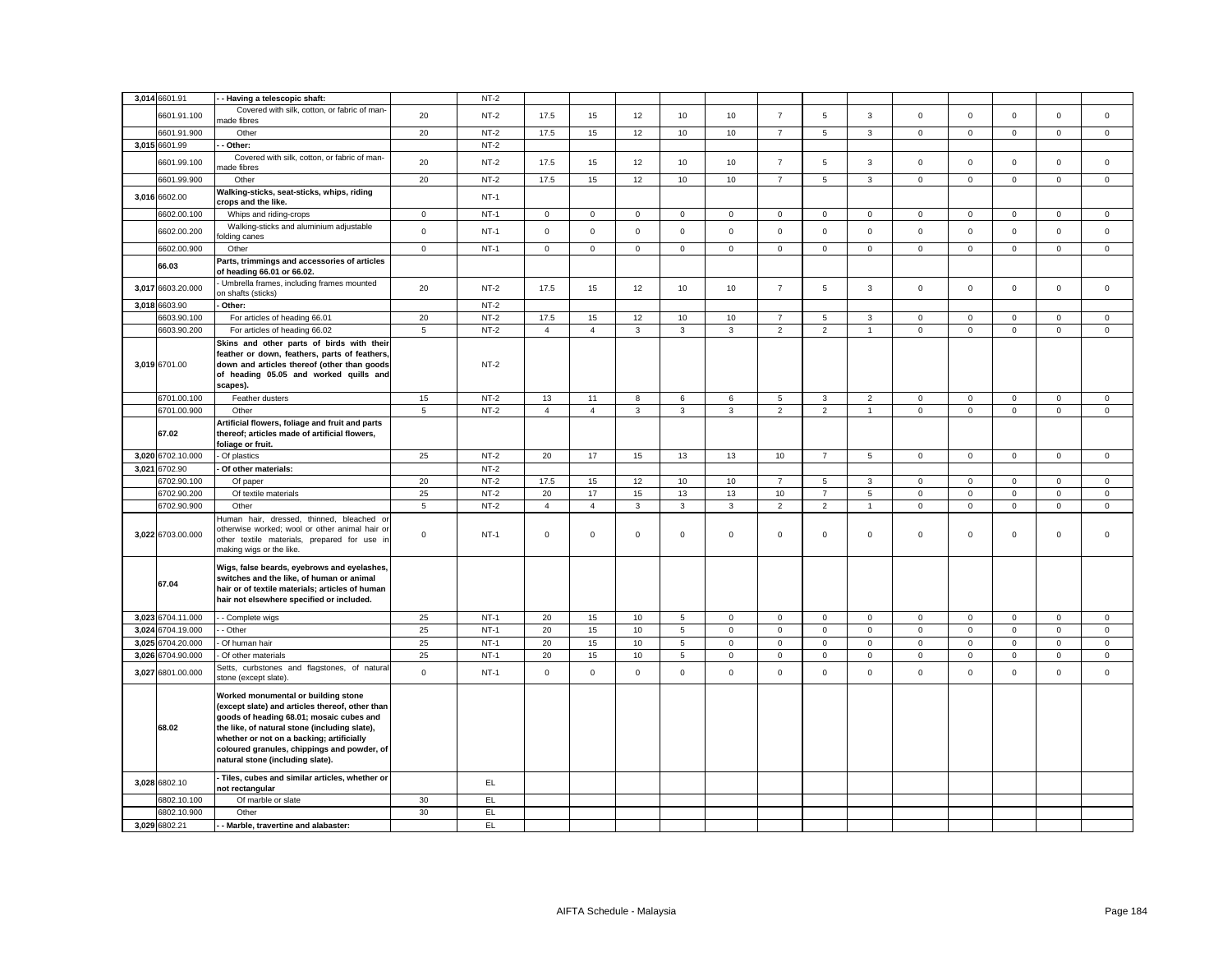|       | 3,014 6601.91                | - - Having a telescopic shaft:                  |             | $NT-2$     |                |                     |              |                 |              |                |                |                |                     |             |             |                     |             |
|-------|------------------------------|-------------------------------------------------|-------------|------------|----------------|---------------------|--------------|-----------------|--------------|----------------|----------------|----------------|---------------------|-------------|-------------|---------------------|-------------|
|       |                              | Covered with silk, cotton, or fabric of man-    |             |            |                |                     |              |                 |              |                |                |                |                     |             |             |                     |             |
|       | 6601.91.100                  | nade fibres                                     | 20          | $NT-2$     | 17.5           | 15                  | 12           | 10              | 10           | $\overline{7}$ | 5              | $\mathbf{3}$   | $\mathsf 0$         | $\mathsf 0$ | $\mathsf 0$ | $\mathsf 0$         | $\mathsf 0$ |
|       | 6601.91.900                  | Other                                           | 20          | $NT-2$     | 17.5           | 15                  | 12           | 10              | 10           | $\overline{7}$ | 5              | $\mathbf{3}$   | $\mathsf{O}\xspace$ | $\mathsf 0$ | $\mathsf 0$ | $\mathsf{O}\xspace$ | $\mathbf 0$ |
|       |                              |                                                 |             |            |                |                     |              |                 |              |                |                |                |                     |             |             |                     |             |
|       | 3,015 6601.99                | Other:                                          |             | $NT-2$     |                |                     |              |                 |              |                |                |                |                     |             |             |                     |             |
|       | 6601.99.100                  | Covered with silk, cotton, or fabric of man-    | 20          | $NT-2$     | 17.5           | 15                  | 12           | 10              | 10           | $\overline{7}$ | 5              | $\mathbf{3}$   | $\mathsf 0$         | $\mathsf 0$ | $\mathsf 0$ | $\mathsf 0$         | $\mathsf 0$ |
|       |                              | nade fibres                                     |             |            |                |                     |              |                 |              |                |                |                |                     |             |             |                     |             |
|       | 6601.99.900                  | Other                                           | 20          | $NT-2$     | 17.5           | 15                  | 12           | 10              | 10           | $\overline{7}$ | $\overline{5}$ | $\mathbf{3}$   | $\mathsf{O}\xspace$ | $\mathbf 0$ | $\mathsf 0$ | $\mathbf 0$         | $\mathsf 0$ |
|       |                              | Walking-sticks, seat-sticks, whips, riding      |             |            |                |                     |              |                 |              |                |                |                |                     |             |             |                     |             |
|       | 3,016 6602.00                | crops and the like.                             |             | $NT-1$     |                |                     |              |                 |              |                |                |                |                     |             |             |                     |             |
|       | 6602.00.100                  | Whips and riding-crops                          | $\mathsf 0$ | $NT-1$     | $\mathsf{O}$   | $\mathsf 0$         | $\mathsf 0$  | $\mathsf 0$     | $\mathbf 0$  | $\mathbf 0$    | $\mathbf 0$    | $\mathsf 0$    | $\mathsf{O}\xspace$ | $\mathbf 0$ | $\mathbf 0$ | $\mathsf 0$         | $\mathsf 0$ |
|       |                              |                                                 |             |            |                |                     |              |                 |              |                |                |                |                     |             |             |                     |             |
|       | 6602.00.200                  | Walking-sticks and aluminium adjustable         | $\mathsf 0$ | $NT-1$     | $\mathsf 0$    | $\mathsf 0$         | $\mathsf 0$  | $\mathsf 0$     | $\mathbf 0$  | $\mathsf 0$    | $\mathsf 0$    | $\mathsf 0$    | $\mathsf{O}\xspace$ | $\mathsf 0$ | $\mathsf 0$ | $\mathsf 0$         | $\mathsf 0$ |
|       |                              | olding canes                                    |             |            |                |                     |              |                 |              |                |                |                |                     |             |             |                     |             |
|       | 6602.00.900                  | Other                                           | $\mathsf 0$ | $NT-1$     | $\mathsf{O}$   | $\mathsf 0$         | $\mathsf 0$  | $\mathsf 0$     | $\mathbf 0$  | $\mathsf 0$    | $\mathbf 0$    | $\mathsf 0$    | $\mathsf 0$         | $\mathsf 0$ | $\mathsf 0$ | $\mathsf 0$         | $\mathbf 0$ |
|       |                              | Parts, trimmings and accessories of articles    |             |            |                |                     |              |                 |              |                |                |                |                     |             |             |                     |             |
|       | 66.03                        | of heading 66.01 or 66.02.                      |             |            |                |                     |              |                 |              |                |                |                |                     |             |             |                     |             |
|       |                              | Umbrella frames, including frames mounted       |             |            |                |                     |              |                 |              |                |                |                |                     |             |             |                     |             |
|       | 3,017 6603.20.000            | on shafts (sticks)                              | 20          | $NT-2$     | 17.5           | 15                  | 12           | 10              | 10           | $\overline{7}$ | 5              | $\mathbf{3}$   | $\mathsf 0$         | $\mathsf 0$ | $\mathbf 0$ | $\mathsf 0$         | $\mathsf 0$ |
|       |                              |                                                 |             |            |                |                     |              |                 |              |                |                |                |                     |             |             |                     |             |
|       | 3,018 6603.90                | Other:                                          |             | $NT-2$     |                |                     |              |                 |              |                |                |                |                     |             |             |                     |             |
|       | 6603.90.100                  | For articles of heading 66.01                   | 20          | $NT-2$     | 17.5           | 15                  | 12           | 10              | 10           | $\overline{7}$ | 5              | $\mathbf{3}$   | $\mathbf 0$         | $\mathbf 0$ | $\mathbf 0$ | $\mathbf 0$         | $\mathsf 0$ |
|       | 6603.90.200                  | For articles of heading 66.02                   | $\sqrt{5}$  | $NT-2$     | $\overline{4}$ | $\overline{4}$      | $\mathbf{3}$ | $\mathbf{3}$    | 3            | $\overline{2}$ | $\overline{2}$ | $\overline{1}$ | $\mathsf{O}\xspace$ | $\mathbf 0$ | $\mathsf 0$ | $\mathsf{O}\xspace$ | $\mathsf 0$ |
|       |                              | Skins and other parts of birds with their       |             |            |                |                     |              |                 |              |                |                |                |                     |             |             |                     |             |
|       |                              | feather or down, feathers, parts of feathers,   |             |            |                |                     |              |                 |              |                |                |                |                     |             |             |                     |             |
|       | 3,019 6701.00                | down and articles thereof (other than goods     |             | $NT-2$     |                |                     |              |                 |              |                |                |                |                     |             |             |                     |             |
|       |                              | of heading 05.05 and worked quills and          |             |            |                |                     |              |                 |              |                |                |                |                     |             |             |                     |             |
|       |                              |                                                 |             |            |                |                     |              |                 |              |                |                |                |                     |             |             |                     |             |
|       |                              | scapes).                                        |             |            |                |                     |              |                 |              |                |                |                |                     |             |             |                     |             |
|       | 6701.00.100                  | Feather dusters                                 | 15          | $NT-2$     | 13             | 11                  | 8            | 6               | 6            | 5              | $\mathbf{3}$   | $\overline{2}$ | $\mathsf 0$         | $\mathbf 0$ | $\mathbf 0$ | $\mathsf 0$         | $\mathsf 0$ |
|       | 6701.00.900                  | Other                                           | 5           | $NT-2$     | $\overline{4}$ | $\overline{4}$      | $_{\rm 3}$   | $\mathbf{3}$    | 3            | $\overline{2}$ | $\overline{2}$ | $\overline{1}$ | $\mathsf 0$         | $\mathsf 0$ | $\mathsf 0$ | $\mathsf 0$         | $\mathsf 0$ |
|       |                              | Artificial flowers, foliage and fruit and parts |             |            |                |                     |              |                 |              |                |                |                |                     |             |             |                     |             |
|       | 67.02                        | thereof; articles made of artificial flowers,   |             |            |                |                     |              |                 |              |                |                |                |                     |             |             |                     |             |
|       |                              | foliage or fruit.                               |             |            |                |                     |              |                 |              |                |                |                |                     |             |             |                     |             |
|       | 3,020 6702.10.000            |                                                 | 25          | $NT-2$     |                | 17                  |              |                 |              |                |                |                | $\mathbf 0$         | $\mathsf 0$ | $\mathbf 0$ |                     | $\mathbf 0$ |
|       |                              | - Of plastics                                   |             |            | 20             |                     | 15           | 13              | 13           | 10             | $\overline{7}$ | 5              |                     |             |             | $\mathsf 0$         |             |
|       | 3,021 6702.90                | Of other materials:                             |             | $NT-2$     |                |                     |              |                 |              |                |                |                |                     |             |             |                     |             |
|       | 6702.90.100                  | Of paper                                        | 20          | $NT-2$     | 17.5           | 15                  | 12           | 10              | 10           | $\overline{7}$ | 5              | $\mathbf{3}$   | $\mathsf{O}\xspace$ | $\mathsf 0$ | $\mathbf 0$ | $\mathsf{O}\xspace$ | $\mathbf 0$ |
|       | 6702.90.200                  | Of textile materials                            | 25          | $NT-2$     | 20             | $17$                | 15           | 13              | 13           | 10             | $\overline{7}$ | $\,$ 5 $\,$    | $\mathbf 0$         | $\mathbf 0$ | $\mathbf 0$ | $\mathbf 0$         | 0           |
|       | 6702.90.900                  |                                                 |             | $NT-2$     |                |                     |              |                 |              |                |                |                |                     |             |             |                     |             |
|       |                              | Other                                           | 5           |            | $\overline{4}$ | $\overline{4}$      | $\mathbf{3}$ | $\mathbf{3}$    | 3            | $\overline{2}$ | $\overline{2}$ | $\overline{1}$ | $\mathsf 0$         | $\mathsf 0$ | $\mathbf 0$ | $\mathsf 0$         | $\mathsf 0$ |
|       |                              | Human hair, dressed, thinned, bleached or       |             |            |                |                     |              |                 |              |                |                |                |                     |             |             |                     |             |
|       | 3,022 6703.00.000            | otherwise worked; wool or other animal hair or  | $\mathbf 0$ | $NT-1$     | $\mathsf 0$    | $\mathbf 0$         | $\mathsf 0$  | $\mathsf 0$     | $\mathbf{0}$ | $\mathsf 0$    | $\mathbf 0$    | $\mathbf 0$    | $\mathbf 0$         | $\mathbf 0$ | $\mathbf 0$ | $\mathsf 0$         | $\mathbf 0$ |
|       |                              | other textile materials, prepared for use in    |             |            |                |                     |              |                 |              |                |                |                |                     |             |             |                     |             |
|       |                              | making wigs or the like.                        |             |            |                |                     |              |                 |              |                |                |                |                     |             |             |                     |             |
|       |                              |                                                 |             |            |                |                     |              |                 |              |                |                |                |                     |             |             |                     |             |
|       |                              | Wigs, false beards, eyebrows and eyelashes,     |             |            |                |                     |              |                 |              |                |                |                |                     |             |             |                     |             |
|       | 67.04                        | switches and the like, of human or animal       |             |            |                |                     |              |                 |              |                |                |                |                     |             |             |                     |             |
|       |                              | hair or of textile materials; articles of human |             |            |                |                     |              |                 |              |                |                |                |                     |             |             |                     |             |
|       |                              | hair not elsewhere specified or included.       |             |            |                |                     |              |                 |              |                |                |                |                     |             |             |                     |             |
|       |                              |                                                 |             |            |                |                     |              |                 |              |                |                |                | $\mathbf 0$         |             |             |                     |             |
|       | 3,023 6704.11.000            | - Complete wigs                                 | 25          | $NT-1$     | 20             | 15                  | 10           | 5               | 0            | $\mathsf 0$    | $\mathbf 0$    | $\mathbf 0$    |                     | $\mathbf 0$ | $\mathsf 0$ | $\mathbf 0$         | 0           |
|       | 3,024 6704.19.000            | - Other                                         | 25          | $NT-1$     | 20             | 15                  | 10           | $5\overline{5}$ | $\mathbf 0$  | $\mathsf 0$    | $\mathbf 0$    | $\mathsf 0$    | $\mathsf{O}\xspace$ | $\mathsf 0$ | $\mathbf 0$ | $\mathsf 0$         | $\mathbf 0$ |
| 3,025 | 6704.20.000                  | Of human hair                                   | 25          | $NT-1$     | 20             | 15                  | 10           | $\overline{5}$  | $\mathbf 0$  | $\mathsf 0$    | $\mathbf 0$    | $\mathsf 0$    | $\mathsf 0$         | $\mathbf 0$ | $\mathbf 0$ | $\mathsf 0$         | $\mathsf 0$ |
|       | 3,026 6704.90.000            | Of other materials                              | 25          | $NT-1$     | 20             | 15                  | 10           | 5               | 0            | $\mathbf 0$    | $\mathbf 0$    | $\mathbf 0$    | $\mathbf 0$         | $\mathbf 0$ | $\mathbf 0$ | $\mathbf 0$         | $\mathbf 0$ |
|       |                              | Setts, curbstones and flagstones, of natura     |             |            |                |                     |              |                 |              |                |                |                |                     |             |             |                     |             |
| 3,027 | 6801.00.000                  | stone (except slate).                           | $\mathbf 0$ | $NT-1$     | $\overline{0}$ | $\mathsf{O}\xspace$ | $\mathsf 0$  | $\mathbf 0$     | $\mathbf 0$  | $\mathbf 0$    | $\mathbf 0$    | $\mathsf 0$    | $\mathsf 0$         | $\Omega$    | $\mathbf 0$ | $\mathsf 0$         | $\mathsf 0$ |
|       |                              |                                                 |             |            |                |                     |              |                 |              |                |                |                |                     |             |             |                     |             |
|       |                              | Worked monumental or building stone             |             |            |                |                     |              |                 |              |                |                |                |                     |             |             |                     |             |
|       |                              | (except slate) and articles thereof, other than |             |            |                |                     |              |                 |              |                |                |                |                     |             |             |                     |             |
|       |                              | goods of heading 68.01; mosaic cubes and        |             |            |                |                     |              |                 |              |                |                |                |                     |             |             |                     |             |
|       | 68.02                        | the like, of natural stone (including slate),   |             |            |                |                     |              |                 |              |                |                |                |                     |             |             |                     |             |
|       |                              |                                                 |             |            |                |                     |              |                 |              |                |                |                |                     |             |             |                     |             |
|       |                              | whether or not on a backing; artificially       |             |            |                |                     |              |                 |              |                |                |                |                     |             |             |                     |             |
|       |                              | coloured granules, chippings and powder, of     |             |            |                |                     |              |                 |              |                |                |                |                     |             |             |                     |             |
|       |                              | natural stone (including slate).                |             |            |                |                     |              |                 |              |                |                |                |                     |             |             |                     |             |
|       |                              |                                                 |             |            |                |                     |              |                 |              |                |                |                |                     |             |             |                     |             |
|       |                              |                                                 |             |            |                |                     |              |                 |              |                |                |                |                     |             |             |                     |             |
|       | 3,028 6802.10                | Tiles, cubes and similar articles, whether or   |             | EL.        |                |                     |              |                 |              |                |                |                |                     |             |             |                     |             |
|       |                              | not rectangular                                 |             |            |                |                     |              |                 |              |                |                |                |                     |             |             |                     |             |
|       | 6802.10.100                  | Of marble or slate                              | 30          | EL         |                |                     |              |                 |              |                |                |                |                     |             |             |                     |             |
|       | 6802.10.900<br>3,029 6802.21 | Other<br>- Marble, travertine and alabaster:    | 30          | EL.<br>EL. |                |                     |              |                 |              |                |                |                |                     |             |             |                     |             |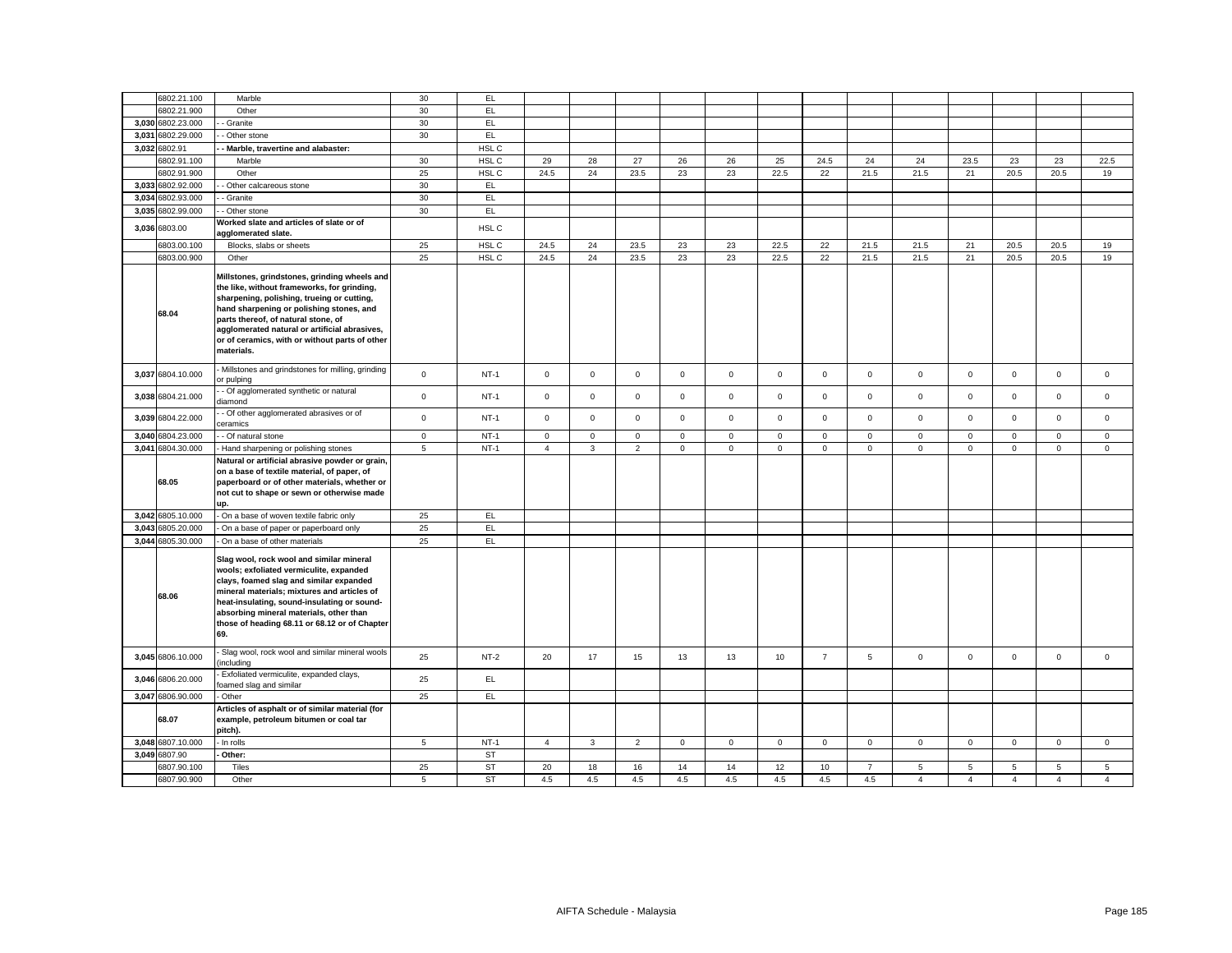|       | 6802.21.100       | Marble                                                                                                                                                                                                                                                                                                                                        | 30          | EL.       |                |                |                |              |              |             |                |                |                |                |                     |                |                |
|-------|-------------------|-----------------------------------------------------------------------------------------------------------------------------------------------------------------------------------------------------------------------------------------------------------------------------------------------------------------------------------------------|-------------|-----------|----------------|----------------|----------------|--------------|--------------|-------------|----------------|----------------|----------------|----------------|---------------------|----------------|----------------|
|       | 6802.21.900       | Other                                                                                                                                                                                                                                                                                                                                         | 30          | EL        |                |                |                |              |              |             |                |                |                |                |                     |                |                |
|       | 3,030 6802.23.000 | Granite                                                                                                                                                                                                                                                                                                                                       | 30          | EL        |                |                |                |              |              |             |                |                |                |                |                     |                |                |
| 3,031 | 6802.29.000       | Other stone                                                                                                                                                                                                                                                                                                                                   | 30          | EL.       |                |                |                |              |              |             |                |                |                |                |                     |                |                |
|       | 3,032 6802.91     | Marble, travertine and alabaster:                                                                                                                                                                                                                                                                                                             |             | HSL C     |                |                |                |              |              |             |                |                |                |                |                     |                |                |
|       | 6802.91.100       | Marble                                                                                                                                                                                                                                                                                                                                        | 30          | HSL C     | 29             | 28             | 27             | 26           | 26           | 25          | 24.5           | 24             | 24             | 23.5           | 23                  | 23             | 22.5           |
|       | 6802.91.900       | Other                                                                                                                                                                                                                                                                                                                                         | 25          | HSL C     | 24.5           | 24             | 23.5           | 23           | 23           | 22.5        | 22             | 21.5           | 21.5           | 21             | 20.5                | 20.5           | 19             |
|       | 3,033 6802.92.000 | Other calcareous stone                                                                                                                                                                                                                                                                                                                        | 30          | EL        |                |                |                |              |              |             |                |                |                |                |                     |                |                |
|       | 3,034 6802.93.000 | Granite                                                                                                                                                                                                                                                                                                                                       | 30          | EL.       |                |                |                |              |              |             |                |                |                |                |                     |                |                |
|       | 3,035 6802.99.000 | Other stone                                                                                                                                                                                                                                                                                                                                   | 30          | <b>EL</b> |                |                |                |              |              |             |                |                |                |                |                     |                |                |
|       | 3,036 6803.00     | Norked slate and articles of slate or of<br>gglomerated slate.                                                                                                                                                                                                                                                                                |             | HSL C     |                |                |                |              |              |             |                |                |                |                |                     |                |                |
|       | 6803.00.100       | Blocks, slabs or sheets                                                                                                                                                                                                                                                                                                                       | 25          | HSL C     | 24.5           | 24             | 23.5           | 23           | 23           | 22.5        | 22             | 21.5           | 21.5           | 21             | 20.5                | 20.5           | 19             |
|       | 6803.00.900       | Other                                                                                                                                                                                                                                                                                                                                         | 25          | HSL C     | 24.5           | 24             | 23.5           | 23           | 23           | 22.5        | 22             | 21.5           | 21.5           | 21             | 20.5                | 20.5           | 19             |
|       | 68.04             | Millstones, grindstones, grinding wheels and<br>the like, without frameworks, for grinding,<br>sharpening, polishing, trueing or cutting,<br>hand sharpening or polishing stones, and<br>parts thereof, of natural stone, of<br>agglomerated natural or artificial abrasives,<br>or of ceramics, with or without parts of other<br>materials. |             |           |                |                |                |              |              |             |                |                |                |                |                     |                |                |
|       | 3,037 6804.10.000 | Millstones and grindstones for milling, grinding<br>or pulping                                                                                                                                                                                                                                                                                | $\mathsf 0$ | $NT-1$    | $\mathbf 0$    | $\mathbf 0$    | $\mathbf 0$    | $\mathbf{0}$ | $\mathbf{0}$ | $\mathbf 0$ | $\mathbf 0$    | $\mathsf 0$    | $\mathbf{0}$   | $\mathbf 0$    | $\mathbf 0$         | $\mathsf 0$    | $\mathbf 0$    |
|       | 3,038 6804.21.000 | - Of agglomerated synthetic or natural<br>diamond                                                                                                                                                                                                                                                                                             | $\mathbf 0$ | $NT-1$    | $\mathbf{0}$   | $\mathbf 0$    | $\mathbf 0$    | $\mathbf 0$  | $\mathbf{0}$ | $\mathbf 0$ | $\mathbf 0$    | $\mathbf 0$    | $\mathbf{0}$   | $\mathbf 0$    | $\Omega$            | $\mathbf{0}$   | $\Omega$       |
|       | 3,039 6804.22.000 | - Of other agglomerated abrasives or of<br>eramics                                                                                                                                                                                                                                                                                            | $\mathbf 0$ | $NT-1$    | $\mathbf{0}$   | $\mathbf 0$    | $\mathbf 0$    | $\mathbf 0$  | $\mathbf 0$  | $\mathbf 0$ | $\Omega$       | $\mathbf 0$    | $\mathbf 0$    | $\mathbf 0$    | $\Omega$            | $\mathbf 0$    | $\Omega$       |
|       | 3,040 6804.23.000 | - Of natural stone                                                                                                                                                                                                                                                                                                                            | $\mathsf 0$ | $NT-1$    | $\mathsf 0$    | $\mathsf 0$    | $\mathsf 0$    | $\mathsf 0$  | $\mathsf 0$  | $\mathsf 0$ | $\mathsf 0$    | $\mathsf 0$    | $\mathsf 0$    | $\mathsf 0$    | $\mathsf{O}\xspace$ | $\mathsf 0$    | $\mathsf 0$    |
|       | 3,041 6804.30.000 | - Hand sharpening or polishing stones                                                                                                                                                                                                                                                                                                         | 5           | $NT-1$    | $\overline{4}$ | 3              | $\overline{2}$ | $\mathbf{0}$ | $\mathbf 0$  | $\mathsf 0$ | $\mathbf 0$    | $\mathbf{0}$   | $\mathbf 0$    | $\mathbf 0$    | 0                   | $\mathsf 0$    | $\mathsf 0$    |
|       | 68.05             | Natural or artificial abrasive powder or grain,<br>on a base of textile material, of paper, of<br>paperboard or of other materials, whether or<br>not cut to shape or sewn or otherwise made<br>up.                                                                                                                                           |             |           |                |                |                |              |              |             |                |                |                |                |                     |                |                |
|       | 3,042 6805.10.000 | On a base of woven textile fabric only                                                                                                                                                                                                                                                                                                        | 25          | EL        |                |                |                |              |              |             |                |                |                |                |                     |                |                |
|       | 3,043 6805.20.000 | On a base of paper or paperboard only                                                                                                                                                                                                                                                                                                         | 25          | EL        |                |                |                |              |              |             |                |                |                |                |                     |                |                |
|       | 3,044 6805.30.000 | On a base of other materials                                                                                                                                                                                                                                                                                                                  | 25          | EL        |                |                |                |              |              |             |                |                |                |                |                     |                |                |
|       | 68.06             | Slag wool, rock wool and similar mineral<br>wools; exfoliated vermiculite, expanded<br>clays, foamed slag and similar expanded<br>mineral materials; mixtures and articles of<br>heat-insulating, sound-insulating or sound-<br>absorbing mineral materials, other than<br>those of heading 68.11 or 68.12 or of Chapter<br>69.               |             |           |                |                |                |              |              |             |                |                |                |                |                     |                |                |
|       | 3,045 6806.10.000 | Slag wool, rock wool and similar mineral wools<br>including                                                                                                                                                                                                                                                                                   | 25          | $NT-2$    | 20             | 17             | 15             | 13           | 13           | 10          | $\overline{7}$ | $\overline{5}$ | $\Omega$       | $\mathbf 0$    | $\Omega$            | $\mathbf 0$    | $\Omega$       |
|       | 3,046 6806.20.000 | Exfoliated vermiculite, expanded clays,<br>oamed slag and similar                                                                                                                                                                                                                                                                             | 25          | EL        |                |                |                |              |              |             |                |                |                |                |                     |                |                |
|       | 3,047 6806.90.000 | Other                                                                                                                                                                                                                                                                                                                                         | 25          | EL.       |                |                |                |              |              |             |                |                |                |                |                     |                |                |
|       | 68.07             | Articles of asphalt or of similar material (for<br>example, petroleum bitumen or coal tar<br>pitch).                                                                                                                                                                                                                                          |             |           |                |                |                |              |              |             |                |                |                |                |                     |                |                |
|       | 3,048 6807.10.000 | - In rolls                                                                                                                                                                                                                                                                                                                                    | 5           | $NT-1$    | $\overline{4}$ | $\overline{3}$ | $\overline{2}$ | $\mathbf{0}$ | $\mathbf{0}$ | $\mathbf 0$ | $\mathbf{O}$   | $\mathbf{0}$   | $\mathbf{0}$   | $\mathbf 0$    | $\mathbf 0$         | $\mathbf 0$    | $\mathbf 0$    |
|       | 3.049 6807.90     | Other:                                                                                                                                                                                                                                                                                                                                        |             | <b>ST</b> |                |                |                |              |              |             |                |                |                |                |                     |                |                |
|       | 6807.90.100       | Tiles                                                                                                                                                                                                                                                                                                                                         | 25          | ST        | 20             | 18             | 16             | 14           | 14           | 12          | 10             | $\overline{7}$ | 5              | $\overline{5}$ | 5                   | 5              | 5              |
|       | 6807.90.900       | Other                                                                                                                                                                                                                                                                                                                                         | 5           | <b>ST</b> | 4.5            | 4.5            | 4.5            | 4.5          | 4.5          | 4.5         | 4.5            | 4.5            | $\overline{4}$ | $\overline{4}$ | $\overline{4}$      | $\overline{4}$ | $\overline{4}$ |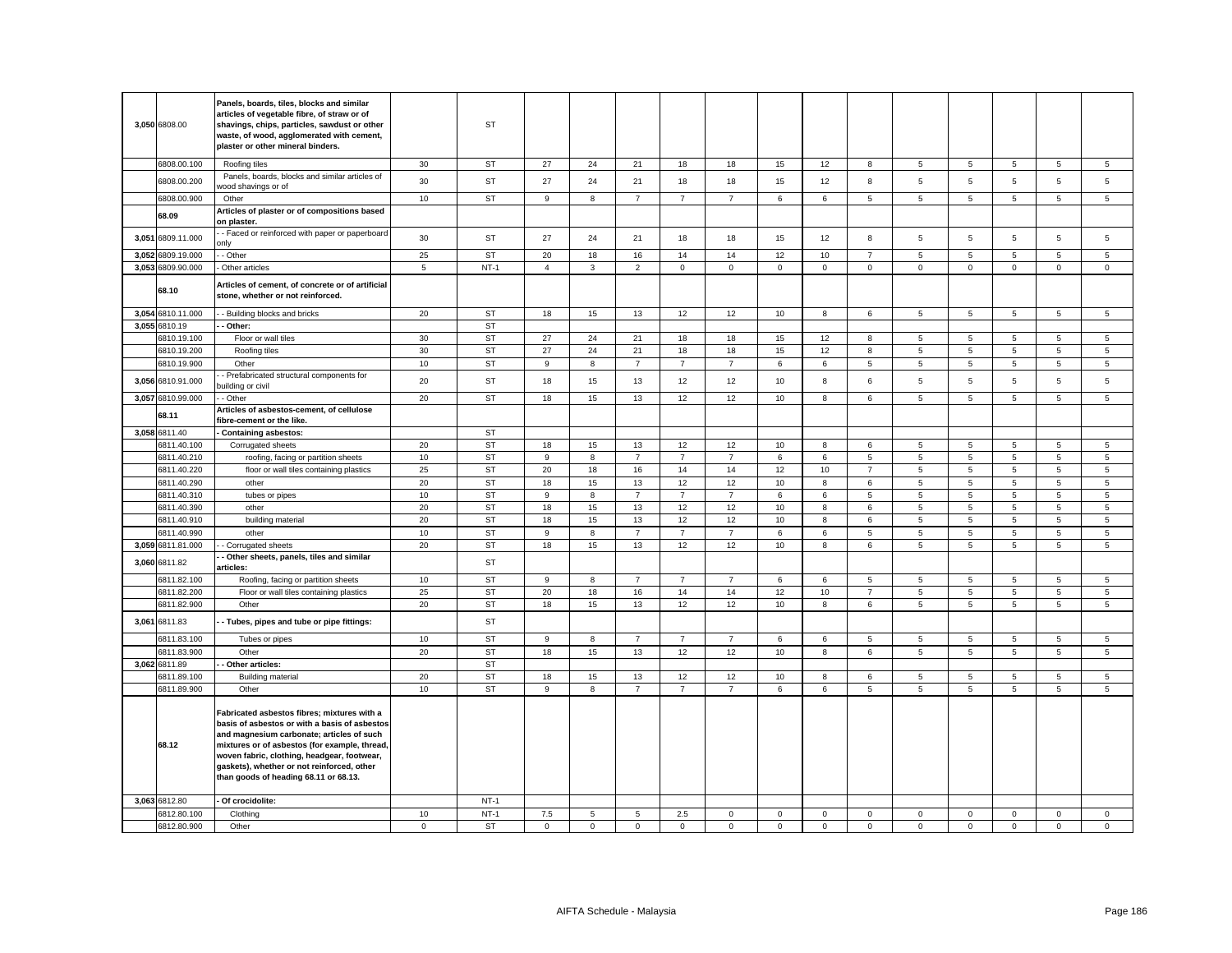| 3,050 6808.00     | Panels, boards, tiles, blocks and similar<br>articles of vegetable fibre, of straw or of<br>shavings, chips, particles, sawdust or other<br>waste, of wood, agglomerated with cement,<br>plaster or other mineral binders.                                                                                                       |                 | ST        |                |             |                |                |                |             |                  |                |                 |             |             |                 |                |
|-------------------|----------------------------------------------------------------------------------------------------------------------------------------------------------------------------------------------------------------------------------------------------------------------------------------------------------------------------------|-----------------|-----------|----------------|-------------|----------------|----------------|----------------|-------------|------------------|----------------|-----------------|-------------|-------------|-----------------|----------------|
| 6808.00.100       | Roofing tiles                                                                                                                                                                                                                                                                                                                    | 30              | ST        | 27             | 24          | 21             | 18             | 18             | 15          | 12               | 8              | 5               | 5           | 5           | 5               | 5              |
| 6808.00.200       | Panels, boards, blocks and similar articles of<br>vood shavings or of                                                                                                                                                                                                                                                            | 30              | <b>ST</b> | 27             | 24          | 21             | 18             | 18             | 15          | 12               | 8              | 5               | 5           | 5           | 5               | 5              |
| 6808.00.900       | Other                                                                                                                                                                                                                                                                                                                            | 10              | <b>ST</b> | 9              | 8           | $\overline{7}$ | $\overline{7}$ | $\overline{7}$ | 6           | 6                | 5              | 5               | 5           | 5           | 5               | 5              |
|                   | Articles of plaster or of compositions based                                                                                                                                                                                                                                                                                     |                 |           |                |             |                |                |                |             |                  |                |                 |             |             |                 |                |
| 68.09             | on plaster.                                                                                                                                                                                                                                                                                                                      |                 |           |                |             |                |                |                |             |                  |                |                 |             |             |                 |                |
| 3,051 6809.11.000 | - Faced or reinforced with paper or paperboard<br>ınlv                                                                                                                                                                                                                                                                           | 30              | <b>ST</b> | 27             | 24          | 21             | 18             | 18             | 15          | 12               | 8              | 5               | 5           | 5           | 5               | 5              |
| 3,052 6809.19.000 | - Other                                                                                                                                                                                                                                                                                                                          | 25              | <b>ST</b> | 20             | 18          | 16             | 14             | 14             | 12          | 10               | $\overline{7}$ | 5               | 5           | 5           | 5               | 5              |
| 3,053 6809.90.000 | Other articles                                                                                                                                                                                                                                                                                                                   | $5\phantom{.0}$ | $NT-1$    | $\overline{4}$ | 3           | $\overline{2}$ | $\mathbf 0$    | $\mathsf 0$    | $\mathsf 0$ | $\mathbf 0$      | $\mathbf 0$    | $\mathbf 0$     | $\mathbf 0$ | $\mathbf 0$ | $\mathsf 0$     | $\mathsf 0$    |
| 68.10             | Articles of cement, of concrete or of artificial<br>stone, whether or not reinforced.                                                                                                                                                                                                                                            |                 |           |                |             |                |                |                |             |                  |                |                 |             |             |                 |                |
| 3,054 6810.11.000 | - - Building blocks and bricks                                                                                                                                                                                                                                                                                                   | 20              | ST        | 18             | 15          | 13             | 12             | 12             | 10          | 8                | 6              | $5\overline{5}$ | 5           | 5           | $5\overline{5}$ | $\overline{5}$ |
| 3,055 6810.19     | Other:                                                                                                                                                                                                                                                                                                                           |                 | <b>ST</b> |                |             |                |                |                |             |                  |                |                 |             |             |                 |                |
| 6810.19.100       | Floor or wall tiles                                                                                                                                                                                                                                                                                                              | 30              | <b>ST</b> | 27             | 24          | 21             | 18             | 18             | 15          | 12               | 8              | 5               | 5           | 5           | 5               | 5              |
| 6810.19.200       | Roofing tiles                                                                                                                                                                                                                                                                                                                    | 30              | ST        | 27             | 24          | 21             | 18             | 18             | 15          | 12               | 8              | 5               | 5           | 5           | 5               | 5              |
| 6810.19.900       | Other                                                                                                                                                                                                                                                                                                                            | 10              | <b>ST</b> | 9              | 8           | $\overline{7}$ | $\overline{7}$ | $\overline{7}$ | 6           | 6                | $\overline{5}$ | 5               | 5           | 5           | 5               | $\sqrt{5}$     |
| 3,056 6810.91.000 | Prefabricated structural components for<br>puilding or civil                                                                                                                                                                                                                                                                     | 20              | <b>ST</b> | 18             | 15          | 13             | 12             | 12             | 10          | 8                | 6              | 5               | 5           | 5           | 5               | $\mathbf 5$    |
| 3,057 6810.99.000 | - Other                                                                                                                                                                                                                                                                                                                          | 20              | <b>ST</b> | 18             | 15          | 13             | 12             | 12             | 10          | 8                | 6              | 5               | 5           | 5           | 5               | 5              |
| 68.11             | Articles of asbestos-cement, of cellulose<br>fibre-cement or the like.                                                                                                                                                                                                                                                           |                 |           |                |             |                |                |                |             |                  |                |                 |             |             |                 |                |
| 3,058 6811.40     | - Containing asbestos:                                                                                                                                                                                                                                                                                                           |                 | <b>ST</b> |                |             |                |                |                |             |                  |                |                 |             |             |                 |                |
| 6811.40.100       | Corrugated sheets                                                                                                                                                                                                                                                                                                                | 20              | <b>ST</b> | 18             | 15          | 13             | 12             | 12             | 10          | 8                | 6              | 5               | 5           | 5           | 5               | 5              |
| 6811.40.210       | roofing, facing or partition sheets                                                                                                                                                                                                                                                                                              | 10              | <b>ST</b> | 9              | 8           | $\overline{7}$ | $\overline{7}$ | $\overline{7}$ | 6           | 6                | 5              | 5               | 5           | 5           | 5               | $\overline{5}$ |
| 6811.40.220       | floor or wall tiles containing plastics                                                                                                                                                                                                                                                                                          | 25              | <b>ST</b> | 20             | 18          | 16             | 14             | 14             | 12          | 10 <sup>10</sup> | $\overline{7}$ | 5               | 5           | 5           | 5               | 5              |
| 6811.40.290       | other                                                                                                                                                                                                                                                                                                                            | 20              | <b>ST</b> | 18             | 15          | 13             | 12             | 12             | 10          | 8                | 6              | 5               | 5           | 5           | 5               | 5              |
| 6811.40.310       | tubes or pipes                                                                                                                                                                                                                                                                                                                   | 10              | <b>ST</b> | 9              | 8           | $\overline{7}$ | $\overline{7}$ | $\overline{7}$ | 6           | 6                | 5              | 5               | 5           | 5           | 5               | 5              |
| 6811.40.390       | other                                                                                                                                                                                                                                                                                                                            | 20              | ST        | 18             | 15          | 13             | 12             | 12             | 10          | 8                | 6              | 5               | 5           | 5           | 5               | 5              |
| 6811.40.910       | building material                                                                                                                                                                                                                                                                                                                | 20              | <b>ST</b> | 18             | 15          | 13             | 12             | 12             | 10          | 8                | 6              | 5               | 5           | 5           | 5               | $\sqrt{5}$     |
| 6811.40.990       | other                                                                                                                                                                                                                                                                                                                            | 10              | <b>ST</b> | 9              | 8           | $\overline{7}$ | $\overline{7}$ | $\overline{7}$ | 6           | $\,6\,$          | $\,$ 5 $\,$    | 5               | 5           | $\,$ 5 $\,$ | $\,$ 5 $\,$     | $\sqrt{5}$     |
|                   |                                                                                                                                                                                                                                                                                                                                  | 20              | <b>ST</b> | 18             | 15          | 13             | 12             | 12             | 10          | 8                | 6              | 5               | 5           | 5           | 5               | 5              |
| 3,059 6811.81.000 | Corrugated sheets<br>Other sheets, panels, tiles and similar                                                                                                                                                                                                                                                                     |                 |           |                |             |                |                |                |             |                  |                |                 |             |             |                 |                |
| 3,060 6811.82     | articles:                                                                                                                                                                                                                                                                                                                        |                 | ST        |                |             |                |                |                |             |                  |                |                 |             |             |                 |                |
| 6811.82.100       | Roofing, facing or partition sheets                                                                                                                                                                                                                                                                                              | 10              | <b>ST</b> | 9              | 8           | $\overline{7}$ | $\overline{7}$ | $\overline{7}$ | 6           | 6                | 5              | 5               | 5           | 5           | 5               | 5              |
| 6811.82.200       | Floor or wall tiles containing plastics                                                                                                                                                                                                                                                                                          | 25              | <b>ST</b> | 20             | 18          | 16             | 14             | 14             | 12          | 10               | $\overline{7}$ | $\overline{5}$  | 5           | $\mathbf 5$ | $\,$ 5 $\,$     | $\,$ 5 $\,$    |
| 6811.82.900       | Other                                                                                                                                                                                                                                                                                                                            | 20              | <b>ST</b> | 18             | 15          | 13             | 12             | 12             | 10          | 8                | 6              | 5               | 5           | 5           | 5               | 5              |
| 3,061 6811.83     | - Tubes, pipes and tube or pipe fittings:                                                                                                                                                                                                                                                                                        |                 | ST        |                |             |                |                |                |             |                  |                |                 |             |             |                 |                |
| 6811.83.100       | Tubes or pipes                                                                                                                                                                                                                                                                                                                   | 10              | <b>ST</b> | 9              | 8           | $\overline{7}$ | $\overline{7}$ | $\overline{7}$ | 6           | 6                | 5              | 5               | 5           | 5           | 5               | 5              |
| 6811.83.900       | Other                                                                                                                                                                                                                                                                                                                            | 20              | <b>ST</b> | 18             | 15          | 13             | 12             | 12             | 10          | 8                | 6              | $\overline{5}$  | 5           | 5           | 5               | $\mathbf 5$    |
| 3,062 6811.89     | Other articles:                                                                                                                                                                                                                                                                                                                  |                 | <b>ST</b> |                |             |                |                |                |             |                  |                |                 |             |             |                 |                |
| 6811.89.100       | <b>Building material</b>                                                                                                                                                                                                                                                                                                         | 20              | <b>ST</b> | 18             | 15          | 13             | 12             | 12             | 10          | 8                | 6              | 5               | 5           | 5           | 5               | $\sqrt{5}$     |
| 6811.89.900       | Other                                                                                                                                                                                                                                                                                                                            | 10              | <b>ST</b> | 9              | 8           | $\overline{7}$ | $\overline{7}$ | $\overline{7}$ | 6           | 6                | 5              | 5               | 5           | 5           | 5               | $\overline{5}$ |
| 68.12             | Fabricated asbestos fibres; mixtures with a<br>basis of asbestos or with a basis of asbestos<br>and magnesium carbonate; articles of such<br>mixtures or of asbestos (for example, thread,<br>woven fabric, clothing, headgear, footwear,<br>gaskets), whether or not reinforced, other<br>than goods of heading 68.11 or 68.13. |                 |           |                |             |                |                |                |             |                  |                |                 |             |             |                 |                |
| 3,063 6812.80     | Of crocidolite:                                                                                                                                                                                                                                                                                                                  |                 | $NT-1$    |                |             |                |                |                |             |                  |                |                 |             |             |                 |                |
| 6812.80.100       | Clothing                                                                                                                                                                                                                                                                                                                         | 10              | $NT-1$    | 7.5            | 5           | 5              | 2.5            | 0              | $\mathbf 0$ | $\mathbf 0$      | $\mathbf 0$    | $\mathbf 0$     | 0           | $\mathbf 0$ | $\mathbf 0$     | $\mathbf 0$    |
| 6812.80.900       | Other                                                                                                                                                                                                                                                                                                                            | $\mathbf 0$     | ST        | $\mathbf 0$    | $\mathbf 0$ | $\mathbf 0$    | $\mathbf 0$    | $\mathsf 0$    | $\mathbf 0$ | $\mathsf 0$      | $\mathbf 0$    | $\overline{0}$  | $\mathbf 0$ | $\mathsf 0$ | $\mathbf 0$     | $\mathbf 0$    |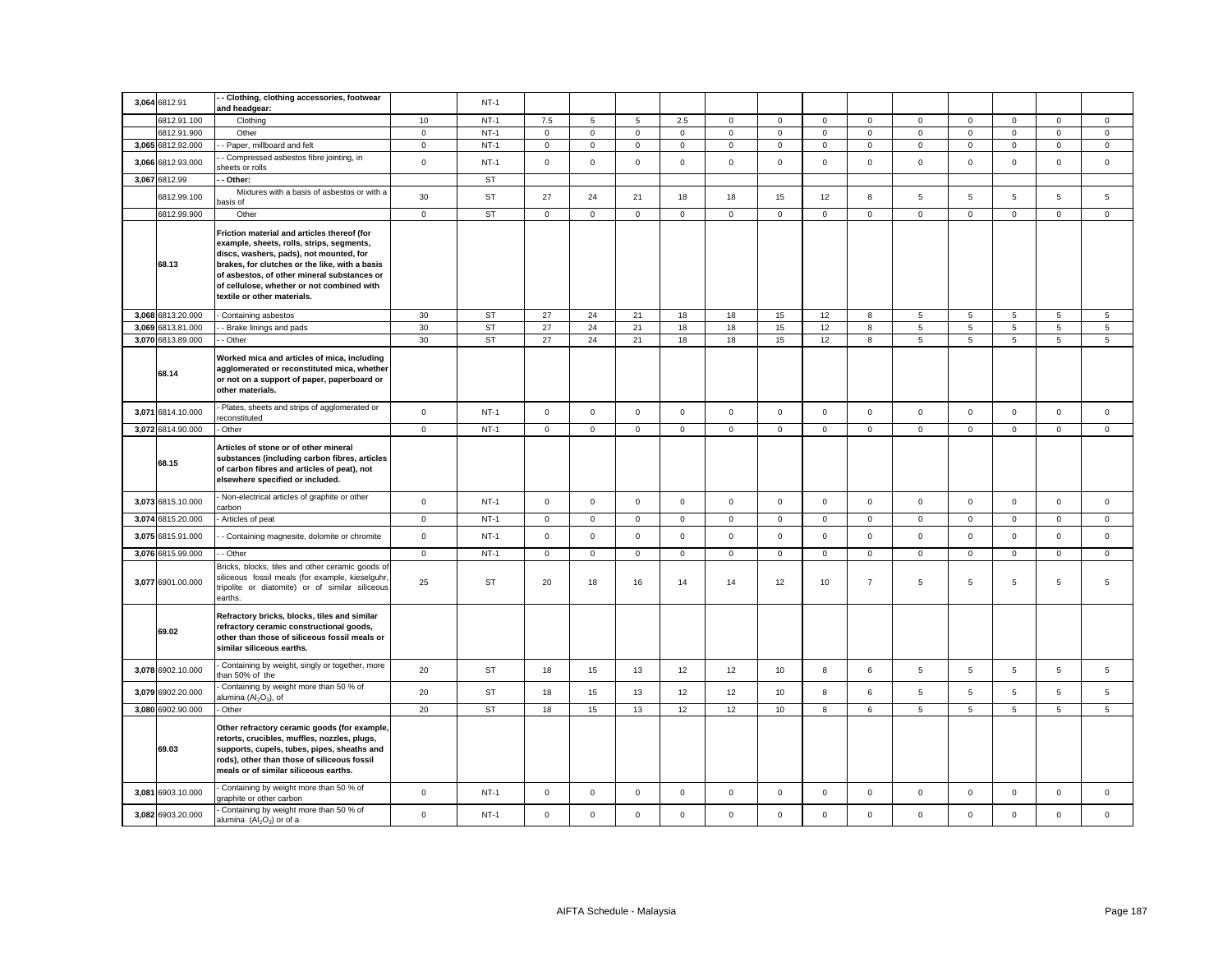| 3,064 6812.91     | - Clothing, clothing accessories, footwear<br>and headgear:                                                                                                                                                                                                                                                       |              | $NT-1$    |             |             |             |             |                |             |              |                |                 |                |             |                 |                 |
|-------------------|-------------------------------------------------------------------------------------------------------------------------------------------------------------------------------------------------------------------------------------------------------------------------------------------------------------------|--------------|-----------|-------------|-------------|-------------|-------------|----------------|-------------|--------------|----------------|-----------------|----------------|-------------|-----------------|-----------------|
| 6812.91.100       | Clothing                                                                                                                                                                                                                                                                                                          | 10           | $NT-1$    | 7.5         | 5           | $\,$ 5 $\,$ | 2.5         | $\mathbf 0$    | $\mathsf 0$ | $\mathsf 0$  | $\mathsf 0$    | $\mathsf 0$     | $\mathsf 0$    | $\mathsf 0$ | $\mathsf 0$     | $\mathsf 0$     |
| 6812.91.900       | Other                                                                                                                                                                                                                                                                                                             | $\mathsf 0$  | $NT-1$    | $\mathsf 0$ | $\mathsf 0$ | $\mathsf 0$ | $\mathsf 0$ | $\mathsf{o}\,$ | $\mathsf 0$ | $\mathsf 0$  | $\mathsf 0$    | $\mathsf 0$     | $\mathsf 0$    | $\mathsf 0$ | $\mathsf 0$     | $\mathsf 0$     |
| 3,065 6812.92.000 | - Paper, millboard and felt                                                                                                                                                                                                                                                                                       | $\mathbf 0$  | $NT-1$    | 0           | $\mathsf 0$ | $\mathsf 0$ | $\mathsf 0$ | $\mathbf 0$    | $\mathbf 0$ | $\mathbf 0$  | $\mathbf 0$    | $\mathbf 0$     | $\mathbf 0$    | $\mathsf 0$ | $\mathbf 0$     | $\mathbf 0$     |
| 3,066 6812.93.000 | - Compressed asbestos fibre jointing, in<br>heets or rolls                                                                                                                                                                                                                                                        | $\mathsf 0$  | $NT-1$    | $\mathbf 0$ | $\mathsf 0$ | $\mathsf 0$ | $\mathsf 0$ | $\mathbf 0$    | $\mathsf 0$ | $\mathsf 0$  | $\mathsf 0$    | $\mathsf 0$     | $\mathsf 0$    | $\mathsf 0$ | $\mathsf 0$     | $\mathsf 0$     |
| 3,067 6812.99     | - Other:                                                                                                                                                                                                                                                                                                          |              | ST        |             |             |             |             |                |             |              |                |                 |                |             |                 |                 |
| 6812.99.100       | Mixtures with a basis of asbestos or with a<br>asis of                                                                                                                                                                                                                                                            | 30           | <b>ST</b> | 27          | 24          | 21          | 18          | 18             | 15          | 12           | 8              | 5               | $\overline{5}$ | 5           | 5               | $\mathbf 5$     |
| 6812.99.900       | Other                                                                                                                                                                                                                                                                                                             | $\mathsf 0$  | <b>ST</b> | $\mathbf 0$ | $\mathsf 0$ | $\mathsf 0$ | $\mathsf 0$ | $\mathbf 0$    | $\mathsf 0$ | $\mathsf 0$  | $\mathbf 0$    | $\mathsf 0$     | $\mathsf 0$    | $\mathsf 0$ | $\mathsf 0$     | $\mathsf 0$     |
| 68.13             | Friction material and articles thereof (for<br>example, sheets, rolls, strips, segments,<br>discs, washers, pads), not mounted, for<br>brakes, for clutches or the like, with a basis<br>of asbestos, of other mineral substances or<br>of cellulose, whether or not combined with<br>textile or other materials. |              |           |             |             |             |             |                |             |              |                |                 |                |             |                 |                 |
| 3,068 6813.20.000 | Containing asbestos                                                                                                                                                                                                                                                                                               | 30           | <b>ST</b> | 27          | 24          | 21          | 18          | 18             | 15          | 12           | 8              | 5               | $\,$ 5 $\,$    | 5           | $\overline{5}$  | 5               |
| 3,069 6813.81.000 | - Brake linings and pads                                                                                                                                                                                                                                                                                          | 30           | <b>ST</b> | 27          | 24          | 21          | 18          | 18             | 15          | 12           | 8              | $5\phantom{.0}$ | 5              | 5           | 5               | $\overline{5}$  |
| 3,070 6813.89.000 | - Other                                                                                                                                                                                                                                                                                                           | 30           | ST        | 27          | 24          | 21          | 18          | 18             | 15          | 12           | 8              | $\overline{5}$  | $\overline{5}$ | 5           | $5\overline{)}$ | $5\phantom{.0}$ |
| 68.14             | Worked mica and articles of mica, including<br>agglomerated or reconstituted mica, whether<br>or not on a support of paper, paperboard or<br>other materials.                                                                                                                                                     |              |           |             |             |             |             |                |             |              |                |                 |                |             |                 |                 |
| 3,071 6814.10.000 | Plates, sheets and strips of agglomerated or<br>econstituted                                                                                                                                                                                                                                                      | $\mathbf{0}$ | $NT-1$    | $\mathbf 0$ | $\mathbf 0$ | $\mathbf 0$ | $\mathbf 0$ | $\mathbf 0$    | $\mathbf 0$ | $\mathbf{O}$ | $\mathbf{0}$   | $\mathbf 0$     | $\mathbf 0$    | $\mathbf 0$ | $\mathbf 0$     | $\mathbf 0$     |
| 3,072 6814.90.000 | - Other                                                                                                                                                                                                                                                                                                           | $\mathsf 0$  | $NT-1$    | $\mathbf 0$ | $\mathbf 0$ | $\mathsf 0$ | $\mathbf 0$ | $\mathsf 0$    | $\mathbf 0$ | $\mathbf 0$  | $\mathbf 0$    | $\mathsf 0$     | $\mathsf 0$    | $\mathbf 0$ | $\mathbf{0}$    | $\mathsf 0$     |
| 68.15             | Articles of stone or of other mineral<br>substances (including carbon fibres, articles<br>of carbon fibres and articles of peat), not<br>elsewhere specified or included.                                                                                                                                         |              |           |             |             |             |             |                |             |              |                |                 |                |             |                 |                 |
| 3,073 6815.10.000 | Non-electrical articles of graphite or other<br>arbon                                                                                                                                                                                                                                                             | $\mathsf 0$  | $NT-1$    | $\mathbf 0$ | $\mathsf 0$ | $\mathsf 0$ | $\mathbf 0$ | $\mathbf 0$    | $\mathsf 0$ | $\mathbf 0$  | $\mathbf 0$    | $\mathbf 0$     | $\mathsf 0$    | $\mathbf 0$ | $\mathsf 0$     | $\mathsf 0$     |
| 3,074 6815.20.000 | Articles of peat                                                                                                                                                                                                                                                                                                  | $\mathsf 0$  | $NT-1$    | $\mathsf 0$ | $\mathbf 0$ | $\mathsf 0$ | $\mathbf 0$ | $\mathbf 0$    | $\mathsf 0$ | $\mathsf 0$  | $\mathsf 0$    | $\mathsf 0$     | $\mathbf 0$    | $\mathbf 0$ | $\mathsf 0$     | $\mathsf 0$     |
| 3,075 6815.91.000 | - Containing magnesite, dolomite or chromite                                                                                                                                                                                                                                                                      | $\mathsf 0$  | $NT-1$    | $\mathbf 0$ | $\mathsf 0$ | $\mathsf 0$ | $\mathsf 0$ | $\mathbf 0$    | $\mathsf 0$ | $\mathsf 0$  | $\mathsf 0$    | $\mathsf 0$     | $\mathsf 0$    | $\mathsf 0$ | $\mathsf 0$     | $\mathsf 0$     |
| 3,076 6815.99.000 | - Other                                                                                                                                                                                                                                                                                                           | $\mathsf 0$  | $NT-1$    | $\mathbf 0$ | $\mathsf 0$ | $\mathsf 0$ | $\mathsf 0$ | $\mathsf 0$    | $\mathsf 0$ | $\mathbf 0$  | $\mathbf 0$    | $\mathsf 0$     | $\mathsf 0$    | $\mathsf 0$ | $\mathsf 0$     | $\mathsf 0$     |
| 3,077 6901.00.000 | Bricks, blocks, tiles and other ceramic goods of<br>siliceous fossil meals (for example, kieselguhr,<br>tripolite or diatomite) or of similar siliceous<br>earths.                                                                                                                                                | 25           | <b>ST</b> | 20          | 18          | 16          | 14          | 14             | 12          | 10           | $\overline{7}$ | 5               | 5              | 5           | 5               | 5               |
| 69.02             | Refractory bricks, blocks, tiles and similar<br>refractory ceramic constructional goods,<br>other than those of siliceous fossil meals or<br>similar siliceous earths.                                                                                                                                            |              |           |             |             |             |             |                |             |              |                |                 |                |             |                 |                 |
| 3,078 6902.10.000 | Containing by weight, singly or together, more<br>than 50% of the                                                                                                                                                                                                                                                 | 20           | ST        | 18          | 15          | 13          | 12          | 12             | 10          | 8            | 6              | 5               | 5              | 5           | $\,$ 5 $\,$     | 5               |
| 3,079 6902.20.000 | Containing by weight more than 50 % of<br>alumina (Al <sub>2</sub> O <sub>3</sub> ), of                                                                                                                                                                                                                           | 20           | ST        | 18          | 15          | 13          | 12          | 12             | 10          | 8            | 6              | 5               | 5              | 5           | 5               | 5               |
| 3,080 6902.90.000 | Other                                                                                                                                                                                                                                                                                                             | 20           | <b>ST</b> | 18          | 15          | 13          | 12          | 12             | 10          | 8            | 6              | 5               | 5              | 5           | 5               | 5               |
| 69.03             | Other refractory ceramic goods (for example,<br>retorts, crucibles, muffles, nozzles, plugs,<br>supports, cupels, tubes, pipes, sheaths and<br>rods), other than those of siliceous fossil<br>meals or of similar siliceous earths.                                                                               |              |           |             |             |             |             |                |             |              |                |                 |                |             |                 |                 |
| 3,081 6903.10.000 | Containing by weight more than 50 % of<br>graphite or other carbon                                                                                                                                                                                                                                                | $\mathbf 0$  | $NT-1$    | $\mathbf 0$ | $\mathsf 0$ | $\mathbf 0$ | $\mathsf 0$ | $\mathbf 0$    | $\mathsf 0$ | $\mathbf 0$  | $\mathbf 0$    | $\mathbf 0$     | $\mathsf 0$    | $\mathbf 0$ | $\mathsf 0$     | $\mathsf 0$     |
| 3,082 6903.20.000 | Containing by weight more than 50 % of<br>alumina $(Al_2O_3)$ or of a                                                                                                                                                                                                                                             | $\mathsf 0$  | $NT-1$    | $\mathbf 0$ | $\mathsf 0$ | $\mathsf 0$ | $\mathsf 0$ | $\mathbf 0$    | $\mathsf 0$ | $\mathbf 0$  | $\mathsf 0$    | $\mathbf 0$     | $\mathsf 0$    | $\mathsf 0$ | $\mathbf 0$     | $\mathsf 0$     |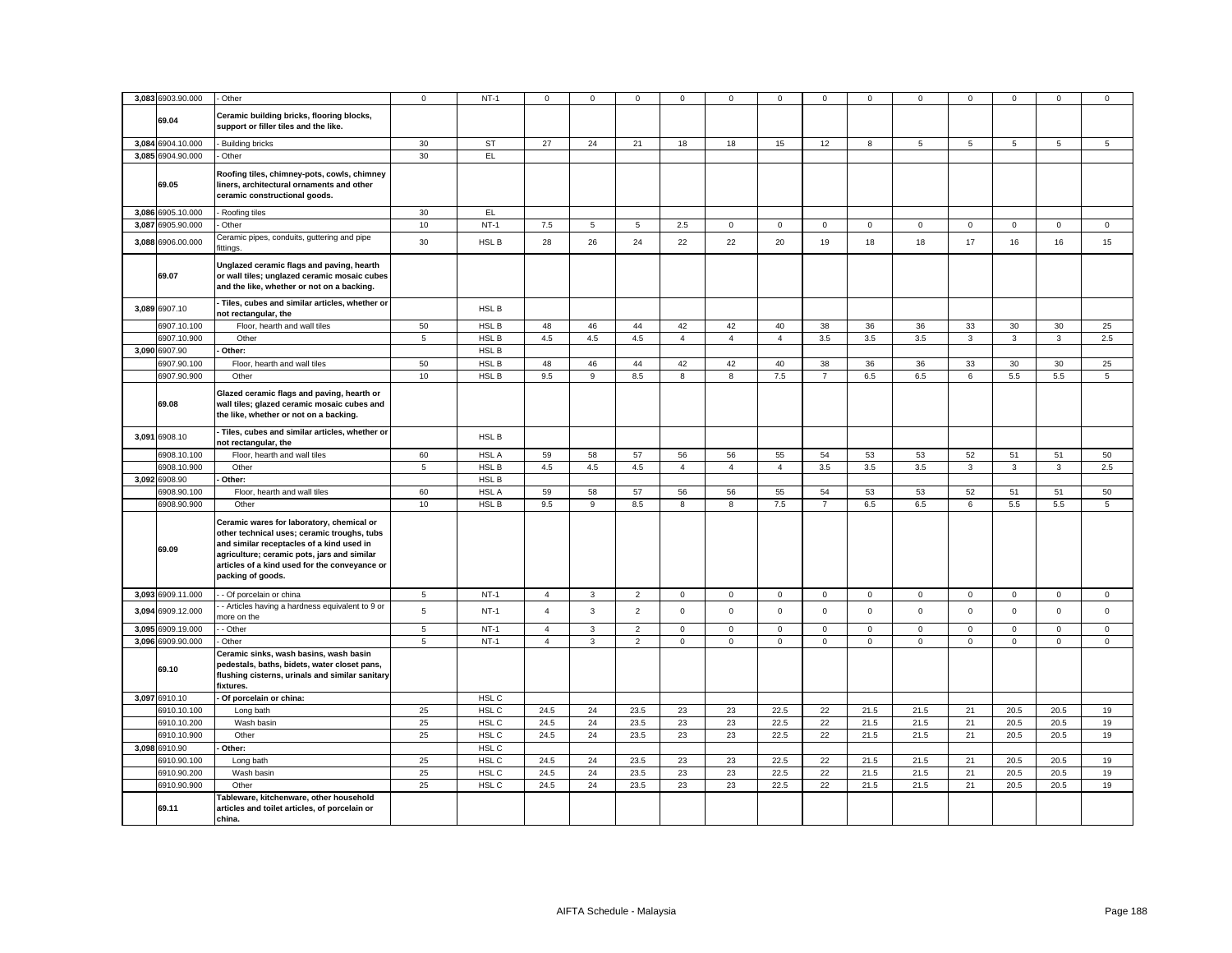| 3,083 6903.90.000 | - Other                                                                                                                                                                                                                                                    | $\mathbf 0$ | $NT-1$           | 0              | $\mathbf 0$    | $\mathbf 0$    | $^{\circ}$     | 0                       | $\mathbf 0$    | 0              | $\mathbf 0$ | 0               | $\mathbf 0$ | 0            | $\mathbf 0$         | $\mathbf 0$    |
|-------------------|------------------------------------------------------------------------------------------------------------------------------------------------------------------------------------------------------------------------------------------------------------|-------------|------------------|----------------|----------------|----------------|----------------|-------------------------|----------------|----------------|-------------|-----------------|-------------|--------------|---------------------|----------------|
| 69.04             | Ceramic building bricks, flooring blocks,<br>support or filler tiles and the like.                                                                                                                                                                         |             |                  |                |                |                |                |                         |                |                |             |                 |             |              |                     |                |
| 3,084 6904.10.000 | - Building bricks                                                                                                                                                                                                                                          | 30          | <b>ST</b>        | 27             | 24             | 21             | 18             | 18                      | 15             | 12             | 8           | $5\phantom{.0}$ | 5           | 5            | 5                   | $\sqrt{5}$     |
| 3,085 6904.90.000 | - Other                                                                                                                                                                                                                                                    | 30          | EL.              |                |                |                |                |                         |                |                |             |                 |             |              |                     |                |
| 69.05             | Roofing tiles, chimney-pots, cowls, chimney<br>liners, architectural ornaments and other<br>ceramic constructional goods.                                                                                                                                  |             |                  |                |                |                |                |                         |                |                |             |                 |             |              |                     |                |
| 3,086 6905.10.000 | - Roofing tiles                                                                                                                                                                                                                                            | 30          | EL.              |                |                |                |                |                         |                |                |             |                 |             |              |                     |                |
| 3,087 6905.90.000 | - Other                                                                                                                                                                                                                                                    | 10          | $NT-1$           | 7.5            | 5              | $\overline{5}$ | 2.5            | 0                       | $\mathbf 0$    | $\mathbf{0}$   | $\mathbf 0$ | 0               | $\mathbf 0$ | $\mathbf{0}$ | $\mathbf 0$         | $\mathbf 0$    |
| 3,088 6906.00.000 | Ceramic pipes, conduits, guttering and pipe<br>fittings.                                                                                                                                                                                                   | 30          | HSL B            | 28             | 26             | 24             | 22             | 22                      | 20             | 19             | 18          | 18              | 17          | 16           | 16                  | 15             |
| 69.07             | Unglazed ceramic flags and paving, hearth<br>or wall tiles; unglazed ceramic mosaic cubes<br>and the like, whether or not on a backing.                                                                                                                    |             |                  |                |                |                |                |                         |                |                |             |                 |             |              |                     |                |
| 3,089 6907.10     | Tiles, cubes and similar articles, whether or<br>not rectangular, the                                                                                                                                                                                      |             | HSL B            |                |                |                |                |                         |                |                |             |                 |             |              |                     |                |
| 6907.10.100       | Floor, hearth and wall tiles                                                                                                                                                                                                                               | 50          | HSL B            | 48             | 46             | 44             | 42             | 42                      | 40             | 38             | 36          | 36              | 33          | 30           | 30                  | 25             |
| 6907.10.900       | Other                                                                                                                                                                                                                                                      | 5           | <b>HSLB</b>      | 4.5            | 4.5            | 4.5            | $\overline{4}$ | $\overline{4}$          | $\overline{4}$ | 3.5            | 3.5         | 3.5             | 3           | 3            | $\mathbf{3}$        | 2.5            |
| 3,090 6907.90     | Other:                                                                                                                                                                                                                                                     |             | <b>HSLB</b>      |                |                |                |                |                         |                |                |             |                 |             |              |                     |                |
| 6907.90.100       | Floor, hearth and wall tiles                                                                                                                                                                                                                               | 50          | HSL B            | 48             | 46             | 44             | 42             | 42                      | 40             | 38             | 36          | 36              | 33          | 30           | 30                  | 25             |
| 6907.90.900       | Other                                                                                                                                                                                                                                                      | 10          | HSL B            | 9.5            | 9              | 8.5            | $\bf8$         | 8                       | 7.5            | $\overline{7}$ | 6.5         | 6.5             | 6           | 5.5          | 5.5                 | $\mathbf 5$    |
| 69.08             | Glazed ceramic flags and paving, hearth or<br>wall tiles; glazed ceramic mosaic cubes and<br>the like, whether or not on a backing.                                                                                                                        |             |                  |                |                |                |                |                         |                |                |             |                 |             |              |                     |                |
| 3,091 6908.10     | - Tiles, cubes and similar articles, whether or<br>not rectangular, the                                                                                                                                                                                    |             | HSL B            |                |                |                |                |                         |                |                |             |                 |             |              |                     |                |
| 6908.10.100       | Floor, hearth and wall tiles                                                                                                                                                                                                                               | 60          | HSL A            | 59             | 58             | 57             | 56             | 56                      | 55             | 54             | 53          | 53              | 52          | 51           | 51                  | 50             |
| 6908.10.900       | Other                                                                                                                                                                                                                                                      | 5           | HSL B            | 4.5            | $4.5\,$        | $4.5\,$        | $\overline{4}$ | $\overline{4}$          | $\overline{4}$ | $3.5\,$        | $3.5\,$     | 3.5             | $_{\rm 3}$  | $\mathbf{3}$ | $_{\rm 3}$          | 2.5            |
| 3,092 6908.90     | Other:                                                                                                                                                                                                                                                     |             | HSL B            |                |                |                |                |                         |                |                |             |                 |             |              |                     |                |
| 3908.90.100       |                                                                                                                                                                                                                                                            |             | HSL A            | 59             | 58             | 57             | 56             | 56                      |                | 54             | 53          |                 | 52          | 51           | 51                  |                |
|                   | Floor, hearth and wall tiles                                                                                                                                                                                                                               | 60          |                  |                |                |                |                |                         | 55             |                |             | 53              |             |              |                     | 50             |
| 6908.90.900       | Other                                                                                                                                                                                                                                                      | 10          | HSL B            | 9.5            | $\mathsf g$    | 8.5            | 8              | $\overline{\mathbf{8}}$ | 7.5            | $\overline{7}$ | 6.5         | 6.5             | 6           | 5.5          | 5.5                 | $\overline{5}$ |
| 69.09             | Ceramic wares for laboratory, chemical or<br>other technical uses; ceramic troughs, tubs<br>and similar receptacles of a kind used in<br>agriculture; ceramic pots, jars and similar<br>articles of a kind used for the conveyance or<br>packing of goods. |             |                  |                |                |                |                |                         |                |                |             |                 |             |              |                     |                |
| 3,093 6909.11.000 | - Of porcelain or china                                                                                                                                                                                                                                    | 5           | $NT-1$           | $\overline{4}$ | $\overline{3}$ | $\overline{2}$ | $\mathbf 0$    | $\mathbf 0$             | $\mathbf 0$    | $\mathbf 0$    | $\mathsf 0$ | 0               | $\mathbf 0$ | $\mathbf 0$  | $\mathsf{O}\xspace$ | $\mathbf 0$    |
| 3,094 6909.12.000 | - Articles having a hardness equivalent to 9 or<br>more on the                                                                                                                                                                                             | 5           | $NT-1$           | $\overline{4}$ | 3              | $\overline{2}$ | $\mathsf 0$    | 0                       | $\mathsf 0$    | $\mathsf 0$    | $\mathsf 0$ | $\mathbf 0$     | $\mathsf 0$ | $\mathsf 0$  | $\mathsf 0$         | $\mathsf 0$    |
| 3,095 6909.19.000 | - Other                                                                                                                                                                                                                                                    | 5           | $NT-1$           | $\overline{4}$ | $\mathbf{3}$   | $\overline{2}$ | $\mathbf 0$    | $\mathbf{0}$            | $\mathbf 0$    | $\mathbf 0$    | $\mathbf 0$ | $\mathbf 0$     | $\mathbf 0$ | $\mathbf 0$  | $\mathbf 0$         | $\mathbf 0$    |
| 3,096 6909.90.000 | Other                                                                                                                                                                                                                                                      | 5           | $NT-1$           | $\overline{4}$ | $\mathbf{3}$   | 2              | $\mathbf 0$    | $\mathbf{0}$            | $\mathbf 0$    | $\mathbf{0}$   | $\mathbf 0$ | $\mathbf 0$     | $\mathbf 0$ | $\mathbf 0$  | $\mathbf 0$         | $\mathsf 0$    |
| 69.10             | Ceramic sinks, wash basins, wash basin<br>pedestals, baths, bidets, water closet pans,<br>flushing cisterns, urinals and similar sanitary<br>fixtures.                                                                                                     |             |                  |                |                |                |                |                         |                |                |             |                 |             |              |                     |                |
| 3.097 6910.10     | Of porcelain or china:                                                                                                                                                                                                                                     |             | HSL C            |                |                |                |                |                         |                |                |             |                 |             |              |                     |                |
| 6910.10.100       | Long bath                                                                                                                                                                                                                                                  | 25          | HSL C            | 24.5           | 24             | 23.5           | 23             | 23                      | 22.5           | 22             | 21.5        | 21.5            | 21          | 20.5         | 20.5                | 19             |
| 6910.10.200       | Wash basin                                                                                                                                                                                                                                                 | 25          | HSL C            | 24.5           | 24             | 23.5           | 23             | 23                      | 22.5           | 22             | 21.5        | 21.5            | 21          | 20.5         | 20.5                | 19             |
| 6910.10.900       | Other                                                                                                                                                                                                                                                      | 25          | HSL C            | 24.5           | 24             | 23.5           | 23             | 23                      | 22.5           | 22             | 21.5        | 21.5            | 21          | 20.5         | 20.5                | 19             |
| 3,098 6910.90     | Other:                                                                                                                                                                                                                                                     |             | HSL C            |                |                |                |                |                         |                |                |             |                 |             |              |                     |                |
| 6910.90.100       |                                                                                                                                                                                                                                                            | 25          | HSL C            | 24.5           | 24             | 23.5           | 23             | 23                      | 22.5           | 22             | 21.5        | 21.5            | 21          | 20.5         | 20.5                | 19             |
|                   | Long bath                                                                                                                                                                                                                                                  |             |                  |                |                |                |                |                         |                |                |             |                 |             |              |                     |                |
| 6910.90.200       | Wash basin                                                                                                                                                                                                                                                 | 25          | HSL C            | 24.5           | 24             | 23.5           | 23             | 23                      | 22.5           | 22             | 21.5        | 21.5            | 21          | 20.5         | 20.5                | 19             |
| 6910.90.900       | Other                                                                                                                                                                                                                                                      | 25          | HSL <sub>C</sub> | 24.5           | 24             | 23.5           | 23             | 23                      | 22.5           | 22             | 21.5        | 21.5            | 21          | 20.5         | 20.5                | 19             |
| 69.11             | Tableware, kitchenware, other household<br>articles and toilet articles, of porcelain or<br>china.                                                                                                                                                         |             |                  |                |                |                |                |                         |                |                |             |                 |             |              |                     |                |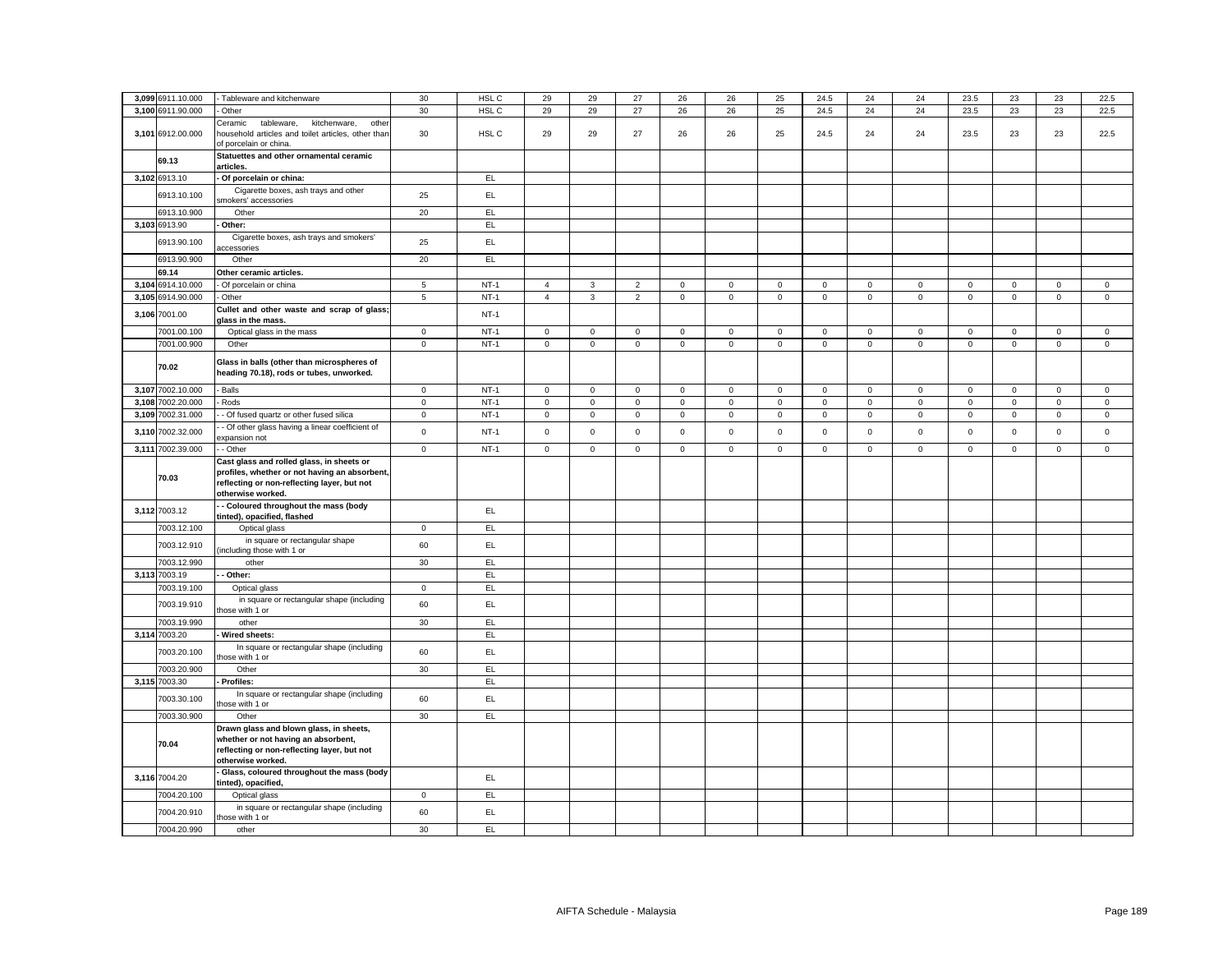| 3,099 6911.10.000 | Tableware and kitchenware                                                                                                                                      | 30              | HSL C  | 29             | 29           | 27             | 26           | 26          | 25          | 24.5                | 24          | 24           | 23.5        | 23                  | 23          | 22.5        |
|-------------------|----------------------------------------------------------------------------------------------------------------------------------------------------------------|-----------------|--------|----------------|--------------|----------------|--------------|-------------|-------------|---------------------|-------------|--------------|-------------|---------------------|-------------|-------------|
|                   |                                                                                                                                                                |                 |        |                |              |                |              |             |             |                     |             |              |             |                     |             |             |
| 3,100 6911.90.000 | Other                                                                                                                                                          | 30              | HSL C  | 29             | 29           | 27             | 26           | 26          | 25          | 24.5                | 24          | 24           | 23.5        | 23                  | 23          | 22.5        |
| 3,101 6912.00.000 | Ceramic<br>tableware,<br>kitchenware,<br>other<br>household articles and toilet articles, other than<br>of porcelain or china.                                 | 30              | HSL C  | 29             | 29           | 27             | 26           | 26          | 25          | 24.5                | 24          | 24           | 23.5        | 23                  | 23          | 22.5        |
| 69.13             | Statuettes and other ornamental ceramic<br>articles.                                                                                                           |                 |        |                |              |                |              |             |             |                     |             |              |             |                     |             |             |
| 3,102 6913.10     | Of porcelain or china:                                                                                                                                         |                 | EL     |                |              |                |              |             |             |                     |             |              |             |                     |             |             |
| 6913.10.100       | Cigarette boxes, ash trays and other<br>smokers' accessories                                                                                                   | 25              | EL.    |                |              |                |              |             |             |                     |             |              |             |                     |             |             |
| 6913.10.900       | Other                                                                                                                                                          | 20              | EL.    |                |              |                |              |             |             |                     |             |              |             |                     |             |             |
| 3,103 6913.90     | Other:                                                                                                                                                         |                 | EL.    |                |              |                |              |             |             |                     |             |              |             |                     |             |             |
| 6913.90.100       | Cigarette boxes, ash trays and smokers'<br>accessories                                                                                                         | 25              | EL     |                |              |                |              |             |             |                     |             |              |             |                     |             |             |
| 6913.90.900       | Other                                                                                                                                                          | 20              | EL     |                |              |                |              |             |             |                     |             |              |             |                     |             |             |
| 69.14             | Other ceramic articles.                                                                                                                                        |                 |        |                |              |                |              |             |             |                     |             |              |             |                     |             |             |
| 3,104 6914.10.000 | Of porcelain or china                                                                                                                                          | $5\phantom{.0}$ | $NT-1$ | $\overline{4}$ | 3            | $\overline{2}$ | $\mathbf 0$  | $\mathbf 0$ | $\mathbf 0$ | $\mathbf 0$         | $\mathbf 0$ | $\mathbf{0}$ | 0           | $\mathbf{0}$        | $\mathbf 0$ | $\mathsf 0$ |
| 3,105 6914.90.000 | Other                                                                                                                                                          | $5\phantom{.0}$ | $NT-1$ | $\overline{4}$ | $\mathbf{3}$ | $\overline{2}$ | $\mathbf 0$  | $\mathbf 0$ | $\mathsf 0$ | $\mathsf 0$         | $\mathsf 0$ | $\mathsf 0$  | $\mathsf 0$ | $\mathsf 0$         | $\mathsf 0$ | $\mathsf 0$ |
| 3,106 7001.00     | Cullet and other waste and scrap of glass;<br>glass in the mass.                                                                                               |                 | $NT-1$ |                |              |                |              |             |             |                     |             |              |             |                     |             |             |
| 7001.00.100       | Optical glass in the mass                                                                                                                                      | $\mathbf 0$     | $NT-1$ | $\mathbf 0$    | $\mathbf 0$  | $\mathbf 0$    | $\mathsf 0$  | $\mathsf 0$ | $\mathsf 0$ | $\mathbf 0$         | $\mathsf 0$ | $\mathbf 0$  | $\mathsf 0$ | $\mathsf 0$         | $\mathsf 0$ | $\mathsf 0$ |
| 7001.00.900       | Other                                                                                                                                                          | $\circ$         | $NT-1$ | $\overline{0}$ | $\mathsf 0$  | $\mathbf 0$    | $\mathbf{0}$ | $\mathbf 0$ | $\mathsf 0$ | $\mathbf 0$         | $\mathbf 0$ | $\mathbf 0$  | $\mathsf 0$ | $\mathsf{O}\xspace$ | $\mathsf 0$ | $\mathsf 0$ |
| 70.02             | Glass in balls (other than microspheres of<br>heading 70.18), rods or tubes, unworked.                                                                         |                 |        |                |              |                |              |             |             |                     |             |              |             |                     |             |             |
| 3,107 7002.10.000 | <b>Balls</b>                                                                                                                                                   | $\mathbf 0$     | $NT-1$ | $\circ$        | $\circ$      | $\mathsf 0$    | $\mathsf 0$  | $\mathbf 0$ | $\mathsf 0$ | $\mathbf 0$         | $\mathsf 0$ | $\mathsf 0$  | $\mathsf 0$ | $\mathbf 0$         | $\mathsf 0$ | $\mathsf 0$ |
| 3,108 7002.20.000 | Rods                                                                                                                                                           | $\mathsf 0$     | $NT-1$ | $\mathbf 0$    | 0            | $\mathsf 0$    | $\mathbf 0$  | $\mathbf 0$ | $\mathbf 0$ | $\mathsf{O}\xspace$ | $\mathbf 0$ | $\mathsf 0$  | 0           | $\mathbf 0$         | $\mathbf 0$ | $\mathsf 0$ |
| 3,109 7002.31.000 | - Of fused quartz or other fused silica                                                                                                                        | $\mathbf 0$     | $NT-1$ | $\overline{0}$ | $\mathsf 0$  | $\mathsf 0$    | $\mathbf{0}$ | $\mathbf 0$ | $\mathsf 0$ | $\mathsf{O}\xspace$ | $\mathbf 0$ | $\mathbf 0$  | $\mathsf 0$ | $\mathsf{O}\xspace$ | $\mathsf 0$ | $\mathsf 0$ |
| 3,110 7002.32.000 | - Of other glass having a linear coefficient of<br>xpansion not                                                                                                | $\mathbf 0$     | $NT-1$ | $\mathbf 0$    | $\mathsf 0$  | $\mathsf 0$    | $\mathsf 0$  | $\mathsf 0$ | $\mathsf 0$ | $\mathsf 0$         | $\mathbf 0$ | $\mathsf 0$  | $\mathsf 0$ | $\mathsf 0$         | $\mathbf 0$ | $\mathsf 0$ |
| 3,111 7002.39.000 | - Other                                                                                                                                                        | $\mathbf 0$     | $NT-1$ | $\mathbf 0$    | $\mathbf 0$  | $\mathsf 0$    | $\mathsf 0$  | $\mathbf 0$ | $\mathsf 0$ | $\mathbf 0$         | $\mathsf 0$ | $\mathbf 0$  | $\mathsf 0$ | $\mathsf 0$         | $\mathsf 0$ | $\mathsf 0$ |
| 70.03             | Cast glass and rolled glass, in sheets or<br>profiles, whether or not having an absorbent,<br>reflecting or non-reflecting layer, but not<br>otherwise worked. |                 |        |                |              |                |              |             |             |                     |             |              |             |                     |             |             |
| 3,112 7003.12     | - Coloured throughout the mass (body<br>tinted), opacified, flashed                                                                                            |                 | EL.    |                |              |                |              |             |             |                     |             |              |             |                     |             |             |
| 7003.12.100       | Optical glass                                                                                                                                                  | $\mathsf 0$     | EL     |                |              |                |              |             |             |                     |             |              |             |                     |             |             |
| 7003.12.910       | in square or rectangular shape<br>including those with 1 or                                                                                                    | 60              | EL     |                |              |                |              |             |             |                     |             |              |             |                     |             |             |
| 7003.12.990       | other                                                                                                                                                          | 30              | EL     |                |              |                |              |             |             |                     |             |              |             |                     |             |             |
| 3,113 7003.19     | Other:                                                                                                                                                         |                 | EL     |                |              |                |              |             |             |                     |             |              |             |                     |             |             |
| 7003.19.100       | Optical glass                                                                                                                                                  | $\mathbf 0$     | EL.    |                |              |                |              |             |             |                     |             |              |             |                     |             |             |
| 7003.19.910       | in square or rectangular shape (including<br>hose with 1 or                                                                                                    | 60              | EL     |                |              |                |              |             |             |                     |             |              |             |                     |             |             |
| 7003.19.990       | other                                                                                                                                                          | 30              | EL.    |                |              |                |              |             |             |                     |             |              |             |                     |             |             |
| 3,114 7003.20     | Wired sheets:                                                                                                                                                  |                 | EL.    |                |              |                |              |             |             |                     |             |              |             |                     |             |             |
| 7003.20.100       | In square or rectangular shape (including<br>those with 1 or                                                                                                   | 60              | EL.    |                |              |                |              |             |             |                     |             |              |             |                     |             |             |
| 7003.20.900       | Other                                                                                                                                                          | 30              | EL     |                |              |                |              |             |             |                     |             |              |             |                     |             |             |
| 3,115 7003.30     | Profiles:                                                                                                                                                      |                 | EL.    |                |              |                |              |             |             |                     |             |              |             |                     |             |             |
| 7003.30.100       | In square or rectangular shape (including<br>hose with 1 or                                                                                                    | 60              | EL.    |                |              |                |              |             |             |                     |             |              |             |                     |             |             |
| 7003.30.900       | Other                                                                                                                                                          | 30              | EL     |                |              |                |              |             |             |                     |             |              |             |                     |             |             |
| 70.04             | Drawn glass and blown glass, in sheets,<br>whether or not having an absorbent,<br>reflecting or non-reflecting layer, but not<br>otherwise worked.             |                 |        |                |              |                |              |             |             |                     |             |              |             |                     |             |             |
| 3,116 7004.20     | Glass, coloured throughout the mass (body                                                                                                                      |                 | EL     |                |              |                |              |             |             |                     |             |              |             |                     |             |             |
| 7004.20.100       | tinted), opacified,<br>Optical glass                                                                                                                           | $\overline{0}$  | EL     |                |              |                |              |             |             |                     |             |              |             |                     |             |             |
|                   | in square or rectangular shape (including                                                                                                                      |                 |        |                |              |                |              |             |             |                     |             |              |             |                     |             |             |
| 7004.20.910       | hose with 1 or                                                                                                                                                 | 60              | EL.    |                |              |                |              |             |             |                     |             |              |             |                     |             |             |
| 7004.20.990       | other                                                                                                                                                          | 30              | EL.    |                |              |                |              |             |             |                     |             |              |             |                     |             |             |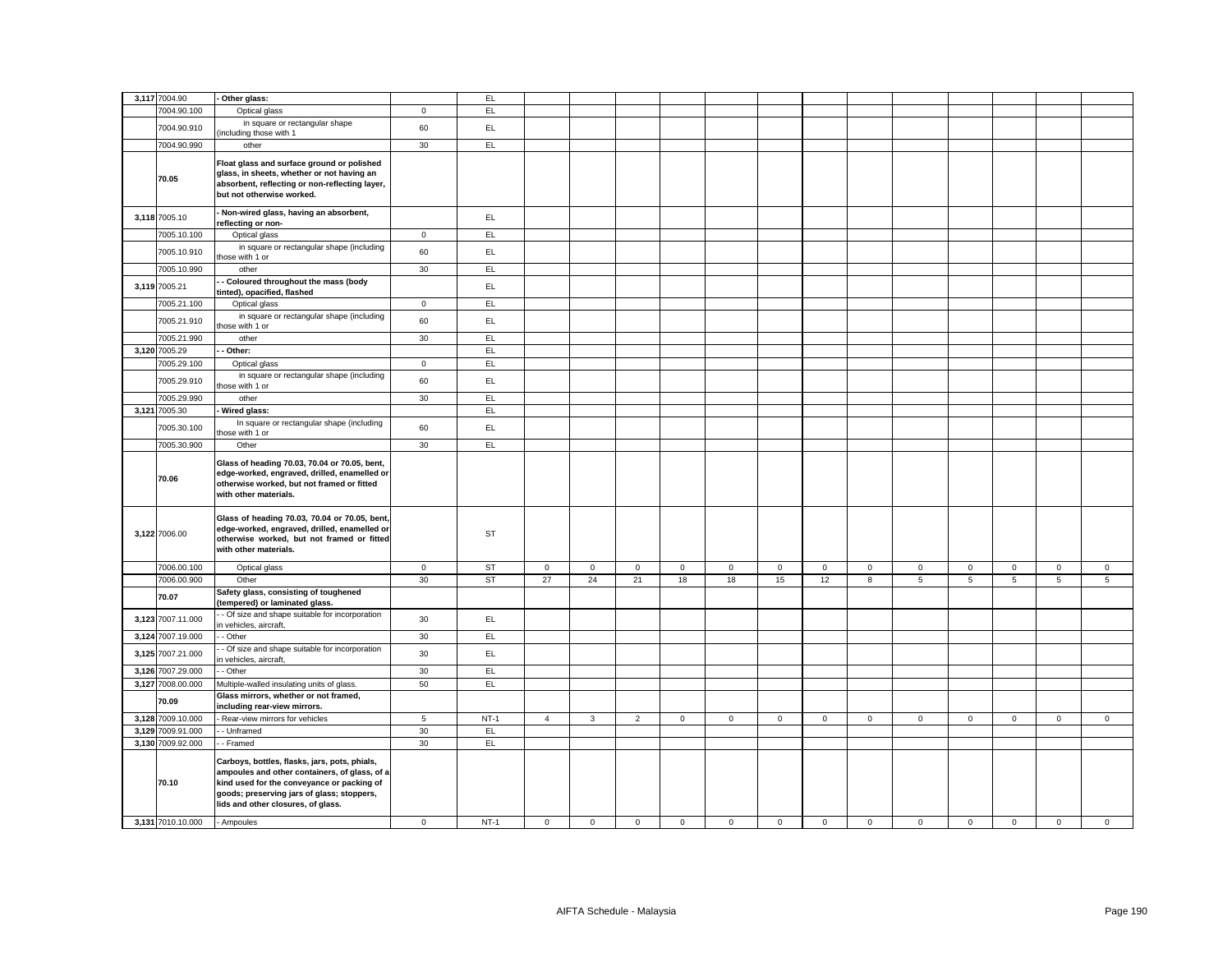| 3,117 7004.90     | Other glass:                                                                                                                                                                                                                     |                 | EL.       |                |              |                |             |             |             |              |                |                     |             |             |             |              |
|-------------------|----------------------------------------------------------------------------------------------------------------------------------------------------------------------------------------------------------------------------------|-----------------|-----------|----------------|--------------|----------------|-------------|-------------|-------------|--------------|----------------|---------------------|-------------|-------------|-------------|--------------|
| 7004.90.100       | Optical glass                                                                                                                                                                                                                    | $\mathbf 0$     | EL.       |                |              |                |             |             |             |              |                |                     |             |             |             |              |
| 7004.90.910       | in square or rectangular shape                                                                                                                                                                                                   | 60              | EL.       |                |              |                |             |             |             |              |                |                     |             |             |             |              |
| 7004.90.990       | including those with 1<br>other                                                                                                                                                                                                  | 30              | EL        |                |              |                |             |             |             |              |                |                     |             |             |             |              |
| 70.05             | Float glass and surface ground or polished<br>glass, in sheets, whether or not having an<br>absorbent, reflecting or non-reflecting layer,<br>but not otherwise worked.                                                          |                 |           |                |              |                |             |             |             |              |                |                     |             |             |             |              |
| 3,118 7005.10     | Non-wired glass, having an absorbent,<br>reflecting or non-                                                                                                                                                                      |                 | EL        |                |              |                |             |             |             |              |                |                     |             |             |             |              |
| 7005.10.100       | Optical glass                                                                                                                                                                                                                    | $\mathbf 0$     | EL        |                |              |                |             |             |             |              |                |                     |             |             |             |              |
| 7005.10.910       | in square or rectangular shape (including<br>hose with 1 or                                                                                                                                                                      | 60              | EL        |                |              |                |             |             |             |              |                |                     |             |             |             |              |
| 7005.10.990       | other                                                                                                                                                                                                                            | 30              | EL.       |                |              |                |             |             |             |              |                |                     |             |             |             |              |
| 3,119 7005.21     | Coloured throughout the mass (body<br>tinted), opacified, flashed                                                                                                                                                                |                 | EL.       |                |              |                |             |             |             |              |                |                     |             |             |             |              |
| 7005.21.100       | Optical glass                                                                                                                                                                                                                    | $\mathbf 0$     | EL        |                |              |                |             |             |             |              |                |                     |             |             |             |              |
| 7005.21.910       | in square or rectangular shape (including<br>hose with 1 or                                                                                                                                                                      | 60              | EL.       |                |              |                |             |             |             |              |                |                     |             |             |             |              |
| 7005.21.990       | other                                                                                                                                                                                                                            | 30              | EL        |                |              |                |             |             |             |              |                |                     |             |             |             |              |
| 3,120 7005.29     | Other:                                                                                                                                                                                                                           |                 | <b>EL</b> |                |              |                |             |             |             |              |                |                     |             |             |             |              |
| 7005.29.100       | Optical glass                                                                                                                                                                                                                    | $\mathbf 0$     | EL        |                |              |                |             |             |             |              |                |                     |             |             |             |              |
| 7005.29.910       | in square or rectangular shape (including<br>hose with 1 or                                                                                                                                                                      | 60              | EL        |                |              |                |             |             |             |              |                |                     |             |             |             |              |
| 7005.29.990       | other                                                                                                                                                                                                                            | 30              | EL        |                |              |                |             |             |             |              |                |                     |             |             |             |              |
| 3,121 7005.30     | Wired glass:                                                                                                                                                                                                                     |                 | <b>EL</b> |                |              |                |             |             |             |              |                |                     |             |             |             |              |
| 7005.30.100       | In square or rectangular shape (including<br>hose with 1 or                                                                                                                                                                      | 60              | EL        |                |              |                |             |             |             |              |                |                     |             |             |             |              |
| 7005.30.900       | Other                                                                                                                                                                                                                            | 30              | EL        |                |              |                |             |             |             |              |                |                     |             |             |             |              |
| 70.06             | Glass of heading 70.03, 70.04 or 70.05, bent,<br>edge-worked, engraved, drilled, enamelled or<br>otherwise worked, but not framed or fitted<br>with other materials.                                                             |                 |           |                |              |                |             |             |             |              |                |                     |             |             |             |              |
| 3,122 7006.00     | Glass of heading 70.03, 70.04 or 70.05, bent,<br>edge-worked, engraved, drilled, enamelled or<br>otherwise worked, but not framed or fitted<br>with other materials.                                                             |                 | ST        |                |              |                |             |             |             |              |                |                     |             |             |             |              |
| 7006.00.100       | Optical glass                                                                                                                                                                                                                    | $\mathbf 0$     | <b>ST</b> | $\mathsf 0$    | $\mathbf 0$  | $\mathsf 0$    | $\mathsf 0$ | $\mathsf 0$ | $\mathbf 0$ | $\mathsf 0$  | $\mathbf{0}$   | $\mathsf{O}\xspace$ | $\mathbf 0$ | $\mathbf 0$ | $\mathsf 0$ | $\mathbf{0}$ |
| 7006.00.900       | Other                                                                                                                                                                                                                            | 30              | <b>ST</b> | 27             | 24           | 21             | 18          | 18          | 15          | 12           | 8              | 5                   | $\,$ 5 $\,$ | $\,$ 5 $\,$ | $\sqrt{5}$  | $\,$ 5 $\,$  |
| 70.07             | Safety glass, consisting of toughened<br>(tempered) or laminated glass.                                                                                                                                                          |                 |           |                |              |                |             |             |             |              |                |                     |             |             |             |              |
| 3,123 7007.11.000 | - Of size and shape suitable for incorporation<br>n vehicles, aircraft,                                                                                                                                                          | 30              | EL        |                |              |                |             |             |             |              |                |                     |             |             |             |              |
| 3,124 7007.19.000 | - Other                                                                                                                                                                                                                          | 30              | EL.       |                |              |                |             |             |             |              |                |                     |             |             |             |              |
| 3,125 7007.21.000 | - Of size and shape suitable for incorporation<br>n vehicles, aircraft,                                                                                                                                                          | 30              | EL        |                |              |                |             |             |             |              |                |                     |             |             |             |              |
| 3,126 7007.29.000 | - Other                                                                                                                                                                                                                          | 30              | EL.       |                |              |                |             |             |             |              |                |                     |             |             |             |              |
| 3,127 7008.00.000 | Multiple-walled insulating units of glass.                                                                                                                                                                                       | 50              | EL        |                |              |                |             |             |             |              |                |                     |             |             |             |              |
| 70.09             | Glass mirrors, whether or not framed,<br>including rear-view mirrors.                                                                                                                                                            |                 |           |                |              |                |             |             |             |              |                |                     |             |             |             |              |
| 3,128 7009.10.000 | Rear-view mirrors for vehicles                                                                                                                                                                                                   | $5\overline{5}$ | $NT-1$    | $\overline{4}$ | $\mathbf{3}$ | $\overline{2}$ | $\mathsf 0$ | $\mathbf 0$ | $\mathbf 0$ | $\mathbf{0}$ | $\overline{0}$ | $\mathbf 0$         | $\,0\,$     | $\mathsf 0$ | $\mathsf 0$ | $\mathsf 0$  |
| 3,129 7009.91.000 | - Unframed                                                                                                                                                                                                                       | 30              | EL.       |                |              |                |             |             |             |              |                |                     |             |             |             |              |
| 3,130 7009.92.000 | - Framed                                                                                                                                                                                                                         | 30              | EL        |                |              |                |             |             |             |              |                |                     |             |             |             |              |
| 70.10             | Carboys, bottles, flasks, jars, pots, phials,<br>ampoules and other containers, of glass, of a<br>kind used for the conveyance or packing of<br>goods; preserving jars of glass; stoppers,<br>lids and other closures, of glass. |                 |           |                |              |                |             |             |             |              |                |                     |             |             |             |              |
| 3,131 7010.10.000 | - Ampoules                                                                                                                                                                                                                       | $\mathbf 0$     | $NT-1$    | $\mathsf 0$    | $\mathbf 0$  | $\mathsf 0$    | $\mathsf 0$ | $\mathbf 0$ | $\mathsf 0$ | $\mathsf 0$  | $\mathbf{0}$   | $\mathbf 0$         | $\mathbf 0$ | $\mathsf 0$ | $\mathsf 0$ | $\mathsf 0$  |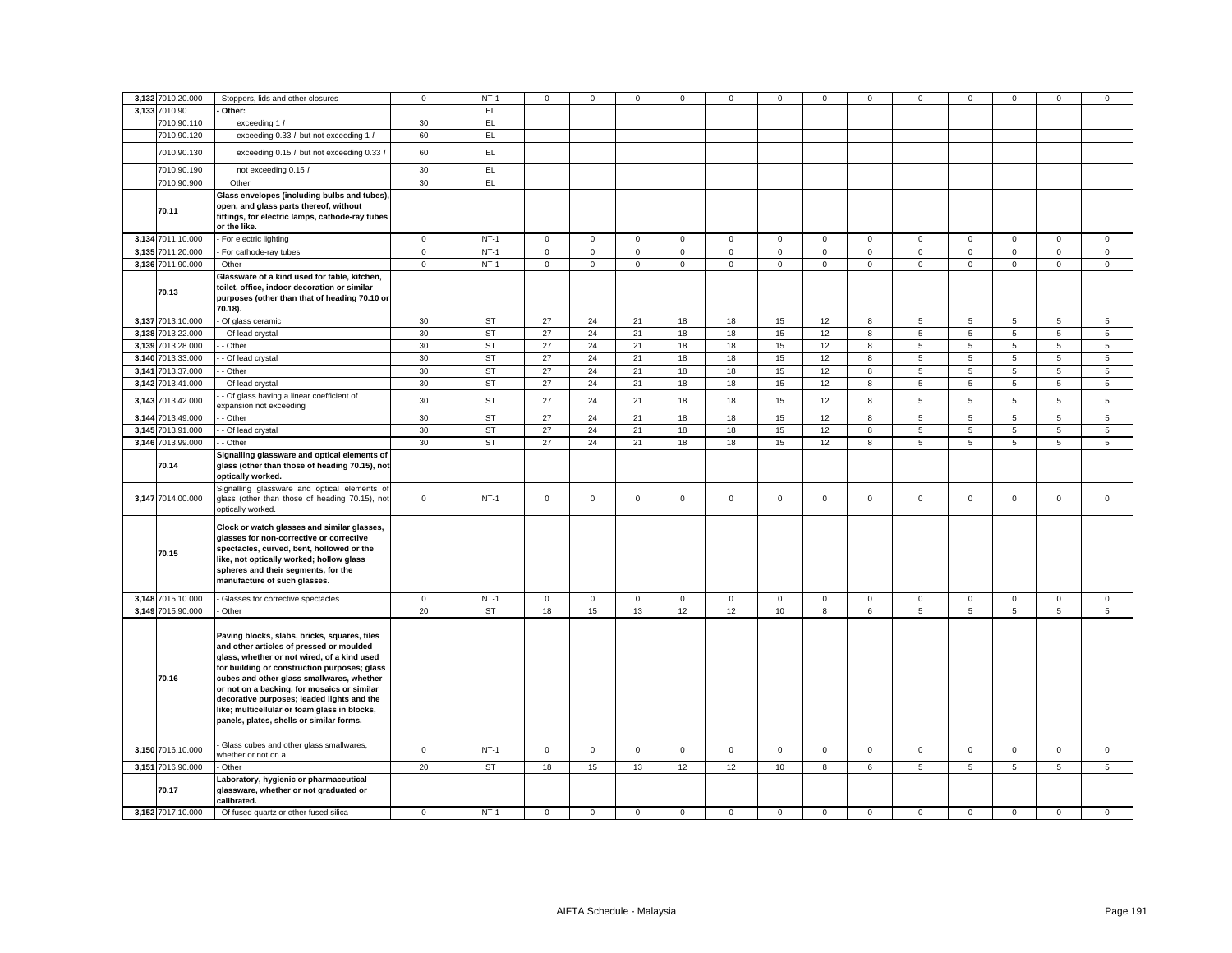|       | 3,132 7010.20.000 | - Stoppers, lids and other closures                                                                                                                                                                                                                                                                                                                                                                                           | $\mathbf 0$ | $NT-1$    | $\mathsf 0$ | $\mathbf 0$  | $\mathbf 0$ | $\mathbf 0$ | 0            | $\mathbf 0$ | $\mathbf 0$ | $\mathbf 0$ | 0              | 0               | $\mathbf 0$     | 0              | $\mathbf 0$ |
|-------|-------------------|-------------------------------------------------------------------------------------------------------------------------------------------------------------------------------------------------------------------------------------------------------------------------------------------------------------------------------------------------------------------------------------------------------------------------------|-------------|-----------|-------------|--------------|-------------|-------------|--------------|-------------|-------------|-------------|----------------|-----------------|-----------------|----------------|-------------|
|       | 3.133 7010.90     | Other:                                                                                                                                                                                                                                                                                                                                                                                                                        |             | EL        |             |              |             |             |              |             |             |             |                |                 |                 |                |             |
|       | 7010.90.110       | exceeding 1 /                                                                                                                                                                                                                                                                                                                                                                                                                 | 30          | EL.       |             |              |             |             |              |             |             |             |                |                 |                 |                |             |
|       | 7010.90.120       | exceeding 0.33 / but not exceeding 1 /                                                                                                                                                                                                                                                                                                                                                                                        | 60          | EL        |             |              |             |             |              |             |             |             |                |                 |                 |                |             |
|       | 7010.90.130       | exceeding 0.15 / but not exceeding 0.33 /                                                                                                                                                                                                                                                                                                                                                                                     | 60          | EL.       |             |              |             |             |              |             |             |             |                |                 |                 |                |             |
|       | 7010.90.190       | not exceeding 0.15 /                                                                                                                                                                                                                                                                                                                                                                                                          | 30          | EL        |             |              |             |             |              |             |             |             |                |                 |                 |                |             |
|       | 7010.90.900       | Other                                                                                                                                                                                                                                                                                                                                                                                                                         | 30          | EL        |             |              |             |             |              |             |             |             |                |                 |                 |                |             |
|       | 70.11             | Glass envelopes (including bulbs and tubes),<br>open, and glass parts thereof, without<br>fittings, for electric lamps, cathode-ray tubes<br>or the like.                                                                                                                                                                                                                                                                     |             |           |             |              |             |             |              |             |             |             |                |                 |                 |                |             |
|       | 3,134 7011.10.000 | - For electric lighting                                                                                                                                                                                                                                                                                                                                                                                                       | $\mathbf 0$ | $NT-1$    | $\mathsf 0$ | $\mathbf{0}$ | $\mathbf 0$ | $\mathbf 0$ | $\mathbf 0$  | $\mathbf 0$ | $\mathbf 0$ | $\mathbf 0$ | $\mathbf 0$    | $\mathbf 0$     | $\mathbf 0$     | 0              | $\mathbf 0$ |
|       | 3,135 7011.20.000 | - For cathode-ray tubes                                                                                                                                                                                                                                                                                                                                                                                                       | $\mathbf 0$ | $NT-1$    | $\mathsf 0$ | $\mathbf 0$  | $\mathsf 0$ | $\mathbf 0$ | $\mathbf 0$  | $\mathbf 0$ | $\mathbf 0$ | $\mathsf 0$ | $\mathbf{0}$   | $\mathsf 0$     | $\circ$         | $\mathbf 0$    | $\mathsf 0$ |
|       | 3,136 7011.90.000 | Other                                                                                                                                                                                                                                                                                                                                                                                                                         | $\mathbf 0$ | $NT-1$    | $\mathbf 0$ | $\mathbf 0$  | $\mathsf 0$ | $\mathbf 0$ | $\mathbf 0$  | $\mathbf 0$ | $\mathsf 0$ | $\mathbf 0$ | $\mathbf 0$    | $\mathsf 0$     | $\mathbf 0$     | $\mathsf 0$    | $\mathsf 0$ |
|       | 70.13             | Glassware of a kind used for table, kitchen,<br>toilet, office, indoor decoration or similar<br>purposes (other than that of heading 70.10 or<br>70.18).                                                                                                                                                                                                                                                                      |             |           |             |              |             |             |              |             |             |             |                |                 |                 |                |             |
|       | 3,137 7013.10.000 | - Of glass ceramic                                                                                                                                                                                                                                                                                                                                                                                                            | 30          | ST        | 27          | 24           | 21          | 18          | 18           | 15          | 12          | 8           | 5              | 5               | 5               | 5              | 5           |
|       | 3,138 7013.22.000 | - Of lead crystal                                                                                                                                                                                                                                                                                                                                                                                                             | 30          | <b>ST</b> | 27          | 24           | 21          | 18          | 18           | 15          | 12          | 8           | 5              | 5               | 5               | 5              | 5           |
|       | 3,139 7013.28.000 | Other                                                                                                                                                                                                                                                                                                                                                                                                                         | 30          | <b>ST</b> | 27          | 24           | 21          | 18          | 18           | 15          | 12          | 8           | 5              | 5               | 5               | 5              | 5           |
|       | 3,140 7013.33.000 | Of lead crystal                                                                                                                                                                                                                                                                                                                                                                                                               | 30          | ST        | 27          | 24           | 21          | 18          | 18           | 15          | 12          | 8           | 5              | 5               | $5\phantom{.0}$ | 5              | 5           |
| 3,141 | 7013.37.000       | Other                                                                                                                                                                                                                                                                                                                                                                                                                         | 30          | <b>ST</b> | 27          | 24           | 21          | 18          | 18           | 15          | 12          | 8           | 5              | 5               | 5               | 5              | 5           |
|       | 3,142 7013.41.000 | - Of lead crystal                                                                                                                                                                                                                                                                                                                                                                                                             | 30          | <b>ST</b> | 27          | 24           | 21          | 18          | 18           | 15          | 12          | 8           | 5              | 5               | 5               | 5              | 5           |
|       | 3,143 7013.42.000 | - Of glass having a linear coefficient of<br>expansion not exceeding                                                                                                                                                                                                                                                                                                                                                          | 30          | <b>ST</b> | 27          | 24           | 21          | 18          | 18           | 15          | 12          | 8           | 5              | 5               | 5               | 5              | 5           |
|       | 3,144 7013.49.000 | - Other                                                                                                                                                                                                                                                                                                                                                                                                                       | 30          | <b>ST</b> | 27          | 24           | 21          | 18          | 18           | 15          | 12          | 8           | $\overline{5}$ | $5\phantom{.0}$ | 5               | 5              | 5           |
|       | 3,145 7013.91.000 | - Of lead crystal                                                                                                                                                                                                                                                                                                                                                                                                             | 30          | <b>ST</b> | 27          | 24           | 21          | 18          | 18           | 15          | 12          | 8           | 5              | 5               | 5               | 5              | 5           |
|       | 3,146 7013.99.000 | - Other                                                                                                                                                                                                                                                                                                                                                                                                                       | 30          | <b>ST</b> | 27          | 24           | 21          | 18          | 18           | 15          | 12          | 8           | 5              | 5               | 5               | 5              | 5           |
|       | 70.14             | Signalling glassware and optical elements of<br>glass (other than those of heading 70.15), not<br>optically worked.<br>Signalling glassware and optical elements of                                                                                                                                                                                                                                                           |             |           |             |              |             |             |              |             |             |             |                |                 |                 |                |             |
|       | 3,147 7014.00.000 | glass (other than those of heading 70.15), not<br>optically worked.                                                                                                                                                                                                                                                                                                                                                           | $\mathbf 0$ | $NT-1$    | $\mathsf 0$ | $\mathbf 0$  | $\mathsf 0$ | $\mathbf 0$ | $\mathbf 0$  | $\mathsf 0$ | $\mathsf 0$ | $\mathbf 0$ | $\mathbf 0$    | $\mathsf 0$     | $\mathbf 0$     | $\mathbf 0$    | $\mathsf 0$ |
|       | 70.15             | Clock or watch glasses and similar glasses,<br>glasses for non-corrective or corrective<br>spectacles, curved, bent, hollowed or the<br>like, not optically worked; hollow glass<br>spheres and their segments, for the<br>manufacture of such glasses.                                                                                                                                                                       |             |           |             |              |             |             |              |             |             |             |                |                 |                 |                |             |
|       | 3,148 7015.10.000 | - Glasses for corrective spectacles                                                                                                                                                                                                                                                                                                                                                                                           | $\mathbf 0$ | $NT-1$    | $\circ$     | $\mathbf{0}$ | $\mathbf 0$ | $\mathbf 0$ | $\mathbf 0$  | $\mathbf 0$ | $^{\circ}$  | $\mathsf 0$ | $\mathbf 0$    | $\mathbf 0$     | $\mathbf{0}$    | $\mathbf 0$    | $\mathbf 0$ |
|       | 3,149 7015.90.000 | - Other                                                                                                                                                                                                                                                                                                                                                                                                                       | 20          | ST        | 18          | 15           | 13          | 12          | 12           | 10          | 8           | 6           | 5              | 5               | 5               | 5              | 5           |
|       | 70.16             | Paving blocks, slabs, bricks, squares, tiles<br>and other articles of pressed or moulded<br>glass, whether or not wired, of a kind used<br>for building or construction purposes; glass<br>cubes and other glass smallwares, whether<br>or not on a backing, for mosaics or similar<br>decorative purposes; leaded lights and the<br>like; multicellular or foam glass in blocks,<br>panels, plates, shells or similar forms. |             |           |             |              |             |             |              |             |             |             |                |                 |                 |                |             |
|       | 3,150 7016.10.000 | Glass cubes and other glass smallwares,<br>whether or not on a                                                                                                                                                                                                                                                                                                                                                                | $\mathsf 0$ | $NT-1$    | $\circ$     | $\mathbf 0$  | $\mathbf 0$ | $\mathbf 0$ | $\mathbf{0}$ | $\mathbf 0$ | $\mathbf 0$ | $\mathbf 0$ | $\mathbf 0$    | $\mathbf 0$     | $\mathbf{0}$    | $\mathbf 0$    | $\mathbf 0$ |
|       | 3,151 7016.90.000 | Other                                                                                                                                                                                                                                                                                                                                                                                                                         | 20          | ST        | 18          | 15           | 13          | 12          | 12           | 10          | 8           | 6           | 5              | 5               | 5               | $\overline{5}$ | 5           |
|       | 70.17             | Laboratory, hygienic or pharmaceutical<br>glassware, whether or not graduated or<br>calibrated.                                                                                                                                                                                                                                                                                                                               |             |           |             |              |             |             |              |             |             |             |                |                 |                 |                |             |
|       | 3,152 7017.10.000 | - Of fused quartz or other fused silica                                                                                                                                                                                                                                                                                                                                                                                       | $\mathbf 0$ | $NT-1$    | $\mathbf 0$ | $\mathbf{0}$ | $\mathbf 0$ | $\mathbf 0$ | $\mathbf 0$  | 0           | $^{\circ}$  | $\mathbf 0$ | $\mathbf 0$    | 0               | $\mathbf{0}$    | 0              | $\mathsf 0$ |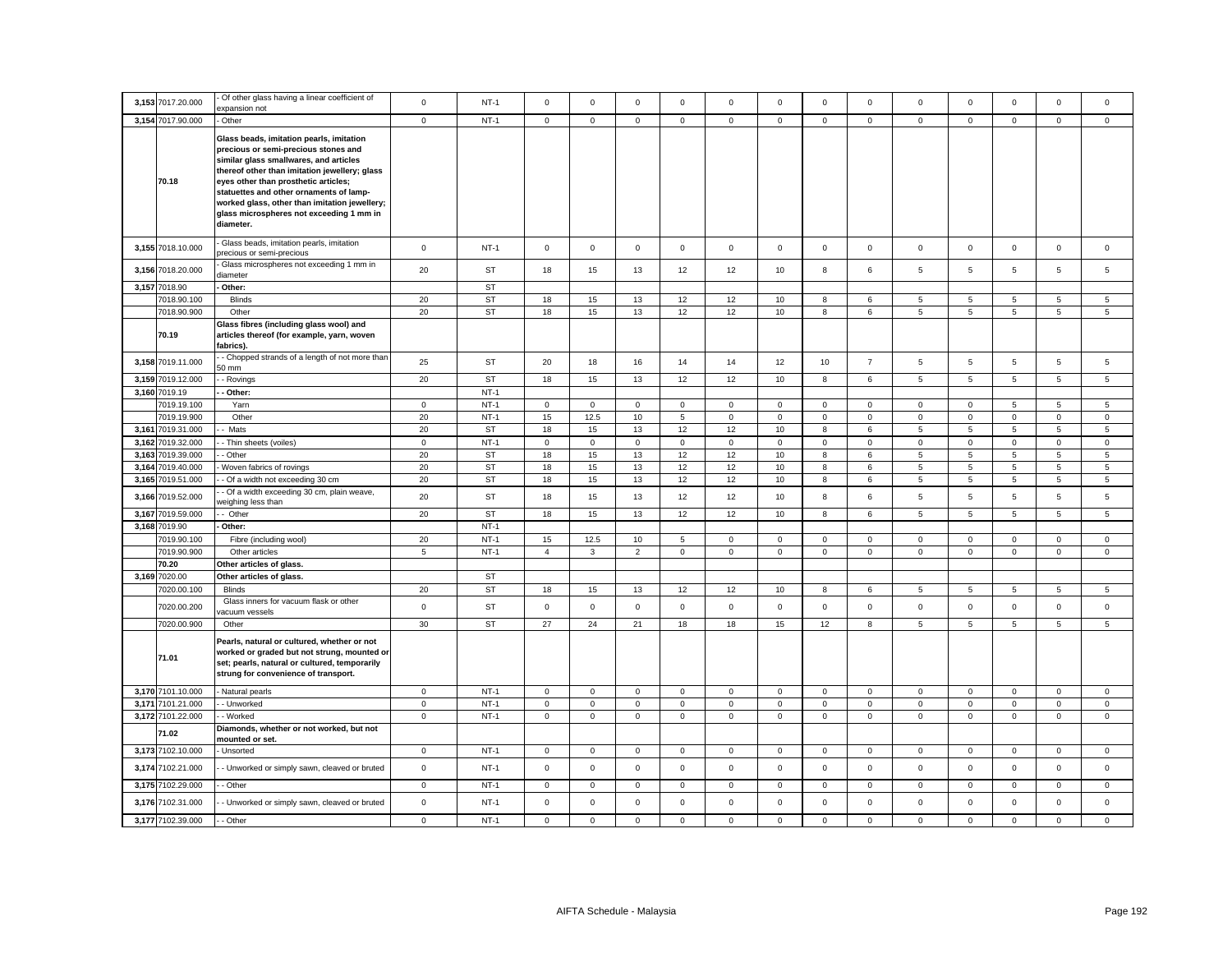|       | 3,153 7017.20.000          | Of other glass having a linear coefficient of                                                                                                                                                                                                                                                                                                                            | $\mathsf 0$    | $NT-1$           | $\mathsf 0$          | $\mathbf 0$ | $\mathsf 0$            | $\mathbf 0$    | $\mathbf 0$                | $\mathsf 0$ | $\mathsf 0$                | $\mathsf 0$                 | $\mathsf 0$                | $\mathbf 0$                | $\mathsf 0$                | $\mathsf 0$                | $\Omega$                   |
|-------|----------------------------|--------------------------------------------------------------------------------------------------------------------------------------------------------------------------------------------------------------------------------------------------------------------------------------------------------------------------------------------------------------------------|----------------|------------------|----------------------|-------------|------------------------|----------------|----------------------------|-------------|----------------------------|-----------------------------|----------------------------|----------------------------|----------------------------|----------------------------|----------------------------|
|       |                            | expansion not                                                                                                                                                                                                                                                                                                                                                            |                |                  |                      |             |                        |                |                            |             |                            |                             |                            |                            |                            |                            |                            |
|       | 3,154 7017.90.000          | - Other                                                                                                                                                                                                                                                                                                                                                                  | $\mathbf 0$    | $NT-1$           | $\mathsf 0$          | $\mathbf 0$ | $\mathsf 0$            | 0              | $\mathbf 0$                | $\mathsf 0$ | $\mathbf{0}$               | $\mathbf 0$                 | $\mathbf 0$                | $\mathbf 0$                | $\mathbf 0$                | $\mathsf 0$                | $\mathbf 0$                |
|       | 70.18                      | Glass beads, imitation pearls, imitation<br>precious or semi-precious stones and<br>similar glass smallwares, and articles<br>thereof other than imitation jewellery; glass<br>eyes other than prosthetic articles;<br>statuettes and other ornaments of lamp-<br>worked glass, other than imitation jewellery;<br>glass microspheres not exceeding 1 mm in<br>diameter. |                |                  |                      |             |                        |                |                            |             |                            |                             |                            |                            |                            |                            |                            |
|       | 3,155 7018.10.000          | Glass beads, imitation pearls, imitation<br>precious or semi-precious                                                                                                                                                                                                                                                                                                    | $\mathbf 0$    | $NT-1$           | $\mathsf 0$          | $\mathbf 0$ | $\mathsf 0$            | $\mathsf 0$    | $\mathbf 0$                | $\mathsf 0$ | $\mathbf{0}$               | $\mathsf 0$                 | $\mathsf 0$                | $\mathbf 0$                | $\mathbf 0$                | $\mathsf 0$                | $\mathbf 0$                |
| 3,156 | 7018.20.000                | Glass microspheres not exceeding 1 mm in<br>liameter                                                                                                                                                                                                                                                                                                                     | 20             | ST               | 18                   | 15          | 13                     | 12             | 12                         | 10          | 8                          | 6                           | 5                          | 5                          | 5                          | $\overline{5}$             | 5                          |
|       | 3,157 7018.90              | Other:                                                                                                                                                                                                                                                                                                                                                                   |                | <b>ST</b>        |                      |             |                        |                |                            |             |                            |                             |                            |                            |                            |                            |                            |
|       | 7018.90.100                | <b>Blinds</b>                                                                                                                                                                                                                                                                                                                                                            | 20             | <b>ST</b>        | 18                   | 15          | 13                     | 12             | 12                         | 10          | 8                          | 6                           | 5                          | 5                          | 5                          | 5                          | 5                          |
|       | 7018.90.900                | Other                                                                                                                                                                                                                                                                                                                                                                    | 20             | ST               | 18                   | 15          | 13                     | 12             | 12                         | 10          | 8                          | 6                           | 5                          | $\sqrt{5}$                 | $5\phantom{.0}$            | $5\overline{5}$            | $5\overline{5}$            |
|       | 70.19                      | Glass fibres (including glass wool) and<br>articles thereof (for example, yarn, woven<br>fabrics).                                                                                                                                                                                                                                                                       |                |                  |                      |             |                        |                |                            |             |                            |                             |                            |                            |                            |                            |                            |
|       | 3,158 7019.11.000          | - Chopped strands of a length of not more than<br>50 mm                                                                                                                                                                                                                                                                                                                  | 25             | ST               | 20                   | 18          | 16                     | 14             | 14                         | 12          | 10                         | $\overline{7}$              | $\overline{5}$             | $\sqrt{5}$                 | 5                          | 5                          | 5                          |
|       | 3,159 7019.12.000          | - Rovings                                                                                                                                                                                                                                                                                                                                                                | 20             | <b>ST</b>        | 18                   | 15          | 13                     | 12             | 12                         | 10          | 8                          | 6                           | 5                          | $\overline{5}$             | 5                          | $5\phantom{.0}$            | 5                          |
| 3,160 | 7019.19                    | - Other:                                                                                                                                                                                                                                                                                                                                                                 |                | $NT-1$           |                      |             |                        |                |                            |             |                            |                             |                            |                            |                            |                            |                            |
|       | 7019.19.100                | Yarn                                                                                                                                                                                                                                                                                                                                                                     | $\mathbf 0$    | $NT-1$           | 0                    | 0           | $\mathsf 0$            | 0              | $\mathbf 0$                | 0           | $\mathsf 0$                | 0                           | $\mathsf 0$                | $\mathbf 0$                | 5                          | 5                          | 5                          |
|       | 7019.19.900                | Other                                                                                                                                                                                                                                                                                                                                                                    | 20             | $NT-1$           | 15                   | 12.5        | 10                     | $\overline{5}$ | $\mathbf 0$                | $\mathsf 0$ | $\overline{0}$             | $\mathsf 0$                 | $\mathsf 0$                | $\overline{0}$             | $\mathbf 0$                | $\mathsf 0$                | 0                          |
|       | 3,161 7019.31.000          | Mats                                                                                                                                                                                                                                                                                                                                                                     | 20             | <b>ST</b>        | 18                   | 15          | 13                     | 12             | 12                         | 10          | 8                          | 6                           | 5                          | $5\phantom{.0}$            | 5                          | $5\overline{5}$            | $5\overline{5}$            |
|       | 3,162 7019.32.000          | - Thin sheets (voiles)                                                                                                                                                                                                                                                                                                                                                   | $\mathbf 0$    | $NT-1$           | 0                    | $\mathsf 0$ | $\mathbf 0$            | 0              | $\mathbf 0$                | 0           | $\mathsf 0$                | 0                           | 0                          | $\mathbf 0$                | $\mathsf 0$                | $\mathbf 0$                | $\mathbf 0$                |
|       | 3,163 7019.39.000          | - Other                                                                                                                                                                                                                                                                                                                                                                  | 20             | ST               | 18                   | 15          | 13                     | 12             | 12                         | 10          | 8                          | 6                           | 5                          | 5                          | 5                          | 5                          | $5\overline{5}$            |
| 3,164 | 7019.40.000                | Woven fabrics of rovings                                                                                                                                                                                                                                                                                                                                                 | 20             | ST               | 18                   | 15          | 13                     | 12             | 12                         | 10          | 8                          | 6                           | 5                          | $\sqrt{5}$                 | 5                          | $5\overline{5}$            | 5                          |
|       | 3,165 7019.51.000          | - Of a width not exceeding 30 cm<br>- Of a width exceeding 30 cm, plain weave,                                                                                                                                                                                                                                                                                           | 20             | <b>ST</b>        | 18                   | 15          | $13\,$                 | 12             | 12                         | $10$        | $\bf8$                     | 6                           | $\overline{5}$             | $\overline{5}$             | 5                          | $\,$ 5 $\,$                | $5\phantom{.0}$            |
| 3,166 | 7019.52.000                | veighing less than                                                                                                                                                                                                                                                                                                                                                       | 20             | ST               | 18                   | 15          | 13                     | 12             | 12                         | 10          | 8                          | 6                           | 5                          | 5                          | 5                          | 5                          | 5                          |
| 3,167 | 7019.59.000                | - Other                                                                                                                                                                                                                                                                                                                                                                  | 20             | <b>ST</b>        | 18                   | 15          | 13                     | 12             | 12                         | 10          | 8                          | 6                           | 5                          | $\overline{5}$             | 5                          | $\overline{5}$             | 5                          |
|       | 3,168 7019.90              | Other:                                                                                                                                                                                                                                                                                                                                                                   |                | $NT-1$           |                      |             |                        |                |                            |             |                            |                             |                            |                            |                            |                            |                            |
|       | 7019.90.100<br>7019.90.900 | Fibre (including wool)                                                                                                                                                                                                                                                                                                                                                   | 20             | $NT-1$<br>$NT-1$ | 15<br>$\overline{4}$ | 12.5        | $10$<br>$\overline{2}$ | $\,$ 5 $\,$    | $\mathsf 0$<br>$\mathbf 0$ | $\mathbf 0$ | $\mathsf 0$<br>$\mathbf 0$ | $\mathbf 0$<br>$\mathbf{0}$ | $\mathsf 0$<br>$\mathbf 0$ | $\mathbf 0$<br>$\mathbf 0$ | $\mathsf 0$<br>$\mathbf 0$ | $\mathbf 0$<br>$\mathsf 0$ | $\mathsf 0$<br>$\mathbf 0$ |
|       | 70.20                      | Other articles<br>Other articles of glass.                                                                                                                                                                                                                                                                                                                               | $\overline{5}$ |                  |                      | 3           |                        | 0              |                            | $\mathbf 0$ |                            |                             |                            |                            |                            |                            |                            |
|       | 3,169 7020.00              | Other articles of glass.                                                                                                                                                                                                                                                                                                                                                 |                | <b>ST</b>        |                      |             |                        |                |                            |             |                            |                             |                            |                            |                            |                            |                            |
|       | 7020.00.100                | <b>Blinds</b>                                                                                                                                                                                                                                                                                                                                                            | 20             | <b>ST</b>        | 18                   | 15          | 13                     | 12             | 12                         | 10          | 8                          | 6                           | 5                          | $\,$ 5 $\,$                | $\sqrt{5}$                 | 5                          | $\,$ 5 $\,$                |
|       | 7020.00.200                | Glass inners for vacuum flask or other                                                                                                                                                                                                                                                                                                                                   | $\mathsf 0$    | <b>ST</b>        |                      | $\mathsf 0$ | $\mathsf 0$            |                | $\mathsf 0$                | $\mathsf 0$ | $\mathbf 0$                |                             |                            | $\mathbf 0$                | $\mathsf{O}\xspace$        | $\mathsf 0$                | $\mathsf 0$                |
|       | 7020.00.900                | acuum vessels<br>Other                                                                                                                                                                                                                                                                                                                                                   | 30             | <b>ST</b>        | $\mathbf 0$<br>27    | 24          | 21                     | 0<br>18        | 18                         | 15          | 12                         | 0<br>8                      | 0<br>5                     | $\overline{5}$             | 5                          | $\overline{5}$             | 5                          |
|       | 71.01                      | Pearls, natural or cultured, whether or not<br>worked or graded but not strung, mounted or<br>set; pearls, natural or cultured, temporarily<br>strung for convenience of transport.                                                                                                                                                                                      |                |                  |                      |             |                        |                |                            |             |                            |                             |                            |                            |                            |                            |                            |
|       | 3,170 7101.10.000          | - Natural pearls                                                                                                                                                                                                                                                                                                                                                         | $\mathbf 0$    | $NT-1$           | $\mathbf 0$          | $\mathbf 0$ | $\mathsf 0$            | 0              | $\mathbf 0$                | $\mathbf 0$ | $\mathbf{0}$               | $\mathbf 0$                 | 0                          | $\mathbf 0$                | $\mathbf 0$                | $\mathsf 0$                | 0                          |
|       | 3,171 7101.21.000          | - Unworked                                                                                                                                                                                                                                                                                                                                                               | $\circ$        | $NT-1$           | $\mathsf 0$          | $\mathbf 0$ | $\mathbf{0}$           | $\mathbf 0$    | $\mathbf 0$                | $\mathsf 0$ | $\mathbf 0$                | $\mathbf{0}$                | $\mathbf 0$                | $\mathbf 0$                | $\mathbf 0$                | $\mathbf{0}$               | $\mathbf{0}$               |
|       | 3,172 7101.22.000          | - Worked                                                                                                                                                                                                                                                                                                                                                                 | $\mathbf 0$    | $NT-1$           | $\mathsf 0$          | $\mathbf 0$ | $\mathsf 0$            | $\mathbf 0$    | $\mathsf 0$                | $\mathsf 0$ | $\mathbf 0$                | $\mathbf{0}$                | $\mathbf 0$                | $\mathsf 0$                | $\mathbf 0$                | $\mathsf 0$                | $\mathbf{0}$               |
|       | 71.02                      | Diamonds, whether or not worked, but not<br>mounted or set.                                                                                                                                                                                                                                                                                                              |                |                  |                      |             |                        |                |                            |             |                            |                             |                            |                            |                            |                            |                            |
|       | 3,173 7102.10.000          | - Unsorted                                                                                                                                                                                                                                                                                                                                                               | $\mathbf 0$    | $NT-1$           | $\mathbf 0$          | $\mathbf 0$ | $\mathsf 0$            | $\mathbf 0$    | $\mathbf 0$                | $\mathsf 0$ | $\mathbf 0$                | $\mathbf{0}$                | $\mathbf 0$                | $\mathbf 0$                | $\mathbf 0$                | $\mathsf 0$                | $\mathbf 0$                |
| 3,174 | 7102.21.000                | - Unworked or simply sawn, cleaved or bruted                                                                                                                                                                                                                                                                                                                             | $\mathbf 0$    | $NT-1$           | $\mathsf 0$          | $\mathsf 0$ | $\mathsf 0$            | $\mathbf 0$    | $\mathbf 0$                | $\mathsf 0$ | $\mathbf{0}$               | $\mathsf 0$                 | $\mathsf 0$                | $\mathbf 0$                | $\mathbf 0$                | $\mathsf 0$                | $\mathbf 0$                |
|       | 3,175 7102.29.000          | - Other                                                                                                                                                                                                                                                                                                                                                                  | $\mathsf 0$    | $NT-1$           | $\mathsf 0$          | $\mathsf 0$ | $\mathbf 0$            | $\mathsf 0$    | $\mathsf 0$                | $\mathbf 0$ | $\mathsf 0$                | $\mathsf 0$                 | $\mathbf 0$                | $\mathbf 0$                | $\mathsf 0$                | $\mathsf 0$                | $\mathsf 0$                |
| 3,176 | 7102.31.000                | - Unworked or simply sawn, cleaved or bruted                                                                                                                                                                                                                                                                                                                             | $\mathbf 0$    | $NT-1$           | $\mathsf 0$          | $\mathsf 0$ | $\mathsf 0$            | $\Omega$       | $\mathbf 0$                | $\mathsf 0$ | $\mathbf 0$                | $\mathsf 0$                 | $\mathsf 0$                | $\mathbf 0$                | $\mathbf 0$                | $\mathsf 0$                | $\mathbf 0$                |
|       | 3,177 7102.39.000          | - Other                                                                                                                                                                                                                                                                                                                                                                  | $\mathbf 0$    | $NT-1$           | $\Omega$             | $\Omega$    | $\mathbf 0$            | $\Omega$       | $\Omega$                   | $\mathbf 0$ | $\Omega$                   | $\Omega$                    | $\Omega$                   | $\mathbf 0$                | $\Omega$                   | $\Omega$                   | $\Omega$                   |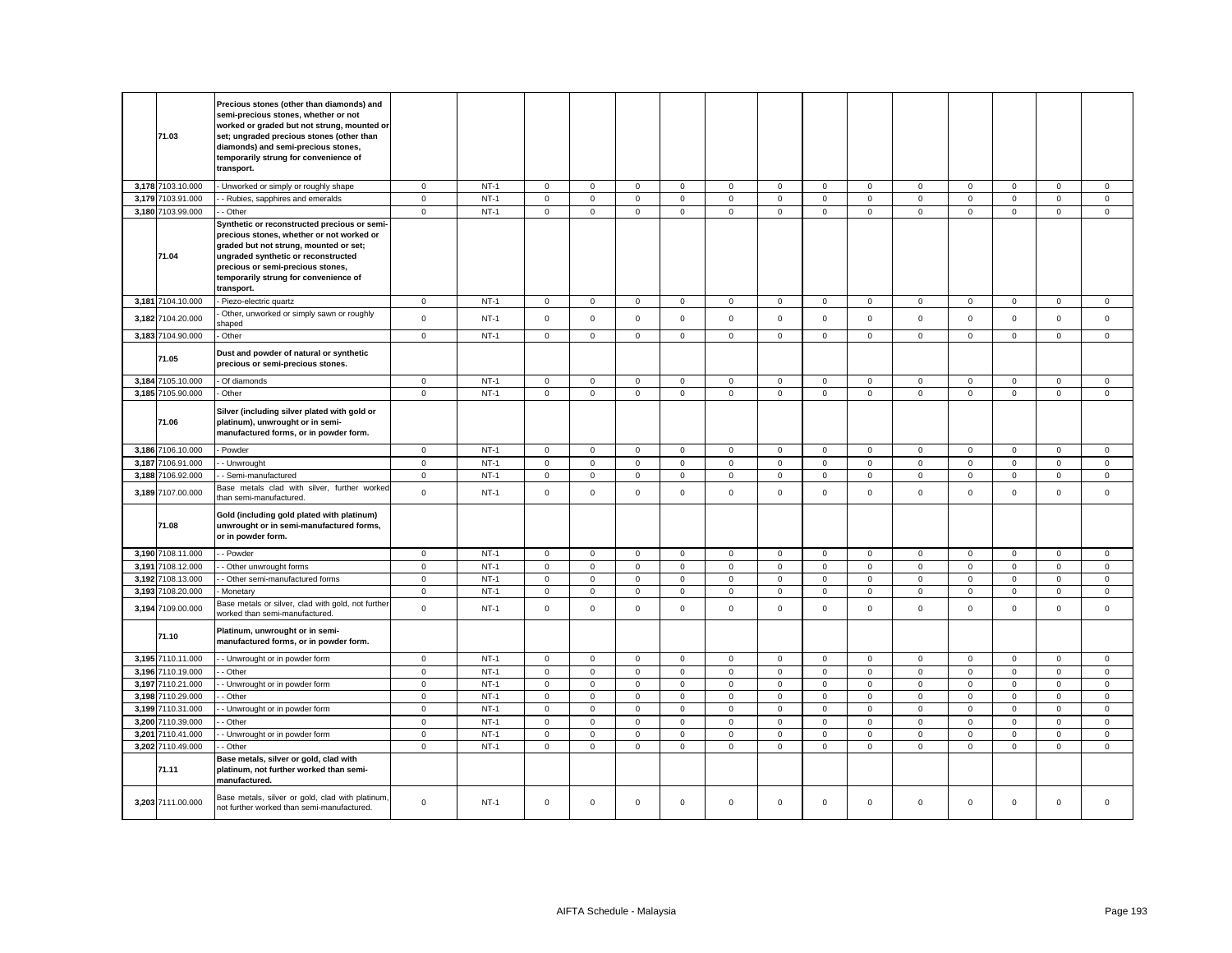|       | 71.03             | Precious stones (other than diamonds) and<br>semi-precious stones, whether or not<br>worked or graded but not strung, mounted or<br>set; ungraded precious stones (other than<br>diamonds) and semi-precious stones,<br>temporarily strung for convenience of<br>transport. |                     |        |             |                     |              |              |             |             |                     |              |                |             |                     |                     |              |
|-------|-------------------|-----------------------------------------------------------------------------------------------------------------------------------------------------------------------------------------------------------------------------------------------------------------------------|---------------------|--------|-------------|---------------------|--------------|--------------|-------------|-------------|---------------------|--------------|----------------|-------------|---------------------|---------------------|--------------|
|       | 3,178 7103.10.000 | Unworked or simply or roughly shape                                                                                                                                                                                                                                         | $\mathbf 0$         | $NT-1$ | 0           | $\mathbf 0$         | $\mathsf 0$  | $\mathbf 0$  | $\mathbf 0$ | $\mathbf 0$ | $\mathbf 0$         | $\mathbf 0$  | 0              | $\mathbf 0$ | $\mathbf 0$         | $\mathbf 0$         | $\mathbf 0$  |
|       | 3,179 7103.91.000 | - Rubies, sapphires and emeralds                                                                                                                                                                                                                                            | $\mathbf 0$         | $NT-1$ | $\mathbf 0$ | $\mathsf 0$         | $\mathbf 0$  | $\mathsf 0$  | $\mathsf 0$ | $\mathsf 0$ | $\mathsf 0$         | $\mathbf 0$  | $\overline{0}$ | $\mathbf 0$ | $\mathsf 0$         | $\mathsf 0$         | $\mathsf 0$  |
|       | 3,180 7103.99.000 | - Other                                                                                                                                                                                                                                                                     | $\mathsf 0$         | $NT-1$ | $\mathbf 0$ | $\mathsf 0$         | $\mathsf 0$  | $\mathsf 0$  | $\mathbf 0$ | $\mathsf 0$ | $\mathsf{O}$        | $\mathsf 0$  | $\mathsf 0$    | $\mathsf 0$ | $\mathsf 0$         | $\mathsf 0$         | $\mathsf 0$  |
|       | 71.04             | Synthetic or reconstructed precious or semi-<br>precious stones, whether or not worked or<br>graded but not strung, mounted or set;<br>ungraded synthetic or reconstructed<br>precious or semi-precious stones,<br>temporarily strung for convenience of<br>transport.      |                     |        |             |                     |              |              |             |             |                     |              |                |             |                     |                     |              |
|       | 3,181 7104.10.000 | Piezo-electric quartz                                                                                                                                                                                                                                                       | $\mathbf 0$         | $NT-1$ | $\mathsf 0$ | $\mathsf 0$         | $\mathsf 0$  | $\mathsf 0$  | $\mathbf 0$ | $\mathsf 0$ | $\mathbf 0$         | $\mathbf 0$  | $\mathbf 0$    | $\mathsf 0$ | $\mathsf 0$         | $\mathsf 0$         | $\mathsf 0$  |
|       | 3,182 7104.20.000 | Other, unworked or simply sawn or roughly<br>shaped                                                                                                                                                                                                                         | $\mathsf{O}\xspace$ | $NT-1$ | $\mathbf 0$ | $\mathsf 0$         | $\mathsf 0$  | $\mathsf 0$  | $\mathbf 0$ | $\mathsf 0$ | $\mathbf 0$         | $\mathsf 0$  | $\mathsf 0$    | $\mathsf 0$ | $\mathsf 0$         | $\mathsf 0$         | $\mathsf 0$  |
|       | 3,183 7104.90.000 | - Other                                                                                                                                                                                                                                                                     | $\mathsf 0$         | $NT-1$ | $\mathsf 0$ | $\mathsf 0$         | $\mathbf 0$  | $\mathsf 0$  | $\mathsf 0$ | $\mathsf 0$ | $\mathsf 0$         | $\mathsf 0$  | $\mathsf 0$    | $\mathsf 0$ | $\mathsf{O}\xspace$ | $\mathsf{O}\xspace$ | $\mathsf 0$  |
|       | 71.05             | Dust and powder of natural or synthetic<br>precious or semi-precious stones.                                                                                                                                                                                                |                     |        |             |                     |              |              |             |             |                     |              |                |             |                     |                     |              |
|       | 3,184 7105.10.000 | Of diamonds                                                                                                                                                                                                                                                                 | $\mathbf 0$         | $NT-1$ | $\mathbf 0$ | $\mathsf 0$         | $\mathbf 0$  | $\mathbf 0$  | $\mathbf 0$ | $\mathsf 0$ | $\mathbf 0$         | $\mathbf 0$  | $\mathbf 0$    | $\mathsf 0$ | $\mathbf 0$         | $\mathbf 0$         | $\mathsf 0$  |
|       | 3,185 7105.90.000 | - Other                                                                                                                                                                                                                                                                     | $\mathsf 0$         | $NT-1$ | $\mathbf 0$ | $\mathsf 0$         | $\mathsf 0$  | $\mathsf 0$  | $\mathsf 0$ | $\mathbf 0$ | $\mathsf{O}$        | $\mathsf 0$  | $\mathsf 0$    | $\mathbf 0$ | $\mathsf 0$         | $\mathsf 0$         | $\mathsf 0$  |
|       | 71.06             | Silver (including silver plated with gold or<br>platinum), unwrought or in semi-<br>manufactured forms, or in powder form.                                                                                                                                                  |                     |        |             |                     |              |              |             |             |                     |              |                |             |                     |                     |              |
|       | 3.186 7106.10.000 | Powder                                                                                                                                                                                                                                                                      | $\mathbf{0}$        | $NT-1$ | $\mathbf 0$ | $\mathbf 0$         | $\mathbf{0}$ | $\mathbf{0}$ | $\mathbf 0$ | $\mathbf 0$ | $\mathbf{0}$        | $\mathbf{0}$ | $\mathbf 0$    | $\mathbf 0$ | $\mathbf{O}$        | $\mathbf{0}$        | $\mathbf{0}$ |
|       | 3,187 7106.91.000 | - Unwrought                                                                                                                                                                                                                                                                 | $\mathbf 0$         | $NT-1$ | $\mathbf 0$ | $\mathbf 0$         | $\mathsf 0$  | $\mathbf{0}$ | $\mathsf 0$ | $\mathbf 0$ | $\mathsf 0$         | $\mathbf 0$  | $\mathsf 0$    | $\mathbf 0$ | $\mathbf 0$         | $\mathsf 0$         | $\mathsf 0$  |
|       | 3,188 7106.92.000 | Semi-manufactured                                                                                                                                                                                                                                                           | $\mathbf 0$         | $NT-1$ | 0           | $\mathsf 0$         | $\mathsf 0$  | $\mathbf 0$  | $\mathsf 0$ | $\mathbf 0$ | $\mathbf 0$         | $\mathbf 0$  | $\mathsf 0$    | $\mathbf 0$ | $\mathsf 0$         | $\mathbf 0$         | $\mathsf 0$  |
|       | 3,189 7107.00.000 | Base metals clad with silver, further worked<br>than semi-manufactured.                                                                                                                                                                                                     | $\mathsf 0$         | $NT-1$ | $\mathbf 0$ | $\mathsf 0$         | $\mathsf 0$  | $\mathsf 0$  | $\mathsf 0$ | $\mathsf 0$ | $\mathbf 0$         | $\mathsf 0$  | $\mathsf 0$    | $\mathsf 0$ | $\mathbf 0$         | $\mathsf 0$         | $\mathsf 0$  |
|       | 71.08             | Gold (including gold plated with platinum)<br>unwrought or in semi-manufactured forms,<br>or in powder form.                                                                                                                                                                |                     |        |             |                     |              |              |             |             |                     |              |                |             |                     |                     |              |
|       | 3,190 7108.11.000 | - Powder                                                                                                                                                                                                                                                                    | $\mathbf{0}$        | $NT-1$ | 0           | $\mathbf 0$         | $\mathbf{0}$ | $\mathbf 0$  | 0           | $\mathsf 0$ | $\mathbf{0}$        | $\mathbf 0$  | $\mathbf 0$    | $\mathbf 0$ | $\mathbf{0}$        | $\mathsf 0$         | $\mathbf 0$  |
| 3,191 | 7108.12.000       | Other unwrought forms                                                                                                                                                                                                                                                       | $\mathsf 0$         | $NT-1$ | $\mathbf 0$ | $\mathsf 0$         | $\mathsf 0$  | $\mathsf 0$  | $\mathsf 0$ | $\mathsf 0$ | $\mathsf 0$         | $\mathsf 0$  | $\mathsf 0$    | $\mathsf 0$ | $\mathsf 0$         | $\mathsf 0$         | $\mathsf 0$  |
|       | 3,192 7108.13.000 | - Other semi-manufactured forms                                                                                                                                                                                                                                             | $\mathsf 0$         | $NT-1$ | $\mathbf 0$ | $\mathsf 0$         | $\mathsf 0$  | $\mathbf 0$  | $\mathbf 0$ | $\mathsf 0$ | $\mathbf 0$         | $\mathbf 0$  | $\mathsf 0$    | $\mathbf 0$ | $\mathsf 0$         | $\mathbf 0$         | $\mathbf 0$  |
|       | 3,193 7108.20.000 | Monetary                                                                                                                                                                                                                                                                    | $\mathsf 0$         | $NT-1$ | $\mathbf 0$ | $\mathsf 0$         | $\mathsf 0$  | $\mathsf 0$  | $\mathsf 0$ | $\mathsf 0$ | $\mathsf 0$         | $\mathsf 0$  | $\mathsf 0$    | $\mathsf 0$ | $\mathsf 0$         | $\mathbf 0$         | $\mathsf 0$  |
| 3,194 | 7109.00.000       | Base metals or silver, clad with gold, not further<br>worked than semi-manufactured.                                                                                                                                                                                        | $\mathbf{0}$        | $NT-1$ | $\mathbf 0$ | $\mathbf 0$         | $\mathbf 0$  | $\mathbf{0}$ | $\mathbf 0$ | $\mathsf 0$ | $\mathbf{O}$        | $\mathbf{0}$ | $\mathbf 0$    | $\mathsf 0$ | $\mathbf 0$         | $\mathbf 0$         | $\mathbf 0$  |
|       | 71.10             | Platinum, unwrought or in semi-<br>manufactured forms, or in powder form.                                                                                                                                                                                                   |                     |        |             |                     |              |              |             |             |                     |              |                |             |                     |                     |              |
|       | 3,195 7110.11.000 | - Unwrought or in powder form                                                                                                                                                                                                                                               | $\mathbf 0$         | $NT-1$ | $\mathsf 0$ | $\mathbf 0$         | $\mathsf 0$  | $\mathbf 0$  | $\mathsf 0$ | $\mathbf 0$ | $\mathsf{O}\xspace$ | $\mathbf 0$  | $\mathsf 0$    | $\pmb{0}$   | $\mathsf{O}\xspace$ | $\mathbf 0$         | $\mathsf 0$  |
|       | 3,196 7110.19.000 | - Other                                                                                                                                                                                                                                                                     | $\mathbf 0$         | $NT-1$ | 0           | $\mathsf 0$         | $\mathbf 0$  | $\mathsf 0$  | $\mathsf 0$ | $\mathsf 0$ | $\mathbf 0$         | $\mathsf 0$  | $\mathsf 0$    | $\mathbf 0$ | $\mathsf 0$         | $\mathsf{O}\xspace$ | $\mathsf 0$  |
|       | 3,197 7110.21.000 | - Unwrought or in powder form                                                                                                                                                                                                                                               | $\mathbf 0$         | $NT-1$ | $\mathbf 0$ | $\mathsf 0$         | $\mathsf 0$  | $\mathsf 0$  | $\mathsf 0$ | $\mathbf 0$ | $\mathsf 0$         | $\mathsf 0$  | $\mathsf 0$    | $\pmb{0}$   | $\mathsf 0$         | $\mathsf 0$         | $\mathsf 0$  |
|       | 3,198 7110.29.000 | Other                                                                                                                                                                                                                                                                       | $\mathbf 0$         | $NT-1$ | 0           | $\mathsf{O}\xspace$ | $\mathbf 0$  | $\mathbf 0$  | $\mathsf 0$ | $\mathsf 0$ | $\mathbf 0$         | $\mathsf 0$  | $\mathsf 0$    | $\mathbf 0$ | $\mathsf 0$         | $\mathsf 0$         | $\mathsf 0$  |
|       | 3,199 7110.31.000 | - Unwrought or in powder form                                                                                                                                                                                                                                               | $\mathsf{O}\xspace$ | $NT-1$ | $\mathbf 0$ | $\mathsf 0$         | $\mathsf 0$  | $\mathsf 0$  | $\mathsf 0$ | $\mathbf 0$ | $\mathsf 0$         | $\mathsf 0$  | $\mathsf 0$    | $\mathbf 0$ | $\mathsf{O}\xspace$ | $\mathbf 0$         | $\mathsf 0$  |
|       | 3,200 7110.39.000 | Other                                                                                                                                                                                                                                                                       | $\mathbf 0$         | $NT-1$ | $\mathbf 0$ | $\mathsf 0$         | $\mathsf 0$  | $\mathsf 0$  | $\mathbf 0$ | $\mathsf 0$ | $\mathbf 0$         | $\mathsf 0$  | $\mathbf 0$    | $\mathsf 0$ | $\mathsf 0$         | $\mathsf 0$         | $\mathsf 0$  |
|       | 3,201 7110.41.000 | - Unwrought or in powder form                                                                                                                                                                                                                                               | $\mathbf 0$         | $NT-1$ | $\mathbf 0$ | $\mathsf 0$         | $\mathsf 0$  | $\mathsf 0$  | $\mathsf 0$ | $\mathsf 0$ | $\mathsf 0$         | $\mathsf 0$  | $\mathbf 0$    | $\mathsf 0$ | $\mathsf 0$         | $\mathsf 0$         | $\mathsf 0$  |
|       | 3,202 7110.49.000 | - Other                                                                                                                                                                                                                                                                     | $\mathsf 0$         | $NT-1$ | $\mathbf 0$ | $\mathsf 0$         | $\mathsf 0$  | $\mathsf 0$  | $\mathsf 0$ | $\mathsf 0$ | $\mathbf 0$         | $\mathsf 0$  | $\mathbf 0$    | $\mathsf 0$ | $\mathbf 0$         | $\mathsf 0$         | $\mathsf 0$  |
|       | 71.11             | Base metals, silver or gold, clad with<br>platinum, not further worked than semi-<br>manufactured.                                                                                                                                                                          |                     |        |             |                     |              |              |             |             |                     |              |                |             |                     |                     |              |
|       | 3,203 7111.00.000 | Base metals, silver or gold, clad with platinum,<br>not further worked than semi-manufactured.                                                                                                                                                                              | $\mathbf 0$         | $NT-1$ | $\mathbf 0$ | $\mathbf 0$         | $\mathbf{0}$ | $\mathbf{0}$ | $\mathbf 0$ | $\Omega$    | $\mathbf{0}$        | $\mathbf{0}$ | $\mathbf 0$    | $\Omega$    | $\mathbf 0$         | $\mathbf 0$         | $^{\circ}$   |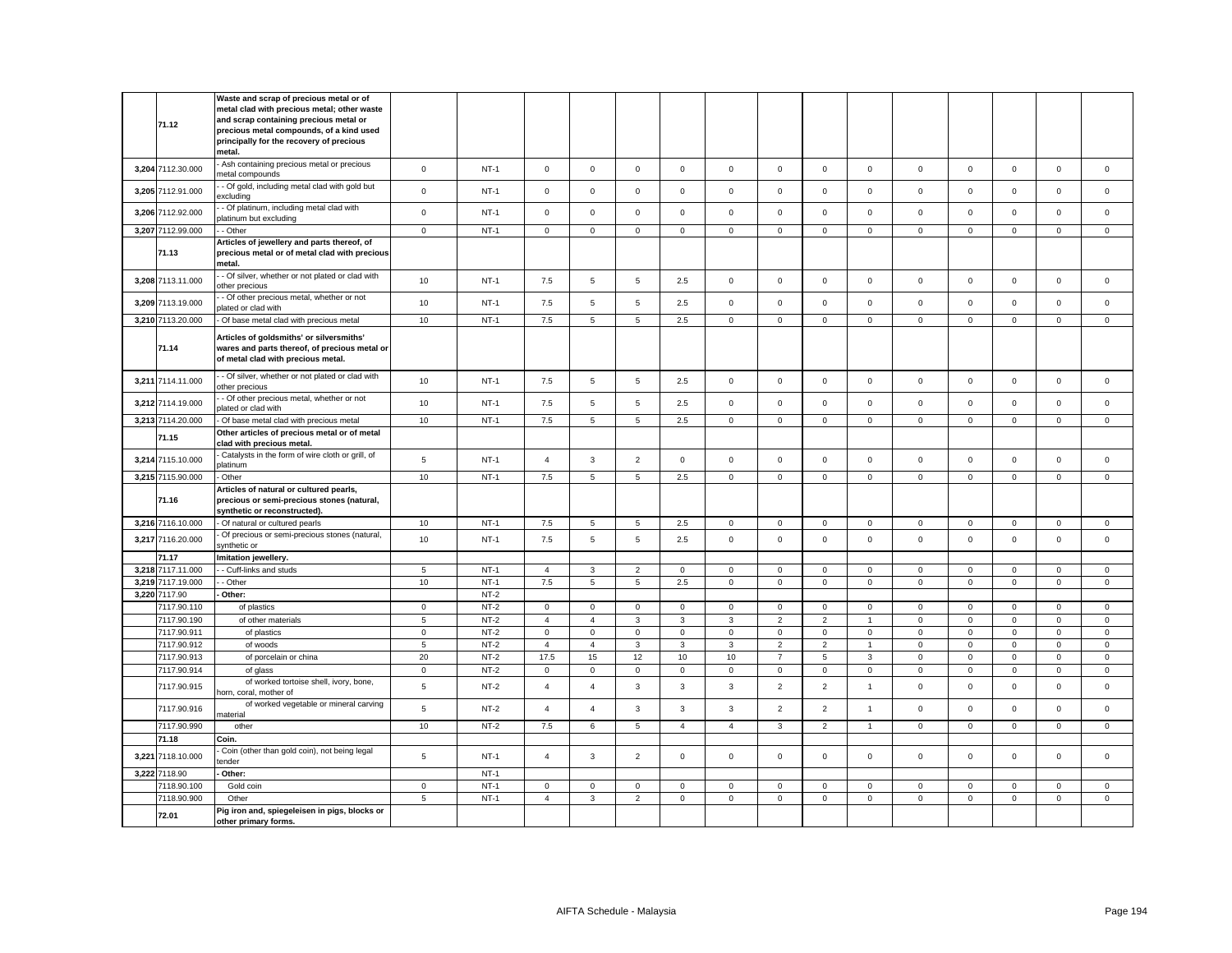|       | 71.12                              | Waste and scrap of precious metal or of<br>metal clad with precious metal; other waste<br>and scrap containing precious metal or<br>precious metal compounds, of a kind used<br>principally for the recovery of precious<br>metal. |                 |                  |                |                |                |                |                |                |                     |                |             |             |                     |                     |             |
|-------|------------------------------------|------------------------------------------------------------------------------------------------------------------------------------------------------------------------------------------------------------------------------------|-----------------|------------------|----------------|----------------|----------------|----------------|----------------|----------------|---------------------|----------------|-------------|-------------|---------------------|---------------------|-------------|
|       | 3,204 7112.30.000                  | Ash containing precious metal or precious<br>metal compounds                                                                                                                                                                       | $\mathbf 0$     | $NT-1$           | $\mathsf 0$    | $\mathsf 0$    | $\mathsf 0$    | $\mathsf 0$    | $\mathbf 0$    | $\mathsf 0$    | $\mathsf 0$         | $\mathsf 0$    | $\mathsf 0$ | $\mathsf 0$ | $\mathsf 0$         | $\mathsf 0$         | $\mathsf 0$ |
|       | 3,205 7112.91.000                  | - Of gold, including metal clad with gold but<br>excluding                                                                                                                                                                         | $\mathsf 0$     | $NT-1$           | $\Omega$       | $\mathbf 0$    | $\mathbf 0$    | $^{\circ}$     | $\mathsf 0$    | $\Omega$       | $\mathbf{0}$        | $\mathbf 0$    | $\mathbf 0$ | $\Omega$    | $\mathbf 0$         | $\mathbf 0$         | $\mathbf 0$ |
|       | 3,206 7112.92.000                  | - Of platinum, including metal clad with<br>latinum but excluding                                                                                                                                                                  | $\mathbf{0}$    | $NT-1$           | $\mathbf 0$    | $\mathbf 0$    | $\mathbf{0}$   | $\mathbf{0}$   | $\mathbf 0$    | $\mathbf 0$    | $\mathbf{O}$        | $\mathbf{0}$   | $\mathbf 0$ | $\mathbf 0$ | $\mathbf 0$         | $\mathbf 0$         | $\mathbf 0$ |
|       | 3,207 7112.99.000                  | - Other                                                                                                                                                                                                                            | $\mathsf 0$     | $NT-1$           | $\mathbf 0$    | $\mathbf 0$    | $\mathbf{0}$   | $\mathbf 0$    | $\mathbf 0$    | $\mathbf 0$    | $\mathbf{0}$        | $\mathbf 0$    | $\mathbf 0$ | $\mathbf 0$ | $\mathbf 0$         | $\mathbf{0}$        | $\mathbf 0$ |
|       | 71.13                              | Articles of jewellery and parts thereof, of<br>precious metal or of metal clad with precious<br>metal.                                                                                                                             |                 |                  |                |                |                |                |                |                |                     |                |             |             |                     |                     |             |
|       | 3,208 7113.11.000                  | - Of silver, whether or not plated or clad with<br>other precious                                                                                                                                                                  | 10              | $NT-1$           | 7.5            | 5              | $\overline{5}$ | 2.5            | $\mathsf 0$    | $\mathbf 0$    | $\mathbf 0$         | $\mathsf 0$    | $\mathsf 0$ | $\mathsf 0$ | $\mathbf 0$         | $\mathsf 0$         | $\mathbf 0$ |
|       | 3,209 7113.19.000                  | - Of other precious metal, whether or not<br>plated or clad with                                                                                                                                                                   | 10              | $NT-1$           | 7.5            | 5              | 5              | 2.5            | $\mathbf 0$    | $\mathbf 0$    | $\mathbf{O}$        | $\mathbf{0}$   | $\mathbf 0$ | $\mathbf 0$ | $\mathbf 0$         | $\mathbf 0$         | $\mathsf 0$ |
|       | 3,210 7113.20.000                  | - Of base metal clad with precious metal                                                                                                                                                                                           | 10              | $NT-1$           | 7.5            | 5              | 5              | 2.5            | $\mathbf 0$    | $\mathsf 0$    | $\mathsf{O}\xspace$ | $\mathbf{0}$   | $\mathsf 0$ | $\mathsf 0$ | $\mathsf 0$         | $\mathbf 0$         | $\mathsf 0$ |
|       | 71.14                              | Articles of goldsmiths' or silversmiths'<br>wares and parts thereof, of precious metal or<br>of metal clad with precious metal.                                                                                                    |                 |                  |                |                |                |                |                |                |                     |                |             |             |                     |                     |             |
|       | 3,211 7114.11.000                  | - Of silver, whether or not plated or clad with<br>other precious                                                                                                                                                                  | 10              | $NT-1$           | 7.5            | 5              | 5              | 2.5            | $\mathbf 0$    | $\mathbf 0$    | $\mathbf{0}$        | $\mathsf 0$    | $\mathbf 0$ | $\mathbf 0$ | $\mathbf 0$         | $\mathbf 0$         | $\mathsf 0$ |
|       | 3,212 7114.19.000                  | - Of other precious metal, whether or not<br>plated or clad with                                                                                                                                                                   | 10              | $NT-1$           | 7.5            | 5              | 5              | 2.5            | $\mathbf 0$    | $\mathbf 0$    | $\mathbf 0$         | $\mathbf{0}$   | $\mathbf 0$ | $\mathbf 0$ | $\mathbf 0$         | $\mathbf 0$         | $\mathbf 0$ |
|       | 3,213 7114.20.000                  | - Of base metal clad with precious metal                                                                                                                                                                                           | 10              | $NT-1$           | 7.5            | 5              | 5              | 2.5            | $\mathbf 0$    | $\mathsf 0$    | $\mathbf 0$         | $\mathbf 0$    | $\mathbf 0$ | $\mathsf 0$ | $\mathbf 0$         | $\mathbf 0$         | $\mathbf 0$ |
|       | 71.15                              | Other articles of precious metal or of metal<br>clad with precious metal.                                                                                                                                                          |                 |                  |                |                |                |                |                |                |                     |                |             |             |                     |                     |             |
| 3,214 | 7115.10.000                        | Catalysts in the form of wire cloth or grill, of<br>platinum                                                                                                                                                                       | $5\phantom{.0}$ | $NT-1$           | $\overline{4}$ | $\mathbf{3}$   | $\overline{2}$ | $\mathsf 0$    | $\mathbf 0$    | $\mathsf 0$    | $\mathsf{O}\xspace$ | $\mathsf 0$    | $\mathsf 0$ | $\mathsf 0$ | $\mathsf 0$         | $\mathsf 0$         | $\mathbf 0$ |
|       | 3,215 7115.90.000                  | Other                                                                                                                                                                                                                              | 10              | $NT-1$           | 7.5            | 5              | $\overline{5}$ | 2.5            | $\mathbf 0$    | $\mathsf 0$    | $\mathsf{O}\xspace$ | $\mathsf 0$    | $\mathsf 0$ | $\mathsf 0$ | $\mathsf 0$         | $\mathsf 0$         | $\mathsf 0$ |
|       | 71.16                              | Articles of natural or cultured pearls,<br>precious or semi-precious stones (natural,<br>synthetic or reconstructed).                                                                                                              |                 |                  |                |                |                |                |                |                |                     |                |             |             |                     |                     |             |
|       | 3,216 7116.10.000                  | - Of natural or cultured pearls                                                                                                                                                                                                    | 10              | $NT-1$           | 7.5            | 5              | 5              | 2.5            | $\mathbf 0$    | $\mathsf 0$    | $\mathbf 0$         | $\mathbf 0$    | $\mathbf 0$ | $\mathsf 0$ | $\mathsf 0$         | $\mathbf 0$         | $\mathsf 0$ |
|       | 3,217 7116.20.000                  | Of precious or semi-precious stones (natural,<br>synthetic or                                                                                                                                                                      | 10              | $NT-1$           | 7.5            | 5              | $\overline{5}$ | 2.5            | $\mathbf 0$    | $\mathbf 0$    | $\mathbf{0}$        | $\mathbf 0$    | $\mathsf 0$ | $\mathbf 0$ | $\mathbf 0$         | $\mathbf 0$         | $\mathbf 0$ |
|       | 71.17                              | Imitation jewellery.                                                                                                                                                                                                               |                 |                  |                |                |                |                |                |                |                     |                |             |             |                     |                     |             |
|       | 3,218 7117.11.000                  | - Cuff-links and studs                                                                                                                                                                                                             | $5\phantom{.0}$ | $NT-1$           | $\overline{4}$ | $\mathbf{3}$   | $\overline{2}$ | $\mathsf 0$    | $\mathsf 0$    | $\mathsf 0$    | $\mathsf{O}\xspace$ | $\mathsf 0$    | $\mathsf 0$ | $\mathsf 0$ | $\mathbf 0$         | $\mathsf 0$         | $\mathsf 0$ |
|       | 3.219 7117.19.000<br>3.220 7117.90 | - Other<br>Other:                                                                                                                                                                                                                  | 10              | $NT-1$<br>$NT-2$ | 7.5            | 5              | 5              | 2.5            | $\mathbf 0$    | $\mathbf 0$    | $\mathbf{0}$        | $\mathbf 0$    | $\mathsf 0$ | $\mathbf 0$ | $\mathsf 0$         | $\mathsf 0$         | $\mathbf 0$ |
|       | 7117.90.110                        | of plastics                                                                                                                                                                                                                        | $\mathbf 0$     | $NT-2$           | $\mathbf 0$    | $\mathbf 0$    | $\mathbf 0$    | $\mathsf 0$    | $\mathbf 0$    | $\mathsf 0$    | $\mathbf 0$         | $\mathbf 0$    | $\mathsf 0$ | $\mathbf 0$ | $\mathbf 0$         | $\mathbf 0$         | $\mathsf 0$ |
|       | 7117.90.190                        | of other materials                                                                                                                                                                                                                 | $5\phantom{.0}$ | $NT-2$           | $\overline{4}$ | $\overline{4}$ | $\mathbf{3}$   | $\overline{3}$ | 3              | $\overline{2}$ | $\overline{2}$      | $\overline{1}$ | $\mathsf 0$ | $\mathbf 0$ | $\mathbf 0$         | $\mathbf 0$         | $\mathsf 0$ |
|       | 7117.90.911                        | of plastics                                                                                                                                                                                                                        | $\mathsf 0$     | $NT-2$           | $\mathbf 0$    | $\mathbf 0$    | $\mathbf 0$    | $\mathbf 0$    | $\mathbf 0$    | $\mathsf 0$    | $\mathbf{0}$        | $\mathbf{0}$   | $\mathsf 0$ | $\mathsf 0$ | $\mathsf 0$         | $\mathbf 0$         | $\mathsf 0$ |
|       | 7117.90.912                        | of woods                                                                                                                                                                                                                           | 5               | $NT-2$           | $\overline{4}$ | $\overline{4}$ | 3              | 3              | 3              | $\overline{2}$ | $\overline{2}$      | $\overline{1}$ | $\mathbf 0$ | $\mathbf 0$ | $\mathbf 0$         | $\mathbf 0$         | $\mathsf 0$ |
|       | 7117.90.913                        | of porcelain or china                                                                                                                                                                                                              | 20              | $NT-2$           | 17.5           | 15             | 12             | 10             | $10$           | $\overline{7}$ | $\,$ 5 $\,$         | 3              | $\mathsf 0$ | $\mathsf 0$ | $\mathsf{O}\xspace$ | $\mathsf 0$         | $\mathsf 0$ |
|       | 7117.90.914                        | of glass                                                                                                                                                                                                                           | $\mathbf 0$     | $NT-2$           | $\mathsf 0$    | $\mathsf 0$    | $\mathsf 0$    | $\mathsf 0$    | $\mathsf 0$    | $\mathsf 0$    | $\mathsf 0$         | $\mathbf 0$    | $\mathsf 0$ | $\mathbf 0$ | $\mathbf 0$         | $\mathsf 0$         | $\mathsf 0$ |
|       | 7117.90.915                        | of worked tortoise shell, ivory, bone,<br>horn, coral, mother of                                                                                                                                                                   | $\,$ 5 $\,$     | $NT-2$           | $\overline{4}$ | $\overline{4}$ | $_{3}$         | $\mathbf{3}$   | 3              | $\overline{2}$ | $\overline{2}$      | $\overline{1}$ | $\mathsf 0$ | $\mathsf 0$ | $\mathbf 0$         | $\mathsf 0$         | $\mathsf 0$ |
|       | 7117.90.916                        | of worked vegetable or mineral carving<br>material                                                                                                                                                                                 | $\overline{5}$  | $NT-2$           | $\overline{4}$ | $\overline{4}$ | $\mathbf{3}$   | $\mathbf{3}$   | 3              | $\overline{2}$ | $\overline{2}$      | $\overline{1}$ | $\mathsf 0$ | $\mathsf 0$ | $\mathsf 0$         | $\mathsf 0$         | $\mathsf 0$ |
|       | 7117.90.990                        | other                                                                                                                                                                                                                              | 10              | $NT-2$           | $7.5\,$        | 6              | 5              | $\overline{4}$ | $\overline{4}$ | 3              | $\overline{2}$      | $\overline{1}$ | $\mathbf 0$ | $\mathsf 0$ | $\mathbf 0$         | $\mathsf{O}\xspace$ | $\mathsf 0$ |
|       | 71.18                              | Coin.                                                                                                                                                                                                                              |                 |                  |                |                |                |                |                |                |                     |                |             |             |                     |                     |             |
| 3,221 | 7118.10.000                        | Coin (other than gold coin), not being legal<br>ender                                                                                                                                                                              | $\sqrt{5}$      | $NT-1$           | $\overline{4}$ | 3              | $\overline{2}$ | $\mathsf 0$    | $\mathbf 0$    | $\mathsf 0$    | $\mathbf 0$         | $\mathbf 0$    | $\mathbf 0$ | $\mathsf 0$ | $\mathbf 0$         | $\mathsf 0$         | $\mathsf 0$ |
|       | 3,222 7118.90                      | Other:                                                                                                                                                                                                                             |                 | $NT-1$           |                |                |                |                |                |                |                     |                |             |             |                     |                     |             |
|       | 7118.90.100                        | Gold coin                                                                                                                                                                                                                          | $\mathsf 0$     | $NT-1$           | $\mathbf 0$    | $\mathbf 0$    | $\mathbf 0$    | $\mathbf 0$    | $\mathbf 0$    | $\mathbf 0$    | $\mathbf{0}$        | $\mathbf 0$    | $\mathbf 0$ | $\mathbf 0$ | $\mathbf 0$         | $\mathbf 0$         | $\mathbf 0$ |
|       | 7118.90.900                        | Other<br>Pig iron and, spiegeleisen in pigs, blocks or                                                                                                                                                                             | $5\phantom{.0}$ | $NT-1$           | $\overline{4}$ | $\mathbf 3$    | $\overline{2}$ | $\mathsf 0$    | $\mathsf 0$    | $\mathsf 0$    | $\mathsf 0$         | $\mathbf 0$    | $\mathsf 0$ | $\mathsf 0$ | $\mathsf 0$         | $\mathsf 0$         | $\mathsf 0$ |
|       | 72.01                              | other primary forms.                                                                                                                                                                                                               |                 |                  |                |                |                |                |                |                |                     |                |             |             |                     |                     |             |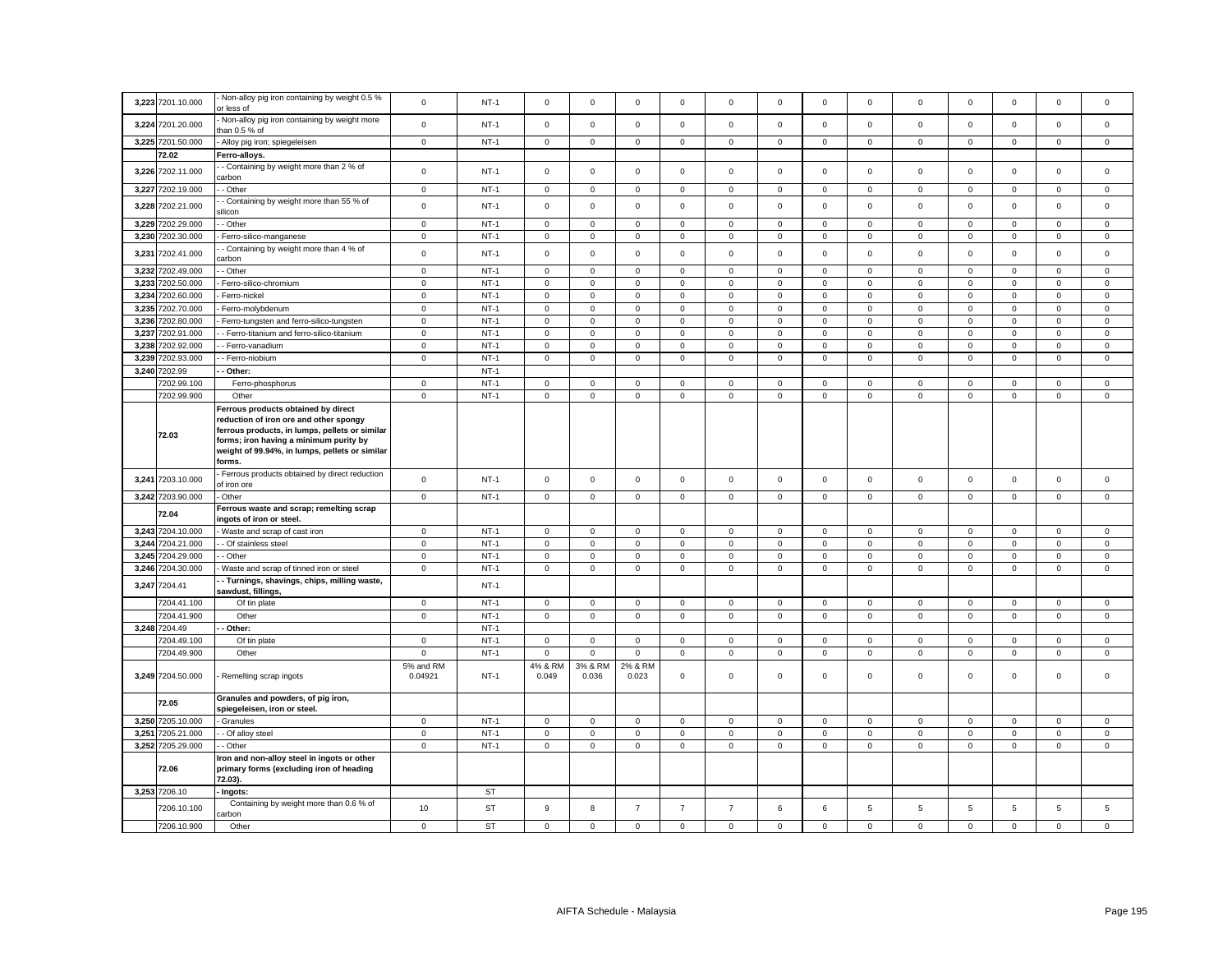|       | 3,223 7201.10.000                | Non-alloy pig iron containing by weight 0.5 %<br>or less of                                                                                                                                                                           | $\mathbf 0$          | $NT-1$           | $\mathsf 0$         | $\mathsf 0$      | $\mathsf 0$                     | $\mathsf 0$      | $\mathsf 0$                | $\mathsf 0$      | $\mathbf 0$                | $\mathsf 0$                | $\mathsf 0$         | $\mathsf 0$                | $\mathsf 0$                | $\mathsf 0$                | $\mathsf 0$                |
|-------|----------------------------------|---------------------------------------------------------------------------------------------------------------------------------------------------------------------------------------------------------------------------------------|----------------------|------------------|---------------------|------------------|---------------------------------|------------------|----------------------------|------------------|----------------------------|----------------------------|---------------------|----------------------------|----------------------------|----------------------------|----------------------------|
|       | 3,224 7201.20.000                | Non-alloy pig iron containing by weight more<br>han 0.5 % of                                                                                                                                                                          | $\mathsf 0$          | $NT-1$           | $\mathsf 0$         | $\mathbf 0$      | $\mathsf 0$                     | $\mathbf 0$      | $\mathbf 0$                | $\mathsf 0$      | $\mathsf 0$                | $\mathbf 0$                | $\mathbf 0$         | $\mathsf 0$                | $\mathsf 0$                | $\mathsf 0$                | $\mathsf 0$                |
|       | 3,225 7201.50.000                | Alloy pig iron; spiegeleisen                                                                                                                                                                                                          | $\mathbf 0$          | $NT-1$           | $\mathsf 0$         | $\mathbf{0}$     | $\mathbf{0}$                    | $\mathbf 0$      | $\mathbf 0$                | $\mathbf 0$      | $\mathbf 0$                | $\mathbf{0}$               | $\mathbf 0$         | $\mathbf 0$                | $\mathbf 0$                | $\mathbf{0}$               | $\mathbf 0$                |
|       | 72.02                            | Ferro-alloys.                                                                                                                                                                                                                         |                      |                  |                     |                  |                                 |                  |                            |                  |                            |                            |                     |                            |                            |                            |                            |
| 3,226 | 7202.11.000                      | - Containing by weight more than 2 % of<br>arbon                                                                                                                                                                                      | $\mathsf 0$          | $NT-1$           | $\mathsf 0$         | $\mathsf 0$      | $\mathsf 0$                     | $\mathbf 0$      | $\mathsf 0$                | $\mathsf 0$      | $\mathbf 0$                | $\mathbf 0$                | $\mathsf 0$         | $\mathsf 0$                | $\mathbf 0$                | $\mathsf 0$                | $\mathsf 0$                |
| 3,227 | 7202.19.000                      | - Other                                                                                                                                                                                                                               | $\mathsf 0$          | $NT-1$           | $\mathbf 0$         | $\mathbf 0$      | $\mathsf 0$                     | $\mathbf 0$      | $\mathbf 0$                | $\mathsf 0$      | $\mathbf 0$                | $\mathbf{0}$               | $\mathbf 0$         | $\mathbf 0$                | $\mathbf 0$                | $\mathsf 0$                | $\mathsf 0$                |
| 3,228 | 7202.21.000                      | - Containing by weight more than 55 % of<br>ilicon                                                                                                                                                                                    | $\mathbf 0$          | $NT-1$           | $\mathsf 0$         | $\mathsf 0$      | $\mathsf 0$                     | $\Omega$         | $\mathbf 0$                | $\mathsf 0$      | $\mathbf 0$                | $\mathsf 0$                | $\mathsf 0$         | $\mathsf 0$                | $\mathsf 0$                | $\mathsf 0$                | $\mathsf 0$                |
| 3,229 | 7202.29.000                      | - Other                                                                                                                                                                                                                               | $\mathbf 0$          | $NT-1$           | $\mathsf 0$         | $\mathbf 0$      | $\mathsf 0$                     | $\mathbf 0$      | $\mathbf 0$                | $\mathsf 0$      | $\mathsf 0$                | $\mathbf 0$                | $\mathbf 0$         | $\mathbf 0$                | $\mathsf 0$                | $\mathsf 0$                | $\mathsf 0$                |
| 3,230 | 7202.30.000                      | Ferro-silico-manganese                                                                                                                                                                                                                | $\mathbf 0$          | $NT-1$           | $\mathsf 0$         | $\mathbf 0$      | $\mathsf 0$                     | $\mathbf 0$      | $\mathsf 0$                | $\mathsf 0$      | $\mathbf 0$                | $\mathsf 0$                | $\mathsf 0$         | $\mathsf 0$                | $\mathsf 0$                | $\mathsf 0$                | $\mathsf 0$                |
| 3,231 | 7202.41.000                      | Containing by weight more than 4 % of<br>arbon                                                                                                                                                                                        | $\mathsf 0$          | $NT-1$           | $\mathsf 0$         | $\mathsf 0$      | $\mathsf 0$                     | $\mathsf 0$      | $\mathbf 0$                | $\mathsf 0$      | $\mathsf 0$                | $\mathsf 0$                | $\mathsf 0$         | $\mathsf 0$                | $\mathsf 0$                | $\mathsf 0$                | $\mathsf 0$                |
| 3,232 | 7202.49.000                      | Other                                                                                                                                                                                                                                 | $\mathsf 0$          | $NT-1$           | $\mathsf 0$         | $\mathbf 0$      | $\mathsf 0$                     | 0                | $\mathbf 0$                | $\mathsf 0$      | $\mathbf 0$                | $\mathbf{0}$               | 0                   | $\mathsf 0$                | $\mathsf 0$                | $\mathsf 0$                | $\mathsf 0$                |
| 3,233 | 7202.50.000                      | Ferro-silico-chromium                                                                                                                                                                                                                 | $\mathbf 0$          | $NT-1$           | $\mathsf 0$         | $\mathbf 0$      | $\mathsf 0$                     | $\mathsf 0$      | $\mathbf 0$                | $\mathsf 0$      | $\mathsf 0$                | $\mathbf 0$                | $\mathbf 0$         | $\mathsf 0$                | $\mathbf 0$                | $\mathsf 0$                | $\mathsf 0$                |
| 3,234 | 7202.60.000                      | Ferro-nickel                                                                                                                                                                                                                          | $\mathbf 0$          | $NT-1$           | 0                   | $\mathbf 0$      | $\mathsf 0$                     | 0                | $\mathbf 0$                | 0                | $\mathsf 0$                | 0                          | $\mathsf 0$         | $\mathbf 0$                | $\mathbf 0$                | 0                          | $\,0\,$                    |
|       | 3,235 7202.70.000                | Ferro-molybdenum                                                                                                                                                                                                                      | $\mathbf 0$          | $NT-1$           | $\mathsf 0$         | $\mathbf 0$      | $\mathsf 0$                     | $\mathsf 0$      | $\mathbf 0$                | $\mathsf 0$      | $\mathbf 0$                | $\mathbf 0$                | $\mathsf 0$         | $\mathsf 0$                | $\mathbf 0$                | $\mathsf 0$                | $\mathsf 0$                |
| 3,236 | 7202.80.000                      | - Ferro-tungsten and ferro-silico-tungsten                                                                                                                                                                                            | $\mathbf 0$          | $NT-1$           | $\mathsf 0$         | $\mathbf 0$      | $\mathsf 0$                     | $\mathsf 0$      | $\mathbf 0$                | $\mathsf 0$      | $\mathbf 0$                | $\mathbf 0$                | $\mathsf 0$         | $\mathsf 0$                | $\mathbf 0$                | $\mathsf 0$                | $\mathsf 0$                |
| 3,237 | 7202.91.000                      | - Ferro-titanium and ferro-silico-titanium                                                                                                                                                                                            | $\mathbf 0$          | $NT-1$           | $\mathsf 0$         | $\mathbf 0$      | $\mathsf 0$                     | $\mathsf 0$      | $\mathbf 0$                | $\mathsf 0$      | $\mathbf 0$                | 0                          | $\mathbf 0$         | $\mathsf 0$                | $\mathbf 0$                | $\mathsf 0$                | $\mathsf 0$                |
| 3,238 | 7202.92.000                      | - Ferro-vanadium                                                                                                                                                                                                                      | $\mathbf 0$          | $NT-1$           | $\mathbf 0$         | $\mathsf 0$      | $\mathsf 0$                     | $\mathbf 0$      | $\mathsf 0$                | $\mathsf 0$      | $\mathsf 0$                | $\mathsf 0$                | $\mathsf 0$         | $\mathsf 0$                | $\mathsf 0$                | $\mathsf 0$                | $\mathsf 0$                |
| 3,239 | 7202.93.000                      |                                                                                                                                                                                                                                       | $\mathbf 0$          | $NT-1$           | $\mathbf 0$         | $\mathbf 0$      | $\mathsf 0$                     | $\mathbf 0$      | $\mathbf 0$                | $\mathsf 0$      | $\mathbf 0$                | $\mathbf 0$                | $\mathbf 0$         | $\mathsf 0$                | $\mathbf 0$                | $\mathbf 0$                | $\mathbf{0}$               |
|       |                                  | - Ferro-niobium                                                                                                                                                                                                                       |                      |                  |                     |                  |                                 |                  |                            |                  |                            |                            |                     |                            |                            |                            |                            |
|       | 3,240 7202.99                    | - Other:                                                                                                                                                                                                                              |                      | $NT-1$           |                     |                  |                                 |                  |                            |                  |                            |                            |                     |                            |                            |                            |                            |
|       | 7202.99.100                      | Ferro-phosphorus                                                                                                                                                                                                                      | $\mathbf 0$          | $NT-1$           | $\mathsf 0$         | $\mathsf 0$      | $\mathsf 0$                     | $\mathsf 0$      | $\mathbf 0$                | $\mathsf 0$      | $\mathsf 0$                | $\mathbf 0$                | $\mathsf 0$         | $\mathsf 0$                | $\mathbf 0$                | $\mathsf 0$                | $\mathsf 0$                |
|       | 7202.99.900                      | Other                                                                                                                                                                                                                                 | $\mathbf 0$          | $NT-1$           | $\mathbf 0$         | $\mathbf 0$      | $\mathbf{0}$                    | $\mathbf 0$      | $\mathbf 0$                | $\mathsf 0$      | $\mathbf 0$                | $\mathbf{0}$               | $\mathsf 0$         | $\mathsf 0$                | $\mathbf 0$                | $\mathbf 0$                | $\mathbf{0}$               |
|       | 72.03                            | Ferrous products obtained by direct<br>reduction of iron ore and other spongy<br>ferrous products, in lumps, pellets or similar<br>forms; iron having a minimum purity by<br>weight of 99.94%, in lumps, pellets or similar<br>forms. |                      |                  |                     |                  |                                 |                  |                            |                  |                            |                            |                     |                            |                            |                            |                            |
|       | 3,241 7203.10.000                | Ferrous products obtained by direct reduction<br>of iron ore                                                                                                                                                                          | $\mathbf 0$          | $NT-1$           | $\mathbf 0$         | $\mathbf 0$      | $\mathsf 0$                     | 0                | $\mathbf 0$                | $\mathsf 0$      | $\mathsf 0$                | 0                          | 0                   | $\mathsf 0$                | $\mathbf 0$                | $\mathsf 0$                | $\mathsf 0$                |
|       | 3,242 7203.90.000                | Other                                                                                                                                                                                                                                 | $\mathbf 0$          | $NT-1$           | $\mathbf 0$         | $\mathbf 0$      | $\mathsf 0$                     | 0                | $\mathbf 0$                | 0                | $\mathbf 0$                | $\mathbf 0$                | 0                   | $\mathbf 0$                | $\mathbf 0$                | $\mathbf 0$                | $\mathsf 0$                |
|       | 72.04                            | Ferrous waste and scrap; remelting scrap<br>ngots of iron or steel.                                                                                                                                                                   |                      |                  |                     |                  |                                 |                  |                            |                  |                            |                            |                     |                            |                            |                            |                            |
|       | 3,243 7204.10.000                | Waste and scrap of cast iron                                                                                                                                                                                                          | $\mathbf 0$          | $NT-1$           | $\mathsf 0$         | $\mathbf 0$      | $\mathsf 0$                     | $\mathsf 0$      | $\mathbf 0$                | $\mathsf 0$      | $\mathbf 0$                | $\mathbf 0$                | $\mathsf 0$         | $\mathsf 0$                | $\Omega$                   | $\mathsf 0$                | $\mathsf 0$                |
|       | 3,244 7204.21.000                | - Of stainless steel                                                                                                                                                                                                                  | $\mathbf 0$          | $NT-1$           | $\mathsf 0$         | $\mathbf 0$      | $\mathsf 0$                     | $\mathbf 0$      | $\mathbf 0$                | $\mathsf 0$      | $\mathbf 0$                | $\mathbf{0}$               | $\mathbf 0$         | $\mathbf 0$                | $\mathsf 0$                | $\mathsf 0$                | $\mathsf 0$                |
|       | 3,245 7204.29.000                | Other                                                                                                                                                                                                                                 | $\mathsf 0$          | $NT-1$           | $\mathsf 0$         | $\mathbf 0$      | $\mathsf 0$                     | 0                | $\mathbf 0$                | $\mathsf 0$      | $\mathbf 0$                | $\Omega$                   | $\mathsf 0$         | $\mathsf 0$                | $\mathsf 0$                | $\mathsf 0$                | $\mathsf 0$                |
|       | 3,246 7204.30.000                | Waste and scrap of tinned iron or steel                                                                                                                                                                                               | $\mathbf 0$          | $NT-1$           | $\mathsf{O}\xspace$ | $\mathsf 0$      | $\mathsf 0$                     | $\mathsf 0$      | $\mathsf 0$                | $\mathbf 0$      | $\mathsf 0$                | $\mathsf 0$                | $\mathsf{O}\xspace$ | $\mathbf 0$                | $\mathsf 0$                | $\mathbf 0$                | $\mathbf 0$                |
|       | 3,247 7204.41                    | - Turnings, shavings, chips, milling waste,<br>sawdust, fillings,                                                                                                                                                                     |                      | $NT-1$           |                     |                  |                                 |                  |                            |                  |                            |                            |                     |                            |                            |                            |                            |
|       | 7204.41.100                      | Of tin plate                                                                                                                                                                                                                          | $\mathbf 0$          | $NT-1$           | $\mathbf 0$         | $\mathbf 0$      | $\mathsf 0$                     | $\mathbf 0$      | $\mathbf 0$                | $\mathsf 0$      | $\mathbf 0$                | $\mathbf{0}$               | $\mathbf 0$         | $\mathsf 0$                | $\mathbf 0$                | $\mathsf 0$                | $\mathsf 0$                |
|       | 7204.41.900                      | Other                                                                                                                                                                                                                                 | $\mathbf 0$          | $NT-1$           | $\mathsf 0$         | $\mathbf 0$      | $\mathsf 0$                     | $\mathsf 0$      | $\mathsf 0$                | $\mathsf 0$      | $\mathsf 0$                | $\mathbf{0}$               | $\mathbf 0$         | $\mathsf 0$                | $\mathbf 0$                | $\mathbf 0$                | $\mathsf 0$                |
|       | 3,248 7204.49                    | Other:                                                                                                                                                                                                                                |                      | $NT-1$           |                     |                  |                                 |                  |                            |                  |                            |                            |                     |                            |                            |                            |                            |
|       | 7204.49.100                      |                                                                                                                                                                                                                                       |                      |                  |                     |                  |                                 | $\mathsf 0$      |                            |                  |                            | $\mathbf 0$                | $\mathsf 0$         | $\mathbf 0$                | $\mathbf 0$                | $\mathsf 0$                | $\mathsf 0$                |
|       |                                  | Of tin plate                                                                                                                                                                                                                          | $\mathbf 0$          | $NT-1$           | $\mathsf 0$         | $\mathbf 0$      | $\mathsf 0$                     |                  | $\mathbf 0$                | $\mathsf 0$      | $\mathbf 0$                |                            |                     |                            |                            |                            |                            |
|       |                                  |                                                                                                                                                                                                                                       | $\mathbf 0$          |                  | $\mathbf 0$         | $\mathbf 0$      |                                 |                  |                            |                  |                            |                            |                     |                            |                            |                            |                            |
|       | 7204.49.900<br>3,249 7204.50.000 | Other<br>Remelting scrap ingots                                                                                                                                                                                                       | 5% and RM<br>0.04921 | $NT-1$<br>$NT-1$ | 4% & RM<br>0.049    | 3% & RM<br>0.036 | $\mathsf 0$<br>2% & RM<br>0.023 | $\mathsf 0$<br>0 | $\mathsf 0$<br>$\mathbf 0$ | $\mathbf 0$<br>0 | $\mathsf 0$<br>$\mathbf 0$ | $\mathsf 0$<br>$\mathbf 0$ | $\mathsf 0$<br>0    | $\mathsf 0$<br>$\mathbf 0$ | $\mathsf 0$<br>$\mathbf 0$ | $\mathbf 0$<br>$\mathsf 0$ | $\mathsf 0$<br>$\mathsf 0$ |
|       | 72.05                            | Granules and powders, of pig iron,<br>spiegeleisen, iron or steel.                                                                                                                                                                    |                      |                  |                     |                  |                                 |                  |                            |                  |                            |                            |                     |                            |                            |                            |                            |
|       | 3,250 7205.10.000                | Granules                                                                                                                                                                                                                              | $\mathbf 0$          | $NT-1$           | 0                   | $\mathbf 0$      | $\mathbf 0$                     | 0                | $\mathbf 0$                | 0                | 0                          | 0                          | 0                   | $\mathbf 0$                | $\mathbf 0$                | 0                          | $\mathbf 0$                |
| 3,251 | 7205.21.000                      | - Of alloy steel                                                                                                                                                                                                                      | $\mathbf 0$          | $NT-1$           | $\mathsf 0$         | $\mathsf 0$      | $\mathsf 0$                     | $\mathsf 0$      | $\mathsf{O}\xspace$        | $\mathbf 0$      | $\mathsf{O}\xspace$        | $\mathbf 0$                | $\mathsf{O}\xspace$ | $\mathbf 0$                | $\mathbf 0$                | $\mathbf 0$                | $\mathsf 0$                |
|       | 3,252 7205.29.000                | - Other                                                                                                                                                                                                                               | $\mathbf 0$          | $NT-1$           | 0                   | $\mathbf 0$      | $\mathbf 0$                     | 0                | $\mathbf 0$                | 0                | $\mathbf 0$                | 0                          | 0                   | 0                          | $\mathbf 0$                | $\mathbf 0$                | $\mathbf 0$                |
|       | 72.06                            | Iron and non-alloy steel in ingots or other<br>primary forms (excluding iron of heading<br>72.03).                                                                                                                                    |                      |                  |                     |                  |                                 |                  |                            |                  |                            |                            |                     |                            |                            |                            |                            |
|       | 3,253 7206.10                    | - Ingots:                                                                                                                                                                                                                             |                      | <b>ST</b>        |                     |                  |                                 |                  |                            |                  |                            |                            |                     |                            |                            |                            |                            |
|       | 7206.10.100                      | Containing by weight more than 0.6 % of<br>arbon                                                                                                                                                                                      | 10                   | <b>ST</b>        | $\mathsf g$         | 8                | $\overline{7}$                  | $\overline{7}$   | $\overline{7}$             | 6                | 6                          | 5                          | 5                   | $\,$ 5 $\,$                | 5                          | $\mathbf 5$                | $\mathbf 5$                |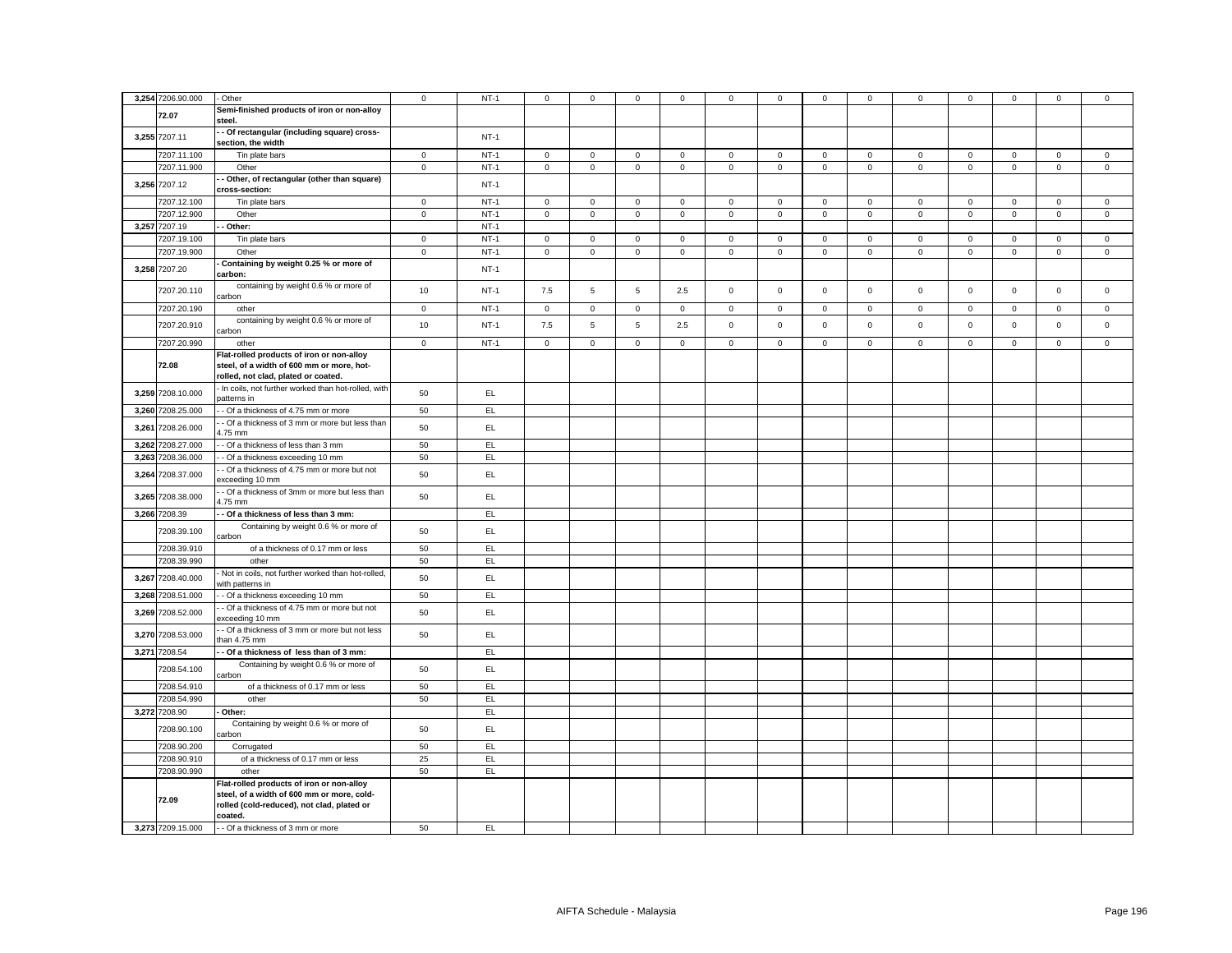|       | 3,254 7206.90.000 | Other                                                                                                                                            | $\mathbf 0$  | $NT-1$ | $\mathbf 0$    | $\mathbf 0$    | $\mathsf 0$  | 0            | 0            | $\mathbf 0$ | $\mathbf 0$  | $\mathbf 0$  | 0            | $\mathbf 0$ | $\mathbf 0$  | $\mathbf 0$ | $\mathbf 0$  |
|-------|-------------------|--------------------------------------------------------------------------------------------------------------------------------------------------|--------------|--------|----------------|----------------|--------------|--------------|--------------|-------------|--------------|--------------|--------------|-------------|--------------|-------------|--------------|
|       |                   | Semi-finished products of iron or non-alloy                                                                                                      |              |        |                |                |              |              |              |             |              |              |              |             |              |             |              |
|       | 72.07             | steel.                                                                                                                                           |              |        |                |                |              |              |              |             |              |              |              |             |              |             |              |
|       | 3,255 7207.11     | - Of rectangular (including square) cross-<br>section, the width                                                                                 |              | $NT-1$ |                |                |              |              |              |             |              |              |              |             |              |             |              |
|       | 7207.11.100       | Tin plate bars                                                                                                                                   | $\mathbf{0}$ | $NT-1$ | $\overline{0}$ | $\circ$        | $\mathbf{0}$ | $\mathbf{0}$ | $\mathbf{0}$ | $\mathbf 0$ | $\mathbf{O}$ | $\mathbf 0$  | $\mathbf{0}$ | $\mathbf 0$ | $\mathbf{0}$ | $\mathsf 0$ | $\mathbf{0}$ |
|       | 7207.11.900       | Other                                                                                                                                            | $\mathsf 0$  | $NT-1$ | $\mathbf 0$    | $\mathbf 0$    | $\mathbf 0$  | $\mathsf 0$  | $\mathbf 0$  | $\mathbf 0$ | $\mathbf 0$  | $\mathbf{0}$ | $\mathsf 0$  | $\mathbf 0$ | $\mathbf{0}$ | $\mathsf 0$ | $\mathbf 0$  |
|       |                   | - Other, of rectangular (other than square)                                                                                                      |              |        |                |                |              |              |              |             |              |              |              |             |              |             |              |
|       | 3,256 7207.12     | cross-section:                                                                                                                                   |              | $NT-1$ |                |                |              |              |              |             |              |              |              |             |              |             |              |
|       | 7207.12.100       | Tin plate bars                                                                                                                                   | $\mathbf 0$  | $NT-1$ | $\mathbf 0$    | $\mathbf 0$    | $\mathbf 0$  | $\mathbf 0$  | $\mathsf 0$  | $\mathsf 0$ | $\mathbf 0$  | $\mathbf 0$  | $\mathbf 0$  | $\mathsf 0$ | $\mathbf 0$  | $\mathbf 0$ | $\mathbf 0$  |
|       | 7207.12.900       | Other                                                                                                                                            | $\mathbf 0$  | $NT-1$ | $\circ$        | $\mathbf 0$    | $\mathsf 0$  | $\mathbf{0}$ | $\mathbf 0$  | $\mathsf 0$ | $\mathbf 0$  | $\mathbf 0$  | $\mathbf{0}$ | $\mathsf 0$ | $\mathbf 0$  | $\mathbf 0$ | $\mathsf 0$  |
|       | 3,257 7207.19     | Other:                                                                                                                                           |              | $NT-1$ |                |                |              |              |              |             |              |              |              |             |              |             |              |
|       | 7207.19.100       | Tin plate bars                                                                                                                                   | $\circ$      | $NT-1$ | $\circ$        | $\mathbf 0$    | $\mathsf 0$  | $\mathsf 0$  | $\mathbf 0$  | $\mathsf 0$ | $\mathbf 0$  | $\mathbf 0$  | $\mathbf{0}$ | $\mathsf 0$ | $\mathbf 0$  | $\mathsf 0$ | $\mathsf 0$  |
|       | 7207.19.900       | Other                                                                                                                                            | $\circ$      | $NT-1$ | $\circ$        | $\mathbf 0$    | $\mathsf 0$  | $\mathsf 0$  | $\mathbf 0$  | $\mathbf 0$ | $\mathbf{0}$ | $\mathbf{0}$ | $\mathbf 0$  | $\mathbf 0$ | $\mathbf 0$  | $\mathbf 0$ | $\mathbf 0$  |
|       |                   | Containing by weight 0.25 % or more of                                                                                                           |              |        |                |                |              |              |              |             |              |              |              |             |              |             |              |
|       | 3,258 7207.20     | carbon:                                                                                                                                          |              | $NT-1$ |                |                |              |              |              |             |              |              |              |             |              |             |              |
|       | 7207.20.110       | containing by weight 0.6 % or more of<br>carbon                                                                                                  | 10           | $NT-1$ | 7.5            | 5              | $\,$ 5 $\,$  | 2.5          | $\mathsf 0$  | $\mathsf 0$ | $\mathbf 0$  | $\mathbf 0$  | $\mathsf 0$  | $\mathsf 0$ | $\mathsf 0$  | $\mathsf 0$ | $\mathsf 0$  |
|       | 7207.20.190       | other                                                                                                                                            | $\mathbf 0$  | $NT-1$ | $\overline{0}$ | $\mathbf 0$    | $\mathbf 0$  | $\mathbf 0$  | $\mathbf 0$  | $\mathbf 0$ | $\mathbf 0$  | $\mathbf 0$  | $\mathbf{0}$ | $\mathbf 0$ | $\mathbf 0$  | $\mathbf 0$ | $\mathsf 0$  |
|       | 7207.20.910       | containing by weight 0.6 % or more of<br>carbon                                                                                                  | $10$         | $NT-1$ | 7.5            | $\overline{5}$ | $\,$ 5 $\,$  | 2.5          | $\mathbf 0$  | $\mathsf 0$ | $\mathsf 0$  | $\mathsf 0$  | $\mathsf 0$  | $\mathsf 0$ | $\mathsf 0$  | $\mathsf 0$ | $\mathsf 0$  |
|       | 7207.20.990       | other                                                                                                                                            | $\mathbf 0$  | $NT-1$ | $\overline{0}$ | 0              | $\mathbf 0$  | $\mathbf 0$  | $\mathbf 0$  | $\mathbf 0$ | $\mathbf 0$  | $\mathbf 0$  | 0            | $\mathbf 0$ | $\mathbf 0$  | $\mathbf 0$ | $\mathbf 0$  |
|       | 72.08             | Flat-rolled products of iron or non-alloy<br>steel, of a width of 600 mm or more, hot-<br>rolled, not clad, plated or coated.                    |              |        |                |                |              |              |              |             |              |              |              |             |              |             |              |
|       | 3,259 7208.10.000 | In coils, not further worked than hot-rolled, with<br>patterns in                                                                                | 50           | EL     |                |                |              |              |              |             |              |              |              |             |              |             |              |
|       | 3,260 7208.25.000 | - Of a thickness of 4.75 mm or more                                                                                                              | 50           | EL     |                |                |              |              |              |             |              |              |              |             |              |             |              |
| 3,261 | 7208.26.000       | - Of a thickness of 3 mm or more but less than<br>.75 mm                                                                                         | 50           | EL     |                |                |              |              |              |             |              |              |              |             |              |             |              |
|       | 3,262 7208.27.000 | - Of a thickness of less than 3 mm                                                                                                               | 50           | EL     |                |                |              |              |              |             |              |              |              |             |              |             |              |
|       | 3,263 7208.36.000 | - Of a thickness exceeding 10 mm                                                                                                                 | 50           | EL.    |                |                |              |              |              |             |              |              |              |             |              |             |              |
|       | 3,264 7208.37.000 | - Of a thickness of 4.75 mm or more but not<br>exceeding 10 mm                                                                                   | 50           | EL.    |                |                |              |              |              |             |              |              |              |             |              |             |              |
|       | 3,265 7208.38.000 | - Of a thickness of 3mm or more but less than<br>$1.75$ mm                                                                                       | 50           | EL     |                |                |              |              |              |             |              |              |              |             |              |             |              |
|       | 3,266 7208.39     | - Of a thickness of less than 3 mm:                                                                                                              |              | EL.    |                |                |              |              |              |             |              |              |              |             |              |             |              |
|       | 7208.39.100       | Containing by weight 0.6 % or more of                                                                                                            | 50           | EL     |                |                |              |              |              |             |              |              |              |             |              |             |              |
|       |                   | carbon                                                                                                                                           |              |        |                |                |              |              |              |             |              |              |              |             |              |             |              |
|       | 7208.39.910       | of a thickness of 0.17 mm or less                                                                                                                | 50           | EL.    |                |                |              |              |              |             |              |              |              |             |              |             |              |
|       | 7208.39.990       | other                                                                                                                                            | 50           | EL     |                |                |              |              |              |             |              |              |              |             |              |             |              |
|       | 3,267 7208.40.000 | Not in coils, not further worked than hot-rolled,<br>with patterns in                                                                            | 50           | EL     |                |                |              |              |              |             |              |              |              |             |              |             |              |
|       | 3,268 7208.51.000 | - Of a thickness exceeding 10 mm                                                                                                                 | 50           | EL     |                |                |              |              |              |             |              |              |              |             |              |             |              |
|       | 3,269 7208.52.000 | - Of a thickness of 4.75 mm or more but not<br>exceeding 10 mm                                                                                   | 50           | EL     |                |                |              |              |              |             |              |              |              |             |              |             |              |
|       | 3,270 7208.53.000 | - Of a thickness of 3 mm or more but not less<br>han 4.75 mm                                                                                     | 50           | EL.    |                |                |              |              |              |             |              |              |              |             |              |             |              |
|       | 3,271 7208.54     | - Of a thickness of less than of 3 mm:                                                                                                           |              | EL.    |                |                |              |              |              |             |              |              |              |             |              |             |              |
|       | 7208.54.100       | Containing by weight 0.6 % or more of<br>carbon                                                                                                  | 50           | EL     |                |                |              |              |              |             |              |              |              |             |              |             |              |
|       | 7208.54.910       | of a thickness of 0.17 mm or less                                                                                                                | 50           | EL.    |                |                |              |              |              |             |              |              |              |             |              |             |              |
|       | 7208.54.990       | other                                                                                                                                            | 50           | EL     |                |                |              |              |              |             |              |              |              |             |              |             |              |
|       | 3,272 7208.90     | Other:                                                                                                                                           |              | EL.    |                |                |              |              |              |             |              |              |              |             |              |             |              |
|       | 7208.90.100       | Containing by weight 0.6 % or more of<br>carbon                                                                                                  | 50           | EL.    |                |                |              |              |              |             |              |              |              |             |              |             |              |
|       | 7208.90.200       | Corrugated                                                                                                                                       | 50           | EL.    |                |                |              |              |              |             |              |              |              |             |              |             |              |
|       | 7208.90.910       | of a thickness of 0.17 mm or less                                                                                                                | 25           | EL     |                |                |              |              |              |             |              |              |              |             |              |             |              |
|       | 7208.90.990       | other                                                                                                                                            | 50           | EL.    |                |                |              |              |              |             |              |              |              |             |              |             |              |
|       | 72.09             | Flat-rolled products of iron or non-alloy<br>steel, of a width of 600 mm or more, cold-<br>rolled (cold-reduced), not clad, plated or<br>coated. |              |        |                |                |              |              |              |             |              |              |              |             |              |             |              |
|       | 3,273 7209.15.000 | - - Of a thickness of 3 mm or more                                                                                                               | 50           | EL     |                |                |              |              |              |             |              |              |              |             |              |             |              |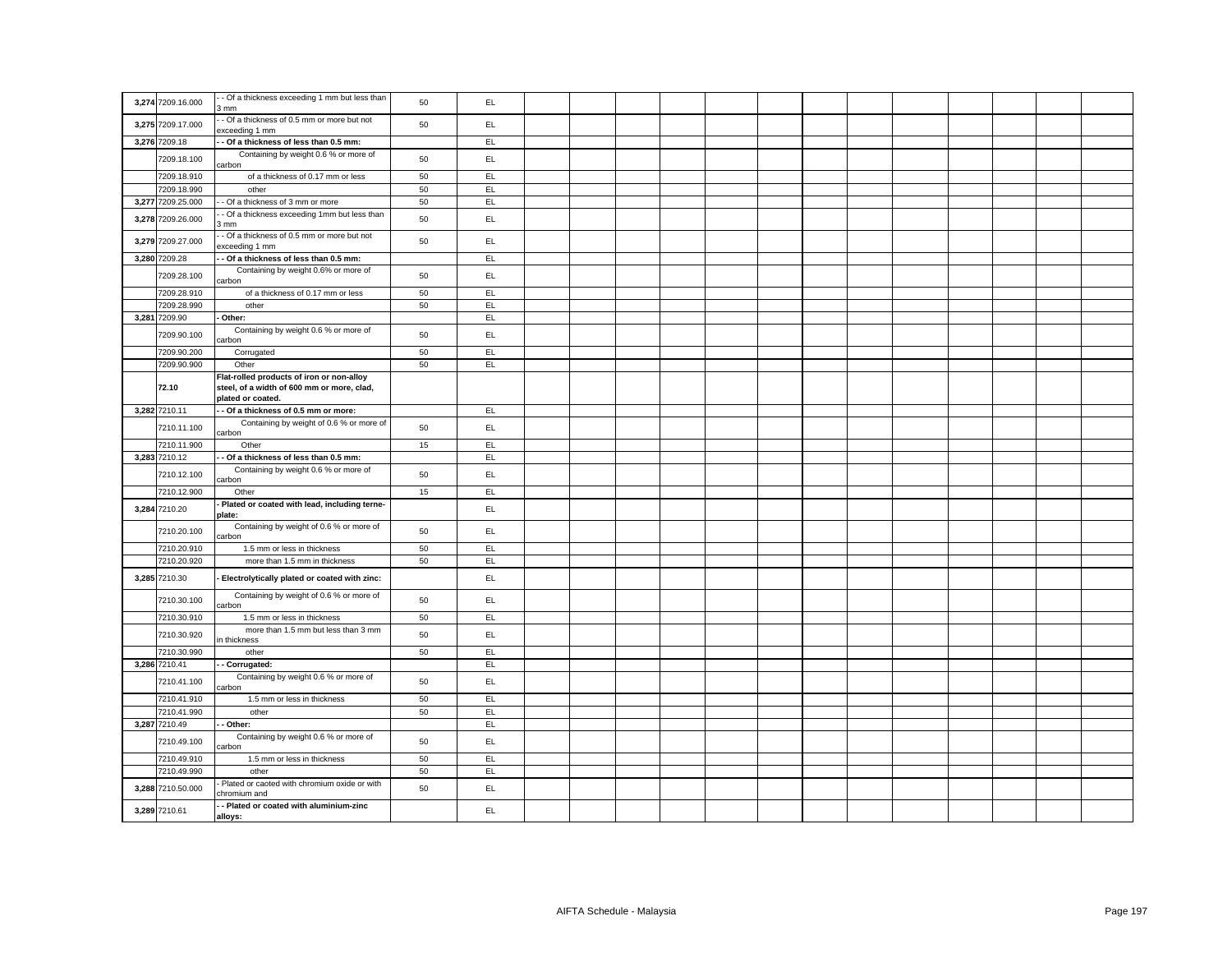|                   | - Of a thickness exceeding 1 mm but less than                   |    |     |  |  |  |  |  |  |  |
|-------------------|-----------------------------------------------------------------|----|-----|--|--|--|--|--|--|--|
| 3,274 7209.16.000 | 3 mm                                                            | 50 | EL  |  |  |  |  |  |  |  |
| 3,275 7209.17.000 | - Of a thickness of 0.5 mm or more but not<br>exceeding 1 mm    | 50 | EL  |  |  |  |  |  |  |  |
| 3,276 7209.18     | - Of a thickness of less than 0.5 mm:                           |    | EL  |  |  |  |  |  |  |  |
| 7209.18.100       | Containing by weight 0.6 % or more of<br>carbon                 | 50 | EL  |  |  |  |  |  |  |  |
| 7209.18.910       | of a thickness of 0.17 mm or less                               | 50 | E   |  |  |  |  |  |  |  |
| 7209.18.990       | other                                                           | 50 | EL  |  |  |  |  |  |  |  |
| 3,277 7209.25.000 | - Of a thickness of 3 mm or more                                | 50 | EL  |  |  |  |  |  |  |  |
| 3,278 7209.26.000 | - Of a thickness exceeding 1mm but less than<br>mm              | 50 | EL  |  |  |  |  |  |  |  |
| 3,279 7209.27.000 | - Of a thickness of 0.5 mm or more but not<br>xceeding 1 mm     | 50 | EL. |  |  |  |  |  |  |  |
| 3,280 7209.28     | Of a thickness of less than 0.5 mm:                             |    | EL  |  |  |  |  |  |  |  |
|                   | Containing by weight 0.6% or more of                            |    |     |  |  |  |  |  |  |  |
| 7209.28.100       | carbon                                                          | 50 | EL  |  |  |  |  |  |  |  |
| 7209.28.910       | of a thickness of 0.17 mm or less                               | 50 | EL  |  |  |  |  |  |  |  |
| 7209.28.990       | other                                                           | 50 | EL  |  |  |  |  |  |  |  |
| 3,281 7209.90     | Other:                                                          |    | EL  |  |  |  |  |  |  |  |
| 7209.90.100       | Containing by weight 0.6 % or more of<br>carbon                 | 50 | EL. |  |  |  |  |  |  |  |
| 7209.90.200       | Corrugated                                                      | 50 | EL  |  |  |  |  |  |  |  |
| 7209.90.900       | Other                                                           | 50 | EL. |  |  |  |  |  |  |  |
|                   | Flat-rolled products of iron or non-alloy                       |    |     |  |  |  |  |  |  |  |
| 72.10             | steel, of a width of 600 mm or more, clad,<br>plated or coated. |    |     |  |  |  |  |  |  |  |
| 3,282 7210.11     | Of a thickness of 0.5 mm or more:                               |    | EL  |  |  |  |  |  |  |  |
| 7210.11.100       | Containing by weight of 0.6 % or more of                        | 50 | EL  |  |  |  |  |  |  |  |
|                   | carbon                                                          |    |     |  |  |  |  |  |  |  |
| 7210.11.900       | Other                                                           | 15 | EL  |  |  |  |  |  |  |  |
| 3,283 7210.12     | - Of a thickness of less than 0.5 mm:                           |    | EL  |  |  |  |  |  |  |  |
| 7210.12.100       | Containing by weight 0.6 % or more of<br>carbon                 | 50 | EL. |  |  |  |  |  |  |  |
| 7210.12.900       | Other                                                           | 15 | EL  |  |  |  |  |  |  |  |
| 3,284 7210.20     | Plated or coated with lead, including terne-<br>plate:          |    | EL. |  |  |  |  |  |  |  |
| 7210.20.100       | Containing by weight of 0.6 % or more of<br>carbon              | 50 | EL. |  |  |  |  |  |  |  |
| 7210.20.910       | 1.5 mm or less in thickness                                     | 50 | EL  |  |  |  |  |  |  |  |
| 7210.20.920       | more than 1.5 mm in thickness                                   | 50 | EL  |  |  |  |  |  |  |  |
| 3,285 7210.30     | Electrolytically plated or coated with zinc:                    |    | EL  |  |  |  |  |  |  |  |
| 7210.30.100       | Containing by weight of 0.6 % or more of<br>carbon              | 50 | EL  |  |  |  |  |  |  |  |
| 7210.30.910       | 1.5 mm or less in thickness                                     | 50 | EL  |  |  |  |  |  |  |  |
| 7210.30.920       | more than 1.5 mm but less than 3 mm<br>n thickness              | 50 | EL. |  |  |  |  |  |  |  |
| 7210.30.990       | other                                                           | 50 | EL  |  |  |  |  |  |  |  |
| 3,286 7210.41     | Corrugated:                                                     |    | EL  |  |  |  |  |  |  |  |
| 7210.41.100       | Containing by weight 0.6 % or more of<br>carbon                 | 50 | EL  |  |  |  |  |  |  |  |
| 7210.41.910       | 1.5 mm or less in thickness                                     | 50 | EL  |  |  |  |  |  |  |  |
| 7210.41.990       | other                                                           | 50 | EL  |  |  |  |  |  |  |  |
| 3,287 7210.49     | Other:                                                          |    | EL  |  |  |  |  |  |  |  |
| 7210.49.100       | Containing by weight 0.6 % or more of<br>carbon                 | 50 | EL. |  |  |  |  |  |  |  |
| 7210.49.910       | 1.5 mm or less in thickness                                     | 50 | EL  |  |  |  |  |  |  |  |
| 7210.49.990       | other                                                           | 50 | EL  |  |  |  |  |  |  |  |
| 3,288 7210.50.000 | Plated or caoted with chromium oxide or with<br>chromium and    | 50 | EL. |  |  |  |  |  |  |  |
| 3,289 7210.61     | - Plated or coated with aluminium-zinc<br>alloys:               |    | EL. |  |  |  |  |  |  |  |
|                   |                                                                 |    |     |  |  |  |  |  |  |  |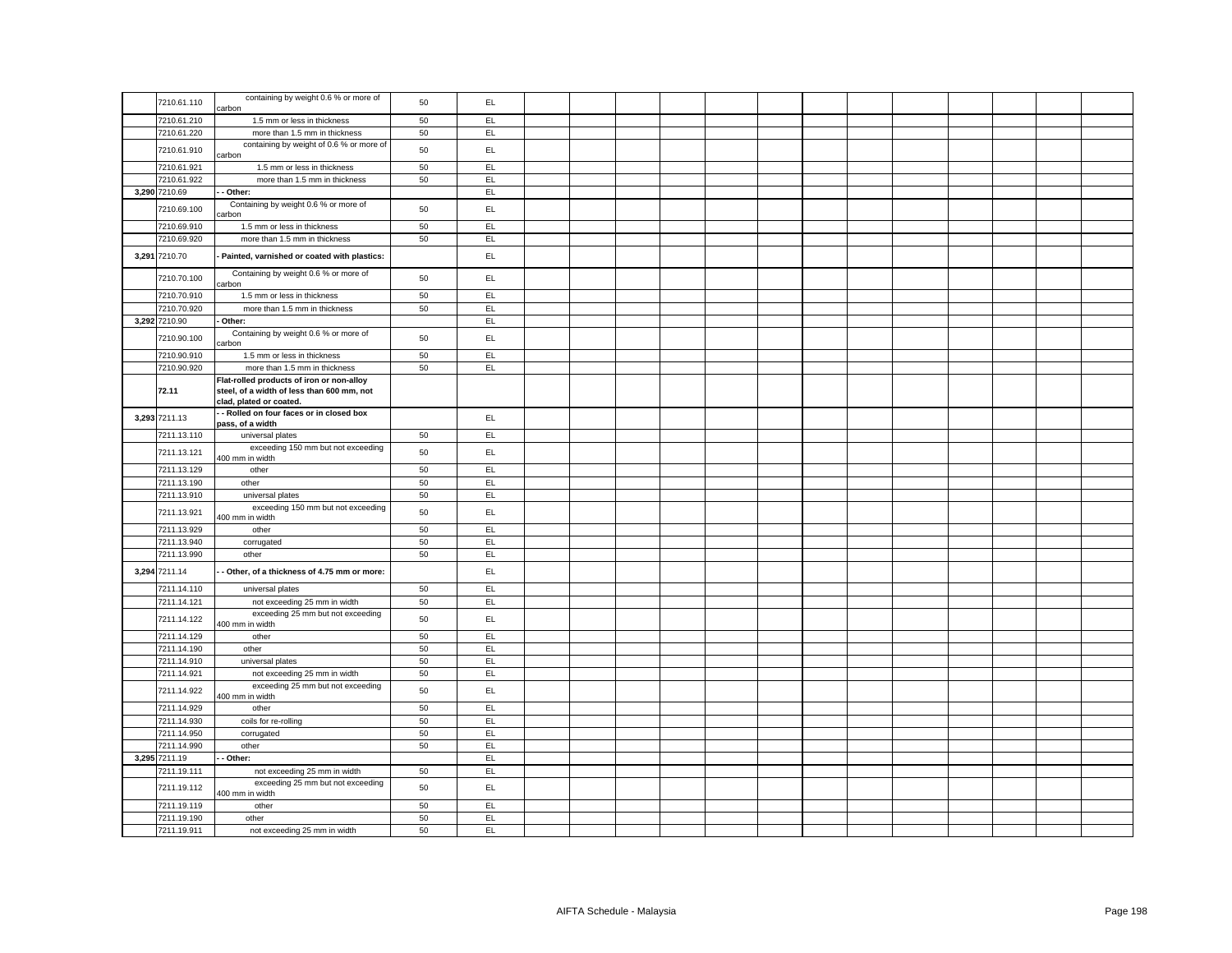| 7210.61.110                | containing by weight 0.6 % or more of<br>carbon                                                                    | 50       | EL.       |  |  |  |  |  |  |  |
|----------------------------|--------------------------------------------------------------------------------------------------------------------|----------|-----------|--|--|--|--|--|--|--|
| 7210.61.210                | 1.5 mm or less in thickness                                                                                        | 50       | EL.       |  |  |  |  |  |  |  |
| 7210.61.220                | more than 1.5 mm in thickness                                                                                      | 50       | EL.       |  |  |  |  |  |  |  |
| 7210.61.910                | containing by weight of 0.6 % or more of<br>carbon                                                                 | 50       | EL.       |  |  |  |  |  |  |  |
| 7210.61.921                | 1.5 mm or less in thickness                                                                                        | 50       | EL        |  |  |  |  |  |  |  |
| 7210.61.922                | more than 1.5 mm in thickness                                                                                      | 50       | EL        |  |  |  |  |  |  |  |
| 3,290 7210.69              | Other:                                                                                                             |          | EL        |  |  |  |  |  |  |  |
| 7210.69.100                | Containing by weight 0.6 % or more of<br>arbon                                                                     | 50       | EL        |  |  |  |  |  |  |  |
| 7210.69.910                | 1.5 mm or less in thickness                                                                                        | 50       | EL        |  |  |  |  |  |  |  |
| 7210.69.920                | more than 1.5 mm in thickness                                                                                      | 50       | EL        |  |  |  |  |  |  |  |
| 3,291 7210.70              | Painted, varnished or coated with plastics:                                                                        |          | EL.       |  |  |  |  |  |  |  |
| 7210.70.100                | Containing by weight 0.6 % or more of<br>carbon                                                                    | 50       | EL        |  |  |  |  |  |  |  |
| 7210.70.910                | 1.5 mm or less in thickness                                                                                        | 50       | EL        |  |  |  |  |  |  |  |
| 7210.70.920                | more than 1.5 mm in thickness                                                                                      | 50       | EL        |  |  |  |  |  |  |  |
| 3,292 7210.90              | Other:                                                                                                             |          | EL        |  |  |  |  |  |  |  |
| 7210.90.100                | Containing by weight 0.6 % or more of<br>carbon                                                                    | 50       | EL.       |  |  |  |  |  |  |  |
| 7210.90.910                | 1.5 mm or less in thickness                                                                                        | 50       | EL.       |  |  |  |  |  |  |  |
| 7210.90.920                | more than 1.5 mm in thickness                                                                                      | 50       | EL.       |  |  |  |  |  |  |  |
| 72.11                      | Flat-rolled products of iron or non-alloy<br>steel, of a width of less than 600 mm, not<br>clad, plated or coated. |          |           |  |  |  |  |  |  |  |
| 3,293 7211.13              | - Rolled on four faces or in closed box<br>pass, of a width                                                        |          | EL        |  |  |  |  |  |  |  |
| 7211.13.110                | universal plates                                                                                                   | 50       | EL        |  |  |  |  |  |  |  |
| 7211.13.121                | exceeding 150 mm but not exceeding<br>400 mm in width                                                              | 50       | EL        |  |  |  |  |  |  |  |
| 7211.13.129                | other                                                                                                              | 50       | EL        |  |  |  |  |  |  |  |
| 7211.13.190                | other                                                                                                              | 50       | EL        |  |  |  |  |  |  |  |
| 7211.13.910                | universal plates                                                                                                   | 50       | EL.       |  |  |  |  |  |  |  |
| 7211.13.921                | exceeding 150 mm but not exceeding<br>400 mm in width                                                              | 50       | EL.       |  |  |  |  |  |  |  |
| 7211.13.929                | other                                                                                                              | 50       | EL        |  |  |  |  |  |  |  |
| 7211.13.940                | corrugated                                                                                                         | 50       | EL        |  |  |  |  |  |  |  |
| 7211.13.990                | other                                                                                                              | 50       | EL        |  |  |  |  |  |  |  |
| 3,294 7211.14              | - Other, of a thickness of 4.75 mm or more:                                                                        |          | EL.       |  |  |  |  |  |  |  |
| 7211.14.110                | universal plates                                                                                                   | 50       | EL.       |  |  |  |  |  |  |  |
| 7211.14.121                | not exceeding 25 mm in width                                                                                       | 50       | EL        |  |  |  |  |  |  |  |
| 7211.14.122                | exceeding 25 mm but not exceeding<br>400 mm in width                                                               | 50       | EL        |  |  |  |  |  |  |  |
| 7211.14.129                | other                                                                                                              | 50       | EL        |  |  |  |  |  |  |  |
| 7211.14.190                | other                                                                                                              | 50       | EL.       |  |  |  |  |  |  |  |
| 7211.14.910                | universal plates                                                                                                   | 50       | EL.       |  |  |  |  |  |  |  |
| 7211.14.921                | not exceeding 25 mm in width                                                                                       | 50       | EL.       |  |  |  |  |  |  |  |
| 7211.14.922                | exceeding 25 mm but not exceeding                                                                                  |          |           |  |  |  |  |  |  |  |
|                            | 400 mm in width                                                                                                    | 50       | EL        |  |  |  |  |  |  |  |
| 7211.14.929                | other                                                                                                              | 50       | EL        |  |  |  |  |  |  |  |
| 7211.14.930                | coils for re-rolling                                                                                               | 50       | EL        |  |  |  |  |  |  |  |
| 7211.14.950                | corrugated                                                                                                         | 50       | EL        |  |  |  |  |  |  |  |
| 7211.14.990                | other                                                                                                              | 50       | EL.       |  |  |  |  |  |  |  |
| 3,295 7211.19              | Other:                                                                                                             |          | EL        |  |  |  |  |  |  |  |
| 7211.19.111                | not exceeding 25 mm in width<br>exceeding 25 mm but not exceeding                                                  | 50       | EL.       |  |  |  |  |  |  |  |
| 7211.19.112                | 400 mm in width                                                                                                    | 50       | EL.       |  |  |  |  |  |  |  |
| 7211.19.119                | other                                                                                                              | 50       | EL        |  |  |  |  |  |  |  |
| 7211.19.190<br>7211.19.911 | other<br>not exceeding 25 mm in width                                                                              | 50<br>50 | EL<br>EL. |  |  |  |  |  |  |  |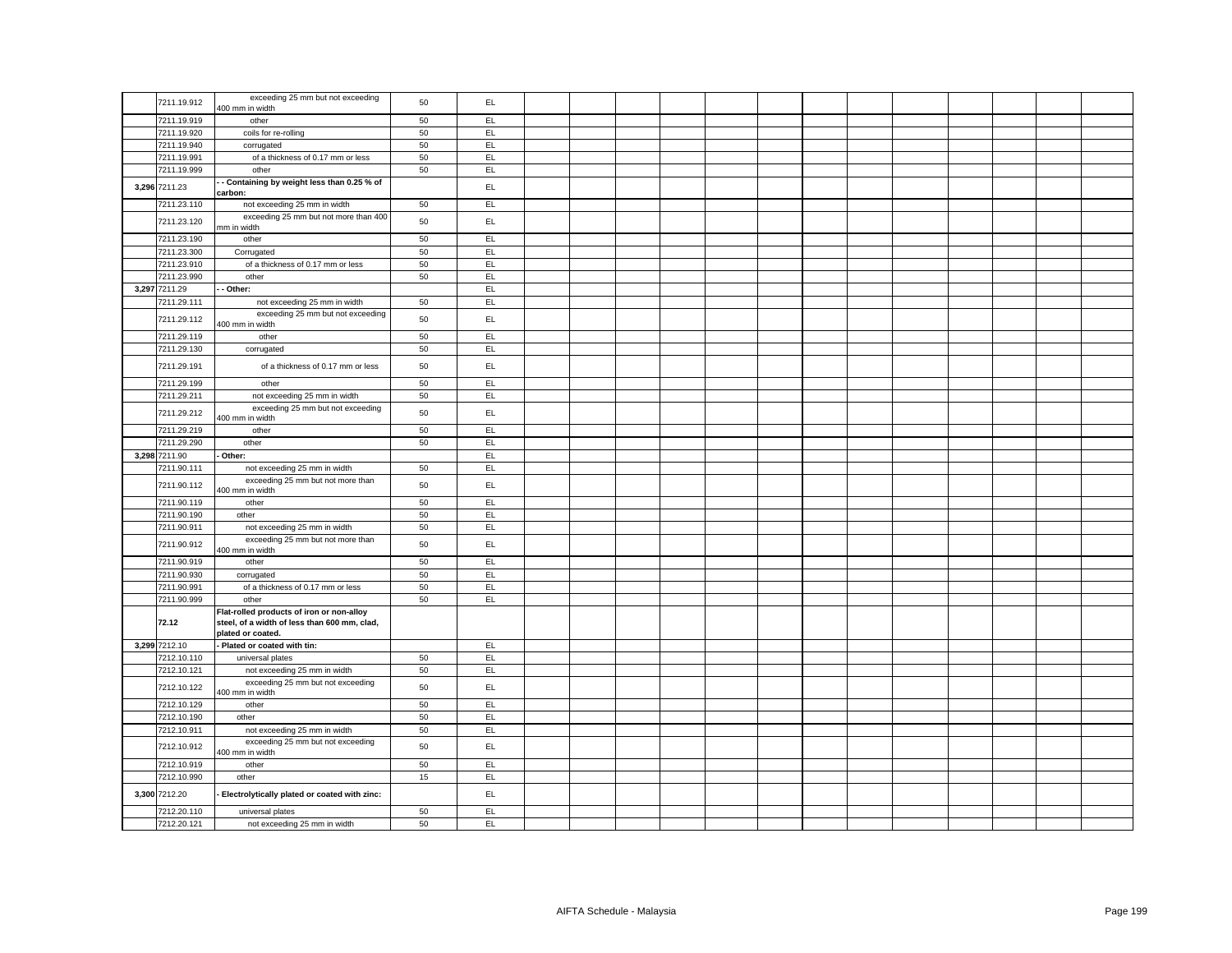| 7211.19.912   | exceeding 25 mm but not exceeding                                                                              | 50 | EL. |  |  |  |  |  |  |  |
|---------------|----------------------------------------------------------------------------------------------------------------|----|-----|--|--|--|--|--|--|--|
|               | 400 mm in width                                                                                                |    |     |  |  |  |  |  |  |  |
| 7211.19.919   | other                                                                                                          | 50 | EL  |  |  |  |  |  |  |  |
| 7211.19.920   | coils for re-rolling                                                                                           | 50 | EL  |  |  |  |  |  |  |  |
| 7211.19.940   | corrugated                                                                                                     | 50 | EL  |  |  |  |  |  |  |  |
| 7211.19.991   | of a thickness of 0.17 mm or less                                                                              | 50 | EL. |  |  |  |  |  |  |  |
| 7211.19.999   | other                                                                                                          | 50 | EL  |  |  |  |  |  |  |  |
| 3,296 7211.23 | - Containing by weight less than 0.25 % of<br>carbon:                                                          |    | EL  |  |  |  |  |  |  |  |
| 7211.23.110   | not exceeding 25 mm in width                                                                                   | 50 | EL  |  |  |  |  |  |  |  |
| 7211.23.120   | exceeding 25 mm but not more than 400                                                                          | 50 | EL. |  |  |  |  |  |  |  |
| 7211.23.190   | mm in width<br>other                                                                                           | 50 | EL. |  |  |  |  |  |  |  |
| 7211.23.300   | Corrugated                                                                                                     | 50 | EL. |  |  |  |  |  |  |  |
| 7211.23.910   | of a thickness of 0.17 mm or less                                                                              | 50 | EL  |  |  |  |  |  |  |  |
| 7211.23.990   | other                                                                                                          | 50 | EL  |  |  |  |  |  |  |  |
| 3,297 7211.29 | Other:                                                                                                         |    | EL  |  |  |  |  |  |  |  |
| 7211.29.111   | not exceeding 25 mm in width                                                                                   | 50 | EL. |  |  |  |  |  |  |  |
| 7211.29.112   | exceeding 25 mm but not exceeding<br>400 mm in width                                                           | 50 | EL  |  |  |  |  |  |  |  |
| 7211.29.119   | other                                                                                                          | 50 | EL  |  |  |  |  |  |  |  |
| 7211.29.130   | corrugated                                                                                                     | 50 | EL  |  |  |  |  |  |  |  |
|               |                                                                                                                |    |     |  |  |  |  |  |  |  |
| 7211.29.191   | of a thickness of 0.17 mm or less                                                                              | 50 | EL. |  |  |  |  |  |  |  |
| 7211.29.199   | other                                                                                                          | 50 | EL  |  |  |  |  |  |  |  |
| 7211.29.211   | not exceeding 25 mm in width                                                                                   | 50 | EL. |  |  |  |  |  |  |  |
| 7211.29.212   | exceeding 25 mm but not exceeding<br>400 mm in width                                                           | 50 | EL  |  |  |  |  |  |  |  |
| 7211.29.219   | other                                                                                                          | 50 | EL  |  |  |  |  |  |  |  |
| 7211.29.290   | other                                                                                                          | 50 | EL  |  |  |  |  |  |  |  |
| 3,298 7211.90 | Other:                                                                                                         |    | EL  |  |  |  |  |  |  |  |
| 7211.90.111   | not exceeding 25 mm in width                                                                                   | 50 | EL  |  |  |  |  |  |  |  |
| 7211.90.112   | exceeding 25 mm but not more than<br>400 mm in width                                                           | 50 | EL. |  |  |  |  |  |  |  |
| 7211.90.119   | other                                                                                                          | 50 | EL  |  |  |  |  |  |  |  |
| 7211.90.190   | other                                                                                                          | 50 | EL  |  |  |  |  |  |  |  |
| 7211.90.911   | not exceeding 25 mm in width                                                                                   | 50 | EL  |  |  |  |  |  |  |  |
| 7211.90.912   | exceeding 25 mm but not more than<br>400 mm in width                                                           | 50 | EL. |  |  |  |  |  |  |  |
| 7211.90.919   | other                                                                                                          | 50 | EL. |  |  |  |  |  |  |  |
| 7211.90.930   | corrugated                                                                                                     | 50 | EL  |  |  |  |  |  |  |  |
| 7211.90.991   | of a thickness of 0.17 mm or less                                                                              | 50 | EL  |  |  |  |  |  |  |  |
| 7211.90.999   | other                                                                                                          | 50 | EL. |  |  |  |  |  |  |  |
| 72.12         | Flat-rolled products of iron or non-alloy<br>steel, of a width of less than 600 mm, clad,<br>plated or coated. |    |     |  |  |  |  |  |  |  |
| 3,299 7212.10 | Plated or coated with tin:                                                                                     |    | EL  |  |  |  |  |  |  |  |
| 7212.10.110   | universal plates                                                                                               | 50 | EL  |  |  |  |  |  |  |  |
| 7212.10.121   | not exceeding 25 mm in width                                                                                   | 50 | EL  |  |  |  |  |  |  |  |
| 7212.10.122   | exceeding 25 mm but not exceeding<br>400 mm in width                                                           | 50 | EL. |  |  |  |  |  |  |  |
| 7212.10.129   | other                                                                                                          | 50 | EL  |  |  |  |  |  |  |  |
| 7212.10.190   | other                                                                                                          | 50 | EL  |  |  |  |  |  |  |  |
| 7212.10.911   | not exceeding 25 mm in width                                                                                   | 50 | EL  |  |  |  |  |  |  |  |
| 7212.10.912   | exceeding 25 mm but not exceeding<br>400 mm in width                                                           | 50 | EL  |  |  |  |  |  |  |  |
| 7212.10.919   | other                                                                                                          | 50 | EL  |  |  |  |  |  |  |  |
| 7212.10.990   | other                                                                                                          | 15 | EL  |  |  |  |  |  |  |  |
| 3,300 7212.20 | Electrolytically plated or coated with zinc:                                                                   |    | EL  |  |  |  |  |  |  |  |
| 7212.20.110   | universal plates                                                                                               | 50 | EL. |  |  |  |  |  |  |  |
| 7212.20.121   | not exceeding 25 mm in width                                                                                   | 50 | EL  |  |  |  |  |  |  |  |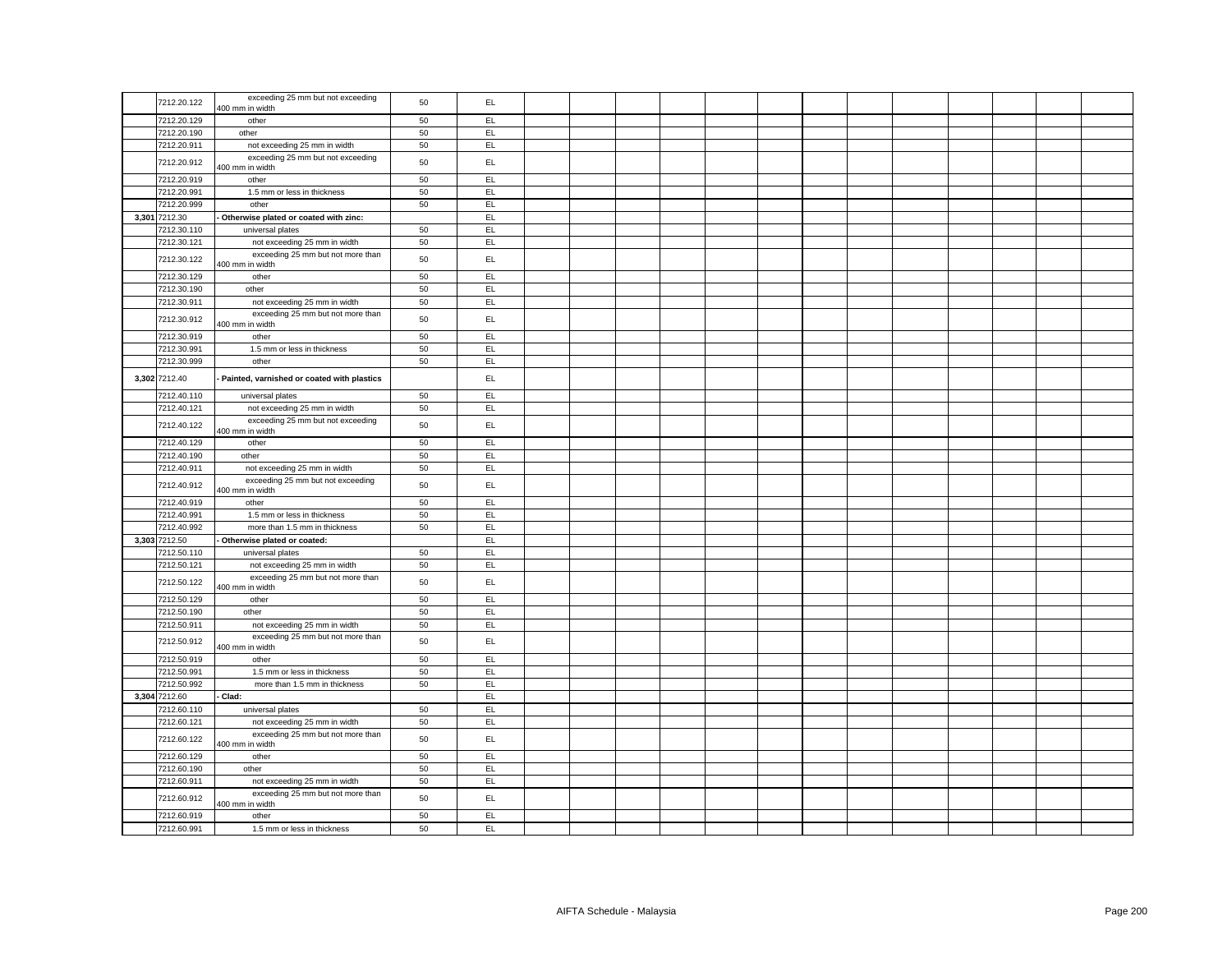|               | exceeding 25 mm but not exceeding                    |    |     |  |  |  |  |  |  |  |
|---------------|------------------------------------------------------|----|-----|--|--|--|--|--|--|--|
| 7212.20.122   | 400 mm in width                                      | 50 | EL. |  |  |  |  |  |  |  |
| 7212.20.129   | other                                                | 50 | EL  |  |  |  |  |  |  |  |
| 7212.20.190   | other                                                | 50 | EL  |  |  |  |  |  |  |  |
| 7212.20.911   | not exceeding 25 mm in width                         | 50 | EL  |  |  |  |  |  |  |  |
| 7212.20.912   | exceeding 25 mm but not exceeding<br>400 mm in width | 50 | EL  |  |  |  |  |  |  |  |
| 7212.20.919   | other                                                | 50 | EL  |  |  |  |  |  |  |  |
| 7212.20.991   | 1.5 mm or less in thickness                          | 50 | EL  |  |  |  |  |  |  |  |
| 7212.20.999   | other                                                | 50 | EL  |  |  |  |  |  |  |  |
| 3,301 7212.30 | Otherwise plated or coated with zinc:                |    | EL. |  |  |  |  |  |  |  |
| 7212.30.110   | universal plates                                     | 50 | EL  |  |  |  |  |  |  |  |
| 7212.30.121   | not exceeding 25 mm in width                         | 50 | EL  |  |  |  |  |  |  |  |
| 7212.30.122   | exceeding 25 mm but not more than<br>400 mm in width | 50 | EL. |  |  |  |  |  |  |  |
| 7212.30.129   | other                                                | 50 | EL. |  |  |  |  |  |  |  |
| 7212.30.190   | other                                                | 50 | EL. |  |  |  |  |  |  |  |
| 7212.30.911   | not exceeding 25 mm in width                         | 50 | EL  |  |  |  |  |  |  |  |
| 7212.30.912   | exceeding 25 mm but not more than<br>400 mm in width | 50 | EL. |  |  |  |  |  |  |  |
| 7212.30.919   | other                                                | 50 | EL  |  |  |  |  |  |  |  |
| 7212.30.991   | 1.5 mm or less in thickness                          | 50 | EL  |  |  |  |  |  |  |  |
| 7212.30.999   | other                                                | 50 | EL. |  |  |  |  |  |  |  |
| 3,302 7212.40 | Painted, varnished or coated with plastics           |    | EL  |  |  |  |  |  |  |  |
| 7212.40.110   | universal plates                                     | 50 | EL  |  |  |  |  |  |  |  |
| 7212.40.121   | not exceeding 25 mm in width                         | 50 | EL. |  |  |  |  |  |  |  |
|               | exceeding 25 mm but not exceeding                    |    |     |  |  |  |  |  |  |  |
| 7212.40.122   | 400 mm in width                                      | 50 | EL. |  |  |  |  |  |  |  |
| 7212.40.129   | other                                                | 50 | EL  |  |  |  |  |  |  |  |
| 7212.40.190   | other                                                | 50 | EL. |  |  |  |  |  |  |  |
| 7212.40.911   | not exceeding 25 mm in width                         | 50 | EL  |  |  |  |  |  |  |  |
| 7212.40.912   | exceeding 25 mm but not exceeding<br>400 mm in width | 50 | EL  |  |  |  |  |  |  |  |
| 7212.40.919   | other                                                | 50 | EL  |  |  |  |  |  |  |  |
| 7212.40.991   | 1.5 mm or less in thickness                          | 50 | EL. |  |  |  |  |  |  |  |
| 7212.40.992   | more than 1.5 mm in thickness                        | 50 | EL  |  |  |  |  |  |  |  |
| 3,303 7212.50 | Otherwise plated or coated:                          |    | EL. |  |  |  |  |  |  |  |
| 7212.50.110   | universal plates                                     | 50 | EL  |  |  |  |  |  |  |  |
| 7212.50.121   | not exceeding 25 mm in width                         | 50 | EL. |  |  |  |  |  |  |  |
| 7212.50.122   | exceeding 25 mm but not more than<br>400 mm in width | 50 | EL. |  |  |  |  |  |  |  |
| 7212.50.129   | other                                                | 50 | EL  |  |  |  |  |  |  |  |
| 7212.50.190   | other                                                | 50 | EL  |  |  |  |  |  |  |  |
| 7212.50.911   | not exceeding 25 mm in width                         | 50 | EL. |  |  |  |  |  |  |  |
| 7212.50.912   | exceeding 25 mm but not more than<br>400 mm in width | 50 | EL  |  |  |  |  |  |  |  |
| 7212.50.919   | other                                                | 50 | EL  |  |  |  |  |  |  |  |
| 7212.50.991   | 1.5 mm or less in thickness                          | 50 | E   |  |  |  |  |  |  |  |
| 7212.50.992   | more than 1.5 mm in thickness                        | 50 | EL. |  |  |  |  |  |  |  |
| 3,304 7212.60 | Clad:                                                |    | EL  |  |  |  |  |  |  |  |
| 7212.60.110   | universal plates                                     | 50 | EL  |  |  |  |  |  |  |  |
| 7212.60.121   | not exceeding 25 mm in width                         | 50 | E   |  |  |  |  |  |  |  |
| 7212.60.122   | exceeding 25 mm but not more than<br>400 mm in width | 50 | EL  |  |  |  |  |  |  |  |
| 7212.60.129   | other                                                | 50 | EL. |  |  |  |  |  |  |  |
| 7212.60.190   | other                                                | 50 | EL  |  |  |  |  |  |  |  |
| 7212.60.911   | not exceeding 25 mm in width                         | 50 | EL. |  |  |  |  |  |  |  |
| 7212.60.912   | exceeding 25 mm but not more than<br>400 mm in width | 50 | EL  |  |  |  |  |  |  |  |
| 7212.60.919   | other                                                | 50 | EL. |  |  |  |  |  |  |  |
| 7212.60.991   | 1.5 mm or less in thickness                          | 50 | EL  |  |  |  |  |  |  |  |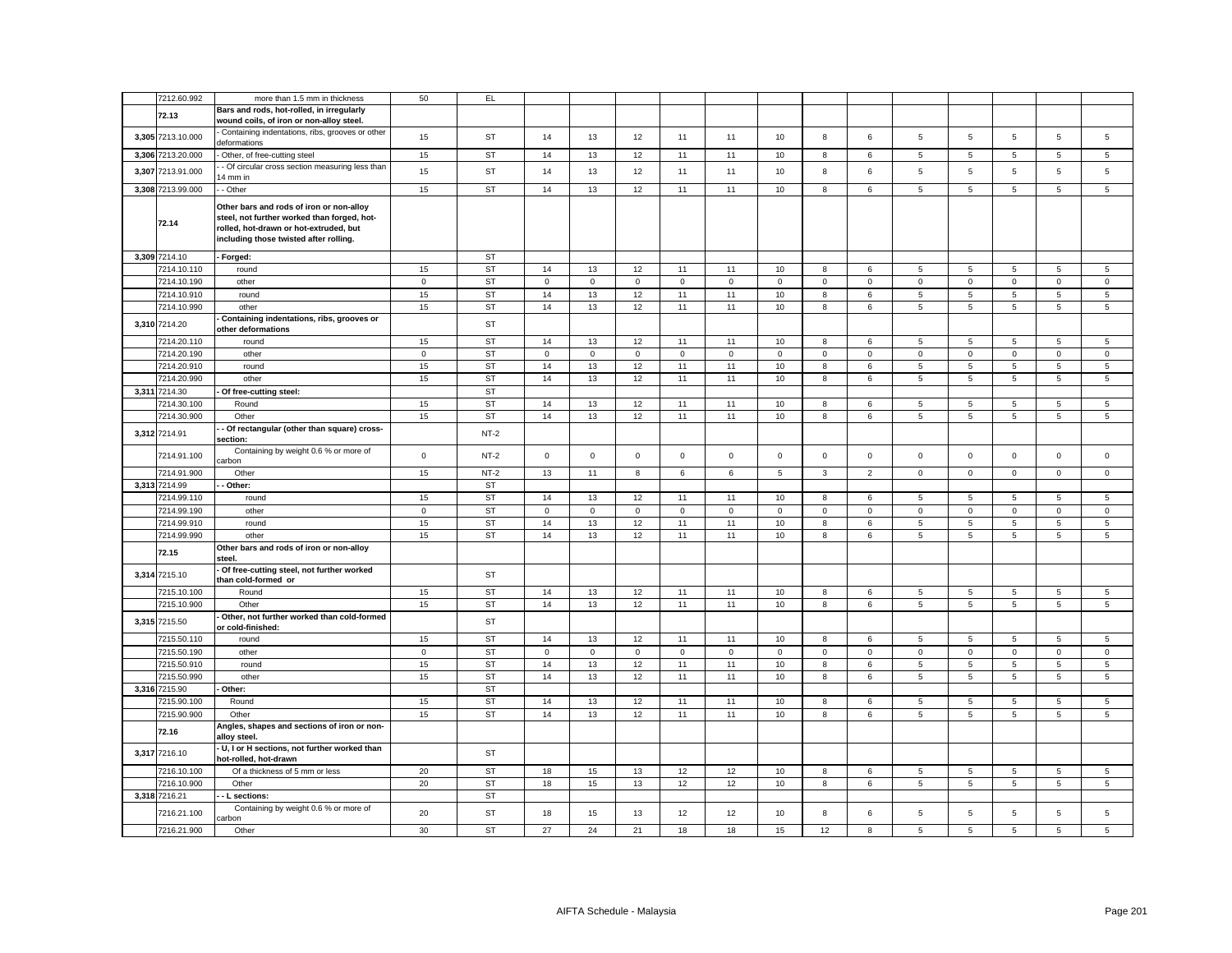|       | 7212.60.992       | more than 1.5 mm in thickness                                                                                                                                               | 50          | EL        |              |             |              |             |             |             |              |                |                 |                |             |                     |                |
|-------|-------------------|-----------------------------------------------------------------------------------------------------------------------------------------------------------------------------|-------------|-----------|--------------|-------------|--------------|-------------|-------------|-------------|--------------|----------------|-----------------|----------------|-------------|---------------------|----------------|
|       |                   | Bars and rods, hot-rolled, in irregularly                                                                                                                                   |             |           |              |             |              |             |             |             |              |                |                 |                |             |                     |                |
|       | 72.13             | wound coils, of iron or non-alloy steel.                                                                                                                                    |             |           |              |             |              |             |             |             |              |                |                 |                |             |                     |                |
|       | 3,305 7213.10.000 | Containing indentations, ribs, grooves or other<br>deformations                                                                                                             | 15          | <b>ST</b> | 14           | 13          | 12           | 11          | 11          | 10          | 8            | 6              | 5               | 5              | 5           | 5                   | 5              |
|       | 3,306 7213.20.000 | Other, of free-cutting steel                                                                                                                                                | 15          | <b>ST</b> | 14           | 13          | 12           | 11          | 11          | 10          | 8            | 6              | 5               | 5              | 5           | 5                   | 5              |
| 3,307 | 7213.91.000       | - Of circular cross section measuring less than<br>4 mm in                                                                                                                  | 15          | ST        | 14           | 13          | 12           | 11          | 11          | $10$        | $\bf8$       | $\,6\,$        | $\,$ 5 $\,$     | $\,$ 5 $\,$    | 5           | $\mathbf 5$         | $\,$ 5 $\,$    |
|       | 3,308 7213.99.000 | - Other                                                                                                                                                                     | 15          | ST        | 14           | 13          | 12           | 11          | 11          | 10          | 8            | 6              | $\sqrt{5}$      | 5              | 5           | $\overline{5}$      | 5              |
|       | 72.14             | Other bars and rods of iron or non-alloy<br>steel, not further worked than forged, hot-<br>rolled, hot-drawn or hot-extruded, but<br>including those twisted after rolling. |             |           |              |             |              |             |             |             |              |                |                 |                |             |                     |                |
|       | 3,309 7214.10     | - Forged:                                                                                                                                                                   |             | ST        |              |             |              |             |             |             |              |                |                 |                |             |                     |                |
|       | 7214.10.110       | round                                                                                                                                                                       | 15          | <b>ST</b> | 14           | 13          | 12           | 11          | 11          | 10          | 8            | 6              | 5               | 5              | 5           | 5                   | 5              |
|       | 7214.10.190       | other                                                                                                                                                                       | $\mathbf 0$ | <b>ST</b> | $\mathsf 0$  | $\mathsf 0$ | $\mathsf 0$  | $\mathsf 0$ | $\mathsf 0$ | $\mathsf 0$ | $\mathsf 0$  | $\mathbf 0$    | $\mathsf 0$     | $\mathbf 0$    | $\mathsf 0$ | $\mathbf 0$         | $\mathbf 0$    |
|       | 7214.10.910       | round                                                                                                                                                                       | 15          | <b>ST</b> | 14           | 13          | 12           | 11          | 11          | 10          | 8            | 6              | 5               | 5              | 5           | 5                   | 5              |
|       | 7214.10.990       | other                                                                                                                                                                       | 15          | <b>ST</b> | 14           | 13          | 12           | 11          | 11          | 10          | 8            | 6              | $\,$ 5 $\,$     | 5              | 5           | 5                   | $\mathbf 5$    |
|       | 3,310 7214.20     | Containing indentations, ribs, grooves or<br>other deformations                                                                                                             |             | ST        |              |             |              |             |             |             |              |                |                 |                |             |                     |                |
|       | 7214.20.110       | round                                                                                                                                                                       | 15          | <b>ST</b> | 14           | 13          | 12           | 11          | 11          | 10          | 8            | 6              | 5               | 5              | 5           | 5                   | 5              |
|       | 7214.20.190       | other                                                                                                                                                                       | $\mathsf 0$ | <b>ST</b> | $\mathbf 0$  | $\mathbf 0$ | $\mathbf{0}$ | $\mathbf 0$ | $\mathbf 0$ | $\mathsf 0$ | $\mathbf 0$  | $\mathbf 0$    | $\mathsf 0$     | $\mathsf 0$    | $\mathsf 0$ | $\mathsf{O}\xspace$ | $\mathsf 0$    |
|       | 7214.20.910       | round                                                                                                                                                                       | 15          | <b>ST</b> | 14           | 13          | 12           | 11          | 11          | 10          | 8            | 6              | $5\phantom{.0}$ | 5              | 5           | 5                   | 5              |
|       | 7214.20.990       |                                                                                                                                                                             |             |           |              |             |              |             |             |             |              |                |                 |                |             |                     |                |
|       |                   | other                                                                                                                                                                       | 15          | <b>ST</b> | 14           | 13          | 12           | 11          | 11          | 10          | 8            | 6              | $5\phantom{.0}$ | $\overline{5}$ | 5           | 5                   | $\overline{5}$ |
|       | 3.311 7214.30     | Of free-cutting steel:                                                                                                                                                      |             | <b>ST</b> |              |             |              |             |             |             |              |                |                 |                |             |                     |                |
|       | 7214.30.100       | Round                                                                                                                                                                       | 15          | <b>ST</b> | 14           | 13          | 12           | 11          | 11          | 10          | 8            | 6              | 5               | 5              | 5           | 5                   | 5              |
|       | 7214.30.900       | Other                                                                                                                                                                       | 15          | <b>ST</b> | 14           | 13          | 12           | 11          | 11          | 10          | 8            | 6              | $\sqrt{5}$      | 5              | 5           | 5                   | $\overline{5}$ |
|       | 3,312 7214.91     | Of rectangular (other than square) cross-<br>section:                                                                                                                       |             | $NT-2$    |              |             |              |             |             |             |              |                |                 |                |             |                     |                |
|       | 7214.91.100       | Containing by weight 0.6 % or more of<br>arbon                                                                                                                              | $\mathsf 0$ | $NT-2$    | $\mathsf{O}$ | $\mathsf 0$ | $\mathsf 0$  | $\mathsf 0$ | $\mathsf 0$ | $\mathsf 0$ | $\mathbf{0}$ | $\mathsf 0$    | $\mathsf 0$     | $\mathsf 0$    | $\mathbf 0$ | $\mathsf 0$         | $\mathbf 0$    |
|       | 7214.91.900       | Other                                                                                                                                                                       | 15          | $NT-2$    | 13           | 11          | 8            | 6           | 6           | 5           | 3            | $\overline{2}$ | $\mathbf 0$     | $\mathsf 0$    | $\mathsf 0$ | $\mathbf 0$         | $\mathsf 0$    |
|       | 3,313 7214.99     | - Other:                                                                                                                                                                    |             | <b>ST</b> |              |             |              |             |             |             |              |                |                 |                |             |                     |                |
|       | 7214.99.110       | round                                                                                                                                                                       | 15          | <b>ST</b> | 14           | 13          | 12           | 11          | 11          | 10          | 8            | 6              | $\,$ 5 $\,$     | 5              | 5           | $\,$ 5 $\,$         | $\sqrt{5}$     |
|       | 7214.99.190       | other                                                                                                                                                                       | $\mathsf 0$ | <b>ST</b> | 0            | $\mathsf 0$ | $\mathsf 0$  | $\mathbf 0$ | $\mathsf 0$ | $\mathbf 0$ | $\mathbf 0$  | 0              | $\mathsf 0$     | $\mathbf 0$    | $\mathsf 0$ | $\mathbf 0$         | $\mathsf 0$    |
|       | 7214.99.910       | round                                                                                                                                                                       | 15          | <b>ST</b> | 14           | 13          | 12           | 11          | 11          | 10          | 8            | 6              | 5               | 5              | 5           | 5                   | $\sqrt{5}$     |
|       | 7214.99.990       | other                                                                                                                                                                       | 15          | <b>ST</b> | 14           | 13          | 12           | 11          | 11          | 10          | 8            | 6              | 5               | 5              | $\,$ 5 $\,$ | $\,$ 5 $\,$         | $\overline{5}$ |
|       | 72.15             | Other bars and rods of iron or non-alloy<br>steel.                                                                                                                          |             |           |              |             |              |             |             |             |              |                |                 |                |             |                     |                |
| 3,314 | 7215.10           | Of free-cutting steel, not further worked<br>than cold-formed or                                                                                                            |             | ST        |              |             |              |             |             |             |              |                |                 |                |             |                     |                |
|       | 7215.10.100       | Round                                                                                                                                                                       | 15          | <b>ST</b> | 14           | 13          | 12           | 11          | 11          | 10          | 8            | 6              | 5               | 5              | 5           | 5                   | 5              |
|       | 7215.10.900       | Other                                                                                                                                                                       | 15          | <b>ST</b> | 14           | 13          | 12           | 11          | 11          | 10          | 8            | 6              | 5               | 5              | 5           | 5                   | $\overline{5}$ |
|       | 3,315 7215.50     | Other, not further worked than cold-formed<br>or cold-finished:                                                                                                             |             | <b>ST</b> |              |             |              |             |             |             |              |                |                 |                |             |                     |                |
|       | 7215.50.110       | round                                                                                                                                                                       | 15          | <b>ST</b> | 14           | 13          | 12           | 11          | 11          | 10          | 8            | 6              | 5               | 5              | 5           | 5                   | 5              |
|       | 7215.50.190       | other                                                                                                                                                                       | $\mathbf 0$ | <b>ST</b> | 0            | $\mathbf 0$ | $\mathsf 0$  | $\mathbf 0$ | $\mathsf 0$ | $\mathsf 0$ | $\mathbf 0$  | $\mathbf 0$    | $\mathsf 0$     | $\mathbf 0$    | $\mathbf 0$ | $\mathbf 0$         | $\mathsf 0$    |
|       | 7215.50.910       | round                                                                                                                                                                       | 15          | <b>ST</b> | 14           | 13          | 12           | 11          | 11          | 10          | 8            | 6              | 5               | 5              | 5           | 5                   | $\mathbf 5$    |
|       | 7215.50.990       | other                                                                                                                                                                       | 15          | <b>ST</b> | 14           | 13          | 12           | 11          | 11          | 10          | 8            | 6              | 5               | 5              | 5           | 5                   | $\overline{5}$ |
| 3,316 | 7215.90           | Other:                                                                                                                                                                      |             | <b>ST</b> |              |             |              |             |             |             |              |                |                 |                |             |                     |                |
|       | 7215.90.100       | Round                                                                                                                                                                       | 15          | <b>ST</b> | 14           | 13          | 12           | 11          | 11          | 10          | 8            | 6              | 5               | 5              | 5           | 5                   | 5              |
|       | 7215.90.900       | Other                                                                                                                                                                       | 15          | ST        | 14           | 13          | 12           | 11          | 11          | 10          | 8            | 6              | 5               | 5              | 5           | 5                   | $\mathbf 5$    |
|       |                   | Angles, shapes and sections of iron or non-                                                                                                                                 |             |           |              |             |              |             |             |             |              |                |                 |                |             |                     |                |
|       | 72.16             | alloy steel.                                                                                                                                                                |             |           |              |             |              |             |             |             |              |                |                 |                |             |                     |                |
|       | 3,317 7216.10     | U, I or H sections, not further worked than<br>hot-rolled, hot-drawn                                                                                                        |             | ST        |              |             |              |             |             |             |              |                |                 |                |             |                     |                |
|       | 7216.10.100       | Of a thickness of 5 mm or less                                                                                                                                              | 20          | <b>ST</b> | 18           | 15          | 13           | 12          | 12          | 10          | 8            | 6              | 5               | 5              | 5           | 5                   | 5              |
|       | 7216.10.900       | Other                                                                                                                                                                       | 20          | <b>ST</b> | 18           | 15          | 13           | 12          | 12          | 10          | 8            | 6              | 5               | 5              | 5           | 5                   | 5              |
|       | 3,318 7216.21     | - L sections:                                                                                                                                                               |             | <b>ST</b> |              |             |              |             |             |             |              |                |                 |                |             |                     |                |
|       | 7216.21.100       | Containing by weight 0.6 % or more of<br>arbon                                                                                                                              | 20          | <b>ST</b> | 18           | 15          | 13           | 12          | 12          | 10          | 8            | 6              | 5               | 5              | 5           | 5                   | 5              |
|       | 7216.21.900       | Other                                                                                                                                                                       | 30          | <b>ST</b> | 27           | 24          | 21           | 18          | 18          | 15          | 12           | 8              | 5               | 5              | 5           | $\,$ 5 $\,$         | $\mathbf 5$    |
|       |                   |                                                                                                                                                                             |             |           |              |             |              |             |             |             |              |                |                 |                |             |                     |                |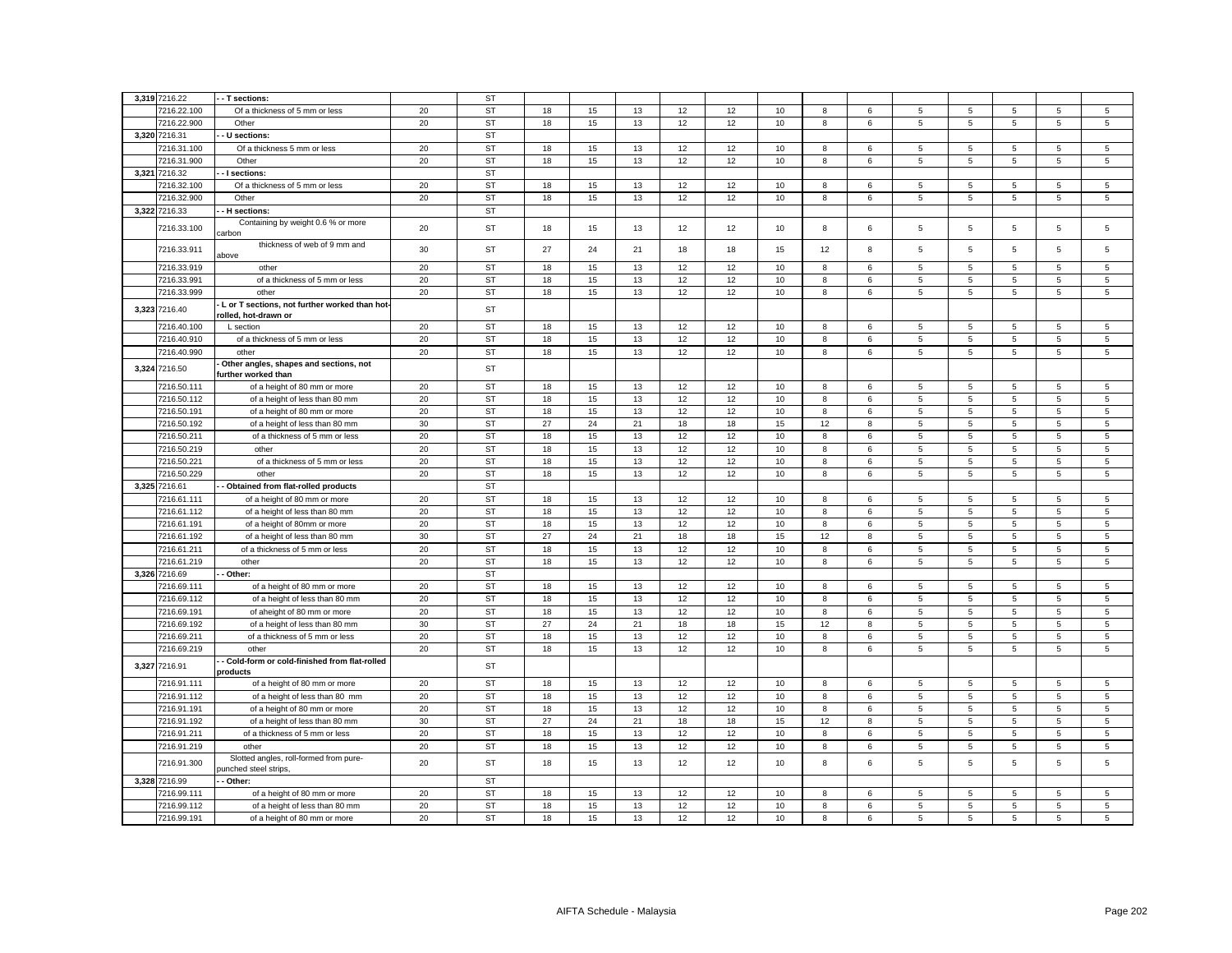|       | 3,319 7216.22 | - - T sections:                                                       |    | <b>ST</b> |    |          |    |    |    |      |    |   |                 |                |                 |                 |                 |
|-------|---------------|-----------------------------------------------------------------------|----|-----------|----|----------|----|----|----|------|----|---|-----------------|----------------|-----------------|-----------------|-----------------|
|       | 7216.22.100   | Of a thickness of 5 mm or less                                        | 20 | <b>ST</b> | 18 | 15       | 13 | 12 | 12 | 10   | 8  | 6 | 5               | 5              | 5               | 5               | 5               |
|       | 7216.22.900   | Other                                                                 | 20 | <b>ST</b> | 18 | 15       | 13 | 12 | 12 | 10   | 8  | 6 | $5\phantom{.0}$ | 5              | 5               | $\overline{5}$  | $\overline{5}$  |
|       | 3,320 7216.31 | U sections:                                                           |    | <b>ST</b> |    |          |    |    |    |      |    |   |                 |                |                 |                 |                 |
|       | 7216.31.100   | Of a thickness 5 mm or less                                           | 20 | <b>ST</b> | 18 | 15       | 13 | 12 | 12 | 10   | 8  | 6 | 5               | 5              | 5               | 5               | 5               |
|       | 7216.31.900   | Other                                                                 | 20 | <b>ST</b> | 18 | 15       | 13 | 12 | 12 | 10   | 8  | 6 | 5               | 5              | 5               | 5               | 5               |
| 3,321 | 7216.32       | - I sections:                                                         |    | <b>ST</b> |    |          |    |    |    |      |    |   |                 |                |                 |                 |                 |
|       | 7216.32.100   | Of a thickness of 5 mm or less                                        | 20 | <b>ST</b> | 18 |          | 13 | 12 | 12 | 10   | 8  | 6 | 5               | 5              | 5               | 5               | 5               |
|       | 7216.32.900   | Other                                                                 | 20 | <b>ST</b> | 18 | 15<br>15 | 13 | 12 | 12 | 10   | 8  | 6 | 5               | 5              | 5               | 5               | 5               |
|       | 3,322 7216.33 | - H sections:                                                         |    | <b>ST</b> |    |          |    |    |    |      |    |   |                 |                |                 |                 |                 |
|       | 7216.33.100   | Containing by weight 0.6 % or more                                    | 20 | <b>ST</b> | 18 | 15       | 13 | 12 | 12 | 10   | 8  | 6 | 5               | 5              | 5               | 5               | 5               |
|       | 7216.33.911   | arbon<br>thickness of web of 9 mm and                                 | 30 | ST        | 27 | 24       | 21 | 18 | 18 | 15   | 12 | 8 | $\sqrt{5}$      | 5              | 5               | 5               | 5               |
|       | 7216.33.919   | above<br>other                                                        | 20 | <b>ST</b> | 18 | 15       | 13 | 12 | 12 | 10   | 8  | 6 | 5               | 5              | 5               | 5               | 5               |
|       | 7216.33.991   | of a thickness of 5 mm or less                                        | 20 | <b>ST</b> | 18 | 15       | 13 | 12 | 12 | 10   | 8  | 6 | 5               | 5              | 5               | 5               | 5               |
|       | 7216.33.999   | other                                                                 | 20 | <b>ST</b> | 18 | 15       | 13 | 12 | 12 | 10   | 8  | 6 | $\,$ 5 $\,$     | 5              | 5               | $\,$ 5 $\,$     | $\sqrt{5}$      |
| 3,323 | 7216.40       | L or T sections, not further worked than hot-<br>rolled, hot-drawn or |    | ST        |    |          |    |    |    |      |    |   |                 |                |                 |                 |                 |
|       | 7216.40.100   | L section                                                             | 20 | <b>ST</b> | 18 | 15       | 13 | 12 | 12 | 10   | 8  | 6 | 5               | 5              | 5               | 5               | 5               |
|       | 7216.40.910   | of a thickness of 5 mm or less                                        | 20 | <b>ST</b> | 18 | 15       | 13 | 12 | 12 | 10   | 8  | 6 | 5               | 5              | 5               | 5               | 5               |
|       | 7216.40.990   | other                                                                 | 20 | <b>ST</b> | 18 | 15       | 13 | 12 | 12 | 10   | 8  | 6 | 5               | 5              | 5               | $\,$ 5 $\,$     | $\,$ 5 $\,$     |
| 3,324 | 7216.50       | Other angles, shapes and sections, not<br>further worked than         |    | ST        |    |          |    |    |    |      |    |   |                 |                |                 |                 |                 |
|       | 7216.50.111   | of a height of 80 mm or more                                          | 20 | <b>ST</b> | 18 | 15       | 13 | 12 | 12 | 10   | 8  | 6 | 5               | 5              | 5               | 5               | 5               |
|       | 7216.50.112   | of a height of less than 80 mm                                        | 20 | <b>ST</b> | 18 | 15       | 13 | 12 | 12 | 10   | 8  | 6 | 5               | 5              | 5               | 5               | 5               |
|       | 7216.50.191   | of a height of 80 mm or more                                          | 20 | <b>ST</b> | 18 | 15       | 13 | 12 | 12 | $10$ | 8  | 6 | 5               | 5              | $\,$ 5 $\,$     | 5               | $\,$ 5 $\,$     |
|       | 7216.50.192   | of a height of less than 80 mm                                        | 30 | <b>ST</b> | 27 | 24       | 21 | 18 | 18 | 15   | 12 | 8 | 5               | 5              | 5               | 5               | $\sqrt{5}$      |
|       | 7216.50.211   | of a thickness of 5 mm or less                                        | 20 | <b>ST</b> | 18 | 15       | 13 | 12 | 12 | 10   | 8  | 6 | $\overline{5}$  | 5              | 5               | 5               | 5               |
|       | 7216.50.219   | other                                                                 | 20 | <b>ST</b> | 18 | 15       | 13 | 12 | 12 | 10   | 8  | 6 | $\overline{5}$  | 5              | 5               | 5               | 5               |
|       | 7216.50.221   | of a thickness of 5 mm or less                                        | 20 | <b>ST</b> | 18 | 15       | 13 | 12 | 12 | 10   | 8  | 6 | 5               | 5              | 5               | 5               | $\sqrt{5}$      |
|       | 7216.50.229   | other                                                                 | 20 | <b>ST</b> | 18 | 15       | 13 | 12 | 12 | 10   | 8  | 6 | $5\phantom{.0}$ | $\overline{5}$ | 5               | 5               | $\overline{5}$  |
|       | 3,325 7216.61 | - Obtained from flat-rolled products                                  |    | <b>ST</b> |    |          |    |    |    |      |    |   |                 |                |                 |                 |                 |
|       | 7216.61.111   | of a height of 80 mm or more                                          | 20 | <b>ST</b> | 18 | 15       | 13 | 12 | 12 | 10   | 8  | 6 | 5               | 5              | $5\phantom{.0}$ | $5\phantom{.0}$ | $5\phantom{.0}$ |
|       | 7216.61.112   | of a height of less than 80 mm                                        | 20 | <b>ST</b> | 18 | 15       | 13 | 12 | 12 | 10   | 8  | 6 | 5               | 5              | 5               | 5               | 5               |
|       | 7216.61.191   | of a height of 80mm or more                                           | 20 | <b>ST</b> | 18 | 15       | 13 | 12 | 12 | 10   | 8  | 6 | 5               | 5              | 5               | 5               | 5               |
|       | 7216.61.192   | of a height of less than 80 mm                                        | 30 | <b>ST</b> | 27 | 24       | 21 | 18 | 18 | 15   | 12 | 8 | 5               | 5              | 5               | 5               | 5               |
|       | 7216.61.211   | of a thickness of 5 mm or less                                        | 20 | <b>ST</b> | 18 | 15       | 13 | 12 | 12 | 10   | 8  | 6 | 5               | 5              | 5               | 5               | 5               |
|       | 7216.61.219   | other                                                                 | 20 | <b>ST</b> | 18 | 15       | 13 | 12 | 12 | 10   | 8  | 6 | 5               | 5              | 5               | 5               | 5               |
|       | 3,326 7216.69 | Other:                                                                |    | <b>ST</b> |    |          |    |    |    |      |    |   |                 |                |                 |                 |                 |
|       | 7216.69.111   | of a height of 80 mm or more                                          | 20 | <b>ST</b> | 18 | 15       | 13 | 12 | 12 | 10   | 8  | 6 | 5               | 5              | 5               | 5               | 5               |
|       | 7216.69.112   | of a height of less than 80 mm                                        | 20 | <b>ST</b> | 18 | 15       | 13 | 12 | 12 | 10   | 8  | 6 | 5               | 5              | 5               | 5               | $\,$ 5 $\,$     |
|       | 7216.69.191   | of aheight of 80 mm or more                                           | 20 | <b>ST</b> | 18 | 15       | 13 | 12 | 12 | 10   | 8  | 6 | 5               | 5              | 5               | 5               | 5               |
|       | 7216.69.192   | of a height of less than 80 mm                                        | 30 | <b>ST</b> | 27 | 24       | 21 | 18 | 18 | 15   | 12 | 8 | $\,$ 5 $\,$     | 5              | 5               | 5               | $\,$ 5 $\,$     |
|       | 7216.69.211   | of a thickness of 5 mm or less                                        | 20 | <b>ST</b> | 18 | 15       | 13 | 12 | 12 | 10   | 8  | 6 | 5               | 5              | 5               | 5               | $\sqrt{5}$      |
|       | 7216.69.219   | other                                                                 | 20 | <b>ST</b> | 18 | 15       | 13 | 12 | 12 | 10   | 8  | 6 | 5               | 5              | 5               | 5               | $\mathbf 5$     |
| 3.327 | 7216.91       | - Cold-form or cold-finished from flat-rolled<br>products             |    | <b>ST</b> |    |          |    |    |    |      |    |   |                 |                |                 |                 |                 |
|       | 7216.91.111   | of a height of 80 mm or more                                          | 20 | <b>ST</b> | 18 | 15       | 13 | 12 | 12 | 10   | 8  | 6 | 5               | 5              | 5               | 5               | $\mathbf 5$     |
|       | 7216.91.112   | of a height of less than 80 mm                                        | 20 | <b>ST</b> | 18 | 15       | 13 | 12 | 12 | 10   | 8  | 6 | 5               | 5              | 5               | 5               | $\sqrt{5}$      |
|       | 7216.91.191   | of a height of 80 mm or more                                          | 20 | <b>ST</b> | 18 | 15       | 13 | 12 | 12 | $10$ | 8  | 6 | 5               | 5              | 5               | 5               | $\mathbf 5$     |
|       | 7216.91.192   | of a height of less than 80 mm                                        | 30 | <b>ST</b> | 27 | 24       | 21 | 18 | 18 | 15   | 12 | 8 | 5               | 5              | 5               | 5               | 5               |
|       | 7216.91.211   | of a thickness of 5 mm or less                                        | 20 | <b>ST</b> | 18 | 15       | 13 | 12 | 12 | 10   | 8  | 6 | 5               | 5              | 5               | 5               | 5               |
|       | 7216.91.219   | other                                                                 | 20 | <b>ST</b> | 18 | 15       | 13 | 12 | 12 | 10   | 8  | 6 | 5               | 5              | 5               | 5               | $\,$ 5 $\,$     |
|       | 7216.91.300   | Slotted angles, roll-formed from pure-<br>unched steel strips,        | 20 | <b>ST</b> | 18 | 15       | 13 | 12 | 12 | 10   | 8  | 6 | 5               | 5              | 5               | 5               | 5               |
|       | 3,328 7216.99 | - Other:                                                              |    | <b>ST</b> |    |          |    |    |    |      |    |   |                 |                |                 |                 |                 |
|       | 7216.99.111   | of a height of 80 mm or more                                          | 20 | <b>ST</b> | 18 | 15       | 13 | 12 | 12 | 10   | 8  | 6 | 5               | 5              | 5               | 5               | 5               |
|       | 7216.99.112   | of a height of less than 80 mm                                        | 20 | <b>ST</b> | 18 | 15       | 13 | 12 | 12 | 10   | 8  | 6 | 5               | 5              | 5               | 5               | 5               |
|       | 7216.99.191   | of a height of 80 mm or more                                          | 20 | <b>ST</b> | 18 | 15       | 13 | 12 | 12 | 10   | 8  | 6 | 5               | 5              | 5               | 5               | $\mathbf 5$     |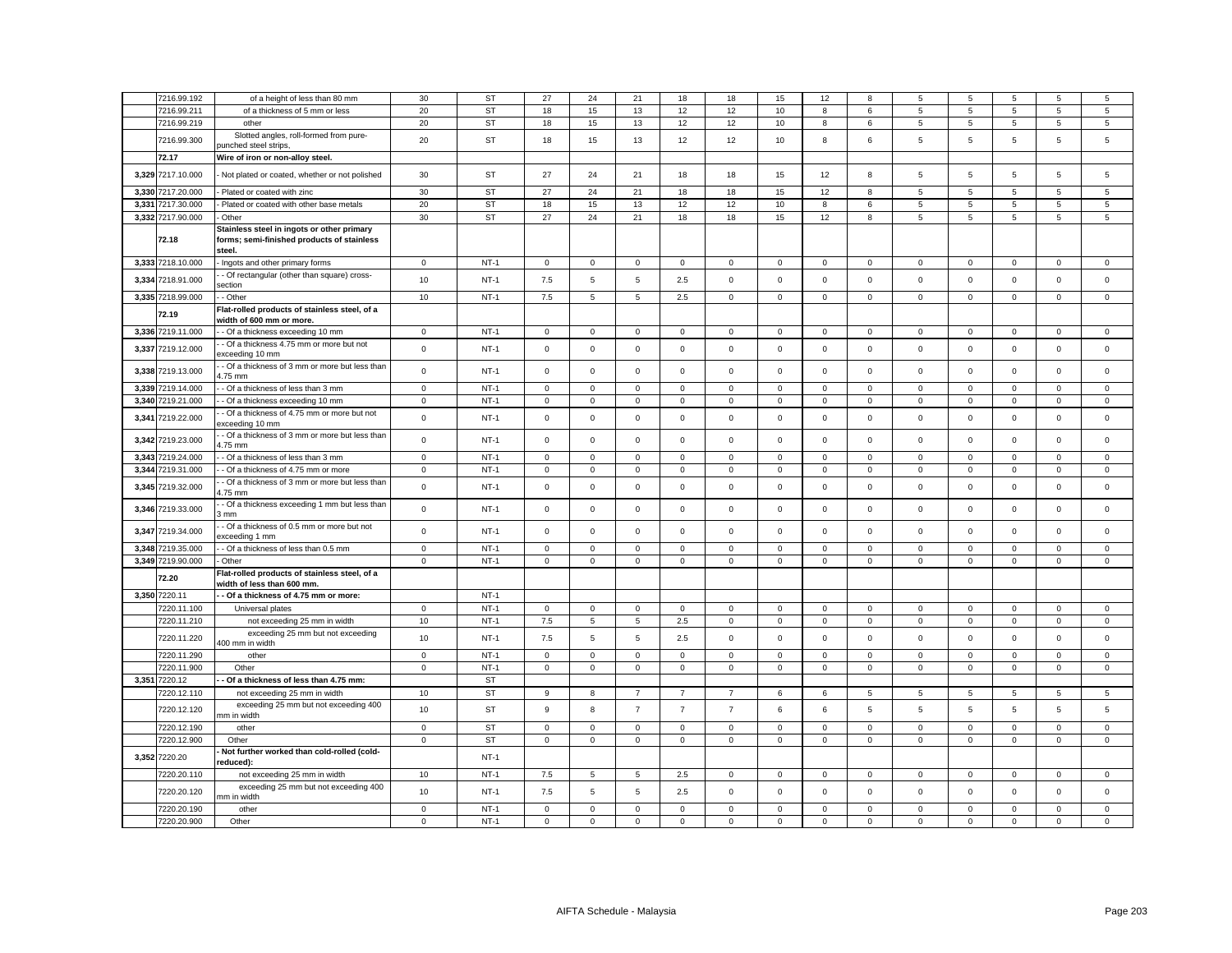|       | 7216.99.192                  | of a height of less than 80 mm                                                                     | 30                  | <b>ST</b>           | 27           | 24             | 21                  | 18             | 18             | 15          | 12           | 8            | 5               | 5           | $\overline{5}$ | 5                   | 5           |
|-------|------------------------------|----------------------------------------------------------------------------------------------------|---------------------|---------------------|--------------|----------------|---------------------|----------------|----------------|-------------|--------------|--------------|-----------------|-------------|----------------|---------------------|-------------|
|       | 7216.99.211                  | of a thickness of 5 mm or less                                                                     | 20                  | <b>ST</b>           | 18           | 15             | 13                  | 12             | 12             | 10          | 8            | 6            | 5               | 5           | 5              | 5                   | 5           |
|       | 7216.99.219                  | other                                                                                              | 20                  | <b>ST</b>           | 18           | 15             | 13                  | 12             | 12             | 10          | 8            | 6            | $5\overline{5}$ | 5           | 5              | 5                   | 5           |
|       |                              | Slotted angles, roll-formed from pure-                                                             |                     |                     |              |                |                     |                |                |             |              |              |                 |             |                |                     |             |
|       | 7216.99.300                  | ounched steel strips,                                                                              | 20                  | <b>ST</b>           | 18           | 15             | 13                  | 12             | 12             | 10          | 8            | 6            | 5               | 5           | 5              | 5                   | 5           |
|       | 72.17                        | Wire of iron or non-alloy steel.                                                                   |                     |                     |              |                |                     |                |                |             |              |              |                 |             |                |                     |             |
|       | 3,329 7217.10.000            | Not plated or coated, whether or not polished                                                      | 30                  | <b>ST</b>           | 27           | 24             | 21                  | 18             | 18             | 15          | 12           | 8            | 5               | 5           | 5              | 5                   | 5           |
|       | 3,330 7217.20.000            | Plated or coated with zinc                                                                         | 30                  | <b>ST</b>           | 27           | 24             | 21                  | 18             | 18             | 15          | 12           | 8            | $5\overline{5}$ | 5           | 5              | 5                   | 5           |
|       | 3,331 7217.30.000            | Plated or coated with other base metals                                                            | 20                  | <b>ST</b>           | 18           | 15             | 13                  | 12             | 12             | 10          | 8            | 6            | 5               | 5           | 5              | 5                   | 5           |
|       | 3,332 7217.90.000            | Other                                                                                              | 30                  | <b>ST</b>           | 27           | 24             | 21                  | 18             | 18             | 15          | 12           | 8            | 5               | 5           | 5              | 5                   | 5           |
|       | 72.18                        | Stainless steel in ingots or other primary<br>forms; semi-finished products of stainless<br>steel. |                     |                     |              |                |                     |                |                |             |              |              |                 |             |                |                     |             |
|       | 3,333 7218.10.000            | Ingots and other primary forms                                                                     | $\,0\,$             | $NT-1$              | $\mathbf 0$  | $\mathsf 0$    | $\mathsf{O}\xspace$ | $\mathsf 0$    | $\mathsf 0$    | $\mathsf 0$ | $\mathbf 0$  | $\mathsf 0$  | $\mathsf 0$     | $\mathbf 0$ | $\mathsf 0$    | $\mathsf{O}\xspace$ | $\mathsf 0$ |
|       | 3,334 7218.91.000            | - Of rectangular (other than square) cross-<br>section                                             | 10                  | $NT-1$              | 7.5          | 5              | 5                   | 2.5            | $\mathsf 0$    | $\Omega$    | $\mathbf 0$  | $\mathsf 0$  | $\mathbf 0$     | $\Omega$    | $\mathbf 0$    | $\mathsf 0$         | $\mathsf 0$ |
|       | 3,335 7218.99.000            | - Other                                                                                            | 10                  | $NT-1$              | 7.5          | 5              | 5                   | 2.5            | $\mathbf 0$    | $\mathbf 0$ | $\mathbf 0$  | $\mathbf{0}$ | $\mathbf{0}$    | $\mathbf 0$ | $\mathbf 0$    | $\mathbf 0$         | $\mathbf 0$ |
|       | 72.19                        | Flat-rolled products of stainless steel, of a<br>width of 600 mm or more.                          |                     |                     |              |                |                     |                |                |             |              |              |                 |             |                |                     |             |
|       | 3,336 7219.11.000            | - Of a thickness exceeding 10 mm                                                                   | $\circ$             | $NT-1$              | $\mathbf 0$  | $\mathbf 0$    | $\mathbf 0$         | $\mathbf{0}$   | $\mathbf 0$    | $\mathbf 0$ | $\mathbf{O}$ | $\mathsf 0$  | $\mathbf{0}$    | $\mathbf 0$ | $\mathbf 0$    | $\mathbf 0$         | $\mathsf 0$ |
|       | 3,337 7219.12.000            | - Of a thickness 4.75 mm or more but not<br>exceeding 10 mm                                        | $\mathsf 0$         | $NT-1$              | $\mathbf 0$  | $\mathsf 0$    | $\mathsf{O}\xspace$ | $\mathsf 0$    | $\mathsf 0$    | $\mathsf 0$ | $\mathbf 0$  | $\mathsf 0$  | $\mathbf 0$     | $\mathbf 0$ | $\mathsf 0$    | $\mathsf 0$         | $\mathsf 0$ |
|       | 3,338 7219.13.000            | - Of a thickness of 3 mm or more but less than<br>.75 mm                                           | $\mathsf 0$         | $NT-1$              | $\mathbf 0$  | $\mathsf 0$    | $\mathbf 0$         | $\mathsf 0$    | $\mathbf 0$    | $\mathsf 0$ | $\mathbf 0$  | $\mathsf 0$  | $\mathbf 0$     | $\mathbf 0$ | $\mathbf 0$    | $\mathbf 0$         | $\mathsf 0$ |
|       | 3,339 7219.14.000            | - Of a thickness of less than 3 mm                                                                 | $\mathbf 0$         | $NT-1$              | $\mathbf 0$  | $\mathsf 0$    | $\mathsf 0$         | $\mathsf 0$    | $\mathsf 0$    | $\mathsf 0$ | $\mathbf 0$  | $\mathsf 0$  | $\mathbf 0$     | $\mathsf 0$ | $\mathsf 0$    | $\mathsf 0$         | $\mathbf 0$ |
|       | 3,340 7219.21.000            | - Of a thickness exceeding 10 mm                                                                   | $\mathsf 0$         | $NT-1$              | $\mathbf{0}$ | $\mathbf 0$    | $\mathsf 0$         | $\mathsf 0$    | $\mathsf 0$    | $\mathsf 0$ | $\mathbf 0$  | $\mathsf 0$  | $\mathsf 0$     | $\mathsf 0$ | $\mathsf 0$    | $\mathsf 0$         | $\mathsf 0$ |
| 3,341 | 7219.22.000                  | - Of a thickness of 4.75 mm or more but not<br>exceeding 10 mm                                     | $\mathsf 0$         | $NT-1$              | $\mathsf 0$  | $\mathsf 0$    | $\mathsf 0$         | $\mathbf 0$    | $\mathsf 0$    | $\mathbf 0$ | $\mathsf 0$  | $\mathsf 0$  | $\mathsf 0$     | $\mathbf 0$ | $\mathsf 0$    | $\mathsf 0$         | $\mathsf 0$ |
|       | 3,342 7219.23.000            | - Of a thickness of 3 mm or more but less than<br>.75 mm                                           | $\mathsf 0$         | $NT-1$              | $\mathbf 0$  | $\mathbf 0$    | $\mathsf{O}\xspace$ | $\mathsf 0$    | $\mathsf 0$    | $\mathbf 0$ | $\mathbf 0$  | $\mathsf 0$  | $\mathbf 0$     | $\mathbf 0$ | $\mathsf 0$    | $\mathsf 0$         | $\mathsf 0$ |
|       | 3,343 7219.24.000            | - Of a thickness of less than 3 mm                                                                 | $\mathbf 0$         | $NT-1$              | $\mathbf 0$  | $\mathbf 0$    | $\mathbf 0$         | $\mathbf 0$    | 0              | $\mathbf 0$ | $\mathbf 0$  | $\mathsf 0$  | $\mathsf 0$     | $\mathbf 0$ | $\mathsf 0$    | $\mathbf 0$         | $\mathbf 0$ |
|       | 3,344 7219.31.000            | - Of a thickness of 4.75 mm or more                                                                | $\mathbf 0$         | $NT-1$              | $\mathbf{0}$ | $\mathbf 0$    | $\mathbf 0$         | $\mathsf 0$    | $\mathbf 0$    | $\mathsf 0$ | $\mathbf 0$  | $\mathsf 0$  | $\mathsf 0$     | $\mathbf 0$ | $\mathsf 0$    | $\mathbf 0$         | $\mathsf 0$ |
|       | 3,345 7219.32.000            | - Of a thickness of 3 mm or more but less than<br>.75 mm                                           | $\mathsf 0$         | $NT-1$              | $\mathbf 0$  | $\mathsf 0$    | $\mathsf 0$         | $\mathsf 0$    | $\mathsf 0$    | $\mathsf 0$ | $\mathsf 0$  | $\mathsf 0$  | $\mathsf 0$     | $\mathbf 0$ | $\mathsf 0$    | $\mathsf 0$         | $\mathsf 0$ |
|       | 3,346 7219.33.000            | - Of a thickness exceeding 1 mm but less than<br>mm                                                | $\mathsf{o}\xspace$ | $NT-1$              | $\mathbf 0$  | $\mathsf 0$    | $\mathbf 0$         | $\mathsf 0$    | $\mathsf 0$    | $\mathsf 0$ | $\mathbf 0$  | $\mathbf 0$  | $\mathbf 0$     | $\mathbf 0$ | $\mathsf 0$    | $\mathsf 0$         | $\mathbf 0$ |
|       | 3,347 7219.34.000            | - Of a thickness of 0.5 mm or more but not                                                         | $\mathbf 0$         | $NT-1$              | $\mathbf{0}$ | $\mathbf 0$    | $\mathbf 0$         | $\mathbf 0$    | 0              | $\mathsf 0$ | $\mathbf 0$  | $\mathbf{0}$ | $\Omega$        | $\mathbf 0$ | $\mathbf 0$    | $\mathbf 0$         | $\mathbf 0$ |
|       | 3,348 7219.35.000            | exceeding 1 mm<br>- Of a thickness of less than 0.5 mm                                             | $\mathbf 0$         | $NT-1$              | $\mathbf 0$  | $\mathbf 0$    | $\mathsf 0$         | $\mathbf 0$    | 0              | $\mathsf 0$ | $\mathbf 0$  | $\mathbf 0$  | $\mathbf 0$     | $\mathsf 0$ | $\mathbf 0$    | $\mathsf 0$         | $\mathbf 0$ |
|       | 3,349 7219.90.000            | Other                                                                                              | $\mathsf 0$         | $NT-1$              | $\mathsf 0$  | $\mathbf 0$    | $\mathsf 0$         | $\mathbf 0$    | $\mathsf 0$    | $\Omega$    | $\mathsf 0$  | $\mathbf 0$  | $\mathsf 0$     | $\Omega$    | $\mathsf 0$    | $\mathsf 0$         | $\mathsf 0$ |
|       | 72.20                        | Flat-rolled products of stainless steel, of a                                                      |                     |                     |              |                |                     |                |                |             |              |              |                 |             |                |                     |             |
|       |                              | width of less than 600 mm.                                                                         |                     |                     |              |                |                     |                |                |             |              |              |                 |             |                |                     |             |
|       | 3,350 7220.11                | - Of a thickness of 4.75 mm or more:                                                               |                     | $NT-1$              |              |                |                     |                |                |             |              |              |                 |             |                |                     |             |
|       | 7220.11.100                  | Universal plates                                                                                   | 0                   | $NT-1$              | $\mathbf 0$  | $\mathbf 0$    | 0                   | $\mathbf 0$    | 0              | 0           | 0            | $\mathbf 0$  | 0               | $\mathbf 0$ | 0              | 0                   | $\mathbf 0$ |
|       | 7220.11.210                  | not exceeding 25 mm in width                                                                       | 10                  | $NT-1$              | 7.5          | $\overline{5}$ | $\,$ 5 $\,$         | 2.5            | $\mathsf 0$    | $\mathbf 0$ | $\mathsf 0$  | $\mathbf 0$  | $\mathsf 0$     | $\mathbf 0$ | $\mathbf 0$    | $\mathbf 0$         | $\mathsf 0$ |
|       | 7220.11.220                  | exceeding 25 mm but not exceeding<br>400 mm in width                                               | 10                  | $NT-1$              | 7.5          | 5              | 5                   | 2.5            | 0              | $\Omega$    | $\mathbf 0$  | $\mathbf 0$  | $\mathbf 0$     | $\Omega$    | $\mathbf 0$    | $\mathsf 0$         | $\mathbf 0$ |
|       | 7220.11.290                  | other                                                                                              | $\mathbf 0$         | $NT-1$              | $\mathbf 0$  | $\mathsf 0$    | $\mathsf 0$         | $\mathbf 0$    | $\mathsf 0$    | $\mathbf 0$ | $\mathbf 0$  | $\mathbf 0$  | $\mathsf 0$     | $\mathbf 0$ | $\mathbf 0$    | $\mathsf 0$         | $\mathsf 0$ |
|       | 7220.11.900                  | Other                                                                                              | $\mathbf 0$         | $NT-1$              | $\mathbf 0$  | $\mathbf 0$    | $\mathbf 0$         | $\mathbf 0$    | 0              | $\mathbf 0$ | $\mathbf 0$  | $\mathbf 0$  | 0               | 0           | $\mathbf 0$    | $\mathbf 0$         | $\mathbf 0$ |
| 3,351 | 7220.12                      | Of a thickness of less than 4.75 mm:                                                               |                     | <b>ST</b>           |              |                |                     |                |                |             |              |              |                 |             |                |                     |             |
|       | 7220.12.110                  | not exceeding 25 mm in width                                                                       | 10                  | <b>ST</b>           | 9            | 8              | $\overline{7}$      | $\overline{7}$ | $\overline{7}$ | 6           | 6            | 5            | 5               | 5           | 5              | 5                   | 5           |
|       | 7220.12.120                  | exceeding 25 mm but not exceeding 400<br>nm in width                                               | $10$                | <b>ST</b>           | 9            | 8              | $\overline{7}$      | $\overline{7}$ | $\overline{7}$ | 6           | 6            | 5            | 5               | 5           | 5              | 5                   | $\mathbf 5$ |
|       | 7220.12.190                  | other                                                                                              | 0                   | <b>ST</b>           | $\mathbf 0$  | 0              | $\mathbf 0$         | $\mathbf 0$    | 0              | $\mathbf 0$ | 0            | $\mathbf 0$  | 0               | $\mathbf 0$ | 0              | 0                   | 0           |
|       | 7220.12.900<br>3,352 7220.20 | Other<br>Not further worked than cold-rolled (cold-                                                | $\mathbf 0$         | <b>ST</b><br>$NT-1$ | $\mathsf 0$  | $\mathsf 0$    | $\mathbf 0$         | $\mathbf 0$    | $\mathsf 0$    | $\mathbf 0$ | $\mathsf 0$  | $\mathbf 0$  | $\mathsf 0$     | $\pmb{0}$   | $\mathbf 0$    | $\mathbf 0$         | $\mathbf 0$ |
|       |                              | reduced):                                                                                          |                     |                     |              |                |                     |                |                |             |              |              |                 |             |                |                     |             |
|       | 7220.20.110                  | not exceeding 25 mm in width                                                                       | $10$                | $NT-1$              | 7.5          | 5              | 5                   | 2.5            | $\mathsf 0$    | $\mathsf 0$ | $\mathsf 0$  | $\mathbf 0$  | $\mathsf 0$     | $\mathbf 0$ | $\mathbf 0$    | $\mathsf 0$         | $\mathsf 0$ |
|       | 7220.20.120                  | exceeding 25 mm but not exceeding 400<br>nm in width                                               | 10                  | $NT-1$              | 7.5          | 5              | 5                   | 2.5            | $\mathbf 0$    | $\mathbf 0$ | $\mathbf 0$  | $\mathbf 0$  | $\mathbf 0$     | $\mathbf 0$ | $\mathbf 0$    | $\mathbf 0$         | $\mathbf 0$ |
|       | 7220.20.190                  | other                                                                                              | $\mathsf 0$         | $NT-1$              | $\mathbf 0$  | $\mathsf 0$    | $\mathsf 0$         | $\mathbf 0$    | $\mathsf 0$    | $\mathbf 0$ | $\mathsf 0$  | $\mathbf 0$  | $\mathsf 0$     | $\mathbf 0$ | $\mathsf 0$    | $\mathsf 0$         | $\mathsf 0$ |
|       | 7220.20.900                  | Other                                                                                              | $\mathbf 0$         | $NT-1$              | $\mathsf 0$  | $\mathbf 0$    | $\mathsf 0$         | $\mathbf 0$    | $\mathsf 0$    | $\mathsf 0$ | $\mathbf 0$  | $\mathbf 0$  | $\mathsf 0$     | $\mathsf 0$ | $\mathsf 0$    | $\mathsf 0$         | $\mathsf 0$ |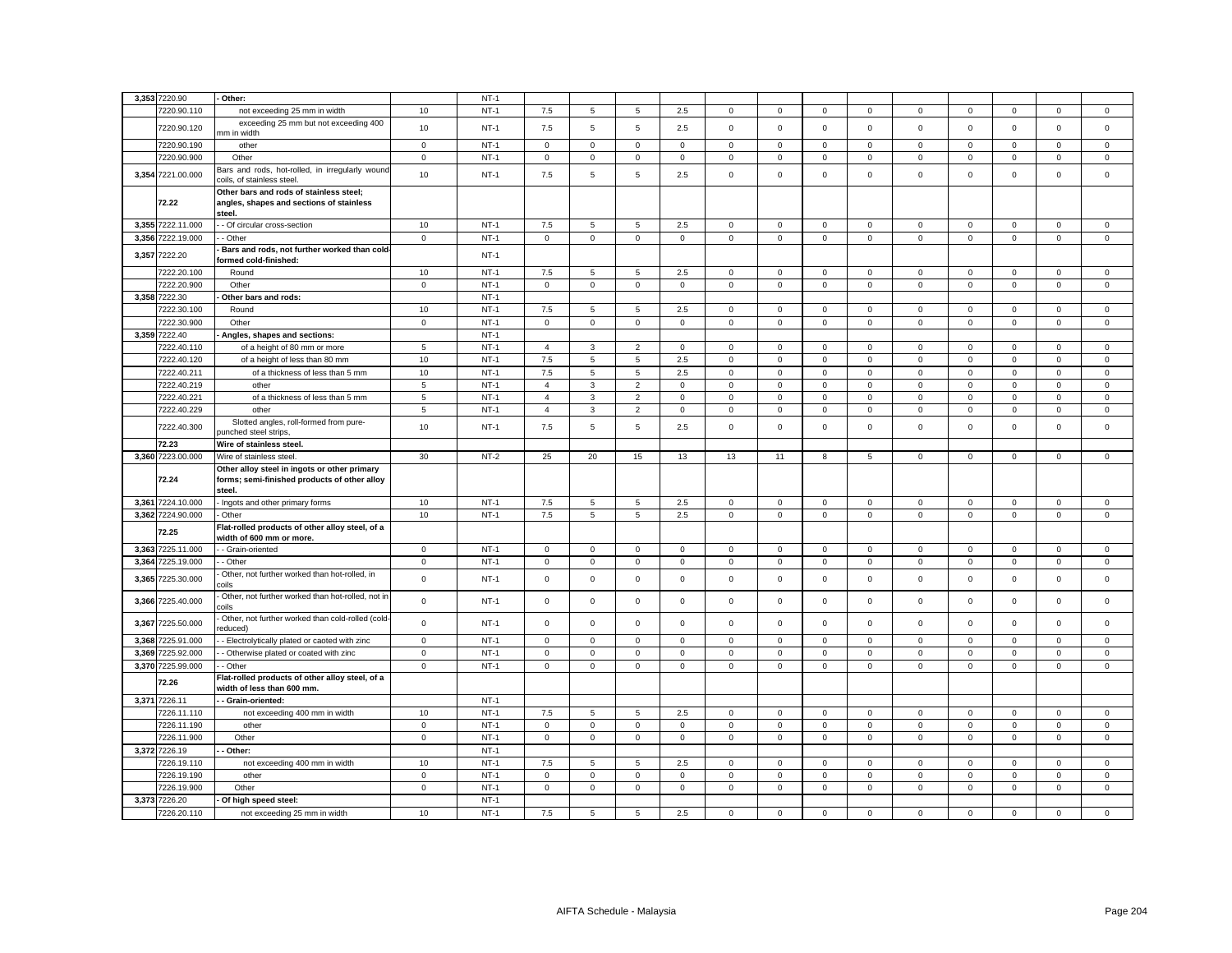|       | 3,353 7220.90     | Other:                                                                                                 |                | $NT-1$ |                |              |                |              |              |             |                |                 |                |              |              |              |             |
|-------|-------------------|--------------------------------------------------------------------------------------------------------|----------------|--------|----------------|--------------|----------------|--------------|--------------|-------------|----------------|-----------------|----------------|--------------|--------------|--------------|-------------|
|       | 7220.90.110       |                                                                                                        | 10             | $NT-1$ |                | 5            | 5              | 2.5          | $\mathbf{0}$ | $\mathbf 0$ | $\mathbf 0$    | $\mathbf 0$     | $\mathbf 0$    | $\mathbf 0$  | $\mathbf 0$  | $\mathbf 0$  | $\mathsf 0$ |
|       | 7220.90.120       | not exceeding 25 mm in width<br>exceeding 25 mm but not exceeding 400                                  | 10             | $NT-1$ | 7.5<br>7.5     | 5            | 5              | 2.5          | $\mathbf 0$  | $\Omega$    | $\mathbf 0$    | $\mathbf 0$     | $\mathbf 0$    | $\Omega$     | $\Omega$     | $\mathbf 0$  | $\mathbf 0$ |
|       | 7220.90.190       | mm in width<br>other                                                                                   | $\mathsf 0$    | $NT-1$ | $\mathsf 0$    | $\mathbf 0$  | $\mathbf 0$    | $\mathbf 0$  | $\mathbf 0$  | $\mathbf 0$ | $\mathbf 0$    | $\mathbf 0$     | $\mathbf 0$    | $\mathbf 0$  | $\mathbf 0$  | $\mathbf 0$  | $\mathsf 0$ |
|       | 7220.90.900       | Other                                                                                                  | $\mathbf 0$    | $NT-1$ | $\mathsf 0$    | $\mathsf 0$  | $\mathsf 0$    | $\mathsf 0$  | $\mathsf 0$  | $\mathsf 0$ | $\mathbf 0$    | $\mathbf 0$     | $\mathsf 0$    | $\mathbf 0$  | $\mathsf 0$  | $\mathsf 0$  | $\mathbf 0$ |
|       | 3,354 7221.00.000 | Bars and rods, hot-rolled, in irregularly wound<br>coils, of stainless steel.                          | 10             | $NT-1$ | 7.5            | 5            | 5              | 2.5          | 0            | $\mathbf 0$ | $\mathbf 0$    | $\mathsf 0$     | $\mathbf 0$    | $\mathsf 0$  | $\mathbf 0$  | $\mathsf 0$  | $\mathsf 0$ |
|       | 72.22             | Other bars and rods of stainless steel;<br>angles, shapes and sections of stainless<br>steel.          |                |        |                |              |                |              |              |             |                |                 |                |              |              |              |             |
|       | 3,355 7222.11.000 | - Of circular cross-section                                                                            | 10             | $NT-1$ | 7.5            | 5            | 5              | 2.5          | $\mathbf 0$  | $\mathbf 0$ | $\mathbf{0}$   | $\mathbf 0$     | $\mathbf{0}$   | $\mathbf 0$  | $\mathbf 0$  | $\mathbf 0$  | $\mathbf 0$ |
|       | 3,356 7222.19.000 | - Other                                                                                                | $\mathbf 0$    | $NT-1$ | $\mathbf{0}$   | $\mathbf 0$  | $\mathbf{0}$   | $\mathbf{0}$ | $\mathbf{0}$ | $\mathbf 0$ | $\mathbf{O}$   | $\mathbf{0}$    | $\mathbf 0$    | $\mathbf 0$  | $\mathbf{0}$ | $\mathbf{0}$ | $\mathbf 0$ |
|       | 3,357 7222.20     | Bars and rods, not further worked than cold-<br>ormed cold-finished:                                   |                | $NT-1$ |                |              |                |              |              |             |                |                 |                |              |              |              |             |
|       | 7222.20.100       | Round                                                                                                  | 10             | $NT-1$ | 7.5            | 5            | 5              | 2.5          | $\mathbf 0$  | $\mathbf 0$ | $\mathbf{0}$   | $\mathbf{0}$    | $\mathbf 0$    | $\mathbf{0}$ | $\mathbf 0$  | $\mathbf 0$  | $\mathbf 0$ |
|       | 7222.20.900       | Other                                                                                                  | $\mathbf 0$    | $NT-1$ | $\mathbf{0}$   | $\mathbf 0$  | $\mathbf 0$    | $\mathbf{0}$ | $\mathbf 0$  | $\mathbf 0$ | $\mathbf{O}$   | $\mathbf{0}$    | $\mathbf{0}$   | $\mathbf 0$  | $\mathbf{0}$ | $\mathbf 0$  | $\mathbf 0$ |
|       | 3,358 7222.30     | Other bars and rods:                                                                                   |                | $NT-1$ |                |              |                |              |              |             |                |                 |                |              |              |              |             |
|       | 7222.30.100       | Round                                                                                                  | 10             | $NT-1$ | 7.5            | 5            | 5              | 2.5          | $\mathbf 0$  | $\mathbf 0$ | $\mathbf 0$    | $\mathsf 0$     | $\mathbf{0}$   | $\mathbf 0$  | $\mathbf 0$  | $\mathsf 0$  | $\mathsf 0$ |
|       | 7222.30.900       | Other                                                                                                  | $\mathbf 0$    | $NT-1$ | $\mathbf 0$    | $\mathbf 0$  | $\mathbf 0$    | 0            | 0            | $\mathbf 0$ | $\mathbf 0$    | $\mathbf 0$     | 0              | $\mathbf 0$  | $\mathbf 0$  | $\mathbf 0$  | $\mathbf 0$ |
|       | 3,359 7222.40     | Angles, shapes and sections:                                                                           |                | $NT-1$ |                |              |                |              |              |             |                |                 |                |              |              |              |             |
|       | 7222.40.110       | of a height of 80 mm or more                                                                           | 5              | $NT-1$ | $\overline{4}$ | 3            | $\overline{2}$ | $\mathbf 0$  | 0            | $\mathbf 0$ | $\mathbf{0}$   | $\mathbf 0$     | $\mathbf 0$    | 0            | $\mathbf 0$  | 0            | $\mathbf 0$ |
|       | 7222.40.120       | of a height of less than 80 mm                                                                         | 10             | $NT-1$ | 7.5            | 5            | $\,$ 5 $\,$    | 2.5          | $\mathsf 0$  | $\mathbf 0$ | $\mathbf 0$    | $\mathbf 0$     | $\mathsf 0$    | $\mathbf 0$  | $\mathsf 0$  | 0            | $\mathsf 0$ |
|       |                   |                                                                                                        |                |        |                |              |                |              |              |             |                |                 |                |              |              |              |             |
|       | 7222.40.211       | of a thickness of less than 5 mm                                                                       | 10             | $NT-1$ | 7.5            | 5            | $\overline{5}$ | 2.5          | $\mathbf 0$  | $\mathsf 0$ | $\mathbf 0$    | $\mathbf 0$     | $\mathbf 0$    | $\mathsf 0$  | $\mathsf 0$  | $\mathsf 0$  | $\mathsf 0$ |
|       | 7222.40.219       | other                                                                                                  | 5              | $NT-1$ | $\overline{4}$ | 3            | $\overline{2}$ | $\mathbf 0$  | $\mathsf 0$  | $\mathsf 0$ | $\mathbf 0$    | $\mathbf 0$     | $\mathbf 0$    | $\mathsf 0$  | $\mathsf 0$  | $\mathsf 0$  | $\mathsf 0$ |
|       | 7222.40.221       | of a thickness of less than 5 mm                                                                       | $\overline{5}$ | $NT-1$ | $\overline{4}$ | 3            | $\overline{2}$ | $\mathbf 0$  | $\mathsf 0$  | $\mathsf 0$ | $\mathbf 0$    | $\mathbf 0$     | $\mathbf 0$    | $\mathsf 0$  | $\mathsf 0$  | $\mathsf 0$  | $\mathsf 0$ |
|       | 7222.40.229       | other                                                                                                  | $\overline{5}$ | $NT-1$ | $\overline{4}$ | 3            | $\overline{2}$ | $\mathsf 0$  | $\mathbf 0$  | $\mathsf 0$ | $\mathbf 0$    | $\mathbf 0$     | $\mathbf 0$    | $\mathsf 0$  | $\mathsf 0$  | $\mathbf 0$  | $\mathsf 0$ |
|       | 7222.40.300       | Slotted angles, roll-formed from pure-<br>punched steel strips                                         | 10             | $NT-1$ | 7.5            | 5            | 5              | 2.5          | 0            | $\mathbf 0$ | $\mathbf 0$    | $\mathsf 0$     | 0              | $\mathsf 0$  | $\mathbf 0$  | $\mathsf 0$  | $\mathsf 0$ |
|       | 72.23             | Wire of stainless steel.                                                                               |                |        |                |              |                |              |              |             |                |                 |                |              |              |              |             |
|       | 3,360 7223.00.000 | Wire of stainless steel                                                                                | 30             | $NT-2$ | 25             | 20           | 15             | 13           | 13           | 11          | 8              | $5\phantom{.0}$ | $\mathbf 0$    | $\mathsf 0$  | $\mathsf 0$  | $\mathsf 0$  | $\mathsf 0$ |
|       | 72.24             | Other alloy steel in ingots or other primary<br>forms; semi-finished products of other alloy<br>steel. |                |        |                |              |                |              |              |             |                |                 |                |              |              |              |             |
|       | 3.361 7224.10.000 | Ingots and other primary forms                                                                         | 10             | $NT-1$ | 7.5            | 5            | 5              | 2.5          | $\mathbf{0}$ | $\mathbf 0$ | $\mathbf{0}$   | $\mathbf{0}$    | $\mathbf 0$    | $\mathbf 0$  | $\mathbf 0$  | $\mathbf{0}$ | $\mathbf 0$ |
|       | 3,362 7224.90.000 | Other                                                                                                  | 10             | $NT-1$ | 7.5            | 5            | 5              | 2.5          | $\mathbf 0$  | $\mathbf 0$ | $\mathbf 0$    | $\mathsf 0$     | $\mathbf{0}$   | $\mathbf 0$  | $\mathbf 0$  | $\mathsf 0$  | $\mathbf 0$ |
|       | 72.25             | Flat-rolled products of other alloy steel, of a<br>width of 600 mm or more.                            |                |        |                |              |                |              |              |             |                |                 |                |              |              |              |             |
|       | 3,363 7225.11.000 | - Grain-oriented                                                                                       | $\mathbf{0}$   | $NT-1$ | $\mathbf{0}$   | $\mathbf{0}$ | $\mathbf 0$    | $\mathbf{0}$ | $\mathbf 0$  | $\mathbf 0$ | $\mathbf{0}$   | $\mathbf 0$     | $\mathbf{0}$   | $\mathbf{0}$ | $^{\circ}$   | $\mathbf 0$  | $\mathbf 0$ |
|       | 3,364 7225.19.000 | - Other                                                                                                | $\circ$        | $NT-1$ | $\mathbf{0}$   | $\mathbf 0$  | $\mathbf 0$    | $\mathbf{0}$ | $\mathbf 0$  | $\mathsf 0$ | $\overline{0}$ | $\mathbf 0$     | $\mathbf 0$    | $\mathsf 0$  | $\mathbf 0$  | $\mathbf 0$  | $\mathsf 0$ |
|       | 3,365 7225.30.000 | Other, not further worked than hot-rolled, in<br>coils                                                 | $\mathbf 0$    | $NT-1$ | $\mathsf 0$    | $\mathsf 0$  | $\mathsf 0$    | $\mathsf 0$  | $\mathsf 0$  | $\mathsf 0$ | $\mathbf 0$    | $\,0\,$         | $\mathbf 0$    | $\mathsf 0$  | $\mathsf 0$  | $\mathsf 0$  | $\mathsf 0$ |
|       | 3,366 7225.40.000 | Other, not further worked than hot-rolled, not in<br>coils                                             | $\mathbf 0$    | $NT-1$ | $\mathsf 0$    | $\mathsf 0$  | $\mathsf 0$    | $\mathsf 0$  | $\mathsf 0$  | $\mathsf 0$ | $\mathbf 0$    | $\mathbf 0$     | $\mathsf 0$    | $\mathsf 0$  | $\mathsf 0$  | $\mathbf 0$  | $\mathsf 0$ |
|       | 3,367 7225.50.000 | Other, not further worked than cold-rolled (cold-<br>'educed)                                          | $\mathbf 0$    | $NT-1$ | $\mathbf 0$    | $\mathbf 0$  | $\mathsf 0$    | $\mathsf 0$  | $\mathbf 0$  | $\mathsf 0$ | $\mathbf 0$    | $\mathsf 0$     | $\mathbf 0$    | $\mathsf 0$  | $\mathbf 0$  | $\mathsf 0$  | $\mathsf 0$ |
|       | 3,368 7225.91.000 | - Electrolytically plated or caoted with zinc                                                          | $\mathbf 0$    | $NT-1$ | $\mathsf 0$    | $\mathbf 0$  | $\mathbf 0$    | $\mathsf 0$  | $\mathbf 0$  | $\mathsf 0$ | $\mathbf 0$    | $\mathsf 0$     | $\mathsf 0$    | $\mathsf 0$  | $\mathbf 0$  | $\mathbf 0$  | $\mathsf 0$ |
| 3,369 | 7225.92.000       | - Otherwise plated or coated with zinc                                                                 | $\mathbf 0$    | $NT-1$ | $\mathsf 0$    | $\mathsf 0$  | $\mathsf 0$    | $\mathsf 0$  | $\mathsf 0$  | $\mathbf 0$ | $\mathbf 0$    | $\,0\,$         | $\overline{0}$ | $\mathbf 0$  | $\mathsf 0$  | $\mathbf 0$  | $\mathbf 0$ |
|       | 3,370 7225.99.000 | - Other                                                                                                | $\mathbf 0$    | $NT-1$ | $\mathbf 0$    | $\mathbf 0$  | $\mathsf 0$    | $\mathbf 0$  | $\mathsf 0$  | $\mathbf 0$ | 0              | $\mathsf 0$     | $\mathsf 0$    | 0            | $\mathbf 0$  | $\mathsf 0$  | $\mathsf 0$ |
|       | 72.26             | Flat-rolled products of other alloy steel, of a<br>width of less than 600 mm.                          |                |        |                |              |                |              |              |             |                |                 |                |              |              |              |             |
|       | 3,371 7226.11     | - Grain-oriented:                                                                                      |                | $NT-1$ |                |              |                |              |              |             |                |                 |                |              |              |              |             |
|       | 7226.11.110       | not exceeding 400 mm in width                                                                          | 10             | $NT-1$ | 7.5            | 5            | 5              | 2.5          | 0            | $\mathbf 0$ | $\mathsf 0$    | $\mathbf 0$     | $\mathsf 0$    | $\mathbf 0$  | $\mathbf 0$  | $\mathbf 0$  | $\mathbf 0$ |
|       | 7226.11.190       | other                                                                                                  | $\mathbf 0$    | $NT-1$ | $\mathbf 0$    | $\mathbf 0$  | $\mathbf 0$    | $\mathbf 0$  | $\mathsf 0$  | $\mathsf 0$ | $\mathbf 0$    | $\mathbf 0$     | $\mathbf 0$    | $\mathbf 0$  | $\mathsf 0$  | $\mathsf 0$  | $\mathsf 0$ |
|       | 7226.11.900       | Other                                                                                                  | $\mathbf 0$    | $NT-1$ | $\mathsf 0$    | $\mathbf 0$  | $\mathsf 0$    | $\mathsf 0$  | $\mathsf 0$  | $\mathsf 0$ | $\mathbf 0$    | $\mathsf 0$     | $\mathbf 0$    | $\mathsf 0$  | $\mathbf 0$  | $\mathsf 0$  | $\mathsf 0$ |
|       | 3,372 7226.19     | Other:                                                                                                 |                | $NT-1$ |                |              |                |              |              |             |                |                 |                |              |              |              |             |
|       | 7226.19.110       | not exceeding 400 mm in width                                                                          | 10             | $NT-1$ | 7.5            | 5            | 5              | 2.5          | $\mathbf 0$  | $\mathbf 0$ | $\mathbf 0$    | $\overline{0}$  | $\mathbf 0$    | $\mathbf 0$  | $\mathbf 0$  | $\mathbf 0$  | $\mathbf 0$ |
|       | 7226.19.190       | other                                                                                                  | $\mathsf 0$    | $NT-1$ | $\overline{0}$ | $\mathbf 0$  | $\mathbf 0$    | $\mathbf 0$  | $\mathbf 0$  | $\mathbf 0$ | $\mathsf 0$    | $\mathbf 0$     | $\mathbf 0$    | $\mathbf 0$  | $\mathbf 0$  | $\mathbf 0$  | $\mathsf 0$ |
|       | 7226.19.900       | Other                                                                                                  | $\mathsf 0$    | $NT-1$ | $\mathsf 0$    | $\mathsf 0$  | $\mathsf 0$    | $\mathsf 0$  | $\mathbf 0$  | $\mathsf 0$ | $\mathsf 0$    | $\mathsf 0$     | $\mathsf 0$    | $\mathsf 0$  | $\mathsf 0$  | $\mathsf 0$  | $\mathsf 0$ |
|       | 3,373 7226.20     | Of high speed steel:                                                                                   |                | $NT-1$ |                |              |                |              |              |             |                |                 |                |              |              |              |             |
|       | 7226.20.110       | not exceeding 25 mm in width                                                                           | 10             | $NT-1$ | 7.5            | 5            | 5              | 2.5          | $\Omega$     | $\mathbf 0$ | $\Omega$       | $\Omega$        | 0              | $\mathbf 0$  | $\mathbf 0$  | $\mathsf 0$  | $\mathbf 0$ |
|       |                   |                                                                                                        |                |        |                |              |                |              |              |             |                |                 |                |              |              |              |             |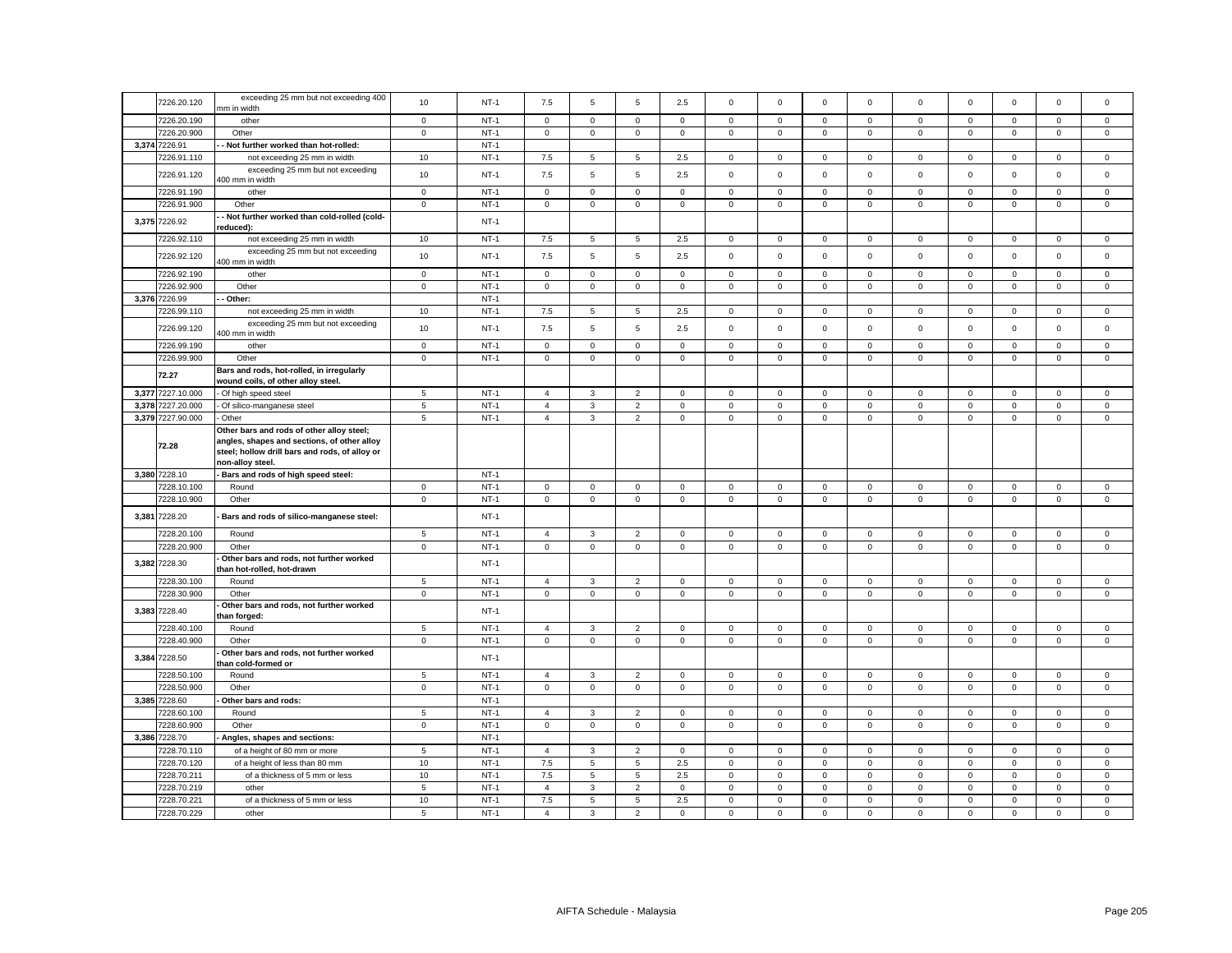|       | 7226.20.120                | exceeding 25 mm but not exceeding 400<br>mm in width                                                                                       | 10             | $NT-1$           | 7.5                       | 5                   | 5                                 | 2.5                | $\mathsf 0$                        | $\mathbf 0$                | $\mathsf 0$                | $\mathbf 0$                | $\mathbf 0$                | $\mathbf 0$                | $\mathbf 0$                | $\mathsf 0$                | $\Omega$                   |
|-------|----------------------------|--------------------------------------------------------------------------------------------------------------------------------------------|----------------|------------------|---------------------------|---------------------|-----------------------------------|--------------------|------------------------------------|----------------------------|----------------------------|----------------------------|----------------------------|----------------------------|----------------------------|----------------------------|----------------------------|
|       | 7226.20.190                | other                                                                                                                                      | $\mathbf 0$    | $NT-1$           | $\mathsf 0$               | $\mathsf 0$         | $\mathbf 0$                       | $\mathsf 0$        | $\mathbf 0$                        | $\mathsf 0$                | $\mathsf 0$                | $\mathsf 0$                | $\mathsf 0$                | $\,0\,$                    | $\mathsf 0$                | $\mathbf 0$                | 0                          |
|       | 7226.20.900                | Other                                                                                                                                      | $\mathbf 0$    | $NT-1$           | $\mathbf 0$               | 0                   | $\mathbf 0$                       | 0                  | $\mathbf 0$                        | $\mathsf 0$                | $\mathsf 0$                | $\mathbf 0$                | 0                          | $\mathbf 0$                | $\mathbf 0$                | $\mathbf 0$                | $\mathbf 0$                |
| 3,374 | 7226.91                    | Not further worked than hot-rolled:                                                                                                        |                | $NT-1$           |                           |                     |                                   |                    |                                    |                            |                            |                            |                            |                            |                            |                            |                            |
|       |                            |                                                                                                                                            |                | $NT-1$           |                           |                     |                                   |                    |                                    |                            |                            |                            |                            |                            |                            |                            |                            |
|       | 7226.91.110                | not exceeding 25 mm in width                                                                                                               | 10             |                  | 7.5                       | 5                   | 5                                 | 2.5                | $\mathbf 0$                        | $\mathsf 0$                | $\mathbf 0$                | $\mathsf 0$                | $\mathbf 0$                | $\mathbf 0$                | $\mathbf 0$                | $\mathsf 0$                | $\mathsf 0$                |
|       | 7226.91.120                | exceeding 25 mm but not exceeding<br>400 mm in width                                                                                       | 10             | $NT-1$           | 7.5                       | $\overline{5}$      | $\overline{5}$                    | 2.5                | $\mathsf 0$                        | $\mathsf 0$                | $\mathsf 0$                | 0                          | $\mathsf 0$                | $\mathbf 0$                | $\mathsf 0$                | $\mathsf 0$                | $\mathbf 0$                |
|       | 7226.91.190                | other                                                                                                                                      | $\mathbf 0$    | $NT-1$           | $\mathsf 0$               | $\mathsf 0$         | $\mathsf 0$                       | $\mathbf 0$        | $\mathbf 0$                        | $\mathsf 0$                | $\mathbf 0$                | $\mathsf 0$                | $\mathbf 0$                | $\mathbf 0$                | $\mathbf 0$                | $\mathsf 0$                | $\mathbf 0$                |
|       | 7226.91.900                | Other                                                                                                                                      | $\mathbf 0$    | $NT-1$           | $\mathbf 0$               | $\mathbf 0$         | $\mathsf 0$                       | 0                  | $\mathbf 0$                        | $\mathsf 0$                | $\mathsf 0$                | 0                          | $\mathsf 0$                | $\mathbf 0$                | $\mathsf 0$                | $\mathsf 0$                | $\mathsf 0$                |
|       | 3,375 7226.92              | - Not further worked than cold-rolled (cold-<br>reduced):                                                                                  |                | $NT-1$           |                           |                     |                                   |                    |                                    |                            |                            |                            |                            |                            |                            |                            |                            |
|       | 7226.92.110                | not exceeding 25 mm in width                                                                                                               | 10             | $NT-1$           | 7.5                       | 5                   | $5\overline{5}$                   | 2.5                | $\mathbf 0$                        | $\mathsf 0$                | $\mathbf 0$                | $\mathbf{0}$               | $\mathbf 0$                | $\mathbf 0$                | $\mathbf 0$                | $\mathbf{0}$               | $\mathbf 0$                |
|       | 7226.92.120                | exceeding 25 mm but not exceeding<br>400 mm in width                                                                                       | 10             | $NT-1$           | 7.5                       | 5                   | $\overline{5}$                    | 2.5                | $\mathsf 0$                        | $\mathsf 0$                | $\mathsf 0$                | $\mathsf 0$                | $\mathsf 0$                | $\mathbf 0$                | $\mathsf 0$                | $\mathsf 0$                | $\mathsf 0$                |
|       | 7226.92.190                | other                                                                                                                                      | $\circ$        | $NT-1$           | $\mathbf 0$               | $\mathbf 0$         | $\mathbf{0}$                      | $\mathbf 0$        | $\mathbf 0$                        | $\mathbf 0$                | $\circ$                    | $\mathbf 0$                | $\mathbf 0$                | $\mathbf 0$                | $\mathbf{0}$               | $\mathbf{0}$               | $\mathbf{0}$               |
|       | 7226.92.900                | Other                                                                                                                                      | $\mathbf 0$    | $NT-1$           | $\mathbf 0$               | $\mathbf 0$         | $\mathsf 0$                       | $\mathbf 0$        | $\mathbf 0$                        | $\mathsf 0$                | $\mathbf{0}$               | $\mathbf 0$                | $\mathbf 0$                | $\mathbf 0$                | $\mathbf 0$                | $\mathsf 0$                | $\mathbf 0$                |
|       | 3,376 7226.99              | - Other:                                                                                                                                   |                | $NT-1$           |                           |                     |                                   |                    |                                    |                            |                            |                            |                            |                            |                            |                            |                            |
|       | 7226.99.110                | not exceeding 25 mm in width                                                                                                               | 10             | $NT-1$           | 7.5                       | 5                   | 5                                 | 2.5                | $\mathsf 0$                        | $\mathsf 0$                | $\mathbf 0$                | $\mathsf 0$                | $\mathsf 0$                | $\mathbf 0$                | $\mathbf 0$                | $\mathsf 0$                | $\mathbf 0$                |
|       |                            |                                                                                                                                            |                |                  |                           |                     |                                   |                    |                                    |                            |                            |                            |                            |                            |                            |                            |                            |
|       | 7226.99.120                | exceeding 25 mm but not exceeding<br>400 mm in width                                                                                       | 10             | $NT-1$           | 7.5                       | 5                   | $\,$ 5 $\,$                       | 2.5                | $\mathsf 0$                        | $\mathsf 0$                | $\mathbf 0$                | $\mathsf 0$                | $\mathsf 0$                | $\mathbf 0$                | $\mathsf 0$                | $\mathsf 0$                | $\mathbf 0$                |
|       | 7226.99.190                | other                                                                                                                                      | $\mathsf 0$    | $NT-1$           | $\mathsf 0$               | $\mathbf 0$         | $\mathsf 0$                       | $\mathbf 0$        | $\mathbf 0$                        | $\mathsf 0$                | $\mathsf 0$                | $\mathsf 0$                | 0                          | $\mathbf 0$                | $\mathsf 0$                | $\mathsf 0$                | $\mathbf 0$                |
|       | 7226.99.900                | Other                                                                                                                                      | $\mathsf 0$    | $NT-1$           | $\mathsf 0$               | $\mathbf 0$         | $\mathsf 0$                       | $\mathsf 0$        | $\mathsf 0$                        | $\mathsf 0$                | $\mathsf{O}\xspace$        | $\mathbf 0$                | $\mathbf 0$                | $\mathsf 0$                | $\mathbf 0$                | $\mathsf 0$                | $\mathbf 0$                |
|       | 72.27                      | Bars and rods, hot-rolled, in irregularly<br>wound coils, of other alloy steel.                                                            |                |                  |                           |                     |                                   |                    |                                    |                            |                            |                            |                            |                            |                            |                            |                            |
|       | 3,377 7227.10.000          | Of high speed steel                                                                                                                        | 5              | $NT-1$           | 4                         | 3                   | $\overline{2}$                    | 0                  | $\mathbf 0$                        | $\mathbf 0$                | $\mathbf 0$                | $\mathbf 0$                | 0                          | $\mathbf 0$                | $\mathbf 0$                | $\mathbf 0$                | 0                          |
| 3,378 | 7227.20.000                | Of silico-manganese steel                                                                                                                  | 5              | $NT-1$           | $\overline{4}$            | $\mathbf{3}$        | $\overline{2}$                    | 0                  | $\mathbf 0$                        | $\mathbf 0$                | $\mathsf{O}\xspace$        | 0                          | $\mathsf 0$                | $\mathbf 0$                | $\mathbf 0$                | $\mathsf 0$                | 0                          |
|       | 3,379 7227.90.000          | Other                                                                                                                                      | 5              | $NT-1$           | $\overline{4}$            | $\mathbf{3}$        | 2                                 | $\mathbf 0$        | $\mathbf 0$                        | $\mathbf 0$                | $\mathbf 0$                | $\mathbf 0$                | $\mathbf 0$                | $\mathbf 0$                | $\mathbf 0$                | $\mathbf 0$                | $\mathbf 0$                |
|       | 72.28                      | Other bars and rods of other alloy steel;<br>angles, shapes and sections, of other alloy<br>steel; hollow drill bars and rods, of alloy or |                |                  |                           |                     |                                   |                    |                                    |                            |                            |                            |                            |                            |                            |                            |                            |
|       |                            | non-alloy steel.                                                                                                                           |                |                  |                           |                     |                                   |                    |                                    |                            |                            |                            |                            |                            |                            |                            |                            |
|       | 3,380 7228.10              | Bars and rods of high speed steel:                                                                                                         |                | $NT-1$           |                           |                     |                                   |                    |                                    |                            |                            |                            |                            |                            |                            |                            |                            |
|       | 7228.10.100                | Round                                                                                                                                      | $\mathsf 0$    | $NT-1$           | $\mathsf 0$               | $\mathbf 0$         | $\mathsf 0$                       | $\mathbf 0$        | $\mathsf 0$                        | $\mathsf 0$                | $\mathbf 0$                | $\mathbf 0$                | $\mathsf 0$                | $\mathbf 0$                | $\mathbf 0$                | $\mathsf 0$                | $\mathbf{0}$               |
|       | 7228.10.900                | Other                                                                                                                                      | $\mathsf 0$    | $NT-1$           | $\mathsf 0$               | $\mathbf 0$         | $\mathsf 0$                       | $\mathbf 0$        | $\mathsf 0$                        | $\mathsf 0$                | $\mathsf{O}\xspace$        | $\mathbf 0$                | $\mathbf 0$                | $\mathbf 0$                | $\mathbf 0$                | $\mathbf 0$                | $\mathbf 0$                |
| 3,381 | 7228.20                    | Bars and rods of silico-manganese steel:                                                                                                   |                | $NT-1$           |                           |                     |                                   |                    |                                    |                            |                            |                            |                            |                            |                            |                            |                            |
|       |                            |                                                                                                                                            |                |                  |                           |                     |                                   |                    |                                    |                            |                            |                            |                            |                            |                            |                            |                            |
|       | 7228.20.100                | Round                                                                                                                                      | $\overline{5}$ | $NT-1$           | $\overline{4}$            | 3                   | $\overline{2}$                    | $\mathsf 0$        | $\mathbf 0$                        | $\mathsf 0$                | $\mathsf 0$                | $\mathbf 0$                | $\mathsf 0$                | $\mathbf 0$                | 0                          | $\mathbf 0$                | 0                          |
|       | 7228.20.900                | Other                                                                                                                                      | $\mathsf 0$    | $NT-1$           | $\mathsf{O}\xspace$       | $\mathsf 0$         | $\mathbf 0$                       | $\mathsf 0$        | $\mathsf{O}\xspace$                | $\mathbf 0$                | $\mathsf 0$                | $\mathsf 0$                | $\mathsf 0$                | $\pmb{0}$                  | $\mathsf 0$                | $\mathsf 0$                | $\mathsf 0$                |
|       | 3,382 7228.30              | Other bars and rods, not further worked<br>than hot-rolled, hot-drawn                                                                      |                | $NT-1$           |                           |                     |                                   |                    |                                    |                            |                            |                            |                            |                            |                            |                            |                            |
|       | 7228.30.100                | Round                                                                                                                                      | $\,$ 5 $\,$    | $NT-1$           | $\overline{4}$            | 3                   | $\overline{2}$                    | $\mathbf 0$        | $\mathsf 0$                        | $\mathsf 0$                | $\mathsf 0$                | $\mathsf 0$                | $\mathsf 0$                | $\pmb{0}$                  | $\mathbf 0$                | $\mathbf 0$                | $\mathbf 0$                |
|       | 7228.30.900                | Other                                                                                                                                      | $\mathbf 0$    | $NT-1$           | $\mathsf{O}\xspace$       | $\mathsf{O}\xspace$ | $\mathsf 0$                       | $\mathsf 0$        | $\mathsf{O}\xspace$                | $\mathsf 0$                | $\mathsf{O}\xspace$        | $\mathbf 0$                | $\mathsf 0$                | $\mathsf 0$                | $\mathsf{O}\xspace$        | $\mathsf 0$                | $\mathsf 0$                |
|       | 3,383 7228.40              | Other bars and rods, not further worked<br>than forged:                                                                                    |                | $NT-1$           |                           |                     |                                   |                    |                                    |                            |                            |                            |                            |                            |                            |                            |                            |
|       | 7228.40.100                | Round                                                                                                                                      | $\sqrt{5}$     | $NT-1$           | $\overline{4}$            | 3                   | $\overline{2}$                    | 0                  | $\mathbf 0$                        | 0                          | $\mathsf 0$                | 0                          | 0                          | $\mathbf 0$                | $\mathbf 0$                | $\mathbf 0$                | $\mathbf 0$                |
|       | 7228.40.900                | Other                                                                                                                                      | $\mathbf 0$    | $NT-1$           | $\mathsf 0$               | $\mathsf 0$         | $\mathsf 0$                       | $\mathsf 0$        | $\mathsf{O}\xspace$                | $\mathbf 0$                | $\overline{0}$             | $\mathsf 0$                | $\mathsf{O}\xspace$        | $\mathbf 0$                | $\mathsf{O}\xspace$        | $\overline{0}$             | $\mathsf 0$                |
| 3,384 | 7228.50                    | Other bars and rods, not further worked<br>than cold-formed or                                                                             |                | $NT-1$           |                           |                     |                                   |                    |                                    |                            |                            |                            |                            |                            |                            |                            |                            |
|       | 7228.50.100                | Round                                                                                                                                      | 5              | $NT-1$           | $\overline{4}$            | 3                   | $\overline{2}$                    | $\mathsf 0$        | $\mathbf 0$                        | $\mathsf 0$                | $\mathbf 0$                | $\mathsf 0$                | $\mathsf 0$                | $\mathbf 0$                | $\mathbf 0$                | $\mathsf 0$                | $\mathbf 0$                |
|       | 7228.50.900                | Other                                                                                                                                      | $\mathbf 0$    | $NT-1$           | $\mathsf 0$               | $\mathbf 0$         | $\mathsf 0$                       | $\mathsf 0$        | $\mathbf 0$                        | $\mathsf 0$                | $\mathbf{0}$               | $\mathsf 0$                | $\mathsf 0$                | $\mathbf 0$                | $\mathbf 0$                | $\mathsf 0$                | $\mathbf 0$                |
|       | 3,385 7228.60              | Other bars and rods:                                                                                                                       |                | $NT-1$           |                           |                     |                                   |                    |                                    |                            |                            |                            |                            |                            |                            |                            |                            |
|       | 7228.60.100                | Round                                                                                                                                      | $\overline{5}$ | $NT-1$           | $\overline{4}$            | 3                   | $\overline{2}$                    | $\mathbf 0$        | $\mathbf 0$                        | $\mathsf 0$                | $\mathbf{0}$               | $\mathsf 0$                | $\mathbf 0$                | $\mathbf 0$                | $\mathbf 0$                | $\mathsf 0$                | $\mathbf 0$                |
|       | 7228.60.900                | Other                                                                                                                                      | $\mathbf 0$    | $NT-1$           | $\mathsf 0$               | $\mathbf 0$         | $\mathsf 0$                       | $\mathsf 0$        | $\mathbf 0$                        | $\mathsf 0$                | $\mathbf 0$                | $\mathbf 0$                | $\mathsf 0$                | $\mathbf 0$                | $\mathbf 0$                | $\mathsf 0$                | $\mathbf 0$                |
|       | 3,386 7228.70              |                                                                                                                                            |                | $NT-1$           |                           |                     |                                   |                    |                                    |                            |                            |                            |                            |                            |                            |                            |                            |
|       | 7228.70.110                | Angles, shapes and sections:                                                                                                               |                | $NT-1$           |                           |                     |                                   |                    |                                    |                            |                            |                            |                            |                            |                            |                            |                            |
|       |                            | of a height of 80 mm or more                                                                                                               | $\overline{5}$ |                  | $\overline{4}$            | 3                   | $\overline{2}$                    | 0                  | $\mathbf 0$                        | $\mathsf 0$                | $\mathsf{O}\xspace$        | 0                          | 0                          | $\mathbf 0$                | $\mathsf 0$                | $\mathbf 0$                | 0                          |
|       | 7228.70.120<br>7228.70.211 | of a height of less than 80 mm                                                                                                             | $10$           | $NT-1$           | $7.5\,$                   | 5                   | $\,$ 5 $\,$                       | 2.5                | $\mathsf 0$                        | $\mathsf 0$                | $\mathsf 0$                | $\mathsf 0$                | $\mathsf 0$                | $\mathbf 0$                | $\mathsf 0$                | $\mathbf 0$                | $\mathbf 0$                |
|       |                            | of a thickness of 5 mm or less                                                                                                             | 10             | $NT-1$           | $7.5\,$                   | 5                   | $\,$ 5 $\,$                       | 2.5                | $\mathsf 0$                        | $\mathsf 0$                | $\mathbf 0$                | $\mathsf 0$                | $\mathsf 0$                | $\mathsf 0$                | $\mathsf 0$                | $\mathsf 0$                | $\mathbf 0$                |
|       |                            |                                                                                                                                            |                |                  |                           |                     |                                   |                    |                                    |                            |                            |                            |                            |                            |                            |                            |                            |
|       | 7228.70.219                | other                                                                                                                                      | $\,$ 5 $\,$    | $NT-1$           | $\overline{4}$            | $\mathbf{3}$        | $\overline{2}$                    | $\mathsf 0$        | $\mathsf 0$                        | $\mathsf 0$                | $\mathsf{O}$               | $\mathsf 0$                | $\mathsf 0$                | $\mathbf 0$                | $\mathsf 0$                | $\mathsf 0$                | $\mathsf 0$                |
|       | 7228.70.221<br>7228.70.229 | of a thickness of 5 mm or less<br>other                                                                                                    | 10<br>5        | $NT-1$<br>$NT-1$ | $7.5\,$<br>$\overline{4}$ | 5<br>3              | $5\overline{5}$<br>$\overline{2}$ | 2.5<br>$\mathsf 0$ | $\mathsf{o}\xspace$<br>$\mathbf 0$ | $\mathsf 0$<br>$\mathsf 0$ | $\mathsf 0$<br>$\mathsf 0$ | $\mathsf 0$<br>$\mathsf 0$ | $\mathsf 0$<br>$\mathsf 0$ | $\mathsf 0$<br>$\mathbf 0$ | $\mathsf 0$<br>$\mathsf 0$ | $\mathsf 0$<br>$\mathbf 0$ | $\mathsf 0$<br>$\mathbf 0$ |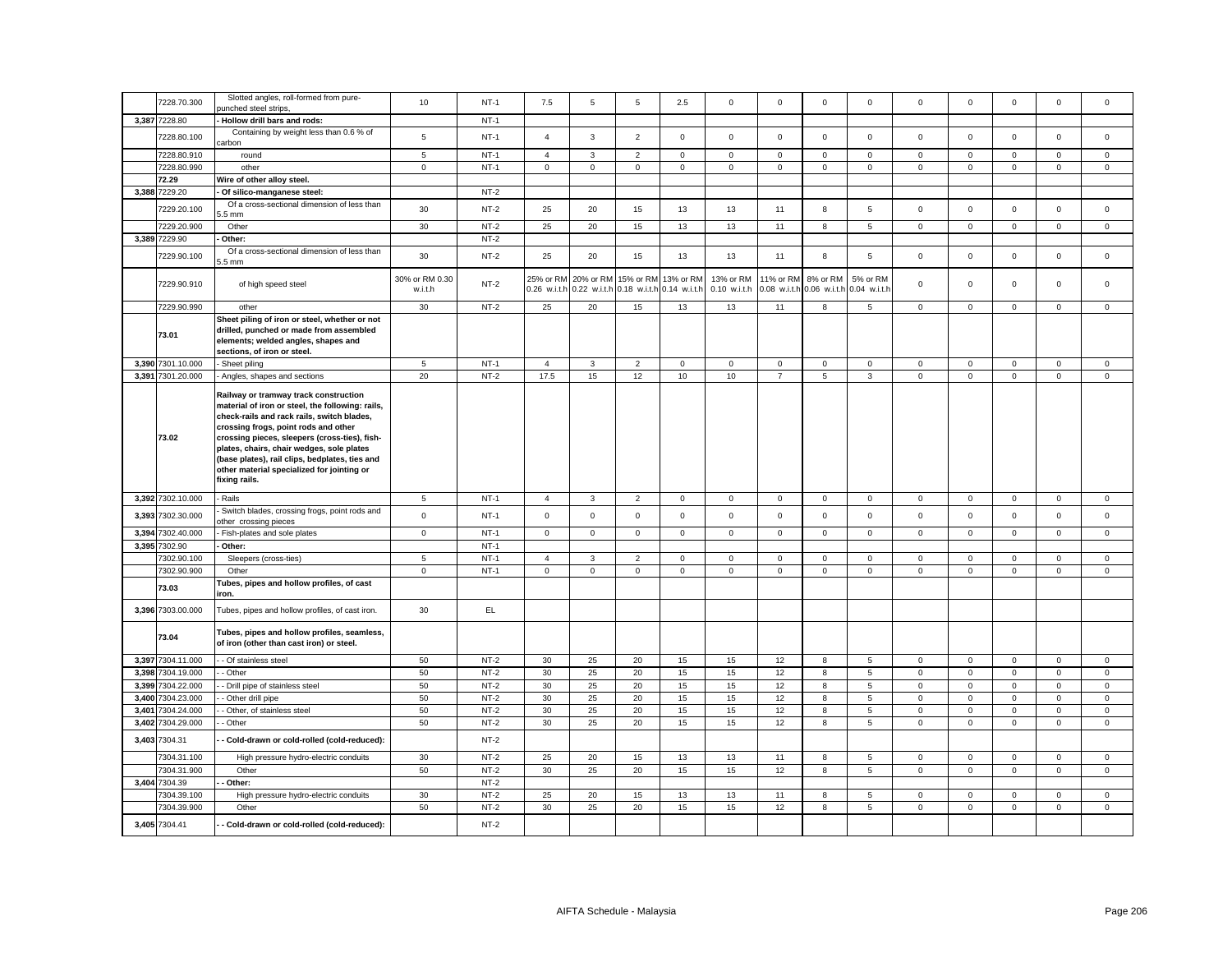|       | 7228.70.300                      | Slotted angles, roll-formed from pure-                                                                                                                                                                                                                                                                                                                                                         | 10                        | $NT-1$           | 7.5                       | 5            | 5                                                                       | 2.5                 | $\mathsf 0$                            | $\mathsf 0$    | $\mathbf 0$              | $\mathsf 0$               | $\mathbf 0$                | $\mathbf 0$                | $\mathsf 0$                         | $\mathsf 0$                | $\mathsf 0$                |
|-------|----------------------------------|------------------------------------------------------------------------------------------------------------------------------------------------------------------------------------------------------------------------------------------------------------------------------------------------------------------------------------------------------------------------------------------------|---------------------------|------------------|---------------------------|--------------|-------------------------------------------------------------------------|---------------------|----------------------------------------|----------------|--------------------------|---------------------------|----------------------------|----------------------------|-------------------------------------|----------------------------|----------------------------|
|       |                                  | ounched steel strips,                                                                                                                                                                                                                                                                                                                                                                          |                           |                  |                           |              |                                                                         |                     |                                        |                |                          |                           |                            |                            |                                     |                            |                            |
|       | 3,387 7228.80                    | Hollow drill bars and rods:                                                                                                                                                                                                                                                                                                                                                                    |                           | $NT-1$           |                           |              |                                                                         |                     |                                        |                |                          |                           |                            |                            |                                     |                            |                            |
|       | 7228.80.100                      | Containing by weight less than 0.6 % of<br>carbon                                                                                                                                                                                                                                                                                                                                              | 5                         | $NT-1$           | $\overline{4}$            | 3            | $\overline{2}$                                                          | $\mathbf 0$         | $\mathbf 0$                            | $\mathbf 0$    | $\mathbf 0$              | $\mathbf{0}$              | $\mathbf 0$                | $\mathsf 0$                | $\mathbf 0$                         | $\mathbf 0$                | $\mathbf 0$                |
|       | 7228.80.910                      | round                                                                                                                                                                                                                                                                                                                                                                                          | 5                         | $NT-1$           | $\overline{4}$            | $\mathbf{3}$ | $\overline{2}$                                                          | $\mathsf 0$         | $\mathbf 0$                            | $\mathsf 0$    | $\mathbf 0$              | $\mathbf 0$               | $\mathbf{0}$               | $\mathsf 0$                | $\mathbf 0$                         | $\mathbf 0$                | $\mathsf 0$                |
|       | 7228.80.990                      | other                                                                                                                                                                                                                                                                                                                                                                                          | $\mathbf 0$               | $NT-1$           | $\mathbf 0$               | $\mathbf 0$  | $\mathbf 0$                                                             | $\mathbf 0$         | $\mathbf{0}$                           | $\mathbf 0$    | $\mathsf 0$              | $\mathbf{0}$              | $\mathsf 0$                | $\mathbf 0$                | $\mathbf{0}$                        | $\mathbf{0}$               | $\mathsf 0$                |
|       | 72.29                            | Wire of other alloy steel.                                                                                                                                                                                                                                                                                                                                                                     |                           |                  |                           |              |                                                                         |                     |                                        |                |                          |                           |                            |                            |                                     |                            |                            |
|       | 3,388 7229.20                    | Of silico-manganese steel:                                                                                                                                                                                                                                                                                                                                                                     |                           | $NT-2$           |                           |              |                                                                         |                     |                                        |                |                          |                           |                            |                            |                                     |                            |                            |
|       | 7229.20.100                      | Of a cross-sectional dimension of less than<br>$.5 \text{ mm}$                                                                                                                                                                                                                                                                                                                                 | 30                        | $NT-2$           | 25                        | 20           | 15                                                                      | 13                  | 13                                     | 11             | 8                        | 5                         | $\mathbf 0$                | $\mathsf 0$                | $\mathsf 0$                         | $\mathsf 0$                | $\mathsf 0$                |
|       | 7229.20.900                      | Other                                                                                                                                                                                                                                                                                                                                                                                          | 30                        | $NT-2$           | 25                        | 20           | 15                                                                      | 13                  | 13                                     | 11             | 8                        | 5                         | $\mathbf{0}$               | $\mathsf 0$                | $\mathbf 0$                         | $\mathbf 0$                | $\mathsf 0$                |
|       | 3,389 7229.90                    | Other:                                                                                                                                                                                                                                                                                                                                                                                         |                           | $NT-2$           |                           |              |                                                                         |                     |                                        |                |                          |                           |                            |                            |                                     |                            |                            |
|       | 7229.90.100                      | Of a cross-sectional dimension of less than<br>.5 <sub>mm</sub>                                                                                                                                                                                                                                                                                                                                | 30                        | $NT-2$           | 25                        | 20           | 15                                                                      | 13                  | 13                                     | 11             | 8                        | 5                         | $\mathsf 0$                | $\mathsf 0$                | $\mathbf 0$                         | $\mathsf 0$                | $\mathsf 0$                |
|       | 7229.90.910                      | of high speed steel                                                                                                                                                                                                                                                                                                                                                                            | 30% or RM 0.30<br>w.i.t.h | $NT-2$           | 25% or RM<br>0.26 w.i.t.h |              | 20% or RM 15% or RM 13% or RM<br>0.22 w.i.t.h 0.18 w.i.t.h 0.14 w.i.t.h |                     | 13% or RM<br>0.10 w.i.t.h 0.08 w.i.t.h | 11% or RM      | 8% or RM<br>0.06 w.i.t.h | 5% or RM<br>0.04 w.i.t.h  | $\mathbf 0$                | $\mathbf 0$                | $\mathbf 0$                         | $\mathbf 0$                | $\mathbf 0$                |
|       | 7229.90.990                      | other                                                                                                                                                                                                                                                                                                                                                                                          | 30                        | $NT-2$           | 25                        | 20           | 15                                                                      | 13                  | 13                                     | 11             | 8                        | 5                         | $\mathbf 0$                | $\mathsf 0$                | $\mathsf 0$                         | $\mathbf 0$                | $\mathsf 0$                |
|       | 73.01                            | Sheet piling of iron or steel, whether or not<br>drilled, punched or made from assembled<br>elements; welded angles, shapes and<br>sections, of iron or steel.                                                                                                                                                                                                                                 |                           |                  |                           |              |                                                                         |                     |                                        |                |                          |                           |                            |                            |                                     |                            |                            |
|       | 3,390 7301.10.000                | Sheet piling                                                                                                                                                                                                                                                                                                                                                                                   | 5                         | $NT-1$           | $\overline{4}$            | $\mathbf{3}$ | $\overline{2}$                                                          | $\mathsf 0$         | $\mathbf 0$                            | $\mathsf 0$    | $\mathbf 0$              | $\mathbf 0$               | $\mathbf 0$                | $\mathsf 0$                | $\mathsf 0$                         | $\mathbf 0$                | $\mathsf 0$                |
|       | 3,391 7301.20.000                | Angles, shapes and sections                                                                                                                                                                                                                                                                                                                                                                    | 20                        | $NT-2$           | 17.5                      | 15           | 12                                                                      | 10                  | $10$                                   | $\overline{7}$ | 5                        | $\mathbf{3}$              | $\mathsf 0$                | $\mathsf 0$                | $\mathsf 0$                         | $\mathsf 0$                | $\mathsf 0$                |
|       | 73.02                            | Railway or tramway track construction<br>material of iron or steel, the following: rails,<br>check-rails and rack rails, switch blades,<br>crossing frogs, point rods and other<br>crossing pieces, sleepers (cross-ties), fish-<br>plates, chairs, chair wedges, sole plates<br>(base plates), rail clips, bedplates, ties and<br>other material specialized for jointing or<br>fixing rails. |                           |                  |                           |              |                                                                         |                     |                                        |                |                          |                           |                            |                            |                                     |                            |                            |
|       | 3,392 7302.10.000                | Rails                                                                                                                                                                                                                                                                                                                                                                                          | $\overline{5}$            | $NT-1$           | $\overline{4}$            | 3            | $\overline{2}$                                                          | $\mathbf 0$         | $\mathbf 0$                            | $\mathbf 0$    | $\mathbf 0$              | $\mathbf 0$               | $\mathbf 0$                | 0                          | $\mathbf 0$                         | $\mathbf 0$                | $\mathbf 0$                |
|       | 3,393 7302.30.000                | Switch blades, crossing frogs, point rods and<br>other crossing pieces                                                                                                                                                                                                                                                                                                                         | $\mathsf 0$               | $NT-1$           | $\mathsf 0$               | $\mathsf 0$  | $\mathsf 0$                                                             | $\mathsf 0$         | $\mathsf 0$                            | $\mathsf 0$    | $\mathsf 0$              | $\mathsf 0$               | $\mathsf 0$                | $\mathsf 0$                | $\mathsf 0$                         | $\mathsf 0$                | $\mathsf 0$                |
|       | 3,394 7302.40.000                | Fish-plates and sole plates                                                                                                                                                                                                                                                                                                                                                                    | $\overline{0}$            | $NT-1$           | $\circ$                   | $\mathsf 0$  | $\mathbf 0$                                                             | $\mathbf 0$         | $\mathbf 0$                            | $\mathsf 0$    | $\overline{0}$           | $\mathsf 0$               | $\mathsf 0$                | $\mathbf 0$                | $\mathsf{O}\xspace$                 | $\mathsf 0$                | $\mathsf 0$                |
|       | 3,395 7302.90                    | Other:                                                                                                                                                                                                                                                                                                                                                                                         |                           | $NT-1$           |                           |              |                                                                         |                     |                                        |                |                          |                           |                            |                            |                                     |                            |                            |
|       | 7302.90.100                      | Sleepers (cross-ties)                                                                                                                                                                                                                                                                                                                                                                          | 5                         | $NT-1$           | 4                         | 3            | $\overline{2}$                                                          | $\mathbf 0$         | 0                                      | $\mathbf 0$    | $\mathbf 0$              | $\mathbf 0$               | 0                          | $\mathbf 0$                | $\mathbf 0$                         | $\mathbf 0$                | $\mathbf 0$                |
|       | 7302.90.900                      | Other                                                                                                                                                                                                                                                                                                                                                                                          | $\mathsf 0$               | $NT-1$           | $\mathsf 0$               | $\mathsf 0$  | $\mathsf 0$                                                             | $\mathsf{o}\xspace$ | $\mathsf 0$                            | $\mathsf 0$    | $\mathsf 0$              | $\mathsf 0$               | $\mathsf 0$                | $\mathsf 0$                | $\mathsf 0$                         | $\mathsf 0$                | $\mathsf 0$                |
|       | 73.03                            | Tubes, pipes and hollow profiles, of cast<br>iron.                                                                                                                                                                                                                                                                                                                                             |                           |                  |                           |              |                                                                         |                     |                                        |                |                          |                           |                            |                            |                                     |                            |                            |
|       | 3,396 7303.00.000                | Tubes, pipes and hollow profiles, of cast iron.                                                                                                                                                                                                                                                                                                                                                | 30                        | EL               |                           |              |                                                                         |                     |                                        |                |                          |                           |                            |                            |                                     |                            |                            |
|       | 73.04                            | Tubes, pipes and hollow profiles, seamless,<br>of iron (other than cast iron) or steel.                                                                                                                                                                                                                                                                                                        |                           |                  |                           |              |                                                                         |                     |                                        |                |                          |                           |                            |                            |                                     |                            |                            |
|       | 3,397 7304.11.000                | - Of stainless steel                                                                                                                                                                                                                                                                                                                                                                           | 50                        | $NT-2$           | 30                        | 25           | 20                                                                      | 15                  | 15                                     | 12             | 8                        | 5                         | $\mathsf 0$                | $\mathsf 0$                | $\mathsf 0$                         | $\mathbf 0$                | $\mathsf 0$                |
|       | 3,398 7304.19.000                | - Other                                                                                                                                                                                                                                                                                                                                                                                        | 50                        | $NT-2$           | 30                        | 25           | 20                                                                      | 15                  | $15\,$                                 | 12             | 8                        | $\overline{5}$            | $\mathbf 0$                | $\mathsf 0$                | $\mathsf 0$                         | $\mathsf 0$                | $\mathsf 0$                |
| 3,399 | 7304.22.000                      | - Drill pipe of stainless steel                                                                                                                                                                                                                                                                                                                                                                | 50                        | $NT-2$           | 30                        | 25           | 20                                                                      | 15                  | 15                                     | 12             | 8                        | $\,$ 5 $\,$               | $\mathsf 0$                | $\mathsf 0$                | $\mathsf 0$                         | $\mathsf 0$                | $\mathbf 0$                |
|       | 3,400 7304.23.000                | Other drill pipe                                                                                                                                                                                                                                                                                                                                                                               | 50                        | $NT-2$           | 30                        | 25           | 20                                                                      | 15                  | 15                                     | 12             | 8                        | 5                         | $\mathbf 0$                | $\mathsf 0$                | $\mathsf 0$                         | $\mathsf 0$                | $\mathsf 0$                |
| 3,401 | 7304.24.000<br>3,402 7304.29.000 | Other, of stainless steel<br>- Other                                                                                                                                                                                                                                                                                                                                                           | 50<br>50                  | $NT-2$<br>$NT-2$ | 30<br>30                  | 25<br>25     | 20<br>20                                                                | 15<br>15            | $15\,$<br>15                           | 12<br>12       | 8<br>8                   | $\,$ 5 $\,$<br>$\sqrt{5}$ | $\mathsf 0$<br>$\mathsf 0$ | $\mathsf 0$<br>$\mathsf 0$ | $\mathsf{O}\xspace$<br>$\mathsf{O}$ | $\mathbf 0$<br>$\mathsf 0$ | $\mathsf 0$<br>$\mathsf 0$ |
|       | 3,403 7304.31                    | - Cold-drawn or cold-rolled (cold-reduced):                                                                                                                                                                                                                                                                                                                                                    |                           | $NT-2$           |                           |              |                                                                         |                     |                                        |                |                          |                           |                            |                            |                                     |                            |                            |
|       | 7304.31.100                      | High pressure hydro-electric conduits                                                                                                                                                                                                                                                                                                                                                          | 30                        | $NT-2$           | 25                        | 20           | 15                                                                      | 13                  | 13                                     | 11             | 8                        | 5                         | $\mathsf 0$                | $\mathsf 0$                | $\mathsf 0$                         | $\mathsf 0$                | $\mathsf 0$                |
|       | 7304.31.900                      | Other                                                                                                                                                                                                                                                                                                                                                                                          | 50                        | $NT-2$           | 30                        | 25           | 20                                                                      | 15                  | 15                                     | 12             | 8                        | $\overline{5}$            | $\mathsf 0$                | $\mathbf 0$                | $\mathsf 0$                         | $\mathsf 0$                | $\mathsf 0$                |
|       | 3,404 7304.39                    | Other:                                                                                                                                                                                                                                                                                                                                                                                         |                           | $NT-2$           |                           |              |                                                                         |                     |                                        |                |                          |                           |                            |                            |                                     |                            |                            |
|       | 7304.39.100                      | High pressure hydro-electric conduits                                                                                                                                                                                                                                                                                                                                                          | 30                        | $NT-2$           | 25                        | 20           | 15                                                                      | 13                  | 13                                     | 11             | 8                        | $\overline{5}$            | $\mathsf 0$                | $\mathbf 0$                | $\mathbf 0$                         | $\mathbf 0$                | $\mathsf 0$                |
|       | 7304.39.900                      | Other                                                                                                                                                                                                                                                                                                                                                                                          | 50                        | $NT-2$           | 30                        | 25           | 20                                                                      | 15                  | 15                                     | 12             | 8                        | 5                         | $\mathbf 0$                | $\mathsf 0$                | $\mathsf 0$                         | $\mathsf 0$                | $\mathsf 0$                |
|       | 3,405 7304.41                    | - Cold-drawn or cold-rolled (cold-reduced):                                                                                                                                                                                                                                                                                                                                                    |                           | $NT-2$           |                           |              |                                                                         |                     |                                        |                |                          |                           |                            |                            |                                     |                            |                            |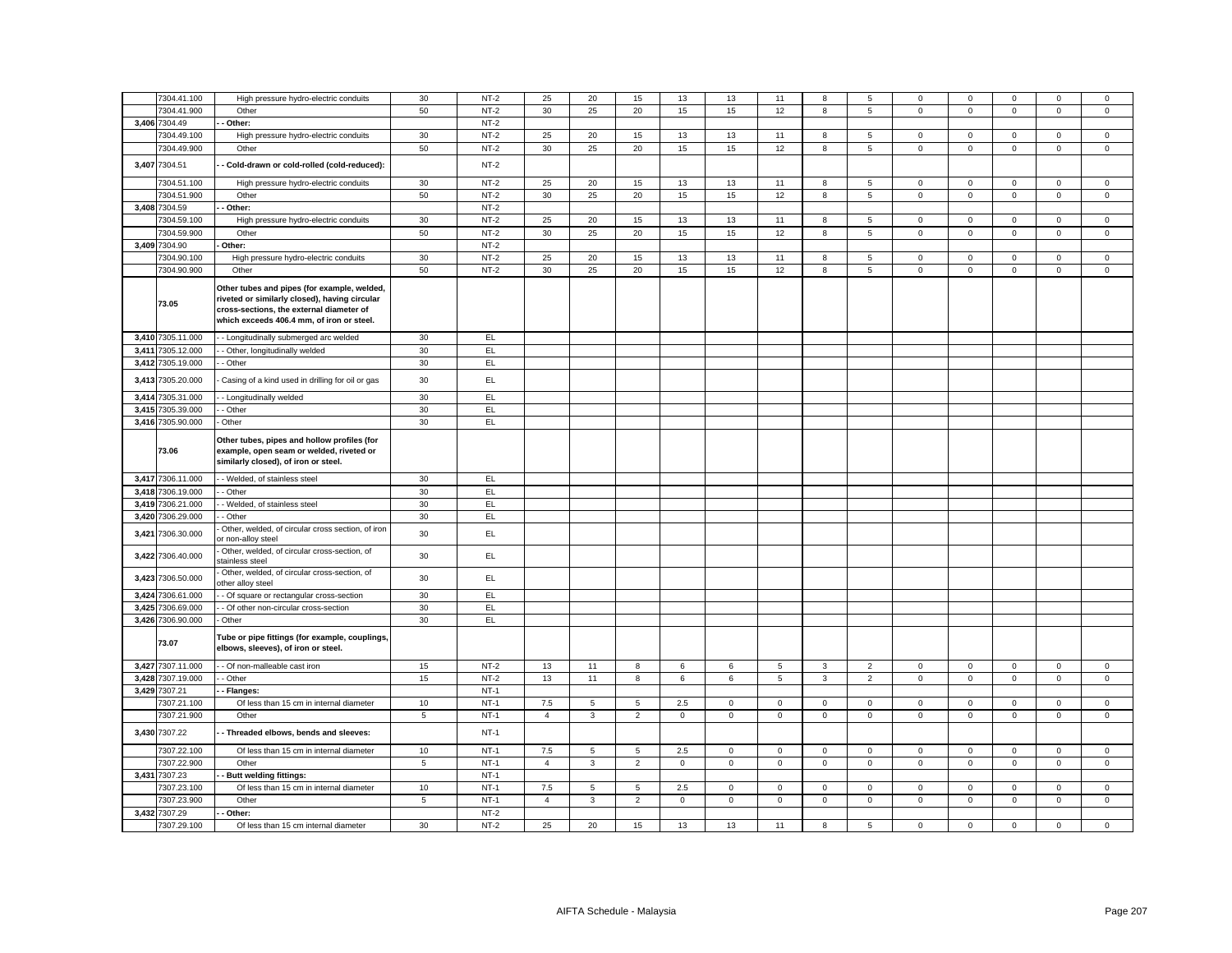|       | 7304.41.100       | High pressure hydro-electric conduits                                                                                                                                                 | 30          | $NT-2$ | 25             | 20           | 15              | 13          | 13          | 11          | 8              | 5              | 0                   | $\mathbf 0$    | 0                   | $\mathbf 0$    | 0            |
|-------|-------------------|---------------------------------------------------------------------------------------------------------------------------------------------------------------------------------------|-------------|--------|----------------|--------------|-----------------|-------------|-------------|-------------|----------------|----------------|---------------------|----------------|---------------------|----------------|--------------|
|       | 7304.41.900       | Other                                                                                                                                                                                 | 50          | $NT-2$ | 30             | 25           | 20              | 15          | 15          | 12          | 8              | 5              | $\mathsf 0$         | $\mathbf 0$    | $\mathsf 0$         | $\mathbf 0$    | $\mathsf 0$  |
|       | 3,406 7304.49     | Other:                                                                                                                                                                                |             | $NT-2$ |                |              |                 |             |             |             |                |                |                     |                |                     |                |              |
|       | 7304.49.100       | High pressure hydro-electric conduits                                                                                                                                                 | 30          | $NT-2$ | 25             | 20           | 15              | 13          | 13          | 11          | 8              | 5              | $\mathsf 0$         | $\mathbf 0$    | $\mathsf 0$         | $\mathsf 0$    | $\mathbf 0$  |
|       | 7304.49.900       | Other                                                                                                                                                                                 | 50          | $NT-2$ | 30             | 25           | 20              | 15          | 15          | 12          | 8              | 5              | $\mathbf 0$         | $\mathbf 0$    | $\mathbf 0$         | $\mathbf{0}$   | 0            |
|       | 3,407 7304.51     | Cold-drawn or cold-rolled (cold-reduced):                                                                                                                                             |             | $NT-2$ |                |              |                 |             |             |             |                |                |                     |                |                     |                |              |
|       | 7304.51.100       | High pressure hydro-electric conduits                                                                                                                                                 | 30          | $NT-2$ | 25             | 20           | 15              | 13          | 13          | 11          | 8              | 5              | 0                   | $\mathbf 0$    | 0                   | $\mathbf 0$    | 0            |
|       |                   |                                                                                                                                                                                       |             |        |                |              |                 |             |             |             |                |                |                     |                |                     |                |              |
|       | 7304.51.900       | Other                                                                                                                                                                                 | 50          | $NT-2$ | 30             | 25           | 20              | 15          | 15          | 12          | 8              | 5              | $\mathsf 0$         | $\mathbf 0$    | $\mathbf 0$         | $\mathsf 0$    | $\mathsf 0$  |
|       | 3,408 7304.59     | Other:                                                                                                                                                                                |             | $NT-2$ |                |              |                 |             |             |             |                |                |                     |                |                     |                |              |
|       | 7304.59.100       | High pressure hydro-electric conduits                                                                                                                                                 | 30          | $NT-2$ | 25             | 20           | 15              | 13          | 13          | 11          | 8              | 5              | $\mathsf 0$         | $\mathbf 0$    | $\mathbf 0$         | $\mathbf 0$    | $\mathbf 0$  |
|       | 7304.59.900       | Other                                                                                                                                                                                 | 50          | $NT-2$ | 30             | 25           | 20              | 15          | 15          | 12          | 8              | 5              | $\mathbf 0$         | $\overline{0}$ | $\mathbf 0$         | $\overline{0}$ | $\mathbf{0}$ |
| 3,409 | 7304.90           | Other:                                                                                                                                                                                |             | $NT-2$ |                |              |                 |             |             |             |                |                |                     |                |                     |                |              |
|       | 7304.90.100       | High pressure hydro-electric conduits                                                                                                                                                 | 30          | $NT-2$ | 25             | 20           | 15              | 13          | 13          | 11          | 8              | 5              | $\mathbf 0$         | $\mathbf 0$    | $\mathbf 0$         | $\mathsf 0$    | 0            |
|       | 7304.90.900       | Other                                                                                                                                                                                 | 50          | $NT-2$ | 30             | 25           | 20              | 15          | 15          | 12          | $\bf{8}$       | 5              | $\mathsf 0$         | $\overline{0}$ | $\mathsf 0$         | $\overline{0}$ | 0            |
|       | 73.05             | Other tubes and pipes (for example, welded,<br>riveted or similarly closed), having circular<br>cross-sections, the external diameter of<br>which exceeds 406.4 mm, of iron or steel. |             |        |                |              |                 |             |             |             |                |                |                     |                |                     |                |              |
|       | 3,410 7305.11.000 | - Longitudinally submerged arc welded                                                                                                                                                 | 30          | EL.    |                |              |                 |             |             |             |                |                |                     |                |                     |                |              |
|       | 3,411 7305.12.000 | - Other, longitudinally welded                                                                                                                                                        | 30          | EL     |                |              |                 |             |             |             |                |                |                     |                |                     |                |              |
|       | 3,412 7305.19.000 | - Other                                                                                                                                                                               | 30          | EL.    |                |              |                 |             |             |             |                |                |                     |                |                     |                |              |
| 3,413 | 7305.20.000       | Casing of a kind used in drilling for oil or gas                                                                                                                                      | 30          | EL     |                |              |                 |             |             |             |                |                |                     |                |                     |                |              |
| 3,414 | 7305.31.000       | - Longitudinally welded                                                                                                                                                               | 30          | EL.    |                |              |                 |             |             |             |                |                |                     |                |                     |                |              |
|       | 3,415 7305.39.000 | - Other                                                                                                                                                                               | 30          | EL     |                |              |                 |             |             |             |                |                |                     |                |                     |                |              |
|       | 3,416 7305.90.000 | Other                                                                                                                                                                                 | 30          | EL.    |                |              |                 |             |             |             |                |                |                     |                |                     |                |              |
|       | 73.06             | Other tubes, pipes and hollow profiles (for<br>example, open seam or welded, riveted or<br>similarly closed), of iron or steel.                                                       |             |        |                |              |                 |             |             |             |                |                |                     |                |                     |                |              |
|       | 3,417 7306.11.000 | - Welded, of stainless steel                                                                                                                                                          | $30\,$      | EL     |                |              |                 |             |             |             |                |                |                     |                |                     |                |              |
|       | 3,418 7306.19.000 | - Other                                                                                                                                                                               | 30          | EL.    |                |              |                 |             |             |             |                |                |                     |                |                     |                |              |
| 3,419 | 7306.21.000       | - Welded, of stainless steel                                                                                                                                                          | 30          | EL     |                |              |                 |             |             |             |                |                |                     |                |                     |                |              |
|       | 3,420 7306.29.000 | - Other                                                                                                                                                                               | 30          | EL.    |                |              |                 |             |             |             |                |                |                     |                |                     |                |              |
| 3,421 | 7306.30.000       | Other, welded, of circular cross section, of iron<br>r non-alloy steel                                                                                                                | 30          | EL     |                |              |                 |             |             |             |                |                |                     |                |                     |                |              |
|       | 3,422 7306.40.000 | Other, welded, of circular cross-section, of<br>stainless steel                                                                                                                       | 30          | EL.    |                |              |                 |             |             |             |                |                |                     |                |                     |                |              |
|       | 3,423 7306.50.000 | Other, welded, of circular cross-section, of                                                                                                                                          | 30          | EL.    |                |              |                 |             |             |             |                |                |                     |                |                     |                |              |
|       |                   | other alloy steel                                                                                                                                                                     |             |        |                |              |                 |             |             |             |                |                |                     |                |                     |                |              |
| 3,424 | 7306.61.000       | - Of square or rectangular cross-section                                                                                                                                              | 30          | EL     |                |              |                 |             |             |             |                |                |                     |                |                     |                |              |
| 3,425 | 7306.69.000       | - Of other non-circular cross-section                                                                                                                                                 | 30          | EL     |                |              |                 |             |             |             |                |                |                     |                |                     |                |              |
|       | 3,426 7306.90.000 | Other                                                                                                                                                                                 | 30          | EL.    |                |              |                 |             |             |             |                |                |                     |                |                     |                |              |
|       | 73.07             | Tube or pipe fittings (for example, couplings,<br>elbows, sleeves), of iron or steel.                                                                                                 |             |        |                |              |                 |             |             |             |                |                |                     |                |                     |                |              |
|       | 3,427 7307.11.000 | - Of non-malleable cast iron                                                                                                                                                          | 15          | $NT-2$ | 13             | 11           | 8               | 6           | 6           | 5           | $\mathbf{3}$   | $\overline{2}$ | $\mathbf 0$         | $\mathbf 0$    | $\mathbf 0$         | $\mathsf 0$    | $\mathbf 0$  |
|       | 3,428 7307.19.000 | - Other                                                                                                                                                                               | 15          | $NT-2$ | 13             | 11           | $\bf8$          | 6           | 6           | $\,$ 5 $\,$ | $\mathbf{3}$   | $\overline{2}$ | $\mathsf{O}\xspace$ | $\pmb{0}$      | $\mathsf{O}\xspace$ | $\mathsf 0$    | $\mathbf 0$  |
|       | 3,429 7307.21     | - Flanges:                                                                                                                                                                            |             | $NT-1$ |                |              |                 |             |             |             |                |                |                     |                |                     |                |              |
|       | 7307.21.100       | Of less than 15 cm in internal diameter                                                                                                                                               | 10          | $NT-1$ | 7.5            | 5            | $\overline{5}$  | 2.5         | $\mathbf 0$ | $\mathsf 0$ | $\mathbf 0$    | $\mathsf 0$    | $\mathsf 0$         | $\mathbf 0$    | $\mathsf 0$         | $\mathsf 0$    | $\mathbf 0$  |
|       | 7307.21.900       | Other                                                                                                                                                                                 | $\sqrt{5}$  | $NT-1$ | $\overline{4}$ | $\mathbf{3}$ | $\overline{2}$  | $\mathbf 0$ | $\mathbf 0$ | $\mathsf 0$ | $\mathsf 0$    | $\mathbf 0$    | $\mathbf 0$         | $\mathbf 0$    | $\mathsf{O}\xspace$ | $\mathbf 0$    | $\mathbf 0$  |
|       | 3,430 7307.22     | - Threaded elbows, bends and sleeves:                                                                                                                                                 |             | $NT-1$ |                |              |                 |             |             |             |                |                |                     |                |                     |                |              |
|       | 7307.22.100       | Of less than 15 cm in internal diameter                                                                                                                                               | 10          | $NT-1$ | 7.5            | 5            | $5\phantom{.0}$ | 2.5         | $\mathsf 0$ | $\mathsf 0$ | $\mathsf 0$    | $\mathbf 0$    | $\mathbf 0$         | $\mathsf 0$    | $\mathsf{O}\xspace$ | $\mathsf 0$    | $\mathbf 0$  |
|       | 7307.22.900       | Other                                                                                                                                                                                 | $\,$ 5 $\,$ | $NT-1$ | $\overline{4}$ | $\mathbf{3}$ | $\overline{2}$  | $\mathbf 0$ | $\mathsf 0$ | $\mathbf 0$ | $\mathsf 0$    | $\mathsf 0$    | $\mathsf 0$         | $\pmb{0}$      | $\mathsf 0$         | $\mathsf 0$    | $\mathsf 0$  |
|       | 3,431 7307.23     | <b>Butt welding fittings:</b>                                                                                                                                                         |             | $NT-1$ |                |              |                 |             |             |             |                |                |                     |                |                     |                |              |
|       | 7307.23.100       | Of less than 15 cm in internal diameter                                                                                                                                               | 10          | $NT-1$ | 7.5            | 5            | $\overline{5}$  | 2.5         | $\mathbf 0$ | $\mathsf 0$ | $\mathsf 0$    | $\mathsf 0$    | $\mathsf 0$         | $\mathbf 0$    | $\mathsf 0$         | $\mathsf 0$    | $\mathsf 0$  |
|       | 7307.23.900       | Other                                                                                                                                                                                 | 5           | $NT-1$ | $\overline{4}$ | $\mathbf{3}$ | $\overline{2}$  | $\mathbf 0$ | $\mathbf 0$ | $\mathbf 0$ | $\overline{0}$ | $\mathbf 0$    | $\mathbf 0$         | $\mathsf 0$    | $\mathbf 0$         | $\mathsf 0$    | $\mathbf{0}$ |
| 3,432 | 7307.29           | Other:                                                                                                                                                                                |             | $NT-2$ |                |              |                 |             |             |             |                |                |                     |                |                     |                |              |
|       |                   |                                                                                                                                                                                       | 30          | $NT-2$ | 25             |              | 15              |             | 13          |             |                |                | $\mathbf 0$         | $\mathsf 0$    |                     | $\mathsf 0$    | $\mathbf 0$  |
|       | 7307.29.100       | Of less than 15 cm internal diameter                                                                                                                                                  |             |        |                | 20           |                 | 13          |             | 11          | 8              | 5              |                     |                | $\mathbf 0$         |                |              |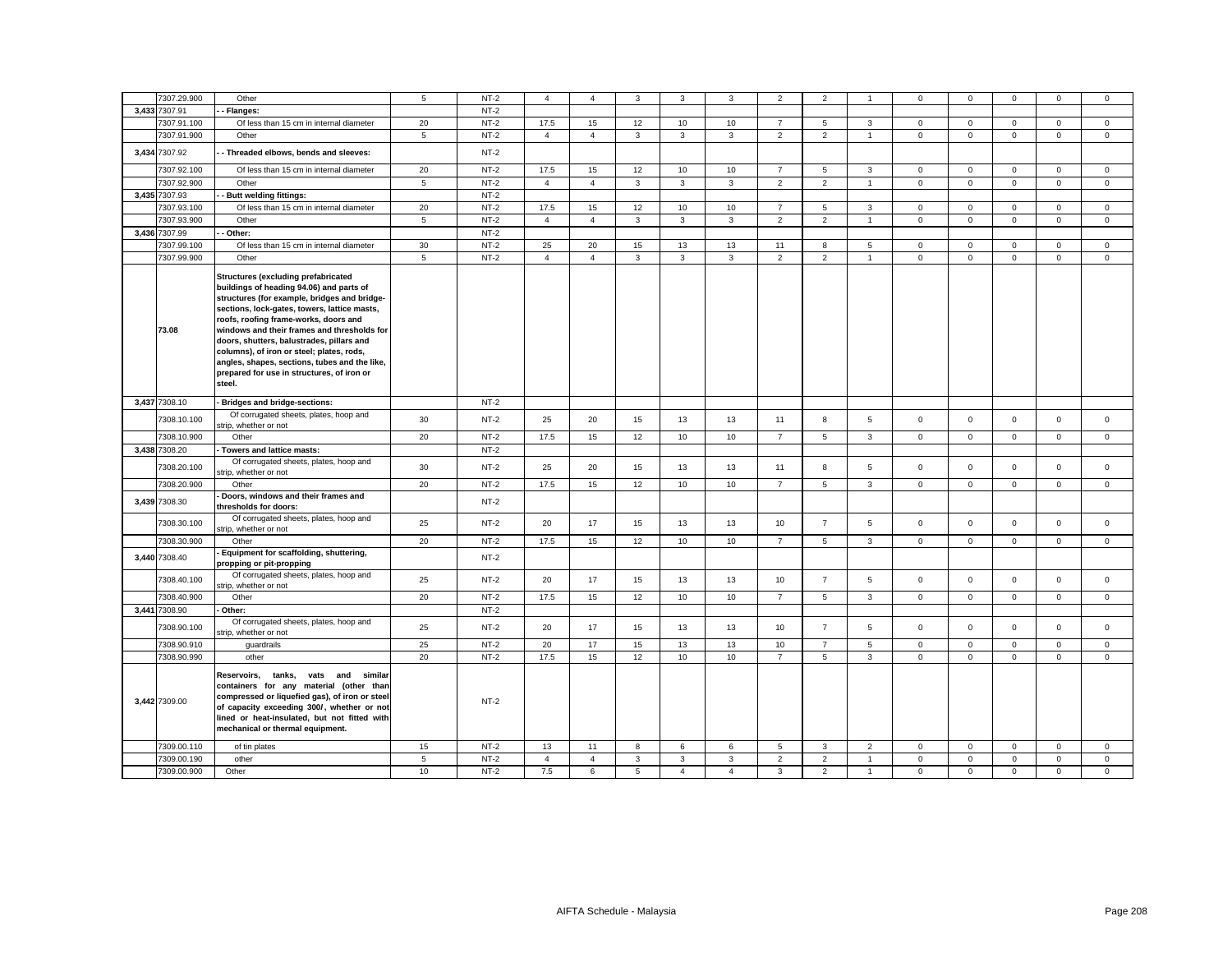| 7307.29.900   | Other                                                                                                                                                                                                                                                                                                                                                                                                                                                                             | 5              | $NT-2$ | $\overline{4}$ | $\overline{4}$ | 3            | 3              | 3              | $\overline{2}$ | $\overline{2}$ |                | $\mathbf 0$  | $\mathbf{0}$ | $\mathbf 0$  | $\mathbf 0$ | $\mathbf 0$ |
|---------------|-----------------------------------------------------------------------------------------------------------------------------------------------------------------------------------------------------------------------------------------------------------------------------------------------------------------------------------------------------------------------------------------------------------------------------------------------------------------------------------|----------------|--------|----------------|----------------|--------------|----------------|----------------|----------------|----------------|----------------|--------------|--------------|--------------|-------------|-------------|
| 3,433 7307.91 | Flanges:                                                                                                                                                                                                                                                                                                                                                                                                                                                                          |                | $NT-2$ |                |                |              |                |                |                |                |                |              |              |              |             |             |
| 7307.91.100   | Of less than 15 cm in internal diameter                                                                                                                                                                                                                                                                                                                                                                                                                                           | 20             | $NT-2$ | 17.5           | 15             | 12           | 10             | 10             | $\overline{7}$ | 5              | $\mathbf{3}$   | $\mathsf 0$  | $\mathbf 0$  | $\mathsf 0$  | $\mathsf 0$ | $\mathbf 0$ |
| 7307.91.900   | Other                                                                                                                                                                                                                                                                                                                                                                                                                                                                             | 5              | $NT-2$ | $\overline{4}$ | $\overline{4}$ | 3            | $\mathbf{3}$   | 3              | $\overline{2}$ | 2              | $\overline{1}$ | $\mathbf{0}$ | $\mathbf 0$  | $\mathbf 0$  | $\mathbf 0$ | $\mathbf 0$ |
| 3,434 7307.92 | Threaded elbows, bends and sleeves:                                                                                                                                                                                                                                                                                                                                                                                                                                               |                | $NT-2$ |                |                |              |                |                |                |                |                |              |              |              |             |             |
| 7307.92.100   | Of less than 15 cm in internal diameter                                                                                                                                                                                                                                                                                                                                                                                                                                           | 20             | $NT-2$ | 17.5           | 15             | 12           | 10             | 10             | $\overline{7}$ | 5              | $\mathbf{3}$   | $\mathbf 0$  | $\mathbf 0$  | $\mathbf 0$  | $\mathsf 0$ | $\mathbf 0$ |
| 7307.92.900   | Other                                                                                                                                                                                                                                                                                                                                                                                                                                                                             | 5              | $NT-2$ | $\overline{4}$ | $\overline{4}$ | 3            | 3              | 3              | $\overline{2}$ | $\overline{2}$ | $\overline{1}$ | $\mathbf 0$  | $\Omega$     | $\mathbf 0$  | $\mathbf 0$ | $\mathbf 0$ |
| 3,435 7307.93 | <b>Butt welding fittings:</b>                                                                                                                                                                                                                                                                                                                                                                                                                                                     |                | $NT-2$ |                |                |              |                |                |                |                |                |              |              |              |             |             |
| 7307.93.100   | Of less than 15 cm in internal diameter                                                                                                                                                                                                                                                                                                                                                                                                                                           | 20             | $NT-2$ | 17.5           | 15             | 12           | 10             | 10             | $\overline{7}$ | 5              | 3              | $\mathsf 0$  | $\mathsf 0$  | $\mathbf 0$  | $\mathsf 0$ | $\mathbf 0$ |
| 7307.93.900   | Other                                                                                                                                                                                                                                                                                                                                                                                                                                                                             | $\overline{5}$ | $NT-2$ | $\overline{4}$ | $\overline{4}$ | $\mathbf{3}$ | $\mathbf{3}$   | 3              | $\overline{2}$ | $\overline{2}$ | $\mathbf{1}$   | $\mathsf 0$  | $\mathsf 0$  | $\mathsf 0$  | $\mathsf 0$ | $\mathsf 0$ |
| 3,436 7307.99 | Other:                                                                                                                                                                                                                                                                                                                                                                                                                                                                            |                | $NT-2$ |                |                |              |                |                |                |                |                |              |              |              |             |             |
| 7307.99.100   | Of less than 15 cm in internal diameter                                                                                                                                                                                                                                                                                                                                                                                                                                           | 30             | $NT-2$ | 25             | 20             | 15           | 13             | 13             | 11             | 8              | 5              | $\mathbf 0$  | $\mathbf 0$  | $\mathbf 0$  | $\mathbf 0$ | $\mathbf 0$ |
| 7307.99.900   | Other                                                                                                                                                                                                                                                                                                                                                                                                                                                                             | 5              | $NT-2$ | $\overline{4}$ | $\overline{4}$ | 3            | 3              | 3              | $\overline{2}$ | $\overline{2}$ | $\mathbf{1}$   | $\mathbf 0$  | $\mathsf 0$  | $\mathbf{0}$ | $\mathbf 0$ | $\mathsf 0$ |
| 73.08         | <b>Structures (excluding prefabricated</b><br>buildings of heading 94.06) and parts of<br>structures (for example, bridges and bridge-<br>sections, lock-gates, towers, lattice masts,<br>roofs, roofing frame-works, doors and<br>windows and their frames and thresholds for<br>doors, shutters, balustrades, pillars and<br>columns), of iron or steel; plates, rods,<br>angles, shapes, sections, tubes and the like,<br>prepared for use in structures, of iron or<br>steel. |                |        |                |                |              |                |                |                |                |                |              |              |              |             |             |
| 3,437 7308.10 | Bridges and bridge-sections:                                                                                                                                                                                                                                                                                                                                                                                                                                                      |                | $NT-2$ |                |                |              |                |                |                |                |                |              |              |              |             |             |
| 7308.10.100   | Of corrugated sheets, plates, hoop and<br>strip, whether or not                                                                                                                                                                                                                                                                                                                                                                                                                   | 30             | $NT-2$ | 25             | 20             | 15           | 13             | 13             | 11             | 8              | 5              | $\mathbf 0$  | $\mathbf 0$  | $\mathbf 0$  | $\mathbf 0$ | $\mathbf 0$ |
| 7308.10.900   | Other                                                                                                                                                                                                                                                                                                                                                                                                                                                                             | 20             | $NT-2$ | 17.5           | 15             | 12           | 10             | 10             | $\overline{7}$ | 5              | $\mathbf{3}$   | $\mathbf 0$  | $\mathsf 0$  | $\mathbf 0$  | $\mathbf 0$ | $\mathbf 0$ |
| 3,438 7308.20 | Towers and lattice masts:                                                                                                                                                                                                                                                                                                                                                                                                                                                         |                | $NT-2$ |                |                |              |                |                |                |                |                |              |              |              |             |             |
| 7308.20.100   | Of corrugated sheets, plates, hoop and<br>strip, whether or not                                                                                                                                                                                                                                                                                                                                                                                                                   | 30             | $NT-2$ | 25             | 20             | 15           | 13             | 13             | 11             | 8              | 5              | $\mathbf 0$  | $\mathbf 0$  | $\mathbf 0$  | $\mathbf 0$ | $\mathbf 0$ |
| 7308.20.900   | Other                                                                                                                                                                                                                                                                                                                                                                                                                                                                             | 20             | $NT-2$ | 17.5           | 15             | 12           | 10             | 10             | $\overline{7}$ | 5              | 3              | $\mathbf 0$  | $\mathsf 0$  | $\mathsf 0$  | $\mathsf 0$ | $\mathbf 0$ |
| 3,439 7308.30 | Doors, windows and their frames and<br>thresholds for doors:                                                                                                                                                                                                                                                                                                                                                                                                                      |                | $NT-2$ |                |                |              |                |                |                |                |                |              |              |              |             |             |
| 7308.30.100   | Of corrugated sheets, plates, hoop and<br>strip, whether or not                                                                                                                                                                                                                                                                                                                                                                                                                   | 25             | $NT-2$ | 20             | 17             | 15           | 13             | 13             | 10             | $\overline{7}$ | 5              | $\mathbf 0$  | $\mathsf 0$  | $\mathbf 0$  | $\mathsf 0$ | $\mathbf 0$ |
| 7308.30.900   | Other                                                                                                                                                                                                                                                                                                                                                                                                                                                                             | 20             | $NT-2$ | 17.5           | 15             | 12           | 10             | 10             | $\overline{7}$ | 5              | 3              | $\mathbf 0$  | $\mathbf 0$  | $\mathbf 0$  | $\mathbf 0$ | $\mathbf 0$ |
| 3,440 7308.40 | Equipment for scaffolding, shuttering,<br>propping or pit-propping                                                                                                                                                                                                                                                                                                                                                                                                                |                | $NT-2$ |                |                |              |                |                |                |                |                |              |              |              |             |             |
| 7308.40.100   | Of corrugated sheets, plates, hoop and<br>strip, whether or not                                                                                                                                                                                                                                                                                                                                                                                                                   | 25             | $NT-2$ | 20             | 17             | 15           | 13             | 13             | 10             | $\overline{7}$ | 5              | $\mathsf 0$  | $\mathsf 0$  | $\mathbf 0$  | $\mathsf 0$ | $\mathsf 0$ |
| 7308.40.900   | Other                                                                                                                                                                                                                                                                                                                                                                                                                                                                             | 20             | $NT-2$ | 17.5           | 15             | 12           | 10             | 10             | $\overline{7}$ | 5              | 3              | $\mathbf 0$  | $\Omega$     | $\mathbf 0$  | $\mathbf 0$ | $\mathbf 0$ |
| 3,441 7308.90 | Other:                                                                                                                                                                                                                                                                                                                                                                                                                                                                            |                | $NT-2$ |                |                |              |                |                |                |                |                |              |              |              |             |             |
| 7308.90.100   | Of corrugated sheets, plates, hoop and<br>strip, whether or not                                                                                                                                                                                                                                                                                                                                                                                                                   | 25             | $NT-2$ | 20             | 17             | 15           | 13             | 13             | 10             | $\overline{7}$ | 5              | $\mathbf 0$  | $\mathbf 0$  | $\mathbf 0$  | $\mathsf 0$ | $\mathbf 0$ |
| 7308.90.910   | quardrails                                                                                                                                                                                                                                                                                                                                                                                                                                                                        | 25             | $NT-2$ | 20             | 17             | 15           | 13             | 13             | 10             | $\overline{7}$ | 5              | $\mathbf 0$  | $\mathbf 0$  | $\mathbf 0$  | $\mathbf 0$ | $\mathbf 0$ |
| 7308.90.990   | other                                                                                                                                                                                                                                                                                                                                                                                                                                                                             | 20             | $NT-2$ | 17.5           | 15             | 12           | 10             | 10             | $\overline{7}$ | 5              | $\mathbf{3}$   | $\mathsf 0$  | $\mathsf 0$  | $\mathbf 0$  | $\mathsf 0$ | $\mathsf 0$ |
| 3,442 7309.00 | Reservoirs, tanks, vats and similar<br>containers for any material (other than<br>compressed or liquefied gas), of iron or steel<br>of capacity exceeding 300/, whether or not<br>lined or heat-insulated, but not fitted with<br>mechanical or thermal equipment.                                                                                                                                                                                                                |                | $NT-2$ |                |                |              |                |                |                |                |                |              |              |              |             |             |
| 7309.00.110   | of tin plates                                                                                                                                                                                                                                                                                                                                                                                                                                                                     | 15             | $NT-2$ | 13             | 11             | 8            | 6              | 6              | 5              | 3              | $\overline{2}$ | $\mathbf 0$  | $\mathbf 0$  | $\mathbf 0$  | $\mathbf 0$ | $\mathsf 0$ |
| 7309.00.190   | other                                                                                                                                                                                                                                                                                                                                                                                                                                                                             | $\overline{5}$ | $NT-2$ | $\overline{4}$ | $\overline{4}$ | $\mathbf{3}$ | $\mathbf{3}$   | 3              | $\overline{2}$ | $\overline{2}$ | $\overline{1}$ | $\mathsf 0$  | $\mathbf 0$  | $\mathsf 0$  | $\mathsf 0$ | $\mathsf 0$ |
| 7309.00.900   | Other                                                                                                                                                                                                                                                                                                                                                                                                                                                                             | 10             | $NT-2$ | 7.5            | 6              | 5            | $\overline{4}$ | $\overline{4}$ | 3              | 2              | $\overline{1}$ | $\mathbf 0$  | $\mathbf 0$  | $\mathbf 0$  | $\mathbf 0$ | $\mathbf 0$ |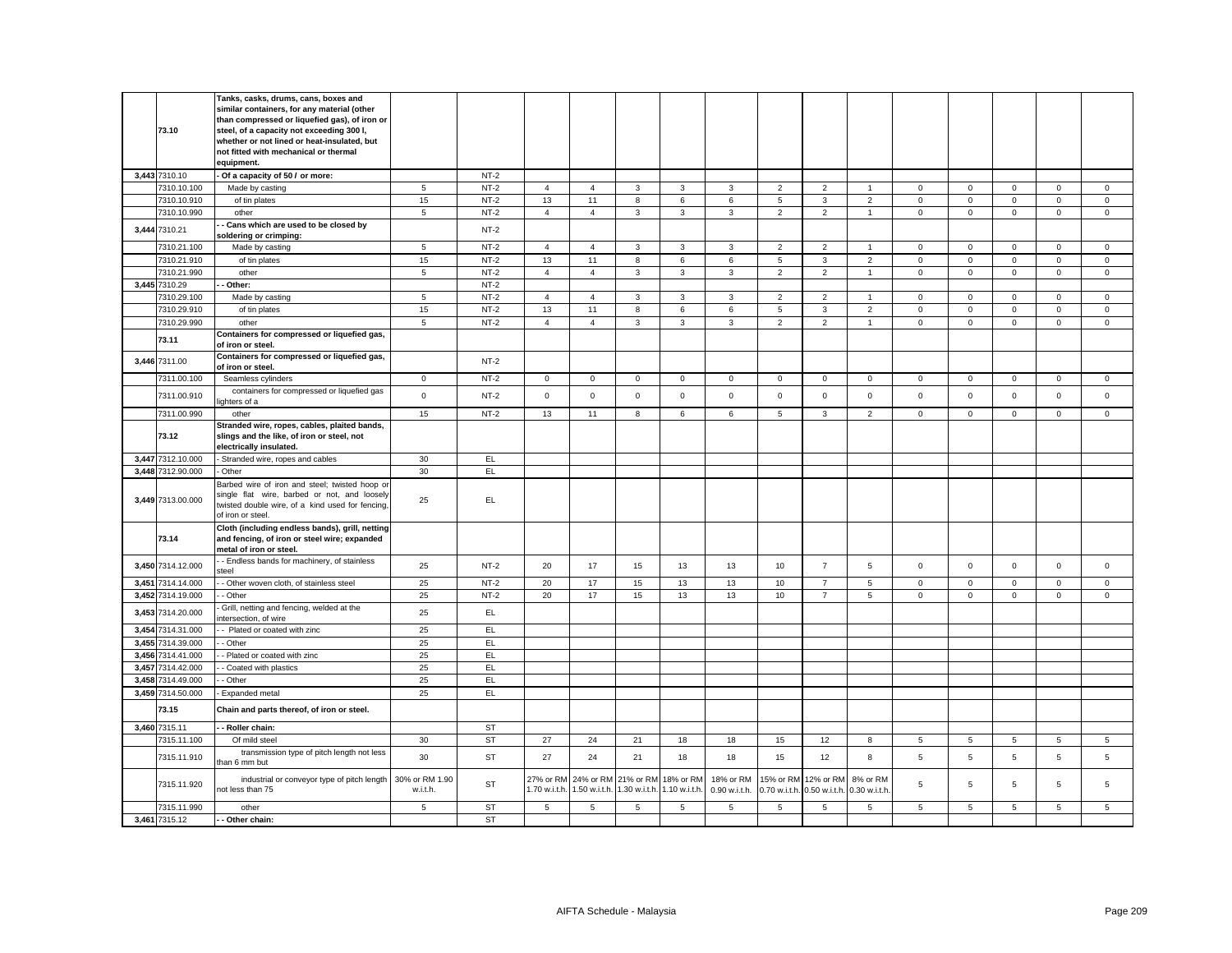|       | 73.10             | Tanks, casks, drums, cans, boxes and<br>similar containers, for any material (other<br>than compressed or liquefied gas), of iron or<br>steel, of a capacity not exceeding 300 l,<br>whether or not lined or heat-insulated, but<br>not fitted with mechanical or thermal<br>equipment. |                            |           |                            |                            |                             |                     |                            |                           |                            |                          |                |                |              |              |                |
|-------|-------------------|-----------------------------------------------------------------------------------------------------------------------------------------------------------------------------------------------------------------------------------------------------------------------------------------|----------------------------|-----------|----------------------------|----------------------------|-----------------------------|---------------------|----------------------------|---------------------------|----------------------------|--------------------------|----------------|----------------|--------------|--------------|----------------|
|       | 3,443 7310.10     | Of a capacity of 50 / or more:                                                                                                                                                                                                                                                          |                            | $NT-2$    |                            |                            |                             |                     |                            |                           |                            |                          |                |                |              |              |                |
|       | 7310.10.100       | Made by casting                                                                                                                                                                                                                                                                         | 5                          | $NT-2$    | $\overline{4}$             | $\overline{4}$             | 3                           | 3                   | 3                          | $\overline{2}$            | $\overline{2}$             | $\overline{1}$           | $\mathbf 0$    | $\mathbf 0$    | $\mathbf 0$  | $\mathbf 0$  | $\mathbf 0$    |
|       | 7310.10.910       | of tin plates                                                                                                                                                                                                                                                                           | 15                         | $NT-2$    | 13                         | 11                         | 8                           | 6                   | 6                          | $\overline{5}$            | $\mathbf{3}$               | $\overline{2}$           | $\mathsf 0$    | $\mathbf 0$    | $\mathsf 0$  | $\mathsf 0$  | $\mathsf 0$    |
|       | 7310.10.990       | other                                                                                                                                                                                                                                                                                   | $\sqrt{5}$                 | $NT-2$    | $\overline{4}$             | $\overline{4}$             | $\mathbf{3}$                | $\mathbf{3}$        | 3                          | $\overline{2}$            | $\overline{2}$             | $\overline{1}$           | $\mathsf 0$    | $\mathsf 0$    | $\mathbf 0$  | $\mathsf 0$  | $\mathsf 0$    |
|       | 3,444 7310.21     | Cans which are used to be closed by<br>oldering or crimping:                                                                                                                                                                                                                            |                            | $NT-2$    |                            |                            |                             |                     |                            |                           |                            |                          |                |                |              |              |                |
|       | 7310.21.100       | Made by casting                                                                                                                                                                                                                                                                         | 5                          | $NT-2$    | $\overline{4}$             | $\overline{4}$             | 3                           | 3                   | 3                          | $\overline{2}$            | $\overline{2}$             | $\overline{1}$           | $\mathbf 0$    | $\mathbf 0$    | $\mathbf 0$  | $\mathbf 0$  | $\mathbf 0$    |
|       | 7310.21.910       | of tin plates                                                                                                                                                                                                                                                                           | 15                         | $NT-2$    | 13                         | 11                         | 8                           | 6                   | 6                          | 5                         | 3                          | 2                        | $\mathbf{0}$   | $\mathbf 0$    | $\mathbf{0}$ | $\mathbf{0}$ | $\mathbf 0$    |
|       | 7310.21.990       | other                                                                                                                                                                                                                                                                                   | 5                          | $NT-2$    | $\overline{4}$             | $\overline{4}$             | $\mathbf{3}$                | $\mathbf{3}$        | 3                          | $\overline{2}$            | $\overline{2}$             | $\overline{1}$           | $\mathbf 0$    | $\mathbf 0$    | $\mathbf 0$  | $\mathbf 0$  | $\mathbf 0$    |
|       | 3,445 7310.29     | Other:                                                                                                                                                                                                                                                                                  |                            | $NT-2$    |                            |                            |                             |                     |                            |                           |                            |                          |                |                |              |              |                |
|       | 7310.29.100       | Made by casting                                                                                                                                                                                                                                                                         | 5                          | $NT-2$    | $\overline{4}$             | $\overline{4}$             | $\mathbf{3}$                | $\mathbf{3}$        | 3                          | $\overline{2}$            | $\overline{2}$             | $\overline{1}$           | $\mathbf{0}$   | $\mathbf 0$    | $\mathbf{0}$ | $\mathbf 0$  | $\mathsf 0$    |
|       | 7310.29.910       | of tin plates                                                                                                                                                                                                                                                                           | 15                         | $NT-2$    | 13                         | 11                         | 8                           | 6                   | 6                          | $\overline{5}$            | $\mathbf{3}$               | $\overline{2}$           | $\mathsf 0$    | $^{\circ}$     | $\mathsf 0$  | $\mathsf 0$  | $\mathbf 0$    |
|       | 7310.29.990       | other                                                                                                                                                                                                                                                                                   | 5                          | $NT-2$    | $\overline{4}$             | $\overline{4}$             | 3                           | $\mathbf{3}$        | 3                          | $\overline{2}$            | $\overline{2}$             | $\overline{1}$           | $\mathbf{0}$   | $\mathbf 0$    | $\mathbf{0}$ | $\mathbf 0$  | $\mathsf 0$    |
|       | 73.11             | Containers for compressed or liquefied gas,<br>of iron or steel.                                                                                                                                                                                                                        |                            |           |                            |                            |                             |                     |                            |                           |                            |                          |                |                |              |              |                |
|       | 3,446 7311.00     | Containers for compressed or liquefied gas,<br>of iron or steel.                                                                                                                                                                                                                        |                            | $NT-2$    |                            |                            |                             |                     |                            |                           |                            |                          |                |                |              |              |                |
|       | 7311.00.100       | Seamless cylinders                                                                                                                                                                                                                                                                      | $\circ$                    | $NT-2$    | $\mathbf 0$                | $\mathbf{0}$               | $\mathbf 0$                 | $\mathbf 0$         | $\mathbf 0$                | $\mathbf{0}$              | $\mathbf 0$                | $\overline{0}$           | $\mathbf 0$    | $\mathbf{0}$   | $\mathbf{O}$ | $\mathbf 0$  | $\mathbf{0}$   |
|       | 7311.00.910       | containers for compressed or liquefied gas<br>ighters of a                                                                                                                                                                                                                              | $\mathbf{0}$               | $NT-2$    | $\mathbf 0$                | $\mathbf 0$                | $\mathbf 0$                 | $\mathbf 0$         | $\mathbf 0$                | $\mathbf 0$               | $\mathbf{O}$               | $\mathbf 0$              | $\mathbf{0}$   | $\mathbf 0$    | $\mathbf 0$  | $\mathbf 0$  | $\mathbf 0$    |
|       | 7311.00.990       | other                                                                                                                                                                                                                                                                                   | 15                         | $NT-2$    | 13                         | 11                         | 8                           | 6                   | 6                          | 5                         | $\overline{3}$             | $\overline{2}$           | $\mathbf{0}$   | $\mathbf 0$    | $\mathbf{0}$ | $\mathbf{0}$ | $\mathbf 0$    |
|       | 73.12             | Stranded wire, ropes, cables, plaited bands,<br>slings and the like, of iron or steel, not<br>electrically insulated.                                                                                                                                                                   |                            |           |                            |                            |                             |                     |                            |                           |                            |                          |                |                |              |              |                |
|       | 3,447 7312.10.000 | Stranded wire, ropes and cables                                                                                                                                                                                                                                                         | 30                         | EL.       |                            |                            |                             |                     |                            |                           |                            |                          |                |                |              |              |                |
|       | 3,448 7312.90.000 | Other                                                                                                                                                                                                                                                                                   | 30                         | EL.       |                            |                            |                             |                     |                            |                           |                            |                          |                |                |              |              |                |
|       | 3,449 7313.00.000 | Barbed wire of iron and steel; twisted hoop or<br>single flat wire, barbed or not, and loosely<br>twisted double wire, of a kind used for fencing,<br>of iron or steel.                                                                                                                 | 25                         | EL.       |                            |                            |                             |                     |                            |                           |                            |                          |                |                |              |              |                |
|       | 73.14             | Cloth (including endless bands), grill, netting<br>and fencing, of iron or steel wire; expanded<br>metal of iron or steel.                                                                                                                                                              |                            |           |                            |                            |                             |                     |                            |                           |                            |                          |                |                |              |              |                |
|       | 3,450 7314.12.000 | - Endless bands for machinery, of stainless<br>steel                                                                                                                                                                                                                                    | 25                         | $NT-2$    | 20                         | 17                         | 15                          | 13                  | 13                         | 10                        | $\overline{7}$             | 5                        | $\mathbf 0$    | $\mathbf 0$    | $\mathsf 0$  | $\mathsf 0$  | $\mathsf 0$    |
|       | 3,451 7314.14.000 | - Other woven cloth, of stainless steel                                                                                                                                                                                                                                                 | 25                         | $NT-2$    | 20                         | 17                         | 15                          | 13                  | 13                         | 10                        | $\overline{7}$             | 5                        | $\mathbf 0$    | $\mathbf 0$    | $\mathbf{0}$ | $\mathsf 0$  | $\mathbf 0$    |
|       | 3,452 7314.19.000 | - Other                                                                                                                                                                                                                                                                                 | 25                         | $NT-2$    | 20                         | 17                         | 15                          | 13                  | 13                         | 10                        | $\overline{7}$             | 5                        | $\mathsf 0$    | $\mathsf 0$    | $\mathbf 0$  | $\mathsf 0$  | $\mathsf 0$    |
|       | 3,453 7314.20.000 | Grill, netting and fencing, welded at the<br>ntersection, of wire                                                                                                                                                                                                                       | 25                         | EL        |                            |                            |                             |                     |                            |                           |                            |                          |                |                |              |              |                |
|       | 3,454 7314.31.000 | - Plated or coated with zinc                                                                                                                                                                                                                                                            | 25                         | EL        |                            |                            |                             |                     |                            |                           |                            |                          |                |                |              |              |                |
|       | 3,455 7314.39.000 | Other                                                                                                                                                                                                                                                                                   | 25                         | EL        |                            |                            |                             |                     |                            |                           |                            |                          |                |                |              |              |                |
|       | 3,456 7314.41.000 | - Plated or coated with zinc                                                                                                                                                                                                                                                            | 25                         | EL.       |                            |                            |                             |                     |                            |                           |                            |                          |                |                |              |              |                |
| 3.457 | 7314.42.000       | - Coated with plastics                                                                                                                                                                                                                                                                  | 25                         | EL.       |                            |                            |                             |                     |                            |                           |                            |                          |                |                |              |              |                |
|       | 3,458 7314.49.000 | - Other                                                                                                                                                                                                                                                                                 | 25                         | EL.       |                            |                            |                             |                     |                            |                           |                            |                          |                |                |              |              |                |
|       | 3,459 7314.50.000 | Expanded metal                                                                                                                                                                                                                                                                          | 25                         | EL        |                            |                            |                             |                     |                            |                           |                            |                          |                |                |              |              |                |
|       | 73.15             | Chain and parts thereof, of iron or steel.                                                                                                                                                                                                                                              |                            |           |                            |                            |                             |                     |                            |                           |                            |                          |                |                |              |              |                |
|       | 3,460 7315.11     | - Roller chain:                                                                                                                                                                                                                                                                         |                            | <b>ST</b> |                            |                            |                             |                     |                            |                           |                            |                          |                |                |              |              |                |
|       | 7315.11.100       | Of mild steel                                                                                                                                                                                                                                                                           | 30                         | ST        | 27                         | 24                         | 21                          | 18                  | 18                         | 15                        | 12                         | 8                        | 5              | $\overline{5}$ | 5            | 5            | 5              |
|       | 7315.11.910       | transmission type of pitch length not less<br>han 6 mm but                                                                                                                                                                                                                              | 30                         | <b>ST</b> | 27                         | 24                         | 21                          | 18                  | 18                         | 15                        | 12                         | 8                        | 5              | 5              | 5            | 5            | $\overline{5}$ |
|       | 7315.11.920       | industrial or conveyor type of pitch length<br>not less than 75                                                                                                                                                                                                                         | 30% or RM 1.90<br>w.i.t.h. | <b>ST</b> | 27% or RM<br>1.70 w.i.t.h. | 24% or RM<br>1.50 w.i.t.h. | 1.30 w.i.t.h. 1.10 w.i.t.h. | 21% or RM 18% or RM | 18% or RM<br>0.90 w.i.t.h. | 15% or RM<br>0.70 w.i.t.h | 12% or RM<br>0.50 w.i.t.h. | 8% or RM<br>0.30 w.i.t.h | $\overline{5}$ | 5              | 5            | 5            | 5              |
|       | 7315.11.990       | other                                                                                                                                                                                                                                                                                   | 5                          | <b>ST</b> | 5                          | 5                          | 5                           | 5                   | 5                          | 5                         | 5                          | 5                        | 5              | $\,$ 5 $\,$    | 5            | 5            | $\mathbf 5$    |
|       | 3,461 7315.12     | - Other chain:                                                                                                                                                                                                                                                                          |                            | <b>ST</b> |                            |                            |                             |                     |                            |                           |                            |                          |                |                |              |              |                |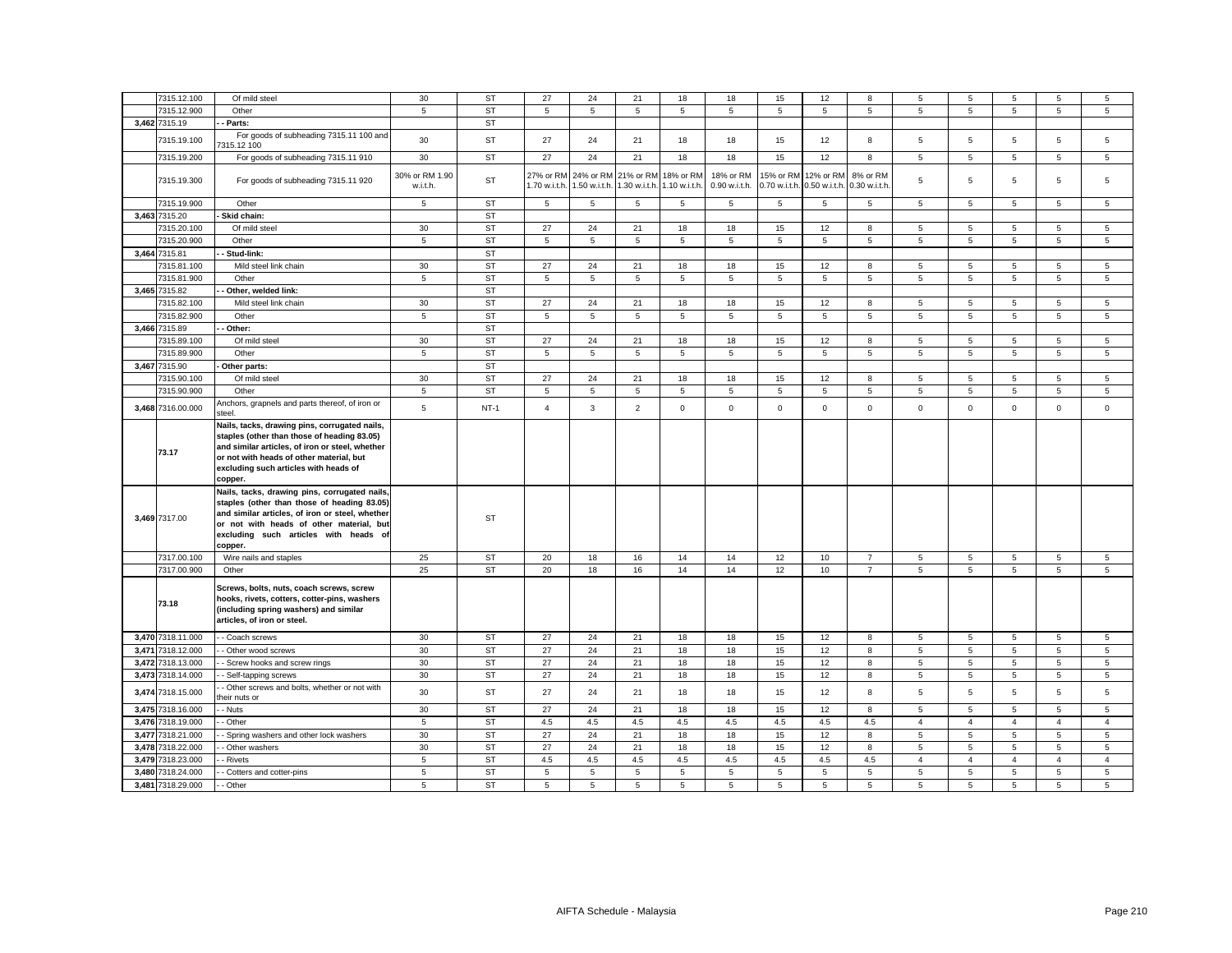| 7315.12.100       | Of mild steel                                                                                                                                                                                                                                   | 30                         | <b>ST</b> | 27                         | 24                                                | 21              | 18                         | 18                         | 15                         | 12                         | 8                         | 5                   | 5                   | 5                   | 5                   | 5                   |
|-------------------|-------------------------------------------------------------------------------------------------------------------------------------------------------------------------------------------------------------------------------------------------|----------------------------|-----------|----------------------------|---------------------------------------------------|-----------------|----------------------------|----------------------------|----------------------------|----------------------------|---------------------------|---------------------|---------------------|---------------------|---------------------|---------------------|
|                   |                                                                                                                                                                                                                                                 |                            |           |                            |                                                   |                 |                            |                            |                            |                            |                           |                     |                     |                     |                     |                     |
| 7315.12.900       | Other                                                                                                                                                                                                                                           | 5                          | <b>ST</b> | 5                          | 5                                                 | 5               | $5\overline{5}$            | $\overline{5}$             | $\overline{5}$             | 5                          | 5                         | $5\overline{5}$     | 5                   | 5                   | 5                   | $\overline{5}$      |
| 3,462 7315.19     | Parts:                                                                                                                                                                                                                                          |                            | <b>ST</b> |                            |                                                   |                 |                            |                            |                            |                            |                           |                     |                     |                     |                     |                     |
| 7315.19.100       | For goods of subheading 7315.11 100 and<br>7315.12 100                                                                                                                                                                                          | 30                         | ST        | 27                         | 24                                                | 21              | 18                         | 18                         | 15                         | 12                         | 8                         | 5                   | 5                   | 5                   | 5                   | $\overline{5}$      |
| 7315.19.200       | For goods of subheading 7315.11 910                                                                                                                                                                                                             | 30                         | ST        | 27                         | 24                                                | 21              | 18                         | 18                         | 15                         | 12                         | 8                         | $5\overline{5}$     | 5                   | 5                   | 5                   | 5                   |
| 7315.19.300       | For goods of subheading 7315.11 920                                                                                                                                                                                                             | 30% or RM 1.90<br>w.i.t.h. | <b>ST</b> | 27% or RM<br>1.70 w.i.t.h. | 24% or RM 21% or RM<br>1.50 w.i.t.h. 1.30 w.i.t.h |                 | 18% or RM<br>1.10 w.i.t.h. | 18% or RM<br>0.90 w.i.t.h. | 15% or RM<br>0.70 w.i.t.h. | 12% or RM<br>0.50 w.i.t.h. | 8% or RM<br>0.30 w.i.t.h. | 5                   | 5                   | 5                   | 5                   | 5                   |
| 7315.19.900       | Other                                                                                                                                                                                                                                           | 5                          | ST        | 5                          | 5                                                 | 5               | $5\overline{5}$            | 5                          | 5                          | 5                          | 5                         | 5                   | 5                   | 5                   | 5                   | 5                   |
| 3,463 7315.20     | Skid chain:                                                                                                                                                                                                                                     |                            | ST        |                            |                                                   |                 |                            |                            |                            |                            |                           |                     |                     |                     |                     |                     |
| 7315.20.100       | Of mild steel                                                                                                                                                                                                                                   | 30                         | <b>ST</b> | 27                         | 24                                                | 21              | 18                         | 18                         | 15                         | 12                         | 8                         | 5                   | 5                   | 5                   | 5                   | 5                   |
| 7315.20.900       | Other                                                                                                                                                                                                                                           | $\,$ 5 $\,$                | <b>ST</b> | 5                          | 5                                                 | 5               | 5                          | 5                          | 5                          | 5                          | $5\phantom{.0}$           | 5                   | 5                   | 5                   | 5                   | $\mathbf 5$         |
| 3,464 7315.81     | - Stud-link:                                                                                                                                                                                                                                    |                            | ST        |                            |                                                   |                 |                            |                            |                            |                            |                           |                     |                     |                     |                     |                     |
| 7315.81.100       | Mild steel link chain                                                                                                                                                                                                                           | 30                         | <b>ST</b> | 27                         | 24                                                | 21              | 18                         | 18                         | 15                         | 12                         | 8                         | 5                   | 5                   | 5                   | 5                   | 5                   |
| 7315.81.900       | Other                                                                                                                                                                                                                                           | $\,$ 5 $\,$                | <b>ST</b> | 5                          | 5                                                 | 5               | 5                          | 5                          | 5                          | 5                          | 5                         | 5                   | 5                   | 5                   | 5                   | $\mathbf 5$         |
| 3,465 7315.82     | Other, welded link:                                                                                                                                                                                                                             |                            | ST        |                            |                                                   |                 |                            |                            |                            |                            |                           |                     |                     |                     |                     |                     |
| 7315.82.100       | Mild steel link chain                                                                                                                                                                                                                           | 30                         | <b>ST</b> | 27                         | 24                                                | 21              | 18                         | 18                         | 15                         | 12                         | 8                         | 5                   | 5                   | 5                   | 5                   | 5                   |
| 7315.82.900       |                                                                                                                                                                                                                                                 |                            | <b>ST</b> | 5                          | 5                                                 | 5               | 5                          | 5                          | 5                          | 5                          | $5\phantom{.0}$           | 5                   | 5                   | 5                   | 5                   | 5                   |
| 3,466 7315.89     | Other                                                                                                                                                                                                                                           | 5                          | <b>ST</b> |                            |                                                   |                 |                            |                            |                            |                            |                           |                     |                     |                     |                     |                     |
|                   | Other:                                                                                                                                                                                                                                          |                            |           |                            |                                                   |                 |                            |                            |                            |                            |                           |                     |                     |                     |                     |                     |
| 7315.89.100       | Of mild steel                                                                                                                                                                                                                                   | 30                         | <b>ST</b> | 27                         | 24                                                | 21              | 18                         | 18                         | 15                         | 12                         | 8                         | 5                   | 5                   | 5                   | 5                   | 5                   |
| 7315.89.900       | Other                                                                                                                                                                                                                                           | $\,$ 5 $\,$                | <b>ST</b> | 5                          | 5                                                 | 5               | 5                          | 5                          | 5                          | 5                          | 5                         | $\overline{5}$      | 5                   | 5                   | 5                   | $\mathbf 5$         |
| 3,467 7315.90     | Other parts:                                                                                                                                                                                                                                    |                            | ST        |                            |                                                   |                 |                            |                            |                            |                            |                           |                     |                     |                     |                     |                     |
| 7315.90.100       | Of mild steel                                                                                                                                                                                                                                   | 30                         | <b>ST</b> | 27                         | 24                                                | 21              | 18                         | 18                         | 15                         | 12                         | 8                         | 5                   | 5                   | 5                   | 5                   | 5                   |
| 7315.90.900       | Other                                                                                                                                                                                                                                           | 5                          | <b>ST</b> | 5                          | 5                                                 | 5               | 5                          | 5                          | 5                          | 5                          | 5                         | 5                   | 5                   | 5                   | 5                   | 5                   |
| 3,468 7316.00.000 | Anchors, grapnels and parts thereof, of iron or<br>steel.                                                                                                                                                                                       | 5                          | $NT-1$    | $\overline{4}$             | 3                                                 | $\overline{2}$  | $\mathbf 0$                | $\mathbf 0$                | $\mathbf 0$                | $\mathbf{O}$               | $\mathbf{0}$              | $\mathbf 0$         | $\mathbf 0$         | $\mathbf 0$         | $\mathbf 0$         | $\mathbf 0$         |
| 73.17             | Nails, tacks, drawing pins, corrugated nails,<br>staples (other than those of heading 83.05)<br>and similar articles, of iron or steel, whether<br>or not with heads of other material, but<br>excluding such articles with heads of<br>copper. |                            |           |                            |                                                   |                 |                            |                            |                            |                            |                           |                     |                     |                     |                     |                     |
| 3,469 7317.00     | Nails, tacks, drawing pins, corrugated nails,<br>staples (other than those of heading 83.05)<br>and similar articles, of iron or steel, whether<br>or not with heads of other material, but<br>excluding such articles with heads of<br>copper. |                            | ST        |                            |                                                   |                 |                            |                            |                            |                            |                           |                     |                     |                     |                     |                     |
| 7317.00.100       | Wire nails and staples                                                                                                                                                                                                                          | 25                         | <b>ST</b> | 20                         | 18                                                | 16              | 14                         | 14                         | 12                         | 10                         | $\overline{7}$            | 5                   | 5                   | 5                   | 5                   | 5                   |
| 7317.00.900       | Other                                                                                                                                                                                                                                           | 25                         | <b>ST</b> | 20                         | 18                                                | 16              | 14                         | 14                         | 12                         | 10                         | $\overline{7}$            | 5                   | 5                   | 5                   | 5                   | 5                   |
| 73.18             | Screws, bolts, nuts, coach screws, screw<br>hooks, rivets, cotters, cotter-pins, washers<br>(including spring washers) and similar<br>articles, of iron or steel.                                                                               |                            |           |                            |                                                   |                 |                            |                            |                            |                            |                           |                     |                     |                     |                     |                     |
| 3,470 7318.11.000 | - Coach screws                                                                                                                                                                                                                                  | 30                         | <b>ST</b> | 27                         | 24                                                | 21              | 18                         | 18                         | 15                         | 12                         | 8                         | 5                   | 5                   | 5                   | 5                   | 5                   |
| 3,471 7318.12.000 | - Other wood screws                                                                                                                                                                                                                             | 30                         | <b>ST</b> | 27                         | 24                                                | 21              | 18                         | 18                         | 15                         | 12                         | 8                         | $5\phantom{.0}$     | 5                   | 5                   | $\overline{5}$      | $\,$ 5 $\,$         |
| 3,472 7318.13.000 | - Screw hooks and screw rings                                                                                                                                                                                                                   | 30                         | <b>ST</b> | 27                         | 24                                                | 21              | 18                         | 18                         | 15                         | 12                         | 8                         | 5                   | 5                   | 5                   | 5                   | 5                   |
| 3,473 7318.14.000 | - Self-tapping screws                                                                                                                                                                                                                           | 30                         | ST        | 27                         | 24                                                | 21              | 18                         | 18                         | 15                         | 12                         | 8                         | 5                   | 5                   | 5                   | 5                   | 5                   |
| 3,474 7318.15.000 | - Other screws and bolts, whether or not with<br>heir nuts or                                                                                                                                                                                   | 30                         | ST        | 27                         | 24                                                | 21              | 18                         | 18                         | 15                         | 12                         | 8                         | 5                   | 5                   | 5                   | 5                   | 5                   |
| 3,475 7318.16.000 | - Nuts                                                                                                                                                                                                                                          | 30                         | <b>ST</b> | 27                         | 24                                                | 21              | 18                         | 18                         | 15                         | 12                         | 8                         | 5                   | 5                   | 5                   | 5                   | 5                   |
| 3,476 7318.19.000 | - Other                                                                                                                                                                                                                                         | $\,$ 5 $\,$                | <b>ST</b> | 4.5                        | 4.5                                               | 4.5             | 4.5                        | 4.5                        | 4.5                        | 4.5                        | 4.5                       | $\overline{4}$      | $\overline{4}$      | $\overline{4}$      | $\overline{4}$      | $\overline{4}$      |
| 3,477 7318.21.000 | - Spring washers and other lock washers                                                                                                                                                                                                         | 30                         | <b>ST</b> | 27                         | 24                                                | 21              | 18                         | 18                         | 15                         | 12                         | 8                         | 5                   | 5                   | 5                   | 5                   | 5                   |
| 3,478 7318.22.000 |                                                                                                                                                                                                                                                 | 30                         | <b>ST</b> | 27                         | 24                                                | 21              |                            | 18                         | 15                         | 12                         |                           |                     |                     |                     |                     |                     |
| 3,479 7318.23.000 | - Other washers                                                                                                                                                                                                                                 | $\,$ 5 $\,$                | <b>ST</b> | 4.5                        | 4.5                                               | 4.5             | 18<br>4.5                  | 4.5                        | 4.5                        | 4.5                        | 8<br>4.5                  | 5<br>$\overline{4}$ | 5<br>$\overline{4}$ | 5<br>$\overline{4}$ | 5<br>$\overline{4}$ | 5<br>$\overline{4}$ |
|                   | - Rivets                                                                                                                                                                                                                                        | 5                          | ST        | 5                          | 5                                                 | $5\overline{5}$ | 5                          | 5                          | 5                          | 5                          | 5                         | $5^{\circ}$         | 5                   | 5                   | 5                   | 5                   |
| 3,480 7318.24.000 | - Cotters and cotter-pins                                                                                                                                                                                                                       | 5                          | <b>ST</b> |                            |                                                   |                 |                            | 5                          |                            |                            |                           |                     |                     |                     |                     | 5                   |
| 3,481 7318.29.000 | - Other                                                                                                                                                                                                                                         |                            |           | 5                          | 5                                                 | 5               | 5                          |                            | 5                          | 5                          | 5                         | 5                   | 5                   | 5                   | 5                   |                     |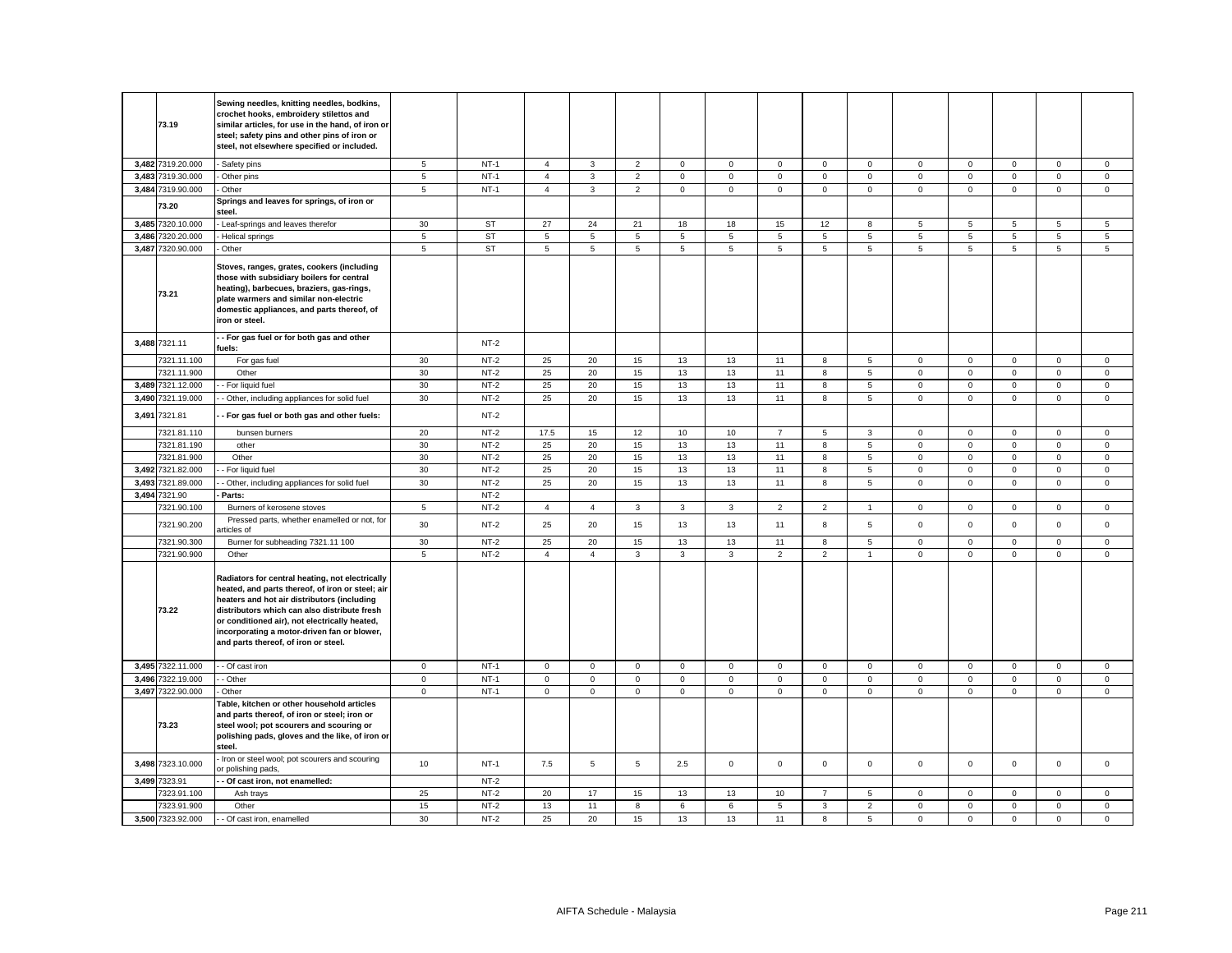|       | 73.19                      | Sewing needles, knitting needles, bodkins,<br>crochet hooks, embroidery stilettos and<br>similar articles, for use in the hand, of iron or<br>steel; safety pins and other pins of iron or<br>steel, not elsewhere specified or included.                                                                                                  |                |           |                |                |                |                |                         |                |                     |                 |              |             |                     |              |             |
|-------|----------------------------|--------------------------------------------------------------------------------------------------------------------------------------------------------------------------------------------------------------------------------------------------------------------------------------------------------------------------------------------|----------------|-----------|----------------|----------------|----------------|----------------|-------------------------|----------------|---------------------|-----------------|--------------|-------------|---------------------|--------------|-------------|
|       | 3,482 7319.20.000          | - Safety pins                                                                                                                                                                                                                                                                                                                              | $\sqrt{5}$     | $NT-1$    | $\overline{4}$ | $\mathbf{3}$   | $\overline{2}$ | $\mathsf 0$    | $\mathsf 0$             | $\mathsf 0$    | $\mathsf{O}\xspace$ | $\mathsf 0$     | $\mathsf 0$  | $\mathsf 0$ | $\mathsf 0$         | $\mathsf 0$  | $\mathsf 0$ |
|       | 3,483 7319.30.000          | Other pins                                                                                                                                                                                                                                                                                                                                 | 5              | $NT-1$    | $\overline{4}$ | 3              | $\mathbf 2$    | $\mathbf 0$    | $\mathbf 0$             | $\mathbf 0$    | $\mathbf 0$         | $\mathsf 0$     | $\mathsf 0$  | $\mathsf 0$ | $\mathsf{O}\xspace$ | $\mathsf 0$  | $\mathsf 0$ |
|       | 3,484 7319.90.000          | Other                                                                                                                                                                                                                                                                                                                                      | $\overline{5}$ | $NT-1$    | $\overline{4}$ | $\mathbf{3}$   | $\overline{2}$ | $\mathsf 0$    | $\mathsf 0$             | $\mathsf 0$    | $\mathbf 0$         | $\mathsf 0$     | $\mathsf 0$  | $\mathbf 0$ | $\mathsf 0$         | $\mathsf 0$  | $\mathsf 0$ |
|       | 73.20                      | Springs and leaves for springs, of iron or<br>steel.                                                                                                                                                                                                                                                                                       |                |           |                |                |                |                |                         |                |                     |                 |              |             |                     |              |             |
|       | 3,485 7320.10.000          | Leaf-springs and leaves therefor                                                                                                                                                                                                                                                                                                           | 30             | <b>ST</b> | 27             | $24\,$         | 21             | 18             | 18                      | 15             | 12                  | 8               | 5            | 5           | 5                   | $\,$ 5 $\,$  | $\sqrt{5}$  |
|       | 3,486 7320.20.000          | Helical springs                                                                                                                                                                                                                                                                                                                            | $\sqrt{5}$     | <b>ST</b> | 5              | 5              | $\,$ 5 $\,$    | 5              | 5                       | 5              | 5                   | 5               | 5            | 5           | 5                   | 5            | 5           |
| 3,487 | 7320.90.000                | Other                                                                                                                                                                                                                                                                                                                                      | $\sqrt{5}$     | <b>ST</b> | 5              | $\overline{5}$ | $\overline{5}$ | $\overline{5}$ | $\overline{\mathbf{5}}$ | 5              | 5                   | 5               | 5            | 5           | 5                   | 5            | $\,$ 5 $\,$ |
|       | 73.21                      | Stoves, ranges, grates, cookers (including<br>those with subsidiary boilers for central<br>heating), barbecues, braziers, gas-rings,<br>plate warmers and similar non-electric<br>domestic appliances, and parts thereof, of<br>iron or steel.                                                                                             |                |           |                |                |                |                |                         |                |                     |                 |              |             |                     |              |             |
|       | 3,488 7321.11              | - For gas fuel or for both gas and other<br>fuels:                                                                                                                                                                                                                                                                                         |                | $NT-2$    |                |                |                |                |                         |                |                     |                 |              |             |                     |              |             |
|       | 7321.11.100                | For gas fuel                                                                                                                                                                                                                                                                                                                               | 30             | $NT-2$    | 25             | 20             | 15             | 13             | 13                      | 11             | 8                   | 5               | $\mathbf 0$  | $\mathbf 0$ | $\mathbf{0}$        | $\mathbf{0}$ | $\mathbf 0$ |
|       | 7321.11.900                | Other                                                                                                                                                                                                                                                                                                                                      | 30             | $NT-2$    | 25             | 20             | 15             | 13             | 13                      | 11             | 8                   | $\sqrt{5}$      | $\mathbf 0$  | $\mathbf 0$ | $\mathbf 0$         | $\mathbf 0$  | $\mathsf 0$ |
|       | 3,489 7321.12.000          | - For liquid fuel                                                                                                                                                                                                                                                                                                                          | 30             | $NT-2$    | 25             | 20             | 15             | 13             | 13                      | 11             | 8                   | 5               | $\mathbf 0$  | $\mathsf 0$ | $\mathsf 0$         | $\mathsf 0$  | $\mathsf 0$ |
|       | 3,490 7321.19.000          | - Other, including appliances for solid fuel                                                                                                                                                                                                                                                                                               | 30             | $NT-2$    | 25             | 20             | 15             | 13             | 13                      | 11             | 8                   | 5               | $\mathbf 0$  | $\mathsf 0$ | $\mathbf 0$         | $\mathbf 0$  | $\mathsf 0$ |
|       | 3,491 7321.81              | - For gas fuel or both gas and other fuels:                                                                                                                                                                                                                                                                                                |                | $NT-2$    |                |                |                |                |                         |                |                     |                 |              |             |                     |              |             |
|       | 7321.81.110                | bunsen burners                                                                                                                                                                                                                                                                                                                             | 20             | $NT-2$    | 17.5           | 15             | 12             | 10             | 10                      | $\overline{7}$ | 5                   | $\mathbf{3}$    | $\mathbf 0$  | $\mathsf 0$ | $\mathsf 0$         | $\mathsf 0$  | $\mathsf 0$ |
|       | 7321.81.190                | other                                                                                                                                                                                                                                                                                                                                      | 30             | $NT-2$    | 25             | 20             | 15             | 13             | 13                      | 11             | 8                   | 5               | $\mathbf{0}$ | $\mathbf 0$ | $\mathbf 0$         | $\mathbf 0$  | $\mathsf 0$ |
|       | 7321.81.900                | Other                                                                                                                                                                                                                                                                                                                                      | 30             | $NT-2$    | 25             | 20             | 15             | 13             | 13                      | 11             | 8                   | 5               | $\mathbf 0$  | $\mathsf 0$ | $\mathbf 0$         | $\mathbf 0$  | $\mathsf 0$ |
|       | 3,492 7321.82.000          | - For liquid fuel                                                                                                                                                                                                                                                                                                                          | 30             | $NT-2$    | 25             | 20             | 15             | 13             | 13                      | 11             | $\bf8$              | $\overline{5}$  | $\mathsf 0$  | $\mathsf 0$ | $\mathsf 0$         | $\mathsf 0$  | $\mathsf 0$ |
| 3,493 | 7321.89.000                | Other, including appliances for solid fuel                                                                                                                                                                                                                                                                                                 | 30             | $NT-2$    | 25             | 20             | 15             | 13             | 13                      | 11             | 8                   | 5               | $\mathbf 0$  | $\mathsf 0$ | $\mathsf 0$         | $\mathsf 0$  | $\mathsf 0$ |
| 3,494 | 7321.90                    | Parts:                                                                                                                                                                                                                                                                                                                                     |                | $NT-2$    |                |                |                |                |                         |                |                     |                 |              |             |                     |              |             |
|       | 7321.90.100                | Burners of kerosene stoves                                                                                                                                                                                                                                                                                                                 | 5              | $NT-2$    | $\overline{4}$ | $\overline{4}$ | 3              | 3              | 3                       | $\overline{c}$ | $\overline{2}$      | $\mathbf{1}$    | $\mathsf 0$  | $\mathsf 0$ | $\mathbf 0$         | $\mathsf 0$  | $\mathsf 0$ |
|       | 7321.90.200                | Pressed parts, whether enamelled or not, for<br>rticles of                                                                                                                                                                                                                                                                                 | 30             | $NT-2$    | 25             | 20             | 15             | 13             | 13                      | 11             | 8                   | $5\phantom{.0}$ | $\mathsf 0$  | $\mathsf 0$ | $\mathsf 0$         | $\mathsf 0$  | $\mathsf 0$ |
|       | 7321.90.300                | Burner for subheading 7321.11 100                                                                                                                                                                                                                                                                                                          | 30             | $NT-2$    | 25             | 20             | 15             | 13             | 13                      | 11             | 8                   | 5               | $\mathbf 0$  | $\mathbf 0$ | $\mathbf 0$         | $\mathbf 0$  | $\mathsf 0$ |
|       | 7321.90.900                | Other                                                                                                                                                                                                                                                                                                                                      | $\overline{5}$ | $NT-2$    | $\overline{4}$ | $\overline{4}$ | $\mathbf{3}$   | $\mathbf{3}$   | 3                       | $\overline{2}$ | $\overline{2}$      | $\overline{1}$  | $\mathsf 0$  | $\mathsf 0$ | $\mathsf 0$         | $\mathsf 0$  | $\mathbf 0$ |
|       | 73.22                      | Radiators for central heating, not electrically<br>heated, and parts thereof, of iron or steel; air<br>heaters and hot air distributors (including<br>distributors which can also distribute fresh<br>or conditioned air), not electrically heated,<br>incorporating a motor-driven fan or blower,<br>and parts thereof, of iron or steel. |                |           |                |                |                |                |                         |                |                     |                 |              |             |                     |              |             |
|       | 3,495 7322.11.000          | - Of cast iron                                                                                                                                                                                                                                                                                                                             | $\mathbf 0$    | $NT-1$    | $\mathbf 0$    | $\mathsf 0$    | $\mathsf 0$    | $\mathbf 0$    | $\mathbf 0$             | $\mathsf 0$    | $\mathbf 0$         | $\overline{0}$  | $\mathbf 0$  | $\mathsf 0$ | $\mathbf 0$         | $\mathbf 0$  | $\mathbf 0$ |
|       | 3,496 7322.19.000          | - Other                                                                                                                                                                                                                                                                                                                                    | $\mathsf 0$    | $NT-1$    | $\mathbf 0$    | $\mathsf 0$    | $\mathsf 0$    | $\mathsf 0$    | $\mathsf 0$             | $\mathsf 0$    | $\mathsf 0$         | $\mathbf 0$     | $\mathsf 0$  | $\mathsf 0$ | $\mathsf 0$         | $\mathsf 0$  | $\mathsf 0$ |
|       | 3,497 7322.90.000<br>73.23 | Other<br>Table, kitchen or other household articles<br>and parts thereof, of iron or steel; iron or<br>steel wool; pot scourers and scouring or<br>polishing pads, gloves and the like, of iron or<br>steel.                                                                                                                               | $\mathbf{0}$   | $NT-1$    | 0              | $\mathbf{0}$   | $\mathbf 0$    | $\mathbf 0$    | 0                       | $\mathbf 0$    | $\mathbf{0}$        | $\overline{0}$  | $\mathbf 0$  | 0           | $\mathbf 0$         | $\mathbf 0$  | $\mathbf 0$ |
|       | 3,498 7323.10.000          | Iron or steel wool; pot scourers and scouring<br>or polishing pads,                                                                                                                                                                                                                                                                        | 10             | $NT-1$    | 7.5            | 5              | 5              | 2.5            | $\mathbf 0$             | $\mathsf 0$    | $\mathbf 0$         | $\mathbf 0$     | $\mathbf 0$  | $\mathsf 0$ | $\mathsf 0$         | $\mathbf 0$  | $\mathsf 0$ |
|       | 3,499 7323.91              | Of cast iron, not enamelled:                                                                                                                                                                                                                                                                                                               |                | $NT-2$    |                |                |                |                |                         |                |                     |                 |              |             |                     |              |             |
|       | 7323.91.100                | Ash trays                                                                                                                                                                                                                                                                                                                                  | 25             | $NT-2$    | 20             | 17             | 15             | 13             | 13                      | 10             | $\overline{7}$      | 5               | $\mathsf 0$  | $\mathsf 0$ | $\mathsf 0$         | $\mathbf 0$  | $\mathsf 0$ |
|       | 7323.91.900                | Other                                                                                                                                                                                                                                                                                                                                      | 15             | $NT-2$    | 13             | 11             | $\bf8$         | 6              | 6                       | $\,$ 5 $\,$    | $\mathbf 3$         | $\overline{2}$  | $\mathbf 0$  | $\mathsf 0$ | $\mathsf 0$         | $\mathsf 0$  | $\mathbf 0$ |
|       | 3,500 7323.92.000          | Of cast iron, enamelled                                                                                                                                                                                                                                                                                                                    | 30             | $NT-2$    | 25             | 20             | 15             | 13             | 13                      | 11             | 8                   | 5               | $\mathsf 0$  | $\mathsf 0$ | $\mathsf 0$         | $\mathsf 0$  | $\mathsf 0$ |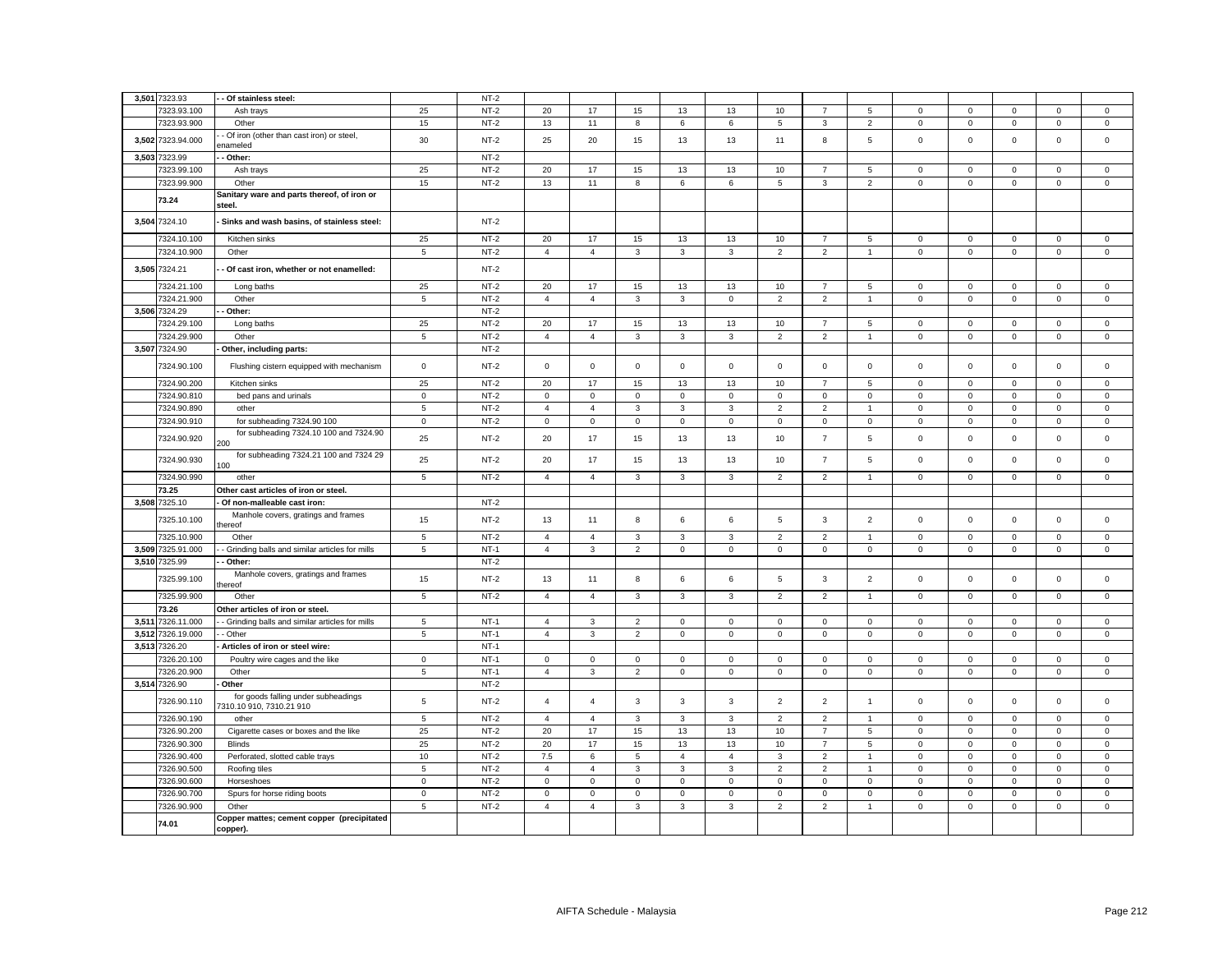| 3,501 7323.93     | Of stainless steel:                                    |                | $NT-2$ |                     |                |                |                |                |                |                |                |              |              |              |                     |                |
|-------------------|--------------------------------------------------------|----------------|--------|---------------------|----------------|----------------|----------------|----------------|----------------|----------------|----------------|--------------|--------------|--------------|---------------------|----------------|
| 7323.93.100       | Ash trays                                              | 25             | $NT-2$ | 20                  | 17             | 15             | 13             | 13             | 10             | $\overline{7}$ | 5              | $\mathbf 0$  | $\mathsf 0$  | $\mathsf 0$  | $\mathbf 0$         | $\mathsf 0$    |
| 7323.93.900       | Other                                                  | 15             | $NT-2$ | 13                  | 11             | 8              | 6              | 6              | 5              | 3              | $\overline{2}$ | $\mathbf{0}$ | $\mathsf 0$  | $\mathsf 0$  | $\mathbf 0$         | $\mathsf 0$    |
|                   | Of iron (other than cast iron) or steel,               |                |        |                     |                |                |                |                |                |                |                |              |              |              |                     |                |
| 3,502 7323.94.000 | nameled                                                | 30             | $NT-2$ | 25                  | 20             | 15             | 13             | 13             | 11             | 8              | $\mathbf 5$    | $\mathsf 0$  | $\mathbf 0$  | $\mathsf 0$  | $\mathsf 0$         | $\mathsf 0$    |
| 3,503 7323.99     | Other:                                                 |                | $NT-2$ |                     |                |                |                |                |                |                |                |              |              |              |                     |                |
| 7323.99.100       | Ash trays                                              | 25             | $NT-2$ | 20                  | 17             | 15             | 13             | 13             | 10             | $\overline{7}$ | 5              | $\mathsf 0$  | $\mathbf 0$  | $\mathbf 0$  | 0                   | $\mathbf 0$    |
| 7323.99.900       | Other                                                  | 15             | $NT-2$ | 13                  | 11             | 8              | 6              | 6              | $\overline{5}$ | $\mathbf{3}$   | $\overline{2}$ | $\mathsf 0$  | $\mathsf 0$  | $\mathsf 0$  | $\mathsf 0$         | $\overline{0}$ |
| 73.24             | Sanitary ware and parts thereof, of iron or<br>steel.  |                |        |                     |                |                |                |                |                |                |                |              |              |              |                     |                |
| 3,504 7324.10     | Sinks and wash basins, of stainless steel:             |                | $NT-2$ |                     |                |                |                |                |                |                |                |              |              |              |                     |                |
| 7324.10.100       | Kitchen sinks                                          | 25             | $NT-2$ | 20                  | 17             | 15             | 13             | 13             | 10             | $\overline{7}$ | $\sqrt{5}$     | $\mathbf 0$  | $\mathbf 0$  | $\mathbf 0$  | $\mathsf 0$         | $\mathsf 0$    |
| 7324.10.900       | Other                                                  | 5              | $NT-2$ | $\overline{4}$      | $\overline{4}$ | $\mathbf{3}$   | $_{3}$         | $\mathbf{3}$   | $\overline{2}$ | $\overline{2}$ | $\overline{1}$ | $\mathsf 0$  | $\mathsf 0$  | $\mathsf 0$  | $\mathsf 0$         | $\mathsf 0$    |
| 3,505 7324.21     | - Of cast iron, whether or not enamelled:              |                | $NT-2$ |                     |                |                |                |                |                |                |                |              |              |              |                     |                |
| 7324.21.100       | Long baths                                             | 25             | $NT-2$ | 20                  | 17             | 15             | 13             | 13             | 10             | $\overline{7}$ | 5              | $\mathbf 0$  | $\mathbf 0$  | $\mathbf 0$  | $\mathbf{0}$        | $\mathbf 0$    |
| 7324.21.900       | Other                                                  | 5              | $NT-2$ | $\overline{4}$      | $\overline{4}$ | 3              | $\mathbf{3}$   | $\mathsf 0$    | $\overline{2}$ | $\overline{2}$ | $\overline{1}$ | $\mathbf{0}$ | $\mathsf 0$  | $\mathsf 0$  | $\mathsf 0$         | $\mathsf 0$    |
| 3,506 7324.29     | Other:                                                 |                | $NT-2$ |                     |                |                |                |                |                |                |                |              |              |              |                     |                |
| 7324.29.100       | Long baths                                             | 25             | $NT-2$ | 20                  | 17             | 15             | 13             | 13             | 10             | $\overline{7}$ | 5              | $\mathbf{0}$ | $\mathbf 0$  | $\mathbf{0}$ | $\mathbf{0}$        | $\mathbf 0$    |
| 7324.29.900       | Other                                                  | 5              | $NT-2$ | $\overline{4}$      | $\overline{4}$ | $\mathbf{3}$   | $\mathbf{3}$   | 3              | $\overline{2}$ | $\overline{2}$ | $\overline{1}$ | $\mathbf{0}$ | $\mathsf 0$  | $\mathbf 0$  | $\mathbf 0$         | $\mathsf 0$    |
| 3,507 7324.90     | Other, including parts:                                |                | $NT-2$ |                     |                |                |                |                |                |                |                |              |              |              |                     |                |
| 7324.90.100       | Flushing cistern equipped with mechanism               | $\mathbf 0$    | $NT-2$ | $\mathbf{0}$        | $\mathbf 0$    | $\mathbf 0$    | $\mathbf 0$    | $\mathbf 0$    | $\mathbf 0$    | $\mathbf 0$    | $\mathbf 0$    | $\mathbf 0$  | $\mathbf 0$  | $\mathbf 0$  | $\mathbf 0$         | $\mathbf 0$    |
| 7324.90.200       | Kitchen sinks                                          | 25             | $NT-2$ | 20                  | 17             | 15             | 13             | 13             | 10             | $\overline{7}$ | 5              | $\mathbf 0$  | $\mathbf 0$  | $^{\circ}$   | $\mathbf 0$         | $\mathbf 0$    |
| 7324.90.810       | bed pans and urinals                                   | $\mathsf 0$    | $NT-2$ | $\mathbf 0$         | $\mathsf 0$    | $\mathsf 0$    | $\mathbf 0$    | $\mathsf 0$    | $\mathsf 0$    | $\mathsf 0$    | $\mathsf 0$    | $\mathsf 0$  | $\mathsf 0$  | $\mathsf 0$  | $\mathsf 0$         | $\mathsf 0$    |
| 7324.90.890       | other                                                  | 5              | $NT-2$ | $\overline{4}$      | $\overline{4}$ | 3              | $\mathbf{3}$   | 3              | $\overline{2}$ | $\overline{2}$ | $\overline{1}$ | $\mathsf 0$  | $\mathsf 0$  | $\mathsf 0$  | $\mathsf 0$         | $\mathsf 0$    |
|                   |                                                        |                |        |                     |                |                |                |                |                |                |                |              |              |              |                     |                |
| 7324.90.910       | for subheading 7324.90 100                             | $\overline{0}$ | $NT-2$ | $\mathsf 0$         | $\mathbf 0$    | $\mathbf 0$    | $\mathbf 0$    | $\mathbf 0$    | $\mathsf 0$    | $\mathbf 0$    | $\mathbf 0$    | $\mathbf 0$  | $\mathsf 0$  | $\mathsf 0$  | $\mathsf 0$         | $\mathsf 0$    |
| 7324.90.920       | for subheading 7324.10 100 and 7324.90<br>200          | 25             | $NT-2$ | 20                  | 17             | 15             | 13             | 13             | 10             | $\overline{7}$ | 5              | $\mathbf 0$  | $\mathsf 0$  | $\mathbf 0$  | $\mathsf 0$         | $\mathsf 0$    |
| 7324.90.930       | for subheading 7324.21 100 and 7324 29<br>100          | 25             | $NT-2$ | 20                  | 17             | 15             | 13             | 13             | 10             | $\overline{7}$ | $\overline{5}$ | $\mathsf 0$  | $\mathsf 0$  | $\mathsf 0$  | $\mathsf 0$         | $\mathsf 0$    |
| 7324.90.990       | other                                                  | 5              | $NT-2$ | 4                   | $\overline{4}$ | 3              | 3              | 3              | 2              | 2              | $\mathbf{1}$   | 0            | 0            | 0            | 0                   | $\mathbf 0$    |
| 73.25             | Other cast articles of iron or steel.                  |                |        |                     |                |                |                |                |                |                |                |              |              |              |                     |                |
| 3,508 7325.10     | Of non-malleable cast iron:                            |                | $NT-2$ |                     |                |                |                |                |                |                |                |              |              |              |                     |                |
| 7325.10.100       | Manhole covers, gratings and frames<br>hereof:         | 15             | $NT-2$ | 13                  | 11             | 8              | 6              | 6              | 5              | 3              | $\overline{2}$ | $\mathbf 0$  | $\mathsf 0$  | $\mathsf 0$  | $\mathsf 0$         | $\mathsf 0$    |
| 7325.10.900       | Other                                                  | $\,$ 5 $\,$    | $NT-2$ | $\overline{4}$      | $\overline{4}$ | 3              | 3              | 3              | $\overline{2}$ | $\overline{2}$ | -1             | $\mathbf 0$  | $\mathbf 0$  | $\mathbf 0$  | $\mathbf 0$         | $\mathsf 0$    |
| 3,509 7325.91.000 | Grinding balls and similar articles for mills          | 5              | $NT-1$ | $\overline{4}$      | $\mathbf{3}$   | $\overline{2}$ | $\mathsf 0$    | $\mathsf 0$    | $\mathsf 0$    | $\mathsf 0$    | $\mathsf 0$    | $\mathbf 0$  | $\mathsf 0$  | $\mathsf 0$  | $\mathsf 0$         | $\mathsf 0$    |
| 3,510 7325.99     | Other:                                                 |                | $NT-2$ |                     |                |                |                |                |                |                |                |              |              |              |                     |                |
| 7325.99.100       | Manhole covers, gratings and frames<br>hereof:         | 15             | $NT-2$ | 13                  | 11             | 8              | 6              | 6              | 5              | 3              | $\overline{2}$ | $\mathbf 0$  | $\mathsf 0$  | $\mathbf 0$  | $\mathsf 0$         | $\mathsf 0$    |
| 7325.99.900       | Other                                                  | $\overline{5}$ | $NT-2$ | $\overline{4}$      | $\overline{4}$ | $\mathbf{3}$   | $\mathbf{3}$   | $\mathbf{3}$   | $\overline{2}$ | $\overline{2}$ | $\overline{1}$ | $\mathsf 0$  | $\mathbf 0$  | $\mathbf 0$  | $\mathbf 0$         | $\mathbf 0$    |
| 73.26             | Other articles of iron or steel.                       |                |        |                     |                |                |                |                |                |                |                |              |              |              |                     |                |
| 3,511 7326.11.000 | - Grinding balls and similar articles for mills        | 5              | $NT-1$ | $\overline{4}$      | 3              | $\overline{2}$ | $\mathsf 0$    | $\mathbf{0}$   | $\mathsf 0$    | $\mathbf{O}$   | $\mathbf 0$    | $\mathbf 0$  | $\mathsf 0$  | $\mathbf 0$  | $\mathbf 0$         | $\mathbf 0$    |
| 3,512 7326.19.000 | - Other                                                | 5              | $NT-1$ | $\overline{4}$      | 3              | $\overline{2}$ | $\mathbf{0}$   | $\mathbf 0$    | $\mathbf 0$    | $\mathbf 0$    | $\mathbf 0$    | $\mathbf 0$  | $\mathbf 0$  | $\mathsf 0$  | $\mathsf 0$         | $\mathsf 0$    |
| 3,513 7326.20     | Articles of iron or steel wire:                        |                | $NT-1$ |                     |                |                |                |                |                |                |                |              |              |              |                     |                |
| 7326.20.100       | Poultry wire cages and the like                        | $\mathbf 0$    | $NT-1$ | $\mathbf{0}$        | $\mathbf 0$    | $\mathbf 0$    | $\mathbf{0}$   | $\mathbf 0$    | $\mathbf 0$    | $\mathbf{0}$   | $\mathbf{0}$   | $\mathbf{0}$ | $\mathbf{0}$ | $\mathbf 0$  | $\mathbf 0$         | $\mathbf 0$    |
| 7326.20.900       | Other                                                  | 5              | $NT-1$ | $\overline{4}$      | $\mathbf{3}$   | $\overline{2}$ | $\mathbf 0$    | $\mathsf 0$    | $\mathsf 0$    | $\mathbf 0$    | $\mathbf 0$    | $\mathbf 0$  | $\mathsf 0$  | $\mathbf 0$  | $\mathsf 0$         | $\mathsf 0$    |
| 3,514 7326.90     | Other                                                  |                | $NT-2$ |                     |                |                |                |                |                |                |                |              |              |              |                     |                |
| 7326.90.110       | for goods falling under subheadings                    | $\,$ 5 $\,$    | $NT-2$ | $\overline{4}$      | $\overline{4}$ | 3              | 3              | 3              | $\overline{2}$ | $\overline{2}$ | $\overline{1}$ | $\mathsf 0$  | $\mathbf 0$  | $\mathsf 0$  | $\mathsf{O}\xspace$ | $\mathsf 0$    |
|                   | 7310.10 910, 7310.21 910                               |                |        |                     |                |                |                |                |                |                |                |              |              |              |                     |                |
| 7326.90.190       | other                                                  | 5              | $NT-2$ | $\overline{4}$      | $\overline{4}$ | 3              | 3              | 3              | $\overline{2}$ | $\overline{2}$ | $\overline{1}$ | $\mathsf 0$  | $\mathsf 0$  | $\mathsf 0$  | $\mathsf 0$         | $\mathsf 0$    |
| 7326.90.200       | Cigarette cases or boxes and the like                  | 25             | $NT-2$ | 20                  | 17             | 15             | 13             | 13             | 10             | $\overline{7}$ | 5              | $\mathbf 0$  | $\mathsf 0$  | $\mathsf 0$  | $\mathsf 0$         | $\mathsf 0$    |
| 7326.90.300       | <b>Blinds</b>                                          | 25             | $NT-2$ | 20                  | 17             | 15             | 13             | 13             | 10             | $\overline{7}$ | 5              | $\mathbf{0}$ | $\mathsf 0$  | $\mathbf 0$  | $\mathsf 0$         | $\mathsf 0$    |
| 7326.90.400       | Perforated, slotted cable trays                        | 10             | $NT-2$ | 7.5                 | 6              | 5              | $\overline{4}$ | $\overline{4}$ | 3              | $\overline{2}$ | $\overline{1}$ | $\mathbf 0$  | 0            | $\mathbf 0$  | $\mathbf 0$         | 0              |
| 7326.90.500       | Roofing tiles                                          | 5              | $NT-2$ | $\overline{4}$      | $\overline{4}$ | $\mathbf{3}$   | 3              | 3              | $\overline{2}$ | $\overline{2}$ | $\overline{1}$ | $\mathsf 0$  | $\mathsf 0$  | $\mathsf 0$  | $\mathsf 0$         | $\mathsf 0$    |
| 7326.90.600       | Horseshoes                                             | $\mathbf 0$    | $NT-2$ | $\mathsf{O}\xspace$ | 0              | 0              | 0              | 0              | $\mathbf 0$    | 0              | $\mathbf 0$    | $\mathsf 0$  | $\mathbf 0$  | $\mathbf 0$  | 0                   | 0              |
| 7326.90.700       | Spurs for horse riding boots                           | $\mathbf 0$    | $NT-2$ | $\mathbf{0}$        | $\mathbf 0$    | $\mathsf 0$    | $\mathsf 0$    | $\mathbf 0$    | $\mathsf 0$    | $\mathbf 0$    | $\mathbf 0$    | $\mathbf 0$  | $\mathsf 0$  | $\mathsf 0$  | $\mathsf 0$         | $\mathsf 0$    |
| 7326.90.900       | Other                                                  | 5              | $NT-2$ | $\overline{4}$      | $\overline{4}$ | 3              | 3              | 3              | $\overline{2}$ | $\overline{2}$ | $\overline{1}$ | $\mathbf 0$  | 0            | $\mathbf 0$  | $\mathbf 0$         | $\mathbf 0$    |
| 74.01             | Copper mattes; cement copper (precipitated<br>copper). |                |        |                     |                |                |                |                |                |                |                |              |              |              |                     |                |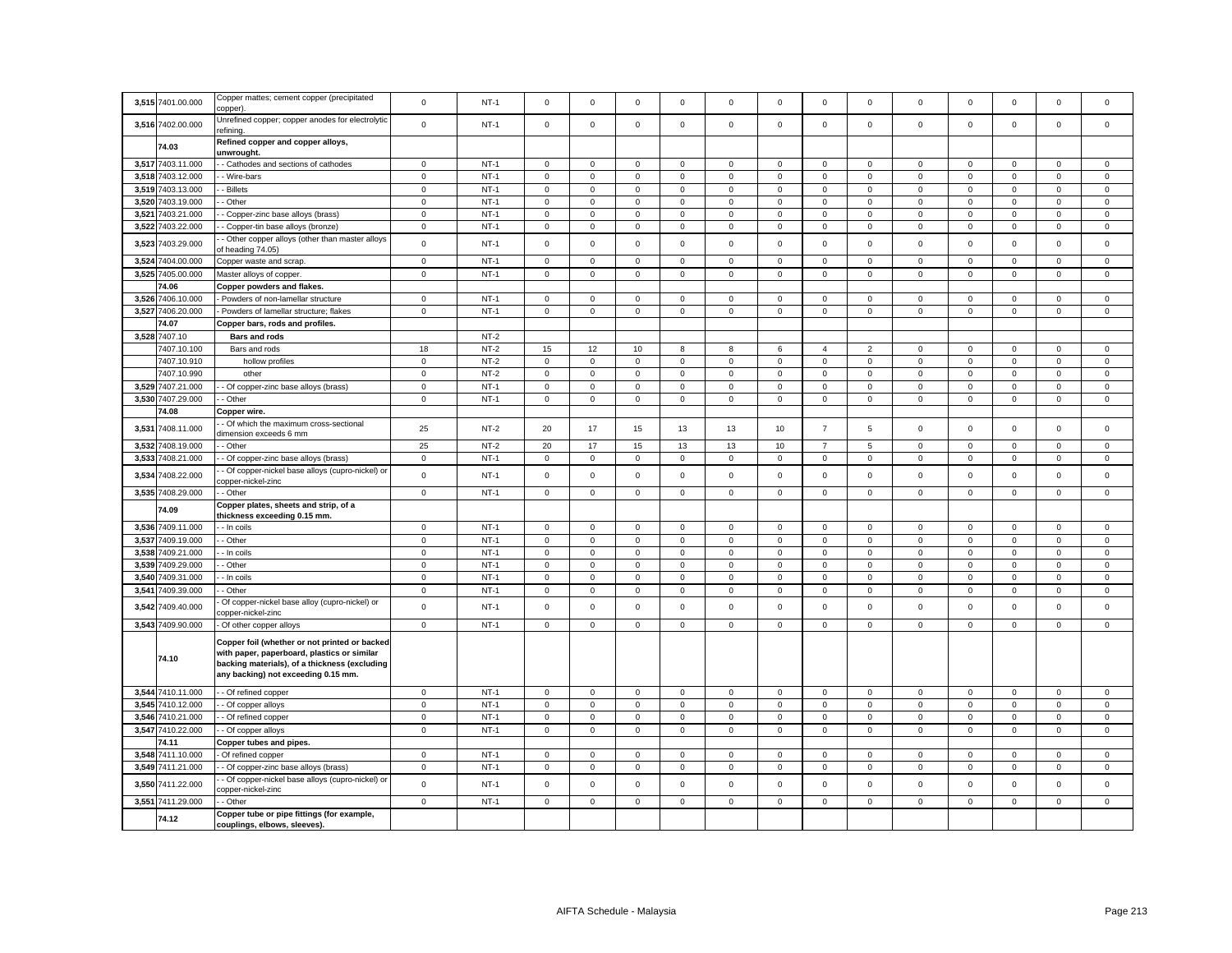| 3,515 | 7401.00.000       | Copper mattes; cement copper (precipitated<br>copper).                                                                                                                               | $\mathbf 0$         | $NT-1$ | $\mathbf 0$         | $\mathbf 0$         | $\Omega$     | $\Omega$    | $\Omega$            | $\mathbf 0$ | $\mathbf 0$         | $\mathbf 0$    | $\mathbf 0$ | $\mathbf 0$ | $\Omega$            | $\Omega$     | $\Omega$    |
|-------|-------------------|--------------------------------------------------------------------------------------------------------------------------------------------------------------------------------------|---------------------|--------|---------------------|---------------------|--------------|-------------|---------------------|-------------|---------------------|----------------|-------------|-------------|---------------------|--------------|-------------|
| 3,516 | 7402.00.000       | Unrefined copper; copper anodes for electrolytic<br>efining.                                                                                                                         | $\mathbf 0$         | $NT-1$ | $\mathsf 0$         | $\mathbf 0$         | $\mathsf 0$  | $\mathsf 0$ | $\mathbf 0$         | $\mathsf 0$ | $\mathbf 0$         | $\mathsf 0$    | $\mathsf 0$ | $\mathbf 0$ | $\mathbf 0$         | $\mathsf 0$  | $\mathsf 0$ |
|       | 74.03             | Refined copper and copper alloys,<br>unwrought.                                                                                                                                      |                     |        |                     |                     |              |             |                     |             |                     |                |             |             |                     |              |             |
|       | 3,517 7403.11.000 | - Cathodes and sections of cathodes                                                                                                                                                  | $\circ$             | $NT-1$ | $\mathsf 0$         | $\mathbf 0$         | $\mathbf{0}$ | $\mathbf 0$ | $\mathbf 0$         | $\mathsf 0$ | $\mathbf{0}$        | $\mathbf 0$    | $\mathbf 0$ | $\mathbf 0$ | $\mathbf 0$         | $\mathbf{0}$ | $\mathbf 0$ |
| 3,518 | 7403.12.000       | - Wire-bars                                                                                                                                                                          | $\mathbf 0$         | $NT-1$ | $\mathbf 0$         | $\mathbf 0$         | $\mathsf 0$  | 0           | $\mathbf 0$         | $\mathsf 0$ | $\mathbf 0$         | 0              | $\mathsf 0$ | $\mathbf 0$ | $\mathsf 0$         | $\mathsf 0$  | $\mathsf 0$ |
|       | 3,519 7403.13.000 | - Billets                                                                                                                                                                            | $\mathbf 0$         | $NT-1$ | $\mathbf 0$         | $\mathbf 0$         | $\mathbf 0$  | $\mathbf 0$ | $\mathbf 0$         | $\mathbf 0$ | $\mathbf 0$         | $\mathbf{0}$   | $\mathbf 0$ | $\mathbf 0$ | $\mathbf 0$         | $\mathbf 0$  | $\mathbf 0$ |
| 3,520 | 7403.19.000       | - Other                                                                                                                                                                              | $\mathbf 0$         | $NT-1$ | $\mathbf 0$         | $\mathbf 0$         | $\mathsf 0$  | 0           | $\mathbf 0$         | $\mathbf 0$ | $\mathsf 0$         | 0              | 0           | $\mathbf 0$ | $\mathbf 0$         | $\mathsf 0$  | 0           |
| 3,521 | 7403.21.000       | - Copper-zinc base alloys (brass)                                                                                                                                                    | $\mathbf 0$         | $NT-1$ | $\mathsf 0$         | $\mathsf 0$         | $\mathsf 0$  | $\mathsf 0$ | $\mathbf 0$         | $\mathsf 0$ | $\mathbf 0$         | $\mathbf 0$    | $\mathsf 0$ | $\mathbf 0$ | $\mathbf 0$         | $\mathsf 0$  | $\mathbf 0$ |
| 3,522 | 7403.22.000       | - Copper-tin base alloys (bronze)                                                                                                                                                    | $\mathbf 0$         | $NT-1$ | $\mathsf 0$         | $\mathbf 0$         | $\mathsf 0$  | $\mathbf 0$ | $\mathbf 0$         | $\mathsf 0$ | $\mathbf 0$         | $\mathbf{0}$   | $\mathbf 0$ | $\mathsf 0$ | $\mathbf 0$         | $\mathsf 0$  | $\mathbf 0$ |
| 3,523 | 403.29.000        | - Other copper alloys (other than master alloys<br>of heading 74.05)                                                                                                                 | $\mathsf 0$         | $NT-1$ | $\mathsf 0$         | $\mathsf 0$         | $\mathsf 0$  | $\mathsf 0$ | $\mathsf 0$         | $\mathsf 0$ | $\mathbf 0$         | $\mathsf 0$    | $\mathsf 0$ | $\mathbf 0$ | $\mathbf 0$         | $\mathsf 0$  | $\mathsf 0$ |
| 3,524 | 7404.00.000       | Copper waste and scrap.                                                                                                                                                              | $\mathbf 0$         | $NT-1$ | $\mathbf 0$         | $\mathbf 0$         | $\mathsf 0$  | 0           | $\mathbf 0$         | $\mathbf 0$ | $\mathbf 0$         | 0              | $\mathsf 0$ | $\mathbf 0$ | $\mathbf 0$         | $\mathsf 0$  | 0           |
|       | 3,525 7405.00.000 |                                                                                                                                                                                      | $\mathsf 0$         | $NT-1$ | $\mathsf 0$         | $\mathbf 0$         | $\mathsf 0$  | $\mathbf 0$ | $\mathsf 0$         | $\mathsf 0$ | $\mathsf 0$         | $\mathbf 0$    | $\mathsf 0$ | $\mathsf 0$ | $\mathsf 0$         | $\mathsf 0$  | $\mathbf 0$ |
|       | 74.06             | Master alloys of copper.                                                                                                                                                             |                     |        |                     |                     |              |             |                     |             |                     |                |             |             |                     |              |             |
|       | 3.526 7406.10.000 | Copper powders and flakes.                                                                                                                                                           | $\mathbf{0}$        | $NT-1$ |                     |                     | $\mathbf{0}$ |             | $\mathbf 0$         |             | $\mathbf{O}$        |                |             |             |                     |              |             |
|       |                   | Powders of non-lamellar structure                                                                                                                                                    |                     |        | $\mathbf 0$         | $\mathbf 0$         |              | $\mathbf 0$ |                     | $^{\circ}$  |                     | $\mathbf{0}$   | $\mathbf 0$ | $\mathbf 0$ | $\mathbf{0}$        | $\mathbf{0}$ | $\mathbf 0$ |
| 3,527 | 7406.20.000       | Powders of lamellar structure; flakes                                                                                                                                                | $\mathsf 0$         | $NT-1$ | $\mathsf 0$         | $\mathsf 0$         | $\mathsf 0$  | $\mathsf 0$ | $\mathsf 0$         | $\mathsf 0$ | $\mathsf 0$         | $\mathbf 0$    | $\mathbf 0$ | $\mathsf 0$ | $\mathbf 0$         | $\mathsf 0$  | $\mathbf 0$ |
|       | 74.07             | Copper bars, rods and profiles.                                                                                                                                                      |                     |        |                     |                     |              |             |                     |             |                     |                |             |             |                     |              |             |
|       | 3,528 7407.10     | <b>Bars and rods</b>                                                                                                                                                                 |                     | $NT-2$ |                     |                     |              |             |                     |             |                     |                |             |             |                     |              |             |
|       | 7407.10.100       | Bars and rods                                                                                                                                                                        | 18                  | $NT-2$ | 15                  | 12                  | 10           | 8           | 8                   | 6           | $\overline{4}$      | $\overline{2}$ | $\Omega$    | $\mathbf 0$ | $\mathsf 0$         | $\mathsf 0$  | $\mathsf 0$ |
|       | 7407.10.910       | hollow profiles                                                                                                                                                                      | $\mathbf 0$         | $NT-2$ | $\mathsf 0$         | $\mathbf 0$         | $\mathbf 0$  | $\mathsf 0$ | $\mathbf 0$         | $\mathsf 0$ | $\mathsf 0$         | 0              | $\mathsf 0$ | $\mathbf 0$ | 0                   | $\mathsf 0$  | $\mathsf 0$ |
|       | 7407.10.990       | other                                                                                                                                                                                | $\mathsf 0$         | $NT-2$ | $\mathsf{O}\xspace$ | $\mathsf 0$         | $\mathbf 0$  | $\Omega$    | $\mathsf 0$         | $\mathbf 0$ | $\mathsf 0$         | $\mathsf 0$    | $\mathsf 0$ | $\mathbf 0$ | $\mathsf 0$         | $\pmb{0}$    | $\mathbf 0$ |
|       | 3,529 7407.21.000 | - Of copper-zinc base alloys (brass)                                                                                                                                                 | $\mathbf 0$         | $NT-1$ | 0                   | 0                   | $\mathbf 0$  | 0           | $\mathbf 0$         | $\mathbf 0$ | $\mathbf{0}$        | 0              | 0           | $\mathbf 0$ | $\mathbf 0$         | $\mathbf 0$  | 0           |
| 3,530 | 7407.29.000       | - Other                                                                                                                                                                              | $\mathsf{O}\xspace$ | $NT-1$ | $\mathsf 0$         | $\mathsf 0$         | $\mathsf 0$  | $\mathsf 0$ | $\mathsf{O}\xspace$ | $\mathsf 0$ | $\mathsf 0$         | $\mathsf 0$    | $\mathsf 0$ | $\pmb{0}$   | $\mathsf 0$         | $\mathsf 0$  | $\mathsf 0$ |
|       | 74.08             | Copper wire.                                                                                                                                                                         |                     |        |                     |                     |              |             |                     |             |                     |                |             |             |                     |              |             |
| 3,53' | 7408.11.000       | - Of which the maximum cross-sectional<br>limension exceeds 6 mm                                                                                                                     | 25                  | $NT-2$ | 20                  | 17                  | 15           | 13          | 13                  | 10          | $\overline{7}$      | 5              | $\mathsf 0$ | $\mathbf 0$ | $\mathsf 0$         | $\mathsf 0$  | $\mathbf 0$ |
| 3,532 | 7408.19.000       | - Other                                                                                                                                                                              | 25                  | $NT-2$ | 20                  | 17                  | 15           | 13          | 13                  | 10          | $\overline{7}$      | 5              | $\mathbf 0$ | $\mathbf 0$ | $\Omega$            | $\mathbf 0$  | 0           |
| 3,53  | 7408.21.000       | - Of copper-zinc base alloys (brass)                                                                                                                                                 | $\mathbf 0$         | $NT-1$ | $\mathsf 0$         | $\mathsf{O}\xspace$ | $\mathbf 0$  | $\mathbf 0$ | $\mathbf 0$         | $\mathsf 0$ | $\mathsf 0$         | $\mathsf 0$    | $\mathsf 0$ | $\pmb{0}$   | $\mathsf{O}\xspace$ | $\mathbf 0$  | $\mathsf 0$ |
| 3,534 | 408.22.000        | Of copper-nickel base alloys (cupro-nickel) or<br>opper-nickel-zinc                                                                                                                  | $\mathbf 0$         | $NT-1$ | $\mathbf 0$         | $\mathbf 0$         | $\mathbf 0$  | $\Omega$    | $\mathbf 0$         | $\mathbf 0$ | $\mathbf{O}$        | $\mathbf 0$    | $\mathbf 0$ | $\mathbf 0$ | $\mathbf 0$         | $\mathbf 0$  | $\mathbf 0$ |
|       | 3,535 7408.29.000 | - Other                                                                                                                                                                              | $\mathsf 0$         | $NT-1$ | $\mathsf{O}\xspace$ | $\mathsf 0$         | $\mathsf 0$  | $\mathbf 0$ | $\mathsf 0$         | $\mathsf 0$ | $\mathsf 0$         | $\mathsf 0$    | $\mathbf 0$ | $\mathbf 0$ | $\mathsf 0$         | $\mathsf 0$  | $\Omega$    |
|       | 74.09             | Copper plates, sheets and strip, of a<br>thickness exceeding 0.15 mm.                                                                                                                |                     |        |                     |                     |              |             |                     |             |                     |                |             |             |                     |              |             |
|       | 3,536 7409.11.000 | - In coils                                                                                                                                                                           | $\mathbf{0}$        | $NT-1$ | $\mathbf 0$         | $\mathbf 0$         | $\mathsf 0$  | $\mathbf 0$ | $\mathbf 0$         | $\mathsf 0$ | $\mathbf 0$         | $\mathbf 0$    | $\mathbf 0$ | $\mathbf 0$ | $\mathbf 0$         | $\mathsf 0$  | $\mathbf 0$ |
| 3,537 | 7409.19.000       | - Other                                                                                                                                                                              | $\mathsf 0$         | $NT-1$ | $\mathsf 0$         | $\mathbf 0$         | $\mathsf 0$  | $\mathsf 0$ | $\mathsf 0$         | $\mathsf 0$ | $\mathsf 0$         | $\mathsf 0$    | $\mathsf 0$ | $\mathbf 0$ | $\mathbf 0$         | $\mathsf 0$  | $\mathbf 0$ |
| 3,53  | 7409.21.000       | - In coils                                                                                                                                                                           | $\mathsf 0$         | $NT-1$ | $\mathbf 0$         | $\mathbf 0$         | $\mathbf 0$  | $\mathbf 0$ | $\mathbf 0$         | $\mathsf 0$ | $\mathbf 0$         | $\mathbf 0$    | $\mathbf 0$ | $\mathbf 0$ | $\mathbf 0$         | $\mathbf 0$  | $\mathbf 0$ |
| 3,539 | 7409.29.000       | - Other                                                                                                                                                                              | $\mathbf 0$         | $NT-1$ | 0                   | $\mathbf 0$         | $\mathsf 0$  | 0           | $\mathbf 0$         | 0           | $\mathsf{O}\xspace$ | 0              | 0           | $\,0\,$     | 0                   | $\mathbf 0$  | 0           |
| 3,540 | 7409.31.000       | - In coils                                                                                                                                                                           | $\mathsf 0$         | $NT-1$ | $\mathsf 0$         | $\mathsf{O}\xspace$ | $\mathbf 0$  | $\mathbf 0$ | $\mathsf 0$         | $\mathsf 0$ | $\mathsf 0$         | $\mathsf 0$    | $\mathsf 0$ | $\pmb{0}$   | $\mathsf 0$         | $\mathbf 0$  | $\mathsf 0$ |
| 3,541 | 7409.39.000       | Other                                                                                                                                                                                | $\mathsf 0$         | $NT-1$ | $\mathsf 0$         | $\mathsf 0$         | $\mathsf 0$  | $\mathsf 0$ | $\mathsf 0$         | $\mathsf 0$ | $\mathsf 0$         | $\mathsf 0$    | $\mathsf 0$ | $\mathbf 0$ | $\mathbf 0$         | $\mathsf 0$  | $\mathsf 0$ |
| 3,542 | 7409.40.000       | Of copper-nickel base alloy (cupro-nickel) or<br>opper-nickel-zinc                                                                                                                   | $\mathsf 0$         | $NT-1$ | $\mathsf{O}\xspace$ | $\mathsf 0$         | $\mathsf 0$  | $\mathsf 0$ | $\mathsf 0$         | $\mathsf 0$ | $\mathsf 0$         | $\mathsf 0$    | $\mathsf 0$ | $\mathbf 0$ | $\mathsf 0$         | $\mathsf 0$  | $\mathbf 0$ |
|       | 3,543 7409.90.000 | - Of other copper alloys                                                                                                                                                             | $\mathsf 0$         | $NT-1$ | $\mathbf 0$         | $\mathsf 0$         | $\mathbf 0$  | 0           | $\mathbf 0$         | $\mathsf 0$ | $\mathsf 0$         | 0              | $\mathsf 0$ | $\,0\,$     | $\mathsf 0$         | $\mathsf 0$  | 0           |
|       | 74.10             | Copper foil (whether or not printed or backed<br>with paper, paperboard, plastics or similar<br>backing materials), of a thickness (excluding<br>any backing) not exceeding 0.15 mm. |                     |        |                     |                     |              |             |                     |             |                     |                |             |             |                     |              |             |
|       | 3,544 7410.11.000 | - Of refined copper                                                                                                                                                                  | $\mathbf 0$         | $NT-1$ | $\mathsf{O}\xspace$ | $\mathsf 0$         | $\mathsf 0$  | $\mathsf 0$ | $\mathsf 0$         | $\mathbf 0$ | $\mathsf 0$         | $\mathsf 0$    | $\mathsf 0$ | $\pmb{0}$   | $\mathsf 0$         | $\mathsf 0$  | $\mathsf 0$ |
|       | 3,545 7410.12.000 | - Of copper alloys                                                                                                                                                                   | $\mathbf 0$         | $NT-1$ | $\mathsf 0$         | $\mathbf 0$         | $\mathsf 0$  | 0           | $\mathsf 0$         | $\mathsf 0$ | $\mathbf{0}$        | $\mathbf 0$    | $\mathbf 0$ | $\mathsf 0$ | $\mathbf 0$         | $\mathsf 0$  | $\mathsf 0$ |
| 3.546 | 7410.21.000       | - Of refined copper                                                                                                                                                                  | $\mathsf 0$         | $NT-1$ | $\mathsf 0$         | $\mathsf 0$         | $\mathsf 0$  | $\mathbf 0$ | $\mathsf 0$         | $\mathsf 0$ | $\mathsf 0$         | $\mathsf 0$    | $\mathsf 0$ | $\mathbf 0$ | $\mathsf 0$         | $\mathsf 0$  | $\mathsf 0$ |
|       | 3,547 7410.22.000 | - Of copper alloys                                                                                                                                                                   | $\circ$             | $NT-1$ | $\mathbf 0$         | $\mathbf 0$         | $\mathsf 0$  | 0           | $\mathbf 0$         | $\mathsf 0$ | $\mathbf 0$         | $\mathbf 0$    | $\mathbf 0$ | $\mathbf 0$ | $\mathbf 0$         | $\mathsf 0$  | $\mathbf 0$ |
|       | 74.11             | Copper tubes and pipes.                                                                                                                                                              |                     |        |                     |                     |              |             |                     |             |                     |                |             |             |                     |              |             |
|       | 3,548 7411.10.000 | Of refined copper                                                                                                                                                                    | $\mathbf 0$         | $NT-1$ | $\mathsf 0$         | $\mathsf 0$         | $\mathsf 0$  | $\mathsf 0$ | $\mathbf 0$         | $\mathsf 0$ | $\mathsf 0$         | $\mathsf 0$    | $\mathsf 0$ | $\mathbf 0$ | $\mathsf 0$         | $\mathsf 0$  | $\mathsf 0$ |
| 3,549 | 7411.21.000       | - Of copper-zinc base alloys (brass)                                                                                                                                                 | $\mathbf 0$         | $NT-1$ | $\mathbf 0$         | $\mathbf 0$         | $\mathbf 0$  | $\mathbf 0$ | $\mathbf 0$         | $\mathbf 0$ | $\mathbf{0}$        | 0              | 0           | $\mathbf 0$ | $\mathbf 0$         | $\mathbf 0$  | 0           |
| 3,550 | 7411.22.000       | Of copper-nickel base alloys (cupro-nickel) or<br>opper-nickel-zinc                                                                                                                  | $\mathsf 0$         | $NT-1$ | $\mathsf 0$         | $\mathsf 0$         | $\mathbf 0$  | $\mathbf 0$ | $\mathsf 0$         | $\mathsf 0$ | $\mathsf 0$         | $\mathsf 0$    | $\mathsf 0$ | $\mathbf 0$ | $\mathsf 0$         | $\mathbf 0$  | $\Omega$    |
| 3,551 | 7411.29.000       | - Other                                                                                                                                                                              | $\mathsf 0$         | $NT-1$ | $\mathsf 0$         | $\mathbf 0$         | $\mathsf 0$  | $\mathsf 0$ | $\mathbf 0$         | $\mathsf 0$ | $\mathsf 0$         | $\mathsf 0$    | $\mathsf 0$ | $\mathbf 0$ | $\mathsf 0$         | $\mathsf 0$  | $\mathsf 0$ |
|       | 74.12             | Copper tube or pipe fittings (for example,<br>couplings, elbows, sleeves).                                                                                                           |                     |        |                     |                     |              |             |                     |             |                     |                |             |             |                     |              |             |
|       |                   |                                                                                                                                                                                      |                     |        |                     |                     |              |             |                     |             |                     |                |             |             |                     |              |             |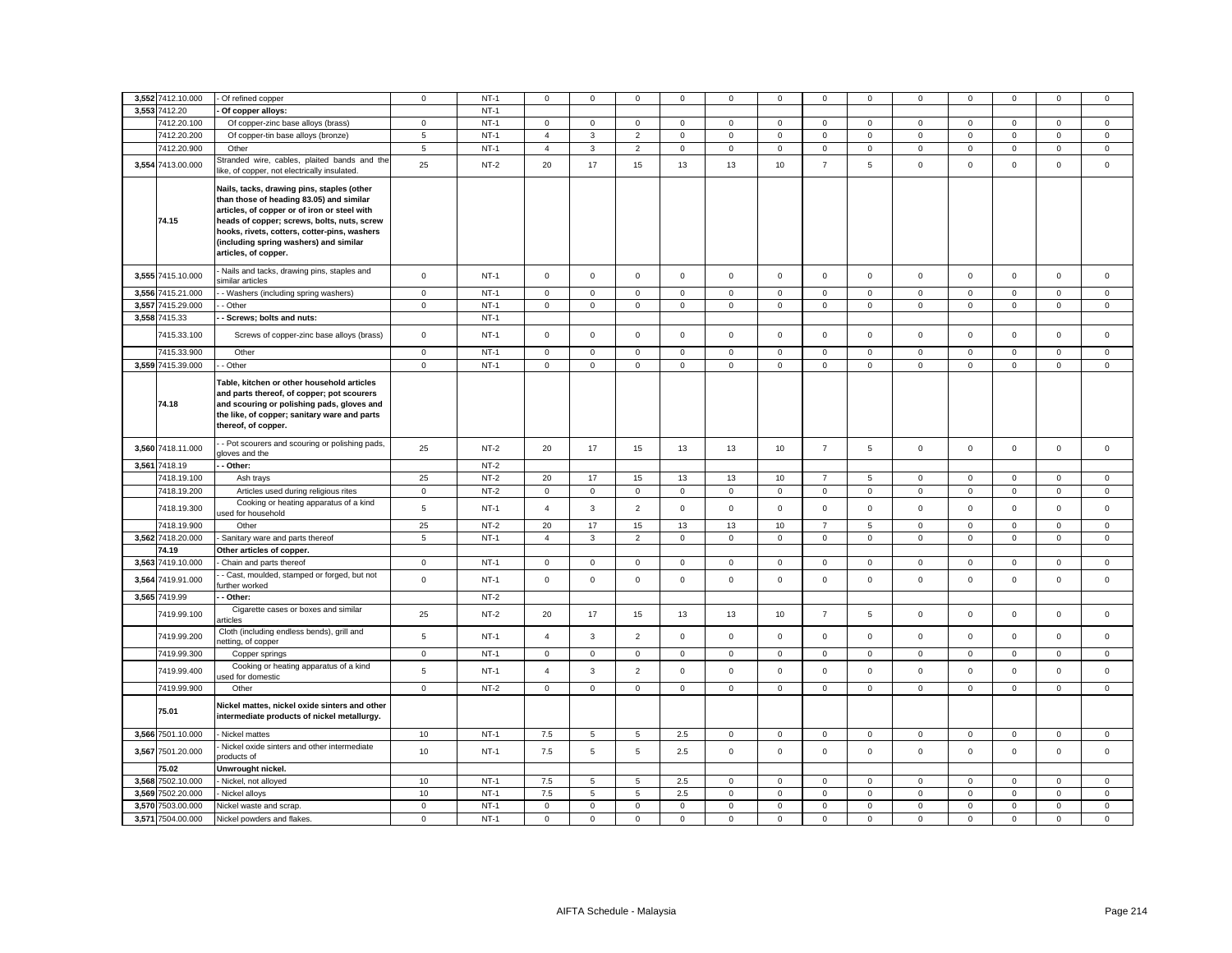| 3,552 7412.10.000                      | Of refined copper                                                                                                                                                                                                                                                                                       | $\mathbf 0$                | $NT-1$           | $\mathbf 0$                | $\mathbf 0$                | $\mathsf 0$                | $\mathbf 0$                | 0                          | $\mathbf 0$                | $\mathbf 0$                | $\mathsf 0$            | 0                          | 0                          | $\Omega$                   | $\mathbf 0$                | $\mathsf 0$                |
|----------------------------------------|---------------------------------------------------------------------------------------------------------------------------------------------------------------------------------------------------------------------------------------------------------------------------------------------------------|----------------------------|------------------|----------------------------|----------------------------|----------------------------|----------------------------|----------------------------|----------------------------|----------------------------|------------------------|----------------------------|----------------------------|----------------------------|----------------------------|----------------------------|
| 3,553 7412.20                          | Of copper alloys:                                                                                                                                                                                                                                                                                       |                            | $NT-1$           |                            |                            |                            |                            |                            |                            |                            |                        |                            |                            |                            |                            |                            |
| 7412.20.100                            | Of copper-zinc base alloys (brass)                                                                                                                                                                                                                                                                      | $\mathbf{0}$               | $NT-1$           | $\mathbf{0}$               | $\mathbf 0$                | $\mathbf{0}$               | $\mathbf{0}$               | $\mathbf 0$                | $\mathbf 0$                | $\mathbf{0}$               | $\mathbf 0$            | $\mathbf{0}$               | $\mathbf 0$                | $\mathbf{0}$               | $\mathbf{0}$               | $\mathbf 0$                |
| 7412.20.200                            | Of copper-tin base alloys (bronze)                                                                                                                                                                                                                                                                      | 5                          | $NT-1$           | $\overline{4}$             | $\mathbf{3}$               | $\overline{2}$             | $\mathsf 0$                | $\mathsf 0$                | $\mathsf 0$                | $\mathsf 0$                | $\mathsf 0$            | $\mathbf 0$                | $\mathsf 0$                | $\mathsf 0$                | $\mathsf 0$                | $\mathsf 0$                |
| 7412.20.900                            | Other                                                                                                                                                                                                                                                                                                   | 5                          | $NT-1$           | $\overline{4}$             | $\mathbf{3}$               | $\overline{2}$             | $\mathsf 0$                | $\mathsf 0$                | $\mathsf 0$                | $\mathbf 0$                | $\mathbf 0$            | $\mathbf 0$                | $\mathsf 0$                | $\mathsf 0$                | $\mathsf 0$                | $\mathsf 0$                |
| 3,554 7413.00.000                      | Stranded wire, cables, plaited bands and the<br>like, of copper, not electrically insulated.                                                                                                                                                                                                            | 25                         | $NT-2$           | 20                         | 17                         | 15                         | 13                         | 13                         | 10                         | $\overline{7}$             | 5                      | $\Omega$                   | $\Omega$                   | $\Omega$                   | $\mathbf 0$                | $\mathbf 0$                |
| 74.15                                  | Nails, tacks, drawing pins, staples (other<br>than those of heading 83.05) and similar<br>articles, of copper or of iron or steel with<br>heads of copper; screws, bolts, nuts, screw<br>hooks, rivets, cotters, cotter-pins, washers<br>(including spring washers) and similar<br>articles, of copper. |                            |                  |                            |                            |                            |                            |                            |                            |                            |                        |                            |                            |                            |                            |                            |
| 3,555 7415.10.000                      | Nails and tacks, drawing pins, staples and<br>similar articles                                                                                                                                                                                                                                          | $\mathsf{o}\xspace$        | $NT-1$           | $\circ$                    | $\mathsf 0$                | $\mathsf 0$                | $\mathsf 0$                | $\mathsf 0$                | $\mathsf 0$                | $\mathsf 0$                | $\mathsf 0$            | $\mathsf 0$                | $\mathsf 0$                | $\mathsf 0$                | $\mathsf 0$                | $\mathsf 0$                |
| 3,556 7415.21.000                      | - Washers (including spring washers)                                                                                                                                                                                                                                                                    | $\mathbf 0$                | $NT-1$           | $\mathbf 0$                | $\mathbf 0$                | $\mathbf 0$                | $\mathbf 0$                | $\mathbf 0$                | $\Omega$                   | $\mathbf 0$                | $\mathbf 0$            | $\mathbf 0$                | $\Omega$                   | $\mathbf 0$                | $\mathsf 0$                | $\mathbf 0$                |
| 3,557 7415.29.000                      | - Other                                                                                                                                                                                                                                                                                                 | $\mathbf 0$                | $NT-1$           | $\mathbf{0}$               | $\mathbf 0$                | $\mathbf 0$                | $\mathbf 0$                | $\mathsf 0$                | $\mathsf 0$                | $\mathbf 0$                | $\mathsf 0$            | $\mathbf{0}$               | $\mathsf 0$                | $\mathbf 0$                | $\mathsf 0$                | $\mathsf 0$                |
| 3,558 7415.33                          | - Screws; bolts and nuts:                                                                                                                                                                                                                                                                               |                            | $NT-1$           |                            |                            |                            |                            |                            |                            |                            |                        |                            |                            |                            |                            |                            |
| 7415.33.100                            | Screws of copper-zinc base alloys (brass)                                                                                                                                                                                                                                                               | $\mathbf 0$                | $NT-1$           | $\mathbf{0}$               | $\mathbf 0$                | $\mathbf 0$                | $\mathbf 0$                | $\mathbf 0$                | $\mathbf 0$                | $\mathbf 0$                | $\mathbf 0$            | $\mathbf 0$                | $\mathbf 0$                | $\mathbf 0$                | $\mathbf 0$                | $\mathbf 0$                |
| 7415.33.900                            | Other                                                                                                                                                                                                                                                                                                   | $\mathsf 0$                | $NT-1$           | $\mathsf 0$                | $\mathsf 0$                | $\mathsf 0$                | $\mathbf 0$                | $\mathsf 0$                | $\mathbf 0$                | $\mathsf 0$                | $\mathsf 0$            | $\mathsf 0$                | $\mathbf 0$                | $\mathsf 0$                | $\mathsf 0$                | $\mathsf 0$                |
| 3,559 7415.39.000                      | - Other                                                                                                                                                                                                                                                                                                 | $\mathbf 0$                | $NT-1$           | $\mathbf{0}$               | $\mathbf 0$                | $\mathsf 0$                | $\mathbf 0$                | 0                          | $\mathbf 0$                | $\mathbf{0}$               | $\mathsf 0$            | $\mathbf{0}$               | $\mathsf 0$                | $\mathbf 0$                | $\mathsf 0$                | $\mathsf 0$                |
| 74.18                                  | Table, kitchen or other household articles<br>and parts thereof, of copper; pot scourers<br>and scouring or polishing pads, gloves and<br>the like, of copper; sanitary ware and parts<br>thereof, of copper.                                                                                           |                            |                  |                            |                            |                            |                            |                            |                            |                            |                        |                            |                            |                            |                            |                            |
| 3,560 7418.11.000                      | - Pot scourers and scouring or polishing pads,<br>jloves and the                                                                                                                                                                                                                                        | 25                         | $NT-2$           | 20                         | 17                         | 15                         | 13                         | 13                         | 10                         | $\overline{7}$             | $5\phantom{.0}$        | $\mathsf 0$                | $\mathsf 0$                | $\mathbf 0$                | $\mathsf 0$                | $\mathsf 0$                |
| 3,561 7418.19                          | Other:                                                                                                                                                                                                                                                                                                  |                            | $NT-2$           |                            |                            |                            |                            |                            |                            |                            |                        |                            |                            |                            |                            |                            |
| 7418.19.100                            | Ash trays                                                                                                                                                                                                                                                                                               | 25                         | $NT-2$           | 20                         | 17                         | 15                         | 13                         | 13                         | 10                         | $\overline{7}$             | 5                      | 0                          | 0                          | $\mathbf 0$                | 0                          | $\mathbf 0$                |
| 7418.19.200                            | Articles used during religious rites                                                                                                                                                                                                                                                                    | $\mathbf 0$                | $NT-2$           | $\mathbf 0$                | $\mathsf 0$                | $\mathsf 0$                | $\mathsf 0$                | $\mathsf 0$                | $\mathbf 0$                | $\mathsf 0$                | $\mathsf 0$            | $\mathsf 0$                | $\mathbf 0$                | $\mathsf 0$                | $\mathbf 0$                | $\mathsf 0$                |
| 7418.19.300                            | Cooking or heating apparatus of a kind<br>used for household                                                                                                                                                                                                                                            | $\sqrt{5}$                 | $NT-1$           | $\overline{4}$             | $\mathbf{3}$               | $\overline{2}$             | $\mathsf 0$                | $\mathsf 0$                | $\mathsf 0$                | $\mathsf 0$                | $\mathsf 0$            | $\mathsf 0$                | $\mathsf 0$                | $\mathsf 0$                | $\mathsf 0$                | $\mathsf 0$                |
| 7418.19.900                            | Other                                                                                                                                                                                                                                                                                                   | 25                         | $NT-2$           | 20                         | 17                         | 15                         | 13                         | 13                         | 10                         | $\overline{7}$             | 5                      | $\mathsf 0$                | $\mathsf 0$                | $\mathbf 0$                | $\mathbf 0$                | $\mathbf 0$                |
| 3,562 7418.20.000                      | Sanitary ware and parts thereof                                                                                                                                                                                                                                                                         | $5\phantom{.0}$            | $NT-1$           | $\overline{4}$             | 3                          | $\overline{2}$             | $\mathbf{0}$               | $\mathbf 0$                | $\mathbf 0$                | $\overline{0}$             | $\mathsf 0$            | $\mathbf 0$                | $\mathbf 0$                | $\mathbf{O}$               | $\mathsf 0$                | $\mathsf 0$                |
| 74.19                                  | Other articles of copper.                                                                                                                                                                                                                                                                               |                            |                  |                            |                            |                            |                            |                            |                            |                            |                        |                            |                            |                            |                            |                            |
| 3,563 7419.10.000                      | Chain and parts thereof                                                                                                                                                                                                                                                                                 | $\mathbf 0$                | $NT-1$           | $\mathbf 0$                | $\mathbf 0$                | $\mathsf 0$                | $\mathsf 0$                | $\mathbf 0$                | $\mathsf 0$                | $\mathbf 0$                | $\mathsf 0$            | $\mathbf 0$                | $\mathsf 0$                | $\mathsf 0$                | $\mathsf 0$                | $\mathsf 0$                |
| 3,564 7419.91.000                      | - Cast, moulded, stamped or forged, but not<br>urther worked                                                                                                                                                                                                                                            | $\mathbf 0$                | $NT-1$           | $\mathbf{0}$               | $\mathbf 0$                | $\mathbf 0$                | $\mathbf 0$                | $\mathbf 0$                | $\Omega$                   | $\mathbf 0$                | $\mathbf 0$            | $\mathbf 0$                | $\mathbf 0$                | $\mathbf 0$                | $\mathbf 0$                | $\mathbf 0$                |
| 3,565 7419.99                          | - Other:                                                                                                                                                                                                                                                                                                |                            | $NT-2$           |                            |                            |                            |                            |                            |                            |                            |                        |                            |                            |                            |                            |                            |
| 7419.99.100                            | Cigarette cases or boxes and similar<br>rticles                                                                                                                                                                                                                                                         | 25                         | $NT-2$           | 20                         | 17                         | 15                         | 13                         | 13                         | 10                         | $\overline{7}$             | 5                      | $\mathbf 0$                | $\mathsf 0$                | $\mathsf 0$                | $\mathsf 0$                | $\mathsf 0$                |
| 7419.99.200                            | Cloth (including endless bends), grill and<br>etting, of copper                                                                                                                                                                                                                                         | $\overline{5}$             | $NT-1$           | $\overline{4}$             | $\mathbf{3}$               | $\overline{2}$             | $\mathsf 0$                | $\mathbf 0$                | $\mathsf 0$                | $\mathsf 0$                | $\mathsf 0$            | $\mathsf 0$                | $\mathsf 0$                | $\mathsf 0$                | $\mathsf 0$                | $\mathsf 0$                |
| 7419.99.300                            | Copper springs                                                                                                                                                                                                                                                                                          | $\mathbf 0$                | $NT-1$           | $\circ$                    | $\mathsf 0$                | $\mathbf 0$                | $\mathbf 0$                | $\mathbf 0$                | $\mathbf 0$                | $\mathbf 0$                | $\mathsf 0$            | $\mathbf 0$                | 0                          | $\mathbf 0$                | $\mathbf 0$                | $\mathbf 0$                |
| 7419.99.400                            | Cooking or heating apparatus of a kind<br>used for domestic                                                                                                                                                                                                                                             | 5                          | $NT-1$           | $\overline{\mathbf{4}}$    | 3                          | $\overline{2}$             | $\mathsf 0$                | $\mathsf 0$                | $\mathsf 0$                | $\mathbf 0$                | $\mathsf 0$            | $\mathsf 0$                | $\mathbf 0$                | $\mathbf 0$                | $\mathsf 0$                | $\mathsf 0$                |
| 7419.99.900                            | Other                                                                                                                                                                                                                                                                                                   | $\mathsf 0$                | $NT-2$           | $\mathsf 0$                | $\mathsf 0$                | $\mathsf 0$                | $\mathsf 0$                | $\mathsf 0$                | $\mathsf 0$                | $\mathsf 0$                | $\mathsf 0$            | $\mathsf 0$                | $\mathbf 0$                | $\mathsf 0$                | $\mathsf 0$                | $\mathsf 0$                |
| 75.01                                  | Nickel mattes, nickel oxide sinters and other<br>intermediate products of nickel metallurgy.                                                                                                                                                                                                            |                            |                  |                            |                            |                            |                            |                            |                            |                            |                        |                            |                            |                            |                            |                            |
| 3,566 7501.10.000                      | Nickel mattes                                                                                                                                                                                                                                                                                           | 10                         | $NT-1$           | 7.5                        | 5                          | 5                          | 2.5                        | $\mathsf 0$                | $\mathsf 0$                | $\mathbf 0$                | $\mathbf 0$            | $\mathsf 0$                | $\mathsf 0$                | $\mathsf 0$                | $\mathsf{O}\xspace$        | $\mathsf 0$                |
| 3,567 7501.20.000                      | Nickel oxide sinters and other intermediate<br>products of                                                                                                                                                                                                                                              | 10                         | $NT-1$           | 7.5                        | 5                          | 5                          | 2.5                        | $\mathsf 0$                | $\mathsf 0$                | $\mathbf 0$                | $\mathsf 0$            | $\mathbf 0$                | $\mathsf 0$                | $\mathsf 0$                | $\mathsf 0$                | $\mathsf 0$                |
| 75.02                                  | Unwrought nickel.                                                                                                                                                                                                                                                                                       |                            |                  |                            |                            |                            |                            |                            |                            |                            |                        |                            |                            |                            |                            |                            |
|                                        |                                                                                                                                                                                                                                                                                                         | 10                         | $NT-1$           | 7.5                        | 5                          | 5                          | 2.5                        | $\mathbf 0$                | $\mathbf 0$                | $\mathbf 0$                | $\mathbf 0$            | $\mathbf{0}$               | $\mathbf 0$                | $\mathbf 0$                | $\mathbf 0$                | $\mathsf 0$                |
| 3,568 7502.10.000                      | Nickel, not alloyed                                                                                                                                                                                                                                                                                     |                            |                  |                            |                            |                            |                            |                            |                            |                            |                        |                            |                            |                            |                            |                            |
| 3,569 7502.20.000                      | Nickel alloys                                                                                                                                                                                                                                                                                           | 10                         | $NT-1$           | 7.5                        | 5                          | 5                          | 2.5                        | $\mathbf 0$                | $\mathsf 0$                | $\mathbf 0$                | $\mathsf 0$            | $\mathbf 0$                | $\mathsf 0$                | $\mathbf 0$                | $\mathbf 0$                | $\mathsf 0$                |
| 3,570 7503.00.000<br>3,571 7504.00.000 | Nickel waste and scrap.<br>Nickel powders and flakes.                                                                                                                                                                                                                                                   | $\mathbf 0$<br>$\mathsf 0$ | $NT-1$<br>$NT-1$ | $\mathsf 0$<br>$\mathsf 0$ | $\mathsf 0$<br>$\mathbf 0$ | $\mathsf 0$<br>$\mathsf 0$ | $\mathsf 0$<br>$\mathbf 0$ | $\mathsf 0$<br>$\mathsf 0$ | $\mathsf 0$<br>$\mathsf 0$ | $\mathsf 0$<br>$\mathbf 0$ | $\,0\,$<br>$\mathsf 0$ | $\mathsf 0$<br>$\mathsf 0$ | $\mathsf 0$<br>$\mathsf 0$ | $\mathsf 0$<br>$\mathbf 0$ | $\mathsf 0$<br>$\mathsf 0$ | $\mathsf 0$<br>$\mathsf 0$ |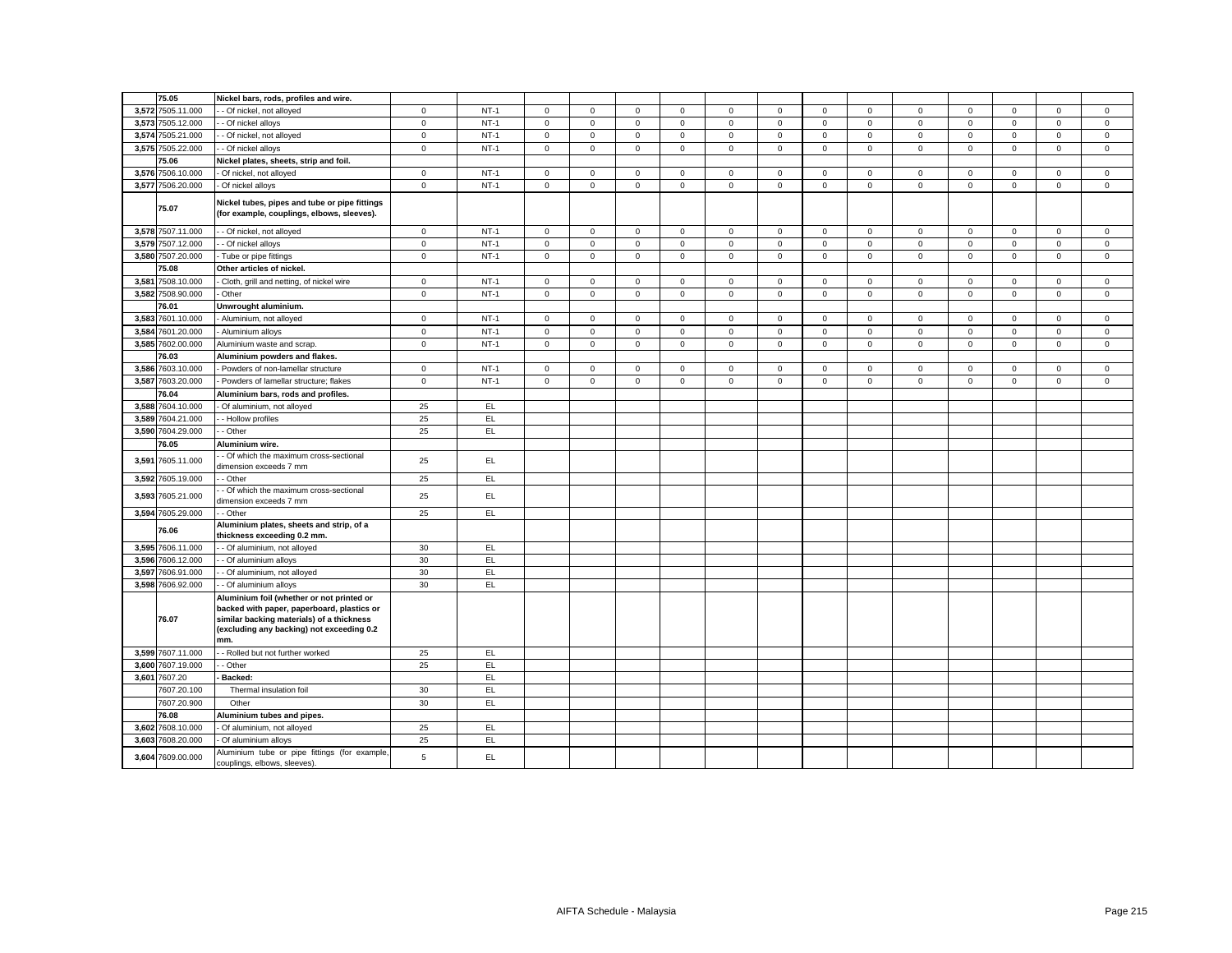|       | 75.05             | Nickel bars, rods, profiles and wire.                                                                                                                                                    |              |        |                     |              |                     |              |              |             |              |              |              |             |              |                     |             |
|-------|-------------------|------------------------------------------------------------------------------------------------------------------------------------------------------------------------------------------|--------------|--------|---------------------|--------------|---------------------|--------------|--------------|-------------|--------------|--------------|--------------|-------------|--------------|---------------------|-------------|
|       | 3.572 7505.11.000 | - Of nickel, not alloyed                                                                                                                                                                 | $\mathbf{0}$ | $NT-1$ | $\mathbf 0$         | $\mathbf{0}$ | $\mathbf{0}$        | $\mathbf{0}$ | $\mathbf 0$  | $\mathbf 0$ | $\mathbf{0}$ | $\mathbf{0}$ | $\mathbf{0}$ | $\mathbf 0$ | $\mathbf 0$  | $\mathbf{0}$        | $\mathbf 0$ |
|       | 3,573 7505.12.000 | - Of nickel alloys                                                                                                                                                                       | $\mathbf 0$  | $NT-1$ | $\mathbf 0$         | $\mathsf 0$  | $\mathsf 0$         | 0            | $\mathbf 0$  | $\mathsf 0$ | $\mathsf 0$  | $\mathbf 0$  | $\mathbf 0$  | $\mathsf 0$ | $\mathsf 0$  | $\mathsf 0$         | $\mathsf 0$ |
|       | 3,574 7505.21.000 | - Of nickel, not alloyed                                                                                                                                                                 | $\mathbf 0$  | $NT-1$ | $\mathbf 0$         | $\mathbf 0$  | $\mathbf 0$         | $\mathbf 0$  | $\mathbf 0$  | $\mathbf 0$ | $\mathbf{0}$ | $\mathbf{0}$ | $\mathbf 0$  | $\mathbf 0$ | $\mathbf 0$  | $\mathbf 0$         | $\mathbf 0$ |
|       | 3,575 7505.22.000 | - Of nickel alloys                                                                                                                                                                       | $\mathbf 0$  | $NT-1$ | $\mathbf 0$         | $\mathsf 0$  | $\mathsf 0$         | $\mathbf 0$  | $\mathbf 0$  | $\mathsf 0$ | $\mathsf 0$  | $\mathbf{0}$ | $\mathsf 0$  | $\mathsf 0$ | $\mathsf 0$  | $\mathbf 0$         | $\mathsf 0$ |
|       | 75.06             | Nickel plates, sheets, strip and foil.                                                                                                                                                   |              |        |                     |              |                     |              |              |             |              |              |              |             |              |                     |             |
|       | 3,576 7506.10.000 | Of nickel, not alloyed                                                                                                                                                                   | $\mathbf 0$  | $NT-1$ | $\mathbf 0$         | $\mathbf 0$  | $\mathsf{O}\xspace$ | $\mathbf 0$  | $\mathsf 0$  | $\mathsf 0$ | $\mathbf 0$  | $\mathbf 0$  | $\mathbf 0$  | $\mathsf 0$ | $\mathsf 0$  | $\mathsf{O}\xspace$ | $\mathsf 0$ |
|       | 3,577 7506.20.000 | Of nickel alloys                                                                                                                                                                         | $\mathbf 0$  | $NT-1$ | $\mathbf 0$         | $\mathbf 0$  | $\mathbf 0$         | $\mathbf 0$  | $\mathbf 0$  | $\mathbf 0$ | $\mathbf{0}$ | $\mathbf{0}$ | $\mathbf{0}$ | $\mathbf 0$ | $\mathbf 0$  | $\mathbf 0$         | $\mathbf 0$ |
|       |                   |                                                                                                                                                                                          |              |        |                     |              |                     |              |              |             |              |              |              |             |              |                     |             |
|       | 75.07             | Nickel tubes, pipes and tube or pipe fittings<br>(for example, couplings, elbows, sleeves).                                                                                              |              |        |                     |              |                     |              |              |             |              |              |              |             |              |                     |             |
|       | 3,578 7507.11.000 | - Of nickel, not alloyed                                                                                                                                                                 | $\mathbf 0$  | $NT-1$ | 0                   | $\mathsf 0$  | $\mathsf 0$         | $\mathbf 0$  | 0            | $\mathbf 0$ | $\mathbf 0$  | $\mathbf{0}$ | $\mathsf 0$  | $\mathbf 0$ | $\mathsf 0$  | $\mathbf 0$         | $\mathbf 0$ |
|       | 3,579 7507.12.000 | - Of nickel alloys                                                                                                                                                                       | $\mathsf 0$  | $NT-1$ | $\mathbf 0$         | $\mathsf 0$  | $\mathsf 0$         | $\mathbf 0$  | $\mathbf 0$  | $\mathsf 0$ | $\mathsf 0$  | $\mathbf{0}$ | $\mathsf 0$  | $\mathbf 0$ | $\mathsf 0$  | $\mathsf 0$         | $\mathsf 0$ |
|       | 3,580 7507.20.000 | Tube or pipe fittings                                                                                                                                                                    | $\mathbf 0$  | $NT-1$ | $\mathbf 0$         | $\mathbf 0$  | $\mathsf 0$         | $\mathbf 0$  | $\mathsf 0$  | $\mathsf 0$ | $\mathbf 0$  | $\mathbf 0$  | $\mathsf 0$  | $\mathbf 0$ | $\mathbf 0$  | $\mathsf 0$         | $\mathbf 0$ |
|       | 75.08             | Other articles of nickel.                                                                                                                                                                |              |        |                     |              |                     |              |              |             |              |              |              |             |              |                     |             |
|       | 3,581 7508.10.000 | Cloth, grill and netting, of nickel wire                                                                                                                                                 | $\mathbf 0$  | $NT-1$ | 0                   | $\mathsf 0$  | $\mathsf 0$         | $\mathsf 0$  | $\mathsf 0$  | $\mathbf 0$ | $\mathbf 0$  | $\mathsf 0$  | $\mathsf 0$  | $\mathbf 0$ | $\mathbf 0$  | $\mathsf 0$         | $\mathbf 0$ |
|       | 3,582 7508.90.000 | Other                                                                                                                                                                                    | $\mathsf 0$  | $NT-1$ | $\mathsf{O}\xspace$ | $\mathsf{O}$ | $\mathsf 0$         | $\mathsf 0$  | $\mathbf 0$  | $\mathsf 0$ | $\mathsf 0$  | $\mathbf 0$  | $\mathsf 0$  | $\mathsf 0$ | $\mathsf 0$  | $\mathsf 0$         | $\mathsf 0$ |
|       | 76.01             | Unwrought aluminium.                                                                                                                                                                     |              |        |                     |              |                     |              |              |             |              |              |              |             |              |                     |             |
|       | 3,583 7601.10.000 | Aluminium, not alloyed                                                                                                                                                                   | $\mathbf 0$  | $NT-1$ | $\mathbf 0$         | $\mathbf 0$  | $\mathsf 0$         | $\mathbf 0$  | $\mathbf 0$  | $\mathbf 0$ | $\mathbf 0$  | $\mathbf{0}$ | $\mathbf 0$  | $\mathbf 0$ | $\mathbf{0}$ | $\mathbf 0$         | $\mathsf 0$ |
| 3,584 | 7601.20.000       | Aluminium alloys                                                                                                                                                                         | $\mathsf 0$  | $NT-1$ | $\mathbf 0$         | $\mathsf 0$  | $\mathsf 0$         | $\mathbf 0$  | $\mathsf 0$  | $\mathsf 0$ | $\mathsf 0$  | $\mathsf 0$  | $\mathsf 0$  | $\mathsf 0$ | $\mathbf 0$  | $\mathsf 0$         | $\mathsf 0$ |
|       | 3,585 7602.00.000 | Aluminium waste and scrap.                                                                                                                                                               | $\mathsf 0$  | $NT-1$ | $\mathbf{0}$        | $\mathsf{O}$ | $\mathsf 0$         | $\mathbf 0$  | $\mathbf{0}$ | $\mathsf 0$ | $\mathsf 0$  | $\mathbf 0$  | $\mathsf 0$  | $\mathsf 0$ | $\mathbf 0$  | $\mathbf 0$         | $\mathsf 0$ |
|       | 76.03             | Aluminium powders and flakes.                                                                                                                                                            |              |        |                     |              |                     |              |              |             |              |              |              |             |              |                     |             |
|       | 3,586 7603.10.000 | Powders of non-lamellar structure                                                                                                                                                        | $\mathbf 0$  | $NT-1$ | $\mathbf 0$         | $\circ$      | $\mathbf 0$         | $\mathbf 0$  | $\mathbf 0$  | $\mathbf 0$ | $\mathbf{O}$ | $\mathbf{0}$ | $\mathbf 0$  | $\mathbf 0$ | $\mathbf 0$  | $\mathbf 0$         | $\mathbf 0$ |
|       | 3,587 7603.20.000 | Powders of lamellar structure; flakes                                                                                                                                                    | $\mathsf 0$  | $NT-1$ | $\mathbf 0$         | $\mathsf 0$  | $\mathsf 0$         | $\mathsf 0$  | $\mathbf 0$  | $\mathsf 0$ | $\mathsf 0$  | $\mathbf{0}$ | $\mathsf 0$  | $\mathbf 0$ | $\mathsf 0$  | $\mathsf 0$         | $\mathsf 0$ |
|       | 76.04             | Aluminium bars, rods and profiles.                                                                                                                                                       |              |        |                     |              |                     |              |              |             |              |              |              |             |              |                     |             |
|       | 3,588 7604.10.000 | Of aluminium, not alloyed                                                                                                                                                                | 25           | EL     |                     |              |                     |              |              |             |              |              |              |             |              |                     |             |
|       | 3.589 7604.21.000 | - Hollow profiles                                                                                                                                                                        | 25           | EL.    |                     |              |                     |              |              |             |              |              |              |             |              |                     |             |
|       | 3,590 7604.29.000 | - Other                                                                                                                                                                                  | 25           | EL     |                     |              |                     |              |              |             |              |              |              |             |              |                     |             |
|       | 76.05             | Aluminium wire.                                                                                                                                                                          |              |        |                     |              |                     |              |              |             |              |              |              |             |              |                     |             |
| 3,591 | 7605.11.000       | Of which the maximum cross-sectional<br>dimension exceeds 7 mm                                                                                                                           | 25           | EL.    |                     |              |                     |              |              |             |              |              |              |             |              |                     |             |
|       | 3,592 7605.19.000 | - Other                                                                                                                                                                                  | 25           | EL     |                     |              |                     |              |              |             |              |              |              |             |              |                     |             |
|       | 3,593 7605.21.000 | Of which the maximum cross-sectional<br>dimension exceeds 7 mm                                                                                                                           | 25           | EL     |                     |              |                     |              |              |             |              |              |              |             |              |                     |             |
|       | 3,594 7605.29.000 | - Other                                                                                                                                                                                  | 25           | EL.    |                     |              |                     |              |              |             |              |              |              |             |              |                     |             |
|       | 76.06             | Aluminium plates, sheets and strip, of a<br>thickness exceeding 0.2 mm.                                                                                                                  |              |        |                     |              |                     |              |              |             |              |              |              |             |              |                     |             |
|       | 3,595 7606.11.000 | - Of aluminium, not alloyed                                                                                                                                                              | 30           | EL     |                     |              |                     |              |              |             |              |              |              |             |              |                     |             |
|       | 3,596 7606.12.000 | - Of aluminium alloys                                                                                                                                                                    | 30           | EL     |                     |              |                     |              |              |             |              |              |              |             |              |                     |             |
|       | 3,597 7606.91.000 | - Of aluminium, not alloyed                                                                                                                                                              | 30           | EL     |                     |              |                     |              |              |             |              |              |              |             |              |                     |             |
|       | 3,598 7606.92.000 | - Of aluminium alloys                                                                                                                                                                    | 30           | EL.    |                     |              |                     |              |              |             |              |              |              |             |              |                     |             |
|       | 76.07             | Aluminium foil (whether or not printed or<br>backed with paper, paperboard, plastics or<br>similar backing materials) of a thickness<br>(excluding any backing) not exceeding 0.2<br>mm. |              |        |                     |              |                     |              |              |             |              |              |              |             |              |                     |             |
|       | 3,599 7607.11.000 | - Rolled but not further worked                                                                                                                                                          | 25           | EL     |                     |              |                     |              |              |             |              |              |              |             |              |                     |             |
|       | 3,600 7607.19.000 | - Other                                                                                                                                                                                  | 25           | EL     |                     |              |                     |              |              |             |              |              |              |             |              |                     |             |
|       | 3,601 7607.20     | Backed:                                                                                                                                                                                  |              | EL     |                     |              |                     |              |              |             |              |              |              |             |              |                     |             |
|       | 7607.20.100       | Thermal insulation foil                                                                                                                                                                  | 30           | EL.    |                     |              |                     |              |              |             |              |              |              |             |              |                     |             |
|       | 7607.20.900       | Other                                                                                                                                                                                    | 30           | EL     |                     |              |                     |              |              |             |              |              |              |             |              |                     |             |
|       | 76.08             | Aluminium tubes and pipes.                                                                                                                                                               |              |        |                     |              |                     |              |              |             |              |              |              |             |              |                     |             |
|       | 3,602 7608.10.000 | Of aluminium, not alloyed                                                                                                                                                                | 25           | EL.    |                     |              |                     |              |              |             |              |              |              |             |              |                     |             |
|       | 3,603 7608.20.000 | Of aluminium alloys                                                                                                                                                                      | 25           | EL.    |                     |              |                     |              |              |             |              |              |              |             |              |                     |             |
|       | 3,604 7609.00.000 | Aluminium tube or pipe fittings (for example,<br>couplings, elbows, sleeves).                                                                                                            | $\,$ 5 $\,$  | EL.    |                     |              |                     |              |              |             |              |              |              |             |              |                     |             |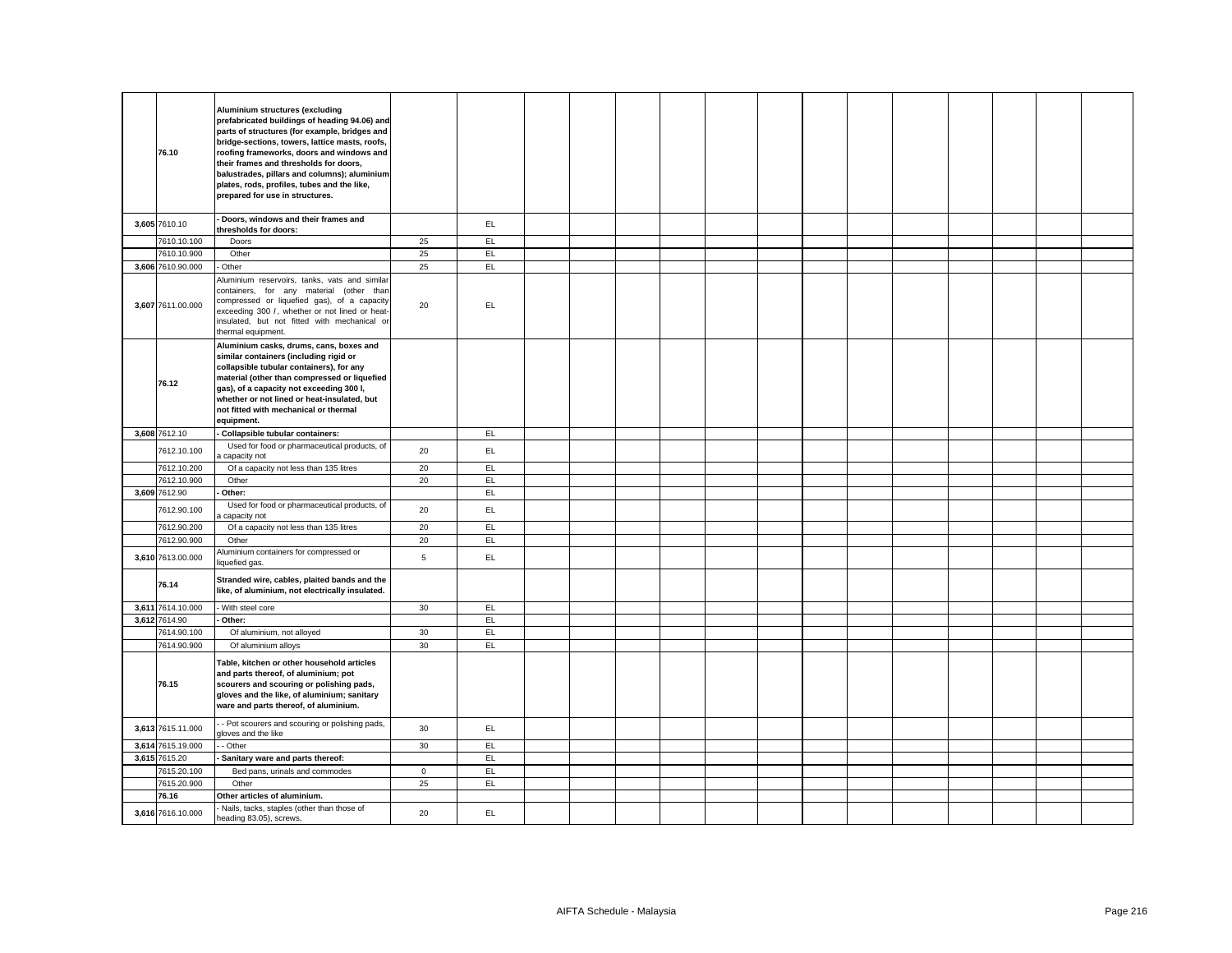| 76.10             | Aluminium structures (excluding<br>prefabricated buildings of heading 94.06) and<br>parts of structures (for example, bridges and<br>bridge-sections, towers, lattice masts, roofs,<br>roofing frameworks, doors and windows and<br>their frames and thresholds for doors,<br>balustrades, pillars and columns); aluminium<br>plates, rods, profiles, tubes and the like,<br>prepared for use in structures. |                |     |  |  |  |  |  |  |  |
|-------------------|--------------------------------------------------------------------------------------------------------------------------------------------------------------------------------------------------------------------------------------------------------------------------------------------------------------------------------------------------------------------------------------------------------------|----------------|-----|--|--|--|--|--|--|--|
| 3,605 7610.10     | Doors, windows and their frames and<br>thresholds for doors:                                                                                                                                                                                                                                                                                                                                                 |                | EL  |  |  |  |  |  |  |  |
| 7610.10.100       | Doors                                                                                                                                                                                                                                                                                                                                                                                                        | 25             | EL  |  |  |  |  |  |  |  |
| 7610.10.900       | Other                                                                                                                                                                                                                                                                                                                                                                                                        | 25             | EL  |  |  |  |  |  |  |  |
| 3,606 7610.90.000 | Other                                                                                                                                                                                                                                                                                                                                                                                                        | 25             | EL  |  |  |  |  |  |  |  |
| 3,607 7611.00.000 | Aluminium reservoirs, tanks, vats and similar<br>containers, for any material (other than<br>compressed or liquefied gas), of a capacity<br>exceeding 300 /, whether or not lined or heat-<br>insulated, but not fitted with mechanical or<br>thermal equipment.                                                                                                                                             | 20             | EL  |  |  |  |  |  |  |  |
| 76.12             | Aluminium casks, drums, cans, boxes and<br>similar containers (including rigid or<br>collapsible tubular containers), for any<br>material (other than compressed or liquefied<br>gas), of a capacity not exceeding 300 I,<br>whether or not lined or heat-insulated, but<br>not fitted with mechanical or thermal<br>equipment.                                                                              |                |     |  |  |  |  |  |  |  |
| 3,608 7612.10     | Collapsible tubular containers:                                                                                                                                                                                                                                                                                                                                                                              |                | EL. |  |  |  |  |  |  |  |
| 7612.10.100       | Used for food or pharmaceutical products, of<br>capacity not                                                                                                                                                                                                                                                                                                                                                 | 20             | EL  |  |  |  |  |  |  |  |
| 7612.10.200       | Of a capacity not less than 135 litres                                                                                                                                                                                                                                                                                                                                                                       | 20             | EL. |  |  |  |  |  |  |  |
| 7612.10.900       | Other                                                                                                                                                                                                                                                                                                                                                                                                        | 20             | EL. |  |  |  |  |  |  |  |
| 3,609 7612.90     | Other:                                                                                                                                                                                                                                                                                                                                                                                                       |                | EL  |  |  |  |  |  |  |  |
| 7612.90.100       | Used for food or pharmaceutical products, of<br>capacity not                                                                                                                                                                                                                                                                                                                                                 | 20             | EL. |  |  |  |  |  |  |  |
| 7612.90.200       | Of a capacity not less than 135 litres                                                                                                                                                                                                                                                                                                                                                                       | 20             | EL. |  |  |  |  |  |  |  |
| 7612.90.900       | Other                                                                                                                                                                                                                                                                                                                                                                                                        | 20             | EL. |  |  |  |  |  |  |  |
| 3,610 7613.00.000 | Aluminium containers for compressed or<br>liquefied gas.                                                                                                                                                                                                                                                                                                                                                     | $\overline{5}$ | EL. |  |  |  |  |  |  |  |
| 76.14             | Stranded wire, cables, plaited bands and the<br>like, of aluminium, not electrically insulated.                                                                                                                                                                                                                                                                                                              |                |     |  |  |  |  |  |  |  |
| 3,611 7614.10.000 | With steel core                                                                                                                                                                                                                                                                                                                                                                                              | 30             | EL. |  |  |  |  |  |  |  |
| 3,612 7614.90     | Other:                                                                                                                                                                                                                                                                                                                                                                                                       |                | EL  |  |  |  |  |  |  |  |
| 7614.90.100       | Of aluminium, not alloyed                                                                                                                                                                                                                                                                                                                                                                                    | 30             | EL  |  |  |  |  |  |  |  |
| 7614.90.900       | Of aluminium alloys<br>Table, kitchen or other household articles                                                                                                                                                                                                                                                                                                                                            | 30             | EL. |  |  |  |  |  |  |  |
| 76.15             | and parts thereof, of aluminium; pot<br>scourers and scouring or polishing pads,<br>gloves and the like, of aluminium; sanitary<br>ware and parts thereof, of aluminium.                                                                                                                                                                                                                                     |                |     |  |  |  |  |  |  |  |
| 3,613 7615.11.000 | - Pot scourers and scouring or polishing pads,<br>gloves and the like                                                                                                                                                                                                                                                                                                                                        | 30             | EL  |  |  |  |  |  |  |  |
| 3,614 7615.19.000 | - Other                                                                                                                                                                                                                                                                                                                                                                                                      | 30             | EL  |  |  |  |  |  |  |  |
| 3,615 7615.20     | Sanitary ware and parts thereof:                                                                                                                                                                                                                                                                                                                                                                             |                | EL  |  |  |  |  |  |  |  |
| 7615.20.100       | Bed pans, urinals and commodes                                                                                                                                                                                                                                                                                                                                                                               | $\circ$        | EL. |  |  |  |  |  |  |  |
| 7615.20.900       | Other                                                                                                                                                                                                                                                                                                                                                                                                        | 25             | EL. |  |  |  |  |  |  |  |
| 76.16             | Other articles of aluminium.                                                                                                                                                                                                                                                                                                                                                                                 |                |     |  |  |  |  |  |  |  |
| 3,616 7616.10.000 | Nails, tacks, staples (other than those of<br>heading 83.05), screws,                                                                                                                                                                                                                                                                                                                                        | 20             | EL. |  |  |  |  |  |  |  |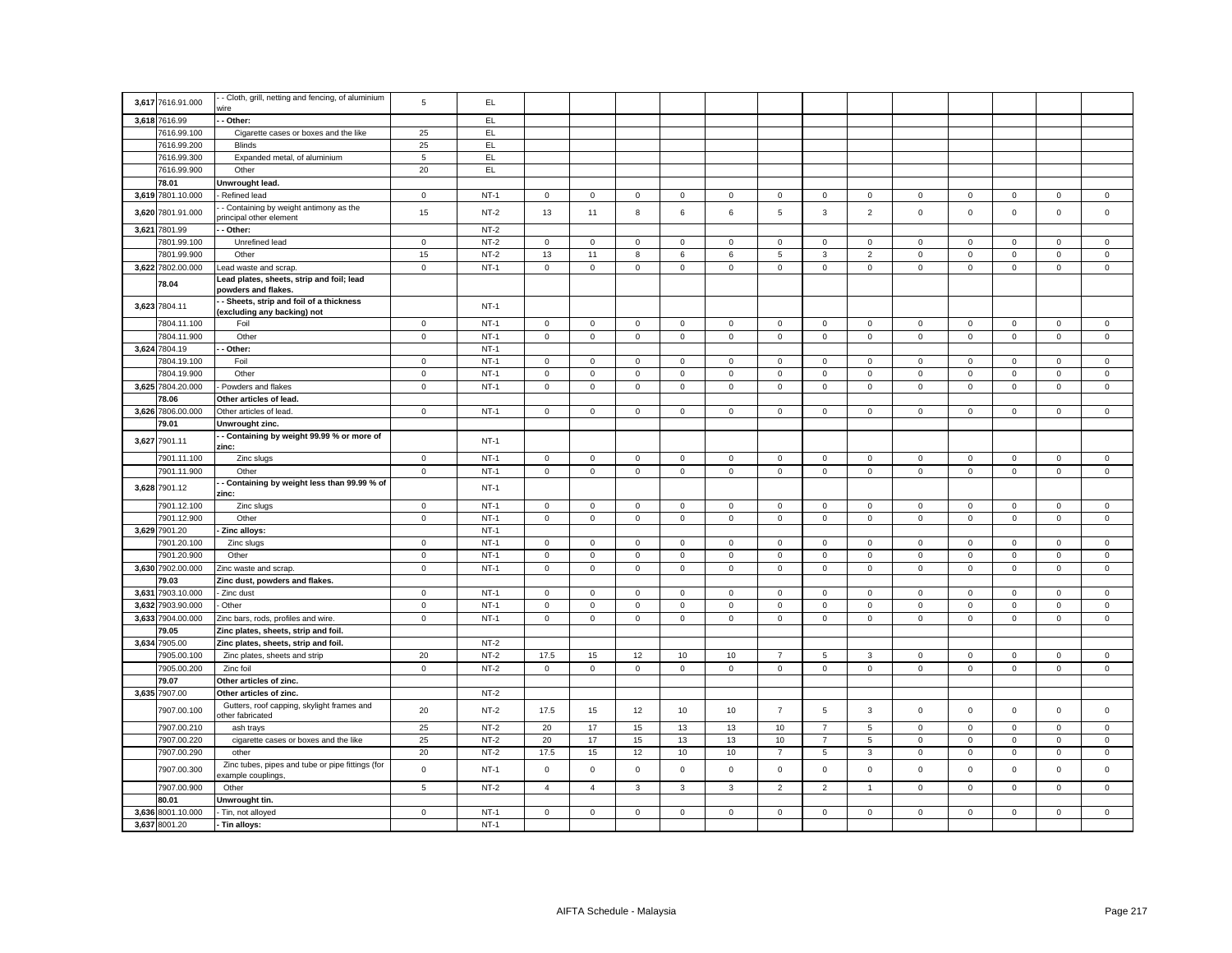|       | 3,617 7616.91.000 | - Cloth, grill, netting and fencing, of aluminium                      | 5            | EL.    |                     |                     |              |              |              |                     |                |                |              |              |              |                     |             |
|-------|-------------------|------------------------------------------------------------------------|--------------|--------|---------------------|---------------------|--------------|--------------|--------------|---------------------|----------------|----------------|--------------|--------------|--------------|---------------------|-------------|
|       |                   | vire                                                                   |              |        |                     |                     |              |              |              |                     |                |                |              |              |              |                     |             |
|       | 3,618 7616.99     | - Other:                                                               |              | EL.    |                     |                     |              |              |              |                     |                |                |              |              |              |                     |             |
|       | 7616.99.100       | Cigarette cases or boxes and the like                                  | 25           | EL     |                     |                     |              |              |              |                     |                |                |              |              |              |                     |             |
|       | 7616.99.200       | <b>Blinds</b>                                                          | 25           | EL     |                     |                     |              |              |              |                     |                |                |              |              |              |                     |             |
|       | 7616.99.300       | Expanded metal, of aluminium                                           | 5            | EL     |                     |                     |              |              |              |                     |                |                |              |              |              |                     |             |
|       | 7616.99.900       | Other                                                                  | 20           | EL     |                     |                     |              |              |              |                     |                |                |              |              |              |                     |             |
|       | 78.01             | Unwrought lead.                                                        |              |        |                     |                     |              |              |              |                     |                |                |              |              |              |                     |             |
|       | 3,619 7801.10.000 | Refined lead                                                           | $\mathbf 0$  | $NT-1$ | $\mathsf 0$         | $\mathbf 0$         | $\mathsf 0$  | 0            | $\mathbf 0$  | $\mathbf 0$         | $\mathbf 0$    | $\mathbf 0$    | 0            | 0            | 0            | $\mathsf 0$         | $\mathbf 0$ |
| 3,620 | 7801.91.000       | - Containing by weight antimony as the<br>principal other element      | 15           | $NT-2$ | 13                  | 11                  | 8            | 6            | 6            | 5                   | $\mathbf{3}$   | $\overline{2}$ | $\mathbf 0$  | $\mathbf 0$  | $\mathbf 0$  | $\mathbf 0$         | $\mathsf 0$ |
|       | 3,621 7801.99     | - Other:                                                               |              | $NT-2$ |                     |                     |              |              |              |                     |                |                |              |              |              |                     |             |
|       | 7801.99.100       | Unrefined lead                                                         | $\mathsf 0$  | $NT-2$ | $\mathsf 0$         | $\mathbf 0$         | $\mathsf 0$  | 0            | $\mathsf 0$  | $\mathbf 0$         | $\mathbf 0$    | $\mathbf 0$    | $\mathbf 0$  | 0            | $\Omega$     | 0                   | $\mathsf 0$ |
|       | 7801.99.900       | Other                                                                  | 15           | $NT-2$ | 13                  | 11                  | 8            | 6            | $\,6\,$      | 5                   | $\mathbf{3}$   | $\overline{2}$ | $\mathsf 0$  | $\mathsf 0$  | $\mathsf 0$  | $\mathsf{O}\xspace$ | $\mathsf 0$ |
|       | 3,622 7802.00.000 | ead waste and scrap.                                                   | $\mathsf 0$  | $NT-1$ | 0                   | $\mathsf 0$         | $\mathsf 0$  | 0            | $\mathsf 0$  | $\mathsf 0$         | $\mathbf 0$    | $\mathsf 0$    | $\mathbf 0$  | $\mathsf 0$  | $\mathbf 0$  | $\mathsf 0$         | $\mathsf 0$ |
|       | 78.04             | Lead plates, sheets, strip and foil; lead<br>powders and flakes        |              |        |                     |                     |              |              |              |                     |                |                |              |              |              |                     |             |
|       | 3,623 7804.11     | - Sheets, strip and foil of a thickness<br>(excluding any backing) not |              | $NT-1$ |                     |                     |              |              |              |                     |                |                |              |              |              |                     |             |
|       | 7804.11.100       | Foil                                                                   | $\mathbf{0}$ | $NT-1$ | $\mathbf{0}$        | $\mathbf{0}$        | $\mathbf 0$  | $\mathbf{0}$ | $\mathbf{0}$ | $\mathbf{0}$        | $\mathbf 0$    | $\mathbf 0$    | $\mathbf{0}$ | $\mathbf{0}$ | $\mathbf 0$  | $\mathbf{0}$        | $\mathbf 0$ |
|       | 7804.11.900       | Other                                                                  | $\mathbf 0$  | $NT-1$ | $\mathbf{0}$        | $\mathbf 0$         | $\mathsf 0$  | $\mathbf 0$  | $\circ$      | $\mathbf 0$         | $\mathbf 0$    | $\mathbf 0$    | $\mathbf 0$  | $\mathbf 0$  | $\mathbf{0}$ | $\mathbf 0$         | $\mathsf 0$ |
|       | 3,624 7804.19     | Other:                                                                 |              | $NT-1$ |                     |                     |              |              |              |                     |                |                |              |              |              |                     |             |
|       | 7804.19.100       | Foil                                                                   | $\mathbf 0$  | $NT-1$ | $\mathbf{0}$        | $\mathbf{0}$        | $\mathsf 0$  | $\mathbf 0$  | $\mathbf 0$  | $\mathbf 0$         | $\mathbf 0$    | $\mathbf 0$    | $\mathbf 0$  | 0            | $\mathbf 0$  | 0                   | $\mathbf 0$ |
|       | 7804.19.900       | Other                                                                  | $\mathsf 0$  | $NT-1$ | $\mathsf 0$         | $\mathsf 0$         | $\mathsf 0$  | $\mathbf 0$  | $\circ$      | $\mathbf 0$         | $\mathbf 0$    | $\mathbf 0$    | $\mathbf 0$  | $\mathbf 0$  | $\mathsf 0$  | $\mathbf 0$         | $\mathbf 0$ |
|       | 3,625 7804.20.000 | Powders and flakes                                                     | $\mathsf 0$  | $NT-1$ | $\mathsf 0$         | $\mathbf 0$         | $\mathsf 0$  | $\Omega$     | $\mathbf 0$  | $\mathbf 0$         | $\mathbf 0$    | $\mathbf 0$    | $\mathbf 0$  | $\mathsf 0$  | $\mathbf 0$  | $\mathbf 0$         | $\mathsf 0$ |
|       | 78.06             | Other articles of lead.                                                |              |        |                     |                     |              |              |              |                     |                |                |              |              |              |                     |             |
|       | 3,626 7806.00.000 | Other articles of lead.                                                | $\mathsf 0$  | $NT-1$ | $\mathsf 0$         | $\mathbf 0$         | $\mathsf 0$  | $\mathbf 0$  | $\mathsf 0$  | $\mathbf 0$         | $\mathbf 0$    | $\mathbf 0$    | $\mathbf 0$  | $\mathsf 0$  | $\mathbf 0$  | $\mathbf 0$         | $\mathsf 0$ |
|       | 79.01             | Unwrought zinc.                                                        |              |        |                     |                     |              |              |              |                     |                |                |              |              |              |                     |             |
|       | 3,627 7901.11     | - Containing by weight 99.99 % or more of<br>zinc:                     |              | $NT-1$ |                     |                     |              |              |              |                     |                |                |              |              |              |                     |             |
|       | 7901.11.100       | Zinc slugs                                                             | $\mathbf 0$  | $NT-1$ | $\mathsf 0$         | $\mathsf 0$         | $\mathsf 0$  | $\mathbf 0$  | $\mathbf 0$  | $\mathsf 0$         | $\mathbf 0$    | $\mathbf 0$    | $\mathsf 0$  | $\mathsf 0$  | $\mathsf 0$  | $\mathsf 0$         | $\mathsf 0$ |
|       | 7901.11.900       | Other                                                                  | $\mathsf 0$  | $NT-1$ | $\mathbf{0}$        | $\mathsf 0$         | $\mathsf 0$  | $\mathbf 0$  | $\mathbf 0$  | $\mathsf 0$         | $\mathbf 0$    | $\mathbf{0}$   | $\mathbf 0$  | $\mathbf 0$  | $\mathbf 0$  | $\mathbf 0$         | $\mathsf 0$ |
|       | 3,628 7901.12     | - Containing by weight less than 99.99 % of<br>zinc:                   |              | $NT-1$ |                     |                     |              |              |              |                     |                |                |              |              |              |                     |             |
|       | 7901.12.100       | Zinc slugs                                                             | $\mathbf 0$  | $NT-1$ | $\mathsf 0$         | $\mathbf{0}$        | $\mathsf 0$  | $\mathbf 0$  | $\circ$      | $\mathbf 0$         | $\mathbf 0$    | $\mathbf 0$    | $\mathbf{0}$ | $\mathbf 0$  | $\mathbf{0}$ | $\mathbf 0$         | $\mathsf 0$ |
|       | 7901.12.900       | Other                                                                  | $\mathbf 0$  | $NT-1$ | $\circ$             | $\mathbf 0$         | $\mathbf 0$  | $\mathbf 0$  | $\mathbf 0$  | $\mathbf 0$         | $\mathbf 0$    | $\mathbf 0$    | $\mathbf 0$  | $\mathbf 0$  | $\mathbf 0$  | $\mathbf 0$         | $\mathbf 0$ |
|       | 3,629 7901.20     | Zinc alloys:                                                           |              | $NT-1$ |                     |                     |              |              |              |                     |                |                |              |              |              |                     |             |
|       | 7901.20.100       | Zinc slugs                                                             | $\mathbf 0$  | $NT-1$ | $\mathsf 0$         | $\mathbf 0$         | $\mathsf 0$  | $\mathbf{0}$ | $\circ$      | $\mathsf 0$         | $\mathbf 0$    | $\mathbf 0$    | $\mathsf 0$  | $\mathsf 0$  | $\mathsf 0$  | $\mathbf 0$         | $\mathbf 0$ |
|       | 7901.20.900       | Other                                                                  | $\mathsf 0$  | $NT-1$ | $\mathsf 0$         | $\mathbf 0$         | $\mathsf 0$  | $\mathbf 0$  | $\mathbf 0$  | $\mathsf 0$         | $\mathbf 0$    | $\mathsf 0$    | $\mathbf 0$  | $\mathsf 0$  | $\mathbf 0$  | $\mathbf 0$         | $\mathbf 0$ |
|       | 3,630 7902.00.000 | Zinc waste and scrap.                                                  | $\mathbf 0$  | $NT-1$ | $\mathsf 0$         | $\mathsf 0$         | $\mathsf 0$  | $\mathbf 0$  | $\mathbf 0$  | $\mathbf 0$         | $\mathsf 0$    | $\mathsf 0$    | $\mathsf 0$  | $\mathbf 0$  | $\mathbf 0$  | 0                   | $\mathbf 0$ |
|       | 79.03             | Zinc dust, powders and flakes.                                         |              |        |                     |                     |              |              |              |                     |                |                |              |              |              |                     |             |
| 3,631 | 7903.10.000       | Zinc dust                                                              | $\mathbf 0$  | $NT-1$ | $\mathsf 0$         | $\mathsf 0$         | $\mathsf 0$  | $\mathbf 0$  | $\mathbf 0$  | $\mathbf 0$         | $\mathbf 0$    | $\mathbf 0$    | $\mathsf 0$  | $\mathbf 0$  | $\mathbf 0$  | $\mathsf 0$         | $\mathbf 0$ |
|       | 3,632 7903.90.000 | Other                                                                  | $\mathbf 0$  | $NT-1$ | 0                   | $\mathbf 0$         | $\mathsf 0$  | $\Omega$     | $\mathsf 0$  | 0                   | $\mathbf{0}$   | 0              | 0            | 0            | $\mathbf 0$  | $\mathsf 0$         | $\mathbf 0$ |
|       | 3,633 7904.00.000 | Zinc bars, rods, profiles and wire.                                    | $\mathbf 0$  | $NT-1$ | $\mathsf{O}\xspace$ | $\mathsf{O}\xspace$ | $\mathsf 0$  | $\mathsf 0$  | $\mathsf 0$  | $\mathsf{O}\xspace$ | $\mathsf 0$    | $\mathsf 0$    | $\mathsf 0$  | $\mathsf 0$  | $\mathbf 0$  | $\mathsf{O}\xspace$ | $\mathsf 0$ |
|       | 79.05             | Zinc plates, sheets, strip and foil.                                   |              |        |                     |                     |              |              |              |                     |                |                |              |              |              |                     |             |
|       | 3,634 7905.00     | Zinc plates, sheets, strip and foil.                                   |              | $NT-2$ |                     |                     |              |              |              |                     |                |                |              |              |              |                     |             |
|       | 7905.00.100       | Zinc plates, sheets and strip                                          | 20           | $NT-2$ | 17.5                | 15                  | 12           | 10           | 10           | $\overline{7}$      | 5              | 3              | $\mathbf 0$  | 0            | 0            | $\mathsf 0$         | $\mathbf 0$ |
|       | 7905.00.200       | Zinc foil                                                              | $\mathsf 0$  | $NT-2$ | $\mathsf 0$         | $\mathsf 0$         | $\mathsf 0$  | $\mathsf 0$  | $\mathsf 0$  | $\mathsf 0$         | $\mathsf 0$    | $\mathbf 0$    | $\mathbf 0$  | $\mathsf 0$  | $\mathsf 0$  | $\mathsf 0$         | $\mathsf 0$ |
|       | 79.07             | Other articles of zinc.                                                |              |        |                     |                     |              |              |              |                     |                |                |              |              |              |                     |             |
|       | 3,635 7907.00     | Other articles of zinc.                                                |              | $NT-2$ |                     |                     |              |              |              |                     |                |                |              |              |              |                     |             |
|       | 7907.00.100       | Gutters, roof capping, skylight frames and<br>other fabricated         | 20           | $NT-2$ | 17.5                | 15                  | 12           | 10           | 10           | $\boldsymbol{7}$    | 5              | $\mathbf{3}$   | $\mathsf 0$  | $\mathsf 0$  | $\mathbf 0$  | $\mathbf 0$         | $\mathsf 0$ |
|       | 7907.00.210       | ash trays                                                              | 25           | $NT-2$ | 20                  | 17                  | 15           | 13           | 13           | 10                  | $\overline{7}$ | 5              | $\Omega$     | $\Omega$     | $\Omega$     | $\Omega$            | $\Omega$    |
|       | 7907.00.220       | cigarette cases or boxes and the like                                  | 25           | $NT-2$ | 20                  | 17                  | 15           | 13           | 13           | 10                  | $\overline{7}$ | 5              | $\mathbf 0$  | 0            | 0            | 0                   | $\mathsf 0$ |
|       | 7907.00.290       | other                                                                  | 20           | $NT-2$ | 17.5                | 15                  | 12           | 10           | $10$         | $\overline{7}$      | 5              | $\mathbf 3$    | $\mathsf 0$  | $\mathsf 0$  | $\mathsf 0$  | $\mathsf 0$         | $\mathsf 0$ |
|       | 7907.00.300       | Zinc tubes, pipes and tube or pipe fittings (for<br>example couplings, | $\mathbf 0$  | $NT-1$ | $\mathsf 0$         | $\mathbf 0$         | $\mathsf 0$  | $\mathsf 0$  | $\mathbf 0$  | $\mathsf 0$         | $\mathsf 0$    | $\mathsf 0$    | $\mathsf 0$  | $\mathsf 0$  | $\mathsf 0$  | $\mathbf 0$         | $\mathsf 0$ |
|       | 7907.00.900       | Other                                                                  | 5            | $NT-2$ | $\overline{4}$      | $\overline{4}$      | $\mathbf{3}$ | 3            | $\mathbf{3}$ | $\overline{2}$      | $\overline{2}$ | $\overline{1}$ | $\mathbf 0$  | $\mathbf 0$  | $\Omega$     | $\mathbf 0$         | $\Omega$    |
|       | 80.01             | Unwrought tin.                                                         |              |        |                     |                     |              |              |              |                     |                |                |              |              |              |                     |             |
|       | 3,636 8001.10.000 | Tin, not alloyed                                                       | $\mathsf 0$  | $NT-1$ | $\mathsf 0$         | $\mathsf 0$         | $\mathsf 0$  | $\mathbf 0$  | $\mathbf 0$  | $\mathsf 0$         | $\mathbf 0$    | $\mathsf 0$    | $\mathbf 0$  | $\mathsf 0$  | $\mathsf 0$  | $\mathbf 0$         | $\mathsf 0$ |
|       | 3,637 8001.20     | Tin alloys:                                                            |              | $NT-1$ |                     |                     |              |              |              |                     |                |                |              |              |              |                     |             |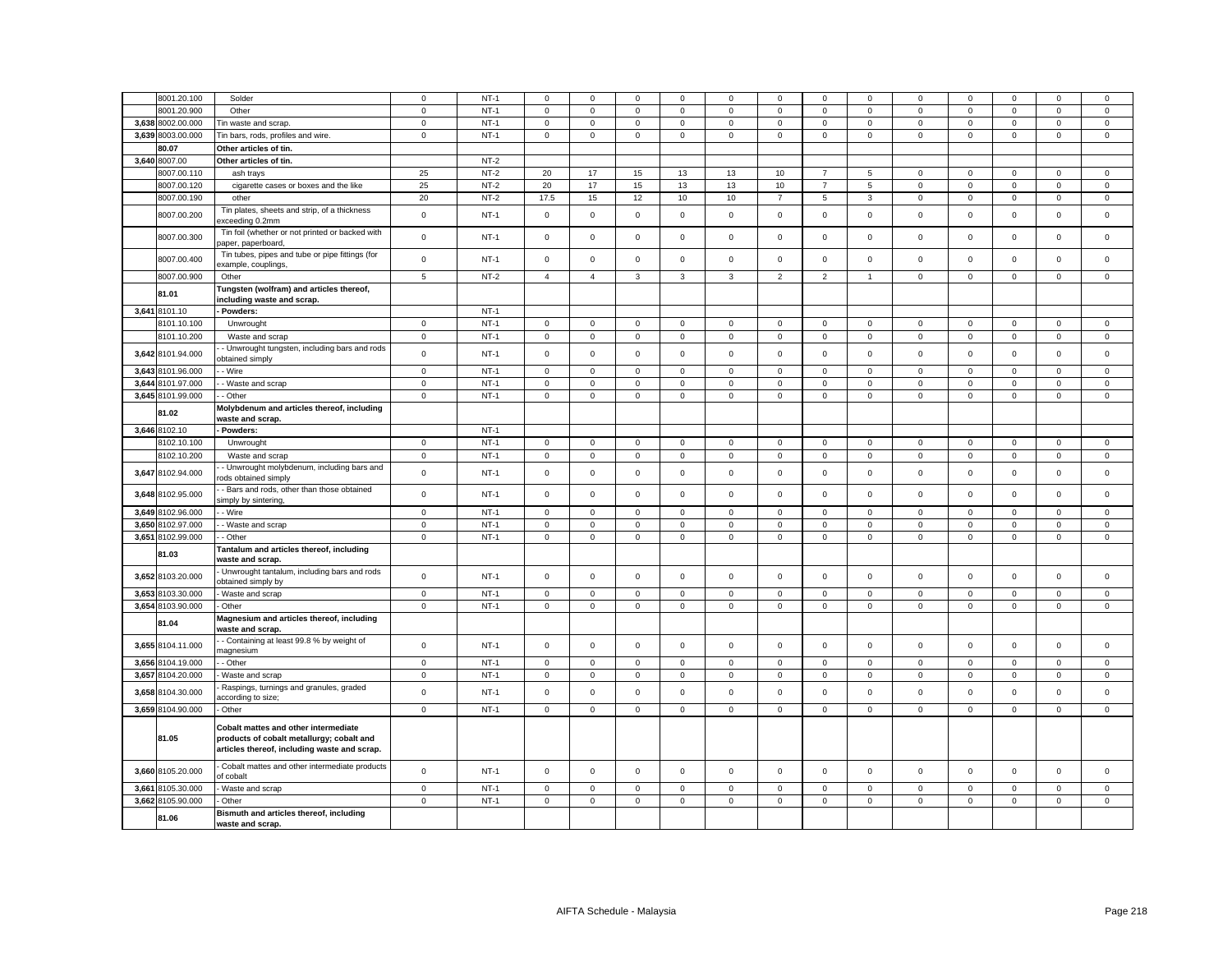|       | 8001.20.100       | Solder                                                                                                                                   | $\mathbf 0$    | $NT-1$ | $\Omega$     | $\Omega$            | $\mathbf 0$ | $\Omega$     | $\Omega$    | $\Omega$       | $\Omega$            | $\Omega$       | $\Omega$     | $\Omega$    | $\Omega$    | $\Omega$            | $\mathsf 0$ |
|-------|-------------------|------------------------------------------------------------------------------------------------------------------------------------------|----------------|--------|--------------|---------------------|-------------|--------------|-------------|----------------|---------------------|----------------|--------------|-------------|-------------|---------------------|-------------|
|       | 3001.20.900       | Other                                                                                                                                    | $\mathsf 0$    | $NT-1$ | $\mathbf 0$  | $\mathbf 0$         | $\mathsf 0$ | $\mathbf 0$  | 0           | $\mathbf 0$    | $\mathbf 0$         | $\mathbf 0$    | $\mathsf 0$  | $\mathbf 0$ | $\mathbf 0$ | $\mathbf 0$         | $\mathsf 0$ |
|       | 3,638 8002.00.000 | Tin waste and scrap.                                                                                                                     | $\mathbf 0$    | $NT-1$ | $\mathbf 0$  | $\mathsf 0$         | $\mathsf 0$ | $\mathbf 0$  | $\mathbf 0$ | $\mathsf 0$    | $\mathsf 0$         | $\mathbf{0}$   | $\mathbf 0$  | $\mathsf 0$ | $\mathsf 0$ | $\mathsf 0$         | $\mathsf 0$ |
|       | 3,639 8003.00.000 |                                                                                                                                          | $\mathbf 0$    | $NT-1$ | $\mathbf 0$  |                     | $\mathsf 0$ |              |             | $\mathbf 0$    |                     | $\mathbf{0}$   |              |             |             | $\mathbf{0}$        |             |
|       | 80.07             | Tin bars, rods, profiles and wire.                                                                                                       |                |        |              | $\mathbf{0}$        |             | $\mathbf 0$  | 0           |                | $\mathbf 0$         |                | $\mathbf 0$  | $\mathbf 0$ | $\mathbf 0$ |                     | $\mathbf 0$ |
|       |                   | Other articles of tin.                                                                                                                   |                | $NT-2$ |              |                     |             |              |             |                |                     |                |              |             |             |                     |             |
|       | 3,640 8007.00     | Other articles of tin.                                                                                                                   |                |        |              |                     |             |              |             |                |                     |                |              |             |             |                     |             |
|       | 8007.00.110       | ash trays                                                                                                                                | 25             | $NT-2$ | 20           | 17                  | 15          | 13           | 13          | 10             | $\overline{7}$      | 5              | $\mathbf 0$  | $\mathbf 0$ | $\mathbf 0$ | $\mathbf 0$         | $\mathsf 0$ |
|       | 3007.00.120       | cigarette cases or boxes and the like                                                                                                    | 25             | $NT-2$ | 20           | 17                  | 15          | 13           | 13          | 10             | $\overline{7}$      | 5              | $\mathsf 0$  | $\mathbf 0$ | $\mathsf 0$ | $\mathsf 0$         | $\mathsf 0$ |
|       | 8007.00.190       | other                                                                                                                                    | 20             | $NT-2$ | 17.5         | 15                  | 12          | 10           | 10          | $\overline{7}$ | 5                   | $\overline{3}$ | $\mathsf 0$  | $\mathbf 0$ | $\mathbf 0$ | $\mathbf 0$         | $\mathsf 0$ |
|       | 8007.00.200       | Tin plates, sheets and strip, of a thickness<br>xceeding 0.2mm                                                                           | $\mathsf 0$    | $NT-1$ | $\mathbf 0$  | $\mathsf 0$         | $\mathsf 0$ | $\Omega$     | $\mathsf 0$ | $\mathsf 0$    | $\mathsf 0$         | $\mathsf 0$    | $\mathsf 0$  | $\mathsf 0$ | $\mathsf 0$ | $\mathsf 0$         | $\mathsf 0$ |
|       | 8007.00.300       | Tin foil (whether or not printed or backed with<br>aper, paperboard,                                                                     | $\mathbf 0$    | $NT-1$ | 0            | $\mathbf 0$         | $\mathsf 0$ | $\mathbf 0$  | 0           | $\mathbf 0$    | $\mathbf 0$         | $\mathbf 0$    | $\mathbf 0$  | $\mathbf 0$ | $\mathbf 0$ | $\mathbf 0$         | $\mathbf 0$ |
|       | 8007.00.400       | Tin tubes, pipes and tube or pipe fittings (for<br>example, couplings,                                                                   | $\mathsf 0$    | $NT-1$ | $\mathbf 0$  | $\mathsf 0$         | $\mathsf 0$ | $\mathsf 0$  | $\mathsf 0$ | $\mathsf 0$    | $\mathsf 0$         | $\mathbf{0}$   | $\mathsf 0$  | $\mathbf 0$ | $\mathsf 0$ | $\mathsf 0$         | $\mathsf 0$ |
|       | 8007.00.900       | Other                                                                                                                                    | $\overline{5}$ | $NT-2$ | 4            | $\overline{4}$      | 3           | 3            | 3           | $\overline{c}$ | $\overline{2}$      | $\overline{1}$ | $\mathsf 0$  | $\mathbf 0$ | $\mathbf 0$ | $\mathsf 0$         | $\mathsf 0$ |
|       | 81.01             | Tungsten (wolfram) and articles thereof,<br>ncluding waste and scrap.                                                                    |                |        |              |                     |             |              |             |                |                     |                |              |             |             |                     |             |
|       | 3,641 8101.10     | Powders:                                                                                                                                 |                | $NT-1$ |              |                     |             |              |             |                |                     |                |              |             |             |                     |             |
|       | 3101.10.100       | Unwrought                                                                                                                                | $\mathbf 0$    | $NT-1$ | $\mathbf 0$  | $\mathsf 0$         | $\mathsf 0$ | $\mathsf 0$  | $\mathsf 0$ | $\mathbf 0$    | $\mathsf{O}\xspace$ | $\mathsf 0$    | $\mathbf 0$  | $\mathbf 0$ | $\mathsf 0$ | $\mathbf 0$         | $\mathsf 0$ |
|       | 8101.10.200       | Waste and scrap                                                                                                                          | $\mathbf 0$    | $NT-1$ | 0            | $\mathbf 0$         | $\mathbf 0$ | 0            | 0           | $\mathbf 0$    | $\mathbf 0$         | 0              | $\mathbf 0$  | $\mathbf 0$ | $\mathbf 0$ | 0                   | $\mathbf 0$ |
|       | 3,642 8101.94.000 | Unwrought tungsten, including bars and rods<br>bbtained simply                                                                           | $\mathsf 0$    | $NT-1$ | $\mathbf 0$  | $\mathsf 0$         | $\mathsf 0$ | $\mathsf 0$  | $\mathbf 0$ | $\mathsf 0$    | $\mathsf 0$         | $\mathsf 0$    | $\mathsf 0$  | $\mathsf 0$ | $\mathsf 0$ | $\mathsf 0$         | $\mathsf 0$ |
|       | 3,643 8101.96.000 | - Wire                                                                                                                                   | $\mathbf 0$    | $NT-1$ | $\mathbf 0$  | $\mathsf 0$         | $\mathbf 0$ | $\mathbf 0$  | $\mathbf 0$ | $\mathbf 0$    | $\mathsf 0$         | $\mathbf{0}$   | $\mathbf 0$  | $\mathbf 0$ | $\mathbf 0$ | $\mathbf 0$         | $\mathsf 0$ |
| 3,644 | 8101.97.000       | - Waste and scrap                                                                                                                        | $\mathbf 0$    | $NT-1$ | $\mathbf 0$  | $\mathsf{O}\xspace$ | $\mathsf 0$ | $\mathsf 0$  | $\mathsf 0$ | $\mathsf 0$    | $\mathsf{O}\xspace$ | $\mathsf 0$    | $\mathsf 0$  | $\mathsf 0$ | $\mathsf 0$ | $\mathbf 0$         | $\mathsf 0$ |
|       | 3,645 8101.99.000 | Other                                                                                                                                    | $\mathbf 0$    | $NT-1$ | 0            | $\mathsf 0$         | $\mathsf 0$ | 0            | $\mathsf 0$ | $\mathbf 0$    | $\mathsf{O}\xspace$ | $\mathbf 0$    | $\mathsf 0$  | $\mathbf 0$ | $\mathsf 0$ | $\mathsf 0$         | $\mathsf 0$ |
|       | 81.02             | Molybdenum and articles thereof, including<br>waste and scrap.                                                                           |                |        |              |                     |             |              |             |                |                     |                |              |             |             |                     |             |
|       | 3,646 8102.10     | Powders:                                                                                                                                 |                | $NT-1$ |              |                     |             |              |             |                |                     |                |              |             |             |                     |             |
|       | 3102.10.100       | Unwrought                                                                                                                                | $\mathbf 0$    | $NT-1$ | $\mathbf 0$  | $\mathsf 0$         | $\mathsf 0$ | $\mathbf{0}$ | $\mathbf 0$ | $\mathbf 0$    | $\mathbf 0$         | $\overline{0}$ | $\mathbf{0}$ | $\mathbf 0$ | $\mathbf 0$ | $\mathbf 0$         | $\mathsf 0$ |
|       | 8102.10.200       | Waste and scrap                                                                                                                          | $\mathbf 0$    | $NT-1$ | 0            | $\mathsf 0$         | $\mathsf 0$ | $\mathbf 0$  | $\mathsf 0$ | 0              | $\mathsf 0$         | $\mathbf{0}$   | $\mathsf 0$  | $\mathbf 0$ | 0           | $\mathbf 0$         | $\mathsf 0$ |
|       | 3,647 8102.94.000 | Unwrought molybdenum, including bars and<br>ods obtained simply                                                                          | $\mathsf 0$    | $NT-1$ | $\mathbf 0$  | $\mathbf 0$         | $\mathsf 0$ | $\mathbf{0}$ | 0           | $\mathbf 0$    | $\mathsf{O}\xspace$ | $\mathbf 0$    | $\mathbf 0$  | $\mathbf 0$ | $\mathbf 0$ | $\mathsf 0$         | $\mathsf 0$ |
| 3,648 | 8102.95.000       | Bars and rods, other than those obtained<br>imply by sintering,                                                                          | $\mathbf 0$    | $NT-1$ | $\mathbf 0$  | $\mathsf 0$         | $\mathsf 0$ | $\mathsf 0$  | $\mathsf 0$ | $\mathsf 0$    | $\mathsf 0$         | $\mathsf 0$    | $\mathsf 0$  | $\mathsf 0$ | $\mathsf 0$ | $\mathsf 0$         | $\mathsf 0$ |
| 3,649 | 8102.96.000       | - Wire                                                                                                                                   | $\mathbf 0$    | $NT-1$ | $\mathbf 0$  | $\mathsf 0$         | $\mathsf 0$ | $\mathsf 0$  | $\mathbf 0$ | $\mathsf 0$    | $\mathsf 0$         | $\mathbf{0}$   | $\mathbf 0$  | $\mathbf 0$ | $\mathbf 0$ | $\mathsf 0$         | $\mathsf 0$ |
|       | 3,650 8102.97.000 | - Waste and scrap                                                                                                                        | $\mathbf 0$    | $NT-1$ | $\mathbf 0$  | $\mathsf 0$         | $\mathsf 0$ | $\mathbf 0$  | $\mathsf 0$ | $\mathsf 0$    | $\mathsf 0$         | $\mathsf 0$    | $\mathsf 0$  | $\mathsf 0$ | $\mathsf 0$ | $\mathsf 0$         | $\mathsf 0$ |
| 3,651 | 8102.99.000       | - Other                                                                                                                                  | $\mathbf 0$    | $NT-1$ | $\mathbf 0$  | $\mathbf 0$         | $\mathsf 0$ | $\mathbf{0}$ | $\mathbf 0$ | $\mathbf 0$    | $\mathbf 0$         | $\mathbf{0}$   | $\mathsf 0$  | $\mathbf 0$ | $\mathbf 0$ | $\mathbf 0$         | $\mathbf 0$ |
|       |                   | <b>Fantalum and articles thereof, including</b>                                                                                          |                |        |              |                     |             |              |             |                |                     |                |              |             |             |                     |             |
|       | 81.03             | waste and scrap.<br>Unwrought tantalum, including bars and rods                                                                          |                |        |              |                     |             |              |             |                |                     |                |              |             |             |                     |             |
|       | 3,652 8103.20.000 | obtained simply by                                                                                                                       | $\mathsf 0$    | $NT-1$ | 0            | $\mathsf 0$         | $\mathsf 0$ | $\mathbf 0$  | 0           | $\mathsf 0$    | $\mathbf 0$         | $\mathbf 0$    | $\mathsf 0$  | $\mathbf 0$ | $\mathsf 0$ | $\mathsf 0$         | $\mathsf 0$ |
| 3,653 | 8103.30.000       | Waste and scrap                                                                                                                          | $\mathsf 0$    | $NT-1$ | 0            | $\mathsf 0$         | $\mathsf 0$ | $\mathsf 0$  | $\mathsf 0$ | $\mathsf 0$    | $\mathsf 0$         | $\mathsf 0$    | $\mathsf 0$  | $\mathbf 0$ | $\mathsf 0$ | $\mathbf 0$         | $\mathsf 0$ |
|       | 3,654 8103.90.000 | Other                                                                                                                                    | $\mathbf 0$    | $NT-1$ | 0            | $\mathbf 0$         | $\mathsf 0$ | $\mathbf 0$  | $\mathbf 0$ | $\mathsf 0$    | $\mathbf 0$         | $\mathbf 0$    | $\mathsf 0$  | $\mathbf 0$ | $\mathsf 0$ | $\mathsf 0$         | $\mathsf 0$ |
|       | 81.04             | Magnesium and articles thereof, including<br>waste and scrap.                                                                            |                |        |              |                     |             |              |             |                |                     |                |              |             |             |                     |             |
|       | 3,655 8104.11.000 | Containing at least 99.8 % by weight of<br>nagnesium                                                                                     | $\mathsf 0$    | $NT-1$ | $\mathbf 0$  | $\mathsf 0$         | $\mathsf 0$ | $\mathsf 0$  | $\mathsf 0$ | $\mathsf 0$    | $\mathsf 0$         | $\mathbf{0}$   | $\mathsf 0$  | $\mathsf 0$ | $\mathsf 0$ | $\mathsf 0$         | $\mathsf 0$ |
| 3,656 | 8104.19.000       | - Other                                                                                                                                  | $\mathsf 0$    | $NT-1$ | $\mathbf{0}$ | $\mathsf{O}\xspace$ | $\mathbf 0$ | $\mathbf 0$  | $\mathsf 0$ | $\mathsf 0$    | $\mathsf 0$         | $\mathsf 0$    | $\mathsf 0$  | $\mathsf 0$ | $\mathsf 0$ | $\mathsf 0$         | $\mathsf 0$ |
| 3,657 | 8104.20.000       | Waste and scrap                                                                                                                          | $\mathbf 0$    | $NT-1$ | 0            | 0                   | $\mathbf 0$ | 0            | 0           | 0              | 0                   | 0              | 0            | 0           | 0           | 0                   | 0           |
|       | 3,658 8104.30.000 | Raspings, turnings and granules, graded<br>according to size;                                                                            | $\mathbf 0$    | $NT-1$ | $\mathbf 0$  | $\mathsf 0$         | $\mathsf 0$ | $\mathsf 0$  | $\mathbf 0$ | $\mathsf 0$    | $\mathbf 0$         | $\mathsf 0$    | $\mathsf 0$  | $\mathsf 0$ | $\mathsf 0$ | $\mathsf 0$         | $\mathsf 0$ |
|       | 3,659 8104.90.000 | Other                                                                                                                                    | $\mathbf 0$    | $NT-1$ | $\mathbf{0}$ | $\mathsf 0$         | $\mathsf 0$ | $\mathsf 0$  | $\mathbf 0$ | $\mathbf 0$    | $\mathsf{O}$        | $\overline{0}$ | $\mathsf 0$  | $\mathsf 0$ | $\mathsf 0$ | $\mathsf{O}\xspace$ | $\mathsf 0$ |
|       | 81.05             | <b>Cobalt mattes and other intermediate</b><br>products of cobalt metallurgy; cobalt and<br>articles thereof, including waste and scrap. |                |        |              |                     |             |              |             |                |                     |                |              |             |             |                     |             |
|       | 3,660 8105.20.000 | Cobalt mattes and other intermediate products<br>of cobalt                                                                               | $\mathbf 0$    | $NT-1$ | $\mathbf 0$  | $\mathsf 0$         | $\mathsf 0$ | $\mathsf 0$  | $\mathsf 0$ | $\mathsf 0$    | $\mathsf 0$         | $\mathsf 0$    | $\mathsf 0$  | $\mathsf 0$ | $\mathsf 0$ | $\mathsf 0$         | $\mathsf 0$ |
| 3,661 | 8105.30.000       | Waste and scrap                                                                                                                          | $\mathsf 0$    | $NT-1$ | $\mathbf 0$  | $\mathbf 0$         | $\mathsf 0$ | $\mathbf 0$  | $\mathsf 0$ | $\mathbf 0$    | $\mathsf 0$         | $\mathbf 0$    | $\mathsf 0$  | $\mathbf 0$ | $\mathbf 0$ | $\mathbf 0$         | $\mathsf 0$ |
|       | 3,662 8105.90.000 | Other                                                                                                                                    | $\mathsf 0$    | $NT-1$ | 0            | $\mathsf{O}$        | $\mathsf 0$ | $\mathsf 0$  | $\mathbf 0$ | $\mathsf 0$    | $\mathbf{0}$        | $\mathbf 0$    | $\mathsf 0$  | $\mathsf 0$ | $\mathsf 0$ | $\mathsf 0$         | $\mathsf 0$ |
|       | 81.06             | Bismuth and articles thereof, including<br>waste and scrap.                                                                              |                |        |              |                     |             |              |             |                |                     |                |              |             |             |                     |             |
|       |                   |                                                                                                                                          |                |        |              |                     |             |              |             |                |                     |                |              |             |             |                     |             |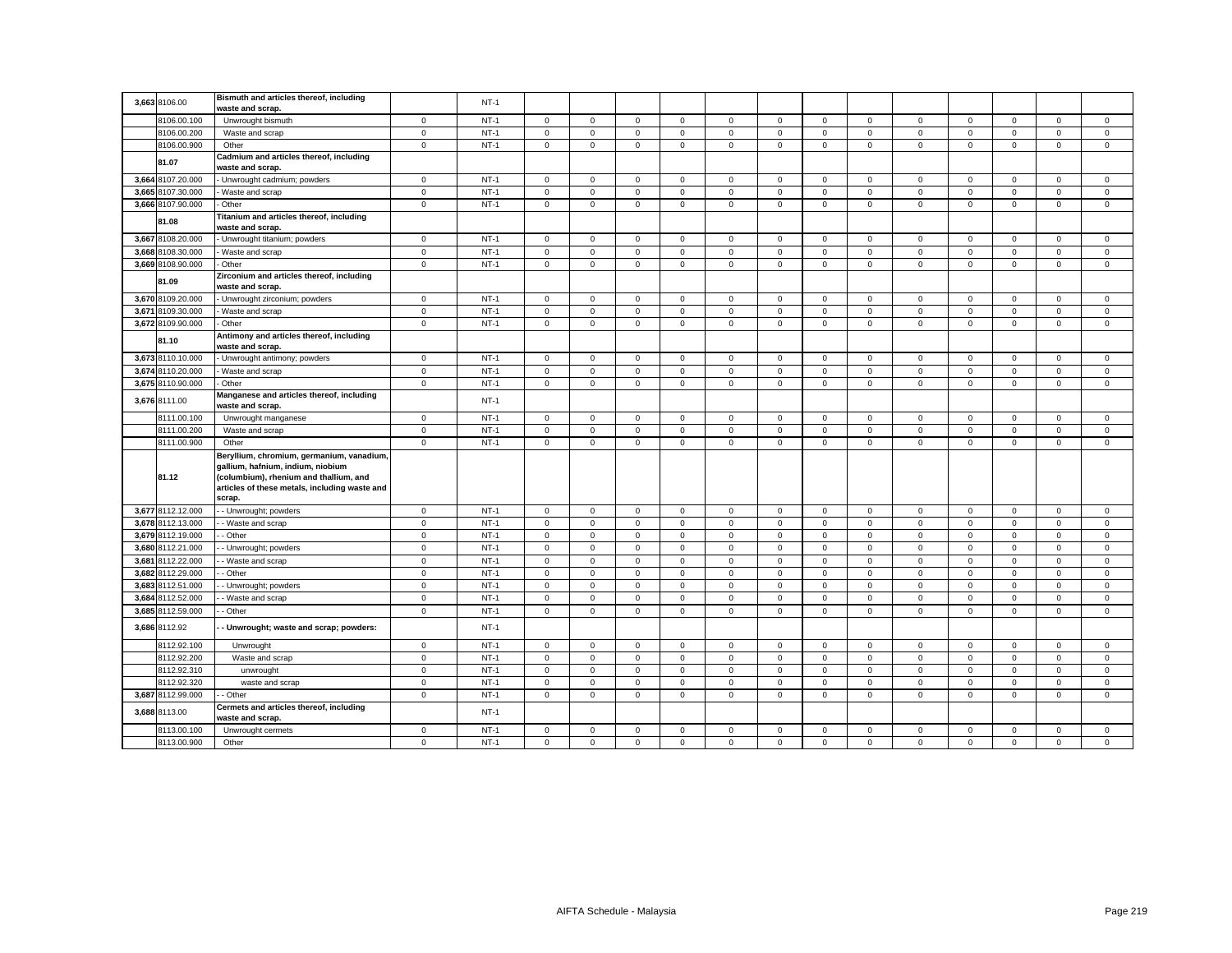|       | 3,663 8106.00     | Bismuth and articles thereof, including<br>waste and scrap.                                                                                                                         |                     | $NT-1$ |             |              |              |              |              |             |              |                |                     |              |              |              |             |
|-------|-------------------|-------------------------------------------------------------------------------------------------------------------------------------------------------------------------------------|---------------------|--------|-------------|--------------|--------------|--------------|--------------|-------------|--------------|----------------|---------------------|--------------|--------------|--------------|-------------|
|       | 8106.00.100       | Unwrought bismuth                                                                                                                                                                   | $\mathbf 0$         | $NT-1$ | $\circ$     | $\mathbf{O}$ | $\mathbf{0}$ | $\mathbf{0}$ | $\mathbf 0$  | $\mathbf 0$ | $\mathbf{0}$ | $\mathbf 0$    | $\mathbf{0}$        | $\mathbf 0$  | $\mathbf{O}$ | $\mathbf{0}$ | $\mathbf 0$ |
|       | 8106.00.200       | Waste and scrap                                                                                                                                                                     | $\mathbf 0$         | $NT-1$ | 0           | $\mathsf 0$  | $\mathsf 0$  | $\mathsf 0$  | $\mathbf 0$  | $\mathsf 0$ | $\mathbf 0$  | $\mathsf 0$    | $\mathsf 0$         | $\mathsf 0$  | $\mathbf 0$  | $\mathsf 0$  | $\mathsf 0$ |
|       | 8106.00.900       | Other                                                                                                                                                                               | $\mathsf{O}\xspace$ | $NT-1$ | 0           | $\mathsf 0$  | $\mathsf 0$  | $\mathbf 0$  | $\mathsf 0$  | $\mathbf 0$ | $\mathsf 0$  | $\mathbf 0$    | $\mathsf 0$         | $\mathbf 0$  | $\mathsf 0$  | $\mathsf 0$  | $\mathsf 0$ |
|       | 81.07             | Cadmium and articles thereof, including<br>waste and scrap.                                                                                                                         |                     |        |             |              |              |              |              |             |              |                |                     |              |              |              |             |
|       | 3,664 8107.20.000 | - Unwrought cadmium; powders                                                                                                                                                        | $\mathbf{0}$        | $NT-1$ | $\mathbf 0$ | $^{\circ}$   | $\mathbf{0}$ | $\mathbf{0}$ | $\mathbf 0$  | $\mathbf 0$ | $\mathbf{0}$ | $\mathbf{0}$   | $\mathbf 0$         | $\mathbf{0}$ | $^{\circ}$   | $\mathbf{0}$ | $\mathbf 0$ |
| 3.665 | 8107.30.000       | Waste and scrap                                                                                                                                                                     | $\mathsf 0$         | $NT-1$ | $\mathbf 0$ | $\mathbf 0$  | $\mathbf 0$  | $\mathbf 0$  | $\mathsf 0$  | $\mathbf 0$ | $\mathbf 0$  | $\mathsf 0$    | $\mathbf{0}$        | $\mathbf 0$  | $\mathbf 0$  | $\mathbf 0$  | $\mathbf 0$ |
|       | 3,666 8107.90.000 | Other                                                                                                                                                                               | $\mathbf 0$         | $NT-1$ | $\mathbf 0$ | $\mathbf 0$  | $\mathbf 0$  | $\mathbf 0$  | 0            | $\mathbf 0$ | $\mathbf 0$  | $\mathbf 0$    | 0                   | 0            | $\mathbf 0$  | $\mathbf 0$  | $\mathsf 0$ |
|       | 81.08             | Titanium and articles thereof, including<br>waste and scrap.                                                                                                                        |                     |        |             |              |              |              |              |             |              |                |                     |              |              |              |             |
|       | 3,667 8108.20.000 | - Unwrought titanium; powders                                                                                                                                                       | $\mathbf 0$         | $NT-1$ | 0           | $\mathbf 0$  | $\mathsf 0$  | $\mathbf 0$  | 0            | $\mathbf 0$ | $\mathbf 0$  | $\mathbf 0$    | $\mathbf 0$         | $\mathbf 0$  | $\mathbf 0$  | $\mathbf 0$  | $\mathbf 0$ |
|       | 3,668 8108.30.000 | Waste and scrap                                                                                                                                                                     | $\mathsf 0$         | $NT-1$ | $\mathbf 0$ | $\mathbf 0$  | $\mathbf 0$  | $\mathbf{0}$ | $\mathbf 0$  | $\mathbf 0$ | $\mathbf{O}$ | $\mathbf{0}$   | $\mathsf 0$         | $\mathbf 0$  | $\mathbf 0$  | $\mathbf{0}$ | $\mathbf 0$ |
|       | 3,669 8108.90.000 | Other                                                                                                                                                                               | $\mathbf 0$         | $NT-1$ | $\mathbf 0$ | $\mathbf 0$  | $\mathbf 0$  | $\mathbf 0$  | $\mathbf 0$  | $\mathbf 0$ | $\mathbf 0$  | $\mathbf 0$    | $\mathbf 0$         | $\mathbf 0$  | $\mathbf 0$  | $\mathbf 0$  | $\mathbf 0$ |
|       | 81.09             | Zirconium and articles thereof, including<br>waste and scrap.                                                                                                                       |                     |        |             |              |              |              |              |             |              |                |                     |              |              |              |             |
|       | 3,670 8109.20.000 | Unwrought zirconium; powders                                                                                                                                                        | $\mathbf 0$         | $NT-1$ | 0           | $\mathbf 0$  | $\mathbf 0$  | 0            | 0            | $\mathbf 0$ | $\mathbf 0$  | $\mathbf 0$    | 0                   | $\mathbf 0$  | $\mathbf 0$  | $\mathbf 0$  | $\mathbf 0$ |
| 3,671 | 8109.30.000       | Waste and scrap                                                                                                                                                                     | $\mathbf 0$         | $NT-1$ | $\mathbf 0$ | $\mathsf 0$  | $\mathbf 0$  | $\mathsf 0$  | $\mathsf 0$  | $\mathsf 0$ | $\mathbf 0$  | $\mathsf 0$    | $\mathsf 0$         | $\mathsf 0$  | $\mathsf 0$  | $\mathsf 0$  | $\mathsf 0$ |
|       | 3,672 8109.90.000 | - Other                                                                                                                                                                             | $\mathbf 0$         | $NT-1$ | $\mathbf 0$ | $\mathsf 0$  | $\mathsf 0$  | $\mathsf 0$  | $\mathsf 0$  | $\mathsf 0$ | $\mathsf 0$  | $\mathsf 0$    | $\mathbf 0$         | $\mathsf 0$  | $\mathsf 0$  | $\mathsf 0$  | $\mathsf 0$ |
|       | 81.10             | Antimony and articles thereof, including<br>waste and scrap.                                                                                                                        |                     |        |             |              |              |              |              |             |              |                |                     |              |              |              |             |
|       | 3,673 8110.10.000 | - Unwrought antimony; powders                                                                                                                                                       | $\mathbf 0$         | $NT-1$ | $\mathbf 0$ | $\mathbf 0$  | $\mathsf 0$  | $\mathbf{0}$ | $\mathbf{0}$ | $\mathbf 0$ | $\mathbf{0}$ | $\mathbf{0}$   | $\mathbf{0}$        | $\mathbf 0$  | $\mathbf 0$  | $\mathbf 0$  | $\mathbf 0$ |
| 3,674 | 8110.20.000       | Waste and scrap                                                                                                                                                                     | $\mathbf 0$         | $NT-1$ | $\mathbf 0$ | $\mathsf 0$  | $\mathsf 0$  | $\mathsf 0$  | $\mathbf 0$  | $\mathsf 0$ | $\mathbf 0$  | $\mathsf 0$    | $\mathbf 0$         | $\mathsf 0$  | $\mathsf 0$  | $\mathsf 0$  | $\mathsf 0$ |
|       | 3,675 8110.90.000 | Other                                                                                                                                                                               | $\mathsf 0$         | $NT-1$ | $\mathbf 0$ | $\mathbf 0$  | $\mathbf 0$  | $\mathbf 0$  | $\mathbf 0$  | $\mathbf 0$ | $\mathbf{0}$ | $\mathbf 0$    | $\mathbf 0$         | $\mathbf 0$  | $\mathbf 0$  | $\mathbf 0$  | $\mathbf 0$ |
| 3,676 | 8111.00           | Manganese and articles thereof, including<br>waste and scrap.                                                                                                                       |                     | $NT-1$ |             |              |              |              |              |             |              |                |                     |              |              |              |             |
|       | 8111.00.100       | Unwrought manganese                                                                                                                                                                 | $\mathbf 0$         | $NT-1$ | $\mathsf 0$ | $\mathsf 0$  | $\mathsf 0$  | $\mathsf 0$  | $\mathsf 0$  | $\mathbf 0$ | $\mathbf 0$  | $\mathsf 0$    | $\mathsf 0$         | $\mathbf 0$  | $\mathsf 0$  | $\mathsf 0$  | $\mathsf 0$ |
|       | 8111.00.200       | Waste and scrap                                                                                                                                                                     | $\mathbf 0$         | $NT-1$ | $\mathsf 0$ | $\mathsf 0$  | $\mathsf 0$  | $\mathsf 0$  | $\mathbf 0$  | $\mathsf 0$ | $\mathsf 0$  | $\mathsf 0$    | $\mathsf 0$         | $\mathsf 0$  | $\mathsf 0$  | $\mathsf 0$  | $\mathsf 0$ |
|       | 8111.00.900       | Other                                                                                                                                                                               | $\mathbf{0}$        | $NT-1$ | $\mathbf 0$ | $\mathbf 0$  | $\mathbf 0$  | $\mathbf{0}$ | $\mathbf 0$  | $\mathbf 0$ | $\mathbf{O}$ | $\overline{0}$ | $\mathbf 0$         | $\mathbf 0$  | $\mathbf 0$  | $\mathbf 0$  | $\mathbf 0$ |
|       | 81.12             | Beryllium, chromium, germanium, vanadium,<br>gallium, hafnium, indium, niobium<br>(columbium), rhenium and thallium, and<br>articles of these metals, including waste and<br>scrap. |                     |        |             |              |              |              |              |             |              |                |                     |              |              |              |             |
|       | 3,677 8112.12.000 | - Unwrought; powders                                                                                                                                                                | $\mathbf 0$         | $NT-1$ | $\mathbf 0$ | $\mathsf 0$  | $\mathbf 0$  | $\mathbf 0$  | $\mathsf 0$  | $\mathbf 0$ | $\mathbf 0$  | $\mathbf 0$    | $\mathsf 0$         | $\mathbf 0$  | $\mathsf 0$  | $\mathsf 0$  | $\mathbf 0$ |
|       | 3,678 8112.13.000 | - Waste and scrap                                                                                                                                                                   | $\mathbf 0$         | $NT-1$ | $\mathsf 0$ | $\mathsf 0$  | $\mathsf 0$  | $\mathsf 0$  | $\mathsf 0$  | $\mathsf 0$ | $\mathsf 0$  | $\mathbf 0$    | $\mathbf 0$         | $\mathbf 0$  | $\mathsf 0$  | $\mathsf 0$  | $\mathsf 0$ |
|       | 3,679 8112.19.000 | - Other                                                                                                                                                                             | $\mathsf 0$         | $NT-1$ | $\mathbf 0$ | $\mathsf 0$  | $\mathsf 0$  | $\mathsf 0$  | $\mathbf 0$  | $\mathsf 0$ | $\mathbf 0$  | $\mathbf 0$    | $\mathsf 0$         | $\mathbf 0$  | $\mathsf 0$  | $\mathsf 0$  | $\mathsf 0$ |
|       | 3,680 8112.21.000 | - Unwrought; powders                                                                                                                                                                | $\mathbf 0$         | $NT-1$ | $\mathbf 0$ | $\mathbf 0$  | $\mathbf 0$  | $\mathbf{0}$ | $\mathbf{0}$ | $\mathsf 0$ | $\mathbf 0$  | $\mathbf{0}$   | $\mathbf 0$         | $\mathsf 0$  | $\mathbf 0$  | $\mathbf 0$  | $\mathbf 0$ |
| 3,681 | 8112.22.000       | - Waste and scrap                                                                                                                                                                   | $\mathbf 0$         | $NT-1$ | $\mathbf 0$ | $\mathbf 0$  | $\mathbf 0$  | $\mathsf 0$  | $\mathbf 0$  | $\mathsf 0$ | $\mathbf 0$  | $\mathbf{0}$   | $\mathbf 0$         | $\mathbf 0$  | $\mathbf 0$  | $\mathbf 0$  | $\mathsf 0$ |
|       | 3,682 8112.29.000 | - Other                                                                                                                                                                             | $\mathbf 0$         | $NT-1$ | $\mathbf 0$ | $\mathbf 0$  | $\mathbf 0$  | $\mathbf 0$  | $\mathbf 0$  | $\mathbf 0$ | $\mathbf 0$  | $\mathbf{0}$   | $\mathbf 0$         | $\mathbf{0}$ | $\mathbf 0$  | $\mathbf 0$  | $\mathbf 0$ |
|       | 3,683 8112.51.000 | - Unwrought; powders                                                                                                                                                                | $\mathbf 0$         | $NT-1$ | $\mathsf 0$ | $\mathsf 0$  | $\mathsf 0$  | $\mathsf 0$  | $\mathsf 0$  | $\mathsf 0$ | $\mathsf 0$  | $\mathsf 0$    | $\mathbf 0$         | $\mathbf 0$  | $\mathsf 0$  | $\mathsf 0$  | $\mathsf 0$ |
| 3,684 | 8112.52.000       | - Waste and scrap                                                                                                                                                                   | $\mathbf 0$         | $NT-1$ | $\mathbf 0$ | $\mathsf 0$  | $\mathsf 0$  | $\mathsf 0$  | $\mathsf 0$  | $\mathsf 0$ | $\mathsf 0$  | $\mathbf 0$    | $\mathsf 0$         | $\mathsf 0$  | $\mathbf 0$  | $\mathsf 0$  | $\mathsf 0$ |
|       | 3,685 8112.59.000 | - Other                                                                                                                                                                             | $\mathbf 0$         | $NT-1$ | $\mathbf 0$ | $\mathbf 0$  | $\mathbf 0$  | $^{\circ}$   | $\mathbf 0$  | $\mathbf 0$ | $\mathbf 0$  | $\mathbf 0$    | $\mathbf 0$         | $\mathbf 0$  | $\mathbf 0$  | $\mathbf 0$  | $^{\circ}$  |
|       | 3,686 8112.92     | Unwrought; waste and scrap; powders:                                                                                                                                                |                     | $NT-1$ |             |              |              |              |              |             |              |                |                     |              |              |              |             |
|       | 8112.92.100       | Unwrought                                                                                                                                                                           | $\mathbf 0$         | $NT-1$ | 0           | $\mathsf 0$  | $\mathsf 0$  | $\mathbf 0$  | $\mathsf 0$  | $\mathbf 0$ | $\mathbf 0$  | $\mathbf 0$    | $\mathbf 0$         | $\mathsf 0$  | $\mathsf 0$  | $\mathbf 0$  | $\mathsf 0$ |
|       | 8112.92.200       | Waste and scrap                                                                                                                                                                     | $\mathbf 0$         | $NT-1$ | $\mathbf 0$ | $\mathbf 0$  | $\mathbf 0$  | $\mathbf 0$  | 0            | $\mathbf 0$ | $\mathbf{0}$ | $\mathbf{0}$   | $\mathsf 0$         | $\mathbf{0}$ | $\mathbf 0$  | $\mathbf 0$  | $^{\circ}$  |
|       | 8112.92.310       | unwrought                                                                                                                                                                           | $\mathbf 0$         | $NT-1$ | $\mathbf 0$ | $\mathbf 0$  | $\mathsf 0$  | $\mathsf 0$  | $\mathsf 0$  | $\mathbf 0$ | $\mathsf 0$  | $\mathsf 0$    | $\mathsf{O}\xspace$ | $\mathbf 0$  | $\Omega$     | $\mathsf 0$  | $\mathsf 0$ |
|       | 8112.92.320       | waste and scrap                                                                                                                                                                     | $\,0\,$             | $NT-1$ | $\mathsf 0$ | $\mathsf 0$  | $\mathbf 0$  | $\mathsf 0$  | $\mathsf 0$  | $\mathsf 0$ | $\mathbf 0$  | $\mathbf 0$    | $\mathsf 0$         | $\mathsf 0$  | $\mathsf 0$  | $\mathsf 0$  | $\mathsf 0$ |
|       | 3,687 8112.99.000 | - Other                                                                                                                                                                             | $\mathsf 0$         | $NT-1$ | $\mathbf 0$ | $\mathbf 0$  | $\mathsf 0$  | $\mathbf{0}$ | $\mathbf{0}$ | $\mathbf 0$ | $\mathbf 0$  | $\overline{0}$ | $\mathsf 0$         | $\mathbf 0$  | $\mathbf 0$  | $\mathsf 0$  | $\mathbf 0$ |
|       | 3,688 8113.00     | Cermets and articles thereof, including<br>waste and scrap.                                                                                                                         |                     | $NT-1$ |             |              |              |              |              |             |              |                |                     |              |              |              |             |
|       | 8113.00.100       | Unwrought cermets                                                                                                                                                                   | $\mathbf 0$         | $NT-1$ | 0           | $\mathbf 0$  | $\mathsf 0$  | $\mathbf{0}$ | 0            | $\mathsf 0$ | $\mathbf{0}$ | $\mathbf 0$    | $\mathbf 0$         | $\mathsf 0$  | $\mathbf 0$  | $\mathbf 0$  | $\mathbf 0$ |
|       | 8113.00.900       | Other                                                                                                                                                                               | $\mathbf 0$         | $NT-1$ | $\mathbf 0$ | $\mathbf 0$  | $\mathsf 0$  | $\mathbf 0$  | $\mathbf 0$  | $\mathbf 0$ | $\mathbf 0$  | $\mathbf{0}$   | $\mathbf 0$         | $\mathbf{0}$ | $\mathbf 0$  | $\mathbf 0$  | $\mathbf 0$ |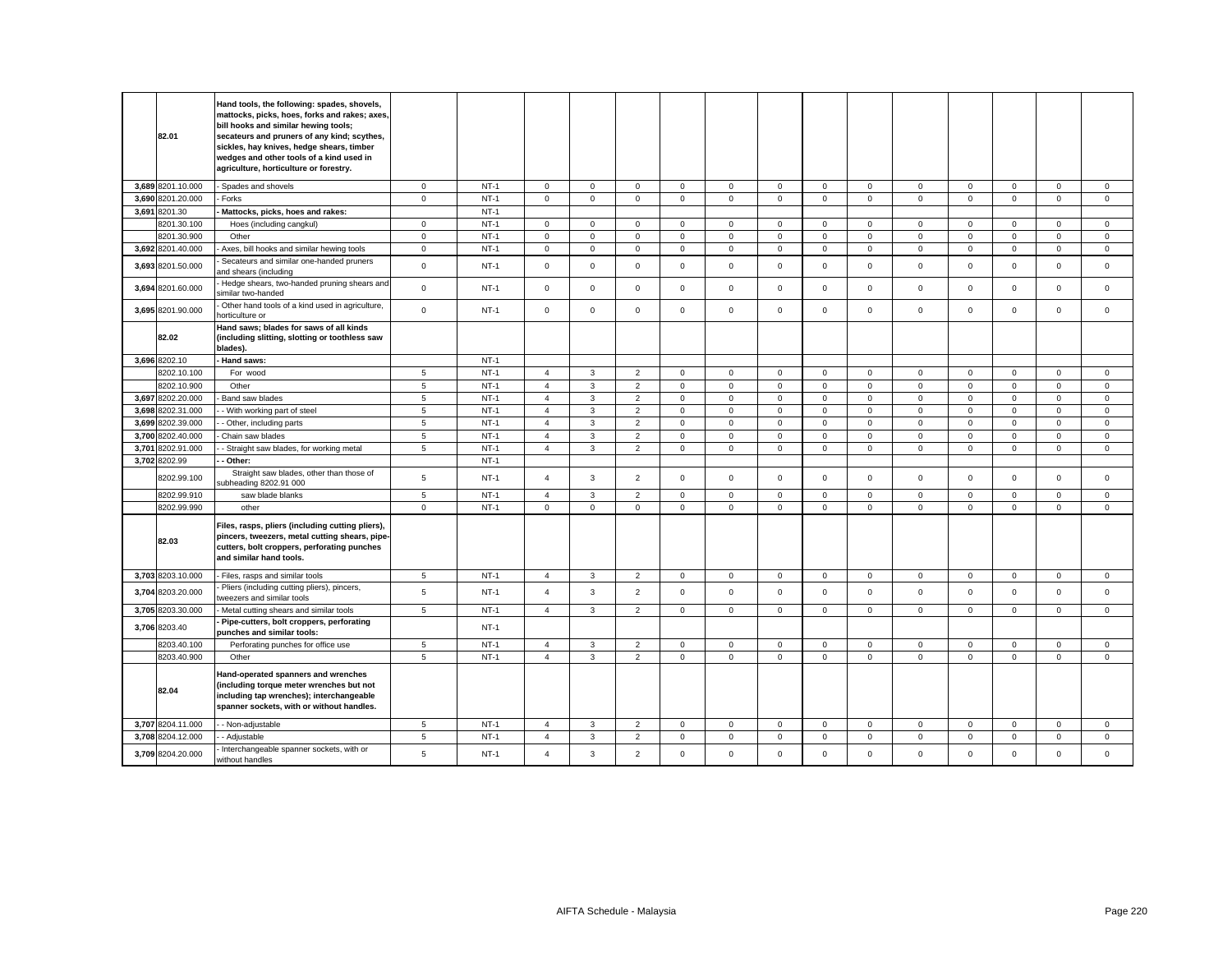| 82.01             | Hand tools, the following: spades, shovels,<br>mattocks, picks, hoes, forks and rakes; axes,<br>bill hooks and similar hewing tools;<br>secateurs and pruners of any kind; scythes,<br>sickles, hay knives, hedge shears, timber<br>wedges and other tools of a kind used in<br>agriculture, horticulture or forestry. |                 |        |                |              |                |              |              |              |              |              |              |             |             |                     |             |
|-------------------|------------------------------------------------------------------------------------------------------------------------------------------------------------------------------------------------------------------------------------------------------------------------------------------------------------------------|-----------------|--------|----------------|--------------|----------------|--------------|--------------|--------------|--------------|--------------|--------------|-------------|-------------|---------------------|-------------|
| 3.689 8201.10.000 | Spades and shovels                                                                                                                                                                                                                                                                                                     | $\mathbf{0}$    | $NT-1$ | $\mathbf 0$    | $\mathbf 0$  | $\mathbf 0$    | $\mathbf 0$  | $\mathbf 0$  | $\mathbf 0$  | $\circ$      | $\mathbf{0}$ | $\mathbf{0}$ | $\mathbf 0$ | $\mathbf 0$ | $\mathbf 0$         | $\mathbf 0$ |
| 3,690 8201.20.000 | Forks                                                                                                                                                                                                                                                                                                                  | $\mathbf 0$     | $NT-1$ | $\mathsf 0$    | $\mathbf 0$  | $\mathsf 0$    | $\mathbf 0$  | $\mathbf 0$  | $\mathsf 0$  | $\mathsf 0$  | $\mathbf{0}$ | $\mathsf 0$  | $\mathbf 0$ | $\mathbf 0$ | $\mathbf 0$         | $\mathbf 0$ |
| 3,691 8201.30     | Mattocks, picks, hoes and rakes:                                                                                                                                                                                                                                                                                       |                 | $NT-1$ |                |              |                |              |              |              |              |              |              |             |             |                     |             |
| 8201.30.100       | Hoes (including cangkul)                                                                                                                                                                                                                                                                                               | $\mathbf 0$     | $NT-1$ | $\mathsf 0$    | $\mathbf 0$  | $\mathsf 0$    | 0            | $\mathbf 0$  | $\mathsf 0$  | $\mathbf 0$  | $\mathbf 0$  | $\mathbf 0$  | $\mathbf 0$ | $\mathsf 0$ | $\mathbf 0$         | $\mathbf 0$ |
| 3201.30.900       | Other                                                                                                                                                                                                                                                                                                                  | $\mathbf{0}$    | $NT-1$ | $\mathbf 0$    | $\mathbf 0$  | $\mathbf 0$    | $\mathbf 0$  | $\mathbf 0$  | $\mathbf 0$  | $\mathbf 0$  | $\mathbf 0$  | $\mathbf{0}$ | $\mathbf 0$ | $\mathbf 0$ | $\mathbf 0$         | $\mathbf 0$ |
| 3,692 8201.40.000 | Axes, bill hooks and similar hewing tools                                                                                                                                                                                                                                                                              | $\mathbf 0$     | $NT-1$ | $\mathsf 0$    | $\mathsf 0$  | $\mathsf 0$    | $\mathbf 0$  | $\mathbf 0$  | $\mathsf 0$  | $\mathsf 0$  | $\mathbf 0$  | $\mathbf 0$  | $\mathbf 0$ | $\mathsf 0$ | $\mathsf 0$         | $\mathsf 0$ |
| 3,693 8201.50.000 | Secateurs and similar one-handed pruners<br>and shears (including                                                                                                                                                                                                                                                      | $\mathsf 0$     | $NT-1$ | $\mathsf 0$    | $\mathsf 0$  | $\mathsf 0$    | $\mathbf{0}$ | $\mathsf 0$  | $\mathsf 0$  | $\mathsf 0$  | $\mathbf 0$  | $\mathsf 0$  | $\mathsf 0$ | $\mathbf 0$ | $\mathsf{o}\xspace$ | $\mathsf 0$ |
| 3,694 8201.60.000 | Hedge shears, two-handed pruning shears and<br>similar two-handed                                                                                                                                                                                                                                                      | $\mathsf 0$     | $NT-1$ | $\mathsf 0$    | $\mathbf 0$  | $\mathsf 0$    | $\mathbf 0$  | $\mathbf 0$  | $\mathsf 0$  | $\mathbf 0$  | $\mathbf 0$  | $\mathbf 0$  | $\mathsf 0$ | $\mathsf 0$ | $\mathsf 0$         | $\mathsf 0$ |
| 3,695 8201.90.000 | Other hand tools of a kind used in agriculture,<br>horticulture or                                                                                                                                                                                                                                                     | $\mathsf 0$     | $NT-1$ | $\mathsf 0$    | $\mathbf 0$  | $\mathsf 0$    | $\mathbf 0$  | $\mathbf 0$  | $\mathsf 0$  | $\mathbf 0$  | $\mathbf 0$  | $\mathsf 0$  | $\mathsf 0$ | $\mathsf 0$ | $\mathsf 0$         | $\mathsf 0$ |
| 82.02             | Hand saws; blades for saws of all kinds<br>(including slitting, slotting or toothless saw<br>blades).                                                                                                                                                                                                                  |                 |        |                |              |                |              |              |              |              |              |              |             |             |                     |             |
| 3,696 8202.10     | Hand saws:                                                                                                                                                                                                                                                                                                             |                 | $NT-1$ |                |              |                |              |              |              |              |              |              |             |             |                     |             |
| 8202.10.100       | For wood                                                                                                                                                                                                                                                                                                               | 5               | $NT-1$ | $\overline{a}$ | 3            | 2              | $\mathbf 0$  | $\mathbf 0$  | $^{\circ}$   | $\mathbf 0$  | $\Omega$     | $\mathbf{0}$ | $\Omega$    | $\Omega$    | $\mathbf{0}$        | $\mathbf 0$ |
| 8202.10.900       | Other                                                                                                                                                                                                                                                                                                                  | $\overline{5}$  | $NT-1$ | $\overline{4}$ | $\mathbf{3}$ | $\overline{2}$ | $\mathbf 0$  | $\mathsf 0$  | $\mathsf 0$  | $\mathsf{O}$ | $\mathbf 0$  | $\mathsf 0$  | $\mathbf 0$ | $\mathsf 0$ | $\mathsf 0$         | $\mathsf 0$ |
| 3,697 8202.20.000 | Band saw blades                                                                                                                                                                                                                                                                                                        | 5               | $NT-1$ | $\overline{4}$ | $\mathbf{3}$ | $\overline{2}$ | $\mathbf 0$  | $\mathbf 0$  | $\mathsf 0$  | $\mathsf 0$  | $\mathbf{0}$ | $\mathbf 0$  | $\mathbf 0$ | $\mathsf 0$ | $\mathbf 0$         | $\mathsf 0$ |
| 3,698 8202.31.000 | - With working part of steel                                                                                                                                                                                                                                                                                           | $5\phantom{.0}$ | $NT-1$ | $\overline{4}$ | $\mathbf{3}$ | $\overline{2}$ | $\mathbf 0$  | $\mathsf 0$  | $\mathsf 0$  | $\mathbf{0}$ | $\mathbf 0$  | $\mathsf 0$  | $\mathsf 0$ | $\mathsf 0$ | $\mathbf 0$         | $\mathsf 0$ |
| 3,699 8202.39.000 | - Other, including parts                                                                                                                                                                                                                                                                                               | $5\phantom{.0}$ | $NT-1$ | $\overline{4}$ | $\mathbf{3}$ | 2              | $\mathbf 0$  | $\mathbf 0$  | $\mathbf 0$  | $\mathbf{0}$ | $\mathbf{0}$ | $\mathbf 0$  | $\mathbf 0$ | $\mathbf 0$ | $\mathbf 0$         | $\mathbf 0$ |
| 3,700 8202.40.000 | Chain saw blades                                                                                                                                                                                                                                                                                                       | 5               | $NT-1$ | $\overline{4}$ | 3            | $\overline{2}$ | $\Omega$     | $\mathbf 0$  | $\mathbf 0$  | $\mathbf 0$  | $\mathbf 0$  | $\mathbf{0}$ | $\Omega$    | $\mathbf 0$ | $\mathbf 0$         | $\mathbf 0$ |
| 3,701 8202.91.000 | - Straight saw blades, for working metal                                                                                                                                                                                                                                                                               | 5               | $NT-1$ | $\overline{4}$ | 3            | $\overline{2}$ | $\mathbf 0$  | $\mathsf 0$  | $\mathsf 0$  | $\mathbf 0$  | $\mathbf{0}$ | $\mathsf 0$  | $\mathbf 0$ | $\mathbf 0$ | $\mathsf 0$         | $\mathsf 0$ |
| 3,702 8202.99     | - Other:                                                                                                                                                                                                                                                                                                               |                 | $NT-1$ |                |              |                |              |              |              |              |              |              |             |             |                     |             |
| 8202.99.100       | Straight saw blades, other than those of<br>subheading 8202.91 000                                                                                                                                                                                                                                                     | 5               | $NT-1$ | $\overline{4}$ | 3            | $\overline{2}$ | $\Omega$     | $\Omega$     | $\mathbf 0$  | $\mathbf 0$  | $\Omega$     | $\Omega$     | $\mathbf 0$ | $\mathbf 0$ | $\mathbf 0$         | $\Omega$    |
| 8202.99.910       | saw blade blanks                                                                                                                                                                                                                                                                                                       | $\,$ 5 $\,$     | $NT-1$ | $\overline{4}$ | 3            | $\overline{2}$ | $\mathbf 0$  | $\mathsf 0$  | $\mathbf 0$  | $\mathsf 0$  | 0            | $\mathsf 0$  | $\mathbf 0$ | $\mathbf 0$ | $\mathbf 0$         | $\mathbf 0$ |
| 8202.99.990       | other                                                                                                                                                                                                                                                                                                                  | $\mathbf 0$     | $NT-1$ | $\mathbf 0$    | $\mathsf 0$  | $\mathsf 0$    | $\mathbf 0$  | $\mathbf 0$  | $\mathsf 0$  | $\mathsf 0$  | $\mathbf 0$  | $\mathbf 0$  | $\mathsf 0$ | $\mathsf 0$ | $\mathsf 0$         | $\mathsf 0$ |
| 82.03             | Files, rasps, pliers (including cutting pliers),<br>pincers, tweezers, metal cutting shears, pipe-<br>cutters, bolt croppers, perforating punches<br>and similar hand tools.                                                                                                                                           |                 |        |                |              |                |              |              |              |              |              |              |             |             |                     |             |
| 3,703 8203.10.000 | - Files, rasps and similar tools                                                                                                                                                                                                                                                                                       | $5\phantom{.0}$ | $NT-1$ | $\overline{4}$ | $\mathbf{3}$ | $\overline{2}$ | $\mathbf 0$  | $\mathbf 0$  | $\mathsf 0$  | $\mathbf{0}$ | $\mathbf{0}$ | $\mathbf 0$  | $\mathsf 0$ | $\mathbf 0$ | $\mathsf 0$         | $\mathsf 0$ |
| 3,704 8203.20.000 | Pliers (including cutting pliers), pincers,<br>tweezers and similar tools                                                                                                                                                                                                                                              | 5               | $NT-1$ | $\overline{4}$ | $\mathbf{3}$ | $\overline{2}$ | $\mathbf 0$  | $\mathsf 0$  | $\mathsf 0$  | $\mathsf 0$  | $\mathbf 0$  | $\mathsf 0$  | $\mathbf 0$ | $\mathbf 0$ | $\mathsf 0$         | $\mathsf 0$ |
| 3,705 8203.30.000 | Metal cutting shears and similar tools                                                                                                                                                                                                                                                                                 | $5\phantom{.0}$ | $NT-1$ | $\overline{4}$ | $\mathbf{3}$ | 2              | $\mathbf 0$  | $\mathbf 0$  | $\mathbf 0$  | $\mathbf 0$  | $\mathbf{0}$ | $\mathbf 0$  | $\mathsf 0$ | $\mathbf 0$ | $\mathbf 0$         | $\mathsf 0$ |
| 3,706 8203.40     | Pipe-cutters, bolt croppers, perforating<br>ounches and similar tools:                                                                                                                                                                                                                                                 |                 | $NT-1$ |                |              |                |              |              |              |              |              |              |             |             |                     |             |
| 8203.40.100       | Perforating punches for office use                                                                                                                                                                                                                                                                                     | 5               | $NT-1$ | $\overline{4}$ | 3            | $\overline{2}$ | $\mathbf 0$  | $\Omega$     | $^{\circ}$   | $\mathbf 0$  | $\mathbf{0}$ | $\mathbf 0$  | $\Omega$    | $\mathbf 0$ | $\mathbf 0$         | $^{\circ}$  |
| 8203.40.900       | Other                                                                                                                                                                                                                                                                                                                  | 5               | $NT-1$ | $\overline{4}$ | $\mathbf{3}$ | $\overline{2}$ | $\mathbf 0$  | $\mathsf 0$  | $\mathsf 0$  | $\mathbf{0}$ | $\mathbf 0$  | $\mathsf 0$  | $\mathsf 0$ | $\mathbf 0$ | $\mathsf 0$         | $\mathsf 0$ |
| 82.04             | Hand-operated spanners and wrenches<br>(including torque meter wrenches but not<br>including tap wrenches); interchangeable<br>spanner sockets, with or without handles.                                                                                                                                               |                 |        |                |              |                |              |              |              |              |              |              |             |             |                     |             |
| 3,707 8204.11.000 | - Non-adjustable                                                                                                                                                                                                                                                                                                       | 5               | $NT-1$ | $\overline{4}$ | 3            | 2              | $\mathbf 0$  | $\mathbf{0}$ | $\mathbf{0}$ | $\mathbf{0}$ | $\mathbf{0}$ | $\mathbf{0}$ | $\mathbf 0$ | $\mathbf 0$ | $\mathbf 0$         | $\mathbf 0$ |
| 3,708 8204.12.000 | - Adjustable                                                                                                                                                                                                                                                                                                           | $\,$ 5 $\,$     | $NT-1$ | $\overline{4}$ | 3            | $\overline{2}$ | $\mathbf 0$  | $\mathbf 0$  | $\mathsf 0$  | $\mathbf 0$  | $\mathbf 0$  | $\mathsf 0$  | $\mathsf 0$ | $\mathsf 0$ | $\mathbf 0$         | $\mathsf 0$ |
| 3,709 8204.20.000 | Interchangeable spanner sockets, with or<br>without handles                                                                                                                                                                                                                                                            | 5               | $NT-1$ | $\overline{4}$ | $\mathbf{3}$ | $\overline{2}$ | $\mathbf 0$  | $\mathbf{0}$ | $\mathbf 0$  | $\mathbf{0}$ | $\mathbf 0$  | $\mathbf{0}$ | $\Omega$    | $\mathbf 0$ | $\mathbf 0$         | $\mathbf 0$ |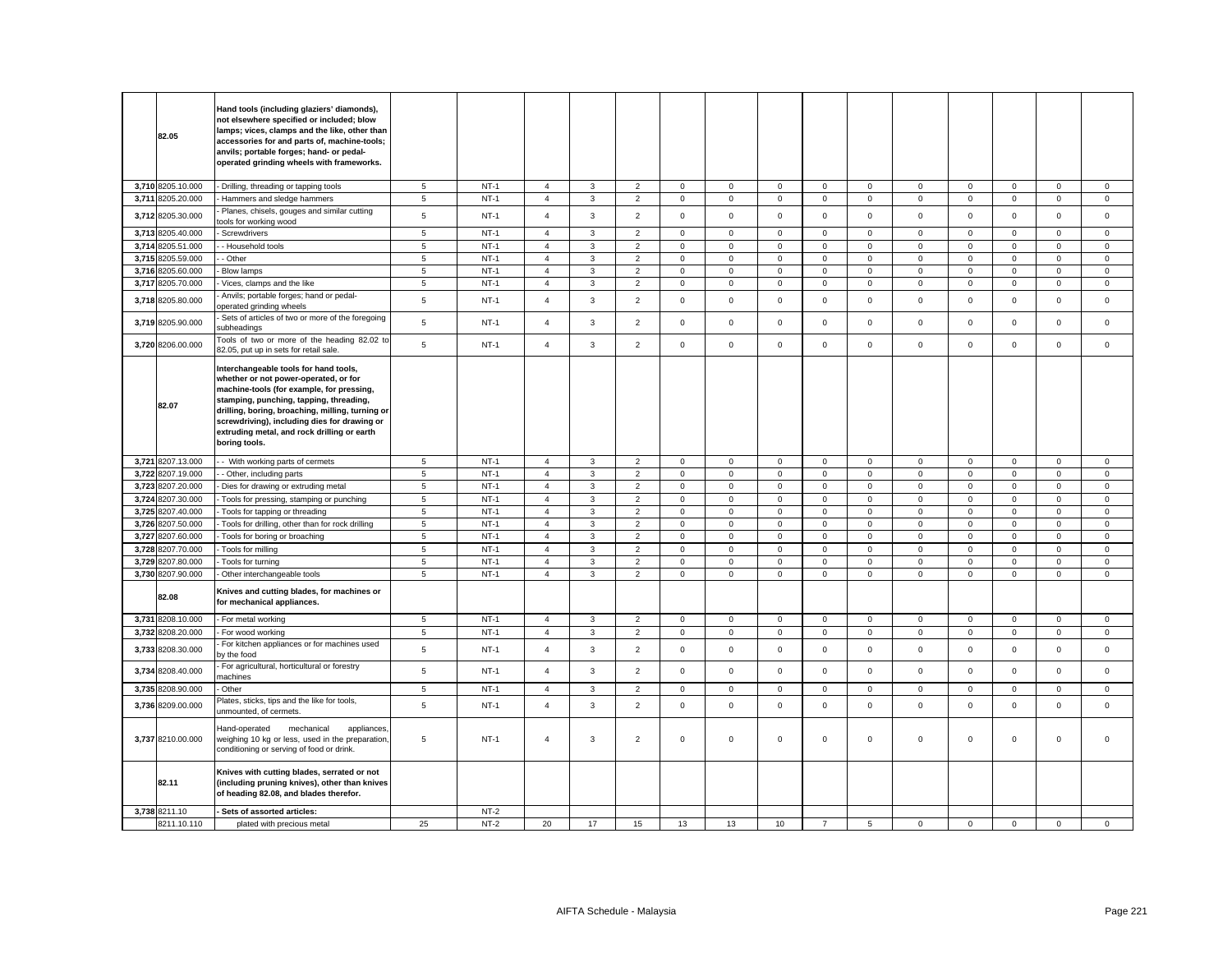|       | 82.05                            | Hand tools (including glaziers' diamonds),<br>not elsewhere specified or included; blow<br>lamps; vices, clamps and the like, other than<br>accessories for and parts of, machine-tools;<br>anvils; portable forges; hand- or pedal-<br>operated grinding wheels with frameworks.                                                          |                 |                  |                                  |              |                                  |                             |                  |                            |                            |                            |                            |                            |                            |                            |                            |
|-------|----------------------------------|--------------------------------------------------------------------------------------------------------------------------------------------------------------------------------------------------------------------------------------------------------------------------------------------------------------------------------------------|-----------------|------------------|----------------------------------|--------------|----------------------------------|-----------------------------|------------------|----------------------------|----------------------------|----------------------------|----------------------------|----------------------------|----------------------------|----------------------------|----------------------------|
|       | 3,710 8205.10.000                | Drilling, threading or tapping tools                                                                                                                                                                                                                                                                                                       | 5               | $NT-1$           | $\overline{4}$                   | 3            | $\overline{2}$                   | $\mathbf 0$                 | 0                | $\mathbf 0$                | $\mathbf{0}$               | $\mathbf 0$                | $\mathbf 0$                | $\mathbf 0$                | $\mathsf 0$                | $\mathbf 0$                | $\mathbf 0$                |
|       | 3,711 8205.20.000                | Hammers and sledge hammers                                                                                                                                                                                                                                                                                                                 | 5               | $NT-1$           | $\overline{4}$                   | 3            | $\overline{2}$                   | $\mathbf 0$                 | $\mathsf 0$      | $\mathsf 0$                | $\mathsf 0$                | $\mathsf 0$                | $\mathbf 0$                | $\mathsf 0$                | $\mathsf 0$                | $\mathsf 0$                | $\mathsf 0$                |
|       | 3,712 8205.30.000                | Planes, chisels, gouges and similar cutting<br>ools for working wood                                                                                                                                                                                                                                                                       | 5               | $NT-1$           | $\overline{\mathbf{A}}$          | 3            | $\overline{2}$                   | $\mathbf{0}$                | 0                | $\mathbf 0$                | $\mathbf 0$                | $\mathbf{0}$               | $\mathsf 0$                | $\mathbf 0$                | 0                          | $\mathbf 0$                | $\mathbf 0$                |
|       | 3,713 8205.40.000                | Screwdrivers                                                                                                                                                                                                                                                                                                                               | 5               | $NT-1$           | $\overline{4}$                   | 3            | $\overline{2}$                   | $\mathbf{0}$                | $\mathbf{0}$     | $\mathbf 0$                | $\mathbf{0}$               | $\mathbf{0}$               | $\mathbf 0$                | $\mathbf 0$                | $\mathbf 0$                | $\mathbf 0$                | $\mathbf 0$                |
|       | 3,714 8205.51.000                | - Household tools                                                                                                                                                                                                                                                                                                                          | 5               | $NT-1$           | $\overline{4}$                   | 3            | $\overline{2}$                   | $\mathbf 0$                 | $\mathbf 0$      | $\mathsf 0$                | $\mathbf 0$                | $\mathbf 0$                | $\mathbf 0$                | $\mathsf 0$                | $\mathsf 0$                | $\mathbf 0$                | $\mathsf 0$                |
|       | 3,715 8205.59.000                | Other                                                                                                                                                                                                                                                                                                                                      | 5               | $NT-1$           | $\overline{4}$                   | 3            | $\overline{2}$                   | $\mathbf{0}$                | $\mathbf 0$      | $\mathbf 0$                | $\mathbf 0$                | $\mathsf 0$                | $\mathbf 0$                | $\mathbf 0$                | $\mathsf 0$                | $\mathbf 0$                | $\mathsf 0$                |
|       | 3,716 8205.60.000                | <b>Blow lamps</b>                                                                                                                                                                                                                                                                                                                          | 5               | $NT-1$           | $\overline{4}$                   | 3            | $\overline{2}$                   | $\mathbf 0$                 | $\mathbf 0$      | $\mathsf 0$                | $\mathbf{0}$               | $\mathbf 0$                | $\mathbf 0$                | $\mathsf 0$                | $\mathsf 0$                | $\mathbf 0$                | $\mathsf 0$                |
| 3,717 | 8205.70.000                      | Vices, clamps and the like                                                                                                                                                                                                                                                                                                                 | $5\phantom{.0}$ | $NT-1$           | $\overline{4}$                   | 3            | $\overline{c}$                   | $\mathsf 0$                 | $\mathsf 0$      | $\mathbf 0$                | $\mathsf{O}\xspace$        | $\mathsf 0$                | $\mathbf 0$                | $\mathbf 0$                | $\mathsf{O}\xspace$        | $\mathbf 0$                | $\mathsf 0$                |
| 3,718 | 8205.80.000                      | Anvils; portable forges; hand or pedal-<br>operated grinding wheels                                                                                                                                                                                                                                                                        | $\sqrt{5}$      | $NT-1$           | $\overline{4}$                   | 3            | $\overline{2}$                   | $\mathbf 0$                 | 0                | $\mathsf 0$                | $\mathbf{0}$               | $\mathbf{0}$               | $\mathbf 0$                | $\mathbf 0$                | $\mathbf 0$                | $\mathsf 0$                | $\mathsf 0$                |
|       | 3,719 8205.90.000                | Sets of articles of two or more of the foregoing<br>subheadings                                                                                                                                                                                                                                                                            | 5               | $NT-1$           | $\overline{4}$                   | 3            | $\overline{2}$                   | $\mathbf 0$                 | $\mathbf 0$      | $\mathsf 0$                | $\mathbf 0$                | $\mathbf 0$                | $\mathbf 0$                | $\mathsf 0$                | $\mathbf 0$                | $\mathsf 0$                | $\mathsf 0$                |
|       | 3,720 8206.00.000                | Tools of two or more of the heading 82.02 to<br>32.05, put up in sets for retail sale.                                                                                                                                                                                                                                                     | 5               | $NT-1$           | $\overline{4}$                   | 3            | $\overline{2}$                   | $\mathbf 0$                 | $\mathsf 0$      | $\mathsf 0$                | $\mathbf 0$                | $\mathbf 0$                | $\mathbf 0$                | $\mathsf 0$                | $\mathsf 0$                | $\mathsf 0$                | $\mathsf 0$                |
|       | 82.07                            | Interchangeable tools for hand tools,<br>whether or not power-operated, or for<br>machine-tools (for example, for pressing,<br>stamping, punching, tapping, threading,<br>drilling, boring, broaching, milling, turning or<br>screwdriving), including dies for drawing or<br>extruding metal, and rock drilling or earth<br>boring tools. |                 |                  |                                  |              |                                  |                             |                  |                            |                            |                            |                            |                            |                            |                            |                            |
|       | 3,721 8207.13.000                | - With working parts of cermets                                                                                                                                                                                                                                                                                                            | $5\overline{5}$ | $NT-1$           | $\overline{4}$                   | 3            | $\overline{2}$                   | $\mathbf 0$                 | $\mathbf 0$      | $\mathsf 0$                | $\mathbf 0$                | $\mathbf{0}$               | $\mathbf 0$                | $\mathsf 0$                | $\mathbf 0$                | $\mathbf 0$                | $\mathsf 0$                |
|       | 3,722 8207.19.000                | - Other, including parts                                                                                                                                                                                                                                                                                                                   | 5               | $NT-1$           | $\overline{4}$                   | $\mathbf{3}$ | $\overline{2}$                   | $\mathbf{0}$                | $\mathbf 0$      | $\mathbf 0$                | $\mathbf{O}$               | $\mathbf{0}$               | $\mathsf 0$                | $\mathbf 0$                | $\mathbf{O}$               | $\mathbf{0}$               | $\mathbf 0$                |
|       | 3,723 8207.20.000                | Dies for drawing or extruding metal                                                                                                                                                                                                                                                                                                        | $5\overline{5}$ | $NT-1$           | $\overline{4}$                   | $\mathbf{3}$ | $\overline{2}$                   | $\mathbf 0$                 | $\mathbf 0$      | $\mathsf 0$                | $\mathbf 0$                | $\mathbf{0}$               | $\mathbf 0$                | $\mathsf 0$                | $\mathsf 0$                | $\mathsf 0$                | $\mathsf 0$                |
|       | 3,724 8207.30.000                | Tools for pressing, stamping or punching                                                                                                                                                                                                                                                                                                   | 5               | $NT-1$           | $\overline{4}$                   | 3            | $\overline{2}$                   | $\mathbf 0$                 | $\mathsf 0$      | $\mathsf 0$                | $\mathsf 0$                | $\mathbf 0$                | $\mathsf 0$                | $\mathsf 0$                | $\mathsf 0$                | $\mathsf 0$                | $\mathsf 0$                |
| 3,725 | 8207.40.000                      | Tools for tapping or threading                                                                                                                                                                                                                                                                                                             | $5\overline{5}$ | $NT-1$           | $\overline{4}$                   | $\mathbf{3}$ | $\overline{2}$                   | $\mathbf 0$                 | 0                | $\mathbf 0$                | $\mathbf 0$                | $\mathbf{0}$               | $\mathbf 0$                | $\mathbf 0$                | $\mathbf 0$                | $\mathbf 0$                | $\mathsf 0$                |
| 3,726 | 8207.50.000                      | Tools for drilling, other than for rock drilling                                                                                                                                                                                                                                                                                           | 5               | $NT-1$<br>$NT-1$ | 4                                | 3            | $\overline{2}$                   | $\mathbf 0$                 | $\mathsf 0$      | $\mathbf 0$                | $\mathsf 0$                | $\mathbf 0$                | $\mathsf 0$                | $\mathbf 0$                | $\mathsf 0$                | $\mathbf 0$                | $\mathbf 0$                |
| 3,727 | 8207.60.000<br>3,728 8207.70.000 | Tools for boring or broaching                                                                                                                                                                                                                                                                                                              | 5<br>5          | $NT-1$           | $\overline{4}$<br>$\overline{4}$ | 3<br>3       | $\overline{2}$<br>$\overline{2}$ | $\mathbf{0}$<br>$\mathbf 0$ | $\mathbf 0$<br>0 | $\mathsf 0$<br>$\mathbf 0$ | $\mathbf 0$<br>$\mathbf 0$ | $\mathsf 0$<br>$\mathbf 0$ | $\mathsf 0$<br>$\mathbf 0$ | $\mathbf 0$<br>$\mathbf 0$ | $\mathbf 0$<br>$\mathbf 0$ | $\mathsf 0$<br>$\mathbf 0$ | $\mathsf 0$<br>$\mathbf 0$ |
| 3,729 | 8207.80.000                      | Tools for milling                                                                                                                                                                                                                                                                                                                          | 5               | $NT-1$           | $\overline{4}$                   | $\mathbf{3}$ | $\overline{2}$                   | $\mathbf 0$                 | $\mathsf 0$      | $\mathbf 0$                | $\mathsf 0$                | $\mathbf 0$                | $\mathsf 0$                | $\mathbf 0$                | $\mathsf 0$                | $\mathsf 0$                | $\mathsf 0$                |
|       | 3,730 8207.90.000                | Tools for turning<br>Other interchangeable tools                                                                                                                                                                                                                                                                                           | 5               | $NT-1$           | $\overline{4}$                   | 3            | $\overline{2}$                   | $\mathbf 0$                 | $\mathbf 0$      | $\mathsf 0$                | $\mathbf 0$                | $\mathbf 0$                | $\mathbf 0$                | $\mathsf 0$                | $\mathsf 0$                | $\mathbf 0$                | $\mathsf 0$                |
|       |                                  |                                                                                                                                                                                                                                                                                                                                            |                 |                  |                                  |              |                                  |                             |                  |                            |                            |                            |                            |                            |                            |                            |                            |
|       | 82.08                            | Knives and cutting blades, for machines or<br>for mechanical appliances.                                                                                                                                                                                                                                                                   |                 |                  |                                  |              |                                  |                             |                  |                            |                            |                            |                            |                            |                            |                            |                            |
|       | 3,731 8208.10.000                | For metal working                                                                                                                                                                                                                                                                                                                          | 5               | <b>NT-1</b>      | $\overline{4}$                   | 3            | $\overline{2}$                   | $\mathbf 0$                 | 0                | $\mathbf 0$                | $\mathbf 0$                | $\overline{0}$             | $\mathbf 0$                | $\mathbf 0$                | 0                          | 0                          | $\mathbf 0$                |
|       | 3,732 8208.20.000                | For wood working                                                                                                                                                                                                                                                                                                                           | $\,$ 5 $\,$     | $NT-1$           | $\overline{4}$                   | $\mathbf 3$  | $\mathbf 2$                      | $\mathbf 0$                 | $\mathsf 0$      | $\mathsf 0$                | $\mathbf 0$                | $\mathsf 0$                | $\mathsf 0$                | $\mathbf 0$                | $\mathsf{O}\xspace$        | $\mathbf 0$                | $\mathsf 0$                |
| 3,733 | 8208.30.000                      | For kitchen appliances or for machines used<br>by the food                                                                                                                                                                                                                                                                                 | $\,$ 5 $\,$     | $NT-1$           | $\overline{4}$                   | $\mathbf{3}$ | $\overline{2}$                   | $\mathbf 0$                 | $\mathsf 0$      | $\mathsf 0$                | $\mathbf 0$                | $\mathbf 0$                | $\mathsf 0$                | $\mathsf 0$                | $\mathbf 0$                | $\mathsf 0$                | $\mathsf 0$                |
|       | 3,734 8208.40.000                | For agricultural, horticultural or forestry<br>nachines                                                                                                                                                                                                                                                                                    | $\,$ 5 $\,$     | $NT-1$           | $\overline{4}$                   | $\mathbf{3}$ | $\overline{2}$                   | $\mathbf 0$                 | $\mathsf 0$      | $\mathsf 0$                | $\mathbf 0$                | $\mathbf{0}$               | $\mathbf 0$                | $\mathsf 0$                | $\mathsf 0$                | $\mathsf 0$                | $\mathsf 0$                |
|       | 3,735 8208.90.000                | Other                                                                                                                                                                                                                                                                                                                                      | $\sqrt{5}$      | $NT-1$           | $\overline{\mathbf{4}}$          | 3            | $\overline{2}$                   | $\mathsf 0$                 | $\mathsf 0$      | $\mathbf 0$                | 0                          | $\mathsf 0$                | $\mathsf 0$                | $\mathbf 0$                | 0                          | $\mathsf 0$                | $\mathbf 0$                |
|       | 3,736 8209.00.000                | Plates, sticks, tips and the like for tools,<br>unmounted, of cermets.                                                                                                                                                                                                                                                                     | 5               | $NT-1$           | $\overline{4}$                   | $\mathbf{3}$ | $\overline{2}$                   | $\mathsf 0$                 | $\mathsf 0$      | $\mathbf 0$                | $\mathbf 0$                | $\mathbf 0$                | $\mathbf 0$                | $\mathbf 0$                | $\mathbf 0$                | $\mathbf 0$                | $\mathsf 0$                |
|       | 3,737 8210.00.000                | mechanical<br>Hand-operated<br>appliances<br>weighing 10 kg or less, used in the preparation,<br>conditioning or serving of food or drink.                                                                                                                                                                                                 | 5               | $NT-1$           | $\overline{4}$                   | 3            | $\overline{2}$                   | $\mathbf 0$                 | $\mathsf 0$      | $\mathsf 0$                | $\mathbf 0$                | $\mathbf 0$                | $\mathsf 0$                | $\mathsf 0$                | $\mathsf 0$                | $\mathbf 0$                | $\mathsf 0$                |
|       | 82.11                            | Knives with cutting blades, serrated or not<br>(including pruning knives), other than knives<br>of heading 82.08, and blades therefor.                                                                                                                                                                                                     |                 |                  |                                  |              |                                  |                             |                  |                            |                            |                            |                            |                            |                            |                            |                            |
|       | 3,738 8211.10                    | Sets of assorted articles:                                                                                                                                                                                                                                                                                                                 |                 | $NT-2$           |                                  |              |                                  |                             |                  |                            |                            |                            |                            |                            |                            |                            |                            |
|       | 8211.10.110                      | plated with precious metal                                                                                                                                                                                                                                                                                                                 | 25              | $NT-2$           | 20                               | 17           | 15                               | 13                          | 13               | 10                         | $\overline{7}$             | 5                          | $\mathsf 0$                | $\mathsf 0$                | $\mathbf 0$                | $\mathbf 0$                | $\mathbf 0$                |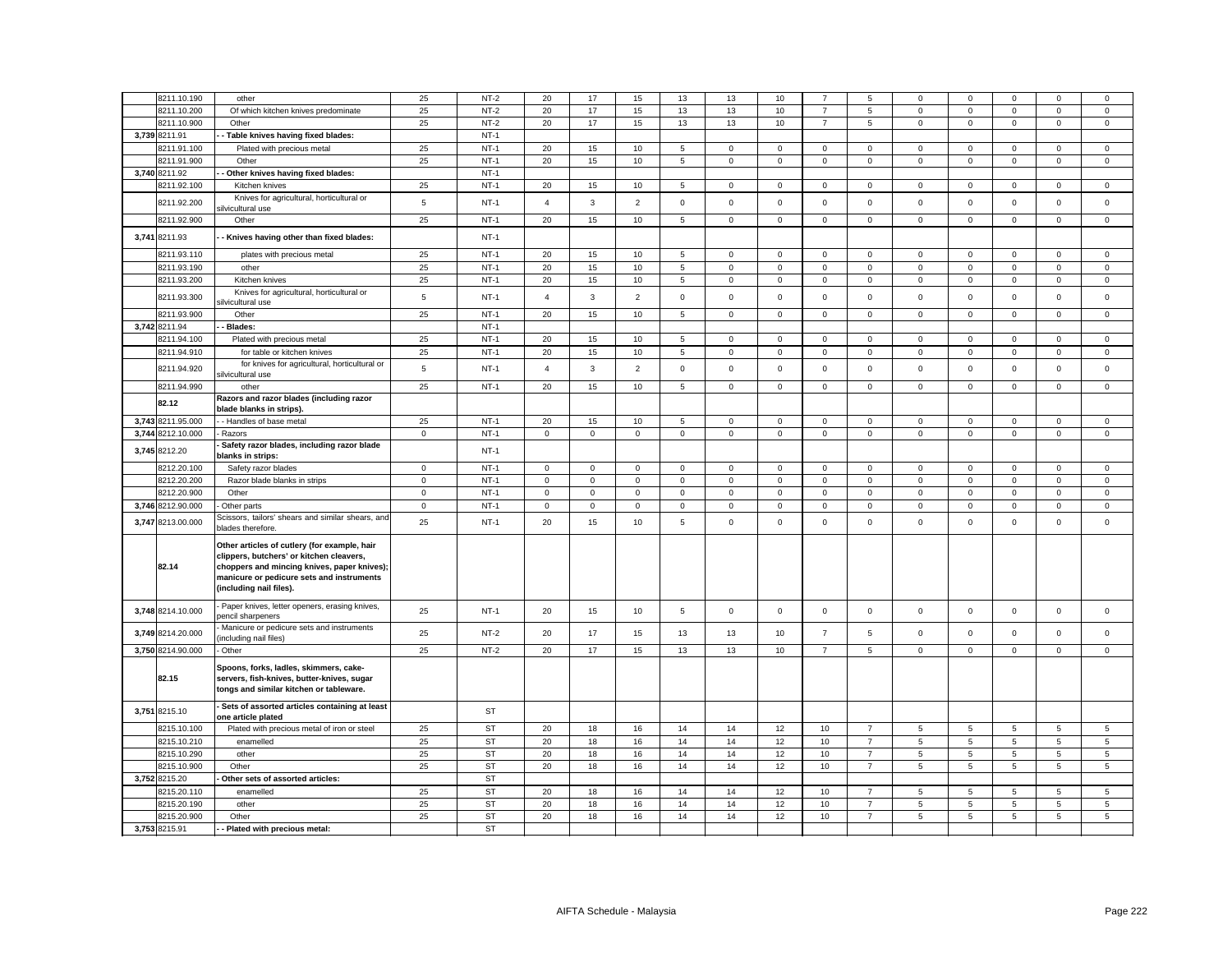| 8211.10.190       | other                                                                                                                                                                                                           | 25             | $NT-2$    | 20             | 17          | 15             | 13              | 13          | 10          |                | 5              | $\Omega$        | $\Omega$       | $\Omega$    | $\Omega$            | $^{\circ}$     |
|-------------------|-----------------------------------------------------------------------------------------------------------------------------------------------------------------------------------------------------------------|----------------|-----------|----------------|-------------|----------------|-----------------|-------------|-------------|----------------|----------------|-----------------|----------------|-------------|---------------------|----------------|
| 8211.10.200       | Of which kitchen knives predominate                                                                                                                                                                             | 25             | $NT-2$    | 20             | 17          | 15             | 13              | 13          | 10          | $\overline{7}$ | 5              | $\mathbf 0$     | $\mathsf 0$    | $\mathsf 0$ | $\mathsf 0$         | $\mathsf 0$    |
| 8211.10.900       | Other                                                                                                                                                                                                           | 25             | $NT-2$    | 20             | 17          | 15             | 13              | 13          | 10          | $\overline{7}$ | 5              | $\mathbf 0$     | $\mathbf 0$    | $\mathbf 0$ | $\mathbf 0$         | $\mathbf 0$    |
| 3,739 8211.91     | Table knives having fixed blades:                                                                                                                                                                               |                | $NT-1$    |                |             |                |                 |             |             |                |                |                 |                |             |                     |                |
| 8211.91.100       | Plated with precious metal                                                                                                                                                                                      | 25             | $NT-1$    | 20             | 15          | 10             | 5               | 0           | $\mathbf 0$ | $\mathbf 0$    | $\mathbf{0}$   | 0               | $\mathbf 0$    | $\mathbf 0$ | $\mathbf 0$         | $\mathbf 0$    |
| 8211.91.900       | Other                                                                                                                                                                                                           | 25             | $NT-1$    | 20             | 15          | 10             | 5               | $\mathsf 0$ | $\mathsf 0$ | $\mathsf 0$    | $\mathbf 0$    | $\mathsf 0$     | $\mathsf 0$    | $\mathsf 0$ | $\mathsf 0$         | $\mathsf 0$    |
| 3,740 8211.92     | Other knives having fixed blades:                                                                                                                                                                               |                | $NT-1$    |                |             |                |                 |             |             |                |                |                 |                |             |                     |                |
| 8211.92.100       | Kitchen knives                                                                                                                                                                                                  | 25             | $NT-1$    | 20             | 15          | 10             | 5               | $\mathsf 0$ | $\mathsf 0$ | $\mathsf 0$    | $\mathsf 0$    | $\mathbf 0$     | $\mathsf 0$    | $\mathsf 0$ | $\mathsf 0$         | $\mathsf 0$    |
| 8211.92.200       | Knives for agricultural, horticultural or                                                                                                                                                                       | $\overline{5}$ | $NT-1$    | $\overline{4}$ | 3           | $\overline{2}$ | $\mathsf 0$     | $\mathsf 0$ | $\mathsf 0$ | $\mathsf 0$    | $\mathsf 0$    | $\mathsf 0$     | $\mathsf 0$    | $\mathsf 0$ | $\mathsf 0$         | $\mathsf 0$    |
|                   | ilvicultural use                                                                                                                                                                                                |                |           |                |             |                |                 |             |             |                |                |                 |                |             |                     |                |
| 8211.92.900       | Other                                                                                                                                                                                                           | 25             | $NT-1$    | 20             | 15          | 10             | 5               | $\mathsf 0$ | $\mathbf 0$ | $\mathsf 0$    | $\mathsf 0$    | $\mathsf 0$     | $\mathbf 0$    | $\mathsf 0$ | $\mathsf 0$         | $\mathsf 0$    |
| 3,741 8211.93     | Knives having other than fixed blades:                                                                                                                                                                          |                | $NT-1$    |                |             |                |                 |             |             |                |                |                 |                |             |                     |                |
| 8211.93.110       | plates with precious metal                                                                                                                                                                                      | 25             | $NT-1$    | 20             | 15          | $10$           | $\,$ 5 $\,$     | $\mathsf 0$ | $\mathsf 0$ | $\mathsf 0$    | $\mathsf 0$    | $\mathsf 0$     | $\mathbf 0$    | $\mathbf 0$ | $\mathsf 0$         | $\mathsf 0$    |
| 8211.93.190       | other                                                                                                                                                                                                           | 25             | $NT-1$    | 20             | 15          | 10             | 5               | $\mathsf 0$ | $\mathsf 0$ | $\mathsf 0$    | $\mathsf 0$    | $\mathsf 0$     | $\mathsf 0$    | $\mathsf 0$ | $\mathsf 0$         | $\mathsf 0$    |
| 8211.93.200       | Kitchen knives                                                                                                                                                                                                  | 25             | $NT-1$    | 20             | 15          | $10$           | $\mathbf 5$     | $\mathsf 0$ | $\mathsf 0$ | $\mathsf 0$    | $\mathsf 0$    | $\mathsf 0$     | $\mathsf 0$    | $\mathsf 0$ | $\mathsf 0$         | $\mathsf 0$    |
| 8211.93.300       | Knives for agricultural, horticultural or<br>ilvicultural use                                                                                                                                                   | 5              | $NT-1$    | $\overline{4}$ | 3           | $\overline{2}$ | $\mathbf 0$     | $\mathbf 0$ | $\mathbf 0$ | $\mathbf{O}$   | $\mathbf{0}$   | $\mathbf 0$     | $\mathbf 0$    | $\mathbf 0$ | $\mathbf 0$         | $\mathbf 0$    |
| 8211.93.900       | Other                                                                                                                                                                                                           | 25             | $NT-1$    | 20             | 15          | 10             | $5\phantom{.0}$ | $\mathbf 0$ | $\mathbf 0$ | $\mathsf 0$    | $\mathbf 0$    | $\mathsf 0$     | $\mathbf 0$    | $\mathbf 0$ | $\mathsf 0$         | $\mathsf 0$    |
| 3,742 8211.94     | Blades:                                                                                                                                                                                                         |                | $NT-1$    |                |             |                |                 |             |             |                |                |                 |                |             |                     |                |
|                   |                                                                                                                                                                                                                 |                | $NT-1$    | 20             |             |                |                 |             |             |                |                |                 |                |             |                     |                |
| 8211.94.100       | Plated with precious metal                                                                                                                                                                                      | 25             |           |                | 15          | 10             | 5               | $\mathbf 0$ | $\mathbf 0$ | $\mathbf 0$    | $\mathbf 0$    | $\mathbf 0$     | $\mathbf 0$    | $\mathbf 0$ | $\mathbf 0$         | $\mathbf 0$    |
| 8211.94.910       | for table or kitchen knives                                                                                                                                                                                     | 25             | $NT-1$    | 20             | 15          | 10             | 5               | $\mathsf 0$ | $\mathbf 0$ | $\mathsf 0$    | 0              | $\mathsf 0$     | $\mathsf 0$    | $\mathsf 0$ | $\mathsf 0$         | $\mathsf 0$    |
| 8211.94.920       | for knives for agricultural, horticultural or<br>ilvicultural use                                                                                                                                               | 5              | $NT-1$    | $\overline{4}$ | 3           | $\overline{2}$ | $\mathsf 0$     | $\mathsf 0$ | $\mathsf 0$ | $\mathsf 0$    | $\mathsf 0$    | $\mathbf 0$     | $\mathsf 0$    | $\mathsf 0$ | $\mathsf 0$         | $\mathsf 0$    |
| 8211.94.990       | other                                                                                                                                                                                                           | 25             | $NT-1$    | 20             | 15          | 10             | 5               | $\mathsf 0$ | $\mathsf 0$ | $\mathsf 0$    | $\mathbf 0$    | $\mathbf 0$     | $\mathsf 0$    | $\mathsf 0$ | $\mathsf 0$         | $\mathsf 0$    |
| 82.12             | Razors and razor blades (including razor                                                                                                                                                                        |                |           |                |             |                |                 |             |             |                |                |                 |                |             |                     |                |
|                   | blade blanks in strips).                                                                                                                                                                                        |                |           |                |             |                |                 |             |             |                |                |                 |                |             |                     |                |
| 3,743 8211.95.000 | - Handles of base metal                                                                                                                                                                                         | 25             | $NT-1$    | 20             | 15          | 10             | 5               | 0           | $\mathbf 0$ | $\mathbf 0$    | $\mathsf 0$    | $\mathsf 0$     | $\mathbf 0$    | $\mathbf 0$ | $\mathbf 0$         | $\mathbf 0$    |
| 3,744 8212.10.000 | Razors                                                                                                                                                                                                          | $\mathbf 0$    | $NT-1$    | $\mathsf 0$    | $\mathsf 0$ | $\mathbf 0$    | $\mathsf 0$     | $\mathsf 0$ | $\mathsf 0$ | $\mathbf 0$    | $\mathsf 0$    | $\mathsf 0$     | $\mathbf 0$    | $\mathsf 0$ | $\mathsf{O}\xspace$ | $\mathsf 0$    |
| 3,745 8212.20     | Safety razor blades, including razor blade<br>blanks in strips:                                                                                                                                                 |                | $NT-1$    |                |             |                |                 |             |             |                |                |                 |                |             |                     |                |
| 8212.20.100       | Safety razor blades                                                                                                                                                                                             | $\mathbf 0$    | $NT-1$    | 0              | $\mathbf 0$ | $\mathsf 0$    | $\mathbf 0$     | $\mathsf 0$ | $\mathbf 0$ | $\mathsf 0$    | 0              | $\mathsf 0$     | $\mathsf 0$    | $\mathbf 0$ | $\mathsf 0$         | $\mathbf 0$    |
| 8212.20.200       | Razor blade blanks in strips                                                                                                                                                                                    | $\mathbf 0$    | $NT-1$    | $\mathbf{0}$   | $\mathbf 0$ | $\mathsf 0$    | $\mathbf 0$     | $\mathsf 0$ | $\mathbf 0$ | $\mathsf 0$    | $\mathsf 0$    | $\mathsf 0$     | $\mathbf 0$    | $\mathbf 0$ | $\mathsf 0$         | $\mathsf 0$    |
| 8212.20.900       | Other                                                                                                                                                                                                           | $\mathbf 0$    | $NT-1$    | $\mathbf 0$    | $\mathsf 0$ | $\mathsf 0$    | $\mathsf 0$     | $\mathbf 0$ | $\mathsf 0$ | $\mathbf 0$    | $\mathbf 0$    | $\mathbf 0$     | $\mathsf 0$    | $\mathsf 0$ | $\mathsf 0$         | $\mathsf 0$    |
| 3,746 8212.90.000 | Other parts                                                                                                                                                                                                     | $\mathbf 0$    | $NT-1$    | $\mathbf 0$    | $\mathsf 0$ | $\mathbf 0$    | $\mathsf 0$     | $\mathsf 0$ | $\mathsf 0$ | $\mathsf 0$    | $\mathbf 0$    | $\mathsf 0$     | $\mathbf 0$    | $\mathsf 0$ | $\mathsf 0$         | $\mathbf 0$    |
| 3,747 8213.00.000 | Scissors, tailors' shears and similar shears, and<br>plades therefore.                                                                                                                                          | 25             | $NT-1$    | 20             | 15          | 10             | 5               | $\mathsf 0$ | $\mathbf 0$ | $\mathbf{O}$   | $\mathbf 0$    | $\mathsf 0$     | $\Omega$       | $\mathbf 0$ | $\mathbf 0$         | $\mathbf 0$    |
| 82.14             | Other articles of cutlery (for example, hair<br>clippers, butchers' or kitchen cleavers,<br>choppers and mincing knives, paper knives);<br>manicure or pedicure sets and instruments<br>(including nail files). |                |           |                |             |                |                 |             |             |                |                |                 |                |             |                     |                |
| 3,748 8214.10.000 | Paper knives, letter openers, erasing knives,<br>bencil sharpeners                                                                                                                                              | 25             | $NT-1$    | 20             | 15          | 10             | 5               | $\mathsf 0$ | $\mathsf 0$ | $\mathsf 0$    | $\mathbf 0$    | $\mathbf 0$     | $\mathsf 0$    | $\mathsf 0$ | $\mathsf 0$         | $\mathsf 0$    |
| 3,749 8214.20.000 | Manicure or pedicure sets and instruments<br>including nail files)                                                                                                                                              | 25             | $NT-2$    | 20             | 17          | 15             | 13              | 13          | 10          | $\overline{7}$ | 5              | $\mathsf 0$     | $\mathbf 0$    | $\Omega$    | $\mathbf 0$         | $\mathbf 0$    |
| 3,750 8214.90.000 | Other                                                                                                                                                                                                           | 25             | $NT-2$    | 20             | 17          | 15             | 13              | 13          | 10          | $\overline{7}$ | 5              | $\mathbf 0$     | $\mathbf 0$    | $\mathbf 0$ | $\mathbf 0$         | $\mathbf 0$    |
| 82.15             | Spoons, forks, ladles, skimmers, cake-<br>servers, fish-knives, butter-knives, sugar<br>tongs and similar kitchen or tableware.                                                                                 |                |           |                |             |                |                 |             |             |                |                |                 |                |             |                     |                |
| 3,751 8215.10     | Sets of assorted articles containing at least<br>one article plated                                                                                                                                             |                | ST        |                |             |                |                 |             |             |                |                |                 |                |             |                     |                |
| 8215.10.100       | Plated with precious metal of iron or steel                                                                                                                                                                     | 25             | <b>ST</b> | 20             | 18          | 16             | 14              | 14          | 12          | 10             | $\overline{7}$ | 5               | 5              | 5           | 5                   | 5              |
| 8215.10.210       | enamelled                                                                                                                                                                                                       | 25             | <b>ST</b> | 20             | 18          | 16             | 14              | 14          | 12          | 10             | $\overline{7}$ | $\overline{5}$  | $\overline{5}$ | 5           | 5                   | $\mathbf 5$    |
| 8215.10.290       | other                                                                                                                                                                                                           | 25             | <b>ST</b> | 20             | 18          | 16             | 14              | 14          | 12          | 10             | $\overline{7}$ | 5               | 5              | 5           | 5                   | 5              |
| 8215.10.900       | Other                                                                                                                                                                                                           | 25             | <b>ST</b> | 20             | 18          | 16             | 14              | 14          | 12          | 10             | $\overline{7}$ | $5\phantom{.0}$ | 5              | 5           | 5                   | $\overline{5}$ |
| 3,752 8215.20     | Other sets of assorted articles:                                                                                                                                                                                |                | <b>ST</b> |                |             |                |                 |             |             |                |                |                 |                |             |                     |                |
| 8215.20.110       | enamelled                                                                                                                                                                                                       | 25             | <b>ST</b> | 20             | 18          | 16             | 14              | 14          | 12          | 10             | $\overline{7}$ | 5               | 5              | 5           | 5                   | 5              |
| 8215.20.190       | other                                                                                                                                                                                                           | 25             | <b>ST</b> | 20             | 18          | 16             | 14              | 14          | 12          | 10             | $\overline{7}$ | 5               | 5              | 5           | 5                   | 5              |
| 8215.20.900       | Other                                                                                                                                                                                                           | 25             | <b>ST</b> | 20             | 18          | 16             | 14              | 14          | 12          | 10             | $\overline{7}$ | $5\phantom{.0}$ | 5              | 5           | 5                   | 5              |
| 3,753 8215.91     | Plated with precious metal:                                                                                                                                                                                     |                | <b>ST</b> |                |             |                |                 |             |             |                |                |                 |                |             |                     |                |
|                   |                                                                                                                                                                                                                 |                |           |                |             |                |                 |             |             |                |                |                 |                |             |                     |                |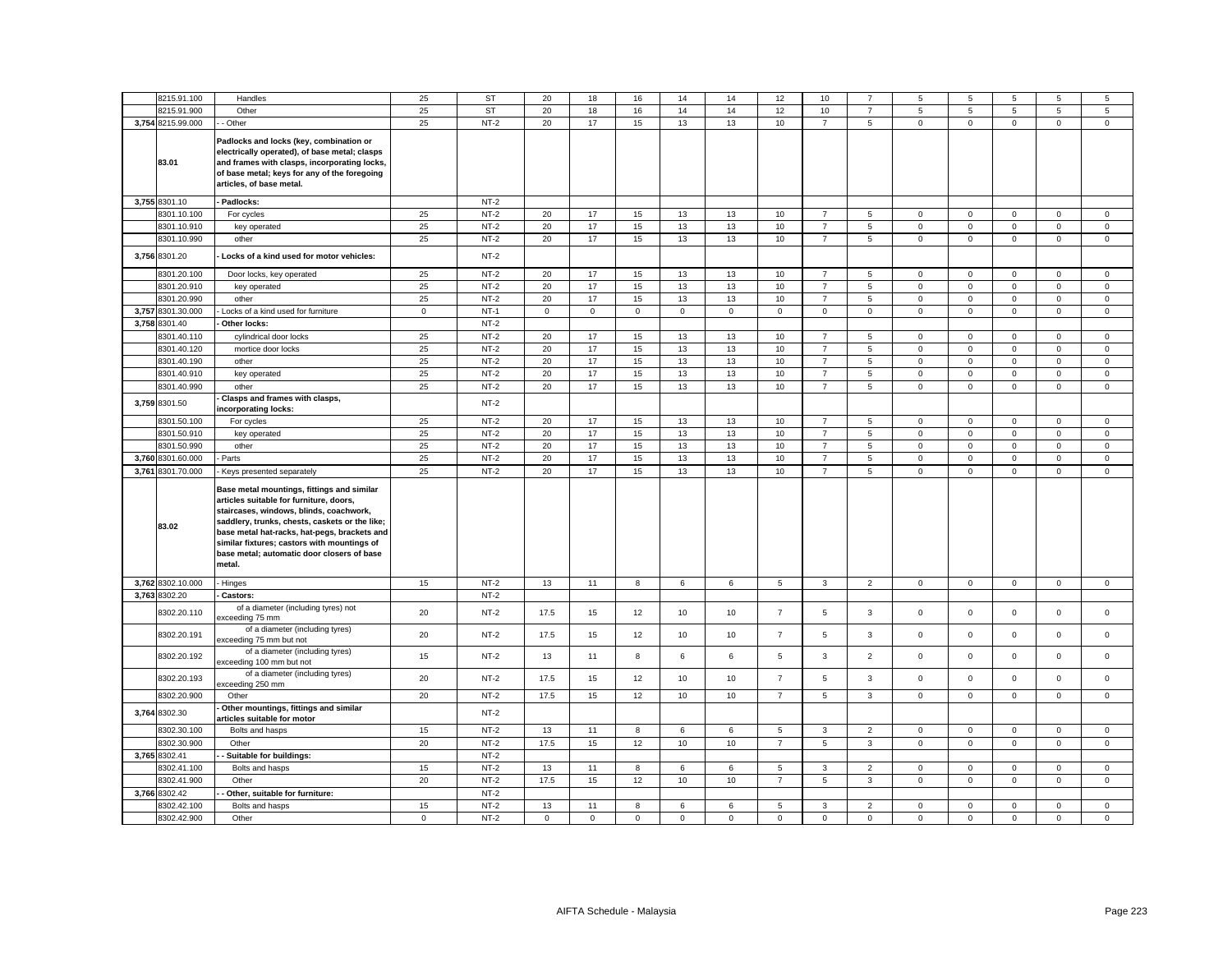|       | 8215.91.100       | Handles                                                                                                                                                                                                                                                                                                                                   | 25          | <b>ST</b> | 20          | 18          | 16          | 14          | 14          | 12             | 10             |                 | 5                   | 5            | 5              | 5            | 5              |
|-------|-------------------|-------------------------------------------------------------------------------------------------------------------------------------------------------------------------------------------------------------------------------------------------------------------------------------------------------------------------------------------|-------------|-----------|-------------|-------------|-------------|-------------|-------------|----------------|----------------|-----------------|---------------------|--------------|----------------|--------------|----------------|
|       | 3215.91.900       | Other                                                                                                                                                                                                                                                                                                                                     | 25          | <b>ST</b> | 20          | 18          | 16          | 14          | 14          | 12             | 10             | $\overline{7}$  | 5                   | $\,$ 5 $\,$  | $\mathbf 5$    | $\mathbf 5$  | 5              |
|       | 3,754 8215.99.000 | Other                                                                                                                                                                                                                                                                                                                                     | 25          | $NT-2$    | 20          | 17          | 15          | 13          | 13          | 10             | $\overline{7}$ | $5\overline{5}$ | $\mathbf 0$         | $\mathsf 0$  | $\mathsf 0$    | $\mathbf 0$  | $\overline{0}$ |
|       | 83.01             | Padlocks and locks (key, combination or<br>electrically operated), of base metal; clasps<br>and frames with clasps, incorporating locks,<br>of base metal; keys for any of the foregoing<br>articles, of base metal.                                                                                                                      |             |           |             |             |             |             |             |                |                |                 |                     |              |                |              |                |
|       | 3,755 8301.10     | Padlocks:                                                                                                                                                                                                                                                                                                                                 |             | $NT-2$    |             |             |             |             |             |                |                |                 |                     |              |                |              |                |
|       | 8301.10.100       | For cycles                                                                                                                                                                                                                                                                                                                                | 25          | $NT-2$    | 20          | 17          | 15          | 13          | 13          | 10             | $\overline{7}$ | $\,$ 5 $\,$     | $\mathsf 0$         | $\mathbf 0$  | $\mathsf 0$    | $\mathsf 0$  | $\mathbf 0$    |
|       | 8301.10.910       | key operated                                                                                                                                                                                                                                                                                                                              | 25          | $NT-2$    | 20          | 17          | 15          | 13          | 13          | 10             | $\overline{7}$ | 5               | $\mathsf 0$         | $\mathsf 0$  | $\mathbf 0$    | $\mathsf 0$  | $\mathbf 0$    |
|       | 8301.10.990       | other                                                                                                                                                                                                                                                                                                                                     | 25          | $NT-2$    | 20          | 17          | 15          | 13          | 13          | 10             | $\overline{7}$ | $\overline{5}$  | $\mathsf 0$         | $\mathsf 0$  | $\mathsf 0$    | $\mathsf 0$  | $\mathsf 0$    |
|       | 3,756 8301.20     | Locks of a kind used for motor vehicles:                                                                                                                                                                                                                                                                                                  |             | $NT-2$    |             |             |             |             |             |                |                |                 |                     |              |                |              |                |
|       | 3301.20.100       | Door locks, key operated                                                                                                                                                                                                                                                                                                                  | 25          | $NT-2$    | 20          | 17          | 15          | 13          | 13          | 10             | $\overline{7}$ | 5               | $\mathbf 0$         | $\mathbf 0$  | $\mathbf 0$    | $^{\circ}$   | $\mathbf 0$    |
|       | 8301.20.910       | key operated                                                                                                                                                                                                                                                                                                                              | 25          | $NT-2$    | 20          | 17          | 15          | 13          | 13          | 10             | $\overline{7}$ | 5               | $\mathbf 0$         | $\mathsf 0$  | $\mathbf 0$    | $\mathsf 0$  | $\mathbf 0$    |
|       | 8301.20.990       | other                                                                                                                                                                                                                                                                                                                                     | 25          | $NT-2$    | 20          | 17          | 15          | 13          | 13          | 10             | $\overline{7}$ | 5               | $\mathbf 0$         | $\mathsf 0$  | $\mathsf 0$    | $\mathsf 0$  | $\mathbf 0$    |
| 3,757 | 8301.30.000       | Locks of a kind used for furniture                                                                                                                                                                                                                                                                                                        | $\mathbf 0$ | $NT-1$    | $\mathsf 0$ | $\mathbf 0$ | $\mathsf 0$ | $\mathbf 0$ | $\mathbf 0$ | $\mathsf 0$    | $\mathbf 0$    | $\mathbf 0$     | $\mathbf 0$         | $\mathsf 0$  | $\mathbf 0$    | $\mathsf 0$  | $\mathbf 0$    |
|       | 3,758 8301.40     | Other locks:                                                                                                                                                                                                                                                                                                                              |             | $NT-2$    |             |             |             |             |             |                |                |                 |                     |              |                |              |                |
|       | 3301.40.110       | cylindrical door locks                                                                                                                                                                                                                                                                                                                    | 25          | $NT-2$    | 20          | 17          | 15          | 13          | 13          | 10             | $\overline{7}$ | 5               | $\mathbf 0$         | $\mathsf 0$  | $\mathbf 0$    | $\mathsf 0$  | $\mathsf 0$    |
|       | 3301.40.120       | mortice door locks                                                                                                                                                                                                                                                                                                                        | 25          | $NT-2$    | 20          | 17          | 15          | 13          | 13          | 10             | $\overline{7}$ | 5               | 0                   | $\mathbf 0$  | $\mathbf{O}$   | $\mathbf 0$  | $\mathbf{0}$   |
|       | 8301.40.190       | other                                                                                                                                                                                                                                                                                                                                     | 25          | $NT-2$    | 20          | 17          | 15          | 13          | 13          | 10             | $\overline{7}$ | 5               | $\mathbf{0}$        | $\mathbf 0$  | $\mathbf 0$    | $\mathbf 0$  | $\mathbf{0}$   |
|       | 3301.40.910       | key operated                                                                                                                                                                                                                                                                                                                              | 25          | $NT-2$    | 20          | 17          | 15          | 13          | 13          | 10             | $\overline{7}$ | 5               | $\mathsf 0$         | $\mathsf 0$  | $\mathbf 0$    | $\mathsf 0$  | $\mathsf 0$    |
|       | 8301.40.990       | other                                                                                                                                                                                                                                                                                                                                     | 25          | $NT-2$    | 20          | 17          | 15          | 13          | 13          | $10$           | $\overline{7}$ | 5               | $\mathsf{O}\xspace$ | $\mathsf 0$  | $\mathsf 0$    | $\mathbf 0$  | $\mathbf 0$    |
|       | 3,759 8301.50     | Clasps and frames with clasps,<br>ncorporating locks:                                                                                                                                                                                                                                                                                     |             | $NT-2$    |             |             |             |             |             |                |                |                 |                     |              |                |              |                |
|       | 8301.50.100       | For cycles                                                                                                                                                                                                                                                                                                                                | 25          | $NT-2$    | 20          | 17          | 15          | 13          | 13          | 10             | $\overline{7}$ | $\,$ 5 $\,$     | $\mathsf 0$         | $\mathsf 0$  | $\mathsf 0$    | $\mathbf 0$  | $\mathbf 0$    |
|       | 8301.50.910       | key operated                                                                                                                                                                                                                                                                                                                              | 25          | $NT-2$    | 20          | 17          | 15          | 13          | 13          | 10             | $\overline{7}$ | 5               | $\mathsf 0$         | $\mathsf 0$  | $\mathsf 0$    | $\mathsf 0$  | $\mathsf 0$    |
|       | 3301.50.990       | other                                                                                                                                                                                                                                                                                                                                     | 25          | $NT-2$    | 20          | 17          | 15          | 13          | 13          | 10             | $\overline{7}$ | 5               | $\mathsf 0$         | $\mathsf 0$  | $\mathsf 0$    | $\mathsf 0$  | $\mathsf 0$    |
|       | 3,760 8301.60.000 | Parts                                                                                                                                                                                                                                                                                                                                     | 25          | $NT-2$    | 20          | 17          | 15          | 13          | 13          | 10             | $\overline{7}$ | 5               | $\mathbf 0$         | $\mathbf 0$  | $\mathsf 0$    | $\mathsf 0$  | $\mathbf 0$    |
|       | 3,761 8301.70.000 | Keys presented separately                                                                                                                                                                                                                                                                                                                 | 25          | $NT-2$    | 20          | 17          | 15          | 13          | 13          | 10             | $\overline{7}$ | $\,$ 5 $\,$     | $\mathsf{O}\xspace$ | $\mathbf 0$  | $\mathsf 0$    | $\mathsf 0$  | $\mathbf 0$    |
|       | 83.02             | Base metal mountings, fittings and similar<br>articles suitable for furniture, doors,<br>staircases, windows, blinds, coachwork,<br>saddlery, trunks, chests, caskets or the like;<br>base metal hat-racks, hat-pegs, brackets and<br>similar fixtures; castors with mountings of<br>base metal; automatic door closers of base<br>metal. |             |           |             |             |             |             |             |                |                |                 |                     |              |                |              |                |
|       | 3,762 8302.10.000 | - Hinges                                                                                                                                                                                                                                                                                                                                  | 15          | $NT-2$    | 13          | 11          | 8           | 6           | 6           | 5              | $\mathbf{3}$   | $\overline{2}$  | $\mathsf 0$         | $\mathsf 0$  | $\mathbf 0$    | $\mathsf 0$  | $\mathsf 0$    |
|       | 3,763 8302.20     | Castors:                                                                                                                                                                                                                                                                                                                                  |             | $NT-2$    |             |             |             |             |             |                |                |                 |                     |              |                |              |                |
|       | 8302.20.110       | of a diameter (including tyres) not<br>exceeding 75 mm                                                                                                                                                                                                                                                                                    | 20          | $NT-2$    | 17.5        | 15          | 12          | 10          | 10          | $\overline{7}$ | 5              | 3               | $\mathsf 0$         | $\mathsf 0$  | $\mathbf 0$    | $\mathsf 0$  | $\mathsf 0$    |
|       | 8302.20.191       | of a diameter (including tyres)<br>exceeding 75 mm but not                                                                                                                                                                                                                                                                                | 20          | $NT-2$    | 17.5        | 15          | 12          | 10          | 10          | $\overline{7}$ | 5              | 3               | $\mathsf 0$         | $\mathsf 0$  | $\mathsf 0$    | $\mathsf 0$  | $\mathsf 0$    |
|       | 8302.20.192       | of a diameter (including tyres)<br>exceeding 100 mm but not                                                                                                                                                                                                                                                                               | 15          | $NT-2$    | 13          | 11          | 8           | 6           | 6           | $\,$ 5 $\,$    | $\mathbf{3}$   | $\overline{2}$  | $\mathbf 0$         | $\mathsf 0$  | $\mathbf 0$    | $\mathsf 0$  | $\mathsf 0$    |
|       | 8302.20.193       | of a diameter (including tyres)<br>xceeding 250 mm                                                                                                                                                                                                                                                                                        | 20          | $NT-2$    | 17.5        | 15          | 12          | 10          | 10          | $\overline{7}$ | 5              | 3               | $\mathsf 0$         | $\mathsf 0$  | $\mathsf 0$    | $\mathsf 0$  | $\mathsf 0$    |
|       | 8302.20.900       | Other                                                                                                                                                                                                                                                                                                                                     | 20          | $NT-2$    | 17.5        | 15          | 12          | 10          | 10          | $\overline{7}$ | 5              | $\mathbf{3}$    | $\mathsf 0$         | $\mathbf 0$  | $\overline{0}$ | $\mathbf 0$  | $\mathsf 0$    |
|       | 3,764 8302.30     | Other mountings, fittings and similar<br>rticles suitable for motor                                                                                                                                                                                                                                                                       |             | $NT-2$    |             |             |             |             |             |                |                |                 |                     |              |                |              |                |
|       | 8302.30.100       | Bolts and hasps                                                                                                                                                                                                                                                                                                                           | 15          | $NT-2$    | 13          | 11          | 8           | 6           | 6           | 5              | $\mathbf{3}$   | $\overline{2}$  | 0                   | $\mathbf 0$  | $\mathbf 0$    | $\mathbf 0$  | $\mathbf 0$    |
|       | 3302.30.900       | Other                                                                                                                                                                                                                                                                                                                                     | 20          | $NT-2$    | 17.5        | 15          | $12\,$      | 10          | 10          | $\overline{7}$ | $\,$ 5 $\,$    | $\mathbf{3}$    | $\mathsf 0$         | $\mathsf 0$  | $\mathsf 0$    | $\mathsf 0$  | $\mathsf 0$    |
|       | 3,765 8302.41     | - Suitable for buildings:                                                                                                                                                                                                                                                                                                                 |             | $NT-2$    |             |             |             |             |             |                |                |                 |                     |              |                |              |                |
|       | 3302.41.100       | Bolts and hasps                                                                                                                                                                                                                                                                                                                           | 15          | $NT-2$    | 13          | 11          | 8           | 6           | 6           | 5              | $\mathbf{3}$   | 2               | $\mathbf 0$         | $\mathbf{0}$ | $\mathbf{0}$   | $\mathbf{0}$ | $\mathbf{0}$   |
|       | 8302.41.900       | Other                                                                                                                                                                                                                                                                                                                                     | 20          | $NT-2$    | 17.5        | 15          | 12          | 10          | 10          | $\overline{7}$ | 5              | $\mathbf{3}$    | $\mathbf 0$         | $\mathbf 0$  | $\mathbf{0}$   | $\mathbf 0$  | $\mathbf{0}$   |
|       | 3,766 8302.42     | Other, suitable for furniture:                                                                                                                                                                                                                                                                                                            |             | $NT-2$    |             |             |             |             |             |                |                |                 |                     |              |                |              |                |
|       | 3302.42.100       | Bolts and hasps                                                                                                                                                                                                                                                                                                                           | 15          | $NT-2$    | 13          | 11          | 8           | 6           | 6           | $\overline{5}$ | $\mathbf{3}$   | $\overline{2}$  | $\mathbf 0$         | $\mathsf 0$  | $\mathbf 0$    | $\mathsf 0$  | $\mathsf 0$    |
|       | 8302.42.900       | Other                                                                                                                                                                                                                                                                                                                                     | $\mathbf 0$ | $NT-2$    | $\mathsf 0$ | $\mathbf 0$ | $\mathsf 0$ | $\mathbf 0$ | $\mathsf 0$ | $\mathsf 0$    | $\mathbf 0$    | $\mathbf 0$     | $\mathsf 0$         | $\mathsf 0$  | $\mathsf 0$    | $\mathsf 0$  | $\Omega$       |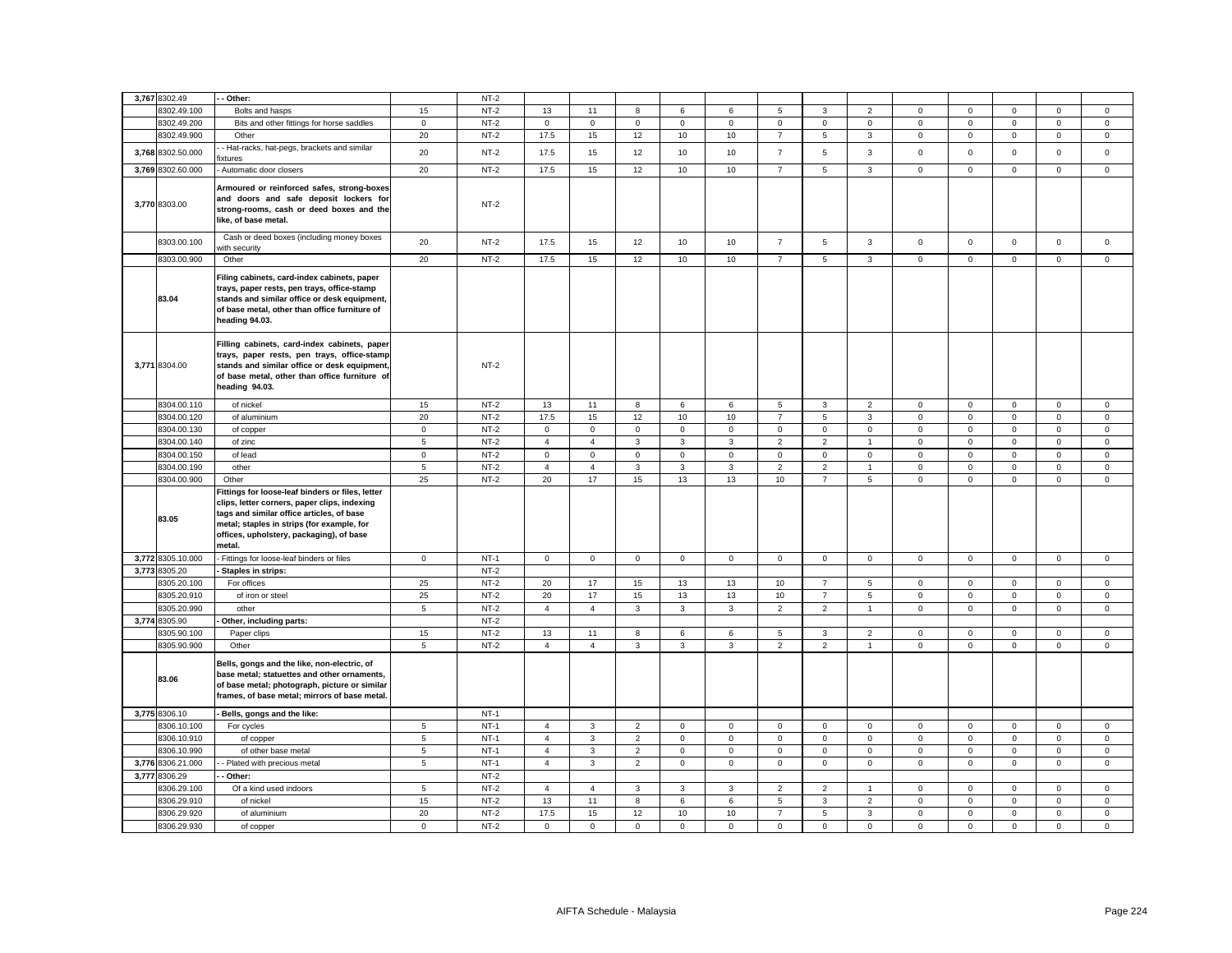| 3,767 8302.49        | - Other:                                                                                                                                                                                                                                          |             | $NT-2$ |                |                |                     |              |                |                |                |                 |                     |              |              |                     |             |
|----------------------|---------------------------------------------------------------------------------------------------------------------------------------------------------------------------------------------------------------------------------------------------|-------------|--------|----------------|----------------|---------------------|--------------|----------------|----------------|----------------|-----------------|---------------------|--------------|--------------|---------------------|-------------|
| 3302.49.100          | Bolts and hasps                                                                                                                                                                                                                                   | 15          | $NT-2$ | 13             | 11             | 8                   | 6            | 6              | 5              | 3              | $\overline{2}$  | $\mathbf 0$         | $\mathbf 0$  | $\mathsf 0$  | $\mathsf 0$         | $\mathbf 0$ |
| 8302.49.200          | Bits and other fittings for horse saddles                                                                                                                                                                                                         | $\mathbf 0$ | $NT-2$ | $\mathbf 0$    | $\mathbf 0$    | $\mathsf 0$         | $\mathbf 0$  | $\mathbf 0$    | $\mathsf 0$    | $\mathbf 0$    | $\mathsf 0$     | $\mathbf 0$         | $\mathsf 0$  | $\mathsf 0$  | $\mathsf 0$         | $\mathsf 0$ |
| 8302.49.900          | Other                                                                                                                                                                                                                                             | 20          | $NT-2$ | 17.5           | 15             | 12                  | 10           | 10             | $\overline{7}$ | 5              | $\mathbf{3}$    | $\mathsf{O}\xspace$ | $\mathbf{0}$ | $\mathbf 0$  | $\mathbf{0}$        | $\mathbf 0$ |
|                      | - Hat-racks, hat-pegs, brackets and similar                                                                                                                                                                                                       |             |        |                |                |                     |              |                |                |                |                 |                     |              |              |                     |             |
| 3,768 8302.50.000    | ixtures                                                                                                                                                                                                                                           | 20          | $NT-2$ | 17.5           | 15             | 12                  | 10           | 10             | $\overline{7}$ | 5              | $\mathbf{3}$    | $\mathsf 0$         | $\mathsf 0$  | $\mathbf 0$  | $\mathsf{O}\xspace$ | $\mathsf 0$ |
| 3,769 8302.60.000    | Automatic door closers                                                                                                                                                                                                                            | 20          | $NT-2$ | 17.5           | 15             | 12                  | 10           | 10             | $\overline{7}$ | 5              | $\mathbf{3}$    | $\mathsf 0$         | $\mathsf 0$  | $\mathsf 0$  | $\mathbf 0$         | $\mathsf 0$ |
| 3,770 8303.00        | Armoured or reinforced safes, strong-boxes<br>and doors and safe deposit lockers for<br>strong-rooms, cash or deed boxes and the<br>like, of base metal.                                                                                          |             | $NT-2$ |                |                |                     |              |                |                |                |                 |                     |              |              |                     |             |
| 8303.00.100          | Cash or deed boxes (including money boxes<br>vith security                                                                                                                                                                                        | 20          | $NT-2$ | 17.5           | 15             | 12                  | 10           | 10             | $\overline{7}$ | 5              | $\mathbf{3}$    | $\mathsf 0$         | $\mathsf 0$  | $\mathbf 0$  | $\mathsf{O}\xspace$ | $\mathsf 0$ |
| 8303.00.900          | Other                                                                                                                                                                                                                                             | 20          | $NT-2$ | 17.5           | 15             | 12                  | 10           | 10             | $\overline{7}$ | 5              | $\mathbf{3}$    | $\mathsf 0$         | $\mathsf 0$  | $\mathbf 0$  | $\mathbf 0$         | $\mathsf 0$ |
| 83.04                | Filing cabinets, card-index cabinets, paper<br>trays, paper rests, pen trays, office-stamp<br>stands and similar office or desk equipment,<br>of base metal, other than office furniture of<br>heading 94.03.                                     |             |        |                |                |                     |              |                |                |                |                 |                     |              |              |                     |             |
| 3,771 8304.00        | Filling cabinets, card-index cabinets, paper<br>trays, paper rests, pen trays, office-stamp<br>stands and similar office or desk equipment,<br>of base metal, other than office furniture of<br>heading 94.03.                                    |             | $NT-2$ |                |                |                     |              |                |                |                |                 |                     |              |              |                     |             |
| 8304.00.110          | of nickel                                                                                                                                                                                                                                         | 15          | $NT-2$ | 13             | 11             | 8                   | 6            | 6              | 5              | $\mathbf{3}$   | 2               | $\mathbf 0$         | $\mathbf 0$  | $\mathbf{0}$ | $\mathbf{0}$        | $\mathbf 0$ |
| 8304.00.120          | of aluminium                                                                                                                                                                                                                                      | 20          | $NT-2$ | 17.5           | 15             | 12                  | 10           | 10             | $\overline{7}$ | 5              | $\mathbf{3}$    | $\mathbf 0$         | $\mathsf 0$  | $\mathbf 0$  | $\mathsf 0$         | $\mathsf 0$ |
| 8304.00.130          | of copper                                                                                                                                                                                                                                         | $\mathsf 0$ | $NT-2$ | $\mathsf 0$    | $\mathsf 0$    | $\mathsf 0$         | $\mathsf 0$  | $\mathbf 0$    | $\mathsf 0$    | $\mathbf 0$    | $\mathsf 0$     | $\mathsf 0$         | $\mathbf 0$  | $\mathsf 0$  | $\mathsf 0$         | $\mathsf 0$ |
| 8304.00.140          | of zinc                                                                                                                                                                                                                                           | $\sqrt{5}$  | $NT-2$ | $\overline{4}$ | $\overline{4}$ | 3                   | $\mathbf{3}$ | $\mathbf{3}$   | $\overline{2}$ | $\overline{2}$ | $\overline{1}$  | $\mathbf 0$         | $\mathsf 0$  | $\mathsf 0$  | $\mathsf 0$         | $\mathsf 0$ |
| 8304.00.150          | of lead                                                                                                                                                                                                                                           | $\mathbf 0$ | $NT-2$ | $\mathsf 0$    | $\mathsf 0$    | $\mathsf 0$         | $\mathsf 0$  | 0              | $\mathsf 0$    | $\mathbf 0$    | $\mathbf 0$     | $\mathbf 0$         | $\mathbf 0$  | $\mathsf 0$  | $\mathsf 0$         | $\mathbf 0$ |
| 8304.00.190          | other                                                                                                                                                                                                                                             | 5           | $NT-2$ | $\overline{4}$ | $\overline{4}$ | $\overline{3}$      | $\mathbf{3}$ | $\overline{3}$ | $\overline{2}$ | $\overline{2}$ | $\overline{1}$  | $\mathbf 0$         | $\mathbf 0$  | $\mathbf 0$  | $\mathbf 0$         | $\mathbf 0$ |
| 8304.00.900          | Other                                                                                                                                                                                                                                             | 25          | $NT-2$ | 20             | 17             | 15                  | 13           | 13             | 10             | $\overline{7}$ | $5\overline{5}$ | $\mathbf 0$         | $\mathsf 0$  | $\mathbf 0$  | $\mathsf 0$         | $\mathsf 0$ |
| 83.05                | Fittings for loose-leaf binders or files, letter<br>clips, letter corners, paper clips, indexing<br>tags and similar office articles, of base<br>metal; staples in strips (for example, for<br>offices, upholstery, packaging), of base<br>metal. |             |        |                |                |                     |              |                |                |                |                 |                     |              |              |                     |             |
| 3,772 8305.10.000    | Fittings for loose-leaf binders or files                                                                                                                                                                                                          | $\mathsf 0$ | $NT-1$ | $\mathsf 0$    | $\mathbf 0$    | $\mathsf{O}\xspace$ | $\mathsf 0$  | $\mathsf 0$    | $\mathsf 0$    | $\mathbf 0$    | $\mathsf 0$     | $\mathsf 0$         | $\mathbf 0$  | $\mathsf 0$  | $\mathsf{O}\xspace$ | $\mathsf 0$ |
| 3,773 8305.20        | Staples in strips:                                                                                                                                                                                                                                |             | $NT-2$ |                |                |                     |              |                |                |                |                 |                     |              |              |                     |             |
| 3305.20.100          | For offices                                                                                                                                                                                                                                       | 25          | $NT-2$ | 20             | 17             | 15                  | 13           | 13             | 10             | $\overline{7}$ | $\sqrt{5}$      | $\mathsf 0$         | $\mathbf 0$  | $\mathsf 0$  | $\mathsf 0$         | $\mathsf 0$ |
| 8305.20.910          | of iron or steel                                                                                                                                                                                                                                  | 25          | $NT-2$ | 20             | 17             | 15                  | 13           | 13             | 10             | $\overline{7}$ | 5               | $\mathbf 0$         | $\mathsf 0$  | $\mathsf 0$  | $\mathsf 0$         | $\mathsf 0$ |
| 8305.20.990          | other                                                                                                                                                                                                                                             | $\,$ 5 $\,$ | $NT-2$ | $\overline{4}$ | $\overline{4}$ | $_{\rm 3}$          | $\mathbf{3}$ | $_{\rm 3}$     | $\overline{2}$ | $\overline{2}$ | $\overline{1}$  | $\mathsf 0$         | $\Omega$     | $\mathsf 0$  | $\mathbf 0$         | $\mathsf 0$ |
| 3,774 8305.90        | Other, including parts:                                                                                                                                                                                                                           |             | $NT-2$ |                |                |                     |              |                |                |                |                 |                     |              |              |                     |             |
| 305.90.100           | Paper clips                                                                                                                                                                                                                                       | 15          | $NT-2$ | 13             | 11             | 8                   | 6            | 6              | $\mathbf 5$    | $\mathbf{3}$   | $\overline{2}$  | $\mathbf 0$         | $\mathbf 0$  | $\mathbf 0$  | $\mathbf 0$         | $\mathsf 0$ |
| 8305.90.900<br>83.06 | Other<br>Bells, gongs and the like, non-electric, of<br>base metal; statuettes and other ornaments,<br>of base metal; photograph, picture or similar<br>frames, of base metal; mirrors of base metal.                                             | 5           | $NT-2$ | $\overline{4}$ | $\overline{4}$ | $\mathbf{3}$        | 3            | 3              | $\overline{2}$ | $\overline{2}$ | $\overline{1}$  | $\mathbf 0$         | $\mathsf 0$  | $\mathbf 0$  | $\mathsf 0$         | $\mathbf 0$ |
| 3,775 8306.10        | Bells, gongs and the like:                                                                                                                                                                                                                        |             | $NT-1$ |                |                |                     |              |                |                |                |                 |                     |              |              |                     |             |
| 8306.10.100          | For cycles                                                                                                                                                                                                                                        | 5           | $NT-1$ | $\overline{4}$ | 3              | $\overline{2}$      | $\mathsf 0$  | 0              | $\mathsf 0$    | $\mathbf 0$    | $\mathbf 0$     | $\mathsf 0$         | $\mathsf 0$  | $\mathsf 0$  | $\mathsf 0$         | $\mathsf 0$ |
| 8306.10.910          | of copper                                                                                                                                                                                                                                         | 5           | $NT-1$ | $\overline{4}$ | 3              | $\overline{2}$      | $\mathbf 0$  | $\mathbf 0$    | $\mathsf 0$    | $\mathbf 0$    | $\mathbf 0$     | $\mathbf 0$         | $\mathsf 0$  | $\mathbf 0$  | $\mathbf 0$         | $\mathsf 0$ |
| 8306.10.990          | of other base metal                                                                                                                                                                                                                               | 5           | $NT-1$ | $\overline{4}$ | 3              | $\overline{2}$      | $\mathbf 0$  | $\mathbf 0$    | $\mathsf 0$    | $\mathbf 0$    | $\mathbf 0$     | $\mathbf 0$         | $\mathsf 0$  | $\mathsf 0$  | $\mathsf 0$         | $\mathsf 0$ |
| 3,776 8306.21.000    | - Plated with precious metal                                                                                                                                                                                                                      | 5           | $NT-1$ | $\overline{4}$ | $\mathbf{3}$   | $\overline{2}$      | $\mathbf{0}$ | $\mathbf{0}$   | $\mathbf 0$    | $\mathbf{0}$   | $\mathbf{0}$    | $\mathbf 0$         | $\mathbf 0$  | $\mathbf 0$  | $\mathbf{0}$        | $\mathbf 0$ |
| 3,777 8306.29        | Other:                                                                                                                                                                                                                                            |             | $NT-2$ |                |                |                     |              |                |                |                |                 |                     |              |              |                     |             |
| 3306.29.100          | Of a kind used indoors                                                                                                                                                                                                                            | 5           | $NT-2$ | $\overline{4}$ | $\overline{4}$ | 3                   | 3            | 3              | $\overline{2}$ | $\overline{2}$ | $\overline{1}$  | $\mathbf 0$         | $\mathbf 0$  | 0            | $\mathsf 0$         | $\mathbf 0$ |
| 8306.29.910          | of nickel                                                                                                                                                                                                                                         | 15          | $NT-2$ | 13             | 11             | 8                   | 6            | 6              | 5              | $\mathbf{3}$   | 2               | $\mathbf 0$         | $\mathbf 0$  | $\mathbf 0$  | $\mathbf 0$         | $\mathbf 0$ |
| 8306.29.920          | of aluminium                                                                                                                                                                                                                                      | 20          | $NT-2$ | 17.5           | 15             | 12                  | 10           | 10             | $\overline{7}$ | 5              | 3               | $\mathsf 0$         | $\mathbf 0$  | $\mathsf 0$  | $\mathsf 0$         | $\mathbf 0$ |
| 8306.29.930          | of copper                                                                                                                                                                                                                                         | $\mathbf 0$ | $NT-2$ | $\mathbf{0}$   | $\mathbf 0$    | $\mathbf 0$         | $\mathbf 0$  | $\mathbf{0}$   | $\mathbf 0$    | $\mathbf 0$    | $\mathbf{0}$    | $\mathbf 0$         | $\mathbf 0$  | $\mathbf 0$  | $\mathbf 0$         | $\mathbf 0$ |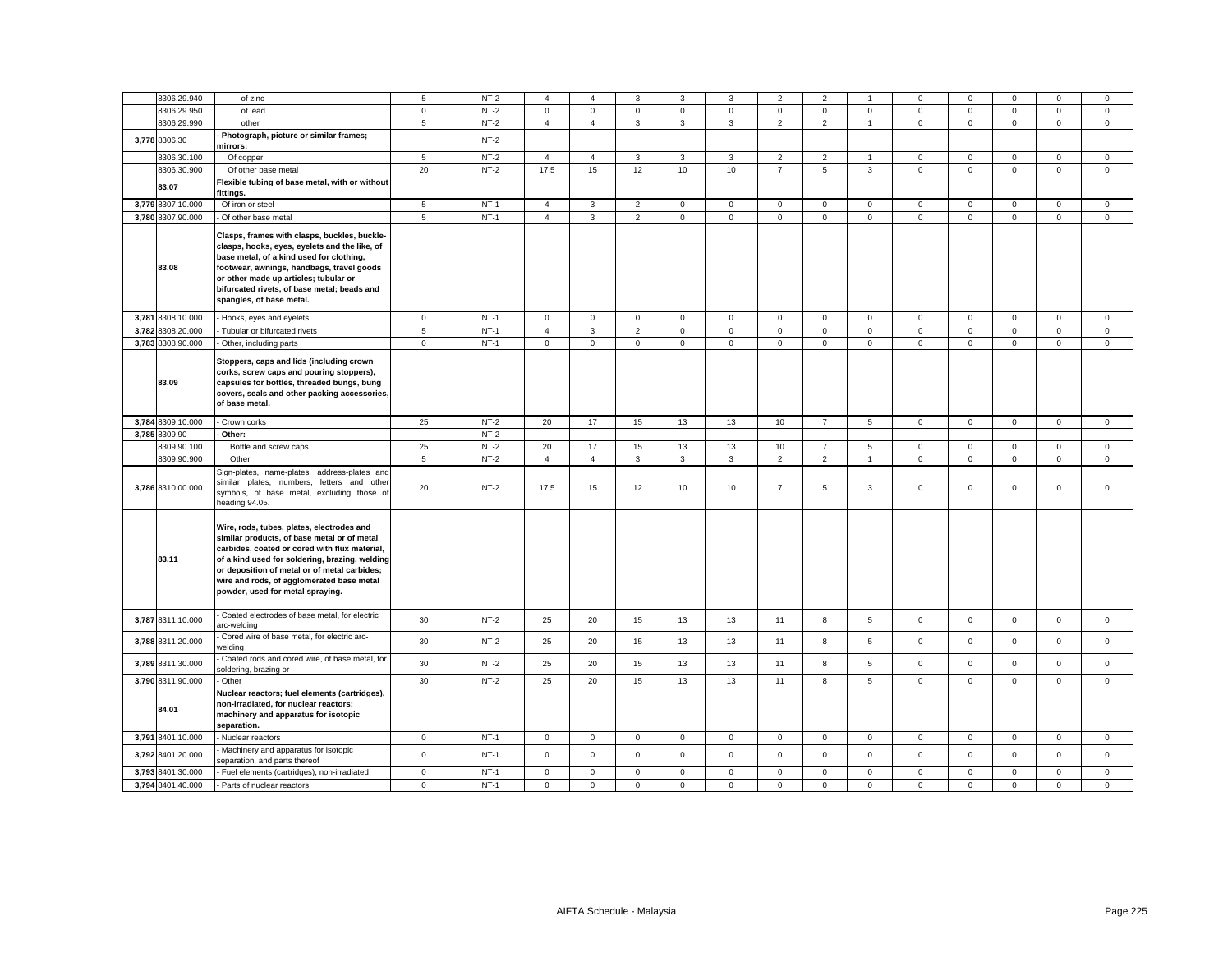| 8306.29.940       | of zinc                                                                                                                                                                                                                                                                                                                      | 5              | $NT-2$ | $\overline{4}$                | $\overline{a}$ | 3              | 3                   | 3            | $\overline{2}$ | $\overline{2}$ | $\overline{1}$            | $\Omega$            | $\mathbf 0$             | $\Omega$            | $\Omega$            | $\mathbf 0$         |
|-------------------|------------------------------------------------------------------------------------------------------------------------------------------------------------------------------------------------------------------------------------------------------------------------------------------------------------------------------|----------------|--------|-------------------------------|----------------|----------------|---------------------|--------------|----------------|----------------|---------------------------|---------------------|-------------------------|---------------------|---------------------|---------------------|
| 8306.29.950       | of lead                                                                                                                                                                                                                                                                                                                      | $\mathsf 0$    | $NT-2$ | $\mathbf 0$<br>$\overline{4}$ | $\mathsf 0$    | $\mathsf 0$    | $\mathbf{0}$        | $\mathbf 0$  | $\mathsf 0$    | $\mathbf 0$    | $\circ$<br>$\overline{1}$ | $\mathbf 0$         | $\mathbf 0$<br>$\Omega$ | $\mathbf 0$         | $\mathsf 0$         | $\mathsf 0$         |
| 8306.29.990       | other                                                                                                                                                                                                                                                                                                                        | 5              | $NT-2$ |                               | $\overline{4}$ | $\mathbf{3}$   | 3                   | 3            | $\overline{2}$ | $\overline{2}$ |                           | $\mathsf 0$         |                         | $\mathbf 0$         | $\mathsf 0$         | $\mathbf 0$         |
| 3,778 8306.30     | Photograph, picture or similar frames;<br>mirrors:                                                                                                                                                                                                                                                                           |                | $NT-2$ |                               |                |                |                     |              |                |                |                           |                     |                         |                     |                     |                     |
| 3306.30.100       | Of copper                                                                                                                                                                                                                                                                                                                    | 5              | NT-2   | $\overline{4}$                | 4              | 3              | 3                   | 3            | $\overline{2}$ | $\overline{2}$ | $\overline{1}$            | $\mathbf{0}$        | $\mathbf 0$             | 0                   | 0                   | 0                   |
| 8306.30.900       | Of other base metal                                                                                                                                                                                                                                                                                                          | 20             | $NT-2$ | 17.5                          | 15             | 12             | 10                  | 10           | $\overline{7}$ | 5              | $\mathbf{3}$              | $\mathbf 0$         | $\mathsf 0$             | $\mathbf 0$         | $\mathsf 0$         | $\mathbf 0$         |
| 83.07             | Flexible tubing of base metal, with or without<br>fittings.                                                                                                                                                                                                                                                                  |                |        |                               |                |                |                     |              |                |                |                           |                     |                         |                     |                     |                     |
| 3,779 8307.10.000 | Of iron or steel                                                                                                                                                                                                                                                                                                             | 5              | $NT-1$ | $\overline{4}$                | 3              | $\overline{2}$ | $\mathsf 0$         | $\mathbf 0$  | $\mathsf 0$    | $\mathbf 0$    | $\mathsf 0$               | $\mathbf 0$         | $\mathsf 0$             | $\mathbf 0$         | $\mathbf 0$         | $\mathbf 0$         |
| 3,780 8307.90.000 | Of other base metal                                                                                                                                                                                                                                                                                                          | $\overline{5}$ | $NT-1$ | $\overline{4}$                | $\mathbf{3}$   | $\overline{2}$ | $\mathsf{o}\xspace$ | $\mathsf 0$  | $\mathbf 0$    | $\mathsf 0$    | $\mathsf 0$               | $\mathsf 0$         | $\mathbf 0$             | $\mathsf 0$         | $\mathsf{o}\xspace$ | $\mathsf{O}\xspace$ |
| 83.08             | Clasps, frames with clasps, buckles, buckle-<br>clasps, hooks, eyes, eyelets and the like, of<br>base metal, of a kind used for clothing,<br>footwear, awnings, handbags, travel goods<br>or other made up articles; tubular or<br>bifurcated rivets, of base metal; beads and<br>spangles, of base metal.                   |                |        |                               |                |                |                     |              |                |                |                           |                     |                         |                     |                     |                     |
| 3,781 8308.10.000 | Hooks, eyes and eyelets                                                                                                                                                                                                                                                                                                      | $\mathbf{0}$   | $NT-1$ | 0                             | $\mathsf 0$    | $\mathbf 0$    | $\mathbf 0$         | $\mathbf 0$  | $\mathsf 0$    | $\mathbf 0$    | $\mathbf{0}$              | $\mathbf 0$         | $\mathbf 0$             | 0                   | $\mathbf 0$         | $\mathbf 0$         |
| 3.782 8308.20.000 | Tubular or bifurcated rivets                                                                                                                                                                                                                                                                                                 | $\overline{5}$ | $NT-1$ | $\overline{4}$                | 3              | $\overline{2}$ | $\mathbf 0$         | $\mathbf 0$  | $\mathbf 0$    | $\mathbf 0$    | $\mathbf{0}$              | $\mathbf{0}$        | $\Omega$                | $\mathbf 0$         | $\mathbf 0$         | $\mathbf 0$         |
| 3,783 8308.90.000 | Other, including parts                                                                                                                                                                                                                                                                                                       | $\mathsf 0$    | $NT-1$ | $\mathbf{0}$                  | $\mathsf 0$    | $\mathsf 0$    | $\mathbf 0$         | $\mathsf 0$  | $\mathsf 0$    | $\mathsf 0$    | $\mathsf 0$               | $\mathsf 0$         | $\mathbf 0$             | $\mathbf 0$         | $\mathbf 0$         | $\mathsf 0$         |
| 83.09             | Stoppers, caps and lids (including crown<br>corks, screw caps and pouring stoppers),<br>capsules for bottles, threaded bungs, bung<br>covers, seals and other packing accessories,<br>of base metal.                                                                                                                         |                |        |                               |                |                |                     |              |                |                |                           |                     |                         |                     |                     |                     |
| 3,784 8309.10.000 | Crown corks                                                                                                                                                                                                                                                                                                                  | 25             | $NT-2$ | 20                            | 17             | 15             | 13                  | 13           | 10             | $\overline{7}$ | 5                         | $\mathbf 0$         | $\mathbf 0$             | $\mathbf 0$         | $\mathbf 0$         | $\mathsf 0$         |
| 3,785 8309.90     | Other:                                                                                                                                                                                                                                                                                                                       |                | $NT-2$ |                               |                |                |                     |              |                |                |                           |                     |                         |                     |                     |                     |
| 3309.90.100       | Bottle and screw caps                                                                                                                                                                                                                                                                                                        | 25             | $NT-2$ | 20                            | 17             | 15             | 13                  | 13           | 10             | $\overline{7}$ | $\sqrt{5}$                | $\mathbf 0$         | $\mathbf 0$             | $\mathbf 0$         | $\mathbf 0$         | $\mathsf 0$         |
| 8309.90.900       | Other                                                                                                                                                                                                                                                                                                                        | 5              | $NT-2$ | $\overline{4}$                | $\overline{4}$ | 3              | $\mathbf{3}$        | 3            | $\overline{2}$ | $\overline{2}$ | $\overline{1}$            | $\mathbf 0$         | $\mathbf 0$             | $\mathbf 0$         | $\mathsf 0$         | $\mathsf 0$         |
| 3,786 8310.00.000 | Sign-plates, name-plates, address-plates and<br>similar plates, numbers, letters and other<br>symbols, of base metal, excluding those of<br>heading 94.05.                                                                                                                                                                   | 20             | $NT-2$ | 17.5                          | 15             | 12             | 10                  | 10           | $\overline{7}$ | 5              | 3                         | $\mathbf 0$         | $\mathsf 0$             | $\mathbf 0$         | $\mathbf 0$         | $\mathbf 0$         |
| 83.11             | Wire, rods, tubes, plates, electrodes and<br>similar products, of base metal or of metal<br>carbides, coated or cored with flux material,<br>of a kind used for soldering, brazing, welding<br>or deposition of metal or of metal carbides;<br>wire and rods, of agglomerated base metal<br>powder, used for metal spraying. |                |        |                               |                |                |                     |              |                |                |                           |                     |                         |                     |                     |                     |
| 3,787 8311.10.000 | Coated electrodes of base metal, for electric<br>arc-welding                                                                                                                                                                                                                                                                 | 30             | $NT-2$ | 25                            | 20             | 15             | 13                  | 13           | 11             | 8              | $\overline{5}$            | $\mathsf{O}\xspace$ | $\mathsf 0$             | $\mathbf 0$         | $\mathsf 0$         | $\mathsf 0$         |
| 3,788 8311.20.000 | Cored wire of base metal, for electric arc-<br>welding                                                                                                                                                                                                                                                                       | 30             | $NT-2$ | 25                            | 20             | 15             | 13                  | 13           | 11             | 8              | 5                         | $\mathbf 0$         | $\mathbf 0$             | $\mathbf 0$         | $\mathbf 0$         | $\mathbf 0$         |
| 3,789 8311.30.000 | Coated rods and cored wire, of base metal, for<br>soldering, brazing or                                                                                                                                                                                                                                                      | 30             | $NT-2$ | 25                            | 20             | 15             | 13                  | 13           | 11             | 8              | $\,$ 5 $\,$               | $\mathsf 0$         | $\mathsf 0$             | $\mathsf{O}\xspace$ | $\mathsf 0$         | $\mathsf 0$         |
| 3,790 8311.90.000 | Other                                                                                                                                                                                                                                                                                                                        | 30             | $NT-2$ | 25                            | 20             | 15             | 13                  | 13           | 11             | 8              | 5                         | $\mathbf{0}$        | $\mathbf 0$             | $\mathbf 0$         | $\mathbf 0$         | $\mathbf 0$         |
| 84.01             | Nuclear reactors; fuel elements (cartridges),<br>non-irradiated, for nuclear reactors;<br>machinery and apparatus for isotopic<br>separation.                                                                                                                                                                                |                |        |                               |                |                |                     |              |                |                |                           |                     |                         |                     |                     |                     |
| 3,791 8401.10.000 | Nuclear reactors                                                                                                                                                                                                                                                                                                             | $\mathbf 0$    | $NT-1$ | 0                             | $\mathbf 0$    | $\mathbf 0$    | $\mathbf 0$         | $\mathbf 0$  | $\mathbf 0$    | $\mathbf 0$    | $\mathbf 0$               | $\mathbf 0$         | $\mathbf 0$             | 0                   | 0                   | $\mathbf 0$         |
| 3,792 8401.20.000 | Machinery and apparatus for isotopic<br>separation, and parts thereof                                                                                                                                                                                                                                                        | $\mathbf 0$    | $NT-1$ | $\Omega$                      | $\mathbf 0$    | $\mathbf 0$    | $\mathbf 0$         | $\mathbf 0$  | $\mathbf 0$    | $\mathbf 0$    | $\mathbf 0$               | $\mathbf 0$         | $\mathbf 0$             | $\mathbf 0$         | $\mathbf 0$         | $\mathbf 0$         |
| 3,793 8401.30.000 | Fuel elements (cartridges), non-irradiated                                                                                                                                                                                                                                                                                   | $\mathsf 0$    | $NT-1$ | $\mathbf 0$                   | $\mathbf 0$    | $\mathsf 0$    | $\mathbf 0$         | $\mathsf 0$  | $\Omega$       | $\mathbf 0$    | $\mathsf 0$               | $\mathsf 0$         | $\mathbf 0$             | $\mathbf 0$         | $\mathbf 0$         | $\mathbf 0$         |
| 3,794 8401.40.000 | Parts of nuclear reactors                                                                                                                                                                                                                                                                                                    | $\mathbf{0}$   | $NT-1$ | $\mathbf 0$                   | $\mathbf 0$    | $\mathbf 0$    | $\mathbf 0$         | $\mathbf{0}$ | $\mathbf 0$    | $\mathbf 0$    | $\mathbf 0$               | $\mathbf{0}$        | $\mathbf{0}$            | $\mathbf 0$         | $\mathbf 0$         | $\mathbf 0$         |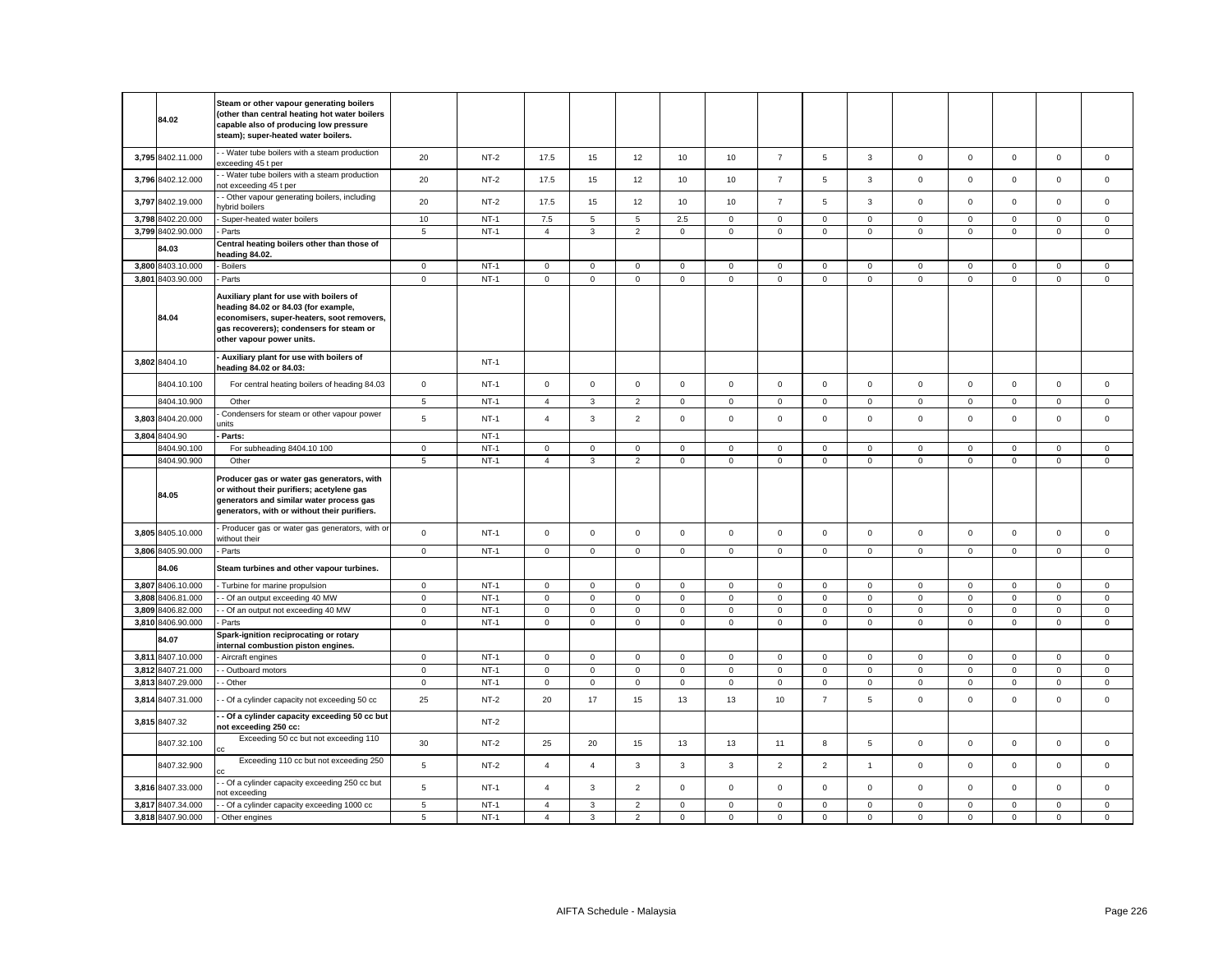|       | 84.02                                  | Steam or other vapour generating boilers<br>(other than central heating hot water boilers<br>capable also of producing low pressure<br>steam); super-heated water boilers.                                      |                               |                       |                                  |                   |                                  |                            |                            |                            |                            |                               |                               |                            |                            |                            |                            |
|-------|----------------------------------------|-----------------------------------------------------------------------------------------------------------------------------------------------------------------------------------------------------------------|-------------------------------|-----------------------|----------------------------------|-------------------|----------------------------------|----------------------------|----------------------------|----------------------------|----------------------------|-------------------------------|-------------------------------|----------------------------|----------------------------|----------------------------|----------------------------|
|       | 3,795 8402.11.000                      | - Water tube boilers with a steam production<br>exceeding 45 t per                                                                                                                                              | 20                            | $NT-2$                | 17.5                             | 15                | 12                               | 10                         | 10                         | $\overline{7}$             | 5                          | 3                             | $\mathbf 0$                   | $\mathsf 0$                | $\mathsf 0$                | $\mathsf 0$                | $\mathsf 0$                |
|       | 3,796 8402.12.000                      | - Water tube boilers with a steam production<br>ot exceeding 45 t per                                                                                                                                           | 20                            | $NT-2$                | 17.5                             | 15                | 12                               | 10                         | 10                         | $\overline{7}$             | 5                          | 3                             | $\mathbf 0$                   | $\mathbf 0$                | $\mathbf 0$                | $\mathsf 0$                | $\mathsf 0$                |
|       | 3,797 8402.19.000                      | - Other vapour generating boilers, including<br>ybrid boilers                                                                                                                                                   | 20                            | $NT-2$                | 17.5                             | 15                | 12                               | 10                         | 10                         | $\overline{7}$             | 5                          | $\mathbf{3}$                  | $\mathsf 0$                   | $\mathsf 0$                | $\mathsf 0$                | $\mathsf 0$                | $\mathsf 0$                |
|       | 3,798 8402.20.000                      | Super-heated water boilers                                                                                                                                                                                      | 10                            | $NT-1$                | 7.5                              | 5                 | 5                                | 2.5                        | $\mathsf 0$                | $\mathbf 0$                | $\mathbf 0$                | $\,0\,$                       | $\mathbf 0$                   | $\mathbf 0$                | $\mathsf 0$                | 0                          | 0                          |
|       | 3,799 8402.90.000                      | Parts<br>Central heating boilers other than those of                                                                                                                                                            | 5                             | $NT-1$                | $\overline{4}$                   | $\mathbf{3}$      | $\overline{2}$                   | $\mathbf{0}$               | $\mathbf 0$                | $\mathsf 0$                | $\mathbf 0$                | $\mathsf 0$                   | $\mathbf{0}$                  | $\mathsf 0$                | $\mathsf 0$                | $\mathsf 0$                | $\mathsf 0$                |
|       | 84.03                                  | heading 84.02.                                                                                                                                                                                                  |                               |                       |                                  |                   |                                  |                            |                            |                            |                            |                               |                               |                            |                            |                            |                            |
|       | 3,800 8403.10.000                      | <b>Boilers</b>                                                                                                                                                                                                  | $\mathbf 0$                   | $NT-1$<br>$NT-1$      | $\mathbf 0$                      | $\mathbf 0$       | $\mathsf 0$                      | $\mathsf 0$                | $\mathsf 0$                | $\mathsf 0$                | $\mathbf 0$                | $\mathsf 0$<br>$\overline{0}$ | $\mathsf 0$<br>$\overline{0}$ | $\mathsf 0$                | $\mathsf 0$                | $\mathsf 0$                | $\mathsf 0$                |
|       | 3,801 8403.90.000<br>84.04             | Parts<br>Auxiliary plant for use with boilers of<br>heading 84.02 or 84.03 (for example,<br>economisers, super-heaters, soot removers,<br>gas recoverers); condensers for steam or<br>other vapour power units. | $\mathsf 0$                   |                       | $\mathsf 0$                      | $\mathbf 0$       | $\mathsf 0$                      | $\mathbf 0$                | $\mathsf 0$                | $\mathsf 0$                | $\mathbf 0$                |                               |                               | $\mathsf 0$                | $\mathsf 0$                | $\mathsf 0$                | $\mathbf 0$                |
|       | 3,802 8404.10                          | Auxiliary plant for use with boilers of<br>heading 84.02 or 84.03:                                                                                                                                              |                               | $NT-1$                |                                  |                   |                                  |                            |                            |                            |                            |                               |                               |                            |                            |                            |                            |
|       | 8404.10.100                            | For central heating boilers of heading 84.03                                                                                                                                                                    | $\mathbf 0$                   | $NT-1$                | $\mathbf{0}$                     | $\mathbf{0}$      | $\mathbf 0$                      | $\mathbf{0}$               | 0                          | $\mathbf 0$                | $\mathbf{0}$               | $\mathsf 0$                   | $\mathbf{0}$                  | $\mathsf 0$                | $\mathbf 0$                | $\mathsf 0$                | $\mathbf 0$                |
|       | 8404.10.900                            | Other                                                                                                                                                                                                           | $\,$ 5 $\,$                   | $NT-1$                | $\overline{4}$                   | $\mathbf{3}$      | $\mathbf 2$                      | $\mathsf 0$                | $\mathsf 0$                | $\mathsf 0$                | $\mathsf 0$                | $\mathsf 0$                   | $\mathbf 0$                   | $\mathsf 0$                | $\mathsf 0$                | $\mathsf 0$                | $\mathbf 0$                |
|       | 3,803 8404.20.000                      | Condensers for steam or other vapour power<br>ınits                                                                                                                                                             | $\,$ 5 $\,$                   | $NT-1$                | $\overline{4}$                   | $\mathbf{3}$      | $\overline{2}$                   | $\mathsf 0$                | $\mathsf 0$                | $\mathsf 0$                | $\mathbf 0$                | $\mathsf 0$                   | $\mathbf{0}$                  | $\mathsf 0$                | $\mathsf 0$                | $\mathsf 0$                | $\mathsf 0$                |
|       | 3,804 8404.90                          | Parts:                                                                                                                                                                                                          |                               | $NT-1$                |                                  |                   |                                  |                            |                            |                            |                            |                               |                               |                            |                            |                            |                            |
|       | 8404.90.100                            | For subheading 8404.10 100                                                                                                                                                                                      | $\mathbf 0$                   | $NT-1$                | $\overline{0}$                   | 0                 | $\mathsf 0$                      | $\mathbf 0$                | $\mathbf 0$                | $\mathbf 0$                | $\mathbf{0}$               | $\mathsf 0$                   | $\mathsf 0$                   | 0                          | 0                          | 0                          | $\mathbf 0$                |
|       | 8404.90.900<br>84.05                   | Other<br>Producer gas or water gas generators, with<br>or without their purifiers; acetylene gas<br>generators and similar water process gas<br>generators, with or without their purifiers.                    | $\overline{5}$                | $NT-1$                | $\overline{4}$                   | $\mathbf{3}$      | $\overline{2}$                   | $\mathsf 0$                | $\mathsf 0$                | $\mathsf 0$                | $\mathsf 0$                | $\mathsf 0$                   | $\mathsf 0$                   | $\mathsf 0$                | $\mathsf 0$                | $\mathsf 0$                | $\mathsf 0$                |
|       |                                        |                                                                                                                                                                                                                 |                               |                       |                                  |                   |                                  |                            |                            |                            |                            |                               |                               |                            |                            |                            |                            |
|       | 3,805 8405.10.000                      | Producer gas or water gas generators, with or<br>without their                                                                                                                                                  | $\mathsf 0$                   | $NT-1$                | $\circ$                          | $\mathbf 0$       | $\mathsf 0$                      | $\mathsf 0$                | $\mathsf 0$                | $\mathsf 0$                | $\mathbf 0$                | $\mathbf 0$                   | $\mathbf 0$                   | $\mathsf 0$                | $\mathsf 0$                | $\mathsf 0$                | $\mathsf 0$                |
|       | 3,806 8405.90.000                      | Parts                                                                                                                                                                                                           | $\mathbf 0$                   | $NT-1$                | $\mathbf 0$                      | $\mathbf 0$       | $\mathbf 0$                      | $\mathsf 0$                | $\mathsf 0$                | $\mathbf 0$                | $\mathbf 0$                | $\mathsf 0$                   | $\mathsf 0$                   | $\mathbf 0$                | $\mathbf 0$                | $\mathsf 0$                | $\mathbf 0$                |
|       | 84.06                                  | Steam turbines and other vapour turbines.                                                                                                                                                                       |                               |                       |                                  |                   |                                  |                            |                            |                            |                            |                               |                               |                            |                            |                            |                            |
|       | 3,807 8406.10.000                      | Turbine for marine propulsion                                                                                                                                                                                   | $\mathbf 0$                   | $NT-1$                | $\mathbf 0$                      | $\mathbf 0$       | $\mathbf 0$                      | $\mathbf 0$                | 0                          | $\mathbf 0$                | $\mathbf 0$                | $\mathbf 0$                   | 0                             | $\mathbf 0$                | $\mathsf 0$                | $\mathbf 0$                | $\mathbf 0$                |
|       | 3,808 8406.81.000                      | - Of an output exceeding 40 MW                                                                                                                                                                                  | $\mathbf 0$                   | $NT-1$                | $\circ$                          | $\mathbf 0$       | $\mathsf 0$                      | $\mathsf 0$                | $\mathbf 0$                | $\mathsf 0$                | $\mathbf 0$                | $\mathsf 0$                   | $\mathbf{0}$                  | $\mathsf 0$                | $\mathsf 0$                | $\mathsf 0$                | $\mathsf 0$                |
| 3,809 | 8406.82.000                            | - Of an output not exceeding 40 MW                                                                                                                                                                              | $\mathbf 0$                   | $NT-1$                | $\mathsf 0$                      | $\mathsf 0$       | $\mathsf 0$                      | $\mathsf 0$                | $\mathsf 0$                | $\mathbf 0$                | $\mathbf 0$                | $\mathsf 0$                   | $\mathbf 0$                   | $\mathbf 0$                | $\mathsf 0$                | $\mathsf 0$                | $\mathsf 0$                |
|       | 3,810 8406.90.000<br>84.07             | Parts<br>Spark-ignition reciprocating or rotary                                                                                                                                                                 | $\mathbf 0$                   | $NT-1$                | $\mathbf{0}$                     | $\mathbf 0$       | $\mathbf 0$                      | $\mathbf 0$                | $\mathbf 0$                | $\mathbf 0$                | $\mathbf{O}$               | $\mathbf 0$                   | $\mathbf{0}$                  | $\mathbf 0$                | $\mathbf 0$                | $\mathbf 0$                | $\mathbf 0$                |
|       | 3,811 8407.10.000                      | internal combustion piston engines.<br>Aircraft engines                                                                                                                                                         | $\circ$                       | $NT-1$                | $\circ$                          | $\mathbf 0$       | $\mathsf 0$                      | $\mathsf 0$                | $\mathbf 0$                | $\mathsf 0$                | $\mathsf 0$                | $\mathbf 0$                   | $\mathbf{0}$                  | $\mathsf 0$                | $\mathsf 0$                | $\mathbf 0$                | $\mathbf{0}$               |
|       | 3,812 8407.21.000                      | - Outboard motors                                                                                                                                                                                               | $\mathsf 0$                   | $NT-1$                | $\mathsf 0$                      | $\mathsf 0$       | $\mathsf 0$                      | $\mathbf 0$                | $\mathsf 0$                | $\mathbf 0$                | $\mathbf 0$                | $\mathsf 0$                   | $\mathbf 0$                   | $\mathsf 0$                | $\mathsf 0$                | $\mathsf 0$                | $\mathsf 0$                |
|       | 3,813 8407.29.000                      | - Other                                                                                                                                                                                                         | $\mathsf 0$                   | $NT-1$                | $\mathbf{0}$                     | $\mathbf 0$       | $\mathbf 0$                      | $\mathbf 0$                | $\mathbf 0$                | $\mathbf 0$                | $\mathbf 0$                | $\mathbf 0$                   | $\mathsf 0$                   | $\mathbf 0$                | $\mathbf 0$                | $\mathsf 0$                | $\mathsf 0$                |
|       | 3,814 8407.31.000                      | - Of a cylinder capacity not exceeding 50 cc                                                                                                                                                                    | 25                            | $NT-2$                | 20                               | 17                | 15                               | 13                         | 13                         | 10                         | $\overline{7}$             | 5                             | $\mathsf 0$                   | $\Omega$                   | $\Omega$                   | $\mathsf 0$                | $\mathsf 0$                |
|       | 3,815 8407.32                          | - Of a cylinder capacity exceeding 50 cc but<br>not exceeding 250 cc:                                                                                                                                           |                               | $NT-2$                |                                  |                   |                                  |                            |                            |                            |                            |                               |                               |                            |                            |                            |                            |
|       | 8407.32.100                            | Exceeding 50 cc but not exceeding 110                                                                                                                                                                           | 30                            | $NT-2$                | 25                               | 20                | 15                               | 13                         | 13                         | 11                         | 8                          | 5                             | $\mathbf 0$                   | $\mathbf 0$                | $\mathsf 0$                | $\mathsf 0$                | $\mathsf 0$                |
|       | 8407.32.900                            | Exceeding 110 cc but not exceeding 250                                                                                                                                                                          | $\overline{5}$                | $NT-2$                | $\overline{4}$                   | $\overline{4}$    | $\mathbf{3}$                     | $\mathbf{3}$               | $\mathbf{3}$               | $\overline{2}$             | $\overline{2}$             | $\overline{1}$                | $\mathsf 0$                   | $\mathbf 0$                | $\mathsf 0$                | $\mathsf 0$                | $\mathsf 0$                |
|       | 3,816 8407.33.000                      | - Of a cylinder capacity exceeding 250 cc but<br>ot exceeding                                                                                                                                                   | $\sqrt{5}$                    | $NT-1$                | $\overline{4}$                   | $\mathbf{3}$      | $\overline{2}$                   | $\mathsf 0$                | $\mathsf 0$                | $\mathsf 0$                | $\mathsf 0$                | $\mathsf 0$                   | $\mathsf 0$                   | $\mathbf 0$                | $\mathsf 0$                | $\mathsf 0$                | $\mathsf 0$                |
|       | 3,817 8407.34.000<br>3,818 8407.90.000 | - Of a cylinder capacity exceeding 1000 cc<br>Other engines                                                                                                                                                     | $\overline{5}$<br>$\,$ 5 $\,$ | <b>NT-1</b><br>$NT-1$ | $\overline{4}$<br>$\overline{4}$ | 3<br>$\mathbf{3}$ | $\overline{2}$<br>$\overline{2}$ | $\mathbf 0$<br>$\mathsf 0$ | $\mathbf 0$<br>$\mathsf 0$ | $\mathbf 0$<br>$\mathbf 0$ | $\mathbf 0$<br>$\mathsf 0$ | $\mathbf 0$<br>$\mathbf 0$    | $\mathbf{0}$<br>$\mathsf 0$   | $\mathbf 0$<br>$\mathbf 0$ | $\mathbf 0$<br>$\mathsf 0$ | $\mathbf 0$<br>$\mathsf 0$ | $\mathbf 0$<br>$\mathsf 0$ |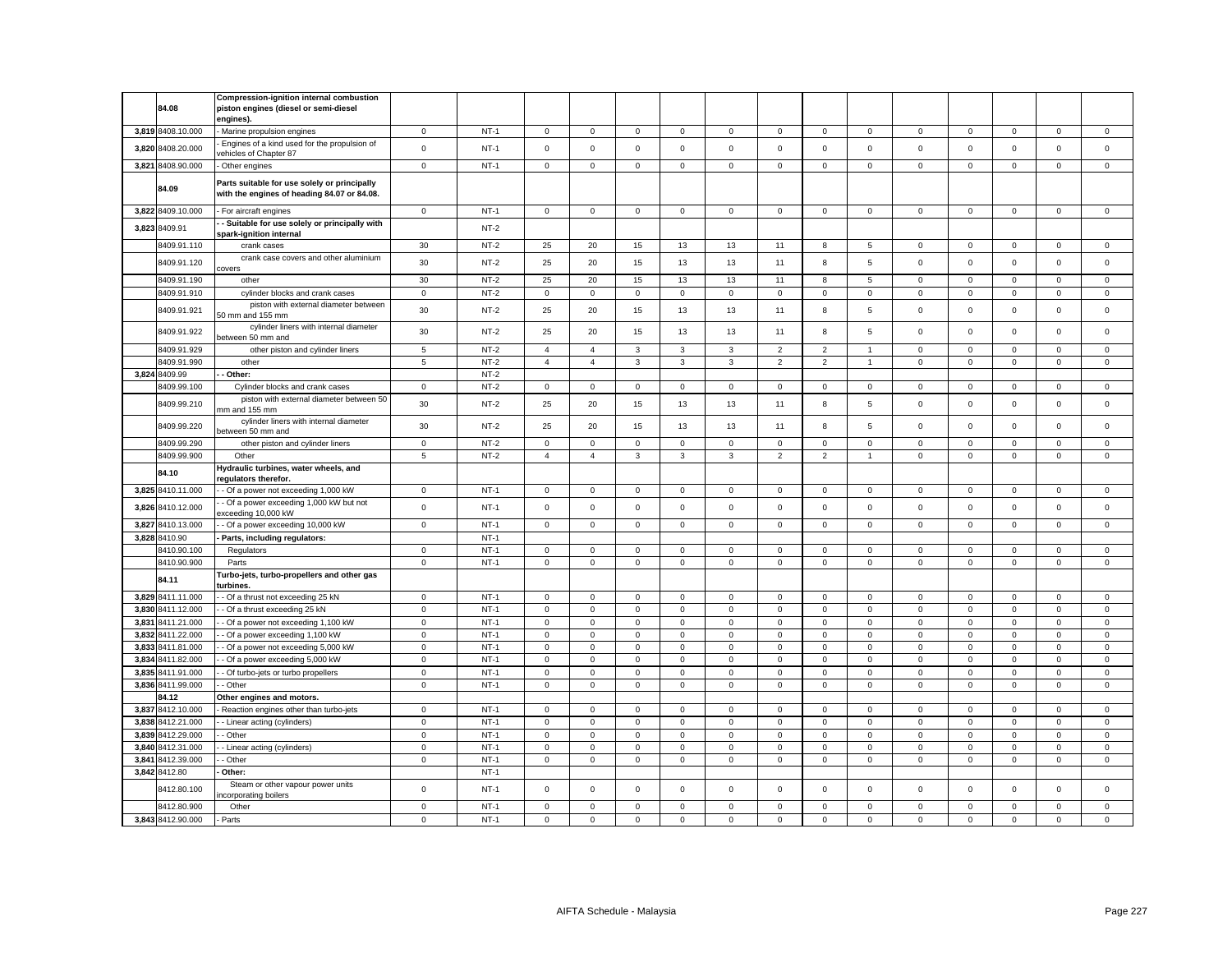|       |                                  | <b>Compression-ignition internal combustion</b>                                             |                            |                  |                            |                            |                            |                             |                            |                            |                            |                             |                            |                            |                            |                            |                            |
|-------|----------------------------------|---------------------------------------------------------------------------------------------|----------------------------|------------------|----------------------------|----------------------------|----------------------------|-----------------------------|----------------------------|----------------------------|----------------------------|-----------------------------|----------------------------|----------------------------|----------------------------|----------------------------|----------------------------|
|       | 84.08                            | piston engines (diesel or semi-diesel<br>engines).                                          |                            |                  |                            |                            |                            |                             |                            |                            |                            |                             |                            |                            |                            |                            |                            |
|       | 3,819 8408.10.000                | Marine propulsion engines                                                                   | $\mathbf 0$                | $NT-1$           | 0                          | $\mathbf 0$                | $\mathsf 0$                | 0                           | $\mathbf 0$                | $\mathbf 0$                | $\mathbf{0}$               | $\mathbf 0$                 | $\mathbf 0$                | $\mathbf 0$                | $\Omega$                   | $\mathsf 0$                | $\mathbf 0$                |
|       | 3,820 8408.20.000                | Engines of a kind used for the propulsion of<br>rehicles of Chapter 87                      | $\mathsf 0$                | $NT-1$           | $\mathbf 0$                | $\mathsf 0$                | $\mathsf 0$                | $\mathsf 0$                 | $\mathsf 0$                | $\mathbf 0$                | $\mathsf 0$                | $\mathsf 0$                 | $\mathbf 0$                | $\mathsf 0$                | $\mathsf 0$                | $\mathsf 0$                | $\mathbf 0$                |
|       | 3,821 8408.90.000                | Other engines                                                                               | $\mathbf 0$                | $NT-1$           | $\mathbf 0$                | $\mathbf 0$                | $\mathbf 0$                | $\Omega$                    | $\mathbf 0$                | $\mathbf 0$                | $\mathbf 0$                | $\mathbf 0$                 | $\mathbf 0$                | $\mathbf 0$                | $\Omega$                   | $\mathbf 0$                | $\mathbf 0$                |
|       | 84.09                            | Parts suitable for use solely or principally<br>with the engines of heading 84.07 or 84.08. |                            |                  |                            |                            |                            |                             |                            |                            |                            |                             |                            |                            |                            |                            |                            |
|       | 3,822 8409.10.000                | - For aircraft engines                                                                      | $\mathsf 0$                | $NT-1$           | $\mathbf 0$                | $\mathbf 0$                | $\mathbf{0}$               | $\mathbf{0}$                | $\mathbf 0$                | $\mathsf 0$                | $\mathbf 0$                | $\mathbf{0}$                | $\mathbf 0$                | $\mathsf 0$                | $\mathbf 0$                | $\mathsf 0$                | $\mathsf 0$                |
|       | 3,823 8409.91                    | - Suitable for use solely or principally with<br>spark-ignition internal                    |                            | $NT-2$           |                            |                            |                            |                             |                            |                            |                            |                             |                            |                            |                            |                            |                            |
|       | 8409.91.110                      | crank cases                                                                                 | 30                         | NT-2             | 25                         | 20                         | 15                         | 13                          | 13                         | 11                         | 8                          | 5                           | $\mathbf 0$                | $\mathbf 0$                | $\mathbf 0$                | $\mathbf 0$                | $\mathbf 0$                |
|       | 8409.91.120                      | crank case covers and other aluminium<br>covers                                             | 30                         | $NT-2$           | 25                         | 20                         | 15                         | 13                          | 13                         | 11                         | 8                          | $\overline{5}$              | $\mathsf 0$                | $\mathsf 0$                | $\mathsf 0$                | $\mathsf 0$                | $\mathsf 0$                |
|       | 8409.91.190                      | other                                                                                       | 30                         | $NT-2$           | 25                         | 20                         | 15                         | 13                          | 13                         | 11                         | 8                          | $\overline{5}$              | $\mathbf 0$                | $\mathbf 0$                | $\mathbf 0$                | $\mathbf 0$                | $\mathbf 0$                |
|       | 8409.91.910                      | cylinder blocks and crank cases                                                             | $\mathbf 0$                | $NT-2$           | $\mathbf 0$                | $\mathbf 0$                | $\mathbf 0$                | $\mathbf 0$                 | 0                          | $\mathbf 0$                | $\mathbf 0$                | $\mathbf 0$                 | $\mathsf 0$                | $\mathsf 0$                | $\mathbf 0$                | $\mathsf 0$                | $\mathbf 0$                |
|       | 8409.91.921                      | piston with external diameter between<br>50 mm and 155 mm                                   | 30                         | $NT-2$           | 25                         | 20                         | 15                         | 13                          | 13                         | 11                         | 8                          | 5                           | $\mathbf 0$                | $\mathbf 0$                | $\mathbf 0$                | $\mathbf 0$                | $\mathbf 0$                |
|       | 8409.91.922                      | cylinder liners with internal diameter<br>between 50 mm and                                 | 30                         | $NT-2$           | 25                         | 20                         | 15                         | 13                          | 13                         | 11                         | 8                          | 5                           | $\mathbf{0}$               | $\mathsf 0$                | $\mathbf 0$                | $\mathbf 0$                | $\mathbf 0$                |
|       | 8409.91.929                      | other piston and cylinder liners                                                            | 5                          | $NT-2$           | $\overline{4}$             | 4                          | 3                          | 3                           | 3                          | $\overline{2}$             | $\overline{2}$             | $\overline{1}$              | $\mathbf 0$                | $\mathbf 0$                | 0                          | $\mathbf 0$                | $\mathbf 0$                |
|       | 3409.91.990                      | other                                                                                       | 5                          | $NT-2$           | $\overline{4}$             | $\overline{4}$             | 3                          | 3                           | 3                          | $\overline{2}$             | $\overline{2}$             | $\overline{1}$              | $\mathbf 0$                | $\Omega$                   | $\Omega$                   | $\mathbf 0$                | $\mathbf 0$                |
|       | 3,824 8409.99                    | Other:                                                                                      |                            | $NT-2$           |                            |                            |                            |                             |                            |                            |                            |                             |                            |                            |                            |                            |                            |
|       | 3409.99.100                      | Cylinder blocks and crank cases                                                             | $\mathbf 0$                | $NT-2$           | $\mathbf 0$                | $\mathbf 0$                | 0                          | $\mathsf 0$                 | $\mathsf 0$                | $\mathbf 0$                | $\mathbf 0$                | $\mathsf 0$                 | $\mathsf 0$                | $\mathbf 0$                | $\mathbf 0$                | $\mathbf 0$                | $\mathbf 0$                |
|       | 8409.99.210                      | piston with external diameter between 50<br>nm and 155 mm                                   | 30                         | $NT-2$           | 25                         | 20                         | 15                         | 13                          | 13                         | 11                         | 8                          | 5                           | $\mathbf 0$                | $\mathbf 0$                | $\Omega$                   | $\mathbf 0$                | $\mathbf 0$                |
|       | 8409.99.220                      | cylinder liners with internal diameter<br>between 50 mm and                                 | 30                         | $NT-2$           | 25                         | 20                         | 15                         | 13                          | 13                         | 11                         | 8                          | $\overline{5}$              | $\mathbf 0$                | $\mathbf 0$                | $\mathbf 0$                | $\mathbf 0$                | $\mathbf 0$                |
|       | 8409.99.290                      | other piston and cylinder liners                                                            | $\mathbf 0$                | $NT-2$           | 0                          | $\mathsf 0$                | $\mathsf 0$                | $\mathbf 0$                 | $\mathbf 0$                | $\mathbf 0$                | $\mathbf 0$                | $\mathsf 0$                 | $\mathbf 0$                | $\mathbf 0$                | $\mathbf 0$                | $\mathbf 0$                | $\mathsf 0$                |
|       | 8409.99.900                      | Other                                                                                       | 5                          | $NT-2$           | $\overline{4}$             | $\overline{4}$             | 3                          | 3                           | 3                          | $\overline{2}$             | $\overline{2}$             | $\overline{1}$              | $\mathbf 0$                | $\Omega$                   | $\mathbf 0$                | $\mathbf 0$                | $\mathbf 0$                |
|       | 84.10                            | Hydraulic turbines, water wheels, and<br>regulators therefor.                               |                            |                  |                            |                            |                            |                             |                            |                            |                            |                             |                            |                            |                            |                            |                            |
| 3,825 | 8410.11.000                      | - Of a power not exceeding 1,000 kW                                                         | $\mathbf 0$                | $NT-1$           | 0                          | $\mathbf 0$                | $\mathsf 0$                | $\mathbf 0$                 | 0                          | $\mathbf 0$                | $\mathbf 0$                | $\mathsf 0$                 | $\mathbf 0$                | $\mathbf 0$                | $\mathbf 0$                | $\mathbf 0$                | $\mathbf 0$                |
| 3,826 | 8410.12.000                      | Of a power exceeding 1,000 kW but not<br>xceeding 10,000 kW                                 | $\mathbf 0$                | $NT-1$           | $\mathbf 0$                | $\mathbf 0$                | $\mathsf 0$                | $\mathbf 0$                 | $\mathsf 0$                | $\Omega$                   | $\mathbf 0$                | $\mathsf 0$                 | $\mathbf 0$                | $\mathbf 0$                | $\mathbf 0$                | $\mathbf 0$                | $\mathbf 0$                |
| 3,827 | 8410.13.000                      | - Of a power exceeding 10,000 kW                                                            | $\mathsf 0$                | $NT-1$           | $\mathbf 0$                | $\mathsf 0$                | $\mathsf 0$                | $\mathsf 0$                 | $\mathsf 0$                | $\mathsf 0$                | $\mathbf 0$                | $\mathsf 0$                 | $\mathsf 0$                | $\mathsf 0$                | $\mathbf 0$                | $\mathbf 0$                | $\mathbf 0$                |
|       | 3,828 8410.90                    | Parts, including regulators:                                                                |                            | $NT-1$           |                            |                            |                            |                             |                            |                            |                            |                             |                            |                            |                            |                            |                            |
|       | 3410.90.100<br>8410.90.900       | Regulators                                                                                  | $\mathbf 0$<br>$\mathbf 0$ | $NT-1$<br>$NT-1$ | $\mathbf 0$<br>$\mathbf 0$ | $^{\circ}$<br>$\mathsf 0$  | $\mathbf 0$<br>$\mathsf 0$ | $\mathbf{0}$<br>$\mathsf 0$ | $\mathbf 0$<br>$\mathsf 0$ | $\mathbf 0$<br>$\mathsf 0$ | $\mathbf 0$<br>$\mathbf 0$ | $\mathbf{0}$<br>$\mathsf 0$ | $\mathbf 0$<br>$\mathbf 0$ | $\mathbf 0$<br>$\mathsf 0$ | $\mathbf 0$<br>$\mathbf 0$ | $\mathbf 0$<br>$\mathbf 0$ | $\mathbf 0$<br>$\mathsf 0$ |
|       |                                  | Parts<br>Turbo-jets, turbo-propellers and other gas                                         |                            |                  |                            |                            |                            |                             |                            |                            |                            |                             |                            |                            |                            |                            |                            |
|       | 84.11                            | urbines.                                                                                    |                            |                  |                            |                            |                            |                             |                            |                            |                            |                             |                            |                            |                            |                            |                            |
|       | 3,829 8411.11.000                | - Of a thrust not exceeding 25 kN                                                           | $\mathsf 0$                | $NT-1$           | $\mathbf 0$                | $\mathsf 0$                | $\mathsf 0$                | $\mathsf 0$                 | $\mathbf 0$                | $\mathsf 0$                | $\mathbf 0$                | $\mathsf 0$                 | $\mathbf 0$                | $\mathbf 0$                | $\mathbf 0$                | $\mathbf 0$                | $\mathsf 0$                |
|       | 3,830 8411.12.000                | - Of a thrust exceeding 25 kN                                                               | $\mathbf 0$                | $NT-1$           | $\mathbf 0$                | $\mathsf 0$                | $\mathsf 0$                | $\mathsf 0$                 | $\mathsf 0$                | $\mathbf 0$                | $\mathsf 0$                | $\mathbf 0$                 | $\mathsf 0$                | $\mathbf 0$                | $\mathbf 0$                | $\mathsf 0$                | $\mathsf 0$                |
| 3.831 | 8411.21.000                      | - Of a power not exceeding 1,100 kW                                                         | $\mathbf 0$                | $NT-1$           | $\mathbf 0$                | $^{\circ}$                 | $\mathbf 0$                | $\mathbf{0}$                | $\mathbf 0$                | $\mathbf 0$                | $\mathbf 0$                | $^{\circ}$                  | $\mathbf 0$                | $\mathbf 0$                | $\mathbf 0$                | $\mathbf 0$                | $\mathbf 0$                |
|       | 3.832 8411.22.000                | - Of a power exceeding 1,100 kW                                                             | $\mathbf 0$                | $NT-1$           | $\mathbf 0$                | $\mathbf 0$                | $\mathbf 0$                | $\Omega$                    | $\mathbf 0$                | $\mathbf 0$                | $\mathbf 0$                | $\mathbf 0$                 | $\mathbf 0$                | $\mathbf 0$                | $\mathbf 0$                | $\mathbf 0$                | $\mathbf 0$                |
| 3,833 | 8411.81.000                      | - Of a power not exceeding 5,000 kW                                                         | $\mathbf 0$                | $NT-1$           | $\mathbf 0$                | $\mathbf 0$                | $\mathsf 0$                | $\mathbf{0}$                | $\mathsf 0$                | $\mathsf 0$                | $\mathsf 0$                | $\mathsf 0$                 | $\mathbf 0$                | $\mathbf 0$                | $\mathbf 0$                | $\mathbf 0$                | $\mathsf 0$                |
|       | 3.834 8411.82.000                | - Of a power exceeding 5,000 kW                                                             | $\mathsf 0$                | $NT-1$           | $\mathbf 0$                | $\mathbf 0$                | $\mathbf 0$                | $\mathbf 0$                 | $\mathbf 0$                | $\mathbf 0$                | $\mathbf 0$                | $\mathbf 0$                 | $\mathbf 0$                | $\mathbf 0$                | $\mathbf 0$                | $\mathbf 0$                | $\mathbf 0$                |
|       | 3,835 8411.91.000                | - Of turbo-jets or turbo propellers                                                         | $\mathbf 0$                | $NT-1$           | $\Omega$                   | $\mathbf 0$                | $\mathsf 0$                | $\mathbf 0$                 | $\mathbf 0$                | $\mathbf 0$                | $\mathbf 0$                | $\mathbf 0$                 | $\mathbf 0$                | $\mathbf 0$                | $\mathbf 0$                | $\mathbf 0$                | $\mathbf 0$                |
|       | 3,836 8411.99.000<br>84.12       | Other                                                                                       | $\mathbf 0$                | $NT-1$           | 0                          | $\mathsf{O}\xspace$        | $\mathsf 0$                | $\mathsf 0$                 | $\mathbf 0$                | $\mathsf 0$                | $\mathbf{0}$               | $\mathsf 0$                 | $\mathsf 0$                | $\mathbf 0$                | $\mathbf 0$                | $\mathsf 0$                | $\mathsf 0$                |
|       |                                  | Other engines and motors.                                                                   |                            |                  |                            |                            |                            |                             |                            |                            |                            |                             |                            |                            |                            |                            |                            |
| 3,837 | 8412.10.000<br>3,838 8412.21.000 | Reaction engines other than turbo-jets<br>- Linear acting (cylinders)                       | 0<br>$\mathbf 0$           | $NT-1$<br>$NT-1$ | 0<br>$\mathbf 0$           | $\mathbf 0$<br>$\mathbf 0$ | $\mathbf 0$<br>0           | 0<br>$\mathbf 0$            | 0<br>$\mathsf 0$           | 0<br>$\mathbf 0$           | $^{\circ}$<br>$\mathbf 0$  | $\mathbf 0$<br>$\mathbf 0$  | $\mathbf 0$<br>$\mathbf 0$ | $\mathbf 0$<br>$\Omega$    | $\mathbf 0$<br>$\mathsf 0$ | 0<br>$\mathbf 0$           | 0<br>$\mathbf 0$           |
|       | 3,839 8412.29.000                | - Other                                                                                     | $\mathbf 0$                | $NT-1$           | 0                          | $\mathbf 0$                | $\mathsf 0$                | $\mathsf 0$                 | $\mathsf 0$                | $\mathbf 0$                | $\mathsf 0$                | $\mathbf 0$                 | $\mathbf 0$                | $\mathsf 0$                | 0                          | $\mathbf 0$                | $\mathbf 0$                |
|       | 3,840 8412.31.000                | - Linear acting (cylinders)                                                                 | $\mathsf 0$                | $NT-1$           | $\mathbf 0$                | $\mathbf 0$                | $\mathbf 0$                | $\mathbf 0$                 | $\mathsf 0$                | $\mathbf 0$                | $\mathbf 0$                | $\mathbf 0$                 | $\mathsf 0$                | $\mathbf 0$                | $\mathbf 0$                | $\mathsf 0$                | $\mathbf 0$                |
| 3,841 | 8412.39.000                      | Other                                                                                       | $\mathbf 0$                | $NT-1$           | $\mathbf 0$                | $\mathbf 0$                | $\mathbf 0$                | $\mathbf 0$                 | $\mathbf 0$                | $\mathbf 0$                | $\mathbf 0$                | $\mathbf{0}$                | $\mathbf 0$                | $\mathbf 0$                | $\mathbf 0$                | $\mathbf 0$                | $\mathbf 0$                |
|       | 3,842 8412.80                    | Other:                                                                                      |                            | $NT-1$           |                            |                            |                            |                             |                            |                            |                            |                             |                            |                            |                            |                            |                            |
|       | 8412.80.100                      | Steam or other vapour power units<br>ncorporating boilers                                   | $\mathsf 0$                | $NT-1$           | $\mathbf 0$                | $\mathbf 0$                | $\mathbf 0$                | $\mathbf 0$                 | $\mathbf 0$                | $\mathbf 0$                | $\mathbf 0$                | $\mathsf 0$                 | $\mathbf 0$                | $\mathsf 0$                | $\mathbf 0$                | $\mathsf 0$                | $\mathbf 0$                |
|       | 8412.80.900                      | Other                                                                                       | $\mathsf 0$                | $NT-1$           | $\mathbf 0$                | $\mathsf 0$                | $\mathsf 0$                | $\mathbf 0$                 | 0                          | $\mathbf 0$                | $\mathbf 0$                | $\mathbf 0$                 | $\mathsf 0$                | $\mathsf 0$                | $\mathsf 0$                | $\mathbf 0$                | $\mathbf 0$                |
|       | 3,843 8412.90.000                | Parts                                                                                       | $\mathbf 0$                | $NT-1$           | $\mathbf 0$                | $\mathbf 0$                | $\mathsf 0$                | $\mathbf 0$                 | $\mathbf 0$                | $\mathbf 0$                | $\mathbf 0$                | $\mathsf 0$                 | $\mathbf 0$                | $\mathbf 0$                | $\mathbf 0$                | $\mathbf 0$                | $\mathbf 0$                |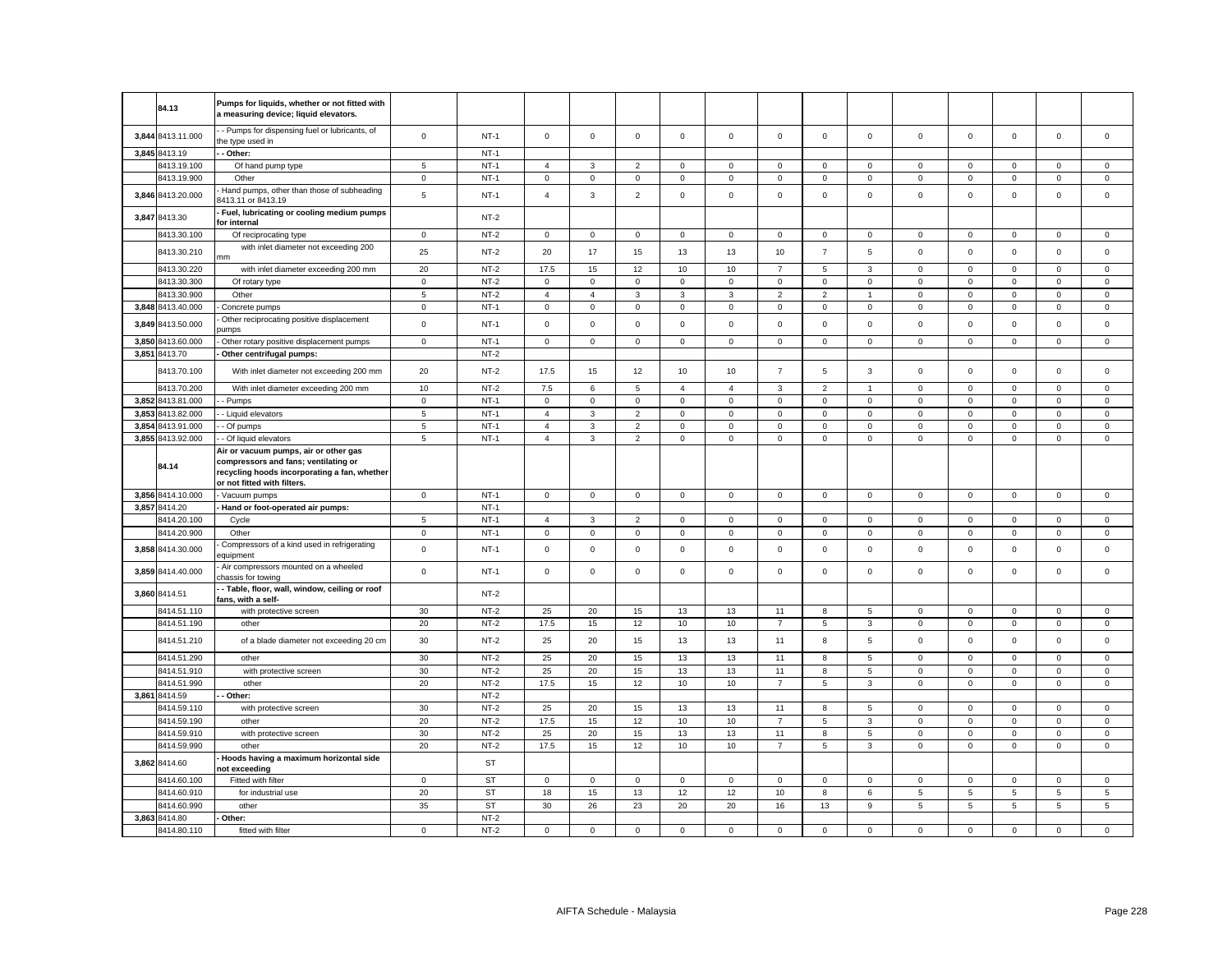|       | 84.13             | Pumps for liquids, whether or not fitted with<br>a measuring device; liquid elevators.                                                                       |             |             |                |                     |                |              |                |                |                |                |                     |              |                     |                     |             |
|-------|-------------------|--------------------------------------------------------------------------------------------------------------------------------------------------------------|-------------|-------------|----------------|---------------------|----------------|--------------|----------------|----------------|----------------|----------------|---------------------|--------------|---------------------|---------------------|-------------|
| 3,844 | 8413.11.000       | - Pumps for dispensing fuel or lubricants, of<br>he type used in                                                                                             | $\mathsf 0$ | $NT-1$      | $\mathsf 0$    | $\mathsf 0$         | $\mathsf 0$    | $\mathsf 0$  | $\mathbf 0$    | $\mathsf 0$    | $\mathsf 0$    | $\mathbf 0$    | $\mathbf 0$         | $\mathsf 0$  | $\mathsf 0$         | $\mathsf 0$         | $\mathsf 0$ |
|       | 3,845 8413.19     | Other:                                                                                                                                                       |             | $NT-1$      |                |                     |                |              |                |                |                |                |                     |              |                     |                     |             |
|       | 8413.19.100       | Of hand pump type                                                                                                                                            | $\sqrt{5}$  | $NT-1$      | $\overline{4}$ | 3                   | $\overline{2}$ | $\mathbf 0$  | 0              | 0              | $\mathbf 0$    | 0              | $\mathbf 0$         | 0            | $\mathbf 0$         | 0                   | 0           |
|       | 8413.19.900       | Other                                                                                                                                                        | $\mathbf 0$ | $NT-1$      | 0              | $\mathbf 0$         | $\mathbf 0$    | $\mathbf 0$  | 0              | $\mathbf 0$    | $\mathbf 0$    | $\mathbf 0$    | 0                   | 0            | $\mathbf 0$         | $\mathbf 0$         | $\mathbf 0$ |
|       | 3,846 8413.20.000 | Hand pumps, other than those of subheading<br>8413.11 or 8413.19                                                                                             | $\,$ 5 $\,$ | $NT-1$      | $\overline{4}$ | 3                   | $\overline{2}$ | $\mathsf 0$  | $\mathsf 0$    | $\mathsf 0$    | $\mathsf 0$    | $\mathsf 0$    | $\mathbf 0$         | $\mathsf 0$  | $\mathsf 0$         | $\mathsf 0$         | $\mathsf 0$ |
|       | 3,847 8413.30     | Fuel, lubricating or cooling medium pumps<br>for internal                                                                                                    |             | $NT-2$      |                |                     |                |              |                |                |                |                |                     |              |                     |                     |             |
|       | 8413.30.100       | Of reciprocating type                                                                                                                                        | $\mathbf 0$ | $NT-2$      | $\mathsf 0$    | $\mathbf 0$         | $\mathsf 0$    | $\mathsf 0$  | $\mathbf 0$    | $\mathbf 0$    | $\mathbf 0$    | $\mathbf 0$    | $\mathsf 0$         | $\mathbf 0$  | $\mathbf 0$         | $\mathsf 0$         | $\mathsf 0$ |
|       | 8413.30.210       | with inlet diameter not exceeding 200<br>mm                                                                                                                  | 25          | $NT-2$      | 20             | 17                  | 15             | 13           | 13             | 10             | $\overline{7}$ | 5              | $\mathbf 0$         | $\mathbf 0$  | $\mathsf 0$         | $\mathsf 0$         | $\mathsf 0$ |
|       | 8413.30.220       | with inlet diameter exceeding 200 mm                                                                                                                         | 20          | $NT-2$      | 17.5           | 15                  | 12             | 10           | 10             | $\overline{7}$ | 5              | 3              | $\mathbf 0$         | $\mathsf 0$  | $\mathsf 0$         | $\mathsf 0$         | $\mathsf 0$ |
|       | 8413.30.300       | Of rotary type                                                                                                                                               | $\mathbf 0$ | $NT-2$      | $\Omega$       | $\mathbf 0$         | 0              | $\mathbf 0$  | 0              | 0              | $\mathbf 0$    | 0              | $\mathbf 0$         | 0            | 0                   | 0                   | 0           |
|       | 8413.30.900       | Other                                                                                                                                                        | 5           | $NT-2$      | $\overline{4}$ | $\overline{4}$      | 3              | $\mathbf{3}$ | 3              | $\overline{2}$ | $\overline{2}$ | $\overline{1}$ | $\mathbf 0$         | $\mathsf 0$  | $\mathsf 0$         | $\mathsf 0$         | $\mathsf 0$ |
|       | 3,848 8413.40.000 | Concrete pumps                                                                                                                                               | $\mathbf 0$ | <b>NT-1</b> | 0              | $\mathbf 0$         | 0              | 0            | 0              | 0              | $\mathbf 0$    | $\mathbf 0$    | $\mathbf 0$         | 0            | $\mathbf 0$         | 0                   | 0           |
| 3,849 | 8413.50.000       | Other reciprocating positive displacement<br>umps                                                                                                            | $\mathsf 0$ | $NT-1$      | $\mathbf 0$    | $\mathbf 0$         | $\mathsf 0$    | $\mathsf 0$  | $\mathsf 0$    | $\mathsf 0$    | $\mathsf 0$    | $\mathsf 0$    | $\mathbf 0$         | $\mathsf 0$  | $\mathsf 0$         | $\mathsf{O}\xspace$ | $\mathsf 0$ |
| 3,850 | 8413.60.000       | Other rotary positive displacement pumps                                                                                                                     | $\mathbf 0$ | $NT-1$      | 0              | $\mathsf{O}\xspace$ | $\mathsf 0$    | $\mathbf 0$  | $\mathsf 0$    | $\mathbf 0$    | $\mathbf 0$    | $\mathbf 0$    | $\mathbf 0$         | $\mathbf 0$  | $\mathsf{O}\xspace$ | $\mathbf 0$         | $\mathsf 0$ |
|       | 3,851 8413.70     | Other centrifugal pumps:                                                                                                                                     |             | $NT-2$      |                |                     |                |              |                |                |                |                |                     |              |                     |                     |             |
|       | 8413.70.100       | With inlet diameter not exceeding 200 mm                                                                                                                     | 20          | $NT-2$      | 17.5           | 15                  | 12             | 10           | 10             | $\overline{7}$ | 5              | $\mathbf{3}$   | $\mathsf 0$         | $\mathsf 0$  | $\mathbf 0$         | $\mathsf 0$         | $\mathsf 0$ |
|       | 8413.70.200       | With inlet diameter exceeding 200 mm                                                                                                                         | 10          | $NT-2$      | 7.5            | 6                   | 5              | $\mathbf{4}$ | $\overline{4}$ | 3              | $\overline{2}$ |                | $\Omega$            | $\Omega$     | $\Omega$            | $\mathbf 0$         | $^{\circ}$  |
|       | 3,852 8413.81.000 | - Pumps                                                                                                                                                      | $\mathbf 0$ | $NT-1$      | $\mathbf 0$    | $\mathbf 0$         | $\mathsf 0$    | $\mathbf 0$  | $\mathsf 0$    | $\mathbf 0$    | $\mathsf 0$    | $\mathsf 0$    | $\mathbf 0$         | $\mathbf 0$  | $\mathbf 0$         | $\mathbf 0$         | $\mathsf 0$ |
| 3.853 | 8413.82.000       | - Liquid elevators                                                                                                                                           | $\sqrt{5}$  | $NT-1$      | $\overline{4}$ | 3                   | $\overline{2}$ | $\mathbf{0}$ | $\mathbf{0}$   | $\mathbf 0$    | $\mathbf{0}$   | $\mathbf{0}$   | $\mathsf 0$         | $\mathbf{0}$ | $\mathbf 0$         | $\mathbf 0$         | $\mathbf 0$ |
| 3.854 | 8413.91.000       | - Of pumps                                                                                                                                                   | 5           | $NT-1$      | $\overline{4}$ | 3                   | $\overline{2}$ | $\mathbf 0$  | $\mathbf 0$    | $\mathbf 0$    | $\mathsf 0$    | $\mathbf 0$    | $\mathbf 0$         | $\mathbf 0$  | $\mathbf 0$         | $\mathbf 0$         | $\mathsf 0$ |
|       | 3,855 8413.92.000 | - Of liquid elevators                                                                                                                                        | $\sqrt{5}$  | $NT-1$      | $\overline{4}$ | 3                   | $\overline{2}$ | $\mathbf{0}$ | $\mathbf 0$    | $\mathbf 0$    | $\mathbf{0}$   | $\mathbf{0}$   | $\mathbf 0$         | $\mathbf 0$  | $\mathbf 0$         | $\mathbf 0$         | $\mathbf 0$ |
|       | 84.14             | Air or vacuum pumps, air or other gas<br>compressors and fans; ventilating or<br>recycling hoods incorporating a fan, whether<br>or not fitted with filters. |             |             |                |                     |                |              |                |                |                |                |                     |              |                     |                     |             |
|       | 3,856 8414.10.000 | - Vacuum pumps                                                                                                                                               | $\mathbf 0$ | $NT-1$      | $\mathsf 0$    | $\mathbf 0$         | $\mathsf 0$    | $\mathbf 0$  | $\mathbf 0$    | $\mathsf 0$    | $\mathbf 0$    | $\mathbf 0$    | $\mathbf 0$         | $\mathsf 0$  | $\mathbf 0$         | $\mathsf{O}\xspace$ | $\mathsf 0$ |
|       | 3,857 8414.20     | Hand or foot-operated air pumps:                                                                                                                             |             | $NT-1$      |                |                     |                |              |                |                |                |                |                     |              |                     |                     |             |
|       | 8414.20.100       | Cycle                                                                                                                                                        | 5           | $NT-1$      | $\overline{4}$ | 3                   | $\overline{2}$ | $\mathbf{0}$ | 0              | $\mathbf 0$    | $\mathbf 0$    | $\mathbf 0$    | 0                   | $\mathbf 0$  | $\mathbf 0$         | $\mathbf 0$         | $\mathbf 0$ |
|       | 8414.20.900       | Other                                                                                                                                                        | $\mathbf 0$ | $NT-1$      | 0              | $\mathbf 0$         | 0              | $\mathbf 0$  | 0              | 0              | $\mathbf 0$    | 0              | $\mathsf 0$         | 0            | $\mathbf 0$         | 0                   | $\mathbf 0$ |
|       | 3,858 8414.30.000 | Compressors of a kind used in refrigerating<br>equipment                                                                                                     | $\mathbf 0$ | $NT-1$      | 0              | $\mathsf 0$         | $\mathsf 0$    | $\mathsf 0$  | 0              | $\mathsf 0$    | $\mathsf 0$    | $\mathsf 0$    | $\mathbf 0$         | $\mathsf 0$  | $\mathsf 0$         | $\mathsf 0$         | $\mathsf 0$ |
|       | 3,859 8414.40.000 | Air compressors mounted on a wheeled<br>chassis for towing                                                                                                   | $\mathbf 0$ | $NT-1$      | $\mathbf 0$    | $\mathbf 0$         | $\mathsf 0$    | $\mathsf 0$  | $\mathsf 0$    | $\mathsf 0$    | $\mathsf 0$    | $\mathbf 0$    | $\mathsf 0$         | $\mathbf 0$  | $\mathsf 0$         | $\mathsf 0$         | $\mathsf 0$ |
|       | 3,860 8414.51     | - Table, floor, wall, window, ceiling or roof<br>fans, with a self-                                                                                          |             | $NT-2$      |                |                     |                |              |                |                |                |                |                     |              |                     |                     |             |
|       | 8414.51.110       | with protective screen                                                                                                                                       | 30          | $NT-2$      | 25             | 20                  | 15             | 13           | 13             | 11             | 8              | 5              | $\mathbf{0}$        | $\mathbf{0}$ | $\mathbf 0$         | $\mathbf 0$         | $\mathbf 0$ |
|       | 8414.51.190       | other                                                                                                                                                        | 20          | $NT-2$      | 17.5           | 15                  | 12             | 10           | 10             | $\overline{7}$ | 5              | 3              | $\mathbf 0$         | $\mathsf 0$  | $\mathbf 0$         | $\mathsf 0$         | $\mathsf 0$ |
|       | 8414.51.210       | of a blade diameter not exceeding 20 cm                                                                                                                      | 30          | $NT-2$      | 25             | 20                  | 15             | 13           | 13             | 11             | 8              | 5              | $\mathsf 0$         | $\mathsf 0$  | $\mathsf 0$         | $\mathsf 0$         | $\mathsf 0$ |
|       | 8414.51.290       | other                                                                                                                                                        | 30          | $NT-2$      | 25             | 20                  | 15             | 13           | 13             | 11             | 8              | $\overline{5}$ | $\mathsf{O}\xspace$ | $\mathsf 0$  | $\mathsf 0$         | $\mathsf 0$         | $\mathsf 0$ |
|       | 8414.51.910       | with protective screen                                                                                                                                       | 30          | $NT-2$      | 25             | 20                  | 15             | 13           | 13             | 11             | 8              | 5              | $\mathbf 0$         | 0            | $\mathbf 0$         | 0                   | $\mathsf 0$ |
|       | 8414.51.990       | other                                                                                                                                                        | 20          | $NT-2$      | 17.5           | 15                  | 12             | 10           | 10             | $\overline{7}$ | 5              | 3              | $\mathsf 0$         | $\mathsf 0$  | $\mathsf 0$         | $\mathsf 0$         | $\mathsf 0$ |
|       | 3,861 8414.59     | Other:                                                                                                                                                       |             | $NT-2$      |                |                     |                |              |                |                |                |                |                     |              |                     |                     |             |
|       | 8414.59.110       | with protective screen                                                                                                                                       | 30          | $NT-2$      | 25             | 20                  | 15             | 13           | 13             | 11             | 8              | 5              | $\mathsf 0$         | $\mathbf 0$  | $\mathsf 0$         | $\mathbf 0$         | $\mathbf 0$ |
|       | 8414.59.190       | other                                                                                                                                                        | 20          | $NT-2$      | 17.5           | 15                  | 12             | 10           | 10             | $\overline{7}$ | 5              | 3              | $\mathbf 0$         | 0            | $\mathbf 0$         | 0                   | $\mathsf 0$ |
|       | 8414.59.910       | with protective screen                                                                                                                                       | 30          | $NT-2$      | 25             | 20                  | 15             | 13           | 13             | 11             | 8              | 5              | $\mathbf 0$         | $\mathbf 0$  | $\mathsf 0$         | $\mathbf 0$         | $\mathsf 0$ |
|       | 8414.59.990       | other                                                                                                                                                        | 20          | $NT-2$      | 17.5           | 15                  | 12             | 10           | 10             | $\overline{7}$ | 5              | 3              | $\mathsf 0$         | $\mathsf 0$  | 0                   | $\mathsf 0$         | $\mathbf 0$ |
|       | 3,862 8414.60     | Hoods having a maximum horizontal side<br>not exceeding                                                                                                      |             | ST          |                |                     |                |              |                |                |                |                |                     |              |                     |                     |             |
|       | 8414.60.100       | Fitted with filter                                                                                                                                           | $\mathbf 0$ | <b>ST</b>   | 0              | 0                   | $\mathbf 0$    | $^{\circ}$   | 0              | 0              | $^{\circ}$     | 0              | 0                   | 0            | $^{\circ}$          | $^{\circ}$          | 0           |
|       | 8414.60.910       | for industrial use                                                                                                                                           | 20          | <b>ST</b>   | 18             | 15                  | 13             | 12           | 12             | 10             | 8              | 6              | $\,$ 5 $\,$         | 5            | $\,$ 5 $\,$         | 5                   | $\,$ 5 $\,$ |
|       | 8414.60.990       | other                                                                                                                                                        | 35          | <b>ST</b>   | 30             | 26                  | 23             | 20           | 20             | 16             | 13             | 9              | 5                   | 5            | 5                   | 5                   | 5           |
| 3.863 | 8414.80           | Other:                                                                                                                                                       |             | $NT-2$      |                |                     |                |              |                |                |                |                |                     |              |                     |                     |             |
|       | 8414.80.110       | fitted with filter                                                                                                                                           | $\mathsf 0$ | $NT-2$      | $\mathbf 0$    | $\mathbf 0$         | $\mathsf 0$    | $\Omega$     | $\mathsf 0$    | $\mathsf 0$    | $\mathsf 0$    | $\mathbf 0$    | $\mathbf 0$         | $\mathsf 0$  | $\mathbf 0$         | $\mathsf 0$         | $\mathbf 0$ |
|       |                   |                                                                                                                                                              |             |             |                |                     |                |              |                |                |                |                |                     |              |                     |                     |             |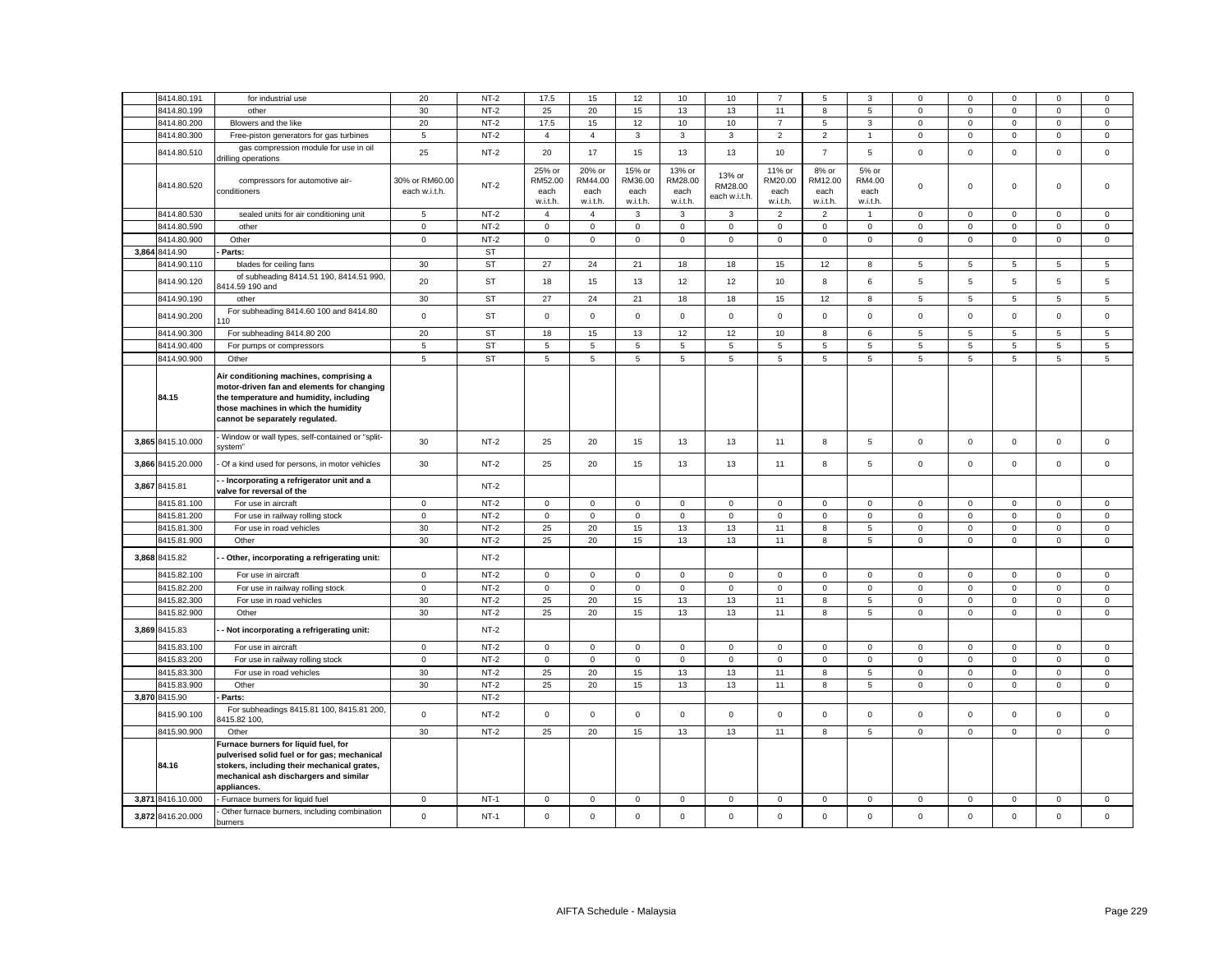|       | 8414.80.191       | for industrial use                                                                   | 20                | $NT-2$    | 17.5                | 15               | 12               | 10               | 10           | $\overline{7}$   | 5                   | 3                              | $\Omega$     | $\mathbf 0$    | $\Omega$       | $\mathbf{0}$               | $\Omega$     |
|-------|-------------------|--------------------------------------------------------------------------------------|-------------------|-----------|---------------------|------------------|------------------|------------------|--------------|------------------|---------------------|--------------------------------|--------------|----------------|----------------|----------------------------|--------------|
|       | 8414.80.199       | other                                                                                | 30                | $NT-2$    | 25                  | 20               | 15               | 13               | 13           | 11               | 8                   | 5                              | $\mathsf 0$  | $\mathbf 0$    | $\mathsf 0$    | $\mathsf 0$                | $\mathsf 0$  |
|       | 8414.80.200       | Blowers and the like                                                                 | 20                | $NT-2$    | 17.5                | 15               | 12               | 10               | 10           | $\overline{7}$   | 5                   | $\mathbf{3}$                   | $\mathbf 0$  | $\mathbf 0$    | $\mathbf 0$    | $\mathsf 0$                | $\mathbf 0$  |
|       | 8414.80.300       | Free-piston generators for gas turbines                                              | 5                 | $NT-2$    | $\overline{4}$      | $\overline{4}$   | $\mathbf{3}$     | 3                | 3            | $\overline{2}$   | $\overline{2}$      | 1                              | $\mathbf 0$  | $\mathbf 0$    | $\mathbf{O}$   | $\mathbf 0$                | $\mathbf{0}$ |
|       |                   | gas compression module for use in oil                                                |                   |           |                     |                  |                  |                  |              |                  |                     |                                |              |                |                |                            |              |
|       | 8414.80.510       | drilling operations                                                                  | 25                | $NT-2$    | 20                  | 17               | 15               | 13               | 13           | 10               | $\overline{7}$      | 5                              | $\mathsf 0$  | $\mathbf 0$    | $\mathsf 0$    | $\mathsf 0$                | $\mathsf 0$  |
|       |                   |                                                                                      |                   |           | 25% or              | 20% or           | 15% or           | 13% or           | 13% or       | 11% or           | 8% or               | 5% or                          |              |                |                |                            |              |
|       | 8414.80.520       | compressors for automotive air-                                                      | 30% or RM60.00    | $NT-2$    | RM52.00             | RM44.00          | RM36.00          | RM28.00          | RM28.00      | RM20.00          | RM12.00             | RM4.00                         | $\mathbf 0$  | $\mathbf 0$    | $\mathbf 0$    | $\mathbf 0$                | $\mathbf 0$  |
|       |                   | conditioners                                                                         | each w.i.t.h.     |           | each<br>w.i.t.h.    | each<br>w.i.t.h. | each<br>w.i.t.h. | each<br>w.i.t.h. | each w.i.t.h | each<br>w.i.t.h. | each<br>w.i.t.h.    | each<br>w.i.t.h.               |              |                |                |                            |              |
|       | 8414.80.530       | sealed units for air conditioning unit                                               | 5                 | $NT-2$    | $\overline{a}$      | $\overline{4}$   | 3                | 3                | 3            | $\overline{2}$   | $\mathbf 2$         | $\overline{1}$                 | $\mathbf 0$  | $\mathbf 0$    | $\mathbf 0$    | $\mathbf 0$                | $\mathbf 0$  |
|       | 8414.80.590       | other                                                                                | $\mathbf 0$       | $NT-2$    | $\mathbf 0$         | $\mathbf 0$      | $\mathbf 0$      | $\mathbf 0$      | 0            | $\mathbf 0$      | 0                   | $\mathbf 0$                    | 0            | $\mathbf 0$    | $\mathbf 0$    | $\mathsf 0$                | 0            |
|       | 8414.80.900       | Other                                                                                | $\mathsf 0$       | $NT-2$    | $\mathsf{O}\xspace$ | $\mathsf 0$      | $\mathsf 0$      | $\mathsf 0$      | $\mathsf 0$  | $\mathsf 0$      | $\mathsf{O}$        | $\mathbf 0$                    | $\mathsf 0$  | $\mathbf 0$    | $\mathsf 0$    | $\mathbf 0$                | $\mathsf 0$  |
|       | 3,864 8414.90     | Parts:                                                                               |                   | <b>ST</b> |                     |                  |                  |                  |              |                  |                     |                                |              |                |                |                            |              |
|       | 3414.90.110       | blades for ceiling fans                                                              | 30                | <b>ST</b> | 27                  | 24               | 21               | 18               | 18           | 15               | 12                  | 8                              | 5            | 5              | 5              | 5                          | 5            |
|       |                   | of subheading 8414.51 190, 8414.51 990,                                              |                   |           |                     |                  |                  |                  |              |                  |                     |                                |              |                |                |                            |              |
|       | 8414.90.120       | 3414.59 190 and                                                                      | 20                | <b>ST</b> | 18                  | 15               | 13               | 12               | 12           | 10               | 8                   | 6                              | 5            | 5              | 5              | $\overline{5}$             | 5            |
|       | 8414.90.190       | other                                                                                | 30                | <b>ST</b> | 27                  | 24               | 21               | 18               | 18           | 15               | 12                  | 8                              | 5            | 5              | $\overline{5}$ | 5                          | 5            |
|       | 8414.90.200       | For subheading 8414.60 100 and 8414.80                                               | $\mathsf 0$       | <b>ST</b> | $\mathbf 0$         | $\mathbf 0$      | $\mathbf 0$      | $\mathbf 0$      | $\mathbf 0$  | $\mathbf 0$      | $\mathbf 0$         | $\mathbf 0$                    | $\mathbf 0$  | $\mathbf 0$    | $\mathbf{0}$   | $\mathbf 0$                | $\mathbf 0$  |
|       |                   | 10                                                                                   |                   |           |                     |                  |                  |                  |              |                  |                     |                                |              |                |                |                            |              |
|       | 8414.90.300       | For subheading 8414.80 200                                                           | 20                | <b>ST</b> | 18                  | 15               | 13               | 12               | 12           | 10               | 8                   | 6                              | 5            | 5              | 5              | 5                          | 5            |
|       | 8414.90.400       | For pumps or compressors                                                             | 5                 | <b>ST</b> | 5                   | 5                | 5                | 5                | 5            | 5                | 5                   | 5                              | 5            | 5              | 5              | 5                          | 5            |
|       | 8414.90.900       | Other                                                                                | $\sqrt{5}$        | ST        | 5                   | 5                | $\overline{5}$   | 5                | 5            | $\overline{5}$   | 5                   | $\overline{5}$                 | 5            | $\overline{5}$ | 5              | $\overline{5}$             | 5            |
|       |                   | Air conditioning machines, comprising a                                              |                   |           |                     |                  |                  |                  |              |                  |                     |                                |              |                |                |                            |              |
|       |                   | motor-driven fan and elements for changing                                           |                   |           |                     |                  |                  |                  |              |                  |                     |                                |              |                |                |                            |              |
|       | 84.15             | the temperature and humidity, including                                              |                   |           |                     |                  |                  |                  |              |                  |                     |                                |              |                |                |                            |              |
|       |                   | those machines in which the humidity                                                 |                   |           |                     |                  |                  |                  |              |                  |                     |                                |              |                |                |                            |              |
|       |                   | cannot be separately regulated.                                                      |                   |           |                     |                  |                  |                  |              |                  |                     |                                |              |                |                |                            |              |
|       | 3,865 8415.10.000 | - Window or wall types, self-contained or "split-<br>system"                         | 30                | $NT-2$    | 25                  | 20               | 15               | 13               | 13           | 11               | 8                   | 5                              | $\mathsf 0$  | $\mathbf 0$    | $\mathbf 0$    | $\mathsf 0$                | $\mathsf 0$  |
| 3,866 | 8415.20.000       | Of a kind used for persons, in motor vehicles                                        | 30                | $NT-2$    | 25                  | 20               | 15               | 13               | 13           | 11               | 8                   | 5                              | $\mathsf 0$  | $\mathbf 0$    | $\mathsf 0$    | $\mathsf 0$                | $\mathsf 0$  |
|       |                   | - Incorporating a refrigerator unit and a                                            |                   |           |                     |                  |                  |                  |              |                  |                     |                                |              |                |                |                            |              |
|       | 3,867 8415.81     | valve for reversal of the                                                            |                   | $NT-2$    |                     |                  |                  |                  |              |                  |                     |                                |              |                |                |                            |              |
|       | 8415.81.100       | For use in aircraft                                                                  | $\mathsf 0$       | $NT-2$    | $\mathbf{0}$        | $\mathbf 0$      | $\mathsf 0$      | $\mathbf{0}$     | $\mathsf 0$  | $\mathbf 0$      | $\mathbf 0$         | $\mathbf{0}$                   | $\mathbf 0$  | $\mathbf 0$    | $\mathbf 0$    | $\mathsf 0$                | $\mathsf 0$  |
|       | 8415.81.200       | For use in railway rolling stock                                                     | $\mathbf 0$       | $NT-2$    | $\mathbf 0$         | $\mathbf 0$      | $\mathsf 0$      | $\mathbf 0$      | $\mathbf 0$  | $\mathsf 0$      | $\mathsf 0$         | $\mathbf 0$                    | 0            | $\mathbf 0$    | $\mathbf{O}$   | $\mathsf 0$                | $\mathbf 0$  |
|       | 8415.81.300       | For use in road vehicles                                                             | 30                | $NT-2$    | 25                  | 20               | 15               | 13               | 13           | 11               | 8                   | $\,$ 5 $\,$                    | $\mathsf 0$  | $\mathbf 0$    | $\mathsf 0$    | $\mathsf 0$                | $\mathsf 0$  |
|       | 8415.81.900       | Other                                                                                | 30                | $NT-2$    | 25                  | 20               | 15               | 13               | 13           | 11               | 8                   | $5\overline{5}$                | $\mathbf 0$  | $\mathsf 0$    | $\mathsf 0$    | $\mathsf 0$                | $\mathsf 0$  |
|       | 3,868 8415.82     | Other, incorporating a refrigerating unit:                                           |                   | $NT-2$    |                     |                  |                  |                  |              |                  |                     |                                |              |                |                |                            |              |
|       | 8415.82.100       | For use in aircraft                                                                  | $\mathbf 0$       | $NT-2$    | $\mathbf 0$         | 0                | $\mathsf 0$      | $\mathbf 0$      | 0            | $\mathsf 0$      | $\mathbf 0$         | $\mathbf 0$                    | 0            | $\mathbf 0$    | $\mathbf 0$    | $\mathsf 0$                | 0            |
|       | 8415.82.200       | For use in railway rolling stock                                                     | $\mathsf 0$       | $NT-2$    | $\mathbf 0$         | $\mathsf 0$      | $\mathsf 0$      | $\mathsf 0$      | $\mathsf 0$  | $\mathsf 0$      | $\mathsf{O}\xspace$ | $\mathsf 0$                    | $\mathsf 0$  | $\mathbf 0$    | $\mathsf 0$    | $\mathbf 0$                | $\mathsf 0$  |
|       | 8415.82.300       | For use in road vehicles                                                             | 30                | $NT-2$    | 25                  | 20               | 15               | 13               | 13           | 11               | 8                   | 5                              | $\mathbf 0$  | $\mathsf 0$    | $\mathbf 0$    | $\mathsf 0$                | $\mathbf 0$  |
|       | 8415.82.900       | Other                                                                                | 30                | $NT-2$    | 25                  | 20               | 15               | 13               | 13           | 11               | 8                   | 5                              | $\mathsf 0$  | $\mathbf 0$    | $\mathsf 0$    | $\mathsf 0$                | 0            |
|       | 3,869 8415.83     | Not incorporating a refrigerating unit:                                              |                   | $NT-2$    |                     |                  |                  |                  |              |                  |                     |                                |              |                |                |                            |              |
|       | 8415.83.100       | For use in aircraft                                                                  | $\mathbf 0$       | $NT-2$    | $\mathbf 0$         | $\Omega$         | $\mathbf 0$      | $\mathbf 0$      | 0            | $\mathbf 0$      | $\mathbf 0$         | $\mathbf 0$                    | 0            | $\mathbf 0$    | $\mathbf 0$    | $^{\circ}$                 | $\Omega$     |
|       | 8415.83.200       | For use in railway rolling stock                                                     | $\mathbf 0$       | $NT-2$    | $\mathbf 0$         | $\mathsf 0$      | $\mathsf 0$      | $\mathbf 0$      | $\mathbf 0$  | $\mathsf 0$      | $\mathsf{O}$        | $\mathbf 0$                    | $\mathsf 0$  | $\mathsf 0$    | $\mathsf 0$    | $\mathsf 0$                | $\mathbf 0$  |
|       | 8415.83.300       | For use in road vehicles                                                             | 30                | $NT-2$    | 25                  | 20               | 15               | 13               | 13           | 11               | 8                   | 5                              | $\mathsf 0$  | $\mathbf 0$    | $\mathsf 0$    | $\mathbf 0$                | $\mathbf 0$  |
|       | 8415.83.900       | Other                                                                                | 30                | $NT-2$    | 25                  | 20               | 15               | 13               | 13           | 11               | 8                   | 5                              | $\mathbf{0}$ | $\mathsf 0$    | $\mathbf{0}$   | $\mathbf{0}$               | 0            |
|       | 3,870 8415.90     | Parts:                                                                               |                   | $NT-2$    |                     |                  |                  |                  |              |                  |                     |                                |              |                |                |                            |              |
|       |                   | For subheadings 8415.81 100, 8415.81 200,                                            |                   |           |                     |                  |                  |                  |              |                  |                     |                                |              |                |                |                            |              |
|       | 8415.90.100       | 3415.82 100,                                                                         | $\mathbf 0$<br>30 | $NT-2$    | $\mathbf 0$<br>25   | $\Omega$         | $\mathbf 0$      | $\mathbf{0}$     | $\mathbf 0$  | $\mathbf 0$      | $\mathbf 0$<br>8    | $\mathbf 0$<br>$5\overline{5}$ | $\mathbf 0$  | $\mathbf 0$    | $\mathbf 0$    | $\mathbf 0$<br>$\mathbf 0$ | $\mathbf 0$  |
|       | 8415.90.900       | Other                                                                                |                   | $NT-2$    |                     | 20               | 15               | 13               | 13           | 11               |                     |                                | $\mathbf 0$  | $\mathbf 0$    | $\mathbf 0$    |                            | $\mathbf 0$  |
|       |                   | Furnace burners for liquid fuel, for<br>pulverised solid fuel or for gas; mechanical |                   |           |                     |                  |                  |                  |              |                  |                     |                                |              |                |                |                            |              |
|       | 84.16             | stokers, including their mechanical grates,                                          |                   |           |                     |                  |                  |                  |              |                  |                     |                                |              |                |                |                            |              |
|       |                   | mechanical ash dischargers and similar                                               |                   |           |                     |                  |                  |                  |              |                  |                     |                                |              |                |                |                            |              |
|       |                   | appliances.                                                                          |                   |           |                     |                  |                  |                  |              |                  |                     |                                |              |                |                |                            |              |
|       | 3,871 8416.10.000 | - Furnace burners for liquid fuel                                                    | $\mathbf 0$       | $NT-1$    | $\mathbf{0}$        | $\mathbf{0}$     | $\mathbf 0$      | $\mathbf{0}$     | 0            | $\mathbf 0$      | $\mathbf{0}$        | $\mathbf{0}$                   | $\mathbf{0}$ | $\mathbf 0$    | $\mathbf{0}$   | $\mathbf 0$                | $\mathbf 0$  |
|       | 3,872 8416.20.000 | Other furnace burners, including combination                                         | $\mathbf 0$       | $NT-1$    | $\Omega$            | $\Omega$         | $\mathbf 0$      | $\Omega$         | $\mathsf 0$  | $\mathbf 0$      | $\mathbf{0}$        | $\mathbf 0$                    | $\mathbf 0$  | $\mathbf 0$    | $\mathbf 0$    | $\mathbf 0$                | $\mathbf 0$  |
|       |                   | burners                                                                              |                   |           |                     |                  |                  |                  |              |                  |                     |                                |              |                |                |                            |              |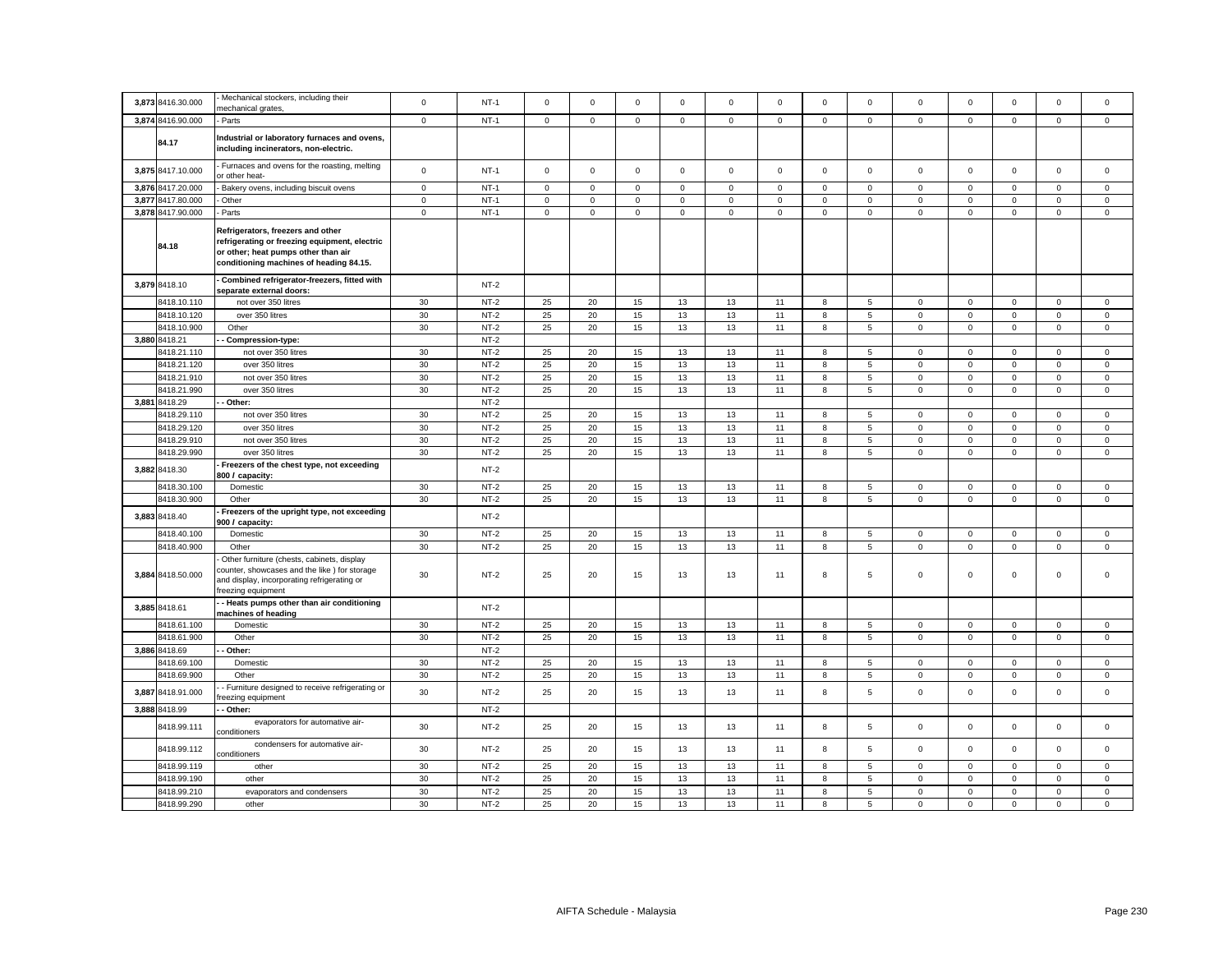| 3,873 8416.30.000            | Mechanical stockers, including their                                                                                                                                 | $\mathbf 0$ | $NT-1$           | $\mathbf 0$ | $\mathsf 0$         | $\mathsf 0$ | $\mathsf 0$ | $\mathsf 0$ | $\mathbf 0$ | $\mathsf 0$ | $\mathsf 0$     | $\mathbf 0$ | $\mathbf 0$                | $\mathsf 0$                | $\mathsf 0$                 | $\mathsf 0$                |
|------------------------------|----------------------------------------------------------------------------------------------------------------------------------------------------------------------|-------------|------------------|-------------|---------------------|-------------|-------------|-------------|-------------|-------------|-----------------|-------------|----------------------------|----------------------------|-----------------------------|----------------------------|
| 3,874 8416.90.000            | mechanical grates,<br>Parts                                                                                                                                          | $\mathbf 0$ | $NT-1$           | $\mathbf 0$ | $\mathsf 0$         | $\mathsf 0$ | $\mathsf 0$ | $\mathsf 0$ | $\mathsf 0$ | $\mathbf 0$ | $\mathsf 0$     | $\mathsf 0$ | $\mathsf 0$                | $\mathbf 0$                | $\mathbf 0$                 | $\mathsf 0$                |
|                              |                                                                                                                                                                      |             |                  |             |                     |             |             |             |             |             |                 |             |                            |                            |                             |                            |
| 84.17                        | Industrial or laboratory furnaces and ovens,<br>including incinerators, non-electric.                                                                                |             |                  |             |                     |             |             |             |             |             |                 |             |                            |                            |                             |                            |
| 3,875 8417.10.000            | Furnaces and ovens for the roasting, melting<br>or other heat-                                                                                                       | $\mathsf 0$ | $NT-1$           | $\mathsf 0$ | $\mathsf{O}\xspace$ | $\mathsf 0$ | $\mathsf 0$ | $\mathsf 0$ | $\mathsf 0$ | $\mathbf 0$ | $\mathsf 0$     | $\mathsf 0$ | $\mathsf 0$                | $\mathbf 0$                | $\mathsf 0$                 | $\mathsf 0$                |
| 3,876 8417.20.000            | Bakery ovens, including biscuit ovens                                                                                                                                | $\mathbf 0$ | $NT-1$           | $\mathbf 0$ | $\mathbf 0$         | $\mathsf 0$ | $\mathsf 0$ | $\mathsf 0$ | $\mathbf 0$ | $\mathbf 0$ | $\mathsf 0$     | $\mathsf 0$ | $\mathbf 0$                | $\mathbf 0$                | $\mathbf 0$                 | $\mathsf 0$                |
| 3,877 8417.80.000            | Other                                                                                                                                                                | $\mathsf 0$ | $NT-1$           | $\mathbf 0$ | $\mathsf 0$         | $\mathsf 0$ | $\mathsf 0$ | $\mathsf 0$ | $\mathsf 0$ | $\mathbf 0$ | $\mathsf 0$     | $\mathsf 0$ | $\mathbf 0$                | $\mathsf 0$                | $\mathsf 0$                 | $\mathsf 0$                |
| 3,878 8417.90.000            | Parts                                                                                                                                                                | $\mathbf 0$ | $NT-1$           | $\mathbf 0$ | $\mathsf 0$         | $\mathbf 0$ | $\mathbf 0$ | $\mathbf 0$ | $\mathbf 0$ | $\mathbf 0$ | $\mathbf{0}$    | $\mathbf 0$ | $\mathbf 0$                | $\mathbf 0$                | $\mathbf{0}$                | $\mathbf 0$                |
| 84.18                        | Refrigerators, freezers and other<br>refrigerating or freezing equipment, electric<br>or other; heat pumps other than air<br>conditioning machines of heading 84.15. |             |                  |             |                     |             |             |             |             |             |                 |             |                            |                            |                             |                            |
| 3,879 8418.10                | Combined refrigerator-freezers, fitted with<br>separate external doors:                                                                                              |             | $NT-2$           |             |                     |             |             |             |             |             |                 |             |                            |                            |                             |                            |
| 8418.10.110                  | not over 350 litres                                                                                                                                                  | 30          | $NT-2$           | 25          | 20                  | 15          | 13          | 13          | 11          | 8           | 5               | $\mathbf 0$ | $\mathbf 0$                | $\mathbf 0$                | $\mathsf 0$                 | $\mathsf 0$                |
| 8418.10.120                  | over 350 litres                                                                                                                                                      | 30          | $NT-2$           | 25          | 20                  | 15          | 13          | 13          | 11          | 8           | 5               | $\mathsf 0$ | $\mathsf 0$                | $\mathsf 0$                | $\mathbf 0$                 | $\mathsf 0$                |
| 8418.10.900                  | Other                                                                                                                                                                | 30          | $NT-2$           | 25          | 20                  | 15          | 13          | 13          | 11          | 8           | $5\phantom{.0}$ | $\mathsf 0$ | $\mathsf 0$                | $\mathsf 0$                | $\mathsf 0$                 | $\mathsf 0$                |
| 3,880 8418.21                | Compression-type:                                                                                                                                                    |             | $NT-2$<br>$NT-2$ | 25          |                     |             |             |             |             |             |                 |             |                            |                            |                             |                            |
| 8418.21.110                  | not over 350 litres                                                                                                                                                  | 30          |                  |             | 20                  | 15          | 13          | 13          | 11          | 8           | 5               | $\mathbf 0$ | $\mathbf 0$                | $\mathbf 0$                | $\mathsf 0$                 | $\mathbf 0$                |
| 8418.21.120                  | over 350 litres                                                                                                                                                      | 30          | $NT-2$<br>$NT-2$ | 25          | 20<br>20            | 15          | 13          | 13          | 11<br>11    | 8           | 5               | $\mathbf 0$ | $\mathsf 0$                | $\mathsf 0$                | $\mathbf 0$                 | $\mathsf 0$                |
| 8418.21.910                  | not over 350 litres                                                                                                                                                  | 30<br>30    | $NT-2$           | 25<br>25    |                     | 15          | 13          | 13          |             | 8           | 5               | $\mathbf 0$ | $\mathbf 0$<br>$\mathsf 0$ | $\mathbf 0$<br>$\mathbf 0$ | $\mathbf{0}$<br>$\mathsf 0$ | $\mathbf 0$<br>$\mathsf 0$ |
| 8418.21.990<br>3,881 8418.29 | over 350 litres<br>Other:                                                                                                                                            |             | $NT-2$           |             | 20                  | 15          | 13          | 13          | 11          | 8           | 5               | $\mathbf 0$ |                            |                            |                             |                            |
| 8418.29.110                  | not over 350 litres                                                                                                                                                  | $30\,$      | $NT-2$           | 25          | 20                  | 15          | 13          | 13          | 11          | 8           | 5               | $\mathsf 0$ | $\pmb{0}$                  | $\mathbf 0$                | $\mathbf 0$                 | $\mathsf 0$                |
| 8418.29.120                  | over 350 litres                                                                                                                                                      | 30          | $NT-2$           | 25          | 20                  | 15          | 13          | 13          | 11          | 8           | 5               | $\mathbf 0$ | $\mathsf 0$                | $\mathbf 0$                | $\mathsf 0$                 | $\mathsf 0$                |
| 8418.29.910                  | not over 350 litres                                                                                                                                                  | 30          | $NT-2$           | 25          | 20                  | 15          | 13          | 13          | 11          | 8           | 5               | $\mathbf 0$ | 0                          | $\mathbf 0$                | $\mathbf 0$                 | $\mathbf 0$                |
| 8418.29.990                  | over 350 litres                                                                                                                                                      | 30          | $NT-2$           | 25          | 20                  | 15          | 13          | 13          | 11          | 8           | 5               | $\mathbf 0$ | $\mathsf 0$                | $\mathsf 0$                | $\mathsf 0$                 | $\mathsf 0$                |
| 3,882 8418.30                | Freezers of the chest type, not exceeding<br>800 / capacity:                                                                                                         |             | $NT-2$           |             |                     |             |             |             |             |             |                 |             |                            |                            |                             |                            |
| 8418.30.100                  | Domestic                                                                                                                                                             | 30          | $NT-2$           | 25          | 20                  | 15          | 13          | 13          | 11          | 8           | $\overline{5}$  | $\mathbf 0$ | $\mathsf 0$                | $\mathbf 0$                | $\mathbf 0$                 | $\mathbf 0$                |
| 8418.30.900                  | Other                                                                                                                                                                | 30          | $NT-2$           | 25          | 20                  | 15          | 13          | 13          | 11          | 8           | $\sqrt{5}$      | $\mathsf 0$ | $\mathsf 0$                | $\mathsf 0$                | $\mathsf{O}\xspace$         | $\mathsf 0$                |
| 3,883 8418.40                | Freezers of the upright type, not exceeding<br>900 / capacity:                                                                                                       |             | $NT-2$           |             |                     |             |             |             |             |             |                 |             |                            |                            |                             |                            |
| 8418.40.100                  | Domestic                                                                                                                                                             | 30          | $NT-2$           | 25          | 20                  | 15          | 13          | 13          | 11          | 8           | 5               | $\mathsf 0$ | $\mathsf 0$                | $\mathsf 0$                | $\mathbf 0$                 | $\mathbf 0$                |
| 8418.40.900                  | Other                                                                                                                                                                | 30          | $NT-2$           | 25          | 20                  | 15          | 13          | 13          | 11          | 8           | $\overline{5}$  | $\mathsf 0$ | $\mathbf 0$                | $\mathsf 0$                | $\mathsf 0$                 | $\mathsf 0$                |
| 3,884 8418.50.000            | Other furniture (chests, cabinets, display<br>counter, showcases and the like) for storage<br>and display, incorporating refrigerating or<br>freezing equipment      | 30          | $NT-2$           | 25          | 20                  | 15          | 13          | 13          | 11          | 8           | 5               | $\mathsf 0$ | $\mathbf 0$                | $\mathbf 0$                | $\mathsf 0$                 | $\mathbf 0$                |
| 3,885 8418.61                | - Heats pumps other than air conditioning<br>machines of heading                                                                                                     |             | $NT-2$           |             |                     |             |             |             |             |             |                 |             |                            |                            |                             |                            |
| 8418.61.100                  | Domestic                                                                                                                                                             | 30          | $NT-2$           | 25          | 20                  | 15          | 13          | 13          | 11          | 8           | 5               | 0           | $\mathbf 0$                | $\mathbf 0$                | $\mathbf 0$                 | $\mathbf 0$                |
| 8418.61.900                  | Other                                                                                                                                                                | 30          | $NT-2$           | 25          | 20                  | 15          | 13          | 13          | 11          | 8           | 5               | $\mathbf 0$ | $\mathsf 0$                | $\mathsf 0$                | $\mathsf 0$                 | $\mathsf 0$                |
| 3,886 8418.69                | Other:                                                                                                                                                               |             | $NT-2$           |             |                     |             |             |             |             |             |                 |             |                            |                            |                             |                            |
| 8418.69.100                  | Domestic                                                                                                                                                             | 30          | $NT-2$           | 25          | 20                  | 15          | 13          | 13          | 11          | 8           | 5               | $\mathbf 0$ | $\mathsf 0$                | $\mathbf 0$                | $\mathbf 0$                 | $\mathbf 0$                |
| 8418.69.900                  | Other                                                                                                                                                                | 30          | $NT-2$           | 25          | 20                  | 15          | 13          | 13          | 11          | 8           | $5\phantom{.0}$ | $\mathbf 0$ | $\mathsf 0$                | $\mathsf 0$                | $\mathsf 0$                 | $\mathsf 0$                |
| 3,887 8418.91.000            | Furniture designed to receive refrigerating or<br>reezing equipment                                                                                                  | 30          | $NT-2$           | 25          | 20                  | 15          | 13          | 13          | 11          | 8           | 5               | $\mathbf 0$ | $\mathsf 0$                | $\mathsf 0$                | $\mathbf 0$                 | $\mathbf 0$                |
| 3,888 8418.99                | Other:                                                                                                                                                               |             | $NT-2$           |             |                     |             |             |             |             |             |                 |             |                            |                            |                             |                            |
| 8418.99.111                  | evaporators for automative air-<br>conditioners                                                                                                                      | 30          | $NT-2$           | 25          | 20                  | 15          | 13          | 13          | 11          | 8           | 5               | $\mathbf 0$ | $\mathbf 0$                | $\mathsf 0$                | $\mathsf 0$                 | $\mathsf 0$                |
| 8418.99.112                  | condensers for automative air-<br>conditioners                                                                                                                       | 30          | $NT-2$           | 25          | 20                  | 15          | 13          | 13          | 11          | 8           | 5               | $\mathbf 0$ | $\mathsf 0$                | $\mathsf 0$                | $\mathsf 0$                 | $\mathsf 0$                |
| 8418.99.119                  | other                                                                                                                                                                | 30          | $NT-2$           | 25          | 20                  | 15          | 13          | 13          | 11          | 8           | 5               | $\mathbf 0$ | $\mathsf 0$                | $\mathsf 0$                | $\mathsf 0$                 | $\mathsf 0$                |
| 8418.99.190                  | other                                                                                                                                                                | 30          | $NT-2$           | 25          | 20                  | 15          | 13          | 13          | 11          | 8           | 5               | $\mathsf 0$ | $\mathsf 0$                | $\mathsf 0$                | $\mathsf 0$                 | $\mathsf 0$                |
| 8418.99.210                  | evaporators and condensers                                                                                                                                           | 30          | $NT-2$           | 25          | 20                  | 15          | 13          | 13          | 11          | 8           | 5               | $\mathsf 0$ | $\mathbf 0$                | $\mathbf 0$                | $\mathbf 0$                 | $\mathsf 0$                |
| 8418.99.290                  | other                                                                                                                                                                | 30          | $NT-2$           | 25          | 20                  | 15          | 13          | 13          | 11          | 8           | 5               | $\mathsf 0$ | $\mathsf 0$                | $\mathsf 0$                | $\mathsf 0$                 | $\Omega$                   |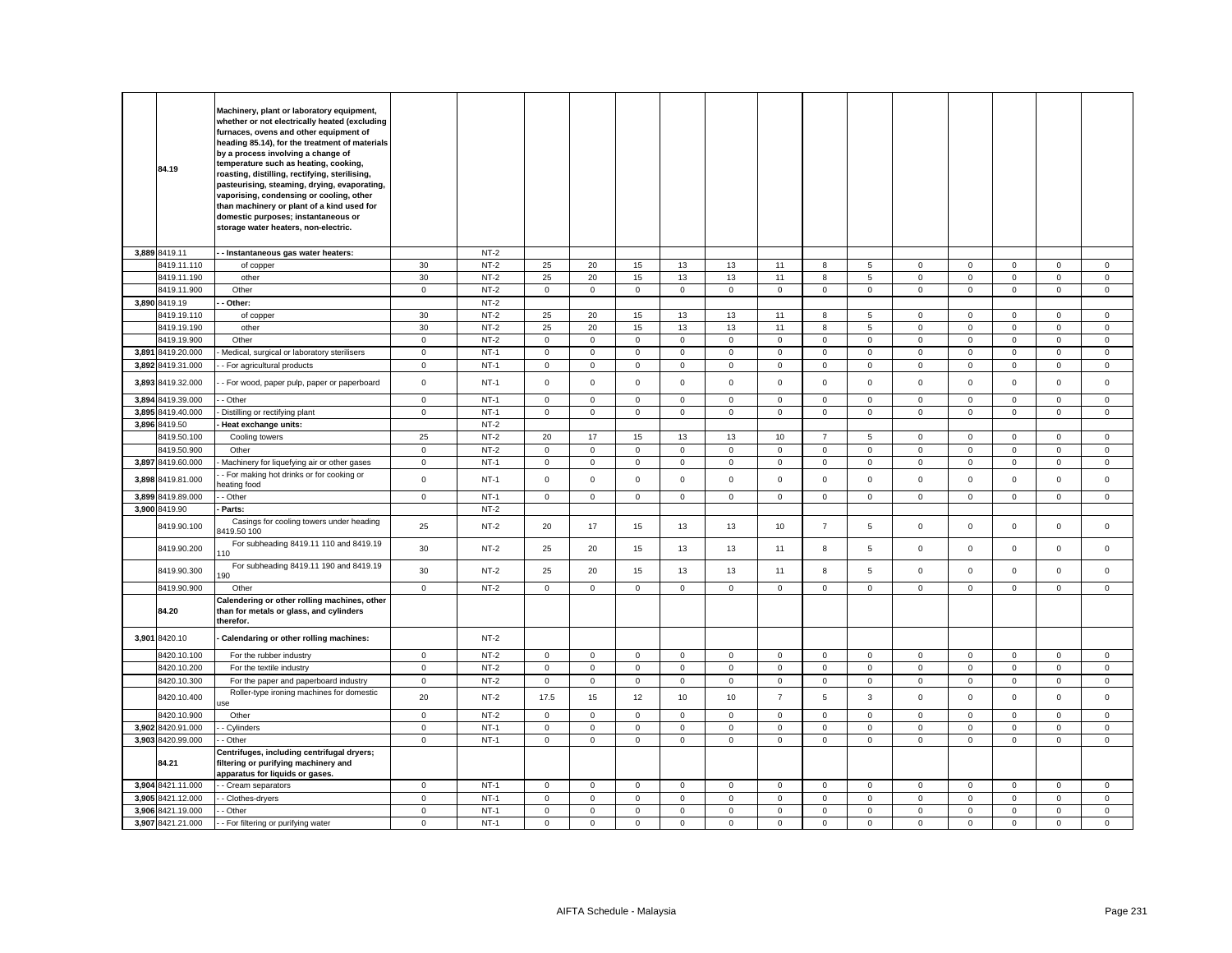|       | 84.19             | Machinery, plant or laboratory equipment,<br>whether or not electrically heated (excluding<br>furnaces, ovens and other equipment of<br>heading 85.14), for the treatment of materials<br>by a process involving a change of<br>temperature such as heating, cooking,<br>roasting, distilling, rectifying, sterilising,<br>pasteurising, steaming, drying, evaporating,<br>vaporising, condensing or cooling, other<br>than machinery or plant of a kind used for<br>domestic purposes; instantaneous or<br>storage water heaters, non-electric. |              |        |             |                     |              |              |             |                |                |                 |             |             |                     |                |              |
|-------|-------------------|--------------------------------------------------------------------------------------------------------------------------------------------------------------------------------------------------------------------------------------------------------------------------------------------------------------------------------------------------------------------------------------------------------------------------------------------------------------------------------------------------------------------------------------------------|--------------|--------|-------------|---------------------|--------------|--------------|-------------|----------------|----------------|-----------------|-------------|-------------|---------------------|----------------|--------------|
|       | 3,889 8419.11     | - Instantaneous gas water heaters:                                                                                                                                                                                                                                                                                                                                                                                                                                                                                                               |              | $NT-2$ |             |                     |              |              |             |                |                |                 |             |             |                     |                |              |
|       | 8419.11.110       | of copper                                                                                                                                                                                                                                                                                                                                                                                                                                                                                                                                        | 30           | $NT-2$ | 25          | 20                  | 15           | 13           | 13          | 11             | 8              | 5               | $\mathbf 0$ | $\mathbf 0$ | $\mathbf{0}$        | $\mathbf{0}$   | $\mathbf 0$  |
|       | 8419.11.190       | other                                                                                                                                                                                                                                                                                                                                                                                                                                                                                                                                            | 30           | $NT-2$ | 25          | 20                  | 15           | 13           | 13          | 11             | 8              | $5\phantom{.0}$ | $\mathsf 0$ | $\mathsf 0$ | $\mathsf 0$         | $\mathsf 0$    | $\mathsf 0$  |
|       | 8419.11.900       | Other                                                                                                                                                                                                                                                                                                                                                                                                                                                                                                                                            | $\mathbf 0$  | $NT-2$ | $\mathbf 0$ | $\mathsf 0$         | $\mathbf 0$  | $\mathbf 0$  | $\mathsf 0$ | $\mathbf 0$    | $\mathbf 0$    | $\mathbf{0}$    | $\mathbf 0$ | $\mathsf 0$ | $\mathbf 0$         | $\mathbf 0$    | $\mathsf 0$  |
|       | 3,890 8419.19     | Other:                                                                                                                                                                                                                                                                                                                                                                                                                                                                                                                                           |              | NT-2   |             |                     |              |              |             |                |                |                 |             |             |                     |                |              |
|       | 8419.19.110       | of copper                                                                                                                                                                                                                                                                                                                                                                                                                                                                                                                                        | 30           | $NT-2$ | 25          | 20                  | 15           | 13           | 13          | 11             | 8              | $5\overline{5}$ | 0           | 0           | $\mathbf 0$         | $\mathbf 0$    | $\mathbf 0$  |
|       | 8419.19.190       | other                                                                                                                                                                                                                                                                                                                                                                                                                                                                                                                                            | 30           | $NT-2$ | 25          | 20                  | 15           | 13           | 13          | 11             | 8              | $5\phantom{.0}$ | $\mathbf 0$ | $\mathsf 0$ | $\mathbf 0$         | $\mathsf 0$    | $\mathsf 0$  |
|       | 8419.19.900       | Other                                                                                                                                                                                                                                                                                                                                                                                                                                                                                                                                            | $\mathbf 0$  | $NT-2$ | $\mathbf 0$ | $\mathsf 0$         | $\mathbf{0}$ | $\mathbf 0$  | $\mathbf 0$ | $\mathsf 0$    | $\mathbf 0$    | $\mathbf 0$     | $\mathbf 0$ | $\mathsf 0$ | $\mathbf 0$         | $\mathbf 0$    | $\mathsf 0$  |
|       | 3,891 8419.20.000 | Medical, surgical or laboratory sterilisers                                                                                                                                                                                                                                                                                                                                                                                                                                                                                                      | $\mathbf 0$  | $NT-1$ | $\mathbf 0$ | $\mathsf 0$         | $\mathsf 0$  | $\mathbf{0}$ | $\mathbf 0$ | $\mathsf 0$    | $\mathbf{0}$   | $\mathbf 0$     | $\mathbf 0$ | $\mathsf 0$ | $\mathbf 0$         | $\mathsf 0$    | $\mathsf 0$  |
|       | 3,892 8419.31.000 |                                                                                                                                                                                                                                                                                                                                                                                                                                                                                                                                                  | $\mathbf 0$  | $NT-1$ | 0           | 0                   | $\mathbf 0$  | $\mathbf 0$  | 0           | 0              | $\mathbf 0$    | $\mathbf 0$     | $\mathsf 0$ | 0           | 0                   | $\mathsf 0$    | $\mathsf 0$  |
|       | 3,893 8419.32.000 | - For agricultural products<br>- For wood, paper pulp, paper or paperboard                                                                                                                                                                                                                                                                                                                                                                                                                                                                       | $\mathbf 0$  | $NT-1$ | $\mathbf 0$ | $\mathbf 0$         | $\mathbf 0$  | $\mathbf{0}$ | $\mathbf 0$ | $\mathbf 0$    | $\mathbf{0}$   | $\mathbf 0$     | $\mathbf 0$ | 0           | $\mathbf 0$         | $\mathbf 0$    | $\mathbf 0$  |
|       |                   |                                                                                                                                                                                                                                                                                                                                                                                                                                                                                                                                                  |              |        |             |                     |              |              |             |                |                |                 |             |             |                     |                |              |
|       | 3,894 8419.39.000 | - Other                                                                                                                                                                                                                                                                                                                                                                                                                                                                                                                                          | $\mathbf 0$  | $NT-1$ | 0           | $\mathbf 0$         | $\mathbf 0$  | $\mathbf 0$  | 0           | $\mathbf 0$    | $\mathbf{0}$   | $\mathbf 0$     | $\mathbf 0$ | $\mathbf 0$ | $\mathbf 0$         | $\mathbf{0}$   | $\mathbf 0$  |
|       | 3,895 8419.40.000 | Distilling or rectifying plant                                                                                                                                                                                                                                                                                                                                                                                                                                                                                                                   | $\mathsf 0$  | $NT-1$ | $\mathsf 0$ | $\mathsf{O}\xspace$ | $\mathsf 0$  | $\mathsf 0$  | $\mathsf 0$ | $\mathsf 0$    | $\mathbf 0$    | $\mathsf 0$     | $\mathsf 0$ | $\mathbf 0$ | $\mathsf{O}\xspace$ | $\mathsf 0$    | $\mathsf 0$  |
|       | 3,896 8419.50     | Heat exchange units:                                                                                                                                                                                                                                                                                                                                                                                                                                                                                                                             |              | $NT-2$ |             |                     |              |              |             |                |                |                 |             |             |                     |                |              |
|       | 8419.50.100       | Cooling towers                                                                                                                                                                                                                                                                                                                                                                                                                                                                                                                                   | 25           | $NT-2$ | 20          | 17                  | 15           | 13           | 13          | 10             | $\overline{7}$ | 5               | $\mathbf 0$ | $\mathsf 0$ | $\mathbf 0$         | $\mathsf 0$    | $\mathsf 0$  |
|       | 8419.50.900       | Other                                                                                                                                                                                                                                                                                                                                                                                                                                                                                                                                            | $\mathbf 0$  | $NT-2$ | 0           | $\mathbf 0$         | $\mathbf{0}$ | $\mathbf 0$  | 0           | $\mathbf 0$    | $\mathbf{0}$   | $\mathbf 0$     | $\mathbf 0$ | $\mathbf 0$ | $\mathbf 0$         | $\mathbf{0}$   | $\mathbf{0}$ |
|       | 3,897 8419.60.000 | Machinery for liquefying air or other gases                                                                                                                                                                                                                                                                                                                                                                                                                                                                                                      | $\mathbf 0$  | $NT-1$ | $\mathbf 0$ | $\mathsf{O}\xspace$ | $\mathsf 0$  | $\mathbf 0$  | $\mathsf 0$ | $\mathbf 0$    | $\mathsf 0$    | $\mathsf 0$     | $\mathsf 0$ | $\mathbf 0$ | $\mathsf 0$         | $\mathsf 0$    | $\mathsf 0$  |
| 3,898 | 8419.81.000       | - For making hot drinks or for cooking or<br>eating food                                                                                                                                                                                                                                                                                                                                                                                                                                                                                         | $\mathbf 0$  | $NT-1$ | $\mathbf 0$ | $\mathsf{O}\xspace$ | $\mathsf 0$  | $\mathsf 0$  | 0           | $\mathbf 0$    | $\mathbf 0$    | $\mathsf 0$     | $\mathsf 0$ | $\mathsf 0$ | $\mathbf 0$         | $\mathsf 0$    | $\mathsf 0$  |
|       | 3,899 8419.89.000 | - Other                                                                                                                                                                                                                                                                                                                                                                                                                                                                                                                                          | $\mathbf 0$  | $NT-1$ | $\mathbf 0$ | $\mathsf 0$         | $\mathsf 0$  | $\mathbf 0$  | $\mathbf 0$ | $\mathsf 0$    | $\mathbf{0}$   | $\mathbf 0$     | $\mathbf 0$ | $\mathsf 0$ | $\mathbf 0$         | $\mathsf 0$    | $\mathsf 0$  |
|       | 3,900 8419.90     | Parts:                                                                                                                                                                                                                                                                                                                                                                                                                                                                                                                                           |              | $NT-2$ |             |                     |              |              |             |                |                |                 |             |             |                     |                |              |
|       | 8419.90.100       | Casings for cooling towers under heading<br>419.50 100                                                                                                                                                                                                                                                                                                                                                                                                                                                                                           | 25           | $NT-2$ | 20          | 17                  | 15           | 13           | 13          | 10             | $\overline{7}$ | 5               | $\mathbf 0$ | $\mathsf 0$ | $\mathsf 0$         | $\mathsf 0$    | $\mathsf 0$  |
|       | 8419.90.200       | For subheading 8419.11 110 and 8419.19<br>10                                                                                                                                                                                                                                                                                                                                                                                                                                                                                                     | 30           | $NT-2$ | 25          | 20                  | 15           | 13           | 13          | 11             | 8              | 5               | 0           | $\mathbf 0$ | $\mathbf 0$         | $\mathsf 0$    | $\mathsf 0$  |
|       | 8419.90.300       | For subheading 8419.11 190 and 8419.19<br>90                                                                                                                                                                                                                                                                                                                                                                                                                                                                                                     | 30           | $NT-2$ | 25          | 20                  | 15           | 13           | 13          | 11             | 8              | 5               | $\mathbf 0$ | $\mathsf 0$ | $\mathsf 0$         | $\mathbf 0$    | $\mathsf 0$  |
|       | 8419.90.900       | Other                                                                                                                                                                                                                                                                                                                                                                                                                                                                                                                                            | $\mathbf 0$  | $NT-2$ | $\mathbf 0$ | $\mathsf 0$         | $\mathbf{0}$ | $\mathsf 0$  | $\mathbf 0$ | $\mathsf 0$    | $\mathbf{0}$   | $\overline{0}$  | $\mathbf 0$ | $\mathbf 0$ | $\mathsf{O}\xspace$ | $\overline{0}$ | $\mathbf 0$  |
|       | 84.20             | Calendering or other rolling machines, other<br>than for metals or glass, and cylinders<br>therefor.                                                                                                                                                                                                                                                                                                                                                                                                                                             |              |        |             |                     |              |              |             |                |                |                 |             |             |                     |                |              |
| 3,901 | 8420.10           | Calendaring or other rolling machines:                                                                                                                                                                                                                                                                                                                                                                                                                                                                                                           |              | $NT-2$ |             |                     |              |              |             |                |                |                 |             |             |                     |                |              |
|       | 8420.10.100       | For the rubber industry                                                                                                                                                                                                                                                                                                                                                                                                                                                                                                                          | $\mathbf 0$  | $NT-2$ | $\mathsf 0$ | $\mathsf 0$         | $\mathsf 0$  | $\mathbf 0$  | $\mathbf 0$ | $\mathsf 0$    | $\mathsf 0$    | $\mathbf 0$     | $\mathsf 0$ | $\mathsf 0$ | $\mathbf 0$         | $\mathsf 0$    | $\mathsf 0$  |
|       | 8420.10.200       | For the textile industry                                                                                                                                                                                                                                                                                                                                                                                                                                                                                                                         | $\mathbf 0$  | $NT-2$ | $\mathbf 0$ | $\mathsf 0$         | $\mathbf 0$  | $\mathbf 0$  | $\mathbf 0$ | $\mathsf 0$    | $\mathbf 0$    | $\mathbf 0$     | $\mathbf 0$ | $\mathsf 0$ | $\mathbf 0$         | $\mathbf 0$    | $\mathbf 0$  |
|       | 8420.10.300       | For the paper and paperboard industry                                                                                                                                                                                                                                                                                                                                                                                                                                                                                                            | $\mathbf 0$  | $NT-2$ | $\mathsf 0$ | $\mathsf 0$         | $\mathbf 0$  | $\mathbf 0$  | $\mathsf 0$ | $\mathsf 0$    | $\mathsf 0$    | $\mathsf 0$     | $\mathsf 0$ | $\mathsf 0$ | $\mathsf 0$         | $\mathbf 0$    | $\mathsf 0$  |
|       | 8420.10.400       | Roller-type ironing machines for domestic                                                                                                                                                                                                                                                                                                                                                                                                                                                                                                        | 20           | $NT-2$ | 17.5        | 15                  | 12           | 10           | 10          | $\overline{7}$ | 5              | $\mathbf{3}$    | $\mathsf 0$ | $\mathsf 0$ | $\mathbf 0$         | $\mathsf 0$    | $\mathbf 0$  |
|       | 8420.10.900       | Other                                                                                                                                                                                                                                                                                                                                                                                                                                                                                                                                            | $\mathbf 0$  | $NT-2$ | $\mathsf 0$ | $\mathbf 0$         | $\mathsf 0$  | $\mathsf 0$  | $\mathbf 0$ | $\mathsf 0$    | $\mathbf 0$    | $\mathbf 0$     | $\mathsf 0$ | $\mathsf 0$ | $\mathsf 0$         | $\mathsf 0$    | $\mathsf 0$  |
|       | 3,902 8420.91.000 | - Cylinders                                                                                                                                                                                                                                                                                                                                                                                                                                                                                                                                      | $\mathbf 0$  | $NT-1$ | 0           | $\mathsf 0$         | $\mathbf 0$  | $\mathbf 0$  | $\mathbf 0$ | $\mathsf 0$    | $\mathbf 0$    | $\mathbf 0$     | $\mathsf 0$ | $\mathsf 0$ | $\mathsf 0$         | $\mathbf 0$    | $\mathsf 0$  |
|       | 3,903 8420.99.000 | Other                                                                                                                                                                                                                                                                                                                                                                                                                                                                                                                                            | $\mathbf 0$  | $NT-1$ | $\mathsf 0$ | $\mathsf{O}\xspace$ | $\mathsf 0$  | $\mathsf 0$  | $\mathsf 0$ | $\mathbf 0$    | $\mathsf 0$    | $\mathbf 0$     | $\mathbf 0$ | $\mathbf 0$ | $\mathsf 0$         | $\mathsf 0$    | $\mathsf 0$  |
|       | 84.21             | Centrifuges, including centrifugal dryers;<br>filtering or purifying machinery and<br>apparatus for liquids or gases.                                                                                                                                                                                                                                                                                                                                                                                                                            |              |        |             |                     |              |              |             |                |                |                 |             |             |                     |                |              |
|       | 3,904 8421.11.000 | - Cream separators                                                                                                                                                                                                                                                                                                                                                                                                                                                                                                                               | $\mathbf 0$  | $NT-1$ | $\mathbf 0$ | $\mathbf 0$         | $\mathbf 0$  | $\mathbf 0$  | 0           | $\mathbf 0$    | $\mathbf 0$    | $\mathbf 0$     | $\mathbf 0$ | $\mathbf 0$ | $\mathbf 0$         | $\mathbf 0$    | $\mathbf 0$  |
|       | 3,905 8421.12.000 | Clothes-dryers                                                                                                                                                                                                                                                                                                                                                                                                                                                                                                                                   | $\mathbf{0}$ | $NT-1$ | 0           | $\mathbf 0$         | $\mathbf{0}$ | $\mathbf 0$  | 0           | $\mathbf 0$    | $\mathbf{0}$   | $\mathbf 0$     | $\mathbf 0$ | 0           | $\mathbf{0}$        | 0              | $\mathbf 0$  |
| 3,906 | 8421.19.000       | Other                                                                                                                                                                                                                                                                                                                                                                                                                                                                                                                                            | $\mathbf 0$  | $NT-1$ | $\mathbf 0$ | $\mathsf{O}\xspace$ | $\mathsf 0$  | $\mathsf 0$  | $\mathsf 0$ | $\mathsf 0$    | $\mathbf 0$    | $\mathsf 0$     | $\mathsf 0$ | $\mathbf 0$ | $\mathsf 0$         | $\mathsf 0$    | $\mathsf 0$  |
|       | 3,907 8421.21.000 | - For filtering or purifying water                                                                                                                                                                                                                                                                                                                                                                                                                                                                                                               | $\mathbf 0$  | $NT-1$ | 0           | $\mathbf 0$         | $\mathbf 0$  | $\mathbf 0$  | 0           | $\mathbf 0$    | $\mathbf 0$    | $\mathbf 0$     | 0           | 0           | $\mathbf 0$         | $\mathbf 0$    | $\mathbf 0$  |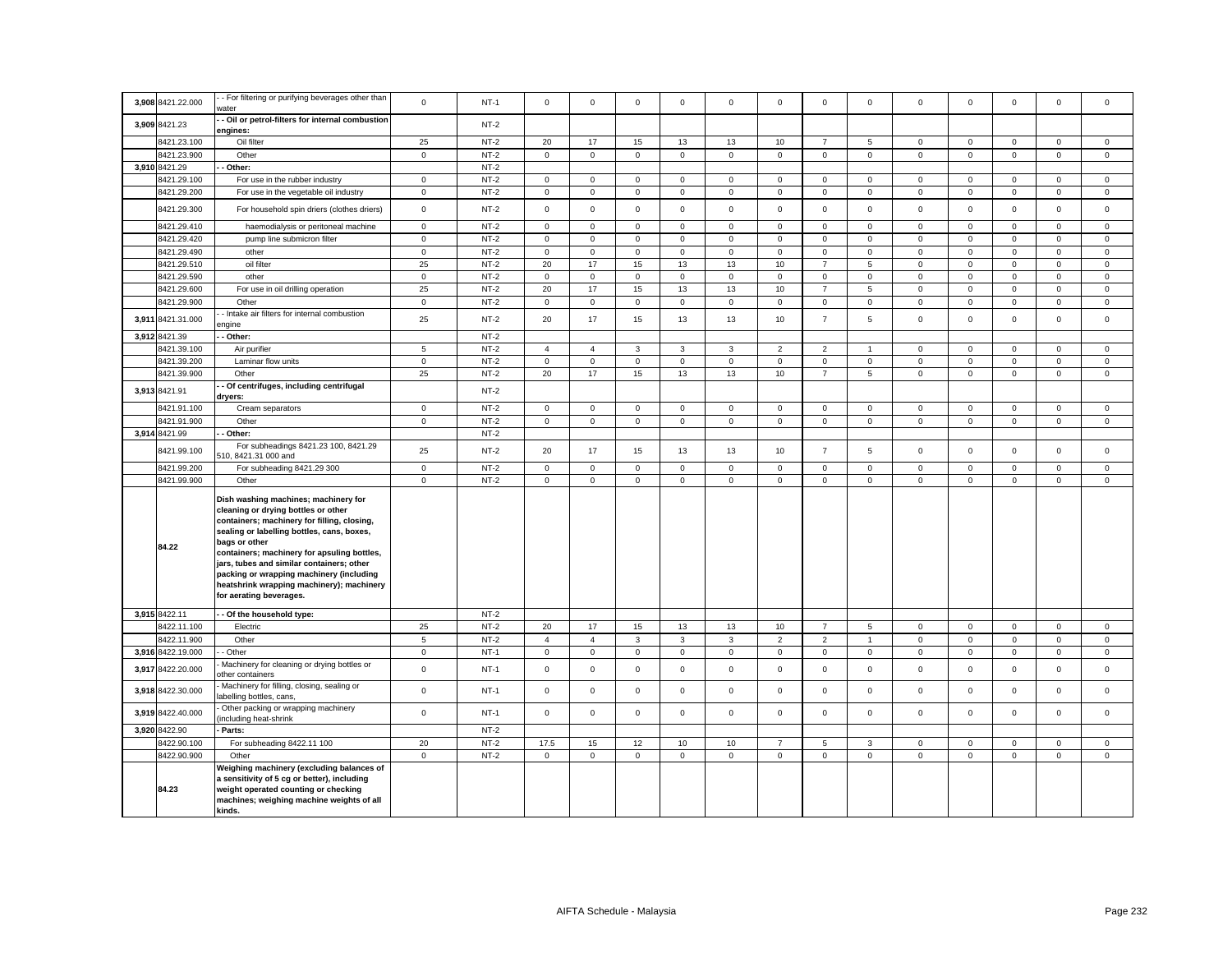|       | 3,908 8421.22.000 | - For filtering or purifying beverages other than                                                                                                                                                                                                                                                                                                                                                         | $\mathsf 0$ | $NT-1$ | $\mathsf 0$         | $\mathsf 0$         | $\mathsf 0$  | $\mathbf 0$  | $\mathsf 0$         | $\mathsf 0$    | $\mathbf 0$    | $\mathbf 0$    | $\mathbf 0$         | $\mathbf 0$         | $\mathbf 0$         | $\mathsf 0$  | $\mathbf 0$  |
|-------|-------------------|-----------------------------------------------------------------------------------------------------------------------------------------------------------------------------------------------------------------------------------------------------------------------------------------------------------------------------------------------------------------------------------------------------------|-------------|--------|---------------------|---------------------|--------------|--------------|---------------------|----------------|----------------|----------------|---------------------|---------------------|---------------------|--------------|--------------|
|       |                   | water<br>- Oil or petrol-filters for internal combustion                                                                                                                                                                                                                                                                                                                                                  |             |        |                     |                     |              |              |                     |                |                |                |                     |                     |                     |              |              |
|       | 3,909 8421.23     | engines:                                                                                                                                                                                                                                                                                                                                                                                                  |             | $NT-2$ |                     |                     |              |              |                     |                |                |                |                     |                     |                     |              |              |
|       | 8421.23.100       | Oil filter                                                                                                                                                                                                                                                                                                                                                                                                | 25          | $NT-2$ | 20                  | 17                  | 15           | 13           | 13                  | 10             | $\overline{7}$ | 5              | 0                   | $\mathbf 0$         | $\mathbf{0}$        | $\mathbf 0$  | $\mathbf{0}$ |
|       | 8421.23.900       | Other                                                                                                                                                                                                                                                                                                                                                                                                     | $\mathbf 0$ | $NT-2$ | $\mathsf{O}\xspace$ | $\mathsf{O}\xspace$ | $\mathsf 0$  | $\mathsf 0$  | $\mathsf{O}\xspace$ | $\mathbf 0$    | $\mathsf 0$    | $\mathsf 0$    | $\mathsf{O}\xspace$ | $\pmb{0}$           | $\overline{0}$      | $\mathbf 0$  | $\mathsf 0$  |
|       | 3,910 8421.29     | Other:                                                                                                                                                                                                                                                                                                                                                                                                    |             | $NT-2$ |                     |                     |              |              |                     |                |                |                |                     |                     |                     |              |              |
|       | 8421.29.100       | For use in the rubber industry                                                                                                                                                                                                                                                                                                                                                                            | $\mathbf 0$ | $NT-2$ | $\mathbf 0$         | $\mathbf 0$         | $\mathbf{0}$ | $\mathbf 0$  | $\mathbf 0$         | $\mathbf 0$    | $\mathbf{O}$   | $\mathbf{0}$   | $\mathbf 0$         | $\mathbf 0$         | $\mathbf 0$         | $\mathbf{0}$ | $\mathbf{0}$ |
|       | 8421.29.200       | For use in the vegetable oil industry                                                                                                                                                                                                                                                                                                                                                                     | $\circ$     | $NT-2$ | $\mathsf 0$         | $\mathbf 0$         | $\mathsf 0$  | $\mathbf 0$  | $\mathbf 0$         | $\mathsf 0$    | $\mathbf{0}$   | $\mathbf 0$    | $\mathbf 0$         | $\mathbf 0$         | $\mathbf 0$         | $\mathsf 0$  | $\mathsf 0$  |
|       | 8421.29.300       | For household spin driers (clothes driers)                                                                                                                                                                                                                                                                                                                                                                | $\mathbf 0$ | $NT-2$ | $\mathsf 0$         | $\mathbf 0$         | $\mathsf 0$  | $\mathsf 0$  | $\mathbf 0$         | $\mathsf 0$    | $\mathbf{0}$   | $\mathbf 0$    | $\mathsf 0$         | $\mathbf 0$         | $\mathbf 0$         | $\mathsf 0$  | $\mathbf 0$  |
|       | 8421.29.410       | haemodialysis or peritoneal machine                                                                                                                                                                                                                                                                                                                                                                       | $\mathsf 0$ | $NT-2$ | $\mathsf{O}\xspace$ | $\mathsf 0$         | $\mathbf 0$  | $\mathsf 0$  | $\mathsf 0$         | $\mathbf 0$    | $\mathsf 0$    | $\mathsf 0$    | $\mathsf 0$         | $\pmb{0}$           | $\mathsf 0$         | $\mathbf 0$  | $\mathsf 0$  |
|       | 8421.29.420       | pump line submicron filter                                                                                                                                                                                                                                                                                                                                                                                | $\mathsf 0$ | $NT-2$ | $\mathsf{O}\xspace$ | $\mathbf 0$         | $\mathbf 0$  | $\mathsf 0$  | $\mathsf 0$         | $\mathsf 0$    | $\mathsf 0$    | $\mathbf 0$    | $\mathbf 0$         | $\mathbf 0$         | $\mathsf 0$         | $\mathbf 0$  | $\mathbf 0$  |
|       | 8421.29.490       | other                                                                                                                                                                                                                                                                                                                                                                                                     | $\mathsf 0$ | $NT-2$ | $\mathsf 0$         | $\mathsf 0$         | $\mathsf 0$  | $\mathsf 0$  | $\mathsf 0$         | $\mathsf 0$    | $\mathsf 0$    | $\mathsf 0$    | $\mathsf 0$         | $\mathbf 0$         | $\mathsf 0$         | $\mathsf 0$  | 0            |
|       | 8421.29.510       | oil filter                                                                                                                                                                                                                                                                                                                                                                                                | 25          | $NT-2$ | 20                  | 17                  | 15           | 13           | 13                  | 10             | $\overline{7}$ | $\sqrt{5}$     | 0                   | $\mathsf{O}\xspace$ | $\mathsf 0$         | $\mathbf 0$  | $\mathbf 0$  |
|       | 8421.29.590       | other                                                                                                                                                                                                                                                                                                                                                                                                     | $\circ$     | $NT-2$ | $\mathsf 0$         | $\mathbf 0$         | $\mathbf{0}$ | $\mathsf 0$  | $\mathbf 0$         | $\mathsf 0$    | $\mathbf 0$    | $\mathbf 0$    | $\mathsf 0$         | $\mathbf 0$         | $\mathbf 0$         | $\mathsf 0$  | $\mathbf 0$  |
|       | 8421.29.600       | For use in oil drilling operation                                                                                                                                                                                                                                                                                                                                                                         | 25          | $NT-2$ | 20                  | 17                  | 15           | 13           | 13                  | 10             | $\overline{7}$ | 5              | $\mathbf 0$         | $\mathbf 0$         | $\mathbf{O}$        | $\mathbf{0}$ | $\mathbf{0}$ |
|       | 8421.29.900       | Other                                                                                                                                                                                                                                                                                                                                                                                                     | $\circ$     | $NT-2$ | $\mathbf 0$         | $\mathbf 0$         | $\mathbf{0}$ | $\mathbf 0$  | $\mathbf 0$         | $\mathbf 0$    | $\overline{0}$ | $\mathbf{0}$   | $\mathbf 0$         | $\mathbf 0$         | $\mathbf 0$         | $\mathbf{0}$ | $\mathbf{0}$ |
|       | 3,911 8421.31.000 | Intake air filters for internal combustion<br>ngine                                                                                                                                                                                                                                                                                                                                                       | 25          | $NT-2$ | 20                  | 17                  | 15           | 13           | 13                  | 10             | $\overline{7}$ | 5              | $\mathsf 0$         | $\mathbf 0$         | $\mathbf 0$         | $\mathsf 0$  | $\mathbf 0$  |
|       | 3,912 8421.39     | Other:                                                                                                                                                                                                                                                                                                                                                                                                    |             | $NT-2$ |                     |                     |              |              |                     |                |                |                |                     |                     |                     |              |              |
|       | 8421.39.100       | Air purifier                                                                                                                                                                                                                                                                                                                                                                                              | $\,$ 5 $\,$ | $NT-2$ | $\overline{4}$      | $\overline{4}$      | $\mathbf{3}$ | $\mathbf{3}$ | $\mathbf 3$         | $\mathbf 2$    | $\overline{2}$ | $\overline{1}$ | $\mathsf 0$         | $\pmb{0}$           | $\mathsf 0$         | $\mathsf 0$  | $\mathbf 0$  |
|       | 8421.39.200       | Laminar flow units                                                                                                                                                                                                                                                                                                                                                                                        | $\mathbf 0$ | $NT-2$ | $\mathsf{O}\xspace$ | $\mathsf 0$         | $\mathbf 0$  | $\mathbf 0$  | $\mathbf 0$         | $\mathsf 0$    | $\overline{0}$ | $\mathbf 0$    | 0                   | $\mathbf 0$         | $\mathbf 0$         | $\mathbf 0$  | $\mathsf 0$  |
|       | 8421.39.900       | Other                                                                                                                                                                                                                                                                                                                                                                                                     | 25          | $NT-2$ | 20                  | 17                  | 15           | 13           | 13                  | 10             | $\overline{7}$ | 5              | $\mathsf{O}\xspace$ | $\mathbf 0$         | $\mathsf{O}\xspace$ | $\mathbf 0$  | $\mathbf 0$  |
|       |                   | Of centrifuges, including centrifugal                                                                                                                                                                                                                                                                                                                                                                     |             |        |                     |                     |              |              |                     |                |                |                |                     |                     |                     |              |              |
|       | 3,913 8421.91     | dryers:                                                                                                                                                                                                                                                                                                                                                                                                   |             | $NT-2$ |                     |                     |              |              |                     |                |                |                |                     |                     |                     |              |              |
|       | 8421.91.100       | Cream separators                                                                                                                                                                                                                                                                                                                                                                                          | $\mathbf 0$ | $NT-2$ | $\mathbf 0$         | $\mathbf 0$         | $\mathsf 0$  | 0            | $\mathbf 0$         | $\mathbf 0$    | $\circ$        | $\mathbf 0$    | 0                   | $\mathbf 0$         | $\mathbf 0$         | $\mathsf 0$  | 0            |
|       | 8421.91.900       | Other                                                                                                                                                                                                                                                                                                                                                                                                     | $\mathsf 0$ | $NT-2$ | $\mathbf 0$         | $\mathsf{O}$        | $\mathsf 0$  | $\mathbf 0$  | $\mathbf 0$         | $\mathsf 0$    | $\mathbf 0$    | $\overline{0}$ | $\mathbf 0$         | $\mathbf 0$         | $\mathsf{O}\xspace$ | $\mathsf 0$  | $\mathbf{0}$ |
|       | 3,914 8421.99     | Other:                                                                                                                                                                                                                                                                                                                                                                                                    |             | $NT-2$ |                     |                     |              |              |                     |                |                |                |                     |                     |                     |              |              |
|       | 8421.99.100       | For subheadings 8421.23 100, 8421.29<br>510, 8421.31 000 and                                                                                                                                                                                                                                                                                                                                              | 25          | $NT-2$ | 20                  | 17                  | 15           | 13           | 13                  | 10             | $\overline{7}$ | 5              | $\mathsf 0$         | $\mathbf 0$         | $\mathbf 0$         | $\mathsf 0$  | $\mathbf 0$  |
|       | 8421.99.200       | For subheading 8421.29 300                                                                                                                                                                                                                                                                                                                                                                                | $\mathbf 0$ | $NT-2$ | $\mathbf 0$         | $\mathbf 0$         | $\mathbf{0}$ | $\mathbf 0$  | $\mathbf 0$         | $\mathsf 0$    | $\mathbf 0$    | $\mathbf 0$    | $\mathbf 0$         | $\mathbf 0$         | $\mathbf 0$         | $\mathbf 0$  | $\mathbf 0$  |
|       | 8421.99.900       | Other                                                                                                                                                                                                                                                                                                                                                                                                     | $\mathsf 0$ | $NT-2$ | $\mathsf 0$         | $\mathbf 0$         | $\mathsf 0$  | $\mathsf 0$  | $\mathsf 0$         | $\mathsf 0$    | $\mathsf 0$    | $\mathsf 0$    | $\mathsf 0$         | $\mathbf 0$         | $\mathbf 0$         | $\mathsf 0$  | $\mathsf 0$  |
|       | 84.22             | Dish washing machines; machinery for<br>cleaning or drying bottles or other<br>containers; machinery for filling, closing,<br>sealing or labelling bottles, cans, boxes,<br>bags or other<br>containers; machinery for apsuling bottles,<br>jars, tubes and similar containers; other<br>packing or wrapping machinery (including<br>heatshrink wrapping machinery); machinery<br>for aerating beverages. |             |        |                     |                     |              |              |                     |                |                |                |                     |                     |                     |              |              |
|       | 3,915 8422.11     | - Of the household type:                                                                                                                                                                                                                                                                                                                                                                                  |             | $NT-2$ |                     |                     |              |              |                     |                |                |                |                     |                     |                     |              |              |
|       | 3422.11.100       | Electric                                                                                                                                                                                                                                                                                                                                                                                                  | 25          | $NT-2$ | 20                  | 17                  | 15           | 13           | 13                  | 10             | $\overline{7}$ | 5              | $\mathsf 0$         | $\mathbf 0$         | $\mathsf 0$         | $\mathsf 0$  | $\mathbf 0$  |
|       | 8422.11.900       | Other                                                                                                                                                                                                                                                                                                                                                                                                     | $\sqrt{5}$  | $NT-2$ | $\overline{4}$      | $\overline{4}$      | $\mathbf{3}$ | $\mathbf{3}$ | $\mathbf{3}$        | $\overline{2}$ | $\overline{2}$ | $\overline{1}$ | 0                   | $\mathsf{O}\xspace$ | $\mathsf{O}\xspace$ | $\mathsf 0$  | $\mathbf{0}$ |
|       | 3,916 8422.19.000 | - Other                                                                                                                                                                                                                                                                                                                                                                                                   | $\mathbf 0$ | $NT-1$ | $\mathsf 0$         | $\mathbf 0$         | $\mathsf 0$  | $\mathsf 0$  | $\mathbf 0$         | $\mathsf 0$    | $\mathbf{0}$   | $\mathbf 0$    | $\mathbf 0$         | $\mathbf 0$         | $\mathsf 0$         | $\mathsf 0$  | $\mathbf 0$  |
| 3,917 | 8422.20.000       | Machinery for cleaning or drying bottles or<br>other containers                                                                                                                                                                                                                                                                                                                                           | $\mathsf 0$ | $NT-1$ | $\mathsf 0$         | $\mathsf 0$         | $\mathsf 0$  | $\mathsf 0$  | $\mathsf 0$         | $\mathsf 0$    | $\mathsf 0$    | $\mathsf 0$    | $\mathsf 0$         | $\mathbf 0$         | $\mathsf 0$         | $\mathsf 0$  | $\mathsf 0$  |
| 3,918 | 8422.30.000       | Machinery for filling, closing, sealing or<br>abelling bottles, cans,                                                                                                                                                                                                                                                                                                                                     | $\mathbf 0$ | $NT-1$ | $\mathsf 0$         | $\mathsf 0$         | $\mathsf 0$  | $\mathsf 0$  | $\mathbf 0$         | $\mathsf 0$    | $\mathsf 0$    | $\mathsf 0$    | $\mathsf 0$         | $\mathbf 0$         | $\mathbf 0$         | $\mathsf 0$  | $\mathsf 0$  |
|       | 3,919 8422.40.000 | Other packing or wrapping machinery<br>including heat-shrink                                                                                                                                                                                                                                                                                                                                              | $\mathbf 0$ | $NT-1$ | $\mathbf 0$         | $\mathbf 0$         | $\mathsf 0$  | $\mathbf 0$  | $\mathbf 0$         | $\mathsf 0$    | $\mathsf 0$    | $\mathbf 0$    | $\mathbf 0$         | $\mathbf 0$         | $\mathbf 0$         | $\mathbf 0$  | $\mathbf 0$  |
|       | 3,920 8422.90     | Parts:                                                                                                                                                                                                                                                                                                                                                                                                    |             | $NT-2$ |                     |                     |              |              |                     |                |                |                |                     |                     |                     |              |              |
|       | 8422.90.100       | For subheading 8422.11 100                                                                                                                                                                                                                                                                                                                                                                                | 20          | $NT-2$ | 17.5                | 15                  | 12           | 10           | 10                  | $\overline{7}$ | 5              | 3              | $\mathbf 0$         | $\mathbf 0$         | $\mathbf 0$         | $\mathsf 0$  | $\mathbf 0$  |
|       | 8422.90.900       | Other                                                                                                                                                                                                                                                                                                                                                                                                     | $\circ$     | $NT-2$ | $\mathbf 0$         | $\mathbf 0$         | $\mathbf{0}$ | $\mathsf 0$  | $\mathbf 0$         | $\mathsf 0$    | $\mathbf 0$    | $\mathbf 0$    | $\mathbf 0$         | $\mathbf 0$         | $\mathbf 0$         | $\mathbf{0}$ | $\mathbf 0$  |
|       | 84.23             | Weighing machinery (excluding balances of<br>a sensitivity of 5 cg or better), including<br>weight operated counting or checking<br>machines; weighing machine weights of all<br>kinds.                                                                                                                                                                                                                   |             |        |                     |                     |              |              |                     |                |                |                |                     |                     |                     |              |              |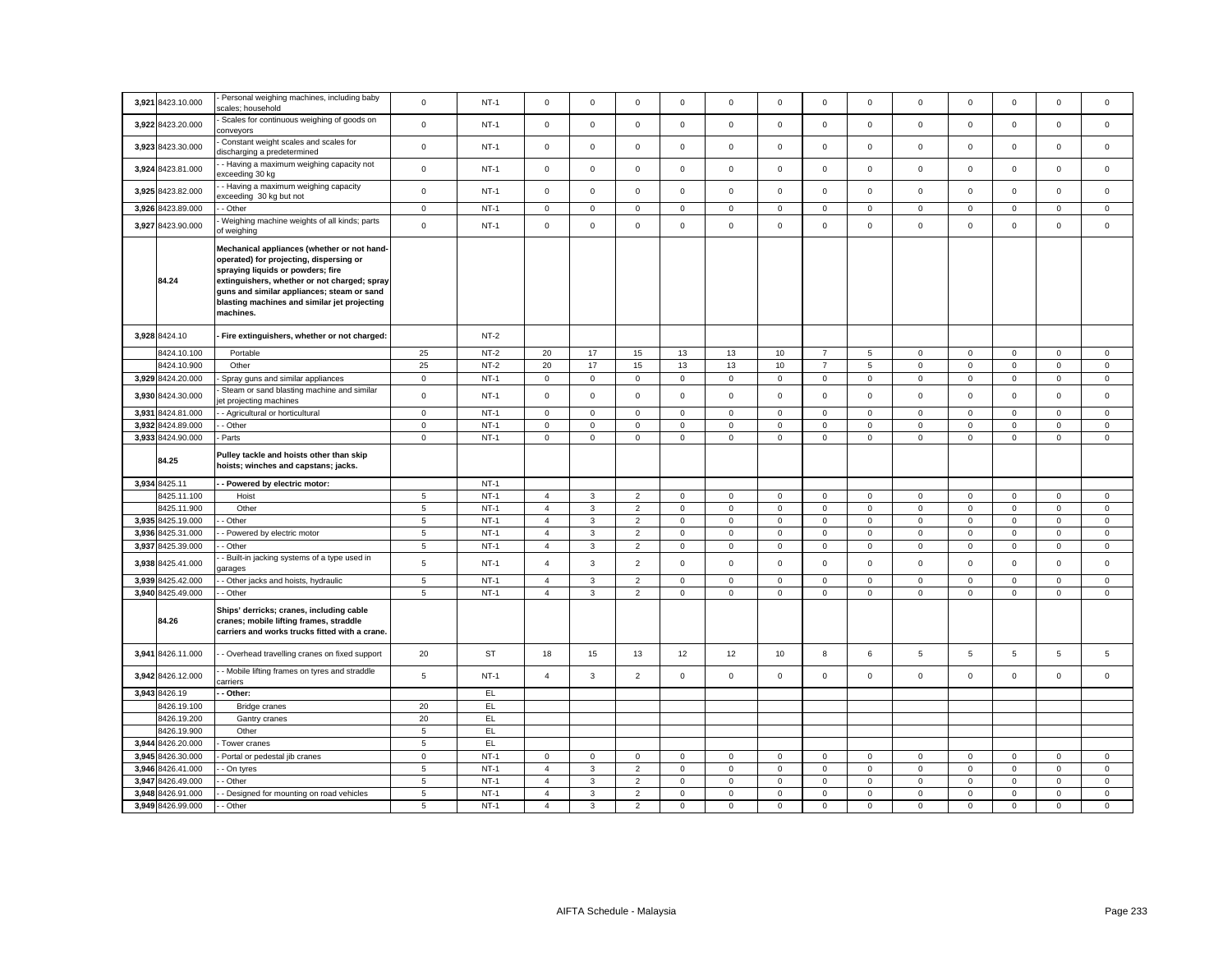| 3,921 8423.10.000                      | Personal weighing machines, including baby<br>scales; household                                                                                                                                                                                                                        | $\mathsf 0$                        | $NT-1$           | $\mathbf 0$                      | $\mathsf 0$         | $\mathsf 0$                      | $\mathsf 0$             | $\mathsf 0$                | $\mathsf 0$                | $\mathsf 0$                | $\mathbf 0$                | $\mathsf 0$                | $\mathbf 0$                | $\mathsf 0$                 | $\mathsf 0$                | $\mathsf 0$                |
|----------------------------------------|----------------------------------------------------------------------------------------------------------------------------------------------------------------------------------------------------------------------------------------------------------------------------------------|------------------------------------|------------------|----------------------------------|---------------------|----------------------------------|-------------------------|----------------------------|----------------------------|----------------------------|----------------------------|----------------------------|----------------------------|-----------------------------|----------------------------|----------------------------|
| 3,922 8423.20.000                      | Scales for continuous weighing of goods on<br>conveyors                                                                                                                                                                                                                                | $\mathsf 0$                        | $NT-1$           | $\mathbf 0$                      | $\mathsf 0$         | $\mathsf 0$                      | $\mathbf 0$             | $\mathbf 0$                | $\mathsf 0$                | $\mathbf 0$                | $\mathbf 0$                | $\mathsf 0$                | $\mathbf 0$                | $\mathbf 0$                 | $\mathsf 0$                | $\mathsf 0$                |
| 3,923 8423.30.000                      | Constant weight scales and scales for<br>discharging a predetermined                                                                                                                                                                                                                   | $\mathsf{O}\xspace$                | $NT-1$           | $\mathbf 0$                      | $\mathsf 0$         | $\mathsf 0$                      | $\mathbf 0$             | $\mathbf 0$                | $\mathbf 0$                | $\mathbf 0$                | $\mathsf 0$                | $\mathsf 0$                | $\pmb{0}$                  | $\mathbf 0$                 | $\mathsf 0$                | $\mathbf 0$                |
| 3,924 8423.81.000                      | - Having a maximum weighing capacity not<br>xceeding 30 kg                                                                                                                                                                                                                             | $\mathbf 0$                        | $NT-1$           | $\mathbf 0$                      | $\mathsf 0$         | $\mathsf 0$                      | $\mathsf 0$             | $\mathsf 0$                | $\mathsf 0$                | $\mathbf 0$                | $\mathsf 0$                | $\mathsf 0$                | $\mathbf 0$                | $\mathbf 0$                 | $\mathsf 0$                | $\mathsf 0$                |
| 3,925 8423.82.000                      | - Having a maximum weighing capacity<br>xceeding 30 kg but not                                                                                                                                                                                                                         | $\mathsf 0$                        | $NT-1$           | $\mathbf 0$                      | $\mathbf 0$         | $\mathsf 0$                      | $\mathbf{0}$            | $\mathbf 0$                | $\mathbf 0$                | $\mathsf 0$                | $\mathbf{0}$               | $\mathbf 0$                | $\mathbf 0$                | $\mathbf{0}$                | $\mathbf 0$                | $\mathbf 0$                |
| 3,926 8423.89.000                      | - Other                                                                                                                                                                                                                                                                                | $\mathbf 0$                        | $NT-1$           | $\mathbf 0$                      | $\mathbf 0$         | $\mathbf 0$                      | $\mathbf 0$             | $\mathbf 0$                | $\mathsf 0$                | $\mathbf 0$                | $\mathbf 0$                | $\mathbf 0$                | $\mathbf 0$                | $\mathbf 0$                 | $\mathsf 0$                | $\mathbf 0$                |
| 3,927 8423.90.000                      | Weighing machine weights of all kinds; parts<br>of weighing                                                                                                                                                                                                                            | $\mathbf 0$                        | $NT-1$           | $\mathbf 0$                      | $\mathsf 0$         | $\mathsf 0$                      | $\mathbf 0$             | $\mathsf 0$                | $\mathbf 0$                | $\mathsf 0$                | $\mathsf 0$                | $\mathsf 0$                | $\,0\,$                    | $\mathsf 0$                 | $\mathsf 0$                | $\mathsf 0$                |
| 84.24                                  | Mechanical appliances (whether or not hand-<br>operated) for projecting, dispersing or<br>spraying liquids or powders; fire<br>extinguishers, whether or not charged; spray<br>guns and similar appliances; steam or sand<br>blasting machines and similar jet projecting<br>machines. |                                    |                  |                                  |                     |                                  |                         |                            |                            |                            |                            |                            |                            |                             |                            |                            |
| 3,928 8424.10                          | Fire extinguishers, whether or not charged:                                                                                                                                                                                                                                            |                                    | $NT-2$           |                                  |                     |                                  |                         |                            |                            |                            |                            |                            |                            |                             |                            |                            |
| 8424.10.100                            | Portable                                                                                                                                                                                                                                                                               | 25                                 | $NT-2$           | 20                               | 17                  | 15                               | 13                      | 13                         | 10                         | $\overline{7}$             | 5                          | $\mathsf 0$                | $\mathbf 0$                | $\mathsf 0$                 | $\mathsf 0$                | $\mathbf 0$                |
| 8424.10.900                            | Other                                                                                                                                                                                                                                                                                  | 25                                 | $NT-2$           | 20                               | 17                  | 15                               | 13                      | 13                         | 10                         | $\overline{7}$             | 5                          | $\mathbf 0$                | $\mathbf{0}$               | $\mathbf{0}$                | $\mathbf{0}$               | $\mathbf{0}$               |
| 3,929 8424.20.000                      | Spray guns and similar appliances                                                                                                                                                                                                                                                      | $\mathbf 0$                        | $NT-1$           | 0                                | $\mathbf 0$         | $\mathbf 0$                      | $\mathbf 0$             | $\mathbf 0$                | $\mathbf 0$                | $\mathbf 0$                | $\mathbf{0}$               | 0                          | $\mathbf 0$                | $\mathbf{0}$                | $\mathbf 0$                | $\mathbf{0}$               |
| 3,930 8424.30.000                      | Steam or sand blasting machine and similar<br>et projecting machines                                                                                                                                                                                                                   | $\mathbf 0$                        | $NT-1$           | $\mathbf 0$                      | $\mathsf 0$         | $\mathsf 0$                      | $\mathbf{0}$            | $\mathbf 0$                | $\mathsf 0$                | $\mathbf 0$                | $\mathbf 0$                | $\mathsf 0$                | $\mathbf 0$                | $\mathbf 0$                 | $\mathsf 0$                | $\mathbf 0$                |
| 3,931 8424.81.000                      | - Agricultural or horticultural                                                                                                                                                                                                                                                        | $\mathbf 0$                        | $NT-1$           | 0                                | $\mathbf 0$         | $\mathsf 0$                      | $\mathbf 0$             | $\mathbf 0$                | $\mathbf 0$                | $\mathbf 0$                | 0                          | 0                          | $\mathbf 0$                | $\mathbf 0$                 | $\mathbf 0$                | 0                          |
| 3,932 8424.89.000                      | - Other                                                                                                                                                                                                                                                                                | $\mathsf 0$                        | $NT-1$           | $\mathbf 0$                      | $\mathsf{O}\xspace$ | $\mathsf 0$                      | $\mathbf 0$             | $\mathsf 0$                | $\mathsf 0$                | $\mathsf 0$                | $\mathsf 0$                | $\mathsf 0$                | $\mathbf 0$                | $\mathsf 0$                 | $\mathsf 0$                | $\mathsf 0$                |
| 3,933 8424.90.000                      | Parts                                                                                                                                                                                                                                                                                  | $\mathsf 0$                        | $NT-1$           | 0                                | $\mathsf 0$         | $\mathsf 0$                      | $\mathbf 0$             | $\mathsf 0$                | $\mathsf 0$                | $\mathsf 0$                | $\mathbf{0}$               | $\mathbf 0$                | $\mathsf 0$                | $\mathsf{O}\xspace$         | $\mathsf 0$                | $\mathsf 0$                |
|                                        | Pulley tackle and hoists other than skip                                                                                                                                                                                                                                               |                                    |                  |                                  |                     |                                  |                         |                            |                            |                            |                            |                            |                            |                             |                            |                            |
| 84.25                                  | hoists; winches and capstans; jacks.                                                                                                                                                                                                                                                   |                                    |                  |                                  |                     |                                  |                         |                            |                            |                            |                            |                            |                            |                             |                            |                            |
| 3,934 8425.11                          | - Powered by electric motor:                                                                                                                                                                                                                                                           |                                    | $NT-1$           |                                  |                     |                                  |                         |                            |                            |                            |                            |                            |                            |                             |                            |                            |
| 8425.11.100                            | Hoist                                                                                                                                                                                                                                                                                  | $\overline{5}$                     | $NT-1$           | $\overline{4}$                   | 3                   | $\overline{2}$                   | $\mathbf 0$             | $\mathbf 0$                | $\mathsf 0$                | $\mathsf 0$                | $\mathbf 0$                | $\mathsf 0$                | $\mathbf 0$                | $\mathbf 0$                 | $\mathbf 0$                | $\mathsf 0$                |
| 8425.11.900                            | Other                                                                                                                                                                                                                                                                                  | 5                                  | $NT-1$           | $\overline{4}$                   | $\mathbf{3}$        | $\overline{2}$                   | $\mathbf 0$             | $\mathsf 0$                | $\mathsf 0$                | $\mathsf 0$                | $\mathbf 0$                | $\mathsf 0$                | $\mathbf 0$                | $\mathbf 0$                 | $\mathsf 0$                | 0                          |
| 3,935 8425.19.000                      | - Other                                                                                                                                                                                                                                                                                | 5                                  | $NT-1$           | $\overline{4}$                   | 3                   | $\overline{2}$                   | $\mathbf{0}$            | $\mathbf 0$                | $\mathsf 0$                | $\circ$                    | $\mathbf{0}$               | $\mathbf 0$                | $\mathbf 0$                | $\mathbf{0}$                | $\mathbf 0$                | $\mathbf{0}$               |
| 3,936 8425.31.000                      | - Powered by electric motor                                                                                                                                                                                                                                                            | $5\phantom{.0}$                    | $NT-1$           | $\overline{4}$                   | 3                   | $\overline{2}$                   | $\mathbf{0}$            | $\mathbf{0}$               | $\mathbf 0$                | $\mathbf{0}$               | $\mathbf 0$                | $\mathbf 0$                | $\mathbf 0$                | $\mathbf 0$                 | $\mathbf{0}$               | $\mathbf 0$                |
| 3,937 8425.39.000                      | Other                                                                                                                                                                                                                                                                                  | $\,$ 5 $\,$                        | $NT-1$           | $\overline{4}$                   | $\mathbf{3}$        | $\overline{c}$                   | $\mathsf 0$             | $\mathsf 0$                | $\mathbf 0$                | $\mathsf 0$                | $\mathsf 0$                | $\mathsf 0$                | $\pmb{0}$                  | $\mathsf 0$                 | $\mathsf 0$                | $\mathsf 0$                |
| 3,938 8425.41.000                      | Built-in jacking systems of a type used in<br>arages                                                                                                                                                                                                                                   | $\overline{5}$                     | $NT-1$           | $\overline{4}$                   | $\mathbf{3}$        | $\overline{2}$                   | $\mathsf 0$             | $\mathsf 0$                | $\mathsf 0$                | $\mathsf 0$                | $\mathbf 0$                | $\mathbf 0$                | $\mathbf 0$                | $\mathsf 0$                 | $\mathsf 0$                | $\mathbf 0$                |
| 3,939 8425.42.000                      | Other jacks and hoists, hydraulic                                                                                                                                                                                                                                                      | $\overline{5}$                     | $NT-1$           | $\overline{4}$                   | $\mathbf{3}$        | $\overline{2}$                   | $\mathbf 0$             | $\mathsf 0$                | $\mathbf 0$                | $\mathsf 0$                | $\mathbf 0$                | 0                          | $\mathbf 0$                | $\mathbf 0$                 | $\mathbf 0$                | 0                          |
| 3,940 8425.49.000                      | - Other                                                                                                                                                                                                                                                                                | $5\phantom{.0}$                    | $NT-1$           | $\overline{4}$                   | 3                   | $\overline{2}$                   | $\mathbf 0$             | $\mathsf 0$                | $\mathsf 0$                | $\mathsf{O}\xspace$        | $\mathsf 0$                | $\mathsf 0$                | $\mathsf 0$                | $\mathsf{O}\xspace$         | $\mathsf 0$                | $\mathbf 0$                |
| 84.26                                  | Ships' derricks; cranes, including cable<br>cranes; mobile lifting frames, straddle<br>carriers and works trucks fitted with a crane.                                                                                                                                                  |                                    |                  |                                  |                     |                                  |                         |                            |                            |                            |                            |                            |                            |                             |                            |                            |
| 3,941 8426.11.000                      | - Overhead travelling cranes on fixed support                                                                                                                                                                                                                                          | 20                                 | ST               | 18                               | 15                  | 13                               | 12                      | 12                         | 10                         | 8                          | 6                          | 5                          | 5                          | 5                           | $\overline{5}$             | 5                          |
| 3,942 8426.12.000                      | - Mobile lifting frames on tyres and straddle<br>arriers                                                                                                                                                                                                                               | 5                                  | $NT-1$           | $\overline{4}$                   | 3                   | $\overline{2}$                   | $\mathbf{0}$            | $\mathbf 0$                | $\mathsf 0$                | $\mathbf 0$                | $\mathbf 0$                | $\mathbf 0$                | $\mathbf 0$                | $\mathbf{0}$                | $\mathbf{0}$               | $\mathbf 0$                |
| 3,943 8426.19                          | - Other:                                                                                                                                                                                                                                                                               |                                    | EL.              |                                  |                     |                                  |                         |                            |                            |                            |                            |                            |                            |                             |                            |                            |
| 8426.19.100                            | <b>Bridge cranes</b>                                                                                                                                                                                                                                                                   | 20                                 | EL               |                                  |                     |                                  |                         |                            |                            |                            |                            |                            |                            |                             |                            |                            |
| 8426.19.200                            | Gantry cranes                                                                                                                                                                                                                                                                          | 20                                 | EL               |                                  |                     |                                  |                         |                            |                            |                            |                            |                            |                            |                             |                            |                            |
| 8426.19.900                            | Other                                                                                                                                                                                                                                                                                  | $\,$ 5 $\,$                        | EL               |                                  |                     |                                  |                         |                            |                            |                            |                            |                            |                            |                             |                            |                            |
| 3.944 8426.20.000                      | Tower cranes                                                                                                                                                                                                                                                                           | 5                                  | EL.              |                                  |                     |                                  |                         |                            |                            |                            |                            |                            |                            |                             |                            |                            |
| 3,945 8426.30.000                      | Portal or pedestal jib cranes                                                                                                                                                                                                                                                          | $\mathbf 0$                        | $NT-1$           | $\mathbf 0$                      | $\mathbf 0$         | $\mathbf{0}$                     | $\mathbf 0$             | $\mathbf{0}$               | $\mathbf 0$                | $\mathbf 0$                | $\mathbf{0}$               | $\mathbf 0$                | $\mathbf 0$                | $\mathbf 0$                 | $\mathbf{0}$               | $\mathbf{0}$               |
| 3,946 8426.41.000                      | - On tyres                                                                                                                                                                                                                                                                             | $\,$ 5 $\,$                        | $NT-1$           | $\overline{4}$                   | $\mathbf{3}$        | $\mathbf 2$                      | $\mathsf 0$             | $\mathsf 0$                | $\mathbf 0$                | $\mathsf 0$                | $\mathsf 0$                | $\mathsf 0$                | $\mathbf 0$                | $\mathsf 0$                 | $\mathsf 0$                | $\mathsf 0$                |
| 3,947 8426.49.000                      | - Other                                                                                                                                                                                                                                                                                | $\overline{5}$                     | $NT-1$           | $\overline{4}$                   | 3                   | $\overline{2}$                   | $\mathbf 0$             | $\mathsf 0$                | $\mathsf 0$                | $\mathsf{O}\xspace$        | $\mathbf 0$                | $\mathbf 0$                | $\,0\,$                    | $\mathbf 0$                 | $\mathbf 0$                | $\mathsf 0$                |
| 3,948 8426.91.000<br>3,949 8426.99.000 | Designed for mounting on road vehicles<br>- Other                                                                                                                                                                                                                                      | $5\phantom{.0}$<br>$5\phantom{.0}$ | $NT-1$<br>$NT-1$ | $\overline{4}$<br>$\overline{4}$ | 3<br>3              | $\overline{2}$<br>$\overline{2}$ | $\Omega$<br>$\mathbf 0$ | $\mathbf 0$<br>$\mathbf 0$ | $\mathsf 0$<br>$\mathbf 0$ | $\mathsf 0$<br>$\mathsf 0$ | $\mathbf 0$<br>$\mathbf 0$ | $\mathsf 0$<br>$\mathbf 0$ | $\mathbf 0$<br>$\mathbf 0$ | $\mathsf 0$<br>$\mathbf{0}$ | $\mathbf 0$<br>$\mathbf 0$ | $\mathbf 0$<br>$\mathbf 0$ |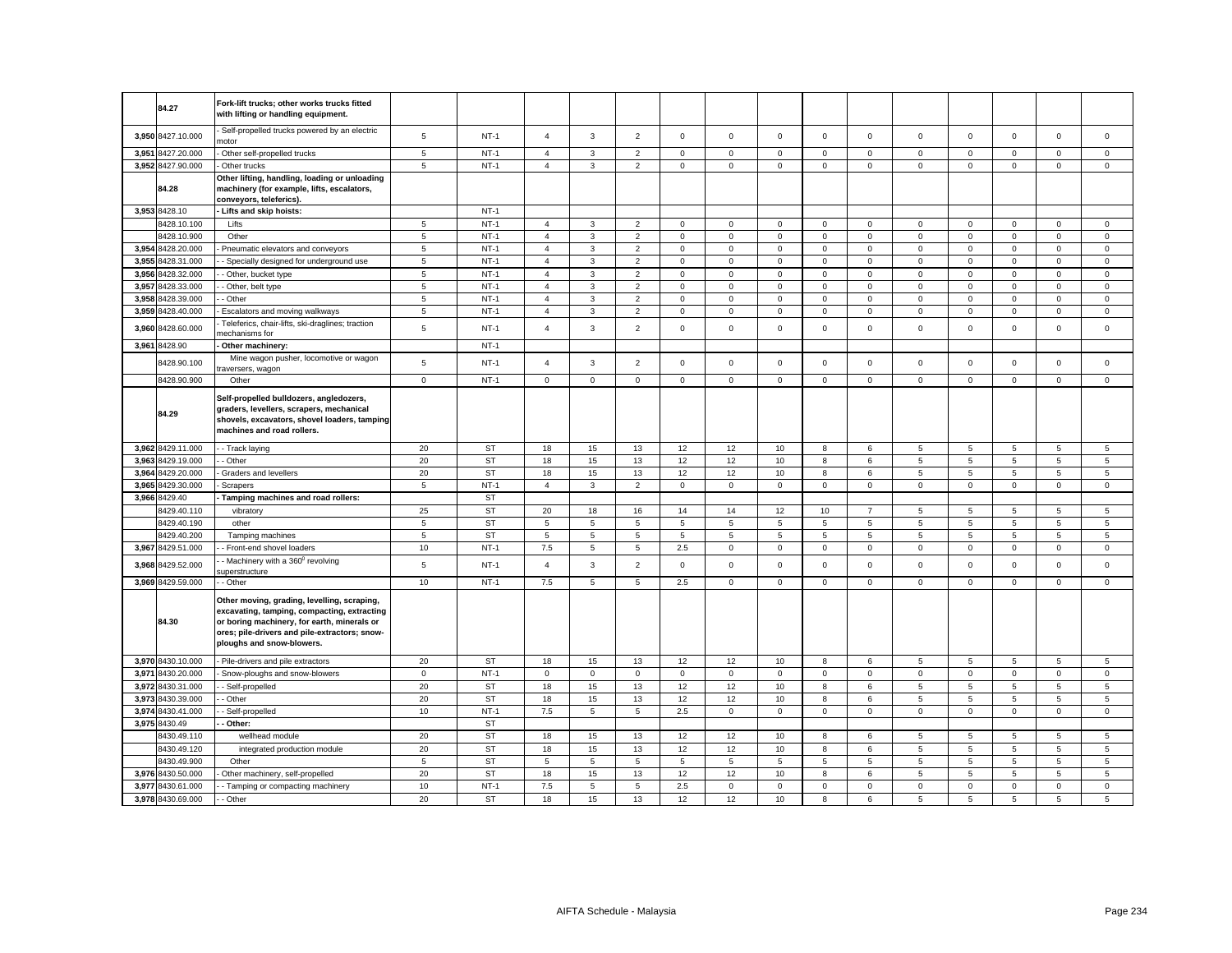|       | 84.27             | Fork-lift trucks; other works trucks fitted                                                                                                                                                                             |                 |           |                |              |                |              |             |             |                |                |                |             |                     |             |                |
|-------|-------------------|-------------------------------------------------------------------------------------------------------------------------------------------------------------------------------------------------------------------------|-----------------|-----------|----------------|--------------|----------------|--------------|-------------|-------------|----------------|----------------|----------------|-------------|---------------------|-------------|----------------|
|       |                   | with lifting or handling equipment.<br>Self-propelled trucks powered by an electric                                                                                                                                     |                 |           |                |              |                |              |             |             |                |                |                |             |                     |             |                |
|       | 3,950 8427.10.000 | motor                                                                                                                                                                                                                   | $5\phantom{.0}$ | $NT-1$    | $\overline{4}$ | 3            | $\overline{2}$ | $\mathbf{0}$ | $\mathbf 0$ | $\mathbf 0$ | $\mathbf{0}$   | $\mathbf 0$    | $\mathbf 0$    | $\mathbf 0$ | $\mathbf 0$         | $\mathbf 0$ | $\mathbf 0$    |
| 3,951 | 8427.20.000       | Other self-propelled trucks                                                                                                                                                                                             | $\overline{5}$  | $NT-1$    | $\overline{4}$ | 3            | $\overline{2}$ | $\mathsf 0$  | $\mathsf 0$ | $\mathbf 0$ | $\mathsf 0$    | $\mathsf 0$    | $\mathsf 0$    | $\mathbf 0$ | $^{\circ}$          | $\mathsf 0$ | $\mathbf 0$    |
|       | 3,952 8427.90.000 | Other trucks                                                                                                                                                                                                            | 5               | $NT-1$    | $\overline{4}$ | 3            | $\overline{2}$ | $\mathsf 0$  | $\mathsf 0$ | $\mathsf 0$ | $\mathbf 0$    | $\mathsf 0$    | $\mathsf 0$    | $\mathsf 0$ | $\mathsf 0$         | $\mathsf 0$ | $\mathsf 0$    |
|       | 84.28             | Other lifting, handling, loading or unloading<br>machinery (for example, lifts, escalators,<br>conveyors, teleferics).                                                                                                  |                 |           |                |              |                |              |             |             |                |                |                |             |                     |             |                |
|       | 3,953 8428.10     | - Lifts and skip hoists:                                                                                                                                                                                                |                 | $NT-1$    |                |              |                |              |             |             |                |                |                |             |                     |             |                |
|       | 8428.10.100       | Lifts                                                                                                                                                                                                                   | $\sqrt{5}$      | $NT-1$    | $\overline{4}$ | 3            | $\overline{2}$ | $\mathbf{0}$ | $\mathbf 0$ | $\mathsf 0$ | $\mathsf 0$    | $\mathbf 0$    | $\mathbf{0}$   | $\mathsf 0$ | $\mathbf 0$         | $\mathsf 0$ | $\mathsf 0$    |
|       | 8428.10.900       | Other                                                                                                                                                                                                                   | $\sqrt{5}$      | $NT-1$    | $\overline{4}$ | 3            | $\overline{2}$ | $\mathbf 0$  | $\mathbf 0$ | $\mathbf 0$ | $\mathbf 0$    | $\mathbf 0$    | 0              | $\mathsf 0$ | $\mathsf 0$         | $\mathsf 0$ | $\mathsf 0$    |
| 3,954 | 8428.20.000       | Pneumatic elevators and conveyors                                                                                                                                                                                       | $\,$ 5 $\,$     | $NT-1$    | $\overline{4}$ | $\mathbf{3}$ | $\mathbf 2$    | $\mathsf 0$  | $\mathsf 0$ | $\mathbf 0$ | $\mathsf 0$    | $\mathsf 0$    | $\mathsf 0$    | $\mathbf 0$ | $\mathbf 0$         | $\mathsf 0$ | $\mathsf 0$    |
|       | 3,955 8428.31.000 | - Specially designed for underground use                                                                                                                                                                                | 5               | $NT-1$    | 4              | 3            | $\overline{2}$ | $\mathbf 0$  | $\mathbf 0$ | $\mathsf 0$ | $\mathbf{0}$   | $\mathsf 0$    | $\mathbf 0$    | $\mathsf 0$ | $\mathsf 0$         | $\mathsf 0$ | $\mathsf 0$    |
|       | 3,956 8428.32.000 | - Other, bucket type                                                                                                                                                                                                    | $5\phantom{.0}$ | $NT-1$    | $\overline{4}$ | 3            | $\overline{2}$ | $\mathsf 0$  | $\mathbf 0$ | $\mathsf 0$ | $\mathsf 0$    | $\mathsf 0$    | $\mathsf 0$    | $\mathsf 0$ | $\mathsf 0$         | $\mathsf 0$ | $\mathsf 0$    |
| 3.957 | 8428.33.000       | - Other, belt type                                                                                                                                                                                                      | $5\phantom{.0}$ | $NT-1$    | $\overline{4}$ | 3            | $\overline{2}$ | $\mathbf{0}$ | $\mathbf 0$ | $\mathbf 0$ | $\mathsf 0$    | $\mathbf 0$    | $\mathsf 0$    | $\mathbf 0$ | $\mathbf 0$         | $\mathbf 0$ | $\mathsf 0$    |
| 3,958 | 8428.39.000       | - Other                                                                                                                                                                                                                 | 5               | $NT-1$    | $\overline{4}$ | 3            | $\overline{2}$ | $\mathbf 0$  | $\mathsf 0$ | $\mathbf 0$ | $\mathbf 0$    | $\mathbf 0$    | $\mathsf 0$    | 0           | $\mathbf 0$         | $\mathbf 0$ | $\mathbf 0$    |
| 3,959 | 8428.40.000       | Escalators and moving walkways                                                                                                                                                                                          | $\,$ 5 $\,$     | $NT-1$    | $\overline{4}$ | 3            | $\sqrt{2}$     | $\mathsf 0$  | $\mathsf 0$ | $\mathsf 0$ | $\mathsf 0$    | $\mathbf 0$    | $\mathsf 0$    | $\mathbf 0$ | $\mathsf{O}\xspace$ | $\mathsf 0$ | $\mathbf 0$    |
| 3,960 | 8428.60.000       | Teleferics, chair-lifts, ski-draglines; traction<br>nechanisms for                                                                                                                                                      | 5               | $NT-1$    | $\overline{4}$ | 3            | $\overline{2}$ | $\mathbf 0$  | $\mathbf 0$ | $\mathbf 0$ | $\mathbf 0$    | $\mathbf 0$    | $\mathbf 0$    | $\mathbf 0$ | $\mathbf 0$         | $\mathbf 0$ | $\mathbf 0$    |
|       | 3,961 8428.90     | Other machinery:                                                                                                                                                                                                        |                 | $NT-1$    |                |              |                |              |             |             |                |                |                |             |                     |             |                |
|       | 8428.90.100       | Mine wagon pusher, locomotive or wagon<br>raversers, wagon                                                                                                                                                              | 5               | $NT-1$    | $\overline{4}$ | 3            | $\overline{2}$ | $\mathbf 0$  | $\mathsf 0$ | $\mathbf 0$ | $\mathbf 0$    | $\mathsf 0$    | $\mathbf 0$    | $\mathsf 0$ | $\mathbf 0$         | $\mathsf 0$ | $\mathsf 0$    |
|       | 8428.90.900       | Other                                                                                                                                                                                                                   | $\mathbf 0$     | $NT-1$    | $\mathbf 0$    | $\mathsf 0$  | $\mathsf 0$    | $\mathsf 0$  | $\mathbf 0$ | $\mathsf 0$ | $\mathbf{0}$   | $\mathbf 0$    | $\mathbf 0$    | $\mathsf 0$ | $\mathbf 0$         | $\mathbf 0$ | $\mathsf 0$    |
|       | 84.29             | Self-propelled bulldozers, angledozers,<br>graders, levellers, scrapers, mechanical<br>shovels, excavators, shovel loaders, tamping<br>machines and road rollers.                                                       |                 |           |                |              |                |              |             |             |                |                |                |             |                     |             |                |
|       | 3,962 8429.11.000 | - Track laying                                                                                                                                                                                                          | 20              | <b>ST</b> | 18             | 15           | 13             | 12           | 12          | 10          | 8              | 6              | 5              | 5           | 5                   | 5           | 5              |
| 3,963 | 8429.19.000       | - Other                                                                                                                                                                                                                 | 20              | <b>ST</b> | 18             | 15           | 13             | 12           | 12          | 10          | 8              | 6              | 5              | 5           | 5                   | 5           | $\,$ 5 $\,$    |
| 3.964 | 8429.20.000       | Graders and levellers                                                                                                                                                                                                   | 20              | <b>ST</b> | 18             | 15           | 13             | 12           | 12          | 10          | 8              | 6              | 5              | 5           | 5                   | 5           | 5              |
|       | 3,965 8429.30.000 | Scrapers                                                                                                                                                                                                                | $5\phantom{.0}$ | $NT-1$    | $\overline{4}$ | 3            | $\overline{2}$ | $\mathbf 0$  | $\mathbf 0$ | $\mathbf 0$ | $\mathbf 0$    | $\mathbf 0$    | $\mathbf 0$    | $\mathsf 0$ | $\mathbf 0$         | $\mathbf 0$ | $\mathsf 0$    |
| 3,966 | 8429.40           | Tamping machines and road rollers:                                                                                                                                                                                      |                 | <b>ST</b> |                |              |                |              |             |             |                |                |                |             |                     |             |                |
|       | 8429.40.110       | vibratory                                                                                                                                                                                                               | 25              | <b>ST</b> | 20             | 18           | 16             | 14           | 14          | 12          | 10             | $\overline{7}$ | 5              | 5           | 5                   | 5           | 5              |
|       | 8429.40.190       | other                                                                                                                                                                                                                   | 5               | ST        | 5              | 5            | 5              | 5            | 5           | 5           | $\overline{5}$ | 5              | 5              | 5           | 5                   | 5           | 5              |
|       | 8429.40.200       | Tamping machines                                                                                                                                                                                                        | $\sqrt{5}$      | <b>ST</b> | 5              | 5            | 5              | 5            | 5           | 5           | 5              | 5              | 5              | 5           | 5                   | 5           | 5              |
|       | 3,967 8429.51.000 | - Front-end shovel loaders                                                                                                                                                                                              | 10              | $NT-1$    | 7.5            | 5            | $\overline{5}$ | 2.5          | $\mathbf 0$ | $\mathsf 0$ | $\mathbf 0$    | $\mathbf 0$    | $\mathbf 0$    | $\mathsf 0$ | $\mathsf 0$         | $\mathbf 0$ | $\mathsf 0$    |
|       | 3,968 8429.52.000 | Machinery with a 360 <sup>0</sup> revolving<br>uperstructure                                                                                                                                                            | $\sqrt{5}$      | $NT-1$    | $\overline{4}$ | 3            | $\overline{2}$ | $\mathsf 0$  | $\mathsf 0$ | $\mathsf 0$ | $\mathsf 0$    | $\mathsf 0$    | $\mathsf 0$    | $\mathsf 0$ | $\mathsf 0$         | $\mathsf 0$ | $\mathsf 0$    |
|       | 3,969 8429.59.000 | - Other                                                                                                                                                                                                                 | 10              | $NT-1$    | 7.5            | 5            | $\sqrt{5}$     | 2.5          | $\mathbf 0$ | $\mathsf 0$ | $\mathbf 0$    | $\mathbf 0$    | $\mathbf 0$    | $\mathbf 0$ | $\mathbf 0$         | $\mathsf 0$ | $\mathbf 0$    |
|       | 84.30             | Other moving, grading, levelling, scraping,<br>excavating, tamping, compacting, extracting<br>or boring machinery, for earth, minerals or<br>ores; pile-drivers and pile-extractors; snow-<br>ploughs and snow-blowers. |                 |           |                |              |                |              |             |             |                |                |                |             |                     |             |                |
|       | 3,970 8430.10.000 | - Pile-drivers and pile extractors                                                                                                                                                                                      | 20              | ST        | 18             | 15           | 13             | 12           | 12          | 10          | 8              | $\,6\,$        | $\overline{5}$ | $\,$ 5 $\,$ | $\sqrt{5}$          | $\sqrt{5}$  | $\,$ 5 $\,$    |
|       | 3,971 8430.20.000 | Snow-ploughs and snow-blowers                                                                                                                                                                                           | $\mathbf 0$     | $NT-1$    | 0              | $\mathbf 0$  | $\mathbf 0$    | $\mathbf 0$  | 0           | $\mathbf 0$ | $\mathbf 0$    | $\mathbf 0$    | $\mathbf 0$    | $\mathbf 0$ | $\mathbf 0$         | $\mathbf 0$ | $\mathbf 0$    |
|       | 3,972 8430.31.000 | - Self-propelled                                                                                                                                                                                                        | 20              | <b>ST</b> | 18             | 15           | 13             | 12           | 12          | 10          | 8              | 6              | $\overline{5}$ | 5           | $\mathbf 5$         | $\,$ 5 $\,$ | $\,$ 5 $\,$    |
| 3.973 | 8430.39.000       | Other                                                                                                                                                                                                                   | 20              | <b>ST</b> | 18             | 15           | 13             | 12           | 12          | 10          | 8              | 6              | 5              | 5           | 5                   | 5           | 5              |
| 3.974 | 8430.41.000       | Self-propelled                                                                                                                                                                                                          | 10              | $NT-1$    | 7.5            | 5            | 5              | 2.5          | $\mathbf 0$ | $\mathbf 0$ | $\mathbf{0}$   | $\mathbf{0}$   | $\mathbf 0$    | $\mathbf 0$ | $\mathbf 0$         | $\mathbf 0$ | $^{\circ}$     |
| 3,975 | 8430.49           | Other:                                                                                                                                                                                                                  |                 | <b>ST</b> |                |              |                |              |             |             |                |                |                |             |                     |             |                |
|       | 8430.49.110       | wellhead module                                                                                                                                                                                                         | 20              | <b>ST</b> | 18             | 15           | 13             | 12           | 12          | 10          | 8              | 6              | 5              | 5           | 5                   | 5           | 5              |
|       | 8430.49.120       | integrated production module                                                                                                                                                                                            | 20              | <b>ST</b> | 18             | 15           | 13             | 12           | 12          | 10          | 8              | 6              | 5              | 5           | 5                   | 5           | $\overline{5}$ |
|       | 8430.49.900       | Other                                                                                                                                                                                                                   | 5               | <b>ST</b> | 5              | 5            | 5              | 5            | 5           | 5           | 5              | 5              | 5              | 5           | 5                   | 5           | 5              |
|       | 3,976 8430.50.000 | Other machinery, self-propelled                                                                                                                                                                                         | 20              | <b>ST</b> | 18             | 15           | 13             | 12           | 12          | 10          | 8              | 6              | 5              | 5           | 5                   | 5           | 5              |
| 3,977 | 8430.61.000       | - Tamping or compacting machinery                                                                                                                                                                                       | 10              | $NT-1$    | 7.5            | 5            | $\mathbf 5$    | 2.5          | $\mathsf 0$ | $\mathsf 0$ | $\mathsf 0$    | $\mathsf 0$    | $\mathsf 0$    | $\mathsf 0$ | $\mathsf 0$         | $\mathsf 0$ | $\mathsf 0$    |
|       | 3,978 8430.69.000 | - Other                                                                                                                                                                                                                 | 20              | <b>ST</b> | 18             | 15           | 13             | 12           | 12          | 10          | 8              | 6              | 5              | 5           | 5                   | 5           | 5              |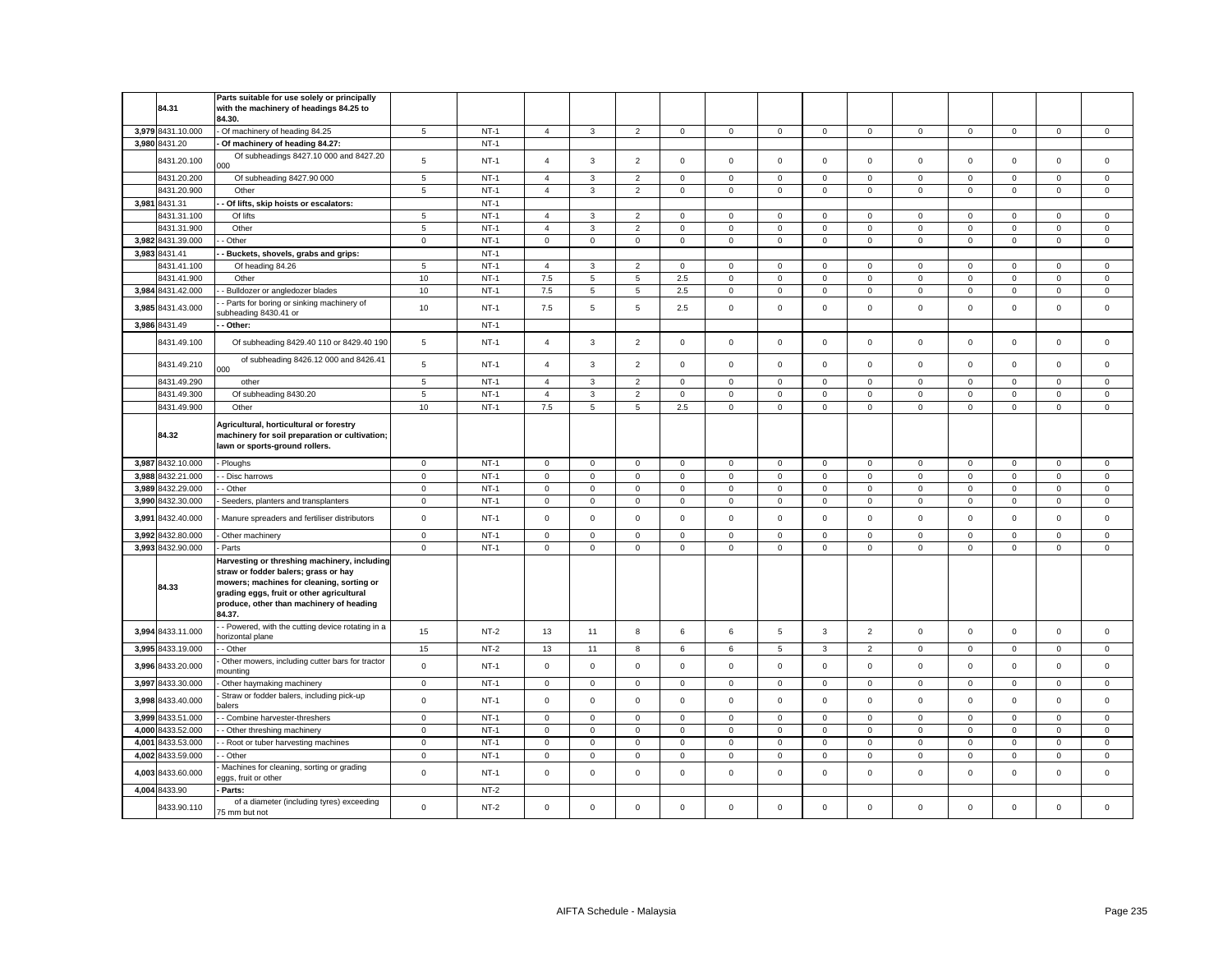|       | 84.31                        | Parts suitable for use solely or principally<br>with the machinery of headings 84.25 to                                                                                                                                              |                 |                  |                |                     |                |              |             |             |                     |                |              |              |                     |                |             |
|-------|------------------------------|--------------------------------------------------------------------------------------------------------------------------------------------------------------------------------------------------------------------------------------|-----------------|------------------|----------------|---------------------|----------------|--------------|-------------|-------------|---------------------|----------------|--------------|--------------|---------------------|----------------|-------------|
|       |                              | 84.30.                                                                                                                                                                                                                               |                 |                  |                |                     |                |              |             |             |                     |                |              |              |                     |                |             |
|       | 3,979 8431.10.000            | - Of machinery of heading 84.25                                                                                                                                                                                                      | $5\phantom{.0}$ | $NT-1$           | $\overline{4}$ | $\mathbf{3}$        | $\overline{2}$ | $\mathsf 0$  | $\mathsf 0$ | $\mathsf 0$ | $\mathbf 0$         | $\overline{0}$ | $\mathsf 0$  | $\mathsf 0$  | $\mathsf 0$         | $\overline{0}$ | $\mathsf 0$ |
|       | 3,980 8431.20<br>8431.20.100 | Of machinery of heading 84.27:<br>Of subheadings 8427.10 000 and 8427.20<br>າດດ                                                                                                                                                      | $\overline{5}$  | $NT-1$<br>$NT-1$ | $\overline{4}$ | $\mathbf{3}$        | $\overline{2}$ | $\mathsf 0$  | $\mathbf 0$ | $\mathsf 0$ | $\mathbf 0$         | $\mathsf 0$    | $\mathsf 0$  | $\mathsf 0$  | $\mathsf 0$         | $\mathsf 0$    | $\mathbf 0$ |
|       | 8431.20.200                  | Of subheading 8427.90 000                                                                                                                                                                                                            | 5               | $NT-1$           | $\overline{4}$ | 3                   | $\overline{2}$ | $\mathbf 0$  | $\mathsf 0$ | $\mathbf 0$ | $^{\circ}$          | $\mathsf 0$    | $\mathsf 0$  | $\mathbf 0$  | $\mathbf 0$         | $\mathbf 0$    | $\mathbf 0$ |
|       | 8431.20.900                  | Other                                                                                                                                                                                                                                | 5               | $NT-1$           | $\overline{4}$ | $\mathbf{3}$        | $\overline{2}$ | $\mathbf 0$  | $\mathbf 0$ | $\mathsf 0$ | $\mathbf{0}$        | $\mathbf 0$    | $\mathbf 0$  | $\mathsf 0$  | $\mathbf{0}$        | $\mathbf 0$    | $\mathsf 0$ |
|       | 3.981 8431.31                | Of lifts, skip hoists or escalators:                                                                                                                                                                                                 |                 | $NT-1$           |                |                     |                |              |             |             |                     |                |              |              |                     |                |             |
|       | 8431.31.100                  | Of lifts                                                                                                                                                                                                                             | 5               | $NT-1$           | $\overline{4}$ | 3                   | $\overline{2}$ | $\mathbf{0}$ | $\mathbf 0$ | $\mathbf 0$ | $\mathbf 0$         | $\mathbf{0}$   | $\mathbf 0$  | $\mathbf 0$  | $\mathbf 0$         | $\mathbf 0$    | $\mathbf 0$ |
|       | 8431.31.900                  | Other                                                                                                                                                                                                                                | 5               | $NT-1$           | $\overline{4}$ | 3                   | $\overline{2}$ | $\mathbf 0$  | $\mathbf 0$ | $\mathbf 0$ | $\mathbf{O}$        | $\mathbf{0}$   | $\mathbf 0$  | $\mathbf 0$  | $\mathbf 0$         | $\mathbf 0$    | $\mathbf 0$ |
|       | 3,982 8431.39.000            | - Other                                                                                                                                                                                                                              | $\mathsf 0$     | $NT-1$           | $\circ$        | $\mathbf 0$         | $\mathsf 0$    | $\mathbf{0}$ | $\mathbf 0$ | $\mathbf 0$ | $\mathsf{O}\xspace$ | $\mathbf{0}$   | $\mathsf 0$  | $\mathbf 0$  | $\mathbf 0$         | $\mathbf 0$    | $\mathsf 0$ |
|       | 3.983 8431.41                | Buckets, shovels, grabs and grips:                                                                                                                                                                                                   |                 | $NT-1$           |                |                     |                |              |             |             |                     |                |              |              |                     |                |             |
|       | 8431.41.100                  | Of heading 84.26                                                                                                                                                                                                                     | $\sqrt{5}$      | $NT-1$           | $\overline{4}$ | 3                   | $\overline{2}$ | $\mathsf 0$  | $\mathsf 0$ | $\Omega$    | $\mathbf 0$         | $\mathbf 0$    | $\Omega$     | $\Omega$     | $\Omega$            | $\mathbf 0$    | $\mathsf 0$ |
|       | 8431.41.900                  | Other                                                                                                                                                                                                                                | 10              | $NT-1$           | 7.5            | 5                   | 5              | 2.5          | $\mathsf 0$ | $\mathbf 0$ | $\mathsf{O}\xspace$ | $\mathbf 0$    | $\mathsf 0$  | $\mathbf 0$  | $\mathsf 0$         | $\mathsf 0$    | $\mathsf 0$ |
| 3,984 | 8431.42.000                  | - Bulldozer or angledozer blades                                                                                                                                                                                                     | 10              | $NT-1$           | 7.5            | 5                   | $\sqrt{5}$     | 2.5          | $\mathsf 0$ | $\mathbf 0$ | $\mathbf 0$         | $\mathbf 0$    | $\mathsf 0$  | $\mathbf 0$  | $\mathbf 0$         | 0              | 0           |
| 3,985 | 8431.43.000                  | Parts for boring or sinking machinery of<br>ubheading 8430.41 or                                                                                                                                                                     | 10              | $NT-1$           | 7.5            | 5                   | $\overline{5}$ | 2.5          | $\mathbf 0$ | $\mathbf 0$ | $\mathsf 0$         | $\mathsf 0$    | $\mathsf 0$  | $\mathsf 0$  | $\mathsf 0$         | $\mathsf 0$    | $\mathsf 0$ |
|       | 3,986 8431.49                | Other:                                                                                                                                                                                                                               |                 | $NT-1$           |                |                     |                |              |             |             |                     |                |              |              |                     |                |             |
|       | 8431.49.100                  | Of subheading 8429.40 110 or 8429.40 190                                                                                                                                                                                             | $\sqrt{5}$      | $NT-1$           | $\overline{4}$ | 3                   | $\overline{2}$ | $\mathsf 0$  | $\mathsf 0$ | $\mathsf 0$ | $\mathsf 0$         | $\mathsf 0$    | $\mathsf 0$  | $\mathsf 0$  | $\mathsf 0$         | $\mathsf 0$    | $\mathsf 0$ |
|       | 8431.49.210                  | of subheading 8426.12 000 and 8426.41<br>000                                                                                                                                                                                         | $\sqrt{5}$      | $NT-1$           | $\overline{4}$ | 3                   | $\mathbf 2$    | $\mathsf 0$  | $\mathsf 0$ | $\mathbf 0$ | $\mathsf 0$         | $\mathsf 0$    | $\mathsf 0$  | $\mathbf 0$  | $\mathbf 0$         | $\mathsf 0$    | $\mathsf 0$ |
|       | 8431.49.290                  | other                                                                                                                                                                                                                                | 5               | $NT-1$           | $\overline{4}$ | 3                   | $\overline{2}$ | $\mathsf 0$  | $\mathsf 0$ | $\mathsf 0$ | $\mathsf 0$         | $\mathsf 0$    | $\mathbf 0$  | $\mathsf 0$  | $\mathsf 0$         | $\mathsf 0$    | $\mathsf 0$ |
|       | 8431.49.300                  | Of subheading 8430.20                                                                                                                                                                                                                | 5               | $NT-1$           | $\overline{4}$ | 3                   | $\overline{2}$ | $\mathsf 0$  | $\mathsf 0$ | $\mathsf 0$ | $\mathsf 0$         | $\mathsf 0$    | $\mathsf 0$  | $\mathbf 0$  | $\mathsf 0$         | $\mathsf 0$    | $\mathsf 0$ |
|       | 8431.49.900                  | Other                                                                                                                                                                                                                                | 10              | $NT-1$           | 7.5            | 5                   | 5              | 2.5          | $\mathsf 0$ | $\mathbf 0$ | $\mathsf 0$         | $\mathbf 0$    | $\mathsf 0$  | $\mathbf 0$  | $\mathbf 0$         | $\mathsf 0$    | $\mathsf 0$ |
|       | 84.32                        | Agricultural, horticultural or forestry<br>machinery for soil preparation or cultivation;<br>lawn or sports-ground rollers.                                                                                                          |                 |                  |                |                     |                |              |             |             |                     |                |              |              |                     |                |             |
|       | 3,987 8432.10.000            | Ploughs                                                                                                                                                                                                                              | $\mathbf 0$     | $NT-1$           | $\mathbf 0$    | $\mathbf 0$         | $\mathsf 0$    | $\mathsf 0$  | $\mathbf 0$ | $\mathsf 0$ | $\mathbf 0$         | $\mathbf 0$    | $\mathbf 0$  | $\mathsf 0$  | $\mathbf 0$         | $\mathbf 0$    | $\mathsf 0$ |
| 3,988 | 8432.21.000                  | - Disc harrows                                                                                                                                                                                                                       | $\mathbf 0$     | $NT-1$           | $\mathbf 0$    | $\mathsf 0$         | $\mathbf 0$    | $\mathsf 0$  | $\mathbf 0$ | $\mathsf 0$ | $\mathsf 0$         | $\mathsf 0$    | $\mathsf 0$  | $\mathsf 0$  | $\mathsf 0$         | $\mathsf 0$    | $\mathsf 0$ |
| 3,989 | 8432.29.000                  | Other                                                                                                                                                                                                                                | $\mathbf 0$     | $NT-1$           | 0              | $\mathbf 0$         | $\mathsf 0$    | $\mathbf 0$  | $\mathsf 0$ | $\mathbf 0$ | $\mathsf 0$         | 0              | $\mathsf 0$  | 0            | $\mathsf 0$         | $\mathbf 0$    | 0           |
| 3,990 | 8432.30.000                  | Seeders, planters and transplanters                                                                                                                                                                                                  | $\mathbf 0$     | $NT-1$           | 0              | $\mathsf{O}\xspace$ | $\mathbf 0$    | $\mathbf 0$  | $\mathsf 0$ | $\mathbf 0$ | $\mathsf{O}\xspace$ | $\,0\,$        | $\mathsf 0$  | $\pmb{0}$    | $\mathsf{O}\xspace$ | $\mathbf 0$    | $\mathbf 0$ |
| 3,991 | 8432.40.000                  | Manure spreaders and fertiliser distributors                                                                                                                                                                                         | $\mathsf 0$     | $NT-1$           | $\mathbf 0$    | $\mathbf 0$         | $\mathsf 0$    | $\mathbf 0$  | 0           | $\mathbf 0$ | $\mathbf 0$         | $\mathbf 0$    | $\mathsf 0$  | $\mathsf 0$  | $\mathbf 0$         | $\mathbf 0$    | $^{\circ}$  |
|       | 3,992 8432.80.000            | Other machinery                                                                                                                                                                                                                      | $\mathbf 0$     | $NT-1$           | $\mathsf 0$    | $\mathsf{O}\xspace$ | $\mathbf 0$    | $\,0\,$      | $\mathsf 0$ | 0           | $\mathsf{O}\xspace$ | $\mathbf 0$    | $\mathbf 0$  | $\mathsf 0$  | $\mathsf{O}\xspace$ | $\mathbf 0$    | $\mathsf 0$ |
|       | 3,993 8432.90.000            | Parts                                                                                                                                                                                                                                | $\mathsf 0$     | $NT-1$           | $\mathbf 0$    | $\mathsf 0$         | $\mathsf 0$    | $\mathsf 0$  | $\mathbf 0$ | $\mathsf 0$ | $\mathsf{O}$        | $\mathbf 0$    | $\mathsf 0$  | $\mathsf 0$  | $\mathsf 0$         | $\mathsf 0$    | $\mathsf 0$ |
|       | 84.33                        | Harvesting or threshing machinery, including<br>straw or fodder balers; grass or hay<br>mowers; machines for cleaning, sorting or<br>grading eggs, fruit or other agricultural<br>produce, other than machinery of heading<br>84.37. |                 |                  |                |                     |                |              |             |             |                     |                |              |              |                     |                |             |
|       | 3,994 8433.11.000            | - Powered, with the cutting device rotating in a<br>horizontal plane                                                                                                                                                                 | 15              | $NT-2$           | 13             | 11                  | 8              | 6            | 6           | 5           | 3                   | $\overline{2}$ | $\mathsf 0$  | $\mathsf 0$  | $\mathsf 0$         | $\mathsf 0$    | $\mathsf 0$ |
|       | 3,995 8433.19.000            | - Other                                                                                                                                                                                                                              | 15              | $NT-2$           | 13             | 11                  | 8              | 6            | 6           | 5           | 3                   | $\overline{2}$ | $\mathbf 0$  | $\mathbf 0$  | $\mathsf 0$         | $\mathbf 0$    | $\mathsf 0$ |
|       | 3,996 8433.20.000            | Other mowers, including cutter bars for tractor<br>nounting                                                                                                                                                                          | $\mathbf 0$     | $NT-1$           | $\mathbf 0$    | $\Omega$            | $\mathsf 0$    | $\mathbf 0$  | 0           | $\mathbf 0$ | $\mathbf 0$         | $\mathbf 0$    | $\mathbf 0$  | 0            | $\mathbf 0$         | $\mathsf 0$    | $\mathbf 0$ |
|       | 3,997 8433.30.000            | Other haymaking machinery                                                                                                                                                                                                            | $\mathbf 0$     | $NT-1$           | $\mathsf 0$    | $\mathsf 0$         | $\mathsf 0$    | $\mathsf 0$  | $\mathsf 0$ | $\mathsf 0$ | $\mathsf 0$         | $\mathbf 0$    | $\mathbf 0$  | $\mathbf 0$  | $\mathsf 0$         | $\mathsf 0$    | $\mathsf 0$ |
|       | 3,998 8433.40.000            | Straw or fodder balers, including pick-up<br>alers                                                                                                                                                                                   | $\mathsf 0$     | $NT-1$           | $\mathbf 0$    | $\mathsf 0$         | $\mathsf 0$    | $\mathsf 0$  | $\mathbf 0$ | $\mathsf 0$ | $\mathsf 0$         | $\mathsf 0$    | $\mathsf 0$  | $\mathsf 0$  | $\mathsf 0$         | $\mathsf 0$    | $\mathsf 0$ |
|       | 3.999 8433.51.000            | - Combine harvester-threshers                                                                                                                                                                                                        | $\mathbf 0$     | $NT-1$           | $\mathbf 0$    | $\mathbf 0$         | $\mathbf 0$    | $\mathbf{0}$ | $\mathbf 0$ | $\mathbf 0$ | $\mathbf 0$         | $\mathbf{0}$   | $\mathbf 0$  | $\mathbf 0$  | $\mathbf 0$         | $\mathbf{0}$   | $\mathbf 0$ |
| 4.000 | 8433.52.000                  | - Other threshing machinery                                                                                                                                                                                                          | $\mathbf 0$     | $NT-1$           | $\circ$        | $\mathbf 0$         | $\mathsf 0$    | $\mathbf{0}$ | $\mathbf 0$ | $\mathbf 0$ | $\mathbf{O}$        | $\mathsf 0$    | $\mathbf{0}$ | $\mathbf 0$  | $\mathbf 0$         | $\mathbf 0$    | $\mathsf 0$ |
| 4.001 | 8433.53.000                  | - Root or tuber harvesting machines                                                                                                                                                                                                  | $\mathbf 0$     | $NT-1$           | $\mathbf 0$    | $\mathbf 0$         | $\mathbf 0$    | $\mathbf 0$  | $\mathbf 0$ | $\mathbf 0$ | $\mathbf{O}$        | $\mathbf{0}$   | $\mathbf 0$  | $\mathbf{0}$ | $\mathbf 0$         | $\mathbf 0$    | $\mathbf 0$ |
|       | 4,002 8433.59.000            | - Other                                                                                                                                                                                                                              | $\mathbf 0$     | $NT-1$           | $\mathbf 0$    | $\mathbf 0$         | $\mathsf 0$    | $\,0\,$      | $\mathsf 0$ | $\mathbf 0$ | $\mathsf 0$         | $\mathbf{0}$   | $\mathbf 0$  | $\mathbf 0$  | $\mathbf 0$         | $\mathbf 0$    | $\mathbf 0$ |
|       | 4,003 8433.60.000            | Machines for cleaning, sorting or grading<br>eggs, fruit or other                                                                                                                                                                    | $\mathbf 0$     | $NT-1$           | $\mathbf 0$    | $\mathbf 0$         | $\mathsf 0$    | $\mathbf 0$  | $\mathsf 0$ | $\mathsf 0$ | $\mathbf 0$         | $\mathbf 0$    | $\mathbf 0$  | $\mathsf 0$  | $\mathbf 0$         | $\mathsf 0$    | $\mathsf 0$ |
| 4.004 | 8433.90                      | Parts:                                                                                                                                                                                                                               |                 | $NT-2$           |                |                     |                |              |             |             |                     |                |              |              |                     |                |             |
|       | 8433.90.110                  | of a diameter (including tyres) exceeding<br>75 mm but not                                                                                                                                                                           | $\mathbf 0$     | $NT-2$           | $\Omega$       | $\Omega$            | $\mathsf 0$    | $\mathsf 0$  | $\mathsf 0$ | $\Omega$    | $\mathsf 0$         | $\mathsf 0$    | $\mathbf 0$  | $\Omega$     | $\mathbf 0$         | $\mathbf 0$    | $\Omega$    |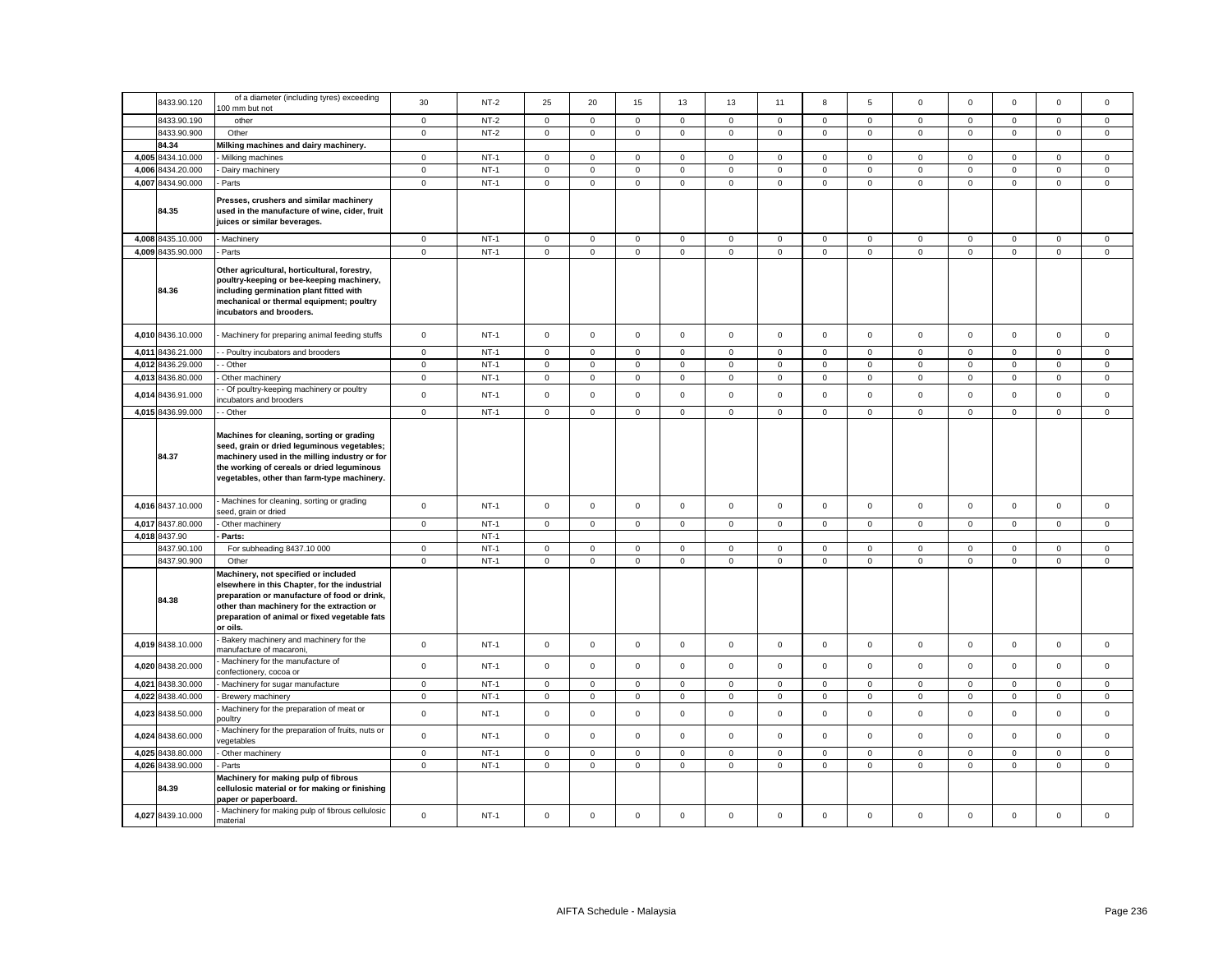|       | 8433.90.120       | of a diameter (including tyres) exceeding                                                                                                                                                                                                        | 30                  | $NT-2$ | 25                  | 20                  | 15          | 13           | 13          | 11          | 8                   | 5            | $\Omega$     | $\Omega$    | $\Omega$            | $\mathbf 0$         | $^{\circ}$  |
|-------|-------------------|--------------------------------------------------------------------------------------------------------------------------------------------------------------------------------------------------------------------------------------------------|---------------------|--------|---------------------|---------------------|-------------|--------------|-------------|-------------|---------------------|--------------|--------------|-------------|---------------------|---------------------|-------------|
|       | 8433.90.190       | 00 mm but not<br>other                                                                                                                                                                                                                           | $\mathbf 0$         | $NT-2$ | $\mathbf 0$         | $\mathbf 0$         | $\mathsf 0$ | $\mathbf 0$  | $\mathbf 0$ | $\mathbf 0$ | $\mathbf 0$         | $\mathbf{0}$ | $\mathbf{0}$ | $\mathbf 0$ | $\mathbf 0$         | $\mathbf 0$         | $\mathsf 0$ |
|       | 8433.90.900       | Other                                                                                                                                                                                                                                            | $\mathsf{O}\xspace$ | $NT-2$ | $\mathbf 0$         | $\mathsf 0$         | $\mathsf 0$ | $\mathsf 0$  | $\mathbf 0$ | $\mathsf 0$ | $\mathbf 0$         | $\mathbf 0$  | $\mathsf 0$  | $\mathsf 0$ | $\mathsf 0$         | $\mathbf 0$         | $\mathsf 0$ |
|       | 84.34             | Milking machines and dairy machinery.                                                                                                                                                                                                            |                     |        |                     |                     |             |              |             |             |                     |              |              |             |                     |                     |             |
|       | 4,005 8434.10.000 | Milking machines                                                                                                                                                                                                                                 | $\mathbf 0$         | $NT-1$ | 0                   | $\mathbf 0$         | $\mathbf 0$ | $\mathbf 0$  | 0           | 0           | $\mathbf{0}$        | $\mathbf 0$  | 0            | 0           | $\mathbf 0$         | 0                   | 0           |
| 4,006 | 8434.20.000       | Dairy machinery                                                                                                                                                                                                                                  | $\mathbf 0$         | $NT-1$ | $\mathbf 0$         | $\mathsf 0$         | $\mathsf 0$ | $\mathsf 0$  | $\mathsf 0$ | $\mathsf 0$ | $\mathsf 0$         | $\mathsf 0$  | $\mathsf 0$  | $\mathbf 0$ | $\mathsf 0$         | $\mathsf 0$         | $\mathsf 0$ |
|       | 4,007 8434.90.000 | Parts                                                                                                                                                                                                                                            | $\mathbf 0$         | $NT-1$ | 0                   | $\mathsf 0$         | $\mathbf 0$ | $\mathsf 0$  | $\mathsf 0$ | $\mathbf 0$ | $\mathbf 0$         | $\mathsf 0$  | $\mathsf 0$  | $\mathsf 0$ | $\mathsf 0$         | $\mathsf{O}\xspace$ | $\mathsf 0$ |
|       | 84.35             | Presses, crushers and similar machinery<br>used in the manufacture of wine, cider, fruit<br>juices or similar beverages.                                                                                                                         |                     |        |                     |                     |             |              |             |             |                     |              |              |             |                     |                     |             |
|       | 4,008 8435.10.000 | <b>Machinery</b>                                                                                                                                                                                                                                 | $\mathbf 0$         | $NT-1$ | $\mathbf 0$         | $\mathbf 0$         | $\mathsf 0$ | $\mathsf 0$  | $\mathsf 0$ | $\mathbf 0$ | $\mathsf{O}\xspace$ | $\,0\,$      | $\mathsf 0$  | $\mathbf 0$ | $\mathbf 0$         | $\mathbf 0$         | $\mathsf 0$ |
|       | 4,009 8435.90.000 | Parts                                                                                                                                                                                                                                            | $\mathbf 0$         | $NT-1$ | 0                   | $\mathsf{O}\xspace$ | $\mathsf 0$ | $\mathbf 0$  | $\mathsf 0$ | $\mathbf 0$ | $\mathsf 0$         | $\mathsf 0$  | $\mathsf 0$  | $\mathsf 0$ | $\mathsf 0$         | $\mathsf 0$         | $\mathsf 0$ |
|       | 84.36             | Other agricultural, horticultural, forestry,<br>poultry-keeping or bee-keeping machinery,<br>including germination plant fitted with<br>mechanical or thermal equipment; poultry<br>incubators and brooders.                                     |                     |        |                     |                     |             |              |             |             |                     |              |              |             |                     |                     |             |
|       | 4,010 8436.10.000 | Machinery for preparing animal feeding stuffs                                                                                                                                                                                                    | $\mathbf 0$         | $NT-1$ | $\mathbf 0$         | $\mathsf 0$         | $\mathsf 0$ | $\mathsf 0$  | $\mathsf 0$ | $\mathsf 0$ | $\mathbf 0$         | $\mathbf 0$  | $\mathbf 0$  | $\mathbf 0$ | $\mathsf 0$         | $\mathsf 0$         | $\mathsf 0$ |
| 4,011 | 8436.21.000       | - Poultry incubators and brooders                                                                                                                                                                                                                | $\mathsf 0$         | $NT-1$ | $\mathbf{0}$        | $\mathbf 0$         | $\mathsf 0$ | $\mathbf 0$  | $\mathsf 0$ | $\mathsf 0$ | $\mathsf 0$         | $\mathsf 0$  | $\mathsf 0$  | $\mathbf 0$ | $\mathbf 0$         | $\mathsf 0$         | $\mathsf 0$ |
|       | 4,012 8436.29.000 | - Other                                                                                                                                                                                                                                          | $\mathbf 0$         | $NT-1$ | 0                   | $\mathbf 0$         | $\mathbf 0$ | $\mathbf 0$  | 0           | $\mathbf 0$ | $\mathbf 0$         | $\mathbf 0$  | 0            | $\mathbf 0$ | $\mathbf 0$         | $\mathbf 0$         | $\mathbf 0$ |
| 4,013 | 8436.80.000       | Other machinery                                                                                                                                                                                                                                  | $\mathbf 0$         | $NT-1$ | $\mathbf 0$         | $\mathsf{O}\xspace$ | $\mathsf 0$ | $\mathbf 0$  | $\mathsf 0$ | $\mathbf 0$ | $\mathsf 0$         | $\mathsf 0$  | $\mathsf 0$  | $\mathbf 0$ | $\mathsf{O}\xspace$ | $\mathbf 0$         | $\mathsf 0$ |
| 4,01  | 8436.91.000       | Of poultry-keeping machinery or poultry<br>ncubators and brooders                                                                                                                                                                                | $\mathsf 0$         | $NT-1$ | $\mathbf 0$         | $\mathbf 0$         | $\mathsf 0$ | $\mathsf 0$  | $\mathsf 0$ | $\mathsf 0$ | $\mathbf 0$         | $\mathsf 0$  | $\mathsf 0$  | $\mathsf 0$ | $\mathsf 0$         | $\mathsf 0$         | $\mathbf 0$ |
|       | 4,015 8436.99.000 | - Other                                                                                                                                                                                                                                          | $\mathsf{O}\xspace$ | $NT-1$ | $\mathsf{O}\xspace$ | $\mathsf 0$         | $\mathsf 0$ | $\mathbf 0$  | $\mathsf 0$ | $\mathbf 0$ | $\mathsf{O}\xspace$ | $\mathbf 0$  | $\mathbf 0$  | $\mathsf 0$ | $\mathsf 0$         | $\mathsf 0$         | $\mathsf 0$ |
|       | 84.37             | Machines for cleaning, sorting or grading<br>seed, grain or dried leguminous vegetables;<br>machinery used in the milling industry or for<br>the working of cereals or dried leguminous<br>vegetables, other than farm-type machinery.           |                     |        |                     |                     |             |              |             |             |                     |              |              |             |                     |                     |             |
|       | 4,016 8437.10.000 | Machines for cleaning, sorting or grading<br>seed, grain or dried                                                                                                                                                                                | $\mathbf 0$         | $NT-1$ | 0                   | $\mathsf 0$         | $\mathsf 0$ | $\mathbf 0$  | $\mathsf 0$ | $\mathbf 0$ | $\mathbf 0$         | $\mathbf 0$  | $\mathbf 0$  | $\mathsf 0$ | $\mathbf 0$         | $\mathsf 0$         | $\mathsf 0$ |
|       | 4,017 8437.80.000 | Other machinery                                                                                                                                                                                                                                  | $\mathbf 0$         | $NT-1$ | $\mathbf 0$         | $\mathsf 0$         | $\mathsf 0$ | $\mathsf 0$  | $\mathbf 0$ | $\mathsf 0$ | $\mathbf 0$         | $\mathsf 0$  | $\mathbf 0$  | $\mathsf 0$ | $\mathsf 0$         | $\mathsf 0$         | $\mathsf 0$ |
|       | 4,018 8437.90     | Parts:                                                                                                                                                                                                                                           |                     | $NT-1$ |                     |                     |             |              |             |             |                     |              |              |             |                     |                     |             |
|       | 8437.90.100       | For subheading 8437.10 000                                                                                                                                                                                                                       | $\mathbf 0$         | $NT-1$ | $\mathbf 0$         | $\mathbf 0$         | $\mathsf 0$ | $\mathbf 0$  | $\mathbf 0$ | $\mathsf 0$ | $\mathbf{0}$        | $\mathbf 0$  | $\mathbf 0$  | $\mathsf 0$ | $\mathbf 0$         | $\mathsf 0$         | $\mathsf 0$ |
|       | 8437.90.900       | Other                                                                                                                                                                                                                                            | $\mathbf 0$         | $NT-1$ | $\mathbf 0$         | $\mathbf 0$         | $\mathbf 0$ | $\mathbf{0}$ | $\mathsf 0$ | $\mathbf 0$ | $\mathbf 0$         | $\mathbf 0$  | $\mathbf 0$  | $\mathbf 0$ | $\mathbf 0$         | $\mathsf 0$         | $\mathbf 0$ |
|       | 84.38             | Machinery, not specified or included<br>elsewhere in this Chapter, for the industrial<br>preparation or manufacture of food or drink,<br>other than machinery for the extraction or<br>preparation of animal or fixed vegetable fats<br>or oils. |                     |        |                     |                     |             |              |             |             |                     |              |              |             |                     |                     |             |
|       | 4,019 8438.10.000 | Bakery machinery and machinery for the<br>manufacture of macaroni,                                                                                                                                                                               | $\mathbf 0$         | $NT-1$ | $\mathbf 0$         | $\mathsf 0$         | $\mathsf 0$ | $\mathsf 0$  | $\mathsf 0$ | $\mathsf 0$ | $\mathsf 0$         | $\mathsf 0$  | $\mathbf 0$  | $\mathsf 0$ | $\mathsf 0$         | $\mathsf 0$         | $\mathsf 0$ |
|       | 4,020 8438.20.000 | Machinery for the manufacture of<br>confectionery, cocoa or                                                                                                                                                                                      | $\mathsf 0$         | $NT-1$ | $\mathbf 0$         | $\mathsf 0$         | $\mathsf 0$ | $\mathsf 0$  | $\mathbf 0$ | $\mathsf 0$ | $\mathbf 0$         | $\mathsf 0$  | $\mathsf 0$  | $\mathsf 0$ | $\mathsf 0$         | $\mathsf 0$         | $\mathsf 0$ |
| 4,021 | 8438.30.000       | Machinery for sugar manufacture                                                                                                                                                                                                                  | $\mathbf 0$         | $NT-1$ | $\mathbf 0$         | $\mathsf 0$         | $\mathsf 0$ | $\mathsf 0$  | $\mathsf 0$ | $\mathbf 0$ | $\mathbf 0$         | $\mathsf 0$  | $\mathbf 0$  | 0           | $\mathsf{O}\xspace$ | 0                   | $\mathbf 0$ |
|       | 4,022 8438.40.000 | Brewery machinery                                                                                                                                                                                                                                | $\mathbf 0$         | $NT-1$ | $\mathbf 0$         | $\mathsf 0$         | $\mathsf 0$ | $\mathsf 0$  | $\mathbf 0$ | $\mathsf 0$ | $\mathbf 0$         | $\mathbf 0$  | $\mathbf 0$  | $\mathsf 0$ | $\mathsf 0$         | $\mathsf 0$         | $\mathsf 0$ |
| 4,023 | 8438.50.000       | Machinery for the preparation of meat or<br>oultry                                                                                                                                                                                               | $\mathbf 0$         | $NT-1$ | $\Omega$            | $\mathsf 0$         | $\mathsf 0$ | $\mathbf 0$  | 0           | $\Omega$    | $\mathbf 0$         | $\mathsf 0$  | $\mathbf 0$  | $\mathbf 0$ | $\mathbf 0$         | $\mathsf 0$         | $\mathbf 0$ |
| 4,024 | 8438.60.000       | Machinery for the preparation of fruits, nuts or<br>egetables                                                                                                                                                                                    | $\mathsf 0$         | $NT-1$ | $\mathbf 0$         | $\mathbf 0$         | $\mathsf 0$ | $\mathbf{0}$ | $\mathbf 0$ | $\mathbf 0$ | $\mathbf{O}$        | $\mathsf 0$  | $\mathsf 0$  | $\mathbf 0$ | $\mathbf 0$         | $\mathbf 0$         | $\mathbf 0$ |
|       | 4,025 8438.80.000 | Other machinery                                                                                                                                                                                                                                  | $\mathbf 0$         | $NT-1$ | $\mathbf 0$         | $\mathsf 0$         | $\mathsf 0$ | $\mathsf 0$  | $\mathsf 0$ | $\mathsf 0$ | $\mathsf 0$         | $\mathsf 0$  | $\mathsf 0$  | $\mathsf 0$ | $\mathsf 0$         | $\mathsf 0$         | $\mathsf 0$ |
|       | 4,026 8438.90.000 | Parts                                                                                                                                                                                                                                            | $\mathbf 0$         | $NT-1$ | $\mathbf 0$         | $\mathbf 0$         | $\mathsf 0$ | $\mathbf 0$  | $\mathbf 0$ | $\mathsf 0$ | $\mathbf 0$         | $\mathbf 0$  | $\mathbf 0$  | $\mathsf 0$ | $\mathbf 0$         | $\mathsf 0$         | $\mathsf 0$ |
|       | 84.39             | Machinery for making pulp of fibrous<br>cellulosic material or for making or finishing<br>paper or paperboard.                                                                                                                                   |                     |        |                     |                     |             |              |             |             |                     |              |              |             |                     |                     |             |
|       | 4,027 8439.10.000 | Machinery for making pulp of fibrous cellulosic<br>material                                                                                                                                                                                      | $\mathbf 0$         | $NT-1$ | $\mathbf 0$         | $\mathsf 0$         | $\mathsf 0$ | $\mathsf 0$  | $\mathsf 0$ | $\mathsf 0$ | $\mathsf 0$         | $\mathsf 0$  | $\mathbf 0$  | $\mathsf 0$ | $\mathsf 0$         | $\mathsf 0$         | $\mathsf 0$ |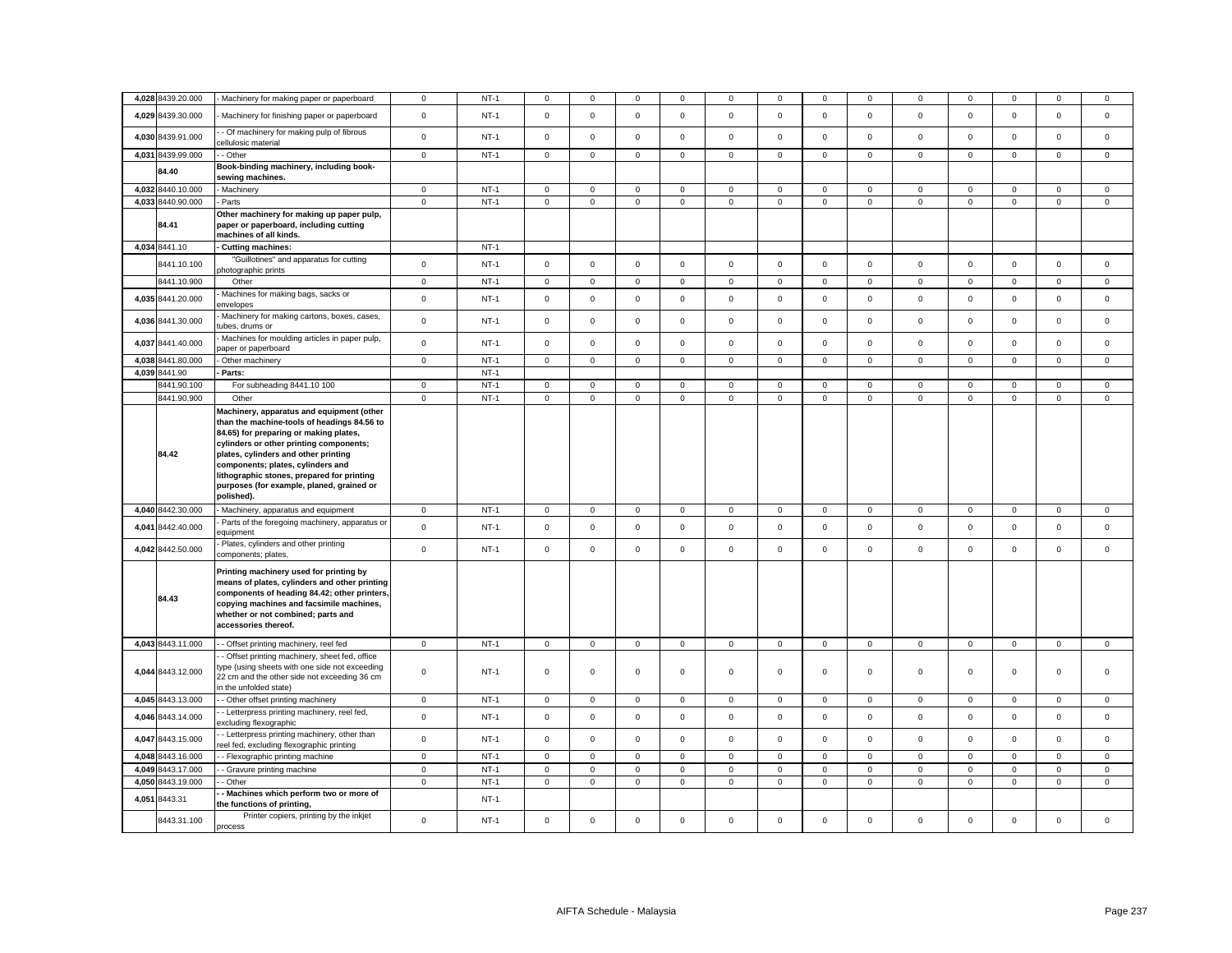| 4,028 8439.20.000    | - Machinery for making paper or paperboard                                                                                                                                                                                                                                                                                                                          | 0              | $NT-1$ | 0            | $^{\circ}$          | 0            | $^{\circ}$   | 0            | 0           | 0           | 0              | 0            | 0           | $\Omega$     | $\mathbf 0$  | 0           |
|----------------------|---------------------------------------------------------------------------------------------------------------------------------------------------------------------------------------------------------------------------------------------------------------------------------------------------------------------------------------------------------------------|----------------|--------|--------------|---------------------|--------------|--------------|--------------|-------------|-------------|----------------|--------------|-------------|--------------|--------------|-------------|
| 4,029 8439.30.000    | Machinery for finishing paper or paperboard                                                                                                                                                                                                                                                                                                                         | $\mathbf 0$    | $NT-1$ | $\mathsf 0$  | $\mathsf 0$         | $\mathsf 0$  | $\mathsf 0$  | $\mathsf 0$  | $\mathsf 0$ | $\mathsf 0$ | $\mathbf 0$    | $\mathsf 0$  | $\mathbf 0$ | $\mathsf 0$  | $\mathsf 0$  | $\mathsf 0$ |
| 4,030 8439.91.000    | - Of machinery for making pulp of fibrous<br>ellulosic material                                                                                                                                                                                                                                                                                                     | $\mathsf 0$    | $NT-1$ | $\mathsf 0$  | $\mathsf 0$         | $\mathsf 0$  | $\mathsf 0$  | $\mathbf 0$  | $\mathsf 0$ | $\mathbf 0$ | $\mathsf 0$    | $\mathsf 0$  | $\mathbf 0$ | $\mathbf 0$  | $\mathsf 0$  | $\mathsf 0$ |
| 4,031 8439.99.000    | - Other                                                                                                                                                                                                                                                                                                                                                             | $\mathbf 0$    | $NT-1$ | $\mathsf 0$  | $\mathbf 0$         | $\mathsf 0$  | $\mathbf 0$  | 0            | $\mathbf 0$ | $\mathsf 0$ | $\mathsf 0$    | $\mathsf 0$  | $\mathbf 0$ | $\mathbf 0$  | $\mathsf 0$  | $\mathsf 0$ |
| 84.40                | Book-binding machinery, including book-<br>sewing machines.                                                                                                                                                                                                                                                                                                         |                |        |              |                     |              |              |              |             |             |                |              |             |              |              |             |
| 4,032 8440.10.000    | - Machinery                                                                                                                                                                                                                                                                                                                                                         | $\mathbf 0$    | $NT-1$ | $\circ$      | $\circ$             | $\mathsf 0$  | $\mathbf{0}$ | $\mathbf 0$  | $\mathbf 0$ | $\mathbf 0$ | $\mathbf 0$    | $\mathsf 0$  | $\mathbf 0$ | $\mathbf 0$  | $\mathbf 0$  | $\mathsf 0$ |
| 4,033 8440.90.000    | - Parts                                                                                                                                                                                                                                                                                                                                                             | $\mathsf 0$    | $NT-1$ | $\mathbf 0$  | $\mathbf 0$         | $\mathbf 0$  | $\mathbf 0$  | $\mathbf 0$  | $\mathsf 0$ | $\mathbf 0$ | $\mathsf 0$    | $\mathbf 0$  | $\mathsf 0$ | $\mathbf 0$  | $\mathbf 0$  | $\mathsf 0$ |
| 84.41                | Other machinery for making up paper pulp,<br>paper or paperboard, including cutting<br>machines of all kinds.                                                                                                                                                                                                                                                       |                |        |              |                     |              |              |              |             |             |                |              |             |              |              |             |
| 4,034 8441.10        | Cutting machines:                                                                                                                                                                                                                                                                                                                                                   |                | $NT-1$ |              |                     |              |              |              |             |             |                |              |             |              |              |             |
| 8441.10.100          | "Guillotines" and apparatus for cutting<br>photographic prints                                                                                                                                                                                                                                                                                                      | $\mathsf 0$    | $NT-1$ | $\mathbf{0}$ | $\mathsf 0$         | $\mathsf 0$  | $\mathbf 0$  | 0            | $\mathsf 0$ | $\mathbf 0$ | $\mathsf 0$    | $\mathbf 0$  | $\mathsf 0$ | $\mathsf 0$  | $\mathsf 0$  | $\mathsf 0$ |
| 8441.10.900          | Other                                                                                                                                                                                                                                                                                                                                                               | $\mathbf 0$    | $NT-1$ | $\mathsf 0$  | $\mathbf 0$         | $\mathsf 0$  | $\mathsf 0$  | 0            | $\mathsf 0$ | $\mathbf 0$ | $\mathbf 0$    | $\mathsf 0$  | $\mathsf 0$ | $\mathsf 0$  | $\mathsf 0$  | $\mathsf 0$ |
| 4,035 8441.20.000    | Machines for making bags, sacks or<br>envelopes                                                                                                                                                                                                                                                                                                                     | $\mathbf 0$    | $NT-1$ | $\mathsf 0$  | $\mathsf{O}\xspace$ | $\mathsf 0$  | $\mathsf 0$  | 0            | $\mathbf 0$ | $\mathsf 0$ | $\mathbf 0$    | $\mathsf 0$  | $\mathsf 0$ | $\mathsf 0$  | $\mathsf 0$  | $\mathsf 0$ |
| 4,036 8441.30.000    | Machinery for making cartons, boxes, cases,<br>tubes, drums or                                                                                                                                                                                                                                                                                                      | $\mathbf 0$    | $NT-1$ | $\mathsf{O}$ | $\mathsf{O}\xspace$ | $\mathsf 0$  | $\mathbf 0$  | $\mathbf 0$  | $\mathsf 0$ | $\mathsf 0$ | $\mathsf 0$    | $\mathsf 0$  | $\mathbf 0$ | $\mathsf 0$  | $\mathsf 0$  | $\mathsf 0$ |
| 4,037 8441.40.000    | Machines for moulding articles in paper pulp,<br>paper or paperboard                                                                                                                                                                                                                                                                                                | $\mathbf 0$    | $NT-1$ | $\mathbf 0$  | $\mathsf 0$         | $\mathbf 0$  | $\mathbf 0$  | $\mathbf{0}$ | $\mathbf 0$ | $\mathbf 0$ | $\mathbf 0$    | $\mathbf 0$  | $\mathbf 0$ | $\mathbf{0}$ | $\mathbf 0$  | $\mathbf 0$ |
| 4.038 8441.80.000    | Other machinery                                                                                                                                                                                                                                                                                                                                                     | $\mathbf 0$    | $NT-1$ | $\mathbf 0$  | $\mathbf 0$         | $\mathbf 0$  | $\mathbf 0$  | $\mathbf{0}$ | $\mathsf 0$ | $\mathbf 0$ | $\mathbf{0}$   | $\mathbf 0$  | $\mathbf 0$ | $\mathbf 0$  | $\mathbf 0$  | $\mathsf 0$ |
| 4,039 8441.90        | Parts:                                                                                                                                                                                                                                                                                                                                                              |                | $NT-1$ |              |                     |              |              |              |             |             |                |              |             |              |              |             |
| 8441.90.100          | For subheading 8441.10 100                                                                                                                                                                                                                                                                                                                                          | $\mathbf 0$    | $NT-1$ | $\mathsf 0$  | $\mathbf{0}$        | $\mathbf{0}$ | $\mathbf 0$  | $\mathbf{0}$ | $\mathbf 0$ | $\mathbf 0$ | $\mathbf{0}$   | $\mathbf 0$  | $\mathbf 0$ | $\mathbf 0$  | $\mathbf{0}$ | $\mathsf 0$ |
| 8441.90.900          | Other                                                                                                                                                                                                                                                                                                                                                               | $\mathbf 0$    | $NT-1$ | $\mathbf 0$  | $\mathbf 0$         | $\mathbf 0$  | $\mathbf 0$  | $\mathbf{0}$ | $\mathbf 0$ | $\mathbf 0$ | $\mathbf{0}$   | $\mathsf 0$  | $\mathbf 0$ | $\mathbf{0}$ | $\mathbf 0$  | $\mathsf 0$ |
| 84.42                | Machinery, apparatus and equipment (other<br>than the machine-tools of headings 84.56 to<br>84.65) for preparing or making plates,<br>cylinders or other printing components;<br>plates, cylinders and other printing<br>components; plates, cylinders and<br>lithographic stones, prepared for printing<br>purposes (for example, planed, grained or<br>polished). |                |        |              |                     |              |              |              |             |             |                |              |             |              |              |             |
| 4,040 8442.30.000    | Machinery, apparatus and equipment                                                                                                                                                                                                                                                                                                                                  | $\mathbf 0$    | $NT-1$ | $\mathsf 0$  | $\mathbf 0$         | $\mathsf 0$  | $\mathsf 0$  | 0            | $\mathsf 0$ | $\mathbf 0$ | $\overline{0}$ | $\mathsf 0$  | $\mathsf 0$ | $\mathbf 0$  | $\mathsf 0$  | $\mathsf 0$ |
| 8442.40.000<br>4,041 | Parts of the foregoing machinery, apparatus or<br>equipment                                                                                                                                                                                                                                                                                                         | $\mathbf 0$    | $NT-1$ | $\mathbf 0$  | $\mathbf 0$         | $\mathbf 0$  | $\mathbf 0$  | 0            | $\mathsf 0$ | $\mathbf 0$ | $\mathsf 0$    | $\mathbf 0$  | $\mathbf 0$ | $\mathbf{0}$ | $\mathbf 0$  | $\mathbf 0$ |
| 4,042 8442.50.000    | Plates, cylinders and other printing<br>components; plates,                                                                                                                                                                                                                                                                                                         | $\mathsf 0$    | $NT-1$ | $\mathbf 0$  | $\mathsf 0$         | $\mathsf 0$  | $\mathsf 0$  | 0            | $\mathsf 0$ | $\mathbf 0$ | $\mathsf 0$    | $\mathsf 0$  | $\mathbf 0$ | $\mathsf 0$  | $\mathsf 0$  | $\mathsf 0$ |
| 84.43                | Printing machinery used for printing by<br>means of plates, cylinders and other printing<br>components of heading 84.42; other printers,<br>copying machines and facsimile machines,<br>whether or not combined; parts and<br>accessories thereof.                                                                                                                  |                |        |              |                     |              |              |              |             |             |                |              |             |              |              |             |
| 4,043 8443.11.000    | - Offset printing machinery, reel fed                                                                                                                                                                                                                                                                                                                               | $\overline{0}$ | $NT-1$ | $\mathbf 0$  | $\mathbf 0$         | $\mathbf 0$  | $\mathbf 0$  | 0            | $\mathbf 0$ | $\mathbf 0$ | $\mathbf{0}$   | 0            | $\mathbf 0$ | $\mathbf 0$  | $\mathbf 0$  | $\mathbf 0$ |
| 4,044 8443.12.000    | - Offset printing machinery, sheet fed, office<br>type (using sheets with one side not exceeding<br>22 cm and the other side not exceeding 36 cm<br>in the unfolded state)                                                                                                                                                                                          | $\mathbf 0$    | $NT-1$ | $\mathsf{O}$ | $\mathbf 0$         | $\mathbf 0$  | $\mathbf 0$  | 0            | $\mathsf 0$ | $\mathbf 0$ | $\mathsf 0$    | $\mathbf 0$  | $\mathbf 0$ | $\mathbf 0$  | $\mathsf 0$  | $\mathsf 0$ |
| 4,045 8443.13.000    | - Other offset printing machinery                                                                                                                                                                                                                                                                                                                                   | $\mathbf 0$    | $NT-1$ | $\mathbf 0$  | $\mathbf{0}$        | $\mathbf 0$  | $\mathbf 0$  | 0            | $\mathbf 0$ | $\mathbf 0$ | $\mathbf 0$    | $\mathbf{0}$ | $\mathbf 0$ | $\mathbf 0$  | $\mathbf 0$  | $\mathbf 0$ |
| 4,046 8443.14.000    | - Letterpress printing machinery, reel fed,<br>excluding flexographic                                                                                                                                                                                                                                                                                               | $\mathsf 0$    | $NT-1$ | $\mathbf 0$  | $\mathsf 0$         | $\mathsf 0$  | $\mathsf 0$  | 0            | $\mathsf 0$ | $\mathsf 0$ | $\mathsf 0$    | $\mathsf 0$  | $\mathbf 0$ | $\mathsf 0$  | $\mathsf 0$  | $\mathsf 0$ |
| 8443.15.000<br>4,047 | - Letterpress printing machinery, other than<br>eel fed, excluding flexographic printing                                                                                                                                                                                                                                                                            | $\mathsf 0$    | $NT-1$ | $\mathsf 0$  | $\mathsf{O}\xspace$ | $\mathsf 0$  | $\mathsf 0$  | $\mathbf 0$  | $\mathsf 0$ | $\mathsf 0$ | $\mathsf 0$    | $\mathsf 0$  | $\mathbf 0$ | $\mathbf 0$  | $\mathsf 0$  | $\mathsf 0$ |
| 4,048 8443.16.000    | - Flexographic printing machine                                                                                                                                                                                                                                                                                                                                     | $\mathsf 0$    | $NT-1$ | $\mathsf 0$  | $\mathsf 0$         | $\mathsf 0$  | $\mathsf 0$  | 0            | $\mathsf 0$ | $\mathsf 0$ | $\mathsf 0$    | $\mathsf 0$  | $\mathbf 0$ | $\mathbf 0$  | $\mathsf 0$  | $\mathsf 0$ |
| 4,049 8443.17.000    | - Gravure printing machine                                                                                                                                                                                                                                                                                                                                          | $\mathbf 0$    | $NT-1$ | $\mathbf 0$  | $\mathbf 0$         | $\mathsf 0$  | $\mathbf 0$  | 0            | $\mathsf 0$ | $\mathbf 0$ | $\mathsf 0$    | $\mathsf 0$  | $\mathsf 0$ | $\mathbf 0$  | $\mathbf 0$  | $\mathsf 0$ |
| 4,050 8443.19.000    | - Other                                                                                                                                                                                                                                                                                                                                                             | $\mathsf 0$    | $NT-1$ | $\mathsf 0$  | $\mathsf{O}\xspace$ | $\mathsf 0$  | $\mathsf 0$  | 0            | $\mathbf 0$ | $\mathbf 0$ | $\mathsf 0$    | $\mathsf 0$  | $\mathbf 0$ | $\mathsf 0$  | $\mathbf 0$  | $\mathsf 0$ |
| 8443.31<br>4,051     | Machines which perform two or more of<br>the functions of printing,                                                                                                                                                                                                                                                                                                 |                | $NT-1$ |              |                     |              |              |              |             |             |                |              |             |              |              |             |
| 8443.31.100          | Printer copiers, printing by the inkjet<br>process                                                                                                                                                                                                                                                                                                                  | $\mathsf 0$    | $NT-1$ | $\mathsf 0$  | $\mathsf 0$         | $\mathsf 0$  | $\mathsf 0$  | 0            | $\mathsf 0$ | $\mathsf 0$ | $\mathsf 0$    | $\mathbf 0$  | $\mathsf 0$ | $\mathbf 0$  | $\mathsf 0$  | $\mathsf 0$ |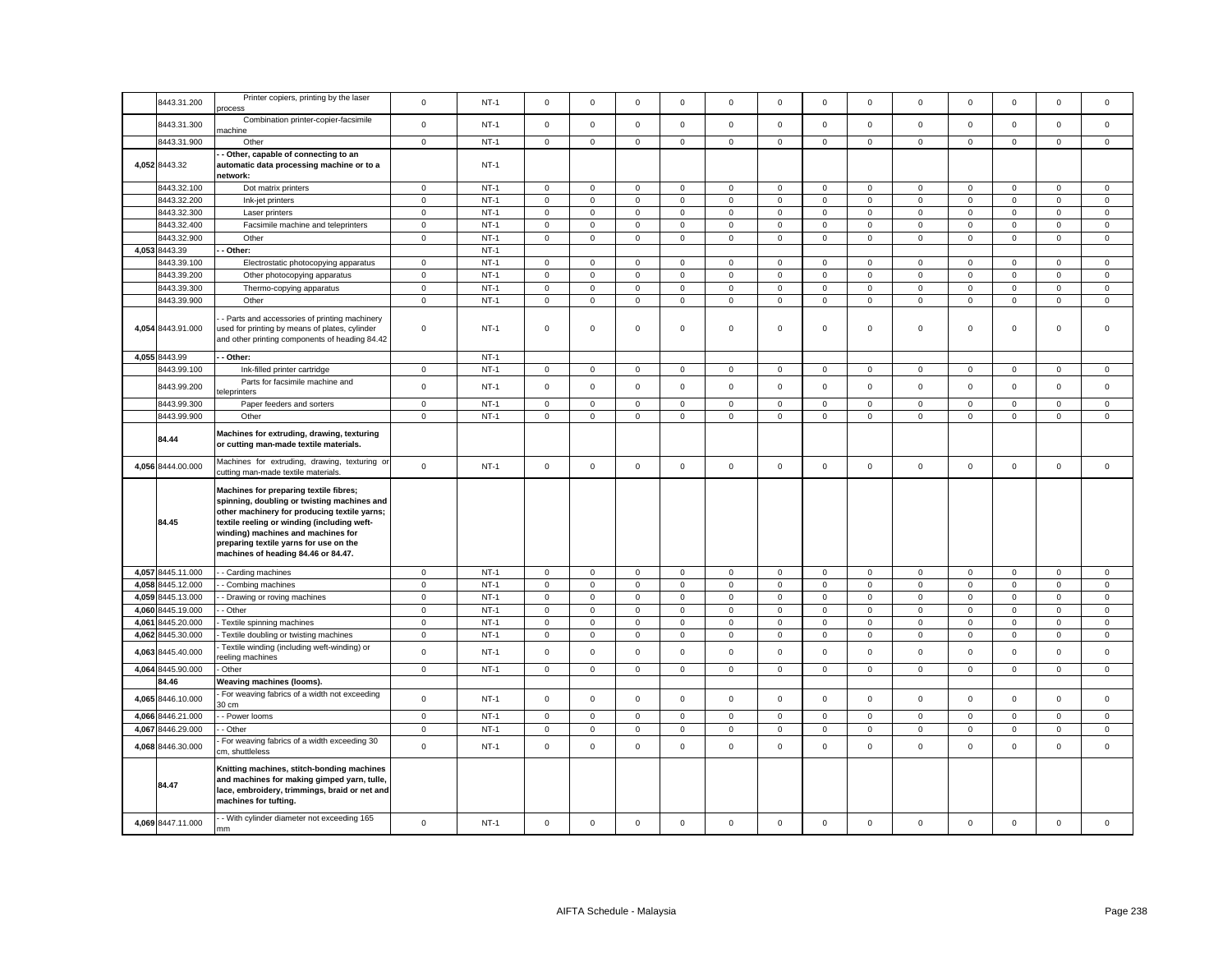|       | 8443.31.200       | Printer copiers, printing by the laser<br>process                                                                                                                                                                                                                                                           | $\mathbf 0$ | $NT-1$      | $\mathsf 0$         | $\mathsf 0$         | $\mathsf 0$  | $\mathbf 0$ | $\Omega$     | $\mathsf 0$ | $\mathsf 0$         | $\mathsf 0$    | $\mathsf 0$ | $\mathsf 0$ | $\mathsf 0$  | $\mathsf 0$  | $\mathsf 0$ |
|-------|-------------------|-------------------------------------------------------------------------------------------------------------------------------------------------------------------------------------------------------------------------------------------------------------------------------------------------------------|-------------|-------------|---------------------|---------------------|--------------|-------------|--------------|-------------|---------------------|----------------|-------------|-------------|--------------|--------------|-------------|
|       | 8443.31.300       | Combination printer-copier-facsimile<br>nachine                                                                                                                                                                                                                                                             | $\mathbf 0$ | $NT-1$      | $\mathsf 0$         | $\mathsf 0$         | $\mathsf 0$  | $\mathbf 0$ | $\mathbf 0$  | $\mathsf 0$ | $\mathsf 0$         | $\mathbf 0$    | $\mathsf 0$ | $\mathsf 0$ | $\mathbf 0$  | $\mathsf 0$  | $\mathsf 0$ |
|       | 8443.31.900       | Other                                                                                                                                                                                                                                                                                                       | $\mathsf 0$ | $NT-1$      | $\mathsf 0$         | $\mathsf 0$         | $\mathsf 0$  | $\mathsf 0$ | $\mathsf 0$  | $\mathsf 0$ | $\mathsf 0$         | $\mathbf 0$    | $\mathsf 0$ | $\mathsf 0$ | $\mathsf 0$  | $\mathsf 0$  | $\mathsf 0$ |
|       | 4,052 8443.32     | Other, capable of connecting to an<br>automatic data processing machine or to a<br>network:                                                                                                                                                                                                                 |             | $NT-1$      |                     |                     |              |             |              |             |                     |                |             |             |              |              |             |
|       | 8443.32.100       | Dot matrix printers                                                                                                                                                                                                                                                                                         | $\mathbf 0$ | $NT-1$      | $\mathsf 0$         | $\mathsf 0$         | $\mathsf 0$  | $\mathbf 0$ | $\mathbf 0$  | $\mathsf 0$ | $\mathsf 0$         | $\circ$        | $\mathsf 0$ | $\mathsf 0$ | $\mathbf 0$  | $\mathsf 0$  | $\mathsf 0$ |
|       | 8443.32.200       | Ink-jet printers                                                                                                                                                                                                                                                                                            | $\mathbf 0$ | $NT-1$      | 0                   | 0                   | $\mathbf 0$  | 0           | $\mathbf 0$  | $\,0\,$     | $\mathbf 0$         | $\overline{0}$ | 0           | $\,0\,$     | $\mathbf 0$  | $\mathbf 0$  | $\mathsf 0$ |
|       | 3443.32.300       | Laser printers                                                                                                                                                                                                                                                                                              | $\mathsf 0$ | $NT-1$      | $\mathsf 0$         | $\mathbf 0$         | $\mathsf 0$  | $\mathsf 0$ | $\mathsf 0$  | $\mathsf 0$ | $\mathsf 0$         | $\mathsf 0$    | $\mathsf 0$ | $\mathsf 0$ | $\mathsf 0$  | $\mathsf 0$  | $\mathsf 0$ |
|       | 8443.32.400       | Facsimile machine and teleprinters                                                                                                                                                                                                                                                                          | $\mathbf 0$ | $NT-1$      | 0                   | $\mathbf 0$         | $\mathbf 0$  | 0           | $\mathbf 0$  | 0           | $\mathbf 0$         | 0              | 0           | $\mathbf 0$ | $\mathbf 0$  | 0            | $\mathsf 0$ |
|       |                   |                                                                                                                                                                                                                                                                                                             |             |             |                     |                     |              |             |              |             |                     |                |             |             |              |              |             |
|       | 3443.32.900       | Other                                                                                                                                                                                                                                                                                                       | $\mathbf 0$ | $NT-1$      | $\mathsf 0$         | $\mathbf 0$         | $\mathsf 0$  | $\mathsf 0$ | $\mathbf 0$  | $\mathsf 0$ | $\mathsf 0$         | $\mathbf 0$    | $\mathsf 0$ | $\mathsf 0$ | $\mathbf 0$  | $\mathsf 0$  | $\mathsf 0$ |
|       | 4,053 8443.39     | Other:                                                                                                                                                                                                                                                                                                      |             | $NT-1$      |                     |                     |              |             |              |             |                     |                |             |             |              |              |             |
|       | 3443.39.100       | Electrostatic photocopying apparatus                                                                                                                                                                                                                                                                        | $\mathbf 0$ | $NT-1$      | $\mathsf 0$         | $\mathbf 0$         | $\mathsf 0$  | 0           | $\mathbf 0$  | $\mathbf 0$ | $\mathbf 0$         | $\mathbf 0$    | $\mathsf 0$ | $\mathbf 0$ | $\mathbf 0$  | $\mathbf 0$  | $\mathbf 0$ |
|       | 8443.39.200       | Other photocopying apparatus                                                                                                                                                                                                                                                                                | $\mathbf 0$ | $NT-1$      | $\mathsf 0$         | $\mathbf 0$         | $\mathsf 0$  | $\mathsf 0$ | $\mathbf 0$  | $\mathsf 0$ | $\mathbf 0$         | $\mathbf 0$    | $\mathbf 0$ | $\mathsf 0$ | $\mathbf 0$  | $\mathsf 0$  | $\mathbf 0$ |
|       | 3443.39.300       | Thermo-copying apparatus                                                                                                                                                                                                                                                                                    | $\mathbf 0$ | $NT-1$      | $\mathbf 0$         | $\mathbf 0$         | $\mathsf 0$  | 0           | $\mathbf 0$  | $\mathbf 0$ | $\mathbf 0$         | $\mathbf{0}$   | $\mathbf 0$ | $\mathbf 0$ | $\mathbf 0$  | $\mathsf 0$  | $\mathsf 0$ |
|       | 8443.39.900       | Other                                                                                                                                                                                                                                                                                                       | $\mathbf 0$ | $NT-1$      | $\mathsf 0$         | $\mathbf 0$         | $\mathsf 0$  | $\mathsf 0$ | $\mathbf 0$  | $\mathsf 0$ | $\mathbf 0$         | $\mathbf 0$    | $\mathbf 0$ | $\mathsf 0$ | $\mathbf{0}$ | $\mathsf 0$  | $\mathbf 0$ |
|       |                   |                                                                                                                                                                                                                                                                                                             |             |             |                     |                     |              |             |              |             |                     |                |             |             |              |              |             |
|       | 4,054 8443.91.000 | Parts and accessories of printing machinery<br>used for printing by means of plates, cylinder<br>and other printing components of heading 84.42                                                                                                                                                             | $\mathsf 0$ | $NT-1$      | $\mathbf 0$         | $\mathbf 0$         | $\mathsf 0$  | $\mathbf 0$ | $\mathbf 0$  | $\mathbf 0$ | $\mathbf 0$         | $\mathsf 0$    | $\mathbf 0$ | $\mathbf 0$ | $\mathbf 0$  | $\mathbf 0$  | $\mathbf 0$ |
|       | 4,055 8443.99     | - Other:                                                                                                                                                                                                                                                                                                    |             | $NT-1$      |                     |                     |              |             |              |             |                     |                |             |             |              |              |             |
|       | 8443.99.100       | Ink-filled printer cartridge                                                                                                                                                                                                                                                                                | $\mathbf 0$ | $NT-1$      | 0                   | $\mathbf{0}$        | $\mathbf{0}$ | 0           | $\mathbf 0$  | 0           | $\mathbf 0$         | $\mathbf{0}$   | 0           | $\mathbf 0$ | $\mathbf{0}$ | $\mathbf{0}$ | $\mathbf 0$ |
|       | 8443.99.200       | Parts for facsimile machine and<br>eleprinters                                                                                                                                                                                                                                                              | $\mathbf 0$ | $NT-1$      | $\mathsf 0$         | $\mathsf 0$         | $\mathbf 0$  | $\mathsf 0$ | $\mathsf 0$  | $\mathsf 0$ | $\mathbf 0$         | $\mathbf 0$    | $\mathsf 0$ | $\mathsf 0$ | $\mathsf 0$  | $\mathsf 0$  | $\mathsf 0$ |
|       | 8443.99.300       |                                                                                                                                                                                                                                                                                                             |             | $NT-1$      |                     |                     | $\mathbf 0$  |             |              |             |                     | 0              |             |             |              |              |             |
|       |                   | Paper feeders and sorters                                                                                                                                                                                                                                                                                   | $\mathbf 0$ |             | 0                   | $\,0\,$             |              | 0           | $\mathbf 0$  | 0           | 0                   |                | 0           | $\mathbf 0$ | 0            | 0            | $\mathbf 0$ |
|       | 8443.99.900       | Other                                                                                                                                                                                                                                                                                                       | $\mathsf 0$ | $NT-1$      | $\mathsf{O}\xspace$ | $\mathsf 0$         | $\mathbf 0$  | $\mathsf 0$ | $\mathsf 0$  | $\mathsf 0$ | $\mathsf{O}\xspace$ | $\mathbf 0$    | $\mathsf 0$ | $\mathsf 0$ | $\mathsf 0$  | $\mathsf 0$  | $\mathsf 0$ |
|       | 84.44             | Machines for extruding, drawing, texturing<br>or cutting man-made textile materials.                                                                                                                                                                                                                        |             |             |                     |                     |              |             |              |             |                     |                |             |             |              |              |             |
|       | 4,056 8444.00.000 | Machines for extruding, drawing, texturing or<br>cutting man-made textile materials.                                                                                                                                                                                                                        | $\mathbf 0$ | $NT-1$      | $\mathsf 0$         | $\mathsf{O}\xspace$ | $\mathsf 0$  | $\mathbf 0$ | $\mathsf 0$  | $\mathbf 0$ | $\mathsf 0$         | $\mathsf 0$    | $\mathsf 0$ | $\mathbf 0$ | $\mathbf 0$  | $\mathsf 0$  | $\mathsf 0$ |
|       | 84.45             | Machines for preparing textile fibres;<br>spinning, doubling or twisting machines and<br>other machinery for producing textile yarns;<br>textile reeling or winding (including weft-<br>winding) machines and machines for<br>preparing textile yarns for use on the<br>machines of heading 84.46 or 84.47. |             |             |                     |                     |              |             |              |             |                     |                |             |             |              |              |             |
|       | 4,057 8445.11.000 | - Carding machines                                                                                                                                                                                                                                                                                          | $\mathbf 0$ | $NT-1$      | $\mathbf 0$         | $\,0\,$             | $\mathbf 0$  | 0           | $\mathbf 0$  | 0           | $\mathsf 0$         | $\mathbf 0$    | 0           | $\mathbf 0$ | $\mathbf 0$  | 0            | $\,0\,$     |
|       | 4,058 8445.12.000 | Combing machines                                                                                                                                                                                                                                                                                            | $\mathbf 0$ | $NT-1$      | $\mathsf{O}\xspace$ | $\mathsf{O}\xspace$ | $\mathsf 0$  | $\mathsf 0$ | $\mathsf 0$  | $\mathsf 0$ | $\mathsf 0$         | $\mathbf{0}$   | $\mathsf 0$ | $\mathsf 0$ | $\mathbf 0$  | $\mathsf 0$  | $\mathsf 0$ |
| 4,059 | 8445.13.000       | - Drawing or roving machines                                                                                                                                                                                                                                                                                | $\mathbf 0$ | $NT-1$      | 0                   | $\mathsf 0$         | $\mathbf 0$  | 0           | $\mathbf 0$  | 0           | $\mathbf 0$         | 0              | 0           | $\mathbf 0$ | $\mathbf 0$  | $\mathbf 0$  | $\mathbf 0$ |
|       | 4,060 8445.19.000 | Other                                                                                                                                                                                                                                                                                                       | $\mathbf 0$ | $NT-1$      | $\mathsf 0$         | $\mathbf 0$         | $\mathsf 0$  | $\mathsf 0$ | $\mathbf 0$  | $\mathsf 0$ | $\mathsf 0$         | $\mathbf 0$    | $\mathsf 0$ | $\mathsf 0$ | $\mathsf 0$  | $\mathsf 0$  | $\mathsf 0$ |
| 4,061 | 3445.20.000       | Textile spinning machines                                                                                                                                                                                                                                                                                   | $\mathbf 0$ | $NT-1$      | 0                   | $\mathsf 0$         | $\mathsf 0$  | $\mathbf 0$ | $\mathbf 0$  | 0           | $\mathsf 0$         | 0              | $\mathsf 0$ | $\mathbf 0$ | $\mathsf 0$  | $\mathsf 0$  | $\,0\,$     |
| 4,062 | 3445.30.000       | Textile doubling or twisting machines                                                                                                                                                                                                                                                                       | $\mathbf 0$ | $NT-1$      | $\mathbf 0$         | $\mathbf 0$         | $\mathbf{0}$ | $\mathbf 0$ | $\mathsf 0$  | $\mathsf 0$ | $\mathbf 0$         | $\mathbf 0$    | $\mathbf 0$ | $\mathbf 0$ | $\mathbf{0}$ | $\mathbf{0}$ | $\mathbf 0$ |
| 4,063 | 8445.40.000       | Textile winding (including weft-winding) or                                                                                                                                                                                                                                                                 | $\mathbf 0$ | $NT-1$      | $\mathsf 0$         | $\mathsf 0$         | $\mathsf 0$  | $\mathsf 0$ | $\mathbf 0$  | $\mathsf 0$ | $\mathbf 0$         | $\mathbf 0$    | $\mathsf 0$ | $\mathsf 0$ | $\mathsf 0$  | $\mathsf 0$  | $\mathsf 0$ |
|       | 4,064 8445.90.000 | eeling machines<br>Other                                                                                                                                                                                                                                                                                    | $\mathbf 0$ | <b>NT-1</b> | $\mathbf 0$         | $\mathbf 0$         | $\mathbf 0$  | 0           | $\mathbf 0$  | $\mathbf 0$ | $\mathbf{0}$        | $\mathbf{0}$   | 0           | $\mathbf 0$ | $\mathbf 0$  | $\mathbf 0$  | $\mathbf 0$ |
|       | 34.46             | Weaving machines (looms).                                                                                                                                                                                                                                                                                   |             |             |                     |                     |              |             |              |             |                     |                |             |             |              |              |             |
|       | 4,065 8446.10.000 | For weaving fabrics of a width not exceeding<br>30 cm                                                                                                                                                                                                                                                       | $\mathbf 0$ | $NT-1$      | $\mathbf 0$         | $\mathsf 0$         | $\mathsf 0$  | $\mathbf 0$ | $\mathsf 0$  | $\mathsf 0$ | $\mathsf 0$         | $\mathbf 0$    | $\mathbf 0$ | $\mathbf 0$ | $\mathbf{0}$ | $\mathbf 0$  | $\mathbf 0$ |
| 4,066 | 8446.21.000       | - Power looms                                                                                                                                                                                                                                                                                               | $\mathsf 0$ | $NT-1$      | $\mathsf{O}\xspace$ | $\mathsf 0$         | $\mathsf 0$  | $\mathbf 0$ | $\mathbf{0}$ | $\mathsf 0$ | $\mathsf 0$         | $\mathbf 0$    | $\mathsf 0$ | $\mathsf 0$ | $\mathbf 0$  | $\mathsf 0$  | $\mathsf 0$ |
|       |                   |                                                                                                                                                                                                                                                                                                             |             |             |                     |                     |              |             |              |             |                     |                |             |             |              |              |             |
| 4,067 | 8446.29.000       | · Other                                                                                                                                                                                                                                                                                                     | $\mathbf 0$ | $NT-1$      | 0                   | 0                   | $\mathbf 0$  | 0           | $\mathbf 0$  | 0           | $\mathsf 0$         | 0              | 0           | $\mathbf 0$ | $\mathbf 0$  | 0            | $\mathbf 0$ |
|       | 4,068 8446.30.000 | For weaving fabrics of a width exceeding 30<br>cm, shuttleless                                                                                                                                                                                                                                              | $\mathbf 0$ | $NT-1$      | $\mathsf{O}\xspace$ | $\mathsf 0$         | $\mathbf 0$  | $\mathsf 0$ | $\mathbf 0$  | $\mathsf 0$ | $\mathsf 0$         | $\mathbf 0$    | $\mathsf 0$ | $\mathbf 0$ | $\mathsf 0$  | $\mathsf 0$  | $\mathbf 0$ |
|       | 84.47             | Knitting machines, stitch-bonding machines<br>and machines for making gimped yarn, tulle,<br>lace, embroidery, trimmings, braid or net and<br>machines for tufting.                                                                                                                                         |             |             |                     |                     |              |             |              |             |                     |                |             |             |              |              |             |
|       | 4,069 8447.11.000 | - With cylinder diameter not exceeding 165<br>mm                                                                                                                                                                                                                                                            | $\mathbf 0$ | $NT-1$      | $\mathbf 0$         | $\mathbf 0$         | $\mathbf 0$  | $\Omega$    | $\Omega$     | $\mathbf 0$ | $\mathbf 0$         | $\mathbf 0$    | $\mathbf 0$ | $\mathbf 0$ | $\mathbf 0$  | $\mathsf 0$  | $\mathbf 0$ |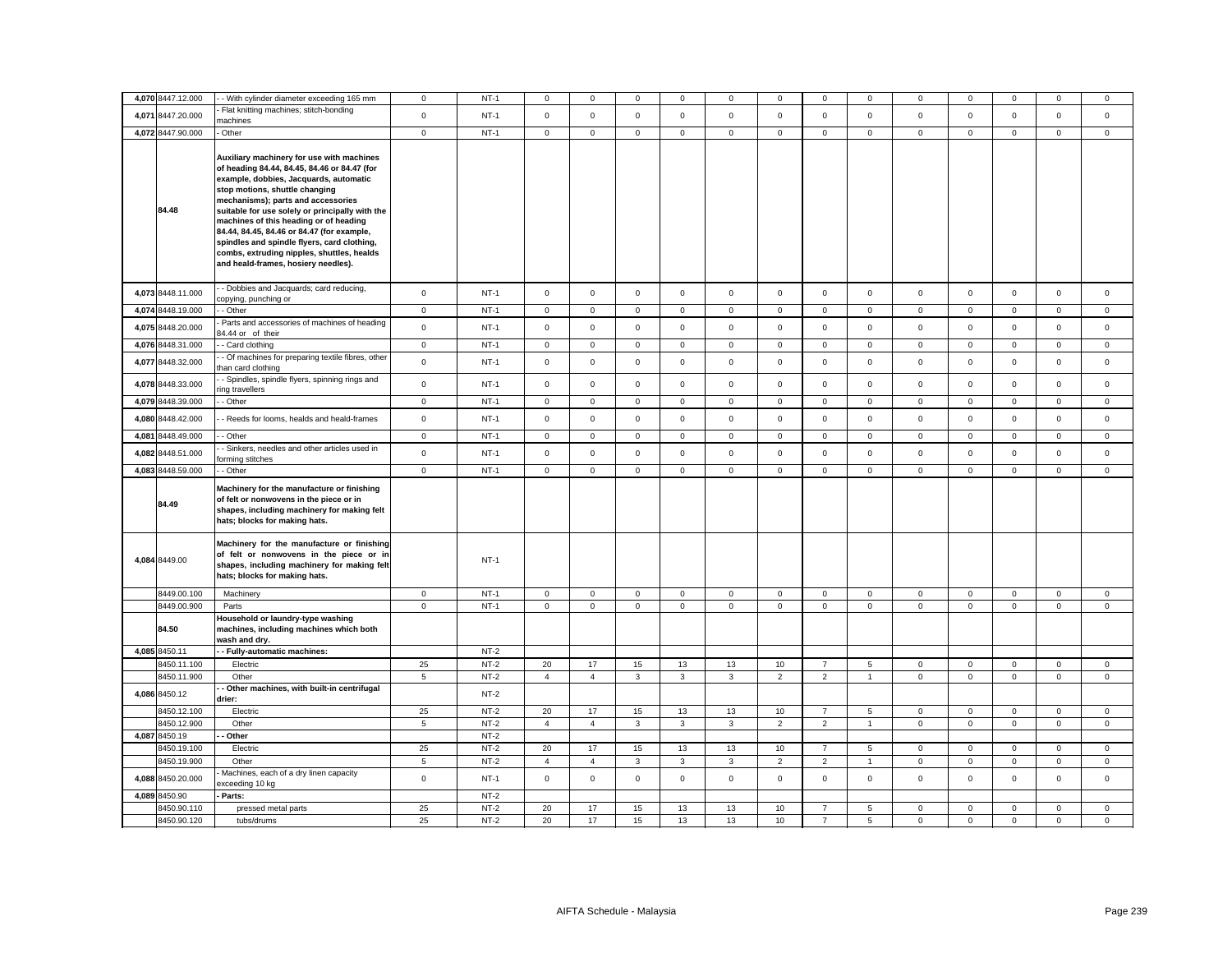| 4,070 8447.12.000          | - With cylinder diameter exceeding 165 mm                                                                                                                             | $\mathbf 0$     | $NT-1$           | $\mathbf 0$    | $\mathbf 0$    | $\mathbf 0$    | $\Omega$     | $\mathbf 0$  | $\mathbf 0$    | $\Omega$                         | $\Omega$        | 0                       | $\mathbf 0$             | $\Omega$                | $\mathbf 0$             | $\mathbf 0$                |
|----------------------------|-----------------------------------------------------------------------------------------------------------------------------------------------------------------------|-----------------|------------------|----------------|----------------|----------------|--------------|--------------|----------------|----------------------------------|-----------------|-------------------------|-------------------------|-------------------------|-------------------------|----------------------------|
|                            | Flat knitting machines; stitch-bonding                                                                                                                                |                 |                  |                |                |                |              |              |                |                                  |                 |                         |                         |                         |                         |                            |
| 4,071 8447.20.000          | nachines                                                                                                                                                              | $\mathbf 0$     | $NT-1$           | $\mathbf 0$    | $\mathbf 0$    | $\mathsf 0$    | $\mathsf 0$  | $\mathbf 0$  | $\mathsf 0$    | $\mathbf 0$                      | $\mathsf 0$     | $\mathbf{0}$            | $\mathsf 0$             | $\mathsf 0$             | $\mathsf 0$             | $\mathsf 0$                |
| 4,072 8447.90.000          | Other                                                                                                                                                                 | $\mathbf 0$     | $NT-1$           | $\mathbf 0$    | $\mathsf 0$    | $\mathsf 0$    | $\mathsf 0$  | $\mathbf 0$  | $\mathsf 0$    | $\mathbf 0$                      | $\mathsf 0$     | $\mathbf 0$             | $\mathsf 0$             | $\mathbf 0$             | $\mathsf{O}\xspace$     | $\mathsf 0$                |
|                            |                                                                                                                                                                       |                 |                  |                |                |                |              |              |                |                                  |                 |                         |                         |                         |                         |                            |
|                            | Auxiliary machinery for use with machines<br>of heading 84.44, 84.45, 84.46 or 84.47 (for<br>example, dobbies, Jacquards, automatic                                   |                 |                  |                |                |                |              |              |                |                                  |                 |                         |                         |                         |                         |                            |
|                            | stop motions, shuttle changing                                                                                                                                        |                 |                  |                |                |                |              |              |                |                                  |                 |                         |                         |                         |                         |                            |
|                            | mechanisms); parts and accessories                                                                                                                                    |                 |                  |                |                |                |              |              |                |                                  |                 |                         |                         |                         |                         |                            |
| 84.48                      | suitable for use solely or principally with the                                                                                                                       |                 |                  |                |                |                |              |              |                |                                  |                 |                         |                         |                         |                         |                            |
|                            | machines of this heading or of heading                                                                                                                                |                 |                  |                |                |                |              |              |                |                                  |                 |                         |                         |                         |                         |                            |
|                            | 84.44, 84.45, 84.46 or 84.47 (for example,<br>spindles and spindle flyers, card clothing,                                                                             |                 |                  |                |                |                |              |              |                |                                  |                 |                         |                         |                         |                         |                            |
|                            | combs, extruding nipples, shuttles, healds                                                                                                                            |                 |                  |                |                |                |              |              |                |                                  |                 |                         |                         |                         |                         |                            |
|                            | and heald-frames, hosiery needles).                                                                                                                                   |                 |                  |                |                |                |              |              |                |                                  |                 |                         |                         |                         |                         |                            |
|                            |                                                                                                                                                                       |                 |                  |                |                |                |              |              |                |                                  |                 |                         |                         |                         |                         |                            |
| 4,073 8448.11.000          | - Dobbies and Jacquards; card reducing,<br>copying, punching or                                                                                                       | $\mathbf 0$     | $NT-1$           | $\overline{0}$ | $\mathsf 0$    | $\mathsf 0$    | $\mathbf 0$  | $\mathsf 0$  | $\mathsf 0$    | $\mathbf 0$                      | $\mathsf 0$     | $\mathbf 0$             | $\mathbf 0$             | $\mathsf 0$             | $\mathsf 0$             | $\mathsf 0$                |
| 4,074 8448.19.000          | - Other                                                                                                                                                               | $\mathbf 0$     | $NT-1$           | $\mathbf 0$    | $\mathbf 0$    | 0              | $\mathbf 0$  | $\mathbf 0$  | $\mathbf 0$    | $\mathbf 0$                      | $\mathbf 0$     | $\mathbf{0}$            | $\mathbf 0$             | 0                       | $\mathbf 0$             | 0                          |
| 4,075 8448.20.000          | Parts and accessories of machines of heading<br>34.44 or of their                                                                                                     | $\mathsf 0$     | $NT-1$           | $\mathsf 0$    | $\mathsf 0$    | $\mathsf 0$    | $\mathsf 0$  | $\mathsf{O}$ | $\mathsf 0$    | $\mathbf 0$                      | $\mathsf 0$     | $\mathbf 0$             | $\mathbf 0$             | $\mathsf 0$             | $\mathsf 0$             | $\mathsf 0$                |
| 4,076 8448.31.000          | - Card clothing                                                                                                                                                       | $\mathbf 0$     | $NT-1$           | $\mathbf 0$    | 0              | $\mathbf 0$    | $\mathbf 0$  | $\mathbf 0$  | $\mathbf 0$    | 0                                | $\mathbf 0$     | $\mathbf 0$             | 0                       | $\mathbf 0$             | 0                       | $\mathbf 0$                |
| 4,077 8448.32.000          | - Of machines for preparing textile fibres, other<br>han card clothing                                                                                                | $\mathsf 0$     | $NT-1$           | $\mathsf 0$    | $\mathsf 0$    | $\mathsf 0$    | $\mathsf 0$  | $\mathbf 0$  | $\mathsf 0$    | $\mathsf 0$                      | $\mathsf 0$     | $\mathsf 0$             | $\mathbf 0$             | $\mathsf 0$             | $\mathsf 0$             | $\mathsf 0$                |
| 4,078 8448.33.000          | - Spindles, spindle flyers, spinning rings and<br>ing travellers                                                                                                      | $\mathsf 0$     | $NT-1$           | $\mathbf 0$    | $\mathbf 0$    | $\mathsf 0$    | $\mathsf 0$  | $\mathsf 0$  | $\mathsf 0$    | $\mathbf 0$                      | $\mathsf 0$     | $\mathsf 0$             | $\mathbf 0$             | $\mathsf 0$             | $\mathsf 0$             | $\mathsf 0$                |
| 4,079 8448.39.000          | - Other                                                                                                                                                               | $\mathbf 0$     | $NT-1$           | $\mathsf 0$    | $\mathsf 0$    | $\mathsf 0$    | $\mathsf 0$  | $\mathsf 0$  | $\mathsf 0$    | $\mathsf 0$                      | $\mathbf 0$     | $\mathsf 0$             | $\mathbf 0$             | $\mathsf 0$             | $\mathsf 0$             | $\mathbf 0$                |
| 4,080 8448.42.000          | - Reeds for looms, healds and heald-frames                                                                                                                            | $\mathbf 0$     | $NT-1$           | $\mathbf 0$    | $\mathbf 0$    | $\mathbf 0$    | $\mathsf 0$  | $\mathsf 0$  | $\mathsf 0$    | $\mathbf 0$                      | $\mathbf 0$     | $\mathbf 0$             | $\mathsf 0$             | $\mathsf 0$             | $\mathsf 0$             | $\mathsf 0$                |
| 4,081 8448.49.000          | - Other                                                                                                                                                               | $\,0\,$         | $NT-1$           | $\mathsf 0$    | $\mathsf 0$    | $\mathbf 0$    | $\mathsf 0$  | $\mathsf 0$  | $\mathsf 0$    | $\mathbf 0$                      | $\mathbf 0$     | $\mathsf 0$             | $\mathbf 0$             | $\mathsf 0$             | $\mathsf 0$             | $\mathsf 0$                |
| 4,082 8448.51.000          | - Sinkers, needles and other articles used in                                                                                                                         | $\mathbf 0$     | $NT-1$           | $\overline{0}$ | $\mathbf 0$    | $\mathbf 0$    | $\mathbf{0}$ | $\mathbf 0$  | $\mathsf 0$    | $\mathbf 0$                      | $\mathbf{0}$    | $\mathbf 0$             | $\mathbf 0$             | $\mathbf 0$             | $\mathbf 0$             | $\mathbf 0$                |
|                            | orming stitches                                                                                                                                                       |                 |                  |                |                |                |              |              |                |                                  |                 |                         |                         |                         |                         |                            |
| 4,083 8448.59.000          | - Other                                                                                                                                                               | $\mathsf 0$     | $NT-1$           | $\mathbf 0$    | $\mathsf 0$    | $\mathsf 0$    | $\mathsf 0$  | $\mathsf 0$  | $\mathsf 0$    | $\mathsf 0$                      | $\mathsf 0$     | $\mathsf 0$             | $\mathbf 0$             | $\mathsf 0$             | $\mathsf 0$             | $\mathsf 0$                |
| 84.49                      | Machinery for the manufacture or finishing<br>of felt or nonwovens in the piece or in<br>shapes, including machinery for making felt<br>hats; blocks for making hats. |                 |                  |                |                |                |              |              |                |                                  |                 |                         |                         |                         |                         |                            |
| 4,084 8449.00              | Machinery for the manufacture or finishing<br>of felt or nonwovens in the piece or in<br>shapes, including machinery for making felt<br>hats; blocks for making hats. |                 | $NT-1$           |                |                |                |              |              |                |                                  |                 |                         |                         |                         |                         |                            |
| 8449.00.100                | Machinery                                                                                                                                                             | $\mathbf 0$     | $NT-1$           | $\overline{0}$ | $\mathbf{0}$   | 0              | $\mathbf 0$  | $\mathbf 0$  | $\mathbf 0$    | $\mathbf{0}$                     | $\mathbf 0$     | $\mathbf 0$             | $\mathbf 0$             | $\mathbf 0$             | $\mathbf 0$             | $\mathbf 0$                |
| 8449.00.900                | Parts                                                                                                                                                                 | $\mathbf{0}$    | $NT-1$           | $\overline{0}$ | $\mathsf 0$    | $\overline{0}$ | $\mathbf 0$  | $\mathbf{0}$ | $\mathbf 0$    | $\overline{0}$                   | $\overline{0}$  | $\mathsf 0$             | $\mathbf 0$             | $\mathbf{0}$            | $\mathbf 0$             | $\mathbf 0$                |
| 84.50                      | Household or laundry-type washing<br>machines, including machines which both<br>wash and dry.                                                                         |                 |                  |                |                |                |              |              |                |                                  |                 |                         |                         |                         |                         |                            |
| 4,085 8450.11              | - Fully-automatic machines:                                                                                                                                           |                 | $NT-2$           |                |                |                |              |              |                |                                  |                 |                         |                         |                         |                         |                            |
| 8450.11.100                | Electric                                                                                                                                                              | 25              | $NT-2$           | 20             | 17             | 15             | 13           | 13           | 10             | $\overline{7}$                   | $5\phantom{.0}$ | $\mathbf 0$             | 0                       | $\mathbf 0$             | $\mathbf 0$             | $\mathbf 0$                |
| 8450.11.900                | Other                                                                                                                                                                 | $5\phantom{.0}$ | $NT-2$           | $\overline{4}$ | $\overline{4}$ | 3              | $\mathbf{3}$ | $\mathbf{3}$ | $\overline{2}$ | $\overline{2}$                   | $\mathbf{1}$    | $\mathsf 0$             | $\mathsf 0$             | $\mathsf{O}\xspace$     | $\mathsf 0$             | $\mathsf 0$                |
| 4,086 8450.12              | Other machines, with built-in centrifugal<br>drier:                                                                                                                   |                 | $NT-2$           |                |                |                |              |              |                |                                  |                 |                         |                         |                         |                         |                            |
| 8450.12.100                | Electric                                                                                                                                                              | 25              | NT-2             | 20             | 17             | 15             | 13           | 13           | 10             | $\overline{7}$                   | 5               | $\mathbf 0$             | $\mathbf 0$             | $\mathbf 0$             | $\mathbf 0$             | $\mathbf 0$                |
| 8450.12.900                | Other                                                                                                                                                                 | 5               | $NT-2$           | 4              | $\overline{4}$ | 3              | 3            | 3            | $\overline{2}$ | $\overline{2}$                   | $\overline{1}$  | $\mathbf{0}$            | $\mathbf 0$             | $\mathbf 0$             | $\mathbf 0$             | $\mathbf 0$                |
| 4,087 8450.19              | Other                                                                                                                                                                 |                 | $NT-2$           |                |                |                |              |              |                |                                  |                 |                         |                         |                         |                         |                            |
| 8450.19.100                | Electric                                                                                                                                                              | 25              | $NT-2$           | 20             | 17             | 15             | 13           | 13           | 10             | $\overline{7}$                   | 5               | $\mathsf 0$             | $\mathsf 0$             | $\mathbf 0$             | $\mathbf 0$             | $\mathbf 0$                |
| 8450.19.900                | Other                                                                                                                                                                 | 5               | $NT-2$           | $\overline{4}$ | $\overline{4}$ | $\mathbf{3}$   | $\mathbf{3}$ | 3            | 2              | $\overline{2}$                   | $\overline{1}$  | $\mathbf 0$             | $\mathsf 0$             | $\mathsf 0$             | $\mathsf 0$             | $\mathsf 0$                |
|                            | Machines, each of a dry linen capacity                                                                                                                                | $\mathbf 0$     | $NT-1$           | $\mathbf 0$    | $\mathbf 0$    | $\mathbf 0$    | $\mathbf 0$  | $\mathbf 0$  | $\mathbf 0$    | $\mathbf{0}$                     | $\mathbf{0}$    | $\mathbf 0$             | $\mathbf 0$             | $\mathbf 0$             | $\mathbf 0$             | $\mathbf 0$                |
| 4,088 8450.20.000          | exceeding 10 kg                                                                                                                                                       |                 |                  |                |                |                |              |              |                |                                  |                 |                         |                         |                         |                         |                            |
| 4,089 8450.90              | Parts:                                                                                                                                                                |                 | $NT-2$           |                |                |                |              |              |                |                                  |                 |                         |                         |                         |                         |                            |
| 8450.90.110<br>8450.90.120 | pressed metal parts<br>tubs/drums                                                                                                                                     | 25<br>25        | $NT-2$<br>$NT-2$ | 20<br>20       | 17<br>17       | 15<br>15       | 13<br>13     | 13<br>13     | 10<br>10       | $\overline{7}$<br>$\overline{7}$ | 5<br>5          | $\Omega$<br>$\mathbf 0$ | $\mathbf 0$<br>$\Omega$ | $\mathbf 0$<br>$\Omega$ | $\mathbf 0$<br>$\Omega$ | $\mathbf 0$<br>$\mathbf 0$ |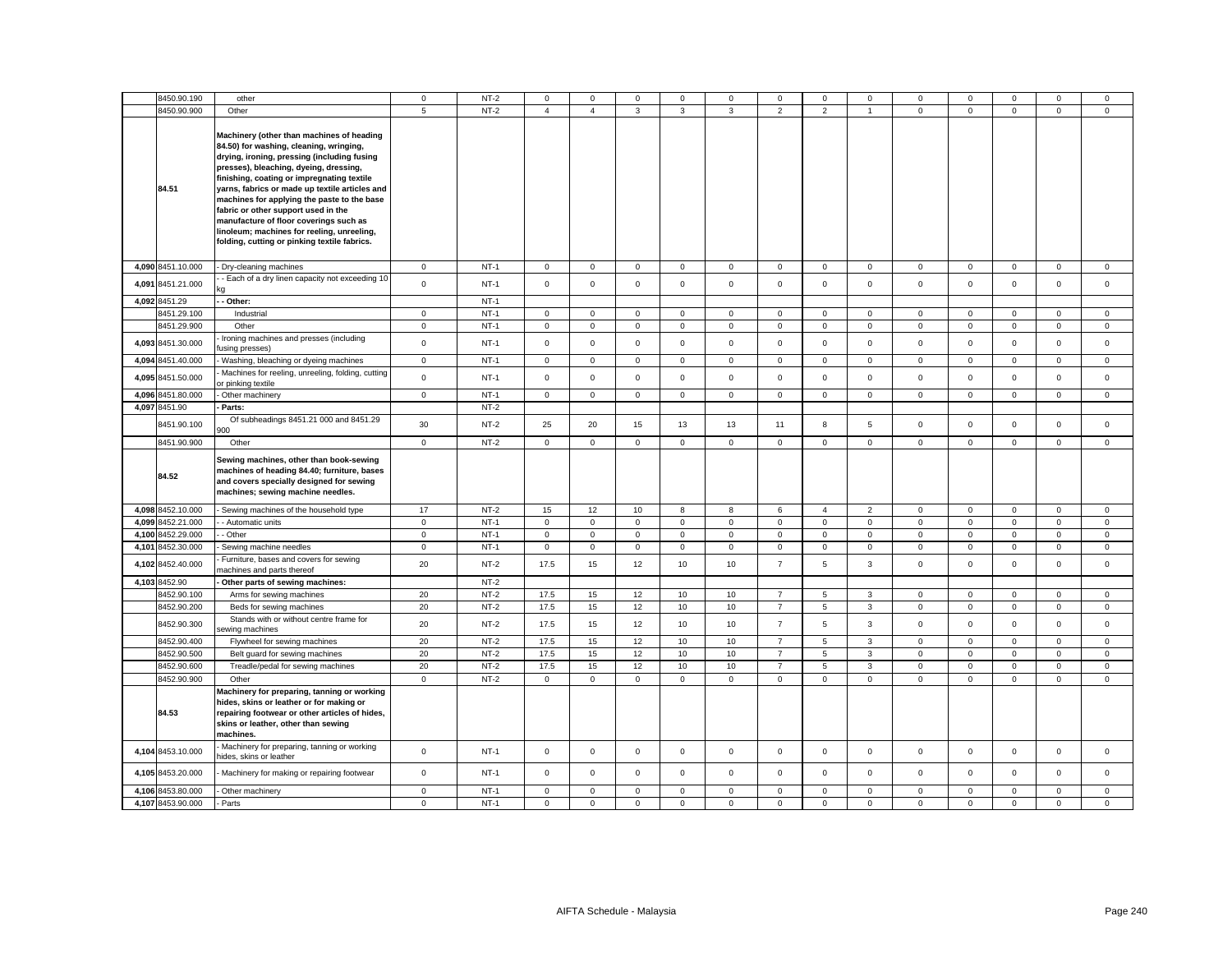| 8450.90.190                            | other                                                                                                                                                                                                                                                                                                                                                                                                                                                                                                       | 0                       | $NT-2$           | $\Omega$                | $\Omega$                | 0                       | $\Omega$                | 0                       | 0                                | $\Omega$                | $\Omega$                     | 0                          | 0                          | $\Omega$                           | $\Omega$                   | $^{\circ}$                 |
|----------------------------------------|-------------------------------------------------------------------------------------------------------------------------------------------------------------------------------------------------------------------------------------------------------------------------------------------------------------------------------------------------------------------------------------------------------------------------------------------------------------------------------------------------------------|-------------------------|------------------|-------------------------|-------------------------|-------------------------|-------------------------|-------------------------|----------------------------------|-------------------------|------------------------------|----------------------------|----------------------------|------------------------------------|----------------------------|----------------------------|
| 8450.90.900                            | Other                                                                                                                                                                                                                                                                                                                                                                                                                                                                                                       | 5                       | $NT-2$           | $\overline{4}$          | $\overline{4}$          | 3                       | 3                       | 3                       | $\overline{2}$                   | $\overline{2}$          | $\overline{1}$               | $\mathbf 0$                | $\mathbf 0$                | $\mathbf 0$                        | $\mathbf 0$                | $\mathsf 0$                |
| 84.51                                  | Machinery (other than machines of heading<br>84.50) for washing, cleaning, wringing,<br>drying, ironing, pressing (including fusing<br>presses), bleaching, dyeing, dressing,<br>finishing, coating or impregnating textile<br>yarns, fabrics or made up textile articles and<br>machines for applying the paste to the base<br>fabric or other support used in the<br>manufacture of floor coverings such as<br>linoleum; machines for reeling, unreeling,<br>folding, cutting or pinking textile fabrics. |                         |                  |                         |                         |                         |                         |                         |                                  |                         |                              |                            |                            |                                    |                            |                            |
| 4,090 8451.10.000                      | Dry-cleaning machines                                                                                                                                                                                                                                                                                                                                                                                                                                                                                       | $\mathbf{0}$            | $NT-1$           | $\overline{0}$          | $\mathbf 0$             | $\mathbf{0}$            | $\mathbf 0$             | $\mathbf 0$             | $\mathbf 0$                      | $\mathbf{0}$            | $\mathbf 0$                  | $\mathbf{0}$               | $\mathbf 0$                | $\mathbf 0$                        | $\mathbf{0}$               | $\mathbf 0$                |
| 4,091 8451.21.000                      | - Each of a dry linen capacity not exceeding 10                                                                                                                                                                                                                                                                                                                                                                                                                                                             | $\mathsf 0$             | $NT-1$           | $\mathbf 0$             | $\mathbf 0$             | $\mathbf 0$             | $\mathsf 0$             | $\mathbf 0$             | $\mathbf 0$                      | $\mathbf 0$             | $\mathbf 0$                  | $\mathbf 0$                | $\mathsf 0$                | $\mathbf 0$                        | $\mathbf 0$                | $\mathsf 0$                |
| 4,092 8451.29                          | - Other:                                                                                                                                                                                                                                                                                                                                                                                                                                                                                                    |                         | $NT-1$           |                         |                         |                         |                         |                         |                                  |                         |                              |                            |                            |                                    |                            |                            |
| 8451.29.100                            | Industrial                                                                                                                                                                                                                                                                                                                                                                                                                                                                                                  | $\mathbf{0}$            | $NT-1$           | $\overline{0}$          | $\mathbf 0$             | $\mathbf{0}$            | $\mathbf 0$             | $\mathbf 0$             | $\mathbf 0$                      | $\mathbf{0}$            | $\mathbf{0}$                 | 0                          | $\mathbf 0$                | $\mathbf 0$                        | $\mathbf{0}$               | $\mathbf 0$                |
| 8451.29.900                            | Other                                                                                                                                                                                                                                                                                                                                                                                                                                                                                                       | $\mathbf 0$             | $NT-1$           | $\overline{0}$          | $\mathsf 0$             | $\mathbf 0$             | $\mathbf 0$             | $\mathbf 0$             | $\mathsf 0$                      | $\mathsf{O}\xspace$     | $\mathbf 0$                  | $\mathsf 0$                | $\mathbf 0$                | $\mathsf 0$                        | $\mathsf 0$                | $\mathsf 0$                |
| 4,093 8451.30.000                      | Ironing machines and presses (including<br>using presses).                                                                                                                                                                                                                                                                                                                                                                                                                                                  | $\mathbf 0$             | $NT-1$           | $\overline{0}$          | $\mathsf{O}\xspace$     | $\mathsf 0$             | $\mathsf 0$             | 0                       | $\mathbf 0$                      | $\mathbf 0$             | $\mathsf 0$                  | $\mathsf 0$                | $\pmb{0}$                  | $\mathsf 0$                        | $\mathsf 0$                | $\mathsf 0$                |
| 4,094 8451.40.000                      | Washing, bleaching or dyeing machines                                                                                                                                                                                                                                                                                                                                                                                                                                                                       | $\mathbf 0$             | $NT-1$           | $\mathbf 0$             | $\mathsf 0$             | $\mathbf 0$             | $\mathsf 0$             | 0                       | $\mathbf 0$                      | $\mathbf 0$             | $\mathsf 0$                  | $\mathbf 0$                | $\mathbf 0$                | $\mathbf 0$                        | $\mathsf 0$                | $\mathbf 0$                |
| 4,095 8451.50.000                      | Machines for reeling, unreeling, folding, cutting<br>or pinking textile                                                                                                                                                                                                                                                                                                                                                                                                                                     | $\mathbf 0$             | $NT-1$           | $\mathbf 0$             | $\Omega$                | $\mathsf 0$             | $\mathbf 0$             | 0                       | $\mathbf 0$                      | $\mathbf{0}$            | $\mathsf 0$                  | $\mathbf 0$                | $\mathsf 0$                | $\mathbf 0$                        | $\mathsf 0$                | $\mathbf 0$                |
| 4,096 8451.80.000                      | Other machinery                                                                                                                                                                                                                                                                                                                                                                                                                                                                                             | $\mathbf{0}$            | $NT-1$           | $\circ$                 | $\mathbf 0$             | $\mathbf 0$             | $\mathbf{0}$            | $\mathbf 0$             | $\mathsf 0$                      | $\mathbf 0$             | $\mathbf{0}$                 | $\mathbf{0}$               | $\mathsf 0$                | $\mathsf 0$                        | $\mathbf{0}$               | $\mathbf 0$                |
| 4,097 8451.90                          | Parts:<br>Of subheadings 8451.21 000 and 8451.29                                                                                                                                                                                                                                                                                                                                                                                                                                                            |                         | $NT-2$           |                         |                         |                         |                         |                         |                                  |                         |                              |                            |                            |                                    |                            |                            |
| 8451.90.100<br>8451.90.900             | 100<br>Other                                                                                                                                                                                                                                                                                                                                                                                                                                                                                                | 30<br>$\mathsf 0$       | $NT-2$<br>$NT-2$ | 25<br>$\mathsf 0$       | 20<br>$\mathsf 0$       | 15<br>$\mathbf 0$       | 13<br>$\mathbf 0$       | 13<br>$\mathsf 0$       | 11<br>$\mathbf 0$                | 8<br>$\mathbf 0$        | 5<br>$\mathbf 0$             | 0<br>$\mathsf 0$           | $\mathbf 0$<br>$\mathsf 0$ | $\Omega$<br>$\mathsf 0$            | $\mathbf 0$<br>$\mathsf 0$ | $\mathbf 0$<br>$\mathsf 0$ |
|                                        |                                                                                                                                                                                                                                                                                                                                                                                                                                                                                                             |                         |                  |                         |                         |                         |                         |                         |                                  |                         |                              |                            |                            |                                    |                            |                            |
| 84.52                                  | Sewing machines, other than book-sewing<br>machines of heading 84.40; furniture, bases<br>and covers specially designed for sewing<br>machines; sewing machine needles.                                                                                                                                                                                                                                                                                                                                     |                         |                  |                         |                         |                         |                         |                         |                                  |                         |                              |                            |                            |                                    |                            |                            |
| 4,098 8452.10.000                      | Sewing machines of the household type                                                                                                                                                                                                                                                                                                                                                                                                                                                                       | 17                      | $NT-2$           | 15                      | 12                      | 10                      | 8                       | 8                       | 6                                | $\overline{4}$          | $\overline{2}$               | $\mathbf 0$                | $\pmb{0}$                  | $\mathsf{O}\xspace$                | $\mathbf 0$                | $\mathbf 0$                |
| 4,099 8452.21.000                      | - Automatic units                                                                                                                                                                                                                                                                                                                                                                                                                                                                                           | $\mathbf 0$             | $NT-1$           | $\mathbf{0}$            | $\mathbf 0$             | $\mathbf 0$             | $\mathbf 0$             | $\mathbf 0$             | $\mathbf 0$                      | $\mathbf{0}$            | $\mathbf 0$                  | $\mathbf 0$                | $\mathbf 0$                | $\mathbf 0$                        | $\mathbf 0$                | $\mathsf 0$                |
| 4,100 8452.29.000                      | - Other                                                                                                                                                                                                                                                                                                                                                                                                                                                                                                     | $\mathbf 0$             | $NT-1$           | $\mathsf 0$             | $\mathbf 0$             | $\mathbf 0$             | $\mathsf 0$             | $\mathsf 0$             | $\mathsf 0$                      | $\mathbf 0$             | $\mathbf 0$                  | $\mathbf 0$                | $\mathbf 0$                | $\mathbf 0$                        | $\mathsf 0$                | $\mathsf 0$                |
| 4,101 8452.30.000                      | Sewing machine needles<br>Furniture, bases and covers for sewing                                                                                                                                                                                                                                                                                                                                                                                                                                            | $\mathbf 0$             | $NT-1$           | $\circ$                 | $\mathsf 0$             | $\mathbf 0$             | $\mathbf 0$             | $\mathbf 0$             | $\mathsf 0$                      | 0                       | $\mathbf 0$                  | $\mathbf 0$                | $\mathbf 0$                | $\mathsf{O}\xspace$<br>$\mathbf 0$ | $\mathsf 0$                | $\mathsf 0$<br>$\mathbf 0$ |
| 4,102 8452.40.000                      | nachines and parts thereof                                                                                                                                                                                                                                                                                                                                                                                                                                                                                  | 20                      | $NT-2$           | 17.5                    | 15                      | 12                      | 10                      | 10                      | $\overline{7}$                   | 5                       | $\mathbf{3}$                 | $\mathsf 0$                | $\mathbf 0$                |                                    | $\mathsf 0$                |                            |
| 4,103 8452.90                          | Other parts of sewing machines:                                                                                                                                                                                                                                                                                                                                                                                                                                                                             |                         | $NT-2$           |                         |                         |                         |                         |                         |                                  |                         |                              |                            |                            |                                    |                            |                            |
| 8452.90.100                            | Arms for sewing machines                                                                                                                                                                                                                                                                                                                                                                                                                                                                                    | 20                      | $NT-2$           | 17.5                    | 15                      | 12                      | 10                      | 10                      | $\overline{7}$                   | 5                       | 3                            | 0                          | $\mathbf 0$                | 0                                  | 0                          | $\mathbf 0$                |
| 8452.90.200<br>8452.90.300             | Beds for sewing machines<br>Stands with or without centre frame for<br>ewing machines                                                                                                                                                                                                                                                                                                                                                                                                                       | 20<br>20                | $NT-2$<br>$NT-2$ | 17.5<br>17.5            | 15<br>15                | 12<br>12                | 10<br>10                | 10<br>10                | $\overline{7}$<br>$\overline{7}$ | 5<br>5                  | $\mathbf{3}$<br>$\mathbf{3}$ | $\mathsf 0$<br>$\mathbf 0$ | 0<br>$\mathbf 0$           | $\mathsf 0$<br>$\mathsf 0$         | $\mathbf 0$<br>$\mathsf 0$ | $\mathsf 0$<br>$\mathsf 0$ |
| 8452.90.400                            | Flywheel for sewing machines                                                                                                                                                                                                                                                                                                                                                                                                                                                                                | 20                      | $NT-2$           | 17.5                    | 15                      | 12                      | 10                      | 10                      | $\overline{7}$                   | 5                       | 3                            | $\mathbf 0$                | $\mathsf 0$                | $\mathsf 0$                        | $\mathbf 0$                | $\mathsf 0$                |
| 8452.90.500                            | Belt guard for sewing machines                                                                                                                                                                                                                                                                                                                                                                                                                                                                              | 20                      | $NT-2$           | 17.5                    | 15                      | 12                      | 10                      | 10                      | $\overline{7}$                   | 5                       | 3                            | $\mathsf 0$                | $\mathsf 0$                | $\mathbf 0$                        | $\mathsf 0$                | $\mathsf 0$                |
| 8452.90.600                            | Treadle/pedal for sewing machines                                                                                                                                                                                                                                                                                                                                                                                                                                                                           | 20                      | $NT-2$           | 17.5                    | 15                      | 12                      | 10                      | 10                      | $\overline{7}$                   | 5                       | 3                            | 0                          | 0                          | 0                                  | $\mathbf 0$                | $\mathbf 0$                |
| 8452.90.900                            | Other                                                                                                                                                                                                                                                                                                                                                                                                                                                                                                       | $\mathbf 0$             | $NT-2$           | $\mathbf 0$             | $\mathsf 0$             | 0                       | $\mathbf 0$             | $\mathsf 0$             | 0                                | 0                       | $\mathbf 0$                  | $\mathsf 0$                | $\mathbf 0$                | $\mathsf 0$                        | $\mathbf 0$                | $\mathsf 0$                |
| 84.53                                  | Machinery for preparing, tanning or working<br>hides, skins or leather or for making or<br>repairing footwear or other articles of hides,<br>skins or leather, other than sewing<br>machines.                                                                                                                                                                                                                                                                                                               |                         |                  |                         |                         |                         |                         |                         |                                  |                         |                              |                            |                            |                                    |                            |                            |
| 4,104 8453.10.000                      | Machinery for preparing, tanning or working<br>nides, skins or leather                                                                                                                                                                                                                                                                                                                                                                                                                                      | $\mathbf 0$             | $NT-1$           | $\mathbf 0$             | $\mathbf 0$             | $\mathsf 0$             | $\mathbf 0$             | 0                       | $\mathsf 0$                      | $\mathbf 0$             | $\mathbf 0$                  | $\mathbf 0$                | $\mathbf 0$                | $\mathsf 0$                        | $\mathbf 0$                | $\mathsf 0$                |
| 4,105 8453.20.000                      | Machinery for making or repairing footwear                                                                                                                                                                                                                                                                                                                                                                                                                                                                  | $\mathbf 0$             | $NT-1$           | $\mathsf 0$             | $\mathbf 0$             | $\mathsf 0$             | $\mathsf 0$             | $\mathsf 0$             | $\mathsf 0$                      | $\mathbf 0$             | $\mathsf 0$                  | $\mathbf 0$                | $\mathbf 0$                | $\mathbf 0$                        | $\mathsf 0$                | $\mathsf 0$                |
| 4,106 8453.80.000<br>4,107 8453.90.000 | Other machinery<br>Parts                                                                                                                                                                                                                                                                                                                                                                                                                                                                                    | $\mathbf 0$<br>$\Omega$ | $NT-1$<br>$NT-1$ | $\mathsf 0$<br>$\Omega$ | $\mathsf 0$<br>$\Omega$ | $\mathsf 0$<br>$\Omega$ | $\mathsf 0$<br>$\Omega$ | $\mathsf 0$<br>$\Omega$ | $\mathbf 0$<br>$\Omega$          | $\mathsf 0$<br>$\Omega$ | $\mathsf 0$<br>$\Omega$      | $\mathsf 0$<br>$\mathbf 0$ | $\mathbf 0$<br>$\Omega$    | $\mathsf 0$<br>$\Omega$            | $\mathsf 0$<br>$\Omega$    | $\mathsf 0$<br>$\Omega$    |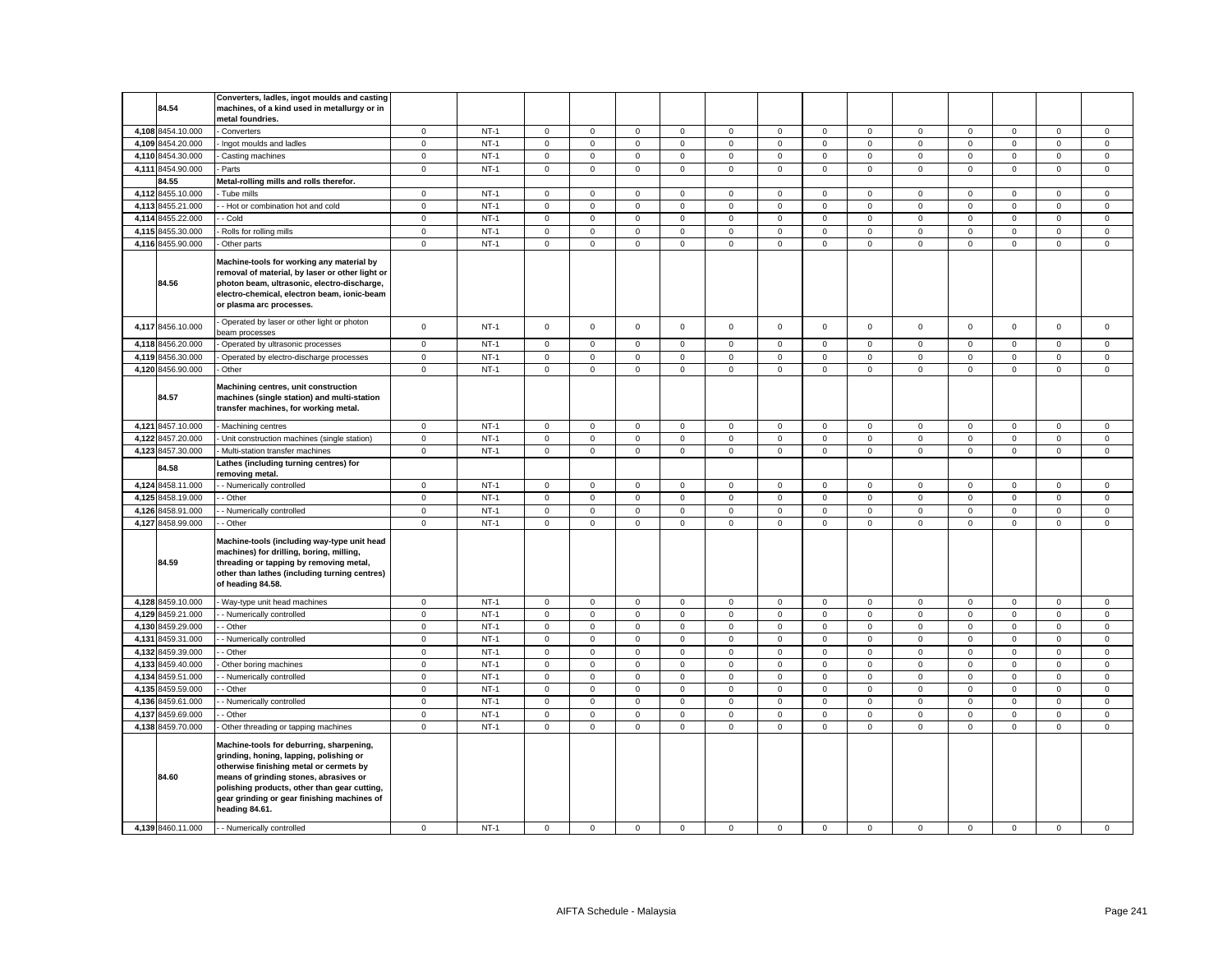|       | 84.54                            | Converters, ladles, ingot moulds and casting<br>machines, of a kind used in metallurgy or in<br>metal foundries.                                                                                                                                                                          |                            |                  |                                    |                            |                            |                            |                     |                            |                                    |                            |                            |                            |                            |                                    |                            |
|-------|----------------------------------|-------------------------------------------------------------------------------------------------------------------------------------------------------------------------------------------------------------------------------------------------------------------------------------------|----------------------------|------------------|------------------------------------|----------------------------|----------------------------|----------------------------|---------------------|----------------------------|------------------------------------|----------------------------|----------------------------|----------------------------|----------------------------|------------------------------------|----------------------------|
|       | 4,108 8454.10.000                | - Converters                                                                                                                                                                                                                                                                              | $\mathbf 0$                | $NT-1$           | $\mathbf 0$                        | $\mathbf 0$                | 0                          | $\mathbf 0$                | 0                   | $\mathbf 0$                | $\mathbf 0$                        | $\mathbf 0$                | $\mathbf 0$                | $\mathbf 0$                | $\mathbf 0$                | $\mathbf 0$                        | $\mathbf 0$                |
|       | 4,109 8454.20.000                | Ingot moulds and ladles                                                                                                                                                                                                                                                                   | $\mathbf 0$                | $NT-1$           | $\mathbf 0$                        | $\mathsf 0$                | $\mathsf 0$                | $\mathbf 0$                | $\mathbf 0$         | $\mathsf 0$                | $\mathsf{O}\xspace$                | $\mathsf 0$                | $\mathsf 0$                | $\mathsf 0$                | $\mathbf 0$                | $\mathsf 0$                        | $\mathsf 0$                |
|       | 4,110 8454.30.000                | Casting machines                                                                                                                                                                                                                                                                          | $\mathbf 0$                | $NT-1$           | $\mathbf 0$                        | $\mathsf 0$                | $\mathbf 0$                | $^{\circ}$                 | 0                   | $\Omega$                   | 0                                  | $\mathbf 0$                | $\mathbf 0$                | $\mathbf 0$                | 0                          | $\mathbf 0$                        | $\mathbf 0$                |
|       | 4,111 8454.90.000                | Parts                                                                                                                                                                                                                                                                                     | $\mathbf 0$                | $NT-1$           | $\mathbf 0$                        | $\mathbf 0$                | $\mathsf 0$                | $\mathbf 0$                | $\mathbf 0$         | $\mathbf 0$                | $\mathsf 0$                        | $\mathbf 0$                | $\mathbf 0$                | $\mathbf 0$                | $\mathbf 0$                | $\mathbf 0$                        | $\mathsf 0$                |
|       | 84.55                            | Metal-rolling mills and rolls therefor.                                                                                                                                                                                                                                                   |                            |                  |                                    |                            |                            |                            |                     |                            |                                    |                            |                            |                            |                            |                                    |                            |
|       | 4,112 8455.10.000                | Tube mills                                                                                                                                                                                                                                                                                | $\mathbf 0$                | $NT-1$           | $\mathbf 0$                        | $\mathbf 0$                | $\mathbf{0}$               | $\mathbf 0$                | 0                   | 0                          | $\mathbf 0$                        | $\mathbf 0$                | $\mathbf 0$                | 0                          | 0                          | 0                                  | $\mathbf 0$                |
| 4,113 | 8455.21.000                      | - Hot or combination hot and cold                                                                                                                                                                                                                                                         | $\mathsf 0$                | $NT-1$           | $\mathsf 0$                        | $\mathbf 0$                | $\mathsf 0$                | $\mathsf 0$                | 0                   | $\mathbf 0$                | $\mathsf 0$                        | $\mathsf 0$                | $\mathsf 0$                | $\mathsf 0$                | $\mathbf 0$                | $\mathsf 0$                        | $\mathbf 0$                |
|       | 4,114 8455.22.000                | - Cold                                                                                                                                                                                                                                                                                    | $\mathbf 0$                | $NT-1$           | $\mathbf 0$                        | $\mathbf 0$                | $\mathbf 0$                | $\mathbf 0$                | 0                   | 0                          | $\mathbf 0$                        | $\mathbf 0$                | $\mathbf 0$                | 0                          | $\mathbf 0$                | $\mathbf 0$                        | $\mathbf 0$                |
|       | 4,115 8455.30.000                | Rolls for rolling mills                                                                                                                                                                                                                                                                   | $\mathsf 0$                | $NT-1$           | $\mathbf 0$                        | $\mathbf 0$                | $\mathbf 0$                | $\mathsf 0$                | 0                   | $\mathsf 0$                | $\mathsf 0$                        | $\mathsf 0$                | $\mathsf 0$                | $\mathsf 0$                | $\mathbf 0$                | $\mathsf 0$                        | $\mathsf 0$                |
|       | 4,116 8455.90.000                | Other parts                                                                                                                                                                                                                                                                               | $\mathbf 0$                | $NT-1$           | $\mathbf 0$                        | $\mathbf 0$                | $\mathsf 0$                | $\mathbf 0$                | 0                   | $\mathbf 0$                | $\mathbf 0$                        | $\mathsf 0$                | $\mathbf 0$                | $\mathsf 0$                | $\mathsf 0$                | $\mathbf 0$                        | $\mathsf 0$                |
|       | 84.56                            | Machine-tools for working any material by<br>removal of material, by laser or other light or<br>photon beam, ultrasonic, electro-discharge,<br>electro-chemical, electron beam, ionic-beam<br>or plasma arc processes.                                                                    |                            |                  |                                    |                            |                            |                            |                     |                            |                                    |                            |                            |                            |                            |                                    |                            |
|       | 4,117 8456.10.000                | Operated by laser or other light or photon<br>beam processes                                                                                                                                                                                                                              | $\mathsf 0$                | $NT-1$           | $\mathbf 0$                        | $\mathbf 0$                | $\mathbf 0$                | $\mathbf 0$                | 0                   | $\mathsf 0$                | $\mathbf 0$                        | $\mathsf 0$                | $\mathbf 0$                | $\mathsf 0$                | $\mathbf 0$                | $\mathsf 0$                        | $\mathsf 0$                |
|       | 4,118 8456.20.000                | Operated by ultrasonic processes                                                                                                                                                                                                                                                          | $\mathbf 0$                | $NT-1$           | $\mathbf 0$                        | $\mathbf 0$                | $\mathbf 0$                | $\mathbf 0$                | $\mathbf{0}$        | $\Omega$                   | $\mathbf 0$                        | $\mathsf 0$                | $\mathbf 0$                | $\mathbf 0$                | $\mathbf 0$                | $\mathbf 0$                        | $\mathbf 0$                |
|       | 4,119 8456.30.000                | Operated by electro-discharge processes                                                                                                                                                                                                                                                   | $\mathbf{0}$               | $NT-1$           | $\mathbf 0$                        | $\mathbf 0$                | $\mathbf 0$                | $\mathbf{0}$               | $\mathbf{0}$        | $\mathbf 0$                | $\mathbf 0$                        | $\mathbf 0$                | $\mathbf 0$                | $\mathbf 0$                | $\Omega$                   | $\mathbf 0$                        | $\mathbf 0$                |
|       | 4,120 8456.90.000                | Other                                                                                                                                                                                                                                                                                     | $\mathbf{0}$               | $NT-1$           | $\mathbf 0$                        | $\mathbf 0$                | $\mathsf 0$                | $\mathsf 0$                | 0                   | $\mathbf 0$                | $\mathsf 0$                        | $\mathsf 0$                | $\mathsf 0$                | $\mathbf 0$                | $\mathbf 0$                | $\mathsf 0$                        | $\mathsf 0$                |
|       | 84.57                            | Machining centres, unit construction<br>machines (single station) and multi-station<br>transfer machines, for working metal.                                                                                                                                                              |                            |                  |                                    |                            |                            |                            |                     |                            |                                    |                            |                            |                            |                            |                                    |                            |
|       | 4,121 8457.10.000                | - Machining centres                                                                                                                                                                                                                                                                       | $\mathbf 0$                | $NT-1$           | $\mathbf 0$                        | $\mathbf 0$                | $\mathsf 0$                | $\mathsf 0$                | 0                   | $\mathsf 0$                | $\mathsf 0$                        | $\mathsf 0$                | $\mathsf 0$                | $\mathsf 0$                | $\mathbf 0$                | $\mathsf 0$                        | $\mathsf 0$                |
|       | 4,122 8457.20.000                | Unit construction machines (single station)                                                                                                                                                                                                                                               | $\mathbf 0$                | $NT-1$           | $\mathbf 0$                        | $\mathbf 0$                | $\mathbf 0$                | $\mathbf 0$                | 0                   | $\mathbf 0$                | $\mathbf 0$                        | $\mathsf 0$                | $\mathbf 0$                | $\mathbf 0$                | $\mathbf 0$                | $\mathbf 0$                        | $\mathsf 0$                |
|       | 4,123 8457.30.000                | Multi-station transfer machines                                                                                                                                                                                                                                                           | $\mathsf 0$                | $NT-1$           | $\mathbf 0$                        | $\mathbf 0$                | $\mathbf 0$                | $\mathbf 0$                | 0                   | $\mathbf 0$                | $\mathsf 0$                        | $\mathsf 0$                | $\mathsf 0$                | $\mathsf 0$                | $\mathbf 0$                | $\mathsf 0$                        | $\mathsf 0$                |
|       | 84.58                            | Lathes (including turning centres) for<br>removing metal.                                                                                                                                                                                                                                 |                            |                  |                                    |                            |                            |                            |                     |                            |                                    |                            |                            |                            |                            |                                    |                            |
|       | 4,124 8458.11.000                | - Numerically controlled                                                                                                                                                                                                                                                                  | $\mathbf 0$                | $NT-1$           | 0                                  | $\mathsf 0$                | 0                          | $\mathbf 0$                | 0                   | $\mathbf 0$                | $\mathsf 0$                        | $\mathbf 0$                | $\mathbf 0$                | 0                          | 0                          | 0                                  | 0                          |
|       | 4,125 8458.19.000                | - Other                                                                                                                                                                                                                                                                                   | $\mathbf 0$                | $NT-1$           | $\mathbf 0$                        | $\mathbf 0$                | $\mathsf 0$                | $\mathbf 0$                | $\mathbf 0$         | $\mathbf 0$                | $\mathsf 0$                        | $\mathsf 0$                | $\mathbf 0$                | $\mathsf 0$                | $\mathsf 0$                | $\mathbf 0$                        | $\mathsf 0$                |
|       | 4,126 8458.91.000                | - Numerically controlled                                                                                                                                                                                                                                                                  | $\mathsf 0$                | $NT-1$           | $\mathsf 0$                        | $\mathbf 0$                | 0                          | $\mathbf 0$                | 0                   | $\mathbf 0$                | $\mathbf 0$                        | $\mathbf 0$                | $\mathsf 0$                | 0                          | 0                          | $\mathbf 0$                        | $\mathbf 0$                |
|       | 4,127 8458.99.000<br>84.59       | - Other<br>Machine-tools (including way-type unit head<br>machines) for drilling, boring, milling,<br>threading or tapping by removing metal,<br>other than lathes (including turning centres)<br>of heading 84.58.                                                                       | $\mathbf 0$                | $NT-1$           | $\mathbf 0$                        | $\mathbf 0$                | $\mathsf 0$                | $\mathbf 0$                | 0                   | $\mathbf 0$                | $\mathsf 0$                        | $\mathsf 0$                | $\mathbf 0$                | $\mathsf 0$                | $\mathsf 0$                | $\mathsf 0$                        | $\mathsf 0$                |
|       | 4,128 8459.10.000                | - Way-type unit head machines                                                                                                                                                                                                                                                             | $\mathbf 0$                | $NT-1$           | $\mathsf 0$                        | $\mathsf 0$                | $\mathsf 0$                | $\mathbf 0$                | $\mathbf 0$         | $\mathsf 0$                | $\mathbf 0$                        | $\mathbf 0$                | $\mathbf 0$                | $\mathbf 0$                | $\mathbf 0$                | $\mathsf 0$                        | $\mathsf 0$                |
| 4,129 | 8459.21.000                      | - Numerically controlled                                                                                                                                                                                                                                                                  | $\mathbf 0$                | $NT-1$           | $\overline{0}$                     | $\mathsf 0$                | $\mathbf 0$                | $\mathsf 0$                | $\mathsf{O}\xspace$ | $\mathsf 0$                | $\mathsf{O}\xspace$                | $\mathbf 0$                | $\mathsf 0$                | $\mathsf 0$                | $\mathsf 0$                | $\mathsf 0$                        | $\mathbf 0$                |
|       | 4,130 8459.29.000                | - Other                                                                                                                                                                                                                                                                                   | $\mathbf 0$                | $NT-1$           | $\mathbf 0$                        | $\mathbf 0$                | $\mathsf 0$                | $\mathbf 0$                | 0                   | $\mathsf 0$                | $\mathsf 0$                        | $\mathsf 0$                | $\mathsf 0$                | $\mathsf 0$                | $\mathsf 0$                | $\mathsf 0$                        | $\mathsf 0$                |
| 4,131 | 8459.31.000<br>4,132 8459.39.000 | - Numerically controlled                                                                                                                                                                                                                                                                  | $\mathbf 0$                | $NT-1$<br>$NT-1$ | $\mathsf 0$                        | $\mathbf 0$<br>$\mathbf 0$ | $\mathbf 0$                | $\mathbf 0$                | 0                   | $\mathsf 0$                | $\mathsf{O}\xspace$                | $\mathbf 0$                | $\mathsf 0$                | $\mathsf 0$                | 0                          | $\mathbf 0$                        | $\mathbf 0$                |
|       |                                  | - Other                                                                                                                                                                                                                                                                                   | $\mathsf 0$                |                  | $\mathsf 0$                        |                            | $\mathsf 0$                | $\mathsf{O}\xspace$        | 0                   | $\mathsf 0$<br>$\mathbf 0$ | $\mathsf{O}\xspace$                | $\mathsf 0$                | $\mathsf 0$                | $\mathsf 0$                | 0                          | $\mathsf{O}\xspace$                | $\mathsf 0$<br>$\mathbf 0$ |
| 4,133 | 8459.40.000<br>4,134 8459.51.000 | Other boring machines                                                                                                                                                                                                                                                                     | $\mathsf 0$<br>$\mathsf 0$ | $NT-1$<br>$NT-1$ | $\mathsf{O}\xspace$<br>$\mathsf 0$ | $\mathsf 0$<br>$\mathbf 0$ | $\mathsf 0$<br>$\mathsf 0$ | $\mathsf 0$<br>$\mathsf 0$ | $\mathbf 0$<br>0    | $\mathsf 0$                | $\mathsf 0$<br>$\mathsf{O}\xspace$ | $\mathsf 0$<br>$\mathsf 0$ | $\mathsf 0$<br>$\mathsf 0$ | $\mathsf 0$<br>$\mathsf 0$ | $\mathbf 0$<br>$\mathbf 0$ | $\mathsf 0$<br>$\mathsf{O}\xspace$ | $\mathsf 0$                |
| 4,135 | 8459.59.000                      | - Numerically controlled<br>Other                                                                                                                                                                                                                                                         | $\mathsf 0$                | $NT-1$           | $\mathsf{O}\xspace$                | $\mathbf 0$                | $\mathsf 0$                | $\mathbf 0$                | $\mathbf 0$         | $\mathsf 0$                | $\mathsf 0$                        | $\mathsf 0$                | $\mathsf 0$                | $\mathsf 0$                | $\mathsf 0$                | $\mathsf 0$                        | $\mathbf 0$                |
|       | 4,136 8459.61.000                | Numerically controlled                                                                                                                                                                                                                                                                    | $\mathbf 0$                | $NT-1$           | 0                                  | $\mathbf 0$                | $\mathbf 0$                | $\mathbf 0$                | 0                   | $\mathbf 0$                | $\mathbf 0$                        | $\mathsf 0$                | $\mathbf 0$                | 0                          | 0                          | $\mathbf 0$                        | $\mathbf 0$                |
| 4,137 | 8459.69.000                      | - Other                                                                                                                                                                                                                                                                                   | $\mathbf 0$                | $NT-1$           | $\mathsf 0$                        | $\mathsf 0$                | $\mathsf 0$                | $\mathsf 0$                | $\mathsf{O}\xspace$ | $\mathsf 0$                | $\mathsf{O}\xspace$                | $\mathbf 0$                | $\mathsf 0$                | $\mathsf 0$                | $\mathsf 0$                | $\mathsf 0$                        | $\pmb{0}$                  |
|       | 4,138 8459.70.000                | Other threading or tapping machines                                                                                                                                                                                                                                                       | $\mathbf 0$                | $NT-1$           | 0                                  | $\mathbf 0$                | $\mathsf 0$                | $\mathbf 0$                | 0                   | $\mathbf 0$                | $\mathsf 0$                        | $\mathsf 0$                | $\mathsf 0$                | 0                          | 0                          | $\mathbf 0$                        | $\mathsf 0$                |
|       | 84.60                            | Machine-tools for deburring, sharpening,<br>grinding, honing, lapping, polishing or<br>otherwise finishing metal or cermets by<br>means of grinding stones, abrasives or<br>polishing products, other than gear cutting,<br>gear grinding or gear finishing machines of<br>heading 84.61. |                            |                  |                                    |                            |                            |                            |                     |                            |                                    |                            |                            |                            |                            |                                    |                            |
|       | 4,139 8460.11.000                | - - Numerically controlled                                                                                                                                                                                                                                                                | $\mathbf 0$                | $NT-1$           | $\mathbf 0$                        | $\mathbf 0$                | $\mathbf 0$                | $\mathbf 0$                | $\mathbf 0$         | $\mathbf 0$                | $\mathbf 0$                        | $\mathbf 0$                | $\mathbf 0$                | $\mathbf 0$                | $\mathbf 0$                | $\mathbf 0$                        | $\mathbf 0$                |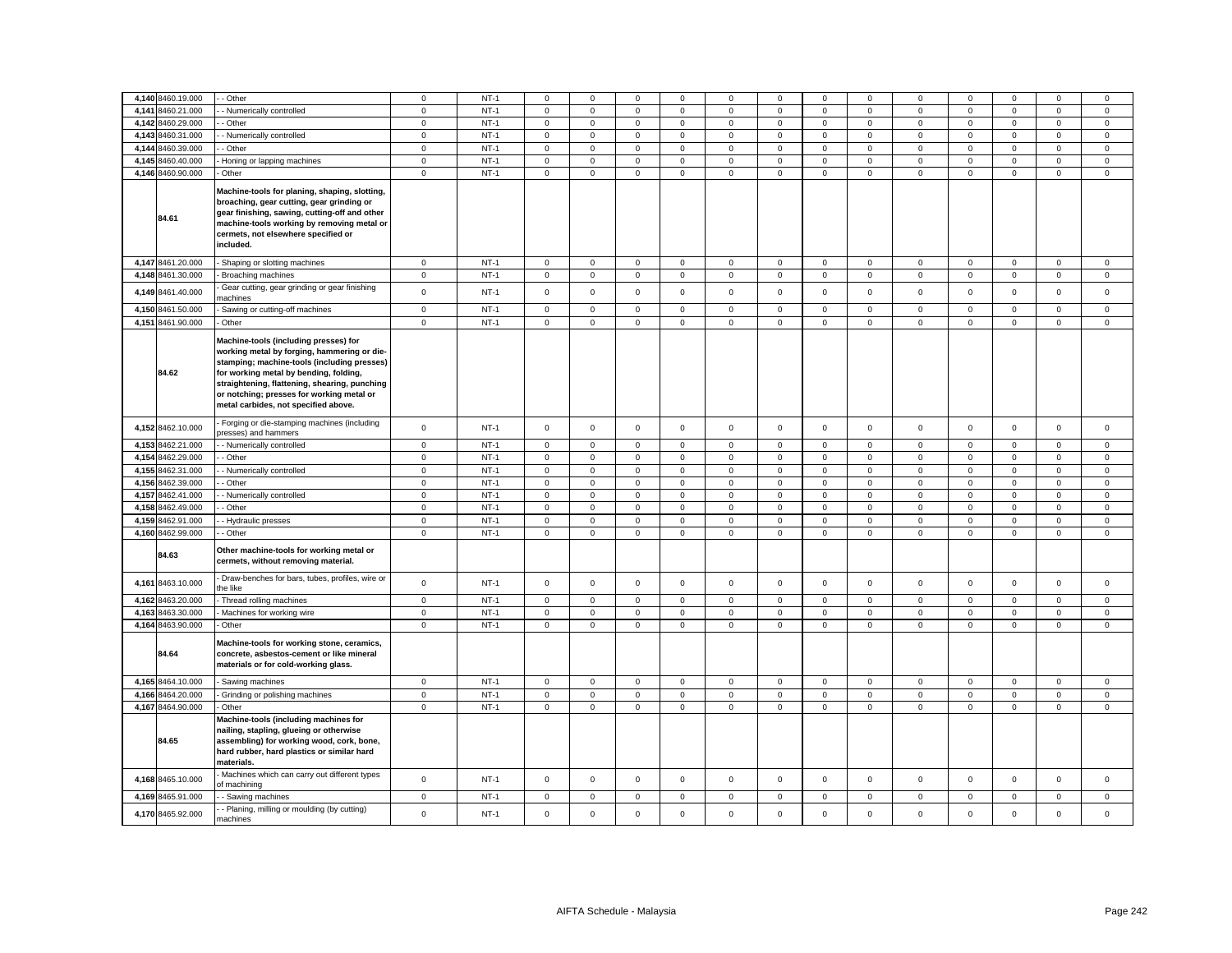|       | 4,140 8460.19.000 | - Other                                                                                                                                                                                                                                                                                                             | $\mathbf 0$    | $NT-1$ | 0            | $\mathbf 0$         | $\mathbf 0$  | 0                   | 0           | $\mathbf 0$ | $\mathbf 0$         | $\mathbf 0$    | $\mathbf 0$    | $\mathbf 0$ | $\mathbf 0$         | $\mathbf 0$         | $\mathbf 0$ |
|-------|-------------------|---------------------------------------------------------------------------------------------------------------------------------------------------------------------------------------------------------------------------------------------------------------------------------------------------------------------|----------------|--------|--------------|---------------------|--------------|---------------------|-------------|-------------|---------------------|----------------|----------------|-------------|---------------------|---------------------|-------------|
| 4,141 | 8460.21.000       |                                                                                                                                                                                                                                                                                                                     | $\mathsf 0$    | $NT-1$ | $\mathbf 0$  | $\mathsf 0$         | $\mathsf 0$  | $\mathbf 0$         | $\mathsf 0$ |             | $\mathsf 0$         | $\mathsf 0$    | $\mathsf 0$    | $\mathbf 0$ | $\mathsf 0$         |                     | $\mathsf 0$ |
|       |                   | Numerically controlled                                                                                                                                                                                                                                                                                              |                |        |              |                     |              |                     |             | $\mathbf 0$ |                     |                |                |             |                     | $\mathbf 0$         |             |
|       | 4,142 8460.29.000 | Other                                                                                                                                                                                                                                                                                                               | $\overline{0}$ | $NT-1$ | 0            | $\mathbf{0}$        | $\mathsf 0$  | $\mathsf 0$         | $\mathsf 0$ | $\mathsf 0$ | $\mathbf 0$         | $\overline{0}$ | $\mathsf 0$    | $\mathbf 0$ | $\mathbf 0$         | $\mathsf 0$         | $\mathbf 0$ |
| 4,143 | 8460.31.000       | - Numerically controlled                                                                                                                                                                                                                                                                                            | $\mathbf 0$    | $NT-1$ | $\mathbf 0$  | $\mathsf 0$         | $\mathsf 0$  | $\mathsf 0$         | $\mathsf 0$ | $\mathsf 0$ | $\mathsf 0$         | $\mathsf 0$    | $\mathsf 0$    | $\mathsf 0$ | $\mathsf 0$         | $\mathsf 0$         | $\mathsf 0$ |
|       | 4,144 8460.39.000 | Other                                                                                                                                                                                                                                                                                                               | $\mathbf 0$    | $NT-1$ | $\mathbf 0$  | $\mathsf 0$         | $\mathsf 0$  | $\mathbf 0$         | $\mathbf 0$ | $\mathsf 0$ | $\mathbf 0$         | $\mathbf{0}$   | $\mathbf 0$    | $\mathbf 0$ | $\mathsf 0$         | $\mathsf 0$         | $\mathsf 0$ |
|       | 4.145 8460.40.000 | Honing or lapping machines                                                                                                                                                                                                                                                                                          | $\mathbf{0}$   | $NT-1$ | $\mathbf 0$  | $\mathbf 0$         | $\mathbf{0}$ | $\mathbf{0}$        | $\mathbf 0$ | $\mathbf 0$ | $\mathbf{0}$        | $\mathbf{0}$   | $\mathbf 0$    | $\mathbf 0$ | $\mathbf{O}$        | $\mathbf{0}$        | $\mathbf 0$ |
|       | 4,146 8460.90.000 | Other                                                                                                                                                                                                                                                                                                               | $\circ$        | $NT-1$ | $\mathbf 0$  | $\mathsf 0$         | $\mathsf 0$  | $\mathbf 0$         | $\mathbf 0$ | $\mathsf 0$ | $\mathsf 0$         | $\mathbf{0}$   | $\mathbf 0$    | $\mathsf 0$ | $\mathbf 0$         | $\mathbf 0$         | $\mathsf 0$ |
|       | 84.61             | Machine-tools for planing, shaping, slotting,<br>broaching, gear cutting, gear grinding or<br>gear finishing, sawing, cutting-off and other<br>machine-tools working by removing metal or<br>cermets, not elsewhere specified or<br>included.                                                                       |                |        |              |                     |              |                     |             |             |                     |                |                |             |                     |                     |             |
|       | 4,147 8461.20.000 | Shaping or slotting machines                                                                                                                                                                                                                                                                                        | $\mathbf 0$    | $NT-1$ | $\mathsf 0$  | $\mathsf 0$         | $\mathsf 0$  | $\mathsf 0$         | $\mathbf 0$ | $\mathsf 0$ | $\mathbf 0$         | $\mathbf 0$    | $\mathsf 0$    | $\mathbf 0$ | $\mathsf 0$         | $\mathsf 0$         | $\mathsf 0$ |
|       | 4,148 8461.30.000 | Broaching machines                                                                                                                                                                                                                                                                                                  | $\mathbf 0$    | $NT-1$ | $\mathbf 0$  | $\mathbf 0$         | $\mathsf 0$  | $\mathsf 0$         | $\mathbf 0$ | $\mathsf 0$ | $\mathbf 0$         | $\mathbf 0$    | $\mathbf 0$    | $\mathbf 0$ | $\mathsf 0$         | $\mathbf 0$         | $\mathsf 0$ |
|       | 4,149 8461.40.000 | Gear cutting, gear grinding or gear finishing<br>nachines                                                                                                                                                                                                                                                           | $\mathbf 0$    | $NT-1$ | $\mathbf 0$  | $\mathsf 0$         | $\mathsf 0$  | $\mathbf{0}$        | $\mathbf 0$ | $\mathsf 0$ | $\mathbf 0$         | $\mathbf{0}$   | $\mathbf 0$    | $\mathsf 0$ | $\mathsf 0$         | $\mathsf 0$         | $\mathsf 0$ |
|       | 4,150 8461.50.000 | Sawing or cutting-off machines                                                                                                                                                                                                                                                                                      | $\mathbf 0$    | $NT-1$ | $\mathbf 0$  | $\mathbf 0$         | $\mathbf 0$  | $\mathbf 0$         | $\mathbf 0$ | $\mathbf 0$ | $\mathbf 0$         | $\mathbf{0}$   | $\mathbf 0$    | $\mathbf 0$ | $\mathbf 0$         | $\mathbf 0$         | $\mathsf 0$ |
|       | 4,151 8461.90.000 | Other                                                                                                                                                                                                                                                                                                               | $\circ$        | $NT-1$ | $\mathbf 0$  | $\mathsf 0$         | $\mathsf 0$  | $\mathbf 0$         | $\mathbf 0$ | $\mathsf 0$ | $\mathbf 0$         | $\mathbf{0}$   | $\mathbf 0$    | $\mathsf 0$ | $\mathbf 0$         | $\mathsf 0$         | $\mathsf 0$ |
|       | 84.62             | Machine-tools (including presses) for<br>working metal by forging, hammering or die-<br>stamping; machine-tools (including presses)<br>for working metal by bending, folding,<br>straightening, flattening, shearing, punching<br>or notching; presses for working metal or<br>metal carbides, not specified above. |                |        |              |                     |              |                     |             |             |                     |                |                |             |                     |                     |             |
|       | 4,152 8462.10.000 | Forging or die-stamping machines (including<br>oresses) and hammers                                                                                                                                                                                                                                                 | $\mathbf 0$    | $NT-1$ | $\mathbf 0$  | $\mathsf 0$         | $\mathsf 0$  | $\mathsf 0$         | $\mathbf 0$ | $\mathsf 0$ | $\mathbf 0$         | $\mathbf 0$    | $\mathsf 0$    | $\mathsf 0$ | $\mathsf 0$         | $\mathsf 0$         | $\mathsf 0$ |
|       | 4,153 8462.21.000 | - Numerically controlled                                                                                                                                                                                                                                                                                            | $\mathbf 0$    | $NT-1$ | 0            | $\mathbf 0$         | $\mathbf 0$  | $\mathbf 0$         | 0           | 0           | $\mathbf 0$         | $\overline{0}$ | $\mathbf 0$    | $\mathbf 0$ | $\mathbf 0$         | $\mathbf 0$         | $\mathbf 0$ |
| 4,154 | 8462.29.000       | Other                                                                                                                                                                                                                                                                                                               | $\mathsf 0$    | $NT-1$ | $\mathbf 0$  | $\mathbf 0$         | $\mathsf 0$  | $\mathbf 0$         | $\mathbf 0$ | $\mathsf 0$ | $\mathbf 0$         | $\mathbf 0$    | $\mathsf 0$    | $\mathsf 0$ | $\mathsf 0$         | $\mathbf 0$         | $\mathsf 0$ |
| 4,155 | 8462.31.000       | - Numerically controlled                                                                                                                                                                                                                                                                                            | $\circ$        | $NT-1$ | $\mathbf 0$  | $\mathbf 0$         | $\mathsf 0$  | $\mathbf 0$         | $\mathbf 0$ | $\mathsf 0$ | $\mathbf 0$         | $\mathbf{0}$   | $\mathbf 0$    | $\mathsf 0$ | $\mathsf 0$         | $\mathbf 0$         | $\mathsf 0$ |
|       | 4.156 8462.39.000 | Other                                                                                                                                                                                                                                                                                                               | $\circ$        | $NT-1$ | $\mathbf 0$  | $\circ$             | $\mathbf 0$  | $\mathbf{0}$        | $\mathbf 0$ | $\mathbf 0$ | $\mathbf{O}$        | $\mathbf{0}$   | $\mathbf{0}$   | $\mathbf 0$ | $\mathbf{0}$        | $\mathbf{0}$        | $\mathbf 0$ |
| 4,157 | 8462.41.000       | Numerically controlled                                                                                                                                                                                                                                                                                              | $\mathbf 0$    | $NT-1$ | $\mathbf 0$  | $\mathsf 0$         | $\mathsf 0$  | $\mathbf 0$         | $\mathbf 0$ | $\mathbf 0$ | $\mathsf{O}\xspace$ | $\mathbf{0}$   | $\mathsf 0$    | $\mathbf 0$ | $\mathsf 0$         | $\mathsf 0$         | $\mathsf 0$ |
|       | 4,158 8462.49.000 | Other                                                                                                                                                                                                                                                                                                               | $\mathbf 0$    | $NT-1$ | $\mathbf 0$  | $\mathsf 0$         | $\mathsf 0$  | $\mathbf 0$         | $\mathbf 0$ | $\mathsf 0$ | $\mathbf 0$         | $\mathbf 0$    | $\mathsf 0$    | $\mathsf 0$ | $\mathsf 0$         | $\mathsf 0$         | $\mathsf 0$ |
|       | 4,159 8462.91.000 | - Hydraulic presses                                                                                                                                                                                                                                                                                                 | $\mathsf 0$    | $NT-1$ | $\mathbf 0$  | $\mathbf 0$         | $\mathsf 0$  | $\mathbf{0}$        | $\mathbf 0$ | $\mathsf 0$ | $\mathbf 0$         | $\mathbf{0}$   | $\mathsf 0$    | $\mathbf 0$ | $\mathbf 0$         | $\mathsf 0$         | $\mathsf 0$ |
|       | 4,160 8462.99.000 | - Other                                                                                                                                                                                                                                                                                                             | $\circ$        | $NT-1$ | 0            | $\mathbf 0$         | $\mathsf 0$  | $\mathbf 0$         | 0           | $\mathbf 0$ | $\mathbf{0}$        | $\mathbf{0}$   | $\mathbf 0$    | $\mathbf 0$ | $\mathbf 0$         | $\mathbf 0$         | $\mathbf 0$ |
|       | 84.63             | Other machine-tools for working metal or<br>cermets, without removing material.                                                                                                                                                                                                                                     |                |        |              |                     |              |                     |             |             |                     |                |                |             |                     |                     |             |
|       | 4,161 8463.10.000 | Draw-benches for bars, tubes, profiles, wire or<br>the like                                                                                                                                                                                                                                                         | $\mathbf{0}$   | $NT-1$ | $\mathbf 0$  | $\mathsf 0$         | $\mathsf 0$  | $\mathbf{0}$        | $\mathbf 0$ | $\mathbf 0$ | $\mathbf 0$         | $\mathbf{0}$   | $\mathbf 0$    | $\mathbf 0$ | $\mathsf 0$         | $\mathsf 0$         | $\mathsf 0$ |
| 4,162 | 8463.20.000       | Thread rolling machines                                                                                                                                                                                                                                                                                             | $\mathsf 0$    | $NT-1$ | $\mathbf{0}$ | $\mathsf 0$         | $\mathsf 0$  | $\mathsf 0$         | $\mathsf 0$ | $\mathsf 0$ | $\mathsf 0$         | $\mathsf 0$    | $\mathsf 0$    | $\mathbf 0$ | $\mathbf 0$         | $\mathsf 0$         | $\mathsf 0$ |
| 4,163 | 8463.30.000       | Machines for working wire                                                                                                                                                                                                                                                                                           | $\mathbf 0$    | $NT-1$ | 0            | $\mathbf 0$         | $\mathbf 0$  | $\mathbf 0$         | 0           | $\mathbf 0$ | $\mathbf{0}$        | $\mathbf 0$    | $\mathbf 0$    | $\mathbf 0$ | $\mathbf 0$         | $\mathbf 0$         | $\mathbf 0$ |
|       | 4,164 8463.90.000 | Other                                                                                                                                                                                                                                                                                                               | $\mathsf 0$    | $NT-1$ | 0            | $\mathsf 0$         | $\mathbf 0$  | $\mathsf 0$         | $\mathsf 0$ | $\mathbf 0$ | $\mathbf 0$         | $\mathsf 0$    | $\mathsf 0$    | $\mathbf 0$ | $\mathsf{O}\xspace$ | $\mathbf 0$         | $\mathsf 0$ |
|       | 84.64             | Machine-tools for working stone, ceramics,<br>concrete, asbestos-cement or like mineral<br>materials or for cold-working glass.                                                                                                                                                                                     |                |        |              |                     |              |                     |             |             |                     |                |                |             |                     |                     |             |
|       | 4,165 8464.10.000 | Sawing machines                                                                                                                                                                                                                                                                                                     | $\mathsf 0$    | $NT-1$ | $\mathbf 0$  | $\mathsf{O}\xspace$ | $\mathsf 0$  | $\mathbf 0$         | $\mathbf 0$ | $\mathsf 0$ | $\mathbf 0$         | $\mathbf{0}$   | $\mathsf 0$    | $\mathbf 0$ | $\mathsf 0$         | $\mathsf 0$         | $\mathsf 0$ |
| 4,166 | 8464.20.000       | Grinding or polishing machines                                                                                                                                                                                                                                                                                      | $\mathsf 0$    | $NT-1$ | $\mathbf 0$  | $\mathsf 0$         | $\mathsf 0$  | $\mathbf 0$         | $\mathbf 0$ | $\mathsf 0$ | $\mathsf 0$         | $\mathsf 0$    | $\mathsf 0$    | $\mathsf 0$ | $\mathsf 0$         | $\mathsf 0$         | $\mathsf 0$ |
|       | 4,167 8464.90.000 | Other                                                                                                                                                                                                                                                                                                               | $\mathbf 0$    | $NT-1$ | 0            | $\mathbf 0$         | $\mathsf 0$  | $\mathsf{O}\xspace$ | $\mathsf 0$ | $\mathbf 0$ | $\mathbf 0$         | $\mathbf 0$    | $\mathsf 0$    | $\mathbf 0$ | $\mathsf{O}\xspace$ | $\mathsf{O}\xspace$ | $\mathsf 0$ |
|       | 84.65             | Machine-tools (including machines for<br>nailing, stapling, glueing or otherwise<br>assembling) for working wood, cork, bone,<br>hard rubber, hard plastics or similar hard<br>materials.<br>Machines which can carry out different types                                                                           |                |        |              |                     |              |                     |             |             |                     |                |                |             |                     |                     |             |
|       | 4,168 8465.10.000 | of machining                                                                                                                                                                                                                                                                                                        | $\mathsf 0$    | $NT-1$ | $\mathbf 0$  | $\mathsf 0$         | $\mathsf 0$  | $\mathsf 0$         | $\mathbf 0$ | $\mathsf 0$ | $\mathsf{O}\xspace$ | $\mathbf{0}$   | $\mathsf 0$    | $\mathsf 0$ | $\mathsf 0$         | $\mathsf 0$         | $\mathsf 0$ |
|       | 4,169 8465.91.000 | Sawing machines                                                                                                                                                                                                                                                                                                     | $\overline{0}$ | $NT-1$ | 0            | $\mathbf 0$         | $\mathbf 0$  | $\mathbf 0$         | 0           | $\mathbf 0$ | $\mathbf 0$         | $\mathbf 0$    | $\overline{0}$ | $\mathbf 0$ | $\mathbf 0$         | $\mathbf 0$         | $\mathbf 0$ |
|       | 4,170 8465.92.000 | - Planing, milling or moulding (by cutting)<br>nachines                                                                                                                                                                                                                                                             | $\mathbf 0$    | $NT-1$ | $\mathbf 0$  | $\mathbf 0$         | $\mathbf 0$  | $\mathbf 0$         | $\mathbf 0$ | $\mathbf 0$ | $\mathbf{O}$        | $\mathbf{0}$   | $\mathsf 0$    | $\mathbf 0$ | $\mathbf 0$         | $\mathbf 0$         | $\mathbf 0$ |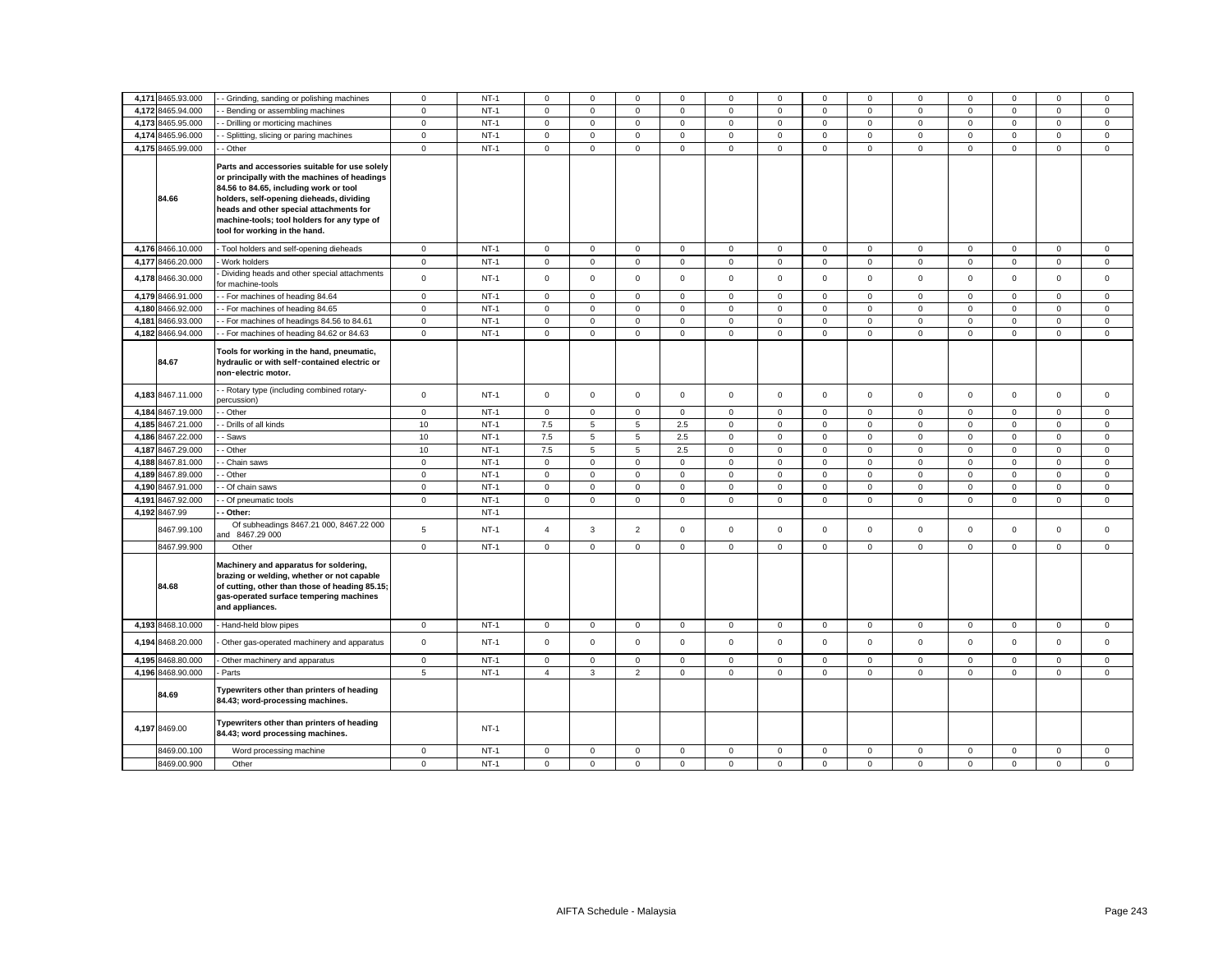| 4,171 8465.93.000 | - Grinding, sanding or polishing machines                                                                                                                                                                                                                                                                      | $\mathbf 0$ | $NT-1$ | $\mathbf 0$    | $\mathbf 0$  | $\mathbf 0$    | $\Omega$     | $\Omega$    | $\mathbf 0$    | $\Omega$            | $\mathbf 0$  | $\Omega$     | $\Omega$    | $\Omega$    | $\Omega$    | $\mathbf 0$ |
|-------------------|----------------------------------------------------------------------------------------------------------------------------------------------------------------------------------------------------------------------------------------------------------------------------------------------------------------|-------------|--------|----------------|--------------|----------------|--------------|-------------|----------------|---------------------|--------------|--------------|-------------|-------------|-------------|-------------|
| 4,172 8465.94.000 | - Bending or assembling machines                                                                                                                                                                                                                                                                               | $\mathbf 0$ | $NT-1$ | $\mathbf 0$    | $\mathbf 0$  | $\mathbf 0$    | $\mathbf 0$  | $\mathbf 0$ | $\mathbf 0$    | $\mathbf 0$         | $\mathbf{0}$ | $\mathbf 0$  | $\mathbf 0$ | $\mathbf 0$ | $\mathbf 0$ | $\mathbf 0$ |
| 4,173 8465.95.000 | - Drilling or morticing machines                                                                                                                                                                                                                                                                               | $\mathbf 0$ | $NT-1$ | $\mathbf 0$    | $\mathbf 0$  | $\mathbf 0$    | $\mathbf 0$  | $\mathbf 0$ | $\mathbf 0$    | $\mathbf 0$         | $\mathbf 0$  | $\mathbf 0$  | $\mathbf 0$ | $\mathbf 0$ | $\mathbf 0$ | $\mathbf 0$ |
| 4,174 8465.96.000 | - Splitting, slicing or paring machines                                                                                                                                                                                                                                                                        | $\Omega$    | $NT-1$ | $\mathbf 0$    | $\mathbf 0$  | $\mathbf 0$    | $\Omega$     | $\mathsf 0$ | $\mathbf 0$    | $\mathbf 0$         | $\mathbf 0$  | $\mathbf 0$  | $\Omega$    | $\mathbf 0$ | $\mathbf 0$ | $\mathbf 0$ |
| 4,175 8465.99.000 | - Other                                                                                                                                                                                                                                                                                                        | $\mathbf 0$ | $NT-1$ | $\mathsf 0$    | $\mathbf 0$  | $\mathsf 0$    | $\mathbf 0$  | $\mathbf 0$ | $\mathsf 0$    | $\mathbf 0$         | $\mathbf 0$  | $\mathbf 0$  | $\mathsf 0$ | $\mathsf 0$ | $\mathsf 0$ | $\mathsf 0$ |
| 84.66             | Parts and accessories suitable for use solely<br>or principally with the machines of headings<br>84.56 to 84.65, including work or tool<br>holders, self-opening dieheads, dividing<br>heads and other special attachments for<br>machine-tools; tool holders for any type of<br>tool for working in the hand. |             |        |                |              |                |              |             |                |                     |              |              |             |             |             |             |
| 4,176 8466.10.000 | - Tool holders and self-opening dieheads                                                                                                                                                                                                                                                                       | $\mathbf 0$ | $NT-1$ | $\mathsf 0$    | $\mathsf 0$  | $\mathsf 0$    | $\mathbf 0$  | $\mathsf 0$ | $\mathsf 0$    | $\mathsf 0$         | $\mathbf 0$  | $\mathbf 0$  | $\mathsf 0$ | $\mathsf 0$ | $\mathbf 0$ | $\mathsf 0$ |
| 4,177 8466.20.000 | Work holders                                                                                                                                                                                                                                                                                                   | $\mathbf 0$ | $NT-1$ | $\mathbf 0$    | $\mathbf 0$  | $\mathsf 0$    | $\mathbf 0$  | $\mathbf 0$ | $\mathsf 0$    | $\mathsf 0$         | $\mathbf{0}$ | $\mathbf 0$  | $\mathbf 0$ | $\mathsf 0$ | $\mathsf 0$ | $\mathsf 0$ |
| 4,178 8466.30.000 | Dividing heads and other special attachments<br>for machine-tools                                                                                                                                                                                                                                              | $\mathbf 0$ | $NT-1$ | $\mathbf 0$    | $\mathbf 0$  | $\mathbf 0$    | $\mathbf 0$  | $\mathbf 0$ | $\mathbf 0$    | $\mathbf 0$         | $\mathbf{0}$ | $\mathbf 0$  | $\mathbf 0$ | $\mathbf 0$ | $\mathbf 0$ | $\mathbf 0$ |
| 4,179 8466.91.000 | - For machines of heading 84.64                                                                                                                                                                                                                                                                                | $\mathbf 0$ | $NT-1$ | $\mathbf 0$    | $\mathbf 0$  | $\mathbf 0$    | $\Omega$     | $\mathbf 0$ | $\mathbf 0$    | $\mathbf 0$         | $\mathbf 0$  | $\mathbf 0$  | $\mathbf 0$ | $\mathbf 0$ | $\mathbf 0$ | $\mathbf 0$ |
| 4,180 8466.92.000 | - For machines of heading 84.65                                                                                                                                                                                                                                                                                | $\mathsf 0$ | $NT-1$ | $\mathsf 0$    | $\mathbf 0$  | $\mathsf 0$    | $\Omega$     | $\mathsf 0$ | $\mathsf 0$    | $\mathsf 0$         | $\mathsf 0$  | $\mathsf 0$  | $\mathbf 0$ | $\mathsf 0$ | $\mathbf 0$ | $\mathsf 0$ |
| 4,181 8466.93.000 | - For machines of headings 84.56 to 84.61                                                                                                                                                                                                                                                                      | $\mathbf 0$ | $NT-1$ | $\mathbf 0$    | $\mathsf 0$  | $\mathsf 0$    | $\mathbf 0$  | $\mathsf 0$ | $\mathsf 0$    | $\mathsf{O}$        | $\mathbf{0}$ | $\mathsf 0$  | $\mathsf 0$ | $\mathsf 0$ | $\mathsf 0$ | $\mathsf 0$ |
| 4,182 8466.94.000 | - For machines of heading 84.62 or 84.63                                                                                                                                                                                                                                                                       | $\mathbf 0$ | $NT-1$ | $\mathbf 0$    | $\mathbf 0$  | $\mathsf 0$    | $\mathbf 0$  | $\mathbf 0$ | $\mathsf 0$    | $\mathsf 0$         | $\mathbf{0}$ | $\mathbf 0$  | $\mathbf 0$ | $\mathbf 0$ | $\mathsf 0$ | $\mathbf 0$ |
| 84.67             | Tools for working in the hand, pneumatic,<br>hydraulic or with self-contained electric or<br>non-electric motor.                                                                                                                                                                                               |             |        |                |              |                |              |             |                |                     |              |              |             |             |             |             |
| 4,183 8467.11.000 | - Rotary type (including combined rotary-<br>percussion)                                                                                                                                                                                                                                                       | $\mathbf 0$ | $NT-1$ | $\mathsf 0$    | $\mathbf 0$  | $\mathsf 0$    | $\mathbf 0$  | $\mathbf 0$ | $\mathsf 0$    | $\mathsf 0$         | $\mathbf 0$  | $\mathbf 0$  | $\mathsf 0$ | $\mathsf 0$ | $\mathsf 0$ | $\mathsf 0$ |
| 4,184 8467.19.000 | - Other                                                                                                                                                                                                                                                                                                        | $\mathbf 0$ | $NT-1$ | $\mathbf 0$    | $\mathbf 0$  | $\mathsf 0$    | $\mathbf{0}$ | $\mathbf 0$ | $\mathsf 0$    | $\mathsf 0$         | $\mathbf{0}$ | $\mathbf 0$  | $\mathbf 0$ | $\mathbf 0$ | $\mathbf 0$ | $\mathsf 0$ |
| 4,185 8467.21.000 | - Drills of all kinds                                                                                                                                                                                                                                                                                          | 10          | $NT-1$ | 7.5            | 5            | 5              | 2.5          | $\mathbf 0$ | $\mathsf 0$    | $\mathbf 0$         | $\mathbf 0$  | $\mathbf 0$  | $\mathbf 0$ | $\mathsf 0$ | $\mathbf 0$ | $\mathsf 0$ |
| 4,186 8467.22.000 | - Saws                                                                                                                                                                                                                                                                                                         | 10          | $NT-1$ | 7.5            | 5            | $\overline{5}$ | 2.5          | $\mathsf 0$ | $\mathsf 0$    | $\mathsf 0$         | $\mathbf 0$  | $\mathbf 0$  | $\mathbf 0$ | $\mathsf 0$ | $\mathbf 0$ | $\mathbf 0$ |
| 4,187 8467.29.000 | - Other                                                                                                                                                                                                                                                                                                        | 10          | $NT-1$ | 7.5            | 5            | 5              | 2.5          | $\mathbf 0$ | $\mathbf 0$    | $\mathsf 0$         | $\mathbf 0$  | $\mathbf 0$  | $\mathbf 0$ | $\mathbf 0$ | $\mathsf 0$ | $\mathsf 0$ |
| 4,188 8467.81.000 | - Chain saws                                                                                                                                                                                                                                                                                                   | $\mathbf 0$ | $NT-1$ | $\mathsf 0$    | $\mathbf 0$  | $\mathsf 0$    | $\mathbf 0$  | $\mathbf 0$ | $\mathsf 0$    | $\mathsf{O}$        | $\mathbf 0$  | $\mathsf 0$  | $\mathbf 0$ | $\mathsf 0$ | $\mathsf 0$ | $\mathsf 0$ |
| 4,189 8467.89.000 | - Other                                                                                                                                                                                                                                                                                                        | $\mathbf 0$ | $NT-1$ | $\mathbf 0$    | $\mathbf 0$  | $\mathbf{0}$   | $\mathbf 0$  | $\mathbf 0$ | $\mathbf 0$    | $\overline{0}$      | $\mathbf 0$  | $\mathbf 0$  | $\mathbf 0$ | $\mathbf 0$ | $\mathbf 0$ | $\mathbf 0$ |
| 4,190 8467.91.000 | - Of chain saws                                                                                                                                                                                                                                                                                                | $\mathbf 0$ | $NT-1$ | $\mathsf 0$    | $\mathsf 0$  | $\mathbf 0$    | $\mathbf 0$  | $\mathsf 0$ | $\mathsf 0$    | $\mathsf{O}\xspace$ | $\mathbf 0$  | $\mathsf 0$  | $\mathbf 0$ | $\mathsf 0$ | $\mathsf 0$ | $\mathsf 0$ |
| 4,191 8467.92.000 | - Of pneumatic tools                                                                                                                                                                                                                                                                                           | $\mathbf 0$ | $NT-1$ | $\mathbf 0$    | $\mathbf 0$  | $\mathsf 0$    | $\Omega$     | $\mathbf 0$ | $\mathbf 0$    | $\mathsf 0$         | $\mathbf{0}$ | $\mathbf{0}$ | $\mathbf 0$ | $\mathbf 0$ | $\mathbf 0$ | $\mathbf 0$ |
| 4,192 8467.99     | Other:                                                                                                                                                                                                                                                                                                         |             | $NT-1$ |                |              |                |              |             |                |                     |              |              |             |             |             |             |
| 8467.99.100       | Of subheadings 8467.21 000, 8467.22 000<br>and 8467.29 000                                                                                                                                                                                                                                                     | 5           | $NT-1$ | $\overline{4}$ | $\mathbf{3}$ | $\overline{2}$ | $\mathbf 0$  | $\mathbf 0$ | $\mathbf 0$    | $\mathbf 0$         | $\mathbf 0$  | $\mathbf 0$  | $\mathbf 0$ | $\mathbf 0$ | $\mathsf 0$ | $\mathbf 0$ |
| 8467.99.900       | Other                                                                                                                                                                                                                                                                                                          | $\mathsf 0$ | $NT-1$ | $\mathsf 0$    | $\mathbf 0$  | $\mathsf 0$    | $\mathbf 0$  | $\mathbf 0$ | $\mathsf 0$    | $\mathsf 0$         | $\mathbf 0$  | $\mathsf 0$  | $\mathbf 0$ | $\mathbf 0$ | $\mathbf 0$ | $\mathsf 0$ |
| 84.68             | Machinery and apparatus for soldering,<br>brazing or welding, whether or not capable<br>of cutting, other than those of heading 85.15;<br>gas-operated surface tempering machines<br>and appliances.                                                                                                           |             |        |                |              |                |              |             |                |                     |              |              |             |             |             |             |
| 4,193 8468.10.000 | - Hand-held blow pipes                                                                                                                                                                                                                                                                                         | $\mathbf 0$ | $NT-1$ | $\mathbf 0$    | $\mathbf 0$  | $\mathbf 0$    | 0            | $\mathbf 0$ | $\mathbf 0$    | 0                   | $\mathbf 0$  | $\mathbf 0$  | $\mathbf 0$ | $\mathbf 0$ | $\mathbf 0$ | $\mathbf 0$ |
| 4,194 8468.20.000 | Other gas-operated machinery and apparatus                                                                                                                                                                                                                                                                     | $\mathbf 0$ | $NT-1$ | $\mathbf 0$    | $\mathbf 0$  | $\mathsf 0$    | $\Omega$     | $\mathsf 0$ | $\mathbf 0$    | $\mathsf 0$         | $\mathbf 0$  | $\mathbf 0$  | $\mathbf 0$ | $\mathbf 0$ | $\mathbf 0$ | $\mathbf 0$ |
| 4,195 8468.80.000 | Other machinery and apparatus                                                                                                                                                                                                                                                                                  | $\mathsf 0$ | $NT-1$ | $\mathsf 0$    | $\mathsf 0$  | $\mathsf 0$    | $\mathbf 0$  | $\mathsf 0$ | $\mathsf 0$    | $\mathsf 0$         | $\mathsf 0$  | $\mathsf 0$  | $\mathbf 0$ | $\mathbf 0$ | $\mathsf 0$ | $\mathsf 0$ |
| 4.196 8468.90.000 | Parts                                                                                                                                                                                                                                                                                                          | 5           | $NT-1$ | $\overline{4}$ | 3            | 2              | $\mathbf 0$  | $\mathbf 0$ | $\mathbf 0$    | $\mathsf 0$         | $\mathbf{0}$ | $\mathbf{0}$ | $\mathbf 0$ | $\mathbf 0$ | $\mathbf 0$ | $\mathbf 0$ |
| 84.69             | Typewriters other than printers of heading<br>84.43; word-processing machines.                                                                                                                                                                                                                                 |             |        |                |              |                |              |             |                |                     |              |              |             |             |             |             |
| 4,197 8469.00     | Typewriters other than printers of heading<br>84.43; word processing machines.                                                                                                                                                                                                                                 |             | $NT-1$ |                |              |                |              |             |                |                     |              |              |             |             |             |             |
| 8469.00.100       | Word processing machine                                                                                                                                                                                                                                                                                        | $\mathbf 0$ | $NT-1$ | $\mathsf 0$    | $\mathbf 0$  | $\mathbf 0$    | $\mathbf 0$  | $\mathbf 0$ | $\overline{0}$ | $\mathbf 0$         | $\mathsf 0$  | $\mathsf 0$  | $\mathbf 0$ | $\Omega$    | $\mathsf 0$ | $\mathsf 0$ |
| 8469.00.900       | Other                                                                                                                                                                                                                                                                                                          | $\mathbf 0$ | $NT-1$ | $\mathbf 0$    | $\mathbf 0$  | $\mathbf 0$    | $\mathbf 0$  | $\mathbf 0$ | $\mathbf 0$    | $\mathbf 0$         | $\mathbf 0$  | $\mathbf 0$  | $\mathbf 0$ | $\mathbf 0$ | $\mathbf 0$ | $\mathbf 0$ |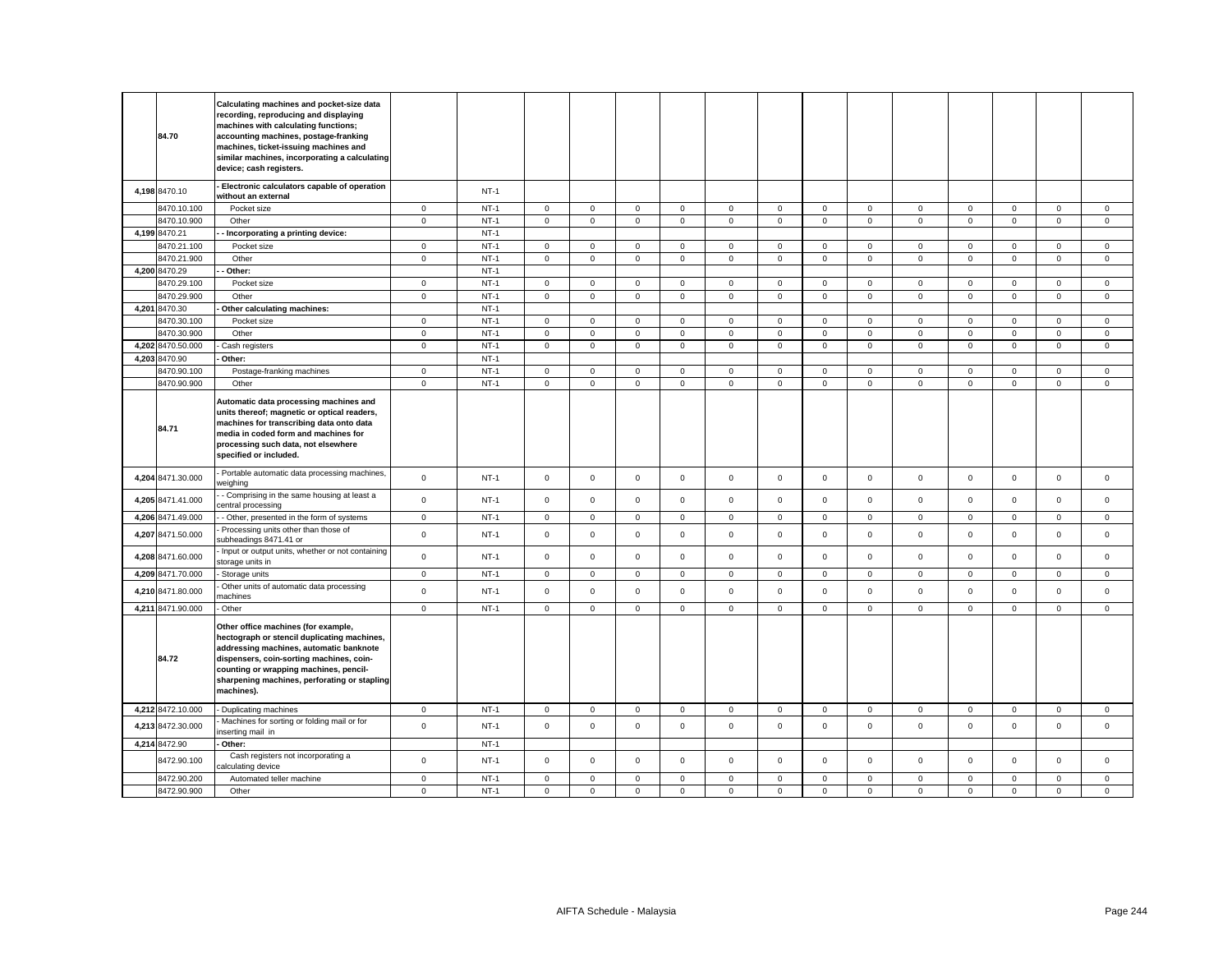| 84.70             | Calculating machines and pocket-size data<br>recording, reproducing and displaying<br>machines with calculating functions;<br>accounting machines, postage-franking<br>machines, ticket-issuing machines and<br>similar machines, incorporating a calculating<br>device; cash registers. |                |        |             |                     |              |             |              |             |                     |              |                     |             |             |                     |             |
|-------------------|------------------------------------------------------------------------------------------------------------------------------------------------------------------------------------------------------------------------------------------------------------------------------------------|----------------|--------|-------------|---------------------|--------------|-------------|--------------|-------------|---------------------|--------------|---------------------|-------------|-------------|---------------------|-------------|
| 4,198 8470.10     | Electronic calculators capable of operation<br>without an external                                                                                                                                                                                                                       |                | $NT-1$ |             |                     |              |             |              |             |                     |              |                     |             |             |                     |             |
| 8470.10.100       | Pocket size                                                                                                                                                                                                                                                                              | $\mathsf 0$    | $NT-1$ | $\mathsf 0$ | $\mathsf{O}\xspace$ | $\mathsf 0$  | $\mathsf 0$ | $\mathsf 0$  | $\mathsf 0$ | $\mathsf{O}\xspace$ | $\mathsf 0$  | $\mathsf 0$         | $\mathsf 0$ | $\mathsf 0$ | $\mathsf 0$         | $\mathsf 0$ |
| 8470.10.900       | Other                                                                                                                                                                                                                                                                                    | $\mathbf{0}$   | $NT-1$ | $\mathbf 0$ | $\mathbf{O}$        | $\mathbf 0$  | $\mathbf 0$ | $\mathbf 0$  | $\mathbf 0$ | $\mathbf{0}$        | $\mathbf{0}$ | $\mathbf{0}$        | $\mathbf 0$ | $\mathbf 0$ | $\mathbf{0}$        | $\mathbf 0$ |
| 4,199 8470.21     | - Incorporating a printing device:                                                                                                                                                                                                                                                       |                | $NT-1$ |             |                     |              |             |              |             |                     |              |                     |             |             |                     |             |
| 8470.21.100       | Pocket size                                                                                                                                                                                                                                                                              | $\mathbf 0$    | $NT-1$ | $\mathbf 0$ | $\mathbf 0$         | $\mathsf 0$  | $\mathbf 0$ | $\mathsf 0$  | $\mathsf 0$ | $\mathsf 0$         | $\circ$      | $\mathbf 0$         | $\mathsf 0$ | $\mathsf 0$ | $\mathsf 0$         | $\mathsf 0$ |
| 8470.21.900       | Other                                                                                                                                                                                                                                                                                    | $\mathbf 0$    | $NT-1$ | $\mathbf 0$ | $\mathbf 0$         | $\mathsf 0$  | 0           | $\mathsf 0$  | $\mathsf 0$ | $\mathsf{O}\xspace$ | $\mathbf 0$  | $\mathsf 0$         | $\mathsf 0$ | $\mathbf 0$ | $\mathsf 0$         | $\mathsf 0$ |
| 4,200 8470.29     | Other:                                                                                                                                                                                                                                                                                   |                | $NT-1$ |             |                     |              |             |              |             |                     |              |                     |             |             |                     |             |
| 8470.29.100       | Pocket size                                                                                                                                                                                                                                                                              | $\overline{0}$ | $NT-1$ | $\mathbf 0$ | $\mathbf 0$         | $\mathbf 0$  | 0           | $\mathbf 0$  | $\mathsf 0$ | $\mathbf 0$         | $\mathbf 0$  | $\overline{0}$      | $\mathbf 0$ | $\mathbf 0$ | $\mathsf 0$         | $\mathsf 0$ |
| 8470.29.900       | Other                                                                                                                                                                                                                                                                                    | $\mathbf 0$    | $NT-1$ | $\mathbf 0$ | $\mathbf 0$         | $\mathsf 0$  | 0           | $\mathbf 0$  | $\mathsf 0$ | $\mathsf{O}\xspace$ | $\mathbf 0$  | $\mathbf 0$         | $\mathsf 0$ | $\mathbf 0$ | $\mathsf 0$         | $\mathsf 0$ |
| 4,201 8470.30     | Other calculating machines:                                                                                                                                                                                                                                                              |                | $NT-1$ |             |                     |              |             |              |             |                     |              |                     |             |             |                     |             |
| 3470.30.100       | Pocket size                                                                                                                                                                                                                                                                              | $\circ$        | $NT-1$ | $\mathsf 0$ | $\mathsf{O}\xspace$ | $\mathsf 0$  | $\mathbf 0$ | $\mathsf 0$  | $\mathsf 0$ | $\mathsf 0$         | $\circ$      | $\mathbf 0$         | $\mathbf 0$ | $\mathsf 0$ | $\mathsf 0$         | $\mathsf 0$ |
| 8470.30.900       | Other                                                                                                                                                                                                                                                                                    | $\mathsf 0$    | $NT-1$ | $\mathsf 0$ | $\mathsf 0$         | $\mathsf 0$  | 0           | $\mathbf 0$  | $\mathsf 0$ | $\mathbf 0$         | $\mathbf 0$  | $\mathbf 0$         | $\mathsf 0$ | $\mathbf 0$ | $\mathsf 0$         | $\mathsf 0$ |
| 4,202 8470.50.000 | Cash registers                                                                                                                                                                                                                                                                           | $\mathsf 0$    | $NT-1$ | $\mathsf 0$ | $\mathsf{O}\xspace$ | $\mathsf 0$  | $\mathsf 0$ | $\mathsf 0$  | $\mathsf 0$ | $\mathsf{O}\xspace$ | $\mathsf 0$  | $\mathsf 0$         | $\mathsf 0$ | $\mathsf 0$ | $\mathsf 0$         | $\mathsf 0$ |
| 4.203 8470.90     | Other:                                                                                                                                                                                                                                                                                   |                | $NT-1$ |             |                     |              |             |              |             |                     |              |                     |             |             |                     |             |
| 8470.90.100       | Postage-franking machines                                                                                                                                                                                                                                                                | $\mathsf 0$    | $NT-1$ | $\mathbf 0$ | $\mathbf 0$         | $\mathsf 0$  | $\mathbf 0$ | $\mathbf{0}$ | $\mathsf 0$ | $\mathbf 0$         | $\mathbf 0$  | $\mathsf 0$         | $\mathbf 0$ | $\mathsf 0$ | $\mathbf 0$         | $\mathsf 0$ |
| 8470.90.900       | Other                                                                                                                                                                                                                                                                                    | $\mathsf 0$    | $NT-1$ | $\mathsf 0$ | $\mathbf 0$         | $\mathsf 0$  | $\mathsf 0$ | $\mathsf 0$  | $\mathsf 0$ | $\mathsf{O}\xspace$ | $\mathbf 0$  | $\mathsf 0$         | $\mathsf 0$ | $\mathbf 0$ | $\mathsf 0$         | $\mathsf 0$ |
| 84.71             | Automatic data processing machines and<br>units thereof; magnetic or optical readers,<br>machines for transcribing data onto data<br>media in coded form and machines for<br>processing such data, not elsewhere<br>specified or included.                                               |                |        |             |                     |              |             |              |             |                     |              |                     |             |             |                     |             |
| 4,204 8471.30.000 | Portable automatic data processing machines,<br>veighing                                                                                                                                                                                                                                 | $\mathsf 0$    | $NT-1$ | $\mathsf 0$ | $\mathbf 0$         | $\mathsf 0$  | $\mathsf 0$ | $\mathbf 0$  | $\mathsf 0$ | $\mathbf 0$         | $\mathbf 0$  | $\mathbf 0$         | $\mathsf 0$ | $\mathsf 0$ | $\mathsf 0$         | $\mathsf 0$ |
| 4,205 8471.41.000 | - Comprising in the same housing at least a<br>central processing                                                                                                                                                                                                                        | $\mathsf 0$    | $NT-1$ | $\mathbf 0$ | $\mathbf{0}$        | $\mathsf 0$  | $\mathbf 0$ | $\mathsf 0$  | $\mathbf 0$ | $\mathbf{0}$        | $\mathbf 0$  | $\mathbf 0$         | $\mathbf 0$ | $\mathbf 0$ | $\mathbf{0}$        | $\mathbf 0$ |
| 4,206 8471.49.000 | - Other, presented in the form of systems                                                                                                                                                                                                                                                | $\mathbf 0$    | $NT-1$ | $\mathbf 0$ | $\mathbf 0$         | $\mathbf 0$  | $\mathbf 0$ | $\mathbf 0$  | $\mathsf 0$ | $\mathbf 0$         | $\mathbf{0}$ | $\mathbf 0$         | $\mathbf 0$ | $\mathbf 0$ | $\mathbf{0}$        | $\mathsf 0$ |
| 4,207 8471.50.000 | Processing units other than those of<br>subheadings 8471.41 or                                                                                                                                                                                                                           | $\mathsf 0$    | $NT-1$ | $\mathbf 0$ | $\mathbf 0$         | $\mathsf 0$  | $\mathbf 0$ | $\mathbf 0$  | $\mathsf 0$ | $\mathbf 0$         | $\mathbf 0$  | $\mathbf 0$         | $\mathbf 0$ | $\mathbf 0$ | $\mathsf 0$         | $\mathsf 0$ |
| 4,208 8471.60.000 | Input or output units, whether or not containing<br>storage units in                                                                                                                                                                                                                     | $\mathsf 0$    | $NT-1$ | $\mathsf 0$ | $\mathsf{O}$        | $\mathsf 0$  | $\mathsf 0$ | $\mathsf 0$  | $\mathsf 0$ | $\mathsf 0$         | $\mathbf 0$  | $\mathsf 0$         | $\mathsf 0$ | $\mathsf 0$ | $\mathsf{o}\xspace$ | $\mathsf 0$ |
| 4,209 8471.70.000 | Storage units                                                                                                                                                                                                                                                                            | $\circ$        | $NT-1$ | $\mathbf 0$ | $\mathbf 0$         | $\mathbf{0}$ | $\mathbf 0$ | $\mathbf{0}$ | $\mathbf 0$ | $\mathbf{O}$        | $\mathbf{0}$ | $\mathbf{0}$        | $\mathbf 0$ | $\mathbf 0$ | $\mathbf{0}$        | $\mathbf 0$ |
| 4,210 8471.80.000 | Other units of automatic data processing<br>nachines                                                                                                                                                                                                                                     | $\mathsf 0$    | $NT-1$ | $\mathbf 0$ | $\mathbf 0$         | $\mathsf 0$  | $\mathbf 0$ | $\mathbf 0$  | $\mathbf 0$ | $\mathbf 0$         | $\mathbf 0$  | $\mathbf 0$         | $\mathbf 0$ | $\mathbf 0$ | $\mathbf 0$         | $\mathbf 0$ |
| 4,211 8471.90.000 | Other                                                                                                                                                                                                                                                                                    | $\mathsf 0$    | $NT-1$ | $\mathbf 0$ | $\mathbf 0$         | $\mathsf 0$  | $\mathsf 0$ | $\mathbf 0$  | $\mathsf 0$ | $\mathbf 0$         | $\mathbf 0$  | $\mathbf 0$         | $\mathsf 0$ | $\mathbf 0$ | $\mathsf 0$         | $\mathsf 0$ |
| 84.72             | Other office machines (for example,<br>hectograph or stencil duplicating machines,<br>addressing machines, automatic banknote<br>dispensers, coin-sorting machines, coin-<br>counting or wrapping machines, pencil-<br>sharpening machines, perforating or stapling<br>machines).        |                |        |             |                     |              |             |              |             |                     |              |                     |             |             |                     |             |
| 4,212 8472.10.000 | Duplicating machines                                                                                                                                                                                                                                                                     | $\mathbf 0$    | $NT-1$ | $\mathbf 0$ | $\mathsf 0$         | $\mathsf 0$  | $\mathsf 0$ | $\mathbf 0$  | $\mathsf 0$ | $\mathsf 0$         | $\mathsf 0$  | $\mathsf 0$         | $\mathbf 0$ | $\mathsf 0$ | $\mathbf 0$         | $\mathsf 0$ |
| 4,213 8472.30.000 | Machines for sorting or folding mail or for<br>nserting mail in                                                                                                                                                                                                                          | $\mathsf 0$    | $NT-1$ | $\mathbf 0$ | $\mathbf{0}$        | $\mathsf 0$  | $\mathbf 0$ | $\mathsf 0$  | $\mathbf 0$ | $\mathsf 0$         | $\mathbf 0$  | $\mathsf{O}\xspace$ | $\mathbf 0$ | $\mathbf 0$ | $\mathbf 0$         | $\mathbf 0$ |
| 4,214 8472.90     | Other:                                                                                                                                                                                                                                                                                   |                | $NT-1$ |             |                     |              |             |              |             |                     |              |                     |             |             |                     |             |
| 8472.90.100       | Cash registers not incorporating a<br>calculating device                                                                                                                                                                                                                                 | $\mathsf 0$    | $NT-1$ | $\mathsf 0$ | $\mathbf{O}$        | $\mathsf 0$  | $\mathbf 0$ | $\mathbf 0$  | $\mathbf 0$ | $\mathbf 0$         | $\mathbf 0$  | $\mathbf 0$         | $\mathbf 0$ | $\mathbf 0$ | $\mathbf 0$         | $\mathbf 0$ |
| 8472.90.200       | Automated teller machine                                                                                                                                                                                                                                                                 | $\mathsf 0$    | $NT-1$ | $\mathsf 0$ | $\mathbf 0$         | $\mathsf 0$  | $\mathbf 0$ | $\mathbf 0$  | $\mathsf 0$ | $\mathsf 0$         | $\mathbf 0$  | $\mathbf 0$         | $\mathbf 0$ | $\mathbf 0$ | $\mathbf 0$         | $\mathsf 0$ |
| 8472.90.900       | Other                                                                                                                                                                                                                                                                                    | $\mathbf 0$    | $NT-1$ | $\Omega$    | $\mathbf 0$         | $\Omega$     | $\Omega$    | $\mathbf 0$  | $\mathbf 0$ | $\Omega$            | $\Omega$     | $\Omega$            | $\mathbf 0$ | $\mathbf 0$ | $\mathbf 0$         | $\mathbf 0$ |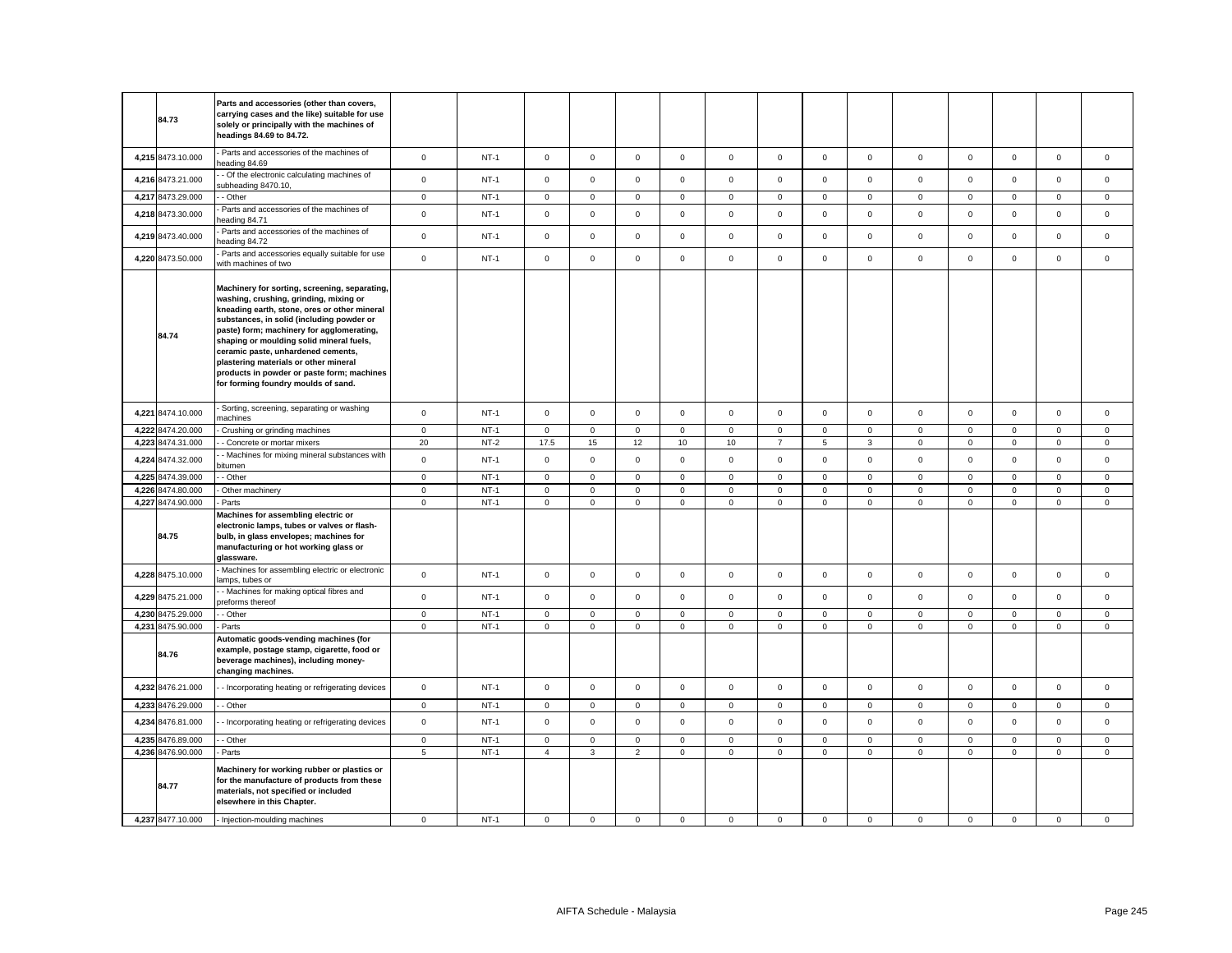| 84.73             | Parts and accessories (other than covers,<br>carrying cases and the like) suitable for use<br>solely or principally with the machines of<br>headings 84.69 to 84.72.                                                                                                                                                                                                                                                                              |                 |        |                     |              |                |             |             |                |                 |              |             |              |                     |              |              |
|-------------------|---------------------------------------------------------------------------------------------------------------------------------------------------------------------------------------------------------------------------------------------------------------------------------------------------------------------------------------------------------------------------------------------------------------------------------------------------|-----------------|--------|---------------------|--------------|----------------|-------------|-------------|----------------|-----------------|--------------|-------------|--------------|---------------------|--------------|--------------|
| 4,215 8473.10.000 | Parts and accessories of the machines of<br>eading 84.69                                                                                                                                                                                                                                                                                                                                                                                          | $\mathbf 0$     | $NT-1$ | $\mathsf{O}\xspace$ | $\mathsf 0$  | $\mathbf 0$    | $\mathbf 0$ | $\mathbf 0$ | $\mathbf 0$    | $\mathsf 0$     | $\mathsf 0$  | $\mathsf 0$ | $\mathbf 0$  | $\mathbf{0}$        | $\mathsf 0$  | $\mathbf{0}$ |
| 4,216 8473.21.000 | - Of the electronic calculating machines of<br>ubheading 8470.10,                                                                                                                                                                                                                                                                                                                                                                                 | $\mathsf 0$     | $NT-1$ | $\mathsf 0$         | $\mathsf 0$  | $\mathbf 0$    | $\Omega$    | $\mathbf 0$ | $\mathsf 0$    | $\mathbf 0$     | $\mathbf 0$  | $\mathsf 0$ | $\mathsf 0$  | $\mathsf 0$         | $\mathsf 0$  | $\mathsf 0$  |
| 4,217 8473.29.000 | - Other                                                                                                                                                                                                                                                                                                                                                                                                                                           | $\mathbf{0}$    | $NT-1$ | $\mathbf 0$         | $\mathbf 0$  | $\mathbf 0$    | $\mathbf 0$ | $\mathbf 0$ | $\mathsf 0$    | $\mathbf{0}$    | $\mathbf{0}$ | $\mathbf 0$ | $\mathbf 0$  | $\mathbf{0}$        | $\mathsf 0$  | $\mathbf 0$  |
| 4,218 8473.30.000 | Parts and accessories of the machines of<br>eading 84.71                                                                                                                                                                                                                                                                                                                                                                                          | $\mathsf 0$     | $NT-1$ | $\mathsf 0$         | $\mathbf 0$  | $\mathsf 0$    | $\mathbf 0$ | $\mathsf 0$ | $\mathsf 0$    | $\mathsf 0$     | $\mathbf 0$  | $\mathsf 0$ | $\mathsf 0$  | $\mathsf 0$         | $\mathsf 0$  | $\mathsf 0$  |
| 4,219 8473.40.000 | Parts and accessories of the machines of<br>eading 84.72                                                                                                                                                                                                                                                                                                                                                                                          | $\mathsf 0$     | $NT-1$ | $\mathsf{O}\xspace$ | $\mathsf 0$  | $\mathsf 0$    | $\mathbf 0$ | $\mathsf 0$ | $\mathsf 0$    | $\mathbf 0$     | $\mathsf 0$  | $\mathsf 0$ | $\mathsf 0$  | $\mathsf 0$         | $\mathsf 0$  | $\mathsf 0$  |
| 4,220 8473.50.000 | Parts and accessories equally suitable for use<br>with machines of two                                                                                                                                                                                                                                                                                                                                                                            | $\mathbf 0$     | $NT-1$ | $\mathsf 0$         | $\mathbf 0$  | $\mathsf 0$    | $\mathsf 0$ | $\mathsf 0$ | $\mathsf 0$    | $\mathsf 0$     | $\mathsf 0$  | $\mathsf 0$ | $\mathsf 0$  | $\mathbf 0$         | $\mathsf 0$  | $\mathsf 0$  |
| 84.74             | Machinery for sorting, screening, separating,<br>washing, crushing, grinding, mixing or<br>kneading earth, stone, ores or other mineral<br>substances, in solid (including powder or<br>paste) form; machinery for agglomerating,<br>shaping or moulding solid mineral fuels,<br>ceramic paste, unhardened cements,<br>plastering materials or other mineral<br>products in powder or paste form; machines<br>for forming foundry moulds of sand. |                 |        |                     |              |                |             |             |                |                 |              |             |              |                     |              |              |
| 4,221 8474.10.000 | Sorting, screening, separating or washing<br>nachines                                                                                                                                                                                                                                                                                                                                                                                             | $\mathsf 0$     | $NT-1$ | $\mathsf 0$         | $\mathsf 0$  | $\mathsf 0$    | $\mathbf 0$ | $\mathsf 0$ | $\mathsf 0$    | $\mathsf 0$     | $\mathsf 0$  | $\mathsf 0$ | $\mathbf 0$  | $\mathbf 0$         | $\mathsf 0$  | $\mathbf 0$  |
| 4,222 8474.20.000 | Crushing or grinding machines                                                                                                                                                                                                                                                                                                                                                                                                                     | $\mathbf 0$     | $NT-1$ | $\mathsf 0$         | $\mathsf 0$  | $\mathsf 0$    | $\mathbf 0$ | $\mathsf 0$ | $\mathsf 0$    | $\mathsf{O}$    | $\mathbf 0$  | $\mathsf 0$ | $\mathsf 0$  | $\mathbf 0$         | $\mathsf 0$  | $\mathbf 0$  |
| 4,223 8474.31.000 | - Concrete or mortar mixers                                                                                                                                                                                                                                                                                                                                                                                                                       | 20              | $NT-2$ | 17.5                | 15           | $12\,$         | 10          | 10          | $\overline{7}$ | $5\phantom{.0}$ | 3            | $\mathbf 0$ | $\mathbf 0$  | $\mathsf{O}\xspace$ | $\mathsf 0$  | $\mathsf 0$  |
| 4,224 8474.32.000 | Machines for mixing mineral substances with<br>itumen                                                                                                                                                                                                                                                                                                                                                                                             | $\mathsf 0$     | $NT-1$ | $\mathsf 0$         | $\mathsf 0$  | $\mathsf 0$    | $\mathbf 0$ | $\mathsf 0$ | $\mathsf 0$    | $\mathsf 0$     | $\mathbf 0$  | $\mathsf 0$ | $\mathbf 0$  | $\mathbf 0$         | $\mathsf 0$  | $\mathsf 0$  |
| 4,225 8474.39.000 | - Other                                                                                                                                                                                                                                                                                                                                                                                                                                           | $\mathbf 0$     | $NT-1$ | $\mathsf 0$         | $\mathbf 0$  | $\mathsf 0$    | $\mathsf 0$ | $\mathsf 0$ | $\mathsf 0$    | $\mathsf 0$     | $\mathbf 0$  | $\mathbf 0$ | $\mathsf 0$  | $\mathbf{0}$        | $\mathbf 0$  | $\mathsf 0$  |
| 4,226 8474.80.000 | Other machinery                                                                                                                                                                                                                                                                                                                                                                                                                                   | $\mathsf 0$     | $NT-1$ | $\mathsf 0$         | $\mathsf 0$  | $\mathsf 0$    | $\mathsf 0$ | $\mathsf 0$ | $\mathsf 0$    | $\mathsf 0$     | $\mathsf 0$  | $\mathsf 0$ | $\mathsf 0$  | $\mathsf 0$         | $\mathsf 0$  | $\mathsf 0$  |
| 4,227 8474.90.000 | Parts                                                                                                                                                                                                                                                                                                                                                                                                                                             | $\mathbf 0$     | $NT-1$ | $\mathsf 0$         | $\mathbf 0$  | $\mathsf 0$    | $\mathsf 0$ | $\mathbf 0$ | $\mathsf 0$    | $\mathbf 0$     | $\mathbf 0$  | $\mathsf 0$ | $\mathsf 0$  | $\mathbf 0$         | $\mathsf 0$  | $\mathbf 0$  |
| 84.75             | Machines for assembling electric or<br>electronic lamps, tubes or valves or flash-<br>bulb, in glass envelopes; machines for<br>manufacturing or hot working glass or<br>glassware.                                                                                                                                                                                                                                                               |                 |        |                     |              |                |             |             |                |                 |              |             |              |                     |              |              |
| 4,228 8475.10.000 | Machines for assembling electric or electronic<br>lamps, tubes or                                                                                                                                                                                                                                                                                                                                                                                 | $\mathbf 0$     | $NT-1$ | $\mathsf 0$         | $\mathbf 0$  | $\mathsf 0$    | $\mathsf 0$ | $\mathbf 0$ | $\mathsf 0$    | $\mathbf 0$     | $\mathbf 0$  | $\mathsf 0$ | $\mathsf 0$  | $\mathbf 0$         | $\mathbf 0$  | $\mathsf 0$  |
| 4,229 8475.21.000 | - Machines for making optical fibres and<br>preforms thereof                                                                                                                                                                                                                                                                                                                                                                                      | $\mathbf 0$     | $NT-1$ | $\mathsf 0$         | $\mathbf 0$  | $\mathsf 0$    | $\mathsf 0$ | $\mathbf 0$ | $\mathsf 0$    | $\mathbf 0$     | $\mathbf 0$  | $\mathsf 0$ | $\mathsf 0$  | $\mathbf 0$         | $\mathsf 0$  | $\mathsf 0$  |
| 4,230 8475.29.000 | - Other                                                                                                                                                                                                                                                                                                                                                                                                                                           | $\mathbf 0$     | $NT-1$ | $\mathbf 0$         | $\mathbf 0$  | $\mathbf{0}$   | $\mathbf 0$ | $\mathbf 0$ | $\mathbf 0$    | $\mathbf 0$     | $\Omega$     | $\mathbf 0$ | $\mathbf 0$  | $\mathbf{0}$        | $\mathbf{0}$ | $\mathbf{0}$ |
| 4,231 8475.90.000 | Parts                                                                                                                                                                                                                                                                                                                                                                                                                                             | $\mathbf 0$     | $NT-1$ | $\mathsf 0$         | $\mathbf 0$  | $\mathsf 0$    | $\mathsf 0$ | $\mathbf 0$ | $\mathsf 0$    | $\mathbf 0$     | $\Omega$     | $\mathsf 0$ | $\mathsf 0$  | $\mathbf 0$         | $\mathsf 0$  | $\mathsf 0$  |
| 84.76             | Automatic goods-vending machines (for<br>example, postage stamp, cigarette, food or<br>beverage machines), including money-<br>changing machines.                                                                                                                                                                                                                                                                                                 |                 |        |                     |              |                |             |             |                |                 |              |             |              |                     |              |              |
| 4,232 8476.21.000 | - Incorporating heating or refrigerating devices                                                                                                                                                                                                                                                                                                                                                                                                  | $\mathsf 0$     | $NT-1$ | $\mathbf 0$         | $\mathbf 0$  | $\mathbf 0$    | $\mathbf 0$ | $\mathsf 0$ | $\mathbf 0$    | $\mathbf 0$     | $\mathbf 0$  | $\mathbf 0$ | $\mathbf 0$  | $\mathbf 0$         | $\mathbf 0$  | $\mathsf 0$  |
| 4,233 8476.29.000 | - Other                                                                                                                                                                                                                                                                                                                                                                                                                                           | $\mathbf 0$     | $NT-1$ | $\mathsf 0$         | $\mathsf{O}$ | $\mathsf 0$    | $\mathbf 0$ | $\mathsf 0$ | $\mathsf 0$    | $\mathsf 0$     | $\mathbf{0}$ | $\mathsf 0$ | $\mathsf 0$  | $\mathbf 0$         | $\mathsf 0$  | $\mathsf 0$  |
| 4,234 8476.81.000 | - Incorporating heating or refrigerating devices                                                                                                                                                                                                                                                                                                                                                                                                  | $\mathbf 0$     | $NT-1$ | $\mathbf 0$         | $\mathbf 0$  | $\mathbf{0}$   | $\mathbf 0$ | $\mathbf 0$ | $\mathbf 0$    | $\mathbf 0$     | $\mathbf 0$  | $\mathbf 0$ | $\mathbf 0$  | $\mathbf 0$         | $\mathbf 0$  | $\mathbf 0$  |
| 4,235 8476.89.000 | - Other                                                                                                                                                                                                                                                                                                                                                                                                                                           | $\mathsf 0$     | $NT-1$ | $\mathbf 0$         | $\mathbf 0$  | $\mathsf 0$    | $\mathbf 0$ | $\mathbf 0$ | $\mathsf 0$    | $\mathbf{0}$    | $\mathbf 0$  | $\mathbf 0$ | $\mathbf{0}$ | $\mathbf 0$         | $\mathsf 0$  | $\mathsf 0$  |
| 4,236 8476.90.000 | Parts                                                                                                                                                                                                                                                                                                                                                                                                                                             | $5\phantom{.0}$ | $NT-1$ | $\overline{4}$      | $\mathbf{3}$ | $\overline{2}$ | $\mathbf 0$ | $\mathbf 0$ | $\mathsf 0$    | $\mathbf 0$     | $\mathbf 0$  | $\mathsf 0$ | $\mathbf 0$  | $\mathbf 0$         | $\mathsf 0$  | $\mathbf 0$  |
| 84.77             | Machinery for working rubber or plastics or<br>for the manufacture of products from these<br>materials, not specified or included<br>elsewhere in this Chapter.                                                                                                                                                                                                                                                                                   |                 |        |                     |              |                |             |             |                |                 |              |             |              |                     |              |              |
| 4,237 8477.10.000 | - Injection-moulding machines                                                                                                                                                                                                                                                                                                                                                                                                                     | $\mathbf 0$     | $NT-1$ | $\mathbf 0$         | $\mathbf 0$  | $\mathsf 0$    | $\mathbf 0$ | $\mathbf 0$ | $\mathbf 0$    | $\circ$         | $\mathbf 0$  | $\mathbf 0$ | $\mathbf 0$  | $\mathbf 0$         | $\mathbf 0$  | $\mathbf 0$  |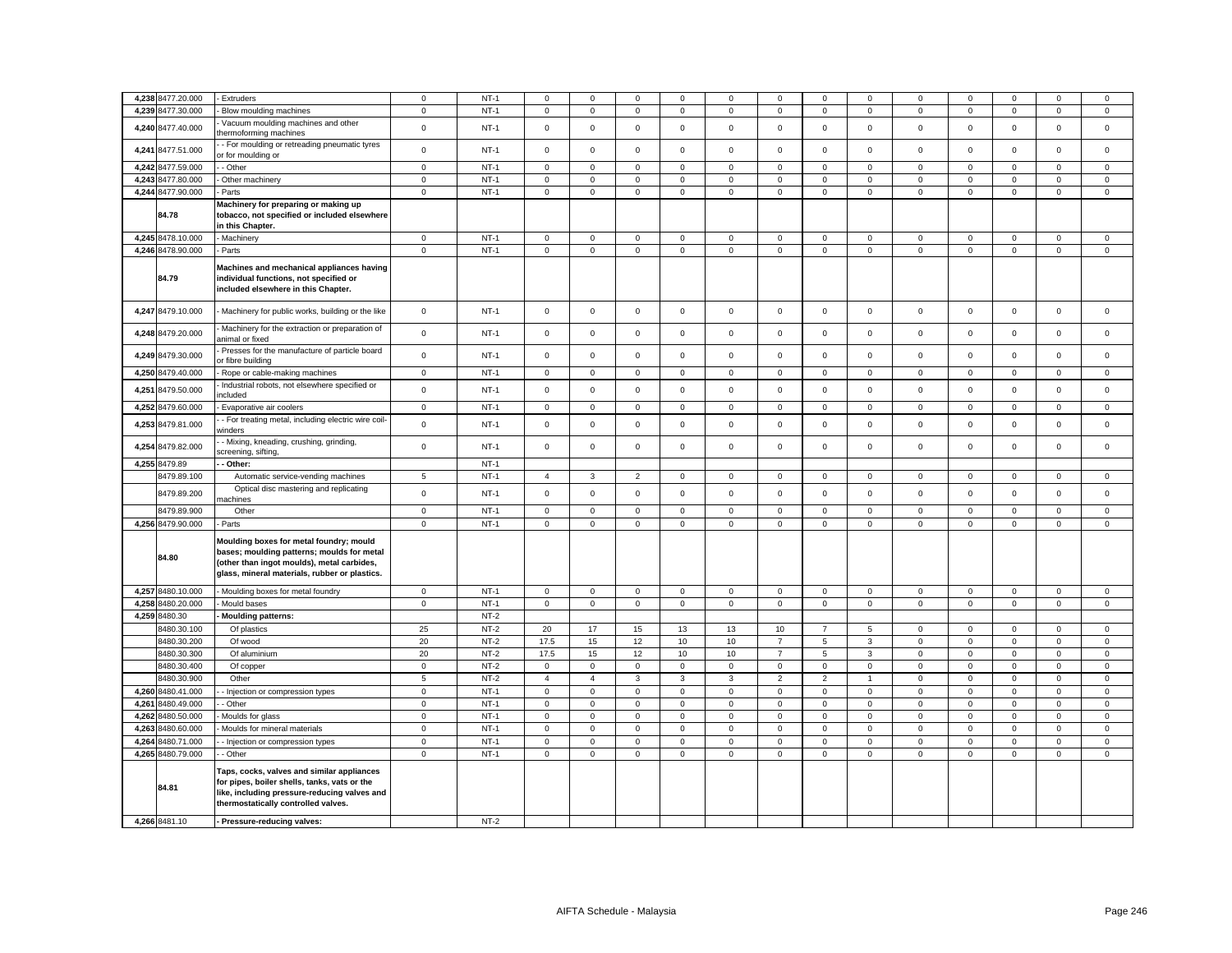|       | 4,238 8477.20.000 | - Extruders                                                                                                                                                                          | $\mathbf 0$    | $NT-1$ | $\mathbf 0$    | $\Omega$       | $\mathsf 0$    | $\mathbf 0$    | 0           | $\mathbf 0$    | $\mathbf 0$         | $\mathbf 0$    | $\mathbf 0$         | $\mathbf 0$ | $\Omega$    | $\mathbf 0$ | $\mathbf 0$ |
|-------|-------------------|--------------------------------------------------------------------------------------------------------------------------------------------------------------------------------------|----------------|--------|----------------|----------------|----------------|----------------|-------------|----------------|---------------------|----------------|---------------------|-------------|-------------|-------------|-------------|
| 4,239 | 8477.30.000       | Blow moulding machines                                                                                                                                                               | $\mathbf 0$    | $NT-1$ | $\mathbf 0$    | $\mathsf 0$    | $\mathsf 0$    | $\mathsf 0$    | $\mathsf 0$ | $\mathbf 0$    | $\mathsf 0$         | $\mathsf 0$    | $\mathsf{o}\xspace$ | $\mathbf 0$ | $\mathsf 0$ | $\mathsf 0$ | $\mathsf 0$ |
| 4,240 | 8477.40.000       | Vacuum moulding machines and other<br>thermoforming machines                                                                                                                         | $\mathbf 0$    | $NT-1$ | $\mathbf 0$    | $\mathsf 0$    | $\mathsf 0$    | $\mathsf 0$    | $\mathsf 0$ | $\mathsf 0$    | $\mathsf 0$         | $\mathsf 0$    | $\mathsf 0$         | $\mathsf 0$ | $\mathsf 0$ | $\mathsf 0$ | $\mathsf 0$ |
| 4,241 | 8477.51.000       | - For moulding or retreading pneumatic tyres<br>r for moulding or                                                                                                                    | $\mathbf 0$    | $NT-1$ | $\mathbf 0$    | $\mathsf 0$    | $\mathsf 0$    | $\mathsf 0$    | $\mathsf 0$ | $\mathsf 0$    | $\mathsf 0$         | $\mathsf 0$    | $\mathsf 0$         | $\mathsf 0$ | $\mathbf 0$ | $\mathsf 0$ | $\mathsf 0$ |
|       | 4,242 8477.59.000 | - Other                                                                                                                                                                              | $\mathbf 0$    | $NT-1$ | $\mathbf 0$    | $\mathbf 0$    | $\mathbf 0$    | $\mathbf 0$    | 0           | $\mathbf 0$    | $\mathbf 0$         | $\mathbf 0$    | $\mathbf 0$         | $\mathbf 0$ | $\mathbf 0$ | $\mathbf 0$ | $\mathbf 0$ |
|       | 4,243 8477.80.000 | Other machinery                                                                                                                                                                      | $\mathbf 0$    | $NT-1$ | $\mathbf 0$    | $\mathbf 0$    | $\mathsf 0$    | $\overline{0}$ | $\mathsf 0$ | $\mathbf 0$    | $\mathsf 0$         | $\mathsf 0$    | $\overline{0}$      | $\mathbf 0$ | $\mathbf 0$ | $\mathsf 0$ | $\mathsf 0$ |
|       | 4,244 8477.90.000 | Parts                                                                                                                                                                                | $\mathsf 0$    | $NT-1$ | $\mathbf 0$    | $\mathsf 0$    | $\mathsf 0$    | $\mathsf 0$    | $\mathbf 0$ | $\mathsf 0$    | $\mathbf 0$         | $\mathsf 0$    | $\mathsf 0$         | $\mathsf 0$ | $\mathsf 0$ | $\mathsf 0$ | $\mathsf 0$ |
|       | 84.78             | Machinery for preparing or making up<br>tobacco, not specified or included elsewhere<br>in this Chapter.                                                                             |                |        |                |                |                |                |             |                |                     |                |                     |             |             |             |             |
|       | 4,245 8478.10.000 | <b>Machinery</b>                                                                                                                                                                     | $\mathbf 0$    | $NT-1$ | $\mathbf 0$    | $\mathbf 0$    | $\mathsf 0$    | $\mathbf 0$    | $\mathsf 0$ | $\mathbf 0$    | $\mathsf 0$         | $\mathsf 0$    | $\mathbf{0}$        | $\mathbf 0$ | $\mathbf 0$ | $\mathsf 0$ | $\mathsf 0$ |
|       | 4,246 8478.90.000 | Parts                                                                                                                                                                                | $\mathbf 0$    | $NT-1$ | $\mathbf 0$    | $\mathsf 0$    | $\mathsf 0$    | $\mathsf 0$    | $\mathsf 0$ | $\mathsf 0$    | $\mathbf 0$         | $\mathsf 0$    | $\mathsf 0$         | $\mathbf 0$ | $\mathbf 0$ | $\mathsf 0$ | $\mathsf 0$ |
|       | 84.79             | Machines and mechanical appliances having<br>individual functions, not specified or<br>included elsewhere in this Chapter.                                                           |                |        |                |                |                |                |             |                |                     |                |                     |             |             |             |             |
|       | 4,247 8479.10.000 | - Machinery for public works, building or the like                                                                                                                                   | $\mathbf 0$    | $NT-1$ | 0              | $\mathsf 0$    | $\mathsf 0$    | $\mathsf 0$    | $\mathbf 0$ | $\mathsf 0$    | $\mathbf 0$         | $\mathsf 0$    | $\mathbf 0$         | $\mathsf 0$ | $\mathbf 0$ | $\mathsf 0$ | $\mathsf 0$ |
|       | 4,248 8479.20.000 | Machinery for the extraction or preparation of<br>inimal or fixed                                                                                                                    | $\mathbf 0$    | $NT-1$ | $\mathbf 0$    | $\mathbf 0$    | $\mathbf 0$    | $\mathbf 0$    | $\mathsf 0$ | $\mathbf 0$    | $\mathbf 0$         | $\mathbf{0}$   | $\mathbf 0$         | $\mathbf 0$ | $\mathbf 0$ | $\mathbf 0$ | $\mathbf 0$ |
|       | 4,249 8479.30.000 | Presses for the manufacture of particle board<br>r fibre building                                                                                                                    | $\mathsf{o}$   | $NT-1$ | $\mathbf 0$    | $\mathsf 0$    | $\mathsf 0$    | $\mathsf 0$    | $\mathsf 0$ | $\mathsf 0$    | $\mathsf 0$         | $\mathsf 0$    | $\mathsf 0$         | $\mathsf 0$ | $\mathsf 0$ | $\mathsf 0$ | $\mathsf 0$ |
| 4,250 | 8479.40.000       | Rope or cable-making machines                                                                                                                                                        | $\mathsf 0$    | $NT-1$ | $\mathbf 0$    | $\mathsf 0$    | $\mathsf 0$    | $\mathsf 0$    | $\mathsf 0$ | $\mathsf 0$    | $\mathsf 0$         | $\mathsf 0$    | $\mathbf 0$         | $\mathsf 0$ | $\mathsf 0$ | $\mathsf 0$ | $\mathsf 0$ |
| 4,251 | 8479.50.000       | Industrial robots, not elsewhere specified or<br>ncluded                                                                                                                             | $\mathsf{o}$   | $NT-1$ | $\mathbf 0$    | $\mathsf 0$    | $\mathsf 0$    | $\mathbf 0$    | $\mathsf 0$ | $\mathbf 0$    | $\mathsf 0$         | $\mathsf 0$    | $\mathsf 0$         | $\mathsf 0$ | $\mathsf 0$ | $\mathsf 0$ | $\mathsf 0$ |
| 4,252 | 8479.60.000       | Evaporative air coolers                                                                                                                                                              | $\mathbf 0$    | $NT-1$ | $\mathbf 0$    | $\mathsf 0$    | $\mathsf 0$    | $\mathsf 0$    | $\mathsf 0$ | $\mathbf 0$    | $\mathsf 0$         | $\mathsf 0$    | $\mathsf 0$         | $\mathbf 0$ | $\mathbf 0$ | $\mathsf 0$ | $\mathsf 0$ |
| 4,253 | 8479.81.000       | - For treating metal, including electric wire coil-<br>vinders                                                                                                                       | $\mathsf 0$    | $NT-1$ | $\mathbf 0$    | $\mathsf 0$    | $\mathsf 0$    | $\mathsf 0$    | $\mathsf 0$ | $\mathsf 0$    | $\mathsf 0$         | $\mathsf 0$    | $\mathsf 0$         | $\mathsf 0$ | $\mathsf 0$ | $\mathsf 0$ | $\mathsf 0$ |
| 4,254 | 8479.82.000       | - Mixing, kneading, crushing, grinding,<br>creening, sifting,                                                                                                                        | $\mathbf 0$    | $NT-1$ | $\mathsf 0$    | $\mathsf 0$    | $\mathsf 0$    | $\mathsf 0$    | $\mathsf 0$ | $\mathsf 0$    | $\mathsf 0$         | $\mathbf 0$    | $\mathsf 0$         | $\mathsf 0$ | $\mathsf 0$ | $\mathsf 0$ | $\mathsf 0$ |
|       |                   |                                                                                                                                                                                      |                |        |                |                |                |                |             |                |                     |                |                     |             |             |             |             |
|       | 4,255 8479.89     | Other:                                                                                                                                                                               |                | $NT-1$ |                |                |                |                |             |                |                     |                |                     |             |             |             |             |
|       | 8479.89.100       | Automatic service-vending machines                                                                                                                                                   | $\sqrt{5}$     | $NT-1$ | $\overline{4}$ | 3              | $\overline{2}$ | $\mathbf 0$    | $\mathsf 0$ | $\mathbf 0$    | $\mathsf{O}\xspace$ | $\mathbf 0$    | $\mathsf 0$         | $\mathsf 0$ | $\mathsf 0$ | $\mathbf 0$ | $\mathsf 0$ |
|       | 8479.89.200       | Optical disc mastering and replicating<br>nachines                                                                                                                                   | $\mathbf 0$    | $NT-1$ | $\mathbf 0$    | $\mathbf 0$    | $\mathbf 0$    | $\mathbf{0}$   | $\mathbf 0$ | $\mathbf 0$    | $\mathbf 0$         | $\mathbf{0}$   | $\mathbf 0$         | $\mathbf 0$ | $\mathbf 0$ | $\mathbf 0$ | $\mathbf 0$ |
|       | 8479.89.900       | Other                                                                                                                                                                                | $\mathbf 0$    | $NT-1$ | $\mathbf{0}$   | $\mathbf 0$    | $\mathsf 0$    | $\mathbf 0$    | $\mathsf 0$ | $\mathbf 0$    | $\mathsf 0$         | $\mathsf 0$    | $\mathsf 0$         | $\mathbf 0$ | $\mathbf 0$ | $\mathsf 0$ | $\mathsf 0$ |
|       | 4,256 8479.90.000 | Parts                                                                                                                                                                                | $\mathbf 0$    | $NT-1$ | 0              | $\mathbf 0$    | $\mathsf 0$    | $\mathbf 0$    | $\mathbf 0$ | $\mathbf 0$    | $\mathbf 0$         | $\mathbf 0$    | $\mathbf 0$         | 0           | $\mathbf 0$ | $\mathbf 0$ | $\mathsf 0$ |
|       | 84.80             | Moulding boxes for metal foundry; mould<br>bases; moulding patterns; moulds for metal<br>(other than ingot moulds), metal carbides,<br>glass, mineral materials, rubber or plastics. |                |        |                |                |                |                |             |                |                     |                |                     |             |             |             |             |
|       | 4,257 8480.10.000 | Moulding boxes for metal foundry                                                                                                                                                     | $\mathbf 0$    | $NT-1$ | $\mathbf 0$    | $\mathsf 0$    | $\mathsf 0$    | $\mathsf 0$    | $\mathsf 0$ | $\mathsf 0$    | $\mathsf 0$         | $\mathsf 0$    | $\mathsf 0$         | $\mathsf 0$ | $\mathsf 0$ | $\mathsf 0$ | $\mathsf 0$ |
|       | 4,258 8480.20.000 | Mould bases                                                                                                                                                                          | $\mathbf 0$    | $NT-1$ | $\mathbf 0$    | $\mathbf 0$    | $\mathsf 0$    | $\mathbf{0}$   | $\mathbf 0$ | $\mathsf 0$    | $\mathbf 0$         | $\mathbf 0$    | $\mathbf 0$         | $\mathsf 0$ | $\mathbf 0$ | $\mathsf 0$ | $\mathsf 0$ |
|       | 4,259 8480.30     | Moulding patterns:                                                                                                                                                                   |                | $NT-2$ |                |                |                |                |             |                |                     |                |                     |             |             |             |             |
|       | 8480.30.100       | Of plastics                                                                                                                                                                          | 25             | $NT-2$ | 20             | 17             | 15             | 13             | 13          | 10             | $\overline{7}$      | 5              | $\mathbf 0$         | $\mathsf 0$ | $\mathbf 0$ | $\mathbf 0$ | $\mathsf 0$ |
|       | 8480.30.200       | Of wood                                                                                                                                                                              | 20             | $NT-2$ | 17.5           | 15             | 12             | 10             | 10          | $\overline{7}$ | 5                   | $\mathbf{3}$   | $\mathsf 0$         | $\mathsf 0$ | $\mathsf 0$ | $\mathsf 0$ | $\mathsf 0$ |
|       | 8480.30.300       | Of aluminium                                                                                                                                                                         | 20             | $NT-2$ | 17.5           | 15             | 12             | 10             | 10          | $\overline{7}$ | 5                   | $\mathbf{3}$   | $\mathbf{0}$        | $\mathbf 0$ | $\mathbf 0$ | $\mathbf 0$ | $\mathsf 0$ |
|       | 8480.30.400       | Of copper                                                                                                                                                                            | $\mathbf 0$    | $NT-2$ | 0              | $\mathbf 0$    | 0              | $\mathbf 0$    | $\mathsf 0$ | $\mathsf 0$    | $\mathbf 0$         | $\mathsf 0$    | $\mathsf 0$         | $\mathsf 0$ | $\mathsf 0$ | $\mathsf 0$ | $\mathsf 0$ |
|       | 8480.30.900       | Other                                                                                                                                                                                | $\overline{5}$ | $NT-2$ | $\overline{4}$ | $\overline{4}$ | $\mathbf{3}$   | $\mathbf{3}$   | 3           | $\overline{2}$ | $\overline{2}$      | $\overline{1}$ | $\mathsf 0$         | $\mathbf 0$ | $\mathbf 0$ | $\mathsf 0$ | $\mathsf 0$ |
| 4.260 | 8480.41.000       | - Injection or compression types                                                                                                                                                     | $\mathbf 0$    | $NT-1$ | $\mathbf 0$    | $\mathbf 0$    | $\mathbf 0$    | $\mathbf 0$    | $\mathbf 0$ | $\mathbf 0$    | $\mathbf{O}$        | $\mathbf 0$    | $\mathbf 0$         | $\mathbf 0$ | $\mathbf 0$ | $\mathbf 0$ | $\mathbf 0$ |
| 4,261 | 8480.49.000       | - Other                                                                                                                                                                              | $\mathbf 0$    | $NT-1$ | $\mathbf 0$    | $\mathbf 0$    | $\mathsf 0$    | $\mathbf 0$    | $\mathsf 0$ | $\mathsf 0$    | $\mathsf 0$         | $\mathsf 0$    | $\mathbf 0$         | $\mathbf 0$ | $\mathsf 0$ | $\mathbf 0$ | $\mathsf 0$ |
| 4,262 | 8480.50.000       | Moulds for glass                                                                                                                                                                     | $\mathsf 0$    | $NT-1$ | $\mathbf 0$    | $\mathsf 0$    | $\mathsf 0$    | $\mathsf 0$    | $\mathbf 0$ | $\mathsf 0$    | $\mathbf 0$         | $\mathbf 0$    | $\mathsf 0$         | $\mathsf 0$ | $\mathbf 0$ | $\mathbf 0$ | $\mathsf 0$ |
| 4,263 | 8480.60.000       | Moulds for mineral materials                                                                                                                                                         | $\mathbf 0$    | $NT-1$ | $\mathbf 0$    | $\mathbf 0$    | $\mathsf 0$    | $\mathbf 0$    | $\mathbf 0$ | $\mathbf 0$    | $\mathsf 0$         | $\mathsf 0$    | $\mathbf 0$         | $\mathbf 0$ | $\mathbf 0$ | $\mathbf 0$ | $\mathbf 0$ |
| 4,264 | 8480.71.000       | - Injection or compression types                                                                                                                                                     | $\mathbf 0$    | $NT-1$ | $\mathbf 0$    | $\mathbf 0$    | $\mathsf 0$    | $\mathsf 0$    | $\mathbf 0$ | $\mathsf 0$    | $\mathbf 0$         | $\mathsf 0$    | $\mathsf 0$         | $\mathbf 0$ | $\mathbf 0$ | $\mathsf 0$ | $\mathsf 0$ |
|       | 4,265 8480.79.000 | - Other                                                                                                                                                                              | $\mathbf 0$    | $NT-1$ | $\mathbf 0$    | $\mathsf 0$    | $\mathsf 0$    | $\mathsf 0$    | $\mathsf 0$ | $\mathsf 0$    | $\mathsf 0$         | $\mathsf 0$    | $\mathbf 0$         | $\mathsf 0$ | $\mathsf 0$ | $\mathsf 0$ | $\mathsf 0$ |
|       | 84.81             | Taps, cocks, valves and similar appliances<br>for pipes, boiler shells, tanks, vats or the<br>like, including pressure-reducing valves and<br>thermostatically controlled valves.    |                |        |                |                |                |                |             |                |                     |                |                     |             |             |             |             |
|       | 4,266 8481.10     | - Pressure-reducing valves:                                                                                                                                                          |                | $NT-2$ |                |                |                |                |             |                |                     |                |                     |             |             |             |             |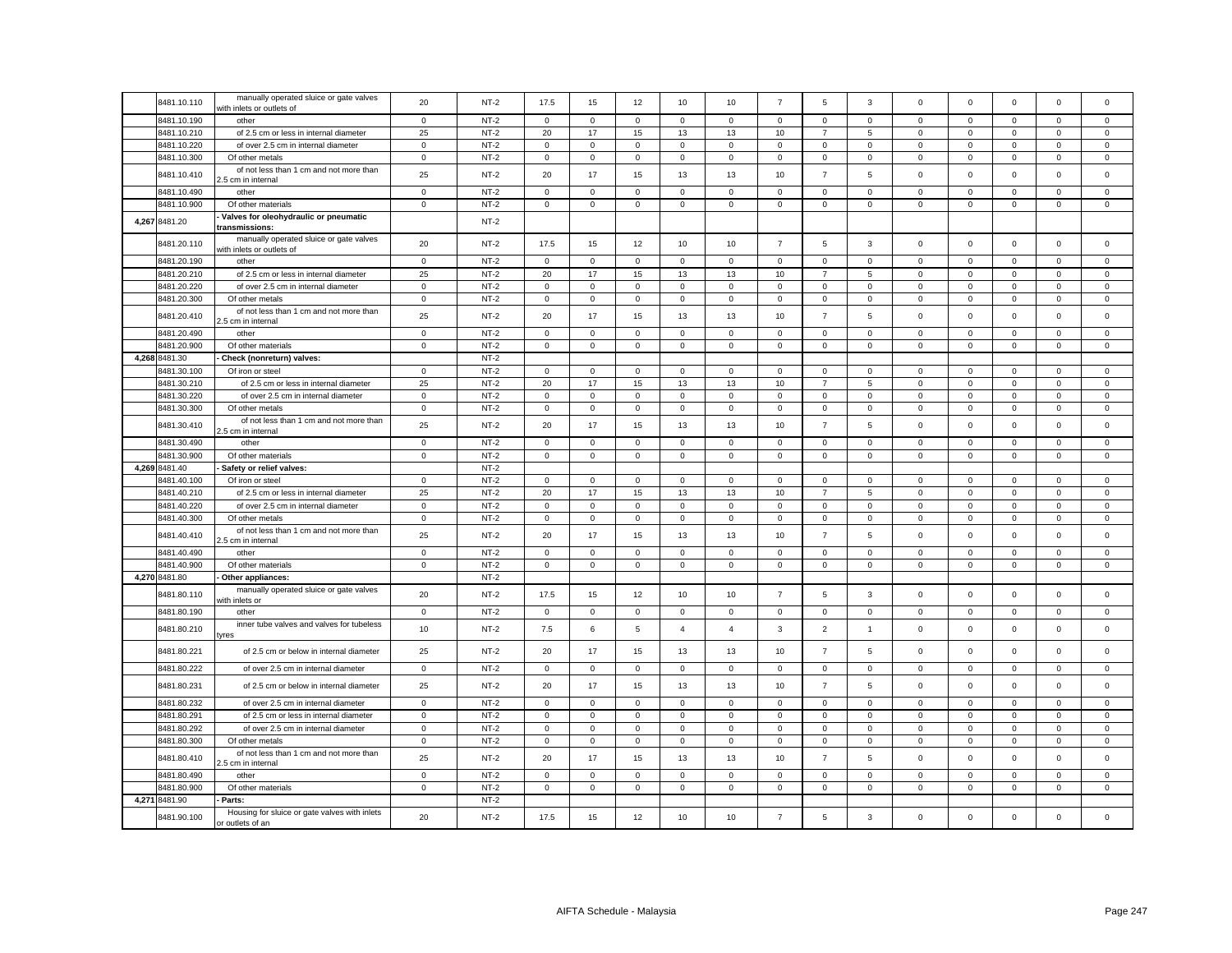|       | 8481.10.110                | manually operated sluice or gate valves<br>with inlets or outlets of          | 20                | $NT-2$           | 17.5              | 15                | 12                | 10             | 10                | $\overline{7}$    | 5                              | 3                | $\mathbf 0$      | $\mathbf 0$                | $\mathbf 0$                | $\mathbf 0$                | $\Omega$                   |
|-------|----------------------------|-------------------------------------------------------------------------------|-------------------|------------------|-------------------|-------------------|-------------------|----------------|-------------------|-------------------|--------------------------------|------------------|------------------|----------------------------|----------------------------|----------------------------|----------------------------|
|       | 8481.10.190                | other                                                                         | $\mathbf 0$       | $NT-2$           | $\mathbf 0$       | $\mathbf 0$       | $\mathbf 0$       | $\Omega$       | $\mathbf 0$       | $\mathsf 0$       | $\mathbf 0$                    | $\mathbf 0$      | $\mathbf 0$      | $\mathbf 0$                | $\Omega$                   | $\mathbf 0$                | $\Omega$                   |
|       | 8481.10.210                | of 2.5 cm or less in internal diameter                                        | 25                | $NT-2$           | 20                | 17                | 15                | 13             | 13                | 10                | $\overline{7}$                 | 5                | 0                | $\mathbf 0$                | 0                          | $\mathbf 0$                | 0                          |
|       | 8481.10.220                | of over 2.5 cm in internal diameter                                           | $\,0\,$           | $NT-2$           | $\mathsf 0$       | $\mathbf 0$       | $\mathbf 0$       | $\mathsf 0$    | $\mathbf 0$       | $\mathsf 0$       | $\mathsf{O}\xspace$            | $\mathbf 0$      | $\mathsf 0$      | $\,0\,$                    | $\mathsf{O}\xspace$        | $\mathbf 0$                | 0                          |
|       | 8481.10.300                | Of other metals                                                               | $\mathbf 0$       | $NT-2$           | $\mathbf 0$       | $\mathbf 0$       | $\mathsf 0$       | 0              | $\mathbf 0$       | $\mathsf 0$       | $\mathbf 0$                    | 0                | 0                | $\mathbf 0$                | $\mathbf 0$                | $\mathbf 0$                | 0                          |
|       | 8481.10.410                | of not less than 1 cm and not more than<br>.5 cm in internal                  | 25                | $NT-2$           | 20                | 17                | 15                | 13             | 13                | 10                | $\overline{7}$                 | 5                | $\mathsf 0$      | $\mathbf 0$                | $\mathsf{O}\xspace$        | $\mathsf 0$                | $\mathbf 0$                |
|       | 8481.10.490                | other                                                                         | $\mathbf 0$       | $NT-2$           | 0                 | 0                 | $\mathbf 0$       | 0              | 0                 | 0                 | $\mathbf 0$                    | 0                | 0                | $\mathbf 0$                | 0                          | $\mathbf 0$                | 0                          |
|       | 8481.10.900                | Of other materials                                                            | $\mathsf 0$       | $NT-2$           | $\mathsf 0$       | $\mathsf 0$       | $\mathbf 0$       | 0              | $\mathbf 0$       | $\mathsf 0$       | $\overline{0}$                 | $\mathsf 0$      | $\mathsf 0$      | $\mathbf 0$                | $\mathsf 0$                | $\mathsf 0$                | 0                          |
|       | 4,267 8481.20              | Valves for oleohydraulic or pneumatic<br>transmissions:                       |                   | $NT-2$           |                   |                   |                   |                |                   |                   |                                |                  |                  |                            |                            |                            |                            |
|       | 8481.20.110                | manually operated sluice or gate valves<br>with inlets or outlets of          | 20                | $NT-2$           | 17.5              | 15                | 12                | 10             | 10                | $\overline{7}$    | 5                              | 3                | $\mathbf 0$      | $\mathbf 0$                | $\mathbf{O}$               | $\mathsf 0$                | $\mathbf 0$                |
|       | 8481.20.190                | other                                                                         | $\mathsf 0$       | $NT-2$           | $\mathbf 0$       | $\mathbf 0$       | $\mathbf 0$       | $\mathbf 0$    | $\mathbf 0$       | $\mathsf 0$       | $\mathbf 0$                    | $\mathbf 0$      | $\mathbf 0$      | $\mathbf 0$                | $\mathbf 0$                | $\mathbf 0$                | $\mathbf 0$                |
|       | 8481.20.210                | of 2.5 cm or less in internal diameter                                        | 25                | $NT-2$           | 20                | 17                | 15                | 13             | 13                | $10$              | $\overline{7}$                 | 5                | $\mathbf 0$      | $\mathbf 0$                | $\mathsf 0$                | $\mathbf 0$                | $\mathbf 0$                |
|       | 8481.20.220                | of over 2.5 cm in internal diameter                                           | $\mathbf 0$       | $NT-2$           | 0                 | $\mathbf 0$       | $\mathbf 0$       | 0              | $\mathbf 0$       | 0                 | $\mathsf 0$                    | 0                | 0                | $\mathbf 0$                | $\mathbf 0$                | $\mathbf 0$                | 0                          |
|       | 8481.20.300                | Of other metals                                                               | $\mathsf 0$       | $NT-2$           | $\mathsf 0$       | $\mathsf 0$       | $\mathbf 0$       | $\mathbf 0$    | $\mathsf 0$       | $\mathsf 0$       | $\mathsf 0$                    | $\mathsf 0$      | $\mathsf 0$      | $\pmb{0}$                  | $\mathbf 0$                | $\mathbf 0$                | $\mathbf 0$                |
|       | 8481.20.410                | of not less than 1 cm and not more than<br>.5 cm in internal                  | 25                | $NT-2$           | 20                | 17                | 15                | 13             | 13                | 10                | $\overline{7}$                 | 5                | 0                | $\mathbf 0$                | $\mathsf 0$                | $\mathsf 0$                | 0                          |
|       | 8481.20.490                | other                                                                         | $\mathbf 0$       | $NT-2$           | $\mathbf 0$       | $\mathbf 0$       | $\mathsf 0$       | $\Omega$       | $\mathbf 0$       | $\mathsf 0$       | $\mathbf 0$                    | $\mathbf 0$      | $\mathbf 0$      | $\mathbf 0$                | $\mathsf 0$                | $\mathbf 0$                | $\mathbf 0$                |
|       | 8481.20.900                | Of other materials                                                            | $\mathbf 0$       | $NT-2$           | $\mathbf 0$       | $\mathbf 0$       | $\mathbf 0$       | 0              | $\mathbf 0$       | $\mathsf 0$       | $\mathsf 0$                    | 0                | 0                | $\mathbf 0$                | 0                          | $\mathbf 0$                | 0                          |
|       | 4,268 8481.30              | Check (nonreturn) valves:                                                     |                   | $NT-2$           |                   |                   |                   |                |                   |                   |                                |                  |                  |                            |                            |                            |                            |
|       | 8481.30.100                | Of iron or steel                                                              | $\mathbf 0$       | $NT-2$           | $\mathbf 0$       | $\mathbf 0$       | $\mathbf 0$       | 0              | $\mathbf 0$       | $\mathbf 0$       | $\mathbf 0$                    | 0                | 0                | $\mathbf 0$                | $\mathbf 0$                | $\mathbf 0$                | 0                          |
|       | 8481.30.210                | of 2.5 cm or less in internal diameter                                        | 25                | $NT-2$           | 20                | 17                | 15                | 13             | 13                | 10                | $\overline{7}$                 | 5                | $\mathsf 0$      | $\mathbf 0$                | $\mathsf 0$                | $\mathbf 0$                | $\mathbf 0$                |
|       | 8481.30.220                | of over 2.5 cm in internal diameter                                           | $\mathsf 0$       | $NT-2$           | $\mathbf 0$       | $\mathbf 0$       | $\mathsf 0$       | 0              | $\mathbf 0$       | $\mathsf 0$       | $\mathbf{0}$                   | 0                | $\mathsf 0$      | $\mathbf 0$                | $\mathbf 0$                | $\mathsf 0$                | $\mathbf 0$                |
|       | 8481.30.300                | Of other metals                                                               | $\mathsf 0$       | $NT-2$           | $\mathsf 0$       | $\mathsf 0$       | $\mathsf 0$       | $\mathbf 0$    | $\mathsf 0$       | $\mathsf 0$       | $\mathsf 0$                    | $\mathsf 0$      | $\mathsf 0$      | $\mathbf 0$                | $\mathsf 0$                | $\mathbf 0$                | 0                          |
|       | 8481.30.410                | of not less than 1 cm and not more than<br>.5 cm in internal                  | 25                | $NT-2$           | 20                | 17                | 15                | 13             | 13                | 10                | $\overline{7}$                 | 5                | $\mathsf 0$      | $\mathbf 0$                | $\mathsf 0$                | $\mathbf 0$                | $\mathbf 0$                |
|       | 8481.30.490                | other                                                                         | $\mathsf 0$       | $NT-2$           | $\mathbf 0$       | $\mathbf 0$       | $\mathbf 0$       | $\mathbf 0$    | $\mathbf 0$       | $\mathbf 0$       | $\mathsf 0$                    | $\mathbf{0}$     | 0                | $\mathbf 0$                | $\mathbf 0$                | $\mathbf 0$                | 0                          |
|       | 8481.30.900                | Of other materials                                                            | $\mathbf 0$       | $NT-2$           | $\mathbf 0$       | $\mathbf 0$       | $\mathsf 0$       | 0              | $\mathbf 0$       | $\mathsf 0$       | $\mathbf{0}$                   | 0                | $\mathsf 0$      | $\mathbf 0$                | $\mathbf 0$                | $\mathsf 0$                | $\mathbf 0$                |
|       | 4,269 8481.40              | Safety or relief valves:                                                      |                   | $NT-2$           |                   |                   |                   |                |                   |                   |                                |                  |                  |                            |                            |                            |                            |
|       | 8481.40.100                | Of iron or steel                                                              | $\mathbf 0$<br>25 | $NT-2$<br>$NT-2$ | $\mathbf 0$       | $\mathbf 0$<br>17 | $\mathsf 0$       | $\mathbf 0$    | $\mathbf 0$<br>13 | $\mathsf 0$       | $\mathbf{0}$<br>$\overline{7}$ | $\mathsf 0$<br>5 | $\mathbf 0$      | $\mathbf 0$                | $\mathbf 0$                | $\mathsf 0$                | $\mathbf 0$<br>$\mathbf 0$ |
|       | 8481.40.210<br>8481.40.220 | of 2.5 cm or less in internal diameter<br>of over 2.5 cm in internal diameter | $\mathsf 0$       | $NT-2$           | 20<br>$\mathsf 0$ | $\mathbf 0$       | 15<br>$\mathsf 0$ | 13<br>0        | $\mathbf 0$       | 10<br>$\mathsf 0$ | $\mathbf{0}$                   | $\mathbf 0$      | 0<br>$\mathsf 0$ | $\mathbf 0$<br>$\mathbf 0$ | $\mathbf 0$<br>$\mathbf 0$ | $\mathbf 0$<br>$\mathbf 0$ | 0                          |
|       | 8481.40.300                | Of other metals                                                               | $\mathbf 0$       | $NT-2$           | $\mathsf 0$       | $\mathbf 0$       | $\mathsf 0$       | $\mathsf 0$    | $\mathbf 0$       | $\mathsf 0$       | $\mathsf{O}\xspace$            | 0                | $\mathsf 0$      | $\mathbf 0$                | $\mathbf 0$                | $\mathsf 0$                | $\mathsf 0$                |
|       | 8481.40.410                | of not less than 1 cm and not more than<br>.5 cm in internal                  | 25                | $NT-2$           | 20                | 17                | 15                | 13             | 13                | 10                | $\overline{7}$                 | 5                | $\mathsf 0$      | $\mathbf 0$                | $\mathsf 0$                | $\mathbf 0$                | $\Omega$                   |
|       | 8481.40.490                | other                                                                         | $\mathsf 0$       | $NT-2$           | $\mathbf 0$       | $^{\circ}$        | $\mathbf 0$       | $\Omega$       | $\mathbf 0$       | $\mathbf 0$       | $\mathbf 0$                    | $\mathbf 0$      | $\mathbf 0$      | $\mathbf 0$                | $\mathbf 0$                | $\mathbf 0$                | 0                          |
|       | 8481.40.900                | Of other materials                                                            | $\mathbf 0$       | $NT-2$           | $\mathbf 0$       | $\mathbf{0}$      | $\mathbf 0$       | $\mathbf 0$    | $\mathbf 0$       | $\mathbf 0$       | $\mathbf{0}$                   | $\mathbf{0}$     | $\mathbf 0$      | $\mathbf 0$                | $\mathbf{0}$               | $\mathbf 0$                | $\mathbf 0$                |
|       | 4,270 8481.80              | Other appliances:                                                             |                   | $NT-2$           |                   |                   |                   |                |                   |                   |                                |                  |                  |                            |                            |                            |                            |
|       | 8481.80.110                | manually operated sluice or gate valves<br>with inlets or                     | 20                | $NT-2$           | 17.5              | 15                | 12                | 10             | 10                | $\overline{7}$    | 5                              | 3                | $\mathbf 0$      | $\mathbf 0$                | $\mathbf 0$                | $\mathbf 0$                | $\Omega$                   |
|       | 8481.80.190                | other                                                                         | $\mathsf 0$       | $NT-2$           | $\mathbf 0$       | $\mathbf 0$       | $\mathsf 0$       | $\mathbf 0$    | $\mathbf 0$       | $\mathsf 0$       | $\mathbf 0$                    | $\mathsf 0$      | $\mathsf 0$      | $\mathbf 0$                | $\mathsf 0$                | $\mathsf 0$                | $\mathbf 0$                |
|       | 8481.80.210                | inner tube valves and valves for tubeless<br>vres                             | 10                | $NT-2$           | 7.5               | 6                 | 5                 | $\overline{4}$ | $\overline{4}$    | 3                 | $\overline{2}$                 | $\mathbf{1}$     | $\mathsf 0$      | $\mathbf 0$                | $\mathbf 0$                | $\mathbf 0$                | $\mathsf 0$                |
|       | 8481.80.221                | of 2.5 cm or below in internal diameter                                       | 25                | $NT-2$           | 20                | 17                | 15                | 13             | 13                | 10                | $\overline{7}$                 | 5                | $\mathsf 0$      | $\mathbf 0$                | $\mathsf 0$                | $\mathbf 0$                | $\mathbf 0$                |
|       | 8481.80.222                | of over 2.5 cm in internal diameter                                           | $\mathbf 0$       | $NT-2$           | $\mathbf 0$       | $\mathbf 0$       | $\mathbf 0$       | 0              | $\mathbf 0$       | $\mathsf 0$       | $\circ$                        | 0                | 0                | $\mathbf 0$                | $\mathbf 0$                | $\mathbf 0$                | 0                          |
|       | 8481.80.231                | of 2.5 cm or below in internal diameter                                       | 25                | $NT-2$           | 20                | 17                | 15                | 13             | 13                | 10                | $\overline{7}$                 | 5                | 0                | $\mathbf 0$                | $\mathbf 0$                | $\mathsf 0$                | 0                          |
|       | 8481.80.232                | of over 2.5 cm in internal diameter                                           | $\mathbf 0$       | $NT-2$           | $\mathbf 0$       | $\mathbf 0$       | $^{\circ}$        | $\Omega$       | $\Omega$          | $\mathbf 0$       | $\mathbf 0$                    | $\mathbf 0$      | $\mathbf 0$      | $\mathbf 0$                | $\mathbf 0$                | $^{\circ}$                 | $\Omega$                   |
|       | 8481.80.291                | of 2.5 cm or less in internal diameter                                        | $\mathbf 0$       | $NT-2$           | $\mathbf 0$       | $\mathbf 0$       | $\mathbf 0$       | $\Omega$       | $\mathbf 0$       | $^{\circ}$        | $\mathsf{O}\xspace$            | $\mathbf 0$      | $\mathbf 0$      | $\mathbf 0$                | $\mathbf 0$                | $\mathbf 0$                | $\Omega$                   |
|       | 8481.80.292                | of over 2.5 cm in internal diameter                                           | $\mathbf 0$       | $NT-2$           | $\mathbf 0$       | 0                 | $\mathbf 0$       | 0              | $\mathbf 0$       | $\mathsf 0$       | $\circ$                        | $\mathbf 0$      | 0                | $\mathbf 0$                | $\mathbf 0$                | $\mathbf 0$                | 0                          |
|       | 8481.80.300                | Of other metals                                                               | $\mathsf 0$       | $NT-2$           | $\mathbf 0$       | $\mathbf 0$       | $\mathsf 0$       | $\mathbf 0$    | $\mathbf 0$       | $\mathsf 0$       | $\mathsf 0$                    | 0                | $\mathsf 0$      | $\mathbf 0$                | $\mathsf 0$                | $\mathsf 0$                | 0                          |
|       | 8481.80.410                | of not less than 1 cm and not more than<br>.5 cm in internal                  | 25                | $NT-2$           | 20                | 17                | 15                | 13             | 13                | 10                | $\overline{7}$                 | 5                | $\mathsf 0$      | $\mathbf 0$                | $\mathsf 0$                | $\mathbf 0$                | 0                          |
|       | 8481.80.490                | other                                                                         | $\mathbf{0}$      | $NT-2$           | $\mathbf 0$       | $\mathbf 0$       | $\mathbf 0$       | $\mathbf 0$    | $\mathbf 0$       | $\mathbf 0$       | $\mathbf 0$                    | $\mathbf{0}$     | $\mathbf 0$      | $\mathbf 0$                | $\mathbf 0$                | $\mathbf 0$                | $\mathbf 0$                |
|       |                            |                                                                               |                   |                  |                   |                   |                   |                |                   |                   |                                |                  |                  |                            |                            |                            |                            |
|       | 8481.80.900                | Of other materials                                                            | $\mathbf 0$       | $NT-2$           | $\mathsf 0$       | $\mathbf 0$       | $\mathsf 0$       | $\mathbf 0$    | $\mathbf 0$       | $\mathsf 0$       | $\mathbf{0}$                   | $\mathbf 0$      | $\mathbf 0$      | $\mathbf 0$                | $\mathbf 0$                | $\mathsf 0$                | $\mathbf 0$                |
| 4,271 | 8481.90                    | Parts:<br>Housing for sluice or gate valves with inlets                       |                   | $NT-2$           |                   |                   |                   |                |                   |                   |                                |                  |                  |                            |                            |                            |                            |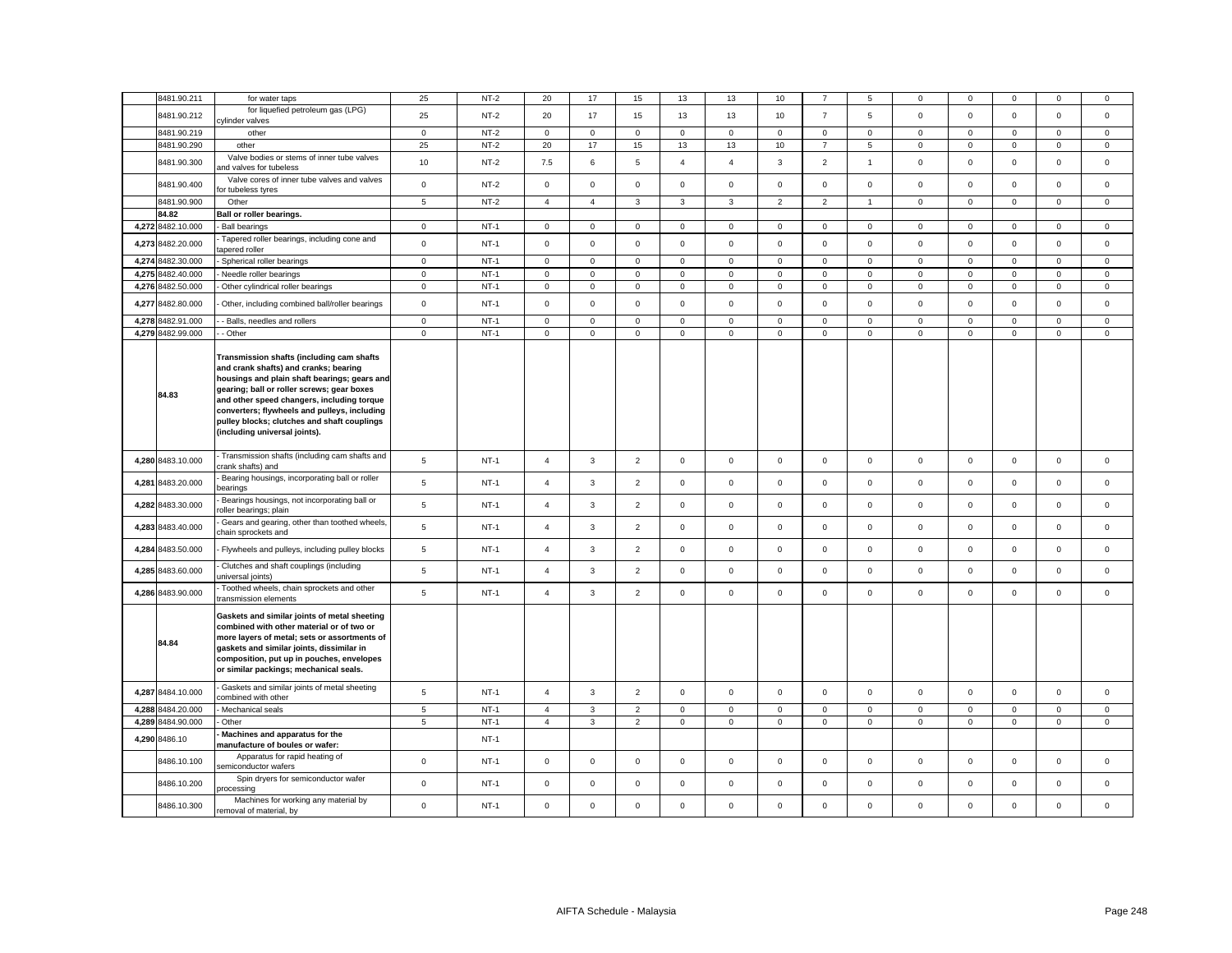| 8481.90.211       | for water taps                                                                                                                                                                                                                                                                                                                                                 | 25             | $NT-2$ | 20                  | 17             | 15             | 13             | 13             | 10             |                     | 5              | 0            | $\mathbf 0$ | $\mathbf 0$         | $\mathbf 0$  | $\mathbf 0$    |
|-------------------|----------------------------------------------------------------------------------------------------------------------------------------------------------------------------------------------------------------------------------------------------------------------------------------------------------------------------------------------------------------|----------------|--------|---------------------|----------------|----------------|----------------|----------------|----------------|---------------------|----------------|--------------|-------------|---------------------|--------------|----------------|
| 8481.90.212       | for liquefied petroleum gas (LPG)<br>cylinder valves                                                                                                                                                                                                                                                                                                           | 25             | $NT-2$ | 20                  | 17             | 15             | 13             | 13             | 10             | $\overline{7}$      | 5              | $\mathsf 0$  | $\mathbf 0$ | $\mathbf 0$         | $\mathsf 0$  | $\mathsf 0$    |
| 8481.90.219       | other                                                                                                                                                                                                                                                                                                                                                          | $\mathbf{0}$   | $NT-2$ | $\mathbf{0}$        | $\mathbf 0$    | $\mathsf 0$    | $\mathbf{0}$   | $\mathbf 0$    | $\mathbf 0$    | $\circ$             | $\mathbf{0}$   | $\mathbf{0}$ | $\mathbf 0$ | $\mathbf 0$         | $\mathbf 0$  | $\mathbf{0}$   |
| 8481.90.290       | other                                                                                                                                                                                                                                                                                                                                                          | 25             | $NT-2$ | 20                  | 17             | 15             | 13             | 13             | 10             | $\overline{7}$      | 5              | $\mathbf 0$  | $\mathbf 0$ | 0                   | $\mathbf 0$  | $\mathbf{0}$   |
| 8481.90.300       | Valve bodies or stems of inner tube valves<br>and valves for tubeless                                                                                                                                                                                                                                                                                          | 10             | $NT-2$ | 7.5                 | 6              | $\mathbf 5$    | $\overline{4}$ | $\overline{4}$ | 3              | $\overline{2}$      | $\mathbf{1}$   | $\mathbf 0$  | $\mathsf 0$ | $\mathsf 0$         | $\mathsf 0$  | $\mathsf 0$    |
| 8481.90.400       | Valve cores of inner tube valves and valves<br>or tubeless tyres                                                                                                                                                                                                                                                                                               | $\mathbf 0$    | $NT-2$ | $\circ$             | $\mathbf 0$    | $\mathbf 0$    | $\mathbf{0}$   | $\mathbf 0$    | $\mathbf 0$    | $\circ$             | $\mathbf{0}$   | $\mathbf{0}$ | $\mathbf 0$ | $\mathbf 0$         | $\mathbf 0$  | $\mathbf{0}$   |
| 8481.90.900       | Other                                                                                                                                                                                                                                                                                                                                                          | 5              | $NT-2$ | $\overline{4}$      | $\overline{4}$ | 3              | $\mathbf{3}$   | 3              | $\overline{2}$ | $\overline{2}$      | $\mathbf{1}$   | $\mathbf 0$  | $\mathsf 0$ | $\mathbf 0$         | $\mathsf 0$  | $\mathsf 0$    |
| 84.82             | Ball or roller bearings.                                                                                                                                                                                                                                                                                                                                       |                |        |                     |                |                |                |                |                |                     |                |              |             |                     |              |                |
| 4,272 8482.10.000 | <b>Ball bearings</b>                                                                                                                                                                                                                                                                                                                                           | $\mathbf 0$    | $NT-1$ | $\mathsf 0$         | $\mathbf 0$    | $\mathbf 0$    | $\mathsf 0$    | $\mathsf 0$    | $\mathbf 0$    | 0                   | $\mathbf 0$    | $\mathbf 0$  | $\mathbf 0$ | $\mathbf 0$         | $\mathbf 0$  | $\mathbf 0$    |
| 4,273 8482.20.000 | Tapered roller bearings, including cone and<br>apered roller                                                                                                                                                                                                                                                                                                   | $\mathbf 0$    | $NT-1$ | $\mathbf 0$         | $\mathbf 0$    | $\mathbf 0$    | $\mathbf 0$    | $\mathbf 0$    | $\mathbf 0$    | $\mathbf{0}$        | $\mathbf{0}$   | $\mathbf 0$  | $\mathbf 0$ | $\mathbf 0$         | $\mathbf 0$  | $\mathbf 0$    |
| 4,274 8482.30.000 | Spherical roller bearings                                                                                                                                                                                                                                                                                                                                      | $\mathbf 0$    | $NT-1$ | $\mathsf 0$         | $\mathbf 0$    | $\mathsf 0$    | $\mathsf 0$    | $\mathbf 0$    | $\mathsf 0$    | $\mathsf 0$         | $\mathbf{0}$   | $\mathsf 0$  | $\mathsf 0$ | $\mathsf 0$         | $\mathsf 0$  | $\mathbf 0$    |
| 4,275 8482.40.000 | Needle roller bearings                                                                                                                                                                                                                                                                                                                                         | $\mathsf 0$    | $NT-1$ | $\mathsf 0$         | $\mathbf 0$    | $\mathsf 0$    | $\mathsf 0$    | $\mathbf 0$    | $\mathsf 0$    | $\mathsf 0$         | $\mathbf{0}$   | $\mathbf 0$  | $\mathsf 0$ | $\mathsf 0$         | $\mathsf 0$  | $\mathsf 0$    |
| 4,276 8482.50.000 | Other cylindrical roller bearings                                                                                                                                                                                                                                                                                                                              | $\mathbf 0$    | $NT-1$ | $\mathbf 0$         | $\mathbf 0$    | $\mathbf 0$    | $\mathbf 0$    | $\mathbf 0$    | $\mathsf 0$    | $\mathbf{0}$        | $\mathbf 0$    | $\mathsf 0$  | $\mathsf 0$ | $\mathbf 0$         | $\mathsf 0$  | $\mathsf 0$    |
|                   |                                                                                                                                                                                                                                                                                                                                                                |                |        |                     |                |                |                |                |                |                     |                |              |             |                     |              |                |
| 4,277 8482.80.000 | Other, including combined ball/roller bearings                                                                                                                                                                                                                                                                                                                 | $\mathsf 0$    | $NT-1$ | $\mathbf 0$         | $\mathbf 0$    | $\mathsf 0$    | $\mathsf 0$    | $\mathsf 0$    | $\mathsf 0$    | $\mathsf 0$         | $\mathbf 0$    | $\mathbf 0$  | $\mathsf 0$ | $\mathbf 0$         | $\mathsf 0$  | $\mathbf 0$    |
| 4,278 8482.91.000 | - Balls, needles and rollers                                                                                                                                                                                                                                                                                                                                   | $\mathbf 0$    | $NT-1$ | $\mathbf 0$         | $\mathbf 0$    | $\mathbf{0}$   | $\mathbf{0}$   | $\mathbf 0$    | $\mathbf 0$    | $\mathbf 0$         | $\mathbf{0}$   | $\mathbf{0}$ | $\mathbf 0$ | $\mathbf 0$         | $\mathbf{0}$ | $\mathbf{0}$   |
| 4,279 8482.99.000 | - Other                                                                                                                                                                                                                                                                                                                                                        | $\mathsf 0$    | $NT-1$ | $\mathsf 0$         | $\mathsf 0$    | $\mathsf 0$    | $\mathsf 0$    | $\mathbf 0$    | $\mathsf 0$    | $\mathsf 0$         | $\mathsf 0$    | $\mathsf 0$  | $\mathsf 0$ | $\mathsf 0$         | $\mathsf 0$  | $\mathsf 0$    |
| 84.83             | Transmission shafts (including cam shafts<br>and crank shafts) and cranks; bearing<br>housings and plain shaft bearings; gears and<br>gearing; ball or roller screws; gear boxes<br>and other speed changers, including torque<br>converters; flywheels and pulleys, including<br>pulley blocks; clutches and shaft couplings<br>(including universal joints). |                |        |                     |                |                |                |                |                |                     |                |              |             |                     |              |                |
| 4,280 8483.10.000 | Transmission shafts (including cam shafts and<br>crank shafts) and                                                                                                                                                                                                                                                                                             | 5              | $NT-1$ | $\overline{4}$      | $\mathbf{3}$   | $\overline{2}$ | $\mathsf 0$    | $\mathsf 0$    | $\mathbf 0$    | $\mathsf 0$         | $\mathbf 0$    | $\mathbf 0$  | $\mathbf 0$ | $\mathbf 0$         | $\mathsf 0$  | $\mathsf 0$    |
| 4,281 8483.20.000 | Bearing housings, incorporating ball or roller<br>pearings                                                                                                                                                                                                                                                                                                     | $\overline{5}$ | $NT-1$ | $\overline{4}$      | $\mathbf{3}$   | $\overline{2}$ | $\mathsf 0$    | $\mathbf 0$    | $\mathsf 0$    | $\mathsf 0$         | $\mathbf 0$    | $\mathsf 0$  | $\mathsf 0$ | $\mathbf 0$         | $\mathsf 0$  | $\mathsf 0$    |
| 4,282 8483.30.000 | Bearings housings, not incorporating ball or<br>oller bearings; plain                                                                                                                                                                                                                                                                                          | 5              | $NT-1$ | $\overline{4}$      | $\mathbf{3}$   | $\overline{2}$ | $\mathsf 0$    | $\mathbf 0$    | $\mathsf 0$    | $\mathsf{O}$        | $\mathsf 0$    | $\mathsf 0$  | $\mathsf 0$ | $\mathsf 0$         | $\mathsf 0$  | $\mathsf 0$    |
| 4,283 8483.40.000 | Gears and gearing, other than toothed wheels,<br>chain sprockets and                                                                                                                                                                                                                                                                                           | 5              | $NT-1$ | $\overline{4}$      | 3              | $\overline{2}$ | $\mathbf{0}$   | $\mathsf 0$    | $\mathbf 0$    | $\mathbf{0}$        | $\mathbf{0}$   | $\mathbf{0}$ | $\mathbf 0$ | $\mathbf 0$         | $\mathsf 0$  | $\mathbf{0}$   |
| 4,284 8483.50.000 | Flywheels and pulleys, including pulley blocks                                                                                                                                                                                                                                                                                                                 | $\overline{5}$ | $NT-1$ | $\overline{4}$      | $\mathbf{3}$   | $\overline{2}$ | $\mathsf 0$    | $\mathsf 0$    | $\mathsf 0$    | $\mathsf{O}$        | $\mathsf 0$    | $\mathsf 0$  | $\mathsf 0$ | $\mathsf{O}\xspace$ | $\mathsf 0$  | $\mathsf 0$    |
| 4,285 8483.60.000 | Clutches and shaft couplings (including<br>universal joints)                                                                                                                                                                                                                                                                                                   | $\,$ 5 $\,$    | $NT-1$ | $\overline{4}$      | $\mathbf{3}$   | $\overline{2}$ | $\mathsf 0$    | $\mathsf 0$    | $\mathsf 0$    | $\mathsf 0$         | $\mathbf 0$    | $\mathsf 0$  | $\mathsf 0$ | $\mathsf 0$         | $\mathsf 0$  | $\mathsf 0$    |
| 4,286 8483.90.000 | Toothed wheels, chain sprockets and other<br>ransmission elements                                                                                                                                                                                                                                                                                              | 5              | $NT-1$ | $\overline{4}$      | $\mathbf{3}$   | $\overline{2}$ | $\mathsf 0$    | $\mathsf 0$    | $\mathbf 0$    | $\mathsf 0$         | $\mathbf 0$    | $\mathbf 0$  | $\mathbf 0$ | $\mathbf 0$         | $\mathbf 0$  | $\mathsf 0$    |
| 84.84             | Gaskets and similar joints of metal sheeting<br>combined with other material or of two or<br>more layers of metal; sets or assortments of<br>gaskets and similar joints, dissimilar in<br>composition, put up in pouches, envelopes<br>or similar packings; mechanical seals.                                                                                  |                |        |                     |                |                |                |                |                |                     |                |              |             |                     |              |                |
| 4,287 8484.10.000 | Gaskets and similar joints of metal sheeting<br>combined with other                                                                                                                                                                                                                                                                                            | 5              | $NT-1$ | $\overline{a}$      | $\mathbf{3}$   | $\overline{2}$ | $\mathsf 0$    | $\mathsf 0$    | $\mathsf 0$    | $\mathsf 0$         | $\mathbf 0$    | $\mathbf 0$  | $\mathsf 0$ | $\mathbf 0$         | $\mathsf 0$  | $\mathsf 0$    |
| 4,288 8484.20.000 | Mechanical seals                                                                                                                                                                                                                                                                                                                                               | $\sqrt{5}$     | $NT-1$ | $\overline{4}$      | $\mathbf{3}$   | $\mathbf 2$    | $\mathsf 0$    | $\mathsf 0$    | $\mathsf 0$    | $\mathsf 0$         | $\overline{0}$ | $\mathsf 0$  | $\mathbf 0$ | $\mathsf 0$         | $\mathbf 0$  | $\mathsf 0$    |
| 4,289 8484.90.000 | Other                                                                                                                                                                                                                                                                                                                                                          | 5              | $NT-1$ | $\overline{4}$      | 3              | $\overline{2}$ | $\mathbf 0$    | 0              | $\mathbf 0$    | $\mathbf{0}$        | $\mathbf 0$    | $\mathbf 0$  | $\mathbf 0$ | 0                   | $\mathbf 0$  | $\mathbf 0$    |
| 4,290 8486.10     | Machines and apparatus for the<br>manufacture of boules or wafer:                                                                                                                                                                                                                                                                                              |                | $NT-1$ |                     |                |                |                |                |                |                     |                |              |             |                     |              |                |
| 8486.10.100       | Apparatus for rapid heating of<br>semiconductor wafers                                                                                                                                                                                                                                                                                                         | $\mathsf 0$    | $NT-1$ | $\mathsf 0$         | $\mathbf 0$    | $\mathsf 0$    | $\mathbf 0$    | $\mathbf 0$    | $\mathsf 0$    | $\mathsf 0$         | $\mathbf 0$    | $\mathbf 0$  | $\mathsf 0$ | $\mathbf 0$         | $\mathsf 0$  | $\mathsf 0$    |
| 8486.10.200       | Spin dryers for semiconductor wafer<br>rocessing                                                                                                                                                                                                                                                                                                               | $\mathsf 0$    | $NT-1$ | $\mathbf 0$         | $\mathbf 0$    | $\mathsf 0$    | $\mathbf 0$    | 0              | $\mathbf 0$    | $\mathsf 0$         | $\mathbf 0$    | $\mathbf 0$  | $\mathbf 0$ | $\mathbf 0$         | $\mathsf 0$  | $\mathsf 0$    |
| 8486.10.300       | Machines for working any material by<br>removal of material, by                                                                                                                                                                                                                                                                                                | $\mathbf 0$    | $NT-1$ | $\mathsf{O}\xspace$ | $\Omega$       | $\mathbf 0$    | $\mathsf 0$    | $\mathsf 0$    | $\Omega$       | $\mathsf{O}\xspace$ | $\mathbf{0}$   | $\mathsf 0$  | $\mathbf 0$ | $\mathbf 0$         | $\mathbf 0$  | $\overline{0}$ |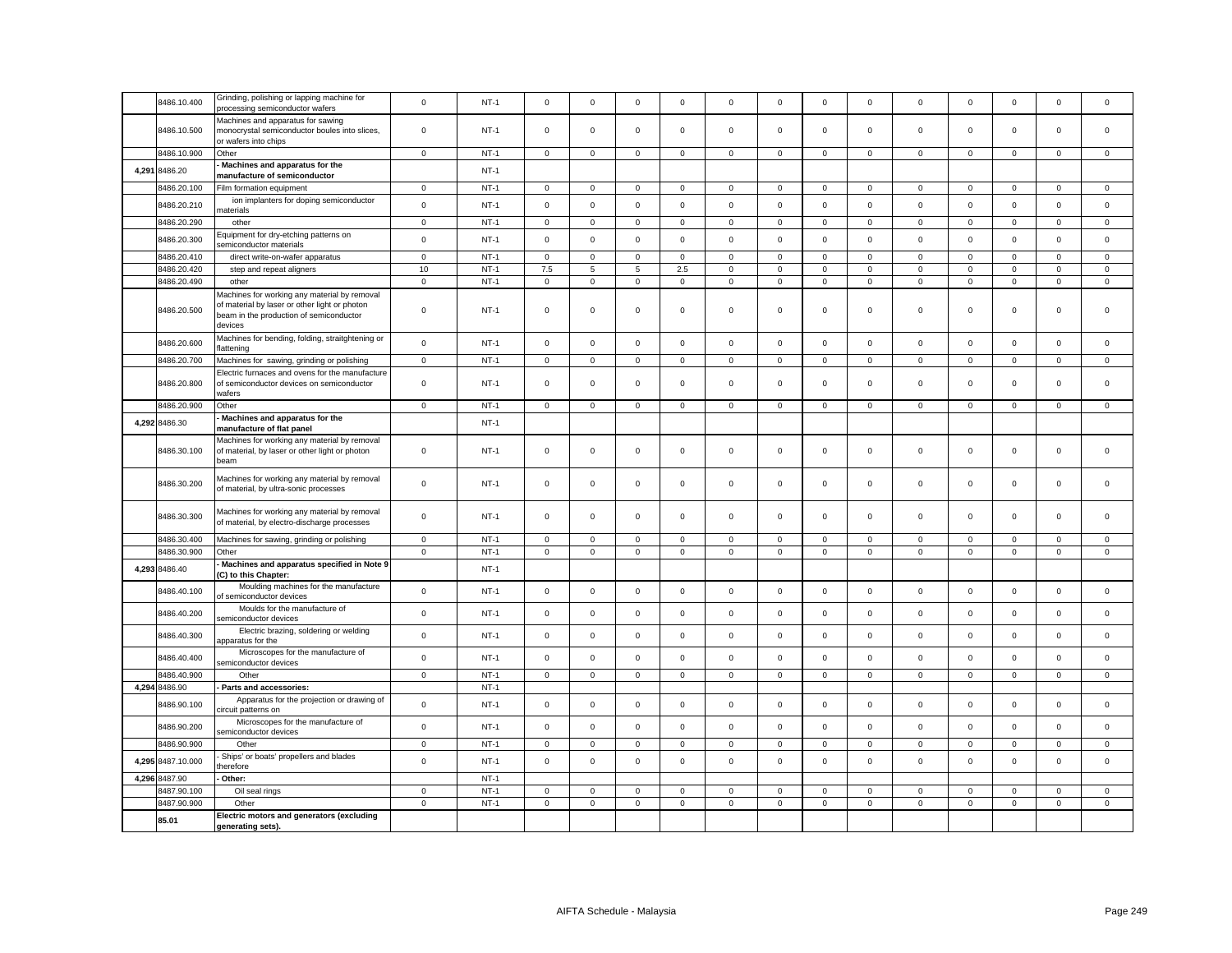| 8486.10.400       | Grinding, polishing or lapping machine for<br>processing semiconductor wafers                                                                       | $\mathsf 0$ | $NT-1$      | $\mathsf 0$  | $\mathbf 0$  | $\mathsf 0$    | $\mathsf 0$  | $\mathsf 0$  | $\mathsf 0$ | $\mathsf 0$  | $\mathbf 0$    | $\mathbf 0$  | $\mathsf 0$ | $\mathsf 0$         | $\mathsf 0$    | $\mathsf 0$  |
|-------------------|-----------------------------------------------------------------------------------------------------------------------------------------------------|-------------|-------------|--------------|--------------|----------------|--------------|--------------|-------------|--------------|----------------|--------------|-------------|---------------------|----------------|--------------|
| 8486.10.500       | Machines and apparatus for sawing<br>monocrystal semiconductor boules into slices,<br>or wafers into chips                                          | 0           | $NT-1$      | $\mathbf 0$  | $\mathbf 0$  | $\mathsf 0$    | $\mathbf 0$  | 0            | $\mathbf 0$ | $\mathsf 0$  | $\mathbf 0$    | $\mathbf 0$  | $\mathbf 0$ | 0                   | $\mathsf 0$    | $\mathsf 0$  |
| 8486.10.900       | Other                                                                                                                                               | $\mathbf 0$ | $NT-1$      | $\mathsf 0$  | $\mathbf 0$  | $\mathbf{0}$   | $\mathbf 0$  | $\mathbf 0$  | $\mathsf 0$ | $\mathbf{0}$ | $\mathbf 0$    | $\mathbf 0$  | $\mathbf 0$ | $\mathbf 0$         | $\mathbf{0}$   | $\mathsf 0$  |
| 4,291 8486.20     | Machines and apparatus for the                                                                                                                      |             | $NT-1$      |              |              |                |              |              |             |              |                |              |             |                     |                |              |
|                   | manufacture of semiconductor                                                                                                                        |             |             |              |              |                |              |              |             |              |                |              |             |                     |                |              |
| 8486.20.100       | Film formation equipment                                                                                                                            | $\mathbf 0$ | $NT-1$      | $\mathbf 0$  | 0            | $\overline{0}$ | $\mathbf{0}$ | 0            | 0           | $\mathbf{0}$ | $\mathbf 0$    | 0            | $\mathbf 0$ | 0                   | $\overline{0}$ | $\mathbf 0$  |
| 8486.20.210       | ion implanters for doping semiconductor<br>naterials                                                                                                | $\mathsf 0$ | $NT-1$      | $\circ$      | $\mathbf 0$  | $\mathsf 0$    | $\mathbf{0}$ | $\mathbf 0$  | $\mathbf 0$ | $\mathsf 0$  | $\mathbf{0}$   | $\mathsf 0$  | $\mathbf 0$ | $\mathbf 0$         | $\mathbf 0$    | $\mathsf 0$  |
| 8486.20.290       | other                                                                                                                                               | $\mathsf 0$ | $NT-1$      | $\mathsf{O}$ | $\mathsf 0$  | $\mathsf 0$    | $\mathsf 0$  | $\mathbf 0$  | $\mathsf 0$ | $\mathsf{O}$ | $\mathsf 0$    | $\mathsf 0$  | $\mathsf 0$ | $\mathbf 0$         | $\mathsf 0$    | $\mathsf 0$  |
| 8486.20.300       | quipment for dry-etching patterns on<br>semiconductor materials                                                                                     | $\mathbf 0$ | $NT-1$      | $\mathsf{O}$ | $\mathsf 0$  | $\mathsf 0$    | $\mathsf 0$  | $\mathbf 0$  | $\mathsf 0$ | $\mathsf{O}$ | $\mathbf 0$    | $\mathsf 0$  | $\mathsf 0$ | $\mathsf 0$         | $\mathsf 0$    | $\mathsf 0$  |
| 8486.20.410       | direct write-on-wafer apparatus                                                                                                                     | $\mathsf 0$ | $NT-1$      | $\mathbf 0$  | $\mathbf 0$  | $\mathsf 0$    | $\mathbf 0$  | $\mathbf 0$  | $\mathbf 0$ | $\mathbf 0$  | $\mathbf 0$    | $\mathbf 0$  | $\mathbf 0$ | $\mathbf 0$         | $\mathbf 0$    | $\mathsf 0$  |
| 8486.20.420       | step and repeat aligners                                                                                                                            | $10$        | $NT-1$      | 7.5          | 5            | $\,$ 5 $\,$    | 2.5          | $\mathbf 0$  | $\mathsf 0$ | $\mathsf 0$  | $\mathsf 0$    | $\mathsf 0$  | $\mathsf 0$ | $\mathsf{O}\xspace$ | $\mathsf 0$    | $\mathsf 0$  |
| 8486.20.490       | other                                                                                                                                               | $\mathsf 0$ | $NT-1$      | $\mathsf 0$  | $\mathsf 0$  | $\mathsf 0$    | $\mathsf 0$  | $\mathsf 0$  | $\mathbf 0$ | $\mathbf 0$  | $\mathbf 0$    | $\mathsf 0$  | $\mathsf 0$ | $\mathbf 0$         | $\mathsf 0$    | $\mathsf 0$  |
| 8486.20.500       | Machines for working any material by removal<br>of material by laser or other light or photon<br>beam in the production of semiconductor<br>devices | 0           | <b>NT-1</b> | 0            | $\mathbf 0$  | $\mathsf 0$    | 0            | 0            | $\mathbf 0$ | $\mathbf{0}$ | 0              | $\mathbf 0$  | $\mathbf 0$ | 0                   | $\mathsf 0$    | $\mathsf 0$  |
| 8486.20.600       | Machines for bending, folding, straitghtening or<br>flattening                                                                                      | $\mathsf 0$ | $NT-1$      | $\mathsf 0$  | $\mathsf 0$  | $\mathsf 0$    | $\mathsf 0$  | $\mathbf 0$  | $\mathsf 0$ | $\mathsf 0$  | $\mathsf 0$    | $\mathsf 0$  | $\mathsf 0$ | $\mathbf 0$         | $\mathsf 0$    | $\mathsf 0$  |
| 8486.20.700       | Machines for sawing, grinding or polishing                                                                                                          | $\mathbf 0$ | $NT-1$      | $\mathsf 0$  | $\mathbf 0$  | $\mathbf 0$    | $\mathbf 0$  | $\mathbf 0$  | $\mathsf 0$ | $\mathbf{0}$ | $\mathbf 0$    | $\mathbf 0$  | $\mathsf 0$ | $\mathbf 0$         | $\mathbf 0$    | $\mathsf 0$  |
| 8486.20.800       | Electric furnaces and ovens for the manufacture<br>of semiconductor devices on semiconductor<br>wafers                                              | $\mathsf 0$ | $NT-1$      | $\mathbf{0}$ | $\Omega$     | $\mathbf 0$    | $\mathbf{0}$ | $\mathbf 0$  | $\mathbf 0$ | $\mathbf{0}$ | $\mathbf 0$    | $\mathbf 0$  | $\mathbf 0$ | $\mathbf 0$         | $\mathbf 0$    | $\mathbf 0$  |
| 8486.20.900       | Other                                                                                                                                               | $\mathbf 0$ | $NT-1$      | $\mathbf 0$  | $\mathbf 0$  | $\mathsf 0$    | $\mathsf 0$  | $\mathbf 0$  | $\mathsf 0$ | $\mathbf 0$  | $\mathbf 0$    | $\mathbf 0$  | $\mathsf 0$ | $\mathsf 0$         | $\mathsf 0$    | $\mathsf 0$  |
|                   | Machines and apparatus for the                                                                                                                      |             |             |              |              |                |              |              |             |              |                |              |             |                     |                |              |
| 4,292 8486.30     | manufacture of flat panel                                                                                                                           |             | $NT-1$      |              |              |                |              |              |             |              |                |              |             |                     |                |              |
| 8486.30.100       | Machines for working any material by removal<br>of material, by laser or other light or photon<br>beam                                              | $\mathbf 0$ | $NT-1$      | $\mathsf 0$  | $\mathbf 0$  | $\mathsf 0$    | $\mathbf 0$  | $\mathbf 0$  | $\mathsf 0$ | $\mathbf{0}$ | $\mathbf 0$    | $\mathbf 0$  | $\mathbf 0$ | $\mathbf 0$         | $\mathsf 0$    | $\mathsf 0$  |
| 8486.30.200       | Machines for working any material by removal<br>of material, by ultra-sonic processes                                                               | $\mathsf 0$ | $NT-1$      | $\mathsf 0$  | $\mathbf 0$  | $\mathsf 0$    | $\mathsf 0$  | $\mathsf 0$  | $\mathsf 0$ | $\mathsf 0$  | $\mathbf 0$    | $\mathbf 0$  | $\mathsf 0$ | $\mathbf 0$         | $\mathsf 0$    | $\mathsf 0$  |
| 8486.30.300       | Machines for working any material by removal<br>of material, by electro-discharge processes                                                         | $\mathsf 0$ | $NT-1$      | $\mathbf 0$  | $\mathbf{0}$ | $\mathbf 0$    | $\mathbf{0}$ | $\mathbf{0}$ | $\mathbf 0$ | $\mathbf{0}$ | $\mathbf{0}$   | $\mathbf{0}$ | $\mathbf 0$ | $\mathbf 0$         | $\mathbf{0}$   | $\mathbf{0}$ |
| 8486.30.400       | Machines for sawing, grinding or polishing                                                                                                          | $\mathsf 0$ | $NT-1$      | $\mathbf 0$  | $\mathbf 0$  | $\mathsf 0$    | $\mathsf 0$  | $\mathsf 0$  | $\mathsf 0$ | $\mathsf 0$  | $\mathbf 0$    | $\mathsf 0$  | $\mathsf 0$ | $\mathsf 0$         | $\mathbf 0$    | $\mathsf 0$  |
| 8486.30.900       | Other                                                                                                                                               | $\mathbf 0$ | $NT-1$      | $\mathsf{O}$ | $\mathbf 0$  | $\mathsf 0$    | $\mathbf 0$  | $\mathsf 0$  | $\mathbf 0$ | $\mathsf 0$  | $\overline{0}$ | $\mathsf 0$  | $\mathbf 0$ | $\mathbf 0$         | $\mathsf 0$    | $\mathbf 0$  |
| 4,293 8486.40     | Machines and apparatus specified in Note 9<br>(C) to this Chapter:                                                                                  |             | $NT-1$      |              |              |                |              |              |             |              |                |              |             |                     |                |              |
|                   | Moulding machines for the manufacture                                                                                                               |             |             |              |              |                |              |              |             |              |                |              |             |                     |                |              |
| 8486.40.100       | of semiconductor devices                                                                                                                            | $\mathsf 0$ | $NT-1$      | $\mathsf{O}$ | $\mathbf 0$  | $\mathsf 0$    | $\mathsf 0$  | $\mathbf 0$  | $\mathsf 0$ | $\mathsf{O}$ | $\mathsf 0$    | $\mathsf 0$  | $\mathbf 0$ | $\mathbf 0$         | $\mathsf 0$    | $\mathsf 0$  |
| 8486.40.200       | Moulds for the manufacture of<br>semiconductor devices                                                                                              | $\mathsf 0$ | $NT-1$      | $\mathsf 0$  | $\mathsf 0$  | $\mathsf 0$    | $\mathsf 0$  | $\mathbf 0$  | $\mathsf 0$ | $\mathsf{O}$ | $\mathbf 0$    | $\mathsf 0$  | $\mathsf 0$ | $\mathsf 0$         | $\mathsf 0$    | $\mathsf 0$  |
| 8486.40.300       | Electric brazing, soldering or welding<br>apparatus for the                                                                                         | $\mathsf 0$ | $NT-1$      | $\mathbf{0}$ | $\mathbf 0$  | $\mathsf 0$    | $\mathbf 0$  | $\mathbf 0$  | $\mathsf 0$ | $\mathbf{0}$ | $\mathbf{0}$   | $\mathsf 0$  | $\mathsf 0$ | $\mathbf 0$         | $\mathsf 0$    | $\mathbf 0$  |
| 8486.40.400       | Microscopes for the manufacture of<br>semiconductor devices                                                                                         | $\mathsf 0$ | $NT-1$      | $\mathbf{0}$ | $\mathsf 0$  | $\mathsf 0$    | $\mathsf 0$  | $\mathbf 0$  | $\mathsf 0$ | $\mathsf{O}$ | $\mathbf 0$    | $\mathsf 0$  | $\mathsf 0$ | $\mathbf 0$         | $\mathsf 0$    | $\mathsf 0$  |
| 8486.40.900       | Other                                                                                                                                               | $\mathsf 0$ | $NT-1$      | $\mathsf 0$  | $\mathsf 0$  | $\mathsf 0$    | $\mathsf 0$  | $\mathbf 0$  | $\mathsf 0$ | $\mathsf{O}$ | $\mathbf{0}$   | $\mathsf 0$  | $\mathsf 0$ | $\mathbf 0$         | $\mathsf 0$    | $\mathsf 0$  |
| 4,294 8486.90     | Parts and accessories:                                                                                                                              |             | $NT-1$      |              |              |                |              |              |             |              |                |              |             |                     |                |              |
| 8486.90.100       | Apparatus for the projection or drawing of<br>circuit patterns on                                                                                   | $\mathsf 0$ | $NT-1$      | $\mathsf{O}$ | $\mathbf 0$  | $\mathsf 0$    | $\mathsf 0$  | $\mathbf 0$  | $\mathsf 0$ | $\mathsf{O}$ | $\mathbf{0}$   | $\mathbf 0$  | $\mathbf 0$ | $\mathbf 0$         | $\mathbf 0$    | $\mathbf 0$  |
| 8486.90.200       | Microscopes for the manufacture of<br>semiconductor devices                                                                                         | $\mathsf 0$ | $NT-1$      | $\mathsf 0$  | $\mathbf 0$  | $\mathsf 0$    | $\mathsf 0$  | $\mathsf 0$  | $\mathsf 0$ | $\mathsf 0$  | $\mathbf 0$    | $\mathbf 0$  | $\mathsf 0$ | $\mathbf 0$         | $\mathsf 0$    | $\mathsf 0$  |
| 8486.90.900       | Other                                                                                                                                               | $\mathbf 0$ | $NT-1$      | $\mathbf{0}$ | $\mathbf 0$  | $\mathbf 0$    | $\mathbf 0$  | 0            | $\mathbf 0$ | $\mathbf{0}$ | $\mathbf{0}$   | $\mathbf 0$  | $\mathbf 0$ | $\mathbf{0}$        | $\mathbf 0$    | $\mathbf 0$  |
| 4,295 8487.10.000 | Ships' or boats' propellers and blades<br>herefore                                                                                                  | $\mathsf 0$ | $NT-1$      | $\mathbf{0}$ | $\mathbf 0$  | $\mathbf 0$    | $\mathbf 0$  | $\mathbf 0$  | $\mathbf 0$ | $\mathsf{O}$ | $\mathbf 0$    | $\mathbf 0$  | $\mathbf 0$ | $\mathbf 0$         | $\mathbf 0$    | $\mathbf 0$  |
| 4,296 8487.90     | Other:                                                                                                                                              |             | $NT-1$      |              |              |                |              |              |             |              |                |              |             |                     |                |              |
| 8487.90.100       | Oil seal rings                                                                                                                                      | $\mathbf 0$ | $NT-1$      | $\mathbf{0}$ | $\mathbf 0$  | $\mathsf 0$    | $\mathbf{0}$ | $\mathbf 0$  | $\mathbf 0$ | $\mathbf{0}$ | $\mathbf{0}$   | $\mathbf 0$  | $\mathsf 0$ | $\mathbf 0$         | $\mathsf 0$    | $\mathbf 0$  |
| 8487.90.900       | Other                                                                                                                                               | $\mathsf 0$ | $NT-1$      | $\mathbf 0$  | $\mathbf 0$  | $\mathsf 0$    | $\mathbf 0$  | $\mathsf 0$  | $\mathsf 0$ | $\mathsf 0$  | 0              | $\mathbf 0$  | $\mathbf 0$ | $\mathbf 0$         | $\mathsf 0$    | $\mathsf 0$  |
| 85.01             | Electric motors and generators (excluding<br>generating sets).                                                                                      |             |             |              |              |                |              |              |             |              |                |              |             |                     |                |              |
|                   |                                                                                                                                                     |             |             |              |              |                |              |              |             |              |                |              |             |                     |                |              |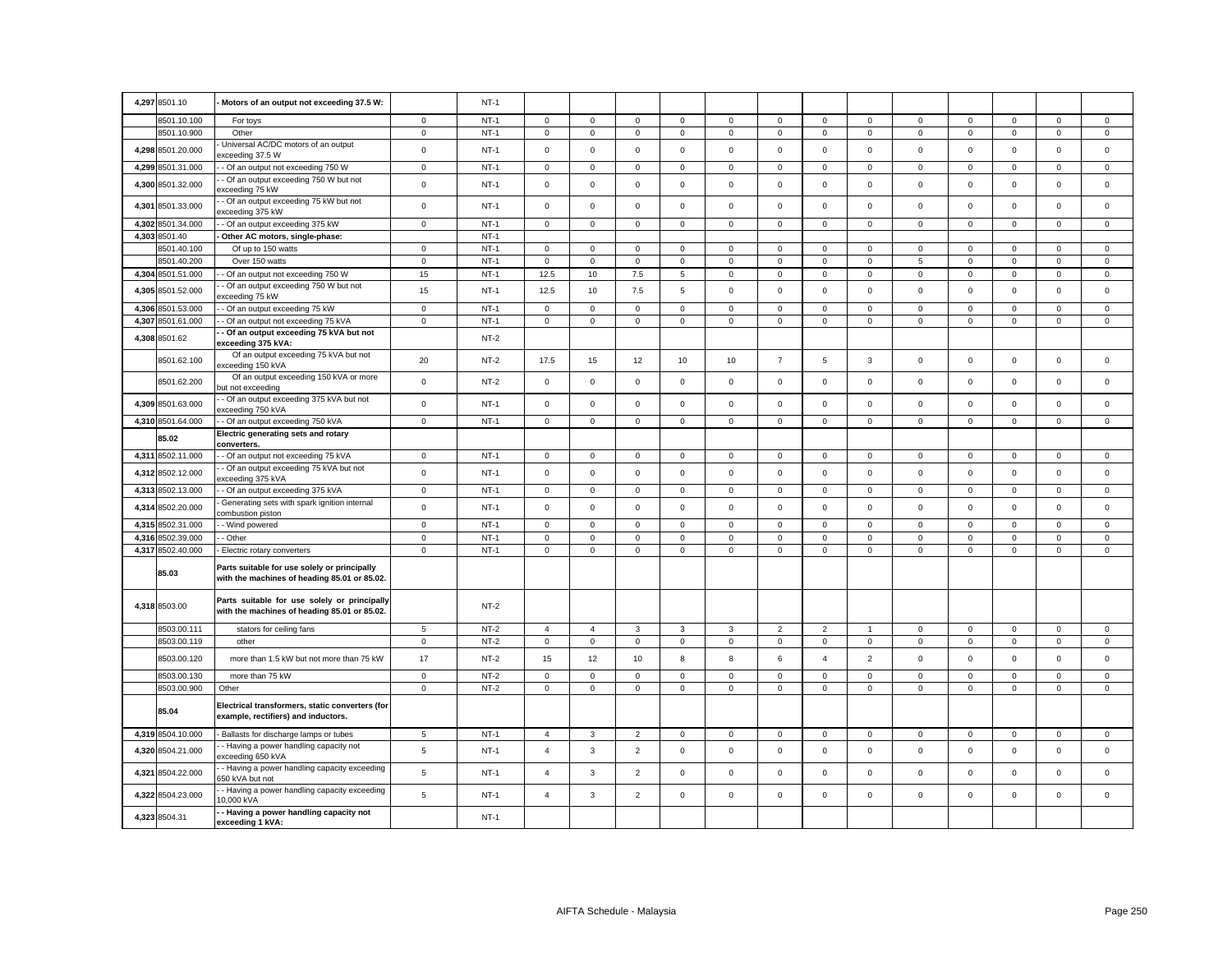| 4,297 8501.10              | Motors of an output not exceeding 37.5 W:                                                    |                  | $NT-1$           |                             |                            |                            |                            |                  |                            |                     |                |                            |                            |                            |                            |                            |
|----------------------------|----------------------------------------------------------------------------------------------|------------------|------------------|-----------------------------|----------------------------|----------------------------|----------------------------|------------------|----------------------------|---------------------|----------------|----------------------------|----------------------------|----------------------------|----------------------------|----------------------------|
|                            |                                                                                              |                  |                  |                             |                            |                            |                            |                  |                            | $\mathbf 0$         | $\overline{0}$ |                            |                            |                            |                            |                            |
| 8501.10.100<br>8501.10.900 | For toys<br>Other                                                                            | 0<br>$\mathsf 0$ | $NT-1$<br>$NT-1$ | $\mathsf 0$<br>$\mathsf{O}$ | $\mathbf 0$<br>$\mathsf 0$ | $\mathbf 0$<br>$\mathsf 0$ | $\mathbf 0$<br>$\mathbf 0$ | 0<br>$\mathsf 0$ | $\mathbf 0$<br>$\mathsf 0$ | $\mathsf 0$         | $\mathsf 0$    | $\mathsf 0$<br>$\mathsf 0$ | $\mathbf 0$<br>$\mathsf 0$ | $\mathbf 0$<br>$\mathsf 0$ | $\mathbf 0$<br>$\mathsf 0$ | $\mathsf 0$<br>$\mathsf 0$ |
|                            | Universal AC/DC motors of an output                                                          |                  |                  |                             |                            |                            |                            |                  |                            |                     |                |                            |                            |                            |                            |                            |
| 4,298 8501.20.000          | xceeding 37.5 W                                                                              | $\mathbf 0$      | $NT-1$           | $\mathsf 0$                 | $\mathsf 0$                | $\mathsf 0$                | $\mathbf 0$                | $\mathbf 0$      | $\mathsf 0$                | $\mathsf 0$         | $\mathbf 0$    | $\mathbf 0$                | $\mathsf 0$                | $\mathsf 0$                | $\mathsf 0$                | $\mathsf 0$                |
| 4,299 8501.31.000          | - Of an output not exceeding 750 W                                                           | $\mathbf 0$      | $NT-1$           | $\mathbf 0$                 | $\mathbf 0$                | $\mathbf 0$                | $\mathbf 0$                | $\mathbf 0$      | $\mathbf 0$                | $\mathbf 0$         | $\mathbf 0$    | $\mathbf 0$                | $\mathbf 0$                | $\mathbf 0$                | $\mathbf 0$                | $\mathbf 0$                |
| 4,300 8501.32.000          | - Of an output exceeding 750 W but not<br>exceeding 75 kW                                    | $\mathsf 0$      | $NT-1$           | $\mathsf{O}\xspace$         | $\mathsf 0$                | $\mathsf 0$                | $\mathsf 0$                | $\mathsf 0$      | $\mathsf 0$                | $\mathsf 0$         | $\mathsf 0$    | $\mathsf 0$                | $\mathsf 0$                | $\mathsf 0$                | $\mathsf{O}\xspace$        | $\mathsf 0$                |
| 4,301 8501.33.000          | - Of an output exceeding 75 kW but not<br>exceeding 375 kW                                   | $\mathsf 0$      | $NT-1$           | $\mathsf 0$                 | $\mathsf 0$                | $\mathsf 0$                | $\mathbf 0$                | $\mathsf 0$      | $\mathsf 0$                | $\mathsf{O}$        | $\mathbf 0$    | $\mathsf 0$                | $\mathsf 0$                | $\mathsf 0$                | $\mathsf 0$                | $\mathsf 0$                |
| 4,302 8501.34.000          | - Of an output exceeding 375 kW                                                              | $\mathsf 0$      | $NT-1$           | $\mathsf{O}\xspace$         | $\mathsf 0$                | $\mathsf 0$                | $\mathsf 0$                | $\mathsf 0$      | $\mathsf 0$                | $\mathsf{O}\xspace$ | $\mathbf 0$    | $\mathsf 0$                | $\mathsf 0$                | $\mathsf{O}\xspace$        | $\mathsf 0$                | $\mathsf 0$                |
| 4,303 8501.40              | Other AC motors, single-phase:                                                               |                  | $NT-1$           |                             |                            |                            |                            |                  |                            |                     |                |                            |                            |                            |                            |                            |
| 8501.40.100                | Of up to 150 watts                                                                           | 0                | $NT-1$           | $\mathbf 0$                 | $\mathbf 0$                | $\mathbf 0$                | $\Omega$                   | $\Omega$         | $\mathbf 0$                | $\mathbf 0$         | $\Omega$       | $\mathbf 0$                | $\Omega$                   | 0                          | $\mathbf 0$                | $\mathbf 0$                |
| 8501.40.200                | Over 150 watts                                                                               | $\mathbf 0$      | $NT-1$           | $\mathsf 0$                 | $\mathsf 0$                | $\mathbf 0$                | 0                          | $\mathsf 0$      | $\mathsf 0$                | $\mathsf 0$         | $\mathbf 0$    | 5                          | $\mathbf 0$                | $\mathsf 0$                | $\mathsf 0$                | $\mathsf 0$                |
| 4,304 8501.51.000          | - Of an output not exceeding 750 W<br>- Of an output exceeding 750 W but not                 | 15               | $NT-1$           | 12.5                        | 10                         | 7.5                        | 5                          | $\mathsf 0$      | $\mathsf 0$                | $\mathsf{O}$        | $\mathbf 0$    | $\mathsf 0$                | $\mathsf 0$                | $\mathsf{O}\xspace$        | $\mathsf 0$                | $\mathsf 0$                |
| 4,305 8501.52.000          | xceeding 75 kW                                                                               | 15               | $NT-1$           | 12.5                        | 10                         | 7.5                        | 5                          | $\mathsf 0$      | $\mathsf 0$                | $\mathsf 0$         | $\mathbf 0$    | $\mathsf 0$                | $\mathsf 0$                | $\mathsf 0$                | $\mathsf 0$                | $\mathsf 0$                |
| 4,306 8501.53.000          | - Of an output exceeding 75 kW                                                               | $\mathbf 0$      | $NT-1$           | $\mathsf 0$                 | $\mathbf 0$                | $\mathbf 0$                | $\Omega$                   | $\mathbf 0$      | $\mathbf 0$                | $\mathsf 0$         | $\mathbf 0$    | $\mathbf 0$                | $\mathbf 0$                | $\Omega$                   | $\mathbf 0$                | $\mathbf 0$                |
| 4,307 8501.61.000          | - Of an output not exceeding 75 kVA                                                          | $\mathsf 0$      | $NT-1$           | $\mathsf 0$                 | $\mathsf 0$                | $\mathsf 0$                | 0                          | $\mathsf 0$      | $\mathsf 0$                | $\mathbf 0$         | $\mathsf 0$    | $\mathsf 0$                | $\mathbf 0$                | $\mathsf 0$                | $\mathsf 0$                | $\mathsf 0$                |
| 4,308 8501.62              | - Of an output exceeding 75 kVA but not<br>exceeding 375 kVA:                                |                  | $NT-2$           |                             |                            |                            |                            |                  |                            |                     |                |                            |                            |                            |                            |                            |
| 8501.62.100                | Of an output exceeding 75 kVA but not<br>exceeding 150 kVA                                   | 20               | $NT-2$           | 17.5                        | 15                         | 12                         | 10                         | 10               | $\overline{7}$             | 5                   | $\mathbf{3}$   | $\mathbf{0}$               | $\mathbf 0$                | $\mathbf 0$                | $\mathbf 0$                | $\mathbf 0$                |
| 8501.62.200                | Of an output exceeding 150 kVA or more<br>but not exceeding                                  | $\mathbf 0$      | $NT-2$           | $\mathsf 0$                 | $\mathbf 0$                | $\mathsf 0$                | $\mathbf 0$                | $\mathbf 0$      | $\mathsf 0$                | $\mathsf 0$         | $\mathbf 0$    | $\mathbf 0$                | $\mathsf 0$                | $\mathsf 0$                | $\mathsf 0$                | $\mathsf 0$                |
| 4,309 8501.63.000          | - Of an output exceeding 375 kVA but not<br>exceeding 750 kVA                                | $\mathsf 0$      | $NT-1$           | $\mathbf 0$                 | $\mathbf 0$                | $\mathbf 0$                | $\Omega$                   | $\mathbf 0$      | $\mathbf 0$                | $\mathbf 0$         | $\mathbf{0}$   | $\mathbf 0$                | $\mathbf 0$                | $\mathbf 0$                | $\mathbf 0$                | $\mathbf 0$                |
| 4,310 8501.64.000          | - Of an output exceeding 750 kVA                                                             | $\mathbf 0$      | $NT-1$           | $\mathsf 0$                 | $\mathbf 0$                | $\mathsf 0$                | $\mathbf 0$                | $\mathbf 0$      | $\mathsf 0$                | $\mathsf 0$         | $\mathbf{0}$   | $\mathbf 0$                | $\mathsf 0$                | $\mathsf 0$                | $\mathsf 0$                | $\mathsf 0$                |
| 85.02                      | Electric generating sets and rotary<br>converters.                                           |                  |                  |                             |                            |                            |                            |                  |                            |                     |                |                            |                            |                            |                            |                            |
| 4,311 8502.11.000          | - Of an output not exceeding 75 kVA                                                          | $\mathbf{0}$     | $NT-1$           | $\mathbf 0$                 | $\mathbf 0$                | $\mathbf 0$                | $\mathbf 0$                | $\mathbf 0$      | $\mathbf 0$                | $\mathbf 0$         | $\mathbf{0}$   | $\mathbf 0$                | $\mathbf 0$                | $\mathbf 0$                | $\mathbf 0$                | $\mathbf 0$                |
| 4,312 8502.12.000          | - Of an output exceeding 75 kVA but not<br>exceeding 375 kVA                                 | $\mathbf 0$      | $NT-1$           | $\mathsf 0$                 | $\mathsf 0$                | $\mathsf 0$                | $\Omega$                   | $\mathbf 0$      | $\mathbf 0$                | $\mathsf 0$         | $\mathbf 0$    | $\mathsf 0$                | $\Omega$                   | $\mathbf 0$                | $\mathsf 0$                | $\mathsf 0$                |
| 4,313 8502.13.000          | - Of an output exceeding 375 kVA                                                             | $\mathbf 0$      | $NT-1$           | $\mathsf 0$                 | $\mathbf 0$                | $\mathsf 0$                | $\mathbf 0$                | $\mathbf 0$      | $\mathsf 0$                | $\mathsf 0$         | $\mathbf 0$    | $\mathbf 0$                | $\mathsf 0$                | $\mathsf 0$                | $\mathbf 0$                | $\mathsf 0$                |
| 4,314 8502.20.000          | Generating sets with spark ignition internal<br>ombustion piston                             | $\mathbf 0$      | $NT-1$           | $\mathbf 0$                 | $\mathbf 0$                | $\mathbf 0$                | $\Omega$                   | $\mathbf 0$      | $\mathbf 0$                | $\mathbf 0$         | $\mathbf 0$    | $\mathbf 0$                | $\Omega$                   | $\mathbf 0$                | $\mathbf 0$                | $\mathbf 0$                |
| 4,315 8502.31.000          | - Wind powered                                                                               | $\mathbf 0$      | $NT-1$           | $\mathsf 0$                 | $\mathbf 0$                | $\mathsf 0$                | $\mathbf 0$                | $\mathbf 0$      | $\mathsf 0$                | $\circ$             | $\mathbf{0}$   | $\mathbf 0$                | $\mathsf 0$                | $\mathbf 0$                | $\mathbf 0$                | $\mathsf 0$                |
| 4.316 8502.39.000          | - Other                                                                                      | $\mathbf 0$      | $NT-1$           | $\mathbf 0$                 | $\mathbf 0$                | $\mathbf 0$                | $\mathbf 0$                | $\mathbf 0$      | $\mathbf 0$                | $\mathbf 0$         | $\mathbf 0$    | $\mathbf 0$                | $\mathbf 0$                | $\mathbf 0$                | $\mathbf 0$                | $\mathbf 0$                |
| 4,317 8502.40.000          | Electric rotary converters                                                                   | $\mathbf 0$      | $NT-1$           | $\mathsf 0$                 | $\mathbf 0$                | $\mathsf 0$                | $\mathbf 0$                | $\mathbf 0$      | $\mathsf 0$                | $\mathbf 0$         | $\mathbf 0$    | $\mathbf 0$                | $\mathsf 0$                | $\mathsf 0$                | $\mathsf 0$                | $\mathsf 0$                |
| 85.03                      | Parts suitable for use solely or principally<br>with the machines of heading 85.01 or 85.02. |                  |                  |                             |                            |                            |                            |                  |                            |                     |                |                            |                            |                            |                            |                            |
| 4,318 8503.00              | Parts suitable for use solely or principally<br>with the machines of heading 85.01 or 85.02. |                  | $NT-2$           |                             |                            |                            |                            |                  |                            |                     |                |                            |                            |                            |                            |                            |
| 8503.00.111                | stators for ceiling fans                                                                     | 5                | $NT-2$           | $\overline{4}$              | $\overline{4}$             | $\mathbf{3}$               | $\mathbf{3}$               | $\mathbf{3}$     | $\overline{2}$             | $\overline{2}$      | $\mathbf{1}$   | $\mathsf 0$                | $\mathbf 0$                | $\mathbf 0$                | $\mathsf 0$                | $\mathsf 0$                |
| 8503.00.119                | other                                                                                        | $\mathsf 0$      | $NT-2$           | $\mathsf{O}\xspace$         | $\mathsf 0$                | $\mathsf 0$                | $\mathbf 0$                | $\mathsf 0$      | $\mathbf 0$                | $\mathsf 0$         | $\mathsf 0$    | $\mathsf 0$                | $\mathbf 0$                | $\mathsf 0$                | $\mathbf 0$                | $\mathsf 0$                |
| 8503.00.120                | more than 1.5 kW but not more than 75 kW                                                     | 17               | $NT-2$           | 15                          | 12                         | 10                         | 8                          | 8                | 6                          | $\overline{4}$      | $\overline{2}$ | $\mathsf 0$                | $\mathsf 0$                | $\mathsf{O}\xspace$        | $\mathsf{O}\xspace$        | $\mathsf 0$                |
| 8503.00.130                | more than 75 kW                                                                              | $\mathbf 0$      | $NT-2$           | $\mathbf 0$                 | $\mathbf 0$                | $\mathbf 0$                | $\Omega$                   | $\Omega$         | $^{\circ}$                 | $\Omega$            | $\mathbf{0}$   | $\mathbf 0$                | $\Omega$                   | $\mathbf 0$                | $\mathbf 0$                | $\mathbf 0$                |
| 8503.00.900                | Other                                                                                        | $\mathbf 0$      | $NT-2$           | $\mathbf 0$                 | $\mathbf 0$                | $\mathsf 0$                | $\mathbf 0$                | $\mathbf 0$      | $\mathsf 0$                | $\mathbf{0}$        | $\mathbf 0$    | $\mathsf 0$                | $\mathsf 0$                | $\mathbf 0$                | $\mathsf 0$                | $\mathbf 0$                |
| 85.04                      | Electrical transformers, static converters (for<br>example, rectifiers) and inductors.       |                  |                  |                             |                            |                            |                            |                  |                            |                     |                |                            |                            |                            |                            |                            |
| 4,319 8504.10.000          | Ballasts for discharge lamps or tubes                                                        | 5                | $NT-1$           | $\overline{4}$              | 3                          | $\overline{2}$             | $\mathbf 0$                | $\mathbf 0$      | $\mathbf 0$                | $\circ$             | $\mathbf{0}$   | $\mathbf{0}$               | $\mathbf 0$                | $\mathbf 0$                | $\mathbf 0$                | $\mathbf 0$                |
| 4,320 8504.21.000          | - Having a power handling capacity not<br>exceeding 650 kVA                                  | 5                | $NT-1$           | $\overline{4}$              | $\mathbf{3}$               | $\overline{2}$             | $\mathbf 0$                | $\mathbf 0$      | $\mathsf 0$                | $\mathsf 0$         | $\mathbf 0$    | $\mathsf 0$                | $\mathsf 0$                | $\mathsf 0$                | $\mathsf 0$                | $\mathsf 0$                |
| 4,321 8504.22.000          | - Having a power handling capacity exceeding<br>650 kVA but not                              | 5                | $NT-1$           | $\overline{4}$              | 3                          | $\overline{2}$             | $\mathbf 0$                | $\mathbf 0$      | $\mathsf 0$                | $\mathsf 0$         | $\mathbf 0$    | $\mathsf 0$                | $\mathsf 0$                | $\mathsf 0$                | $\mathsf 0$                | $\mathsf 0$                |
| 4,322 8504.23.000          | - Having a power handling capacity exceeding<br>0,000 kVA                                    | 5                | $NT-1$           | $\overline{4}$              | $\mathbf{3}$               | $\overline{2}$             | $\mathbf 0$                | 0                | $\mathbf 0$                | $\mathbf 0$         | $\mathbf{0}$   | $\mathsf 0$                | $\Omega$                   | $\mathbf 0$                | $\mathbf 0$                | $\mathsf 0$                |
| 4,323 8504.31              | - Having a power handling capacity not<br>exceeding 1 kVA:                                   |                  | $NT-1$           |                             |                            |                            |                            |                  |                            |                     |                |                            |                            |                            |                            |                            |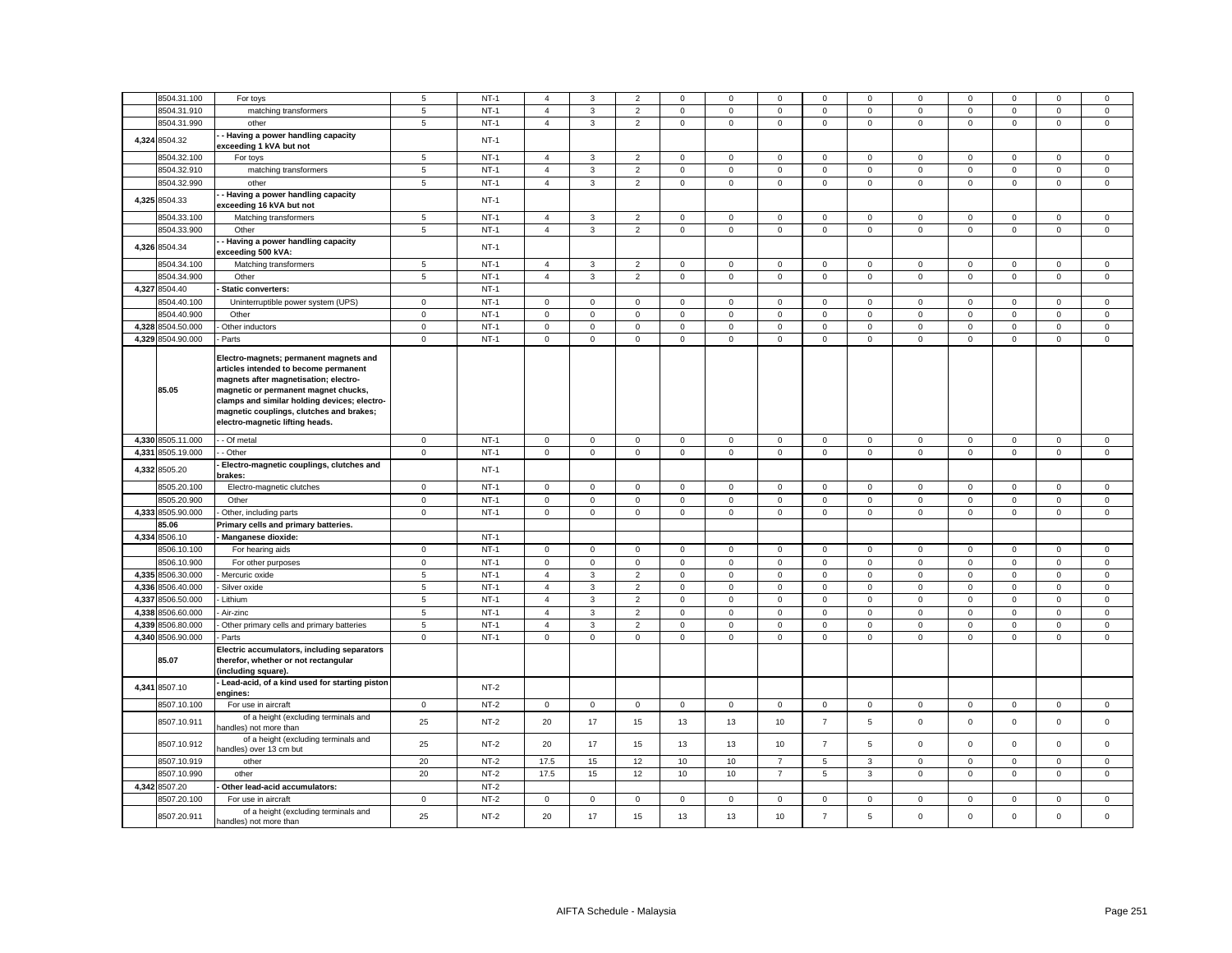| $NT-1$<br>8504.31.910<br>$\,$ 5 $\,$<br>$\overline{2}$<br>$\mathsf 0$<br>$\mathsf 0$<br>matching transformers<br>$\overline{4}$<br>3<br>$\mathsf 0$<br>$\mathsf 0$<br>$\mathsf 0$<br>$\mathbf 0$<br>$\mathsf 0$<br>$\mathsf 0$<br>$\mathsf 0$<br>$\mathbf 0$<br>8504.31.990<br>$NT-1$<br>$\overline{4}$<br>$\overline{2}$<br>$\mathsf 0$<br>$\mathsf 0$<br>$\mathsf 0$<br>$\mathsf{O}\xspace$<br>$\mathsf 0$<br>$5\phantom{.0}$<br>3<br>$\mathbf 0$<br>$\mathbf 0$<br>$\mathbf 0$<br>$\mathbf 0$<br>$\mathbf 0$<br>other<br>Having a power handling capacity<br>8504.32<br>4,324<br>$NT-1$<br>exceeding 1 kVA but not<br>8504.32.100<br>$NT-1$<br>For toys<br>5<br>$\overline{4}$<br>3<br>$\overline{2}$<br>$^{\circ}$<br>0<br>$\mathbf 0$<br>$\mathbf 0$<br>$\mathbf 0$<br>$\mathbf 0$<br>0<br>$\mathbf 0$<br>$\mathbf 0$<br>$\mathbf 0$<br>$\mathsf{o}\,$<br>8504.32.910<br>$\,$ 5 $\,$<br>$NT-1$<br>$\overline{4}$<br>$\mathbf 3$<br>$\overline{2}$<br>$\mathsf 0$<br>$\mathsf 0$<br>$\mathsf 0$<br>$\mathsf 0$<br>matching transformers<br>$\mathbf 0$<br>$\mathsf 0$<br>$\pmb{0}$<br>$\mathbf 0$<br>$\mathbf 0$<br>8504.32.990<br>$\overline{2}$<br>$\overline{0}$<br>$NT-1$<br>$\overline{4}$<br>$\mathbf{3}$<br>$\mathsf 0$<br>$\mathsf 0$<br>$\mathsf 0$<br>$\mathsf{O}$<br>$\mathbf 0$<br>$\mathsf 0$<br>$\mathsf 0$<br>$\mathsf{O}\xspace$<br>$\mathsf{O}\xspace$<br>5<br>other<br>Having a power handling capacity<br>4,325 8504.33<br>$NT-1$<br>exceeding 16 kVA but not<br>8504.33.100<br>Matching transformers<br>5<br>$NT-1$<br>$\overline{2}$<br>$\mathbf 0$<br>$\mathsf 0$<br>$\mathbf{O}$<br>$\mathbf{0}$<br>$\mathbf 0$<br>$\mathsf 0$<br>$\mathsf 0$<br>$\overline{4}$<br>3<br>$\mathbf{0}$<br>$\mathbf 0$<br>$\mathbf 0$<br>$NT-1$<br>$\overline{2}$<br>8504.33.900<br>Other<br>$\,$ 5 $\,$<br>$\overline{4}$<br>$\mathbf{3}$<br>$\mathsf 0$<br>$\mathsf 0$<br>$\mathsf 0$<br>$\mathbf 0$<br>$\mathsf 0$<br>$\mathsf 0$<br>$\mathsf 0$<br>$\mathbf 0$<br>$\mathbf 0$<br>$\mathsf 0$<br>- Having a power handling capacity<br>4,326 8504.34<br>$NT-1$<br>exceeding 500 kVA:<br>8504.34.100<br>Matching transformers<br>$\overline{5}$<br>$NT-1$<br>$\overline{4}$<br>$\mathbf{3}$<br>$\overline{2}$<br>$\mathsf 0$<br>$\mathsf 0$<br>$\mathsf 0$<br>$\mathsf 0$<br>$\mathsf 0$<br>$\mathsf{O}\xspace$<br>$\mathsf{O}\xspace$<br>$\mathsf 0$<br>$\mathbf 0$<br>$\mathbf 0$<br>8504.34.900<br>$NT-1$<br>$\overline{c}$<br>$\mathsf 0$<br>$\mathsf 0$<br>$\sqrt{5}$<br>$\overline{4}$<br>3<br>$\mathbf 0$<br>$\mathbf 0$<br>$\mathsf 0$<br>$\mathbf 0$<br>$\mathbf 0$<br>$\mathsf 0$<br>$\mathbf 0$<br>$\mathbf 0$<br>Other<br>4,327 8504.40<br>$NT-1$<br>Static converters:<br>$NT-1$<br>8504.40.100<br>Uninterruptible power system (UPS)<br>$\mathbf 0$<br>$\mathsf 0$<br>$\mathsf 0$<br>$\mathbf 0$<br>$\mathsf 0$<br>$\mathbf 0$<br>$\mathsf 0$<br>$\mathbf 0$<br>$\mathbf 0$<br>$\mathbf 0$<br>$\mathsf 0$<br>$\mathsf 0$<br>$\mathbf 0$<br>$\mathsf 0$<br>8504.40.900<br>$NT-1$<br>$\mathbf 0$<br>$\mathbf 0$<br>$\Omega$<br>$\mathbf 0$<br>$\mathbf 0$<br>$\mathbf 0$<br>$\mathsf 0$<br>$\mathbf 0$<br>$\mathbf 0$<br>$\Omega$<br>$\mathbf 0$<br>$\mathsf 0$<br>Other<br>$\mathbf 0$<br>$\Omega$<br>4,328 8504.50.000<br>$NT-1$<br>$\mathsf 0$<br>$\mathsf 0$<br>Other inductors<br>$\mathbf 0$<br>$\mathsf 0$<br>$\mathbf 0$<br>$\mathsf 0$<br>$\mathsf 0$<br>$\mathsf 0$<br>$\mathbf 0$<br>$\mathsf 0$<br>$\mathbf 0$<br>$\mathsf 0$<br>$\mathsf 0$<br>0<br>4,329 8504.90.000<br>$NT-1$<br>$\mathsf{o}\xspace$<br>$\mathbf 0$<br>$\mathbf 0$<br>$\mathsf 0$<br>$\mathsf 0$<br>$\mathsf 0$<br>$\mathsf 0$<br>$\mathsf 0$<br>$\mathsf 0$<br>$\mathsf 0$<br>$\mathsf 0$<br>$\mathsf 0$<br>$\mathsf 0$<br>$\mathsf 0$<br>Parts<br>Electro-magnets; permanent magnets and<br>articles intended to become permanent<br>magnets after magnetisation; electro-<br>85.05<br>magnetic or permanent magnet chucks,<br>clamps and similar holding devices; electro-<br>magnetic couplings, clutches and brakes;<br>electro-magnetic lifting heads.<br>4,330 8505.11.000<br>$NT-1$<br>- Of metal<br>$\mathbf 0$<br>0<br>$\mathbf 0$<br>$\mathbf 0$<br>$\mathbf 0$<br>0<br>0<br>$\mathbf 0$<br>$\mathbf 0$<br>$\mathbf 0$<br>0<br>0<br>0<br>$\mathbf 0$<br>4,331 8505.19.000<br>$\mathsf{O}\xspace$<br>$NT-1$<br>$\mathsf 0$<br>$\overline{0}$<br>$\mathsf 0$<br>$\mathsf{O}\xspace$<br>$\mathsf 0$<br>$\mathsf 0$<br>$\mathbf 0$<br>- Other<br>$\mathbf 0$<br>$\mathsf 0$<br>$\mathbf 0$<br>$\mathsf 0$<br>$\mathsf 0$<br>$\mathsf 0$<br>Electro-magnetic couplings, clutches and<br>4,332 8505.20<br>$NT-1$<br>brakes:<br>$NT-1$<br>8505.20.100<br>Electro-magnetic clutches<br>$\mathbf 0$<br>$\mathbf 0$<br>$\Omega$<br>$\mathsf 0$<br>$\mathbf 0$<br>$\mathbf 0$<br>$\mathbf 0$<br>$\mathbf 0$<br>$\mathbf 0$<br>$\mathbf 0$<br>$\mathbf 0$<br>$\Omega$<br>$\mathbf 0$<br>$\mathsf 0$<br>8505.20.900<br>$NT-1$<br>$\mathbf 0$<br>$\mathbf 0$<br>$\mathsf{O}\xspace$<br>$\mathsf 0$<br>$\mathsf 0$<br>$\mathsf 0$<br>$\mathbf 0$<br>$\mathsf 0$<br>$\mathbf 0$<br>$\mathsf 0$<br>$\mathsf 0$<br>$\mathbf 0$<br>$\mathsf 0$<br>$\mathsf 0$<br>Other<br>4,333<br>8505.90.000<br>$\mathbf 0$<br>$NT-1$<br>$\mathbf 0$<br>$\mathsf 0$<br>$\mathsf 0$<br>$\mathsf 0$<br>$\mathbf 0$<br>$\mathsf 0$<br>$\mathsf 0$<br>$\mathsf 0$<br>$\mathbf 0$<br>Other, including parts<br>$\mathsf 0$<br>$\mathsf 0$<br>$\mathsf{O}\xspace$<br>$\mathsf 0$<br>85.06<br>Primary cells and primary batteries.<br>4,334 8506.10<br>$NT-1$<br>Manganese dioxide:<br>$NT-1$<br>8506.10.100<br>$\mathbf 0$<br>For hearing aids<br>$\mathbf 0$<br>0<br>$\mathbf 0$<br>$\mathbf 0$<br>0<br>0<br>$\mathbf{0}$<br>$\mathbf 0$<br>$\mathbf 0$<br>0<br>$\mathbf 0$<br>0<br>$\mathbf 0$<br>8506.10.900<br>$\mathsf 0$<br>$NT-1$<br>$\mathsf{O}\xspace$<br>$\mathsf 0$<br>$\mathsf 0$<br>$\mathsf 0$<br>$\mathsf 0$<br>$\mathsf 0$<br>$\mathbf 0$<br>$\mathsf 0$<br>$\mathsf 0$<br>$\mathsf 0$<br>For other purposes<br>$\mathbf 0$<br>$\mathbf 0$<br>$\mathsf 0$<br>4,335 8506.30.000<br>$\overline{5}$<br>$NT-1$<br>$\overline{4}$<br>3<br>$\overline{2}$<br>$\mathbf 0$<br>$\mathsf 0$<br>$\mathbf 0$<br>$\mathsf 0$<br>$\mathbf 0$<br>$\mathsf 0$<br>$\mathsf 0$<br>$\mathsf 0$<br>$\mathsf 0$<br>Mercuric oxide<br>$\mathbf 0$<br>4,336 8506.40.000<br>$\sqrt{5}$<br>$NT-1$<br>$\overline{4}$<br>3<br>$\mathbf 2$<br>$\mathsf 0$<br>$\mathsf 0$<br>$\mathsf 0$<br>$\mathsf{O}\xspace$<br>Silver oxide<br>$\mathsf 0$<br>$\mathbf 0$<br>$\mathsf 0$<br>$\mathbf 0$<br>$\mathsf 0$<br>$\mathsf 0$<br>4,337 8506.50.000<br>$NT-1$<br>$\overline{5}$<br>$\overline{4}$<br>$\mathbf{3}$<br>$\overline{2}$<br>$\mathsf 0$<br>$\mathsf 0$<br>$\mathsf 0$<br>$\mathsf 0$<br>$\mathsf 0$<br>$\mathsf 0$<br>$\mathbf 0$<br>$\mathsf 0$<br>$\mathsf 0$<br>$\mathsf 0$<br>Lithium<br>8506.60.000<br>$\overline{5}$<br>$NT-1$<br>$\overline{2}$<br>$\mathbf{0}$<br>4,338<br>Air-zinc<br>$\mathbf{3}$<br>$\mathbf 0$<br>$\mathsf 0$<br>$\mathsf 0$<br>$\mathsf 0$<br>$\mathsf 0$<br>$\overline{4}$<br>$\mathbf 0$<br>$\mathbf 0$<br>$\mathbf 0$<br>$\mathbf 0$<br>4,339<br>8506.80.000<br>$\sqrt{5}$<br>$NT-1$<br>$\overline{2}$<br>$\mathsf 0$<br>$\mathbf 0$<br>$\mathbf 0$<br>$\mathbf 0$<br>$\mathsf 0$<br>$\mathsf 0$<br>Other primary cells and primary batteries<br>4<br>3<br>$\mathbf 0$<br>0<br>$\mathbf 0$<br>0<br>4,340 8506.90.000<br>$\mathsf 0$<br>$NT-1$<br>$\mathsf 0$<br>$\mathsf 0$<br>Parts<br>$\mathbf 0$<br>$\mathsf 0$<br>$\mathsf 0$<br>$\mathsf 0$<br>$\mathsf 0$<br>$\mathbf 0$<br>$\mathbf 0$<br>$\mathsf 0$<br>$\mathbf 0$<br>$\mathbf 0$<br>$\mathsf 0$<br>Electric accumulators, including separators<br>85.07<br>therefor, whether or not rectangular<br>(including square).<br>Lead-acid, of a kind used for starting piston<br>4,341<br>8507.10<br>$NT-2$<br>engines:<br>8507.10.100<br>For use in aircraft<br>$\mathbf 0$<br>$NT-2$<br>$\mathbf 0$<br>$\mathsf 0$<br>$\mathsf 0$<br>$\mathsf 0$<br>$\mathbf 0$<br>$\mathsf 0$<br>$\mathbf 0$<br>$\mathbf 0$<br>$\mathbf 0$<br>$\mathsf 0$<br>$\mathsf 0$<br>$\mathsf 0$<br>$\mathbf 0$<br>of a height (excluding terminals and<br>8507.10.911<br>25<br>$NT-2$<br>20<br>17<br>15<br>13<br>13<br>10<br>$\overline{7}$<br>5<br>$\mathsf 0$<br>$\mathsf 0$<br>$\mathsf 0$<br>$\mathsf 0$<br>$\mathsf 0$<br>nandles) not more than<br>of a height (excluding terminals and<br>25<br>8507.10.912<br>$NT-2$<br>20<br>17<br>15<br>13<br>13<br>10<br>$\overline{7}$<br>5<br>$\mathsf 0$<br>$\mathsf 0$<br>$\mathbf 0$<br>$\mathsf 0$<br>$\mathsf 0$<br>nandles) over 13 cm but<br>20<br>$NT-2$<br>17.5<br>8507.10.919<br>15<br>12<br>$10$<br>$\overline{5}$<br>$_{\rm 3}$<br>$\mathsf 0$<br>10<br>$\overline{7}$<br>$\mathbf 0$<br>$\mathsf 0$<br>$\mathbf 0$<br>$\mathsf 0$<br>other<br>8507.10.990<br>20<br>$NT-2$<br>17.5<br>15<br>12<br>10<br>$\mathsf 0$<br>other<br>10<br>$\overline{7}$<br>5<br>$\mathbf{3}$<br>$\mathbf 0$<br>$\mathsf 0$<br>$\mathbf 0$<br>$\mathsf 0$<br>4,342 8507.20<br>$NT-2$<br>Other lead-acid accumulators:<br>8507.20.100<br>For use in aircraft<br>$NT-2$<br>$\mathsf 0$<br>$\mathbf 0$<br>$\mathsf 0$<br>$\mathsf 0$<br>$\mathsf 0$<br>$\mathbf 0$<br>$\mathsf 0$<br>$\mathbf 0$<br>$\mathbf{0}$<br>$\mathbf 0$<br>$\mathbf 0$<br>$\mathbf 0$<br>$\mathbf{0}$<br>$\mathbf 0$<br>of a height (excluding terminals and<br>8507.20.911<br>25<br>$NT-2$<br>20<br>17<br>15<br>13<br>13<br>10<br>$\overline{7}$<br>5<br>$\mathbf 0$<br>$\mathbf 0$<br>$\mathbf 0$<br>$\Omega$<br>$\mathbf 0$<br>nandles) not more than | 8504.31.100 | For toys | 5 | $NT-1$ | $\overline{4}$ | 3 | $\overline{2}$ | $\mathbf 0$ | 0 | $\mathbf 0$ | $\mathbf 0$ | $\mathbf 0$ | 0 | $\mathbf 0$ | $\Omega$ | $\mathbf 0$ | $\mathbf 0$ |
|-----------------------------------------------------------------------------------------------------------------------------------------------------------------------------------------------------------------------------------------------------------------------------------------------------------------------------------------------------------------------------------------------------------------------------------------------------------------------------------------------------------------------------------------------------------------------------------------------------------------------------------------------------------------------------------------------------------------------------------------------------------------------------------------------------------------------------------------------------------------------------------------------------------------------------------------------------------------------------------------------------------------------------------------------------------------------------------------------------------------------------------------------------------------------------------------------------------------------------------------------------------------------------------------------------------------------------------------------------------------------------------------------------------------------------------------------------------------------------------------------------------------------------------------------------------------------------------------------------------------------------------------------------------------------------------------------------------------------------------------------------------------------------------------------------------------------------------------------------------------------------------------------------------------------------------------------------------------------------------------------------------------------------------------------------------------------------------------------------------------------------------------------------------------------------------------------------------------------------------------------------------------------------------------------------------------------------------------------------------------------------------------------------------------------------------------------------------------------------------------------------------------------------------------------------------------------------------------------------------------------------------------------------------------------------------------------------------------------------------------------------------------------------------------------------------------------------------------------------------------------------------------------------------------------------------------------------------------------------------------------------------------------------------------------------------------------------------------------------------------------------------------------------------------------------------------------------------------------------------------------------------------------------------------------------------------------------------------------------------------------------------------------------------------------------------------------------------------------------------------------------------------------------------------------------------------------------------------------------------------------------------------------------------------------------------------------------------------------------------------------------------------------------------------------------------------------------------------------------------------------------------------------------------------------------------------------------------------------------------------------------------------------------------------------------------------------------------------------------------------------------------------------------------------------------------------------------------------------------------------------------------------------------------------------------------------------------------------------------------------------------------------------------------------------------------------------------------------------------------------------------------------------------------------------------------------------------------------------------------------------------------------------------------------------------------------------------------------------------------------------------------------------------------------------------------------------------------------------------------------------------------------------------------------------------------------------------------------------------------------------------------------------------------------------------------------------------------------------------------------------------------------------------------------------------------------------------------------------------------------------------------------------------------------------------------------------------------------------------------------------------------------------------------------------------------------------------------------------------------------------------------------------------------------------------------------------------------------------------------------------------------------------------------------------------------------------------------------------------------------------------------------------------------------------------------------------------------------------------------------------------------------------------------------------------------------------------------------------------------------------------------------------------------------------------------------------------------------------------------------------------------------------------------------------------------------------------------------------------------------------------------------------------------------------------------------------------------------------------------------------------------------------------------------------------------------------------------------------------------------------------------------------------------------------------------------------------------------------------------------------------------------------------------------------------------------------------------------------------------------------------------------------------------------------------------------------------------------------------------------------------------------------------------------------------------------------------------------------------------------------------------------------------------------------------------------------------------------------------------------------------------------------------------------------------------------------------------------------------------------------------------------------------------------------------------------------------------------------------------------------------------------------------------------------------------------------------------------------------------------------------------------------------------------------------------------------------------------------------------------------------------------------------------------------------------------------------------------------------------------------------------------------------------------------------------------------------------------------------------------------------------------------------------------------------------------------------------------------------------------------------------------------------------------------------------------------------------------------------------------------------------------------------------------------------------------------------------------------------------------------------------------------------------------------------------------------------------------------------------------------------------------------------------------------------------------------------------------------------------------------------------------------------------------------------------------------------------------------------------------------------------------------------------------------------------------------------------------------------------------------------------------------------------------------------------------------------------------------------------------------------------------------------------------------------------------------------------------------------------------------------------------------------------------------------------------------------------------------------------------------------------------------------------------------------------------------------------------------------------------------------------------------------------------------------------------------------------------------------------------------------------------------------------------------------------------------------------------------------------------------------------------------------------------------------------------------------------------------------|-------------|----------|---|--------|----------------|---|----------------|-------------|---|-------------|-------------|-------------|---|-------------|----------|-------------|-------------|
|                                                                                                                                                                                                                                                                                                                                                                                                                                                                                                                                                                                                                                                                                                                                                                                                                                                                                                                                                                                                                                                                                                                                                                                                                                                                                                                                                                                                                                                                                                                                                                                                                                                                                                                                                                                                                                                                                                                                                                                                                                                                                                                                                                                                                                                                                                                                                                                                                                                                                                                                                                                                                                                                                                                                                                                                                                                                                                                                                                                                                                                                                                                                                                                                                                                                                                                                                                                                                                                                                                                                                                                                                                                                                                                                                                                                                                                                                                                                                                                                                                                                                                                                                                                                                                                                                                                                                                                                                                                                                                                                                                                                                                                                                                                                                                                                                                                                                                                                                                                                                                                                                                                                                                                                                                                                                                                                                                                                                                                                                                                                                                                                                                                                                                                                                                                                                                                                                                                                                                                                                                                                                                                                                                                                                                                                                                                                                                                                                                                                                                                                                                                                                                                                                                                                                                                                                                                                                                                                                                                                                                                                                                                                                                                                                                                                                                                                                                                                                                                                                                                                                                                                                                                                                                                                                                                                                                                                                                                                                                                                                                                                                                                                                                                                                                                                                                                                                                                                                                                                                                                                                                                                                                                                                                                                                                                                                                                                                                                                                                                                                                                                                                                                                                                                                                                                                                                                                                                                                                                                                                                                                                                                     |             |          |   |        |                |   |                |             |   |             |             |             |   |             |          |             |             |
|                                                                                                                                                                                                                                                                                                                                                                                                                                                                                                                                                                                                                                                                                                                                                                                                                                                                                                                                                                                                                                                                                                                                                                                                                                                                                                                                                                                                                                                                                                                                                                                                                                                                                                                                                                                                                                                                                                                                                                                                                                                                                                                                                                                                                                                                                                                                                                                                                                                                                                                                                                                                                                                                                                                                                                                                                                                                                                                                                                                                                                                                                                                                                                                                                                                                                                                                                                                                                                                                                                                                                                                                                                                                                                                                                                                                                                                                                                                                                                                                                                                                                                                                                                                                                                                                                                                                                                                                                                                                                                                                                                                                                                                                                                                                                                                                                                                                                                                                                                                                                                                                                                                                                                                                                                                                                                                                                                                                                                                                                                                                                                                                                                                                                                                                                                                                                                                                                                                                                                                                                                                                                                                                                                                                                                                                                                                                                                                                                                                                                                                                                                                                                                                                                                                                                                                                                                                                                                                                                                                                                                                                                                                                                                                                                                                                                                                                                                                                                                                                                                                                                                                                                                                                                                                                                                                                                                                                                                                                                                                                                                                                                                                                                                                                                                                                                                                                                                                                                                                                                                                                                                                                                                                                                                                                                                                                                                                                                                                                                                                                                                                                                                                                                                                                                                                                                                                                                                                                                                                                                                                                                                                                     |             |          |   |        |                |   |                |             |   |             |             |             |   |             |          |             |             |
|                                                                                                                                                                                                                                                                                                                                                                                                                                                                                                                                                                                                                                                                                                                                                                                                                                                                                                                                                                                                                                                                                                                                                                                                                                                                                                                                                                                                                                                                                                                                                                                                                                                                                                                                                                                                                                                                                                                                                                                                                                                                                                                                                                                                                                                                                                                                                                                                                                                                                                                                                                                                                                                                                                                                                                                                                                                                                                                                                                                                                                                                                                                                                                                                                                                                                                                                                                                                                                                                                                                                                                                                                                                                                                                                                                                                                                                                                                                                                                                                                                                                                                                                                                                                                                                                                                                                                                                                                                                                                                                                                                                                                                                                                                                                                                                                                                                                                                                                                                                                                                                                                                                                                                                                                                                                                                                                                                                                                                                                                                                                                                                                                                                                                                                                                                                                                                                                                                                                                                                                                                                                                                                                                                                                                                                                                                                                                                                                                                                                                                                                                                                                                                                                                                                                                                                                                                                                                                                                                                                                                                                                                                                                                                                                                                                                                                                                                                                                                                                                                                                                                                                                                                                                                                                                                                                                                                                                                                                                                                                                                                                                                                                                                                                                                                                                                                                                                                                                                                                                                                                                                                                                                                                                                                                                                                                                                                                                                                                                                                                                                                                                                                                                                                                                                                                                                                                                                                                                                                                                                                                                                                                                     |             |          |   |        |                |   |                |             |   |             |             |             |   |             |          |             |             |
|                                                                                                                                                                                                                                                                                                                                                                                                                                                                                                                                                                                                                                                                                                                                                                                                                                                                                                                                                                                                                                                                                                                                                                                                                                                                                                                                                                                                                                                                                                                                                                                                                                                                                                                                                                                                                                                                                                                                                                                                                                                                                                                                                                                                                                                                                                                                                                                                                                                                                                                                                                                                                                                                                                                                                                                                                                                                                                                                                                                                                                                                                                                                                                                                                                                                                                                                                                                                                                                                                                                                                                                                                                                                                                                                                                                                                                                                                                                                                                                                                                                                                                                                                                                                                                                                                                                                                                                                                                                                                                                                                                                                                                                                                                                                                                                                                                                                                                                                                                                                                                                                                                                                                                                                                                                                                                                                                                                                                                                                                                                                                                                                                                                                                                                                                                                                                                                                                                                                                                                                                                                                                                                                                                                                                                                                                                                                                                                                                                                                                                                                                                                                                                                                                                                                                                                                                                                                                                                                                                                                                                                                                                                                                                                                                                                                                                                                                                                                                                                                                                                                                                                                                                                                                                                                                                                                                                                                                                                                                                                                                                                                                                                                                                                                                                                                                                                                                                                                                                                                                                                                                                                                                                                                                                                                                                                                                                                                                                                                                                                                                                                                                                                                                                                                                                                                                                                                                                                                                                                                                                                                                                                                     |             |          |   |        |                |   |                |             |   |             |             |             |   |             |          |             |             |
|                                                                                                                                                                                                                                                                                                                                                                                                                                                                                                                                                                                                                                                                                                                                                                                                                                                                                                                                                                                                                                                                                                                                                                                                                                                                                                                                                                                                                                                                                                                                                                                                                                                                                                                                                                                                                                                                                                                                                                                                                                                                                                                                                                                                                                                                                                                                                                                                                                                                                                                                                                                                                                                                                                                                                                                                                                                                                                                                                                                                                                                                                                                                                                                                                                                                                                                                                                                                                                                                                                                                                                                                                                                                                                                                                                                                                                                                                                                                                                                                                                                                                                                                                                                                                                                                                                                                                                                                                                                                                                                                                                                                                                                                                                                                                                                                                                                                                                                                                                                                                                                                                                                                                                                                                                                                                                                                                                                                                                                                                                                                                                                                                                                                                                                                                                                                                                                                                                                                                                                                                                                                                                                                                                                                                                                                                                                                                                                                                                                                                                                                                                                                                                                                                                                                                                                                                                                                                                                                                                                                                                                                                                                                                                                                                                                                                                                                                                                                                                                                                                                                                                                                                                                                                                                                                                                                                                                                                                                                                                                                                                                                                                                                                                                                                                                                                                                                                                                                                                                                                                                                                                                                                                                                                                                                                                                                                                                                                                                                                                                                                                                                                                                                                                                                                                                                                                                                                                                                                                                                                                                                                                                                     |             |          |   |        |                |   |                |             |   |             |             |             |   |             |          |             |             |
|                                                                                                                                                                                                                                                                                                                                                                                                                                                                                                                                                                                                                                                                                                                                                                                                                                                                                                                                                                                                                                                                                                                                                                                                                                                                                                                                                                                                                                                                                                                                                                                                                                                                                                                                                                                                                                                                                                                                                                                                                                                                                                                                                                                                                                                                                                                                                                                                                                                                                                                                                                                                                                                                                                                                                                                                                                                                                                                                                                                                                                                                                                                                                                                                                                                                                                                                                                                                                                                                                                                                                                                                                                                                                                                                                                                                                                                                                                                                                                                                                                                                                                                                                                                                                                                                                                                                                                                                                                                                                                                                                                                                                                                                                                                                                                                                                                                                                                                                                                                                                                                                                                                                                                                                                                                                                                                                                                                                                                                                                                                                                                                                                                                                                                                                                                                                                                                                                                                                                                                                                                                                                                                                                                                                                                                                                                                                                                                                                                                                                                                                                                                                                                                                                                                                                                                                                                                                                                                                                                                                                                                                                                                                                                                                                                                                                                                                                                                                                                                                                                                                                                                                                                                                                                                                                                                                                                                                                                                                                                                                                                                                                                                                                                                                                                                                                                                                                                                                                                                                                                                                                                                                                                                                                                                                                                                                                                                                                                                                                                                                                                                                                                                                                                                                                                                                                                                                                                                                                                                                                                                                                                                                     |             |          |   |        |                |   |                |             |   |             |             |             |   |             |          |             |             |
|                                                                                                                                                                                                                                                                                                                                                                                                                                                                                                                                                                                                                                                                                                                                                                                                                                                                                                                                                                                                                                                                                                                                                                                                                                                                                                                                                                                                                                                                                                                                                                                                                                                                                                                                                                                                                                                                                                                                                                                                                                                                                                                                                                                                                                                                                                                                                                                                                                                                                                                                                                                                                                                                                                                                                                                                                                                                                                                                                                                                                                                                                                                                                                                                                                                                                                                                                                                                                                                                                                                                                                                                                                                                                                                                                                                                                                                                                                                                                                                                                                                                                                                                                                                                                                                                                                                                                                                                                                                                                                                                                                                                                                                                                                                                                                                                                                                                                                                                                                                                                                                                                                                                                                                                                                                                                                                                                                                                                                                                                                                                                                                                                                                                                                                                                                                                                                                                                                                                                                                                                                                                                                                                                                                                                                                                                                                                                                                                                                                                                                                                                                                                                                                                                                                                                                                                                                                                                                                                                                                                                                                                                                                                                                                                                                                                                                                                                                                                                                                                                                                                                                                                                                                                                                                                                                                                                                                                                                                                                                                                                                                                                                                                                                                                                                                                                                                                                                                                                                                                                                                                                                                                                                                                                                                                                                                                                                                                                                                                                                                                                                                                                                                                                                                                                                                                                                                                                                                                                                                                                                                                                                                                     |             |          |   |        |                |   |                |             |   |             |             |             |   |             |          |             |             |
|                                                                                                                                                                                                                                                                                                                                                                                                                                                                                                                                                                                                                                                                                                                                                                                                                                                                                                                                                                                                                                                                                                                                                                                                                                                                                                                                                                                                                                                                                                                                                                                                                                                                                                                                                                                                                                                                                                                                                                                                                                                                                                                                                                                                                                                                                                                                                                                                                                                                                                                                                                                                                                                                                                                                                                                                                                                                                                                                                                                                                                                                                                                                                                                                                                                                                                                                                                                                                                                                                                                                                                                                                                                                                                                                                                                                                                                                                                                                                                                                                                                                                                                                                                                                                                                                                                                                                                                                                                                                                                                                                                                                                                                                                                                                                                                                                                                                                                                                                                                                                                                                                                                                                                                                                                                                                                                                                                                                                                                                                                                                                                                                                                                                                                                                                                                                                                                                                                                                                                                                                                                                                                                                                                                                                                                                                                                                                                                                                                                                                                                                                                                                                                                                                                                                                                                                                                                                                                                                                                                                                                                                                                                                                                                                                                                                                                                                                                                                                                                                                                                                                                                                                                                                                                                                                                                                                                                                                                                                                                                                                                                                                                                                                                                                                                                                                                                                                                                                                                                                                                                                                                                                                                                                                                                                                                                                                                                                                                                                                                                                                                                                                                                                                                                                                                                                                                                                                                                                                                                                                                                                                                                                     |             |          |   |        |                |   |                |             |   |             |             |             |   |             |          |             |             |
|                                                                                                                                                                                                                                                                                                                                                                                                                                                                                                                                                                                                                                                                                                                                                                                                                                                                                                                                                                                                                                                                                                                                                                                                                                                                                                                                                                                                                                                                                                                                                                                                                                                                                                                                                                                                                                                                                                                                                                                                                                                                                                                                                                                                                                                                                                                                                                                                                                                                                                                                                                                                                                                                                                                                                                                                                                                                                                                                                                                                                                                                                                                                                                                                                                                                                                                                                                                                                                                                                                                                                                                                                                                                                                                                                                                                                                                                                                                                                                                                                                                                                                                                                                                                                                                                                                                                                                                                                                                                                                                                                                                                                                                                                                                                                                                                                                                                                                                                                                                                                                                                                                                                                                                                                                                                                                                                                                                                                                                                                                                                                                                                                                                                                                                                                                                                                                                                                                                                                                                                                                                                                                                                                                                                                                                                                                                                                                                                                                                                                                                                                                                                                                                                                                                                                                                                                                                                                                                                                                                                                                                                                                                                                                                                                                                                                                                                                                                                                                                                                                                                                                                                                                                                                                                                                                                                                                                                                                                                                                                                                                                                                                                                                                                                                                                                                                                                                                                                                                                                                                                                                                                                                                                                                                                                                                                                                                                                                                                                                                                                                                                                                                                                                                                                                                                                                                                                                                                                                                                                                                                                                                                                     |             |          |   |        |                |   |                |             |   |             |             |             |   |             |          |             |             |
|                                                                                                                                                                                                                                                                                                                                                                                                                                                                                                                                                                                                                                                                                                                                                                                                                                                                                                                                                                                                                                                                                                                                                                                                                                                                                                                                                                                                                                                                                                                                                                                                                                                                                                                                                                                                                                                                                                                                                                                                                                                                                                                                                                                                                                                                                                                                                                                                                                                                                                                                                                                                                                                                                                                                                                                                                                                                                                                                                                                                                                                                                                                                                                                                                                                                                                                                                                                                                                                                                                                                                                                                                                                                                                                                                                                                                                                                                                                                                                                                                                                                                                                                                                                                                                                                                                                                                                                                                                                                                                                                                                                                                                                                                                                                                                                                                                                                                                                                                                                                                                                                                                                                                                                                                                                                                                                                                                                                                                                                                                                                                                                                                                                                                                                                                                                                                                                                                                                                                                                                                                                                                                                                                                                                                                                                                                                                                                                                                                                                                                                                                                                                                                                                                                                                                                                                                                                                                                                                                                                                                                                                                                                                                                                                                                                                                                                                                                                                                                                                                                                                                                                                                                                                                                                                                                                                                                                                                                                                                                                                                                                                                                                                                                                                                                                                                                                                                                                                                                                                                                                                                                                                                                                                                                                                                                                                                                                                                                                                                                                                                                                                                                                                                                                                                                                                                                                                                                                                                                                                                                                                                                                                     |             |          |   |        |                |   |                |             |   |             |             |             |   |             |          |             |             |
|                                                                                                                                                                                                                                                                                                                                                                                                                                                                                                                                                                                                                                                                                                                                                                                                                                                                                                                                                                                                                                                                                                                                                                                                                                                                                                                                                                                                                                                                                                                                                                                                                                                                                                                                                                                                                                                                                                                                                                                                                                                                                                                                                                                                                                                                                                                                                                                                                                                                                                                                                                                                                                                                                                                                                                                                                                                                                                                                                                                                                                                                                                                                                                                                                                                                                                                                                                                                                                                                                                                                                                                                                                                                                                                                                                                                                                                                                                                                                                                                                                                                                                                                                                                                                                                                                                                                                                                                                                                                                                                                                                                                                                                                                                                                                                                                                                                                                                                                                                                                                                                                                                                                                                                                                                                                                                                                                                                                                                                                                                                                                                                                                                                                                                                                                                                                                                                                                                                                                                                                                                                                                                                                                                                                                                                                                                                                                                                                                                                                                                                                                                                                                                                                                                                                                                                                                                                                                                                                                                                                                                                                                                                                                                                                                                                                                                                                                                                                                                                                                                                                                                                                                                                                                                                                                                                                                                                                                                                                                                                                                                                                                                                                                                                                                                                                                                                                                                                                                                                                                                                                                                                                                                                                                                                                                                                                                                                                                                                                                                                                                                                                                                                                                                                                                                                                                                                                                                                                                                                                                                                                                                                                     |             |          |   |        |                |   |                |             |   |             |             |             |   |             |          |             |             |
|                                                                                                                                                                                                                                                                                                                                                                                                                                                                                                                                                                                                                                                                                                                                                                                                                                                                                                                                                                                                                                                                                                                                                                                                                                                                                                                                                                                                                                                                                                                                                                                                                                                                                                                                                                                                                                                                                                                                                                                                                                                                                                                                                                                                                                                                                                                                                                                                                                                                                                                                                                                                                                                                                                                                                                                                                                                                                                                                                                                                                                                                                                                                                                                                                                                                                                                                                                                                                                                                                                                                                                                                                                                                                                                                                                                                                                                                                                                                                                                                                                                                                                                                                                                                                                                                                                                                                                                                                                                                                                                                                                                                                                                                                                                                                                                                                                                                                                                                                                                                                                                                                                                                                                                                                                                                                                                                                                                                                                                                                                                                                                                                                                                                                                                                                                                                                                                                                                                                                                                                                                                                                                                                                                                                                                                                                                                                                                                                                                                                                                                                                                                                                                                                                                                                                                                                                                                                                                                                                                                                                                                                                                                                                                                                                                                                                                                                                                                                                                                                                                                                                                                                                                                                                                                                                                                                                                                                                                                                                                                                                                                                                                                                                                                                                                                                                                                                                                                                                                                                                                                                                                                                                                                                                                                                                                                                                                                                                                                                                                                                                                                                                                                                                                                                                                                                                                                                                                                                                                                                                                                                                                                                     |             |          |   |        |                |   |                |             |   |             |             |             |   |             |          |             |             |
|                                                                                                                                                                                                                                                                                                                                                                                                                                                                                                                                                                                                                                                                                                                                                                                                                                                                                                                                                                                                                                                                                                                                                                                                                                                                                                                                                                                                                                                                                                                                                                                                                                                                                                                                                                                                                                                                                                                                                                                                                                                                                                                                                                                                                                                                                                                                                                                                                                                                                                                                                                                                                                                                                                                                                                                                                                                                                                                                                                                                                                                                                                                                                                                                                                                                                                                                                                                                                                                                                                                                                                                                                                                                                                                                                                                                                                                                                                                                                                                                                                                                                                                                                                                                                                                                                                                                                                                                                                                                                                                                                                                                                                                                                                                                                                                                                                                                                                                                                                                                                                                                                                                                                                                                                                                                                                                                                                                                                                                                                                                                                                                                                                                                                                                                                                                                                                                                                                                                                                                                                                                                                                                                                                                                                                                                                                                                                                                                                                                                                                                                                                                                                                                                                                                                                                                                                                                                                                                                                                                                                                                                                                                                                                                                                                                                                                                                                                                                                                                                                                                                                                                                                                                                                                                                                                                                                                                                                                                                                                                                                                                                                                                                                                                                                                                                                                                                                                                                                                                                                                                                                                                                                                                                                                                                                                                                                                                                                                                                                                                                                                                                                                                                                                                                                                                                                                                                                                                                                                                                                                                                                                                                     |             |          |   |        |                |   |                |             |   |             |             |             |   |             |          |             |             |
|                                                                                                                                                                                                                                                                                                                                                                                                                                                                                                                                                                                                                                                                                                                                                                                                                                                                                                                                                                                                                                                                                                                                                                                                                                                                                                                                                                                                                                                                                                                                                                                                                                                                                                                                                                                                                                                                                                                                                                                                                                                                                                                                                                                                                                                                                                                                                                                                                                                                                                                                                                                                                                                                                                                                                                                                                                                                                                                                                                                                                                                                                                                                                                                                                                                                                                                                                                                                                                                                                                                                                                                                                                                                                                                                                                                                                                                                                                                                                                                                                                                                                                                                                                                                                                                                                                                                                                                                                                                                                                                                                                                                                                                                                                                                                                                                                                                                                                                                                                                                                                                                                                                                                                                                                                                                                                                                                                                                                                                                                                                                                                                                                                                                                                                                                                                                                                                                                                                                                                                                                                                                                                                                                                                                                                                                                                                                                                                                                                                                                                                                                                                                                                                                                                                                                                                                                                                                                                                                                                                                                                                                                                                                                                                                                                                                                                                                                                                                                                                                                                                                                                                                                                                                                                                                                                                                                                                                                                                                                                                                                                                                                                                                                                                                                                                                                                                                                                                                                                                                                                                                                                                                                                                                                                                                                                                                                                                                                                                                                                                                                                                                                                                                                                                                                                                                                                                                                                                                                                                                                                                                                                                                     |             |          |   |        |                |   |                |             |   |             |             |             |   |             |          |             |             |
|                                                                                                                                                                                                                                                                                                                                                                                                                                                                                                                                                                                                                                                                                                                                                                                                                                                                                                                                                                                                                                                                                                                                                                                                                                                                                                                                                                                                                                                                                                                                                                                                                                                                                                                                                                                                                                                                                                                                                                                                                                                                                                                                                                                                                                                                                                                                                                                                                                                                                                                                                                                                                                                                                                                                                                                                                                                                                                                                                                                                                                                                                                                                                                                                                                                                                                                                                                                                                                                                                                                                                                                                                                                                                                                                                                                                                                                                                                                                                                                                                                                                                                                                                                                                                                                                                                                                                                                                                                                                                                                                                                                                                                                                                                                                                                                                                                                                                                                                                                                                                                                                                                                                                                                                                                                                                                                                                                                                                                                                                                                                                                                                                                                                                                                                                                                                                                                                                                                                                                                                                                                                                                                                                                                                                                                                                                                                                                                                                                                                                                                                                                                                                                                                                                                                                                                                                                                                                                                                                                                                                                                                                                                                                                                                                                                                                                                                                                                                                                                                                                                                                                                                                                                                                                                                                                                                                                                                                                                                                                                                                                                                                                                                                                                                                                                                                                                                                                                                                                                                                                                                                                                                                                                                                                                                                                                                                                                                                                                                                                                                                                                                                                                                                                                                                                                                                                                                                                                                                                                                                                                                                                                                     |             |          |   |        |                |   |                |             |   |             |             |             |   |             |          |             |             |
|                                                                                                                                                                                                                                                                                                                                                                                                                                                                                                                                                                                                                                                                                                                                                                                                                                                                                                                                                                                                                                                                                                                                                                                                                                                                                                                                                                                                                                                                                                                                                                                                                                                                                                                                                                                                                                                                                                                                                                                                                                                                                                                                                                                                                                                                                                                                                                                                                                                                                                                                                                                                                                                                                                                                                                                                                                                                                                                                                                                                                                                                                                                                                                                                                                                                                                                                                                                                                                                                                                                                                                                                                                                                                                                                                                                                                                                                                                                                                                                                                                                                                                                                                                                                                                                                                                                                                                                                                                                                                                                                                                                                                                                                                                                                                                                                                                                                                                                                                                                                                                                                                                                                                                                                                                                                                                                                                                                                                                                                                                                                                                                                                                                                                                                                                                                                                                                                                                                                                                                                                                                                                                                                                                                                                                                                                                                                                                                                                                                                                                                                                                                                                                                                                                                                                                                                                                                                                                                                                                                                                                                                                                                                                                                                                                                                                                                                                                                                                                                                                                                                                                                                                                                                                                                                                                                                                                                                                                                                                                                                                                                                                                                                                                                                                                                                                                                                                                                                                                                                                                                                                                                                                                                                                                                                                                                                                                                                                                                                                                                                                                                                                                                                                                                                                                                                                                                                                                                                                                                                                                                                                                                                     |             |          |   |        |                |   |                |             |   |             |             |             |   |             |          |             |             |
|                                                                                                                                                                                                                                                                                                                                                                                                                                                                                                                                                                                                                                                                                                                                                                                                                                                                                                                                                                                                                                                                                                                                                                                                                                                                                                                                                                                                                                                                                                                                                                                                                                                                                                                                                                                                                                                                                                                                                                                                                                                                                                                                                                                                                                                                                                                                                                                                                                                                                                                                                                                                                                                                                                                                                                                                                                                                                                                                                                                                                                                                                                                                                                                                                                                                                                                                                                                                                                                                                                                                                                                                                                                                                                                                                                                                                                                                                                                                                                                                                                                                                                                                                                                                                                                                                                                                                                                                                                                                                                                                                                                                                                                                                                                                                                                                                                                                                                                                                                                                                                                                                                                                                                                                                                                                                                                                                                                                                                                                                                                                                                                                                                                                                                                                                                                                                                                                                                                                                                                                                                                                                                                                                                                                                                                                                                                                                                                                                                                                                                                                                                                                                                                                                                                                                                                                                                                                                                                                                                                                                                                                                                                                                                                                                                                                                                                                                                                                                                                                                                                                                                                                                                                                                                                                                                                                                                                                                                                                                                                                                                                                                                                                                                                                                                                                                                                                                                                                                                                                                                                                                                                                                                                                                                                                                                                                                                                                                                                                                                                                                                                                                                                                                                                                                                                                                                                                                                                                                                                                                                                                                                                                     |             |          |   |        |                |   |                |             |   |             |             |             |   |             |          |             |             |
|                                                                                                                                                                                                                                                                                                                                                                                                                                                                                                                                                                                                                                                                                                                                                                                                                                                                                                                                                                                                                                                                                                                                                                                                                                                                                                                                                                                                                                                                                                                                                                                                                                                                                                                                                                                                                                                                                                                                                                                                                                                                                                                                                                                                                                                                                                                                                                                                                                                                                                                                                                                                                                                                                                                                                                                                                                                                                                                                                                                                                                                                                                                                                                                                                                                                                                                                                                                                                                                                                                                                                                                                                                                                                                                                                                                                                                                                                                                                                                                                                                                                                                                                                                                                                                                                                                                                                                                                                                                                                                                                                                                                                                                                                                                                                                                                                                                                                                                                                                                                                                                                                                                                                                                                                                                                                                                                                                                                                                                                                                                                                                                                                                                                                                                                                                                                                                                                                                                                                                                                                                                                                                                                                                                                                                                                                                                                                                                                                                                                                                                                                                                                                                                                                                                                                                                                                                                                                                                                                                                                                                                                                                                                                                                                                                                                                                                                                                                                                                                                                                                                                                                                                                                                                                                                                                                                                                                                                                                                                                                                                                                                                                                                                                                                                                                                                                                                                                                                                                                                                                                                                                                                                                                                                                                                                                                                                                                                                                                                                                                                                                                                                                                                                                                                                                                                                                                                                                                                                                                                                                                                                                                                     |             |          |   |        |                |   |                |             |   |             |             |             |   |             |          |             |             |
|                                                                                                                                                                                                                                                                                                                                                                                                                                                                                                                                                                                                                                                                                                                                                                                                                                                                                                                                                                                                                                                                                                                                                                                                                                                                                                                                                                                                                                                                                                                                                                                                                                                                                                                                                                                                                                                                                                                                                                                                                                                                                                                                                                                                                                                                                                                                                                                                                                                                                                                                                                                                                                                                                                                                                                                                                                                                                                                                                                                                                                                                                                                                                                                                                                                                                                                                                                                                                                                                                                                                                                                                                                                                                                                                                                                                                                                                                                                                                                                                                                                                                                                                                                                                                                                                                                                                                                                                                                                                                                                                                                                                                                                                                                                                                                                                                                                                                                                                                                                                                                                                                                                                                                                                                                                                                                                                                                                                                                                                                                                                                                                                                                                                                                                                                                                                                                                                                                                                                                                                                                                                                                                                                                                                                                                                                                                                                                                                                                                                                                                                                                                                                                                                                                                                                                                                                                                                                                                                                                                                                                                                                                                                                                                                                                                                                                                                                                                                                                                                                                                                                                                                                                                                                                                                                                                                                                                                                                                                                                                                                                                                                                                                                                                                                                                                                                                                                                                                                                                                                                                                                                                                                                                                                                                                                                                                                                                                                                                                                                                                                                                                                                                                                                                                                                                                                                                                                                                                                                                                                                                                                                                                     |             |          |   |        |                |   |                |             |   |             |             |             |   |             |          |             |             |
|                                                                                                                                                                                                                                                                                                                                                                                                                                                                                                                                                                                                                                                                                                                                                                                                                                                                                                                                                                                                                                                                                                                                                                                                                                                                                                                                                                                                                                                                                                                                                                                                                                                                                                                                                                                                                                                                                                                                                                                                                                                                                                                                                                                                                                                                                                                                                                                                                                                                                                                                                                                                                                                                                                                                                                                                                                                                                                                                                                                                                                                                                                                                                                                                                                                                                                                                                                                                                                                                                                                                                                                                                                                                                                                                                                                                                                                                                                                                                                                                                                                                                                                                                                                                                                                                                                                                                                                                                                                                                                                                                                                                                                                                                                                                                                                                                                                                                                                                                                                                                                                                                                                                                                                                                                                                                                                                                                                                                                                                                                                                                                                                                                                                                                                                                                                                                                                                                                                                                                                                                                                                                                                                                                                                                                                                                                                                                                                                                                                                                                                                                                                                                                                                                                                                                                                                                                                                                                                                                                                                                                                                                                                                                                                                                                                                                                                                                                                                                                                                                                                                                                                                                                                                                                                                                                                                                                                                                                                                                                                                                                                                                                                                                                                                                                                                                                                                                                                                                                                                                                                                                                                                                                                                                                                                                                                                                                                                                                                                                                                                                                                                                                                                                                                                                                                                                                                                                                                                                                                                                                                                                                                                     |             |          |   |        |                |   |                |             |   |             |             |             |   |             |          |             |             |
|                                                                                                                                                                                                                                                                                                                                                                                                                                                                                                                                                                                                                                                                                                                                                                                                                                                                                                                                                                                                                                                                                                                                                                                                                                                                                                                                                                                                                                                                                                                                                                                                                                                                                                                                                                                                                                                                                                                                                                                                                                                                                                                                                                                                                                                                                                                                                                                                                                                                                                                                                                                                                                                                                                                                                                                                                                                                                                                                                                                                                                                                                                                                                                                                                                                                                                                                                                                                                                                                                                                                                                                                                                                                                                                                                                                                                                                                                                                                                                                                                                                                                                                                                                                                                                                                                                                                                                                                                                                                                                                                                                                                                                                                                                                                                                                                                                                                                                                                                                                                                                                                                                                                                                                                                                                                                                                                                                                                                                                                                                                                                                                                                                                                                                                                                                                                                                                                                                                                                                                                                                                                                                                                                                                                                                                                                                                                                                                                                                                                                                                                                                                                                                                                                                                                                                                                                                                                                                                                                                                                                                                                                                                                                                                                                                                                                                                                                                                                                                                                                                                                                                                                                                                                                                                                                                                                                                                                                                                                                                                                                                                                                                                                                                                                                                                                                                                                                                                                                                                                                                                                                                                                                                                                                                                                                                                                                                                                                                                                                                                                                                                                                                                                                                                                                                                                                                                                                                                                                                                                                                                                                                                                     |             |          |   |        |                |   |                |             |   |             |             |             |   |             |          |             |             |
|                                                                                                                                                                                                                                                                                                                                                                                                                                                                                                                                                                                                                                                                                                                                                                                                                                                                                                                                                                                                                                                                                                                                                                                                                                                                                                                                                                                                                                                                                                                                                                                                                                                                                                                                                                                                                                                                                                                                                                                                                                                                                                                                                                                                                                                                                                                                                                                                                                                                                                                                                                                                                                                                                                                                                                                                                                                                                                                                                                                                                                                                                                                                                                                                                                                                                                                                                                                                                                                                                                                                                                                                                                                                                                                                                                                                                                                                                                                                                                                                                                                                                                                                                                                                                                                                                                                                                                                                                                                                                                                                                                                                                                                                                                                                                                                                                                                                                                                                                                                                                                                                                                                                                                                                                                                                                                                                                                                                                                                                                                                                                                                                                                                                                                                                                                                                                                                                                                                                                                                                                                                                                                                                                                                                                                                                                                                                                                                                                                                                                                                                                                                                                                                                                                                                                                                                                                                                                                                                                                                                                                                                                                                                                                                                                                                                                                                                                                                                                                                                                                                                                                                                                                                                                                                                                                                                                                                                                                                                                                                                                                                                                                                                                                                                                                                                                                                                                                                                                                                                                                                                                                                                                                                                                                                                                                                                                                                                                                                                                                                                                                                                                                                                                                                                                                                                                                                                                                                                                                                                                                                                                                                                     |             |          |   |        |                |   |                |             |   |             |             |             |   |             |          |             |             |
|                                                                                                                                                                                                                                                                                                                                                                                                                                                                                                                                                                                                                                                                                                                                                                                                                                                                                                                                                                                                                                                                                                                                                                                                                                                                                                                                                                                                                                                                                                                                                                                                                                                                                                                                                                                                                                                                                                                                                                                                                                                                                                                                                                                                                                                                                                                                                                                                                                                                                                                                                                                                                                                                                                                                                                                                                                                                                                                                                                                                                                                                                                                                                                                                                                                                                                                                                                                                                                                                                                                                                                                                                                                                                                                                                                                                                                                                                                                                                                                                                                                                                                                                                                                                                                                                                                                                                                                                                                                                                                                                                                                                                                                                                                                                                                                                                                                                                                                                                                                                                                                                                                                                                                                                                                                                                                                                                                                                                                                                                                                                                                                                                                                                                                                                                                                                                                                                                                                                                                                                                                                                                                                                                                                                                                                                                                                                                                                                                                                                                                                                                                                                                                                                                                                                                                                                                                                                                                                                                                                                                                                                                                                                                                                                                                                                                                                                                                                                                                                                                                                                                                                                                                                                                                                                                                                                                                                                                                                                                                                                                                                                                                                                                                                                                                                                                                                                                                                                                                                                                                                                                                                                                                                                                                                                                                                                                                                                                                                                                                                                                                                                                                                                                                                                                                                                                                                                                                                                                                                                                                                                                                                                     |             |          |   |        |                |   |                |             |   |             |             |             |   |             |          |             |             |
|                                                                                                                                                                                                                                                                                                                                                                                                                                                                                                                                                                                                                                                                                                                                                                                                                                                                                                                                                                                                                                                                                                                                                                                                                                                                                                                                                                                                                                                                                                                                                                                                                                                                                                                                                                                                                                                                                                                                                                                                                                                                                                                                                                                                                                                                                                                                                                                                                                                                                                                                                                                                                                                                                                                                                                                                                                                                                                                                                                                                                                                                                                                                                                                                                                                                                                                                                                                                                                                                                                                                                                                                                                                                                                                                                                                                                                                                                                                                                                                                                                                                                                                                                                                                                                                                                                                                                                                                                                                                                                                                                                                                                                                                                                                                                                                                                                                                                                                                                                                                                                                                                                                                                                                                                                                                                                                                                                                                                                                                                                                                                                                                                                                                                                                                                                                                                                                                                                                                                                                                                                                                                                                                                                                                                                                                                                                                                                                                                                                                                                                                                                                                                                                                                                                                                                                                                                                                                                                                                                                                                                                                                                                                                                                                                                                                                                                                                                                                                                                                                                                                                                                                                                                                                                                                                                                                                                                                                                                                                                                                                                                                                                                                                                                                                                                                                                                                                                                                                                                                                                                                                                                                                                                                                                                                                                                                                                                                                                                                                                                                                                                                                                                                                                                                                                                                                                                                                                                                                                                                                                                                                                                                     |             |          |   |        |                |   |                |             |   |             |             |             |   |             |          |             |             |
|                                                                                                                                                                                                                                                                                                                                                                                                                                                                                                                                                                                                                                                                                                                                                                                                                                                                                                                                                                                                                                                                                                                                                                                                                                                                                                                                                                                                                                                                                                                                                                                                                                                                                                                                                                                                                                                                                                                                                                                                                                                                                                                                                                                                                                                                                                                                                                                                                                                                                                                                                                                                                                                                                                                                                                                                                                                                                                                                                                                                                                                                                                                                                                                                                                                                                                                                                                                                                                                                                                                                                                                                                                                                                                                                                                                                                                                                                                                                                                                                                                                                                                                                                                                                                                                                                                                                                                                                                                                                                                                                                                                                                                                                                                                                                                                                                                                                                                                                                                                                                                                                                                                                                                                                                                                                                                                                                                                                                                                                                                                                                                                                                                                                                                                                                                                                                                                                                                                                                                                                                                                                                                                                                                                                                                                                                                                                                                                                                                                                                                                                                                                                                                                                                                                                                                                                                                                                                                                                                                                                                                                                                                                                                                                                                                                                                                                                                                                                                                                                                                                                                                                                                                                                                                                                                                                                                                                                                                                                                                                                                                                                                                                                                                                                                                                                                                                                                                                                                                                                                                                                                                                                                                                                                                                                                                                                                                                                                                                                                                                                                                                                                                                                                                                                                                                                                                                                                                                                                                                                                                                                                                                                     |             |          |   |        |                |   |                |             |   |             |             |             |   |             |          |             |             |
|                                                                                                                                                                                                                                                                                                                                                                                                                                                                                                                                                                                                                                                                                                                                                                                                                                                                                                                                                                                                                                                                                                                                                                                                                                                                                                                                                                                                                                                                                                                                                                                                                                                                                                                                                                                                                                                                                                                                                                                                                                                                                                                                                                                                                                                                                                                                                                                                                                                                                                                                                                                                                                                                                                                                                                                                                                                                                                                                                                                                                                                                                                                                                                                                                                                                                                                                                                                                                                                                                                                                                                                                                                                                                                                                                                                                                                                                                                                                                                                                                                                                                                                                                                                                                                                                                                                                                                                                                                                                                                                                                                                                                                                                                                                                                                                                                                                                                                                                                                                                                                                                                                                                                                                                                                                                                                                                                                                                                                                                                                                                                                                                                                                                                                                                                                                                                                                                                                                                                                                                                                                                                                                                                                                                                                                                                                                                                                                                                                                                                                                                                                                                                                                                                                                                                                                                                                                                                                                                                                                                                                                                                                                                                                                                                                                                                                                                                                                                                                                                                                                                                                                                                                                                                                                                                                                                                                                                                                                                                                                                                                                                                                                                                                                                                                                                                                                                                                                                                                                                                                                                                                                                                                                                                                                                                                                                                                                                                                                                                                                                                                                                                                                                                                                                                                                                                                                                                                                                                                                                                                                                                                                                     |             |          |   |        |                |   |                |             |   |             |             |             |   |             |          |             |             |
|                                                                                                                                                                                                                                                                                                                                                                                                                                                                                                                                                                                                                                                                                                                                                                                                                                                                                                                                                                                                                                                                                                                                                                                                                                                                                                                                                                                                                                                                                                                                                                                                                                                                                                                                                                                                                                                                                                                                                                                                                                                                                                                                                                                                                                                                                                                                                                                                                                                                                                                                                                                                                                                                                                                                                                                                                                                                                                                                                                                                                                                                                                                                                                                                                                                                                                                                                                                                                                                                                                                                                                                                                                                                                                                                                                                                                                                                                                                                                                                                                                                                                                                                                                                                                                                                                                                                                                                                                                                                                                                                                                                                                                                                                                                                                                                                                                                                                                                                                                                                                                                                                                                                                                                                                                                                                                                                                                                                                                                                                                                                                                                                                                                                                                                                                                                                                                                                                                                                                                                                                                                                                                                                                                                                                                                                                                                                                                                                                                                                                                                                                                                                                                                                                                                                                                                                                                                                                                                                                                                                                                                                                                                                                                                                                                                                                                                                                                                                                                                                                                                                                                                                                                                                                                                                                                                                                                                                                                                                                                                                                                                                                                                                                                                                                                                                                                                                                                                                                                                                                                                                                                                                                                                                                                                                                                                                                                                                                                                                                                                                                                                                                                                                                                                                                                                                                                                                                                                                                                                                                                                                                                                                     |             |          |   |        |                |   |                |             |   |             |             |             |   |             |          |             |             |
|                                                                                                                                                                                                                                                                                                                                                                                                                                                                                                                                                                                                                                                                                                                                                                                                                                                                                                                                                                                                                                                                                                                                                                                                                                                                                                                                                                                                                                                                                                                                                                                                                                                                                                                                                                                                                                                                                                                                                                                                                                                                                                                                                                                                                                                                                                                                                                                                                                                                                                                                                                                                                                                                                                                                                                                                                                                                                                                                                                                                                                                                                                                                                                                                                                                                                                                                                                                                                                                                                                                                                                                                                                                                                                                                                                                                                                                                                                                                                                                                                                                                                                                                                                                                                                                                                                                                                                                                                                                                                                                                                                                                                                                                                                                                                                                                                                                                                                                                                                                                                                                                                                                                                                                                                                                                                                                                                                                                                                                                                                                                                                                                                                                                                                                                                                                                                                                                                                                                                                                                                                                                                                                                                                                                                                                                                                                                                                                                                                                                                                                                                                                                                                                                                                                                                                                                                                                                                                                                                                                                                                                                                                                                                                                                                                                                                                                                                                                                                                                                                                                                                                                                                                                                                                                                                                                                                                                                                                                                                                                                                                                                                                                                                                                                                                                                                                                                                                                                                                                                                                                                                                                                                                                                                                                                                                                                                                                                                                                                                                                                                                                                                                                                                                                                                                                                                                                                                                                                                                                                                                                                                                                                     |             |          |   |        |                |   |                |             |   |             |             |             |   |             |          |             |             |
|                                                                                                                                                                                                                                                                                                                                                                                                                                                                                                                                                                                                                                                                                                                                                                                                                                                                                                                                                                                                                                                                                                                                                                                                                                                                                                                                                                                                                                                                                                                                                                                                                                                                                                                                                                                                                                                                                                                                                                                                                                                                                                                                                                                                                                                                                                                                                                                                                                                                                                                                                                                                                                                                                                                                                                                                                                                                                                                                                                                                                                                                                                                                                                                                                                                                                                                                                                                                                                                                                                                                                                                                                                                                                                                                                                                                                                                                                                                                                                                                                                                                                                                                                                                                                                                                                                                                                                                                                                                                                                                                                                                                                                                                                                                                                                                                                                                                                                                                                                                                                                                                                                                                                                                                                                                                                                                                                                                                                                                                                                                                                                                                                                                                                                                                                                                                                                                                                                                                                                                                                                                                                                                                                                                                                                                                                                                                                                                                                                                                                                                                                                                                                                                                                                                                                                                                                                                                                                                                                                                                                                                                                                                                                                                                                                                                                                                                                                                                                                                                                                                                                                                                                                                                                                                                                                                                                                                                                                                                                                                                                                                                                                                                                                                                                                                                                                                                                                                                                                                                                                                                                                                                                                                                                                                                                                                                                                                                                                                                                                                                                                                                                                                                                                                                                                                                                                                                                                                                                                                                                                                                                                                                     |             |          |   |        |                |   |                |             |   |             |             |             |   |             |          |             |             |
|                                                                                                                                                                                                                                                                                                                                                                                                                                                                                                                                                                                                                                                                                                                                                                                                                                                                                                                                                                                                                                                                                                                                                                                                                                                                                                                                                                                                                                                                                                                                                                                                                                                                                                                                                                                                                                                                                                                                                                                                                                                                                                                                                                                                                                                                                                                                                                                                                                                                                                                                                                                                                                                                                                                                                                                                                                                                                                                                                                                                                                                                                                                                                                                                                                                                                                                                                                                                                                                                                                                                                                                                                                                                                                                                                                                                                                                                                                                                                                                                                                                                                                                                                                                                                                                                                                                                                                                                                                                                                                                                                                                                                                                                                                                                                                                                                                                                                                                                                                                                                                                                                                                                                                                                                                                                                                                                                                                                                                                                                                                                                                                                                                                                                                                                                                                                                                                                                                                                                                                                                                                                                                                                                                                                                                                                                                                                                                                                                                                                                                                                                                                                                                                                                                                                                                                                                                                                                                                                                                                                                                                                                                                                                                                                                                                                                                                                                                                                                                                                                                                                                                                                                                                                                                                                                                                                                                                                                                                                                                                                                                                                                                                                                                                                                                                                                                                                                                                                                                                                                                                                                                                                                                                                                                                                                                                                                                                                                                                                                                                                                                                                                                                                                                                                                                                                                                                                                                                                                                                                                                                                                                                                     |             |          |   |        |                |   |                |             |   |             |             |             |   |             |          |             |             |
|                                                                                                                                                                                                                                                                                                                                                                                                                                                                                                                                                                                                                                                                                                                                                                                                                                                                                                                                                                                                                                                                                                                                                                                                                                                                                                                                                                                                                                                                                                                                                                                                                                                                                                                                                                                                                                                                                                                                                                                                                                                                                                                                                                                                                                                                                                                                                                                                                                                                                                                                                                                                                                                                                                                                                                                                                                                                                                                                                                                                                                                                                                                                                                                                                                                                                                                                                                                                                                                                                                                                                                                                                                                                                                                                                                                                                                                                                                                                                                                                                                                                                                                                                                                                                                                                                                                                                                                                                                                                                                                                                                                                                                                                                                                                                                                                                                                                                                                                                                                                                                                                                                                                                                                                                                                                                                                                                                                                                                                                                                                                                                                                                                                                                                                                                                                                                                                                                                                                                                                                                                                                                                                                                                                                                                                                                                                                                                                                                                                                                                                                                                                                                                                                                                                                                                                                                                                                                                                                                                                                                                                                                                                                                                                                                                                                                                                                                                                                                                                                                                                                                                                                                                                                                                                                                                                                                                                                                                                                                                                                                                                                                                                                                                                                                                                                                                                                                                                                                                                                                                                                                                                                                                                                                                                                                                                                                                                                                                                                                                                                                                                                                                                                                                                                                                                                                                                                                                                                                                                                                                                                                                                                     |             |          |   |        |                |   |                |             |   |             |             |             |   |             |          |             |             |
|                                                                                                                                                                                                                                                                                                                                                                                                                                                                                                                                                                                                                                                                                                                                                                                                                                                                                                                                                                                                                                                                                                                                                                                                                                                                                                                                                                                                                                                                                                                                                                                                                                                                                                                                                                                                                                                                                                                                                                                                                                                                                                                                                                                                                                                                                                                                                                                                                                                                                                                                                                                                                                                                                                                                                                                                                                                                                                                                                                                                                                                                                                                                                                                                                                                                                                                                                                                                                                                                                                                                                                                                                                                                                                                                                                                                                                                                                                                                                                                                                                                                                                                                                                                                                                                                                                                                                                                                                                                                                                                                                                                                                                                                                                                                                                                                                                                                                                                                                                                                                                                                                                                                                                                                                                                                                                                                                                                                                                                                                                                                                                                                                                                                                                                                                                                                                                                                                                                                                                                                                                                                                                                                                                                                                                                                                                                                                                                                                                                                                                                                                                                                                                                                                                                                                                                                                                                                                                                                                                                                                                                                                                                                                                                                                                                                                                                                                                                                                                                                                                                                                                                                                                                                                                                                                                                                                                                                                                                                                                                                                                                                                                                                                                                                                                                                                                                                                                                                                                                                                                                                                                                                                                                                                                                                                                                                                                                                                                                                                                                                                                                                                                                                                                                                                                                                                                                                                                                                                                                                                                                                                                                                     |             |          |   |        |                |   |                |             |   |             |             |             |   |             |          |             |             |
|                                                                                                                                                                                                                                                                                                                                                                                                                                                                                                                                                                                                                                                                                                                                                                                                                                                                                                                                                                                                                                                                                                                                                                                                                                                                                                                                                                                                                                                                                                                                                                                                                                                                                                                                                                                                                                                                                                                                                                                                                                                                                                                                                                                                                                                                                                                                                                                                                                                                                                                                                                                                                                                                                                                                                                                                                                                                                                                                                                                                                                                                                                                                                                                                                                                                                                                                                                                                                                                                                                                                                                                                                                                                                                                                                                                                                                                                                                                                                                                                                                                                                                                                                                                                                                                                                                                                                                                                                                                                                                                                                                                                                                                                                                                                                                                                                                                                                                                                                                                                                                                                                                                                                                                                                                                                                                                                                                                                                                                                                                                                                                                                                                                                                                                                                                                                                                                                                                                                                                                                                                                                                                                                                                                                                                                                                                                                                                                                                                                                                                                                                                                                                                                                                                                                                                                                                                                                                                                                                                                                                                                                                                                                                                                                                                                                                                                                                                                                                                                                                                                                                                                                                                                                                                                                                                                                                                                                                                                                                                                                                                                                                                                                                                                                                                                                                                                                                                                                                                                                                                                                                                                                                                                                                                                                                                                                                                                                                                                                                                                                                                                                                                                                                                                                                                                                                                                                                                                                                                                                                                                                                                                                     |             |          |   |        |                |   |                |             |   |             |             |             |   |             |          |             |             |
|                                                                                                                                                                                                                                                                                                                                                                                                                                                                                                                                                                                                                                                                                                                                                                                                                                                                                                                                                                                                                                                                                                                                                                                                                                                                                                                                                                                                                                                                                                                                                                                                                                                                                                                                                                                                                                                                                                                                                                                                                                                                                                                                                                                                                                                                                                                                                                                                                                                                                                                                                                                                                                                                                                                                                                                                                                                                                                                                                                                                                                                                                                                                                                                                                                                                                                                                                                                                                                                                                                                                                                                                                                                                                                                                                                                                                                                                                                                                                                                                                                                                                                                                                                                                                                                                                                                                                                                                                                                                                                                                                                                                                                                                                                                                                                                                                                                                                                                                                                                                                                                                                                                                                                                                                                                                                                                                                                                                                                                                                                                                                                                                                                                                                                                                                                                                                                                                                                                                                                                                                                                                                                                                                                                                                                                                                                                                                                                                                                                                                                                                                                                                                                                                                                                                                                                                                                                                                                                                                                                                                                                                                                                                                                                                                                                                                                                                                                                                                                                                                                                                                                                                                                                                                                                                                                                                                                                                                                                                                                                                                                                                                                                                                                                                                                                                                                                                                                                                                                                                                                                                                                                                                                                                                                                                                                                                                                                                                                                                                                                                                                                                                                                                                                                                                                                                                                                                                                                                                                                                                                                                                                                                     |             |          |   |        |                |   |                |             |   |             |             |             |   |             |          |             |             |
|                                                                                                                                                                                                                                                                                                                                                                                                                                                                                                                                                                                                                                                                                                                                                                                                                                                                                                                                                                                                                                                                                                                                                                                                                                                                                                                                                                                                                                                                                                                                                                                                                                                                                                                                                                                                                                                                                                                                                                                                                                                                                                                                                                                                                                                                                                                                                                                                                                                                                                                                                                                                                                                                                                                                                                                                                                                                                                                                                                                                                                                                                                                                                                                                                                                                                                                                                                                                                                                                                                                                                                                                                                                                                                                                                                                                                                                                                                                                                                                                                                                                                                                                                                                                                                                                                                                                                                                                                                                                                                                                                                                                                                                                                                                                                                                                                                                                                                                                                                                                                                                                                                                                                                                                                                                                                                                                                                                                                                                                                                                                                                                                                                                                                                                                                                                                                                                                                                                                                                                                                                                                                                                                                                                                                                                                                                                                                                                                                                                                                                                                                                                                                                                                                                                                                                                                                                                                                                                                                                                                                                                                                                                                                                                                                                                                                                                                                                                                                                                                                                                                                                                                                                                                                                                                                                                                                                                                                                                                                                                                                                                                                                                                                                                                                                                                                                                                                                                                                                                                                                                                                                                                                                                                                                                                                                                                                                                                                                                                                                                                                                                                                                                                                                                                                                                                                                                                                                                                                                                                                                                                                                                                     |             |          |   |        |                |   |                |             |   |             |             |             |   |             |          |             |             |
|                                                                                                                                                                                                                                                                                                                                                                                                                                                                                                                                                                                                                                                                                                                                                                                                                                                                                                                                                                                                                                                                                                                                                                                                                                                                                                                                                                                                                                                                                                                                                                                                                                                                                                                                                                                                                                                                                                                                                                                                                                                                                                                                                                                                                                                                                                                                                                                                                                                                                                                                                                                                                                                                                                                                                                                                                                                                                                                                                                                                                                                                                                                                                                                                                                                                                                                                                                                                                                                                                                                                                                                                                                                                                                                                                                                                                                                                                                                                                                                                                                                                                                                                                                                                                                                                                                                                                                                                                                                                                                                                                                                                                                                                                                                                                                                                                                                                                                                                                                                                                                                                                                                                                                                                                                                                                                                                                                                                                                                                                                                                                                                                                                                                                                                                                                                                                                                                                                                                                                                                                                                                                                                                                                                                                                                                                                                                                                                                                                                                                                                                                                                                                                                                                                                                                                                                                                                                                                                                                                                                                                                                                                                                                                                                                                                                                                                                                                                                                                                                                                                                                                                                                                                                                                                                                                                                                                                                                                                                                                                                                                                                                                                                                                                                                                                                                                                                                                                                                                                                                                                                                                                                                                                                                                                                                                                                                                                                                                                                                                                                                                                                                                                                                                                                                                                                                                                                                                                                                                                                                                                                                                                                     |             |          |   |        |                |   |                |             |   |             |             |             |   |             |          |             |             |
|                                                                                                                                                                                                                                                                                                                                                                                                                                                                                                                                                                                                                                                                                                                                                                                                                                                                                                                                                                                                                                                                                                                                                                                                                                                                                                                                                                                                                                                                                                                                                                                                                                                                                                                                                                                                                                                                                                                                                                                                                                                                                                                                                                                                                                                                                                                                                                                                                                                                                                                                                                                                                                                                                                                                                                                                                                                                                                                                                                                                                                                                                                                                                                                                                                                                                                                                                                                                                                                                                                                                                                                                                                                                                                                                                                                                                                                                                                                                                                                                                                                                                                                                                                                                                                                                                                                                                                                                                                                                                                                                                                                                                                                                                                                                                                                                                                                                                                                                                                                                                                                                                                                                                                                                                                                                                                                                                                                                                                                                                                                                                                                                                                                                                                                                                                                                                                                                                                                                                                                                                                                                                                                                                                                                                                                                                                                                                                                                                                                                                                                                                                                                                                                                                                                                                                                                                                                                                                                                                                                                                                                                                                                                                                                                                                                                                                                                                                                                                                                                                                                                                                                                                                                                                                                                                                                                                                                                                                                                                                                                                                                                                                                                                                                                                                                                                                                                                                                                                                                                                                                                                                                                                                                                                                                                                                                                                                                                                                                                                                                                                                                                                                                                                                                                                                                                                                                                                                                                                                                                                                                                                                                                     |             |          |   |        |                |   |                |             |   |             |             |             |   |             |          |             |             |
|                                                                                                                                                                                                                                                                                                                                                                                                                                                                                                                                                                                                                                                                                                                                                                                                                                                                                                                                                                                                                                                                                                                                                                                                                                                                                                                                                                                                                                                                                                                                                                                                                                                                                                                                                                                                                                                                                                                                                                                                                                                                                                                                                                                                                                                                                                                                                                                                                                                                                                                                                                                                                                                                                                                                                                                                                                                                                                                                                                                                                                                                                                                                                                                                                                                                                                                                                                                                                                                                                                                                                                                                                                                                                                                                                                                                                                                                                                                                                                                                                                                                                                                                                                                                                                                                                                                                                                                                                                                                                                                                                                                                                                                                                                                                                                                                                                                                                                                                                                                                                                                                                                                                                                                                                                                                                                                                                                                                                                                                                                                                                                                                                                                                                                                                                                                                                                                                                                                                                                                                                                                                                                                                                                                                                                                                                                                                                                                                                                                                                                                                                                                                                                                                                                                                                                                                                                                                                                                                                                                                                                                                                                                                                                                                                                                                                                                                                                                                                                                                                                                                                                                                                                                                                                                                                                                                                                                                                                                                                                                                                                                                                                                                                                                                                                                                                                                                                                                                                                                                                                                                                                                                                                                                                                                                                                                                                                                                                                                                                                                                                                                                                                                                                                                                                                                                                                                                                                                                                                                                                                                                                                                                     |             |          |   |        |                |   |                |             |   |             |             |             |   |             |          |             |             |
|                                                                                                                                                                                                                                                                                                                                                                                                                                                                                                                                                                                                                                                                                                                                                                                                                                                                                                                                                                                                                                                                                                                                                                                                                                                                                                                                                                                                                                                                                                                                                                                                                                                                                                                                                                                                                                                                                                                                                                                                                                                                                                                                                                                                                                                                                                                                                                                                                                                                                                                                                                                                                                                                                                                                                                                                                                                                                                                                                                                                                                                                                                                                                                                                                                                                                                                                                                                                                                                                                                                                                                                                                                                                                                                                                                                                                                                                                                                                                                                                                                                                                                                                                                                                                                                                                                                                                                                                                                                                                                                                                                                                                                                                                                                                                                                                                                                                                                                                                                                                                                                                                                                                                                                                                                                                                                                                                                                                                                                                                                                                                                                                                                                                                                                                                                                                                                                                                                                                                                                                                                                                                                                                                                                                                                                                                                                                                                                                                                                                                                                                                                                                                                                                                                                                                                                                                                                                                                                                                                                                                                                                                                                                                                                                                                                                                                                                                                                                                                                                                                                                                                                                                                                                                                                                                                                                                                                                                                                                                                                                                                                                                                                                                                                                                                                                                                                                                                                                                                                                                                                                                                                                                                                                                                                                                                                                                                                                                                                                                                                                                                                                                                                                                                                                                                                                                                                                                                                                                                                                                                                                                                                                     |             |          |   |        |                |   |                |             |   |             |             |             |   |             |          |             |             |
|                                                                                                                                                                                                                                                                                                                                                                                                                                                                                                                                                                                                                                                                                                                                                                                                                                                                                                                                                                                                                                                                                                                                                                                                                                                                                                                                                                                                                                                                                                                                                                                                                                                                                                                                                                                                                                                                                                                                                                                                                                                                                                                                                                                                                                                                                                                                                                                                                                                                                                                                                                                                                                                                                                                                                                                                                                                                                                                                                                                                                                                                                                                                                                                                                                                                                                                                                                                                                                                                                                                                                                                                                                                                                                                                                                                                                                                                                                                                                                                                                                                                                                                                                                                                                                                                                                                                                                                                                                                                                                                                                                                                                                                                                                                                                                                                                                                                                                                                                                                                                                                                                                                                                                                                                                                                                                                                                                                                                                                                                                                                                                                                                                                                                                                                                                                                                                                                                                                                                                                                                                                                                                                                                                                                                                                                                                                                                                                                                                                                                                                                                                                                                                                                                                                                                                                                                                                                                                                                                                                                                                                                                                                                                                                                                                                                                                                                                                                                                                                                                                                                                                                                                                                                                                                                                                                                                                                                                                                                                                                                                                                                                                                                                                                                                                                                                                                                                                                                                                                                                                                                                                                                                                                                                                                                                                                                                                                                                                                                                                                                                                                                                                                                                                                                                                                                                                                                                                                                                                                                                                                                                                                                     |             |          |   |        |                |   |                |             |   |             |             |             |   |             |          |             |             |
|                                                                                                                                                                                                                                                                                                                                                                                                                                                                                                                                                                                                                                                                                                                                                                                                                                                                                                                                                                                                                                                                                                                                                                                                                                                                                                                                                                                                                                                                                                                                                                                                                                                                                                                                                                                                                                                                                                                                                                                                                                                                                                                                                                                                                                                                                                                                                                                                                                                                                                                                                                                                                                                                                                                                                                                                                                                                                                                                                                                                                                                                                                                                                                                                                                                                                                                                                                                                                                                                                                                                                                                                                                                                                                                                                                                                                                                                                                                                                                                                                                                                                                                                                                                                                                                                                                                                                                                                                                                                                                                                                                                                                                                                                                                                                                                                                                                                                                                                                                                                                                                                                                                                                                                                                                                                                                                                                                                                                                                                                                                                                                                                                                                                                                                                                                                                                                                                                                                                                                                                                                                                                                                                                                                                                                                                                                                                                                                                                                                                                                                                                                                                                                                                                                                                                                                                                                                                                                                                                                                                                                                                                                                                                                                                                                                                                                                                                                                                                                                                                                                                                                                                                                                                                                                                                                                                                                                                                                                                                                                                                                                                                                                                                                                                                                                                                                                                                                                                                                                                                                                                                                                                                                                                                                                                                                                                                                                                                                                                                                                                                                                                                                                                                                                                                                                                                                                                                                                                                                                                                                                                                                                                     |             |          |   |        |                |   |                |             |   |             |             |             |   |             |          |             |             |
|                                                                                                                                                                                                                                                                                                                                                                                                                                                                                                                                                                                                                                                                                                                                                                                                                                                                                                                                                                                                                                                                                                                                                                                                                                                                                                                                                                                                                                                                                                                                                                                                                                                                                                                                                                                                                                                                                                                                                                                                                                                                                                                                                                                                                                                                                                                                                                                                                                                                                                                                                                                                                                                                                                                                                                                                                                                                                                                                                                                                                                                                                                                                                                                                                                                                                                                                                                                                                                                                                                                                                                                                                                                                                                                                                                                                                                                                                                                                                                                                                                                                                                                                                                                                                                                                                                                                                                                                                                                                                                                                                                                                                                                                                                                                                                                                                                                                                                                                                                                                                                                                                                                                                                                                                                                                                                                                                                                                                                                                                                                                                                                                                                                                                                                                                                                                                                                                                                                                                                                                                                                                                                                                                                                                                                                                                                                                                                                                                                                                                                                                                                                                                                                                                                                                                                                                                                                                                                                                                                                                                                                                                                                                                                                                                                                                                                                                                                                                                                                                                                                                                                                                                                                                                                                                                                                                                                                                                                                                                                                                                                                                                                                                                                                                                                                                                                                                                                                                                                                                                                                                                                                                                                                                                                                                                                                                                                                                                                                                                                                                                                                                                                                                                                                                                                                                                                                                                                                                                                                                                                                                                                                                     |             |          |   |        |                |   |                |             |   |             |             |             |   |             |          |             |             |
|                                                                                                                                                                                                                                                                                                                                                                                                                                                                                                                                                                                                                                                                                                                                                                                                                                                                                                                                                                                                                                                                                                                                                                                                                                                                                                                                                                                                                                                                                                                                                                                                                                                                                                                                                                                                                                                                                                                                                                                                                                                                                                                                                                                                                                                                                                                                                                                                                                                                                                                                                                                                                                                                                                                                                                                                                                                                                                                                                                                                                                                                                                                                                                                                                                                                                                                                                                                                                                                                                                                                                                                                                                                                                                                                                                                                                                                                                                                                                                                                                                                                                                                                                                                                                                                                                                                                                                                                                                                                                                                                                                                                                                                                                                                                                                                                                                                                                                                                                                                                                                                                                                                                                                                                                                                                                                                                                                                                                                                                                                                                                                                                                                                                                                                                                                                                                                                                                                                                                                                                                                                                                                                                                                                                                                                                                                                                                                                                                                                                                                                                                                                                                                                                                                                                                                                                                                                                                                                                                                                                                                                                                                                                                                                                                                                                                                                                                                                                                                                                                                                                                                                                                                                                                                                                                                                                                                                                                                                                                                                                                                                                                                                                                                                                                                                                                                                                                                                                                                                                                                                                                                                                                                                                                                                                                                                                                                                                                                                                                                                                                                                                                                                                                                                                                                                                                                                                                                                                                                                                                                                                                                                                     |             |          |   |        |                |   |                |             |   |             |             |             |   |             |          |             |             |
|                                                                                                                                                                                                                                                                                                                                                                                                                                                                                                                                                                                                                                                                                                                                                                                                                                                                                                                                                                                                                                                                                                                                                                                                                                                                                                                                                                                                                                                                                                                                                                                                                                                                                                                                                                                                                                                                                                                                                                                                                                                                                                                                                                                                                                                                                                                                                                                                                                                                                                                                                                                                                                                                                                                                                                                                                                                                                                                                                                                                                                                                                                                                                                                                                                                                                                                                                                                                                                                                                                                                                                                                                                                                                                                                                                                                                                                                                                                                                                                                                                                                                                                                                                                                                                                                                                                                                                                                                                                                                                                                                                                                                                                                                                                                                                                                                                                                                                                                                                                                                                                                                                                                                                                                                                                                                                                                                                                                                                                                                                                                                                                                                                                                                                                                                                                                                                                                                                                                                                                                                                                                                                                                                                                                                                                                                                                                                                                                                                                                                                                                                                                                                                                                                                                                                                                                                                                                                                                                                                                                                                                                                                                                                                                                                                                                                                                                                                                                                                                                                                                                                                                                                                                                                                                                                                                                                                                                                                                                                                                                                                                                                                                                                                                                                                                                                                                                                                                                                                                                                                                                                                                                                                                                                                                                                                                                                                                                                                                                                                                                                                                                                                                                                                                                                                                                                                                                                                                                                                                                                                                                                                                                     |             |          |   |        |                |   |                |             |   |             |             |             |   |             |          |             |             |
|                                                                                                                                                                                                                                                                                                                                                                                                                                                                                                                                                                                                                                                                                                                                                                                                                                                                                                                                                                                                                                                                                                                                                                                                                                                                                                                                                                                                                                                                                                                                                                                                                                                                                                                                                                                                                                                                                                                                                                                                                                                                                                                                                                                                                                                                                                                                                                                                                                                                                                                                                                                                                                                                                                                                                                                                                                                                                                                                                                                                                                                                                                                                                                                                                                                                                                                                                                                                                                                                                                                                                                                                                                                                                                                                                                                                                                                                                                                                                                                                                                                                                                                                                                                                                                                                                                                                                                                                                                                                                                                                                                                                                                                                                                                                                                                                                                                                                                                                                                                                                                                                                                                                                                                                                                                                                                                                                                                                                                                                                                                                                                                                                                                                                                                                                                                                                                                                                                                                                                                                                                                                                                                                                                                                                                                                                                                                                                                                                                                                                                                                                                                                                                                                                                                                                                                                                                                                                                                                                                                                                                                                                                                                                                                                                                                                                                                                                                                                                                                                                                                                                                                                                                                                                                                                                                                                                                                                                                                                                                                                                                                                                                                                                                                                                                                                                                                                                                                                                                                                                                                                                                                                                                                                                                                                                                                                                                                                                                                                                                                                                                                                                                                                                                                                                                                                                                                                                                                                                                                                                                                                                                                                     |             |          |   |        |                |   |                |             |   |             |             |             |   |             |          |             |             |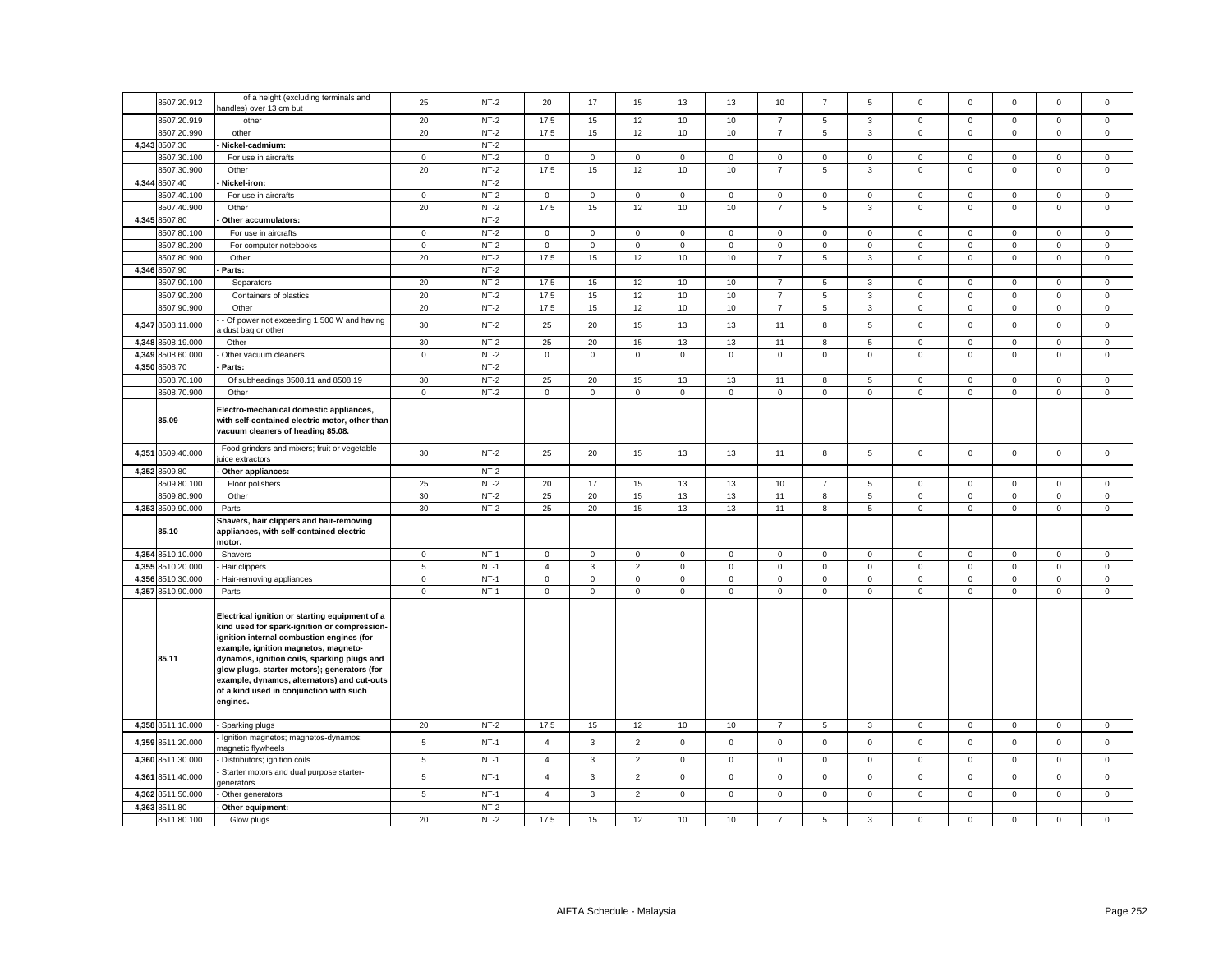|       | 8507.20.912       | of a height (excluding terminals and<br>andles) over 13 cm but                                                                                                                                                                                                                                                                                                                           | 25          | $NT-2$ | 20             | 17           | 15             | 13            | 13           | 10             | $\overline{7}$      | 5           | $\mathbf 0$         | $^{\circ}$   | $\mathbf 0$  | $\mathsf 0$  | $\Omega$     |
|-------|-------------------|------------------------------------------------------------------------------------------------------------------------------------------------------------------------------------------------------------------------------------------------------------------------------------------------------------------------------------------------------------------------------------------|-------------|--------|----------------|--------------|----------------|---------------|--------------|----------------|---------------------|-------------|---------------------|--------------|--------------|--------------|--------------|
|       | 8507.20.919       | other                                                                                                                                                                                                                                                                                                                                                                                    | 20          | $NT-2$ | 17.5           | 15           | 12             | 10            | 10           | $\overline{7}$ | 5                   | 3           | $\mathsf 0$         | $\mathbf 0$  | 0            | $\mathsf 0$  | 0            |
|       | 8507.20.990       | other                                                                                                                                                                                                                                                                                                                                                                                    | 20          | $NT-2$ | 17.5           | 15           | 12             | 10            | 10           | $\overline{7}$ | 5                   | 3           | $\mathsf 0$         | $\mathbf 0$  | $\mathsf 0$  | $\mathbf 0$  | $\mathbf{0}$ |
|       | 4,343 8507.30     | Nickel-cadmium:                                                                                                                                                                                                                                                                                                                                                                          |             | $NT-2$ |                |              |                |               |              |                |                     |             |                     |              |              |              |              |
|       | 3507.30.100       | For use in aircrafts                                                                                                                                                                                                                                                                                                                                                                     | $\mathbf 0$ | $NT-2$ | $^{\circ}$     | $\mathbf{O}$ | $\mathbf{0}$   | $\mathbf 0$   | $\mathbf{0}$ | $\mathbf{0}$   | $\mathbf{0}$        | $\mathbf 0$ | $\mathbf 0$         | $\mathbf{0}$ | $\mathbf 0$  | $\mathbf{0}$ | $\mathbf{0}$ |
|       | 8507.30.900       | Other                                                                                                                                                                                                                                                                                                                                                                                    | 20          | $NT-2$ | 17.5           | 15           | 12             | 10            | 10           | $\overline{7}$ | 5                   | 3           | $\mathbf 0$         | $\mathsf 0$  | $\mathbf{0}$ | $\mathsf 0$  | $\mathbf 0$  |
| 4,344 | 8507.40           | Nickel-iron:                                                                                                                                                                                                                                                                                                                                                                             |             | $NT-2$ |                |              |                |               |              |                |                     |             |                     |              |              |              |              |
|       | 8507.40.100       | For use in aircrafts                                                                                                                                                                                                                                                                                                                                                                     | $\mathsf 0$ | $NT-2$ | $\mathsf 0$    | $\mathsf 0$  | $\mathbf 0$    | $\mathsf 0$   | $\mathbf 0$  | $\mathsf 0$    | $\mathsf{O}\xspace$ | $\mathbf 0$ | $\mathsf 0$         | $\mathbf 0$  | $\mathsf 0$  | $\mathsf 0$  | $\mathbf 0$  |
|       | 3507.40.900       | Other                                                                                                                                                                                                                                                                                                                                                                                    | 20          | $NT-2$ | 17.5           | 15           | 12             | 10            | 10           | $\overline{7}$ | 5                   | 3           | $\mathsf{O}\xspace$ | $\,0\,$      | $\mathbf 0$  | $\mathbf 0$  | $\mathsf 0$  |
|       | 4,345 8507.80     | Other accumulators:                                                                                                                                                                                                                                                                                                                                                                      |             | $NT-2$ |                |              |                |               |              |                |                     |             |                     |              |              |              |              |
|       | 8507.80.100       | For use in aircrafts                                                                                                                                                                                                                                                                                                                                                                     |             | $NT-2$ | $\mathsf 0$    | $\mathbf 0$  | $\mathbf{0}$   |               | $\mathbf 0$  | $\mathsf 0$    | $\mathbf 0$         |             | $\mathbf 0$         | $\mathbf 0$  | $\mathbf 0$  | $\mathbf 0$  |              |
|       | 8507.80.200       |                                                                                                                                                                                                                                                                                                                                                                                          | $\mathbf 0$ | $NT-2$ | $\Omega$       | $\mathsf 0$  |                | 0<br>$\Omega$ |              |                |                     | 0           |                     |              |              |              | $\mathbf{0}$ |
|       |                   | For computer notebooks                                                                                                                                                                                                                                                                                                                                                                   | $\mathsf 0$ |        |                |              | 0              |               | $\mathbf 0$  | $\mathsf 0$    | $\mathbf 0$         | $\mathbf 0$ | $\mathsf 0$         | $\mathbf 0$  | $\mathsf 0$  | $\mathsf 0$  | 0            |
|       | 8507.80.900       | Other                                                                                                                                                                                                                                                                                                                                                                                    | 20          | $NT-2$ | 17.5           | 15           | 12             | 10            | 10           | $\overline{7}$ | 5                   | 3           | $\mathbf 0$         | $\mathbf 0$  | $\mathbf{0}$ | $\mathsf 0$  | $\mathbf{0}$ |
|       | 4,346 8507.90     | Parts:                                                                                                                                                                                                                                                                                                                                                                                   |             | $NT-2$ |                |              |                |               |              |                |                     |             |                     |              |              |              |              |
|       | 3507.90.100       | Separators                                                                                                                                                                                                                                                                                                                                                                               | 20          | $NT-2$ | 17.5           | 15           | 12             | 10            | 10           | $\overline{7}$ | 5                   | 3           | $\mathbf 0$         | $\mathsf 0$  | $\mathsf 0$  | $\mathsf 0$  | $\mathbf 0$  |
|       | 8507.90.200       | Containers of plastics                                                                                                                                                                                                                                                                                                                                                                   | 20          | $NT-2$ | 17.5           | 15           | 12             | 10            | 10           | $\overline{7}$ | 5                   | 3           | $\mathsf 0$         | $\mathbf 0$  | $\mathsf 0$  | $\mathbf 0$  | $\mathsf 0$  |
|       | 8507.90.900       | Other                                                                                                                                                                                                                                                                                                                                                                                    | 20          | $NT-2$ | 17.5           | 15           | 12             | 10            | 10           | $\overline{7}$ | 5                   | 3           | $\mathbf 0$         | $\mathbf 0$  | $\mathsf 0$  | $\mathbf 0$  | $\mathbf 0$  |
|       | 4,347 8508.11.000 | Of power not exceeding 1,500 W and having<br>dust bag or other                                                                                                                                                                                                                                                                                                                           | 30          | $NT-2$ | 25             | 20           | 15             | 13            | 13           | 11             | 8                   | 5           | $\mathsf 0$         | $\mathbf 0$  | $\mathsf 0$  | $\mathsf 0$  | 0            |
| 4.348 | 8508.19.000       | - Other                                                                                                                                                                                                                                                                                                                                                                                  | 30          | $NT-2$ | 25             | 20           | 15             | 13            | 13           | 11             | 8                   | 5           | $\mathbf 0$         | $\mathbf 0$  | $\mathbf{0}$ | $\mathbf{0}$ | $\mathbf{0}$ |
| 4.349 | 8508.60.000       | Other vacuum cleaners                                                                                                                                                                                                                                                                                                                                                                    | $\mathbf 0$ | $NT-2$ | $\mathbf 0$    | $\mathbf 0$  | $\mathbf 0$    | $\mathbf 0$   | $\mathbf 0$  | $\mathbf 0$    | $\mathbf 0$         | $\mathbf 0$ | $\mathbf 0$         | $\mathbf 0$  | $\mathbf 0$  | $\mathbf{0}$ | $\mathbf 0$  |
| 4,350 | 8508.70           | Parts:                                                                                                                                                                                                                                                                                                                                                                                   |             | $NT-2$ |                |              |                |               |              |                |                     |             |                     |              |              |              |              |
|       | 3508.70.100       | Of subheadings 8508.11 and 8508.19                                                                                                                                                                                                                                                                                                                                                       | 30          | $NT-2$ | 25             | 20           | 15             | 13            | 13           | 11             | 8                   | 5           | $\mathbf 0$         | $\mathsf 0$  | $\mathbf 0$  | $\mathsf 0$  | $\mathbf 0$  |
|       | 8508.70.900       | Other                                                                                                                                                                                                                                                                                                                                                                                    | $\mathsf 0$ | $NT-2$ | $\mathsf 0$    | $\mathsf 0$  | $\mathsf 0$    | $\mathsf 0$   | $\mathsf 0$  | $\mathsf 0$    | $\mathsf{O}\xspace$ | $\mathsf 0$ | $\mathsf 0$         | $\mathsf 0$  | $\mathsf 0$  | $\mathsf 0$  | $\mathbf 0$  |
|       | 85.09             | Electro-mechanical domestic appliances,<br>with self-contained electric motor, other than<br>vacuum cleaners of heading 85.08.                                                                                                                                                                                                                                                           |             |        |                |              |                |               |              |                |                     |             |                     |              |              |              |              |
| 4,351 | 8509.40.000       | Food grinders and mixers; fruit or vegetable<br>uice extractors                                                                                                                                                                                                                                                                                                                          | 30          | $NT-2$ | 25             | 20           | 15             | 13            | 13           | 11             | 8                   | 5           | $\mathbf 0$         | $\mathbf 0$  | $\mathbf 0$  | $\mathbf{0}$ | $\mathbf 0$  |
|       | 4,352 8509.80     | Other appliances:                                                                                                                                                                                                                                                                                                                                                                        |             | $NT-2$ |                |              |                |               |              |                |                     |             |                     |              |              |              |              |
|       | 3509.80.100       | Floor polishers                                                                                                                                                                                                                                                                                                                                                                          | 25          | $NT-2$ | 20             | 17           | 15             | 13            | 13           | 10             | $\overline{7}$      | 5           | $\mathbf 0$         | $\mathbf 0$  | 0            | $\mathbf{0}$ | $\mathbf 0$  |
|       | 8509.80.900       | Other                                                                                                                                                                                                                                                                                                                                                                                    | 30          | $NT-2$ | 25             | 20           | 15             | 13            | 13           | 11             | 8                   | 5           | $\mathsf 0$         | $\mathbf 0$  | $\mathbf 0$  | $\mathbf 0$  | $\mathsf 0$  |
|       | 4,353 8509.90.000 | Parts                                                                                                                                                                                                                                                                                                                                                                                    | 30          | $NT-2$ | 25             | 20           | 15             | 13            | 13           | 11             | 8                   | 5           | 0                   | $\mathbf 0$  | $\mathbf 0$  | $\mathbf 0$  | 0            |
|       | 85.10             | Shavers, hair clippers and hair-removing<br>appliances, with self-contained electric<br>motor.                                                                                                                                                                                                                                                                                           |             |        |                |              |                |               |              |                |                     |             |                     |              |              |              |              |
| 4,354 | 8510.10.000       | Shavers                                                                                                                                                                                                                                                                                                                                                                                  | $\mathsf 0$ | $NT-1$ | $\mathsf 0$    | $\mathbf 0$  | $\mathbf 0$    | $\mathsf 0$   | $\mathsf 0$  | $\mathsf 0$    | $\mathbf 0$         | $\mathbf 0$ | $\mathsf 0$         | $\mathsf 0$  | $\mathbf 0$  | $\mathsf 0$  | $\mathbf 0$  |
| 4,355 | 8510.20.000       | Hair clippers                                                                                                                                                                                                                                                                                                                                                                            | 5           | $NT-1$ | $\overline{4}$ | $\mathbf{3}$ | $\overline{2}$ | $\mathbf 0$   | $\mathsf 0$  | $\mathsf 0$    | $\mathbf 0$         | $\mathbf 0$ | $\mathsf 0$         | $\mathbf 0$  | $\mathbf{0}$ | $\mathsf 0$  | $\mathsf 0$  |
| 4.356 | 8510.30.000       | Hair-removing appliances                                                                                                                                                                                                                                                                                                                                                                 | $\mathbf 0$ | $NT-1$ | $\mathbf 0$    | $\mathsf{O}$ | $\mathbf 0$    | $\mathbf 0$   | $\mathsf 0$  | $\mathsf 0$    | $\mathbf{0}$        | $\mathbf 0$ | $\mathsf 0$         | $\mathbf 0$  | $\mathsf{O}$ | $\mathsf 0$  | $\mathbf 0$  |
|       | 4,357 8510.90.000 | Parts                                                                                                                                                                                                                                                                                                                                                                                    | $\mathsf 0$ | $NT-1$ | $\mathbf 0$    | $\mathbf 0$  | $\mathbf 0$    | $\mathbf 0$   | $\mathbf 0$  | $\mathbf 0$    | $\mathbf{0}$        | $\mathbf 0$ | $\mathbf 0$         | $\mathbf 0$  | $\mathsf 0$  | $\mathbf 0$  | $\mathbf 0$  |
|       | 85.11             | Electrical ignition or starting equipment of a<br>kind used for spark-ignition or compression-<br>ignition internal combustion engines (for<br>example, ignition magnetos, magneto-<br>dynamos, ignition coils, sparking plugs and<br>glow plugs, starter motors); generators (for<br>example, dynamos, alternators) and cut-outs<br>of a kind used in conjunction with such<br>engines. |             |        |                |              |                |               |              |                |                     |             |                     |              |              |              |              |
|       | 4,358 8511.10.000 | Sparking plugs<br>Ignition magnetos; magnetos-dynamos;                                                                                                                                                                                                                                                                                                                                   | 20          | $NT-2$ | 17.5           | 15           | 12             | 10            | 10           | $\overline{7}$ | 5                   | 3           | $\mathbf 0$         | $\mathsf 0$  | 0            | $\mathbf 0$  | 0            |
|       | 4,359 8511.20.000 | nagnetic flywheels                                                                                                                                                                                                                                                                                                                                                                       | 5           | $NT-1$ | $\overline{4}$ | $\mathbf{3}$ | $\overline{2}$ | $\mathsf 0$   | $\mathsf 0$  | $\mathbf 0$    | $\mathsf 0$         | $\mathbf 0$ | $\mathsf 0$         | $\mathsf 0$  | $\mathsf 0$  | $\mathsf 0$  | $\mathbf 0$  |
|       | 4,360 8511.30.000 | Distributors; ignition coils                                                                                                                                                                                                                                                                                                                                                             | 5           | $NT-1$ | $\overline{4}$ | 3            | $\overline{2}$ | $\mathbf 0$   | $\mathbf 0$  | $\mathbf 0$    | 0                   | 0           | $\mathsf{O}\xspace$ | $\mathbf 0$  | 0            | $\mathbf 0$  | 0            |
|       | 4,361 8511.40.000 | Starter motors and dual purpose starter-<br>jenerators                                                                                                                                                                                                                                                                                                                                   | 5           | $NT-1$ | $\overline{a}$ | $\mathbf{3}$ | $\overline{2}$ | $\mathsf 0$   | $\mathbf 0$  | $\mathsf 0$    | $\mathbf 0$         | $\mathsf 0$ | $\mathsf 0$         | $\mathbf 0$  | $\mathsf 0$  | $\mathsf 0$  | $\mathbf 0$  |
| 4,362 | 8511.50.000       | Other generators                                                                                                                                                                                                                                                                                                                                                                         | 5           | $NT-1$ | $\overline{4}$ | 3            | $\overline{2}$ | $\mathbf 0$   | $\mathbf 0$  | $\mathbf 0$    | 0                   | 0           | 0                   | $\mathbf 0$  | 0            | $\mathsf 0$  | 0            |
| 4,363 | 8511.80           | Other equipment:                                                                                                                                                                                                                                                                                                                                                                         |             | $NT-2$ |                |              |                |               |              |                |                     |             |                     |              |              |              |              |
|       | 8511.80.100       | Glow plugs                                                                                                                                                                                                                                                                                                                                                                               | 20          | $NT-2$ | 17.5           | 15           | 12             | 10            | 10           | $\overline{7}$ | 5                   | 3           | $\mathbf 0$         | $\mathbf 0$  | $\mathbf 0$  | $\mathsf 0$  | 0            |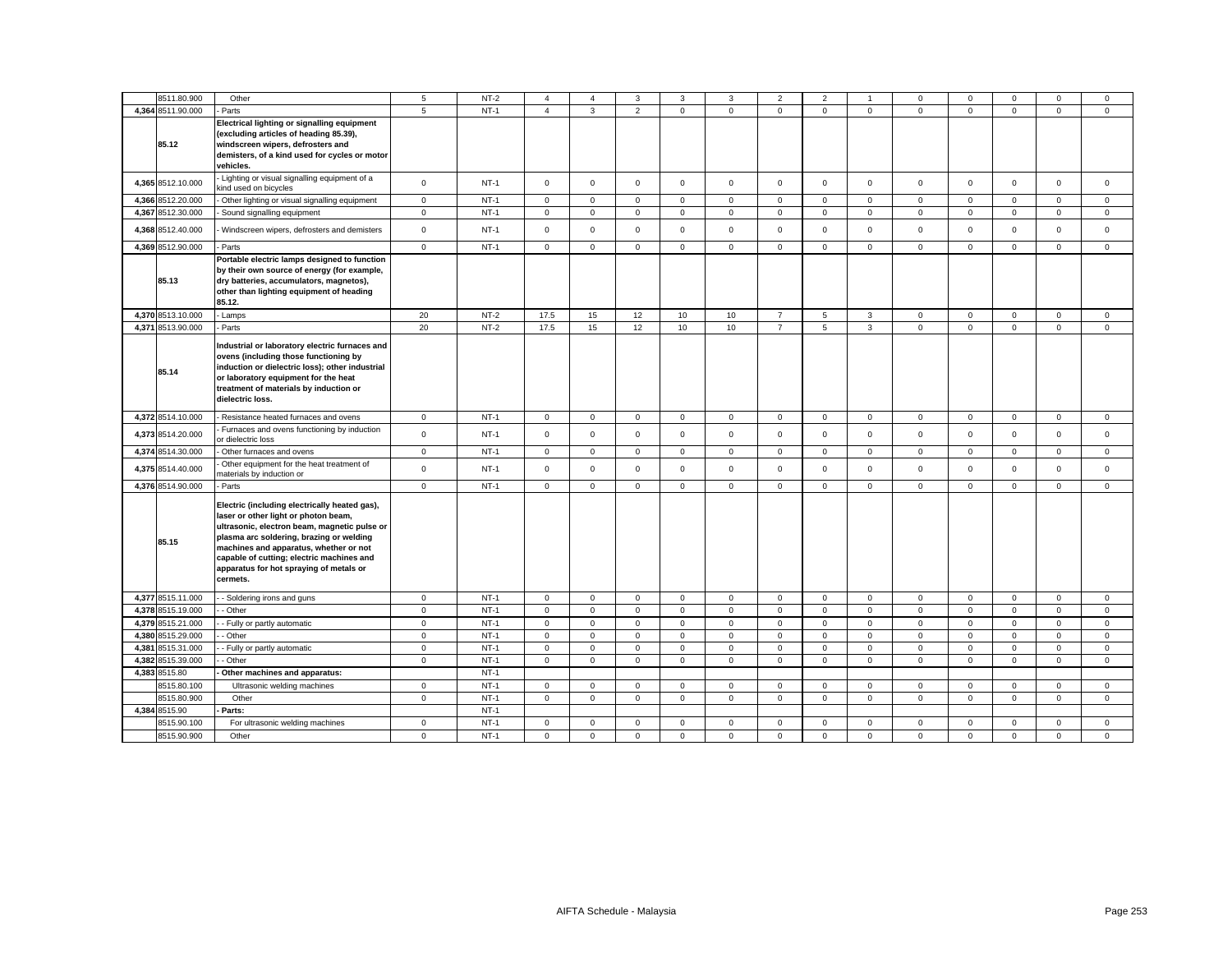|       | 8511.80.900                | Other                                                                                                                                                                                                                                                                                                                           | 5                          | $NT-2$           | $\boldsymbol{\Delta}$ | $\mathbf{A}$ | 3                          | 3            | 3                           | $\overline{2}$ | $\overline{2}$ | -1                          | $\Omega$                           | $\Omega$     | $\Omega$    | $\Omega$                   | $\mathbf{0}$               |
|-------|----------------------------|---------------------------------------------------------------------------------------------------------------------------------------------------------------------------------------------------------------------------------------------------------------------------------------------------------------------------------|----------------------------|------------------|-----------------------|--------------|----------------------------|--------------|-----------------------------|----------------|----------------|-----------------------------|------------------------------------|--------------|-------------|----------------------------|----------------------------|
|       | 4,364 8511.90.000          | Parts                                                                                                                                                                                                                                                                                                                           | 5                          | $NT-1$           | $\overline{4}$        | $\mathbf{3}$ | $\overline{2}$             | $\mathbf 0$  | $\mathbf{0}$                | $\mathbf 0$    | $\mathbf 0$    | $\mathbf 0$                 | $\mathbf{0}$                       | $\mathbf 0$  | $\mathbf 0$ | $\mathbf 0$                | $\mathbf 0$                |
|       | 85.12                      | Electrical lighting or signalling equipment<br>(excluding articles of heading 85.39),<br>windscreen wipers, defrosters and<br>demisters, of a kind used for cycles or motor<br>vehicles.                                                                                                                                        |                            |                  |                       |              |                            |              |                             |                |                |                             |                                    |              |             |                            |                            |
|       | 4,365 8512.10.000          | Lighting or visual signalling equipment of a<br>kind used on bicycles                                                                                                                                                                                                                                                           | $\mathbf 0$                | $NT-1$           | $\mathbf 0$           | $\mathbf 0$  | $\mathbf 0$                | $\mathbf 0$  | $\mathbf 0$                 | $\mathbf 0$    | $\mathbf 0$    | $\mathbf 0$                 | $\mathbf{0}$                       | $\mathbf 0$  | $\Omega$    | $\mathbf 0$                | $\mathbf 0$                |
|       | 4,366 8512.20.000          | Other lighting or visual signalling equipment                                                                                                                                                                                                                                                                                   | $\mathsf 0$                | $NT-1$           | $\mathbf 0$           | $\mathsf 0$  | $\mathsf 0$                | $\mathsf 0$  | $\mathsf 0$                 | $\mathbf 0$    | $\mathsf 0$    | $\mathsf 0$                 | $\mathsf 0$                        | $\mathsf 0$  | $\mathsf 0$ | $\mathsf 0$                | $\mathbf 0$                |
| 4,367 | 8512.30.000                | Sound signalling equipment                                                                                                                                                                                                                                                                                                      | $\mathbf 0$                | $NT-1$           | $\mathbf 0$           | $\mathsf 0$  | $\mathsf 0$                | $\mathsf 0$  | $\mathsf 0$                 | $\mathsf 0$    | $\mathbf 0$    | $\mathsf 0$                 | $\mathbf 0$                        | $\mathsf 0$  | $\mathsf 0$ | $\mathbf 0$                | $\mathsf 0$                |
|       | 4,368 8512.40.000          | Windscreen wipers, defrosters and demisters                                                                                                                                                                                                                                                                                     | $\mathsf 0$                | $NT-1$           | $\Omega$              | $\Omega$     | $\mathbf 0$                | $\mathbf 0$  | $\mathbf 0$                 | $\Omega$       | $\mathbf 0$    | $\mathbf 0$                 | $\mathbf 0$                        | $\mathbf 0$  | $\Omega$    | $\mathbf 0$                | $\Omega$                   |
|       | 4,369 8512.90.000          | Parts                                                                                                                                                                                                                                                                                                                           | $\mathbf 0$                | $NT-1$           | $\mathbf 0$           | $\Omega$     | $\mathbf 0$                | $\mathbf 0$  | $\mathbf 0$                 | $\Omega$       | $\mathbf 0$    | $\mathbf 0$                 | $\mathbf 0$                        | $\Omega$     | $\Omega$    | $\mathbf 0$                | $\mathbf 0$                |
|       | 85.13                      | Portable electric lamps designed to function<br>by their own source of energy (for example,<br>dry batteries, accumulators, magnetos),<br>other than lighting equipment of heading<br>85.12.                                                                                                                                    |                            |                  |                       |              |                            |              |                             |                |                |                             |                                    |              |             |                            |                            |
|       | 4,370 8513.10.000          | Lamps                                                                                                                                                                                                                                                                                                                           | 20                         | $NT-2$           | 17.5                  | 15           | 12                         | 10           | 10                          | $\overline{7}$ | 5              | 3                           | $\mathbf 0$                        | $\Omega$     | $\mathbf 0$ | $\mathbf 0$                | $\mathbf 0$                |
|       | 4,371 8513.90.000          | Parts                                                                                                                                                                                                                                                                                                                           | 20                         | $NT-2$           | 17.5                  | 15           | 12                         | 10           | 10                          | $\overline{7}$ | 5              | $\mathbf{3}$                | $\mathbf 0$                        | $\Omega$     | $\mathbf 0$ | $\mathbf 0$                | $\mathbf 0$                |
|       | 85.14                      | Industrial or laboratory electric furnaces and<br>ovens (including those functioning by<br>induction or dielectric loss); other industrial<br>or laboratory equipment for the heat<br>treatment of materials by induction or<br>dielectric loss.                                                                                |                            |                  |                       |              |                            |              |                             |                |                |                             |                                    |              |             |                            |                            |
|       | 4,372 8514.10.000          | Resistance heated furnaces and ovens                                                                                                                                                                                                                                                                                            | $\mathbf 0$                | $NT-1$           | $\mathbf{0}$          | $\mathbf 0$  | $\overline{0}$             | $\mathbf{0}$ | $\mathbf{0}$                | $\mathbf 0$    | $\overline{0}$ | $\mathbf{0}$                | $\mathbf{0}$                       | $\mathbf{0}$ | $\mathbf 0$ | $\mathbf 0$                | $\mathbf{0}$               |
|       | 4,373 8514.20.000          | Furnaces and ovens functioning by induction<br>or dielectric loss                                                                                                                                                                                                                                                               | $\mathsf 0$                | $NT-1$           | $\mathbf 0$           | $\mathsf 0$  | $\mathsf 0$                | $\mathsf 0$  | $\mathbf 0$                 | $\mathbf 0$    | $\mathbf 0$    | $\mathsf 0$                 | $\mathsf 0$                        | $\mathsf 0$  | $\Omega$    | $\mathsf 0$                | $\mathsf 0$                |
|       | 4,374 8514.30.000          | Other furnaces and ovens                                                                                                                                                                                                                                                                                                        | $\mathsf 0$                | $NT-1$           | $\mathbf 0$           | $\mathsf 0$  | $\mathsf 0$                | $\mathbf{0}$ | $\mathbf 0$                 | $\mathsf 0$    | $\mathbf 0$    | $\mathbf 0$                 | $\mathsf{O}\xspace$                | $\mathbf 0$  | $\mathbf 0$ | $\mathbf 0$                | $\mathsf 0$                |
|       | 4,375 8514.40.000          | Other equipment for the heat treatment of<br>naterials by induction or                                                                                                                                                                                                                                                          | $\mathbf 0$                | $NT-1$           | $\Omega$              | $\mathsf 0$  | $\mathsf 0$                | $\mathsf 0$  | $\mathsf 0$                 | $\mathsf 0$    | $\mathbf 0$    | $\mathsf 0$                 | $\mathbf 0$                        | $\mathsf 0$  | $\Omega$    | $\mathbf 0$                | $\mathsf 0$                |
|       | 4,376 8514.90.000          | Parts                                                                                                                                                                                                                                                                                                                           | $\mathbf 0$                | $NT-1$           | $\mathbf 0$           | $\mathbf 0$  | $\mathbf 0$                | $\mathbf 0$  | $\mathbf 0$                 | $\mathbf 0$    | $\mathbf{0}$   | $\mathbf 0$                 | $\mathbf 0$                        | $\mathbf 0$  | $\mathbf 0$ | $\mathbf 0$                | $\mathbf 0$                |
|       | 85.15                      | Electric (including electrically heated gas),<br>laser or other light or photon beam,<br>ultrasonic, electron beam, magnetic pulse or<br>plasma arc soldering, brazing or welding<br>machines and apparatus, whether or not<br>capable of cutting; electric machines and<br>apparatus for hot spraying of metals or<br>cermets. |                            |                  |                       |              |                            |              |                             |                |                |                             |                                    |              |             |                            |                            |
|       | 4,377 8515.11.000          | - Soldering irons and guns                                                                                                                                                                                                                                                                                                      | $\mathbf 0$                | $NT-1$           | $\mathbf 0$           | $\mathbf 0$  | $\mathsf 0$                | $\mathbf{0}$ | $\mathsf 0$                 | $\mathbf 0$    | $\mathbf 0$    | $\mathsf 0$                 | $\mathbf{0}$                       | $\mathbf 0$  | $\mathbf 0$ | $\mathbf 0$                | $\mathbf 0$                |
| 4,378 | 8515.19.000                | Other                                                                                                                                                                                                                                                                                                                           | $\mathbf 0$                | $NT-1$           | $\mathbf 0$           | $\mathbf{0}$ | $\mathbf 0$                | $\mathbf{0}$ | $\mathbf 0$                 | $\mathbf 0$    | $\mathbf{0}$   | $\mathbf{0}$                | $\mathbf{0}$                       | $^{\circ}$   | $\mathbf 0$ | $\mathbf 0$                | $\mathbf 0$                |
|       | 4,379 8515.21.000          | - Fully or partly automatic                                                                                                                                                                                                                                                                                                     | $\mathbf 0$                | $NT-1$           | $\mathbf 0$           | $\mathsf 0$  | $\mathsf 0$                | $\mathsf 0$  | $\mathbf 0$                 | $\mathsf 0$    | $\mathbf 0$    | $\mathbf{0}$                | $\mathbf 0$                        | $\mathsf 0$  | $\mathbf 0$ | $\mathsf 0$                | $\mathsf 0$                |
|       | 4,380 8515.29.000          | - Other                                                                                                                                                                                                                                                                                                                         | $\mathsf 0$                | $NT-1$           | $\mathbf 0$           | $\mathbf 0$  | $\mathbf 0$                | $\mathbf 0$  | $\mathbf 0$                 | $\mathbf 0$    | $\mathbf 0$    | $\mathbf{0}$                | $\mathbf 0$                        | $\mathbf 0$  | $\mathbf 0$ | $\mathbf 0$                | $\mathbf 0$                |
| 4.381 | 8515.31.000                | - Fully or partly automatic                                                                                                                                                                                                                                                                                                     | $\mathbf 0$                | $NT-1$           | $\mathbf 0$           | $\mathbf 0$  | $\mathbf 0$                | $\mathbf 0$  | $\mathbf 0$                 | $\mathbf 0$    | $\mathbf 0$    | $\mathbf 0$                 | $\mathbf 0$                        | $\Omega$     | $\Omega$    | $\mathbf 0$                | $\mathbf 0$                |
| 4,382 | 8515.39.000                | Other                                                                                                                                                                                                                                                                                                                           | $\mathbf 0$                | $NT-1$           | $\mathbf 0$           | $\mathbf 0$  | $\mathbf 0$                | $\mathbf 0$  | $\mathbf 0$                 | $\mathbf 0$    | $\mathbf 0$    | $\mathbf 0$                 | $\mathbf 0$                        | $\mathbf 0$  | $\mathbf 0$ | $\mathbf 0$                | $\mathbf 0$                |
|       | 4,383 8515.80              | Other machines and apparatus:                                                                                                                                                                                                                                                                                                   |                            | $NT-1$<br>$NT-1$ | $\mathbf 0$           | $\mathbf 0$  |                            | $\mathbf 0$  |                             | $\mathbf 0$    | $\mathbf 0$    |                             |                                    | $\mathbf 0$  | $\mathbf 0$ |                            |                            |
|       | 8515.80.100<br>8515.80.900 | Ultrasonic welding machines<br>Other                                                                                                                                                                                                                                                                                            | $\mathsf 0$<br>$\mathsf 0$ | $NT-1$           | $\mathbf 0$           | $\mathbf 0$  | $\mathsf 0$<br>$\mathbf 0$ | $\mathbf{0}$ | $\mathsf 0$<br>$\mathbf{0}$ | $\mathbf 0$    | $\mathbf{O}$   | $\mathsf 0$<br>$\mathbf{0}$ | $\mathbf 0$<br>$\mathsf{O}\xspace$ | $\mathbf 0$  | $\mathbf 0$ | $\mathbf 0$<br>$\mathbf 0$ | $\mathsf 0$<br>$\mathbf 0$ |
|       | 4,384 8515.90              | Parts:                                                                                                                                                                                                                                                                                                                          |                            | $NT-1$           |                       |              |                            |              |                             |                |                |                             |                                    |              |             |                            |                            |
|       | 8515.90.100                | For ultrasonic welding machines                                                                                                                                                                                                                                                                                                 | $\mathsf 0$                | $NT-1$           | $\mathbf 0$           | $\mathbf 0$  | $\mathsf 0$                | $\mathbf 0$  | $\mathbf 0$                 | $\mathbf 0$    | $\mathbf 0$    | $\mathbf 0$                 | 0                                  | $\mathbf 0$  | $\Omega$    | $\mathbf 0$                | $\mathbf 0$                |
|       | 8515.90.900                | Other                                                                                                                                                                                                                                                                                                                           | $\mathbf 0$                | $NT-1$           | $\mathbf 0$           | $\Omega$     | $\mathbf 0$                | $\Omega$     | $\mathbf 0$                 | $\Omega$       | $\mathbf 0$    | $\mathbf 0$                 | $\mathbf 0$                        | $\Omega$     | $\Omega$    | $\Omega$                   | $\mathbf 0$                |
|       |                            |                                                                                                                                                                                                                                                                                                                                 |                            |                  |                       |              |                            |              |                             |                |                |                             |                                    |              |             |                            |                            |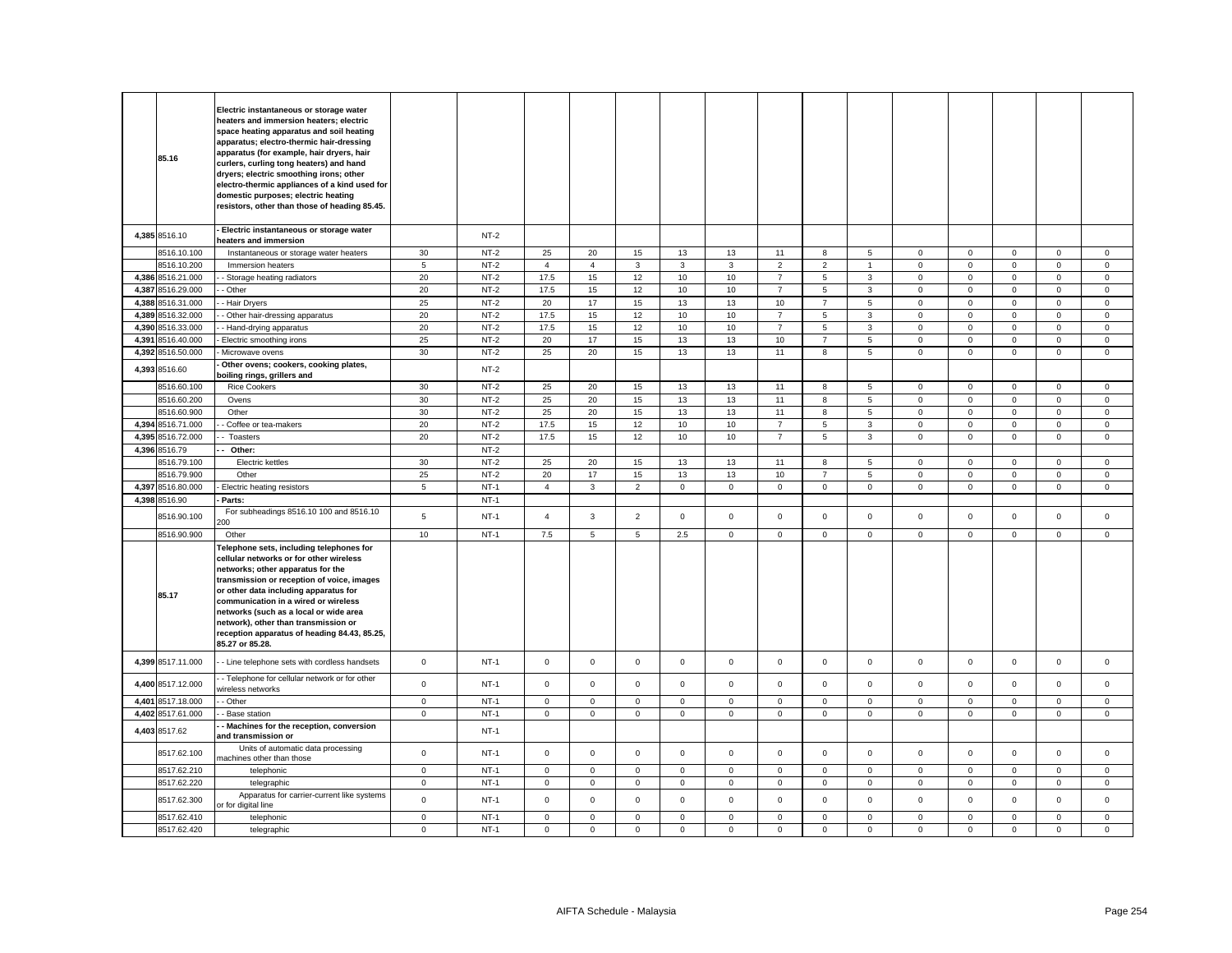|       | 85.16             | Electric instantaneous or storage water<br>heaters and immersion heaters; electric<br>space heating apparatus and soil heating<br>apparatus; electro-thermic hair-dressing<br>apparatus (for example, hair dryers, hair<br>curlers, curling tong heaters) and hand<br>dryers; electric smoothing irons; other<br>electro-thermic appliances of a kind used for<br>domestic purposes; electric heating<br>resistors, other than those of heading 85.45. |                |        |                |                |                 |             |              |                |                |                |                     |             |              |              |              |
|-------|-------------------|--------------------------------------------------------------------------------------------------------------------------------------------------------------------------------------------------------------------------------------------------------------------------------------------------------------------------------------------------------------------------------------------------------------------------------------------------------|----------------|--------|----------------|----------------|-----------------|-------------|--------------|----------------|----------------|----------------|---------------------|-------------|--------------|--------------|--------------|
|       | 4,385 8516.10     | Electric instantaneous or storage water<br>heaters and immersion                                                                                                                                                                                                                                                                                                                                                                                       |                | $NT-2$ |                |                |                 |             |              |                |                |                |                     |             |              |              |              |
|       | 8516.10.100       | Instantaneous or storage water heaters                                                                                                                                                                                                                                                                                                                                                                                                                 | 30             | $NT-2$ | 25             | 20             | 15              | 13          | 13           | 11             | 8              | 5              | $\mathbf 0$         | $\mathsf 0$ | $\mathbf 0$  | $\mathsf 0$  | $\mathsf 0$  |
|       | 8516.10.200       | Immersion heaters                                                                                                                                                                                                                                                                                                                                                                                                                                      | $\overline{5}$ | $NT-2$ | $\overline{4}$ | $\overline{4}$ | $\mathbf{3}$    | 3           | $\mathbf{3}$ | $\overline{2}$ | $\overline{2}$ | $\overline{1}$ | $\mathsf{O}\xspace$ | $\mathsf 0$ | $\mathsf 0$  | $\mathsf 0$  | $\mathsf 0$  |
|       | 4,386 8516.21.000 | Storage heating radiators                                                                                                                                                                                                                                                                                                                                                                                                                              | 20             | $NT-2$ | 17.5           | 15             | 12              | 10          | 10           | $\overline{7}$ | 5              | 3              | 0                   | $\mathsf 0$ | $\mathbf 0$  | $\mathbf 0$  | $\mathbf 0$  |
|       | 4,387 8516.29.000 | - Other                                                                                                                                                                                                                                                                                                                                                                                                                                                | 20             | $NT-2$ | 17.5           | 15             | 12              | $10$        | 10           | $\overline{7}$ | 5              | 3              | $\mathbf 0$         | $\mathsf 0$ | $\mathsf 0$  | $\mathsf 0$  | $\mathsf 0$  |
|       | 4,388 8516.31.000 | - Hair Dryers                                                                                                                                                                                                                                                                                                                                                                                                                                          | 25             | $NT-2$ | 20             | 17             | 15              | 13          | 13           | 10             | $\overline{7}$ | 5              | $\mathbf 0$         | $\mathbf 0$ | $\mathbf 0$  | 0            | $\mathbf 0$  |
| 4,389 | 8516.32.000       | Other hair-dressing apparatus                                                                                                                                                                                                                                                                                                                                                                                                                          | 20             | $NT-2$ | 17.5           | 15             | 12              | $10$        | 10           | $\overline{7}$ | $\sqrt{5}$     | 3              | $\mathsf 0$         | $\mathsf 0$ | $\mathsf 0$  | $\mathsf 0$  | $\mathsf 0$  |
| 4,390 | 8516.33.000       | Hand-drying apparatus                                                                                                                                                                                                                                                                                                                                                                                                                                  | 20             | $NT-2$ | 17.5           | 15             | 12              | 10          | 10           | $\overline{7}$ | 5              | 3              | 0                   | $\mathbf 0$ | $\mathbf 0$  | 0            | $\mathbf 0$  |
| 4,391 | 8516.40.000       | Electric smoothing irons                                                                                                                                                                                                                                                                                                                                                                                                                               | 25             | $NT-2$ | 20             | 17             | 15              | 13          | 13           | $10$           | $\overline{7}$ | 5              | $\mathsf 0$         | $\mathsf 0$ | $\mathsf 0$  | $\mathsf 0$  | $\mathsf 0$  |
| 4,392 | 8516.50.000       | Microwave ovens                                                                                                                                                                                                                                                                                                                                                                                                                                        | 30             | $NT-2$ | 25             | 20             | 15              | 13          | 13           | 11             | 8              | 5              | 0                   | $\mathbf 0$ | $\mathbf 0$  | $\mathsf 0$  | $\mathsf 0$  |
|       |                   | Other ovens; cookers, cooking plates,                                                                                                                                                                                                                                                                                                                                                                                                                  |                |        |                |                |                 |             |              |                |                |                |                     |             |              |              |              |
|       | 4,393 8516.60     | boiling rings, grillers and                                                                                                                                                                                                                                                                                                                                                                                                                            |                | $NT-2$ |                |                |                 |             |              |                |                |                |                     |             |              |              |              |
|       | 8516.60.100       | <b>Rice Cookers</b>                                                                                                                                                                                                                                                                                                                                                                                                                                    | 30             | $NT-2$ | 25             | 20             | 15              | 13          | 13           | 11             | 8              | 5              | $\mathbf 0$         | $\mathbf 0$ | $\Omega$     | $\mathbf 0$  | $\mathbf{0}$ |
|       | 8516.60.200       | Ovens                                                                                                                                                                                                                                                                                                                                                                                                                                                  | 30             | $NT-2$ | 25             | 20             | 15              | 13          | 13           | 11             | 8              | 5              | $\mathbf 0$         | $\mathbf 0$ | $\mathbf 0$  | $\mathsf 0$  | $\mathbf 0$  |
|       | 8516.60.900       | Other                                                                                                                                                                                                                                                                                                                                                                                                                                                  | 30             | $NT-2$ | 25             | 20             | 15              | 13          | 13           | 11             | 8              | 5              | $\mathbf{0}$        | $\mathbf 0$ | $\mathbf{0}$ | $\mathbf 0$  | $\mathbf{0}$ |
|       | 4,394 8516.71.000 | Coffee or tea-makers                                                                                                                                                                                                                                                                                                                                                                                                                                   | 20             | $NT-2$ | 17.5           | 15             | 12              | 10          | 10           | $\overline{7}$ | 5              | 3              | $\mathsf 0$         | $\mathsf 0$ | $\mathsf 0$  | $\mathsf 0$  | $\mathsf 0$  |
|       | 4,395 8516.72.000 | Toasters                                                                                                                                                                                                                                                                                                                                                                                                                                               | 20             | $NT-2$ | 17.5           | 15             | 12              | 10          | 10           | $\overline{7}$ | 5              | 3              | $\mathbf 0$         | $\mathsf 0$ | $\mathbf 0$  | $\mathbf 0$  | $\mathsf 0$  |
|       | 4,396 8516.79     | Other:                                                                                                                                                                                                                                                                                                                                                                                                                                                 |                | $NT-2$ |                |                |                 |             |              |                |                |                |                     |             |              |              |              |
|       | 3516.79.100       | <b>Electric kettles</b>                                                                                                                                                                                                                                                                                                                                                                                                                                | 30             | $NT-2$ | 25             | 20             | 15              | 13          | 13           | 11             | 8              | 5              | $\mathbf 0$         | $\mathbf 0$ | $\mathbf 0$  | $\mathbf 0$  | $\mathbf{0}$ |
|       | 8516.79.900       | Other                                                                                                                                                                                                                                                                                                                                                                                                                                                  | 25             | $NT-2$ | 20             | 17             | 15              | 13          | 13           | $10$           | $\overline{7}$ | 5              | $\mathsf 0$         | $\,0\,$     | $\mathbf 0$  | $\mathsf 0$  | $\mathsf 0$  |
|       | 4,397 8516.80.000 | Electric heating resistors                                                                                                                                                                                                                                                                                                                                                                                                                             | 5              | $NT-1$ | $\overline{4}$ | $\mathbf{3}$   | 2               | $\mathbf 0$ | $\mathbf 0$  | $\mathsf 0$    | $\mathbf 0$    | $\mathbf 0$    | $\mathsf 0$         | $\mathsf 0$ | $\mathbf 0$  | $\mathsf 0$  | $\mathsf 0$  |
|       |                   |                                                                                                                                                                                                                                                                                                                                                                                                                                                        |                | $NT-1$ |                |                |                 |             |              |                |                |                |                     |             |              |              |              |
|       | 4,398 8516.90     | Parts:                                                                                                                                                                                                                                                                                                                                                                                                                                                 |                |        |                |                |                 |             |              |                |                |                |                     |             |              |              |              |
|       | 8516.90.100       | For subheadings 8516.10 100 and 8516.10<br>00                                                                                                                                                                                                                                                                                                                                                                                                          | 5              | $NT-1$ | $\overline{4}$ | $\mathbf{3}$   | $\overline{2}$  | $\mathbf 0$ | $\mathbf 0$  | $\mathbf 0$    | $\mathbf 0$    | $\mathbf 0$    | $\mathbf 0$         | $\mathbf 0$ | $\mathbf{0}$ | $\mathbf 0$  | $\mathbf{0}$ |
|       | 8516.90.900       | Other                                                                                                                                                                                                                                                                                                                                                                                                                                                  | 10             | $NT-1$ | 7.5            | 5              | $5\overline{5}$ | 2.5         | $\mathbf{0}$ | $\mathsf 0$    | $\mathsf{O}$   | $\mathbf{0}$   | $\mathbf 0$         | $\mathbf 0$ | $\mathbf 0$  | $\mathbf 0$  | $\mathbf 0$  |
|       | 85.17             | Telephone sets, including telephones for<br>cellular networks or for other wireless<br>networks; other apparatus for the<br>transmission or reception of voice, images<br>or other data including apparatus for<br>communication in a wired or wireless<br>networks (such as a local or wide area<br>network), other than transmission or<br>reception apparatus of heading 84.43, 85.25,<br>85.27 or 85.28.                                           |                |        |                |                |                 |             |              |                |                |                |                     |             |              |              |              |
|       | 4,399 8517.11.000 | - Line telephone sets with cordless handsets                                                                                                                                                                                                                                                                                                                                                                                                           | $\mathbf 0$    | $NT-1$ | $\mathsf 0$    | $\mathbf 0$    | $\mathsf 0$     | $\mathbf 0$ | $\mathbf 0$  | $\mathsf 0$    | $\mathbf 0$    | $\mathbf 0$    | $\mathsf 0$         | $\mathsf 0$ | $\mathbf 0$  | $\mathbf 0$  | $\mathsf 0$  |
|       | 4,400 8517.12.000 | - Telephone for cellular network or for other<br>vireless networks                                                                                                                                                                                                                                                                                                                                                                                     | $\overline{0}$ | $NT-1$ | $\mathbf 0$    | $\mathbf 0$    | $\mathbf{0}$    | $\mathbf 0$ | $\mathbf 0$  | $\mathbf 0$    | $\mathbf{O}$   | $\mathbf 0$    | $\mathbf 0$         | $\mathbf 0$ | $\mathbf{0}$ | $\mathbf 0$  | $\mathbf{0}$ |
| 4,401 | 8517.18.000       | - Other                                                                                                                                                                                                                                                                                                                                                                                                                                                | $\mathbf 0$    | $NT-1$ | $\mathbf 0$    | $\mathbf 0$    | $\mathbf 0$     | $\mathbf 0$ | $\mathbf 0$  | $\mathbf 0$    | $\mathbf 0$    | $\mathbf 0$    | 0                   | $\mathbf 0$ | $\mathbf 0$  | $\mathbf 0$  | $\mathbf 0$  |
|       | 4,402 8517.61.000 | Base station                                                                                                                                                                                                                                                                                                                                                                                                                                           | $\mathbf 0$    | $NT-1$ | $\mathbf 0$    | $\mathbf{0}$   | $\mathsf 0$     | $\mathbf 0$ | $\mathsf 0$  | $\mathsf 0$    | $\mathbf 0$    | $\mathbf{0}$   | $\mathbf 0$         | $\mathbf 0$ | $\mathbf{0}$ | $\mathbf 0$  | $\mathsf 0$  |
|       | 4,403 8517.62     | Machines for the reception, conversion<br>and transmission or                                                                                                                                                                                                                                                                                                                                                                                          |                | $NT-1$ |                |                |                 |             |              |                |                |                |                     |             |              |              |              |
|       | 8517.62.100       | Units of automatic data processing<br>nachines other than those                                                                                                                                                                                                                                                                                                                                                                                        | $\mathsf 0$    | $NT-1$ | $\mathbf 0$    | $\mathbf 0$    | $\mathsf 0$     | $\mathbf 0$ | $\mathsf 0$  | $\mathbf 0$    | $\mathbf{0}$   | $\mathbf{0}$   | $\mathsf 0$         | $\mathbf 0$ | $\mathbf{0}$ | $\mathbf{0}$ | $\mathbf 0$  |
|       | 8517.62.210       | telephonic                                                                                                                                                                                                                                                                                                                                                                                                                                             | $\mathbf 0$    | $NT-1$ | $\mathbf 0$    | $\mathsf 0$    | $\mathsf 0$     | $\mathbf 0$ | $\mathbf 0$  | $\mathsf 0$    | $\mathsf 0$    | $\mathbf 0$    | $\mathbf 0$         | $\mathsf 0$ | $\mathsf 0$  | $\mathsf 0$  | $\mathsf 0$  |
|       | 8517.62.220       | telegraphic                                                                                                                                                                                                                                                                                                                                                                                                                                            | $\mathbf 0$    | $NT-1$ | 0              | 0              | $\mathbf 0$     | 0           | $\mathbf 0$  | $\mathsf 0$    | 0              | $\mathbf 0$    | 0                   | $\mathbf 0$ | $\mathbf 0$  | 0            | $\mathbf 0$  |
|       |                   |                                                                                                                                                                                                                                                                                                                                                                                                                                                        |                |        |                |                |                 |             |              |                |                |                |                     |             |              |              |              |
|       | 8517.62.300       | Apparatus for carrier-current like systems<br>or for digital line                                                                                                                                                                                                                                                                                                                                                                                      | $\mathbf 0$    | $NT-1$ | $\mathsf 0$    | $\mathbf 0$    | $\mathsf 0$     | $\mathbf 0$ | $\mathbf 0$  | $\mathsf 0$    | $\mathbf 0$    | $\mathbf 0$    | $\mathsf 0$         | $\mathsf 0$ | $\mathsf 0$  | $\mathsf 0$  | $\mathsf 0$  |
|       | 8517.62.410       | telephonic                                                                                                                                                                                                                                                                                                                                                                                                                                             | $\mathsf 0$    | $NT-1$ | $\mathbf 0$    | $\Omega$       | $\mathbf 0$     | $\mathbf 0$ | $\Omega$     | $\mathbf 0$    | $\Omega$       | $\mathbf 0$    | $\mathbf 0$         | $\mathbf 0$ | $\Omega$     | $\mathbf 0$  | $\mathbf 0$  |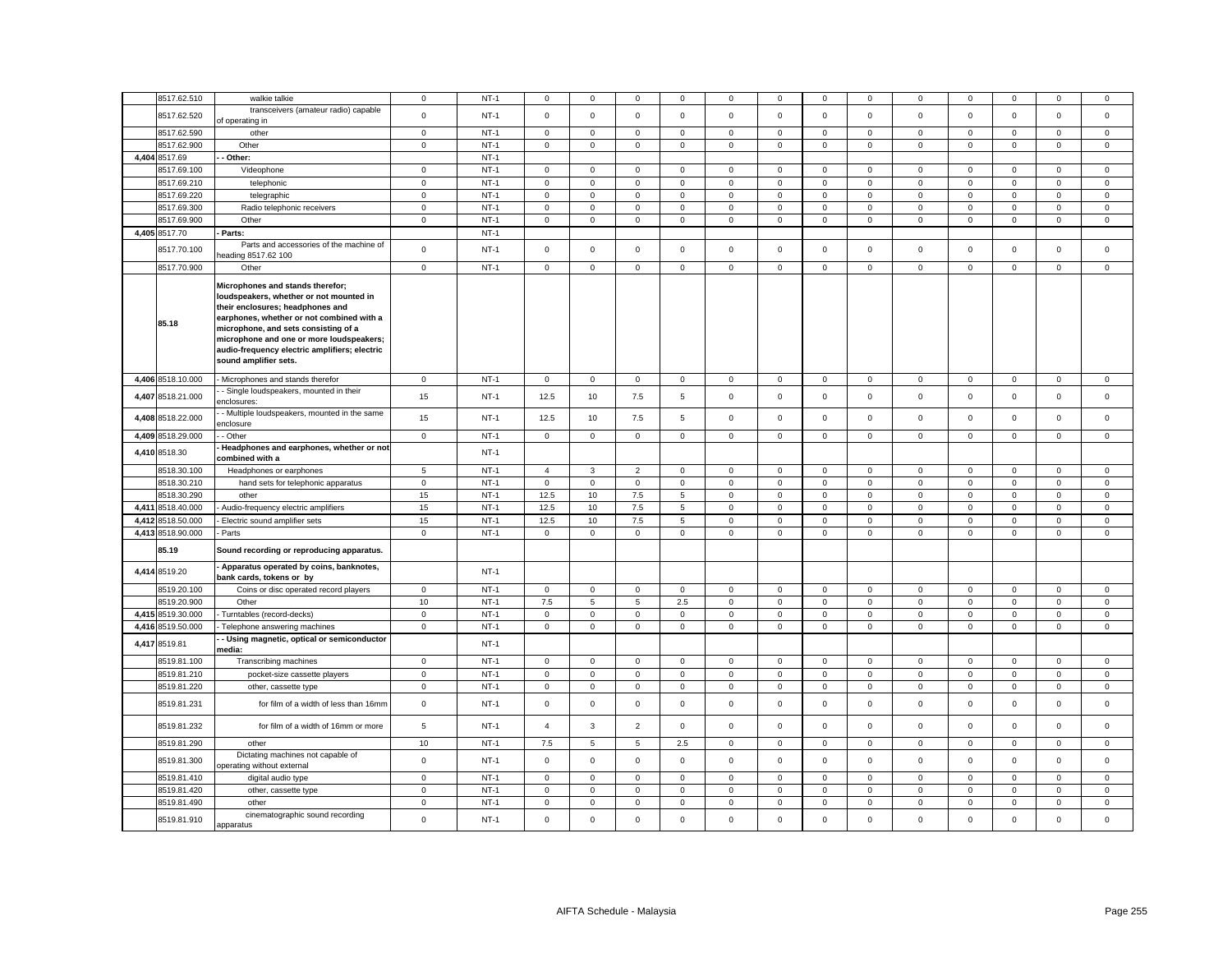|       | 8517.62.510       | walkie talkie                                                                                                                                                                                                                                                                                                              | $\mathbf 0$  | $NT-1$ | $^{\circ}$          | 0            | 0               | 0           | 0                   | 0           | $\mathbf 0$  | 0            | 0            | $^{\circ}$  | 0                   | $\mathbf 0$  | 0            |
|-------|-------------------|----------------------------------------------------------------------------------------------------------------------------------------------------------------------------------------------------------------------------------------------------------------------------------------------------------------------------|--------------|--------|---------------------|--------------|-----------------|-------------|---------------------|-------------|--------------|--------------|--------------|-------------|---------------------|--------------|--------------|
|       | 8517.62.520       | transceivers (amateur radio) capable<br>of operating in                                                                                                                                                                                                                                                                    | $\mathsf 0$  | $NT-1$ | $\mathsf 0$         | $\mathbf 0$  | $\mathbf 0$     | $\mathsf 0$ | $\mathsf{O}\xspace$ | $\mathsf 0$ | $\mathbf 0$  | $\mathsf 0$  | $\mathsf 0$  | $\mathbf 0$ | $\mathsf 0$         | $\mathsf 0$  | $\mathsf 0$  |
|       | 8517.62.590       | other                                                                                                                                                                                                                                                                                                                      | $\mathbf 0$  | $NT-1$ | $\mathsf 0$         | $\mathbf 0$  | $\mathbf 0$     | 0           | $\mathbf 0$         | $\mathsf 0$ | $\mathbf 0$  | $\mathbf 0$  | $\mathbf 0$  | $\mathbf 0$ | $\mathsf 0$         | $\mathbf 0$  | 0            |
|       | 8517.62.900       | Other                                                                                                                                                                                                                                                                                                                      | $\mathsf 0$  | $NT-1$ | $\mathsf{O}\xspace$ | $\mathsf 0$  | $\mathsf 0$     | $\mathsf 0$ | $\mathsf 0$         | $\mathbf 0$ | $\mathsf 0$  | $\mathsf 0$  | $\mathsf 0$  | $\mathbf 0$ | $\mathsf 0$         | $\mathsf 0$  | $\mathsf 0$  |
|       | 4,404 8517.69     | Other:                                                                                                                                                                                                                                                                                                                     |              | $NT-1$ |                     |              |                 |             |                     |             |              |              |              |             |                     |              |              |
|       | 8517.69.100       | Videophone                                                                                                                                                                                                                                                                                                                 | $\mathbf 0$  | $NT-1$ | $\mathsf 0$         | $\mathsf 0$  | $\mathsf 0$     | $\mathbf 0$ | $\mathbf 0$         | $\mathsf 0$ | $\mathsf 0$  | $\mathsf 0$  | $\mathsf 0$  | $\mathbf 0$ | $\mathsf 0$         | $\mathsf 0$  | 0            |
|       | 8517.69.210       | telephonic                                                                                                                                                                                                                                                                                                                 | $\mathbf 0$  | $NT-1$ | $\mathsf{O}\xspace$ | $\mathsf 0$  | $\mathbf 0$     | 0           | $\mathbf 0$         | $\mathsf 0$ | $\mathsf 0$  | 0            | $\mathbf 0$  | $\mathbf 0$ | $\mathbf 0$         | $\mathbf 0$  | $\mathsf 0$  |
|       | 8517.69.220       | telegraphic                                                                                                                                                                                                                                                                                                                | $\mathsf 0$  | $NT-1$ | $\mathsf{O}\xspace$ | $\mathsf 0$  | $\mathbf 0$     | $\mathbf 0$ | $\mathsf{o}\xspace$ | $\mathsf 0$ | $\mathsf 0$  | $\mathsf 0$  | $\mathsf 0$  | $\mathbf 0$ | $\mathsf 0$         | $\mathbf 0$  | $\mathbf 0$  |
|       | 8517.69.300       | Radio telephonic receivers                                                                                                                                                                                                                                                                                                 | $\mathsf 0$  | $NT-1$ | $\mathsf{O}\xspace$ | $\mathsf 0$  | $\mathbf 0$     | 0           | $\mathbf 0$         | $\mathsf 0$ | $\mathsf 0$  | $\mathbf 0$  | $\mathbf 0$  | $\mathbf 0$ | $\mathsf 0$         | $\mathbf 0$  | $\mathsf 0$  |
|       | 8517.69.900       | Other                                                                                                                                                                                                                                                                                                                      | $\mathsf 0$  | $NT-1$ | $\mathsf 0$         | $\mathbf 0$  | $\mathsf 0$     | $\mathsf 0$ | $\mathsf 0$         | $\mathsf 0$ | $\mathsf 0$  | $\mathsf 0$  | $\mathsf 0$  | $\mathbf 0$ | $\mathsf 0$         | $\mathsf 0$  | $\mathsf 0$  |
|       | 4,405 8517.70     | Parts:                                                                                                                                                                                                                                                                                                                     |              | $NT-1$ |                     |              |                 |             |                     |             |              |              |              |             |                     |              |              |
|       |                   | Parts and accessories of the machine of                                                                                                                                                                                                                                                                                    |              |        |                     |              |                 |             |                     |             |              |              |              |             |                     |              |              |
|       | 8517.70.100       | eading 8517.62 100                                                                                                                                                                                                                                                                                                         | $\mathsf 0$  | $NT-1$ | $\mathsf 0$         | $\mathsf 0$  | $\mathsf 0$     | $\mathsf 0$ | $\mathsf 0$         | $\mathsf 0$ | $\mathsf 0$  | $\mathbf 0$  | $\mathsf 0$  | $\mathbf 0$ | $\mathsf 0$         | $\mathsf 0$  | $\mathbf 0$  |
|       | 8517.70.900       | Other                                                                                                                                                                                                                                                                                                                      | $\mathsf 0$  | $NT-1$ | $\mathsf 0$         | $\mathbf 0$  | $\mathbf 0$     | $\mathsf 0$ | $\mathbf 0$         | $\mathsf 0$ | $\mathsf 0$  | $\mathsf 0$  | $\mathsf 0$  | $\mathbf 0$ | $\mathsf 0$         | $\mathbf 0$  | $\mathsf 0$  |
|       | 85.18             | Microphones and stands therefor;<br>loudspeakers, whether or not mounted in<br>their enclosures; headphones and<br>earphones, whether or not combined with a<br>microphone, and sets consisting of a<br>microphone and one or more loudspeakers;<br>audio-frequency electric amplifiers; electric<br>sound amplifier sets. |              |        |                     |              |                 |             |                     |             |              |              |              |             |                     |              |              |
|       | 4,406 8518.10.000 | Microphones and stands therefor                                                                                                                                                                                                                                                                                            | $\mathbf 0$  | $NT-1$ | $\mathsf 0$         | $\mathsf 0$  | $\mathbf 0$     | $\mathsf 0$ | $\mathsf 0$         | $\mathsf 0$ | $\mathsf 0$  | $\mathbf 0$  | $\mathsf 0$  | $\pmb{0}$   | $\mathsf 0$         | $\mathsf 0$  | $\mathbf 0$  |
|       | 4,407 8518.21.000 | Single loudspeakers, mounted in their<br>enclosures:                                                                                                                                                                                                                                                                       | 15           | $NT-1$ | 12.5                | 10           | 7.5             | 5           | $\mathsf 0$         | $\mathbf 0$ | $\mathbf 0$  | $\mathbf{0}$ | $\mathbf 0$  | $\mathsf 0$ | $\mathbf 0$         | $\mathsf 0$  | $\mathbf 0$  |
|       | 4,408 8518.22.000 | - Multiple loudspeakers, mounted in the same<br>enclosure                                                                                                                                                                                                                                                                  | 15           | $NT-1$ | 12.5                | 10           | 7.5             | 5           | $\mathbf 0$         | $\mathsf 0$ | $\circ$      | $\mathsf 0$  | $\mathsf 0$  | $\,0\,$     | $\mathsf 0$         | $\mathsf 0$  | $\mathsf 0$  |
|       | 4,409 8518.29.000 | - Other                                                                                                                                                                                                                                                                                                                    | $\circ$      | $NT-1$ | $\mathbf 0$         | $\mathbf{O}$ | $\mathbf{0}$    | $\mathbf 0$ | $\mathbf 0$         | $\mathbf 0$ | $\mathbf 0$  | $\Omega$     | $\mathbf 0$  | $\mathbf 0$ | $\mathbf 0$         | $\mathbf{0}$ | $\mathbf 0$  |
|       | 4,410 8518.30     | Headphones and earphones, whether or not                                                                                                                                                                                                                                                                                   |              | $NT-1$ |                     |              |                 |             |                     |             |              |              |              |             |                     |              |              |
|       |                   | combined with a                                                                                                                                                                                                                                                                                                            |              |        |                     |              |                 |             |                     |             |              |              |              |             |                     |              |              |
|       | 8518.30.100       | Headphones or earphones                                                                                                                                                                                                                                                                                                    | 5            | $NT-1$ | $\overline{4}$      | 3            | $\overline{2}$  | $\mathbf 0$ | $\mathbf 0$         | $\mathbf 0$ | $\mathbf{0}$ | $\mathbf 0$  | $\mathbf 0$  | $\mathbf 0$ | $\mathbf{0}$        | $\mathsf 0$  | $\mathbf 0$  |
|       | 8518.30.210       | hand sets for telephonic apparatus                                                                                                                                                                                                                                                                                         | $\mathbf 0$  | $NT-1$ | $\mathbf{0}$        | $\mathbf 0$  | $\mathsf 0$     | $\mathbf 0$ | $\mathbf 0$         | $\mathsf 0$ | $\circ$      | $\mathbf{0}$ | $\mathbf 0$  | $\mathbf 0$ | $\mathbf 0$         | $\mathsf 0$  | $\mathbf{0}$ |
|       | 8518.30.290       | other                                                                                                                                                                                                                                                                                                                      | 15           | $NT-1$ | 12.5                | 10           | 7.5             | 5           | $\mathbf 0$         | $\mathsf 0$ | $\mathbf 0$  | $\mathbf 0$  | $\mathsf 0$  | $\mathbf 0$ | $\mathbf 0$         | $\mathsf 0$  | $\mathbf 0$  |
|       | 4,411 8518.40.000 | Audio-frequency electric amplifiers                                                                                                                                                                                                                                                                                        | 15           | $NT-1$ | 12.5                | 10           | 7.5             | 5           | $\mathbf{0}$        | $\mathsf 0$ | $\mathsf 0$  | $\mathbf 0$  | $\mathbf 0$  | $\mathbf 0$ | $\mathsf 0$         | $\mathsf 0$  | $\mathbf 0$  |
|       | 4,412 8518.50.000 | Electric sound amplifier sets                                                                                                                                                                                                                                                                                              | 15           | $NT-1$ | 12.5                | 10           | 7.5             | 5           | $\mathsf 0$         | $\mathsf 0$ | $\mathsf 0$  | $\mathbf 0$  | $\mathbf 0$  | $\mathbf 0$ | $\mathbf 0$         | $\mathsf 0$  | $\mathbf 0$  |
| 4,413 | 8518.90.000       | Parts                                                                                                                                                                                                                                                                                                                      | $\mathbf 0$  | $NT-1$ | $\mathbf 0$         | $\mathbf 0$  | $\mathsf 0$     | $\mathbf 0$ | $\mathbf 0$         | $\mathsf 0$ | $\mathsf 0$  | $\mathbf 0$  | $\mathbf 0$  | $\mathbf 0$ | $\mathsf 0$         | $\mathsf 0$  | $\mathbf 0$  |
|       | 85.19             | Sound recording or reproducing apparatus.                                                                                                                                                                                                                                                                                  |              |        |                     |              |                 |             |                     |             |              |              |              |             |                     |              |              |
|       | 4,414 8519.20     | Apparatus operated by coins, banknotes,<br>bank cards, tokens or by                                                                                                                                                                                                                                                        |              | $NT-1$ |                     |              |                 |             |                     |             |              |              |              |             |                     |              |              |
|       | 8519.20.100       | Coins or disc operated record players                                                                                                                                                                                                                                                                                      | $\mathbf 0$  | $NT-1$ | $^{\circ}$          | $\mathbf{0}$ | $\mathbf{0}$    | $\mathbf 0$ | $\mathbf 0$         | $\mathbf 0$ | $\mathbf{0}$ | $\mathbf{0}$ | $\mathbf 0$  | $\mathbf 0$ | $\mathbf{0}$        | $\mathbf{0}$ | $\mathbf 0$  |
|       | 8519.20.900       | Other                                                                                                                                                                                                                                                                                                                      | 10           | $NT-1$ | 7.5                 | 5            | $5\phantom{.0}$ | 2.5         | $\mathsf 0$         | $\mathsf 0$ | $\mathbf 0$  | $\mathbf 0$  | $\mathsf 0$  | $\mathsf 0$ | $\mathsf{O}\xspace$ | $\mathsf 0$  | $\mathsf 0$  |
|       | 4,415 8519.30.000 | Turntables (record-decks)                                                                                                                                                                                                                                                                                                  | $\mathbf 0$  | $NT-1$ | $\mathbf 0$         | $\mathbf 0$  | $\mathbf 0$     | $\mathbf 0$ | $\mathbf 0$         | $\mathsf 0$ | $\mathbf 0$  | $\mathbf 0$  | $\mathbf 0$  | $\mathbf 0$ | $\mathbf 0$         | $\mathbf 0$  | $\mathbf 0$  |
| 4.416 | 8519.50.000       | Telephone answering machines                                                                                                                                                                                                                                                                                               | $\mathbf 0$  | $NT-1$ | $\mathbf 0$         | $\mathbf 0$  | $\mathsf 0$     | $\mathbf 0$ | $\mathbf 0$         | $\mathsf 0$ | $\mathbf{0}$ | $\mathbf 0$  | $\mathbf 0$  | $\mathbf 0$ | $\mathbf 0$         | $\mathsf 0$  | $\mathbf 0$  |
|       | 4,417 8519.81     | - Using magnetic, optical or semiconductor<br>media:                                                                                                                                                                                                                                                                       |              | $NT-1$ |                     |              |                 |             |                     |             |              |              |              |             |                     |              |              |
|       | 8519.81.100       | Transcribing machines                                                                                                                                                                                                                                                                                                      | $\mathbf 0$  | $NT-1$ | $\mathbf 0$         | $\mathbf{0}$ | $\mathsf 0$     | $\mathbf 0$ | $\mathbf 0$         | $\mathsf 0$ | $\mathbf 0$  | $\mathbf{0}$ | $\mathbf{0}$ | $\mathsf 0$ | $\mathbf 0$         | $\mathsf 0$  | $\mathbf{0}$ |
|       | 8519.81.210       | pocket-size cassette players                                                                                                                                                                                                                                                                                               | $\mathsf 0$  | $NT-1$ | $\mathbf 0$         | $\mathbf 0$  | $\mathbf 0$     | $\mathbf 0$ | $\mathbf 0$         | $\mathbf 0$ | $\mathbf 0$  | $\mathbf 0$  | $\mathbf 0$  | $\mathbf 0$ | $\mathbf 0$         | $\mathbf 0$  | $\mathbf 0$  |
|       | 8519.81.220       | other, cassette type                                                                                                                                                                                                                                                                                                       | $\mathsf 0$  | $NT-1$ | $\mathsf 0$         | $\mathbf 0$  | $\mathsf 0$     | $\mathsf 0$ | $\mathbf 0$         | $\mathsf 0$ | $\circ$      | $\mathbf 0$  | $\mathsf 0$  | $\mathbf 0$ | $\mathsf{O}\xspace$ | $\mathsf 0$  | $\mathbf 0$  |
|       | 8519.81.231       | for film of a width of less than 16mm                                                                                                                                                                                                                                                                                      | $\mathbf{0}$ | $NT-1$ | $\mathbf 0$         | $\mathbf 0$  | $\mathbf 0$     | $\mathbf 0$ | $\mathbf 0$         | $\mathbf 0$ | $\mathbf 0$  | $\mathbf 0$  | $\mathbf 0$  | $\mathbf 0$ | $\mathbf 0$         | $\mathbf 0$  | $\mathbf 0$  |
|       | 8519.81.232       | for film of a width of 16mm or more                                                                                                                                                                                                                                                                                        | 5            | $NT-1$ | $\overline{4}$      | 3            | $\overline{2}$  | $\mathsf 0$ | $\mathsf 0$         | $\mathsf 0$ | $\mathsf 0$  | $\mathsf 0$  | $\mathsf 0$  | $\mathbf 0$ | $\mathbf 0$         | $\mathsf 0$  | $\mathsf 0$  |
|       | 8519.81.290       | other                                                                                                                                                                                                                                                                                                                      | 10           | $NT-1$ | 7.5                 | 5            | $5\overline{5}$ | 2.5         | $\mathbf 0$         | $\mathsf 0$ | $\mathbf{0}$ | $\mathbf 0$  | $\mathsf 0$  | $\mathbf 0$ | $\mathbf 0$         | $\mathsf 0$  | $\mathbf 0$  |
|       | 8519.81.300       | Dictating machines not capable of<br>perating without external                                                                                                                                                                                                                                                             | $\mathbf 0$  | $NT-1$ | $\mathbf 0$         | $\mathbf 0$  | $\mathsf 0$     | $\mathbf 0$ | $\mathbf 0$         | $\mathsf 0$ | $\mathbf 0$  | $\mathbf 0$  | $\mathsf 0$  | $\mathbf 0$ | $\mathbf 0$         | $\mathbf{0}$ | $\mathbf 0$  |
|       | 8519.81.410       | digital audio type                                                                                                                                                                                                                                                                                                         | $\mathsf 0$  | $NT-1$ | $\mathsf 0$         | $\mathsf 0$  | $\mathsf 0$     | $\mathbf 0$ | $\mathbf 0$         | $\mathsf 0$ | $\mathsf 0$  | $\mathbf 0$  | $\mathsf 0$  | $\mathbf 0$ | $\mathsf 0$         | $\mathsf 0$  | $\mathbf 0$  |
|       | 8519.81.420       | other, cassette type                                                                                                                                                                                                                                                                                                       | $\mathbf{0}$ | $NT-1$ | $\mathbf 0$         | $\mathbf 0$  | $\mathsf 0$     | 0           | $\mathbf 0$         | $\mathsf 0$ | $\mathbf{0}$ | $\mathbf 0$  | 0            | $\mathbf 0$ | $\mathbf 0$         | $\mathsf 0$  | $\mathbf{0}$ |
|       | 8519.81.490       | other                                                                                                                                                                                                                                                                                                                      | $\mathbf 0$  | $NT-1$ | $\mathsf 0$         | $\mathbf 0$  | $\mathsf 0$     | $\mathsf 0$ | $\mathbf 0$         | $\mathsf 0$ | $\mathbf 0$  | $\mathsf 0$  | $\mathsf 0$  | $\mathbf 0$ | $\mathbf 0$         | $\mathsf 0$  | $\mathsf 0$  |
|       | 8519.81.910       | cinematographic sound recording<br>apparatus                                                                                                                                                                                                                                                                               | $\mathsf 0$  | $NT-1$ | $\mathsf 0$         | $\mathsf 0$  | $\Omega$        | $\mathsf 0$ | $\mathsf 0$         | $\mathsf 0$ | $\mathsf{O}$ | $\mathsf 0$  | $\mathsf 0$  | $\Omega$    | $\mathsf 0$         | $\Omega$     | $\mathsf 0$  |
|       |                   |                                                                                                                                                                                                                                                                                                                            |              |        |                     |              |                 |             |                     |             |              |              |              |             |                     |              |              |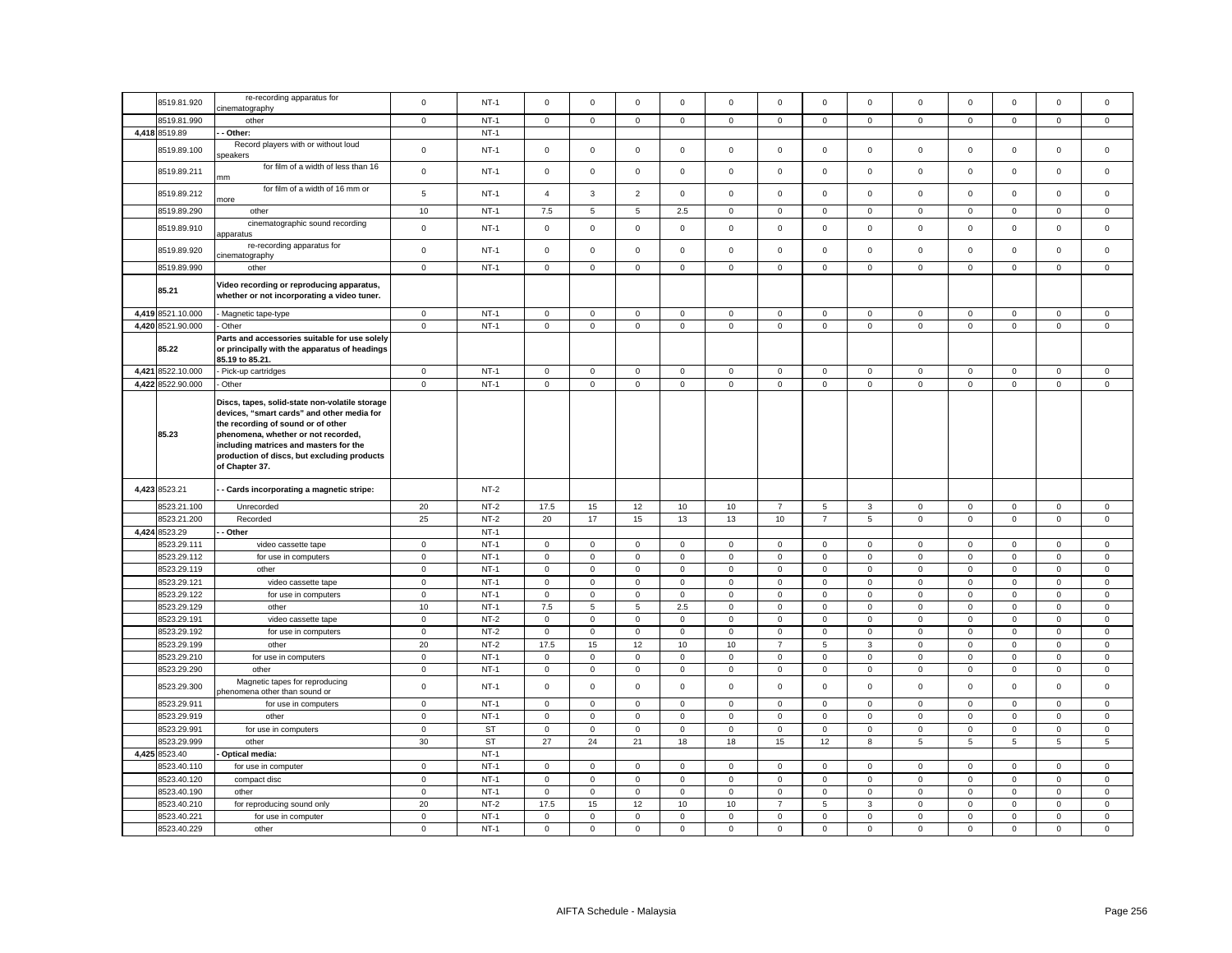|                            | re-recording apparatus for                                                                                                                                                                                                                                                           |                           |                  |                             |                            |                            |                            |                            |                            |                            |                             |                            |                            |                            |                            |                            |
|----------------------------|--------------------------------------------------------------------------------------------------------------------------------------------------------------------------------------------------------------------------------------------------------------------------------------|---------------------------|------------------|-----------------------------|----------------------------|----------------------------|----------------------------|----------------------------|----------------------------|----------------------------|-----------------------------|----------------------------|----------------------------|----------------------------|----------------------------|----------------------------|
| 8519.81.920                | cinematography                                                                                                                                                                                                                                                                       | $\mathsf 0$               | $NT-1$           | $\mathsf 0$                 | $\mathbf 0$                | $\mathsf 0$                | $\mathsf 0$                | $\mathsf 0$                | $\mathbf 0$                | $\mathsf 0$                | $\mathsf 0$                 | $\mathbf 0$                | $\mathbf 0$                | $\mathsf 0$                | $\mathsf 0$                | $\Omega$                   |
| 8519.81.990                | other                                                                                                                                                                                                                                                                                | $\mathbf 0$               | $NT-1$           | $\mathbf 0$                 | $\mathbf 0$                | $\mathbf 0$                | $\mathbf{0}$               | $\mathbf 0$                | $\mathbf 0$                | $\circ$                    | $\mathbf{0}$                | $\mathbf 0$                | $\mathbf 0$                | $\mathbf{0}$               | $\mathbf 0$                | $\mathbf 0$                |
| 4,418 8519.89              | - Other:                                                                                                                                                                                                                                                                             |                           | $NT-1$           |                             |                            |                            |                            |                            |                            |                            |                             |                            |                            |                            |                            |                            |
|                            | Record players with or without loud                                                                                                                                                                                                                                                  |                           |                  |                             |                            |                            |                            |                            |                            |                            |                             |                            |                            |                            |                            |                            |
| 8519.89.100                | speakers                                                                                                                                                                                                                                                                             | $\mathbf 0$               | $NT-1$           | $\mathsf 0$                 | $\mathbf 0$                | $\mathsf 0$                | $\mathbf 0$                | $\mathsf 0$                | $\mathsf 0$                | $\mathsf 0$                | 0                           | $\mathsf 0$                | $\mathbf 0$                | $\mathbf 0$                | $\mathbf 0$                | $\mathbf 0$                |
| 8519.89.211                | for film of a width of less than 16<br>mm                                                                                                                                                                                                                                            | $\mathbf 0$               | <b>NT-1</b>      | $\mathbf 0$                 | $\mathbf 0$                | $\mathbf 0$                | 0                          | 0                          | $\mathbf 0$                | $\mathbf 0$                | 0                           | 0                          | $\pmb{0}$                  | 0                          | $\pmb{0}$                  | $\mathbf 0$                |
| 8519.89.212                | for film of a width of 16 mm or<br>more                                                                                                                                                                                                                                              | $\overline{5}$            | $NT-1$           | $\overline{4}$              | $\mathbf{3}$               | $\overline{2}$             | $\mathsf 0$                | $\mathbf 0$                | $\mathsf 0$                | $\mathsf 0$                | $\mathbf 0$                 | $\mathsf 0$                | $\mathbf 0$                | $\mathsf 0$                | $\mathsf 0$                | $\mathsf 0$                |
| 8519.89.290                | other                                                                                                                                                                                                                                                                                | $10$                      | $NT-1$           | 7.5                         | 5                          | $\mathbf 5$                | 2.5                        | $\mathsf 0$                | $\mathsf 0$                | $\mathsf 0$                | $\mathbf 0$                 | $\mathbf 0$                | $\mathbf 0$                | $\mathsf 0$                | $\mathsf 0$                | $\Omega$                   |
| 8519.89.910                | cinematographic sound recording<br>apparatus                                                                                                                                                                                                                                         | $\mathbf 0$               | $NT-1$           | $\mathbf 0$                 | $\mathbf 0$                | $\mathsf 0$                | $\mathbf 0$                | $\mathsf 0$                | $\mathbf 0$                | $\mathsf 0$                | $\mathbf 0$                 | $\mathbf 0$                | $\mathbf 0$                | $\mathbf 0$                | $\mathbf 0$                | $\mathbf 0$                |
| 8519.89.920                | re-recording apparatus for<br>cinematography                                                                                                                                                                                                                                         | $\mathsf 0$               | $NT-1$           | $\mathbf 0$                 | $\mathbf 0$                | $\mathsf 0$                | $\mathbf{0}$               | $\mathsf 0$                | $\mathsf 0$                | $\mathsf 0$                | $\mathbf 0$                 | $\mathbf 0$                | $\mathbf 0$                | $\mathbf 0$                | $\mathbf 0$                | $\mathbf 0$                |
| 8519.89.990                | other                                                                                                                                                                                                                                                                                | $\mathbf 0$               | $NT-1$           | $\mathbf 0$                 | $\mathbf 0$                | $\mathsf 0$                | $\mathsf 0$                | $\mathbf 0$                | $\mathsf 0$                | $\mathsf 0$                | $\mathbf 0$                 | $\mathsf 0$                | $\mathbf 0$                | $\mathbf 0$                | $\mathsf 0$                | $\mathbf 0$                |
| 85.21                      | Video recording or reproducing apparatus,<br>whether or not incorporating a video tuner.                                                                                                                                                                                             |                           |                  |                             |                            |                            |                            |                            |                            |                            |                             |                            |                            |                            |                            |                            |
| 4,419 8521.10.000          | Magnetic tape-type                                                                                                                                                                                                                                                                   | $\mathbf 0$               | $NT-1$           | $\mathbf 0$                 | $\mathbf 0$                | $\mathsf 0$                | $\mathbf 0$                | 0                          | $\mathbf 0$                | $\mathbf 0$                | 0                           | 0                          | $\mathbf 0$                | $\mathbf 0$                | $\mathsf 0$                | 0                          |
| 4,420 8521.90.000          | - Other                                                                                                                                                                                                                                                                              | $\mathbf 0$               | $NT-1$           | $\mathbf 0$                 | $\mathbf 0$                | $\mathsf 0$                | $\mathbf 0$                | $\mathbf 0$                | $\mathbf 0$                | $\mathsf{O}$               | $\mathbf 0$                 | $\mathbf 0$                | $\mathbf 0$                | $\mathsf 0$                | $\mathsf 0$                | $\mathbf 0$                |
| 85.22                      | Parts and accessories suitable for use solely<br>or principally with the apparatus of headings<br>85.19 to 85.21.                                                                                                                                                                    |                           |                  |                             |                            |                            |                            |                            |                            |                            |                             |                            |                            |                            |                            |                            |
| 4,421 8522.10.000          | - Pick-up cartridges                                                                                                                                                                                                                                                                 | $\mathsf 0$               | $NT-1$           | $\mathbf{0}$                | $\mathbf 0$                | $\mathsf 0$                | $\mathbf{0}$               | $\mathbf 0$                | $\mathsf 0$                | $\mathsf 0$                | $\mathbf{0}$                | $\mathbf 0$                | $\mathbf 0$                | $\mathsf 0$                | $\mathsf 0$                | $\mathbf{0}$               |
| 4,422 8522.90.000          | - Other                                                                                                                                                                                                                                                                              | $\mathbf 0$               | $NT-1$           | $\mathsf 0$                 | $\mathsf 0$                | $\mathsf 0$                | $\mathsf 0$                | $\mathsf 0$                | $\mathsf 0$                | $\mathsf 0$                | 0                           | $\mathsf 0$                | $\mathsf 0$                | $\mathsf{O}\xspace$        | $\mathsf 0$                | $\mathsf 0$                |
| 85.23                      | Discs, tapes, solid-state non-volatile storage<br>devices, "smart cards" and other media for<br>the recording of sound or of other<br>phenomena, whether or not recorded,<br>including matrices and masters for the<br>production of discs, but excluding products<br>of Chapter 37. |                           |                  |                             |                            |                            |                            |                            |                            |                            |                             |                            |                            |                            |                            |                            |
| 4,423 8523.21              | - Cards incorporating a magnetic stripe:                                                                                                                                                                                                                                             |                           | $NT-2$           |                             |                            |                            |                            |                            |                            |                            |                             |                            |                            |                            |                            |                            |
| 8523.21.100                | Unrecorded                                                                                                                                                                                                                                                                           | 20                        | $NT-2$           | 17.5                        | 15                         | 12                         | 10                         | 10                         | $\overline{7}$             | 5                          | $\mathbf{3}$                | $\mathbf 0$                | $\mathsf 0$                | $\mathbf 0$                | $\mathbf{0}$               | $\mathbf 0$                |
| 8523.21.200                | Recorded                                                                                                                                                                                                                                                                             | 25                        | $NT-2$           | 20                          | 17                         | 15                         | 13                         | 13                         | 10                         | $\overline{7}$             | 5                           | $\mathsf 0$                | $\mathbf 0$                | $\mathsf 0$                | $\mathsf 0$                | $\mathsf 0$                |
| 4,424 8523.29              | - Other                                                                                                                                                                                                                                                                              |                           | $NT-1$           |                             |                            |                            |                            |                            |                            |                            |                             |                            |                            |                            |                            |                            |
| 3523.29.111                | video cassette tape                                                                                                                                                                                                                                                                  | $\mathbf 0$               | $NT-1$           | $\mathbf 0$                 | $\mathbf 0$                | $\mathsf 0$                | $\mathsf 0$                | $\mathbf 0$                | $\mathsf 0$                | $\mathsf 0$                | $\mathbf 0$                 | $\mathsf 0$                | $\mathbf 0$                | $\mathbf 0$                | $\mathsf 0$                | $\mathsf 0$                |
| 8523.29.112                | for use in computers                                                                                                                                                                                                                                                                 | $\mathbf 0$               | $NT-1$           | $\mathbf 0$                 | $\mathbf 0$                | $\mathsf 0$                | $\mathbf 0$                | $\mathbf 0$                | $\mathsf 0$                | $\mathsf 0$                | $\mathbf 0$                 | $\mathbf 0$                | $\mathbf 0$                | $\mathbf 0$                | $\mathsf 0$                | $\mathbf 0$                |
| 8523.29.119                | other                                                                                                                                                                                                                                                                                | $\mathbf 0$               | $NT-1$           | $\mathbf 0$                 | $\mathbf 0$                | $\mathbf 0$                | $\mathbf 0$                | 0                          | $\mathbf 0$                | $\mathsf{O}$               | $\mathbf 0$                 | 0                          | $\mathbf 0$                | $\mathbf 0$                | $\mathbf 0$                | 0                          |
| 8523.29.121                | video cassette tape                                                                                                                                                                                                                                                                  | $\mathsf 0$               | $NT-1$           | $\mathbf 0$                 | $\mathbf 0$                | $\mathsf 0$                | $\mathsf 0$                | $\mathbf 0$                | $\mathsf 0$                | $\mathsf 0$                | $\mathbf 0$                 | $\mathsf 0$                | $\mathbf 0$                | $\mathbf 0$                | $\mathsf 0$                | $\mathbf 0$                |
| 8523.29.122                | for use in computers                                                                                                                                                                                                                                                                 | $\mathbf 0$               | $NT-1$           | $\mathsf 0$                 | $\mathsf 0$                | $\mathbf 0$                | $\mathsf 0$                | $\mathsf 0$                | 0                          | $\mathsf 0$                | 0                           | $\mathsf 0$                | $\,0\,$                    | $\mathsf 0$                | $\mathbf 0$                | 0                          |
| 8523.29.129                | other                                                                                                                                                                                                                                                                                | 10                        | $NT-1$           | 7.5                         | 5                          | $\,$ 5 $\,$                | 2.5                        | $\mathbf 0$                | $\mathsf 0$                | $\mathsf{O}$               | $\mathbf 0$                 | $\mathsf 0$                | $\mathbf 0$                | $\mathbf 0$                | $\mathsf 0$                | $\mathbf 0$                |
| 8523.29.191                | video cassette tape                                                                                                                                                                                                                                                                  | $\mathbf 0$               | $NT-2$           | $\mathsf 0$                 | $\mathbf 0$                | $\mathsf 0$                | $\mathsf 0$                | $\mathsf 0$                | $\mathbf 0$                | $\mathsf{O}$               | $\mathbf 0$                 | $\mathsf 0$                | $\,0\,$                    | $\mathsf 0$                | $\mathbf 0$                | $\mathsf 0$                |
| 8523.29.192                | for use in computers                                                                                                                                                                                                                                                                 | $\mathbf 0$               | $NT-2$           | $\mathbf 0$                 | $\mathbf 0$                | $\mathbf 0$                | $\mathsf 0$                | $\mathbf 0$                | $\mathsf 0$                | $\mathsf 0$                | $\circ$                     | $\mathsf 0$                | $\mathsf 0$                | $\mathbf 0$                | $\mathsf 0$                | $\mathbf 0$                |
| 8523.29.199                | other                                                                                                                                                                                                                                                                                | 20                        | $NT-2$           | 17.5                        | 15                         | 12                         | 10                         | 10                         | $\overline{7}$             | $\mathbf 5$                | $\mathbf 3$                 | $\mathsf 0$                | $\mathbf 0$                | $\mathsf 0$                | $\mathbf 0$                | $\mathsf 0$                |
| 8523.29.210                | for use in computers                                                                                                                                                                                                                                                                 | $\mathbf 0$               | $NT-1$           | $\mathbf 0$                 | $\mathbf 0$                | $\mathsf 0$                | $\mathsf 0$                | $\mathbf 0$                | $\mathsf 0$                | $\mathbf 0$                | $\mathbf 0$                 | $\mathsf 0$                | $\mathbf 0$                | $\mathbf 0$                | $\mathsf 0$                | $\mathbf 0$                |
| 8523.29.290                | other                                                                                                                                                                                                                                                                                | $\mathbf 0$               | $NT-1$           | $\mathsf 0$                 | $\mathbf 0$                | $\mathbf 0$                | $\mathsf 0$                | $\mathsf 0$                | $\mathsf 0$                | $\mathsf 0$                | $\mathbf 0$                 | $\mathsf 0$                | $\mathbf 0$                | $\mathsf 0$                | $\mathbf 0$                | $\mathsf 0$                |
| 8523.29.300                | Magnetic tapes for reproducing<br>phenomena other than sound or                                                                                                                                                                                                                      | $\mathsf 0$               | $NT-1$           | $\mathsf 0$                 | $\mathsf 0$                | $\mathsf 0$                | $\mathsf 0$                | $\mathbf 0$                | $\mathsf 0$                | $\mathsf{O}$               | $\mathsf 0$                 | $\mathsf 0$                | $\mathbf 0$                | $\mathsf 0$                | $\mathsf 0$                | $\mathsf 0$                |
| 8523.29.911                | for use in computers                                                                                                                                                                                                                                                                 | $\mathbf 0$               | $NT-1$           | $\mathbf 0$                 | $\mathbf 0$                | $\mathsf 0$                | $\mathbf 0$                | $\mathbf 0$                | $\mathsf 0$                | $\mathsf{O}\xspace$        | $\mathbf 0$                 | $\mathbf 0$                | $\mathbf 0$                | $\mathsf 0$                | $\mathbf 0$                | $\Omega$                   |
| 8523.29.919                | other                                                                                                                                                                                                                                                                                | $\mathbf 0$               | $NT-1$           | $\mathsf 0$                 | $\mathbf 0$                | $\mathsf 0$                | $\mathsf 0$                | $\mathsf 0$                | $\mathsf 0$                | 0                          | $\mathsf 0$                 | $\mathsf 0$                | $\mathbf 0$                | $\mathsf 0$                | $\mathsf 0$                | $\mathsf 0$                |
| 8523.29.991                | for use in computers                                                                                                                                                                                                                                                                 | $\mathsf 0$               | <b>ST</b>        | $\mathsf 0$                 | $\mathsf 0$                | $\mathbf 0$                | $\mathsf 0$                | $\mathsf 0$                | $\mathsf 0$                | $\mathsf 0$                | $\mathbf 0$                 | $\mathsf{O}\xspace$        | $\pmb{0}$                  | $\mathsf 0$                | $\mathbf 0$                | $\mathsf 0$                |
| 3523.29.999                | other                                                                                                                                                                                                                                                                                | 30                        | <b>ST</b>        | 27                          | 24                         | 21                         | 18                         | 18                         | 15                         | 12                         | 8                           | 5                          | 5                          | 5                          | 5                          | 5                          |
|                            |                                                                                                                                                                                                                                                                                      |                           | $NT-1$           |                             |                            |                            |                            |                            |                            |                            |                             |                            |                            |                            |                            |                            |
|                            |                                                                                                                                                                                                                                                                                      |                           |                  |                             |                            |                            |                            |                            |                            |                            |                             |                            |                            |                            |                            |                            |
| 4,425 8523.40              | Optical media:                                                                                                                                                                                                                                                                       |                           |                  |                             |                            |                            |                            |                            |                            |                            |                             |                            |                            |                            |                            |                            |
| 3523.40.110                | for use in computer                                                                                                                                                                                                                                                                  | $\mathbf 0$               | $NT-1$           | $\mathbf 0$                 | $\mathbf 0$                | $\mathbf 0$                | $\mathbf 0$                | $\mathbf 0$                | $\mathsf 0$                | $\mathbf 0$                | $\mathbf 0$                 | $\mathsf 0$                | $\mathsf 0$                | $\mathbf 0$                | $\mathsf 0$                | $\mathbf 0$                |
| 8523.40.120                | compact disc                                                                                                                                                                                                                                                                         | $\mathbf 0$               | $NT-1$           | $\mathbf 0$                 | $\mathbf 0$                | $\mathbf 0$                | $\mathbf 0$                | $\mathbf 0$                | $\mathbf 0$                | $\mathbf{0}$               | $\mathbf 0$                 | $\mathbf{0}$               | $\mathbf 0$                | $\mathbf{0}$               | $\mathbf 0$                | $\mathbf 0$                |
| 8523.40.190                | other                                                                                                                                                                                                                                                                                | $\mathbf 0$               | $NT-1$           | $\mathbf 0$                 | $\mathbf 0$                | $\mathbf{0}$               | $\mathbf{0}$               | $\mathbf 0$                | $\mathbf 0$                | $\mathbf 0$                | $\mathbf 0$                 | $\mathbf 0$                | $\mathsf 0$                | $\mathbf 0$                | $\mathbf 0$                | $\mathbf 0$                |
| 8523.40.210                | for reproducing sound only                                                                                                                                                                                                                                                           | 20                        | $NT-2$           | 17.5                        | 15                         | 12                         | 10                         | 10                         | $\overline{7}$             | 5                          | $\mathbf{3}$                | $\mathbf 0$                | $\mathbf 0$                | $\mathbf 0$                | $\mathsf 0$                | $\mathbf 0$                |
| 8523.40.221<br>8523.40.229 | for use in computer<br>other                                                                                                                                                                                                                                                         | $\mathbf 0$<br>$^{\circ}$ | $NT-1$<br>$NT-1$ | $\mathbf 0$<br>$\mathbf{0}$ | $\mathbf 0$<br>$\mathbf 0$ | $\mathbf 0$<br>$\mathsf 0$ | $\mathbf 0$<br>$\mathbf 0$ | $\mathbf 0$<br>$\mathbf 0$ | $\mathbf 0$<br>$\mathbf 0$ | $\mathbf 0$<br>$\mathsf 0$ | $\mathbf{0}$<br>$\mathbf 0$ | $\mathbf 0$<br>$\mathbf 0$ | $\mathbf 0$<br>$\mathbf 0$ | $\mathbf 0$<br>$\mathbf 0$ | $\mathsf 0$<br>$\mathsf 0$ | $\mathbf 0$<br>$\mathbf 0$ |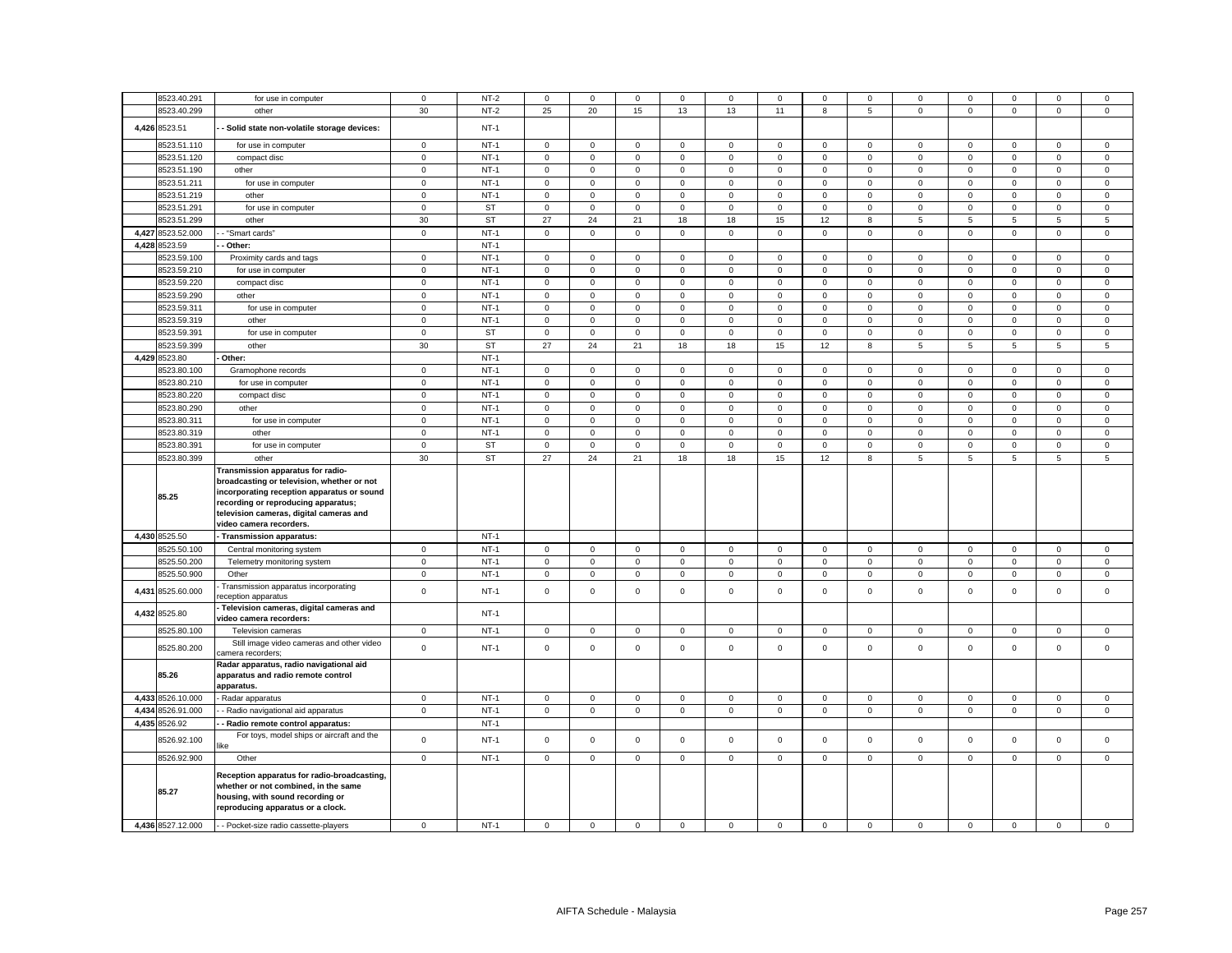|       | 8523.40.291<br>8523.40.299   | for use in computer                                                                                                                                                                                                                        | $\mathbf 0$<br>30 | $NT-2$<br>$NT-2$ | $\mathbf 0$<br>25 | $\Omega$<br>20      | $\mathbf 0$<br>15 | $\mathbf 0$<br>13 | 0<br>13     | $\mathbf 0$<br>11 | $\mathbf 0$<br>8    | $\mathbf 0$<br>5 | 0<br>$\mathsf 0$ | $\mathbf 0$  | $\Omega$<br>$\mathsf 0$ | $\mathbf 0$<br>$\mathsf 0$ | $\mathbf 0$<br>$\mathsf 0$ |
|-------|------------------------------|--------------------------------------------------------------------------------------------------------------------------------------------------------------------------------------------------------------------------------------------|-------------------|------------------|-------------------|---------------------|-------------------|-------------------|-------------|-------------------|---------------------|------------------|------------------|--------------|-------------------------|----------------------------|----------------------------|
|       | 4,426 8523.51                | other<br>Solid state non-volatile storage devices:                                                                                                                                                                                         |                   | $NT-1$           |                   |                     |                   |                   |             |                   |                     |                  |                  | 0            |                         |                            |                            |
|       | 8523.51.110                  | for use in computer                                                                                                                                                                                                                        | $\mathbf 0$       | $NT-1$           | $\mathbf 0$       | $\mathsf 0$         | $\mathsf 0$       | $\mathsf 0$       | $\mathsf 0$ | $\mathsf 0$       | $\mathsf 0$         | $\mathsf 0$      | $\mathbf 0$      | $\mathsf 0$  | $\mathsf 0$             | $\mathsf 0$                | $\mathsf 0$                |
|       | 8523.51.120                  | compact disc                                                                                                                                                                                                                               | $\mathbf 0$       | $NT-1$           | 0                 | $^{\circ}$          | $\mathbf 0$       | $\mathbf 0$       | 0           | $\mathbf 0$       | $\mathbf 0$         | $\mathbf 0$      | 0                | $\mathbf 0$  | $\mathbf 0$             | $\mathbf 0$                | $\mathsf 0$                |
|       | 8523.51.190                  | other                                                                                                                                                                                                                                      | $\mathbf 0$       | $NT-1$           | $\mathbf 0$       | $\mathsf 0$         | $\mathbf 0$       | $\mathsf 0$       | $\mathsf 0$ | $\mathbf 0$       | $\mathsf 0$         | $\mathbf 0$      | $\mathsf 0$      | $\pmb{0}$    | $\mathbf 0$             | $\mathbf 0$                | $\mathsf 0$                |
|       | 8523.51.211                  | for use in computer                                                                                                                                                                                                                        | $\mathbf 0$       | $NT-1$           | $\mathbf 0$       | $\mathsf 0$         | $\mathbf 0$       | $\mathsf 0$       | $\mathbf 0$ | $\mathsf 0$       | $\mathbf 0$         | $\mathbf 0$      | $\mathbf 0$      | $\mathsf 0$  | $\mathbf 0$             | $\mathbf 0$                | $\mathbf 0$                |
|       |                              |                                                                                                                                                                                                                                            |                   |                  |                   |                     |                   |                   |             |                   |                     |                  |                  |              |                         |                            |                            |
|       | 8523.51.219                  | other                                                                                                                                                                                                                                      | $\mathbf 0$       | $NT-1$           | $\mathbf 0$       | $\mathbf 0$         | $\mathbf 0$       | $\mathbf 0$       | 0           | $\mathbf 0$       | $\mathbf 0$         | $\mathbf{0}$     | $\mathsf 0$      | $\mathbf 0$  | $\mathbf 0$             | $\mathbf 0$                | $\mathbf 0$                |
|       | 8523.51.291                  | for use in computer                                                                                                                                                                                                                        | $\mathbf 0$       | <b>ST</b>        | 0                 | $\mathbf 0$         | $\mathbf 0$       | $\mathbf 0$       | 0           | $\mathbf 0$       | $\mathbf 0$         | $\mathbf 0$      | $\mathbf 0$      | 0            | $\mathbf 0$             | $\mathbf 0$                | $\mathsf 0$                |
|       | 8523.51.299                  | other                                                                                                                                                                                                                                      | 30                | <b>ST</b>        | 27                | 24                  | 21                | 18                | 18          | 15                | 12                  | 8                | 5                | 5            | 5                       | 5                          | 5                          |
|       | 4,427 8523.52.000            | - "Smart cards"                                                                                                                                                                                                                            | $\mathbf 0$       | $NT-1$           | $\mathbf 0$       | $\mathsf 0$         | $\mathsf 0$       | $\mathsf 0$       | $\mathbf 0$ | $\mathsf 0$       | $\mathbf 0$         | $\mathbf 0$      | $\mathbf 0$      | $\mathsf 0$  | $\mathsf 0$             | $\mathbf 0$                | $\mathsf 0$                |
|       | 4,428 8523.59                | Other:                                                                                                                                                                                                                                     |                   | $NT-1$           |                   |                     |                   |                   |             |                   |                     |                  |                  |              |                         |                            |                            |
|       | 8523.59.100                  | Proximity cards and tags                                                                                                                                                                                                                   | $\mathbf 0$       | $NT-1$           | $\mathbf 0$       | $\mathsf 0$         | $\mathsf 0$       | $\mathbf 0$       | $\mathsf 0$ | $\mathsf 0$       | $\mathbf 0$         | $\mathsf 0$      | $\mathbf 0$      | $\mathsf 0$  | $\mathbf 0$             | $\mathsf 0$                | $\mathsf 0$                |
|       | 8523.59.210                  | for use in computer                                                                                                                                                                                                                        | $\mathbf 0$       | $NT-1$           | $\mathbf 0$       | $\mathsf 0$         | $\mathsf 0$       | $\mathsf 0$       | $\mathsf 0$ | $\mathsf 0$       | $\mathsf 0$         | $\mathsf 0$      | $\mathbf 0$      | $\mathsf 0$  | $\mathsf 0$             | $\mathsf 0$                | $\mathsf 0$                |
|       | 8523.59.220                  | compact disc                                                                                                                                                                                                                               | $\mathbf{0}$      | $NT-1$           | $\mathbf 0$       | $\mathbf 0$         | $\mathbf 0$       | $\mathbf 0$       | $\mathbf 0$ | $\mathbf 0$       | $\mathbf 0$         | $\mathbf{0}$     | $\mathbf{0}$     | $\mathbf 0$  | $\mathbf 0$             | $\mathbf 0$                | $\mathbf 0$                |
|       | 8523.59.290                  | other                                                                                                                                                                                                                                      | $\mathbf 0$       | $NT-1$           | 0                 | $\mathbf 0$         | $\mathbf 0$       | $\mathbf 0$       | 0           | $\mathbf 0$       | $\mathbf 0$         | $\mathbf 0$      | $\mathsf 0$      | $\mathbf 0$  | $\mathbf 0$             | $\mathbf 0$                | $\mathbf 0$                |
|       | 8523.59.311                  | for use in computer                                                                                                                                                                                                                        | $\mathbf 0$       | $NT-1$           | $\mathbf 0$       | $\mathbf 0$         | $\mathsf 0$       | $\mathbf 0$       | $\mathsf 0$ | $\mathbf 0$       | $\mathsf 0$         | $\mathbf 0$      | $\mathsf 0$      | $\mathbf 0$  | $\mathbf 0$             | $\mathbf 0$                | $\mathsf 0$                |
|       | 8523.59.319                  | other                                                                                                                                                                                                                                      | $\mathbf 0$       | $NT-1$           | $\mathbf 0$       | $\mathbf 0$         | $\mathbf 0$       | $\mathbf 0$       | 0           | $\mathbf 0$       | $\mathbf 0$         | $\mathbf 0$      | $\mathsf 0$      | $\mathbf{0}$ | $\mathbf 0$             | $\mathbf 0$                | $\mathbf 0$                |
|       | 8523.59.391                  | for use in computer                                                                                                                                                                                                                        | $\mathbf 0$       | <b>ST</b>        | $\mathsf 0$       | $\mathbf 0$         | $\mathbf 0$       | $\mathsf 0$       | $\mathbf 0$ | $\mathsf 0$       | $\mathsf{O}\xspace$ | $\mathbf 0$      | $\mathbf 0$      | $\mathsf 0$  | $\mathsf 0$             | $\mathsf 0$                | $\mathbf 0$                |
|       | 8523.59.399                  | other                                                                                                                                                                                                                                      | 30                | <b>ST</b>        | 27                | 24                  | 21                | 18                | 18          | 15                | 12                  | 8                | 5                | 5            | 5                       | 5                          | 5                          |
|       |                              |                                                                                                                                                                                                                                            |                   |                  |                   |                     |                   |                   |             |                   |                     |                  |                  |              |                         |                            |                            |
|       | 4,429 8523.80                | Other:                                                                                                                                                                                                                                     |                   | $NT-1$           |                   |                     |                   |                   |             |                   |                     |                  |                  |              |                         |                            |                            |
|       | 8523.80.100                  | Gramophone records                                                                                                                                                                                                                         | $\mathsf 0$       | $NT-1$           | $\mathbf 0$       | $\mathbf 0$         | $\mathbf 0$       | $\mathsf 0$       | $\mathbf 0$ | $\mathsf 0$       | $\mathbf 0$         | $\mathbf 0$      | $\mathbf 0$      | $\mathsf 0$  | $\mathbf 0$             | $\mathbf 0$                | $\mathsf 0$                |
|       | 8523.80.210                  | for use in computer                                                                                                                                                                                                                        | $\mathsf 0$       | $NT-1$           | $\mathbf 0$       | $\mathbf 0$         | $\mathsf 0$       | $\mathbf{0}$      | $\mathbf 0$ | $\mathbf 0$       | $\mathsf 0$         | $\mathsf 0$      | $\mathbf 0$      | $\mathbf 0$  | $\mathbf 0$             | $\mathbf 0$                | $\mathsf 0$                |
|       | 8523.80.220                  | compact disc                                                                                                                                                                                                                               | $\mathsf 0$       | $NT-1$           | $\mathbf 0$       | $\mathbf 0$         | $\mathbf 0$       | $\mathbf 0$       | $\mathbf 0$ | $\mathsf 0$       | $\mathsf 0$         | $\mathbf 0$      | $\mathsf 0$      | $\mathbf 0$  | $\mathsf 0$             | $\mathbf 0$                | $\mathsf 0$                |
|       | 8523.80.290                  | other                                                                                                                                                                                                                                      | $\mathbf 0$       | $NT-1$           | $\mathbf 0$       | $\Omega$            | $\mathsf 0$       | $\mathbf 0$       | $\mathbf 0$ | $\mathbf 0$       | $\mathsf{O}\xspace$ | $\mathbf 0$      | $\mathbf 0$      | $\mathbf 0$  | $\mathbf 0$             | $\mathbf 0$                | $\mathsf 0$                |
|       | 8523.80.311                  | for use in computer                                                                                                                                                                                                                        | $\mathsf 0$       | $NT-1$           | 0                 | $\mathbf 0$         | $\mathsf 0$       | $\mathsf 0$       | $\mathsf 0$ | 0                 | $\mathbf 0$         | 0                | $\mathsf 0$      | 0            | $\mathsf 0$             | 0                          | $\mathsf 0$                |
|       | 8523.80.319                  | other                                                                                                                                                                                                                                      | $\mathsf 0$       | $NT-1$           | $\mathbf 0$       | $\mathbf 0$         | $\mathsf 0$       | $\mathsf 0$       | $\mathsf 0$ | $\mathsf 0$       | $\mathsf 0$         | $\mathsf 0$      | $\mathsf 0$      | $\mathbf 0$  | $\mathbf 0$             | $\mathsf 0$                | $\mathsf 0$                |
|       | 8523.80.391                  | for use in computer                                                                                                                                                                                                                        | $\mathbf 0$       | <b>ST</b>        | 0                 | $\,0\,$             | 0                 | 0                 | 0           | 0                 | $\mathbf 0$         | 0                | $\mathbf 0$      | 0            | 0                       | 0                          | 0                          |
|       | 8523.80.399                  | other                                                                                                                                                                                                                                      | 30                | <b>ST</b>        | 27                | 24                  | 21                | 18                | 18          | 15                | 12                  |                  |                  |              |                         |                            | $\,$ 5 $\,$                |
|       |                              |                                                                                                                                                                                                                                            |                   |                  |                   |                     |                   |                   |             |                   |                     | 8                | $\,$ 5 $\,$      | 5            | 5                       | $\,$ 5 $\,$                |                            |
|       | 85.25                        | Transmission apparatus for radio-<br>broadcasting or television, whether or not<br>incorporating reception apparatus or sound<br>recording or reproducing apparatus;<br>television cameras, digital cameras and<br>video camera recorders. |                   |                  |                   |                     |                   |                   |             |                   |                     |                  |                  |              |                         |                            |                            |
|       | 4,430 8525.50                | - Transmission apparatus:                                                                                                                                                                                                                  |                   | $NT-1$           |                   |                     |                   |                   |             |                   |                     |                  |                  |              |                         |                            |                            |
|       | 8525.50.100                  | Central monitoring system                                                                                                                                                                                                                  | $\mathbf 0$       | $NT-1$           | $\mathbf 0$       | $\mathbf 0$         | $\mathbf 0$       | $\mathbf 0$       | $\mathbf 0$ | $\mathbf 0$       | $\mathbf{0}$        | $\mathbf{0}$     | $\mathbf 0$      | $\mathbf{0}$ | $\mathbf 0$             | $\mathbf 0$                | $\mathbf 0$                |
|       |                              |                                                                                                                                                                                                                                            | $\mathbf 0$       | $NT-1$           | $\mathsf 0$       | $\mathsf 0$         | $\mathsf 0$       | $\mathsf 0$       | $\mathbf 0$ | $\mathsf 0$       | $\mathsf 0$         | $\mathsf 0$      | $\mathbf 0$      | $\mathsf 0$  | $\mathsf 0$             | $\mathsf 0$                | $\mathsf 0$                |
|       | 8525.50.200                  | Telemetry monitoring system<br>Other                                                                                                                                                                                                       | $\mathbf 0$       | $NT-1$           | $\mathbf 0$       | $\mathsf 0$         | $\mathsf 0$       | $\mathsf 0$       | $\mathbf 0$ | $\mathsf 0$       | $\mathbf 0$         | $\mathbf 0$      | $\mathbf 0$      | $\mathsf 0$  | $\mathsf 0$             | $\mathsf 0$                | $\mathsf 0$                |
|       | 8525.50.900                  |                                                                                                                                                                                                                                            |                   |                  |                   |                     |                   |                   |             |                   |                     |                  |                  |              |                         |                            |                            |
|       | 4,431 8525.60.000            | Transmission apparatus incorporating<br>eception apparatus                                                                                                                                                                                 | $\mathbf 0$       | $NT-1$           | $\mathbf 0$       | $\mathsf{O}\xspace$ | $\mathbf 0$       | $\mathsf 0$       | $\mathsf 0$ | $\mathsf 0$       | $\mathsf 0$         | $\mathbf 0$      | $\mathbf 0$      | $\mathsf 0$  | $\mathsf 0$             | $\mathsf 0$                | $\mathsf 0$                |
|       | 4,432 8525.80                | Television cameras, digital cameras and<br>video camera recorders:                                                                                                                                                                         |                   | $NT-1$           |                   |                     |                   |                   |             |                   |                     |                  |                  |              |                         |                            |                            |
|       | 8525.80.100                  | Television cameras                                                                                                                                                                                                                         | $\mathbf 0$       | $NT-1$           | $\mathbf 0$       | $\mathsf 0$         | $\mathsf 0$       | $\mathsf 0$       | $\mathbf 0$ | $\mathsf 0$       | $\mathbf 0$         | $\mathsf 0$      | $\mathbf 0$      | $\mathsf 0$  | $\mathsf 0$             | $\mathbf 0$                | $\mathsf 0$                |
|       | 8525.80.200                  | Still image video cameras and other video                                                                                                                                                                                                  | $\mathbf 0$       | $NT-1$           | $\mathbf 0$       | $\mathsf 0$         | $\mathsf 0$       | $\mathbf 0$       | $\mathsf 0$ | $\mathbf 0$       | $\mathsf 0$         | $\mathbf 0$      | $\mathbf 0$      | $\mathsf 0$  | $\mathbf 0$             | $\mathsf 0$                | $\mathsf 0$                |
|       | 85.26                        | amera recorders;<br>Radar apparatus, radio navigational aid<br>apparatus and radio remote control<br>apparatus.                                                                                                                            |                   |                  |                   |                     |                   |                   |             |                   |                     |                  |                  |              |                         |                            |                            |
|       | 4,433 8526.10.000            |                                                                                                                                                                                                                                            | $\mathbf 0$       | $NT-1$           | $\mathbf 0$       | $\mathbf 0$         | $\mathbf 0$       | $\mathsf 0$       | $\mathbf 0$ | $\mathsf 0$       | $\mathbf 0$         | $\mathbf 0$      | $\mathbf 0$      | $\mathsf 0$  | $\mathbf 0$             | $\mathbf 0$                | $\mathsf 0$                |
| 4.434 |                              | Radar apparatus                                                                                                                                                                                                                            | $\mathbf{0}$      |                  | $\mathbf 0$       | $\mathbf 0$         |                   | $\mathbf{0}$      |             | $\mathbf 0$       |                     |                  |                  | $\mathbf 0$  | $\mathbf 0$             |                            |                            |
|       | 8526.91.000                  | - Radio navigational aid apparatus                                                                                                                                                                                                         |                   | $NT-1$           |                   |                     | $\mathsf 0$       |                   | $\mathsf 0$ |                   | $\mathbf 0$         | $\mathsf 0$      | $\mathsf 0$      |              |                         | $\mathsf 0$                | $\mathsf 0$                |
|       | 4,435 8526.92<br>8526.92.100 | Radio remote control apparatus:<br>For toys, model ships or aircraft and the                                                                                                                                                               | $\mathsf 0$       | $NT-1$<br>$NT-1$ | $\mathbf 0$       | $\mathbf 0$         | $\mathsf 0$       | $\mathbf{0}$      | 0           | $\mathbf 0$       | $\mathbf 0$         | $\mathbf{0}$     | $\mathbf 0$      | $\mathbf{0}$ | $\mathbf 0$             | $\mathbf 0$                | $\mathsf 0$                |
|       | 8526.92.900                  | ike<br>Other                                                                                                                                                                                                                               | $\mathsf 0$       | $NT-1$           | $\mathbf 0$       | $\mathbf 0$         | $\mathbf 0$       | $\mathsf 0$       | $\mathbf 0$ | $\mathbf 0$       | $\mathbf 0$         | $\mathbf{0}$     | $\mathbf 0$      | $\mathsf 0$  | $\mathbf{0}$            | $\mathbf 0$                | $\mathsf 0$                |
|       |                              |                                                                                                                                                                                                                                            |                   |                  |                   |                     |                   |                   |             |                   |                     |                  |                  |              |                         |                            |                            |
|       | 85.27                        | Reception apparatus for radio-broadcasting,<br>whether or not combined, in the same<br>housing, with sound recording or<br>reproducing apparatus or a clock.                                                                               |                   |                  |                   |                     |                   |                   |             |                   |                     |                  |                  |              |                         |                            |                            |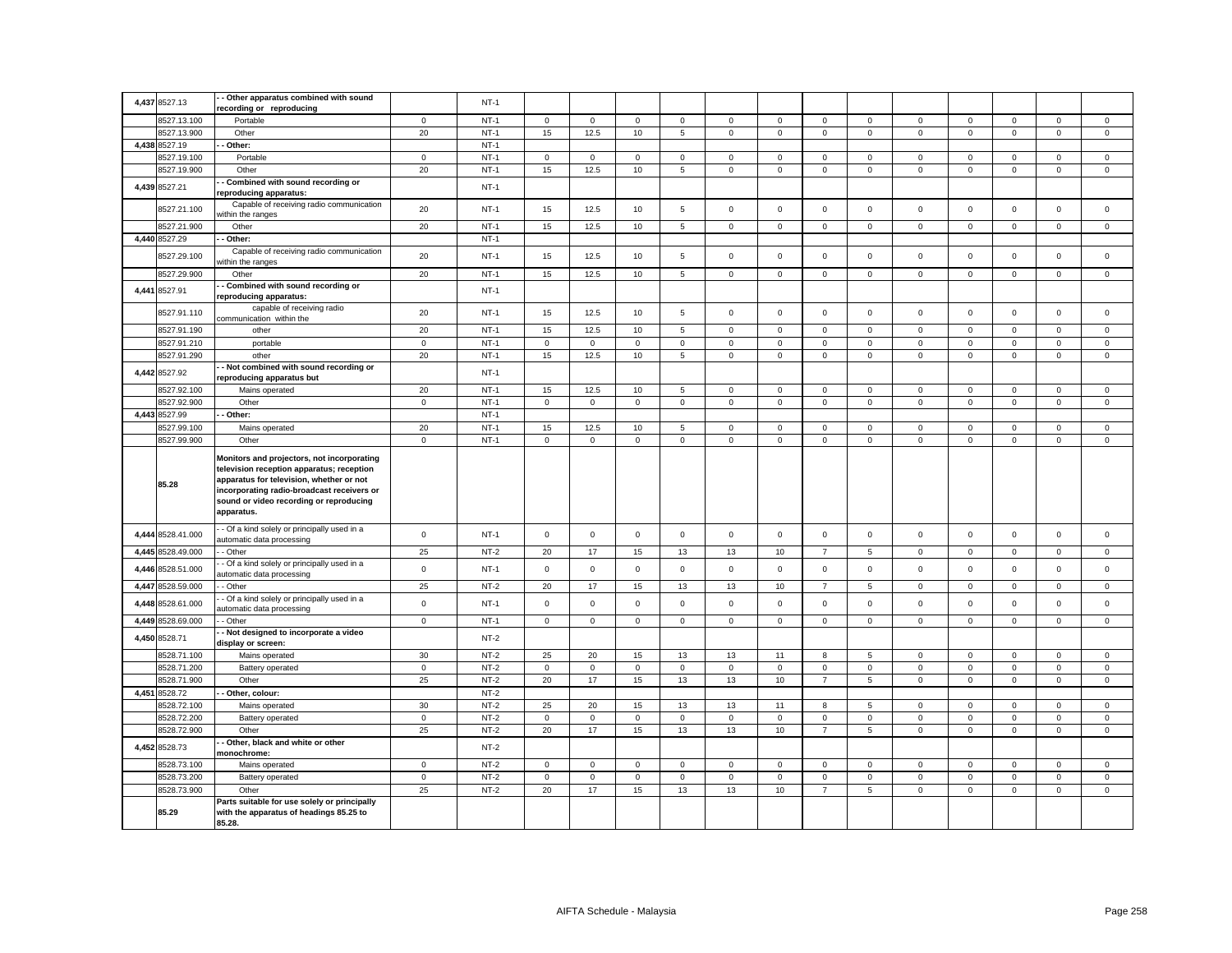|       |                            | - Other apparatus combined with sound                                                                                                                                                                                                      |                   |        |                   |                      |                      |                            |              |             |                |                             |                     |                     |                     |                     |                            |
|-------|----------------------------|--------------------------------------------------------------------------------------------------------------------------------------------------------------------------------------------------------------------------------------------|-------------------|--------|-------------------|----------------------|----------------------|----------------------------|--------------|-------------|----------------|-----------------------------|---------------------|---------------------|---------------------|---------------------|----------------------------|
|       | 4,437 8527.13              | recording or reproducing                                                                                                                                                                                                                   |                   | $NT-1$ |                   |                      |                      |                            |              |             |                |                             |                     |                     |                     |                     |                            |
|       | 8527.13.100                | Portable                                                                                                                                                                                                                                   | $\mathbf 0$       | $NT-1$ | $\mathbf 0$       | $\mathsf 0$          | $\mathbf 0$          | $\mathsf 0$                | 0            | $\mathbf 0$ | $\mathbf 0$    | $\mathsf 0$                 | $\mathbf 0$         | $\mathsf 0$         | $\mathbf 0$         | $\mathbf 0$         | $\mathbf 0$                |
|       | 8527.13.900                | Other                                                                                                                                                                                                                                      | 20                | $NT-1$ | 15                | 12.5                 | $10$                 | $\overline{5}$             | $\mathsf{O}$ | $\mathbf 0$ | $\mathbf 0$    | $\mathsf 0$                 | $\mathsf{O}\xspace$ | $\mathsf{o}\xspace$ | $\mathsf 0$         | $\mathsf{o}\,$      | $\mathsf 0$                |
| 4,438 | 8527.19                    | Other:                                                                                                                                                                                                                                     |                   | $NT-1$ |                   |                      |                      |                            |              |             |                |                             |                     |                     |                     |                     |                            |
|       | 3527.19.100                | Portable                                                                                                                                                                                                                                   | $\mathbf 0$       | $NT-1$ | $\mathbf 0$       | $\mathbf 0$          | $\mathbf 0$          | $\mathbf 0$                | $\mathbf 0$  | $\mathbf 0$ | $\mathbf 0$    | $\mathbf 0$                 | $\mathbf 0$         | $\mathbf 0$         | $\Omega$            | $\mathbf 0$         | $\mathbf 0$                |
|       | 8527.19.900                | Other                                                                                                                                                                                                                                      | 20                | $NT-1$ | 15                | 12.5                 | $10$                 | $\,$ 5 $\,$                | $\mathsf 0$  | $\mathbf 0$ | $\mathsf 0$    | $\mathbf 0$                 | $\mathsf 0$         | $\Omega$            | $\mathsf 0$         | $\mathsf 0$         | $\mathbf 0$                |
|       |                            | Combined with sound recording or                                                                                                                                                                                                           |                   |        |                   |                      |                      |                            |              |             |                |                             |                     |                     |                     |                     |                            |
|       | 4,439 8527.21              | reproducing apparatus:                                                                                                                                                                                                                     |                   | $NT-1$ |                   |                      |                      |                            |              |             |                |                             |                     |                     |                     |                     |                            |
|       | 8527.21.100                | Capable of receiving radio communication                                                                                                                                                                                                   | 20                | $NT-1$ | 15                | 12.5                 | 10                   | 5                          | $\mathbf 0$  | $\mathsf 0$ | $\mathbf 0$    | $\mathbf 0$                 | $\mathbf 0$         | $\mathsf 0$         | $\mathsf 0$         | $\mathsf 0$         | $\mathsf 0$                |
|       |                            | vithin the ranges                                                                                                                                                                                                                          |                   |        |                   |                      |                      |                            |              |             |                |                             |                     |                     |                     |                     |                            |
|       | 8527.21.900                | Other                                                                                                                                                                                                                                      | 20                | $NT-1$ | 15                | 12.5                 | 10                   | 5                          | 0            | $\mathbf 0$ | 0              | $\mathbf 0$                 | $\mathbf 0$         | $\mathbf 0$         | $\mathbf 0$         | 0                   | $\mathbf 0$                |
|       | 4,440 8527.29              | Other:                                                                                                                                                                                                                                     |                   | $NT-1$ |                   |                      |                      |                            |              |             |                |                             |                     |                     |                     |                     |                            |
|       | 8527.29.100                | Capable of receiving radio communication<br>vithin the ranges                                                                                                                                                                              | 20                | $NT-1$ | 15                | 12.5                 | 10                   | 5                          | 0            | $\mathsf 0$ | $\mathbf 0$    | $\mathsf 0$                 | $\mathbf{0}$        | $\mathbf 0$         | $\mathbf 0$         | $\mathsf 0$         | $\mathbf 0$                |
|       | 8527.29.900                | Other                                                                                                                                                                                                                                      | 20                | $NT-1$ | 15                | 12.5                 | 10                   | 5                          | $\mathsf 0$  | $\mathbf 0$ | $\mathsf 0$    | $\mathsf 0$                 | $\mathsf 0$         | $\mathsf 0$         | $\mathsf 0$         | $\mathsf{o}\xspace$ | $\mathbf 0$                |
|       |                            | Combined with sound recording or                                                                                                                                                                                                           |                   |        |                   |                      |                      |                            |              |             |                |                             |                     |                     |                     |                     |                            |
|       | 4,441 8527.91              | reproducing apparatus:                                                                                                                                                                                                                     |                   | $NT-1$ |                   |                      |                      |                            |              |             |                |                             |                     |                     |                     |                     |                            |
|       | 8527.91.110                | capable of receiving radio<br>communication within the                                                                                                                                                                                     | 20                | $NT-1$ | 15                | 12.5                 | 10                   | 5                          | $\mathbf 0$  | $\mathsf 0$ | $\mathbf 0$    | $\mathsf 0$                 | $\mathbf 0$         | $\mathbf 0$         | $\mathbf 0$         | $\mathbf 0$         | $\mathbf 0$                |
|       | 8527.91.190                | other                                                                                                                                                                                                                                      | 20                | $NT-1$ | 15                | 12.5                 | 10                   | 5                          | $\mathbf{0}$ | $\mathbf 0$ | $\mathbf 0$    | $\mathbf 0$                 | $\mathsf 0$         | $\mathbf 0$         | $\mathbf 0$         | $\mathsf 0$         | $\mathbf 0$                |
|       | 8527.91.210                | portable                                                                                                                                                                                                                                   | $\mathsf 0$       | $NT-1$ | $\mathbf 0$       | $\mathbf 0$          | $\mathsf 0$          | $\mathbf{0}$               | $\mathbf{0}$ | $\mathbf 0$ | $\mathbf 0$    | $\mathbf 0$                 | $\mathbf 0$         | $\mathbf 0$         | $\mathbf 0$         | $\mathbf 0$         | $\mathsf 0$                |
|       | 8527.91.290                | other                                                                                                                                                                                                                                      | 20                | $NT-1$ | 15                | 12.5                 | 10                   | 5                          | $\mathbf 0$  | $\mathsf 0$ | $\mathbf 0$    | $\mathbf 0$                 | $\mathsf 0$         | $\mathbf 0$         | $\mathsf 0$         | $\mathbf 0$         | $\mathsf 0$                |
|       | 4,442 8527.92              | - Not combined with sound recording or                                                                                                                                                                                                     |                   | $NT-1$ |                   |                      |                      |                            |              |             |                |                             |                     |                     |                     |                     |                            |
|       | 3527.92.100                | reproducing apparatus but                                                                                                                                                                                                                  |                   | $NT-1$ |                   |                      | 10                   |                            | $\mathbf 0$  | $\mathsf 0$ | $\mathbf 0$    | $\mathsf 0$                 | $\mathsf 0$         | $\mathsf 0$         | $\mathbf{0}$        | $\mathsf 0$         | $\mathsf 0$                |
|       | 8527.92.900                | Mains operated                                                                                                                                                                                                                             | 20<br>$\mathsf 0$ | $NT-1$ | 15<br>$\mathbf 0$ | 12.5<br>$\mathsf 0$  | $\mathsf 0$          | 5<br>$\mathbf{0}$          | $\mathsf 0$  | $\mathsf 0$ | $\mathbf 0$    | $\mathbf 0$                 | $\mathbf 0$         | $\Omega$            | $\mathbf 0$         | $\mathsf 0$         | $\mathsf 0$                |
|       | 4,443 8527.99              | Other<br>Other:                                                                                                                                                                                                                            |                   | $NT-1$ |                   |                      |                      |                            |              |             |                |                             |                     |                     |                     |                     |                            |
|       |                            |                                                                                                                                                                                                                                            |                   | $NT-1$ |                   |                      |                      |                            | $\mathsf 0$  | $\mathsf 0$ | $\mathsf 0$    |                             | $\mathsf 0$         | $\mathbf 0$         | $\mathbf 0$         | $\mathsf 0$         |                            |
|       | 8527.99.100<br>8527.99.900 | Mains operated<br>Other                                                                                                                                                                                                                    | 20<br>$\mathbf 0$ | $NT-1$ | 15<br>$\mathbf 0$ | 12.5<br>$\mathbf{0}$ | $10$<br>$\mathbf{0}$ | $\,$ 5 $\,$<br>$\mathbf 0$ | $\mathbf{0}$ | $\mathbf 0$ | $\mathbf{O}$   | $\mathsf 0$<br>$\mathbf{0}$ | $\mathbf 0$         | $\mathbf 0$         | $\mathbf 0$         | $\mathbf 0$         | $\mathsf 0$<br>$\mathbf 0$ |
|       |                            |                                                                                                                                                                                                                                            |                   |        |                   |                      |                      |                            |              |             |                |                             |                     |                     |                     |                     |                            |
|       | 85.28                      | Monitors and projectors, not incorporating<br>television reception apparatus; reception<br>apparatus for television, whether or not<br>incorporating radio-broadcast receivers or<br>sound or video recording or reproducing<br>apparatus. |                   |        |                   |                      |                      |                            |              |             |                |                             |                     |                     |                     |                     |                            |
|       | 4,444 8528.41.000          | - Of a kind solely or principally used in a<br>automatic data processing                                                                                                                                                                   | $\mathsf 0$       | $NT-1$ | $\mathbf 0$       | $\mathsf 0$          | $\mathsf 0$          | $\mathsf 0$                | $\mathsf 0$  | $\mathsf 0$ | $\mathbf 0$    | $\mathsf 0$                 | $\mathsf 0$         | $\mathsf 0$         | $\mathbf 0$         | $\mathsf 0$         | $\mathbf 0$                |
|       | 4,445 8528.49.000          | - Other                                                                                                                                                                                                                                    | 25                | $NT-2$ | 20                | 17                   | 15                   | 13                         | 13           | $10$        | $\overline{7}$ | $\,$ 5 $\,$                 | $\mathsf 0$         | $\mathsf 0$         | $\mathsf{O}\xspace$ | $\mathsf 0$         | $\mathsf 0$                |
| 4,446 | 8528.51.000                | - Of a kind solely or principally used in a                                                                                                                                                                                                | $\mathbf 0$       | $NT-1$ | $\mathbf 0$       | $\mathsf 0$          | $\mathbf 0$          | $\mathsf 0$                | $\mathsf 0$  | $\mathsf 0$ | $\mathbf 0$    | $\circ$                     | $\mathbf 0$         | $\mathsf 0$         | $\mathsf 0$         | $\mathbf 0$         | $\mathbf 0$                |
|       | 4,447 8528.59.000          | utomatic data processing<br>- Other                                                                                                                                                                                                        | 25                | $NT-2$ | 20                | 17                   | 15                   | 13                         | 13           | 10          | $\overline{7}$ | 5                           | $\mathbf 0$         | $\Omega$            | $\Omega$            | $\Omega$            | $\mathsf 0$                |
| 4,448 | 8528.61.000                | - Of a kind solely or principally used in a                                                                                                                                                                                                | $\mathbf 0$       | $NT-1$ | $\Omega$          | $\mathbf 0$          | $\mathbf 0$          | $\mathbf 0$                | $\mathbf 0$  | $\Omega$    | $\mathbf 0$    | $\mathbf{0}$                | $\mathbf 0$         | $\mathbf 0$         | $\mathbf 0$         | $\mathbf 0$         | $\mathbf 0$                |
|       |                            | utomatic data processing                                                                                                                                                                                                                   |                   |        |                   |                      |                      |                            |              |             |                |                             |                     |                     |                     |                     |                            |
|       | 4,449 8528.69.000          | - Other                                                                                                                                                                                                                                    | $\mathsf 0$       | $NT-1$ | $\mathbf 0$       | $\mathbf 0$          | $\mathsf 0$          | $\mathbf 0$                | $\mathbf{0}$ | $\mathbf 0$ | $\mathbf 0$    | $\mathsf 0$                 | $\mathsf{O}\xspace$ | $\mathbf 0$         | $\mathbf 0$         | $\mathbf 0$         | $\mathbf 0$                |
|       | 4,450 8528.71              | Not designed to incorporate a video<br>display or screen:                                                                                                                                                                                  |                   | $NT-2$ |                   |                      |                      |                            |              |             |                |                             |                     |                     |                     |                     |                            |
|       | 8528.71.100                | Mains operated                                                                                                                                                                                                                             | 30                | $NT-2$ | 25                | 20                   | 15                   | 13                         | 13           | 11          | 8              | $\sqrt{5}$                  | $\mathbf 0$         | $\mathbf 0$         | 0                   | $\mathbf 0$         | $\mathsf 0$                |
|       | 3528.71.200                | Battery operated                                                                                                                                                                                                                           | $\mathsf 0$       | $NT-2$ | $\mathbf 0$       | $\mathbf 0$          | $\mathsf 0$          | $\mathbf{0}$               | $\mathbf 0$  | $\mathbf 0$ | $\mathsf 0$    | $\mathbf 0$                 | $\mathsf{O}\xspace$ | $\mathbf 0$         | $\mathbf 0$         | $\mathsf 0$         | $\mathbf 0$                |
|       | 8528.71.900                | Other                                                                                                                                                                                                                                      | 25                | $NT-2$ | 20                | 17                   | 15                   | 13                         | 13           | 10          | $\overline{7}$ | $5\overline{5}$             | $\mathsf{O}\xspace$ | $\mathbf 0$         | $\mathbf 0$         | $\mathbf 0$         | $\mathbf 0$                |
|       | 4,451 8528.72              | Other, colour:                                                                                                                                                                                                                             |                   | $NT-2$ |                   |                      |                      |                            |              |             |                |                             |                     |                     |                     |                     |                            |
|       | 3528.72.100                | Mains operated                                                                                                                                                                                                                             | 30                | $NT-2$ | 25                | 20                   | 15                   | 13                         | 13           | 11          | 8              | 5                           | $\mathbf 0$         | $\mathbf 0$         | $\mathbf 0$         | $\mathbf 0$         | $\mathbf 0$                |
|       | 3528.72.200                | Battery operated                                                                                                                                                                                                                           | $\mathsf 0$       | $NT-2$ | $\mathbf 0$       | $\mathsf 0$          | $\mathsf 0$          | $\mathsf 0$                | $\mathbf 0$  | $\mathsf 0$ | $\mathsf 0$    | $\mathbf 0$                 | $\mathsf 0$         | $\mathsf 0$         | $\mathbf 0$         | $\mathsf 0$         | $\mathsf 0$                |
|       | 8528.72.900                | Other                                                                                                                                                                                                                                      | 25                | $NT-2$ | 20                | 17                   | 15                   | 13                         | 13           | 10          | $\overline{7}$ | $5\overline{5}$             | $\mathbf 0$         | $\mathbf 0$         | $\mathbf 0$         | $\mathbf 0$         | $\mathbf 0$                |
|       | 4,452 8528.73              | Other, black and white or other<br>monochrome:                                                                                                                                                                                             |                   | $NT-2$ |                   |                      |                      |                            |              |             |                |                             |                     |                     |                     |                     |                            |
|       | 8528.73.100                | Mains operated                                                                                                                                                                                                                             | $\mathbf 0$       | $NT-2$ | $\mathbf 0$       | $\mathbf 0$          | $\mathsf 0$          | $\mathbf 0$                | $\mathbf 0$  | $\mathbf 0$ | $\mathbf 0$    | $\mathbf 0$                 | $\mathbf 0$         | $\mathbf 0$         | $\mathbf 0$         | $\mathbf 0$         | $\mathbf 0$                |
|       | 8528.73.200                | Battery operated                                                                                                                                                                                                                           | $\mathsf 0$       | $NT-2$ | $\mathbf 0$       | $\mathsf 0$          | $\mathsf 0$          | $\mathbf 0$                | $\mathsf 0$  | $\mathsf 0$ | $\mathsf 0$    | $\mathbf 0$                 | $\mathbf 0$         | $\mathbf 0$         | $\mathbf 0$         | $\mathbf 0$         | $\mathsf 0$                |
|       | 8528.73.900                | Other                                                                                                                                                                                                                                      | 25                | $NT-2$ | 20                | 17                   | 15                   | 13                         | 13           | 10          | $\overline{7}$ | 5                           | $\mathsf 0$         | $\mathbf 0$         | $\mathbf 0$         | $\mathbf 0$         | $\mathsf 0$                |
|       | 85.29                      | Parts suitable for use solely or principally<br>with the apparatus of headings 85.25 to<br>85.28.                                                                                                                                          |                   |        |                   |                      |                      |                            |              |             |                |                             |                     |                     |                     |                     |                            |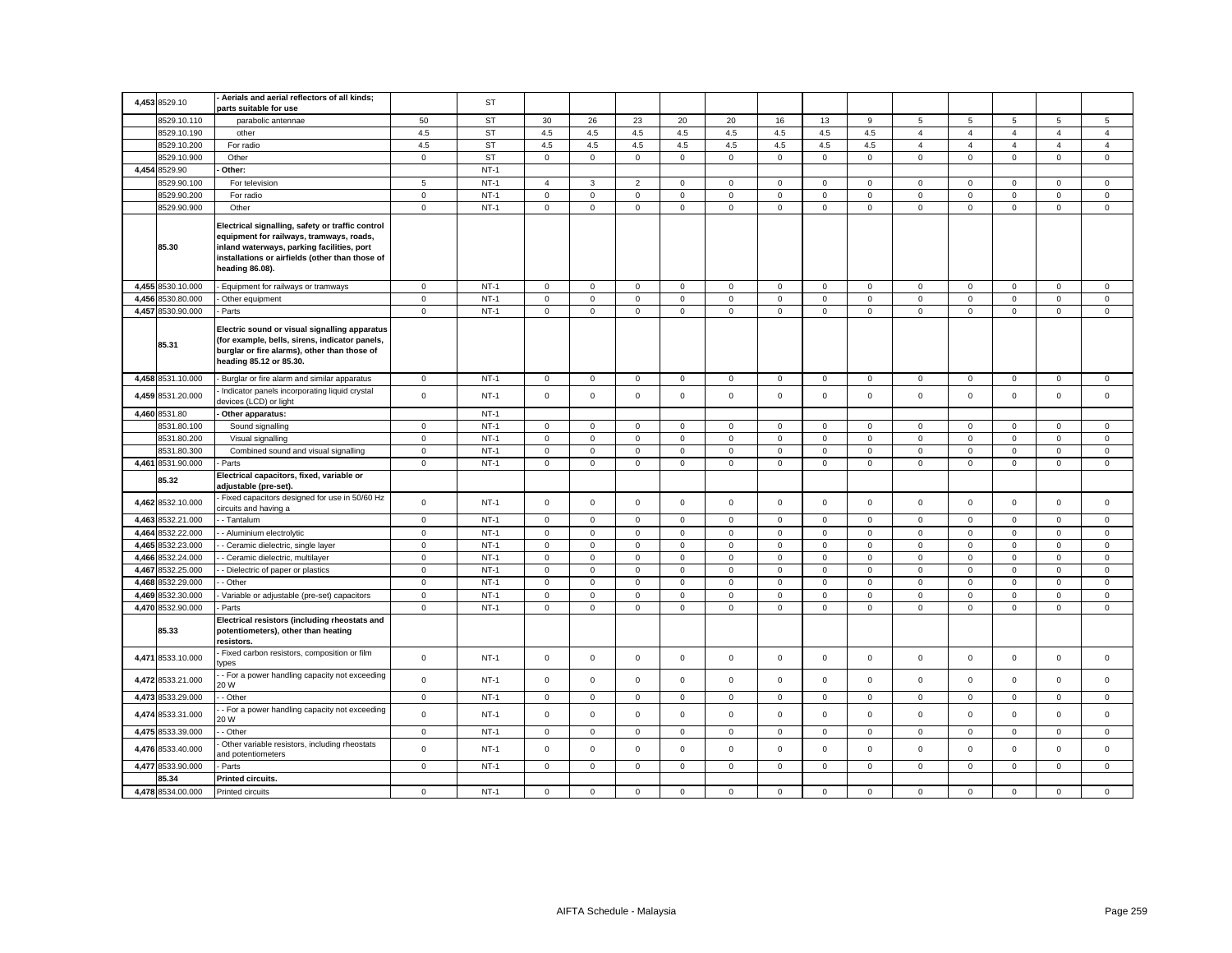| 4,453 8529.10              | Aerials and aerial reflectors of all kinds;<br>parts suitable for use                                                                                                                                            |                | ST        |                     |              |                |              |              |             |              |                |                |                |                     |                     |                |
|----------------------------|------------------------------------------------------------------------------------------------------------------------------------------------------------------------------------------------------------------|----------------|-----------|---------------------|--------------|----------------|--------------|--------------|-------------|--------------|----------------|----------------|----------------|---------------------|---------------------|----------------|
| 8529.10.110                | parabolic antennae                                                                                                                                                                                               | 50             | <b>ST</b> | 30                  | 26           | 23             | 20           | 20           | 16          | 13           | 9              | 5              | 5              | 5                   | 5                   | 5              |
| 8529.10.190                | other                                                                                                                                                                                                            | 4.5            | ST        | 4.5                 | 4.5          | 4.5            | 4.5          | 4.5          | 4.5         | 4.5          | 4.5            | $\overline{4}$ | $\overline{4}$ | $\overline{4}$      | $\overline{4}$      | $\overline{4}$ |
| 8529.10.200                | For radio                                                                                                                                                                                                        | 4.5            | ST        | 4.5                 | 4.5          | 4.5            | 4.5          | 4.5          | 4.5         | 4.5          | 4.5            | $\overline{4}$ | $\overline{4}$ | $\overline{4}$      | $\overline{4}$      | $\overline{4}$ |
| 8529.10.900                | Other                                                                                                                                                                                                            | $\mathbf 0$    | <b>ST</b> | $\mathbf 0$         | $\mathbf{0}$ | $\mathsf 0$    | $\mathbf 0$  | $\mathsf 0$  | $\mathbf 0$ | $\mathsf 0$  | $\mathbf{0}$   | $\mathbf 0$    | $\mathbf 0$    | $\mathbf 0$         | $\mathbf 0$         | $\mathbf 0$    |
| 4,454 8529.90              | Other:                                                                                                                                                                                                           |                | $NT-1$    |                     |              |                |              |              |             |              |                |                |                |                     |                     |                |
| 3529.90.100                | For television                                                                                                                                                                                                   | 5              | $NT-1$    | $\overline{4}$      | 3            | $\overline{2}$ | 0            | $\mathsf 0$  | $\mathbf 0$ | $\mathbf 0$  | $\mathbf 0$    | $\mathbf 0$    | $\mathbf 0$    | $\mathbf 0$         | $\mathbf 0$         | $\mathbf 0$    |
| 8529.90.200                | For radio                                                                                                                                                                                                        | $\mathbf 0$    | $NT-1$    | $\mathbf 0$         | $\mathbf 0$  | $\mathbf 0$    | $\Omega$     | $\mathsf 0$  | $\Omega$    | $\mathbf 0$  | $\mathbf 0$    | $\mathbf 0$    | $\Omega$       | $\mathbf 0$         | $\mathbf 0$         | $\mathbf 0$    |
| 8529.90.900                | Other                                                                                                                                                                                                            | $\mathbf 0$    | $NT-1$    | $\mathsf 0$         | $\mathsf 0$  | $\mathbf 0$    | $\mathbf 0$  | $\mathbf 0$  | $\mathbf 0$ | $\mathsf 0$  | $\mathbf 0$    | $\mathsf 0$    | $\mathsf 0$    | $\mathsf 0$         | $\mathbf 0$         | $\mathsf 0$    |
| 85.30                      | Electrical signalling, safety or traffic control<br>equipment for railways, tramways, roads,<br>inland waterways, parking facilities, port<br>installations or airfields (other than those of<br>heading 86.08). |                |           |                     |              |                |              |              |             |              |                |                |                |                     |                     |                |
| 4,455 8530.10.000          | Equipment for railways or tramways                                                                                                                                                                               | $\mathbf 0$    | $NT-1$    | $\mathsf 0$         | $\mathbf 0$  | $\mathsf 0$    | $\mathbf 0$  | $\mathbf 0$  | $\mathbf 0$ | $\mathsf 0$  | $\mathbf{0}$   | $\mathbf 0$    | $\mathbf 0$    | $\mathbf 0$         | $\mathbf 0$         | $\mathsf 0$    |
| 4,456 8530.80.000          | Other equipment                                                                                                                                                                                                  | $\mathbf 0$    | $NT-1$    | $\mathsf 0$         | $\mathbf 0$  | $\mathsf 0$    | $\mathbf 0$  | $\mathsf 0$  | $\mathsf 0$ | $\mathsf 0$  | $\mathsf 0$    | $\mathsf 0$    | $\mathsf 0$    | $\mathsf{O}\xspace$ | $\mathbf 0$         | $\mathsf 0$    |
| 4,457 8530.90.000          | Parts                                                                                                                                                                                                            | $\mathbf 0$    | $NT-1$    | $\mathbf 0$         | $\mathbf 0$  | $\mathsf 0$    | 0            | $\mathbf 0$  | $\mathsf 0$ | $\mathbf 0$  | $\mathbf 0$    | $\mathbf 0$    | $\mathsf 0$    | $\mathbf 0$         | $\mathbf 0$         | $\mathsf 0$    |
| 85.31                      | Electric sound or visual signalling apparatus<br>(for example, bells, sirens, indicator panels,<br>burglar or fire alarms), other than those of<br>heading 85.12 or 85.30.                                       |                |           |                     |              |                |              |              |             |              |                |                |                |                     |                     |                |
| 4,458 8531.10.000          | Burglar or fire alarm and similar apparatus                                                                                                                                                                      | $\mathbf 0$    | $NT-1$    | $\mathsf 0$         | $\mathbf 0$  | $\mathbf 0$    | $\mathbf 0$  | $\mathbf 0$  | $\mathsf 0$ | $\mathbf 0$  | $\mathbf{0}$   | $\mathbf 0$    | $\mathsf 0$    | $\mathbf 0$         | $\mathsf 0$         | $\mathsf 0$    |
| 4,459 8531.20.000          | Indicator panels incorporating liquid crystal<br>devices (LCD) or light                                                                                                                                          | $\mathbf 0$    | $NT-1$    | $\mathbf 0$         | $\mathbf 0$  | $\mathbf 0$    | $\mathbf 0$  | $\mathbf 0$  | $\mathbf 0$ | $\mathbf{0}$ | $\mathbf{0}$   | $\mathbf 0$    | $\mathbf 0$    | $\mathbf 0$         | $\mathsf 0$         | $\mathbf 0$    |
| 4,460 8531.80              | Other apparatus:                                                                                                                                                                                                 |                | $NT-1$    |                     |              |                |              |              |             |              |                |                |                |                     |                     |                |
| 8531.80.100                | Sound signalling                                                                                                                                                                                                 | $\mathbf{0}$   | $NT-1$    | $\mathbf{0}$        | $\mathbf{O}$ | $\mathbf{0}$   | $\mathbf{0}$ | $\mathbf 0$  | $\mathbf 0$ | $\circ$      | $\overline{0}$ | $\mathbf{0}$   | $\mathbf 0$    | $\mathbf 0$         | $\mathbf 0$         | $\mathbf 0$    |
| 8531.80.200                | Visual signalling                                                                                                                                                                                                | $\mathsf 0$    | $NT-1$    | $\mathsf{O}\xspace$ | $\mathbf 0$  | $\mathbf 0$    | 0            | $\mathsf 0$  | $\mathbf 0$ | $\mathsf 0$  | $\mathbf{0}$   | $\mathsf 0$    | $\mathbf 0$    | $\mathsf{O}\xspace$ | 0                   | $\mathsf 0$    |
| 8531.80.300                | Combined sound and visual signalling                                                                                                                                                                             | $\mathbf 0$    | $NT-1$    | $\mathbf 0$         | 0            | $\mathsf 0$    | $\mathbf 0$  | $\mathsf 0$  | 0           | $\mathsf 0$  | 0              | $\mathsf 0$    | $\mathbf 0$    | 0                   | 0                   | $\mathsf 0$    |
| 4,461 8531.90.000          | Parts                                                                                                                                                                                                            | $\mathbf{0}$   | $NT-1$    | $\mathbf 0$         | $\mathbf{O}$ | $\mathsf 0$    | $\mathbf 0$  | $\mathbf 0$  | $\mathbf 0$ | $\mathsf 0$  | $\mathbf 0$    | $\mathsf 0$    | $\mathbf 0$    | $\mathbf{0}$        | $\mathbf 0$         | $\mathbf 0$    |
| 85.32                      | Electrical capacitors, fixed, variable or<br>adjustable (pre-set).                                                                                                                                               |                |           |                     |              |                |              |              |             |              |                |                |                |                     |                     |                |
| 4,462 8532.10.000          | Fixed capacitors designed for use in 50/60 Hz<br>circuits and having a                                                                                                                                           | $\mathbf 0$    | $NT-1$    | $\mathsf 0$         | $\mathbf 0$  | $\mathsf 0$    | $\mathbf 0$  | $\mathbf 0$  | $\mathsf 0$ | $\mathsf 0$  | $\mathbf 0$    | $\mathbf 0$    | $\mathsf 0$    | $\mathsf 0$         | $\mathsf 0$         | $\mathsf 0$    |
| 4,463 8532.21.000          | - Tantalum                                                                                                                                                                                                       | $\mathbf 0$    | $NT-1$    | $\mathsf 0$         | $\mathbf 0$  | $\mathsf 0$    | $\mathbf 0$  | $\mathbf 0$  | $\mathsf 0$ | $\mathsf 0$  | $\mathbf{0}$   | $\mathbf 0$    | $\mathbf 0$    | $\mathbf 0$         | $\mathsf 0$         | $\mathsf 0$    |
| 4,464 8532.22.000          | - Aluminium electrolytic                                                                                                                                                                                         | $\mathbf 0$    | $NT-1$    | $\mathbf 0$         | $\mathbf{0}$ | $\mathbf{0}$   | 0            | $\mathbf{0}$ | $^{\circ}$  | 0            | $\mathbf{0}$   | $\mathbf 0$    | $\mathbf 0$    | $\mathbf 0$         | $\mathbf 0$         | $\mathbf 0$    |
| 4,465 8532.23.000          | - Ceramic dielectric, single layer                                                                                                                                                                               | $\mathbf 0$    | $NT-1$    | $\mathsf 0$         | $\mathsf 0$  | $\mathsf 0$    | $\mathbf 0$  | $\mathsf 0$  | $\mathsf 0$ | $\mathsf 0$  | $\mathsf 0$    | $\mathsf 0$    | $\mathbf 0$    | $\mathsf 0$         | $\mathsf 0$         | $\mathsf 0$    |
| 4,466 8532.24.000          | - Ceramic dielectric, multilayer                                                                                                                                                                                 | $\mathbf 0$    | $NT-1$    | $\mathbf 0$         | $\mathbf 0$  | $\mathbf 0$    | $\mathbf 0$  | $\mathsf 0$  | $\mathbf 0$ | $\mathsf 0$  | $\mathbf 0$    | $\mathsf 0$    | $\mathbf 0$    | $\mathbf 0$         | $\mathbf 0$         | $\mathbf 0$    |
| 4,467 8532.25.000          | - Dielectric of paper or plastics                                                                                                                                                                                | $\mathbf 0$    | $NT-1$    | $\mathbf 0$         | $\mathsf 0$  | $\mathsf 0$    | $\mathbf 0$  | $\mathsf 0$  | $\mathbf 0$ | $\mathsf 0$  | $\mathbf 0$    | $\mathsf 0$    | $\mathbf 0$    | $\mathbf 0$         | $\mathbf 0$         | $\mathbf 0$    |
| 4,468 8532.29.000          | - Other                                                                                                                                                                                                          | $\mathbf 0$    | $NT-1$    | $\mathbf 0$         | $\mathsf 0$  | $\mathsf 0$    | $\mathbf 0$  | $\mathbf 0$  | $\mathsf 0$ | $\mathsf 0$  | $\mathbf{0}$   | $\mathbf 0$    | $\mathsf 0$    | $\mathsf 0$         | $\mathsf 0$         | $\mathsf 0$    |
| 4,469 8532.30.000          | Variable or adjustable (pre-set) capacitors                                                                                                                                                                      | $\mathbf 0$    | $NT-1$    | $\mathsf 0$         | $\mathsf 0$  | $\mathsf 0$    | $\mathbf 0$  | $\mathbf 0$  | $\mathsf 0$ | $\mathbf 0$  | $\mathbf 0$    | $\mathbf 0$    | $\mathsf 0$    | $\mathsf 0$         | $\mathsf 0$         | $\mathsf 0$    |
| 4,470 8532.90.000<br>85.33 | Parts<br>Electrical resistors (including rheostats and<br>potentiometers), other than heating<br>resistors.                                                                                                      | 0              | $NT-1$    | $\mathbf 0$         | $\mathbf 0$  | $\mathsf 0$    | $\mathbf 0$  | $\mathbf 0$  | $\mathbf 0$ | $\mathbf 0$  | 0              | $\mathbf 0$    | $\mathbf 0$    | $\mathbf 0$         | $\mathbf 0$         | $\mathbf 0$    |
| 4,471 8533.10.000          | Fixed carbon resistors, composition or film<br>vpes                                                                                                                                                              | $\mathbf 0$    | $NT-1$    | $\mathsf 0$         | $\mathbf 0$  | $\mathsf 0$    | $\mathbf 0$  | $\mathsf 0$  | $\mathsf 0$ | $\mathbf 0$  | $\mathbf 0$    | $\mathsf 0$    | $\mathsf 0$    | $\mathbf 0$         | $\mathsf 0$         | $\mathsf 0$    |
| 4,472 8533.21.000          | - For a power handling capacity not exceeding<br>20 W                                                                                                                                                            | $\mathsf 0$    | $NT-1$    | $\mathsf 0$         | $\mathsf 0$  | $\mathsf 0$    | $\mathbf 0$  | $\mathsf 0$  | $\mathsf 0$ | $\mathsf 0$  | $\mathbf 0$    | $\mathsf 0$    | $\mathsf 0$    | $\mathsf 0$         | $\mathsf 0$         | $\mathsf 0$    |
| 4,473 8533.29.000          | - Other                                                                                                                                                                                                          | $\mathbf 0$    | $NT-1$    | $\mathsf 0$         | $\mathbf 0$  | $\mathsf 0$    | $\mathbf 0$  | $\mathbf 0$  | $\mathsf 0$ | $\mathsf 0$  | $\mathbf 0$    | $\mathbf 0$    | $\mathsf 0$    | $\mathbf 0$         | $\mathbf 0$         | $\mathbf 0$    |
| 4,474 8533.31.000          | - For a power handling capacity not exceeding<br>20 W                                                                                                                                                            | $\mathbf{0}$   | $NT-1$    | $\mathbf 0$         | $\mathbf 0$  | $\mathbf 0$    | $\mathbf 0$  | $\Omega$     | $\mathbf 0$ | $\mathbf 0$  | $\mathbf 0$    | $\mathbf 0$    | $\mathbf 0$    | $\mathbf 0$         | $\mathbf 0$         | $\mathbf 0$    |
| 4,475 8533.39.000          | - Other                                                                                                                                                                                                          | $\overline{0}$ | $NT-1$    | $\mathbf 0$         | $\mathbf 0$  | $\mathbf{0}$   | $\mathbf 0$  | $\mathbf 0$  | $\mathsf 0$ | $\mathbf{0}$ | $\mathbf{0}$   | $\mathbf 0$    | $\mathbf 0$    | $\mathbf 0$         | $\mathbf{0}$        | $\mathbf 0$    |
| 4,476 8533.40.000          | Other variable resistors, including rheostats<br>and potentiometers                                                                                                                                              | $\mathsf 0$    | $NT-1$    | $\mathsf 0$         | $\mathbf 0$  | $\mathsf 0$    | $\mathbf 0$  | $\mathsf 0$  | $\mathbf 0$ | $\mathsf 0$  | $\mathbf 0$    | $\mathsf 0$    | $\mathbf 0$    | $\mathsf 0$         | $\mathsf{O}\xspace$ | $\mathbf 0$    |
| 4,477 8533.90.000          | Parts                                                                                                                                                                                                            | $\mathbf 0$    | $NT-1$    | $\mathbf 0$         | $\mathbf 0$  | $\mathbf{0}$   | $\mathbf 0$  | $\mathbf 0$  | $\mathbf 0$ | $\mathbf{0}$ | $\mathbf{0}$   | $\mathbf{0}$   | $\mathsf 0$    | $\mathbf 0$         | $\mathbf{0}$        | $\mathbf 0$    |
| 85.34                      | Printed circuits.                                                                                                                                                                                                |                |           |                     |              |                |              |              |             |              |                |                |                |                     |                     |                |
| 4,478 8534.00.000          | <b>Printed circuits</b>                                                                                                                                                                                          | $\Omega$       | $NT-1$    | $\Omega$            | $\Omega$     | $\mathbf 0$    | $\Omega$     | $\Omega$     | $\Omega$    | $\Omega$     | $\Omega$       | $\Omega$       | $\Omega$       | $\Omega$            | $\Omega$            | $\Omega$       |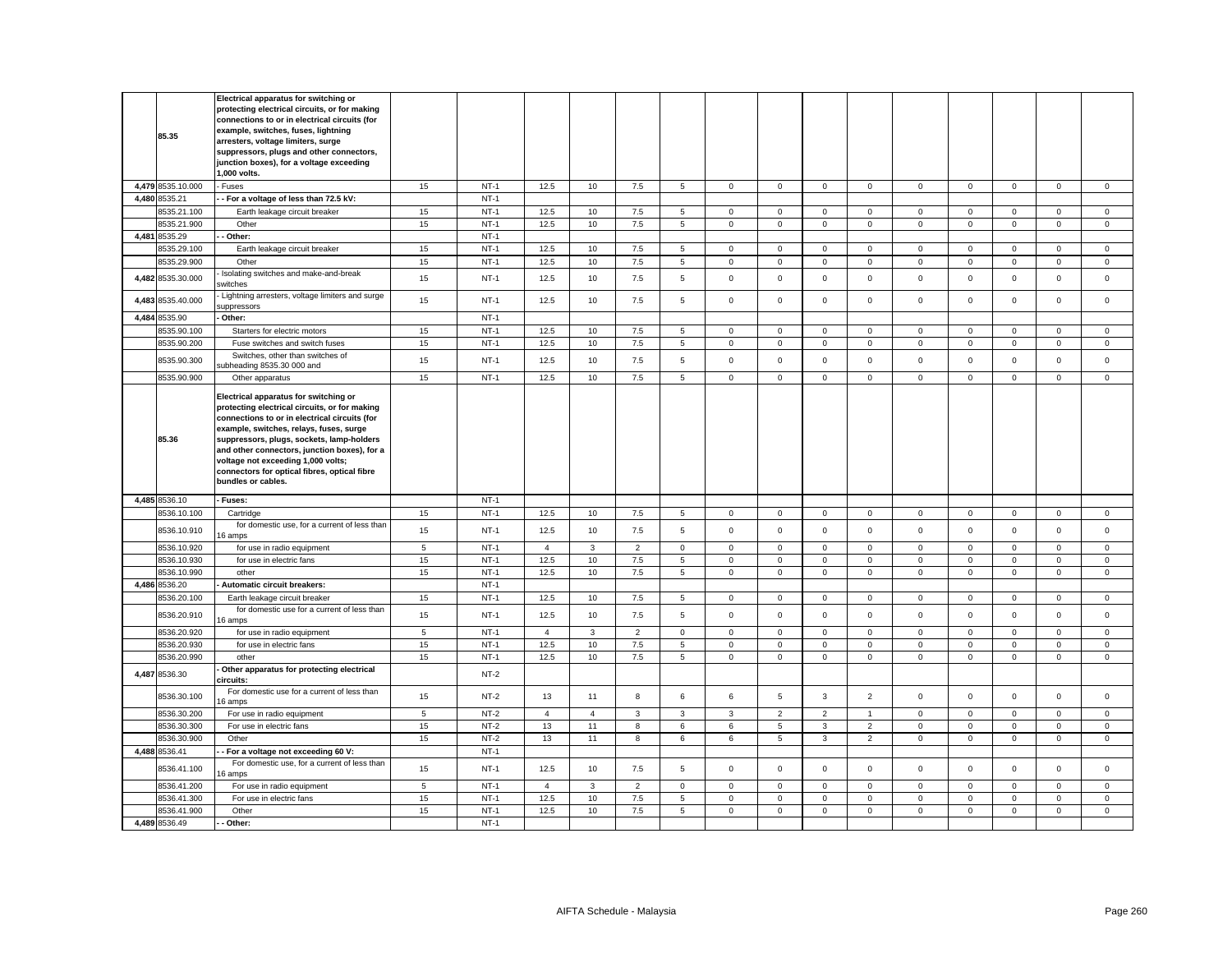|       | 85.35                        | Electrical apparatus for switching or<br>protecting electrical circuits, or for making<br>connections to or in electrical circuits (for<br>example, switches, fuses, lightning<br>arresters, voltage limiters, surge<br>suppressors, plugs and other connectors,<br>junction boxes), for a voltage exceeding<br>.000 volts.                                                                 |                |                  |                |                |                |             |                     |                |                |                |                     |             |              |              |              |
|-------|------------------------------|---------------------------------------------------------------------------------------------------------------------------------------------------------------------------------------------------------------------------------------------------------------------------------------------------------------------------------------------------------------------------------------------|----------------|------------------|----------------|----------------|----------------|-------------|---------------------|----------------|----------------|----------------|---------------------|-------------|--------------|--------------|--------------|
|       | 4,479 8535.10.000            | Fuses                                                                                                                                                                                                                                                                                                                                                                                       | 15             | $NT-1$           | 12.5           | 10             | 7.5            | 5           | $\mathbf 0$         | $\mathbf 0$    | $\mathbf 0$    | $\mathbf{0}$   | $\mathbf 0$         | $\mathbf 0$ | $\mathbf{O}$ | $\mathbf{0}$ | $\mathbf 0$  |
|       | 4,480 8535.21                | - For a voltage of less than 72.5 kV:                                                                                                                                                                                                                                                                                                                                                       |                | $NT-1$           |                |                |                |             |                     |                |                |                |                     |             |              |              |              |
|       | 3535.21.100                  | Earth leakage circuit breaker                                                                                                                                                                                                                                                                                                                                                               | 15             | $NT-1$           | 12.5           | 10             | 7.5            | 5           | $\mathbf 0$         | $\mathbf 0$    | $\mathbf 0$    | $\Omega$       | $\mathsf 0$         | $\mathbf 0$ | $\mathbf 0$  | $\mathbf 0$  | $\mathbf 0$  |
|       | 3535.21.900                  | Other                                                                                                                                                                                                                                                                                                                                                                                       | 15             | $NT-1$           | 12.5           | 10             | $7.5\,$        | 5           | $\mathsf 0$         | $\mathsf 0$    | $\mathsf 0$    | $\mathbf 0$    | $\mathsf 0$         | $\mathsf 0$ | $\mathsf 0$  | $\mathsf 0$  | $\mathsf 0$  |
|       | 4,481 8535.29                | Other:                                                                                                                                                                                                                                                                                                                                                                                      |                | $NT-1$           |                |                |                |             |                     |                |                |                |                     |             |              |              |              |
|       | 3535.29.100                  | Earth leakage circuit breaker                                                                                                                                                                                                                                                                                                                                                               | 15             | $NT-1$           | 12.5           | 10             | 7.5            | 5           | $\mathbf 0$         | $\mathsf 0$    | $\mathbf 0$    | $\mathbf 0$    | $\mathsf 0$         | $\mathsf 0$ | $\mathsf 0$  | $\mathsf 0$  | $\,0\,$      |
|       | 8535.29.900                  | Other                                                                                                                                                                                                                                                                                                                                                                                       | 15             | $NT-1$           | 12.5           | 10             | 7.5            | 5           | $\mathsf{O}\xspace$ | $\mathbf 0$    | $\mathsf 0$    | $\mathbf 0$    | $\mathsf 0$         | $\mathsf 0$ | $\mathsf 0$  | $\mathsf 0$  | $\mathsf 0$  |
|       | 4,482 8535.30.000            | Isolating switches and make-and-break<br>witches                                                                                                                                                                                                                                                                                                                                            | 15             | $NT-1$           | 12.5           | 10             | 7.5            | 5           | $\mathsf 0$         | $\mathsf 0$    | $\mathsf 0$    | $\mathbf 0$    | $\mathsf 0$         | $\mathsf 0$ | $\mathbf 0$  | $\mathsf 0$  | $\mathsf 0$  |
|       | 4,483 8535.40.000            | Lightning arresters, voltage limiters and surge<br>suppressors                                                                                                                                                                                                                                                                                                                              | 15             | $NT-1$           | 12.5           | 10             | 7.5            | 5           | $\mathbf 0$         | $\mathbf 0$    | $\mathbf 0$    | $\mathbf 0$    | $\mathsf 0$         | $\mathbf 0$ | $\mathbf 0$  | $\mathbf 0$  | $\mathbf{0}$ |
|       | 4.484 8535.90                | Other:                                                                                                                                                                                                                                                                                                                                                                                      |                | $NT-1$           |                |                |                |             |                     |                |                |                |                     |             |              |              |              |
|       | 3535.90.100                  | Starters for electric motors                                                                                                                                                                                                                                                                                                                                                                | 15             | $NT-1$           | 12.5           | 10             | 7.5            | 5           | $\mathbf 0$         | $\mathbf 0$    | $\mathbf{0}$   | $\mathbf{0}$   | $\mathbf 0$         | $\mathbf 0$ | $\mathbf{0}$ | $\mathbf{0}$ | $\mathbf{0}$ |
|       | 3535.90.200                  | Fuse switches and switch fuses                                                                                                                                                                                                                                                                                                                                                              | 15             | $NT-1$           | 12.5           | 10             | 7.5            | 5           | $\mathbf 0$         | $\mathsf 0$    | $\mathbf 0$    | $\mathbf 0$    | $\mathsf 0$         | $\mathsf 0$ | $\mathbf 0$  | $\mathsf 0$  | $\mathsf 0$  |
|       | 8535.90.300                  | Switches, other than switches of<br>ubheading 8535.30 000 and                                                                                                                                                                                                                                                                                                                               | 15             | $NT-1$           | 12.5           | 10             | 7.5            | 5           | $\mathbf 0$         | $\mathsf 0$    | $\mathsf 0$    | $\mathbf 0$    | $\mathsf 0$         | $\mathsf 0$ | $\mathsf 0$  | $\mathsf 0$  | $\mathsf 0$  |
|       | 8535.90.900                  | Other apparatus                                                                                                                                                                                                                                                                                                                                                                             | 15             | $NT-1$           | 12.5           | 10             | 7.5            | 5           | $\mathbf 0$         | $\mathbf 0$    | $\mathbf{0}$   | $\mathbf 0$    | $\mathbf 0$         | $\mathbf 0$ | $\mathbf{0}$ | $\mathbf 0$  | $\mathbf{0}$ |
|       | 85.36                        | Electrical apparatus for switching or<br>protecting electrical circuits, or for making<br>connections to or in electrical circuits (for<br>example, switches, relays, fuses, surge<br>suppressors, plugs, sockets, lamp-holders<br>and other connectors, junction boxes), for a<br>voltage not exceeding 1,000 volts;<br>connectors for optical fibres, optical fibre<br>bundles or cables. |                |                  |                |                |                |             |                     |                |                |                |                     |             |              |              |              |
|       | 4,485 8536.10                | Fuses:                                                                                                                                                                                                                                                                                                                                                                                      |                | $NT-1$           |                |                |                |             |                     |                |                |                |                     |             |              |              |              |
|       | 3536.10.100                  | Cartridge                                                                                                                                                                                                                                                                                                                                                                                   | 15             | $NT-1$           | 12.5           | 10             | 7.5            | 5           | $\mathbf 0$         | 0              | $\mathsf 0$    | $\mathbf 0$    | $\mathsf 0$         | $\mathbf 0$ | $\mathsf 0$  | 0            | $\mathbf 0$  |
|       | 8536.10.910                  | for domestic use, for a current of less than<br>6 amps                                                                                                                                                                                                                                                                                                                                      | 15             | $NT-1$           | 12.5           | 10             | 7.5            | 5           | $\mathbf 0$         | $\mathbf 0$    | $\mathbf 0$    | $\mathbf{0}$   | $\mathbf 0$         | $\mathbf 0$ | $\mathbf 0$  | $\mathbf{0}$ | $\mathbf{0}$ |
|       | 8536.10.920                  | for use in radio equipment                                                                                                                                                                                                                                                                                                                                                                  | $\overline{5}$ | $NT-1$           | $\overline{4}$ | $\mathbf{3}$   | $\overline{2}$ | $\mathbf 0$ | $\mathbf 0$         | $\mathsf 0$    | $\mathbf 0$    | $\mathbf 0$    | $\mathsf 0$         | $\mathsf 0$ | $\mathsf 0$  | $\mathsf 0$  | $\mathbf 0$  |
|       | 8536.10.930                  | for use in electric fans                                                                                                                                                                                                                                                                                                                                                                    | 15             | $NT-1$           | 12.5           | 10             | 7.5            | 5           | $\mathbf 0$         | $\mathsf 0$    | $\mathbf 0$    | $\mathbf{0}$   | $\mathbf 0$         | $\mathbf 0$ | $\mathbf{0}$ | $\mathbf{0}$ | $\mathbf 0$  |
|       | 3536.10.990                  | other                                                                                                                                                                                                                                                                                                                                                                                       | 15             | $NT-1$           | 12.5           | 10             | 7.5            | 5           | $\mathsf 0$         | $\mathsf 0$    | $\mathsf 0$    | $\mathbf{0}$   | $\mathsf 0$         | $\mathsf 0$ | $\mathbf 0$  | $\mathsf 0$  | $\mathsf 0$  |
|       | 4,486 8536.20                | Automatic circuit breakers:                                                                                                                                                                                                                                                                                                                                                                 |                | $NT-1$           |                |                |                |             |                     |                |                |                |                     |             |              |              |              |
|       | 3536.20.100                  | Earth leakage circuit breaker                                                                                                                                                                                                                                                                                                                                                               | 15             | $NT-1$           | 12.5           | 10             | 7.5            | 5           | $\mathsf 0$         | $\mathsf 0$    | $\mathbf 0$    | 0              | $\mathsf 0$         | $\mathbf 0$ | $\mathbf 0$  | $\mathbf 0$  | $\mathsf 0$  |
|       | 8536.20.910                  | for domestic use for a current of less than<br>6 amps                                                                                                                                                                                                                                                                                                                                       | 15             | $NT-1$           | 12.5           | 10             | 7.5            | 5           | $\mathsf 0$         | $\mathbf 0$    | $\mathbf{0}$   | $\mathbf 0$    | $\mathbf 0$         | $\mathbf 0$ | $\mathbf 0$  | $\mathbf 0$  | $\mathbf 0$  |
|       | 8536.20.920                  | for use in radio equipment                                                                                                                                                                                                                                                                                                                                                                  | $\overline{5}$ | $NT-1$           | $\overline{4}$ | $\mathbf{3}$   | $\overline{2}$ | $\mathsf 0$ | $\mathsf 0$         | $\mathsf 0$    | $\mathsf 0$    | $\mathbf 0$    | $\mathsf 0$         | $\mathsf 0$ | $\mathsf 0$  | $\mathsf 0$  | $\mathsf 0$  |
|       | 8536.20.930                  | for use in electric fans                                                                                                                                                                                                                                                                                                                                                                    | 15             | $NT-1$           | 12.5<br>12.5   | 10             | 7.5            | 5           | $\mathbf 0$         | $\mathsf 0$    | $\mathsf 0$    | $\mathbf{0}$   | 0                   | $\mathsf 0$ | $\mathbf 0$  | $\mathbf 0$  | $\mathsf 0$  |
|       |                              |                                                                                                                                                                                                                                                                                                                                                                                             |                |                  |                | 10             | $7.5\,$        | 5           | $\mathsf 0$         | $\mathsf 0$    | $\mathsf 0$    | $\mathsf 0$    | $\mathsf 0$         | $\mathsf 0$ | $\mathsf 0$  | $\mathsf 0$  | $\mathsf 0$  |
|       | 3536.20.990                  | other                                                                                                                                                                                                                                                                                                                                                                                       | 15             | $NT-1$           |                |                |                |             |                     |                |                |                |                     |             |              |              |              |
|       | 4,487 8536.30                | Other apparatus for protecting electrical<br>circuits:                                                                                                                                                                                                                                                                                                                                      |                | $NT-2$           |                |                |                |             |                     |                |                |                |                     |             |              |              |              |
|       | 8536.30.100                  | For domestic use for a current of less than<br>6 amps                                                                                                                                                                                                                                                                                                                                       | 15             | $NT-2$           | 13             | 11             | 8              | 6           | 6                   | $\mathbf 5$    | $\mathbf{3}$   | $\overline{2}$ | $\mathbf 0$         | $\mathsf 0$ | $\mathsf 0$  | $\mathsf 0$  | $\mathsf 0$  |
|       | 8536.30.200                  | For use in radio equipment                                                                                                                                                                                                                                                                                                                                                                  | $\sqrt{5}$     | $NT-2$           | $\overline{4}$ | $\overline{4}$ | $\mathbf{3}$   | 3           | 3                   | $\overline{2}$ | $\overline{2}$ | $\mathbf{1}$   | $\mathbf 0$         | $\mathbf 0$ | $\mathbf 0$  | $\mathbf 0$  | $\mathbf{0}$ |
|       | 8536.30.300                  | For use in electric fans                                                                                                                                                                                                                                                                                                                                                                    | 15             | $NT-2$           | 13             | 11             | 8              | 6           | 6                   | $\,$ 5 $\,$    | $\mathbf{3}$   | $\overline{2}$ | $\mathsf{O}\xspace$ | $\mathbf 0$ | $\mathsf 0$  | $\mathsf 0$  | $\,0\,$      |
|       | 3536.30.900                  | Other                                                                                                                                                                                                                                                                                                                                                                                       | 15             | $NT-2$           | 13             | 11             | 8              | 6           | 6                   | $\,$ 5 $\,$    | $\mathbf{3}$   | $\overline{2}$ | $\mathbf 0$         | $\mathbf 0$ | $\mathbf{0}$ | $\mathsf 0$  | $\mathsf 0$  |
| 4,488 | 8536.41<br>8536.41.100       | For a voltage not exceeding 60 V:<br>For domestic use, for a current of less than                                                                                                                                                                                                                                                                                                           | 15             | $NT-1$<br>$NT-1$ | 12.5           | 10             | 7.5            | 5           | $\mathsf 0$         | $\mathsf 0$    | $\mathsf 0$    | $\mathbf{0}$   | $\mathsf 0$         | $\mathbf 0$ | $\mathbf{0}$ | $\mathsf 0$  | $\mathbf 0$  |
|       |                              | 6 amps                                                                                                                                                                                                                                                                                                                                                                                      |                |                  |                |                |                |             |                     |                |                |                |                     |             |              |              |              |
|       | 8536.41.200                  | For use in radio equipment                                                                                                                                                                                                                                                                                                                                                                  | $\overline{5}$ | $NT-1$           | $\overline{4}$ | $\mathbf{3}$   | $\overline{2}$ | $\mathbf 0$ | $\mathbf{0}$        | $\mathsf 0$    | $\mathsf 0$    | $\mathbf 0$    | $\mathbf 0$         | $\mathsf 0$ | $\mathsf 0$  | $\mathsf 0$  | $\mathsf 0$  |
|       | 3536.41.300                  | For use in electric fans                                                                                                                                                                                                                                                                                                                                                                    | 15             | $NT-1$           | 12.5           | 10             | 7.5            | 5           | $\mathbf 0$         | $\mathbf 0$    | $\mathbf 0$    | $\mathbf{0}$   | $\mathbf 0$         | $\mathbf 0$ | 0            | $\mathsf 0$  | $\mathbf{0}$ |
|       | 8536.41.900<br>4,489 8536.49 | Other<br>Other:                                                                                                                                                                                                                                                                                                                                                                             | 15             | $NT-1$<br>$NT-1$ | 12.5           | 10             | $7.5\,$        | 5           | $\mathsf 0$         | $\mathsf 0$    | $\mathsf 0$    | $\mathbf 0$    | $\mathsf 0$         | $\mathsf 0$ | $\mathsf 0$  | $\mathsf 0$  | $\mathsf 0$  |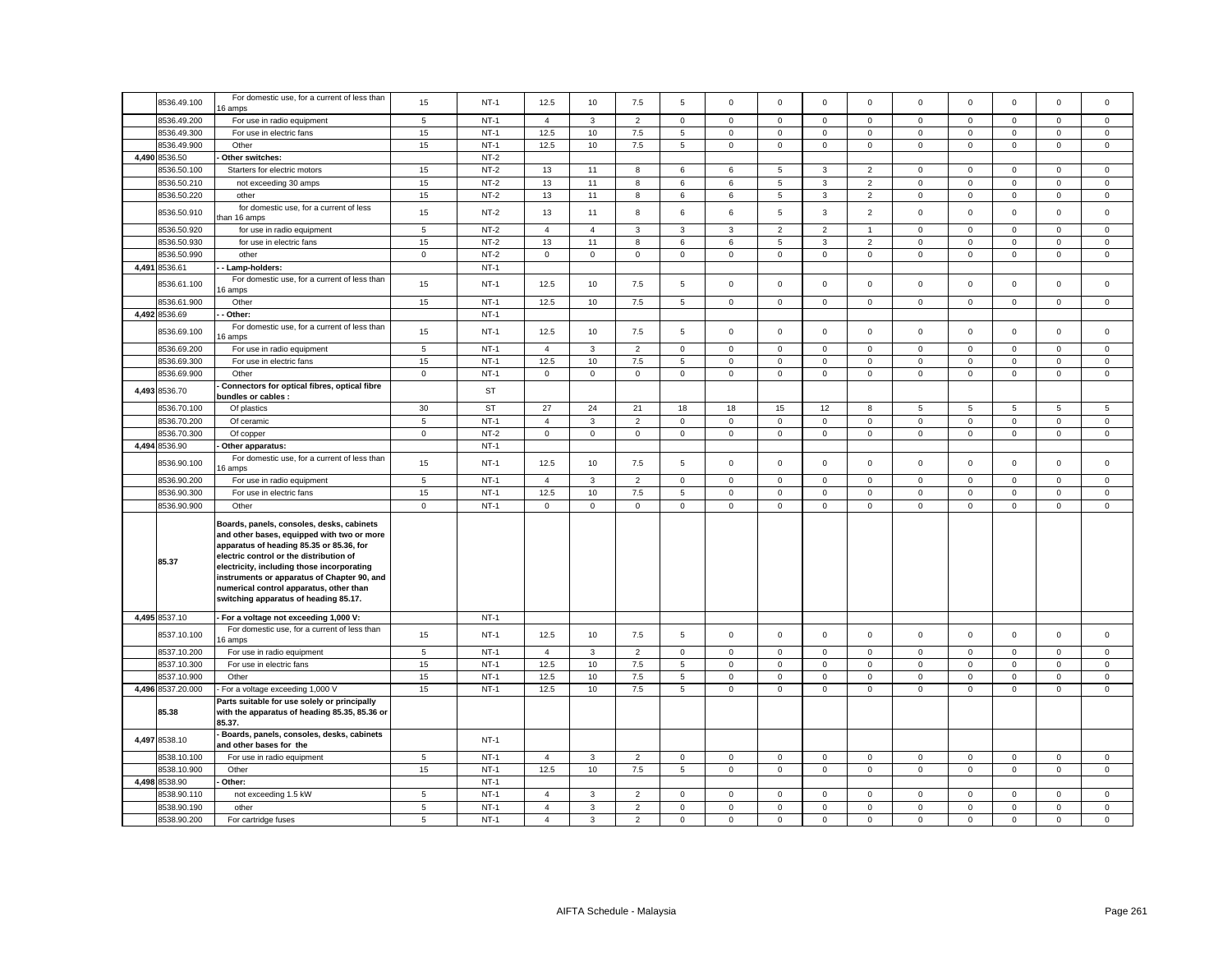| 8536.49.100       | For domestic use, for a current of less than<br>6 amps                                                                                                                                                                                                                                                                                                          | 15           | $NT-1$    | 12.5                | 10             | 7.5            | 5               | $\mathbf 0$ | $\mathbf 0$    | $\mathbf 0$         | $\mathbf 0$    | $\mathbf 0$ | $\mathbf 0$ | $\mathbf 0$  | $\mathbf 0$  | $\Omega$     |
|-------------------|-----------------------------------------------------------------------------------------------------------------------------------------------------------------------------------------------------------------------------------------------------------------------------------------------------------------------------------------------------------------|--------------|-----------|---------------------|----------------|----------------|-----------------|-------------|----------------|---------------------|----------------|-------------|-------------|--------------|--------------|--------------|
| 8536.49.200       | For use in radio equipment                                                                                                                                                                                                                                                                                                                                      | $\,$ 5 $\,$  | $NT-1$    | $\overline{4}$      | 3              | $\mathbf 2$    | $\mathsf 0$     | $\mathsf 0$ | $\mathsf 0$    | $\mathsf 0$         | $\mathbf 0$    | $\mathsf 0$ | $\mathbf 0$ | $\mathsf 0$  | $\mathbf 0$  | $\mathbf 0$  |
| 8536.49.300       | For use in electric fans                                                                                                                                                                                                                                                                                                                                        | 15           | $NT-1$    | 12.5                | 10             | 7.5            | 5               | $\mathbf 0$ | $\mathsf 0$    | $\mathbf 0$         | 0              | $\mathsf 0$ | $\mathsf 0$ | $\mathbf 0$  | $\mathsf 0$  | 0            |
| 8536.49.900       | Other                                                                                                                                                                                                                                                                                                                                                           | 15           | $NT-1$    | 12.5                | 10             | 7.5            | 5               | $\mathsf 0$ | $\mathsf 0$    | $\mathsf{O}$        | $\mathbf 0$    | $\mathsf 0$ | $\mathbf 0$ | $\mathbf 0$  | $\mathsf 0$  | 0            |
| 4,490 8536.50     | Other switches:                                                                                                                                                                                                                                                                                                                                                 |              | $NT-2$    |                     |                |                |                 |             |                |                     |                |             |             |              |              |              |
| 3536.50.100       | Starters for electric motors                                                                                                                                                                                                                                                                                                                                    | 15           | $NT-2$    | 13                  | 11             | 8              | 6               | 6           | 5              | 3                   | $\overline{2}$ | $\mathsf 0$ | $\mathbf 0$ | $\mathsf 0$  | $\mathsf 0$  | 0            |
| 8536.50.210       | not exceeding 30 amps                                                                                                                                                                                                                                                                                                                                           | 15           | $NT-2$    | 13                  | 11             | 8              | 6               | 6           | $\,$ 5 $\,$    | $\mathbf{3}$        | $\overline{2}$ | $\mathbf 0$ | $\mathsf 0$ | $\mathbf 0$  | $\mathsf 0$  | $\mathbf{0}$ |
| 8536.50.220       | other                                                                                                                                                                                                                                                                                                                                                           | 15           | $NT-2$    | 13                  | 11             | 8              | 6               | 6           | $\mathbf 5$    | 3                   | $\overline{2}$ | $\mathsf 0$ | $\mathbf 0$ | $\mathbf 0$  | $\mathsf 0$  | $\mathsf 0$  |
|                   | for domestic use, for a current of less                                                                                                                                                                                                                                                                                                                         |              |           |                     |                |                |                 |             |                |                     |                |             |             |              |              |              |
| 8536.50.910       | than 16 amps                                                                                                                                                                                                                                                                                                                                                    | 15           | $NT-2$    | 13                  | 11             | 8              | 6               | 6           | $\mathbf 5$    | $\mathbf{3}$        | $\overline{2}$ | $\mathsf 0$ | $\mathbf 0$ | $\mathsf 0$  | $\mathsf 0$  | $\mathbf 0$  |
| 8536.50.920       | for use in radio equipment                                                                                                                                                                                                                                                                                                                                      | 5            | $NT-2$    | $\overline{4}$      | $\overline{4}$ | $\mathbf{3}$   | $\mathbf{3}$    | 3           | $\overline{2}$ | $\overline{2}$      | $\mathbf{1}$   | $\mathbf 0$ | $\mathbf 0$ | $\mathbf 0$  | $\mathsf 0$  | $\mathbf 0$  |
| 8536.50.930       | for use in electric fans                                                                                                                                                                                                                                                                                                                                        | 15           | $NT-2$    | 13                  | 11             | 8              | 6               | 6           | 5              | 3                   | $\overline{2}$ | 0           | $\mathsf 0$ | $\mathbf{0}$ | $\mathbf 0$  | $\mathbf{0}$ |
| 3536.50.990       | other                                                                                                                                                                                                                                                                                                                                                           | $\mathbf{0}$ | $NT-2$    | $\mathbf 0$         | $\mathbf 0$    | $\mathbf 0$    | $\mathbf{0}$    | $\mathbf 0$ | $\mathbf 0$    | $\mathsf 0$         | $\mathbf{0}$   | $\mathbf 0$ | $\mathbf 0$ | $\mathsf 0$  | $\mathbf{0}$ | $\mathbf{0}$ |
| 4,491 8536.61     | - Lamp-holders:                                                                                                                                                                                                                                                                                                                                                 |              | $NT-1$    |                     |                |                |                 |             |                |                     |                |             |             |              |              |              |
| 3536.61.100       | For domestic use, for a current of less than<br>6 amps                                                                                                                                                                                                                                                                                                          | 15           | $NT-1$    | 12.5                | 10             | 7.5            | 5               | $\mathbf 0$ | $\mathbf 0$    | $\Omega$            | $\mathbf 0$    | $\mathbf 0$ | $\mathbf 0$ | $\mathbf 0$  | $\mathbf 0$  | $\mathbf 0$  |
| 8536.61.900       | Other                                                                                                                                                                                                                                                                                                                                                           | 15           | $NT-1$    | 12.5                | 10             | 7.5            | $5\phantom{.0}$ | $\mathbf 0$ | $\mathsf 0$    | $\mathbf 0$         | $\mathbf{0}$   | $\mathbf 0$ | $\mathbf 0$ | $\mathbf 0$  | $\mathsf 0$  | $\mathbf{0}$ |
| 4,492 8536.69     | - Other:                                                                                                                                                                                                                                                                                                                                                        |              | $NT-1$    |                     |                |                |                 |             |                |                     |                |             |             |              |              |              |
|                   | For domestic use, for a current of less than                                                                                                                                                                                                                                                                                                                    |              |           |                     |                |                |                 |             |                |                     |                |             |             |              |              |              |
| 8536.69.100       | 6 amps                                                                                                                                                                                                                                                                                                                                                          | 15           | $NT-1$    | 12.5                | 10             | 7.5            | 5               | $\mathbf 0$ | $\mathsf 0$    | $\mathbf 0$         | $\mathsf 0$    | $\mathsf 0$ | $\mathbf 0$ | $\mathbf 0$  | $\mathsf 0$  | $\mathsf 0$  |
| 8536.69.200       | For use in radio equipment                                                                                                                                                                                                                                                                                                                                      | 5            | $NT-1$    | $\overline{4}$      | 3              | $\overline{2}$ | $\mathbf{0}$    | $\mathbf 0$ | $^{\circ}$     | $\Omega$            | $\mathbf{0}$   | $\mathbf 0$ | $\mathbf 0$ | $\mathbf{0}$ | $\mathbf{0}$ | $\mathbf 0$  |
| 8536.69.300       | For use in electric fans                                                                                                                                                                                                                                                                                                                                        | 15           | $NT-1$    | 12.5                | 10             | 7.5            | 5               | $\mathbf 0$ | $\mathbf 0$    | $\mathbf 0$         | $\mathbf{0}$   | $\mathbf 0$ | $\mathbf 0$ | $\mathbf 0$  | $\mathsf 0$  | $\mathbf{0}$ |
| 8536.69.900       | Other                                                                                                                                                                                                                                                                                                                                                           | $\mathbf 0$  | $NT-1$    | $\mathbf 0$         | $\mathbf 0$    | $\mathsf 0$    | $\mathsf 0$     | $\mathbf 0$ | $\mathsf 0$    | $\mathbf 0$         | $\mathbf 0$    | $\mathsf 0$ | $\mathsf 0$ | $\mathbf 0$  | $\mathsf 0$  | $\mathbf 0$  |
| 4,493 8536.70     | Connectors for optical fibres, optical fibre<br>bundles or cables :                                                                                                                                                                                                                                                                                             |              | ST        |                     |                |                |                 |             |                |                     |                |             |             |              |              |              |
| 8536.70.100       | Of plastics                                                                                                                                                                                                                                                                                                                                                     | 30           | <b>ST</b> | 27                  | 24             | 21             | 18              | 18          | 15             | 12                  | 8              | 5           | 5           | 5            | 5            | 5            |
| 8536.70.200       | Of ceramic                                                                                                                                                                                                                                                                                                                                                      | $\,$ 5 $\,$  | $NT-1$    | $\overline{4}$      | $\mathbf{3}$   | $\mathbf 2$    | $\mathsf 0$     | $\mathsf 0$ | $\mathsf 0$    | $\mathsf 0$         | $\mathsf 0$    | $\mathsf 0$ | $\mathbf 0$ | $\mathsf 0$  | $\mathsf 0$  | $\mathsf 0$  |
| 8536.70.300       | Of copper                                                                                                                                                                                                                                                                                                                                                       | $\mathsf 0$  | $NT-2$    | $\mathbf 0$         | $\mathbf 0$    | $\mathsf 0$    | $\mathsf 0$     | $\mathbf 0$ | $\mathsf 0$    | $\mathbf 0$         | $\mathbf 0$    | $\mathsf 0$ | $\mathbf 0$ | $\mathbf 0$  | $\mathsf 0$  | $\mathbf 0$  |
| 4,494 8536.90     | Other apparatus:                                                                                                                                                                                                                                                                                                                                                |              | $NT-1$    |                     |                |                |                 |             |                |                     |                |             |             |              |              |              |
|                   | For domestic use, for a current of less than                                                                                                                                                                                                                                                                                                                    |              |           |                     |                |                |                 |             |                |                     |                |             |             | $\mathbf{0}$ |              |              |
| 8536.90.100       | 6 amps                                                                                                                                                                                                                                                                                                                                                          | 15           | $NT-1$    | 12.5                | 10             | 7.5            | 5               | $\mathsf 0$ | $\mathsf 0$    | $\mathsf 0$         | $\mathbf 0$    | $\mathsf 0$ | $\mathbf 0$ |              | $\mathsf 0$  | $\mathbf 0$  |
| 8536.90.200       | For use in radio equipment                                                                                                                                                                                                                                                                                                                                      | $\,$ 5 $\,$  | $NT-1$    | $\overline{4}$      | $\mathbf{3}$   | $\mathbf 2$    | $\mathsf 0$     | $\mathsf 0$ | $\mathsf 0$    | $\mathsf{O}\xspace$ | $\mathbf 0$    | $\mathsf 0$ | $\mathbf 0$ | $\mathsf 0$  | $\mathsf 0$  | $\mathbf 0$  |
| 8536.90.300       | For use in electric fans                                                                                                                                                                                                                                                                                                                                        | 15           | $NT-1$    | 12.5                | 10             | $7.5\,$        | 5               | 0           | $\mathsf 0$    | $\mathbf 0$         | 0              | 0           | $\mathbf 0$ | $\mathsf 0$  | $\mathsf 0$  | 0            |
| 8536.90.900       | Other                                                                                                                                                                                                                                                                                                                                                           | $\mathsf 0$  | $NT-1$    | $\mathsf{O}\xspace$ | $\mathsf 0$    | $\mathsf 0$    | $\mathsf 0$     | $\mathsf 0$ | $\mathsf 0$    | $\mathsf 0$         | $\mathsf 0$    | $\mathsf 0$ | $\mathbf 0$ | $\mathsf 0$  | $\mathbf 0$  | $\mathsf 0$  |
| 85.37             | Boards, panels, consoles, desks, cabinets<br>and other bases, equipped with two or more<br>apparatus of heading 85.35 or 85.36, for<br>electric control or the distribution of<br>electricity, including those incorporating<br>instruments or apparatus of Chapter 90, and<br>numerical control apparatus, other than<br>switching apparatus of heading 85.17. |              |           |                     |                |                |                 |             |                |                     |                |             |             |              |              |              |
| 4,495 8537.10     | - For a voltage not exceeding 1,000 V:                                                                                                                                                                                                                                                                                                                          |              | $NT-1$    |                     |                |                |                 |             |                |                     |                |             |             |              |              |              |
| 8537.10.100       | For domestic use, for a current of less than<br>6 amps                                                                                                                                                                                                                                                                                                          | 15           | $NT-1$    | 12.5                | 10             | 7.5            | 5               | $\mathbf 0$ | $\mathsf 0$    | $\mathbf 0$         | $\mathsf 0$    | $\mathsf 0$ | $\mathbf 0$ | $\mathbf 0$  | $\mathsf 0$  | $\mathsf 0$  |
| 8537.10.200       | For use in radio equipment                                                                                                                                                                                                                                                                                                                                      | 5            | $NT-1$    | $\overline{4}$      | $\mathbf{3}$   | $\overline{2}$ | $\mathsf 0$     | $\mathbf 0$ | $\mathsf 0$    | $\mathbf 0$         | $\mathbf 0$    | $\mathsf 0$ | $\mathbf 0$ | $\mathsf 0$  | $\mathsf 0$  | $\mathbf 0$  |
| 8537.10.300       | For use in electric fans                                                                                                                                                                                                                                                                                                                                        | 15           | $NT-1$    | 12.5                | 10             | 7.5            | 5               | $\mathsf 0$ | $\mathsf 0$    | $\mathbf 0$         | $\mathsf 0$    | $\mathsf 0$ | $\mathbf 0$ | $\mathbf 0$  | $\mathsf 0$  | 0            |
| 8537.10.900       | Other                                                                                                                                                                                                                                                                                                                                                           | 15           | $NT-1$    | 12.5                | 10             | 7.5            | 5               | $\mathbf 0$ | $\mathsf 0$    | $\mathbf 0$         | $\mathbf 0$    | $\mathsf 0$ | $\mathbf 0$ | $\mathbf 0$  | $\mathsf 0$  | $\mathbf 0$  |
| 4,496 8537.20.000 | For a voltage exceeding 1,000 V                                                                                                                                                                                                                                                                                                                                 | 15           | $NT-1$    | 12.5                | 10             | 7.5            | 5               | $\mathbf 0$ | $\mathbf 0$    | $\mathsf 0$         | $\mathbf{0}$   | $\mathbf 0$ | $\mathbf 0$ | $\mathbf{O}$ | $\mathbf 0$  | $\mathbf 0$  |
|                   | Parts suitable for use solely or principally                                                                                                                                                                                                                                                                                                                    |              |           |                     |                |                |                 |             |                |                     |                |             |             |              |              |              |
| 85.38             | with the apparatus of heading 85.35, 85.36 or<br>85.37.                                                                                                                                                                                                                                                                                                         |              |           |                     |                |                |                 |             |                |                     |                |             |             |              |              |              |
| 4,497 8538.10     | Boards, panels, consoles, desks, cabinets<br>and other bases for the                                                                                                                                                                                                                                                                                            |              | $NT-1$    |                     |                |                |                 |             |                |                     |                |             |             |              |              |              |
| 8538.10.100       | For use in radio equipment                                                                                                                                                                                                                                                                                                                                      | 5            | $NT-1$    | $\overline{4}$      | $\mathbf{3}$   | $\overline{2}$ | $\mathbf 0$     | $\mathsf 0$ | $\mathbf 0$    | $\mathsf 0$         | 0              | 0           | $\mathbf 0$ | $\mathsf 0$  | $\mathsf 0$  | 0            |
| 8538.10.900       | Other                                                                                                                                                                                                                                                                                                                                                           | 15           | $NT-1$    | 12.5                | 10             | 7.5            | 5               | $\mathbf 0$ | $\mathsf 0$    | $\mathbf 0$         | $\mathbf 0$    | 0           | $\mathsf 0$ | $\mathbf 0$  | $\mathsf 0$  | $\mathbf 0$  |
| 4,498 8538.90     | Other:                                                                                                                                                                                                                                                                                                                                                          |              | $NT-1$    |                     |                |                |                 |             |                |                     |                |             |             |              |              |              |
| 8538.90.110       | not exceeding 1.5 kW                                                                                                                                                                                                                                                                                                                                            | 5            | $NT-1$    | $\overline{4}$      | $\mathbf{3}$   | $\overline{2}$ | $\mathbf 0$     | $\mathbf 0$ | $\mathsf 0$    | $\mathsf 0$         | $\mathbf{0}$   | $\mathbf 0$ | $\mathsf 0$ | $\mathbf 0$  | $\mathsf 0$  | 0            |
| 8538.90.190       | other                                                                                                                                                                                                                                                                                                                                                           | 5            | $NT-1$    | $\overline{4}$      | $\mathbf{3}$   | $\mathbf 2$    | $\mathsf 0$     | $\mathsf 0$ | $\mathsf 0$    | $\mathsf 0$         | $\mathbf 0$    | $\mathsf 0$ | $\mathbf 0$ | $\mathsf 0$  | $\mathsf 0$  | 0            |
| 8538.90.200       | For cartridge fuses                                                                                                                                                                                                                                                                                                                                             | 5            | $NT-1$    | $\overline{4}$      | $\mathbf{3}$   | $\overline{2}$ | $\mathbf 0$     | $\mathsf 0$ | $\mathbf 0$    | $\mathsf 0$         | $\mathbf 0$    | $\mathsf 0$ | $\mathbf 0$ | $\mathsf 0$  | $\mathsf 0$  | $\mathbf 0$  |
|                   |                                                                                                                                                                                                                                                                                                                                                                 |              |           |                     |                |                |                 |             |                |                     |                |             |             |              |              |              |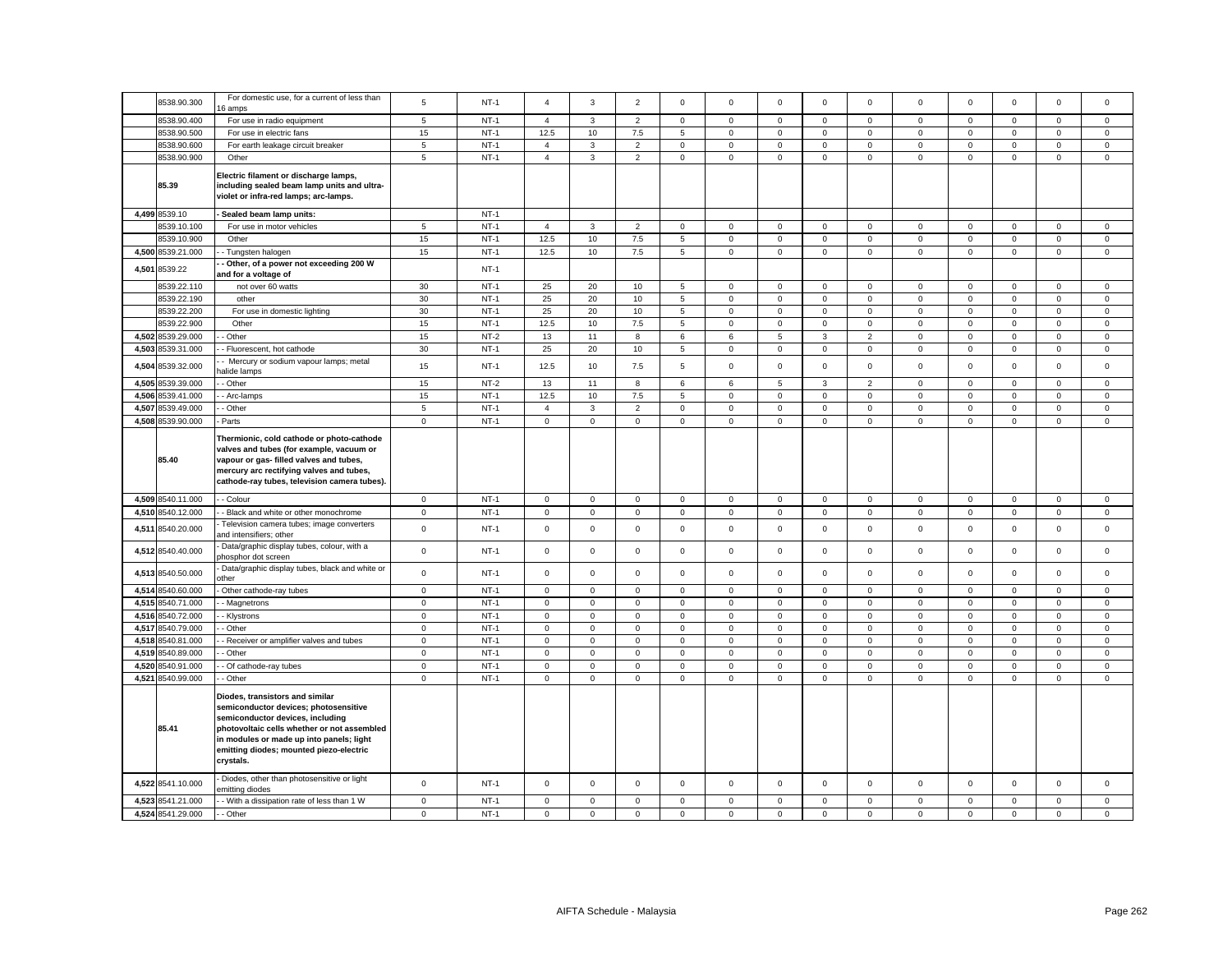|       | 8538.90.300                            | For domestic use, for a current of less than<br>6 amps                                                                                                                                                                                                          | 5                           | $NT-1$           | $\overline{4}$             | 3                          | $\overline{2}$             | $\Omega$                   | $\mathbf 0$                | $\mathbf 0$                | $\mathbf 0$                | $\mathbf 0$      | $\mathbf 0$         | $\Omega$                   | $\mathbf 0$                | $\mathsf 0$                | $\Omega$                   |
|-------|----------------------------------------|-----------------------------------------------------------------------------------------------------------------------------------------------------------------------------------------------------------------------------------------------------------------|-----------------------------|------------------|----------------------------|----------------------------|----------------------------|----------------------------|----------------------------|----------------------------|----------------------------|------------------|---------------------|----------------------------|----------------------------|----------------------------|----------------------------|
|       | 8538.90.400                            | For use in radio equipment                                                                                                                                                                                                                                      | 5                           | $NT-1$           | $\overline{4}$             | 3                          | $\overline{2}$             | $\Omega$                   | $\Omega$                   | $\mathbf 0$                | $\mathbf 0$                | $\Omega$         | $\Omega$            | $\mathbf 0$                | $\mathbf 0$                | $\mathbf 0$                | $\Omega$                   |
|       | 8538.90.500                            | For use in electric fans                                                                                                                                                                                                                                        | 15                          | $NT-1$           | 12.5                       | 10                         | 7.5                        | 5                          | $\mathbf 0$                | $\mathsf 0$                | $\mathbf 0$                | 0                | 0                   | $\mathbf 0$                | $\mathbf 0$                | $\mathsf 0$                | $\mathbf 0$                |
|       | 8538.90.600                            | For earth leakage circuit breaker                                                                                                                                                                                                                               | 5                           | $NT-1$           | $\overline{4}$             | $\mathbf{3}$               | $\overline{2}$             | 0                          | $\mathbf 0$                | $\mathsf 0$                | $\mathsf 0$                | $\mathsf 0$      | $\mathsf 0$         | $\mathbf 0$                | $\mathbf 0$                | $\mathsf 0$                | 0                          |
|       | 8538.90.900                            | Other                                                                                                                                                                                                                                                           | 5                           | $NT-1$           | $\overline{4}$             | $\mathbf{3}$               | $\overline{2}$             | $\mathbf 0$                | $\mathbf 0$                | $\mathsf 0$                | $\mathbf 0$                | $\mathbf 0$      | $\mathbf 0$         | $\mathbf 0$                | $\mathbf{0}$               | $\mathbf 0$                | $\mathbf 0$                |
|       | 85.39                                  | Electric filament or discharge lamps,<br>including sealed beam lamp units and ultra-<br>violet or infra-red lamps; arc-lamps.                                                                                                                                   |                             |                  |                            |                            |                            |                            |                            |                            |                            |                  |                     |                            |                            |                            |                            |
|       | 4,499 8539.10                          | Sealed beam lamp units:                                                                                                                                                                                                                                         |                             | $NT-1$           |                            |                            |                            |                            |                            |                            |                            |                  |                     |                            |                            |                            |                            |
|       | 8539.10.100                            | For use in motor vehicles                                                                                                                                                                                                                                       | 5                           | $NT-1$           | $\overline{4}$             | $\mathbf{3}$               | $\overline{2}$             | $\mathsf 0$                | $\mathbf 0$                | $\mathsf 0$                | $\mathbf{0}$               | $\mathsf 0$      | $\mathbf 0$         | $\mathbf 0$                | $\mathbf 0$                | $\mathsf 0$                | $\mathbf 0$                |
|       | 8539.10.900                            | Other                                                                                                                                                                                                                                                           | 15                          | $NT-1$           | 12.5                       | 10                         | 7.5                        | 5                          | $\mathbf 0$                | $\mathsf 0$                | $\mathbf 0$                | $\mathsf 0$      | $\mathsf 0$         | $\mathbf 0$                | $\mathbf 0$                | $\mathsf 0$                | $\mathsf 0$                |
|       | 4,500 8539.21.000                      | - Tungsten halogen                                                                                                                                                                                                                                              | 15                          | $NT-1$           | 12.5                       | 10                         | 7.5                        | 5                          | $\mathsf 0$                | $\mathsf 0$                | $\mathbf 0$                | $\mathsf 0$      | $\mathsf 0$         | $\mathbf 0$                | $\mathsf 0$                | $\mathsf 0$                | $\mathsf 0$                |
| 4,501 | 8539.22                                | Other, of a power not exceeding 200 W<br>and for a voltage of                                                                                                                                                                                                   |                             | $NT-1$           |                            |                            |                            |                            |                            |                            |                            |                  |                     |                            |                            |                            |                            |
|       | 8539.22.110                            | not over 60 watts                                                                                                                                                                                                                                               | 30                          | $NT-1$           | 25                         | 20                         | 10                         | 5                          | $\mathbf 0$                | $\mathbf 0$                | $\circ$                    | $\Omega$         | $\Omega$            | $\mathbf 0$                | $\mathbf{0}$               | $\mathbf 0$                | $\mathbf 0$                |
|       | 8539.22.190                            | other                                                                                                                                                                                                                                                           | 30                          | $NT-1$           | 25                         | 20                         | 10                         | 5                          | $\mathbf 0$                | $\mathbf 0$                | $\mathbf{0}$               | $\mathbf 0$      | $\mathbf 0$         | $\Omega$                   | 0                          | $\mathbf 0$                | $\Omega$                   |
|       | 8539.22.200                            | For use in domestic lighting                                                                                                                                                                                                                                    | 30                          | $NT-1$           | 25                         | 20                         | 10                         | 5                          | $\mathsf{O}\xspace$        | $\mathbf 0$                | $\overline{0}$             | $\mathsf 0$      | $\mathsf{O}\xspace$ | $\pmb{0}$                  | $\mathsf 0$                | $\mathbf 0$                | 0                          |
|       | 8539.22.900                            | Other                                                                                                                                                                                                                                                           | 15                          | $NT-1$           | 12.5                       | 10                         | 7.5                        | 5                          | $\mathbf 0$                | $\mathsf 0$                | $\mathbf 0$                | 0                | $\mathbf 0$         | $\mathsf 0$                | $\mathbf 0$                | $\mathsf 0$                | 0                          |
|       | 4,502 8539.29.000                      | - Other                                                                                                                                                                                                                                                         | 15                          | $NT-2$           | 13                         | 11                         | 8                          | 6                          | 6                          | $\,$ 5 $\,$                | $\mathbf 3$                | $\overline{2}$   | $\mathbf 0$         | $\mathbf 0$                | $\mathbf 0$                | $\mathbf 0$                | $\mathbf 0$                |
| 4,503 | 8539.31.000                            | - Fluorescent, hot cathode                                                                                                                                                                                                                                      | 30                          | $NT-1$           | 25                         | 20                         | 10                         | 5                          | $\mathsf 0$                | $\mathsf 0$                | $\mathbf{0}$               | $\mathbf 0$      | $\mathbf 0$         | $\mathsf 0$                | $\mathbf 0$                | $\mathsf 0$                | $\mathbf 0$                |
| 4,504 | 8539.32.000                            | - Mercury or sodium vapour lamps; metal<br>alide lamps                                                                                                                                                                                                          | 15                          | $NT-1$           | 12.5                       | 10                         | 7.5                        | 5                          | $\mathbf 0$                | $\mathsf 0$                | $\mathsf 0$                | $\mathsf 0$      | $\mathsf 0$         | $\mathbf 0$                | $\mathsf 0$                | $\mathsf 0$                | $\mathbf 0$                |
|       | 4,505 8539.39.000                      | - Other                                                                                                                                                                                                                                                         | 15                          | $NT-2$           | 13                         | 11                         | 8                          | 6                          | 6                          | 5                          | 3                          | $\overline{2}$   | 0                   | $\mathbf 0$                | $\mathbf{0}$               | $\mathbf 0$                | $\mathbf 0$                |
|       | 4.506 8539.41.000                      | - Arc-lamps                                                                                                                                                                                                                                                     | 15                          | $NT-1$           | 12.5                       | 10                         | 7.5                        | 5                          | $\mathbf 0$                | $\mathbf 0$                | $\mathbf{O}$               | $\mathbf{0}$     | $\mathbf 0$         | $\mathbf 0$                | $\mathbf{O}$               | $\mathbf{0}$               | $\mathbf 0$                |
|       | 4,507 8539.49.000                      | - Other                                                                                                                                                                                                                                                         | $5\overline{5}$             | $NT-1$           | $\overline{4}$             | $\mathbf{3}$               | $\overline{2}$             | $\mathbf 0$                | $\mathbf 0$                | $\mathsf 0$                | $\mathbf{O}$               | $\mathbf{0}$     | $\mathbf 0$         | $\mathbf 0$                | $\mathbf 0$                | $\mathsf 0$                | $\mathbf 0$                |
|       | 4,508 8539.90.000                      | Parts                                                                                                                                                                                                                                                           | $\mathbf 0$                 | $NT-1$           | $\mathsf 0$                | $\mathbf 0$                | $\mathsf 0$                | $\mathbf 0$                | $\mathbf 0$                | $\mathsf 0$                | $\mathbf 0$                | $\mathbf 0$      | $\mathbf 0$         | $\mathbf 0$                | $\mathbf 0$                | $\mathsf 0$                | $\mathbf 0$                |
|       | 85.40                                  | Thermionic, cold cathode or photo-cathode<br>valves and tubes (for example, vacuum or<br>vapour or gas- filled valves and tubes,<br>mercury arc rectifying valves and tubes,<br>cathode-ray tubes, television camera tubes).                                    |                             |                  |                            |                            |                            |                            |                            |                            |                            |                  |                     |                            |                            |                            |                            |
|       |                                        |                                                                                                                                                                                                                                                                 |                             |                  |                            |                            |                            |                            |                            |                            |                            |                  |                     |                            |                            |                            |                            |
|       | 4,509 8540.11.000                      | - Colour                                                                                                                                                                                                                                                        | $\mathbf 0$                 | $NT-1$           | $\mathbf 0$                | $\mathbf 0$                | $\mathsf 0$                | 0                          | $\mathbf 0$                | $\mathsf 0$                | $\mathbf 0$                | $\mathbf 0$      | $\mathbf 0$         | $\mathbf 0$                | $\mathsf 0$                | $\mathsf 0$                | $\mathbf 0$                |
| 4,510 | 8540.12.000                            | - Black and white or other monochrome                                                                                                                                                                                                                           | $\mathbf 0$                 | $NT-1$           | $\mathsf 0$                | $\mathsf 0$                | $\mathsf 0$                | $\mathbf 0$                | $\mathsf 0$                | $\mathsf 0$                | $\mathsf 0$                | $\mathsf 0$      | $\mathsf 0$         | $\mathbf 0$                | $\mathsf 0$                | $\mathsf 0$                | 0                          |
| 4,511 | 8540.20.000                            | Television camera tubes; image converters<br>and intensifiers; other                                                                                                                                                                                            | $\mathsf 0$                 | $NT-1$           | $\mathsf 0$                | $\mathsf 0$                | $\mathsf 0$                | $\mathsf 0$                | $\mathbf 0$                | $\mathsf 0$                | $\mathbf 0$                | $\mathsf 0$      | $\mathsf 0$         | $\mathbf 0$                | $\mathbf 0$                | $\mathsf 0$                | $\mathbf 0$                |
|       | 4,512 8540.40.000                      | Data/graphic display tubes, colour, with a<br>hosphor dot screen                                                                                                                                                                                                | $\mathsf 0$                 | $NT-1$           | $\mathsf 0$                | $\mathsf 0$                | $\mathsf 0$                | $\mathsf 0$                | $\mathbf 0$                | $\mathsf 0$                | $\mathbf 0$                | $\mathsf 0$      | $\mathsf 0$         | $\mathbf 0$                | $\mathbf{0}$               | $\mathsf 0$                | 0                          |
| 4,513 | 8540.50.000                            | Data/graphic display tubes, black and white or<br>ther                                                                                                                                                                                                          | $\mathbf 0$                 | $NT-1$           | $\mathbf 0$                | $\mathbf 0$                | $\mathsf 0$                | $\mathbf 0$                | $\mathbf 0$                | $\mathbf 0$                | $\mathbf{O}$               | $\mathbf 0$      | $\mathsf 0$         | $\mathbf 0$                | $\mathbf{0}$               | $\mathsf 0$                | $\mathbf 0$                |
| 4,514 | 8540.60.000                            | Other cathode-ray tubes                                                                                                                                                                                                                                         | $\mathsf 0$                 | $NT-1$           | $\mathsf 0$                | $\mathsf 0$                | $\mathsf 0$                | $\mathsf 0$                | $\mathbf 0$                | $\mathsf 0$                | $\mathsf 0$                | $\mathsf 0$      | $\mathsf 0$         | $\mathbf 0$                | $\mathsf 0$                | $\mathsf 0$                | 0                          |
|       | 4,515 8540.71.000                      | - Magnetrons                                                                                                                                                                                                                                                    | $\mathbf 0$                 | $NT-1$           | $\mathbf 0$                | $\mathbf 0$                | $\mathsf 0$                | $\mathsf 0$                | $\mathsf 0$                | $\mathsf 0$                | $\mathbf{0}$               | $\mathbf 0$      | 0                   | $\mathsf 0$                | $\mathbf 0$                | $\mathsf 0$                | $\mathbf{0}$               |
| 4,516 | 8540.72.000                            | - Klystrons                                                                                                                                                                                                                                                     | $\mathsf 0$                 | $NT-1$           | $\mathsf 0$                | $\mathsf 0$                | $\mathsf 0$                | 0                          | $\mathbf 0$                | $\mathsf 0$                | $\mathsf 0$                | $\mathbf 0$      | $\mathsf 0$         | $\mathbf 0$                | $\mathsf 0$                | $\mathsf 0$                | 0                          |
|       | 4,517 8540.79.000                      | - Other                                                                                                                                                                                                                                                         | $\mathbf 0$                 | $NT-1$           | $\mathsf 0$                | $\mathsf 0$                | $\mathsf 0$                | $\mathsf 0$                | $\mathbf 0$                | $\mathsf 0$                | $\mathbf{0}$               | $\mathsf 0$      | $\mathsf 0$         | $\mathbf 0$                | $\mathbf 0$                | $\mathsf 0$                | $\mathsf 0$                |
|       | 4.518 8540.81.000                      | - Receiver or amplifier valves and tubes                                                                                                                                                                                                                        | $\mathbf{0}$                | $NT-1$           | $\mathbf 0$                | $\mathbf 0$                | $\mathbf{0}$               | $\mathbf 0$                | $\mathbf 0$                | $\mathbf 0$                | $\mathbf{O}$               | $\mathbf 0$      | $\mathbf 0$         | $\mathbf 0$                | $\mathbf{0}$               | $\mathbf 0$                | $\mathbf 0$                |
| 4.519 | 8540.89.000                            | - Other                                                                                                                                                                                                                                                         | $\mathbf{0}$                | $NT-1$           | $\mathbf 0$                | $\mathbf 0$                | $\mathsf 0$                | $\Omega$                   | $\mathbf 0$                | $\mathbf 0$                | $\circ$                    | $\mathbf{0}$     | $\mathbf 0$         | $\mathbf 0$                | $\mathsf 0$                | $\mathbf 0$                | $\mathbf{0}$               |
| 4,520 | 8540.91.000                            | - Of cathode-ray tubes                                                                                                                                                                                                                                          | $\mathbf 0$                 | $NT-1$           | $\mathbf 0$                | $\mathbf 0$                | $\mathbf 0$                | $\mathbf 0$                | $\mathbf 0$                | $\mathbf 0$                | $\mathbf{0}$               | $\Omega$         | $\mathbf 0$         | $\Omega$                   | $\mathbf 0$                | $\mathbf{0}$               | $\Omega$                   |
| 4,521 | 8540.99.000                            | - Other                                                                                                                                                                                                                                                         | $\mathbf 0$                 | $NT-1$           | $\mathsf 0$                | $\mathsf 0$                | $\mathsf 0$                | $\mathbf 0$                | $\mathsf 0$                | $\mathbf 0$                | $\mathsf 0$                | $\mathbf 0$      | $\mathsf{O}\xspace$ | $\pmb{0}$                  | $\mathsf 0$                | $\mathbf 0$                | $\mathsf 0$                |
|       | 85.41                                  | Diodes, transistors and similar<br>semiconductor devices; photosensitive<br>semiconductor devices, including<br>photovoltaic cells whether or not assembled<br>in modules or made up into panels; light<br>emitting diodes; mounted piezo-electric<br>crystals. |                             |                  |                            |                            |                            |                            |                            |                            |                            |                  |                     |                            |                            |                            |                            |
|       | 4,522 8541.10.000                      | Diodes, other than photosensitive or light<br>emitting diodes                                                                                                                                                                                                   | $\mathbf 0$                 | $NT-1$           | $\mathbf 0$                | $\mathbf 0$                | $\mathsf 0$                | $\mathbf 0$                | $\mathsf 0$                | $\mathbf 0$                | $\mathbf 0$                | $\mathbf 0$      | $\mathbf 0$         | $\mathbf 0$                | $\mathbf{0}$               | $\mathsf 0$                | $\mathbf 0$                |
|       | 4,523 8541.21.000<br>4,524 8541.29.000 | - With a dissipation rate of less than 1 W<br>- Other                                                                                                                                                                                                           | $\mathbf 0$<br>$\mathbf{0}$ | $NT-1$<br>$NT-1$ | $\mathbf 0$<br>$\mathbf 0$ | $\mathbf 0$<br>$\mathbf 0$ | $\mathbf 0$<br>$\mathsf 0$ | $\mathbf 0$<br>$\mathbf 0$ | $\mathsf 0$<br>$\mathbf 0$ | $\mathbf 0$<br>$\mathsf 0$ | $\mathsf 0$<br>$\mathbf 0$ | 0<br>$\mathbf 0$ | 0<br>$\mathbf 0$    | $\mathbf 0$<br>$\mathbf 0$ | $\mathbf 0$<br>$\mathbf 0$ | $\mathbf 0$<br>$\mathsf 0$ | $\mathbf 0$<br>$\mathbf 0$ |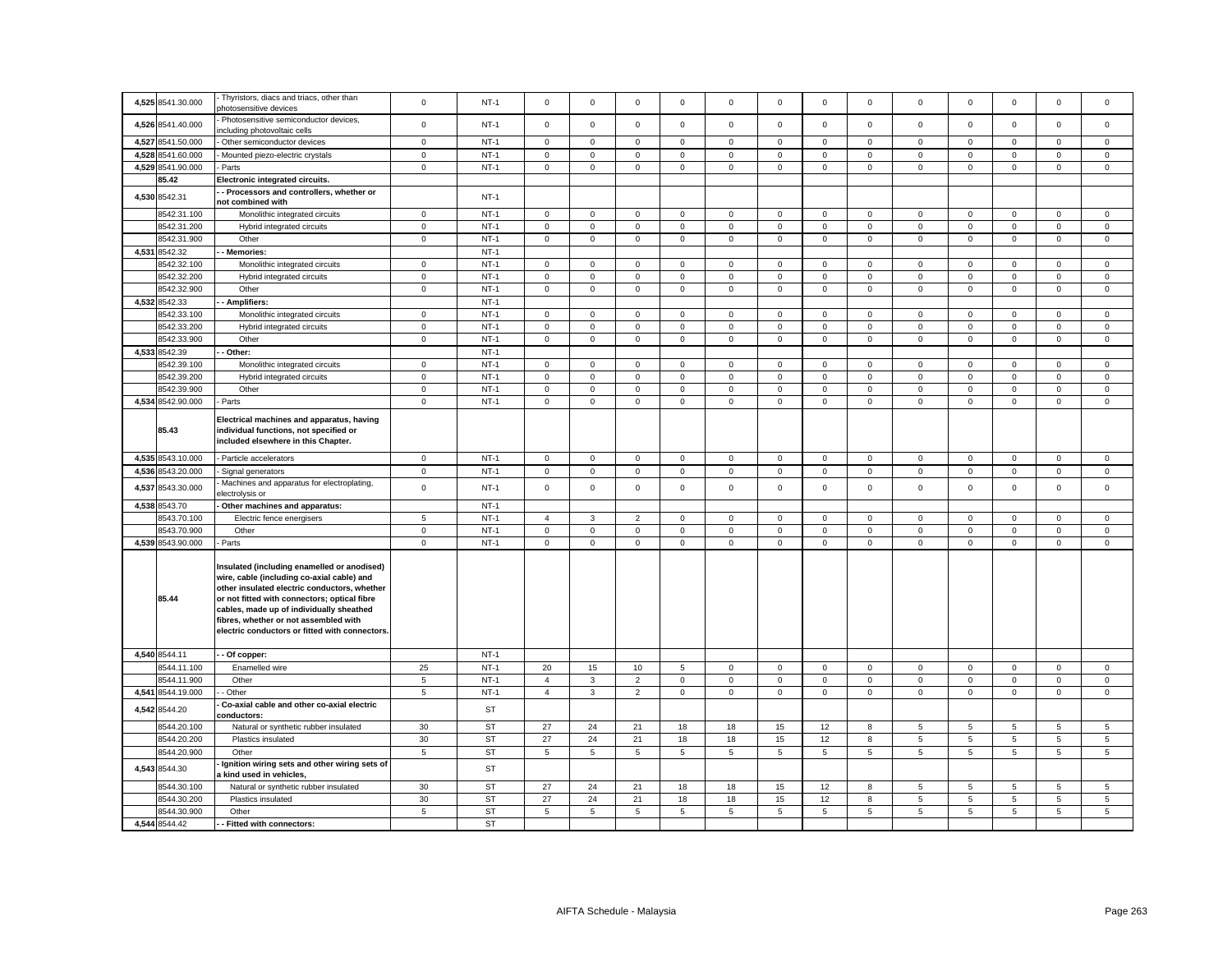|       | 4,525 8541.30.000            | Thyristors, diacs and triacs, other than<br>ohotosensitive devices                                                                                                                                                                                                                                                               | $\mathbf 0$    | $NT-1$                 | $\mathbf 0$         | $\mathbf 0$         | $\mathbf 0$    | $\Omega$    | $\Omega$       | $\mathbf 0$    | $\mathbf 0$         | $\mathbf 0$  | $\mathbf 0$         | $\mathbf 0$    | $\mathbf 0$         | $\mathbf 0$     | $\Omega$        |
|-------|------------------------------|----------------------------------------------------------------------------------------------------------------------------------------------------------------------------------------------------------------------------------------------------------------------------------------------------------------------------------|----------------|------------------------|---------------------|---------------------|----------------|-------------|----------------|----------------|---------------------|--------------|---------------------|----------------|---------------------|-----------------|-----------------|
|       | 4,526 8541.40.000            | Photosensitive semiconductor devices,<br>ncluding photovoltaic cells                                                                                                                                                                                                                                                             | $\mathbf 0$    | $NT-1$                 | $\mathsf 0$         | $\mathbf 0$         | $\mathsf 0$    | $\mathsf 0$ | $\mathbf 0$    | $\mathsf 0$    | $\mathbf 0$         | $\mathsf 0$  | $\mathbf 0$         | $\mathbf 0$    | $\mathbf 0$         | $\mathsf 0$     | $\mathsf 0$     |
|       | 4.527 8541.50.000            | Other semiconductor devices                                                                                                                                                                                                                                                                                                      | $\mathbf{0}$   | $NT-1$                 | $\mathbf 0$         | $\mathbf 0$         | $\mathbf{0}$   | $\mathbf 0$ | $\mathbf 0$    | $\mathbf 0$    | $\mathbf{O}$        | $\mathbf{0}$ | $\mathbf 0$         | $\mathbf 0$    | $\mathbf{0}$        | $\mathbf{0}$    | $\mathbf 0$     |
|       | 4,528 8541.60.000            | Mounted piezo-electric crystals                                                                                                                                                                                                                                                                                                  | $\mathbf 0$    | $NT-1$                 | $\mathsf 0$         | $\mathbf 0$         | $\mathsf 0$    | $\mathsf 0$ | $\mathbf 0$    | $\mathsf 0$    | $\mathbf 0$         | $\mathsf 0$  | $\mathbf 0$         | $\mathbf 0$    | $\mathbf 0$         | $\mathsf 0$     | $\mathbf 0$     |
|       | 4,529 8541.90.000            | Parts                                                                                                                                                                                                                                                                                                                            | $\mathsf 0$    | $NT-1$                 | $\mathbf 0$         | $\mathsf{O}\xspace$ | $\mathsf 0$    | $\mathbf 0$ | $\mathsf 0$    | $\mathsf 0$    | $\mathsf{O}\xspace$ | $\mathbf{0}$ | $\mathbf{0}$        | $\mathsf 0$    | $\mathsf 0$         | $\mathbf 0$     | $\mathbf{0}$    |
|       | 85.42                        | Electronic integrated circuits.                                                                                                                                                                                                                                                                                                  |                |                        |                     |                     |                |             |                |                |                     |              |                     |                |                     |                 |                 |
| 4,530 | 8542.31                      | - Processors and controllers, whether or<br>not combined with                                                                                                                                                                                                                                                                    |                | $NT-1$                 |                     |                     |                |             |                |                |                     |              |                     |                |                     |                 |                 |
|       | 8542.31.100                  | Monolithic integrated circuits                                                                                                                                                                                                                                                                                                   | $\circ$        | $NT-1$                 | $\mathsf 0$         | $\mathbf 0$         | $\mathsf 0$    | $\mathsf 0$ | $\mathbf 0$    | $\mathsf 0$    | $\mathbf 0$         | $\mathsf 0$  | $\mathbf 0$         | $\mathbf 0$    | $\mathbf 0$         | $\mathsf 0$     | $\mathbf 0$     |
|       | 8542.31.200                  | Hybrid integrated circuits                                                                                                                                                                                                                                                                                                       | $\mathsf 0$    | $NT-1$                 | $\mathbf 0$         | $\mathbf 0$         | $\mathbf 0$    | $\mathbf 0$ | $\mathbf 0$    | $\mathbf 0$    | $\mathbf{0}$        | $\mathbf{0}$ | $\mathbf{0}$        | $\mathbf 0$    | $\mathbf{0}$        | $\mathbf 0$     | $\mathbf{0}$    |
|       | 8542.31.900                  | Other                                                                                                                                                                                                                                                                                                                            | $\mathbf{0}$   | $NT-1$                 | $\mathbf 0$         | $\mathbf 0$         | $\mathbf{0}$   | $\mathbf 0$ | $\mathbf 0$    | $\mathbf 0$    | $\circ$             | $\mathbf 0$  | $\mathbf 0$         | $\mathbf 0$    | $\mathbf{0}$        | $\mathbf{0}$    | $\mathbf 0$     |
|       | 4,531 8542.32                | Memories:                                                                                                                                                                                                                                                                                                                        |                | $NT-1$                 |                     |                     |                |             |                |                |                     |              |                     |                |                     |                 |                 |
|       | 8542.32.100                  | Monolithic integrated circuits                                                                                                                                                                                                                                                                                                   | $\mathbf 0$    | $NT-1$                 | $\mathbf 0$         | $\mathbf 0$         | $\mathsf 0$    | $\mathbf 0$ | $\mathbf 0$    | $\mathsf 0$    | $\mathbf{O}$        | $\mathbf 0$  | $\mathbf 0$         | $\mathbf 0$    | $\mathbf 0$         | $\mathsf 0$     | $\mathbf 0$     |
|       | 8542.32.200                  | Hybrid integrated circuits                                                                                                                                                                                                                                                                                                       | $\mathsf 0$    | $NT-1$                 | $\mathbf 0$         | $\mathbf 0$         | $\mathsf 0$    | 0           | $\mathsf 0$    | $\mathsf 0$    | $\mathsf 0$         | $\mathbf 0$  | $\mathbf 0$         | $\mathbf 0$    | $\mathsf{O}$        | $\mathsf 0$     | $\mathbf 0$     |
|       | 8542.32.900                  | Other                                                                                                                                                                                                                                                                                                                            | $\mathbf 0$    | $NT-1$                 | $\mathbf 0$         | $\mathbf 0$         | $\mathsf 0$    | $\mathbf 0$ | $\mathbf 0$    | $\mathsf 0$    | $\mathsf{O}\xspace$ | $\mathbf 0$  | $\mathbf 0$         | $\mathbf 0$    | $\mathsf 0$         | $\mathbf 0$     | $\mathbf 0$     |
|       | 4,532 8542.33                | - Amplifiers:                                                                                                                                                                                                                                                                                                                    |                | $NT-1$                 |                     |                     |                |             |                |                |                     |              |                     |                |                     |                 |                 |
|       | 8542.33.100                  | Monolithic integrated circuits                                                                                                                                                                                                                                                                                                   | $\mathbf 0$    | $NT-1$                 | $\mathsf 0$         | $\mathsf 0$         | $\mathsf 0$    | $\mathsf 0$ | $\mathsf 0$    | $\mathbf 0$    | $\mathsf 0$         | $\mathsf 0$  | $\mathsf 0$         | $\mathbf 0$    | $\mathsf 0$         | $\mathsf 0$     | $\mathsf 0$     |
|       | 8542.33.200                  | Hybrid integrated circuits                                                                                                                                                                                                                                                                                                       | $\mathbf 0$    | $NT-1$                 | $\mathbf 0$         | $\mathbf 0$         | $\mathsf 0$    | $\mathbf 0$ | $\mathbf 0$    | $\mathsf 0$    | $\mathbf 0$         | $\mathbf 0$  | $\mathbf 0$         | $\mathbf 0$    | $\mathbf 0$         | $\mathsf 0$     | $\mathbf 0$     |
|       | 8542.33.900                  | Other                                                                                                                                                                                                                                                                                                                            | $\mathbf 0$    | $NT-1$                 | $\mathsf 0$         | $\mathsf 0$         | $\mathsf 0$    | $\mathsf 0$ | $\mathsf 0$    | $\mathbf 0$    | $\mathsf 0$         | $\mathsf 0$  | $\mathsf 0$         | $\pmb{0}$      | $\mathsf 0$         | $\mathsf 0$     | $\mathsf 0$     |
|       | 4,533 8542.39                | Other:                                                                                                                                                                                                                                                                                                                           |                | $NT-1$                 |                     |                     |                |             |                |                |                     |              |                     |                |                     |                 |                 |
|       | 8542.39.100                  | Monolithic integrated circuits                                                                                                                                                                                                                                                                                                   | $\mathsf 0$    | $NT-1$                 | $\mathsf 0$         | $\mathsf 0$         | $\mathbf 0$    | $\mathbf 0$ | $\mathsf 0$    | $\mathsf 0$    | $\mathsf 0$         | $\mathsf 0$  | $\mathsf 0$         | $\mathbf 0$    | $\mathsf 0$         | $\mathbf 0$     | $\mathsf 0$     |
|       | 8542.39.200                  | Hybrid integrated circuits                                                                                                                                                                                                                                                                                                       | $\mathbf 0$    | $NT-1$                 | $\mathsf 0$         | $\mathsf 0$         | $\mathsf 0$    | 0           | $\mathbf 0$    | $\mathsf 0$    | $\mathbf 0$         | $\mathbf 0$  | $\mathsf 0$         | $\mathsf 0$    | $\mathbf 0$         | $\mathsf 0$     | $\mathbf 0$     |
|       | 8542.39.900                  | Other                                                                                                                                                                                                                                                                                                                            | $\mathsf 0$    | $NT-1$                 | $\mathsf{O}\xspace$ | $\mathsf 0$         | $\mathsf 0$    | $\mathsf 0$ | $\mathsf 0$    | $\mathsf 0$    | $\mathsf{O}\xspace$ | $\mathsf 0$  | $\mathsf{O}\xspace$ | $\mathbf 0$    | $\mathsf 0$         | $\mathsf 0$     | $\mathsf 0$     |
|       | 4,534 8542.90.000            | Parts                                                                                                                                                                                                                                                                                                                            | $\mathbf 0$    | $NT-1$                 | $\mathsf{O}\xspace$ | $\mathsf{O}\xspace$ | $\overline{0}$ | $\mathsf 0$ | $\overline{0}$ | $\overline{0}$ | $\overline{0}$      | $\mathsf 0$  | $\mathbf 0$         | $\overline{0}$ | $\mathsf{O}\xspace$ | $\overline{0}$  | $\mathsf 0$     |
|       | 85.43                        | Electrical machines and apparatus, having<br>individual functions, not specified or<br>included elsewhere in this Chapter.                                                                                                                                                                                                       |                |                        |                     |                     |                |             |                |                |                     |              |                     |                |                     |                 |                 |
|       | 4,535 8543.10.000            | Particle accelerators                                                                                                                                                                                                                                                                                                            | $\mathbf 0$    | $NT-1$                 | $\mathsf{O}\xspace$ | $\mathsf 0$         | $\mathsf 0$    | $\mathsf 0$ | $\mathsf 0$    | $\mathsf 0$    | $\mathsf 0$         | $\mathsf 0$  | $\mathsf 0$         | $\pmb{0}$      | $\mathsf{O}\xspace$ | $\mathsf 0$     | $\mathsf 0$     |
|       | 4,536 8543.20.000            | Signal generators                                                                                                                                                                                                                                                                                                                | $\mathbf 0$    | $NT-1$                 | $\mathsf{O}\xspace$ | $\mathsf 0$         | $\mathsf 0$    | $\mathsf 0$ | $\mathsf 0$    | $\mathsf 0$    | $\mathsf 0$         | 0            | $\mathsf{O}\xspace$ | $\mathbf 0$    | $\mathbf 0$         | $\mathsf 0$     | $\mathsf 0$     |
|       | 4,537 8543.30.000            | Machines and apparatus for electroplating,<br>lectrolysis or                                                                                                                                                                                                                                                                     | $\mathsf 0$    | $NT-1$                 | $\mathsf 0$         | $\mathbf 0$         | $\mathsf 0$    | $\mathsf 0$ | $\mathsf 0$    | $\mathbf 0$    | $\mathbf 0$         | $\mathsf 0$  | $\mathsf 0$         | $\pmb{0}$      | $\mathsf 0$         | $\mathsf 0$     | $\mathbf 0$     |
|       | 4,538 8543.70                | Other machines and apparatus:                                                                                                                                                                                                                                                                                                    |                | $NT-1$                 |                     |                     |                |             |                |                |                     |              |                     |                |                     |                 |                 |
|       | 8543.70.100                  | Electric fence energisers                                                                                                                                                                                                                                                                                                        | $\,$ 5 $\,$    | $NT-1$                 | $\overline{4}$      | $\mathbf{3}$        | $\overline{2}$ | $\mathsf 0$ | $\mathsf 0$    | $\mathsf 0$    | $\mathsf 0$         | $\mathsf 0$  | $\mathsf 0$         | $\mathbf 0$    | $\mathsf{O}\xspace$ | $\mathsf 0$     | $\mathsf 0$     |
|       | 8543.70.900                  | Other                                                                                                                                                                                                                                                                                                                            | $\mathsf 0$    | $NT-1$                 | $\mathsf{O}$        | $\mathbf 0$         | $\mathsf 0$    | $\mathsf 0$ | $\mathsf 0$    | $\mathsf 0$    | $\mathsf{O}$        | $\mathbf 0$  | $\mathbf 0$         | $\mathbf 0$    | $\mathbf 0$         | $\mathsf 0$     | $\mathbf 0$     |
|       | 4,539 8543.90.000            | Parts                                                                                                                                                                                                                                                                                                                            | $\mathbf 0$    | $NT-1$                 | $\mathsf 0$         | $\mathbf 0$         | $\mathbf 0$    | $\mathbf 0$ | $\mathbf 0$    | $\mathsf 0$    | $\mathsf 0$         | $\mathbf 0$  | $\mathbf 0$         | $\mathbf 0$    | $\mathbf 0$         | $\mathsf 0$     | 0               |
|       | 85.44                        | Insulated (including enamelled or anodised)<br>wire, cable (including co-axial cable) and<br>other insulated electric conductors, whether<br>or not fitted with connectors; optical fibre<br>cables, made up of individually sheathed<br>fibres, whether or not assembled with<br>electric conductors or fitted with connectors. |                |                        |                     |                     |                |             |                |                |                     |              |                     |                |                     |                 |                 |
|       | 4,540 8544.11                | Of copper:                                                                                                                                                                                                                                                                                                                       |                | $NT-1$                 |                     |                     |                |             |                |                |                     |              |                     |                |                     |                 |                 |
|       | 8544.11.100                  | Enamelled wire                                                                                                                                                                                                                                                                                                                   | 25             | $NT-1$                 | 20                  | 15                  | $10$           | 5           | $\mathbf 0$    | $\mathsf 0$    | $\mathsf 0$         | $\mathsf 0$  | $\mathsf 0$         | $\mathbf 0$    | $\mathsf 0$         | $\mathsf 0$     | $\mathbf 0$     |
|       | 8544.11.900                  | Other                                                                                                                                                                                                                                                                                                                            | $\overline{5}$ | $NT-1$                 | $\overline{4}$      | $\mathbf{3}$        | $\overline{2}$ | $\mathsf 0$ | $\mathbf 0$    | $\mathsf 0$    | $\mathsf 0$         | 0            | $\mathbf 0$         | $\mathbf 0$    | $\mathbf 0$         | $\mathsf 0$     | $\mathbf 0$     |
| 4,541 | 8544.19.000                  | Other                                                                                                                                                                                                                                                                                                                            | $\,$ 5 $\,$    | $NT-1$                 | $\overline{4}$      | $\mathbf{3}$        | $\overline{2}$ | $\mathsf 0$ | $\mathsf 0$    | $\mathsf 0$    | $\mathsf 0$         | $\mathsf 0$  | $\mathsf 0$         | $\mathbf 0$    | $\mathsf 0$         | $\mathsf 0$     | $\mathsf 0$     |
|       | 4,542 8544.20                | Co-axial cable and other co-axial electric<br>:onductors:                                                                                                                                                                                                                                                                        |                | ST                     |                     |                     |                |             |                |                |                     |              |                     |                |                     |                 |                 |
|       | 8544.20.100                  | Natural or synthetic rubber insulated                                                                                                                                                                                                                                                                                            | 30             | <b>ST</b>              | 27                  | 24                  | 21             | 18          | 18             | 15             | 12                  | 8            | 5                   | 5              | 5                   | 5               | 5               |
|       | 8544.20.200                  | Plastics insulated                                                                                                                                                                                                                                                                                                               | 30             | <b>ST</b>              | 27                  | ${\bf 24}$          | 21             | 18          | 18             | 15             | 12                  | 8            | $\sqrt{5}$          | $\overline{5}$ | 5                   | $5\phantom{.0}$ | $5\phantom{.0}$ |
|       | 8544.20.900                  | Other                                                                                                                                                                                                                                                                                                                            | $\,$ 5 $\,$    | <b>ST</b>              | 5                   | $\overline{5}$      | $\,$ 5 $\,$    | 5           | $\,$ 5 $\,$    | $\,$ 5 $\,$    | $\sqrt{5}$          | 5            | 5                   | $\,$ 5 $\,$    | $5\phantom{.0}$     | $\,$ 5 $\,$     | $\sqrt{5}$      |
| 4,543 | 8544.30                      | Ignition wiring sets and other wiring sets of<br>kind used in vehicles,                                                                                                                                                                                                                                                          |                | <b>ST</b>              |                     |                     |                |             |                |                |                     |              |                     |                |                     |                 |                 |
|       | 8544.30.100                  | Natural or synthetic rubber insulated                                                                                                                                                                                                                                                                                            | 30             | ST                     | 27                  | 24                  | 21             | 18          | 18             | 15             | 12                  | 8            | 5                   | 5              | 5                   | 5               | 5               |
|       |                              |                                                                                                                                                                                                                                                                                                                                  |                |                        |                     |                     |                |             |                |                |                     |              |                     |                |                     |                 | $5\phantom{.0}$ |
|       | 8544.30.200                  | Plastics insulated                                                                                                                                                                                                                                                                                                               | 30             | <b>ST</b>              | 27                  | 24                  | 21             | 18          | 18             | 15             | 12                  | 8            | $\sqrt{5}$          | $\overline{5}$ | 5                   | $5\phantom{.0}$ |                 |
|       | 8544.30.900<br>4,544 8544.42 | Other                                                                                                                                                                                                                                                                                                                            | 5              | <b>ST</b><br><b>ST</b> | 5                   | 5                   | $\,$ 5 $\,$    | 5           | $\,$ 5 $\,$    | $\,$ 5 $\,$    | $\sqrt{5}$          | 5            | $\sqrt{5}$          | $\,$ 5 $\,$    | $5\phantom{.0}$     | $\overline{5}$  | 5               |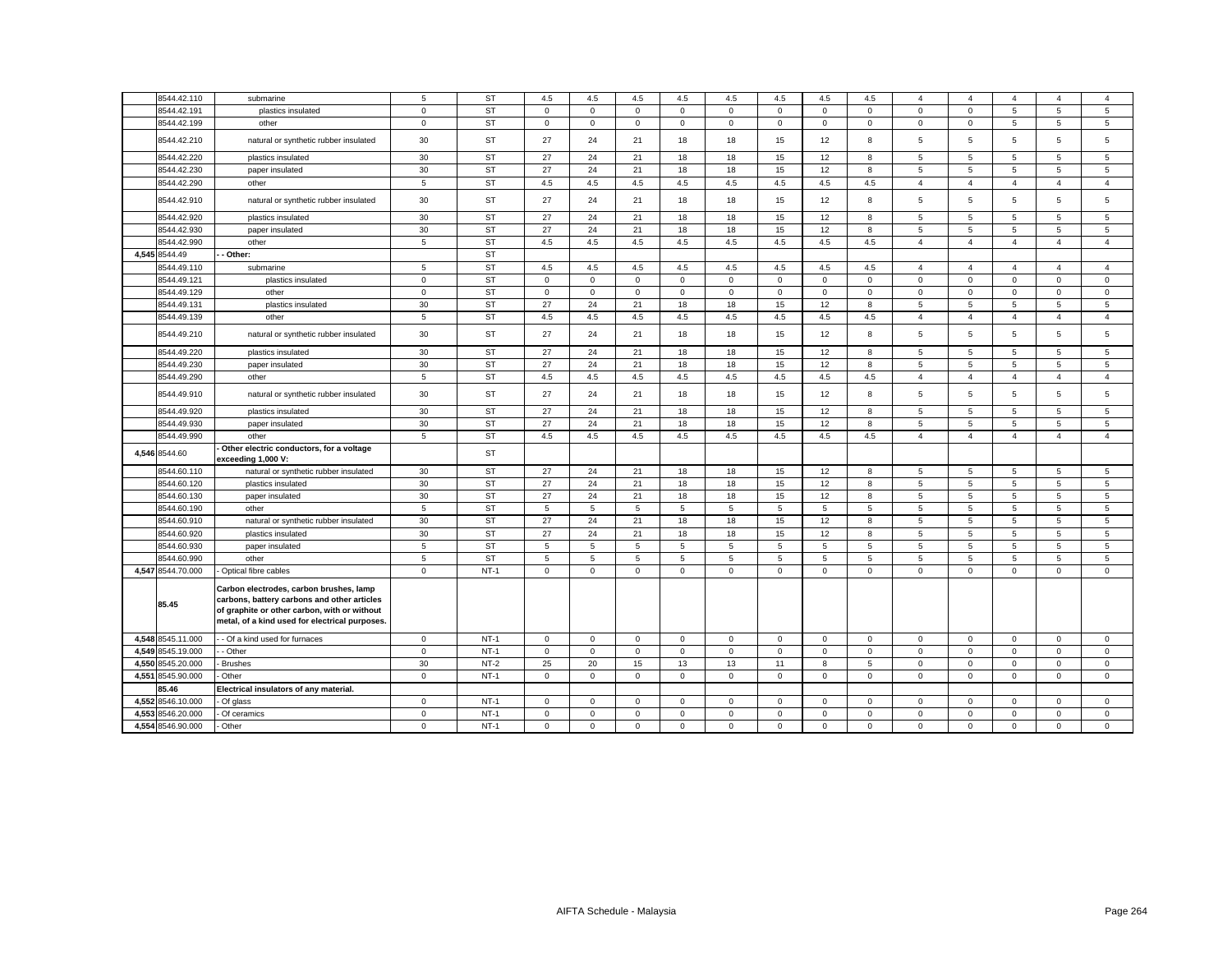|       | 8544.42.110       | submarine                                                                                                                                                                                | 5              | <b>ST</b> | 4.5         | 4.5          | 4.5         | 4.5          | 4.5          | 4.5         | 4.5         | 4.5         |                | $\boldsymbol{\Delta}$ |                |                | $\overline{4}$ |
|-------|-------------------|------------------------------------------------------------------------------------------------------------------------------------------------------------------------------------------|----------------|-----------|-------------|--------------|-------------|--------------|--------------|-------------|-------------|-------------|----------------|-----------------------|----------------|----------------|----------------|
|       | 8544.42.191       | plastics insulated                                                                                                                                                                       | $\mathbf 0$    | <b>ST</b> | $\mathsf 0$ | $\mathsf{O}$ | $\mathbf 0$ | $\mathsf 0$  | $\mathsf 0$  | $\mathsf 0$ | $\mathbf 0$ | $\mathsf 0$ | $\mathbf 0$    | $\mathbf 0$           | 5              | 5              | 5              |
|       | 8544.42.199       | other                                                                                                                                                                                    | $\mathbf 0$    | <b>ST</b> | $\mathbf 0$ | $\circ$      | $\mathbf 0$ | $\mathbf 0$  | $\mathbf{0}$ | $\mathbf 0$ | $\mathbf 0$ | $\mathbf 0$ | $\mathbf 0$    | $\mathbf 0$           | 5              | 5              | 5              |
|       | 8544.42.210       | natural or synthetic rubber insulated                                                                                                                                                    | 30             | <b>ST</b> | 27          | 24           | 21          | 18           | 18           | 15          | 12          | 8           | 5              | 5                     | 5              | 5              | 5              |
|       | 8544.42.220       | plastics insulated                                                                                                                                                                       | 30             | ST        | 27          | 24           | 21          | 18           | 18           | 15          | 12          | 8           | $\overline{5}$ | 5                     | 5              | 5              | 5              |
|       | 8544.42.230       | paper insulated                                                                                                                                                                          | 30             | <b>ST</b> | 27          | 24           | 21          | 18           | 18           | 15          | 12          | 8           | 5              | 5                     | 5              | 5              | 5              |
|       | 8544.42.290       | other                                                                                                                                                                                    | 5              | <b>ST</b> | 4.5         | 4.5          | 4.5         | 4.5          | 4.5          | 4.5         | 4.5         | 4.5         | $\overline{4}$ | $\overline{4}$        | $\overline{4}$ | 4              | $\overline{4}$ |
|       | 8544.42.910       | natural or synthetic rubber insulated                                                                                                                                                    | 30             | ST        | 27          | 24           | 21          | 18           | 18           | 15          | 12          | 8           | 5              | 5                     | 5              | 5              | 5              |
|       | 8544.42.920       | plastics insulated                                                                                                                                                                       | 30             | <b>ST</b> | 27          | 24           | 21          | 18           | 18           | 15          | 12          | 8           | 5              | 5                     | 5              | 5              | 5              |
|       | 8544.42.930       | paper insulated                                                                                                                                                                          | 30             | <b>ST</b> | 27          | 24           | 21          | 18           | 18           | 15          | 12          | 8           | 5              | 5                     | 5              | 5              | $\sqrt{5}$     |
|       | 8544.42.990       | other                                                                                                                                                                                    | 5              | ST        | 4.5         | 4.5          | 4.5         | 4.5          | 4.5          | 4.5         | 4.5         | 4.5         | $\overline{4}$ | $\overline{4}$        | $\overline{4}$ | $\overline{4}$ | $\overline{4}$ |
|       | 4.545 8544.49     | Other:                                                                                                                                                                                   |                | <b>ST</b> |             |              |             |              |              |             |             |             |                |                       |                |                |                |
|       | 8544.49.110       | submarine                                                                                                                                                                                | 5              | <b>ST</b> | 4.5         | 4.5          | 4.5         | 4.5          | 4.5          | 4.5         | 4.5         | 4.5         | $\overline{4}$ | $\overline{4}$        | $\overline{4}$ | $\overline{4}$ | $\overline{4}$ |
|       | 8544.49.121       | plastics insulated                                                                                                                                                                       | $\mathsf 0$    | <b>ST</b> | $\mathbf 0$ | $\mathsf 0$  | $\mathbf 0$ | $\mathbf{0}$ | $\mathbf 0$  | $\mathsf 0$ | $\mathbf 0$ | $\mathbf 0$ | $\mathsf 0$    | $\mathbf 0$           | $\mathbf 0$    | $\mathbf 0$    | $\mathbf 0$    |
|       | 8544.49.129       | other                                                                                                                                                                                    | $\mathbf 0$    | <b>ST</b> | $\mathbf 0$ | $\circ$      | $\mathbf 0$ | $\mathbf 0$  | $\mathbf 0$  | $\mathsf 0$ | $\mathbf 0$ | $\mathbf 0$ | $\mathbf 0$    | $\mathbf 0$           | $\mathbf 0$    | $\mathbf 0$    | $\mathbf 0$    |
|       | 8544.49.131       | plastics insulated                                                                                                                                                                       | 30             | <b>ST</b> | 27          | 24           | 21          | 18           | 18           | 15          | 12          | 8           | 5              | 5                     | 5              | 5              | 5              |
|       | 8544.49.139       | other                                                                                                                                                                                    | 5              | <b>ST</b> | 4.5         | 4.5          | 4.5         | 4.5          | 4.5          | 4.5         | 4.5         | 4.5         | $\overline{4}$ | $\overline{4}$        | $\overline{4}$ | $\overline{4}$ | $\overline{4}$ |
|       | 8544.49.210       | natural or synthetic rubber insulated                                                                                                                                                    | 30             | <b>ST</b> | 27          | 24           | 21          | 18           | 18           | 15          | 12          | 8           | 5              | 5                     | 5              | 5              | 5              |
|       | 8544.49.220       | plastics insulated                                                                                                                                                                       | 30             | <b>ST</b> | 27          | 24           | 21          | 18           | 18           | 15          | 12          | 8           | 5              | 5                     | 5              | 5              | 5              |
|       | 8544.49.230       | paper insulated                                                                                                                                                                          | 30             | <b>ST</b> | 27          | 24           | 21          | 18           | 18           | 15          | 12          | 8           | 5              | 5                     | 5              | 5              | 5              |
|       | 8544.49.290       | other                                                                                                                                                                                    | 5              | <b>ST</b> | 4.5         | 4.5          | 4.5         | 4.5          | 4.5          | 4.5         | 4.5         | 4.5         | $\overline{4}$ | $\overline{4}$        | $\overline{4}$ | $\overline{4}$ | $\overline{4}$ |
|       | 8544.49.910       | natural or synthetic rubber insulated                                                                                                                                                    | 30             | <b>ST</b> | 27          | 24           | 21          | 18           | 18           | 15          | 12          | 8           | 5              | 5                     | 5              | 5              | 5              |
|       | 8544.49.920       | plastics insulated                                                                                                                                                                       | 30             | <b>ST</b> | 27          | 24           | 21          | 18           | 18           | 15          | 12          | 8           | 5              | 5                     | 5              | 5              | 5              |
|       | 8544.49.930       | paper insulated                                                                                                                                                                          | 30             | <b>ST</b> | 27          | 24           | 21          | 18           | 18           | 15          | 12          | 8           | 5              | 5                     | 5              | 5              | 5              |
|       | 8544.49.990       | other                                                                                                                                                                                    | 5              | <b>ST</b> | 4.5         | 4.5          | 4.5         | 4.5          | 4.5          | 4.5         | 4.5         | 4.5         | $\overline{4}$ | $\overline{4}$        | $\overline{4}$ | $\overline{4}$ | $\overline{4}$ |
|       | 4,546 8544.60     | Other electric conductors, for a voltage<br>exceeding 1,000 V:                                                                                                                           |                | <b>ST</b> |             |              |             |              |              |             |             |             |                |                       |                |                |                |
|       | 8544.60.110       | natural or synthetic rubber insulated                                                                                                                                                    | 30             | <b>ST</b> | 27          | 24           | 21          | 18           | 18           | 15          | 12          | 8           | 5              | 5                     | 5              | 5              | 5              |
|       | 8544.60.120       | plastics insulated                                                                                                                                                                       | 30             | <b>ST</b> | 27          | 24           | 21          | 18           | 18           | 15          | 12          | 8           | 5              | 5                     | 5              | 5              | 5              |
|       | 8544.60.130       | paper insulated                                                                                                                                                                          | 30             | <b>ST</b> | 27          | 24           | 21          | 18           | 18           | 15          | 12          | 8           | 5              | 5                     | 5              | 5              | 5              |
|       | 8544.60.190       | other                                                                                                                                                                                    | 5              | <b>ST</b> | 5           | 5            | 5           | 5            | 5            | 5           | 5           | 5           | 5              | 5                     | 5              | 5              | 5              |
|       | 8544.60.910       | natural or synthetic rubber insulated                                                                                                                                                    | 30             | <b>ST</b> | 27          | 24           | 21          | 18           | 18           | 15          | 12          | 8           | 5              | 5                     | 5              | 5              | 5              |
|       | 8544.60.920       | plastics insulated                                                                                                                                                                       | 30             | <b>ST</b> | 27          | 24           | 21          | 18           | 18           | 15          | 12          | 8           | 5              | 5                     | 5              | 5              | $\overline{5}$ |
|       | 8544.60.930       | paper insulated                                                                                                                                                                          | 5              | <b>ST</b> | 5           | 5            | 5           | 5            | 5            | 5           | 5           | 5           | 5              | 5                     | 5              | 5              | 5              |
|       | 8544.60.990       | other                                                                                                                                                                                    | $\overline{5}$ | ST        | 5           | 5            | 5           | 5            | 5            | 5           | 5           | 5           | 5              | 5                     | 5              | 5              | 5              |
|       | 4,547 8544.70.000 | Optical fibre cables                                                                                                                                                                     | $\mathbf 0$    | $NT-1$    | $\mathbf 0$ | $\mathbf 0$  | $\Omega$    | $\mathbf 0$  | $\mathbf 0$  | $\mathbf 0$ | $\Omega$    | $\mathbf 0$ | $\mathbf 0$    | $\Omega$              | $\mathbf 0$    | $\Omega$       | $\mathbf 0$    |
|       | 85.45             | Carbon electrodes, carbon brushes, lamp<br>carbons, battery carbons and other articles<br>of graphite or other carbon, with or without<br>metal, of a kind used for electrical purposes. |                |           |             |              |             |              |              |             |             |             |                |                       |                |                |                |
|       | 4,548 8545.11.000 | - Of a kind used for furnaces                                                                                                                                                            | $\mathbf 0$    | $NT-1$    | $\mathsf 0$ | $\mathsf 0$  | $\mathbf 0$ | $\mathbf 0$  | $\mathbf 0$  | $\mathsf 0$ | $\mathbf 0$ | $\mathsf 0$ | $\mathbf 0$    | $\mathsf 0$           | $\mathbf 0$    | $\mathbf 0$    | $\mathsf 0$    |
| 4.549 | 8545.19.000       | - Other                                                                                                                                                                                  | $\mathbf 0$    | $NT-1$    | $\mathbf 0$ | $\circ$      | $\mathbf 0$ | $\mathbf 0$  | $\mathbf{0}$ | $\mathbf 0$ | $\mathbf 0$ | $\mathbf 0$ | $\mathbf 0$    | $\mathbf 0$           | $\mathbf 0$    | $\mathbf 0$    | $\mathbf 0$    |
| 4,550 | 8545.20.000       | <b>Brushes</b>                                                                                                                                                                           | 30             | $NT-2$    | 25          | 20           | 15          | 13           | 13           | 11          | 8           | 5           | $\mathbf 0$    | $\mathbf 0$           | 0              | $\mathbf 0$    | $\mathbf 0$    |
| 4,551 | 8545.90.000       | Other                                                                                                                                                                                    | $\mathbf 0$    | $NT-1$    | $\mathbf 0$ | 0            | $\mathbf 0$ | $\mathbf 0$  | $\circ$      | $\mathsf 0$ | $\mathsf 0$ | $\mathsf 0$ | $\mathbf 0$    | $\mathbf 0$           | $\mathbf 0$    | $\mathbf 0$    | $\mathbf 0$    |
|       | 85.46             | Electrical insulators of any material.                                                                                                                                                   |                |           |             |              |             |              |              |             |             |             |                |                       |                |                |                |
| 4,552 | 8546.10.000       | Of glass                                                                                                                                                                                 | $^{\circ}$     | $NT-1$    | $\mathbf 0$ | $\Omega$     | $\mathbf 0$ | $\mathbf{0}$ | $\mathbf 0$  | $\mathbf 0$ | $\mathbf 0$ | $\mathbf 0$ | $\mathbf 0$    | $\mathbf 0$           | $\mathbf 0$    | $\Omega$       | $\mathbf{0}$   |
| 4,553 | 3546.20.000       | Of ceramics                                                                                                                                                                              | $\mathsf 0$    | $NT-1$    | $\Omega$    | $\mathbf 0$  | $\mathsf 0$ | $\mathbf 0$  | $\mathsf 0$  | $\mathbf 0$ | $\Omega$    | $\mathbf 0$ | $\Omega$       | $\mathbf 0$           | $\mathbf 0$    | $\mathbf 0$    | $\Omega$       |
| 4,554 | 8546.90.000       | Other                                                                                                                                                                                    | $\mathbf 0$    | $NT-1$    | $\mathbf 0$ | $\mathbf 0$  | $\mathbf 0$ | $\mathbf 0$  | $\mathbf 0$  | $\mathbf 0$ | $\mathbf 0$ | $\mathbf 0$ | $\mathbf 0$    | $\mathbf 0$           | $\mathbf 0$    | $\mathbf 0$    | $\Omega$       |
|       |                   |                                                                                                                                                                                          |                |           |             |              |             |              |              |             |             |             |                |                       |                |                |                |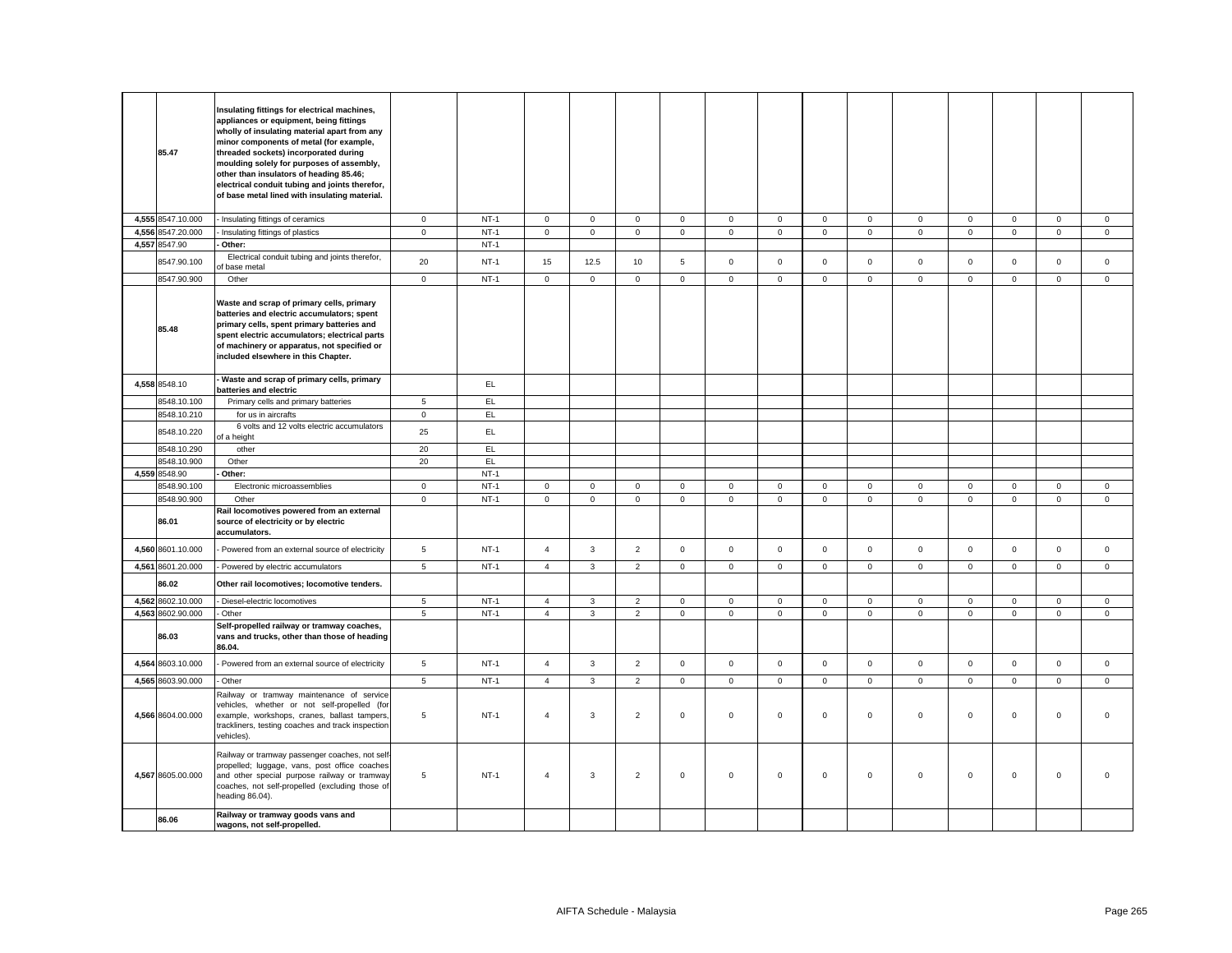| 85.47                      | Insulating fittings for electrical machines,<br>appliances or equipment, being fittings<br>wholly of insulating material apart from any<br>minor components of metal (for example,<br>threaded sockets) incorporated during<br>moulding solely for purposes of assembly,<br>other than insulators of heading 85.46;<br>electrical conduit tubing and joints therefor,<br>of base metal lined with insulating material. |                        |                  |                            |                               |                            |                            |                            |                            |                             |                             |                            |                            |                                    |                            |                            |
|----------------------------|------------------------------------------------------------------------------------------------------------------------------------------------------------------------------------------------------------------------------------------------------------------------------------------------------------------------------------------------------------------------------------------------------------------------|------------------------|------------------|----------------------------|-------------------------------|----------------------------|----------------------------|----------------------------|----------------------------|-----------------------------|-----------------------------|----------------------------|----------------------------|------------------------------------|----------------------------|----------------------------|
| 4,555 8547.10.000          | - Insulating fittings of ceramics                                                                                                                                                                                                                                                                                                                                                                                      | $\circ$                | $NT-1$           | $\mathsf 0$                | $\mathbf 0$                   | $\mathbf 0$                | $\mathsf 0$                | $\mathbf 0$                | $\mathsf 0$                | $\mathbf{0}$                | $\mathsf 0$                 | $\mathbf 0$                | $\mathbf 0$                | $\mathbf 0$                        | $\mathbf 0$                | $\mathbf 0$                |
| 4,556 8547.20.000          | Insulating fittings of plastics                                                                                                                                                                                                                                                                                                                                                                                        | $\mathsf 0$            | $NT-1$           | $\mathsf{O}\xspace$        | $\mathsf 0$                   | $\mathsf 0$                | $\mathsf 0$                | $\mathsf 0$                | $\mathsf 0$                | $\mathsf 0$                 | $\mathbf 0$                 | $\mathsf{O}\xspace$        | $\mathbf 0$                | $\mathsf 0$                        | $\mathsf 0$                | $\mathbf 0$                |
| 4,557 8547.90              | Other:                                                                                                                                                                                                                                                                                                                                                                                                                 |                        | $NT-1$           |                            |                               |                            |                            |                            |                            |                             |                             |                            |                            |                                    |                            |                            |
| 8547.90.100                | Electrical conduit tubing and joints therefor,<br>f base metal                                                                                                                                                                                                                                                                                                                                                         | 20                     | $NT-1$           | 15                         | 12.5                          | 10                         | 5                          | $\mathsf 0$                | $\mathsf 0$                | $\mathsf 0$                 | $\mathsf 0$                 | $\mathsf 0$                | $\mathsf 0$                | $\mathsf{O}\xspace$                | $\mathsf 0$                | $\mathbf{0}$               |
| 8547.90.900                | Other                                                                                                                                                                                                                                                                                                                                                                                                                  | $\mathsf 0$            | $NT-1$           | $\mathsf 0$                | $\mathsf 0$                   | $\mathsf 0$                | $\mathbf 0$                | $\mathsf 0$                | $\mathsf 0$                | $\mathbf 0$                 | $\mathsf 0$                 | $\mathbf 0$                | $\mathsf 0$                | $\mathsf{O}\xspace$                | $\mathsf 0$                | $\mathbf 0$                |
| 85.48                      | Waste and scrap of primary cells, primary<br>batteries and electric accumulators; spent<br>primary cells, spent primary batteries and<br>spent electric accumulators; electrical parts<br>of machinery or apparatus, not specified or<br>included elsewhere in this Chapter.                                                                                                                                           |                        |                  |                            |                               |                            |                            |                            |                            |                             |                             |                            |                            |                                    |                            |                            |
| 4,558 8548.10              | Waste and scrap of primary cells, primary<br>batteries and electric                                                                                                                                                                                                                                                                                                                                                    |                        | EL.              |                            |                               |                            |                            |                            |                            |                             |                             |                            |                            |                                    |                            |                            |
| 8548.10.100                | Primary cells and primary batteries                                                                                                                                                                                                                                                                                                                                                                                    | 5                      | EL               |                            |                               |                            |                            |                            |                            |                             |                             |                            |                            |                                    |                            |                            |
| 8548.10.210                | for us in aircrafts                                                                                                                                                                                                                                                                                                                                                                                                    | $\circ$                | EL               |                            |                               |                            |                            |                            |                            |                             |                             |                            |                            |                                    |                            |                            |
| 8548.10.220                | 6 volts and 12 volts electric accumulators<br>of a height                                                                                                                                                                                                                                                                                                                                                              | 25                     | EL.              |                            |                               |                            |                            |                            |                            |                             |                             |                            |                            |                                    |                            |                            |
| 8548.10.290                | other                                                                                                                                                                                                                                                                                                                                                                                                                  | 20                     | EL               |                            |                               |                            |                            |                            |                            |                             |                             |                            |                            |                                    |                            |                            |
| 8548.10.900                | Other                                                                                                                                                                                                                                                                                                                                                                                                                  | 20                     | EL.              |                            |                               |                            |                            |                            |                            |                             |                             |                            |                            |                                    |                            |                            |
| 4,559 8548.90              | Other:                                                                                                                                                                                                                                                                                                                                                                                                                 |                        | $NT-1$           |                            |                               |                            |                            |                            |                            |                             |                             |                            |                            |                                    |                            |                            |
| 8548.90.100<br>8548.90.900 | Electronic microassemblies<br>Other                                                                                                                                                                                                                                                                                                                                                                                    | $\circ$<br>$\mathsf 0$ | $NT-1$<br>$NT-1$ | $\mathsf 0$<br>$\mathsf 0$ | $\mathbf 0$<br>$\overline{0}$ | $\mathsf 0$<br>$\mathsf 0$ | $\mathsf 0$<br>$\mathsf 0$ | $\mathbf 0$<br>$\mathsf 0$ | $\mathsf 0$<br>$\mathsf 0$ | $\mathbf{0}$<br>$\mathbf 0$ | $\mathbf 0$<br>$\mathbf{0}$ | $\mathbf 0$<br>$\mathbf 0$ | $\mathbf 0$<br>$\mathbf 0$ | $\mathbf 0$<br>$\mathsf{O}\xspace$ | $\mathsf 0$<br>$\mathsf 0$ | $\mathbf 0$<br>$\mathbf 0$ |
| 86.01                      | Rail locomotives powered from an external<br>source of electricity or by electric<br>accumulators.                                                                                                                                                                                                                                                                                                                     |                        |                  |                            |                               |                            |                            |                            |                            |                             |                             |                            |                            |                                    |                            |                            |
| 4,560 8601.10.000          | Powered from an external source of electricity                                                                                                                                                                                                                                                                                                                                                                         | $\sqrt{5}$             | $NT-1$           | $\overline{4}$             | $\mathbf{3}$                  | $\overline{2}$             | $\mathbf 0$                | $\mathsf 0$                | $\mathsf 0$                | $\mathbf 0$                 | $\mathsf 0$                 | $\mathsf 0$                | $\mathbf 0$                | $\mathsf{O}\xspace$                | $\mathsf 0$                | $\mathbf 0$                |
| 4,561 8601.20.000          | - Powered by electric accumulators                                                                                                                                                                                                                                                                                                                                                                                     | 5                      | $NT-1$           | $\overline{4}$             | $\mathbf{3}$                  | 2                          | $\mathbf{0}$               | $\mathbf 0$                | $\overline{0}$             | $\circ$                     | $\mathbf{0}$                | $\mathbf 0$                | $\overline{0}$             | $\mathbf{0}$                       | $\mathbf{0}$               | $\mathbf{0}$               |
| 86.02                      | Other rail locomotives; locomotive tenders.                                                                                                                                                                                                                                                                                                                                                                            |                        |                  |                            |                               |                            |                            |                            |                            |                             |                             |                            |                            |                                    |                            |                            |
| 4,562 8602.10.000          | - Diesel-electric locomotives                                                                                                                                                                                                                                                                                                                                                                                          | $\sqrt{5}$             | $NT-1$           | $\overline{4}$             | $\mathbf{3}$                  | $\overline{2}$             | $\mathbf{0}$               | $\mathsf 0$                | $\mathsf 0$                | $\mathbf 0$                 | $\mathbf 0$                 | $\mathsf 0$                | $\mathsf 0$                | $\mathbf 0$                        | $\mathsf 0$                | $\mathbf{0}$               |
| 4,563 8602.90.000<br>86.03 | Other<br>Self-propelled railway or tramway coaches,<br>vans and trucks, other than those of heading<br>86.04.                                                                                                                                                                                                                                                                                                          | 5                      | $NT-1$           | $\overline{4}$             | $\mathbf{3}$                  | 2                          | $\mathbf{0}$               | $\mathbf 0$                | $\mathbf 0$                | $\circ$                     | $\mathbf{0}$                | $\mathbf 0$                | $\mathbf{0}$               | $\mathbf 0$                        | $\mathbf{0}$               | $\mathbf 0$                |
| 4,564 8603.10.000          | Powered from an external source of electricity                                                                                                                                                                                                                                                                                                                                                                         | 5                      | $NT-1$           | $\overline{4}$             | $\mathbf{3}$                  | $\overline{2}$             | $\mathbf 0$                | $\mathbf 0$                | $\mathbf 0$                | $\circ$                     | $\mathbf{0}$                | $\mathbf 0$                | $\mathbf 0$                | $\mathbf{0}$                       | $\mathbf{0}$               | $\mathbf{0}$               |
| 4,565 8603.90.000          | - Other                                                                                                                                                                                                                                                                                                                                                                                                                | $5\phantom{.0}$        | $NT-1$           | $\overline{4}$             | $\mathbf{3}$                  | 2                          | $\mathbf{0}$               | $\mathbf 0$                | $\mathsf 0$                | $\mathbf{0}$                | $\mathbf{0}$                | $\mathbf 0$                | $\mathbf 0$                | $\mathbf 0$                        | $\mathbf{0}$               | $\mathbf{0}$               |
| 4,566 8604.00.000          | Railway or tramway maintenance of service<br>vehicles, whether or not self-propelled (for<br>example, workshops, cranes, ballast tampers,<br>trackliners, testing coaches and track inspection<br>vehicles).                                                                                                                                                                                                           | 5                      | $NT-1$           | $\overline{4}$             | 3                             | $\overline{2}$             | $\mathsf 0$                | $\mathbf 0$                | $\mathsf 0$                | $\mathbf 0$                 | $\mathsf 0$                 | $\mathsf 0$                | $\mathbf 0$                | $\mathbf 0$                        | $\mathsf 0$                | $\mathbf 0$                |
| 4,567 8605.00.000          | Railway or tramway passenger coaches, not self<br>propelled; luggage, vans, post office coaches<br>and other special purpose railway or tramway<br>coaches, not self-propelled (excluding those of<br>heading 86.04).                                                                                                                                                                                                  | 5                      | $NT-1$           | $\overline{4}$             | 3                             | $\overline{2}$             | $\mathbf 0$                | $\Omega$                   | $\mathbf 0$                | $\mathbf{O}$                | $\mathbf 0$                 | $\mathbf 0$                | $\mathbf 0$                | $\mathbf 0$                        | $\mathbf 0$                | $\Omega$                   |
| 86.06                      | Railway or tramway goods vans and<br>wagons, not self-propelled.                                                                                                                                                                                                                                                                                                                                                       |                        |                  |                            |                               |                            |                            |                            |                            |                             |                             |                            |                            |                                    |                            |                            |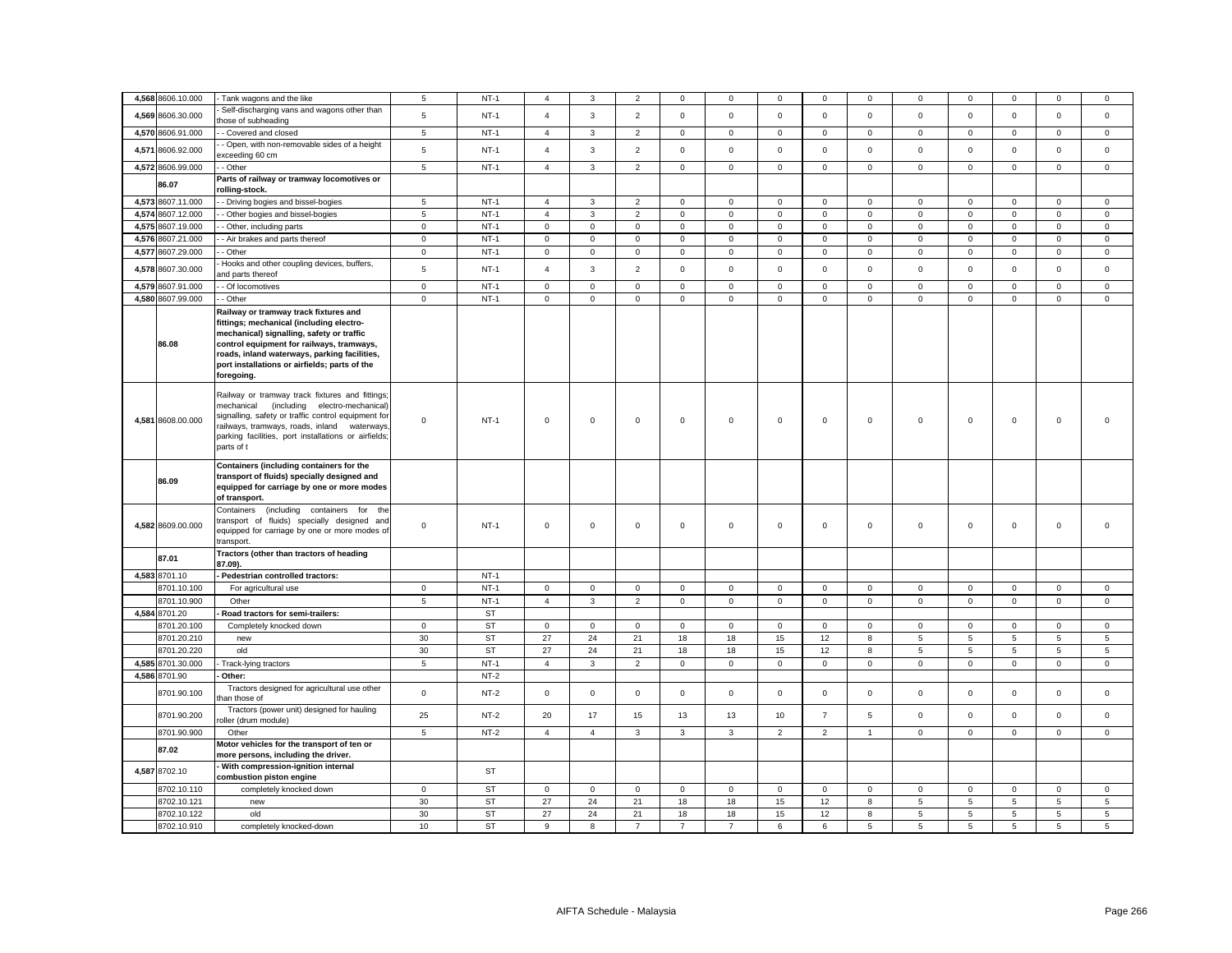|       | 4,568 8606.10.000          | Tank wagons and the like                                                                                                                                                                                                                                                                   | 5                         | $NT-1$                 | 4                             | 3                           | $\overline{2}$                | 0                          | $\mathbf 0$                | $\mathbf 0$                | 0                                   | $\Omega$                   | $\Omega$                    | $\mathbf 0$                   | $\mathbf 0$                | $\Omega$                   | $\mathbf 0$                 |
|-------|----------------------------|--------------------------------------------------------------------------------------------------------------------------------------------------------------------------------------------------------------------------------------------------------------------------------------------|---------------------------|------------------------|-------------------------------|-----------------------------|-------------------------------|----------------------------|----------------------------|----------------------------|-------------------------------------|----------------------------|-----------------------------|-------------------------------|----------------------------|----------------------------|-----------------------------|
|       | 4,569 8606.30.000          | Self-discharging vans and wagons other than<br>hose of subheading                                                                                                                                                                                                                          | $\overline{5}$            | $NT-1$                 | $\overline{4}$                | $\mathbf{3}$                | $\overline{2}$                | $\mathsf 0$                | $\mathsf 0$                | $\mathsf 0$                | $\mathbf 0$                         | $\mathbf 0$                | $\mathsf 0$                 | $\mathbf 0$                   | $\mathsf 0$                | $\mathsf 0$                | $\mathsf 0$                 |
|       | 4,570 8606.91.000          | - Covered and closed                                                                                                                                                                                                                                                                       | $\sqrt{5}$                | $NT-1$                 | $\overline{4}$                | 3                           | $\overline{2}$                | 0                          | $\mathbf 0$                | $\mathsf 0$                | $\mathbf 0$                         | $\mathbf 0$                | 0                           | $\mathbf 0$                   | $\mathbf{0}$               | $\mathsf 0$                | 0                           |
| 4,571 | 8606.92.000                | - Open, with non-removable sides of a height<br>xceeding 60 cm                                                                                                                                                                                                                             | $\,$ 5 $\,$               | $NT-1$                 | $\overline{4}$                | $\mathbf{3}$                | $\overline{2}$                | $\mathsf 0$                | $\mathsf 0$                | $\mathbf 0$                | $\mathsf 0$                         | $\mathbf 0$                | $\mathsf{O}\xspace$         | $\pmb{0}$                     | $\mathsf 0$                | $\mathsf 0$                | $\mathbf 0$                 |
|       | 4,572 8606.99.000          | - Other                                                                                                                                                                                                                                                                                    | $\,$ 5 $\,$               | $NT-1$                 | $\overline{4}$                | 3                           | $\overline{2}$                | $\mathsf 0$                | $\mathbf 0$                | $\mathsf 0$                | $\mathsf 0$                         | 0                          | $\mathbf 0$                 | $\mathbf 0$                   | $\mathbf 0$                | $\mathsf 0$                | $\mathsf 0$                 |
|       | 86.07                      | Parts of railway or tramway locomotives or<br>rolling-stock.                                                                                                                                                                                                                               |                           |                        |                               |                             |                               |                            |                            |                            |                                     |                            |                             |                               |                            |                            |                             |
|       | 4,573 8607.11.000          | - Driving bogies and bissel-bogies                                                                                                                                                                                                                                                         | 5                         | $NT-1$                 | $\overline{4}$                | 3                           | $\overline{2}$                | 0                          | $\mathbf 0$                | $\mathsf 0$                | $\mathbf 0$                         | 0                          | 0                           | $\mathbf 0$                   | $\mathbf 0$                | $\mathsf 0$                | $\mathbf 0$                 |
| 4,574 | 8607.12.000                | - Other bogies and bissel-bogies                                                                                                                                                                                                                                                           | 5                         | $NT-1$                 | $\overline{4}$                | $\overline{3}$              | $\overline{2}$                | $\mathbf 0$                | $\mathbf 0$                | $\mathsf 0$                | $\mathbf{0}$                        | $\mathbf{0}$               | $\mathbf{0}$                | $\mathbf 0$                   | $\mathbf 0$                | $\mathsf 0$                | $\mathbf 0$                 |
|       | 4,575 8607.19.000          | - Other, including parts                                                                                                                                                                                                                                                                   | $\mathbf 0$               | $NT-1$                 | $\mathbf 0$                   | $\mathbf 0$                 | $\mathbf 0$                   | $\mathbf 0$                | $\mathbf 0$                | $\mathbf 0$                | $\mathbf 0$                         | $\mathbf 0$                | $\mathbf{0}$                | $\mathbf 0$                   | $\mathbf 0$                | $\mathbf 0$                | $\Omega$                    |
| 4,576 | 8607.21.000                | - Air brakes and parts thereof                                                                                                                                                                                                                                                             | $\mathbf 0$               | $NT-1$                 | $\mathsf 0$                   | $\mathsf 0$                 | $\mathsf 0$                   | $\mathbf 0$                | $\mathbf 0$                | $\mathsf 0$                | $\mathbf 0$                         | $\mathsf 0$                | $\mathsf 0$                 | $\mathbf 0$                   | $\mathsf 0$                | $\mathsf 0$                | $\mathbf 0$                 |
|       | 4,577 8607.29.000          | - Other                                                                                                                                                                                                                                                                                    | $\mathsf 0$               | $NT-1$                 | $\mathsf 0$                   | $\mathsf 0$                 | $\mathsf 0$                   | $\mathsf 0$                | $\mathsf{O}\xspace$        | $\mathsf 0$                | $\mathsf 0$                         | $\mathbf 0$                | $\mathbf 0$                 | $\mathbf 0$                   | $\mathsf 0$                | $\mathbf 0$                | $\mathbf 0$                 |
| 4,578 | 8607.30.000                | Hooks and other coupling devices, buffers,<br>and parts thereof                                                                                                                                                                                                                            | $\sqrt{5}$                | $NT-1$                 | $\overline{4}$                | 3                           | $\overline{2}$                | $\mathbf 0$                | $\mathbf 0$                | $\mathsf 0$                | $\mathbf{0}$                        | $\mathsf 0$                | $\mathsf 0$                 | $\mathbf 0$                   | $\mathbf 0$                | $\mathsf 0$                | $\mathbf 0$                 |
|       | 4,579 8607.91.000          | - Of locomotives                                                                                                                                                                                                                                                                           | $\mathbf{0}$              | $NT-1$                 | $\mathbf 0$                   | $\mathbf 0$                 | $\mathbf 0$                   | $\mathbf 0$                | $\mathbf 0$                | $\mathbf 0$                | $\mathbf 0$                         | $\mathbf{0}$               | $\mathbf 0$                 | $\mathbf 0$                   | $\mathbf{O}$               | $\mathbf 0$                | $\mathbf{0}$                |
|       | 4,580 8607.99.000          | - Other                                                                                                                                                                                                                                                                                    | $\mathbf 0$               | $NT-1$                 | $\mathbf 0$                   | $\mathbf{0}$                | $\mathbf 0$                   | $\mathbf 0$                | $\mathbf 0$                | $\mathsf 0$                | $\mathbf{0}$                        | $\mathbf 0$                | $\mathbf 0$                 | $\mathbf 0$                   | $\mathsf{O}\xspace$        | $\mathbf 0$                | $\mathbf{0}$                |
|       | 86.08                      | Railway or tramway track fixtures and<br>fittings; mechanical (including electro-<br>mechanical) signalling, safety or traffic<br>control equipment for railways, tramways,<br>roads, inland waterways, parking facilities,<br>port installations or airfields; parts of the<br>foregoing. |                           |                        |                               |                             |                               |                            |                            |                            |                                     |                            |                             |                               |                            |                            |                             |
|       | 4,581 8608.00.000          | Railway or tramway track fixtures and fittings;<br>(including electro-mechanical)<br>mechanical<br>signalling, safety or traffic control equipment for<br>railways, tramways, roads, inland waterways,<br>parking facilities, port installations or airfields;<br>parts of t               | $\mathsf 0$               | $NT-1$                 | $\mathbf 0$                   | $\mathbf 0$                 | $\mathbf 0$                   | $\mathsf 0$                | $\mathsf 0$                | $\mathsf 0$                | $\mathsf 0$                         | $\mathbf 0$                | $\mathsf 0$                 | $\mathbf 0$                   | $\mathsf 0$                | $\mathbf 0$                | $\Omega$                    |
|       | 86.09                      | Containers (including containers for the<br>transport of fluids) specially designed and<br>equipped for carriage by one or more modes<br>of transport.                                                                                                                                     |                           |                        |                               |                             |                               |                            |                            |                            |                                     |                            |                             |                               |                            |                            |                             |
|       |                            | Containers<br>(including containers for<br>the                                                                                                                                                                                                                                             |                           |                        |                               |                             |                               |                            |                            |                            |                                     |                            |                             |                               |                            |                            |                             |
|       | 4,582 8609.00.000          | transport of fluids) specially designed and<br>equipped for carriage by one or more modes of<br>transport.                                                                                                                                                                                 | $\mathbf 0$               | $NT-1$                 | $\mathbf 0$                   | $\mathbf 0$                 | $\mathbf 0$                   | $\mathbf 0$                | $\mathbf 0$                | $\mathbf 0$                | $\circ$                             | $\mathbf 0$                | $\mathbf 0$                 | $\mathbf 0$                   | $\mathbf{0}$               | $\mathbf 0$                | $\mathbf 0$                 |
|       | 87.01                      | Tractors (other than tractors of heading                                                                                                                                                                                                                                                   |                           |                        |                               |                             |                               |                            |                            |                            |                                     |                            |                             |                               |                            |                            |                             |
|       |                            | 87.09).                                                                                                                                                                                                                                                                                    |                           |                        |                               |                             |                               |                            |                            |                            |                                     |                            |                             |                               |                            |                            |                             |
|       | 4,583 8701.10              | Pedestrian controlled tractors:                                                                                                                                                                                                                                                            |                           | $NT-1$                 |                               |                             |                               |                            |                            |                            |                                     |                            |                             |                               |                            |                            |                             |
|       | 8701.10.100<br>8701.10.900 | For agricultural use<br>Other                                                                                                                                                                                                                                                              | $\mathbf 0$<br>$\sqrt{5}$ | $NT-1$<br>$NT-1$       | $\mathbf 0$<br>$\overline{4}$ | $\mathbf 0$<br>$\mathbf{3}$ | $\mathsf 0$<br>$\overline{2}$ | $\mathbf 0$<br>$\mathsf 0$ | $\mathbf 0$<br>$\mathsf 0$ | $\mathsf 0$<br>$\mathsf 0$ | $\mathbf{O}$<br>$\mathsf{O}\xspace$ | $\mathbf 0$<br>$\mathbf 0$ | $\mathbf 0$<br>$\mathbf{0}$ | $\mathbf 0$<br>$\mathsf 0$    | $\mathbf 0$<br>$\mathsf 0$ | $\mathsf 0$<br>$\mathsf 0$ | $\mathbf 0$<br>$\mathbf{0}$ |
|       | 4,584 8701.20              | Road tractors for semi-trailers:                                                                                                                                                                                                                                                           |                           | <b>ST</b>              |                               |                             |                               |                            |                            |                            |                                     |                            |                             |                               |                            |                            |                             |
|       | 8701.20.100                | Completely knocked down                                                                                                                                                                                                                                                                    | $\mathbf 0$               | <b>ST</b>              | $\mathbf 0$                   | $\mathbf 0$                 | $\mathsf 0$                   | $\Omega$                   | $\mathbf 0$                | $\mathbf 0$                | $\mathsf 0$                         | $\Omega$                   | $\mathbf 0$                 | $\mathbf 0$                   | $\mathsf 0$                | $\mathsf 0$                | $\Omega$                    |
|       | 8701.20.210                | new                                                                                                                                                                                                                                                                                        | 30                        | ST                     | 27                            | 24                          | 21                            | 18                         | 18                         | 15                         | 12                                  | 8                          | 5                           | 5                             | $\sqrt{5}$                 | 5                          | 5                           |
|       | 8701.20.220                | old                                                                                                                                                                                                                                                                                        | 30                        | <b>ST</b>              | 27                            | 24                          | 21                            | 18                         | 18                         | 15                         | 12                                  | 8                          | 5                           | $\sqrt{5}$                    | 5                          | $\sqrt{5}$                 | 5                           |
| 4,585 | 8701.30.000                | Track-lying tractors                                                                                                                                                                                                                                                                       | $\,$ 5 $\,$               | $NT-1$                 | $\overline{4}$                | $\mathbf{3}$                | $\overline{2}$                | $\mathsf 0$                | $\mathsf 0$                | $\mathsf 0$                | $\mathsf 0$                         | $\mathsf 0$                | $\mathsf 0$                 | $\mathbf 0$                   | $\mathsf 0$                | $\mathsf 0$                | $\mathbf 0$                 |
|       | 4,586 8701.90              | Other:                                                                                                                                                                                                                                                                                     |                           | $NT-2$                 |                               |                             |                               |                            |                            |                            |                                     |                            |                             |                               |                            |                            |                             |
|       | 8701.90.100                | Tractors designed for agricultural use other<br>han those of                                                                                                                                                                                                                               | $\mathbf 0$               | $NT-2$                 | $\mathbf 0$                   | $\mathbf 0$                 | $\mathsf 0$                   | $\mathbf 0$                | $\mathbf 0$                | $\mathsf 0$                | $\mathbf{0}$                        | $\mathbf 0$                | $\mathbf 0$                 | $\mathbf 0$                   | $\mathbf 0$                | $\mathsf 0$                | $\mathbf 0$                 |
|       | 8701.90.200                | Tractors (power unit) designed for hauling                                                                                                                                                                                                                                                 | 25                        | $NT-2$                 | 20                            | 17                          | 15                            | 13                         | 13                         | 10                         | $\overline{7}$                      | 5                          | $\mathbf 0$                 | $\mathbf 0$                   | $\mathbf 0$                | $\mathbf 0$                | $\mathbf 0$                 |
|       | 8701.90.900                | oller (drum module)<br>Other                                                                                                                                                                                                                                                               | $5\overline{5}$           | $NT-2$                 | $\overline{4}$                | $\overline{4}$              | $\mathbf{3}$                  | $\mathbf{3}$               | 3                          | $\overline{2}$             | $\overline{2}$                      | $\overline{1}$             | $\mathbf 0$                 | $\mathbf 0$                   | $\mathbf 0$                | $\mathbf{0}$               | $\mathbf 0$                 |
|       | 87.02                      | Motor vehicles for the transport of ten or<br>more persons, including the driver.                                                                                                                                                                                                          |                           |                        |                               |                             |                               |                            |                            |                            |                                     |                            |                             |                               |                            |                            |                             |
|       | 4,587 8702.10              | With compression-ignition internal<br>combustion piston engine                                                                                                                                                                                                                             |                           | ST                     |                               |                             |                               |                            |                            |                            |                                     |                            |                             |                               |                            |                            |                             |
|       | 8702.10.110                | completely knocked down                                                                                                                                                                                                                                                                    | $\mathbf 0$               | <b>ST</b>              | $\mathbf 0$                   | $\mathsf 0$                 | $\mathsf 0$                   | 0                          | $\mathbf 0$                | $\mathbf 0$                | $\mathbf 0$                         | $\mathbf 0$                | $\mathsf 0$                 | $\mathbf 0$                   | $\mathsf 0$                | $\mathsf 0$                | 0                           |
|       | 8702.10.121                | new                                                                                                                                                                                                                                                                                        | 30                        | <b>ST</b>              | 27                            | 24                          | 21                            | 18                         | 18                         | 15                         | 12                                  | 8                          | $\overline{5}$              | $\overline{5}$                | 5                          | $5\overline{5}$            | $5\overline{5}$             |
|       | 8702.10.122<br>8702.10.910 | old<br>completely knocked-down                                                                                                                                                                                                                                                             | 30<br>10                  | <b>ST</b><br><b>ST</b> | 27<br>$\mathsf g$             | 24<br>8                     | 21<br>$\overline{7}$          | 18<br>$\overline{7}$       | 18<br>$\overline{7}$       | 15<br>6                    | 12<br>6                             | 8<br>5                     | 5<br>5                      | $\sqrt{5}$<br>$5\phantom{.0}$ | $\sqrt{5}$<br>5            | 5<br>$\overline{5}$        | 5<br>5                      |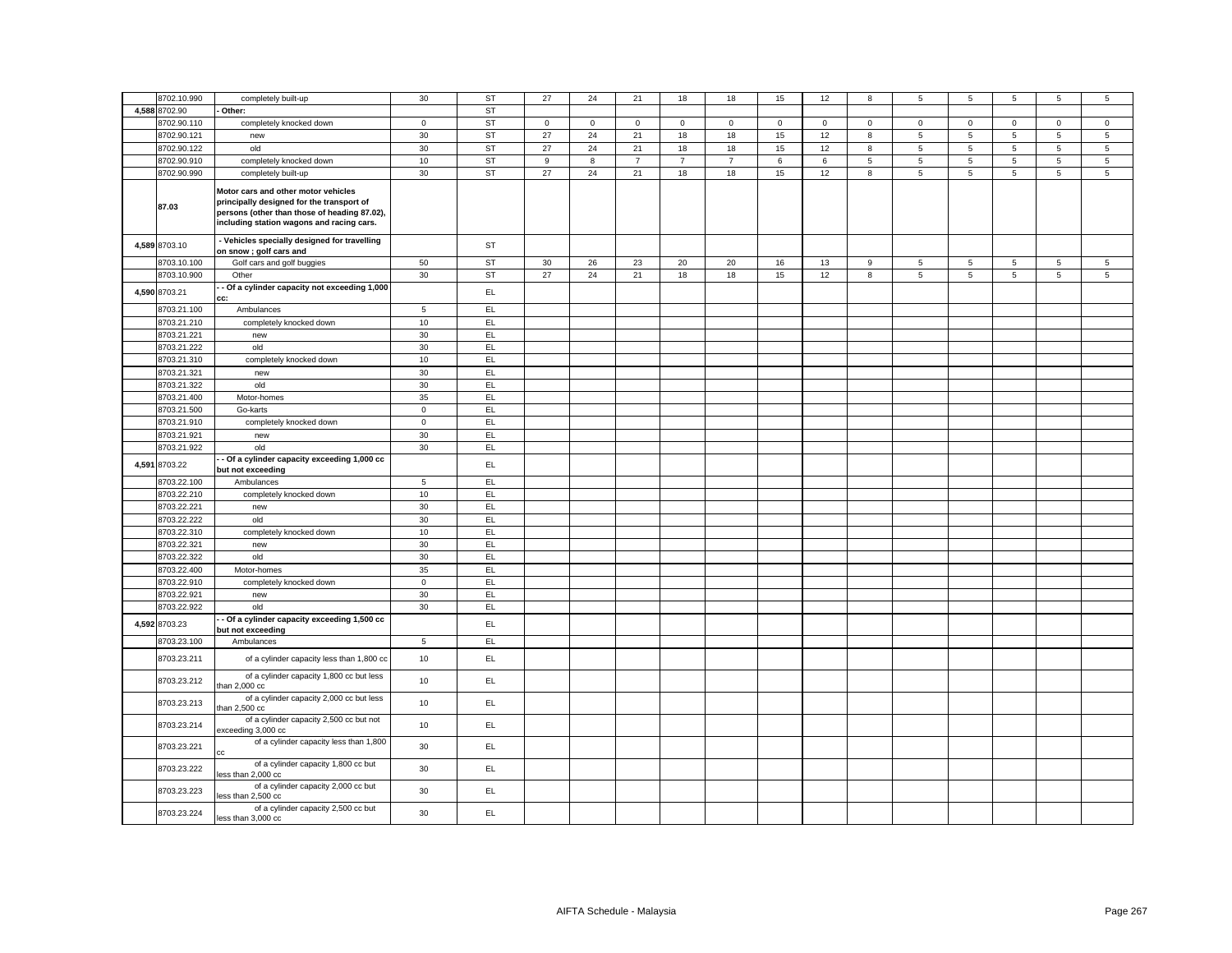| 8702.10.990                | completely built-up                                                                                                                                                           | 30             | <b>ST</b>  | 27                  | 24          | 21               | 18             | 18             | 15          | 12          | 8           | 5               | $\overline{5}$ | 5               | $\overline{5}$  | 5               |
|----------------------------|-------------------------------------------------------------------------------------------------------------------------------------------------------------------------------|----------------|------------|---------------------|-------------|------------------|----------------|----------------|-------------|-------------|-------------|-----------------|----------------|-----------------|-----------------|-----------------|
| 4,588 8702.90              | Other:                                                                                                                                                                        |                | <b>ST</b>  |                     |             |                  |                |                |             |             |             |                 |                |                 |                 |                 |
| 8702.90.110                | completely knocked down                                                                                                                                                       | $\mathsf 0$    | ST         | $\mathsf{O}\xspace$ | $\mathbf 0$ | $\mathsf 0$      | $\mathsf 0$    | $\mathsf 0$    | $\mathsf 0$ | $\mathsf 0$ | $\mathbf 0$ | $\mathsf 0$     | $\mathbf 0$    | $\mathbf 0$     | $\mathbf 0$     | $\mathsf 0$     |
| 8702.90.121                | new                                                                                                                                                                           | 30             | ST         | 27                  | 24          | 21               | 18             | 18             | 15          | 12          | 8           | 5               | 5              | $\overline{5}$  | $\overline{5}$  | 5               |
| 8702.90.122                | old                                                                                                                                                                           | 30             | <b>ST</b>  | 27                  | 24          | 21               | 18             | 18             | 15          | 12          | 8           | 5               | $\,$ 5 $\,$    | $5\phantom{.0}$ | $\,$ 5 $\,$     | 5               |
| 8702.90.910                | completely knocked down                                                                                                                                                       | 10             | <b>ST</b>  | 9                   | 8           | $\boldsymbol{7}$ | $\overline{7}$ | $\overline{7}$ | $\,6\,$     | $\,6\,$     | 5           | 5               | $\,$ 5 $\,$    | $5\phantom{.0}$ | $\,$ 5 $\,$     | $\,$ 5 $\,$     |
| 8702.90.990                | completely built-up                                                                                                                                                           | 30             | ST         | 27                  | 24          | 21               | 18             | 18             | 15          | 12          | 8           | $\overline{5}$  | $\overline{5}$ | $5\overline{5}$ | $\overline{5}$  | $5\overline{)}$ |
| 87.03                      | Motor cars and other motor vehicles<br>principally designed for the transport of<br>persons (other than those of heading 87.02),<br>including station wagons and racing cars. |                |            |                     |             |                  |                |                |             |             |             |                 |                |                 |                 |                 |
| 4,589 8703.10              | - Vehicles specially designed for travelling<br>on snow ; golf cars and                                                                                                       |                | ST         |                     |             |                  |                |                |             |             |             |                 |                |                 |                 |                 |
| 8703.10.100                | Golf cars and golf buggies                                                                                                                                                    | 50             | <b>ST</b>  | 30                  | 26          | 23               | 20             | 20             | 16          | 13          | 9           | $5\phantom{.0}$ | 5              | 5               | $5\overline{5}$ | $5\overline{5}$ |
| 8703.10.900                | Other                                                                                                                                                                         | 30             | ST         | 27                  | 24          | 21               | 18             | 18             | 15          | 12          | 8           | 5               | 5              | 5               | $5\overline{5}$ | 5               |
| 4,590 8703.21              | - Of a cylinder capacity not exceeding 1,000<br>cc:                                                                                                                           |                | EL         |                     |             |                  |                |                |             |             |             |                 |                |                 |                 |                 |
| 8703.21.100                | Ambulances                                                                                                                                                                    | 5              | EL.        |                     |             |                  |                |                |             |             |             |                 |                |                 |                 |                 |
| 8703.21.210                | completely knocked down                                                                                                                                                       | 10             | EL.        |                     |             |                  |                |                |             |             |             |                 |                |                 |                 |                 |
| 8703.21.221                | new                                                                                                                                                                           | 30             | EL         |                     |             |                  |                |                |             |             |             |                 |                |                 |                 |                 |
| 8703.21.222                | old                                                                                                                                                                           | 30             | EL         |                     |             |                  |                |                |             |             |             |                 |                |                 |                 |                 |
| 8703.21.310                | completely knocked down                                                                                                                                                       | 10             | EL.        |                     |             |                  |                |                |             |             |             |                 |                |                 |                 |                 |
| 8703.21.321                | new                                                                                                                                                                           | 30             | EL         |                     |             |                  |                |                |             |             |             |                 |                |                 |                 |                 |
| 8703.21.322                | old                                                                                                                                                                           | 30             | EL         |                     |             |                  |                |                |             |             |             |                 |                |                 |                 |                 |
| 8703.21.400                | Motor-homes                                                                                                                                                                   | 35             | EL.        |                     |             |                  |                |                |             |             |             |                 |                |                 |                 |                 |
| 8703.21.500                | Go-karts                                                                                                                                                                      | $\mathbf 0$    | EL.        |                     |             |                  |                |                |             |             |             |                 |                |                 |                 |                 |
| 8703.21.910                | completely knocked down                                                                                                                                                       | $\overline{0}$ | EL         |                     |             |                  |                |                |             |             |             |                 |                |                 |                 |                 |
| 8703.21.921                | new                                                                                                                                                                           | 30             | EL         |                     |             |                  |                |                |             |             |             |                 |                |                 |                 |                 |
| 8703.21.922                | old                                                                                                                                                                           | 30             | EL         |                     |             |                  |                |                |             |             |             |                 |                |                 |                 |                 |
| 8703.22<br>4,591           | - Of a cylinder capacity exceeding 1,000 cc<br>but not exceeding                                                                                                              |                | EL         |                     |             |                  |                |                |             |             |             |                 |                |                 |                 |                 |
| 8703.22.100                | Ambulances                                                                                                                                                                    | $\sqrt{5}$     | EL.        |                     |             |                  |                |                |             |             |             |                 |                |                 |                 |                 |
| 8703.22.210                | completely knocked down                                                                                                                                                       | 10             | EL         |                     |             |                  |                |                |             |             |             |                 |                |                 |                 |                 |
| 8703.22.221                | new                                                                                                                                                                           | 30             | EL         |                     |             |                  |                |                |             |             |             |                 |                |                 |                 |                 |
| 8703.22.222                | old                                                                                                                                                                           | 30             | EL         |                     |             |                  |                |                |             |             |             |                 |                |                 |                 |                 |
| 8703.22.310                | completely knocked down                                                                                                                                                       | 10             | EL.        |                     |             |                  |                |                |             |             |             |                 |                |                 |                 |                 |
| 8703.22.321                | new                                                                                                                                                                           | 30             | EL         |                     |             |                  |                |                |             |             |             |                 |                |                 |                 |                 |
| 8703.22.322                | old                                                                                                                                                                           | 30             | EL.        |                     |             |                  |                |                |             |             |             |                 |                |                 |                 |                 |
| 8703.22.400                | Motor-homes                                                                                                                                                                   | 35             | EL.        |                     |             |                  |                |                |             |             |             |                 |                |                 |                 |                 |
| 8703.22.910                | completely knocked down                                                                                                                                                       | $\mathbf 0$    | EL         |                     |             |                  |                |                |             |             |             |                 |                |                 |                 |                 |
| 8703.22.921<br>8703.22.922 | new                                                                                                                                                                           | 30             | EL         |                     |             |                  |                |                |             |             |             |                 |                |                 |                 |                 |
| 4,592 8703.23              | old<br>- Of a cylinder capacity exceeding 1,500 cc                                                                                                                            | 30             | EL.<br>EL. |                     |             |                  |                |                |             |             |             |                 |                |                 |                 |                 |
| 8703.23.100                | but not exceeding<br>Ambulances                                                                                                                                               | $\overline{5}$ | EL.        |                     |             |                  |                |                |             |             |             |                 |                |                 |                 |                 |
| 8703.23.211                | of a cylinder capacity less than 1,800 cc                                                                                                                                     | 10             | EL         |                     |             |                  |                |                |             |             |             |                 |                |                 |                 |                 |
| 8703.23.212                | of a cylinder capacity 1,800 cc but less<br>than $2,000$ $cc$                                                                                                                 | 10             | EL         |                     |             |                  |                |                |             |             |             |                 |                |                 |                 |                 |
| 8703.23.213                | of a cylinder capacity 2,000 cc but less<br>than $2,500$ $cc$                                                                                                                 | 10             | EL.        |                     |             |                  |                |                |             |             |             |                 |                |                 |                 |                 |
| 8703.23.214                | of a cylinder capacity 2,500 cc but not<br>exceeding 3,000 cc                                                                                                                 | 10             | EL.        |                     |             |                  |                |                |             |             |             |                 |                |                 |                 |                 |
| 8703.23.221                | of a cylinder capacity less than 1,800<br>Ċ.                                                                                                                                  | 30             | EL.        |                     |             |                  |                |                |             |             |             |                 |                |                 |                 |                 |
| 8703.23.222                | of a cylinder capacity 1,800 cc but<br>less than 2,000 cc                                                                                                                     | 30             | EL.        |                     |             |                  |                |                |             |             |             |                 |                |                 |                 |                 |
| 8703.23.223                | of a cylinder capacity 2,000 cc but<br>ess than 2,500 cc                                                                                                                      | 30             | EL.        |                     |             |                  |                |                |             |             |             |                 |                |                 |                 |                 |
| 8703.23.224                | of a cylinder capacity 2,500 cc but<br>less than 3,000 cc                                                                                                                     | 30             | EL.        |                     |             |                  |                |                |             |             |             |                 |                |                 |                 |                 |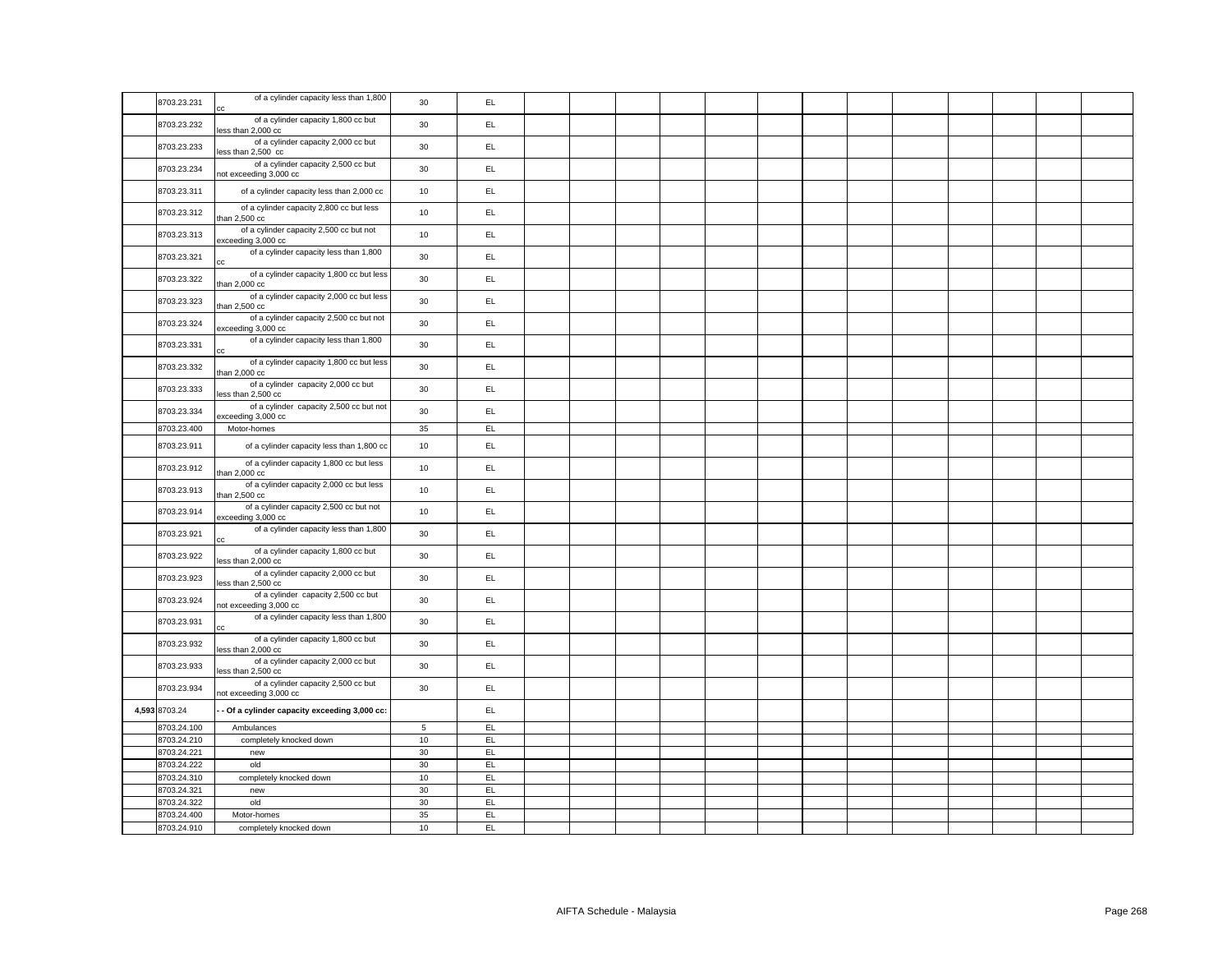| 8703.23.231   | of a cylinder capacity less than 1,800<br>cc                  | 30          | EL.           |  |  |  |  |  |  |  |
|---------------|---------------------------------------------------------------|-------------|---------------|--|--|--|--|--|--|--|
| 8703.23.232   | of a cylinder capacity 1,800 cc but<br>less than 2,000 cc     | 30          | EL            |  |  |  |  |  |  |  |
| 8703.23.233   | of a cylinder capacity 2,000 cc but<br>less than 2,500 cc     | 30          | EL.           |  |  |  |  |  |  |  |
| 8703.23.234   | of a cylinder capacity 2,500 cc but<br>not exceeding 3,000 cc | 30          | EL.           |  |  |  |  |  |  |  |
| 8703.23.311   | of a cylinder capacity less than 2,000 cc                     | 10          | EL.           |  |  |  |  |  |  |  |
| 8703.23.312   | of a cylinder capacity 2,800 cc but less<br>than 2,500 cc     | 10          | EL.           |  |  |  |  |  |  |  |
| 8703.23.313   | of a cylinder capacity 2,500 cc but not<br>exceeding 3,000 cc | 10          | EL            |  |  |  |  |  |  |  |
| 8703.23.321   | of a cylinder capacity less than 1,800                        | 30          | EL.           |  |  |  |  |  |  |  |
| 8703.23.322   | of a cylinder capacity 1,800 cc but less<br>than $2,000$ $cc$ | 30          | EL            |  |  |  |  |  |  |  |
| 8703.23.323   | of a cylinder capacity 2,000 cc but less<br>than 2,500 cc     | 30          | EL            |  |  |  |  |  |  |  |
| 8703.23.324   | of a cylinder capacity 2,500 cc but not<br>exceeding 3,000 cc | 30          | EL            |  |  |  |  |  |  |  |
| 8703.23.331   | of a cylinder capacity less than 1,800<br>cс                  | 30          | EL            |  |  |  |  |  |  |  |
| 8703.23.332   | of a cylinder capacity 1,800 cc but less<br>than 2,000 cc     | 30          | EL.           |  |  |  |  |  |  |  |
| 8703.23.333   | of a cylinder capacity 2,000 cc but<br>less than 2,500 cc     | 30          | EL            |  |  |  |  |  |  |  |
| 8703.23.334   | of a cylinder capacity 2,500 cc but not<br>exceeding 3,000 cc | 30          | EL            |  |  |  |  |  |  |  |
| 8703.23.400   | Motor-homes                                                   | 35          | EL.           |  |  |  |  |  |  |  |
| 8703.23.911   | of a cylinder capacity less than 1,800 cc                     | 10          | EL.           |  |  |  |  |  |  |  |
| 8703.23.912   | of a cylinder capacity 1,800 cc but less<br>than 2,000 cc     | 10          | EL            |  |  |  |  |  |  |  |
| 8703.23.913   | of a cylinder capacity 2,000 cc but less<br>than $2,500$ $cc$ | 10          | EL.           |  |  |  |  |  |  |  |
| 8703.23.914   | of a cylinder capacity 2,500 cc but not<br>exceeding 3,000 cc | 10          | EL.           |  |  |  |  |  |  |  |
| 8703.23.921   | of a cylinder capacity less than 1,800<br>cc                  | 30          | EL.           |  |  |  |  |  |  |  |
| 8703.23.922   | of a cylinder capacity 1,800 cc but<br>less than 2,000 cc     | 30          | EL.           |  |  |  |  |  |  |  |
| 8703.23.923   | of a cylinder capacity 2,000 cc but<br>less than 2,500 cc     | 30          | EL            |  |  |  |  |  |  |  |
| 8703.23.924   | of a cylinder capacity 2,500 cc but<br>not exceeding 3,000 cc | 30          | EL.           |  |  |  |  |  |  |  |
| 8703.23.931   | of a cylinder capacity less than 1,800<br>cс                  | 30          | EL.           |  |  |  |  |  |  |  |
| 8703.23.932   | of a cylinder capacity 1,800 cc but<br>less than 2,000 cc     | 30          | EL.           |  |  |  |  |  |  |  |
| 8703.23.933   | of a cylinder capacity 2,000 cc but<br>less than 2,500 cc     | 30          | EL.           |  |  |  |  |  |  |  |
| 8703.23.934   | of a cylinder capacity 2,500 cc but<br>not exceeding 3,000 cc | 30          | EL.           |  |  |  |  |  |  |  |
| 4,593 8703.24 | - Of a cylinder capacity exceeding 3,000 cc:                  |             | EL            |  |  |  |  |  |  |  |
| 8703.24.100   | Ambulances                                                    | $\,$ 5 $\,$ | EL            |  |  |  |  |  |  |  |
| 8703.24.210   | completely knocked down                                       | 10          | EL            |  |  |  |  |  |  |  |
| 8703.24.221   | new                                                           | 30          | EL            |  |  |  |  |  |  |  |
| 8703.24.222   | old                                                           | 30          | EL.           |  |  |  |  |  |  |  |
| 8703.24.310   | completely knocked down                                       | 10          | EL            |  |  |  |  |  |  |  |
| 8703.24.321   | new                                                           | 30          | EL            |  |  |  |  |  |  |  |
| 8703.24.322   | old                                                           | 30          | EL.           |  |  |  |  |  |  |  |
|               | Motor-homes                                                   | 35          | EL            |  |  |  |  |  |  |  |
| 8703.24.400   |                                                               |             |               |  |  |  |  |  |  |  |
| 8703.24.910   | completely knocked down                                       | 10          | $\mathsf{EL}$ |  |  |  |  |  |  |  |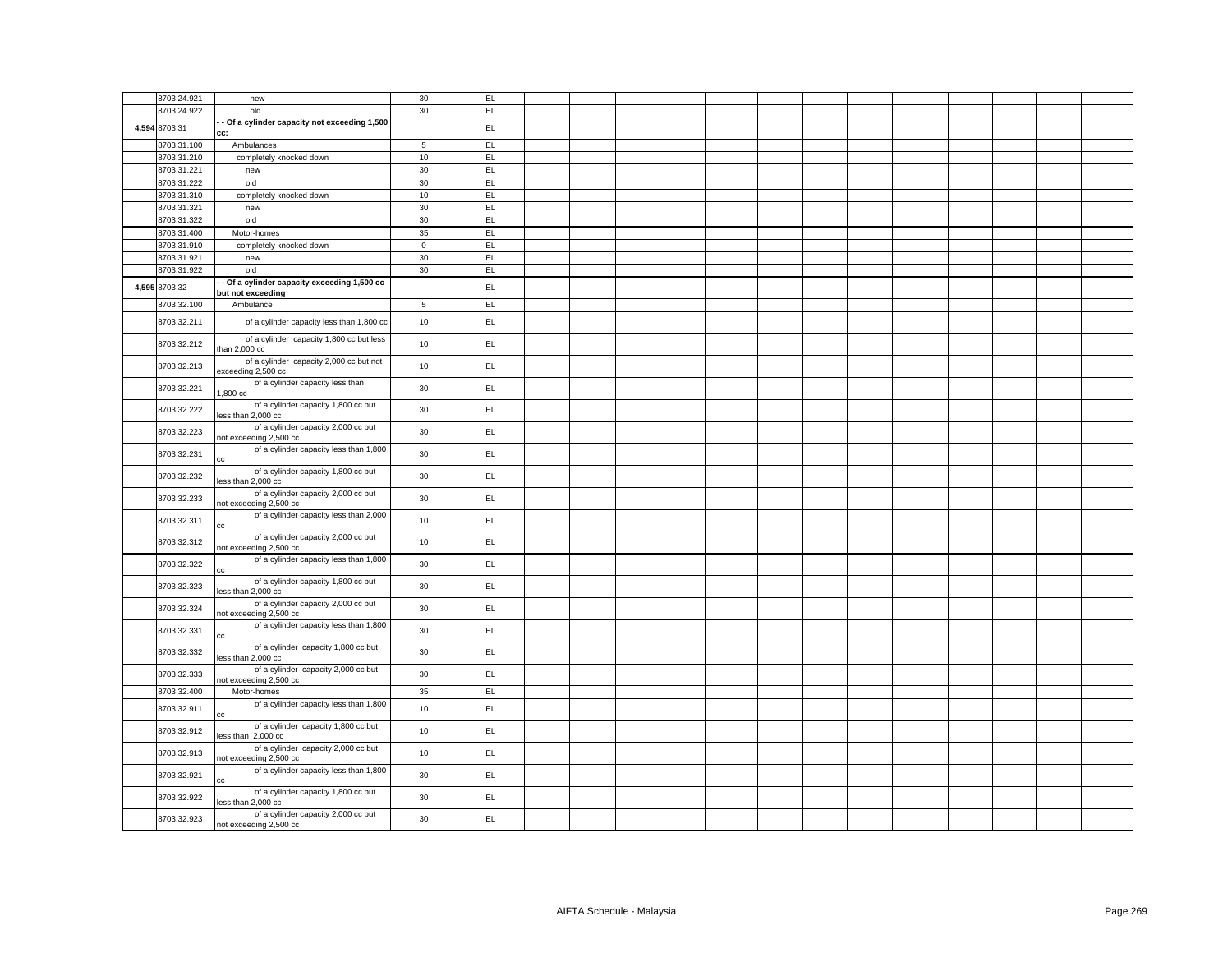| 8703.24.921   | new                                                            | 30             | EL  |  |  |  |  |  |  |  |
|---------------|----------------------------------------------------------------|----------------|-----|--|--|--|--|--|--|--|
| 8703.24.922   | old                                                            | 30             | EL  |  |  |  |  |  |  |  |
|               | - Of a cylinder capacity not exceeding 1,500                   |                |     |  |  |  |  |  |  |  |
| 4,594 8703.31 | CC:                                                            |                | EL  |  |  |  |  |  |  |  |
| 8703.31.100   | Ambulances                                                     | $\overline{5}$ | EL  |  |  |  |  |  |  |  |
| 8703.31.210   | completely knocked down                                        | 10             | EL  |  |  |  |  |  |  |  |
| 8703.31.221   | new                                                            | 30             | EL  |  |  |  |  |  |  |  |
| 8703.31.222   | old                                                            | 30             | EL  |  |  |  |  |  |  |  |
| 8703.31.310   | completely knocked down                                        | $10$           | EL  |  |  |  |  |  |  |  |
| 8703.31.321   | new                                                            | 30             | EL  |  |  |  |  |  |  |  |
| 8703.31.322   | old                                                            | $30\,$         | EL  |  |  |  |  |  |  |  |
| 8703.31.400   | Motor-homes                                                    | 35             | E   |  |  |  |  |  |  |  |
| 8703.31.910   | completely knocked down                                        | $\mathsf 0$    | EL  |  |  |  |  |  |  |  |
| 8703.31.921   | new                                                            | 30             | E   |  |  |  |  |  |  |  |
| 8703.31.922   | old                                                            | 30             | E   |  |  |  |  |  |  |  |
| 4,595 8703.32 | Of a cylinder capacity exceeding 1,500 cc<br>but not exceeding |                | EL  |  |  |  |  |  |  |  |
| 8703.32.100   | Ambulance                                                      | $\overline{5}$ | EL  |  |  |  |  |  |  |  |
| 8703.32.211   | of a cylinder capacity less than 1,800 cc                      | 10             | EL  |  |  |  |  |  |  |  |
| 8703.32.212   | of a cylinder capacity 1,800 cc but less<br>than $2,000$ cc    | 10             | EL. |  |  |  |  |  |  |  |
| 8703.32.213   | of a cylinder capacity 2,000 cc but not<br>exceeding 2,500 cc  | 10             | EL. |  |  |  |  |  |  |  |
| 8703.32.221   | of a cylinder capacity less than<br>.800 cc                    | 30             | EL  |  |  |  |  |  |  |  |
| 8703.32.222   | of a cylinder capacity 1,800 cc but<br>ess than 2,000 cc       | 30             | EL  |  |  |  |  |  |  |  |
| 8703.32.223   | of a cylinder capacity 2,000 cc but<br>not exceeding 2,500 cc  | 30             | EL  |  |  |  |  |  |  |  |
| 8703.32.231   | of a cylinder capacity less than 1,800                         | 30             | EL  |  |  |  |  |  |  |  |
| 8703.32.232   | of a cylinder capacity 1,800 cc but<br>less than 2,000 cc      | 30             | EL  |  |  |  |  |  |  |  |
| 8703.32.233   | of a cylinder capacity 2,000 cc but<br>not exceeding 2,500 cc  | 30             | EL  |  |  |  |  |  |  |  |
| 8703.32.311   | of a cylinder capacity less than 2,000                         | 10             | EL. |  |  |  |  |  |  |  |
| 8703.32.312   | of a cylinder capacity 2,000 cc but<br>not exceeding 2,500 cc  | 10             | EL  |  |  |  |  |  |  |  |
| 8703.32.322   | of a cylinder capacity less than 1,800                         | 30             | EL  |  |  |  |  |  |  |  |
| 8703.32.323   | of a cylinder capacity 1,800 cc but<br>less than 2,000 cc      | 30             | EL  |  |  |  |  |  |  |  |
| 8703.32.324   | of a cylinder capacity 2,000 cc but<br>not exceeding 2,500 cc  | 30             | EL. |  |  |  |  |  |  |  |
| 8703.32.331   | of a cylinder capacity less than 1,800                         | 30             | EL  |  |  |  |  |  |  |  |
| 8703.32.332   | of a cylinder capacity 1,800 cc but<br>less than 2,000 cc      | 30             | EL. |  |  |  |  |  |  |  |
| 8703.32.333   | of a cylinder capacity 2,000 cc but<br>not exceeding 2,500 cc  | 30             | EL  |  |  |  |  |  |  |  |
| 8703.32.400   | Motor-homes                                                    | 35             | EL  |  |  |  |  |  |  |  |
| 8703.32.911   | of a cylinder capacity less than 1,800                         | 10             | EL  |  |  |  |  |  |  |  |
| 8703.32.912   | of a cylinder capacity 1,800 cc but<br>less than 2,000 cc      | 10             | EL  |  |  |  |  |  |  |  |
| 8703.32.913   | of a cylinder capacity 2,000 cc but<br>not exceeding 2,500 cc  | 10             | EL  |  |  |  |  |  |  |  |
| 8703.32.921   | of a cylinder capacity less than 1,800                         | 30             | EL. |  |  |  |  |  |  |  |
| 8703.32.922   | of a cylinder capacity 1,800 cc but<br>less than 2,000 cc      | 30             | EL. |  |  |  |  |  |  |  |
| 8703.32.923   | of a cylinder capacity 2,000 cc but<br>not exceeding 2,500 cc  | 30             | EL  |  |  |  |  |  |  |  |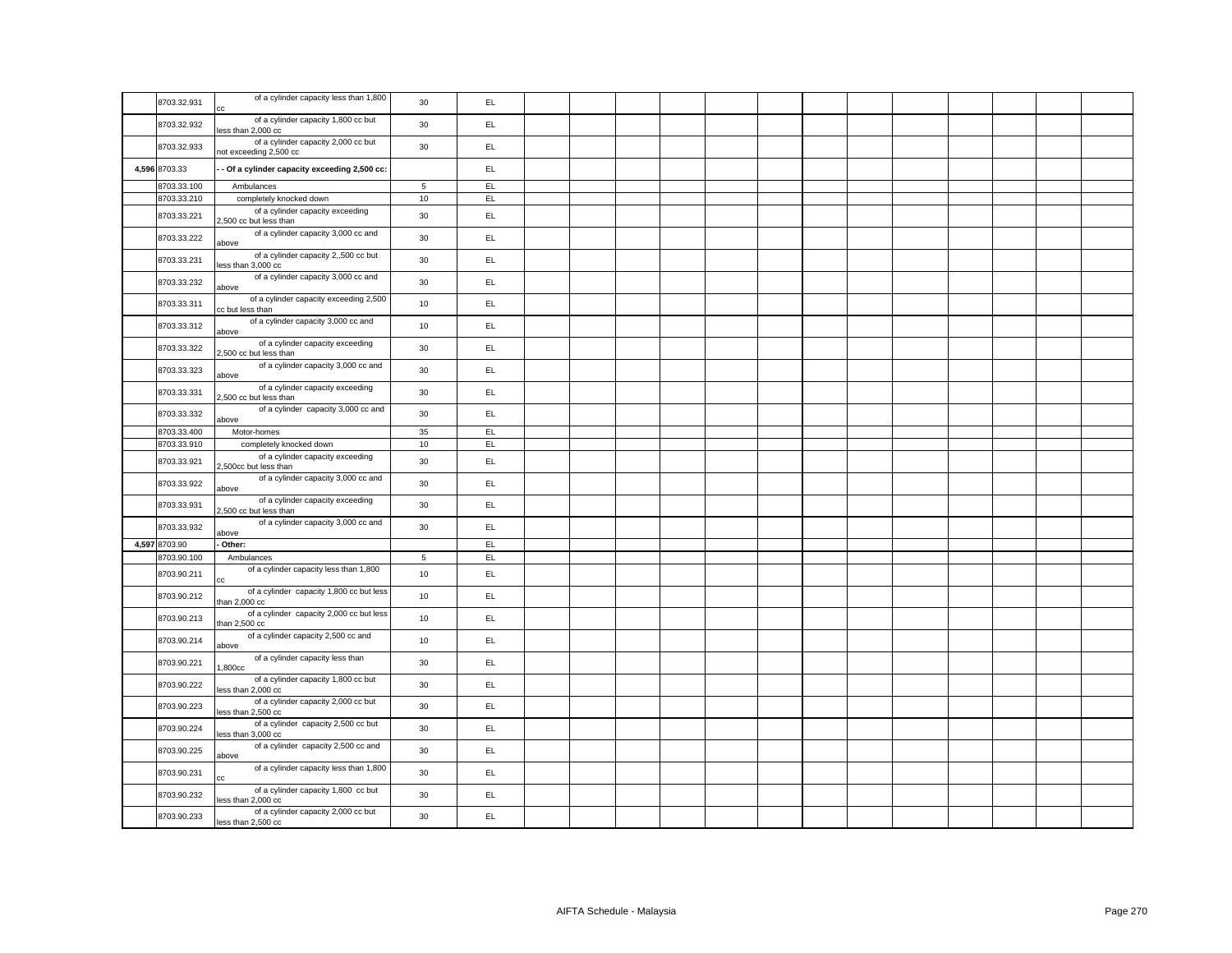|               | of a cylinder capacity less than 1,800                        |             |     |  |  |  |  |  |  |  |
|---------------|---------------------------------------------------------------|-------------|-----|--|--|--|--|--|--|--|
| 8703.32.931   | cc                                                            | 30          | EL. |  |  |  |  |  |  |  |
| 8703.32.932   | of a cylinder capacity 1,800 cc but<br>less than 2,000 cc     | 30          | EL. |  |  |  |  |  |  |  |
| 8703.32.933   | of a cylinder capacity 2,000 cc but<br>not exceeding 2,500 cc | 30          | EL  |  |  |  |  |  |  |  |
| 4,596 8703.33 | - Of a cylinder capacity exceeding 2,500 cc:                  |             | EL. |  |  |  |  |  |  |  |
| 8703.33.100   | Ambulances                                                    | $\,$ 5 $\,$ | EL  |  |  |  |  |  |  |  |
| 8703.33.210   | completely knocked down                                       | 10          | EL  |  |  |  |  |  |  |  |
|               |                                                               |             |     |  |  |  |  |  |  |  |
| 8703.33.221   | of a cylinder capacity exceeding<br>2,500 cc but less than    | 30          | EL. |  |  |  |  |  |  |  |
| 8703.33.222   | of a cylinder capacity 3,000 cc and<br>above                  | 30          | EL  |  |  |  |  |  |  |  |
| 8703.33.231   | of a cylinder capacity 2,,500 cc but<br>less than 3,000 cc    | 30          | EL  |  |  |  |  |  |  |  |
| 8703.33.232   | of a cylinder capacity 3,000 cc and<br>above                  | 30          | EL  |  |  |  |  |  |  |  |
| 8703.33.311   | of a cylinder capacity exceeding 2,500<br>cc but less than    | 10          | EL. |  |  |  |  |  |  |  |
| 8703.33.312   | of a cylinder capacity 3,000 cc and<br>above                  | 10          | EL  |  |  |  |  |  |  |  |
| 8703.33.322   | of a cylinder capacity exceeding<br>2,500 cc but less than    | 30          | EL. |  |  |  |  |  |  |  |
| 8703.33.323   | of a cylinder capacity 3,000 cc and<br>above                  | 30          | EL  |  |  |  |  |  |  |  |
| 8703.33.331   | of a cylinder capacity exceeding<br>2,500 cc but less than    | 30          | EL. |  |  |  |  |  |  |  |
| 8703.33.332   | of a cylinder capacity 3,000 cc and<br>above                  | 30          | EL  |  |  |  |  |  |  |  |
| 8703.33.400   | Motor-homes                                                   | 35          | EL  |  |  |  |  |  |  |  |
|               |                                                               |             |     |  |  |  |  |  |  |  |
| 8703.33.910   | completely knocked down                                       | 10          | EL  |  |  |  |  |  |  |  |
| 8703.33.921   | of a cylinder capacity exceeding<br>9,500cc but less than     | 30          | EL. |  |  |  |  |  |  |  |
| 8703.33.922   | of a cylinder capacity 3,000 cc and<br>above                  | 30          | EL. |  |  |  |  |  |  |  |
| 8703.33.931   | of a cylinder capacity exceeding<br>2,500 cc but less than    | 30          | EL. |  |  |  |  |  |  |  |
| 8703.33.932   | of a cylinder capacity 3,000 cc and<br>above                  | 30          | EL  |  |  |  |  |  |  |  |
| 4,597 8703.90 | Other:                                                        |             | EL  |  |  |  |  |  |  |  |
| 3703.90.100   | Ambulances                                                    | $\sqrt{5}$  | EL  |  |  |  |  |  |  |  |
|               | of a cylinder capacity less than 1,800                        |             |     |  |  |  |  |  |  |  |
| 8703.90.211   | CC.                                                           | 10          | EL. |  |  |  |  |  |  |  |
| 8703.90.212   | of a cylinder capacity 1,800 cc but less<br>than $2,000$ $cc$ | 10          | EL  |  |  |  |  |  |  |  |
| 8703.90.213   | of a cylinder capacity 2,000 cc but less<br>than 2,500 cc     | 10          | EL  |  |  |  |  |  |  |  |
| 8703.90.214   | of a cylinder capacity 2,500 cc and<br>above                  | 10          | EL. |  |  |  |  |  |  |  |
| 8703.90.221   | of a cylinder capacity less than<br>.800cc                    | 30          | EL. |  |  |  |  |  |  |  |
| 8703.90.222   | of a cylinder capacity 1,800 cc but<br>less than 2,000 cc     | 30          | EL. |  |  |  |  |  |  |  |
| 8703.90.223   | of a cylinder capacity 2,000 cc but<br>less than 2,500 cc     | 30          | EL  |  |  |  |  |  |  |  |
| 8703.90.224   | of a cylinder capacity 2,500 cc but<br>less than 3,000 cc     | 30          | EL. |  |  |  |  |  |  |  |
| 8703.90.225   | of a cylinder capacity 2,500 cc and<br>above                  | 30          | EL  |  |  |  |  |  |  |  |
| 8703.90.231   | of a cylinder capacity less than 1,800<br>CC.                 | 30          | EL  |  |  |  |  |  |  |  |
| 8703.90.232   | of a cylinder capacity 1,800 cc but<br>ess than 2,000 cc      | 30          | EL. |  |  |  |  |  |  |  |
| 8703.90.233   | of a cylinder capacity 2,000 cc but<br>less than 2,500 cc     | 30          | EL. |  |  |  |  |  |  |  |
|               |                                                               |             |     |  |  |  |  |  |  |  |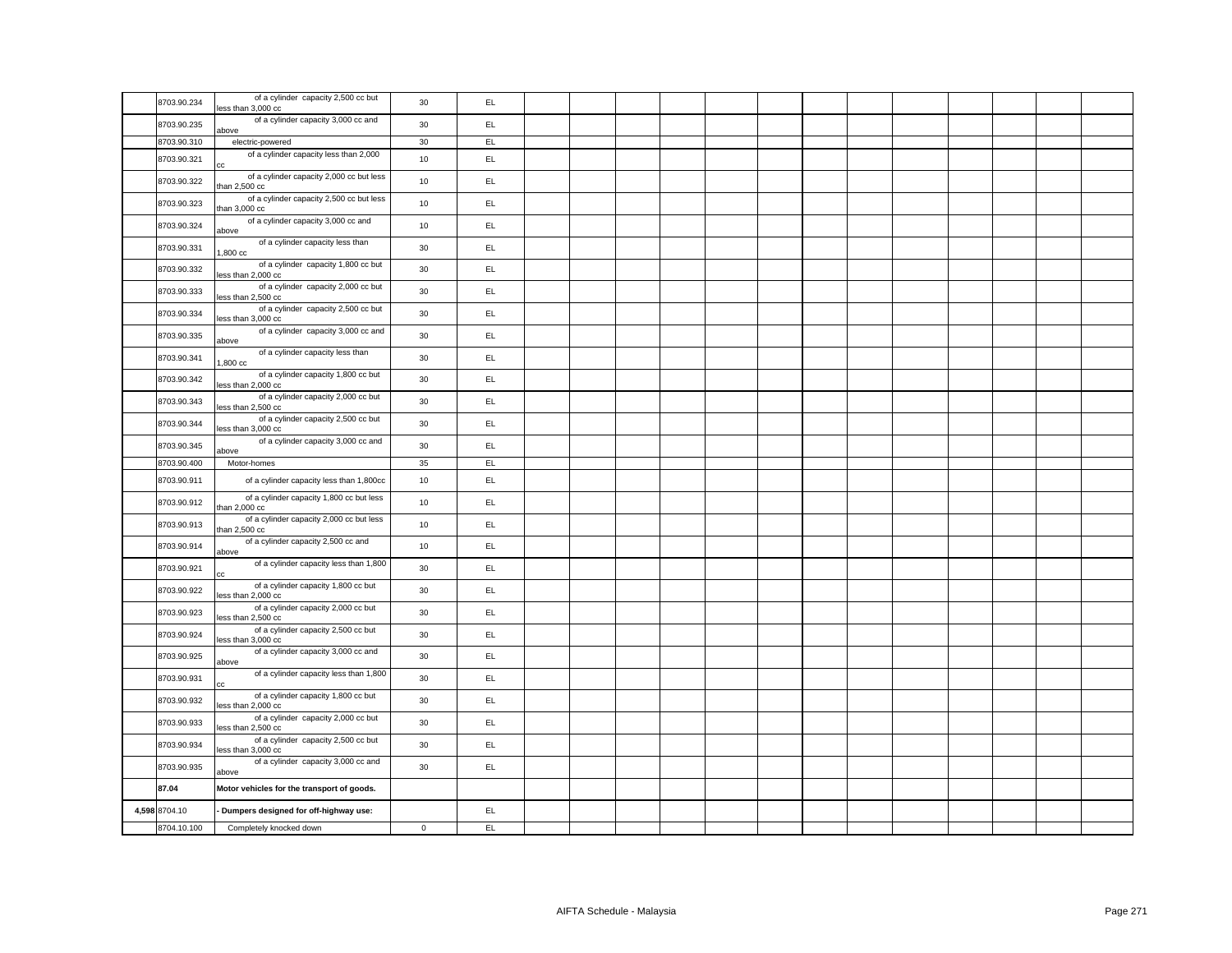| 8703.90.234   | of a cylinder capacity 2,500 cc but<br>less than 3,000 cc     | 30          | EL  |  |  |  |  |  |  |  |
|---------------|---------------------------------------------------------------|-------------|-----|--|--|--|--|--|--|--|
| 8703.90.235   | of a cylinder capacity 3,000 cc and<br>above                  | 30          | EL. |  |  |  |  |  |  |  |
| 8703.90.310   | electric-powered                                              | 30          | EL  |  |  |  |  |  |  |  |
| 8703.90.321   | of a cylinder capacity less than 2,000                        | 10          | EL  |  |  |  |  |  |  |  |
| 8703.90.322   | of a cylinder capacity 2,000 cc but less<br>than 2,500 cc     | 10          | EL. |  |  |  |  |  |  |  |
| 8703.90.323   | of a cylinder capacity 2,500 cc but less<br>han 3,000 cc      | 10          | EL. |  |  |  |  |  |  |  |
| 8703.90.324   | of a cylinder capacity 3,000 cc and<br>above                  | 10          | EL. |  |  |  |  |  |  |  |
| 8703.90.331   | of a cylinder capacity less than<br>1,800 cc                  | 30          | EL  |  |  |  |  |  |  |  |
| 8703.90.332   | of a cylinder capacity 1,800 cc but<br>less than 2,000 cc     | 30          | EL  |  |  |  |  |  |  |  |
| 8703.90.333   | of a cylinder capacity 2,000 cc but<br>less than 2,500 cc     | 30          | EL. |  |  |  |  |  |  |  |
| 8703.90.334   | of a cylinder capacity 2,500 cc but<br>less than 3,000 cc     | 30          | EL. |  |  |  |  |  |  |  |
| 8703.90.335   | of a cylinder capacity 3,000 cc and<br>above                  | 30          | EL. |  |  |  |  |  |  |  |
| 8703.90.341   | of a cylinder capacity less than<br>$,800$ cc                 | 30          | EL  |  |  |  |  |  |  |  |
| 8703.90.342   | of a cylinder capacity 1,800 cc but<br>less than 2,000 cc     | 30          | EL  |  |  |  |  |  |  |  |
| 8703.90.343   | of a cylinder capacity 2,000 cc but<br>ess than 2,500 cc      | 30          | EL. |  |  |  |  |  |  |  |
| 8703.90.344   | of a cylinder capacity 2,500 cc but<br>ess than 3,000 cc      | 30          | EL. |  |  |  |  |  |  |  |
| 8703.90.345   | of a cylinder capacity 3,000 cc and<br>above                  | 30          | EL. |  |  |  |  |  |  |  |
| 8703.90.400   | Motor-homes                                                   | 35          | EL  |  |  |  |  |  |  |  |
| 8703.90.911   | of a cylinder capacity less than 1,800cc                      | 10          | EL  |  |  |  |  |  |  |  |
| 8703.90.912   | of a cylinder capacity 1,800 cc but less<br>than 2,000 cc     | 10          | EL. |  |  |  |  |  |  |  |
| 8703.90.913   | of a cylinder capacity 2,000 cc but less<br>than $2,500$ $cc$ | 10          | EL. |  |  |  |  |  |  |  |
| 8703.90.914   | of a cylinder capacity 2,500 cc and<br>above                  | 10          | EL. |  |  |  |  |  |  |  |
| 8703.90.921   | of a cylinder capacity less than 1,800<br>СC                  | 30          | EL. |  |  |  |  |  |  |  |
| 8703.90.922   | of a cylinder capacity 1,800 cc but<br>less than 2,000 cc     | 30          | EL  |  |  |  |  |  |  |  |
| 8703.90.923   | of a cylinder capacity 2,000 cc but<br>ess than 2,500 cc      | 30          | EL. |  |  |  |  |  |  |  |
| 8703.90.924   | of a cylinder capacity 2,500 cc but<br>less than 3,000 cc     | 30          | EL. |  |  |  |  |  |  |  |
| 8703.90.925   | of a cylinder capacity 3,000 cc and<br>above                  | 30          | EL. |  |  |  |  |  |  |  |
| 8703.90.931   | of a cylinder capacity less than 1,800<br>СC                  | 30          | EL. |  |  |  |  |  |  |  |
| 8703.90.932   | of a cylinder capacity 1,800 cc but<br>less than 2,000 cc     | 30          | EL  |  |  |  |  |  |  |  |
| 8703.90.933   | of a cylinder capacity 2,000 cc but<br>ess than 2,500 cc      | $30\,$      | EL. |  |  |  |  |  |  |  |
| 8703.90.934   | of a cylinder capacity 2,500 cc but<br>less than 3,000 cc     | 30          | EL. |  |  |  |  |  |  |  |
| 8703.90.935   | of a cylinder capacity 3,000 cc and<br>above                  | 30          | EL. |  |  |  |  |  |  |  |
| 87.04         | Motor vehicles for the transport of goods.                    |             |     |  |  |  |  |  |  |  |
| 4,598 8704.10 | Dumpers designed for off-highway use:                         |             | EL. |  |  |  |  |  |  |  |
| 8704.10.100   | Completely knocked down                                       | $\mathsf 0$ | EL  |  |  |  |  |  |  |  |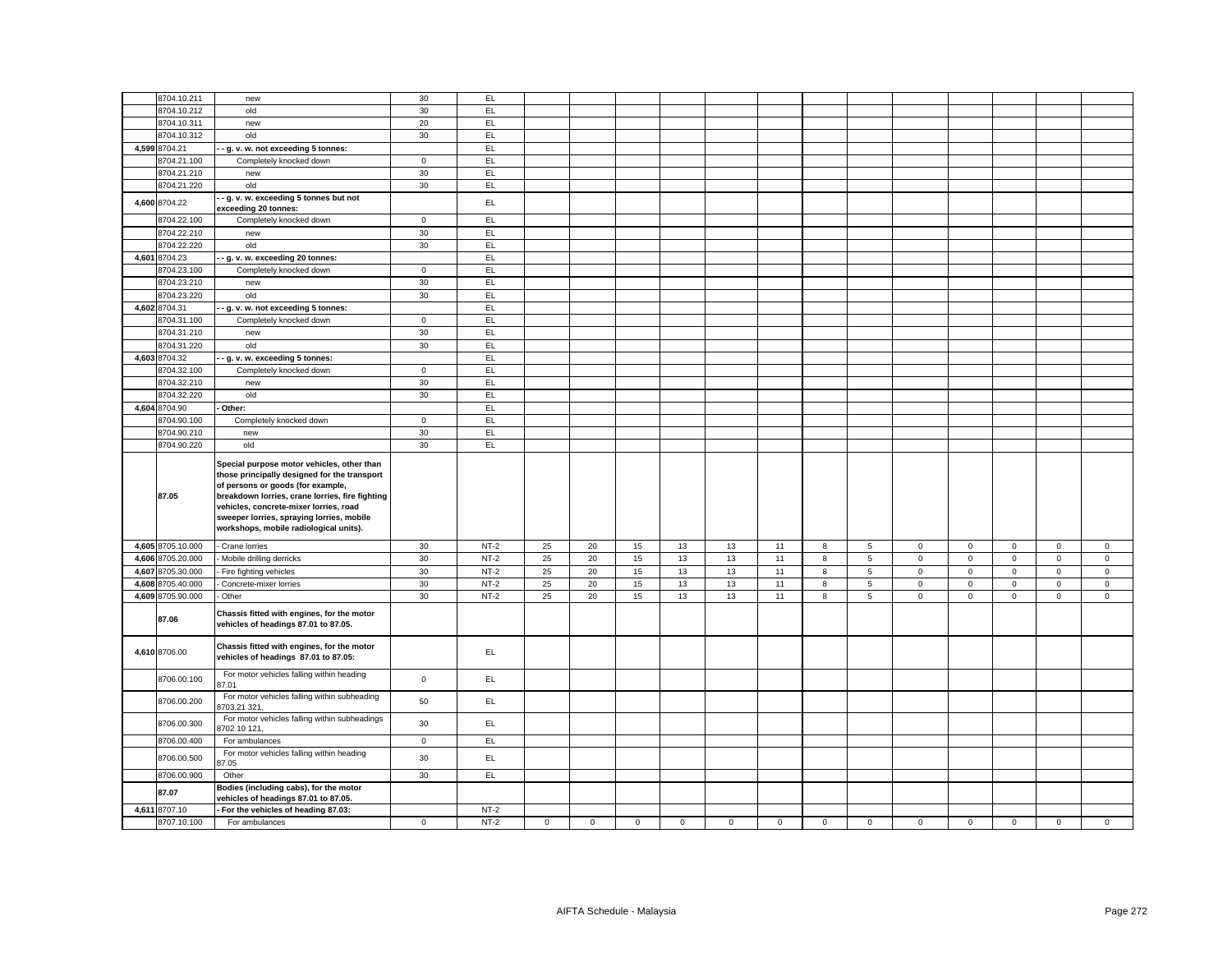|       | 8704.10.211                  | new                                                                                                                                                                                                                                                                                                                 | 30           | EL.              |             |             |             |             |             |             |             |                 |             |             |              |             |              |
|-------|------------------------------|---------------------------------------------------------------------------------------------------------------------------------------------------------------------------------------------------------------------------------------------------------------------------------------------------------------------|--------------|------------------|-------------|-------------|-------------|-------------|-------------|-------------|-------------|-----------------|-------------|-------------|--------------|-------------|--------------|
|       | 8704.10.212                  | old                                                                                                                                                                                                                                                                                                                 | 30           | EL.              |             |             |             |             |             |             |             |                 |             |             |              |             |              |
|       | 8704.10.311                  | new                                                                                                                                                                                                                                                                                                                 | 20           | EL.              |             |             |             |             |             |             |             |                 |             |             |              |             |              |
|       | 8704.10.312                  | old                                                                                                                                                                                                                                                                                                                 | 30           | EL.              |             |             |             |             |             |             |             |                 |             |             |              |             |              |
|       | 4,599 8704.21                | - g. v. w. not exceeding 5 tonnes:                                                                                                                                                                                                                                                                                  |              | EL.              |             |             |             |             |             |             |             |                 |             |             |              |             |              |
|       | 8704.21.100                  | Completely knocked down                                                                                                                                                                                                                                                                                             | $\mathbf 0$  | EL               |             |             |             |             |             |             |             |                 |             |             |              |             |              |
|       | 8704.21.210                  | new                                                                                                                                                                                                                                                                                                                 | 30           | EL               |             |             |             |             |             |             |             |                 |             |             |              |             |              |
|       | 8704.21.220                  | old                                                                                                                                                                                                                                                                                                                 | 30           | EL               |             |             |             |             |             |             |             |                 |             |             |              |             |              |
|       |                              | g. v. w. exceeding 5 tonnes but not                                                                                                                                                                                                                                                                                 |              |                  |             |             |             |             |             |             |             |                 |             |             |              |             |              |
|       | 4,600 8704.22                | exceeding 20 tonnes:                                                                                                                                                                                                                                                                                                |              | EL               |             |             |             |             |             |             |             |                 |             |             |              |             |              |
|       | 8704.22.100                  | Completely knocked down                                                                                                                                                                                                                                                                                             | $\mathbf 0$  | EL.              |             |             |             |             |             |             |             |                 |             |             |              |             |              |
|       | 8704.22.210                  | new                                                                                                                                                                                                                                                                                                                 | $30\,$       | EL               |             |             |             |             |             |             |             |                 |             |             |              |             |              |
|       | 8704.22.220                  | old                                                                                                                                                                                                                                                                                                                 | 30           | EL               |             |             |             |             |             |             |             |                 |             |             |              |             |              |
|       | 4,601 8704.23                |                                                                                                                                                                                                                                                                                                                     |              | EL.              |             |             |             |             |             |             |             |                 |             |             |              |             |              |
|       |                              | g. v. w. exceeding 20 tonnes:                                                                                                                                                                                                                                                                                       |              |                  |             |             |             |             |             |             |             |                 |             |             |              |             |              |
|       | 8704.23.100                  | Completely knocked down                                                                                                                                                                                                                                                                                             | $\circ$      | EL.              |             |             |             |             |             |             |             |                 |             |             |              |             |              |
|       | 8704.23.210                  | new                                                                                                                                                                                                                                                                                                                 | 30           | EL.              |             |             |             |             |             |             |             |                 |             |             |              |             |              |
|       | 8704.23.220                  | old                                                                                                                                                                                                                                                                                                                 | 30           | EL               |             |             |             |             |             |             |             |                 |             |             |              |             |              |
|       | 4,602 8704.31                | g. v. w. not exceeding 5 tonnes:                                                                                                                                                                                                                                                                                    |              | EL               |             |             |             |             |             |             |             |                 |             |             |              |             |              |
|       | 3704.31.100                  | Completely knocked down                                                                                                                                                                                                                                                                                             | $\mathbf 0$  | EL               |             |             |             |             |             |             |             |                 |             |             |              |             |              |
|       | 8704.31.210                  | new                                                                                                                                                                                                                                                                                                                 | 30           | EL               |             |             |             |             |             |             |             |                 |             |             |              |             |              |
|       | 3704.31.220                  | old                                                                                                                                                                                                                                                                                                                 | 30           | EL.              |             |             |             |             |             |             |             |                 |             |             |              |             |              |
|       | 4,603 8704.32                | g. v. w. exceeding 5 tonnes:                                                                                                                                                                                                                                                                                        |              | EL               |             |             |             |             |             |             |             |                 |             |             |              |             |              |
|       | 8704.32.100                  | Completely knocked down                                                                                                                                                                                                                                                                                             | $\mathbf 0$  | EL               |             |             |             |             |             |             |             |                 |             |             |              |             |              |
|       | 8704.32.210                  | new                                                                                                                                                                                                                                                                                                                 | 30           | EL               |             |             |             |             |             |             |             |                 |             |             |              |             |              |
|       | 8704.32.220                  | old                                                                                                                                                                                                                                                                                                                 | 30           | EL               |             |             |             |             |             |             |             |                 |             |             |              |             |              |
|       | 4,604 8704.90                | Other:                                                                                                                                                                                                                                                                                                              |              | EL               |             |             |             |             |             |             |             |                 |             |             |              |             |              |
|       | 8704.90.100                  | Completely knocked down                                                                                                                                                                                                                                                                                             | $\mathbf{0}$ | EL               |             |             |             |             |             |             |             |                 |             |             |              |             |              |
|       | 8704.90.210                  | new                                                                                                                                                                                                                                                                                                                 | 30           | EL               |             |             |             |             |             |             |             |                 |             |             |              |             |              |
|       | 8704.90.220                  | old                                                                                                                                                                                                                                                                                                                 | 30           | EL               |             |             |             |             |             |             |             |                 |             |             |              |             |              |
|       |                              |                                                                                                                                                                                                                                                                                                                     |              |                  |             |             |             |             |             |             |             |                 |             |             |              |             |              |
|       |                              |                                                                                                                                                                                                                                                                                                                     |              |                  |             |             |             |             |             |             |             |                 |             |             |              |             |              |
|       | 87.05                        | Special purpose motor vehicles, other than<br>those principally designed for the transport<br>of persons or goods (for example,<br>breakdown lorries, crane lorries, fire fighting<br>vehicles, concrete-mixer lorries, road<br>sweeper lorries, spraying lorries, mobile<br>workshops, mobile radiological units). |              |                  |             |             |             |             |             |             |             |                 |             |             |              |             |              |
|       |                              |                                                                                                                                                                                                                                                                                                                     |              |                  |             |             |             |             |             |             |             |                 | $\mathbf 0$ |             | $\mathsf 0$  | $\mathbf 0$ |              |
|       | 4,605 8705.10.000            | - Crane lorries                                                                                                                                                                                                                                                                                                     | 30           | $NT-2$           | 25          | 20          | 15          | 13          | 13          | 11          | 8           | 5               |             | $\mathbf 0$ |              |             | $\mathsf 0$  |
|       | 4,606 8705.20.000            | Mobile drilling derricks                                                                                                                                                                                                                                                                                            | 30           | $NT-2$           | 25          | 20          | 15          | 13          | 13          | 11          | 8           | $5\overline{5}$ | $\mathsf 0$ | $\mathsf 0$ | $\mathsf 0$  | $\mathsf 0$ | $\mathsf 0$  |
| 4,607 | 8705.30.000                  | Fire fighting vehicles                                                                                                                                                                                                                                                                                              | 30           | $NT-2$           | 25          | 20          | 15          | 13          | 13          | 11          | 8           | 5               | $\mathsf 0$ | $\mathbf 0$ | $\mathbf 0$  | $\mathbf 0$ | $\mathbf{0}$ |
|       | 4,608 8705.40.000            | Concrete-mixer lorries                                                                                                                                                                                                                                                                                              | 30           | $NT-2$           | 25          | 20          | 15          | 13          | 13          | 11          | 8           | 5               | $\mathbf 0$ | $\mathbf 0$ | $\mathsf 0$  | $\mathsf 0$ | $\mathsf 0$  |
|       | 4,609 8705.90.000<br>87.06   | Other<br>Chassis fitted with engines, for the motor<br>vehicles of headings 87.01 to 87.05.                                                                                                                                                                                                                         | 30           | $NT-2$           | 25          | 20          | 15          | 13          | 13          | 11          | 8           | $\overline{5}$  | $\mathsf 0$ | $\mathbf 0$ | $\mathbf{0}$ | $\mathsf 0$ | $\mathsf 0$  |
|       | 4,610 8706.00                | Chassis fitted with engines, for the motor<br>vehicles of headings 87.01 to 87.05:                                                                                                                                                                                                                                  |              | EL.              |             |             |             |             |             |             |             |                 |             |             |              |             |              |
|       | 8706.00.100                  | For motor vehicles falling within heading<br>37.01                                                                                                                                                                                                                                                                  | $\mathsf 0$  | EL.              |             |             |             |             |             |             |             |                 |             |             |              |             |              |
|       | 8706.00.200                  | For motor vehicles falling within subheading<br>3703.21 321                                                                                                                                                                                                                                                         | 50           | EL               |             |             |             |             |             |             |             |                 |             |             |              |             |              |
|       | 8706.00.300                  | For motor vehicles falling within subheadings<br>3702.10 121                                                                                                                                                                                                                                                        | 30           | EL.              |             |             |             |             |             |             |             |                 |             |             |              |             |              |
|       | 8706.00.400                  | For ambulances                                                                                                                                                                                                                                                                                                      | $\mathbf 0$  | EL.              |             |             |             |             |             |             |             |                 |             |             |              |             |              |
|       | 8706.00.500                  | For motor vehicles falling within heading<br>37.05                                                                                                                                                                                                                                                                  | 30           | EL               |             |             |             |             |             |             |             |                 |             |             |              |             |              |
|       | 8706.00.900                  | Other                                                                                                                                                                                                                                                                                                               | 30           | EL               |             |             |             |             |             |             |             |                 |             |             |              |             |              |
|       | 87.07                        | Bodies (including cabs), for the motor<br>vehicles of headings 87.01 to 87.05.                                                                                                                                                                                                                                      |              |                  |             |             |             |             |             |             |             |                 |             |             |              |             |              |
|       | 4,611 8707.10<br>8707.10.100 | - For the vehicles of heading 87.03:<br>For ambulances                                                                                                                                                                                                                                                              | $\mathbf 0$  | $NT-2$<br>$NT-2$ | $\mathbf 0$ | $\mathsf 0$ | $\mathsf 0$ | $\mathbf 0$ | $\mathbf 0$ | $\mathsf 0$ | $\mathbf 0$ | $\mathbf 0$     | $\mathbf 0$ | $\mathbf 0$ | $\mathsf 0$  | $\mathsf 0$ | $\mathsf 0$  |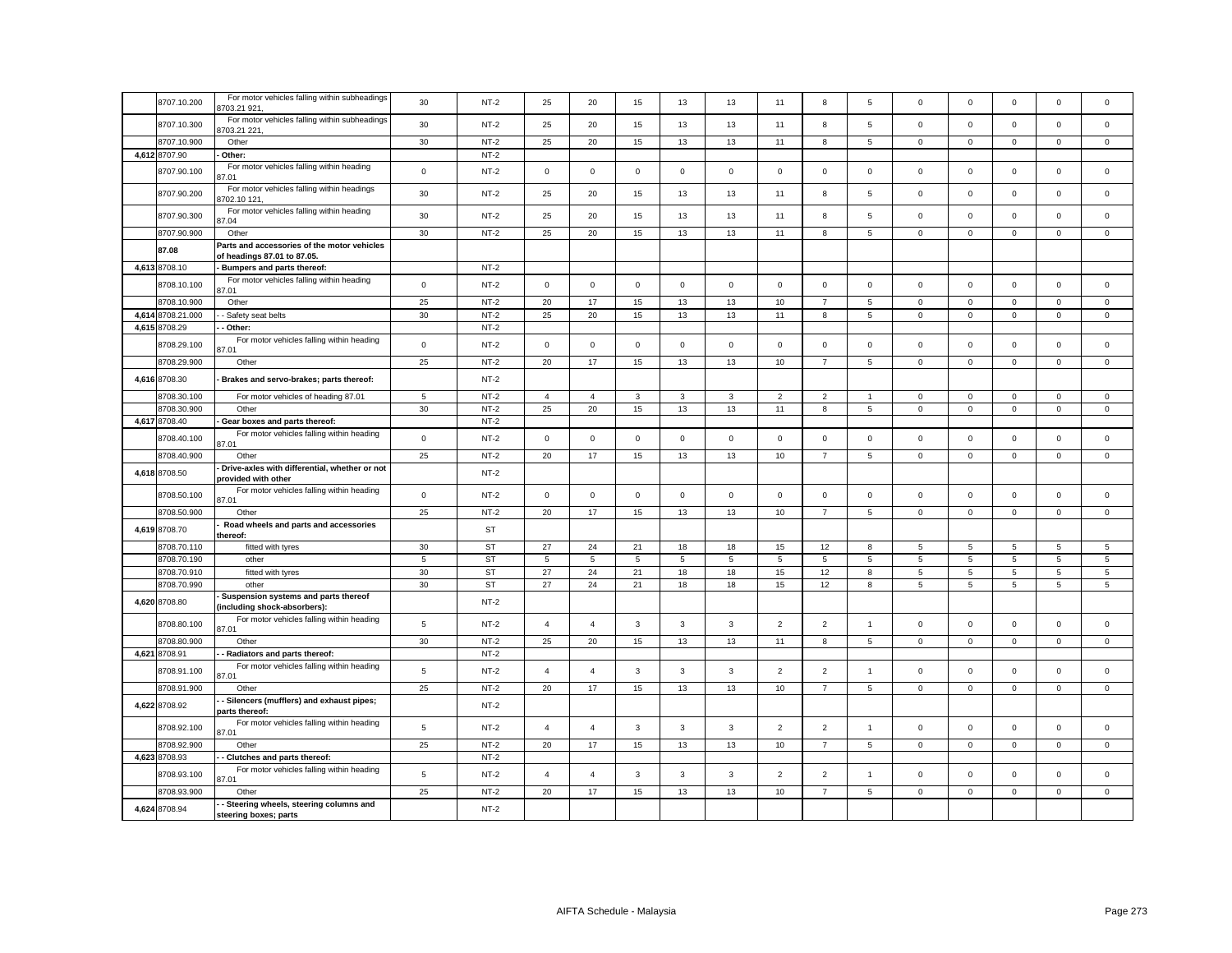| 8707.10.200       | For motor vehicles falling within subheadings<br>703.21 921,               | 30             | $NT-2$    | 25             | 20             | 15           | 13           | 13             | 11             | 8              | 5              | $\mathbf 0$  | $\mathbf 0$    | $\mathbf 0$         | $\mathbf 0$     | $\Omega$     |
|-------------------|----------------------------------------------------------------------------|----------------|-----------|----------------|----------------|--------------|--------------|----------------|----------------|----------------|----------------|--------------|----------------|---------------------|-----------------|--------------|
| 8707.10.300       | For motor vehicles falling within subheadings<br>703.21 221,               | 30             | $NT-2$    | 25             | 20             | 15           | 13           | 13             | 11             | 8              | 5              | $\mathsf 0$  | $\mathbf 0$    | $\mathsf 0$         | $\mathsf 0$     | $\mathbf 0$  |
| 8707.10.900       | Other                                                                      | 30             | $NT-2$    | 25             | 20             | 15           | 13           | 13             | 11             | 8              | 5              | 0            | $\mathbf 0$    | $\mathbf 0$         | $\mathbf 0$     | $\mathbf{0}$ |
| 4,612 8707.90     | Other:                                                                     |                | $NT-2$    |                |                |              |              |                |                |                |                |              |                |                     |                 |              |
| 8707.90.100       | For motor vehicles falling within heading<br>7.01                          | $\mathsf 0$    | $NT-2$    | $\mathsf 0$    | $\mathsf 0$    | $\mathsf 0$  | $\mathbf 0$  | $\mathsf 0$    | $\mathsf 0$    | $\mathsf 0$    | $\mathbf 0$    | $\mathsf 0$  | $\mathbf 0$    | $\mathsf 0$         | $\mathsf 0$     | $\mathsf 0$  |
| 8707.90.200       | For motor vehicles falling within headings<br>702.10 121,                  | 30             | $NT-2$    | 25             | 20             | 15           | 13           | 13             | 11             | 8              | 5              | $\mathsf 0$  | $\mathbf 0$    | $\mathsf 0$         | $\mathsf 0$     | $\mathbf 0$  |
| 8707.90.300       | For motor vehicles falling within heading<br>7.04                          | 30             | $NT-2$    | 25             | 20             | 15           | 13           | 13             | 11             | 8              | 5              | $\mathsf 0$  | $\mathsf 0$    | $\mathsf 0$         | $\mathsf 0$     | $\mathbf 0$  |
| 8707.90.900       | Other                                                                      | 30             | $NT-2$    | 25             | 20             | 15           | 13           | 13             | 11             | 8              | 5              | $\mathsf 0$  | $\mathbf 0$    | $\mathsf 0$         | $\mathsf 0$     | $\mathbf 0$  |
| 87.08             | Parts and accessories of the motor vehicles<br>of headings 87.01 to 87.05. |                |           |                |                |              |              |                |                |                |                |              |                |                     |                 |              |
| 4,613 8708.10     | Bumpers and parts thereof:                                                 |                | $NT-2$    |                |                |              |              |                |                |                |                |              |                |                     |                 |              |
| 8708.10.100       | For motor vehicles falling within heading<br>17.01                         | $\mathsf 0$    | $NT-2$    | $\mathsf 0$    | $\mathsf 0$    | $\mathsf 0$  | $\mathsf 0$  | $\mathbf 0$    | $\mathsf 0$    | $\mathbf 0$    | $\mathbf 0$    | $\mathsf 0$  | $\mathbf 0$    | $\mathsf{O}\xspace$ | $\mathsf 0$     | $\mathbf 0$  |
| 8708.10.900       | Other                                                                      | 25             | $NT-2$    | 20             | 17             | 15           | 13           | 13             | 10             | $\overline{7}$ | 5              | $\mathsf 0$  | $\mathbf 0$    | $\mathbf 0$         | $\mathbf 0$     | $\mathbf 0$  |
| 4,614 8708.21.000 | - Safety seat belts                                                        | 30             | $NT-2$    | 25             | 20             | 15           | 13           | 13             | 11             | 8              | 5              | 0            | $\mathbf 0$    | $\mathbf 0$         | $\mathsf 0$     | $\mathbf{0}$ |
| 4,615 8708.29     | Other:                                                                     |                | $NT-2$    |                |                |              |              |                |                |                |                |              |                |                     |                 |              |
| 8708.29.100       | For motor vehicles falling within heading<br>37.01                         | $\mathsf 0$    | $NT-2$    | $\mathsf 0$    | $\mathsf 0$    | $\mathsf 0$  | $\mathsf 0$  | $\mathbf 0$    | $\mathsf 0$    | $\mathsf 0$    | $\mathsf 0$    | $\mathsf 0$  | $\mathbf 0$    | $\mathsf 0$         | $\mathbf 0$     | $\mathbf 0$  |
| 8708.29.900       | Other                                                                      | 25             | $NT-2$    | 20             | 17             | 15           | 13           | 13             | 10             | $\overline{7}$ | 5              | $\mathbf 0$  | $\mathbf 0$    | $\mathbf{0}$        | $\mathbf{0}$    | $\mathbf{0}$ |
| 4,616 8708.30     | Brakes and servo-brakes; parts thereof:                                    |                | $NT-2$    |                |                |              |              |                |                |                |                |              |                |                     |                 |              |
| 8708.30.100       | For motor vehicles of heading 87.01                                        | 5              | $NT-2$    | $\overline{4}$ | $\overline{4}$ | $\mathbf{3}$ | 3            | 3              | $\overline{2}$ | $\overline{2}$ | $\mathbf{1}$   | $\mathbf 0$  | $\mathbf 0$    | $\mathbf 0$         | $\mathbf{0}$    | $\mathbf{0}$ |
| 8708.30.900       | Other                                                                      | 30             | $NT-2$    | 25             | 20             | 15           | 13           | 13             | 11             | 8              | 5              | $\mathbf{0}$ | $\overline{0}$ | $\mathbf 0$         | $\mathbf{0}$    | $\mathbf{0}$ |
| 4,617 8708.40     | Gear boxes and parts thereof:                                              |                | $NT-2$    |                |                |              |              |                |                |                |                |              |                |                     |                 |              |
| 8708.40.100       | For motor vehicles falling within heading<br>87.01                         | $\mathsf 0$    | $NT-2$    | $\mathsf 0$    | $\mathsf 0$    | $\mathsf 0$  | $\mathbf 0$  | $\mathbf 0$    | $\mathsf 0$    | $\mathsf 0$    | $\mathsf 0$    | $\mathsf 0$  | $\mathbf 0$    | $\mathbf 0$         | $\mathsf 0$     | $\mathbf 0$  |
| 8708.40.900       | Other                                                                      | 25             | $NT-2$    | 20             | 17             | 15           | 13           | 13             | 10             | $\overline{7}$ | 5              | $\mathbf 0$  | $\mathbf 0$    | $\mathbf 0$         | $\mathbf{0}$    | $\mathbf 0$  |
| 4,618 8708.50     | Drive-axles with differential, whether or not<br>provided with other       |                | $NT-2$    |                |                |              |              |                |                |                |                |              |                |                     |                 |              |
| 8708.50.100       | For motor vehicles falling within heading<br>87.01                         | $\mathsf 0$    | $NT-2$    | $\mathsf 0$    | $\mathsf 0$    | $\mathsf 0$  | $\mathsf 0$  | $\mathbf 0$    | $\mathsf 0$    | $\mathbf 0$    | $\mathsf 0$    | $\mathsf 0$  | $\mathbf 0$    | $\mathbf 0$         | $\mathbf 0$     | $\mathbf 0$  |
| 8708.50.900       | Other                                                                      | 25             | $NT-2$    | 20             | 17             | 15           | 13           | 13             | 10             | $\overline{7}$ | 5              | $\mathbf 0$  | $\mathbf 0$    | $\mathbf 0$         | $\mathsf 0$     | $\mathbf 0$  |
| 4,619 8708.70     | Road wheels and parts and accessories<br>thereof:                          |                | ST        |                |                |              |              |                |                |                |                |              |                |                     |                 |              |
| 8708.70.110       | fitted with tyres                                                          | 30             | ST        | 27             | 24             | 21           | 18           | 18             | 15             | 12             | 8              | 5            | 5              | 5                   | 5               | 5            |
| 8708.70.190       | other                                                                      | 5              | <b>ST</b> | 5              | 5              | $\sqrt{5}$   | 5            | $\overline{5}$ | 5              | 5              | 5              | 5            | 5              | 5                   | $\overline{5}$  | 5            |
| 8708.70.910       | fitted with tyres                                                          | 30             | <b>ST</b> | 27             | 24             | 21           | 18           | 18             | 15             | 12             | 8              | 5            | 5              | 5                   | $\overline{5}$  | 5            |
| 8708.70.990       | other                                                                      | 30             | <b>ST</b> | 27             | 24             | 21           | 18           | 18             | 15             | 12             | 8              | 5            | $\overline{5}$ | 5                   | $5\overline{5}$ | 5            |
| 4,620 8708.80     | Suspension systems and parts thereof<br>including shock-absorbers):        |                | $NT-2$    |                |                |              |              |                |                |                |                |              |                |                     |                 |              |
| 8708.80.100       | For motor vehicles falling within heading<br>37.01                         | $\,$ 5         | $NT-2$    | $\overline{4}$ | $\overline{4}$ | $\mathbf{3}$ | $\mathbf{3}$ | 3              | $\overline{2}$ | $\overline{2}$ | $\overline{1}$ | $\mathsf 0$  | $\mathbf 0$    | $\mathbf 0$         | $\mathsf 0$     | $\mathsf 0$  |
| 8708.80.900       | Other                                                                      | 30             | $NT-2$    | 25             | 20             | 15           | 13           | 13             | 11             | 8              | 5              | $\mathsf 0$  | $\mathbf 0$    | $\mathbf 0$         | $\mathsf 0$     | $\mathbf 0$  |
| 4,621 8708.91     | Radiators and parts thereof:                                               |                | $NT-2$    |                |                |              |              |                |                |                |                |              |                |                     |                 |              |
| 8708.91.100       | For motor vehicles falling within heading<br>87.01                         | $\,$ 5         | $NT-2$    | $\overline{4}$ | $\overline{4}$ | $_{3}$       | 3            | 3              | $\overline{2}$ | $\overline{2}$ | $\mathbf{1}$   | $\mathsf 0$  | $\mathbf 0$    | $\mathsf 0$         | $\mathsf 0$     | $\mathbf 0$  |
| 8708.91.900       | Other                                                                      | 25             | $NT-2$    | 20             | 17             | 15           | 13           | 13             | 10             | $\overline{7}$ | 5              | $\mathbf 0$  | $\mathbf 0$    | $\mathbf 0$         | $\mathsf 0$     | $\mathbf{0}$ |
| 4,622 8708.92     | - Silencers (mufflers) and exhaust pipes;<br>parts thereof:                |                | $NT-2$    |                |                |              |              |                |                |                |                |              |                |                     |                 |              |
| 8708.92.100       | For motor vehicles falling within heading<br>87.01                         | $\overline{5}$ | $NT-2$    | $\overline{4}$ | $\overline{4}$ | $\mathbf{3}$ | $\mathbf{3}$ | 3              | $\overline{2}$ | $\overline{2}$ | $\mathbf{1}$   | $\mathsf 0$  | $\mathbf 0$    | $\mathsf 0$         | $\mathsf 0$     | $\mathbf 0$  |
| 3708.92.900       | Other                                                                      | 25             | $NT-2$    | 20             | 17             | 15           | 13           | 13             | 10             | $\overline{7}$ | 5              | $\mathsf 0$  | $\mathbf 0$    | $\mathsf 0$         | $\mathsf 0$     | $\mathbf 0$  |
| 4,623 8708.93     | - Clutches and parts thereof:                                              |                | $NT-2$    |                |                |              |              |                |                |                |                |              |                |                     |                 |              |
| 8708.93.100       | For motor vehicles falling within heading<br>87.01                         | 5              | $NT-2$    | $\overline{4}$ | $\overline{4}$ | $\mathbf{3}$ | 3            | 3              | $\overline{2}$ | $\overline{2}$ | 1              | $\mathsf 0$  | $\mathbf 0$    | $\mathsf 0$         | $\mathsf 0$     | $\mathsf 0$  |
| 8708.93.900       | Other                                                                      | 25             | $NT-2$    | 20             | 17             | 15           | 13           | 13             | 10             | $\overline{7}$ | 5              | $\mathbf{0}$ | $\mathsf 0$    | $\mathsf 0$         | $\mathsf 0$     | $\mathbf{0}$ |
| 4,624 8708.94     | - Steering wheels, steering columns and<br>steering boxes; parts           |                | $NT-2$    |                |                |              |              |                |                |                |                |              |                |                     |                 |              |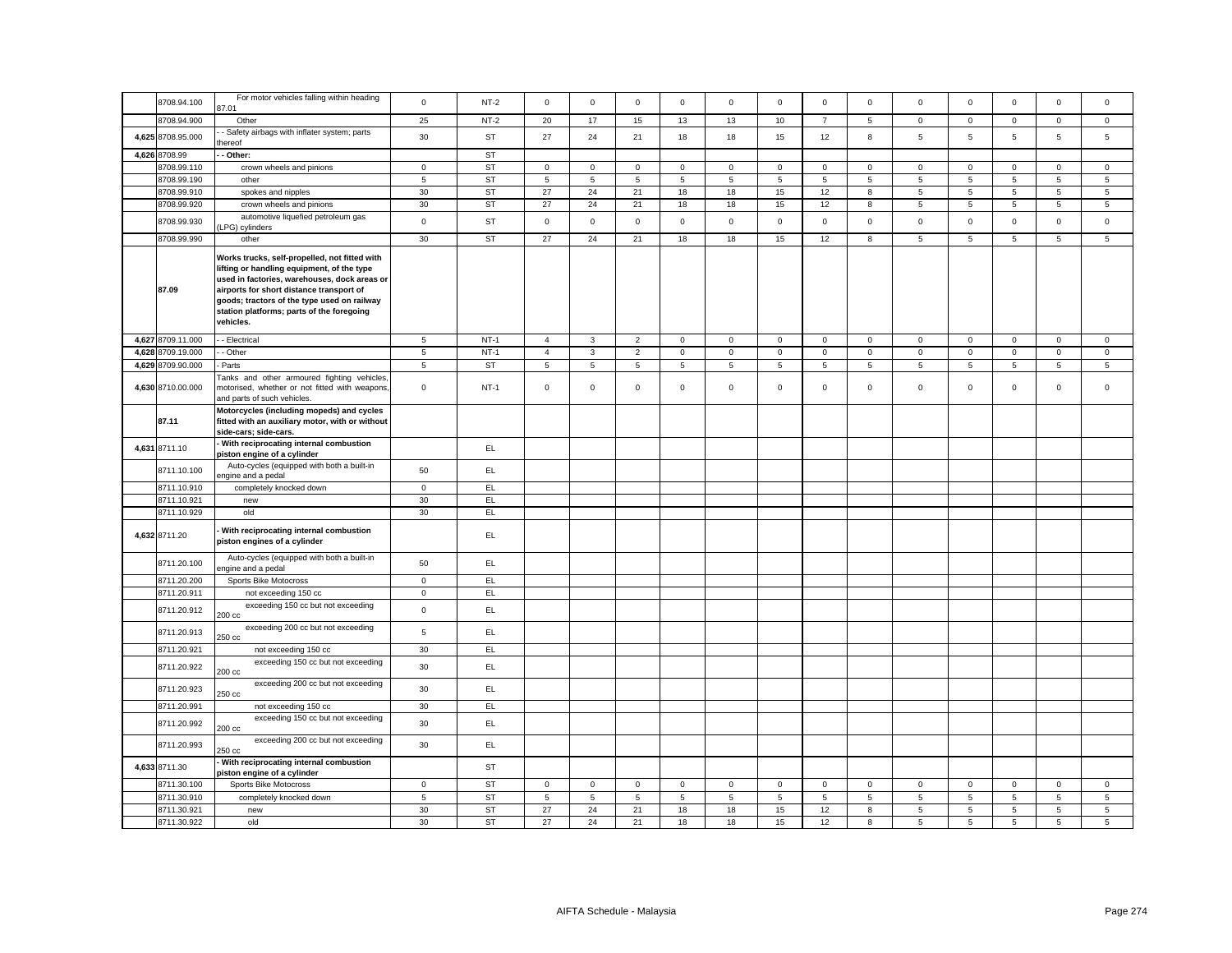|                   | For motor vehicles falling within heading                                                                                                                                                                                                                                                        |                |           |                |              |                 |             |                |             |                |              |              |                |                     |                 |              |
|-------------------|--------------------------------------------------------------------------------------------------------------------------------------------------------------------------------------------------------------------------------------------------------------------------------------------------|----------------|-----------|----------------|--------------|-----------------|-------------|----------------|-------------|----------------|--------------|--------------|----------------|---------------------|-----------------|--------------|
| 8708.94.100       | 87.01                                                                                                                                                                                                                                                                                            | $\mathbf{0}$   | $NT-2$    | $\mathbf 0$    | $\mathbf 0$  | $\mathbf{0}$    | $\mathbf 0$ | $\mathbf 0$    | $\mathbf 0$ | $\mathbf{O}$   | $\mathbf{0}$ | $\mathbf 0$  | $\mathbf 0$    | $\mathbf 0$         | $\mathbf{0}$    | $\mathbf 0$  |
| 8708.94.900       | Other                                                                                                                                                                                                                                                                                            | 25             | $NT-2$    | 20             | 17           | 15              | 13          | 13             | 10          | $\overline{7}$ | 5            | $\mathbf 0$  | $\mathbf 0$    | $\mathbf 0$         | $\mathsf 0$     | $\mathbf 0$  |
| 4,625 8708.95.000 | - Safety airbags with inflater system; parts<br>hereof                                                                                                                                                                                                                                           | 30             | <b>ST</b> | 27             | 24           | 21              | 18          | 18             | 15          | 12             | 8            | 5            | 5              | 5                   | $\overline{5}$  | 5            |
| 4,626 8708.99     | - Other:                                                                                                                                                                                                                                                                                         |                | <b>ST</b> |                |              |                 |             |                |             |                |              |              |                |                     |                 |              |
| 8708.99.110       | crown wheels and pinions                                                                                                                                                                                                                                                                         | $\mathbf 0$    | <b>ST</b> | $\mathsf 0$    | $\mathbf 0$  | $\mathbf 0$     | $\mathsf 0$ | $\mathsf 0$    | $\mathsf 0$ | $\mathsf 0$    | $\mathbf 0$  | $\mathbf 0$  | $\mathbf 0$    | $\mathbf 0$         | $\mathsf 0$     | $\mathbf 0$  |
| 8708.99.190       | other                                                                                                                                                                                                                                                                                            | $\sqrt{5}$     | <b>ST</b> | 5              | 5            | $\sqrt{5}$      | 5           | $\overline{5}$ | $\sqrt{5}$  | $\overline{5}$ | 5            | 5            | $\sqrt{5}$     | 5                   | $\overline{5}$  | 5            |
| 8708.99.910       | spokes and nipples                                                                                                                                                                                                                                                                               | 30             | <b>ST</b> | 27             | 24           | 21              | 18          | 18             | 15          | 12             | 8            | 5            | $\,$ 5 $\,$    | $\sqrt{5}$          | $\,$ 5 $\,$     | 5            |
| 8708.99.920       | crown wheels and pinions                                                                                                                                                                                                                                                                         | 30             | <b>ST</b> | 27             | 24           | 21              | 18          | 18             | 15          | 12             | 8            | 5            | $\sqrt{5}$     | $\sqrt{5}$          | $\,$ 5 $\,$     | $\,$ 5 $\,$  |
| 8708.99.930       | automotive liquefied petroleum gas<br>LPG) cylinders                                                                                                                                                                                                                                             | $\mathsf 0$    | <b>ST</b> | $\mathsf 0$    | $\mathsf 0$  | $\mathsf 0$     | $\mathsf 0$ | $\mathsf 0$    | $\mathsf 0$ | $\mathbf 0$    | $\mathbf 0$  | $\mathbf 0$  | $\mathbf 0$    | $\mathsf{O}\xspace$ | $\mathsf 0$     | $\mathbf 0$  |
| 8708.99.990       | other                                                                                                                                                                                                                                                                                            | 30             | <b>ST</b> | 27             | 24           | 21              | 18          | 18             | 15          | 12             | 8            | 5            | 5              | 5                   | 5               | 5            |
| 87.09             | Works trucks, self-propelled, not fitted with<br>lifting or handling equipment, of the type<br>used in factories, warehouses, dock areas or<br>airports for short distance transport of<br>goods; tractors of the type used on railway<br>station platforms; parts of the foregoing<br>vehicles. |                |           |                |              |                 |             |                |             |                |              |              |                |                     |                 |              |
| 4,627 8709.11.000 | - Electrical                                                                                                                                                                                                                                                                                     | 5              | $NT-1$    | $\overline{4}$ | $\mathbf{3}$ | $\overline{2}$  | $\mathsf 0$ | $\mathbf 0$    | $\mathsf 0$ | $\circ$        | $\mathbf 0$  | $\mathsf 0$  | $\mathbf 0$    | $\mathbf 0$         | $\mathsf 0$     | $\mathbf 0$  |
| 4,628 8709.19.000 | - Other                                                                                                                                                                                                                                                                                          | 5              | $NT-1$    | $\overline{4}$ | $\mathbf{3}$ | 2               | $\mathbf 0$ | $\mathbf 0$    | $\mathsf 0$ | $\circ$        | $\mathbf{0}$ | $\mathbf{0}$ | $\overline{0}$ | $\mathbf{0}$        | $\mathbf{0}$    | $\mathbf{0}$ |
| 4,629 8709.90.000 | Parts                                                                                                                                                                                                                                                                                            | 5              | ST        | 5              | 5            | $\sqrt{5}$      | 5           | $\overline{5}$ | 5           | 5              | 5            | 5            | 5              | 5                   | 5               | 5            |
| 4,630 8710.00.000 | Tanks and other armoured fighting vehicles<br>motorised, whether or not fitted with weapons<br>and parts of such vehicles.                                                                                                                                                                       | $\mathsf 0$    | $NT-1$    | $\mathsf 0$    | $\mathbf 0$  | $\mathsf 0$     | $\mathbf 0$ | $\mathbf 0$    | $\mathsf 0$ | $\mathbf{O}$   | $\mathbf 0$  | $\mathsf 0$  | $\mathbf 0$    | $\mathbf 0$         | $\mathsf 0$     | $\mathbf 0$  |
| 87.11             | Motorcycles (including mopeds) and cycles<br>fitted with an auxiliary motor, with or without<br>side-cars; side-cars.                                                                                                                                                                            |                |           |                |              |                 |             |                |             |                |              |              |                |                     |                 |              |
| 4,631 8711.10     | With reciprocating internal combustion<br>piston engine of a cylinder                                                                                                                                                                                                                            |                | EL        |                |              |                 |             |                |             |                |              |              |                |                     |                 |              |
| 8711.10.100       | Auto-cycles (equipped with both a built-in<br>engine and a pedal                                                                                                                                                                                                                                 | 50             | EL.       |                |              |                 |             |                |             |                |              |              |                |                     |                 |              |
| 8711.10.910       | completely knocked down                                                                                                                                                                                                                                                                          | $\mathbf 0$    | EL        |                |              |                 |             |                |             |                |              |              |                |                     |                 |              |
| 8711.10.921       | new                                                                                                                                                                                                                                                                                              | 30             | EL.       |                |              |                 |             |                |             |                |              |              |                |                     |                 |              |
| 8711.10.929       | old                                                                                                                                                                                                                                                                                              | 30             | EL.       |                |              |                 |             |                |             |                |              |              |                |                     |                 |              |
| 4,632 8711.20     | With reciprocating internal combustion<br>piston engines of a cylinder                                                                                                                                                                                                                           |                | EL        |                |              |                 |             |                |             |                |              |              |                |                     |                 |              |
| 8711.20.100       | Auto-cycles (equipped with both a built-in<br>ngine and a pedal                                                                                                                                                                                                                                  | 50             | EL        |                |              |                 |             |                |             |                |              |              |                |                     |                 |              |
| 8711.20.200       | Sports Bike Motocross                                                                                                                                                                                                                                                                            | $\mathbf 0$    | EL.       |                |              |                 |             |                |             |                |              |              |                |                     |                 |              |
| 8711.20.911       | not exceeding 150 cc                                                                                                                                                                                                                                                                             | $\mathsf 0$    | EL        |                |              |                 |             |                |             |                |              |              |                |                     |                 |              |
| 8711.20.912       | exceeding 150 cc but not exceeding<br>200 cc                                                                                                                                                                                                                                                     | $\mathsf 0$    | EL        |                |              |                 |             |                |             |                |              |              |                |                     |                 |              |
| 8711.20.913       | exceeding 200 cc but not exceeding<br>250 cc                                                                                                                                                                                                                                                     | $\overline{5}$ | EL.       |                |              |                 |             |                |             |                |              |              |                |                     |                 |              |
| 8711.20.921       | not exceeding 150 cc                                                                                                                                                                                                                                                                             | 30             | EL.       |                |              |                 |             |                |             |                |              |              |                |                     |                 |              |
| 8711.20.922       | exceeding 150 cc but not exceeding<br>200 cc                                                                                                                                                                                                                                                     | 30             | EL.       |                |              |                 |             |                |             |                |              |              |                |                     |                 |              |
| 8711.20.923       | exceeding 200 cc but not exceeding<br>250 cc                                                                                                                                                                                                                                                     | 30             | EL        |                |              |                 |             |                |             |                |              |              |                |                     |                 |              |
| 8711.20.991       | not exceeding 150 cc                                                                                                                                                                                                                                                                             | 30             | EL        |                |              |                 |             |                |             |                |              |              |                |                     |                 |              |
| 8711.20.992       | exceeding 150 cc but not exceeding<br>200 cc                                                                                                                                                                                                                                                     | 30             | EL        |                |              |                 |             |                |             |                |              |              |                |                     |                 |              |
| 8711.20.993       | exceeding 200 cc but not exceeding<br>250 cc                                                                                                                                                                                                                                                     | 30             | EL        |                |              |                 |             |                |             |                |              |              |                |                     |                 |              |
| 4,633 8711.30     | With reciprocating internal combustion<br>piston engine of a cylinder                                                                                                                                                                                                                            |                | <b>ST</b> |                |              |                 |             |                |             |                |              |              |                |                     |                 |              |
| 8711.30.100       | Sports Bike Motocross                                                                                                                                                                                                                                                                            | $\mathbf 0$    | ST        | $\mathsf 0$    | $\mathsf 0$  | $\mathsf 0$     | $\mathsf 0$ | $\mathbf 0$    | $\mathbf 0$ | $\circ$        | $\mathsf 0$  | $\mathbf 0$  | $\mathbf 0$    | $\mathbf 0$         | $\mathsf 0$     | $\mathbf{0}$ |
| 8711.30.910       | completely knocked down                                                                                                                                                                                                                                                                          | 5              | ST        | 5              | 5            | $5\phantom{.0}$ | 5           | 5              | 5           | 5              | 5            | 5            | 5              | 5                   | $5\overline{5}$ | 5            |
| 8711.30.921       |                                                                                                                                                                                                                                                                                                  | 30             | <b>ST</b> | 27             | 24           | 21              | 18          | 18             | 15          | 12             | 8            | 5            | 5              | 5                   | 5               | 5            |
|                   | new                                                                                                                                                                                                                                                                                              |                |           |                | 24           |                 |             |                |             |                |              |              |                |                     |                 | 5            |
| 8711.30.922       | old                                                                                                                                                                                                                                                                                              | 30             | <b>ST</b> | 27             |              | 21              | 18          | 18             | 15          | 12             | 8            | 5            | 5              | 5                   | 5               |              |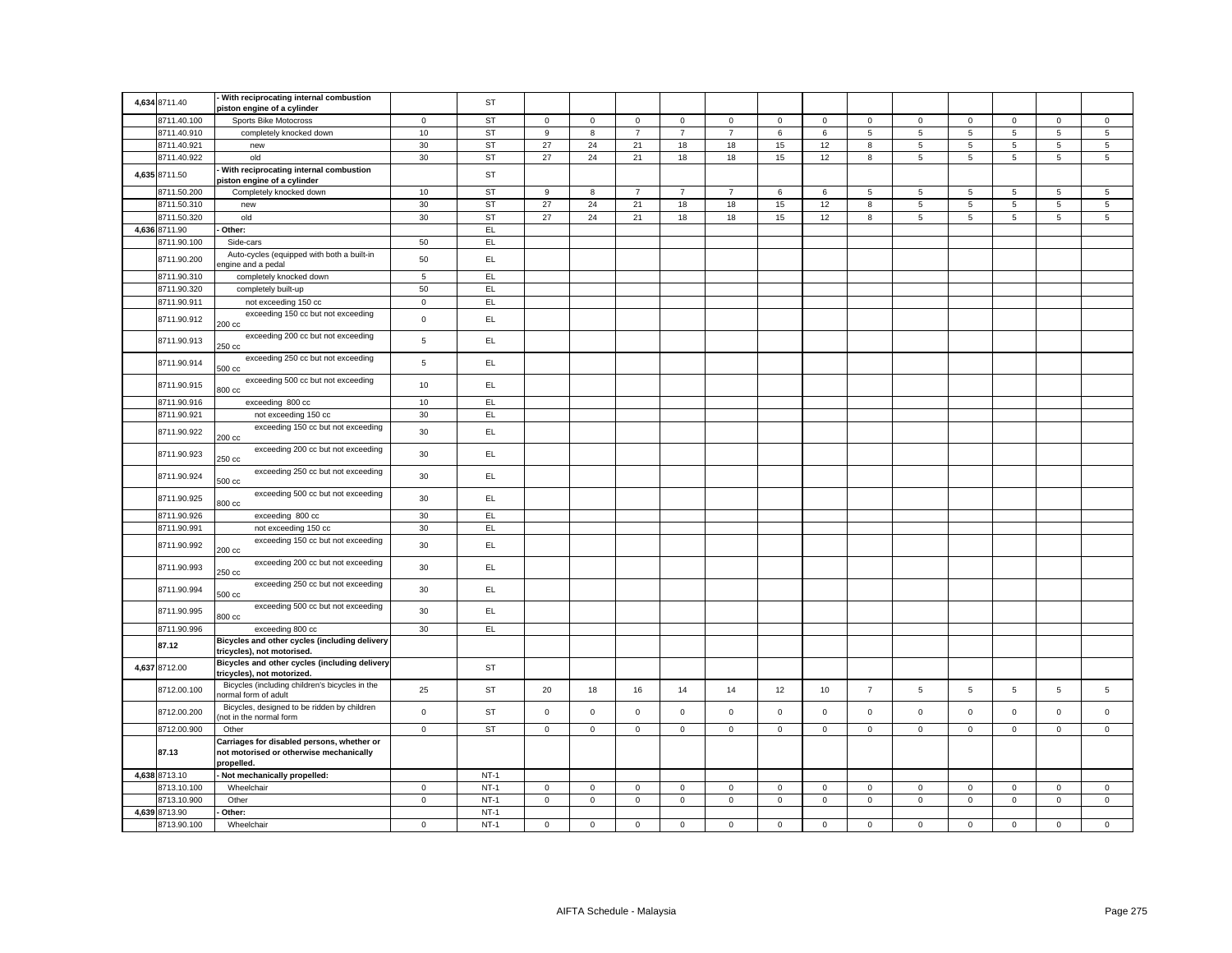| 4,634 8711.40 | With reciprocating internal combustion<br>piston engine of a cylinder                               |             | <b>ST</b> |                     |              |                  |                |                     |                |                |                |                |                |                 |                 |              |
|---------------|-----------------------------------------------------------------------------------------------------|-------------|-----------|---------------------|--------------|------------------|----------------|---------------------|----------------|----------------|----------------|----------------|----------------|-----------------|-----------------|--------------|
| 8711.40.100   | Sports Bike Motocross                                                                               | $\mathbf 0$ | ST        | $\mathsf{O}\xspace$ | $\mathsf 0$  | $\mathbf 0$      | $\mathsf 0$    | $\mathbf 0$         | $\mathsf 0$    | $\mathsf 0$    | $\mathbf 0$    | $\mathsf 0$    | $\mathbf 0$    | $\mathsf 0$     | $\mathsf 0$     | $\mathsf 0$  |
| 8711.40.910   | completely knocked down                                                                             | 10          | <b>ST</b> | 9                   | 8            | $\boldsymbol{7}$ | $\overline{7}$ | $\overline{7}$      | $\,6\,$        | $\,6\,$        | 5              | $\overline{5}$ | $\sqrt{5}$     | $\,$ 5 $\,$     | $\,$ 5 $\,$     | 5            |
| 8711.40.921   | new                                                                                                 | 30          | <b>ST</b> | 27                  | 24           | 21               | 18             | 18                  | 15             | 12             | 8              | $\overline{5}$ | $\overline{5}$ | $\overline{5}$  | $\overline{5}$  | 5            |
| 8711.40.922   | old                                                                                                 | 30          | <b>ST</b> | 27                  | 24           | 21               | 18             | 18                  | 15             | 12             | 8              | 5              | $\sqrt{5}$     | $5\phantom{.0}$ | $\sqrt{5}$      | 5            |
| 4,635 8711.50 | With reciprocating internal combustion<br>piston engine of a cylinder                               |             | ST        |                     |              |                  |                |                     |                |                |                |                |                |                 |                 |              |
| 8711.50.200   | Completely knocked down                                                                             | 10          | <b>ST</b> | 9                   | 8            | $\overline{7}$   | $\overline{7}$ | $\overline{7}$      | 6              | 6              | 5              | 5              | 5              | 5               | 5               | 5            |
| 8711.50.310   | new                                                                                                 | 30          | <b>ST</b> | 27                  | 24           | 21               | 18             | 18                  | 15             | 12             | 8              | 5              | $\sqrt{5}$     | $5\phantom{.0}$ | $\,$ 5 $\,$     | $\,$ 5 $\,$  |
| 8711.50.320   | old                                                                                                 | 30          | <b>ST</b> | 27                  | 24           | 21               | 18             | 18                  | 15             | 12             | 8              | 5              | $\sqrt{5}$     | $5\phantom{.0}$ | $\sqrt{5}$      | 5            |
| 4,636 8711.90 | Other:                                                                                              |             | EL        |                     |              |                  |                |                     |                |                |                |                |                |                 |                 |              |
| 8711.90.100   | Side-cars                                                                                           | 50          | EL.       |                     |              |                  |                |                     |                |                |                |                |                |                 |                 |              |
| 8711.90.200   | Auto-cycles (equipped with both a built-in<br>ngine and a pedal                                     | 50          | EL.       |                     |              |                  |                |                     |                |                |                |                |                |                 |                 |              |
| 8711.90.310   | completely knocked down                                                                             | 5           | EL.       |                     |              |                  |                |                     |                |                |                |                |                |                 |                 |              |
| 8711.90.320   | completely built-up                                                                                 | 50          | EL        |                     |              |                  |                |                     |                |                |                |                |                |                 |                 |              |
| 8711.90.911   | not exceeding 150 cc                                                                                | $\mathsf 0$ | EL.       |                     |              |                  |                |                     |                |                |                |                |                |                 |                 |              |
| 8711.90.912   | exceeding 150 cc but not exceeding<br>200 cc                                                        | $\mathbf 0$ | EL.       |                     |              |                  |                |                     |                |                |                |                |                |                 |                 |              |
| 8711.90.913   | exceeding 200 cc but not exceeding<br>250 cc                                                        | $\,$ 5 $\,$ | EL.       |                     |              |                  |                |                     |                |                |                |                |                |                 |                 |              |
| 8711.90.914   | exceeding 250 cc but not exceeding<br>$500 \text{ cc}$                                              | $\sqrt{5}$  | EL.       |                     |              |                  |                |                     |                |                |                |                |                |                 |                 |              |
| 8711.90.915   | exceeding 500 cc but not exceeding<br>800 cc                                                        | 10          | EL.       |                     |              |                  |                |                     |                |                |                |                |                |                 |                 |              |
| 8711.90.916   | exceeding 800 cc                                                                                    | 10          | EL.       |                     |              |                  |                |                     |                |                |                |                |                |                 |                 |              |
| 8711.90.921   | not exceeding 150 cc                                                                                | 30          | EL        |                     |              |                  |                |                     |                |                |                |                |                |                 |                 |              |
|               | exceeding 150 cc but not exceeding                                                                  |             |           |                     |              |                  |                |                     |                |                |                |                |                |                 |                 |              |
| 8711.90.922   | 200 cc<br>exceeding 200 cc but not exceeding                                                        | 30          | EL.       |                     |              |                  |                |                     |                |                |                |                |                |                 |                 |              |
| 8711.90.923   | 250 cc                                                                                              | 30          | EL.       |                     |              |                  |                |                     |                |                |                |                |                |                 |                 |              |
| 8711.90.924   | exceeding 250 cc but not exceeding<br>$500 \text{ cc}$                                              | 30          | EL.       |                     |              |                  |                |                     |                |                |                |                |                |                 |                 |              |
| 8711.90.925   | exceeding 500 cc but not exceeding<br>800 cc                                                        | 30          | EL.       |                     |              |                  |                |                     |                |                |                |                |                |                 |                 |              |
| 8711.90.926   | exceeding 800 cc                                                                                    | 30          | EL        |                     |              |                  |                |                     |                |                |                |                |                |                 |                 |              |
| 8711.90.991   | not exceeding 150 cc                                                                                | 30          | EL.       |                     |              |                  |                |                     |                |                |                |                |                |                 |                 |              |
| 8711.90.992   | exceeding 150 cc but not exceeding<br>200 cc                                                        | 30          | EL        |                     |              |                  |                |                     |                |                |                |                |                |                 |                 |              |
| 8711.90.993   | exceeding 200 cc but not exceeding<br>250 cc                                                        | 30          | EL.       |                     |              |                  |                |                     |                |                |                |                |                |                 |                 |              |
| 8711.90.994   | exceeding 250 cc but not exceeding<br>500 cc                                                        | 30          | EL.       |                     |              |                  |                |                     |                |                |                |                |                |                 |                 |              |
| 8711.90.995   | exceeding 500 cc but not exceeding<br>800 cc                                                        | 30          | EL.       |                     |              |                  |                |                     |                |                |                |                |                |                 |                 |              |
| 8711.90.996   | exceeding 800 cc                                                                                    | 30          | EL        |                     |              |                  |                |                     |                |                |                |                |                |                 |                 |              |
| 87.12         | Bicycles and other cycles (including delivery<br>tricycles), not motorised.                         |             |           |                     |              |                  |                |                     |                |                |                |                |                |                 |                 |              |
| 4,637 8712.00 | Bicycles and other cycles (including delivery<br>tricycles), not motorized.                         |             | <b>ST</b> |                     |              |                  |                |                     |                |                |                |                |                |                 |                 |              |
| 8712.00.100   | Bicycles (including children's bicycles in the<br>normal form of adult                              | 25          | <b>ST</b> | 20                  | 18           | 16               | 14             | 14                  | 12             | 10             | $\overline{7}$ | $\overline{5}$ | $\,$ 5 $\,$    | $\sqrt{5}$      | $5\phantom{.0}$ | $\,$ 5 $\,$  |
| 8712.00.200   | Bicycles, designed to be ridden by children<br>not in the normal form                               | $\mathbf 0$ | <b>ST</b> | $\mathsf 0$         | $\mathsf{O}$ | $\mathbf 0$      | $\mathsf 0$    | $\mathsf{O}\xspace$ | $\mathbf 0$    | $\mathbf 0$    | $\mathbf 0$    | $\mathsf 0$    | $\pmb{0}$      | $\mathsf 0$     | $\mathsf 0$     | $\mathsf 0$  |
| 8712.00.900   | Other                                                                                               | $\mathbf 0$ | <b>ST</b> | $\mathsf 0$         | $\mathbf 0$  | $\mathsf 0$      | $\mathsf 0$    | $\mathbf 0$         | $\mathsf 0$    | $\mathbf 0$    | $\mathbf 0$    | $\mathbf 0$    | $\mathsf 0$    | $\mathbf 0$     | $\mathbf{0}$    | $\mathbf 0$  |
| 87.13         | Carriages for disabled persons, whether or<br>not motorised or otherwise mechanically<br>propelled. |             |           |                     |              |                  |                |                     |                |                |                |                |                |                 |                 |              |
| 4,638 8713.10 | Not mechanically propelled:                                                                         |             | $NT-1$    |                     |              |                  |                |                     |                |                |                |                |                |                 |                 |              |
| 8713.10.100   | Wheelchair                                                                                          | $\mathbf 0$ | $NT-1$    | $\mathsf 0$         | $\mathsf 0$  | $\mathsf 0$      | $\mathbf 0$    | $\mathsf 0$         | $\mathsf 0$    | $\mathsf 0$    | 0              | $\mathsf 0$    | $\mathbf 0$    | $\mathsf 0$     | $\mathbf 0$     | $\mathbf 0$  |
| 8713.10.900   | Other                                                                                               | $\circ$     | $NT-1$    | $\mathbf 0$         | $\mathbf 0$  | $\overline{0}$   | 0              | $\overline{0}$      | $\overline{0}$ | $\overline{0}$ | 0              | $\mathbf 0$    | $\overline{0}$ | $\mathbf 0$     | $\overline{0}$  | $\mathbf{0}$ |
| 4,639 8713.90 | Other:                                                                                              |             | $NT-1$    |                     |              |                  |                |                     |                |                |                |                |                |                 |                 |              |
| 8713.90.100   | Wheelchair                                                                                          | $\mathsf 0$ | $NT-1$    | $\mathsf 0$         | $\mathsf 0$  | $\mathsf 0$      | $\mathsf 0$    | $\mathsf 0$         | $\mathsf 0$    | $\mathsf 0$    | $\mathsf 0$    | $\mathbf 0$    | $\mathbf 0$    | $\mathsf 0$     | $\mathsf 0$     | $\mathsf 0$  |
|               |                                                                                                     |             |           |                     |              |                  |                |                     |                |                |                |                |                |                 |                 |              |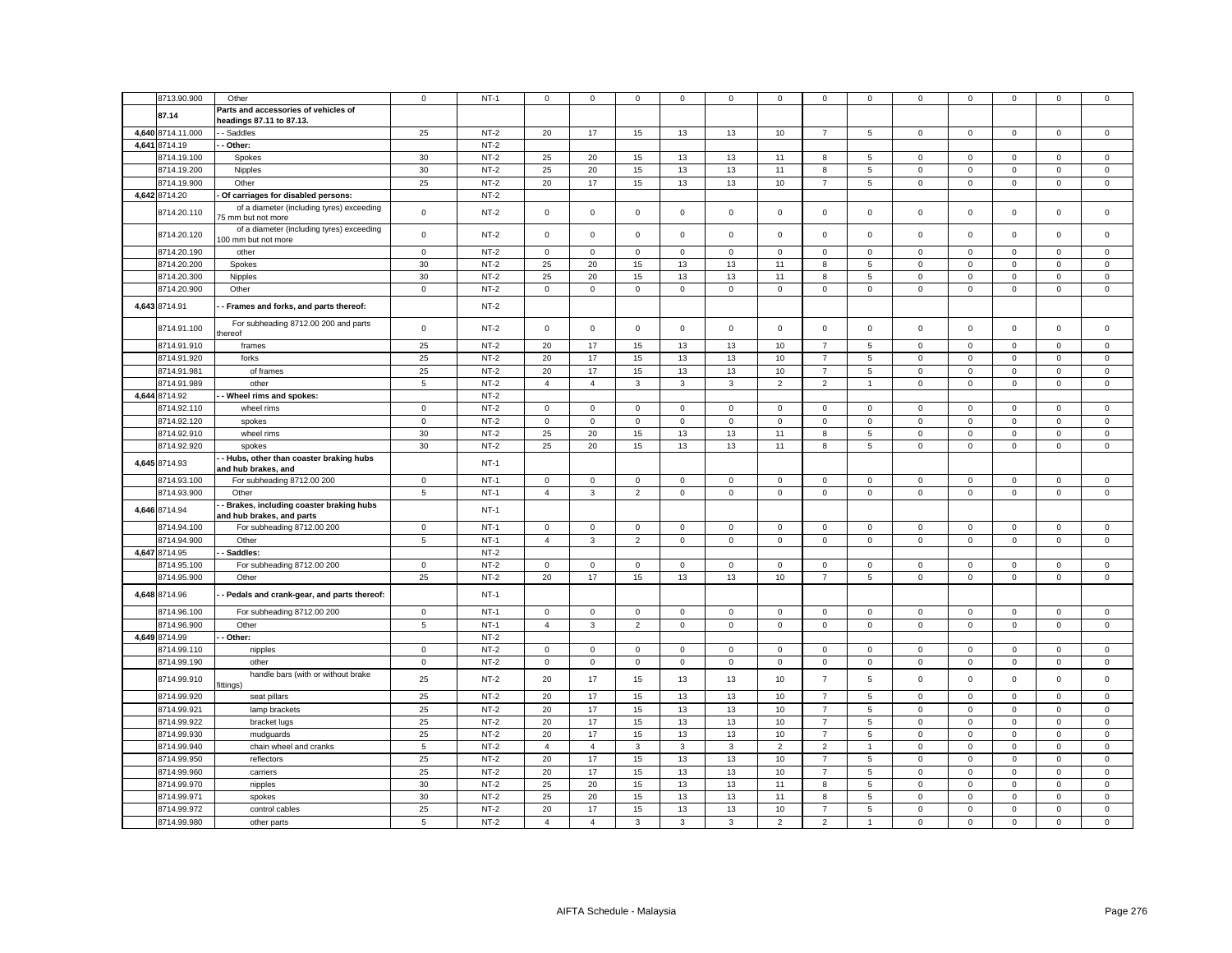|               | 8713.90.900                | Other                                     | $\mathbf 0$    | $NT-1$           | 0              | $\mathbf 0$          | 0                  | 0           | 0                  | 0                    | 0                                | $\mathbf 0$    | 0                                  | $\mathbf 0$                | 0                          | 0                                  | 0                          |
|---------------|----------------------------|-------------------------------------------|----------------|------------------|----------------|----------------------|--------------------|-------------|--------------------|----------------------|----------------------------------|----------------|------------------------------------|----------------------------|----------------------------|------------------------------------|----------------------------|
|               | 87.14                      | Parts and accessories of vehicles of      |                |                  |                |                      |                    |             |                    |                      |                                  |                |                                    |                            |                            |                                    |                            |
|               |                            | headings 87.11 to 87.13.                  |                |                  |                |                      |                    |             |                    |                      |                                  |                |                                    |                            |                            |                                    |                            |
|               | 4,640 8714.11.000          | - Saddles                                 | 25             | $NT-2$           | 20             | 17                   | 15                 | 13          | 13                 | 10                   | $\overline{7}$                   | 5              | 0                                  | $\mathbf 0$                | $\mathbf 0$                | $\mathbf 0$                        | $\mathbf 0$                |
| 4,641         | 8714.19                    | - Other:                                  |                | $NT-2$           |                |                      |                    |             |                    |                      |                                  |                |                                    |                            |                            |                                    |                            |
|               |                            |                                           |                |                  |                |                      |                    |             |                    |                      |                                  |                |                                    |                            |                            |                                    |                            |
|               | 3714.19.100                | Spokes                                    | 30             | $NT-2$           | 25             | 20                   | 15                 | 13          | 13                 | 11                   | 8                                | 5              | 0                                  | $\mathbf 0$                | $\mathbf 0$                | $\mathbf 0$                        | $\mathbf 0$                |
|               | 8714.19.200                | Nipples                                   | 30             | $NT-2$           | 25             | 20                   | 15                 | 13          | 13                 | 11                   | 8                                | $\overline{5}$ | $\mathsf 0$                        | $\mathbf 0$                | $\mathsf 0$                | $\mathbf 0$                        | $\mathsf 0$                |
|               | 8714.19.900                | Other                                     | 25             | $NT-2$           | 20             | 17                   | 15                 | 13          | 13                 | 10                   | $\overline{7}$                   | 5              | $\mathsf 0$                        | $\mathsf 0$                | $\mathbf 0$                | $\mathsf 0$                        | $\mathsf 0$                |
| 4,642 8714.20 |                            | Of carriages for disabled persons:        |                | $NT-2$           |                |                      |                    |             |                    |                      |                                  |                |                                    |                            |                            |                                    |                            |
|               |                            |                                           |                |                  |                |                      |                    |             |                    |                      |                                  |                |                                    |                            |                            |                                    |                            |
|               | 8714.20.110                | of a diameter (including tyres) exceeding | $\mathbf 0$    | $NT-2$           | $\mathsf 0$    | $\mathsf{O}\xspace$  | $\mathsf 0$        | $\mathsf 0$ | $\mathbf 0$        | $\mathsf 0$          | $\mathsf 0$                      | $\mathsf 0$    | $\mathsf 0$                        | $\mathsf 0$                | $\mathsf 0$                | $\mathsf 0$                        | $\mathsf 0$                |
|               |                            | 75 mm but not more                        |                |                  |                |                      |                    |             |                    |                      |                                  |                |                                    |                            |                            |                                    |                            |
|               | 8714.20.120                | of a diameter (including tyres) exceeding | $\mathbf 0$    | $NT-2$           | $\mathsf 0$    | $\mathsf 0$          | $\mathsf 0$        | $\mathsf 0$ | $\mathbf 0$        | $\mathsf 0$          | $\mathsf 0$                      | $\mathsf 0$    | $\mathsf 0$                        | $\mathbf 0$                | $\mathsf 0$                | $\mathsf 0$                        | $\mathsf 0$                |
|               |                            | 100 mm but not more                       |                |                  |                |                      |                    |             |                    |                      |                                  |                |                                    |                            |                            |                                    |                            |
|               | 8714.20.190                | other                                     | $\mathbf 0$    | $NT-2$           | $\mathbf 0$    | $\mathbf 0$          | $\mathbf 0$        | $\mathbf 0$ | 0                  | $\mathbf 0$          | $\mathbf 0$                      | $\mathbf 0$    | $\mathbf 0$                        | $\mathbf 0$                | $\mathbf 0$                | 0                                  | $\mathbf 0$                |
|               | 8714.20.200                | Spokes                                    | 30             | $NT-2$           | 25             | 20                   | 15                 | 13          | 13                 | 11                   | 8                                | 5              | $\mathsf 0$                        | $\mathbf 0$                | $\mathbf 0$                | $\mathbf 0$                        | $\mathbf 0$                |
|               | 8714.20.300                | Nipples                                   | 30             | $NT-2$           | 25             | 20                   | 15                 | 13          | 13                 | 11                   | 8                                | $\overline{5}$ | $\mathsf 0$                        | $\mathbf 0$                | $\mathbf 0$                | $\mathsf 0$                        | $\mathsf 0$                |
|               |                            |                                           |                |                  |                |                      |                    |             |                    |                      |                                  |                |                                    |                            |                            |                                    |                            |
|               | 8714.20.900                | Other                                     | $\mathbf 0$    | $NT-2$           | $\mathbf 0$    | $\mathsf 0$          | $\mathsf 0$        | $\mathsf 0$ | 0                  | $\mathsf 0$          | $\mathbf 0$                      | $\mathbf 0$    | $\mathsf 0$                        | $\mathbf 0$                | $\mathsf 0$                | $\mathsf 0$                        | $\mathsf 0$                |
| 4,643 8714.91 |                            | Frames and forks, and parts thereof:      |                | $NT-2$           |                |                      |                    |             |                    |                      |                                  |                |                                    |                            |                            |                                    |                            |
|               | 8714.91.100                | For subheading 8712.00 200 and parts      | $\mathbf 0$    | $NT-2$           | $\mathsf 0$    | $\mathsf 0$          | $\mathsf 0$        | $\mathsf 0$ | $\mathsf 0$        | $\mathbf 0$          | $\mathsf 0$                      | $\mathbf 0$    | $\mathsf 0$                        | $\mathbf 0$                | $\mathsf 0$                | $\mathsf 0$                        | $\mathsf 0$                |
|               |                            | thereof                                   |                |                  |                |                      |                    |             |                    |                      |                                  |                |                                    |                            |                            |                                    |                            |
|               | 8714.91.910                | frames                                    | 25             | $NT-2$           | 20             | 17                   | 15                 | 13          | 13                 | 10                   | $\overline{7}$                   | 5              | 0                                  | $\mathbf 0$                | $\mathbf 0$                | 0                                  | $\mathbf 0$                |
|               | 8714.91.920                | forks                                     | 25             | $NT-2$           | 20             | 17                   | 15                 | 13          | 13                 | 10                   | $\overline{7}$                   | $\,$ 5 $\,$    | $\mathsf 0$                        | $\mathbf 0$                | $\mathsf 0$                | $\mathsf 0$                        | $\mathsf 0$                |
|               |                            |                                           |                |                  |                |                      |                    |             |                    |                      |                                  |                |                                    |                            |                            |                                    |                            |
|               | 8714.91.981                | of frames                                 | 25             | $NT-2$           | 20             | 17                   | 15                 | 13          | 13                 | 10                   | $\overline{7}$                   | 5              | $\mathbf 0$                        | 0                          | $\mathbf 0$                | $\mathbf 0$                        | 0                          |
|               | 8714.91.989                | other                                     | 5              | $NT-2$           | $\overline{4}$ | $\overline{4}$       | 3                  | 3           | 3                  | $\overline{2}$       | $\overline{2}$                   | $\overline{1}$ | $\mathsf 0$                        | $\mathbf 0$                | $\mathsf 0$                | $\mathsf 0$                        | $\mathsf 0$                |
|               | 4,644 8714.92              | - Wheel rims and spokes:                  |                | $NT-2$           |                |                      |                    |             |                    |                      |                                  |                |                                    |                            |                            |                                    |                            |
|               | 8714.92.110                | wheel rims                                | $\mathbf 0$    | $NT-2$           | $\mathbf 0$    | $\mathbf 0$          | $\mathbf 0$        | $\mathbf 0$ | $\mathbf{0}$       | $\mathbf 0$          | $\mathbf 0$                      | $\mathbf 0$    | $\mathbf 0$                        | $\mathbf 0$                | $\mathbf{0}$               | $\mathbf 0$                        | $\mathbf 0$                |
|               | 8714.92.120                |                                           | $\mathbf 0$    | $NT-2$           | $\mathsf 0$    | $\mathbf 0$          | $\mathsf 0$        | $\mathsf 0$ | 0                  | $\mathsf 0$          | $\mathsf 0$                      | $\mathbf 0$    | $\mathsf 0$                        | $\mathsf 0$                | $\mathsf 0$                | $\mathsf 0$                        | $\mathsf 0$                |
|               |                            | spokes                                    |                |                  |                |                      |                    |             |                    |                      |                                  |                |                                    |                            |                            |                                    |                            |
|               | 8714.92.910                | wheel rims                                | 30             | $NT-2$           | 25             | 20                   | 15                 | 13          | 13                 | 11                   | 8                                | 5              | $\mathsf 0$                        | $\mathbf 0$                | $\mathsf 0$                | $\mathsf 0$                        | $\mathsf 0$                |
|               | 8714.92.920                | spokes                                    | 30             | $NT-2$           | 25             | 20                   | 15                 | 13          | 13                 | 11                   | 8                                | 5              | $\mathsf 0$                        | $\mathbf 0$                | $\mathbf 0$                | $\mathbf 0$                        | $\mathsf 0$                |
|               |                            |                                           |                |                  |                |                      |                    |             |                    |                      |                                  |                |                                    |                            |                            |                                    |                            |
|               |                            |                                           |                |                  |                |                      |                    |             |                    |                      |                                  |                |                                    |                            |                            |                                    |                            |
| 4,645 8714.93 |                            | - Hubs, other than coaster braking hubs   |                | $NT-1$           |                |                      |                    |             |                    |                      |                                  |                |                                    |                            |                            |                                    |                            |
|               |                            | and hub brakes, and                       |                |                  |                |                      |                    |             |                    |                      |                                  |                |                                    |                            |                            |                                    |                            |
|               | 8714.93.100                | For subheading 8712.00 200                | $\mathbf 0$    | $NT-1$           | $\mathbf{0}$   | $\mathbf 0$          | $\mathsf 0$        | $\mathbf 0$ | $\mathbf 0$        | $\mathsf 0$          | $\mathbf 0$                      | $\mathsf 0$    | $\mathsf 0$                        | $\mathsf 0$                | $\mathbf 0$                | $\mathsf 0$                        | $\mathsf 0$                |
|               | 8714.93.900                | Other                                     | 5              | $NT-1$           | $\overline{4}$ | 3                    | $\overline{2}$     | $\mathbf 0$ | 0                  | $\mathbf 0$          | $\mathsf 0$                      | $\mathbf 0$    | $\mathbf 0$                        | $\mathbf 0$                | $\mathsf 0$                | $\mathsf 0$                        | $\mathsf 0$                |
|               |                            | - Brakes, including coaster braking hubs  |                |                  |                |                      |                    |             |                    |                      |                                  |                |                                    |                            |                            |                                    |                            |
| 4,646 8714.94 |                            | and hub brakes, and parts                 |                | $NT-1$           |                |                      |                    |             |                    |                      |                                  |                |                                    |                            |                            |                                    |                            |
|               | 8714.94.100                | For subheading 8712.00 200                | $\mathsf 0$    | $NT-1$           | $\mathsf 0$    | $\mathsf 0$          | $\mathsf 0$        | $\mathsf 0$ | 0                  | $\mathsf 0$          | $\mathbf 0$                      | $\mathsf 0$    | $\mathsf 0$                        | $\mathbf 0$                | $\mathbf 0$                | $\mathsf 0$                        | $\mathsf 0$                |
|               |                            |                                           |                |                  |                |                      |                    |             |                    |                      |                                  |                |                                    |                            |                            |                                    |                            |
|               | 8714.94.900                | Other                                     | 5              | $NT-1$           | $\overline{4}$ | $\mathbf{3}$         | 2                  | $\mathbf 0$ | $\mathbf 0$        | $\mathbf 0$          | $\mathbf 0$                      | $\mathbf 0$    | $\mathsf 0$                        | $\mathbf 0$                | $\mathbf 0$                | $\mathsf 0$                        | $\mathsf 0$                |
| 4,647 8714.95 |                            | Saddles:                                  |                | $NT-2$           |                |                      |                    |             |                    |                      |                                  |                |                                    |                            |                            |                                    |                            |
|               | 8714.95.100                | For subheading 8712.00 200                | $\mathbf 0$    | $NT-2$           | $\mathbf 0$    | $\mathbf 0$          | $\mathbf 0$        | $\mathbf 0$ | $\mathbf{0}$       | $\mathbf 0$          | $\mathbf 0$                      | $\mathbf 0$    | $\mathsf 0$                        | $\mathbf 0$                | $\mathbf 0$                | $\mathbf 0$                        | $\mathsf 0$                |
|               | 8714.95.900                | Other                                     | 25             | $NT-2$           | 20             | 17                   | 15                 | 13          | 13                 | 10                   | $\overline{7}$                   | 5              | $\mathbf 0$                        | $\mathbf 0$                | $\mathsf 0$                | $\mathsf 0$                        | $\mathbf 0$                |
| 4,648 8714.96 |                            | Pedals and crank-gear, and parts thereof: |                | $NT-1$           |                |                      |                    |             |                    |                      |                                  |                |                                    |                            |                            |                                    |                            |
|               |                            |                                           |                |                  |                |                      |                    |             |                    |                      |                                  |                |                                    |                            |                            |                                    |                            |
|               | 8714.96.100                | For subheading 8712.00 200                | $\mathbf 0$    | $NT-1$           | $\mathbf 0$    | $\mathbf 0$          | $\mathsf 0$        | $\mathbf 0$ | $\mathbf{0}$       | $\mathbf{0}$         | $\mathbf 0$                      | $\mathbf{0}$   | $\mathbf 0$                        | $\mathbf{0}$               | $\mathbf{0}$               | $\mathbf 0$                        | $\mathbf 0$                |
|               | 8714.96.900                | Other                                     | $\overline{5}$ | $NT-1$           | $\overline{4}$ | $\mathbf{3}$         | $\overline{2}$     | $\mathsf 0$ | $\mathbf 0$        | $\mathbf 0$          | $\mathsf 0$                      | $\mathsf 0$    | $\mathsf 0$                        | $\mathbf 0$                | $\mathsf 0$                | $\mathsf 0$                        | $\mathsf 0$                |
| 4,649 8714.99 |                            | Other:                                    |                | $NT-2$           |                |                      |                    |             |                    |                      |                                  |                |                                    |                            |                            |                                    |                            |
|               | 8714.99.110                | nipples                                   | $\mathbf 0$    | $NT-2$           | $\mathbf{0}$   | $\mathsf 0$          | $\mathbf 0$        | $\mathbf 0$ | $\mathbf 0$        | $\mathbf 0$          | $\mathbf 0$                      | $\mathsf 0$    | $\mathsf 0$                        | $\mathbf 0$                | $\mathbf 0$                | $\mathbf 0$                        | $\mathsf 0$                |
|               |                            |                                           |                |                  |                |                      |                    |             |                    |                      |                                  |                |                                    |                            |                            |                                    |                            |
|               | 8714.99.190                | other                                     | $\mathbf 0$    | $NT-2$           | $\mathbf 0$    | $\mathbf 0$          | $\mathbf 0$        | $\mathbf 0$ | 0                  | $\mathbf 0$          | $\mathbf 0$                      | $\mathbf 0$    | 0                                  | $\mathbf 0$                | $\mathbf{0}$               | $\mathbf 0$                        | $\mathbf 0$                |
|               | 8714.99.910                | handle bars (with or without brake        | 25             | $NT-2$           | 20             | 17                   | 15                 | 13          | 13                 | 10                   | $\overline{7}$                   | $\overline{5}$ | $\mathsf 0$                        | $\mathbf 0$                | $\mathsf 0$                | $\mathsf 0$                        | $\mathsf 0$                |
|               |                            | fittings)                                 |                |                  |                |                      |                    |             |                    |                      |                                  |                |                                    |                            |                            |                                    |                            |
|               | 8714.99.920                | seat pillars                              | 25             | $NT-2$           | 20             | 17                   | 15                 | 13          | 13                 | 10                   | $\overline{7}$                   | 5              | $\mathsf 0$                        | $\mathbf 0$                | $\mathbf 0$                | $\mathsf 0$                        | $\mathsf 0$                |
|               | 8714.99.921                | lamp brackets                             | 25             | $NT-2$           | 20             | 17                   | 15                 | 13          | 13                 | 10                   | $\overline{7}$                   | $\,$ 5         | $\mathsf 0$                        | $\mathbf 0$                | $\mathbf 0$                | $\mathsf 0$                        | $\mathsf 0$                |
|               | 8714.99.922                | bracket lugs                              | 25             | $NT-2$           | 20             | 17                   | 15                 | 13          | 13                 | 10                   | $\overline{7}$                   | 5              | 0                                  | $\mathbf 0$                | 0                          | $\mathbf 0$                        | 0                          |
|               |                            |                                           |                |                  |                |                      |                    |             |                    |                      |                                  |                |                                    |                            |                            |                                    |                            |
|               | 8714.99.930                | mudguards                                 | 25             | $NT-2$           | 20             | 17                   | 15                 | 13          | 13                 | 10                   | $\overline{7}$                   | 5              | $\mathbf 0$                        | $\Omega$                   | $\Omega$                   | $\mathbf 0$                        | $\mathsf 0$                |
|               | 8714.99.940                | chain wheel and cranks                    | 5              | $NT-2$           | $\overline{4}$ | $\overline{4}$       | $\mathbf{3}$       | 3           | 3                  | $\overline{2}$       | $\overline{2}$                   | $\overline{1}$ | $\mathsf 0$                        | 0                          | 0                          | 0                                  | 0                          |
|               | 8714.99.950                | reflectors                                | 25             | $NT-2$           | 20             | 17                   | 15                 | 13          | 13                 | 10                   | $\overline{7}$                   | $\overline{5}$ | $\mathsf 0$                        | $\mathbf 0$                | $\mathsf 0$                | $\mathsf 0$                        | $\mathsf 0$                |
|               | 8714.99.960                | carriers                                  | 25             | $NT-2$           | 20             | 17                   | 15                 | 13          | 13                 | 10                   | $\overline{7}$                   | 5              | 0                                  | 0                          | $\mathsf 0$                | 0                                  | 0                          |
|               |                            |                                           |                |                  |                |                      |                    |             |                    |                      |                                  |                |                                    | $\Omega$                   | $\Omega$                   |                                    |                            |
|               | 8714.99.970                | nipples                                   | 30             | $NT-2$           | 25             | 20                   | 15                 | 13          | 13                 | 11                   | 8                                | 5              | $\mathsf 0$                        |                            |                            | $\mathbf 0$                        | $\mathsf 0$                |
|               | 8714.99.971                | spokes                                    | 30             | $NT-2$           | 25             | 20                   | 15                 | 13          | 13                 | 11                   | 8                                | $\sqrt{5}$     | $\mathsf 0$                        | $\mathbf 0$                | $\mathbf 0$                | $\mathsf 0$                        | 0                          |
|               | 8714.99.972<br>8714.99.980 | control cables                            | 25             | $NT-2$<br>$NT-2$ | 20             | 17<br>$\overline{4}$ | 15<br>$\mathbf{3}$ | 13          | 13<br>$\mathbf{3}$ | 10<br>$\overline{2}$ | $\overline{7}$<br>$\overline{2}$ | 5              | $\mathsf 0$<br>$\mathsf{O}\xspace$ | $\mathbf 0$<br>$\mathsf 0$ | $\mathsf 0$<br>$\mathbf 0$ | $\mathsf 0$<br>$\mathsf{O}\xspace$ | $\mathbf 0$<br>$\mathsf 0$ |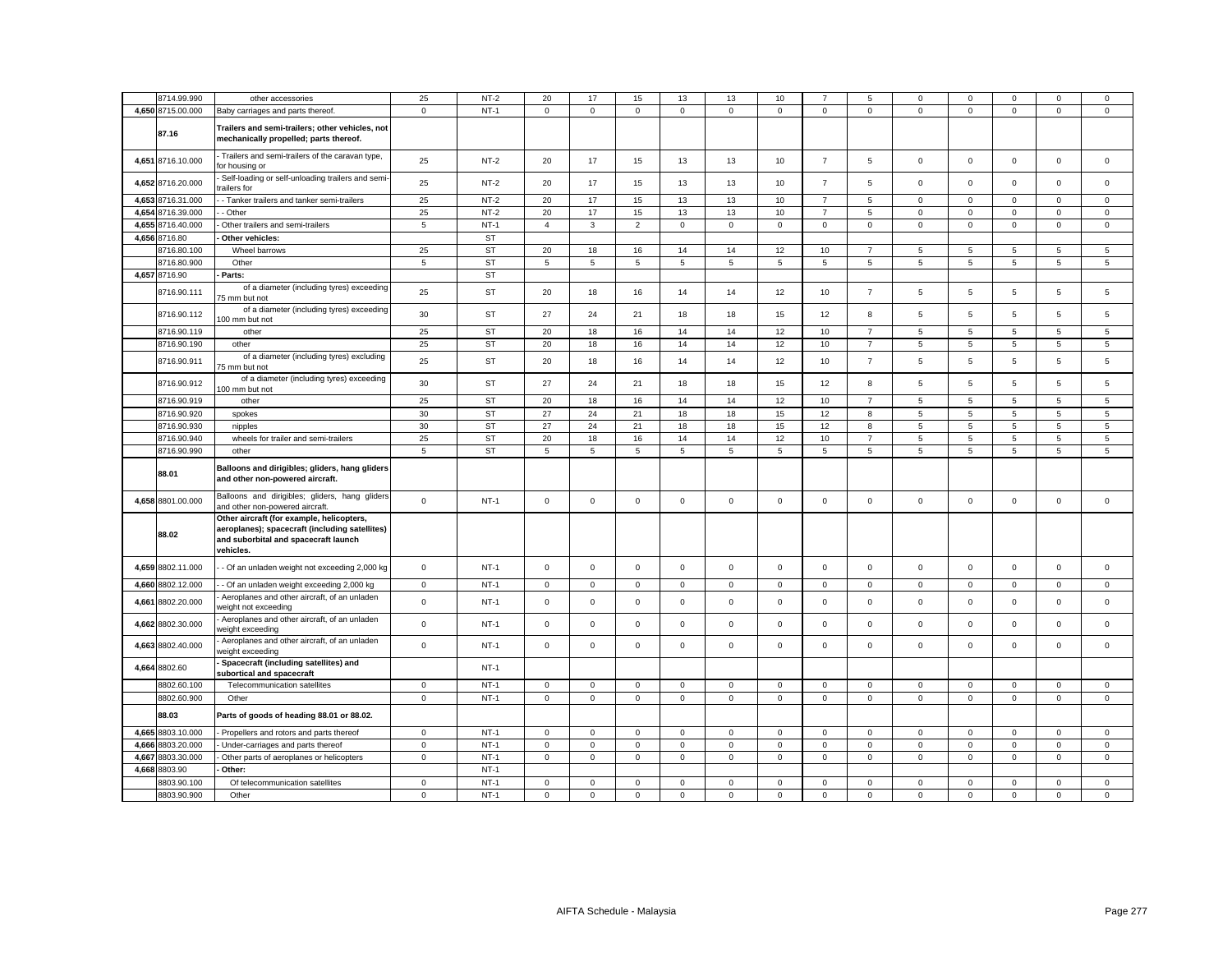|       | 8714.99.990                | other accessories                                                                                                                                | 25                         | $NT-2$           | 20               | 17                         | 15                         | 13                         | 13                         | 10                         |                            | 5                          | $\Omega$         | 0                          | $\Omega$                   | 0                          | 0                          |
|-------|----------------------------|--------------------------------------------------------------------------------------------------------------------------------------------------|----------------------------|------------------|------------------|----------------------------|----------------------------|----------------------------|----------------------------|----------------------------|----------------------------|----------------------------|------------------|----------------------------|----------------------------|----------------------------|----------------------------|
|       |                            |                                                                                                                                                  |                            |                  |                  |                            |                            |                            |                            |                            |                            |                            |                  |                            |                            |                            |                            |
|       | 4,650 8715.00.000          | Baby carriages and parts thereof.                                                                                                                | $\mathbf 0$                | $NT-1$           | $\mathbf 0$      | $\mathsf 0$                | $\mathsf 0$                | $\mathsf 0$                | $\mathsf 0$                | $\mathsf 0$                | $\mathsf 0$                | $\mathbf 0$                | $\mathsf 0$      | $\mathsf 0$                | $\mathsf 0$                | $\mathsf 0$                | $\mathsf 0$                |
|       | 87.16                      | Trailers and semi-trailers; other vehicles, not<br>mechanically propelled; parts thereof.                                                        |                            |                  |                  |                            |                            |                            |                            |                            |                            |                            |                  |                            |                            |                            |                            |
|       | 4,651 8716.10.000          | Trailers and semi-trailers of the caravan type,<br>or housing or                                                                                 | 25                         | $NT-2$           | 20               | 17                         | 15                         | 13                         | 13                         | 10                         | $\overline{7}$             | 5                          | $\mathbf 0$      | $\mathbf 0$                | $\mathbf 0$                | $\mathbf 0$                | $\mathbf 0$                |
|       | 4,652 8716.20.000          | Self-loading or self-unloading trailers and semi-<br>railers for                                                                                 | 25                         | $NT-2$           | 20               | 17                         | 15                         | 13                         | 13                         | 10                         | $\overline{7}$             | 5                          | $\mathbf 0$      | $\mathbf 0$                | $\mathbf 0$                | $\mathbf 0$                | $\mathbf 0$                |
| 4,653 | 8716.31.000                | - Tanker trailers and tanker semi-trailers                                                                                                       | 25                         | $NT-2$           | 20               | 17                         | 15                         | 13                         | 13                         | 10                         | $\overline{7}$             | $\sqrt{5}$                 | $\mathsf 0$      | $\mathbf 0$                | $\mathsf 0$                | $\mathsf 0$                | $\mathsf 0$                |
|       | 4,654 8716.39.000          | - Other                                                                                                                                          | 25                         | $NT-2$           | 20               | 17                         | 15                         | 13                         | 13                         | 10                         | $\overline{7}$             | 5                          | $\mathbf 0$      | $\mathbf 0$                | $\mathbf 0$                | $\mathbf 0$                | $\mathbf 0$                |
|       | 4,655 8716.40.000          | Other trailers and semi-trailers                                                                                                                 | 5                          | $NT-1$           | $\overline{4}$   | 3                          | $\overline{2}$             | $\mathbf 0$                | 0                          | $\mathbf 0$                | $\mathbf{0}$               | $\mathbf 0$                | $\mathbf 0$      | 0                          | $\mathbf 0$                | $\mathbf 0$                | $\mathbf 0$                |
|       | 4,656 8716.80              | Other vehicles:                                                                                                                                  |                            | <b>ST</b>        |                  |                            |                            |                            |                            |                            |                            |                            |                  |                            |                            |                            |                            |
|       |                            |                                                                                                                                                  |                            |                  |                  |                            |                            |                            |                            |                            |                            |                            |                  |                            |                            |                            |                            |
|       | 8716.80.100                | Wheel barrows                                                                                                                                    | 25                         | <b>ST</b>        | 20               | 18                         | 16                         | 14                         | 14                         | 12                         | 10                         | 7                          | 5                | 5                          | 5                          | 5                          | 5                          |
|       | 8716.80.900                | Other                                                                                                                                            | 5                          | <b>ST</b>        | 5                | 5                          | 5                          | 5                          | 5                          | 5                          | 5                          | 5                          | 5                | 5                          | 5                          | 5                          | 5                          |
|       | 4,657 8716.90              | Parts:                                                                                                                                           |                            | ST               |                  |                            |                            |                            |                            |                            |                            |                            |                  |                            |                            |                            |                            |
|       | 8716.90.111                | of a diameter (including tyres) exceeding<br>75 mm but not                                                                                       | 25                         | <b>ST</b>        | 20               | 18                         | 16                         | 14                         | 14                         | 12                         | 10                         | $\overline{7}$             | 5                | 5                          | 5                          | 5                          | 5                          |
|       | 8716.90.112                | of a diameter (including tyres) exceeding<br>100 mm but not                                                                                      | 30                         | <b>ST</b>        | 27               | 24                         | 21                         | 18                         | 18                         | 15                         | 12                         | 8                          | 5                | 5                          | 5                          | 5                          | 5                          |
|       | 8716.90.119                | other                                                                                                                                            | 25                         | <b>ST</b>        | 20               | 18                         | 16                         | 14                         | 14                         | 12                         | 10                         | $\overline{7}$             | 5                | 5                          | 5                          | 5                          | 5                          |
|       | 8716.90.190                | other                                                                                                                                            | 25                         | <b>ST</b>        | 20               | 18                         | 16                         | 14                         | 14                         | 12                         | 10                         | $\overline{7}$             | 5                | 5                          | 5                          | 5                          | 5                          |
|       | 8716.90.911                | of a diameter (including tyres) excluding<br>75 mm but not                                                                                       | 25                         | <b>ST</b>        | 20               | 18                         | 16                         | 14                         | 14                         | 12                         | 10                         | $\overline{7}$             | 5                | 5                          | 5                          | 5                          | 5                          |
|       | 8716.90.912                | of a diameter (including tyres) exceeding<br>100 mm but not                                                                                      | 30                         | <b>ST</b>        | 27               | 24                         | 21                         | 18                         | 18                         | 15                         | 12                         | 8                          | 5                | 5                          | 5                          | 5                          | 5                          |
|       | 8716.90.919                | other                                                                                                                                            | 25                         | <b>ST</b>        | 20               | 18                         | 16                         | 14                         | 14                         | 12                         | 10                         | $\overline{7}$             | 5                | $\overline{5}$             | 5                          | 5                          | $\mathbf 5$                |
|       | 8716.90.920                | spokes                                                                                                                                           | 30                         | <b>ST</b>        | 27               | 24                         | 21                         | 18                         | 18                         | 15                         | 12                         | 8                          | 5                | 5                          | 5                          | 5                          | 5                          |
|       | 8716.90.930                | nipples                                                                                                                                          | 30                         | <b>ST</b>        | 27               | 24                         | 21                         | 18                         | 18                         | 15                         | 12                         | 8                          | 5                | 5                          | 5                          | 5                          | 5                          |
|       |                            |                                                                                                                                                  |                            |                  |                  |                            |                            |                            |                            |                            |                            |                            |                  |                            |                            |                            |                            |
|       | 8716.90.940                | wheels for trailer and semi-trailers                                                                                                             | 25                         | <b>ST</b>        | 20               | 18                         | 16                         | 14                         | 14                         | 12                         | 10                         | $\overline{7}$             | $5\phantom{.0}$  | 5                          | 5                          | 5                          | 5                          |
|       |                            |                                                                                                                                                  |                            |                  |                  |                            |                            |                            |                            |                            |                            |                            |                  |                            |                            |                            |                            |
|       | 8716.90.990                | other                                                                                                                                            | 5                          | <b>ST</b>        | 5                | 5                          | $\mathbf 5$                | 5                          | 5                          | 5                          | 5                          | 5                          | 5                | 5                          | 5                          | 5                          | 5                          |
|       | 88.01                      | Balloons and dirigibles; gliders, hang gliders<br>and other non-powered aircraft.                                                                |                            |                  |                  |                            |                            |                            |                            |                            |                            |                            |                  |                            |                            |                            |                            |
|       | 4,658 8801.00.000          | Balloons and dirigibles; gliders, hang gliders<br>and other non-powered aircraft.                                                                | $\mathbf{0}$               | $NT-1$           | $\mathbf 0$      | $\mathbf 0$                | $\mathbf 0$                | $\mathsf 0$                | $\mathbf 0$                | $\mathbf 0$                | $\mathbf{O}$               | $\mathsf 0$                | $\mathbf{0}$     | $\mathbf 0$                | $\mathbf 0$                | $\mathbf 0$                | $\mathbf 0$                |
|       | 88.02                      | Other aircraft (for example, helicopters,<br>aeroplanes); spacecraft (including satellites)<br>and suborbital and spacecraft launch<br>vehicles. |                            |                  |                  |                            |                            |                            |                            |                            |                            |                            |                  |                            |                            |                            |                            |
|       | 4,659 8802.11.000          | - Of an unladen weight not exceeding 2,000 kg                                                                                                    | $\mathbf 0$                | $NT-1$           | $\mathsf 0$      | $\mathsf 0$                | $\mathsf 0$                | $\mathsf 0$                | $\mathsf 0$                | $\mathsf 0$                | $\mathbf 0$                | $\mathsf 0$                | $\mathsf 0$      | $\mathsf 0$                | $\mathsf 0$                | $\mathsf 0$                | $\mathsf 0$                |
|       | 4,660 8802.12.000          | - Of an unladen weight exceeding 2,000 kg                                                                                                        | $\mathbf 0$                | $NT-1$           | 0                | $\mathbf 0$                | $\mathbf 0$                | $\mathbf 0$                | 0                          | $\mathbf 0$                | $\mathbf 0$                | $\mathbf 0$                | $\mathbf 0$      | $\mathbf 0$                | $\mathbf 0$                | $\mathbf 0$                | $\mathbf 0$                |
| 4,661 | 8802.20.000                | Aeroplanes and other aircraft, of an unladen<br>weight not exceeding                                                                             | $\mathbf 0$                | $NT-1$           | $\mathbf 0$      | $\mathsf 0$                | $\mathsf 0$                | $\mathsf 0$                | $\mathsf 0$                | $\mathsf 0$                | $\mathsf 0$                | $\mathsf 0$                | $\mathbf 0$      | $\mathsf 0$                | $\mathsf 0$                | $\mathsf 0$                | $\mathsf 0$                |
|       | 4,662 8802.30.000          | Aeroplanes and other aircraft, of an unladen<br>veight exceeding                                                                                 | $\mathbf 0$                | $NT-1$           | $\mathbf 0$      | $\mathbf 0$                | $\mathsf 0$                | $\mathsf 0$                | $\mathsf 0$                | $\mathbf 0$                | $\mathbf 0$                | $\mathsf 0$                | $\mathsf 0$      | $\mathsf 0$                | $\mathbf 0$                | $\mathsf 0$                | $\mathsf 0$                |
| 4,663 | 8802.40.000                | Aeroplanes and other aircraft, of an unladen<br>veight exceeding                                                                                 | $\mathbf 0$                | $NT-1$           | $\mathbf 0$      | $\mathsf 0$                | $\mathsf 0$                | $\mathsf 0$                | $\mathsf 0$                | $\mathsf 0$                | $\mathbf 0$                | $\mathbf 0$                | $\mathbf 0$      | $\mathsf 0$                | $\mathbf 0$                | $\mathsf 0$                | $\mathsf 0$                |
|       | 4,664 8802.60              | Spacecraft (including satellites) and<br>subortical and spacecraft                                                                               |                            | $NT-1$           |                  |                            |                            |                            |                            |                            |                            |                            |                  |                            |                            |                            |                            |
|       | 8802.60.100                | Telecommunication satellites                                                                                                                     | $\mathbf 0$                | $NT-1$           | 0                | $\mathbf 0$                | $\mathsf 0$                | $\mathbf 0$                | 0                          | $\mathbf 0$                | $\mathbf 0$                | $\mathbf 0$                | $\mathbf 0$      | $\mathbf 0$                | $\mathbf 0$                | $\mathbf 0$                | $\mathbf 0$                |
|       |                            |                                                                                                                                                  |                            |                  |                  |                            |                            |                            |                            |                            |                            |                            |                  |                            |                            |                            |                            |
|       | 8802.60.900<br>88.03       | Other<br>Parts of goods of heading 88.01 or 88.02.                                                                                               | $\mathbf 0$                | $NT-1$           | $\mathbf 0$      | $\mathsf 0$                | $\mathsf 0$                | $\mathsf 0$                | $\mathsf 0$                | $\mathsf 0$                | $\mathbf 0$                | $\mathbf 0$                | $\mathbf 0$      | $\mathsf 0$                | $\mathsf 0$                | $\mathsf 0$                | $\mathsf 0$                |
|       | 4,665 8803.10.000          |                                                                                                                                                  |                            | $NT-1$           | 0                | $\mathbf 0$                |                            | $\mathbf 0$                |                            | $\mathbf 0$                | $\mathbf 0$                | $\mathbf 0$                |                  | $\mathsf 0$                | $\mathbf 0$                |                            | $\mathbf 0$                |
|       |                            | Propellers and rotors and parts thereof                                                                                                          | $\mathbf 0$                |                  | $\Omega$         |                            | $\mathsf 0$                |                            | 0                          | $\Omega$                   |                            |                            | 0                | $\Omega$                   |                            | 0                          |                            |
| 4.666 | 8803.20.000                | Under-carriages and parts thereof                                                                                                                | $\mathsf 0$                | $NT-1$           |                  | $\mathbf 0$                | $\mathbf 0$                | $\mathbf 0$                | $\mathsf 0$                |                            | $\mathbf 0$                | $\mathbf 0$                | $\mathbf 0$      |                            | $\mathbf 0$                | $\mathbf 0$                | $\mathbf 0$                |
| 4,667 | 8803.30.000                | Other parts of aeroplanes or helicopters                                                                                                         | $\mathbf 0$                | $NT-1$           | 0                | $\mathbf 0$                | $\mathbf 0$                | $\mathbf 0$                | 0                          | $\mathbf 0$                | $\mathbf 0$                | $\mathbf 0$                | $\mathbf 0$      | $\mathbf 0$                | $\mathbf 0$                | $\mathbf 0$                | $\mathbf 0$                |
|       | 4.668 8803.90              | Other:                                                                                                                                           |                            | $NT-1$           |                  |                            |                            |                            |                            |                            |                            |                            |                  |                            |                            |                            |                            |
|       | 8803.90.100<br>8803.90.900 | Of telecommunication satellites<br>Other                                                                                                         | $\mathbf 0$<br>$\mathbf 0$ | $NT-1$<br>$NT-1$ | 0<br>$\mathbf 0$ | $\mathsf 0$<br>$\mathbf 0$ | $\mathsf 0$<br>$\mathbf 0$ | $\mathbf 0$<br>$\mathbf 0$ | $\mathsf 0$<br>$\mathbf 0$ | $\mathbf 0$<br>$\mathbf 0$ | $\mathbf 0$<br>$\mathbf 0$ | $\mathsf 0$<br>$\mathbf 0$ | 0<br>$\mathbf 0$ | $\mathbf 0$<br>$\mathbf 0$ | $\mathbf 0$<br>$\mathbf 0$ | $\mathbf 0$<br>$\mathbf 0$ | $\mathsf 0$<br>$\mathbf 0$ |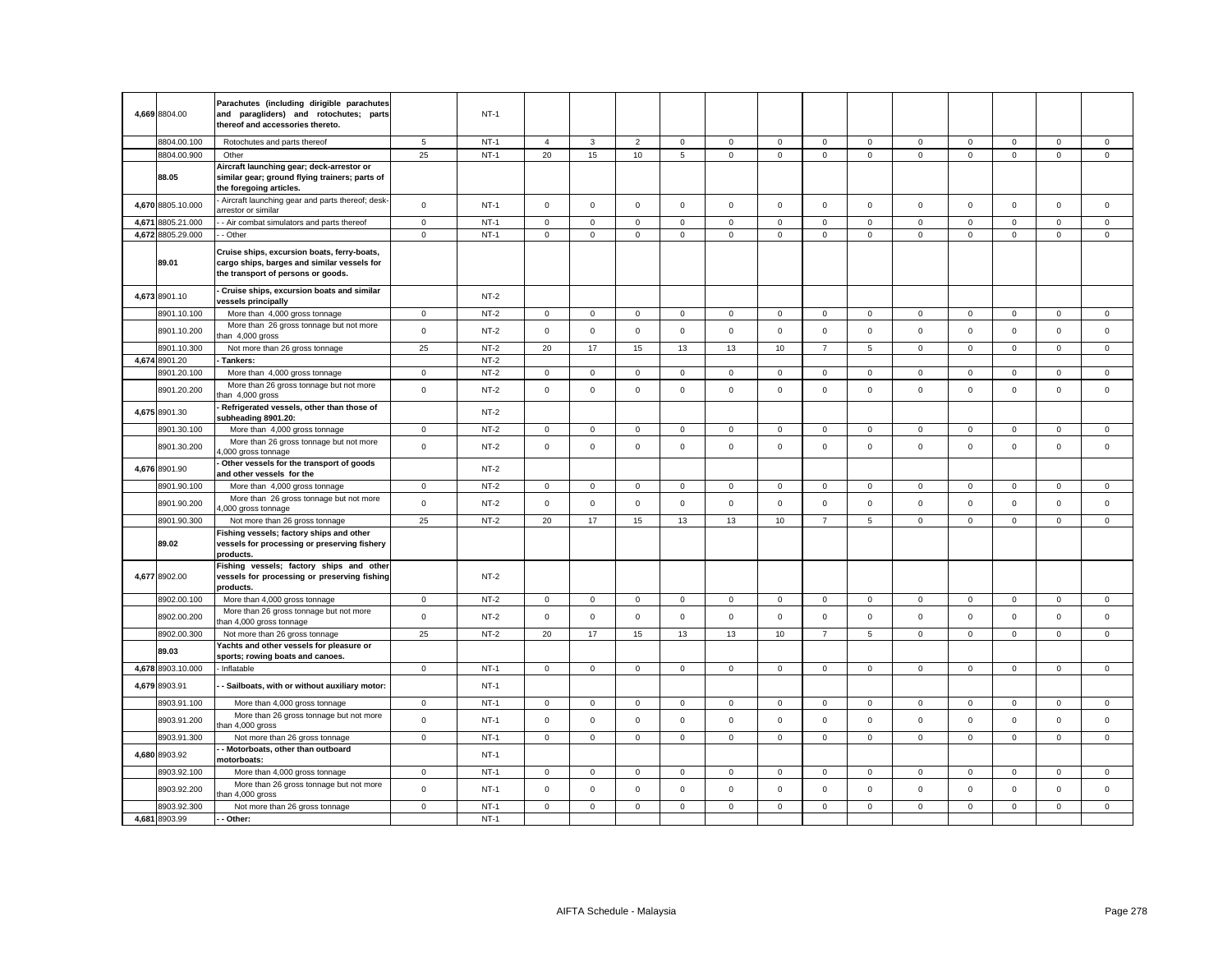| 4.669 8804.00     | Parachutes (including dirigible parachutes<br>and paragliders) and rotochutes; parts<br>thereof and accessories thereto.         |             | $NT-1$ |                     |              |                |              |              |                     |                |                 |              |              |              |                     |              |
|-------------------|----------------------------------------------------------------------------------------------------------------------------------|-------------|--------|---------------------|--------------|----------------|--------------|--------------|---------------------|----------------|-----------------|--------------|--------------|--------------|---------------------|--------------|
| 8804.00.100       | Rotochutes and parts thereof                                                                                                     | 5           | $NT-1$ | $\overline{4}$      | 3            | $\overline{2}$ | $\mathbf{0}$ | $\mathbf{0}$ | $\mathbf 0$         | $\mathbf 0$    | $\mathbf{0}$    | $\mathbf 0$  | $\mathbf 0$  | $\mathbf 0$  | 0                   | $\mathbf 0$  |
| 8804.00.900       | Other                                                                                                                            | 25          | $NT-1$ | 20                  | 15           | 10             | 5            | $\mathbf 0$  | $\mathbf 0$         | $\mathbf 0$    | $\mathbf 0$     | $\mathbf 0$  | $\mathbf 0$  | $\mathbf 0$  | $\mathbf{0}$        | $\mathbf 0$  |
| 88.05             | Aircraft launching gear; deck-arrestor or<br>similar gear; ground flying trainers; parts of<br>the foregoing articles.           |             |        |                     |              |                |              |              |                     |                |                 |              |              |              |                     |              |
| 4,670 8805.10.000 | Aircraft launching gear and parts thereof; desk-<br>arrestor or similar                                                          | $\mathbf 0$ | $NT-1$ | $\mathsf 0$         | $\mathbf{0}$ | $\mathsf 0$    | $\mathbf 0$  | $\circ$      | $\mathsf 0$         | $\mathbf 0$    | $\mathbf 0$     | $\mathbf 0$  | $\mathbf 0$  | $\mathbf{0}$ | $\mathbf 0$         | $\mathbf 0$  |
| 4,671 8805.21.000 | - Air combat simulators and parts thereof                                                                                        | $\mathbf 0$ | $NT-1$ | $\mathsf 0$         | $\mathbf 0$  | $\mathsf 0$    | $\mathsf 0$  | $\circ$      | $\mathbf 0$         | $\mathbf 0$    | $\mathbf{0}$    | $\mathbf 0$  | $\mathbf 0$  | $\mathbf 0$  | $\mathbf 0$         | $\mathsf 0$  |
| 4,672 8805.29.000 | - Other                                                                                                                          | $\mathbf 0$ | $NT-1$ | $\mathbf 0$         | $\mathsf 0$  | $\mathbf 0$    | $\mathbf 0$  | $\mathsf 0$  | $\mathbf 0$         | $\mathbf 0$    | $\mathbf 0$     | $\mathbf 0$  | $\mathbf 0$  | $\mathbf 0$  | $\mathsf 0$         | $\Omega$     |
| 89.01             | Cruise ships, excursion boats, ferry-boats,<br>cargo ships, barges and similar vessels for<br>the transport of persons or goods. |             |        |                     |              |                |              |              |                     |                |                 |              |              |              |                     |              |
| 4,673 8901.10     | Cruise ships, excursion boats and similar<br>vessels principally                                                                 |             | $NT-2$ |                     |              |                |              |              |                     |                |                 |              |              |              |                     |              |
| 8901.10.100       | More than 4,000 gross tonnage                                                                                                    | $\mathsf 0$ | $NT-2$ | $\mathsf 0$         | $\mathsf 0$  | $\mathsf 0$    | $\mathsf 0$  | $\mathsf 0$  | $\mathsf{O}\xspace$ | $\mathsf 0$    | $\mathbf 0$     | $\mathsf 0$  | $\mathsf 0$  | $\mathbf 0$  | $\mathsf{O}\xspace$ | $\mathsf 0$  |
| 8901.10.200       | More than 26 gross tonnage but not more<br>han 4,000 gross                                                                       | $\mathsf 0$ | $NT-2$ | $\mathsf 0$         | $\mathsf 0$  | $\mathsf 0$    | $\mathsf 0$  | $\mathsf 0$  | $\mathsf{O}\xspace$ | $\mathbf 0$    | $\mathsf 0$     | $\mathsf 0$  | $\mathsf 0$  | $\mathsf 0$  | $\mathbf 0$         | $\mathsf 0$  |
| 8901.10.300       | Not more than 26 gross tonnage                                                                                                   | 25          | $NT-2$ | 20                  | 17           | 15             | 13           | 13           | 10                  | $\overline{7}$ | $\sqrt{5}$      | 0            | $\mathsf 0$  | $\mathsf 0$  | $\mathsf 0$         | $\Omega$     |
| 4,674 8901.20     | Tankers:                                                                                                                         |             | $NT-2$ |                     |              |                |              |              |                     |                |                 |              |              |              |                     |              |
| 8901.20.100       | More than 4,000 gross tonnage                                                                                                    | $\mathbf 0$ | $NT-2$ | $\mathsf 0$         | $\mathsf 0$  | $\mathsf 0$    | $\mathbf 0$  | $\mathbf 0$  | $\mathsf 0$         | $\mathsf 0$    | $\mathsf 0$     | $\mathbf 0$  | $\mathsf 0$  | $\mathbf 0$  | $\mathsf 0$         | $\mathbf 0$  |
| 8901.20.200       | More than 26 gross tonnage but not more<br>han 4,000 gross                                                                       | $\mathsf 0$ | $NT-2$ | $\mathsf 0$         | $\mathsf 0$  | $\mathsf 0$    | $\mathsf 0$  | $\mathbf 0$  | $\mathsf 0$         | $\mathbf 0$    | $\mathbf 0$     | $\mathsf 0$  | $\mathsf 0$  | 0            | $\mathbf 0$         | $\mathsf 0$  |
| 4,675 8901.30     | Refrigerated vessels, other than those of<br>subheading 8901.20:                                                                 |             | $NT-2$ |                     |              |                |              |              |                     |                |                 |              |              |              |                     |              |
| 8901.30.100       | More than 4,000 gross tonnage                                                                                                    | $\mathsf 0$ | $NT-2$ | $\mathsf 0$         | $\mathsf 0$  | $\mathsf 0$    | $\mathbf 0$  | $\mathsf 0$  | $\mathsf 0$         | $\mathbf 0$    | $\mathbf 0$     | 0            | $\mathsf 0$  | $\Omega$     | 0                   | $\mathsf 0$  |
| 8901.30.200       | More than 26 gross tonnage but not more<br>,000 gross tonnage                                                                    | $\mathsf 0$ | $NT-2$ | $\mathsf{O}\xspace$ | $\mathsf 0$  | $\mathsf 0$    | $\mathsf 0$  | $\mathbf 0$  | $\mathsf 0$         | $\mathsf 0$    | $\mathsf 0$     | $\mathsf 0$  | $\mathsf 0$  | 0            | $\mathsf 0$         | $\mathsf 0$  |
| 4,676 8901.90     | Other vessels for the transport of goods<br>and other vessels for the                                                            |             | $NT-2$ |                     |              |                |              |              |                     |                |                 |              |              |              |                     |              |
| 8901.90.100       | More than 4,000 gross tonnage                                                                                                    | $\mathbf 0$ | $NT-2$ | $\circ$             | $\mathbf 0$  | $\mathbf 0$    | $\mathbf 0$  | $\mathbf{0}$ | $\mathbf 0$         | $\mathbf 0$    | $\mathbf 0$     | $\mathbf 0$  | $\mathbf 0$  | $\mathbf 0$  | $\mathbf 0$         | $\mathbf 0$  |
| 8901.90.200       | More than 26 gross tonnage but not more<br>,000 gross tonnage                                                                    | $\mathbf 0$ | $NT-2$ | $\mathbf 0$         | $\mathbf 0$  | $\mathsf 0$    | $\mathbf 0$  | $\mathsf 0$  | $\mathbf 0$         | $\mathbf 0$    | $\mathbf 0$     | $\mathbf 0$  | $\mathbf 0$  | $\mathbf 0$  | $\mathbf 0$         | $\Omega$     |
| 8901.90.300       | Not more than 26 gross tonnage                                                                                                   | 25          | $NT-2$ | 20                  | 17           | 15             | 13           | 13           | 10                  | $\overline{7}$ | $5\phantom{.0}$ | $\mathsf 0$  | $\mathsf 0$  | $\mathbf 0$  | $\mathbf 0$         | $\mathsf 0$  |
| 89.02             | Fishing vessels; factory ships and other<br>vessels for processing or preserving fishery<br>products.                            |             |        |                     |              |                |              |              |                     |                |                 |              |              |              |                     |              |
| 4,677 8902.00     | Fishing vessels; factory ships and other<br>vessels for processing or preserving fishing<br>products.                            |             | $NT-2$ |                     |              |                |              |              |                     |                |                 |              |              |              |                     |              |
| 8902.00.100       | More than 4,000 gross tonnage                                                                                                    | $\mathbf 0$ | NT-2   | $\mathbf{0}$        | $\mathbf 0$  | $\mathbf 0$    | $\mathbf{0}$ | $\mathbf{0}$ | $\mathbf 0$         | $\mathbf{0}$   | $\mathbf 0$     | $\mathbf{0}$ | $\mathbf 0$  | $\mathbf{0}$ | 0                   | $\mathbf 0$  |
| 8902.00.200       | More than 26 gross tonnage but not more<br>han 4,000 gross tonnage                                                               | $\mathsf 0$ | $NT-2$ | $\mathbf 0$         | $\mathsf 0$  | $\mathsf 0$    | $\mathsf 0$  | $\mathsf 0$  | $\mathsf 0$         | $\mathsf 0$    | $\mathsf 0$     | $\mathsf 0$  | $\mathsf 0$  | $\mathsf 0$  | $\mathsf 0$         | $\mathbf 0$  |
| 8902.00.300       | Not more than 26 gross tonnage                                                                                                   | 25          | $NT-2$ | 20                  | 17           | 15             | 13           | 13           | 10                  | $\overline{7}$ | 5               | $\mathbf 0$  | $\mathsf 0$  | $\mathbf 0$  | $\mathbf 0$         | $\mathsf 0$  |
| 89.03             | Yachts and other vessels for pleasure or<br>sports; rowing boats and canoes.                                                     |             |        |                     |              |                |              |              |                     |                |                 |              |              |              |                     |              |
| 4,678 8903.10.000 | Inflatable                                                                                                                       | $\mathbf 0$ | $NT-1$ | $\mathbf{0}$        | $\mathbf 0$  | $\mathsf 0$    | $\mathbf 0$  | $\mathbf{0}$ | $\mathsf 0$         | $\mathbf 0$    | $\mathbf 0$     | $\mathbf 0$  | $\mathsf 0$  | $\mathbf{0}$ | $\mathsf 0$         | $\mathsf 0$  |
| 4,679 8903.91     | - Sailboats, with or without auxiliary motor:                                                                                    |             | $NT-1$ |                     |              |                |              |              |                     |                |                 |              |              |              |                     |              |
| 8903.91.100       | More than 4,000 gross tonnage                                                                                                    | $\mathbf 0$ | $NT-1$ | $\mathbf{0}$        | $\mathbf 0$  | $\mathbf{0}$   | $\mathbf 0$  | $\mathbf{0}$ | $\mathbf 0$         | $\mathbf{0}$   | $\mathbf{0}$    | $\mathbf 0$  | $\mathbf{0}$ | $\mathbf{0}$ | $\mathbf 0$         | $\mathbf{0}$ |
| 8903.91.200       | More than 26 gross tonnage but not more<br>than 4,000 gross                                                                      | $\mathsf 0$ | $NT-1$ | $\mathsf 0$         | $\mathsf 0$  | $\mathsf 0$    | $\mathsf 0$  | $\mathsf 0$  | $\mathsf 0$         | $\mathsf 0$    | $\mathsf 0$     | $\mathsf 0$  | $\mathsf 0$  | $\mathsf 0$  | $\mathsf 0$         | $\mathsf 0$  |
| 8903.91.300       | Not more than 26 gross tonnage                                                                                                   | $\mathbf 0$ | $NT-1$ | $\mathsf 0$         | $\mathsf 0$  | $\mathsf 0$    | $\mathbf 0$  | $\mathbf 0$  | $\mathbf 0$         | $\mathbf{0}$   | $\mathbf{0}$    | $\mathbf{0}$ | $\mathbf 0$  | $\mathbf 0$  | 0                   | $\mathsf 0$  |
| 4,680 8903.92     | Motorboats, other than outboard<br>motorboats:                                                                                   |             | $NT-1$ |                     |              |                |              |              |                     |                |                 |              |              |              |                     |              |
| 8903.92.100       | More than 4,000 gross tonnage                                                                                                    | 0           | $NT-1$ | $\mathbf 0$         | $\mathsf 0$  | $\mathsf 0$    | 0            | $\circ$      | $\mathsf 0$         | $\mathbf 0$    | $\mathbf 0$     | 0            | $\mathsf 0$  | $\mathsf 0$  | $\mathbf 0$         | $\mathsf 0$  |
| 8903.92.200       | More than 26 gross tonnage but not more<br>han 4,000 gross                                                                       | $\mathsf 0$ | $NT-1$ | $\mathsf 0$         | $\mathsf 0$  | $\mathsf 0$    | $\mathsf 0$  | $\mathsf 0$  | $\mathsf 0$         | $\mathsf 0$    | $\mathsf 0$     | $\mathsf 0$  | $\mathsf 0$  | $\mathsf 0$  | $\mathsf 0$         | $\mathsf 0$  |
| 8903.92.300       | Not more than 26 gross tonnage                                                                                                   | $\mathbf 0$ | $NT-1$ | $\mathbf{0}$        | $\mathbf 0$  | $\mathsf 0$    | $\mathbf{0}$ | $\mathbf 0$  | $\mathbf 0$         | $\mathbf{0}$   | $\mathbf{0}$    | $\mathbf{0}$ | 0            | 0            | $\mathbf 0$         | $\mathsf 0$  |
| 4,681 8903.99     | Other:                                                                                                                           |             | $NT-1$ |                     |              |                |              |              |                     |                |                 |              |              |              |                     |              |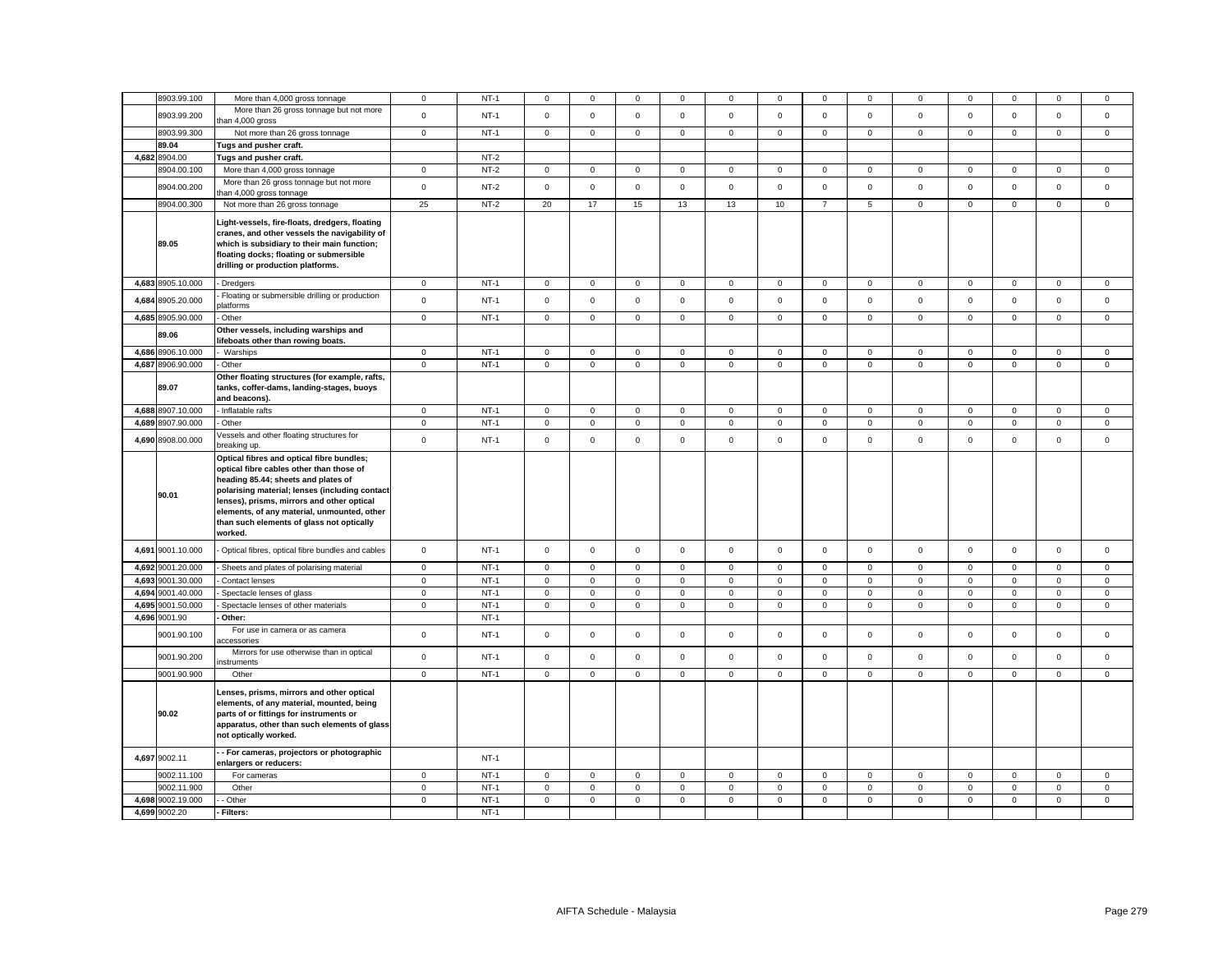|       | 8903.99.100          | More than 4,000 gross tonnage                                                                                                                                                                                                                                                                                                       | $\mathbf 0$  | $NT-1$      | $^{\circ}$   | 0           | $\mathbf 0$  | 0            | 0            | 0           | 0              | $^{\circ}$  | 0              | 0           | $\Omega$    | $^{\circ}$          | 0           |
|-------|----------------------|-------------------------------------------------------------------------------------------------------------------------------------------------------------------------------------------------------------------------------------------------------------------------------------------------------------------------------------|--------------|-------------|--------------|-------------|--------------|--------------|--------------|-------------|----------------|-------------|----------------|-------------|-------------|---------------------|-------------|
|       | 8903.99.200          | More than 26 gross tonnage but not more                                                                                                                                                                                                                                                                                             | $\mathsf 0$  | $NT-1$      | $\mathbf 0$  | $\mathsf 0$ | $\mathsf 0$  | $\mathsf 0$  | $\mathsf 0$  | $\mathsf 0$ | $\mathbf 0$    | $\mathsf 0$ | $\mathbf 0$    | $\mathsf 0$ | $\mathbf 0$ | $\mathsf 0$         | $\mathsf 0$ |
|       |                      | han 4,000 gross                                                                                                                                                                                                                                                                                                                     |              |             |              |             |              |              |              |             |                |             |                |             |             |                     |             |
|       | 8903.99.300<br>89.04 | Not more than 26 gross tonnage<br>Tugs and pusher craft.                                                                                                                                                                                                                                                                            | $\mathbf 0$  | <b>NT-1</b> | $\mathbf{0}$ | 0           | $\mathbf 0$  | $\mathbf 0$  | $\mathbf 0$  | $\mathbf 0$ | $\mathbf{0}$   | $\mathbf 0$ | $\overline{0}$ | $\mathsf 0$ | $\mathbf 0$ | $\mathsf{O}\xspace$ | $\mathbf 0$ |
|       | 4,682 8904.00        |                                                                                                                                                                                                                                                                                                                                     |              | $NT-2$      |              |             |              |              |              |             |                |             |                |             |             |                     |             |
|       | 8904.00.100          | Tugs and pusher craft.                                                                                                                                                                                                                                                                                                              | $\mathbf 0$  | $NT-2$      | $\mathbf{0}$ | $\mathbf 0$ | $\mathbf 0$  | $\mathsf 0$  | $\mathsf 0$  | $\mathsf 0$ | $\mathbf 0$    | $\mathbf 0$ | $\mathbf 0$    | $\mathsf 0$ | $\mathbf 0$ | $\mathbf 0$         | $\mathsf 0$ |
|       |                      | More than 4,000 gross tonnage                                                                                                                                                                                                                                                                                                       |              |             |              |             |              |              |              |             |                |             |                |             |             |                     |             |
|       | 8904.00.200          | More than 26 gross tonnage but not more<br>han 4,000 gross tonnage                                                                                                                                                                                                                                                                  | $\mathsf 0$  | NT-2        | $\mathbf{0}$ | $\mathbf 0$ | $\mathsf 0$  | $\mathbf 0$  | 0            | $\mathsf 0$ | $\mathbf 0$    | $\mathsf 0$ | 0              | $\mathsf 0$ | $\mathbf 0$ | $\mathsf 0$         | $\mathbf 0$ |
|       | 8904.00.300          | Not more than 26 gross tonnage                                                                                                                                                                                                                                                                                                      | 25           | $NT-2$      | 20           | 17          | 15           | 13           | 13           | 10          | $\overline{7}$ | 5           | $\mathbf 0$    | $\mathsf 0$ | $\mathsf 0$ | $\mathbf 0$         | $\mathsf 0$ |
|       | 89.05                | Light-vessels, fire-floats, dredgers, floating<br>cranes, and other vessels the navigability of<br>which is subsidiary to their main function;<br>floating docks; floating or submersible<br>drilling or production platforms.                                                                                                      |              |             |              |             |              |              |              |             |                |             |                |             |             |                     |             |
|       | 4,683 8905.10.000    | Dredgers                                                                                                                                                                                                                                                                                                                            | $\mathbf{0}$ | $NT-1$      | $\mathbf{0}$ | $\mathbf 0$ | $\mathsf 0$  | $\mathbf 0$  | $\mathbf 0$  | $\mathbf 0$ | $\mathbf{0}$   | $\mathbf 0$ | $\mathbf{0}$   | $\mathbf 0$ | $\mathbf 0$ | $\mathsf 0$         | $\mathbf 0$ |
|       | 4,684 8905.20.000    | Floating or submersible drilling or production<br><b>platforms</b>                                                                                                                                                                                                                                                                  | $\mathbf 0$  | $NT-1$      | $\mathbf{0}$ | $\Omega$    | $\mathbf 0$  | $\mathbf 0$  | $\mathbf{0}$ | $\mathbf 0$ | $\mathbf 0$    | $\mathbf 0$ | $\mathbf{0}$   | $\mathbf 0$ | $\mathbf 0$ | $\mathbf 0$         | $\mathbf 0$ |
|       | 4,685 8905.90.000    | Other                                                                                                                                                                                                                                                                                                                               | $\mathbf 0$  | $NT-1$      | $\mathbf 0$  | $\mathbf 0$ | $\mathbf 0$  | $\mathbf{0}$ | $\mathbf 0$  | $\mathsf 0$ | $\mathbf{0}$   | $\mathbf 0$ | $\mathbf 0$    | $\mathsf 0$ | $\mathbf 0$ | $\mathbf 0$         | $\mathbf 0$ |
|       | 89.06                | Other vessels, including warships and<br>lifeboats other than rowing boats.                                                                                                                                                                                                                                                         |              |             |              |             |              |              |              |             |                |             |                |             |             |                     |             |
|       | 4,686 8906.10.000    | Warships                                                                                                                                                                                                                                                                                                                            | $\mathbf 0$  | $NT-1$      | $\mathsf 0$  | $\Omega$    | $\mathbf 0$  | $\mathsf 0$  | $\mathbf 0$  | $\mathbf 0$ | $\mathbf{O}$   | $\mathbf 0$ | $\mathsf 0$    | $\mathbf 0$ | $\mathbf 0$ | $\mathbf 0$         | $\mathsf 0$ |
|       | 4,687 8906.90.000    | Other                                                                                                                                                                                                                                                                                                                               | $\mathbf 0$  | $NT-1$      | $\mathsf 0$  | $\mathsf 0$ | $\mathsf 0$  | $\mathbf 0$  | $\mathsf 0$  | $\mathsf 0$ | $\mathsf 0$    | $\mathbf 0$ | $\mathbf 0$    | $\mathsf 0$ | $\mathsf 0$ | $\mathsf 0$         | $\mathbf 0$ |
|       | 89.07                | Other floating structures (for example, rafts,<br>tanks, coffer-dams, landing-stages, buoys<br>and beacons).                                                                                                                                                                                                                        |              |             |              |             |              |              |              |             |                |             |                |             |             |                     |             |
|       | 4,688 8907.10.000    | Inflatable rafts                                                                                                                                                                                                                                                                                                                    | $\mathbf 0$  | $NT-1$      | $\mathbf 0$  | $\mathbf 0$ | $\mathsf 0$  | $\mathsf 0$  | $\mathsf 0$  | $\mathsf 0$ | $\mathbf 0$    | $\mathsf 0$ | $\mathbf 0$    | $\mathsf 0$ | $\mathsf 0$ | $\mathsf 0$         | $\mathsf 0$ |
|       | 4,689 8907.90.000    | Other                                                                                                                                                                                                                                                                                                                               | $\mathsf 0$  | $NT-1$      | $\mathbf 0$  | $\mathbf 0$ | $\mathsf 0$  | $\mathsf 0$  | $\mathsf 0$  | $\mathsf 0$ | $\mathbf 0$    | $\mathsf 0$ | $\mathsf 0$    | $\mathsf 0$ | $\mathsf 0$ | $\mathsf 0$         | $\mathsf 0$ |
|       | 4,690 8908.00.000    | /essels and other floating structures for<br>breaking up.                                                                                                                                                                                                                                                                           | $\mathbf 0$  | $NT-1$      | $\mathbf 0$  | $\mathbf 0$ | $\mathbf 0$  | $\mathbf 0$  | $\mathbf 0$  | $\mathbf 0$ | $\mathbf{0}$   | $\mathbf 0$ | $\mathbf 0$    | $\mathbf 0$ | $\mathbf 0$ | $\mathbf 0$         | $\mathbf 0$ |
|       | 90.01                | Optical fibres and optical fibre bundles;<br>optical fibre cables other than those of<br>heading 85.44; sheets and plates of<br>polarising material; lenses (including contact<br>lenses), prisms, mirrors and other optical<br>elements, of any material, unmounted, other<br>than such elements of glass not optically<br>worked. |              |             |              |             |              |              |              |             |                |             |                |             |             |                     |             |
|       | 4,691 9001.10.000    | Optical fibres, optical fibre bundles and cables                                                                                                                                                                                                                                                                                    | $\mathbf 0$  | $NT-1$      | $\mathbf{0}$ | $\mathbf 0$ | $\mathsf 0$  | $\mathbf 0$  | $\mathbf 0$  | $\mathsf 0$ | $\mathbf{O}$   | $\mathsf 0$ | $\mathbf 0$    | $\mathbf 0$ | $\mathbf 0$ | $\mathbf 0$         | $\mathbf 0$ |
|       | 4,692 9001.20.000    | Sheets and plates of polarising material                                                                                                                                                                                                                                                                                            | $\circ$      | $NT-1$      | $\mathbf 0$  | $\mathbf 0$ | $\mathbf{0}$ | $\mathsf 0$  | $\mathbf{0}$ | $\mathsf 0$ | $\mathbf 0$    | $\mathbf 0$ | $\mathsf 0$    | $\mathsf 0$ | $\mathbf 0$ | $\mathsf 0$         | $\mathsf 0$ |
|       | 4,693 9001.30.000    | Contact lenses                                                                                                                                                                                                                                                                                                                      | $\mathbf 0$  | $NT-1$      | $\mathbf 0$  | $\mathbf 0$ | $\mathsf 0$  | $\mathsf 0$  | $\mathsf 0$  | $\mathsf 0$ | $\mathbf 0$    | $\mathsf 0$ | $\mathsf 0$    | $\mathsf 0$ | $\mathsf 0$ | $\mathsf 0$         | $\mathsf 0$ |
|       | 4,694 9001.40.000    | Spectacle lenses of glass                                                                                                                                                                                                                                                                                                           | $\mathbf 0$  | $NT-1$      | $\mathbf 0$  | $\mathbf 0$ | $\mathbf 0$  | $\mathsf 0$  | $\mathbf 0$  | $\mathsf 0$ | $\mathbf 0$    | $\mathbf 0$ | $\mathbf 0$    | $\mathsf 0$ | $\mathsf 0$ | $\mathbf 0$         | $\mathsf 0$ |
| 4,695 | 9001.50.000          | Spectacle lenses of other materials                                                                                                                                                                                                                                                                                                 | $\mathbf 0$  | $NT-1$      | $\mathsf 0$  | $\mathsf 0$ | $\mathbf 0$  | $\mathsf 0$  | $\mathsf 0$  | $\mathsf 0$ | $\mathsf 0$    | $\mathbf 0$ | $\mathbf 0$    | $\mathsf 0$ | $\mathsf 0$ | $\mathsf 0$         | $\mathsf 0$ |
|       | 4,696 9001.90        | Other:                                                                                                                                                                                                                                                                                                                              |              | $NT-1$      |              |             |              |              |              |             |                |             |                |             |             |                     |             |
|       | 9001.90.100          | For use in camera or as camera<br>ccessories                                                                                                                                                                                                                                                                                        | $\mathbf 0$  | $NT-1$      | $\mathbf{0}$ | $\mathbf 0$ | $\mathsf 0$  | $\mathsf 0$  | $\mathsf 0$  | $\mathsf 0$ | $\mathbf 0$    | $\mathsf 0$ | $\mathbf 0$    | $\mathsf 0$ | $\mathbf 0$ | $\mathsf 0$         | $\mathsf 0$ |
|       | 9001.90.200          | Mirrors for use otherwise than in optical<br>nstruments                                                                                                                                                                                                                                                                             | $\mathsf 0$  | $NT-1$      | $\circ$      | $\mathbf 0$ | $\mathsf 0$  | $\mathbf 0$  | $\mathsf 0$  | $\mathsf 0$ | $\mathbf 0$    | $\mathsf 0$ | $\mathbf 0$    | $\mathsf 0$ | $\mathbf 0$ | $\mathbf 0$         | $\mathbf 0$ |
|       | 9001.90.900          | Other                                                                                                                                                                                                                                                                                                                               | $\mathbf 0$  | $NT-1$      | $\mathsf 0$  | $\mathsf 0$ | $\mathbf 0$  | $\mathbf 0$  | $\mathsf 0$  | $\mathbf 0$ | $\mathsf 0$    | $\mathsf 0$ | $\mathbf 0$    | $\mathbf 0$ | $\mathsf 0$ | $\mathsf 0$         | $\mathsf 0$ |
|       | 90.02                | Lenses, prisms, mirrors and other optical<br>elements, of any material, mounted, being<br>parts of or fittings for instruments or<br>apparatus, other than such elements of glass<br>not optically worked.                                                                                                                          |              |             |              |             |              |              |              |             |                |             |                |             |             |                     |             |
|       | 4,697 9002.11        | - For cameras, projectors or photographic<br>enlargers or reducers:                                                                                                                                                                                                                                                                 |              | $NT-1$      |              |             |              |              |              |             |                |             |                |             |             |                     |             |
|       | 9002.11.100          | For cameras                                                                                                                                                                                                                                                                                                                         | $\mathbf 0$  | $NT-1$      | $\mathbf 0$  | $\mathbf 0$ | $\mathbf 0$  | $\mathbf 0$  | 0            | $\mathbf 0$ | $\mathbf 0$    | $\mathbf 0$ | 0              | $\mathbf 0$ | $\mathbf 0$ | $\mathbf 0$         | $\mathbf 0$ |
|       | 9002.11.900          | Other                                                                                                                                                                                                                                                                                                                               | $\mathsf 0$  | $NT-1$      | $\mathsf 0$  | $\mathbf 0$ | $\mathbf 0$  | $\mathsf 0$  | $\mathsf 0$  | $\mathbf 0$ | $\mathsf 0$    | $\mathsf 0$ | $\mathsf 0$    | $\mathbf 0$ | $\mathsf 0$ | $\mathbf 0$         | $\mathsf 0$ |
|       | 4,698 9002.19.000    | Other                                                                                                                                                                                                                                                                                                                               | $\mathbf 0$  | $NT-1$      | $\mathbf 0$  | $\mathsf 0$ | $\mathsf 0$  | $\mathsf 0$  | $\mathbf 0$  | $\mathsf 0$ | $\mathsf 0$    | $\mathbf 0$ | $\mathsf 0$    | $\mathsf 0$ | $\mathsf 0$ | $\mathsf 0$         | $\mathsf 0$ |
|       | 4,699 9002.20        | Filters:                                                                                                                                                                                                                                                                                                                            |              | $NT-1$      |              |             |              |              |              |             |                |             |                |             |             |                     |             |
|       |                      |                                                                                                                                                                                                                                                                                                                                     |              |             |              |             |              |              |              |             |                |             |                |             |             |                     |             |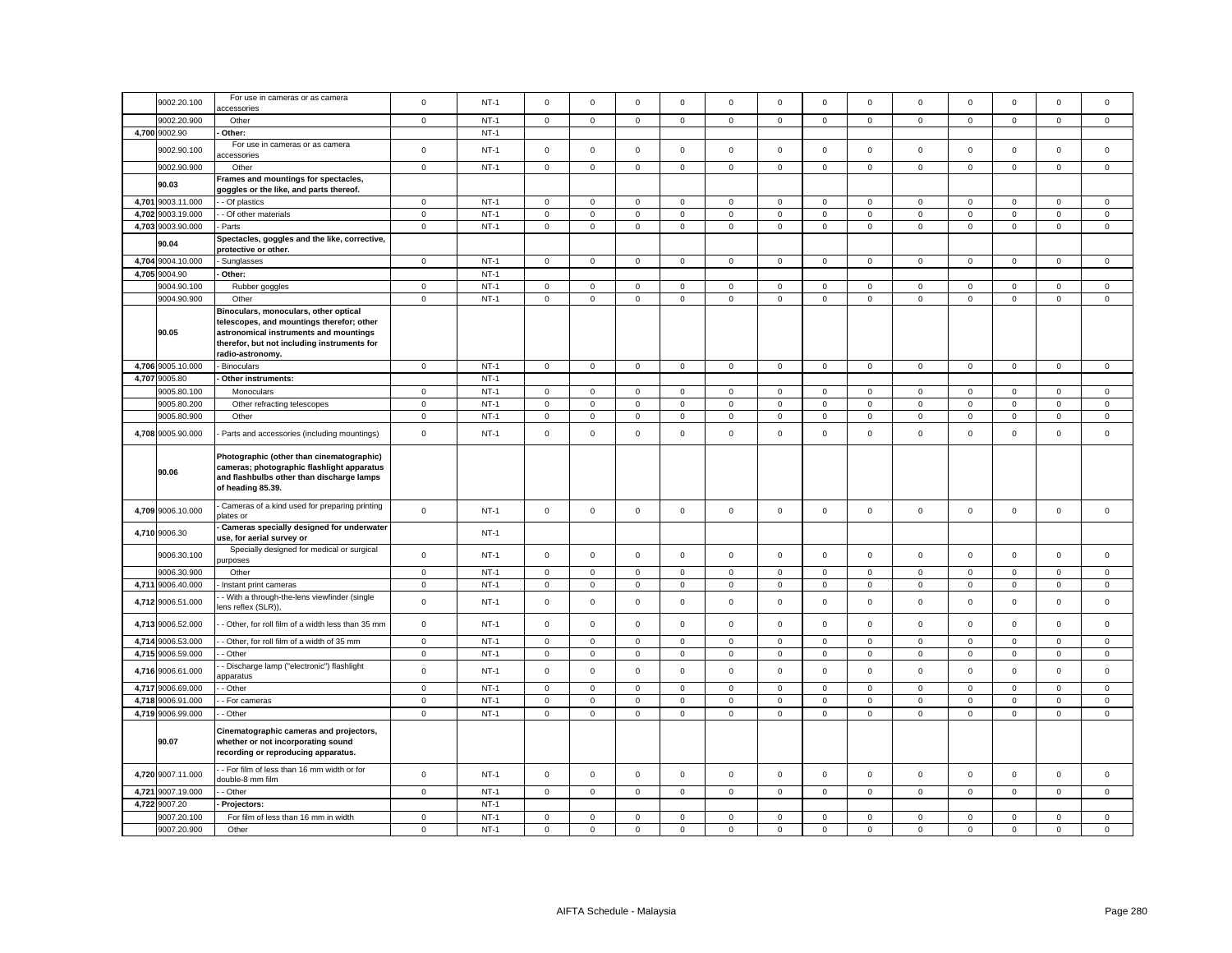|       | 9002.20.100       | For use in cameras or as camera<br>accessories                                                                                                            | $\mathsf 0$    | $NT-1$ | $\mathsf 0$         | $\mathbf 0$         | $\mathsf 0$ | $\mathbf 0$ | $\mathbf 0$ | $\mathsf 0$ | $\mathsf 0$         | $\mathsf 0$  | 0           | $\mathbf 0$         | $\mathsf 0$         | $\mathsf 0$ | $\mathbf 0$ |
|-------|-------------------|-----------------------------------------------------------------------------------------------------------------------------------------------------------|----------------|--------|---------------------|---------------------|-------------|-------------|-------------|-------------|---------------------|--------------|-------------|---------------------|---------------------|-------------|-------------|
|       | 9002.20.900       | Other                                                                                                                                                     | $\mathbf 0$    | $NT-1$ | $\mathsf 0$         | $\mathbf 0$         | $\mathsf 0$ | $\mathsf 0$ | $\mathbf 0$ | $\mathsf 0$ | $\mathbf{0}$        | $\mathbf 0$  | $\mathbf 0$ | $\mathbf 0$         | $\mathbf 0$         | $\mathsf 0$ | $\mathbf 0$ |
|       | 4,700 9002.90     | Other:                                                                                                                                                    |                | $NT-1$ |                     |                     |             |             |             |             |                     |              |             |                     |                     |             |             |
|       | 9002.90.100       | For use in cameras or as camera                                                                                                                           | $\mathbf 0$    | $NT-1$ | $\mathsf 0$         | $\mathbf 0$         | $\mathsf 0$ | $\mathbf 0$ | $\mathbf 0$ | $\mathsf 0$ | $\mathbf 0$         | $\mathsf 0$  | $\mathsf 0$ | $\mathbf 0$         | $\mathbf 0$         | $\mathsf 0$ | $\mathbf 0$ |
|       |                   | accessories                                                                                                                                               |                |        |                     |                     |             |             |             |             |                     |              |             |                     |                     |             |             |
|       | 9002.90.900       | Other                                                                                                                                                     | $\mathsf 0$    | $NT-1$ | $\mathsf 0$         | $\mathsf 0$         | $\mathsf 0$ | $\mathsf 0$ | $\mathbf 0$ | $\mathsf 0$ | $\mathsf{O}\xspace$ | $\mathsf 0$  | $\mathsf 0$ | $\mathbf 0$         | $\mathsf 0$         | $\mathsf 0$ | $\mathsf 0$ |
|       | 90.03             | Frames and mountings for spectacles,<br>joggles or the like, and parts thereof.                                                                           |                |        |                     |                     |             |             |             |             |                     |              |             |                     |                     |             |             |
|       | 4,701 9003.11.000 | - Of plastics                                                                                                                                             | $\mathbf 0$    | $NT-1$ | $\mathsf 0$         | $\mathsf 0$         | $\mathsf 0$ | $\mathbf 0$ | $\mathbf 0$ | $\mathsf 0$ | $\mathsf 0$         | $\mathbf 0$  | $\mathsf 0$ | $\mathbf 0$         | $\mathsf 0$         | $\mathbf 0$ | $\mathbf 0$ |
|       | 4,702 9003.19.000 | - Of other materials                                                                                                                                      | $\mathbf 0$    | $NT-1$ | $\mathsf{O}\xspace$ | $\mathsf 0$         | $\mathsf 0$ | 0           | $\mathbf 0$ | $\mathsf 0$ | $\mathsf 0$         | $\mathbf 0$  | 0           | $\mathbf 0$         | $\mathsf{O}\xspace$ | $\mathsf 0$ | $\mathsf 0$ |
| 4,703 | 9003.90.000       | Parts                                                                                                                                                     | $\mathbf 0$    | $NT-1$ | $\mathsf 0$         | $\mathsf 0$         | $\mathbf 0$ | $\mathbf 0$ | $\mathbf 0$ | $\mathsf 0$ | $\mathsf 0$         | $\mathsf 0$  | $\mathsf 0$ | $\mathbf 0$         | $\mathsf 0$         | $\mathbf 0$ | $\mathsf 0$ |
|       | 90.04             | Spectacles, goggles and the like, corrective,<br>protective or other.                                                                                     |                |        |                     |                     |             |             |             |             |                     |              |             |                     |                     |             |             |
| 4,704 | 9004.10.000       | Sunglasses                                                                                                                                                | $\mathsf 0$    | $NT-1$ | $\mathsf{O}\xspace$ | $\mathbf 0$         | $\mathsf 0$ | $\mathsf 0$ | $\mathsf 0$ | $\mathsf 0$ | $\mathsf 0$         | $\mathsf 0$  | $\mathsf 0$ | $\mathbf 0$         | $\mathbf 0$         | $\mathsf 0$ | $\mathsf 0$ |
|       | 4,705 9004.90     | Other:                                                                                                                                                    |                | $NT-1$ |                     |                     |             |             |             |             |                     |              |             |                     |                     |             |             |
|       | 9004.90.100       | Rubber goggles                                                                                                                                            | $\,0\,$        | $NT-1$ | $\mathsf{O}\xspace$ | $\mathsf{O}\xspace$ | $\mathsf 0$ | 0           | $\mathbf 0$ | $\mathsf 0$ | $\circ$             | 0            | $\mathsf 0$ | $\mathbf 0$         | $\mathsf{O}\xspace$ | $\mathsf 0$ | $\mathsf 0$ |
|       | 9004.90.900       | Other                                                                                                                                                     | $\mathbf 0$    | $NT-1$ | $\mathbf 0$         | $\mathbf 0$         | $\mathsf 0$ | $\mathbf 0$ | $\mathsf 0$ | $\mathbf 0$ | $\mathsf 0$         | $\mathbf 0$  | $\mathbf 0$ | $\mathbf 0$         | 0                   | $\mathsf 0$ | $\mathbf 0$ |
|       |                   | Binoculars, monoculars, other optical                                                                                                                     |                |        |                     |                     |             |             |             |             |                     |              |             |                     |                     |             |             |
|       |                   | telescopes, and mountings therefor; other                                                                                                                 |                |        |                     |                     |             |             |             |             |                     |              |             |                     |                     |             |             |
|       | 90.05             | astronomical instruments and mountings                                                                                                                    |                |        |                     |                     |             |             |             |             |                     |              |             |                     |                     |             |             |
|       |                   | therefor, but not including instruments for                                                                                                               |                |        |                     |                     |             |             |             |             |                     |              |             |                     |                     |             |             |
|       | 4,706 9005.10.000 | radio-astronomy.<br><b>Binoculars</b>                                                                                                                     | $\mathsf 0$    | $NT-1$ | $\mathsf 0$         | $\mathsf 0$         | $\mathbf 0$ | $\mathsf 0$ | $\mathsf 0$ | $\mathbf 0$ | $\mathsf 0$         | $\mathsf 0$  | $\mathsf 0$ | $\mathbf 0$         | $\mathsf 0$         | $\mathbf 0$ | $\mathsf 0$ |
|       | 4,707 9005.80     | Other instruments:                                                                                                                                        |                | $NT-1$ |                     |                     |             |             |             |             |                     |              |             |                     |                     |             |             |
|       | 9005.80.100       | Monoculars                                                                                                                                                | $\mathbf 0$    | $NT-1$ | $\mathsf 0$         | $\mathsf 0$         | $\mathsf 0$ | $\Omega$    | $\mathbf 0$ | $\mathsf 0$ | $\mathsf 0$         | $\mathbf 0$  | $\mathsf 0$ | $\mathbf 0$         | $\mathbf 0$         | $\mathsf 0$ | $\mathsf 0$ |
|       | 9005.80.200       | Other refracting telescopes                                                                                                                               | $\mathbf 0$    | $NT-1$ | 0                   | 0                   | $\mathbf 0$ | 0           | $\mathbf 0$ | 0           | $\mathbf 0$         | 0            | 0           | $\mathbf 0$         | 0                   | $\mathbf 0$ | 0           |
|       | 9005.80.900       | Other                                                                                                                                                     | $\mathsf 0$    | $NT-1$ | $\mathsf 0$         | $\mathsf{O}\xspace$ | $\mathsf 0$ | $\mathsf 0$ | $\mathsf 0$ | $\mathsf 0$ | $\mathsf 0$         | $\mathsf 0$  | $\mathsf 0$ | $\pmb{0}$           | $\mathsf 0$         | $\mathbf 0$ | $\mathsf 0$ |
|       | 4,708 9005.90.000 | Parts and accessories (including mountings)                                                                                                               | $\mathbf 0$    | $NT-1$ | $\mathsf 0$         | $\mathbf 0$         | $\mathsf 0$ | $\Omega$    | $\mathbf 0$ | $\mathsf 0$ | $\mathbf 0$         | $\mathbf 0$  | $\mathsf 0$ | $\mathbf 0$         | $\mathbf 0$         | $\mathsf 0$ | $\mathbf 0$ |
|       |                   |                                                                                                                                                           |                |        |                     |                     |             |             |             |             |                     |              |             |                     |                     |             |             |
|       | 90.06             | Photographic (other than cinematographic)<br>cameras; photographic flashlight apparatus<br>and flashbulbs other than discharge lamps<br>of heading 85.39. |                |        |                     |                     |             |             |             |             |                     |              |             |                     |                     |             |             |
|       | 4,709 9006.10.000 | Cameras of a kind used for preparing printing<br>plates or                                                                                                | $\,0\,$        | $NT-1$ | $\mathsf 0$         | $\mathbf 0$         | $\mathsf 0$ | $\mathsf 0$ | $\mathbf 0$ | $\mathsf 0$ | $\mathbf{0}$        | $\mathsf 0$  | $\mathsf 0$ | $\mathbf 0$         | $\mathbf 0$         | $\mathsf 0$ | $\mathsf 0$ |
| 4,710 | 9006.30           | Cameras specially designed for underwater<br>use, for aerial survey or                                                                                    |                | $NT-1$ |                     |                     |             |             |             |             |                     |              |             |                     |                     |             |             |
|       | 9006.30.100       | Specially designed for medical or surgical<br>urposes                                                                                                     | $\mathsf 0$    | $NT-1$ | $\mathsf 0$         | $\mathsf 0$         | $\mathsf 0$ | $\mathsf 0$ | $\mathbf 0$ | $\mathsf 0$ | $\mathbf 0$         | $\mathbf 0$  | $\mathsf 0$ | $\mathbf 0$         | $\mathsf 0$         | $\mathsf 0$ | $\mathsf 0$ |
|       | 9006.30.900       | Other                                                                                                                                                     | $\mathsf 0$    | $NT-1$ | $\mathsf 0$         | $\mathsf 0$         | $\mathsf 0$ | $\mathbf 0$ | $\mathsf 0$ | $\mathsf 0$ | $\mathsf 0$         | $\mathsf 0$  | $\mathsf 0$ | $\mathbf 0$         | $\mathsf 0$         | $\mathsf 0$ | $\mathbf 0$ |
|       | 4,711 9006.40.000 | Instant print cameras                                                                                                                                     | $\overline{0}$ | $NT-1$ | $\mathsf 0$         | $\mathsf 0$         | $\mathsf 0$ | 0           | $\mathbf 0$ | $\mathsf 0$ | $\mathsf 0$         | $\mathbf 0$  | 0           | $\mathsf{O}\xspace$ | $\mathsf 0$         | $\mathbf 0$ | $\mathsf 0$ |
|       | 4,712 9006.51.000 | - With a through-the-lens viewfinder (single<br>ens reflex (SLR)),                                                                                        | $\mathsf 0$    | $NT-1$ | $\mathsf{O}\xspace$ | $\mathsf 0$         | $\mathbf 0$ | $\mathsf 0$ | $\mathbf 0$ | $\mathsf 0$ | $\overline{0}$      | $\mathbf 0$  | $\mathsf 0$ | $\mathbf 0$         | $\mathsf 0$         | $\mathbf 0$ | $\mathbf 0$ |
| 4,713 | 9006.52.000       | - Other, for roll film of a width less than 35 mm                                                                                                         | $\mathsf 0$    | $NT-1$ | $\mathsf 0$         | $\mathsf 0$         | $\mathsf 0$ | $\mathsf 0$ | $\mathsf 0$ | $\mathsf 0$ | $\mathbf 0$         | $\mathbf 0$  | $\mathsf 0$ | $\mathbf 0$         | $\mathsf 0$         | $\mathsf 0$ | $\mathbf 0$ |
|       | 4,714 9006.53.000 | - Other, for roll film of a width of 35 mm                                                                                                                | $\mathbf{0}$   | $NT-1$ | $\mathbf 0$         | $\mathbf 0$         | $\mathsf 0$ | $\mathbf 0$ | $\mathbf 0$ | $\mathsf 0$ | $\mathbf 0$         | $\mathbf 0$  | $\mathbf 0$ | $\mathbf 0$         | $\mathbf 0$         | $\mathbf 0$ | $\mathbf 0$ |
|       | 4,715 9006.59.000 | - Other                                                                                                                                                   | $\overline{0}$ | $NT-1$ | $\mathsf 0$         | $\mathsf 0$         | $\mathbf 0$ | $\mathsf 0$ | $\mathbf 0$ | $\mathsf 0$ | $\mathsf 0$         | $\mathbf 0$  | $\mathbf 0$ | $\mathbf 0$         | $\mathsf 0$         | $\mathbf 0$ | $\mathbf 0$ |
|       | 4,716 9006.61.000 | - Discharge lamp ("electronic") flashlight<br>ipparatus                                                                                                   | $\,0\,$        | $NT-1$ | $\mathsf 0$         | $\mathsf 0$         | $\mathsf 0$ | $\mathsf 0$ | $\mathbf 0$ | $\mathsf 0$ | $\overline{0}$      | 0            | $\mathsf 0$ | $\mathbf 0$         | $\mathsf 0$         | $\mathsf 0$ | 0           |
| 4,717 | 9006.69.000       | - Other                                                                                                                                                   | $\mathbf 0$    | $NT-1$ | $\mathsf 0$         | $\mathbf 0$         | $\mathsf 0$ | $\mathsf 0$ | $\mathbf 0$ | $\mathsf 0$ | $\mathbf{0}$        | $\mathsf 0$  | $\mathsf 0$ | $\mathbf 0$         | $\mathbf 0$         | $\mathsf 0$ | $\mathbf 0$ |
|       | 4,718 9006.91.000 | - For cameras                                                                                                                                             | $\mathbf 0$    | $NT-1$ | $\mathsf 0$         | $\mathbf 0$         | $\mathsf 0$ | $\mathsf 0$ | $\mathbf 0$ | $\mathsf 0$ | $\overline{0}$      | $\mathbf 0$  | $\mathsf 0$ | $\mathbf 0$         | $\mathbf 0$         | $\mathsf 0$ | $\mathbf 0$ |
|       | 4,719 9006.99.000 | - Other                                                                                                                                                   | $\mathbf 0$    | $NT-1$ | $\mathbf 0$         | $\mathsf 0$         | $\mathbf 0$ | $\mathbf 0$ | $\mathbf 0$ | $\mathsf 0$ | $\mathsf 0$         | $\mathbf{0}$ | $\mathbf 0$ | $\mathbf 0$         | $\mathsf 0$         | $\mathbf 0$ | $\mathbf 0$ |
|       | 90.07             | Cinematographic cameras and projectors,<br>whether or not incorporating sound<br>recording or reproducing apparatus.                                      |                |        |                     |                     |             |             |             |             |                     |              |             |                     |                     |             |             |
|       | 4,720 9007.11.000 | - For film of less than 16 mm width or for<br>double-8 mm film                                                                                            | $\mathbf 0$    | $NT-1$ | $\mathsf 0$         | $\mathsf 0$         | $\mathbf 0$ | $\mathsf 0$ | $\mathbf 0$ | $\mathbf 0$ | $\overline{0}$      | $\mathsf 0$  | $\mathsf 0$ | $\pmb{0}$           | $\mathsf 0$         | $\mathbf 0$ | $\mathbf 0$ |
| 4,721 | 9007.19.000       | - Other                                                                                                                                                   | $\mathbf 0$    | $NT-1$ | $\mathsf 0$         | $\mathsf 0$         | $\mathsf 0$ | 0           | $\mathsf 0$ | $\mathsf 0$ | $\mathsf 0$         | $\mathsf 0$  | 0           | $\mathbf 0$         | $\mathbf 0$         | $\mathsf 0$ | $\Omega$    |
|       | 4,722 9007.20     | Projectors:                                                                                                                                               |                | $NT-1$ |                     |                     |             |             |             |             |                     |              |             |                     |                     |             |             |
|       | 9007.20.100       | For film of less than 16 mm in width                                                                                                                      | $\mathbf 0$    | $NT-1$ | $\mathbf 0$         | $\mathbf 0$         | $\mathsf 0$ | $\mathbf 0$ | $\mathbf 0$ | $\mathsf 0$ | $\mathbf 0$         | $\mathbf 0$  | $\mathbf 0$ | $\mathbf 0$         | $\mathsf 0$         | $\mathsf 0$ | $\Omega$    |
|       | 9007.20.900       | Other                                                                                                                                                     | $\mathbf 0$    | $NT-1$ | $\mathsf 0$         | $\mathsf 0$         | $\mathbf 0$ | $\mathsf 0$ | $\mathbf 0$ | $\mathsf 0$ | $\mathsf 0$         | $\mathbf 0$  | $\mathsf 0$ | $\mathbf 0$         | $\mathsf 0$         | $\mathbf 0$ | $\mathbf 0$ |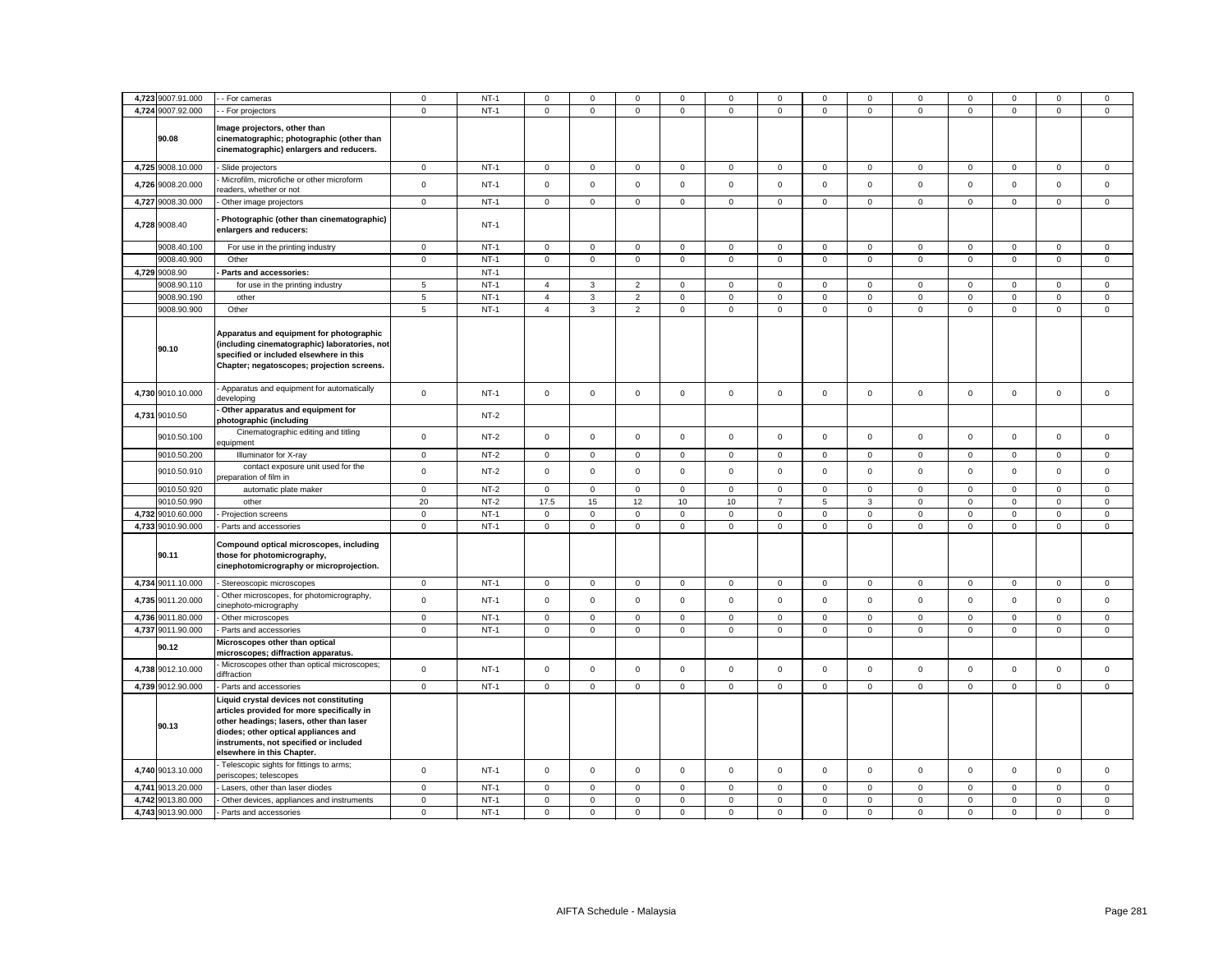|       | 4,723 9007.91.000 | - For cameras                                                                                                                                                                                                                                     | $\mathbf 0$    | $NT-1$ | 0              | 0            | $^{\circ}$     | 0            | 0           | $^{\circ}$          | 0                   | $^{\circ}$     | 0           | 0            |                     | $^{\circ}$          | 0            |
|-------|-------------------|---------------------------------------------------------------------------------------------------------------------------------------------------------------------------------------------------------------------------------------------------|----------------|--------|----------------|--------------|----------------|--------------|-------------|---------------------|---------------------|----------------|-------------|--------------|---------------------|---------------------|--------------|
| 4,724 | 9007.92.000       | - For projectors                                                                                                                                                                                                                                  | $\mathbf 0$    | $NT-1$ | $\Omega$       | $\mathsf 0$  | $\mathsf 0$    | $\mathsf 0$  | $\mathsf 0$ | $\Omega$            | $\mathsf 0$         | $\mathbf 0$    | $\mathsf 0$ | $\Omega$     | $\mathbf 0$         | $\mathbf 0$         | $\mathbf 0$  |
|       | 90.08             | Image projectors, other than<br>cinematographic; photographic (other than<br>cinematographic) enlargers and reducers.                                                                                                                             |                |        |                |              |                |              |             |                     |                     |                |             |              |                     |                     |              |
|       | 4,725 9008.10.000 | Slide projectors                                                                                                                                                                                                                                  | $\mathbf 0$    | $NT-1$ | $\mathbf 0$    | $\mathsf 0$  | $\mathsf 0$    | $\mathsf 0$  | $\mathbf 0$ | $\mathsf 0$         | $\mathbf 0$         | $\mathbf 0$    | $\mathbf 0$ | $\mathsf 0$  | $\mathbf 0$         | $\mathbf 0$         | $\mathsf 0$  |
|       | 4,726 9008.20.000 | Microfilm, microfiche or other microform<br>eaders, whether or not                                                                                                                                                                                | $\mathbf 0$    | $NT-1$ | $\mathbf 0$    | $\mathbf 0$  | $\mathsf 0$    | $\mathsf 0$  | $\mathsf 0$ | $\mathbf 0$         | $\mathsf 0$         | $\mathsf 0$    | $\mathsf 0$ | $\mathbf 0$  | $\mathsf 0$         | $\mathsf 0$         | $\mathsf 0$  |
|       | 4,727 9008.30.000 | - Other image projectors                                                                                                                                                                                                                          | $\mathbf 0$    | $NT-1$ | $\mathbf{0}$   | $\mathbf 0$  | $\mathbf 0$    | $\mathbf 0$  | $\mathbf 0$ | $\mathbf 0$         | $\mathbf{0}$        | $\mathbf 0$    | $\mathbf 0$ | $\mathsf 0$  | $\mathbf 0$         | $\mathbf 0$         | $\mathbf 0$  |
|       | 4,728 9008.40     | Photographic (other than cinematographic)<br>enlargers and reducers:                                                                                                                                                                              |                | $NT-1$ |                |              |                |              |             |                     |                     |                |             |              |                     |                     |              |
|       | 9008.40.100       | For use in the printing industry                                                                                                                                                                                                                  | $\mathbf 0$    | $NT-1$ | 0              | $\mathbf 0$  | $\mathbf 0$    | $\mathbf 0$  | 0           | $\mathbf 0$         | $\mathbf{0}$        | $\mathsf 0$    | $\mathbf 0$ | $\mathbf 0$  | $\mathsf 0$         | $\mathbf 0$         | $\mathbf 0$  |
|       | 9008.40.900       | Other                                                                                                                                                                                                                                             | $\mathbf 0$    | $NT-1$ | $\mathsf 0$    | $\mathbf 0$  | $\mathsf 0$    | $\mathbf{0}$ | $\mathbf 0$ | $\mathbf 0$         | $\mathbf 0$         | $\overline{0}$ | $\mathbf 0$ | $\mathbf 0$  | $\mathbf 0$         | $\mathbf 0$         | $\mathbf 0$  |
|       | 4,729 9008.90     | Parts and accessories:                                                                                                                                                                                                                            |                | $NT-1$ |                |              |                |              |             |                     |                     |                |             |              |                     |                     |              |
|       | 9008.90.110       | for use in the printing industry                                                                                                                                                                                                                  | 5              | $NT-1$ | $\overline{4}$ | 3            | $\overline{2}$ | $\mathbf{0}$ | $\mathbf 0$ | $\mathbf 0$         | $\mathbf{0}$        | $\mathbf{0}$   | $\mathbf 0$ | $\mathbf{0}$ | $\mathbf 0$         | $\mathbf 0$         | $\mathbf 0$  |
|       | 9008.90.190       | other                                                                                                                                                                                                                                             | $\overline{5}$ | $NT-1$ | $\overline{4}$ | $\mathbf{3}$ | $\overline{2}$ | $\mathsf 0$  | $\mathsf 0$ | $\mathbf 0$         | $\mathbf{0}$        | 0              | $\mathsf 0$ | $\mathsf 0$  | $\mathsf 0$         | $\mathsf 0$         | $\mathsf 0$  |
|       | 9008.90.900       | Other                                                                                                                                                                                                                                             | $\,$ 5 $\,$    | $NT-1$ | $\overline{4}$ | $\mathbf 3$  | $\mathbf 2$    | $\mathsf 0$  | $\mathsf 0$ | $\mathsf 0$         | $\mathsf{O}\xspace$ | $\mathbf 0$    | $\mathsf 0$ | $\mathsf 0$  | $\mathbf 0$         | $\mathsf 0$         | $\mathbf 0$  |
|       | 90.10             | Apparatus and equipment for photographic<br>(including cinematographic) laboratories, not<br>specified or included elsewhere in this<br>Chapter; negatoscopes; projection screens.                                                                |                |        |                |              |                |              |             |                     |                     |                |             |              |                     |                     |              |
|       | 4,730 9010.10.000 | Apparatus and equipment for automatically<br>developing                                                                                                                                                                                           | $\mathsf 0$    | $NT-1$ | $\mathbf 0$    | $\mathsf 0$  | $\mathsf 0$    | $\mathsf 0$  | $\mathbf 0$ | $\mathsf 0$         | $\mathsf 0$         | $\mathsf 0$    | $\mathsf 0$ | $\mathsf 0$  | $\mathsf 0$         | $\mathsf 0$         | $\mathsf 0$  |
| 4,731 | 9010.50           | Other apparatus and equipment for<br>photographic (including                                                                                                                                                                                      |                | $NT-2$ |                |              |                |              |             |                     |                     |                |             |              |                     |                     |              |
|       | 9010.50.100       | Cinematographic editing and titling<br>equipment                                                                                                                                                                                                  | $\mathbf 0$    | $NT-2$ | $\mathbf 0$    | $\mathsf 0$  | $\mathsf 0$    | $\mathsf 0$  | 0           | $\mathsf 0$         | $\mathbf 0$         | $\mathbf 0$    | $\mathbf 0$ | $\mathsf 0$  | $\mathsf 0$         | $\mathsf 0$         | $\mathsf 0$  |
|       | 9010.50.200       | Illuminator for X-ray                                                                                                                                                                                                                             | $\mathbf 0$    | $NT-2$ | $\mathsf 0$    | $\mathbf{0}$ | $\mathbf{0}$   | $\mathbf 0$  | $\mathbf 0$ | $\mathsf 0$         | $\mathbf{0}$        | $\overline{0}$ | $\mathbf 0$ | $\mathsf 0$  | $\mathbf 0$         | $\mathbf 0$         | $\mathbf{0}$ |
|       | 9010.50.910       | contact exposure unit used for the<br>reparation of film in                                                                                                                                                                                       | $\mathbf 0$    | $NT-2$ | $\mathbf 0$    | $\mathsf 0$  | $\mathsf 0$    | $\mathsf 0$  | $\mathsf 0$ | $\mathbf 0$         | $\mathsf 0$         | $\mathsf 0$    | $\mathbf 0$ | $\mathbf 0$  | $\mathsf 0$         | $\mathsf 0$         | $\mathsf 0$  |
|       | 9010.50.920       | automatic plate maker                                                                                                                                                                                                                             | $\mathbf 0$    | $NT-2$ | $\circ$        | $\mathbf 0$  | $\mathsf 0$    | $\mathbf{0}$ | $\mathbf 0$ | $\mathsf 0$         | $\mathsf 0$         | $\mathbf 0$    | $\mathbf 0$ | $\mathsf 0$  | $\mathsf 0$         | $\mathsf 0$         | $\mathsf 0$  |
|       | 9010.50.990       | other                                                                                                                                                                                                                                             | 20             | $NT-2$ | 17.5           | 15           | 12             | 10           | $10$        | $\overline{7}$      | 5                   | $\mathbf{3}$   | $\mathbf 0$ | $\mathsf 0$  | $\mathbf 0$         | $\mathbf 0$         | $\mathsf 0$  |
|       | 4,732 9010.60.000 | Projection screens                                                                                                                                                                                                                                | $\mathbf 0$    | $NT-1$ | $\mathbf 0$    | $\mathbf 0$  | $\mathsf 0$    | $\mathsf 0$  | $\mathbf 0$ | $\mathbf 0$         | $\mathbf 0$         | $\mathsf 0$    | $\mathbf 0$ | $\mathbf 0$  | $\mathbf 0$         | $\mathsf 0$         | $\mathsf 0$  |
|       | 4,733 9010.90.000 | Parts and accessories                                                                                                                                                                                                                             | $\mathbf 0$    | $NT-1$ | 0              | $\mathsf 0$  | $\mathsf 0$    | $\mathsf 0$  | $\mathsf 0$ | $\mathbf 0$         | $\mathbf 0$         | $\mathsf 0$    | $\mathsf 0$ | $\mathsf 0$  | $\mathsf{O}\xspace$ | $\mathsf 0$         | $\mathsf 0$  |
|       | 90.11             | Compound optical microscopes, including<br>those for photomicrography,<br>cinephotomicrography or microprojection.                                                                                                                                |                |        |                |              |                |              |             |                     |                     |                |             |              |                     |                     |              |
|       | 4,734 9011.10.000 | Stereoscopic microscopes                                                                                                                                                                                                                          | $\mathbf 0$    | $NT-1$ | $\mathsf 0$    | $\mathsf 0$  | $\mathbf 0$    | $\mathsf 0$  | $\mathsf 0$ | $\mathbf 0$         | $\mathsf 0$         | $\mathbf 0$    | $\mathbf 0$ | $\mathbf 0$  | $\mathsf 0$         | $\mathsf 0$         | $\mathbf 0$  |
|       | 4,735 9011.20.000 | Other microscopes, for photomicrography,<br>inephoto-micrography                                                                                                                                                                                  | $\mathsf 0$    | $NT-1$ | $\mathsf 0$    | $\mathsf 0$  | $\mathsf 0$    | $\mathsf 0$  | $\mathbf 0$ | $\mathsf{O}\xspace$ | $\mathsf 0$         | $\mathsf 0$    | $\mathsf 0$ | $\mathsf 0$  | $\mathsf 0$         | $\mathsf 0$         | $\mathbf 0$  |
|       | 4,736 9011.80.000 | Other microscopes                                                                                                                                                                                                                                 | $\mathbf 0$    | $NT-1$ | $\Omega$       | $\mathbf 0$  | $\mathbf 0$    | $\mathbf 0$  | 0           | $\mathbf 0$         | $\mathbf 0$         | $\mathsf 0$    | $\mathbf 0$ | $\mathbf 0$  | $\mathbf 0$         | $\mathbf 0$         | $\mathbf 0$  |
|       | 4,737 9011.90.000 | Parts and accessories                                                                                                                                                                                                                             | $\mathbf{0}$   | $NT-1$ | 0              | $\mathbf{0}$ | $\mathsf 0$    | $\mathbf 0$  | $\mathbf 0$ | $\mathbf 0$         | $\mathbf{0}$        | $\mathbf 0$    | $\mathbf 0$ | $\mathsf 0$  | $\mathbf{0}$        | $\mathbf 0$         | $\mathbf 0$  |
|       | 90.12             | Microscopes other than optical<br>microscopes; diffraction apparatus.                                                                                                                                                                             |                |        |                |              |                |              |             |                     |                     |                |             |              |                     |                     |              |
|       | 4,738 9012.10.000 | Microscopes other than optical microscopes;<br>diffraction                                                                                                                                                                                        | $\mathsf 0$    | $NT-1$ | $\mathbf{0}$   | $\mathsf 0$  | $\mathsf 0$    | $\mathsf 0$  | $\mathbf 0$ | $\mathsf{O}\xspace$ | $\mathsf 0$         | $\mathsf 0$    | $\mathsf 0$ | $\mathsf 0$  | $\mathsf 0$         | $\mathsf{O}\xspace$ | $\mathsf 0$  |
|       | 4,739 9012.90.000 | Parts and accessories                                                                                                                                                                                                                             | $\mathbf 0$    | $NT-1$ | $\mathbf 0$    | $\mathbf 0$  | $\mathbf{0}$   | $\mathbf 0$  | $\mathbf 0$ | $\mathbf 0$         | $\mathbf 0$         | $\mathbf 0$    | $\mathbf 0$ | $\mathsf 0$  | $\mathbf{O}$        | $\mathbf 0$         | $\mathbf{0}$ |
|       | 90.13             | Liquid crystal devices not constituting<br>articles provided for more specifically in<br>other headings; lasers, other than laser<br>diodes; other optical appliances and<br>instruments, not specified or included<br>elsewhere in this Chapter. |                |        |                |              |                |              |             |                     |                     |                |             |              |                     |                     |              |
|       | 4,740 9013.10.000 | Telescopic sights for fittings to arms;<br>periscopes; telescopes                                                                                                                                                                                 | $\mathbf 0$    | $NT-1$ | 0              | $\mathsf 0$  | $\mathsf 0$    | $\mathbf{0}$ | $\mathsf 0$ | $\mathsf 0$         | $\mathbf 0$         | $\mathbf{0}$   | $\mathbf 0$ | $\mathsf 0$  | $\mathsf 0$         | $\mathsf 0$         | $\mathbf 0$  |
| 4,741 | 9013.20.000       | Lasers, other than laser diodes                                                                                                                                                                                                                   | $\mathbf 0$    | $NT-1$ | $\mathbf 0$    | $\mathsf 0$  | $\mathsf 0$    | $\mathsf 0$  | $\mathsf 0$ | $\mathsf 0$         | $\mathbf 0$         | $\mathbf 0$    | $\mathsf 0$ | $\mathbf 0$  | $\mathsf 0$         | $\mathsf 0$         | $\mathsf 0$  |
|       | 4,742 9013.80.000 | Other devices, appliances and instruments                                                                                                                                                                                                         | $\mathbf 0$    | $NT-1$ | 0              | $\mathbf 0$  | $\mathbf 0$    | $\mathbf 0$  | 0           | $\mathbf 0$         | $\mathbf 0$         | $\mathbf 0$    | 0           | 0            | $\mathbf 0$         | $\mathbf 0$         | $\mathsf 0$  |
|       | 4,743 9013.90.000 | Parts and accessories                                                                                                                                                                                                                             | $\mathbf 0$    | $NT-1$ | $\mathbf{0}$   | $\Omega$     | $\mathbf 0$    | $\Omega$     | $\mathbf 0$ | $\Omega$            | $\mathbf 0$         | $\mathbf 0$    | $\mathbf 0$ | $\Omega$     | $\mathbf 0$         | $\Omega$            | $\Omega$     |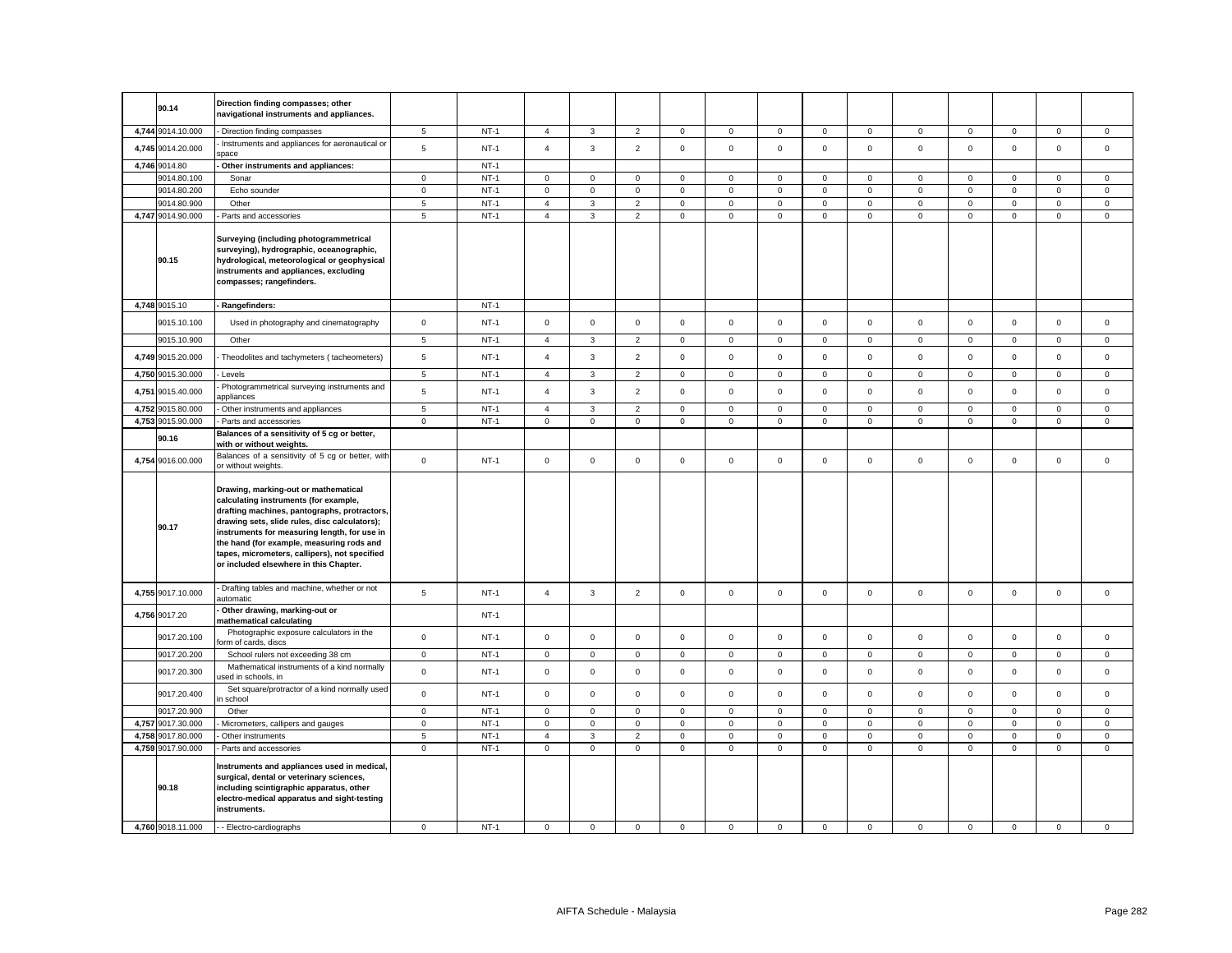|       | 90.14                      | Direction finding compasses; other<br>navigational instruments and appliances.                                                                                                                                                                                                                                                                                         |             |        |                |                     |                |             |                     |             |              |                |              |             |                     |              |             |
|-------|----------------------------|------------------------------------------------------------------------------------------------------------------------------------------------------------------------------------------------------------------------------------------------------------------------------------------------------------------------------------------------------------------------|-------------|--------|----------------|---------------------|----------------|-------------|---------------------|-------------|--------------|----------------|--------------|-------------|---------------------|--------------|-------------|
|       | 4,744 9014.10.000          | Direction finding compasses                                                                                                                                                                                                                                                                                                                                            | $\sqrt{5}$  | $NT-1$ | $\overline{4}$ | $\mathbf{3}$        | $\overline{2}$ | 0           | $\mathbf 0$         | $\mathbf 0$ | $\mathbf 0$  | $\overline{0}$ | $\mathbf 0$  | $\mathbf 0$ | $\mathbf 0$         | 0            | $\mathbf 0$ |
|       | 4,745 9014.20.000          | Instruments and appliances for aeronautical or<br>space                                                                                                                                                                                                                                                                                                                | 5           | $NT-1$ | $\overline{4}$ | $\mathbf{3}$        | $\overline{2}$ | $\mathsf 0$ | $\mathbf 0$         | $\mathsf 0$ | $\mathsf 0$  | $\mathbf 0$    | $\mathsf 0$  | $\mathsf 0$ | $\mathbf 0$         | $\mathsf 0$  | $\mathsf 0$ |
|       | 4,746 9014.80              | Other instruments and appliances:                                                                                                                                                                                                                                                                                                                                      |             | $NT-1$ |                |                     |                |             |                     |             |              |                |              |             |                     |              |             |
|       | 9014.80.100                | Sonar                                                                                                                                                                                                                                                                                                                                                                  | $\mathbf 0$ | $NT-1$ | $\mathbf 0$    | $\mathbf{0}$        | $\mathbf 0$    | 0           | $\mathbf 0$         | $\mathbf 0$ | $\mathbf 0$  | $\mathbf 0$    | $\mathbf 0$  | $\mathbf 0$ | $\mathbf 0$         | $\mathbf 0$  | $\mathbf 0$ |
|       | 9014.80.200                | Echo sounder                                                                                                                                                                                                                                                                                                                                                           | 0           | $NT-1$ | $\mathsf 0$    | $\mathsf 0$         | $\mathbf 0$    | $\mathbf 0$ | $\mathsf 0$         | $\mathbf 0$ | $\mathsf 0$  | 0              | $\mathsf 0$  | $\mathbf 0$ | $\mathbf 0$         | $\mathbf 0$  | $\mathsf 0$ |
|       | 9014.80.900                | Other                                                                                                                                                                                                                                                                                                                                                                  | 5           | $NT-1$ | $\overline{4}$ | $\mathbf{3}$        | $\overline{c}$ | 0           | $\mathsf{O}\xspace$ | $\mathsf 0$ | $\mathsf 0$  | $\mathbf 0$    | $\mathsf 0$  | $\mathbf 0$ | $\mathsf 0$         | $\mathbf 0$  | $\mathsf 0$ |
|       | 4,747 9014.90.000          | Parts and accessories                                                                                                                                                                                                                                                                                                                                                  | 5           | $NT-1$ | $\overline{4}$ | $\mathbf 3$         | $\overline{2}$ | $\mathsf 0$ | $\mathsf 0$         | $\mathsf 0$ | $\mathsf 0$  | $\mathbf 0$    | $\mathsf 0$  | $\mathsf 0$ | $\mathsf 0$         | $\mathsf 0$  | $\mathsf 0$ |
|       | 90.15                      | Surveying (including photogrammetrical<br>surveying), hydrographic, oceanographic,<br>hydrological, meteorological or geophysical<br>instruments and appliances, excluding<br>compasses; rangefinders.                                                                                                                                                                 |             |        |                |                     |                |             |                     |             |              |                |              |             |                     |              |             |
|       | 4,748 9015.10              | Rangefinders:                                                                                                                                                                                                                                                                                                                                                          |             | $NT-1$ |                |                     |                |             |                     |             |              |                |              |             |                     |              |             |
|       | 9015.10.100                | Used in photography and cinematography                                                                                                                                                                                                                                                                                                                                 | $\mathbf 0$ | $NT-1$ | $\mathsf 0$    | $\mathsf{O}$        | $\mathsf 0$    | $\mathsf 0$ | $\mathsf{O}\xspace$ | $\mathsf 0$ | $\mathsf 0$  | $\mathbf 0$    | $\mathsf 0$  | $\mathsf 0$ | $\mathsf 0$         | $\mathsf 0$  | $\mathsf 0$ |
|       | 9015.10.900                | Other                                                                                                                                                                                                                                                                                                                                                                  | 5           | $NT-1$ | $\overline{4}$ | $\mathbf{3}$        | $\overline{c}$ | $\mathsf 0$ | $\mathbf 0$         | 0           | $\mathsf 0$  | $\mathbf 0$    | $\mathsf 0$  | $\mathbf 0$ | 0                   | 0            | $\mathsf 0$ |
|       | 4,749 9015.20.000          | Theodolites and tachymeters (tacheometers)                                                                                                                                                                                                                                                                                                                             | 5           | $NT-1$ | $\Delta$       | 3                   | $\overline{2}$ | $\mathbf 0$ | $\mathbf 0$         | $\mathsf 0$ | $\mathsf 0$  | $\mathbf 0$    | $\mathbf 0$  | $\mathbf 0$ | $\mathsf{O}\xspace$ | $\mathbf 0$  | $\mathbf 0$ |
|       | 4,750 9015.30.000          | Levels                                                                                                                                                                                                                                                                                                                                                                 | 5           | $NT-1$ | $\overline{4}$ | 3                   | $\overline{2}$ | $\mathbf 0$ | $\mathbf 0$         | $\mathsf 0$ | $\mathbf 0$  | $\mathbf 0$    | $\mathbf 0$  | $\mathbf 0$ | $\mathsf 0$         | $\mathsf 0$  | $\mathsf 0$ |
| 4,751 | 9015.40.000                | Photogrammetrical surveying instruments and<br>appliances                                                                                                                                                                                                                                                                                                              | 5           | $NT-1$ | $\overline{4}$ | $\mathbf{3}$        | $\overline{2}$ | $\mathbf 0$ | $\mathsf 0$         | $\mathbf 0$ | $\mathbf 0$  | $\mathbf 0$    | $\mathbf{0}$ | $\mathbf 0$ | $\mathbf 0$         | $\mathbf 0$  | $\mathbf 0$ |
|       | 4,752 9015.80.000          | Other instruments and appliances                                                                                                                                                                                                                                                                                                                                       | 5           | $NT-1$ | $\overline{4}$ | 3                   | $\overline{2}$ | $\mathbf 0$ | $\mathbf 0$         | $\mathbf 0$ | $\circ$      | $\mathbf 0$    | $\mathbf 0$  | $\mathbf 0$ | $\mathbf 0$         | $\mathbf 0$  | $\mathbf 0$ |
| 4,753 | 9015.90.000                | Parts and accessories                                                                                                                                                                                                                                                                                                                                                  | $\mathbf 0$ | $NT-1$ | $\mathbf 0$    | $\mathbf 0$         | $\mathbf 0$    | $\mathsf 0$ | $\mathbf 0$         | $\mathsf 0$ | $\mathsf 0$  | $\mathbf 0$    | $\mathsf 0$  | $\mathsf 0$ | $\mathbf 0$         | $\mathbf{0}$ | $\mathbf 0$ |
|       | 90.16                      | Balances of a sensitivity of 5 cg or better,<br>with or without weights.                                                                                                                                                                                                                                                                                               |             |        |                |                     |                |             |                     |             |              |                |              |             |                     |              |             |
|       | 4,754 9016.00.000          | Balances of a sensitivity of 5 cg or better, with<br>or without weights.                                                                                                                                                                                                                                                                                               | $\mathsf 0$ | $NT-1$ | $\mathsf 0$    | $\mathsf 0$         | $\mathsf 0$    | $\mathsf 0$ | $\mathbf 0$         | $\mathsf 0$ | $\mathbf 0$  | $\mathsf 0$    | $\mathbf 0$  | $\mathsf 0$ | $\mathbf 0$         | $\mathsf 0$  | $\mathsf 0$ |
|       | 90.17                      | Drawing, marking-out or mathematical<br>calculating instruments (for example,<br>drafting machines, pantographs, protractors,<br>drawing sets, slide rules, disc calculators);<br>instruments for measuring length, for use in<br>the hand (for example, measuring rods and<br>tapes, micrometers, callipers), not specified<br>or included elsewhere in this Chapter. |             |        |                |                     |                |             |                     |             |              |                |              |             |                     |              |             |
|       | 4,755 9017.10.000          | Drafting tables and machine, whether or not<br>automatic                                                                                                                                                                                                                                                                                                               | 5           | $NT-1$ | $\overline{4}$ | 3                   | $\overline{2}$ | $\mathbf 0$ | $\mathbf 0$         | $\mathsf 0$ | $\mathbf{O}$ | $\mathbf{0}$   | $\mathbf 0$  | $\mathsf 0$ | $\mathbf 0$         | $\mathbf 0$  | $\mathbf 0$ |
|       | 4,756 9017.20              | Other drawing, marking-out or<br>nathematical calculating                                                                                                                                                                                                                                                                                                              |             | $NT-1$ |                |                     |                |             |                     |             |              |                |              |             |                     |              |             |
|       | 9017.20.100                | Photographic exposure calculators in the<br>orm of cards, discs                                                                                                                                                                                                                                                                                                        | $\mathsf 0$ | $NT-1$ | $\mathsf 0$    | $\mathsf 0$         | $\mathsf 0$    | $\mathsf 0$ | $\mathsf 0$         | $\mathsf 0$ | $\mathsf 0$  | $\mathbf 0$    | $\mathsf 0$  | $\mathsf 0$ | $\mathsf 0$         | $\mathsf 0$  | $\mathbf 0$ |
|       | 9017.20.200                | School rulers not exceeding 38 cm                                                                                                                                                                                                                                                                                                                                      | $\mathsf 0$ | $NT-1$ | $\mathsf 0$    | $\mathsf 0$         | $\mathsf 0$    | $\mathsf 0$ | $\mathsf 0$         | $\mathsf 0$ | $\mathsf{O}$ | $\mathbf 0$    | $\mathsf 0$  | $\mathsf 0$ | $\mathsf 0$         | $\mathsf 0$  | $\mathsf 0$ |
|       | 9017.20.300                | Mathematical instruments of a kind normally<br>sed in schools, in                                                                                                                                                                                                                                                                                                      | $\mathsf 0$ | $NT-1$ | $\mathsf 0$    | $\mathsf 0$         | $\mathsf 0$    | $\mathbf 0$ | $\mathsf{O}\xspace$ | $\mathsf 0$ | $\mathsf 0$  | $\mathsf 0$    | $\mathbf 0$  | $\mathsf 0$ | $\mathsf 0$         | $\mathsf 0$  | $\mathsf 0$ |
|       | 9017.20.400                | Set square/protractor of a kind normally used<br>school (                                                                                                                                                                                                                                                                                                              | $\mathbf 0$ | $NT-1$ | $\mathsf 0$    | $\mathbf 0$         | $\mathbf 0$    | $\mathbf 0$ | $\mathbf 0$         | $\mathsf 0$ | $\mathbf 0$  | $\mathbf 0$    | $\mathbf{0}$ | $\mathsf 0$ | $\mathbf 0$         | $\mathbf 0$  | $\mathsf 0$ |
|       | 9017.20.900                | Other                                                                                                                                                                                                                                                                                                                                                                  | $\mathsf 0$ | $NT-1$ | $\mathbf 0$    | $\mathsf 0$         | $\mathsf 0$    | $\mathbf 0$ | $\mathsf 0$         | $\mathsf 0$ | $\mathbf 0$  | $\mathbf{0}$   | $\mathsf 0$  | $\mathbf 0$ | $\mathbf 0$         | $\mathsf 0$  | $\mathbf 0$ |
|       | 4,757 9017.30.000          | Micrometers, callipers and gauges                                                                                                                                                                                                                                                                                                                                      | $\mathbf 0$ | $NT-1$ | $\mathbf 0$    | $\mathbf 0$         | $\mathsf 0$    | $\mathbf 0$ | $\mathbf 0$         | $\mathsf 0$ | $\mathbf 0$  | $\mathbf 0$    | $\mathbf 0$  | $\mathbf 0$ | $\mathsf 0$         | $\mathsf 0$  | $\mathsf 0$ |
| 4,758 | 9017.80.000                | Other instruments                                                                                                                                                                                                                                                                                                                                                      | 5           | $NT-1$ | $\overline{4}$ | 3                   | $\overline{2}$ | $\mathsf 0$ | $\mathsf 0$         | $\mathsf 0$ | $\mathsf 0$  | $\mathbf 0$    | $\mathbf 0$  | $\mathsf 0$ | $\mathbf 0$         | $\mathsf 0$  | $\mathsf 0$ |
|       | 4,759 9017.90.000<br>90.18 | Parts and accessories<br>Instruments and appliances used in medical,<br>surgical, dental or veterinary sciences,<br>including scintigraphic apparatus, other<br>electro-medical apparatus and sight-testing<br>instruments.                                                                                                                                            | $\mathbf 0$ | $NT-1$ | $\mathbf 0$    | $\mathsf{O}\xspace$ | $\mathsf 0$    | $\mathbf 0$ | $\mathbf 0$         | $\mathsf 0$ | $\mathbf 0$  | $\mathbf 0$    | $\mathbf 0$  | $\mathsf 0$ | $\mathbf 0$         | $\mathsf 0$  | $\mathsf 0$ |
|       | 4,760 9018.11.000          | - - Electro-cardiographs                                                                                                                                                                                                                                                                                                                                               | $\mathsf 0$ | $NT-1$ | $\mathbf 0$    | $\mathsf 0$         | $\mathsf 0$    | $\mathsf 0$ | $\mathbf 0$         | $\mathsf 0$ | $\mathsf 0$  | $\mathsf 0$    | $\mathbf 0$  | $\mathsf 0$ | $\mathsf 0$         | $\mathsf 0$  | $\mathsf 0$ |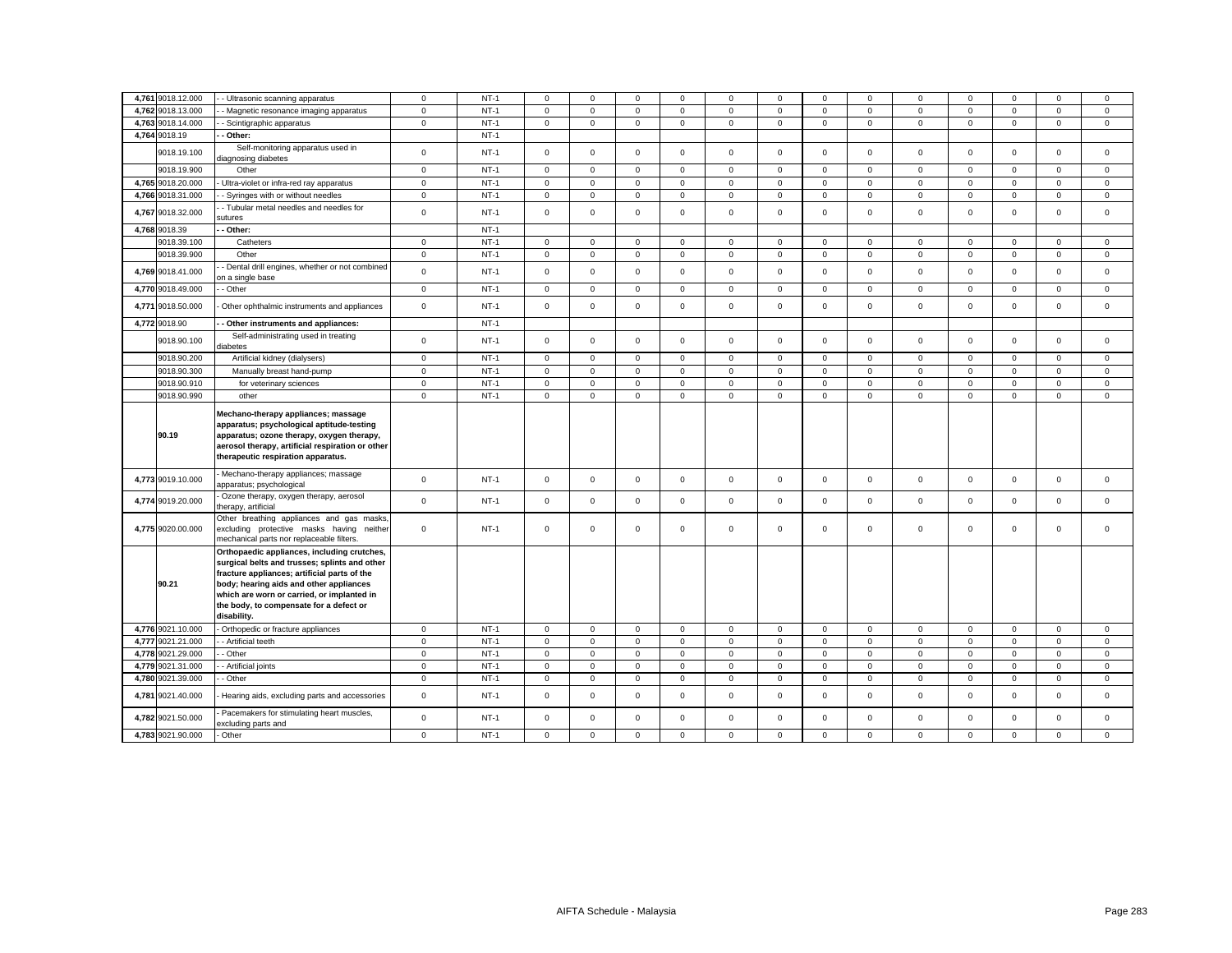|       | 4,761 9018.12.000 |                                                                                                                                                                                                                                                                                                 | $\mathbf 0$  | $NT-1$ | $\Omega$            | $\Omega$    | $\Omega$     | $\Omega$       | $\Omega$     | $\Omega$    |              | $\Omega$     | 0            | $\Omega$    | $\Omega$    | $\Omega$    | $\Omega$    |
|-------|-------------------|-------------------------------------------------------------------------------------------------------------------------------------------------------------------------------------------------------------------------------------------------------------------------------------------------|--------------|--------|---------------------|-------------|--------------|----------------|--------------|-------------|--------------|--------------|--------------|-------------|-------------|-------------|-------------|
|       |                   | - Ultrasonic scanning apparatus                                                                                                                                                                                                                                                                 |              |        |                     |             |              |                |              |             |              |              |              |             |             |             |             |
| 4,762 | 9018.13.000       | - Magnetic resonance imaging apparatus                                                                                                                                                                                                                                                          | $\mathsf 0$  | $NT-1$ | $\mathbf 0$         | $\mathsf 0$ | $\mathsf 0$  | $\mathsf 0$    | $\mathbf 0$  | $\mathsf 0$ | $\mathsf 0$  | $\mathsf 0$  | $\mathsf 0$  | $\mathsf 0$ | $\mathsf 0$ | $\mathsf 0$ | $\mathsf 0$ |
|       | 4,763 9018.14.000 | Scintigraphic apparatus                                                                                                                                                                                                                                                                         | $\mathsf 0$  | $NT-1$ | $\mathbf 0$         | $\mathbf 0$ | $\mathbf 0$  | $\mathbf{0}$   | $\mathbf{0}$ | $\mathbf 0$ | $\mathbf{O}$ | $\mathbf 0$  | $\mathbf{0}$ | $\mathbf 0$ | $\mathbf 0$ | $\mathbf 0$ | $\mathbf 0$ |
|       | 4,764 9018.19     | Other:                                                                                                                                                                                                                                                                                          |              | $NT-1$ |                     |             |              |                |              |             |              |              |              |             |             |             |             |
|       | 9018.19.100       | Self-monitoring apparatus used in<br>diagnosing diabetes                                                                                                                                                                                                                                        | $\mathsf 0$  | $NT-1$ | $\mathbf 0$         | $\mathbf 0$ | $\mathbf{0}$ | $\mathbf{0}$   | $\mathbf{0}$ | $\mathbf 0$ | $\mathbf{O}$ | $\mathbf{0}$ | $\mathbf{0}$ | $\mathbf 0$ | $\mathbf 0$ | $\mathsf 0$ | $\mathbf 0$ |
|       | 9018.19.900       | Other                                                                                                                                                                                                                                                                                           | $\mathbf 0$  | $NT-1$ | $\mathbf 0$         | $\mathsf 0$ | $\mathbf{0}$ | $\mathbf{0}$   | $\mathbf{0}$ | $\mathbf 0$ | $\mathbf 0$  | $\mathbf{0}$ | $\mathbf{0}$ | $\mathbf 0$ | $\mathbf 0$ | $\mathbf 0$ | $\mathbf 0$ |
|       | 4,765 9018.20.000 | Ultra-violet or infra-red ray apparatus                                                                                                                                                                                                                                                         | $\mathbf 0$  | $NT-1$ | $\Omega$            | $\mathbf 0$ | $^{\circ}$   | $\mathbf 0$    | $\mathbf 0$  | $\Omega$    | $\mathbf 0$  | $\mathbf 0$  | $\mathbf 0$  | $\Omega$    | $\mathbf 0$ | $\mathbf 0$ | $\mathbf 0$ |
|       | 4,766 9018.31.000 | - Syringes with or without needles                                                                                                                                                                                                                                                              | $\mathsf 0$  | $NT-1$ | $\mathsf{O}\xspace$ | $\mathsf 0$ | $\mathsf 0$  | $\mathsf 0$    | $\mathsf 0$  | $\Omega$    | $\mathbf 0$  | $\mathsf 0$  | $\mathsf 0$  | $\Omega$    | $\mathbf 0$ | $\mathsf 0$ | $\Omega$    |
|       | 4,767 9018.32.000 | - Tubular metal needles and needles for<br>sutures                                                                                                                                                                                                                                              | $\mathsf 0$  | $NT-1$ | $\mathbf 0$         | $\mathsf 0$ | $\mathsf 0$  | $\mathbf 0$    | $\mathsf 0$  | $\mathbf 0$ | $\mathbf{0}$ | $\mathsf 0$  | $\mathbf 0$  | $\mathbf 0$ | $\Omega$    | $\mathbf 0$ | $\mathbf 0$ |
|       | 4,768 9018.39     | Other:                                                                                                                                                                                                                                                                                          |              | $NT-1$ |                     |             |              |                |              |             |              |              |              |             |             |             |             |
|       | 9018.39.100       | Catheters                                                                                                                                                                                                                                                                                       | $\mathbf{0}$ | $NT-1$ | $\mathbf 0$         | $^{\circ}$  | $\mathbf 0$  | $\mathbf 0$    | $\mathbf 0$  | $\mathbf 0$ | $\mathbf{0}$ | $\mathbf 0$  | $\mathbf{0}$ | $^{\circ}$  | $\mathbf 0$ | $\mathbf 0$ | $\mathbf 0$ |
|       | 9018.39.900       | Other                                                                                                                                                                                                                                                                                           | $\mathbf 0$  | $NT-1$ | $\mathbf 0$         | $\mathbf 0$ | $\mathbf 0$  | $\mathbf{0}$   | $\mathbf{0}$ | $\mathbf 0$ | $\mathbf 0$  | $\mathbf{0}$ | $\mathbf{0}$ | $\mathbf 0$ | $\mathbf 0$ | $\mathbf 0$ | $\mathbf 0$ |
|       | 4,769 9018.41.000 | Dental drill engines, whether or not combined<br>on a single base                                                                                                                                                                                                                               | $\mathsf 0$  | $NT-1$ | $\mathbf 0$         | $\mathbf 0$ | $\mathsf 0$  | $\mathbf 0$    | $\mathsf 0$  | $\mathsf 0$ | $\mathbf 0$  | $\mathsf 0$  | $\mathbf{0}$ | $\mathsf 0$ | $\mathbf 0$ | $\mathsf 0$ | $\mathbf 0$ |
|       | 4,770 9018.49.000 | - Other                                                                                                                                                                                                                                                                                         | $\mathbf 0$  | $NT-1$ | 0                   | $\mathsf 0$ | $\mathsf 0$  | $\mathbf 0$    | $\mathbf 0$  | $\mathsf 0$ | $\mathbf 0$  | $\mathbf 0$  | $\mathbf 0$  | $\mathbf 0$ | $\mathbf 0$ | $\mathbf 0$ | $\mathbf 0$ |
|       | 4,771 9018.50.000 | Other ophthalmic instruments and appliances                                                                                                                                                                                                                                                     | $\mathsf 0$  | $NT-1$ | $\mathbf 0$         | $\mathbf 0$ | $\mathsf 0$  | $\mathbf 0$    | $\mathbf 0$  | $\mathbf 0$ | $\mathbf 0$  | $\mathbf{0}$ | $\mathbf 0$  | $\mathbf 0$ | $\Omega$    | $\mathbf 0$ | $\mathbf 0$ |
|       | 4,772 9018.90     | - Other instruments and appliances:                                                                                                                                                                                                                                                             |              | $NT-1$ |                     |             |              |                |              |             |              |              |              |             |             |             |             |
|       | 9018.90.100       | Self-administrating used in treating<br>diabetes                                                                                                                                                                                                                                                | $\mathbf{0}$ | $NT-1$ | $\Omega$            | $\Omega$    | $\mathbf 0$  | $\Omega$       | $\Omega$     | $\Omega$    | $\Omega$     | $\Omega$     | $\Omega$     | $\Omega$    | $\Omega$    | $\mathbf 0$ | $\Omega$    |
|       | 9018.90.200       | Artificial kidney (dialysers)                                                                                                                                                                                                                                                                   | $\mathsf 0$  | $NT-1$ | $\mathbf 0$         | $\mathbf 0$ | $\mathsf 0$  | $\mathbf 0$    | $\mathbf 0$  | $\mathbf 0$ | $\mathbf 0$  | $\mathbf{0}$ | $\mathbf{0}$ | $\mathbf 0$ | $\mathbf 0$ | $\mathbf 0$ | $\mathbf 0$ |
|       | 9018.90.300       | Manually breast hand-pump                                                                                                                                                                                                                                                                       | $\mathbf 0$  | $NT-1$ | $\mathbf 0$         | $\mathbf 0$ | $\mathbf 0$  | $\mathbf 0$    | $\mathbf 0$  | $\Omega$    | $\mathbf 0$  | $\mathbf 0$  | $\mathbf 0$  | $\mathbf 0$ | $\mathbf 0$ | $\mathbf 0$ | $\mathbf 0$ |
|       | 9018.90.910       | for veterinary sciences                                                                                                                                                                                                                                                                         | $\mathsf 0$  | $NT-1$ | $\mathbf 0$         | $\mathbf 0$ | $\mathsf 0$  | $\mathsf 0$    | $\mathsf 0$  | $\mathbf 0$ | $\mathsf 0$  | $\mathbf 0$  | $\mathbf 0$  | $\mathbf 0$ | $\mathbf 0$ | $\mathbf 0$ | $\mathbf 0$ |
|       | 9018.90.990       | other                                                                                                                                                                                                                                                                                           | $\mathsf 0$  | $NT-1$ | $\mathbf 0$         | $\mathbf 0$ | $\mathsf 0$  | $\mathbf 0$    | $\mathbf 0$  | $\mathbf 0$ | $\mathbf 0$  | $\mathbf 0$  | $\mathbf{0}$ | $\Omega$    | $\mathbf 0$ | $\mathbf 0$ | $\mathbf 0$ |
|       |                   |                                                                                                                                                                                                                                                                                                 |              |        |                     |             |              |                |              |             |              |              |              |             |             |             |             |
|       | 90.19             | Mechano-therapy appliances; massage<br>apparatus; psychological aptitude-testing<br>apparatus; ozone therapy, oxygen therapy,<br>aerosol therapy, artificial respiration or other                                                                                                               |              |        |                     |             |              |                |              |             |              |              |              |             |             |             |             |
|       |                   | therapeutic respiration apparatus.                                                                                                                                                                                                                                                              |              |        |                     |             |              |                |              |             |              |              |              |             |             |             |             |
|       | 4,773 9019.10.000 | Mechano-therapy appliances; massage<br>apparatus; psychological                                                                                                                                                                                                                                 | $\mathsf 0$  | $NT-1$ | $\mathbf 0$         | $\mathbf 0$ | $\mathsf 0$  | $\mathbf{0}$   | $\mathbf{0}$ | $\mathbf 0$ | $\mathbf{0}$ | $\mathsf 0$  | $\mathbf{0}$ | $\mathbf 0$ | $\mathbf 0$ | $\mathbf 0$ | $\mathbf 0$ |
|       | 4,774 9019.20.000 | Ozone therapy, oxygen therapy, aerosol<br>herapy, artificial                                                                                                                                                                                                                                    | $\mathsf 0$  | $NT-1$ | $\mathbf 0$         | $\mathbf 0$ | $\mathsf 0$  | $\mathbf 0$    | $\mathsf 0$  | $\mathsf 0$ | $\mathbf 0$  | $\mathsf 0$  | $\mathsf 0$  | $\mathsf 0$ | $\mathbf 0$ | $\mathsf 0$ | $\mathbf 0$ |
|       | 4,775 9020.00.000 | Other breathing appliances and gas masks<br>excluding protective masks having neither<br>mechanical parts nor replaceable filters.                                                                                                                                                              | $\mathbf 0$  | $NT-1$ | 0                   | $\mathbf 0$ | $\mathsf 0$  | 0              | 0            | $\mathbf 0$ | $\mathbf{0}$ | $\mathsf 0$  | $\mathbf 0$  | $\mathsf 0$ | $\mathbf 0$ | $\mathbf 0$ | $\mathbf 0$ |
|       | 90.21             | Orthopaedic appliances, including crutches,<br>surgical belts and trusses; splints and other<br>fracture appliances; artificial parts of the<br>body; hearing aids and other appliances<br>which are worn or carried, or implanted in<br>the body, to compensate for a defect or<br>disability. |              |        |                     |             |              |                |              |             |              |              |              |             |             |             |             |
|       | 4,776 9021.10.000 | Orthopedic or fracture appliances                                                                                                                                                                                                                                                               | $\mathbf 0$  | $NT-1$ | $\mathbf 0$         | $^{\circ}$  | $\mathbf 0$  | $\mathbf{0}$   | $\mathbf 0$  | $\mathbf 0$ | $\mathbf{0}$ | $\mathbf{0}$ | $\mathbf{0}$ | $\mathbf 0$ | $\mathbf 0$ | $\mathbf 0$ | $\mathbf 0$ |
|       | 4,777 9021.21.000 | - Artificial teeth                                                                                                                                                                                                                                                                              | $\mathsf 0$  | $NT-1$ | $\mathbf 0$         | $\mathsf 0$ | $\mathsf 0$  | $\overline{0}$ | $\mathbf 0$  | $\mathsf 0$ | $\mathbf 0$  | $\mathsf 0$  | $\mathbf 0$  | $\mathbf 0$ | $\mathbf 0$ | $\mathbf 0$ | $\mathsf 0$ |
|       | 4,778 9021.29.000 | - Other                                                                                                                                                                                                                                                                                         | $\mathsf 0$  | $NT-1$ | $\mathbf 0$         | $\mathsf 0$ | $\mathsf 0$  | $\mathsf 0$    | $\mathbf 0$  | $\mathsf 0$ | $\mathbf 0$  | $\mathsf 0$  | $\mathbf 0$  | $\mathsf 0$ | $\mathbf 0$ | $\mathbf 0$ | $\mathsf 0$ |
|       | 4,779 9021.31.000 | Artificial joints                                                                                                                                                                                                                                                                               | $\mathbf 0$  | $NT-1$ | $\mathbf 0$         | $\mathbf 0$ | $\mathbf 0$  | $\mathbf 0$    | $\mathbf 0$  | $\Omega$    | $\mathbf 0$  | $\mathbf 0$  | $\mathbf{0}$ | $\Omega$    | $\mathbf 0$ | $\mathbf 0$ | $\mathbf 0$ |
|       | 4,780 9021.39.000 | Other                                                                                                                                                                                                                                                                                           | $\mathsf 0$  | $NT-1$ | $\mathbf 0$         | $\mathbf 0$ | $\mathsf 0$  | $\mathsf 0$    | $\mathsf 0$  | $\Omega$    | $\mathbf 0$  | $\mathsf 0$  | $\mathsf 0$  | $\mathbf 0$ | $\mathbf 0$ | $\mathbf 0$ | $\mathbf 0$ |
|       | 4,781 9021.40.000 | Hearing aids, excluding parts and accessories                                                                                                                                                                                                                                                   | $\mathsf 0$  | $NT-1$ | $\mathbf 0$         | $\mathbf 0$ | $\mathbf 0$  | $\mathbf 0$    | $\mathsf 0$  | $\mathbf 0$ | $\mathbf 0$  | $\mathbf 0$  | $\mathbf{0}$ | $\mathbf 0$ | $\mathbf 0$ | $\mathbf 0$ | $\mathbf 0$ |
|       | 4,782 9021.50.000 | Pacemakers for stimulating heart muscles,<br>excluding parts and                                                                                                                                                                                                                                | $\mathsf 0$  | $NT-1$ | $\mathbf 0$         | $\mathbf 0$ | $\mathbf 0$  | $\mathbf 0$    | $\mathsf 0$  | $\Omega$    | $\mathbf 0$  | $\mathbf 0$  | $\mathbf 0$  | $\mathbf 0$ | $\Omega$    | $\mathbf 0$ | $\mathbf 0$ |
|       | 4,783 9021.90.000 | Other                                                                                                                                                                                                                                                                                           | $\mathbf 0$  | $NT-1$ | $\mathbf 0$         | $\mathbf 0$ | $\mathbf 0$  | $\mathbf 0$    | $\mathbf 0$  | $\Omega$    | $\mathbf 0$  | $\mathbf 0$  | $\mathbf{0}$ | $\Omega$    | $\mathbf 0$ | $\mathbf 0$ | $\mathbf 0$ |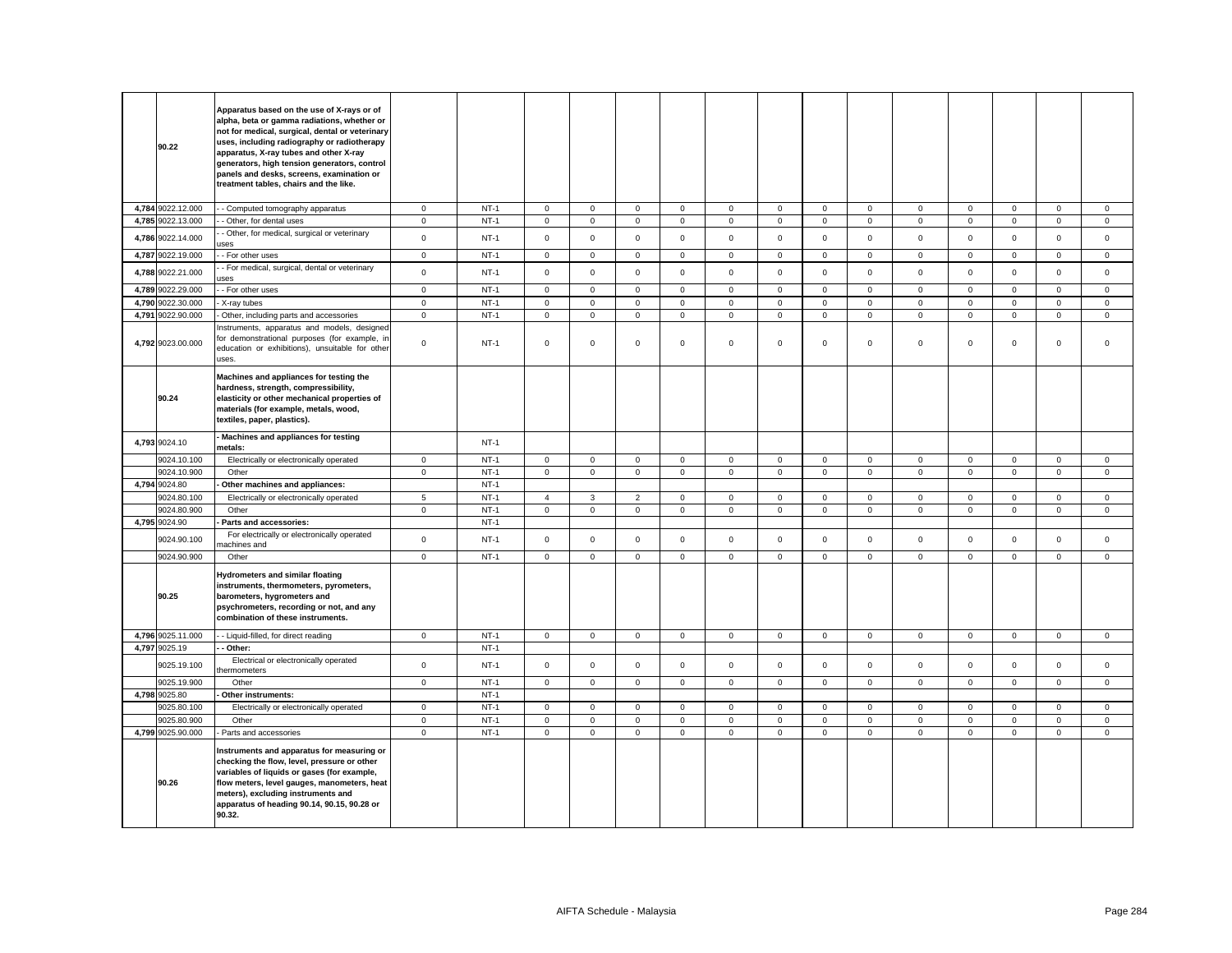| 90.22             | Apparatus based on the use of X-rays or of<br>alpha, beta or gamma radiations, whether or<br>not for medical, surgical, dental or veterinary<br>uses, including radiography or radiotherapy<br>apparatus, X-ray tubes and other X-ray<br>generators, high tension generators, control<br>panels and desks, screens, examination or<br>treatment tables, chairs and the like. |              |        |                |              |                     |              |             |             |                     |                |              |             |                     |                     |                     |
|-------------------|------------------------------------------------------------------------------------------------------------------------------------------------------------------------------------------------------------------------------------------------------------------------------------------------------------------------------------------------------------------------------|--------------|--------|----------------|--------------|---------------------|--------------|-------------|-------------|---------------------|----------------|--------------|-------------|---------------------|---------------------|---------------------|
| 4,784 9022.12.000 | - Computed tomography apparatus                                                                                                                                                                                                                                                                                                                                              | $\circ$      | $NT-1$ | $\mathbf 0$    | $\mathsf 0$  | $\mathsf 0$         | $\mathbf 0$  | $\mathbf 0$ | $\mathsf 0$ | $\mathbf 0$         | $\mathbf 0$    | $\mathbf 0$  | $\mathbf 0$ | $\mathbf 0$         | $\mathbf 0$         | $\mathsf 0$         |
| 4,785 9022.13.000 | - Other, for dental uses                                                                                                                                                                                                                                                                                                                                                     | $\mathbf 0$  | $NT-1$ | $\mathbf 0$    | $\mathsf 0$  | $\mathsf{O}\xspace$ | $\mathsf 0$  | $\mathbf 0$ | $\mathbf 0$ | $\mathsf{O}\xspace$ | $\overline{0}$ | $\mathbf{0}$ | $\mathbf 0$ | $\mathsf{O}\xspace$ | $\mathsf{O}\xspace$ | $\mathsf 0$         |
| 4,786 9022.14.000 | Other, for medical, surgical or veterinary<br><b>ISes</b>                                                                                                                                                                                                                                                                                                                    | $\mathbf{0}$ | $NT-1$ | $\mathbf 0$    | $\mathbf 0$  | $\mathbf 0$         | $\mathbf 0$  | $\mathbf 0$ | $\mathbf 0$ | $\mathbf{O}$        | $\mathbf{0}$   | $\mathbf 0$  | $\mathbf 0$ | $\mathbf 0$         | $\mathbf 0$         | $\mathbf 0$         |
| 4,787 9022.19.000 | - For other uses                                                                                                                                                                                                                                                                                                                                                             | $\mathsf 0$  | $NT-1$ | $\mathbf 0$    | $\mathsf{O}$ | $\mathbf 0$         | $\mathbf 0$  | $\mathbf 0$ | $\mathsf 0$ | $\mathbf 0$         | $\mathbf{0}$   | $\mathsf 0$  | $\mathbf 0$ | $\mathsf 0$         | $\mathsf 0$         | $\mathsf 0$         |
| 4,788 9022.21.000 | - For medical, surgical, dental or veterinary<br><b>ISAS</b>                                                                                                                                                                                                                                                                                                                 | $\mathsf 0$  | $NT-1$ | $\mathbf 0$    | $\mathsf 0$  | $\mathsf 0$         | $\mathbf 0$  | $\mathsf 0$ | $\mathsf 0$ | $\mathbf 0$         | $\mathbf 0$    | $\mathbf 0$  | $\mathsf 0$ | $\mathsf 0$         | $\mathsf 0$         | $\mathsf 0$         |
| 4,789 9022.29.000 | - For other uses                                                                                                                                                                                                                                                                                                                                                             | $\mathbf 0$  | $NT-1$ | $\mathbf 0$    | $\mathbf{0}$ | $\mathbf 0$         | $\mathbf{0}$ | $\mathbf 0$ | $\mathbf 0$ | $\mathbf 0$         | $\mathbf{0}$   | $\mathbf{0}$ | $^{\circ}$  | $\mathbf{0}$        | $\mathbf{0}$        | $\mathbf 0$         |
| 4,790 9022.30.000 | X-ray tubes                                                                                                                                                                                                                                                                                                                                                                  | $\circ$      | $NT-1$ | $\mathbf 0$    | $\mathsf 0$  | $\mathsf 0$         | $\mathbf 0$  | $\mathsf 0$ | $\mathsf 0$ | $\mathbf 0$         | $\mathbf 0$    | $\mathsf 0$  | $\mathsf 0$ | $\mathsf 0$         | $\mathsf 0$         | $\mathsf 0$         |
| 4,791 9022.90.000 | Other, including parts and accessories                                                                                                                                                                                                                                                                                                                                       | $\circ$      | $NT-1$ | $\mathbf 0$    | $\mathbf 0$  | $\mathsf 0$         | $\mathbf 0$  | $\mathbf 0$ | $\mathsf 0$ | $\mathbf 0$         | $\mathbf{0}$   | $\mathbf 0$  | $\mathbf 0$ | $\mathbf 0$         | $\mathbf 0$         | $\mathsf 0$         |
| 4,792 9023.00.000 | nstruments, apparatus and models, designed<br>or demonstrational purposes (for example, in<br>education or exhibitions), unsuitable for other<br>uses.                                                                                                                                                                                                                       | $\mathbf 0$  | $NT-1$ | 0              | $\mathbf 0$  | $\mathsf 0$         | $\mathbf 0$  | 0           | $\mathbf 0$ | $\mathbf{0}$        | $\mathbf 0$    | $\mathbf 0$  | $\mathbf 0$ | $\mathbf 0$         | $\mathsf 0$         | $\mathsf 0$         |
| 90.24             | Machines and appliances for testing the<br>hardness, strength, compressibility,<br>elasticity or other mechanical properties of<br>materials (for example, metals, wood,<br>textiles, paper, plastics).                                                                                                                                                                      |              |        |                |              |                     |              |             |             |                     |                |              |             |                     |                     |                     |
| 4,793 9024.10     | Machines and appliances for testing<br>metals:                                                                                                                                                                                                                                                                                                                               |              | $NT-1$ |                |              |                     |              |             |             |                     |                |              |             |                     |                     |                     |
| 9024.10.100       | Electrically or electronically operated                                                                                                                                                                                                                                                                                                                                      | $\mathbf 0$  | $NT-1$ | $\mathbf 0$    | $\mathbf{0}$ | $\mathbf 0$         | $\mathbf 0$  | $\mathbf 0$ | $\mathsf 0$ | $\mathbf{0}$        | $\overline{0}$ | $\mathbf 0$  | $\mathbf 0$ | $\mathbf{0}$        | $\mathbf 0$         | $\mathbf{0}$        |
| 9024.10.900       | Other                                                                                                                                                                                                                                                                                                                                                                        | $\mathbf 0$  | $NT-1$ | $\mathbf 0$    | $\mathsf 0$  | $\mathsf 0$         | $\mathbf 0$  | $\mathbf 0$ | $\mathsf 0$ | $\mathbf 0$         | $\mathbf 0$    | $\mathsf 0$  | $\mathbf 0$ | $\mathbf 0$         | $\mathbf 0$         | $\mathsf 0$         |
| 4,794 9024.80     | Other machines and appliances:                                                                                                                                                                                                                                                                                                                                               |              | $NT-1$ |                |              |                     |              |             |             |                     |                |              |             |                     |                     |                     |
| 9024.80.100       | Electrically or electronically operated                                                                                                                                                                                                                                                                                                                                      | 5            | $NT-1$ | $\overline{4}$ | $\mathbf{3}$ | $\overline{2}$      | $\mathbf 0$  | $\mathbf 0$ | $\mathbf 0$ | $\mathbf 0$         | $\overline{0}$ | $\mathbf 0$  | $\mathbf 0$ | $\mathbf{O}$        | $\mathsf{O}\xspace$ | $\mathbf 0$         |
| 9024.80.900       | Other                                                                                                                                                                                                                                                                                                                                                                        | $\mathbf{0}$ | $NT-1$ | $\mathbf{O}$   | $\mathbf{0}$ | $\mathbf 0$         | $\mathbf{0}$ | $\mathbf 0$ | $\mathbf 0$ | $\mathbf 0$         | $\overline{0}$ | $\mathbf 0$  | $\mathbf 0$ | $\mathbf{0}$        | $\mathbf 0$         | $\mathbf{0}$        |
| 4,795 9024.90     | Parts and accessories:                                                                                                                                                                                                                                                                                                                                                       |              | $NT-1$ |                |              |                     |              |             |             |                     |                |              |             |                     |                     |                     |
| 9024.90.100       | For electrically or electronically operated<br>nachines and                                                                                                                                                                                                                                                                                                                  | $\mathbf 0$  | $NT-1$ | $\mathbf{0}$   | $\mathbf 0$  | $\mathsf 0$         | $\mathbf 0$  | $\mathbf 0$ | $\mathbf 0$ | $\mathsf{O}$        | $\mathbf{0}$   | $\mathsf 0$  | $\mathbf 0$ | $\mathbf 0$         | $\mathbf 0$         | $\mathbf 0$         |
| 9024.90.900       | Other                                                                                                                                                                                                                                                                                                                                                                        | $\mathbf 0$  | $NT-1$ | $\mathbf 0$    | $\mathbf{0}$ | $\mathbf 0$         | $\mathbf 0$  | $\mathbf 0$ | $\mathbf 0$ | $\mathbf 0$         | $\mathbf{0}$   | $\mathbf 0$  | $\mathsf 0$ | $\mathbf 0$         | $\mathbf 0$         | $\mathsf{O}\xspace$ |
| 90.25             | <b>Hydrometers and similar floating</b><br>instruments, thermometers, pyrometers,<br>barometers, hygrometers and<br>psychrometers, recording or not, and any<br>combination of these instruments.                                                                                                                                                                            |              |        |                |              |                     |              |             |             |                     |                |              |             |                     |                     |                     |
| 4,796 9025.11.000 | - Liquid-filled, for direct reading                                                                                                                                                                                                                                                                                                                                          | $\mathbf{0}$ | $NT-1$ | $\mathbf 0$    | $\mathbf{0}$ | $\mathbf 0$         | $\mathbf 0$  | $\mathbf 0$ | $\mathbf 0$ | $\mathbf{0}$        | $\mathbf{0}$   | $\mathbf 0$  | $\mathbf 0$ | $\mathbf{0}$        | $\mathbf 0$         | $\mathbf 0$         |
| 4,797 9025.19     | Other:                                                                                                                                                                                                                                                                                                                                                                       |              | $NT-1$ |                |              |                     |              |             |             |                     |                |              |             |                     |                     |                     |
| 9025.19.100       | Electrical or electronically operated<br>hermometers                                                                                                                                                                                                                                                                                                                         | $\mathsf 0$  | $NT-1$ | 0              | $\mathbf 0$  | $\mathsf 0$         | $\mathbf 0$  | 0           | $\mathsf 0$ | $\mathbf{0}$        | $\mathbf 0$    | $\mathsf 0$  | $\mathbf 0$ | $\mathbf 0$         | $\mathsf 0$         | $\mathbf 0$         |
| 9025.19.900       | Other                                                                                                                                                                                                                                                                                                                                                                        | $\circ$      | $NT-1$ | $\mathbf 0$    | $\mathsf 0$  | $\mathsf 0$         | $\mathbf 0$  | $\mathbf 0$ | $\mathsf 0$ | $\mathbf 0$         | $\mathbf 0$    | $\mathbf 0$  | $\mathsf 0$ | $\mathsf 0$         | $\mathbf 0$         | $\mathsf 0$         |
| 4,798 9025.80     | Other instruments:                                                                                                                                                                                                                                                                                                                                                           |              | $NT-1$ |                |              |                     |              |             |             |                     |                |              |             |                     |                     |                     |
| 9025.80.100       | Electrically or electronically operated                                                                                                                                                                                                                                                                                                                                      | $\circ$      | $NT-1$ | $\mathbf 0$    | $\mathbf{0}$ | $\mathbf 0$         | $\mathbf{0}$ | $\mathbf 0$ | $\mathbf 0$ | $\mathbf 0$         | $\mathbf{0}$   | $\mathbf{0}$ | $\mathbf 0$ | $\mathbf{O}$        | $\mathbf{0}$        | $\mathbf{0}$        |
| 9025.80.900       | Other                                                                                                                                                                                                                                                                                                                                                                        | $\mathbf{0}$ | $NT-1$ | $\mathbf 0$    | $\mathbf 0$  | $\mathbf 0$         | $\mathbf{0}$ | $\mathbf 0$ | $\mathbf 0$ | $\mathbf{O}$        | $\mathbf{0}$   | $\mathbf 0$  | $\mathbf 0$ | $\mathbf{0}$        | $\mathbf{0}$        | $\mathbf 0$         |
| 4,799 9025.90.000 | Parts and accessories                                                                                                                                                                                                                                                                                                                                                        | $\circ$      | $NT-1$ | $\mathbf 0$    | $\mathbf{0}$ | $\mathsf 0$         | $\mathbf 0$  | $\mathbf 0$ | $\mathsf 0$ | $\mathbf 0$         | $\mathbf{0}$   | $\mathbf 0$  | $\mathsf 0$ | $\mathbf 0$         | $\mathsf 0$         | $\mathsf 0$         |
| 90.26             | Instruments and apparatus for measuring or<br>checking the flow, level, pressure or other<br>variables of liquids or gases (for example,<br>flow meters, level gauges, manometers, heat<br>meters), excluding instruments and<br>apparatus of heading 90.14, 90.15, 90.28 or<br>90.32.                                                                                       |              |        |                |              |                     |              |             |             |                     |                |              |             |                     |                     |                     |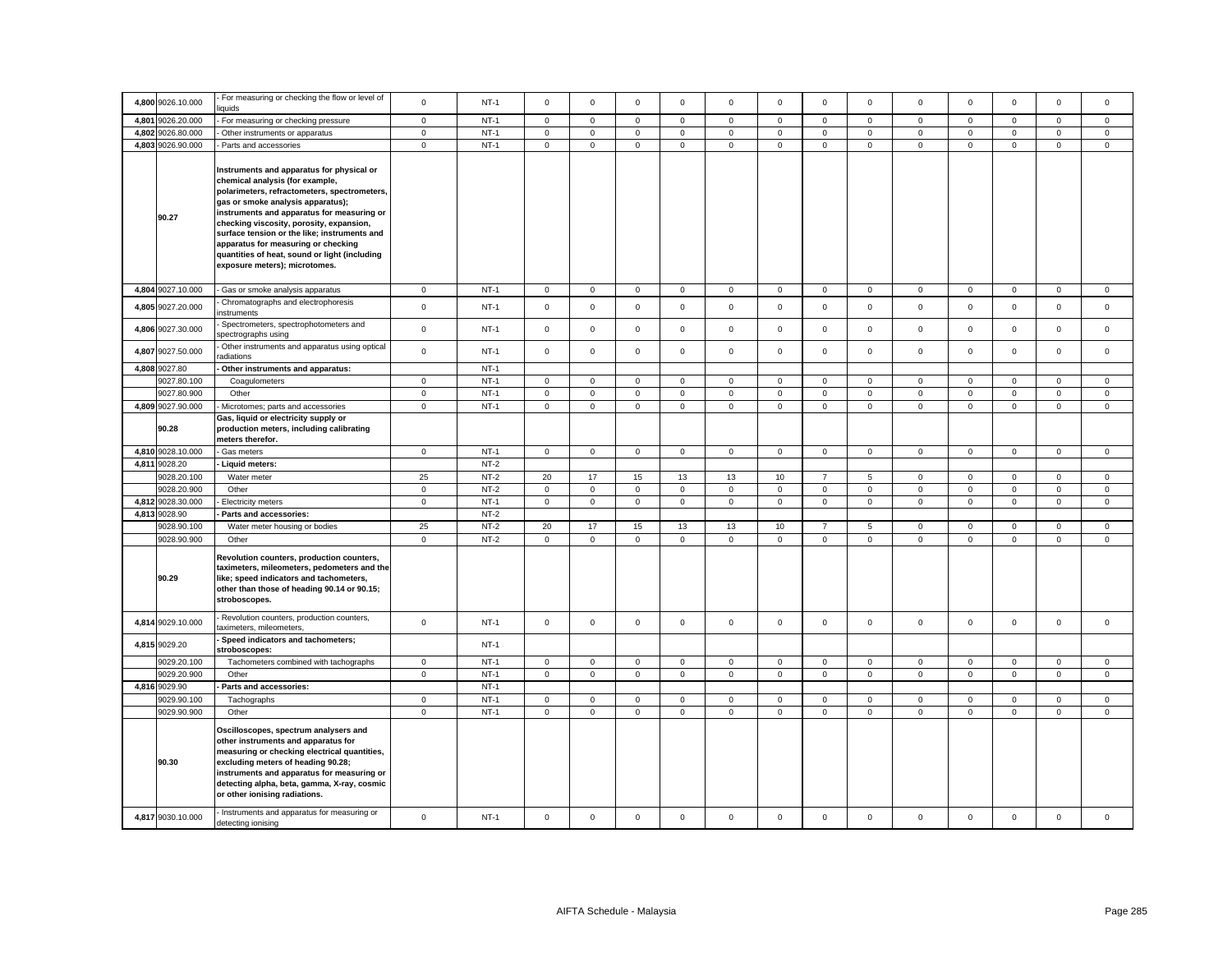|       | 4,800 9026.10.000 | For measuring or checking the flow or level of<br>iquids                                                                                                                                                                                                                                                                                                                                                                             | $\mathbf 0$  | $NT-1$ | $\mathbf 0$         | $\mathbf 0$ | $\mathbf 0$  | $\mathbf 0$ | $\Omega$            | $\mathbf 0$ | $\mathbf{O}$        | $\mathbf 0$ | $\mathbf 0$  | $\mathbf 0$ | $\mathbf 0$         | $\mathbf 0$  | $\Omega$     |
|-------|-------------------|--------------------------------------------------------------------------------------------------------------------------------------------------------------------------------------------------------------------------------------------------------------------------------------------------------------------------------------------------------------------------------------------------------------------------------------|--------------|--------|---------------------|-------------|--------------|-------------|---------------------|-------------|---------------------|-------------|--------------|-------------|---------------------|--------------|--------------|
|       | 4,801 9026.20.000 | For measuring or checking pressure                                                                                                                                                                                                                                                                                                                                                                                                   | $\mathsf 0$  | $NT-1$ | $\mathbf 0$         | $\mathbf 0$ | $\mathsf 0$  | $\Omega$    | $\mathbf 0$         | $\mathsf 0$ | $\mathsf 0$         | $\mathbf 0$ | $\mathbf 0$  | $\mathbf 0$ | $\mathbf 0$         | $\mathsf 0$  | $\Omega$     |
|       | 4,802 9026.80.000 | Other instruments or apparatus                                                                                                                                                                                                                                                                                                                                                                                                       | $\mathbf 0$  | $NT-1$ | 0                   | 0           | $\mathbf 0$  | 0           | $\mathbf 0$         | 0           | $\mathsf{O}\xspace$ | 0           | 0            | $\mathbf 0$ | $\mathbf 0$         | $\mathbf 0$  | 0            |
|       | 4,803 9026.90.000 | Parts and accessories                                                                                                                                                                                                                                                                                                                                                                                                                | $\mathbf 0$  | $NT-1$ | $\mathsf 0$         | $\mathsf 0$ | $\mathsf 0$  | $\mathsf 0$ | $\mathsf{O}\xspace$ | $\mathbf 0$ | $\mathsf 0$         | $\mathsf 0$ | $\mathsf 0$  | $\pmb{0}$   | $\mathsf{O}\xspace$ | $\mathsf 0$  | $\mathsf 0$  |
|       | 90.27             | Instruments and apparatus for physical or<br>chemical analysis (for example,<br>polarimeters, refractometers, spectrometers,<br>gas or smoke analysis apparatus);<br>instruments and apparatus for measuring or<br>checking viscosity, porosity, expansion,<br>surface tension or the like; instruments and<br>apparatus for measuring or checking<br>quantities of heat, sound or light (including<br>exposure meters); microtomes. |              |        |                     |             |              |             |                     |             |                     |             |              |             |                     |              |              |
|       | 4,804 9027.10.000 | Gas or smoke analysis apparatus                                                                                                                                                                                                                                                                                                                                                                                                      | $\mathbf 0$  | $NT-1$ | $\mathbf 0$         | 0           | $\mathbf 0$  | $\mathbf 0$ | $\mathbf 0$         | $\mathsf 0$ | $\overline{0}$      | $\mathbf 0$ | 0            | $\mathbf 0$ | $\mathbf 0$         | $\mathbf 0$  | $\mathbf 0$  |
|       | 4,805 9027.20.000 | Chromatographs and electrophoresis<br>nstruments                                                                                                                                                                                                                                                                                                                                                                                     | $\mathbf{0}$ | $NT-1$ | $\mathbf 0$         | $\mathsf 0$ | $\mathsf 0$  | $\mathbf 0$ | $\mathbf 0$         | $\mathsf 0$ | $\mathbf 0$         | $\mathbf 0$ | $\mathbf 0$  | $\mathbf 0$ | $\mathbf 0$         | $\mathsf 0$  | $\mathbf 0$  |
|       | 4,806 9027.30.000 | Spectrometers, spectrophotometers and<br>pectrographs using                                                                                                                                                                                                                                                                                                                                                                          | $\mathbf 0$  | $NT-1$ | $\mathsf 0$         | $\mathsf 0$ | $\mathsf 0$  | $\mathsf 0$ | $\mathbf 0$         | $\mathsf 0$ | $\mathbf 0$         | $\mathbf 0$ | $\mathsf 0$  | $\mathbf 0$ | $\mathbf 0$         | $\mathsf 0$  | 0            |
| 4,807 | 9027.50.000       | Other instruments and apparatus using optical<br>adiations                                                                                                                                                                                                                                                                                                                                                                           | $\mathsf 0$  | $NT-1$ | $\mathsf{O}\xspace$ | $\mathsf 0$ | $\mathsf 0$  | $\mathsf 0$ | $\mathsf 0$         | $\mathsf 0$ | $\mathsf 0$         | $\mathbf 0$ | $\mathsf 0$  | $\mathbf 0$ | $\mathsf{O}\xspace$ | $\mathsf 0$  | $\mathsf 0$  |
|       | 4,808 9027.80     | Other instruments and apparatus:                                                                                                                                                                                                                                                                                                                                                                                                     |              | $NT-1$ |                     |             |              |             |                     |             |                     |             |              |             |                     |              |              |
|       | 9027.80.100       | Coagulometers                                                                                                                                                                                                                                                                                                                                                                                                                        | $\mathbf{0}$ | $NT-1$ | $\mathbf{0}$        | $\mathbf 0$ | $\mathbf{0}$ | 0           | $\mathbf 0$         | $\mathsf 0$ | $\mathbf{0}$        | $\mathbf 0$ | 0            | $\mathbf 0$ | $\mathbf{0}$        | $\mathbf 0$  | $\mathbf{0}$ |
|       | 9027.80.900       | Other                                                                                                                                                                                                                                                                                                                                                                                                                                | $\mathsf 0$  | $NT-1$ | $\mathsf{O}\xspace$ | $\mathsf 0$ | $\mathsf 0$  | $\mathbf 0$ | $\mathsf 0$         | $\mathsf 0$ | $\mathsf 0$         | $\mathsf 0$ | $\mathsf 0$  | $\mathbf 0$ | $\mathsf 0$         | $\mathsf 0$  | $\mathbf 0$  |
|       | 4,809 9027.90.000 | Microtomes; parts and accessories                                                                                                                                                                                                                                                                                                                                                                                                    | $\mathbf 0$  | $NT-1$ | $\mathsf 0$         | $\mathbf 0$ | $\mathsf 0$  | 0           | $\mathbf 0$         | $\mathsf 0$ | $\mathsf 0$         | $\mathbf 0$ | $\mathbf 0$  | $\mathsf 0$ | $\mathbf 0$         | $\mathsf 0$  | $\mathbf 0$  |
|       | 90.28             | Gas, liquid or electricity supply or<br>production meters, including calibrating<br>meters therefor.                                                                                                                                                                                                                                                                                                                                 |              |        |                     |             |              |             |                     |             |                     |             |              |             |                     |              |              |
|       | 4,810 9028.10.000 | Gas meters                                                                                                                                                                                                                                                                                                                                                                                                                           | $\mathbf 0$  | $NT-1$ | $\mathsf 0$         | $\mathsf 0$ | $\mathsf 0$  | $\mathsf 0$ | $\mathsf 0$         | $\mathsf 0$ | $\mathbf 0$         | $\mathsf 0$ | $\mathsf 0$  | $\mathsf 0$ | $\mathsf{O}\xspace$ | $\mathsf 0$  | $\mathbf{0}$ |
|       | 4.811 9028.20     | Liquid meters:                                                                                                                                                                                                                                                                                                                                                                                                                       |              | $NT-2$ |                     |             |              |             |                     |             |                     |             |              |             |                     |              |              |
|       | 9028.20.100       | Water meter                                                                                                                                                                                                                                                                                                                                                                                                                          | 25           | $NT-2$ | 20                  | 17          | 15           | 13          | 13                  | 10          | $\overline{7}$      | 5           | $\mathbf 0$  | $\mathbf 0$ | $\mathbf 0$         | $\mathsf 0$  | $\mathbf{0}$ |
|       | 9028.20.900       | Other                                                                                                                                                                                                                                                                                                                                                                                                                                | $\mathbf 0$  | $NT-2$ | $\mathbf 0$         | $\mathbf 0$ | $\mathsf 0$  | $\mathbf 0$ | $\mathsf 0$         | $\mathbf 0$ | $\mathsf 0$         | $\mathbf 0$ | $\mathbf 0$  | $\mathbf 0$ | $\mathsf 0$         | $\mathsf 0$  | $\mathbf{0}$ |
|       | 4,812 9028.30.000 | Electricity meters                                                                                                                                                                                                                                                                                                                                                                                                                   | $\mathbf 0$  | $NT-1$ | $\mathbf 0$         | $\mathsf 0$ | $\mathsf 0$  | $\mathbf 0$ | $\mathsf 0$         | $\mathsf 0$ | $\mathbf 0$         | $\mathbf 0$ | $\mathbf{0}$ | $\mathbf 0$ | $\mathbf 0$         | $\mathsf 0$  | $\mathbf{0}$ |
|       | 4,813 9028.90     | Parts and accessories:                                                                                                                                                                                                                                                                                                                                                                                                               |              | $NT-2$ |                     |             |              |             |                     |             |                     |             |              |             |                     |              |              |
|       | 9028.90.100       | Water meter housing or bodies                                                                                                                                                                                                                                                                                                                                                                                                        | 25           | $NT-2$ | 20                  | 17          | 15           | 13          | 13                  | 10          | $\overline{7}$      | 5           | $\mathbf 0$  | $\mathbf 0$ | $\mathbf 0$         | $\mathsf 0$  | $\mathbf 0$  |
|       | 9028.90.900       | Other                                                                                                                                                                                                                                                                                                                                                                                                                                | $\mathbf 0$  | $NT-2$ | $\mathsf{O}\xspace$ | $\mathsf 0$ | $\mathsf 0$  | $\mathsf 0$ | $\mathsf 0$         | $\mathsf 0$ | $\mathsf 0$         | $\mathsf 0$ | $\mathbf 0$  | $\mathbf 0$ | $\mathsf 0$         | $\mathsf 0$  | $\mathbf{0}$ |
|       | 90.29             | Revolution counters, production counters,<br>taximeters, mileometers, pedometers and the<br>like; speed indicators and tachometers,<br>other than those of heading 90.14 or 90.15;<br>stroboscopes.                                                                                                                                                                                                                                  |              |        |                     |             |              |             |                     |             |                     |             |              |             |                     |              |              |
| 4,814 | 9029.10.000       | Revolution counters, production counters,<br>aximeters, mileometers,                                                                                                                                                                                                                                                                                                                                                                 | $\mathbf 0$  | $NT-1$ | $\mathbf 0$         | $\mathbf 0$ | $\mathsf 0$  | 0           | $\mathbf 0$         | $\mathbf 0$ | $\circ$             | 0           | 0            | $\,0\,$     | $\mathbf 0$         | $\mathbf 0$  | $\mathbf 0$  |
|       | 4,815 9029.20     | Speed indicators and tachometers;<br>stroboscopes:                                                                                                                                                                                                                                                                                                                                                                                   |              | $NT-1$ |                     |             |              |             |                     |             |                     |             |              |             |                     |              |              |
|       | 9029.20.100       | Tachometers combined with tachographs                                                                                                                                                                                                                                                                                                                                                                                                | $\mathbf 0$  | $NT-1$ | 0                   | $\mathsf 0$ | $\mathbf 0$  | 0           | $\mathbf 0$         | $\mathbf 0$ | $\mathsf 0$         | 0           | 0            | $\,0\,$     | $\mathsf{O}\xspace$ | $\mathbf 0$  | $\mathbf 0$  |
|       | 9029.20.900       | Other                                                                                                                                                                                                                                                                                                                                                                                                                                | $\circ$      | $NT-1$ | $\mathbf 0$         | $\mathbf 0$ | $\mathsf 0$  | $\mathsf 0$ | $\mathsf 0$         | $\mathsf 0$ | $\mathbf 0$         | $\mathbf 0$ | $\mathbf 0$  | $\mathsf 0$ | $\mathsf{O}\xspace$ | $\mathsf 0$  | $\mathbf{0}$ |
|       | 4,816 9029.90     | Parts and accessories:                                                                                                                                                                                                                                                                                                                                                                                                               |              | $NT-1$ |                     |             |              |             |                     |             |                     |             |              |             |                     |              |              |
|       | 9029.90.100       | Tachographs                                                                                                                                                                                                                                                                                                                                                                                                                          | $\mathbf{0}$ | $NT-1$ | $\mathbf 0$         | $\mathbf 0$ | $\mathbf 0$  | 0           | $\mathbf 0$         | $\mathbf 0$ | $\mathbf{0}$        | $\mathbf 0$ | 0            | $\mathbf 0$ | $\mathbf 0$         | $\mathbf 0$  | $\mathbf{0}$ |
|       | 9029.90.900       | Other                                                                                                                                                                                                                                                                                                                                                                                                                                | $\mathbf 0$  | $NT-1$ | $\mathsf 0$         | $\mathbf 0$ | $\mathsf 0$  | $\mathsf 0$ | $\mathbf 0$         | $\mathsf 0$ | $\mathbf 0$         | $\mathbf 0$ | $\mathsf 0$  | $\mathbf 0$ | $\mathbf 0$         | $\mathsf 0$  | $\mathbf 0$  |
|       | 90.30             | Oscilloscopes, spectrum analysers and<br>other instruments and apparatus for<br>measuring or checking electrical quantities,<br>excluding meters of heading 90.28;<br>instruments and apparatus for measuring or<br>detecting alpha, beta, gamma, X-ray, cosmic<br>or other ionising radiations.                                                                                                                                     |              |        |                     |             |              |             |                     |             |                     |             |              |             |                     |              |              |
|       | 4,817 9030.10.000 | Instruments and apparatus for measuring or<br>detecting ionising                                                                                                                                                                                                                                                                                                                                                                     | $\mathbf{0}$ | $NT-1$ | $\mathbf 0$         | $\mathbf 0$ | $\mathbf 0$  | $\mathbf 0$ | $\mathbf 0$         | $\mathbf 0$ | $\circ$             | $\mathbf 0$ | $\mathbf 0$  | $\mathbf 0$ | $\mathbf 0$         | $\mathbf{0}$ | $\mathbf 0$  |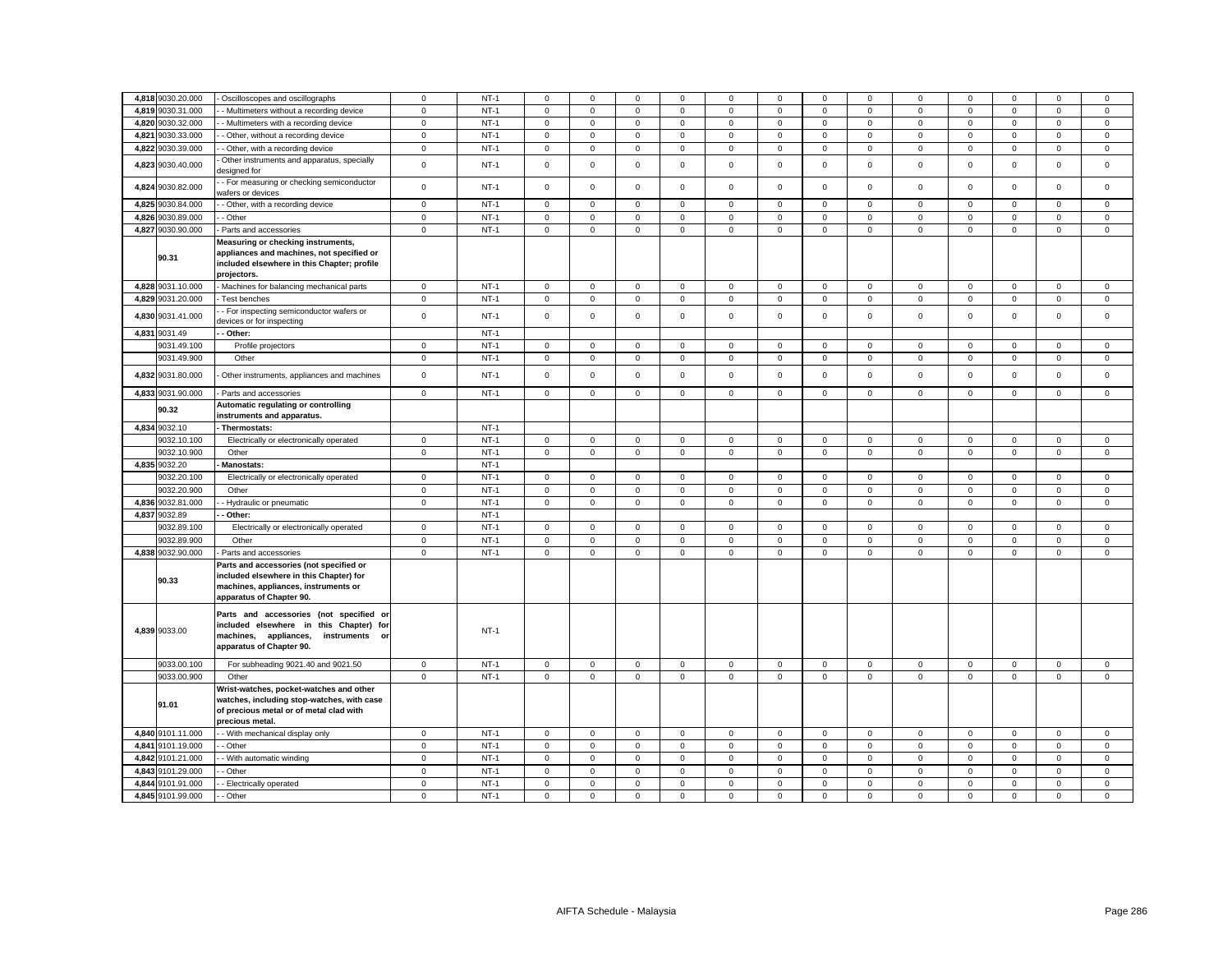|               | 4,818 9030.20.000 | - Oscilloscopes and oscillographs                                                                                                                      | $\mathbf 0$         | $NT-1$ | $\mathbf 0$ | $\Omega$            | $\mathbf 0$  | $\Omega$    | $\mathbf 0$ | $^{\circ}$   | $\mathbf 0$         | $\mathbf 0$ | $\mathbf 0$         | $^{\circ}$   | $\Omega$     | $\Omega$     | $\Omega$     |
|---------------|-------------------|--------------------------------------------------------------------------------------------------------------------------------------------------------|---------------------|--------|-------------|---------------------|--------------|-------------|-------------|--------------|---------------------|-------------|---------------------|--------------|--------------|--------------|--------------|
| 4,819         | 9030.31.000       | - Multimeters without a recording device                                                                                                               | $\mathsf 0$         | $NT-1$ | $\mathsf 0$ | $\mathsf 0$         | $\mathbf 0$  | $\mathsf 0$ | $\mathsf 0$ | $\mathsf 0$  | $\mathbf 0$         | $\mathbf 0$ | $\mathbf 0$         | $\mathsf 0$  | $\mathsf 0$  | $\mathsf 0$  | $\mathbf 0$  |
| 4,820         | 9030.32.000       | - Multimeters with a recording device                                                                                                                  | $\mathsf 0$         | $NT-1$ | $\mathbf 0$ | $\mathsf 0$         | $\mathbf 0$  | $\mathbf 0$ | $\mathsf 0$ | $\mathbf 0$  | $\mathbf 0$         | $\mathsf 0$ | $\mathsf 0$         | $\mathbf 0$  | $\mathsf 0$  | $\mathsf 0$  | 0            |
| 4,821         | 9030.33.000       | - Other, without a recording device                                                                                                                    | $\mathsf 0$         | $NT-1$ | $\mathbf 0$ | $\mathsf 0$         | 0            | $\mathbf 0$ | $\mathbf 0$ | $\mathsf 0$  | $\mathbf 0$         | 0           | $\mathsf 0$         | $\mathsf 0$  | $\mathsf{O}$ | $\mathsf 0$  | 0            |
| 4,822         | 9030.39.000       | - Other, with a recording device                                                                                                                       | $\mathsf 0$         | $NT-1$ | $\mathbf 0$ | $\mathbf 0$         | $\mathbf{0}$ | $\mathbf 0$ | $\mathbf 0$ | $\mathbf{0}$ | $\mathbf 0$         | $\mathbf 0$ | $\mathbf 0$         | $\mathbf 0$  | $\mathbf{0}$ | $\mathbf{0}$ | $\mathbf 0$  |
|               | 4,823 9030.40.000 | Other instruments and apparatus, specially<br>designed for                                                                                             | $\mathsf 0$         | $NT-1$ | $\Omega$    | $\mathbf 0$         | $\mathsf 0$  | $\mathsf 0$ | $\mathbf 0$ | $\mathsf 0$  | $\mathbf 0$         | $\mathsf 0$ | $\mathsf 0$         | $\mathbf 0$  | $\mathsf 0$  | $\mathsf 0$  | $\mathsf 0$  |
| 4,824         | 9030.82.000       | - For measuring or checking semiconductor<br>wafers or devices                                                                                         | $\mathsf 0$         | $NT-1$ | $\mathbf 0$ | $\mathbf 0$         | $\mathbf{0}$ | $\mathbf 0$ | $\mathsf 0$ | $\mathsf 0$  | $\mathbf 0$         | $\mathbf 0$ | $\mathbf 0$         | $\mathbf 0$  | $\mathbf 0$  | $\mathsf 0$  | $\mathbf 0$  |
|               | 4,825 9030.84.000 | - Other, with a recording device                                                                                                                       | $\mathsf 0$         | $NT-1$ | $\mathbf 0$ | $\mathsf 0$         | $\mathbf 0$  | $\mathsf 0$ | $\mathsf 0$ | $\mathsf 0$  | $\mathbf 0$         | $\mathbf 0$ | $\mathbf 0$         | $\mathbf 0$  | $\mathsf{O}$ | $\mathsf 0$  | 0            |
| 4.826         | 9030.89.000       | - Other                                                                                                                                                | $\mathbf 0$         | $NT-1$ | $\mathbf 0$ | $\mathbf 0$         | $\mathbf 0$  | $\mathbf 0$ | $\mathbf 0$ | $\mathbf 0$  | $\mathbf 0$         | $\mathbf 0$ | $\mathbf 0$         | $\mathbf 0$  | $\mathbf 0$  | $\mathbf 0$  | $\mathbf 0$  |
|               | 4,827 9030.90.000 | Parts and accessories                                                                                                                                  | $\mathsf 0$         | $NT-1$ | $\mathbf 0$ | $\mathbf 0$         | $\mathbf 0$  | $\mathbf 0$ | $\mathbf 0$ | $\mathbf 0$  | $\mathbf 0$         | $\mathbf 0$ | $\mathbf 0$         | $\mathbf 0$  | $\mathbf 0$  | $\mathbf{0}$ | $\mathbf 0$  |
| 90.31         |                   | Measuring or checking instruments,<br>appliances and machines, not specified or<br>included elsewhere in this Chapter; profile<br>projectors.          |                     |        |             |                     |              |             |             |              |                     |             |                     |              |              |              |              |
| 4.828         | 9031.10.000       | Machines for balancing mechanical parts                                                                                                                | $\mathsf 0$         | $NT-1$ | $\mathsf 0$ | $\mathsf 0$         | $\mathbf 0$  | $\Omega$    | $\mathsf 0$ | $\mathsf 0$  | $\mathbf 0$         | $\mathbf 0$ | $\mathsf 0$         | $\mathbf 0$  | $\mathbf{0}$ | $\mathsf 0$  | $\mathbf 0$  |
| 4,829         | 9031.20.000       | Test benches                                                                                                                                           | 0                   | $NT-1$ | $\mathbf 0$ | $\mathbf 0$         | 0            | $\mathbf 0$ | $\mathbf 0$ | $\mathbf 0$  | 0                   | 0           | $\mathbf 0$         | $\mathbf 0$  | $\mathbf{0}$ | $\mathbf 0$  | 0            |
|               | 4,830 9031.41.000 | - For inspecting semiconductor wafers or<br>devices or for inspecting                                                                                  | $\mathsf 0$         | $NT-1$ | $\mathbf 0$ | $\mathbf 0$         | $\mathbf 0$  | $\mathsf 0$ | $\mathbf 0$ | $\mathsf 0$  | $\mathbf 0$         | $\mathbf 0$ | $\mathsf 0$         | $\mathbf 0$  | $\mathsf 0$  | $\mathsf 0$  | $\mathsf 0$  |
| 4,831 9031.49 |                   | Other:                                                                                                                                                 |                     | $NT-1$ |             |                     |              |             |             |              |                     |             |                     |              |              |              |              |
|               | 9031.49.100       | Profile projectors                                                                                                                                     | $\mathbf 0$         | $NT-1$ | 0           | $\mathbf 0$         | $\mathbf{0}$ | 0           | $\mathbf 0$ | $\mathbf 0$  | 0                   | 0           | $\mathbf 0$         | $\mathbf 0$  | $\mathbf{0}$ | $\mathbf 0$  | 0            |
|               | 9031.49.900       | Other                                                                                                                                                  | $\mathbf 0$         | $NT-1$ | $\mathbf 0$ | $\mathbf 0$         | $\mathbf{0}$ | $\mathbf 0$ | $\mathbf 0$ | $\mathbf 0$  | $\mathbf 0$         | $\mathbf 0$ | $\mathbf 0$         | $\mathbf{0}$ | $\mathbf{0}$ | $\mathbf 0$  | $\mathbf 0$  |
|               | 4,832 9031.80.000 | Other instruments, appliances and machines                                                                                                             | $\mathsf 0$         | $NT-1$ | $\Omega$    | $\mathbf 0$         | $\mathbf 0$  | $\Omega$    | $\mathbf 0$ | $\mathbf 0$  | $\mathbf 0$         | $\Omega$    | $\mathbf 0$         | $\mathbf 0$  | $\mathbf 0$  | $\mathbf{0}$ | $\Omega$     |
|               | 4,833 9031.90.000 | Parts and accessories                                                                                                                                  | $\mathbf 0$         | $NT-1$ | $\mathbf 0$ | $\mathbf 0$         | $\mathbf{0}$ | $\mathbf 0$ | $\mathbf 0$ | $\mathbf 0$  | $\mathbf 0$         | $\mathbf 0$ | $\mathbf 0$         | $\mathbf 0$  | $\mathbf 0$  | $\mathbf 0$  | $\mathbf{0}$ |
|               | 90.32             | Automatic regulating or controlling<br>nstruments and apparatus.                                                                                       |                     |        |             |                     |              |             |             |              |                     |             |                     |              |              |              |              |
| 4,834 9032.10 |                   | Thermostats:                                                                                                                                           |                     | $NT-1$ |             |                     |              |             |             |              |                     |             |                     |              |              |              |              |
|               | 9032.10.100       | Electrically or electronically operated                                                                                                                | 0                   | $NT-1$ | $\mathbf 0$ | $\mathbf 0$         | 0            | $\mathbf 0$ | $\mathbf 0$ | $\mathbf 0$  | 0                   | 0           | $\mathbf 0$         | $\mathbf 0$  | $\mathbf{0}$ | $\mathsf 0$  | 0            |
|               | 9032.10.900       | Other                                                                                                                                                  | $\mathbf 0$         | $NT-1$ | $\mathbf 0$ | $\mathbf{0}$        | $\mathbf{0}$ | $\mathbf 0$ | $\mathbf 0$ | $\mathbf 0$  | $\mathbf 0$         | $\mathbf 0$ | $\mathbf 0$         | $\mathbf 0$  | $\mathbf 0$  | $\mathbf 0$  | $\mathbf 0$  |
| 4,835 9032.20 |                   | <b>Manostats:</b>                                                                                                                                      |                     | $NT-1$ |             |                     |              |             |             |              |                     |             |                     |              |              |              |              |
|               | 9032.20.100       | Electrically or electronically operated                                                                                                                | $\mathsf 0$         | $NT-1$ | $\mathbf 0$ | $\mathsf 0$         | $\mathbf 0$  | $\mathbf 0$ | $\mathsf 0$ | $\mathbf 0$  | $\mathbf 0$         | $\mathsf 0$ | $\mathsf 0$         | $\mathbf 0$  | $\mathsf{O}$ | $\mathsf 0$  | 0            |
|               | 9032.20.900       | Other                                                                                                                                                  | 0                   | $NT-1$ | $\mathbf 0$ | $\mathbf 0$         | 0            | $\mathbf 0$ | $\mathsf 0$ | $\mathsf 0$  | 0                   | $\mathbf 0$ | $\mathbf 0$         | $\mathsf 0$  | $\mathbf{0}$ | $\mathbf 0$  | 0            |
|               | 4,836 9032.81.000 | - Hydraulic or pneumatic                                                                                                                               | $\mathsf{O}\xspace$ | $NT-1$ | $\mathsf 0$ | $\mathsf 0$         | $\mathbf{0}$ | $\mathbf 0$ | $\mathsf 0$ | $\mathsf 0$  | $\mathbf 0$         | $\mathbf 0$ | $\mathsf 0$         | $\mathsf 0$  | $\mathsf 0$  | $\mathsf 0$  | $\mathbf{0}$ |
| 4.837         | 9032.89           | Other:                                                                                                                                                 |                     | $NT-1$ |             |                     |              |             |             |              |                     |             |                     |              |              |              |              |
|               | 9032.89.100       | Electrically or electronically operated                                                                                                                | $\mathsf 0$         | $NT-1$ | $\mathbf 0$ | 0                   | 0            | $\mathbf 0$ | $\mathbf 0$ | $\,0\,$      | $\mathbf 0$         | $\mathbf 0$ | $\mathsf 0$         | $\,0\,$      | $\mathbf 0$  | $\mathsf 0$  | 0            |
|               | 9032.89.900       | Other                                                                                                                                                  | $\mathsf 0$         | $NT-1$ | $\Omega$    | $\mathsf 0$         | 0            | $\Omega$    | $\mathsf 0$ | $\mathbf 0$  | $\mathbf 0$         | $\mathbf 0$ | $\mathsf 0$         | $\mathbf 0$  | $\mathsf 0$  | $\mathsf 0$  | 0            |
|               | 4,838 9032.90.000 | Parts and accessories                                                                                                                                  | $\mathsf 0$         | $NT-1$ | $\mathsf 0$ | $\mathbf 0$         | $\mathbf 0$  | $\mathsf 0$ | $\mathsf 0$ | $\mathsf 0$  | $\mathbf 0$         | $\mathbf 0$ | $\mathbf 0$         | $\mathsf 0$  | $\mathbf 0$  | $\mathsf 0$  | $\mathbf 0$  |
|               | 90.33             | Parts and accessories (not specified or<br>included elsewhere in this Chapter) for<br>machines, appliances, instruments or<br>apparatus of Chapter 90. |                     |        |             |                     |              |             |             |              |                     |             |                     |              |              |              |              |
| 4,839 9033.00 |                   | Parts and accessories (not specified or<br>included elsewhere in this Chapter) for<br>machines, appliances, instruments or<br>apparatus of Chapter 90. |                     | $NT-1$ |             |                     |              |             |             |              |                     |             |                     |              |              |              |              |
|               | 9033.00.100       | For subheading 9021.40 and 9021.50                                                                                                                     | 0                   | $NT-1$ | $\mathbf 0$ | $\mathsf 0$         | $\mathbf 0$  | $\mathbf 0$ | $\mathbf 0$ | $\mathbf 0$  | $\mathbf 0$         | $\mathsf 0$ | $\mathsf 0$         | $\mathbf 0$  | $\mathsf 0$  | $\mathsf 0$  | $\mathbf 0$  |
|               | 9033.00.900       | Other                                                                                                                                                  | $\mathsf 0$         | $NT-1$ | $\mathbf 0$ | $\mathbf 0$         | $\mathbf 0$  | $\mathbf 0$ | $\mathbf 0$ | $\mathsf 0$  | $\mathbf 0$         | $\mathbf 0$ | $\mathsf 0$         | $\mathsf 0$  | $\mathsf 0$  | $\mathsf 0$  | $\mathbf{0}$ |
| 91.01         |                   | Wrist-watches, pocket-watches and other<br>watches, including stop-watches, with case<br>of precious metal or of metal clad with<br>precious metal.    |                     |        |             |                     |              |             |             |              |                     |             |                     |              |              |              |              |
|               | 4,840 9101.11.000 | - With mechanical display only                                                                                                                         | $\mathsf 0$         | $NT-1$ | $\mathsf 0$ | $\mathsf{O}\xspace$ | $\mathsf 0$  | $\mathsf 0$ | $\mathbf 0$ | $\mathbf 0$  | 0                   | $\mathsf 0$ | $\mathsf 0$         | $\mathbf 0$  | $\mathsf 0$  | $\mathsf 0$  | $\mathsf 0$  |
| 4,841         | 9101.19.000       | - Other                                                                                                                                                | $\mathsf 0$         | $NT-1$ | $\mathbf 0$ | $\mathsf 0$         | $\mathbf 0$  | $\Omega$    | $\mathsf 0$ | $\mathsf 0$  | $\mathsf 0$         | $\mathbf 0$ | $\mathsf{O}\xspace$ | $\mathbf 0$  | $\mathsf 0$  | $\mathsf 0$  | 0            |
|               | 4,842 9101.21.000 | - With automatic winding                                                                                                                               | $\mathsf 0$         | $NT-1$ | $\mathsf 0$ | $\mathsf 0$         | $\mathbf 0$  | $\mathsf 0$ | $\mathsf 0$ | $\mathsf 0$  | $\mathbf 0$         | $\mathbf 0$ | $\mathbf 0$         | $\mathbf 0$  | $\mathsf 0$  | $\mathsf 0$  | $\mathsf 0$  |
| 4.843         | 9101.29.000       | - Other                                                                                                                                                | $\mathbf 0$         | $NT-1$ | $\mathbf 0$ | $\mathbf 0$         | $\mathbf 0$  | $\mathbf 0$ | $\mathbf 0$ | $\mathbf 0$  | $\mathbf 0$         | $\mathbf 0$ | $\mathbf 0$         | $\mathbf 0$  | $\mathsf 0$  | $\mathbf{0}$ | $\mathbf 0$  |
| 4,844         | 9101.91.000       | - Electrically operated                                                                                                                                | $\mathsf 0$         | $NT-1$ | $\mathsf 0$ | $\mathsf{O}$        | $\mathsf 0$  | $\mathbf 0$ | $\mathsf 0$ | $\mathsf 0$  | $\mathsf{O}\xspace$ | $\mathsf 0$ | $\mathsf 0$         | $\mathsf 0$  | $\mathsf 0$  | $\mathsf 0$  | $\mathsf 0$  |
|               | 4,845 9101.99.000 | - Other                                                                                                                                                | $\mathsf 0$         | $NT-1$ | $\mathsf 0$ | $\mathbf 0$         | $\mathsf 0$  | $\mathbf 0$ | $\mathbf 0$ | $\mathsf 0$  | $\mathbf 0$         | $\mathbf 0$ | $\mathsf 0$         | $\mathsf 0$  | $\mathbf 0$  | $\mathsf 0$  | $\mathbf 0$  |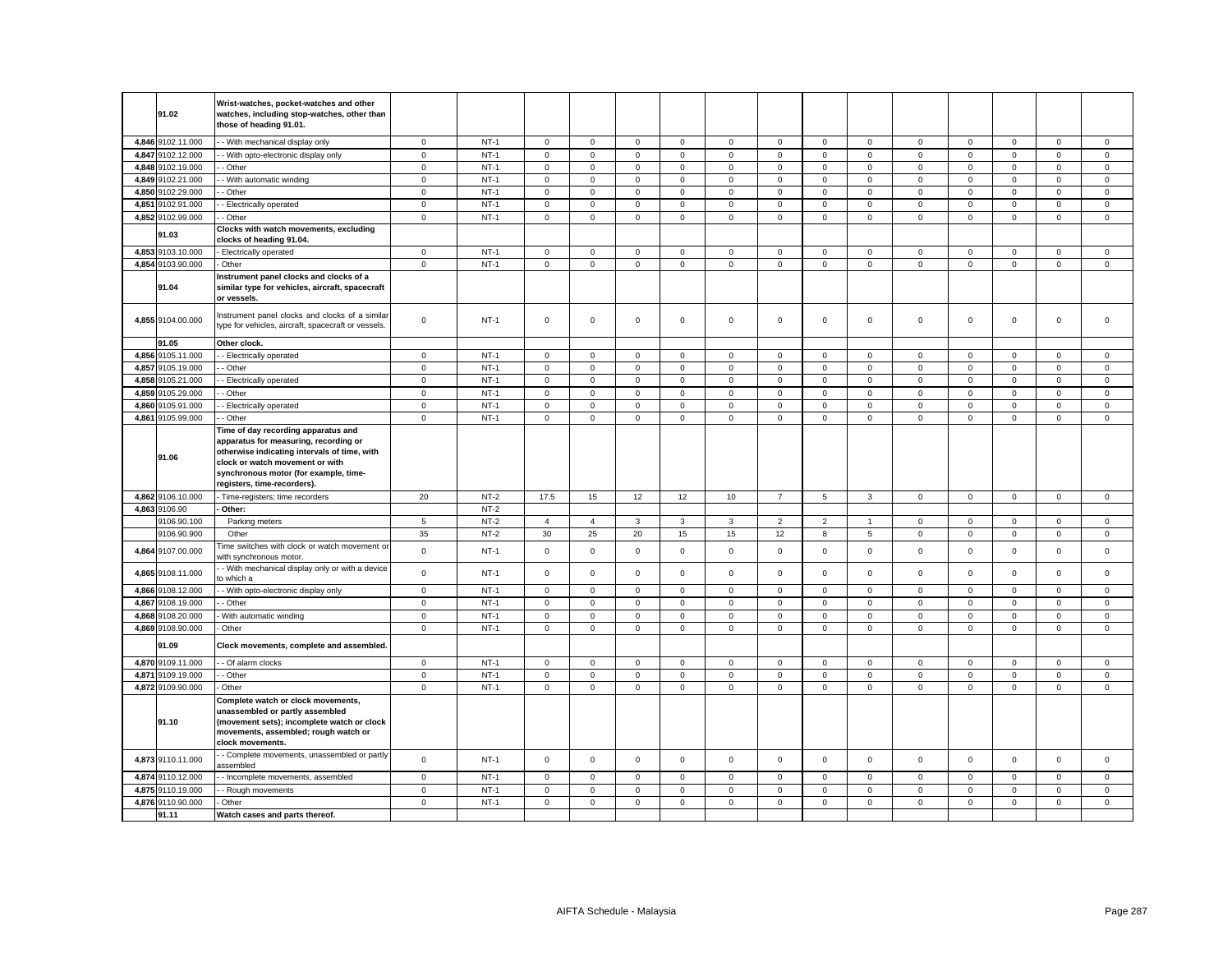|       | 91.02                      | Wrist-watches, pocket-watches and other<br>watches, including stop-watches, other than<br>those of heading 91.01.                                                                                                                       |                            |        |                            |                            |                            |                            |                            |                |                            |                            |                     |             |                     |                                    |                            |
|-------|----------------------------|-----------------------------------------------------------------------------------------------------------------------------------------------------------------------------------------------------------------------------------------|----------------------------|--------|----------------------------|----------------------------|----------------------------|----------------------------|----------------------------|----------------|----------------------------|----------------------------|---------------------|-------------|---------------------|------------------------------------|----------------------------|
|       | 4,846 9102.11.000          | - With mechanical display only                                                                                                                                                                                                          | 0                          | $NT-1$ | 0                          | $\mathbf 0$                | $\mathbf 0$                | $\mathbf 0$                | $\mathbf 0$                | $\mathbf 0$    | $\mathbf 0$                | $\mathbf 0$                | 0                   | $\mathbf 0$ | 0                   | $\mathsf 0$                        | $\mathbf 0$                |
|       | 4,847 9102.12.000          | - With opto-electronic display only                                                                                                                                                                                                     | $\mathbf 0$                | $NT-1$ | 0                          | $\mathsf 0$                | $\mathsf 0$                | $\mathsf 0$                | $\mathsf 0$                | $\mathbf 0$    | $\mathsf 0$                | $\mathsf 0$                | $\mathsf 0$         | $\mathsf 0$ | $\mathsf 0$         | $\mathsf 0$                        | $\mathbf 0$                |
|       | 4,848 9102.19.000          | - Other                                                                                                                                                                                                                                 | $\mathbf 0$                | $NT-1$ | 0                          | $\mathsf 0$                | $\mathsf 0$                | $\mathbf 0$                | $\mathbf 0$                | $\mathsf 0$    | $\mathbf 0$                | $\mathsf 0$                | $\mathbf 0$         | $\mathbf 0$ | $\mathbf 0$         | $\mathsf 0$                        | $\mathsf 0$                |
|       | 4,849 9102.21.000          | - With automatic winding                                                                                                                                                                                                                | $\mathbf 0$                | $NT-1$ | $\mathbf 0$                | $\mathsf{O}\xspace$        | $\mathsf 0$                | $\mathsf 0$                | $\mathbf 0$                | $\mathsf 0$    | $\mathsf 0$                | $\mathbf 0$                | $\mathsf 0$         | $\mathsf 0$ | $\mathbf 0$         | $\mathsf 0$                        | $\mathsf 0$                |
|       | 4,850 9102.29.000          | Other                                                                                                                                                                                                                                   | $\mathsf 0$                | $NT-1$ | $\mathbf 0$                | $\mathsf 0$                | $\mathsf 0$                | $\mathsf 0$                | $\mathbf 0$                | $\mathsf 0$    | $\mathbf 0$                | $\mathsf 0$                | $\mathsf 0$         | $\mathsf 0$ | $\mathbf 0$         | $\mathsf 0$                        | $\mathsf 0$                |
| 4,851 | 9102.91.000                | - Electrically operated                                                                                                                                                                                                                 | $\mathbf 0$                | $NT-1$ | $\mathbf 0$                | $\mathsf 0$                | $\mathsf 0$                | $\mathsf 0$                | $\mathsf 0$                | $\mathbf 0$    | $\mathsf 0$                | $\mathbf 0$                | $\mathsf 0$         | $\mathbf 0$ | $\mathsf 0$         | $\mathsf 0$                        | $\mathsf 0$                |
|       | 4,852 9102.99.000          | - Other                                                                                                                                                                                                                                 | $\mathbf 0$                | $NT-1$ | $\mathbf 0$                | $\mathbf 0$                | $\mathsf 0$                | $\mathbf 0$                | $\mathbf 0$                | $\mathbf 0$    | $\mathbf 0$                | $\mathbf 0$                | $\mathsf 0$         | $\mathbf 0$ | $\mathbf 0$         | $\mathbf 0$                        | $\mathbf 0$                |
|       | 91.03                      | Clocks with watch movements, excluding<br>clocks of heading 91.04.                                                                                                                                                                      |                            |        |                            |                            |                            |                            |                            |                |                            |                            |                     |             |                     |                                    |                            |
|       | 4,853 9103.10.000          | Electrically operated                                                                                                                                                                                                                   | $\mathbf 0$                | $NT-1$ | $\mathbf 0$                | $\mathbf 0$                | $\mathsf 0$                | $\mathsf 0$                | $\mathsf 0$                | $\mathbf 0$    | $\mathbf 0$                | $\mathsf 0$                | $\mathbf 0$         | $\mathbf 0$ | $\mathbf 0$         | $\mathsf 0$                        | $\mathsf 0$                |
|       | 4,854 9103.90.000          | Other                                                                                                                                                                                                                                   | $\mathsf 0$                | $NT-1$ | $\mathbf 0$                | $\mathbf 0$                | $\mathsf 0$                | $\mathbf 0$                | $\mathbf 0$                | $\mathsf 0$    | $\mathbf 0$                | $\mathbf 0$                | $\mathbf 0$         | $\mathbf 0$ | $\mathbf 0$         | $\mathsf 0$                        | $\mathbf 0$                |
|       | 91.04                      | Instrument panel clocks and clocks of a<br>similar type for vehicles, aircraft, spacecraft<br>or vessels.                                                                                                                               |                            |        |                            |                            |                            |                            |                            |                |                            |                            |                     |             |                     |                                    |                            |
|       | 4,855 9104.00.000          | nstrument panel clocks and clocks of a similar<br>type for vehicles, aircraft, spacecraft or vessels.                                                                                                                                   | $\mathsf 0$                | $NT-1$ | $\mathbf 0$                | $\mathsf 0$                | $\mathsf 0$                | $\mathsf 0$                | $\mathsf 0$                | $\mathsf 0$    | $\mathbf 0$                | $\mathsf 0$                | $\mathbf 0$         | $\mathsf 0$ | $\mathsf 0$         | $\mathbf 0$                        | $\mathsf 0$                |
|       | 91.05                      | Other clock.                                                                                                                                                                                                                            |                            |        |                            |                            |                            |                            |                            |                |                            |                            |                     |             |                     |                                    |                            |
|       | 4,856 9105.11.000          | - Electrically operated                                                                                                                                                                                                                 | $\mathbf 0$                | $NT-1$ | $\mathbf 0$                | $\mathbf 0$                | $\mathsf 0$                | $\mathbf{0}$               | $\mathbf 0$                | $\mathbf 0$    | $\mathbf 0$                | $\mathsf 0$                | $\mathbf 0$         | $\mathbf 0$ | $\mathbf 0$         | $\mathbf 0$                        | $\mathbf 0$                |
|       | 4,857 9105.19.000          | - Other                                                                                                                                                                                                                                 | $\mathbf 0$                | $NT-1$ | $\mathbf 0$                | $\mathsf 0$                | $\mathsf 0$                | $\mathsf 0$                | $\mathbf 0$                | $\mathsf 0$    | $\mathbf 0$                | $\mathbf 0$                | $\mathsf 0$         | $\mathsf 0$ | $\mathsf 0$         | $\mathsf 0$                        | $\mathsf 0$                |
| 4,858 | 9105.21.000                | Electrically operated                                                                                                                                                                                                                   | $\mathbf 0$                | $NT-1$ | $\mathsf{O}\xspace$        | $\mathsf 0$                | $\mathsf 0$                | $\mathsf 0$                | $\mathsf 0$                | $\mathbf 0$    | $\mathbf 0$                | $\mathsf 0$                | $\mathsf 0$         | $\mathsf 0$ | $\mathsf{O}\xspace$ | $\mathsf 0$                        | $\mathsf 0$                |
|       | 4,859 9105.29.000          | Other                                                                                                                                                                                                                                   | $\mathbf 0$                | $NT-1$ | $\mathbf 0$                | $\mathsf 0$                | $\mathsf 0$                | $\mathsf 0$                | $\mathsf 0$                | $\mathsf 0$    | $\mathsf 0$                | $\mathsf 0$                | $\mathsf 0$         | $\mathsf 0$ | $\mathbf 0$         | $\mathsf 0$                        | $\mathsf 0$                |
|       | 4,860 9105.91.000          | - Electrically operated                                                                                                                                                                                                                 | $\overline{0}$             | $NT-1$ | $\mathbf 0$                | $\mathsf 0$                | $\mathsf 0$                | $\overline{0}$             | $\mathsf 0$                | $\mathbf 0$    | $\mathsf 0$                | $\overline{0}$             | $\mathsf 0$         | $\mathsf 0$ | $\mathsf{O}\xspace$ | $\mathsf 0$                        | $\mathsf 0$                |
|       | 4,861 9105.99.000          | - Other                                                                                                                                                                                                                                 | $\mathsf 0$                | $NT-1$ | $\mathbf 0$                | $\mathbf 0$                | $\mathsf 0$                | $\mathsf 0$                | $\mathbf 0$                | $\mathsf 0$    | $\mathsf 0$                | $\mathsf 0$                | $\mathsf 0$         | $\mathbf 0$ | $\mathbf 0$         | $\mathsf{o}\xspace$                | $\mathbf 0$                |
|       | 91.06                      | Time of day recording apparatus and<br>apparatus for measuring, recording or<br>otherwise indicating intervals of time, with<br>clock or watch movement or with<br>synchronous motor (for example, time-<br>registers, time-recorders). |                            |        |                            |                            |                            |                            |                            |                |                            |                            |                     |             |                     |                                    |                            |
|       | 4,862 9106.10.000          | Time-registers; time recorders                                                                                                                                                                                                          | 20                         | $NT-2$ | 17.5                       | 15                         | 12                         | 12                         | 10                         | $\overline{7}$ | $5\overline{5}$            | $\mathbf{3}$               | $\mathsf{O}\xspace$ | $\mathsf 0$ | $\mathsf 0$         | $\mathsf 0$                        | $\mathsf 0$                |
|       | 4,863 9106.90              | Other:                                                                                                                                                                                                                                  |                            | $NT-2$ |                            |                            |                            |                            |                            |                |                            |                            |                     |             |                     |                                    |                            |
|       | 9106.90.100                | Parking meters                                                                                                                                                                                                                          | 5                          | $NT-2$ | $\overline{4}$             | $\overline{4}$             | 3                          | $\mathbf{3}$               | 3                          | $\overline{2}$ | $\overline{2}$             | $\overline{1}$             | $\mathbf 0$         | $\mathsf 0$ | $\mathbf 0$         | $\mathbf 0$                        | $\mathsf 0$                |
|       | 9106.90.900                | Other                                                                                                                                                                                                                                   | 35                         | $NT-2$ | 30                         | 25                         | 20                         | 15                         | 15                         | 12             | 8                          | $5\overline{5}$            | $\mathsf{O}\xspace$ | $\mathbf 0$ | $\mathbf 0$         | $\mathsf 0$                        | $\mathsf 0$                |
|       | 4,864 9107.00.000          | ime switches with clock or watch movement or<br>with synchronous motor.                                                                                                                                                                 | $\mathbf 0$                | $NT-1$ | $\mathbf 0$                | $\mathsf 0$                | $\mathsf 0$                | $\mathsf 0$                | $\mathsf 0$                | $\Omega$       | $\mathsf 0$                | $\mathsf 0$                | $\mathsf 0$         | $\mathsf 0$ | $\Omega$            | $\mathbf 0$                        | $\mathsf 0$                |
|       | 4,865 9108.11.000          | - With mechanical display only or with a device<br>o which a                                                                                                                                                                            | $\mathbf 0$                | $NT-1$ | $\Omega$                   | $\Omega$                   | $\mathbf 0$                | $\mathbf 0$                | $\mathbf 0$                | $\Omega$       | $\mathbf 0$                | $\mathbf 0$                | $\mathbf 0$         | $\Omega$    | $\Omega$            | $\mathbf 0$                        | $\mathbf 0$                |
|       | 4,866 9108.12.000          | - With opto-electronic display only                                                                                                                                                                                                     | $\mathsf 0$                | $NT-1$ | $\mathbf 0$                | $\mathbf 0$                | $\mathsf 0$                | $\mathbf 0$                | $\mathbf 0$                | $\mathbf 0$    | $\mathbf 0$                | $\mathsf 0$                | $\mathbf{0}$        | $\mathbf 0$ | $\mathbf 0$         | $\mathbf 0$                        | $\mathbf 0$                |
|       | 4,867 9108.19.000          | - Other                                                                                                                                                                                                                                 | $\mathbf 0$                | $NT-1$ | $\mathbf 0$                | $\mathbf 0$                | $\mathsf 0$                | $\mathbf 0$                | $\mathsf 0$                | $\mathbf 0$    | $\mathbf 0$                | $\mathbf 0$                | 0                   | $\mathbf 0$ | $\Omega$            | $\mathbf 0$                        | $\mathbf 0$                |
| 4.868 | 9108.20.000                | With automatic winding                                                                                                                                                                                                                  | $\mathbf 0$                | $NT-1$ | $\mathbf 0$                | $\mathbf 0$                | $\mathsf 0$                | $\mathbf{0}$               | $\mathbf 0$                | $\mathbf 0$    | $\mathbf 0$                | $\mathbf 0$                | $\mathbf{0}$        | $\mathbf 0$ | $\mathbf 0$         | $\mathbf 0$                        | $\mathbf 0$                |
|       | 4,869 9108.90.000<br>91.09 | Other<br>Clock movements, complete and assembled.                                                                                                                                                                                       | $\mathsf 0$                | $NT-1$ | $\mathbf 0$                | $\mathsf 0$                | $\mathsf 0$                | $\mathbf 0$                | $\mathbf 0$                | $\mathsf 0$    | $\mathbf 0$                | $\mathsf 0$                | $\mathbf 0$         | $\mathbf 0$ | $\mathbf 0$         | $\mathsf 0$                        | $\mathbf 0$                |
|       | 4,870 9109.11.000          |                                                                                                                                                                                                                                         |                            | $NT-1$ |                            |                            |                            |                            |                            | $\mathsf 0$    |                            |                            |                     | $\mathsf 0$ | $\Omega$            |                                    |                            |
| 4,871 | 9109.19.000                | - Of alarm clocks                                                                                                                                                                                                                       | $\mathbf 0$<br>$\mathsf 0$ | $NT-1$ | $\mathbf 0$<br>$\mathbf 0$ | $\mathsf 0$<br>$\mathsf 0$ | $\mathsf 0$<br>$\mathsf 0$ | $\mathsf 0$<br>$\mathsf 0$ | $\mathsf 0$<br>$\mathsf 0$ | $\mathbf 0$    | $\mathbf 0$<br>$\mathsf 0$ | $\mathbf 0$<br>$\mathsf 0$ | 0<br>$\mathsf 0$    | $\mathbf 0$ | $\mathsf 0$         | $\mathsf 0$<br>$\mathsf{o}\xspace$ | $\mathsf 0$<br>$\mathsf 0$ |
|       | 4,872 9109.90.000          | Other<br>Other                                                                                                                                                                                                                          | $\mathbf 0$                | $NT-1$ | 0                          | $\mathbf 0$                | $\mathbf 0$                | 0                          | 0                          | 0              | $\mathbf 0$                | $\mathbf 0$                | $\mathbf 0$         | 0           | 0                   | $\mathbf 0$                        | $\mathbf 0$                |
|       |                            | Complete watch or clock movements,                                                                                                                                                                                                      |                            |        |                            |                            |                            |                            |                            |                |                            |                            |                     |             |                     |                                    |                            |
|       | 91.10                      | unassembled or partly assembled<br>(movement sets); incomplete watch or clock<br>movements, assembled; rough watch or<br>clock movements.                                                                                               |                            |        |                            |                            |                            |                            |                            |                |                            |                            |                     |             |                     |                                    |                            |
|       | 4,873 9110.11.000          | - Complete movements, unassembled or partly<br>issembled                                                                                                                                                                                | $\mathbf 0$                | $NT-1$ | $\mathbf 0$                | $\mathbf 0$                | $\mathbf 0$                | $\mathbf 0$                | $\mathbf 0$                | $\Omega$       | $\mathbf 0$                | $\mathbf{0}$               | $\mathbf 0$         | $\mathbf 0$ | $\mathbf 0$         | $\mathbf 0$                        | $\mathbf 0$                |
|       | 4,874 9110.12.000          | - Incomplete movements, assembled                                                                                                                                                                                                       | $\mathsf 0$                | $NT-1$ | $\mathbf 0$                | $\mathbf 0$                | $\mathsf 0$                | $\mathbf 0$                | $\mathbf 0$                | $\mathbf 0$    | $\mathbf 0$                | $\mathsf 0$                | $\mathbf 0$         | $\mathbf 0$ | $\mathbf 0$         | $\mathbf 0$                        | $\mathbf 0$                |
|       | 4,875 9110.19.000          | Rough movements                                                                                                                                                                                                                         | $\mathsf 0$                | $NT-1$ | $\mathbf 0$                | $\mathbf 0$                | $\mathsf 0$                | $\mathbf 0$                | $\mathbf 0$                | $\mathsf 0$    | $\mathbf 0$                | $\mathsf 0$                | $\mathbf 0$         | $\mathbf 0$ | $\Omega$            | $\mathbf 0$                        | $\mathbf 0$                |
|       | 4,876 9110.90.000          | Other                                                                                                                                                                                                                                   | $\mathsf 0$                | $NT-1$ | $\mathbf 0$                | $\mathsf 0$                | $\mathsf 0$                | $\mathbf 0$                | $\mathbf 0$                | $\mathsf 0$    | $\mathbf 0$                | $\mathsf 0$                | $\mathbf 0$         | $\mathbf 0$ | $\mathbf 0$         | $\mathsf 0$                        | $\mathsf 0$                |
|       | 91.11                      | Watch cases and parts thereof.                                                                                                                                                                                                          |                            |        |                            |                            |                            |                            |                            |                |                            |                            |                     |             |                     |                                    |                            |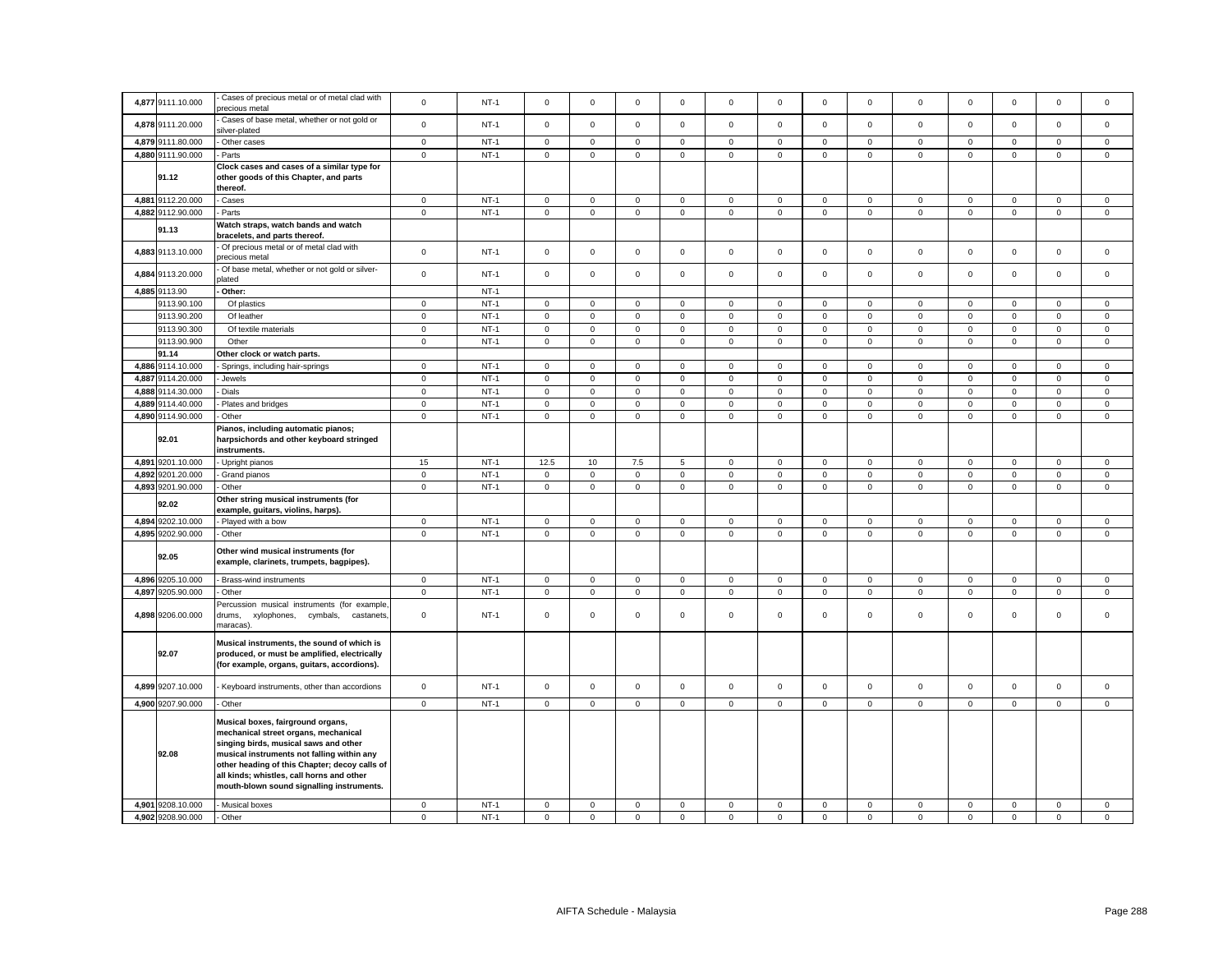| Cases of precious metal or of metal clad with<br>4,877 9111.10.000<br>$\mathsf 0$<br>$NT-1$<br>$\mathsf{O}\xspace$<br>$\mathsf{O}\xspace$<br>$\mathbf 0$<br>$^{\circ}$<br>$\Omega$<br>$\mathbf 0$<br>$^{\circ}$<br>$\mathbf 0$<br>0<br>$\mathbf 0$<br>$\mathbf 0$<br>$\mathbf 0$<br>$\Omega$<br>precious metal<br>Cases of base metal, whether or not gold or<br>$\mathsf 0$<br>$NT-1$<br>$\mathsf 0$<br>$\mathsf 0$<br>$\mathbf 0$<br>$\mathsf 0$<br>4,878 9111.20.000<br>$\mathsf 0$<br>$\mathbf 0$<br>$\mathbf 0$<br>$\mathbf 0$<br>$\mathbf{0}$<br>$\mathsf 0$<br>$\mathsf 0$<br>$\mathbf 0$<br>$\mathbf 0$<br>ilver-plated<br>$NT-1$<br>4,879 9111.80.000<br>Other cases<br>$\circ$<br>$\mathsf 0$<br>$\mathbf 0$<br>$\mathbf{0}$<br>$\mathsf 0$<br>$\mathbf 0$<br>$\mathsf 0$<br>$\mathbf 0$<br>$\mathbf 0$<br>$\mathbf 0$<br>$\mathbf 0$<br>$\mathbf 0$<br>$\mathbf{0}$<br>$\mathbf 0$<br>4,880 9111.90.000<br>$NT-1$<br>$\mathbf 0$<br>$\mathsf 0$<br>Parts<br>$\mathbf 0$<br>$\mathsf 0$<br>$\mathbf 0$<br>$\mathsf 0$<br>$\mathsf 0$<br>$\mathbf 0$<br>$\mathbf 0$<br>$\mathsf 0$<br>$\mathsf 0$<br>$\mathsf 0$<br>$\mathsf 0$<br>$\mathsf 0$<br>Clock cases and cases of a similar type for<br>91.12<br>other goods of this Chapter, and parts<br>thereof.<br>4,881 9112.20.000<br>$NT-1$<br>$\mathbf 0$<br>$\mathsf 0$<br>$\mathbf 0$<br>$\mathbf 0$<br>$\mathsf 0$<br>$\,0\,$<br>$\mathsf 0$<br>Cases<br>0<br>$\mathbf 0$<br>0<br>0<br>0<br>$\mathbf 0$<br>$\mathbf 0$<br>4,882 9112.90.000<br>$NT-1$<br>$\mathsf 0$<br>$\mathsf 0$<br>$\mathsf 0$<br>$\mathsf 0$<br>$\mathsf 0$<br>$\mathsf 0$<br>$\mathsf 0$<br>Parts<br>$\mathbf 0$<br>$\mathsf 0$<br>$\mathbf 0$<br>$\mathbf 0$<br>$\mathbf 0$<br>$\mathsf{O}\xspace$<br>$\mathbf{0}$<br>Watch straps, watch bands and watch<br>91.13<br>bracelets, and parts thereof.<br>Of precious metal or of metal clad with<br>$\mathsf 0$<br>$\mathsf 0$<br>$\mathsf 0$<br>$NT-1$<br>$\mathsf 0$<br>$\mathsf 0$<br>$\mathsf 0$<br>$\mathsf 0$<br>$\mathsf 0$<br>$\mathbf 0$<br>$\mathsf 0$<br>$\mathbf 0$<br>$\mathsf 0$<br>$\mathsf 0$<br>4,883 9113.10.000<br>$\mathbf 0$<br>recious metal<br>Of base metal, whether or not gold or silver-<br>$\mathsf 0$<br>$\mathsf 0$<br>$\mathsf 0$<br>$NT-1$<br>$\mathsf 0$<br>$\mathsf 0$<br>$\mathsf 0$<br>$\mathsf{O}\xspace$<br>$\mathbf 0$<br>$\mathsf 0$<br>$\mathsf 0$<br>4,884<br>9113.20.000<br>$\mathsf 0$<br>$\mathsf 0$<br>$\mathsf 0$<br>$\mathsf 0$<br>lated<br>4,885 9113.90<br>Other:<br>$NT-1$<br>$NT-1$<br>9113.90.100<br>Of plastics<br>$\mathbf 0$<br>$\mathbf 0$<br>$\mathsf 0$<br>$\mathbf 0$<br>$\mathsf 0$<br>$\mathsf 0$<br>$\mathsf 0$<br>$\mathbf 0$<br>$\mathbf 0$<br>$\mathsf 0$<br>$\mathsf 0$<br>$\mathbf 0$<br>0<br>0<br>$\mathsf 0$<br>$NT-1$<br>$\mathsf 0$<br>$\mathsf 0$<br>$\mathbf 0$<br>$\mathsf 0$<br>$\mathbf 0$<br>$\mathsf 0$<br>$\mathsf 0$<br>9113.90.200<br>Of leather<br>$\mathsf 0$<br>$\mathsf 0$<br>$\mathbf 0$<br>$\mathsf 0$<br>$\mathbf 0$<br>$\mathbf 0$<br>9113.90.300<br>$NT-1$<br>$\mathsf 0$<br>$\mathsf 0$<br>$\mathsf 0$<br>$\mathsf 0$<br>Of textile materials<br>$\mathbf 0$<br>$\mathsf 0$<br>$\mathbf 0$<br>$\mathsf 0$<br>$\mathsf 0$<br>$\mathbf 0$<br>$\mathbf 0$<br>$\mathbf 0$<br>$\mathbf 0$<br>$\mathbf 0$<br>9113.90.900<br>$NT-1$<br>$\mathsf 0$<br>$\mathsf 0$<br>$\mathbf 0$<br>$\mathsf 0$<br>$\mathsf 0$<br>Other<br>$\circ$<br>$\mathsf 0$<br>$\mathbf 0$<br>$\mathsf 0$<br>$\mathbf 0$<br>$\mathbf 0$<br>$\mathsf 0$<br>$\mathsf{O}\xspace$<br>$\mathbf 0$<br>91.14<br>Other clock or watch parts.<br>4,886 9114.10.000<br>$\mathsf 0$<br>$NT-1$<br>$\mathsf 0$<br>$\mathsf 0$<br>$\mathsf 0$<br>$\mathsf 0$<br>$\mathbf 0$<br>$\mathbf 0$<br>Springs, including hair-springs<br>$\mathsf 0$<br>$\mathsf 0$<br>$\Omega$<br>$\mathsf 0$<br>$\mathsf 0$<br>$\mathsf 0$<br>$\mathbf 0$<br>4,887 9114.20.000<br>$NT-1$<br>$\mathsf 0$<br>$\mathsf 0$<br>$\mathbf 0$<br>$\mathbf 0$<br>$\mathbf 0$<br>$\mathbf 0$<br>0<br>$\mathbf 0$<br>$\mathbf 0$<br>$\mathbf 0$<br>0<br>$\mathbf 0$<br>$\mathbf 0$<br>Jewels<br>0<br>9114.30.000<br>$\overline{0}$<br>$NT-1$<br>$\overline{0}$<br>$\overline{0}$<br>$\overline{0}$<br>$\overline{0}$<br>4,888<br>$\mathsf 0$<br>$\mathsf 0$<br>$\mathsf 0$<br>$\mathsf 0$<br>$\mathsf 0$<br>$\mathbf 0$<br>$\mathsf 0$<br>Dials<br>$\mathbf 0$<br>0<br>$\mathsf 0$<br>$NT-1$<br>$\mathsf 0$<br>$\mathbf 0$<br>$\mathbf 0$<br>$\mathsf 0$<br>4,889 9114.40.000<br>Plates and bridges<br>$\mathsf 0$<br>$\mathbf 0$<br>$\mathsf 0$<br>$\mathbf 0$<br>$\mathsf 0$<br>$\mathbf 0$<br>$\mathbf 0$<br>$\mathbf 0$<br>$\mathbf 0$<br>$\mathbf 0$<br>$\mathsf 0$<br>$\mathsf 0$<br>$\mathbf 0$<br>$\mathsf 0$<br>4,890 9114.90.000<br>$NT-1$<br>$\mathsf 0$<br>$\mathbf 0$<br>$\mathsf 0$<br>$\mathsf 0$<br>$\mathbf 0$<br>$\mathbf 0$<br>$\mathbf 0$<br>$\mathbf 0$<br>$\mathbf 0$<br>Other<br>Pianos, including automatic pianos;<br>92.01<br>harpsichords and other keyboard stringed<br>instruments.<br>$NT-1$<br>4,891 9201.10.000<br>15<br>12.5<br>10<br>7.5<br>5<br>$\mathbf 0$<br>$\mathsf 0$<br>$\mathbf 0$<br>$\mathbf 0$<br>$\mathbf 0$<br>$\mathsf 0$<br>$\mathsf 0$<br>Upright pianos<br>$\mathbf 0$<br>$\mathbf 0$<br>$\mathsf 0$<br>$NT-1$<br>$\mathsf 0$<br>$\mathbf 0$<br>$\mathsf 0$<br>$\mathsf 0$<br>$\mathsf 0$<br>$\mathsf 0$<br>$\mathsf 0$<br>$\mathbf 0$<br>$\mathsf 0$<br>4,892<br>9201.20.000<br>$\mathsf 0$<br>$\mathsf 0$<br>$\mathbf 0$<br>$\mathsf 0$<br>Grand pianos<br>4,893 9201.90.000<br>$\mathbf 0$<br>$NT-1$<br>$\mathbf 0$<br>$\mathbf 0$<br>$\mathsf 0$<br>$\circ$<br>$\mathbf 0$<br>$\mathbf 0$<br>Other<br>0<br>$\mathbf 0$<br>0<br>0<br>0<br>0<br>0<br>Other string musical instruments (for<br>92.02<br>example, guitars, violins, harps).<br>4,894 9202.10.000<br>Played with a bow<br>$NT-1$<br>$\mathbf 0$<br>$\mathsf 0$<br>$\mathbf 0$<br>0<br>$\mathbf 0$<br>$\mathbf 0$<br>$\mathbf 0$<br>0<br>$\mathbf 0$<br>$\mathbf 0$<br>$\mathbf 0$<br>0<br>0<br>0<br>$\mathbf 0$<br>$\mathsf 0$<br>$\mathsf 0$<br>$\mathsf 0$<br>4,895 9202.90.000<br>$NT-1$<br>$\mathsf 0$<br>$\mathsf 0$<br>$\mathsf 0$<br>$\mathsf 0$<br>$\mathsf{O}\xspace$<br>$\mathbf 0$<br>$\mathsf{O}\xspace$<br>$\mathsf 0$<br>Other<br>$\mathsf 0$<br>$\mathsf 0$<br>Other wind musical instruments (for<br>92.05<br>example, clarinets, trumpets, bagpipes).<br>4,896 9205.10.000<br>$NT-1$<br>Brass-wind instruments<br>$\circ$<br>$\mathsf 0$<br>$\mathbf 0$<br>$\mathbf{0}$<br>$\mathsf 0$<br>$\mathbf 0$<br>$\mathsf 0$<br>$\circ$<br>$\mathbf 0$<br>$\mathbf 0$<br>$\mathbf 0$<br>$\mathbf 0$<br>$\mathsf 0$<br>$\mathbf 0$<br>4,897 9205.90.000<br>$NT-1$<br>$\mathsf 0$<br>$\mathsf 0$<br>$\mathbf 0$<br>$\mathbf 0$<br>$\mathsf 0$<br>Other<br>$\mathbf 0$<br>$\mathsf 0$<br>$\mathbf 0$<br>$\mathbf 0$<br>$\mathsf 0$<br>$\mathsf 0$<br>$\mathsf 0$<br>$\mathsf 0$<br>$\mathbf 0$<br>Percussion musical instruments (for example,<br>$\mathsf 0$<br>$\mathsf 0$<br>4,898 9206.00.000<br>$\mathbf 0$<br>$NT-1$<br>$\mathsf 0$<br>$\mathsf 0$<br>$\mathsf 0$<br>$\mathbf 0$<br>$\mathsf 0$<br>$\mathbf 0$<br>$\mathsf 0$<br>$\mathsf 0$<br>$\mathbf 0$<br>$\mathbf 0$<br>$\mathbf 0$<br>xylophones, cymbals, castanets,<br>drums,<br>maracas).<br>Musical instruments, the sound of which is<br>92.07<br>produced, or must be amplified, electrically<br>(for example, organs, guitars, accordions).<br>$\mathsf 0$<br>$\mathsf 0$<br>$\mathsf 0$<br>4,899 9207.10.000<br>$\mathsf 0$<br>$NT-1$<br>$\mathsf 0$<br>$\mathsf 0$<br>$\mathsf 0$<br>$\mathbf 0$<br>$\mathsf 0$<br>$\mathsf 0$<br>$\mathbf 0$<br>$\mathsf 0$<br>$\mathsf 0$<br>$\mathsf 0$<br>Keyboard instruments, other than accordions<br>4,900 9207.90.000<br>$\mathbf 0$<br>$\mathsf 0$<br>$\mathsf 0$<br>Other<br>$NT-1$<br>$\mathbf 0$<br>$\mathbf 0$<br>$\mathbf{0}$<br>$\mathsf 0$<br>$\mathbf 0$<br>$\mathbf 0$<br>$\mathbf 0$<br>$\mathbf 0$<br>$\mathbf 0$<br>$\mathbf{0}$<br>$\mathbf 0$<br>Musical boxes, fairground organs,<br>mechanical street organs, mechanical<br>singing birds, musical saws and other<br>92.08<br>musical instruments not falling within any<br>other heading of this Chapter; decoy calls of<br>all kinds; whistles, call horns and other<br>mouth-blown sound signalling instruments.<br>4,901 9208.10.000<br>$NT-1$<br>Musical boxes<br>$\mathsf 0$<br>$\mathsf 0$<br>$\mathsf 0$<br>$\mathsf 0$<br>$\mathbf 0$<br>$\mathsf 0$<br>$\mathsf 0$<br>$\mathbf 0$<br>$\mathbf 0$<br>0<br>$\mathbf 0$<br>$\mathbf 0$<br>0<br>0<br>4,902 9208.90.000<br>$NT-1$<br>Other<br>$\mathsf 0$<br>$\mathsf 0$<br>$\mathsf 0$<br>$\mathsf 0$<br>$\mathsf 0$<br>$\mathbf 0$<br>$\mathsf 0$<br>$\mathsf 0$<br>$\mathsf 0$<br>$\mathsf 0$<br>$\mathbf 0$<br>$\mathbf 0$<br>$\mathbf 0$<br>$\mathbf 0$ |  |  |  |  |  |  |  |  |  |
|-------------------------------------------------------------------------------------------------------------------------------------------------------------------------------------------------------------------------------------------------------------------------------------------------------------------------------------------------------------------------------------------------------------------------------------------------------------------------------------------------------------------------------------------------------------------------------------------------------------------------------------------------------------------------------------------------------------------------------------------------------------------------------------------------------------------------------------------------------------------------------------------------------------------------------------------------------------------------------------------------------------------------------------------------------------------------------------------------------------------------------------------------------------------------------------------------------------------------------------------------------------------------------------------------------------------------------------------------------------------------------------------------------------------------------------------------------------------------------------------------------------------------------------------------------------------------------------------------------------------------------------------------------------------------------------------------------------------------------------------------------------------------------------------------------------------------------------------------------------------------------------------------------------------------------------------------------------------------------------------------------------------------------------------------------------------------------------------------------------------------------------------------------------------------------------------------------------------------------------------------------------------------------------------------------------------------------------------------------------------------------------------------------------------------------------------------------------------------------------------------------------------------------------------------------------------------------------------------------------------------------------------------------------------------------------------------------------------------------------------------------------------------------------------------------------------------------------------------------------------------------------------------------------------------------------------------------------------------------------------------------------------------------------------------------------------------------------------------------------------------------------------------------------------------------------------------------------------------------------------------------------------------------------------------------------------------------------------------------------------------------------------------------------------------------------------------------------------------------------------------------------------------------------------------------------------------------------------------------------------------------------------------------------------------------------------------------------------------------------------------------------------------------------------------------------------------------------------------------------------------------------------------------------------------------------------------------------------------------------------------------------------------------------------------------------------------------------------------------------------------------------------------------------------------------------------------------------------------------------------------------------------------------------------------------------------------------------------------------------------------------------------------------------------------------------------------------------------------------------------------------------------------------------------------------------------------------------------------------------------------------------------------------------------------------------------------------------------------------------------------------------------------------------------------------------------------------------------------------------------------------------------------------------------------------------------------------------------------------------------------------------------------------------------------------------------------------------------------------------------------------------------------------------------------------------------------------------------------------------------------------------------------------------------------------------------------------------------------------------------------------------------------------------------------------------------------------------------------------------------------------------------------------------------------------------------------------------------------------------------------------------------------------------------------------------------------------------------------------------------------------------------------------------------------------------------------------------------------------------------------------------------------------------------------------------------------------------------------------------------------------------------------------------------------------------------------------------------------------------------------------------------------------------------------------------------------------------------------------------------------------------------------------------------------------------------------------------------------------------------------------------------------------------------------------------------------------------------------------------------------------------------------------------------------------------------------------------------------------------------------------------------------------------------------------------------------------------------------------------------------------------------------------------------------------------------------------------------------------------------------------------------------------------------------------------------------------------------------------------------------------------------------------------------------------------------------------------------------------------------------------------------------------------------------------------------------------------------------------------------------------------------------------------------------------------------------------------------------------------------------------------------------------------------------------------------------------------------------------------------------------------------------------------------------------------------------------------------------------------------------------------------------------------------------------------------------------------------------------------------------------------------------------------------------------------------------------------------------------------------------------------------------------------------------------------------------------------------------------------------------------------------------------------------------------------------------------------------------------------------------------------------------------------------------------------------------------------------------------------------------------------------------------------------------------------------------------------------------------------------------------------------------------------------------------------------------------------------------------------------------------------------------------------------------------------------------------------------------------------------------------------------------------------------------------------------------------------------------------------------------------------------------------------------------------------------------|--|--|--|--|--|--|--|--|--|
|                                                                                                                                                                                                                                                                                                                                                                                                                                                                                                                                                                                                                                                                                                                                                                                                                                                                                                                                                                                                                                                                                                                                                                                                                                                                                                                                                                                                                                                                                                                                                                                                                                                                                                                                                                                                                                                                                                                                                                                                                                                                                                                                                                                                                                                                                                                                                                                                                                                                                                                                                                                                                                                                                                                                                                                                                                                                                                                                                                                                                                                                                                                                                                                                                                                                                                                                                                                                                                                                                                                                                                                                                                                                                                                                                                                                                                                                                                                                                                                                                                                                                                                                                                                                                                                                                                                                                                                                                                                                                                                                                                                                                                                                                                                                                                                                                                                                                                                                                                                                                                                                                                                                                                                                                                                                                                                                                                                                                                                                                                                                                                                                                                                                                                                                                                                                                                                                                                                                                                                                                                                                                                                                                                                                                                                                                                                                                                                                                                                                                                                                                                                                                                                                                                                                                                                                                                                                                                                                                                                                                                                                                                                                                                                                                                                                                                                                                                                                                                                                                                                                                                                                                                                                                                                                                                                                                                                                                                                                                                                                                                                                                                                                                                                                                                                                                                                                                                                                                                                                                                                                                                                                                                                                                                                                                                                                                         |  |  |  |  |  |  |  |  |  |
|                                                                                                                                                                                                                                                                                                                                                                                                                                                                                                                                                                                                                                                                                                                                                                                                                                                                                                                                                                                                                                                                                                                                                                                                                                                                                                                                                                                                                                                                                                                                                                                                                                                                                                                                                                                                                                                                                                                                                                                                                                                                                                                                                                                                                                                                                                                                                                                                                                                                                                                                                                                                                                                                                                                                                                                                                                                                                                                                                                                                                                                                                                                                                                                                                                                                                                                                                                                                                                                                                                                                                                                                                                                                                                                                                                                                                                                                                                                                                                                                                                                                                                                                                                                                                                                                                                                                                                                                                                                                                                                                                                                                                                                                                                                                                                                                                                                                                                                                                                                                                                                                                                                                                                                                                                                                                                                                                                                                                                                                                                                                                                                                                                                                                                                                                                                                                                                                                                                                                                                                                                                                                                                                                                                                                                                                                                                                                                                                                                                                                                                                                                                                                                                                                                                                                                                                                                                                                                                                                                                                                                                                                                                                                                                                                                                                                                                                                                                                                                                                                                                                                                                                                                                                                                                                                                                                                                                                                                                                                                                                                                                                                                                                                                                                                                                                                                                                                                                                                                                                                                                                                                                                                                                                                                                                                                                                                         |  |  |  |  |  |  |  |  |  |
|                                                                                                                                                                                                                                                                                                                                                                                                                                                                                                                                                                                                                                                                                                                                                                                                                                                                                                                                                                                                                                                                                                                                                                                                                                                                                                                                                                                                                                                                                                                                                                                                                                                                                                                                                                                                                                                                                                                                                                                                                                                                                                                                                                                                                                                                                                                                                                                                                                                                                                                                                                                                                                                                                                                                                                                                                                                                                                                                                                                                                                                                                                                                                                                                                                                                                                                                                                                                                                                                                                                                                                                                                                                                                                                                                                                                                                                                                                                                                                                                                                                                                                                                                                                                                                                                                                                                                                                                                                                                                                                                                                                                                                                                                                                                                                                                                                                                                                                                                                                                                                                                                                                                                                                                                                                                                                                                                                                                                                                                                                                                                                                                                                                                                                                                                                                                                                                                                                                                                                                                                                                                                                                                                                                                                                                                                                                                                                                                                                                                                                                                                                                                                                                                                                                                                                                                                                                                                                                                                                                                                                                                                                                                                                                                                                                                                                                                                                                                                                                                                                                                                                                                                                                                                                                                                                                                                                                                                                                                                                                                                                                                                                                                                                                                                                                                                                                                                                                                                                                                                                                                                                                                                                                                                                                                                                                                                         |  |  |  |  |  |  |  |  |  |
|                                                                                                                                                                                                                                                                                                                                                                                                                                                                                                                                                                                                                                                                                                                                                                                                                                                                                                                                                                                                                                                                                                                                                                                                                                                                                                                                                                                                                                                                                                                                                                                                                                                                                                                                                                                                                                                                                                                                                                                                                                                                                                                                                                                                                                                                                                                                                                                                                                                                                                                                                                                                                                                                                                                                                                                                                                                                                                                                                                                                                                                                                                                                                                                                                                                                                                                                                                                                                                                                                                                                                                                                                                                                                                                                                                                                                                                                                                                                                                                                                                                                                                                                                                                                                                                                                                                                                                                                                                                                                                                                                                                                                                                                                                                                                                                                                                                                                                                                                                                                                                                                                                                                                                                                                                                                                                                                                                                                                                                                                                                                                                                                                                                                                                                                                                                                                                                                                                                                                                                                                                                                                                                                                                                                                                                                                                                                                                                                                                                                                                                                                                                                                                                                                                                                                                                                                                                                                                                                                                                                                                                                                                                                                                                                                                                                                                                                                                                                                                                                                                                                                                                                                                                                                                                                                                                                                                                                                                                                                                                                                                                                                                                                                                                                                                                                                                                                                                                                                                                                                                                                                                                                                                                                                                                                                                                                                         |  |  |  |  |  |  |  |  |  |
|                                                                                                                                                                                                                                                                                                                                                                                                                                                                                                                                                                                                                                                                                                                                                                                                                                                                                                                                                                                                                                                                                                                                                                                                                                                                                                                                                                                                                                                                                                                                                                                                                                                                                                                                                                                                                                                                                                                                                                                                                                                                                                                                                                                                                                                                                                                                                                                                                                                                                                                                                                                                                                                                                                                                                                                                                                                                                                                                                                                                                                                                                                                                                                                                                                                                                                                                                                                                                                                                                                                                                                                                                                                                                                                                                                                                                                                                                                                                                                                                                                                                                                                                                                                                                                                                                                                                                                                                                                                                                                                                                                                                                                                                                                                                                                                                                                                                                                                                                                                                                                                                                                                                                                                                                                                                                                                                                                                                                                                                                                                                                                                                                                                                                                                                                                                                                                                                                                                                                                                                                                                                                                                                                                                                                                                                                                                                                                                                                                                                                                                                                                                                                                                                                                                                                                                                                                                                                                                                                                                                                                                                                                                                                                                                                                                                                                                                                                                                                                                                                                                                                                                                                                                                                                                                                                                                                                                                                                                                                                                                                                                                                                                                                                                                                                                                                                                                                                                                                                                                                                                                                                                                                                                                                                                                                                                                                         |  |  |  |  |  |  |  |  |  |
|                                                                                                                                                                                                                                                                                                                                                                                                                                                                                                                                                                                                                                                                                                                                                                                                                                                                                                                                                                                                                                                                                                                                                                                                                                                                                                                                                                                                                                                                                                                                                                                                                                                                                                                                                                                                                                                                                                                                                                                                                                                                                                                                                                                                                                                                                                                                                                                                                                                                                                                                                                                                                                                                                                                                                                                                                                                                                                                                                                                                                                                                                                                                                                                                                                                                                                                                                                                                                                                                                                                                                                                                                                                                                                                                                                                                                                                                                                                                                                                                                                                                                                                                                                                                                                                                                                                                                                                                                                                                                                                                                                                                                                                                                                                                                                                                                                                                                                                                                                                                                                                                                                                                                                                                                                                                                                                                                                                                                                                                                                                                                                                                                                                                                                                                                                                                                                                                                                                                                                                                                                                                                                                                                                                                                                                                                                                                                                                                                                                                                                                                                                                                                                                                                                                                                                                                                                                                                                                                                                                                                                                                                                                                                                                                                                                                                                                                                                                                                                                                                                                                                                                                                                                                                                                                                                                                                                                                                                                                                                                                                                                                                                                                                                                                                                                                                                                                                                                                                                                                                                                                                                                                                                                                                                                                                                                                                         |  |  |  |  |  |  |  |  |  |
|                                                                                                                                                                                                                                                                                                                                                                                                                                                                                                                                                                                                                                                                                                                                                                                                                                                                                                                                                                                                                                                                                                                                                                                                                                                                                                                                                                                                                                                                                                                                                                                                                                                                                                                                                                                                                                                                                                                                                                                                                                                                                                                                                                                                                                                                                                                                                                                                                                                                                                                                                                                                                                                                                                                                                                                                                                                                                                                                                                                                                                                                                                                                                                                                                                                                                                                                                                                                                                                                                                                                                                                                                                                                                                                                                                                                                                                                                                                                                                                                                                                                                                                                                                                                                                                                                                                                                                                                                                                                                                                                                                                                                                                                                                                                                                                                                                                                                                                                                                                                                                                                                                                                                                                                                                                                                                                                                                                                                                                                                                                                                                                                                                                                                                                                                                                                                                                                                                                                                                                                                                                                                                                                                                                                                                                                                                                                                                                                                                                                                                                                                                                                                                                                                                                                                                                                                                                                                                                                                                                                                                                                                                                                                                                                                                                                                                                                                                                                                                                                                                                                                                                                                                                                                                                                                                                                                                                                                                                                                                                                                                                                                                                                                                                                                                                                                                                                                                                                                                                                                                                                                                                                                                                                                                                                                                                                                         |  |  |  |  |  |  |  |  |  |
|                                                                                                                                                                                                                                                                                                                                                                                                                                                                                                                                                                                                                                                                                                                                                                                                                                                                                                                                                                                                                                                                                                                                                                                                                                                                                                                                                                                                                                                                                                                                                                                                                                                                                                                                                                                                                                                                                                                                                                                                                                                                                                                                                                                                                                                                                                                                                                                                                                                                                                                                                                                                                                                                                                                                                                                                                                                                                                                                                                                                                                                                                                                                                                                                                                                                                                                                                                                                                                                                                                                                                                                                                                                                                                                                                                                                                                                                                                                                                                                                                                                                                                                                                                                                                                                                                                                                                                                                                                                                                                                                                                                                                                                                                                                                                                                                                                                                                                                                                                                                                                                                                                                                                                                                                                                                                                                                                                                                                                                                                                                                                                                                                                                                                                                                                                                                                                                                                                                                                                                                                                                                                                                                                                                                                                                                                                                                                                                                                                                                                                                                                                                                                                                                                                                                                                                                                                                                                                                                                                                                                                                                                                                                                                                                                                                                                                                                                                                                                                                                                                                                                                                                                                                                                                                                                                                                                                                                                                                                                                                                                                                                                                                                                                                                                                                                                                                                                                                                                                                                                                                                                                                                                                                                                                                                                                                                                         |  |  |  |  |  |  |  |  |  |
|                                                                                                                                                                                                                                                                                                                                                                                                                                                                                                                                                                                                                                                                                                                                                                                                                                                                                                                                                                                                                                                                                                                                                                                                                                                                                                                                                                                                                                                                                                                                                                                                                                                                                                                                                                                                                                                                                                                                                                                                                                                                                                                                                                                                                                                                                                                                                                                                                                                                                                                                                                                                                                                                                                                                                                                                                                                                                                                                                                                                                                                                                                                                                                                                                                                                                                                                                                                                                                                                                                                                                                                                                                                                                                                                                                                                                                                                                                                                                                                                                                                                                                                                                                                                                                                                                                                                                                                                                                                                                                                                                                                                                                                                                                                                                                                                                                                                                                                                                                                                                                                                                                                                                                                                                                                                                                                                                                                                                                                                                                                                                                                                                                                                                                                                                                                                                                                                                                                                                                                                                                                                                                                                                                                                                                                                                                                                                                                                                                                                                                                                                                                                                                                                                                                                                                                                                                                                                                                                                                                                                                                                                                                                                                                                                                                                                                                                                                                                                                                                                                                                                                                                                                                                                                                                                                                                                                                                                                                                                                                                                                                                                                                                                                                                                                                                                                                                                                                                                                                                                                                                                                                                                                                                                                                                                                                                                         |  |  |  |  |  |  |  |  |  |
|                                                                                                                                                                                                                                                                                                                                                                                                                                                                                                                                                                                                                                                                                                                                                                                                                                                                                                                                                                                                                                                                                                                                                                                                                                                                                                                                                                                                                                                                                                                                                                                                                                                                                                                                                                                                                                                                                                                                                                                                                                                                                                                                                                                                                                                                                                                                                                                                                                                                                                                                                                                                                                                                                                                                                                                                                                                                                                                                                                                                                                                                                                                                                                                                                                                                                                                                                                                                                                                                                                                                                                                                                                                                                                                                                                                                                                                                                                                                                                                                                                                                                                                                                                                                                                                                                                                                                                                                                                                                                                                                                                                                                                                                                                                                                                                                                                                                                                                                                                                                                                                                                                                                                                                                                                                                                                                                                                                                                                                                                                                                                                                                                                                                                                                                                                                                                                                                                                                                                                                                                                                                                                                                                                                                                                                                                                                                                                                                                                                                                                                                                                                                                                                                                                                                                                                                                                                                                                                                                                                                                                                                                                                                                                                                                                                                                                                                                                                                                                                                                                                                                                                                                                                                                                                                                                                                                                                                                                                                                                                                                                                                                                                                                                                                                                                                                                                                                                                                                                                                                                                                                                                                                                                                                                                                                                                                                         |  |  |  |  |  |  |  |  |  |
|                                                                                                                                                                                                                                                                                                                                                                                                                                                                                                                                                                                                                                                                                                                                                                                                                                                                                                                                                                                                                                                                                                                                                                                                                                                                                                                                                                                                                                                                                                                                                                                                                                                                                                                                                                                                                                                                                                                                                                                                                                                                                                                                                                                                                                                                                                                                                                                                                                                                                                                                                                                                                                                                                                                                                                                                                                                                                                                                                                                                                                                                                                                                                                                                                                                                                                                                                                                                                                                                                                                                                                                                                                                                                                                                                                                                                                                                                                                                                                                                                                                                                                                                                                                                                                                                                                                                                                                                                                                                                                                                                                                                                                                                                                                                                                                                                                                                                                                                                                                                                                                                                                                                                                                                                                                                                                                                                                                                                                                                                                                                                                                                                                                                                                                                                                                                                                                                                                                                                                                                                                                                                                                                                                                                                                                                                                                                                                                                                                                                                                                                                                                                                                                                                                                                                                                                                                                                                                                                                                                                                                                                                                                                                                                                                                                                                                                                                                                                                                                                                                                                                                                                                                                                                                                                                                                                                                                                                                                                                                                                                                                                                                                                                                                                                                                                                                                                                                                                                                                                                                                                                                                                                                                                                                                                                                                                                         |  |  |  |  |  |  |  |  |  |
|                                                                                                                                                                                                                                                                                                                                                                                                                                                                                                                                                                                                                                                                                                                                                                                                                                                                                                                                                                                                                                                                                                                                                                                                                                                                                                                                                                                                                                                                                                                                                                                                                                                                                                                                                                                                                                                                                                                                                                                                                                                                                                                                                                                                                                                                                                                                                                                                                                                                                                                                                                                                                                                                                                                                                                                                                                                                                                                                                                                                                                                                                                                                                                                                                                                                                                                                                                                                                                                                                                                                                                                                                                                                                                                                                                                                                                                                                                                                                                                                                                                                                                                                                                                                                                                                                                                                                                                                                                                                                                                                                                                                                                                                                                                                                                                                                                                                                                                                                                                                                                                                                                                                                                                                                                                                                                                                                                                                                                                                                                                                                                                                                                                                                                                                                                                                                                                                                                                                                                                                                                                                                                                                                                                                                                                                                                                                                                                                                                                                                                                                                                                                                                                                                                                                                                                                                                                                                                                                                                                                                                                                                                                                                                                                                                                                                                                                                                                                                                                                                                                                                                                                                                                                                                                                                                                                                                                                                                                                                                                                                                                                                                                                                                                                                                                                                                                                                                                                                                                                                                                                                                                                                                                                                                                                                                                                                         |  |  |  |  |  |  |  |  |  |
|                                                                                                                                                                                                                                                                                                                                                                                                                                                                                                                                                                                                                                                                                                                                                                                                                                                                                                                                                                                                                                                                                                                                                                                                                                                                                                                                                                                                                                                                                                                                                                                                                                                                                                                                                                                                                                                                                                                                                                                                                                                                                                                                                                                                                                                                                                                                                                                                                                                                                                                                                                                                                                                                                                                                                                                                                                                                                                                                                                                                                                                                                                                                                                                                                                                                                                                                                                                                                                                                                                                                                                                                                                                                                                                                                                                                                                                                                                                                                                                                                                                                                                                                                                                                                                                                                                                                                                                                                                                                                                                                                                                                                                                                                                                                                                                                                                                                                                                                                                                                                                                                                                                                                                                                                                                                                                                                                                                                                                                                                                                                                                                                                                                                                                                                                                                                                                                                                                                                                                                                                                                                                                                                                                                                                                                                                                                                                                                                                                                                                                                                                                                                                                                                                                                                                                                                                                                                                                                                                                                                                                                                                                                                                                                                                                                                                                                                                                                                                                                                                                                                                                                                                                                                                                                                                                                                                                                                                                                                                                                                                                                                                                                                                                                                                                                                                                                                                                                                                                                                                                                                                                                                                                                                                                                                                                                                                         |  |  |  |  |  |  |  |  |  |
|                                                                                                                                                                                                                                                                                                                                                                                                                                                                                                                                                                                                                                                                                                                                                                                                                                                                                                                                                                                                                                                                                                                                                                                                                                                                                                                                                                                                                                                                                                                                                                                                                                                                                                                                                                                                                                                                                                                                                                                                                                                                                                                                                                                                                                                                                                                                                                                                                                                                                                                                                                                                                                                                                                                                                                                                                                                                                                                                                                                                                                                                                                                                                                                                                                                                                                                                                                                                                                                                                                                                                                                                                                                                                                                                                                                                                                                                                                                                                                                                                                                                                                                                                                                                                                                                                                                                                                                                                                                                                                                                                                                                                                                                                                                                                                                                                                                                                                                                                                                                                                                                                                                                                                                                                                                                                                                                                                                                                                                                                                                                                                                                                                                                                                                                                                                                                                                                                                                                                                                                                                                                                                                                                                                                                                                                                                                                                                                                                                                                                                                                                                                                                                                                                                                                                                                                                                                                                                                                                                                                                                                                                                                                                                                                                                                                                                                                                                                                                                                                                                                                                                                                                                                                                                                                                                                                                                                                                                                                                                                                                                                                                                                                                                                                                                                                                                                                                                                                                                                                                                                                                                                                                                                                                                                                                                                                                         |  |  |  |  |  |  |  |  |  |
|                                                                                                                                                                                                                                                                                                                                                                                                                                                                                                                                                                                                                                                                                                                                                                                                                                                                                                                                                                                                                                                                                                                                                                                                                                                                                                                                                                                                                                                                                                                                                                                                                                                                                                                                                                                                                                                                                                                                                                                                                                                                                                                                                                                                                                                                                                                                                                                                                                                                                                                                                                                                                                                                                                                                                                                                                                                                                                                                                                                                                                                                                                                                                                                                                                                                                                                                                                                                                                                                                                                                                                                                                                                                                                                                                                                                                                                                                                                                                                                                                                                                                                                                                                                                                                                                                                                                                                                                                                                                                                                                                                                                                                                                                                                                                                                                                                                                                                                                                                                                                                                                                                                                                                                                                                                                                                                                                                                                                                                                                                                                                                                                                                                                                                                                                                                                                                                                                                                                                                                                                                                                                                                                                                                                                                                                                                                                                                                                                                                                                                                                                                                                                                                                                                                                                                                                                                                                                                                                                                                                                                                                                                                                                                                                                                                                                                                                                                                                                                                                                                                                                                                                                                                                                                                                                                                                                                                                                                                                                                                                                                                                                                                                                                                                                                                                                                                                                                                                                                                                                                                                                                                                                                                                                                                                                                                                                         |  |  |  |  |  |  |  |  |  |
|                                                                                                                                                                                                                                                                                                                                                                                                                                                                                                                                                                                                                                                                                                                                                                                                                                                                                                                                                                                                                                                                                                                                                                                                                                                                                                                                                                                                                                                                                                                                                                                                                                                                                                                                                                                                                                                                                                                                                                                                                                                                                                                                                                                                                                                                                                                                                                                                                                                                                                                                                                                                                                                                                                                                                                                                                                                                                                                                                                                                                                                                                                                                                                                                                                                                                                                                                                                                                                                                                                                                                                                                                                                                                                                                                                                                                                                                                                                                                                                                                                                                                                                                                                                                                                                                                                                                                                                                                                                                                                                                                                                                                                                                                                                                                                                                                                                                                                                                                                                                                                                                                                                                                                                                                                                                                                                                                                                                                                                                                                                                                                                                                                                                                                                                                                                                                                                                                                                                                                                                                                                                                                                                                                                                                                                                                                                                                                                                                                                                                                                                                                                                                                                                                                                                                                                                                                                                                                                                                                                                                                                                                                                                                                                                                                                                                                                                                                                                                                                                                                                                                                                                                                                                                                                                                                                                                                                                                                                                                                                                                                                                                                                                                                                                                                                                                                                                                                                                                                                                                                                                                                                                                                                                                                                                                                                                                         |  |  |  |  |  |  |  |  |  |
|                                                                                                                                                                                                                                                                                                                                                                                                                                                                                                                                                                                                                                                                                                                                                                                                                                                                                                                                                                                                                                                                                                                                                                                                                                                                                                                                                                                                                                                                                                                                                                                                                                                                                                                                                                                                                                                                                                                                                                                                                                                                                                                                                                                                                                                                                                                                                                                                                                                                                                                                                                                                                                                                                                                                                                                                                                                                                                                                                                                                                                                                                                                                                                                                                                                                                                                                                                                                                                                                                                                                                                                                                                                                                                                                                                                                                                                                                                                                                                                                                                                                                                                                                                                                                                                                                                                                                                                                                                                                                                                                                                                                                                                                                                                                                                                                                                                                                                                                                                                                                                                                                                                                                                                                                                                                                                                                                                                                                                                                                                                                                                                                                                                                                                                                                                                                                                                                                                                                                                                                                                                                                                                                                                                                                                                                                                                                                                                                                                                                                                                                                                                                                                                                                                                                                                                                                                                                                                                                                                                                                                                                                                                                                                                                                                                                                                                                                                                                                                                                                                                                                                                                                                                                                                                                                                                                                                                                                                                                                                                                                                                                                                                                                                                                                                                                                                                                                                                                                                                                                                                                                                                                                                                                                                                                                                                                                         |  |  |  |  |  |  |  |  |  |
|                                                                                                                                                                                                                                                                                                                                                                                                                                                                                                                                                                                                                                                                                                                                                                                                                                                                                                                                                                                                                                                                                                                                                                                                                                                                                                                                                                                                                                                                                                                                                                                                                                                                                                                                                                                                                                                                                                                                                                                                                                                                                                                                                                                                                                                                                                                                                                                                                                                                                                                                                                                                                                                                                                                                                                                                                                                                                                                                                                                                                                                                                                                                                                                                                                                                                                                                                                                                                                                                                                                                                                                                                                                                                                                                                                                                                                                                                                                                                                                                                                                                                                                                                                                                                                                                                                                                                                                                                                                                                                                                                                                                                                                                                                                                                                                                                                                                                                                                                                                                                                                                                                                                                                                                                                                                                                                                                                                                                                                                                                                                                                                                                                                                                                                                                                                                                                                                                                                                                                                                                                                                                                                                                                                                                                                                                                                                                                                                                                                                                                                                                                                                                                                                                                                                                                                                                                                                                                                                                                                                                                                                                                                                                                                                                                                                                                                                                                                                                                                                                                                                                                                                                                                                                                                                                                                                                                                                                                                                                                                                                                                                                                                                                                                                                                                                                                                                                                                                                                                                                                                                                                                                                                                                                                                                                                                                                         |  |  |  |  |  |  |  |  |  |
|                                                                                                                                                                                                                                                                                                                                                                                                                                                                                                                                                                                                                                                                                                                                                                                                                                                                                                                                                                                                                                                                                                                                                                                                                                                                                                                                                                                                                                                                                                                                                                                                                                                                                                                                                                                                                                                                                                                                                                                                                                                                                                                                                                                                                                                                                                                                                                                                                                                                                                                                                                                                                                                                                                                                                                                                                                                                                                                                                                                                                                                                                                                                                                                                                                                                                                                                                                                                                                                                                                                                                                                                                                                                                                                                                                                                                                                                                                                                                                                                                                                                                                                                                                                                                                                                                                                                                                                                                                                                                                                                                                                                                                                                                                                                                                                                                                                                                                                                                                                                                                                                                                                                                                                                                                                                                                                                                                                                                                                                                                                                                                                                                                                                                                                                                                                                                                                                                                                                                                                                                                                                                                                                                                                                                                                                                                                                                                                                                                                                                                                                                                                                                                                                                                                                                                                                                                                                                                                                                                                                                                                                                                                                                                                                                                                                                                                                                                                                                                                                                                                                                                                                                                                                                                                                                                                                                                                                                                                                                                                                                                                                                                                                                                                                                                                                                                                                                                                                                                                                                                                                                                                                                                                                                                                                                                                                                         |  |  |  |  |  |  |  |  |  |
|                                                                                                                                                                                                                                                                                                                                                                                                                                                                                                                                                                                                                                                                                                                                                                                                                                                                                                                                                                                                                                                                                                                                                                                                                                                                                                                                                                                                                                                                                                                                                                                                                                                                                                                                                                                                                                                                                                                                                                                                                                                                                                                                                                                                                                                                                                                                                                                                                                                                                                                                                                                                                                                                                                                                                                                                                                                                                                                                                                                                                                                                                                                                                                                                                                                                                                                                                                                                                                                                                                                                                                                                                                                                                                                                                                                                                                                                                                                                                                                                                                                                                                                                                                                                                                                                                                                                                                                                                                                                                                                                                                                                                                                                                                                                                                                                                                                                                                                                                                                                                                                                                                                                                                                                                                                                                                                                                                                                                                                                                                                                                                                                                                                                                                                                                                                                                                                                                                                                                                                                                                                                                                                                                                                                                                                                                                                                                                                                                                                                                                                                                                                                                                                                                                                                                                                                                                                                                                                                                                                                                                                                                                                                                                                                                                                                                                                                                                                                                                                                                                                                                                                                                                                                                                                                                                                                                                                                                                                                                                                                                                                                                                                                                                                                                                                                                                                                                                                                                                                                                                                                                                                                                                                                                                                                                                                                                         |  |  |  |  |  |  |  |  |  |
|                                                                                                                                                                                                                                                                                                                                                                                                                                                                                                                                                                                                                                                                                                                                                                                                                                                                                                                                                                                                                                                                                                                                                                                                                                                                                                                                                                                                                                                                                                                                                                                                                                                                                                                                                                                                                                                                                                                                                                                                                                                                                                                                                                                                                                                                                                                                                                                                                                                                                                                                                                                                                                                                                                                                                                                                                                                                                                                                                                                                                                                                                                                                                                                                                                                                                                                                                                                                                                                                                                                                                                                                                                                                                                                                                                                                                                                                                                                                                                                                                                                                                                                                                                                                                                                                                                                                                                                                                                                                                                                                                                                                                                                                                                                                                                                                                                                                                                                                                                                                                                                                                                                                                                                                                                                                                                                                                                                                                                                                                                                                                                                                                                                                                                                                                                                                                                                                                                                                                                                                                                                                                                                                                                                                                                                                                                                                                                                                                                                                                                                                                                                                                                                                                                                                                                                                                                                                                                                                                                                                                                                                                                                                                                                                                                                                                                                                                                                                                                                                                                                                                                                                                                                                                                                                                                                                                                                                                                                                                                                                                                                                                                                                                                                                                                                                                                                                                                                                                                                                                                                                                                                                                                                                                                                                                                                                                         |  |  |  |  |  |  |  |  |  |
|                                                                                                                                                                                                                                                                                                                                                                                                                                                                                                                                                                                                                                                                                                                                                                                                                                                                                                                                                                                                                                                                                                                                                                                                                                                                                                                                                                                                                                                                                                                                                                                                                                                                                                                                                                                                                                                                                                                                                                                                                                                                                                                                                                                                                                                                                                                                                                                                                                                                                                                                                                                                                                                                                                                                                                                                                                                                                                                                                                                                                                                                                                                                                                                                                                                                                                                                                                                                                                                                                                                                                                                                                                                                                                                                                                                                                                                                                                                                                                                                                                                                                                                                                                                                                                                                                                                                                                                                                                                                                                                                                                                                                                                                                                                                                                                                                                                                                                                                                                                                                                                                                                                                                                                                                                                                                                                                                                                                                                                                                                                                                                                                                                                                                                                                                                                                                                                                                                                                                                                                                                                                                                                                                                                                                                                                                                                                                                                                                                                                                                                                                                                                                                                                                                                                                                                                                                                                                                                                                                                                                                                                                                                                                                                                                                                                                                                                                                                                                                                                                                                                                                                                                                                                                                                                                                                                                                                                                                                                                                                                                                                                                                                                                                                                                                                                                                                                                                                                                                                                                                                                                                                                                                                                                                                                                                                                                         |  |  |  |  |  |  |  |  |  |
|                                                                                                                                                                                                                                                                                                                                                                                                                                                                                                                                                                                                                                                                                                                                                                                                                                                                                                                                                                                                                                                                                                                                                                                                                                                                                                                                                                                                                                                                                                                                                                                                                                                                                                                                                                                                                                                                                                                                                                                                                                                                                                                                                                                                                                                                                                                                                                                                                                                                                                                                                                                                                                                                                                                                                                                                                                                                                                                                                                                                                                                                                                                                                                                                                                                                                                                                                                                                                                                                                                                                                                                                                                                                                                                                                                                                                                                                                                                                                                                                                                                                                                                                                                                                                                                                                                                                                                                                                                                                                                                                                                                                                                                                                                                                                                                                                                                                                                                                                                                                                                                                                                                                                                                                                                                                                                                                                                                                                                                                                                                                                                                                                                                                                                                                                                                                                                                                                                                                                                                                                                                                                                                                                                                                                                                                                                                                                                                                                                                                                                                                                                                                                                                                                                                                                                                                                                                                                                                                                                                                                                                                                                                                                                                                                                                                                                                                                                                                                                                                                                                                                                                                                                                                                                                                                                                                                                                                                                                                                                                                                                                                                                                                                                                                                                                                                                                                                                                                                                                                                                                                                                                                                                                                                                                                                                                                                         |  |  |  |  |  |  |  |  |  |
|                                                                                                                                                                                                                                                                                                                                                                                                                                                                                                                                                                                                                                                                                                                                                                                                                                                                                                                                                                                                                                                                                                                                                                                                                                                                                                                                                                                                                                                                                                                                                                                                                                                                                                                                                                                                                                                                                                                                                                                                                                                                                                                                                                                                                                                                                                                                                                                                                                                                                                                                                                                                                                                                                                                                                                                                                                                                                                                                                                                                                                                                                                                                                                                                                                                                                                                                                                                                                                                                                                                                                                                                                                                                                                                                                                                                                                                                                                                                                                                                                                                                                                                                                                                                                                                                                                                                                                                                                                                                                                                                                                                                                                                                                                                                                                                                                                                                                                                                                                                                                                                                                                                                                                                                                                                                                                                                                                                                                                                                                                                                                                                                                                                                                                                                                                                                                                                                                                                                                                                                                                                                                                                                                                                                                                                                                                                                                                                                                                                                                                                                                                                                                                                                                                                                                                                                                                                                                                                                                                                                                                                                                                                                                                                                                                                                                                                                                                                                                                                                                                                                                                                                                                                                                                                                                                                                                                                                                                                                                                                                                                                                                                                                                                                                                                                                                                                                                                                                                                                                                                                                                                                                                                                                                                                                                                                                                         |  |  |  |  |  |  |  |  |  |
|                                                                                                                                                                                                                                                                                                                                                                                                                                                                                                                                                                                                                                                                                                                                                                                                                                                                                                                                                                                                                                                                                                                                                                                                                                                                                                                                                                                                                                                                                                                                                                                                                                                                                                                                                                                                                                                                                                                                                                                                                                                                                                                                                                                                                                                                                                                                                                                                                                                                                                                                                                                                                                                                                                                                                                                                                                                                                                                                                                                                                                                                                                                                                                                                                                                                                                                                                                                                                                                                                                                                                                                                                                                                                                                                                                                                                                                                                                                                                                                                                                                                                                                                                                                                                                                                                                                                                                                                                                                                                                                                                                                                                                                                                                                                                                                                                                                                                                                                                                                                                                                                                                                                                                                                                                                                                                                                                                                                                                                                                                                                                                                                                                                                                                                                                                                                                                                                                                                                                                                                                                                                                                                                                                                                                                                                                                                                                                                                                                                                                                                                                                                                                                                                                                                                                                                                                                                                                                                                                                                                                                                                                                                                                                                                                                                                                                                                                                                                                                                                                                                                                                                                                                                                                                                                                                                                                                                                                                                                                                                                                                                                                                                                                                                                                                                                                                                                                                                                                                                                                                                                                                                                                                                                                                                                                                                                                         |  |  |  |  |  |  |  |  |  |
|                                                                                                                                                                                                                                                                                                                                                                                                                                                                                                                                                                                                                                                                                                                                                                                                                                                                                                                                                                                                                                                                                                                                                                                                                                                                                                                                                                                                                                                                                                                                                                                                                                                                                                                                                                                                                                                                                                                                                                                                                                                                                                                                                                                                                                                                                                                                                                                                                                                                                                                                                                                                                                                                                                                                                                                                                                                                                                                                                                                                                                                                                                                                                                                                                                                                                                                                                                                                                                                                                                                                                                                                                                                                                                                                                                                                                                                                                                                                                                                                                                                                                                                                                                                                                                                                                                                                                                                                                                                                                                                                                                                                                                                                                                                                                                                                                                                                                                                                                                                                                                                                                                                                                                                                                                                                                                                                                                                                                                                                                                                                                                                                                                                                                                                                                                                                                                                                                                                                                                                                                                                                                                                                                                                                                                                                                                                                                                                                                                                                                                                                                                                                                                                                                                                                                                                                                                                                                                                                                                                                                                                                                                                                                                                                                                                                                                                                                                                                                                                                                                                                                                                                                                                                                                                                                                                                                                                                                                                                                                                                                                                                                                                                                                                                                                                                                                                                                                                                                                                                                                                                                                                                                                                                                                                                                                                                                         |  |  |  |  |  |  |  |  |  |
|                                                                                                                                                                                                                                                                                                                                                                                                                                                                                                                                                                                                                                                                                                                                                                                                                                                                                                                                                                                                                                                                                                                                                                                                                                                                                                                                                                                                                                                                                                                                                                                                                                                                                                                                                                                                                                                                                                                                                                                                                                                                                                                                                                                                                                                                                                                                                                                                                                                                                                                                                                                                                                                                                                                                                                                                                                                                                                                                                                                                                                                                                                                                                                                                                                                                                                                                                                                                                                                                                                                                                                                                                                                                                                                                                                                                                                                                                                                                                                                                                                                                                                                                                                                                                                                                                                                                                                                                                                                                                                                                                                                                                                                                                                                                                                                                                                                                                                                                                                                                                                                                                                                                                                                                                                                                                                                                                                                                                                                                                                                                                                                                                                                                                                                                                                                                                                                                                                                                                                                                                                                                                                                                                                                                                                                                                                                                                                                                                                                                                                                                                                                                                                                                                                                                                                                                                                                                                                                                                                                                                                                                                                                                                                                                                                                                                                                                                                                                                                                                                                                                                                                                                                                                                                                                                                                                                                                                                                                                                                                                                                                                                                                                                                                                                                                                                                                                                                                                                                                                                                                                                                                                                                                                                                                                                                                                                         |  |  |  |  |  |  |  |  |  |
|                                                                                                                                                                                                                                                                                                                                                                                                                                                                                                                                                                                                                                                                                                                                                                                                                                                                                                                                                                                                                                                                                                                                                                                                                                                                                                                                                                                                                                                                                                                                                                                                                                                                                                                                                                                                                                                                                                                                                                                                                                                                                                                                                                                                                                                                                                                                                                                                                                                                                                                                                                                                                                                                                                                                                                                                                                                                                                                                                                                                                                                                                                                                                                                                                                                                                                                                                                                                                                                                                                                                                                                                                                                                                                                                                                                                                                                                                                                                                                                                                                                                                                                                                                                                                                                                                                                                                                                                                                                                                                                                                                                                                                                                                                                                                                                                                                                                                                                                                                                                                                                                                                                                                                                                                                                                                                                                                                                                                                                                                                                                                                                                                                                                                                                                                                                                                                                                                                                                                                                                                                                                                                                                                                                                                                                                                                                                                                                                                                                                                                                                                                                                                                                                                                                                                                                                                                                                                                                                                                                                                                                                                                                                                                                                                                                                                                                                                                                                                                                                                                                                                                                                                                                                                                                                                                                                                                                                                                                                                                                                                                                                                                                                                                                                                                                                                                                                                                                                                                                                                                                                                                                                                                                                                                                                                                                                                         |  |  |  |  |  |  |  |  |  |
|                                                                                                                                                                                                                                                                                                                                                                                                                                                                                                                                                                                                                                                                                                                                                                                                                                                                                                                                                                                                                                                                                                                                                                                                                                                                                                                                                                                                                                                                                                                                                                                                                                                                                                                                                                                                                                                                                                                                                                                                                                                                                                                                                                                                                                                                                                                                                                                                                                                                                                                                                                                                                                                                                                                                                                                                                                                                                                                                                                                                                                                                                                                                                                                                                                                                                                                                                                                                                                                                                                                                                                                                                                                                                                                                                                                                                                                                                                                                                                                                                                                                                                                                                                                                                                                                                                                                                                                                                                                                                                                                                                                                                                                                                                                                                                                                                                                                                                                                                                                                                                                                                                                                                                                                                                                                                                                                                                                                                                                                                                                                                                                                                                                                                                                                                                                                                                                                                                                                                                                                                                                                                                                                                                                                                                                                                                                                                                                                                                                                                                                                                                                                                                                                                                                                                                                                                                                                                                                                                                                                                                                                                                                                                                                                                                                                                                                                                                                                                                                                                                                                                                                                                                                                                                                                                                                                                                                                                                                                                                                                                                                                                                                                                                                                                                                                                                                                                                                                                                                                                                                                                                                                                                                                                                                                                                                                                         |  |  |  |  |  |  |  |  |  |
|                                                                                                                                                                                                                                                                                                                                                                                                                                                                                                                                                                                                                                                                                                                                                                                                                                                                                                                                                                                                                                                                                                                                                                                                                                                                                                                                                                                                                                                                                                                                                                                                                                                                                                                                                                                                                                                                                                                                                                                                                                                                                                                                                                                                                                                                                                                                                                                                                                                                                                                                                                                                                                                                                                                                                                                                                                                                                                                                                                                                                                                                                                                                                                                                                                                                                                                                                                                                                                                                                                                                                                                                                                                                                                                                                                                                                                                                                                                                                                                                                                                                                                                                                                                                                                                                                                                                                                                                                                                                                                                                                                                                                                                                                                                                                                                                                                                                                                                                                                                                                                                                                                                                                                                                                                                                                                                                                                                                                                                                                                                                                                                                                                                                                                                                                                                                                                                                                                                                                                                                                                                                                                                                                                                                                                                                                                                                                                                                                                                                                                                                                                                                                                                                                                                                                                                                                                                                                                                                                                                                                                                                                                                                                                                                                                                                                                                                                                                                                                                                                                                                                                                                                                                                                                                                                                                                                                                                                                                                                                                                                                                                                                                                                                                                                                                                                                                                                                                                                                                                                                                                                                                                                                                                                                                                                                                                                         |  |  |  |  |  |  |  |  |  |
|                                                                                                                                                                                                                                                                                                                                                                                                                                                                                                                                                                                                                                                                                                                                                                                                                                                                                                                                                                                                                                                                                                                                                                                                                                                                                                                                                                                                                                                                                                                                                                                                                                                                                                                                                                                                                                                                                                                                                                                                                                                                                                                                                                                                                                                                                                                                                                                                                                                                                                                                                                                                                                                                                                                                                                                                                                                                                                                                                                                                                                                                                                                                                                                                                                                                                                                                                                                                                                                                                                                                                                                                                                                                                                                                                                                                                                                                                                                                                                                                                                                                                                                                                                                                                                                                                                                                                                                                                                                                                                                                                                                                                                                                                                                                                                                                                                                                                                                                                                                                                                                                                                                                                                                                                                                                                                                                                                                                                                                                                                                                                                                                                                                                                                                                                                                                                                                                                                                                                                                                                                                                                                                                                                                                                                                                                                                                                                                                                                                                                                                                                                                                                                                                                                                                                                                                                                                                                                                                                                                                                                                                                                                                                                                                                                                                                                                                                                                                                                                                                                                                                                                                                                                                                                                                                                                                                                                                                                                                                                                                                                                                                                                                                                                                                                                                                                                                                                                                                                                                                                                                                                                                                                                                                                                                                                                                                         |  |  |  |  |  |  |  |  |  |
|                                                                                                                                                                                                                                                                                                                                                                                                                                                                                                                                                                                                                                                                                                                                                                                                                                                                                                                                                                                                                                                                                                                                                                                                                                                                                                                                                                                                                                                                                                                                                                                                                                                                                                                                                                                                                                                                                                                                                                                                                                                                                                                                                                                                                                                                                                                                                                                                                                                                                                                                                                                                                                                                                                                                                                                                                                                                                                                                                                                                                                                                                                                                                                                                                                                                                                                                                                                                                                                                                                                                                                                                                                                                                                                                                                                                                                                                                                                                                                                                                                                                                                                                                                                                                                                                                                                                                                                                                                                                                                                                                                                                                                                                                                                                                                                                                                                                                                                                                                                                                                                                                                                                                                                                                                                                                                                                                                                                                                                                                                                                                                                                                                                                                                                                                                                                                                                                                                                                                                                                                                                                                                                                                                                                                                                                                                                                                                                                                                                                                                                                                                                                                                                                                                                                                                                                                                                                                                                                                                                                                                                                                                                                                                                                                                                                                                                                                                                                                                                                                                                                                                                                                                                                                                                                                                                                                                                                                                                                                                                                                                                                                                                                                                                                                                                                                                                                                                                                                                                                                                                                                                                                                                                                                                                                                                                                                         |  |  |  |  |  |  |  |  |  |
|                                                                                                                                                                                                                                                                                                                                                                                                                                                                                                                                                                                                                                                                                                                                                                                                                                                                                                                                                                                                                                                                                                                                                                                                                                                                                                                                                                                                                                                                                                                                                                                                                                                                                                                                                                                                                                                                                                                                                                                                                                                                                                                                                                                                                                                                                                                                                                                                                                                                                                                                                                                                                                                                                                                                                                                                                                                                                                                                                                                                                                                                                                                                                                                                                                                                                                                                                                                                                                                                                                                                                                                                                                                                                                                                                                                                                                                                                                                                                                                                                                                                                                                                                                                                                                                                                                                                                                                                                                                                                                                                                                                                                                                                                                                                                                                                                                                                                                                                                                                                                                                                                                                                                                                                                                                                                                                                                                                                                                                                                                                                                                                                                                                                                                                                                                                                                                                                                                                                                                                                                                                                                                                                                                                                                                                                                                                                                                                                                                                                                                                                                                                                                                                                                                                                                                                                                                                                                                                                                                                                                                                                                                                                                                                                                                                                                                                                                                                                                                                                                                                                                                                                                                                                                                                                                                                                                                                                                                                                                                                                                                                                                                                                                                                                                                                                                                                                                                                                                                                                                                                                                                                                                                                                                                                                                                                                                         |  |  |  |  |  |  |  |  |  |
|                                                                                                                                                                                                                                                                                                                                                                                                                                                                                                                                                                                                                                                                                                                                                                                                                                                                                                                                                                                                                                                                                                                                                                                                                                                                                                                                                                                                                                                                                                                                                                                                                                                                                                                                                                                                                                                                                                                                                                                                                                                                                                                                                                                                                                                                                                                                                                                                                                                                                                                                                                                                                                                                                                                                                                                                                                                                                                                                                                                                                                                                                                                                                                                                                                                                                                                                                                                                                                                                                                                                                                                                                                                                                                                                                                                                                                                                                                                                                                                                                                                                                                                                                                                                                                                                                                                                                                                                                                                                                                                                                                                                                                                                                                                                                                                                                                                                                                                                                                                                                                                                                                                                                                                                                                                                                                                                                                                                                                                                                                                                                                                                                                                                                                                                                                                                                                                                                                                                                                                                                                                                                                                                                                                                                                                                                                                                                                                                                                                                                                                                                                                                                                                                                                                                                                                                                                                                                                                                                                                                                                                                                                                                                                                                                                                                                                                                                                                                                                                                                                                                                                                                                                                                                                                                                                                                                                                                                                                                                                                                                                                                                                                                                                                                                                                                                                                                                                                                                                                                                                                                                                                                                                                                                                                                                                                                                         |  |  |  |  |  |  |  |  |  |
|                                                                                                                                                                                                                                                                                                                                                                                                                                                                                                                                                                                                                                                                                                                                                                                                                                                                                                                                                                                                                                                                                                                                                                                                                                                                                                                                                                                                                                                                                                                                                                                                                                                                                                                                                                                                                                                                                                                                                                                                                                                                                                                                                                                                                                                                                                                                                                                                                                                                                                                                                                                                                                                                                                                                                                                                                                                                                                                                                                                                                                                                                                                                                                                                                                                                                                                                                                                                                                                                                                                                                                                                                                                                                                                                                                                                                                                                                                                                                                                                                                                                                                                                                                                                                                                                                                                                                                                                                                                                                                                                                                                                                                                                                                                                                                                                                                                                                                                                                                                                                                                                                                                                                                                                                                                                                                                                                                                                                                                                                                                                                                                                                                                                                                                                                                                                                                                                                                                                                                                                                                                                                                                                                                                                                                                                                                                                                                                                                                                                                                                                                                                                                                                                                                                                                                                                                                                                                                                                                                                                                                                                                                                                                                                                                                                                                                                                                                                                                                                                                                                                                                                                                                                                                                                                                                                                                                                                                                                                                                                                                                                                                                                                                                                                                                                                                                                                                                                                                                                                                                                                                                                                                                                                                                                                                                                                                         |  |  |  |  |  |  |  |  |  |
|                                                                                                                                                                                                                                                                                                                                                                                                                                                                                                                                                                                                                                                                                                                                                                                                                                                                                                                                                                                                                                                                                                                                                                                                                                                                                                                                                                                                                                                                                                                                                                                                                                                                                                                                                                                                                                                                                                                                                                                                                                                                                                                                                                                                                                                                                                                                                                                                                                                                                                                                                                                                                                                                                                                                                                                                                                                                                                                                                                                                                                                                                                                                                                                                                                                                                                                                                                                                                                                                                                                                                                                                                                                                                                                                                                                                                                                                                                                                                                                                                                                                                                                                                                                                                                                                                                                                                                                                                                                                                                                                                                                                                                                                                                                                                                                                                                                                                                                                                                                                                                                                                                                                                                                                                                                                                                                                                                                                                                                                                                                                                                                                                                                                                                                                                                                                                                                                                                                                                                                                                                                                                                                                                                                                                                                                                                                                                                                                                                                                                                                                                                                                                                                                                                                                                                                                                                                                                                                                                                                                                                                                                                                                                                                                                                                                                                                                                                                                                                                                                                                                                                                                                                                                                                                                                                                                                                                                                                                                                                                                                                                                                                                                                                                                                                                                                                                                                                                                                                                                                                                                                                                                                                                                                                                                                                                                                         |  |  |  |  |  |  |  |  |  |
|                                                                                                                                                                                                                                                                                                                                                                                                                                                                                                                                                                                                                                                                                                                                                                                                                                                                                                                                                                                                                                                                                                                                                                                                                                                                                                                                                                                                                                                                                                                                                                                                                                                                                                                                                                                                                                                                                                                                                                                                                                                                                                                                                                                                                                                                                                                                                                                                                                                                                                                                                                                                                                                                                                                                                                                                                                                                                                                                                                                                                                                                                                                                                                                                                                                                                                                                                                                                                                                                                                                                                                                                                                                                                                                                                                                                                                                                                                                                                                                                                                                                                                                                                                                                                                                                                                                                                                                                                                                                                                                                                                                                                                                                                                                                                                                                                                                                                                                                                                                                                                                                                                                                                                                                                                                                                                                                                                                                                                                                                                                                                                                                                                                                                                                                                                                                                                                                                                                                                                                                                                                                                                                                                                                                                                                                                                                                                                                                                                                                                                                                                                                                                                                                                                                                                                                                                                                                                                                                                                                                                                                                                                                                                                                                                                                                                                                                                                                                                                                                                                                                                                                                                                                                                                                                                                                                                                                                                                                                                                                                                                                                                                                                                                                                                                                                                                                                                                                                                                                                                                                                                                                                                                                                                                                                                                                                                         |  |  |  |  |  |  |  |  |  |
|                                                                                                                                                                                                                                                                                                                                                                                                                                                                                                                                                                                                                                                                                                                                                                                                                                                                                                                                                                                                                                                                                                                                                                                                                                                                                                                                                                                                                                                                                                                                                                                                                                                                                                                                                                                                                                                                                                                                                                                                                                                                                                                                                                                                                                                                                                                                                                                                                                                                                                                                                                                                                                                                                                                                                                                                                                                                                                                                                                                                                                                                                                                                                                                                                                                                                                                                                                                                                                                                                                                                                                                                                                                                                                                                                                                                                                                                                                                                                                                                                                                                                                                                                                                                                                                                                                                                                                                                                                                                                                                                                                                                                                                                                                                                                                                                                                                                                                                                                                                                                                                                                                                                                                                                                                                                                                                                                                                                                                                                                                                                                                                                                                                                                                                                                                                                                                                                                                                                                                                                                                                                                                                                                                                                                                                                                                                                                                                                                                                                                                                                                                                                                                                                                                                                                                                                                                                                                                                                                                                                                                                                                                                                                                                                                                                                                                                                                                                                                                                                                                                                                                                                                                                                                                                                                                                                                                                                                                                                                                                                                                                                                                                                                                                                                                                                                                                                                                                                                                                                                                                                                                                                                                                                                                                                                                                                                         |  |  |  |  |  |  |  |  |  |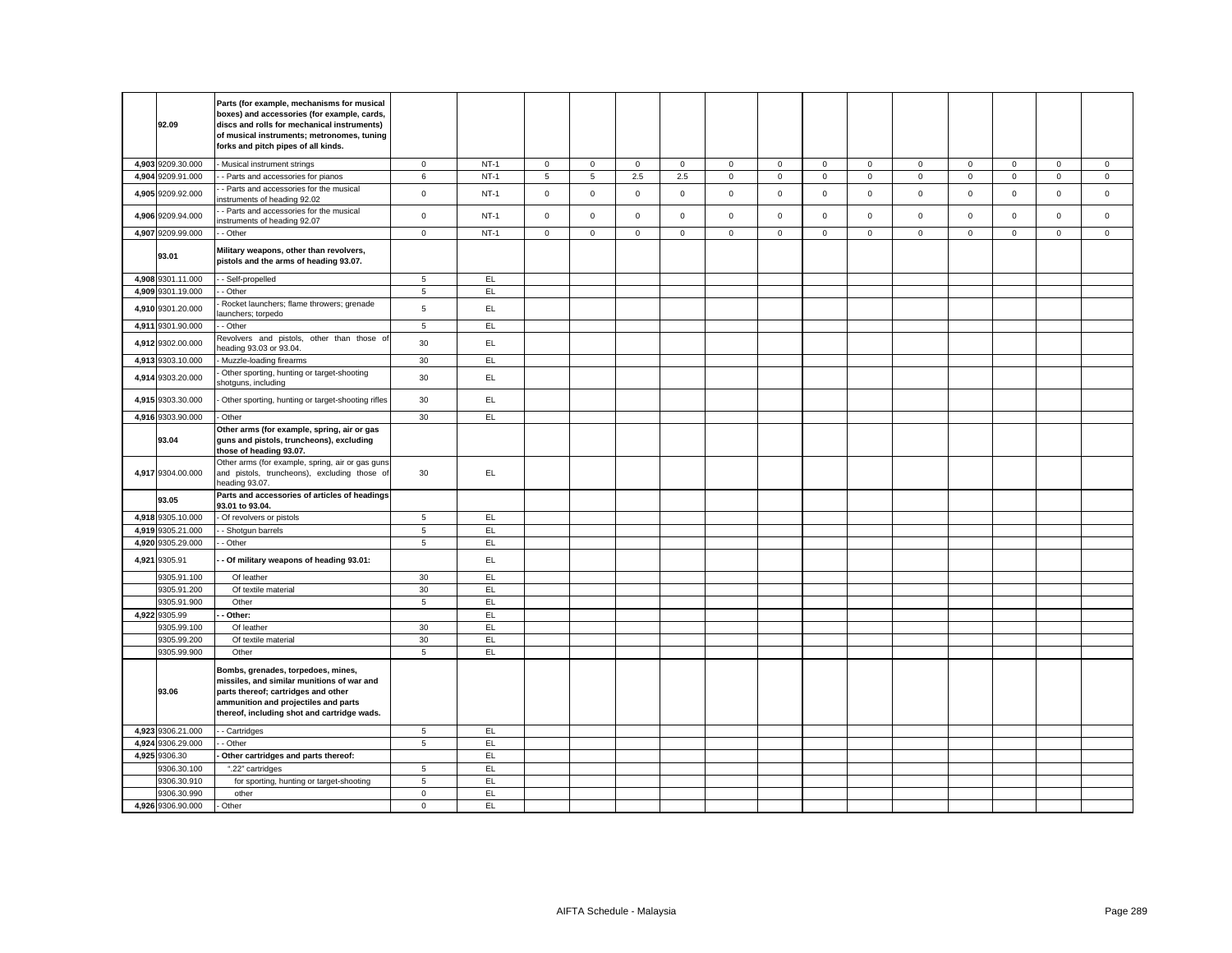|       | 92.09                      | Parts (for example, mechanisms for musical<br>boxes) and accessories (for example, cards,<br>discs and rolls for mechanical instruments)<br>of musical instruments; metronomes, tuning<br>forks and pitch pipes of all kinds. |                            |           |              |              |              |             |              |             |              |              |             |              |              |              |              |
|-------|----------------------------|-------------------------------------------------------------------------------------------------------------------------------------------------------------------------------------------------------------------------------|----------------------------|-----------|--------------|--------------|--------------|-------------|--------------|-------------|--------------|--------------|-------------|--------------|--------------|--------------|--------------|
|       | 4,903 9209.30.000          | Musical instrument strings                                                                                                                                                                                                    | $\circ$                    | $NT-1$    | $\mathbf 0$  | $\mathbf{O}$ | $\mathbf{0}$ | $\mathbf 0$ | $\mathbf 0$  | $\mathsf 0$ | $\mathbf 0$  | $\mathbf{0}$ | $\mathbf 0$ | $\mathbf 0$  | $\mathbf{O}$ | $\mathbf{0}$ | $\mathbf 0$  |
|       | 4,904 9209.91.000          | - Parts and accessories for pianos                                                                                                                                                                                            | 6                          | $NT-1$    | 5            | 5            | 2.5          | 2.5         | $\mathbf 0$  | $\mathsf 0$ | $\mathbf 0$  | $\mathsf 0$  | $\mathbf 0$ | $\mathbf 0$  | $\mathbf 0$  | $\mathsf 0$  | $\mathbf 0$  |
|       | 4,905 9209.92.000          | Parts and accessories for the musical<br>nstruments of heading 92.02                                                                                                                                                          | $\mathsf 0$                | $NT-1$    | $\mathsf 0$  | $\mathbf 0$  | $\mathsf 0$  | $\mathbf 0$ | $\mathbf 0$  | $\mathsf 0$ | $\mathbf 0$  | $\mathbf 0$  | $\mathbf 0$ | $\mathbf 0$  | $\mathbf 0$  | $\mathsf 0$  | $\mathbf 0$  |
|       | 4,906 9209.94.000          | Parts and accessories for the musical<br>nstruments of heading 92.07                                                                                                                                                          | $\mathsf 0$                | $NT-1$    | $\mathsf 0$  | $\mathsf{O}$ | $\mathsf 0$  | $\mathbf 0$ | $\mathsf 0$  | $\mathbf 0$ | $\mathbf 0$  | $\mathsf 0$  | $\mathsf 0$ | $\mathbf 0$  | $\mathsf 0$  | $\mathsf 0$  | $\mathbf 0$  |
|       | 4,907 9209.99.000          | - Other                                                                                                                                                                                                                       | $\mathbf{0}$               | $NT-1$    | $\mathbf{0}$ | $\mathbf{O}$ | $\mathbf{0}$ | $\mathbf 0$ | $\mathbf{0}$ | $\mathbf 0$ | $\mathbf{O}$ | $\mathbf{0}$ | $\mathbf 0$ | $\mathbf{0}$ | $\mathbf{0}$ | $\mathbf{0}$ | $\mathbf{0}$ |
|       | 93.01                      | Military weapons, other than revolvers,<br>pistols and the arms of heading 93.07.                                                                                                                                             |                            |           |              |              |              |             |              |             |              |              |             |              |              |              |              |
|       | 4,908 9301.11.000          | - Self-propelled                                                                                                                                                                                                              | 5                          | EL.       |              |              |              |             |              |             |              |              |             |              |              |              |              |
|       | 4,909 9301.19.000          | - Other                                                                                                                                                                                                                       | 5                          | EL        |              |              |              |             |              |             |              |              |             |              |              |              |              |
| 4,910 | 9301.20.000                | Rocket launchers; flame throwers; grenade<br>aunchers; torpedo                                                                                                                                                                | $\sqrt{5}$                 | EL.       |              |              |              |             |              |             |              |              |             |              |              |              |              |
|       | 4,911 9301.90.000          | - Other                                                                                                                                                                                                                       | 5                          | EL        |              |              |              |             |              |             |              |              |             |              |              |              |              |
| 4,912 | 9302.00.000                | Revolvers and pistols, other than those of<br>leading 93.03 or 93.04.                                                                                                                                                         | 30                         | EL        |              |              |              |             |              |             |              |              |             |              |              |              |              |
| 4,913 | 9303.10.000                | Muzzle-loading firearms                                                                                                                                                                                                       | 30                         | EL.       |              |              |              |             |              |             |              |              |             |              |              |              |              |
| 4,914 | 9303.20.000                | Other sporting, hunting or target-shooting<br>shotguns, including                                                                                                                                                             | 30                         | EL.       |              |              |              |             |              |             |              |              |             |              |              |              |              |
|       | 4,915 9303.30.000          | Other sporting, hunting or target-shooting rifles                                                                                                                                                                             | 30                         | EL        |              |              |              |             |              |             |              |              |             |              |              |              |              |
|       | 4,916 9303.90.000          | Other                                                                                                                                                                                                                         | 30                         | EL.       |              |              |              |             |              |             |              |              |             |              |              |              |              |
|       | 93.04                      | Other arms (for example, spring, air or gas<br>guns and pistols, truncheons), excluding<br>those of heading 93.07.                                                                                                            |                            |           |              |              |              |             |              |             |              |              |             |              |              |              |              |
|       | 4,917 9304.00.000          | Other arms (for example, spring, air or gas guns<br>and pistols, truncheons), excluding those of<br>heading 93.07.                                                                                                            | 30                         | EL.       |              |              |              |             |              |             |              |              |             |              |              |              |              |
|       | 93.05                      | Parts and accessories of articles of headings<br>93.01 to 93.04.                                                                                                                                                              |                            |           |              |              |              |             |              |             |              |              |             |              |              |              |              |
|       | 4,918 9305.10.000          | - Of revolvers or pistols                                                                                                                                                                                                     | 5                          | EL.       |              |              |              |             |              |             |              |              |             |              |              |              |              |
| 4,919 | 9305.21.000                | - Shotgun barrels                                                                                                                                                                                                             | $\overline{5}$             | EL        |              |              |              |             |              |             |              |              |             |              |              |              |              |
|       | 4,920 9305.29.000          | - Other                                                                                                                                                                                                                       | $\sqrt{5}$                 | EL.       |              |              |              |             |              |             |              |              |             |              |              |              |              |
| 4,921 | 9305.91                    | Of military weapons of heading 93.01:                                                                                                                                                                                         |                            | EL.       |              |              |              |             |              |             |              |              |             |              |              |              |              |
|       | 9305.91.100<br>9305.91.200 | Of leather<br>Of textile material                                                                                                                                                                                             | 30<br>30                   | EL<br>EL  |              |              |              |             |              |             |              |              |             |              |              |              |              |
|       | 9305.91.900                | Other                                                                                                                                                                                                                         | 5                          | EL        |              |              |              |             |              |             |              |              |             |              |              |              |              |
|       | 4,922 9305.99              | Other:                                                                                                                                                                                                                        |                            | EL        |              |              |              |             |              |             |              |              |             |              |              |              |              |
|       | 9305.99.100                | Of leather                                                                                                                                                                                                                    | 30                         | EL        |              |              |              |             |              |             |              |              |             |              |              |              |              |
|       | 9305.99.200                | Of textile material                                                                                                                                                                                                           | 30                         | EL        |              |              |              |             |              |             |              |              |             |              |              |              |              |
|       | 9305.99.900                | Other                                                                                                                                                                                                                         | 5                          | EL.       |              |              |              |             |              |             |              |              |             |              |              |              |              |
|       | 93.06                      | Bombs, grenades, torpedoes, mines,<br>missiles, and similar munitions of war and<br>parts thereof; cartridges and other<br>ammunition and projectiles and parts<br>thereof, including shot and cartridge wads.                |                            |           |              |              |              |             |              |             |              |              |             |              |              |              |              |
|       | 4,923 9306.21.000          | - Cartridges                                                                                                                                                                                                                  | 5                          | EL.       |              |              |              |             |              |             |              |              |             |              |              |              |              |
| 4,924 | 9306.29.000                | - Other                                                                                                                                                                                                                       | $\overline{5}$             | EL        |              |              |              |             |              |             |              |              |             |              |              |              |              |
|       | 4,925 9306.30              | Other cartridges and parts thereof:                                                                                                                                                                                           |                            | EL.       |              |              |              |             |              |             |              |              |             |              |              |              |              |
|       | 9306.30.100                | ".22" cartridges                                                                                                                                                                                                              | 5                          | EL        |              |              |              |             |              |             |              |              |             |              |              |              |              |
|       | 9306.30.910<br>9306.30.990 | for sporting, hunting or target-shooting                                                                                                                                                                                      | $\sqrt{5}$                 | EL.<br>EL |              |              |              |             |              |             |              |              |             |              |              |              |              |
|       | 4,926 9306.90.000          | other<br>Other                                                                                                                                                                                                                | $\mathbf 0$<br>$\mathbf 0$ | EL        |              |              |              |             |              |             |              |              |             |              |              |              |              |
|       |                            |                                                                                                                                                                                                                               |                            |           |              |              |              |             |              |             |              |              |             |              |              |              |              |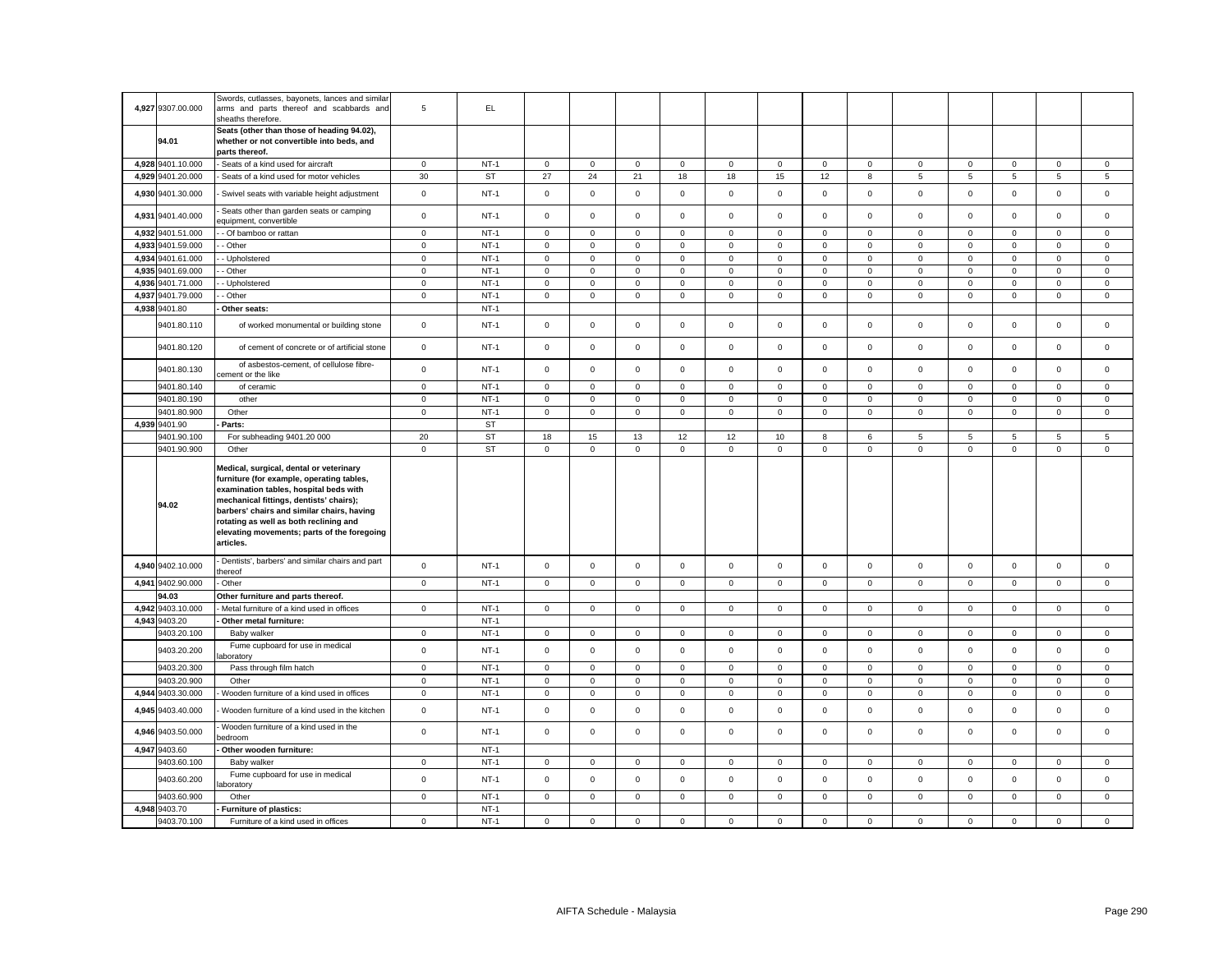|       | 4,927 9307.00.000      | Swords, cutlasses, bayonets, lances and similar<br>arms and parts thereof and scabbards and                                                                                                                                                                                                                                   | 5           | EL.              |                     |                     |             |             |             |                     |              |                |                 |             |             |                     |                |
|-------|------------------------|-------------------------------------------------------------------------------------------------------------------------------------------------------------------------------------------------------------------------------------------------------------------------------------------------------------------------------|-------------|------------------|---------------------|---------------------|-------------|-------------|-------------|---------------------|--------------|----------------|-----------------|-------------|-------------|---------------------|----------------|
|       | 94.01                  | sheaths therefore.<br>Seats (other than those of heading 94.02),<br>whether or not convertible into beds, and                                                                                                                                                                                                                 |             |                  |                     |                     |             |             |             |                     |              |                |                 |             |             |                     |                |
|       |                        | parts thereof.                                                                                                                                                                                                                                                                                                                |             |                  |                     |                     |             |             |             |                     |              |                |                 |             |             |                     |                |
|       | 4,928 9401.10.000      | Seats of a kind used for aircraft                                                                                                                                                                                                                                                                                             | $\mathbf 0$ | $NT-1$           | $\mathbf{0}$        | $\mathsf 0$         | $\mathsf 0$ | $\mathbf 0$ | 0           | $\mathbf 0$         | $\mathbf 0$  | $\mathsf 0$    | $\mathbf 0$     | $\mathsf 0$ | $\mathsf 0$ | $\mathsf 0$         | $\mathsf 0$    |
|       | 4,929 9401.20.000      | Seats of a kind used for motor vehicles                                                                                                                                                                                                                                                                                       | 30          | <b>ST</b>        | 27                  | 24                  | 21          | 18          | 18          | 15                  | 12           | 8              | $5\phantom{.0}$ | 5           | 5           | 5                   | 5              |
|       | 4,930 9401.30.000      | Swivel seats with variable height adjustment                                                                                                                                                                                                                                                                                  | $\mathsf 0$ | $NT-1$           | $\mathbf 0$         | $\mathsf 0$         | $\mathsf 0$ | $\mathsf 0$ | $\mathsf 0$ | $\mathsf 0$         | $\mathsf 0$  | $\mathsf 0$    | $\mathbf 0$     | $\mathsf 0$ | $\mathsf 0$ | $\mathsf 0$         | $\mathsf 0$    |
|       | 4,931 9401.40.000      | Seats other than garden seats or camping<br>equipment, convertible                                                                                                                                                                                                                                                            | $\mathsf 0$ | $NT-1$           | $\mathsf 0$         | $\mathsf 0$         | $\mathsf 0$ | $\mathbf 0$ | $\mathsf 0$ | $\mathsf 0$         | $\mathbf 0$  | $\mathsf 0$    | $\mathsf 0$     | $\mathsf 0$ | $\mathsf 0$ | $\mathsf 0$         | $\mathsf 0$    |
|       | 4,932 9401.51.000      | - Of bamboo or rattan                                                                                                                                                                                                                                                                                                         | $\mathsf 0$ | $NT-1$           | $\mathsf{O}\xspace$ | $\mathsf 0$         | $\mathsf 0$ | $\mathsf 0$ | $\mathsf 0$ | $\mathbf 0$         | $\mathsf 0$  | $\mathbf 0$    | $\mathbf 0$     | $\mathsf 0$ | $\mathsf 0$ | $\mathsf 0$         | $\mathsf 0$    |
|       | 4,933 9401.59.000      | Other                                                                                                                                                                                                                                                                                                                         | $\mathbf 0$ | $NT-1$           | 0                   | $\mathsf 0$         | $\mathsf 0$ | $\mathbf 0$ | $\mathbf 0$ | $\mathsf 0$         | $\mathbf 0$  | $\mathsf 0$    | $\mathbf 0$     | $\mathsf 0$ | $\mathsf 0$ | $\mathsf 0$         | $\mathsf 0$    |
|       | 4,934 9401.61.000      | Upholstered                                                                                                                                                                                                                                                                                                                   | $\mathbf 0$ | $NT-1$           | $\mathbf 0$         | $\mathsf 0$         | $\mathbf 0$ | $\mathsf 0$ | $\mathsf 0$ | $\mathbf 0$         | $\mathbf 0$  | $\mathsf 0$    | $\mathbf 0$     | $\mathbf 0$ | $\mathsf 0$ | $\mathbf 0$         | $\mathsf 0$    |
|       | 4,935 9401.69.000      | - Other                                                                                                                                                                                                                                                                                                                       | $\mathsf 0$ | $NT-1$           | 0                   | $\mathsf{O}\xspace$ | $\mathsf 0$ | $\mathsf 0$ | $\mathsf 0$ | $\mathsf 0$         | $\mathsf 0$  | $\mathsf 0$    | $\mathsf 0$     | $\mathbf 0$ | $\mathbf 0$ | $\mathsf 0$         | $\mathsf 0$    |
| 4,936 | 9401.71.000            | Upholstered                                                                                                                                                                                                                                                                                                                   | $\mathsf 0$ | $NT-1$           | $\mathbf 0$         | $\mathsf 0$         | $\mathsf 0$ | $\mathsf 0$ | $\mathsf 0$ | $\mathsf 0$         | $\mathsf 0$  | $\mathsf 0$    | $\mathsf 0$     | $\mathsf 0$ | $\mathsf 0$ | $\mathsf 0$         | $\mathsf 0$    |
|       | 4,937 9401.79.000      | Other                                                                                                                                                                                                                                                                                                                         | $\mathbf 0$ | $NT-1$           | $\mathbf 0$         | $\mathsf 0$         | $\mathsf 0$ | $\mathbf 0$ | $\mathbf 0$ | $\mathsf 0$         | $\mathbf 0$  | $\mathbf 0$    | $\mathbf 0$     | $\mathsf 0$ | $\mathbf 0$ | $\mathsf 0$         | $\mathsf 0$    |
| 4,938 | 9401.80                | Other seats:                                                                                                                                                                                                                                                                                                                  |             | $NT-1$           |                     |                     |             |             |             |                     |              |                |                 |             |             |                     |                |
|       | 9401.80.110            | of worked monumental or building stone                                                                                                                                                                                                                                                                                        | $\mathsf 0$ | $NT-1$           | $\mathbf 0$         | $\mathsf 0$         | $\mathsf 0$ | $\mathsf 0$ | $\mathsf 0$ | $\mathsf 0$         | $\mathbf 0$  | $\mathsf 0$    | $\mathsf 0$     | $\mathsf 0$ | $\mathsf 0$ | $\mathsf 0$         | $\mathbf 0$    |
|       | 9401.80.120            | of cement of concrete or of artificial stone                                                                                                                                                                                                                                                                                  | $\mathbf 0$ | $NT-1$           | 0                   | $\mathsf 0$         | $\mathsf 0$ | $\mathsf 0$ | 0           | $\mathsf 0$         | $\mathbf{0}$ | $\mathsf 0$    | $\mathbf 0$     | $\mathsf 0$ | $\mathbf 0$ | $\mathsf 0$         | $\mathsf 0$    |
|       | 9401.80.130            | of asbestos-cement, of cellulose fibre-<br>ement or the like                                                                                                                                                                                                                                                                  | $\mathbf 0$ | $NT-1$           | $\mathbf 0$         | $\mathsf 0$         | $\mathsf 0$ | $\mathsf 0$ | $\mathsf 0$ | $\mathsf 0$         | $\mathbf 0$  | $\mathbf 0$    | $\mathbf 0$     | $\mathsf 0$ | $\mathsf 0$ | $\mathsf 0$         | $\mathsf 0$    |
|       | 9401.80.140            | of ceramic                                                                                                                                                                                                                                                                                                                    | $\mathbf 0$ | $NT-1$           | $\mathbf{0}$        | $\Omega$            | $\mathsf 0$ | $\mathbf 0$ | $\mathbf 0$ | $\mathbf 0$         | $\mathbf 0$  | $\mathbf 0$    | $\mathbf 0$     | $\mathbf 0$ | $\mathbf 0$ | $\mathbf 0$         | $\mathsf 0$    |
|       | 9401.80.190            | other                                                                                                                                                                                                                                                                                                                         | $\mathbf 0$ | $NT-1$           | 0                   | $\mathbf 0$         | $\mathbf 0$ | 0           | 0           | 0                   | $\mathbf 0$  | $\mathbf 0$    | 0               | 0           | 0           | 0                   | $\mathbf 0$    |
|       | 9401.80.900            | Other                                                                                                                                                                                                                                                                                                                         | $\mathsf 0$ | $NT-1$           | 0                   | $\mathsf 0$         | $\mathsf 0$ | $\mathbf 0$ | $\mathsf 0$ | $\mathbf 0$         | $\mathsf 0$  | $\mathsf 0$    | $\mathsf 0$     | $\mathsf 0$ | $\mathsf 0$ | $\mathbf 0$         | $\mathsf 0$    |
|       | 4,939 9401.90          | Parts:                                                                                                                                                                                                                                                                                                                        |             | <b>ST</b>        |                     |                     |             |             |             |                     |              |                |                 |             |             |                     |                |
|       | 9401.90.100            | For subheading 9401.20 000                                                                                                                                                                                                                                                                                                    | 20          | <b>ST</b>        | 18                  | 15                  | 13          | 12          | 12          | 10                  | 8            | 6              | 5               | 5           | 5           | 5                   | 5              |
|       | 9401.90.900            | Other                                                                                                                                                                                                                                                                                                                         | $\mathbf 0$ | <b>ST</b>        | $\mathbf 0$         | $\mathsf 0$         | $\mathsf 0$ | $\mathsf 0$ | $\mathsf 0$ | $\mathsf 0$         | $\mathbf 0$  | $\mathsf 0$    | $\mathsf 0$     | $\mathsf 0$ | $\mathsf 0$ | $\mathsf{O}\xspace$ | $\mathsf 0$    |
|       |                        |                                                                                                                                                                                                                                                                                                                               |             |                  |                     |                     |             |             |             |                     |              |                |                 |             |             |                     |                |
|       | 94.02                  | Medical, surgical, dental or veterinary<br>furniture (for example, operating tables,<br>examination tables, hospital beds with<br>mechanical fittings, dentists' chairs);<br>barbers' chairs and similar chairs, having<br>rotating as well as both reclining and<br>elevating movements; parts of the foregoing<br>articles. |             |                  |                     |                     |             |             |             |                     |              |                |                 |             |             |                     |                |
|       | 4,940 9402.10.000      | Dentists', barbers' and similar chairs and part<br>thereof                                                                                                                                                                                                                                                                    | $\mathbf 0$ | $NT-1$           | $\mathbf 0$         | $\mathsf 0$         | $\mathsf 0$ | $\mathsf 0$ | $\mathbf 0$ | $\mathsf 0$         | $\mathbf 0$  | $\mathbf 0$    | $\mathsf 0$     | $\mathsf 0$ | $\mathsf 0$ | $\mathsf 0$         | $\mathsf 0$    |
| 4,941 | 9402.90.000            | Other                                                                                                                                                                                                                                                                                                                         | $\mathsf 0$ | $NT-1$           | $\mathbf 0$         | $\mathsf 0$         | $\mathbf 0$ | $\mathsf 0$ | $\mathbf 0$ | $\mathsf 0$         | $\mathbf{0}$ | $\mathsf 0$    | $\mathbf 0$     | $\mathsf 0$ | $\mathbf 0$ | $\mathbf 0$         | $\mathsf 0$    |
|       | 94.03                  | Other furniture and parts thereof.                                                                                                                                                                                                                                                                                            |             |                  |                     |                     |             |             |             |                     |              |                |                 |             |             |                     |                |
|       | 4,942 9403.10.000      | Metal furniture of a kind used in offices                                                                                                                                                                                                                                                                                     | $\mathsf 0$ | $NT-1$           | $\mathbf 0$         | $\mathbf 0$         | $\mathbf 0$ | $\mathsf 0$ | $\mathsf 0$ | $\mathsf 0$         | $\mathbf 0$  | $\overline{0}$ | $\mathsf 0$     | $\mathbf 0$ | $\mathbf 0$ | $\mathsf 0$         | $\mathsf 0$    |
| 4,943 | 9403.20                | Other metal furniture:                                                                                                                                                                                                                                                                                                        |             | $NT-1$           |                     |                     |             |             |             |                     |              |                |                 |             |             |                     |                |
|       | 9403.20.100            | Baby walker                                                                                                                                                                                                                                                                                                                   | $\mathbf 0$ | $NT-1$           | $\mathbf 0$         | $\mathsf 0$         | $\mathsf 0$ | $\mathsf 0$ | $\mathbf 0$ | $\mathsf 0$         | $\mathbf 0$  | $\mathbf 0$    | $\mathsf 0$     | $\mathsf 0$ | $\mathbf 0$ | $\mathbf 0$         | $\mathsf 0$    |
|       | 9403.20.200            | Fume cupboard for use in medical<br>aboratory                                                                                                                                                                                                                                                                                 | $\mathsf 0$ | $NT-1$           | $\mathbf 0$         | $\mathsf 0$         | $\mathsf 0$ | $\mathsf 0$ | $\mathsf 0$ | $\mathsf 0$         | $\mathsf 0$  | $\mathsf 0$    | $\mathsf 0$     | $\mathsf 0$ | $\mathsf 0$ | $\mathsf 0$         | $\mathsf 0$    |
|       | 9403.20.300            | Pass through film hatch                                                                                                                                                                                                                                                                                                       | $\mathbf 0$ | $NT-1$           | 0                   | $\mathbf 0$         | $\mathbf 0$ | $\mathbf 0$ | 0           | $\mathsf 0$         | $\mathbf 0$  | $\mathbf 0$    | $\mathbf 0$     | 0           | $\mathbf 0$ | $\mathbf 0$         | $\overline{0}$ |
|       | 9403.20.900            | Other                                                                                                                                                                                                                                                                                                                         | $\mathbf 0$ | $NT-1$           | $\mathbf 0$         | $\mathsf 0$         | $\mathsf 0$ | $\mathsf 0$ | $\mathsf 0$ | $\mathsf 0$         | $\mathsf 0$  | $\mathsf 0$    | $\mathsf 0$     | $\mathsf 0$ | $\mathsf 0$ | $\mathsf 0$         | $\mathsf 0$    |
| 4,944 | 9403.30.000            | Wooden furniture of a kind used in offices                                                                                                                                                                                                                                                                                    | $\mathbf 0$ | $NT-1$           | $\mathbf 0$         | $\mathsf 0$         | $\mathsf 0$ | $\mathsf 0$ | $\mathbf 0$ | $\mathsf 0$         | $\mathbf 0$  | $\mathsf 0$    | $\mathsf 0$     | $\mathsf 0$ | $\mathsf 0$ | $\mathsf 0$         | $\mathsf 0$    |
| 4,945 | 9403.40.000            | Wooden furniture of a kind used in the kitchen                                                                                                                                                                                                                                                                                | $\mathsf 0$ | $NT-1$           | $\mathbf 0$         | $\mathsf 0$         | $\mathsf 0$ | $\mathsf 0$ | $\mathsf 0$ | $\mathsf 0$         | $\mathsf 0$  | $\mathsf 0$    | $\mathbf 0$     | $\mathsf 0$ | $\mathsf 0$ | $\mathsf 0$         | $\mathsf 0$    |
|       | 4,946 9403.50.000      | Wooden furniture of a kind used in the<br>edroom                                                                                                                                                                                                                                                                              | $\mathsf 0$ | $NT-1$           | $\mathbf 0$         | $\mathbf 0$         | $\mathbf 0$ | $\mathbf 0$ | $\mathsf 0$ | $\mathbf 0$         | $\mathbf 0$  | $\mathbf 0$    | $\mathbf 0$     | $\mathsf 0$ | $\mathbf 0$ | $\mathbf 0$         | $\mathbf 0$    |
|       | 4,947 9403.60          | Other wooden furniture:                                                                                                                                                                                                                                                                                                       |             | $NT-1$           |                     |                     |             |             |             |                     |              |                |                 |             |             |                     |                |
|       | 9403.60.100            | Baby walker                                                                                                                                                                                                                                                                                                                   | $\mathbf 0$ | $NT-1$           | 0                   | $\mathbf 0$         | $\mathbf 0$ | $\mathbf 0$ | $\mathbf 0$ | $\mathbf 0$         | $\mathbf{0}$ | $\mathbf 0$    | 0               | $\mathbf 0$ | $\mathbf 0$ | $\mathbf 0$         | $\mathsf 0$    |
|       | 9403.60.200            | Fume cupboard for use in medical<br>aboratory                                                                                                                                                                                                                                                                                 | $\mathsf 0$ | $NT-1$           | $\mathbf 0$         | $\mathsf 0$         | $\mathsf 0$ | $\mathsf 0$ | $\mathbf 0$ | $\mathsf{O}\xspace$ | $\mathsf 0$  | $\mathsf 0$    | $\mathsf 0$     | $\mathsf 0$ | $\mathsf 0$ | $\mathsf{O}\xspace$ | $\mathsf 0$    |
|       | 9403.60.900            | Other                                                                                                                                                                                                                                                                                                                         | $\mathbf 0$ | $NT-1$           | 0                   | $\mathbf 0$         | $\mathbf 0$ | $\mathbf 0$ | 0           | $\mathbf 0$         | $\mathbf 0$  | $\mathbf{0}$   | 0               | $\mathbf 0$ | 0           | $\mathbf 0$         | $\mathbf 0$    |
| 4,948 | 9403.70<br>9403.70.100 | Furniture of plastics:<br>Furniture of a kind used in offices                                                                                                                                                                                                                                                                 | $\mathbf 0$ | $NT-1$<br>$NT-1$ | $\mathbf 0$         | $\mathsf 0$         | $\mathsf 0$ | $\mathsf 0$ | $\mathbf 0$ | $\mathsf 0$         | $\mathsf 0$  | $\mathsf 0$    | $\mathsf 0$     | $\mathsf 0$ | $\mathsf 0$ | $\mathsf 0$         | $\mathsf 0$    |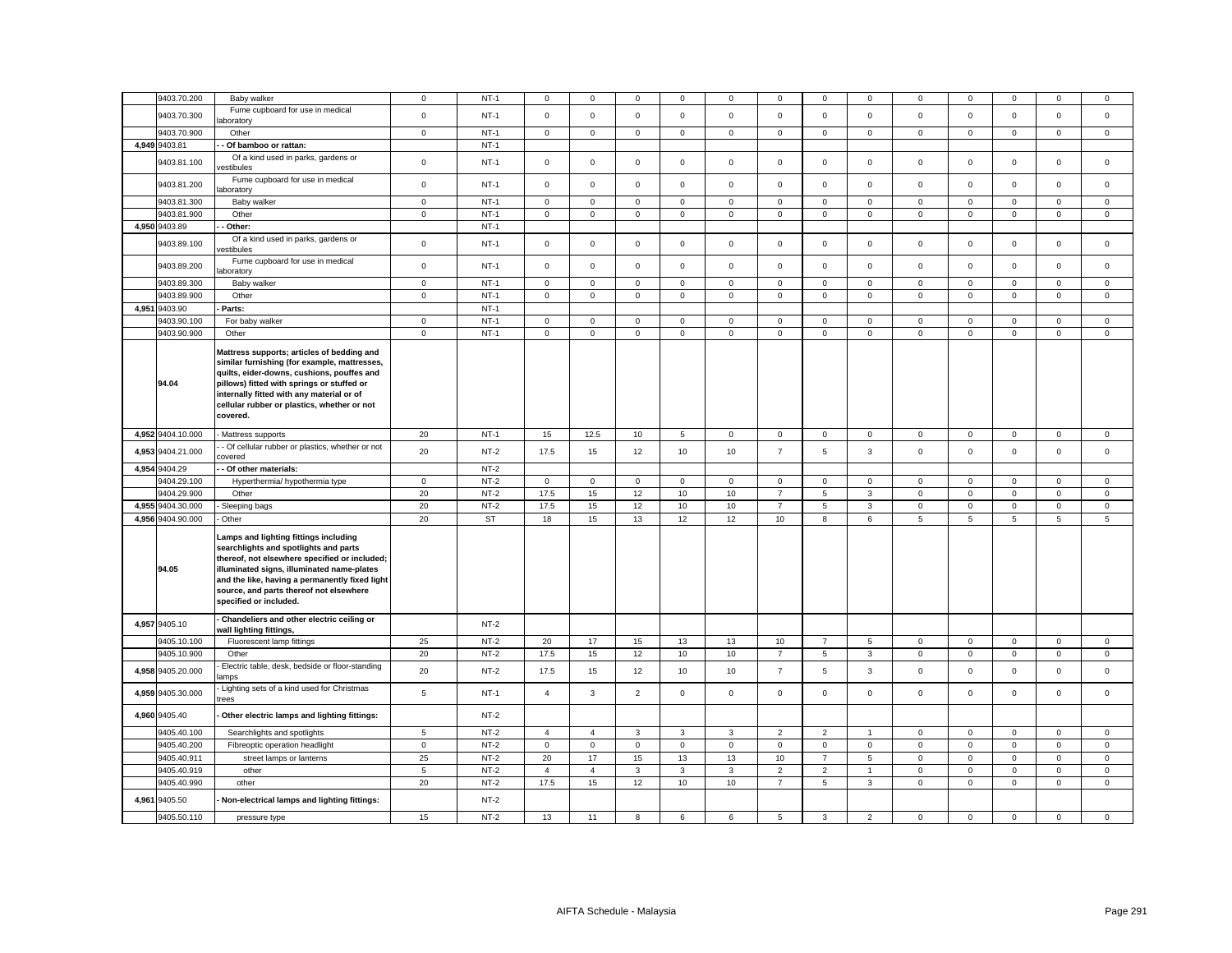| 9403.70.200                  | Baby walker                                                                                                                                                                                                                                                                                          | $\mathbf 0$ | $NT-1$    | $\mathbf 0$    | $\mathbf 0$    | $\mathbf 0$         | $\mathbf 0$  | 0              | $\mathbf 0$    | $\mathbf 0$    | $\mathbf 0$    | $\mathbf 0$         | $\mathbf 0$ | $\Omega$    | $\mathbf 0$  | $\mathbf 0$    |
|------------------------------|------------------------------------------------------------------------------------------------------------------------------------------------------------------------------------------------------------------------------------------------------------------------------------------------------|-------------|-----------|----------------|----------------|---------------------|--------------|----------------|----------------|----------------|----------------|---------------------|-------------|-------------|--------------|----------------|
| 9403.70.300                  | Fume cupboard for use in medical                                                                                                                                                                                                                                                                     | $\mathsf 0$ | $NT-1$    | $\mathsf 0$    | $\mathsf 0$    | $\mathsf{O}\xspace$ | $\mathsf 0$  | $\mathbf 0$    | $\mathsf 0$    | $\mathsf 0$    | $\mathsf 0$    | $\mathsf 0$         | $\mathsf 0$ | $\mathsf 0$ | $\mathsf 0$  | $\mathsf 0$    |
|                              | boratory                                                                                                                                                                                                                                                                                             |             |           |                |                |                     |              |                |                |                |                |                     |             |             |              |                |
| 9403.70.900                  | Other                                                                                                                                                                                                                                                                                                | $\mathbf 0$ | $NT-1$    | $\mathbf 0$    | $\mathbf 0$    | $\mathbf 0$         | $\mathbf{0}$ | 0              | $\mathsf 0$    | $\mathbf 0$    | $\circ$        | $\mathbf 0$         | $\mathsf 0$ | $\mathbf 0$ | $\mathbf 0$  | $\mathbf 0$    |
| 4,949 9403.81                | - Of bamboo or rattan:                                                                                                                                                                                                                                                                               |             | $NT-1$    |                |                |                     |              |                |                |                |                |                     |             |             |              |                |
| 9403.81.100                  | Of a kind used in parks, gardens or<br>estibules                                                                                                                                                                                                                                                     | $\mathsf 0$ | $NT-1$    | $\mathsf 0$    | $\mathsf{O}$   | $\mathsf 0$         | $\mathbf 0$  | $\mathbf 0$    | $\mathsf 0$    | $\mathsf 0$    | $\mathsf 0$    | $\mathsf 0$         | $\mathsf 0$ | $\mathsf 0$ | $\mathsf 0$  | $\mathsf 0$    |
| 9403.81.200                  | Fume cupboard for use in medical<br>aboratory                                                                                                                                                                                                                                                        | $\mathsf 0$ | $NT-1$    | $\mathsf 0$    | $\mathbf 0$    | $\mathsf 0$         | $\mathsf 0$  | $\mathsf 0$    | $\mathsf 0$    | $\mathsf 0$    | $\mathsf 0$    | $\mathsf 0$         | $\mathsf 0$ | $\mathsf 0$ | $\mathsf 0$  | $\mathsf 0$    |
| 9403.81.300                  | Baby walker                                                                                                                                                                                                                                                                                          | $\mathbf 0$ | $NT-1$    | $\mathbf{0}$   | $\overline{0}$ | $\mathsf 0$         | $\mathbf 0$  | 0              | $\mathbf 0$    | 0              | $\overline{0}$ | $\mathbf 0$         | $\mathbf 0$ | $\mathbf 0$ | $\mathbf 0$  | $\mathbf{0}$   |
| 9403.81.900                  | Other                                                                                                                                                                                                                                                                                                | $\mathsf 0$ | $NT-1$    | $\mathsf 0$    | $\mathsf 0$    | $\mathsf 0$         | $\mathsf 0$  | 0              | $\mathsf 0$    | $\mathsf 0$    | $\mathsf 0$    | $\mathsf 0$         | $\mathsf 0$ | $\mathsf 0$ | $\mathsf 0$  | $\mathsf 0$    |
| 4,950 9403.89                | Other:                                                                                                                                                                                                                                                                                               |             | $NT-1$    |                |                |                     |              |                |                |                |                |                     |             |             |              |                |
| 9403.89.100                  | Of a kind used in parks, gardens or<br>estibules                                                                                                                                                                                                                                                     | $\mathbf 0$ | $NT-1$    | $\mathsf 0$    | $\mathbf{0}$   | $\mathsf 0$         | $\mathbf 0$  | 0              | $\mathsf 0$    | $\mathsf 0$    | $\mathsf 0$    | $\mathsf 0$         | $\mathsf 0$ | $\mathsf 0$ | $\mathsf 0$  | $\mathsf 0$    |
| 9403.89.200                  | Fume cupboard for use in medical<br>aboratory                                                                                                                                                                                                                                                        | $\mathsf 0$ | $NT-1$    | $\mathsf{O}$   | $\mathsf 0$    | $\mathsf 0$         | $\mathbf 0$  | 0              | $\mathsf 0$    | $\mathsf 0$    | $\mathsf 0$    | $\mathsf 0$         | $\mathsf 0$ | $\mathsf 0$ | $\mathsf 0$  | $\mathsf 0$    |
| 9403.89.300                  | Baby walker                                                                                                                                                                                                                                                                                          | $\mathbf 0$ | $NT-1$    | $\mathbf 0$    | $\mathsf 0$    | $\mathbf 0$         | $\mathbf 0$  | 0              | $\mathbf 0$    | $\mathbf 0$    | $\mathsf 0$    | $\mathbf 0$         | $\mathbf 0$ | $\mathbf 0$ | $\mathbf 0$  | $\mathsf 0$    |
| 9403.89.900                  | Other                                                                                                                                                                                                                                                                                                | $\mathbf 0$ | $NT-1$    | $\mathbf{0}$   | $\mathbf 0$    | $\mathsf 0$         | $\mathbf 0$  | $\mathbf 0$    | $\mathsf 0$    | $\mathbf 0$    | $\mathbf 0$    | $\mathbf 0$         | $\mathsf 0$ | $\mathbf 0$ | $\mathsf 0$  | $\mathbf 0$    |
| 4,951 9403.90                | Parts:                                                                                                                                                                                                                                                                                               |             | $NT-1$    |                |                |                     |              |                |                |                |                |                     |             |             |              |                |
| 9403.90.100                  | For baby walker                                                                                                                                                                                                                                                                                      | $\mathbf 0$ | $NT-1$    | $\mathsf 0$    | $\mathsf 0$    | $\mathsf 0$         | $\mathbf 0$  | $\mathbf 0$    | $\mathsf 0$    | $\mathbf 0$    | $\mathsf 0$    | $\mathbf 0$         | $\mathsf 0$ | $\mathbf 0$ | $\mathsf 0$  | $\mathsf 0$    |
| 9403.90.900                  | Other                                                                                                                                                                                                                                                                                                | $\mathbf 0$ | $NT-1$    | $\mathbf{0}$   | $\mathbf{0}$   | $\mathbf 0$         | $\mathbf{0}$ | $\overline{0}$ | $\mathbf 0$    | $\mathbf 0$    | $\mathbf 0$    | $\mathsf 0$         | $\mathbf 0$ | $\mathbf 0$ | $\mathbf{0}$ | $\mathbf 0$    |
| 94.04                        | Mattress supports; articles of bedding and<br>similar furnishing (for example, mattresses,<br>quilts, eider-downs, cushions, pouffes and<br>pillows) fitted with springs or stuffed or<br>internally fitted with any material or of<br>cellular rubber or plastics, whether or not<br>covered.       |             |           |                |                |                     |              |                |                |                |                |                     |             |             |              |                |
| 4,952 9404.10.000            | Mattress supports                                                                                                                                                                                                                                                                                    | 20          | $NT-1$    | 15             | 12.5           | 10                  | 5            | 0              | $\mathsf 0$    | $\mathbf 0$    | $\mathbf 0$    | $\mathbf{0}$        | $\mathsf 0$ | $\mathbf 0$ | $\mathsf 0$  | $\mathsf 0$    |
| 4,953 9404.21.000            | - Of cellular rubber or plastics, whether or not<br>covered                                                                                                                                                                                                                                          | 20          | $NT-2$    | 17.5           | 15             | 12                  | 10           | 10             | $\overline{7}$ | 5              | $\mathbf{3}$   | $\mathbf 0$         | $\mathbf 0$ | $\mathbf 0$ | $\mathsf 0$  | $\mathsf 0$    |
| 4,954 9404.29                | - Of other materials:                                                                                                                                                                                                                                                                                |             | $NT-2$    |                |                |                     |              |                |                |                |                |                     |             |             |              |                |
| 9404.29.100                  | Hyperthermia/ hypothermia type                                                                                                                                                                                                                                                                       | $\mathsf 0$ | $NT-2$    | $\mathsf 0$    | $\mathbf 0$    | $\mathsf 0$         | $\mathsf 0$  | 0              | $\mathsf 0$    | $\mathsf 0$    | $\mathsf 0$    | $\mathsf 0$         | $\mathbf 0$ | $\mathbf 0$ | $\mathsf 0$  | $\mathsf 0$    |
| 9404.29.900                  | Other                                                                                                                                                                                                                                                                                                | 20          | $NT-2$    | 17.5           | 15             | 12                  | 10           | 10             | $\overline{7}$ | 5              | $\mathbf{3}$   | $\mathbf{0}$        | $\mathbf 0$ | $\mathbf 0$ | $\mathbf 0$  | $\mathbf 0$    |
| 4,955 9404.30.000            | Sleeping bags                                                                                                                                                                                                                                                                                        | 20          | $NT-2$    | 17.5           | 15             | 12                  | 10           | 10             | $\overline{7}$ | 5              | $\mathbf{3}$   | $\mathbf 0$         | $\mathsf 0$ | $\mathbf 0$ | $\mathbf 0$  | $\mathsf 0$    |
| 4,956 9404.90.000            | - Other                                                                                                                                                                                                                                                                                              | 20          | <b>ST</b> | 18             | 15             | 13                  | 12           | 12             | 10             | 8              | 6              | $5\phantom{.0}$     | 5           | 5           | 5            | $\overline{5}$ |
| 94.05                        | Lamps and lighting fittings including<br>searchlights and spotlights and parts<br>thereof, not elsewhere specified or included;<br>illuminated signs, illuminated name-plates<br>and the like, having a permanently fixed light<br>source, and parts thereof not elsewhere<br>specified or included. |             |           |                |                |                     |              |                |                |                |                |                     |             |             |              |                |
| 4,957 9405.10                | - Chandeliers and other electric ceiling or<br>wall lighting fittings,                                                                                                                                                                                                                               |             | $NT-2$    |                |                |                     |              |                |                |                |                |                     |             |             |              |                |
| 9405.10.100                  | Fluorescent lamp fittings                                                                                                                                                                                                                                                                            | 25          | $NT-2$    | 20             | 17             | 15                  | 13           | 13             | 10             | $\overline{7}$ | 5              | $\mathbf 0$         | $\mathbf 0$ | $\mathbf 0$ | $\mathbf 0$  | $\mathbf 0$    |
| 9405.10.900                  | Other                                                                                                                                                                                                                                                                                                | 20          | $NT-2$    | 17.5           | 15             | 12                  | 10           | 10             | $\overline{7}$ | 5              | $\mathbf{3}$   | $\mathsf 0$         | $\mathbf 0$ | $\mathsf 0$ | $\mathsf 0$  | $\mathsf 0$    |
| 4,958 9405.20.000            | Electric table, desk, bedside or floor-standing<br>amps                                                                                                                                                                                                                                              | 20          | $NT-2$    | 17.5           | 15             | 12                  | 10           | 10             | $\overline{7}$ | 5              | $\mathbf{3}$   | $\mathsf 0$         | $\mathsf 0$ | $\mathbf 0$ | $\mathsf 0$  | $\mathsf 0$    |
| 4,959 9405.30.000            | Lighting sets of a kind used for Christmas<br>trees                                                                                                                                                                                                                                                  | $\,$ 5 $\,$ | $NT-1$    | $\overline{4}$ | $\mathbf{3}$   | $\overline{2}$      | $\mathbf 0$  | $\mathbf 0$    | $\mathsf 0$    | $\mathbf 0$    | $\mathsf 0$    | $\mathbf 0$         | $\mathbf 0$ | $\mathsf 0$ | $\mathsf 0$  | $\mathsf 0$    |
| 4,960 9405.40                | Other electric lamps and lighting fittings:                                                                                                                                                                                                                                                          |             | $NT-2$    |                |                |                     |              |                |                |                |                |                     |             |             |              |                |
| 9405.40.100                  | Searchlights and spotlights                                                                                                                                                                                                                                                                          | 5           | $NT-2$    | $\overline{4}$ | $\overline{4}$ | 3                   | 3            | 3              | $\overline{2}$ | $\overline{2}$ | $\mathbf{1}$   | $\mathbf 0$         | $\mathbf 0$ | $\mathbf 0$ | $\mathbf 0$  | $\mathsf 0$    |
| 9405.40.200                  | Fibreoptic operation headlight                                                                                                                                                                                                                                                                       | $\mathsf 0$ | $NT-2$    | $\mathsf{O}$   | $\mathbf 0$    | $\mathsf 0$         | $\mathsf 0$  | $\mathbf 0$    | $\mathsf 0$    | $\mathsf{O}$   | $\mathsf 0$    | $\mathsf{O}\xspace$ | $\mathsf 0$ | $\mathsf 0$ | $\mathsf 0$  | $\mathbf 0$    |
| 9405.40.911                  | street lamps or lanterns                                                                                                                                                                                                                                                                             | 25          | $NT-2$    | 20             | 17             | 15                  | 13           | 13             | 10             | $\overline{7}$ | 5              | $\mathsf 0$         | $\mathbf 0$ | $\mathbf 0$ | $\mathbf 0$  | $\mathbf 0$    |
| 9405.40.919                  | other                                                                                                                                                                                                                                                                                                | 5           | $NT-2$    | $\overline{4}$ | $\overline{4}$ | $\mathbf{3}$        | 3            | 3              | $\overline{2}$ | $\overline{2}$ | $\overline{1}$ | $\mathbf{0}$        | $\mathsf 0$ | $\mathbf 0$ | $\mathbf 0$  | $\mathsf 0$    |
|                              |                                                                                                                                                                                                                                                                                                      |             |           |                |                |                     |              |                |                |                |                |                     |             |             |              | $\mathsf 0$    |
|                              | other                                                                                                                                                                                                                                                                                                |             | $NT-2$    |                |                |                     |              | 10             | $\overline{7}$ |                | $\mathbf{3}$   | $\mathbf 0$         | $\mathsf 0$ | $\mathbf 0$ | $\mathbf 0$  |                |
| 9405.40.990<br>4,961 9405.50 | Non-electrical lamps and lighting fittings:                                                                                                                                                                                                                                                          | 20          | $NT-2$    | 17.5           | 15             | 12                  | 10           |                |                | 5              |                |                     |             |             |              |                |
| 9405.50.110                  | pressure type                                                                                                                                                                                                                                                                                        | 15          | $NT-2$    | 13             | 11             | 8                   | 6            | 6              | 5              | 3              | $\overline{2}$ | $\mathsf 0$         | $\mathsf 0$ | $\mathsf 0$ | $\mathsf 0$  | $\mathsf 0$    |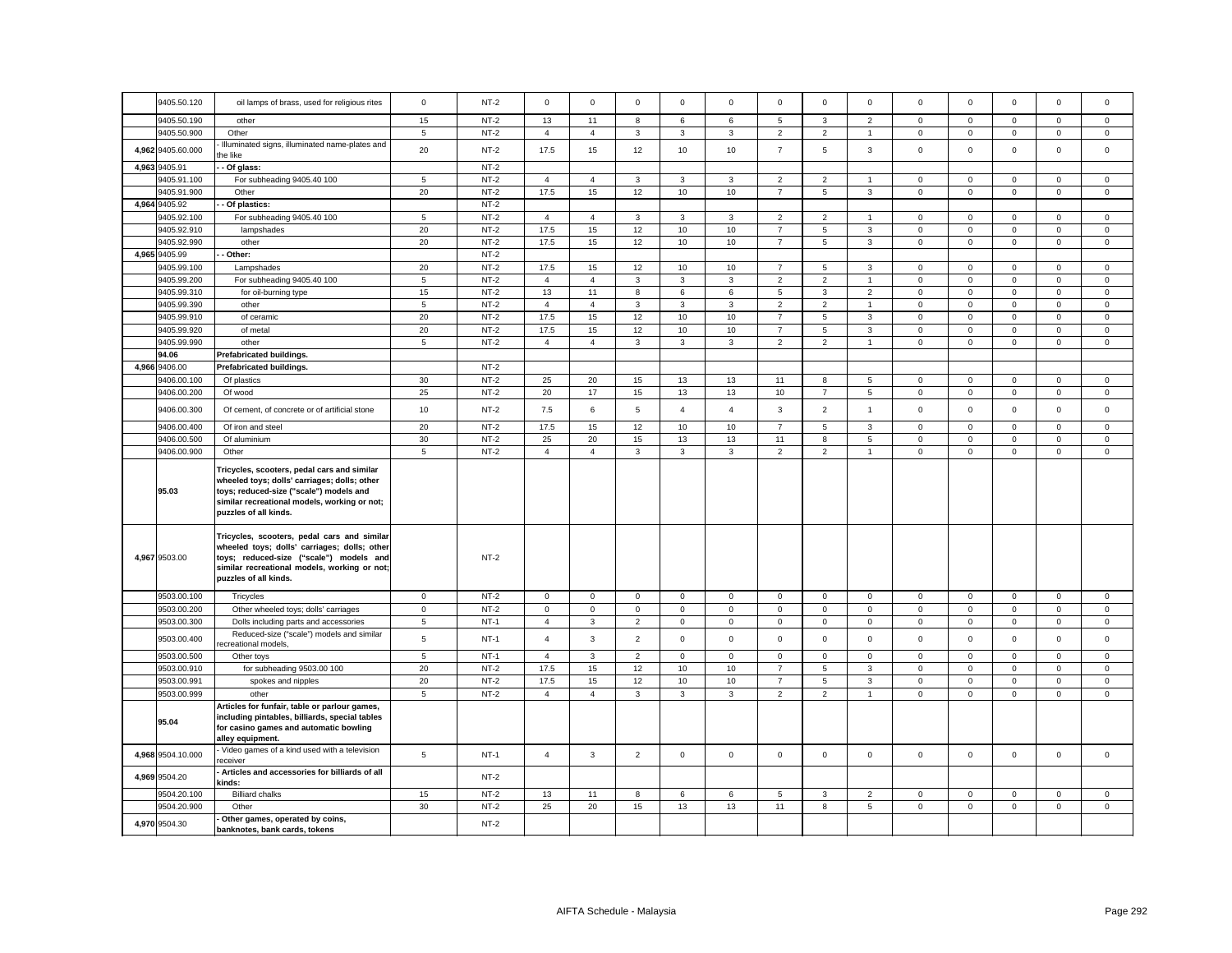| 9405.50.120       | oil lamps of brass, used for religious rites                                                                                                                                                                    | $\mathbf 0$     | $NT-2$ | $\mathsf 0$    | $\mathsf 0$    | $\mathsf 0$    | $\Omega$       | $\mathbf 0$    | $\mathsf 0$    | $\mathbf 0$     | $\mathsf 0$    | $\mathsf 0$ | $\mathbf 0$  | $\mathbf 0$  | $\mathsf 0$  | $\mathsf 0$  |
|-------------------|-----------------------------------------------------------------------------------------------------------------------------------------------------------------------------------------------------------------|-----------------|--------|----------------|----------------|----------------|----------------|----------------|----------------|-----------------|----------------|-------------|--------------|--------------|--------------|--------------|
| 9405.50.190       | other                                                                                                                                                                                                           | 15              | $NT-2$ | 13             | 11             | 8              | 6              | 6              | 5              | 3               | $\overline{2}$ | $\mathbf 0$ | $\mathsf 0$  | $\mathbf 0$  | $\mathsf 0$  | $\mathsf 0$  |
| 9405.50.900       | Other                                                                                                                                                                                                           | $\sqrt{5}$      | $NT-2$ | $\overline{4}$ | $\overline{4}$ | $_{3}$         | 3              | $\mathbf{3}$   | $\mathbf 2$    | $\overline{2}$  | $\mathbf{1}$   | $\mathbf 0$ | $\mathsf 0$  | $\mathbf 0$  | $\mathbf 0$  | $\mathsf 0$  |
|                   | Illuminated signs, illuminated name-plates and                                                                                                                                                                  |                 |        |                |                |                |                |                |                |                 |                |             |              |              |              |              |
| 4,962 9405.60.000 | he like                                                                                                                                                                                                         | 20              | $NT-2$ | 17.5           | 15             | 12             | 10             | 10             | $\overline{7}$ | 5               | $\mathbf{3}$   | $\mathbf 0$ | $\mathsf 0$  | $\mathbf 0$  | $\mathsf 0$  | $\mathsf 0$  |
| 4,963 9405.91     | Of glass:                                                                                                                                                                                                       |                 | $NT-2$ |                |                |                |                |                |                |                 |                |             |              |              |              |              |
| 9405.91.100       | For subheading 9405.40 100                                                                                                                                                                                      | 5               | $NT-2$ | $\overline{4}$ | $\overline{4}$ | $\mathbf{3}$   | 3              | 3              | 2              | 2               | $\mathbf{1}$   | $\mathbf 0$ | $\mathbf 0$  | $\mathbf{0}$ | $\mathbf{0}$ | $\mathbf{0}$ |
| 9405.91.900       | Other                                                                                                                                                                                                           | 20              | $NT-2$ | 17.5           | 15             | 12             | 10             | 10             | $\overline{7}$ | $\sqrt{5}$      | $\mathbf{3}$   | $\mathsf 0$ | $\mathsf 0$  | $\mathbf{0}$ | $\mathbf{0}$ | $\mathsf 0$  |
| 4,964 9405.92     | Of plastics:                                                                                                                                                                                                    |                 | $NT-2$ |                |                |                |                |                |                |                 |                |             |              |              |              |              |
| 9405.92.100       | For subheading 9405.40 100                                                                                                                                                                                      | 5               | $NT-2$ | $\overline{4}$ | $\overline{4}$ | $\overline{3}$ | 3              | 3              | $\overline{2}$ | $\overline{2}$  | $\mathbf{1}$   | $\mathbf 0$ | $\mathbf 0$  | $\mathbf 0$  | $\mathbf{0}$ | $\mathbf{0}$ |
| 9405.92.910       | lampshades                                                                                                                                                                                                      | 20              | $NT-2$ | 17.5           | 15             | 12             | 10             | 10             | $\overline{7}$ | 5               | $\mathbf{3}$   | $\mathbf 0$ | $\mathbf 0$  | $\mathbf{O}$ | $\mathsf 0$  | $\mathsf 0$  |
| 9405.92.990       | other                                                                                                                                                                                                           | 20              | $NT-2$ | 17.5           | 15             | 12             | 10             | 10             | $\overline{7}$ | 5               | 3              | $\mathbf 0$ | $\mathbf 0$  | $\mathbf 0$  | $\mathsf 0$  | $\mathbf 0$  |
| 4,965 9405.99     | Other:                                                                                                                                                                                                          |                 | $NT-2$ |                |                |                |                |                |                |                 |                |             |              |              |              |              |
| 9405.99.100       | Lampshades                                                                                                                                                                                                      | 20              | $NT-2$ | 17.5           | 15             | 12             | 10             | 10             | $\overline{7}$ | 5               | $\mathbf{3}$   | $\mathbf 0$ | $\mathbf 0$  | $\mathbf{0}$ | $\mathbf{0}$ | $\mathbf{0}$ |
| 9405.99.200       | For subheading 9405.40 100                                                                                                                                                                                      | $\overline{5}$  | $NT-2$ | $\overline{4}$ | $\overline{4}$ | $\mathbf{3}$   | 3              | $\mathbf{3}$   | $\overline{2}$ | $\overline{2}$  | $\overline{1}$ | $\mathsf 0$ | $\mathsf 0$  | $\mathbf 0$  | $\mathsf 0$  | $\mathsf 0$  |
| 9405.99.310       |                                                                                                                                                                                                                 | 15              | $NT-2$ | 13             | 11             | 8              | 6              | 6              | $\mathbf 5$    | 3               | $\overline{2}$ | $\mathbf 0$ | $\mathbf 0$  | $\mathbf{0}$ | $\mathsf 0$  | $\mathbf 0$  |
|                   | for oil-burning type                                                                                                                                                                                            |                 |        |                |                |                |                |                |                |                 |                |             |              |              |              |              |
| 9405.99.390       | other                                                                                                                                                                                                           | $\sqrt{5}$      | $NT-2$ | $\overline{4}$ | $\overline{4}$ | $_{3}$         | $\mathbf{3}$   | $\mathbf{3}$   | $\overline{2}$ | $\overline{2}$  | $\overline{1}$ | $\mathbf 0$ | $\mathbf 0$  | $\mathsf 0$  | $\mathsf 0$  | $\mathbf 0$  |
| 9405.99.910       | of ceramic                                                                                                                                                                                                      | 20              | $NT-2$ | 17.5           | 15             | 12             | 10             | 10             | $\overline{7}$ | 5               | 3              | $\mathbf 0$ | $\mathbf 0$  | $\mathbf{0}$ | $\mathbf 0$  | $\mathsf 0$  |
| 9405.99.920       | of metal                                                                                                                                                                                                        | 20              | $NT-2$ | 17.5           | 15             | 12             | 10             | 10             | $\overline{7}$ | $5\phantom{.0}$ | $\mathbf{3}$   | $\mathbf 0$ | $\mathbf 0$  | $\mathsf 0$  | $\mathsf 0$  | $\mathbf 0$  |
| 9405.99.990       | other                                                                                                                                                                                                           | $\overline{5}$  | $NT-2$ | $\overline{4}$ | $\overline{4}$ | $\mathbf{3}$   | 3              | $\mathbf{3}$   | $\overline{2}$ | $\overline{2}$  | $\mathbf{1}$   | $\mathbf 0$ | $\mathbf 0$  | $\mathbf 0$  | $\mathsf 0$  | $\mathbf 0$  |
| 94.06             | Prefabricated buildings.                                                                                                                                                                                        |                 |        |                |                |                |                |                |                |                 |                |             |              |              |              |              |
| 4,966 9406.00     | Prefabricated buildings.                                                                                                                                                                                        |                 | $NT-2$ |                |                |                |                |                |                |                 |                |             |              |              |              |              |
| 9406.00.100       | Of plastics                                                                                                                                                                                                     | 30              | $NT-2$ | 25             | 20             | 15             | 13             | 13             | 11             | 8               | 5              | $\mathbf 0$ | $\mathbf 0$  | $\mathbf 0$  | $\mathbf 0$  | $\mathbf{0}$ |
| 9406.00.200       | Of wood                                                                                                                                                                                                         | 25              | $NT-2$ | 20             | 17             | 15             | 13             | 13             | 10             | $\overline{7}$  | 5              | $\mathbf 0$ | $\mathsf 0$  | $\mathbf 0$  | $\mathbf 0$  | $\mathbf 0$  |
| 9406.00.300       | Of cement, of concrete or of artificial stone                                                                                                                                                                   | 10              | $NT-2$ | 7.5            | 6              | 5              | $\overline{4}$ | $\overline{4}$ | 3              | 2               | $\mathbf{1}$   | $\mathbf 0$ | $\mathbf 0$  | $\mathbf 0$  | $\mathbf 0$  | $\mathbf 0$  |
| 9406.00.400       | Of iron and steel                                                                                                                                                                                               | 20              | $NT-2$ | 17.5           | 15             | 12             | 10             | 10             | $\overline{7}$ | 5               | 3              | $\mathbf 0$ | $\mathbf 0$  | $\mathbf 0$  | $\mathbf 0$  | $\mathbf 0$  |
| 9406.00.500       | Of aluminium                                                                                                                                                                                                    | 30              | $NT-2$ | 25             | 20             | 15             | 13             | 13             | 11             | 8               | 5              | $\mathsf 0$ | $\mathsf 0$  | $\mathsf 0$  | $\mathsf 0$  | $\mathsf 0$  |
| 9406.00.900       | Other                                                                                                                                                                                                           | $5\phantom{.0}$ | $NT-2$ | $\overline{4}$ | $\overline{4}$ | $\mathbf{3}$   | 3              | $\mathbf{3}$   | $\overline{2}$ | $\overline{2}$  | $\mathbf{1}$   | $\mathbf 0$ | $\mathbf{0}$ | $\mathsf 0$  | $\mathsf 0$  | $\mathsf 0$  |
| 95.03             | Tricycles, scooters, pedal cars and similar<br>wheeled toys; dolls' carriages; dolls; other<br>toys; reduced-size ("scale") models and<br>similar recreational models, working or not;<br>puzzles of all kinds. |                 |        |                |                |                |                |                |                |                 |                |             |              |              |              |              |
| 4,967 9503.00     | Tricycles, scooters, pedal cars and similar<br>wheeled toys; dolls' carriages; dolls; other<br>toys; reduced-size ("scale") models and<br>similar recreational models, working or not;<br>puzzles of all kinds. |                 | $NT-2$ |                |                |                |                |                |                |                 |                |             |              |              |              |              |
| 9503.00.100       | Tricycles                                                                                                                                                                                                       | $\mathbf 0$     | $NT-2$ | $\mathsf 0$    | $\mathbf 0$    | $\mathsf 0$    | $\mathsf 0$    | $\mathbf 0$    | $\mathsf 0$    | $\mathbf 0$     | $\mathbf 0$    | $\mathsf 0$ | $\mathsf 0$  | $\mathbf 0$  | $\mathsf 0$  | $\mathsf 0$  |
| 9503.00.200       | Other wheeled toys; dolls' carriages                                                                                                                                                                            | $\mathbf 0$     | $NT-2$ | $\mathsf 0$    | $\mathbf 0$    | $\mathsf 0$    | $\mathsf 0$    | $\mathbf 0$    | $\mathsf 0$    | $\mathsf 0$     | $\mathbf 0$    | $\mathsf 0$ | $\mathsf 0$  | $\mathbf 0$  | $\mathsf 0$  | $\mathsf 0$  |
| 9503.00.300       | Dolls including parts and accessories                                                                                                                                                                           | $\sqrt{5}$      | $NT-1$ | $\overline{4}$ | 3              | $\overline{2}$ | $\mathsf 0$    | $\mathbf 0$    | $\mathsf 0$    | $\mathbf 0$     | $\mathbf 0$    | $\mathbf 0$ | $\mathsf 0$  | $\mathbf 0$  | $\mathsf 0$  | $\mathsf 0$  |
| 9503.00.400       | Reduced-size ("scale") models and similar<br>ecreational models,                                                                                                                                                | 5               | $NT-1$ | $\overline{4}$ | 3              | $\overline{2}$ | $\mathbf 0$    | $\mathbf 0$    | $\mathbf 0$    | $\mathbf 0$     | $\mathbf 0$    | $\mathbf 0$ | $\mathbf 0$  | $\mathbf 0$  | $\mathbf 0$  | $\mathbf 0$  |
| 9503.00.500       | Other toys                                                                                                                                                                                                      | $\overline{5}$  | $NT-1$ | $\overline{4}$ | $\mathbf{3}$   | $\overline{2}$ | $\mathbf 0$    | $\mathbf{0}$   | $\mathsf 0$    | $\mathsf 0$     | $\mathbf 0$    | $\mathbf 0$ | $\mathbf 0$  | $\mathbf 0$  | $\mathbf 0$  | $\,0\,$      |
| 9503.00.910       | for subheading 9503.00 100                                                                                                                                                                                      | 20              | $NT-2$ | 17.5           | 15             | 12             | 10             | 10             | $\overline{7}$ | $\overline{5}$  | $\mathbf{3}$   | $\mathsf 0$ | $\mathsf 0$  | $\mathbf 0$  | $\mathbf 0$  | $\mathsf 0$  |
| 9503.00.991       | spokes and nipples                                                                                                                                                                                              | 20              | $NT-2$ | 17.5           | 15             | 12             | 10             | 10             | $\overline{7}$ | 5               | 3              | $\mathsf 0$ | $\mathbf 0$  | $\mathsf 0$  | $\mathsf 0$  | $\mathsf 0$  |
| 9503.00.999       | other                                                                                                                                                                                                           | $5\phantom{.0}$ | $NT-2$ | $\overline{4}$ | $\overline{4}$ | $\mathbf{3}$   | 3              | $\mathbf{3}$   | $\overline{2}$ | $\overline{2}$  | $\mathbf{1}$   | $\mathbf 0$ | $\mathsf 0$  | $\mathbf 0$  | $\mathsf 0$  | $\mathsf 0$  |
|                   | Articles for funfair, table or parlour games,                                                                                                                                                                   |                 |        |                |                |                |                |                |                |                 |                |             |              |              |              |              |
| 95.04             | including pintables, billiards, special tables<br>for casino games and automatic bowling<br>alley equipment.                                                                                                    |                 |        |                |                |                |                |                |                |                 |                |             |              |              |              |              |
|                   |                                                                                                                                                                                                                 |                 |        |                |                |                |                |                |                |                 |                |             |              |              |              |              |
| 4,968 9504.10.000 | Video games of a kind used with a television<br>receiver                                                                                                                                                        | $5\phantom{.0}$ | $NT-1$ | $\overline{4}$ | $\mathbf{3}$   | $\overline{2}$ | $\mathbf 0$    | $\mathbf 0$    | $\mathsf 0$    | $\mathbf 0$     | $\mathbf 0$    | $\mathbf 0$ | $\mathsf 0$  | $\mathsf 0$  | $\mathsf 0$  | $\mathsf 0$  |
| 4,969 9504.20     | Articles and accessories for billiards of all<br>kinds:                                                                                                                                                         |                 | $NT-2$ |                |                |                |                |                |                |                 |                |             |              |              |              |              |
| 9504.20.100       | <b>Billiard chalks</b>                                                                                                                                                                                          | 15              | $NT-2$ | 13             | 11             | 8              | 6              | 6              | $\overline{5}$ | $\overline{3}$  | 2              | $\mathbf 0$ | $\mathsf 0$  | $\mathbf 0$  | $\mathsf 0$  | $\mathsf 0$  |
| 9504.20.900       | Other                                                                                                                                                                                                           | 30              | $NT-2$ | 25             | 20             | 15             | 13             | 13             | 11             | 8               | 5              | $\mathsf 0$ | $\mathbf 0$  | $\mathbf 0$  | $\mathsf 0$  | $\mathsf 0$  |
| 4,970 9504.30     | Other games, operated by coins,<br>banknotes, bank cards, tokens                                                                                                                                                |                 | $NT-2$ |                |                |                |                |                |                |                 |                |             |              |              |              |              |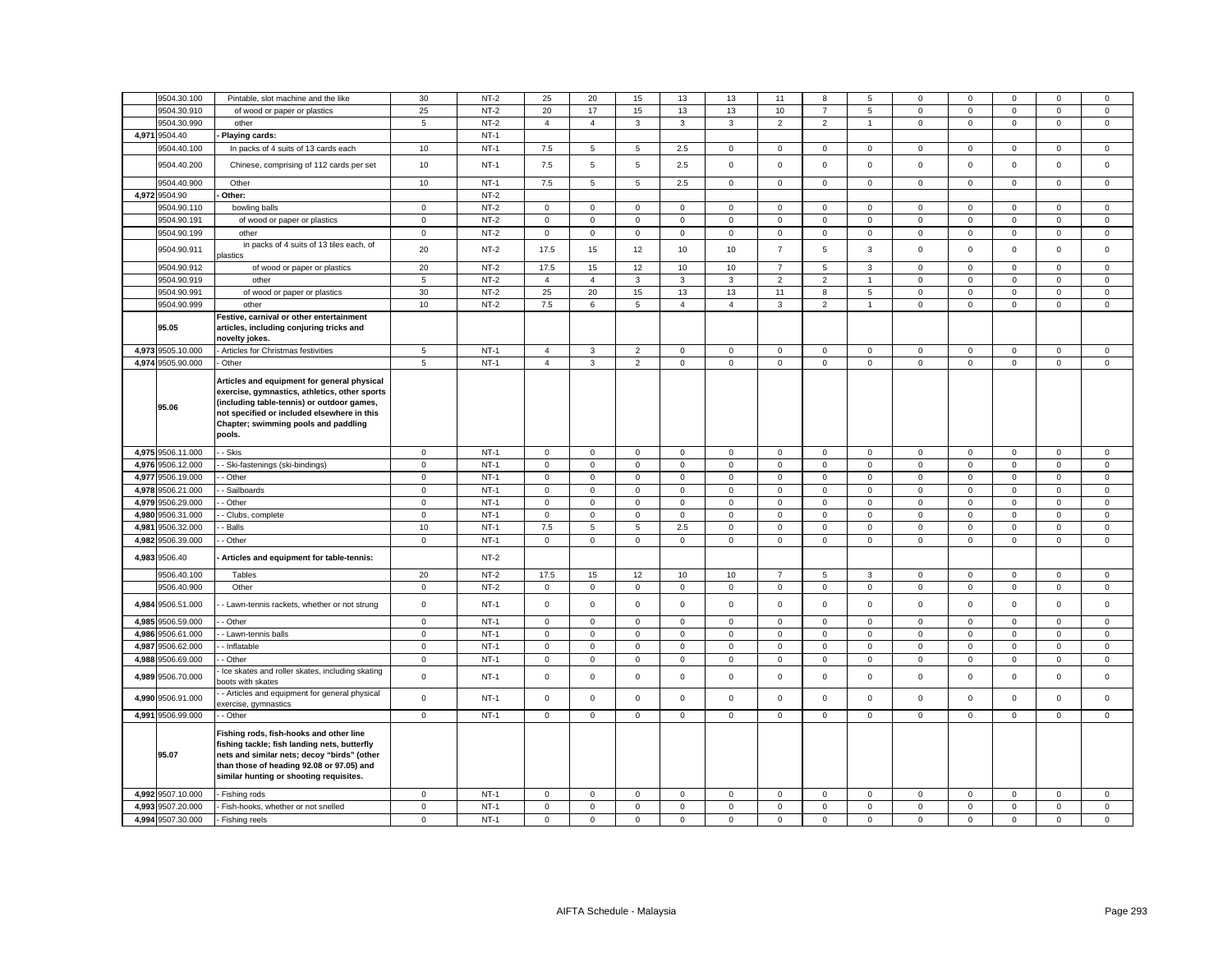|                | 9504.30.100                            | Pintable, slot machine and the like                                                                                                                                                                                                         | 30                         | $NT-2$           | 25                                 | 20                         | 15                          | 13                         | 13                         | 11                         | 8                          | 5                      | 0                          | $\mathbf 0$                | $\mathbf 0$                | $\mathbf 0$                | $\mathbf 0$                |
|----------------|----------------------------------------|---------------------------------------------------------------------------------------------------------------------------------------------------------------------------------------------------------------------------------------------|----------------------------|------------------|------------------------------------|----------------------------|-----------------------------|----------------------------|----------------------------|----------------------------|----------------------------|------------------------|----------------------------|----------------------------|----------------------------|----------------------------|----------------------------|
|                | 9504.30.910                            | of wood or paper or plastics                                                                                                                                                                                                                | 25                         | $NT-2$           | 20                                 | 17                         | 15                          | 13                         | 13                         | 10                         | $\overline{7}$             | 5                      | $\mathsf 0$                | $\mathbf 0$                | $\mathsf 0$                | $\mathbf 0$                | $\mathsf 0$                |
|                | 9504.30.990                            | other                                                                                                                                                                                                                                       | $5\phantom{.0}$            | $NT-2$           | $\overline{4}$                     | $\overline{4}$             | $\mathbf{3}$                | $\mathbf{3}$               | $\mathbf{3}$               | $\overline{2}$             | $\overline{2}$             | $\overline{1}$         | 0                          | $\mathbf 0$                | $\mathbf{0}$               | $\mathbf{0}$               | $\mathbf 0$                |
| 4,971          | 9504.40                                |                                                                                                                                                                                                                                             |                            | $NT-1$           |                                    |                            |                             |                            |                            |                            |                            |                        |                            |                            |                            |                            |                            |
|                | 9504.40.100                            | Playing cards:                                                                                                                                                                                                                              | 10                         | $NT-1$           | 7.5                                | 5                          | 5                           | 2.5                        | $\mathbf 0$                | $\mathsf 0$                | $\mathbf 0$                | $\mathbf 0$            | $\mathsf 0$                | $\mathsf 0$                | $\mathsf 0$                | $\mathsf 0$                | $\mathsf 0$                |
|                | 9504.40.200                            | In packs of 4 suits of 13 cards each<br>Chinese, comprising of 112 cards per set                                                                                                                                                            | 10                         | $NT-1$           | 7.5                                | 5                          | $\overline{5}$              | 2.5                        | $\mathbf 0$                | $\mathsf 0$                | $\mathsf 0$                | $\mathsf 0$            | $\mathsf 0$                | $\mathsf 0$                | $\mathsf 0$                | $\mathsf 0$                | $\mathsf 0$                |
|                | 9504.40.900                            | Other                                                                                                                                                                                                                                       | 10                         | $NT-1$           | 7.5                                | $5\overline{5}$            | 5                           | 2.5                        | $\mathsf 0$                | $\mathsf 0$                | $\mathbf 0$                | $\mathbf{0}$           | 0                          | $\mathbf 0$                | $\overline{0}$             | $\mathbf{0}$               | $\mathbf 0$                |
|                | 4,972 9504.90                          | Other:                                                                                                                                                                                                                                      |                            | $NT-2$           |                                    |                            |                             |                            |                            |                            |                            |                        |                            |                            |                            |                            |                            |
|                | 9504.90.110                            | bowling balls                                                                                                                                                                                                                               | $\mathbf 0$                | $NT-2$           | $\mathsf 0$                        | $\mathbf 0$                | $\mathsf 0$                 | $\mathsf 0$                | $\mathbf 0$                | $\mathsf 0$                | $\mathbf 0$                | $\mathbf 0$            | $\mathsf 0$                | $\mathsf 0$                | $\mathbf 0$                | $\mathsf 0$                | $\mathsf 0$                |
|                | 9504.90.191                            | of wood or paper or plastics                                                                                                                                                                                                                | $\mathbf 0$                | $NT-2$           | $\mathbf 0$                        | $\mathbf{O}$               | $\mathbf{0}$                | $\mathbf 0$                | $\mathbf 0$                | $^{\circ}$                 | $\mathbf 0$                | $\mathbf{0}$           | $\mathbf 0$                | $\mathbf 0$                | $\mathbf{0}$               | $\mathbf{0}$               | $\mathsf 0$                |
|                | 9504.90.199                            | other                                                                                                                                                                                                                                       | $\mathbf 0$                | $NT-2$           | $\mathsf 0$                        | $\mathbf 0$                | $\mathsf 0$                 | $\mathbf 0$                | $\mathbf 0$                | $\mathsf 0$                | $\mathbf 0$                | $\mathbf 0$            | $\mathbf 0$                | $\mathsf 0$                | $\mathbf 0$                | $\mathsf 0$                | $\mathbf 0$                |
|                |                                        | in packs of 4 suits of 13 tiles each, of                                                                                                                                                                                                    |                            |                  |                                    |                            |                             |                            |                            |                            |                            |                        |                            |                            |                            |                            |                            |
|                | 9504.90.911                            | lastics                                                                                                                                                                                                                                     | 20                         | $NT-2$           | 17.5                               | 15                         | 12                          | 10                         | 10                         | $\overline{7}$             | 5                          | 3                      | $\mathsf 0$                | $\mathbf 0$                | $\mathbf{0}$               | $\mathbf 0$                | $\mathbf 0$                |
|                | 9504.90.912                            | of wood or paper or plastics                                                                                                                                                                                                                | 20                         | $NT-2$           | 17.5                               | 15                         | 12                          | 10                         | 10                         | $\overline{7}$             | 5                          | $\mathbf{3}$           | $\mathsf 0$                | $\mathsf 0$                | $\mathsf 0$                | $\mathsf 0$                | $\mathsf 0$                |
|                | 9504.90.919                            | other                                                                                                                                                                                                                                       | 5                          | $NT-2$           | $\overline{4}$                     | $\overline{4}$             | $\mathbf{3}$                | 3                          | 3                          | $\overline{2}$             | $\overline{2}$             | $\mathbf{1}$           | $\mathbf 0$                | $\mathbf 0$                | $\mathbf{0}$               | $\mathbf{0}$               | $\mathbf{0}$               |
|                | 9504.90.991                            | of wood or paper or plastics                                                                                                                                                                                                                | 30                         | $NT-2$           | 25                                 | 20                         | 15                          | 13                         | 13                         | 11                         | 8                          | $5\overline{5}$        | $\mathbf 0$                | $\mathsf 0$                | $\mathbf 0$                | $\mathsf 0$                | $\mathbf 0$                |
|                | 9504.90.999                            | other                                                                                                                                                                                                                                       | 10                         | $NT-2$           | 7.5                                | 6                          | $5\overline{5}$             | $\overline{4}$             | $\overline{4}$             | 3                          | $\overline{2}$             | $\mathbf{1}$           | $\mathbf 0$                | $\mathbf 0$                | $\mathbf 0$                | $\mathbf 0$                | $\mathsf 0$                |
|                | 95.05                                  | Festive, carnival or other entertainment<br>articles, including conjuring tricks and<br>novelty jokes.                                                                                                                                      |                            |                  |                                    |                            |                             |                            |                            |                            |                            |                        |                            |                            |                            |                            |                            |
| 4,973          | 9505.10.000                            | Articles for Christmas festivities                                                                                                                                                                                                          | 5                          | $NT-1$           | $\overline{4}$                     | 3                          | $\overline{2}$              | 0                          | $\mathbf 0$                | 0                          | 0                          | 0                      | 0                          | $\mathbf 0$                | $\mathsf 0$                | 0                          | $\mathbf 0$                |
|                | 4,974 9505.90.000                      | Other                                                                                                                                                                                                                                       | 5                          | $NT-1$           | $\overline{4}$                     | $\mathbf{3}$               | $\overline{2}$              | $\mathsf 0$                | $\mathsf{O}\xspace$        | $\mathsf 0$                | $\mathsf 0$                | $\mathsf 0$            | $\mathsf{O}\xspace$        | $\mathbf 0$                | $\mathsf 0$                | $\mathbf 0$                | $\mathsf 0$                |
|                | 95.06                                  | Articles and equipment for general physical<br>exercise, gymnastics, athletics, other sports<br>(including table-tennis) or outdoor games,<br>not specified or included elsewhere in this<br>Chapter; swimming pools and paddling<br>pools. |                            |                  |                                    |                            |                             |                            |                            |                            |                            |                        |                            |                            |                            |                            |                            |
|                | 4,975 9506.11.000                      | - Skis                                                                                                                                                                                                                                      | $\mathbf 0$                | $NT-1$           | $\mathsf{O}\xspace$                | $\mathbf 0$                | $\mathsf 0$                 | 0                          | $\mathsf 0$                | $\mathsf 0$                | $\mathsf{O}$               | $\mathsf 0$            | $\mathsf 0$                | $\mathsf 0$                | $\mathsf 0$                | $\mathsf 0$                | $\,0\,$                    |
|                | 4,976 9506.12.000                      | Ski-fastenings (ski-bindings)                                                                                                                                                                                                               | $\mathbf 0$                | $NT-1$           | $\mathbf 0$                        | $\mathbf 0$                | $\mathsf 0$                 | $\mathsf 0$                | $\mathsf 0$                | $\mathsf 0$                | $\mathsf 0$                | $\mathsf 0$            | $\mathsf 0$                | $\mathsf 0$                | $\mathbf 0$                | $\mathsf 0$                | $\mathsf 0$                |
| 4,977          | 9506.19.000                            | - Other                                                                                                                                                                                                                                     | $\mathsf 0$                | $NT-1$           | $\mathbf 0$                        | $\mathsf 0$                | $\mathsf 0$                 | $\Omega$                   | $\mathbf 0$                | $\mathbf 0$                | $\mathbf 0$                | 0                      | $\mathsf 0$                | $\mathbf 0$                | $\mathbf 0$                | $\mathbf 0$                | $\mathsf 0$                |
|                |                                        |                                                                                                                                                                                                                                             |                            |                  |                                    |                            |                             |                            |                            |                            |                            |                        |                            |                            |                            |                            |                            |
| 4,978          | 9506.21.000                            | Sailboards                                                                                                                                                                                                                                  | $\mathbf 0$                | $NT-1$           | 0                                  | 0                          | $\mathbf 0$                 | 0                          | $\mathbf 0$                | $\mathsf 0$                | $\mathsf 0$                | 0                      | 0                          | $\mathbf 0$                | $\mathbf 0$                | $\mathbf 0$                | $\mathsf 0$                |
| 4,979          | 9506.29.000                            | Other                                                                                                                                                                                                                                       | $\mathsf 0$                | $NT-1$           | $\mathsf 0$                        | $\mathsf 0$                | $\mathsf 0$                 | $\mathsf 0$                | $\mathsf 0$                | $\mathsf 0$                | $\mathsf 0$                | $\mathbf 0$            | $\mathsf 0$                | $\mathsf 0$                | $\mathsf 0$                | $\mathsf 0$                | $\mathsf 0$                |
| 4,980          | 9506.31.000                            | Clubs, complete                                                                                                                                                                                                                             | $\mathbf 0$                | $NT-1$           | $\mathsf 0$                        | $\mathbf 0$                | $\mathsf 0$                 | $\mathsf 0$                | $\mathbf 0$                | $\mathsf 0$                | $\mathsf 0$                | $\mathbf 0$            | $\mathsf 0$                | $\mathsf 0$                | $\mathbf 0$                | $\mathsf 0$                | $\mathsf 0$                |
| 4,981          | 9506.32.000                            | Balls                                                                                                                                                                                                                                       | 10                         | $NT-1$           | 7.5                                | 5                          | $5\overline{5}$             | 2.5                        | $\mathbf 0$                | $\mathbf 0$                | $\mathbf 0$                | 0                      | 0                          | $\mathbf 0$                | $\mathbf 0$                | $\mathbf 0$                | $\mathbf 0$                |
| 4,982          |                                        | Other                                                                                                                                                                                                                                       | $\mathbf 0$                | $NT-1$           | $\mathsf 0$                        | $\mathbf 0$                | $\mathsf 0$                 | $\mathsf 0$                | $\mathbf 0$                | $\mathsf 0$                | $\mathbf 0$                | $\mathbf 0$            | $\mathbf 0$                | $\mathsf 0$                | $\mathbf 0$                | $\mathsf 0$                | $\mathsf 0$                |
| 4,983          | 9506.39.000<br>9506.40                 | Articles and equipment for table-tennis:                                                                                                                                                                                                    |                            | $NT-2$           |                                    |                            |                             |                            |                            |                            |                            |                        |                            |                            |                            |                            |                            |
|                |                                        |                                                                                                                                                                                                                                             |                            |                  |                                    |                            |                             |                            |                            |                            |                            |                        |                            |                            |                            |                            |                            |
|                | 9506.40.100                            | Tables                                                                                                                                                                                                                                      | 20                         | $NT-2$           | 17.5                               | 15                         | 12                          | 10                         | 10                         | $\overline{7}$             | 5                          | $\mathbf{3}$           | $\mathsf 0$                | $\mathsf 0$                | $\mathsf 0$                | $\mathsf 0$                | $\mathsf 0$                |
|                | 9506.40.900<br>4,984 9506.51.000       | Other<br>Lawn-tennis rackets, whether or not strung                                                                                                                                                                                         | $\mathbf 0$<br>$\mathbf 0$ | $NT-2$<br>$NT-1$ | $\mathbf 0$<br>$\mathsf 0$         | $\mathbf 0$<br>$\mathsf 0$ | $\mathbf{0}$<br>$\mathbf 0$ | $\mathbf 0$<br>$\mathbf 0$ | $\mathbf 0$<br>$\mathbf 0$ | $\mathsf 0$<br>$\mathsf 0$ | $\mathbf 0$<br>$\mathbf 0$ | $\circ$<br>$\mathsf 0$ | $\mathbf 0$<br>$\mathsf 0$ | $\mathsf 0$<br>$\mathsf 0$ | $\mathbf 0$<br>$\mathsf 0$ | $\mathsf 0$<br>$\mathsf 0$ | $\mathsf 0$<br>$\mathsf 0$ |
|                |                                        |                                                                                                                                                                                                                                             |                            |                  |                                    |                            |                             |                            |                            |                            |                            |                        |                            |                            |                            |                            |                            |
| 4,985          | 9506.59.000                            | Other                                                                                                                                                                                                                                       | $\mathbf 0$                | $NT-1$           | $\mathsf 0$                        | $\mathbf 0$                | $\mathsf 0$                 | $\mathsf 0$                | $\mathsf 0$                | $\mathsf 0$                | $\mathsf 0$                | $\mathbf 0$            | $\mathsf 0$                | $\mathsf 0$                | $\mathsf 0$                | $\mathsf 0$                | $\mathsf 0$                |
|                | 4,986 9506.61.000                      | - Lawn-tennis balls                                                                                                                                                                                                                         | $\mathbf 0$                | $NT-1$           | $\mathsf 0$                        | $\mathbf 0$                | $\mathsf 0$                 | $\mathsf 0$                | $\mathbf 0$                | $\mathsf 0$                | $\mathsf 0$                | $\mathbf 0$            | $\mathsf 0$                | $\mathsf 0$                | $\mathbf 0$                | $\mathsf 0$                | $\mathsf 0$                |
| 4.987          | 9506.62.000                            | - Inflatable                                                                                                                                                                                                                                | $\overline{0}$             | $NT-1$           | $\mathbf 0$                        | $\mathbf 0$                | $\mathbf{0}$                | $\mathbf 0$                | $\mathbf 0$                | $\mathbf 0$                | $\mathbf 0$                | $\mathbf{0}$           | $\mathbf 0$                | $\mathbf 0$                | $\mathbf 0$                | $\mathbf 0$                | $\mathbf{0}$               |
| 4,988<br>4,989 | 9506.69.000<br>9506.70.000             | Other<br>Ice skates and roller skates, including skating                                                                                                                                                                                    | $\mathbf 0$<br>$\mathbf 0$ | $NT-1$<br>$NT-1$ | $\mathsf 0$<br>$\mathbf 0$         | $\mathsf 0$<br>$\mathsf 0$ | $\mathbf 0$<br>$\mathsf 0$  | 0<br>$\mathbf 0$           | $\mathbf 0$<br>$\mathbf 0$ | $\mathsf 0$<br>$\mathsf 0$ | $\mathsf 0$<br>0           | $\mathbf 0$<br>0       | $\mathsf 0$<br>0           | $\mathsf 0$<br>$\mathsf 0$ | 0<br>$\mathbf{0}$          | $\mathsf 0$<br>$\mathsf 0$ | $\mathbf 0$<br>$\mathsf 0$ |
| 4,990          | 9506.91.000                            | oots with skates<br>- Articles and equipment for general physical                                                                                                                                                                           | $\mathsf 0$                | $NT-1$           | $\mathsf 0$                        | $\mathbf 0$                | $\mathsf 0$                 | $\mathsf 0$                | $\mathbf 0$                | $\mathsf 0$                | $\mathbf 0$                | $\mathsf 0$            | $\mathsf 0$                | $\mathsf 0$                | $\mathbf 0$                | $\mathsf 0$                | $\mathsf 0$                |
|                |                                        | exercise, gymnastics                                                                                                                                                                                                                        |                            |                  |                                    |                            |                             |                            |                            |                            |                            |                        |                            |                            |                            |                            |                            |
|                | 4,991 9506.99.000<br>95.07             | - Other<br>Fishing rods, fish-hooks and other line<br>fishing tackle; fish landing nets, butterfly<br>nets and similar nets; decoy "birds" (other<br>than those of heading 92.08 or 97.05) and<br>similar hunting or shooting requisites.   | $\mathbf 0$                | $NT-1$           | $\mathsf 0$                        | $\mathbf 0$                | $\mathsf 0$                 | $\mathbf 0$                | $\mathbf 0$                | $\mathsf 0$                | $\circ$                    | $\mathbf{0}$           | $\mathbf 0$                | $\mathbf 0$                | $\mathbf{0}$               | $\mathbf 0$                | $\mathsf 0$                |
|                | 4,992 9507.10.000                      | Fishing rods                                                                                                                                                                                                                                | 0                          | $NT-1$           | $\mathbf 0$                        | 0                          | $\mathbf 0$                 | 0                          | $\mathbf 0$                | 0                          | $\mathbf 0$                | 0                      | 0                          | 0                          | 0                          | 0                          | $\mathbf 0$                |
|                | 4,993 9507.20.000<br>4,994 9507.30.000 | Fish-hooks, whether or not snelled<br>Fishing reels                                                                                                                                                                                         | $\mathbf 0$<br>$\mathsf 0$ | $NT-1$<br>$NT-1$ | $\mathsf{O}\xspace$<br>$\mathsf 0$ | $\mathsf 0$<br>$\mathsf 0$ | $\mathsf 0$<br>$\mathbf 0$  | 0<br>$\mathsf 0$           | $\mathbf 0$<br>$\mathbf 0$ | $\mathsf 0$<br>$\mathsf 0$ | $\mathsf 0$<br>$\mathsf 0$ | 0<br>$\mathsf 0$       | $\mathbf 0$<br>$\mathsf 0$ | $\mathbf 0$<br>$\mathsf 0$ | $\mathsf 0$<br>$\mathsf 0$ | $\mathsf 0$<br>$\mathsf 0$ | $\mathbf 0$<br>$\mathsf 0$ |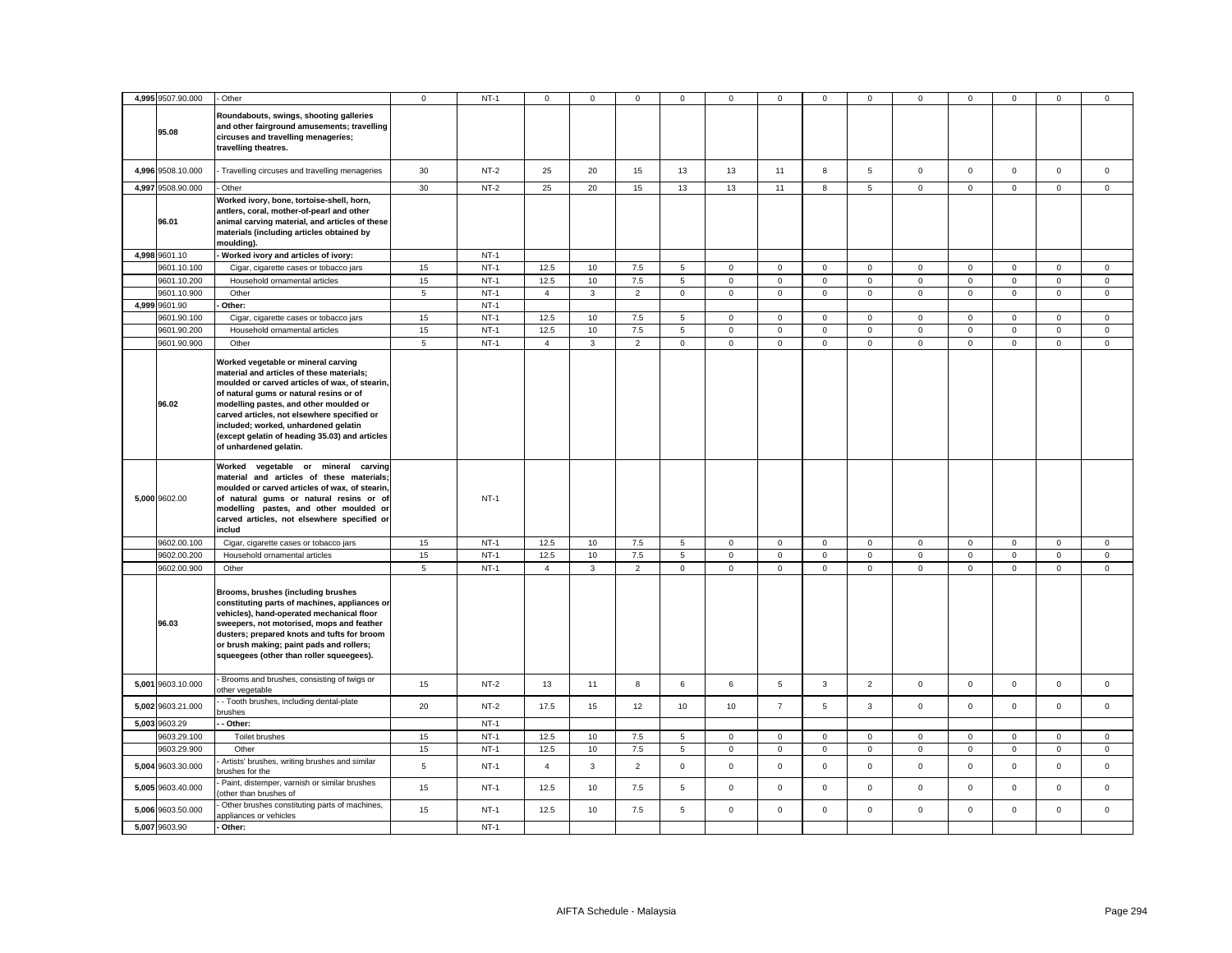|       | 4,995 9507.90.000 | - Other                                                                                                                                                                                                                                                                                                                                                                                    | $\mathbf 0$    | $NT-1$ | 0              | $\Omega$     | $\mathsf 0$    | $\mathbf 0$    | 0           | $\mathbf 0$    | $\mathbf 0$         | $\mathbf 0$     | 0            | $\mathbf 0$ | $\Omega$            | $\mathbf 0$ | $\mathbf 0$ |
|-------|-------------------|--------------------------------------------------------------------------------------------------------------------------------------------------------------------------------------------------------------------------------------------------------------------------------------------------------------------------------------------------------------------------------------------|----------------|--------|----------------|--------------|----------------|----------------|-------------|----------------|---------------------|-----------------|--------------|-------------|---------------------|-------------|-------------|
|       | 95.08             | Roundabouts, swings, shooting galleries<br>and other fairground amusements; travelling<br>circuses and travelling menageries;<br>travelling theatres.                                                                                                                                                                                                                                      |                |        |                |              |                |                |             |                |                     |                 |              |             |                     |             |             |
|       | 4,996 9508.10.000 | Travelling circuses and travelling menageries                                                                                                                                                                                                                                                                                                                                              | 30             | $NT-2$ | 25             | 20           | 15             | 13             | 13          | 11             | 8                   | $5\phantom{.0}$ | $\mathsf{O}$ | $\mathbf 0$ | $\mathbf 0$         | $\mathbf 0$ | $\mathbf 0$ |
|       | 4,997 9508.90.000 | Other                                                                                                                                                                                                                                                                                                                                                                                      | 30             | $NT-2$ | 25             | 20           | 15             | 13             | 13          | 11             | 8                   | 5               | $\mathsf 0$  | $\mathsf 0$ | $\mathbf 0$         | $\mathsf 0$ | $\mathsf 0$ |
|       | 96.01             | Worked ivory, bone, tortoise-shell, horn,<br>antlers, coral, mother-of-pearl and other<br>animal carving material, and articles of these<br>materials (including articles obtained by<br>moulding).                                                                                                                                                                                        |                |        |                |              |                |                |             |                |                     |                 |              |             |                     |             |             |
|       | 4,998 9601.10     | Worked ivory and articles of ivory:                                                                                                                                                                                                                                                                                                                                                        |                | $NT-1$ |                |              |                |                |             |                |                     |                 |              |             |                     |             |             |
|       | 9601.10.100       | Cigar, cigarette cases or tobacco jars                                                                                                                                                                                                                                                                                                                                                     | 15             | $NT-1$ | 12.5           | 10           | 7.5            | 5              | $\mathbf 0$ | $\mathbf 0$    | $\mathbf{0}$        | $\mathsf 0$     | $\mathbf 0$  | $\mathsf 0$ | $\mathbf 0$         | $\mathbf 0$ | $\mathsf 0$ |
|       | 9601.10.200       | Household ornamental articles                                                                                                                                                                                                                                                                                                                                                              | 15             | $NT-1$ | 12.5           | 10           | 7.5            | $\,$ 5 $\,$    | $\mathsf 0$ | $\mathsf 0$    | $\mathsf 0$         | $\mathbf 0$     | $\mathsf 0$  | $\mathsf 0$ | $\mathsf 0$         | $\mathsf 0$ | $\mathbf 0$ |
|       | 9601.10.900       | Other                                                                                                                                                                                                                                                                                                                                                                                      | $\sqrt{5}$     | $NT-1$ | $\overline{4}$ | 3            | $\overline{2}$ | $\mathsf 0$    | $\mathbf 0$ | $\mathsf 0$    | $\mathsf{O}$        | $\mathsf 0$     | $\mathsf 0$  | $\mathsf 0$ | $\mathbf 0$         | $\mathsf 0$ | $\mathsf 0$ |
|       | 4,999 9601.90     | Other:                                                                                                                                                                                                                                                                                                                                                                                     |                | $NT-1$ |                |              |                |                |             |                |                     |                 |              |             |                     |             |             |
|       | 9601.90.100       | Cigar, cigarette cases or tobacco jars                                                                                                                                                                                                                                                                                                                                                     | 15             | $NT-1$ | 12.5           | 10           | $7.5\,$        | 5              | $\mathbf 0$ | $\mathsf 0$    | $\mathsf 0$         | $\mathsf 0$     | $\mathsf 0$  | $\mathsf 0$ | $\mathsf 0$         | $\mathbf 0$ | $\mathbf 0$ |
|       | 9601.90.200       | Household ornamental articles                                                                                                                                                                                                                                                                                                                                                              | 15             | $NT-1$ | 12.5           | 10           | 7.5            | 5              | $\mathsf 0$ | $\mathsf 0$    | $\mathsf 0$         | $\mathbf 0$     | $\mathsf 0$  | $\mathsf 0$ | $\mathsf 0$         | $\mathsf 0$ | $\mathbf 0$ |
|       | 9601.90.900       | Other                                                                                                                                                                                                                                                                                                                                                                                      | 5              | $NT-1$ | $\overline{4}$ | $\mathbf{3}$ | $\overline{2}$ | $\mathsf 0$    | $\mathbf 0$ | $\mathsf 0$    | $\mathbf 0$         | $\mathsf 0$     | $\mathsf 0$  | $\mathsf 0$ | $\mathsf 0$         | $\mathsf 0$ | $\mathsf 0$ |
|       | 96.02             | Worked vegetable or mineral carving<br>material and articles of these materials;<br>moulded or carved articles of wax, of stearin,<br>of natural gums or natural resins or of<br>modelling pastes, and other moulded or<br>carved articles, not elsewhere specified or<br>included; worked, unhardened gelatin<br>(except gelatin of heading 35.03) and articles<br>of unhardened gelatin. |                |        |                |              |                |                |             |                |                     |                 |              |             |                     |             |             |
|       | 5,000 9602.00     | Worked vegetable or mineral carving<br>material and articles of these materials<br>moulded or carved articles of wax, of stearin<br>of natural gums or natural resins or of<br>modelling pastes, and other moulded or<br>carved articles, not elsewhere specified or<br>includ                                                                                                             |                | $NT-1$ |                |              |                |                |             |                |                     |                 |              |             |                     |             |             |
|       | 9602.00.100       | Cigar, cigarette cases or tobacco jars                                                                                                                                                                                                                                                                                                                                                     | 15             | $NT-1$ | 12.5           | 10           | 7.5            | $\overline{5}$ | 0           | $\mathbf 0$    | $\mathbf 0$         | $\mathsf 0$     | 0            | $\mathbf 0$ | $\mathsf{O}\xspace$ | $\mathsf 0$ | $\mathbf 0$ |
|       | 9602.00.200       | Household ornamental articles                                                                                                                                                                                                                                                                                                                                                              | 15             | $NT-1$ | 12.5           | 10           | 7.5            | $\,$ 5 $\,$    | $\mathsf 0$ | $\mathsf 0$    | $\mathsf{O}\xspace$ | $\mathbf 0$     | $\mathsf 0$  | $\mathsf 0$ | $\mathsf 0$         | $\mathsf 0$ | $\mathbf 0$ |
|       | 9602.00.900       | Other                                                                                                                                                                                                                                                                                                                                                                                      | $\sqrt{5}$     | $NT-1$ | $\overline{4}$ | $\mathbf{3}$ | $\overline{2}$ | 0              | $\mathsf 0$ | 0              | $\mathbf 0$         | $\mathbf{0}$    | $\mathsf 0$  | 0           | 0                   | $\mathbf 0$ | $\mathsf 0$ |
|       | 96.03             | Brooms, brushes (including brushes<br>constituting parts of machines, appliances or<br>vehicles), hand-operated mechanical floor<br>sweepers, not motorised, mops and feather<br>dusters; prepared knots and tufts for broom<br>or brush making; paint pads and rollers;<br>squeegees (other than roller squeegees).                                                                       |                |        |                |              |                |                |             |                |                     |                 |              |             |                     |             |             |
|       | 5,001 9603.10.000 | Brooms and brushes, consisting of twigs or<br>other vegetable                                                                                                                                                                                                                                                                                                                              | 15             | $NT-2$ | 13             | 11           | 8              | 6              | 6           | 5              | 3                   | $\overline{2}$  | $\mathbf 0$  | $\mathsf 0$ | $\mathsf 0$         | $\mathsf 0$ | $\mathsf 0$ |
|       | 5,002 9603.21.000 | - Tooth brushes, including dental-plate<br>orushes                                                                                                                                                                                                                                                                                                                                         | 20             | $NT-2$ | 17.5           | 15           | 12             | 10             | 10          | $\overline{7}$ | 5                   | $\mathbf{3}$    | $\mathsf 0$  | $\mathsf 0$ | $\mathbf 0$         | $\mathbf 0$ | $\mathsf 0$ |
|       | 5,003 9603.29     | Other:                                                                                                                                                                                                                                                                                                                                                                                     |                | $NT-1$ |                |              |                |                |             |                |                     |                 |              |             |                     |             |             |
|       | 9603.29.100       | Toilet brushes                                                                                                                                                                                                                                                                                                                                                                             | 15             | $NT-1$ | 12.5           | 10           | 7.5            | $\overline{5}$ | 0           | 0              | $\mathsf 0$         | $\mathbf 0$     | $\mathsf 0$  | 0           | $\mathsf 0$         | $\mathbf 0$ | $\mathbf 0$ |
|       | 9603.29.900       | Other                                                                                                                                                                                                                                                                                                                                                                                      | 15             | $NT-1$ | 12.5           | 10           | 7.5            | 5              | $\mathbf 0$ | $\mathsf 0$    | $\mathbf 0$         | $\mathbf 0$     | $\mathbf 0$  | $\mathsf 0$ | $\mathbf 0$         | $\mathsf 0$ | $\mathsf 0$ |
| 5,004 | 9603.30.000       | Artists' brushes, writing brushes and similar<br>prushes for the                                                                                                                                                                                                                                                                                                                           | $\overline{5}$ | $NT-1$ | $\overline{4}$ | $\mathbf{3}$ | $\overline{2}$ | $\mathsf 0$    | $\mathsf 0$ | $\mathsf 0$    | $\mathsf 0$         | $\mathsf 0$     | $\mathsf 0$  | $\mathsf 0$ | $\mathsf 0$         | $\mathsf 0$ | $\mathsf 0$ |
|       | 5,005 9603.40.000 | Paint, distemper, varnish or similar brushes<br>other than brushes of                                                                                                                                                                                                                                                                                                                      | 15             | $NT-1$ | 12.5           | 10           | 7.5            | 5              | $\mathsf 0$ | $\mathsf 0$    | $\mathbf{O}$        | $\mathbf{0}$    | $\mathbf{0}$ | $\mathsf 0$ | $\mathbf 0$         | $\mathsf 0$ | $\mathbf 0$ |
|       | 5,006 9603.50.000 | Other brushes constituting parts of machines,<br>appliances or vehicles                                                                                                                                                                                                                                                                                                                    | 15             | $NT-1$ | 12.5           | 10           | 7.5            | 5              | $\mathbf 0$ | $\mathsf 0$    | $\mathsf 0$         | $\mathsf 0$     | $\mathsf 0$  | $\mathsf 0$ | $\mathsf 0$         | $\mathsf 0$ | $\mathsf 0$ |
|       | 5,007 9603.90     | Other:                                                                                                                                                                                                                                                                                                                                                                                     |                | $NT-1$ |                |              |                |                |             |                |                     |                 |              |             |                     |             |             |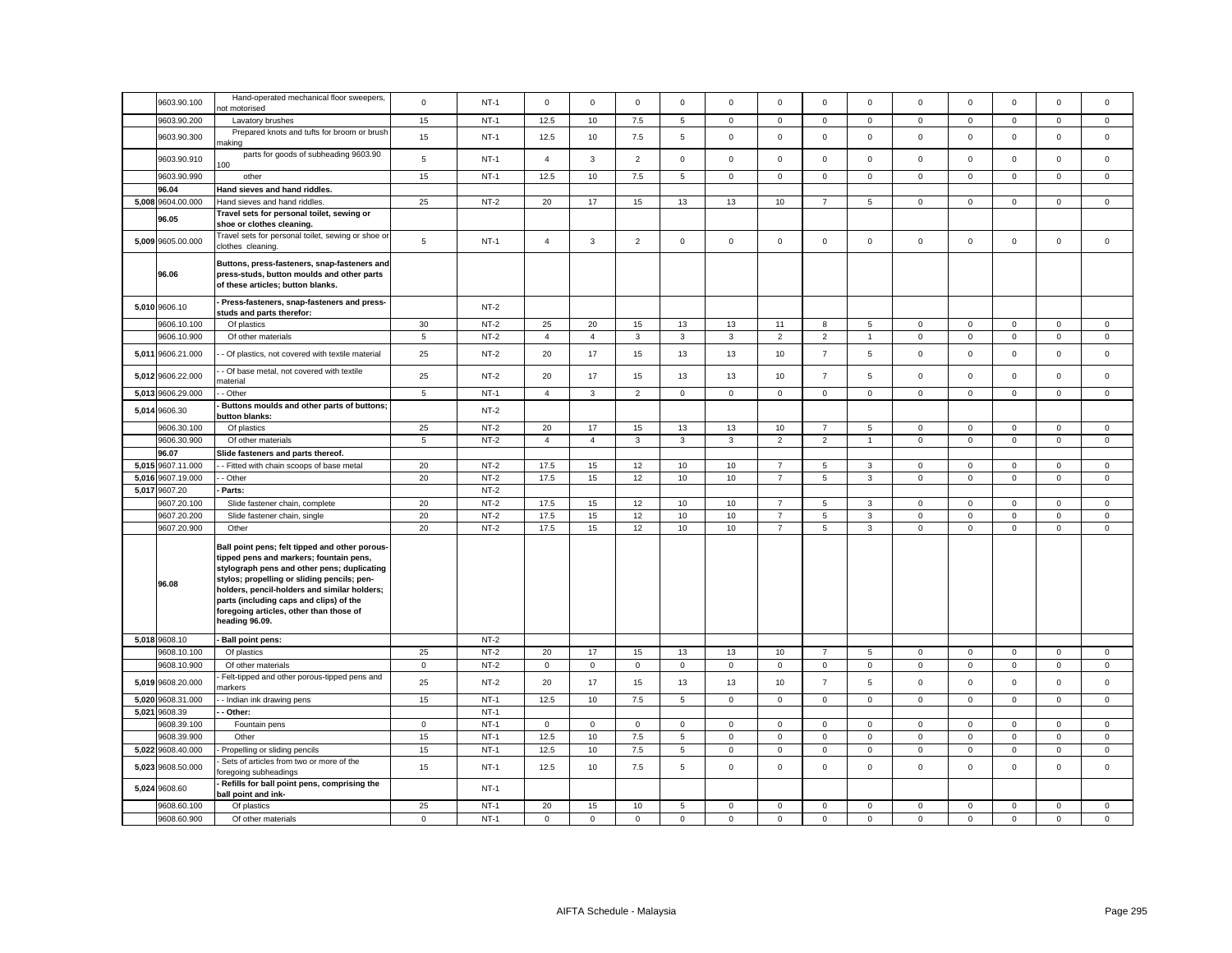|       |                   | Hand-operated mechanical floor sweepers,                                                                                                                                                                                                                                                                                                        |             |        |                |                |                |              |                |                  |                |                |              |             |             |              |             |
|-------|-------------------|-------------------------------------------------------------------------------------------------------------------------------------------------------------------------------------------------------------------------------------------------------------------------------------------------------------------------------------------------|-------------|--------|----------------|----------------|----------------|--------------|----------------|------------------|----------------|----------------|--------------|-------------|-------------|--------------|-------------|
|       | 9603.90.100       | ot motorised                                                                                                                                                                                                                                                                                                                                    | $\mathbf 0$ | $NT-1$ | $\mathbf 0$    | $\mathbf 0$    | $\mathbf 0$    | $\mathbf 0$  | 0              | $\Omega$         | $\mathbf 0$    | $^{\circ}$     | $\mathbf 0$  | $\mathbf 0$ | $\Omega$    | $\mathbf 0$  | $\mathbf 0$ |
|       | 9603.90.200       | Lavatory brushes                                                                                                                                                                                                                                                                                                                                | 15          | $NT-1$ | 12.5           | 10             | 7.5            | 5            | $\mathbf{0}$   | $\mathbf 0$      | $\mathbf 0$    | $\mathsf 0$    | $\mathbf{0}$ | $\mathbf 0$ | $\mathbf 0$ | $\mathbf 0$  | $\mathsf 0$ |
|       | 9603.90.300       | Prepared knots and tufts for broom or brush<br>naking                                                                                                                                                                                                                                                                                           | 15          | $NT-1$ | 12.5           | 10             | $7.5\,$        | 5            | $\mathbf 0$    | $\mathsf 0$      | $\mathsf 0$    | $\mathsf 0$    | $\mathsf 0$  | $\mathsf 0$ | $\mathsf 0$ | $\mathsf 0$  | $\mathsf 0$ |
|       | 9603.90.910       | parts for goods of subheading 9603.90<br>100                                                                                                                                                                                                                                                                                                    | 5           | $NT-1$ | $\overline{4}$ | $\mathbf{3}$   | $\overline{2}$ | $\mathsf 0$  | $\mathbf 0$    | $\mathsf 0$      | $\mathsf 0$    | $\mathbf 0$    | $\mathbf 0$  | $\mathsf 0$ | $\Omega$    | $\mathsf 0$  | $\mathsf 0$ |
|       | 9603.90.990       | other                                                                                                                                                                                                                                                                                                                                           | 15          | $NT-1$ | 12.5           | 10             | 7.5            | 5            | $\mathbf{0}$   | $\mathbf 0$      | $\mathbf 0$    | $\mathbf 0$    | $\mathbf{0}$ | $\mathbf 0$ | $\mathbf 0$ | $\mathbf 0$  | $\mathbf 0$ |
|       | 96.04             | Hand sieves and hand riddles.                                                                                                                                                                                                                                                                                                                   |             |        |                |                |                |              |                |                  |                |                |              |             |             |              |             |
| 5,008 | 9604.00.000       | Hand sieves and hand riddles.                                                                                                                                                                                                                                                                                                                   | 25          | $NT-2$ | 20             | 17             | 15             | 13           | 13             | 10               | $\overline{7}$ | 5              | $\mathsf 0$  | $\mathbf 0$ | $\mathbf 0$ | $\mathsf 0$  | $\mathbf 0$ |
|       |                   | Travel sets for personal toilet, sewing or                                                                                                                                                                                                                                                                                                      |             |        |                |                |                |              |                |                  |                |                |              |             |             |              |             |
|       | 96.05             | shoe or clothes cleaning.                                                                                                                                                                                                                                                                                                                       |             |        |                |                |                |              |                |                  |                |                |              |             |             |              |             |
|       | 5,009 9605.00.000 | Travel sets for personal toilet, sewing or shoe or<br>clothes cleaning.                                                                                                                                                                                                                                                                         | 5           | $NT-1$ | $\overline{4}$ | $\mathbf{3}$   | $\overline{2}$ | $\mathbf 0$  | $\mathbf 0$    | $\mathbf 0$      | $\mathbf 0$    | $\mathbf 0$    | $\mathbf{0}$ | $\mathbf 0$ | $\mathbf 0$ | $\mathsf 0$  | $\mathbf 0$ |
|       | 96.06             | Buttons, press-fasteners, snap-fasteners and<br>press-studs, button moulds and other parts<br>of these articles; button blanks.                                                                                                                                                                                                                 |             |        |                |                |                |              |                |                  |                |                |              |             |             |              |             |
|       | 5,010 9606.10     | Press-fasteners, snap-fasteners and press-<br>studs and parts therefor:                                                                                                                                                                                                                                                                         |             | $NT-2$ |                |                |                |              |                |                  |                |                |              |             |             |              |             |
|       | 9606.10.100       | Of plastics                                                                                                                                                                                                                                                                                                                                     | 30          | $NT-2$ | 25             | 20             | 15             | 13           | 13             | 11               | 8              | 5              | $\mathbf 0$  | $\mathbf 0$ | $\mathbf 0$ | $\mathsf 0$  | $\mathbf 0$ |
|       | 9606.10.900       | Of other materials                                                                                                                                                                                                                                                                                                                              | 5           | $NT-2$ | $\overline{4}$ | $\overline{4}$ | $\mathbf{3}$   | $\mathbf{3}$ | $\overline{3}$ | $\overline{2}$   | $\overline{2}$ | $\overline{1}$ | $\mathbf 0$  | $\mathbf 0$ | $\mathbf 0$ | $\mathbf 0$  | $\mathbf 0$ |
| 5,011 | 9606.21.000       | - Of plastics, not covered with textile material                                                                                                                                                                                                                                                                                                | 25          | $NT-2$ | 20             | 17             | 15             | 13           | 13             | 10               | $\overline{7}$ | 5              | $\mathsf 0$  | $\mathsf 0$ | $\mathsf 0$ | $\mathsf 0$  | $\mathsf 0$ |
| 5,012 | 9606.22.000       | - Of base metal, not covered with textile<br>naterial                                                                                                                                                                                                                                                                                           | 25          | $NT-2$ | 20             | 17             | 15             | 13           | 13             | 10               | $\overline{7}$ | 5              | $\mathsf 0$  | $\mathsf 0$ | $\mathbf 0$ | $\mathsf 0$  | $\mathsf 0$ |
| 5,013 | 9606.29.000       | - Other                                                                                                                                                                                                                                                                                                                                         | 5           | $NT-1$ | $\overline{4}$ | $\mathbf{3}$   | 2              | $\mathbf{0}$ | $\mathbf{0}$   | $\mathbf 0$      | $\circ$        | $\mathbf{0}$   | $\mathbf{0}$ | $\mathbf 0$ | $\mathbf 0$ | $\mathbf{0}$ | $\mathbf 0$ |
| 5,014 | 9606.30           | Buttons moulds and other parts of buttons;<br>button blanks:                                                                                                                                                                                                                                                                                    |             | $NT-2$ |                |                |                |              |                |                  |                |                |              |             |             |              |             |
|       | 9606.30.100       | Of plastics                                                                                                                                                                                                                                                                                                                                     | 25          | $NT-2$ | 20             | 17             | 15             | 13           | 13             | 10               | $\overline{7}$ | 5              | $\mathbf 0$  | $\mathsf 0$ | $\mathsf 0$ | $\mathsf 0$  | $\mathbf 0$ |
|       | 9606.30.900       | Of other materials                                                                                                                                                                                                                                                                                                                              | 5           | $NT-2$ | $\overline{4}$ | $\overline{4}$ | 3              | $\mathbf{3}$ | $\mathbf{3}$   | $\overline{2}$   | $\overline{2}$ | $\overline{1}$ | $\mathbf 0$  | $\mathbf 0$ | $\mathsf 0$ | $\mathsf 0$  | $\mathsf 0$ |
|       | 96.07             | Slide fasteners and parts thereof.                                                                                                                                                                                                                                                                                                              |             |        |                |                |                |              |                |                  |                |                |              |             |             |              |             |
| 5.015 | 9607.11.000       | - Fitted with chain scoops of base metal                                                                                                                                                                                                                                                                                                        | 20          | $NT-2$ | 17.5           | 15             | 12             | 10           | 10             | $\overline{7}$   | 5              | $\mathbf{3}$   | $\mathbf{0}$ | $\mathbf 0$ | $\mathbf 0$ | $\mathbf 0$  | $\mathbf 0$ |
| 5,016 | 9607.19.000       | - Other                                                                                                                                                                                                                                                                                                                                         | 20          | $NT-2$ | 17.5           | 15             | 12             | 10           | 10             | $\overline{7}$   | 5              | $\mathbf{3}$   | $\mathbf 0$  | $\mathbf 0$ | $\mathbf 0$ | $\mathbf 0$  | $\mathbf 0$ |
| 5,017 | 9607.20           | Parts:                                                                                                                                                                                                                                                                                                                                          |             | $NT-2$ |                |                |                |              |                |                  |                |                |              |             |             |              |             |
|       | 9607.20.100       | Slide fastener chain, complete                                                                                                                                                                                                                                                                                                                  | 20          | $NT-2$ | 17.5           | 15             | 12             | 10           | 10             | $\overline{7}$   | 5              | 3              | $\mathbf 0$  | $\mathbf 0$ | 0           | $\mathbf 0$  | 0           |
|       | 9607.20.200       | Slide fastener chain, single                                                                                                                                                                                                                                                                                                                    | 20          | $NT-2$ | 17.5           | 15             | 12             | 10           | 10             | $\boldsymbol{7}$ | $\mathbf 5$    | $\mathbf{3}$   | $\mathsf 0$  | $\mathsf 0$ | $\mathsf 0$ | $\mathbf 0$  | $\mathsf 0$ |
|       | 9607.20.900       | Other                                                                                                                                                                                                                                                                                                                                           | 20          | $NT-2$ | 17.5           | 15             | 12             | 10           | $10$           | $\overline{7}$   | 5              | $\mathbf{3}$   | $\mathsf 0$  | $\mathsf 0$ | $\mathsf 0$ | $\mathsf 0$  | $\mathsf 0$ |
|       | 96.08             | Ball point pens; felt tipped and other porous-<br>tipped pens and markers; fountain pens,<br>stylograph pens and other pens; duplicating<br>stylos; propelling or sliding pencils; pen-<br>holders, pencil-holders and similar holders;<br>parts (including caps and clips) of the<br>foregoing articles, other than those of<br>heading 96.09. |             |        |                |                |                |              |                |                  |                |                |              |             |             |              |             |
|       | 5,018 9608.10     | Ball point pens:                                                                                                                                                                                                                                                                                                                                |             | $NT-2$ |                |                |                |              |                |                  |                |                |              |             |             |              |             |
|       | 9608.10.100       | Of plastics                                                                                                                                                                                                                                                                                                                                     | 25          | $NT-2$ | 20             | 17             | 15             | 13           | 13             | 10               | $\overline{7}$ | 5              | $\mathbf 0$  | $\mathbf 0$ | $\mathbf 0$ | $\mathsf 0$  | $\mathbf 0$ |
|       | 9608.10.900       | Of other materials                                                                                                                                                                                                                                                                                                                              | $\mathbf 0$ | $NT-2$ | $\mathbf 0$    | $\mathbf 0$    | $\mathsf 0$    | $\mathsf 0$  | $\mathbf 0$    | $\mathbf 0$      | $\mathbf 0$    | $\mathbf 0$    | $\mathbf 0$  | $\mathsf 0$ | $\mathsf 0$ | $\mathbf 0$  | $\mathsf 0$ |
| 5,019 | 9608.20.000       | Felt-tipped and other porous-tipped pens and<br>narkers                                                                                                                                                                                                                                                                                         | 25          | $NT-2$ | 20             | 17             | 15             | 13           | 13             | 10               | $\overline{7}$ | 5              | $\mathbf 0$  | $\mathbf 0$ | $\Omega$    | $\mathsf 0$  | $\mathbf 0$ |
| 5,020 | 9608.31.000       | - Indian ink drawing pens                                                                                                                                                                                                                                                                                                                       | 15          | $NT-1$ | 12.5           | 10             | $7.5\,$        | 5            | $\mathbf 0$    | $\mathbf 0$      | $\mathsf 0$    | $\mathsf 0$    | $\mathbf 0$  | $\mathbf 0$ | $\mathbf 0$ | $\mathsf 0$  | $\mathsf 0$ |
| 5,021 | 9608.39           | - Other:                                                                                                                                                                                                                                                                                                                                        |             | $NT-1$ |                |                |                |              |                |                  |                |                |              |             |             |              |             |
|       | 9608.39.100       | Fountain pens                                                                                                                                                                                                                                                                                                                                   | $\mathbf 0$ | $NT-1$ | $\mathbf{0}$   | $\mathbf{0}$   | $\mathbf{0}$   | $\mathbf{0}$ | $\mathbf{0}$   | $\mathbf 0$      | $\mathbf 0$    | $\mathbf{0}$   | $\mathbf{0}$ | $\mathbf 0$ | $\mathbf 0$ | $\mathbf 0$  | $\mathbf 0$ |
|       | 9608.39.900       | Other                                                                                                                                                                                                                                                                                                                                           | 15          | $NT-1$ | 12.5           | 10             | 7.5            | 5            | $\mathbf 0$    | $\mathbf 0$      | $\mathbf{0}$   | $\mathbf 0$    | $\mathbf 0$  | $\mathbf 0$ | $\mathbf 0$ | $\mathbf 0$  | $\mathsf 0$ |
| 5,022 | 9608.40.000       | Propelling or sliding pencils                                                                                                                                                                                                                                                                                                                   | 15          | $NT-1$ | 12.5           | 10             | 7.5            | 5            | $\overline{0}$ | $\mathbf 0$      | $\mathsf 0$    | $\mathsf 0$    | $\mathsf 0$  | $\mathbf 0$ | $\mathbf 0$ | $\mathsf 0$  | $\mathsf 0$ |
| 5,023 | 9608.50.000       | Sets of articles from two or more of the<br>oregoing subheadings                                                                                                                                                                                                                                                                                | 15          | $NT-1$ | 12.5           | 10             | 7.5            | 5            | $\mathsf 0$    | $\mathsf 0$      | $\mathsf 0$    | $\mathsf 0$    | $\mathbf 0$  | $\mathsf 0$ | $\mathsf 0$ | $\mathsf 0$  | $\mathbf 0$ |
| 5,024 | 9608.60           | Refills for ball point pens, comprising the<br>ball point and ink-                                                                                                                                                                                                                                                                              |             | $NT-1$ |                |                |                |              |                |                  |                |                |              |             |             |              |             |
|       | 9608.60.100       | Of plastics                                                                                                                                                                                                                                                                                                                                     | 25          | $NT-1$ | 20             | 15             | 10             | 5            | $\mathbf 0$    | $\mathbf 0$      | $\mathbf 0$    | $\mathsf 0$    | $\mathbf 0$  | $\mathbf 0$ | $\mathbf 0$ | $\mathsf 0$  | $\mathsf 0$ |
|       | 9608.60.900       | Of other materials                                                                                                                                                                                                                                                                                                                              | $\mathbf 0$ | $NT-1$ | $\mathsf 0$    | $\mathbf 0$    | $\mathsf 0$    | $\mathbf 0$  | $\mathbf 0$    | $\mathbf 0$      | $\mathbf 0$    | $\mathbf 0$    | $\mathbf 0$  | $\mathbf 0$ | $\mathbf 0$ | $\mathsf 0$  | $\mathsf 0$ |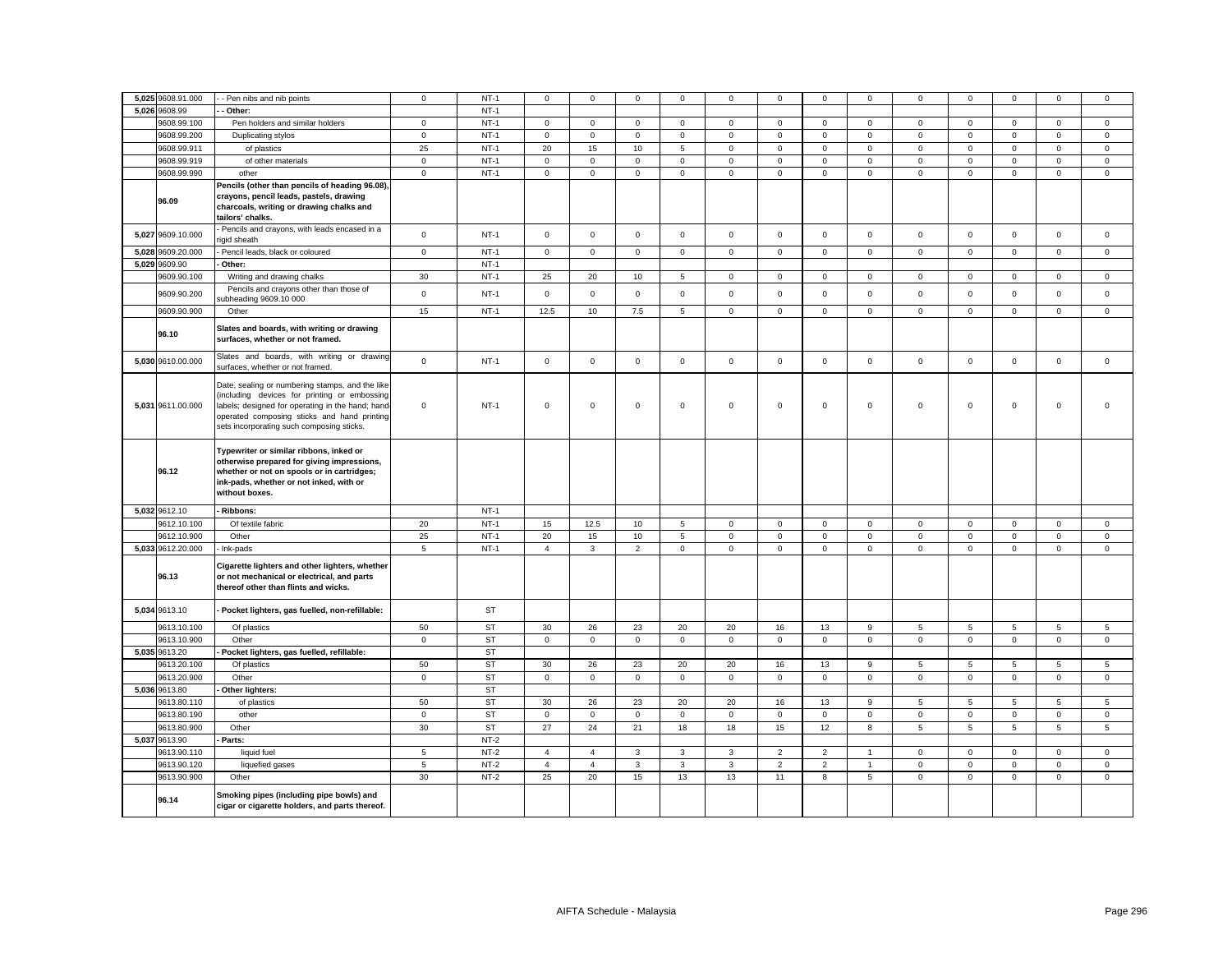|       | 5,025 9608.91.000 | - Pen nibs and nib points                                                                                                                                                                                                                        | $\mathbf 0$    | $NT-1$    | 0              | $\mathbf 0$    | 0              | $\mathbf{0}$    | 0            | 0              | $\mathbf 0$    | $\mathbf 0$    | 0                   | $\mathbf 0$ | $\mathbf 0$  | 0           | 0            |
|-------|-------------------|--------------------------------------------------------------------------------------------------------------------------------------------------------------------------------------------------------------------------------------------------|----------------|-----------|----------------|----------------|----------------|-----------------|--------------|----------------|----------------|----------------|---------------------|-------------|--------------|-------------|--------------|
| 5,026 | 9608.99           | - Other:                                                                                                                                                                                                                                         |                | $NT-1$    |                |                |                |                 |              |                |                |                |                     |             |              |             |              |
|       | 9608.99.100       | Pen holders and similar holders                                                                                                                                                                                                                  | $\mathbf 0$    | $NT-1$    | $\mathsf 0$    | $\mathbf 0$    | $\mathsf 0$    | $\mathbf 0$     | $\mathsf 0$  | $\mathsf 0$    | $\mathbf 0$    | $\mathbf 0$    | $\mathsf 0$         | $\mathbf 0$ | $\mathbf{0}$ | $\mathsf 0$ | $\mathsf 0$  |
|       | 9608.99.200       | Duplicating stylos                                                                                                                                                                                                                               | $\mathbf{0}$   | $NT-1$    | $\circ$        | $\mathbf 0$    | $\mathbf 0$    | $\mathbf{0}$    | $\mathbf{0}$ | $\mathbf 0$    | $\mathbf 0$    | $\mathbf{0}$   | $\mathbf 0$         | $\mathbf 0$ | $\mathbf 0$  | $\mathbf 0$ | $\mathbf 0$  |
|       | 9608.99.911       | of plastics                                                                                                                                                                                                                                      | 25             | $NT-1$    | 20             | 15             | 10             | 5               | $\mathbf{0}$ | $\mathbf 0$    | $\mathbf 0$    | $\mathbf{0}$   | $\mathbf{0}$        | $\mathbf 0$ | $\mathbf{0}$ | $\mathbf 0$ | $\mathsf 0$  |
|       | 9608.99.919       | of other materials                                                                                                                                                                                                                               | $\mathbf{0}$   | $NT-1$    | $\mathbf 0$    | $\mathbf{0}$   | $\mathbf{0}$   | $\mathbf{0}$    | $\mathbf{0}$ | $\mathbf 0$    | $\mathbf{O}$   | $\mathbf{0}$   | $\mathbf 0$         | $\mathbf 0$ | $\mathbf{0}$ | $\mathbf 0$ | $\mathbf{0}$ |
|       | 9608.99.990       | other                                                                                                                                                                                                                                            | $\mathsf 0$    | $NT-1$    | $\mathbf 0$    | $\mathsf 0$    | $\mathsf 0$    | $\mathsf 0$     | 0            | $\mathsf 0$    | $\mathsf 0$    | $\mathbf 0$    | $\mathsf 0$         | $\mathsf 0$ | $\mathsf 0$  | $\mathsf 0$ | $\mathsf 0$  |
|       |                   | Pencils (other than pencils of heading 96.08),                                                                                                                                                                                                   |                |           |                |                |                |                 |              |                |                |                |                     |             |              |             |              |
|       | 96.09             | crayons, pencil leads, pastels, drawing<br>charcoals, writing or drawing chalks and                                                                                                                                                              |                |           |                |                |                |                 |              |                |                |                |                     |             |              |             |              |
|       |                   | tailors' chalks.                                                                                                                                                                                                                                 |                |           |                |                |                |                 |              |                |                |                |                     |             |              |             |              |
|       | 5,027 9609.10.000 | Pencils and crayons, with leads encased in a<br>igid sheath                                                                                                                                                                                      | $\mathsf 0$    | $NT-1$    | $\mathsf{O}$   | $\mathsf 0$    | $\mathsf 0$    | $\mathbf 0$     | $\mathsf 0$  | $\mathsf 0$    | $\mathsf 0$    | $\mathsf 0$    | $\mathsf{O}\xspace$ | $\mathsf 0$ | $\mathsf 0$  | $\mathsf 0$ | $\mathsf 0$  |
| 5,028 | 9609.20.000       | Pencil leads, black or coloured                                                                                                                                                                                                                  | $\mathbf 0$    | $NT-1$    | $\mathsf 0$    | $\mathbf 0$    | $\mathsf 0$    | $\mathbf 0$     | 0            | $\mathsf 0$    | $\mathbf 0$    | $\mathsf 0$    | $\mathsf 0$         | $\mathbf 0$ | $\mathbf 0$  | $\mathsf 0$ | $\mathbf 0$  |
|       | 5,029 9609.90     | Other:                                                                                                                                                                                                                                           |                | $NT-1$    |                |                |                |                 |              |                |                |                |                     |             |              |             |              |
|       | 9609.90.100       | Writing and drawing chalks                                                                                                                                                                                                                       | 30             | $NT-1$    | 25             | 20             | 10             | 5               | 0            | $\mathbf 0$    | $\mathbf 0$    | $\mathsf 0$    | $\mathsf 0$         | $\mathbf 0$ | $\mathbf 0$  | $\mathbf 0$ | $\mathbf 0$  |
|       | 9609.90.200       | Pencils and crayons other than those of<br>ubheading 9609.10 000                                                                                                                                                                                 | $\mathsf 0$    | $NT-1$    | $\mathsf 0$    | $\mathbf 0$    | $\mathsf 0$    | $\mathbf 0$     | $\mathbf 0$  | $\mathsf 0$    | $\mathbf 0$    | $\mathsf 0$    | $\mathbf 0$         | $\mathsf 0$ | $\mathbf 0$  | $\mathsf 0$ | $\mathsf 0$  |
|       | 9609.90.900       | Other                                                                                                                                                                                                                                            | 15             | $NT-1$    | 12.5           | 10             | 7.5            | 5               | 0            | $\mathsf 0$    | $\mathbf 0$    | $\mathbf 0$    | $\mathsf 0$         | $\mathsf 0$ | $\mathsf 0$  | $\mathbf 0$ | $\mathsf 0$  |
|       | 96.10             | Slates and boards, with writing or drawing<br>surfaces, whether or not framed.                                                                                                                                                                   |                |           |                |                |                |                 |              |                |                |                |                     |             |              |             |              |
|       | 5,030 9610.00.000 | Slates and boards, with writing or drawing<br>surfaces, whether or not framed.                                                                                                                                                                   | $\mathbf 0$    | $NT-1$    | $\mathbf{0}$   | $\mathbf 0$    | $\mathsf 0$    | $\mathbf{0}$    | $\mathbf 0$  | $\mathsf 0$    | $\mathbf{O}$   | $\mathsf 0$    | $\mathbf{0}$        | $\mathsf 0$ | $\mathbf 0$  | $\mathsf 0$ | $\mathbf 0$  |
|       | 5,031 9611.00.000 | Date, sealing or numbering stamps, and the like<br>(including devices for printing or embossing<br>labels; designed for operating in the hand; hand-<br>operated composing sticks and hand printing<br>sets incorporating such composing sticks. | $\mathsf 0$    | $NT-1$    | $\mathsf 0$    | $\mathsf 0$    | $\mathsf 0$    | $\mathsf 0$     | 0            | $\mathsf 0$    | $\mathsf 0$    | $\mathbf 0$    | $\mathbf 0$         | $\mathbf 0$ | $\mathsf 0$  | $\mathsf 0$ | $\mathsf 0$  |
|       | 96.12             | Typewriter or similar ribbons, inked or<br>otherwise prepared for giving impressions,<br>whether or not on spools or in cartridges;<br>ink-pads, whether or not inked, with or<br>without boxes.                                                 |                |           |                |                |                |                 |              |                |                |                |                     |             |              |             |              |
|       | 5,032 9612.10     | Ribbons:                                                                                                                                                                                                                                         |                | $NT-1$    |                |                |                |                 |              |                |                |                |                     |             |              |             |              |
|       | 9612.10.100       | Of textile fabric                                                                                                                                                                                                                                | 20             | $NT-1$    | 15             | 12.5           | 10             | $5\overline{5}$ | $\mathbf 0$  | $\mathsf 0$    | $\mathsf 0$    | $\circ$        | $\mathbf 0$         | $\mathsf 0$ | $\mathbf 0$  | $\mathbf 0$ | $\mathbf{0}$ |
|       | 9612.10.900       | Other                                                                                                                                                                                                                                            | 25             | $NT-1$    | 20             | 15             | 10             | 5               | $\mathbf 0$  | $\mathbf 0$    | $\mathbf 0$    | $\mathsf 0$    | $\mathsf 0$         | $\mathbf 0$ | $\mathbf 0$  | $\mathsf 0$ | $\mathsf 0$  |
|       | 5,033 9612.20.000 | - Ink-pads                                                                                                                                                                                                                                       | $\overline{5}$ | $NT-1$    | $\overline{4}$ | $\mathbf{3}$   | $\overline{2}$ | $\mathbf{0}$    | $\mathbf 0$  | $\mathbf 0$    | $\mathbf{O}$   | $\mathbf 0$    | $\mathsf{O}\xspace$ | $\mathbf 0$ | $\mathbf 0$  | $\mathbf 0$ | $\mathbf 0$  |
|       | 96.13             | Cigarette lighters and other lighters, whether<br>or not mechanical or electrical, and parts<br>thereof other than flints and wicks.                                                                                                             |                |           |                |                |                |                 |              |                |                |                |                     |             |              |             |              |
|       | 5,034 9613.10     | - Pocket lighters, gas fuelled, non-refillable:                                                                                                                                                                                                  |                | ST        |                |                |                |                 |              |                |                |                |                     |             |              |             |              |
|       | 9613.10.100       | Of plastics                                                                                                                                                                                                                                      | 50             | <b>ST</b> | 30             | 26             | 23             | 20              | 20           | 16             | 13             | 9              | 5                   | 5           | 5            | 5           | 5            |
|       | 9613.10.900       | Other                                                                                                                                                                                                                                            | $\mathbf 0$    | <b>ST</b> | $\mathbf{0}$   | $\mathbf 0$    | $\mathbf 0$    | $\mathbf 0$     | 0            | $\mathsf 0$    | $\mathbf 0$    | $\circ$        | $\mathbf 0$         | $\mathsf 0$ | $\mathbf 0$  | $\mathbf 0$ | $\mathsf 0$  |
|       | 5,035 9613.20     | Pocket lighters, gas fuelled, refillable:                                                                                                                                                                                                        |                | <b>ST</b> |                |                |                |                 |              |                |                |                |                     |             |              |             |              |
|       | 9613.20.100       | Of plastics                                                                                                                                                                                                                                      | 50             | <b>ST</b> | 30             | 26             | 23             | 20              | 20           | 16             | 13             | 9              | 5                   | 5           | 5            | 5           | 5            |
|       | 9613.20.900       | Other                                                                                                                                                                                                                                            | $\mathbf 0$    | <b>ST</b> | $\mathbf{0}$   | $\mathbf 0$    | $\mathbf 0$    | $\mathbf 0$     | 0            | $\mathbf 0$    | $\mathbf 0$    | $\circ$        | $\mathbf 0$         | $\mathbf 0$ | $\mathbf{0}$ | $\mathbf 0$ | $\mathbf 0$  |
|       | 5,036 9613.80     | Other lighters:                                                                                                                                                                                                                                  |                | <b>ST</b> |                |                |                |                 |              |                |                |                |                     |             |              |             |              |
|       | 9613.80.110       | of plastics                                                                                                                                                                                                                                      | 50             | <b>ST</b> | 30             | 26             | 23             | 20              | 20           | 16             | 13             | 9              | 5                   | 5           | 5            | 5           | 5            |
|       | 9613.80.190       | other                                                                                                                                                                                                                                            | $\mathbf 0$    | <b>ST</b> | $\circ$        | $\mathbf 0$    | $\mathsf 0$    | $\mathsf 0$     | 0            | $\mathbf 0$    | $\mathsf 0$    | $\mathsf 0$    | $\mathbf 0$         | $\mathbf 0$ | $\mathsf 0$  | $\mathsf 0$ | $\mathsf 0$  |
|       | 9613.80.900       | Other                                                                                                                                                                                                                                            | 30             | <b>ST</b> | 27             | 24             | 21             | 18              | 18           | 15             | 12             | 8              | 5                   | 5           | 5            | 5           | $\sqrt{5}$   |
| 5,037 | 9613.90           | - Parts:                                                                                                                                                                                                                                         |                | $NT-2$    |                |                |                |                 |              |                |                |                |                     |             |              |             |              |
|       | 9613.90.110       | liquid fuel                                                                                                                                                                                                                                      | $\overline{5}$ | $NT-2$    | $\overline{4}$ | $\overline{4}$ | $\mathbf{3}$   | 3               | 3            | $\overline{2}$ | $\overline{2}$ | $\overline{1}$ | $\mathbf 0$         | 0           | $\mathsf 0$  | $\mathbf 0$ | $\mathbf 0$  |
|       | 9613.90.120       | liquefied gases                                                                                                                                                                                                                                  | $\sqrt{5}$     | $NT-2$    | $\overline{4}$ | $\overline{4}$ | $\mathbf{3}$   | $\mathbf{3}$    | 3            | $\overline{2}$ | $\overline{2}$ | $\mathbf{1}$   | $\mathsf{O}\xspace$ | $\mathbf 0$ | $\mathsf 0$  | $\mathsf 0$ | $\mathsf 0$  |
|       | 9613.90.900       | Other                                                                                                                                                                                                                                            | 30             | $NT-2$    | 25             | 20             | 15             | 13              | 13           | 11             | 8              | 5              | $\mathsf{O}\xspace$ | $\mathsf 0$ | $\mathbf 0$  | $\mathsf 0$ | $\mathsf 0$  |
|       | 96.14             | Smoking pipes (including pipe bowls) and<br>cigar or cigarette holders, and parts thereof.                                                                                                                                                       |                |           |                |                |                |                 |              |                |                |                |                     |             |              |             |              |
|       |                   |                                                                                                                                                                                                                                                  |                |           |                |                |                |                 |              |                |                |                |                     |             |              |             |              |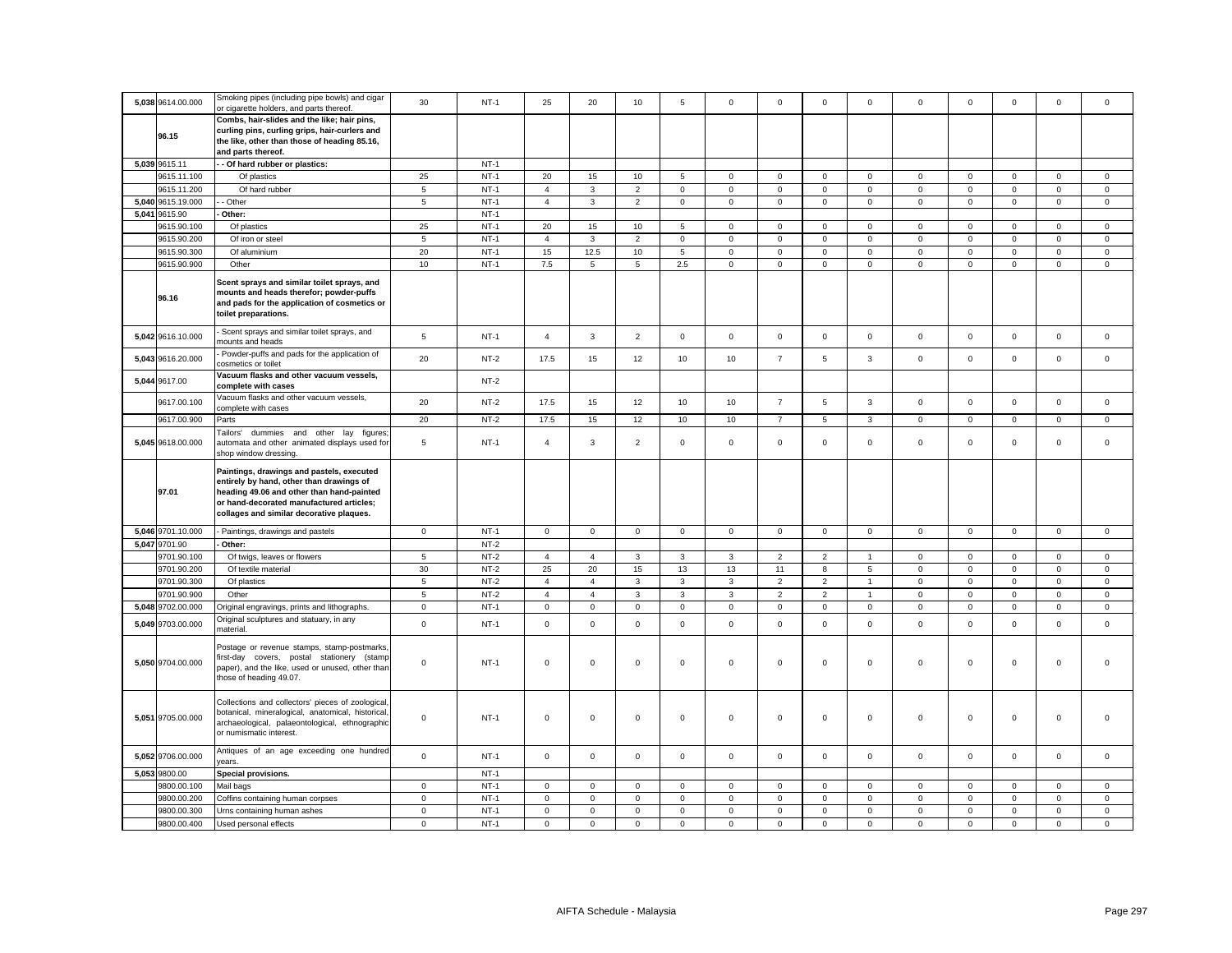| 5,038 9614.00.000          | Smoking pipes (including pipe bowls) and cigar<br>or cigarette holders, and parts thereof.          | 30                      | $NT-1$           | 25                      | 20                      | 10                      | 5                    | $\mathbf 0$             | $\Omega$                | $\mathbf 0$             | $\mathbf 0$             | $\mathbf 0$             | $\mathbf 0$             | $\mathbf 0$             | $\mathbf 0$             | $^{\circ}$              |
|----------------------------|-----------------------------------------------------------------------------------------------------|-------------------------|------------------|-------------------------|-------------------------|-------------------------|----------------------|-------------------------|-------------------------|-------------------------|-------------------------|-------------------------|-------------------------|-------------------------|-------------------------|-------------------------|
|                            | Combs, hair-slides and the like; hair pins,                                                         |                         |                  |                         |                         |                         |                      |                         |                         |                         |                         |                         |                         |                         |                         |                         |
| 96.15                      | curling pins, curling grips, hair-curlers and                                                       |                         |                  |                         |                         |                         |                      |                         |                         |                         |                         |                         |                         |                         |                         |                         |
|                            | the like, other than those of heading 85.16,                                                        |                         |                  |                         |                         |                         |                      |                         |                         |                         |                         |                         |                         |                         |                         |                         |
|                            | and parts thereof.                                                                                  |                         |                  |                         |                         |                         |                      |                         |                         |                         |                         |                         |                         |                         |                         |                         |
| 5,039 9615.11              | - Of hard rubber or plastics:                                                                       |                         | $NT-1$           |                         |                         |                         |                      |                         |                         |                         |                         |                         |                         |                         |                         |                         |
| 9615.11.100                | Of plastics                                                                                         | 25                      | $NT-1$           | 20                      | 15                      | 10                      | 5                    | $\mathsf 0$             | $\mathbf 0$             | $\circ$                 | $\overline{0}$          | $\mathbf 0$             | 0                       | $\mathbf{0}$            | $\mathbf{0}$            | $\mathbf 0$             |
| 9615.11.200                | Of hard rubber                                                                                      | 5                       | $NT-1$           | $\overline{4}$          | 3                       | $\overline{2}$          | $\mathsf 0$          | $\mathbf 0$             | $\mathsf 0$             | $\mathbf 0$             | $\mathbf 0$             | $\mathbf 0$             | $\mathsf 0$             | $\mathbf 0$             | $\mathsf 0$             | $\mathsf 0$             |
| 5,040 9615.19.000          | - Other                                                                                             | $5\phantom{.0}$         | $NT-1$           | $\overline{4}$          | 3                       | $\overline{2}$          | $\mathsf 0$          | $\mathbf 0$             | $\mathbf 0$             | $\mathbf 0$             | $\mathsf 0$             | $\mathbf 0$             | $\mathsf 0$             | $\mathbf 0$             | $\mathbf 0$             | $\mathsf 0$             |
| 5,041 9615.90              | Other:                                                                                              |                         | $NT-1$           |                         |                         |                         |                      |                         |                         |                         |                         |                         |                         |                         |                         |                         |
| 9615.90.100                | Of plastics                                                                                         | 25                      | $NT-1$           | 20                      | 15                      | 10                      | 5                    | $\mathbf 0$             | $\mathbf 0$             | $\mathbf{O}$            | $\overline{0}$          | $\mathbf 0$             | $\mathbf 0$             | $\mathbf{0}$            | $\mathbf{0}$            | $\mathbf 0$             |
| 9615.90.200                | Of iron or steel                                                                                    | $\sqrt{5}$              | $NT-1$           | $\overline{4}$          | 3                       | $\overline{2}$          | $\mathbf 0$          | $\mathsf 0$             | $\mathsf 0$             | $\mathbf 0$             | $\mathbf 0$             | $\mathbf 0$             | $\mathsf 0$             | $\mathsf 0$             | $\mathsf 0$             | $\mathsf 0$             |
| 9615.90.300                | Of aluminium                                                                                        | 20                      | $NT-1$           | 15                      | 12.5                    | 10                      | 5                    | $\mathbf 0$             | $\mathbf 0$             | $\mathsf{O}$            | $\mathbf{0}$            | $\mathsf 0$             | $\mathbf 0$             | $\mathbf 0$             | $\mathsf 0$             | $\mathsf 0$             |
| 9615.90.900                | Other                                                                                               | 10                      | $NT-1$           | 7.5                     | 5                       | 5                       | 2.5                  | $\mathbf 0$             | $\mathbf 0$             | $\mathbf 0$             | $\mathbf{0}$            | $\mathbf 0$             | $\mathbf 0$             | $\mathbf 0$             | $\mathbf 0$             | $\mathbf 0$             |
|                            |                                                                                                     |                         |                  |                         |                         |                         |                      |                         |                         |                         |                         |                         |                         |                         |                         |                         |
|                            | Scent sprays and similar toilet sprays, and                                                         |                         |                  |                         |                         |                         |                      |                         |                         |                         |                         |                         |                         |                         |                         |                         |
| 96.16                      | mounts and heads therefor; powder-puffs                                                             |                         |                  |                         |                         |                         |                      |                         |                         |                         |                         |                         |                         |                         |                         |                         |
|                            | and pads for the application of cosmetics or                                                        |                         |                  |                         |                         |                         |                      |                         |                         |                         |                         |                         |                         |                         |                         |                         |
|                            | toilet preparations.                                                                                |                         |                  |                         |                         |                         |                      |                         |                         |                         |                         |                         |                         |                         |                         |                         |
|                            | Scent sprays and similar toilet sprays, and                                                         |                         |                  |                         |                         |                         |                      |                         |                         |                         |                         |                         |                         |                         |                         |                         |
| 5,042 9616.10.000          | mounts and heads                                                                                    | $5\phantom{.0}$         | $NT-1$           | $\overline{4}$          | $\mathbf{3}$            | $\overline{2}$          | $\mathbf 0$          | $\mathsf 0$             | $\mathsf 0$             | $\mathbf{0}$            | $\mathsf 0$             | $\mathsf 0$             | $\mathsf 0$             | $\mathsf{O}\xspace$     | $\mathsf 0$             | $\mathbf 0$             |
| 5,043 9616.20.000          | Powder-puffs and pads for the application of                                                        | 20                      | $NT-2$           | 17.5                    | 15                      | 12                      | 10                   | 10                      | $\overline{7}$          | 5                       | $\mathbf{3}$            | $\mathsf 0$             | $\mathsf 0$             | $\mathsf 0$             | $\mathsf{O}\xspace$     | $\mathsf 0$             |
|                            | cosmetics or toilet                                                                                 |                         |                  |                         |                         |                         |                      |                         |                         |                         |                         |                         |                         |                         |                         |                         |
| 5,044 9617.00              | Vacuum flasks and other vacuum vessels,                                                             |                         | $NT-2$           |                         |                         |                         |                      |                         |                         |                         |                         |                         |                         |                         |                         |                         |
|                            | complete with cases                                                                                 |                         |                  |                         |                         |                         |                      |                         |                         |                         |                         |                         |                         |                         |                         |                         |
| 9617.00.100                | Vacuum flasks and other vacuum vessels,                                                             | 20                      | $NT-2$           | 17.5                    | 15                      | 12                      | 10                   | 10                      | $\overline{7}$          | 5                       | $\mathbf{3}$            | $\mathsf 0$             | $\mathbf 0$             | $\mathbf 0$             | $\mathbf 0$             | $\mathbf 0$             |
|                            | complete with cases                                                                                 |                         |                  |                         |                         |                         |                      |                         |                         |                         |                         |                         |                         |                         |                         |                         |
| 9617.00.900                | Parts                                                                                               | 20                      | $NT-2$           | 17.5                    | 15                      | 12                      | 10                   | 10                      | $\overline{7}$          | 5                       | $\mathbf{3}$            | $\mathsf 0$             | $\mathsf 0$             | $\mathbf 0$             | $\mathsf{O}\xspace$     | $\mathbf 0$             |
|                            | Tailors'<br>dummies and other lay figures                                                           |                         |                  |                         |                         |                         |                      |                         |                         |                         |                         |                         |                         |                         |                         |                         |
| 5,045 9618.00.000          | automata and other animated displays used for                                                       | 5                       | $NT-1$           | $\overline{4}$          | 3                       | $\overline{2}$          | $\mathsf 0$          | $\mathbf 0$             | $\mathsf 0$             | $\mathbf{O}$            | $\mathsf 0$             | $\mathbf 0$             | $\mathsf 0$             | $\mathbf 0$             | $\mathbf 0$             | $\mathsf 0$             |
|                            | shop window dressing.                                                                               |                         |                  |                         |                         |                         |                      |                         |                         |                         |                         |                         |                         |                         |                         |                         |
|                            |                                                                                                     |                         |                  |                         |                         |                         |                      |                         |                         |                         |                         |                         |                         |                         |                         |                         |
|                            | Paintings, drawings and pastels, executed                                                           |                         |                  |                         |                         |                         |                      |                         |                         |                         |                         |                         |                         |                         |                         |                         |
|                            | entirely by hand, other than drawings of                                                            |                         |                  |                         |                         |                         |                      |                         |                         |                         |                         |                         |                         |                         |                         |                         |
| 97.01                      | heading 49.06 and other than hand-painted                                                           |                         |                  |                         |                         |                         |                      |                         |                         |                         |                         |                         |                         |                         |                         |                         |
|                            | or hand-decorated manufactured articles;                                                            |                         |                  |                         |                         |                         |                      |                         |                         |                         |                         |                         |                         |                         |                         |                         |
|                            | collages and similar decorative plaques.                                                            |                         |                  |                         |                         |                         |                      |                         |                         |                         |                         |                         |                         |                         |                         |                         |
|                            |                                                                                                     |                         |                  |                         |                         |                         |                      |                         |                         |                         |                         |                         |                         |                         |                         |                         |
| 5,046 9701.10.000          | - Paintings, drawings and pastels                                                                   | $\mathsf 0$             | $NT-1$           | $\mathsf{O}$            | $\mathsf 0$             | $\mathsf 0$             | $\mathsf 0$          | $\mathsf 0$             | $\mathsf 0$             | $\mathsf{O}$            | $\mathsf 0$             | $\mathsf 0$             | $\mathsf 0$             | $\mathsf 0$             | $\mathsf{O}\xspace$     | $\mathsf 0$             |
| 5,047 9701.90              | Other:                                                                                              |                         | $NT-2$           |                         |                         |                         |                      |                         |                         |                         |                         |                         |                         |                         |                         |                         |
| 9701.90.100                | Of twigs, leaves or flowers                                                                         | 5                       | $NT-2$           | $\overline{4}$          | $\overline{4}$          | 3                       | 3                    | 3                       | $\overline{2}$          | $\overline{2}$          | $\overline{1}$          | $\mathbf 0$             | $\mathsf 0$             | $\mathbf 0$             | $\mathsf 0$             | $\mathsf 0$             |
| 9701.90.200                | Of textile material                                                                                 | 30                      | $NT-2$           | 25                      | 20                      | 15                      | 13                   | 13                      | 11                      | 8                       | $\overline{5}$          | $\mathsf 0$             | 0                       | $\mathsf{O}\xspace$     | 0                       | $\mathbf 0$             |
| 9701.90.300                | Of plastics                                                                                         | $\overline{5}$          | $NT-2$           | $\overline{4}$          | $\overline{4}$          | $\mathsf 3$             | $\mathbf{3}$         | 3                       | $\mathbf 2$             | $\overline{2}$          | $\overline{1}$          | $\mathsf 0$             | $\mathsf 0$             | $\mathbf 0$             | $\mathbf 0$             | $\mathbf 0$             |
| 9701.90.900                | Other                                                                                               | $\,$ 5 $\,$             | $NT-2$           | $\overline{4}$          | $\overline{4}$          | 3                       | 3                    | 3                       | $\overline{2}$          | $\overline{2}$          | $\mathbf{1}$            | $\mathbf 0$             | $\mathbf 0$             | $\mathsf 0$             | $\mathsf 0$             | $\mathsf 0$             |
| 5,048 9702.00.000          | riginal engravings, prints and lithographs.                                                         | $\overline{0}$          | $NT-1$           | $\mathbf 0$             | $\mathsf 0$             | $\mathbf 0$             | $\mathsf 0$          | $\mathsf 0$             | $\mathsf 0$             | $\mathsf 0$             | $\mathsf 0$             | $\mathsf 0$             | $\mathbf 0$             | $\mathsf{O}\xspace$     | $\mathsf 0$             | $\mathsf 0$             |
|                            | Original sculptures and statuary, in any                                                            |                         |                  |                         |                         |                         |                      |                         |                         |                         |                         |                         |                         |                         |                         |                         |
| 5,049 9703.00.000          | material.                                                                                           | $\mathsf 0$             | $NT-1$           | $\mathbf 0$             | $\mathsf 0$             | $\mathsf 0$             | $\mathsf 0$          | $\mathbf 0$             | $\mathsf 0$             | $\mathbf 0$             | $\mathsf 0$             | $\mathsf 0$             | $\mathsf 0$             | $\mathsf 0$             | $\mathsf 0$             | $\mathsf 0$             |
|                            |                                                                                                     |                         |                  |                         |                         |                         |                      |                         |                         |                         |                         |                         |                         |                         |                         |                         |
|                            | Postage or revenue stamps, stamp-postmarks                                                          |                         |                  |                         |                         |                         |                      |                         |                         |                         |                         |                         |                         |                         |                         |                         |
| 5,050 9704.00.000          | first-day covers, postal stationery (stamp                                                          | $\mathbf 0$             | $NT-1$           | $\mathsf 0$             | $\mathsf 0$             | $\mathsf 0$             | $\mathsf 0$          | $\mathsf 0$             | $\mathsf 0$             | $\mathsf 0$             | $\mathbf 0$             | $\mathbf 0$             | $\mathsf 0$             | $\mathsf 0$             | $\mathsf 0$             | $\mathsf 0$             |
|                            | paper), and the like, used or unused, other than<br>those of heading 49.07.                         |                         |                  |                         |                         |                         |                      |                         |                         |                         |                         |                         |                         |                         |                         |                         |
|                            |                                                                                                     |                         |                  |                         |                         |                         |                      |                         |                         |                         |                         |                         |                         |                         |                         |                         |
|                            |                                                                                                     |                         |                  |                         |                         |                         |                      |                         |                         |                         |                         |                         |                         |                         |                         |                         |
|                            | Collections and collectors' pieces of zoological                                                    |                         |                  |                         |                         |                         |                      |                         |                         |                         |                         |                         |                         |                         |                         |                         |
| 5,051 9705.00.000          | botanical, mineralogical, anatomical, historical,<br>archaeological, palaeontological, ethnographic | $\mathsf 0$             | $NT-1$           | $\mathbf 0$             | $\mathsf 0$             | $\mathsf 0$             | $\mathsf 0$          | $\mathsf 0$             | $\mathsf 0$             | $\mathsf 0$             | $\mathsf 0$             | $\mathbf 0$             | $\mathsf 0$             | $\mathsf 0$             | $\mathsf 0$             | $\mathbf 0$             |
|                            | or numismatic interest.                                                                             |                         |                  |                         |                         |                         |                      |                         |                         |                         |                         |                         |                         |                         |                         |                         |
|                            |                                                                                                     |                         |                  |                         |                         |                         |                      |                         |                         |                         |                         |                         |                         |                         |                         |                         |
| 5,052 9706.00.000          | Antiques of an age exceeding one hundred                                                            | $\mathbf 0$             | $NT-1$           | $\mathbf 0$             | $\mathsf 0$             | $\mathsf 0$             | $\mathsf 0$          | $\mathsf 0$             | $\mathsf 0$             | $\mathbf 0$             | $\mathbf 0$             | $\mathbf 0$             | $\mathsf 0$             | $\mathsf 0$             | $\mathsf 0$             | $\mathsf 0$             |
|                            | rears.                                                                                              |                         |                  |                         |                         |                         |                      |                         |                         |                         |                         |                         |                         |                         |                         |                         |
| 5,053 9800.00              | Special provisions.                                                                                 |                         | $NT-1$           |                         |                         |                         |                      |                         |                         |                         |                         |                         |                         |                         |                         |                         |
| 9800.00.100                | Mail bags                                                                                           | $\mathbf 0$             | $NT-1$           | 0                       | $\mathbf 0$             | $\mathbf 0$             | $\mathbf 0$          | 0                       | $\mathbf 0$             | $\mathbf{0}$            | $\mathbf 0$             | 0                       | $\mathbf 0$             | $\mathbf 0$             | $\mathbf 0$             | $\mathbf 0$             |
| 9800.00.200                | Coffins containing human corpses                                                                    | $\mathbf 0$             | $NT-1$           | $\mathbf 0$             | $\mathsf 0$             | $\mathsf 0$             | $\mathsf 0$          | $\mathbf 0$             | $\mathsf 0$             | $\mathbf 0$             | $\mathsf 0$             | $\mathsf 0$             | $\mathsf 0$             | $\mathbf 0$             | $\mathsf 0$             | $\mathsf 0$             |
| 9800.00.300<br>9800.00.400 | Urns containing human ashes<br>Used personal effects                                                | $\mathsf 0$<br>$\Omega$ | $NT-1$<br>$NT-1$ | $\mathbf 0$<br>$\Omega$ | $\mathbf 0$<br>$\Omega$ | $\mathbf 0$<br>$\Omega$ | $\Omega$<br>$\Omega$ | $\mathbf 0$<br>$\Omega$ | $\mathbf 0$<br>$\Omega$ | $\mathbf 0$<br>$\Omega$ | $\mathbf 0$<br>$\Omega$ | $\mathbf 0$<br>$\Omega$ | $\mathbf 0$<br>$\Omega$ | $\mathbf 0$<br>$\Omega$ | $\mathbf 0$<br>$\Omega$ | $\mathbf 0$<br>$\Omega$ |